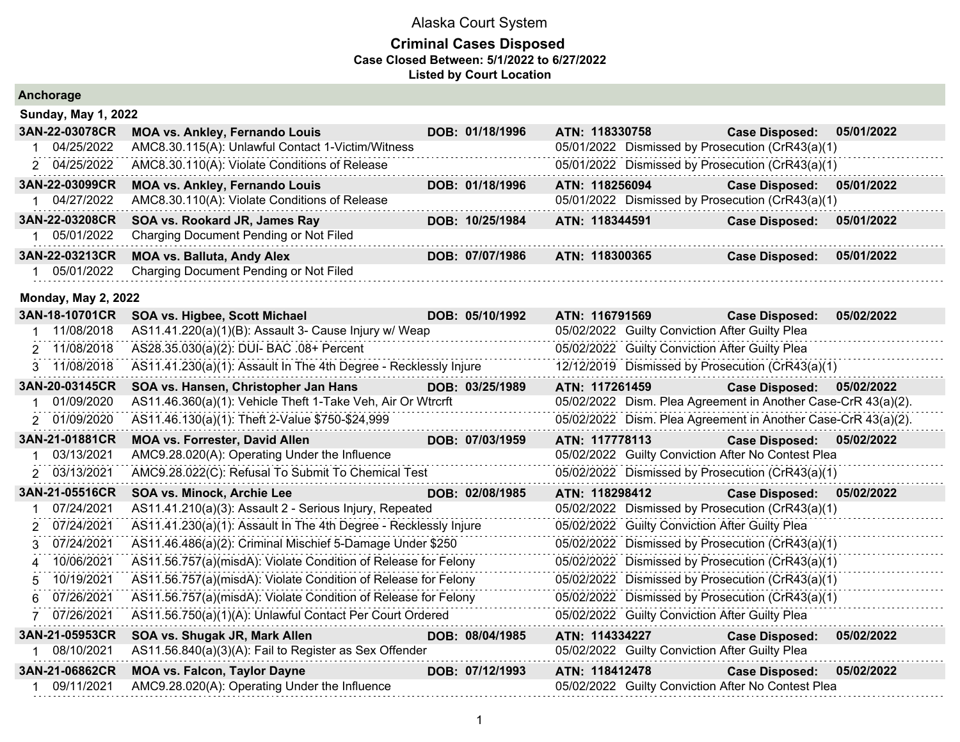|             | Anchorage                  |                                                                  |                 |                |                                                |                                                               |            |
|-------------|----------------------------|------------------------------------------------------------------|-----------------|----------------|------------------------------------------------|---------------------------------------------------------------|------------|
|             | <b>Sunday, May 1, 2022</b> |                                                                  |                 |                |                                                |                                                               |            |
|             | 3AN-22-03078CR             | <b>MOA vs. Ankley, Fernando Louis</b>                            | DOB: 01/18/1996 | ATN: 118330758 |                                                | <b>Case Disposed:</b>                                         | 05/01/2022 |
| $\mathbf 1$ | 04/25/2022                 | AMC8.30.115(A): Unlawful Contact 1-Victim/Witness                |                 |                |                                                | 05/01/2022 Dismissed by Prosecution (CrR43(a)(1)              |            |
|             | 2 04/25/2022               | AMC8.30.110(A): Violate Conditions of Release                    |                 |                |                                                | 05/01/2022 Dismissed by Prosecution (CrR43(a)(1)              |            |
|             | 3AN-22-03099CR             | <b>MOA vs. Ankley, Fernando Louis</b>                            | DOB: 01/18/1996 | ATN: 118256094 |                                                | <b>Case Disposed:</b>                                         | 05/01/2022 |
| 1           | 04/27/2022                 | AMC8.30.110(A): Violate Conditions of Release                    |                 |                |                                                | 05/01/2022 Dismissed by Prosecution (CrR43(a)(1)              |            |
|             | 3AN-22-03208CR             | SOA vs. Rookard JR, James Ray                                    | DOB: 10/25/1984 | ATN: 118344591 |                                                | <b>Case Disposed:</b>                                         | 05/01/2022 |
|             | 05/01/2022                 | Charging Document Pending or Not Filed                           |                 |                |                                                |                                                               |            |
|             | 3AN-22-03213CR             | <b>MOA vs. Balluta, Andy Alex</b>                                | DOB: 07/07/1986 | ATN: 118300365 |                                                | <b>Case Disposed:</b>                                         | 05/01/2022 |
| 1.          | 05/01/2022                 | Charging Document Pending or Not Filed                           |                 |                |                                                |                                                               |            |
|             | <b>Monday, May 2, 2022</b> |                                                                  |                 |                |                                                |                                                               |            |
|             | 3AN-18-10701CR             | SOA vs. Higbee, Scott Michael                                    | DOB: 05/10/1992 | ATN: 116791569 |                                                | <b>Case Disposed:</b>                                         | 05/02/2022 |
|             | 11/08/2018                 | AS11.41.220(a)(1)(B): Assault 3- Cause Injury w/ Weap            |                 |                | 05/02/2022 Guilty Conviction After Guilty Plea |                                                               |            |
|             | 2 11/08/2018               | AS28.35.030(a)(2): DUI- BAC .08+ Percent                         |                 |                | 05/02/2022 Guilty Conviction After Guilty Plea |                                                               |            |
|             | 3 11/08/2018               | AS11.41.230(a)(1): Assault In The 4th Degree - Recklessly Injure |                 |                |                                                | 12/12/2019 Dismissed by Prosecution (CrR43(a)(1)              |            |
|             | 3AN-20-03145CR             | SOA vs. Hansen, Christopher Jan Hans                             | DOB: 03/25/1989 | ATN: 117261459 |                                                | <b>Case Disposed:</b>                                         | 05/02/2022 |
|             | 01/09/2020                 | AS11.46.360(a)(1): Vehicle Theft 1-Take Veh, Air Or Wtrcrft      |                 |                |                                                | 05/02/2022 Dism. Plea Agreement in Another Case-CrR 43(a)(2). |            |
|             | 2 01/09/2020               | AS11.46.130(a)(1): Theft 2-Value \$750-\$24,999                  |                 |                |                                                | 05/02/2022 Dism. Plea Agreement in Another Case-CrR 43(a)(2). |            |
|             | 3AN-21-01881CR             | <b>MOA vs. Forrester, David Allen</b>                            | DOB: 07/03/1959 | ATN: 117778113 |                                                | <b>Case Disposed:</b>                                         | 05/02/2022 |
| 1           | 03/13/2021                 | AMC9.28.020(A): Operating Under the Influence                    |                 |                |                                                | 05/02/2022 Guilty Conviction After No Contest Plea            |            |
| 2           | 03/13/2021                 | AMC9.28.022(C): Refusal To Submit To Chemical Test               |                 |                |                                                | 05/02/2022 Dismissed by Prosecution (CrR43(a)(1)              |            |
|             | 3AN-21-05516CR             | SOA vs. Minock, Archie Lee                                       | DOB: 02/08/1985 | ATN: 118298412 |                                                | <b>Case Disposed:</b>                                         | 05/02/2022 |
|             | 07/24/2021                 | AS11.41.210(a)(3): Assault 2 - Serious Injury, Repeated          |                 |                |                                                | 05/02/2022 Dismissed by Prosecution (CrR43(a)(1)              |            |
| 2           | 07/24/2021                 | AS11.41.230(a)(1): Assault In The 4th Degree - Recklessly Injure |                 |                | 05/02/2022 Guilty Conviction After Guilty Plea |                                                               |            |
| 3           | 07/24/2021                 | AS11.46.486(a)(2): Criminal Mischief 5-Damage Under \$250        |                 |                |                                                | 05/02/2022 Dismissed by Prosecution (CrR43(a)(1)              |            |
| 4           | 10/06/2021                 | AS11.56.757(a)(misdA): Violate Condition of Release for Felony   |                 |                |                                                | 05/02/2022 Dismissed by Prosecution (CrR43(a)(1)              |            |
| 5           | 10/19/2021                 | AS11.56.757(a)(misdA): Violate Condition of Release for Felony   |                 |                |                                                | 05/02/2022 Dismissed by Prosecution (CrR43(a)(1)              |            |
| 6           | 07/26/2021                 | AS11.56.757(a)(misdA): Violate Condition of Release for Felony   |                 |                |                                                | 05/02/2022 Dismissed by Prosecution (CrR43(a)(1)              |            |
|             | 7 07/26/2021               | AS11.56.750(a)(1)(A): Unlawful Contact Per Court Ordered         |                 |                | 05/02/2022 Guilty Conviction After Guilty Plea |                                                               |            |
|             | 3AN-21-05953CR             | SOA vs. Shugak JR, Mark Allen                                    | DOB: 08/04/1985 | ATN: 114334227 |                                                | <b>Case Disposed:</b>                                         | 05/02/2022 |
|             | 08/10/2021                 | AS11.56.840(a)(3)(A): Fail to Register as Sex Offender           |                 |                | 05/02/2022 Guilty Conviction After Guilty Plea |                                                               |            |
|             | 3AN-21-06862CR             | <b>MOA vs. Falcon, Taylor Dayne</b>                              | DOB: 07/12/1993 | ATN: 118412478 |                                                | <b>Case Disposed:</b>                                         | 05/02/2022 |
|             | 09/11/2021                 | AMC9.28.020(A): Operating Under the Influence                    |                 |                |                                                | 05/02/2022 Guilty Conviction After No Contest Plea            |            |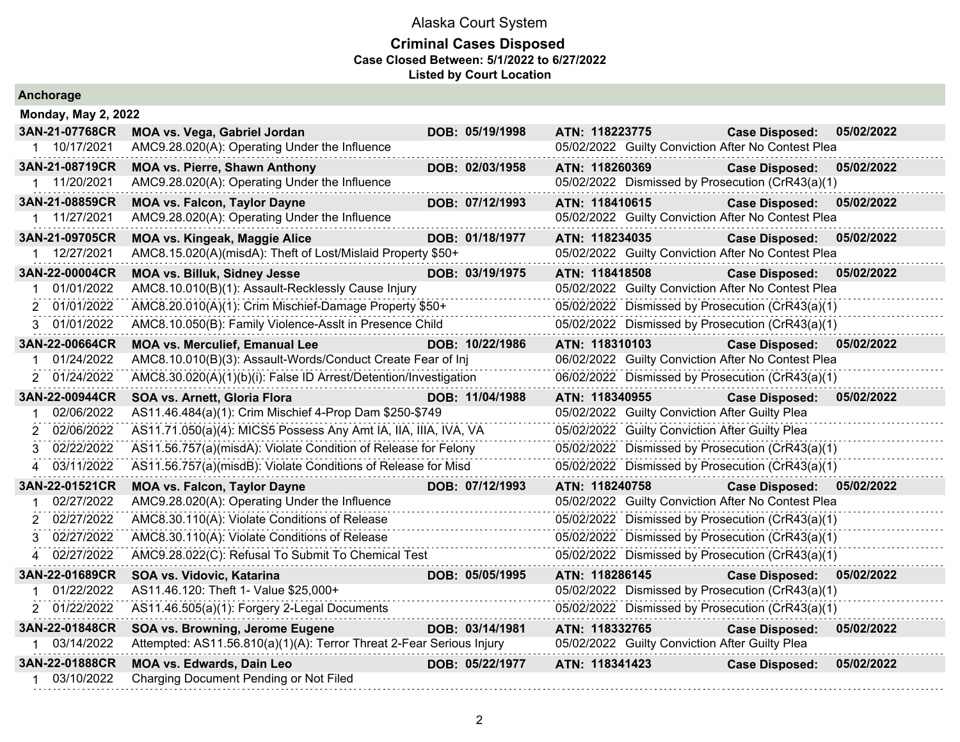#### **Criminal Cases Disposed Case Closed Between: 5/1/2022 to 6/27/2022 Listed by Court Location**

| <b>Monday, May 2, 2022</b>  |                                                                      |                 |                                                    |                                     |  |
|-----------------------------|----------------------------------------------------------------------|-----------------|----------------------------------------------------|-------------------------------------|--|
| 3AN-21-07768CR              | MOA vs. Vega, Gabriel Jordan                                         | DOB: 05/19/1998 | ATN: 118223775                                     | 05/02/2022<br><b>Case Disposed:</b> |  |
| 1 10/17/2021                | AMC9.28.020(A): Operating Under the Influence                        |                 | 05/02/2022 Guilty Conviction After No Contest Plea |                                     |  |
| 3AN-21-08719CR              | <b>MOA vs. Pierre, Shawn Anthony</b>                                 | DOB: 02/03/1958 | ATN: 118260369                                     | 05/02/2022<br><b>Case Disposed:</b> |  |
| 1 11/20/2021                | AMC9.28.020(A): Operating Under the Influence                        |                 | 05/02/2022 Dismissed by Prosecution (CrR43(a)(1)   |                                     |  |
| 3AN-21-08859CR              | <b>MOA vs. Falcon, Taylor Dayne</b>                                  | DOB: 07/12/1993 | ATN: 118410615                                     | 05/02/2022<br><b>Case Disposed:</b> |  |
| 1 11/27/2021                | AMC9.28.020(A): Operating Under the Influence                        |                 | 05/02/2022 Guilty Conviction After No Contest Plea |                                     |  |
| 3AN-21-09705CR              | <b>MOA vs. Kingeak, Maggie Alice</b>                                 | DOB: 01/18/1977 | ATN: 118234035                                     | <b>Case Disposed:</b><br>05/02/2022 |  |
| 1 12/27/2021                | AMC8.15.020(A)(misdA): Theft of Lost/Mislaid Property \$50+          |                 | 05/02/2022 Guilty Conviction After No Contest Plea |                                     |  |
| 3AN-22-00004CR              | <b>MOA vs. Billuk, Sidney Jesse</b>                                  | DOB: 03/19/1975 | ATN: 118418508                                     | <b>Case Disposed:</b><br>05/02/2022 |  |
| 01/01/2022                  | AMC8.10.010(B)(1): Assault-Recklessly Cause Injury                   |                 | 05/02/2022 Guilty Conviction After No Contest Plea |                                     |  |
| 01/01/2022<br>2             | AMC8.20.010(A)(1): Crim Mischief-Damage Property \$50+               |                 | 05/02/2022 Dismissed by Prosecution (CrR43(a)(1)   |                                     |  |
| 01/01/2022<br>3             | AMC8.10.050(B): Family Violence-Asslt in Presence Child              |                 | 05/02/2022 Dismissed by Prosecution (CrR43(a)(1)   |                                     |  |
| 3AN-22-00664CR              | <b>MOA vs. Merculief, Emanual Lee</b>                                | DOB: 10/22/1986 | ATN: 118310103                                     | Case Disposed: 05/02/2022           |  |
| 01/24/2022                  | AMC8.10.010(B)(3): Assault-Words/Conduct Create Fear of Inj          |                 | 06/02/2022 Guilty Conviction After No Contest Plea |                                     |  |
| 01/24/2022<br>$\mathcal{P}$ | AMC8.30.020(A)(1)(b)(i): False ID Arrest/Detention/Investigation     |                 | 06/02/2022 Dismissed by Prosecution (CrR43(a)(1)   |                                     |  |
| 3AN-22-00944CR              | SOA vs. Arnett, Gloria Flora                                         | DOB: 11/04/1988 | ATN: 118340955                                     | <b>Case Disposed:</b><br>05/02/2022 |  |
| 02/06/2022                  | AS11.46.484(a)(1): Crim Mischief 4-Prop Dam \$250-\$749              |                 | 05/02/2022 Guilty Conviction After Guilty Plea     |                                     |  |
| 02/06/2022                  | AS11.71.050(a)(4): MICS5 Possess Any Amt IA, IIA, IIIA, IVA, VA      |                 | 05/02/2022 Guilty Conviction After Guilty Plea     |                                     |  |
| 02/22/2022<br>3             | AS11.56.757(a)(misdA): Violate Condition of Release for Felony       |                 | 05/02/2022 Dismissed by Prosecution (CrR43(a)(1)   |                                     |  |
| 03/11/2022<br>4             | AS11.56.757(a)(misdB): Violate Conditions of Release for Misd        |                 |                                                    |                                     |  |
|                             |                                                                      |                 | 05/02/2022 Dismissed by Prosecution (CrR43(a)(1)   |                                     |  |
| 3AN-22-01521CR              | <b>MOA vs. Falcon, Taylor Dayne</b>                                  | DOB: 07/12/1993 | ATN: 118240758                                     | <b>Case Disposed:</b><br>05/02/2022 |  |
| 02/27/2022                  | AMC9.28.020(A): Operating Under the Influence                        |                 | 05/02/2022 Guilty Conviction After No Contest Plea |                                     |  |
| 02/27/2022<br>2             | AMC8.30.110(A): Violate Conditions of Release                        |                 | 05/02/2022 Dismissed by Prosecution (CrR43(a)(1)   |                                     |  |
| 02/27/2022<br>3             | AMC8.30.110(A): Violate Conditions of Release                        |                 | 05/02/2022 Dismissed by Prosecution (CrR43(a)(1)   |                                     |  |
| 02/27/2022<br>4             | AMC9.28.022(C): Refusal To Submit To Chemical Test                   |                 | 05/02/2022 Dismissed by Prosecution (CrR43(a)(1)   |                                     |  |
| 3AN-22-01689CR              | SOA vs. Vidovic, Katarina                                            | DOB: 05/05/1995 | ATN: 118286145                                     | <b>Case Disposed:</b><br>05/02/2022 |  |
| 01/22/2022<br>1             | AS11.46.120: Theft 1- Value \$25,000+                                |                 | 05/02/2022 Dismissed by Prosecution (CrR43(a)(1)   |                                     |  |
| 01/22/2022<br>2             | AS11.46.505(a)(1): Forgery 2-Legal Documents                         |                 | 05/02/2022 Dismissed by Prosecution (CrR43(a)(1)   |                                     |  |
| 3AN-22-01848CR              | SOA vs. Browning, Jerome Eugene                                      | DOB: 03/14/1981 | ATN: 118332765                                     | <b>Case Disposed:</b><br>05/02/2022 |  |
| 1 03/14/2022                | Attempted: AS11.56.810(a)(1)(A): Terror Threat 2-Fear Serious Injury |                 | 05/02/2022 Guilty Conviction After Guilty Plea     |                                     |  |
| 3AN-22-01888CR              | MOA vs. Edwards, Dain Leo                                            | DOB: 05/22/1977 | ATN: 118341423                                     | 05/02/2022<br><b>Case Disposed:</b> |  |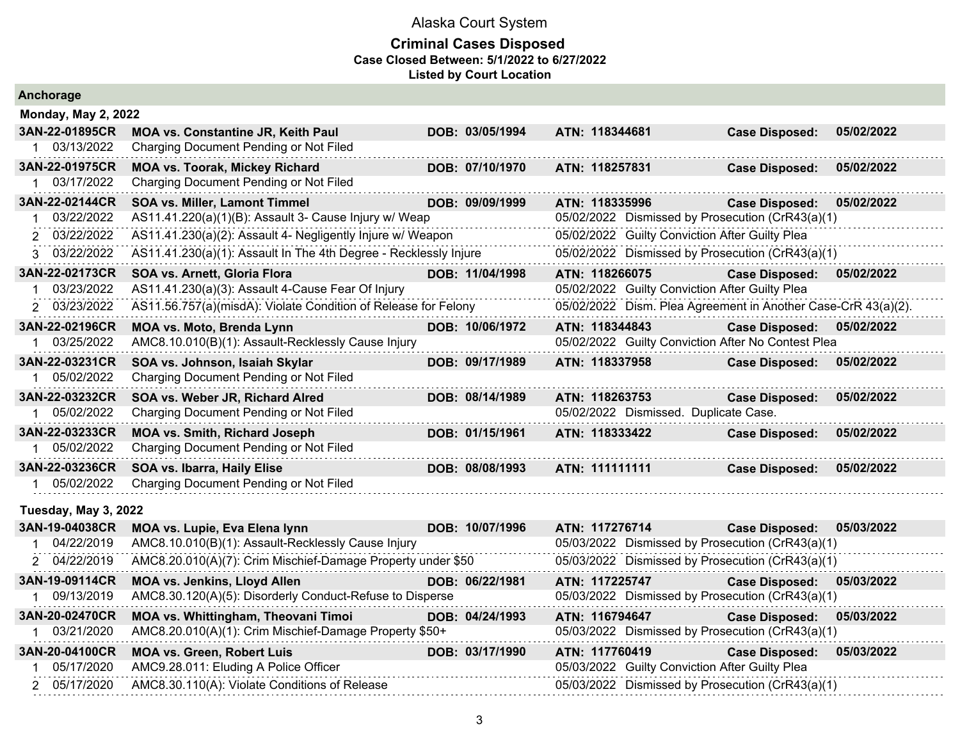| Anchorage                  |                                                                  |                 |                                       |                                                               |            |
|----------------------------|------------------------------------------------------------------|-----------------|---------------------------------------|---------------------------------------------------------------|------------|
| <b>Monday, May 2, 2022</b> |                                                                  |                 |                                       |                                                               |            |
| 3AN-22-01895CR             | <b>MOA vs. Constantine JR, Keith Paul</b>                        | DOB: 03/05/1994 | ATN: 118344681                        | <b>Case Disposed:</b>                                         | 05/02/2022 |
| 1 03/13/2022               | Charging Document Pending or Not Filed                           |                 |                                       |                                                               |            |
| 3AN-22-01975CR             | <b>MOA vs. Toorak, Mickey Richard</b>                            | DOB: 07/10/1970 | ATN: 118257831                        | <b>Case Disposed:</b>                                         | 05/02/2022 |
| 1 03/17/2022               | Charging Document Pending or Not Filed                           |                 |                                       |                                                               |            |
| 3AN-22-02144CR             | SOA vs. Miller, Lamont Timmel                                    | DOB: 09/09/1999 | ATN: 118335996                        | <b>Case Disposed:</b>                                         | 05/02/2022 |
| 03/22/2022                 | AS11.41.220(a)(1)(B): Assault 3- Cause Injury w/ Weap            |                 |                                       | 05/02/2022 Dismissed by Prosecution (CrR43(a)(1)              |            |
| 2 03/22/2022               | AS11.41.230(a)(2): Assault 4- Negligently Injure w/ Weapon       |                 |                                       | 05/02/2022 Guilty Conviction After Guilty Plea                |            |
| 3 03/22/2022               | AS11.41.230(a)(1): Assault In The 4th Degree - Recklessly Injure |                 |                                       | 05/02/2022 Dismissed by Prosecution (CrR43(a)(1)              |            |
| 3AN-22-02173CR             | SOA vs. Arnett, Gloria Flora                                     | DOB: 11/04/1998 | ATN: 118266075                        | <b>Case Disposed:</b>                                         | 05/02/2022 |
| 1 03/23/2022               | AS11.41.230(a)(3): Assault 4-Cause Fear Of Injury                |                 |                                       | 05/02/2022 Guilty Conviction After Guilty Plea                |            |
| 2 03/23/2022               | AS11.56.757(a)(misdA): Violate Condition of Release for Felony   |                 |                                       | 05/02/2022 Dism. Plea Agreement in Another Case-CrR 43(a)(2). |            |
| 3AN-22-02196CR             | MOA vs. Moto, Brenda Lynn                                        | DOB: 10/06/1972 | ATN: 118344843                        | <b>Case Disposed:</b>                                         | 05/02/2022 |
| 1 03/25/2022               | AMC8.10.010(B)(1): Assault-Recklessly Cause Injury               |                 |                                       | 05/02/2022 Guilty Conviction After No Contest Plea            |            |
| 3AN-22-03231CR             | SOA vs. Johnson, Isaiah Skylar                                   | DOB: 09/17/1989 | ATN: 118337958                        | <b>Case Disposed:</b>                                         | 05/02/2022 |
| 05/02/2022                 | Charging Document Pending or Not Filed                           |                 |                                       |                                                               |            |
| 3AN-22-03232CR             | SOA vs. Weber JR, Richard Alred                                  | DOB: 08/14/1989 | ATN: 118263753                        | <b>Case Disposed:</b>                                         | 05/02/2022 |
| 1 05/02/2022               | Charging Document Pending or Not Filed                           |                 | 05/02/2022 Dismissed. Duplicate Case. |                                                               |            |
| 3AN-22-03233CR             | <b>MOA vs. Smith, Richard Joseph</b>                             | DOB: 01/15/1961 | ATN: 118333422                        | <b>Case Disposed:</b>                                         | 05/02/2022 |
| 1 05/02/2022               | Charging Document Pending or Not Filed                           |                 |                                       |                                                               |            |
| 3AN-22-03236CR             | SOA vs. Ibarra, Haily Elise                                      | DOB: 08/08/1993 | ATN: 111111111                        | <b>Case Disposed:</b>                                         | 05/02/2022 |
| 1 05/02/2022               | Charging Document Pending or Not Filed                           |                 |                                       |                                                               |            |
| Tuesday, May 3, 2022       |                                                                  |                 |                                       |                                                               |            |
| 3AN-19-04038CR             | MOA vs. Lupie, Eva Elena lynn                                    | DOB: 10/07/1996 | ATN: 117276714                        | <b>Case Disposed:</b>                                         | 05/03/2022 |
| 04/22/2019                 | AMC8.10.010(B)(1): Assault-Recklessly Cause Injury               |                 |                                       | 05/03/2022 Dismissed by Prosecution (CrR43(a)(1)              |            |
| 2 04/22/2019               | AMC8.20.010(A)(7): Crim Mischief-Damage Property under \$50      |                 |                                       | 05/03/2022 Dismissed by Prosecution (CrR43(a)(1)              |            |
| 3AN-19-09114CR             | <b>MOA vs. Jenkins, Lloyd Allen</b>                              | DOB: 06/22/1981 | ATN: 117225747                        | <b>Case Disposed:</b>                                         | 05/03/2022 |
| 09/13/2019                 | AMC8.30.120(A)(5): Disorderly Conduct-Refuse to Disperse         |                 |                                       | 05/03/2022 Dismissed by Prosecution (CrR43(a)(1)              |            |
| 3AN-20-02470CR             | MOA vs. Whittingham, Theovani Timoi                              | DOB: 04/24/1993 | ATN: 116794647                        | <b>Case Disposed:</b>                                         | 05/03/2022 |
| 03/21/2020                 | AMC8.20.010(A)(1): Crim Mischief-Damage Property \$50+           |                 |                                       | 05/03/2022 Dismissed by Prosecution (CrR43(a)(1)              |            |
| 3AN-20-04100CR             | <b>MOA vs. Green, Robert Luis</b>                                | DOB: 03/17/1990 | ATN: 117760419                        | <b>Case Disposed:</b>                                         | 05/03/2022 |
| 1 05/17/2020               | AMC9.28.011: Eluding A Police Officer                            |                 |                                       | 05/03/2022 Guilty Conviction After Guilty Plea                |            |
| 2 05/17/2020               | AMC8.30.110(A): Violate Conditions of Release                    |                 |                                       | 05/03/2022 Dismissed by Prosecution (CrR43(a)(1)              |            |
|                            |                                                                  |                 |                                       |                                                               |            |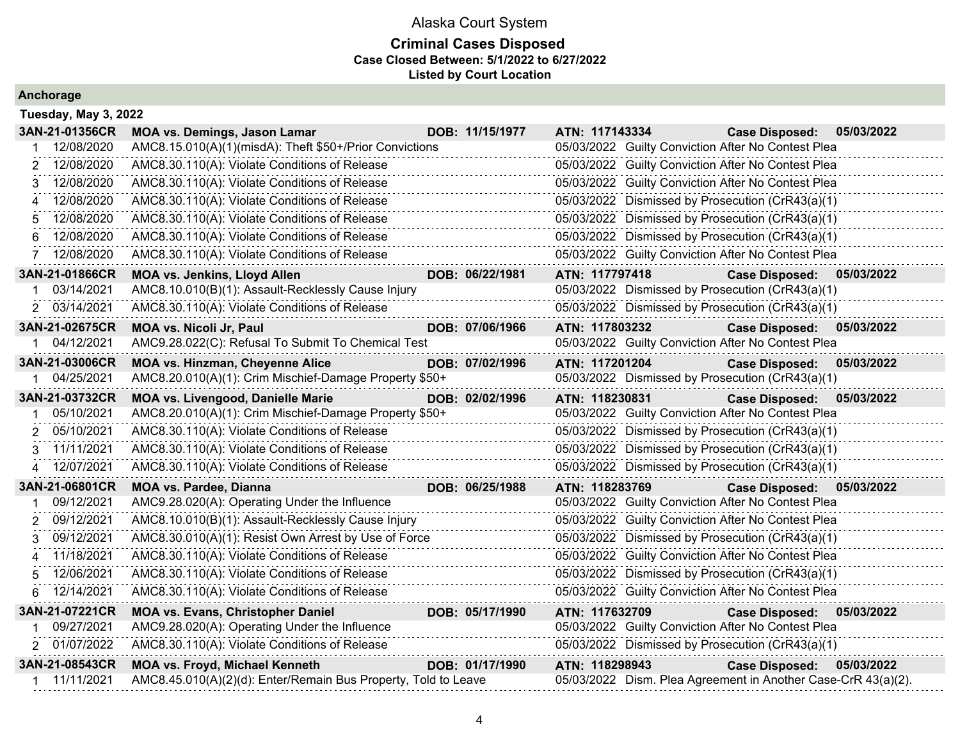### **Criminal Cases Disposed Case Closed Between: 5/1/2022 to 6/27/2022 Listed by Court Location**

| Tuesday, May 3, 2022 |                                                                |                 |                |                                                               |            |
|----------------------|----------------------------------------------------------------|-----------------|----------------|---------------------------------------------------------------|------------|
| 3AN-21-01356CR       | <b>MOA vs. Demings, Jason Lamar</b>                            | DOB: 11/15/1977 | ATN: 117143334 | <b>Case Disposed:</b>                                         | 05/03/2022 |
| 12/08/2020           | AMC8.15.010(A)(1)(misdA): Theft \$50+/Prior Convictions        |                 |                | 05/03/2022 Guilty Conviction After No Contest Plea            |            |
| 12/08/2020<br>2      | AMC8.30.110(A): Violate Conditions of Release                  |                 |                | 05/03/2022 Guilty Conviction After No Contest Plea            |            |
| 12/08/2020<br>3      | AMC8.30.110(A): Violate Conditions of Release                  |                 |                | 05/03/2022 Guilty Conviction After No Contest Plea            |            |
| 12/08/2020           | AMC8.30.110(A): Violate Conditions of Release                  |                 |                | 05/03/2022 Dismissed by Prosecution (CrR43(a)(1)              |            |
| 12/08/2020<br>5      | AMC8.30.110(A): Violate Conditions of Release                  |                 |                | 05/03/2022 Dismissed by Prosecution (CrR43(a)(1)              |            |
| 12/08/2020<br>6      | AMC8.30.110(A): Violate Conditions of Release                  |                 |                | 05/03/2022 Dismissed by Prosecution (CrR43(a)(1)              |            |
| 12/08/2020           | AMC8.30.110(A): Violate Conditions of Release                  |                 |                | 05/03/2022 Guilty Conviction After No Contest Plea            |            |
| 3AN-21-01866CR       | <b>MOA vs. Jenkins, Lloyd Allen</b>                            | DOB: 06/22/1981 | ATN: 117797418 | <b>Case Disposed:</b>                                         | 05/03/2022 |
| 03/14/2021<br>1      | AMC8.10.010(B)(1): Assault-Recklessly Cause Injury             |                 |                | 05/03/2022 Dismissed by Prosecution (CrR43(a)(1)              |            |
| 2 03/14/2021         | AMC8.30.110(A): Violate Conditions of Release                  |                 |                | 05/03/2022 Dismissed by Prosecution (CrR43(a)(1)              |            |
| 3AN-21-02675CR       | <b>MOA vs. Nicoli Jr, Paul</b>                                 | DOB: 07/06/1966 | ATN: 117803232 | <b>Case Disposed:</b>                                         | 05/03/2022 |
| 1 04/12/2021         | AMC9.28.022(C): Refusal To Submit To Chemical Test             |                 |                | 05/03/2022 Guilty Conviction After No Contest Plea            |            |
| 3AN-21-03006CR       | <b>MOA vs. Hinzman, Cheyenne Alice</b>                         | DOB: 07/02/1996 | ATN: 117201204 | <b>Case Disposed:</b>                                         | 05/03/2022 |
| 1 04/25/2021         | AMC8.20.010(A)(1): Crim Mischief-Damage Property \$50+         |                 |                | 05/03/2022 Dismissed by Prosecution (CrR43(a)(1)              |            |
| 3AN-21-03732CR       | MOA vs. Livengood, Danielle Marie                              | DOB: 02/02/1996 | ATN: 118230831 | <b>Case Disposed:</b>                                         | 05/03/2022 |
| 05/10/2021           | AMC8.20.010(A)(1): Crim Mischief-Damage Property \$50+         |                 |                | 05/03/2022 Guilty Conviction After No Contest Plea            |            |
| 05/10/2021<br>2      | AMC8.30.110(A): Violate Conditions of Release                  |                 |                | 05/03/2022 Dismissed by Prosecution (CrR43(a)(1)              |            |
| 11/11/2021<br>3      | AMC8.30.110(A): Violate Conditions of Release                  |                 |                | 05/03/2022 Dismissed by Prosecution (CrR43(a)(1)              |            |
| 12/07/2021<br>4      | AMC8.30.110(A): Violate Conditions of Release                  |                 |                | 05/03/2022 Dismissed by Prosecution (CrR43(a)(1)              |            |
| 3AN-21-06801CR       | <b>MOA vs. Pardee, Dianna</b>                                  | DOB: 06/25/1988 | ATN: 118283769 | Case Disposed: 05/03/2022                                     |            |
| 09/12/2021           | AMC9.28.020(A): Operating Under the Influence                  |                 |                | 05/03/2022 Guilty Conviction After No Contest Plea            |            |
| 09/12/2021<br>2      | AMC8.10.010(B)(1): Assault-Recklessly Cause Injury             |                 |                | 05/03/2022 Guilty Conviction After No Contest Plea            |            |
| 09/12/2021<br>3      | AMC8.30.010(A)(1): Resist Own Arrest by Use of Force           |                 |                | 05/03/2022 Dismissed by Prosecution (CrR43(a)(1)              |            |
| 11/18/2021<br>4      | AMC8.30.110(A): Violate Conditions of Release                  |                 |                | 05/03/2022 Guilty Conviction After No Contest Plea            |            |
| 12/06/2021<br>5      | AMC8.30.110(A): Violate Conditions of Release                  |                 |                | 05/03/2022 Dismissed by Prosecution (CrR43(a)(1)              |            |
| 12/14/2021<br>6      | AMC8.30.110(A): Violate Conditions of Release                  |                 |                | 05/03/2022 Guilty Conviction After No Contest Plea            |            |
| 3AN-21-07221CR       | <b>MOA vs. Evans, Christopher Daniel</b>                       | DOB: 05/17/1990 | ATN: 117632709 | <b>Case Disposed:</b>                                         | 05/03/2022 |
| 09/27/2021           | AMC9.28.020(A): Operating Under the Influence                  |                 |                | 05/03/2022 Guilty Conviction After No Contest Plea            |            |
| 2 01/07/2022         | AMC8.30.110(A): Violate Conditions of Release                  |                 |                | 05/03/2022 Dismissed by Prosecution (CrR43(a)(1)              |            |
| 3AN-21-08543CR       | <b>MOA vs. Froyd, Michael Kenneth</b>                          | DOB: 01/17/1990 | ATN: 118298943 | <b>Case Disposed:</b>                                         | 05/03/2022 |
| 1 11/11/2021         | AMC8.45.010(A)(2)(d): Enter/Remain Bus Property, Told to Leave |                 |                | 05/03/2022 Dism. Plea Agreement in Another Case-CrR 43(a)(2). |            |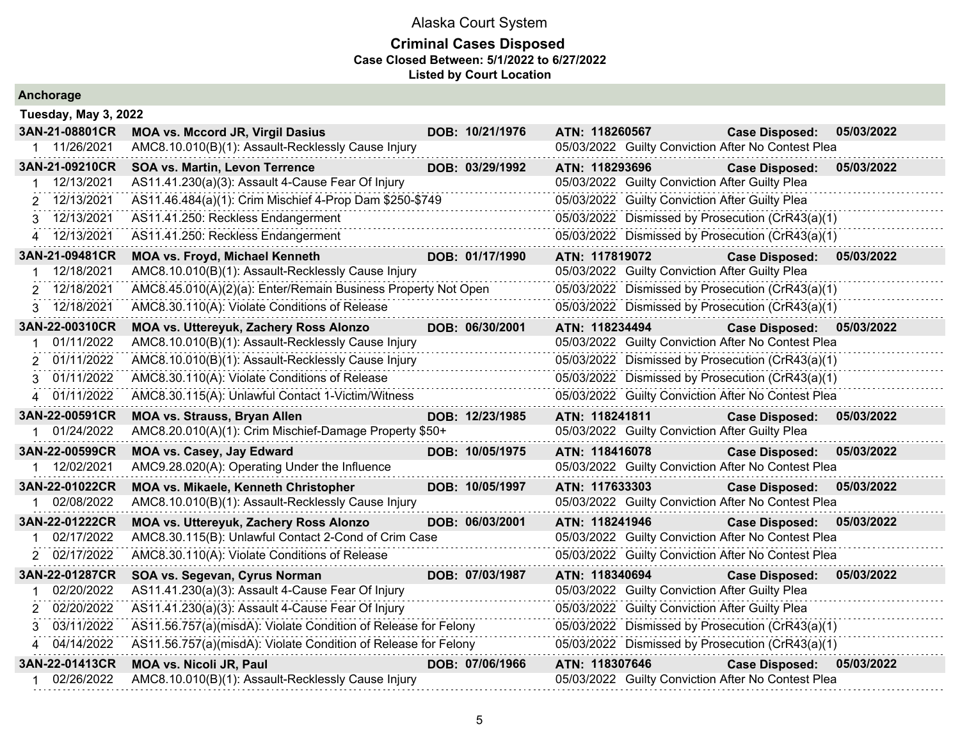|  |  | Anchorage |  |
|--|--|-----------|--|
|  |  |           |  |

| Tuesday, May 3, 2022         |                                                                                      |                 |                |                                                |                                                                             |            |
|------------------------------|--------------------------------------------------------------------------------------|-----------------|----------------|------------------------------------------------|-----------------------------------------------------------------------------|------------|
| 3AN-21-08801CR               | <b>MOA vs. Mccord JR, Virgil Dasius</b>                                              | DOB: 10/21/1976 | ATN: 118260567 |                                                | <b>Case Disposed:</b>                                                       | 05/03/2022 |
| 1 11/26/2021                 | AMC8.10.010(B)(1): Assault-Recklessly Cause Injury                                   |                 |                |                                                | 05/03/2022 Guilty Conviction After No Contest Plea                          |            |
| 3AN-21-09210CR               | SOA vs. Martin, Levon Terrence                                                       | DOB: 03/29/1992 | ATN: 118293696 |                                                | <b>Case Disposed:</b>                                                       | 05/03/2022 |
| 12/13/2021                   | AS11.41.230(a)(3): Assault 4-Cause Fear Of Injury                                    |                 |                | 05/03/2022 Guilty Conviction After Guilty Plea |                                                                             |            |
| 12/13/2021                   | AS11.46.484(a)(1): Crim Mischief 4-Prop Dam \$250-\$749                              |                 |                | 05/03/2022 Guilty Conviction After Guilty Plea |                                                                             |            |
| 3 12/13/2021                 | AS11.41.250: Reckless Endangerment                                                   |                 |                |                                                | 05/03/2022 Dismissed by Prosecution (CrR43(a)(1)                            |            |
| 4 12/13/2021                 | AS11.41.250: Reckless Endangerment                                                   |                 |                |                                                | 05/03/2022 Dismissed by Prosecution (CrR43(a)(1)                            |            |
| 3AN-21-09481CR               | <b>MOA vs. Froyd, Michael Kenneth</b>                                                | DOB: 01/17/1990 | ATN: 117819072 |                                                | <b>Case Disposed:</b>                                                       | 05/03/2022 |
| 12/18/2021                   | AMC8.10.010(B)(1): Assault-Recklessly Cause Injury                                   |                 |                | 05/03/2022 Guilty Conviction After Guilty Plea |                                                                             |            |
| 2 12/18/2021                 | AMC8.45.010(A)(2)(a): Enter/Remain Business Property Not Open                        |                 |                |                                                | 05/03/2022 Dismissed by Prosecution (CrR43(a)(1)                            |            |
| 12/18/2021<br>3              | AMC8.30.110(A): Violate Conditions of Release                                        |                 |                |                                                | 05/03/2022 Dismissed by Prosecution (CrR43(a)(1)                            |            |
| 3AN-22-00310CR               | <b>MOA vs. Uttereyuk, Zachery Ross Alonzo</b>                                        | DOB: 06/30/2001 | ATN: 118234494 |                                                | Case Disposed: 05/03/2022                                                   |            |
| 01/11/2022                   | AMC8.10.010(B)(1): Assault-Recklessly Cause Injury                                   |                 |                |                                                | 05/03/2022 Guilty Conviction After No Contest Plea                          |            |
| 2 01/11/2022                 | AMC8.10.010(B)(1): Assault-Recklessly Cause Injury                                   |                 |                |                                                | 05/03/2022 Dismissed by Prosecution (CrR43(a)(1)                            |            |
| 3 01/11/2022                 | AMC8.30.110(A): Violate Conditions of Release                                        |                 |                |                                                | 05/03/2022 Dismissed by Prosecution (CrR43(a)(1)                            |            |
| 4 01/11/2022                 | AMC8.30.115(A): Unlawful Contact 1-Victim/Witness                                    |                 |                |                                                | 05/03/2022 Guilty Conviction After No Contest Plea                          |            |
| 3AN-22-00591CR               | <b>MOA vs. Strauss, Bryan Allen</b>                                                  | DOB: 12/23/1985 | ATN: 118241811 |                                                | <b>Case Disposed:</b>                                                       | 05/03/2022 |
| 01/24/2022                   | AMC8.20.010(A)(1): Crim Mischief-Damage Property \$50+                               |                 |                | 05/03/2022 Guilty Conviction After Guilty Plea |                                                                             |            |
| 3AN-22-00599CR               | <b>MOA vs. Casey, Jay Edward</b>                                                     | DOB: 10/05/1975 | ATN: 118416078 |                                                | <b>Case Disposed:</b>                                                       | 05/03/2022 |
| 12/02/2021                   | AMC9.28.020(A): Operating Under the Influence                                        |                 |                |                                                | 05/03/2022 Guilty Conviction After No Contest Plea                          |            |
| 3AN-22-01022CR               | <b>MOA vs. Mikaele, Kenneth Christopher</b>                                          | DOB: 10/05/1997 | ATN: 117633303 |                                                | <b>Case Disposed:</b>                                                       | 05/03/2022 |
| 02/08/2022                   | AMC8.10.010(B)(1): Assault-Recklessly Cause Injury                                   |                 |                |                                                | 05/03/2022 Guilty Conviction After No Contest Plea                          |            |
| 3AN-22-01222CR               | <b>MOA vs. Uttereyuk, Zachery Ross Alonzo</b>                                        | DOB: 06/03/2001 | ATN: 118241946 |                                                | <b>Case Disposed:</b>                                                       | 05/03/2022 |
| 02/17/2022                   | AMC8.30.115(B): Unlawful Contact 2-Cond of Crim Case                                 |                 |                |                                                | 05/03/2022 Guilty Conviction After No Contest Plea                          |            |
| 2 02/17/2022                 | AMC8.30.110(A): Violate Conditions of Release                                        |                 |                |                                                | 05/03/2022 Guilty Conviction After No Contest Plea                          |            |
| 3AN-22-01287CR               | SOA vs. Segevan, Cyrus Norman                                                        | DOB: 07/03/1987 | ATN: 118340694 |                                                | <b>Case Disposed:</b>                                                       | 05/03/2022 |
| 02/20/2022                   | AS11.41.230(a)(3): Assault 4-Cause Fear Of Injury                                    |                 |                | 05/03/2022 Guilty Conviction After Guilty Plea |                                                                             |            |
| 02/20/2022<br>2              | AS11.41.230(a)(3): Assault 4-Cause Fear Of Injury                                    |                 |                | 05/03/2022 Guilty Conviction After Guilty Plea |                                                                             |            |
| 3 03/11/2022                 | AS11.56.757(a)(misdA): Violate Condition of Release for Felony                       |                 |                |                                                | 05/03/2022 Dismissed by Prosecution (CrR43(a)(1)                            |            |
| 04/14/2022<br>4              | AS11.56.757(a)(misdA): Violate Condition of Release for Felony                       |                 |                |                                                | 05/03/2022 Dismissed by Prosecution (CrR43(a)(1)                            |            |
|                              |                                                                                      |                 |                |                                                |                                                                             |            |
| 3AN-22-01413CR<br>02/26/2022 | <b>MOA vs. Nicoli JR, Paul</b><br>AMC8.10.010(B)(1): Assault-Recklessly Cause Injury | DOB: 07/06/1966 | ATN: 118307646 |                                                | <b>Case Disposed:</b><br>05/03/2022 Guilty Conviction After No Contest Plea | 05/03/2022 |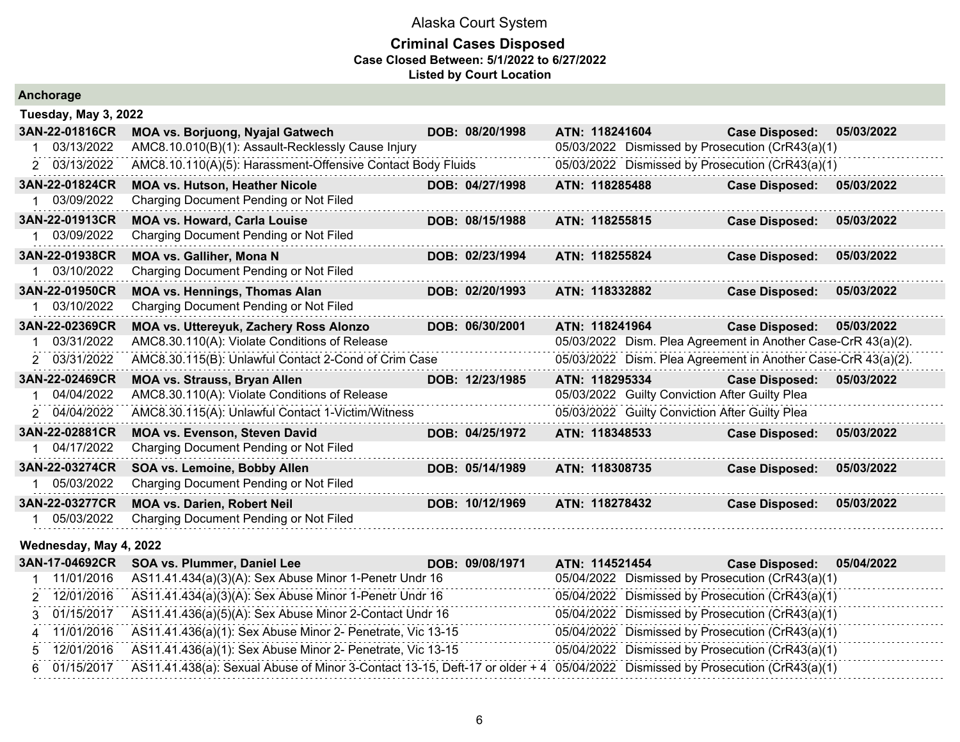| Anchorage |
|-----------|
|-----------|

| Tuesday, May 3, 2022   |                                                             |                 |                |                                                               |            |
|------------------------|-------------------------------------------------------------|-----------------|----------------|---------------------------------------------------------------|------------|
| 3AN-22-01816CR         | <b>MOA vs. Borjuong, Nyajal Gatwech</b>                     | DOB: 08/20/1998 | ATN: 118241604 | <b>Case Disposed:</b>                                         | 05/03/2022 |
| 03/13/2022             | AMC8.10.010(B)(1): Assault-Recklessly Cause Injury          |                 |                | 05/03/2022 Dismissed by Prosecution (CrR43(a)(1)              |            |
| 2 03/13/2022           | AMC8.10.110(A)(5): Harassment-Offensive Contact Body Fluids |                 |                | 05/03/2022 Dismissed by Prosecution (CrR43(a)(1)              |            |
| 3AN-22-01824CR         | <b>MOA vs. Hutson, Heather Nicole</b>                       | DOB: 04/27/1998 | ATN: 118285488 | <b>Case Disposed:</b>                                         | 05/03/2022 |
| 03/09/2022             | Charging Document Pending or Not Filed                      |                 |                |                                                               |            |
| 3AN-22-01913CR         | <b>MOA vs. Howard, Carla Louise</b>                         | DOB: 08/15/1988 | ATN: 118255815 | <b>Case Disposed:</b>                                         | 05/03/2022 |
| 03/09/2022             | Charging Document Pending or Not Filed                      |                 |                |                                                               |            |
| 3AN-22-01938CR         | <b>MOA vs. Galliher, Mona N</b>                             | DOB: 02/23/1994 | ATN: 118255824 | <b>Case Disposed:</b>                                         | 05/03/2022 |
| 03/10/2022             | Charging Document Pending or Not Filed                      |                 |                |                                                               |            |
| 3AN-22-01950CR         | <b>MOA vs. Hennings, Thomas Alan</b>                        | DOB: 02/20/1993 | ATN: 118332882 | <b>Case Disposed:</b>                                         | 05/03/2022 |
| 1 03/10/2022           | Charging Document Pending or Not Filed                      |                 |                |                                                               |            |
| 3AN-22-02369CR         | MOA vs. Uttereyuk, Zachery Ross Alonzo                      | DOB: 06/30/2001 | ATN: 118241964 | <b>Case Disposed:</b>                                         | 05/03/2022 |
| 03/31/2022             | AMC8.30.110(A): Violate Conditions of Release               |                 |                | 05/03/2022 Dism. Plea Agreement in Another Case-CrR 43(a)(2). |            |
| 2 03/31/2022           | AMC8.30.115(B): Unlawful Contact 2-Cond of Crim Case        |                 |                | 05/03/2022 Dism. Plea Agreement in Another Case-CrR 43(a)(2). |            |
| 3AN-22-02469CR         | <b>MOA vs. Strauss, Bryan Allen</b>                         | DOB: 12/23/1985 | ATN: 118295334 | <b>Case Disposed:</b>                                         | 05/03/2022 |
| 04/04/2022             | AMC8.30.110(A): Violate Conditions of Release               |                 |                | 05/03/2022 Guilty Conviction After Guilty Plea                |            |
| 2 04/04/2022           | AMC8.30.115(A): Unlawful Contact 1-Victim/Witness           |                 |                | 05/03/2022 Guilty Conviction After Guilty Plea                |            |
| 3AN-22-02881CR         | <b>MOA vs. Evenson, Steven David</b>                        | DOB: 04/25/1972 | ATN: 118348533 | <b>Case Disposed:</b>                                         | 05/03/2022 |
| 04/17/2022             | Charging Document Pending or Not Filed                      |                 |                |                                                               |            |
| 3AN-22-03274CR         | SOA vs. Lemoine, Bobby Allen                                | DOB: 05/14/1989 | ATN: 118308735 | <b>Case Disposed:</b>                                         | 05/03/2022 |
| 05/03/2022             | Charging Document Pending or Not Filed                      |                 |                |                                                               |            |
| 3AN-22-03277CR         | <b>MOA vs. Darien, Robert Neil</b>                          | DOB: 10/12/1969 | ATN: 118278432 | <b>Case Disposed:</b>                                         | 05/03/2022 |
| 05/03/2022             | Charging Document Pending or Not Filed                      |                 |                |                                                               |            |
| Wednesday, May 4, 2022 |                                                             |                 |                |                                                               |            |
| 3AN-17-04692CR         | SOA vs. Plummer, Daniel Lee                                 | DOB: 09/08/1971 | ATN: 114521454 | <b>Case Disposed:</b>                                         | 05/04/2022 |
| 11/01/2016             | AS11.41.434(a)(3)(A): Sex Abuse Minor 1-Penetr Undr 16      |                 |                | 05/04/2022 Dismissed by Prosecution (CrR43(a)(1)              |            |

|              | THOTIZUTO ASTT.41.434(8)(3)(A): SEX ADUSE MINOIT-PENELI UNOITO                                                                            | 03/04/2022 DISITIISSED by Prosecution (CTR43(a)(T) |
|--------------|-------------------------------------------------------------------------------------------------------------------------------------------|----------------------------------------------------|
| 2 12/01/2016 | AS11.41.434(a)(3)(A): Sex Abuse Minor 1-Penetr Undr 16                                                                                    | 05/04/2022 Dismissed by Prosecution (CrR43(a)(1)   |
| 3 01/15/2017 | AS11.41.436(a)(5)(A): Sex Abuse Minor 2-Contact Undr 16                                                                                   | 05/04/2022 Dismissed by Prosecution (CrR43(a)(1)   |
| 4 11/01/2016 | AS11.41.436(a)(1): Sex Abuse Minor 2- Penetrate, Vic 13-15                                                                                | 05/04/2022 Dismissed by Prosecution (CrR43(a)(1)   |
|              | 5 12/01/2016 AS11.41.436(a)(1): Sex Abuse Minor 2- Penetrate, Vic 13-15                                                                   | 05/04/2022 Dismissed by Prosecution (CrR43(a)(1)   |
|              | 6 01/15/2017 AS11.41.438(a): Sexual Abuse of Minor 3-Contact 13-15, Deft-17 or older + 4 05/04/2022 Dismissed by Prosecution (CrR43(a)(1) |                                                    |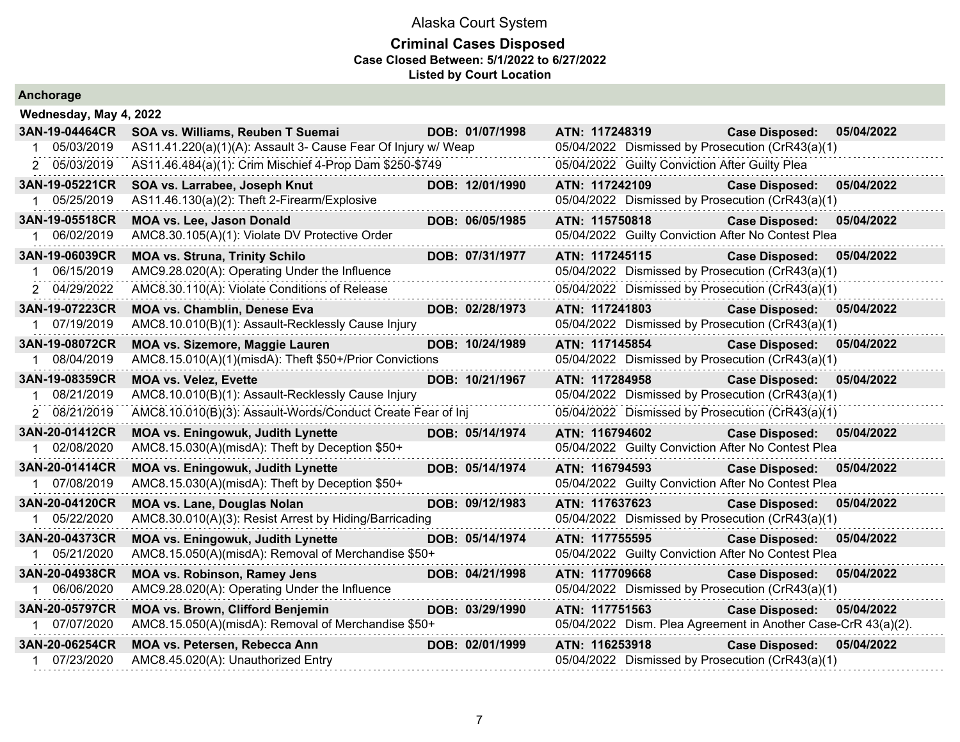| Anchorage                      |                                                                               |                 |                |                                                                           |            |
|--------------------------------|-------------------------------------------------------------------------------|-----------------|----------------|---------------------------------------------------------------------------|------------|
| Wednesday, May 4, 2022         |                                                                               |                 |                |                                                                           |            |
| 3AN-19-04464CR                 | SOA vs. Williams, Reuben T Suemai                                             | DOB: 01/07/1998 | ATN: 117248319 | <b>Case Disposed:</b>                                                     | 05/04/2022 |
| 05/03/2019                     | AS11.41.220(a)(1)(A): Assault 3- Cause Fear Of Injury w/ Weap                 |                 |                | 05/04/2022 Dismissed by Prosecution (CrR43(a)(1)                          |            |
| 2 05/03/2019                   | AS11.46.484(a)(1): Crim Mischief 4-Prop Dam \$250-\$749                       |                 |                | 05/04/2022 Guilty Conviction After Guilty Plea                            |            |
| 3AN-19-05221CR<br>1 05/25/2019 | SOA vs. Larrabee, Joseph Knut<br>AS11.46.130(a)(2): Theft 2-Firearm/Explosive | DOB: 12/01/1990 | ATN: 117242109 | <b>Case Disposed:</b><br>05/04/2022 Dismissed by Prosecution (CrR43(a)(1) | 05/04/2022 |
| 3AN-19-05518CR                 | <b>MOA vs. Lee, Jason Donald</b>                                              | DOB: 06/05/1985 | ATN: 115750818 | Case Disposed: 05/04/2022                                                 |            |
| 1 06/02/2019                   | AMC8.30.105(A)(1): Violate DV Protective Order                                |                 |                | 05/04/2022 Guilty Conviction After No Contest Plea                        |            |
| 3AN-19-06039CR                 | <b>MOA vs. Struna, Trinity Schilo</b>                                         | DOB: 07/31/1977 | ATN: 117245115 | <b>Case Disposed:</b>                                                     | 05/04/2022 |
| 06/15/2019                     | AMC9.28.020(A): Operating Under the Influence                                 |                 |                | 05/04/2022 Dismissed by Prosecution (CrR43(a)(1)                          |            |
| 2 04/29/2022                   | AMC8.30.110(A): Violate Conditions of Release                                 |                 |                | 05/04/2022 Dismissed by Prosecution (CrR43(a)(1)                          |            |
| 3AN-19-07223CR                 | <b>MOA vs. Chamblin, Denese Eva</b>                                           | DOB: 02/28/1973 | ATN: 117241803 | <b>Case Disposed:</b>                                                     | 05/04/2022 |
| 1 07/19/2019                   | AMC8.10.010(B)(1): Assault-Recklessly Cause Injury                            |                 |                | 05/04/2022 Dismissed by Prosecution (CrR43(a)(1)                          |            |
| 3AN-19-08072CR                 | <b>MOA vs. Sizemore, Maggie Lauren</b>                                        | DOB: 10/24/1989 | ATN: 117145854 | <b>Case Disposed:</b>                                                     | 05/04/2022 |
| 1 08/04/2019                   | AMC8.15.010(A)(1)(misdA): Theft \$50+/Prior Convictions                       |                 |                | 05/04/2022 Dismissed by Prosecution (CrR43(a)(1)                          |            |
| 3AN-19-08359CR                 | <b>MOA vs. Velez, Evette</b>                                                  | DOB: 10/21/1967 |                | ATN: 117284958 Case Disposed: 05/04/2022                                  |            |
| 08/21/2019                     | AMC8.10.010(B)(1): Assault-Recklessly Cause Injury                            |                 |                | 05/04/2022 Dismissed by Prosecution (CrR43(a)(1)                          |            |
| 2 08/21/2019                   | AMC8.10.010(B)(3): Assault-Words/Conduct Create Fear of Inj                   |                 |                | 05/04/2022 Dismissed by Prosecution (CrR43(a)(1)                          |            |
| 3AN-20-01412CR                 | <b>MOA vs. Eningowuk, Judith Lynette</b>                                      | DOB: 05/14/1974 | ATN: 116794602 | Case Disposed: 05/04/2022                                                 |            |
| 1 02/08/2020                   | AMC8.15.030(A)(misdA): Theft by Deception \$50+                               |                 |                | 05/04/2022 Guilty Conviction After No Contest Plea                        |            |
| 3AN-20-01414CR                 | <b>MOA vs. Eningowuk, Judith Lynette</b>                                      | DOB: 05/14/1974 | ATN: 116794593 | Case Disposed: 05/04/2022                                                 |            |
| 1 07/08/2019                   | AMC8.15.030(A)(misdA): Theft by Deception \$50+                               |                 |                | 05/04/2022 Guilty Conviction After No Contest Plea                        |            |
| 3AN-20-04120CR                 | <b>MOA vs. Lane, Douglas Nolan</b>                                            | DOB: 09/12/1983 |                | ATN: 117637623 Case Disposed:                                             | 05/04/2022 |
| 05/22/2020                     | AMC8.30.010(A)(3): Resist Arrest by Hiding/Barricading                        |                 |                | 05/04/2022 Dismissed by Prosecution (CrR43(a)(1)                          |            |
| 3AN-20-04373CR                 | <b>MOA vs. Eningowuk, Judith Lynette</b>                                      | DOB: 05/14/1974 | ATN: 117755595 | <b>Case Disposed:</b>                                                     | 05/04/2022 |
| 1 05/21/2020                   | AMC8.15.050(A)(misdA): Removal of Merchandise \$50+                           |                 |                | 05/04/2022 Guilty Conviction After No Contest Plea                        |            |
| 3AN-20-04938CR                 | <b>MOA vs. Robinson, Ramey Jens</b>                                           | DOB: 04/21/1998 | ATN: 117709668 | <b>Case Disposed:</b>                                                     | 05/04/2022 |
| 1 06/06/2020                   | AMC9.28.020(A): Operating Under the Influence                                 |                 |                | 05/04/2022 Dismissed by Prosecution (CrR43(a)(1)                          |            |
| 3AN-20-05797CR                 | <b>MOA vs. Brown, Clifford Benjemin</b>                                       | DOB: 03/29/1990 | ATN: 117751563 | <b>Case Disposed:</b>                                                     | 05/04/2022 |
| 1 07/07/2020                   | AMC8.15.050(A)(misdA): Removal of Merchandise \$50+                           |                 |                | 05/04/2022 Dism. Plea Agreement in Another Case-CrR 43(a)(2).             |            |
| 3AN-20-06254CR                 | MOA vs. Petersen, Rebecca Ann                                                 | DOB: 02/01/1999 | ATN: 116253918 | <b>Case Disposed:</b>                                                     | 05/04/2022 |
| 1 07/23/2020                   | AMC8.45.020(A): Unauthorized Entry                                            |                 |                | 05/04/2022 Dismissed by Prosecution (CrR43(a)(1)                          |            |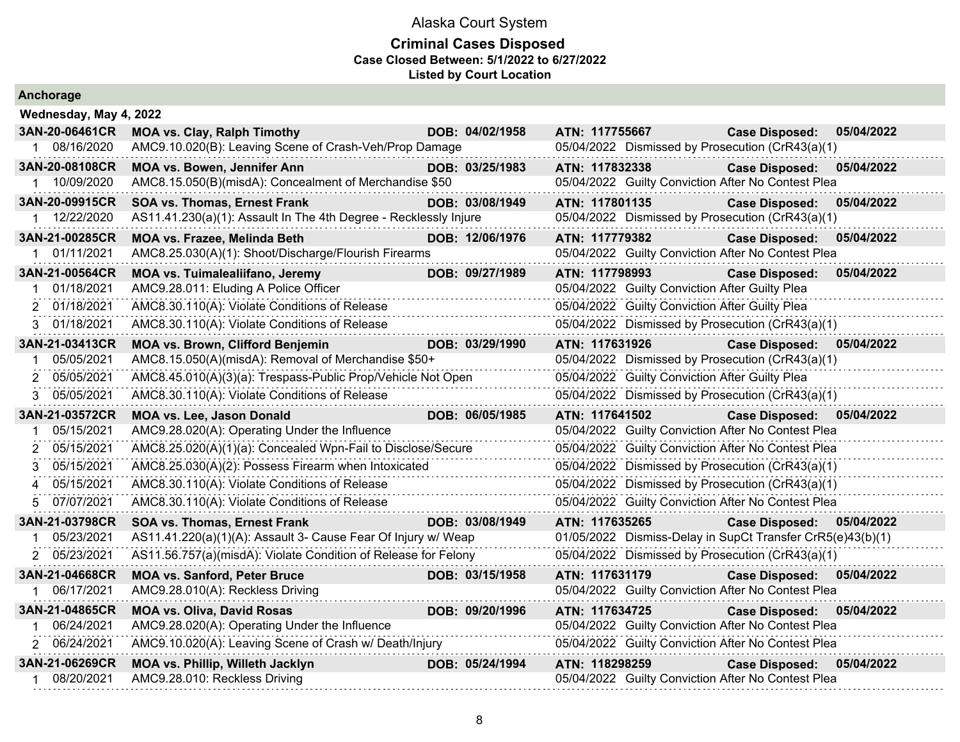#### **Criminal Cases Disposed Case Closed Between: 5/1/2022 to 6/27/2022 Listed by Court Location**

| Ancnorage              |                                                                  |                 |                |                                                            |            |
|------------------------|------------------------------------------------------------------|-----------------|----------------|------------------------------------------------------------|------------|
| Wednesday, May 4, 2022 |                                                                  |                 |                |                                                            |            |
| 3AN-20-06461CR         | <b>MOA vs. Clay, Ralph Timothy</b>                               | DOB: 04/02/1958 | ATN: 117755667 | <b>Case Disposed:</b>                                      | 05/04/2022 |
| 08/16/2020             | AMC9.10.020(B): Leaving Scene of Crash-Veh/Prop Damage           |                 |                | 05/04/2022 Dismissed by Prosecution (CrR43(a)(1)           |            |
| 3AN-20-08108CR         | MOA vs. Bowen, Jennifer Ann                                      | DOB: 03/25/1983 | ATN: 117832338 | <b>Case Disposed:</b>                                      | 05/04/2022 |
| 10/09/2020             | AMC8.15.050(B)(misdA): Concealment of Merchandise \$50           |                 |                | 05/04/2022 Guilty Conviction After No Contest Plea         |            |
| 3AN-20-09915CR         | <b>SOA vs. Thomas, Ernest Frank</b>                              | DOB: 03/08/1949 | ATN: 117801135 | <b>Case Disposed:</b>                                      | 05/04/2022 |
| 1 12/22/2020           | AS11.41.230(a)(1): Assault In The 4th Degree - Recklessly Injure |                 |                | 05/04/2022 Dismissed by Prosecution (CrR43(a)(1)           |            |
| 3AN-21-00285CR         | MOA vs. Frazee, Melinda Beth                                     | DOB: 12/06/1976 | ATN: 117779382 | <b>Case Disposed:</b>                                      | 05/04/2022 |
| 01/11/2021             | AMC8.25.030(A)(1): Shoot/Discharge/Flourish Firearms             |                 |                | 05/04/2022 Guilty Conviction After No Contest Plea         |            |
| 3AN-21-00564CR         | <b>MOA vs. Tuimalealiifano, Jeremy</b>                           | DOB: 09/27/1989 | ATN: 117798993 | <b>Case Disposed:</b>                                      | 05/04/2022 |
| 01/18/2021             | AMC9.28.011: Eluding A Police Officer                            |                 |                | 05/04/2022 Guilty Conviction After Guilty Plea             |            |
| 2 01/18/2021           | AMC8.30.110(A): Violate Conditions of Release                    |                 |                | 05/04/2022 Guilty Conviction After Guilty Plea             |            |
| 3 01/18/2021           | AMC8.30.110(A): Violate Conditions of Release                    |                 |                | 05/04/2022 Dismissed by Prosecution (CrR43(a)(1)           |            |
| 3AN-21-03413CR         | <b>MOA vs. Brown, Clifford Benjemin</b>                          | DOB: 03/29/1990 | ATN: 117631926 | <b>Case Disposed:</b>                                      | 05/04/2022 |
| 05/05/2021<br>1        | AMC8.15.050(A)(misdA): Removal of Merchandise \$50+              |                 |                | 05/04/2022 Dismissed by Prosecution (CrR43(a)(1)           |            |
| 05/05/2021<br>2        | AMC8.45.010(A)(3)(a): Trespass-Public Prop/Vehicle Not Open      |                 |                | 05/04/2022 Guilty Conviction After Guilty Plea             |            |
| 05/05/2021<br>3        | AMC8.30.110(A): Violate Conditions of Release                    |                 |                | 05/04/2022 Dismissed by Prosecution (CrR43(a)(1)           |            |
| 3AN-21-03572CR         | <b>MOA vs. Lee, Jason Donald</b>                                 | DOB: 06/05/1985 | ATN: 117641502 | <b>Case Disposed:</b>                                      | 05/04/2022 |
| 05/15/2021<br>1        | AMC9.28.020(A): Operating Under the Influence                    |                 |                | 05/04/2022 Guilty Conviction After No Contest Plea         |            |
| 05/15/2021<br>2        | AMC8.25.020(A)(1)(a): Concealed Wpn-Fail to Disclose/Secure      |                 |                | 05/04/2022 Guilty Conviction After No Contest Plea         |            |
| 05/15/2021             | AMC8.25.030(A)(2): Possess Firearm when Intoxicated              |                 |                | 05/04/2022 Dismissed by Prosecution (CrR43(a)(1)           |            |
| 05/15/2021             | AMC8.30.110(A): Violate Conditions of Release                    |                 |                | 05/04/2022 Dismissed by Prosecution (CrR43(a)(1)           |            |
| 07/07/2021<br>5.       | AMC8.30.110(A): Violate Conditions of Release                    |                 |                | 05/04/2022 Guilty Conviction After No Contest Plea         |            |
| 3AN-21-03798CR         | SOA vs. Thomas, Ernest Frank                                     | DOB: 03/08/1949 | ATN: 117635265 | <b>Case Disposed:</b>                                      | 05/04/2022 |
| 05/23/2021             | AS11.41.220(a)(1)(A): Assault 3- Cause Fear Of Injury w/ Weap    |                 |                | 01/05/2022 Dismiss-Delay in SupCt Transfer CrR5(e)43(b)(1) |            |
| 2 05/23/2021           | AS11.56.757(a)(misdA): Violate Condition of Release for Felony   |                 |                | 05/04/2022 Dismissed by Prosecution (CrR43(a)(1)           |            |
| 3AN-21-04668CR         | <b>MOA vs. Sanford, Peter Bruce</b>                              | DOB: 03/15/1958 | ATN: 117631179 | <b>Case Disposed:</b>                                      | 05/04/2022 |
| 06/17/2021             | AMC9.28.010(A): Reckless Driving                                 |                 |                | 05/04/2022 Guilty Conviction After No Contest Plea         |            |
| 3AN-21-04865CR         | <b>MOA vs. Oliva, David Rosas</b>                                | DOB: 09/20/1996 | ATN: 117634725 | <b>Case Disposed:</b>                                      | 05/04/2022 |
| 06/24/2021             | AMC9.28.020(A): Operating Under the Influence                    |                 |                | 05/04/2022 Guilty Conviction After No Contest Plea         |            |
| 2 06/24/2021           | AMC9.10.020(A): Leaving Scene of Crash w/ Death/Injury           |                 |                | 05/04/2022 Guilty Conviction After No Contest Plea         |            |
| 3AN-21-06269CR         | MOA vs. Phillip, Willeth Jacklyn                                 | DOB: 05/24/1994 | ATN: 118298259 | <b>Case Disposed:</b>                                      | 05/04/2022 |
| 08/20/2021             | AMC9.28.010: Reckless Driving                                    |                 |                | 05/04/2022 Guilty Conviction After No Contest Plea         |            |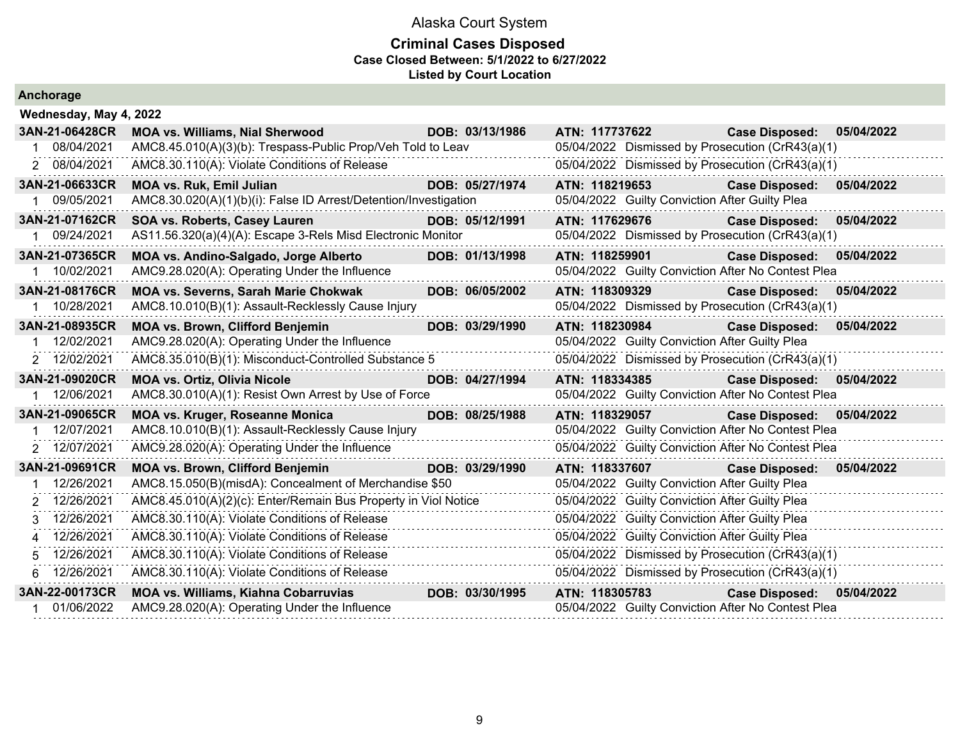| Anchorage       |                                                                  |                 |                                                |                                                    |            |  |  |  |  |
|-----------------|------------------------------------------------------------------|-----------------|------------------------------------------------|----------------------------------------------------|------------|--|--|--|--|
|                 | Wednesday, May 4, 2022                                           |                 |                                                |                                                    |            |  |  |  |  |
| 3AN-21-06428CR  | <b>MOA vs. Williams, Nial Sherwood</b>                           | DOB: 03/13/1986 | ATN: 117737622                                 | <b>Case Disposed:</b>                              | 05/04/2022 |  |  |  |  |
| 08/04/2021      | AMC8.45.010(A)(3)(b): Trespass-Public Prop/Veh Told to Leav      |                 |                                                | 05/04/2022 Dismissed by Prosecution (CrR43(a)(1)   |            |  |  |  |  |
| 2 08/04/2021    | AMC8.30.110(A): Violate Conditions of Release                    |                 |                                                | 05/04/2022 Dismissed by Prosecution (CrR43(a)(1)   |            |  |  |  |  |
| 3AN-21-06633CR  | <b>MOA vs. Ruk, Emil Julian</b>                                  | DOB: 05/27/1974 | ATN: 118219653                                 | <b>Case Disposed:</b>                              | 05/04/2022 |  |  |  |  |
| 09/05/2021      | AMC8.30.020(A)(1)(b)(i): False ID Arrest/Detention/Investigation |                 | 05/04/2022 Guilty Conviction After Guilty Plea |                                                    |            |  |  |  |  |
| 3AN-21-07162CR  | SOA vs. Roberts, Casey Lauren                                    | DOB: 05/12/1991 | ATN: 117629676                                 | <b>Case Disposed:</b>                              | 05/04/2022 |  |  |  |  |
| 1 09/24/2021    | AS11.56.320(a)(4)(A): Escape 3-Rels Misd Electronic Monitor      |                 |                                                | 05/04/2022 Dismissed by Prosecution (CrR43(a)(1)   |            |  |  |  |  |
| 3AN-21-07365CR  | MOA vs. Andino-Salgado, Jorge Alberto                            | DOB: 01/13/1998 | ATN: 118259901                                 | <b>Case Disposed:</b>                              | 05/04/2022 |  |  |  |  |
| 10/02/2021      | AMC9.28.020(A): Operating Under the Influence                    |                 |                                                | 05/04/2022 Guilty Conviction After No Contest Plea |            |  |  |  |  |
| 3AN-21-08176CR  | <b>MOA vs. Severns, Sarah Marie Chokwak</b>                      | DOB: 06/05/2002 | ATN: 118309329                                 | <b>Case Disposed:</b>                              | 05/04/2022 |  |  |  |  |
| 10/28/2021      | AMC8.10.010(B)(1): Assault-Recklessly Cause Injury               |                 |                                                | 05/04/2022 Dismissed by Prosecution (CrR43(a)(1)   |            |  |  |  |  |
| 3AN-21-08935CR  | <b>MOA vs. Brown, Clifford Benjemin</b>                          | DOB: 03/29/1990 | ATN: 118230984                                 | <b>Case Disposed:</b>                              | 05/04/2022 |  |  |  |  |
| 12/02/2021      | AMC9.28.020(A): Operating Under the Influence                    |                 | 05/04/2022 Guilty Conviction After Guilty Plea |                                                    |            |  |  |  |  |
| 2 12/02/2021    | AMC8.35.010(B)(1): Misconduct-Controlled Substance 5             |                 |                                                | 05/04/2022 Dismissed by Prosecution (CrR43(a)(1)   |            |  |  |  |  |
| 3AN-21-09020CR  | <b>MOA vs. Ortiz, Olivia Nicole</b>                              | DOB: 04/27/1994 | ATN: 118334385                                 | <b>Case Disposed:</b>                              | 05/04/2022 |  |  |  |  |
| 12/06/2021      | AMC8.30.010(A)(1): Resist Own Arrest by Use of Force             |                 |                                                | 05/04/2022 Guilty Conviction After No Contest Plea |            |  |  |  |  |
| 3AN-21-09065CR  | <b>MOA vs. Kruger, Roseanne Monica</b>                           | DOB: 08/25/1988 | ATN: 118329057                                 | <b>Case Disposed:</b>                              | 05/04/2022 |  |  |  |  |
| 12/07/2021      | AMC8.10.010(B)(1): Assault-Recklessly Cause Injury               |                 |                                                | 05/04/2022 Guilty Conviction After No Contest Plea |            |  |  |  |  |
| 2 12/07/2021    | AMC9.28.020(A): Operating Under the Influence                    |                 |                                                | 05/04/2022 Guilty Conviction After No Contest Plea |            |  |  |  |  |
| 3AN-21-09691CR  | <b>MOA vs. Brown, Clifford Benjemin</b>                          | DOB: 03/29/1990 | ATN: 118337607                                 | <b>Case Disposed:</b>                              | 05/04/2022 |  |  |  |  |
| 12/26/2021      | AMC8.15.050(B)(misdA): Concealment of Merchandise \$50           |                 | 05/04/2022 Guilty Conviction After Guilty Plea |                                                    |            |  |  |  |  |
| 12/26/2021<br>2 | AMC8.45.010(A)(2)(c): Enter/Remain Bus Property in Viol Notice   |                 | 05/04/2022 Guilty Conviction After Guilty Plea |                                                    |            |  |  |  |  |
| 12/26/2021      | AMC8.30.110(A): Violate Conditions of Release                    |                 | 05/04/2022 Guilty Conviction After Guilty Plea |                                                    |            |  |  |  |  |
| 12/26/2021<br>4 | AMC8.30.110(A): Violate Conditions of Release                    |                 | 05/04/2022 Guilty Conviction After Guilty Plea |                                                    |            |  |  |  |  |
| 12/26/2021      | AMC8.30.110(A): Violate Conditions of Release                    |                 |                                                | 05/04/2022 Dismissed by Prosecution (CrR43(a)(1)   |            |  |  |  |  |
| 12/26/2021<br>6 | AMC8.30.110(A): Violate Conditions of Release                    |                 |                                                | 05/04/2022 Dismissed by Prosecution (CrR43(a)(1)   |            |  |  |  |  |
| 3AN-22-00173CR  | <b>MOA vs. Williams, Kiahna Cobarruvias</b>                      | DOB: 03/30/1995 | ATN: 118305783                                 | <b>Case Disposed:</b>                              | 05/04/2022 |  |  |  |  |
| 01/06/2022      | AMC9.28.020(A): Operating Under the Influence                    |                 |                                                | 05/04/2022 Guilty Conviction After No Contest Plea |            |  |  |  |  |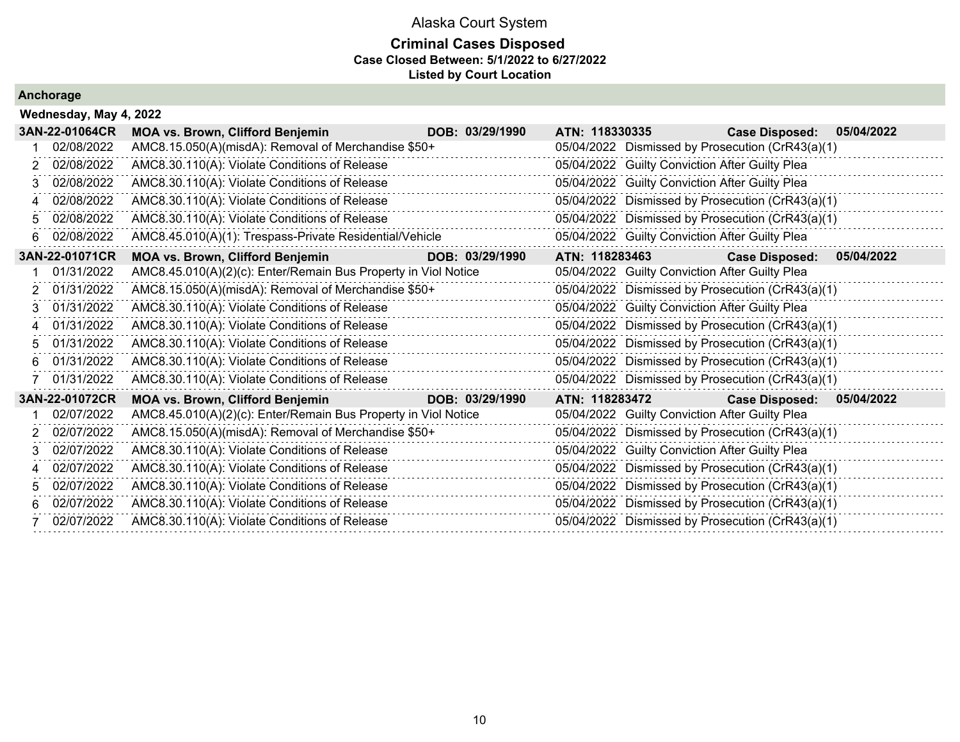### **Criminal Cases Disposed Case Closed Between: 5/1/2022 to 6/27/2022 Listed by Court Location**

|             | Wednesday, May 4, 2022 |                                                                |                 |                                                  |                       |            |
|-------------|------------------------|----------------------------------------------------------------|-----------------|--------------------------------------------------|-----------------------|------------|
|             | 3AN-22-01064CR         | <b>MOA vs. Brown, Clifford Benjemin</b>                        | DOB: 03/29/1990 | ATN: 118330335                                   | <b>Case Disposed:</b> | 05/04/2022 |
|             | 02/08/2022             | AMC8.15.050(A)(misdA): Removal of Merchandise \$50+            |                 | 05/04/2022 Dismissed by Prosecution (CrR43(a)(1) |                       |            |
| 2           | 02/08/2022             | AMC8.30.110(A): Violate Conditions of Release                  |                 | 05/04/2022 Guilty Conviction After Guilty Plea   |                       |            |
| 3           | 02/08/2022             | AMC8.30.110(A): Violate Conditions of Release                  |                 | 05/04/2022 Guilty Conviction After Guilty Plea   |                       |            |
| 4           | 02/08/2022             | AMC8.30.110(A): Violate Conditions of Release                  |                 | 05/04/2022 Dismissed by Prosecution (CrR43(a)(1) |                       |            |
| 5           | 02/08/2022             | AMC8.30.110(A): Violate Conditions of Release                  |                 | 05/04/2022 Dismissed by Prosecution (CrR43(a)(1) |                       |            |
| 6           | 02/08/2022             | AMC8.45.010(A)(1): Trespass-Private Residential/Vehicle        |                 | 05/04/2022 Guilty Conviction After Guilty Plea   |                       |            |
|             | 3AN-22-01071CR         | <b>MOA vs. Brown, Clifford Benjemin</b>                        | DOB: 03/29/1990 | ATN: 118283463                                   | <b>Case Disposed:</b> | 05/04/2022 |
|             | 01/31/2022             | AMC8.45.010(A)(2)(c): Enter/Remain Bus Property in Viol Notice |                 | 05/04/2022 Guilty Conviction After Guilty Plea   |                       |            |
| 2.          | 01/31/2022             | AMC8.15.050(A)(misdA): Removal of Merchandise \$50+            |                 | 05/04/2022 Dismissed by Prosecution (CrR43(a)(1) |                       |            |
| 3           | 01/31/2022             | AMC8.30.110(A): Violate Conditions of Release                  |                 | 05/04/2022 Guilty Conviction After Guilty Plea   |                       |            |
| $\mathbf 4$ | 01/31/2022             | AMC8.30.110(A): Violate Conditions of Release                  |                 | 05/04/2022 Dismissed by Prosecution (CrR43(a)(1) |                       |            |
|             | 5 01/31/2022           | AMC8.30.110(A): Violate Conditions of Release                  |                 | 05/04/2022 Dismissed by Prosecution (CrR43(a)(1) |                       |            |
| 6           | 01/31/2022             | AMC8.30.110(A): Violate Conditions of Release                  |                 | 05/04/2022 Dismissed by Prosecution (CrR43(a)(1) |                       |            |
|             | 01/31/2022             | AMC8.30.110(A): Violate Conditions of Release                  |                 | 05/04/2022 Dismissed by Prosecution (CrR43(a)(1) |                       |            |
|             | 3AN-22-01072CR         | <b>MOA vs. Brown, Clifford Benjemin</b>                        | DOB: 03/29/1990 | ATN: 118283472                                   | <b>Case Disposed:</b> | 05/04/2022 |
|             | 02/07/2022             | AMC8.45.010(A)(2)(c): Enter/Remain Bus Property in Viol Notice |                 | 05/04/2022 Guilty Conviction After Guilty Plea   |                       |            |
| 2           | 02/07/2022             | AMC8.15.050(A)(misdA): Removal of Merchandise \$50+            |                 | 05/04/2022 Dismissed by Prosecution (CrR43(a)(1) |                       |            |
| 3           | 02/07/2022             | AMC8.30.110(A): Violate Conditions of Release                  |                 | 05/04/2022 Guilty Conviction After Guilty Plea   |                       |            |
| 4           | 02/07/2022             | AMC8.30.110(A): Violate Conditions of Release                  |                 | 05/04/2022 Dismissed by Prosecution (CrR43(a)(1) |                       |            |
| 5.          | 02/07/2022             | AMC8.30.110(A): Violate Conditions of Release                  |                 | 05/04/2022 Dismissed by Prosecution (CrR43(a)(1) |                       |            |
| 6           | 02/07/2022             | AMC8.30.110(A): Violate Conditions of Release                  |                 | 05/04/2022 Dismissed by Prosecution (CrR43(a)(1) |                       |            |
|             | 02/07/2022             | AMC8.30.110(A): Violate Conditions of Release                  |                 | 05/04/2022 Dismissed by Prosecution (CrR43(a)(1) |                       |            |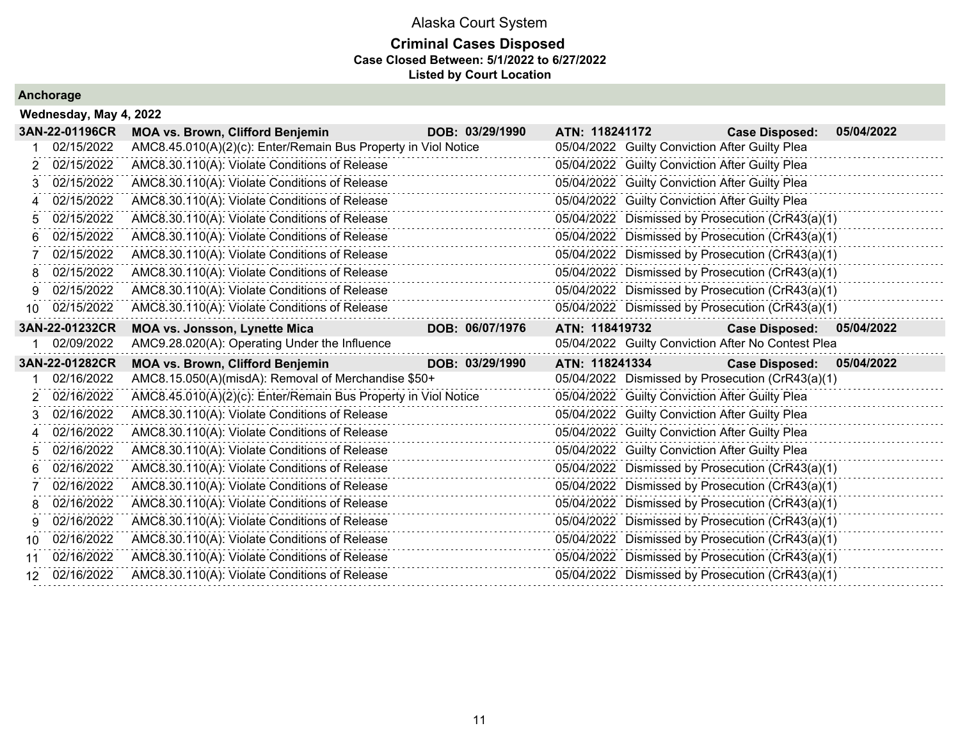### **Criminal Cases Disposed Case Closed Between: 5/1/2022 to 6/27/2022 Listed by Court Location**

|     | Wednesday, May 4, 2022 |                                                                |                 |                |                                                    |            |
|-----|------------------------|----------------------------------------------------------------|-----------------|----------------|----------------------------------------------------|------------|
|     | 3AN-22-01196CR         | <b>MOA vs. Brown, Clifford Benjemin</b>                        | DOB: 03/29/1990 | ATN: 118241172 | <b>Case Disposed:</b>                              | 05/04/2022 |
|     | 02/15/2022             | AMC8.45.010(A)(2)(c): Enter/Remain Bus Property in Viol Notice |                 |                | 05/04/2022 Guilty Conviction After Guilty Plea     |            |
| 2   | 02/15/2022             | AMC8.30.110(A): Violate Conditions of Release                  |                 |                | 05/04/2022 Guilty Conviction After Guilty Plea     |            |
| 3   | 02/15/2022             | AMC8.30.110(A): Violate Conditions of Release                  |                 |                | 05/04/2022 Guilty Conviction After Guilty Plea     |            |
| 4   | 02/15/2022             | AMC8.30.110(A): Violate Conditions of Release                  |                 |                | 05/04/2022 Guilty Conviction After Guilty Plea     |            |
| 5.  | 02/15/2022             | AMC8.30.110(A): Violate Conditions of Release                  |                 |                | 05/04/2022 Dismissed by Prosecution (CrR43(a)(1)   |            |
| 6   | 02/15/2022             | AMC8.30.110(A): Violate Conditions of Release                  |                 |                | 05/04/2022 Dismissed by Prosecution (CrR43(a)(1)   |            |
|     | 02/15/2022             | AMC8.30.110(A): Violate Conditions of Release                  |                 |                | 05/04/2022 Dismissed by Prosecution (CrR43(a)(1)   |            |
| 8.  | 02/15/2022             | AMC8.30.110(A): Violate Conditions of Release                  |                 |                | 05/04/2022 Dismissed by Prosecution (CrR43(a)(1)   |            |
| 9   | 02/15/2022             | AMC8.30.110(A): Violate Conditions of Release                  |                 |                | 05/04/2022 Dismissed by Prosecution (CrR43(a)(1)   |            |
| 10  | 02/15/2022             | AMC8.30.110(A): Violate Conditions of Release                  |                 |                | 05/04/2022 Dismissed by Prosecution (CrR43(a)(1)   |            |
|     | 3AN-22-01232CR         | <b>MOA vs. Jonsson, Lynette Mica</b>                           | DOB: 06/07/1976 | ATN: 118419732 | <b>Case Disposed:</b>                              | 05/04/2022 |
|     | 02/09/2022             | AMC9.28.020(A): Operating Under the Influence                  |                 |                | 05/04/2022 Guilty Conviction After No Contest Plea |            |
|     | 3AN-22-01282CR         | <b>MOA vs. Brown, Clifford Benjemin</b>                        | DOB: 03/29/1990 | ATN: 118241334 | <b>Case Disposed:</b>                              | 05/04/2022 |
|     | 02/16/2022             | AMC8.15.050(A)(misdA): Removal of Merchandise \$50+            |                 |                | 05/04/2022 Dismissed by Prosecution (CrR43(a)(1)   |            |
| 2   | 02/16/2022             | AMC8.45.010(A)(2)(c): Enter/Remain Bus Property in Viol Notice |                 |                | 05/04/2022 Guilty Conviction After Guilty Plea     |            |
| 3   | 02/16/2022             | AMC8.30.110(A): Violate Conditions of Release                  |                 |                | 05/04/2022 Guilty Conviction After Guilty Plea     |            |
| 4   | 02/16/2022             | AMC8.30.110(A): Violate Conditions of Release                  |                 |                | 05/04/2022 Guilty Conviction After Guilty Plea     |            |
| 5   | 02/16/2022             | AMC8.30.110(A): Violate Conditions of Release                  |                 |                | 05/04/2022 Guilty Conviction After Guilty Plea     |            |
| 6   | 02/16/2022             | AMC8.30.110(A): Violate Conditions of Release                  |                 |                | 05/04/2022 Dismissed by Prosecution (CrR43(a)(1)   |            |
|     | 02/16/2022             | AMC8.30.110(A): Violate Conditions of Release                  |                 |                | 05/04/2022 Dismissed by Prosecution (CrR43(a)(1)   |            |
| 8   | 02/16/2022             | AMC8.30.110(A): Violate Conditions of Release                  |                 |                | 05/04/2022 Dismissed by Prosecution (CrR43(a)(1)   |            |
| 9   | 02/16/2022             | AMC8.30.110(A): Violate Conditions of Release                  |                 |                | 05/04/2022 Dismissed by Prosecution (CrR43(a)(1)   |            |
| 10. | 02/16/2022             | AMC8.30.110(A): Violate Conditions of Release                  |                 |                | 05/04/2022 Dismissed by Prosecution (CrR43(a)(1)   |            |
| 11  | 02/16/2022             | AMC8.30.110(A): Violate Conditions of Release                  |                 |                | 05/04/2022 Dismissed by Prosecution (CrR43(a)(1)   |            |
| 12. | 02/16/2022             | AMC8.30.110(A): Violate Conditions of Release                  |                 |                | 05/04/2022 Dismissed by Prosecution (CrR43(a)(1)   |            |
|     |                        |                                                                |                 |                |                                                    |            |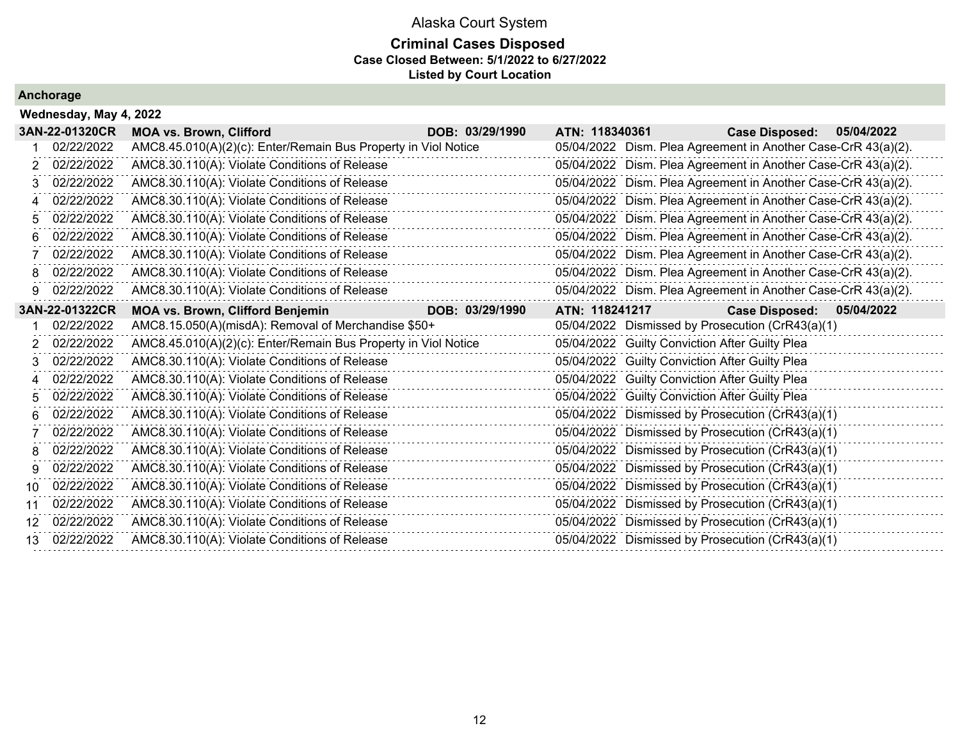### **Criminal Cases Disposed Case Closed Between: 5/1/2022 to 6/27/2022 Listed by Court Location**

|                 | Wednesday, May 4, 2022 |                                                                |                 |                |                                                               |
|-----------------|------------------------|----------------------------------------------------------------|-----------------|----------------|---------------------------------------------------------------|
|                 | 3AN-22-01320CR         | <b>MOA vs. Brown, Clifford</b>                                 | DOB: 03/29/1990 | ATN: 118340361 | <b>Case Disposed:</b><br>05/04/2022                           |
|                 | 02/22/2022             | AMC8.45.010(A)(2)(c): Enter/Remain Bus Property in Viol Notice |                 |                | 05/04/2022 Dism. Plea Agreement in Another Case-CrR 43(a)(2). |
|                 | 02/22/2022             | AMC8.30.110(A): Violate Conditions of Release                  |                 |                | 05/04/2022 Dism. Plea Agreement in Another Case-CrR 43(a)(2). |
|                 | 02/22/2022             | AMC8.30.110(A): Violate Conditions of Release                  |                 |                | 05/04/2022 Dism. Plea Agreement in Another Case-CrR 43(a)(2). |
| 4               | 02/22/2022             | AMC8.30.110(A): Violate Conditions of Release                  |                 |                | 05/04/2022 Dism. Plea Agreement in Another Case-CrR 43(a)(2). |
| 5.              | 02/22/2022             | AMC8.30.110(A): Violate Conditions of Release                  |                 |                | 05/04/2022 Dism. Plea Agreement in Another Case-CrR 43(a)(2). |
| 6               | 02/22/2022             | AMC8.30.110(A): Violate Conditions of Release                  |                 |                | 05/04/2022 Dism. Plea Agreement in Another Case-CrR 43(a)(2). |
|                 | 02/22/2022             | AMC8.30.110(A): Violate Conditions of Release                  |                 |                | 05/04/2022 Dism. Plea Agreement in Another Case-CrR 43(a)(2). |
| 8               | 02/22/2022             | AMC8.30.110(A): Violate Conditions of Release                  |                 |                | 05/04/2022 Dism. Plea Agreement in Another Case-CrR 43(a)(2). |
| 9               | 02/22/2022             | AMC8.30.110(A): Violate Conditions of Release                  |                 |                | 05/04/2022 Dism. Plea Agreement in Another Case-CrR 43(a)(2). |
|                 | 3AN-22-01322CR         | <b>MOA vs. Brown, Clifford Benjemin</b>                        | DOB: 03/29/1990 | ATN: 118241217 | <b>Case Disposed:</b><br>05/04/2022                           |
|                 | 02/22/2022             | AMC8.15.050(A)(misdA): Removal of Merchandise \$50+            |                 |                | 05/04/2022 Dismissed by Prosecution (CrR43(a)(1)              |
| 2               | 02/22/2022             | AMC8.45.010(A)(2)(c): Enter/Remain Bus Property in Viol Notice |                 |                | 05/04/2022 Guilty Conviction After Guilty Plea                |
|                 | 02/22/2022             | AMC8.30.110(A): Violate Conditions of Release                  |                 |                | 05/04/2022 Guilty Conviction After Guilty Plea                |
| 4               | 02/22/2022             | AMC8.30.110(A): Violate Conditions of Release                  |                 |                | 05/04/2022 Guilty Conviction After Guilty Plea                |
| 5               | 02/22/2022             | AMC8.30.110(A): Violate Conditions of Release                  |                 |                | 05/04/2022 Guilty Conviction After Guilty Plea                |
| 6               | 02/22/2022             | AMC8.30.110(A): Violate Conditions of Release                  |                 |                | 05/04/2022 Dismissed by Prosecution (CrR43(a)(1)              |
|                 | 02/22/2022             | AMC8.30.110(A): Violate Conditions of Release                  |                 |                | 05/04/2022 Dismissed by Prosecution (CrR43(a)(1)              |
| 8               | 02/22/2022             | AMC8.30.110(A): Violate Conditions of Release                  |                 |                | 05/04/2022 Dismissed by Prosecution (CrR43(a)(1)              |
| 9               | 02/22/2022             | AMC8.30.110(A): Violate Conditions of Release                  |                 |                | 05/04/2022 Dismissed by Prosecution (CrR43(a)(1)              |
| 10 <sup>1</sup> | 02/22/2022             | AMC8.30.110(A): Violate Conditions of Release                  |                 |                | 05/04/2022 Dismissed by Prosecution (CrR43(a)(1)              |
| 11              | 02/22/2022             | AMC8.30.110(A): Violate Conditions of Release                  |                 |                | 05/04/2022 Dismissed by Prosecution (CrR43(a)(1)              |
| 12              | 02/22/2022             | AMC8.30.110(A): Violate Conditions of Release                  |                 |                | 05/04/2022 Dismissed by Prosecution (CrR43(a)(1)              |
| 13              | 02/22/2022             | AMC8.30.110(A): Violate Conditions of Release                  |                 |                | 05/04/2022 Dismissed by Prosecution (CrR43(a)(1)              |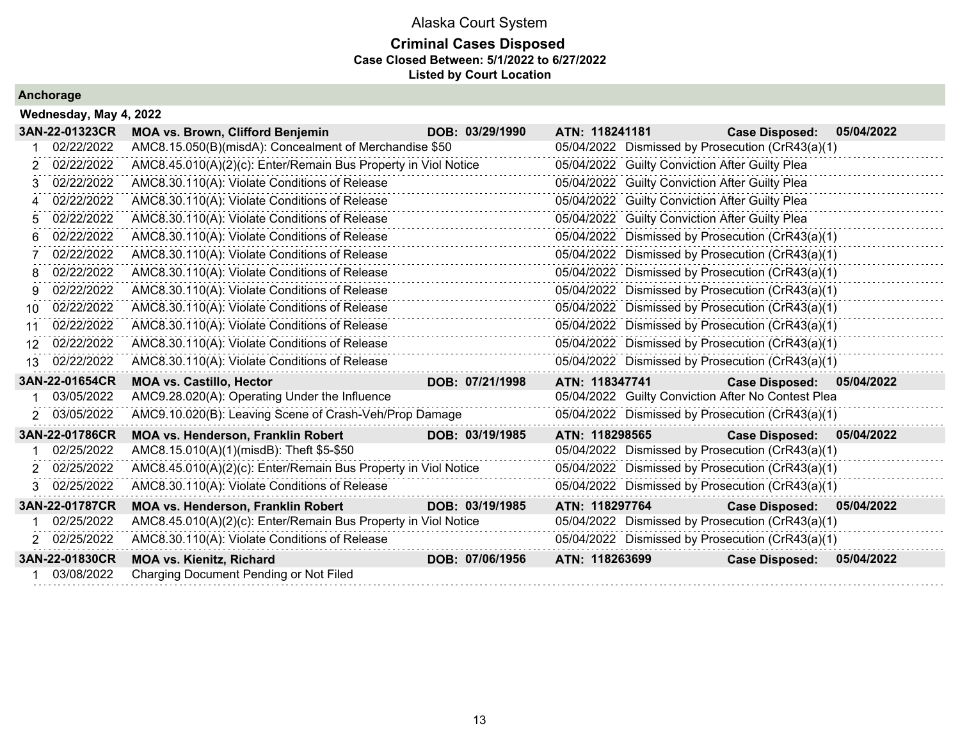### **Criminal Cases Disposed Case Closed Between: 5/1/2022 to 6/27/2022 Listed by Court Location**

|                 | Wednesday, May 4, 2022 |                                                                |                 |                                                    |                       |            |
|-----------------|------------------------|----------------------------------------------------------------|-----------------|----------------------------------------------------|-----------------------|------------|
|                 | 3AN-22-01323CR         | <b>MOA vs. Brown, Clifford Benjemin</b>                        | DOB: 03/29/1990 | ATN: 118241181                                     | <b>Case Disposed:</b> | 05/04/2022 |
|                 | 02/22/2022             | AMC8.15.050(B)(misdA): Concealment of Merchandise \$50         |                 | 05/04/2022 Dismissed by Prosecution (CrR43(a)(1)   |                       |            |
| 2.              | 02/22/2022             | AMC8.45.010(A)(2)(c): Enter/Remain Bus Property in Viol Notice |                 | 05/04/2022 Guilty Conviction After Guilty Plea     |                       |            |
| 3               | 02/22/2022             | AMC8.30.110(A): Violate Conditions of Release                  |                 | 05/04/2022 Guilty Conviction After Guilty Plea     |                       |            |
| 4               | 02/22/2022             | AMC8.30.110(A): Violate Conditions of Release                  |                 | 05/04/2022 Guilty Conviction After Guilty Plea     |                       |            |
| 5.              | 02/22/2022             | AMC8.30.110(A): Violate Conditions of Release                  |                 | 05/04/2022 Guilty Conviction After Guilty Plea     |                       |            |
| 6               | 02/22/2022             | AMC8.30.110(A): Violate Conditions of Release                  |                 | 05/04/2022 Dismissed by Prosecution (CrR43(a)(1)   |                       |            |
|                 | 02/22/2022             | AMC8.30.110(A): Violate Conditions of Release                  |                 | 05/04/2022 Dismissed by Prosecution (CrR43(a)(1)   |                       |            |
| 8.              | 02/22/2022             | AMC8.30.110(A): Violate Conditions of Release                  |                 | 05/04/2022 Dismissed by Prosecution (CrR43(a)(1)   |                       |            |
| 9.              | 02/22/2022             | AMC8.30.110(A): Violate Conditions of Release                  |                 | 05/04/2022 Dismissed by Prosecution (CrR43(a)(1)   |                       |            |
| 10 <sup>1</sup> | 02/22/2022             | AMC8.30.110(A): Violate Conditions of Release                  |                 | 05/04/2022 Dismissed by Prosecution (CrR43(a)(1)   |                       |            |
| 11              | 02/22/2022             | AMC8.30.110(A): Violate Conditions of Release                  |                 | 05/04/2022 Dismissed by Prosecution (CrR43(a)(1)   |                       |            |
| 12.             | 02/22/2022             | AMC8.30.110(A): Violate Conditions of Release                  |                 | 05/04/2022 Dismissed by Prosecution (CrR43(a)(1)   |                       |            |
| 13 <sup>1</sup> | 02/22/2022             | AMC8.30.110(A): Violate Conditions of Release                  |                 | 05/04/2022 Dismissed by Prosecution (CrR43(a)(1)   |                       |            |
|                 | 3AN-22-01654CR         | <b>MOA vs. Castillo, Hector</b>                                | DOB: 07/21/1998 | ATN: 118347741                                     | <b>Case Disposed:</b> | 05/04/2022 |
|                 | 03/05/2022             | AMC9.28.020(A): Operating Under the Influence                  |                 | 05/04/2022 Guilty Conviction After No Contest Plea |                       |            |
|                 | 2 03/05/2022           | AMC9.10.020(B): Leaving Scene of Crash-Veh/Prop Damage         |                 | 05/04/2022 Dismissed by Prosecution (CrR43(a)(1)   |                       |            |
|                 | 3AN-22-01786CR         | MOA vs. Henderson, Franklin Robert                             | DOB: 03/19/1985 | ATN: 118298565                                     | <b>Case Disposed:</b> | 05/04/2022 |
|                 | 02/25/2022             | AMC8.15.010(A)(1)(misdB): Theft \$5-\$50                       |                 | 05/04/2022 Dismissed by Prosecution (CrR43(a)(1)   |                       |            |
|                 | 2 02/25/2022           | AMC8.45.010(A)(2)(c): Enter/Remain Bus Property in Viol Notice |                 | 05/04/2022 Dismissed by Prosecution (CrR43(a)(1)   |                       |            |
|                 | 02/25/2022             | AMC8.30.110(A): Violate Conditions of Release                  |                 | 05/04/2022 Dismissed by Prosecution (CrR43(a)(1)   |                       |            |
|                 | 3AN-22-01787CR         | <b>MOA vs. Henderson, Franklin Robert</b>                      | DOB: 03/19/1985 | ATN: 118297764                                     | <b>Case Disposed:</b> | 05/04/2022 |
|                 | 02/25/2022             | AMC8.45.010(A)(2)(c): Enter/Remain Bus Property in Viol Notice |                 | 05/04/2022 Dismissed by Prosecution (CrR43(a)(1)   |                       |            |
|                 | 2 02/25/2022           | AMC8.30.110(A): Violate Conditions of Release                  |                 | 05/04/2022 Dismissed by Prosecution (CrR43(a)(1)   |                       |            |
|                 | 3AN-22-01830CR         | <b>MOA vs. Kienitz, Richard</b>                                | DOB: 07/06/1956 | ATN: 118263699                                     | <b>Case Disposed:</b> | 05/04/2022 |
|                 | 03/08/2022             | Charging Document Pending or Not Filed                         |                 |                                                    |                       |            |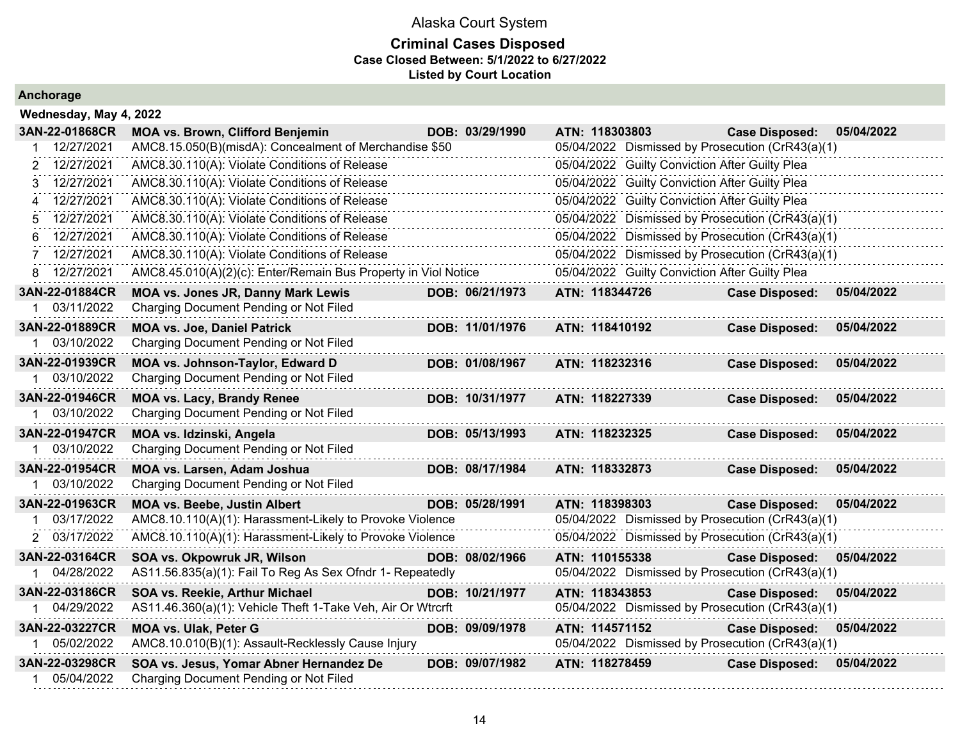### **Criminal Cases Disposed Case Closed Between: 5/1/2022 to 6/27/2022 Listed by Court Location**

| Wednesday, May 4, 2022 |                                                                |                 |                                                  |                       |            |
|------------------------|----------------------------------------------------------------|-----------------|--------------------------------------------------|-----------------------|------------|
| 3AN-22-01868CR         | <b>MOA vs. Brown, Clifford Benjemin</b>                        | DOB: 03/29/1990 | ATN: 118303803                                   | <b>Case Disposed:</b> | 05/04/2022 |
| 12/27/2021             | AMC8.15.050(B)(misdA): Concealment of Merchandise \$50         |                 | 05/04/2022 Dismissed by Prosecution (CrR43(a)(1) |                       |            |
| 12/27/2021<br>2        | AMC8.30.110(A): Violate Conditions of Release                  |                 | 05/04/2022 Guilty Conviction After Guilty Plea   |                       |            |
| 12/27/2021<br>3        | AMC8.30.110(A): Violate Conditions of Release                  |                 | 05/04/2022 Guilty Conviction After Guilty Plea   |                       |            |
| 12/27/2021             | AMC8.30.110(A): Violate Conditions of Release                  |                 | 05/04/2022 Guilty Conviction After Guilty Plea   |                       |            |
| 12/27/2021<br>5        | AMC8.30.110(A): Violate Conditions of Release                  |                 | 05/04/2022 Dismissed by Prosecution (CrR43(a)(1) |                       |            |
| 12/27/2021<br>6        | AMC8.30.110(A): Violate Conditions of Release                  |                 | 05/04/2022 Dismissed by Prosecution (CrR43(a)(1) |                       |            |
| 12/27/2021             | AMC8.30.110(A): Violate Conditions of Release                  |                 | 05/04/2022 Dismissed by Prosecution (CrR43(a)(1) |                       |            |
| 8 12/27/2021           | AMC8.45.010(A)(2)(c): Enter/Remain Bus Property in Viol Notice |                 | 05/04/2022 Guilty Conviction After Guilty Plea   |                       |            |
| 3AN-22-01884CR         | MOA vs. Jones JR, Danny Mark Lewis                             | DOB: 06/21/1973 | ATN: 118344726                                   | <b>Case Disposed:</b> | 05/04/2022 |
| 03/11/2022             | Charging Document Pending or Not Filed                         |                 |                                                  |                       |            |
| 3AN-22-01889CR         | <b>MOA vs. Joe, Daniel Patrick</b>                             | DOB: 11/01/1976 | ATN: 118410192                                   | <b>Case Disposed:</b> | 05/04/2022 |
| 03/10/2022             | Charging Document Pending or Not Filed                         |                 |                                                  |                       |            |
| 3AN-22-01939CR         | MOA vs. Johnson-Taylor, Edward D                               | DOB: 01/08/1967 | ATN: 118232316                                   | <b>Case Disposed:</b> | 05/04/2022 |
| 03/10/2022             | Charging Document Pending or Not Filed                         |                 |                                                  |                       |            |
| 3AN-22-01946CR         | <b>MOA vs. Lacy, Brandy Renee</b>                              | DOB: 10/31/1977 | ATN: 118227339                                   | <b>Case Disposed:</b> | 05/04/2022 |
| 1 03/10/2022           | Charging Document Pending or Not Filed                         |                 |                                                  |                       |            |
| 3AN-22-01947CR         | MOA vs. Idzinski, Angela                                       | DOB: 05/13/1993 | ATN: 118232325                                   | <b>Case Disposed:</b> | 05/04/2022 |
| 03/10/2022             | Charging Document Pending or Not Filed                         |                 |                                                  |                       |            |
| 3AN-22-01954CR         | <b>MOA vs. Larsen, Adam Joshua</b>                             | DOB: 08/17/1984 | ATN: 118332873                                   | <b>Case Disposed:</b> | 05/04/2022 |
| 03/10/2022             | Charging Document Pending or Not Filed                         |                 |                                                  |                       |            |
| 3AN-22-01963CR         | <b>MOA vs. Beebe, Justin Albert</b>                            | DOB: 05/28/1991 | ATN: 118398303                                   | <b>Case Disposed:</b> | 05/04/2022 |
| 03/17/2022             | AMC8.10.110(A)(1): Harassment-Likely to Provoke Violence       |                 | 05/04/2022 Dismissed by Prosecution (CrR43(a)(1) |                       |            |
| 2 03/17/2022           | AMC8.10.110(A)(1): Harassment-Likely to Provoke Violence       |                 | 05/04/2022 Dismissed by Prosecution (CrR43(a)(1) |                       |            |
| 3AN-22-03164CR         | SOA vs. Okpowruk JR, Wilson                                    | DOB: 08/02/1966 | ATN: 110155338                                   | <b>Case Disposed:</b> | 05/04/2022 |
| 04/28/2022             | AS11.56.835(a)(1): Fail To Reg As Sex Ofndr 1- Repeatedly      |                 | 05/04/2022 Dismissed by Prosecution (CrR43(a)(1) |                       |            |
| 3AN-22-03186CR         | SOA vs. Reekie, Arthur Michael                                 | DOB: 10/21/1977 | ATN: 118343853                                   | <b>Case Disposed:</b> | 05/04/2022 |
| 04/29/2022             | AS11.46.360(a)(1): Vehicle Theft 1-Take Veh, Air Or Wtrcrft    |                 | 05/04/2022 Dismissed by Prosecution (CrR43(a)(1) |                       |            |
| 3AN-22-03227CR         | <b>MOA vs. Ulak, Peter G</b>                                   | DOB: 09/09/1978 | ATN: 114571152                                   | <b>Case Disposed:</b> | 05/04/2022 |
| 05/02/2022             | AMC8.10.010(B)(1): Assault-Recklessly Cause Injury             |                 | 05/04/2022 Dismissed by Prosecution (CrR43(a)(1) |                       |            |
| 3AN-22-03298CR         | SOA vs. Jesus, Yomar Abner Hernandez De                        | DOB: 09/07/1982 | ATN: 118278459                                   | <b>Case Disposed:</b> | 05/04/2022 |
| 05/04/2022             | Charging Document Pending or Not Filed                         |                 |                                                  |                       |            |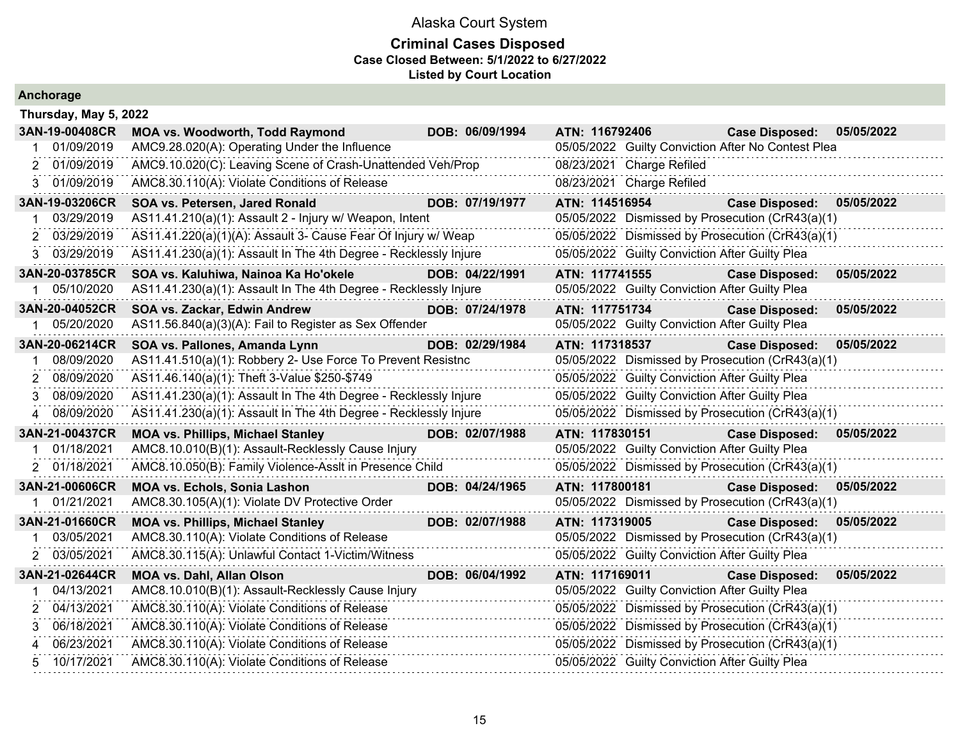|  |  | Anchorage |  |  |
|--|--|-----------|--|--|
|  |  |           |  |  |

| Thursday, May 5, 2022 |                                                                  |                 |                                                    |                       |            |
|-----------------------|------------------------------------------------------------------|-----------------|----------------------------------------------------|-----------------------|------------|
| 3AN-19-00408CR        | <b>MOA vs. Woodworth, Todd Raymond</b>                           | DOB: 06/09/1994 | ATN: 116792406                                     | <b>Case Disposed:</b> | 05/05/2022 |
| 01/09/2019            | AMC9.28.020(A): Operating Under the Influence                    |                 | 05/05/2022 Guilty Conviction After No Contest Plea |                       |            |
| 01/09/2019<br>2.      | AMC9.10.020(C): Leaving Scene of Crash-Unattended Veh/Prop       |                 | 08/23/2021 Charge Refiled                          |                       |            |
| 01/09/2019<br>3.      | AMC8.30.110(A): Violate Conditions of Release                    |                 | 08/23/2021 Charge Refiled                          |                       |            |
| 3AN-19-03206CR        | SOA vs. Petersen, Jared Ronald                                   | DOB: 07/19/1977 | ATN: 114516954                                     | <b>Case Disposed:</b> | 05/05/2022 |
| 03/29/2019            | AS11.41.210(a)(1): Assault 2 - Injury w/ Weapon, Intent          |                 | 05/05/2022 Dismissed by Prosecution (CrR43(a)(1)   |                       |            |
| 03/29/2019            | AS11.41.220(a)(1)(A): Assault 3- Cause Fear Of Injury w/ Weap    |                 | 05/05/2022 Dismissed by Prosecution (CrR43(a)(1)   |                       |            |
| 03/29/2019<br>3.      | AS11.41.230(a)(1): Assault In The 4th Degree - Recklessly Injure |                 | 05/05/2022 Guilty Conviction After Guilty Plea     |                       |            |
| 3AN-20-03785CR        | SOA vs. Kaluhiwa, Nainoa Ka Ho'okele                             | DOB: 04/22/1991 | ATN: 117741555                                     | <b>Case Disposed:</b> | 05/05/2022 |
| 05/10/2020            | AS11.41.230(a)(1): Assault In The 4th Degree - Recklessly Injure |                 | 05/05/2022 Guilty Conviction After Guilty Plea     |                       |            |
| 3AN-20-04052CR        | SOA vs. Zackar, Edwin Andrew                                     | DOB: 07/24/1978 | ATN: 117751734                                     | <b>Case Disposed:</b> | 05/05/2022 |
| 05/20/2020            | AS11.56.840(a)(3)(A): Fail to Register as Sex Offender           |                 | 05/05/2022 Guilty Conviction After Guilty Plea     |                       |            |
| 3AN-20-06214CR        | SOA vs. Pallones, Amanda Lynn                                    | DOB: 02/29/1984 | ATN: 117318537                                     | <b>Case Disposed:</b> | 05/05/2022 |
| 08/09/2020            | AS11.41.510(a)(1): Robbery 2- Use Force To Prevent Resistnc      |                 | 05/05/2022 Dismissed by Prosecution (CrR43(a)(1)   |                       |            |
| 08/09/2020            | AS11.46.140(a)(1): Theft 3-Value \$250-\$749                     |                 | 05/05/2022 Guilty Conviction After Guilty Plea     |                       |            |
| 08/09/2020<br>3       | AS11.41.230(a)(1): Assault In The 4th Degree - Recklessly Injure |                 | 05/05/2022 Guilty Conviction After Guilty Plea     |                       |            |
| 08/09/2020            | AS11.41.230(a)(1): Assault In The 4th Degree - Recklessly Injure |                 | 05/05/2022 Dismissed by Prosecution (CrR43(a)(1)   |                       |            |
| 3AN-21-00437CR        | <b>MOA vs. Phillips, Michael Stanley</b>                         | DOB: 02/07/1988 | ATN: 117830151                                     | <b>Case Disposed:</b> | 05/05/2022 |
| 01/18/2021            | AMC8.10.010(B)(1): Assault-Recklessly Cause Injury               |                 | 05/05/2022 Guilty Conviction After Guilty Plea     |                       |            |
| 2 01/18/2021          | AMC8.10.050(B): Family Violence-Asslt in Presence Child          |                 | 05/05/2022 Dismissed by Prosecution (CrR43(a)(1)   |                       |            |
| 3AN-21-00606CR        | <b>MOA vs. Echols, Sonia Lashon</b>                              | DOB: 04/24/1965 | ATN: 117800181                                     | <b>Case Disposed:</b> | 05/05/2022 |
| 01/21/2021            | AMC8.30.105(A)(1): Violate DV Protective Order                   |                 | 05/05/2022 Dismissed by Prosecution (CrR43(a)(1)   |                       |            |
| 3AN-21-01660CR        | <b>MOA vs. Phillips, Michael Stanley</b>                         | DOB: 02/07/1988 | ATN: 117319005                                     | <b>Case Disposed:</b> | 05/05/2022 |
| 03/05/2021            | AMC8.30.110(A): Violate Conditions of Release                    |                 | 05/05/2022 Dismissed by Prosecution (CrR43(a)(1)   |                       |            |
| 03/05/2021<br>2       | AMC8.30.115(A): Unlawful Contact 1-Victim/Witness                |                 | 05/05/2022 Guilty Conviction After Guilty Plea     |                       |            |
| 3AN-21-02644CR        | <b>MOA vs. Dahl, Allan Olson</b>                                 | DOB: 06/04/1992 | ATN: 117169011                                     | <b>Case Disposed:</b> | 05/05/2022 |
| 04/13/2021            | AMC8.10.010(B)(1): Assault-Recklessly Cause Injury               |                 | 05/05/2022 Guilty Conviction After Guilty Plea     |                       |            |
| 04/13/2021<br>2       | AMC8.30.110(A): Violate Conditions of Release                    |                 | 05/05/2022 Dismissed by Prosecution (CrR43(a)(1)   |                       |            |
| 06/18/2021            | AMC8.30.110(A): Violate Conditions of Release                    |                 | 05/05/2022 Dismissed by Prosecution (CrR43(a)(1)   |                       |            |
| 06/23/2021<br>4       | AMC8.30.110(A): Violate Conditions of Release                    |                 | 05/05/2022 Dismissed by Prosecution (CrR43(a)(1)   |                       |            |
| 10/17/2021            | AMC8.30.110(A): Violate Conditions of Release                    |                 | 05/05/2022 Guilty Conviction After Guilty Plea     |                       |            |
|                       |                                                                  |                 |                                                    |                       |            |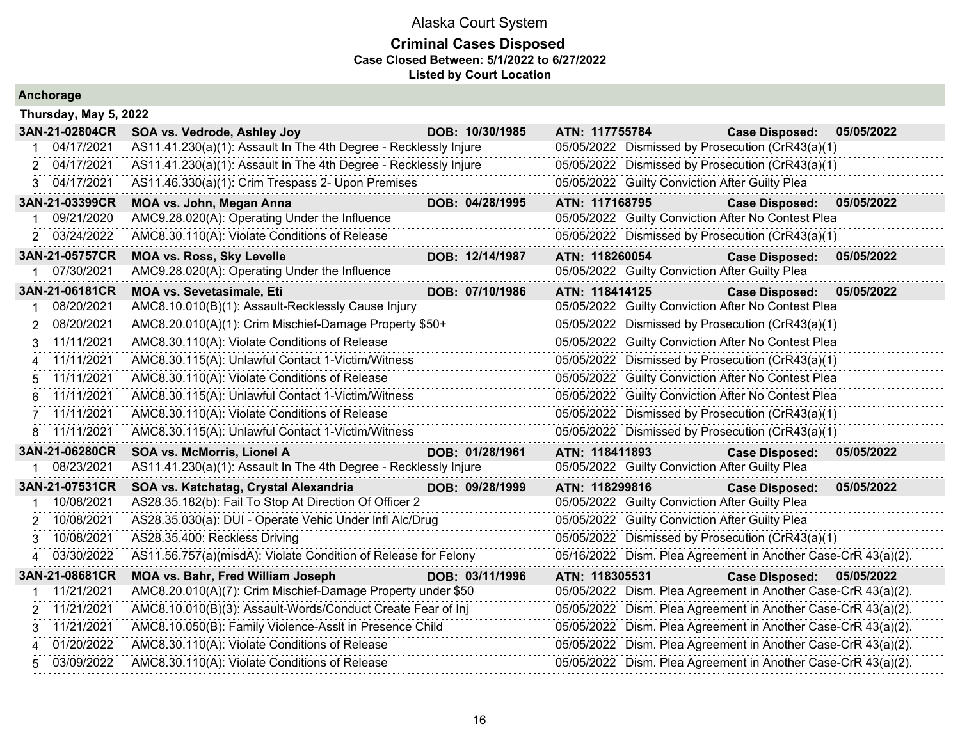| Anchorage                    |                                                                                                                    |                                                                                                         |
|------------------------------|--------------------------------------------------------------------------------------------------------------------|---------------------------------------------------------------------------------------------------------|
| Thursday, May 5, 2022        |                                                                                                                    |                                                                                                         |
| 3AN-21-02804CR               | DOB: 10/30/1985<br>SOA vs. Vedrode, Ashley Joy                                                                     | ATN: 117755784<br>05/05/2022<br><b>Case Disposed:</b>                                                   |
| 04/17/2021                   | AS11.41.230(a)(1): Assault In The 4th Degree - Recklessly Injure                                                   | 05/05/2022 Dismissed by Prosecution (CrR43(a)(1)                                                        |
| 04/17/2021<br>$\overline{2}$ | AS11.41.230(a)(1): Assault In The 4th Degree - Recklessly Injure                                                   | 05/05/2022 Dismissed by Prosecution (CrR43(a)(1)                                                        |
| 3 04/17/2021                 | AS11.46.330(a)(1): Crim Trespass 2- Upon Premises                                                                  | 05/05/2022 Guilty Conviction After Guilty Plea                                                          |
| 3AN-21-03399CR               | DOB: 04/28/1995<br><b>MOA vs. John, Megan Anna</b>                                                                 | ATN: 117168795<br>05/05/2022<br><b>Case Disposed:</b>                                                   |
| 09/21/2020                   | AMC9.28.020(A): Operating Under the Influence                                                                      | 05/05/2022 Guilty Conviction After No Contest Plea                                                      |
| 03/24/2022<br>2              | AMC8.30.110(A): Violate Conditions of Release                                                                      | 05/05/2022 Dismissed by Prosecution (CrR43(a)(1)                                                        |
| 3AN-21-05757CR               | <b>MOA vs. Ross, Sky Levelle</b><br>DOB: 12/14/1987                                                                | ATN: 118260054<br>05/05/2022<br><b>Case Disposed:</b>                                                   |
| 07/30/2021                   | AMC9.28.020(A): Operating Under the Influence                                                                      | 05/05/2022 Guilty Conviction After Guilty Plea                                                          |
| 3AN-21-06181CR               | <b>MOA vs. Sevetasimale, Eti</b><br>DOB: 07/10/1986                                                                | ATN: 118414125<br><b>Case Disposed:</b><br>05/05/2022                                                   |
| 08/20/2021                   | AMC8.10.010(B)(1): Assault-Recklessly Cause Injury                                                                 | 05/05/2022 Guilty Conviction After No Contest Plea                                                      |
| 08/20/2021<br>2              | AMC8.20.010(A)(1): Crim Mischief-Damage Property \$50+                                                             | 05/05/2022 Dismissed by Prosecution (CrR43(a)(1)                                                        |
| 11/11/2021<br>3              | AMC8.30.110(A): Violate Conditions of Release                                                                      | 05/05/2022 Guilty Conviction After No Contest Plea                                                      |
| 11/11/2021<br>4              | AMC8.30.115(A): Unlawful Contact 1-Victim/Witness                                                                  | 05/05/2022 Dismissed by Prosecution (CrR43(a)(1)                                                        |
| 11/11/2021<br>5              | AMC8.30.110(A): Violate Conditions of Release                                                                      | 05/05/2022 Guilty Conviction After No Contest Plea                                                      |
| 11/11/2021<br>6              | AMC8.30.115(A): Unlawful Contact 1-Victim/Witness                                                                  | 05/05/2022 Guilty Conviction After No Contest Plea                                                      |
| 11/11/2021                   | AMC8.30.110(A): Violate Conditions of Release                                                                      | 05/05/2022 Dismissed by Prosecution (CrR43(a)(1)                                                        |
| 11/11/2021<br>8              | AMC8.30.115(A): Unlawful Contact 1-Victim/Witness                                                                  | 05/05/2022 Dismissed by Prosecution (CrR43(a)(1)                                                        |
| 3AN-21-06280CR               | DOB: 01/28/1961<br><b>SOA vs. McMorris, Lionel A</b>                                                               | 05/05/2022<br>ATN: 118411893<br><b>Case Disposed:</b>                                                   |
| 08/23/2021                   | AS11.41.230(a)(1): Assault In The 4th Degree - Recklessly Injure                                                   | 05/05/2022 Guilty Conviction After Guilty Plea                                                          |
| 3AN-21-07531CR<br>10/08/2021 | SOA vs. Katchatag, Crystal Alexandria<br>DOB: 09/28/1999<br>AS28.35.182(b): Fail To Stop At Direction Of Officer 2 | ATN: 118299816<br><b>Case Disposed:</b><br>05/05/2022<br>05/05/2022 Guilty Conviction After Guilty Plea |
| 10/08/2021<br>2              | AS28.35.030(a): DUI - Operate Vehic Under Infl Alc/Drug                                                            | 05/05/2022 Guilty Conviction After Guilty Plea                                                          |
| 10/08/2021<br>3              | AS28.35.400: Reckless Driving                                                                                      | 05/05/2022 Dismissed by Prosecution (CrR43(a)(1)                                                        |
| 03/30/2022                   | AS11.56.757(a)(misdA): Violate Condition of Release for Felony                                                     | 05/16/2022 Dism. Plea Agreement in Another Case-CrR 43(a)(2).                                           |
| 3AN-21-08681CR               | DOB: 03/11/1996<br>MOA vs. Bahr, Fred William Joseph                                                               | ATN: 118305531<br><b>Case Disposed:</b><br>05/05/2022                                                   |
| 11/21/2021                   | AMC8.20.010(A)(7): Crim Mischief-Damage Property under \$50                                                        | 05/05/2022 Dism. Plea Agreement in Another Case-CrR 43(a)(2).                                           |
| 11/21/2021<br>2              | AMC8.10.010(B)(3): Assault-Words/Conduct Create Fear of Inj                                                        | 05/05/2022 Dism. Plea Agreement in Another Case-CrR 43(a)(2).                                           |
| 11/21/2021<br>3              | AMC8.10.050(B): Family Violence-Asslt in Presence Child                                                            | 05/05/2022 Dism. Plea Agreement in Another Case-CrR 43(a)(2).                                           |
| 01/20/2022                   | AMC8.30.110(A): Violate Conditions of Release                                                                      | 05/05/2022 Dism. Plea Agreement in Another Case-CrR 43(a)(2).                                           |
| 03/09/2022<br>5.             | AMC8.30.110(A): Violate Conditions of Release                                                                      | 05/05/2022 Dism. Plea Agreement in Another Case-CrR 43(a)(2).                                           |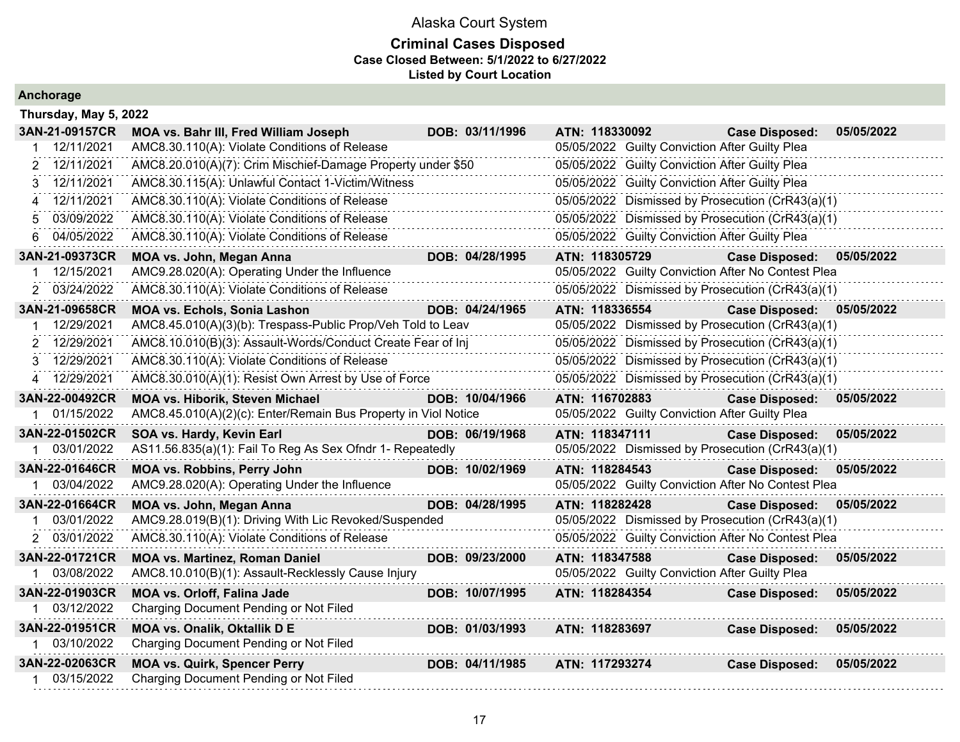### **Criminal Cases Disposed Case Closed Between: 5/1/2022 to 6/27/2022 Listed by Court Location**

| Thursday, May 5, 2022 |                                                                |                 |                                                    |                       |            |
|-----------------------|----------------------------------------------------------------|-----------------|----------------------------------------------------|-----------------------|------------|
| 3AN-21-09157CR        | MOA vs. Bahr III, Fred William Joseph                          | DOB: 03/11/1996 | ATN: 118330092                                     | <b>Case Disposed:</b> | 05/05/2022 |
| 12/11/2021            | AMC8.30.110(A): Violate Conditions of Release                  |                 | 05/05/2022 Guilty Conviction After Guilty Plea     |                       |            |
| 2 12/11/2021          | AMC8.20.010(A)(7): Crim Mischief-Damage Property under \$50    |                 | 05/05/2022 Guilty Conviction After Guilty Plea     |                       |            |
| 12/11/2021<br>3       | AMC8.30.115(A): Unlawful Contact 1-Victim/Witness              |                 | 05/05/2022 Guilty Conviction After Guilty Plea     |                       |            |
| 12/11/2021            | AMC8.30.110(A): Violate Conditions of Release                  |                 | 05/05/2022 Dismissed by Prosecution (CrR43(a)(1)   |                       |            |
| 03/09/2022<br>5       | AMC8.30.110(A): Violate Conditions of Release                  |                 | 05/05/2022 Dismissed by Prosecution (CrR43(a)(1)   |                       |            |
| 04/05/2022<br>6       | AMC8.30.110(A): Violate Conditions of Release                  |                 | 05/05/2022 Guilty Conviction After Guilty Plea     |                       |            |
| 3AN-21-09373CR        | <b>MOA vs. John, Megan Anna</b>                                | DOB: 04/28/1995 | ATN: 118305729                                     | <b>Case Disposed:</b> | 05/05/2022 |
| 12/15/2021            | AMC9.28.020(A): Operating Under the Influence                  |                 | 05/05/2022 Guilty Conviction After No Contest Plea |                       |            |
| 2 03/24/2022          | AMC8.30.110(A): Violate Conditions of Release                  |                 | 05/05/2022 Dismissed by Prosecution (CrR43(a)(1)   |                       |            |
| 3AN-21-09658CR        | <b>MOA vs. Echols, Sonia Lashon</b>                            | DOB: 04/24/1965 | ATN: 118336554                                     | <b>Case Disposed:</b> | 05/05/2022 |
| 12/29/2021            | AMC8.45.010(A)(3)(b): Trespass-Public Prop/Veh Told to Leav    |                 | 05/05/2022 Dismissed by Prosecution (CrR43(a)(1)   |                       |            |
| 2 12/29/2021          | AMC8.10.010(B)(3): Assault-Words/Conduct Create Fear of Inj    |                 | 05/05/2022 Dismissed by Prosecution (CrR43(a)(1)   |                       |            |
| 3 12/29/2021          | AMC8.30.110(A): Violate Conditions of Release                  |                 | 05/05/2022 Dismissed by Prosecution (CrR43(a)(1)   |                       |            |
| 4 12/29/2021          | AMC8.30.010(A)(1): Resist Own Arrest by Use of Force           |                 | 05/05/2022 Dismissed by Prosecution (CrR43(a)(1)   |                       |            |
| 3AN-22-00492CR        | <b>MOA vs. Hiborik, Steven Michael</b>                         | DOB: 10/04/1966 | ATN: 116702883                                     | <b>Case Disposed:</b> | 05/05/2022 |
| 1 01/15/2022          | AMC8.45.010(A)(2)(c): Enter/Remain Bus Property in Viol Notice |                 | 05/05/2022 Guilty Conviction After Guilty Plea     |                       |            |
| 3AN-22-01502CR        | SOA vs. Hardy, Kevin Earl                                      | DOB: 06/19/1968 | ATN: 118347111                                     | <b>Case Disposed:</b> | 05/05/2022 |
| 1 03/01/2022          | AS11.56.835(a)(1): Fail To Reg As Sex Ofndr 1- Repeatedly      |                 | 05/05/2022 Dismissed by Prosecution (CrR43(a)(1)   |                       |            |
| 3AN-22-01646CR        | <b>MOA vs. Robbins, Perry John</b>                             | DOB: 10/02/1969 | ATN: 118284543                                     | <b>Case Disposed:</b> | 05/05/2022 |
| 1 03/04/2022          | AMC9.28.020(A): Operating Under the Influence                  |                 | 05/05/2022 Guilty Conviction After No Contest Plea |                       |            |
| 3AN-22-01664CR        | MOA vs. John, Megan Anna                                       | DOB: 04/28/1995 | ATN: 118282428                                     | <b>Case Disposed:</b> | 05/05/2022 |
| 03/01/2022            | AMC9.28.019(B)(1): Driving With Lic Revoked/Suspended          |                 | 05/05/2022 Dismissed by Prosecution (CrR43(a)(1)   |                       |            |
| 2 03/01/2022          | AMC8.30.110(A): Violate Conditions of Release                  |                 | 05/05/2022 Guilty Conviction After No Contest Plea |                       |            |
| 3AN-22-01721CR        | <b>MOA vs. Martinez, Roman Daniel</b>                          | DOB: 09/23/2000 | ATN: 118347588                                     | <b>Case Disposed:</b> | 05/05/2022 |
| 03/08/2022            | AMC8.10.010(B)(1): Assault-Recklessly Cause Injury             |                 | 05/05/2022 Guilty Conviction After Guilty Plea     |                       |            |
| 3AN-22-01903CR        | <b>MOA vs. Orloff, Falina Jade</b>                             | DOB: 10/07/1995 | ATN: 118284354                                     | <b>Case Disposed:</b> | 05/05/2022 |
| 03/12/2022            | Charging Document Pending or Not Filed                         |                 |                                                    |                       |            |
| 3AN-22-01951CR        | MOA vs. Onalik, Oktallik D E                                   | DOB: 01/03/1993 | ATN: 118283697                                     | <b>Case Disposed:</b> | 05/05/2022 |
| 1 03/10/2022          | Charging Document Pending or Not Filed                         |                 |                                                    |                       |            |
| 3AN-22-02063CR        | <b>MOA vs. Quirk, Spencer Perry</b>                            | DOB: 04/11/1985 | ATN: 117293274                                     | <b>Case Disposed:</b> | 05/05/2022 |
| 1 03/15/2022          | Charging Document Pending or Not Filed                         |                 |                                                    |                       |            |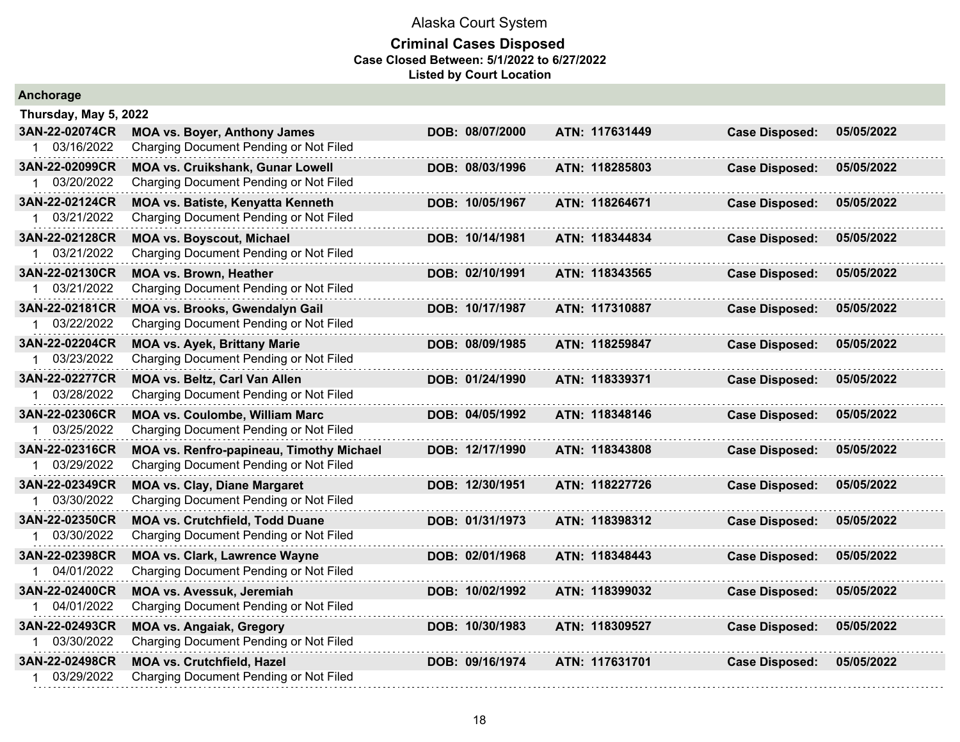| Anchorage             |                                          |                 |                |                       |            |
|-----------------------|------------------------------------------|-----------------|----------------|-----------------------|------------|
| Thursday, May 5, 2022 |                                          |                 |                |                       |            |
| 3AN-22-02074CR        | <b>MOA vs. Boyer, Anthony James</b>      | DOB: 08/07/2000 | ATN: 117631449 | <b>Case Disposed:</b> | 05/05/2022 |
| 1 03/16/2022          | Charging Document Pending or Not Filed   |                 |                |                       |            |
| 3AN-22-02099CR        | <b>MOA vs. Cruikshank, Gunar Lowell</b>  | DOB: 08/03/1996 | ATN: 118285803 | <b>Case Disposed:</b> | 05/05/2022 |
| 03/20/2022            | Charging Document Pending or Not Filed   |                 |                |                       |            |
| 3AN-22-02124CR        | MOA vs. Batiste, Kenyatta Kenneth        | DOB: 10/05/1967 | ATN: 118264671 | <b>Case Disposed:</b> | 05/05/2022 |
| 03/21/2022<br>1       | Charging Document Pending or Not Filed   |                 |                |                       |            |
| 3AN-22-02128CR        | <b>MOA vs. Boyscout, Michael</b>         | DOB: 10/14/1981 | ATN: 118344834 | <b>Case Disposed:</b> | 05/05/2022 |
| 03/21/2022            | Charging Document Pending or Not Filed   |                 |                |                       |            |
| 3AN-22-02130CR        | <b>MOA vs. Brown, Heather</b>            | DOB: 02/10/1991 | ATN: 118343565 | <b>Case Disposed:</b> | 05/05/2022 |
| 03/21/2022            | Charging Document Pending or Not Filed   |                 |                |                       |            |
| 3AN-22-02181CR        | MOA vs. Brooks, Gwendalyn Gail           | DOB: 10/17/1987 | ATN: 117310887 | <b>Case Disposed:</b> | 05/05/2022 |
| 1 03/22/2022          | Charging Document Pending or Not Filed   |                 |                |                       |            |
| 3AN-22-02204CR        | <b>MOA vs. Ayek, Brittany Marie</b>      | DOB: 08/09/1985 | ATN: 118259847 | <b>Case Disposed:</b> | 05/05/2022 |
| 03/23/2022            | Charging Document Pending or Not Filed   |                 |                |                       |            |
| 3AN-22-02277CR        | MOA vs. Beltz, Carl Van Allen            | DOB: 01/24/1990 | ATN: 118339371 | <b>Case Disposed:</b> | 05/05/2022 |
| 03/28/2022<br>1       | Charging Document Pending or Not Filed   |                 |                |                       |            |
| 3AN-22-02306CR        | <b>MOA vs. Coulombe, William Marc</b>    | DOB: 04/05/1992 | ATN: 118348146 | <b>Case Disposed:</b> | 05/05/2022 |
| 03/25/2022            | Charging Document Pending or Not Filed   |                 |                |                       |            |
| 3AN-22-02316CR        | MOA vs. Renfro-papineau, Timothy Michael | DOB: 12/17/1990 | ATN: 118343808 | <b>Case Disposed:</b> | 05/05/2022 |
| 03/29/2022            | Charging Document Pending or Not Filed   |                 |                |                       |            |
| 3AN-22-02349CR        | <b>MOA vs. Clay, Diane Margaret</b>      | DOB: 12/30/1951 | ATN: 118227726 | <b>Case Disposed:</b> | 05/05/2022 |
| 03/30/2022            | Charging Document Pending or Not Filed   |                 |                |                       |            |
| 3AN-22-02350CR        | <b>MOA vs. Crutchfield, Todd Duane</b>   | DOB: 01/31/1973 | ATN: 118398312 | <b>Case Disposed:</b> | 05/05/2022 |
| 03/30/2022            | Charging Document Pending or Not Filed   |                 |                |                       |            |
| 3AN-22-02398CR        | <b>MOA vs. Clark, Lawrence Wayne</b>     | DOB: 02/01/1968 | ATN: 118348443 | <b>Case Disposed:</b> | 05/05/2022 |
| 04/01/2022            | Charging Document Pending or Not Filed   |                 |                |                       |            |
| 3AN-22-02400CR        | <b>MOA vs. Avessuk, Jeremiah</b>         | DOB: 10/02/1992 | ATN: 118399032 | <b>Case Disposed:</b> | 05/05/2022 |
| 04/01/2022            | Charging Document Pending or Not Filed   |                 |                |                       |            |
| 3AN-22-02493CR        | <b>MOA vs. Angaiak, Gregory</b>          | DOB: 10/30/1983 | ATN: 118309527 | <b>Case Disposed:</b> | 05/05/2022 |
| 03/30/2022            | Charging Document Pending or Not Filed   |                 |                |                       |            |
| 3AN-22-02498CR        | <b>MOA vs. Crutchfield, Hazel</b>        | DOB: 09/16/1974 | ATN: 117631701 | <b>Case Disposed:</b> | 05/05/2022 |
| 03/29/2022            | Charging Document Pending or Not Filed   |                 |                |                       |            |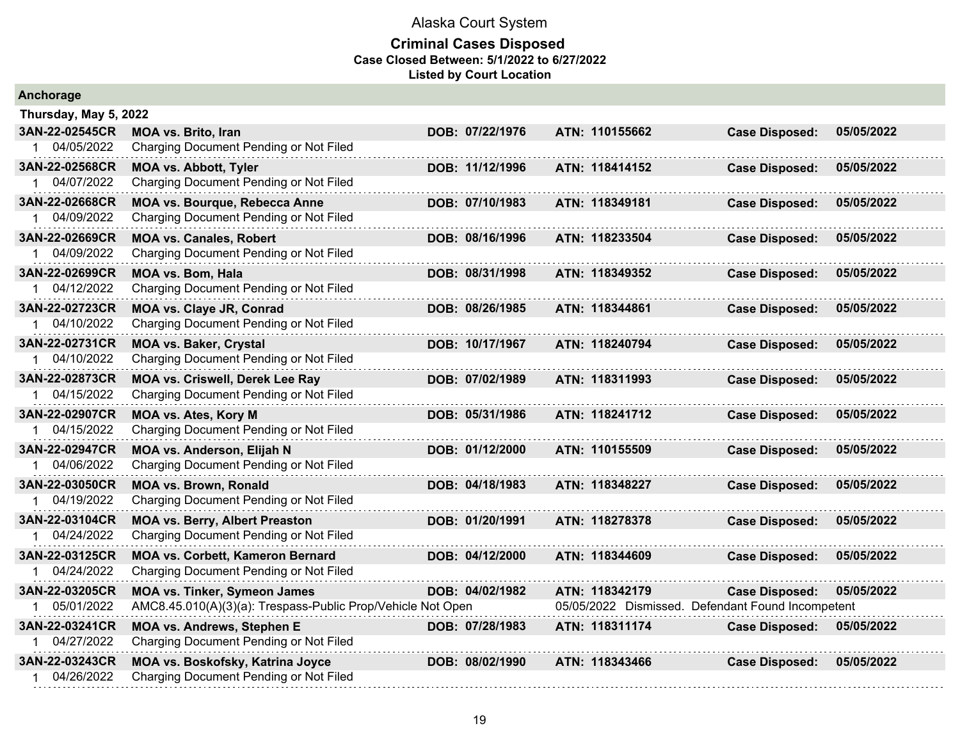| Anchorage             |                                                             |                 |                                                   |                       |            |
|-----------------------|-------------------------------------------------------------|-----------------|---------------------------------------------------|-----------------------|------------|
| Thursday, May 5, 2022 |                                                             |                 |                                                   |                       |            |
| 3AN-22-02545CR        | MOA vs. Brito, Iran                                         | DOB: 07/22/1976 | ATN: 110155662                                    | <b>Case Disposed:</b> | 05/05/2022 |
| 1 04/05/2022          | Charging Document Pending or Not Filed                      |                 |                                                   |                       |            |
| 3AN-22-02568CR        | <b>MOA vs. Abbott, Tyler</b>                                | DOB: 11/12/1996 | ATN: 118414152                                    | <b>Case Disposed:</b> | 05/05/2022 |
| 1 04/07/2022          | Charging Document Pending or Not Filed                      |                 |                                                   |                       |            |
| 3AN-22-02668CR        | MOA vs. Bourque, Rebecca Anne                               | DOB: 07/10/1983 | ATN: 118349181                                    | <b>Case Disposed:</b> | 05/05/2022 |
| 1 04/09/2022          | Charging Document Pending or Not Filed                      |                 |                                                   |                       |            |
| 3AN-22-02669CR        | <b>MOA vs. Canales, Robert</b>                              | DOB: 08/16/1996 | ATN: 118233504                                    | <b>Case Disposed:</b> | 05/05/2022 |
| 1 04/09/2022          | Charging Document Pending or Not Filed                      |                 |                                                   |                       |            |
| 3AN-22-02699CR        | <b>MOA vs. Bom, Hala</b>                                    | DOB: 08/31/1998 | ATN: 118349352                                    | <b>Case Disposed:</b> | 05/05/2022 |
| 1 04/12/2022          | Charging Document Pending or Not Filed                      |                 |                                                   |                       |            |
| 3AN-22-02723CR        | <b>MOA vs. Claye JR, Conrad</b>                             | DOB: 08/26/1985 | ATN: 118344861                                    | <b>Case Disposed:</b> | 05/05/2022 |
| 1 04/10/2022          | Charging Document Pending or Not Filed                      |                 |                                                   |                       |            |
| 3AN-22-02731CR        | <b>MOA vs. Baker, Crystal</b>                               | DOB: 10/17/1967 | ATN: 118240794                                    | <b>Case Disposed:</b> | 05/05/2022 |
| 1 04/10/2022          | Charging Document Pending or Not Filed                      |                 |                                                   |                       |            |
| 3AN-22-02873CR        | MOA vs. Criswell, Derek Lee Ray                             | DOB: 07/02/1989 | ATN: 118311993                                    | <b>Case Disposed:</b> | 05/05/2022 |
| 1 04/15/2022          | Charging Document Pending or Not Filed                      |                 |                                                   |                       |            |
| 3AN-22-02907CR        | <b>MOA vs. Ates, Kory M</b>                                 | DOB: 05/31/1986 | ATN: 118241712                                    | <b>Case Disposed:</b> | 05/05/2022 |
| 1 04/15/2022          | Charging Document Pending or Not Filed                      |                 |                                                   |                       |            |
| 3AN-22-02947CR        | <b>MOA vs. Anderson, Elijah N</b>                           | DOB: 01/12/2000 | ATN: 110155509                                    | <b>Case Disposed:</b> | 05/05/2022 |
| 1 04/06/2022          | Charging Document Pending or Not Filed                      |                 |                                                   |                       |            |
| 3AN-22-03050CR        | <b>MOA vs. Brown, Ronald</b>                                | DOB: 04/18/1983 | ATN: 118348227                                    | <b>Case Disposed:</b> | 05/05/2022 |
| 1 04/19/2022          | Charging Document Pending or Not Filed                      |                 |                                                   |                       |            |
| 3AN-22-03104CR        | <b>MOA vs. Berry, Albert Preaston</b>                       | DOB: 01/20/1991 | ATN: 118278378                                    | <b>Case Disposed:</b> | 05/05/2022 |
| 04/24/2022            | Charging Document Pending or Not Filed                      |                 |                                                   |                       |            |
| 3AN-22-03125CR        | <b>MOA vs. Corbett, Kameron Bernard</b>                     | DOB: 04/12/2000 | ATN: 118344609                                    | <b>Case Disposed:</b> | 05/05/2022 |
| 1 04/24/2022          | Charging Document Pending or Not Filed                      |                 |                                                   |                       |            |
| 3AN-22-03205CR        | <b>MOA vs. Tinker, Symeon James</b>                         | DOB: 04/02/1982 | ATN: 118342179                                    | <b>Case Disposed:</b> | 05/05/2022 |
| 1 05/01/2022          | AMC8.45.010(A)(3)(a): Trespass-Public Prop/Vehicle Not Open |                 | 05/05/2022 Dismissed. Defendant Found Incompetent |                       |            |
| 3AN-22-03241CR        | <b>MOA vs. Andrews, Stephen E</b>                           | DOB: 07/28/1983 | ATN: 118311174                                    | <b>Case Disposed:</b> | 05/05/2022 |
| 1 04/27/2022          | Charging Document Pending or Not Filed                      |                 |                                                   |                       |            |
| 3AN-22-03243CR        | MOA vs. Boskofsky, Katrina Joyce                            | DOB: 08/02/1990 | ATN: 118343466                                    | <b>Case Disposed:</b> | 05/05/2022 |
| 1 04/26/2022          | Charging Document Pending or Not Filed                      |                 |                                                   |                       |            |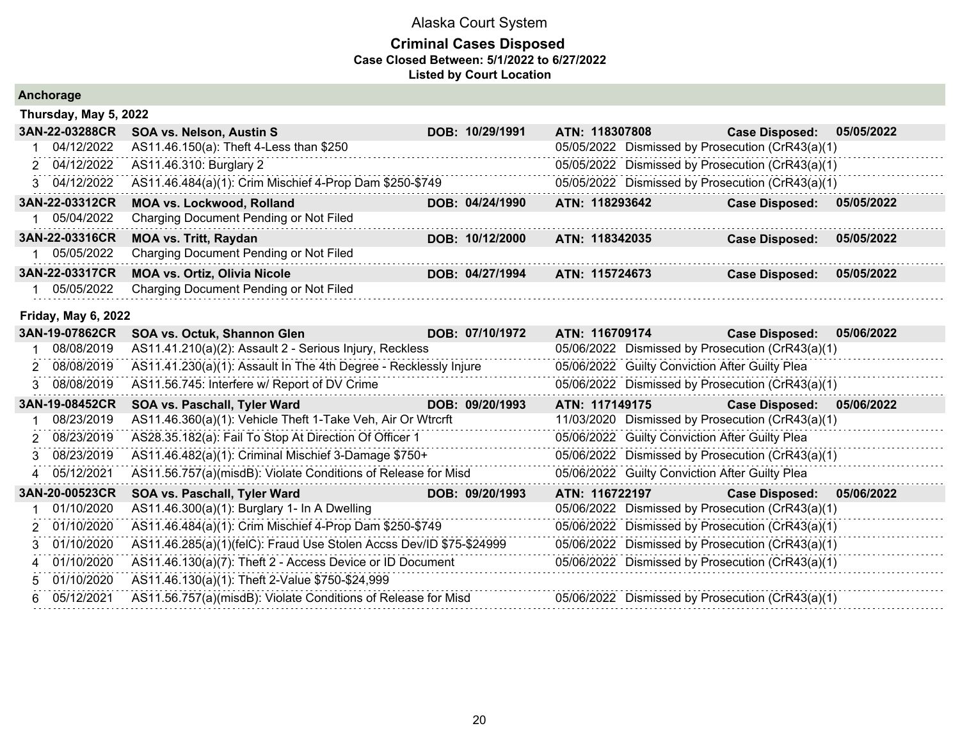|  | Anchorage |  |  |  |
|--|-----------|--|--|--|
|--|-----------|--|--|--|

| Thursday, May 5, 2022      |                                                                     |                 |                                                  |                                     |
|----------------------------|---------------------------------------------------------------------|-----------------|--------------------------------------------------|-------------------------------------|
| 3AN-22-03288CR             | <b>SOA vs. Nelson, Austin S</b>                                     | DOB: 10/29/1991 | ATN: 118307808                                   | <b>Case Disposed:</b><br>05/05/2022 |
| 04/12/2022                 | AS11.46.150(a): Theft 4-Less than \$250                             |                 | 05/05/2022 Dismissed by Prosecution (CrR43(a)(1) |                                     |
| 2 04/12/2022               | AS11.46.310: Burglary 2                                             |                 | 05/05/2022 Dismissed by Prosecution (CrR43(a)(1) |                                     |
| 3 04/12/2022               | AS11.46.484(a)(1): Crim Mischief 4-Prop Dam \$250-\$749             |                 | 05/05/2022 Dismissed by Prosecution (CrR43(a)(1) |                                     |
| 3AN-22-03312CR             | <b>MOA vs. Lockwood, Rolland</b>                                    | DOB: 04/24/1990 | ATN: 118293642                                   | <b>Case Disposed:</b><br>05/05/2022 |
| 05/04/2022                 | Charging Document Pending or Not Filed                              |                 |                                                  |                                     |
| 3AN-22-03316CR             | <b>MOA vs. Tritt, Raydan</b>                                        | DOB: 10/12/2000 | ATN: 118342035                                   | <b>Case Disposed:</b><br>05/05/2022 |
| 1 05/05/2022               | Charging Document Pending or Not Filed                              |                 |                                                  |                                     |
| 3AN-22-03317CR             | <b>MOA vs. Ortiz, Olivia Nicole</b>                                 | DOB: 04/27/1994 | ATN: 115724673                                   | 05/05/2022<br><b>Case Disposed:</b> |
| 05/05/2022                 | Charging Document Pending or Not Filed                              |                 |                                                  |                                     |
| <b>Friday, May 6, 2022</b> |                                                                     |                 |                                                  |                                     |
| 3AN-19-07862CR             | SOA vs. Octuk, Shannon Glen                                         | DOB: 07/10/1972 | ATN: 116709174                                   | 05/06/2022<br><b>Case Disposed:</b> |
| 08/08/2019                 | AS11.41.210(a)(2): Assault 2 - Serious Injury, Reckless             |                 | 05/06/2022 Dismissed by Prosecution (CrR43(a)(1) |                                     |
| 08/08/2019<br>2            | AS11.41.230(a)(1): Assault In The 4th Degree - Recklessly Injure    |                 | 05/06/2022 Guilty Conviction After Guilty Plea   |                                     |
| 3 08/08/2019               | AS11.56.745: Interfere w/ Report of DV Crime                        |                 | 05/06/2022 Dismissed by Prosecution (CrR43(a)(1) |                                     |
| 3AN-19-08452CR             | SOA vs. Paschall, Tyler Ward                                        | DOB: 09/20/1993 | ATN: 117149175                                   | <b>Case Disposed:</b><br>05/06/2022 |
| 08/23/2019                 | AS11.46.360(a)(1): Vehicle Theft 1-Take Veh, Air Or Wtrcrft         |                 | 11/03/2020 Dismissed by Prosecution (CrR43(a)(1) |                                     |
| 08/23/2019<br>2            | AS28.35.182(a): Fail To Stop At Direction Of Officer 1              |                 | 05/06/2022 Guilty Conviction After Guilty Plea   |                                     |
| 08/23/2019<br>3            | AS11.46.482(a)(1): Criminal Mischief 3-Damage \$750+                |                 | 05/06/2022 Dismissed by Prosecution (CrR43(a)(1) |                                     |
| 05/12/2021                 | AS11.56.757(a)(misdB): Violate Conditions of Release for Misd       |                 | 05/06/2022 Guilty Conviction After Guilty Plea   |                                     |
| 3AN-20-00523CR             | SOA vs. Paschall, Tyler Ward                                        | DOB: 09/20/1993 | ATN: 116722197                                   | <b>Case Disposed:</b><br>05/06/2022 |
| 01/10/2020                 | AS11.46.300(a)(1): Burglary 1- In A Dwelling                        |                 | 05/06/2022 Dismissed by Prosecution (CrR43(a)(1) |                                     |
| 01/10/2020<br>2            | AS11.46.484(a)(1): Crim Mischief 4-Prop Dam \$250-\$749             |                 | 05/06/2022 Dismissed by Prosecution (CrR43(a)(1) |                                     |
| 01/10/2020<br>3            | AS11.46.285(a)(1)(felC): Fraud Use Stolen Accss Dev/ID \$75-\$24999 |                 | 05/06/2022 Dismissed by Prosecution (CrR43(a)(1) |                                     |
| 01/10/2020                 | AS11.46.130(a)(7): Theft 2 - Access Device or ID Document           |                 | 05/06/2022 Dismissed by Prosecution (CrR43(a)(1) |                                     |
| 01/10/2020                 | AS11.46.130(a)(1): Theft 2-Value \$750-\$24,999                     |                 |                                                  |                                     |
| 05/12/2021<br>6.           | AS11.56.757(a)(misdB): Violate Conditions of Release for Misd       |                 | 05/06/2022 Dismissed by Prosecution (CrR43(a)(1) |                                     |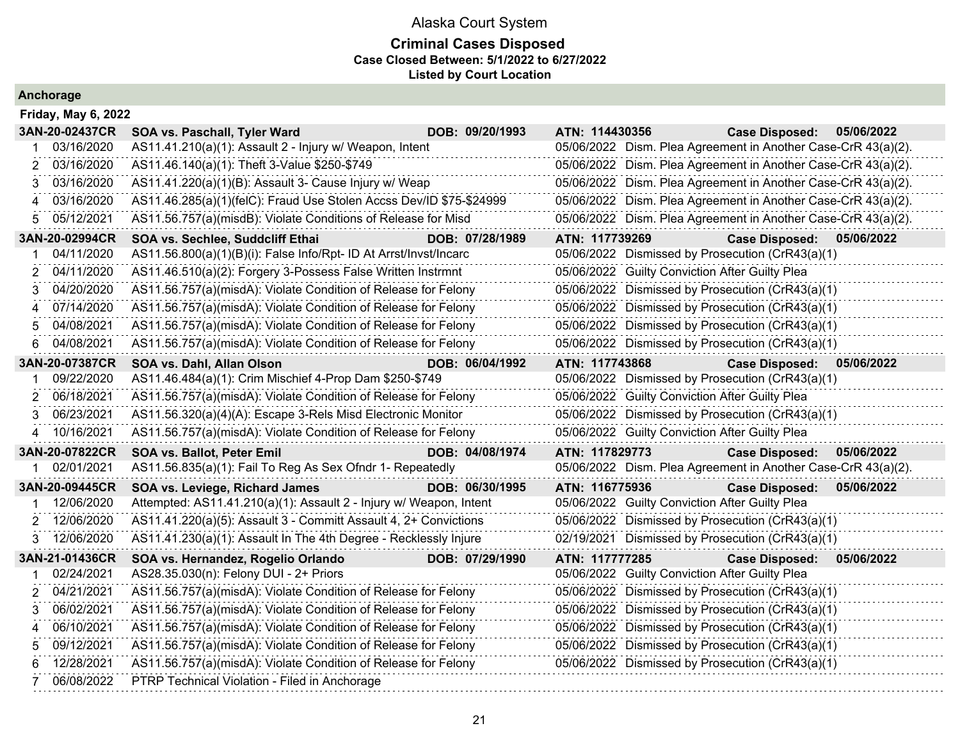### **Criminal Cases Disposed Case Closed Between: 5/1/2022 to 6/27/2022 Listed by Court Location**

|    | <b>Friday, May 6, 2022</b> |                                                                     |                 |                |                                                |                                                               |            |
|----|----------------------------|---------------------------------------------------------------------|-----------------|----------------|------------------------------------------------|---------------------------------------------------------------|------------|
|    | 3AN-20-02437CR             | SOA vs. Paschall, Tyler Ward                                        | DOB: 09/20/1993 | ATN: 114430356 |                                                | <b>Case Disposed:</b>                                         | 05/06/2022 |
|    | 03/16/2020                 | AS11.41.210(a)(1): Assault 2 - Injury w/ Weapon, Intent             |                 |                |                                                | 05/06/2022 Dism. Plea Agreement in Another Case-CrR 43(a)(2). |            |
| 2  | 03/16/2020                 | AS11.46.140(a)(1): Theft 3-Value \$250-\$749                        |                 |                |                                                | 05/06/2022 Dism. Plea Agreement in Another Case-CrR 43(a)(2). |            |
| 3  | 03/16/2020                 | AS11.41.220(a)(1)(B): Assault 3- Cause Injury w/ Weap               |                 |                |                                                | 05/06/2022 Dism. Plea Agreement in Another Case-CrR 43(a)(2). |            |
|    | 03/16/2020                 | AS11.46.285(a)(1)(felC): Fraud Use Stolen Accss Dev/ID \$75-\$24999 |                 |                |                                                | 05/06/2022 Dism. Plea Agreement in Another Case-CrR 43(a)(2). |            |
| 5. | 05/12/2021                 | AS11.56.757(a)(misdB): Violate Conditions of Release for Misd       |                 |                |                                                | 05/06/2022 Dism. Plea Agreement in Another Case-CrR 43(a)(2). |            |
|    | 3AN-20-02994CR             | SOA vs. Sechlee, Suddcliff Ethai                                    | DOB: 07/28/1989 | ATN: 117739269 |                                                | <b>Case Disposed:</b>                                         | 05/06/2022 |
|    | 04/11/2020                 | AS11.56.800(a)(1)(B)(i): False Info/Rpt- ID At Arrst/Invst/Incarc   |                 |                |                                                | 05/06/2022 Dismissed by Prosecution (CrR43(a)(1)              |            |
| 2  | 04/11/2020                 | AS11.46.510(a)(2): Forgery 3-Possess False Written Instrmnt         |                 |                | 05/06/2022 Guilty Conviction After Guilty Plea |                                                               |            |
| 3  | 04/20/2020                 | AS11.56.757(a)(misdA): Violate Condition of Release for Felony      |                 |                |                                                | 05/06/2022 Dismissed by Prosecution (CrR43(a)(1)              |            |
| 4  | 07/14/2020                 | AS11.56.757(a)(misdA): Violate Condition of Release for Felony      |                 |                |                                                | 05/06/2022 Dismissed by Prosecution (CrR43(a)(1)              |            |
| 5  | 04/08/2021                 | AS11.56.757(a)(misdA): Violate Condition of Release for Felony      |                 |                |                                                | 05/06/2022 Dismissed by Prosecution (CrR43(a)(1)              |            |
| 6  | 04/08/2021                 | AS11.56.757(a)(misdA): Violate Condition of Release for Felony      |                 |                |                                                | 05/06/2022 Dismissed by Prosecution (CrR43(a)(1)              |            |
|    | 3AN-20-07387CR             | SOA vs. Dahl, Allan Olson                                           | DOB: 06/04/1992 | ATN: 117743868 |                                                | <b>Case Disposed:</b>                                         | 05/06/2022 |
|    | 09/22/2020                 | AS11.46.484(a)(1): Crim Mischief 4-Prop Dam \$250-\$749             |                 |                |                                                | 05/06/2022 Dismissed by Prosecution (CrR43(a)(1)              |            |
| 2  | 06/18/2021                 | AS11.56.757(a)(misdA): Violate Condition of Release for Felony      |                 |                | 05/06/2022 Guilty Conviction After Guilty Plea |                                                               |            |
| 3  | 06/23/2021                 | AS11.56.320(a)(4)(A): Escape 3-Rels Misd Electronic Monitor         |                 |                |                                                | 05/06/2022 Dismissed by Prosecution (CrR43(a)(1)              |            |
| 4  | 10/16/2021                 | AS11.56.757(a)(misdA): Violate Condition of Release for Felony      |                 |                | 05/06/2022 Guilty Conviction After Guilty Plea |                                                               |            |
|    | 3AN-20-07822CR             | SOA vs. Ballot, Peter Emil                                          | DOB: 04/08/1974 | ATN: 117829773 |                                                | <b>Case Disposed:</b>                                         | 05/06/2022 |
|    | 02/01/2021                 | AS11.56.835(a)(1): Fail To Reg As Sex Ofndr 1- Repeatedly           |                 |                |                                                | 05/06/2022 Dism. Plea Agreement in Another Case-CrR 43(a)(2). |            |
|    | 3AN-20-09445CR             | SOA vs. Leviege, Richard James                                      | DOB: 06/30/1995 | ATN: 116775936 |                                                | <b>Case Disposed:</b>                                         | 05/06/2022 |
|    | 12/06/2020                 | Attempted: AS11.41.210(a)(1): Assault 2 - Injury w/ Weapon, Intent  |                 |                | 05/06/2022 Guilty Conviction After Guilty Plea |                                                               |            |
| 2  | 12/06/2020                 | AS11.41.220(a)(5): Assault 3 - Committ Assault 4, 2+ Convictions    |                 |                |                                                | 05/06/2022 Dismissed by Prosecution (CrR43(a)(1)              |            |
| 3  | 12/06/2020                 | AS11.41.230(a)(1): Assault In The 4th Degree - Recklessly Injure    |                 |                |                                                | 02/19/2021 Dismissed by Prosecution (CrR43(a)(1)              |            |
|    | 3AN-21-01436CR             | SOA vs. Hernandez, Rogelio Orlando                                  | DOB: 07/29/1990 | ATN: 117777285 |                                                | <b>Case Disposed:</b>                                         | 05/06/2022 |
|    | 02/24/2021                 | AS28.35.030(n): Felony DUI - 2+ Priors                              |                 |                | 05/06/2022 Guilty Conviction After Guilty Plea |                                                               |            |
|    | 04/21/2021                 | AS11.56.757(a)(misdA): Violate Condition of Release for Felony      |                 |                |                                                | 05/06/2022 Dismissed by Prosecution (CrR43(a)(1)              |            |
| 3  | 06/02/2021                 | AS11.56.757(a)(misdA): Violate Condition of Release for Felony      |                 |                |                                                | 05/06/2022 Dismissed by Prosecution (CrR43(a)(1)              |            |
| 4  | 06/10/2021                 | AS11.56.757(a)(misdA): Violate Condition of Release for Felony      |                 |                |                                                | 05/06/2022 Dismissed by Prosecution (CrR43(a)(1)              |            |
| 5  | 09/12/2021                 | AS11.56.757(a)(misdA): Violate Condition of Release for Felony      |                 |                |                                                | 05/06/2022 Dismissed by Prosecution (CrR43(a)(1)              |            |
| 6  | 12/28/2021                 | AS11.56.757(a)(misdA): Violate Condition of Release for Felony      |                 |                |                                                | 05/06/2022 Dismissed by Prosecution (CrR43(a)(1)              |            |
|    | 06/08/2022                 | PTRP Technical Violation - Filed in Anchorage                       |                 |                |                                                |                                                               |            |
|    |                            |                                                                     |                 |                |                                                |                                                               |            |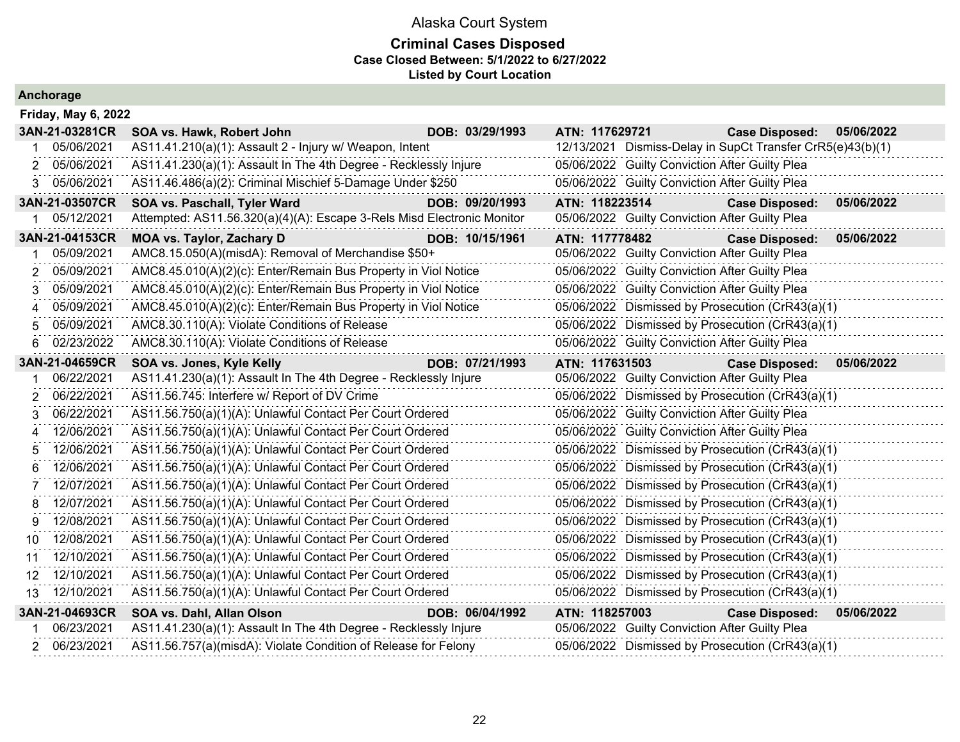#### **Criminal Cases Disposed Case Closed Between: 5/1/2022 to 6/27/2022 Listed by Court Location**

|     | <b>Friday, May 6, 2022</b> |                                                                        |                 |                |                                                |                                                            |            |
|-----|----------------------------|------------------------------------------------------------------------|-----------------|----------------|------------------------------------------------|------------------------------------------------------------|------------|
|     | 3AN-21-03281CR             | SOA vs. Hawk, Robert John                                              | DOB: 03/29/1993 | ATN: 117629721 |                                                | <b>Case Disposed:</b>                                      | 05/06/2022 |
|     | 05/06/2021                 | AS11.41.210(a)(1): Assault 2 - Injury w/ Weapon, Intent                |                 |                |                                                | 12/13/2021 Dismiss-Delay in SupCt Transfer CrR5(e)43(b)(1) |            |
|     | 05/06/2021                 | AS11.41.230(a)(1): Assault In The 4th Degree - Recklessly Injure       |                 |                | 05/06/2022 Guilty Conviction After Guilty Plea |                                                            |            |
| 3.  | 05/06/2021                 | AS11.46.486(a)(2): Criminal Mischief 5-Damage Under \$250              |                 |                | 05/06/2022 Guilty Conviction After Guilty Plea |                                                            |            |
|     | 3AN-21-03507CR             | SOA vs. Paschall, Tyler Ward                                           | DOB: 09/20/1993 | ATN: 118223514 |                                                | <b>Case Disposed:</b>                                      | 05/06/2022 |
|     | 05/12/2021                 | Attempted: AS11.56.320(a)(4)(A): Escape 3-Rels Misd Electronic Monitor |                 |                | 05/06/2022 Guilty Conviction After Guilty Plea |                                                            |            |
|     | 3AN-21-04153CR             | <b>MOA vs. Taylor, Zachary D</b>                                       | DOB: 10/15/1961 | ATN: 117778482 |                                                | <b>Case Disposed:</b>                                      | 05/06/2022 |
|     | 05/09/2021                 | AMC8.15.050(A)(misdA): Removal of Merchandise \$50+                    |                 |                | 05/06/2022 Guilty Conviction After Guilty Plea |                                                            |            |
|     | 05/09/2021                 | AMC8.45.010(A)(2)(c): Enter/Remain Bus Property in Viol Notice         |                 |                | 05/06/2022 Guilty Conviction After Guilty Plea |                                                            |            |
|     | 05/09/2021                 | AMC8.45.010(A)(2)(c): Enter/Remain Bus Property in Viol Notice         |                 |                | 05/06/2022 Guilty Conviction After Guilty Plea |                                                            |            |
|     | 05/09/2021                 | AMC8.45.010(A)(2)(c): Enter/Remain Bus Property in Viol Notice         |                 |                |                                                | 05/06/2022 Dismissed by Prosecution (CrR43(a)(1)           |            |
|     | 05/09/2021                 | AMC8.30.110(A): Violate Conditions of Release                          |                 |                |                                                | 05/06/2022 Dismissed by Prosecution (CrR43(a)(1)           |            |
|     | 02/23/2022                 | AMC8.30.110(A): Violate Conditions of Release                          |                 |                | 05/06/2022 Guilty Conviction After Guilty Plea |                                                            |            |
|     | 3AN-21-04659CR             | SOA vs. Jones, Kyle Kelly                                              | DOB: 07/21/1993 | ATN: 117631503 |                                                | <b>Case Disposed:</b>                                      | 05/06/2022 |
|     | 06/22/2021                 | AS11.41.230(a)(1): Assault In The 4th Degree - Recklessly Injure       |                 |                | 05/06/2022 Guilty Conviction After Guilty Plea |                                                            |            |
|     | 06/22/2021                 | AS11.56.745: Interfere w/ Report of DV Crime                           |                 |                |                                                | 05/06/2022 Dismissed by Prosecution (CrR43(a)(1)           |            |
|     | 06/22/2021                 | AS11.56.750(a)(1)(A): Unlawful Contact Per Court Ordered               |                 |                | 05/06/2022 Guilty Conviction After Guilty Plea |                                                            |            |
|     | 12/06/2021                 | AS11.56.750(a)(1)(A): Unlawful Contact Per Court Ordered               |                 |                | 05/06/2022 Guilty Conviction After Guilty Plea |                                                            |            |
|     | 12/06/2021                 | AS11.56.750(a)(1)(A): Unlawful Contact Per Court Ordered               |                 |                |                                                | 05/06/2022 Dismissed by Prosecution (CrR43(a)(1)           |            |
|     | 12/06/2021                 | AS11.56.750(a)(1)(A): Unlawful Contact Per Court Ordered               |                 |                |                                                | 05/06/2022 Dismissed by Prosecution (CrR43(a)(1)           |            |
|     | 12/07/2021                 | AS11.56.750(a)(1)(A): Unlawful Contact Per Court Ordered               |                 |                |                                                | 05/06/2022 Dismissed by Prosecution (CrR43(a)(1)           |            |
|     | 12/07/2021                 | AS11.56.750(a)(1)(A): Unlawful Contact Per Court Ordered               |                 |                |                                                | 05/06/2022 Dismissed by Prosecution (CrR43(a)(1)           |            |
| 9   | 12/08/2021                 | AS11.56.750(a)(1)(A): Unlawful Contact Per Court Ordered               |                 |                |                                                | 05/06/2022 Dismissed by Prosecution (CrR43(a)(1)           |            |
| 10. | 12/08/2021                 | AS11.56.750(a)(1)(A): Unlawful Contact Per Court Ordered               |                 |                |                                                | 05/06/2022 Dismissed by Prosecution (CrR43(a)(1)           |            |
| 11  | 12/10/2021                 | AS11.56.750(a)(1)(A): Unlawful Contact Per Court Ordered               |                 |                |                                                | 05/06/2022 Dismissed by Prosecution (CrR43(a)(1)           |            |
| 12  | 12/10/2021                 | AS11.56.750(a)(1)(A): Unlawful Contact Per Court Ordered               |                 |                |                                                | 05/06/2022 Dismissed by Prosecution (CrR43(a)(1)           |            |
| 13  | 12/10/2021                 | AS11.56.750(a)(1)(A): Unlawful Contact Per Court Ordered               |                 |                |                                                | 05/06/2022 Dismissed by Prosecution (CrR43(a)(1)           |            |
|     | 3AN-21-04693CR             | SOA vs. Dahl, Allan Olson                                              | DOB: 06/04/1992 | ATN: 118257003 |                                                | <b>Case Disposed:</b>                                      | 05/06/2022 |
|     | 06/23/2021                 | AS11.41.230(a)(1): Assault In The 4th Degree - Recklessly Injure       |                 |                | 05/06/2022 Guilty Conviction After Guilty Plea |                                                            |            |
|     | 2 06/23/2021               | AS11.56.757(a)(misdA): Violate Condition of Release for Felony         |                 |                |                                                | 05/06/2022 Dismissed by Prosecution (CrR43(a)(1)           |            |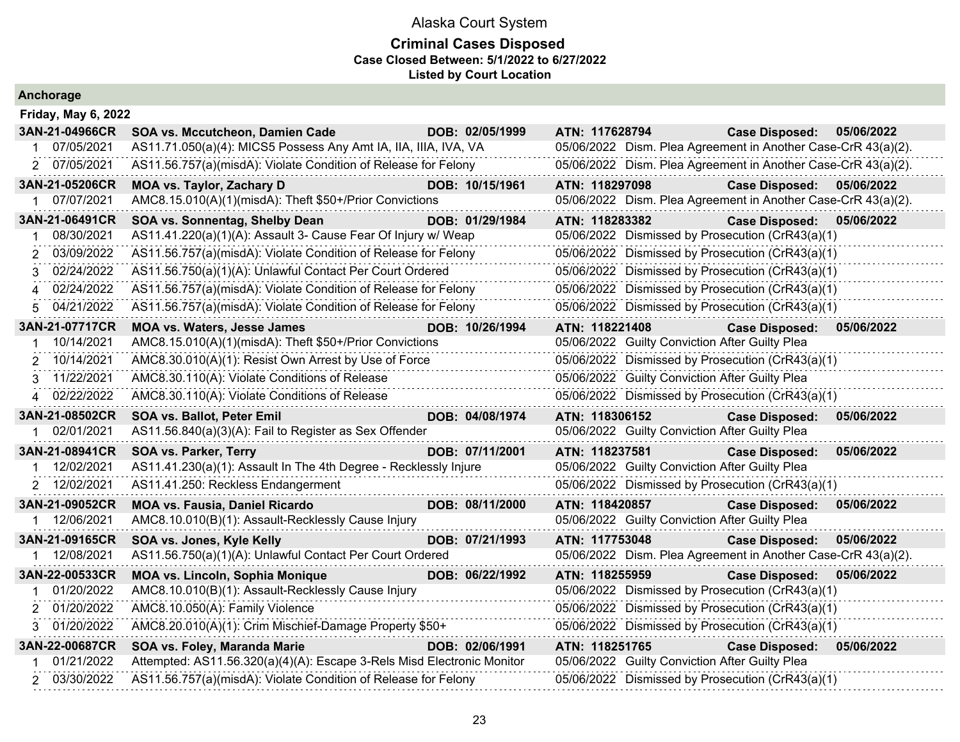|  | Anchorage |  |
|--|-----------|--|
|  |           |  |

| <b>Friday, May 6, 2022</b> |                                                                                                                                          |                 |                                                               |                           |            |
|----------------------------|------------------------------------------------------------------------------------------------------------------------------------------|-----------------|---------------------------------------------------------------|---------------------------|------------|
| 3AN-21-04966CR             | SOA vs. Mccutcheon, Damien Cade                                                                                                          | DOB: 02/05/1999 | ATN: 117628794                                                | <b>Case Disposed:</b>     | 05/06/2022 |
| 07/05/2021                 | AS11.71.050(a)(4): MICS5 Possess Any Amt IA, IIA, IIIA, IVA, VA                                                                          |                 | 05/06/2022 Dism. Plea Agreement in Another Case-CrR 43(a)(2). |                           |            |
| 2 07/05/2021               | AS11.56.757(a)(misdA): Violate Condition of Release for Felony                                                                           |                 | 05/06/2022 Dism. Plea Agreement in Another Case-CrR 43(a)(2). |                           |            |
| 3AN-21-05206CR             | <b>MOA vs. Taylor, Zachary D</b>                                                                                                         | DOB: 10/15/1961 | ATN: 118297098                                                | Case Disposed: 05/06/2022 |            |
| 07/07/2021<br>1            | AMC8.15.010(A)(1)(misdA): Theft \$50+/Prior Convictions                                                                                  |                 | 05/06/2022 Dism. Plea Agreement in Another Case-CrR 43(a)(2). |                           |            |
| 3AN-21-06491CR             | SOA vs. Sonnentag, Shelby Dean                                                                                                           | DOB: 01/29/1984 | ATN: 118283382                                                | <b>Case Disposed:</b>     | 05/06/2022 |
| 08/30/2021                 | AS11.41.220(a)(1)(A): Assault 3- Cause Fear Of Injury w/ Weap                                                                            |                 | 05/06/2022 Dismissed by Prosecution (CrR43(a)(1)              |                           |            |
| 03/09/2022<br>2            | AS11.56.757(a)(misdA): Violate Condition of Release for Felony                                                                           |                 | 05/06/2022 Dismissed by Prosecution (CrR43(a)(1)              |                           |            |
| 02/24/2022<br>3            | AS11.56.750(a)(1)(A): Unlawful Contact Per Court Ordered                                                                                 |                 | 05/06/2022 Dismissed by Prosecution (CrR43(a)(1)              |                           |            |
| 02/24/2022                 | AS11.56.757(a)(misdA): Violate Condition of Release for Felony                                                                           |                 | 05/06/2022 Dismissed by Prosecution (CrR43(a)(1)              |                           |            |
| 5 04/21/2022               | AS11.56.757(a)(misdA): Violate Condition of Release for Felony                                                                           |                 | 05/06/2022 Dismissed by Prosecution (CrR43(a)(1)              |                           |            |
| 3AN-21-07717CR             | MOA vs. Waters, Jesse James                                                                                                              | DOB: 10/26/1994 | ATN: 118221408                                                | <b>Case Disposed:</b>     | 05/06/2022 |
| 10/14/2021                 | AMC8.15.010(A)(1)(misdA): Theft \$50+/Prior Convictions                                                                                  |                 | 05/06/2022 Guilty Conviction After Guilty Plea                |                           |            |
| 10/14/2021<br>2            | AMC8.30.010(A)(1): Resist Own Arrest by Use of Force                                                                                     |                 | 05/06/2022 Dismissed by Prosecution (CrR43(a)(1)              |                           |            |
| 3 11/22/2021               | AMC8.30.110(A): Violate Conditions of Release                                                                                            |                 | 05/06/2022 Guilty Conviction After Guilty Plea                |                           |            |
| 02/22/2022<br>4            | AMC8.30.110(A): Violate Conditions of Release                                                                                            |                 | 05/06/2022 Dismissed by Prosecution (CrR43(a)(1)              |                           |            |
|                            |                                                                                                                                          |                 |                                                               |                           |            |
| 3AN-21-08502CR             | <b>SOA vs. Ballot, Peter Emil</b>                                                                                                        | DOB: 04/08/1974 | ATN: 118306152                                                | <b>Case Disposed:</b>     | 05/06/2022 |
| 1 02/01/2021               | AS11.56.840(a)(3)(A): Fail to Register as Sex Offender                                                                                   |                 | 05/06/2022 Guilty Conviction After Guilty Plea                |                           |            |
| 3AN-21-08941CR             | SOA vs. Parker, Terry                                                                                                                    | DOB: 07/11/2001 | ATN: 118237581                                                | <b>Case Disposed:</b>     | 05/06/2022 |
| 12/02/2021                 | AS11.41.230(a)(1): Assault In The 4th Degree - Recklessly Injure                                                                         |                 | 05/06/2022 Guilty Conviction After Guilty Plea                |                           |            |
| 2 12/02/2021               | AS11.41.250: Reckless Endangerment                                                                                                       |                 | 05/06/2022 Dismissed by Prosecution (CrR43(a)(1)              |                           |            |
| 3AN-21-09052CR             | <b>MOA vs. Fausia, Daniel Ricardo</b>                                                                                                    | DOB: 08/11/2000 | ATN: 118420857                                                | <b>Case Disposed:</b>     | 05/06/2022 |
| 1 12/06/2021               | AMC8.10.010(B)(1): Assault-Recklessly Cause Injury                                                                                       |                 | 05/06/2022 Guilty Conviction After Guilty Plea                |                           |            |
| 3AN-21-09165CR             | SOA vs. Jones, Kyle Kelly                                                                                                                | DOB: 07/21/1993 | ATN: 117753048                                                | <b>Case Disposed:</b>     | 05/06/2022 |
| 1 12/08/2021               | AS11.56.750(a)(1)(A): Unlawful Contact Per Court Ordered                                                                                 |                 | 05/06/2022 Dism. Plea Agreement in Another Case-CrR 43(a)(2). |                           |            |
| 3AN-22-00533CR             | <b>MOA vs. Lincoln, Sophia Monique</b><br>and the company of the company                                                                 | DOB: 06/22/1992 | ATN: 118255959                                                | <b>Case Disposed:</b>     | 05/06/2022 |
| 01/20/2022                 | AMC8.10.010(B)(1): Assault-Recklessly Cause Injury                                                                                       |                 | 05/06/2022 Dismissed by Prosecution (CrR43(a)(1)              |                           |            |
| 2 01/20/2022               | AMC8.10.050(A): Family Violence                                                                                                          |                 | 05/06/2022 Dismissed by Prosecution (CrR43(a)(1)              |                           |            |
| 3 01/20/2022               | AMC8.20.010(A)(1): Crim Mischief-Damage Property \$50+                                                                                   |                 | 05/06/2022 Dismissed by Prosecution (CrR43(a)(1)              |                           |            |
| 3AN-22-00687CR             | SOA vs. Foley, Maranda Marie                                                                                                             | DOB: 02/06/1991 | ATN: 118251765                                                | <b>Case Disposed:</b>     | 05/06/2022 |
| 01/21/2022                 | Attempted: AS11.56.320(a)(4)(A): Escape 3-Rels Misd Electronic Monitor<br>AS11.56.757(a)(misdA): Violate Condition of Release for Felony |                 | 05/06/2022 Guilty Conviction After Guilty Plea                |                           |            |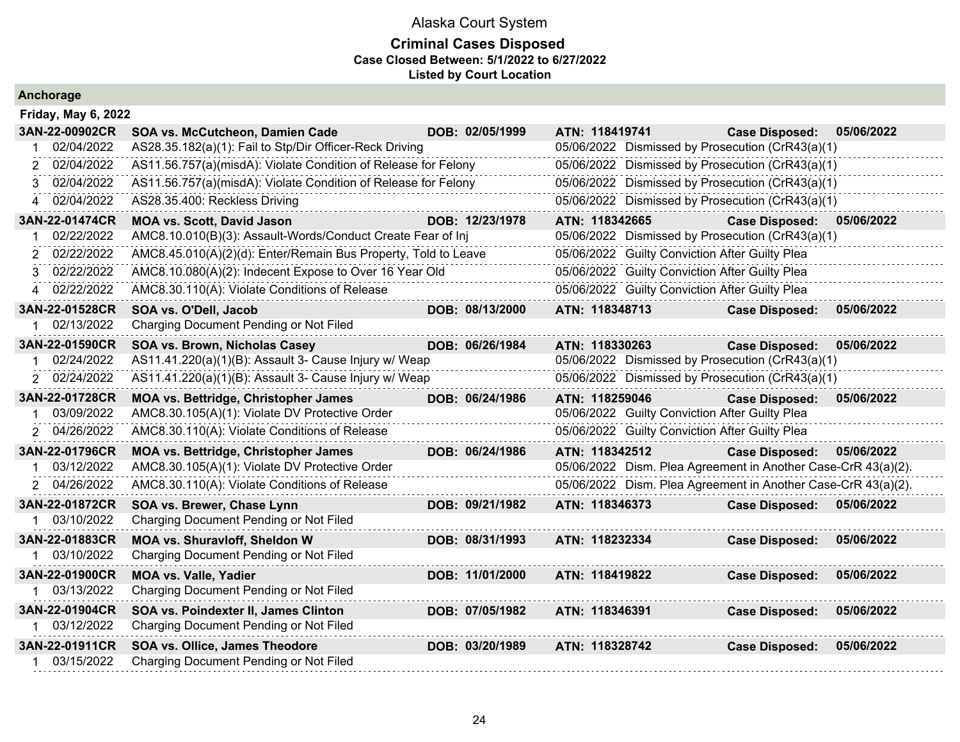#### **Criminal Cases Disposed Case Closed Between: 5/1/2022 to 6/27/2022 Listed by Court Location**

| <b>Friday, May 6, 2022</b> |                                                                |                 |                |                                                |                                                               |            |
|----------------------------|----------------------------------------------------------------|-----------------|----------------|------------------------------------------------|---------------------------------------------------------------|------------|
| 3AN-22-00902CR             | SOA vs. McCutcheon, Damien Cade                                | DOB: 02/05/1999 | ATN: 118419741 |                                                | <b>Case Disposed:</b>                                         | 05/06/2022 |
| 02/04/2022                 | AS28.35.182(a)(1): Fail to Stp/Dir Officer-Reck Driving        |                 |                |                                                | 05/06/2022 Dismissed by Prosecution (CrR43(a)(1)              |            |
| 02/04/2022<br>2            | AS11.56.757(a)(misdA): Violate Condition of Release for Felony |                 |                |                                                | 05/06/2022 Dismissed by Prosecution (CrR43(a)(1)              |            |
| 02/04/2022<br>3            | AS11.56.757(a)(misdA): Violate Condition of Release for Felony |                 |                |                                                | 05/06/2022 Dismissed by Prosecution (CrR43(a)(1)              |            |
| 02/04/2022                 | AS28.35.400: Reckless Driving                                  |                 |                |                                                | 05/06/2022 Dismissed by Prosecution (CrR43(a)(1)              |            |
| 3AN-22-01474CR             | <b>MOA vs. Scott, David Jason</b>                              | DOB: 12/23/1978 | ATN: 118342665 |                                                | <b>Case Disposed:</b>                                         | 05/06/2022 |
| 02/22/2022                 | AMC8.10.010(B)(3): Assault-Words/Conduct Create Fear of Inj    |                 |                |                                                | 05/06/2022 Dismissed by Prosecution (CrR43(a)(1)              |            |
| 02/22/2022                 | AMC8.45.010(A)(2)(d): Enter/Remain Bus Property, Told to Leave |                 |                | 05/06/2022 Guilty Conviction After Guilty Plea |                                                               |            |
| 02/22/2022<br>3            | AMC8.10.080(A)(2): Indecent Expose to Over 16 Year Old         |                 |                | 05/06/2022 Guilty Conviction After Guilty Plea |                                                               |            |
| 02/22/2022                 | AMC8.30.110(A): Violate Conditions of Release                  |                 |                | 05/06/2022 Guilty Conviction After Guilty Plea |                                                               |            |
| 3AN-22-01528CR             | SOA vs. O'Dell, Jacob                                          | DOB: 08/13/2000 | ATN: 118348713 |                                                | <b>Case Disposed:</b>                                         | 05/06/2022 |
| 02/13/2022                 | Charging Document Pending or Not Filed                         |                 |                |                                                |                                                               |            |
| 3AN-22-01590CR             | SOA vs. Brown, Nicholas Casey                                  | DOB: 06/26/1984 | ATN: 118330263 |                                                | <b>Case Disposed:</b>                                         | 05/06/2022 |
| 02/24/2022                 | AS11.41.220(a)(1)(B): Assault 3- Cause Injury w/ Weap          |                 |                |                                                | 05/06/2022 Dismissed by Prosecution (CrR43(a)(1)              |            |
| 02/24/2022<br>2            | AS11.41.220(a)(1)(B): Assault 3- Cause Injury w/ Weap          |                 |                |                                                | 05/06/2022 Dismissed by Prosecution (CrR43(a)(1)              |            |
| 3AN-22-01728CR             | MOA vs. Bettridge, Christopher James                           | DOB: 06/24/1986 | ATN: 118259046 |                                                | <b>Case Disposed:</b>                                         | 05/06/2022 |
| 03/09/2022                 | AMC8.30.105(A)(1): Violate DV Protective Order                 |                 |                | 05/06/2022 Guilty Conviction After Guilty Plea |                                                               |            |
| 04/26/2022<br>2            | AMC8.30.110(A): Violate Conditions of Release                  |                 |                | 05/06/2022 Guilty Conviction After Guilty Plea |                                                               |            |
| 3AN-22-01796CR             | MOA vs. Bettridge, Christopher James                           | DOB: 06/24/1986 | ATN: 118342512 |                                                | <b>Case Disposed:</b>                                         | 05/06/2022 |
| 03/12/2022                 | AMC8.30.105(A)(1): Violate DV Protective Order                 |                 |                |                                                | 05/06/2022 Dism. Plea Agreement in Another Case-CrR 43(a)(2). |            |
| 04/26/2022<br>2            | AMC8.30.110(A): Violate Conditions of Release                  |                 |                |                                                | 05/06/2022 Dism. Plea Agreement in Another Case-CrR 43(a)(2). |            |
| 3AN-22-01872CR             | SOA vs. Brewer, Chase Lynn                                     | DOB: 09/21/1982 | ATN: 118346373 |                                                | <b>Case Disposed:</b>                                         | 05/06/2022 |
| 1 03/10/2022               | Charging Document Pending or Not Filed                         |                 |                |                                                |                                                               |            |
| 3AN-22-01883CR             | MOA vs. Shuravloff, Sheldon W                                  | DOB: 08/31/1993 | ATN: 118232334 |                                                | <b>Case Disposed:</b>                                         | 05/06/2022 |
| 03/10/2022                 | Charging Document Pending or Not Filed                         |                 |                |                                                |                                                               |            |
| 3AN-22-01900CR             | <b>MOA vs. Valle, Yadier</b>                                   | DOB: 11/01/2000 | ATN: 118419822 |                                                | <b>Case Disposed:</b>                                         | 05/06/2022 |
| 03/13/2022                 | Charging Document Pending or Not Filed                         |                 |                |                                                |                                                               |            |
| 3AN-22-01904CR             | SOA vs. Poindexter II, James Clinton                           | DOB: 07/05/1982 | ATN: 118346391 |                                                | <b>Case Disposed:</b>                                         | 05/06/2022 |
| 1 03/12/2022               | Charging Document Pending or Not Filed                         |                 |                |                                                |                                                               |            |
| 3AN-22-01911CR             | SOA vs. Ollice, James Theodore                                 | DOB: 03/20/1989 | ATN: 118328742 |                                                | <b>Case Disposed:</b>                                         | 05/06/2022 |
| 03/15/2022                 | Charging Document Pending or Not Filed                         |                 |                |                                                |                                                               |            |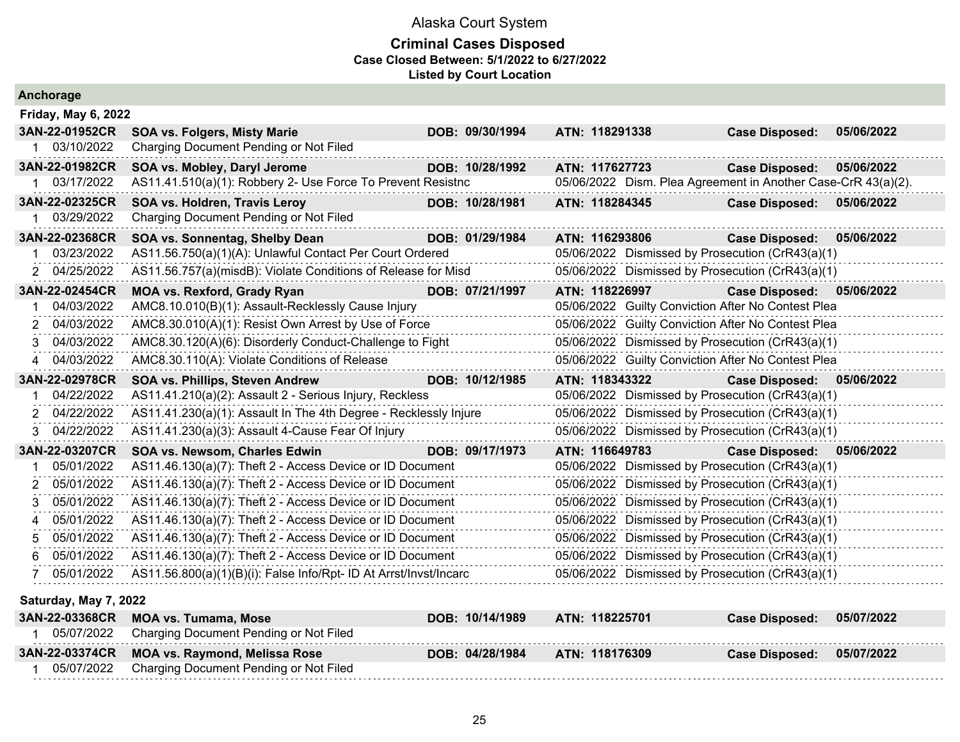#### **Criminal Cases Disposed Case Closed Between: 5/1/2022 to 6/27/2022 Listed by Court Location**

| Anchorage                                                                                                                            |                                                                                                                                                                                                                                                                                                                                                                                                                                                                                  |                 |                 |                |                                                                                                                                                                                                                                                                                                                                                                                                       |            |
|--------------------------------------------------------------------------------------------------------------------------------------|----------------------------------------------------------------------------------------------------------------------------------------------------------------------------------------------------------------------------------------------------------------------------------------------------------------------------------------------------------------------------------------------------------------------------------------------------------------------------------|-----------------|-----------------|----------------|-------------------------------------------------------------------------------------------------------------------------------------------------------------------------------------------------------------------------------------------------------------------------------------------------------------------------------------------------------------------------------------------------------|------------|
| Friday, May 6, 2022                                                                                                                  |                                                                                                                                                                                                                                                                                                                                                                                                                                                                                  |                 |                 |                |                                                                                                                                                                                                                                                                                                                                                                                                       |            |
| 3AN-22-01952CR<br>1 03/10/2022                                                                                                       | <b>SOA vs. Folgers, Misty Marie</b><br>Charging Document Pending or Not Filed                                                                                                                                                                                                                                                                                                                                                                                                    |                 | DOB: 09/30/1994 | ATN: 118291338 | <b>Case Disposed:</b>                                                                                                                                                                                                                                                                                                                                                                                 | 05/06/2022 |
| 3AN-22-01982CR<br>1 03/17/2022                                                                                                       | SOA vs. Mobley, Daryl Jerome<br>AS11.41.510(a)(1): Robbery 2- Use Force To Prevent Resistnc                                                                                                                                                                                                                                                                                                                                                                                      |                 | DOB: 10/28/1992 | ATN: 117627723 | <b>Case Disposed:</b><br>05/06/2022 Dism. Plea Agreement in Another Case-CrR 43(a)(2).                                                                                                                                                                                                                                                                                                                | 05/06/2022 |
| 3AN-22-02325CR<br>03/29/2022                                                                                                         | SOA vs. Holdren, Travis Leroy<br>Charging Document Pending or Not Filed                                                                                                                                                                                                                                                                                                                                                                                                          |                 | DOB: 10/28/1981 | ATN: 118284345 | Case Disposed: 05/06/2022                                                                                                                                                                                                                                                                                                                                                                             |            |
| 3AN-22-02368CR<br>03/23/2022<br>04/25/2022<br>2                                                                                      | SOA vs. Sonnentag, Shelby Dean<br>AS11.56.750(a)(1)(A): Unlawful Contact Per Court Ordered<br>AS11.56.757(a)(misdB): Violate Conditions of Release for Misd                                                                                                                                                                                                                                                                                                                      |                 | DOB: 01/29/1984 | ATN: 116293806 | <b>Case Disposed:</b><br>05/06/2022 Dismissed by Prosecution (CrR43(a)(1)<br>05/06/2022 Dismissed by Prosecution (CrR43(a)(1)                                                                                                                                                                                                                                                                         | 05/06/2022 |
| 3AN-22-02454CR<br>04/03/2022<br>04/03/2022<br>2<br>04/03/2022<br>3<br>04/03/2022<br>4                                                | <b>MOA vs. Rexford, Grady Ryan</b><br>AMC8.10.010(B)(1): Assault-Recklessly Cause Injury<br>AMC8.30.010(A)(1): Resist Own Arrest by Use of Force<br>AMC8.30.120(A)(6): Disorderly Conduct-Challenge to Fight<br>AMC8.30.110(A): Violate Conditions of Release                                                                                                                                                                                                                    |                 | DOB: 07/21/1997 | ATN: 118226997 | Case Disposed: 05/06/2022<br>05/06/2022 Guilty Conviction After No Contest Plea<br>05/06/2022 Guilty Conviction After No Contest Plea<br>05/06/2022 Dismissed by Prosecution (CrR43(a)(1)<br>05/06/2022 Guilty Conviction After No Contest Plea                                                                                                                                                       |            |
| 3AN-22-02978CR<br>04/22/2022<br>04/22/2022<br>04/22/2022<br>3                                                                        | SOA vs. Phillips, Steven Andrew<br>AS11.41.210(a)(2): Assault 2 - Serious Injury, Reckless<br>AS11.41.230(a)(1): Assault In The 4th Degree - Recklessly Injure<br>AS11.41.230(a)(3): Assault 4-Cause Fear Of Injury                                                                                                                                                                                                                                                              |                 | DOB: 10/12/1985 | ATN: 118343322 | <b>Case Disposed:</b><br>05/06/2022 Dismissed by Prosecution (CrR43(a)(1)<br>05/06/2022 Dismissed by Prosecution (CrR43(a)(1)<br>05/06/2022 Dismissed by Prosecution (CrR43(a)(1)                                                                                                                                                                                                                     | 05/06/2022 |
| 3AN-22-03207CR<br>05/01/2022<br>05/01/2022<br>2<br>05/01/2022<br>3<br>05/01/2022<br>4<br>05/01/2022<br>5<br>05/01/2022<br>05/01/2022 | SOA vs. Newsom, Charles Edwin<br>AS11.46.130(a)(7): Theft 2 - Access Device or ID Document<br>AS11.46.130(a)(7): Theft 2 - Access Device or ID Document<br>AS11.46.130(a)(7): Theft 2 - Access Device or ID Document<br>AS11.46.130(a)(7): Theft 2 - Access Device or ID Document<br>AS11.46.130(a)(7): Theft 2 - Access Device or ID Document<br>AS11.46.130(a)(7): Theft 2 - Access Device or ID Document<br>AS11.56.800(a)(1)(B)(i): False Info/Rpt- ID At Arrst/Invst/Incarc | DOB: 09/17/1973 |                 | ATN: 116649783 | Case Disposed: 05/06/2022<br>05/06/2022 Dismissed by Prosecution (CrR43(a)(1)<br>05/06/2022 Dismissed by Prosecution (CrR43(a)(1)<br>05/06/2022 Dismissed by Prosecution (CrR43(a)(1)<br>05/06/2022 Dismissed by Prosecution (CrR43(a)(1)<br>05/06/2022 Dismissed by Prosecution (CrR43(a)(1)<br>05/06/2022 Dismissed by Prosecution (CrR43(a)(1)<br>05/06/2022 Dismissed by Prosecution (CrR43(a)(1) |            |
| Saturday, May 7, 2022<br>3AN-22-03368CR<br>1 05/07/2022                                                                              | <b>MOA vs. Tumama, Mose</b><br>Charging Document Pending or Not Filed                                                                                                                                                                                                                                                                                                                                                                                                            |                 | DOB: 10/14/1989 | ATN: 118225701 | <b>Case Disposed:</b>                                                                                                                                                                                                                                                                                                                                                                                 | 05/07/2022 |
| 3AN-22-03374CR                                                                                                                       | <b>MOA vs. Raymond, Melissa Rose</b>                                                                                                                                                                                                                                                                                                                                                                                                                                             |                 | DOB: 04/28/1984 | ATN: 118176309 | <b>Case Disposed:</b>                                                                                                                                                                                                                                                                                                                                                                                 | 05/07/2022 |

1 05/07/2022 Charging Document Pending or Not Filed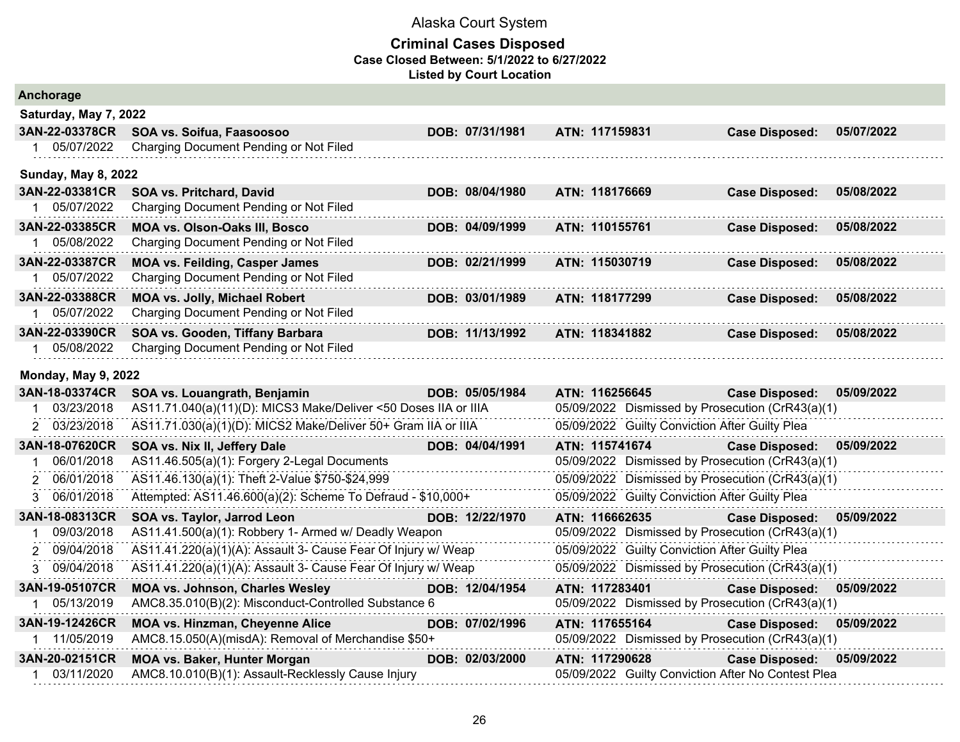| Anchorage                  |                                                                 |                 |                                                    |                       |            |
|----------------------------|-----------------------------------------------------------------|-----------------|----------------------------------------------------|-----------------------|------------|
| Saturday, May 7, 2022      |                                                                 |                 |                                                    |                       |            |
| 3AN-22-03378CR             | SOA vs. Soifua, Faasoosoo                                       | DOB: 07/31/1981 | ATN: 117159831                                     | <b>Case Disposed:</b> | 05/07/2022 |
| 1 05/07/2022               | Charging Document Pending or Not Filed                          |                 |                                                    |                       |            |
| <b>Sunday, May 8, 2022</b> |                                                                 |                 |                                                    |                       |            |
| 3AN-22-03381CR             | SOA vs. Pritchard, David                                        | DOB: 08/04/1980 | ATN: 118176669                                     | <b>Case Disposed:</b> | 05/08/2022 |
| 1 05/07/2022               | Charging Document Pending or Not Filed                          |                 |                                                    |                       |            |
| 3AN-22-03385CR             | <b>MOA vs. Olson-Oaks III, Bosco</b>                            | DOB: 04/09/1999 | ATN: 110155761                                     | <b>Case Disposed:</b> | 05/08/2022 |
| 1 05/08/2022               | Charging Document Pending or Not Filed                          |                 |                                                    |                       |            |
| 3AN-22-03387CR             | <b>MOA vs. Feilding, Casper James</b>                           | DOB: 02/21/1999 | ATN: 115030719                                     | <b>Case Disposed:</b> | 05/08/2022 |
| 1 05/07/2022               | Charging Document Pending or Not Filed                          |                 |                                                    |                       |            |
| 3AN-22-03388CR             | <b>MOA vs. Jolly, Michael Robert</b>                            | DOB: 03/01/1989 | ATN: 118177299                                     | <b>Case Disposed:</b> | 05/08/2022 |
| 1 05/07/2022               | Charging Document Pending or Not Filed                          |                 |                                                    |                       |            |
| 3AN-22-03390CR             | SOA vs. Gooden, Tiffany Barbara                                 | DOB: 11/13/1992 | ATN: 118341882                                     | <b>Case Disposed:</b> | 05/08/2022 |
| 1 05/08/2022               | Charging Document Pending or Not Filed                          |                 |                                                    |                       |            |
| <b>Monday, May 9, 2022</b> |                                                                 |                 |                                                    |                       |            |
| 3AN-18-03374CR             | SOA vs. Louangrath, Benjamin                                    | DOB: 05/05/1984 | ATN: 116256645                                     | <b>Case Disposed:</b> | 05/09/2022 |
| 03/23/2018                 | AS11.71.040(a)(11)(D): MICS3 Make/Deliver <50 Doses IIA or IIIA |                 | 05/09/2022 Dismissed by Prosecution (CrR43(a)(1)   |                       |            |
| 2 03/23/2018               | AS11.71.030(a)(1)(D): MICS2 Make/Deliver 50+ Gram IIA or IIIA   |                 | 05/09/2022 Guilty Conviction After Guilty Plea     |                       |            |
| 3AN-18-07620CR             | SOA vs. Nix II, Jeffery Dale                                    | DOB: 04/04/1991 | ATN: 115741674                                     | <b>Case Disposed:</b> | 05/09/2022 |
| 06/01/2018<br>1            | AS11.46.505(a)(1): Forgery 2-Legal Documents                    |                 | 05/09/2022 Dismissed by Prosecution (CrR43(a)(1)   |                       |            |
| 2 06/01/2018               | AS11.46.130(a)(1): Theft 2-Value \$750-\$24,999                 |                 | 05/09/2022 Dismissed by Prosecution (CrR43(a)(1)   |                       |            |
| 3 06/01/2018               | Attempted: AS11.46.600(a)(2): Scheme To Defraud - \$10,000+     |                 | 05/09/2022 Guilty Conviction After Guilty Plea     |                       |            |
| 3AN-18-08313CR             | SOA vs. Taylor, Jarrod Leon                                     | DOB: 12/22/1970 | ATN: 116662635                                     | <b>Case Disposed:</b> | 05/09/2022 |
| 09/03/2018<br>1.           | AS11.41.500(a)(1): Robbery 1- Armed w/ Deadly Weapon            |                 | 05/09/2022 Dismissed by Prosecution (CrR43(a)(1)   |                       |            |
| 09/04/2018                 | AS11.41.220(a)(1)(A): Assault 3- Cause Fear Of Injury w/ Weap   |                 | 05/09/2022 Guilty Conviction After Guilty Plea     |                       |            |
| 09/04/2018<br>3.           | AS11.41.220(a)(1)(A): Assault 3- Cause Fear Of Injury w/ Weap   |                 | 05/09/2022 Dismissed by Prosecution (CrR43(a)(1)   |                       |            |
| 3AN-19-05107CR             | <b>MOA vs. Johnson, Charles Wesley</b>                          | DOB: 12/04/1954 | ATN: 117283401                                     | <b>Case Disposed:</b> | 05/09/2022 |
| 1 05/13/2019               | AMC8.35.010(B)(2): Misconduct-Controlled Substance 6            |                 | 05/09/2022 Dismissed by Prosecution (CrR43(a)(1)   |                       |            |
| 3AN-19-12426CR             | <b>MOA vs. Hinzman, Cheyenne Alice</b>                          | DOB: 07/02/1996 | ATN: 117655164                                     | <b>Case Disposed:</b> | 05/09/2022 |
| 1 11/05/2019               | AMC8.15.050(A)(misdA): Removal of Merchandise \$50+             |                 | 05/09/2022 Dismissed by Prosecution (CrR43(a)(1)   |                       |            |
| 3AN-20-02151CR             | <b>MOA vs. Baker, Hunter Morgan</b>                             | DOB: 02/03/2000 | ATN: 117290628                                     | <b>Case Disposed:</b> | 05/09/2022 |
| 1 03/11/2020               | AMC8.10.010(B)(1): Assault-Recklessly Cause Injury              |                 | 05/09/2022 Guilty Conviction After No Contest Plea |                       |            |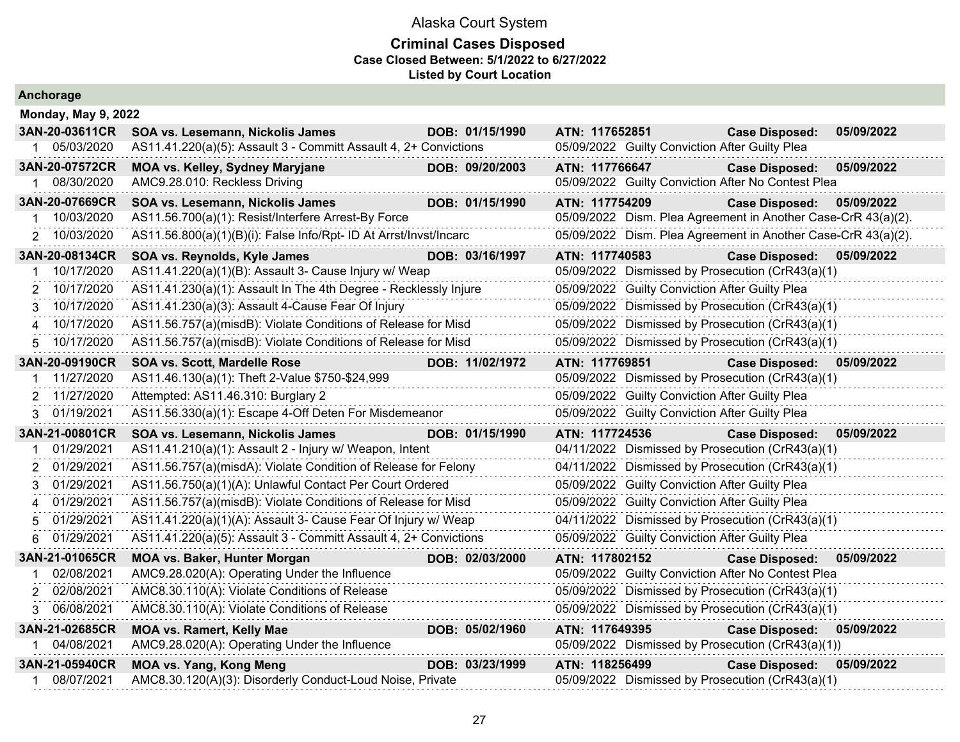#### **Criminal Cases Disposed Case Closed Between: 5/1/2022 to 6/27/2022 Listed by Court Location**

| Alicilorage                |                                                                   |                |                                                               |            |
|----------------------------|-------------------------------------------------------------------|----------------|---------------------------------------------------------------|------------|
| <b>Monday, May 9, 2022</b> |                                                                   |                |                                                               |            |
| 3AN-20-03611CR             | SOA vs. Lesemann, Nickolis James<br>DOB: 01/15/1990               | ATN: 117652851 | <b>Case Disposed:</b>                                         | 05/09/2022 |
| 05/03/2020<br>1            | AS11.41.220(a)(5): Assault 3 - Committ Assault 4, 2+ Convictions  |                | 05/09/2022 Guilty Conviction After Guilty Plea                |            |
| 3AN-20-07572CR             | DOB: 09/20/2003<br><b>MOA vs. Kelley, Sydney Maryjane</b>         | ATN: 117766647 | <b>Case Disposed:</b>                                         | 05/09/2022 |
| 08/30/2020                 | AMC9.28.010: Reckless Driving                                     |                | 05/09/2022 Guilty Conviction After No Contest Plea            |            |
| 3AN-20-07669CR             | SOA vs. Lesemann, Nickolis James<br>DOB: 01/15/1990               | ATN: 117754209 | <b>Case Disposed:</b>                                         | 05/09/2022 |
| 10/03/2020<br>-1           | AS11.56.700(a)(1): Resist/Interfere Arrest-By Force               |                | 05/09/2022 Dism. Plea Agreement in Another Case-CrR 43(a)(2). |            |
| 10/03/2020<br>2            | AS11.56.800(a)(1)(B)(i): False Info/Rpt- ID At Arrst/Invst/Incarc |                | 05/09/2022 Dism. Plea Agreement in Another Case-CrR 43(a)(2). |            |
| 3AN-20-08134CR             | SOA vs. Reynolds, Kyle James<br>DOB: 03/16/1997                   | ATN: 117740583 | <b>Case Disposed:</b>                                         | 05/09/2022 |
| 10/17/2020                 | AS11.41.220(a)(1)(B): Assault 3- Cause Injury w/ Weap             |                | 05/09/2022 Dismissed by Prosecution (CrR43(a)(1)              |            |
| 10/17/2020<br>2            | AS11.41.230(a)(1): Assault In The 4th Degree - Recklessly Injure  |                | 05/09/2022 Guilty Conviction After Guilty Plea                |            |
| 10/17/2020<br>3            | AS11.41.230(a)(3): Assault 4-Cause Fear Of Injury                 |                | 05/09/2022 Dismissed by Prosecution (CrR43(a)(1)              |            |
| 10/17/2020<br>4            | AS11.56.757(a)(misdB): Violate Conditions of Release for Misd     |                | 05/09/2022 Dismissed by Prosecution (CrR43(a)(1)              |            |
| 10/17/2020<br>5            | AS11.56.757(a)(misdB): Violate Conditions of Release for Misd     |                | 05/09/2022 Dismissed by Prosecution (CrR43(a)(1)              |            |
| 3AN-20-09190CR             | DOB: 11/02/1972<br>SOA vs. Scott, Mardelle Rose                   | ATN: 117769851 | <b>Case Disposed:</b>                                         | 05/09/2022 |
| 11/27/2020                 | AS11.46.130(a)(1): Theft 2-Value \$750-\$24,999                   |                | 05/09/2022 Dismissed by Prosecution (CrR43(a)(1)              |            |
| 11/27/2020<br>2            | Attempted: AS11.46.310: Burglary 2                                |                | 05/09/2022 Guilty Conviction After Guilty Plea                |            |
| 01/19/2021<br>3            | AS11.56.330(a)(1): Escape 4-Off Deten For Misdemeanor             |                | 05/09/2022 Guilty Conviction After Guilty Plea                |            |
| 3AN-21-00801CR             | DOB: 01/15/1990<br>SOA vs. Lesemann, Nickolis James               | ATN: 117724536 | <b>Case Disposed:</b>                                         | 05/09/2022 |
| 01/29/2021                 | AS11.41.210(a)(1): Assault 2 - Injury w/ Weapon, Intent           |                | 04/11/2022 Dismissed by Prosecution (CrR43(a)(1)              |            |
| 01/29/2021<br>2            | AS11.56.757(a)(misdA): Violate Condition of Release for Felony    |                | 04/11/2022 Dismissed by Prosecution (CrR43(a)(1)              |            |
| 01/29/2021<br>3            | AS11.56.750(a)(1)(A): Unlawful Contact Per Court Ordered          |                | 05/09/2022 Guilty Conviction After Guilty Plea                |            |
| 01/29/2021<br>4            | AS11.56.757(a)(misdB): Violate Conditions of Release for Misd     |                | 05/09/2022 Guilty Conviction After Guilty Plea                |            |
| 01/29/2021<br>5            | AS11.41.220(a)(1)(A): Assault 3- Cause Fear Of Injury w/ Weap     |                | 04/11/2022 Dismissed by Prosecution (CrR43(a)(1)              |            |
| 01/29/2021<br>6            | AS11.41.220(a)(5): Assault 3 - Committ Assault 4, 2+ Convictions  |                | 05/09/2022 Guilty Conviction After Guilty Plea                |            |
| 3AN-21-01065CR             | <b>MOA vs. Baker, Hunter Morgan</b><br>DOB: 02/03/2000            | ATN: 117802152 | <b>Case Disposed:</b>                                         | 05/09/2022 |
| 02/08/2021                 | AMC9.28.020(A): Operating Under the Influence                     |                | 05/09/2022 Guilty Conviction After No Contest Plea            |            |
| 02/08/2021<br>2            | AMC8.30.110(A): Violate Conditions of Release                     |                | 05/09/2022 Dismissed by Prosecution (CrR43(a)(1)              |            |
| 06/08/2021<br>3            | AMC8.30.110(A): Violate Conditions of Release                     |                | 05/09/2022 Dismissed by Prosecution (CrR43(a)(1)              |            |
| 3AN-21-02685CR             | <b>MOA vs. Ramert, Kelly Mae</b><br>DOB: 05/02/1960               | ATN: 117649395 | <b>Case Disposed:</b>                                         | 05/09/2022 |
| 04/08/2021<br>$1 \quad$    | AMC9.28.020(A): Operating Under the Influence                     |                | 05/09/2022 Dismissed by Prosecution (CrR43(a)(1))             |            |
| 3AN-21-05940CR             | <b>MOA vs. Yang, Kong Meng</b><br>DOB: 03/23/1999                 | ATN: 118256499 | <b>Case Disposed:</b>                                         | 05/09/2022 |
| 08/07/2021                 | AMC8.30.120(A)(3): Disorderly Conduct-Loud Noise, Private         |                | 05/09/2022 Dismissed by Prosecution (CrR43(a)(1)              |            |
|                            |                                                                   |                |                                                               |            |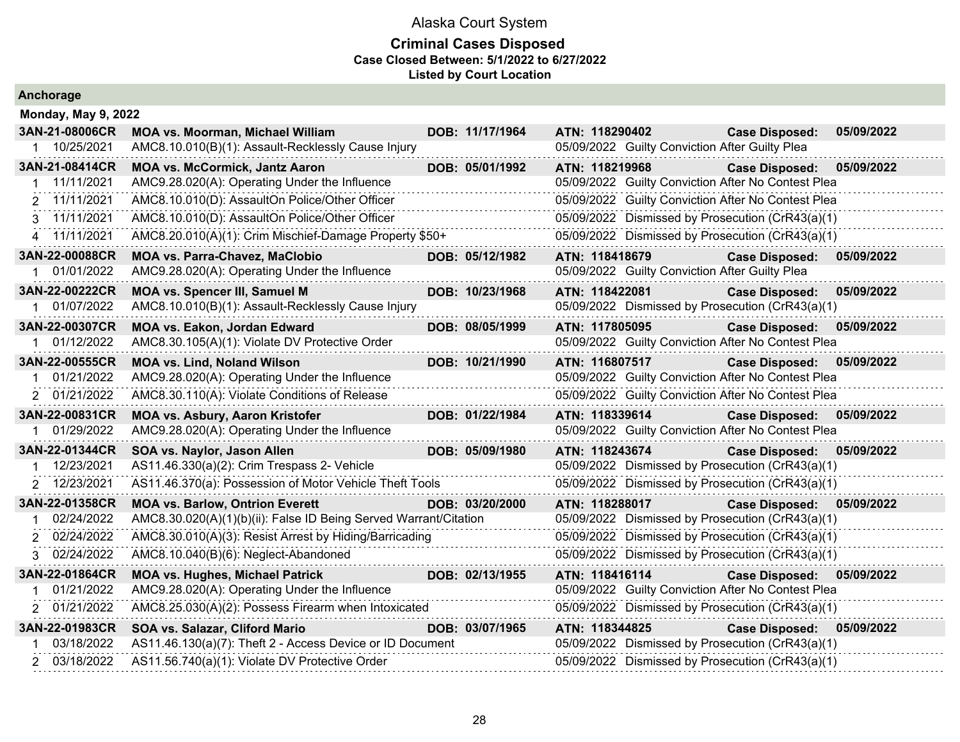| <b>Anchorage</b> |  |  |
|------------------|--|--|
|                  |  |  |

| <b>Monday, May 9, 2022</b> |                                                                  |                 |                                                    |                           |            |
|----------------------------|------------------------------------------------------------------|-----------------|----------------------------------------------------|---------------------------|------------|
| 3AN-21-08006CR             | <b>MOA vs. Moorman, Michael William</b>                          | DOB: 11/17/1964 | ATN: 118290402                                     | <b>Case Disposed:</b>     | 05/09/2022 |
| 1 10/25/2021               | AMC8.10.010(B)(1): Assault-Recklessly Cause Injury               |                 | 05/09/2022 Guilty Conviction After Guilty Plea     |                           |            |
| 3AN-21-08414CR             | <b>MOA vs. McCormick, Jantz Aaron</b>                            | DOB: 05/01/1992 | ATN: 118219968                                     | <b>Case Disposed:</b>     | 05/09/2022 |
| 11/11/2021                 | AMC9.28.020(A): Operating Under the Influence                    |                 | 05/09/2022 Guilty Conviction After No Contest Plea |                           |            |
| 2 11/11/2021               | AMC8.10.010(D): AssaultOn Police/Other Officer                   |                 | 05/09/2022 Guilty Conviction After No Contest Plea |                           |            |
| 3 11/11/2021               | AMC8.10.010(D): AssaultOn Police/Other Officer                   |                 | 05/09/2022 Dismissed by Prosecution (CrR43(a)(1)   |                           |            |
| 4 11/11/2021               | AMC8.20.010(A)(1): Crim Mischief-Damage Property \$50+           |                 | 05/09/2022 Dismissed by Prosecution (CrR43(a)(1)   |                           |            |
| 3AN-22-00088CR             | <b>MOA vs. Parra-Chavez, MaClobio</b>                            | DOB: 05/12/1982 | ATN: 118418679                                     | <b>Case Disposed:</b>     | 05/09/2022 |
| 01/01/2022                 | AMC9.28.020(A): Operating Under the Influence                    |                 | 05/09/2022 Guilty Conviction After Guilty Plea     |                           |            |
| 3AN-22-00222CR             | <b>MOA vs. Spencer III, Samuel M</b>                             | DOB: 10/23/1968 | ATN: 118422081                                     | <b>Case Disposed:</b>     | 05/09/2022 |
| 01/07/2022                 | AMC8.10.010(B)(1): Assault-Recklessly Cause Injury               |                 | 05/09/2022 Dismissed by Prosecution (CrR43(a)(1)   |                           |            |
| 3AN-22-00307CR             | MOA vs. Eakon, Jordan Edward                                     | DOB: 08/05/1999 | ATN: 117805095                                     | <b>Case Disposed:</b>     | 05/09/2022 |
| 1 01/12/2022               | AMC8.30.105(A)(1): Violate DV Protective Order                   |                 | 05/09/2022 Guilty Conviction After No Contest Plea |                           |            |
| 3AN-22-00555CR             | <b>MOA vs. Lind, Noland Wilson</b>                               | DOB: 10/21/1990 | ATN: 116807517                                     | <b>Case Disposed:</b>     | 05/09/2022 |
| 01/21/2022<br>1            | AMC9.28.020(A): Operating Under the Influence                    |                 | 05/09/2022 Guilty Conviction After No Contest Plea |                           |            |
| 2 01/21/2022               | AMC8.30.110(A): Violate Conditions of Release                    |                 | 05/09/2022 Guilty Conviction After No Contest Plea |                           |            |
| 3AN-22-00831CR             | <b>MOA vs. Asbury, Aaron Kristofer</b>                           | DOB: 01/22/1984 | ATN: 118339614                                     | Case Disposed: 05/09/2022 |            |
| 01/29/2022                 | AMC9.28.020(A): Operating Under the Influence                    |                 | 05/09/2022 Guilty Conviction After No Contest Plea |                           |            |
| 3AN-22-01344CR             | SOA vs. Naylor, Jason Allen                                      | DOB: 05/09/1980 | ATN: 118243674                                     | <b>Case Disposed:</b>     | 05/09/2022 |
| 12/23/2021                 | AS11.46.330(a)(2): Crim Trespass 2- Vehicle                      |                 | 05/09/2022 Dismissed by Prosecution (CrR43(a)(1)   |                           |            |
| 2 12/23/2021               | AS11.46.370(a): Possession of Motor Vehicle Theft Tools          |                 | 05/09/2022 Dismissed by Prosecution (CrR43(a)(1)   |                           |            |
| 3AN-22-01358CR             | <b>MOA vs. Barlow, Ontrion Everett</b>                           | DOB: 03/20/2000 | ATN: 118288017                                     | <b>Case Disposed:</b>     | 05/09/2022 |
| 02/24/2022                 | AMC8.30.020(A)(1)(b)(ii): False ID Being Served Warrant/Citation |                 | 05/09/2022 Dismissed by Prosecution (CrR43(a)(1)   |                           |            |
| 2 02/24/2022               | AMC8.30.010(A)(3): Resist Arrest by Hiding/Barricading           |                 | 05/09/2022 Dismissed by Prosecution (CrR43(a)(1)   |                           |            |
| 3 02/24/2022               | AMC8.10.040(B)(6): Neglect-Abandoned                             |                 | 05/09/2022 Dismissed by Prosecution (CrR43(a)(1)   |                           |            |
| 3AN-22-01864CR             | <b>MOA vs. Hughes, Michael Patrick</b>                           | DOB: 02/13/1955 | ATN: 118416114                                     | Case Disposed: 05/09/2022 |            |
| 01/21/2022                 | AMC9.28.020(A): Operating Under the Influence                    |                 | 05/09/2022 Guilty Conviction After No Contest Plea |                           |            |
| 2 01/21/2022               | AMC8.25.030(A)(2): Possess Firearm when Intoxicated              |                 | 05/09/2022 Dismissed by Prosecution (CrR43(a)(1)   |                           |            |
| 3AN-22-01983CR             | SOA vs. Salazar, Cliford Mario                                   | DOB: 03/07/1965 | ATN: 118344825                                     | <b>Case Disposed:</b>     | 05/09/2022 |
| 03/18/2022                 | AS11.46.130(a)(7): Theft 2 - Access Device or ID Document        |                 | 05/09/2022 Dismissed by Prosecution (CrR43(a)(1)   |                           |            |
| 2 03/18/2022               | AS11.56.740(a)(1): Violate DV Protective Order                   |                 | 05/09/2022 Dismissed by Prosecution (CrR43(a)(1)   |                           |            |
|                            |                                                                  |                 |                                                    |                           |            |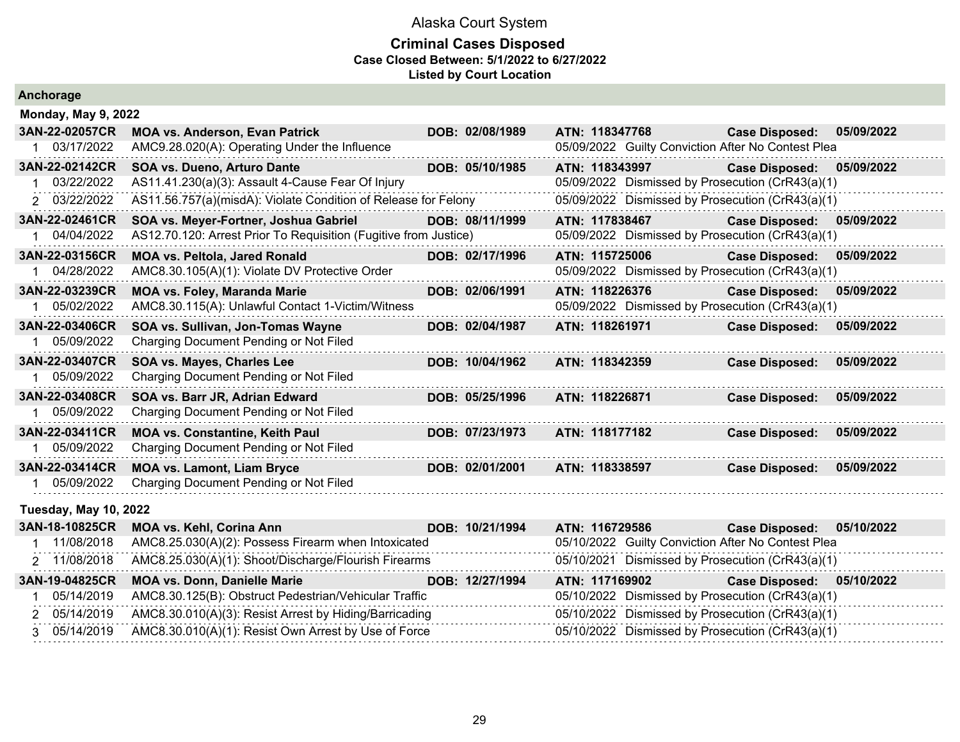### **Criminal Cases Disposed Case Closed Between: 5/1/2022 to 6/27/2022 Listed by Court Location**

| Anchorage                    |                                                                                        |                 |                                                                      |                                     |
|------------------------------|----------------------------------------------------------------------------------------|-----------------|----------------------------------------------------------------------|-------------------------------------|
| <b>Monday, May 9, 2022</b>   |                                                                                        |                 |                                                                      |                                     |
| 3AN-22-02057CR<br>03/17/2022 | <b>MOA vs. Anderson, Evan Patrick</b><br>AMC9.28.020(A): Operating Under the Influence | DOB: 02/08/1989 | ATN: 118347768<br>05/09/2022 Guilty Conviction After No Contest Plea | <b>Case Disposed:</b><br>05/09/2022 |
| 3AN-22-02142CR               | SOA vs. Dueno, Arturo Dante                                                            | DOB: 05/10/1985 | ATN: 118343997                                                       | <b>Case Disposed:</b><br>05/09/2022 |
| 03/22/2022                   | AS11.41.230(a)(3): Assault 4-Cause Fear Of Injury                                      |                 | 05/09/2022 Dismissed by Prosecution (CrR43(a)(1)                     |                                     |
| 03/22/2022<br>2              | AS11.56.757(a)(misdA): Violate Condition of Release for Felony                         |                 | 05/09/2022 Dismissed by Prosecution (CrR43(a)(1)                     |                                     |
| 3AN-22-02461CR               | SOA vs. Meyer-Fortner, Joshua Gabriel                                                  | DOB: 08/11/1999 | ATN: 117838467                                                       | <b>Case Disposed:</b><br>05/09/2022 |
| 04/04/2022                   | AS12.70.120: Arrest Prior To Requisition (Fugitive from Justice)                       |                 | 05/09/2022 Dismissed by Prosecution (CrR43(a)(1)                     |                                     |
| 3AN-22-03156CR               | <b>MOA vs. Peltola, Jared Ronald</b>                                                   | DOB: 02/17/1996 | ATN: 115725006                                                       | <b>Case Disposed:</b><br>05/09/2022 |
| 04/28/2022                   | AMC8.30.105(A)(1): Violate DV Protective Order                                         |                 | 05/09/2022 Dismissed by Prosecution (CrR43(a)(1)                     |                                     |
| 3AN-22-03239CR               | <b>MOA vs. Foley, Maranda Marie</b>                                                    | DOB: 02/06/1991 | ATN: 118226376                                                       | <b>Case Disposed:</b><br>05/09/2022 |
| 05/02/2022                   | AMC8.30.115(A): Unlawful Contact 1-Victim/Witness                                      |                 | 05/09/2022 Dismissed by Prosecution (CrR43(a)(1)                     |                                     |
| 3AN-22-03406CR               | SOA vs. Sullivan, Jon-Tomas Wayne                                                      | DOB: 02/04/1987 | ATN: 118261971                                                       | <b>Case Disposed:</b><br>05/09/2022 |
| 05/09/2022                   | Charging Document Pending or Not Filed                                                 |                 |                                                                      |                                     |
| 3AN-22-03407CR               | SOA vs. Mayes, Charles Lee                                                             | DOB: 10/04/1962 | ATN: 118342359                                                       | 05/09/2022<br><b>Case Disposed:</b> |
| 05/09/2022                   | Charging Document Pending or Not Filed                                                 |                 |                                                                      |                                     |
| 3AN-22-03408CR               | SOA vs. Barr JR, Adrian Edward                                                         | DOB: 05/25/1996 | ATN: 118226871                                                       | 05/09/2022<br><b>Case Disposed:</b> |
| 05/09/2022                   | Charging Document Pending or Not Filed                                                 |                 |                                                                      |                                     |
| 3AN-22-03411CR               | <b>MOA vs. Constantine, Keith Paul</b>                                                 | DOB: 07/23/1973 | ATN: 118177182                                                       | 05/09/2022<br><b>Case Disposed:</b> |
| 05/09/2022                   | Charging Document Pending or Not Filed                                                 |                 |                                                                      |                                     |
| 3AN-22-03414CR               | <b>MOA vs. Lamont, Liam Bryce</b>                                                      | DOB: 02/01/2001 | ATN: 118338597                                                       | 05/09/2022<br><b>Case Disposed:</b> |
| 05/09/2022                   | Charging Document Pending or Not Filed                                                 |                 |                                                                      |                                     |

### **Tuesday, May 10, 2022**

| 3AN-18-10825CR | MOA vs. Kehl, Corina Ann                                          | DOB: 10/21/1994 | ATN: 116729586 | <b>Case Disposed:</b>                              | 05/10/2022 |
|----------------|-------------------------------------------------------------------|-----------------|----------------|----------------------------------------------------|------------|
| 11/08/2018     | AMC8.25.030(A)(2): Possess Firearm when Intoxicated               |                 |                | 05/10/2022 Guilty Conviction After No Contest Plea |            |
| 2 11/08/2018   | AMC8.25.030(A)(1): Shoot/Discharge/Flourish Firearms              |                 |                | 05/10/2021 Dismissed by Prosecution (CrR43(a)(1)   |            |
| 3AN-19-04825CR | <b>MOA vs. Donn, Danielle Marie</b>                               | DOB: 12/27/1994 | ATN: 117169902 | <b>Case Disposed:</b>                              | 05/10/2022 |
| 05/14/2019     | AMC8.30.125(B): Obstruct Pedestrian/Vehicular Traffic             |                 |                | 05/10/2022 Dismissed by Prosecution (CrR43(a)(1)   |            |
| 2 05/14/2019   | AMC8.30.010(A)(3): Resist Arrest by Hiding/Barricading            |                 |                | 05/10/2022 Dismissed by Prosecution (CrR43(a)(1)   |            |
|                | 3 05/14/2019 AMC8.30.010(A)(1): Resist Own Arrest by Use of Force |                 |                | 05/10/2022 Dismissed by Prosecution (CrR43(a)(1)   |            |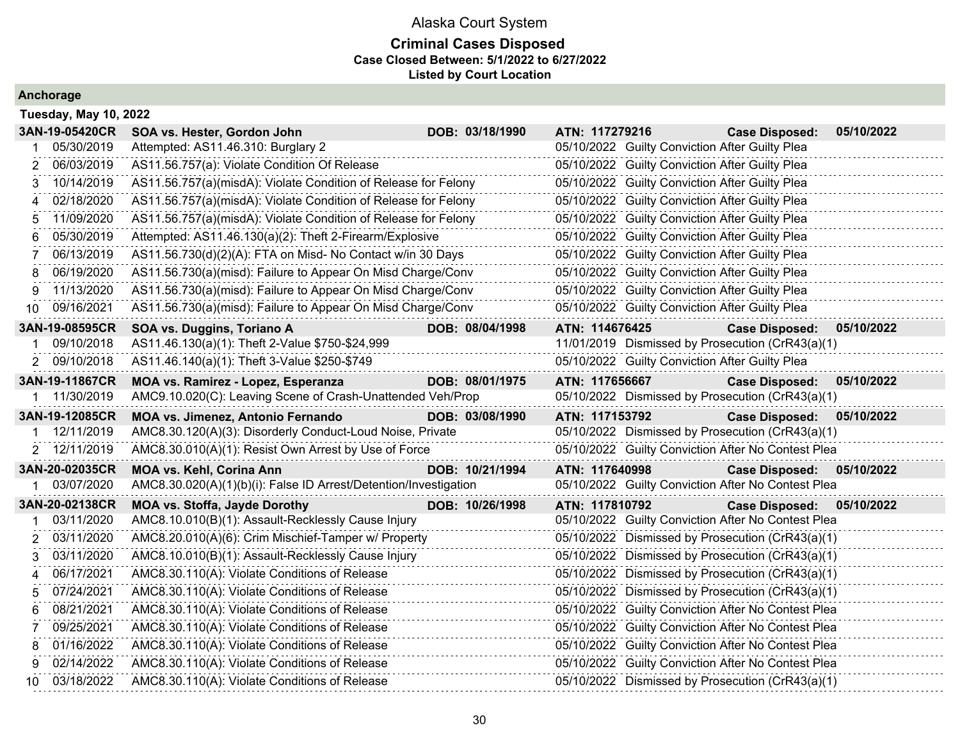### **Criminal Cases Disposed Case Closed Between: 5/1/2022 to 6/27/2022 Listed by Court Location**

|    | <b>Tuesday, May 10, 2022</b> |                                                                  |                 |                                                    |                       |            |
|----|------------------------------|------------------------------------------------------------------|-----------------|----------------------------------------------------|-----------------------|------------|
|    | 3AN-19-05420CR               | SOA vs. Hester, Gordon John                                      | DOB: 03/18/1990 | ATN: 117279216                                     | <b>Case Disposed:</b> | 05/10/2022 |
|    | 05/30/2019                   | Attempted: AS11.46.310: Burglary 2                               |                 | 05/10/2022 Guilty Conviction After Guilty Plea     |                       |            |
| 2  | 06/03/2019                   | AS11.56.757(a): Violate Condition Of Release                     |                 | 05/10/2022 Guilty Conviction After Guilty Plea     |                       |            |
| 3  | 10/14/2019                   | AS11.56.757(a)(misdA): Violate Condition of Release for Felony   |                 | 05/10/2022 Guilty Conviction After Guilty Plea     |                       |            |
| 4  | 02/18/2020                   | AS11.56.757(a)(misdA): Violate Condition of Release for Felony   |                 | 05/10/2022 Guilty Conviction After Guilty Plea     |                       |            |
| 5  | 11/09/2020                   | AS11.56.757(a)(misdA): Violate Condition of Release for Felony   |                 | 05/10/2022 Guilty Conviction After Guilty Plea     |                       |            |
| 6  | 05/30/2019                   | Attempted: AS11.46.130(a)(2): Theft 2-Firearm/Explosive          |                 | 05/10/2022 Guilty Conviction After Guilty Plea     |                       |            |
| 7  | 06/13/2019                   | AS11.56.730(d)(2)(A): FTA on Misd- No Contact w/in 30 Days       |                 | 05/10/2022 Guilty Conviction After Guilty Plea     |                       |            |
| 8  | 06/19/2020                   | AS11.56.730(a)(misd): Failure to Appear On Misd Charge/Conv      |                 | 05/10/2022 Guilty Conviction After Guilty Plea     |                       |            |
| 9  | 11/13/2020                   | AS11.56.730(a)(misd): Failure to Appear On Misd Charge/Conv      |                 | 05/10/2022 Guilty Conviction After Guilty Plea     |                       |            |
| 10 | 09/16/2021                   | AS11.56.730(a)(misd): Failure to Appear On Misd Charge/Conv      |                 | 05/10/2022 Guilty Conviction After Guilty Plea     |                       |            |
|    | 3AN-19-08595CR               | SOA vs. Duggins, Toriano A                                       | DOB: 08/04/1998 | ATN: 114676425                                     | <b>Case Disposed:</b> | 05/10/2022 |
|    | 09/10/2018                   | AS11.46.130(a)(1): Theft 2-Value \$750-\$24,999                  |                 | 11/01/2019 Dismissed by Prosecution (CrR43(a)(1)   |                       |            |
| 2  | 09/10/2018                   | AS11.46.140(a)(1): Theft 3-Value \$250-\$749                     |                 | 05/10/2022 Guilty Conviction After Guilty Plea     |                       |            |
|    | 3AN-19-11867CR               | MOA vs. Ramirez - Lopez, Esperanza                               | DOB: 08/01/1975 | ATN: 117656667                                     | <b>Case Disposed:</b> | 05/10/2022 |
|    | 1 11/30/2019                 | AMC9.10.020(C): Leaving Scene of Crash-Unattended Veh/Prop       |                 | 05/10/2022 Dismissed by Prosecution (CrR43(a)(1)   |                       |            |
|    | 3AN-19-12085CR               | MOA vs. Jimenez, Antonio Fernando                                | DOB: 03/08/1990 | ATN: 117153792                                     | <b>Case Disposed:</b> | 05/10/2022 |
|    | 12/11/2019                   | AMC8.30.120(A)(3): Disorderly Conduct-Loud Noise, Private        |                 | 05/10/2022 Dismissed by Prosecution (CrR43(a)(1)   |                       |            |
|    | 2 12/11/2019                 | AMC8.30.010(A)(1): Resist Own Arrest by Use of Force             |                 | 05/10/2022 Guilty Conviction After No Contest Plea |                       |            |
|    | 3AN-20-02035CR               | <b>MOA vs. Kehl, Corina Ann</b>                                  | DOB: 10/21/1994 | ATN: 117640998                                     | <b>Case Disposed:</b> | 05/10/2022 |
|    | 03/07/2020                   | AMC8.30.020(A)(1)(b)(i): False ID Arrest/Detention/Investigation |                 | 05/10/2022 Guilty Conviction After No Contest Plea |                       |            |
|    | 3AN-20-02138CR               | <b>MOA vs. Stoffa, Jayde Dorothy</b>                             | DOB: 10/26/1998 | ATN: 117810792                                     | <b>Case Disposed:</b> | 05/10/2022 |
|    | 03/11/2020                   | AMC8.10.010(B)(1): Assault-Recklessly Cause Injury               |                 | 05/10/2022 Guilty Conviction After No Contest Plea |                       |            |
| 2  | 03/11/2020                   | AMC8.20.010(A)(6): Crim Mischief-Tamper w/ Property              |                 | 05/10/2022 Dismissed by Prosecution (CrR43(a)(1)   |                       |            |
| 3  | 03/11/2020                   | AMC8.10.010(B)(1): Assault-Recklessly Cause Injury               |                 | 05/10/2022 Dismissed by Prosecution (CrR43(a)(1)   |                       |            |
| 4  | 06/17/2021                   | AMC8.30.110(A): Violate Conditions of Release                    |                 | 05/10/2022 Dismissed by Prosecution (CrR43(a)(1)   |                       |            |
| 5  | 07/24/2021                   | AMC8.30.110(A): Violate Conditions of Release                    |                 | 05/10/2022 Dismissed by Prosecution (CrR43(a)(1)   |                       |            |
| 6  | 08/21/2021                   | AMC8.30.110(A): Violate Conditions of Release                    |                 | 05/10/2022 Guilty Conviction After No Contest Plea |                       |            |
| 7  | 09/25/2021                   | AMC8.30.110(A): Violate Conditions of Release                    |                 | 05/10/2022 Guilty Conviction After No Contest Plea |                       |            |
| 8  | 01/16/2022                   | AMC8.30.110(A): Violate Conditions of Release                    |                 | 05/10/2022 Guilty Conviction After No Contest Plea |                       |            |
| q  | 02/14/2022                   | AMC8.30.110(A): Violate Conditions of Release                    |                 | 05/10/2022 Guilty Conviction After No Contest Plea |                       |            |
| 10 | 03/18/2022                   | AMC8.30.110(A): Violate Conditions of Release                    |                 | 05/10/2022 Dismissed by Prosecution (CrR43(a)(1)   |                       |            |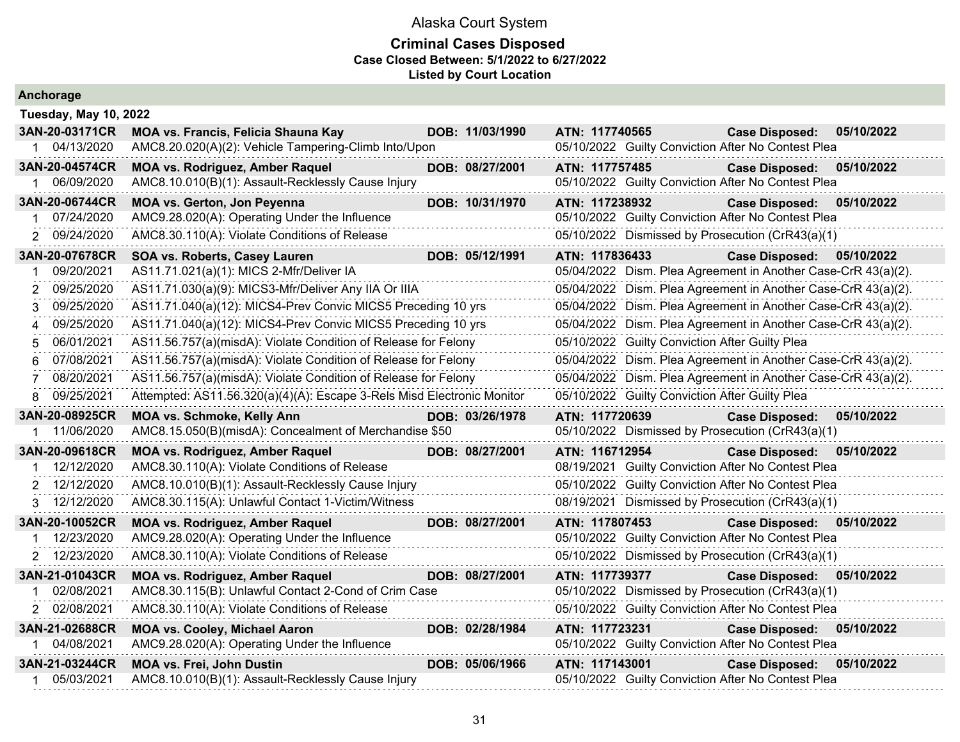| Anchorage             |                                                                        |                 |                |                                                               |            |
|-----------------------|------------------------------------------------------------------------|-----------------|----------------|---------------------------------------------------------------|------------|
| Tuesday, May 10, 2022 |                                                                        |                 |                |                                                               |            |
| 3AN-20-03171CR        | MOA vs. Francis, Felicia Shauna Kay                                    | DOB: 11/03/1990 | ATN: 117740565 | <b>Case Disposed:</b>                                         | 05/10/2022 |
| 1 04/13/2020          | AMC8.20.020(A)(2): Vehicle Tampering-Climb Into/Upon                   |                 |                | 05/10/2022 Guilty Conviction After No Contest Plea            |            |
| 3AN-20-04574CR        | <b>MOA vs. Rodriguez, Amber Raquel</b>                                 | DOB: 08/27/2001 | ATN: 117757485 | <b>Case Disposed:</b>                                         | 05/10/2022 |
| 06/09/2020<br>1.      | AMC8.10.010(B)(1): Assault-Recklessly Cause Injury                     |                 |                | 05/10/2022 Guilty Conviction After No Contest Plea            |            |
| 3AN-20-06744CR        | MOA vs. Gerton, Jon Peyenna                                            | DOB: 10/31/1970 | ATN: 117238932 | <b>Case Disposed:</b>                                         | 05/10/2022 |
| 07/24/2020<br>1       | AMC9.28.020(A): Operating Under the Influence                          |                 |                | 05/10/2022 Guilty Conviction After No Contest Plea            |            |
| 2 09/24/2020          | AMC8.30.110(A): Violate Conditions of Release                          |                 |                | 05/10/2022 Dismissed by Prosecution (CrR43(a)(1)              |            |
| 3AN-20-07678CR        | SOA vs. Roberts, Casey Lauren                                          | DOB: 05/12/1991 | ATN: 117836433 | <b>Case Disposed:</b>                                         | 05/10/2022 |
| 09/20/2021            | AS11.71.021(a)(1): MICS 2-Mfr/Deliver IA                               |                 |                | 05/04/2022 Dism. Plea Agreement in Another Case-CrR 43(a)(2). |            |
| 09/25/2020<br>2       | AS11.71.030(a)(9): MICS3-Mfr/Deliver Any IIA Or IIIA                   |                 |                | 05/04/2022 Dism. Plea Agreement in Another Case-CrR 43(a)(2). |            |
| 09/25/2020<br>3       | AS11.71.040(a)(12): MICS4-Prev Convic MICS5 Preceding 10 yrs           |                 |                | 05/04/2022 Dism. Plea Agreement in Another Case-CrR 43(a)(2). |            |
| 09/25/2020<br>4       | AS11.71.040(a)(12): MICS4-Prev Convic MICS5 Preceding 10 yrs           |                 |                | 05/04/2022 Dism. Plea Agreement in Another Case-CrR 43(a)(2). |            |
| 06/01/2021<br>5       | AS11.56.757(a)(misdA): Violate Condition of Release for Felony         |                 |                | 05/10/2022 Guilty Conviction After Guilty Plea                |            |
| 07/08/2021<br>6       | AS11.56.757(a)(misdA): Violate Condition of Release for Felony         |                 |                | 05/04/2022 Dism. Plea Agreement in Another Case-CrR 43(a)(2). |            |
| 08/20/2021            | AS11.56.757(a)(misdA): Violate Condition of Release for Felony         |                 |                | 05/04/2022 Dism. Plea Agreement in Another Case-CrR 43(a)(2). |            |
| 09/25/2021<br>8       | Attempted: AS11.56.320(a)(4)(A): Escape 3-Rels Misd Electronic Monitor |                 |                | 05/10/2022 Guilty Conviction After Guilty Plea                |            |
| 3AN-20-08925CR        | <b>MOA vs. Schmoke, Kelly Ann</b>                                      | DOB: 03/26/1978 | ATN: 117720639 | <b>Case Disposed:</b>                                         | 05/10/2022 |
| 11/06/2020            | AMC8.15.050(B)(misdA): Concealment of Merchandise \$50                 |                 |                | 05/10/2022 Dismissed by Prosecution (CrR43(a)(1)              |            |
| 3AN-20-09618CR        | <b>MOA vs. Rodriguez, Amber Raquel</b>                                 | DOB: 08/27/2001 | ATN: 116712954 | <b>Case Disposed:</b>                                         | 05/10/2022 |
| 12/12/2020            | AMC8.30.110(A): Violate Conditions of Release                          |                 |                | 08/19/2021 Guilty Conviction After No Contest Plea            |            |
| 12/12/2020            | AMC8.10.010(B)(1): Assault-Recklessly Cause Injury                     |                 |                | 05/10/2022 Guilty Conviction After No Contest Plea            |            |
| 12/12/2020<br>3       | AMC8.30.115(A): Unlawful Contact 1-Victim/Witness                      |                 |                | 08/19/2021 Dismissed by Prosecution (CrR43(a)(1)              |            |
| 3AN-20-10052CR        | <b>MOA vs. Rodriguez, Amber Raquel</b>                                 | DOB: 08/27/2001 | ATN: 117807453 | <b>Case Disposed:</b>                                         | 05/10/2022 |
| 12/23/2020            | AMC9.28.020(A): Operating Under the Influence                          |                 |                | 05/10/2022 Guilty Conviction After No Contest Plea            |            |
| 2 12/23/2020          | AMC8.30.110(A): Violate Conditions of Release                          |                 |                | 05/10/2022 Dismissed by Prosecution (CrR43(a)(1)              |            |
| 3AN-21-01043CR        | <b>MOA vs. Rodriguez, Amber Raquel</b>                                 | DOB: 08/27/2001 | ATN: 117739377 | <b>Case Disposed:</b>                                         | 05/10/2022 |
| 02/08/2021            | AMC8.30.115(B): Unlawful Contact 2-Cond of Crim Case                   |                 |                | 05/10/2022 Dismissed by Prosecution (CrR43(a)(1)              |            |
| 2 02/08/2021          | AMC8.30.110(A): Violate Conditions of Release                          |                 |                | 05/10/2022 Guilty Conviction After No Contest Plea            |            |
| 3AN-21-02688CR        | <b>MOA vs. Cooley, Michael Aaron</b>                                   | DOB: 02/28/1984 | ATN: 117723231 | <b>Case Disposed:</b>                                         | 05/10/2022 |
| 04/08/2021            | AMC9.28.020(A): Operating Under the Influence                          |                 |                | 05/10/2022 Guilty Conviction After No Contest Plea            |            |
| 3AN-21-03244CR        | <b>MOA vs. Frei, John Dustin</b>                                       | DOB: 05/06/1966 | ATN: 117143001 | <b>Case Disposed:</b>                                         | 05/10/2022 |
| 05/03/2021            | AMC8.10.010(B)(1): Assault-Recklessly Cause Injury                     |                 |                | 05/10/2022 Guilty Conviction After No Contest Plea            |            |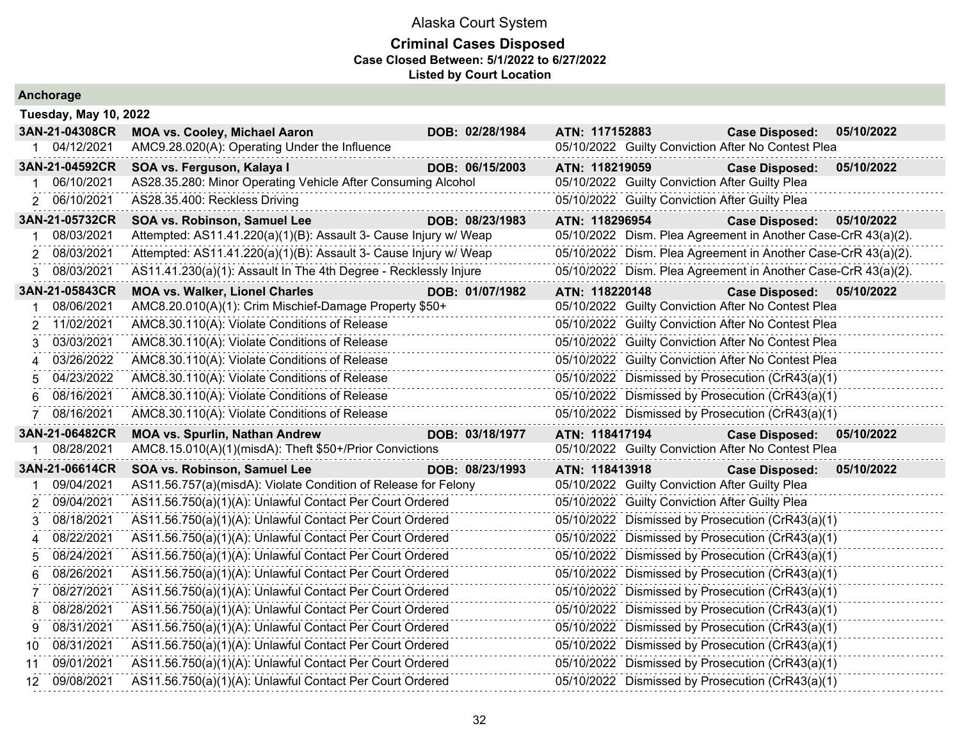| Anchorage                    |                                                                                                                            |                 |                                                                                                  |                           |            |
|------------------------------|----------------------------------------------------------------------------------------------------------------------------|-----------------|--------------------------------------------------------------------------------------------------|---------------------------|------------|
| <b>Tuesday, May 10, 2022</b> |                                                                                                                            |                 |                                                                                                  |                           |            |
| 3AN-21-04308CR               | <b>MOA vs. Cooley, Michael Aaron</b>                                                                                       | DOB: 02/28/1984 | ATN: 117152883                                                                                   | <b>Case Disposed:</b>     | 05/10/2022 |
| 1 04/12/2021                 | AMC9.28.020(A): Operating Under the Influence                                                                              |                 | 05/10/2022 Guilty Conviction After No Contest Plea                                               |                           |            |
| 3AN-21-04592CR               | SOA vs. Ferguson, Kalaya I                                                                                                 | DOB: 06/15/2003 | ATN: 118219059                                                                                   | <b>Case Disposed:</b>     | 05/10/2022 |
| 06/10/2021                   | AS28.35.280: Minor Operating Vehicle After Consuming Alcohol                                                               |                 | 05/10/2022 Guilty Conviction After Guilty Plea                                                   |                           |            |
| 2 06/10/2021                 | AS28.35.400: Reckless Driving                                                                                              |                 | 05/10/2022 Guilty Conviction After Guilty Plea                                                   |                           |            |
| 3AN-21-05732CR               | SOA vs. Robinson, Samuel Lee                                                                                               | DOB: 08/23/1983 | ATN: 118296954                                                                                   | <b>Case Disposed:</b>     | 05/10/2022 |
| 08/03/2021                   | Attempted: AS11.41.220(a)(1)(B): Assault 3- Cause Injury w/ Weap                                                           |                 | 05/10/2022 Dism. Plea Agreement in Another Case-CrR 43(a)(2).                                    |                           |            |
| 08/03/2021<br>2              | Attempted: AS11.41.220(a)(1)(B): Assault 3- Cause Injury w/ Weap                                                           |                 | 05/10/2022 Dism. Plea Agreement in Another Case-CrR 43(a)(2).                                    |                           |            |
| 08/03/2021<br>3              | AS11.41.230(a)(1): Assault In The 4th Degree - Recklessly Injure                                                           |                 | 05/10/2022 Dism. Plea Agreement in Another Case-CrR 43(a)(2).                                    |                           |            |
| 3AN-21-05843CR               | <b>MOA vs. Walker, Lionel Charles</b>                                                                                      | DOB: 01/07/1982 | ATN: 118220148                                                                                   | Case Disposed: 05/10/2022 |            |
| 08/06/2021                   | AMC8.20.010(A)(1): Crim Mischief-Damage Property \$50+                                                                     |                 | 05/10/2022 Guilty Conviction After No Contest Plea                                               |                           |            |
| 11/02/2021                   | AMC8.30.110(A): Violate Conditions of Release                                                                              |                 | 05/10/2022 Guilty Conviction After No Contest Plea                                               |                           |            |
| 03/03/2021<br>3              | AMC8.30.110(A): Violate Conditions of Release                                                                              |                 | 05/10/2022 Guilty Conviction After No Contest Plea                                               |                           |            |
| 03/26/2022<br>4              | AMC8.30.110(A): Violate Conditions of Release                                                                              |                 | 05/10/2022 Guilty Conviction After No Contest Plea                                               |                           |            |
| 04/23/2022                   | AMC8.30.110(A): Violate Conditions of Release                                                                              |                 | 05/10/2022 Dismissed by Prosecution (CrR43(a)(1)                                                 |                           |            |
| 08/16/2021<br>6              | AMC8.30.110(A): Violate Conditions of Release                                                                              |                 | 05/10/2022 Dismissed by Prosecution (CrR43(a)(1)                                                 |                           |            |
| 08/16/2021                   | AMC8.30.110(A): Violate Conditions of Release                                                                              |                 | 05/10/2022 Dismissed by Prosecution (CrR43(a)(1)                                                 |                           |            |
| 3AN-21-06482CR               | <b>MOA vs. Spurlin, Nathan Andrew</b>                                                                                      | DOB: 03/18/1977 | ATN: 118417194                                                                                   | <b>Case Disposed:</b>     | 05/10/2022 |
| 08/28/2021                   | AMC8.15.010(A)(1)(misdA): Theft \$50+/Prior Convictions                                                                    |                 | 05/10/2022 Guilty Conviction After No Contest Plea                                               |                           |            |
| 3AN-21-06614CR<br>09/04/2021 | SOA vs. Robinson, Samuel Lee                                                                                               | DOB: 08/23/1993 | ATN: 118413918                                                                                   | <b>Case Disposed:</b>     | 05/10/2022 |
| 09/04/2021                   | AS11.56.757(a)(misdA): Violate Condition of Release for Felony<br>AS11.56.750(a)(1)(A): Unlawful Contact Per Court Ordered |                 | 05/10/2022 Guilty Conviction After Guilty Plea<br>05/10/2022 Guilty Conviction After Guilty Plea |                           |            |
| 08/18/2021                   | AS11.56.750(a)(1)(A): Unlawful Contact Per Court Ordered                                                                   |                 | 05/10/2022 Dismissed by Prosecution (CrR43(a)(1)                                                 |                           |            |
| 08/22/2021<br>4              | AS11.56.750(a)(1)(A): Unlawful Contact Per Court Ordered                                                                   |                 | 05/10/2022 Dismissed by Prosecution (CrR43(a)(1)                                                 |                           |            |
| 08/24/2021<br>5              | AS11.56.750(a)(1)(A): Unlawful Contact Per Court Ordered                                                                   |                 | 05/10/2022 Dismissed by Prosecution (CrR43(a)(1)                                                 |                           |            |
| 08/26/2021<br>6              | AS11.56.750(a)(1)(A): Unlawful Contact Per Court Ordered                                                                   |                 | 05/10/2022 Dismissed by Prosecution (CrR43(a)(1)                                                 |                           |            |
| 08/27/2021                   | AS11.56.750(a)(1)(A): Unlawful Contact Per Court Ordered                                                                   |                 | 05/10/2022 Dismissed by Prosecution (CrR43(a)(1)                                                 |                           |            |
| 08/28/2021<br>8              | AS11.56.750(a)(1)(A): Unlawful Contact Per Court Ordered                                                                   |                 | 05/10/2022 Dismissed by Prosecution (CrR43(a)(1)                                                 |                           |            |
| 08/31/2021<br>9              | AS11.56.750(a)(1)(A): Unlawful Contact Per Court Ordered                                                                   |                 | 05/10/2022 Dismissed by Prosecution (CrR43(a)(1)                                                 |                           |            |
| 08/31/2021<br>10             | AS11.56.750(a)(1)(A): Unlawful Contact Per Court Ordered                                                                   |                 | 05/10/2022 Dismissed by Prosecution (CrR43(a)(1)                                                 |                           |            |
| 09/01/2021<br>11             | AS11.56.750(a)(1)(A): Unlawful Contact Per Court Ordered                                                                   |                 | 05/10/2022 Dismissed by Prosecution (CrR43(a)(1)                                                 |                           |            |
| 09/08/2021<br>12.            | AS11.56.750(a)(1)(A): Unlawful Contact Per Court Ordered                                                                   |                 | 05/10/2022 Dismissed by Prosecution (CrR43(a)(1)                                                 |                           |            |
|                              |                                                                                                                            |                 |                                                                                                  |                           |            |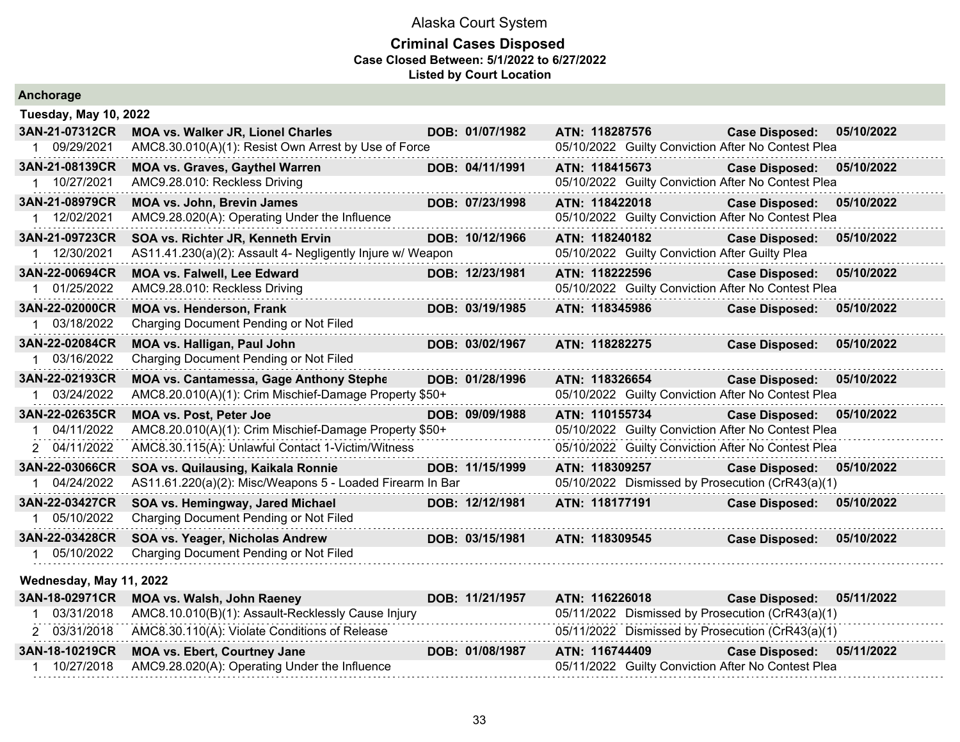| Anchorage                      |                                                                                                 |                 |                                                                  |                                                    |            |
|--------------------------------|-------------------------------------------------------------------------------------------------|-----------------|------------------------------------------------------------------|----------------------------------------------------|------------|
| <b>Tuesday, May 10, 2022</b>   |                                                                                                 |                 |                                                                  |                                                    |            |
| 3AN-21-07312CR                 | MOA vs. Walker JR, Lionel Charles                                                               | DOB: 01/07/1982 | ATN: 118287576                                                   | <b>Case Disposed:</b>                              | 05/10/2022 |
| 1 09/29/2021                   | AMC8.30.010(A)(1): Resist Own Arrest by Use of Force                                            |                 |                                                                  | 05/10/2022 Guilty Conviction After No Contest Plea |            |
| 3AN-21-08139CR                 | <b>MOA vs. Graves, Gaythel Warren</b>                                                           | DOB: 04/11/1991 | ATN: 118415673                                                   | <b>Case Disposed:</b>                              | 05/10/2022 |
| 1 10/27/2021                   | AMC9.28.010: Reckless Driving                                                                   |                 |                                                                  | 05/10/2022 Guilty Conviction After No Contest Plea |            |
| 3AN-21-08979CR                 | <b>MOA vs. John, Brevin James</b>                                                               | DOB: 07/23/1998 | ATN: 118422018                                                   | <b>Case Disposed:</b>                              | 05/10/2022 |
| 1 12/02/2021                   | AMC9.28.020(A): Operating Under the Influence                                                   |                 |                                                                  | 05/10/2022 Guilty Conviction After No Contest Plea |            |
| 3AN-21-09723CR<br>1 12/30/2021 | SOA vs. Richter JR, Kenneth Ervin<br>AS11.41.230(a)(2): Assault 4- Negligently Injure w/ Weapon | DOB: 10/12/1966 | ATN: 118240182<br>05/10/2022 Guilty Conviction After Guilty Plea | <b>Case Disposed:</b>                              | 05/10/2022 |
| 3AN-22-00694CR                 | MOA vs. Falwell, Lee Edward                                                                     | DOB: 12/23/1981 | ATN: 118222596                                                   | <b>Case Disposed:</b>                              | 05/10/2022 |
| 01/25/2022<br>$1 \quad$        | AMC9.28.010: Reckless Driving                                                                   |                 |                                                                  | 05/10/2022 Guilty Conviction After No Contest Plea |            |
| 3AN-22-02000CR                 | <b>MOA vs. Henderson, Frank</b>                                                                 | DOB: 03/19/1985 | ATN: 118345986                                                   | <b>Case Disposed:</b>                              | 05/10/2022 |
| 1 03/18/2022                   | Charging Document Pending or Not Filed                                                          |                 |                                                                  |                                                    |            |
| 3AN-22-02084CR                 | <b>MOA vs. Halligan, Paul John</b>                                                              | DOB: 03/02/1967 | ATN: 118282275                                                   | <b>Case Disposed:</b>                              | 05/10/2022 |
| 03/16/2022                     | Charging Document Pending or Not Filed                                                          |                 |                                                                  |                                                    |            |
| 3AN-22-02193CR                 | <b>MOA vs. Cantamessa, Gage Anthony Stephe</b>                                                  | DOB: 01/28/1996 | ATN: 118326654                                                   | <b>Case Disposed:</b>                              | 05/10/2022 |
| 1 03/24/2022                   | AMC8.20.010(A)(1): Crim Mischief-Damage Property \$50+                                          |                 |                                                                  | 05/10/2022 Guilty Conviction After No Contest Plea |            |
| 3AN-22-02635CR                 | <b>MOA vs. Post, Peter Joe</b>                                                                  | DOB: 09/09/1988 | ATN: 110155734                                                   | Case Disposed: 05/10/2022                          |            |
| 04/11/2022                     | AMC8.20.010(A)(1): Crim Mischief-Damage Property \$50+                                          |                 |                                                                  | 05/10/2022 Guilty Conviction After No Contest Plea |            |
| 2 04/11/2022                   | AMC8.30.115(A): Unlawful Contact 1-Victim/Witness                                               |                 |                                                                  | 05/10/2022 Guilty Conviction After No Contest Plea |            |
| 3AN-22-03066CR                 | SOA vs. Quilausing, Kaikala Ronnie                                                              | DOB: 11/15/1999 | ATN: 118309257                                                   | <b>Case Disposed:</b>                              | 05/10/2022 |
| 1 04/24/2022                   | AS11.61.220(a)(2): Misc/Weapons 5 - Loaded Firearm In Bar                                       |                 |                                                                  | 05/10/2022 Dismissed by Prosecution (CrR43(a)(1)   |            |
| 3AN-22-03427CR                 | SOA vs. Hemingway, Jared Michael                                                                | DOB: 12/12/1981 | ATN: 118177191                                                   | <b>Case Disposed:</b>                              | 05/10/2022 |
| 1 05/10/2022                   | Charging Document Pending or Not Filed                                                          |                 |                                                                  |                                                    |            |
| 3AN-22-03428CR                 | SOA vs. Yeager, Nicholas Andrew                                                                 | DOB: 03/15/1981 | ATN: 118309545                                                   | <b>Case Disposed:</b>                              | 05/10/2022 |
| 1 05/10/2022                   | Charging Document Pending or Not Filed                                                          |                 |                                                                  |                                                    |            |
| Wednesday, May 11, 2022        |                                                                                                 |                 |                                                                  |                                                    |            |
| 3AN-18-02971CR                 | <b>MOA vs. Walsh, John Raeney</b>                                                               | DOB: 11/21/1957 | ATN: 116226018                                                   | <b>Case Disposed:</b>                              | 05/11/2022 |
| 03/31/2018                     | AMC8.10.010(B)(1): Assault-Recklessly Cause Injury                                              |                 |                                                                  | 05/11/2022 Dismissed by Prosecution (CrR43(a)(1)   |            |
| 2 03/31/2018                   | AMC8.30.110(A): Violate Conditions of Release                                                   |                 |                                                                  | 05/11/2022 Dismissed by Prosecution (CrR43(a)(1)   |            |
| 3AN-18-10219CR                 | <b>MOA vs. Ebert, Courtney Jane</b>                                                             | DOB: 01/08/1987 | ATN: 116744409                                                   | <b>Case Disposed:</b>                              | 05/11/2022 |
| 10/27/2018                     | AMC9.28.020(A): Operating Under the Influence                                                   |                 |                                                                  | 05/11/2022 Guilty Conviction After No Contest Plea |            |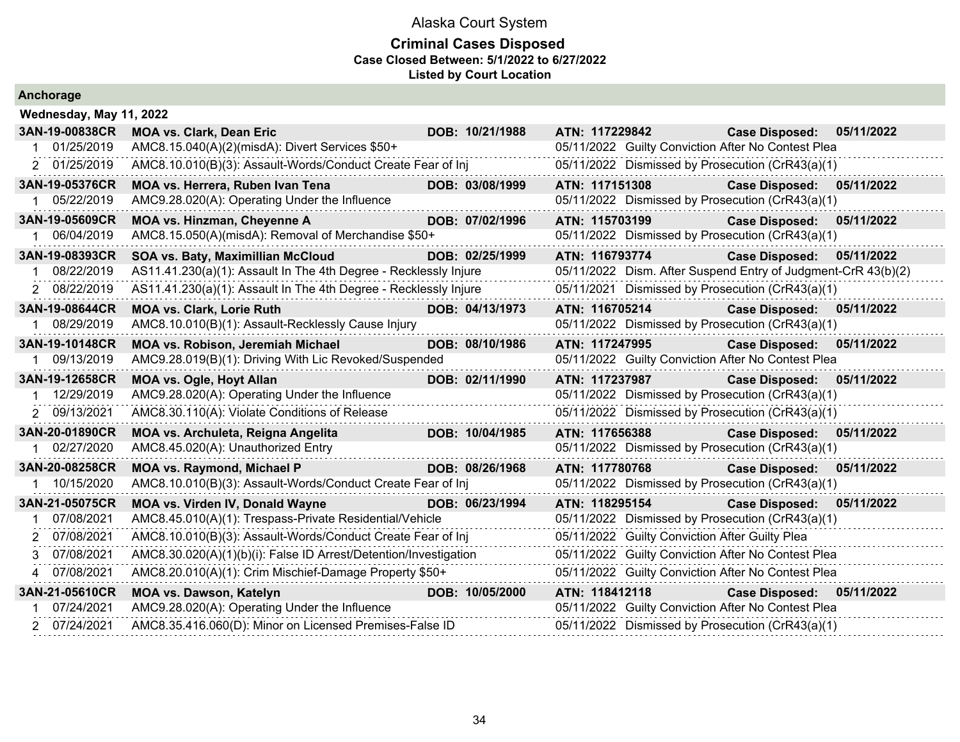| Anchorage |                         |  |
|-----------|-------------------------|--|
|           | Wednesday, May 11, 2022 |  |
|           |                         |  |

| 3AN-19-00838CR | <b>MOA vs. Clark, Dean Eric</b>                                       | DOB: 10/21/1988 | ATN: 117229842 |                                                | <b>Case Disposed:</b>                                         | 05/11/2022 |
|----------------|-----------------------------------------------------------------------|-----------------|----------------|------------------------------------------------|---------------------------------------------------------------|------------|
| 01/25/2019     | AMC8.15.040(A)(2)(misdA): Divert Services \$50+                       |                 |                |                                                | 05/11/2022 Guilty Conviction After No Contest Plea            |            |
| 2 01/25/2019   | AMC8.10.010(B)(3): Assault-Words/Conduct Create Fear of Inj           |                 |                |                                                | 05/11/2022 Dismissed by Prosecution (CrR43(a)(1)              |            |
| 3AN-19-05376CR | MOA vs. Herrera, Ruben Ivan Tena                                      | DOB: 03/08/1999 | ATN: 117151308 |                                                | <b>Case Disposed:</b>                                         | 05/11/2022 |
| 1 05/22/2019   | AMC9.28.020(A): Operating Under the Influence                         |                 |                |                                                | 05/11/2022 Dismissed by Prosecution (CrR43(a)(1)              |            |
| 3AN-19-05609CR | MOA vs. Hinzman, Cheyenne A                                           | DOB: 07/02/1996 | ATN: 115703199 |                                                | <b>Case Disposed:</b>                                         | 05/11/2022 |
| 06/04/2019     | AMC8.15.050(A)(misdA): Removal of Merchandise \$50+                   |                 |                |                                                | 05/11/2022 Dismissed by Prosecution (CrR43(a)(1)              |            |
| 3AN-19-08393CR | SOA vs. Baty, Maximillian McCloud                                     | DOB: 02/25/1999 | ATN: 116793774 |                                                | <b>Case Disposed:</b>                                         | 05/11/2022 |
| 08/22/2019     | AS11.41.230(a)(1): Assault In The 4th Degree - Recklessly Injure      |                 |                |                                                | 05/11/2022 Dism. After Suspend Entry of Judgment-CrR 43(b)(2) |            |
| 2 08/22/2019   | AS11.41.230(a)(1): Assault In The 4th Degree - Recklessly Injure      |                 |                |                                                | 05/11/2021 Dismissed by Prosecution (CrR43(a)(1)              |            |
| 3AN-19-08644CR | <b>MOA vs. Clark, Lorie Ruth</b>                                      | DOB: 04/13/1973 | ATN: 116705214 |                                                | <b>Case Disposed:</b>                                         | 05/11/2022 |
| 08/29/2019     | AMC8.10.010(B)(1): Assault-Recklessly Cause Injury                    |                 |                |                                                | 05/11/2022 Dismissed by Prosecution (CrR43(a)(1)              |            |
| 3AN-19-10148CR | <b>MOA vs. Robison, Jeremiah Michael</b>                              | DOB: 08/10/1986 |                |                                                | ATN: 117247995 Case Disposed:                                 | 05/11/2022 |
| 09/13/2019     | AMC9.28.019(B)(1): Driving With Lic Revoked/Suspended                 |                 |                |                                                | 05/11/2022 Guilty Conviction After No Contest Plea            |            |
| 3AN-19-12658CR | <b>MOA vs. Ogle, Hoyt Allan</b>                                       | DOB: 02/11/1990 | ATN: 117237987 |                                                | <b>Case Disposed:</b>                                         | 05/11/2022 |
| 1 12/29/2019   | AMC9.28.020(A): Operating Under the Influence                         |                 |                |                                                | 05/11/2022 Dismissed by Prosecution (CrR43(a)(1)              |            |
| 2 09/13/2021   | AMC8.30.110(A): Violate Conditions of Release                         |                 |                |                                                | 05/11/2022 Dismissed by Prosecution (CrR43(a)(1)              |            |
| 3AN-20-01890CR | MOA vs. Archuleta, Reigna Angelita                                    | DOB: 10/04/1985 | ATN: 117656388 |                                                | <b>Case Disposed:</b>                                         | 05/11/2022 |
| 1 02/27/2020   | AMC8.45.020(A): Unauthorized Entry                                    |                 |                |                                                | 05/11/2022 Dismissed by Prosecution (CrR43(a)(1)              |            |
| 3AN-20-08258CR | <b>MOA vs. Raymond, Michael P</b><br><u> 1999 - Johann Barbara, m</u> | DOB: 08/26/1968 |                |                                                | ATN: 117780768 Case Disposed:                                 | 05/11/2022 |
| 10/15/2020     | AMC8.10.010(B)(3): Assault-Words/Conduct Create Fear of Inj           |                 |                |                                                | 05/11/2022 Dismissed by Prosecution (CrR43(a)(1)              |            |
| 3AN-21-05075CR | MOA vs. Virden IV, Donald Wayne                                       | DOB: 06/23/1994 | ATN: 118295154 |                                                | <b>Case Disposed:</b>                                         | 05/11/2022 |
| 07/08/2021     | AMC8.45.010(A)(1): Trespass-Private Residential/Vehicle               |                 |                |                                                | 05/11/2022 Dismissed by Prosecution (CrR43(a)(1)              |            |
| 2 07/08/2021   | AMC8.10.010(B)(3): Assault-Words/Conduct Create Fear of Inj           |                 |                | 05/11/2022 Guilty Conviction After Guilty Plea |                                                               |            |
| 3 07/08/2021   | AMC8.30.020(A)(1)(b)(i): False ID Arrest/Detention/Investigation      |                 |                |                                                | 05/11/2022 Guilty Conviction After No Contest Plea            |            |
| 4 07/08/2021   | AMC8.20.010(A)(1): Crim Mischief-Damage Property \$50+                |                 |                |                                                | 05/11/2022 Guilty Conviction After No Contest Plea            |            |
| 3AN-21-05610CR | <b>MOA vs. Dawson, Katelyn</b>                                        | DOB: 10/05/2000 | ATN: 118412118 |                                                | Case Disposed: 05/11/2022                                     |            |
| 07/24/2021     | AMC9.28.020(A): Operating Under the Influence                         |                 |                |                                                | 05/11/2022 Guilty Conviction After No Contest Plea            |            |
| 2 07/24/2021   | AMC8.35.416.060(D): Minor on Licensed Premises-False ID               |                 |                |                                                | 05/11/2022 Dismissed by Prosecution (CrR43(a)(1)              |            |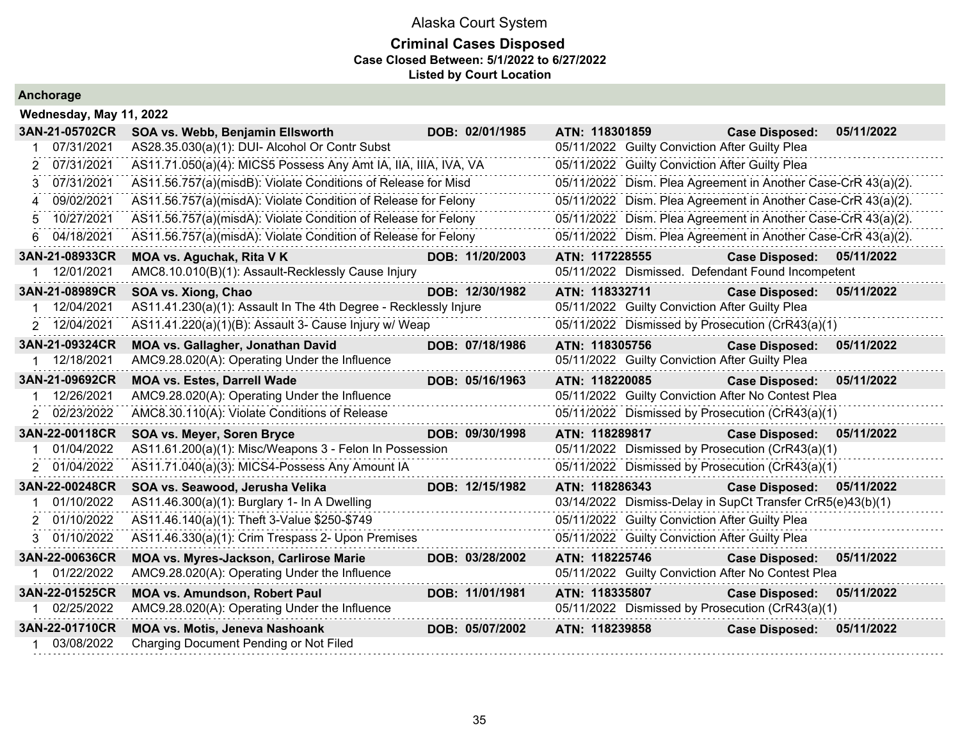### **Criminal Cases Disposed Case Closed Between: 5/1/2022 to 6/27/2022 Listed by Court Location**

| Wednesday, May 11, 2022 |                                                                  |                 |                                                               |                       |            |
|-------------------------|------------------------------------------------------------------|-----------------|---------------------------------------------------------------|-----------------------|------------|
| 3AN-21-05702CR          | SOA vs. Webb, Benjamin Ellsworth                                 | DOB: 02/01/1985 | ATN: 118301859                                                | <b>Case Disposed:</b> | 05/11/2022 |
| 07/31/2021              | AS28.35.030(a)(1): DUI- Alcohol Or Contr Subst                   |                 | 05/11/2022 Guilty Conviction After Guilty Plea                |                       |            |
| 07/31/2021<br>2         | AS11.71.050(a)(4): MICS5 Possess Any Amt IA, IIA, IIIA, IVA, VA  |                 | 05/11/2022 Guilty Conviction After Guilty Plea                |                       |            |
| 07/31/2021<br>3         | AS11.56.757(a)(misdB): Violate Conditions of Release for Misd    |                 | 05/11/2022 Dism. Plea Agreement in Another Case-CrR 43(a)(2). |                       |            |
| 09/02/2021<br>$\Delta$  | AS11.56.757(a)(misdA): Violate Condition of Release for Felony   |                 | 05/11/2022 Dism. Plea Agreement in Another Case-CrR 43(a)(2). |                       |            |
| 10/27/2021<br>5         | AS11.56.757(a)(misdA): Violate Condition of Release for Felony   |                 | 05/11/2022 Dism. Plea Agreement in Another Case-CrR 43(a)(2). |                       |            |
| 04/18/2021<br>6         | AS11.56.757(a)(misdA): Violate Condition of Release for Felony   |                 | 05/11/2022 Dism. Plea Agreement in Another Case-CrR 43(a)(2). |                       |            |
| 3AN-21-08933CR          | MOA vs. Aguchak, Rita V K                                        | DOB: 11/20/2003 | ATN: 117228555                                                | <b>Case Disposed:</b> | 05/11/2022 |
| 12/01/2021              | AMC8.10.010(B)(1): Assault-Recklessly Cause Injury               |                 | 05/11/2022 Dismissed. Defendant Found Incompetent             |                       |            |
| 3AN-21-08989CR          | SOA vs. Xiong, Chao                                              | DOB: 12/30/1982 | ATN: 118332711                                                | <b>Case Disposed:</b> | 05/11/2022 |
| 12/04/2021              | AS11.41.230(a)(1): Assault In The 4th Degree - Recklessly Injure |                 | 05/11/2022 Guilty Conviction After Guilty Plea                |                       |            |
| 2 12/04/2021            | AS11.41.220(a)(1)(B): Assault 3- Cause Injury w/ Weap            |                 | 05/11/2022 Dismissed by Prosecution (CrR43(a)(1)              |                       |            |
| 3AN-21-09324CR          | <b>MOA vs. Gallagher, Jonathan David</b>                         | DOB: 07/18/1986 | ATN: 118305756                                                | <b>Case Disposed:</b> | 05/11/2022 |
| 12/18/2021              | AMC9.28.020(A): Operating Under the Influence                    |                 | 05/11/2022 Guilty Conviction After Guilty Plea                |                       |            |
| 3AN-21-09692CR          | <b>MOA vs. Estes, Darrell Wade</b>                               | DOB: 05/16/1963 | ATN: 118220085                                                | <b>Case Disposed:</b> | 05/11/2022 |
| 12/26/2021              | AMC9.28.020(A): Operating Under the Influence                    |                 | 05/11/2022 Guilty Conviction After No Contest Plea            |                       |            |
| 2 02/23/2022            | AMC8.30.110(A): Violate Conditions of Release                    |                 | 05/11/2022 Dismissed by Prosecution (CrR43(a)(1)              |                       |            |
| 3AN-22-00118CR          | <b>SOA vs. Meyer, Soren Bryce</b>                                | DOB: 09/30/1998 | ATN: 118289817                                                | <b>Case Disposed:</b> | 05/11/2022 |
| 01/04/2022              | AS11.61.200(a)(1): Misc/Weapons 3 - Felon In Possession          |                 | 05/11/2022 Dismissed by Prosecution (CrR43(a)(1)              |                       |            |
| 2 01/04/2022            | AS11.71.040(a)(3): MICS4-Possess Any Amount IA                   |                 | 05/11/2022 Dismissed by Prosecution (CrR43(a)(1)              |                       |            |
| 3AN-22-00248CR          | SOA vs. Seawood, Jerusha Velika                                  | DOB: 12/15/1982 | ATN: 118286343                                                | <b>Case Disposed:</b> | 05/11/2022 |
| 01/10/2022              | AS11.46.300(a)(1): Burglary 1- In A Dwelling                     |                 | 03/14/2022 Dismiss-Delay in SupCt Transfer CrR5(e)43(b)(1)    |                       |            |
| 01/10/2022              | AS11.46.140(a)(1): Theft 3-Value \$250-\$749                     |                 | 05/11/2022 Guilty Conviction After Guilty Plea                |                       |            |
| 01/10/2022<br>3         | AS11.46.330(a)(1): Crim Trespass 2- Upon Premises                |                 | 05/11/2022 Guilty Conviction After Guilty Plea                |                       |            |
| 3AN-22-00636CR          | MOA vs. Myres-Jackson, Carlirose Marie                           | DOB: 03/28/2002 | ATN: 118225746                                                | <b>Case Disposed:</b> | 05/11/2022 |
| 01/22/2022              | AMC9.28.020(A): Operating Under the Influence                    |                 | 05/11/2022 Guilty Conviction After No Contest Plea            |                       |            |
| 3AN-22-01525CR          | <b>MOA vs. Amundson, Robert Paul</b>                             | DOB: 11/01/1981 | ATN: 118335807                                                | <b>Case Disposed:</b> | 05/11/2022 |
| 02/25/2022              | AMC9.28.020(A): Operating Under the Influence                    |                 | 05/11/2022 Dismissed by Prosecution (CrR43(a)(1)              |                       |            |
| 3AN-22-01710CR          | <b>MOA vs. Motis, Jeneva Nashoank</b>                            | DOB: 05/07/2002 | ATN: 118239858                                                | <b>Case Disposed:</b> | 05/11/2022 |
| 03/08/2022              | Charging Document Pending or Not Filed                           |                 |                                                               |                       |            |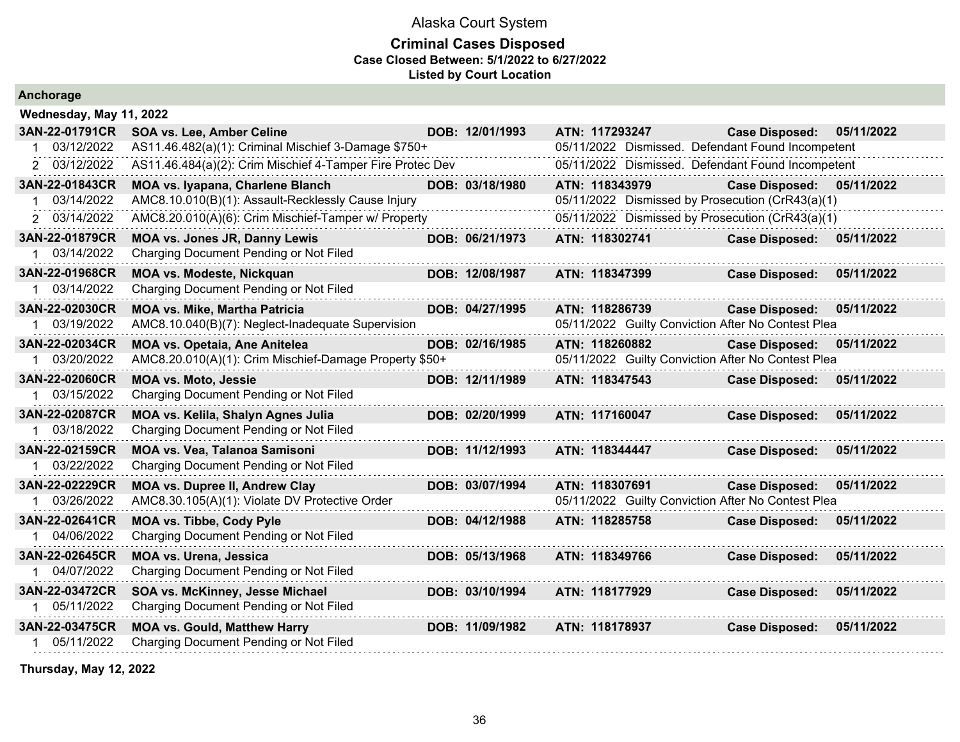### **Criminal Cases Disposed Case Closed Between: 5/1/2022 to 6/27/2022 Listed by Court Location**

|  |  | Anchorage |  |  |
|--|--|-----------|--|--|
|  |  |           |  |  |

| Wednesday, May 11, 2022 |                                                           |                 |                                                    |                       |            |
|-------------------------|-----------------------------------------------------------|-----------------|----------------------------------------------------|-----------------------|------------|
| 3AN-22-01791CR          | SOA vs. Lee, Amber Celine                                 | DOB: 12/01/1993 | ATN: 117293247                                     | <b>Case Disposed:</b> | 05/11/2022 |
| 03/12/2022              | AS11.46.482(a)(1): Criminal Mischief 3-Damage \$750+      |                 | 05/11/2022 Dismissed. Defendant Found Incompetent  |                       |            |
| 2 03/12/2022            | AS11.46.484(a)(2): Crim Mischief 4-Tamper Fire Protec Dev |                 | 05/11/2022 Dismissed. Defendant Found Incompetent  |                       |            |
| 3AN-22-01843CR          | <b>MOA vs. Iyapana, Charlene Blanch</b>                   | DOB: 03/18/1980 | ATN: 118343979                                     | <b>Case Disposed:</b> | 05/11/2022 |
| 03/14/2022              | AMC8.10.010(B)(1): Assault-Recklessly Cause Injury        |                 | 05/11/2022 Dismissed by Prosecution (CrR43(a)(1)   |                       |            |
| 2 03/14/2022            | AMC8.20.010(A)(6): Crim Mischief-Tamper w/ Property       |                 | 05/11/2022 Dismissed by Prosecution (CrR43(a)(1)   |                       |            |
| 3AN-22-01879CR          | <b>MOA vs. Jones JR, Danny Lewis</b>                      | DOB: 06/21/1973 | ATN: 118302741                                     | <b>Case Disposed:</b> | 05/11/2022 |
| 1 03/14/2022            | Charging Document Pending or Not Filed                    |                 |                                                    |                       |            |
| 3AN-22-01968CR          | MOA vs. Modeste, Nickquan                                 | DOB: 12/08/1987 | ATN: 118347399                                     | <b>Case Disposed:</b> | 05/11/2022 |
| 03/14/2022              | Charging Document Pending or Not Filed                    |                 |                                                    |                       |            |
| 3AN-22-02030CR          | <b>MOA vs. Mike, Martha Patricia</b>                      | DOB: 04/27/1995 | ATN: 118286739                                     | <b>Case Disposed:</b> | 05/11/2022 |
| 1 03/19/2022            | AMC8.10.040(B)(7): Neglect-Inadequate Supervision         |                 | 05/11/2022 Guilty Conviction After No Contest Plea |                       |            |
| 3AN-22-02034CR          | <b>MOA vs. Opetaia, Ane Anitelea</b>                      | DOB: 02/16/1985 | ATN: 118260882                                     | <b>Case Disposed:</b> | 05/11/2022 |
| 1 03/20/2022            | AMC8.20.010(A)(1): Crim Mischief-Damage Property \$50+    |                 | 05/11/2022 Guilty Conviction After No Contest Plea |                       |            |
| 3AN-22-02060CR          | <b>MOA vs. Moto, Jessie</b>                               | DOB: 12/11/1989 | ATN: 118347543                                     | <b>Case Disposed:</b> | 05/11/2022 |
| 1 03/15/2022            | Charging Document Pending or Not Filed                    |                 |                                                    |                       |            |
| 3AN-22-02087CR          | MOA vs. Kelila, Shalyn Agnes Julia                        | DOB: 02/20/1999 | ATN: 117160047                                     | <b>Case Disposed:</b> | 05/11/2022 |
| 03/18/2022              | Charging Document Pending or Not Filed                    |                 |                                                    |                       |            |
| 3AN-22-02159CR          | MOA vs. Vea, Talanoa Samisoni                             | DOB: 11/12/1993 | ATN: 118344447                                     | <b>Case Disposed:</b> | 05/11/2022 |
| 03/22/2022              | Charging Document Pending or Not Filed                    |                 |                                                    |                       |            |
| 3AN-22-02229CR          | <b>MOA vs. Dupree II, Andrew Clay</b>                     | DOB: 03/07/1994 | ATN: 118307691                                     | <b>Case Disposed:</b> | 05/11/2022 |
| 1 03/26/2022            | AMC8.30.105(A)(1): Violate DV Protective Order            |                 | 05/11/2022 Guilty Conviction After No Contest Plea |                       |            |
| 3AN-22-02641CR          | <b>MOA vs. Tibbe, Cody Pyle</b>                           | DOB: 04/12/1988 | ATN: 118285758                                     | <b>Case Disposed:</b> | 05/11/2022 |
| 04/06/2022              | Charging Document Pending or Not Filed                    |                 |                                                    |                       |            |
| 3AN-22-02645CR          | <b>MOA vs. Urena, Jessica</b>                             | DOB: 05/13/1968 | ATN: 118349766                                     | <b>Case Disposed:</b> | 05/11/2022 |
| 1 04/07/2022            | Charging Document Pending or Not Filed                    |                 |                                                    |                       |            |
| 3AN-22-03472CR          | SOA vs. McKinney, Jesse Michael                           | DOB: 03/10/1994 | ATN: 118177929                                     | <b>Case Disposed:</b> | 05/11/2022 |
| 05/11/2022              | Charging Document Pending or Not Filed                    |                 |                                                    |                       |            |
| 3AN-22-03475CR          | <b>MOA vs. Gould, Matthew Harry</b>                       | DOB: 11/09/1982 | ATN: 118178937                                     | <b>Case Disposed:</b> | 05/11/2022 |
| 05/11/2022<br>1         | Charging Document Pending or Not Filed                    |                 |                                                    |                       |            |
|                         |                                                           |                 |                                                    |                       |            |

**Thursday, May 12, 2022**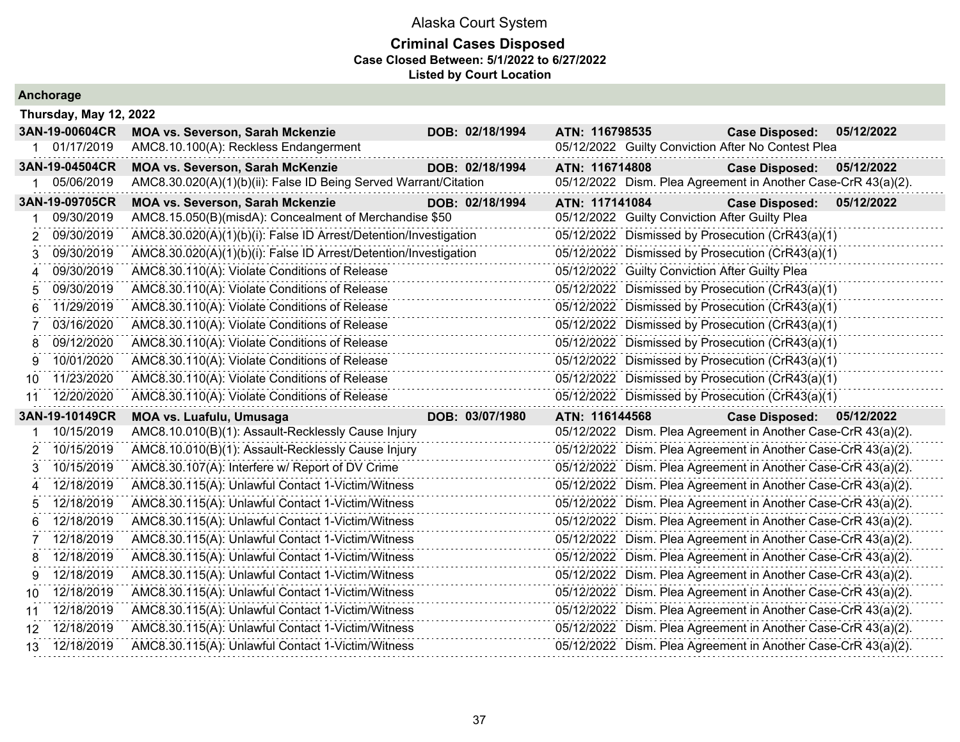#### **Criminal Cases Disposed Case Closed Between: 5/1/2022 to 6/27/2022 Listed by Court Location**

|                 | Thursday, May 12, 2022 |                                                                  |  |                 |                |                                                |                                                               |            |
|-----------------|------------------------|------------------------------------------------------------------|--|-----------------|----------------|------------------------------------------------|---------------------------------------------------------------|------------|
|                 | 3AN-19-00604CR         | <b>MOA vs. Severson, Sarah Mckenzie</b>                          |  | DOB: 02/18/1994 | ATN: 116798535 |                                                | <b>Case Disposed:</b>                                         | 05/12/2022 |
| 1.              | 01/17/2019             | AMC8.10.100(A): Reckless Endangerment                            |  |                 |                |                                                | 05/12/2022 Guilty Conviction After No Contest Plea            |            |
|                 | 3AN-19-04504CR         | <b>MOA vs. Severson, Sarah McKenzie</b>                          |  | DOB: 02/18/1994 | ATN: 116714808 |                                                | <b>Case Disposed:</b>                                         | 05/12/2022 |
| 1.              | 05/06/2019             | AMC8.30.020(A)(1)(b)(ii): False ID Being Served Warrant/Citation |  |                 |                |                                                | 05/12/2022 Dism. Plea Agreement in Another Case-CrR 43(a)(2). |            |
|                 | 3AN-19-09705CR         | <b>MOA vs. Severson, Sarah Mckenzie</b>                          |  | DOB: 02/18/1994 | ATN: 117141084 |                                                | <b>Case Disposed:</b>                                         | 05/12/2022 |
|                 | 09/30/2019             | AMC8.15.050(B)(misdA): Concealment of Merchandise \$50           |  |                 |                | 05/12/2022 Guilty Conviction After Guilty Plea |                                                               |            |
| 2               | 09/30/2019             | AMC8.30.020(A)(1)(b)(i): False ID Arrest/Detention/Investigation |  |                 |                |                                                | 05/12/2022 Dismissed by Prosecution (CrR43(a)(1)              |            |
| 3               | 09/30/2019             | AMC8.30.020(A)(1)(b)(i): False ID Arrest/Detention/Investigation |  |                 |                |                                                | 05/12/2022 Dismissed by Prosecution (CrR43(a)(1)              |            |
| 4               | 09/30/2019             | AMC8.30.110(A): Violate Conditions of Release                    |  |                 |                | 05/12/2022 Guilty Conviction After Guilty Plea |                                                               |            |
| 5.              | 09/30/2019             | AMC8.30.110(A): Violate Conditions of Release                    |  |                 |                |                                                | 05/12/2022 Dismissed by Prosecution (CrR43(a)(1)              |            |
| 6.              | 11/29/2019             | AMC8.30.110(A): Violate Conditions of Release                    |  |                 |                |                                                | 05/12/2022 Dismissed by Prosecution (CrR43(a)(1)              |            |
|                 | 03/16/2020             | AMC8.30.110(A): Violate Conditions of Release                    |  |                 |                |                                                | 05/12/2022 Dismissed by Prosecution (CrR43(a)(1)              |            |
| 8               | 09/12/2020             | AMC8.30.110(A): Violate Conditions of Release                    |  |                 |                |                                                | 05/12/2022 Dismissed by Prosecution (CrR43(a)(1)              |            |
| 9               | 10/01/2020             | AMC8.30.110(A): Violate Conditions of Release                    |  |                 |                |                                                | 05/12/2022 Dismissed by Prosecution (CrR43(a)(1)              |            |
| 10.             | 11/23/2020             | AMC8.30.110(A): Violate Conditions of Release                    |  |                 |                |                                                | 05/12/2022 Dismissed by Prosecution (CrR43(a)(1)              |            |
| 11              | 12/20/2020             | AMC8.30.110(A): Violate Conditions of Release                    |  |                 |                |                                                | 05/12/2022 Dismissed by Prosecution (CrR43(a)(1)              |            |
|                 | 3AN-19-10149CR         | <b>MOA vs. Luafulu, Umusaga</b>                                  |  | DOB: 03/07/1980 | ATN: 116144568 |                                                | <b>Case Disposed:</b>                                         | 05/12/2022 |
|                 | 10/15/2019             | AMC8.10.010(B)(1): Assault-Recklessly Cause Injury               |  |                 |                |                                                | 05/12/2022 Dism. Plea Agreement in Another Case-CrR 43(a)(2). |            |
| 2               | 10/15/2019             | AMC8.10.010(B)(1): Assault-Recklessly Cause Injury               |  |                 |                |                                                | 05/12/2022 Dism. Plea Agreement in Another Case-CrR 43(a)(2). |            |
| 3               | 10/15/2019             | AMC8.30.107(A): Interfere w/ Report of DV Crime                  |  |                 |                |                                                | 05/12/2022 Dism. Plea Agreement in Another Case-CrR 43(a)(2). |            |
| 4               | 12/18/2019             | AMC8.30.115(A): Unlawful Contact 1-Victim/Witness                |  |                 |                |                                                | 05/12/2022 Dism. Plea Agreement in Another Case-CrR 43(a)(2). |            |
| 5               | 12/18/2019             | AMC8.30.115(A): Unlawful Contact 1-Victim/Witness                |  |                 |                |                                                | 05/12/2022 Dism. Plea Agreement in Another Case-CrR 43(a)(2). |            |
| 6               | 12/18/2019             | AMC8.30.115(A): Unlawful Contact 1-Victim/Witness                |  |                 |                |                                                | 05/12/2022 Dism. Plea Agreement in Another Case-CrR 43(a)(2). |            |
|                 | 12/18/2019             | AMC8.30.115(A): Unlawful Contact 1-Victim/Witness                |  |                 |                |                                                | 05/12/2022 Dism. Plea Agreement in Another Case-CrR 43(a)(2). |            |
| 8               | 12/18/2019             | AMC8.30.115(A): Unlawful Contact 1-Victim/Witness                |  |                 |                |                                                | 05/12/2022 Dism. Plea Agreement in Another Case-CrR 43(a)(2). |            |
| 9               | 12/18/2019             | AMC8.30.115(A): Unlawful Contact 1-Victim/Witness                |  |                 |                |                                                | 05/12/2022 Dism. Plea Agreement in Another Case-CrR 43(a)(2). |            |
| 10.             | 12/18/2019             | AMC8.30.115(A): Unlawful Contact 1-Victim/Witness                |  |                 |                |                                                | 05/12/2022 Dism. Plea Agreement in Another Case-CrR 43(a)(2). |            |
| 11              | 12/18/2019             | AMC8.30.115(A): Unlawful Contact 1-Victim/Witness                |  |                 |                |                                                | 05/12/2022 Dism. Plea Agreement in Another Case-CrR 43(a)(2). |            |
| 12.             | 12/18/2019             | AMC8.30.115(A): Unlawful Contact 1-Victim/Witness                |  |                 |                |                                                | 05/12/2022 Dism. Plea Agreement in Another Case-CrR 43(a)(2). |            |
| 13 <sup>°</sup> | 12/18/2019             | AMC8.30.115(A): Unlawful Contact 1-Victim/Witness                |  |                 |                |                                                | 05/12/2022 Dism. Plea Agreement in Another Case-CrR 43(a)(2). |            |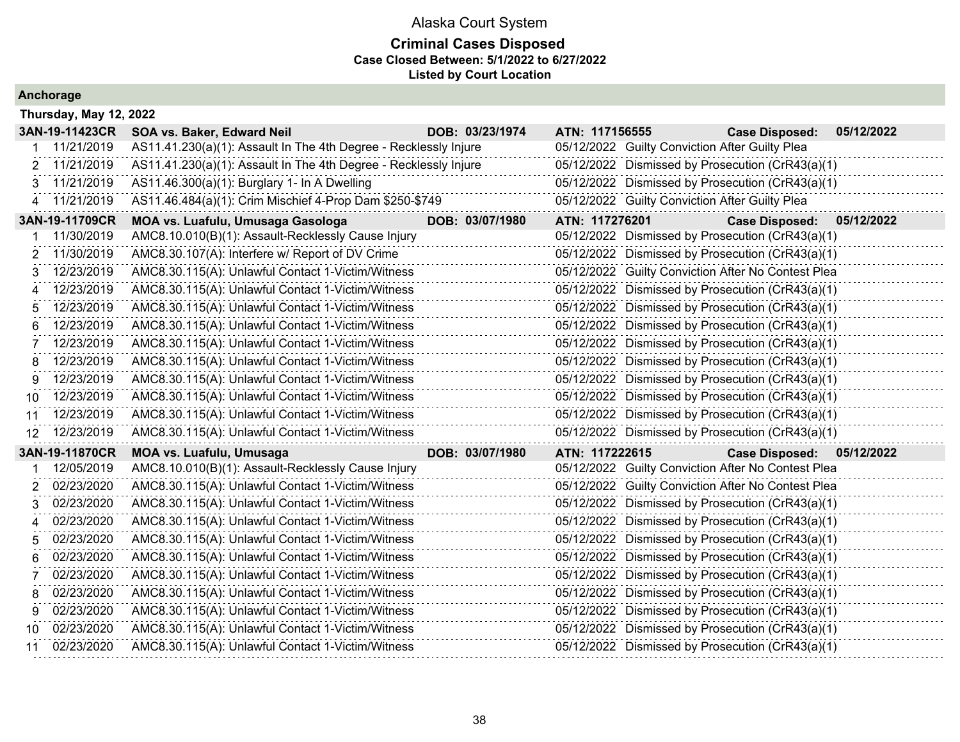| Anchorage |  |  |
|-----------|--|--|
|           |  |  |

|                       | Thursday, May 12, 2022 |                                                                  |                 |                                                    |                           |            |  |  |
|-----------------------|------------------------|------------------------------------------------------------------|-----------------|----------------------------------------------------|---------------------------|------------|--|--|
|                       | 3AN-19-11423CR         | SOA vs. Baker, Edward Neil                                       | DOB: 03/23/1974 | ATN: 117156555                                     | <b>Case Disposed:</b>     | 05/12/2022 |  |  |
|                       | 11/21/2019             | AS11.41.230(a)(1): Assault In The 4th Degree - Recklessly Injure |                 | 05/12/2022 Guilty Conviction After Guilty Plea     |                           |            |  |  |
|                       | 11/21/2019             | AS11.41.230(a)(1): Assault In The 4th Degree - Recklessly Injure |                 | 05/12/2022 Dismissed by Prosecution (CrR43(a)(1)   |                           |            |  |  |
|                       | 11/21/2019             | AS11.46.300(a)(1): Burglary 1- In A Dwelling                     |                 | 05/12/2022 Dismissed by Prosecution (CrR43(a)(1)   |                           |            |  |  |
| 4                     | 11/21/2019             | AS11.46.484(a)(1): Crim Mischief 4-Prop Dam \$250-\$749          |                 | 05/12/2022 Guilty Conviction After Guilty Plea     |                           |            |  |  |
|                       | 3AN-19-11709CR         | MOA vs. Luafulu, Umusaga Gasologa                                | DOB: 03/07/1980 | ATN: 117276201                                     | <b>Case Disposed:</b>     | 05/12/2022 |  |  |
|                       | 11/30/2019             | AMC8.10.010(B)(1): Assault-Recklessly Cause Injury               |                 | 05/12/2022 Dismissed by Prosecution (CrR43(a)(1)   |                           |            |  |  |
|                       | 11/30/2019             | AMC8.30.107(A): Interfere w/ Report of DV Crime                  |                 | 05/12/2022 Dismissed by Prosecution (CrR43(a)(1)   |                           |            |  |  |
|                       | 12/23/2019             | AMC8.30.115(A): Unlawful Contact 1-Victim/Witness                |                 | 05/12/2022 Guilty Conviction After No Contest Plea |                           |            |  |  |
| $\boldsymbol{\Delta}$ | 12/23/2019             | AMC8.30.115(A): Unlawful Contact 1-Victim/Witness                |                 | 05/12/2022 Dismissed by Prosecution (CrR43(a)(1)   |                           |            |  |  |
|                       | 12/23/2019             | AMC8.30.115(A): Unlawful Contact 1-Victim/Witness                |                 | 05/12/2022 Dismissed by Prosecution (CrR43(a)(1)   |                           |            |  |  |
| 6                     | 12/23/2019             | AMC8.30.115(A): Unlawful Contact 1-Victim/Witness                |                 | 05/12/2022 Dismissed by Prosecution (CrR43(a)(1)   |                           |            |  |  |
| 7                     | 12/23/2019             | AMC8.30.115(A): Unlawful Contact 1-Victim/Witness                |                 | 05/12/2022 Dismissed by Prosecution (CrR43(a)(1)   |                           |            |  |  |
| 8                     | 12/23/2019             | AMC8.30.115(A): Unlawful Contact 1-Victim/Witness                |                 | 05/12/2022 Dismissed by Prosecution (CrR43(a)(1)   |                           |            |  |  |
| 9                     | 12/23/2019             | AMC8.30.115(A): Unlawful Contact 1-Victim/Witness                |                 | 05/12/2022 Dismissed by Prosecution (CrR43(a)(1)   |                           |            |  |  |
| 10                    | 12/23/2019             | AMC8.30.115(A): Unlawful Contact 1-Victim/Witness                |                 | 05/12/2022 Dismissed by Prosecution (CrR43(a)(1)   |                           |            |  |  |
| 11                    | 12/23/2019             | AMC8.30.115(A): Unlawful Contact 1-Victim/Witness                |                 | 05/12/2022 Dismissed by Prosecution (CrR43(a)(1)   |                           |            |  |  |
| 12                    | 12/23/2019             | AMC8.30.115(A): Unlawful Contact 1-Victim/Witness                |                 | 05/12/2022 Dismissed by Prosecution (CrR43(a)(1)   |                           |            |  |  |
|                       | 3AN-19-11870CR         | <b>MOA vs. Luafulu, Umusaga</b>                                  | DOB: 03/07/1980 | ATN: 117222615                                     | Case Disposed: 05/12/2022 |            |  |  |
|                       | 12/05/2019             | AMC8.10.010(B)(1): Assault-Recklessly Cause Injury               |                 | 05/12/2022 Guilty Conviction After No Contest Plea |                           |            |  |  |
| 2                     | 02/23/2020             | AMC8.30.115(A): Unlawful Contact 1-Victim/Witness                |                 | 05/12/2022 Guilty Conviction After No Contest Plea |                           |            |  |  |
| 3                     | 02/23/2020             | AMC8.30.115(A): Unlawful Contact 1-Victim/Witness                |                 | 05/12/2022 Dismissed by Prosecution (CrR43(a)(1)   |                           |            |  |  |
| 4                     | 02/23/2020             | AMC8.30.115(A): Unlawful Contact 1-Victim/Witness                |                 | 05/12/2022 Dismissed by Prosecution (CrR43(a)(1)   |                           |            |  |  |
| 5                     | 02/23/2020             | AMC8.30.115(A): Unlawful Contact 1-Victim/Witness                |                 | 05/12/2022 Dismissed by Prosecution (CrR43(a)(1)   |                           |            |  |  |
| 6                     | 02/23/2020             | AMC8.30.115(A): Unlawful Contact 1-Victim/Witness                |                 | 05/12/2022 Dismissed by Prosecution (CrR43(a)(1)   |                           |            |  |  |
|                       | 02/23/2020             | AMC8.30.115(A): Unlawful Contact 1-Victim/Witness                |                 | 05/12/2022 Dismissed by Prosecution (CrR43(a)(1)   |                           |            |  |  |
| 8                     | 02/23/2020             | AMC8.30.115(A): Unlawful Contact 1-Victim/Witness                |                 | 05/12/2022 Dismissed by Prosecution (CrR43(a)(1)   |                           |            |  |  |
|                       | 02/23/2020             | AMC8.30.115(A): Unlawful Contact 1-Victim/Witness                |                 | 05/12/2022 Dismissed by Prosecution (CrR43(a)(1)   |                           |            |  |  |
| 10.                   | 02/23/2020             | AMC8.30.115(A): Unlawful Contact 1-Victim/Witness                |                 | 05/12/2022 Dismissed by Prosecution (CrR43(a)(1)   |                           |            |  |  |
| 11                    | 02/23/2020             | AMC8.30.115(A): Unlawful Contact 1-Victim/Witness                |                 | 05/12/2022 Dismissed by Prosecution (CrR43(a)(1)   |                           |            |  |  |
|                       |                        |                                                                  |                 |                                                    |                           |            |  |  |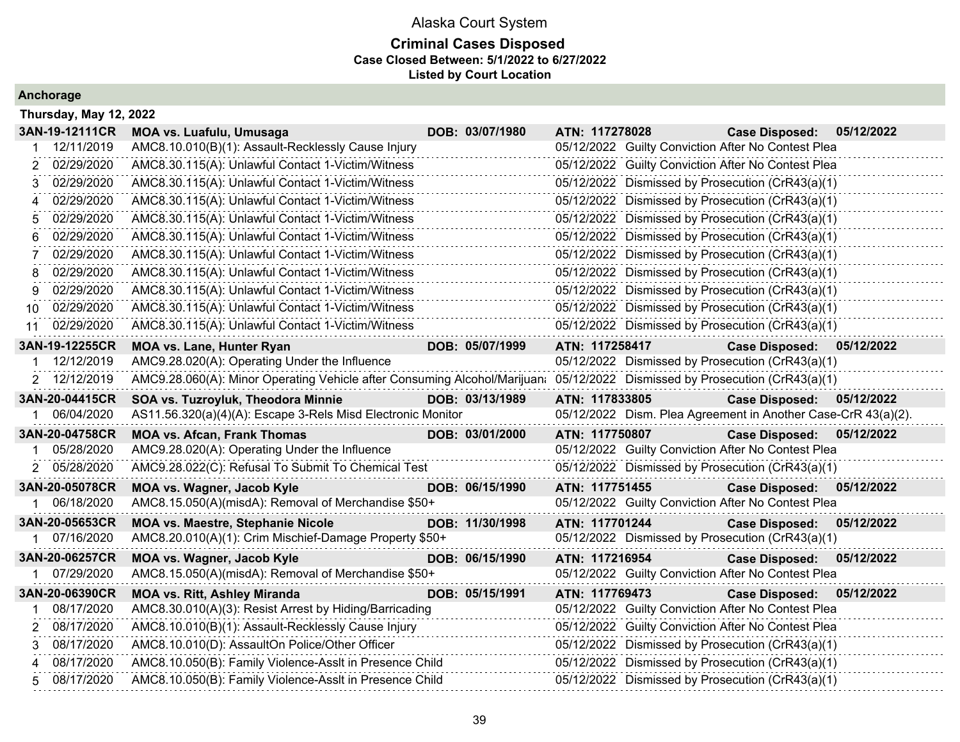### **Criminal Cases Disposed Case Closed Between: 5/1/2022 to 6/27/2022 Listed by Court Location**

| Thursday, May 12, 2022              |                                                                                                                            |                 |                |                                                               |            |
|-------------------------------------|----------------------------------------------------------------------------------------------------------------------------|-----------------|----------------|---------------------------------------------------------------|------------|
| 3AN-19-12111CR                      | <b>MOA vs. Luafulu, Umusaga</b>                                                                                            | DOB: 03/07/1980 | ATN: 117278028 | <b>Case Disposed:</b>                                         | 05/12/2022 |
| 12/11/2019                          | AMC8.10.010(B)(1): Assault-Recklessly Cause Injury                                                                         |                 |                | 05/12/2022 Guilty Conviction After No Contest Plea            |            |
| 02/29/2020                          | AMC8.30.115(A): Unlawful Contact 1-Victim/Witness                                                                          |                 |                | 05/12/2022 Guilty Conviction After No Contest Plea            |            |
| 02/29/2020                          | AMC8.30.115(A): Unlawful Contact 1-Victim/Witness                                                                          |                 |                | 05/12/2022 Dismissed by Prosecution (CrR43(a)(1)              |            |
| 02/29/2020                          | AMC8.30.115(A): Unlawful Contact 1-Victim/Witness                                                                          |                 |                | 05/12/2022 Dismissed by Prosecution (CrR43(a)(1)              |            |
| 02/29/2020                          | AMC8.30.115(A): Unlawful Contact 1-Victim/Witness                                                                          |                 |                | 05/12/2022 Dismissed by Prosecution (CrR43(a)(1)              |            |
| 02/29/2020<br>6                     | AMC8.30.115(A): Unlawful Contact 1-Victim/Witness                                                                          |                 |                | 05/12/2022 Dismissed by Prosecution (CrR43(a)(1)              |            |
| 02/29/2020                          | AMC8.30.115(A): Unlawful Contact 1-Victim/Witness                                                                          |                 |                | 05/12/2022 Dismissed by Prosecution (CrR43(a)(1)              |            |
| 02/29/2020                          | AMC8.30.115(A): Unlawful Contact 1-Victim/Witness                                                                          |                 |                | 05/12/2022 Dismissed by Prosecution (CrR43(a)(1)              |            |
| 02/29/2020<br>9                     | AMC8.30.115(A): Unlawful Contact 1-Victim/Witness                                                                          |                 |                | 05/12/2022 Dismissed by Prosecution (CrR43(a)(1)              |            |
| 02/29/2020<br>10                    | AMC8.30.115(A): Unlawful Contact 1-Victim/Witness                                                                          |                 |                | 05/12/2022 Dismissed by Prosecution (CrR43(a)(1)              |            |
| 02/29/2020<br>11                    | AMC8.30.115(A): Unlawful Contact 1-Victim/Witness                                                                          |                 |                | 05/12/2022 Dismissed by Prosecution (CrR43(a)(1)              |            |
| 3AN-19-12255CR                      | <b>MOA vs. Lane, Hunter Ryan</b>                                                                                           | DOB: 05/07/1999 | ATN: 117258417 | <b>Case Disposed:</b>                                         | 05/12/2022 |
| 12/12/2019                          | AMC9.28.020(A): Operating Under the Influence                                                                              |                 |                | 05/12/2022 Dismissed by Prosecution (CrR43(a)(1)              |            |
| 2 12/12/2019                        | AMC9.28.060(A): Minor Operating Vehicle after Consuming Alcohol/Marijuan: 05/12/2022 Dismissed by Prosecution (CrR43(a)(1) |                 |                |                                                               |            |
| 3AN-20-04415CR                      | SOA vs. Tuzroyluk, Theodora Minnie                                                                                         | DOB: 03/13/1989 | ATN: 117833805 | <b>Case Disposed:</b>                                         | 05/12/2022 |
| 06/04/2020                          | AS11.56.320(a)(4)(A): Escape 3-Rels Misd Electronic Monitor                                                                |                 |                | 05/12/2022 Dism. Plea Agreement in Another Case-CrR 43(a)(2). |            |
| 3AN-20-04758CR                      | <b>MOA vs. Afcan, Frank Thomas</b>                                                                                         | DOB: 03/01/2000 | ATN: 117750807 | <b>Case Disposed:</b>                                         | 05/12/2022 |
| 05/28/2020                          | AMC9.28.020(A): Operating Under the Influence                                                                              |                 |                | 05/12/2022 Guilty Conviction After No Contest Plea            |            |
| 2 05/28/2020                        | AMC9.28.022(C): Refusal To Submit To Chemical Test                                                                         |                 |                | 05/12/2022 Dismissed by Prosecution (CrR43(a)(1)              |            |
| 3AN-20-05078CR                      | MOA vs. Wagner, Jacob Kyle                                                                                                 | DOB: 06/15/1990 | ATN: 117751455 | <b>Case Disposed:</b>                                         | 05/12/2022 |
| 06/18/2020                          | AMC8.15.050(A)(misdA): Removal of Merchandise \$50+                                                                        |                 |                | 05/12/2022 Guilty Conviction After No Contest Plea            |            |
| 3AN-20-05653CR                      | <b>MOA vs. Maestre, Stephanie Nicole</b>                                                                                   | DOB: 11/30/1998 | ATN: 117701244 | <b>Case Disposed:</b>                                         | 05/12/2022 |
| 1 07/16/2020                        | AMC8.20.010(A)(1): Crim Mischief-Damage Property \$50+                                                                     |                 |                | 05/12/2022 Dismissed by Prosecution (CrR43(a)(1)              |            |
| 3AN-20-06257CR                      | MOA vs. Wagner, Jacob Kyle                                                                                                 | DOB: 06/15/1990 | ATN: 117216954 | <b>Case Disposed:</b>                                         | 05/12/2022 |
| 07/29/2020                          | AMC8.15.050(A)(misdA): Removal of Merchandise \$50+                                                                        |                 |                | 05/12/2022 Guilty Conviction After No Contest Plea            |            |
| 3AN-20-06390CR                      | <b>MOA vs. Ritt, Ashley Miranda</b>                                                                                        | DOB: 05/15/1991 | ATN: 117769473 | <b>Case Disposed:</b>                                         | 05/12/2022 |
| 08/17/2020                          | AMC8.30.010(A)(3): Resist Arrest by Hiding/Barricading                                                                     |                 |                | 05/12/2022 Guilty Conviction After No Contest Plea            |            |
| 08/17/2020<br>$\mathbf{2}^{\prime}$ | AMC8.10.010(B)(1): Assault-Recklessly Cause Injury                                                                         |                 |                | 05/12/2022 Guilty Conviction After No Contest Plea            |            |
| 08/17/2020<br>3                     | AMC8.10.010(D): AssaultOn Police/Other Officer                                                                             |                 |                | 05/12/2022 Dismissed by Prosecution (CrR43(a)(1)              |            |
| 08/17/2020                          | AMC8.10.050(B): Family Violence-Asslt in Presence Child                                                                    |                 |                | 05/12/2022 Dismissed by Prosecution (CrR43(a)(1)              |            |
| 08/17/2020<br>5.                    | AMC8.10.050(B): Family Violence-Asslt in Presence Child                                                                    |                 |                | 05/12/2022 Dismissed by Prosecution (CrR43(a)(1)              |            |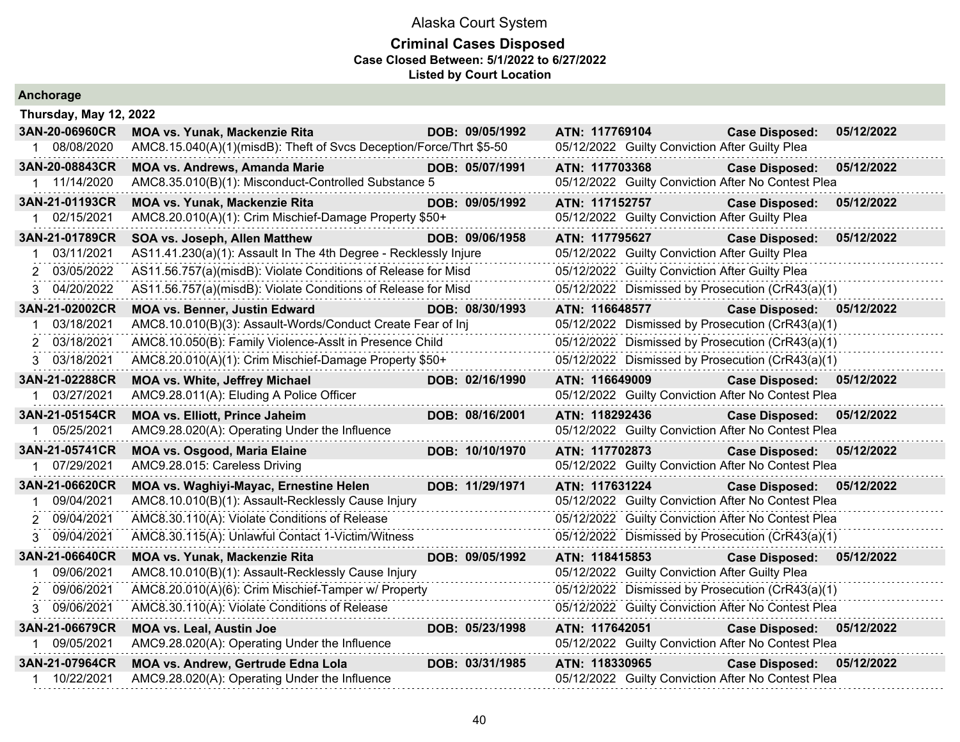| Anchorage                    |                                                                     |                 |                |                                                |                                                    |            |
|------------------------------|---------------------------------------------------------------------|-----------------|----------------|------------------------------------------------|----------------------------------------------------|------------|
| Thursday, May 12, 2022       |                                                                     |                 |                |                                                |                                                    |            |
| 3AN-20-06960CR               | MOA vs. Yunak, Mackenzie Rita                                       | DOB: 09/05/1992 | ATN: 117769104 |                                                | <b>Case Disposed:</b>                              | 05/12/2022 |
| 08/08/2020<br>$\mathbf 1$    | AMC8.15.040(A)(1)(misdB): Theft of Svcs Deception/Force/Thrt \$5-50 |                 |                | 05/12/2022 Guilty Conviction After Guilty Plea |                                                    |            |
| 3AN-20-08843CR               | <b>MOA vs. Andrews, Amanda Marie</b>                                | DOB: 05/07/1991 | ATN: 117703368 |                                                | <b>Case Disposed:</b>                              | 05/12/2022 |
| 1 11/14/2020                 | AMC8.35.010(B)(1): Misconduct-Controlled Substance 5                |                 |                |                                                | 05/12/2022 Guilty Conviction After No Contest Plea |            |
| 3AN-21-01193CR               | <b>MOA vs. Yunak, Mackenzie Rita</b>                                | DOB: 09/05/1992 | ATN: 117152757 |                                                | <b>Case Disposed:</b>                              | 05/12/2022 |
| 02/15/2021                   | AMC8.20.010(A)(1): Crim Mischief-Damage Property \$50+              |                 |                | 05/12/2022 Guilty Conviction After Guilty Plea |                                                    |            |
| 3AN-21-01789CR               | SOA vs. Joseph, Allen Matthew                                       | DOB: 09/06/1958 | ATN: 117795627 |                                                | <b>Case Disposed:</b>                              | 05/12/2022 |
| 03/11/2021                   | AS11.41.230(a)(1): Assault In The 4th Degree - Recklessly Injure    |                 |                | 05/12/2022 Guilty Conviction After Guilty Plea |                                                    |            |
| 03/05/2022                   | AS11.56.757(a)(misdB): Violate Conditions of Release for Misd       |                 |                | 05/12/2022 Guilty Conviction After Guilty Plea |                                                    |            |
| 3 04/20/2022                 | AS11.56.757(a)(misdB): Violate Conditions of Release for Misd       |                 |                |                                                | 05/12/2022 Dismissed by Prosecution (CrR43(a)(1)   |            |
| 3AN-21-02002CR               | <b>MOA vs. Benner, Justin Edward</b>                                | DOB: 08/30/1993 | ATN: 116648577 |                                                | <b>Case Disposed:</b>                              | 05/12/2022 |
| 03/18/2021<br>$\mathbf 1$    | AMC8.10.010(B)(3): Assault-Words/Conduct Create Fear of Inj         |                 |                |                                                | 05/12/2022 Dismissed by Prosecution (CrR43(a)(1)   |            |
| 03/18/2021<br>2              | AMC8.10.050(B): Family Violence-Asslt in Presence Child             |                 |                |                                                | 05/12/2022 Dismissed by Prosecution (CrR43(a)(1)   |            |
| 03/18/2021<br>3.             | AMC8.20.010(A)(1): Crim Mischief-Damage Property \$50+              |                 |                |                                                | 05/12/2022 Dismissed by Prosecution (CrR43(a)(1)   |            |
| 3AN-21-02288CR               | <b>MOA vs. White, Jeffrey Michael</b>                               | DOB: 02/16/1990 | ATN: 116649009 |                                                | <b>Case Disposed:</b>                              | 05/12/2022 |
| 03/27/2021                   | AMC9.28.011(A): Eluding A Police Officer                            |                 |                |                                                | 05/12/2022 Guilty Conviction After No Contest Plea |            |
| 3AN-21-05154CR               | <b>MOA vs. Elliott, Prince Jaheim</b>                               | DOB: 08/16/2001 | ATN: 118292436 |                                                | Case Disposed: 05/12/2022                          |            |
| 05/25/2021                   | AMC9.28.020(A): Operating Under the Influence<br>.                  |                 |                |                                                | 05/12/2022 Guilty Conviction After No Contest Plea |            |
| 3AN-21-05741CR               | <b>MOA vs. Osgood, Maria Elaine</b>                                 | DOB: 10/10/1970 | ATN: 117702873 |                                                | <b>Case Disposed:</b>                              | 05/12/2022 |
| 07/29/2021                   | AMC9.28.015: Careless Driving                                       |                 |                |                                                | 05/12/2022 Guilty Conviction After No Contest Plea |            |
| 3AN-21-06620CR               | MOA vs. Waghiyi-Mayac, Ernestine Helen                              | DOB: 11/29/1971 | ATN: 117631224 |                                                | Case Disposed: 05/12/2022                          |            |
| 09/04/2021                   | AMC8.10.010(B)(1): Assault-Recklessly Cause Injury                  |                 |                |                                                | 05/12/2022 Guilty Conviction After No Contest Plea |            |
| 09/04/2021<br>$\overline{2}$ | AMC8.30.110(A): Violate Conditions of Release                       |                 |                |                                                | 05/12/2022 Guilty Conviction After No Contest Plea |            |
| 09/04/2021<br>3              | AMC8.30.115(A): Unlawful Contact 1-Victim/Witness                   |                 |                |                                                | 05/12/2022 Dismissed by Prosecution (CrR43(a)(1)   |            |
| 3AN-21-06640CR               | MOA vs. Yunak, Mackenzie Rita                                       | DOB: 09/05/1992 | ATN: 118415853 |                                                | <b>Case Disposed:</b>                              | 05/12/2022 |
| 09/06/2021                   | AMC8.10.010(B)(1): Assault-Recklessly Cause Injury                  |                 |                | 05/12/2022 Guilty Conviction After Guilty Plea |                                                    |            |
| 09/06/2021<br>2              | AMC8.20.010(A)(6): Crim Mischief-Tamper w/ Property                 |                 |                |                                                | 05/12/2022 Dismissed by Prosecution (CrR43(a)(1)   |            |
| 09/06/2021<br>3              | AMC8.30.110(A): Violate Conditions of Release                       |                 |                |                                                | 05/12/2022 Guilty Conviction After No Contest Plea |            |
| 3AN-21-06679CR               | <b>MOA vs. Leal, Austin Joe</b>                                     | DOB: 05/23/1998 | ATN: 117642051 |                                                | <b>Case Disposed:</b>                              | 05/12/2022 |
| 09/05/2021                   | AMC9.28.020(A): Operating Under the Influence                       |                 |                |                                                | 05/12/2022 Guilty Conviction After No Contest Plea |            |
| 3AN-21-07964CR               | <b>MOA vs. Andrew, Gertrude Edna Lola</b>                           | DOB: 03/31/1985 | ATN: 118330965 |                                                | <b>Case Disposed:</b>                              | 05/12/2022 |
| 10/22/2021<br>1              | AMC9.28.020(A): Operating Under the Influence                       |                 |                |                                                | 05/12/2022 Guilty Conviction After No Contest Plea |            |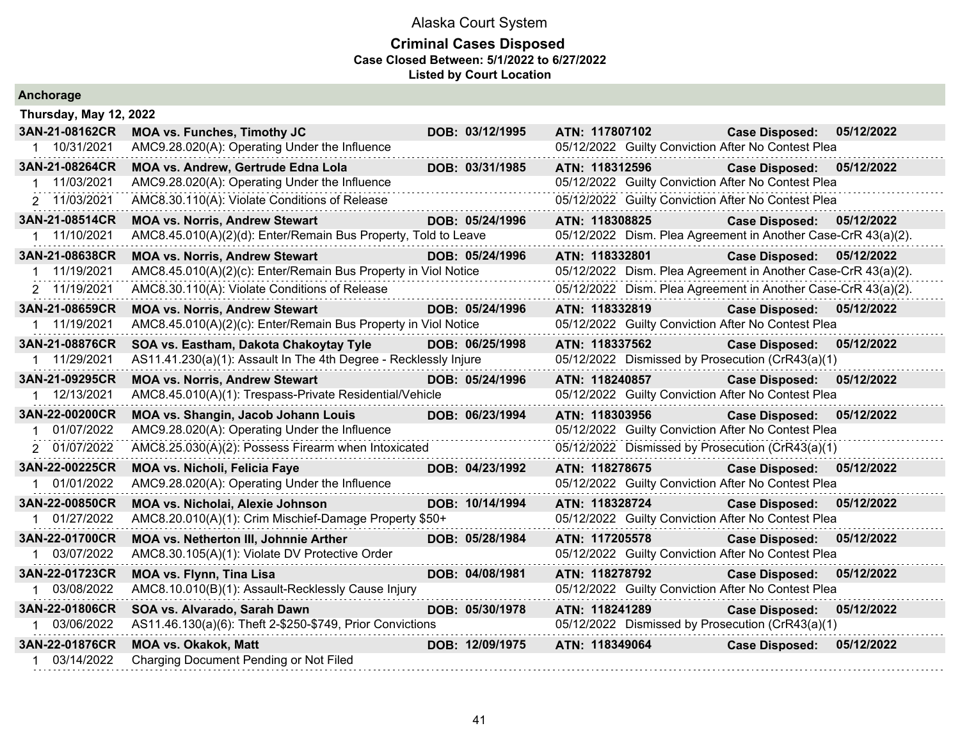| Anchorage              |                                                                  |  |                 |                |                |                                                               |            |
|------------------------|------------------------------------------------------------------|--|-----------------|----------------|----------------|---------------------------------------------------------------|------------|
| Thursday, May 12, 2022 |                                                                  |  |                 |                |                |                                                               |            |
| 3AN-21-08162CR         | <b>MOA vs. Funches, Timothy JC</b>                               |  | DOB: 03/12/1995 | ATN: 117807102 |                | <b>Case Disposed:</b>                                         | 05/12/2022 |
| 1 10/31/2021           | AMC9.28.020(A): Operating Under the Influence                    |  |                 |                |                | 05/12/2022 Guilty Conviction After No Contest Plea            |            |
| 3AN-21-08264CR         | MOA vs. Andrew, Gertrude Edna Lola                               |  | DOB: 03/31/1985 | ATN: 118312596 |                | <b>Case Disposed:</b>                                         | 05/12/2022 |
| 1 11/03/2021           | AMC9.28.020(A): Operating Under the Influence                    |  |                 |                |                | 05/12/2022 Guilty Conviction After No Contest Plea            |            |
| 2 11/03/2021           | AMC8.30.110(A): Violate Conditions of Release                    |  |                 |                |                | 05/12/2022 Guilty Conviction After No Contest Plea            |            |
| 3AN-21-08514CR         | <b>MOA vs. Norris, Andrew Stewart</b>                            |  | DOB: 05/24/1996 | ATN: 118308825 |                | Case Disposed: 05/12/2022                                     |            |
| 1 11/10/2021           | AMC8.45.010(A)(2)(d): Enter/Remain Bus Property, Told to Leave   |  |                 |                |                | 05/12/2022 Dism. Plea Agreement in Another Case-CrR 43(a)(2). |            |
| 3AN-21-08638CR         | <b>MOA vs. Norris, Andrew Stewart</b>                            |  | DOB: 05/24/1996 | ATN: 118332801 |                | <b>Case Disposed:</b>                                         | 05/12/2022 |
| 1 11/19/2021           | AMC8.45.010(A)(2)(c): Enter/Remain Bus Property in Viol Notice   |  |                 |                |                | 05/12/2022 Dism. Plea Agreement in Another Case-CrR 43(a)(2). |            |
| 2 11/19/2021           | AMC8.30.110(A): Violate Conditions of Release                    |  |                 |                |                | 05/12/2022 Dism. Plea Agreement in Another Case-CrR 43(a)(2). |            |
| 3AN-21-08659CR         | <b>MOA vs. Norris, Andrew Stewart</b>                            |  | DOB: 05/24/1996 | ATN: 118332819 |                | <b>Case Disposed:</b>                                         | 05/12/2022 |
| 1 11/19/2021           | AMC8.45.010(A)(2)(c): Enter/Remain Bus Property in Viol Notice   |  |                 |                |                | 05/12/2022 Guilty Conviction After No Contest Plea            |            |
| 3AN-21-08876CR         | SOA vs. Eastham, Dakota Chakoytay Tyle                           |  | DOB: 06/25/1998 | ATN: 118337562 |                | <b>Case Disposed:</b>                                         | 05/12/2022 |
| 1 11/29/2021           | AS11.41.230(a)(1): Assault In The 4th Degree - Recklessly Injure |  |                 |                |                | 05/12/2022 Dismissed by Prosecution (CrR43(a)(1)              |            |
| 3AN-21-09295CR         | <b>MOA vs. Norris, Andrew Stewart</b>                            |  | DOB: 05/24/1996 | ATN: 118240857 |                | <b>Case Disposed:</b>                                         | 05/12/2022 |
| 1 12/13/2021           | AMC8.45.010(A)(1): Trespass-Private Residential/Vehicle          |  |                 |                |                | 05/12/2022 Guilty Conviction After No Contest Plea            |            |
| 3AN-22-00200CR         | MOA vs. Shangin, Jacob Johann Louis                              |  | DOB: 06/23/1994 | ATN: 118303956 |                | <b>Case Disposed:</b>                                         | 05/12/2022 |
| 1 01/07/2022           | AMC9.28.020(A): Operating Under the Influence                    |  |                 |                |                | 05/12/2022 Guilty Conviction After No Contest Plea            |            |
| 2 01/07/2022           | AMC8.25.030(A)(2): Possess Firearm when Intoxicated              |  |                 |                |                | 05/12/2022 Dismissed by Prosecution (CrR43(a)(1)              |            |
| 3AN-22-00225CR         | <b>MOA vs. Nicholi, Felicia Faye</b>                             |  | DOB: 04/23/1992 | ATN: 118278675 |                | <b>Case Disposed:</b>                                         | 05/12/2022 |
| 1 01/01/2022           | AMC9.28.020(A): Operating Under the Influence                    |  |                 |                |                | 05/12/2022 Guilty Conviction After No Contest Plea            |            |
| 3AN-22-00850CR         | <b>MOA vs. Nicholai, Alexie Johnson</b>                          |  | DOB: 10/14/1994 | ATN: 118328724 |                | <b>Case Disposed:</b>                                         | 05/12/2022 |
| 1 01/27/2022           | AMC8.20.010(A)(1): Crim Mischief-Damage Property \$50+           |  |                 |                |                | 05/12/2022 Guilty Conviction After No Contest Plea            |            |
| 3AN-22-01700CR         | <b>MOA vs. Netherton III, Johnnie Arther</b>                     |  | DOB: 05/28/1984 | ATN: 117205578 |                | <b>Case Disposed:</b>                                         | 05/12/2022 |
| 1 03/07/2022           | AMC8.30.105(A)(1): Violate DV Protective Order                   |  |                 |                |                | 05/12/2022 Guilty Conviction After No Contest Plea            |            |
| 3AN-22-01723CR         | <b>MOA vs. Flynn, Tina Lisa</b>                                  |  | DOB: 04/08/1981 | ATN: 118278792 |                | <b>Case Disposed:</b>                                         | 05/12/2022 |
| 1 03/08/2022           | AMC8.10.010(B)(1): Assault-Recklessly Cause Injury               |  |                 |                |                | 05/12/2022 Guilty Conviction After No Contest Plea            |            |
| 3AN-22-01806CR         | SOA vs. Alvarado, Sarah Dawn                                     |  | DOB: 05/30/1978 | ATN: 118241289 |                | <b>Case Disposed:</b>                                         | 05/12/2022 |
| 1 03/06/2022           | AS11.46.130(a)(6): Theft 2-\$250-\$749, Prior Convictions        |  |                 |                |                | 05/12/2022 Dismissed by Prosecution (CrR43(a)(1)              |            |
| 3AN-22-01876CR         | <b>MOA vs. Okakok, Matt</b>                                      |  | DOB: 12/09/1975 |                | ATN: 118349064 | <b>Case Disposed:</b>                                         | 05/12/2022 |
| 1 03/14/2022           | Charging Document Pending or Not Filed                           |  |                 |                |                |                                                               |            |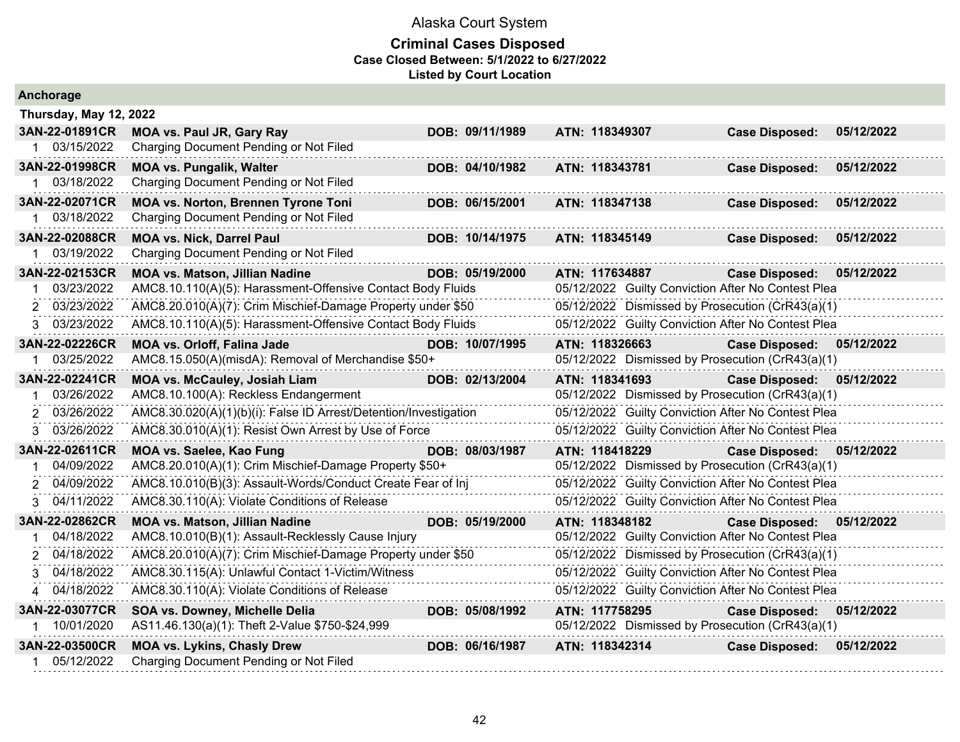| Anchorage                      |                                                                            |                 |                                                    |                                     |  |
|--------------------------------|----------------------------------------------------------------------------|-----------------|----------------------------------------------------|-------------------------------------|--|
| Thursday, May 12, 2022         |                                                                            |                 |                                                    |                                     |  |
| 3AN-22-01891CR                 | <b>MOA vs. Paul JR, Gary Ray</b>                                           | DOB: 09/11/1989 | ATN: 118349307                                     | <b>Case Disposed:</b><br>05/12/2022 |  |
| 1 03/15/2022                   | Charging Document Pending or Not Filed                                     |                 |                                                    |                                     |  |
| 3AN-22-01998CR                 | <b>MOA vs. Pungalik, Walter</b>                                            | DOB: 04/10/1982 | ATN: 118343781                                     | 05/12/2022<br><b>Case Disposed:</b> |  |
| 1 03/18/2022                   | Charging Document Pending or Not Filed                                     |                 |                                                    |                                     |  |
| 3AN-22-02071CR                 | <b>MOA vs. Norton, Brennen Tyrone Toni</b>                                 | DOB: 06/15/2001 | ATN: 118347138                                     | 05/12/2022<br><b>Case Disposed:</b> |  |
| 03/18/2022                     | Charging Document Pending or Not Filed                                     |                 |                                                    |                                     |  |
| 3AN-22-02088CR<br>1 03/19/2022 | <b>MOA vs. Nick, Darrel Paul</b><br>Charging Document Pending or Not Filed | DOB: 10/14/1975 | ATN: 118345149                                     | <b>Case Disposed:</b><br>05/12/2022 |  |
| 3AN-22-02153CR                 | <b>MOA vs. Matson, Jillian Nadine</b>                                      | DOB: 05/19/2000 | ATN: 117634887                                     | <b>Case Disposed:</b><br>05/12/2022 |  |
| 03/23/2022                     | AMC8.10.110(A)(5): Harassment-Offensive Contact Body Fluids                |                 | 05/12/2022 Guilty Conviction After No Contest Plea |                                     |  |
| 03/23/2022                     | AMC8.20.010(A)(7): Crim Mischief-Damage Property under \$50                |                 | 05/12/2022 Dismissed by Prosecution (CrR43(a)(1)   |                                     |  |
| 3 03/23/2022                   | AMC8.10.110(A)(5): Harassment-Offensive Contact Body Fluids                |                 | 05/12/2022 Guilty Conviction After No Contest Plea |                                     |  |
| 3AN-22-02226CR                 | <b>MOA vs. Orloff, Falina Jade</b>                                         | DOB: 10/07/1995 | ATN: 118326663                                     | Case Disposed: 05/12/2022           |  |
| 03/25/2022                     | AMC8.15.050(A)(misdA): Removal of Merchandise \$50+                        |                 | 05/12/2022 Dismissed by Prosecution (CrR43(a)(1)   |                                     |  |
| 3AN-22-02241CR                 | <b>MOA vs. McCauley, Josiah Liam</b>                                       | DOB: 02/13/2004 | ATN: 118341693                                     | <b>Case Disposed:</b><br>05/12/2022 |  |
| 03/26/2022                     | AMC8.10.100(A): Reckless Endangerment                                      |                 | 05/12/2022 Dismissed by Prosecution (CrR43(a)(1)   |                                     |  |
| 03/26/2022<br>2                | AMC8.30.020(A)(1)(b)(i): False ID Arrest/Detention/Investigation           |                 | 05/12/2022 Guilty Conviction After No Contest Plea |                                     |  |
| 03/26/2022<br>3                | AMC8.30.010(A)(1): Resist Own Arrest by Use of Force                       |                 | 05/12/2022 Guilty Conviction After No Contest Plea |                                     |  |
| 3AN-22-02611CR                 | MOA vs. Saelee, Kao Fung                                                   | DOB: 08/03/1987 | ATN: 118418229                                     | Case Disposed: 05/12/2022           |  |
| 04/09/2022                     | AMC8.20.010(A)(1): Crim Mischief-Damage Property \$50+                     |                 | 05/12/2022 Dismissed by Prosecution (CrR43(a)(1)   |                                     |  |
| 04/09/2022<br>2                | AMC8.10.010(B)(3): Assault-Words/Conduct Create Fear of Inj                |                 | 05/12/2022 Guilty Conviction After No Contest Plea |                                     |  |
| 3 04/11/2022                   | AMC8.30.110(A): Violate Conditions of Release                              |                 | 05/12/2022 Guilty Conviction After No Contest Plea |                                     |  |
| 3AN-22-02862CR                 | <b>MOA vs. Matson, Jillian Nadine</b>                                      | DOB: 05/19/2000 | ATN: 118348182                                     | Case Disposed: 05/12/2022           |  |
| 04/18/2022                     | AMC8.10.010(B)(1): Assault-Recklessly Cause Injury                         |                 | 05/12/2022 Guilty Conviction After No Contest Plea |                                     |  |
| 04/18/2022                     | AMC8.20.010(A)(7): Crim Mischief-Damage Property under \$50                |                 | 05/12/2022 Dismissed by Prosecution (CrR43(a)(1)   |                                     |  |
| 04/18/2022<br>3                | AMC8.30.115(A): Unlawful Contact 1-Victim/Witness                          |                 | 05/12/2022 Guilty Conviction After No Contest Plea |                                     |  |
| 04/18/2022<br>$\overline{4}$   | AMC8.30.110(A): Violate Conditions of Release                              |                 | 05/12/2022 Guilty Conviction After No Contest Plea |                                     |  |
| 3AN-22-03077CR                 | SOA vs. Downey, Michelle Delia                                             | DOB: 05/08/1992 | ATN: 117758295                                     | 05/12/2022<br><b>Case Disposed:</b> |  |
| 10/01/2020                     | AS11.46.130(a)(1): Theft 2-Value \$750-\$24,999                            |                 | 05/12/2022 Dismissed by Prosecution (CrR43(a)(1)   |                                     |  |
| 3AN-22-03500CR                 | <b>MOA vs. Lykins, Chasly Drew</b>                                         | DOB: 06/16/1987 | ATN: 118342314                                     | <b>Case Disposed:</b><br>05/12/2022 |  |
| 05/12/2022                     | Charging Document Pending or Not Filed                                     |                 |                                                    |                                     |  |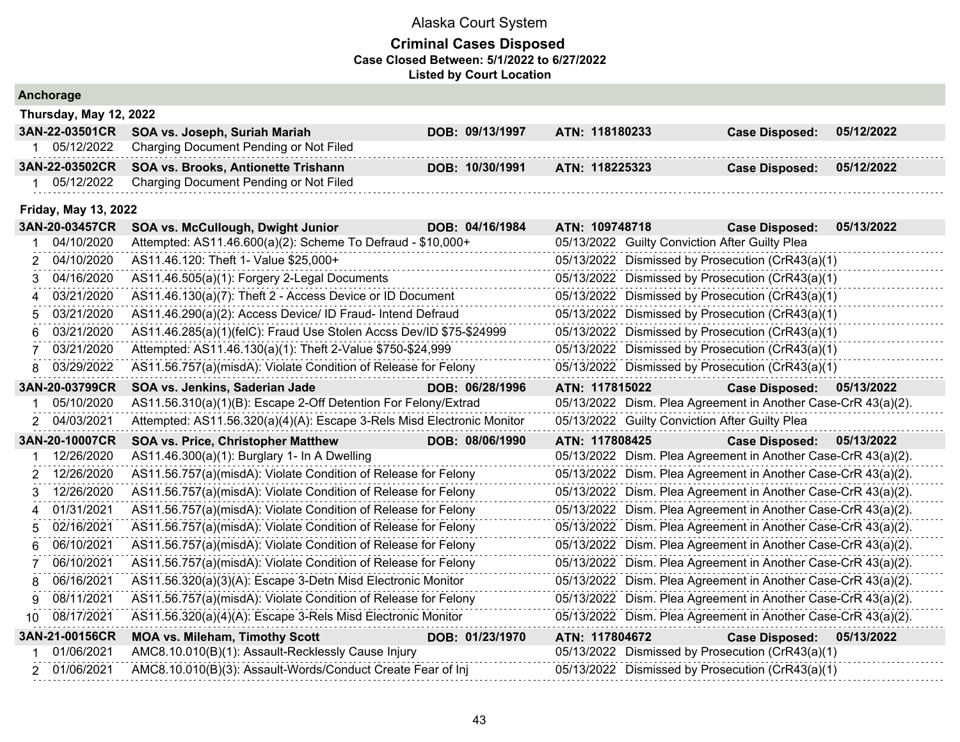| Anchorage |                             |                                                                        |                 |                                                               |                       |            |  |  |
|-----------|-----------------------------|------------------------------------------------------------------------|-----------------|---------------------------------------------------------------|-----------------------|------------|--|--|
|           | Thursday, May 12, 2022      |                                                                        |                 |                                                               |                       |            |  |  |
|           | 3AN-22-03501CR              | SOA vs. Joseph, Suriah Mariah                                          | DOB: 09/13/1997 | ATN: 118180233                                                | <b>Case Disposed:</b> | 05/12/2022 |  |  |
|           | 1 05/12/2022                | Charging Document Pending or Not Filed                                 |                 |                                                               |                       |            |  |  |
|           | 3AN-22-03502CR              | SOA vs. Brooks, Antionette Trishann                                    | DOB: 10/30/1991 | ATN: 118225323                                                | <b>Case Disposed:</b> | 05/12/2022 |  |  |
| 1         | 05/12/2022                  | Charging Document Pending or Not Filed                                 |                 |                                                               |                       |            |  |  |
|           | <b>Friday, May 13, 2022</b> |                                                                        |                 |                                                               |                       |            |  |  |
|           | 3AN-20-03457CR              | SOA vs. McCullough, Dwight Junior                                      | DOB: 04/16/1984 | ATN: 109748718                                                | <b>Case Disposed:</b> | 05/13/2022 |  |  |
|           | 04/10/2020                  | Attempted: AS11.46.600(a)(2): Scheme To Defraud - \$10,000+            |                 | 05/13/2022 Guilty Conviction After Guilty Plea                |                       |            |  |  |
| 2         | 04/10/2020                  | AS11.46.120: Theft 1- Value \$25,000+                                  |                 | 05/13/2022 Dismissed by Prosecution (CrR43(a)(1)              |                       |            |  |  |
| 3         | 04/16/2020                  | AS11.46.505(a)(1): Forgery 2-Legal Documents                           |                 | 05/13/2022 Dismissed by Prosecution (CrR43(a)(1)              |                       |            |  |  |
| 4         | 03/21/2020                  | AS11.46.130(a)(7): Theft 2 - Access Device or ID Document              |                 | 05/13/2022 Dismissed by Prosecution (CrR43(a)(1)              |                       |            |  |  |
| 5         | 03/21/2020                  | AS11.46.290(a)(2): Access Device/ ID Fraud- Intend Defraud             |                 | 05/13/2022 Dismissed by Prosecution (CrR43(a)(1)              |                       |            |  |  |
| 6         | 03/21/2020                  | AS11.46.285(a)(1)(felC): Fraud Use Stolen Accss Dev/ID \$75-\$24999    |                 | 05/13/2022 Dismissed by Prosecution (CrR43(a)(1)              |                       |            |  |  |
|           | 03/21/2020                  | Attempted: AS11.46.130(a)(1): Theft 2-Value \$750-\$24,999             |                 | 05/13/2022 Dismissed by Prosecution (CrR43(a)(1)              |                       |            |  |  |
| 8         | 03/29/2022                  | AS11.56.757(a)(misdA): Violate Condition of Release for Felony         |                 | 05/13/2022 Dismissed by Prosecution (CrR43(a)(1)              |                       |            |  |  |
|           | 3AN-20-03799CR              | SOA vs. Jenkins, Saderian Jade                                         | DOB: 06/28/1996 | ATN: 117815022                                                | <b>Case Disposed:</b> | 05/13/2022 |  |  |
|           | 05/10/2020                  | AS11.56.310(a)(1)(B): Escape 2-Off Detention For Felony/Extrad         |                 | 05/13/2022 Dism. Plea Agreement in Another Case-CrR 43(a)(2). |                       |            |  |  |
| 2         | 04/03/2021                  | Attempted: AS11.56.320(a)(4)(A): Escape 3-Rels Misd Electronic Monitor |                 | 05/13/2022 Guilty Conviction After Guilty Plea                |                       |            |  |  |
|           | 3AN-20-10007CR              | <b>SOA vs. Price, Christopher Matthew</b>                              | DOB: 08/06/1990 | ATN: 117808425                                                | <b>Case Disposed:</b> | 05/13/2022 |  |  |
|           | 12/26/2020                  | AS11.46.300(a)(1): Burglary 1- In A Dwelling                           |                 | 05/13/2022 Dism. Plea Agreement in Another Case-CrR 43(a)(2). |                       |            |  |  |
| 2         | 12/26/2020                  | AS11.56.757(a)(misdA): Violate Condition of Release for Felony         |                 | 05/13/2022 Dism. Plea Agreement in Another Case-CrR 43(a)(2). |                       |            |  |  |
| 3         | 12/26/2020                  | AS11.56.757(a)(misdA): Violate Condition of Release for Felony         |                 | 05/13/2022 Dism. Plea Agreement in Another Case-CrR 43(a)(2). |                       |            |  |  |
| 4         | 01/31/2021                  | AS11.56.757(a)(misdA): Violate Condition of Release for Felony         |                 | 05/13/2022 Dism. Plea Agreement in Another Case-CrR 43(a)(2). |                       |            |  |  |
| 5         | 02/16/2021                  | AS11.56.757(a)(misdA): Violate Condition of Release for Felony         |                 | 05/13/2022 Dism. Plea Agreement in Another Case-CrR 43(a)(2). |                       |            |  |  |
| 6         | 06/10/2021                  | AS11.56.757(a)(misdA): Violate Condition of Release for Felony         |                 | 05/13/2022 Dism. Plea Agreement in Another Case-CrR 43(a)(2). |                       |            |  |  |
|           | 06/10/2021                  | AS11.56.757(a)(misdA): Violate Condition of Release for Felony         |                 | 05/13/2022 Dism. Plea Agreement in Another Case-CrR 43(a)(2). |                       |            |  |  |
| 8         | 06/16/2021                  | AS11.56.320(a)(3)(A): Escape 3-Detn Misd Electronic Monitor            |                 | 05/13/2022 Dism. Plea Agreement in Another Case-CrR 43(a)(2). |                       |            |  |  |
| 9         | 08/11/2021                  | AS11.56.757(a)(misdA): Violate Condition of Release for Felony         |                 | 05/13/2022 Dism. Plea Agreement in Another Case-CrR 43(a)(2). |                       |            |  |  |
| 10        | 08/17/2021                  | AS11.56.320(a)(4)(A): Escape 3-Rels Misd Electronic Monitor            |                 | 05/13/2022 Dism. Plea Agreement in Another Case-CrR 43(a)(2). |                       |            |  |  |
|           | 3AN-21-00156CR              | <b>MOA vs. Mileham, Timothy Scott</b>                                  | DOB: 01/23/1970 | ATN: 117804672                                                | <b>Case Disposed:</b> | 05/13/2022 |  |  |
|           | 01/06/2021                  | AMC8.10.010(B)(1): Assault-Recklessly Cause Injury                     |                 | 05/13/2022 Dismissed by Prosecution (CrR43(a)(1)              |                       |            |  |  |
|           | 2 01/06/2021                | AMC8.10.010(B)(3): Assault-Words/Conduct Create Fear of Inj            |                 | 05/13/2022 Dismissed by Prosecution (CrR43(a)(1)              |                       |            |  |  |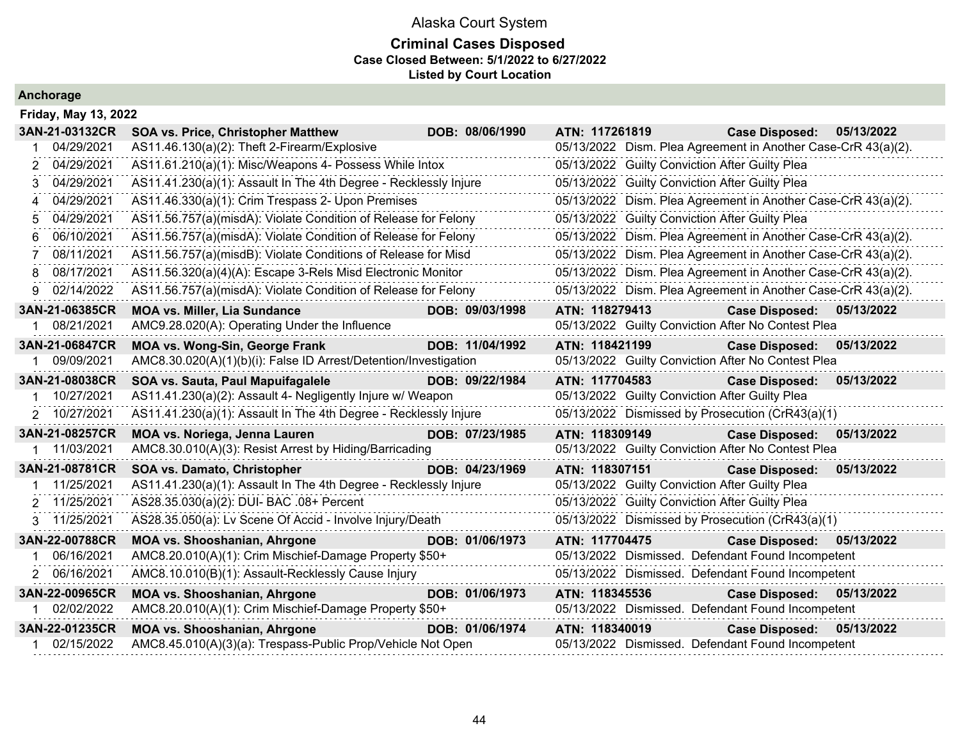### **Criminal Cases Disposed Case Closed Between: 5/1/2022 to 6/27/2022 Listed by Court Location**

| Friday, May 13, 2022 |                                                                  |                                                               |
|----------------------|------------------------------------------------------------------|---------------------------------------------------------------|
| 3AN-21-03132CR       | <b>SOA vs. Price, Christopher Matthew</b><br>DOB: 08/06/1990     | ATN: 117261819<br><b>Case Disposed:</b><br>05/13/2022         |
| 04/29/2021           | AS11.46.130(a)(2): Theft 2-Firearm/Explosive                     | 05/13/2022 Dism. Plea Agreement in Another Case-CrR 43(a)(2). |
| 04/29/2021           | AS11.61.210(a)(1): Misc/Weapons 4- Possess While Intox           | 05/13/2022 Guilty Conviction After Guilty Plea                |
| 04/29/2021           | AS11.41.230(a)(1): Assault In The 4th Degree - Recklessly Injure | 05/13/2022 Guilty Conviction After Guilty Plea                |
| 04/29/2021<br>4      | AS11.46.330(a)(1): Crim Trespass 2- Upon Premises                | 05/13/2022 Dism. Plea Agreement in Another Case-CrR 43(a)(2). |
| 04/29/2021<br>5      | AS11.56.757(a)(misdA): Violate Condition of Release for Felony   | 05/13/2022 Guilty Conviction After Guilty Plea                |
| 06/10/2021<br>6      | AS11.56.757(a)(misdA): Violate Condition of Release for Felony   | 05/13/2022 Dism. Plea Agreement in Another Case-CrR 43(a)(2). |
| 08/11/2021           | AS11.56.757(a)(misdB): Violate Conditions of Release for Misd    | 05/13/2022 Dism. Plea Agreement in Another Case-CrR 43(a)(2). |
| 08/17/2021<br>8      | AS11.56.320(a)(4)(A): Escape 3-Rels Misd Electronic Monitor      | 05/13/2022 Dism. Plea Agreement in Another Case-CrR 43(a)(2). |
| 02/14/2022<br>g      | AS11.56.757(a)(misdA): Violate Condition of Release for Felony   | 05/13/2022 Dism. Plea Agreement in Another Case-CrR 43(a)(2). |
| 3AN-21-06385CR       | <b>MOA vs. Miller, Lia Sundance</b><br>DOB: 09/03/1998           | ATN: 118279413<br>Case Disposed: 05/13/2022                   |
| 08/21/2021           | AMC9.28.020(A): Operating Under the Influence                    | 05/13/2022 Guilty Conviction After No Contest Plea            |
| 3AN-21-06847CR       | <b>MOA vs. Wong-Sin, George Frank</b><br>DOB: 11/04/1992         | ATN: 118421199<br><b>Case Disposed:</b><br>05/13/2022         |
| 09/09/2021           | AMC8.30.020(A)(1)(b)(i): False ID Arrest/Detention/Investigation | 05/13/2022 Guilty Conviction After No Contest Plea            |
| 3AN-21-08038CR       | SOA vs. Sauta, Paul Mapuifagalele<br>DOB: 09/22/1984             | ATN: 117704583<br><b>Case Disposed:</b><br>05/13/2022         |
| 10/27/2021           | AS11.41.230(a)(2): Assault 4- Negligently Injure w/ Weapon       | 05/13/2022 Guilty Conviction After Guilty Plea                |
| 2 10/27/2021         | AS11.41.230(a)(1): Assault In The 4th Degree - Recklessly Injure | 05/13/2022 Dismissed by Prosecution (CrR43(a)(1)              |
| 3AN-21-08257CR       | MOA vs. Noriega, Jenna Lauren<br>DOB: 07/23/1985                 | ATN: 118309149<br><b>Case Disposed:</b><br>05/13/2022         |
| 11/03/2021           | AMC8.30.010(A)(3): Resist Arrest by Hiding/Barricading           | 05/13/2022 Guilty Conviction After No Contest Plea            |
| 3AN-21-08781CR       | SOA vs. Damato, Christopher<br>DOB: 04/23/1969                   | ATN: 118307151<br><b>Case Disposed:</b><br>05/13/2022         |
| 11/25/2021           | AS11.41.230(a)(1): Assault In The 4th Degree - Recklessly Injure | 05/13/2022 Guilty Conviction After Guilty Plea                |
| 2 11/25/2021         | AS28.35.030(a)(2): DUI- BAC .08+ Percent                         | 05/13/2022 Guilty Conviction After Guilty Plea                |
| 3 11/25/2021         | AS28.35.050(a): Lv Scene Of Accid - Involve Injury/Death         | 05/13/2022 Dismissed by Prosecution (CrR43(a)(1)              |
| 3AN-22-00788CR       | <b>MOA vs. Shooshanian, Ahrgone</b><br>DOB: 01/06/1973           | ATN: 117704475<br><b>Case Disposed:</b><br>05/13/2022         |
| 06/16/2021           | AMC8.20.010(A)(1): Crim Mischief-Damage Property \$50+           | 05/13/2022 Dismissed. Defendant Found Incompetent             |
| 2 06/16/2021         | AMC8.10.010(B)(1): Assault-Recklessly Cause Injury               | 05/13/2022 Dismissed. Defendant Found Incompetent             |
| 3AN-22-00965CR       | <b>MOA vs. Shooshanian, Ahrgone</b><br>DOB: 01/06/1973           | ATN: 118345536<br><b>Case Disposed:</b><br>05/13/2022         |
| 02/02/2022           | AMC8.20.010(A)(1): Crim Mischief-Damage Property \$50+           | 05/13/2022 Dismissed. Defendant Found Incompetent             |
| 3AN-22-01235CR       | <b>MOA vs. Shooshanian, Ahrgone</b><br>DOB: 01/06/1974           | ATN: 118340019<br><b>Case Disposed:</b><br>05/13/2022         |
| 02/15/2022           | AMC8.45.010(A)(3)(a): Trespass-Public Prop/Vehicle Not Open      | 05/13/2022 Dismissed. Defendant Found Incompetent             |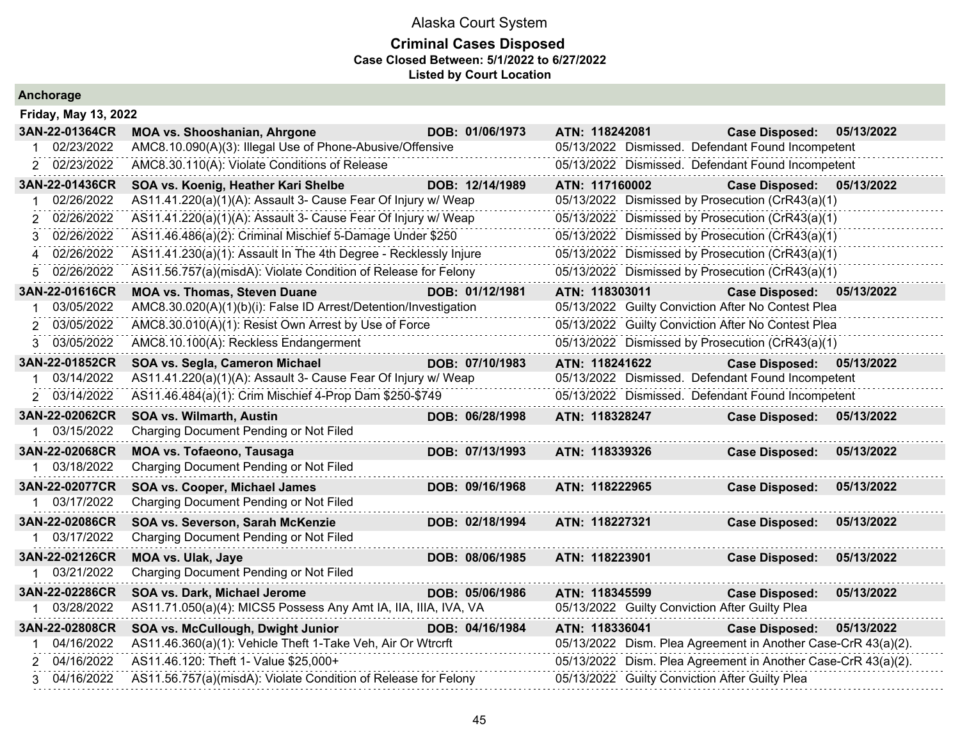| <b>Anchorage</b> |  |  |  |
|------------------|--|--|--|
|                  |  |  |  |

|                             | <b>Friday, May 13, 2022</b>                                      |                 |                                                               |                       |            |  |  |  |
|-----------------------------|------------------------------------------------------------------|-----------------|---------------------------------------------------------------|-----------------------|------------|--|--|--|
| 3AN-22-01364CR              | <b>MOA vs. Shooshanian, Ahrgone</b>                              | DOB: 01/06/1973 | ATN: 118242081                                                | <b>Case Disposed:</b> | 05/13/2022 |  |  |  |
| 02/23/2022                  | AMC8.10.090(A)(3): Illegal Use of Phone-Abusive/Offensive        |                 | 05/13/2022 Dismissed. Defendant Found Incompetent             |                       |            |  |  |  |
| 02/23/2022                  | AMC8.30.110(A): Violate Conditions of Release                    |                 | 05/13/2022 Dismissed. Defendant Found Incompetent             |                       |            |  |  |  |
| 3AN-22-01436CR              | SOA vs. Koenig, Heather Kari Shelbe                              | DOB: 12/14/1989 | ATN: 117160002                                                | <b>Case Disposed:</b> | 05/13/2022 |  |  |  |
| 02/26/2022                  | AS11.41.220(a)(1)(A): Assault 3- Cause Fear Of Injury w/ Weap    |                 | 05/13/2022 Dismissed by Prosecution (CrR43(a)(1)              |                       |            |  |  |  |
| 02/26/2022<br>2             | AS11.41.220(a)(1)(A): Assault 3- Cause Fear Of Injury w/ Weap    |                 | 05/13/2022 Dismissed by Prosecution (CrR43(a)(1)              |                       |            |  |  |  |
| 02/26/2022<br>3             | AS11.46.486(a)(2): Criminal Mischief 5-Damage Under \$250        |                 | 05/13/2022 Dismissed by Prosecution (CrR43(a)(1)              |                       |            |  |  |  |
| 02/26/2022<br>4             | AS11.41.230(a)(1): Assault In The 4th Degree - Recklessly Injure |                 | 05/13/2022 Dismissed by Prosecution (CrR43(a)(1)              |                       |            |  |  |  |
| 02/26/2022<br>5             | AS11.56.757(a)(misdA): Violate Condition of Release for Felony   |                 | 05/13/2022 Dismissed by Prosecution (CrR43(a)(1)              |                       |            |  |  |  |
| 3AN-22-01616CR              | <b>MOA vs. Thomas, Steven Duane</b>                              | DOB: 01/12/1981 | ATN: 118303011                                                | <b>Case Disposed:</b> | 05/13/2022 |  |  |  |
| 03/05/2022                  | AMC8.30.020(A)(1)(b)(i): False ID Arrest/Detention/Investigation |                 | 05/13/2022 Guilty Conviction After No Contest Plea            |                       |            |  |  |  |
| 03/05/2022                  | AMC8.30.010(A)(1): Resist Own Arrest by Use of Force             |                 | 05/13/2022 Guilty Conviction After No Contest Plea            |                       |            |  |  |  |
| 03/05/2022<br>3             | AMC8.10.100(A): Reckless Endangerment                            |                 | 05/13/2022 Dismissed by Prosecution (CrR43(a)(1)              |                       |            |  |  |  |
| 3AN-22-01852CR              | SOA vs. Segla, Cameron Michael                                   | DOB: 07/10/1983 | ATN: 118241622                                                | <b>Case Disposed:</b> | 05/13/2022 |  |  |  |
| 03/14/2022                  | AS11.41.220(a)(1)(A): Assault 3- Cause Fear Of Injury w/ Weap    |                 | 05/13/2022 Dismissed. Defendant Found Incompetent             |                       |            |  |  |  |
| 2 03/14/2022                | AS11.46.484(a)(1): Crim Mischief 4-Prop Dam \$250-\$749          |                 | 05/13/2022 Dismissed. Defendant Found Incompetent             |                       |            |  |  |  |
| 3AN-22-02062CR              | <b>SOA vs. Wilmarth, Austin</b>                                  | DOB: 06/28/1998 | ATN: 118328247                                                | <b>Case Disposed:</b> | 05/13/2022 |  |  |  |
| 03/15/2022<br>1             | Charging Document Pending or Not Filed                           |                 |                                                               |                       |            |  |  |  |
| 3AN-22-02068CR              | <b>MOA vs. Tofaeono, Tausaga</b>                                 | DOB: 07/13/1993 | ATN: 118339326                                                | <b>Case Disposed:</b> | 05/13/2022 |  |  |  |
| 03/18/2022                  | Charging Document Pending or Not Filed                           |                 |                                                               |                       |            |  |  |  |
| 3AN-22-02077CR              | SOA vs. Cooper, Michael James                                    | DOB: 09/16/1968 | ATN: 118222965                                                | <b>Case Disposed:</b> | 05/13/2022 |  |  |  |
| 03/17/2022                  | Charging Document Pending or Not Filed                           |                 |                                                               |                       |            |  |  |  |
| <b>3AN-22-02086CR</b>       | SOA vs. Severson, Sarah McKenzie                                 | DOB: 02/18/1994 | ATN: 118227321                                                | <b>Case Disposed:</b> | 05/13/2022 |  |  |  |
| 1 03/17/2022                | Charging Document Pending or Not Filed                           |                 |                                                               |                       |            |  |  |  |
| 3AN-22-02126CR              | <b>MOA vs. Ulak, Jaye</b>                                        | DOB: 08/06/1985 | ATN: 118223901                                                | <b>Case Disposed:</b> | 05/13/2022 |  |  |  |
| 03/21/2022<br>$\mathbf{1}$  | Charging Document Pending or Not Filed                           |                 |                                                               |                       |            |  |  |  |
| 3AN-22-02286CR              | SOA vs. Dark, Michael Jerome                                     | DOB: 05/06/1986 | ATN: 118345599                                                | <b>Case Disposed:</b> | 05/13/2022 |  |  |  |
| 03/28/2022                  | AS11.71.050(a)(4): MICS5 Possess Any Amt IA, IIA, IIIA, IVA, VA  |                 | 05/13/2022 Guilty Conviction After Guilty Plea                |                       |            |  |  |  |
| 3AN-22-02808CR              | SOA vs. McCullough, Dwight Junior                                | DOB: 04/16/1984 | ATN: 118336041                                                | <b>Case Disposed:</b> | 05/13/2022 |  |  |  |
| 04/16/2022<br>1             | AS11.46.360(a)(1): Vehicle Theft 1-Take Veh, Air Or Wtrcrft      |                 | 05/13/2022 Dism. Plea Agreement in Another Case-CrR 43(a)(2). |                       |            |  |  |  |
| 04/16/2022<br>$\mathcal{P}$ | AS11.46.120: Theft 1- Value \$25,000+                            |                 | 05/13/2022 Dism. Plea Agreement in Another Case-CrR 43(a)(2). |                       |            |  |  |  |
| 3 04/16/2022                | AS11.56.757(a)(misdA): Violate Condition of Release for Felony   |                 | 05/13/2022 Guilty Conviction After Guilty Plea                |                       |            |  |  |  |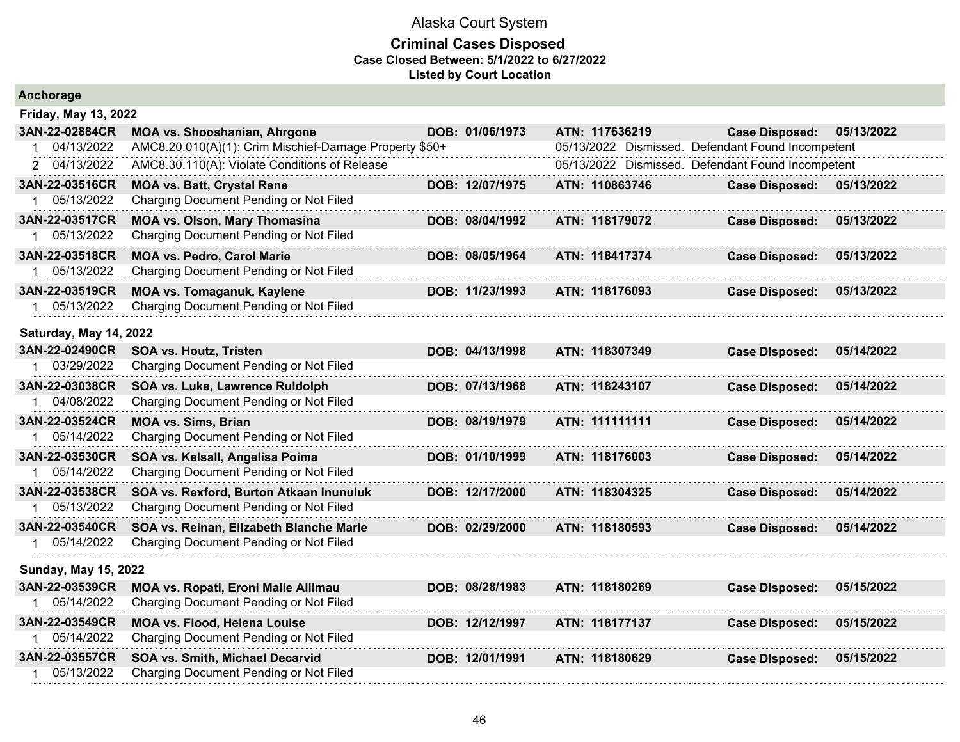| Anchorage                   |                                                        |  |                 |  |                |  |                                                   |            |
|-----------------------------|--------------------------------------------------------|--|-----------------|--|----------------|--|---------------------------------------------------|------------|
| <b>Friday, May 13, 2022</b> |                                                        |  |                 |  |                |  |                                                   |            |
| 3AN-22-02884CR              | <b>MOA vs. Shooshanian, Ahrgone</b>                    |  | DOB: 01/06/1973 |  | ATN: 117636219 |  | <b>Case Disposed:</b>                             | 05/13/2022 |
| 04/13/2022<br>1             | AMC8.20.010(A)(1): Crim Mischief-Damage Property \$50+ |  |                 |  |                |  | 05/13/2022 Dismissed. Defendant Found Incompetent |            |
| 2 04/13/2022                | AMC8.30.110(A): Violate Conditions of Release          |  |                 |  |                |  | 05/13/2022 Dismissed. Defendant Found Incompetent |            |
| 3AN-22-03516CR              | <b>MOA vs. Batt, Crystal Rene</b>                      |  | DOB: 12/07/1975 |  | ATN: 110863746 |  | <b>Case Disposed:</b>                             | 05/13/2022 |
| 1 05/13/2022                | Charging Document Pending or Not Filed                 |  |                 |  |                |  |                                                   |            |
| 3AN-22-03517CR              | <b>MOA vs. Olson, Mary Thomasina</b>                   |  | DOB: 08/04/1992 |  | ATN: 118179072 |  | <b>Case Disposed:</b>                             | 05/13/2022 |
| 05/13/2022                  | Charging Document Pending or Not Filed                 |  |                 |  |                |  |                                                   |            |
| 3AN-22-03518CR              | <b>MOA vs. Pedro, Carol Marie</b>                      |  | DOB: 08/05/1964 |  | ATN: 118417374 |  | <b>Case Disposed:</b>                             | 05/13/2022 |
| 1 05/13/2022                | Charging Document Pending or Not Filed                 |  |                 |  |                |  |                                                   |            |
| 3AN-22-03519CR              | <b>MOA vs. Tomaganuk, Kaylene</b>                      |  | DOB: 11/23/1993 |  | ATN: 118176093 |  | <b>Case Disposed:</b>                             | 05/13/2022 |
| 1 05/13/2022                | Charging Document Pending or Not Filed                 |  |                 |  |                |  |                                                   |            |
| Saturday, May 14, 2022      |                                                        |  |                 |  |                |  |                                                   |            |
| 3AN-22-02490CR              | <b>SOA vs. Houtz, Tristen</b>                          |  | DOB: 04/13/1998 |  | ATN: 118307349 |  | <b>Case Disposed:</b>                             | 05/14/2022 |
| 1 03/29/2022                | Charging Document Pending or Not Filed                 |  |                 |  |                |  |                                                   |            |
| 3AN-22-03038CR              | SOA vs. Luke, Lawrence Ruldolph                        |  | DOB: 07/13/1968 |  | ATN: 118243107 |  | <b>Case Disposed:</b>                             | 05/14/2022 |
| 1 04/08/2022                | Charging Document Pending or Not Filed                 |  |                 |  |                |  |                                                   |            |
| 3AN-22-03524CR              | <b>MOA vs. Sims, Brian</b>                             |  | DOB: 08/19/1979 |  | ATN: 111111111 |  | <b>Case Disposed:</b>                             | 05/14/2022 |
| 1 05/14/2022                | Charging Document Pending or Not Filed                 |  |                 |  |                |  |                                                   |            |
| 3AN-22-03530CR              | SOA vs. Kelsall, Angelisa Poima                        |  | DOB: 01/10/1999 |  | ATN: 118176003 |  | <b>Case Disposed:</b>                             | 05/14/2022 |
| 1 05/14/2022                | Charging Document Pending or Not Filed                 |  |                 |  |                |  |                                                   |            |
| 3AN-22-03538CR              | SOA vs. Rexford, Burton Atkaan Inunuluk                |  | DOB: 12/17/2000 |  | ATN: 118304325 |  | <b>Case Disposed:</b>                             | 05/14/2022 |
| 1 05/13/2022                | Charging Document Pending or Not Filed                 |  |                 |  |                |  |                                                   |            |
| 3AN-22-03540CR              | SOA vs. Reinan, Elizabeth Blanche Marie                |  | DOB: 02/29/2000 |  | ATN: 118180593 |  | <b>Case Disposed:</b>                             | 05/14/2022 |
| 1 05/14/2022                | Charging Document Pending or Not Filed                 |  |                 |  |                |  |                                                   |            |
| <b>Sunday, May 15, 2022</b> |                                                        |  |                 |  |                |  |                                                   |            |
| 3AN-22-03539CR              | MOA vs. Ropati, Eroni Malie Aliimau                    |  | DOB: 08/28/1983 |  | ATN: 118180269 |  | <b>Case Disposed:</b>                             | 05/15/2022 |
| 1 05/14/2022                | Charging Document Pending or Not Filed                 |  |                 |  |                |  |                                                   |            |
| 3AN-22-03549CR              | <b>MOA vs. Flood, Helena Louise</b>                    |  | DOB: 12/12/1997 |  | ATN: 118177137 |  | <b>Case Disposed:</b>                             | 05/15/2022 |
| 1 05/14/2022                | Charging Document Pending or Not Filed                 |  |                 |  |                |  |                                                   |            |
| 3AN-22-03557CR              | SOA vs. Smith, Michael Decarvid                        |  | DOB: 12/01/1991 |  | ATN: 118180629 |  | <b>Case Disposed:</b>                             | 05/15/2022 |
| 05/13/2022<br>$1 \quad$     | Charging Document Pending or Not Filed                 |  |                 |  |                |  |                                                   |            |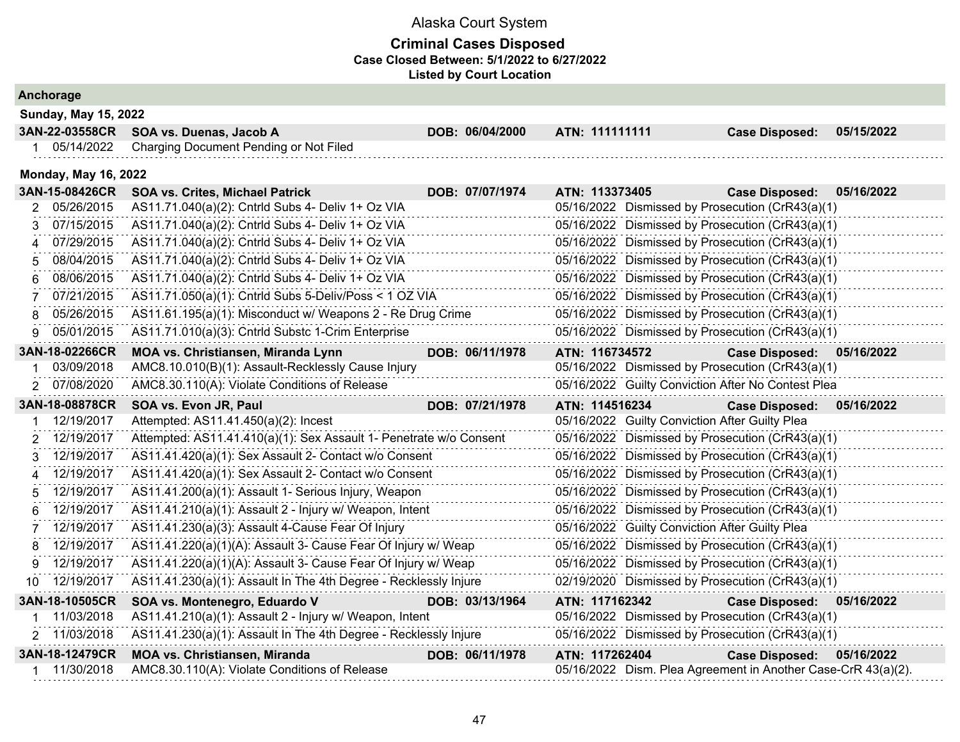|   | Anchorage                   |                                                                    |                 |                                                  |                                                               |  |                       |            |
|---|-----------------------------|--------------------------------------------------------------------|-----------------|--------------------------------------------------|---------------------------------------------------------------|--|-----------------------|------------|
|   | <b>Sunday, May 15, 2022</b> |                                                                    |                 |                                                  |                                                               |  |                       |            |
|   | 3AN-22-03558CR              | SOA vs. Duenas, Jacob A                                            | DOB: 06/04/2000 | ATN: 111111111                                   |                                                               |  | <b>Case Disposed:</b> | 05/15/2022 |
|   | 1 05/14/2022                | Charging Document Pending or Not Filed                             |                 |                                                  |                                                               |  |                       |            |
|   | <b>Monday, May 16, 2022</b> |                                                                    |                 |                                                  |                                                               |  |                       |            |
|   | 3AN-15-08426CR              | <b>SOA vs. Crites, Michael Patrick</b>                             | DOB: 07/07/1974 | ATN: 113373405                                   |                                                               |  | <b>Case Disposed:</b> | 05/16/2022 |
| 2 | 05/26/2015                  | AS11.71.040(a)(2): Cntrld Subs 4- Deliv 1+ Oz VIA                  |                 |                                                  | 05/16/2022 Dismissed by Prosecution (CrR43(a)(1)              |  |                       |            |
| 3 | 07/15/2015                  | AS11.71.040(a)(2): Cntrld Subs 4- Deliv 1+ Oz VIA                  |                 |                                                  | 05/16/2022 Dismissed by Prosecution (CrR43(a)(1)              |  |                       |            |
| 4 | 07/29/2015                  | AS11.71.040(a)(2): Cntrld Subs 4- Deliv 1+ Oz VIA                  |                 |                                                  | 05/16/2022 Dismissed by Prosecution (CrR43(a)(1)              |  |                       |            |
| 5 | 08/04/2015                  | AS11.71.040(a)(2): Cntrld Subs 4- Deliv 1+ Oz VIA                  |                 |                                                  | 05/16/2022 Dismissed by Prosecution (CrR43(a)(1)              |  |                       |            |
| 6 | 08/06/2015                  | AS11.71.040(a)(2): Cntrld Subs 4- Deliv 1+ Oz VIA                  |                 |                                                  | 05/16/2022 Dismissed by Prosecution (CrR43(a)(1)              |  |                       |            |
| 7 | 07/21/2015                  | AS11.71.050(a)(1): Cntrld Subs 5-Deliv/Poss < 1 OZ VIA             |                 |                                                  | 05/16/2022 Dismissed by Prosecution (CrR43(a)(1)              |  |                       |            |
| 8 | 05/26/2015                  | AS11.61.195(a)(1): Misconduct w/ Weapons 2 - Re Drug Crime         |                 |                                                  | 05/16/2022 Dismissed by Prosecution (CrR43(a)(1)              |  |                       |            |
| 9 | 05/01/2015                  | AS11.71.010(a)(3): Cntrld Substc 1-Crim Enterprise                 |                 |                                                  | 05/16/2022 Dismissed by Prosecution (CrR43(a)(1)              |  |                       |            |
|   | 3AN-18-02266CR              | MOA vs. Christiansen, Miranda Lynn                                 | DOB: 06/11/1978 | ATN: 116734572                                   |                                                               |  | <b>Case Disposed:</b> | 05/16/2022 |
|   | 03/09/2018                  | AMC8.10.010(B)(1): Assault-Recklessly Cause Injury                 |                 |                                                  | 05/16/2022 Dismissed by Prosecution (CrR43(a)(1)              |  |                       |            |
|   | 2 07/08/2020                | AMC8.30.110(A): Violate Conditions of Release                      |                 |                                                  | 05/16/2022 Guilty Conviction After No Contest Plea            |  |                       |            |
|   | 3AN-18-08878CR              | SOA vs. Evon JR, Paul                                              | DOB: 07/21/1978 | ATN: 114516234                                   |                                                               |  | <b>Case Disposed:</b> | 05/16/2022 |
|   | 12/19/2017                  | Attempted: AS11.41.450(a)(2): Incest                               |                 |                                                  | 05/16/2022 Guilty Conviction After Guilty Plea                |  |                       |            |
| 2 | 12/19/2017                  | Attempted: AS11.41.410(a)(1): Sex Assault 1- Penetrate w/o Consent |                 |                                                  | 05/16/2022 Dismissed by Prosecution (CrR43(a)(1)              |  |                       |            |
| 3 | 12/19/2017                  | AS11.41.420(a)(1): Sex Assault 2- Contact w/o Consent              |                 |                                                  | 05/16/2022 Dismissed by Prosecution (CrR43(a)(1)              |  |                       |            |
| 4 | 12/19/2017                  | AS11.41.420(a)(1): Sex Assault 2- Contact w/o Consent              |                 | 05/16/2022 Dismissed by Prosecution (CrR43(a)(1) |                                                               |  |                       |            |
| 5 | 12/19/2017                  | AS11.41.200(a)(1): Assault 1- Serious Injury, Weapon               |                 |                                                  | 05/16/2022 Dismissed by Prosecution (CrR43(a)(1)              |  |                       |            |
| 6 | 12/19/2017                  | AS11.41.210(a)(1): Assault 2 - Injury w/ Weapon, Intent            |                 | 05/16/2022 Dismissed by Prosecution (CrR43(a)(1) |                                                               |  |                       |            |
| 7 | 12/19/2017                  | AS11.41.230(a)(3): Assault 4-Cause Fear Of Injury                  |                 | 05/16/2022 Guilty Conviction After Guilty Plea   |                                                               |  |                       |            |
| 8 | 12/19/2017                  | AS11.41.220(a)(1)(A): Assault 3- Cause Fear Of Injury w/ Weap      |                 |                                                  | 05/16/2022 Dismissed by Prosecution (CrR43(a)(1)              |  |                       |            |
| 9 | 12/19/2017                  | AS11.41.220(a)(1)(A): Assault 3- Cause Fear Of Injury w/ Weap      |                 |                                                  | 05/16/2022 Dismissed by Prosecution (CrR43(a)(1)              |  |                       |            |
|   | 10 12/19/2017               | AS11.41.230(a)(1): Assault In The 4th Degree - Recklessly Injure   |                 |                                                  | 02/19/2020 Dismissed by Prosecution (CrR43(a)(1)              |  |                       |            |
|   | 3AN-18-10505CR              | SOA vs. Montenegro, Eduardo V                                      | DOB: 03/13/1964 | ATN: 117162342                                   |                                                               |  | <b>Case Disposed:</b> | 05/16/2022 |
|   | 11/03/2018                  | AS11.41.210(a)(1): Assault 2 - Injury w/ Weapon, Intent            |                 |                                                  | 05/16/2022 Dismissed by Prosecution (CrR43(a)(1)              |  |                       |            |
|   | 2 11/03/2018                | AS11.41.230(a)(1): Assault In The 4th Degree - Recklessly Injure   |                 |                                                  | 05/16/2022 Dismissed by Prosecution (CrR43(a)(1)              |  |                       |            |
|   | 3AN-18-12479CR              | <b>MOA vs. Christiansen, Miranda</b>                               | DOB: 06/11/1978 | ATN: 117262404                                   |                                                               |  | <b>Case Disposed:</b> | 05/16/2022 |
|   | 11/30/2018                  | AMC8.30.110(A): Violate Conditions of Release                      |                 |                                                  | 05/16/2022 Dism. Plea Agreement in Another Case-CrR 43(a)(2). |  |                       |            |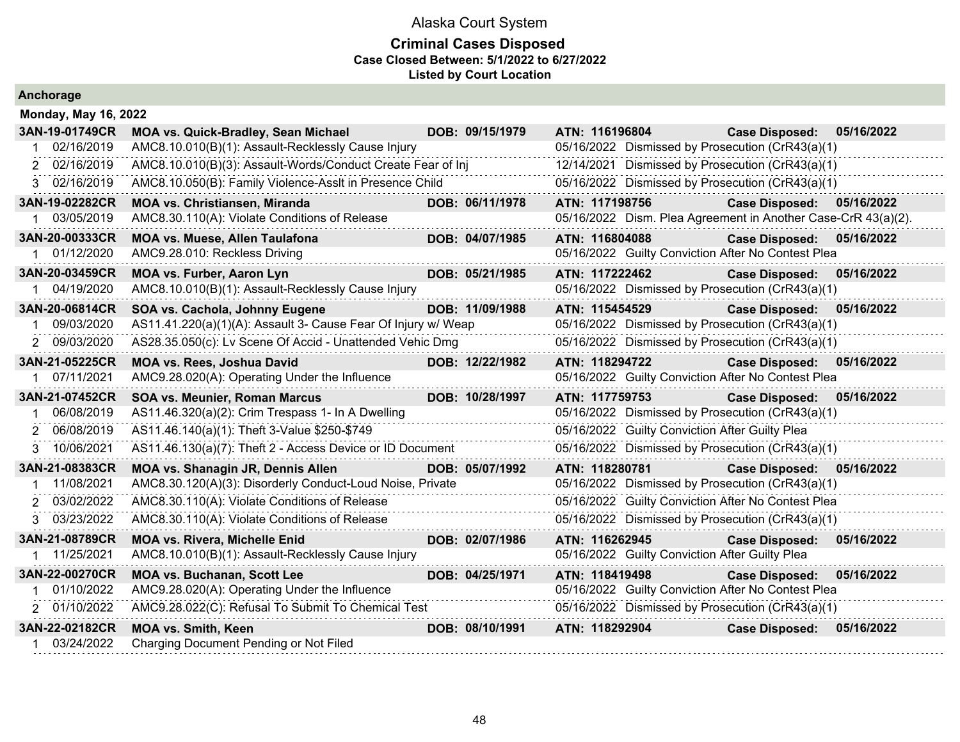|  |  | Anchorage |  |
|--|--|-----------|--|
|  |  |           |  |

| <b>Monday, May 16, 2022</b> |                                                               |                 |                |                                                               |            |
|-----------------------------|---------------------------------------------------------------|-----------------|----------------|---------------------------------------------------------------|------------|
| 3AN-19-01749CR              | <b>MOA vs. Quick-Bradley, Sean Michael</b>                    | DOB: 09/15/1979 | ATN: 116196804 | <b>Case Disposed:</b>                                         | 05/16/2022 |
| 02/16/2019                  | AMC8.10.010(B)(1): Assault-Recklessly Cause Injury            |                 |                | 05/16/2022 Dismissed by Prosecution (CrR43(a)(1)              |            |
| 2 02/16/2019                | AMC8.10.010(B)(3): Assault-Words/Conduct Create Fear of Inj   |                 |                | 12/14/2021 Dismissed by Prosecution (CrR43(a)(1)              |            |
| 3 02/16/2019                | AMC8.10.050(B): Family Violence-Asslt in Presence Child       |                 |                | 05/16/2022 Dismissed by Prosecution (CrR43(a)(1)              |            |
| 3AN-19-02282CR              | <b>MOA vs. Christiansen, Miranda</b>                          | DOB: 06/11/1978 | ATN: 117198756 | <b>Case Disposed:</b>                                         | 05/16/2022 |
| 03/05/2019                  | AMC8.30.110(A): Violate Conditions of Release                 |                 |                | 05/16/2022 Dism. Plea Agreement in Another Case-CrR 43(a)(2). |            |
| 3AN-20-00333CR              | <b>MOA vs. Muese, Allen Taulafona</b>                         | DOB: 04/07/1985 | ATN: 116804088 | Case Disposed: 05/16/2022                                     |            |
| 01/12/2020                  | AMC9.28.010: Reckless Driving                                 |                 |                | 05/16/2022 Guilty Conviction After No Contest Plea            |            |
| 3AN-20-03459CR              | <b>MOA vs. Furber, Aaron Lyn</b>                              | DOB: 05/21/1985 | ATN: 117222462 | <b>Case Disposed:</b>                                         | 05/16/2022 |
| 1 04/19/2020                | AMC8.10.010(B)(1): Assault-Recklessly Cause Injury            |                 |                | 05/16/2022 Dismissed by Prosecution (CrR43(a)(1)              |            |
| 3AN-20-06814CR              | SOA vs. Cachola, Johnny Eugene                                | DOB: 11/09/1988 | ATN: 115454529 | <b>Case Disposed:</b>                                         | 05/16/2022 |
| 09/03/2020                  | AS11.41.220(a)(1)(A): Assault 3- Cause Fear Of Injury w/ Weap |                 |                | 05/16/2022 Dismissed by Prosecution (CrR43(a)(1)              |            |
| 2 09/03/2020                | AS28.35.050(c): Lv Scene Of Accid - Unattended Vehic Dmg      |                 |                | 05/16/2022 Dismissed by Prosecution (CrR43(a)(1)              |            |
| 3AN-21-05225CR              | MOA vs. Rees, Joshua David                                    | DOB: 12/22/1982 | ATN: 118294722 | <b>Case Disposed:</b>                                         | 05/16/2022 |
| 1 07/11/2021                | AMC9.28.020(A): Operating Under the Influence                 |                 |                | 05/16/2022 Guilty Conviction After No Contest Plea            |            |
| 3AN-21-07452CR              | <b>SOA vs. Meunier, Roman Marcus</b>                          | DOB: 10/28/1997 | ATN: 117759753 | <b>Case Disposed:</b>                                         | 05/16/2022 |
| 06/08/2019                  | AS11.46.320(a)(2): Crim Trespass 1- In A Dwelling             |                 |                | 05/16/2022 Dismissed by Prosecution (CrR43(a)(1)              |            |
| 06/08/2019<br>2             | AS11.46.140(a)(1): Theft 3-Value \$250-\$749                  |                 |                | 05/16/2022 Guilty Conviction After Guilty Plea                |            |
| 3 10/06/2021                | AS11.46.130(a)(7): Theft 2 - Access Device or ID Document     |                 |                | 05/16/2022 Dismissed by Prosecution (CrR43(a)(1)              |            |
| 3AN-21-08383CR              | <b>MOA vs. Shanagin JR, Dennis Allen</b>                      | DOB: 05/07/1992 | ATN: 118280781 | <b>Case Disposed:</b>                                         | 05/16/2022 |
| 11/08/2021                  | AMC8.30.120(A)(3): Disorderly Conduct-Loud Noise, Private     |                 |                | 05/16/2022 Dismissed by Prosecution (CrR43(a)(1)              |            |
| 03/02/2022<br>2.            | AMC8.30.110(A): Violate Conditions of Release                 |                 |                | 05/16/2022 Guilty Conviction After No Contest Plea            |            |
| 03/23/2022<br>3.            | AMC8.30.110(A): Violate Conditions of Release                 |                 |                | 05/16/2022 Dismissed by Prosecution (CrR43(a)(1)              |            |
| 3AN-21-08789CR              | <b>MOA vs. Rivera, Michelle Enid</b>                          | DOB: 02/07/1986 | ATN: 116262945 | <b>Case Disposed:</b>                                         | 05/16/2022 |
| 1 11/25/2021                | AMC8.10.010(B)(1): Assault-Recklessly Cause Injury            |                 |                | 05/16/2022 Guilty Conviction After Guilty Plea                |            |
| 3AN-22-00270CR              | <b>MOA vs. Buchanan, Scott Lee</b>                            | DOB: 04/25/1971 | ATN: 118419498 | <b>Case Disposed:</b>                                         | 05/16/2022 |
| 01/10/2022                  | AMC9.28.020(A): Operating Under the Influence                 |                 |                | 05/16/2022 Guilty Conviction After No Contest Plea            |            |
| 2 01/10/2022                | AMC9.28.022(C): Refusal To Submit To Chemical Test            |                 |                | 05/16/2022 Dismissed by Prosecution (CrR43(a)(1)              |            |
| 3AN-22-02182CR              | <b>MOA vs. Smith, Keen</b>                                    | DOB: 08/10/1991 | ATN: 118292904 | <b>Case Disposed:</b>                                         | 05/16/2022 |
| 03/24/2022                  | Charging Document Pending or Not Filed                        |                 |                |                                                               |            |
|                             |                                                               |                 |                |                                                               |            |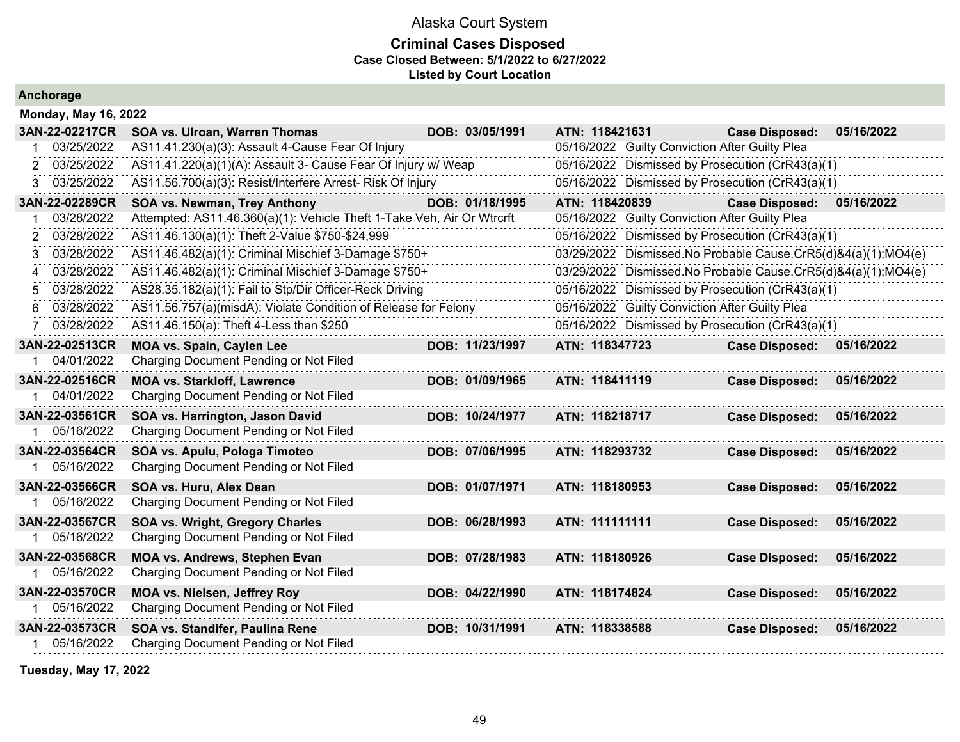### **Criminal Cases Disposed Case Closed Between: 5/1/2022 to 6/27/2022 Listed by Court Location**

**Anchorage**

| <b>Monday, May 16, 2022</b> |                                                                        |                 |                                                               |                       |            |
|-----------------------------|------------------------------------------------------------------------|-----------------|---------------------------------------------------------------|-----------------------|------------|
| 3AN-22-02217CR              | SOA vs. Ulroan, Warren Thomas                                          | DOB: 03/05/1991 | ATN: 118421631                                                | <b>Case Disposed:</b> | 05/16/2022 |
| 03/25/2022                  | AS11.41.230(a)(3): Assault 4-Cause Fear Of Injury                      |                 | 05/16/2022 Guilty Conviction After Guilty Plea                |                       |            |
| 03/25/2022<br>2             | AS11.41.220(a)(1)(A): Assault 3- Cause Fear Of Injury w/ Weap          |                 | 05/16/2022 Dismissed by Prosecution (CrR43(a)(1)              |                       |            |
| 03/25/2022<br>3             | AS11.56.700(a)(3): Resist/Interfere Arrest- Risk Of Injury             |                 | 05/16/2022 Dismissed by Prosecution (CrR43(a)(1)              |                       |            |
| 3AN-22-02289CR              | SOA vs. Newman, Trey Anthony                                           | DOB: 01/18/1995 | ATN: 118420839                                                | <b>Case Disposed:</b> | 05/16/2022 |
| 03/28/2022                  | Attempted: AS11.46.360(a)(1): Vehicle Theft 1-Take Veh, Air Or Wtrcrft |                 | 05/16/2022 Guilty Conviction After Guilty Plea                |                       |            |
| 03/28/2022<br>2             | AS11.46.130(a)(1): Theft 2-Value \$750-\$24,999                        |                 | 05/16/2022 Dismissed by Prosecution (CrR43(a)(1)              |                       |            |
| 03/28/2022                  | AS11.46.482(a)(1): Criminal Mischief 3-Damage \$750+                   |                 | 03/29/2022 Dismissed.No Probable Cause.CrR5(d)&4(a)(1);MO4(e) |                       |            |
| 03/28/2022<br>4             | AS11.46.482(a)(1): Criminal Mischief 3-Damage \$750+                   |                 | 03/29/2022 Dismissed.No Probable Cause.CrR5(d)&4(a)(1);MO4(e) |                       |            |
| 03/28/2022<br>5             | AS28.35.182(a)(1): Fail to Stp/Dir Officer-Reck Driving                |                 | 05/16/2022 Dismissed by Prosecution (CrR43(a)(1)              |                       |            |
| 03/28/2022                  | AS11.56.757(a)(misdA): Violate Condition of Release for Felony         |                 | 05/16/2022 Guilty Conviction After Guilty Plea                |                       |            |
| 03/28/2022<br>7             | AS11.46.150(a): Theft 4-Less than \$250                                |                 | 05/16/2022 Dismissed by Prosecution (CrR43(a)(1)              |                       |            |
| 3AN-22-02513CR              | <b>MOA vs. Spain, Caylen Lee</b>                                       | DOB: 11/23/1997 | ATN: 118347723                                                | <b>Case Disposed:</b> | 05/16/2022 |
| 04/01/2022                  | Charging Document Pending or Not Filed                                 |                 |                                                               |                       |            |
| 3AN-22-02516CR              | <b>MOA vs. Starkloff, Lawrence</b>                                     | DOB: 01/09/1965 | ATN: 118411119                                                | <b>Case Disposed:</b> | 05/16/2022 |
| 1 04/01/2022                | Charging Document Pending or Not Filed                                 |                 |                                                               |                       |            |
| 3AN-22-03561CR              | SOA vs. Harrington, Jason David                                        | DOB: 10/24/1977 | ATN: 118218717                                                | <b>Case Disposed:</b> | 05/16/2022 |
| 05/16/2022                  | Charging Document Pending or Not Filed                                 |                 |                                                               |                       |            |
| 3AN-22-03564CR              | SOA vs. Apulu, Pologa Timoteo                                          | DOB: 07/06/1995 | ATN: 118293732                                                | <b>Case Disposed:</b> | 05/16/2022 |
| 05/16/2022                  | Charging Document Pending or Not Filed                                 |                 |                                                               |                       |            |
| 3AN-22-03566CR              | SOA vs. Huru, Alex Dean                                                | DOB: 01/07/1971 | ATN: 118180953                                                | <b>Case Disposed:</b> | 05/16/2022 |
| 05/16/2022                  | Charging Document Pending or Not Filed                                 |                 |                                                               |                       |            |
| 3AN-22-03567CR              | <b>SOA vs. Wright, Gregory Charles</b>                                 | DOB: 06/28/1993 | ATN: 111111111                                                | <b>Case Disposed:</b> | 05/16/2022 |
| 05/16/2022                  | Charging Document Pending or Not Filed                                 |                 |                                                               |                       |            |
| 3AN-22-03568CR              | MOA vs. Andrews, Stephen Evan                                          | DOB: 07/28/1983 | ATN: 118180926                                                | <b>Case Disposed:</b> | 05/16/2022 |
| 1 05/16/2022                | Charging Document Pending or Not Filed                                 |                 |                                                               |                       |            |
| 3AN-22-03570CR              | <b>MOA vs. Nielsen, Jeffrey Roy</b>                                    | DOB: 04/22/1990 | ATN: 118174824                                                | <b>Case Disposed:</b> | 05/16/2022 |
| 05/16/2022                  | Charging Document Pending or Not Filed                                 |                 |                                                               |                       |            |
| 3AN-22-03573CR              | SOA vs. Standifer, Paulina Rene                                        | DOB: 10/31/1991 | ATN: 118338588                                                | <b>Case Disposed:</b> | 05/16/2022 |
| 05/16/2022                  | Charging Document Pending or Not Filed                                 |                 |                                                               |                       |            |
|                             |                                                                        |                 |                                                               |                       |            |

**Tuesday, May 17, 2022**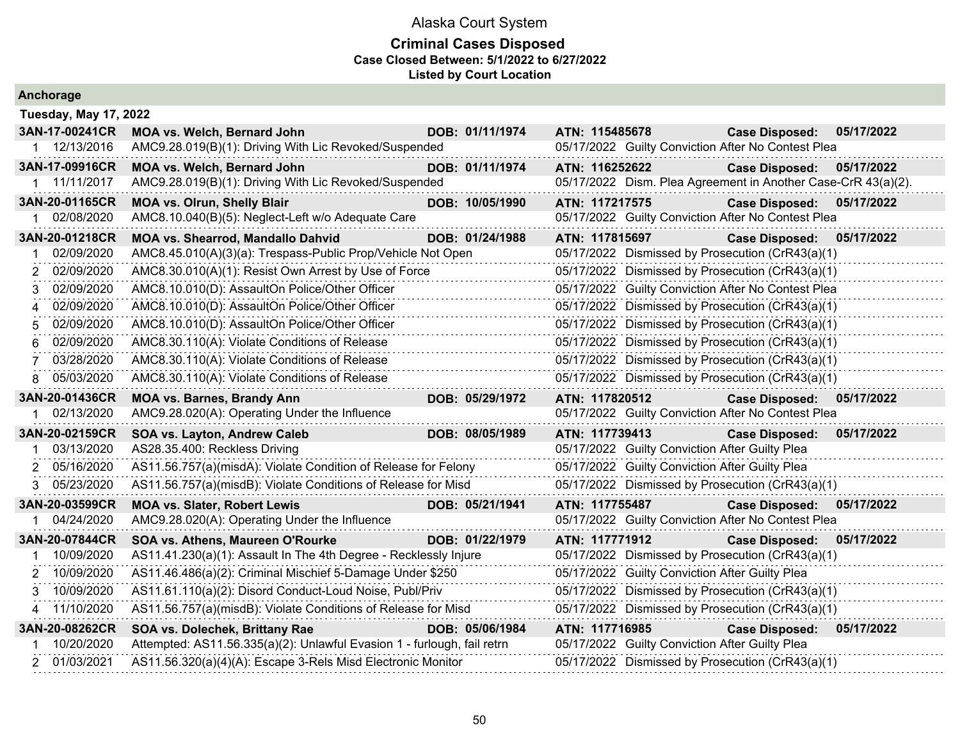| Anchorage                      |                                                                                                                                        |                 |                                                |                                                                                                      |  |
|--------------------------------|----------------------------------------------------------------------------------------------------------------------------------------|-----------------|------------------------------------------------|------------------------------------------------------------------------------------------------------|--|
| <b>Tuesday, May 17, 2022</b>   |                                                                                                                                        |                 |                                                |                                                                                                      |  |
| 3AN-17-00241CR<br>12/13/2016   | MOA vs. Welch, Bernard John<br>AMC9.28.019(B)(1): Driving With Lic Revoked/Suspended                                                   | DOB: 01/11/1974 | ATN: 115485678                                 | 05/17/2022<br><b>Case Disposed:</b><br>05/17/2022 Guilty Conviction After No Contest Plea            |  |
| 3AN-17-09916CR<br>1 11/11/2017 | MOA vs. Welch, Bernard John<br>AMC9.28.019(B)(1): Driving With Lic Revoked/Suspended                                                   | DOB: 01/11/1974 | ATN: 116252622                                 | <b>Case Disposed:</b><br>05/17/2022<br>05/17/2022 Dism. Plea Agreement in Another Case-CrR 43(a)(2). |  |
| 3AN-20-01165CR<br>02/08/2020   | <b>MOA vs. Olrun, Shelly Blair</b><br>AMC8.10.040(B)(5): Neglect-Left w/o Adequate Care                                                | DOB: 10/05/1990 | ATN: 117217575                                 | <b>Case Disposed:</b><br>05/17/2022<br>05/17/2022 Guilty Conviction After No Contest Plea            |  |
| 3AN-20-01218CR                 | MOA vs. Shearrod, Mandallo Dahvid                                                                                                      | DOB: 01/24/1988 | ATN: 117815697                                 | Case Disposed: 05/17/2022                                                                            |  |
| 02/09/2020                     | AMC8.45.010(A)(3)(a): Trespass-Public Prop/Vehicle Not Open                                                                            |                 |                                                | 05/17/2022 Dismissed by Prosecution (CrR43(a)(1)                                                     |  |
| 02/09/2020<br>2                | AMC8.30.010(A)(1): Resist Own Arrest by Use of Force                                                                                   |                 |                                                | 05/17/2022 Dismissed by Prosecution (CrR43(a)(1)                                                     |  |
| 02/09/2020<br>3                | AMC8.10.010(D): AssaultOn Police/Other Officer                                                                                         |                 |                                                | 05/17/2022 Guilty Conviction After No Contest Plea                                                   |  |
| 02/09/2020<br>4                | AMC8.10.010(D): AssaultOn Police/Other Officer                                                                                         |                 |                                                | 05/17/2022 Dismissed by Prosecution (CrR43(a)(1)                                                     |  |
| 02/09/2020<br>5                | AMC8.10.010(D): AssaultOn Police/Other Officer                                                                                         | .               |                                                | 05/17/2022 Dismissed by Prosecution (CrR43(a)(1)                                                     |  |
| 02/09/2020<br>6                | AMC8.30.110(A): Violate Conditions of Release                                                                                          |                 |                                                | 05/17/2022 Dismissed by Prosecution (CrR43(a)(1)                                                     |  |
| 03/28/2020                     | AMC8.30.110(A): Violate Conditions of Release                                                                                          |                 |                                                | 05/17/2022 Dismissed by Prosecution (CrR43(a)(1)                                                     |  |
| 05/03/2020<br>8                | AMC8.30.110(A): Violate Conditions of Release                                                                                          |                 |                                                | 05/17/2022 Dismissed by Prosecution (CrR43(a)(1)                                                     |  |
| 3AN-20-01436CR                 | <b>MOA vs. Barnes, Brandy Ann</b>                                                                                                      | DOB: 05/29/1972 | ATN: 117820512                                 | Case Disposed: 05/17/2022                                                                            |  |
| 02/13/2020                     | AMC9.28.020(A): Operating Under the Influence                                                                                          |                 |                                                | 05/17/2022 Guilty Conviction After No Contest Plea                                                   |  |
| 3AN-20-02159CR                 | SOA vs. Layton, Andrew Caleb                                                                                                           | DOB: 08/05/1989 | ATN: 117739413                                 | <b>Case Disposed:</b><br>05/17/2022                                                                  |  |
| 03/13/2020                     | AS28.35.400: Reckless Driving                                                                                                          |                 | 05/17/2022 Guilty Conviction After Guilty Plea |                                                                                                      |  |
| 05/16/2020<br>2                | AS11.56.757(a)(misdA): Violate Condition of Release for Felony                                                                         |                 | 05/17/2022 Guilty Conviction After Guilty Plea |                                                                                                      |  |
| 05/23/2020<br>3                | AS11.56.757(a)(misdB): Violate Conditions of Release for Misd                                                                          |                 |                                                | 05/17/2022 Dismissed by Prosecution (CrR43(a)(1)                                                     |  |
| 3AN-20-03599CR                 | <b>MOA vs. Slater, Robert Lewis</b>                                                                                                    | DOB: 05/21/1941 |                                                |                                                                                                      |  |
|                                |                                                                                                                                        |                 | ATN: 117755487                                 | <b>Case Disposed:</b><br>05/17/2022                                                                  |  |
| 04/24/2020                     | AMC9.28.020(A): Operating Under the Influence                                                                                          |                 |                                                | 05/17/2022 Guilty Conviction After No Contest Plea                                                   |  |
| 3AN-20-07844CR                 | SOA vs. Athens, Maureen O'Rourke                                                                                                       | DOB: 01/22/1979 | ATN: 117771912                                 | <b>Case Disposed:</b><br>05/17/2022                                                                  |  |
| 10/09/2020                     | AS11.41.230(a)(1): Assault In The 4th Degree - Recklessly Injure                                                                       |                 |                                                | 05/17/2022 Dismissed by Prosecution (CrR43(a)(1)                                                     |  |
| 10/09/2020<br>2                | AS11.46.486(a)(2): Criminal Mischief 5-Damage Under \$250                                                                              |                 | 05/17/2022 Guilty Conviction After Guilty Plea |                                                                                                      |  |
| 3 10/09/2020                   | AS11.61.110(a)(2): Disord Conduct-Loud Noise, Publ/Priv                                                                                |                 |                                                | 05/17/2022 Dismissed by Prosecution (CrR43(a)(1)                                                     |  |
| 4 11/10/2020                   | AS11.56.757(a)(misdB): Violate Conditions of Release for Misd                                                                          |                 |                                                | 05/17/2022 Dismissed by Prosecution (CrR43(a)(1)                                                     |  |
| 3AN-20-08262CR                 | SOA vs. Dolechek, Brittany Rae                                                                                                         | DOB: 05/06/1984 | ATN: 117716985                                 | <b>Case Disposed:</b><br>05/17/2022                                                                  |  |
| 10/20/2020<br>2 01/03/2021     | Attempted: AS11.56.335(a)(2): Unlawful Evasion 1 - furlough, fail retrn<br>AS11.56.320(a)(4)(A): Escape 3-Rels Misd Electronic Monitor |                 | 05/17/2022 Guilty Conviction After Guilty Plea | 05/17/2022 Dismissed by Prosecution (CrR43(a)(1)                                                     |  |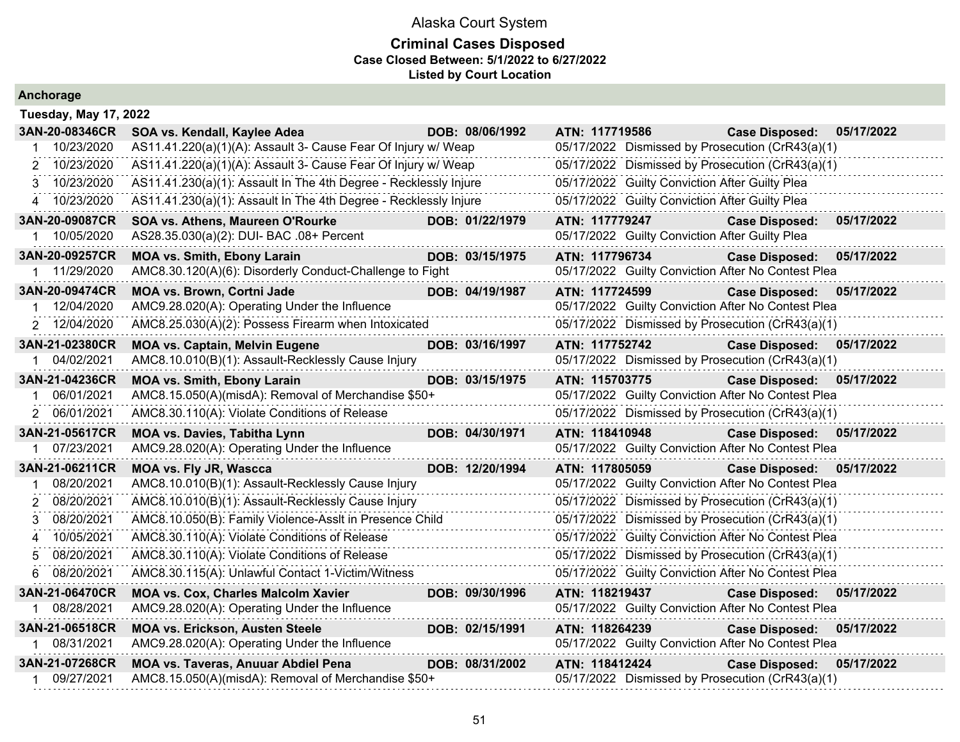| Anchorage |  |  |
|-----------|--|--|
|           |  |  |

| <b>Tuesday, May 17, 2022</b>                       |                                                                                                                                                                                                                                                                                          |                                                                                                                                                                                                                                                                                                                                                                                                                                                                                         |                                                                                                                                                                                                    |                                                                                                                                                                                                                                                                                                                                                                                                                                                                                                                                                                                                                                                                                                                                                                                                                                                                                                                                                                                                                                                                                                                                              |
|----------------------------------------------------|------------------------------------------------------------------------------------------------------------------------------------------------------------------------------------------------------------------------------------------------------------------------------------------|-----------------------------------------------------------------------------------------------------------------------------------------------------------------------------------------------------------------------------------------------------------------------------------------------------------------------------------------------------------------------------------------------------------------------------------------------------------------------------------------|----------------------------------------------------------------------------------------------------------------------------------------------------------------------------------------------------|----------------------------------------------------------------------------------------------------------------------------------------------------------------------------------------------------------------------------------------------------------------------------------------------------------------------------------------------------------------------------------------------------------------------------------------------------------------------------------------------------------------------------------------------------------------------------------------------------------------------------------------------------------------------------------------------------------------------------------------------------------------------------------------------------------------------------------------------------------------------------------------------------------------------------------------------------------------------------------------------------------------------------------------------------------------------------------------------------------------------------------------------|
| SOA vs. Kendall, Kaylee Adea                       |                                                                                                                                                                                                                                                                                          |                                                                                                                                                                                                                                                                                                                                                                                                                                                                                         | <b>Case Disposed:</b>                                                                                                                                                                              | 05/17/2022                                                                                                                                                                                                                                                                                                                                                                                                                                                                                                                                                                                                                                                                                                                                                                                                                                                                                                                                                                                                                                                                                                                                   |
|                                                    |                                                                                                                                                                                                                                                                                          |                                                                                                                                                                                                                                                                                                                                                                                                                                                                                         |                                                                                                                                                                                                    |                                                                                                                                                                                                                                                                                                                                                                                                                                                                                                                                                                                                                                                                                                                                                                                                                                                                                                                                                                                                                                                                                                                                              |
|                                                    |                                                                                                                                                                                                                                                                                          |                                                                                                                                                                                                                                                                                                                                                                                                                                                                                         |                                                                                                                                                                                                    |                                                                                                                                                                                                                                                                                                                                                                                                                                                                                                                                                                                                                                                                                                                                                                                                                                                                                                                                                                                                                                                                                                                                              |
|                                                    |                                                                                                                                                                                                                                                                                          |                                                                                                                                                                                                                                                                                                                                                                                                                                                                                         |                                                                                                                                                                                                    |                                                                                                                                                                                                                                                                                                                                                                                                                                                                                                                                                                                                                                                                                                                                                                                                                                                                                                                                                                                                                                                                                                                                              |
|                                                    |                                                                                                                                                                                                                                                                                          |                                                                                                                                                                                                                                                                                                                                                                                                                                                                                         |                                                                                                                                                                                                    |                                                                                                                                                                                                                                                                                                                                                                                                                                                                                                                                                                                                                                                                                                                                                                                                                                                                                                                                                                                                                                                                                                                                              |
| SOA vs. Athens, Maureen O'Rourke                   |                                                                                                                                                                                                                                                                                          |                                                                                                                                                                                                                                                                                                                                                                                                                                                                                         | <b>Case Disposed:</b>                                                                                                                                                                              | 05/17/2022                                                                                                                                                                                                                                                                                                                                                                                                                                                                                                                                                                                                                                                                                                                                                                                                                                                                                                                                                                                                                                                                                                                                   |
| AS28.35.030(a)(2): DUI- BAC .08+ Percent           |                                                                                                                                                                                                                                                                                          |                                                                                                                                                                                                                                                                                                                                                                                                                                                                                         |                                                                                                                                                                                                    |                                                                                                                                                                                                                                                                                                                                                                                                                                                                                                                                                                                                                                                                                                                                                                                                                                                                                                                                                                                                                                                                                                                                              |
| <b>MOA vs. Smith, Ebony Larain</b>                 |                                                                                                                                                                                                                                                                                          |                                                                                                                                                                                                                                                                                                                                                                                                                                                                                         | <b>Case Disposed:</b>                                                                                                                                                                              | 05/17/2022                                                                                                                                                                                                                                                                                                                                                                                                                                                                                                                                                                                                                                                                                                                                                                                                                                                                                                                                                                                                                                                                                                                                   |
|                                                    |                                                                                                                                                                                                                                                                                          |                                                                                                                                                                                                                                                                                                                                                                                                                                                                                         |                                                                                                                                                                                                    |                                                                                                                                                                                                                                                                                                                                                                                                                                                                                                                                                                                                                                                                                                                                                                                                                                                                                                                                                                                                                                                                                                                                              |
| <b>MOA vs. Brown, Cortni Jade</b>                  |                                                                                                                                                                                                                                                                                          |                                                                                                                                                                                                                                                                                                                                                                                                                                                                                         | <b>Case Disposed:</b>                                                                                                                                                                              | 05/17/2022                                                                                                                                                                                                                                                                                                                                                                                                                                                                                                                                                                                                                                                                                                                                                                                                                                                                                                                                                                                                                                                                                                                                   |
| AMC9.28.020(A): Operating Under the Influence      |                                                                                                                                                                                                                                                                                          |                                                                                                                                                                                                                                                                                                                                                                                                                                                                                         |                                                                                                                                                                                                    |                                                                                                                                                                                                                                                                                                                                                                                                                                                                                                                                                                                                                                                                                                                                                                                                                                                                                                                                                                                                                                                                                                                                              |
|                                                    |                                                                                                                                                                                                                                                                                          |                                                                                                                                                                                                                                                                                                                                                                                                                                                                                         |                                                                                                                                                                                                    |                                                                                                                                                                                                                                                                                                                                                                                                                                                                                                                                                                                                                                                                                                                                                                                                                                                                                                                                                                                                                                                                                                                                              |
| <b>MOA vs. Captain, Melvin Eugene</b>              |                                                                                                                                                                                                                                                                                          |                                                                                                                                                                                                                                                                                                                                                                                                                                                                                         | <b>Case Disposed:</b>                                                                                                                                                                              | 05/17/2022                                                                                                                                                                                                                                                                                                                                                                                                                                                                                                                                                                                                                                                                                                                                                                                                                                                                                                                                                                                                                                                                                                                                   |
| AMC8.10.010(B)(1): Assault-Recklessly Cause Injury |                                                                                                                                                                                                                                                                                          |                                                                                                                                                                                                                                                                                                                                                                                                                                                                                         |                                                                                                                                                                                                    |                                                                                                                                                                                                                                                                                                                                                                                                                                                                                                                                                                                                                                                                                                                                                                                                                                                                                                                                                                                                                                                                                                                                              |
| <b>MOA vs. Smith, Ebony Larain</b>                 |                                                                                                                                                                                                                                                                                          |                                                                                                                                                                                                                                                                                                                                                                                                                                                                                         | <b>Case Disposed:</b>                                                                                                                                                                              | 05/17/2022                                                                                                                                                                                                                                                                                                                                                                                                                                                                                                                                                                                                                                                                                                                                                                                                                                                                                                                                                                                                                                                                                                                                   |
|                                                    |                                                                                                                                                                                                                                                                                          |                                                                                                                                                                                                                                                                                                                                                                                                                                                                                         |                                                                                                                                                                                                    |                                                                                                                                                                                                                                                                                                                                                                                                                                                                                                                                                                                                                                                                                                                                                                                                                                                                                                                                                                                                                                                                                                                                              |
| AMC8.30.110(A): Violate Conditions of Release      |                                                                                                                                                                                                                                                                                          |                                                                                                                                                                                                                                                                                                                                                                                                                                                                                         |                                                                                                                                                                                                    |                                                                                                                                                                                                                                                                                                                                                                                                                                                                                                                                                                                                                                                                                                                                                                                                                                                                                                                                                                                                                                                                                                                                              |
| <b>MOA vs. Davies, Tabitha Lynn</b>                |                                                                                                                                                                                                                                                                                          |                                                                                                                                                                                                                                                                                                                                                                                                                                                                                         | <b>Case Disposed:</b>                                                                                                                                                                              | 05/17/2022                                                                                                                                                                                                                                                                                                                                                                                                                                                                                                                                                                                                                                                                                                                                                                                                                                                                                                                                                                                                                                                                                                                                   |
| AMC9.28.020(A): Operating Under the Influence      |                                                                                                                                                                                                                                                                                          |                                                                                                                                                                                                                                                                                                                                                                                                                                                                                         |                                                                                                                                                                                                    |                                                                                                                                                                                                                                                                                                                                                                                                                                                                                                                                                                                                                                                                                                                                                                                                                                                                                                                                                                                                                                                                                                                                              |
| <b>MOA vs. Fly JR, Wascca</b>                      |                                                                                                                                                                                                                                                                                          |                                                                                                                                                                                                                                                                                                                                                                                                                                                                                         | <b>Case Disposed:</b>                                                                                                                                                                              | 05/17/2022                                                                                                                                                                                                                                                                                                                                                                                                                                                                                                                                                                                                                                                                                                                                                                                                                                                                                                                                                                                                                                                                                                                                   |
| AMC8.10.010(B)(1): Assault-Recklessly Cause Injury |                                                                                                                                                                                                                                                                                          |                                                                                                                                                                                                                                                                                                                                                                                                                                                                                         |                                                                                                                                                                                                    |                                                                                                                                                                                                                                                                                                                                                                                                                                                                                                                                                                                                                                                                                                                                                                                                                                                                                                                                                                                                                                                                                                                                              |
| AMC8.10.010(B)(1): Assault-Recklessly Cause Injury |                                                                                                                                                                                                                                                                                          |                                                                                                                                                                                                                                                                                                                                                                                                                                                                                         |                                                                                                                                                                                                    |                                                                                                                                                                                                                                                                                                                                                                                                                                                                                                                                                                                                                                                                                                                                                                                                                                                                                                                                                                                                                                                                                                                                              |
|                                                    |                                                                                                                                                                                                                                                                                          |                                                                                                                                                                                                                                                                                                                                                                                                                                                                                         |                                                                                                                                                                                                    |                                                                                                                                                                                                                                                                                                                                                                                                                                                                                                                                                                                                                                                                                                                                                                                                                                                                                                                                                                                                                                                                                                                                              |
| AMC8.30.110(A): Violate Conditions of Release      |                                                                                                                                                                                                                                                                                          |                                                                                                                                                                                                                                                                                                                                                                                                                                                                                         |                                                                                                                                                                                                    |                                                                                                                                                                                                                                                                                                                                                                                                                                                                                                                                                                                                                                                                                                                                                                                                                                                                                                                                                                                                                                                                                                                                              |
| AMC8.30.110(A): Violate Conditions of Release      |                                                                                                                                                                                                                                                                                          |                                                                                                                                                                                                                                                                                                                                                                                                                                                                                         |                                                                                                                                                                                                    |                                                                                                                                                                                                                                                                                                                                                                                                                                                                                                                                                                                                                                                                                                                                                                                                                                                                                                                                                                                                                                                                                                                                              |
| AMC8.30.115(A): Unlawful Contact 1-Victim/Witness  |                                                                                                                                                                                                                                                                                          |                                                                                                                                                                                                                                                                                                                                                                                                                                                                                         |                                                                                                                                                                                                    |                                                                                                                                                                                                                                                                                                                                                                                                                                                                                                                                                                                                                                                                                                                                                                                                                                                                                                                                                                                                                                                                                                                                              |
| <b>MOA vs. Cox, Charles Malcolm Xavier</b>         |                                                                                                                                                                                                                                                                                          |                                                                                                                                                                                                                                                                                                                                                                                                                                                                                         | <b>Case Disposed:</b>                                                                                                                                                                              | 05/17/2022                                                                                                                                                                                                                                                                                                                                                                                                                                                                                                                                                                                                                                                                                                                                                                                                                                                                                                                                                                                                                                                                                                                                   |
| AMC9.28.020(A): Operating Under the Influence      |                                                                                                                                                                                                                                                                                          |                                                                                                                                                                                                                                                                                                                                                                                                                                                                                         |                                                                                                                                                                                                    |                                                                                                                                                                                                                                                                                                                                                                                                                                                                                                                                                                                                                                                                                                                                                                                                                                                                                                                                                                                                                                                                                                                                              |
| <b>MOA vs. Erickson, Austen Steele</b>             |                                                                                                                                                                                                                                                                                          |                                                                                                                                                                                                                                                                                                                                                                                                                                                                                         | <b>Case Disposed:</b>                                                                                                                                                                              | 05/17/2022                                                                                                                                                                                                                                                                                                                                                                                                                                                                                                                                                                                                                                                                                                                                                                                                                                                                                                                                                                                                                                                                                                                                   |
| AMC9.28.020(A): Operating Under the Influence      |                                                                                                                                                                                                                                                                                          |                                                                                                                                                                                                                                                                                                                                                                                                                                                                                         |                                                                                                                                                                                                    |                                                                                                                                                                                                                                                                                                                                                                                                                                                                                                                                                                                                                                                                                                                                                                                                                                                                                                                                                                                                                                                                                                                                              |
| <b>MOA vs. Taveras, Anuuar Abdiel Pena</b>         |                                                                                                                                                                                                                                                                                          |                                                                                                                                                                                                                                                                                                                                                                                                                                                                                         | <b>Case Disposed:</b>                                                                                                                                                                              | 05/17/2022                                                                                                                                                                                                                                                                                                                                                                                                                                                                                                                                                                                                                                                                                                                                                                                                                                                                                                                                                                                                                                                                                                                                   |
|                                                    |                                                                                                                                                                                                                                                                                          |                                                                                                                                                                                                                                                                                                                                                                                                                                                                                         |                                                                                                                                                                                                    |                                                                                                                                                                                                                                                                                                                                                                                                                                                                                                                                                                                                                                                                                                                                                                                                                                                                                                                                                                                                                                                                                                                                              |
| 3AN-20-08346CR                                     | AMC8.30.120(A)(6): Disorderly Conduct-Challenge to Fight<br>AMC8.25.030(A)(2): Possess Firearm when Intoxicated<br>AMC8.15.050(A)(misdA): Removal of Merchandise \$50+<br>AMC8.10.050(B): Family Violence-Asslt in Presence Child<br>AMC8.15.050(A)(misdA): Removal of Merchandise \$50+ | DOB: 08/06/1992<br>AS11.41.220(a)(1)(A): Assault 3- Cause Fear Of Injury w/ Weap<br>AS11.41.220(a)(1)(A): Assault 3- Cause Fear Of Injury w/ Weap<br>AS11.41.230(a)(1): Assault In The 4th Degree - Recklessly Injure<br>AS11.41.230(a)(1): Assault In The 4th Degree - Recklessly Injure<br>DOB: 01/22/1979<br>DOB: 03/15/1975<br>DOB: 04/19/1987<br>DOB: 03/16/1997<br>DOB: 03/15/1975<br>DOB: 04/30/1971<br>DOB: 12/20/1994<br>DOB: 09/30/1996<br>DOB: 02/15/1991<br>DOB: 08/31/2002 | ATN: 117719586<br>ATN: 117779247<br>ATN: 117796734<br>ATN: 117724599<br>ATN: 117752742<br>ATN: 115703775<br>ATN: 118410948<br>ATN: 117805059<br>ATN: 118219437<br>ATN: 118264239<br>ATN: 118412424 | 05/17/2022 Dismissed by Prosecution (CrR43(a)(1)<br>05/17/2022 Dismissed by Prosecution (CrR43(a)(1)<br>05/17/2022 Guilty Conviction After Guilty Plea<br>05/17/2022 Guilty Conviction After Guilty Plea<br>05/17/2022 Guilty Conviction After Guilty Plea<br>05/17/2022 Guilty Conviction After No Contest Plea<br>05/17/2022 Guilty Conviction After No Contest Plea<br>05/17/2022 Dismissed by Prosecution (CrR43(a)(1)<br>05/17/2022 Dismissed by Prosecution (CrR43(a)(1)<br>05/17/2022 Guilty Conviction After No Contest Plea<br>05/17/2022 Dismissed by Prosecution (CrR43(a)(1)<br>05/17/2022 Guilty Conviction After No Contest Plea<br>05/17/2022 Guilty Conviction After No Contest Plea<br>05/17/2022 Dismissed by Prosecution (CrR43(a)(1)<br>05/17/2022 Dismissed by Prosecution (CrR43(a)(1)<br>05/17/2022 Guilty Conviction After No Contest Plea<br>05/17/2022 Dismissed by Prosecution (CrR43(a)(1)<br>05/17/2022 Guilty Conviction After No Contest Plea<br>05/17/2022 Guilty Conviction After No Contest Plea<br>05/17/2022 Guilty Conviction After No Contest Plea<br>05/17/2022 Dismissed by Prosecution (CrR43(a)(1) |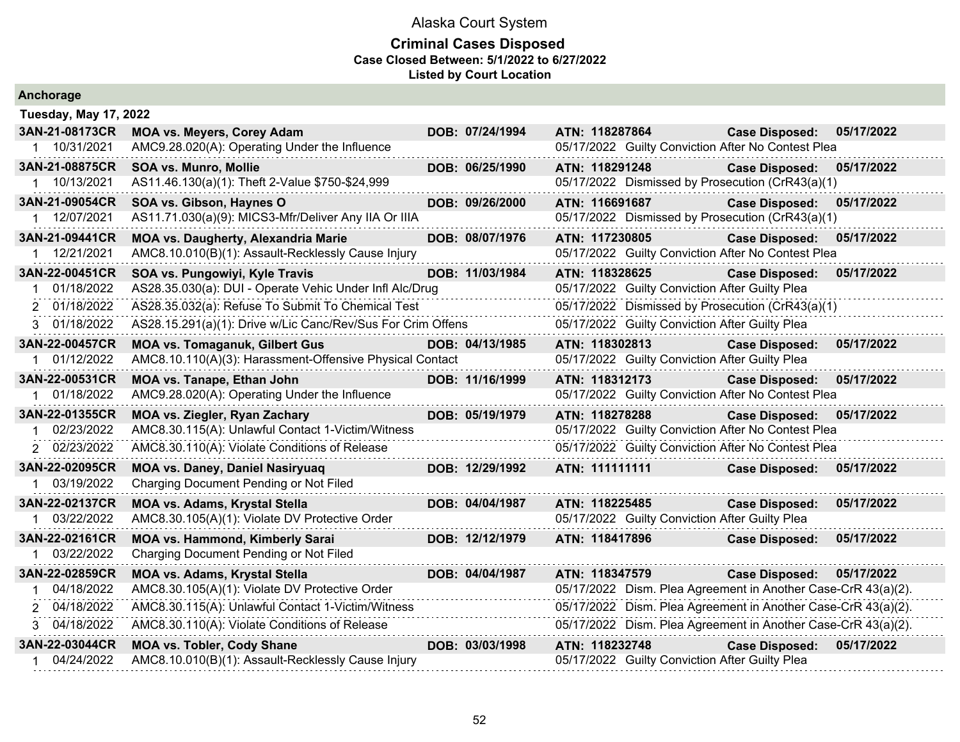#### **Criminal Cases Disposed Case Closed Between: 5/1/2022 to 6/27/2022 Listed by Court Location**

| Anchorage                    |                                                             |                 |                                                               |                           |            |
|------------------------------|-------------------------------------------------------------|-----------------|---------------------------------------------------------------|---------------------------|------------|
| <b>Tuesday, May 17, 2022</b> |                                                             |                 |                                                               |                           |            |
| 3AN-21-08173CR               | <b>MOA vs. Meyers, Corey Adam</b>                           | DOB: 07/24/1994 | ATN: 118287864                                                | <b>Case Disposed:</b>     | 05/17/2022 |
| 1 10/31/2021                 | AMC9.28.020(A): Operating Under the Influence               |                 | 05/17/2022 Guilty Conviction After No Contest Plea            |                           |            |
| 3AN-21-08875CR               | <b>SOA vs. Munro, Mollie</b>                                | DOB: 06/25/1990 | ATN: 118291248                                                | <b>Case Disposed:</b>     | 05/17/2022 |
| 1 10/13/2021                 | AS11.46.130(a)(1): Theft 2-Value \$750-\$24,999             |                 | 05/17/2022 Dismissed by Prosecution (CrR43(a)(1)              |                           |            |
| 3AN-21-09054CR               | SOA vs. Gibson, Haynes O                                    | DOB: 09/26/2000 | ATN: 116691687                                                | <b>Case Disposed:</b>     | 05/17/2022 |
| 1 12/07/2021                 | AS11.71.030(a)(9): MICS3-Mfr/Deliver Any IIA Or IIIA        |                 | 05/17/2022 Dismissed by Prosecution (CrR43(a)(1)              |                           |            |
| 3AN-21-09441CR               | <b>MOA vs. Daugherty, Alexandria Marie</b>                  | DOB: 08/07/1976 | ATN: 117230805                                                | <b>Case Disposed:</b>     | 05/17/2022 |
| 12/21/2021<br>1              | AMC8.10.010(B)(1): Assault-Recklessly Cause Injury          |                 | 05/17/2022 Guilty Conviction After No Contest Plea            |                           |            |
| 3AN-22-00451CR               | SOA vs. Pungowiyi, Kyle Travis                              | DOB: 11/03/1984 | ATN: 118328625                                                | <b>Case Disposed:</b>     | 05/17/2022 |
| 01/18/2022<br>1              | AS28.35.030(a): DUI - Operate Vehic Under Infl Alc/Drug     |                 | 05/17/2022 Guilty Conviction After Guilty Plea                |                           |            |
| 2 01/18/2022                 | AS28.35.032(a): Refuse To Submit To Chemical Test           |                 | 05/17/2022 Dismissed by Prosecution (CrR43(a)(1)              |                           |            |
| 3 01/18/2022                 | AS28.15.291(a)(1): Drive w/Lic Canc/Rev/Sus For Crim Offens |                 | 05/17/2022 Guilty Conviction After Guilty Plea                |                           |            |
| 3AN-22-00457CR               | <b>MOA vs. Tomaganuk, Gilbert Gus</b>                       | DOB: 04/13/1985 | ATN: 118302813                                                | <b>Case Disposed:</b>     | 05/17/2022 |
| 01/12/2022                   | AMC8.10.110(A)(3): Harassment-Offensive Physical Contact    |                 | 05/17/2022 Guilty Conviction After Guilty Plea                |                           |            |
| 3AN-22-00531CR               | MOA vs. Tanape, Ethan John                                  | DOB: 11/16/1999 | ATN: 118312173                                                | <b>Case Disposed:</b>     | 05/17/2022 |
| 1 01/18/2022                 | AMC9.28.020(A): Operating Under the Influence               |                 | 05/17/2022 Guilty Conviction After No Contest Plea            |                           |            |
| 3AN-22-01355CR               | <b>MOA vs. Ziegler, Ryan Zachary</b>                        | DOB: 05/19/1979 | ATN: 118278288                                                | Case Disposed: 05/17/2022 |            |
| 02/23/2022<br>1              | AMC8.30.115(A): Unlawful Contact 1-Victim/Witness           |                 | 05/17/2022 Guilty Conviction After No Contest Plea            |                           |            |
| 2 02/23/2022                 | AMC8.30.110(A): Violate Conditions of Release               |                 | 05/17/2022 Guilty Conviction After No Contest Plea            |                           |            |
| 3AN-22-02095CR               | MOA vs. Daney, Daniel Nasiryuaq                             | DOB: 12/29/1992 | ATN: 111111111                                                | <b>Case Disposed:</b>     | 05/17/2022 |
| 1 03/19/2022                 | Charging Document Pending or Not Filed                      |                 |                                                               |                           |            |
| 3AN-22-02137CR               | <b>MOA vs. Adams, Krystal Stella</b>                        | DOB: 04/04/1987 | ATN: 118225485                                                | <b>Case Disposed:</b>     | 05/17/2022 |
| 1 03/22/2022                 | AMC8.30.105(A)(1): Violate DV Protective Order              |                 | 05/17/2022 Guilty Conviction After Guilty Plea                |                           |            |
| 3AN-22-02161CR               | <b>MOA vs. Hammond, Kimberly Sarai</b>                      | DOB: 12/12/1979 | ATN: 118417896                                                | <b>Case Disposed:</b>     | 05/17/2022 |
| 03/22/2022                   | Charging Document Pending or Not Filed                      |                 |                                                               |                           |            |
| 3AN-22-02859CR               | <b>MOA vs. Adams, Krystal Stella</b>                        | DOB: 04/04/1987 | ATN: 118347579                                                | <b>Case Disposed:</b>     | 05/17/2022 |
| 04/18/2022                   | AMC8.30.105(A)(1): Violate DV Protective Order              |                 | 05/17/2022 Dism. Plea Agreement in Another Case-CrR 43(a)(2). |                           |            |
| 2 04/18/2022                 | AMC8.30.115(A): Unlawful Contact 1-Victim/Witness           |                 | 05/17/2022 Dism. Plea Agreement in Another Case-CrR 43(a)(2). |                           |            |
| 3 04/18/2022                 | AMC8.30.110(A): Violate Conditions of Release               |                 | 05/17/2022 Dism. Plea Agreement in Another Case-CrR 43(a)(2). |                           |            |
| 3AN-22-03044CR               | <b>MOA vs. Tobler, Cody Shane</b>                           | DOB: 03/03/1998 | ATN: 118232748                                                | <b>Case Disposed:</b>     | 05/17/2022 |
| 04/24/2022<br>1              | AMC8.10.010(B)(1): Assault-Recklessly Cause Injury          |                 | 05/17/2022 Guilty Conviction After Guilty Plea                |                           |            |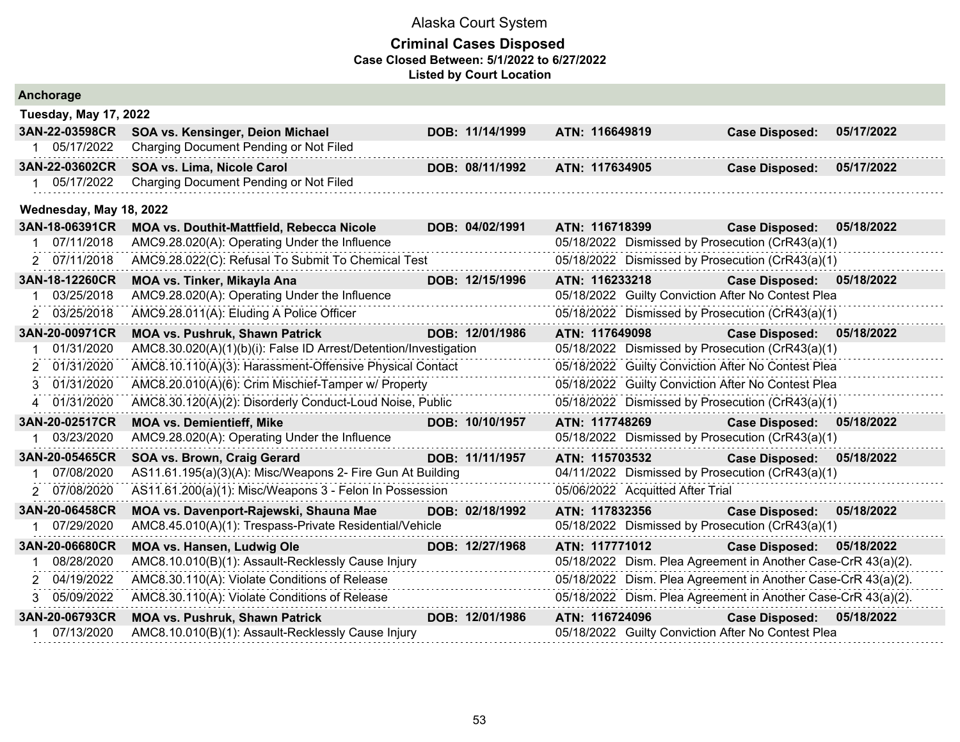|   | Anchorage                    |                                                                  |                 |                |                                  |                                                               |            |
|---|------------------------------|------------------------------------------------------------------|-----------------|----------------|----------------------------------|---------------------------------------------------------------|------------|
|   | <b>Tuesday, May 17, 2022</b> |                                                                  |                 |                |                                  |                                                               |            |
|   | 3AN-22-03598CR               | SOA vs. Kensinger, Deion Michael                                 | DOB: 11/14/1999 | ATN: 116649819 |                                  | <b>Case Disposed:</b>                                         | 05/17/2022 |
|   | 05/17/2022                   | Charging Document Pending or Not Filed                           |                 |                |                                  |                                                               |            |
|   | 3AN-22-03602CR               | SOA vs. Lima, Nicole Carol                                       | DOB: 08/11/1992 | ATN: 117634905 |                                  | <b>Case Disposed:</b>                                         | 05/17/2022 |
|   | 05/17/2022                   | Charging Document Pending or Not Filed                           |                 |                |                                  |                                                               |            |
|   | Wednesday, May 18, 2022      |                                                                  |                 |                |                                  |                                                               |            |
|   | 3AN-18-06391CR               | <b>MOA vs. Douthit-Mattfield, Rebecca Nicole</b>                 | DOB: 04/02/1991 | ATN: 116718399 |                                  | <b>Case Disposed:</b>                                         | 05/18/2022 |
|   | 07/11/2018                   | AMC9.28.020(A): Operating Under the Influence                    |                 |                |                                  | 05/18/2022 Dismissed by Prosecution (CrR43(a)(1)              |            |
|   | 2 07/11/2018                 | AMC9.28.022(C): Refusal To Submit To Chemical Test               |                 |                |                                  | 05/18/2022 Dismissed by Prosecution (CrR43(a)(1)              |            |
|   | 3AN-18-12260CR               | MOA vs. Tinker, Mikayla Ana                                      | DOB: 12/15/1996 | ATN: 116233218 |                                  | <b>Case Disposed:</b>                                         | 05/18/2022 |
|   | 03/25/2018                   | AMC9.28.020(A): Operating Under the Influence                    |                 |                |                                  | 05/18/2022 Guilty Conviction After No Contest Plea            |            |
|   | 2 03/25/2018                 | AMC9.28.011(A): Eluding A Police Officer                         |                 |                |                                  | 05/18/2022 Dismissed by Prosecution (CrR43(a)(1)              |            |
|   | 3AN-20-00971CR               | <b>MOA vs. Pushruk, Shawn Patrick</b>                            | DOB: 12/01/1986 | ATN: 117649098 |                                  | <b>Case Disposed:</b>                                         | 05/18/2022 |
|   | 01/31/2020                   | AMC8.30.020(A)(1)(b)(i): False ID Arrest/Detention/Investigation |                 |                |                                  | 05/18/2022 Dismissed by Prosecution (CrR43(a)(1)              |            |
| 2 | 01/31/2020                   | AMC8.10.110(A)(3): Harassment-Offensive Physical Contact         |                 |                |                                  | 05/18/2022 Guilty Conviction After No Contest Plea            |            |
| 3 | 01/31/2020                   | AMC8.20.010(A)(6): Crim Mischief-Tamper w/ Property              |                 |                |                                  | 05/18/2022 Guilty Conviction After No Contest Plea            |            |
| 4 | 01/31/2020                   | AMC8.30.120(A)(2): Disorderly Conduct-Loud Noise, Public         |                 |                |                                  | 05/18/2022 Dismissed by Prosecution (CrR43(a)(1)              |            |
|   | 3AN-20-02517CR               | <b>MOA vs. Demientieff, Mike</b>                                 | DOB: 10/10/1957 | ATN: 117748269 |                                  | <b>Case Disposed:</b>                                         | 05/18/2022 |
|   | 03/23/2020                   | AMC9.28.020(A): Operating Under the Influence                    |                 |                |                                  | 05/18/2022 Dismissed by Prosecution (CrR43(a)(1)              |            |
|   | 3AN-20-05465CR               | SOA vs. Brown, Craig Gerard                                      | DOB: 11/11/1957 | ATN: 115703532 |                                  | <b>Case Disposed:</b>                                         | 05/18/2022 |
|   | 07/08/2020                   | AS11.61.195(a)(3)(A): Misc/Weapons 2- Fire Gun At Building       |                 |                |                                  | 04/11/2022 Dismissed by Prosecution (CrR43(a)(1)              |            |
|   | 2 07/08/2020                 | AS11.61.200(a)(1): Misc/Weapons 3 - Felon In Possession          |                 |                | 05/06/2022 Acquitted After Trial |                                                               |            |
|   | 3AN-20-06458CR               | MOA vs. Davenport-Rajewski, Shauna Mae                           | DOB: 02/18/1992 | ATN: 117832356 |                                  | <b>Case Disposed:</b>                                         | 05/18/2022 |
|   | 1 07/29/2020                 | AMC8.45.010(A)(1): Trespass-Private Residential/Vehicle          |                 |                |                                  | 05/18/2022 Dismissed by Prosecution (CrR43(a)(1)              |            |
|   | 3AN-20-06680CR               | MOA vs. Hansen, Ludwig Ole                                       | DOB: 12/27/1968 | ATN: 117771012 |                                  | Case Disposed: 05/18/2022                                     |            |
|   | 08/28/2020                   | AMC8.10.010(B)(1): Assault-Recklessly Cause Injury               |                 |                |                                  | 05/18/2022 Dism. Plea Agreement in Another Case-CrR 43(a)(2). |            |
|   | 2 04/19/2022                 | AMC8.30.110(A): Violate Conditions of Release                    |                 |                |                                  | 05/18/2022 Dism. Plea Agreement in Another Case-CrR 43(a)(2). |            |
| 3 | 05/09/2022                   | AMC8.30.110(A): Violate Conditions of Release                    |                 |                |                                  | 05/18/2022 Dism. Plea Agreement in Another Case-CrR 43(a)(2). |            |
|   | 3AN-20-06793CR               | <b>MOA vs. Pushruk, Shawn Patrick</b>                            | DOB: 12/01/1986 | ATN: 116724096 |                                  | <b>Case Disposed:</b>                                         | 05/18/2022 |
| 1 | 07/13/2020                   | AMC8.10.010(B)(1): Assault-Recklessly Cause Injury               |                 |                |                                  | 05/18/2022 Guilty Conviction After No Contest Plea            |            |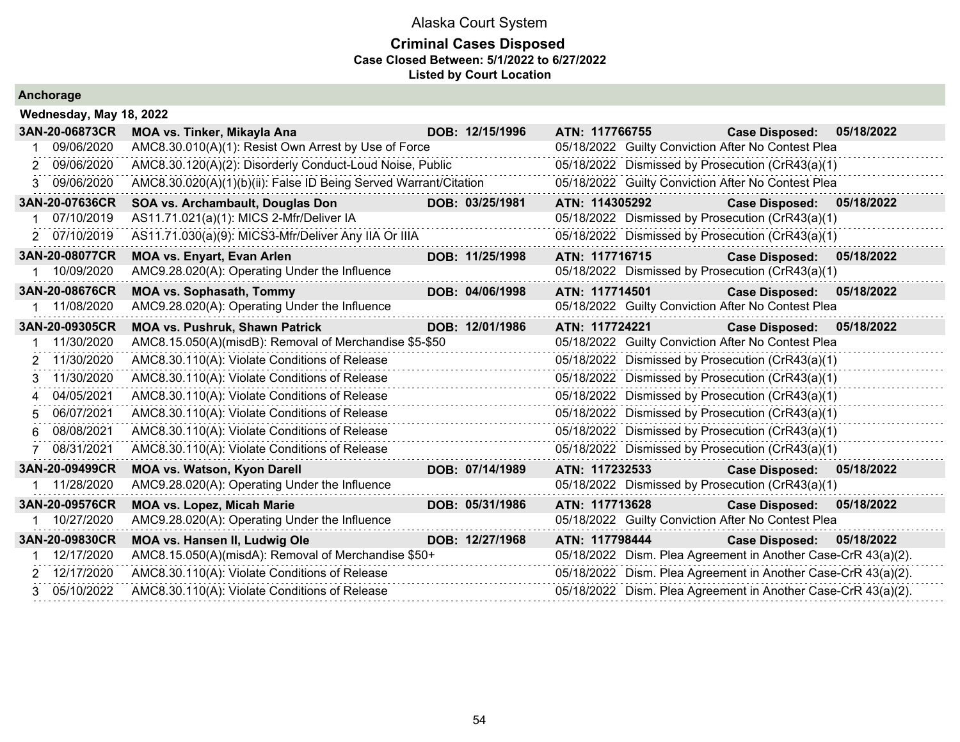|  |  | Anchorage |  |  |
|--|--|-----------|--|--|
|  |  |           |  |  |

|    | Wednesday, May 18, 2022 |                                                                  |                 |                |                                                               |            |
|----|-------------------------|------------------------------------------------------------------|-----------------|----------------|---------------------------------------------------------------|------------|
|    | 3AN-20-06873CR          | MOA vs. Tinker, Mikayla Ana                                      | DOB: 12/15/1996 | ATN: 117766755 | <b>Case Disposed:</b>                                         | 05/18/2022 |
|    | 09/06/2020              | AMC8.30.010(A)(1): Resist Own Arrest by Use of Force             |                 |                | 05/18/2022 Guilty Conviction After No Contest Plea            |            |
|    | 2 09/06/2020            | AMC8.30.120(A)(2): Disorderly Conduct-Loud Noise, Public         |                 |                | 05/18/2022 Dismissed by Prosecution (CrR43(a)(1)              |            |
| 3. | 09/06/2020              | AMC8.30.020(A)(1)(b)(ii): False ID Being Served Warrant/Citation |                 |                | 05/18/2022 Guilty Conviction After No Contest Plea            |            |
|    | 3AN-20-07636CR          | SOA vs. Archambault, Douglas Don                                 | DOB: 03/25/1981 | ATN: 114305292 | <b>Case Disposed:</b>                                         | 05/18/2022 |
|    | 07/10/2019              | AS11.71.021(a)(1): MICS 2-Mfr/Deliver IA                         | .               |                | 05/18/2022 Dismissed by Prosecution (CrR43(a)(1)              |            |
|    | 2 07/10/2019            | AS11.71.030(a)(9): MICS3-Mfr/Deliver Any IIA Or IIIA             |                 |                | 05/18/2022 Dismissed by Prosecution (CrR43(a)(1)              |            |
|    | 3AN-20-08077CR          | <b>MOA vs. Enyart, Evan Arlen</b>                                | DOB: 11/25/1998 | ATN: 117716715 | <b>Case Disposed:</b>                                         | 05/18/2022 |
|    | 10/09/2020              | AMC9.28.020(A): Operating Under the Influence                    |                 |                | 05/18/2022 Dismissed by Prosecution (CrR43(a)(1)              |            |
|    | 3AN-20-08676CR          | <b>MOA vs. Sophasath, Tommy</b>                                  | DOB: 04/06/1998 | ATN: 117714501 | Case Disposed: 05/18/2022                                     |            |
|    | 1 11/08/2020            | AMC9.28.020(A): Operating Under the Influence                    |                 |                | 05/18/2022 Guilty Conviction After No Contest Plea            |            |
|    | 3AN-20-09305CR          | <b>MOA vs. Pushruk, Shawn Patrick</b>                            | DOB: 12/01/1986 | ATN: 117724221 | <b>Case Disposed:</b>                                         | 05/18/2022 |
|    | 1 11/30/2020            | AMC8.15.050(A)(misdB): Removal of Merchandise \$5-\$50           |                 |                | 05/18/2022 Guilty Conviction After No Contest Plea            |            |
|    | 2 11/30/2020            | AMC8.30.110(A): Violate Conditions of Release                    |                 |                | 05/18/2022 Dismissed by Prosecution (CrR43(a)(1)              |            |
| 3  | 11/30/2020              | AMC8.30.110(A): Violate Conditions of Release                    |                 |                | 05/18/2022 Dismissed by Prosecution (CrR43(a)(1)              |            |
| 4  | 04/05/2021              | AMC8.30.110(A): Violate Conditions of Release                    |                 |                | 05/18/2022 Dismissed by Prosecution (CrR43(a)(1)              |            |
| 5. | 06/07/2021              | AMC8.30.110(A): Violate Conditions of Release                    |                 |                | 05/18/2022 Dismissed by Prosecution (CrR43(a)(1)              |            |
| 6. | 08/08/2021              | AMC8.30.110(A): Violate Conditions of Release                    |                 |                | 05/18/2022 Dismissed by Prosecution (CrR43(a)(1)              |            |
|    | 08/31/2021              | AMC8.30.110(A): Violate Conditions of Release                    |                 |                | 05/18/2022 Dismissed by Prosecution (CrR43(a)(1)              |            |
|    | 3AN-20-09499CR          | <b>MOA vs. Watson, Kyon Darell</b>                               | DOB: 07/14/1989 | ATN: 117232533 | <b>Case Disposed:</b>                                         | 05/18/2022 |
|    | 1 11/28/2020            | AMC9.28.020(A): Operating Under the Influence                    |                 |                | 05/18/2022 Dismissed by Prosecution (CrR43(a)(1)              |            |
|    | 3AN-20-09576CR          | <b>MOA vs. Lopez, Micah Marie</b>                                | DOB: 05/31/1986 | ATN: 117713628 | <b>Case Disposed:</b>                                         | 05/18/2022 |
|    | 10/27/2020              | AMC9.28.020(A): Operating Under the Influence                    |                 |                | 05/18/2022 Guilty Conviction After No Contest Plea            |            |
|    | 3AN-20-09830CR          | MOA vs. Hansen II, Ludwig Ole                                    | DOB: 12/27/1968 | ATN: 117798444 | <b>Case Disposed:</b>                                         | 05/18/2022 |
|    | 12/17/2020              | AMC8.15.050(A)(misdA): Removal of Merchandise \$50+              |                 |                | 05/18/2022 Dism. Plea Agreement in Another Case-CrR 43(a)(2). |            |
|    | 2 12/17/2020            | AMC8.30.110(A): Violate Conditions of Release                    |                 |                | 05/18/2022 Dism. Plea Agreement in Another Case-CrR 43(a)(2). |            |
|    | 3 05/10/2022            | AMC8.30.110(A): Violate Conditions of Release                    |                 |                | 05/18/2022 Dism. Plea Agreement in Another Case-CrR 43(a)(2). |            |
|    |                         |                                                                  |                 |                |                                                               |            |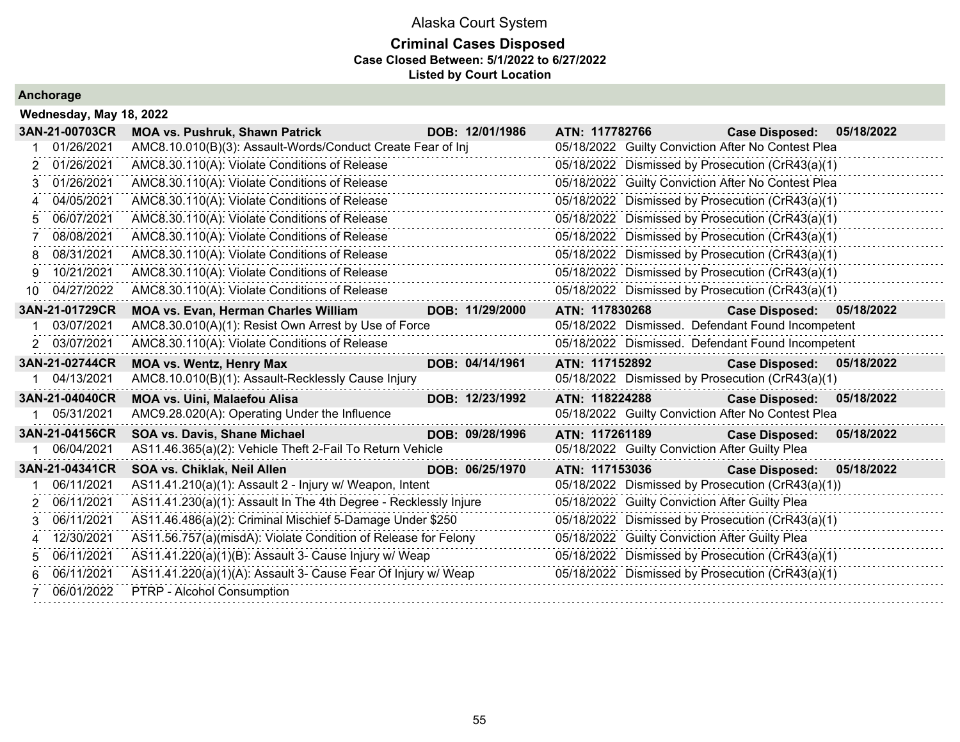### **Criminal Cases Disposed Case Closed Between: 5/1/2022 to 6/27/2022 Listed by Court Location**

|  | Wednesday, May 18, 2022 |  |  |
|--|-------------------------|--|--|
|--|-------------------------|--|--|

|     | 3AN-21-00703CR | <b>MOA vs. Pushruk, Shawn Patrick</b>                            | DOB: 12/01/1986 | ATN: 117782766                                 | Case Disposed: 05/18/2022                          |            |
|-----|----------------|------------------------------------------------------------------|-----------------|------------------------------------------------|----------------------------------------------------|------------|
|     | 01/26/2021     | AMC8.10.010(B)(3): Assault-Words/Conduct Create Fear of Inj      |                 |                                                | 05/18/2022 Guilty Conviction After No Contest Plea |            |
|     | 01/26/2021     | AMC8.30.110(A): Violate Conditions of Release                    |                 |                                                | 05/18/2022 Dismissed by Prosecution (CrR43(a)(1)   |            |
|     | 01/26/2021     | AMC8.30.110(A): Violate Conditions of Release                    |                 |                                                | 05/18/2022 Guilty Conviction After No Contest Plea |            |
|     | 04/05/2021     | AMC8.30.110(A): Violate Conditions of Release                    |                 |                                                | 05/18/2022 Dismissed by Prosecution (CrR43(a)(1)   |            |
| 5   | 06/07/2021     | AMC8.30.110(A): Violate Conditions of Release                    |                 |                                                | 05/18/2022 Dismissed by Prosecution (CrR43(a)(1)   |            |
|     | 08/08/2021     | AMC8.30.110(A): Violate Conditions of Release                    |                 |                                                | 05/18/2022 Dismissed by Prosecution (CrR43(a)(1)   |            |
| 8   | 08/31/2021     | AMC8.30.110(A): Violate Conditions of Release                    |                 |                                                | 05/18/2022 Dismissed by Prosecution (CrR43(a)(1)   |            |
| 9   | 10/21/2021     | AMC8.30.110(A): Violate Conditions of Release                    |                 |                                                | 05/18/2022 Dismissed by Prosecution (CrR43(a)(1)   |            |
| 10. | 04/27/2022     | AMC8.30.110(A): Violate Conditions of Release                    |                 |                                                | 05/18/2022 Dismissed by Prosecution (CrR43(a)(1)   |            |
|     | 3AN-21-01729CR | <b>MOA vs. Evan, Herman Charles William</b>                      | DOB: 11/29/2000 | ATN: 117830268                                 | Case Disposed: 05/18/2022                          |            |
|     | 03/07/2021     | AMC8.30.010(A)(1): Resist Own Arrest by Use of Force             |                 |                                                | 05/18/2022 Dismissed. Defendant Found Incompetent  |            |
|     | 2 03/07/2021   | AMC8.30.110(A): Violate Conditions of Release                    |                 |                                                | 05/18/2022 Dismissed. Defendant Found Incompetent  |            |
|     | 3AN-21-02744CR | <b>MOA vs. Wentz, Henry Max</b>                                  | DOB: 04/14/1961 | ATN: 117152892                                 | Case Disposed: 05/18/2022                          |            |
|     | 04/13/2021     | AMC8.10.010(B)(1): Assault-Recklessly Cause Injury               |                 |                                                | 05/18/2022 Dismissed by Prosecution (CrR43(a)(1)   |            |
|     | 3AN-21-04040CR | <b>MOA vs. Uini, Malaefou Alisa</b>                              | DOB: 12/23/1992 | ATN: 118224288                                 | Case Disposed: 05/18/2022                          |            |
|     | 05/31/2021     | AMC9.28.020(A): Operating Under the Influence                    |                 |                                                | 05/18/2022 Guilty Conviction After No Contest Plea |            |
|     | 3AN-21-04156CR | SOA vs. Davis, Shane Michael                                     | DOB: 09/28/1996 | ATN: 117261189                                 | <b>Case Disposed:</b>                              | 05/18/2022 |
|     | 06/04/2021     | AS11.46.365(a)(2): Vehicle Theft 2-Fail To Return Vehicle        |                 | 05/18/2022 Guilty Conviction After Guilty Plea |                                                    |            |
|     | 3AN-21-04341CR | SOA vs. Chiklak, Neil Allen                                      | DOB: 06/25/1970 | ATN: 117153036                                 | Case Disposed: 05/18/2022                          |            |
|     | 06/11/2021     | AS11.41.210(a)(1): Assault 2 - Injury w/ Weapon, Intent          |                 |                                                | 05/18/2022 Dismissed by Prosecution (CrR43(a)(1))  |            |
|     | 06/11/2021     | AS11.41.230(a)(1): Assault In The 4th Degree - Recklessly Injure |                 | 05/18/2022 Guilty Conviction After Guilty Plea |                                                    |            |
| 3   | 06/11/2021     | AS11.46.486(a)(2): Criminal Mischief 5-Damage Under \$250        |                 |                                                | 05/18/2022 Dismissed by Prosecution (CrR43(a)(1)   |            |
|     | 12/30/2021     | AS11.56.757(a)(misdA): Violate Condition of Release for Felony   |                 | 05/18/2022 Guilty Conviction After Guilty Plea |                                                    |            |
|     | 06/11/2021     | AS11.41.220(a)(1)(B): Assault 3- Cause Injury w/ Weap            |                 |                                                | 05/18/2022 Dismissed by Prosecution (CrR43(a)(1)   |            |
| 6   | 06/11/2021     | AS11.41.220(a)(1)(A): Assault 3- Cause Fear Of Injury w/ Weap    |                 |                                                | 05/18/2022 Dismissed by Prosecution (CrR43(a)(1)   |            |
|     | 06/01/2022     | PTRP - Alcohol Consumption                                       |                 |                                                |                                                    |            |
|     |                |                                                                  |                 |                                                |                                                    |            |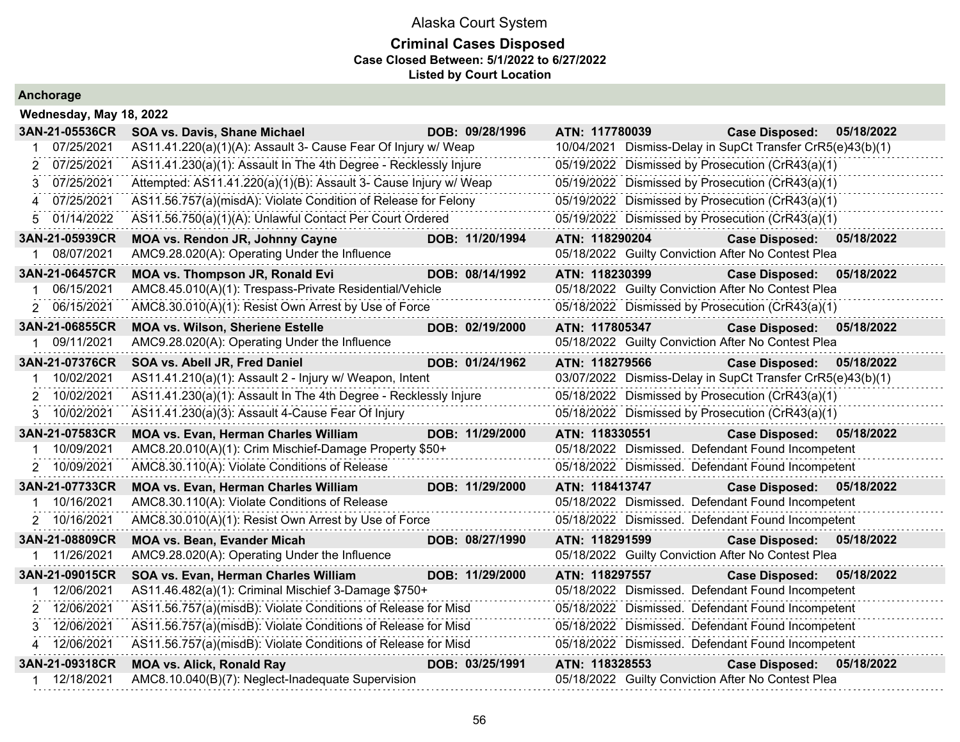### **Criminal Cases Disposed Case Closed Between: 5/1/2022 to 6/27/2022 Listed by Court Location**

| Wednesday, May 18, 2022           |                                                                                                   |                 |                                                                      |                           |            |
|-----------------------------------|---------------------------------------------------------------------------------------------------|-----------------|----------------------------------------------------------------------|---------------------------|------------|
| 3AN-21-05536CR                    | SOA vs. Davis, Shane Michael                                                                      | DOB: 09/28/1996 | ATN: 117780039                                                       | <b>Case Disposed:</b>     | 05/18/2022 |
| 07/25/2021                        | AS11.41.220(a)(1)(A): Assault 3- Cause Fear Of Injury w/ Weap                                     |                 | 10/04/2021 Dismiss-Delay in SupCt Transfer CrR5(e)43(b)(1)           |                           |            |
| 2 07/25/2021                      | AS11.41.230(a)(1): Assault In The 4th Degree - Recklessly Injure                                  |                 | 05/19/2022 Dismissed by Prosecution (CrR43(a)(1)                     |                           |            |
| 07/25/2021<br>3                   | Attempted: AS11.41.220(a)(1)(B): Assault 3- Cause Injury w/ Weap                                  |                 | 05/19/2022 Dismissed by Prosecution (CrR43(a)(1)                     |                           |            |
| 07/25/2021<br>4                   | AS11.56.757(a)(misdA): Violate Condition of Release for Felony                                    |                 | 05/19/2022 Dismissed by Prosecution (CrR43(a)(1)                     |                           |            |
| 5 01/14/2022                      | AS11.56.750(a)(1)(A): Unlawful Contact Per Court Ordered                                          |                 | 05/19/2022 Dismissed by Prosecution (CrR43(a)(1)                     |                           |            |
| 3AN-21-05939CR                    | <b>MOA vs. Rendon JR, Johnny Cayne</b>                                                            | DOB: 11/20/1994 | ATN: 118290204                                                       | Case Disposed: 05/18/2022 |            |
| 08/07/2021<br>1                   | AMC9.28.020(A): Operating Under the Influence                                                     |                 | 05/18/2022 Guilty Conviction After No Contest Plea                   |                           |            |
| 3AN-21-06457CR<br>06/15/2021<br>1 | <b>MOA vs. Thompson JR, Ronald Evi</b><br>AMC8.45.010(A)(1): Trespass-Private Residential/Vehicle | DOB: 08/14/1992 | ATN: 118230399<br>05/18/2022 Guilty Conviction After No Contest Plea | Case Disposed: 05/18/2022 |            |
| 06/15/2021<br>2                   | AMC8.30.010(A)(1): Resist Own Arrest by Use of Force                                              |                 | 05/18/2022 Dismissed by Prosecution (CrR43(a)(1)                     |                           |            |
| 3AN-21-06855CR                    | <b>MOA vs. Wilson, Sheriene Estelle</b>                                                           | DOB: 02/19/2000 | ATN: 117805347                                                       | <b>Case Disposed:</b>     | 05/18/2022 |
| 09/11/2021                        | AMC9.28.020(A): Operating Under the Influence                                                     |                 | 05/18/2022 Guilty Conviction After No Contest Plea                   |                           |            |
| 3AN-21-07376CR                    | SOA vs. Abell JR, Fred Daniel                                                                     | DOB: 01/24/1962 | ATN: 118279566                                                       | <b>Case Disposed:</b>     | 05/18/2022 |
| 10/02/2021                        | AS11.41.210(a)(1): Assault 2 - Injury w/ Weapon, Intent                                           |                 | 03/07/2022 Dismiss-Delay in SupCt Transfer CrR5(e)43(b)(1)           |                           |            |
| 10/02/2021<br>2                   | AS11.41.230(a)(1): Assault In The 4th Degree - Recklessly Injure                                  |                 | 05/18/2022 Dismissed by Prosecution (CrR43(a)(1)                     |                           |            |
| 3 10/02/2021                      | AS11.41.230(a)(3): Assault 4-Cause Fear Of Injury                                                 |                 | 05/18/2022 Dismissed by Prosecution (CrR43(a)(1)                     |                           |            |
| 3AN-21-07583CR                    | <b>MOA vs. Evan, Herman Charles William</b>                                                       | DOB: 11/29/2000 | ATN: 118330551                                                       | Case Disposed: 05/18/2022 |            |
| 10/09/2021                        | AMC8.20.010(A)(1): Crim Mischief-Damage Property \$50+                                            |                 | 05/18/2022 Dismissed. Defendant Found Incompetent                    |                           |            |
| 10/09/2021<br>2                   | AMC8.30.110(A): Violate Conditions of Release                                                     |                 | 05/18/2022 Dismissed. Defendant Found Incompetent                    |                           |            |
| 3AN-21-07733CR                    | <b>MOA vs. Evan, Herman Charles William</b>                                                       | DOB: 11/29/2000 | ATN: 118413747                                                       | Case Disposed: 05/18/2022 |            |
| 10/16/2021                        | AMC8.30.110(A): Violate Conditions of Release                                                     |                 | 05/18/2022 Dismissed. Defendant Found Incompetent                    |                           |            |
| 2 10/16/2021                      | AMC8.30.010(A)(1): Resist Own Arrest by Use of Force                                              |                 | 05/18/2022 Dismissed. Defendant Found Incompetent                    |                           |            |
| 3AN-21-08809CR                    | <b>MOA vs. Bean, Evander Micah</b>                                                                | DOB: 08/27/1990 | ATN: 118291599                                                       | <b>Case Disposed:</b>     | 05/18/2022 |
| 1 11/26/2021                      | AMC9.28.020(A): Operating Under the Influence                                                     |                 | 05/18/2022 Guilty Conviction After No Contest Plea                   |                           |            |
| 3AN-21-09015CR                    | SOA vs. Evan, Herman Charles William                                                              | DOB: 11/29/2000 | ATN: 118297557                                                       | <b>Case Disposed:</b>     | 05/18/2022 |
| 12/06/2021                        | AS11.46.482(a)(1): Criminal Mischief 3-Damage \$750+                                              |                 | 05/18/2022 Dismissed. Defendant Found Incompetent                    |                           |            |
| 12/06/2021<br>2                   | AS11.56.757(a)(misdB): Violate Conditions of Release for Misd                                     |                 | 05/18/2022 Dismissed. Defendant Found Incompetent                    |                           |            |
| 12/06/2021<br>3                   | AS11.56.757(a)(misdB): Violate Conditions of Release for Misd                                     |                 | 05/18/2022 Dismissed. Defendant Found Incompetent                    |                           |            |
| 12/06/2021<br>4                   | AS11.56.757(a)(misdB): Violate Conditions of Release for Misd                                     |                 | 05/18/2022 Dismissed. Defendant Found Incompetent                    |                           |            |
| 3AN-21-09318CR                    | <b>MOA vs. Alick, Ronald Ray</b>                                                                  | DOB: 03/25/1991 | ATN: 118328553                                                       | Case Disposed: 05/18/2022 |            |
| 1 12/18/2021                      | AMC8.10.040(B)(7): Neglect-Inadequate Supervision                                                 |                 | 05/18/2022 Guilty Conviction After No Contest Plea                   |                           |            |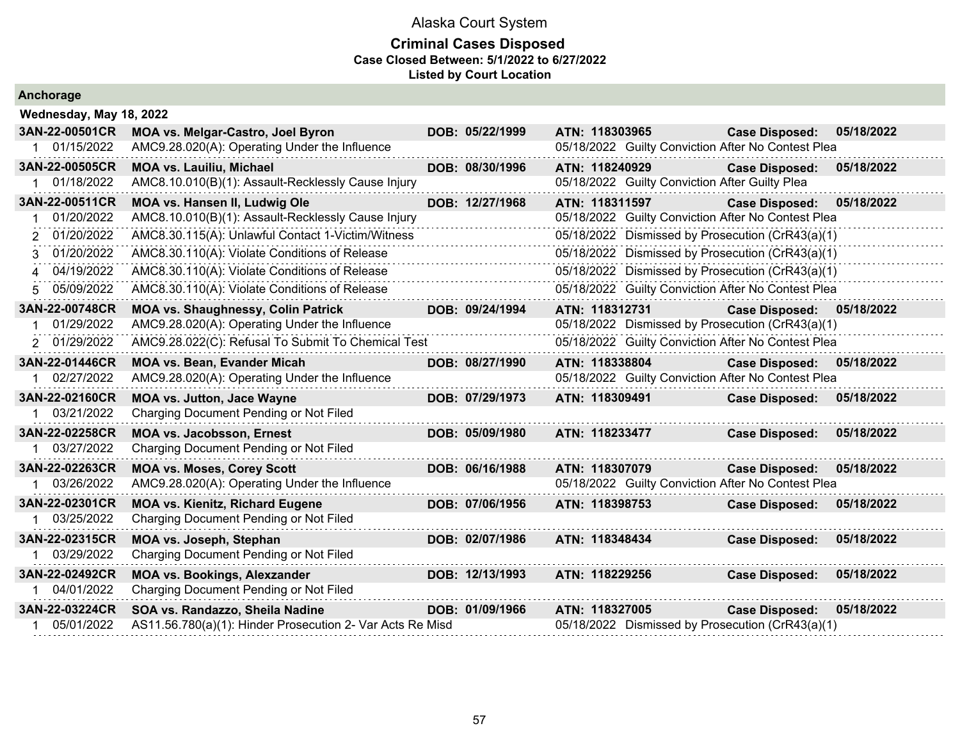| Anchorage               |                                                           |                 |                                                    |                       |            |
|-------------------------|-----------------------------------------------------------|-----------------|----------------------------------------------------|-----------------------|------------|
| Wednesday, May 18, 2022 |                                                           |                 |                                                    |                       |            |
| 3AN-22-00501CR          | MOA vs. Melgar-Castro, Joel Byron                         | DOB: 05/22/1999 | ATN: 118303965                                     | <b>Case Disposed:</b> | 05/18/2022 |
| 01/15/2022              | AMC9.28.020(A): Operating Under the Influence             |                 | 05/18/2022 Guilty Conviction After No Contest Plea |                       |            |
| 3AN-22-00505CR          | <b>MOA vs. Lauiliu, Michael</b>                           | DOB: 08/30/1996 | ATN: 118240929                                     | <b>Case Disposed:</b> | 05/18/2022 |
| 01/18/2022              | AMC8.10.010(B)(1): Assault-Recklessly Cause Injury        |                 | 05/18/2022 Guilty Conviction After Guilty Plea     |                       |            |
| 3AN-22-00511CR          | MOA vs. Hansen II, Ludwig Ole                             | DOB: 12/27/1968 | ATN: 118311597                                     | <b>Case Disposed:</b> | 05/18/2022 |
| 01/20/2022              | AMC8.10.010(B)(1): Assault-Recklessly Cause Injury        |                 | 05/18/2022 Guilty Conviction After No Contest Plea |                       |            |
| 01/20/2022<br>2         | AMC8.30.115(A): Unlawful Contact 1-Victim/Witness         |                 | 05/18/2022 Dismissed by Prosecution (CrR43(a)(1)   |                       |            |
| 01/20/2022              | AMC8.30.110(A): Violate Conditions of Release             |                 | 05/18/2022 Dismissed by Prosecution (CrR43(a)(1)   |                       |            |
| 04/19/2022<br>4         | AMC8.30.110(A): Violate Conditions of Release             |                 | 05/18/2022 Dismissed by Prosecution (CrR43(a)(1)   |                       |            |
| 05/09/2022              | AMC8.30.110(A): Violate Conditions of Release             |                 | 05/18/2022 Guilty Conviction After No Contest Plea |                       |            |
| 3AN-22-00748CR          | <b>MOA vs. Shaughnessy, Colin Patrick</b>                 | DOB: 09/24/1994 | ATN: 118312731                                     | <b>Case Disposed:</b> | 05/18/2022 |
| 01/29/2022              | AMC9.28.020(A): Operating Under the Influence             |                 | 05/18/2022 Dismissed by Prosecution (CrR43(a)(1)   |                       |            |
| 01/29/2022<br>2         | AMC9.28.022(C): Refusal To Submit To Chemical Test        |                 | 05/18/2022 Guilty Conviction After No Contest Plea |                       |            |
| 3AN-22-01446CR          | <b>MOA vs. Bean, Evander Micah</b>                        | DOB: 08/27/1990 | ATN: 118338804                                     | <b>Case Disposed:</b> | 05/18/2022 |
| 02/27/2022              | AMC9.28.020(A): Operating Under the Influence             |                 | 05/18/2022 Guilty Conviction After No Contest Plea |                       |            |
| 3AN-22-02160CR          | <b>MOA vs. Jutton, Jace Wayne</b>                         | DOB: 07/29/1973 | ATN: 118309491                                     | <b>Case Disposed:</b> | 05/18/2022 |
| 03/21/2022              | Charging Document Pending or Not Filed                    |                 |                                                    |                       |            |
| 3AN-22-02258CR          | <b>MOA vs. Jacobsson, Ernest</b>                          | DOB: 05/09/1980 | ATN: 118233477                                     | <b>Case Disposed:</b> | 05/18/2022 |
| 1 03/27/2022            | Charging Document Pending or Not Filed                    |                 |                                                    |                       |            |
| 3AN-22-02263CR          | <b>MOA vs. Moses, Corey Scott</b>                         | DOB: 06/16/1988 | ATN: 118307079                                     | <b>Case Disposed:</b> | 05/18/2022 |
| 03/26/2022              | AMC9.28.020(A): Operating Under the Influence             |                 | 05/18/2022 Guilty Conviction After No Contest Plea |                       |            |
| 3AN-22-02301CR          | <b>MOA vs. Kienitz, Richard Eugene</b>                    | DOB: 07/06/1956 | ATN: 118398753                                     | <b>Case Disposed:</b> | 05/18/2022 |
| 1 03/25/2022            | Charging Document Pending or Not Filed                    |                 |                                                    |                       |            |
| 3AN-22-02315CR          | MOA vs. Joseph, Stephan                                   | DOB: 02/07/1986 | ATN: 118348434                                     | <b>Case Disposed:</b> | 05/18/2022 |
| 03/29/2022              | Charging Document Pending or Not Filed                    |                 |                                                    |                       |            |
| 3AN-22-02492CR          | <b>MOA vs. Bookings, Alexzander</b>                       | DOB: 12/13/1993 | ATN: 118229256                                     | <b>Case Disposed:</b> | 05/18/2022 |
| 04/01/2022              | Charging Document Pending or Not Filed                    |                 |                                                    |                       |            |
| 3AN-22-03224CR          | SOA vs. Randazzo, Sheila Nadine                           | DOB: 01/09/1966 | ATN: 118327005                                     | <b>Case Disposed:</b> | 05/18/2022 |
| 05/01/2022              | AS11.56.780(a)(1): Hinder Prosecution 2- Var Acts Re Misd |                 | 05/18/2022 Dismissed by Prosecution (CrR43(a)(1)   |                       |            |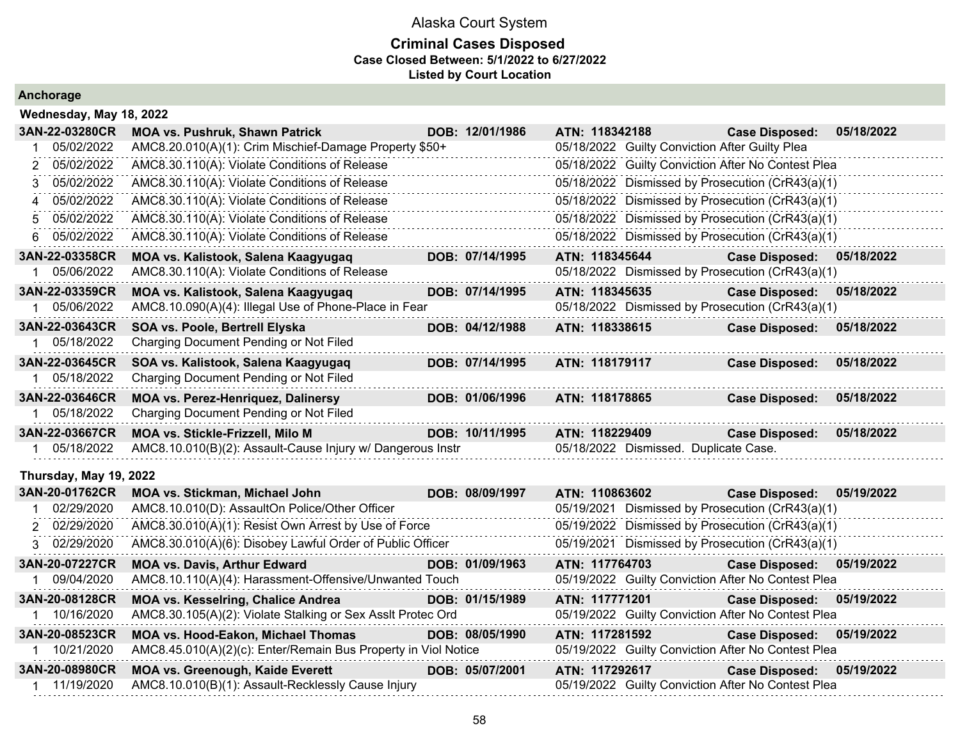### **Criminal Cases Disposed Case Closed Between: 5/1/2022 to 6/27/2022 Listed by Court Location**

| Wednesday, May 18, 2022 |  |  |
|-------------------------|--|--|
|-------------------------|--|--|

|             | 3AN-22-03280CR         | <b>MOA vs. Pushruk, Shawn Patrick</b>                      | DOB: 12/01/1986 | ATN: 118342188                                     | <b>Case Disposed:</b> | 05/18/2022 |
|-------------|------------------------|------------------------------------------------------------|-----------------|----------------------------------------------------|-----------------------|------------|
|             | 05/02/2022             | AMC8.20.010(A)(1): Crim Mischief-Damage Property \$50+     |                 | 05/18/2022 Guilty Conviction After Guilty Plea     |                       |            |
|             | 05/02/2022             | AMC8.30.110(A): Violate Conditions of Release              |                 | 05/18/2022 Guilty Conviction After No Contest Plea |                       |            |
|             | 05/02/2022             | AMC8.30.110(A): Violate Conditions of Release              |                 | 05/18/2022 Dismissed by Prosecution (CrR43(a)(1)   |                       |            |
| $\mathbf 4$ | 05/02/2022             | AMC8.30.110(A): Violate Conditions of Release              |                 | 05/18/2022 Dismissed by Prosecution (CrR43(a)(1)   |                       |            |
| 5.          | 05/02/2022             | AMC8.30.110(A): Violate Conditions of Release              |                 | 05/18/2022 Dismissed by Prosecution (CrR43(a)(1)   |                       |            |
| 6.          | 05/02/2022             | AMC8.30.110(A): Violate Conditions of Release              |                 | 05/18/2022 Dismissed by Prosecution (CrR43(a)(1)   |                       |            |
|             | 3AN-22-03358CR         | MOA vs. Kalistook, Salena Kaagyugaq                        | DOB: 07/14/1995 | ATN: 118345644                                     | <b>Case Disposed:</b> | 05/18/2022 |
|             | 05/06/2022             | AMC8.30.110(A): Violate Conditions of Release              |                 | 05/18/2022 Dismissed by Prosecution (CrR43(a)(1)   |                       |            |
|             | 3AN-22-03359CR         | MOA vs. Kalistook, Salena Kaagyugaq                        | DOB: 07/14/1995 | ATN: 118345635                                     | <b>Case Disposed:</b> | 05/18/2022 |
|             | 05/06/2022             | AMC8.10.090(A)(4): Illegal Use of Phone-Place in Fear      |                 | 05/18/2022 Dismissed by Prosecution (CrR43(a)(1)   |                       |            |
|             | 3AN-22-03643CR         | SOA vs. Poole, Bertrell Elyska                             | DOB: 04/12/1988 | ATN: 118338615                                     | <b>Case Disposed:</b> | 05/18/2022 |
|             | 05/18/2022             | Charging Document Pending or Not Filed                     |                 |                                                    |                       |            |
|             | 3AN-22-03645CR         | SOA vs. Kalistook, Salena Kaagyugaq                        | DOB: 07/14/1995 | ATN: 118179117                                     | <b>Case Disposed:</b> | 05/18/2022 |
|             | 05/18/2022             | Charging Document Pending or Not Filed                     |                 |                                                    |                       |            |
|             | 3AN-22-03646CR         | <b>MOA vs. Perez-Henriquez, Dalinersy</b>                  | DOB: 01/06/1996 | ATN: 118178865                                     | <b>Case Disposed:</b> | 05/18/2022 |
|             | 05/18/2022             | Charging Document Pending or Not Filed                     |                 |                                                    |                       |            |
|             | 3AN-22-03667CR         | MOA vs. Stickle-Frizzell, Milo M                           | DOB: 10/11/1995 | ATN: 118229409                                     | <b>Case Disposed:</b> | 05/18/2022 |
|             | 05/18/2022             | AMC8.10.010(B)(2): Assault-Cause Injury w/ Dangerous Instr |                 | 05/18/2022 Dismissed. Duplicate Case.              |                       |            |
|             | Thursday, May 19, 2022 |                                                            |                 |                                                    |                       |            |
|             | 3AN-20-01762CR         | <b>MOA vs. Stickman, Michael John</b>                      | DOB: 08/09/1997 | ATN: 110863602                                     | <b>Case Disposed:</b> | 05/19/2022 |
|             | 1 02/29/2020           | AMC8.10.010(D): AssaultOn Police/Other Officer             |                 | 05/19/2021 Dismissed by Prosecution (CrR43(a)(1)   |                       |            |

| 02/29/2020     | AMC8.10.010(D): AssaultOn Police/Other Officer                 |                 | 05/19/2021 Dismissed by Prosecution (CrR43(a)(1)   |                       |            |
|----------------|----------------------------------------------------------------|-----------------|----------------------------------------------------|-----------------------|------------|
| 2 02/29/2020   | AMC8.30.010(A)(1): Resist Own Arrest by Use of Force           |                 | 05/19/2022 Dismissed by Prosecution (CrR43(a)(1)   |                       |            |
| 3 02/29/2020   | AMC8.30.010(A)(6): Disobey Lawful Order of Public Officer      |                 | 05/19/2021 Dismissed by Prosecution (CrR43(a)(1)   |                       |            |
| 3AN-20-07227CR | <b>MOA vs. Davis, Arthur Edward</b>                            | DOB: 01/09/1963 | ATN: 117764703                                     | <b>Case Disposed:</b> | 05/19/2022 |
| 09/04/2020     | AMC8.10.110(A)(4): Harassment-Offensive/Unwanted Touch         |                 | 05/19/2022 Guilty Conviction After No Contest Plea |                       |            |
| 3AN-20-08128CR | <b>MOA vs. Kesselring, Chalice Andrea</b>                      | DOB: 01/15/1989 | ATN: 117771201                                     | <b>Case Disposed:</b> | 05/19/2022 |
| 10/16/2020     | AMC8.30.105(A)(2): Violate Stalking or Sex Asslt Protec Ord    |                 | 05/19/2022 Guilty Conviction After No Contest Plea |                       |            |
| 3AN-20-08523CR | <b>MOA vs. Hood-Eakon, Michael Thomas</b>                      | DOB: 08/05/1990 | ATN: 117281592                                     | <b>Case Disposed:</b> | 05/19/2022 |
| 10/21/2020     | AMC8.45.010(A)(2)(c): Enter/Remain Bus Property in Viol Notice |                 | 05/19/2022 Guilty Conviction After No Contest Plea |                       |            |
| 3AN-20-08980CR | <b>MOA vs. Greenough, Kaide Everett</b>                        | DOB: 05/07/2001 | ATN: 117292617                                     | <b>Case Disposed:</b> | 05/19/2022 |
| 1 11/19/2020   | AMC8.10.010(B)(1): Assault-Recklessly Cause Injury             |                 | 05/19/2022 Guilty Conviction After No Contest Plea |                       |            |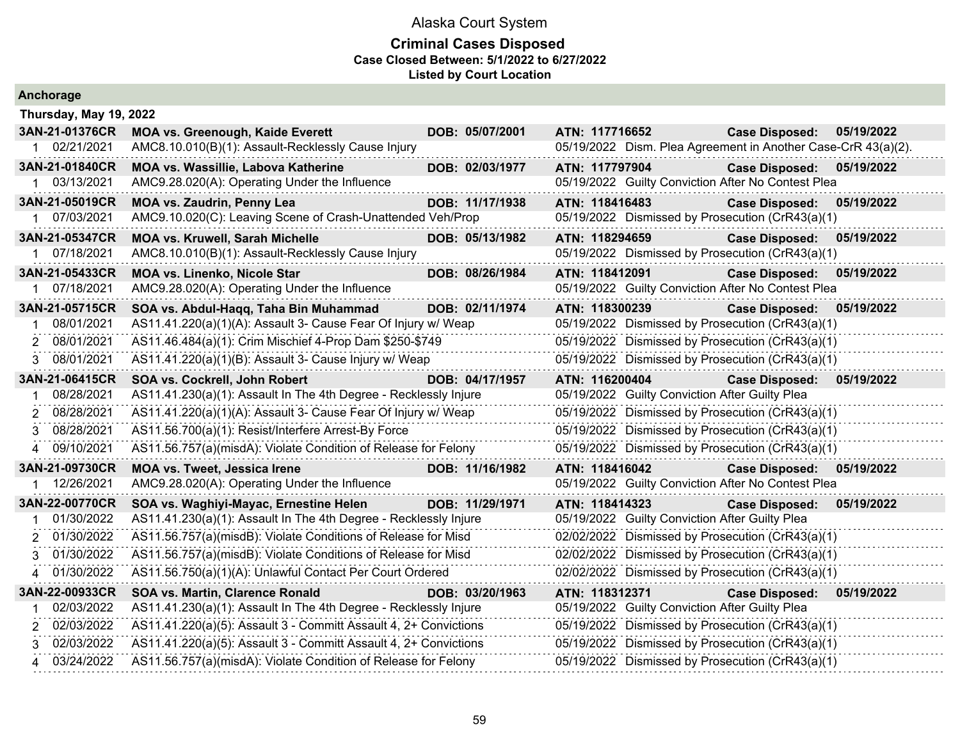| Anchorage                    |                                                                                                                       |                 |                                                                                                      |                           |            |
|------------------------------|-----------------------------------------------------------------------------------------------------------------------|-----------------|------------------------------------------------------------------------------------------------------|---------------------------|------------|
| Thursday, May 19, 2022       |                                                                                                                       |                 |                                                                                                      |                           |            |
| 3AN-21-01376CR               | <b>MOA vs. Greenough, Kaide Everett</b>                                                                               | DOB: 05/07/2001 | ATN: 117716652                                                                                       | <b>Case Disposed:</b>     | 05/19/2022 |
| 1 02/21/2021                 | AMC8.10.010(B)(1): Assault-Recklessly Cause Injury                                                                    |                 | 05/19/2022 Dism. Plea Agreement in Another Case-CrR 43(a)(2).                                        |                           |            |
| 3AN-21-01840CR               | <b>MOA vs. Wassillie, Labova Katherine</b>                                                                            | DOB: 02/03/1977 | ATN: 117797904                                                                                       | <b>Case Disposed:</b>     | 05/19/2022 |
| 1 03/13/2021                 | AMC9.28.020(A): Operating Under the Influence                                                                         |                 | 05/19/2022 Guilty Conviction After No Contest Plea                                                   |                           |            |
| 3AN-21-05019CR               | <b>MOA vs. Zaudrin, Penny Lea</b>                                                                                     | DOB: 11/17/1938 | ATN: 118416483                                                                                       | <b>Case Disposed:</b>     | 05/19/2022 |
| 1 07/03/2021                 | AMC9.10.020(C): Leaving Scene of Crash-Unattended Veh/Prop                                                            |                 | 05/19/2022 Dismissed by Prosecution (CrR43(a)(1)                                                     |                           |            |
| 3AN-21-05347CR               | <b>MOA vs. Kruwell, Sarah Michelle</b>                                                                                | DOB: 05/13/1982 | ATN: 118294659                                                                                       | <b>Case Disposed:</b>     | 05/19/2022 |
| 1 07/18/2021                 | AMC8.10.010(B)(1): Assault-Recklessly Cause Injury                                                                    |                 | 05/19/2022 Dismissed by Prosecution (CrR43(a)(1)                                                     |                           |            |
| 3AN-21-05433CR               | MOA vs. Linenko, Nicole Star                                                                                          | DOB: 08/26/1984 | ATN: 118412091                                                                                       | <b>Case Disposed:</b>     | 05/19/2022 |
| 07/18/2021                   | AMC9.28.020(A): Operating Under the Influence                                                                         |                 | 05/19/2022 Guilty Conviction After No Contest Plea                                                   |                           |            |
| 3AN-21-05715CR<br>08/01/2021 | SOA vs. Abdul-Haqq, Taha Bin Muhammad                                                                                 | DOB: 02/11/1974 | ATN: 118300239                                                                                       | <b>Case Disposed:</b>     | 05/19/2022 |
| 2 08/01/2021                 | AS11.41.220(a)(1)(A): Assault 3- Cause Fear Of Injury w/ Weap                                                         |                 | 05/19/2022 Dismissed by Prosecution (CrR43(a)(1)<br>05/19/2022 Dismissed by Prosecution (CrR43(a)(1) |                           |            |
|                              | AS11.46.484(a)(1): Crim Mischief 4-Prop Dam \$250-\$749                                                               |                 |                                                                                                      |                           |            |
| 3 08/01/2021                 | AS11.41.220(a)(1)(B): Assault 3- Cause Injury w/ Weap                                                                 |                 | 05/19/2022 Dismissed by Prosecution (CrR43(a)(1)                                                     |                           |            |
| 3AN-21-06415CR               | SOA vs. Cockrell, John Robert                                                                                         | DOB: 04/17/1957 | ATN: 116200404                                                                                       | <b>Case Disposed:</b>     | 05/19/2022 |
| 08/28/2021<br>08/28/2021     | AS11.41.230(a)(1): Assault In The 4th Degree - Recklessly Injure                                                      |                 | 05/19/2022 Guilty Conviction After Guilty Plea<br>05/19/2022 Dismissed by Prosecution (CrR43(a)(1)   |                           |            |
| 2<br>08/28/2021              | AS11.41.220(a)(1)(A): Assault 3- Cause Fear Of Injury w/ Weap                                                         |                 |                                                                                                      |                           |            |
| 3.<br>09/10/2021             | AS11.56.700(a)(1): Resist/Interfere Arrest-By Force<br>AS11.56.757(a)(misdA): Violate Condition of Release for Felony |                 | 05/19/2022 Dismissed by Prosecution (CrR43(a)(1)<br>05/19/2022 Dismissed by Prosecution (CrR43(a)(1) |                           |            |
| 4                            |                                                                                                                       |                 |                                                                                                      |                           |            |
| 3AN-21-09730CR<br>12/26/2021 | <b>MOA vs. Tweet, Jessica Irene</b><br>AMC9.28.020(A): Operating Under the Influence                                  | DOB: 11/16/1982 | ATN: 118416042<br>05/19/2022 Guilty Conviction After No Contest Plea                                 | Case Disposed: 05/19/2022 |            |
|                              | .                                                                                                                     |                 |                                                                                                      |                           |            |
| 3AN-22-00770CR<br>01/30/2022 | SOA vs. Waghiyi-Mayac, Ernestine Helen<br>AS11.41.230(a)(1): Assault In The 4th Degree - Recklessly Injure            | DOB: 11/29/1971 | ATN: 118414323<br>05/19/2022 Guilty Conviction After Guilty Plea                                     | <b>Case Disposed:</b>     | 05/19/2022 |
| 2 01/30/2022                 | AS11.56.757(a)(misdB): Violate Conditions of Release for Misd                                                         |                 | 02/02/2022 Dismissed by Prosecution (CrR43(a)(1)                                                     |                           |            |
| 01/30/2022<br>3              | AS11.56.757(a)(misdB): Violate Conditions of Release for Misd                                                         |                 | 02/02/2022 Dismissed by Prosecution (CrR43(a)(1)                                                     |                           |            |
| 01/30/2022                   | AS11.56.750(a)(1)(A): Unlawful Contact Per Court Ordered                                                              |                 | 02/02/2022 Dismissed by Prosecution (CrR43(a)(1)                                                     |                           |            |
| 3AN-22-00933CR               | SOA vs. Martin, Clarence Ronald                                                                                       | DOB: 03/20/1963 | ATN: 118312371                                                                                       | <b>Case Disposed:</b>     | 05/19/2022 |
| 02/03/2022                   | AS11.41.230(a)(1): Assault In The 4th Degree - Recklessly Injure                                                      |                 | 05/19/2022 Guilty Conviction After Guilty Plea                                                       |                           |            |
| 2 02/03/2022                 | AS11.41.220(a)(5): Assault 3 - Committ Assault 4, 2+ Convictions                                                      |                 | 05/19/2022 Dismissed by Prosecution (CrR43(a)(1)                                                     |                           |            |
| 02/03/2022<br>3              | AS11.41.220(a)(5): Assault 3 - Committ Assault 4, 2+ Convictions                                                      |                 | 05/19/2022 Dismissed by Prosecution (CrR43(a)(1)                                                     |                           |            |
| 4 03/24/2022                 | AS11.56.757(a)(misdA): Violate Condition of Release for Felony                                                        |                 | 05/19/2022 Dismissed by Prosecution (CrR43(a)(1)                                                     |                           |            |
|                              |                                                                                                                       |                 |                                                                                                      |                           |            |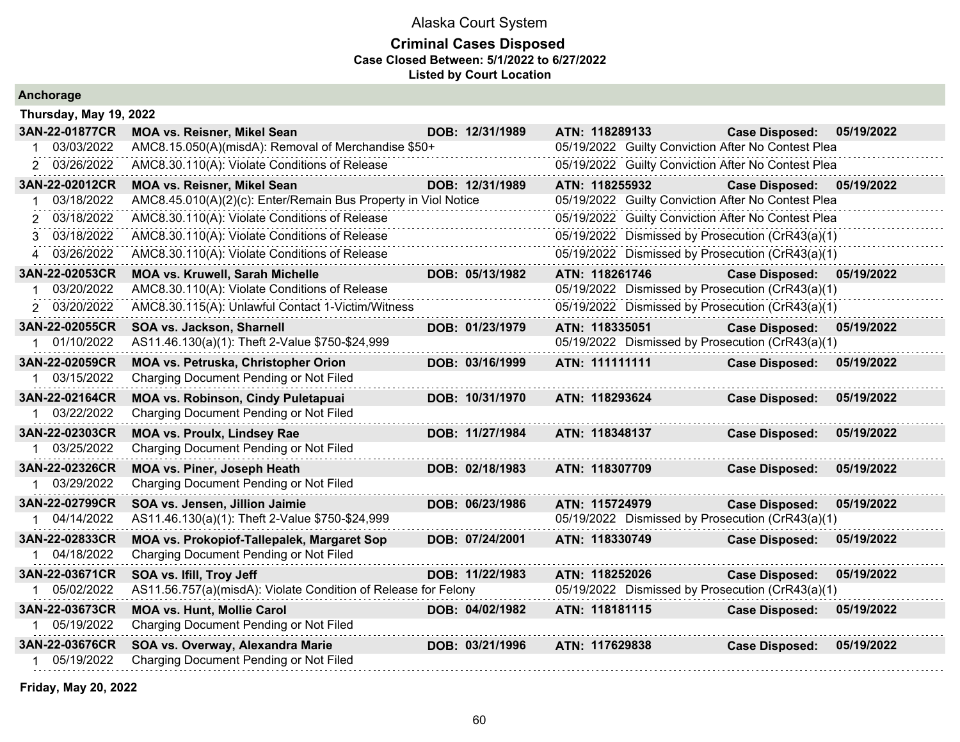#### **Criminal Cases Disposed Case Closed Between: 5/1/2022 to 6/27/2022 Listed by Court Location**

|  |  | Anchorage |  |
|--|--|-----------|--|
|  |  |           |  |

| Thursday, May 19, 2022 |                                                                |                 |                                                    |                                     |
|------------------------|----------------------------------------------------------------|-----------------|----------------------------------------------------|-------------------------------------|
| 3AN-22-01877CR         | <b>MOA vs. Reisner, Mikel Sean</b>                             | DOB: 12/31/1989 | ATN: 118289133                                     | <b>Case Disposed:</b><br>05/19/2022 |
| 03/03/2022             | AMC8.15.050(A)(misdA): Removal of Merchandise \$50+            |                 | 05/19/2022 Guilty Conviction After No Contest Plea |                                     |
| 03/26/2022             | AMC8.30.110(A): Violate Conditions of Release                  |                 | 05/19/2022 Guilty Conviction After No Contest Plea |                                     |
| 3AN-22-02012CR         | <b>MOA vs. Reisner, Mikel Sean</b>                             | DOB: 12/31/1989 | ATN: 118255932                                     | <b>Case Disposed:</b><br>05/19/2022 |
| 03/18/2022             | AMC8.45.010(A)(2)(c): Enter/Remain Bus Property in Viol Notice |                 | 05/19/2022 Guilty Conviction After No Contest Plea |                                     |
| 03/18/2022             | AMC8.30.110(A): Violate Conditions of Release                  |                 | 05/19/2022 Guilty Conviction After No Contest Plea |                                     |
| 03/18/2022<br>3        | AMC8.30.110(A): Violate Conditions of Release                  |                 | 05/19/2022 Dismissed by Prosecution (CrR43(a)(1)   |                                     |
| 03/26/2022<br>4        | AMC8.30.110(A): Violate Conditions of Release                  |                 | 05/19/2022 Dismissed by Prosecution (CrR43(a)(1)   |                                     |
| 3AN-22-02053CR         | <b>MOA vs. Kruwell, Sarah Michelle</b>                         | DOB: 05/13/1982 | ATN: 118261746                                     | <b>Case Disposed:</b><br>05/19/2022 |
| 03/20/2022             | AMC8.30.110(A): Violate Conditions of Release                  |                 | 05/19/2022 Dismissed by Prosecution (CrR43(a)(1)   |                                     |
| 03/20/2022             | AMC8.30.115(A): Unlawful Contact 1-Victim/Witness              |                 | 05/19/2022 Dismissed by Prosecution (CrR43(a)(1)   |                                     |
| 3AN-22-02055CR         | SOA vs. Jackson, Sharnell                                      | DOB: 01/23/1979 | ATN: 118335051                                     | <b>Case Disposed:</b><br>05/19/2022 |
| 01/10/2022             | AS11.46.130(a)(1): Theft 2-Value \$750-\$24,999                |                 | 05/19/2022 Dismissed by Prosecution (CrR43(a)(1)   |                                     |
| 3AN-22-02059CR         | MOA vs. Petruska, Christopher Orion                            | DOB: 03/16/1999 | ATN: 111111111                                     | <b>Case Disposed:</b><br>05/19/2022 |
| 03/15/2022             | Charging Document Pending or Not Filed                         |                 |                                                    |                                     |
| 3AN-22-02164CR         | <b>MOA vs. Robinson, Cindy Puletapuai</b>                      | DOB: 10/31/1970 | ATN: 118293624                                     | <b>Case Disposed:</b><br>05/19/2022 |
| 03/22/2022             | Charging Document Pending or Not Filed                         |                 |                                                    |                                     |
| 3AN-22-02303CR         | <b>MOA vs. Proulx, Lindsey Rae</b>                             | DOB: 11/27/1984 | ATN: 118348137                                     | <b>Case Disposed:</b><br>05/19/2022 |
| 1 03/25/2022           | Charging Document Pending or Not Filed                         |                 |                                                    |                                     |
| 3AN-22-02326CR         | <b>MOA vs. Piner, Joseph Heath</b>                             | DOB: 02/18/1983 | ATN: 118307709                                     | <b>Case Disposed:</b><br>05/19/2022 |
| 03/29/2022             | Charging Document Pending or Not Filed                         |                 |                                                    |                                     |
| 3AN-22-02799CR         | SOA vs. Jensen, Jillion Jaimie                                 | DOB: 06/23/1986 | ATN: 115724979                                     | 05/19/2022<br><b>Case Disposed:</b> |
| 04/14/2022             | AS11.46.130(a)(1): Theft 2-Value \$750-\$24,999                |                 | 05/19/2022 Dismissed by Prosecution (CrR43(a)(1)   |                                     |
| 3AN-22-02833CR         | MOA vs. Prokopiof-Tallepalek, Margaret Sop                     | DOB: 07/24/2001 | ATN: 118330749                                     | <b>Case Disposed:</b><br>05/19/2022 |
| 04/18/2022             | Charging Document Pending or Not Filed                         |                 |                                                    |                                     |
| 3AN-22-03671CR         | SOA vs. Ifill, Troy Jeff                                       | DOB: 11/22/1983 | ATN: 118252026                                     | <b>Case Disposed:</b><br>05/19/2022 |
| 05/02/2022             | AS11.56.757(a)(misdA): Violate Condition of Release for Felony |                 | 05/19/2022 Dismissed by Prosecution (CrR43(a)(1)   |                                     |
| 3AN-22-03673CR         | <b>MOA vs. Hunt, Mollie Carol</b>                              | DOB: 04/02/1982 | ATN: 118181115                                     | <b>Case Disposed:</b><br>05/19/2022 |
| 05/19/2022             | Charging Document Pending or Not Filed                         |                 |                                                    |                                     |
| 3AN-22-03676CR         | SOA vs. Overway, Alexandra Marie                               | DOB: 03/21/1996 | ATN: 117629838                                     | 05/19/2022<br><b>Case Disposed:</b> |
| 05/19/2022             | Charging Document Pending or Not Filed                         |                 |                                                    |                                     |

**Friday, May 20, 2022**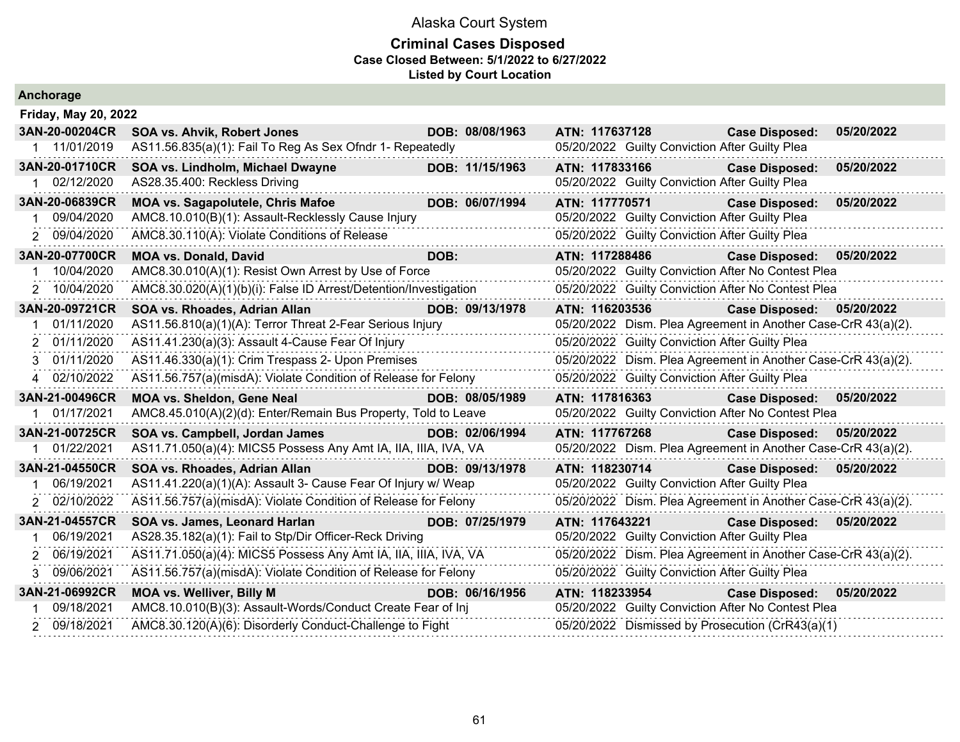| Anchorage                   |                                                                  |                 |                                                               |                           |            |
|-----------------------------|------------------------------------------------------------------|-----------------|---------------------------------------------------------------|---------------------------|------------|
| <b>Friday, May 20, 2022</b> |                                                                  |                 |                                                               |                           |            |
| 3AN-20-00204CR              | <b>SOA vs. Ahvik, Robert Jones</b>                               | DOB: 08/08/1963 | ATN: 117637128                                                | <b>Case Disposed:</b>     | 05/20/2022 |
| 1 11/01/2019                | AS11.56.835(a)(1): Fail To Reg As Sex Ofndr 1- Repeatedly        |                 | 05/20/2022 Guilty Conviction After Guilty Plea                |                           |            |
| 3AN-20-01710CR              | SOA vs. Lindholm, Michael Dwayne                                 | DOB: 11/15/1963 | ATN: 117833166                                                | <b>Case Disposed:</b>     | 05/20/2022 |
| 1 02/12/2020                | AS28.35.400: Reckless Driving                                    |                 | 05/20/2022 Guilty Conviction After Guilty Plea                |                           |            |
| 3AN-20-06839CR              | <b>MOA vs. Sagapolutele, Chris Mafoe</b>                         | DOB: 06/07/1994 | ATN: 117770571                                                | <b>Case Disposed:</b>     | 05/20/2022 |
| 09/04/2020                  | AMC8.10.010(B)(1): Assault-Recklessly Cause Injury               |                 | 05/20/2022 Guilty Conviction After Guilty Plea                |                           |            |
| 09/04/2020                  | AMC8.30.110(A): Violate Conditions of Release                    |                 | 05/20/2022 Guilty Conviction After Guilty Plea                |                           |            |
| 3AN-20-07700CR              | <b>MOA vs. Donald, David</b>                                     | DOB:            | ATN: 117288486                                                | <b>Case Disposed:</b>     | 05/20/2022 |
| 10/04/2020                  | AMC8.30.010(A)(1): Resist Own Arrest by Use of Force             |                 | 05/20/2022 Guilty Conviction After No Contest Plea            |                           |            |
| 2 10/04/2020                | AMC8.30.020(A)(1)(b)(i): False ID Arrest/Detention/Investigation |                 | 05/20/2022 Guilty Conviction After No Contest Plea            |                           |            |
| 3AN-20-09721CR              | SOA vs. Rhoades, Adrian Allan                                    | DOB: 09/13/1978 | ATN: 116203536                                                | <b>Case Disposed:</b>     | 05/20/2022 |
| 01/11/2020                  | AS11.56.810(a)(1)(A): Terror Threat 2-Fear Serious Injury        |                 | 05/20/2022 Dism. Plea Agreement in Another Case-CrR 43(a)(2). |                           |            |
| 01/11/2020<br>$\mathcal{P}$ | AS11.41.230(a)(3): Assault 4-Cause Fear Of Injury                |                 | 05/20/2022 Guilty Conviction After Guilty Plea                |                           |            |
| 3 01/11/2020                | AS11.46.330(a)(1): Crim Trespass 2- Upon Premises                |                 | 05/20/2022 Dism. Plea Agreement in Another Case-CrR 43(a)(2). |                           |            |
| 02/10/2022<br>4             | AS11.56.757(a)(misdA): Violate Condition of Release for Felony   |                 | 05/20/2022 Guilty Conviction After Guilty Plea                |                           |            |
| 3AN-21-00496CR              | MOA vs. Sheldon, Gene Neal                                       | DOB: 08/05/1989 | ATN: 117816363                                                | <b>Case Disposed:</b>     | 05/20/2022 |
| 01/17/2021                  | AMC8.45.010(A)(2)(d): Enter/Remain Bus Property, Told to Leave   |                 | 05/20/2022 Guilty Conviction After No Contest Plea            |                           |            |
| 3AN-21-00725CR              | SOA vs. Campbell, Jordan James                                   | DOB: 02/06/1994 | ATN: 117767268                                                | <b>Case Disposed:</b>     | 05/20/2022 |
| 01/22/2021                  | AS11.71.050(a)(4): MICS5 Possess Any Amt IA, IIA, IIIA, IVA, VA  |                 | 05/20/2022 Dism. Plea Agreement in Another Case-CrR 43(a)(2). |                           |            |
| 3AN-21-04550CR              | SOA vs. Rhoades, Adrian Allan                                    | DOB: 09/13/1978 | ATN: 118230714                                                | <b>Case Disposed:</b>     | 05/20/2022 |
| 06/19/2021                  | AS11.41.220(a)(1)(A): Assault 3- Cause Fear Of Injury w/ Weap    |                 | 05/20/2022 Guilty Conviction After Guilty Plea                |                           |            |
| 02/10/2022                  | AS11.56.757(a)(misdA): Violate Condition of Release for Felony   |                 | 05/20/2022 Dism. Plea Agreement in Another Case-CrR 43(a)(2). |                           |            |
| 3AN-21-04557CR              | SOA vs. James, Leonard Harlan                                    | DOB: 07/25/1979 | ATN: 117643221                                                | <b>Case Disposed:</b>     | 05/20/2022 |
| 06/19/2021                  | AS28.35.182(a)(1): Fail to Stp/Dir Officer-Reck Driving          |                 | 05/20/2022 Guilty Conviction After Guilty Plea                |                           |            |
| 06/19/2021<br>$\mathcal{P}$ | AS11.71.050(a)(4): MICS5 Possess Any Amt IA, IIA, IIIA, IVA, VA  |                 | 05/20/2022 Dism. Plea Agreement in Another Case-CrR 43(a)(2). |                           |            |
| 09/06/2021<br>3             | AS11.56.757(a)(misdA): Violate Condition of Release for Felony   |                 | 05/20/2022 Guilty Conviction After Guilty Plea                |                           |            |
| 3AN-21-06992CR              | <b>MOA vs. Welliver, Billy M</b>                                 | DOB: 06/16/1956 | ATN: 118233954                                                | Case Disposed: 05/20/2022 |            |
| 09/18/2021                  | AMC8.10.010(B)(3): Assault-Words/Conduct Create Fear of Inj      |                 | 05/20/2022 Guilty Conviction After No Contest Plea            |                           |            |
| 2 09/18/2021                | AMC8.30.120(A)(6): Disorderly Conduct-Challenge to Fight         |                 | 05/20/2022 Dismissed by Prosecution (CrR43(a)(1)              |                           |            |
|                             |                                                                  |                 |                                                               |                           |            |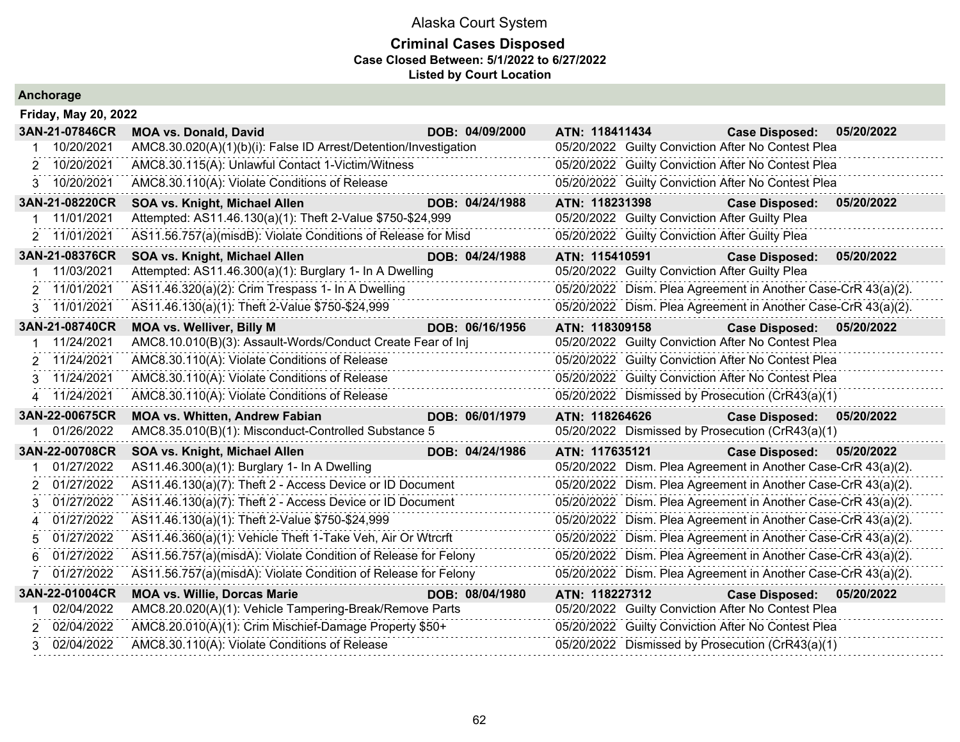|  |  | Anchorage |  |  |
|--|--|-----------|--|--|
|  |  |           |  |  |

|               | <b>Friday, May 20, 2022</b> |                                                                  |                 |                                                    |                                                               |  |
|---------------|-----------------------------|------------------------------------------------------------------|-----------------|----------------------------------------------------|---------------------------------------------------------------|--|
|               | 3AN-21-07846CR              | <b>MOA vs. Donald, David</b>                                     | DOB: 04/09/2000 | ATN: 118411434                                     | <b>Case Disposed:</b><br>05/20/2022                           |  |
|               | 10/20/2021                  | AMC8.30.020(A)(1)(b)(i): False ID Arrest/Detention/Investigation |                 | 05/20/2022 Guilty Conviction After No Contest Plea |                                                               |  |
|               | 2 10/20/2021                | AMC8.30.115(A): Unlawful Contact 1-Victim/Witness                |                 | 05/20/2022 Guilty Conviction After No Contest Plea |                                                               |  |
|               | 3 10/20/2021                | AMC8.30.110(A): Violate Conditions of Release                    |                 | 05/20/2022 Guilty Conviction After No Contest Plea |                                                               |  |
|               | 3AN-21-08220CR              | SOA vs. Knight, Michael Allen                                    | DOB: 04/24/1988 | ATN: 118231398                                     | 05/20/2022<br><b>Case Disposed:</b>                           |  |
|               | 11/01/2021                  | Attempted: AS11.46.130(a)(1): Theft 2-Value \$750-\$24,999       |                 | 05/20/2022 Guilty Conviction After Guilty Plea     |                                                               |  |
|               | 2 11/01/2021                | AS11.56.757(a)(misdB): Violate Conditions of Release for Misd    |                 | 05/20/2022 Guilty Conviction After Guilty Plea     |                                                               |  |
|               | 3AN-21-08376CR              | SOA vs. Knight, Michael Allen                                    | DOB: 04/24/1988 | ATN: 115410591                                     | 05/20/2022<br><b>Case Disposed:</b>                           |  |
|               | 11/03/2021                  | Attempted: AS11.46.300(a)(1): Burglary 1- In A Dwelling          |                 | 05/20/2022 Guilty Conviction After Guilty Plea     |                                                               |  |
|               | 2 11/01/2021                | AS11.46.320(a)(2): Crim Trespass 1- In A Dwelling                |                 |                                                    | 05/20/2022 Dism. Plea Agreement in Another Case-CrR 43(a)(2). |  |
| 3             | 11/01/2021                  | AS11.46.130(a)(1): Theft 2-Value \$750-\$24,999                  |                 |                                                    | 05/20/2022 Dism. Plea Agreement in Another Case-CrR 43(a)(2). |  |
|               | 3AN-21-08740CR              | <b>MOA vs. Welliver, Billy M</b>                                 | DOB: 06/16/1956 | ATN: 118309158                                     | <b>Case Disposed:</b><br>05/20/2022                           |  |
|               | 11/24/2021                  | AMC8.10.010(B)(3): Assault-Words/Conduct Create Fear of Inj      |                 | 05/20/2022 Guilty Conviction After No Contest Plea |                                                               |  |
| 2             | 11/24/2021                  | AMC8.30.110(A): Violate Conditions of Release                    |                 | 05/20/2022 Guilty Conviction After No Contest Plea |                                                               |  |
|               | 3 11/24/2021                | AMC8.30.110(A): Violate Conditions of Release                    |                 | 05/20/2022 Guilty Conviction After No Contest Plea |                                                               |  |
|               | 4 11/24/2021                | AMC8.30.110(A): Violate Conditions of Release                    |                 | 05/20/2022 Dismissed by Prosecution (CrR43(a)(1)   |                                                               |  |
|               |                             |                                                                  |                 |                                                    |                                                               |  |
|               | 3AN-22-00675CR              | <b>MOA vs. Whitten, Andrew Fabian</b>                            | DOB: 06/01/1979 | ATN: 118264626                                     | <b>Case Disposed:</b><br>05/20/2022                           |  |
|               | 01/26/2022                  | AMC8.35.010(B)(1): Misconduct-Controlled Substance 5             |                 | 05/20/2022 Dismissed by Prosecution (CrR43(a)(1)   |                                                               |  |
|               | 3AN-22-00708CR              | SOA vs. Knight, Michael Allen                                    | DOB: 04/24/1986 | ATN: 117635121                                     | <b>Case Disposed:</b><br>05/20/2022                           |  |
|               | 01/27/2022                  | AS11.46.300(a)(1): Burglary 1- In A Dwelling                     |                 |                                                    | 05/20/2022 Dism. Plea Agreement in Another Case-CrR 43(a)(2). |  |
| $\mathcal{P}$ | 01/27/2022                  | AS11.46.130(a)(7): Theft 2 - Access Device or ID Document        |                 |                                                    | 05/20/2022 Dism. Plea Agreement in Another Case-CrR 43(a)(2). |  |
| 3             | 01/27/2022                  | AS11.46.130(a)(7): Theft 2 - Access Device or ID Document        |                 |                                                    | 05/20/2022 Dism. Plea Agreement in Another Case-CrR 43(a)(2). |  |
| 4             | 01/27/2022                  | AS11.46.130(a)(1): Theft 2-Value \$750-\$24,999                  |                 |                                                    | 05/20/2022 Dism. Plea Agreement in Another Case-CrR 43(a)(2). |  |
| 5             | 01/27/2022                  | AS11.46.360(a)(1): Vehicle Theft 1-Take Veh, Air Or Wtrcrft      |                 |                                                    | 05/20/2022 Dism. Plea Agreement in Another Case-CrR 43(a)(2). |  |
| 6             | 01/27/2022                  | AS11.56.757(a)(misdA): Violate Condition of Release for Felony   |                 |                                                    | 05/20/2022 Dism. Plea Agreement in Another Case-CrR 43(a)(2). |  |
|               | 01/27/2022                  | AS11.56.757(a)(misdA): Violate Condition of Release for Felony   |                 |                                                    | 05/20/2022 Dism. Plea Agreement in Another Case-CrR 43(a)(2). |  |
|               | 3AN-22-01004CR              | <b>MOA vs. Willie, Dorcas Marie</b>                              | DOB: 08/04/1980 | ATN: 118227312                                     | Case Disposed: 05/20/2022                                     |  |
|               | 02/04/2022                  | AMC8.20.020(A)(1): Vehicle Tampering-Break/Remove Parts          |                 | 05/20/2022 Guilty Conviction After No Contest Plea |                                                               |  |
|               | 02/04/2022                  | AMC8.20.010(A)(1): Crim Mischief-Damage Property \$50+           |                 | 05/20/2022 Guilty Conviction After No Contest Plea |                                                               |  |
| 3             | 02/04/2022                  | AMC8.30.110(A): Violate Conditions of Release                    |                 | 05/20/2022 Dismissed by Prosecution (CrR43(a)(1)   |                                                               |  |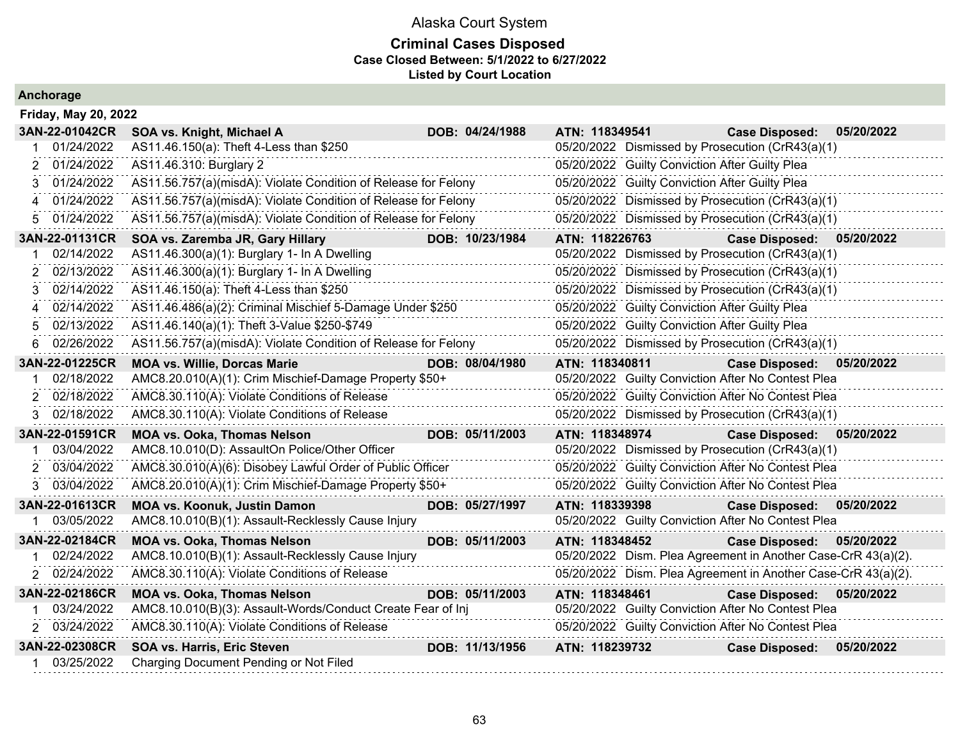| Anchorage |  |  |
|-----------|--|--|
|           |  |  |

|    | <b>Friday, May 20, 2022</b> |                                                                |  |                 |                |                                                |                                                               |            |  |  |  |
|----|-----------------------------|----------------------------------------------------------------|--|-----------------|----------------|------------------------------------------------|---------------------------------------------------------------|------------|--|--|--|
|    | 3AN-22-01042CR              | SOA vs. Knight, Michael A                                      |  | DOB: 04/24/1988 | ATN: 118349541 |                                                | <b>Case Disposed:</b>                                         | 05/20/2022 |  |  |  |
|    | 01/24/2022                  | AS11.46.150(a): Theft 4-Less than \$250                        |  |                 |                |                                                | 05/20/2022 Dismissed by Prosecution (CrR43(a)(1)              |            |  |  |  |
| 2  | 01/24/2022                  | AS11.46.310: Burglary 2                                        |  |                 |                | 05/20/2022 Guilty Conviction After Guilty Plea |                                                               |            |  |  |  |
| 3  | 01/24/2022                  | AS11.56.757(a)(misdA): Violate Condition of Release for Felony |  |                 |                | 05/20/2022 Guilty Conviction After Guilty Plea |                                                               |            |  |  |  |
| 4  | 01/24/2022                  | AS11.56.757(a)(misdA): Violate Condition of Release for Felony |  |                 |                |                                                | 05/20/2022 Dismissed by Prosecution (CrR43(a)(1)              |            |  |  |  |
| 5  | 01/24/2022                  | AS11.56.757(a)(misdA): Violate Condition of Release for Felony |  |                 |                |                                                | 05/20/2022 Dismissed by Prosecution (CrR43(a)(1)              |            |  |  |  |
|    | 3AN-22-01131CR              | SOA vs. Zaremba JR, Gary Hillary                               |  | DOB: 10/23/1984 | ATN: 118226763 |                                                | <b>Case Disposed:</b>                                         | 05/20/2022 |  |  |  |
| 1  | 02/14/2022                  | AS11.46.300(a)(1): Burglary 1- In A Dwelling                   |  |                 |                |                                                | 05/20/2022 Dismissed by Prosecution (CrR43(a)(1)              |            |  |  |  |
| 2  | 02/13/2022                  | AS11.46.300(a)(1): Burglary 1- In A Dwelling                   |  |                 |                |                                                | 05/20/2022 Dismissed by Prosecution (CrR43(a)(1)              |            |  |  |  |
| 3  | 02/14/2022                  | AS11.46.150(a): Theft 4-Less than \$250                        |  |                 |                |                                                | 05/20/2022 Dismissed by Prosecution (CrR43(a)(1)              |            |  |  |  |
| 4  | 02/14/2022                  | AS11.46.486(a)(2): Criminal Mischief 5-Damage Under \$250      |  |                 |                | 05/20/2022 Guilty Conviction After Guilty Plea |                                                               |            |  |  |  |
| 5  | 02/13/2022                  | AS11.46.140(a)(1): Theft 3-Value \$250-\$749                   |  |                 |                | 05/20/2022 Guilty Conviction After Guilty Plea |                                                               |            |  |  |  |
| 6  | 02/26/2022                  | AS11.56.757(a)(misdA): Violate Condition of Release for Felony |  |                 |                |                                                | 05/20/2022 Dismissed by Prosecution (CrR43(a)(1)              |            |  |  |  |
|    | 3AN-22-01225CR              | <b>MOA vs. Willie, Dorcas Marie</b>                            |  | DOB: 08/04/1980 | ATN: 118340811 |                                                | <b>Case Disposed:</b>                                         | 05/20/2022 |  |  |  |
|    | 02/18/2022                  | AMC8.20.010(A)(1): Crim Mischief-Damage Property \$50+         |  |                 |                |                                                | 05/20/2022 Guilty Conviction After No Contest Plea            |            |  |  |  |
| 2. | 02/18/2022                  | AMC8.30.110(A): Violate Conditions of Release                  |  |                 |                |                                                | 05/20/2022 Guilty Conviction After No Contest Plea            |            |  |  |  |
| 3  | 02/18/2022                  | AMC8.30.110(A): Violate Conditions of Release                  |  |                 |                |                                                | 05/20/2022 Dismissed by Prosecution (CrR43(a)(1)              |            |  |  |  |
|    | 3AN-22-01591CR              | <b>MOA vs. Ooka, Thomas Nelson</b>                             |  | DOB: 05/11/2003 | ATN: 118348974 |                                                | <b>Case Disposed:</b>                                         | 05/20/2022 |  |  |  |
|    | 03/04/2022                  | AMC8.10.010(D): AssaultOn Police/Other Officer                 |  |                 |                |                                                | 05/20/2022 Dismissed by Prosecution (CrR43(a)(1)              |            |  |  |  |
| 2  | 03/04/2022                  | AMC8.30.010(A)(6): Disobey Lawful Order of Public Officer      |  |                 |                |                                                | 05/20/2022 Guilty Conviction After No Contest Plea            |            |  |  |  |
| 3. | 03/04/2022                  | AMC8.20.010(A)(1): Crim Mischief-Damage Property \$50+         |  |                 |                |                                                | 05/20/2022 Guilty Conviction After No Contest Plea            |            |  |  |  |
|    | 3AN-22-01613CR              | <b>MOA vs. Koonuk, Justin Damon</b>                            |  | DOB: 05/27/1997 | ATN: 118339398 |                                                | Case Disposed: 05/20/2022                                     |            |  |  |  |
|    | 03/05/2022                  | AMC8.10.010(B)(1): Assault-Recklessly Cause Injury             |  |                 |                |                                                | 05/20/2022 Guilty Conviction After No Contest Plea            |            |  |  |  |
|    | 3AN-22-02184CR              | <b>MOA vs. Ooka, Thomas Nelson</b>                             |  | DOB: 05/11/2003 | ATN: 118348452 |                                                | Case Disposed: 05/20/2022                                     |            |  |  |  |
|    | 02/24/2022                  | AMC8.10.010(B)(1): Assault-Recklessly Cause Injury             |  |                 |                |                                                | 05/20/2022 Dism. Plea Agreement in Another Case-CrR 43(a)(2). |            |  |  |  |
|    | 2 02/24/2022                | AMC8.30.110(A): Violate Conditions of Release                  |  |                 |                |                                                | 05/20/2022 Dism. Plea Agreement in Another Case-CrR 43(a)(2). |            |  |  |  |
|    | 3AN-22-02186CR              | <b>MOA vs. Ooka, Thomas Nelson</b>                             |  | DOB: 05/11/2003 | ATN: 118348461 |                                                | <b>Case Disposed:</b>                                         | 05/20/2022 |  |  |  |
|    | 03/24/2022                  | AMC8.10.010(B)(3): Assault-Words/Conduct Create Fear of Inj    |  |                 |                |                                                | 05/20/2022 Guilty Conviction After No Contest Plea            |            |  |  |  |
|    | 2 03/24/2022                | AMC8.30.110(A): Violate Conditions of Release                  |  |                 |                |                                                | 05/20/2022 Guilty Conviction After No Contest Plea            |            |  |  |  |
|    | 3AN-22-02308CR              | SOA vs. Harris, Eric Steven                                    |  | DOB: 11/13/1956 | ATN: 118239732 |                                                | <b>Case Disposed:</b>                                         | 05/20/2022 |  |  |  |
|    | 1 03/25/2022                | Charging Document Pending or Not Filed                         |  |                 |                |                                                |                                                               |            |  |  |  |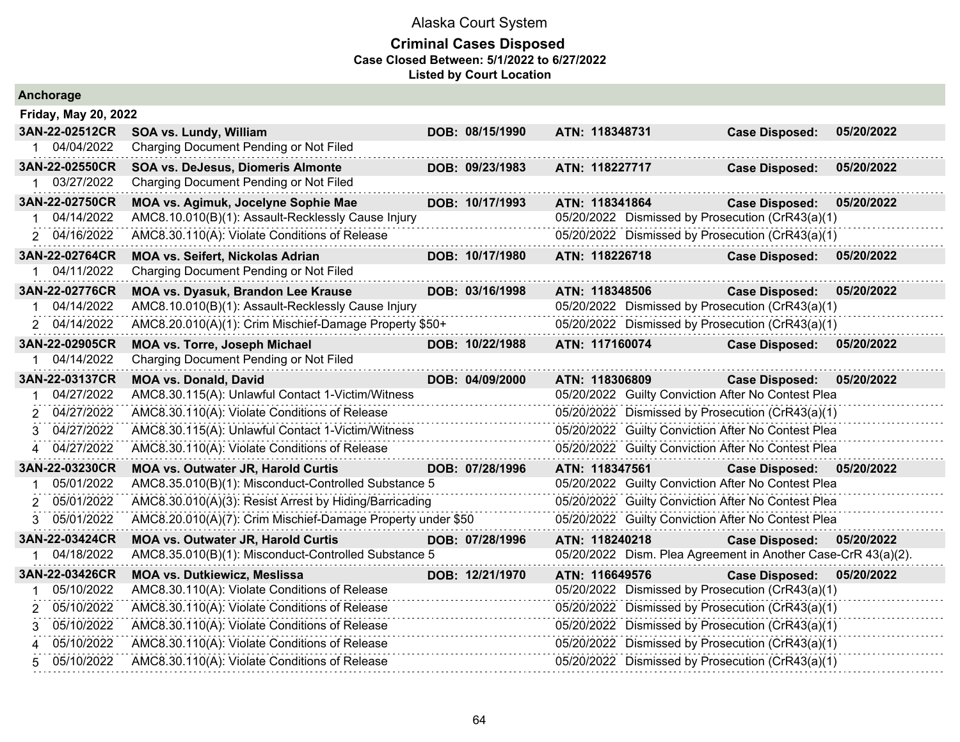| Anchorage                   |                                                             |                 |                                                               |                           |            |
|-----------------------------|-------------------------------------------------------------|-----------------|---------------------------------------------------------------|---------------------------|------------|
| <b>Friday, May 20, 2022</b> |                                                             |                 |                                                               |                           |            |
| 3AN-22-02512CR              | SOA vs. Lundy, William                                      | DOB: 08/15/1990 | ATN: 118348731                                                | <b>Case Disposed:</b>     | 05/20/2022 |
| 1 04/04/2022                | Charging Document Pending or Not Filed                      |                 |                                                               |                           |            |
| 3AN-22-02550CR              | <b>SOA vs. DeJesus, Diomeris Almonte</b>                    | DOB: 09/23/1983 | ATN: 118227717                                                | <b>Case Disposed:</b>     | 05/20/2022 |
| 03/27/2022                  | Charging Document Pending or Not Filed                      |                 |                                                               |                           |            |
| 3AN-22-02750CR              | MOA vs. Agimuk, Jocelyne Sophie Mae                         | DOB: 10/17/1993 | ATN: 118341864                                                | <b>Case Disposed:</b>     | 05/20/2022 |
| 04/14/2022                  | AMC8.10.010(B)(1): Assault-Recklessly Cause Injury          |                 | 05/20/2022 Dismissed by Prosecution (CrR43(a)(1)              |                           |            |
| 2 04/16/2022                | AMC8.30.110(A): Violate Conditions of Release               |                 | 05/20/2022 Dismissed by Prosecution (CrR43(a)(1)              |                           |            |
| 3AN-22-02764CR              | <b>MOA vs. Seifert, Nickolas Adrian</b>                     | DOB: 10/17/1980 | ATN: 118226718                                                | <b>Case Disposed:</b>     | 05/20/2022 |
| 1 04/11/2022                | Charging Document Pending or Not Filed                      |                 |                                                               |                           |            |
| 3AN-22-02776CR              | MOA vs. Dyasuk, Brandon Lee Krause                          | DOB: 03/16/1998 | ATN: 118348506                                                | <b>Case Disposed:</b>     | 05/20/2022 |
| 04/14/2022                  | AMC8.10.010(B)(1): Assault-Recklessly Cause Injury          |                 | 05/20/2022 Dismissed by Prosecution (CrR43(a)(1)              |                           |            |
| 2 04/14/2022                | AMC8.20.010(A)(1): Crim Mischief-Damage Property \$50+      |                 | 05/20/2022 Dismissed by Prosecution (CrR43(a)(1)              |                           |            |
| 3AN-22-02905CR              | MOA vs. Torre, Joseph Michael                               | DOB: 10/22/1988 | ATN: 117160074                                                | <b>Case Disposed:</b>     | 05/20/2022 |
| 04/14/2022                  | Charging Document Pending or Not Filed                      |                 |                                                               |                           |            |
| 3AN-22-03137CR              | <b>MOA vs. Donald, David</b>                                | DOB: 04/09/2000 | ATN: 118306809                                                | <b>Case Disposed:</b>     | 05/20/2022 |
| 04/27/2022                  | AMC8.30.115(A): Unlawful Contact 1-Victim/Witness           |                 | 05/20/2022 Guilty Conviction After No Contest Plea            |                           |            |
| 04/27/2022                  | AMC8.30.110(A): Violate Conditions of Release               |                 | 05/20/2022 Dismissed by Prosecution (CrR43(a)(1)              |                           |            |
| 04/27/2022<br>3             | AMC8.30.115(A): Unlawful Contact 1-Victim/Witness           |                 | 05/20/2022 Guilty Conviction After No Contest Plea            |                           |            |
| 04/27/2022<br>4             | AMC8.30.110(A): Violate Conditions of Release               |                 | 05/20/2022 Guilty Conviction After No Contest Plea            |                           |            |
| 3AN-22-03230CR              | <b>MOA vs. Outwater JR, Harold Curtis</b>                   | DOB: 07/28/1996 | ATN: 118347561                                                | Case Disposed: 05/20/2022 |            |
| 05/01/2022<br>-1            | AMC8.35.010(B)(1): Misconduct-Controlled Substance 5        |                 | 05/20/2022 Guilty Conviction After No Contest Plea            |                           |            |
| 05/01/2022<br>2             | AMC8.30.010(A)(3): Resist Arrest by Hiding/Barricading      |                 | 05/20/2022 Guilty Conviction After No Contest Plea            |                           |            |
| 05/01/2022<br>3             | AMC8.20.010(A)(7): Crim Mischief-Damage Property under \$50 |                 | 05/20/2022 Guilty Conviction After No Contest Plea            |                           |            |
| 3AN-22-03424CR              | <b>MOA vs. Outwater JR, Harold Curtis</b>                   | DOB: 07/28/1996 | ATN: 118240218                                                | <b>Case Disposed:</b>     | 05/20/2022 |
| 04/18/2022                  | AMC8.35.010(B)(1): Misconduct-Controlled Substance 5        |                 | 05/20/2022 Dism. Plea Agreement in Another Case-CrR 43(a)(2). |                           |            |
| 3AN-22-03426CR              | <b>MOA vs. Dutkiewicz, Meslissa</b>                         | DOB: 12/21/1970 | ATN: 116649576                                                | <b>Case Disposed:</b>     | 05/20/2022 |
| 05/10/2022                  | AMC8.30.110(A): Violate Conditions of Release               |                 | 05/20/2022 Dismissed by Prosecution (CrR43(a)(1)              |                           |            |
| 05/10/2022<br>2             | AMC8.30.110(A): Violate Conditions of Release               |                 | 05/20/2022 Dismissed by Prosecution (CrR43(a)(1)              |                           |            |
| 05/10/2022<br>3             | AMC8.30.110(A): Violate Conditions of Release               |                 | 05/20/2022 Dismissed by Prosecution (CrR43(a)(1)              |                           |            |
| 05/10/2022<br>4             | AMC8.30.110(A): Violate Conditions of Release               |                 | 05/20/2022 Dismissed by Prosecution (CrR43(a)(1)              |                           |            |
| 05/10/2022<br>5.            | AMC8.30.110(A): Violate Conditions of Release               |                 | 05/20/2022 Dismissed by Prosecution (CrR43(a)(1)              |                           |            |
|                             |                                                             |                 |                                                               |                           |            |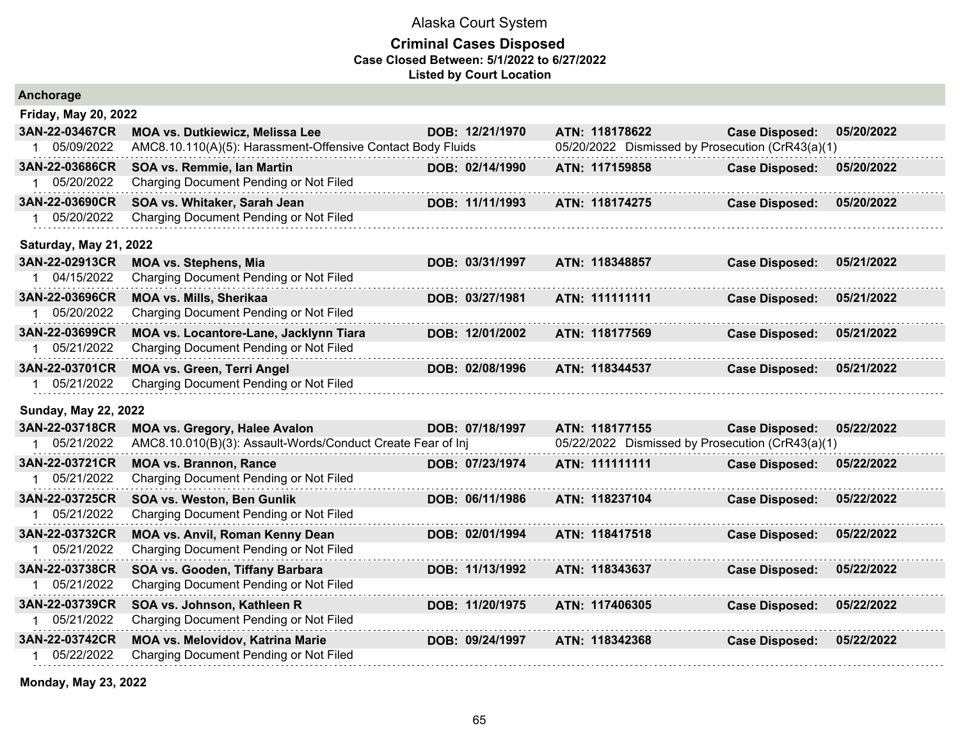#### **Criminal Cases Disposed Case Closed Between: 5/1/2022 to 6/27/2022 Listed by Court Location**

| Anchorage                   |                                                             |                 |                                                  |                       |            |
|-----------------------------|-------------------------------------------------------------|-----------------|--------------------------------------------------|-----------------------|------------|
| <b>Friday, May 20, 2022</b> |                                                             |                 |                                                  |                       |            |
| 3AN-22-03467CR              | <b>MOA vs. Dutkiewicz, Melissa Lee</b>                      | DOB: 12/21/1970 | ATN: 118178622                                   | <b>Case Disposed:</b> | 05/20/2022 |
| 05/09/2022<br>1             | AMC8.10.110(A)(5): Harassment-Offensive Contact Body Fluids |                 | 05/20/2022 Dismissed by Prosecution (CrR43(a)(1) |                       |            |
| 3AN-22-03686CR              | SOA vs. Remmie, Ian Martin                                  | DOB: 02/14/1990 | ATN: 117159858                                   | <b>Case Disposed:</b> | 05/20/2022 |
| 05/20/2022<br>1.            | Charging Document Pending or Not Filed                      |                 |                                                  |                       |            |
| 3AN-22-03690CR              | SOA vs. Whitaker, Sarah Jean                                | DOB: 11/11/1993 | ATN: 118174275                                   | <b>Case Disposed:</b> | 05/20/2022 |
| 05/20/2022                  | Charging Document Pending or Not Filed                      |                 |                                                  |                       |            |
| Saturday, May 21, 2022      |                                                             |                 |                                                  |                       |            |
| 3AN-22-02913CR              | <b>MOA vs. Stephens, Mia</b>                                | DOB: 03/31/1997 | ATN: 118348857                                   | <b>Case Disposed:</b> | 05/21/2022 |
| 04/15/2022                  | Charging Document Pending or Not Filed                      |                 |                                                  |                       |            |
| 3AN-22-03696CR              | MOA vs. Mills, Sherikaa                                     | DOB: 03/27/1981 | ATN: 111111111                                   | <b>Case Disposed:</b> | 05/21/2022 |
| 1 05/20/2022                | Charging Document Pending or Not Filed                      |                 |                                                  |                       |            |
| 3AN-22-03699CR              | MOA vs. Locantore-Lane, Jacklynn Tiara                      | DOB: 12/01/2002 | ATN: 118177569                                   | <b>Case Disposed:</b> | 05/21/2022 |
| 05/21/2022<br>1             | Charging Document Pending or Not Filed                      |                 |                                                  |                       |            |
| 3AN-22-03701CR              | <b>MOA vs. Green, Terri Angel</b>                           | DOB: 02/08/1996 | ATN: 118344537                                   | <b>Case Disposed:</b> | 05/21/2022 |
| 05/21/2022                  | Charging Document Pending or Not Filed                      |                 |                                                  |                       |            |
| <b>Sunday, May 22, 2022</b> |                                                             |                 |                                                  |                       |            |
| 3AN-22-03718CR              | <b>MOA vs. Gregory, Halee Avalon</b>                        | DOB: 07/18/1997 | ATN: 118177155                                   | <b>Case Disposed:</b> | 05/22/2022 |
| 05/21/2022                  | AMC8.10.010(B)(3): Assault-Words/Conduct Create Fear of Inj |                 | 05/22/2022 Dismissed by Prosecution (CrR43(a)(1) |                       |            |
| 3AN-22-03721CR              | <b>MOA vs. Brannon, Rance</b>                               | DOB: 07/23/1974 | ATN: 111111111                                   | <b>Case Disposed:</b> | 05/22/2022 |
| 05/21/2022                  | Charging Document Pending or Not Filed                      |                 |                                                  |                       |            |
| 3AN-22-03725CR              | SOA vs. Weston, Ben Gunlik                                  | DOB: 06/11/1986 | ATN: 118237104                                   | <b>Case Disposed:</b> | 05/22/2022 |
| 1 05/21/2022                | Charging Document Pending or Not Filed                      |                 |                                                  |                       |            |
| 3AN-22-03732CR              | MOA vs. Anvil, Roman Kenny Dean                             | DOB: 02/01/1994 | ATN: 118417518                                   | <b>Case Disposed:</b> | 05/22/2022 |
| 05/21/2022<br>1             | Charging Document Pending or Not Filed                      |                 |                                                  |                       |            |
| 3AN-22-03738CR              | SOA vs. Gooden, Tiffany Barbara                             | DOB: 11/13/1992 | ATN: 118343637                                   | <b>Case Disposed:</b> | 05/22/2022 |
| 05/21/2022                  | Charging Document Pending or Not Filed                      |                 |                                                  |                       |            |
| 3AN-22-03739CR              | SOA vs. Johnson, Kathleen R                                 | DOB: 11/20/1975 | ATN: 117406305                                   | <b>Case Disposed:</b> | 05/22/2022 |
| 05/21/2022                  | Charging Document Pending or Not Filed                      |                 |                                                  |                       |            |
| 3AN-22-03742CR              | <b>MOA vs. Melovidov, Katrina Marie</b>                     | DOB: 09/24/1997 | ATN: 118342368                                   | <b>Case Disposed:</b> | 05/22/2022 |
| 05/22/2022                  | Charging Document Pending or Not Filed                      |                 |                                                  |                       |            |

**Monday, May 23, 2022**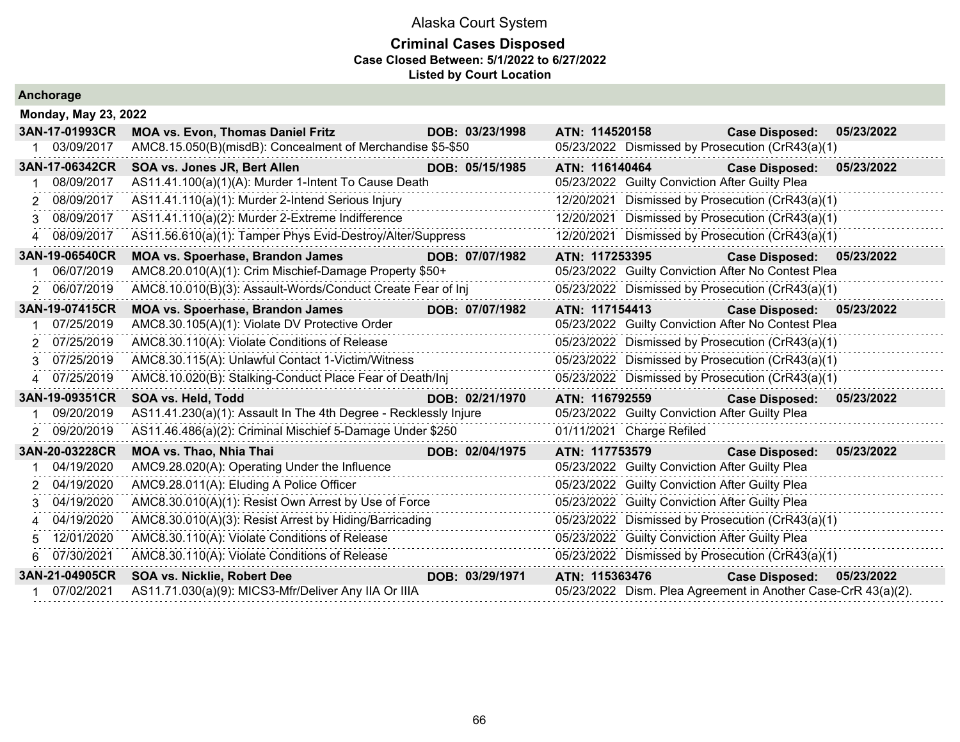### **Criminal Cases Disposed Case Closed Between: 5/1/2022 to 6/27/2022 Listed by Court Location**

|   | <b>Monday, May 23, 2022</b> |                                                                  |  |                 |                |                           |                                                               |            |  |  |  |
|---|-----------------------------|------------------------------------------------------------------|--|-----------------|----------------|---------------------------|---------------------------------------------------------------|------------|--|--|--|
|   | 3AN-17-01993CR              | <b>MOA vs. Evon, Thomas Daniel Fritz</b>                         |  | DOB: 03/23/1998 | ATN: 114520158 |                           | <b>Case Disposed:</b>                                         | 05/23/2022 |  |  |  |
|   | 1 03/09/2017                | AMC8.15.050(B)(misdB): Concealment of Merchandise \$5-\$50       |  |                 |                |                           | 05/23/2022 Dismissed by Prosecution (CrR43(a)(1)              |            |  |  |  |
|   | 3AN-17-06342CR              | SOA vs. Jones JR, Bert Allen                                     |  | DOB: 05/15/1985 | ATN: 116140464 |                           | <b>Case Disposed:</b>                                         | 05/23/2022 |  |  |  |
|   | 08/09/2017                  | AS11.41.100(a)(1)(A): Murder 1-Intent To Cause Death             |  |                 |                |                           | 05/23/2022 Guilty Conviction After Guilty Plea                |            |  |  |  |
|   | 2 08/09/2017                | AS11.41.110(a)(1): Murder 2-Intend Serious Injury                |  |                 |                |                           | 12/20/2021 Dismissed by Prosecution (CrR43(a)(1)              |            |  |  |  |
|   | 3 08/09/2017                | AS11.41.110(a)(2): Murder 2-Extreme Indifference                 |  |                 |                |                           | 12/20/2021 Dismissed by Prosecution (CrR43(a)(1)              |            |  |  |  |
|   | 4 08/09/2017                | AS11.56.610(a)(1): Tamper Phys Evid-Destroy/Alter/Suppress       |  |                 |                |                           | 12/20/2021 Dismissed by Prosecution (CrR43(a)(1)              |            |  |  |  |
|   | 3AN-19-06540CR              | <b>MOA vs. Spoerhase, Brandon James</b>                          |  | DOB: 07/07/1982 | ATN: 117253395 |                           | <b>Case Disposed:</b>                                         | 05/23/2022 |  |  |  |
|   | 06/07/2019                  | AMC8.20.010(A)(1): Crim Mischief-Damage Property \$50+           |  |                 |                |                           | 05/23/2022 Guilty Conviction After No Contest Plea            |            |  |  |  |
|   | 06/07/2019                  | AMC8.10.010(B)(3): Assault-Words/Conduct Create Fear of Inj      |  |                 |                |                           | 05/23/2022 Dismissed by Prosecution (CrR43(a)(1)              |            |  |  |  |
|   | 3AN-19-07415CR              | <b>MOA vs. Spoerhase, Brandon James</b>                          |  | DOB: 07/07/1982 | ATN: 117154413 |                           | Case Disposed: 05/23/2022                                     |            |  |  |  |
|   | 07/25/2019                  | AMC8.30.105(A)(1): Violate DV Protective Order                   |  |                 |                |                           | 05/23/2022 Guilty Conviction After No Contest Plea            |            |  |  |  |
| 2 | 07/25/2019                  | AMC8.30.110(A): Violate Conditions of Release                    |  |                 |                |                           | 05/23/2022 Dismissed by Prosecution (CrR43(a)(1)              |            |  |  |  |
| 3 | 07/25/2019                  | AMC8.30.115(A): Unlawful Contact 1-Victim/Witness                |  |                 |                |                           | 05/23/2022 Dismissed by Prosecution (CrR43(a)(1)              |            |  |  |  |
|   | 4 07/25/2019                | AMC8.10.020(B): Stalking-Conduct Place Fear of Death/Inj         |  |                 |                |                           | 05/23/2022 Dismissed by Prosecution (CrR43(a)(1)              |            |  |  |  |
|   | 3AN-19-09351CR              | SOA vs. Held, Todd                                               |  | DOB: 02/21/1970 | ATN: 116792559 |                           | <b>Case Disposed:</b>                                         | 05/23/2022 |  |  |  |
|   | 09/20/2019                  | AS11.41.230(a)(1): Assault In The 4th Degree - Recklessly Injure |  |                 |                |                           | 05/23/2022 Guilty Conviction After Guilty Plea                |            |  |  |  |
|   | 2 09/20/2019                | AS11.46.486(a)(2): Criminal Mischief 5-Damage Under \$250        |  |                 |                | 01/11/2021 Charge Refiled |                                                               |            |  |  |  |
|   | 3AN-20-03228CR              | <b>MOA vs. Thao, Nhia Thai</b>                                   |  | DOB: 02/04/1975 | ATN: 117753579 |                           | <b>Case Disposed:</b>                                         | 05/23/2022 |  |  |  |
|   | 04/19/2020                  | AMC9.28.020(A): Operating Under the Influence                    |  |                 |                |                           | 05/23/2022 Guilty Conviction After Guilty Plea                |            |  |  |  |
|   | 04/19/2020                  | AMC9.28.011(A): Eluding A Police Officer                         |  |                 |                |                           | 05/23/2022 Guilty Conviction After Guilty Plea                |            |  |  |  |
| 3 | 04/19/2020                  | AMC8.30.010(A)(1): Resist Own Arrest by Use of Force             |  |                 |                |                           | 05/23/2022 Guilty Conviction After Guilty Plea                |            |  |  |  |
| 4 | 04/19/2020                  | AMC8.30.010(A)(3): Resist Arrest by Hiding/Barricading           |  |                 |                |                           | 05/23/2022 Dismissed by Prosecution (CrR43(a)(1)              |            |  |  |  |
|   | 5 12/01/2020                | AMC8.30.110(A): Violate Conditions of Release                    |  |                 |                |                           | 05/23/2022 Guilty Conviction After Guilty Plea                |            |  |  |  |
| 6 | 07/30/2021                  | AMC8.30.110(A): Violate Conditions of Release                    |  |                 |                |                           | 05/23/2022 Dismissed by Prosecution (CrR43(a)(1)              |            |  |  |  |
|   | 3AN-21-04905CR              | SOA vs. Nicklie, Robert Dee                                      |  | DOB: 03/29/1971 | ATN: 115363476 |                           | <b>Case Disposed:</b>                                         | 05/23/2022 |  |  |  |
|   | 07/02/2021                  | AS11.71.030(a)(9): MICS3-Mfr/Deliver Any IIA Or IIIA             |  | .               |                |                           | 05/23/2022 Dism. Plea Agreement in Another Case-CrR 43(a)(2). |            |  |  |  |
|   |                             |                                                                  |  |                 |                |                           |                                                               |            |  |  |  |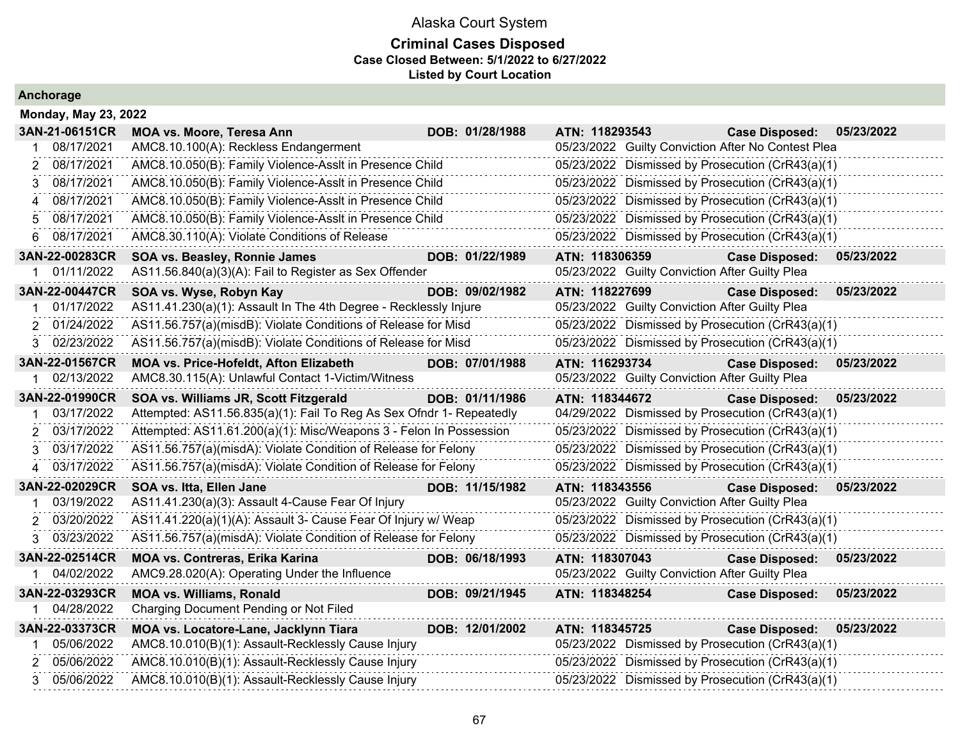### **Criminal Cases Disposed Case Closed Between: 5/1/2022 to 6/27/2022 Listed by Court Location**

|                  | <b>Monday, May 23, 2022</b>                                          |                 |                                                    |                       |            |  |  |  |  |  |  |
|------------------|----------------------------------------------------------------------|-----------------|----------------------------------------------------|-----------------------|------------|--|--|--|--|--|--|
| 3AN-21-06151CR   | MOA vs. Moore, Teresa Ann                                            | DOB: 01/28/1988 | ATN: 118293543                                     | <b>Case Disposed:</b> | 05/23/2022 |  |  |  |  |  |  |
| 08/17/2021       | AMC8.10.100(A): Reckless Endangerment                                |                 | 05/23/2022 Guilty Conviction After No Contest Plea |                       |            |  |  |  |  |  |  |
| 08/17/2021<br>2  | AMC8.10.050(B): Family Violence-Asslt in Presence Child              |                 | 05/23/2022 Dismissed by Prosecution (CrR43(a)(1)   |                       |            |  |  |  |  |  |  |
| 08/17/2021<br>3  | AMC8.10.050(B): Family Violence-Asslt in Presence Child              |                 | 05/23/2022 Dismissed by Prosecution (CrR43(a)(1)   |                       |            |  |  |  |  |  |  |
| 08/17/2021       | AMC8.10.050(B): Family Violence-Asslt in Presence Child              |                 | 05/23/2022 Dismissed by Prosecution (CrR43(a)(1)   |                       |            |  |  |  |  |  |  |
| 08/17/2021<br>5  | AMC8.10.050(B): Family Violence-Asslt in Presence Child              |                 | 05/23/2022 Dismissed by Prosecution (CrR43(a)(1)   |                       |            |  |  |  |  |  |  |
| 08/17/2021<br>6  | AMC8.30.110(A): Violate Conditions of Release                        |                 | 05/23/2022 Dismissed by Prosecution (CrR43(a)(1)   |                       |            |  |  |  |  |  |  |
| 3AN-22-00283CR   | SOA vs. Beasley, Ronnie James                                        | DOB: 01/22/1989 | ATN: 118306359                                     | <b>Case Disposed:</b> | 05/23/2022 |  |  |  |  |  |  |
| 1 01/11/2022     | AS11.56.840(a)(3)(A): Fail to Register as Sex Offender               |                 | 05/23/2022 Guilty Conviction After Guilty Plea     |                       |            |  |  |  |  |  |  |
| 3AN-22-00447CR   | SOA vs. Wyse, Robyn Kay                                              | DOB: 09/02/1982 | ATN: 118227699                                     | <b>Case Disposed:</b> | 05/23/2022 |  |  |  |  |  |  |
| 01/17/2022       | AS11.41.230(a)(1): Assault In The 4th Degree - Recklessly Injure     |                 | 05/23/2022 Guilty Conviction After Guilty Plea     |                       |            |  |  |  |  |  |  |
| 01/24/2022<br>2  | AS11.56.757(a)(misdB): Violate Conditions of Release for Misd        |                 | 05/23/2022 Dismissed by Prosecution (CrR43(a)(1)   |                       |            |  |  |  |  |  |  |
| 02/23/2022<br>3. | AS11.56.757(a)(misdB): Violate Conditions of Release for Misd        |                 | 05/23/2022 Dismissed by Prosecution (CrR43(a)(1)   |                       |            |  |  |  |  |  |  |
| 3AN-22-01567CR   | MOA vs. Price-Hofeldt, Afton Elizabeth                               | DOB: 07/01/1988 | ATN: 116293734                                     | <b>Case Disposed:</b> | 05/23/2022 |  |  |  |  |  |  |
| 02/13/2022<br>1. | AMC8.30.115(A): Unlawful Contact 1-Victim/Witness                    |                 | 05/23/2022 Guilty Conviction After Guilty Plea     |                       |            |  |  |  |  |  |  |
| 3AN-22-01990CR   | SOA vs. Williams JR, Scott Fitzgerald                                | DOB: 01/11/1986 | ATN: 118344672                                     | <b>Case Disposed:</b> | 05/23/2022 |  |  |  |  |  |  |
| 03/17/2022       | Attempted: AS11.56.835(a)(1): Fail To Reg As Sex Ofndr 1- Repeatedly |                 | 04/29/2022 Dismissed by Prosecution (CrR43(a)(1)   |                       |            |  |  |  |  |  |  |
| 03/17/2022<br>2  | Attempted: AS11.61.200(a)(1): Misc/Weapons 3 - Felon In Possession   |                 | 05/23/2022 Dismissed by Prosecution (CrR43(a)(1)   |                       |            |  |  |  |  |  |  |
| 03/17/2022<br>3  | AS11.56.757(a)(misdA): Violate Condition of Release for Felony       |                 | 05/23/2022 Dismissed by Prosecution (CrR43(a)(1)   |                       |            |  |  |  |  |  |  |
| 03/17/2022       | AS11.56.757(a)(misdA): Violate Condition of Release for Felony       |                 | 05/23/2022 Dismissed by Prosecution (CrR43(a)(1)   |                       |            |  |  |  |  |  |  |
| 3AN-22-02029CR   | SOA vs. Itta, Ellen Jane                                             | DOB: 11/15/1982 | ATN: 118343556                                     | <b>Case Disposed:</b> | 05/23/2022 |  |  |  |  |  |  |
| 03/19/2022       | AS11.41.230(a)(3): Assault 4-Cause Fear Of Injury                    |                 | 05/23/2022 Guilty Conviction After Guilty Plea     |                       |            |  |  |  |  |  |  |
| 03/20/2022<br>2  | AS11.41.220(a)(1)(A): Assault 3- Cause Fear Of Injury w/ Weap        |                 | 05/23/2022 Dismissed by Prosecution (CrR43(a)(1)   |                       |            |  |  |  |  |  |  |
| 03/23/2022<br>3  | AS11.56.757(a)(misdA): Violate Condition of Release for Felony       |                 | 05/23/2022 Dismissed by Prosecution (CrR43(a)(1)   |                       |            |  |  |  |  |  |  |
| 3AN-22-02514CR   | <b>MOA vs. Contreras, Erika Karina</b>                               | DOB: 06/18/1993 | ATN: 118307043                                     | <b>Case Disposed:</b> | 05/23/2022 |  |  |  |  |  |  |
| 04/02/2022       | AMC9.28.020(A): Operating Under the Influence                        |                 | 05/23/2022 Guilty Conviction After Guilty Plea     |                       |            |  |  |  |  |  |  |
| 3AN-22-03293CR   | <b>MOA vs. Williams, Ronald</b>                                      | DOB: 09/21/1945 | ATN: 118348254                                     | <b>Case Disposed:</b> | 05/23/2022 |  |  |  |  |  |  |
| 04/28/2022       | Charging Document Pending or Not Filed                               |                 |                                                    |                       |            |  |  |  |  |  |  |
| 3AN-22-03373CR   | MOA vs. Locatore-Lane, Jacklynn Tiara                                | DOB: 12/01/2002 | ATN: 118345725                                     | <b>Case Disposed:</b> | 05/23/2022 |  |  |  |  |  |  |
| 05/06/2022       | AMC8.10.010(B)(1): Assault-Recklessly Cause Injury                   |                 | 05/23/2022 Dismissed by Prosecution (CrR43(a)(1)   |                       |            |  |  |  |  |  |  |
| 05/06/2022<br>2  | AMC8.10.010(B)(1): Assault-Recklessly Cause Injury                   |                 | 05/23/2022 Dismissed by Prosecution (CrR43(a)(1)   |                       |            |  |  |  |  |  |  |
| 05/06/2022<br>3  | AMC8.10.010(B)(1): Assault-Recklessly Cause Injury                   |                 | 05/23/2022 Dismissed by Prosecution (CrR43(a)(1)   |                       |            |  |  |  |  |  |  |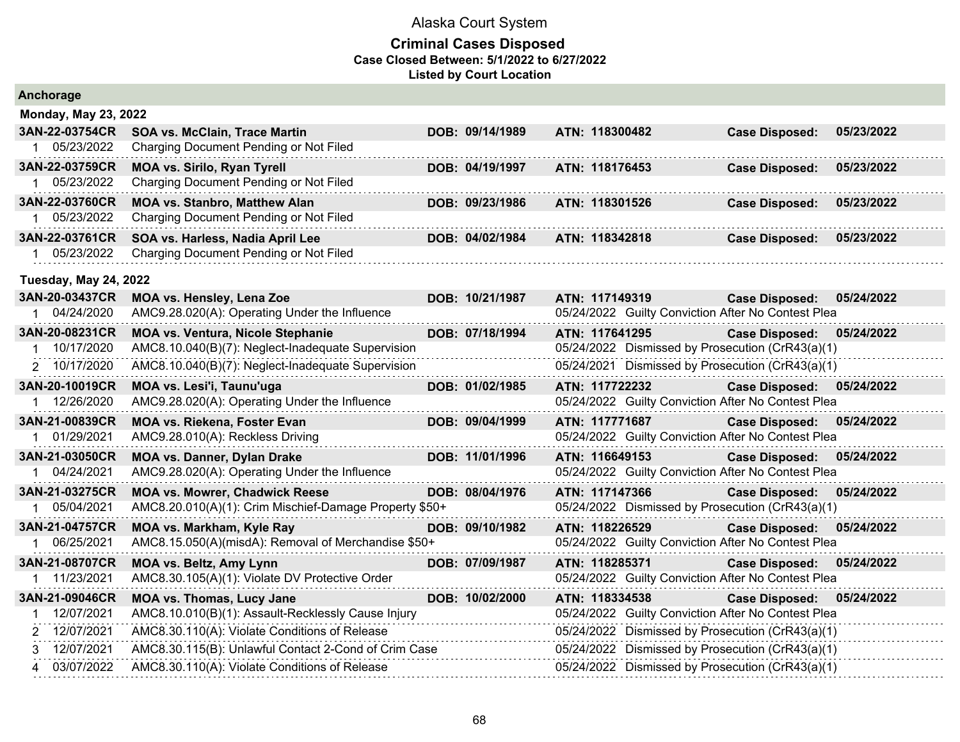| Anchorage                        |                                                                                               |                 |                |                                                                           |            |
|----------------------------------|-----------------------------------------------------------------------------------------------|-----------------|----------------|---------------------------------------------------------------------------|------------|
| <b>Monday, May 23, 2022</b>      |                                                                                               |                 |                |                                                                           |            |
| 3AN-22-03754CR                   | <b>SOA vs. McClain, Trace Martin</b>                                                          | DOB: 09/14/1989 | ATN: 118300482 | <b>Case Disposed:</b>                                                     | 05/23/2022 |
| 1 05/23/2022                     | Charging Document Pending or Not Filed                                                        |                 |                |                                                                           |            |
| 3AN-22-03759CR<br>05/23/2022     | <b>MOA vs. Sirilo, Ryan Tyrell</b><br>Charging Document Pending or Not Filed                  | DOB: 04/19/1997 | ATN: 118176453 | <b>Case Disposed:</b>                                                     | 05/23/2022 |
| 3AN-22-03760CR                   | <b>MOA vs. Stanbro, Matthew Alan</b>                                                          | DOB: 09/23/1986 | ATN: 118301526 | <b>Case Disposed:</b>                                                     | 05/23/2022 |
| 05/23/2022                       | Charging Document Pending or Not Filed                                                        |                 |                |                                                                           |            |
| 3AN-22-03761CR                   | SOA vs. Harless, Nadia April Lee                                                              | DOB: 04/02/1984 | ATN: 118342818 | <b>Case Disposed:</b>                                                     | 05/23/2022 |
| 05/23/2022                       | Charging Document Pending or Not Filed                                                        |                 |                |                                                                           |            |
| <b>Tuesday, May 24, 2022</b>     |                                                                                               |                 |                |                                                                           |            |
| 3AN-20-03437CR                   | MOA vs. Hensley, Lena Zoe                                                                     | DOB: 10/21/1987 | ATN: 117149319 | <b>Case Disposed:</b>                                                     | 05/24/2022 |
| 04/24/2020                       | AMC9.28.020(A): Operating Under the Influence                                                 |                 |                | 05/24/2022 Guilty Conviction After No Contest Plea                        |            |
| 3AN-20-08231CR<br>1 10/17/2020   | <b>MOA vs. Ventura, Nicole Stephanie</b><br>AMC8.10.040(B)(7): Neglect-Inadequate Supervision | DOB: 07/18/1994 | ATN: 117641295 | <b>Case Disposed:</b><br>05/24/2022 Dismissed by Prosecution (CrR43(a)(1) | 05/24/2022 |
| 2 10/17/2020                     | AMC8.10.040(B)(7): Neglect-Inadequate Supervision                                             |                 |                | 05/24/2021 Dismissed by Prosecution (CrR43(a)(1)                          |            |
| 3AN-20-10019CR                   | MOA vs. Lesi'i, Taunu'uga                                                                     | DOB: 01/02/1985 | ATN: 117722232 | <b>Case Disposed:</b>                                                     | 05/24/2022 |
| 1 12/26/2020                     | AMC9.28.020(A): Operating Under the Influence                                                 |                 |                | 05/24/2022 Guilty Conviction After No Contest Plea                        |            |
| 3AN-21-00839CR                   | MOA vs. Riekena, Foster Evan                                                                  | DOB: 09/04/1999 | ATN: 117771687 | <b>Case Disposed:</b>                                                     | 05/24/2022 |
| 01/29/2021                       | AMC9.28.010(A): Reckless Driving                                                              |                 |                | 05/24/2022 Guilty Conviction After No Contest Plea                        |            |
| 3AN-21-03050CR                   | <b>MOA vs. Danner, Dylan Drake</b>                                                            | DOB: 11/01/1996 | ATN: 116649153 | <b>Case Disposed:</b>                                                     | 05/24/2022 |
| 04/24/2021<br>1                  | AMC9.28.020(A): Operating Under the Influence                                                 |                 |                | 05/24/2022 Guilty Conviction After No Contest Plea                        |            |
| 3AN-21-03275CR                   | <b>MOA vs. Mowrer, Chadwick Reese</b>                                                         | DOB: 08/04/1976 | ATN: 117147366 | <b>Case Disposed:</b>                                                     | 05/24/2022 |
| 1 05/04/2021                     | AMC8.20.010(A)(1): Crim Mischief-Damage Property \$50+                                        |                 |                | 05/24/2022 Dismissed by Prosecution (CrR43(a)(1)                          |            |
| 3AN-21-04757CR                   | MOA vs. Markham, Kyle Ray                                                                     | DOB: 09/10/1982 | ATN: 118226529 | <b>Case Disposed:</b>                                                     | 05/24/2022 |
| 06/25/2021<br>1                  | AMC8.15.050(A)(misdA): Removal of Merchandise \$50+                                           |                 |                | 05/24/2022 Guilty Conviction After No Contest Plea                        |            |
| 3AN-21-08707CR                   | <b>MOA vs. Beltz, Amy Lynn</b>                                                                | DOB: 07/09/1987 | ATN: 118285371 | <b>Case Disposed:</b>                                                     | 05/24/2022 |
| 1 11/23/2021                     | AMC8.30.105(A)(1): Violate DV Protective Order                                                |                 |                | 05/24/2022 Guilty Conviction After No Contest Plea                        |            |
| 3AN-21-09046CR                   | <b>MOA vs. Thomas, Lucy Jane</b>                                                              | DOB: 10/02/2000 | ATN: 118334538 | <b>Case Disposed:</b>                                                     | 05/24/2022 |
| 12/07/2021<br>1.<br>2 12/07/2021 | AMC8.10.010(B)(1): Assault-Recklessly Cause Injury                                            |                 |                | 05/24/2022 Guilty Conviction After No Contest Plea                        |            |
|                                  | AMC8.30.110(A): Violate Conditions of Release                                                 |                 |                | 05/24/2022 Dismissed by Prosecution (CrR43(a)(1)                          |            |
| 3 12/07/2021<br>03/07/2022       | AMC8.30.115(B): Unlawful Contact 2-Cond of Crim Case                                          |                 |                | 05/24/2022 Dismissed by Prosecution (CrR43(a)(1)                          |            |
| 4                                | AMC8.30.110(A): Violate Conditions of Release                                                 |                 |                | 05/24/2022 Dismissed by Prosecution (CrR43(a)(1)                          |            |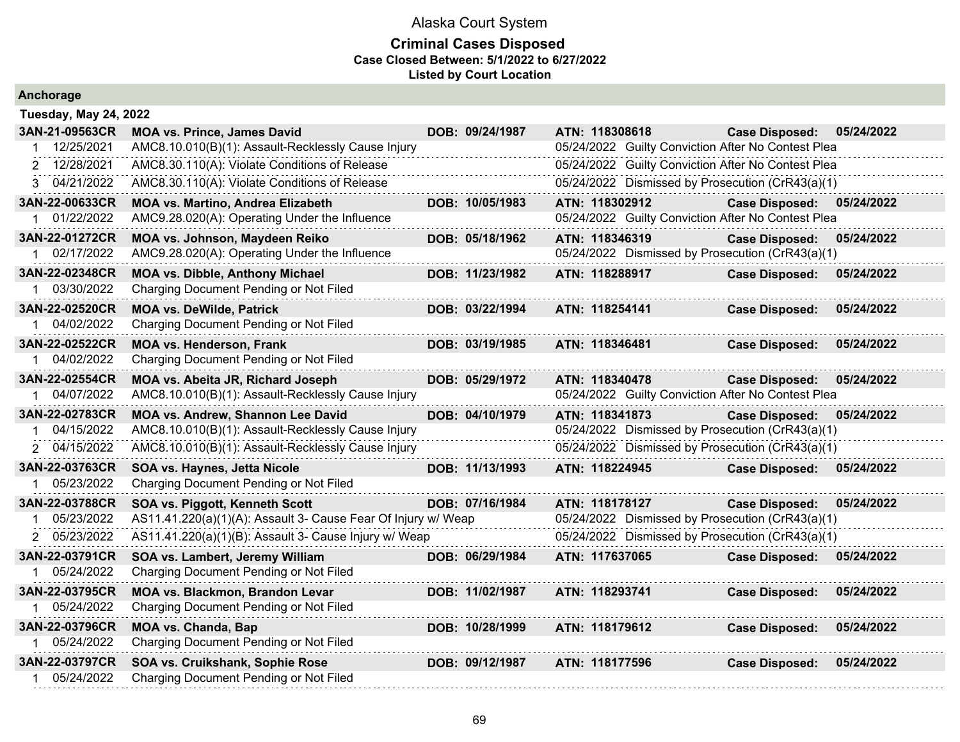| Anchorage                    |                                                               |                 |                |                                                    |            |
|------------------------------|---------------------------------------------------------------|-----------------|----------------|----------------------------------------------------|------------|
| <b>Tuesday, May 24, 2022</b> |                                                               |                 |                |                                                    |            |
| 3AN-21-09563CR               | <b>MOA vs. Prince, James David</b>                            | DOB: 09/24/1987 | ATN: 118308618 | <b>Case Disposed:</b>                              | 05/24/2022 |
| 12/25/2021                   | AMC8.10.010(B)(1): Assault-Recklessly Cause Injury            |                 |                | 05/24/2022 Guilty Conviction After No Contest Plea |            |
| 2 12/28/2021                 | AMC8.30.110(A): Violate Conditions of Release                 |                 |                | 05/24/2022 Guilty Conviction After No Contest Plea |            |
| 3 04/21/2022                 | AMC8.30.110(A): Violate Conditions of Release                 |                 |                | 05/24/2022 Dismissed by Prosecution (CrR43(a)(1)   |            |
| 3AN-22-00633CR               | <b>MOA vs. Martino, Andrea Elizabeth</b>                      | DOB: 10/05/1983 | ATN: 118302912 | <b>Case Disposed:</b>                              | 05/24/2022 |
| 1 01/22/2022                 | AMC9.28.020(A): Operating Under the Influence                 |                 |                | 05/24/2022 Guilty Conviction After No Contest Plea |            |
| 3AN-22-01272CR               | MOA vs. Johnson, Maydeen Reiko                                | DOB: 05/18/1962 | ATN: 118346319 | <b>Case Disposed:</b>                              | 05/24/2022 |
| 1 02/17/2022                 | AMC9.28.020(A): Operating Under the Influence                 |                 |                | 05/24/2022 Dismissed by Prosecution (CrR43(a)(1)   |            |
| 3AN-22-02348CR               | <b>MOA vs. Dibble, Anthony Michael</b>                        | DOB: 11/23/1982 | ATN: 118288917 | <b>Case Disposed:</b>                              | 05/24/2022 |
| 1 03/30/2022                 | Charging Document Pending or Not Filed                        |                 |                |                                                    |            |
| 3AN-22-02520CR               | <b>MOA vs. DeWilde, Patrick</b>                               | DOB: 03/22/1994 | ATN: 118254141 | <b>Case Disposed:</b>                              | 05/24/2022 |
| 04/02/2022                   | Charging Document Pending or Not Filed                        |                 |                |                                                    |            |
| 3AN-22-02522CR               | <b>MOA vs. Henderson, Frank</b>                               | DOB: 03/19/1985 | ATN: 118346481 | <b>Case Disposed:</b>                              | 05/24/2022 |
| 04/02/2022                   | Charging Document Pending or Not Filed                        |                 |                |                                                    |            |
| 3AN-22-02554CR               | MOA vs. Abeita JR, Richard Joseph                             | DOB: 05/29/1972 | ATN: 118340478 | <b>Case Disposed:</b>                              | 05/24/2022 |
| 04/07/2022                   | AMC8.10.010(B)(1): Assault-Recklessly Cause Injury            |                 |                | 05/24/2022 Guilty Conviction After No Contest Plea |            |
| 3AN-22-02783CR               | MOA vs. Andrew, Shannon Lee David                             | DOB: 04/10/1979 | ATN: 118341873 | <b>Case Disposed:</b>                              | 05/24/2022 |
| 04/15/2022                   | AMC8.10.010(B)(1): Assault-Recklessly Cause Injury            |                 |                | 05/24/2022 Dismissed by Prosecution (CrR43(a)(1)   |            |
| 2 04/15/2022                 | AMC8.10.010(B)(1): Assault-Recklessly Cause Injury            |                 |                | 05/24/2022 Dismissed by Prosecution (CrR43(a)(1)   |            |
| 3AN-22-03763CR               | SOA vs. Haynes, Jetta Nicole                                  | DOB: 11/13/1993 | ATN: 118224945 | <b>Case Disposed:</b>                              | 05/24/2022 |
| 1 05/23/2022                 | Charging Document Pending or Not Filed                        |                 |                |                                                    |            |
| 3AN-22-03788CR               | SOA vs. Piggott, Kenneth Scott                                | DOB: 07/16/1984 | ATN: 118178127 | <b>Case Disposed:</b>                              | 05/24/2022 |
| 05/23/2022                   | AS11.41.220(a)(1)(A): Assault 3- Cause Fear Of Injury w/ Weap |                 |                | 05/24/2022 Dismissed by Prosecution (CrR43(a)(1)   |            |
| 2 05/23/2022                 | AS11.41.220(a)(1)(B): Assault 3- Cause Injury w/ Weap         |                 |                | 05/24/2022 Dismissed by Prosecution (CrR43(a)(1)   |            |
| 3AN-22-03791CR               | SOA vs. Lambert, Jeremy William                               | DOB: 06/29/1984 | ATN: 117637065 | <b>Case Disposed:</b>                              | 05/24/2022 |
| 05/24/2022                   | Charging Document Pending or Not Filed                        |                 |                |                                                    |            |
| 3AN-22-03795CR               | MOA vs. Blackmon, Brandon Levar                               | DOB: 11/02/1987 | ATN: 118293741 | <b>Case Disposed:</b>                              | 05/24/2022 |
| 1 05/24/2022                 | Charging Document Pending or Not Filed                        |                 |                |                                                    |            |
| 3AN-22-03796CR               | <b>MOA vs. Chanda, Bap</b>                                    | DOB: 10/28/1999 | ATN: 118179612 | <b>Case Disposed:</b>                              | 05/24/2022 |
| 1 05/24/2022                 | Charging Document Pending or Not Filed                        |                 |                |                                                    |            |
| 3AN-22-03797CR               | SOA vs. Cruikshank, Sophie Rose                               | DOB: 09/12/1987 | ATN: 118177596 | <b>Case Disposed:</b>                              | 05/24/2022 |
| 05/24/2022                   | Charging Document Pending or Not Filed                        |                 |                |                                                    |            |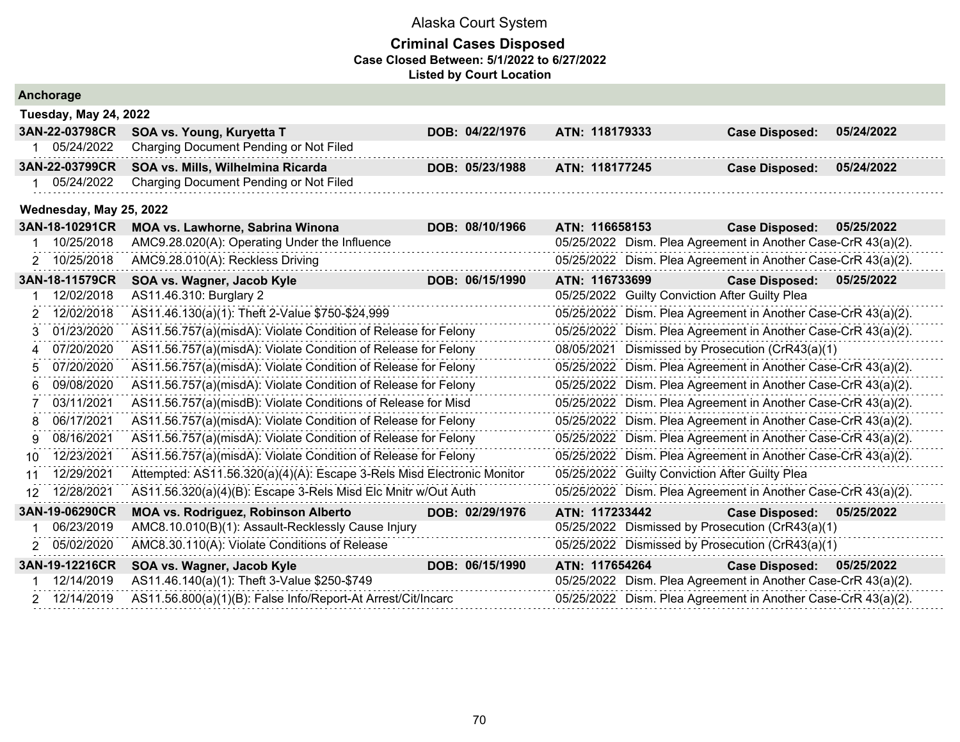|    | Anchorage                    |                                                                        |  |                 |  |            |                |                                                               |            |  |  |
|----|------------------------------|------------------------------------------------------------------------|--|-----------------|--|------------|----------------|---------------------------------------------------------------|------------|--|--|
|    | <b>Tuesday, May 24, 2022</b> |                                                                        |  |                 |  |            |                |                                                               |            |  |  |
|    | 3AN-22-03798CR               | SOA vs. Young, Kuryetta T                                              |  | DOB: 04/22/1976 |  |            | ATN: 118179333 | <b>Case Disposed:</b>                                         | 05/24/2022 |  |  |
|    | 05/24/2022                   | Charging Document Pending or Not Filed                                 |  |                 |  |            |                |                                                               |            |  |  |
|    | 3AN-22-03799CR               | SOA vs. Mills, Wilhelmina Ricarda                                      |  | DOB: 05/23/1988 |  |            | ATN: 118177245 | <b>Case Disposed:</b>                                         | 05/24/2022 |  |  |
|    | 05/24/2022                   | Charging Document Pending or Not Filed                                 |  |                 |  |            |                |                                                               |            |  |  |
|    | Wednesday, May 25, 2022      |                                                                        |  |                 |  |            |                |                                                               |            |  |  |
|    | 3AN-18-10291CR               | MOA vs. Lawhorne, Sabrina Winona                                       |  | DOB: 08/10/1966 |  |            | ATN: 116658153 | <b>Case Disposed:</b>                                         | 05/25/2022 |  |  |
|    | 10/25/2018                   | AMC9.28.020(A): Operating Under the Influence                          |  |                 |  |            |                | 05/25/2022 Dism. Plea Agreement in Another Case-CrR 43(a)(2). |            |  |  |
|    | 2 10/25/2018                 | AMC9.28.010(A): Reckless Driving                                       |  |                 |  |            |                | 05/25/2022 Dism. Plea Agreement in Another Case-CrR 43(a)(2). |            |  |  |
|    | 3AN-18-11579CR               | SOA vs. Wagner, Jacob Kyle                                             |  | DOB: 06/15/1990 |  |            | ATN: 116733699 | <b>Case Disposed:</b>                                         | 05/25/2022 |  |  |
|    | 12/02/2018                   | AS11.46.310: Burglary 2                                                |  |                 |  |            |                | 05/25/2022 Guilty Conviction After Guilty Plea                |            |  |  |
| 2  | 12/02/2018                   | AS11.46.130(a)(1): Theft 2-Value \$750-\$24,999                        |  |                 |  |            |                | 05/25/2022 Dism. Plea Agreement in Another Case-CrR 43(a)(2). |            |  |  |
| 3  | 01/23/2020                   | AS11.56.757(a)(misdA): Violate Condition of Release for Felony         |  |                 |  |            |                | 05/25/2022 Dism. Plea Agreement in Another Case-CrR 43(a)(2). |            |  |  |
| 4  | 07/20/2020                   | AS11.56.757(a)(misdA): Violate Condition of Release for Felony         |  |                 |  | 08/05/2021 |                | Dismissed by Prosecution (CrR43(a)(1)                         |            |  |  |
| 5  | 07/20/2020                   | AS11.56.757(a)(misdA): Violate Condition of Release for Felony         |  |                 |  |            |                | 05/25/2022 Dism. Plea Agreement in Another Case-CrR 43(a)(2). |            |  |  |
| 6  | 09/08/2020                   | AS11.56.757(a)(misdA): Violate Condition of Release for Felony         |  |                 |  |            |                | 05/25/2022 Dism. Plea Agreement in Another Case-CrR 43(a)(2). |            |  |  |
|    | 03/11/2021                   | AS11.56.757(a)(misdB): Violate Conditions of Release for Misd          |  |                 |  |            |                | 05/25/2022 Dism. Plea Agreement in Another Case-CrR 43(a)(2). |            |  |  |
| 8  | 06/17/2021                   | AS11.56.757(a)(misdA): Violate Condition of Release for Felony         |  |                 |  |            |                | 05/25/2022 Dism. Plea Agreement in Another Case-CrR 43(a)(2). |            |  |  |
| g  | 08/16/2021                   | AS11.56.757(a)(misdA): Violate Condition of Release for Felony         |  |                 |  |            |                | 05/25/2022 Dism. Plea Agreement in Another Case-CrR 43(a)(2). |            |  |  |
| 10 | 12/23/2021                   | AS11.56.757(a)(misdA): Violate Condition of Release for Felony         |  |                 |  |            |                | 05/25/2022 Dism. Plea Agreement in Another Case-CrR 43(a)(2). |            |  |  |
| 11 | 12/29/2021                   | Attempted: AS11.56.320(a)(4)(A): Escape 3-Rels Misd Electronic Monitor |  |                 |  |            |                | 05/25/2022 Guilty Conviction After Guilty Plea                |            |  |  |
| 12 | 12/28/2021                   | AS11.56.320(a)(4)(B): Escape 3-Rels Misd Elc Mnitr w/Out Auth          |  |                 |  |            |                | 05/25/2022 Dism. Plea Agreement in Another Case-CrR 43(a)(2). |            |  |  |
|    | 3AN-19-06290CR               | <b>MOA vs. Rodriguez, Robinson Alberto</b>                             |  | DOB: 02/29/1976 |  |            | ATN: 117233442 | <b>Case Disposed:</b>                                         | 05/25/2022 |  |  |
|    | 06/23/2019                   | AMC8.10.010(B)(1): Assault-Recklessly Cause Injury                     |  |                 |  |            |                | 05/25/2022 Dismissed by Prosecution (CrR43(a)(1)              |            |  |  |
| 2  | 05/02/2020                   | AMC8.30.110(A): Violate Conditions of Release                          |  |                 |  |            |                | 05/25/2022 Dismissed by Prosecution (CrR43(a)(1)              |            |  |  |
|    | 3AN-19-12216CR               | SOA vs. Wagner, Jacob Kyle                                             |  | DOB: 06/15/1990 |  |            | ATN: 117654264 | <b>Case Disposed:</b>                                         | 05/25/2022 |  |  |
|    | 12/14/2019                   | AS11.46.140(a)(1): Theft 3-Value \$250-\$749                           |  |                 |  |            |                | 05/25/2022 Dism. Plea Agreement in Another Case-CrR 43(a)(2). |            |  |  |
|    | 2 12/14/2019                 | AS11.56.800(a)(1)(B): False Info/Report-At Arrest/Cit/Incarc           |  |                 |  |            |                | 05/25/2022 Dism. Plea Agreement in Another Case-CrR 43(a)(2). |            |  |  |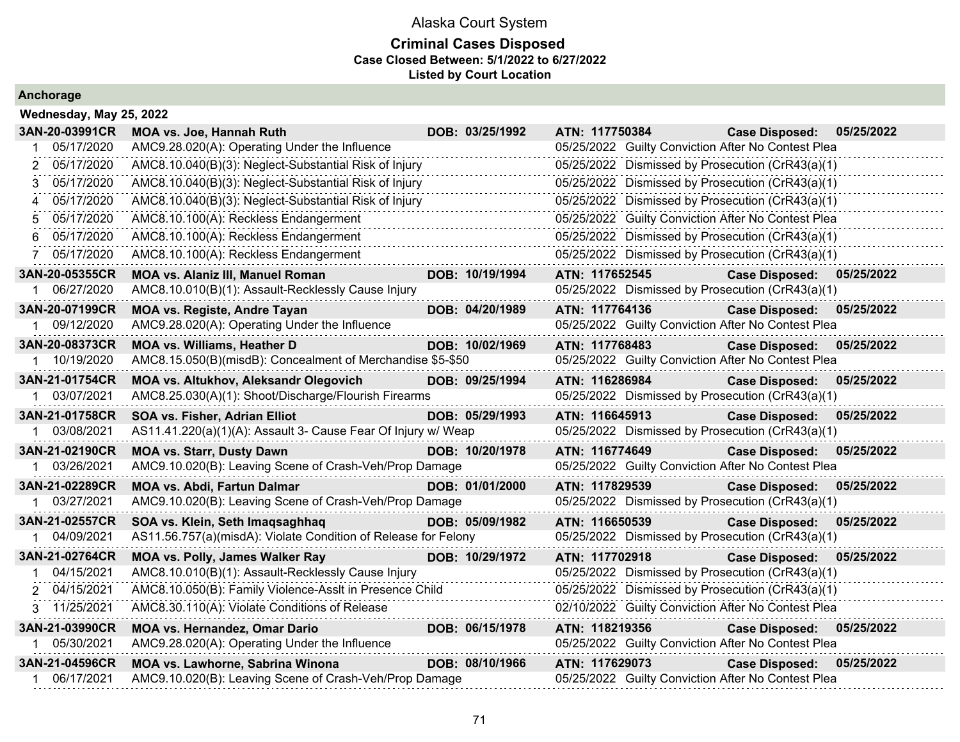### **Criminal Cases Disposed Case Closed Between: 5/1/2022 to 6/27/2022 Listed by Court Location**

|              | Wednesday, May 25, 2022 |                                                                |  |                 |                |                |                                                    |            |  |  |  |
|--------------|-------------------------|----------------------------------------------------------------|--|-----------------|----------------|----------------|----------------------------------------------------|------------|--|--|--|
|              | 3AN-20-03991CR          | MOA vs. Joe, Hannah Ruth                                       |  | DOB: 03/25/1992 | ATN: 117750384 |                | <b>Case Disposed:</b>                              | 05/25/2022 |  |  |  |
|              | 05/17/2020              | AMC9.28.020(A): Operating Under the Influence                  |  |                 |                |                | 05/25/2022 Guilty Conviction After No Contest Plea |            |  |  |  |
| 2            | 05/17/2020              | AMC8.10.040(B)(3): Neglect-Substantial Risk of Injury          |  |                 |                |                | 05/25/2022 Dismissed by Prosecution (CrR43(a)(1)   |            |  |  |  |
| 3            | 05/17/2020              | AMC8.10.040(B)(3): Neglect-Substantial Risk of Injury          |  | .               |                |                | 05/25/2022 Dismissed by Prosecution (CrR43(a)(1)   |            |  |  |  |
| 4            | 05/17/2020              | AMC8.10.040(B)(3): Neglect-Substantial Risk of Injury          |  |                 |                |                | 05/25/2022 Dismissed by Prosecution (CrR43(a)(1)   |            |  |  |  |
| 5            | 05/17/2020              | AMC8.10.100(A): Reckless Endangerment                          |  |                 |                |                | 05/25/2022 Guilty Conviction After No Contest Plea |            |  |  |  |
| 6.           | 05/17/2020              | AMC8.10.100(A): Reckless Endangerment                          |  |                 |                |                | 05/25/2022 Dismissed by Prosecution (CrR43(a)(1)   |            |  |  |  |
|              | 05/17/2020              | AMC8.10.100(A): Reckless Endangerment                          |  |                 |                |                | 05/25/2022 Dismissed by Prosecution (CrR43(a)(1)   |            |  |  |  |
|              | 3AN-20-05355CR          | <b>MOA vs. Alaniz III, Manuel Roman</b>                        |  | DOB: 10/19/1994 | ATN: 117652545 |                | <b>Case Disposed:</b>                              | 05/25/2022 |  |  |  |
|              | 06/27/2020              | AMC8.10.010(B)(1): Assault-Recklessly Cause Injury             |  |                 |                |                | 05/25/2022 Dismissed by Prosecution (CrR43(a)(1)   |            |  |  |  |
|              | 3AN-20-07199CR          | <b>MOA vs. Registe, Andre Tayan</b>                            |  | DOB: 04/20/1989 | ATN: 117764136 |                | <b>Case Disposed:</b>                              | 05/25/2022 |  |  |  |
|              | 09/12/2020              | AMC9.28.020(A): Operating Under the Influence                  |  |                 |                |                | 05/25/2022 Guilty Conviction After No Contest Plea |            |  |  |  |
|              | 3AN-20-08373CR          | <b>MOA vs. Williams, Heather D</b>                             |  | DOB: 10/02/1969 | ATN: 117768483 |                | <b>Case Disposed:</b>                              | 05/25/2022 |  |  |  |
|              | 1 10/19/2020            | AMC8.15.050(B)(misdB): Concealment of Merchandise \$5-\$50     |  |                 |                |                | 05/25/2022 Guilty Conviction After No Contest Plea |            |  |  |  |
|              | 3AN-21-01754CR          | <b>MOA vs. Altukhov, Aleksandr Olegovich</b>                   |  | DOB: 09/25/1994 | ATN: 116286984 |                | <b>Case Disposed:</b>                              | 05/25/2022 |  |  |  |
|              | 03/07/2021              | AMC8.25.030(A)(1): Shoot/Discharge/Flourish Firearms           |  |                 |                |                | 05/25/2022 Dismissed by Prosecution (CrR43(a)(1)   |            |  |  |  |
|              | 3AN-21-01758CR          | SOA vs. Fisher, Adrian Elliot                                  |  | DOB: 05/29/1993 |                | ATN: 116645913 | <b>Case Disposed:</b>                              | 05/25/2022 |  |  |  |
|              | 03/08/2021              | AS11.41.220(a)(1)(A): Assault 3- Cause Fear Of Injury w/ Weap  |  |                 |                |                | 05/25/2022 Dismissed by Prosecution (CrR43(a)(1)   |            |  |  |  |
|              | 3AN-21-02190CR          | <b>MOA vs. Starr, Dusty Dawn</b>                               |  | DOB: 10/20/1978 |                | ATN: 116774649 | <b>Case Disposed:</b>                              | 05/25/2022 |  |  |  |
|              | 03/26/2021              | AMC9.10.020(B): Leaving Scene of Crash-Veh/Prop Damage         |  |                 |                |                | 05/25/2022 Guilty Conviction After No Contest Plea |            |  |  |  |
|              | 3AN-21-02289CR          | <b>MOA vs. Abdi, Fartun Dalmar</b>                             |  | DOB: 01/01/2000 | ATN: 117829539 |                | <b>Case Disposed:</b>                              | 05/25/2022 |  |  |  |
|              | 1 03/27/2021            | AMC9.10.020(B): Leaving Scene of Crash-Veh/Prop Damage         |  |                 |                |                | 05/25/2022 Dismissed by Prosecution (CrR43(a)(1)   |            |  |  |  |
|              | 3AN-21-02557CR          | SOA vs. Klein, Seth Imaqsaghhaq                                |  | DOB: 05/09/1982 | ATN: 116650539 |                | <b>Case Disposed:</b>                              | 05/25/2022 |  |  |  |
| $\mathbf{1}$ | 04/09/2021              | AS11.56.757(a)(misdA): Violate Condition of Release for Felony |  |                 |                |                | 05/25/2022 Dismissed by Prosecution (CrR43(a)(1)   |            |  |  |  |
|              | 3AN-21-02764CR          | MOA vs. Polly, James Walker Ray                                |  | DOB: 10/29/1972 |                | ATN: 117702918 | <b>Case Disposed:</b>                              | 05/25/2022 |  |  |  |
|              | 04/15/2021              | AMC8.10.010(B)(1): Assault-Recklessly Cause Injury             |  |                 |                |                | 05/25/2022 Dismissed by Prosecution (CrR43(a)(1)   |            |  |  |  |
|              | 2 04/15/2021            | AMC8.10.050(B): Family Violence-Asslt in Presence Child        |  |                 |                |                | 05/25/2022 Dismissed by Prosecution (CrR43(a)(1)   |            |  |  |  |
|              | 3 11/25/2021            | AMC8.30.110(A): Violate Conditions of Release                  |  |                 |                |                | 02/10/2022 Guilty Conviction After No Contest Plea |            |  |  |  |
|              | 3AN-21-03990CR          | <b>MOA vs. Hernandez, Omar Dario</b>                           |  | DOB: 06/15/1978 | ATN: 118219356 |                | <b>Case Disposed:</b>                              | 05/25/2022 |  |  |  |
|              | 1 05/30/2021            | AMC9.28.020(A): Operating Under the Influence                  |  |                 |                |                | 05/25/2022 Guilty Conviction After No Contest Plea |            |  |  |  |
|              | 3AN-21-04596CR          | MOA vs. Lawhorne, Sabrina Winona                               |  | DOB: 08/10/1966 | ATN: 117629073 |                | <b>Case Disposed:</b>                              | 05/25/2022 |  |  |  |
|              | 06/17/2021              | AMC9.10.020(B): Leaving Scene of Crash-Veh/Prop Damage         |  |                 |                |                | 05/25/2022 Guilty Conviction After No Contest Plea |            |  |  |  |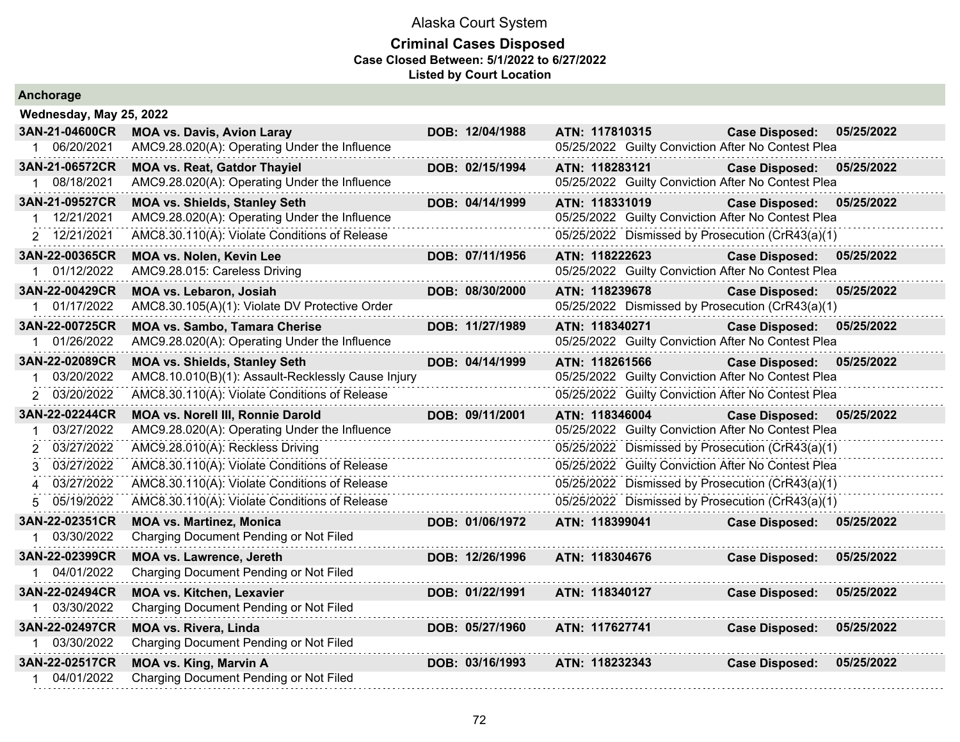| Anchorage                   |                                                    |                 |                                                    |                           |            |
|-----------------------------|----------------------------------------------------|-----------------|----------------------------------------------------|---------------------------|------------|
| Wednesday, May 25, 2022     |                                                    |                 |                                                    |                           |            |
| 3AN-21-04600CR              | <b>MOA vs. Davis, Avion Laray</b>                  | DOB: 12/04/1988 | ATN: 117810315                                     | <b>Case Disposed:</b>     | 05/25/2022 |
| 1 06/20/2021                | AMC9.28.020(A): Operating Under the Influence      |                 | 05/25/2022 Guilty Conviction After No Contest Plea |                           |            |
| 3AN-21-06572CR              | <b>MOA vs. Reat, Gatdor Thayiel</b>                | DOB: 02/15/1994 | ATN: 118283121                                     | <b>Case Disposed:</b>     | 05/25/2022 |
| 1 08/18/2021                | AMC9.28.020(A): Operating Under the Influence      |                 | 05/25/2022 Guilty Conviction After No Contest Plea |                           |            |
| 3AN-21-09527CR              | <b>MOA vs. Shields, Stanley Seth</b>               | DOB: 04/14/1999 | ATN: 118331019                                     | <b>Case Disposed:</b>     | 05/25/2022 |
| 1 12/21/2021                | AMC9.28.020(A): Operating Under the Influence      |                 | 05/25/2022 Guilty Conviction After No Contest Plea |                           |            |
| 2 12/21/2021                | AMC8.30.110(A): Violate Conditions of Release      |                 | 05/25/2022 Dismissed by Prosecution (CrR43(a)(1)   |                           |            |
| 3AN-22-00365CR              | MOA vs. Nolen, Kevin Lee                           | DOB: 07/11/1956 | ATN: 118222623                                     | <b>Case Disposed:</b>     | 05/25/2022 |
| 01/12/2022                  | AMC9.28.015: Careless Driving                      |                 | 05/25/2022 Guilty Conviction After No Contest Plea |                           |            |
| 3AN-22-00429CR              | <b>MOA vs. Lebaron, Josiah</b>                     | DOB: 08/30/2000 | ATN: 118239678                                     | <b>Case Disposed:</b>     | 05/25/2022 |
| 1 01/17/2022                | AMC8.30.105(A)(1): Violate DV Protective Order     |                 | 05/25/2022 Dismissed by Prosecution (CrR43(a)(1)   |                           |            |
| 3AN-22-00725CR              | <b>MOA vs. Sambo, Tamara Cherise</b>               | DOB: 11/27/1989 | ATN: 118340271                                     | <b>Case Disposed:</b>     | 05/25/2022 |
| 1 01/26/2022                | AMC9.28.020(A): Operating Under the Influence      |                 | 05/25/2022 Guilty Conviction After No Contest Plea |                           |            |
| 3AN-22-02089CR              | <b>MOA vs. Shields, Stanley Seth</b>               | DOB: 04/14/1999 | ATN: 118261566                                     | <b>Case Disposed:</b>     | 05/25/2022 |
| 03/20/2022                  | AMC8.10.010(B)(1): Assault-Recklessly Cause Injury |                 | 05/25/2022 Guilty Conviction After No Contest Plea |                           |            |
| 2 03/20/2022                | AMC8.30.110(A): Violate Conditions of Release      |                 | 05/25/2022 Guilty Conviction After No Contest Plea |                           |            |
| 3AN-22-02244CR              | <b>MOA vs. Norell III, Ronnie Darold</b>           | DOB: 09/11/2001 | ATN: 118346004                                     | Case Disposed: 05/25/2022 |            |
| 03/27/2022                  | AMC9.28.020(A): Operating Under the Influence      |                 | 05/25/2022 Guilty Conviction After No Contest Plea |                           |            |
| 03/27/2022<br>$\mathcal{P}$ | AMC9.28.010(A): Reckless Driving                   |                 | 05/25/2022 Dismissed by Prosecution (CrR43(a)(1)   |                           |            |
| 03/27/2022<br>3             | AMC8.30.110(A): Violate Conditions of Release      |                 | 05/25/2022 Guilty Conviction After No Contest Plea |                           |            |
| 03/27/2022<br>4             | AMC8.30.110(A): Violate Conditions of Release      |                 | 05/25/2022 Dismissed by Prosecution (CrR43(a)(1)   |                           |            |
| 05/19/2022<br>5.            | AMC8.30.110(A): Violate Conditions of Release      |                 | 05/25/2022 Dismissed by Prosecution (CrR43(a)(1)   |                           |            |
| 3AN-22-02351CR              | <b>MOA vs. Martinez, Monica</b>                    | DOB: 01/06/1972 | ATN: 118399041                                     | <b>Case Disposed:</b>     | 05/25/2022 |
| 03/30/2022                  | Charging Document Pending or Not Filed             |                 |                                                    |                           |            |
| 3AN-22-02399CR              | <b>MOA vs. Lawrence, Jereth</b>                    | DOB: 12/26/1996 | ATN: 118304676                                     | <b>Case Disposed:</b>     | 05/25/2022 |
| 04/01/2022                  | Charging Document Pending or Not Filed             |                 |                                                    |                           |            |
| 3AN-22-02494CR              | <b>MOA vs. Kitchen, Lexavier</b>                   | DOB: 01/22/1991 | ATN: 118340127                                     | <b>Case Disposed:</b>     | 05/25/2022 |
| 1 03/30/2022                | Charging Document Pending or Not Filed             |                 |                                                    |                           |            |
| 3AN-22-02497CR              | <b>MOA vs. Rivera, Linda</b>                       | DOB: 05/27/1960 | ATN: 117627741                                     | <b>Case Disposed:</b>     | 05/25/2022 |
| 1 03/30/2022                | Charging Document Pending or Not Filed             |                 |                                                    |                           |            |
| 3AN-22-02517CR              | <b>MOA vs. King, Marvin A</b>                      | DOB: 03/16/1993 | ATN: 118232343                                     | <b>Case Disposed:</b>     | 05/25/2022 |
| 1 04/01/2022                | Charging Document Pending or Not Filed             |                 |                                                    |                           |            |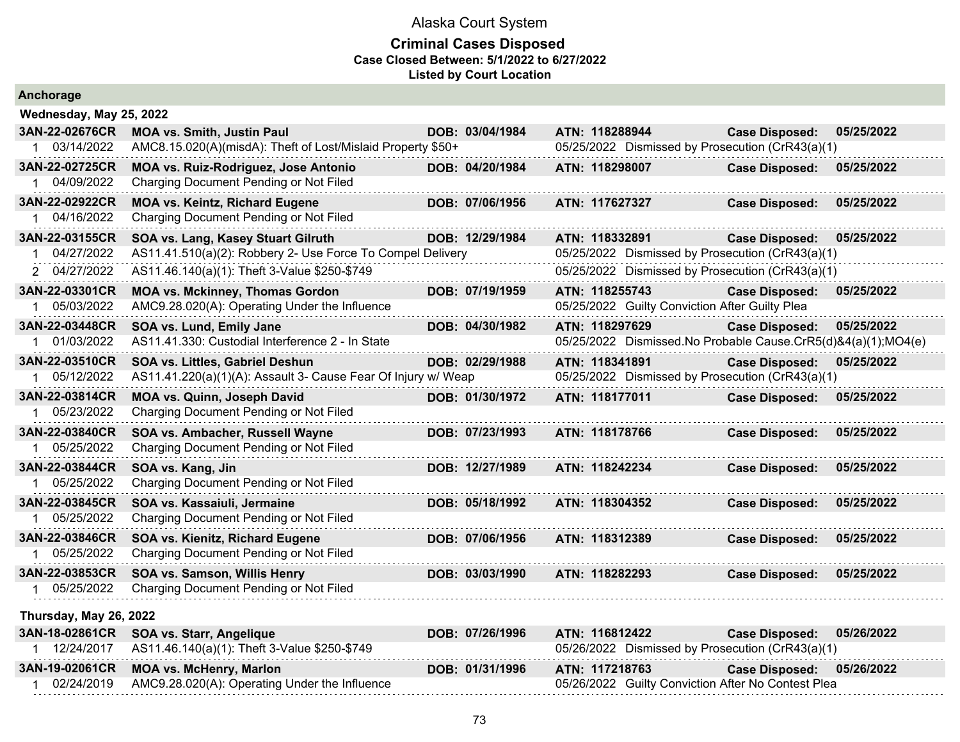| Anchorage                      |                                                                       |                 |                                                               |                       |            |
|--------------------------------|-----------------------------------------------------------------------|-----------------|---------------------------------------------------------------|-----------------------|------------|
| Wednesday, May 25, 2022        |                                                                       |                 |                                                               |                       |            |
| 3AN-22-02676CR                 | <b>MOA vs. Smith, Justin Paul</b>                                     | DOB: 03/04/1984 | ATN: 118288944                                                | <b>Case Disposed:</b> | 05/25/2022 |
| 1 03/14/2022                   | AMC8.15.020(A)(misdA): Theft of Lost/Mislaid Property \$50+           |                 | 05/25/2022 Dismissed by Prosecution (CrR43(a)(1)              |                       |            |
| 3AN-22-02725CR                 | MOA vs. Ruiz-Rodriguez, Jose Antonio                                  | DOB: 04/20/1984 | ATN: 118298007                                                | <b>Case Disposed:</b> | 05/25/2022 |
| 1 04/09/2022                   | Charging Document Pending or Not Filed                                |                 |                                                               |                       |            |
| 3AN-22-02922CR                 | <b>MOA vs. Keintz, Richard Eugene</b>                                 | DOB: 07/06/1956 | ATN: 117627327                                                | <b>Case Disposed:</b> | 05/25/2022 |
| 1 04/16/2022                   | Charging Document Pending or Not Filed                                |                 |                                                               |                       |            |
| 3AN-22-03155CR                 | SOA vs. Lang, Kasey Stuart Gilruth                                    | DOB: 12/29/1984 | ATN: 118332891                                                | <b>Case Disposed:</b> | 05/25/2022 |
| 04/27/2022                     | AS11.41.510(a)(2): Robbery 2- Use Force To Compel Delivery            |                 | 05/25/2022 Dismissed by Prosecution (CrR43(a)(1)              |                       |            |
| 2 04/27/2022                   | AS11.46.140(a)(1): Theft 3-Value \$250-\$749                          |                 | 05/25/2022 Dismissed by Prosecution (CrR43(a)(1)              |                       |            |
| 3AN-22-03301CR                 | <b>MOA vs. Mckinney, Thomas Gordon</b>                                | DOB: 07/19/1959 | ATN: 118255743                                                | <b>Case Disposed:</b> | 05/25/2022 |
| 1 05/03/2022                   | AMC9.28.020(A): Operating Under the Influence                         |                 | 05/25/2022 Guilty Conviction After Guilty Plea                |                       |            |
| 3AN-22-03448CR                 | SOA vs. Lund, Emily Jane                                              | DOB: 04/30/1982 | ATN: 118297629                                                | <b>Case Disposed:</b> | 05/25/2022 |
| 1 01/03/2022                   | AS11.41.330: Custodial Interference 2 - In State                      |                 | 05/25/2022 Dismissed.No Probable Cause.CrR5(d)&4(a)(1);MO4(e) |                       |            |
| 3AN-22-03510CR                 | SOA vs. Littles, Gabriel Deshun                                       | DOB: 02/29/1988 | ATN: 118341891                                                | <b>Case Disposed:</b> | 05/25/2022 |
| 1 05/12/2022                   | AS11.41.220(a)(1)(A): Assault 3- Cause Fear Of Injury w/ Weap         |                 | 05/25/2022 Dismissed by Prosecution (CrR43(a)(1)              |                       |            |
| 3AN-22-03814CR<br>1 05/23/2022 | MOA vs. Quinn, Joseph David<br>Charging Document Pending or Not Filed | DOB: 01/30/1972 | ATN: 118177011                                                | <b>Case Disposed:</b> | 05/25/2022 |
| 3AN-22-03840CR                 | SOA vs. Ambacher, Russell Wayne                                       | DOB: 07/23/1993 | ATN: 118178766                                                | <b>Case Disposed:</b> | 05/25/2022 |
| 1 05/25/2022                   | Charging Document Pending or Not Filed                                |                 |                                                               |                       |            |
| 3AN-22-03844CR                 | SOA vs. Kang, Jin                                                     | DOB: 12/27/1989 | ATN: 118242234                                                | <b>Case Disposed:</b> | 05/25/2022 |
| 1 05/25/2022                   | Charging Document Pending or Not Filed                                |                 |                                                               |                       |            |
| 3AN-22-03845CR                 | SOA vs. Kassaiuli, Jermaine                                           | DOB: 05/18/1992 | ATN: 118304352                                                | <b>Case Disposed:</b> | 05/25/2022 |
| 1 05/25/2022                   | Charging Document Pending or Not Filed                                |                 |                                                               |                       |            |
| 3AN-22-03846CR                 | SOA vs. Kienitz, Richard Eugene                                       | DOB: 07/06/1956 | ATN: 118312389                                                | <b>Case Disposed:</b> | 05/25/2022 |
| 1 05/25/2022                   | Charging Document Pending or Not Filed                                |                 |                                                               |                       |            |
| 3AN-22-03853CR                 | SOA vs. Samson, Willis Henry                                          | DOB: 03/03/1990 | ATN: 118282293                                                | <b>Case Disposed:</b> | 05/25/2022 |
| 1 05/25/2022                   | Charging Document Pending or Not Filed                                |                 |                                                               |                       |            |
| Thursday, May 26, 2022         |                                                                       |                 |                                                               |                       |            |
| 3AN-18-02861CR                 | SOA vs. Starr, Angelique                                              | DOB: 07/26/1996 | ATN: 116812422                                                | <b>Case Disposed:</b> | 05/26/2022 |
| 1 12/24/2017                   | AS11.46.140(a)(1): Theft 3-Value \$250-\$749                          |                 | 05/26/2022 Dismissed by Prosecution (CrR43(a)(1)              |                       |            |
| 3AN-19-02061CR                 | <b>MOA vs. McHenry, Marlon</b>                                        | DOB: 01/31/1996 | ATN: 117218763                                                | <b>Case Disposed:</b> | 05/26/2022 |
| 1 02/24/2019                   | AMC9.28.020(A): Operating Under the Influence                         |                 | 05/26/2022 Guilty Conviction After No Contest Plea            |                       |            |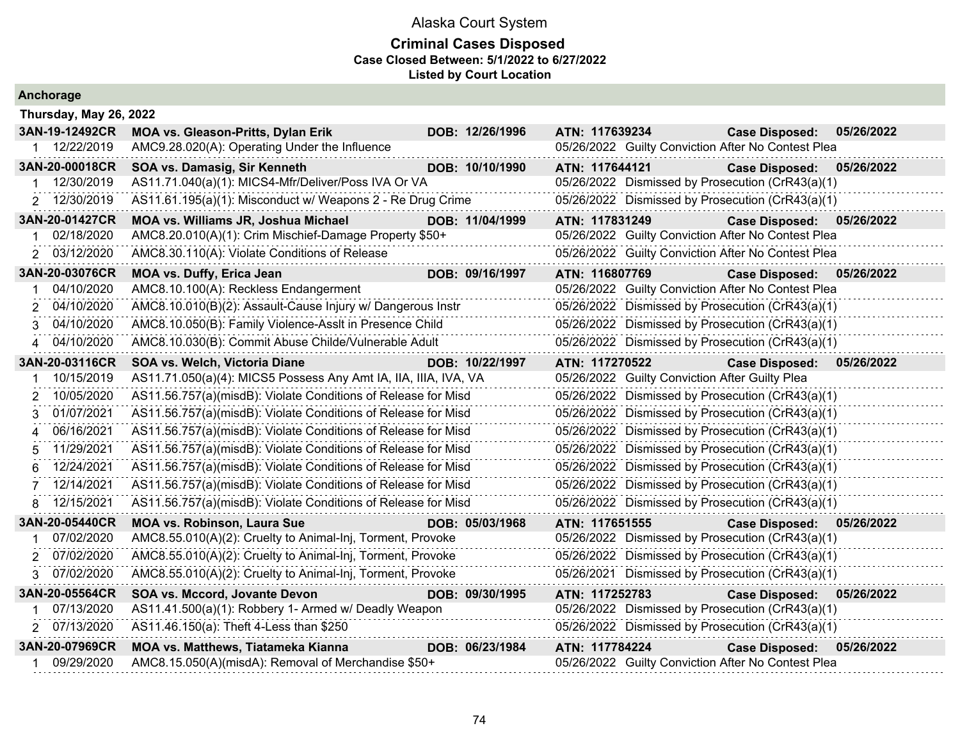|   | Anchorage              |                                                                 |                 |                |                                                |                                                    |            |
|---|------------------------|-----------------------------------------------------------------|-----------------|----------------|------------------------------------------------|----------------------------------------------------|------------|
|   | Thursday, May 26, 2022 |                                                                 |                 |                |                                                |                                                    |            |
|   | 3AN-19-12492CR         | <b>MOA vs. Gleason-Pritts, Dylan Erik</b>                       | DOB: 12/26/1996 | ATN: 117639234 |                                                | <b>Case Disposed:</b>                              | 05/26/2022 |
|   | 1 12/22/2019           | AMC9.28.020(A): Operating Under the Influence                   |                 |                |                                                | 05/26/2022 Guilty Conviction After No Contest Plea |            |
|   | 3AN-20-00018CR         | SOA vs. Damasig, Sir Kenneth                                    | DOB: 10/10/1990 | ATN: 117644121 |                                                | <b>Case Disposed:</b>                              | 05/26/2022 |
|   | 12/30/2019             | AS11.71.040(a)(1): MICS4-Mfr/Deliver/Poss IVA Or VA             |                 |                |                                                | 05/26/2022 Dismissed by Prosecution (CrR43(a)(1)   |            |
|   | 2 12/30/2019           | AS11.61.195(a)(1): Misconduct w/ Weapons 2 - Re Drug Crime      |                 |                |                                                | 05/26/2022 Dismissed by Prosecution (CrR43(a)(1)   |            |
|   | 3AN-20-01427CR         | MOA vs. Williams JR, Joshua Michael                             | DOB: 11/04/1999 | ATN: 117831249 |                                                | <b>Case Disposed:</b>                              | 05/26/2022 |
|   | 02/18/2020             | AMC8.20.010(A)(1): Crim Mischief-Damage Property \$50+          |                 |                |                                                | 05/26/2022 Guilty Conviction After No Contest Plea |            |
|   | 2 03/12/2020           | AMC8.30.110(A): Violate Conditions of Release                   |                 |                |                                                | 05/26/2022 Guilty Conviction After No Contest Plea |            |
|   | 3AN-20-03076CR         | <b>MOA vs. Duffy, Erica Jean</b>                                | DOB: 09/16/1997 | ATN: 116807769 |                                                | Case Disposed: 05/26/2022                          |            |
| 1 | 04/10/2020             | AMC8.10.100(A): Reckless Endangerment                           |                 |                |                                                | 05/26/2022 Guilty Conviction After No Contest Plea |            |
| 2 | 04/10/2020             | AMC8.10.010(B)(2): Assault-Cause Injury w/ Dangerous Instr      |                 |                |                                                | 05/26/2022 Dismissed by Prosecution (CrR43(a)(1)   |            |
| 3 | 04/10/2020             | AMC8.10.050(B): Family Violence-Asslt in Presence Child         |                 |                |                                                | 05/26/2022 Dismissed by Prosecution (CrR43(a)(1)   |            |
| 4 | 04/10/2020             | AMC8.10.030(B): Commit Abuse Childe/Vulnerable Adult            |                 |                |                                                | 05/26/2022 Dismissed by Prosecution (CrR43(a)(1)   |            |
|   | 3AN-20-03116CR         | SOA vs. Welch, Victoria Diane                                   | DOB: 10/22/1997 | ATN: 117270522 |                                                | <b>Case Disposed:</b>                              | 05/26/2022 |
|   | 10/15/2019             | AS11.71.050(a)(4): MICS5 Possess Any Amt IA, IIA, IIIA, IVA, VA |                 |                | 05/26/2022 Guilty Conviction After Guilty Plea |                                                    |            |
| 2 | 10/05/2020             | AS11.56.757(a)(misdB): Violate Conditions of Release for Misd   |                 |                |                                                | 05/26/2022 Dismissed by Prosecution (CrR43(a)(1)   |            |
| 3 | 01/07/2021             | AS11.56.757(a)(misdB): Violate Conditions of Release for Misd   |                 |                |                                                | 05/26/2022 Dismissed by Prosecution (CrR43(a)(1)   |            |
| 4 | 06/16/2021             | AS11.56.757(a)(misdB): Violate Conditions of Release for Misd   |                 |                |                                                | 05/26/2022 Dismissed by Prosecution (CrR43(a)(1)   |            |
| 5 | 11/29/2021             | AS11.56.757(a)(misdB): Violate Conditions of Release for Misd   |                 |                |                                                | 05/26/2022 Dismissed by Prosecution (CrR43(a)(1)   |            |
| 6 | 12/24/2021             | AS11.56.757(a)(misdB): Violate Conditions of Release for Misd   |                 |                |                                                | 05/26/2022 Dismissed by Prosecution (CrR43(a)(1)   |            |
| 7 | 12/14/2021             | AS11.56.757(a)(misdB): Violate Conditions of Release for Misd   |                 |                |                                                | 05/26/2022 Dismissed by Prosecution (CrR43(a)(1)   |            |
| 8 | 12/15/2021             | AS11.56.757(a)(misdB): Violate Conditions of Release for Misd   |                 |                |                                                | 05/26/2022 Dismissed by Prosecution (CrR43(a)(1)   |            |
|   | 3AN-20-05440CR         | <b>MOA vs. Robinson, Laura Sue</b>                              | DOB: 05/03/1968 | ATN: 117651555 |                                                | <b>Case Disposed:</b>                              | 05/26/2022 |
| 1 | 07/02/2020             | AMC8.55.010(A)(2): Cruelty to Animal-Inj, Torment, Provoke      |                 |                |                                                | 05/26/2022 Dismissed by Prosecution (CrR43(a)(1)   |            |
| 2 | 07/02/2020             | AMC8.55.010(A)(2): Cruelty to Animal-Inj, Torment, Provoke      |                 |                |                                                | 05/26/2022 Dismissed by Prosecution (CrR43(a)(1)   |            |
| 3 | 07/02/2020             | AMC8.55.010(A)(2): Cruelty to Animal-Inj, Torment, Provoke      |                 |                |                                                | 05/26/2021 Dismissed by Prosecution (CrR43(a)(1)   |            |
|   | 3AN-20-05564CR         | SOA vs. Mccord, Jovante Devon                                   | DOB: 09/30/1995 | ATN: 117252783 |                                                | <b>Case Disposed:</b>                              | 05/26/2022 |
| 1 | 07/13/2020             | AS11.41.500(a)(1): Robbery 1- Armed w/ Deadly Weapon            |                 |                |                                                | 05/26/2022 Dismissed by Prosecution (CrR43(a)(1)   |            |
|   | 2 07/13/2020           | AS11.46.150(a): Theft 4-Less than \$250                         |                 |                |                                                | 05/26/2022 Dismissed by Prosecution (CrR43(a)(1)   |            |
|   | 3AN-20-07969CR         | <b>MOA vs. Matthews, Tiatameka Kianna</b>                       | DOB: 06/23/1984 | ATN: 117784224 |                                                | <b>Case Disposed:</b>                              | 05/26/2022 |
|   | 09/29/2020             | AMC8.15.050(A)(misdA): Removal of Merchandise \$50+             |                 |                |                                                | 05/26/2022 Guilty Conviction After No Contest Plea |            |
|   |                        |                                                                 |                 |                |                                                |                                                    |            |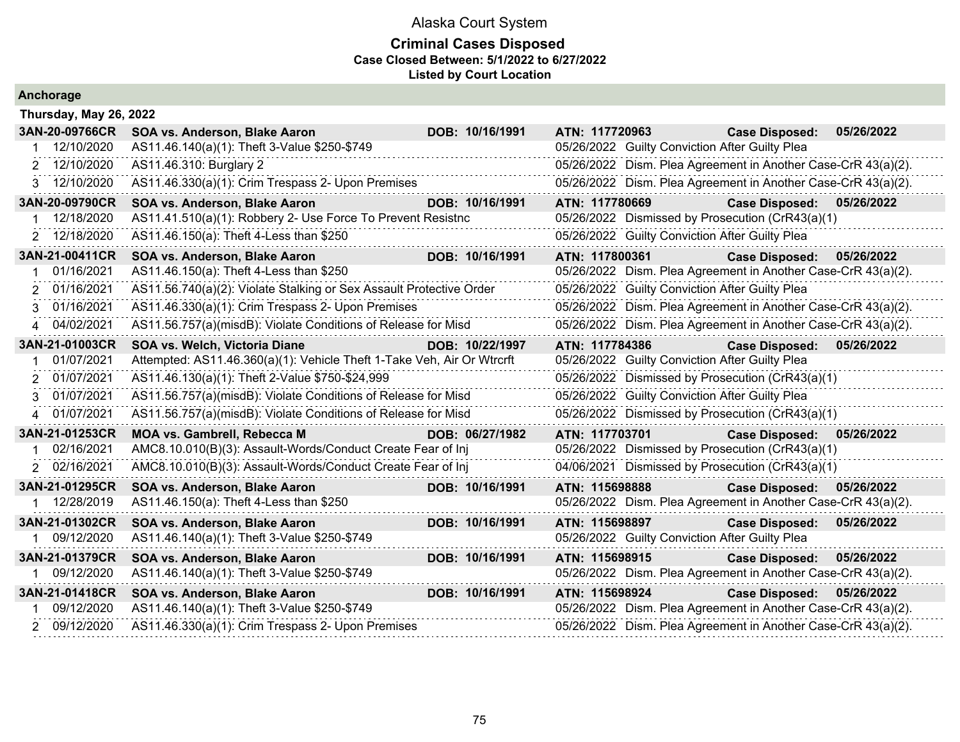#### **Criminal Cases Disposed Case Closed Between: 5/1/2022 to 6/27/2022 Listed by Court Location**

|   | 3AN-20-09766CR | SOA vs. Anderson, Blake Aaron                                          | DOB: 10/16/1991 | ATN: 117720963                                                | <b>Case Disposed:</b> | 05/26/2022 |
|---|----------------|------------------------------------------------------------------------|-----------------|---------------------------------------------------------------|-----------------------|------------|
|   | 12/10/2020     | AS11.46.140(a)(1): Theft 3-Value \$250-\$749                           |                 | 05/26/2022 Guilty Conviction After Guilty Plea                |                       |            |
| 2 | 12/10/2020     | AS11.46.310: Burglary 2                                                |                 | 05/26/2022 Dism. Plea Agreement in Another Case-CrR 43(a)(2). |                       |            |
| 3 | 12/10/2020     | AS11.46.330(a)(1): Crim Trespass 2- Upon Premises                      |                 | 05/26/2022 Dism. Plea Agreement in Another Case-CrR 43(a)(2). |                       |            |
|   | 3AN-20-09790CR | SOA vs. Anderson, Blake Aaron                                          | DOB: 10/16/1991 | ATN: 117780669                                                | <b>Case Disposed:</b> | 05/26/2022 |
|   | 12/18/2020     | AS11.41.510(a)(1): Robbery 2- Use Force To Prevent Resistnc            |                 | 05/26/2022 Dismissed by Prosecution (CrR43(a)(1)              |                       |            |
|   | 2 12/18/2020   | AS11.46.150(a): Theft 4-Less than \$250                                |                 | 05/26/2022 Guilty Conviction After Guilty Plea                |                       |            |
|   | 3AN-21-00411CR | SOA vs. Anderson, Blake Aaron                                          | DOB: 10/16/1991 | ATN: 117800361                                                | <b>Case Disposed:</b> | 05/26/2022 |
|   | 01/16/2021     | AS11.46.150(a): Theft 4-Less than \$250                                |                 | 05/26/2022 Dism. Plea Agreement in Another Case-CrR 43(a)(2). |                       |            |
| 2 | 01/16/2021     | AS11.56.740(a)(2): Violate Stalking or Sex Assault Protective Order    |                 | 05/26/2022 Guilty Conviction After Guilty Plea                |                       |            |
|   | 01/16/2021     | AS11.46.330(a)(1): Crim Trespass 2- Upon Premises                      |                 | 05/26/2022 Dism. Plea Agreement in Another Case-CrR 43(a)(2). |                       |            |
|   | 4 04/02/2021   | AS11.56.757(a)(misdB): Violate Conditions of Release for Misd          |                 | 05/26/2022 Dism. Plea Agreement in Another Case-CrR 43(a)(2). |                       |            |
|   | 3AN-21-01003CR | <b>SOA vs. Welch, Victoria Diane</b>                                   | DOB: 10/22/1997 | ATN: 117784386                                                | <b>Case Disposed:</b> | 05/26/2022 |
|   | 01/07/2021     | Attempted: AS11.46.360(a)(1): Vehicle Theft 1-Take Veh, Air Or Wtrcrft |                 | 05/26/2022 Guilty Conviction After Guilty Plea                |                       |            |
| 2 | 01/07/2021     | AS11.46.130(a)(1): Theft 2-Value \$750-\$24,999                        |                 | 05/26/2022 Dismissed by Prosecution (CrR43(a)(1)              |                       |            |
| 3 | 01/07/2021     | AS11.56.757(a)(misdB): Violate Conditions of Release for Misd          |                 | 05/26/2022 Guilty Conviction After Guilty Plea                |                       |            |
|   | 4 01/07/2021   | AS11.56.757(a)(misdB): Violate Conditions of Release for Misd          |                 | 05/26/2022 Dismissed by Prosecution (CrR43(a)(1)              |                       |            |
|   | 3AN-21-01253CR | <b>MOA vs. Gambrell, Rebecca M</b>                                     | DOB: 06/27/1982 | ATN: 117703701                                                | <b>Case Disposed:</b> | 05/26/2022 |
|   | 02/16/2021     | AMC8.10.010(B)(3): Assault-Words/Conduct Create Fear of Inj            |                 | 05/26/2022 Dismissed by Prosecution (CrR43(a)(1)              |                       |            |
|   | 2 02/16/2021   | AMC8.10.010(B)(3): Assault-Words/Conduct Create Fear of Inj            |                 | 04/06/2021 Dismissed by Prosecution (CrR43(a)(1)              |                       |            |
|   | 3AN-21-01295CR | SOA vs. Anderson, Blake Aaron                                          | DOB: 10/16/1991 | ATN: 115698888                                                | <b>Case Disposed:</b> | 05/26/2022 |
|   | 12/28/2019     | AS11.46.150(a): Theft 4-Less than \$250                                |                 | 05/26/2022 Dism. Plea Agreement in Another Case-CrR 43(a)(2). |                       |            |
|   | 3AN-21-01302CR | SOA vs. Anderson, Blake Aaron                                          | DOB: 10/16/1991 | ATN: 115698897                                                | <b>Case Disposed:</b> | 05/26/2022 |
|   | 09/12/2020     | AS11.46.140(a)(1): Theft 3-Value \$250-\$749                           |                 | 05/26/2022 Guilty Conviction After Guilty Plea                |                       |            |
|   | 3AN-21-01379CR | SOA vs. Anderson, Blake Aaron                                          | DOB: 10/16/1991 | ATN: 115698915                                                | <b>Case Disposed:</b> | 05/26/2022 |
|   | 09/12/2020     | AS11.46.140(a)(1): Theft 3-Value \$250-\$749                           |                 | 05/26/2022 Dism. Plea Agreement in Another Case-CrR 43(a)(2). |                       |            |
|   | 3AN-21-01418CR | SOA vs. Anderson, Blake Aaron                                          | DOB: 10/16/1991 | ATN: 115698924                                                | <b>Case Disposed:</b> | 05/26/2022 |

**Anchorage**

**Thursday, May 26, 2022**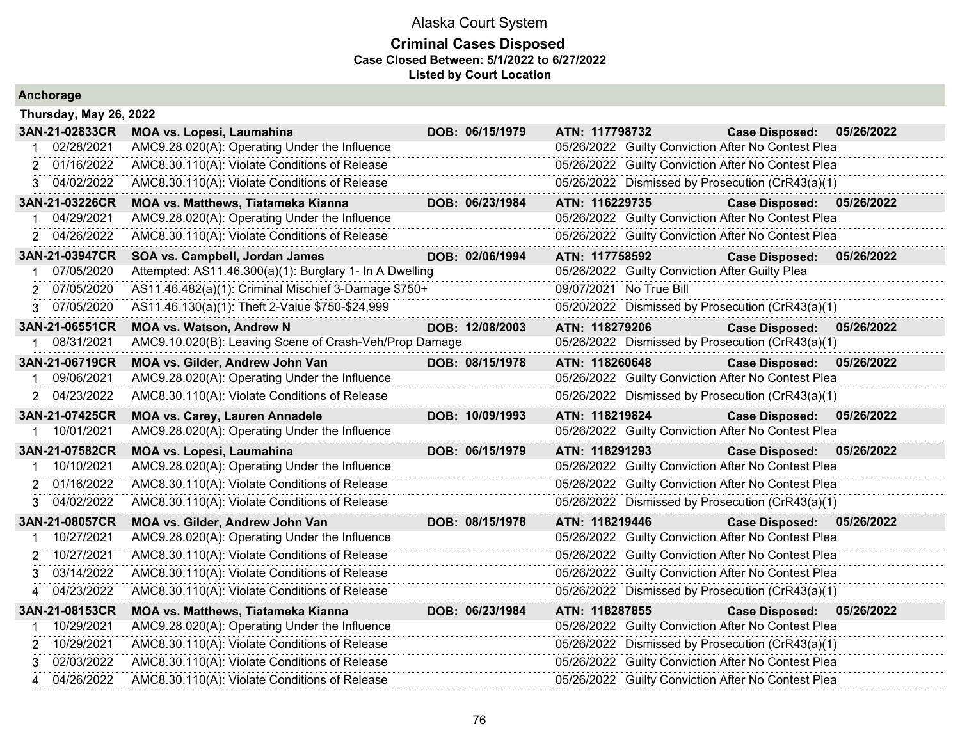| Anchorage              |                                                         |                 |                                                    |                           |            |
|------------------------|---------------------------------------------------------|-----------------|----------------------------------------------------|---------------------------|------------|
| Thursday, May 26, 2022 |                                                         |                 |                                                    |                           |            |
| 3AN-21-02833CR         | <b>MOA vs. Lopesi, Laumahina</b>                        | DOB: 06/15/1979 | ATN: 117798732                                     | <b>Case Disposed:</b>     | 05/26/2022 |
| 02/28/2021             | AMC9.28.020(A): Operating Under the Influence           |                 | 05/26/2022 Guilty Conviction After No Contest Plea |                           |            |
| 2 01/16/2022           | AMC8.30.110(A): Violate Conditions of Release           |                 | 05/26/2022 Guilty Conviction After No Contest Plea |                           |            |
| 3 04/02/2022           | AMC8.30.110(A): Violate Conditions of Release           |                 | 05/26/2022 Dismissed by Prosecution (CrR43(a)(1)   |                           |            |
| 3AN-21-03226CR         | <b>MOA vs. Matthews, Tiatameka Kianna</b>               | DOB: 06/23/1984 | ATN: 116229735                                     | Case Disposed: 05/26/2022 |            |
| 04/29/2021             | AMC9.28.020(A): Operating Under the Influence           |                 | 05/26/2022 Guilty Conviction After No Contest Plea |                           |            |
| 2 04/26/2022           | AMC8.30.110(A): Violate Conditions of Release           |                 | 05/26/2022 Guilty Conviction After No Contest Plea |                           |            |
| 3AN-21-03947CR         | SOA vs. Campbell, Jordan James                          | DOB: 02/06/1994 | ATN: 117758592                                     | <b>Case Disposed:</b>     | 05/26/2022 |
| 07/05/2020             | Attempted: AS11.46.300(a)(1): Burglary 1- In A Dwelling |                 | 05/26/2022 Guilty Conviction After Guilty Plea     |                           |            |
| 2 07/05/2020           | AS11.46.482(a)(1): Criminal Mischief 3-Damage \$750+    |                 | 09/07/2021 No True Bill                            |                           |            |
| 3 07/05/2020           | AS11.46.130(a)(1): Theft 2-Value \$750-\$24,999         |                 | 05/20/2022 Dismissed by Prosecution (CrR43(a)(1)   |                           |            |
| 3AN-21-06551CR         | <b>MOA vs. Watson, Andrew N</b>                         | DOB: 12/08/2003 | ATN: 118279206                                     | <b>Case Disposed:</b>     | 05/26/2022 |
| 08/31/2021             | AMC9.10.020(B): Leaving Scene of Crash-Veh/Prop Damage  |                 | 05/26/2022 Dismissed by Prosecution (CrR43(a)(1)   |                           |            |
| 3AN-21-06719CR         | MOA vs. Gilder, Andrew John Van                         | DOB: 08/15/1978 | ATN: 118260648                                     | <b>Case Disposed:</b>     | 05/26/2022 |
| 09/06/2021             | AMC9.28.020(A): Operating Under the Influence           |                 | 05/26/2022 Guilty Conviction After No Contest Plea |                           |            |
| 2 04/23/2022           | AMC8.30.110(A): Violate Conditions of Release           |                 | 05/26/2022 Dismissed by Prosecution (CrR43(a)(1)   |                           |            |
| 3AN-21-07425CR         | <b>MOA vs. Carey, Lauren Annadele</b>                   | DOB: 10/09/1993 | ATN: 118219824                                     | <b>Case Disposed:</b>     | 05/26/2022 |
| 1 10/01/2021           | AMC9.28.020(A): Operating Under the Influence           |                 | 05/26/2022 Guilty Conviction After No Contest Plea |                           |            |
| 3AN-21-07582CR         | MOA vs. Lopesi, Laumahina                               | DOB: 06/15/1979 | ATN: 118291293                                     | Case Disposed: 05/26/2022 |            |
| 10/10/2021             | AMC9.28.020(A): Operating Under the Influence           |                 | 05/26/2022 Guilty Conviction After No Contest Plea |                           |            |
| 2 01/16/2022           | AMC8.30.110(A): Violate Conditions of Release           |                 | 05/26/2022 Guilty Conviction After No Contest Plea |                           |            |
| 3 04/02/2022           | AMC8.30.110(A): Violate Conditions of Release           |                 | 05/26/2022 Dismissed by Prosecution (CrR43(a)(1)   |                           |            |
| 3AN-21-08057CR         | MOA vs. Gilder, Andrew John Van                         | DOB: 08/15/1978 | ATN: 118219446                                     | Case Disposed: 05/26/2022 |            |
| 10/27/2021             | AMC9.28.020(A): Operating Under the Influence           |                 | 05/26/2022 Guilty Conviction After No Contest Plea |                           |            |
| 2 10/27/2021           | AMC8.30.110(A): Violate Conditions of Release           |                 | 05/26/2022 Guilty Conviction After No Contest Plea |                           |            |
| 03/14/2022<br>3        | AMC8.30.110(A): Violate Conditions of Release           |                 | 05/26/2022 Guilty Conviction After No Contest Plea |                           |            |
| 4 04/23/2022           | AMC8.30.110(A): Violate Conditions of Release           |                 | 05/26/2022 Dismissed by Prosecution (CrR43(a)(1)   |                           |            |
| 3AN-21-08153CR         | <b>MOA vs. Matthews, Tiatameka Kianna</b>               | DOB: 06/23/1984 | ATN: 118287855                                     | Case Disposed: 05/26/2022 |            |
| 10/29/2021             | AMC9.28.020(A): Operating Under the Influence           |                 | 05/26/2022 Guilty Conviction After No Contest Plea |                           |            |
| 10/29/2021<br>2        | AMC8.30.110(A): Violate Conditions of Release           |                 | 05/26/2022 Dismissed by Prosecution (CrR43(a)(1)   |                           |            |
| 02/03/2022<br>3        | AMC8.30.110(A): Violate Conditions of Release           |                 | 05/26/2022 Guilty Conviction After No Contest Plea |                           |            |
| 04/26/2022<br>4        | AMC8.30.110(A): Violate Conditions of Release           |                 | 05/26/2022 Guilty Conviction After No Contest Plea |                           |            |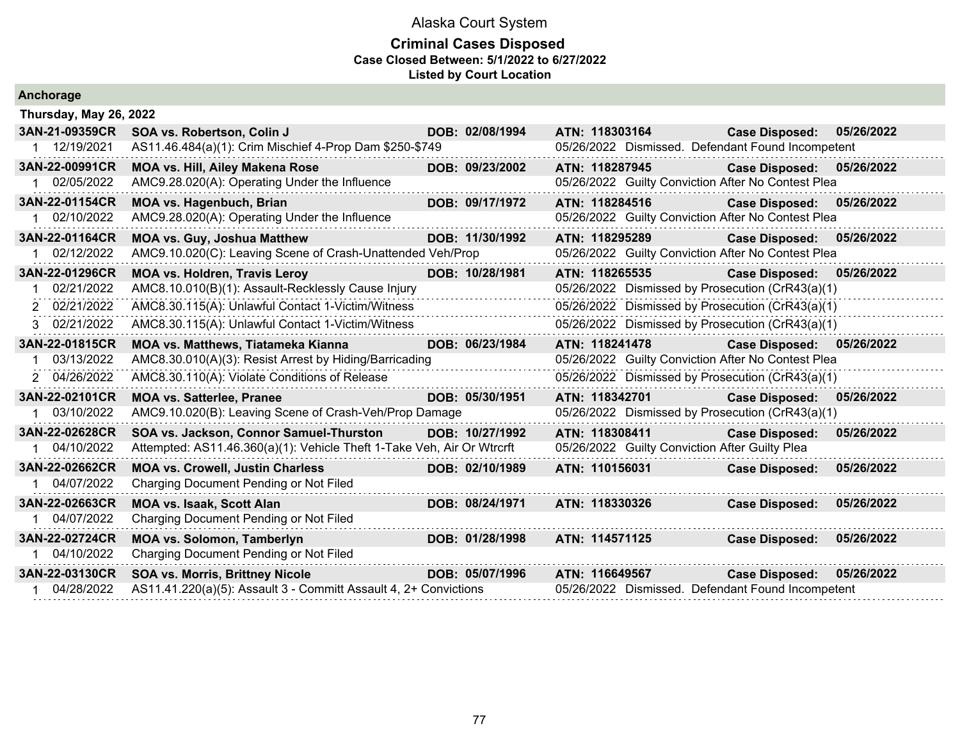|  | Anchorage |  |
|--|-----------|--|
|  |           |  |

| Thursday, May 26, 2022 |                                                                        |                 |                |                                                |                                                    |            |
|------------------------|------------------------------------------------------------------------|-----------------|----------------|------------------------------------------------|----------------------------------------------------|------------|
| 3AN-21-09359CR         | SOA vs. Robertson, Colin J                                             | DOB: 02/08/1994 | ATN: 118303164 |                                                | <b>Case Disposed:</b>                              | 05/26/2022 |
| 1 12/19/2021           | AS11.46.484(a)(1): Crim Mischief 4-Prop Dam \$250-\$749                |                 |                |                                                | 05/26/2022 Dismissed. Defendant Found Incompetent  |            |
| 3AN-22-00991CR         | <b>MOA vs. Hill, Ailey Makena Rose</b>                                 | DOB: 09/23/2002 | ATN: 118287945 |                                                | <b>Case Disposed:</b>                              | 05/26/2022 |
| 1 02/05/2022           | AMC9.28.020(A): Operating Under the Influence                          |                 |                |                                                | 05/26/2022 Guilty Conviction After No Contest Plea |            |
| 3AN-22-01154CR         | <b>MOA vs. Hagenbuch, Brian</b>                                        | DOB: 09/17/1972 | ATN: 118284516 |                                                | <b>Case Disposed:</b>                              | 05/26/2022 |
| 02/10/2022             | AMC9.28.020(A): Operating Under the Influence                          |                 |                |                                                | 05/26/2022 Guilty Conviction After No Contest Plea |            |
| 3AN-22-01164CR         | <b>MOA vs. Guy, Joshua Matthew</b>                                     | DOB: 11/30/1992 | ATN: 118295289 |                                                | <b>Case Disposed:</b>                              | 05/26/2022 |
| 02/12/2022             | AMC9.10.020(C): Leaving Scene of Crash-Unattended Veh/Prop             |                 |                |                                                | 05/26/2022 Guilty Conviction After No Contest Plea |            |
| 3AN-22-01296CR         | <b>MOA vs. Holdren, Travis Leroy</b>                                   | DOB: 10/28/1981 | ATN: 118265535 |                                                | <b>Case Disposed:</b>                              | 05/26/2022 |
| 02/21/2022             | AMC8.10.010(B)(1): Assault-Recklessly Cause Injury                     |                 |                |                                                | 05/26/2022 Dismissed by Prosecution (CrR43(a)(1)   |            |
| 2 02/21/2022           | AMC8.30.115(A): Unlawful Contact 1-Victim/Witness                      |                 |                |                                                | 05/26/2022 Dismissed by Prosecution (CrR43(a)(1)   |            |
| 3 02/21/2022           | AMC8.30.115(A): Unlawful Contact 1-Victim/Witness                      |                 |                |                                                | 05/26/2022 Dismissed by Prosecution (CrR43(a)(1)   |            |
| 3AN-22-01815CR         | MOA vs. Matthews, Tiatameka Kianna                                     | DOB: 06/23/1984 |                |                                                | ATN: 118241478 Case Disposed:                      | 05/26/2022 |
| 03/13/2022             | AMC8.30.010(A)(3): Resist Arrest by Hiding/Barricading                 |                 |                |                                                | 05/26/2022 Guilty Conviction After No Contest Plea |            |
| 2 04/26/2022           | AMC8.30.110(A): Violate Conditions of Release                          |                 |                |                                                | 05/26/2022 Dismissed by Prosecution (CrR43(a)(1)   |            |
| 3AN-22-02101CR         | <b>MOA vs. Satterlee, Pranee</b>                                       | DOB: 05/30/1951 | ATN: 118342701 |                                                | <b>Case Disposed:</b>                              | 05/26/2022 |
| 03/10/2022             | AMC9.10.020(B): Leaving Scene of Crash-Veh/Prop Damage                 |                 |                |                                                | 05/26/2022 Dismissed by Prosecution (CrR43(a)(1)   |            |
| 3AN-22-02628CR         | SOA vs. Jackson, Connor Samuel-Thurston                                | DOB: 10/27/1992 | ATN: 118308411 |                                                | <b>Case Disposed:</b>                              | 05/26/2022 |
| 04/10/2022             | Attempted: AS11.46.360(a)(1): Vehicle Theft 1-Take Veh, Air Or Wtrcrft |                 |                | 05/26/2022 Guilty Conviction After Guilty Plea |                                                    |            |
| 3AN-22-02662CR         | <b>MOA vs. Crowell, Justin Charless</b>                                | DOB: 02/10/1989 | ATN: 110156031 |                                                | <b>Case Disposed:</b>                              | 05/26/2022 |
| 04/07/2022             | Charging Document Pending or Not Filed                                 |                 |                |                                                |                                                    |            |
| 3AN-22-02663CR         | <b>MOA vs. Isaak, Scott Alan</b>                                       | DOB: 08/24/1971 | ATN: 118330326 |                                                | <b>Case Disposed:</b>                              | 05/26/2022 |
| 04/07/2022             | Charging Document Pending or Not Filed                                 |                 |                |                                                |                                                    |            |
| 3AN-22-02724CR         | <b>MOA vs. Solomon, Tamberlyn</b>                                      | DOB: 01/28/1998 | ATN: 114571125 |                                                | <b>Case Disposed:</b>                              | 05/26/2022 |
| 04/10/2022             | Charging Document Pending or Not Filed                                 |                 |                |                                                |                                                    |            |
| 3AN-22-03130CR         | <b>SOA vs. Morris, Brittney Nicole</b>                                 | DOB: 05/07/1996 | ATN: 116649567 |                                                | <b>Case Disposed:</b>                              | 05/26/2022 |
| 04/28/2022             | AS11.41.220(a)(5): Assault 3 - Committ Assault 4, 2+ Convictions       |                 |                |                                                | 05/26/2022 Dismissed. Defendant Found Incompetent  |            |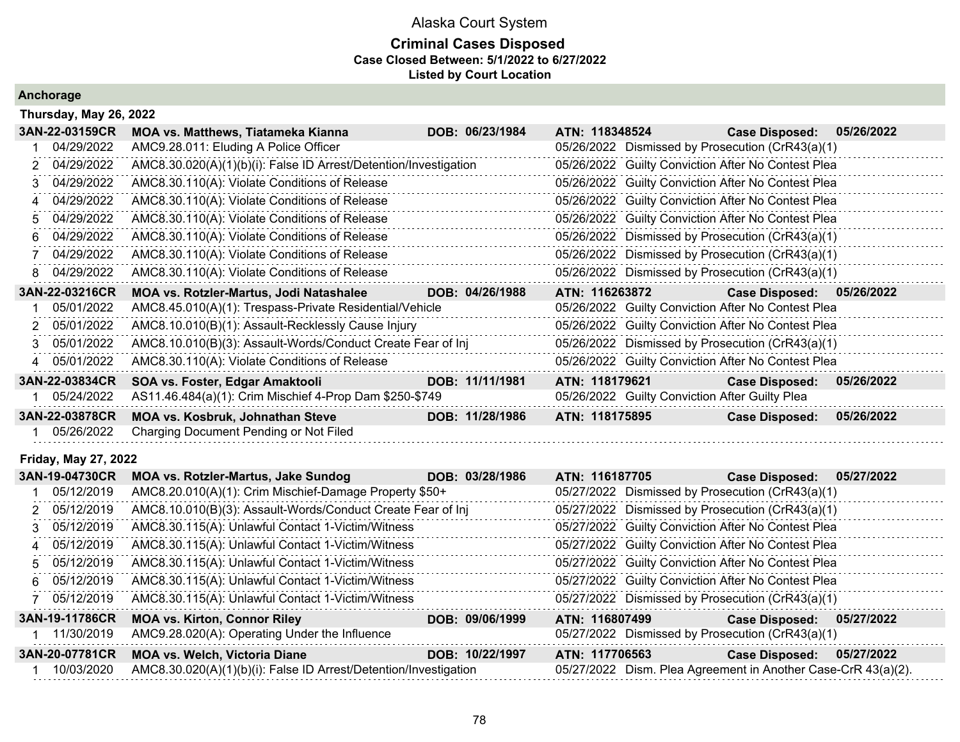### **Criminal Cases Disposed Case Closed Between: 5/1/2022 to 6/27/2022 Listed by Court Location**

### **Anchorage**

|               | Thursday, May 26, 2022 |                                                                  |  |                 |                                                  |                                                |                                                    |            |  |  |  |
|---------------|------------------------|------------------------------------------------------------------|--|-----------------|--------------------------------------------------|------------------------------------------------|----------------------------------------------------|------------|--|--|--|
|               | 3AN-22-03159CR         | <b>MOA vs. Matthews, Tiatameka Kianna</b>                        |  | DOB: 06/23/1984 | ATN: 118348524                                   |                                                | <b>Case Disposed:</b>                              | 05/26/2022 |  |  |  |
|               | 04/29/2022             | AMC9.28.011: Eluding A Police Officer                            |  |                 | 05/26/2022 Dismissed by Prosecution (CrR43(a)(1) |                                                |                                                    |            |  |  |  |
|               | 04/29/2022             | AMC8.30.020(A)(1)(b)(i): False ID Arrest/Detention/Investigation |  |                 |                                                  |                                                | 05/26/2022 Guilty Conviction After No Contest Plea |            |  |  |  |
|               | 04/29/2022             | AMC8.30.110(A): Violate Conditions of Release                    |  |                 |                                                  |                                                | 05/26/2022 Guilty Conviction After No Contest Plea |            |  |  |  |
|               | 04/29/2022             | AMC8.30.110(A): Violate Conditions of Release                    |  |                 |                                                  |                                                | 05/26/2022 Guilty Conviction After No Contest Plea |            |  |  |  |
|               | 5 04/29/2022           | AMC8.30.110(A): Violate Conditions of Release                    |  |                 |                                                  |                                                | 05/26/2022 Guilty Conviction After No Contest Plea |            |  |  |  |
| 6.            | 04/29/2022             | AMC8.30.110(A): Violate Conditions of Release                    |  |                 |                                                  |                                                | 05/26/2022 Dismissed by Prosecution (CrR43(a)(1)   |            |  |  |  |
|               | 04/29/2022             | AMC8.30.110(A): Violate Conditions of Release                    |  |                 |                                                  |                                                | 05/26/2022 Dismissed by Prosecution (CrR43(a)(1)   |            |  |  |  |
| 8             | 04/29/2022             | AMC8.30.110(A): Violate Conditions of Release                    |  |                 |                                                  |                                                | 05/26/2022 Dismissed by Prosecution (CrR43(a)(1)   |            |  |  |  |
|               | 3AN-22-03216CR         | MOA vs. Rotzler-Martus, Jodi Natashalee                          |  | DOB: 04/26/1988 | ATN: 116263872                                   |                                                | <b>Case Disposed:</b>                              | 05/26/2022 |  |  |  |
|               | 05/01/2022             | AMC8.45.010(A)(1): Trespass-Private Residential/Vehicle          |  |                 |                                                  |                                                | 05/26/2022 Guilty Conviction After No Contest Plea |            |  |  |  |
| $\mathcal{P}$ | 05/01/2022             | AMC8.10.010(B)(1): Assault-Recklessly Cause Injury               |  |                 |                                                  |                                                | 05/26/2022 Guilty Conviction After No Contest Plea |            |  |  |  |
| 3.            | 05/01/2022             | AMC8.10.010(B)(3): Assault-Words/Conduct Create Fear of Inj      |  |                 |                                                  |                                                | 05/26/2022 Dismissed by Prosecution (CrR43(a)(1)   |            |  |  |  |
| $\Delta$      | 05/01/2022             | AMC8.30.110(A): Violate Conditions of Release                    |  |                 |                                                  |                                                | 05/26/2022 Guilty Conviction After No Contest Plea |            |  |  |  |
|               | 3AN-22-03834CR         | SOA vs. Foster, Edgar Amaktooli                                  |  | DOB: 11/11/1981 | ATN: 118179621                                   |                                                | <b>Case Disposed:</b>                              | 05/26/2022 |  |  |  |
|               | 05/24/2022             | AS11.46.484(a)(1): Crim Mischief 4-Prop Dam \$250-\$749          |  |                 |                                                  | 05/26/2022 Guilty Conviction After Guilty Plea |                                                    |            |  |  |  |
|               | 3AN-22-03878CR         | <b>MOA vs. Kosbruk, Johnathan Steve</b>                          |  | DOB: 11/28/1986 | ATN: 118175895                                   |                                                | <b>Case Disposed:</b>                              | 05/26/2022 |  |  |  |
|               | 05/26/2022             | Charging Document Pending or Not Filed                           |  |                 |                                                  |                                                |                                                    |            |  |  |  |

#### **Friday, May 27, 2022**

| 3AN-19-04730CR | <b>MOA vs. Rotzler-Martus, Jake Sundog</b>                       | DOB: 03/28/1986 | ATN: 116187705                                                | <b>Case Disposed:</b> | 05/27/2022 |
|----------------|------------------------------------------------------------------|-----------------|---------------------------------------------------------------|-----------------------|------------|
| 05/12/2019     | AMC8.20.010(A)(1): Crim Mischief-Damage Property \$50+           |                 | 05/27/2022 Dismissed by Prosecution (CrR43(a)(1)              |                       |            |
| 2 05/12/2019   | AMC8.10.010(B)(3): Assault-Words/Conduct Create Fear of Inj      |                 | 05/27/2022 Dismissed by Prosecution (CrR43(a)(1)              |                       |            |
| 3 05/12/2019   | AMC8.30.115(A): Unlawful Contact 1-Victim/Witness                |                 | 05/27/2022 Guilty Conviction After No Contest Plea            |                       |            |
| 4 05/12/2019   | AMC8.30.115(A): Unlawful Contact 1-Victim/Witness                |                 | 05/27/2022 Guilty Conviction After No Contest Plea            |                       |            |
| 5 05/12/2019   | AMC8.30.115(A): Unlawful Contact 1-Victim/Witness                |                 | 05/27/2022 Guilty Conviction After No Contest Plea            |                       |            |
| 6 05/12/2019   | AMC8.30.115(A): Unlawful Contact 1-Victim/Witness                |                 | 05/27/2022 Guilty Conviction After No Contest Plea            |                       |            |
| 7 05/12/2019   | AMC8.30.115(A): Unlawful Contact 1-Victim/Witness                |                 | 05/27/2022 Dismissed by Prosecution (CrR43(a)(1)              |                       |            |
| 3AN-19-11786CR | <b>MOA vs. Kirton, Connor Riley</b>                              | DOB: 09/06/1999 | ATN: 116807499                                                | <b>Case Disposed:</b> | 05/27/2022 |
| 11/30/2019     | AMC9.28.020(A): Operating Under the Influence                    |                 | 05/27/2022 Dismissed by Prosecution (CrR43(a)(1)              |                       |            |
| 3AN-20-07781CR | <b>MOA vs. Welch, Victoria Diane</b>                             | DOB: 10/22/1997 | ATN: 117706563                                                | <b>Case Disposed:</b> | 05/27/2022 |
| 10/03/2020     | AMC8.30.020(A)(1)(b)(i): False ID Arrest/Detention/Investigation |                 | 05/27/2022 Dism. Plea Agreement in Another Case-CrR 43(a)(2). |                       |            |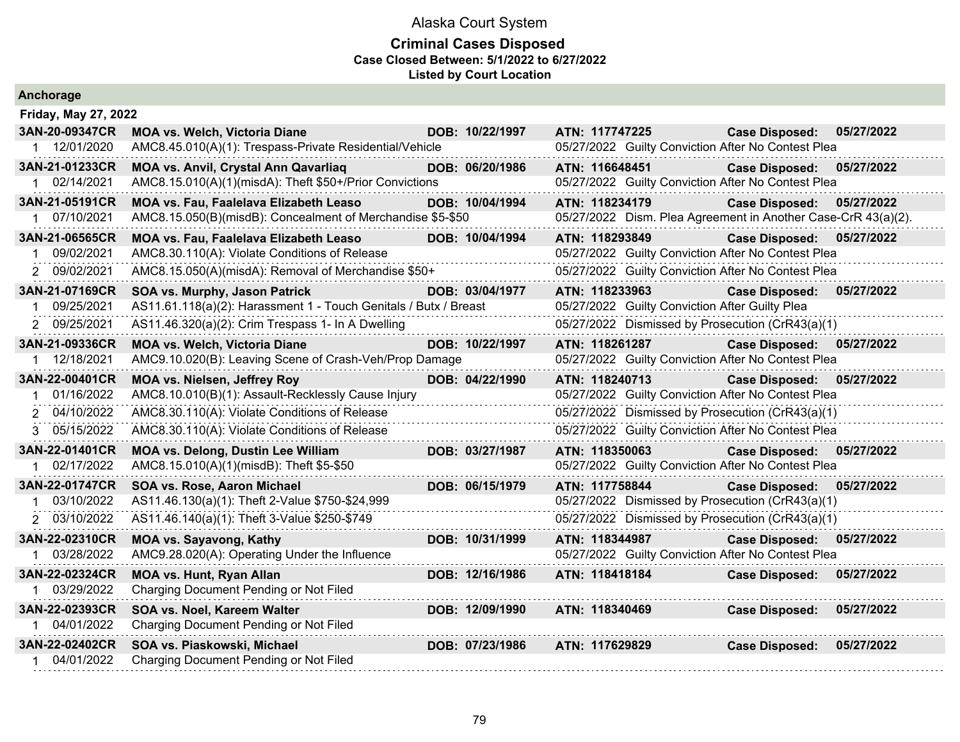| <b>Anchorage</b>             |                                                                                         |                 |                |                                                                             |            |
|------------------------------|-----------------------------------------------------------------------------------------|-----------------|----------------|-----------------------------------------------------------------------------|------------|
| Friday, May 27, 2022         |                                                                                         |                 |                |                                                                             |            |
| 3AN-20-09347CR               | MOA vs. Welch, Victoria Diane                                                           | DOB: 10/22/1997 | ATN: 117747225 | <b>Case Disposed:</b>                                                       | 05/27/2022 |
| 1 12/01/2020                 | AMC8.45.010(A)(1): Trespass-Private Residential/Vehicle                                 |                 |                | 05/27/2022 Guilty Conviction After No Contest Plea                          |            |
| 3AN-21-01233CR               | MOA vs. Anvil, Crystal Ann Qavarliaq                                                    | DOB: 06/20/1986 | ATN: 116648451 | <b>Case Disposed:</b>                                                       | 05/27/2022 |
| 1 02/14/2021                 | AMC8.15.010(A)(1)(misdA): Theft \$50+/Prior Convictions                                 |                 |                | 05/27/2022 Guilty Conviction After No Contest Plea                          |            |
| 3AN-21-05191CR               | MOA vs. Fau, Faalelava Elizabeth Leaso                                                  | DOB: 10/04/1994 | ATN: 118234179 | <b>Case Disposed:</b>                                                       | 05/27/2022 |
| 07/10/2021                   | AMC8.15.050(B)(misdB): Concealment of Merchandise \$5-\$50                              |                 |                | 05/27/2022 Dism. Plea Agreement in Another Case-CrR 43(a)(2).               |            |
| 3AN-21-06565CR<br>09/02/2021 | MOA vs. Fau, Faalelava Elizabeth Leaso<br>AMC8.30.110(A): Violate Conditions of Release | DOB: 10/04/1994 | ATN: 118293849 | <b>Case Disposed:</b><br>05/27/2022 Guilty Conviction After No Contest Plea | 05/27/2022 |
| 2 09/02/2021                 | AMC8.15.050(A)(misdA): Removal of Merchandise \$50+                                     |                 |                | 05/27/2022 Guilty Conviction After No Contest Plea                          |            |
| 3AN-21-07169CR               | SOA vs. Murphy, Jason Patrick                                                           | DOB: 03/04/1977 | ATN: 118233963 | <b>Case Disposed:</b>                                                       | 05/27/2022 |
| 09/25/2021<br>1              | AS11.61.118(a)(2): Harassment 1 - Touch Genitals / Butx / Breast                        |                 |                | 05/27/2022 Guilty Conviction After Guilty Plea                              |            |
| 2 09/25/2021                 | AS11.46.320(a)(2): Crim Trespass 1- In A Dwelling                                       |                 |                | 05/27/2022 Dismissed by Prosecution (CrR43(a)(1)                            |            |
| 3AN-21-09336CR               | <b>MOA vs. Welch, Victoria Diane</b>                                                    | DOB: 10/22/1997 | ATN: 118261287 | <b>Case Disposed:</b>                                                       | 05/27/2022 |
| 1 12/18/2021                 | AMC9.10.020(B): Leaving Scene of Crash-Veh/Prop Damage                                  |                 |                | 05/27/2022 Guilty Conviction After No Contest Plea                          |            |
| 3AN-22-00401CR               | <b>MOA vs. Nielsen, Jeffrey Roy</b>                                                     | DOB: 04/22/1990 | ATN: 118240713 | Case Disposed: 05/27/2022                                                   |            |
| 01/16/2022<br>1.             | AMC8.10.010(B)(1): Assault-Recklessly Cause Injury                                      |                 |                | 05/27/2022 Guilty Conviction After No Contest Plea                          |            |
| 04/10/2022<br>$\mathcal{P}$  | AMC8.30.110(A): Violate Conditions of Release                                           |                 |                | 05/27/2022 Dismissed by Prosecution (CrR43(a)(1)                            |            |
| 05/15/2022<br>3              | AMC8.30.110(A): Violate Conditions of Release                                           |                 |                | 05/27/2022 Guilty Conviction After No Contest Plea                          |            |
| 3AN-22-01401CR               | <b>MOA vs. Delong, Dustin Lee William</b>                                               | DOB: 03/27/1987 | ATN: 118350063 | Case Disposed: 05/27/2022                                                   |            |
| 02/17/2022<br>1              | AMC8.15.010(A)(1)(misdB): Theft \$5-\$50                                                |                 |                | 05/27/2022 Guilty Conviction After No Contest Plea                          |            |
| 3AN-22-01747CR               | SOA vs. Rose, Aaron Michael                                                             | DOB: 06/15/1979 | ATN: 117758844 | <b>Case Disposed:</b>                                                       | 05/27/2022 |
| 03/10/2022                   | AS11.46.130(a)(1): Theft 2-Value \$750-\$24,999                                         |                 |                | 05/27/2022 Dismissed by Prosecution (CrR43(a)(1)                            |            |
| 2 03/10/2022                 | AS11.46.140(a)(1): Theft 3-Value \$250-\$749                                            |                 |                | 05/27/2022 Dismissed by Prosecution (CrR43(a)(1)                            |            |
| 3AN-22-02310CR               | <b>MOA vs. Sayavong, Kathy</b>                                                          | DOB: 10/31/1999 | ATN: 118344987 | <b>Case Disposed:</b>                                                       | 05/27/2022 |
| 1 03/28/2022                 | AMC9.28.020(A): Operating Under the Influence                                           |                 |                | 05/27/2022 Guilty Conviction After No Contest Plea                          |            |
| 3AN-22-02324CR               | <b>MOA vs. Hunt, Ryan Allan</b>                                                         | DOB: 12/16/1986 | ATN: 118418184 | <b>Case Disposed:</b>                                                       | 05/27/2022 |
| 1 03/29/2022                 | Charging Document Pending or Not Filed                                                  |                 |                |                                                                             |            |
| 3AN-22-02393CR               | SOA vs. Noel, Kareem Walter                                                             | DOB: 12/09/1990 | ATN: 118340469 | <b>Case Disposed:</b>                                                       | 05/27/2022 |
| 1 04/01/2022                 | Charging Document Pending or Not Filed                                                  |                 |                |                                                                             |            |
| 3AN-22-02402CR               | SOA vs. Piaskowski, Michael                                                             | DOB: 07/23/1986 | ATN: 117629829 | <b>Case Disposed:</b>                                                       | 05/27/2022 |
| 1 04/01/2022                 | Charging Document Pending or Not Filed                                                  |                 |                |                                                                             |            |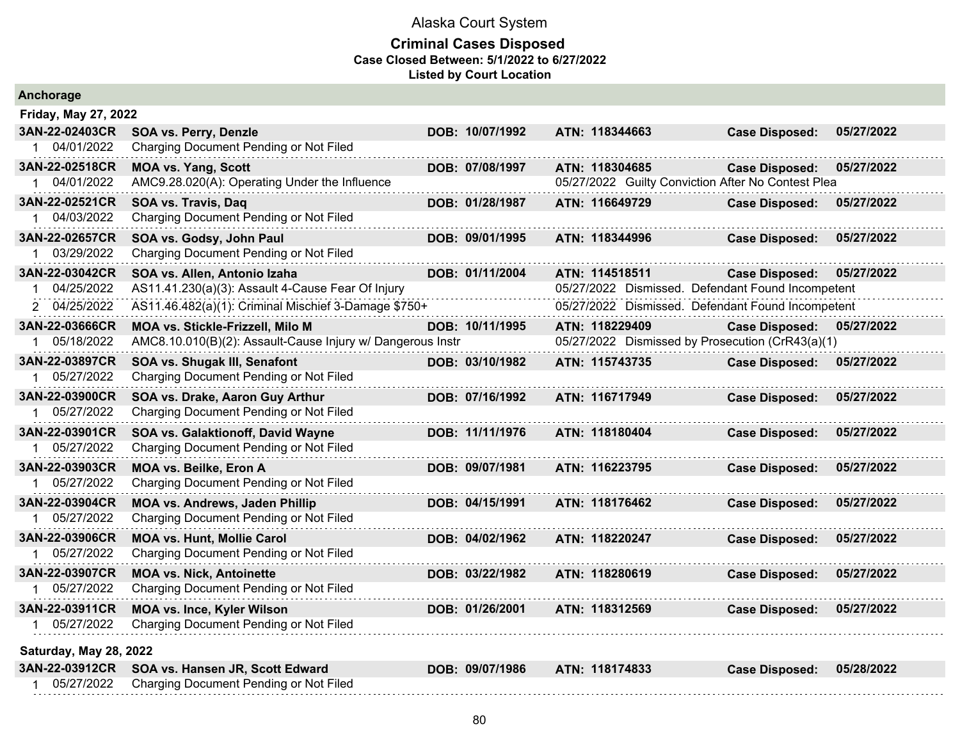| Anchorage                   |                                                            |                 |                                                    |                       |            |
|-----------------------------|------------------------------------------------------------|-----------------|----------------------------------------------------|-----------------------|------------|
| <b>Friday, May 27, 2022</b> |                                                            |                 |                                                    |                       |            |
| 3AN-22-02403CR              | <b>SOA vs. Perry, Denzle</b>                               | DOB: 10/07/1992 | ATN: 118344663                                     | <b>Case Disposed:</b> | 05/27/2022 |
| 1 04/01/2022                | Charging Document Pending or Not Filed                     |                 |                                                    |                       |            |
| 3AN-22-02518CR              | <b>MOA vs. Yang, Scott</b>                                 | DOB: 07/08/1997 | ATN: 118304685                                     | <b>Case Disposed:</b> | 05/27/2022 |
| 1 04/01/2022                | AMC9.28.020(A): Operating Under the Influence              |                 | 05/27/2022 Guilty Conviction After No Contest Plea |                       |            |
| 3AN-22-02521CR              | SOA vs. Travis, Daq                                        | DOB: 01/28/1987 | ATN: 116649729                                     | <b>Case Disposed:</b> | 05/27/2022 |
| 04/03/2022                  | Charging Document Pending or Not Filed                     |                 |                                                    |                       |            |
| 3AN-22-02657CR              | SOA vs. Godsy, John Paul                                   | DOB: 09/01/1995 | ATN: 118344996                                     | <b>Case Disposed:</b> | 05/27/2022 |
| 03/29/2022                  | Charging Document Pending or Not Filed                     |                 |                                                    |                       |            |
| 3AN-22-03042CR              | SOA vs. Allen, Antonio Izaha                               | DOB: 01/11/2004 | ATN: 114518511                                     | <b>Case Disposed:</b> | 05/27/2022 |
| 04/25/2022                  | AS11.41.230(a)(3): Assault 4-Cause Fear Of Injury          |                 | 05/27/2022 Dismissed. Defendant Found Incompetent  |                       |            |
| 2 04/25/2022                | AS11.46.482(a)(1): Criminal Mischief 3-Damage \$750+       |                 | 05/27/2022 Dismissed. Defendant Found Incompetent  |                       |            |
| 3AN-22-03666CR              | MOA vs. Stickle-Frizzell, Milo M                           | DOB: 10/11/1995 | ATN: 118229409                                     | <b>Case Disposed:</b> | 05/27/2022 |
| 1 05/18/2022                | AMC8.10.010(B)(2): Assault-Cause Injury w/ Dangerous Instr |                 | 05/27/2022 Dismissed by Prosecution (CrR43(a)(1)   |                       |            |
| 3AN-22-03897CR              | SOA vs. Shugak III, Senafont                               | DOB: 03/10/1982 | ATN: 115743735                                     | <b>Case Disposed:</b> | 05/27/2022 |
| 05/27/2022                  | Charging Document Pending or Not Filed                     |                 |                                                    |                       |            |
| 3AN-22-03900CR              | SOA vs. Drake, Aaron Guy Arthur                            | DOB: 07/16/1992 | ATN: 116717949                                     | <b>Case Disposed:</b> | 05/27/2022 |
| 05/27/2022<br>1             | Charging Document Pending or Not Filed                     |                 |                                                    |                       |            |
| 3AN-22-03901CR              | SOA vs. Galaktionoff, David Wayne                          | DOB: 11/11/1976 | ATN: 118180404                                     | <b>Case Disposed:</b> | 05/27/2022 |
| 05/27/2022                  | Charging Document Pending or Not Filed                     |                 |                                                    |                       |            |
| 3AN-22-03903CR              | MOA vs. Beilke, Eron A                                     | DOB: 09/07/1981 | ATN: 116223795                                     | <b>Case Disposed:</b> | 05/27/2022 |
| 05/27/2022                  | Charging Document Pending or Not Filed                     |                 |                                                    |                       |            |
| 3AN-22-03904CR              | <b>MOA vs. Andrews, Jaden Phillip</b>                      | DOB: 04/15/1991 | ATN: 118176462                                     | <b>Case Disposed:</b> | 05/27/2022 |
| 1 05/27/2022                | Charging Document Pending or Not Filed                     |                 |                                                    |                       |            |
| 3AN-22-03906CR              | <b>MOA vs. Hunt, Mollie Carol</b>                          | DOB: 04/02/1962 | ATN: 118220247                                     | <b>Case Disposed:</b> | 05/27/2022 |
| 05/27/2022<br>1.            | Charging Document Pending or Not Filed                     |                 |                                                    |                       |            |
| 3AN-22-03907CR              | <b>MOA vs. Nick, Antoinette</b>                            | DOB: 03/22/1982 | ATN: 118280619                                     | <b>Case Disposed:</b> | 05/27/2022 |
| 05/27/2022                  | Charging Document Pending or Not Filed                     |                 |                                                    |                       |            |
| 3AN-22-03911CR              | <b>MOA vs. Ince, Kyler Wilson</b>                          | DOB: 01/26/2001 | ATN: 118312569                                     | <b>Case Disposed:</b> | 05/27/2022 |
| 1 05/27/2022                | Charging Document Pending or Not Filed                     |                 |                                                    |                       |            |
| Saturday, May 28, 2022      |                                                            |                 |                                                    |                       |            |
| 3AN-22-03912CR              | SOA vs. Hansen JR, Scott Edward                            | DOB: 09/07/1986 | ATN: 118174833                                     | <b>Case Disposed:</b> | 05/28/2022 |
| 05/27/2022                  |                                                            |                 |                                                    |                       |            |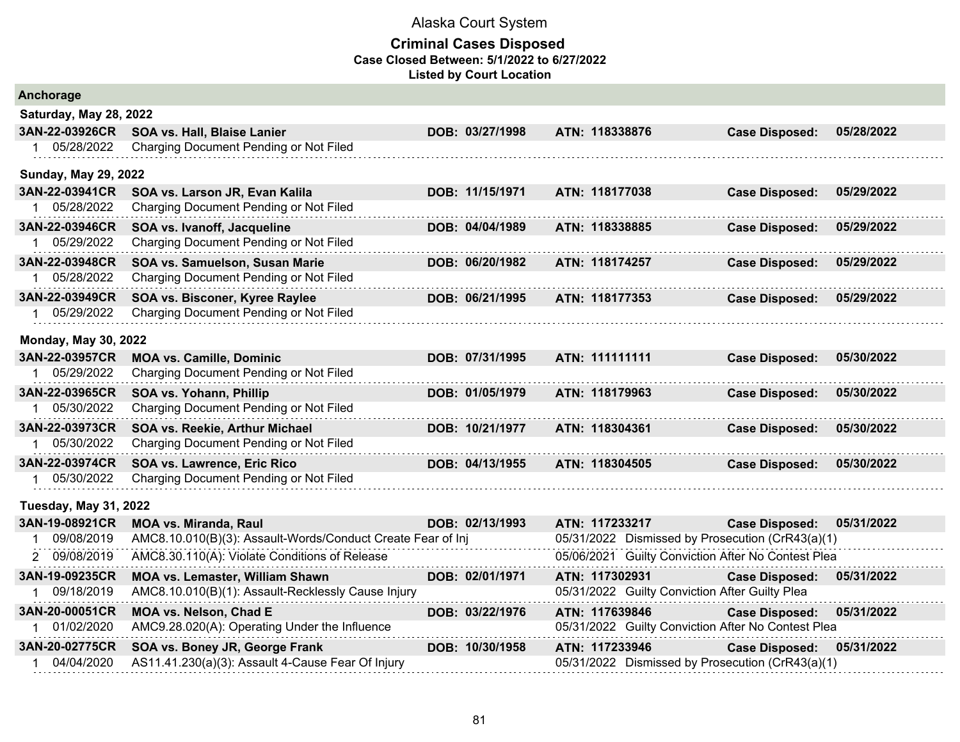| Anchorage                     |                                                             |                 |                                                    |                       |            |
|-------------------------------|-------------------------------------------------------------|-----------------|----------------------------------------------------|-----------------------|------------|
| <b>Saturday, May 28, 2022</b> |                                                             |                 |                                                    |                       |            |
| 3AN-22-03926CR                | SOA vs. Hall, Blaise Lanier                                 | DOB: 03/27/1998 | ATN: 118338876                                     | <b>Case Disposed:</b> | 05/28/2022 |
| 05/28/2022<br>$1 \quad$       | Charging Document Pending or Not Filed                      |                 |                                                    |                       |            |
| <b>Sunday, May 29, 2022</b>   |                                                             |                 |                                                    |                       |            |
| 3AN-22-03941CR                | SOA vs. Larson JR, Evan Kalila                              | DOB: 11/15/1971 | ATN: 118177038                                     | <b>Case Disposed:</b> | 05/29/2022 |
| 1 05/28/2022                  | Charging Document Pending or Not Filed                      |                 |                                                    |                       |            |
| 3AN-22-03946CR                | SOA vs. Ivanoff, Jacqueline                                 | DOB: 04/04/1989 | ATN: 118338885                                     | <b>Case Disposed:</b> | 05/29/2022 |
| 05/29/2022                    | Charging Document Pending or Not Filed                      |                 |                                                    |                       |            |
| 3AN-22-03948CR                | SOA vs. Samuelson, Susan Marie                              | DOB: 06/20/1982 | ATN: 118174257                                     | <b>Case Disposed:</b> | 05/29/2022 |
| 05/28/2022                    | Charging Document Pending or Not Filed                      |                 |                                                    |                       |            |
| 3AN-22-03949CR                | SOA vs. Bisconer, Kyree Raylee                              | DOB: 06/21/1995 | ATN: 118177353                                     | <b>Case Disposed:</b> | 05/29/2022 |
| 1 05/29/2022                  | Charging Document Pending or Not Filed                      |                 |                                                    |                       |            |
| <b>Monday, May 30, 2022</b>   |                                                             |                 |                                                    |                       |            |
| 3AN-22-03957CR                | <b>MOA vs. Camille, Dominic</b>                             | DOB: 07/31/1995 | ATN: 111111111                                     | <b>Case Disposed:</b> | 05/30/2022 |
| 05/29/2022                    | Charging Document Pending or Not Filed                      |                 |                                                    |                       |            |
| 3AN-22-03965CR                | SOA vs. Yohann, Phillip                                     | DOB: 01/05/1979 | ATN: 118179963                                     | <b>Case Disposed:</b> | 05/30/2022 |
| 05/30/2022                    | Charging Document Pending or Not Filed                      |                 |                                                    |                       |            |
| 3AN-22-03973CR                | SOA vs. Reekie, Arthur Michael                              | DOB: 10/21/1977 | ATN: 118304361                                     | <b>Case Disposed:</b> | 05/30/2022 |
| 1 05/30/2022                  | Charging Document Pending or Not Filed                      |                 |                                                    |                       |            |
| 3AN-22-03974CR                | SOA vs. Lawrence, Eric Rico                                 | DOB: 04/13/1955 | ATN: 118304505                                     | <b>Case Disposed:</b> | 05/30/2022 |
| 05/30/2022                    | Charging Document Pending or Not Filed                      |                 |                                                    |                       |            |
| <b>Tuesday, May 31, 2022</b>  |                                                             |                 |                                                    |                       |            |
| 3AN-19-08921CR                | <b>MOA vs. Miranda, Raul</b>                                | DOB: 02/13/1993 | ATN: 117233217                                     | <b>Case Disposed:</b> | 05/31/2022 |
| 09/08/2019                    | AMC8.10.010(B)(3): Assault-Words/Conduct Create Fear of Inj |                 | 05/31/2022 Dismissed by Prosecution (CrR43(a)(1)   |                       |            |
| 2 09/08/2019                  | AMC8.30.110(A): Violate Conditions of Release               |                 | 05/06/2021 Guilty Conviction After No Contest Plea |                       |            |
| 3AN-19-09235CR                | MOA vs. Lemaster, William Shawn                             | DOB: 02/01/1971 | ATN: 117302931                                     | <b>Case Disposed:</b> | 05/31/2022 |
| 09/18/2019                    | AMC8.10.010(B)(1): Assault-Recklessly Cause Injury          |                 | 05/31/2022 Guilty Conviction After Guilty Plea     |                       |            |
| 3AN-20-00051CR                | MOA vs. Nelson, Chad E                                      | DOB: 03/22/1976 | ATN: 117639846                                     | <b>Case Disposed:</b> | 05/31/2022 |
| 01/02/2020                    | AMC9.28.020(A): Operating Under the Influence               |                 | 05/31/2022 Guilty Conviction After No Contest Plea |                       |            |
| 3AN-20-02775CR                | SOA vs. Boney JR, George Frank                              | DOB: 10/30/1958 | ATN: 117233946                                     | <b>Case Disposed:</b> | 05/31/2022 |
| 1 04/04/2020                  | AS11.41.230(a)(3): Assault 4-Cause Fear Of Injury           |                 | 05/31/2022 Dismissed by Prosecution (CrR43(a)(1)   |                       |            |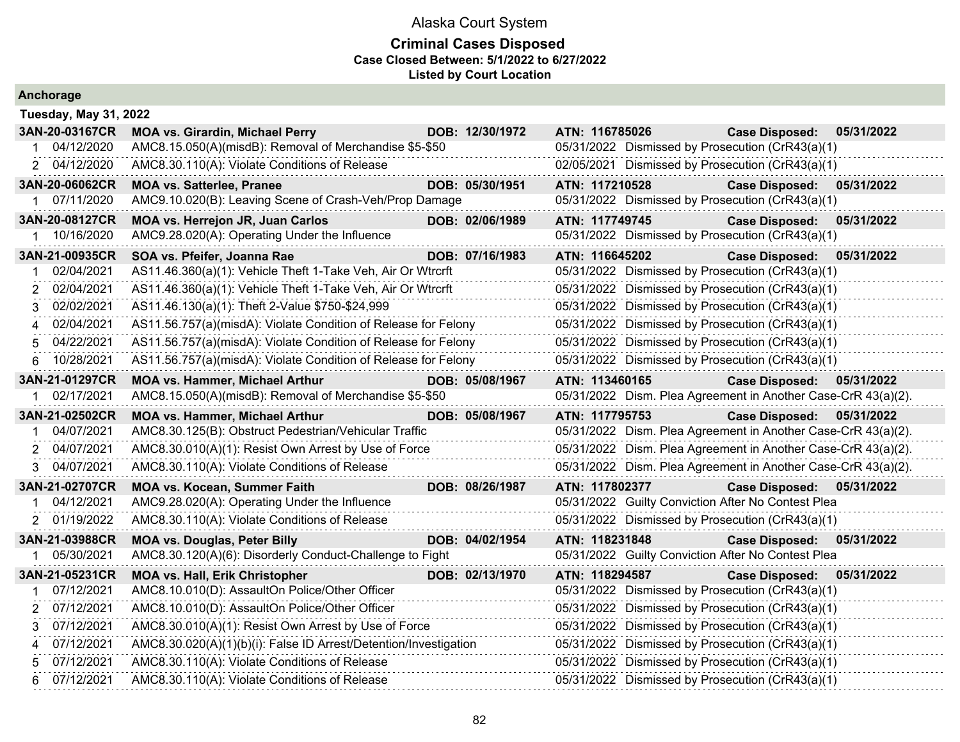| Anchorage                    |                                                                  |  |                                                  |                                                  |                                                               |            |
|------------------------------|------------------------------------------------------------------|--|--------------------------------------------------|--------------------------------------------------|---------------------------------------------------------------|------------|
| <b>Tuesday, May 31, 2022</b> |                                                                  |  |                                                  |                                                  |                                                               |            |
| 3AN-20-03167CR               | <b>MOA vs. Girardin, Michael Perry</b>                           |  | DOB: 12/30/1972                                  | ATN: 116785026                                   | <b>Case Disposed:</b>                                         | 05/31/2022 |
| 04/12/2020                   | AMC8.15.050(A)(misdB): Removal of Merchandise \$5-\$50           |  |                                                  |                                                  | 05/31/2022 Dismissed by Prosecution (CrR43(a)(1)              |            |
| 2 04/12/2020                 | AMC8.30.110(A): Violate Conditions of Release                    |  |                                                  |                                                  | 02/05/2021 Dismissed by Prosecution (CrR43(a)(1)              |            |
| 3AN-20-06062CR               | <b>MOA vs. Satterlee, Pranee</b>                                 |  | DOB: 05/30/1951                                  | ATN: 117210528                                   | <b>Case Disposed:</b>                                         | 05/31/2022 |
| 1 07/11/2020                 | AMC9.10.020(B): Leaving Scene of Crash-Veh/Prop Damage           |  |                                                  |                                                  | 05/31/2022 Dismissed by Prosecution (CrR43(a)(1)              |            |
| 3AN-20-08127CR               | MOA vs. Herrejon JR, Juan Carlos                                 |  | DOB: 02/06/1989                                  | ATN: 117749745                                   | <b>Case Disposed:</b>                                         | 05/31/2022 |
| 10/16/2020<br>1              | AMC9.28.020(A): Operating Under the Influence                    |  |                                                  |                                                  | 05/31/2022 Dismissed by Prosecution (CrR43(a)(1)              |            |
| 3AN-21-00935CR               | SOA vs. Pfeifer, Joanna Rae                                      |  | DOB: 07/16/1983                                  | ATN: 116645202                                   | <b>Case Disposed:</b>                                         | 05/31/2022 |
| 02/04/2021                   | AS11.46.360(a)(1): Vehicle Theft 1-Take Veh, Air Or Wtrcrft      |  |                                                  |                                                  | 05/31/2022 Dismissed by Prosecution (CrR43(a)(1)              |            |
| 02/04/2021<br>2              | AS11.46.360(a)(1): Vehicle Theft 1-Take Veh, Air Or Wtrcrft      |  |                                                  |                                                  | 05/31/2022 Dismissed by Prosecution (CrR43(a)(1)              |            |
| 02/02/2021<br>3              | AS11.46.130(a)(1): Theft 2-Value \$750-\$24,999                  |  |                                                  |                                                  | 05/31/2022 Dismissed by Prosecution (CrR43(a)(1)              |            |
| 02/04/2021<br>4              | AS11.56.757(a)(misdA): Violate Condition of Release for Felony   |  | 05/31/2022 Dismissed by Prosecution (CrR43(a)(1) |                                                  |                                                               |            |
| 04/22/2021<br>5              | AS11.56.757(a)(misdA): Violate Condition of Release for Felony   |  |                                                  |                                                  | 05/31/2022 Dismissed by Prosecution (CrR43(a)(1)              |            |
| 10/28/2021<br>6              | AS11.56.757(a)(misdA): Violate Condition of Release for Felony   |  |                                                  | 05/31/2022 Dismissed by Prosecution (CrR43(a)(1) |                                                               |            |
| 3AN-21-01297CR               | <b>MOA vs. Hammer, Michael Arthur</b>                            |  | DOB: 05/08/1967                                  | ATN: 113460165                                   | <b>Case Disposed:</b>                                         | 05/31/2022 |
| 02/17/2021                   | AMC8.15.050(A)(misdB): Removal of Merchandise \$5-\$50           |  |                                                  |                                                  | 05/31/2022 Dism. Plea Agreement in Another Case-CrR 43(a)(2). |            |
| 3AN-21-02502CR               | <b>MOA vs. Hammer, Michael Arthur</b>                            |  | DOB: 05/08/1967                                  | ATN: 117795753                                   | <b>Case Disposed:</b>                                         | 05/31/2022 |
| 04/07/2021                   | AMC8.30.125(B): Obstruct Pedestrian/Vehicular Traffic            |  |                                                  |                                                  | 05/31/2022 Dism. Plea Agreement in Another Case-CrR 43(a)(2). |            |
| 04/07/2021<br>2              | AMC8.30.010(A)(1): Resist Own Arrest by Use of Force             |  |                                                  |                                                  | 05/31/2022 Dism. Plea Agreement in Another Case-CrR 43(a)(2). |            |
| 04/07/2021<br>3              | AMC8.30.110(A): Violate Conditions of Release                    |  |                                                  |                                                  | 05/31/2022 Dism. Plea Agreement in Another Case-CrR 43(a)(2). |            |
| 3AN-21-02707CR               | <b>MOA vs. Kocean, Summer Faith</b>                              |  | DOB: 08/26/1987                                  | ATN: 117802377                                   | <b>Case Disposed:</b>                                         | 05/31/2022 |
| 04/12/2021<br>1.             | AMC9.28.020(A): Operating Under the Influence                    |  |                                                  |                                                  | 05/31/2022 Guilty Conviction After No Contest Plea            |            |
| 2 01/19/2022                 | AMC8.30.110(A): Violate Conditions of Release                    |  |                                                  |                                                  | 05/31/2022 Dismissed by Prosecution (CrR43(a)(1)              |            |
| 3AN-21-03988CR               | <b>MOA vs. Douglas, Peter Billy</b>                              |  | DOB: 04/02/1954                                  | ATN: 118231848                                   | <b>Case Disposed:</b>                                         | 05/31/2022 |
| 05/30/2021                   | AMC8.30.120(A)(6): Disorderly Conduct-Challenge to Fight         |  |                                                  |                                                  | 05/31/2022 Guilty Conviction After No Contest Plea            |            |
| 3AN-21-05231CR               | <b>MOA vs. Hall, Erik Christopher</b>                            |  | DOB: 02/13/1970                                  | ATN: 118294587                                   | <b>Case Disposed:</b>                                         | 05/31/2022 |
| 07/12/2021                   | AMC8.10.010(D): AssaultOn Police/Other Officer                   |  |                                                  |                                                  | 05/31/2022 Dismissed by Prosecution (CrR43(a)(1)              |            |
| 07/12/2021<br>2              | AMC8.10.010(D): AssaultOn Police/Other Officer                   |  |                                                  |                                                  | 05/31/2022 Dismissed by Prosecution (CrR43(a)(1)              |            |
| 07/12/2021<br>3              | AMC8.30.010(A)(1): Resist Own Arrest by Use of Force             |  |                                                  |                                                  | 05/31/2022 Dismissed by Prosecution (CrR43(a)(1)              |            |
| 07/12/2021                   | AMC8.30.020(A)(1)(b)(i): False ID Arrest/Detention/Investigation |  |                                                  |                                                  | 05/31/2022 Dismissed by Prosecution (CrR43(a)(1)              |            |
| 07/12/2021                   | AMC8.30.110(A): Violate Conditions of Release                    |  |                                                  |                                                  | 05/31/2022 Dismissed by Prosecution (CrR43(a)(1)              |            |
| 07/12/2021<br>6              | AMC8.30.110(A): Violate Conditions of Release                    |  |                                                  |                                                  | 05/31/2022 Dismissed by Prosecution (CrR43(a)(1)              |            |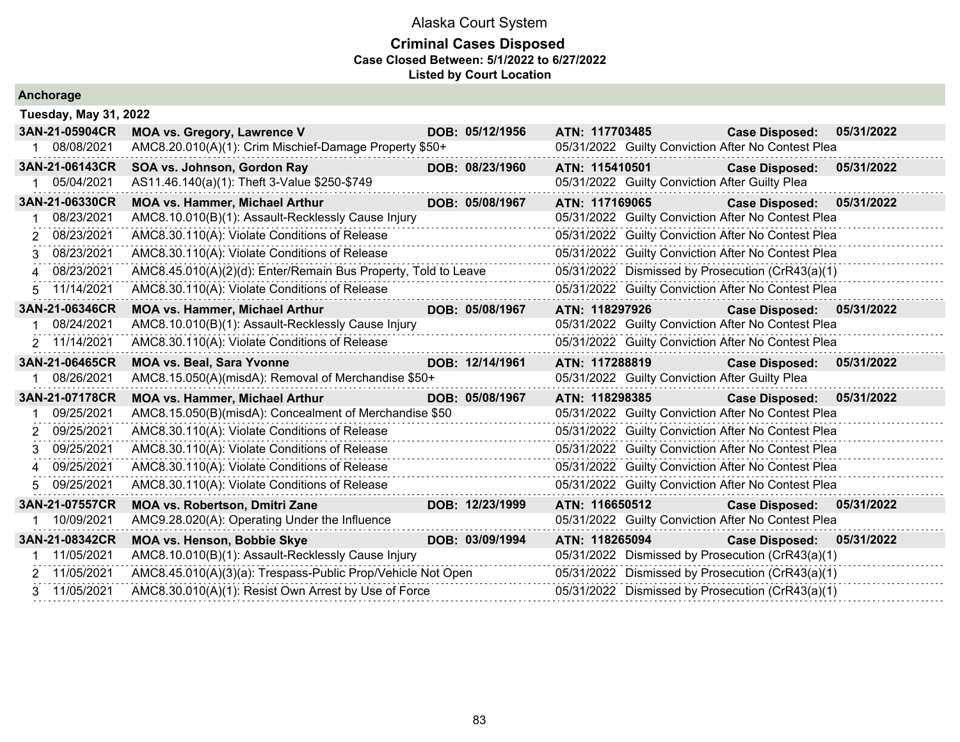#### **Criminal Cases Disposed Case Closed Between: 5/1/2022 to 6/27/2022 Listed by Court Location**

|    | Ancnorage                    |                                                                |                 |                |                |                                                    |            |
|----|------------------------------|----------------------------------------------------------------|-----------------|----------------|----------------|----------------------------------------------------|------------|
|    | <b>Tuesday, May 31, 2022</b> |                                                                |                 |                |                |                                                    |            |
|    | 3AN-21-05904CR               | <b>MOA vs. Gregory, Lawrence V</b>                             | DOB: 05/12/1956 | ATN: 117703485 |                | <b>Case Disposed:</b>                              | 05/31/2022 |
|    | 1 08/08/2021                 | AMC8.20.010(A)(1): Crim Mischief-Damage Property \$50+         |                 |                |                | 05/31/2022 Guilty Conviction After No Contest Plea |            |
|    | 3AN-21-06143CR               | SOA vs. Johnson, Gordon Ray                                    | DOB: 08/23/1960 | ATN: 115410501 |                | <b>Case Disposed:</b>                              | 05/31/2022 |
| 1. | 05/04/2021                   | AS11.46.140(a)(1): Theft 3-Value \$250-\$749                   |                 |                |                | 05/31/2022 Guilty Conviction After Guilty Plea     |            |
|    | 3AN-21-06330CR               | <b>MOA vs. Hammer, Michael Arthur</b>                          | DOB: 05/08/1967 | ATN: 117169065 |                | <b>Case Disposed:</b>                              | 05/31/2022 |
|    | 08/23/2021                   | AMC8.10.010(B)(1): Assault-Recklessly Cause Injury             |                 |                |                | 05/31/2022 Guilty Conviction After No Contest Plea |            |
|    | 2 08/23/2021                 | AMC8.30.110(A): Violate Conditions of Release                  |                 |                |                | 05/31/2022 Guilty Conviction After No Contest Plea |            |
|    | 3 08/23/2021                 | AMC8.30.110(A): Violate Conditions of Release                  |                 |                |                | 05/31/2022 Guilty Conviction After No Contest Plea |            |
|    | 4 08/23/2021                 | AMC8.45.010(A)(2)(d): Enter/Remain Bus Property, Told to Leave |                 |                |                | 05/31/2022 Dismissed by Prosecution (CrR43(a)(1)   |            |
|    | 5 11/14/2021                 | AMC8.30.110(A): Violate Conditions of Release                  |                 |                |                | 05/31/2022 Guilty Conviction After No Contest Plea |            |
|    | 3AN-21-06346CR               | <b>MOA vs. Hammer, Michael Arthur</b>                          | DOB: 05/08/1967 |                | ATN: 118297926 | <b>Case Disposed:</b>                              | 05/31/2022 |
|    | 08/24/2021                   | AMC8.10.010(B)(1): Assault-Recklessly Cause Injury             |                 |                |                | 05/31/2022 Guilty Conviction After No Contest Plea |            |
|    |                              |                                                                |                 |                |                |                                                    |            |
|    | 2 11/14/2021                 | AMC8.30.110(A): Violate Conditions of Release                  |                 |                |                | 05/31/2022 Guilty Conviction After No Contest Plea |            |
|    | 3AN-21-06465CR               | <b>MOA vs. Beal, Sara Yvonne</b>                               | DOB: 12/14/1961 |                |                | ATN: 117288819 Case Disposed:                      | 05/31/2022 |
|    | 08/26/2021                   | AMC8.15.050(A)(misdA): Removal of Merchandise \$50+            |                 |                |                | 05/31/2022 Guilty Conviction After Guilty Plea     |            |
|    | 3AN-21-07178CR               | <b>MOA vs. Hammer, Michael Arthur</b>                          | DOB: 05/08/1967 | ATN: 118298385 |                | <b>Case Disposed:</b>                              | 05/31/2022 |
|    | 09/25/2021                   | AMC8.15.050(B)(misdA): Concealment of Merchandise \$50         |                 |                |                | 05/31/2022 Guilty Conviction After No Contest Plea |            |
|    | 2 09/25/2021                 | AMC8.30.110(A): Violate Conditions of Release                  |                 |                |                | 05/31/2022 Guilty Conviction After No Contest Plea |            |
|    | 3 09/25/2021                 | AMC8.30.110(A): Violate Conditions of Release                  |                 |                |                | 05/31/2022 Guilty Conviction After No Contest Plea |            |
|    | 4 09/25/2021                 | AMC8.30.110(A): Violate Conditions of Release                  |                 |                |                | 05/31/2022 Guilty Conviction After No Contest Plea |            |
|    | 5 09/25/2021                 | AMC8.30.110(A): Violate Conditions of Release                  | .               |                |                | 05/31/2022 Guilty Conviction After No Contest Plea |            |
|    | 3AN-21-07557CR               | <b>MOA vs. Robertson, Dmitri Zane</b>                          | DOB: 12/23/1999 | ATN: 116650512 |                | Case Disposed: 05/31/2022                          |            |
| 1. | 10/09/2021                   | AMC9.28.020(A): Operating Under the Influence                  |                 |                |                | 05/31/2022 Guilty Conviction After No Contest Plea |            |
|    | 3AN-21-08342CR               | MOA vs. Henson, Bobbie Skye                                    | DOB: 03/09/1994 |                | ATN: 118265094 | <b>Case Disposed:</b>                              | 05/31/2022 |
|    | 11/05/2021                   | AMC8.10.010(B)(1): Assault-Recklessly Cause Injury             |                 |                |                | 05/31/2022 Dismissed by Prosecution (CrR43(a)(1)   |            |
|    | 2 11/05/2021                 | AMC8.45.010(A)(3)(a): Trespass-Public Prop/Vehicle Not Open    |                 |                |                | 05/31/2022 Dismissed by Prosecution (CrR43(a)(1)   |            |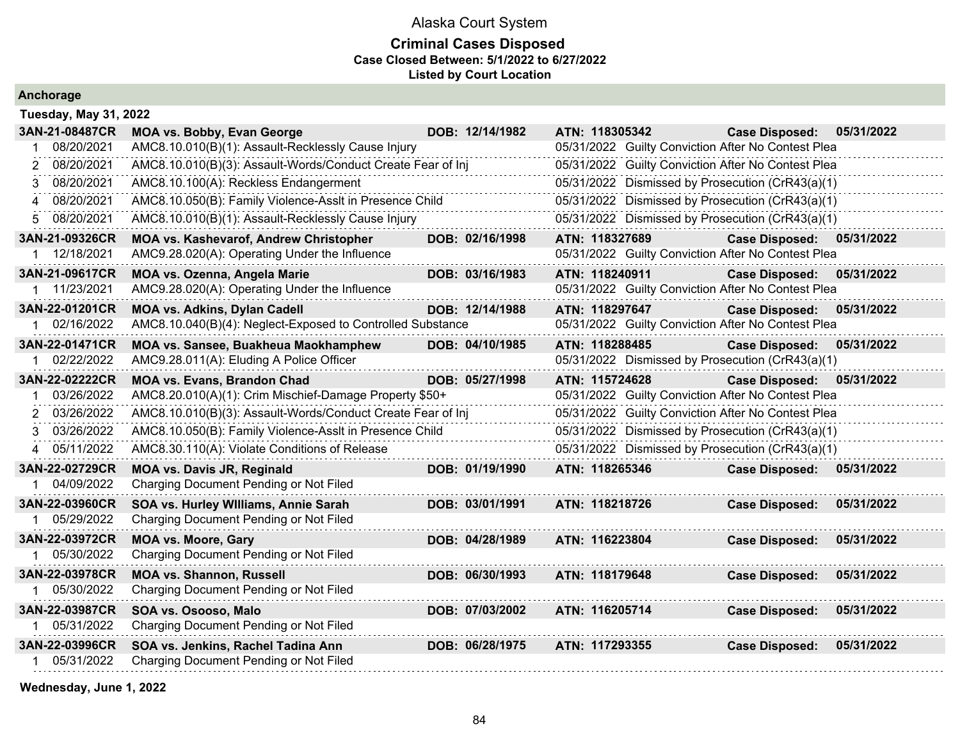### **Criminal Cases Disposed Case Closed Between: 5/1/2022 to 6/27/2022 Listed by Court Location**

**Anchorage**

|    | <b>Tuesday, May 31, 2022</b>   |                                                                                                |                 |                |                |                                                                             |            |
|----|--------------------------------|------------------------------------------------------------------------------------------------|-----------------|----------------|----------------|-----------------------------------------------------------------------------|------------|
|    | 3AN-21-08487CR                 | <b>MOA vs. Bobby, Evan George</b>                                                              | DOB: 12/14/1982 | ATN: 118305342 |                | <b>Case Disposed:</b>                                                       | 05/31/2022 |
| 1  | 08/20/2021                     | AMC8.10.010(B)(1): Assault-Recklessly Cause Injury                                             |                 |                |                | 05/31/2022 Guilty Conviction After No Contest Plea                          |            |
| 2  | 08/20/2021                     | AMC8.10.010(B)(3): Assault-Words/Conduct Create Fear of Inj                                    |                 |                |                | 05/31/2022 Guilty Conviction After No Contest Plea                          |            |
| 3. | 08/20/2021                     | AMC8.10.100(A): Reckless Endangerment                                                          |                 |                |                | 05/31/2022 Dismissed by Prosecution (CrR43(a)(1)                            |            |
|    | 4 08/20/2021                   | AMC8.10.050(B): Family Violence-Asslt in Presence Child                                        |                 |                |                | 05/31/2022 Dismissed by Prosecution (CrR43(a)(1)                            |            |
| 5. | 08/20/2021                     | AMC8.10.010(B)(1): Assault-Recklessly Cause Injury                                             |                 |                |                | 05/31/2022 Dismissed by Prosecution (CrR43(a)(1)                            |            |
|    | 3AN-21-09326CR<br>1 12/18/2021 | <b>MOA vs. Kashevarof, Andrew Christopher</b><br>AMC9.28.020(A): Operating Under the Influence | DOB: 02/16/1998 | ATN: 118327689 |                | <b>Case Disposed:</b><br>05/31/2022 Guilty Conviction After No Contest Plea | 05/31/2022 |
|    | 3AN-21-09617CR                 | MOA vs. Ozenna, Angela Marie                                                                   | DOB: 03/16/1983 | ATN: 118240911 |                | <b>Case Disposed:</b>                                                       | 05/31/2022 |
|    | 1 11/23/2021                   | AMC9.28.020(A): Operating Under the Influence                                                  |                 |                |                | 05/31/2022 Guilty Conviction After No Contest Plea                          |            |
|    | 3AN-22-01201CR                 | <b>MOA vs. Adkins, Dylan Cadell</b>                                                            | DOB: 12/14/1988 | ATN: 118297647 |                | <b>Case Disposed:</b>                                                       | 05/31/2022 |
|    | 1 02/16/2022                   | AMC8.10.040(B)(4): Neglect-Exposed to Controlled Substance                                     |                 |                |                | 05/31/2022 Guilty Conviction After No Contest Plea                          |            |
|    | 3AN-22-01471CR                 | MOA vs. Sansee, Buakheua Maokhamphew                                                           | DOB: 04/10/1985 | ATN: 118288485 |                | <b>Case Disposed:</b>                                                       | 05/31/2022 |
|    | 1 02/22/2022                   | AMC9.28.011(A): Eluding A Police Officer                                                       |                 |                |                | 05/31/2022 Dismissed by Prosecution (CrR43(a)(1)                            |            |
|    | 3AN-22-02222CR                 | <b>MOA vs. Evans, Brandon Chad</b>                                                             | DOB: 05/27/1998 | ATN: 115724628 |                | <b>Case Disposed:</b>                                                       | 05/31/2022 |
|    | 03/26/2022                     | AMC8.20.010(A)(1): Crim Mischief-Damage Property \$50+                                         |                 |                |                | 05/31/2022 Guilty Conviction After No Contest Plea                          |            |
|    | 2 03/26/2022                   | AMC8.10.010(B)(3): Assault-Words/Conduct Create Fear of Inj                                    |                 |                |                | 05/31/2022 Guilty Conviction After No Contest Plea                          |            |
|    | 3 03/26/2022                   | AMC8.10.050(B): Family Violence-Asslt in Presence Child                                        |                 |                |                | 05/31/2022 Dismissed by Prosecution (CrR43(a)(1)                            |            |
|    | 4 05/11/2022                   | AMC8.30.110(A): Violate Conditions of Release                                                  |                 |                |                | 05/31/2022 Dismissed by Prosecution (CrR43(a)(1)                            |            |
|    | 3AN-22-02729CR                 | <b>MOA vs. Davis JR, Reginald</b>                                                              | DOB: 01/19/1990 |                | ATN: 118265346 | <b>Case Disposed:</b>                                                       | 05/31/2022 |
|    | 04/09/2022                     | Charging Document Pending or Not Filed                                                         |                 |                |                |                                                                             |            |
|    | 3AN-22-03960CR                 | SOA vs. Hurley Williams, Annie Sarah                                                           | DOB: 03/01/1991 | ATN: 118218726 |                | <b>Case Disposed:</b>                                                       | 05/31/2022 |
| 1. | 05/29/2022                     | Charging Document Pending or Not Filed                                                         |                 |                |                |                                                                             |            |
|    | 3AN-22-03972CR                 | <b>MOA vs. Moore, Gary</b>                                                                     | DOB: 04/28/1989 | ATN: 116223804 |                | <b>Case Disposed:</b>                                                       | 05/31/2022 |
|    | 1 05/30/2022                   | Charging Document Pending or Not Filed                                                         |                 |                |                |                                                                             |            |
|    | 3AN-22-03978CR                 | <b>MOA vs. Shannon, Russell</b>                                                                | DOB: 06/30/1993 | ATN: 118179648 |                | <b>Case Disposed:</b>                                                       | 05/31/2022 |
|    | 05/30/2022                     | Charging Document Pending or Not Filed                                                         |                 |                |                |                                                                             |            |
|    | 3AN-22-03987CR                 | SOA vs. Osooso, Malo                                                                           | DOB: 07/03/2002 | ATN: 116205714 |                | <b>Case Disposed:</b>                                                       | 05/31/2022 |
|    | 1 05/31/2022                   | Charging Document Pending or Not Filed                                                         |                 |                |                |                                                                             |            |
|    | 3AN-22-03996CR                 | SOA vs. Jenkins, Rachel Tadina Ann                                                             | DOB: 06/28/1975 | ATN: 117293355 |                | <b>Case Disposed:</b>                                                       | 05/31/2022 |
|    | 1 05/31/2022                   | Charging Document Pending or Not Filed                                                         |                 |                |                |                                                                             |            |

**Wednesday, June 1, 2022**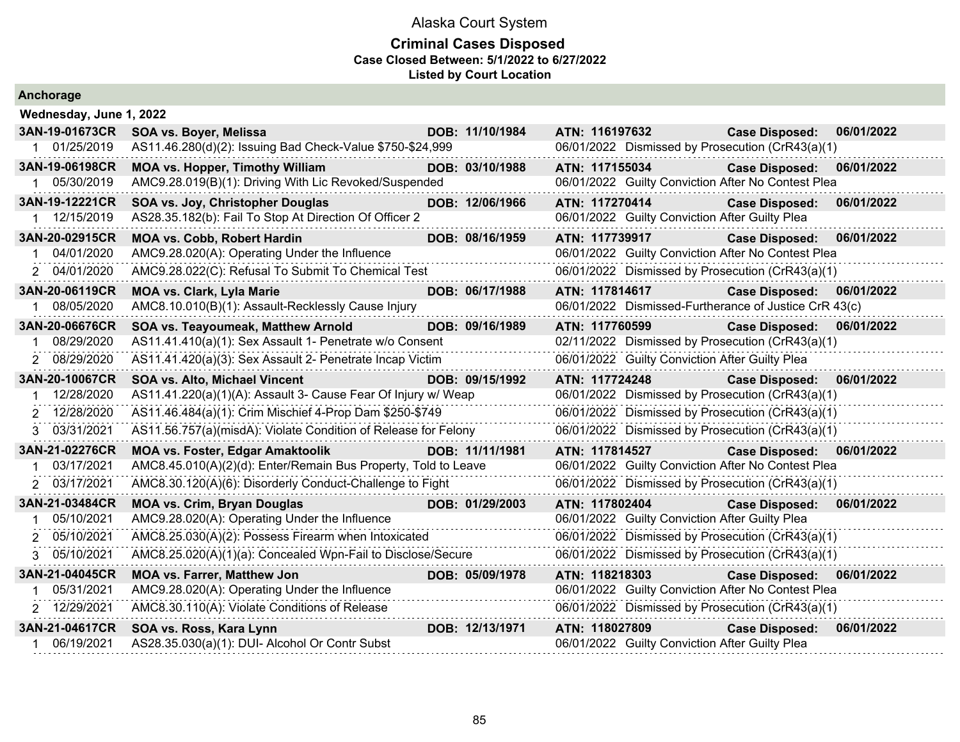|  |  | Anchorage |  |  |
|--|--|-----------|--|--|
|  |  |           |  |  |

| Wednesday, June 1, 2022 |                                                                |                 |                                                       |                       |            |
|-------------------------|----------------------------------------------------------------|-----------------|-------------------------------------------------------|-----------------------|------------|
| 3AN-19-01673CR          | SOA vs. Boyer, Melissa                                         | DOB: 11/10/1984 | ATN: 116197632                                        | <b>Case Disposed:</b> | 06/01/2022 |
| 1 01/25/2019            | AS11.46.280(d)(2): Issuing Bad Check-Value \$750-\$24,999      |                 | 06/01/2022 Dismissed by Prosecution (CrR43(a)(1)      |                       |            |
| 3AN-19-06198CR          | <b>MOA vs. Hopper, Timothy William</b>                         | DOB: 03/10/1988 | ATN: 117155034                                        | <b>Case Disposed:</b> | 06/01/2022 |
| 05/30/2019              | AMC9.28.019(B)(1): Driving With Lic Revoked/Suspended          |                 | 06/01/2022 Guilty Conviction After No Contest Plea    |                       |            |
| 3AN-19-12221CR          | SOA vs. Joy, Christopher Douglas                               | DOB: 12/06/1966 | ATN: 117270414                                        | <b>Case Disposed:</b> | 06/01/2022 |
| 1 12/15/2019            | AS28.35.182(b): Fail To Stop At Direction Of Officer 2         |                 | 06/01/2022 Guilty Conviction After Guilty Plea        |                       |            |
| 3AN-20-02915CR          | <b>MOA vs. Cobb, Robert Hardin</b>                             | DOB: 08/16/1959 | ATN: 117739917                                        | <b>Case Disposed:</b> | 06/01/2022 |
| 04/01/2020              | AMC9.28.020(A): Operating Under the Influence                  |                 | 06/01/2022 Guilty Conviction After No Contest Plea    |                       |            |
| 2 04/01/2020            | AMC9.28.022(C): Refusal To Submit To Chemical Test             |                 | 06/01/2022 Dismissed by Prosecution (CrR43(a)(1)      |                       |            |
| 3AN-20-06119CR          | <b>MOA vs. Clark, Lyla Marie</b>                               | DOB: 06/17/1988 | <b>ATN: 117814617</b>                                 | <b>Case Disposed:</b> | 06/01/2022 |
| 1 08/05/2020            | AMC8.10.010(B)(1): Assault-Recklessly Cause Injury             |                 | 06/01/2022 Dismissed-Furtherance of Justice CrR 43(c) |                       |            |
| 3AN-20-06676CR          | SOA vs. Teayoumeak, Matthew Arnold                             | DOB: 09/16/1989 | ATN: 117760599                                        | <b>Case Disposed:</b> | 06/01/2022 |
| 08/29/2020              | AS11.41.410(a)(1): Sex Assault 1- Penetrate w/o Consent        |                 | 02/11/2022 Dismissed by Prosecution (CrR43(a)(1)      |                       |            |
| 2 08/29/2020            | AS11.41.420(a)(3): Sex Assault 2- Penetrate Incap Victim       |                 | 06/01/2022 Guilty Conviction After Guilty Plea        |                       |            |
| 3AN-20-10067CR          | SOA vs. Alto, Michael Vincent                                  | DOB: 09/15/1992 | ATN: 117724248                                        | <b>Case Disposed:</b> | 06/01/2022 |
| 12/28/2020              | AS11.41.220(a)(1)(A): Assault 3- Cause Fear Of Injury w/ Weap  |                 | 06/01/2022 Dismissed by Prosecution (CrR43(a)(1)      |                       |            |
| 2 12/28/2020            | AS11.46.484(a)(1): Crim Mischief 4-Prop Dam \$250-\$749        |                 | 06/01/2022 Dismissed by Prosecution (CrR43(a)(1)      |                       |            |
| 3 03/31/2021            | AS11.56.757(a)(misdA): Violate Condition of Release for Felony |                 | 06/01/2022 Dismissed by Prosecution (CrR43(a)(1)      |                       |            |
| 3AN-21-02276CR          | <b>MOA vs. Foster, Edgar Amaktoolik</b>                        | DOB: 11/11/1981 | ATN: 117814527                                        | <b>Case Disposed:</b> | 06/01/2022 |
| 03/17/2021              | AMC8.45.010(A)(2)(d): Enter/Remain Bus Property, Told to Leave |                 | 06/01/2022 Guilty Conviction After No Contest Plea    |                       |            |
| 2 03/17/2021            | AMC8.30.120(A)(6): Disorderly Conduct-Challenge to Fight       |                 | 06/01/2022 Dismissed by Prosecution (CrR43(a)(1)      |                       |            |
| 3AN-21-03484CR          | <b>MOA vs. Crim, Bryan Douglas</b>                             | DOB: 01/29/2003 | ATN: 117802404                                        | <b>Case Disposed:</b> | 06/01/2022 |
| 05/10/2021              | AMC9.28.020(A): Operating Under the Influence                  |                 | 06/01/2022 Guilty Conviction After Guilty Plea        |                       |            |
| 2 05/10/2021            | AMC8.25.030(A)(2): Possess Firearm when Intoxicated            |                 | 06/01/2022 Dismissed by Prosecution (CrR43(a)(1)      |                       |            |
| 3 05/10/2021            | AMC8.25.020(A)(1)(a): Concealed Wpn-Fail to Disclose/Secure    |                 | 06/01/2022 Dismissed by Prosecution (CrR43(a)(1)      |                       |            |
| 3AN-21-04045CR          | <b>MOA vs. Farrer, Matthew Jon</b>                             | DOB: 05/09/1978 | ATN: 118218303                                        | <b>Case Disposed:</b> | 06/01/2022 |
| 05/31/2021              | AMC9.28.020(A): Operating Under the Influence                  |                 | 06/01/2022 Guilty Conviction After No Contest Plea    |                       |            |
| 2 12/29/2021            | AMC8.30.110(A): Violate Conditions of Release                  |                 | 06/01/2022 Dismissed by Prosecution (CrR43(a)(1)      |                       |            |
| 3AN-21-04617CR          | SOA vs. Ross, Kara Lynn                                        | DOB: 12/13/1971 | ATN: 118027809                                        | <b>Case Disposed:</b> | 06/01/2022 |
| 06/19/2021              | AS28.35.030(a)(1): DUI- Alcohol Or Contr Subst                 |                 | 06/01/2022 Guilty Conviction After Guilty Plea        |                       |            |
|                         |                                                                |                 |                                                       |                       |            |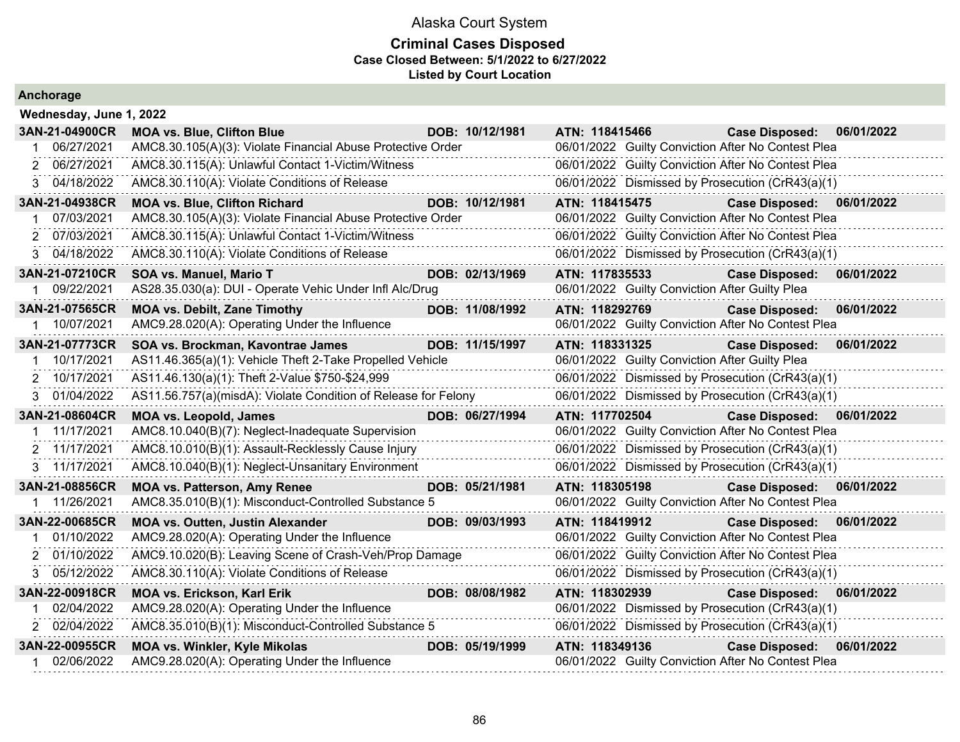### **Criminal Cases Disposed Case Closed Between: 5/1/2022 to 6/27/2022 Listed by Court Location**

| Wednesday, June 1, 2022 |                                                                |                 |                |                                                |                                                    |            |
|-------------------------|----------------------------------------------------------------|-----------------|----------------|------------------------------------------------|----------------------------------------------------|------------|
| 3AN-21-04900CR          | <b>MOA vs. Blue, Clifton Blue</b>                              | DOB: 10/12/1981 | ATN: 118415466 |                                                | <b>Case Disposed:</b>                              | 06/01/2022 |
| 06/27/2021              | AMC8.30.105(A)(3): Violate Financial Abuse Protective Order    |                 |                |                                                | 06/01/2022 Guilty Conviction After No Contest Plea |            |
| 06/27/2021              | AMC8.30.115(A): Unlawful Contact 1-Victim/Witness              |                 |                |                                                | 06/01/2022 Guilty Conviction After No Contest Plea |            |
| 3 04/18/2022            | AMC8.30.110(A): Violate Conditions of Release                  |                 |                |                                                | 06/01/2022 Dismissed by Prosecution (CrR43(a)(1)   |            |
| 3AN-21-04938CR          | <b>MOA vs. Blue, Clifton Richard</b>                           | DOB: 10/12/1981 | ATN: 118415475 |                                                | <b>Case Disposed:</b>                              | 06/01/2022 |
| 07/03/2021              | AMC8.30.105(A)(3): Violate Financial Abuse Protective Order    |                 |                |                                                | 06/01/2022 Guilty Conviction After No Contest Plea |            |
| 07/03/2021              | AMC8.30.115(A): Unlawful Contact 1-Victim/Witness              |                 |                |                                                | 06/01/2022 Guilty Conviction After No Contest Plea |            |
| 3 04/18/2022            | AMC8.30.110(A): Violate Conditions of Release                  |                 |                |                                                | 06/01/2022 Dismissed by Prosecution (CrR43(a)(1)   |            |
| 3AN-21-07210CR          | <b>SOA vs. Manuel, Mario T</b>                                 | DOB: 02/13/1969 | ATN: 117835533 |                                                | <b>Case Disposed:</b>                              | 06/01/2022 |
| 09/22/2021              | AS28.35.030(a): DUI - Operate Vehic Under Infl Alc/Drug        |                 |                | 06/01/2022 Guilty Conviction After Guilty Plea |                                                    |            |
| 3AN-21-07565CR          | <b>MOA vs. Debilt, Zane Timothy</b>                            | DOB: 11/08/1992 | ATN: 118292769 |                                                | <b>Case Disposed:</b>                              | 06/01/2022 |
| 1 10/07/2021            | AMC9.28.020(A): Operating Under the Influence                  |                 |                |                                                | 06/01/2022 Guilty Conviction After No Contest Plea |            |
| 3AN-21-07773CR          | SOA vs. Brockman, Kavontrae James                              | DOB: 11/15/1997 | ATN: 118331325 |                                                | <b>Case Disposed:</b>                              | 06/01/2022 |
| 10/17/2021              | AS11.46.365(a)(1): Vehicle Theft 2-Take Propelled Vehicle      |                 |                | 06/01/2022 Guilty Conviction After Guilty Plea |                                                    |            |
| 2 10/17/2021            | AS11.46.130(a)(1): Theft 2-Value \$750-\$24,999                |                 |                |                                                | 06/01/2022 Dismissed by Prosecution (CrR43(a)(1)   |            |
| 3 01/04/2022            | AS11.56.757(a)(misdA): Violate Condition of Release for Felony |                 |                |                                                | 06/01/2022 Dismissed by Prosecution (CrR43(a)(1)   |            |
| 3AN-21-08604CR          | <b>MOA vs. Leopold, James</b>                                  | DOB: 06/27/1994 | ATN: 117702504 |                                                | <b>Case Disposed:</b>                              | 06/01/2022 |
| 11/17/2021              | AMC8.10.040(B)(7): Neglect-Inadequate Supervision              |                 |                |                                                | 06/01/2022 Guilty Conviction After No Contest Plea |            |
| 2 11/17/2021            | AMC8.10.010(B)(1): Assault-Recklessly Cause Injury             |                 |                |                                                | 06/01/2022 Dismissed by Prosecution (CrR43(a)(1)   |            |
| 3 11/17/2021            | AMC8.10.040(B)(1): Neglect-Unsanitary Environment              |                 |                |                                                | 06/01/2022 Dismissed by Prosecution (CrR43(a)(1)   |            |
| 3AN-21-08856CR          | <b>MOA vs. Patterson, Amy Renee</b>                            | DOB: 05/21/1981 | ATN: 118305198 |                                                | <b>Case Disposed:</b>                              | 06/01/2022 |
| 11/26/2021              | AMC8.35.010(B)(1): Misconduct-Controlled Substance 5           |                 |                |                                                | 06/01/2022 Guilty Conviction After No Contest Plea |            |
| 3AN-22-00685CR          | <b>MOA vs. Outten, Justin Alexander</b>                        | DOB: 09/03/1993 | ATN: 118419912 |                                                | <b>Case Disposed:</b>                              | 06/01/2022 |
| 01/10/2022              | AMC9.28.020(A): Operating Under the Influence                  |                 |                |                                                | 06/01/2022 Guilty Conviction After No Contest Plea |            |
| 01/10/2022              | AMC9.10.020(B): Leaving Scene of Crash-Veh/Prop Damage         |                 |                |                                                | 06/01/2022 Guilty Conviction After No Contest Plea |            |
| 05/12/2022<br>3         | AMC8.30.110(A): Violate Conditions of Release                  |                 |                |                                                | 06/01/2022 Dismissed by Prosecution (CrR43(a)(1)   |            |
| 3AN-22-00918CR          | <b>MOA vs. Erickson, Karl Erik</b>                             | DOB: 08/08/1982 | ATN: 118302939 |                                                | <b>Case Disposed:</b>                              | 06/01/2022 |
| 02/04/2022              | AMC9.28.020(A): Operating Under the Influence                  |                 |                |                                                | 06/01/2022 Dismissed by Prosecution (CrR43(a)(1)   |            |
| 2 02/04/2022            | AMC8.35.010(B)(1): Misconduct-Controlled Substance 5           |                 |                |                                                | 06/01/2022 Dismissed by Prosecution (CrR43(a)(1)   |            |
| 3AN-22-00955CR          | <b>MOA vs. Winkler, Kyle Mikolas</b>                           | DOB: 05/19/1999 | ATN: 118349136 |                                                | <b>Case Disposed:</b>                              | 06/01/2022 |
| 02/06/2022              | AMC9.28.020(A): Operating Under the Influence                  |                 |                |                                                | 06/01/2022 Guilty Conviction After No Contest Plea |            |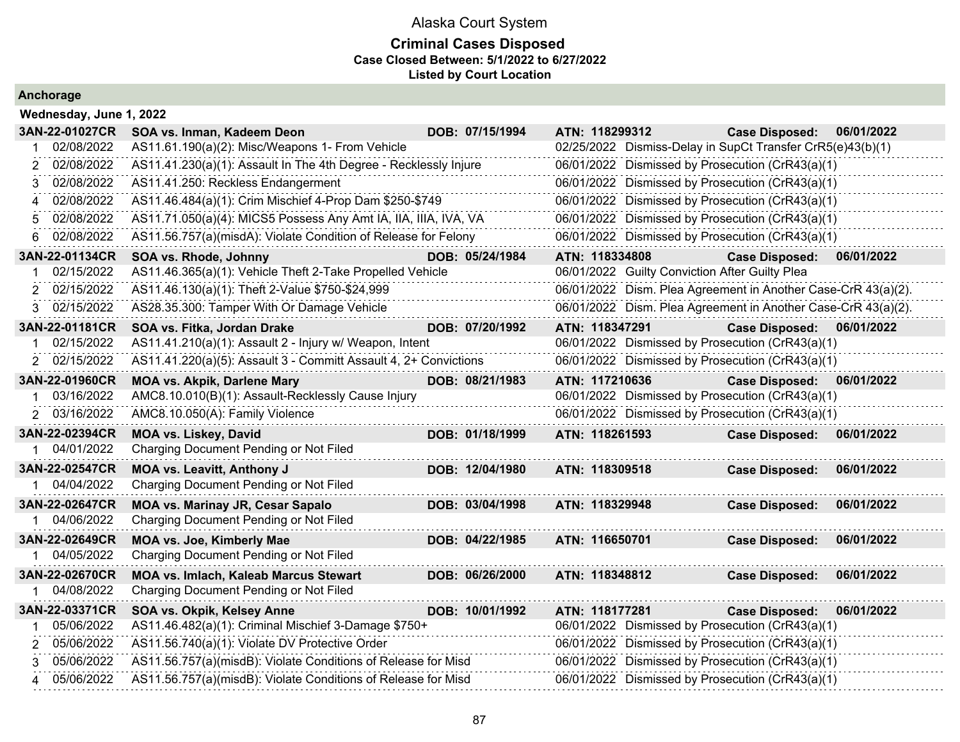### **Criminal Cases Disposed Case Closed Between: 5/1/2022 to 6/27/2022 Listed by Court Location**

| Wednesday, June 1, 2022 |  |  |  |
|-------------------------|--|--|--|

| 3AN-22-01027CR  | SOA vs. Inman, Kadeem Deon                                       | DOB: 07/15/1994 | ATN: 118299312 | <b>Case Disposed:</b>                                         | 06/01/2022 |
|-----------------|------------------------------------------------------------------|-----------------|----------------|---------------------------------------------------------------|------------|
| 02/08/2022      | AS11.61.190(a)(2): Misc/Weapons 1- From Vehicle                  |                 |                | 02/25/2022 Dismiss-Delay in SupCt Transfer CrR5(e)43(b)(1)    |            |
| 02/08/2022      | AS11.41.230(a)(1): Assault In The 4th Degree - Recklessly Injure |                 |                | 06/01/2022 Dismissed by Prosecution (CrR43(a)(1)              |            |
| 02/08/2022      | AS11.41.250: Reckless Endangerment                               |                 |                | 06/01/2022 Dismissed by Prosecution (CrR43(a)(1)              |            |
| 02/08/2022      | AS11.46.484(a)(1): Crim Mischief 4-Prop Dam \$250-\$749          |                 |                | 06/01/2022 Dismissed by Prosecution (CrR43(a)(1)              |            |
| 02/08/2022      | AS11.71.050(a)(4): MICS5 Possess Any Amt IA, IIA, IIIA, IVA, VA  |                 |                | 06/01/2022 Dismissed by Prosecution (CrR43(a)(1)              |            |
| 02/08/2022<br>6 | AS11.56.757(a)(misdA): Violate Condition of Release for Felony   |                 |                | 06/01/2022 Dismissed by Prosecution (CrR43(a)(1)              |            |
| 3AN-22-01134CR  | SOA vs. Rhode, Johnny                                            | DOB: 05/24/1984 | ATN: 118334808 | <b>Case Disposed:</b>                                         | 06/01/2022 |
| 02/15/2022      | AS11.46.365(a)(1): Vehicle Theft 2-Take Propelled Vehicle        |                 |                | 06/01/2022 Guilty Conviction After Guilty Plea                |            |
| 02/15/2022      | AS11.46.130(a)(1): Theft 2-Value \$750-\$24,999                  |                 |                | 06/01/2022 Dism. Plea Agreement in Another Case-CrR 43(a)(2). |            |
| 02/15/2022<br>3 | AS28.35.300: Tamper With Or Damage Vehicle                       |                 |                | 06/01/2022 Dism. Plea Agreement in Another Case-CrR 43(a)(2). |            |
| 3AN-22-01181CR  | SOA vs. Fitka, Jordan Drake                                      | DOB: 07/20/1992 | ATN: 118347291 | <b>Case Disposed:</b>                                         | 06/01/2022 |
| 02/15/2022      | AS11.41.210(a)(1): Assault 2 - Injury w/ Weapon, Intent          |                 |                | 06/01/2022 Dismissed by Prosecution (CrR43(a)(1)              |            |
| 2 02/15/2022    | AS11.41.220(a)(5): Assault 3 - Committ Assault 4, 2+ Convictions |                 |                | 06/01/2022 Dismissed by Prosecution (CrR43(a)(1)              |            |
| 3AN-22-01960CR  | <b>MOA vs. Akpik, Darlene Mary</b>                               | DOB: 08/21/1983 | ATN: 117210636 | <b>Case Disposed:</b>                                         | 06/01/2022 |
| 03/16/2022      | AMC8.10.010(B)(1): Assault-Recklessly Cause Injury               |                 |                | 06/01/2022 Dismissed by Prosecution (CrR43(a)(1)              |            |
| 2 03/16/2022    | AMC8.10.050(A): Family Violence                                  |                 |                | 06/01/2022 Dismissed by Prosecution (CrR43(a)(1)              |            |
| 3AN-22-02394CR  | <b>MOA vs. Liskey, David</b>                                     | DOB: 01/18/1999 | ATN: 118261593 | <b>Case Disposed:</b>                                         | 06/01/2022 |
| 1 04/01/2022    | Charging Document Pending or Not Filed                           |                 |                |                                                               |            |
| 3AN-22-02547CR  | MOA vs. Leavitt, Anthony J                                       | DOB: 12/04/1980 | ATN: 118309518 | <b>Case Disposed:</b>                                         | 06/01/2022 |
| 04/04/2022      | Charging Document Pending or Not Filed                           |                 |                |                                                               |            |
| 3AN-22-02647CR  | <b>MOA vs. Marinay JR, Cesar Sapalo</b>                          | DOB: 03/04/1998 | ATN: 118329948 | <b>Case Disposed:</b>                                         | 06/01/2022 |
| 04/06/2022      | Charging Document Pending or Not Filed                           |                 |                |                                                               |            |
| 3AN-22-02649CR  | MOA vs. Joe, Kimberly Mae                                        | DOB: 04/22/1985 | ATN: 116650701 | <b>Case Disposed:</b>                                         | 06/01/2022 |
| 1 04/05/2022    | Charging Document Pending or Not Filed                           |                 |                |                                                               |            |
| 3AN-22-02670CR  | <b>MOA vs. Imlach, Kaleab Marcus Stewart</b>                     | DOB: 06/26/2000 | ATN: 118348812 | <b>Case Disposed:</b>                                         | 06/01/2022 |
| 04/08/2022      | Charging Document Pending or Not Filed                           |                 |                |                                                               |            |
| 3AN-22-03371CR  | SOA vs. Okpik, Kelsey Anne                                       | DOB: 10/01/1992 | ATN: 118177281 | <b>Case Disposed:</b>                                         | 06/01/2022 |
| 05/06/2022      | AS11.46.482(a)(1): Criminal Mischief 3-Damage \$750+             |                 |                | 06/01/2022 Dismissed by Prosecution (CrR43(a)(1)              |            |
| 05/06/2022<br>2 | AS11.56.740(a)(1): Violate DV Protective Order                   |                 |                | 06/01/2022 Dismissed by Prosecution (CrR43(a)(1)              |            |
| 05/06/2022<br>3 | AS11.56.757(a)(misdB): Violate Conditions of Release for Misd    |                 |                | 06/01/2022 Dismissed by Prosecution (CrR43(a)(1)              |            |
| 05/06/2022<br>4 | AS11.56.757(a)(misdB): Violate Conditions of Release for Misd    |                 |                | 06/01/2022 Dismissed by Prosecution (CrR43(a)(1)              |            |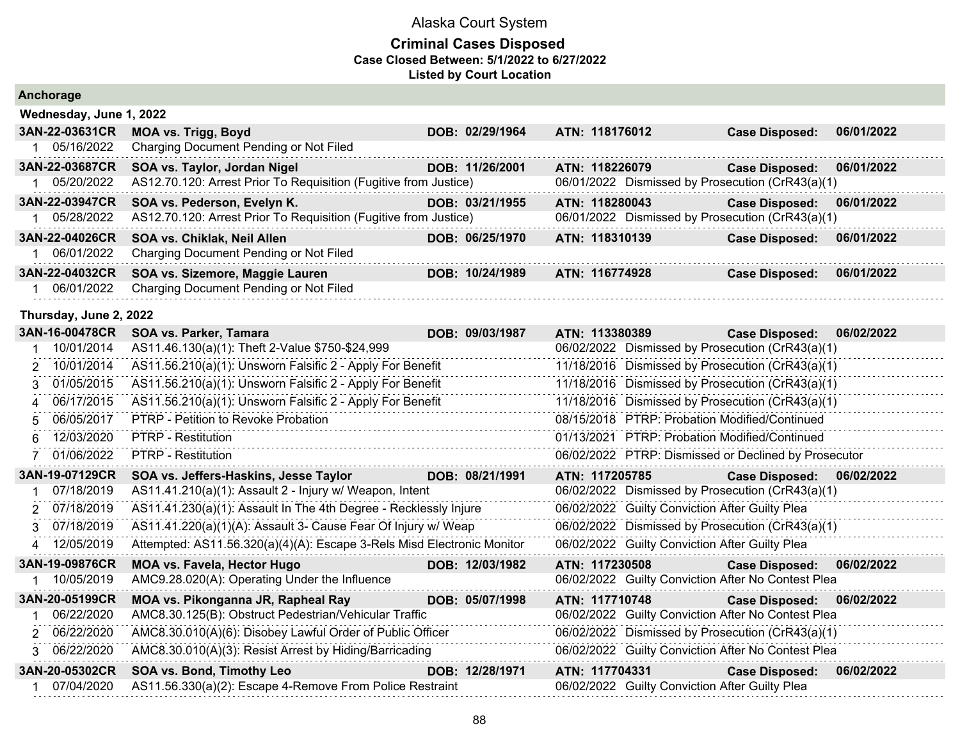### **Criminal Cases Disposed Case Closed Between: 5/1/2022 to 6/27/2022 Listed by Court Location**

|  |  | Anchorage |  |
|--|--|-----------|--|
|  |  |           |  |

|                | Wednesday, June 1, 2022                                          |  |                 |  |                                                  |                       |            |  |  |  |  |  |
|----------------|------------------------------------------------------------------|--|-----------------|--|--------------------------------------------------|-----------------------|------------|--|--|--|--|--|
| 3AN-22-03631CR | <b>MOA vs. Trigg, Boyd</b>                                       |  | DOB: 02/29/1964 |  | ATN: 118176012                                   | <b>Case Disposed:</b> | 06/01/2022 |  |  |  |  |  |
| 05/16/2022     | Charging Document Pending or Not Filed                           |  |                 |  |                                                  |                       |            |  |  |  |  |  |
| 3AN-22-03687CR | SOA vs. Taylor, Jordan Nigel                                     |  | DOB: 11/26/2001 |  | ATN: 118226079                                   | <b>Case Disposed:</b> | 06/01/2022 |  |  |  |  |  |
| 05/20/2022     | AS12.70.120: Arrest Prior To Requisition (Fugitive from Justice) |  |                 |  | 06/01/2022 Dismissed by Prosecution (CrR43(a)(1) |                       |            |  |  |  |  |  |
| 3AN-22-03947CR | SOA vs. Pederson, Evelyn K.                                      |  | DOB: 03/21/1955 |  | ATN: 118280043                                   | <b>Case Disposed:</b> | 06/01/2022 |  |  |  |  |  |
| 05/28/2022     | AS12.70.120: Arrest Prior To Requisition (Fugitive from Justice) |  |                 |  | 06/01/2022 Dismissed by Prosecution (CrR43(a)(1) |                       |            |  |  |  |  |  |
| 3AN-22-04026CR | SOA vs. Chiklak, Neil Allen                                      |  | DOB: 06/25/1970 |  | ATN: 118310139                                   | <b>Case Disposed:</b> | 06/01/2022 |  |  |  |  |  |
| 06/01/2022     | Charging Document Pending or Not Filed                           |  |                 |  |                                                  |                       |            |  |  |  |  |  |
| 3AN-22-04032CR | SOA vs. Sizemore, Maggie Lauren                                  |  | DOB: 10/24/1989 |  | ATN: 116774928                                   | <b>Case Disposed:</b> | 06/01/2022 |  |  |  |  |  |
| 06/01/2022     | Charging Document Pending or Not Filed                           |  |                 |  |                                                  |                       |            |  |  |  |  |  |

#### **Thursday, June 2, 2022**

| 3AN-16-00478CR | SOA vs. Parker, Tamara                                                 | DOB: 09/03/1987 | ATN: 113380389 |                                                | <b>Case Disposed:</b>                                | 06/02/2022 |
|----------------|------------------------------------------------------------------------|-----------------|----------------|------------------------------------------------|------------------------------------------------------|------------|
| 10/01/2014     | AS11.46.130(a)(1): Theft 2-Value \$750-\$24,999                        |                 |                |                                                | 06/02/2022 Dismissed by Prosecution (CrR43(a)(1)     |            |
| 10/01/2014     | AS11.56.210(a)(1): Unsworn Falsific 2 - Apply For Benefit              |                 |                |                                                | 11/18/2016 Dismissed by Prosecution (CrR43(a)(1)     |            |
| 01/05/2015     | AS11.56.210(a)(1): Unsworn Falsific 2 - Apply For Benefit              |                 |                |                                                | 11/18/2016 Dismissed by Prosecution (CrR43(a)(1)     |            |
| 06/17/2015     | AS11.56.210(a)(1): Unsworn Falsific 2 - Apply For Benefit              |                 |                |                                                | 11/18/2016 Dismissed by Prosecution (CrR43(a)(1)     |            |
| 06/05/2017     | PTRP - Petition to Revoke Probation                                    |                 |                |                                                | 08/15/2018 PTRP: Probation Modified/Continued        |            |
| 12/03/2020     | <b>PTRP - Restitution</b>                                              |                 |                |                                                | 01/13/2021 PTRP: Probation Modified/Continued        |            |
| 01/06/2022     | <b>PTRP - Restitution</b>                                              |                 |                |                                                | 06/02/2022 PTRP: Dismissed or Declined by Prosecutor |            |
| 3AN-19-07129CR | SOA vs. Jeffers-Haskins, Jesse Taylor                                  | DOB: 08/21/1991 | ATN: 117205785 |                                                | <b>Case Disposed:</b>                                | 06/02/2022 |
| 07/18/2019     | AS11.41.210(a)(1): Assault 2 - Injury w/ Weapon, Intent                |                 |                |                                                | 06/02/2022 Dismissed by Prosecution (CrR43(a)(1)     |            |
| 2 07/18/2019   | AS11.41.230(a)(1): Assault In The 4th Degree - Recklessly Injure       |                 |                | 06/02/2022 Guilty Conviction After Guilty Plea |                                                      |            |
| 3 07/18/2019   | AS11.41.220(a)(1)(A): Assault 3- Cause Fear Of Injury w/ Weap          |                 |                |                                                | 06/02/2022 Dismissed by Prosecution (CrR43(a)(1)     |            |
| 12/05/2019     | Attempted: AS11.56.320(a)(4)(A): Escape 3-Rels Misd Electronic Monitor |                 |                | 06/02/2022 Guilty Conviction After Guilty Plea |                                                      |            |
| 3AN-19-09876CR | <b>MOA vs. Favela, Hector Hugo</b>                                     | DOB: 12/03/1982 | ATN: 117230508 |                                                | <b>Case Disposed:</b>                                | 06/02/2022 |
| 10/05/2019     | AMC9.28.020(A): Operating Under the Influence                          |                 |                |                                                | 06/02/2022 Guilty Conviction After No Contest Plea   |            |
| 3AN-20-05199CR | MOA vs. Pikonganna JR, Rapheal Ray                                     | DOB: 05/07/1998 | ATN: 117710748 |                                                | <b>Case Disposed:</b>                                | 06/02/2022 |
| 06/22/2020     | AMC8.30.125(B): Obstruct Pedestrian/Vehicular Traffic                  |                 |                |                                                | 06/02/2022 Guilty Conviction After No Contest Plea   |            |
| 2 06/22/2020   | AMC8.30.010(A)(6): Disobey Lawful Order of Public Officer              |                 |                |                                                | 06/02/2022 Dismissed by Prosecution (CrR43(a)(1)     |            |
| 3 06/22/2020   | AMC8.30.010(A)(3): Resist Arrest by Hiding/Barricading                 |                 |                |                                                | 06/02/2022 Guilty Conviction After No Contest Plea   |            |
| 3AN-20-05302CR | SOA vs. Bond, Timothy Leo                                              | DOB: 12/28/1971 |                | ATN: 117704331                                 | <b>Case Disposed:</b>                                | 06/02/2022 |
| 07/04/2020     | AS11.56.330(a)(2): Escape 4-Remove From Police Restraint               |                 |                | 06/02/2022 Guilty Conviction After Guilty Plea |                                                      |            |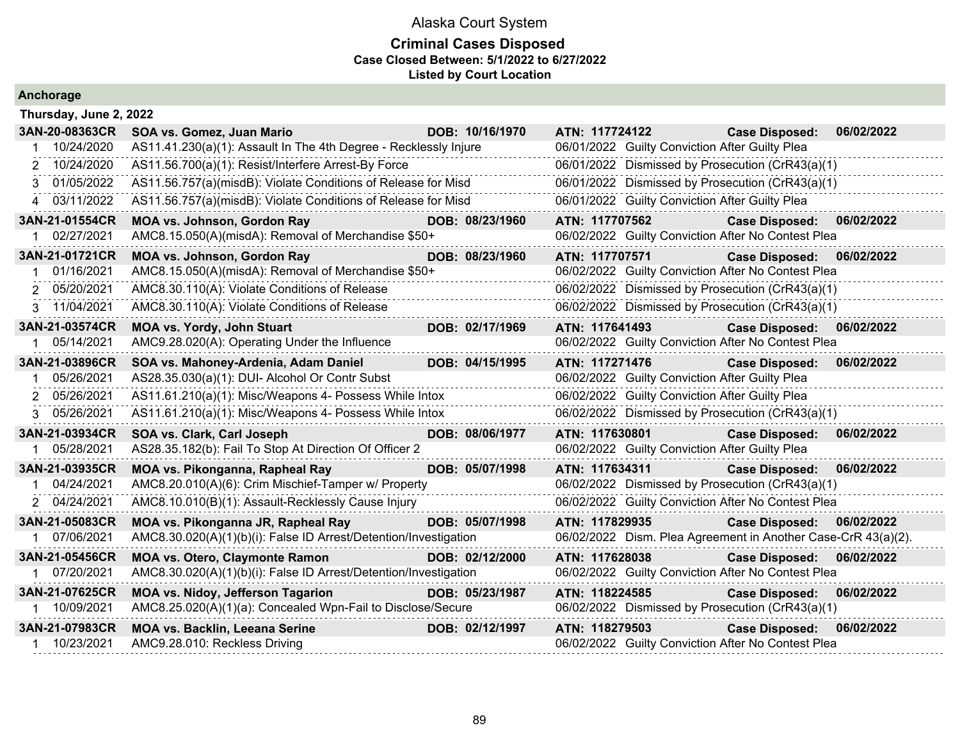|  |  | Anchorage |  |  |
|--|--|-----------|--|--|
|  |  |           |  |  |

| Thursday, June 2, 2022 |                                                                  |                 |                |                                                               |                           |            |
|------------------------|------------------------------------------------------------------|-----------------|----------------|---------------------------------------------------------------|---------------------------|------------|
| 3AN-20-08363CR         | SOA vs. Gomez, Juan Mario                                        | DOB: 10/16/1970 | ATN: 117724122 |                                                               | <b>Case Disposed:</b>     | 06/02/2022 |
| 10/24/2020             | AS11.41.230(a)(1): Assault In The 4th Degree - Recklessly Injure |                 |                | 06/01/2022 Guilty Conviction After Guilty Plea                |                           |            |
| 2 10/24/2020           | AS11.56.700(a)(1): Resist/Interfere Arrest-By Force              |                 |                | 06/01/2022 Dismissed by Prosecution (CrR43(a)(1)              |                           |            |
| 01/05/2022<br>3.       | AS11.56.757(a)(misdB): Violate Conditions of Release for Misd    |                 |                | 06/01/2022 Dismissed by Prosecution (CrR43(a)(1)              |                           |            |
| 4 03/11/2022           | AS11.56.757(a)(misdB): Violate Conditions of Release for Misd    |                 |                | 06/01/2022 Guilty Conviction After Guilty Plea                |                           |            |
| 3AN-21-01554CR         | <b>MOA vs. Johnson, Gordon Ray</b>                               | DOB: 08/23/1960 | ATN: 117707562 |                                                               | <b>Case Disposed:</b>     | 06/02/2022 |
| 1 02/27/2021           | AMC8.15.050(A)(misdA): Removal of Merchandise \$50+              |                 |                | 06/02/2022 Guilty Conviction After No Contest Plea            |                           |            |
| 3AN-21-01721CR         | <b>MOA vs. Johnson, Gordon Ray</b>                               | DOB: 08/23/1960 | ATN: 117707571 |                                                               | <b>Case Disposed:</b>     | 06/02/2022 |
| 01/16/2021             | AMC8.15.050(A)(misdA): Removal of Merchandise \$50+              |                 |                | 06/02/2022 Guilty Conviction After No Contest Plea            |                           |            |
| 05/20/2021<br>2        | AMC8.30.110(A): Violate Conditions of Release                    |                 |                | 06/02/2022 Dismissed by Prosecution (CrR43(a)(1)              |                           |            |
| 3 11/04/2021           | AMC8.30.110(A): Violate Conditions of Release                    |                 |                | 06/02/2022 Dismissed by Prosecution (CrR43(a)(1)              |                           |            |
| 3AN-21-03574CR         | <b>MOA vs. Yordy, John Stuart</b>                                | DOB: 02/17/1969 | ATN: 117641493 |                                                               | Case Disposed: 06/02/2022 |            |
| 05/14/2021             | AMC9.28.020(A): Operating Under the Influence                    |                 |                | 06/02/2022 Guilty Conviction After No Contest Plea            |                           |            |
| 3AN-21-03896CR         | SOA vs. Mahoney-Ardenia, Adam Daniel                             | DOB: 04/15/1995 | ATN: 117271476 |                                                               | <b>Case Disposed:</b>     | 06/02/2022 |
| 05/26/2021             | AS28.35.030(a)(1): DUI- Alcohol Or Contr Subst                   |                 |                | 06/02/2022 Guilty Conviction After Guilty Plea                |                           |            |
| 05/26/2021<br>2        | AS11.61.210(a)(1): Misc/Weapons 4- Possess While Intox           |                 |                | 06/02/2022 Guilty Conviction After Guilty Plea                |                           |            |
| 3 05/26/2021           | AS11.61.210(a)(1): Misc/Weapons 4- Possess While Intox           |                 |                | 06/02/2022 Dismissed by Prosecution (CrR43(a)(1)              |                           |            |
| 3AN-21-03934CR         | SOA vs. Clark, Carl Joseph                                       | DOB: 08/06/1977 | ATN: 117630801 |                                                               | <b>Case Disposed:</b>     | 06/02/2022 |
| 05/28/2021             | AS28.35.182(b): Fail To Stop At Direction Of Officer 2           |                 |                | 06/02/2022 Guilty Conviction After Guilty Plea                |                           |            |
| 3AN-21-03935CR         | MOA vs. Pikonganna, Rapheal Ray                                  | DOB: 05/07/1998 | ATN: 117634311 |                                                               | <b>Case Disposed:</b>     | 06/02/2022 |
| 04/24/2021             | AMC8.20.010(A)(6): Crim Mischief-Tamper w/ Property              |                 |                | 06/02/2022 Dismissed by Prosecution (CrR43(a)(1)              |                           |            |
| 2 04/24/2021           | AMC8.10.010(B)(1): Assault-Recklessly Cause Injury               |                 |                | 06/02/2022 Guilty Conviction After No Contest Plea            |                           |            |
| 3AN-21-05083CR         | MOA vs. Pikonganna JR, Rapheal Ray                               | DOB: 05/07/1998 | ATN: 117829935 |                                                               | <b>Case Disposed:</b>     | 06/02/2022 |
| 07/06/2021             | AMC8.30.020(A)(1)(b)(i): False ID Arrest/Detention/Investigation |                 |                | 06/02/2022 Dism. Plea Agreement in Another Case-CrR 43(a)(2). |                           |            |
| 3AN-21-05456CR         | <b>MOA vs. Otero, Claymonte Ramon</b>                            | DOB: 02/12/2000 | ATN: 117628038 |                                                               | <b>Case Disposed:</b>     | 06/02/2022 |
| 1 07/20/2021           | AMC8.30.020(A)(1)(b)(i): False ID Arrest/Detention/Investigation |                 |                | 06/02/2022 Guilty Conviction After No Contest Plea            |                           |            |
| 3AN-21-07625CR         | MOA vs. Nidoy, Jefferson Tagarion                                | DOB: 05/23/1987 |                | ATN: 118224585                                                | <b>Case Disposed:</b>     | 06/02/2022 |
| 10/09/2021             | AMC8.25.020(A)(1)(a): Concealed Wpn-Fail to Disclose/Secure      |                 |                | 06/02/2022 Dismissed by Prosecution (CrR43(a)(1)              |                           |            |
| 3AN-21-07983CR         | <b>MOA vs. Backlin, Leeana Serine</b>                            | DOB: 02/12/1997 | ATN: 118279503 |                                                               | Case Disposed: 06/02/2022 |            |
| 1 10/23/2021           | AMC9.28.010: Reckless Driving                                    |                 |                | 06/02/2022 Guilty Conviction After No Contest Plea            |                           |            |
|                        |                                                                  |                 |                |                                                               |                           |            |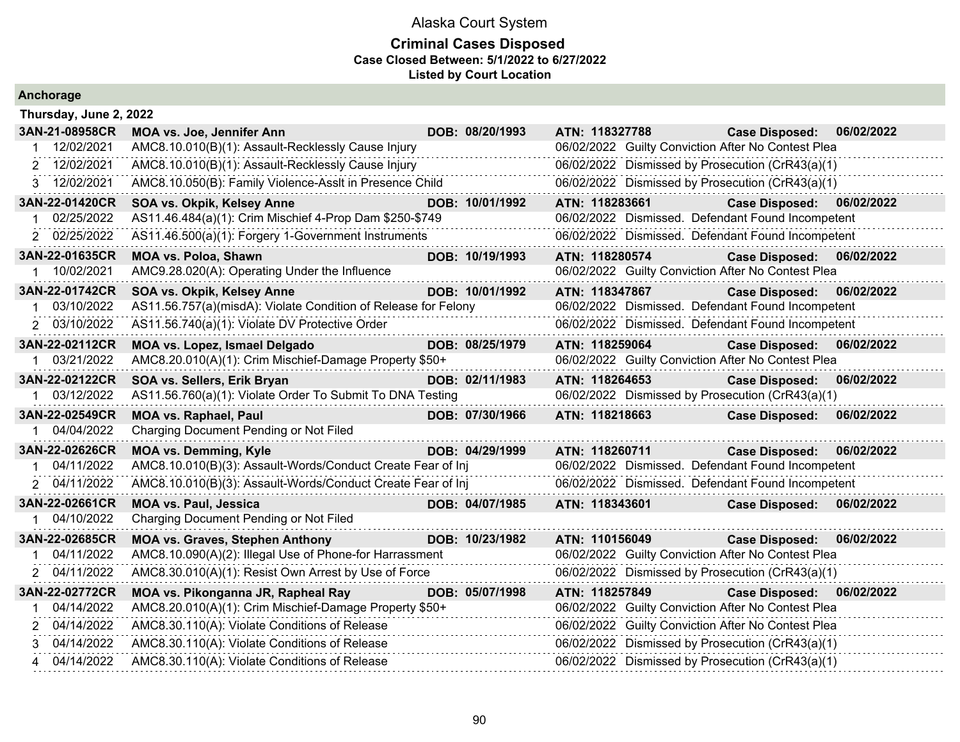#### **Criminal Cases Disposed Case Closed Between: 5/1/2022 to 6/27/2022 Listed by Court Location**

|             | Thursday, June 2, 2022 |                                                                |                 |                                                    |                           |            |
|-------------|------------------------|----------------------------------------------------------------|-----------------|----------------------------------------------------|---------------------------|------------|
|             | 3AN-21-08958CR         | MOA vs. Joe, Jennifer Ann                                      | DOB: 08/20/1993 | ATN: 118327788                                     | Case Disposed: 06/02/2022 |            |
|             | 12/02/2021             | AMC8.10.010(B)(1): Assault-Recklessly Cause Injury             |                 | 06/02/2022 Guilty Conviction After No Contest Plea |                           |            |
|             | 2 12/02/2021           | AMC8.10.010(B)(1): Assault-Recklessly Cause Injury             |                 | 06/02/2022 Dismissed by Prosecution (CrR43(a)(1)   |                           |            |
|             | 3 12/02/2021           | AMC8.10.050(B): Family Violence-Asslt in Presence Child        |                 | 06/02/2022 Dismissed by Prosecution (CrR43(a)(1)   |                           |            |
|             | 3AN-22-01420CR         | SOA vs. Okpik, Kelsey Anne                                     | DOB: 10/01/1992 | ATN: 118283661                                     | Case Disposed: 06/02/2022 |            |
|             | 02/25/2022             | AS11.46.484(a)(1): Crim Mischief 4-Prop Dam \$250-\$749        |                 | 06/02/2022 Dismissed. Defendant Found Incompetent  |                           |            |
|             | 2 02/25/2022           | AS11.46.500(a)(1): Forgery 1-Government Instruments            |                 | 06/02/2022 Dismissed. Defendant Found Incompetent  |                           |            |
|             | 3AN-22-01635CR         | <b>MOA vs. Poloa, Shawn</b>                                    | DOB: 10/19/1993 | ATN: 118280574                                     | <b>Case Disposed:</b>     | 06/02/2022 |
|             | 10/02/2021             | AMC9.28.020(A): Operating Under the Influence                  |                 | 06/02/2022 Guilty Conviction After No Contest Plea |                           |            |
|             | 3AN-22-01742CR         | SOA vs. Okpik, Kelsey Anne                                     | DOB: 10/01/1992 | ATN: 118347867                                     | Case Disposed: 06/02/2022 |            |
|             | 03/10/2022             | AS11.56.757(a)(misdA): Violate Condition of Release for Felony |                 | 06/02/2022 Dismissed. Defendant Found Incompetent  |                           |            |
|             | 2 03/10/2022           | AS11.56.740(a)(1): Violate DV Protective Order                 |                 | 06/02/2022 Dismissed. Defendant Found Incompetent  |                           |            |
|             | 3AN-22-02112CR         | MOA vs. Lopez, Ismael Delgado                                  | DOB: 08/25/1979 | ATN: 118259064                                     | <b>Case Disposed:</b>     | 06/02/2022 |
|             | 1 03/21/2022           | AMC8.20.010(A)(1): Crim Mischief-Damage Property \$50+         |                 | 06/02/2022 Guilty Conviction After No Contest Plea |                           |            |
|             | 3AN-22-02122CR         | SOA vs. Sellers, Erik Bryan                                    | DOB: 02/11/1983 | ATN: 118264653                                     | <b>Case Disposed:</b>     | 06/02/2022 |
| 1.          | 03/12/2022             | AS11.56.760(a)(1): Violate Order To Submit To DNA Testing      |                 | 06/02/2022 Dismissed by Prosecution (CrR43(a)(1)   |                           |            |
|             | 3AN-22-02549CR         | <b>MOA vs. Raphael, Paul</b>                                   | DOB: 07/30/1966 | ATN: 118218663                                     | <b>Case Disposed:</b>     | 06/02/2022 |
|             | 04/04/2022             | Charging Document Pending or Not Filed                         |                 |                                                    |                           |            |
|             | 3AN-22-02626CR         | <b>MOA vs. Demming, Kyle</b>                                   | DOB: 04/29/1999 | ATN: 118260711                                     | <b>Case Disposed:</b>     | 06/02/2022 |
|             | 04/11/2022             | AMC8.10.010(B)(3): Assault-Words/Conduct Create Fear of Inj    |                 | 06/02/2022 Dismissed. Defendant Found Incompetent  |                           |            |
|             | 2 04/11/2022           | AMC8.10.010(B)(3): Assault-Words/Conduct Create Fear of Inj    |                 | 06/02/2022 Dismissed. Defendant Found Incompetent  |                           |            |
|             | 3AN-22-02661CR         | <b>MOA vs. Paul, Jessica</b>                                   | DOB: 04/07/1985 | ATN: 118343601                                     | <b>Case Disposed:</b>     | 06/02/2022 |
|             | 1 04/10/2022           | Charging Document Pending or Not Filed                         |                 |                                                    |                           |            |
|             | 3AN-22-02685CR         | <b>MOA vs. Graves, Stephen Anthony</b>                         | DOB: 10/23/1982 | ATN: 110156049                                     | <b>Case Disposed:</b>     | 06/02/2022 |
| 1           | 04/11/2022             | AMC8.10.090(A)(2): Illegal Use of Phone-for Harrassment        |                 | 06/02/2022 Guilty Conviction After No Contest Plea |                           |            |
|             | 2 04/11/2022           | AMC8.30.010(A)(1): Resist Own Arrest by Use of Force           |                 | 06/02/2022 Dismissed by Prosecution (CrR43(a)(1)   |                           |            |
|             | 3AN-22-02772CR         | MOA vs. Pikonganna JR, Rapheal Ray                             | DOB: 05/07/1998 | ATN: 118257849                                     | Case Disposed: 06/02/2022 |            |
| $\mathbf 1$ | 04/14/2022             | AMC8.20.010(A)(1): Crim Mischief-Damage Property \$50+         |                 | 06/02/2022 Guilty Conviction After No Contest Plea |                           |            |
|             | 2 04/14/2022           | AMC8.30.110(A): Violate Conditions of Release                  |                 | 06/02/2022 Guilty Conviction After No Contest Plea |                           |            |
|             | 3 04/14/2022           | AMC8.30.110(A): Violate Conditions of Release                  |                 | 06/02/2022 Dismissed by Prosecution (CrR43(a)(1)   |                           |            |
|             | 4 04/14/2022           | AMC8.30.110(A): Violate Conditions of Release                  |                 | 06/02/2022 Dismissed by Prosecution (CrR43(a)(1)   |                           |            |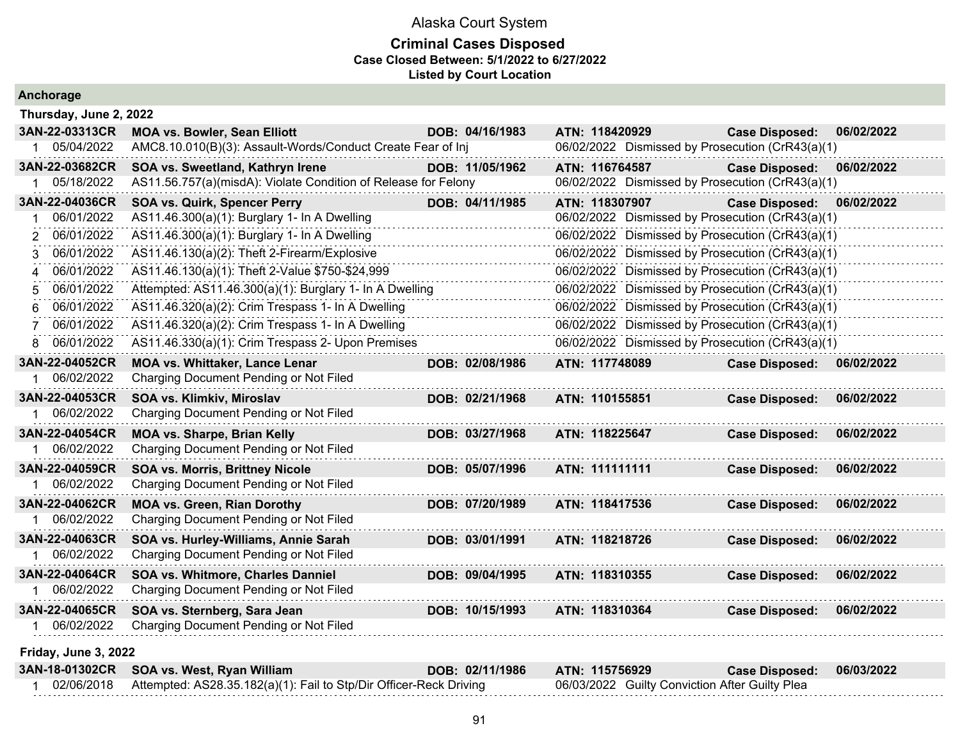| Anchorage              |                                                                    |  |                 |                |  |  |                                                  |            |
|------------------------|--------------------------------------------------------------------|--|-----------------|----------------|--|--|--------------------------------------------------|------------|
| Thursday, June 2, 2022 |                                                                    |  |                 |                |  |  |                                                  |            |
| 3AN-22-03313CR         | <b>MOA vs. Bowler, Sean Elliott</b>                                |  | DOB: 04/16/1983 | ATN: 118420929 |  |  | <b>Case Disposed:</b>                            | 06/02/2022 |
| 1 05/04/2022           | AMC8.10.010(B)(3): Assault-Words/Conduct Create Fear of Inj        |  |                 |                |  |  | 06/02/2022 Dismissed by Prosecution (CrR43(a)(1) |            |
| 3AN-22-03682CR         | SOA vs. Sweetland, Kathryn Irene                                   |  | DOB: 11/05/1962 | ATN: 116764587 |  |  | <b>Case Disposed:</b>                            | 06/02/2022 |
| 1 05/18/2022           | AS11.56.757(a)(misdA): Violate Condition of Release for Felony     |  |                 |                |  |  | 06/02/2022 Dismissed by Prosecution (CrR43(a)(1) |            |
| 3AN-22-04036CR         | <b>SOA vs. Quirk, Spencer Perry</b>                                |  | DOB: 04/11/1985 | ATN: 118307907 |  |  | <b>Case Disposed:</b>                            | 06/02/2022 |
| 06/01/2022             | AS11.46.300(a)(1): Burglary 1- In A Dwelling                       |  |                 |                |  |  | 06/02/2022 Dismissed by Prosecution (CrR43(a)(1) |            |
| 06/01/2022<br>2        | AS11.46.300(a)(1): Burglary 1- In A Dwelling                       |  |                 |                |  |  | 06/02/2022 Dismissed by Prosecution (CrR43(a)(1) |            |
| 06/01/2022<br>3        | AS11.46.130(a)(2): Theft 2-Firearm/Explosive                       |  |                 |                |  |  | 06/02/2022 Dismissed by Prosecution (CrR43(a)(1) |            |
| 06/01/2022<br>4        | AS11.46.130(a)(1): Theft 2-Value \$750-\$24,999                    |  |                 |                |  |  | 06/02/2022 Dismissed by Prosecution (CrR43(a)(1) |            |
| 06/01/2022<br>5        | Attempted: AS11.46.300(a)(1): Burglary 1- In A Dwelling            |  |                 |                |  |  | 06/02/2022 Dismissed by Prosecution (CrR43(a)(1) |            |
| 06/01/2022<br>6.       | AS11.46.320(a)(2): Crim Trespass 1- In A Dwelling                  |  |                 |                |  |  | 06/02/2022 Dismissed by Prosecution (CrR43(a)(1) |            |
| 06/01/2022<br>7        | AS11.46.320(a)(2): Crim Trespass 1- In A Dwelling                  |  |                 |                |  |  | 06/02/2022 Dismissed by Prosecution (CrR43(a)(1) |            |
| 8 06/01/2022           | AS11.46.330(a)(1): Crim Trespass 2- Upon Premises                  |  |                 |                |  |  | 06/02/2022 Dismissed by Prosecution (CrR43(a)(1) |            |
| 3AN-22-04052CR         | <b>MOA vs. Whittaker, Lance Lenar</b>                              |  | DOB: 02/08/1986 | ATN: 117748089 |  |  | <b>Case Disposed:</b>                            | 06/02/2022 |
| 1 06/02/2022           | Charging Document Pending or Not Filed                             |  |                 |                |  |  |                                                  |            |
| 3AN-22-04053CR         | SOA vs. Klimkiv, Miroslav                                          |  | DOB: 02/21/1968 | ATN: 110155851 |  |  | <b>Case Disposed:</b>                            | 06/02/2022 |
| 06/02/2022             | Charging Document Pending or Not Filed                             |  |                 |                |  |  |                                                  |            |
| 3AN-22-04054CR         | <b>MOA vs. Sharpe, Brian Kelly</b>                                 |  | DOB: 03/27/1968 | ATN: 118225647 |  |  | <b>Case Disposed:</b>                            | 06/02/2022 |
| 1 06/02/2022           | Charging Document Pending or Not Filed                             |  |                 |                |  |  |                                                  |            |
| 3AN-22-04059CR         | <b>SOA vs. Morris, Brittney Nicole</b>                             |  | DOB: 05/07/1996 | ATN: 111111111 |  |  | <b>Case Disposed:</b>                            | 06/02/2022 |
| 1 06/02/2022           | Charging Document Pending or Not Filed                             |  |                 |                |  |  |                                                  |            |
| 3AN-22-04062CR         | <b>MOA vs. Green, Rian Dorothy</b>                                 |  | DOB: 07/20/1989 | ATN: 118417536 |  |  | <b>Case Disposed:</b>                            | 06/02/2022 |
| 1 06/02/2022           | Charging Document Pending or Not Filed                             |  |                 |                |  |  |                                                  |            |
| 3AN-22-04063CR         | SOA vs. Hurley-Williams, Annie Sarah                               |  | DOB: 03/01/1991 | ATN: 118218726 |  |  | <b>Case Disposed:</b>                            | 06/02/2022 |
| 1 06/02/2022           | Charging Document Pending or Not Filed                             |  |                 |                |  |  |                                                  |            |
| 3AN-22-04064CR         | SOA vs. Whitmore, Charles Danniel                                  |  | DOB: 09/04/1995 | ATN: 118310355 |  |  | <b>Case Disposed:</b>                            | 06/02/2022 |
| 1 06/02/2022           | Charging Document Pending or Not Filed                             |  |                 |                |  |  |                                                  |            |
| 3AN-22-04065CR         | SOA vs. Sternberg, Sara Jean                                       |  | DOB: 10/15/1993 | ATN: 118310364 |  |  | <b>Case Disposed:</b>                            | 06/02/2022 |
| 1 06/02/2022           | Charging Document Pending or Not Filed                             |  |                 |                |  |  |                                                  |            |
| Friday, June 3, 2022   |                                                                    |  |                 |                |  |  |                                                  |            |
| 3AN-18-01302CR         | SOA vs. West, Ryan William                                         |  | DOB: 02/11/1986 | ATN: 115756929 |  |  | <b>Case Disposed:</b>                            | 06/03/2022 |
| 1 02/06/2018           | Attempted: AS28.35.182(a)(1): Fail to Stp/Dir Officer-Reck Driving |  |                 |                |  |  | 06/03/2022 Guilty Conviction After Guilty Plea   |            |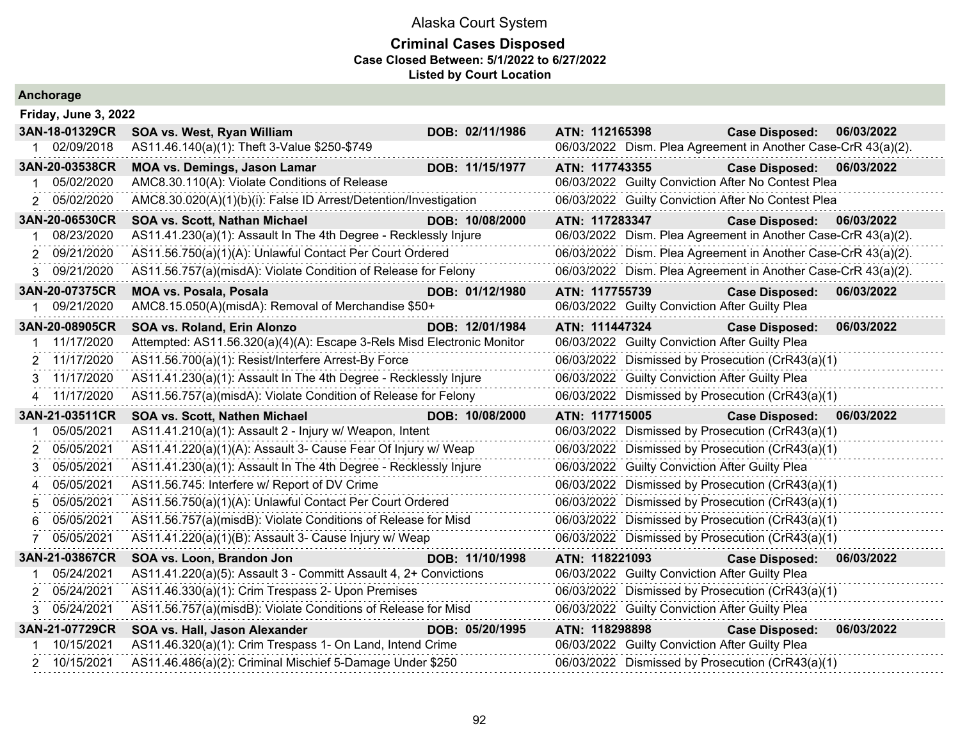| Anchorage                                                                                                                                                                                                                          |                                                                                                                                                                                                                                                                                                                                                                                                                                                                                                                                                                                                                                                                                                                  |                                    |                                                                                                                                                                                        |                                                                                                                                                                                                                                                                                                                                                                                                                            |                          |
|------------------------------------------------------------------------------------------------------------------------------------------------------------------------------------------------------------------------------------|------------------------------------------------------------------------------------------------------------------------------------------------------------------------------------------------------------------------------------------------------------------------------------------------------------------------------------------------------------------------------------------------------------------------------------------------------------------------------------------------------------------------------------------------------------------------------------------------------------------------------------------------------------------------------------------------------------------|------------------------------------|----------------------------------------------------------------------------------------------------------------------------------------------------------------------------------------|----------------------------------------------------------------------------------------------------------------------------------------------------------------------------------------------------------------------------------------------------------------------------------------------------------------------------------------------------------------------------------------------------------------------------|--------------------------|
| Friday, June 3, 2022                                                                                                                                                                                                               |                                                                                                                                                                                                                                                                                                                                                                                                                                                                                                                                                                                                                                                                                                                  |                                    |                                                                                                                                                                                        |                                                                                                                                                                                                                                                                                                                                                                                                                            |                          |
| 3AN-18-01329CR<br>02/09/2018                                                                                                                                                                                                       | SOA vs. West, Ryan William<br>AS11.46.140(a)(1): Theft 3-Value \$250-\$749                                                                                                                                                                                                                                                                                                                                                                                                                                                                                                                                                                                                                                       | DOB: 02/11/1986                    | ATN: 112165398                                                                                                                                                                         | <b>Case Disposed:</b><br>06/03/2022 Dism. Plea Agreement in Another Case-CrR 43(a)(2).                                                                                                                                                                                                                                                                                                                                     | 06/03/2022               |
| 3AN-20-03538CR<br>05/02/2020<br>05/02/2020<br>2                                                                                                                                                                                    | <b>MOA vs. Demings, Jason Lamar</b><br>AMC8.30.110(A): Violate Conditions of Release<br>AMC8.30.020(A)(1)(b)(i): False ID Arrest/Detention/Investigation                                                                                                                                                                                                                                                                                                                                                                                                                                                                                                                                                         | DOB: 11/15/1977                    | ATN: 117743355                                                                                                                                                                         | <b>Case Disposed:</b><br>06/03/2022 Guilty Conviction After No Contest Plea<br>06/03/2022 Guilty Conviction After No Contest Plea                                                                                                                                                                                                                                                                                          | 06/03/2022               |
|                                                                                                                                                                                                                                    |                                                                                                                                                                                                                                                                                                                                                                                                                                                                                                                                                                                                                                                                                                                  |                                    |                                                                                                                                                                                        |                                                                                                                                                                                                                                                                                                                                                                                                                            |                          |
| 3AN-20-06530CR<br>08/23/2020<br>09/21/2020<br>09/21/2020<br>3 <sup>1</sup>                                                                                                                                                         | SOA vs. Scott, Nathan Michael<br>AS11.41.230(a)(1): Assault In The 4th Degree - Recklessly Injure<br>AS11.56.750(a)(1)(A): Unlawful Contact Per Court Ordered<br>AS11.56.757(a)(misdA): Violate Condition of Release for Felony                                                                                                                                                                                                                                                                                                                                                                                                                                                                                  | DOB: 10/08/2000                    | ATN: 117283347                                                                                                                                                                         | <b>Case Disposed:</b><br>06/03/2022 Dism. Plea Agreement in Another Case-CrR 43(a)(2).<br>06/03/2022 Dism. Plea Agreement in Another Case-CrR 43(a)(2).<br>06/03/2022 Dism. Plea Agreement in Another Case-CrR 43(a)(2).                                                                                                                                                                                                   | 06/03/2022               |
| 3AN-20-07375CR<br>09/21/2020                                                                                                                                                                                                       | <b>MOA vs. Posala, Posala</b><br>AMC8.15.050(A)(misdA): Removal of Merchandise \$50+                                                                                                                                                                                                                                                                                                                                                                                                                                                                                                                                                                                                                             | DOB: 01/12/1980                    | ATN: 117755739<br>06/03/2022 Guilty Conviction After Guilty Plea                                                                                                                       | <b>Case Disposed:</b>                                                                                                                                                                                                                                                                                                                                                                                                      | 06/03/2022               |
| 3AN-20-08905CR<br>11/17/2020<br>2 11/17/2020<br>11/17/2020<br>3<br>4 11/17/2020<br>3AN-21-03511CR<br>05/05/2021<br>05/05/2021<br>2<br>05/05/2021<br>3<br>05/05/2021<br>$\boldsymbol{\Delta}$<br>05/05/2021<br>5<br>05/05/2021<br>6 | SOA vs. Roland, Erin Alonzo<br>Attempted: AS11.56.320(a)(4)(A): Escape 3-Rels Misd Electronic Monitor<br>AS11.56.700(a)(1): Resist/Interfere Arrest-By Force<br>AS11.41.230(a)(1): Assault In The 4th Degree - Recklessly Injure<br>AS11.56.757(a)(misdA): Violate Condition of Release for Felony<br>SOA vs. Scott, Nathen Michael<br>AS11.41.210(a)(1): Assault 2 - Injury w/ Weapon, Intent<br>AS11.41.220(a)(1)(A): Assault 3- Cause Fear Of Injury w/ Weap<br>AS11.41.230(a)(1): Assault In The 4th Degree - Recklessly Injure<br>AS11.56.745: Interfere w/ Report of DV Crime<br>AS11.56.750(a)(1)(A): Unlawful Contact Per Court Ordered<br>AS11.56.757(a)(misdB): Violate Conditions of Release for Misd | DOB: 12/01/1984<br>DOB: 10/08/2000 | ATN: 111447324<br>06/03/2022 Guilty Conviction After Guilty Plea<br>06/03/2022 Guilty Conviction After Guilty Plea<br>ATN: 117715005<br>06/03/2022 Guilty Conviction After Guilty Plea | <b>Case Disposed:</b><br>06/03/2022 Dismissed by Prosecution (CrR43(a)(1)<br>06/03/2022 Dismissed by Prosecution (CrR43(a)(1)<br><b>Case Disposed:</b><br>06/03/2022 Dismissed by Prosecution (CrR43(a)(1)<br>06/03/2022 Dismissed by Prosecution (CrR43(a)(1)<br>06/03/2022 Dismissed by Prosecution (CrR43(a)(1)<br>06/03/2022 Dismissed by Prosecution (CrR43(a)(1)<br>06/03/2022 Dismissed by Prosecution (CrR43(a)(1) | 06/03/2022<br>06/03/2022 |
| 05/05/2021                                                                                                                                                                                                                         | AS11.41.220(a)(1)(B): Assault 3- Cause Injury w/ Weap                                                                                                                                                                                                                                                                                                                                                                                                                                                                                                                                                                                                                                                            |                                    |                                                                                                                                                                                        | 06/03/2022 Dismissed by Prosecution (CrR43(a)(1)                                                                                                                                                                                                                                                                                                                                                                           |                          |
| 3AN-21-03867CR<br>05/24/2021<br>05/24/2021<br>05/24/2021<br>3                                                                                                                                                                      | SOA vs. Loon, Brandon Jon<br>AS11.41.220(a)(5): Assault 3 - Committ Assault 4, 2+ Convictions<br>AS11.46.330(a)(1): Crim Trespass 2- Upon Premises<br>AS11.56.757(a)(misdB): Violate Conditions of Release for Misd                                                                                                                                                                                                                                                                                                                                                                                                                                                                                              | DOB: 11/10/1998                    | ATN: 118221093<br>06/03/2022 Guilty Conviction After Guilty Plea<br>06/03/2022 Guilty Conviction After Guilty Plea                                                                     | <b>Case Disposed:</b><br>06/03/2022 Dismissed by Prosecution (CrR43(a)(1)                                                                                                                                                                                                                                                                                                                                                  | 06/03/2022               |
| 3AN-21-07729CR<br>10/15/2021<br>2 10/15/2021                                                                                                                                                                                       | SOA vs. Hall, Jason Alexander<br>AS11.46.320(a)(1): Crim Trespass 1- On Land, Intend Crime<br>AS11.46.486(a)(2): Criminal Mischief 5-Damage Under \$250                                                                                                                                                                                                                                                                                                                                                                                                                                                                                                                                                          | DOB: 05/20/1995                    | ATN: 118298898<br>06/03/2022 Guilty Conviction After Guilty Plea                                                                                                                       | <b>Case Disposed:</b><br>06/03/2022 Dismissed by Prosecution (CrR43(a)(1)                                                                                                                                                                                                                                                                                                                                                  | 06/03/2022               |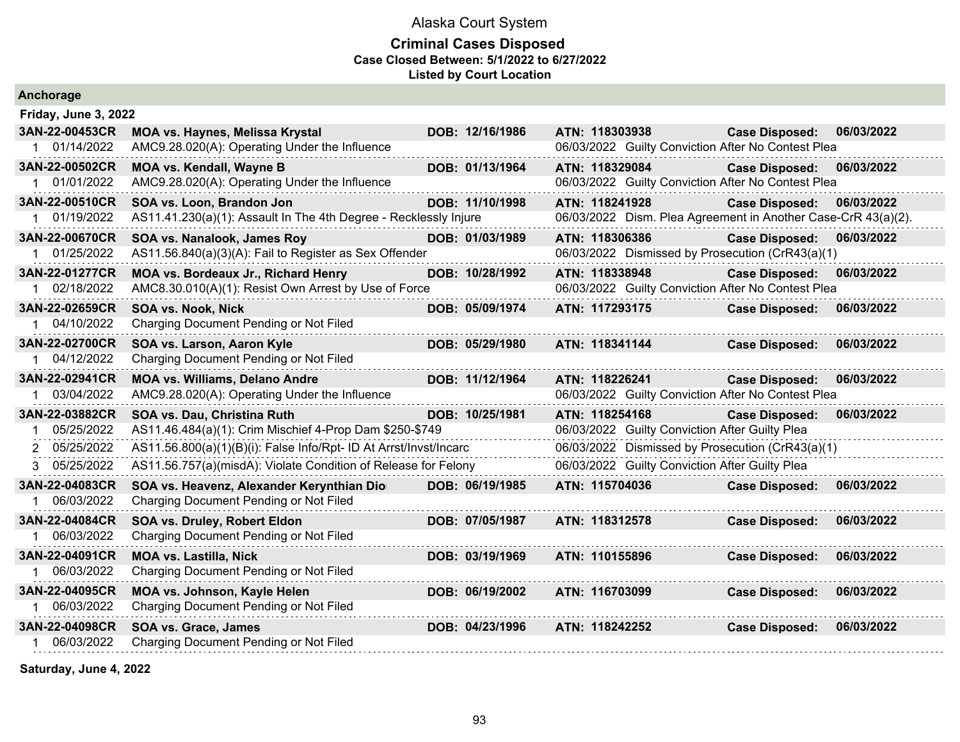### **Criminal Cases Disposed Case Closed Between: 5/1/2022 to 6/27/2022 Listed by Court Location**

| Anchorage            |                                                                   |                 |                |                                                               |            |
|----------------------|-------------------------------------------------------------------|-----------------|----------------|---------------------------------------------------------------|------------|
| Friday, June 3, 2022 |                                                                   |                 |                |                                                               |            |
| 3AN-22-00453CR       | <b>MOA vs. Haynes, Melissa Krystal</b>                            | DOB: 12/16/1986 | ATN: 118303938 | <b>Case Disposed:</b>                                         | 06/03/2022 |
| 1 01/14/2022         | AMC9.28.020(A): Operating Under the Influence                     |                 |                | 06/03/2022 Guilty Conviction After No Contest Plea            |            |
| 3AN-22-00502CR       | <b>MOA vs. Kendall, Wayne B</b>                                   | DOB: 01/13/1964 | ATN: 118329084 | <b>Case Disposed:</b>                                         | 06/03/2022 |
| 1 01/01/2022         | AMC9.28.020(A): Operating Under the Influence                     |                 |                | 06/03/2022 Guilty Conviction After No Contest Plea            |            |
| 3AN-22-00510CR       | SOA vs. Loon, Brandon Jon                                         | DOB: 11/10/1998 | ATN: 118241928 | <b>Case Disposed:</b>                                         | 06/03/2022 |
| 1 01/19/2022         | AS11.41.230(a)(1): Assault In The 4th Degree - Recklessly Injure  |                 |                | 06/03/2022 Dism. Plea Agreement in Another Case-CrR 43(a)(2). |            |
| 3AN-22-00670CR       | SOA vs. Nanalook, James Roy                                       | DOB: 01/03/1989 | ATN: 118306386 | <b>Case Disposed:</b>                                         | 06/03/2022 |
| 1 01/25/2022         | AS11.56.840(a)(3)(A): Fail to Register as Sex Offender            |                 |                | 06/03/2022 Dismissed by Prosecution (CrR43(a)(1)              |            |
| 3AN-22-01277CR       | MOA vs. Bordeaux Jr., Richard Henry                               | DOB: 10/28/1992 | ATN: 118338948 | <b>Case Disposed:</b>                                         | 06/03/2022 |
| 02/18/2022           | AMC8.30.010(A)(1): Resist Own Arrest by Use of Force              |                 |                | 06/03/2022 Guilty Conviction After No Contest Plea            |            |
| 3AN-22-02659CR       | <b>SOA vs. Nook, Nick</b>                                         | DOB: 05/09/1974 | ATN: 117293175 | <b>Case Disposed:</b>                                         | 06/03/2022 |
| 1 04/10/2022         | Charging Document Pending or Not Filed                            |                 |                |                                                               |            |
| 3AN-22-02700CR       | SOA vs. Larson, Aaron Kyle                                        | DOB: 05/29/1980 | ATN: 118341144 | <b>Case Disposed:</b>                                         | 06/03/2022 |
| 1 04/12/2022         | Charging Document Pending or Not Filed                            |                 |                |                                                               |            |
| 3AN-22-02941CR       | <b>MOA vs. Williams, Delano Andre</b>                             | DOB: 11/12/1964 | ATN: 118226241 | <b>Case Disposed:</b>                                         | 06/03/2022 |
| 03/04/2022           | AMC9.28.020(A): Operating Under the Influence                     |                 |                | 06/03/2022 Guilty Conviction After No Contest Plea            |            |
| 3AN-22-03882CR       | SOA vs. Dau, Christina Ruth                                       | DOB: 10/25/1981 | ATN: 118254168 | <b>Case Disposed:</b>                                         | 06/03/2022 |
| 05/25/2022           | AS11.46.484(a)(1): Crim Mischief 4-Prop Dam \$250-\$749           |                 |                | 06/03/2022 Guilty Conviction After Guilty Plea                |            |
| 2 05/25/2022         | AS11.56.800(a)(1)(B)(i): False Info/Rpt- ID At Arrst/Invst/Incarc |                 |                | 06/03/2022 Dismissed by Prosecution (CrR43(a)(1)              |            |
| 3 05/25/2022         | AS11.56.757(a)(misdA): Violate Condition of Release for Felony    |                 |                | 06/03/2022 Guilty Conviction After Guilty Plea                |            |
| 3AN-22-04083CR       | SOA vs. Heavenz, Alexander Kerynthian Dio                         | DOB: 06/19/1985 | ATN: 115704036 | <b>Case Disposed:</b>                                         | 06/03/2022 |
| 06/03/2022           | Charging Document Pending or Not Filed                            |                 |                |                                                               |            |
| 3AN-22-04084CR       | SOA vs. Druley, Robert Eldon                                      | DOB: 07/05/1987 | ATN: 118312578 | <b>Case Disposed:</b>                                         | 06/03/2022 |
| 1 06/03/2022         | Charging Document Pending or Not Filed                            |                 |                |                                                               |            |
| 3AN-22-04091CR       | <b>MOA vs. Lastilla, Nick</b>                                     | DOB: 03/19/1969 | ATN: 110155896 | <b>Case Disposed:</b>                                         | 06/03/2022 |
| 06/03/2022           | Charging Document Pending or Not Filed                            |                 |                |                                                               |            |
| 3AN-22-04095CR       | MOA vs. Johnson, Kayle Helen                                      | DOB: 06/19/2002 | ATN: 116703099 | <b>Case Disposed:</b>                                         | 06/03/2022 |
| 06/03/2022           | Charging Document Pending or Not Filed                            |                 |                |                                                               |            |
| 3AN-22-04098CR       | SOA vs. Grace, James                                              | DOB: 04/23/1996 | ATN: 118242252 | <b>Case Disposed:</b>                                         | 06/03/2022 |
| 1 06/03/2022         | Charging Document Pending or Not Filed                            |                 |                |                                                               |            |
|                      |                                                                   |                 |                |                                                               |            |

**Saturday, June 4, 2022**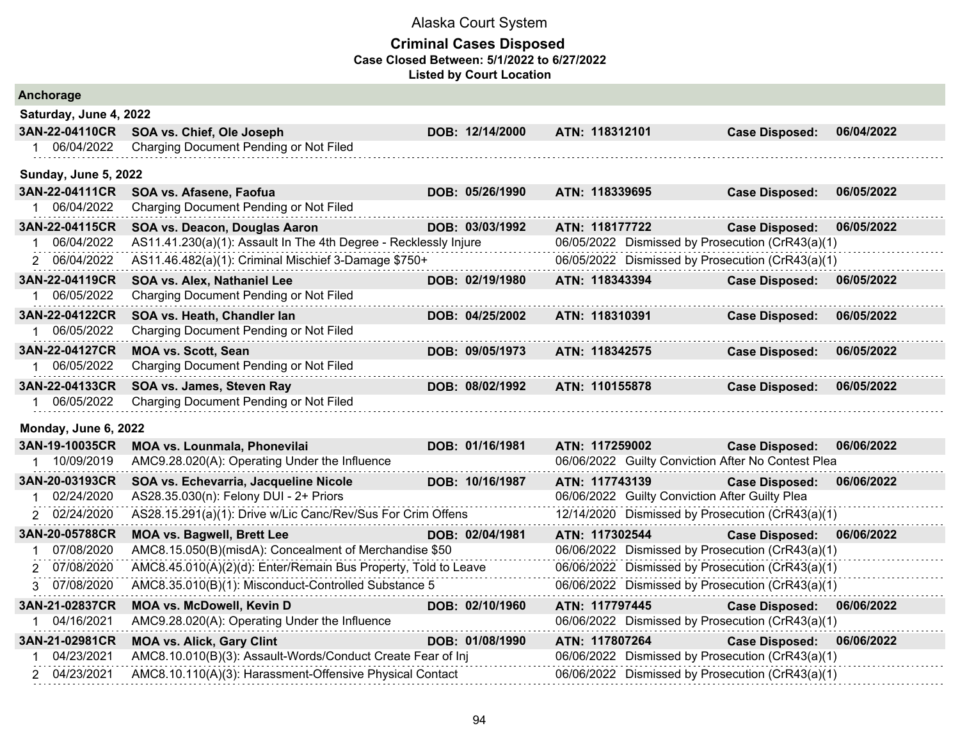| Anchorage                   |                                                                  |                 |                                                    |                       |            |  |  |  |  |
|-----------------------------|------------------------------------------------------------------|-----------------|----------------------------------------------------|-----------------------|------------|--|--|--|--|
|                             | Saturday, June 4, 2022                                           |                 |                                                    |                       |            |  |  |  |  |
| 3AN-22-04110CR              | SOA vs. Chief, Ole Joseph                                        | DOB: 12/14/2000 | ATN: 118312101                                     | <b>Case Disposed:</b> | 06/04/2022 |  |  |  |  |
| 1 06/04/2022                | Charging Document Pending or Not Filed                           |                 |                                                    |                       |            |  |  |  |  |
| <b>Sunday, June 5, 2022</b> |                                                                  |                 |                                                    |                       |            |  |  |  |  |
| 3AN-22-04111CR              | SOA vs. Afasene, Faofua                                          | DOB: 05/26/1990 | ATN: 118339695                                     | <b>Case Disposed:</b> | 06/05/2022 |  |  |  |  |
| 06/04/2022                  | Charging Document Pending or Not Filed                           |                 |                                                    |                       |            |  |  |  |  |
| 3AN-22-04115CR              | SOA vs. Deacon, Douglas Aaron                                    | DOB: 03/03/1992 | ATN: 118177722                                     | <b>Case Disposed:</b> | 06/05/2022 |  |  |  |  |
| 06/04/2022                  | AS11.41.230(a)(1): Assault In The 4th Degree - Recklessly Injure |                 | 06/05/2022 Dismissed by Prosecution (CrR43(a)(1)   |                       |            |  |  |  |  |
| 06/04/2022<br>2             | AS11.46.482(a)(1): Criminal Mischief 3-Damage \$750+             |                 | 06/05/2022 Dismissed by Prosecution (CrR43(a)(1)   |                       |            |  |  |  |  |
| 3AN-22-04119CR              | SOA vs. Alex, Nathaniel Lee                                      | DOB: 02/19/1980 | ATN: 118343394                                     | <b>Case Disposed:</b> | 06/05/2022 |  |  |  |  |
| 06/05/2022                  | Charging Document Pending or Not Filed                           |                 |                                                    |                       |            |  |  |  |  |
| 3AN-22-04122CR              | SOA vs. Heath, Chandler lan                                      | DOB: 04/25/2002 | ATN: 118310391                                     | <b>Case Disposed:</b> | 06/05/2022 |  |  |  |  |
| 06/05/2022                  | Charging Document Pending or Not Filed                           |                 |                                                    |                       |            |  |  |  |  |
| 3AN-22-04127CR              | <b>MOA vs. Scott, Sean</b>                                       | DOB: 09/05/1973 | ATN: 118342575                                     | <b>Case Disposed:</b> | 06/05/2022 |  |  |  |  |
| 06/05/2022                  | Charging Document Pending or Not Filed                           |                 |                                                    |                       |            |  |  |  |  |
| 3AN-22-04133CR              | SOA vs. James, Steven Ray                                        | DOB: 08/02/1992 | ATN: 110155878                                     | <b>Case Disposed:</b> | 06/05/2022 |  |  |  |  |
| 1 06/05/2022                | Charging Document Pending or Not Filed                           |                 |                                                    |                       |            |  |  |  |  |
| Monday, June 6, 2022        |                                                                  |                 |                                                    |                       |            |  |  |  |  |
| 3AN-19-10035CR              | MOA vs. Lounmala, Phonevilai                                     | DOB: 01/16/1981 | ATN: 117259002                                     | <b>Case Disposed:</b> | 06/06/2022 |  |  |  |  |
| 1 10/09/2019                | AMC9.28.020(A): Operating Under the Influence                    |                 | 06/06/2022 Guilty Conviction After No Contest Plea |                       |            |  |  |  |  |
| 3AN-20-03193CR              | SOA vs. Echevarria, Jacqueline Nicole                            | DOB: 10/16/1987 | ATN: 117743139                                     | <b>Case Disposed:</b> | 06/06/2022 |  |  |  |  |
| 02/24/2020                  | AS28.35.030(n): Felony DUI - 2+ Priors                           |                 | 06/06/2022 Guilty Conviction After Guilty Plea     |                       |            |  |  |  |  |
| 2 02/24/2020                | AS28.15.291(a)(1): Drive w/Lic Canc/Rev/Sus For Crim Offens      |                 | 12/14/2020 Dismissed by Prosecution (CrR43(a)(1)   |                       |            |  |  |  |  |
| 3AN-20-05788CR              | <b>MOA vs. Bagwell, Brett Lee</b>                                | DOB: 02/04/1981 | ATN: 117302544                                     | <b>Case Disposed:</b> | 06/06/2022 |  |  |  |  |
| 07/08/2020                  | AMC8.15.050(B)(misdA): Concealment of Merchandise \$50           |                 | 06/06/2022 Dismissed by Prosecution (CrR43(a)(1)   |                       |            |  |  |  |  |
| 07/08/2020<br>2             | AMC8.45.010(A)(2)(d): Enter/Remain Bus Property, Told to Leave   |                 | 06/06/2022 Dismissed by Prosecution (CrR43(a)(1)   |                       |            |  |  |  |  |
| 3 07/08/2020                | AMC8.35.010(B)(1): Misconduct-Controlled Substance 5             |                 | 06/06/2022 Dismissed by Prosecution (CrR43(a)(1)   |                       |            |  |  |  |  |
| 3AN-21-02837CR              | <b>MOA vs. McDowell, Kevin D</b>                                 | DOB: 02/10/1960 | ATN: 117797445                                     | <b>Case Disposed:</b> | 06/06/2022 |  |  |  |  |
| 04/16/2021                  | AMC9.28.020(A): Operating Under the Influence                    |                 | 06/06/2022 Dismissed by Prosecution (CrR43(a)(1)   |                       |            |  |  |  |  |
| 3AN-21-02981CR              | <b>MOA vs. Alick, Gary Clint</b>                                 | DOB: 01/08/1990 | ATN: 117807264                                     | <b>Case Disposed:</b> | 06/06/2022 |  |  |  |  |
| 04/23/2021                  | AMC8.10.010(B)(3): Assault-Words/Conduct Create Fear of Inj      |                 | 06/06/2022 Dismissed by Prosecution (CrR43(a)(1)   |                       |            |  |  |  |  |
| 2 04/23/2021                | AMC8.10.110(A)(3): Harassment-Offensive Physical Contact         |                 | 06/06/2022 Dismissed by Prosecution (CrR43(a)(1)   |                       |            |  |  |  |  |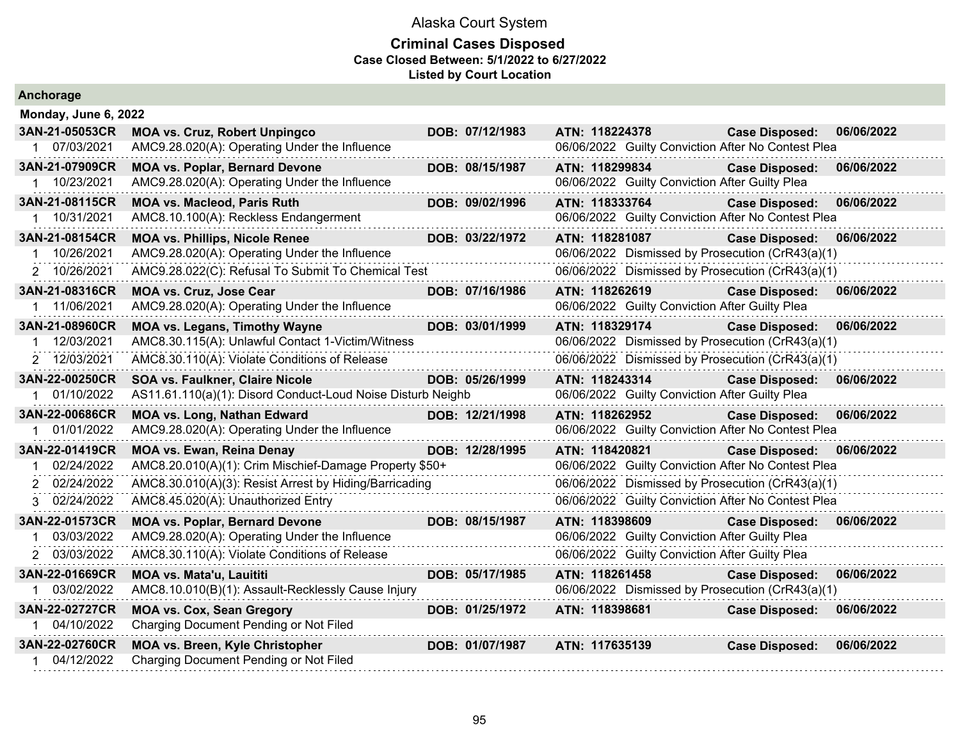#### **Criminal Cases Disposed Case Closed Between: 5/1/2022 to 6/27/2022 Listed by Court Location**

| Ancnorage            |                                                             |                 |                                                    |                           |            |
|----------------------|-------------------------------------------------------------|-----------------|----------------------------------------------------|---------------------------|------------|
| Monday, June 6, 2022 |                                                             |                 |                                                    |                           |            |
| 3AN-21-05053CR       | <b>MOA vs. Cruz, Robert Unpingco</b>                        | DOB: 07/12/1983 | ATN: 118224378                                     | <b>Case Disposed:</b>     | 06/06/2022 |
| 1 07/03/2021         | AMC9.28.020(A): Operating Under the Influence               |                 | 06/06/2022 Guilty Conviction After No Contest Plea |                           |            |
| 3AN-21-07909CR       | <b>MOA vs. Poplar, Bernard Devone</b>                       | DOB: 08/15/1987 | ATN: 118299834                                     | <b>Case Disposed:</b>     | 06/06/2022 |
| 1 10/23/2021         | AMC9.28.020(A): Operating Under the Influence               |                 | 06/06/2022 Guilty Conviction After Guilty Plea     |                           |            |
| 3AN-21-08115CR       | <b>MOA vs. Macleod, Paris Ruth</b>                          | DOB: 09/02/1996 | ATN: 118333764                                     | <b>Case Disposed:</b>     | 06/06/2022 |
| 1 10/31/2021         | AMC8.10.100(A): Reckless Endangerment                       |                 | 06/06/2022 Guilty Conviction After No Contest Plea |                           |            |
| 3AN-21-08154CR       | <b>MOA vs. Phillips, Nicole Renee</b>                       | DOB: 03/22/1972 | ATN: 118281087                                     | <b>Case Disposed:</b>     | 06/06/2022 |
| 10/26/2021           | AMC9.28.020(A): Operating Under the Influence               |                 | 06/06/2022 Dismissed by Prosecution (CrR43(a)(1)   |                           |            |
| 2 10/26/2021         | AMC9.28.022(C): Refusal To Submit To Chemical Test          |                 | 06/06/2022 Dismissed by Prosecution (CrR43(a)(1)   |                           |            |
| 3AN-21-08316CR       | <b>MOA vs. Cruz, Jose Cear</b>                              | DOB: 07/16/1986 | ATN: 118262619                                     | <b>Case Disposed:</b>     | 06/06/2022 |
| 1 11/06/2021         | AMC9.28.020(A): Operating Under the Influence               |                 | 06/06/2022 Guilty Conviction After Guilty Plea     |                           |            |
| 3AN-21-08960CR       | <b>MOA vs. Legans, Timothy Wayne</b>                        | DOB: 03/01/1999 | ATN: 118329174                                     | <b>Case Disposed:</b>     | 06/06/2022 |
| 12/03/2021           | AMC8.30.115(A): Unlawful Contact 1-Victim/Witness           |                 | 06/06/2022 Dismissed by Prosecution (CrR43(a)(1)   |                           |            |
| 2 12/03/2021         | AMC8.30.110(A): Violate Conditions of Release               |                 | 06/06/2022 Dismissed by Prosecution (CrR43(a)(1)   |                           |            |
| 3AN-22-00250CR       | <b>SOA vs. Faulkner, Claire Nicole</b>                      | DOB: 05/26/1999 | ATN: 118243314                                     | <b>Case Disposed:</b>     | 06/06/2022 |
| 1 01/10/2022         | AS11.61.110(a)(1): Disord Conduct-Loud Noise Disturb Neighb |                 | 06/06/2022 Guilty Conviction After Guilty Plea     |                           |            |
| 3AN-22-00686CR       | <b>MOA vs. Long, Nathan Edward</b>                          | DOB: 12/21/1998 | ATN: 118262952                                     | Case Disposed: 06/06/2022 |            |
| 01/01/2022           | AMC9.28.020(A): Operating Under the Influence               |                 | 06/06/2022 Guilty Conviction After No Contest Plea |                           |            |
| 3AN-22-01419CR       | <b>MOA vs. Ewan, Reina Denay</b>                            | DOB: 12/28/1995 | ATN: 118420821                                     | <b>Case Disposed:</b>     | 06/06/2022 |
| 02/24/2022           | AMC8.20.010(A)(1): Crim Mischief-Damage Property \$50+      |                 | 06/06/2022 Guilty Conviction After No Contest Plea |                           |            |
| 2 02/24/2022         | AMC8.30.010(A)(3): Resist Arrest by Hiding/Barricading      |                 | 06/06/2022 Dismissed by Prosecution (CrR43(a)(1)   |                           |            |
| 3 02/24/2022         | AMC8.45.020(A): Unauthorized Entry                          |                 | 06/06/2022 Guilty Conviction After No Contest Plea |                           |            |
| 3AN-22-01573CR       | <b>MOA vs. Poplar, Bernard Devone</b>                       | DOB: 08/15/1987 | ATN: 118398609                                     | <b>Case Disposed:</b>     | 06/06/2022 |
| 03/03/2022           | AMC9.28.020(A): Operating Under the Influence               |                 | 06/06/2022 Guilty Conviction After Guilty Plea     |                           |            |
| 2 03/03/2022         | AMC8.30.110(A): Violate Conditions of Release               |                 | 06/06/2022 Guilty Conviction After Guilty Plea     |                           |            |
| 3AN-22-01669CR       | <b>MOA vs. Mata'u, Lauititi</b>                             | DOB: 05/17/1985 | ATN: 118261458                                     | <b>Case Disposed:</b>     | 06/06/2022 |
| 03/02/2022           | AMC8.10.010(B)(1): Assault-Recklessly Cause Injury          |                 | 06/06/2022 Dismissed by Prosecution (CrR43(a)(1)   |                           |            |
| 3AN-22-02727CR       | <b>MOA vs. Cox, Sean Gregory</b>                            | DOB: 01/25/1972 | ATN: 118398681                                     | <b>Case Disposed:</b>     | 06/06/2022 |
| 1 04/10/2022         | Charging Document Pending or Not Filed                      |                 |                                                    |                           |            |
| 3AN-22-02760CR       | <b>MOA vs. Breen, Kyle Christopher</b>                      | DOB: 01/07/1987 | ATN: 117635139                                     | <b>Case Disposed:</b>     | 06/06/2022 |
| 04/12/2022           | Charging Document Pending or Not Filed                      |                 |                                                    |                           |            |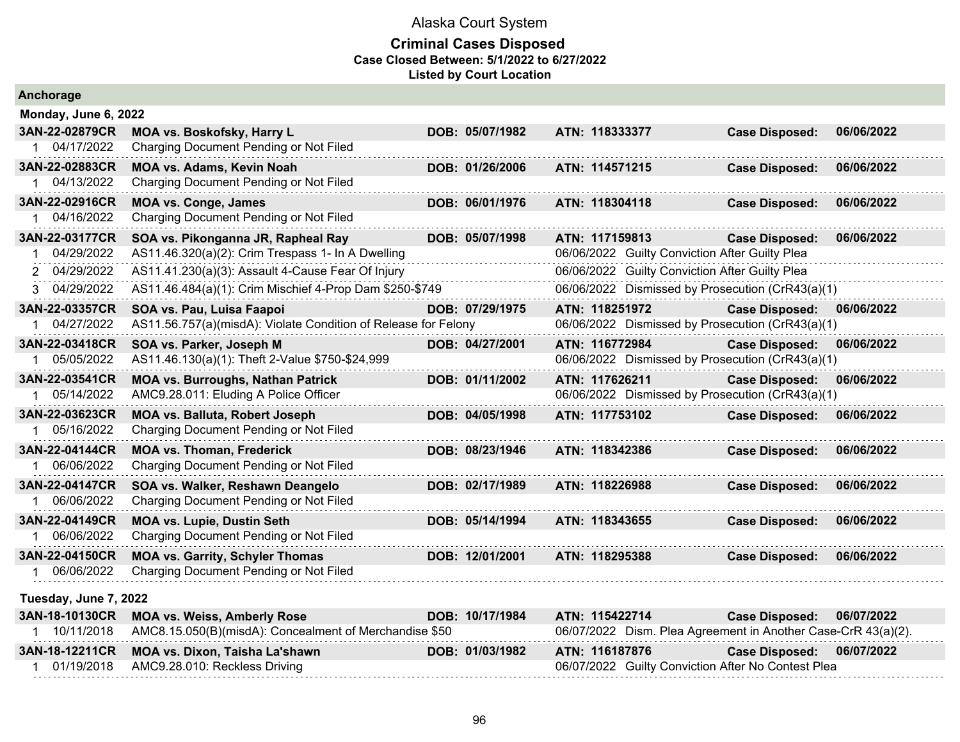| Anchorage             |                                                                |                 |                                                               |                       |            |
|-----------------------|----------------------------------------------------------------|-----------------|---------------------------------------------------------------|-----------------------|------------|
| Monday, June 6, 2022  |                                                                |                 |                                                               |                       |            |
| 3AN-22-02879CR        | MOA vs. Boskofsky, Harry L                                     | DOB: 05/07/1982 | ATN: 118333377                                                | <b>Case Disposed:</b> | 06/06/2022 |
| 1 04/17/2022          | Charging Document Pending or Not Filed                         |                 |                                                               |                       |            |
| 3AN-22-02883CR        | MOA vs. Adams, Kevin Noah                                      | DOB: 01/26/2006 | ATN: 114571215                                                | <b>Case Disposed:</b> | 06/06/2022 |
| 04/13/2022            | Charging Document Pending or Not Filed                         |                 |                                                               |                       |            |
| 3AN-22-02916CR        | <b>MOA vs. Conge, James</b>                                    | DOB: 06/01/1976 | ATN: 118304118                                                | Case Disposed:        | 06/06/2022 |
| 04/16/2022            | Charging Document Pending or Not Filed                         |                 |                                                               |                       |            |
| 3AN-22-03177CR        | SOA vs. Pikonganna JR, Rapheal Ray                             | DOB: 05/07/1998 | ATN: 117159813                                                | <b>Case Disposed:</b> | 06/06/2022 |
| 04/29/2022            | AS11.46.320(a)(2): Crim Trespass 1- In A Dwelling              |                 | 06/06/2022 Guilty Conviction After Guilty Plea                |                       |            |
| 2 04/29/2022          | AS11.41.230(a)(3): Assault 4-Cause Fear Of Injury              |                 | 06/06/2022 Guilty Conviction After Guilty Plea                |                       |            |
| 3 04/29/2022          | AS11.46.484(a)(1): Crim Mischief 4-Prop Dam \$250-\$749        |                 | 06/06/2022 Dismissed by Prosecution (CrR43(a)(1)              |                       |            |
| 3AN-22-03357CR        | SOA vs. Pau, Luisa Faapoi                                      | DOB: 07/29/1975 | ATN: 118251972                                                | <b>Case Disposed:</b> | 06/06/2022 |
| 04/27/2022            | AS11.56.757(a)(misdA): Violate Condition of Release for Felony |                 | 06/06/2022 Dismissed by Prosecution (CrR43(a)(1)              |                       |            |
| 3AN-22-03418CR        | SOA vs. Parker, Joseph M                                       | DOB: 04/27/2001 | ATN: 116772984                                                | <b>Case Disposed:</b> | 06/06/2022 |
| 05/05/2022            | AS11.46.130(a)(1): Theft 2-Value \$750-\$24,999                |                 | 06/06/2022 Dismissed by Prosecution (CrR43(a)(1)              |                       |            |
| 3AN-22-03541CR        | <b>MOA vs. Burroughs, Nathan Patrick</b>                       | DOB: 01/11/2002 | ATN: 117626211                                                | <b>Case Disposed:</b> | 06/06/2022 |
| 1 05/14/2022          | AMC9.28.011: Eluding A Police Officer                          |                 | 06/06/2022 Dismissed by Prosecution (CrR43(a)(1)              |                       |            |
| 3AN-22-03623CR        | <b>MOA vs. Balluta, Robert Joseph</b>                          | DOB: 04/05/1998 | ATN: 117753102                                                | <b>Case Disposed:</b> | 06/06/2022 |
| 05/16/2022            | Charging Document Pending or Not Filed                         |                 |                                                               |                       |            |
| 3AN-22-04144CR        | <b>MOA vs. Thoman, Frederick</b>                               | DOB: 08/23/1946 | ATN: 118342386                                                | <b>Case Disposed:</b> | 06/06/2022 |
| 06/06/2022            | Charging Document Pending or Not Filed                         |                 |                                                               |                       |            |
| 3AN-22-04147CR        | SOA vs. Walker, Reshawn Deangelo                               | DOB: 02/17/1989 | ATN: 118226988                                                | <b>Case Disposed:</b> | 06/06/2022 |
| 06/06/2022            | Charging Document Pending or Not Filed                         |                 |                                                               |                       |            |
| 3AN-22-04149CR        | <b>MOA vs. Lupie, Dustin Seth</b>                              | DOB: 05/14/1994 | ATN: 118343655                                                | <b>Case Disposed:</b> | 06/06/2022 |
| 1 06/06/2022          | Charging Document Pending or Not Filed                         |                 |                                                               |                       |            |
| 3AN-22-04150CR        | <b>MOA vs. Garrity, Schyler Thomas</b>                         | DOB: 12/01/2001 | ATN: 118295388                                                | <b>Case Disposed:</b> | 06/06/2022 |
| 06/06/2022<br>1.      | Charging Document Pending or Not Filed                         |                 |                                                               |                       |            |
| Tuesday, June 7, 2022 |                                                                |                 |                                                               |                       |            |
| 3AN-18-10130CR        | <b>MOA vs. Weiss, Amberly Rose</b>                             | DOB: 10/17/1984 | ATN: 115422714                                                | <b>Case Disposed:</b> | 06/07/2022 |
| 1 10/11/2018          | AMC8.15.050(B)(misdA): Concealment of Merchandise \$50         |                 | 06/07/2022 Dism. Plea Agreement in Another Case-CrR 43(a)(2). |                       |            |
| 3AN-18-12211CR        | MOA vs. Dixon, Taisha La'shawn                                 | DOB: 01/03/1982 | ATN: 116187876                                                | <b>Case Disposed:</b> | 06/07/2022 |
| 01/19/2018            | AMC9.28.010: Reckless Driving                                  |                 | 06/07/2022 Guilty Conviction After No Contest Plea            |                       |            |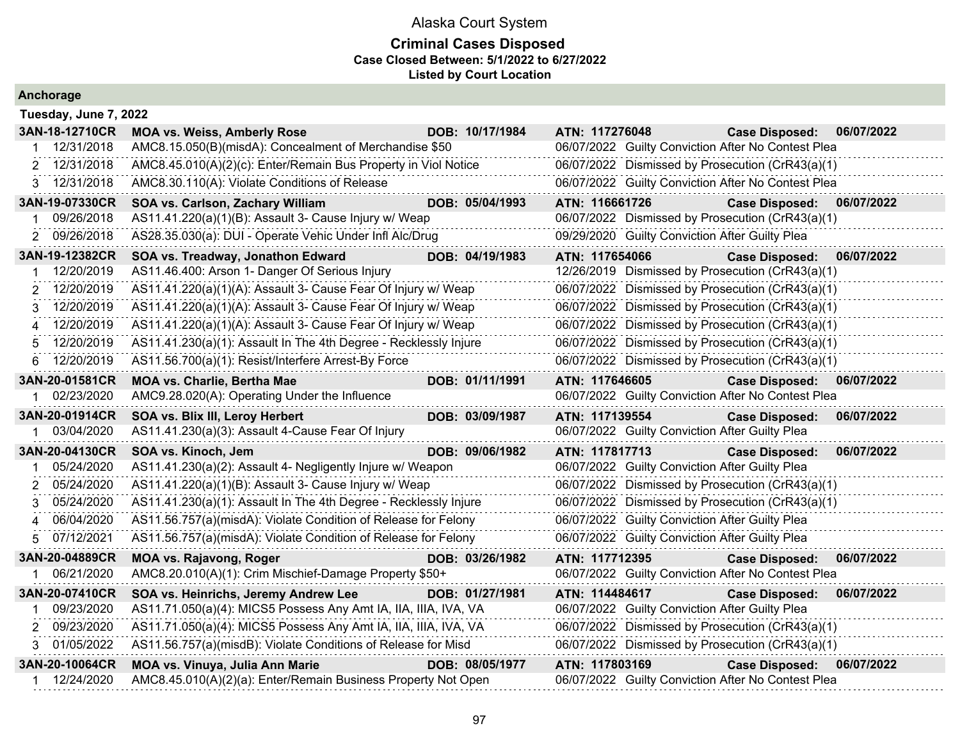### **Criminal Cases Disposed Case Closed Between: 5/1/2022 to 6/27/2022 Listed by Court Location**

|    | Tuesday, June 7, 2022 |                                                                  |  |                 |                                                  |                                                |                                                    |            |  |
|----|-----------------------|------------------------------------------------------------------|--|-----------------|--------------------------------------------------|------------------------------------------------|----------------------------------------------------|------------|--|
|    | 3AN-18-12710CR        | <b>MOA vs. Weiss, Amberly Rose</b>                               |  | DOB: 10/17/1984 | ATN: 117276048                                   |                                                | <b>Case Disposed:</b>                              | 06/07/2022 |  |
|    | 12/31/2018            | AMC8.15.050(B)(misdA): Concealment of Merchandise \$50           |  |                 |                                                  |                                                | 06/07/2022 Guilty Conviction After No Contest Plea |            |  |
|    | 2 12/31/2018          | AMC8.45.010(A)(2)(c): Enter/Remain Bus Property in Viol Notice   |  |                 |                                                  |                                                | 06/07/2022 Dismissed by Prosecution (CrR43(a)(1)   |            |  |
|    | 3 12/31/2018          | AMC8.30.110(A): Violate Conditions of Release                    |  |                 |                                                  |                                                | 06/07/2022 Guilty Conviction After No Contest Plea |            |  |
|    | 3AN-19-07330CR        | SOA vs. Carlson, Zachary William                                 |  | DOB: 05/04/1993 | ATN: 116661726                                   |                                                | <b>Case Disposed:</b>                              | 06/07/2022 |  |
|    | 09/26/2018            | AS11.41.220(a)(1)(B): Assault 3- Cause Injury w/ Weap            |  |                 |                                                  |                                                | 06/07/2022 Dismissed by Prosecution (CrR43(a)(1)   |            |  |
|    | 2 09/26/2018          | AS28.35.030(a): DUI - Operate Vehic Under Infl Alc/Drug          |  |                 |                                                  | 09/29/2020 Guilty Conviction After Guilty Plea |                                                    |            |  |
|    | 3AN-19-12382CR        | SOA vs. Treadway, Jonathon Edward                                |  | DOB: 04/19/1983 | ATN: 117654066                                   |                                                | <b>Case Disposed:</b>                              | 06/07/2022 |  |
|    | 12/20/2019            | AS11.46.400: Arson 1- Danger Of Serious Injury                   |  |                 |                                                  |                                                | 12/26/2019 Dismissed by Prosecution (CrR43(a)(1)   |            |  |
|    | 2 12/20/2019          | AS11.41.220(a)(1)(A): Assault 3- Cause Fear Of Injury w/ Weap    |  |                 |                                                  |                                                | 06/07/2022 Dismissed by Prosecution (CrR43(a)(1)   |            |  |
| 3  | 12/20/2019            | AS11.41.220(a)(1)(A): Assault 3- Cause Fear Of Injury w/ Weap    |  |                 |                                                  |                                                | 06/07/2022 Dismissed by Prosecution (CrR43(a)(1)   |            |  |
|    | 4 12/20/2019          | AS11.41.220(a)(1)(A): Assault 3- Cause Fear Of Injury w/ Weap    |  |                 | 06/07/2022 Dismissed by Prosecution (CrR43(a)(1) |                                                |                                                    |            |  |
| 5. | 12/20/2019            | AS11.41.230(a)(1): Assault In The 4th Degree - Recklessly Injure |  |                 | 06/07/2022 Dismissed by Prosecution (CrR43(a)(1) |                                                |                                                    |            |  |
| 6. | 12/20/2019            | AS11.56.700(a)(1): Resist/Interfere Arrest-By Force              |  |                 |                                                  |                                                | 06/07/2022 Dismissed by Prosecution (CrR43(a)(1)   |            |  |
|    | 3AN-20-01581CR        | <b>MOA vs. Charlie, Bertha Mae</b>                               |  | DOB: 01/11/1991 | ATN: 117646605                                   |                                                | <b>Case Disposed:</b>                              | 06/07/2022 |  |
| 1. | 02/23/2020            | AMC9.28.020(A): Operating Under the Influence                    |  |                 |                                                  |                                                | 06/07/2022 Guilty Conviction After No Contest Plea |            |  |
|    | 3AN-20-01914CR        | SOA vs. Blix III, Leroy Herbert                                  |  | DOB: 03/09/1987 | ATN: 117139554                                   |                                                | <b>Case Disposed:</b>                              | 06/07/2022 |  |
|    | 03/04/2020            | AS11.41.230(a)(3): Assault 4-Cause Fear Of Injury                |  |                 |                                                  | 06/07/2022 Guilty Conviction After Guilty Plea |                                                    |            |  |
|    | 3AN-20-04130CR        | SOA vs. Kinoch, Jem                                              |  | DOB: 09/06/1982 | ATN: 117817713                                   |                                                | <b>Case Disposed:</b>                              | 06/07/2022 |  |
|    | 05/24/2020            | AS11.41.230(a)(2): Assault 4- Negligently Injure w/ Weapon       |  |                 |                                                  | 06/07/2022 Guilty Conviction After Guilty Plea |                                                    |            |  |
|    | 2 05/24/2020          | AS11.41.220(a)(1)(B): Assault 3- Cause Injury w/ Weap            |  |                 |                                                  |                                                | 06/07/2022 Dismissed by Prosecution (CrR43(a)(1)   |            |  |
| 3  | 05/24/2020            | AS11.41.230(a)(1): Assault In The 4th Degree - Recklessly Injure |  |                 |                                                  |                                                | 06/07/2022 Dismissed by Prosecution (CrR43(a)(1)   |            |  |
| 4  | 06/04/2020            | AS11.56.757(a)(misdA): Violate Condition of Release for Felony   |  |                 |                                                  | 06/07/2022 Guilty Conviction After Guilty Plea |                                                    |            |  |
| 5  | 07/12/2021            | AS11.56.757(a)(misdA): Violate Condition of Release for Felony   |  |                 |                                                  | 06/07/2022 Guilty Conviction After Guilty Plea |                                                    |            |  |
|    | 3AN-20-04889CR        | <b>MOA vs. Rajavong, Roger</b>                                   |  | DOB: 03/26/1982 | ATN: 117712395                                   |                                                | <b>Case Disposed:</b>                              | 06/07/2022 |  |
|    | 06/21/2020            | AMC8.20.010(A)(1): Crim Mischief-Damage Property \$50+           |  |                 |                                                  |                                                | 06/07/2022 Guilty Conviction After No Contest Plea |            |  |
|    | 3AN-20-07410CR        | SOA vs. Heinrichs, Jeremy Andrew Lee                             |  | DOB: 01/27/1981 | ATN: 114484617                                   |                                                | <b>Case Disposed:</b>                              | 06/07/2022 |  |
|    | 09/23/2020            | AS11.71.050(a)(4): MICS5 Possess Any Amt IA, IIA, IIIA, IVA, VA  |  |                 |                                                  | 06/07/2022 Guilty Conviction After Guilty Plea |                                                    |            |  |
|    | 2 09/23/2020          | AS11.71.050(a)(4): MICS5 Possess Any Amt IA, IIA, IIIA, IVA, VA  |  |                 |                                                  |                                                | 06/07/2022 Dismissed by Prosecution (CrR43(a)(1)   |            |  |
|    | 3 01/05/2022          | AS11.56.757(a)(misdB): Violate Conditions of Release for Misd    |  |                 |                                                  |                                                | 06/07/2022 Dismissed by Prosecution (CrR43(a)(1)   |            |  |
|    | 3AN-20-10064CR        | MOA vs. Vinuya, Julia Ann Marie                                  |  | DOB: 08/05/1977 | ATN: 117803169                                   |                                                | <b>Case Disposed:</b>                              | 06/07/2022 |  |
|    | 1 12/24/2020          | AMC8.45.010(A)(2)(a): Enter/Remain Business Property Not Open    |  |                 |                                                  |                                                | 06/07/2022 Guilty Conviction After No Contest Plea |            |  |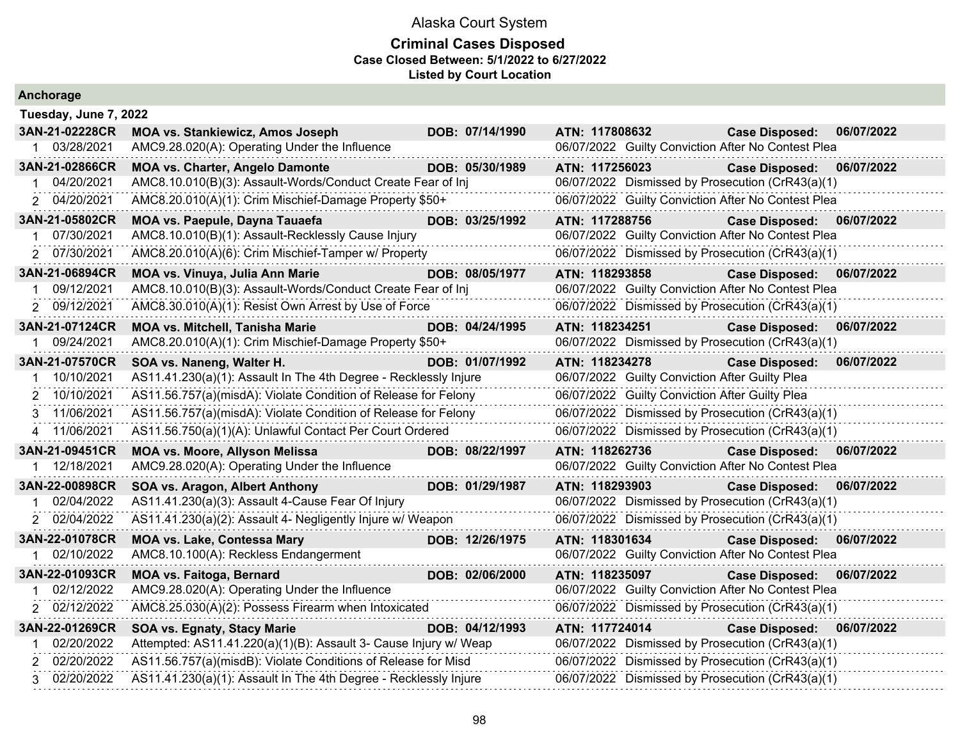| Anchorage                 |                                                                  |                 |                                                    |                                     |  |  |  |
|---------------------------|------------------------------------------------------------------|-----------------|----------------------------------------------------|-------------------------------------|--|--|--|
| Tuesday, June 7, 2022     |                                                                  |                 |                                                    |                                     |  |  |  |
| 3AN-21-02228CR            | <b>MOA vs. Stankiewicz, Amos Joseph</b>                          | DOB: 07/14/1990 | ATN: 117808632                                     | 06/07/2022<br><b>Case Disposed:</b> |  |  |  |
| 1 03/28/2021              | AMC9.28.020(A): Operating Under the Influence                    |                 | 06/07/2022 Guilty Conviction After No Contest Plea |                                     |  |  |  |
| 3AN-21-02866CR            | <b>MOA vs. Charter, Angelo Damonte</b>                           | DOB: 05/30/1989 | ATN: 117256023                                     | 06/07/2022<br><b>Case Disposed:</b> |  |  |  |
| 04/20/2021<br>$\mathbf 1$ | AMC8.10.010(B)(3): Assault-Words/Conduct Create Fear of Inj      |                 | 06/07/2022 Dismissed by Prosecution (CrR43(a)(1)   |                                     |  |  |  |
| 2 04/20/2021              | AMC8.20.010(A)(1): Crim Mischief-Damage Property \$50+           |                 | 06/07/2022 Guilty Conviction After No Contest Plea |                                     |  |  |  |
| 3AN-21-05802CR            | MOA vs. Paepule, Dayna Tauaefa                                   | DOB: 03/25/1992 | ATN: 117288756                                     | <b>Case Disposed:</b><br>06/07/2022 |  |  |  |
| 07/30/2021                | AMC8.10.010(B)(1): Assault-Recklessly Cause Injury               |                 | 06/07/2022 Guilty Conviction After No Contest Plea |                                     |  |  |  |
| 2 07/30/2021              | AMC8.20.010(A)(6): Crim Mischief-Tamper w/ Property              |                 | 06/07/2022 Dismissed by Prosecution (CrR43(a)(1)   |                                     |  |  |  |
| 3AN-21-06894CR            | MOA vs. Vinuya, Julia Ann Marie                                  | DOB: 08/05/1977 | ATN: 118293858                                     | 06/07/2022<br><b>Case Disposed:</b> |  |  |  |
| 09/12/2021                | AMC8.10.010(B)(3): Assault-Words/Conduct Create Fear of Inj      |                 | 06/07/2022 Guilty Conviction After No Contest Plea |                                     |  |  |  |
| 2 09/12/2021              | AMC8.30.010(A)(1): Resist Own Arrest by Use of Force             |                 | 06/07/2022 Dismissed by Prosecution (CrR43(a)(1)   |                                     |  |  |  |
| 3AN-21-07124CR            | <b>MOA vs. Mitchell, Tanisha Marie</b>                           | DOB: 04/24/1995 | ATN: 118234251                                     | <b>Case Disposed:</b><br>06/07/2022 |  |  |  |
| 09/24/2021<br>1           | AMC8.20.010(A)(1): Crim Mischief-Damage Property \$50+           |                 | 06/07/2022 Dismissed by Prosecution (CrR43(a)(1)   |                                     |  |  |  |
| 3AN-21-07570CR            | SOA vs. Naneng, Walter H.                                        | DOB: 01/07/1992 | ATN: 118234278                                     | <b>Case Disposed:</b><br>06/07/2022 |  |  |  |
| 10/10/2021                | AS11.41.230(a)(1): Assault In The 4th Degree - Recklessly Injure |                 | 06/07/2022 Guilty Conviction After Guilty Plea     |                                     |  |  |  |
| 2 10/10/2021              | AS11.56.757(a)(misdA): Violate Condition of Release for Felony   |                 | 06/07/2022 Guilty Conviction After Guilty Plea     |                                     |  |  |  |
| 3 11/06/2021              | AS11.56.757(a)(misdA): Violate Condition of Release for Felony   |                 | 06/07/2022 Dismissed by Prosecution (CrR43(a)(1)   |                                     |  |  |  |
| 4 11/06/2021              | AS11.56.750(a)(1)(A): Unlawful Contact Per Court Ordered         |                 | 06/07/2022 Dismissed by Prosecution (CrR43(a)(1)   |                                     |  |  |  |
| 3AN-21-09451CR            | <b>MOA vs. Moore, Allyson Melissa</b>                            | DOB: 08/22/1997 | ATN: 118262736                                     | <b>Case Disposed:</b><br>06/07/2022 |  |  |  |
| 1 12/18/2021              | AMC9.28.020(A): Operating Under the Influence                    |                 | 06/07/2022 Guilty Conviction After No Contest Plea |                                     |  |  |  |
| 3AN-22-00898CR            | SOA vs. Aragon, Albert Anthony                                   | DOB: 01/29/1987 | ATN: 118293903                                     | <b>Case Disposed:</b><br>06/07/2022 |  |  |  |
| 02/04/2022                | AS11.41.230(a)(3): Assault 4-Cause Fear Of Injury                |                 | 06/07/2022 Dismissed by Prosecution (CrR43(a)(1)   |                                     |  |  |  |
| 2 02/04/2022              | AS11.41.230(a)(2): Assault 4- Negligently Injure w/ Weapon       |                 | 06/07/2022 Dismissed by Prosecution (CrR43(a)(1)   |                                     |  |  |  |
| 3AN-22-01078CR            | <b>MOA vs. Lake, Contessa Mary</b>                               | DOB: 12/26/1975 | ATN: 118301634                                     | <b>Case Disposed:</b><br>06/07/2022 |  |  |  |
| 1 02/10/2022              | AMC8.10.100(A): Reckless Endangerment                            |                 | 06/07/2022 Guilty Conviction After No Contest Plea |                                     |  |  |  |
| 3AN-22-01093CR            | <b>MOA vs. Faitoga, Bernard</b>                                  | DOB: 02/06/2000 | ATN: 118235097                                     | 06/07/2022<br><b>Case Disposed:</b> |  |  |  |
| 02/12/2022<br>1           | AMC9.28.020(A): Operating Under the Influence                    |                 | 06/07/2022 Guilty Conviction After No Contest Plea |                                     |  |  |  |
| 2 02/12/2022              | AMC8.25.030(A)(2): Possess Firearm when Intoxicated              |                 | 06/07/2022 Dismissed by Prosecution (CrR43(a)(1)   |                                     |  |  |  |
| 3AN-22-01269CR            | <b>SOA vs. Egnaty, Stacy Marie</b>                               | DOB: 04/12/1993 | ATN: 117724014                                     | <b>Case Disposed:</b><br>06/07/2022 |  |  |  |
| 02/20/2022                | Attempted: AS11.41.220(a)(1)(B): Assault 3- Cause Injury w/ Weap |                 | 06/07/2022 Dismissed by Prosecution (CrR43(a)(1)   |                                     |  |  |  |
| 2 02/20/2022              | AS11.56.757(a)(misdB): Violate Conditions of Release for Misd    |                 | 06/07/2022 Dismissed by Prosecution (CrR43(a)(1)   |                                     |  |  |  |
| 3 02/20/2022              | AS11.41.230(a)(1): Assault In The 4th Degree - Recklessly Injure |                 | 06/07/2022 Dismissed by Prosecution (CrR43(a)(1)   |                                     |  |  |  |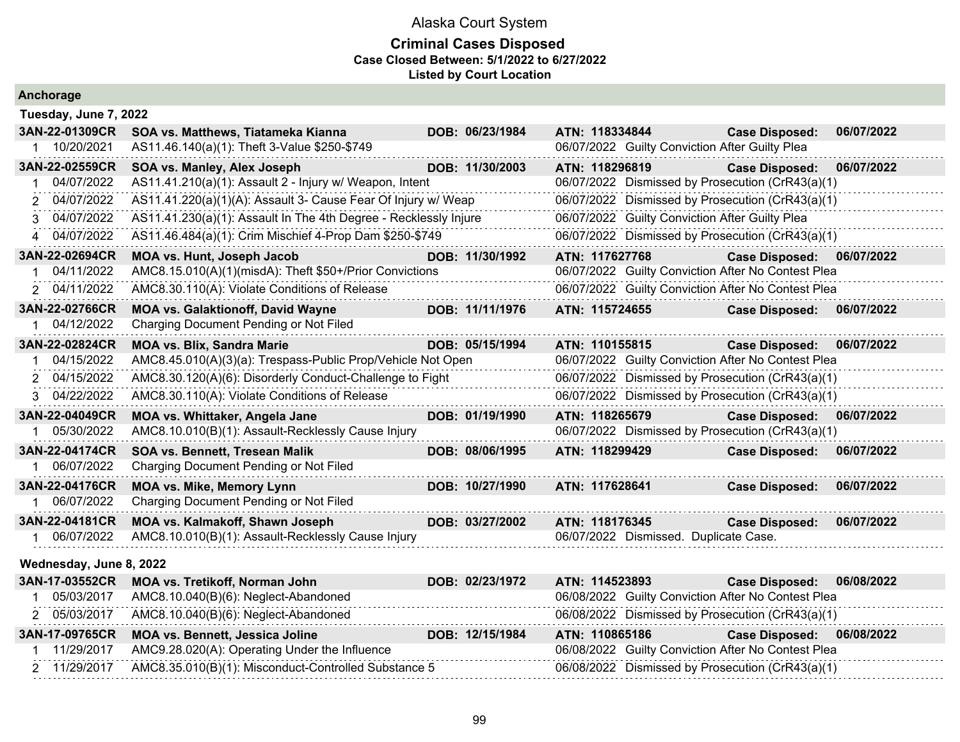#### **Criminal Cases Disposed Case Closed Between: 5/1/2022 to 6/27/2022 Listed by Court Location**

| Anchorage                    |                                                                  |                 |                                                |                                                    |            |
|------------------------------|------------------------------------------------------------------|-----------------|------------------------------------------------|----------------------------------------------------|------------|
| Tuesday, June 7, 2022        |                                                                  |                 |                                                |                                                    |            |
| 3AN-22-01309CR               | SOA vs. Matthews, Tiatameka Kianna                               | DOB: 06/23/1984 | ATN: 118334844                                 | <b>Case Disposed:</b>                              | 06/07/2022 |
| 1 10/20/2021                 | AS11.46.140(a)(1): Theft 3-Value \$250-\$749                     |                 | 06/07/2022 Guilty Conviction After Guilty Plea |                                                    |            |
| 3AN-22-02559CR               | SOA vs. Manley, Alex Joseph                                      | DOB: 11/30/2003 | ATN: 118296819                                 | <b>Case Disposed:</b>                              | 06/07/2022 |
| 04/07/2022                   | AS11.41.210(a)(1): Assault 2 - Injury w/ Weapon, Intent          |                 |                                                | 06/07/2022 Dismissed by Prosecution (CrR43(a)(1)   |            |
| 04/07/2022<br>$\overline{2}$ | AS11.41.220(a)(1)(A): Assault 3- Cause Fear Of Injury w/ Weap    |                 |                                                | 06/07/2022 Dismissed by Prosecution (CrR43(a)(1)   |            |
| 3 04/07/2022                 | AS11.41.230(a)(1): Assault In The 4th Degree - Recklessly Injure |                 | 06/07/2022 Guilty Conviction After Guilty Plea |                                                    |            |
| 4 04/07/2022                 | AS11.46.484(a)(1): Crim Mischief 4-Prop Dam \$250-\$749          |                 |                                                | 06/07/2022 Dismissed by Prosecution (CrR43(a)(1)   |            |
| 3AN-22-02694CR               | MOA vs. Hunt, Joseph Jacob                                       | DOB: 11/30/1992 | ATN: 117627768                                 | <b>Case Disposed:</b>                              | 06/07/2022 |
| 04/11/2022                   | AMC8.15.010(A)(1)(misdA): Theft \$50+/Prior Convictions          |                 |                                                | 06/07/2022 Guilty Conviction After No Contest Plea |            |
| 2 04/11/2022                 | AMC8.30.110(A): Violate Conditions of Release                    |                 |                                                | 06/07/2022 Guilty Conviction After No Contest Plea |            |
| 3AN-22-02766CR               | <b>MOA vs. Galaktionoff, David Wayne</b>                         | DOB: 11/11/1976 | ATN: 115724655                                 | <b>Case Disposed:</b>                              | 06/07/2022 |
| 1 04/12/2022                 | Charging Document Pending or Not Filed                           |                 |                                                |                                                    |            |
| 3AN-22-02824CR               | <b>MOA vs. Blix, Sandra Marie</b>                                | DOB: 05/15/1994 | ATN: 110155815                                 | <b>Case Disposed:</b>                              | 06/07/2022 |
| 04/15/2022                   | AMC8.45.010(A)(3)(a): Trespass-Public Prop/Vehicle Not Open      |                 |                                                | 06/07/2022 Guilty Conviction After No Contest Plea |            |
| 2 04/15/2022                 | AMC8.30.120(A)(6): Disorderly Conduct-Challenge to Fight         |                 |                                                | 06/07/2022 Dismissed by Prosecution (CrR43(a)(1)   |            |
| 3 04/22/2022                 | AMC8.30.110(A): Violate Conditions of Release                    |                 |                                                | 06/07/2022 Dismissed by Prosecution (CrR43(a)(1)   |            |
| 3AN-22-04049CR               | MOA vs. Whittaker, Angela Jane                                   | DOB: 01/19/1990 | ATN: 118265679                                 | <b>Case Disposed:</b>                              | 06/07/2022 |
| 1 05/30/2022                 | AMC8.10.010(B)(1): Assault-Recklessly Cause Injury               |                 |                                                | 06/07/2022 Dismissed by Prosecution (CrR43(a)(1)   |            |
| 3AN-22-04174CR               | SOA vs. Bennett, Tresean Malik                                   | DOB: 08/06/1995 | ATN: 118299429                                 | <b>Case Disposed:</b>                              | 06/07/2022 |
| 06/07/2022                   | Charging Document Pending or Not Filed                           |                 |                                                |                                                    |            |
| 3AN-22-04176CR               | <b>MOA vs. Mike, Memory Lynn</b>                                 | DOB: 10/27/1990 | ATN: 117628641                                 | <b>Case Disposed:</b>                              | 06/07/2022 |
| 06/07/2022                   | Charging Document Pending or Not Filed                           |                 |                                                |                                                    |            |
| 3AN-22-04181CR               | MOA vs. Kalmakoff, Shawn Joseph                                  | DOB: 03/27/2002 | ATN: 118176345                                 | <b>Case Disposed:</b>                              | 06/07/2022 |
| 1 06/07/2022                 | AMC8.10.010(B)(1): Assault-Recklessly Cause Injury               |                 | 06/07/2022 Dismissed. Duplicate Case.          |                                                    |            |
| Wednesday, June 8, 2022      |                                                                  |                 |                                                |                                                    |            |
| 3AN-17-03552CR               | MOA vs. Tretikoff, Norman John                                   | DOB: 02/23/1972 | ATN: 114523893                                 | <b>Case Disposed:</b>                              | 06/08/2022 |
| 05/03/2017                   | AMC8.10.040(B)(6): Neglect-Abandoned                             |                 |                                                | 06/08/2022 Guilty Conviction After No Contest Plea |            |
| 2 05/03/2017                 | AMC8.10.040(B)(6): Neglect-Abandoned                             |                 |                                                | 06/08/2022 Dismissed by Prosecution (CrR43(a)(1)   |            |
| 3AN-17-09765CR               | MOA vs. Bennett, Jessica Joline                                  | DOB: 12/15/1984 | ATN: 110865186                                 | <b>Case Disposed:</b>                              | 06/08/2022 |
| 11/29/2017                   | AMC9.28.020(A): Operating Under the Influence                    |                 |                                                | 06/08/2022 Guilty Conviction After No Contest Plea |            |

2 11/29/2017 AMC8.35.010(B)(1): Misconduct-Controlled Substance 5 06/08/2022 Dismissed by Prosecution (CrR43(a)(1)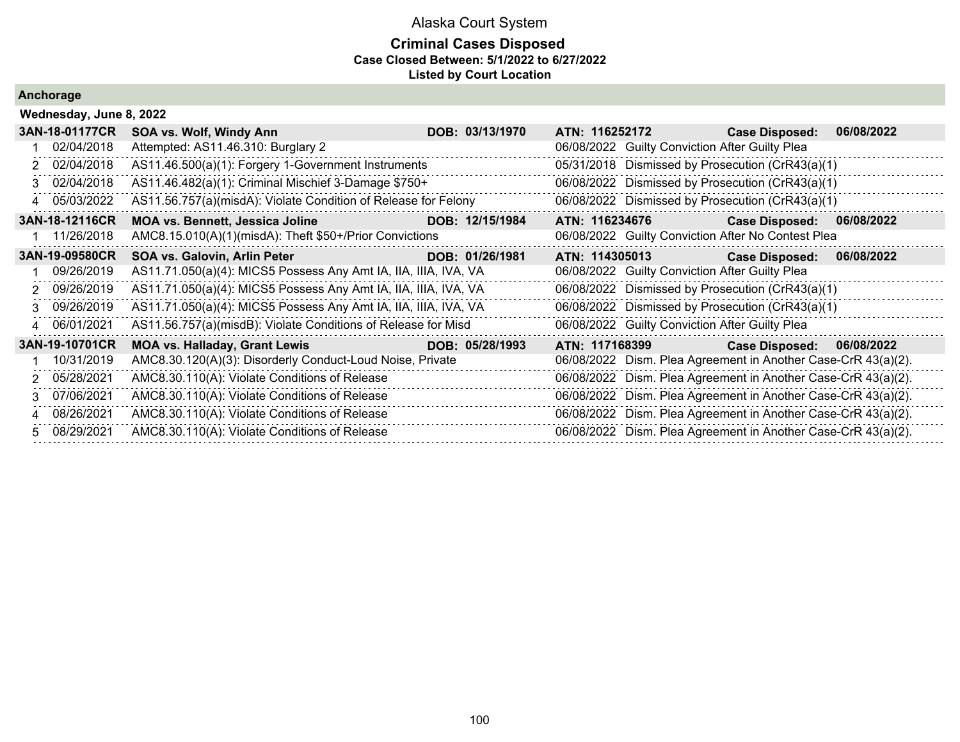### **Criminal Cases Disposed Case Closed Between: 5/1/2022 to 6/27/2022 Listed by Court Location**

|    | Wednesday, June 8, 2022 |                                                                 |  |                 |                |                                                |                                                               |            |  |
|----|-------------------------|-----------------------------------------------------------------|--|-----------------|----------------|------------------------------------------------|---------------------------------------------------------------|------------|--|
|    | 3AN-18-01177CR          | SOA vs. Wolf, Windy Ann                                         |  | DOB: 03/13/1970 |                | ATN: 116252172                                 | <b>Case Disposed:</b>                                         | 06/08/2022 |  |
|    | 02/04/2018              | Attempted: AS11.46.310: Burglary 2                              |  |                 |                | 06/08/2022 Guilty Conviction After Guilty Plea |                                                               |            |  |
|    | 2 02/04/2018            | AS11.46.500(a)(1): Forgery 1-Government Instruments             |  |                 |                |                                                | 05/31/2018 Dismissed by Prosecution (CrR43(a)(1)              |            |  |
|    | 3 02/04/2018            | AS11.46.482(a)(1): Criminal Mischief 3-Damage \$750+            |  |                 |                |                                                | 06/08/2022 Dismissed by Prosecution (CrR43(a)(1)              |            |  |
|    | 4 05/03/2022            | AS11.56.757(a)(misdA): Violate Condition of Release for Felony  |  |                 |                |                                                | 06/08/2022 Dismissed by Prosecution (CrR43(a)(1)              |            |  |
|    | 3AN-18-12116CR          | <b>MOA vs. Bennett, Jessica Joline</b>                          |  | DOB: 12/15/1984 | ATN: 116234676 |                                                | <b>Case Disposed:</b>                                         | 06/08/2022 |  |
|    | 11/26/2018              | AMC8.15.010(A)(1)(misdA): Theft \$50+/Prior Convictions         |  |                 |                |                                                | 06/08/2022 Guilty Conviction After No Contest Plea            |            |  |
|    | 3AN-19-09580CR          | SOA vs. Galovin, Arlin Peter                                    |  | DOB: 01/26/1981 | ATN: 114305013 |                                                | <b>Case Disposed:</b>                                         | 06/08/2022 |  |
|    | 09/26/2019              | AS11.71.050(a)(4): MICS5 Possess Any Amt IA, IIA, IIIA, IVA, VA |  |                 |                | 06/08/2022 Guilty Conviction After Guilty Plea |                                                               |            |  |
|    | 2 09/26/2019            | AS11.71.050(a)(4): MICS5 Possess Any Amt IA, IIA, IIIA, IVA, VA |  |                 |                |                                                | 06/08/2022 Dismissed by Prosecution (CrR43(a)(1)              |            |  |
|    | 3 09/26/2019            | AS11.71.050(a)(4): MICS5 Possess Any Amt IA, IIA, IIIA, IVA, VA |  |                 |                |                                                | 06/08/2022 Dismissed by Prosecution (CrR43(a)(1)              |            |  |
|    | 4 06/01/2021            | AS11.56.757(a)(misdB): Violate Conditions of Release for Misd   |  |                 |                | 06/08/2022 Guilty Conviction After Guilty Plea |                                                               |            |  |
|    | 3AN-19-10701CR          | <b>MOA vs. Halladay, Grant Lewis</b>                            |  | DOB: 05/28/1993 | ATN: 117168399 |                                                | <b>Case Disposed:</b>                                         | 06/08/2022 |  |
|    | 10/31/2019              | AMC8.30.120(A)(3): Disorderly Conduct-Loud Noise, Private       |  |                 |                |                                                | 06/08/2022 Dism. Plea Agreement in Another Case-CrR 43(a)(2). |            |  |
|    | 2 05/28/2021            | AMC8.30.110(A): Violate Conditions of Release                   |  |                 |                |                                                | 06/08/2022 Dism. Plea Agreement in Another Case-CrR 43(a)(2). |            |  |
| 3. | 07/06/2021              | AMC8.30.110(A): Violate Conditions of Release                   |  |                 |                |                                                | 06/08/2022 Dism. Plea Agreement in Another Case-CrR 43(a)(2). |            |  |
|    | 4 08/26/2021            | AMC8.30.110(A): Violate Conditions of Release                   |  |                 |                |                                                | 06/08/2022 Dism. Plea Agreement in Another Case-CrR 43(a)(2). |            |  |
|    | 5 08/29/2021            | AMC8.30.110(A): Violate Conditions of Release                   |  |                 |                |                                                | 06/08/2022 Dism. Plea Agreement in Another Case-CrR 43(a)(2). |            |  |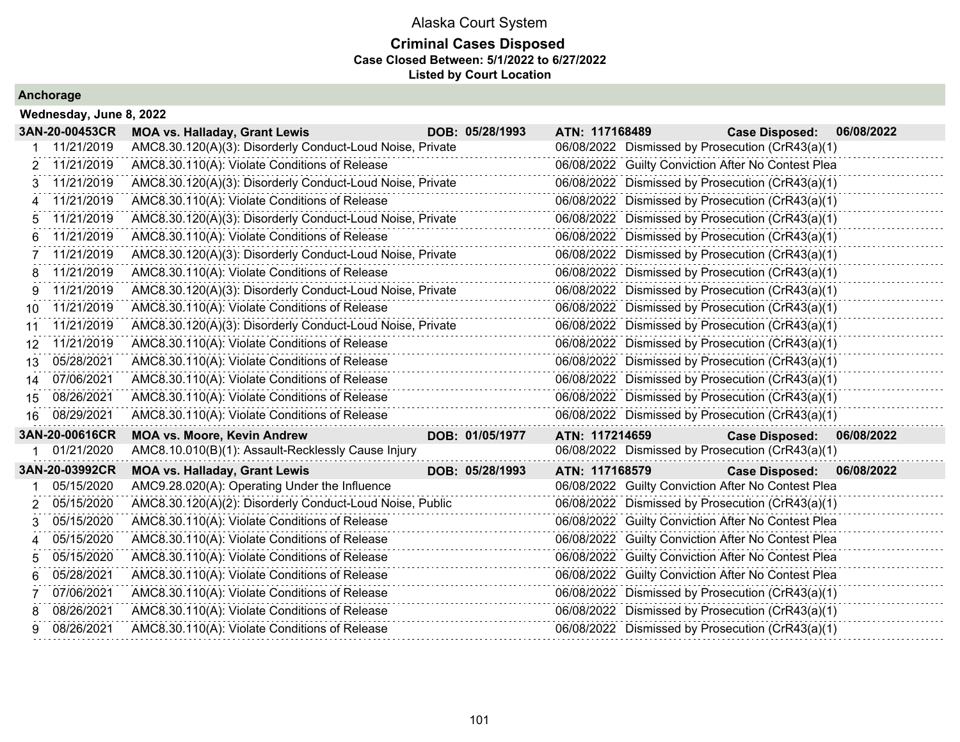### **Criminal Cases Disposed Case Closed Between: 5/1/2022 to 6/27/2022 Listed by Court Location**

|    | 3AN-20-00453CR | <b>MOA vs. Halladay, Grant Lewis</b>                      | DOB: 05/28/1993 | ATN: 117168489 | <b>Case Disposed:</b>                              | 06/08/2022 |
|----|----------------|-----------------------------------------------------------|-----------------|----------------|----------------------------------------------------|------------|
|    | 11/21/2019     | AMC8.30.120(A)(3): Disorderly Conduct-Loud Noise, Private |                 |                | 06/08/2022 Dismissed by Prosecution (CrR43(a)(1)   |            |
| 2  | 11/21/2019     | AMC8.30.110(A): Violate Conditions of Release             |                 |                | 06/08/2022 Guilty Conviction After No Contest Plea |            |
| 3  | 11/21/2019     | AMC8.30.120(A)(3): Disorderly Conduct-Loud Noise, Private |                 |                | 06/08/2022 Dismissed by Prosecution (CrR43(a)(1)   |            |
| 4  | 11/21/2019     | AMC8.30.110(A): Violate Conditions of Release             |                 |                | 06/08/2022 Dismissed by Prosecution (CrR43(a)(1)   |            |
| 5  | 11/21/2019     | AMC8.30.120(A)(3): Disorderly Conduct-Loud Noise, Private |                 |                | 06/08/2022 Dismissed by Prosecution (CrR43(a)(1)   |            |
| 6  | 11/21/2019     | AMC8.30.110(A): Violate Conditions of Release             |                 |                | 06/08/2022 Dismissed by Prosecution (CrR43(a)(1)   |            |
| 7  | 11/21/2019     | AMC8.30.120(A)(3): Disorderly Conduct-Loud Noise, Private |                 |                | 06/08/2022 Dismissed by Prosecution (CrR43(a)(1)   |            |
| 8  | 11/21/2019     | AMC8.30.110(A): Violate Conditions of Release             |                 |                | 06/08/2022 Dismissed by Prosecution (CrR43(a)(1)   |            |
| 9  | 11/21/2019     | AMC8.30.120(A)(3): Disorderly Conduct-Loud Noise, Private |                 |                | 06/08/2022 Dismissed by Prosecution (CrR43(a)(1)   |            |
| 10 | 11/21/2019     | AMC8.30.110(A): Violate Conditions of Release             |                 |                | 06/08/2022 Dismissed by Prosecution (CrR43(a)(1)   |            |
| 11 | 11/21/2019     | AMC8.30.120(A)(3): Disorderly Conduct-Loud Noise, Private |                 |                | 06/08/2022 Dismissed by Prosecution (CrR43(a)(1)   |            |
| 12 | 11/21/2019     | AMC8.30.110(A): Violate Conditions of Release             |                 |                | 06/08/2022 Dismissed by Prosecution (CrR43(a)(1)   |            |
| 13 | 05/28/2021     | AMC8.30.110(A): Violate Conditions of Release             |                 |                | 06/08/2022 Dismissed by Prosecution (CrR43(a)(1)   |            |
| 14 | 07/06/2021     | AMC8.30.110(A): Violate Conditions of Release             |                 |                | 06/08/2022 Dismissed by Prosecution (CrR43(a)(1)   |            |
|    |                |                                                           |                 |                |                                                    |            |
| 15 | 08/26/2021     | AMC8.30.110(A): Violate Conditions of Release             |                 |                | 06/08/2022 Dismissed by Prosecution (CrR43(a)(1)   |            |
| 16 | 08/29/2021     | AMC8.30.110(A): Violate Conditions of Release             |                 |                | 06/08/2022 Dismissed by Prosecution (CrR43(a)(1)   |            |
|    | 3AN-20-00616CR | <b>MOA vs. Moore, Kevin Andrew</b>                        | DOB: 01/05/1977 | ATN: 117214659 | Case Disposed: 06/08/2022                          |            |
|    | 01/21/2020     | AMC8.10.010(B)(1): Assault-Recklessly Cause Injury        |                 |                | 06/08/2022 Dismissed by Prosecution (CrR43(a)(1)   |            |
|    | 3AN-20-03992CR | <b>MOA vs. Halladay, Grant Lewis</b>                      | DOB: 05/28/1993 | ATN: 117168579 | <b>Case Disposed:</b>                              | 06/08/2022 |
|    | 05/15/2020     | AMC9.28.020(A): Operating Under the Influence             |                 |                | 06/08/2022 Guilty Conviction After No Contest Plea |            |
| 2  | 05/15/2020     | AMC8.30.120(A)(2): Disorderly Conduct-Loud Noise, Public  |                 |                | 06/08/2022 Dismissed by Prosecution (CrR43(a)(1)   |            |
| 3  | 05/15/2020     | AMC8.30.110(A): Violate Conditions of Release             |                 |                | 06/08/2022 Guilty Conviction After No Contest Plea |            |
| 4  | 05/15/2020     | AMC8.30.110(A): Violate Conditions of Release             |                 |                | 06/08/2022 Guilty Conviction After No Contest Plea |            |
| 5  | 05/15/2020     | AMC8.30.110(A): Violate Conditions of Release             |                 |                | 06/08/2022 Guilty Conviction After No Contest Plea |            |
| 6  | 05/28/2021     | AMC8.30.110(A): Violate Conditions of Release             |                 |                | 06/08/2022 Guilty Conviction After No Contest Plea |            |
|    | 07/06/2021     | AMC8.30.110(A): Violate Conditions of Release             |                 |                | 06/08/2022 Dismissed by Prosecution (CrR43(a)(1)   |            |
| 8  | 08/26/2021     | AMC8.30.110(A): Violate Conditions of Release             |                 |                | 06/08/2022 Dismissed by Prosecution (CrR43(a)(1)   |            |
| 9  | 08/26/2021     | AMC8.30.110(A): Violate Conditions of Release             |                 |                | 06/08/2022 Dismissed by Prosecution (CrR43(a)(1)   |            |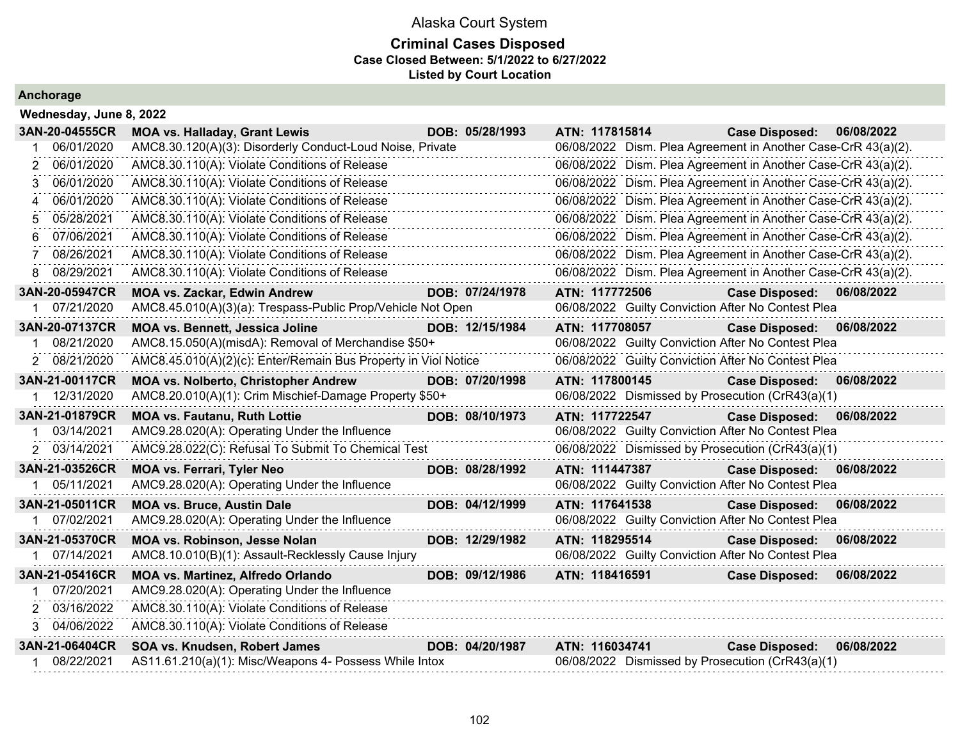### **Criminal Cases Disposed Case Closed Between: 5/1/2022 to 6/27/2022 Listed by Court Location**

| 3AN-20-04555CR   | <b>MOA vs. Halladay, Grant Lewis</b>                           | DOB: 05/28/1993 | ATN: 117815814                                                | <b>Case Disposed:</b> | 06/08/2022 |
|------------------|----------------------------------------------------------------|-----------------|---------------------------------------------------------------|-----------------------|------------|
| 06/01/2020       | AMC8.30.120(A)(3): Disorderly Conduct-Loud Noise, Private      |                 | 06/08/2022 Dism. Plea Agreement in Another Case-CrR 43(a)(2). |                       |            |
| 06/01/2020       | AMC8.30.110(A): Violate Conditions of Release                  |                 | 06/08/2022 Dism. Plea Agreement in Another Case-CrR 43(a)(2). |                       |            |
| 06/01/2020       | AMC8.30.110(A): Violate Conditions of Release                  |                 | 06/08/2022 Dism. Plea Agreement in Another Case-CrR 43(a)(2). |                       |            |
| 06/01/2020       | AMC8.30.110(A): Violate Conditions of Release                  |                 | 06/08/2022 Dism. Plea Agreement in Another Case-CrR 43(a)(2). |                       |            |
| 05/28/2021       | AMC8.30.110(A): Violate Conditions of Release                  |                 | 06/08/2022 Dism. Plea Agreement in Another Case-CrR 43(a)(2). |                       |            |
| 07/06/2021       | AMC8.30.110(A): Violate Conditions of Release                  |                 | 06/08/2022 Dism. Plea Agreement in Another Case-CrR 43(a)(2). |                       |            |
| 08/26/2021       | AMC8.30.110(A): Violate Conditions of Release                  |                 | 06/08/2022 Dism. Plea Agreement in Another Case-CrR 43(a)(2). |                       |            |
| 08/29/2021<br>8  | AMC8.30.110(A): Violate Conditions of Release                  |                 | 06/08/2022 Dism. Plea Agreement in Another Case-CrR 43(a)(2). |                       |            |
| 3AN-20-05947CR   | <b>MOA vs. Zackar, Edwin Andrew</b>                            | DOB: 07/24/1978 | ATN: 117772506                                                | <b>Case Disposed:</b> | 06/08/2022 |
| 07/21/2020       | AMC8.45.010(A)(3)(a): Trespass-Public Prop/Vehicle Not Open    |                 | 06/08/2022 Guilty Conviction After No Contest Plea            |                       |            |
| 3AN-20-07137CR   | MOA vs. Bennett, Jessica Joline                                | DOB: 12/15/1984 | ATN: 117708057                                                | <b>Case Disposed:</b> | 06/08/2022 |
| 08/21/2020       | AMC8.15.050(A)(misdA): Removal of Merchandise \$50+            |                 | 06/08/2022 Guilty Conviction After No Contest Plea            |                       |            |
| 2 08/21/2020     | AMC8.45.010(A)(2)(c): Enter/Remain Bus Property in Viol Notice |                 | 06/08/2022 Guilty Conviction After No Contest Plea            |                       |            |
| 3AN-21-00117CR   | <b>MOA vs. Nolberto, Christopher Andrew</b>                    | DOB: 07/20/1998 | ATN: 117800145                                                | <b>Case Disposed:</b> | 06/08/2022 |
| 1 12/31/2020     | AMC8.20.010(A)(1): Crim Mischief-Damage Property \$50+         |                 | 06/08/2022 Dismissed by Prosecution (CrR43(a)(1)              |                       |            |
| 3AN-21-01879CR   | <b>MOA vs. Fautanu, Ruth Lottie</b>                            | DOB: 08/10/1973 | ATN: 117722547                                                | <b>Case Disposed:</b> | 06/08/2022 |
| 03/14/2021<br>1. | AMC9.28.020(A): Operating Under the Influence                  |                 | 06/08/2022 Guilty Conviction After No Contest Plea            |                       |            |
| 2 03/14/2021     | AMC9.28.022(C): Refusal To Submit To Chemical Test             |                 | 06/08/2022 Dismissed by Prosecution (CrR43(a)(1)              |                       |            |
| 3AN-21-03526CR   | <b>MOA vs. Ferrari, Tyler Neo</b>                              | DOB: 08/28/1992 | ATN: 111447387                                                | <b>Case Disposed:</b> | 06/08/2022 |
| 1 05/11/2021     | AMC9.28.020(A): Operating Under the Influence                  |                 | 06/08/2022 Guilty Conviction After No Contest Plea            |                       |            |
| 3AN-21-05011CR   | <b>MOA vs. Bruce, Austin Dale</b>                              | DOB: 04/12/1999 | ATN: 117641538                                                | <b>Case Disposed:</b> | 06/08/2022 |
| 1 07/02/2021     | AMC9.28.020(A): Operating Under the Influence                  |                 | 06/08/2022 Guilty Conviction After No Contest Plea            |                       |            |
| 3AN-21-05370CR   | <b>MOA vs. Robinson, Jesse Nolan</b>                           | DOB: 12/29/1982 | ATN: 118295514                                                | <b>Case Disposed:</b> | 06/08/2022 |
| 1 07/14/2021     | AMC8.10.010(B)(1): Assault-Recklessly Cause Injury             |                 | 06/08/2022 Guilty Conviction After No Contest Plea            |                       |            |
| 3AN-21-05416CR   | MOA vs. Martinez, Alfredo Orlando                              | DOB: 09/12/1986 | ATN: 118416591                                                | <b>Case Disposed:</b> | 06/08/2022 |
| 07/20/2021       | AMC9.28.020(A): Operating Under the Influence                  |                 |                                                               |                       |            |
| 2 03/16/2022     | AMC8.30.110(A): Violate Conditions of Release                  |                 |                                                               |                       |            |
| 04/06/2022<br>3  | AMC8.30.110(A): Violate Conditions of Release                  |                 |                                                               |                       |            |
| 3AN-21-06404CR   | SOA vs. Knudsen, Robert James                                  | DOB: 04/20/1987 | ATN: 116034741                                                | <b>Case Disposed:</b> | 06/08/2022 |
| 1 08/22/2021     | AS11.61.210(a)(1): Misc/Weapons 4- Possess While Intox         |                 | 06/08/2022 Dismissed by Prosecution (CrR43(a)(1)              |                       |            |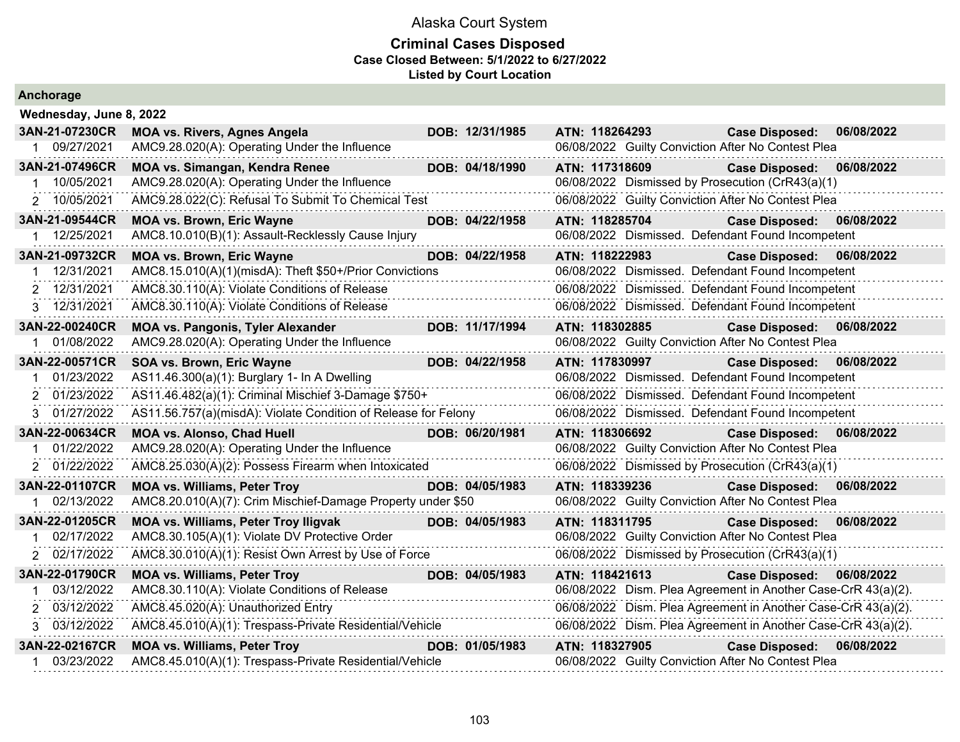| Anchorage               |                                                                |  |                 |                |                                                               |            |  |  |
|-------------------------|----------------------------------------------------------------|--|-----------------|----------------|---------------------------------------------------------------|------------|--|--|
| Wednesday, June 8, 2022 |                                                                |  |                 |                |                                                               |            |  |  |
| 3AN-21-07230CR          | <b>MOA vs. Rivers, Agnes Angela</b>                            |  | DOB: 12/31/1985 | ATN: 118264293 | <b>Case Disposed:</b>                                         | 06/08/2022 |  |  |
| 1 09/27/2021            | AMC9.28.020(A): Operating Under the Influence                  |  |                 |                | 06/08/2022 Guilty Conviction After No Contest Plea            |            |  |  |
| 3AN-21-07496CR          | <b>MOA vs. Simangan, Kendra Renee</b>                          |  | DOB: 04/18/1990 | ATN: 117318609 | <b>Case Disposed:</b>                                         | 06/08/2022 |  |  |
| 10/05/2021              | AMC9.28.020(A): Operating Under the Influence                  |  |                 |                | 06/08/2022 Dismissed by Prosecution (CrR43(a)(1)              |            |  |  |
| 2 10/05/2021            | AMC9.28.022(C): Refusal To Submit To Chemical Test             |  |                 |                | 06/08/2022 Guilty Conviction After No Contest Plea            |            |  |  |
| 3AN-21-09544CR          | <b>MOA vs. Brown, Eric Wayne</b>                               |  | DOB: 04/22/1958 | ATN: 118285704 | <b>Case Disposed:</b>                                         | 06/08/2022 |  |  |
| 12/25/2021              | AMC8.10.010(B)(1): Assault-Recklessly Cause Injury             |  |                 |                | 06/08/2022 Dismissed. Defendant Found Incompetent             |            |  |  |
| 3AN-21-09732CR          | <b>MOA vs. Brown, Eric Wayne</b>                               |  | DOB: 04/22/1958 | ATN: 118222983 | <b>Case Disposed:</b>                                         | 06/08/2022 |  |  |
| 12/31/2021              | AMC8.15.010(A)(1)(misdA): Theft \$50+/Prior Convictions        |  |                 |                | 06/08/2022 Dismissed. Defendant Found Incompetent             |            |  |  |
| 12/31/2021<br>2         | AMC8.30.110(A): Violate Conditions of Release                  |  |                 |                | 06/08/2022 Dismissed. Defendant Found Incompetent             |            |  |  |
| 12/31/2021<br>3.        | AMC8.30.110(A): Violate Conditions of Release                  |  |                 |                | 06/08/2022 Dismissed. Defendant Found Incompetent             |            |  |  |
| 3AN-22-00240CR          | <b>MOA vs. Pangonis, Tyler Alexander</b>                       |  | DOB: 11/17/1994 | ATN: 118302885 | <b>Case Disposed:</b>                                         | 06/08/2022 |  |  |
| 01/08/2022              | AMC9.28.020(A): Operating Under the Influence                  |  |                 |                | 06/08/2022 Guilty Conviction After No Contest Plea            |            |  |  |
| 3AN-22-00571CR          | SOA vs. Brown, Eric Wayne                                      |  | DOB: 04/22/1958 | ATN: 117830997 | <b>Case Disposed:</b>                                         | 06/08/2022 |  |  |
| 01/23/2022              | AS11.46.300(a)(1): Burglary 1- In A Dwelling                   |  |                 |                | 06/08/2022 Dismissed. Defendant Found Incompetent             |            |  |  |
| 2 01/23/2022            | AS11.46.482(a)(1): Criminal Mischief 3-Damage \$750+           |  |                 |                | 06/08/2022 Dismissed. Defendant Found Incompetent             |            |  |  |
| 01/27/2022<br>3.        | AS11.56.757(a)(misdA): Violate Condition of Release for Felony |  |                 |                | 06/08/2022 Dismissed. Defendant Found Incompetent             |            |  |  |
| 3AN-22-00634CR          | <b>MOA vs. Alonso, Chad Huell</b>                              |  | DOB: 06/20/1981 | ATN: 118306692 | <b>Case Disposed:</b>                                         | 06/08/2022 |  |  |
| 01/22/2022              | AMC9.28.020(A): Operating Under the Influence                  |  |                 |                | 06/08/2022 Guilty Conviction After No Contest Plea            |            |  |  |
| 2 01/22/2022            | AMC8.25.030(A)(2): Possess Firearm when Intoxicated            |  |                 |                | 06/08/2022 Dismissed by Prosecution (CrR43(a)(1)              |            |  |  |
| 3AN-22-01107CR          | <b>MOA vs. Williams, Peter Troy</b>                            |  | DOB: 04/05/1983 | ATN: 118339236 | <b>Case Disposed:</b>                                         | 06/08/2022 |  |  |
| 1 02/13/2022            | AMC8.20.010(A)(7): Crim Mischief-Damage Property under \$50    |  |                 |                | 06/08/2022 Guilty Conviction After No Contest Plea            |            |  |  |
| 3AN-22-01205CR          | <b>MOA vs. Williams, Peter Troy Iligvak</b>                    |  | DOB: 04/05/1983 | ATN: 118311795 | <b>Case Disposed:</b>                                         | 06/08/2022 |  |  |
| 02/17/2022              | AMC8.30.105(A)(1): Violate DV Protective Order                 |  |                 |                | 06/08/2022 Guilty Conviction After No Contest Plea            |            |  |  |
| 02/17/2022              | AMC8.30.010(A)(1): Resist Own Arrest by Use of Force           |  |                 |                | 06/08/2022 Dismissed by Prosecution (CrR43(a)(1)              |            |  |  |
| 3AN-22-01790CR          | <b>MOA vs. Williams, Peter Troy</b>                            |  | DOB: 04/05/1983 | ATN: 118421613 | <b>Case Disposed:</b>                                         | 06/08/2022 |  |  |
| 03/12/2022              | AMC8.30.110(A): Violate Conditions of Release                  |  |                 |                | 06/08/2022 Dism. Plea Agreement in Another Case-CrR 43(a)(2). |            |  |  |
| 03/12/2022<br>2         | AMC8.45.020(A): Unauthorized Entry                             |  |                 |                | 06/08/2022 Dism. Plea Agreement in Another Case-CrR 43(a)(2). |            |  |  |
| 3 03/12/2022            | AMC8.45.010(A)(1): Trespass-Private Residential/Vehicle        |  |                 |                | 06/08/2022 Dism. Plea Agreement in Another Case-CrR 43(a)(2). |            |  |  |
| 3AN-22-02167CR          | <b>MOA vs. Williams, Peter Troy</b>                            |  | DOB: 01/05/1983 | ATN: 118327905 | <b>Case Disposed:</b>                                         | 06/08/2022 |  |  |
| 03/23/2022              | AMC8.45.010(A)(1): Trespass-Private Residential/Vehicle        |  |                 |                | 06/08/2022 Guilty Conviction After No Contest Plea            |            |  |  |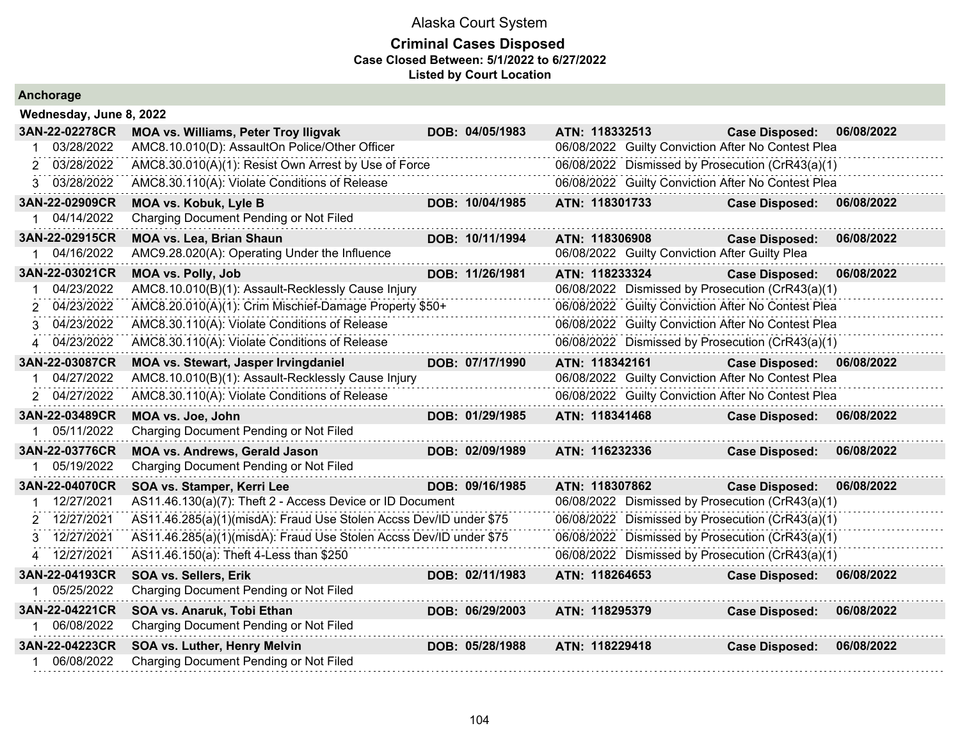| <b>Anchorage</b> |                                                                    |  |                 |                                                    |                       |            |  |  |  |  |
|------------------|--------------------------------------------------------------------|--|-----------------|----------------------------------------------------|-----------------------|------------|--|--|--|--|
|                  | Wednesday, June 8, 2022                                            |  |                 |                                                    |                       |            |  |  |  |  |
| 3AN-22-02278CR   | <b>MOA vs. Williams, Peter Troy Iligvak</b>                        |  | DOB: 04/05/1983 | ATN: 118332513                                     | <b>Case Disposed:</b> | 06/08/2022 |  |  |  |  |
| 03/28/2022       | AMC8.10.010(D): AssaultOn Police/Other Officer                     |  |                 | 06/08/2022 Guilty Conviction After No Contest Plea |                       |            |  |  |  |  |
| 03/28/2022<br>2  | AMC8.30.010(A)(1): Resist Own Arrest by Use of Force               |  |                 | 06/08/2022 Dismissed by Prosecution (CrR43(a)(1)   |                       |            |  |  |  |  |
| 3 03/28/2022     | AMC8.30.110(A): Violate Conditions of Release                      |  |                 | 06/08/2022 Guilty Conviction After No Contest Plea |                       |            |  |  |  |  |
| 3AN-22-02909CR   | <b>MOA vs. Kobuk, Lyle B</b>                                       |  | DOB: 10/04/1985 | ATN: 118301733                                     | <b>Case Disposed:</b> | 06/08/2022 |  |  |  |  |
| 04/14/2022<br>1  | Charging Document Pending or Not Filed                             |  |                 |                                                    |                       |            |  |  |  |  |
| 3AN-22-02915CR   | <b>MOA vs. Lea, Brian Shaun</b>                                    |  | DOB: 10/11/1994 | ATN: 118306908                                     | <b>Case Disposed:</b> | 06/08/2022 |  |  |  |  |
| 04/16/2022       | AMC9.28.020(A): Operating Under the Influence                      |  |                 | 06/08/2022 Guilty Conviction After Guilty Plea     |                       |            |  |  |  |  |
| 3AN-22-03021CR   | <b>MOA vs. Polly, Job</b>                                          |  | DOB: 11/26/1981 | ATN: 118233324                                     | <b>Case Disposed:</b> | 06/08/2022 |  |  |  |  |
| 04/23/2022       | AMC8.10.010(B)(1): Assault-Recklessly Cause Injury                 |  |                 | 06/08/2022 Dismissed by Prosecution (CrR43(a)(1)   |                       |            |  |  |  |  |
| 04/23/2022       | AMC8.20.010(A)(1): Crim Mischief-Damage Property \$50+             |  |                 | 06/08/2022 Guilty Conviction After No Contest Plea |                       |            |  |  |  |  |
| 04/23/2022<br>3. | AMC8.30.110(A): Violate Conditions of Release                      |  |                 | 06/08/2022 Guilty Conviction After No Contest Plea |                       |            |  |  |  |  |
| 4 04/23/2022     | AMC8.30.110(A): Violate Conditions of Release                      |  |                 | 06/08/2022 Dismissed by Prosecution (CrR43(a)(1)   |                       |            |  |  |  |  |
| 3AN-22-03087CR   | MOA vs. Stewart, Jasper Irvingdaniel                               |  | DOB: 07/17/1990 | ATN: 118342161                                     | <b>Case Disposed:</b> | 06/08/2022 |  |  |  |  |
| 04/27/2022       | AMC8.10.010(B)(1): Assault-Recklessly Cause Injury                 |  |                 | 06/08/2022 Guilty Conviction After No Contest Plea |                       |            |  |  |  |  |
| 04/27/2022       | AMC8.30.110(A): Violate Conditions of Release                      |  |                 | 06/08/2022 Guilty Conviction After No Contest Plea |                       |            |  |  |  |  |
| 3AN-22-03489CR   | MOA vs. Joe, John                                                  |  | DOB: 01/29/1985 | ATN: 118341468                                     | <b>Case Disposed:</b> | 06/08/2022 |  |  |  |  |
| 05/11/2022       | Charging Document Pending or Not Filed                             |  |                 |                                                    |                       |            |  |  |  |  |
| 3AN-22-03776CR   | <b>MOA vs. Andrews, Gerald Jason</b>                               |  | DOB: 02/09/1989 | ATN: 116232336                                     | <b>Case Disposed:</b> | 06/08/2022 |  |  |  |  |
| 05/19/2022       | Charging Document Pending or Not Filed                             |  |                 |                                                    |                       |            |  |  |  |  |
| 3AN-22-04070CR   | SOA vs. Stamper, Kerri Lee                                         |  | DOB: 09/16/1985 | ATN: 118307862                                     | <b>Case Disposed:</b> | 06/08/2022 |  |  |  |  |
| 12/27/2021       | AS11.46.130(a)(7): Theft 2 - Access Device or ID Document          |  |                 | 06/08/2022 Dismissed by Prosecution (CrR43(a)(1)   |                       |            |  |  |  |  |
| 2 12/27/2021     | AS11.46.285(a)(1)(misdA): Fraud Use Stolen Accss Dev/ID under \$75 |  |                 | 06/08/2022 Dismissed by Prosecution (CrR43(a)(1)   |                       |            |  |  |  |  |
| 12/27/2021<br>З. | AS11.46.285(a)(1)(misdA): Fraud Use Stolen Accss Dev/ID under \$75 |  |                 | 06/08/2022 Dismissed by Prosecution (CrR43(a)(1)   |                       |            |  |  |  |  |
| 4 12/27/2021     | AS11.46.150(a): Theft 4-Less than \$250                            |  |                 | 06/08/2022 Dismissed by Prosecution (CrR43(a)(1)   |                       |            |  |  |  |  |
| 3AN-22-04193CR   | SOA vs. Sellers, Erik                                              |  | DOB: 02/11/1983 | ATN: 118264653                                     | <b>Case Disposed:</b> | 06/08/2022 |  |  |  |  |
| 05/25/2022       | Charging Document Pending or Not Filed                             |  |                 |                                                    |                       |            |  |  |  |  |
| 3AN-22-04221CR   | SOA vs. Anaruk, Tobi Ethan                                         |  | DOB: 06/29/2003 | ATN: 118295379                                     | <b>Case Disposed:</b> | 06/08/2022 |  |  |  |  |
| 06/08/2022       | Charging Document Pending or Not Filed                             |  |                 |                                                    |                       |            |  |  |  |  |
| 3AN-22-04223CR   | SOA vs. Luther, Henry Melvin                                       |  | DOB: 05/28/1988 | ATN: 118229418                                     | <b>Case Disposed:</b> | 06/08/2022 |  |  |  |  |
| 06/08/2022       | Charging Document Pending or Not Filed                             |  |                 |                                                    |                       |            |  |  |  |  |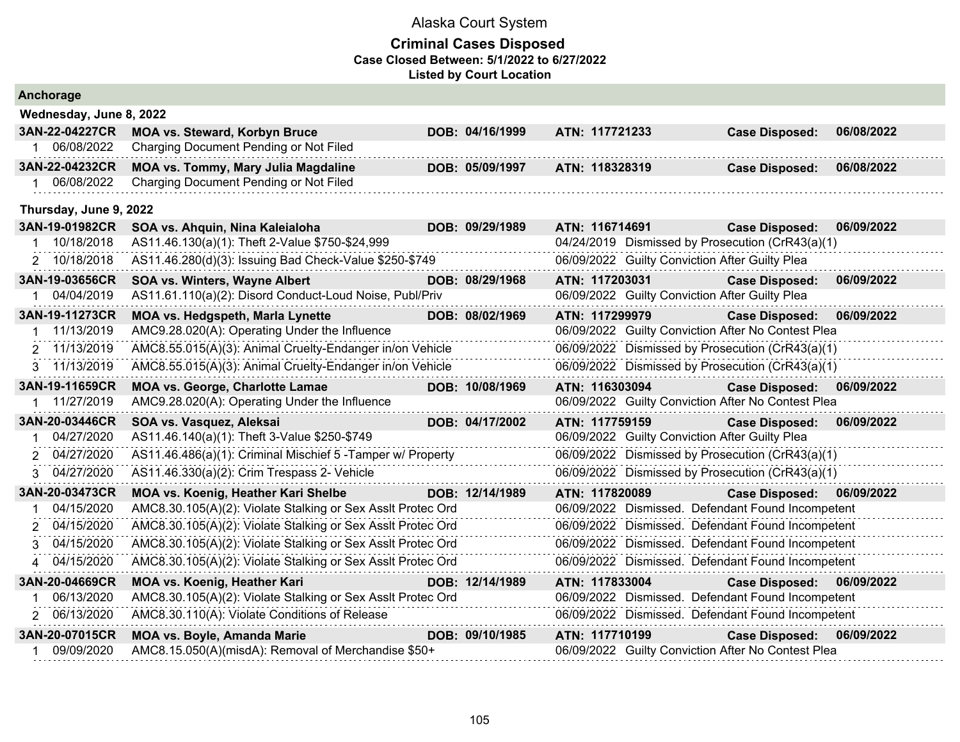| Anchorage               |                                                             |  |                 |                                                    |                       |            |  |  |  |  |
|-------------------------|-------------------------------------------------------------|--|-----------------|----------------------------------------------------|-----------------------|------------|--|--|--|--|
| Wednesday, June 8, 2022 |                                                             |  |                 |                                                    |                       |            |  |  |  |  |
| 3AN-22-04227CR          | <b>MOA vs. Steward, Korbyn Bruce</b>                        |  | DOB: 04/16/1999 | ATN: 117721233                                     | <b>Case Disposed:</b> | 06/08/2022 |  |  |  |  |
| 06/08/2022              | Charging Document Pending or Not Filed                      |  |                 |                                                    |                       |            |  |  |  |  |
| 3AN-22-04232CR          | <b>MOA vs. Tommy, Mary Julia Magdaline</b>                  |  | DOB: 05/09/1997 | ATN: 118328319                                     | <b>Case Disposed:</b> | 06/08/2022 |  |  |  |  |
| 06/08/2022              | Charging Document Pending or Not Filed                      |  |                 |                                                    |                       |            |  |  |  |  |
|                         | Thursday, June 9, 2022                                      |  |                 |                                                    |                       |            |  |  |  |  |
| 3AN-19-01982CR          | SOA vs. Ahquin, Nina Kaleialoha                             |  | DOB: 09/29/1989 | ATN: 116714691                                     | <b>Case Disposed:</b> | 06/09/2022 |  |  |  |  |
| 10/18/2018              | AS11.46.130(a)(1): Theft 2-Value \$750-\$24,999             |  |                 | 04/24/2019 Dismissed by Prosecution (CrR43(a)(1)   |                       |            |  |  |  |  |
| 2 10/18/2018            | AS11.46.280(d)(3): Issuing Bad Check-Value \$250-\$749      |  |                 | 06/09/2022 Guilty Conviction After Guilty Plea     |                       |            |  |  |  |  |
| 3AN-19-03656CR          | SOA vs. Winters, Wayne Albert                               |  | DOB: 08/29/1968 | ATN: 117203031                                     | <b>Case Disposed:</b> | 06/09/2022 |  |  |  |  |
| 04/04/2019              | AS11.61.110(a)(2): Disord Conduct-Loud Noise, Publ/Priv     |  |                 | 06/09/2022 Guilty Conviction After Guilty Plea     |                       |            |  |  |  |  |
| 3AN-19-11273CR          | MOA vs. Hedgspeth, Marla Lynette                            |  | DOB: 08/02/1969 | ATN: 117299979                                     | <b>Case Disposed:</b> | 06/09/2022 |  |  |  |  |
| 11/13/2019              | AMC9.28.020(A): Operating Under the Influence               |  |                 | 06/09/2022 Guilty Conviction After No Contest Plea |                       |            |  |  |  |  |
| 2 11/13/2019            | AMC8.55.015(A)(3): Animal Cruelty-Endanger in/on Vehicle    |  |                 | 06/09/2022 Dismissed by Prosecution (CrR43(a)(1)   |                       |            |  |  |  |  |
| 3 11/13/2019            | AMC8.55.015(A)(3): Animal Cruelty-Endanger in/on Vehicle    |  |                 | 06/09/2022 Dismissed by Prosecution (CrR43(a)(1)   |                       |            |  |  |  |  |
| 3AN-19-11659CR          | <b>MOA vs. George, Charlotte Lamae</b>                      |  | DOB: 10/08/1969 | ATN: 116303094                                     | <b>Case Disposed:</b> | 06/09/2022 |  |  |  |  |
| 11/27/2019              | AMC9.28.020(A): Operating Under the Influence               |  |                 | 06/09/2022 Guilty Conviction After No Contest Plea |                       |            |  |  |  |  |
| 3AN-20-03446CR          | SOA vs. Vasquez, Aleksai                                    |  | DOB: 04/17/2002 | ATN: 117759159                                     | <b>Case Disposed:</b> | 06/09/2022 |  |  |  |  |
| 04/27/2020              | AS11.46.140(a)(1): Theft 3-Value \$250-\$749                |  |                 | 06/09/2022 Guilty Conviction After Guilty Plea     |                       |            |  |  |  |  |
| 04/27/2020              | AS11.46.486(a)(1): Criminal Mischief 5 - Tamper w/ Property |  |                 | 06/09/2022 Dismissed by Prosecution (CrR43(a)(1)   |                       |            |  |  |  |  |
| 04/27/2020<br>3         | AS11.46.330(a)(2): Crim Trespass 2- Vehicle<br>.            |  |                 | 06/09/2022 Dismissed by Prosecution (CrR43(a)(1)   |                       |            |  |  |  |  |
| 3AN-20-03473CR          | <b>MOA vs. Koenig, Heather Kari Shelbe</b>                  |  | DOB: 12/14/1989 | ATN: 117820089                                     | <b>Case Disposed:</b> | 06/09/2022 |  |  |  |  |
| 04/15/2020              | AMC8.30.105(A)(2): Violate Stalking or Sex Asslt Protec Ord |  |                 | 06/09/2022 Dismissed. Defendant Found Incompetent  |                       |            |  |  |  |  |
| 04/15/2020<br>2         | AMC8.30.105(A)(2): Violate Stalking or Sex Asslt Protec Ord |  |                 | 06/09/2022 Dismissed. Defendant Found Incompetent  |                       |            |  |  |  |  |
| 04/15/2020              | AMC8.30.105(A)(2): Violate Stalking or Sex Asslt Protec Ord |  |                 | 06/09/2022 Dismissed. Defendant Found Incompetent  |                       |            |  |  |  |  |
| 04/15/2020<br>4         | AMC8.30.105(A)(2): Violate Stalking or Sex Asslt Protec Ord |  |                 | 06/09/2022 Dismissed. Defendant Found Incompetent  |                       |            |  |  |  |  |
| 3AN-20-04669CR          | <b>MOA vs. Koenig, Heather Kari</b>                         |  | DOB: 12/14/1989 | ATN: 117833004                                     | <b>Case Disposed:</b> | 06/09/2022 |  |  |  |  |
| 06/13/2020              | AMC8.30.105(A)(2): Violate Stalking or Sex Asslt Protec Ord |  |                 | 06/09/2022 Dismissed. Defendant Found Incompetent  |                       |            |  |  |  |  |
| 2 06/13/2020            | AMC8.30.110(A): Violate Conditions of Release               |  |                 | 06/09/2022 Dismissed. Defendant Found Incompetent  |                       |            |  |  |  |  |
| 3AN-20-07015CR          | <b>MOA vs. Boyle, Amanda Marie</b>                          |  | DOB: 09/10/1985 | ATN: 117710199                                     | <b>Case Disposed:</b> | 06/09/2022 |  |  |  |  |
| 09/09/2020              | AMC8.15.050(A)(misdA): Removal of Merchandise \$50+         |  |                 | 06/09/2022 Guilty Conviction After No Contest Plea |                       |            |  |  |  |  |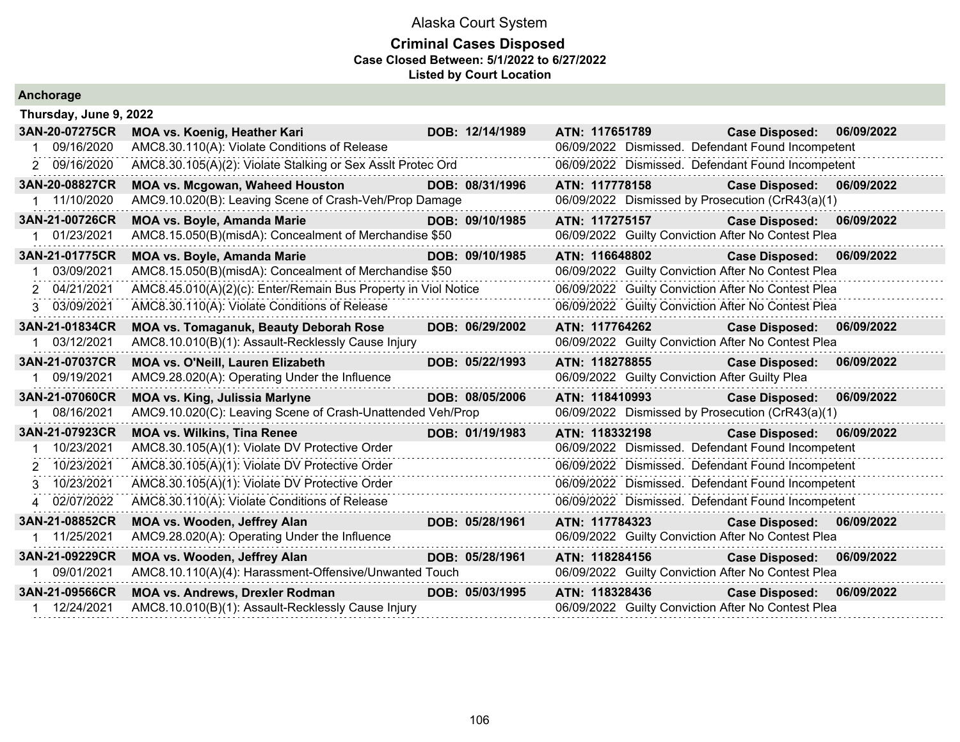| Anchorage              |                                                                |                 |                |                                                |                                                    |            |
|------------------------|----------------------------------------------------------------|-----------------|----------------|------------------------------------------------|----------------------------------------------------|------------|
| Thursday, June 9, 2022 |                                                                |                 |                |                                                |                                                    |            |
| 3AN-20-07275CR         | MOA vs. Koenig, Heather Kari                                   | DOB: 12/14/1989 | ATN: 117651789 |                                                | <b>Case Disposed:</b>                              | 06/09/2022 |
| 09/16/2020<br>-1       | AMC8.30.110(A): Violate Conditions of Release                  |                 |                |                                                | 06/09/2022 Dismissed. Defendant Found Incompetent  |            |
| 2 09/16/2020           | AMC8.30.105(A)(2): Violate Stalking or Sex AssIt Protec Ord    |                 |                |                                                | 06/09/2022 Dismissed. Defendant Found Incompetent  |            |
| 3AN-20-08827CR         | <b>MOA vs. Mcgowan, Waheed Houston</b>                         | DOB: 08/31/1996 | ATN: 117778158 |                                                | <b>Case Disposed:</b>                              | 06/09/2022 |
| 11/10/2020             | AMC9.10.020(B): Leaving Scene of Crash-Veh/Prop Damage         |                 |                |                                                | 06/09/2022 Dismissed by Prosecution (CrR43(a)(1)   |            |
| 3AN-21-00726CR         | <b>MOA vs. Boyle, Amanda Marie</b>                             | DOB: 09/10/1985 |                | ATN: 117275157                                 | <b>Case Disposed:</b>                              | 06/09/2022 |
| 01/23/2021             | AMC8.15.050(B)(misdA): Concealment of Merchandise \$50         |                 |                |                                                | 06/09/2022 Guilty Conviction After No Contest Plea |            |
| 3AN-21-01775CR         | <b>MOA vs. Boyle, Amanda Marie</b>                             | DOB: 09/10/1985 | ATN: 116648802 |                                                | Case Disposed: 06/09/2022                          |            |
| 03/09/2021             | AMC8.15.050(B)(misdA): Concealment of Merchandise \$50         |                 |                |                                                | 06/09/2022 Guilty Conviction After No Contest Plea |            |
| 2 04/21/2021           | AMC8.45.010(A)(2)(c): Enter/Remain Bus Property in Viol Notice |                 |                |                                                | 06/09/2022 Guilty Conviction After No Contest Plea |            |
| 3 03/09/2021           | AMC8.30.110(A): Violate Conditions of Release                  |                 |                |                                                | 06/09/2022 Guilty Conviction After No Contest Plea |            |
| 3AN-21-01834CR         | <b>MOA vs. Tomaganuk, Beauty Deborah Rose</b>                  | DOB: 06/29/2002 |                | ATN: 117764262                                 | Case Disposed: 06/09/2022                          |            |
| 03/12/2021             | AMC8.10.010(B)(1): Assault-Recklessly Cause Injury             |                 |                |                                                | 06/09/2022 Guilty Conviction After No Contest Plea |            |
| 3AN-21-07037CR         | MOA vs. O'Neill, Lauren Elizabeth                              | DOB: 05/22/1993 | ATN: 118278855 |                                                | <b>Case Disposed:</b>                              | 06/09/2022 |
| 09/19/2021             | AMC9.28.020(A): Operating Under the Influence                  |                 |                | 06/09/2022 Guilty Conviction After Guilty Plea |                                                    |            |
| 3AN-21-07060CR         | <b>MOA vs. King, Julissia Marlyne</b>                          | DOB: 08/05/2006 |                | ATN: 118410993 <b>ATN:</b> 118410993           | <b>Case Disposed:</b>                              | 06/09/2022 |
| 08/16/2021             | AMC9.10.020(C): Leaving Scene of Crash-Unattended Veh/Prop     |                 |                |                                                | 06/09/2022 Dismissed by Prosecution (CrR43(a)(1)   |            |
| 3AN-21-07923CR         | <b>MOA vs. Wilkins, Tina Renee</b>                             | DOB: 01/19/1983 | ATN: 118332198 |                                                | Case Disposed: 06/09/2022                          |            |
| 10/23/2021             | AMC8.30.105(A)(1): Violate DV Protective Order                 |                 |                |                                                | 06/09/2022 Dismissed. Defendant Found Incompetent  |            |
| 2 10/23/2021           | AMC8.30.105(A)(1): Violate DV Protective Order                 |                 |                |                                                | 06/09/2022 Dismissed. Defendant Found Incompetent  |            |
| 3 10/23/2021           | AMC8.30.105(A)(1): Violate DV Protective Order                 |                 |                |                                                | 06/09/2022 Dismissed. Defendant Found Incompetent  |            |
| 4 02/07/2022           | AMC8.30.110(A): Violate Conditions of Release                  |                 |                |                                                | 06/09/2022 Dismissed. Defendant Found Incompetent  |            |
| 3AN-21-08852CR         | MOA vs. Wooden, Jeffrey Alan                                   | DOB: 05/28/1961 | ATN: 117784323 |                                                | <b>Case Disposed:</b>                              | 06/09/2022 |
| 1 11/25/2021           | AMC9.28.020(A): Operating Under the Influence                  |                 |                |                                                | 06/09/2022 Guilty Conviction After No Contest Plea |            |
| 3AN-21-09229CR         | MOA vs. Wooden, Jeffrey Alan                                   | DOB: 05/28/1961 | ATN: 118284156 |                                                | <b>Case Disposed:</b>                              | 06/09/2022 |
| 09/01/2021             | AMC8.10.110(A)(4): Harassment-Offensive/Unwanted Touch         |                 |                |                                                | 06/09/2022 Guilty Conviction After No Contest Plea |            |
| 3AN-21-09566CR         | <b>MOA vs. Andrews, Drexler Rodman</b>                         | DOB: 05/03/1995 | ATN: 118328436 |                                                | <b>Case Disposed:</b>                              | 06/09/2022 |
| 12/24/2021             | AMC8.10.010(B)(1): Assault-Recklessly Cause Injury             |                 |                |                                                | 06/09/2022 Guilty Conviction After No Contest Plea |            |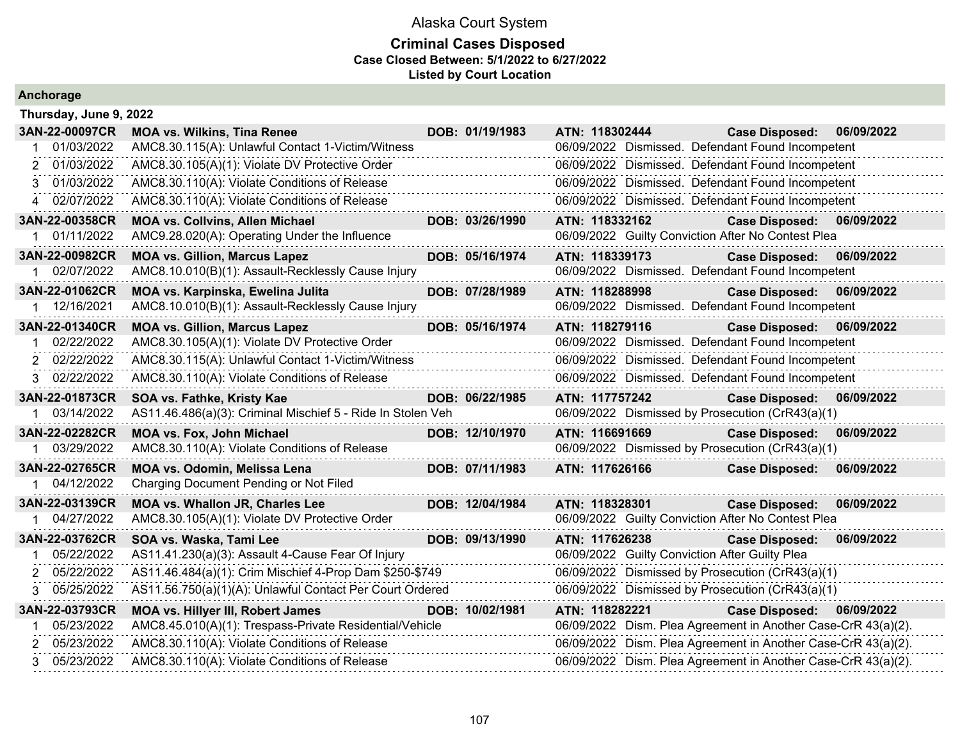#### **Criminal Cases Disposed Case Closed Between: 5/1/2022 to 6/27/2022 Listed by Court Location**

| Thursday, June 9, 2022 |                                                             |                 |                                                               |                           |            |
|------------------------|-------------------------------------------------------------|-----------------|---------------------------------------------------------------|---------------------------|------------|
| 3AN-22-00097CR         | <b>MOA vs. Wilkins, Tina Renee</b>                          | DOB: 01/19/1983 | ATN: 118302444                                                | <b>Case Disposed:</b>     | 06/09/2022 |
| 01/03/2022             | AMC8.30.115(A): Unlawful Contact 1-Victim/Witness           |                 | 06/09/2022 Dismissed. Defendant Found Incompetent             |                           |            |
| 2 01/03/2022           | AMC8.30.105(A)(1): Violate DV Protective Order              |                 | 06/09/2022 Dismissed. Defendant Found Incompetent             |                           |            |
| 3 01/03/2022           | AMC8.30.110(A): Violate Conditions of Release               |                 | 06/09/2022 Dismissed. Defendant Found Incompetent             |                           |            |
| 4 02/07/2022           | AMC8.30.110(A): Violate Conditions of Release               |                 | 06/09/2022 Dismissed. Defendant Found Incompetent             |                           |            |
| 3AN-22-00358CR         | <b>MOA vs. Collvins, Allen Michael</b>                      | DOB: 03/26/1990 | ATN: 118332162                                                | <b>Case Disposed:</b>     | 06/09/2022 |
| 01/11/2022             | AMC9.28.020(A): Operating Under the Influence               |                 | 06/09/2022 Guilty Conviction After No Contest Plea            |                           |            |
| 3AN-22-00982CR         | <b>MOA vs. Gillion, Marcus Lapez</b>                        | DOB: 05/16/1974 | ATN: 118339173                                                | Case Disposed: 06/09/2022 |            |
| 02/07/2022             | AMC8.10.010(B)(1): Assault-Recklessly Cause Injury          |                 | 06/09/2022 Dismissed. Defendant Found Incompetent             |                           |            |
| 3AN-22-01062CR         | MOA vs. Karpinska, Ewelina Julita                           | DOB: 07/28/1989 | ATN: 118288998                                                | <b>Case Disposed:</b>     | 06/09/2022 |
| 1 12/16/2021           | AMC8.10.010(B)(1): Assault-Recklessly Cause Injury          |                 | 06/09/2022 Dismissed. Defendant Found Incompetent             |                           |            |
| 3AN-22-01340CR         | <b>MOA vs. Gillion, Marcus Lapez</b>                        | DOB: 05/16/1974 | ATN: 118279116                                                | Case Disposed: 06/09/2022 |            |
| 02/22/2022             | AMC8.30.105(A)(1): Violate DV Protective Order              |                 | 06/09/2022 Dismissed. Defendant Found Incompetent             |                           |            |
| 2 02/22/2022           | AMC8.30.115(A): Unlawful Contact 1-Victim/Witness           |                 | 06/09/2022 Dismissed. Defendant Found Incompetent             |                           |            |
| 3 02/22/2022           | AMC8.30.110(A): Violate Conditions of Release               |                 | 06/09/2022 Dismissed. Defendant Found Incompetent             |                           |            |
| 3AN-22-01873CR         | SOA vs. Fathke, Kristy Kae                                  | DOB: 06/22/1985 | ATN: 117757242                                                | <b>Case Disposed:</b>     | 06/09/2022 |
| 1 03/14/2022           | AS11.46.486(a)(3): Criminal Mischief 5 - Ride In Stolen Veh |                 | 06/09/2022 Dismissed by Prosecution (CrR43(a)(1)              |                           |            |
| 3AN-22-02282CR         | MOA vs. Fox, John Michael                                   | DOB: 12/10/1970 | ATN: 116691669                                                | <b>Case Disposed:</b>     | 06/09/2022 |
| 03/29/2022             | AMC8.30.110(A): Violate Conditions of Release               |                 | 06/09/2022 Dismissed by Prosecution (CrR43(a)(1)              |                           |            |
| 3AN-22-02765CR         | <b>MOA vs. Odomin, Melissa Lena</b>                         | DOB: 07/11/1983 | ATN: 117626166                                                | <b>Case Disposed:</b>     | 06/09/2022 |
| 04/12/2022             | Charging Document Pending or Not Filed                      |                 |                                                               |                           |            |
| 3AN-22-03139CR         | MOA vs. Whallon JR, Charles Lee                             | DOB: 12/04/1984 | ATN: 118328301                                                | <b>Case Disposed:</b>     | 06/09/2022 |
| 1 04/27/2022           | AMC8.30.105(A)(1): Violate DV Protective Order              |                 | 06/09/2022 Guilty Conviction After No Contest Plea            |                           |            |
| 3AN-22-03762CR         | SOA vs. Waska, Tami Lee                                     | DOB: 09/13/1990 | ATN: 117626238                                                | <b>Case Disposed:</b>     | 06/09/2022 |
| 05/22/2022             | AS11.41.230(a)(3): Assault 4-Cause Fear Of Injury           |                 | 06/09/2022 Guilty Conviction After Guilty Plea                |                           |            |
| 2 05/22/2022           | AS11.46.484(a)(1): Crim Mischief 4-Prop Dam \$250-\$749     |                 | 06/09/2022 Dismissed by Prosecution (CrR43(a)(1)              |                           |            |
| 3 05/25/2022           | AS11.56.750(a)(1)(A): Unlawful Contact Per Court Ordered    |                 | 06/09/2022 Dismissed by Prosecution (CrR43(a)(1)              |                           |            |
| 3AN-22-03793CR         | <b>MOA vs. Hillyer III, Robert James</b>                    | DOB: 10/02/1981 | ATN: 118282221                                                | <b>Case Disposed:</b>     | 06/09/2022 |
| 05/23/2022             | AMC8.45.010(A)(1): Trespass-Private Residential/Vehicle     |                 | 06/09/2022 Dism. Plea Agreement in Another Case-CrR 43(a)(2). |                           |            |
| 2 05/23/2022           | AMC8.30.110(A): Violate Conditions of Release               |                 | 06/09/2022 Dism. Plea Agreement in Another Case-CrR 43(a)(2). |                           |            |
| 3 05/23/2022           | AMC8.30.110(A): Violate Conditions of Release               |                 | 06/09/2022 Dism. Plea Agreement in Another Case-CrR 43(a)(2). |                           |            |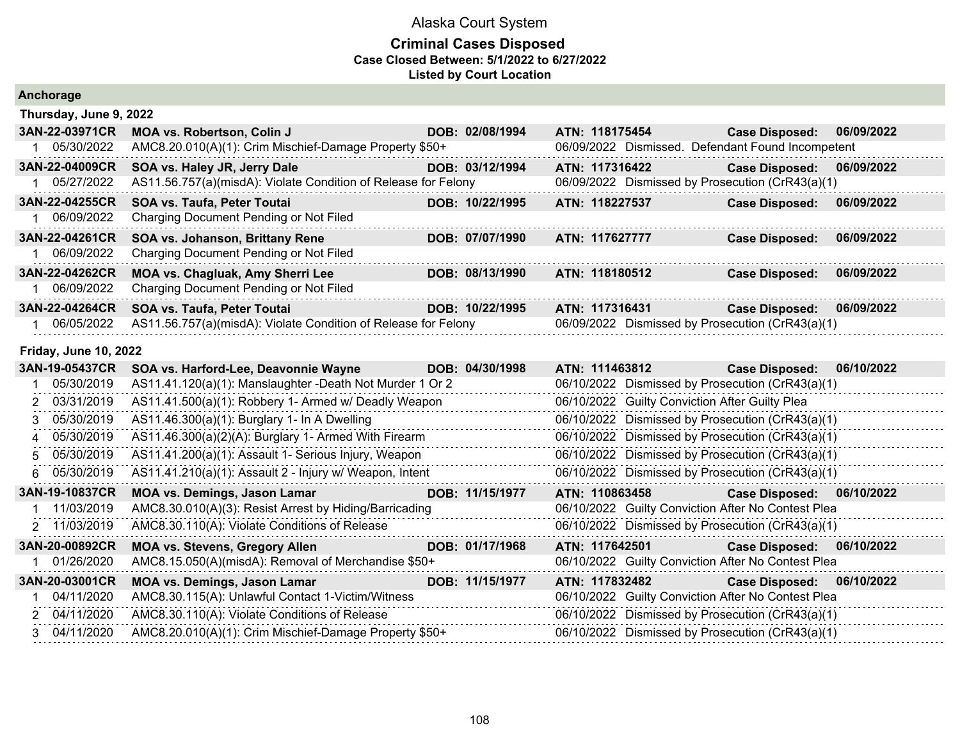| Anchorage                    |                                                                |                 |                |                                                |                                                    |            |
|------------------------------|----------------------------------------------------------------|-----------------|----------------|------------------------------------------------|----------------------------------------------------|------------|
| Thursday, June 9, 2022       |                                                                |                 |                |                                                |                                                    |            |
| 3AN-22-03971CR               | <b>MOA vs. Robertson, Colin J</b>                              | DOB: 02/08/1994 | ATN: 118175454 |                                                | <b>Case Disposed:</b>                              | 06/09/2022 |
| 1 05/30/2022                 | AMC8.20.010(A)(1): Crim Mischief-Damage Property \$50+         |                 |                |                                                | 06/09/2022 Dismissed. Defendant Found Incompetent  |            |
| 3AN-22-04009CR               | SOA vs. Haley JR, Jerry Dale                                   | DOB: 03/12/1994 | ATN: 117316422 |                                                | <b>Case Disposed:</b>                              | 06/09/2022 |
| 1 05/27/2022                 | AS11.56.757(a)(misdA): Violate Condition of Release for Felony |                 |                |                                                | 06/09/2022 Dismissed by Prosecution (CrR43(a)(1)   |            |
| 3AN-22-04255CR               | <b>SOA vs. Taufa, Peter Toutai</b>                             | DOB: 10/22/1995 | ATN: 118227537 |                                                | <b>Case Disposed:</b>                              | 06/09/2022 |
| 06/09/2022                   | Charging Document Pending or Not Filed                         |                 |                |                                                |                                                    |            |
| 3AN-22-04261CR               | SOA vs. Johanson, Brittany Rene                                | DOB: 07/07/1990 | ATN: 117627777 |                                                | <b>Case Disposed:</b>                              | 06/09/2022 |
| 06/09/2022                   | Charging Document Pending or Not Filed                         |                 |                |                                                |                                                    |            |
| 3AN-22-04262CR               | MOA vs. Chagluak, Amy Sherri Lee                               | DOB: 08/13/1990 | ATN: 118180512 |                                                | <b>Case Disposed:</b>                              | 06/09/2022 |
| 1 06/09/2022                 | Charging Document Pending or Not Filed                         |                 |                |                                                |                                                    |            |
| 3AN-22-04264CR               | SOA vs. Taufa, Peter Toutai                                    | DOB: 10/22/1995 | ATN: 117316431 |                                                | <b>Case Disposed:</b>                              | 06/09/2022 |
| 06/05/2022                   | AS11.56.757(a)(misdA): Violate Condition of Release for Felony |                 |                |                                                | 06/09/2022 Dismissed by Prosecution (CrR43(a)(1)   |            |
| <b>Friday, June 10, 2022</b> |                                                                |                 |                |                                                |                                                    |            |
| 3AN-19-05437CR               | SOA vs. Harford-Lee, Deavonnie Wayne                           | DOB: 04/30/1998 | ATN: 111463812 |                                                | <b>Case Disposed:</b>                              | 06/10/2022 |
| 05/30/2019                   | AS11.41.120(a)(1): Manslaughter -Death Not Murder 1 Or 2       |                 |                |                                                | 06/10/2022 Dismissed by Prosecution (CrR43(a)(1)   |            |
| 03/31/2019<br>2              | AS11.41.500(a)(1): Robbery 1- Armed w/ Deadly Weapon           |                 |                | 06/10/2022 Guilty Conviction After Guilty Plea |                                                    |            |
| 05/30/2019<br>3              | AS11.46.300(a)(1): Burglary 1- In A Dwelling                   |                 |                |                                                | 06/10/2022 Dismissed by Prosecution (CrR43(a)(1)   |            |
| 05/30/2019<br>4              | AS11.46.300(a)(2)(A): Burglary 1- Armed With Firearm           |                 |                |                                                | 06/10/2022 Dismissed by Prosecution (CrR43(a)(1)   |            |
| 05/30/2019<br>5              | AS11.41.200(a)(1): Assault 1- Serious Injury, Weapon           |                 |                |                                                | 06/10/2022 Dismissed by Prosecution (CrR43(a)(1)   |            |
| 05/30/2019<br>6              | AS11.41.210(a)(1): Assault 2 - Injury w/ Weapon, Intent        |                 |                |                                                | 06/10/2022 Dismissed by Prosecution (CrR43(a)(1)   |            |
| 3AN-19-10837CR               | <b>MOA vs. Demings, Jason Lamar</b>                            | DOB: 11/15/1977 | ATN: 110863458 |                                                | <b>Case Disposed:</b>                              | 06/10/2022 |
| 11/03/2019                   | AMC8.30.010(A)(3): Resist Arrest by Hiding/Barricading         |                 |                |                                                | 06/10/2022 Guilty Conviction After No Contest Plea |            |
| 11/03/2019<br>2              | AMC8.30.110(A): Violate Conditions of Release                  |                 |                |                                                | 06/10/2022 Dismissed by Prosecution (CrR43(a)(1)   |            |
| 3AN-20-00892CR               | <b>MOA vs. Stevens, Gregory Allen</b>                          | DOB: 01/17/1968 | ATN: 117642501 |                                                | <b>Case Disposed:</b>                              | 06/10/2022 |
| 01/26/2020                   | AMC8.15.050(A)(misdA): Removal of Merchandise \$50+            |                 |                |                                                | 06/10/2022 Guilty Conviction After No Contest Plea |            |
| 3AN-20-03001CR               | MOA vs. Demings, Jason Lamar                                   | DOB: 11/15/1977 | ATN: 117832482 |                                                | <b>Case Disposed:</b>                              | 06/10/2022 |
| 04/11/2020                   | AMC8.30.115(A): Unlawful Contact 1-Victim/Witness              |                 |                |                                                | 06/10/2022 Guilty Conviction After No Contest Plea |            |
| 2 04/11/2020                 | AMC8.30.110(A): Violate Conditions of Release                  |                 |                |                                                | 06/10/2022 Dismissed by Prosecution (CrR43(a)(1)   |            |
| 3 04/11/2020                 | AMC8.20.010(A)(1): Crim Mischief-Damage Property \$50+         |                 |                |                                                | 06/10/2022 Dismissed by Prosecution (CrR43(a)(1)   |            |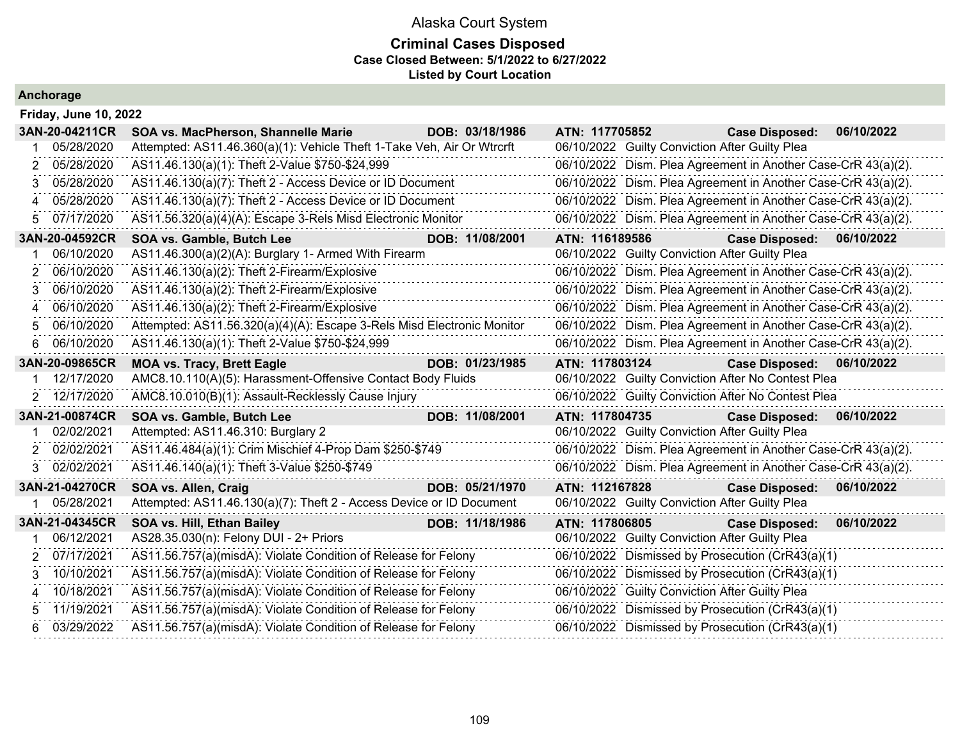### **Criminal Cases Disposed Case Closed Between: 5/1/2022 to 6/27/2022 Listed by Court Location**

|   | <b>Friday, June 10, 2022</b> |                                                                        |                 |                |                                                               |            |
|---|------------------------------|------------------------------------------------------------------------|-----------------|----------------|---------------------------------------------------------------|------------|
|   | 3AN-20-04211CR               | SOA vs. MacPherson, Shannelle Marie                                    | DOB: 03/18/1986 | ATN: 117705852 | <b>Case Disposed:</b>                                         | 06/10/2022 |
|   | 05/28/2020                   | Attempted: AS11.46.360(a)(1): Vehicle Theft 1-Take Veh, Air Or Wtrcrft |                 |                | 06/10/2022 Guilty Conviction After Guilty Plea                |            |
| 2 | 05/28/2020                   | AS11.46.130(a)(1): Theft 2-Value \$750-\$24,999                        |                 |                | 06/10/2022 Dism. Plea Agreement in Another Case-CrR 43(a)(2). |            |
| 3 | 05/28/2020                   | AS11.46.130(a)(7): Theft 2 - Access Device or ID Document              |                 |                | 06/10/2022 Dism. Plea Agreement in Another Case-CrR 43(a)(2). |            |
| Δ | 05/28/2020                   | AS11.46.130(a)(7): Theft 2 - Access Device or ID Document              |                 |                | 06/10/2022 Dism. Plea Agreement in Another Case-CrR 43(a)(2). |            |
| 5 | 07/17/2020                   | AS11.56.320(a)(4)(A): Escape 3-Rels Misd Electronic Monitor            |                 |                | 06/10/2022 Dism. Plea Agreement in Another Case-CrR 43(a)(2). |            |
|   | 3AN-20-04592CR               | SOA vs. Gamble, Butch Lee                                              | DOB: 11/08/2001 | ATN: 116189586 | <b>Case Disposed:</b>                                         | 06/10/2022 |
|   | 06/10/2020                   | AS11.46.300(a)(2)(A): Burglary 1- Armed With Firearm                   |                 |                | 06/10/2022 Guilty Conviction After Guilty Plea                |            |
| 2 | 06/10/2020                   | AS11.46.130(a)(2): Theft 2-Firearm/Explosive                           |                 |                | 06/10/2022 Dism. Plea Agreement in Another Case-CrR 43(a)(2). |            |
| 3 | 06/10/2020                   | AS11.46.130(a)(2): Theft 2-Firearm/Explosive                           |                 |                | 06/10/2022 Dism. Plea Agreement in Another Case-CrR 43(a)(2). |            |
| 4 | 06/10/2020                   | AS11.46.130(a)(2): Theft 2-Firearm/Explosive                           |                 |                | 06/10/2022 Dism. Plea Agreement in Another Case-CrR 43(a)(2). |            |
| 5 | 06/10/2020                   | Attempted: AS11.56.320(a)(4)(A): Escape 3-Rels Misd Electronic Monitor |                 |                | 06/10/2022 Dism. Plea Agreement in Another Case-CrR 43(a)(2). |            |
| 6 | 06/10/2020                   | AS11.46.130(a)(1): Theft 2-Value \$750-\$24,999                        |                 |                | 06/10/2022 Dism. Plea Agreement in Another Case-CrR 43(a)(2). |            |
|   | 3AN-20-09865CR               | <b>MOA vs. Tracy, Brett Eagle</b>                                      | DOB: 01/23/1985 | ATN: 117803124 | <b>Case Disposed:</b>                                         | 06/10/2022 |
|   | 12/17/2020                   | AMC8.10.110(A)(5): Harassment-Offensive Contact Body Fluids            |                 |                | 06/10/2022 Guilty Conviction After No Contest Plea            |            |
| 2 | 12/17/2020                   | AMC8.10.010(B)(1): Assault-Recklessly Cause Injury                     |                 |                | 06/10/2022 Guilty Conviction After No Contest Plea            |            |
|   | 3AN-21-00874CR               | SOA vs. Gamble, Butch Lee                                              | DOB: 11/08/2001 | ATN: 117804735 | <b>Case Disposed:</b>                                         | 06/10/2022 |
|   | 02/02/2021                   | Attempted: AS11.46.310: Burglary 2                                     |                 |                | 06/10/2022 Guilty Conviction After Guilty Plea                |            |
| 2 | 02/02/2021                   | AS11.46.484(a)(1): Crim Mischief 4-Prop Dam \$250-\$749                |                 |                | 06/10/2022 Dism. Plea Agreement in Another Case-CrR 43(a)(2). |            |
| 3 | 02/02/2021                   | AS11.46.140(a)(1): Theft 3-Value \$250-\$749                           |                 |                | 06/10/2022 Dism. Plea Agreement in Another Case-CrR 43(a)(2). |            |
|   | 3AN-21-04270CR               | SOA vs. Allen, Craig                                                   | DOB: 05/21/1970 | ATN: 112167828 | <b>Case Disposed:</b>                                         | 06/10/2022 |
|   | 05/28/2021                   | Attempted: AS11.46.130(a)(7): Theft 2 - Access Device or ID Document   |                 |                | 06/10/2022 Guilty Conviction After Guilty Plea                |            |
|   | 3AN-21-04345CR               | SOA vs. Hill, Ethan Bailey                                             | DOB: 11/18/1986 | ATN: 117806805 | <b>Case Disposed:</b>                                         | 06/10/2022 |
|   | 06/12/2021                   | AS28.35.030(n): Felony DUI - 2+ Priors                                 |                 |                | 06/10/2022 Guilty Conviction After Guilty Plea                |            |
| 2 | 07/17/2021                   | AS11.56.757(a)(misdA): Violate Condition of Release for Felony         |                 |                | 06/10/2022 Dismissed by Prosecution (CrR43(a)(1)              |            |
| 3 | 10/10/2021                   | AS11.56.757(a)(misdA): Violate Condition of Release for Felony         |                 |                | 06/10/2022 Dismissed by Prosecution (CrR43(a)(1)              |            |
| 4 | 10/18/2021                   | AS11.56.757(a)(misdA): Violate Condition of Release for Felony         |                 |                | 06/10/2022 Guilty Conviction After Guilty Plea                |            |
| 5 | 11/19/2021                   | AS11.56.757(a)(misdA): Violate Condition of Release for Felony         |                 |                | 06/10/2022 Dismissed by Prosecution (CrR43(a)(1)              |            |
|   | 03/29/2022                   | AS11.56.757(a)(misdA): Violate Condition of Release for Felony         |                 |                | 06/10/2022 Dismissed by Prosecution (CrR43(a)(1)              |            |
|   |                              |                                                                        |                 |                |                                                               |            |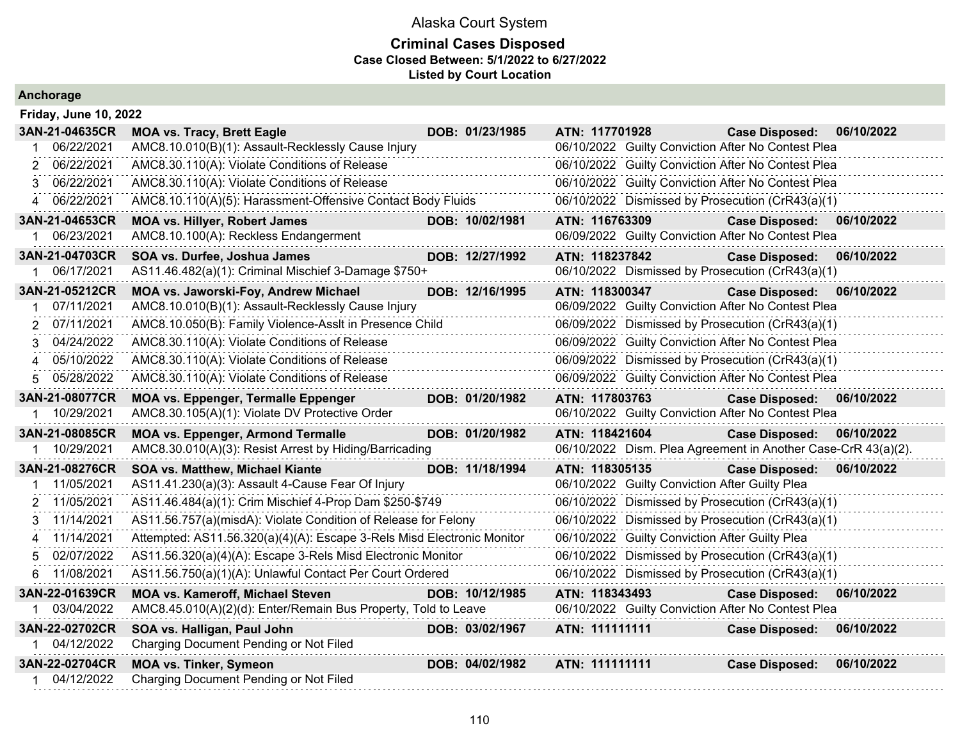#### **Criminal Cases Disposed Case Closed Between: 5/1/2022 to 6/27/2022 Listed by Court Location**

|    | <b>Friday, June 10, 2022</b> |                                                                        |                 |                |                                                |                                                               |            |
|----|------------------------------|------------------------------------------------------------------------|-----------------|----------------|------------------------------------------------|---------------------------------------------------------------|------------|
|    | 3AN-21-04635CR               | <b>MOA vs. Tracy, Brett Eagle</b>                                      | DOB: 01/23/1985 | ATN: 117701928 |                                                | <b>Case Disposed:</b>                                         | 06/10/2022 |
|    | 06/22/2021                   | AMC8.10.010(B)(1): Assault-Recklessly Cause Injury                     |                 |                |                                                | 06/10/2022 Guilty Conviction After No Contest Plea            |            |
| 2  | 06/22/2021                   | AMC8.30.110(A): Violate Conditions of Release                          |                 |                |                                                | 06/10/2022 Guilty Conviction After No Contest Plea            |            |
| 3  | 06/22/2021                   | AMC8.30.110(A): Violate Conditions of Release                          |                 |                |                                                | 06/10/2022 Guilty Conviction After No Contest Plea            |            |
|    | 4 06/22/2021                 | AMC8.10.110(A)(5): Harassment-Offensive Contact Body Fluids            |                 |                |                                                | 06/10/2022 Dismissed by Prosecution (CrR43(a)(1)              |            |
|    | 3AN-21-04653CR               | <b>MOA vs. Hillyer, Robert James</b>                                   | DOB: 10/02/1981 | ATN: 116763309 |                                                | <b>Case Disposed:</b>                                         | 06/10/2022 |
|    | 06/23/2021                   | AMC8.10.100(A): Reckless Endangerment                                  |                 |                |                                                | 06/09/2022 Guilty Conviction After No Contest Plea            |            |
|    | 3AN-21-04703CR               | SOA vs. Durfee, Joshua James                                           | DOB: 12/27/1992 | ATN: 118237842 |                                                | <b>Case Disposed:</b>                                         | 06/10/2022 |
| 1  | 06/17/2021                   | AS11.46.482(a)(1): Criminal Mischief 3-Damage \$750+                   |                 |                |                                                | 06/10/2022 Dismissed by Prosecution (CrR43(a)(1)              |            |
|    | 3AN-21-05212CR               | MOA vs. Jaworski-Foy, Andrew Michael                                   | DOB: 12/16/1995 | ATN: 118300347 |                                                | <b>Case Disposed:</b>                                         | 06/10/2022 |
|    | 07/11/2021                   | AMC8.10.010(B)(1): Assault-Recklessly Cause Injury                     |                 |                |                                                | 06/09/2022 Guilty Conviction After No Contest Plea            |            |
|    | 2 07/11/2021                 | AMC8.10.050(B): Family Violence-Asslt in Presence Child                |                 |                |                                                | 06/09/2022 Dismissed by Prosecution (CrR43(a)(1)              |            |
| 3. | 04/24/2022                   | AMC8.30.110(A): Violate Conditions of Release                          |                 |                |                                                | 06/09/2022 Guilty Conviction After No Contest Plea            |            |
| 4  | 05/10/2022                   | AMC8.30.110(A): Violate Conditions of Release                          |                 |                |                                                | 06/09/2022 Dismissed by Prosecution (CrR43(a)(1)              |            |
| 5. | 05/28/2022                   | AMC8.30.110(A): Violate Conditions of Release                          |                 |                |                                                | 06/09/2022 Guilty Conviction After No Contest Plea            |            |
|    | 3AN-21-08077CR               | <b>MOA vs. Eppenger, Termalle Eppenger</b>                             | DOB: 01/20/1982 | ATN: 117803763 |                                                | <b>Case Disposed:</b>                                         | 06/10/2022 |
|    | 10/29/2021                   | AMC8.30.105(A)(1): Violate DV Protective Order                         |                 |                |                                                | 06/10/2022 Guilty Conviction After No Contest Plea            |            |
|    | 3AN-21-08085CR               | <b>MOA vs. Eppenger, Armond Termalle</b>                               | DOB: 01/20/1982 | ATN: 118421604 |                                                | <b>Case Disposed:</b>                                         | 06/10/2022 |
|    | 10/29/2021                   | AMC8.30.010(A)(3): Resist Arrest by Hiding/Barricading                 |                 |                |                                                | 06/10/2022 Dism. Plea Agreement in Another Case-CrR 43(a)(2). |            |
|    | 3AN-21-08276CR               | SOA vs. Matthew, Michael Kiante                                        | DOB: 11/18/1994 | ATN: 118305135 |                                                | <b>Case Disposed:</b>                                         | 06/10/2022 |
|    | 11/05/2021                   | AS11.41.230(a)(3): Assault 4-Cause Fear Of Injury                      |                 |                | 06/10/2022 Guilty Conviction After Guilty Plea |                                                               |            |
|    | 2 11/05/2021                 | AS11.46.484(a)(1): Crim Mischief 4-Prop Dam \$250-\$749                |                 |                |                                                | 06/10/2022 Dismissed by Prosecution (CrR43(a)(1)              |            |
|    | 3 11/14/2021                 | AS11.56.757(a)(misdA): Violate Condition of Release for Felony         |                 |                |                                                | 06/10/2022 Dismissed by Prosecution (CrR43(a)(1)              |            |
|    | 4 11/14/2021                 | Attempted: AS11.56.320(a)(4)(A): Escape 3-Rels Misd Electronic Monitor |                 |                | 06/10/2022 Guilty Conviction After Guilty Plea |                                                               |            |
|    | 02/07/2022                   | AS11.56.320(a)(4)(A): Escape 3-Rels Misd Electronic Monitor            |                 |                |                                                | 06/10/2022 Dismissed by Prosecution (CrR43(a)(1)              |            |
| 6. | 11/08/2021                   | AS11.56.750(a)(1)(A): Unlawful Contact Per Court Ordered               |                 |                |                                                | 06/10/2022 Dismissed by Prosecution (CrR43(a)(1)              |            |
|    | 3AN-22-01639CR               | <b>MOA vs. Kameroff, Michael Steven</b>                                | DOB: 10/12/1985 | ATN: 118343493 |                                                | <b>Case Disposed:</b>                                         | 06/10/2022 |
|    | 03/04/2022                   | AMC8.45.010(A)(2)(d): Enter/Remain Bus Property, Told to Leave         |                 |                |                                                | 06/10/2022 Guilty Conviction After No Contest Plea            |            |
|    | 3AN-22-02702CR               | SOA vs. Halligan, Paul John                                            | DOB: 03/02/1967 | ATN: 111111111 |                                                | <b>Case Disposed:</b>                                         | 06/10/2022 |
| 1. | 04/12/2022                   | Charging Document Pending or Not Filed                                 |                 |                |                                                |                                                               |            |
|    | 3AN-22-02704CR               | <b>MOA vs. Tinker, Symeon</b>                                          | DOB: 04/02/1982 | ATN: 111111111 |                                                | <b>Case Disposed:</b>                                         | 06/10/2022 |
| 1  | 04/12/2022                   | Charging Document Pending or Not Filed                                 |                 |                |                                                |                                                               |            |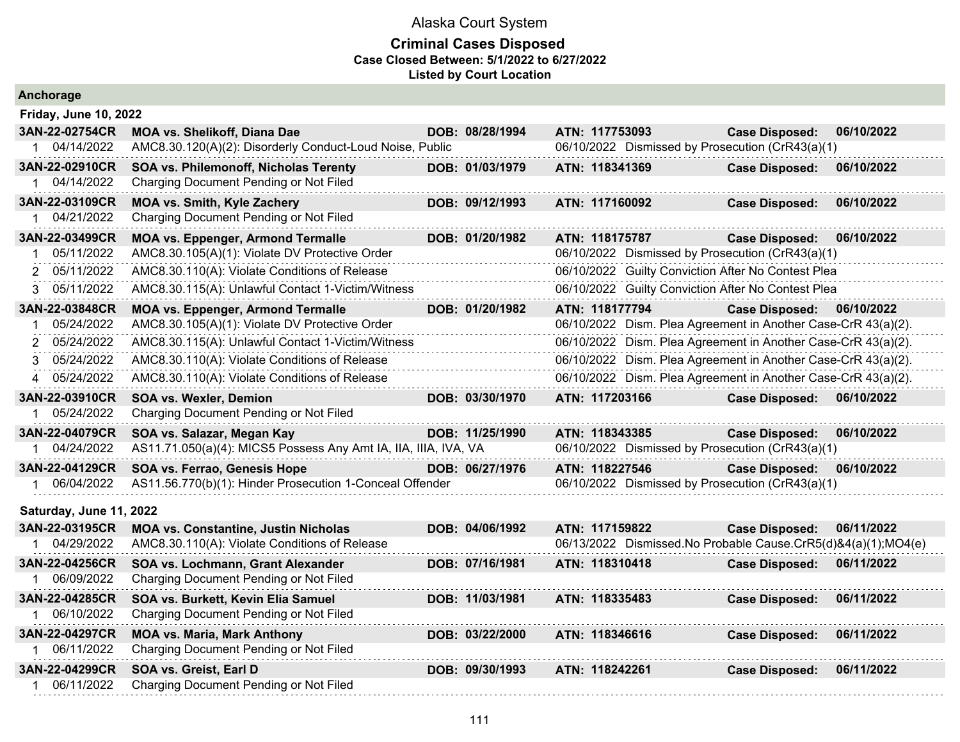| Anchorage                    |                                                                 |                 |                                                               |                                                               |            |
|------------------------------|-----------------------------------------------------------------|-----------------|---------------------------------------------------------------|---------------------------------------------------------------|------------|
| <b>Friday, June 10, 2022</b> |                                                                 |                 |                                                               |                                                               |            |
| 3AN-22-02754CR               | <b>MOA vs. Shelikoff, Diana Dae</b>                             | DOB: 08/28/1994 | ATN: 117753093                                                | <b>Case Disposed:</b>                                         | 06/10/2022 |
| 1 04/14/2022                 | AMC8.30.120(A)(2): Disorderly Conduct-Loud Noise, Public        |                 | 06/10/2022 Dismissed by Prosecution (CrR43(a)(1)              |                                                               |            |
| 3AN-22-02910CR               | SOA vs. Philemonoff, Nicholas Terenty                           | DOB: 01/03/1979 | ATN: 118341369                                                | <b>Case Disposed:</b>                                         | 06/10/2022 |
| 04/14/2022                   | Charging Document Pending or Not Filed                          |                 |                                                               |                                                               |            |
| 3AN-22-03109CR               | <b>MOA vs. Smith, Kyle Zachery</b>                              | DOB: 09/12/1993 | ATN: 117160092                                                | <b>Case Disposed:</b>                                         | 06/10/2022 |
| 04/21/2022<br>1              | Charging Document Pending or Not Filed                          |                 |                                                               |                                                               |            |
| 3AN-22-03499CR               | <b>MOA vs. Eppenger, Armond Termalle</b>                        | DOB: 01/20/1982 | ATN: 118175787                                                | <b>Case Disposed:</b>                                         | 06/10/2022 |
| 05/11/2022<br>1              | AMC8.30.105(A)(1): Violate DV Protective Order                  |                 | 06/10/2022 Dismissed by Prosecution (CrR43(a)(1)              |                                                               |            |
| 05/11/2022<br>$\mathcal{P}$  | AMC8.30.110(A): Violate Conditions of Release                   |                 | 06/10/2022 Guilty Conviction After No Contest Plea            |                                                               |            |
| 05/11/2022<br>3.             | AMC8.30.115(A): Unlawful Contact 1-Victim/Witness               |                 | 06/10/2022 Guilty Conviction After No Contest Plea            |                                                               |            |
| 3AN-22-03848CR               | <b>MOA vs. Eppenger, Armond Termalle</b>                        | DOB: 01/20/1982 | ATN: 118177794                                                | <b>Case Disposed:</b>                                         | 06/10/2022 |
| 05/24/2022                   | AMC8.30.105(A)(1): Violate DV Protective Order                  |                 |                                                               | 06/10/2022 Dism. Plea Agreement in Another Case-CrR 43(a)(2). |            |
| 05/24/2022                   | AMC8.30.115(A): Unlawful Contact 1-Victim/Witness               |                 |                                                               | 06/10/2022 Dism. Plea Agreement in Another Case-CrR 43(a)(2). |            |
| 05/24/2022<br>3              | AMC8.30.110(A): Violate Conditions of Release                   |                 | 06/10/2022 Dism. Plea Agreement in Another Case-CrR 43(a)(2). |                                                               |            |
| 05/24/2022<br>4              | AMC8.30.110(A): Violate Conditions of Release                   |                 | 06/10/2022 Dism. Plea Agreement in Another Case-CrR 43(a)(2). |                                                               |            |
| 3AN-22-03910CR               | <b>SOA vs. Wexler, Demion</b>                                   | DOB: 03/30/1970 | ATN: 117203166                                                | <b>Case Disposed:</b>                                         | 06/10/2022 |
|                              | Charging Document Pending or Not Filed                          |                 |                                                               |                                                               |            |
| 05/24/2022                   |                                                                 |                 |                                                               |                                                               |            |
| 3AN-22-04079CR               | SOA vs. Salazar, Megan Kay                                      | DOB: 11/25/1990 | ATN: 118343385                                                | <b>Case Disposed:</b>                                         | 06/10/2022 |
| 04/24/2022<br>1              | AS11.71.050(a)(4): MICS5 Possess Any Amt IA, IIA, IIIA, IVA, VA |                 | 06/10/2022 Dismissed by Prosecution (CrR43(a)(1)              |                                                               |            |
| 3AN-22-04129CR               | SOA vs. Ferrao, Genesis Hope                                    | DOB: 06/27/1976 | ATN: 118227546                                                | <b>Case Disposed:</b>                                         | 06/10/2022 |
| 06/04/2022                   | AS11.56.770(b)(1): Hinder Prosecution 1-Conceal Offender        |                 | 06/10/2022 Dismissed by Prosecution (CrR43(a)(1)              |                                                               |            |
| Saturday, June 11, 2022      |                                                                 |                 |                                                               |                                                               |            |
| 3AN-22-03195CR               | <b>MOA vs. Constantine, Justin Nicholas</b>                     | DOB: 04/06/1992 | ATN: 117159822                                                | <b>Case Disposed:</b>                                         | 06/11/2022 |
| 04/29/2022                   | AMC8.30.110(A): Violate Conditions of Release                   |                 |                                                               | 06/13/2022 Dismissed.No Probable Cause.CrR5(d)&4(a)(1);MO4(e) |            |
| 3AN-22-04256CR               | SOA vs. Lochmann, Grant Alexander                               | DOB: 07/16/1981 | ATN: 118310418                                                | <b>Case Disposed:</b>                                         | 06/11/2022 |
| 06/09/2022                   | Charging Document Pending or Not Filed                          |                 |                                                               |                                                               |            |
| 3AN-22-04285CR               | SOA vs. Burkett, Kevin Elia Samuel                              | DOB: 11/03/1981 | ATN: 118335483                                                | <b>Case Disposed:</b>                                         | 06/11/2022 |
| 1 06/10/2022                 | Charging Document Pending or Not Filed                          |                 |                                                               |                                                               |            |
| 3AN-22-04297CR               | <b>MOA vs. Maria, Mark Anthony</b>                              | DOB: 03/22/2000 | ATN: 118346616                                                | <b>Case Disposed:</b>                                         | 06/11/2022 |
| 06/11/2022                   | Charging Document Pending or Not Filed                          |                 |                                                               |                                                               |            |
| 3AN-22-04299CR               | SOA vs. Greist, Earl D                                          | DOB: 09/30/1993 | ATN: 118242261                                                | <b>Case Disposed:</b>                                         | 06/11/2022 |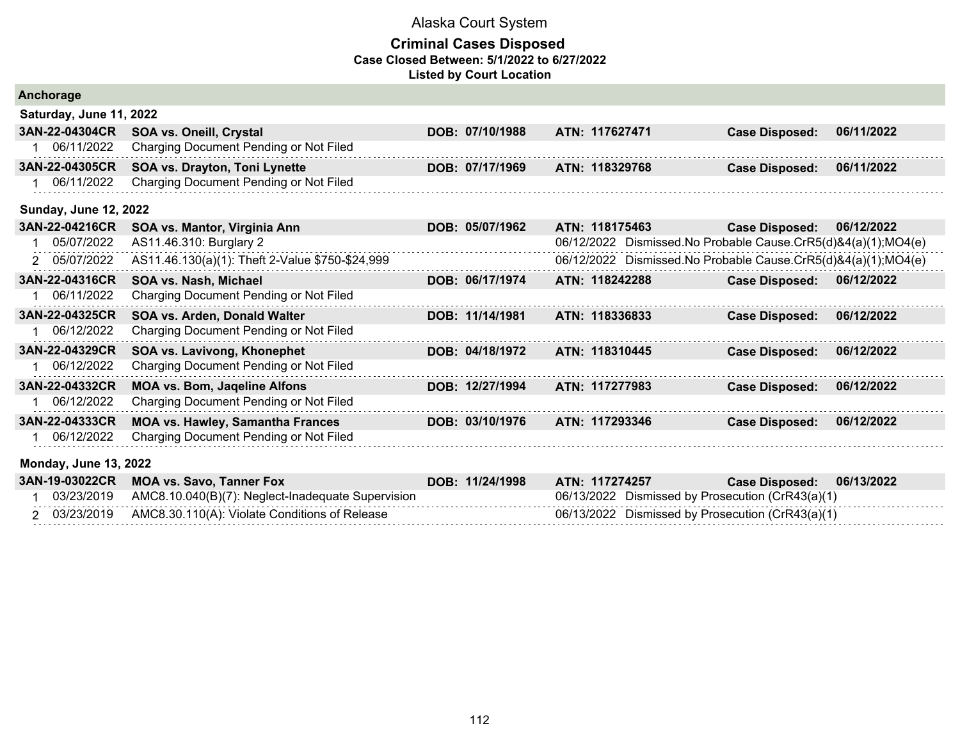| Anchorage                    |                                                   |                 |                                                               |                       |            |
|------------------------------|---------------------------------------------------|-----------------|---------------------------------------------------------------|-----------------------|------------|
| Saturday, June 11, 2022      |                                                   |                 |                                                               |                       |            |
| 3AN-22-04304CR               | SOA vs. Oneill, Crystal                           | DOB: 07/10/1988 | ATN: 117627471                                                | <b>Case Disposed:</b> | 06/11/2022 |
| 06/11/2022                   | Charging Document Pending or Not Filed            |                 |                                                               |                       |            |
| 3AN-22-04305CR               | SOA vs. Drayton, Toni Lynette                     | DOB: 07/17/1969 | ATN: 118329768                                                | <b>Case Disposed:</b> | 06/11/2022 |
| 06/11/2022                   | Charging Document Pending or Not Filed            |                 |                                                               |                       |            |
| <b>Sunday, June 12, 2022</b> |                                                   |                 |                                                               |                       |            |
| 3AN-22-04216CR               | SOA vs. Mantor, Virginia Ann                      | DOB: 05/07/1962 | ATN: 118175463                                                | <b>Case Disposed:</b> | 06/12/2022 |
| 05/07/2022                   | AS11.46.310: Burglary 2                           |                 | 06/12/2022 Dismissed.No Probable Cause.CrR5(d)&4(a)(1);MO4(e) |                       |            |
| 05/07/2022<br>$\overline{2}$ | AS11.46.130(a)(1): Theft 2-Value \$750-\$24,999   |                 | 06/12/2022 Dismissed.No Probable Cause.CrR5(d)&4(a)(1);MO4(e) |                       |            |
| 3AN-22-04316CR               | SOA vs. Nash, Michael                             | DOB: 06/17/1974 | ATN: 118242288                                                | <b>Case Disposed:</b> | 06/12/2022 |
| 06/11/2022                   | Charging Document Pending or Not Filed            |                 |                                                               |                       |            |
| 3AN-22-04325CR               | SOA vs. Arden, Donald Walter                      | DOB: 11/14/1981 | ATN: 118336833                                                | <b>Case Disposed:</b> | 06/12/2022 |
| 06/12/2022                   | Charging Document Pending or Not Filed            |                 |                                                               |                       |            |
| 3AN-22-04329CR               | SOA vs. Lavivong, Khonephet                       | DOB: 04/18/1972 | ATN: 118310445                                                | <b>Case Disposed:</b> | 06/12/2022 |
| 06/12/2022                   | Charging Document Pending or Not Filed            |                 |                                                               |                       |            |
| 3AN-22-04332CR               | <b>MOA vs. Bom, Jaqeline Alfons</b>               | DOB: 12/27/1994 | ATN: 117277983                                                | <b>Case Disposed:</b> | 06/12/2022 |
| 06/12/2022                   | Charging Document Pending or Not Filed            |                 |                                                               |                       |            |
| 3AN-22-04333CR               | <b>MOA vs. Hawley, Samantha Frances</b>           | DOB: 03/10/1976 | ATN: 117293346                                                | <b>Case Disposed:</b> | 06/12/2022 |
| 06/12/2022                   | Charging Document Pending or Not Filed            |                 |                                                               |                       |            |
| <b>Monday, June 13, 2022</b> |                                                   |                 |                                                               |                       |            |
| 3AN-19-03022CR               | <b>MOA vs. Savo, Tanner Fox</b>                   | DOB: 11/24/1998 | ATN: 117274257                                                | <b>Case Disposed:</b> | 06/13/2022 |
| 03/23/2019                   | AMC8.10.040(B)(7): Neglect-Inadequate Supervision |                 | 06/13/2022 Dismissed by Prosecution (CrR43(a)(1)              |                       |            |
| 2 03/23/2019                 | AMC8.30.110(A): Violate Conditions of Release     |                 | 06/13/2022 Dismissed by Prosecution (CrR43(a)(1)              |                       |            |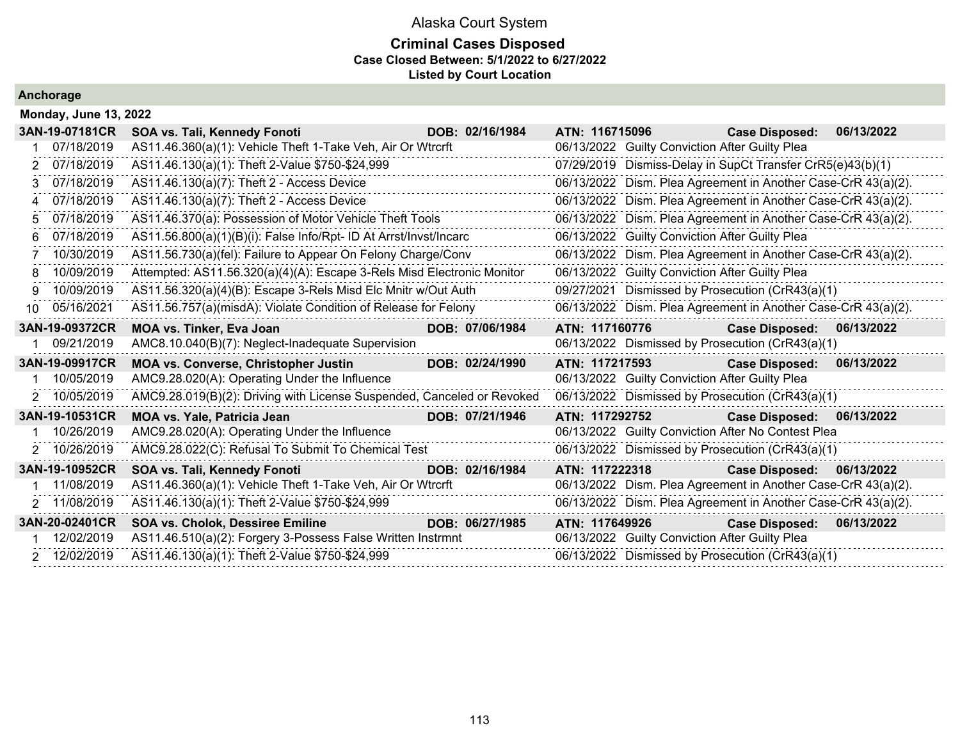#### **Criminal Cases Disposed Case Closed Between: 5/1/2022 to 6/27/2022 Listed by Court Location**

. . . . . . . . . . . . . . . .

. . . . . . . .

 $\mathbb{Z}^2$  . The set of the  $\mathbb{Z}^2$ 11111111

. . . . . . .

 $\mathbb{Z}^2$  . The mass of  $\mathbb{Z}^2$ . . . . . . . .

. . . . . . . .

**Anchorage**

|    | <b>Monday, June 13, 2022</b> |                                                                        |                 |                                                               |                       |            |
|----|------------------------------|------------------------------------------------------------------------|-----------------|---------------------------------------------------------------|-----------------------|------------|
|    | 3AN-19-07181CR               | SOA vs. Tali, Kennedy Fonoti                                           | DOB: 02/16/1984 | ATN: 116715096                                                | <b>Case Disposed:</b> | 06/13/2022 |
|    | 07/18/2019                   | AS11.46.360(a)(1): Vehicle Theft 1-Take Veh, Air Or Wtrcrft            |                 | 06/13/2022 Guilty Conviction After Guilty Plea                |                       |            |
|    | 07/18/2019                   | AS11.46.130(a)(1): Theft 2-Value \$750-\$24,999                        |                 | 07/29/2019 Dismiss-Delay in SupCt Transfer CrR5(e)43(b)(1)    |                       |            |
| 3  | 07/18/2019                   | AS11.46.130(a)(7): Theft 2 - Access Device                             |                 | 06/13/2022 Dism. Plea Agreement in Another Case-CrR 43(a)(2). |                       |            |
| 4  | 07/18/2019                   | AS11.46.130(a)(7): Theft 2 - Access Device                             | .               | 06/13/2022 Dism. Plea Agreement in Another Case-CrR 43(a)(2). |                       |            |
| 5. | 07/18/2019                   | AS11.46.370(a): Possession of Motor Vehicle Theft Tools                |                 | 06/13/2022 Dism. Plea Agreement in Another Case-CrR 43(a)(2). |                       |            |
| 6  | 07/18/2019                   | AS11.56.800(a)(1)(B)(i): False Info/Rpt- ID At Arrst/Invst/Incarc      |                 | 06/13/2022 Guilty Conviction After Guilty Plea                |                       |            |
|    | 10/30/2019                   | AS11.56.730(a)(fel): Failure to Appear On Felony Charge/Conv           |                 | 06/13/2022 Dism. Plea Agreement in Another Case-CrR 43(a)(2). |                       |            |
| 8  | 10/09/2019                   | Attempted: AS11.56.320(a)(4)(A): Escape 3-Rels Misd Electronic Monitor |                 | 06/13/2022 Guilty Conviction After Guilty Plea                |                       |            |
| 9  | 10/09/2019                   | AS11.56.320(a)(4)(B): Escape 3-Rels Misd Elc Mnitr w/Out Auth          |                 | 09/27/2021 Dismissed by Prosecution (CrR43(a)(1)              |                       |            |
| 10 | 05/16/2021                   | AS11.56.757(a)(misdA): Violate Condition of Release for Felony         |                 | 06/13/2022 Dism. Plea Agreement in Another Case-CrR 43(a)(2). |                       |            |
|    |                              |                                                                        |                 |                                                               |                       |            |
|    | 3AN-19-09372CR               | <b>MOA vs. Tinker, Eva Joan</b>                                        | DOB: 07/06/1984 | ATN: 117160776                                                | <b>Case Disposed:</b> | 06/13/2022 |
|    | 09/21/2019                   | AMC8.10.040(B)(7): Neglect-Inadequate Supervision                      |                 | 06/13/2022 Dismissed by Prosecution (CrR43(a)(1)              |                       |            |
|    | 3AN-19-09917CR               | <b>MOA vs. Converse, Christopher Justin</b>                            | DOB: 02/24/1990 | ATN: 117217593                                                | <b>Case Disposed:</b> | 06/13/2022 |
|    | 10/05/2019                   | AMC9.28.020(A): Operating Under the Influence                          |                 | 06/13/2022 Guilty Conviction After Guilty Plea                |                       |            |
|    | 2 10/05/2019                 | AMC9.28.019(B)(2): Driving with License Suspended, Canceled or Revoked |                 | 06/13/2022 Dismissed by Prosecution (CrR43(a)(1)              |                       |            |
|    | 3AN-19-10531CR               | <b>MOA vs. Yale, Patricia Jean</b>                                     | DOB: 07/21/1946 | ATN: 117292752                                                | <b>Case Disposed:</b> | 06/13/2022 |
|    | 10/26/2019                   | AMC9.28.020(A): Operating Under the Influence                          |                 | 06/13/2022 Guilty Conviction After No Contest Plea            |                       |            |
|    | 2 10/26/2019                 | AMC9.28.022(C): Refusal To Submit To Chemical Test                     | .               | 06/13/2022 Dismissed by Prosecution (CrR43(a)(1)              |                       |            |
|    | 3AN-19-10952CR               | SOA vs. Tali, Kennedy Fonoti                                           | DOB: 02/16/1984 | ATN: 117222318                                                | <b>Case Disposed:</b> | 06/13/2022 |
|    | 1 11/08/2019                 | AS11.46.360(a)(1): Vehicle Theft 1-Take Veh, Air Or Wtrcrft            |                 | 06/13/2022 Dism. Plea Agreement in Another Case-CrR 43(a)(2). |                       |            |
|    | 2 11/08/2019                 | AS11.46.130(a)(1): Theft 2-Value \$750-\$24,999                        |                 | 06/13/2022 Dism. Plea Agreement in Another Case-CrR 43(a)(2). |                       |            |

 1 12/02/2019 AS11.46.510(a)(2): Forgery 3-Possess False Written Instrmnt 06/13/2022 Guilty Conviction After Guilty Plea 2 12/02/2019 AS11.46.130(a)(1): Theft 2-Value \$750-\$24,999 06/13/2022 Dismissed by Prosecution (CrR43(a)(1)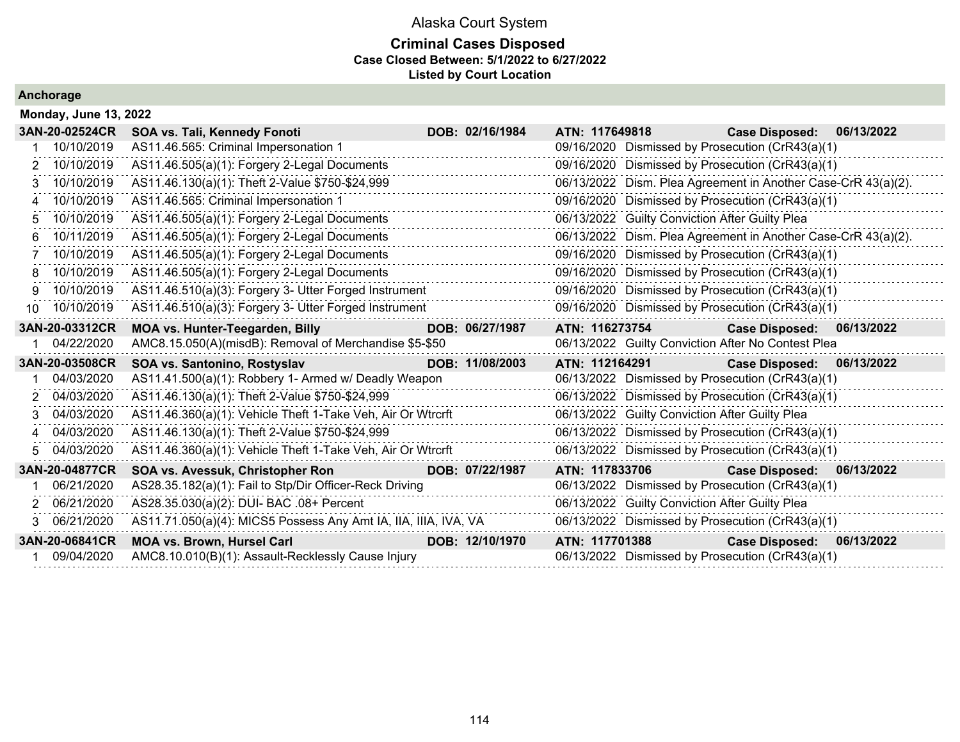#### **Criminal Cases Disposed Case Closed Between: 5/1/2022 to 6/27/2022 Listed by Court Location**

|    | <b>Monday, June 13, 2022</b> |                                                                 |  |                 |                |                                                               |            |  |  |  |  |
|----|------------------------------|-----------------------------------------------------------------|--|-----------------|----------------|---------------------------------------------------------------|------------|--|--|--|--|
|    | 3AN-20-02524CR               | SOA vs. Tali, Kennedy Fonoti                                    |  | DOB: 02/16/1984 | ATN: 117649818 | <b>Case Disposed:</b>                                         | 06/13/2022 |  |  |  |  |
|    | 10/10/2019                   | AS11.46.565: Criminal Impersonation 1                           |  |                 |                | 09/16/2020 Dismissed by Prosecution (CrR43(a)(1)              |            |  |  |  |  |
| 2  | 10/10/2019                   | AS11.46.505(a)(1): Forgery 2-Legal Documents                    |  |                 |                | 09/16/2020 Dismissed by Prosecution (CrR43(a)(1)              |            |  |  |  |  |
| 3  | 10/10/2019                   | AS11.46.130(a)(1): Theft 2-Value \$750-\$24,999                 |  |                 |                | 06/13/2022 Dism. Plea Agreement in Another Case-CrR 43(a)(2). |            |  |  |  |  |
|    | 10/10/2019                   | AS11.46.565: Criminal Impersonation 1                           |  |                 |                | 09/16/2020 Dismissed by Prosecution (CrR43(a)(1)              |            |  |  |  |  |
| 5  | 10/10/2019                   | AS11.46.505(a)(1): Forgery 2-Legal Documents                    |  |                 |                | 06/13/2022 Guilty Conviction After Guilty Plea                |            |  |  |  |  |
| 6  | 10/11/2019                   | AS11.46.505(a)(1): Forgery 2-Legal Documents                    |  |                 |                | 06/13/2022 Dism. Plea Agreement in Another Case-CrR 43(a)(2). |            |  |  |  |  |
|    | 10/10/2019                   | AS11.46.505(a)(1): Forgery 2-Legal Documents                    |  |                 |                | 09/16/2020 Dismissed by Prosecution (CrR43(a)(1)              |            |  |  |  |  |
| 8  | 10/10/2019                   | AS11.46.505(a)(1): Forgery 2-Legal Documents                    |  |                 |                | 09/16/2020 Dismissed by Prosecution (CrR43(a)(1)              |            |  |  |  |  |
| 9  | 10/10/2019                   | AS11.46.510(a)(3): Forgery 3- Utter Forged Instrument           |  |                 |                | 09/16/2020 Dismissed by Prosecution (CrR43(a)(1)              |            |  |  |  |  |
|    | 10 10/10/2019                | AS11.46.510(a)(3): Forgery 3- Utter Forged Instrument           |  |                 |                | 09/16/2020 Dismissed by Prosecution (CrR43(a)(1)              |            |  |  |  |  |
|    | 3AN-20-03312CR               | <b>MOA vs. Hunter-Teegarden, Billy</b>                          |  | DOB: 06/27/1987 | ATN: 116273754 | Case Disposed: 06/13/2022                                     |            |  |  |  |  |
|    | 04/22/2020                   | AMC8.15.050(A)(misdB): Removal of Merchandise \$5-\$50          |  |                 |                | 06/13/2022 Guilty Conviction After No Contest Plea            |            |  |  |  |  |
|    | 3AN-20-03508CR               | SOA vs. Santonino, Rostyslav                                    |  | DOB: 11/08/2003 | ATN: 112164291 | Case Disposed: 06/13/2022                                     |            |  |  |  |  |
|    | 04/03/2020                   | AS11.41.500(a)(1): Robbery 1- Armed w/ Deadly Weapon            |  |                 |                | 06/13/2022 Dismissed by Prosecution (CrR43(a)(1)              |            |  |  |  |  |
| 2  | 04/03/2020                   | AS11.46.130(a)(1): Theft 2-Value \$750-\$24,999                 |  |                 |                | 06/13/2022 Dismissed by Prosecution (CrR43(a)(1)              |            |  |  |  |  |
|    | 04/03/2020                   | AS11.46.360(a)(1): Vehicle Theft 1-Take Veh, Air Or Wtrcrft     |  |                 |                | 06/13/2022 Guilty Conviction After Guilty Plea                |            |  |  |  |  |
| 4  | 04/03/2020                   | AS11.46.130(a)(1): Theft 2-Value \$750-\$24,999                 |  |                 |                | 06/13/2022 Dismissed by Prosecution (CrR43(a)(1)              |            |  |  |  |  |
| 5. | 04/03/2020                   | AS11.46.360(a)(1): Vehicle Theft 1-Take Veh, Air Or Wtrcrft     |  |                 |                | 06/13/2022 Dismissed by Prosecution (CrR43(a)(1)              |            |  |  |  |  |
|    | 3AN-20-04877CR               | SOA vs. Avessuk, Christopher Ron                                |  | DOB: 07/22/1987 | ATN: 117833706 | Case Disposed: 06/13/2022                                     |            |  |  |  |  |
|    | 06/21/2020                   | AS28.35.182(a)(1): Fail to Stp/Dir Officer-Reck Driving         |  |                 |                | 06/13/2022 Dismissed by Prosecution (CrR43(a)(1)              |            |  |  |  |  |
|    | 2 06/21/2020                 | AS28.35.030(a)(2): DUI- BAC .08+ Percent                        |  |                 |                | 06/13/2022 Guilty Conviction After Guilty Plea                |            |  |  |  |  |
|    | 06/21/2020                   | AS11.71.050(a)(4): MICS5 Possess Any Amt IA, IIA, IIIA, IVA, VA |  |                 |                | 06/13/2022 Dismissed by Prosecution (CrR43(a)(1)              |            |  |  |  |  |
|    | 3AN-20-06841CR               | MOA vs. Brown, Hursel Carl                                      |  | DOB: 12/10/1970 | ATN: 117701388 | Case Disposed: 06/13/2022                                     |            |  |  |  |  |
|    | 09/04/2020                   | AMC8.10.010(B)(1): Assault-Recklessly Cause Injury              |  |                 |                | 06/13/2022 Dismissed by Prosecution (CrR43(a)(1)              |            |  |  |  |  |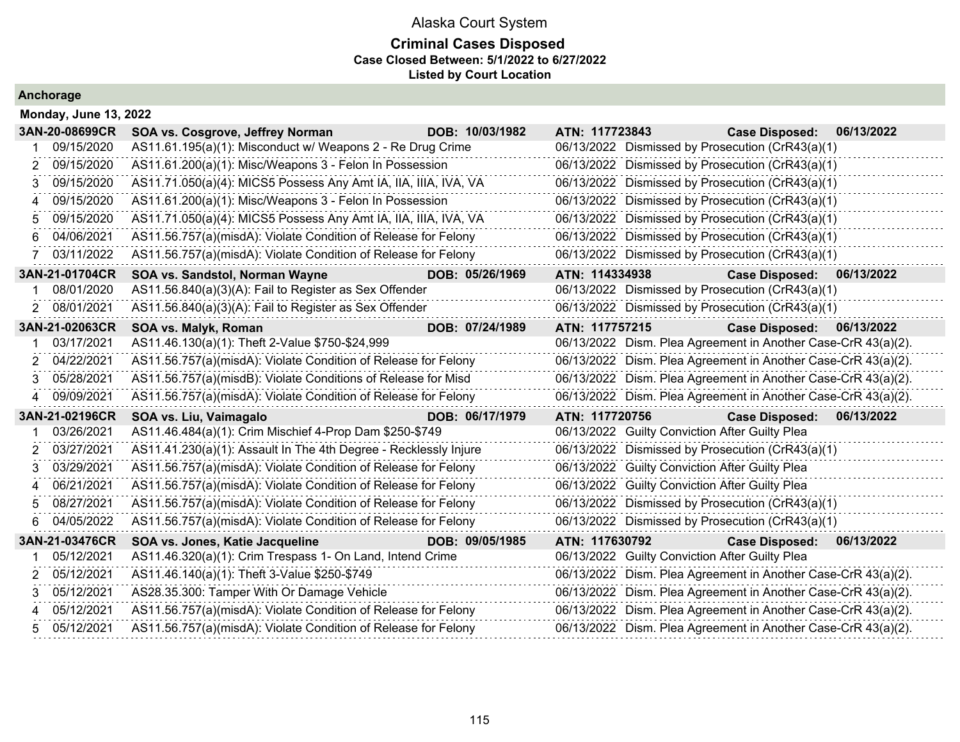### **Criminal Cases Disposed Case Closed Between: 5/1/2022 to 6/27/2022 Listed by Court Location**

|             | <b>Monday, June 13, 2022</b> |                                                                  |                 |                                                               |                       |            |
|-------------|------------------------------|------------------------------------------------------------------|-----------------|---------------------------------------------------------------|-----------------------|------------|
|             | 3AN-20-08699CR               | SOA vs. Cosgrove, Jeffrey Norman                                 | DOB: 10/03/1982 | ATN: 117723843                                                | <b>Case Disposed:</b> | 06/13/2022 |
|             | 09/15/2020                   | AS11.61.195(a)(1): Misconduct w/ Weapons 2 - Re Drug Crime       |                 | 06/13/2022 Dismissed by Prosecution (CrR43(a)(1)              |                       |            |
| 2           | 09/15/2020                   | AS11.61.200(a)(1): Misc/Weapons 3 - Felon In Possession          |                 | 06/13/2022 Dismissed by Prosecution (CrR43(a)(1)              |                       |            |
| 3           | 09/15/2020                   | AS11.71.050(a)(4): MICS5 Possess Any Amt IA, IIA, IIIA, IVA, VA  |                 | 06/13/2022 Dismissed by Prosecution (CrR43(a)(1)              |                       |            |
|             | 09/15/2020                   | AS11.61.200(a)(1): Misc/Weapons 3 - Felon In Possession          |                 | 06/13/2022 Dismissed by Prosecution (CrR43(a)(1)              |                       |            |
| 5           | 09/15/2020                   | AS11.71.050(a)(4): MICS5 Possess Any Amt IA, IIA, IIIA, IVA, VA  |                 | 06/13/2022 Dismissed by Prosecution (CrR43(a)(1)              |                       |            |
| 6           | 04/06/2021                   | AS11.56.757(a)(misdA): Violate Condition of Release for Felony   |                 | 06/13/2022 Dismissed by Prosecution (CrR43(a)(1)              |                       |            |
|             | 03/11/2022                   | AS11.56.757(a)(misdA): Violate Condition of Release for Felony   |                 | 06/13/2022 Dismissed by Prosecution (CrR43(a)(1)              |                       |            |
|             | 3AN-21-01704CR               | SOA vs. Sandstol, Norman Wayne                                   | DOB: 05/26/1969 | ATN: 114334938                                                | <b>Case Disposed:</b> | 06/13/2022 |
|             | 08/01/2020                   | AS11.56.840(a)(3)(A): Fail to Register as Sex Offender           |                 | 06/13/2022 Dismissed by Prosecution (CrR43(a)(1)              |                       |            |
| 2           | 08/01/2021                   | AS11.56.840(a)(3)(A): Fail to Register as Sex Offender           |                 | 06/13/2022 Dismissed by Prosecution (CrR43(a)(1)              |                       |            |
|             | 3AN-21-02063CR               | SOA vs. Malyk, Roman                                             | DOB: 07/24/1989 | ATN: 117757215                                                | <b>Case Disposed:</b> | 06/13/2022 |
|             | 03/17/2021                   | AS11.46.130(a)(1): Theft 2-Value \$750-\$24,999                  |                 | 06/13/2022 Dism. Plea Agreement in Another Case-CrR 43(a)(2). |                       |            |
| 2           | 04/22/2021                   | AS11.56.757(a)(misdA): Violate Condition of Release for Felony   |                 | 06/13/2022 Dism. Plea Agreement in Another Case-CrR 43(a)(2). |                       |            |
| 3           | 05/28/2021                   | AS11.56.757(a)(misdB): Violate Conditions of Release for Misd    |                 | 06/13/2022 Dism. Plea Agreement in Another Case-CrR 43(a)(2). |                       |            |
| 4           | 09/09/2021                   | AS11.56.757(a)(misdA): Violate Condition of Release for Felony   |                 | 06/13/2022 Dism. Plea Agreement in Another Case-CrR 43(a)(2). |                       |            |
|             | 3AN-21-02196CR               | SOA vs. Liu, Vaimagalo                                           | DOB: 06/17/1979 | ATN: 117720756                                                | <b>Case Disposed:</b> | 06/13/2022 |
|             | 03/26/2021                   | AS11.46.484(a)(1): Crim Mischief 4-Prop Dam \$250-\$749          |                 | 06/13/2022 Guilty Conviction After Guilty Plea                |                       |            |
| 2           | 03/27/2021                   | AS11.41.230(a)(1): Assault In The 4th Degree - Recklessly Injure |                 | 06/13/2022 Dismissed by Prosecution (CrR43(a)(1)              |                       |            |
| 3           | 03/29/2021                   | AS11.56.757(a)(misdA): Violate Condition of Release for Felony   |                 | 06/13/2022 Guilty Conviction After Guilty Plea                |                       |            |
|             | 06/21/2021                   | AS11.56.757(a)(misdA): Violate Condition of Release for Felony   |                 | 06/13/2022 Guilty Conviction After Guilty Plea                |                       |            |
| 5           | 08/27/2021                   | AS11.56.757(a)(misdA): Violate Condition of Release for Felony   |                 | 06/13/2022 Dismissed by Prosecution (CrR43(a)(1)              |                       |            |
| 6.          | 04/05/2022                   | AS11.56.757(a)(misdA): Violate Condition of Release for Felony   |                 | 06/13/2022 Dismissed by Prosecution (CrR43(a)(1)              |                       |            |
|             | 3AN-21-03476CR               | SOA vs. Jones, Katie Jacqueline                                  | DOB: 09/05/1985 | ATN: 117630792                                                | <b>Case Disposed:</b> | 06/13/2022 |
|             | 05/12/2021                   | AS11.46.320(a)(1): Crim Trespass 1- On Land, Intend Crime        |                 | 06/13/2022 Guilty Conviction After Guilty Plea                |                       |            |
| 2           | 05/12/2021                   | AS11.46.140(a)(1): Theft 3-Value \$250-\$749                     |                 | 06/13/2022 Dism. Plea Agreement in Another Case-CrR 43(a)(2). |                       |            |
| 3           | 05/12/2021                   | AS28.35.300: Tamper With Or Damage Vehicle                       |                 | 06/13/2022 Dism. Plea Agreement in Another Case-CrR 43(a)(2). |                       |            |
| $\mathbf 4$ | 05/12/2021                   | AS11.56.757(a)(misdA): Violate Condition of Release for Felony   |                 | 06/13/2022 Dism. Plea Agreement in Another Case-CrR 43(a)(2). |                       |            |
| 5.          | 05/12/2021                   | AS11.56.757(a)(misdA): Violate Condition of Release for Felony   |                 | 06/13/2022 Dism. Plea Agreement in Another Case-CrR 43(a)(2). |                       |            |
|             |                              |                                                                  |                 |                                                               |                       |            |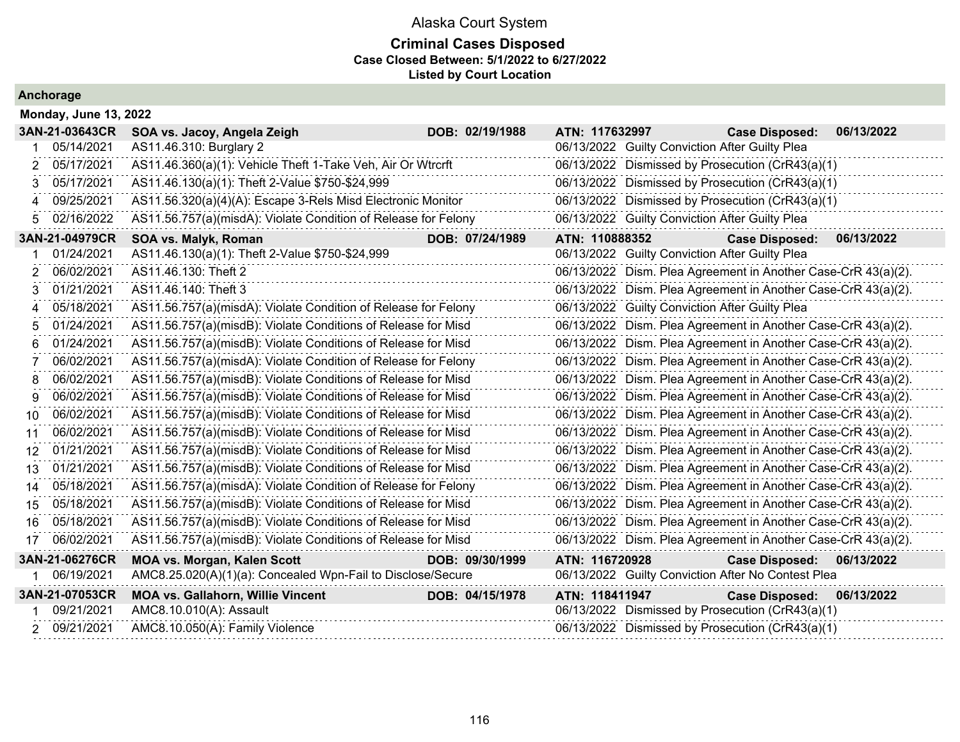### **Criminal Cases Disposed Case Closed Between: 5/1/2022 to 6/27/2022 Listed by Court Location**

|     | <b>Monday, June 13, 2022</b> |                                                                |                 |                |                                                |                                                               |            |  |  |  |  |
|-----|------------------------------|----------------------------------------------------------------|-----------------|----------------|------------------------------------------------|---------------------------------------------------------------|------------|--|--|--|--|
|     | 3AN-21-03643CR               | SOA vs. Jacoy, Angela Zeigh                                    | DOB: 02/19/1988 | ATN: 117632997 |                                                | <b>Case Disposed:</b>                                         | 06/13/2022 |  |  |  |  |
|     | 05/14/2021                   | AS11.46.310: Burglary 2                                        |                 |                | 06/13/2022 Guilty Conviction After Guilty Plea |                                                               |            |  |  |  |  |
| 2   | 05/17/2021                   | AS11.46.360(a)(1): Vehicle Theft 1-Take Veh, Air Or Wtrcrft    |                 |                |                                                | 06/13/2022 Dismissed by Prosecution (CrR43(a)(1)              |            |  |  |  |  |
| 3   | 05/17/2021                   | AS11.46.130(a)(1): Theft 2-Value \$750-\$24,999                |                 |                |                                                | 06/13/2022 Dismissed by Prosecution (CrR43(a)(1)              |            |  |  |  |  |
| 4   | 09/25/2021                   | AS11.56.320(a)(4)(A): Escape 3-Rels Misd Electronic Monitor    |                 |                |                                                | 06/13/2022 Dismissed by Prosecution (CrR43(a)(1)              |            |  |  |  |  |
| 5   | 02/16/2022                   | AS11.56.757(a)(misdA): Violate Condition of Release for Felony |                 |                | 06/13/2022 Guilty Conviction After Guilty Plea |                                                               |            |  |  |  |  |
|     | 3AN-21-04979CR               | SOA vs. Malyk, Roman                                           | DOB: 07/24/1989 | ATN: 110888352 |                                                | <b>Case Disposed:</b>                                         | 06/13/2022 |  |  |  |  |
| 1   | 01/24/2021                   | AS11.46.130(a)(1): Theft 2-Value \$750-\$24,999                |                 |                | 06/13/2022 Guilty Conviction After Guilty Plea |                                                               |            |  |  |  |  |
| 2   | 06/02/2021                   | AS11.46.130: Theft 2                                           |                 |                |                                                | 06/13/2022 Dism. Plea Agreement in Another Case-CrR 43(a)(2). |            |  |  |  |  |
| 3   | 01/21/2021                   | AS11.46.140: Theft 3                                           |                 |                |                                                | 06/13/2022 Dism. Plea Agreement in Another Case-CrR 43(a)(2). |            |  |  |  |  |
| 4   | 05/18/2021                   | AS11.56.757(a)(misdA): Violate Condition of Release for Felony |                 |                | 06/13/2022 Guilty Conviction After Guilty Plea |                                                               |            |  |  |  |  |
| 5   | 01/24/2021                   | AS11.56.757(a)(misdB): Violate Conditions of Release for Misd  |                 |                |                                                | 06/13/2022 Dism. Plea Agreement in Another Case-CrR 43(a)(2). |            |  |  |  |  |
| 6   | 01/24/2021                   | AS11.56.757(a)(misdB): Violate Conditions of Release for Misd  |                 |                |                                                | 06/13/2022 Dism. Plea Agreement in Another Case-CrR 43(a)(2). |            |  |  |  |  |
| 7   | 06/02/2021                   | AS11.56.757(a)(misdA): Violate Condition of Release for Felony |                 |                |                                                | 06/13/2022 Dism. Plea Agreement in Another Case-CrR 43(a)(2). |            |  |  |  |  |
| 8   | 06/02/2021                   | AS11.56.757(a)(misdB): Violate Conditions of Release for Misd  |                 |                |                                                | 06/13/2022 Dism. Plea Agreement in Another Case-CrR 43(a)(2). |            |  |  |  |  |
| 9   | 06/02/2021                   | AS11.56.757(a)(misdB): Violate Conditions of Release for Misd  |                 |                |                                                | 06/13/2022 Dism. Plea Agreement in Another Case-CrR 43(a)(2). |            |  |  |  |  |
| 10  | 06/02/2021                   | AS11.56.757(a)(misdB): Violate Conditions of Release for Misd  |                 |                |                                                | 06/13/2022 Dism. Plea Agreement in Another Case-CrR 43(a)(2). |            |  |  |  |  |
| 11  | 06/02/2021                   | AS11.56.757(a)(misdB): Violate Conditions of Release for Misd  |                 |                |                                                | 06/13/2022 Dism. Plea Agreement in Another Case-CrR 43(a)(2). |            |  |  |  |  |
| 12  | 01/21/2021                   | AS11.56.757(a)(misdB): Violate Conditions of Release for Misd  |                 |                |                                                | 06/13/2022 Dism. Plea Agreement in Another Case-CrR 43(a)(2). |            |  |  |  |  |
| 13  | 01/21/2021                   | AS11.56.757(a)(misdB): Violate Conditions of Release for Misd  |                 |                |                                                | 06/13/2022 Dism. Plea Agreement in Another Case-CrR 43(a)(2). |            |  |  |  |  |
| 14  | 05/18/2021                   | AS11.56.757(a)(misdA): Violate Condition of Release for Felony |                 |                |                                                | 06/13/2022 Dism. Plea Agreement in Another Case-CrR 43(a)(2). |            |  |  |  |  |
| 15  | 05/18/2021                   | AS11.56.757(a)(misdB): Violate Conditions of Release for Misd  |                 |                |                                                | 06/13/2022 Dism. Plea Agreement in Another Case-CrR 43(a)(2). |            |  |  |  |  |
| 16. | 05/18/2021                   | AS11.56.757(a)(misdB): Violate Conditions of Release for Misd  |                 |                |                                                | 06/13/2022 Dism. Plea Agreement in Another Case-CrR 43(a)(2). |            |  |  |  |  |
| 17  | 06/02/2021                   | AS11.56.757(a)(misdB): Violate Conditions of Release for Misd  |                 |                |                                                | 06/13/2022 Dism. Plea Agreement in Another Case-CrR 43(a)(2). |            |  |  |  |  |
|     | 3AN-21-06276CR               | <b>MOA vs. Morgan, Kalen Scott</b>                             | DOB: 09/30/1999 | ATN: 116720928 |                                                | <b>Case Disposed:</b>                                         | 06/13/2022 |  |  |  |  |
|     | 06/19/2021                   | AMC8.25.020(A)(1)(a): Concealed Wpn-Fail to Disclose/Secure    |                 |                |                                                | 06/13/2022 Guilty Conviction After No Contest Plea            |            |  |  |  |  |
|     | 3AN-21-07053CR               | <b>MOA vs. Gallahorn, Willie Vincent</b>                       | DOB: 04/15/1978 | ATN: 118411947 |                                                | <b>Case Disposed:</b>                                         | 06/13/2022 |  |  |  |  |
|     | 09/21/2021                   | AMC8.10.010(A): Assault                                        |                 |                |                                                | 06/13/2022 Dismissed by Prosecution (CrR43(a)(1)              |            |  |  |  |  |
|     | 2 09/21/2021                 | AMC8.10.050(A): Family Violence                                |                 |                |                                                | 06/13/2022 Dismissed by Prosecution (CrR43(a)(1)              |            |  |  |  |  |
|     |                              |                                                                |                 |                |                                                |                                                               |            |  |  |  |  |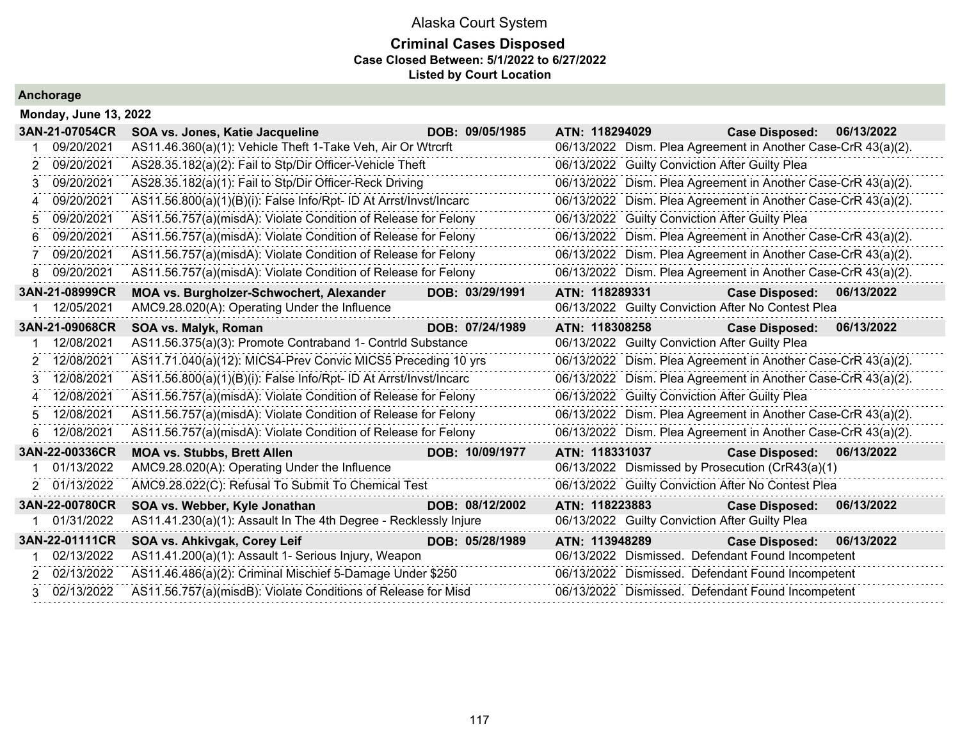### **Criminal Cases Disposed Case Closed Between: 5/1/2022 to 6/27/2022 Listed by Court Location**

|                | <b>Monday, June 13, 2022</b> |                                                                   |                 |                                                               |                       |            |  |  |  |  |
|----------------|------------------------------|-------------------------------------------------------------------|-----------------|---------------------------------------------------------------|-----------------------|------------|--|--|--|--|
|                | 3AN-21-07054CR               | SOA vs. Jones, Katie Jacqueline                                   | DOB: 09/05/1985 | ATN: 118294029                                                | <b>Case Disposed:</b> | 06/13/2022 |  |  |  |  |
|                | 09/20/2021                   | AS11.46.360(a)(1): Vehicle Theft 1-Take Veh, Air Or Wtrcrft       |                 | 06/13/2022 Dism. Plea Agreement in Another Case-CrR 43(a)(2). |                       |            |  |  |  |  |
| 2              | 09/20/2021                   | AS28.35.182(a)(2): Fail to Stp/Dir Officer-Vehicle Theft          |                 | 06/13/2022 Guilty Conviction After Guilty Plea                |                       |            |  |  |  |  |
| 3              | 09/20/2021                   | AS28.35.182(a)(1): Fail to Stp/Dir Officer-Reck Driving           |                 | 06/13/2022 Dism. Plea Agreement in Another Case-CrR 43(a)(2). |                       |            |  |  |  |  |
| 4              | 09/20/2021                   | AS11.56.800(a)(1)(B)(i): False Info/Rpt- ID At Arrst/Invst/Incarc |                 | 06/13/2022 Dism. Plea Agreement in Another Case-CrR 43(a)(2). |                       |            |  |  |  |  |
| 5              | 09/20/2021                   | AS11.56.757(a)(misdA): Violate Condition of Release for Felony    |                 | 06/13/2022 Guilty Conviction After Guilty Plea                |                       |            |  |  |  |  |
| 6              | 09/20/2021                   | AS11.56.757(a)(misdA): Violate Condition of Release for Felony    |                 | 06/13/2022 Dism. Plea Agreement in Another Case-CrR 43(a)(2). |                       |            |  |  |  |  |
| 7              | 09/20/2021                   | AS11.56.757(a)(misdA): Violate Condition of Release for Felony    |                 | 06/13/2022 Dism. Plea Agreement in Another Case-CrR 43(a)(2). |                       |            |  |  |  |  |
| 8              | 09/20/2021                   | AS11.56.757(a)(misdA): Violate Condition of Release for Felony    |                 | 06/13/2022 Dism. Plea Agreement in Another Case-CrR 43(a)(2). |                       |            |  |  |  |  |
|                | 3AN-21-08999CR               | MOA vs. Burgholzer-Schwochert, Alexander                          | DOB: 03/29/1991 | ATN: 118289331                                                | <b>Case Disposed:</b> | 06/13/2022 |  |  |  |  |
|                | 12/05/2021                   | AMC9.28.020(A): Operating Under the Influence                     |                 | 06/13/2022 Guilty Conviction After No Contest Plea            |                       |            |  |  |  |  |
|                | 3AN-21-09068CR               | SOA vs. Malyk, Roman                                              | DOB: 07/24/1989 | ATN: 118308258                                                | <b>Case Disposed:</b> | 06/13/2022 |  |  |  |  |
|                | 12/08/2021                   | AS11.56.375(a)(3): Promote Contraband 1- Contrid Substance        |                 | 06/13/2022 Guilty Conviction After Guilty Plea                |                       |            |  |  |  |  |
| 2              | 12/08/2021                   | AS11.71.040(a)(12): MICS4-Prev Convic MICS5 Preceding 10 yrs      |                 | 06/13/2022 Dism. Plea Agreement in Another Case-CrR 43(a)(2). |                       |            |  |  |  |  |
| 3              | 12/08/2021                   | AS11.56.800(a)(1)(B)(i): False Info/Rpt- ID At Arrst/Invst/Incarc |                 | 06/13/2022 Dism. Plea Agreement in Another Case-CrR 43(a)(2). |                       |            |  |  |  |  |
| $\overline{4}$ | 12/08/2021                   | AS11.56.757(a)(misdA): Violate Condition of Release for Felony    |                 | 06/13/2022 Guilty Conviction After Guilty Plea                |                       |            |  |  |  |  |
| 5              | 12/08/2021                   | AS11.56.757(a)(misdA): Violate Condition of Release for Felony    |                 | 06/13/2022 Dism. Plea Agreement in Another Case-CrR 43(a)(2). |                       |            |  |  |  |  |
| 6              | 12/08/2021                   | AS11.56.757(a)(misdA): Violate Condition of Release for Felony    |                 | 06/13/2022 Dism. Plea Agreement in Another Case-CrR 43(a)(2). |                       |            |  |  |  |  |
|                | 3AN-22-00336CR               | <b>MOA vs. Stubbs, Brett Allen</b>                                | DOB: 10/09/1977 | ATN: 118331037                                                | <b>Case Disposed:</b> | 06/13/2022 |  |  |  |  |
|                | 01/13/2022                   | AMC9.28.020(A): Operating Under the Influence                     |                 | 06/13/2022 Dismissed by Prosecution (CrR43(a)(1)              |                       |            |  |  |  |  |
| 2              | 01/13/2022                   | AMC9.28.022(C): Refusal To Submit To Chemical Test                |                 | 06/13/2022 Guilty Conviction After No Contest Plea            |                       |            |  |  |  |  |
|                | 3AN-22-00780CR               | SOA vs. Webber, Kyle Jonathan                                     | DOB: 08/12/2002 | ATN: 118223883                                                | <b>Case Disposed:</b> | 06/13/2022 |  |  |  |  |
|                | 01/31/2022                   | AS11.41.230(a)(1): Assault In The 4th Degree - Recklessly Injure  |                 | 06/13/2022 Guilty Conviction After Guilty Plea                |                       |            |  |  |  |  |
|                | 3AN-22-01111CR               | SOA vs. Ahkivgak, Corey Leif                                      | DOB: 05/28/1989 | ATN: 113948289                                                | <b>Case Disposed:</b> | 06/13/2022 |  |  |  |  |
|                | 02/13/2022                   | AS11.41.200(a)(1): Assault 1- Serious Injury, Weapon              |                 | 06/13/2022 Dismissed. Defendant Found Incompetent             |                       |            |  |  |  |  |
|                | 2 02/13/2022                 | AS11.46.486(a)(2): Criminal Mischief 5-Damage Under \$250         |                 | 06/13/2022 Dismissed. Defendant Found Incompetent             |                       |            |  |  |  |  |
|                | 3 02/13/2022                 | AS11.56.757(a)(misdB): Violate Conditions of Release for Misd     |                 | 06/13/2022 Dismissed. Defendant Found Incompetent             |                       |            |  |  |  |  |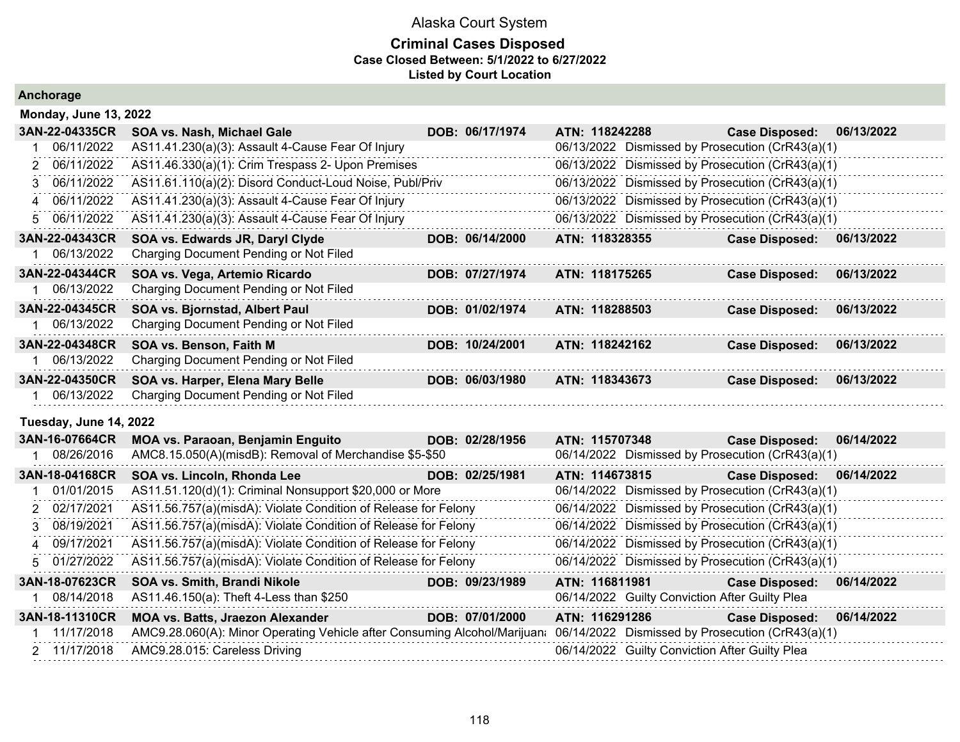|  |  | Anchorage |  |  |
|--|--|-----------|--|--|
|  |  |           |  |  |

| <b>Monday, June 13, 2022</b> |                                                                           |                 |                |                                                |                                                  |            |
|------------------------------|---------------------------------------------------------------------------|-----------------|----------------|------------------------------------------------|--------------------------------------------------|------------|
| 3AN-22-04335CR               | SOA vs. Nash, Michael Gale                                                | DOB: 06/17/1974 | ATN: 118242288 |                                                | <b>Case Disposed:</b>                            | 06/13/2022 |
| 06/11/2022                   | AS11.41.230(a)(3): Assault 4-Cause Fear Of Injury                         |                 |                |                                                | 06/13/2022 Dismissed by Prosecution (CrR43(a)(1) |            |
| 06/11/2022                   | AS11.46.330(a)(1): Crim Trespass 2- Upon Premises                         |                 |                |                                                | 06/13/2022 Dismissed by Prosecution (CrR43(a)(1) |            |
| 06/11/2022<br>3              | AS11.61.110(a)(2): Disord Conduct-Loud Noise, Publ/Priv                   |                 |                |                                                | 06/13/2022 Dismissed by Prosecution (CrR43(a)(1) |            |
| 06/11/2022<br>Δ              | AS11.41.230(a)(3): Assault 4-Cause Fear Of Injury                         |                 |                |                                                | 06/13/2022 Dismissed by Prosecution (CrR43(a)(1) |            |
| 06/11/2022<br>5              | AS11.41.230(a)(3): Assault 4-Cause Fear Of Injury                         |                 |                |                                                | 06/13/2022 Dismissed by Prosecution (CrR43(a)(1) |            |
| 3AN-22-04343CR               | SOA vs. Edwards JR, Daryl Clyde                                           | DOB: 06/14/2000 | ATN: 118328355 |                                                | <b>Case Disposed:</b>                            | 06/13/2022 |
| 06/13/2022                   | Charging Document Pending or Not Filed                                    |                 |                |                                                |                                                  |            |
| 3AN-22-04344CR               | SOA vs. Vega, Artemio Ricardo                                             | DOB: 07/27/1974 | ATN: 118175265 |                                                | <b>Case Disposed:</b>                            | 06/13/2022 |
| 06/13/2022                   | Charging Document Pending or Not Filed                                    |                 |                |                                                |                                                  |            |
| 3AN-22-04345CR               | SOA vs. Bjornstad, Albert Paul                                            | DOB: 01/02/1974 | ATN: 118288503 |                                                | <b>Case Disposed:</b>                            | 06/13/2022 |
| 06/13/2022                   | Charging Document Pending or Not Filed                                    |                 |                |                                                |                                                  |            |
| 3AN-22-04348CR               | SOA vs. Benson, Faith M                                                   | DOB: 10/24/2001 | ATN: 118242162 |                                                | <b>Case Disposed:</b>                            | 06/13/2022 |
| 06/13/2022                   | Charging Document Pending or Not Filed                                    |                 |                |                                                |                                                  |            |
| 3AN-22-04350CR               | SOA vs. Harper, Elena Mary Belle                                          | DOB: 06/03/1980 | ATN: 118343673 |                                                | <b>Case Disposed:</b>                            | 06/13/2022 |
| 06/13/2022                   | Charging Document Pending or Not Filed                                    |                 |                |                                                |                                                  |            |
| Tuesday, June 14, 2022       |                                                                           |                 |                |                                                |                                                  |            |
| 3AN-16-07664CR               | MOA vs. Paraoan, Benjamin Enguito                                         | DOB: 02/28/1956 | ATN: 115707348 |                                                | <b>Case Disposed:</b>                            | 06/14/2022 |
| 08/26/2016                   | AMC8.15.050(A)(misdB): Removal of Merchandise \$5-\$50                    |                 |                |                                                | 06/14/2022 Dismissed by Prosecution (CrR43(a)(1) |            |
| 3AN-18-04168CR               | SOA vs. Lincoln, Rhonda Lee                                               | DOB: 02/25/1981 | ATN: 114673815 |                                                | <b>Case Disposed:</b>                            | 06/14/2022 |
| 01/01/2015                   | AS11.51.120(d)(1): Criminal Nonsupport \$20,000 or More                   |                 |                |                                                | 06/14/2022 Dismissed by Prosecution (CrR43(a)(1) |            |
| 02/17/2021<br>2              | AS11.56.757(a)(misdA): Violate Condition of Release for Felony            |                 |                |                                                | 06/14/2022 Dismissed by Prosecution (CrR43(a)(1) |            |
| 08/19/2021<br>3              | AS11.56.757(a)(misdA): Violate Condition of Release for Felony            |                 |                |                                                | 06/14/2022 Dismissed by Prosecution (CrR43(a)(1) |            |
| 09/17/2021<br>4              | AS11.56.757(a)(misdA): Violate Condition of Release for Felony            |                 |                |                                                | 06/14/2022 Dismissed by Prosecution (CrR43(a)(1) |            |
| 01/27/2022<br>5              | AS11.56.757(a)(misdA): Violate Condition of Release for Felony            |                 |                |                                                | 06/14/2022 Dismissed by Prosecution (CrR43(a)(1) |            |
| 3AN-18-07623CR               | SOA vs. Smith, Brandi Nikole                                              | DOB: 09/23/1989 | ATN: 116811981 |                                                | <b>Case Disposed:</b>                            | 06/14/2022 |
| 08/14/2018                   | AS11.46.150(a): Theft 4-Less than \$250                                   |                 |                | 06/14/2022 Guilty Conviction After Guilty Plea |                                                  |            |
| 3AN-18-11310CR               | <b>MOA vs. Batts, Jraezon Alexander</b>                                   | DOB: 07/01/2000 | ATN: 116291286 |                                                | <b>Case Disposed:</b>                            | 06/14/2022 |
| 11/17/2018                   | AMC9.28.060(A): Minor Operating Vehicle after Consuming Alcohol/Marijuana |                 |                |                                                | 06/14/2022 Dismissed by Prosecution (CrR43(a)(1) |            |
| 2 11/17/2018                 | AMC9.28.015: Careless Driving                                             |                 |                | 06/14/2022 Guilty Conviction After Guilty Plea |                                                  |            |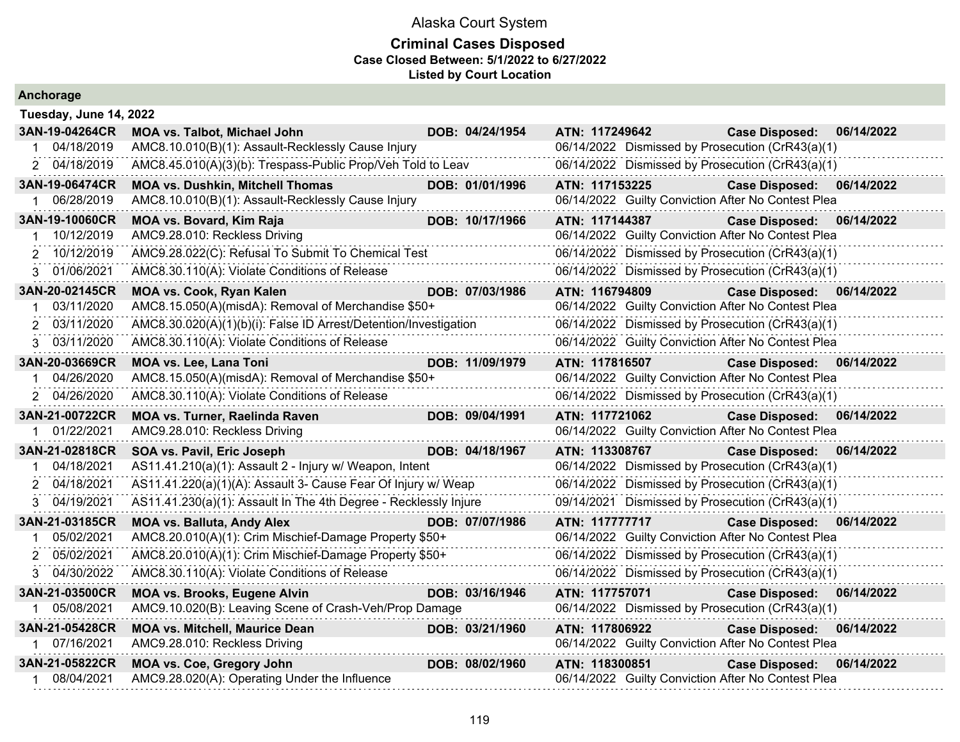#### **Criminal Cases Disposed Case Closed Between: 5/1/2022 to 6/27/2022 Listed by Court Location**

| Tuesday, June 14, 2022 |                                                                  |  |                 |                |  |                                                    |            |  |  |  |
|------------------------|------------------------------------------------------------------|--|-----------------|----------------|--|----------------------------------------------------|------------|--|--|--|
| 3AN-19-04264CR         | <b>MOA vs. Talbot, Michael John</b>                              |  | DOB: 04/24/1954 | ATN: 117249642 |  | <b>Case Disposed:</b>                              | 06/14/2022 |  |  |  |
| 04/18/2019             | AMC8.10.010(B)(1): Assault-Recklessly Cause Injury               |  |                 |                |  | 06/14/2022 Dismissed by Prosecution (CrR43(a)(1)   |            |  |  |  |
| 2 04/18/2019           | AMC8.45.010(A)(3)(b): Trespass-Public Prop/Veh Told to Leav      |  |                 |                |  | 06/14/2022 Dismissed by Prosecution (CrR43(a)(1)   |            |  |  |  |
| 3AN-19-06474CR         | <b>MOA vs. Dushkin, Mitchell Thomas</b>                          |  | DOB: 01/01/1996 | ATN: 117153225 |  | Case Disposed: 06/14/2022                          |            |  |  |  |
| 06/28/2019             | AMC8.10.010(B)(1): Assault-Recklessly Cause Injury               |  |                 |                |  | 06/14/2022 Guilty Conviction After No Contest Plea |            |  |  |  |
| 3AN-19-10060CR         | <b>MOA vs. Bovard, Kim Raja</b>                                  |  | DOB: 10/17/1966 | ATN: 117144387 |  | <b>Case Disposed:</b>                              | 06/14/2022 |  |  |  |
| 1 10/12/2019           | AMC9.28.010: Reckless Driving                                    |  |                 |                |  | 06/14/2022 Guilty Conviction After No Contest Plea |            |  |  |  |
| 2 10/12/2019           | AMC9.28.022(C): Refusal To Submit To Chemical Test               |  |                 |                |  | 06/14/2022 Dismissed by Prosecution (CrR43(a)(1)   |            |  |  |  |
| 3 01/06/2021           | AMC8.30.110(A): Violate Conditions of Release                    |  |                 |                |  | 06/14/2022 Dismissed by Prosecution (CrR43(a)(1)   |            |  |  |  |
| 3AN-20-02145CR         | MOA vs. Cook, Ryan Kalen                                         |  | DOB: 07/03/1986 | ATN: 116794809 |  | Case Disposed: 06/14/2022                          |            |  |  |  |
| 03/11/2020             | AMC8.15.050(A)(misdA): Removal of Merchandise \$50+              |  |                 |                |  | 06/14/2022 Guilty Conviction After No Contest Plea |            |  |  |  |
| 2 03/11/2020           | AMC8.30.020(A)(1)(b)(i): False ID Arrest/Detention/Investigation |  |                 |                |  | 06/14/2022 Dismissed by Prosecution (CrR43(a)(1)   |            |  |  |  |
| 03/11/2020<br>3        | AMC8.30.110(A): Violate Conditions of Release                    |  |                 |                |  | 06/14/2022 Guilty Conviction After No Contest Plea |            |  |  |  |
| 3AN-20-03669CR         | <b>MOA vs. Lee, Lana Toni</b>                                    |  | DOB: 11/09/1979 | ATN: 117816507 |  | Case Disposed: 06/14/2022                          |            |  |  |  |
| 04/26/2020             | AMC8.15.050(A)(misdA): Removal of Merchandise \$50+              |  |                 |                |  | 06/14/2022 Guilty Conviction After No Contest Plea |            |  |  |  |
| 2 04/26/2020           | AMC8.30.110(A): Violate Conditions of Release                    |  |                 |                |  | 06/14/2022 Dismissed by Prosecution (CrR43(a)(1)   |            |  |  |  |
| 3AN-21-00722CR         | <b>MOA vs. Turner, Raelinda Raven</b>                            |  | DOB: 09/04/1991 | ATN: 117721062 |  | <b>Case Disposed:</b>                              | 06/14/2022 |  |  |  |
| 01/22/2021             | AMC9.28.010: Reckless Driving                                    |  |                 |                |  | 06/14/2022 Guilty Conviction After No Contest Plea |            |  |  |  |
| 3AN-21-02818CR         | SOA vs. Pavil, Eric Joseph                                       |  | DOB: 04/18/1967 | ATN: 113308767 |  | Case Disposed: 06/14/2022                          |            |  |  |  |
| 04/18/2021             | AS11.41.210(a)(1): Assault 2 - Injury w/ Weapon, Intent          |  |                 |                |  | 06/14/2022 Dismissed by Prosecution (CrR43(a)(1)   |            |  |  |  |
| 2 04/18/2021           | AS11.41.220(a)(1)(A): Assault 3- Cause Fear Of Injury w/ Weap    |  |                 |                |  | 06/14/2022 Dismissed by Prosecution (CrR43(a)(1)   |            |  |  |  |
| 3 04/19/2021           | AS11.41.230(a)(1): Assault In The 4th Degree - Recklessly Injure |  |                 |                |  | 09/14/2021 Dismissed by Prosecution (CrR43(a)(1)   |            |  |  |  |
| 3AN-21-03185CR         | <b>MOA vs. Balluta, Andy Alex</b>                                |  | DOB: 07/07/1986 | ATN: 117777717 |  | Case Disposed: 06/14/2022                          |            |  |  |  |
| 05/02/2021             | AMC8.20.010(A)(1): Crim Mischief-Damage Property \$50+           |  |                 |                |  | 06/14/2022 Guilty Conviction After No Contest Plea |            |  |  |  |
| 2 05/02/2021           | AMC8.20.010(A)(1): Crim Mischief-Damage Property \$50+           |  |                 |                |  | 06/14/2022 Dismissed by Prosecution (CrR43(a)(1)   |            |  |  |  |
| 3 04/30/2022           | AMC8.30.110(A): Violate Conditions of Release                    |  |                 |                |  | 06/14/2022 Dismissed by Prosecution (CrR43(a)(1)   |            |  |  |  |
| 3AN-21-03500CR         | <b>MOA vs. Brooks, Eugene Alvin</b>                              |  | DOB: 03/16/1946 | ATN: 117757071 |  | <b>Case Disposed:</b>                              | 06/14/2022 |  |  |  |
| 1 05/08/2021           | AMC9.10.020(B): Leaving Scene of Crash-Veh/Prop Damage           |  |                 |                |  | 06/14/2022 Dismissed by Prosecution (CrR43(a)(1)   |            |  |  |  |
| 3AN-21-05428CR         | <b>MOA vs. Mitchell, Maurice Dean</b>                            |  | DOB: 03/21/1960 | ATN: 117806922 |  | <b>Case Disposed:</b>                              | 06/14/2022 |  |  |  |
| 1 07/16/2021           | AMC9.28.010: Reckless Driving                                    |  |                 |                |  | 06/14/2022 Guilty Conviction After No Contest Plea |            |  |  |  |
| 3AN-21-05822CR         | MOA vs. Coe, Gregory John                                        |  | DOB: 08/02/1960 | ATN: 118300851 |  | <b>Case Disposed:</b>                              | 06/14/2022 |  |  |  |
| 1 08/04/2021           | AMC9.28.020(A): Operating Under the Influence                    |  |                 |                |  | 06/14/2022 Guilty Conviction After No Contest Plea |            |  |  |  |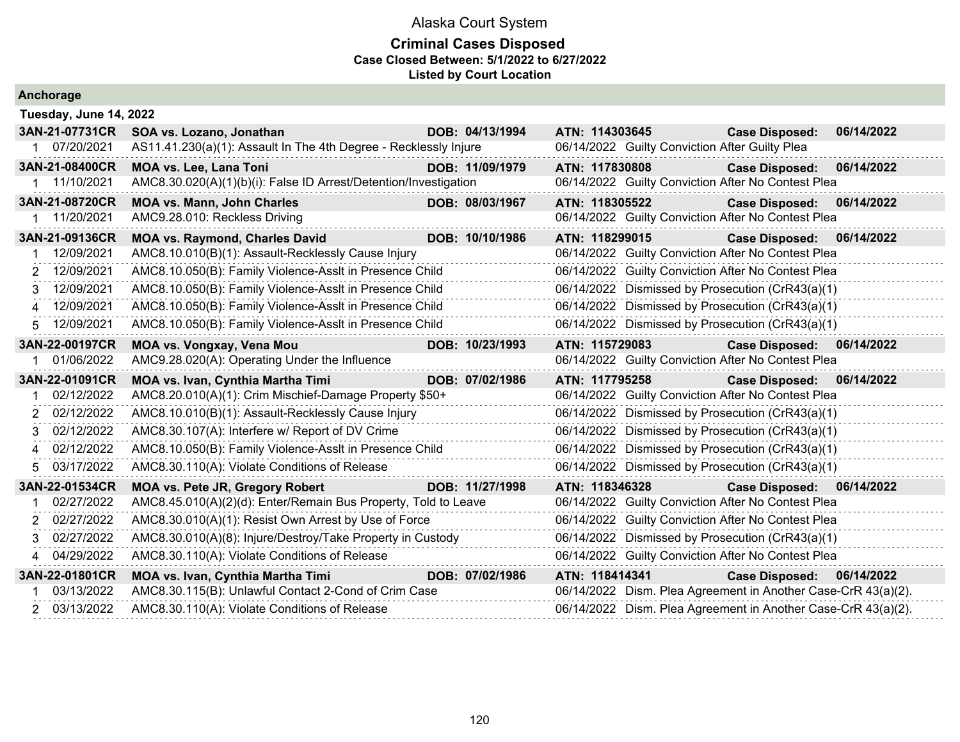|              | Anchorage              |                                                                  |                 |                |  |                                                               |            |
|--------------|------------------------|------------------------------------------------------------------|-----------------|----------------|--|---------------------------------------------------------------|------------|
|              | Tuesday, June 14, 2022 |                                                                  |                 |                |  |                                                               |            |
|              | 3AN-21-07731CR         | SOA vs. Lozano, Jonathan                                         | DOB: 04/13/1994 | ATN: 114303645 |  | <b>Case Disposed:</b>                                         | 06/14/2022 |
| 1            | 07/20/2021             | AS11.41.230(a)(1): Assault In The 4th Degree - Recklessly Injure |                 |                |  | 06/14/2022 Guilty Conviction After Guilty Plea                |            |
|              | 3AN-21-08400CR         | <b>MOA vs. Lee, Lana Toni</b>                                    | DOB: 11/09/1979 | ATN: 117830808 |  | <b>Case Disposed:</b>                                         | 06/14/2022 |
|              | 1 11/10/2021           | AMC8.30.020(A)(1)(b)(i): False ID Arrest/Detention/Investigation |                 |                |  | 06/14/2022 Guilty Conviction After No Contest Plea            |            |
|              | 3AN-21-08720CR         | <b>MOA vs. Mann, John Charles</b>                                | DOB: 08/03/1967 | ATN: 118305522 |  | <b>Case Disposed:</b>                                         | 06/14/2022 |
|              | 11/20/2021             | AMC9.28.010: Reckless Driving                                    |                 |                |  | 06/14/2022 Guilty Conviction After No Contest Plea            |            |
|              | 3AN-21-09136CR         | <b>MOA vs. Raymond, Charles David</b>                            | DOB: 10/10/1986 | ATN: 118299015 |  | <b>Case Disposed:</b>                                         | 06/14/2022 |
|              | 12/09/2021             | AMC8.10.010(B)(1): Assault-Recklessly Cause Injury               |                 |                |  | 06/14/2022 Guilty Conviction After No Contest Plea            |            |
|              | 2 12/09/2021           | AMC8.10.050(B): Family Violence-Asslt in Presence Child          |                 |                |  | 06/14/2022 Guilty Conviction After No Contest Plea            |            |
| 3.           | 12/09/2021             | AMC8.10.050(B): Family Violence-Asslt in Presence Child          |                 |                |  | 06/14/2022 Dismissed by Prosecution (CrR43(a)(1)              |            |
|              | 4 12/09/2021           | AMC8.10.050(B): Family Violence-Asslt in Presence Child          |                 |                |  | 06/14/2022 Dismissed by Prosecution (CrR43(a)(1)              |            |
|              | 5 12/09/2021           | AMC8.10.050(B): Family Violence-Asslt in Presence Child          |                 |                |  | 06/14/2022 Dismissed by Prosecution (CrR43(a)(1)              |            |
|              | 3AN-22-00197CR         | MOA vs. Vongxay, Vena Mou                                        | DOB: 10/23/1993 | ATN: 115729083 |  | <b>Case Disposed:</b>                                         | 06/14/2022 |
|              | 01/06/2022             | AMC9.28.020(A): Operating Under the Influence                    |                 |                |  | 06/14/2022 Guilty Conviction After No Contest Plea            |            |
|              | 3AN-22-01091CR         | MOA vs. Ivan, Cynthia Martha Timi                                | DOB: 07/02/1986 | ATN: 117795258 |  | <b>Case Disposed:</b>                                         | 06/14/2022 |
|              | 02/12/2022             | AMC8.20.010(A)(1): Crim Mischief-Damage Property \$50+           |                 |                |  | 06/14/2022 Guilty Conviction After No Contest Plea            |            |
| $\mathbf{2}$ | 02/12/2022             | AMC8.10.010(B)(1): Assault-Recklessly Cause Injury               |                 |                |  | 06/14/2022 Dismissed by Prosecution (CrR43(a)(1)              |            |
| 3.           | 02/12/2022             | AMC8.30.107(A): Interfere w/ Report of DV Crime                  |                 |                |  | 06/14/2022 Dismissed by Prosecution (CrR43(a)(1)              |            |
| 4            | 02/12/2022             | AMC8.10.050(B): Family Violence-Asslt in Presence Child          |                 |                |  | 06/14/2022 Dismissed by Prosecution (CrR43(a)(1)              |            |
| 5.           | 03/17/2022             | AMC8.30.110(A): Violate Conditions of Release                    |                 |                |  | 06/14/2022 Dismissed by Prosecution (CrR43(a)(1)              |            |
|              | 3AN-22-01534CR         | <b>MOA vs. Pete JR, Gregory Robert</b>                           | DOB: 11/27/1998 | ATN: 118346328 |  | Case Disposed: 06/14/2022                                     |            |
|              | 02/27/2022             | AMC8.45.010(A)(2)(d): Enter/Remain Bus Property, Told to Leave   |                 |                |  | 06/14/2022 Guilty Conviction After No Contest Plea            |            |
|              | 2 02/27/2022           | AMC8.30.010(A)(1): Resist Own Arrest by Use of Force             |                 |                |  | 06/14/2022 Guilty Conviction After No Contest Plea            |            |
|              | 3 02/27/2022           | AMC8.30.010(A)(8): Injure/Destroy/Take Property in Custody       |                 |                |  | 06/14/2022 Dismissed by Prosecution (CrR43(a)(1)              |            |
|              | 4 04/29/2022           | AMC8.30.110(A): Violate Conditions of Release                    |                 |                |  | 06/14/2022 Guilty Conviction After No Contest Plea            |            |
|              | 3AN-22-01801CR         | <b>MOA vs. Ivan, Cynthia Martha Timi</b>                         | DOB: 07/02/1986 | ATN: 118414341 |  | <b>Case Disposed:</b>                                         | 06/14/2022 |
|              | 03/13/2022             | AMC8.30.115(B): Unlawful Contact 2-Cond of Crim Case             |                 |                |  | 06/14/2022 Dism. Plea Agreement in Another Case-CrR 43(a)(2). |            |
|              | 2 03/13/2022           | AMC8.30.110(A): Violate Conditions of Release                    |                 |                |  | 06/14/2022 Dism. Plea Agreement in Another Case-CrR 43(a)(2). |            |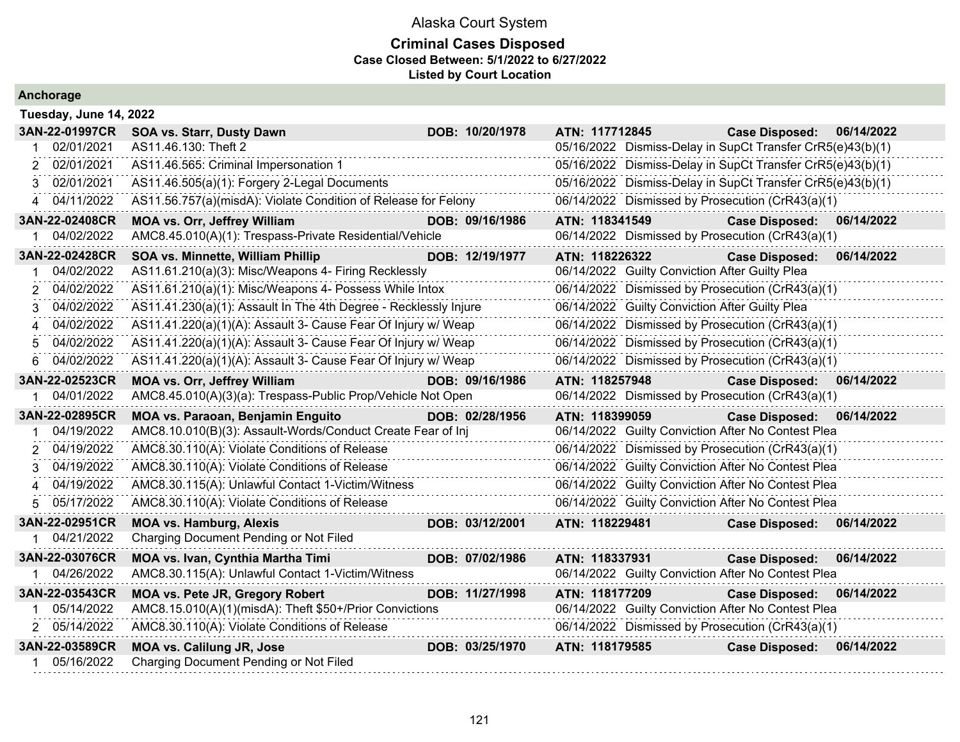|  |  | Anchorage |  |  |
|--|--|-----------|--|--|
|  |  |           |  |  |

| Tuesday, June 14, 2022 |                                                                  |                 |                                                            |                       |            |
|------------------------|------------------------------------------------------------------|-----------------|------------------------------------------------------------|-----------------------|------------|
| 3AN-22-01997CR         | <b>SOA vs. Starr, Dusty Dawn</b>                                 | DOB: 10/20/1978 | ATN: 117712845                                             | <b>Case Disposed:</b> | 06/14/2022 |
| 02/01/2021             | AS11.46.130: Theft 2                                             |                 | 05/16/2022 Dismiss-Delay in SupCt Transfer CrR5(e)43(b)(1) |                       |            |
| 02/01/2021             | AS11.46.565: Criminal Impersonation 1                            |                 | 05/16/2022 Dismiss-Delay in SupCt Transfer CrR5(e)43(b)(1) |                       |            |
| 02/01/2021<br>3        | AS11.46.505(a)(1): Forgery 2-Legal Documents                     |                 | 05/16/2022 Dismiss-Delay in SupCt Transfer CrR5(e)43(b)(1) |                       |            |
| 04/11/2022             | AS11.56.757(a)(misdA): Violate Condition of Release for Felony   |                 | 06/14/2022 Dismissed by Prosecution (CrR43(a)(1)           |                       |            |
| 3AN-22-02408CR         | <b>MOA vs. Orr, Jeffrey William</b>                              | DOB: 09/16/1986 | ATN: 118341549                                             | <b>Case Disposed:</b> | 06/14/2022 |
| 04/02/2022             | AMC8.45.010(A)(1): Trespass-Private Residential/Vehicle          |                 | 06/14/2022 Dismissed by Prosecution (CrR43(a)(1)           |                       |            |
| 3AN-22-02428CR         | SOA vs. Minnette, William Phillip                                | DOB: 12/19/1977 | ATN: 118226322                                             | <b>Case Disposed:</b> | 06/14/2022 |
| 04/02/2022             | AS11.61.210(a)(3): Misc/Weapons 4- Firing Recklessly             |                 | 06/14/2022 Guilty Conviction After Guilty Plea             |                       |            |
| 04/02/2022             | AS11.61.210(a)(1): Misc/Weapons 4- Possess While Intox           |                 | 06/14/2022 Dismissed by Prosecution (CrR43(a)(1)           |                       |            |
| 04/02/2022             | AS11.41.230(a)(1): Assault In The 4th Degree - Recklessly Injure |                 | 06/14/2022 Guilty Conviction After Guilty Plea             |                       |            |
| 04/02/2022             | AS11.41.220(a)(1)(A): Assault 3- Cause Fear Of Injury w/ Weap    |                 | 06/14/2022 Dismissed by Prosecution (CrR43(a)(1)           |                       |            |
| 04/02/2022             | AS11.41.220(a)(1)(A): Assault 3- Cause Fear Of Injury w/ Weap    |                 | 06/14/2022 Dismissed by Prosecution (CrR43(a)(1)           |                       |            |
| 04/02/2022             | AS11.41.220(a)(1)(A): Assault 3- Cause Fear Of Injury w/ Weap    |                 | 06/14/2022 Dismissed by Prosecution (CrR43(a)(1)           |                       |            |
| 3AN-22-02523CR         | <b>MOA vs. Orr, Jeffrey William</b>                              | DOB: 09/16/1986 | ATN: 118257948                                             | <b>Case Disposed:</b> | 06/14/2022 |
| 04/01/2022             | AMC8.45.010(A)(3)(a): Trespass-Public Prop/Vehicle Not Open      |                 | 06/14/2022 Dismissed by Prosecution (CrR43(a)(1)           |                       |            |
| 3AN-22-02895CR         | MOA vs. Paraoan, Benjamin Enguito                                | DOB: 02/28/1956 | ATN: 118399059                                             | <b>Case Disposed:</b> | 06/14/2022 |
| 04/19/2022             | AMC8.10.010(B)(3): Assault-Words/Conduct Create Fear of Inj      |                 | 06/14/2022 Guilty Conviction After No Contest Plea         |                       |            |
| 04/19/2022             | AMC8.30.110(A): Violate Conditions of Release                    |                 | 06/14/2022 Dismissed by Prosecution (CrR43(a)(1)           |                       |            |
| 04/19/2022             | AMC8.30.110(A): Violate Conditions of Release                    |                 | 06/14/2022 Guilty Conviction After No Contest Plea         |                       |            |
| 04/19/2022<br>4        | AMC8.30.115(A): Unlawful Contact 1-Victim/Witness                |                 | 06/14/2022 Guilty Conviction After No Contest Plea         |                       |            |
| 05/17/2022<br>5.       | AMC8.30.110(A): Violate Conditions of Release                    |                 | 06/14/2022 Guilty Conviction After No Contest Plea         |                       |            |
| 3AN-22-02951CR         | <b>MOA vs. Hamburg, Alexis</b>                                   | DOB: 03/12/2001 | ATN: 118229481                                             | <b>Case Disposed:</b> | 06/14/2022 |
| 1 04/21/2022           | Charging Document Pending or Not Filed                           |                 |                                                            |                       |            |
| 3AN-22-03076CR         | MOA vs. Ivan, Cynthia Martha Timi                                | DOB: 07/02/1986 | ATN: 118337931                                             | <b>Case Disposed:</b> | 06/14/2022 |
| 04/26/2022             | AMC8.30.115(A): Unlawful Contact 1-Victim/Witness                |                 | 06/14/2022 Guilty Conviction After No Contest Plea         |                       |            |
| 3AN-22-03543CR         | <b>MOA vs. Pete JR, Gregory Robert</b>                           | DOB: 11/27/1998 | ATN: 118177209                                             | <b>Case Disposed:</b> | 06/14/2022 |
| 05/14/2022             | AMC8.15.010(A)(1)(misdA): Theft \$50+/Prior Convictions          |                 | 06/14/2022 Guilty Conviction After No Contest Plea         |                       |            |
| 2 05/14/2022           | AMC8.30.110(A): Violate Conditions of Release                    |                 | 06/14/2022 Dismissed by Prosecution (CrR43(a)(1)           |                       |            |
| 3AN-22-03589CR         | <b>MOA vs. Calilung JR, Jose</b>                                 | DOB: 03/25/1970 | ATN: 118179585                                             | <b>Case Disposed:</b> | 06/14/2022 |
| 05/16/2022             | Charging Document Pending or Not Filed                           |                 |                                                            |                       |            |
|                        |                                                                  |                 |                                                            |                       |            |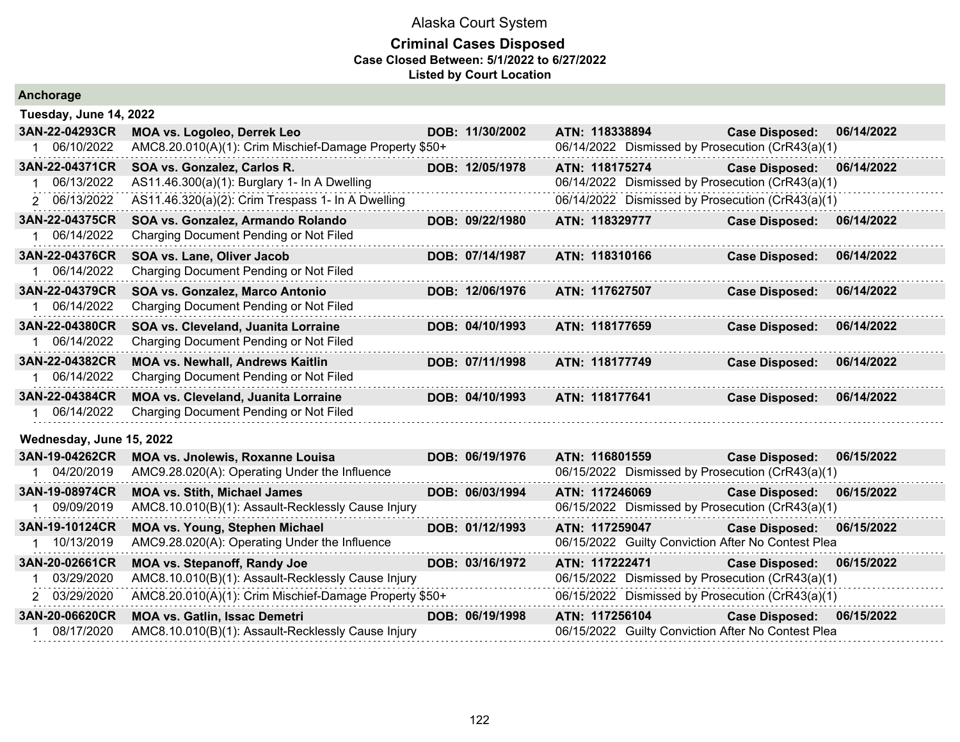| Anchorage                                    |                                                                                                                                  |                 |                                                                                                                        |                       |            |
|----------------------------------------------|----------------------------------------------------------------------------------------------------------------------------------|-----------------|------------------------------------------------------------------------------------------------------------------------|-----------------------|------------|
| Tuesday, June 14, 2022                       |                                                                                                                                  |                 |                                                                                                                        |                       |            |
| 3AN-22-04293CR<br>06/10/2022                 | MOA vs. Logoleo, Derrek Leo<br>AMC8.20.010(A)(1): Crim Mischief-Damage Property \$50+                                            | DOB: 11/30/2002 | ATN: 118338894<br>06/14/2022 Dismissed by Prosecution (CrR43(a)(1)                                                     | <b>Case Disposed:</b> | 06/14/2022 |
| 3AN-22-04371CR<br>06/13/2022<br>2 06/13/2022 | SOA vs. Gonzalez, Carlos R.<br>AS11.46.300(a)(1): Burglary 1- In A Dwelling<br>AS11.46.320(a)(2): Crim Trespass 1- In A Dwelling | DOB: 12/05/1978 | ATN: 118175274<br>06/14/2022 Dismissed by Prosecution (CrR43(a)(1)<br>06/14/2022 Dismissed by Prosecution (CrR43(a)(1) | <b>Case Disposed:</b> | 06/14/2022 |
| 3AN-22-04375CR<br>06/14/2022                 | SOA vs. Gonzalez, Armando Rolando<br>Charging Document Pending or Not Filed                                                      | DOB: 09/22/1980 | ATN: 118329777                                                                                                         | <b>Case Disposed:</b> | 06/14/2022 |
| 3AN-22-04376CR<br>06/14/2022                 | SOA vs. Lane, Oliver Jacob<br>Charging Document Pending or Not Filed                                                             | DOB: 07/14/1987 | ATN: 118310166                                                                                                         | <b>Case Disposed:</b> | 06/14/2022 |
| 3AN-22-04379CR<br>06/14/2022                 | SOA vs. Gonzalez, Marco Antonio<br>Charging Document Pending or Not Filed                                                        | DOB: 12/06/1976 | ATN: 117627507                                                                                                         | <b>Case Disposed:</b> | 06/14/2022 |
| 3AN-22-04380CR<br>06/14/2022                 | SOA vs. Cleveland, Juanita Lorraine<br>Charging Document Pending or Not Filed                                                    | DOB: 04/10/1993 | ATN: 118177659                                                                                                         | <b>Case Disposed:</b> | 06/14/2022 |
| 3AN-22-04382CR<br>1 06/14/2022               | <b>MOA vs. Newhall, Andrews Kaitlin</b><br>Charging Document Pending or Not Filed                                                | DOB: 07/11/1998 | ATN: 118177749                                                                                                         | <b>Case Disposed:</b> | 06/14/2022 |
| 3AN-22-04384CR<br>06/14/2022                 | <b>MOA vs. Cleveland, Juanita Lorraine</b><br>Charging Document Pending or Not Filed                                             | DOB: 04/10/1993 | ATN: 118177641                                                                                                         | <b>Case Disposed:</b> | 06/14/2022 |
| Wednesday, June 15, 2022                     |                                                                                                                                  |                 |                                                                                                                        |                       |            |
| 3AN-19-04262CR<br>04/20/2019                 | MOA vs. Jnolewis, Roxanne Louisa<br>AMC9.28.020(A): Operating Under the Influence                                                | DOB: 06/19/1976 | ATN: 116801559<br>06/15/2022 Dismissed by Prosecution (CrR43(a)(1)                                                     | <b>Case Disposed:</b> | 06/15/2022 |
| 3AN-19-08974CR<br>09/09/2019                 | <b>MOA vs. Stith, Michael James</b><br>AMC8.10.010(B)(1): Assault-Recklessly Cause Injury                                        | DOB: 06/03/1994 | ATN: 117246069<br>06/15/2022 Dismissed by Prosecution (CrR43(a)(1)                                                     | <b>Case Disposed:</b> | 06/15/2022 |
| 3AN-19-10124CR<br>10/13/2019                 | <b>MOA vs. Young, Stephen Michael</b><br>AMC9.28.020(A): Operating Under the Influence                                           | DOB: 01/12/1993 | ATN: 117259047<br>06/15/2022 Guilty Conviction After No Contest Plea                                                   | <b>Case Disposed:</b> | 06/15/2022 |
| 3AN-20-02661CR<br>03/29/2020                 | <b>MOA vs. Stepanoff, Randy Joe</b><br>AMC8.10.010(B)(1): Assault-Recklessly Cause Injury                                        | DOB: 03/16/1972 | ATN: 117222471<br>06/15/2022 Dismissed by Prosecution (CrR43(a)(1)                                                     | <b>Case Disposed:</b> | 06/15/2022 |
| 2 03/29/2020                                 | AMC8.20.010(A)(1): Crim Mischief-Damage Property \$50+                                                                           |                 | 06/15/2022 Dismissed by Prosecution (CrR43(a)(1)                                                                       |                       |            |
| 3AN-20-06620CR<br>08/17/2020                 | <b>MOA vs. Gatlin, Issac Demetri</b><br>AMC8.10.010(B)(1): Assault-Recklessly Cause Injury                                       | DOB: 06/19/1998 | ATN: 117256104<br>06/15/2022 Guilty Conviction After No Contest Plea                                                   | <b>Case Disposed:</b> | 06/15/2022 |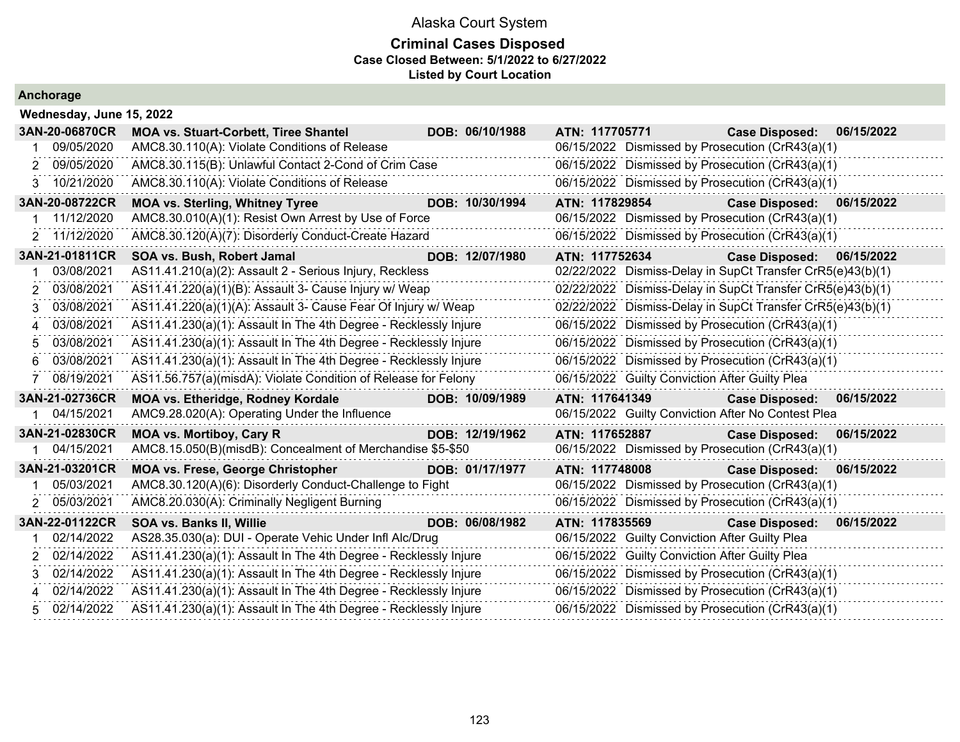| Anchorage |  |  |  |  |  |  |  |  |  |
|-----------|--|--|--|--|--|--|--|--|--|
|-----------|--|--|--|--|--|--|--|--|--|

|                           | Wednesday, June 15, 2022                                         |                 |                                                            |                                                  |            |  |  |  |  |  |  |
|---------------------------|------------------------------------------------------------------|-----------------|------------------------------------------------------------|--------------------------------------------------|------------|--|--|--|--|--|--|
| 3AN-20-06870CR            | <b>MOA vs. Stuart-Corbett, Tiree Shantel</b>                     | DOB: 06/10/1988 | ATN: 117705771                                             | <b>Case Disposed:</b>                            | 06/15/2022 |  |  |  |  |  |  |
| 09/05/2020                | AMC8.30.110(A): Violate Conditions of Release                    |                 | 06/15/2022 Dismissed by Prosecution (CrR43(a)(1)           |                                                  |            |  |  |  |  |  |  |
| 2 09/05/2020              | AMC8.30.115(B): Unlawful Contact 2-Cond of Crim Case             |                 | 06/15/2022 Dismissed by Prosecution (CrR43(a)(1)           |                                                  |            |  |  |  |  |  |  |
| 3 10/21/2020              | AMC8.30.110(A): Violate Conditions of Release                    |                 | 06/15/2022 Dismissed by Prosecution (CrR43(a)(1)           |                                                  |            |  |  |  |  |  |  |
| 3AN-20-08722CR            | <b>MOA vs. Sterling, Whitney Tyree</b>                           | DOB: 10/30/1994 | ATN: 117829854                                             | <b>Case Disposed:</b>                            | 06/15/2022 |  |  |  |  |  |  |
| 11/12/2020                | AMC8.30.010(A)(1): Resist Own Arrest by Use of Force             |                 | 06/15/2022 Dismissed by Prosecution (CrR43(a)(1)           |                                                  |            |  |  |  |  |  |  |
| 2 11/12/2020              | AMC8.30.120(A)(7): Disorderly Conduct-Create Hazard              |                 | 06/15/2022 Dismissed by Prosecution (CrR43(a)(1)           |                                                  |            |  |  |  |  |  |  |
| 3AN-21-01811CR            | SOA vs. Bush, Robert Jamal                                       | DOB: 12/07/1980 | ATN: 117752634                                             | <b>Case Disposed:</b>                            | 06/15/2022 |  |  |  |  |  |  |
| 03/08/2021                | AS11.41.210(a)(2): Assault 2 - Serious Injury, Reckless          |                 | 02/22/2022 Dismiss-Delay in SupCt Transfer CrR5(e)43(b)(1) |                                                  |            |  |  |  |  |  |  |
| 03/08/2021<br>2           | AS11.41.220(a)(1)(B): Assault 3- Cause Injury w/ Weap            |                 | 02/22/2022 Dismiss-Delay in SupCt Transfer CrR5(e)43(b)(1) |                                                  |            |  |  |  |  |  |  |
| 03/08/2021<br>3           | AS11.41.220(a)(1)(A): Assault 3- Cause Fear Of Injury w/ Weap    |                 | 02/22/2022 Dismiss-Delay in SupCt Transfer CrR5(e)43(b)(1) |                                                  |            |  |  |  |  |  |  |
| 03/08/2021<br>$\mathbf 4$ | AS11.41.230(a)(1): Assault In The 4th Degree - Recklessly Injure |                 |                                                            | 06/15/2022 Dismissed by Prosecution (CrR43(a)(1) |            |  |  |  |  |  |  |
| 03/08/2021<br>5           | AS11.41.230(a)(1): Assault In The 4th Degree - Recklessly Injure |                 | 06/15/2022 Dismissed by Prosecution (CrR43(a)(1)           |                                                  |            |  |  |  |  |  |  |
| 03/08/2021<br>6           | AS11.41.230(a)(1): Assault In The 4th Degree - Recklessly Injure |                 |                                                            | 06/15/2022 Dismissed by Prosecution (CrR43(a)(1) |            |  |  |  |  |  |  |
| 08/19/2021                | AS11.56.757(a)(misdA): Violate Condition of Release for Felony   |                 | 06/15/2022 Guilty Conviction After Guilty Plea             |                                                  |            |  |  |  |  |  |  |
| 3AN-21-02736CR            | <b>MOA vs. Etheridge, Rodney Kordale</b>                         | DOB: 10/09/1989 | ATN: 117641349                                             | <b>Case Disposed:</b>                            | 06/15/2022 |  |  |  |  |  |  |
| 04/15/2021                | AMC9.28.020(A): Operating Under the Influence                    |                 | 06/15/2022 Guilty Conviction After No Contest Plea         |                                                  |            |  |  |  |  |  |  |
| 3AN-21-02830CR            | <b>MOA vs. Mortiboy, Cary R</b>                                  | DOB: 12/19/1962 | ATN: 117652887                                             | <b>Case Disposed:</b>                            | 06/15/2022 |  |  |  |  |  |  |
| 04/15/2021                | AMC8.15.050(B)(misdB): Concealment of Merchandise \$5-\$50       |                 | 06/15/2022 Dismissed by Prosecution (CrR43(a)(1)           |                                                  |            |  |  |  |  |  |  |
| 3AN-21-03201CR            | <b>MOA vs. Frese, George Christopher</b>                         | DOB: 01/17/1977 | ATN: 117748008                                             | <b>Case Disposed:</b>                            | 06/15/2022 |  |  |  |  |  |  |
| 05/03/2021                | AMC8.30.120(A)(6): Disorderly Conduct-Challenge to Fight         |                 | 06/15/2022 Dismissed by Prosecution (CrR43(a)(1)           |                                                  |            |  |  |  |  |  |  |
| 2 05/03/2021              | AMC8.20.030(A): Criminally Negligent Burning                     |                 | 06/15/2022 Dismissed by Prosecution (CrR43(a)(1)           |                                                  |            |  |  |  |  |  |  |
| 3AN-22-01122CR            | SOA vs. Banks II, Willie                                         | DOB: 06/08/1982 | ATN: 117835569                                             | <b>Case Disposed:</b>                            | 06/15/2022 |  |  |  |  |  |  |
| 02/14/2022                | AS28.35.030(a): DUI - Operate Vehic Under Infl Alc/Drug          |                 | 06/15/2022 Guilty Conviction After Guilty Plea             |                                                  |            |  |  |  |  |  |  |
| 2 02/14/2022              | AS11.41.230(a)(1): Assault In The 4th Degree - Recklessly Injure |                 | 06/15/2022 Guilty Conviction After Guilty Plea             |                                                  |            |  |  |  |  |  |  |
| 02/14/2022                | AS11.41.230(a)(1): Assault In The 4th Degree - Recklessly Injure |                 |                                                            | 06/15/2022 Dismissed by Prosecution (CrR43(a)(1) |            |  |  |  |  |  |  |
| 02/14/2022<br>4           | AS11.41.230(a)(1): Assault In The 4th Degree - Recklessly Injure |                 | 06/15/2022 Dismissed by Prosecution (CrR43(a)(1)           |                                                  |            |  |  |  |  |  |  |
| 5 02/14/2022              | AS11.41.230(a)(1): Assault In The 4th Degree - Recklessly Injure |                 | 06/15/2022 Dismissed by Prosecution (CrR43(a)(1)           |                                                  |            |  |  |  |  |  |  |
|                           |                                                                  |                 |                                                            |                                                  |            |  |  |  |  |  |  |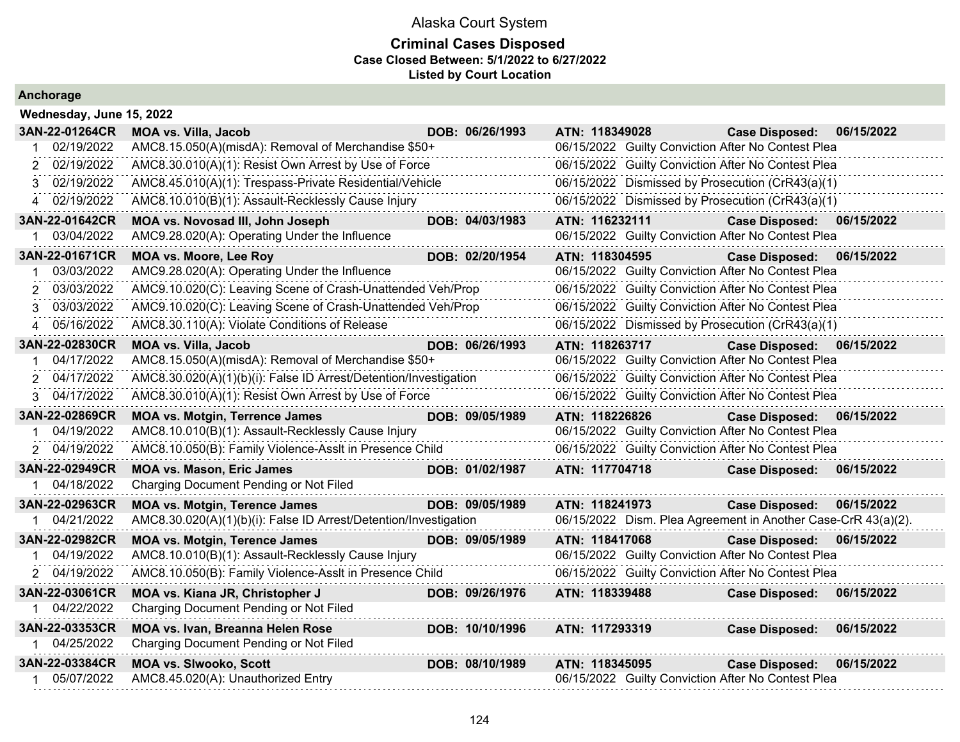### **Criminal Cases Disposed Case Closed Between: 5/1/2022 to 6/27/2022 Listed by Court Location**

### **Anchorage**

**Wednesday, June 15, 2022**

| 3AN-22-01264CR               | <b>MOA vs. Villa, Jacob</b>                                         | DOB: 06/26/1993 | ATN: 118349028 | <b>Case Disposed:</b>                                                       | 06/15/2022 |
|------------------------------|---------------------------------------------------------------------|-----------------|----------------|-----------------------------------------------------------------------------|------------|
| 02/19/2022                   | AMC8.15.050(A)(misdA): Removal of Merchandise \$50+                 |                 |                | 06/15/2022 Guilty Conviction After No Contest Plea                          |            |
| 02/19/2022                   | AMC8.30.010(A)(1): Resist Own Arrest by Use of Force                |                 |                | 06/15/2022 Guilty Conviction After No Contest Plea                          |            |
| 02/19/2022<br>3              | AMC8.45.010(A)(1): Trespass-Private Residential/Vehicle             |                 |                | 06/15/2022 Dismissed by Prosecution (CrR43(a)(1)                            |            |
| 02/19/2022                   | AMC8.10.010(B)(1): Assault-Recklessly Cause Injury                  |                 |                | 06/15/2022 Dismissed by Prosecution (CrR43(a)(1)                            |            |
| 3AN-22-01642CR               | MOA vs. Novosad III, John Joseph                                    | DOB: 04/03/1983 | ATN: 116232111 | <b>Case Disposed:</b>                                                       | 06/15/2022 |
| 03/04/2022                   | AMC9.28.020(A): Operating Under the Influence                       |                 |                | 06/15/2022 Guilty Conviction After No Contest Plea                          |            |
| 3AN-22-01671CR               | <b>MOA vs. Moore, Lee Roy</b>                                       | DOB: 02/20/1954 | ATN: 118304595 | Case Disposed: 06/15/2022                                                   |            |
| 03/03/2022                   | AMC9.28.020(A): Operating Under the Influence                       |                 |                | 06/15/2022 Guilty Conviction After No Contest Plea                          |            |
| 03/03/2022<br>2              | AMC9.10.020(C): Leaving Scene of Crash-Unattended Veh/Prop          |                 |                | 06/15/2022 Guilty Conviction After No Contest Plea                          |            |
| 03/03/2022<br>3              | AMC9.10.020(C): Leaving Scene of Crash-Unattended Veh/Prop          |                 |                | 06/15/2022 Guilty Conviction After No Contest Plea                          |            |
| 05/16/2022<br>4              | AMC8.30.110(A): Violate Conditions of Release                       |                 |                | 06/15/2022 Dismissed by Prosecution (CrR43(a)(1)                            |            |
| 3AN-22-02830CR               | <b>MOA vs. Villa, Jacob</b>                                         | DOB: 06/26/1993 | ATN: 118263717 | <b>Case Disposed:</b>                                                       | 06/15/2022 |
| 04/17/2022                   | AMC8.15.050(A)(misdA): Removal of Merchandise \$50+                 |                 |                | 06/15/2022 Guilty Conviction After No Contest Plea                          |            |
| 04/17/2022<br>2              | AMC8.30.020(A)(1)(b)(i): False ID Arrest/Detention/Investigation    |                 |                | 06/15/2022 Guilty Conviction After No Contest Plea                          |            |
| 3 04/17/2022                 | AMC8.30.010(A)(1): Resist Own Arrest by Use of Force                |                 |                | 06/15/2022 Guilty Conviction After No Contest Plea                          |            |
|                              |                                                                     |                 |                |                                                                             |            |
| 3AN-22-02869CR               | <b>MOA vs. Motgin, Terrence James</b>                               | DOB: 09/05/1989 | ATN: 118226826 | <b>Case Disposed:</b>                                                       | 06/15/2022 |
| 04/19/2022                   | AMC8.10.010(B)(1): Assault-Recklessly Cause Injury                  |                 |                | 06/15/2022 Guilty Conviction After No Contest Plea                          |            |
| 2 04/19/2022                 | AMC8.10.050(B): Family Violence-Asslt in Presence Child             |                 |                | 06/15/2022 Guilty Conviction After No Contest Plea                          |            |
| 3AN-22-02949CR               | <b>MOA vs. Mason, Eric James</b>                                    | DOB: 01/02/1987 | ATN: 117704718 | <b>Case Disposed:</b>                                                       | 06/15/2022 |
| 04/18/2022                   | Charging Document Pending or Not Filed                              |                 |                |                                                                             |            |
| 3AN-22-02963CR               | <b>MOA vs. Motgin, Terence James</b>                                | DOB: 09/05/1989 | ATN: 118241973 | <b>Case Disposed:</b>                                                       | 06/15/2022 |
| 04/21/2022                   | AMC8.30.020(A)(1)(b)(i): False ID Arrest/Detention/Investigation    |                 |                | 06/15/2022 Dism. Plea Agreement in Another Case-CrR 43(a)(2).               |            |
| 3AN-22-02982CR               | <b>MOA vs. Motgin, Terence James</b>                                | DOB: 09/05/1989 | ATN: 118417068 | Case Disposed: 06/15/2022                                                   |            |
| 04/19/2022                   | AMC8.10.010(B)(1): Assault-Recklessly Cause Injury                  |                 |                | 06/15/2022 Guilty Conviction After No Contest Plea                          |            |
| 2 04/19/2022                 | AMC8.10.050(B): Family Violence-Asslt in Presence Child             |                 |                | 06/15/2022 Guilty Conviction After No Contest Plea                          |            |
| 3AN-22-03061CR               | MOA vs. Kiana JR, Christopher J                                     | DOB: 09/26/1976 | ATN: 118339488 | <b>Case Disposed:</b>                                                       | 06/15/2022 |
| 04/22/2022                   | Charging Document Pending or Not Filed                              |                 |                |                                                                             |            |
| 3AN-22-03353CR               | MOA vs. Ivan, Breanna Helen Rose                                    | DOB: 10/10/1996 | ATN: 117293319 | <b>Case Disposed:</b>                                                       | 06/15/2022 |
| 04/25/2022                   | Charging Document Pending or Not Filed                              |                 |                |                                                                             |            |
| 3AN-22-03384CR<br>05/07/2022 | <b>MOA vs. Slwooko, Scott</b><br>AMC8.45.020(A): Unauthorized Entry | DOB: 08/10/1989 | ATN: 118345095 | <b>Case Disposed:</b><br>06/15/2022 Guilty Conviction After No Contest Plea | 06/15/2022 |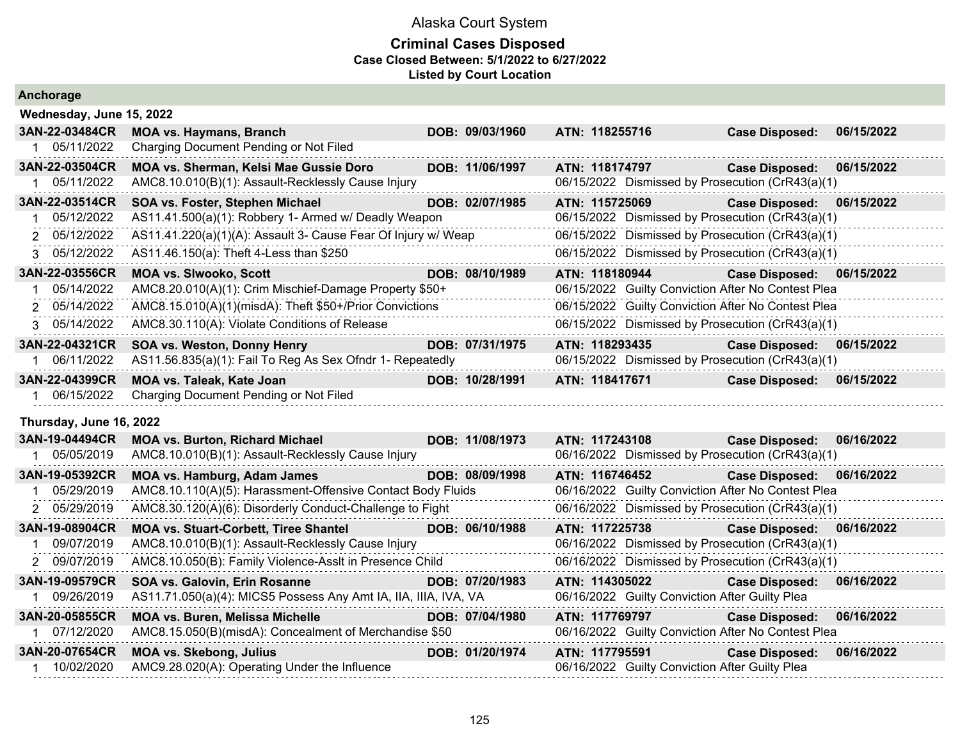| Anchorage                |                                                                 |  |                 |                                                    |                       |            |  |  |  |  |  |
|--------------------------|-----------------------------------------------------------------|--|-----------------|----------------------------------------------------|-----------------------|------------|--|--|--|--|--|
| Wednesday, June 15, 2022 |                                                                 |  |                 |                                                    |                       |            |  |  |  |  |  |
| 3AN-22-03484CR           | <b>MOA vs. Haymans, Branch</b>                                  |  | DOB: 09/03/1960 | ATN: 118255716                                     | <b>Case Disposed:</b> | 06/15/2022 |  |  |  |  |  |
| 1 05/11/2022             | Charging Document Pending or Not Filed                          |  |                 |                                                    |                       |            |  |  |  |  |  |
| 3AN-22-03504CR           | MOA vs. Sherman, Kelsi Mae Gussie Doro                          |  | DOB: 11/06/1997 | ATN: 118174797                                     | <b>Case Disposed:</b> | 06/15/2022 |  |  |  |  |  |
| 1 05/11/2022             | AMC8.10.010(B)(1): Assault-Recklessly Cause Injury              |  |                 | 06/15/2022 Dismissed by Prosecution (CrR43(a)(1)   |                       |            |  |  |  |  |  |
| 3AN-22-03514CR           | SOA vs. Foster, Stephen Michael                                 |  | DOB: 02/07/1985 | ATN: 115725069                                     | <b>Case Disposed:</b> | 06/15/2022 |  |  |  |  |  |
| 05/12/2022               | AS11.41.500(a)(1): Robbery 1- Armed w/ Deadly Weapon            |  |                 | 06/15/2022 Dismissed by Prosecution (CrR43(a)(1)   |                       |            |  |  |  |  |  |
| 2 05/12/2022             | AS11.41.220(a)(1)(A): Assault 3- Cause Fear Of Injury w/ Weap   |  |                 | 06/15/2022 Dismissed by Prosecution (CrR43(a)(1)   |                       |            |  |  |  |  |  |
| 3 05/12/2022             | AS11.46.150(a): Theft 4-Less than \$250                         |  |                 | 06/15/2022 Dismissed by Prosecution (CrR43(a)(1)   |                       |            |  |  |  |  |  |
| 3AN-22-03556CR           | <b>MOA vs. Slwooko, Scott</b>                                   |  | DOB: 08/10/1989 | ATN: 118180944                                     | <b>Case Disposed:</b> | 06/15/2022 |  |  |  |  |  |
| 05/14/2022               | AMC8.20.010(A)(1): Crim Mischief-Damage Property \$50+          |  |                 | 06/15/2022 Guilty Conviction After No Contest Plea |                       |            |  |  |  |  |  |
| 2 05/14/2022             | AMC8.15.010(A)(1)(misdA): Theft \$50+/Prior Convictions         |  |                 | 06/15/2022 Guilty Conviction After No Contest Plea |                       |            |  |  |  |  |  |
| 3 05/14/2022             | AMC8.30.110(A): Violate Conditions of Release                   |  |                 | 06/15/2022 Dismissed by Prosecution (CrR43(a)(1)   |                       |            |  |  |  |  |  |
| 3AN-22-04321CR           | SOA vs. Weston, Donny Henry                                     |  | DOB: 07/31/1975 | ATN: 118293435                                     | <b>Case Disposed:</b> | 06/15/2022 |  |  |  |  |  |
| 06/11/2022               | AS11.56.835(a)(1): Fail To Reg As Sex Ofndr 1- Repeatedly       |  |                 | 06/15/2022 Dismissed by Prosecution (CrR43(a)(1)   |                       |            |  |  |  |  |  |
| 3AN-22-04399CR           | MOA vs. Taleak, Kate Joan                                       |  | DOB: 10/28/1991 | ATN: 118417671                                     | <b>Case Disposed:</b> | 06/15/2022 |  |  |  |  |  |
| 1 06/15/2022             | Charging Document Pending or Not Filed                          |  |                 |                                                    |                       |            |  |  |  |  |  |
| Thursday, June 16, 2022  |                                                                 |  |                 |                                                    |                       |            |  |  |  |  |  |
| 3AN-19-04494CR           | <b>MOA vs. Burton, Richard Michael</b>                          |  | DOB: 11/08/1973 | ATN: 117243108                                     | <b>Case Disposed:</b> | 06/16/2022 |  |  |  |  |  |
| 1 05/05/2019             | AMC8.10.010(B)(1): Assault-Recklessly Cause Injury              |  |                 | 06/16/2022 Dismissed by Prosecution (CrR43(a)(1)   |                       |            |  |  |  |  |  |
| 3AN-19-05392CR           | <b>MOA vs. Hamburg, Adam James</b>                              |  | DOB: 08/09/1998 | ATN: 116746452                                     | <b>Case Disposed:</b> | 06/16/2022 |  |  |  |  |  |
| 1 05/29/2019             | AMC8.10.110(A)(5): Harassment-Offensive Contact Body Fluids     |  |                 | 06/16/2022 Guilty Conviction After No Contest Plea |                       |            |  |  |  |  |  |
| 2 05/29/2019             | AMC8.30.120(A)(6): Disorderly Conduct-Challenge to Fight        |  |                 | 06/16/2022 Dismissed by Prosecution (CrR43(a)(1)   |                       |            |  |  |  |  |  |
| 3AN-19-08904CR           | <b>MOA vs. Stuart-Corbett, Tiree Shantel</b>                    |  | DOB: 06/10/1988 | ATN: 117225738                                     | <b>Case Disposed:</b> | 06/16/2022 |  |  |  |  |  |
| 09/07/2019               | AMC8.10.010(B)(1): Assault-Recklessly Cause Injury              |  |                 | 06/16/2022 Dismissed by Prosecution (CrR43(a)(1)   |                       |            |  |  |  |  |  |
| 2 09/07/2019             | AMC8.10.050(B): Family Violence-Asslt in Presence Child         |  |                 | 06/16/2022 Dismissed by Prosecution (CrR43(a)(1)   |                       |            |  |  |  |  |  |
| 3AN-19-09579CR           | SOA vs. Galovin, Erin Rosanne                                   |  | DOB: 07/20/1983 | ATN: 114305022                                     | <b>Case Disposed:</b> | 06/16/2022 |  |  |  |  |  |
| 1 09/26/2019             | AS11.71.050(a)(4): MICS5 Possess Any Amt IA, IIA, IIIA, IVA, VA |  |                 | 06/16/2022 Guilty Conviction After Guilty Plea     |                       |            |  |  |  |  |  |
| 3AN-20-05855CR           | <b>MOA vs. Buren, Melissa Michelle</b>                          |  | DOB: 07/04/1980 | ATN: 117769797                                     | <b>Case Disposed:</b> | 06/16/2022 |  |  |  |  |  |
| 1 07/12/2020             | AMC8.15.050(B)(misdA): Concealment of Merchandise \$50          |  |                 | 06/16/2022 Guilty Conviction After No Contest Plea |                       |            |  |  |  |  |  |
| 3AN-20-07654CR           | <b>MOA vs. Skebong, Julius</b>                                  |  | DOB: 01/20/1974 | ATN: 117795591                                     | <b>Case Disposed:</b> | 06/16/2022 |  |  |  |  |  |
| 1 10/02/2020             | AMC9.28.020(A): Operating Under the Influence                   |  |                 | 06/16/2022 Guilty Conviction After Guilty Plea     |                       |            |  |  |  |  |  |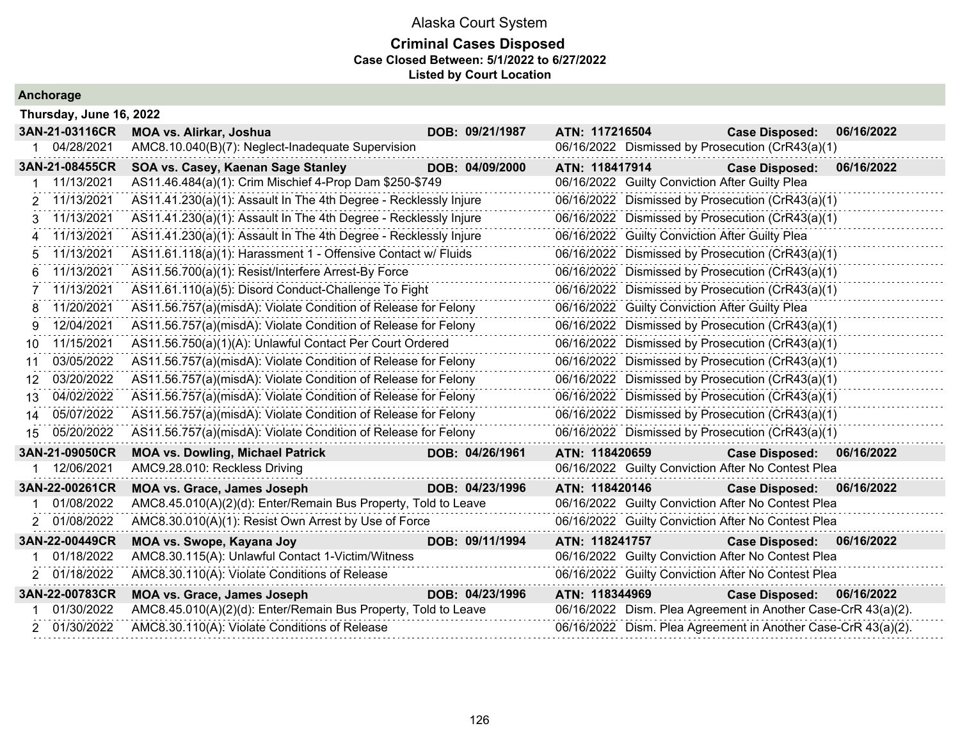### **Criminal Cases Disposed Case Closed Between: 5/1/2022 to 6/27/2022 Listed by Court Location**

|     | 3AN-21-03116CR | <b>MOA vs. Alirkar, Joshua</b>                                   |                                                  | DOB: 09/21/1987                                | ATN: 117216504                                   |                                                  | <b>Case Disposed:</b>                                         | 06/16/2022 |  |  |
|-----|----------------|------------------------------------------------------------------|--------------------------------------------------|------------------------------------------------|--------------------------------------------------|--------------------------------------------------|---------------------------------------------------------------|------------|--|--|
|     | 04/28/2021     | AMC8.10.040(B)(7): Neglect-Inadequate Supervision                |                                                  |                                                |                                                  |                                                  | 06/16/2022 Dismissed by Prosecution (CrR43(a)(1)              |            |  |  |
|     | 3AN-21-08455CR | SOA vs. Casey, Kaenan Sage Stanley                               |                                                  | DOB: 04/09/2000                                | ATN: 118417914                                   |                                                  | <b>Case Disposed:</b>                                         | 06/16/2022 |  |  |
|     | 11/13/2021     | AS11.46.484(a)(1): Crim Mischief 4-Prop Dam \$250-\$749          |                                                  |                                                |                                                  | 06/16/2022 Guilty Conviction After Guilty Plea   |                                                               |            |  |  |
| 2   | 11/13/2021     | AS11.41.230(a)(1): Assault In The 4th Degree - Recklessly Injure |                                                  |                                                |                                                  |                                                  | 06/16/2022 Dismissed by Prosecution (CrR43(a)(1)              |            |  |  |
| 3   | 11/13/2021     | AS11.41.230(a)(1): Assault In The 4th Degree - Recklessly Injure |                                                  |                                                |                                                  |                                                  | 06/16/2022 Dismissed by Prosecution (CrR43(a)(1)              |            |  |  |
|     | 11/13/2021     | AS11.41.230(a)(1): Assault In The 4th Degree - Recklessly Injure |                                                  |                                                |                                                  | 06/16/2022 Guilty Conviction After Guilty Plea   |                                                               |            |  |  |
| 5   | 11/13/2021     | AS11.61.118(a)(1): Harassment 1 - Offensive Contact w/ Fluids    |                                                  |                                                |                                                  | 06/16/2022 Dismissed by Prosecution (CrR43(a)(1) |                                                               |            |  |  |
|     | 11/13/2021     | AS11.56.700(a)(1): Resist/Interfere Arrest-By Force              | 06/16/2022 Dismissed by Prosecution (CrR43(a)(1) |                                                |                                                  |                                                  |                                                               |            |  |  |
|     | 11/13/2021     | AS11.61.110(a)(5): Disord Conduct-Challenge To Fight             | 06/16/2022 Dismissed by Prosecution (CrR43(a)(1) |                                                |                                                  |                                                  |                                                               |            |  |  |
| 8   | 11/20/2021     | AS11.56.757(a)(misdA): Violate Condition of Release for Felony   |                                                  | 06/16/2022 Guilty Conviction After Guilty Plea |                                                  |                                                  |                                                               |            |  |  |
| 9   | 12/04/2021     | AS11.56.757(a)(misdA): Violate Condition of Release for Felony   | 06/16/2022 Dismissed by Prosecution (CrR43(a)(1) |                                                |                                                  |                                                  |                                                               |            |  |  |
| 10  | 11/15/2021     | AS11.56.750(a)(1)(A): Unlawful Contact Per Court Ordered         |                                                  |                                                | 06/16/2022 Dismissed by Prosecution (CrR43(a)(1) |                                                  |                                                               |            |  |  |
| 11  | 03/05/2022     | AS11.56.757(a)(misdA): Violate Condition of Release for Felony   |                                                  |                                                | 06/16/2022 Dismissed by Prosecution (CrR43(a)(1) |                                                  |                                                               |            |  |  |
| 12  | 03/20/2022     | AS11.56.757(a)(misdA): Violate Condition of Release for Felony   |                                                  |                                                | 06/16/2022 Dismissed by Prosecution (CrR43(a)(1) |                                                  |                                                               |            |  |  |
| 13. | 04/02/2022     | AS11.56.757(a)(misdA): Violate Condition of Release for Felony   |                                                  |                                                | 06/16/2022 Dismissed by Prosecution (CrR43(a)(1) |                                                  |                                                               |            |  |  |
| 14  | 05/07/2022     | AS11.56.757(a)(misdA): Violate Condition of Release for Felony   |                                                  |                                                |                                                  |                                                  | 06/16/2022 Dismissed by Prosecution (CrR43(a)(1)              |            |  |  |
| 15  | 05/20/2022     | AS11.56.757(a)(misdA): Violate Condition of Release for Felony   |                                                  |                                                |                                                  |                                                  | 06/16/2022 Dismissed by Prosecution (CrR43(a)(1)              |            |  |  |
|     | 3AN-21-09050CR | <b>MOA vs. Dowling, Michael Patrick</b>                          |                                                  | DOB: 04/26/1961                                | ATN: 118420659                                   |                                                  | <b>Case Disposed:</b>                                         | 06/16/2022 |  |  |
|     | 12/06/2021     | AMC9.28.010: Reckless Driving                                    |                                                  |                                                |                                                  |                                                  | 06/16/2022 Guilty Conviction After No Contest Plea            |            |  |  |
|     | 3AN-22-00261CR | MOA vs. Grace, James Joseph                                      |                                                  | DOB: 04/23/1996                                | ATN: 118420146                                   |                                                  | Case Disposed: 06/16/2022                                     |            |  |  |
|     | 01/08/2022     | AMC8.45.010(A)(2)(d): Enter/Remain Bus Property, Told to Leave   |                                                  |                                                |                                                  |                                                  | 06/16/2022 Guilty Conviction After No Contest Plea            |            |  |  |
| 2   | 01/08/2022     | AMC8.30.010(A)(1): Resist Own Arrest by Use of Force             |                                                  |                                                |                                                  |                                                  | 06/16/2022 Guilty Conviction After No Contest Plea            |            |  |  |
|     | 3AN-22-00449CR | MOA vs. Swope, Kayana Joy                                        |                                                  | DOB: 09/11/1994                                | ATN: 118241757                                   |                                                  | Case Disposed: 06/16/2022                                     |            |  |  |
|     | 01/18/2022     | AMC8.30.115(A): Unlawful Contact 1-Victim/Witness                |                                                  |                                                |                                                  |                                                  | 06/16/2022 Guilty Conviction After No Contest Plea            |            |  |  |
|     | 01/18/2022     | AMC8.30.110(A): Violate Conditions of Release                    |                                                  |                                                |                                                  |                                                  | 06/16/2022 Guilty Conviction After No Contest Plea            |            |  |  |
|     | 3AN-22-00783CR | <b>MOA vs. Grace, James Joseph</b>                               |                                                  | DOB: 04/23/1996                                | ATN: 118344969                                   |                                                  | <b>Case Disposed:</b>                                         | 06/16/2022 |  |  |
|     | 01/30/2022     | AMC8.45.010(A)(2)(d): Enter/Remain Bus Property, Told to Leave   |                                                  |                                                |                                                  |                                                  | 06/16/2022 Dism. Plea Agreement in Another Case-CrR 43(a)(2). |            |  |  |
|     | 2 01/30/2022   | AMC8.30.110(A): Violate Conditions of Release                    |                                                  |                                                |                                                  |                                                  | 06/16/2022 Dism. Plea Agreement in Another Case-CrR 43(a)(2). |            |  |  |
|     |                |                                                                  |                                                  |                                                |                                                  |                                                  |                                                               |            |  |  |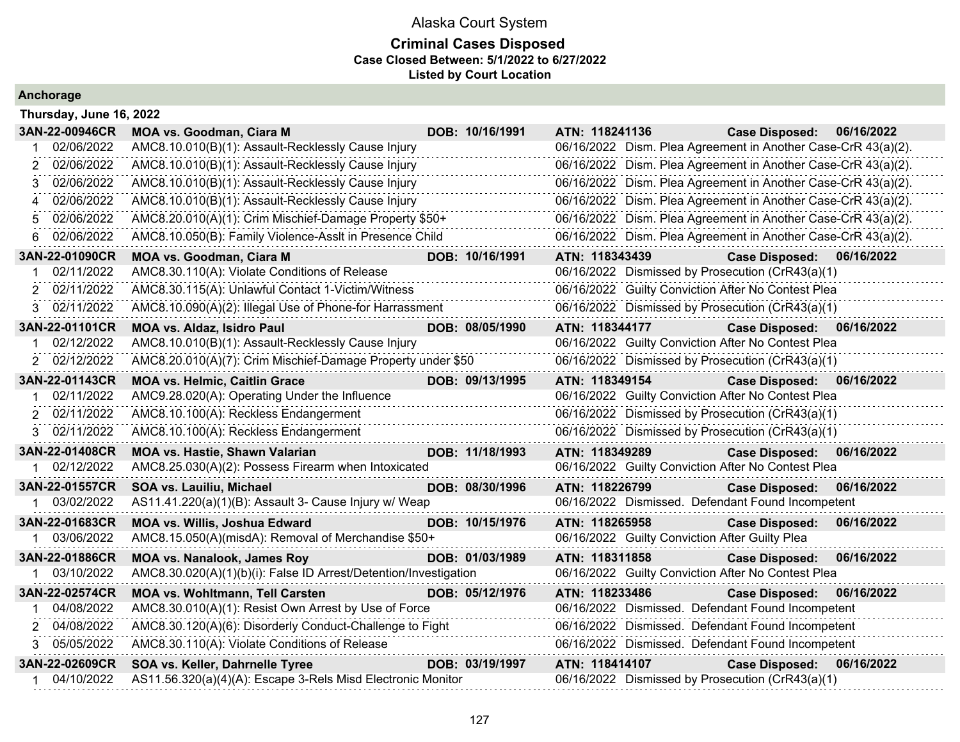### **Criminal Cases Disposed Case Closed Between: 5/1/2022 to 6/27/2022 Listed by Court Location**

| Thursday, June 16, 2022 |                                                                  |                 |                                                |                                                               |            |
|-------------------------|------------------------------------------------------------------|-----------------|------------------------------------------------|---------------------------------------------------------------|------------|
| 3AN-22-00946CR          | <b>MOA vs. Goodman, Ciara M</b>                                  | DOB: 10/16/1991 | ATN: 118241136                                 | <b>Case Disposed:</b>                                         | 06/16/2022 |
| 02/06/2022              | AMC8.10.010(B)(1): Assault-Recklessly Cause Injury               |                 |                                                | 06/16/2022 Dism. Plea Agreement in Another Case-CrR 43(a)(2). |            |
| 02/06/2022              | AMC8.10.010(B)(1): Assault-Recklessly Cause Injury               |                 |                                                | 06/16/2022 Dism. Plea Agreement in Another Case-CrR 43(a)(2). |            |
| 02/06/2022<br>3         | AMC8.10.010(B)(1): Assault-Recklessly Cause Injury               |                 |                                                | 06/16/2022 Dism. Plea Agreement in Another Case-CrR 43(a)(2). |            |
| 02/06/2022<br>4         | AMC8.10.010(B)(1): Assault-Recklessly Cause Injury               |                 |                                                | 06/16/2022 Dism. Plea Agreement in Another Case-CrR 43(a)(2). |            |
| 02/06/2022<br>5         | AMC8.20.010(A)(1): Crim Mischief-Damage Property \$50+           |                 |                                                | 06/16/2022 Dism. Plea Agreement in Another Case-CrR 43(a)(2). |            |
| 02/06/2022<br>6         | AMC8.10.050(B): Family Violence-Asslt in Presence Child          |                 |                                                | 06/16/2022 Dism. Plea Agreement in Another Case-CrR 43(a)(2). |            |
| 3AN-22-01090CR          | <b>MOA vs. Goodman, Ciara M</b>                                  | DOB: 10/16/1991 | ATN: 118343439                                 | <b>Case Disposed:</b>                                         | 06/16/2022 |
| 02/11/2022              | AMC8.30.110(A): Violate Conditions of Release                    |                 |                                                | 06/16/2022 Dismissed by Prosecution (CrR43(a)(1)              |            |
| 02/11/2022              | AMC8.30.115(A): Unlawful Contact 1-Victim/Witness                |                 |                                                | 06/16/2022 Guilty Conviction After No Contest Plea            |            |
| 02/11/2022<br>3.        | AMC8.10.090(A)(2): Illegal Use of Phone-for Harrassment          |                 |                                                | 06/16/2022 Dismissed by Prosecution (CrR43(a)(1)              |            |
| 3AN-22-01101CR          | <b>MOA vs. Aldaz, Isidro Paul</b>                                | DOB: 08/05/1990 | ATN: 118344177                                 | <b>Case Disposed:</b>                                         | 06/16/2022 |
| 02/12/2022              | AMC8.10.010(B)(1): Assault-Recklessly Cause Injury               |                 |                                                | 06/16/2022 Guilty Conviction After No Contest Plea            |            |
| 2 02/12/2022            | AMC8.20.010(A)(7): Crim Mischief-Damage Property under \$50      |                 |                                                | 06/16/2022 Dismissed by Prosecution (CrR43(a)(1)              |            |
| 3AN-22-01143CR          | <b>MOA vs. Helmic, Caitlin Grace</b>                             | DOB: 09/13/1995 | ATN: 118349154                                 | <b>Case Disposed:</b>                                         | 06/16/2022 |
| 02/11/2022              | AMC9.28.020(A): Operating Under the Influence                    |                 |                                                | 06/16/2022 Guilty Conviction After No Contest Plea            |            |
| 02/11/2022              | AMC8.10.100(A): Reckless Endangerment                            |                 |                                                | 06/16/2022 Dismissed by Prosecution (CrR43(a)(1)              |            |
| 02/11/2022<br>3         | AMC8.10.100(A): Reckless Endangerment                            |                 |                                                | 06/16/2022 Dismissed by Prosecution (CrR43(a)(1)              |            |
| 3AN-22-01408CR          | MOA vs. Hastie, Shawn Valarian                                   | DOB: 11/18/1993 | ATN: 118349289                                 | <b>Case Disposed:</b>                                         | 06/16/2022 |
| 02/12/2022              | AMC8.25.030(A)(2): Possess Firearm when Intoxicated              |                 |                                                | 06/16/2022 Guilty Conviction After No Contest Plea            |            |
| 3AN-22-01557CR          | SOA vs. Lauiliu, Michael                                         | DOB: 08/30/1996 | ATN: 118226799                                 | <b>Case Disposed:</b>                                         | 06/16/2022 |
| 03/02/2022              | AS11.41.220(a)(1)(B): Assault 3- Cause Injury w/ Weap            |                 |                                                | 06/16/2022 Dismissed. Defendant Found Incompetent             |            |
| 3AN-22-01683CR          | <b>MOA vs. Willis, Joshua Edward</b>                             | DOB: 10/15/1976 | ATN: 118265958                                 | <b>Case Disposed:</b>                                         | 06/16/2022 |
| 1 03/06/2022            | AMC8.15.050(A)(misdA): Removal of Merchandise \$50+              |                 | 06/16/2022 Guilty Conviction After Guilty Plea |                                                               |            |
| 3AN-22-01886CR          | <b>MOA vs. Nanalook, James Roy</b>                               | DOB: 01/03/1989 | ATN: 118311858                                 | <b>Case Disposed:</b>                                         | 06/16/2022 |
| 03/10/2022              | AMC8.30.020(A)(1)(b)(i): False ID Arrest/Detention/Investigation |                 |                                                | 06/16/2022 Guilty Conviction After No Contest Plea            |            |
| 3AN-22-02574CR          | <b>MOA vs. Wohltmann, Tell Carsten</b>                           | DOB: 05/12/1976 | ATN: 118233486                                 | <b>Case Disposed:</b>                                         | 06/16/2022 |
| 04/08/2022              | AMC8.30.010(A)(1): Resist Own Arrest by Use of Force             |                 |                                                | 06/16/2022 Dismissed. Defendant Found Incompetent             |            |
| 2 04/08/2022            | AMC8.30.120(A)(6): Disorderly Conduct-Challenge to Fight         |                 |                                                | 06/16/2022 Dismissed. Defendant Found Incompetent             |            |
| 05/05/2022<br>3         | AMC8.30.110(A): Violate Conditions of Release                    |                 |                                                | 06/16/2022 Dismissed. Defendant Found Incompetent             |            |
| 3AN-22-02609CR          | SOA vs. Keller, Dahrnelle Tyree                                  | DOB: 03/19/1997 | ATN: 118414107                                 | <b>Case Disposed:</b>                                         | 06/16/2022 |
| 04/10/2022              | AS11.56.320(a)(4)(A): Escape 3-Rels Misd Electronic Monitor      |                 |                                                | 06/16/2022 Dismissed by Prosecution (CrR43(a)(1)              |            |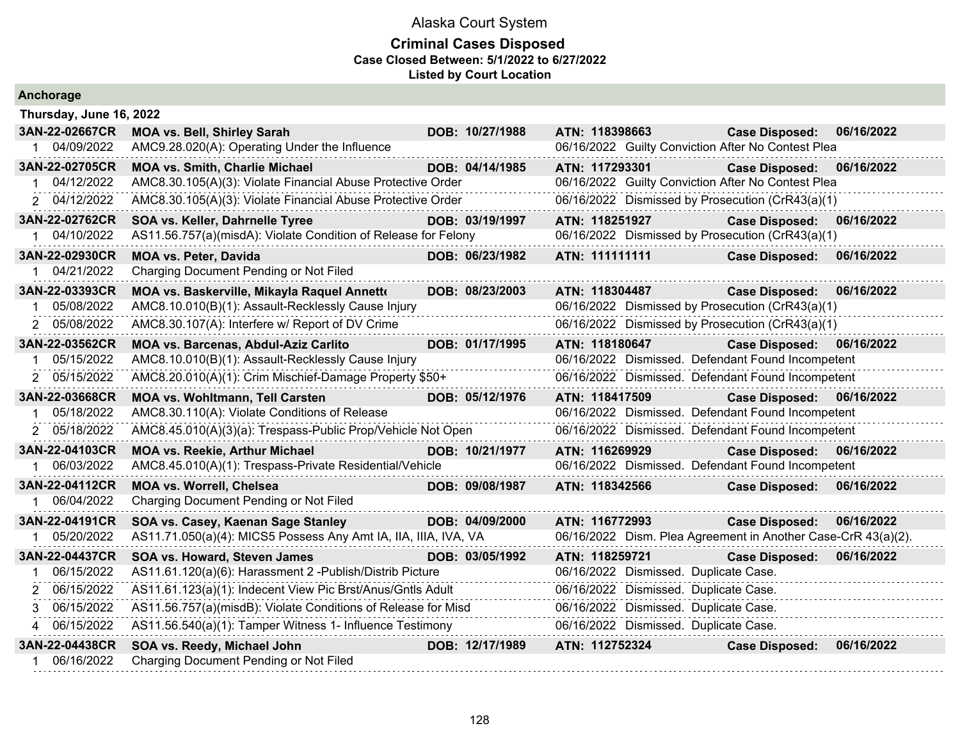| Anchorage               |                                                                 |  |                 |                |  |                                                               |            |  |  |  |
|-------------------------|-----------------------------------------------------------------|--|-----------------|----------------|--|---------------------------------------------------------------|------------|--|--|--|
| Thursday, June 16, 2022 |                                                                 |  |                 |                |  |                                                               |            |  |  |  |
| 3AN-22-02667CR          | <b>MOA vs. Bell, Shirley Sarah</b>                              |  | DOB: 10/27/1988 | ATN: 118398663 |  | <b>Case Disposed:</b>                                         | 06/16/2022 |  |  |  |
| 04/09/2022              | AMC9.28.020(A): Operating Under the Influence                   |  |                 |                |  | 06/16/2022 Guilty Conviction After No Contest Plea            |            |  |  |  |
| 3AN-22-02705CR          | <b>MOA vs. Smith, Charlie Michael</b>                           |  | DOB: 04/14/1985 | ATN: 117293301 |  | <b>Case Disposed:</b>                                         | 06/16/2022 |  |  |  |
| 04/12/2022              | AMC8.30.105(A)(3): Violate Financial Abuse Protective Order     |  |                 |                |  | 06/16/2022 Guilty Conviction After No Contest Plea            |            |  |  |  |
| 2 04/12/2022            | AMC8.30.105(A)(3): Violate Financial Abuse Protective Order     |  |                 |                |  | 06/16/2022 Dismissed by Prosecution (CrR43(a)(1)              |            |  |  |  |
| 3AN-22-02762CR          | SOA vs. Keller, Dahrnelle Tyree                                 |  | DOB: 03/19/1997 | ATN: 118251927 |  | <b>Case Disposed:</b>                                         | 06/16/2022 |  |  |  |
| 04/10/2022              | AS11.56.757(a)(misdA): Violate Condition of Release for Felony  |  |                 |                |  | 06/16/2022 Dismissed by Prosecution (CrR43(a)(1)              |            |  |  |  |
| 3AN-22-02930CR          | <b>MOA vs. Peter, Davida</b>                                    |  | DOB: 06/23/1982 | ATN: 111111111 |  | <b>Case Disposed:</b>                                         | 06/16/2022 |  |  |  |
| 04/21/2022              | Charging Document Pending or Not Filed                          |  |                 |                |  |                                                               |            |  |  |  |
| 3AN-22-03393CR          | MOA vs. Baskerville, Mikayla Raquel Annette                     |  | DOB: 08/23/2003 | ATN: 118304487 |  | <b>Case Disposed:</b>                                         | 06/16/2022 |  |  |  |
| 05/08/2022              | AMC8.10.010(B)(1): Assault-Recklessly Cause Injury              |  |                 |                |  | 06/16/2022 Dismissed by Prosecution (CrR43(a)(1)              |            |  |  |  |
| 2 05/08/2022            | AMC8.30.107(A): Interfere w/ Report of DV Crime                 |  |                 |                |  | 06/16/2022 Dismissed by Prosecution (CrR43(a)(1)              |            |  |  |  |
| 3AN-22-03562CR          | MOA vs. Barcenas, Abdul-Aziz Carlito                            |  | DOB: 01/17/1995 | ATN: 118180647 |  | <b>Case Disposed:</b>                                         | 06/16/2022 |  |  |  |
| 05/15/2022              | AMC8.10.010(B)(1): Assault-Recklessly Cause Injury              |  |                 |                |  | 06/16/2022 Dismissed. Defendant Found Incompetent             |            |  |  |  |
| 2 05/15/2022            | AMC8.20.010(A)(1): Crim Mischief-Damage Property \$50+          |  |                 |                |  | 06/16/2022 Dismissed. Defendant Found Incompetent             |            |  |  |  |
| 3AN-22-03668CR          | <b>MOA vs. Wohltmann, Tell Carsten</b>                          |  | DOB: 05/12/1976 | ATN: 118417509 |  | <b>Case Disposed:</b>                                         | 06/16/2022 |  |  |  |
| 05/18/2022              | AMC8.30.110(A): Violate Conditions of Release                   |  |                 |                |  | 06/16/2022 Dismissed. Defendant Found Incompetent             |            |  |  |  |
| 2 05/18/2022            | AMC8.45.010(A)(3)(a): Trespass-Public Prop/Vehicle Not Open     |  |                 |                |  | 06/16/2022 Dismissed. Defendant Found Incompetent             |            |  |  |  |
| 3AN-22-04103CR          | <b>MOA vs. Reekie, Arthur Michael</b>                           |  | DOB: 10/21/1977 | ATN: 116269929 |  | <b>Case Disposed:</b>                                         | 06/16/2022 |  |  |  |
| 06/03/2022              | AMC8.45.010(A)(1): Trespass-Private Residential/Vehicle         |  |                 |                |  | 06/16/2022 Dismissed. Defendant Found Incompetent             |            |  |  |  |
| 3AN-22-04112CR          | MOA vs. Worrell, Chelsea                                        |  | DOB: 09/08/1987 | ATN: 118342566 |  | <b>Case Disposed:</b>                                         | 06/16/2022 |  |  |  |
| 06/04/2022              | Charging Document Pending or Not Filed                          |  |                 |                |  |                                                               |            |  |  |  |
| 3AN-22-04191CR          | SOA vs. Casey, Kaenan Sage Stanley                              |  | DOB: 04/09/2000 | ATN: 116772993 |  | <b>Case Disposed:</b>                                         | 06/16/2022 |  |  |  |
| 05/20/2022              | AS11.71.050(a)(4): MICS5 Possess Any Amt IA, IIA, IIIA, IVA, VA |  |                 |                |  | 06/16/2022 Dism. Plea Agreement in Another Case-CrR 43(a)(2). |            |  |  |  |
| 3AN-22-04437CR          | SOA vs. Howard, Steven James                                    |  | DOB: 03/05/1992 | ATN: 118259721 |  | <b>Case Disposed:</b>                                         | 06/16/2022 |  |  |  |
| 06/15/2022              | AS11.61.120(a)(6): Harassment 2 - Publish/Distrib Picture       |  |                 |                |  | 06/16/2022 Dismissed. Duplicate Case.                         |            |  |  |  |
| 06/15/2022<br>2         | AS11.61.123(a)(1): Indecent View Pic Brst/Anus/Gntls Adult      |  |                 |                |  | 06/16/2022 Dismissed. Duplicate Case.                         |            |  |  |  |
| 06/15/2022<br>3         | AS11.56.757(a)(misdB): Violate Conditions of Release for Misd   |  |                 |                |  | 06/16/2022 Dismissed. Duplicate Case.                         |            |  |  |  |
| 06/15/2022<br>4         | AS11.56.540(a)(1): Tamper Witness 1- Influence Testimony        |  |                 |                |  | 06/16/2022 Dismissed. Duplicate Case.                         |            |  |  |  |
| 3AN-22-04438CR          | SOA vs. Reedy, Michael John                                     |  | DOB: 12/17/1989 | ATN: 112752324 |  | <b>Case Disposed:</b>                                         | 06/16/2022 |  |  |  |
| 06/16/2022              | Charging Document Pending or Not Filed                          |  |                 |                |  |                                                               |            |  |  |  |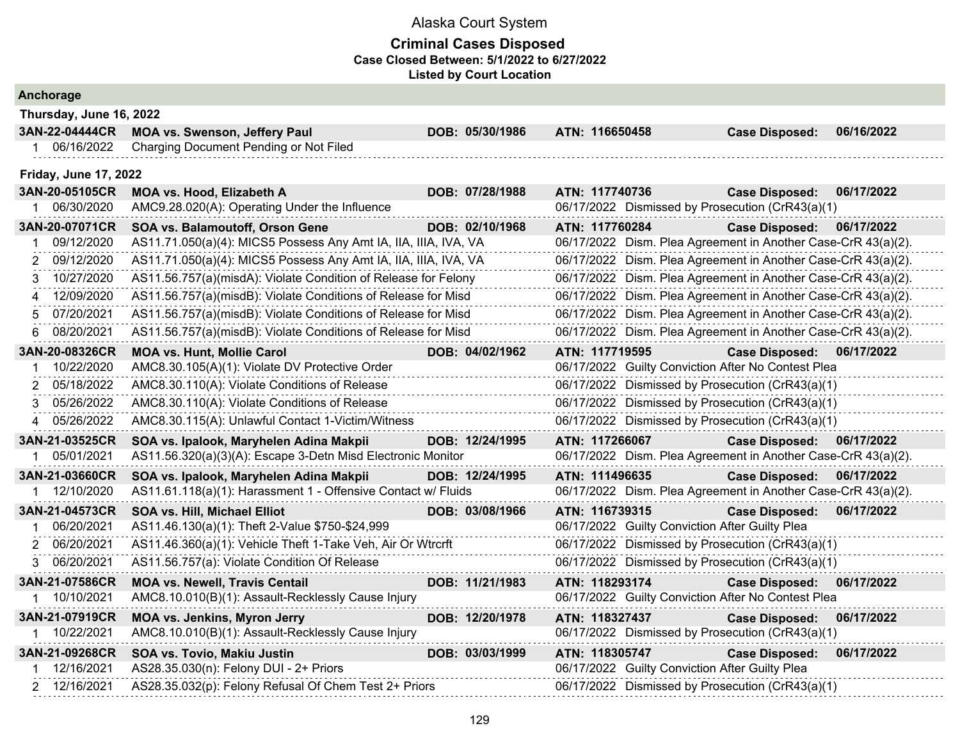| Anchorage                           |                                                                 |  |                                                               |                                                               |  |                |                                                               |            |
|-------------------------------------|-----------------------------------------------------------------|--|---------------------------------------------------------------|---------------------------------------------------------------|--|----------------|---------------------------------------------------------------|------------|
| Thursday, June 16, 2022             |                                                                 |  |                                                               |                                                               |  |                |                                                               |            |
| 3AN-22-04444CR                      | <b>MOA vs. Swenson, Jeffery Paul</b>                            |  | DOB: 05/30/1986                                               |                                                               |  | ATN: 116650458 | <b>Case Disposed:</b>                                         | 06/16/2022 |
| 1 06/16/2022                        | Charging Document Pending or Not Filed                          |  |                                                               |                                                               |  |                |                                                               |            |
| <b>Friday, June 17, 2022</b>        |                                                                 |  |                                                               |                                                               |  |                |                                                               |            |
| 3AN-20-05105CR                      | MOA vs. Hood, Elizabeth A                                       |  | DOB: 07/28/1988                                               |                                                               |  | ATN: 117740736 | <b>Case Disposed:</b>                                         | 06/17/2022 |
| 06/30/2020                          | AMC9.28.020(A): Operating Under the Influence                   |  |                                                               |                                                               |  |                | 06/17/2022 Dismissed by Prosecution (CrR43(a)(1)              |            |
| 3AN-20-07071CR                      | SOA vs. Balamoutoff, Orson Gene                                 |  | DOB: 02/10/1968                                               |                                                               |  | ATN: 117760284 | <b>Case Disposed:</b>                                         | 06/17/2022 |
| 09/12/2020                          | AS11.71.050(a)(4): MICS5 Possess Any Amt IA, IIA, IIIA, IVA, VA |  |                                                               |                                                               |  |                | 06/17/2022 Dism. Plea Agreement in Another Case-CrR 43(a)(2). |            |
| 09/12/2020                          | AS11.71.050(a)(4): MICS5 Possess Any Amt IA, IIA, IIIA, IVA, VA |  |                                                               |                                                               |  |                | 06/17/2022 Dism. Plea Agreement in Another Case-CrR 43(a)(2). |            |
| 10/27/2020<br>3                     | AS11.56.757(a)(misdA): Violate Condition of Release for Felony  |  |                                                               | 06/17/2022 Dism. Plea Agreement in Another Case-CrR 43(a)(2). |  |                |                                                               |            |
| 12/09/2020<br>$\boldsymbol{\Delta}$ | AS11.56.757(a)(misdB): Violate Conditions of Release for Misd   |  |                                                               |                                                               |  |                | 06/17/2022 Dism. Plea Agreement in Another Case-CrR 43(a)(2). |            |
| 07/20/2021                          | AS11.56.757(a)(misdB): Violate Conditions of Release for Misd   |  | 06/17/2022 Dism. Plea Agreement in Another Case-CrR 43(a)(2). |                                                               |  |                |                                                               |            |
| 08/20/2021<br>6                     | AS11.56.757(a)(misdB): Violate Conditions of Release for Misd   |  |                                                               |                                                               |  |                | 06/17/2022 Dism. Plea Agreement in Another Case-CrR 43(a)(2). |            |
| 3AN-20-08326CR                      | <b>MOA vs. Hunt, Mollie Carol</b>                               |  | DOB: 04/02/1962                                               |                                                               |  | ATN: 117719595 | <b>Case Disposed:</b>                                         | 06/17/2022 |
| 10/22/2020                          | AMC8.30.105(A)(1): Violate DV Protective Order                  |  |                                                               |                                                               |  |                | 06/17/2022 Guilty Conviction After No Contest Plea            |            |
| 05/18/2022<br>2                     | AMC8.30.110(A): Violate Conditions of Release                   |  |                                                               |                                                               |  |                | 06/17/2022 Dismissed by Prosecution (CrR43(a)(1)              |            |
| 05/26/2022<br>3                     | AMC8.30.110(A): Violate Conditions of Release                   |  |                                                               |                                                               |  |                | 06/17/2022 Dismissed by Prosecution (CrR43(a)(1)              |            |
| 05/26/2022<br>4                     | AMC8.30.115(A): Unlawful Contact 1-Victim/Witness               |  |                                                               |                                                               |  |                | 06/17/2022 Dismissed by Prosecution (CrR43(a)(1)              |            |
| 3AN-21-03525CR                      | SOA vs. Ipalook, Maryhelen Adina Makpii                         |  | DOB: 12/24/1995                                               |                                                               |  | ATN: 117266067 | <b>Case Disposed:</b>                                         | 06/17/2022 |
| 05/01/2021                          | AS11.56.320(a)(3)(A): Escape 3-Detn Misd Electronic Monitor     |  |                                                               |                                                               |  |                | 06/17/2022 Dism. Plea Agreement in Another Case-CrR 43(a)(2). |            |
| 3AN-21-03660CR                      | SOA vs. Ipalook, Maryhelen Adina Makpii                         |  | DOB: 12/24/1995                                               |                                                               |  | ATN: 111496635 | <b>Case Disposed:</b>                                         | 06/17/2022 |
| 12/10/2020                          | AS11.61.118(a)(1): Harassment 1 - Offensive Contact w/ Fluids   |  |                                                               |                                                               |  |                | 06/17/2022 Dism. Plea Agreement in Another Case-CrR 43(a)(2). |            |
| 3AN-21-04573CR                      | <b>SOA vs. Hill, Michael Elliot</b>                             |  | DOB: 03/08/1966                                               |                                                               |  | ATN: 116739315 | <b>Case Disposed:</b>                                         | 06/17/2022 |
| 06/20/2021<br>1                     | AS11.46.130(a)(1): Theft 2-Value \$750-\$24,999                 |  |                                                               |                                                               |  |                | 06/17/2022 Guilty Conviction After Guilty Plea                |            |
| 06/20/2021<br>2                     | AS11.46.360(a)(1): Vehicle Theft 1-Take Veh, Air Or Wtrcrft     |  |                                                               |                                                               |  |                | 06/17/2022 Dismissed by Prosecution (CrR43(a)(1)              |            |
| 3 06/20/2021                        | AS11.56.757(a): Violate Condition Of Release                    |  |                                                               |                                                               |  |                | 06/17/2022 Dismissed by Prosecution (CrR43(a)(1)              |            |
| 3AN-21-07586CR                      | <b>MOA vs. Newell, Travis Centail</b>                           |  | DOB: 11/21/1983                                               |                                                               |  | ATN: 118293174 | <b>Case Disposed:</b>                                         | 06/17/2022 |
| 10/10/2021                          | AMC8.10.010(B)(1): Assault-Recklessly Cause Injury              |  |                                                               |                                                               |  |                | 06/17/2022 Guilty Conviction After No Contest Plea            |            |
| 3AN-21-07919CR                      | <b>MOA vs. Jenkins, Myron Jerry</b>                             |  | DOB: 12/20/1978                                               |                                                               |  | ATN: 118327437 | <b>Case Disposed:</b>                                         | 06/17/2022 |
| 10/22/2021                          | AMC8.10.010(B)(1): Assault-Recklessly Cause Injury              |  |                                                               |                                                               |  |                | 06/17/2022 Dismissed by Prosecution (CrR43(a)(1)              |            |
| 3AN-21-09268CR                      | SOA vs. Tovio, Makiu Justin                                     |  | DOB: 03/03/1999                                               |                                                               |  | ATN: 118305747 | <b>Case Disposed:</b>                                         | 06/17/2022 |
| 12/16/2021                          | AS28.35.030(n): Felony DUI - 2+ Priors                          |  |                                                               |                                                               |  |                | 06/17/2022 Guilty Conviction After Guilty Plea                |            |
| 2 12/16/2021                        | AS28.35.032(p): Felony Refusal Of Chem Test 2+ Priors           |  |                                                               |                                                               |  |                | 06/17/2022 Dismissed by Prosecution (CrR43(a)(1)              |            |
|                                     |                                                                 |  |                                                               |                                                               |  |                |                                                               |            |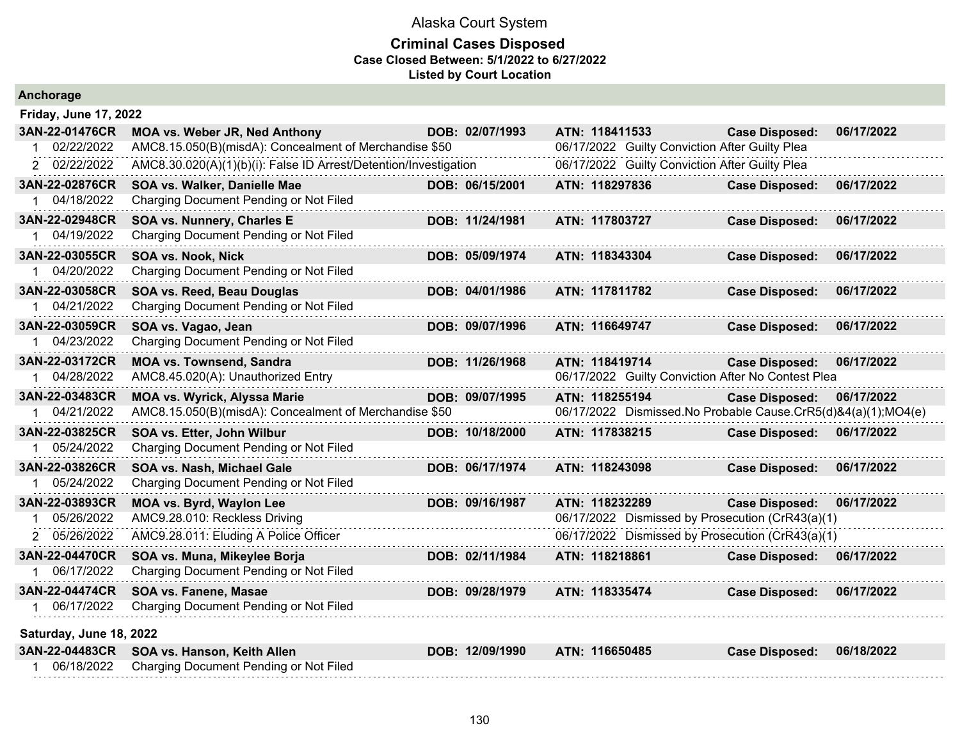| Anchorage                                    |                                                                                                                 |                 |                |                                                |                                                                                        |            |
|----------------------------------------------|-----------------------------------------------------------------------------------------------------------------|-----------------|----------------|------------------------------------------------|----------------------------------------------------------------------------------------|------------|
| <b>Friday, June 17, 2022</b>                 |                                                                                                                 |                 |                |                                                |                                                                                        |            |
| 3AN-22-01476CR<br>02/22/2022                 | <b>MOA vs. Weber JR, Ned Anthony</b><br>AMC8.15.050(B)(misdA): Concealment of Merchandise \$50                  | DOB: 02/07/1993 | ATN: 118411533 | 06/17/2022 Guilty Conviction After Guilty Plea | <b>Case Disposed:</b>                                                                  | 06/17/2022 |
| 2 02/22/2022                                 | AMC8.30.020(A)(1)(b)(i): False ID Arrest/Detention/Investigation                                                |                 |                | 06/17/2022 Guilty Conviction After Guilty Plea |                                                                                        |            |
| 3AN-22-02876CR<br>04/18/2022                 | SOA vs. Walker, Danielle Mae<br>Charging Document Pending or Not Filed                                          | DOB: 06/15/2001 | ATN: 118297836 |                                                | <b>Case Disposed:</b>                                                                  | 06/17/2022 |
| 3AN-22-02948CR<br>04/19/2022                 | SOA vs. Nunnery, Charles E<br>Charging Document Pending or Not Filed                                            | DOB: 11/24/1981 | ATN: 117803727 |                                                | <b>Case Disposed:</b>                                                                  | 06/17/2022 |
| 3AN-22-03055CR<br>1 04/20/2022               | SOA vs. Nook, Nick<br>Charging Document Pending or Not Filed                                                    | DOB: 05/09/1974 | ATN: 118343304 |                                                | <b>Case Disposed:</b>                                                                  | 06/17/2022 |
| 3AN-22-03058CR<br>04/21/2022                 | SOA vs. Reed, Beau Douglas<br>Charging Document Pending or Not Filed                                            | DOB: 04/01/1986 | ATN: 117811782 |                                                | <b>Case Disposed:</b>                                                                  | 06/17/2022 |
| 3AN-22-03059CR<br>04/23/2022<br>1.           | SOA vs. Vagao, Jean<br>Charging Document Pending or Not Filed                                                   | DOB: 09/07/1996 | ATN: 116649747 |                                                | <b>Case Disposed:</b>                                                                  | 06/17/2022 |
| 3AN-22-03172CR<br>04/28/2022                 | <b>MOA vs. Townsend, Sandra</b><br>AMC8.45.020(A): Unauthorized Entry                                           | DOB: 11/26/1968 | ATN: 118419714 |                                                | <b>Case Disposed:</b><br>06/17/2022 Guilty Conviction After No Contest Plea            | 06/17/2022 |
| 3AN-22-03483CR<br>1 04/21/2022               | <b>MOA vs. Wyrick, Alyssa Marie</b><br>AMC8.15.050(B)(misdA): Concealment of Merchandise \$50                   | DOB: 09/07/1995 | ATN: 118255194 |                                                | <b>Case Disposed:</b><br>06/17/2022 Dismissed.No Probable Cause.CrR5(d)&4(a)(1);MO4(e) | 06/17/2022 |
| 3AN-22-03825CR<br>05/24/2022                 | SOA vs. Etter, John Wilbur<br>Charging Document Pending or Not Filed                                            | DOB: 10/18/2000 | ATN: 117838215 |                                                | <b>Case Disposed:</b>                                                                  | 06/17/2022 |
| 3AN-22-03826CR<br>05/24/2022                 | SOA vs. Nash, Michael Gale<br>Charging Document Pending or Not Filed                                            | DOB: 06/17/1974 | ATN: 118243098 |                                                | <b>Case Disposed:</b>                                                                  | 06/17/2022 |
| 3AN-22-03893CR<br>05/26/2022                 | MOA vs. Byrd, Waylon Lee<br>AMC9.28.010: Reckless Driving                                                       | DOB: 09/16/1987 | ATN: 118232289 |                                                | <b>Case Disposed:</b><br>06/17/2022 Dismissed by Prosecution (CrR43(a)(1)              | 06/17/2022 |
| 2 05/26/2022<br>3AN-22-04470CR<br>06/17/2022 | AMC9.28.011: Eluding A Police Officer<br>SOA vs. Muna, Mikeylee Borja<br>Charging Document Pending or Not Filed | DOB: 02/11/1984 | ATN: 118218861 |                                                | 06/17/2022 Dismissed by Prosecution (CrR43(a)(1)<br><b>Case Disposed:</b>              | 06/17/2022 |
| 3AN-22-04474CR<br>06/17/2022                 | <b>SOA vs. Fanene, Masae</b><br>Charging Document Pending or Not Filed                                          | DOB: 09/28/1979 | ATN: 118335474 |                                                | <b>Case Disposed:</b>                                                                  | 06/17/2022 |
| Saturday, June 18, 2022                      |                                                                                                                 |                 |                |                                                |                                                                                        |            |
| 3AN-22-04483CR<br>06/18/2022                 | SOA vs. Hanson, Keith Allen<br>Charging Document Pending or Not Filed                                           | DOB: 12/09/1990 | ATN: 116650485 |                                                | <b>Case Disposed:</b>                                                                  | 06/18/2022 |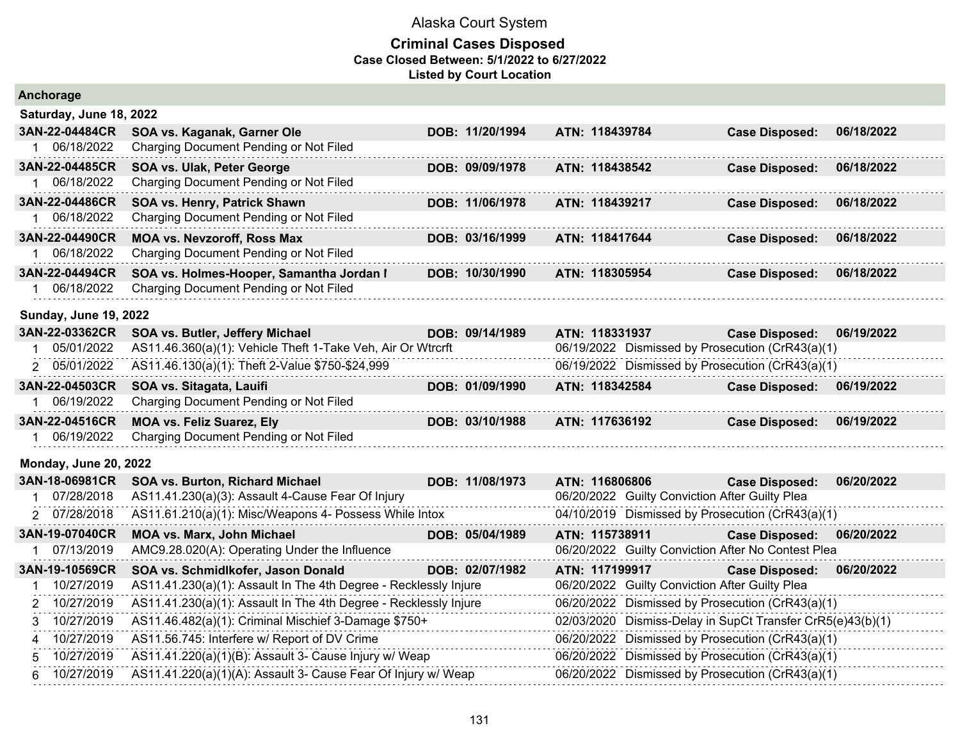| Anchorage                      |                                                                              |                 |                |                |                                                            |            |
|--------------------------------|------------------------------------------------------------------------------|-----------------|----------------|----------------|------------------------------------------------------------|------------|
| Saturday, June 18, 2022        |                                                                              |                 |                |                |                                                            |            |
| 3AN-22-04484CR                 | SOA vs. Kaganak, Garner Ole                                                  | DOB: 11/20/1994 |                | ATN: 118439784 | <b>Case Disposed:</b>                                      | 06/18/2022 |
| 06/18/2022                     | Charging Document Pending or Not Filed                                       |                 |                |                |                                                            |            |
| 3AN-22-04485CR                 | SOA vs. Ulak, Peter George                                                   | DOB: 09/09/1978 |                | ATN: 118438542 | <b>Case Disposed:</b>                                      | 06/18/2022 |
| 06/18/2022                     | Charging Document Pending or Not Filed                                       |                 |                |                |                                                            |            |
| 3AN-22-04486CR                 | SOA vs. Henry, Patrick Shawn                                                 | DOB: 11/06/1978 | ATN: 118439217 |                | <b>Case Disposed:</b>                                      | 06/18/2022 |
| 06/18/2022                     | Charging Document Pending or Not Filed                                       |                 |                |                |                                                            |            |
| 3AN-22-04490CR<br>1 06/18/2022 | <b>MOA vs. Nevzoroff, Ross Max</b><br>Charging Document Pending or Not Filed | DOB: 03/16/1999 |                | ATN: 118417644 | <b>Case Disposed:</b>                                      | 06/18/2022 |
| 3AN-22-04494CR                 | SOA vs. Holmes-Hooper, Samantha Jordan I                                     | DOB: 10/30/1990 | ATN: 118305954 |                | <b>Case Disposed:</b>                                      | 06/18/2022 |
| 1 06/18/2022                   | Charging Document Pending or Not Filed                                       |                 |                |                |                                                            |            |
| <b>Sunday, June 19, 2022</b>   |                                                                              |                 |                |                |                                                            |            |
| 3AN-22-03362CR                 | SOA vs. Butler, Jeffery Michael                                              | DOB: 09/14/1989 |                | ATN: 118331937 | <b>Case Disposed:</b>                                      | 06/19/2022 |
| 05/01/2022<br>1.               | AS11.46.360(a)(1): Vehicle Theft 1-Take Veh, Air Or Wtrcrft                  |                 |                |                | 06/19/2022 Dismissed by Prosecution (CrR43(a)(1)           |            |
| 2 05/01/2022                   | AS11.46.130(a)(1): Theft 2-Value \$750-\$24,999                              |                 |                |                | 06/19/2022 Dismissed by Prosecution (CrR43(a)(1)           |            |
| 3AN-22-04503CR                 | SOA vs. Sitagata, Lauifi                                                     | DOB: 01/09/1990 |                | ATN: 118342584 | <b>Case Disposed:</b>                                      | 06/19/2022 |
| 06/19/2022                     | Charging Document Pending or Not Filed                                       |                 |                |                |                                                            |            |
| 3AN-22-04516CR                 | <b>MOA vs. Feliz Suarez, Ely</b>                                             | DOB: 03/10/1988 |                | ATN: 117636192 | <b>Case Disposed:</b>                                      | 06/19/2022 |
| 06/19/2022                     | Charging Document Pending or Not Filed                                       |                 |                |                |                                                            |            |
| <b>Monday, June 20, 2022</b>   |                                                                              |                 |                |                |                                                            |            |
| 3AN-18-06981CR                 | SOA vs. Burton, Richard Michael                                              | DOB: 11/08/1973 |                | ATN: 116806806 | <b>Case Disposed:</b>                                      | 06/20/2022 |
| 07/28/2018                     | AS11.41.230(a)(3): Assault 4-Cause Fear Of Injury                            |                 |                |                | 06/20/2022 Guilty Conviction After Guilty Plea             |            |
| 2 07/28/2018                   | AS11.61.210(a)(1): Misc/Weapons 4- Possess While Intox                       |                 |                |                | 04/10/2019 Dismissed by Prosecution (CrR43(a)(1)           |            |
| 3AN-19-07040CR                 | <b>MOA vs. Marx, John Michael</b>                                            | DOB: 05/04/1989 |                | ATN: 115738911 | <b>Case Disposed:</b>                                      | 06/20/2022 |
| 07/13/2019                     | AMC9.28.020(A): Operating Under the Influence                                |                 |                |                | 06/20/2022 Guilty Conviction After No Contest Plea         |            |
| 3AN-19-10569CR                 | SOA vs. Schmidlkofer, Jason Donald                                           | DOB: 02/07/1982 |                | ATN: 117199917 | <b>Case Disposed:</b>                                      | 06/20/2022 |
| 10/27/2019                     | AS11.41.230(a)(1): Assault In The 4th Degree - Recklessly Injure             |                 |                |                | 06/20/2022 Guilty Conviction After Guilty Plea             |            |
| 10/27/2019<br>2                | AS11.41.230(a)(1): Assault In The 4th Degree - Recklessly Injure             |                 |                |                | 06/20/2022 Dismissed by Prosecution (CrR43(a)(1)           |            |
| 10/27/2019<br>3                | AS11.46.482(a)(1): Criminal Mischief 3-Damage \$750+                         |                 |                |                | 02/03/2020 Dismiss-Delay in SupCt Transfer CrR5(e)43(b)(1) |            |
| 10/27/2019<br>4                | AS11.56.745: Interfere w/ Report of DV Crime                                 |                 |                |                | 06/20/2022 Dismissed by Prosecution (CrR43(a)(1)           |            |
| 10/27/2019<br>5                | AS11.41.220(a)(1)(B): Assault 3- Cause Injury w/ Weap                        |                 |                |                | 06/20/2022 Dismissed by Prosecution (CrR43(a)(1)           |            |
| 10/27/2019<br>6                | AS11.41.220(a)(1)(A): Assault 3- Cause Fear Of Injury w/ Weap                |                 |                |                | 06/20/2022 Dismissed by Prosecution (CrR43(a)(1)           |            |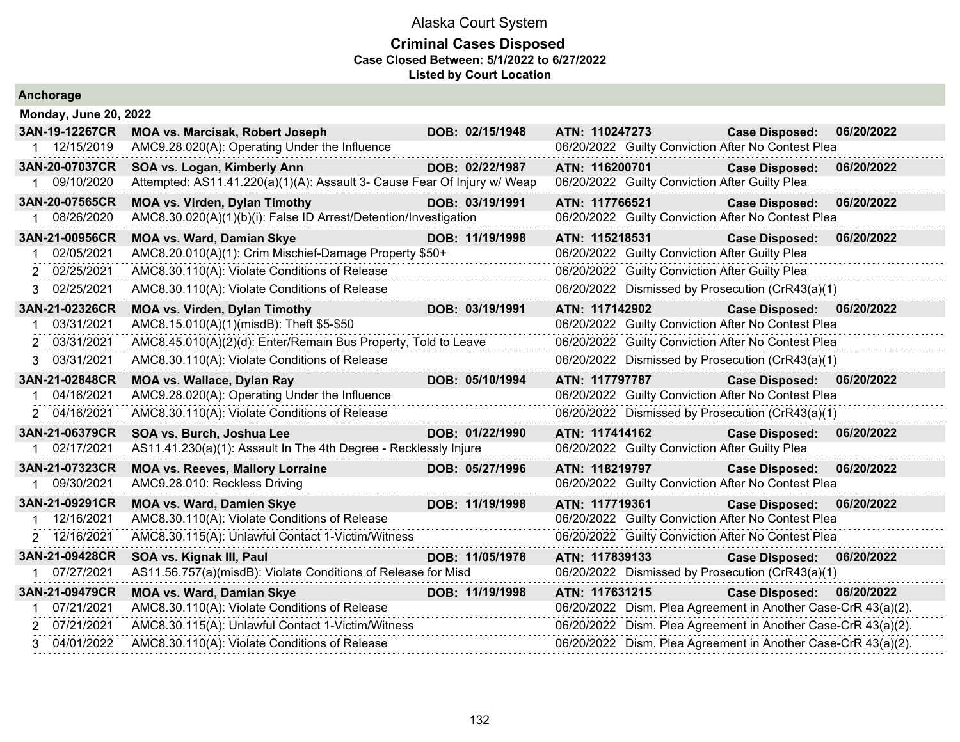| Anchorage                    |                                                                                                    |                 |                                                    |                                                                                                                                |
|------------------------------|----------------------------------------------------------------------------------------------------|-----------------|----------------------------------------------------|--------------------------------------------------------------------------------------------------------------------------------|
| Monday, June 20, 2022        |                                                                                                    |                 |                                                    |                                                                                                                                |
| 3AN-19-12267CR               | <b>MOA vs. Marcisak, Robert Joseph</b>                                                             | DOB: 02/15/1948 | ATN: 110247273                                     | <b>Case Disposed:</b><br>06/20/2022                                                                                            |
| 1 12/15/2019                 | AMC9.28.020(A): Operating Under the Influence                                                      |                 | 06/20/2022 Guilty Conviction After No Contest Plea |                                                                                                                                |
| 3AN-20-07037CR               | SOA vs. Logan, Kimberly Ann                                                                        | DOB: 02/22/1987 | ATN: 116200701                                     | 06/20/2022<br><b>Case Disposed:</b>                                                                                            |
| 1 09/10/2020                 | Attempted: AS11.41.220(a)(1)(A): Assault 3- Cause Fear Of Injury w/ Weap                           |                 | 06/20/2022 Guilty Conviction After Guilty Plea     |                                                                                                                                |
| 3AN-20-07565CR               | <b>MOA vs. Virden, Dylan Timothy</b>                                                               | DOB: 03/19/1991 | ATN: 117766521                                     | 06/20/2022<br><b>Case Disposed:</b>                                                                                            |
| 1 08/26/2020                 | AMC8.30.020(A)(1)(b)(i): False ID Arrest/Detention/Investigation                                   |                 | 06/20/2022 Guilty Conviction After No Contest Plea |                                                                                                                                |
| 3AN-21-00956CR               | <b>MOA vs. Ward, Damian Skye</b>                                                                   | DOB: 11/19/1998 | ATN: 115218531                                     | 06/20/2022<br><b>Case Disposed:</b>                                                                                            |
| 02/05/2021                   | AMC8.20.010(A)(1): Crim Mischief-Damage Property \$50+                                             |                 | 06/20/2022 Guilty Conviction After Guilty Plea     |                                                                                                                                |
| 2 02/25/2021                 | AMC8.30.110(A): Violate Conditions of Release                                                      |                 | 06/20/2022 Guilty Conviction After Guilty Plea     |                                                                                                                                |
| 3 02/25/2021                 | AMC8.30.110(A): Violate Conditions of Release                                                      |                 | 06/20/2022 Dismissed by Prosecution (CrR43(a)(1)   |                                                                                                                                |
| 3AN-21-02326CR               | <b>MOA vs. Virden, Dylan Timothy</b>                                                               | DOB: 03/19/1991 | ATN: 117142902                                     | 06/20/2022<br><b>Case Disposed:</b>                                                                                            |
| 03/31/2021<br>1              | AMC8.15.010(A)(1)(misdB): Theft \$5-\$50                                                           |                 | 06/20/2022 Guilty Conviction After No Contest Plea |                                                                                                                                |
| 2 03/31/2021                 | AMC8.45.010(A)(2)(d): Enter/Remain Bus Property, Told to Leave                                     |                 | 06/20/2022 Guilty Conviction After No Contest Plea |                                                                                                                                |
| 03/31/2021<br>3              | AMC8.30.110(A): Violate Conditions of Release                                                      |                 | 06/20/2022 Dismissed by Prosecution (CrR43(a)(1)   |                                                                                                                                |
| 3AN-21-02848CR               | <b>MOA vs. Wallace, Dylan Ray</b>                                                                  | DOB: 05/10/1994 | ATN: 117797787                                     | Case Disposed: 06/20/2022                                                                                                      |
| 1 04/16/2021                 | AMC9.28.020(A): Operating Under the Influence                                                      |                 | 06/20/2022 Guilty Conviction After No Contest Plea |                                                                                                                                |
| 2 04/16/2021                 | AMC8.30.110(A): Violate Conditions of Release                                                      |                 | 06/20/2022 Dismissed by Prosecution (CrR43(a)(1)   |                                                                                                                                |
| 3AN-21-06379CR               | SOA vs. Burch, Joshua Lee                                                                          | DOB: 01/22/1990 | ATN: 117414162                                     | <b>Case Disposed:</b><br>06/20/2022                                                                                            |
| 1 02/17/2021                 | AS11.41.230(a)(1): Assault In The 4th Degree - Recklessly Injure                                   |                 | 06/20/2022 Guilty Conviction After Guilty Plea     |                                                                                                                                |
| 3AN-21-07323CR               | <b>MOA vs. Reeves, Mallory Lorraine</b>                                                            | DOB: 05/27/1996 |                                                    |                                                                                                                                |
|                              |                                                                                                    |                 | ATN: 118219797                                     | <b>Case Disposed:</b><br>06/20/2022                                                                                            |
| 1 09/30/2021                 | AMC9.28.010: Reckless Driving                                                                      |                 | 06/20/2022 Guilty Conviction After No Contest Plea |                                                                                                                                |
| 3AN-21-09291CR               | <b>MOA vs. Ward, Damien Skye</b>                                                                   | DOB: 11/19/1998 | ATN: 117719361                                     | 06/20/2022<br><b>Case Disposed:</b>                                                                                            |
| 1 12/16/2021                 | AMC8.30.110(A): Violate Conditions of Release                                                      |                 | 06/20/2022 Guilty Conviction After No Contest Plea |                                                                                                                                |
| 2 12/16/2021                 | AMC8.30.115(A): Unlawful Contact 1-Victim/Witness                                                  |                 | 06/20/2022 Guilty Conviction After No Contest Plea |                                                                                                                                |
| 3AN-21-09428CR               | SOA vs. Kignak III, Paul                                                                           | DOB: 11/05/1978 | ATN: 117839133                                     | 06/20/2022<br><b>Case Disposed:</b>                                                                                            |
| 1 07/27/2021                 | AS11.56.757(a)(misdB): Violate Conditions of Release for Misd                                      |                 | 06/20/2022 Dismissed by Prosecution (CrR43(a)(1)   |                                                                                                                                |
| 3AN-21-09479CR               | <b>MOA vs. Ward, Damian Skye</b>                                                                   | DOB: 11/19/1998 | ATN: 117631215                                     | Case Disposed: 06/20/2022                                                                                                      |
| 1 07/21/2021                 | AMC8.30.110(A): Violate Conditions of Release                                                      |                 |                                                    | 06/20/2022 Dism. Plea Agreement in Another Case-CrR 43(a)(2).                                                                  |
| 2 07/21/2021<br>3 04/01/2022 | AMC8.30.115(A): Unlawful Contact 1-Victim/Witness<br>AMC8.30.110(A): Violate Conditions of Release |                 |                                                    | 06/20/2022 Dism. Plea Agreement in Another Case-CrR 43(a)(2).<br>06/20/2022 Dism. Plea Agreement in Another Case-CrR 43(a)(2). |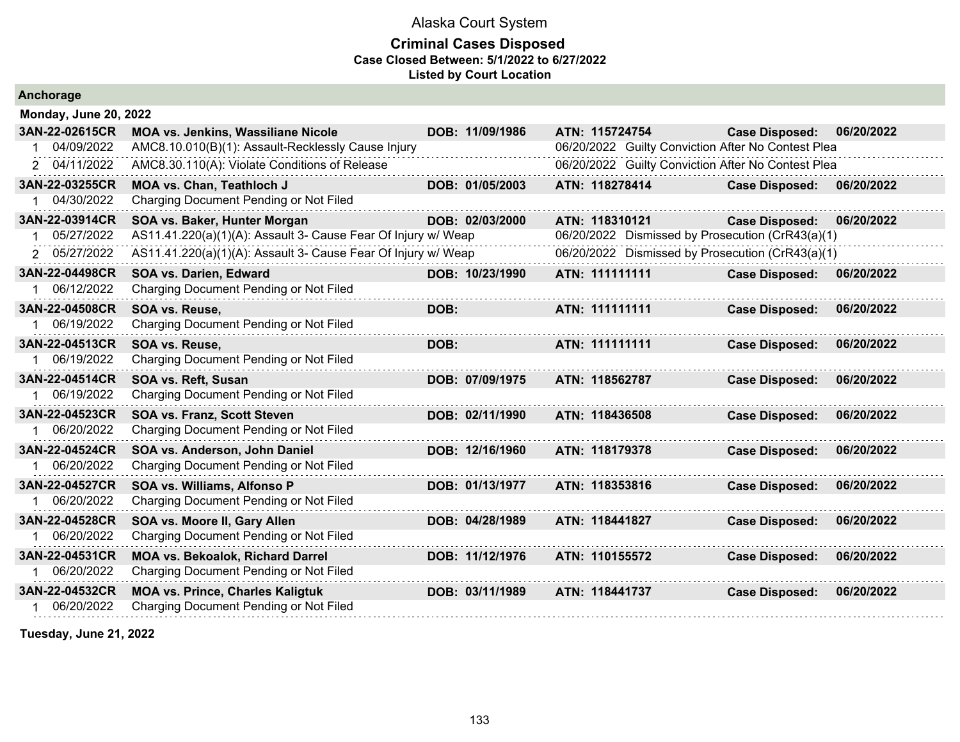### **Criminal Cases Disposed Case Closed Between: 5/1/2022 to 6/27/2022 Listed by Court Location**

| Anchorage                    |                                                               |      |                 |                |                                                    |                       |            |
|------------------------------|---------------------------------------------------------------|------|-----------------|----------------|----------------------------------------------------|-----------------------|------------|
| <b>Monday, June 20, 2022</b> |                                                               |      |                 |                |                                                    |                       |            |
| 3AN-22-02615CR               | MOA vs. Jenkins, Wassiliane Nicole                            |      | DOB: 11/09/1986 | ATN: 115724754 |                                                    | <b>Case Disposed:</b> | 06/20/2022 |
| 04/09/2022                   | AMC8.10.010(B)(1): Assault-Recklessly Cause Injury            |      |                 |                | 06/20/2022 Guilty Conviction After No Contest Plea |                       |            |
| 04/11/2022<br>2              | AMC8.30.110(A): Violate Conditions of Release                 |      |                 |                | 06/20/2022 Guilty Conviction After No Contest Plea |                       |            |
| 3AN-22-03255CR               | <b>MOA vs. Chan, Teathloch J</b>                              |      | DOB: 01/05/2003 | ATN: 118278414 |                                                    | <b>Case Disposed:</b> | 06/20/2022 |
| 04/30/2022                   | Charging Document Pending or Not Filed                        |      |                 |                |                                                    |                       |            |
| 3AN-22-03914CR               | SOA vs. Baker, Hunter Morgan                                  |      | DOB: 02/03/2000 | ATN: 118310121 |                                                    | <b>Case Disposed:</b> | 06/20/2022 |
| 05/27/2022                   | AS11.41.220(a)(1)(A): Assault 3- Cause Fear Of Injury w/ Weap |      |                 |                | 06/20/2022 Dismissed by Prosecution (CrR43(a)(1)   |                       |            |
| 2 05/27/2022                 | AS11.41.220(a)(1)(A): Assault 3- Cause Fear Of Injury w/ Weap |      |                 |                | 06/20/2022 Dismissed by Prosecution (CrR43(a)(1)   |                       |            |
| 3AN-22-04498CR               | SOA vs. Darien, Edward                                        |      | DOB: 10/23/1990 | ATN: 111111111 |                                                    | <b>Case Disposed:</b> | 06/20/2022 |
| 06/12/2022                   | Charging Document Pending or Not Filed                        |      |                 |                |                                                    |                       |            |
| 3AN-22-04508CR               | SOA vs. Reuse,                                                | DOB: |                 | ATN: 111111111 |                                                    | <b>Case Disposed:</b> | 06/20/2022 |
| 06/19/2022                   | Charging Document Pending or Not Filed                        |      |                 |                |                                                    |                       |            |
| 3AN-22-04513CR               | SOA vs. Reuse,                                                | DOB: |                 | ATN: 111111111 |                                                    | <b>Case Disposed:</b> | 06/20/2022 |
| 06/19/2022                   | Charging Document Pending or Not Filed                        |      |                 |                |                                                    |                       |            |
| 3AN-22-04514CR               | SOA vs. Reft, Susan                                           |      | DOB: 07/09/1975 | ATN: 118562787 |                                                    | <b>Case Disposed:</b> | 06/20/2022 |
| 06/19/2022                   | Charging Document Pending or Not Filed                        |      |                 |                |                                                    |                       |            |
| 3AN-22-04523CR               | <b>SOA vs. Franz, Scott Steven</b>                            |      | DOB: 02/11/1990 | ATN: 118436508 |                                                    | <b>Case Disposed:</b> | 06/20/2022 |
| 06/20/2022                   | Charging Document Pending or Not Filed                        |      |                 |                |                                                    |                       |            |
| 3AN-22-04524CR               | SOA vs. Anderson, John Daniel                                 |      | DOB: 12/16/1960 | ATN: 118179378 |                                                    | <b>Case Disposed:</b> | 06/20/2022 |
| 06/20/2022                   | Charging Document Pending or Not Filed                        |      |                 |                |                                                    |                       |            |
| 3AN-22-04527CR               | SOA vs. Williams, Alfonso P                                   |      | DOB: 01/13/1977 | ATN: 118353816 |                                                    | <b>Case Disposed:</b> | 06/20/2022 |
| 06/20/2022                   | Charging Document Pending or Not Filed                        |      |                 |                |                                                    |                       |            |
| 3AN-22-04528CR               | SOA vs. Moore II, Gary Allen                                  |      | DOB: 04/28/1989 | ATN: 118441827 |                                                    | <b>Case Disposed:</b> | 06/20/2022 |
| 06/20/2022                   | Charging Document Pending or Not Filed                        |      |                 |                |                                                    |                       |            |
| 3AN-22-04531CR               | <b>MOA vs. Bekoalok, Richard Darrel</b>                       |      | DOB: 11/12/1976 | ATN: 110155572 |                                                    | <b>Case Disposed:</b> | 06/20/2022 |
| 06/20/2022                   | Charging Document Pending or Not Filed                        |      |                 |                |                                                    |                       |            |
| 3AN-22-04532CR               | <b>MOA vs. Prince, Charles Kaligtuk</b>                       |      | DOB: 03/11/1989 | ATN: 118441737 |                                                    | <b>Case Disposed:</b> | 06/20/2022 |
| 06/20/2022                   | Charging Document Pending or Not Filed                        |      |                 |                |                                                    |                       |            |
|                              |                                                               |      |                 |                |                                                    |                       |            |

**Tuesday, June 21, 2022**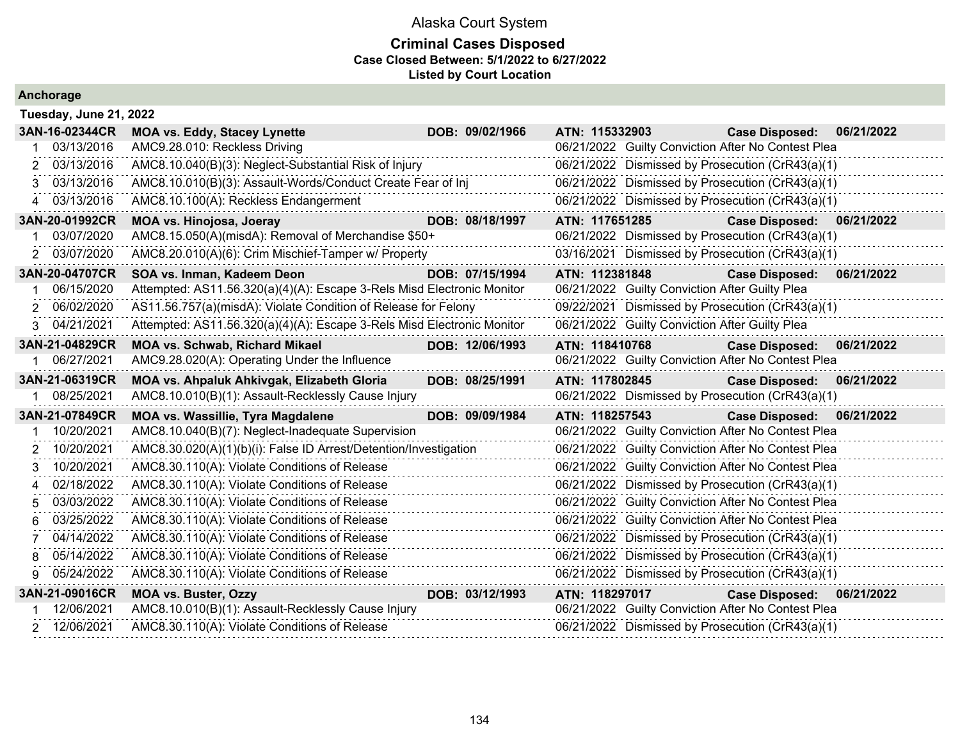| Anchorage              |                                                                        |                 |                                                |                                                    |            |
|------------------------|------------------------------------------------------------------------|-----------------|------------------------------------------------|----------------------------------------------------|------------|
| Tuesday, June 21, 2022 |                                                                        |                 |                                                |                                                    |            |
| 3AN-16-02344CR         | <b>MOA vs. Eddy, Stacey Lynette</b>                                    | DOB: 09/02/1966 | ATN: 115332903                                 | <b>Case Disposed:</b>                              | 06/21/2022 |
| 03/13/2016             | AMC9.28.010: Reckless Driving                                          |                 |                                                | 06/21/2022 Guilty Conviction After No Contest Plea |            |
| 03/13/2016             | AMC8.10.040(B)(3): Neglect-Substantial Risk of Injury                  |                 |                                                | 06/21/2022 Dismissed by Prosecution (CrR43(a)(1)   |            |
| 03/13/2016<br>З.       | AMC8.10.010(B)(3): Assault-Words/Conduct Create Fear of Inj            |                 |                                                | 06/21/2022 Dismissed by Prosecution (CrR43(a)(1)   |            |
| 4 03/13/2016           | AMC8.10.100(A): Reckless Endangerment                                  |                 |                                                | 06/21/2022 Dismissed by Prosecution (CrR43(a)(1)   |            |
| 3AN-20-01992CR         | <b>MOA vs. Hinojosa, Joeray</b>                                        | DOB: 08/18/1997 | ATN: 117651285                                 | <b>Case Disposed:</b>                              | 06/21/2022 |
| 03/07/2020             | AMC8.15.050(A)(misdA): Removal of Merchandise \$50+                    |                 |                                                | 06/21/2022 Dismissed by Prosecution (CrR43(a)(1)   |            |
| 2 03/07/2020           | AMC8.20.010(A)(6): Crim Mischief-Tamper w/ Property                    |                 |                                                | 03/16/2021 Dismissed by Prosecution (CrR43(a)(1)   |            |
| 3AN-20-04707CR         | SOA vs. Inman, Kadeem Deon                                             | DOB: 07/15/1994 | ATN: 112381848                                 | <b>Case Disposed:</b>                              | 06/21/2022 |
| 06/15/2020             | Attempted: AS11.56.320(a)(4)(A): Escape 3-Rels Misd Electronic Monitor |                 | 06/21/2022 Guilty Conviction After Guilty Plea |                                                    |            |
| 06/02/2020<br>2        | AS11.56.757(a)(misdA): Violate Condition of Release for Felony         |                 |                                                | 09/22/2021 Dismissed by Prosecution (CrR43(a)(1)   |            |
| 3 04/21/2021           | Attempted: AS11.56.320(a)(4)(A): Escape 3-Rels Misd Electronic Monitor |                 | 06/21/2022 Guilty Conviction After Guilty Plea |                                                    |            |
| 3AN-21-04829CR         | <b>MOA vs. Schwab, Richard Mikael</b>                                  | DOB: 12/06/1993 | ATN: 118410768                                 | <b>Case Disposed:</b>                              | 06/21/2022 |
| 1 06/27/2021           | AMC9.28.020(A): Operating Under the Influence                          |                 |                                                | 06/21/2022 Guilty Conviction After No Contest Plea |            |
| 3AN-21-06319CR         | MOA vs. Ahpaluk Ahkivgak, Elizabeth Gloria                             | DOB: 08/25/1991 | ATN: 117802845                                 | <b>Case Disposed:</b>                              | 06/21/2022 |
| 08/25/2021             | AMC8.10.010(B)(1): Assault-Recklessly Cause Injury                     |                 |                                                | 06/21/2022 Dismissed by Prosecution (CrR43(a)(1)   |            |
| 3AN-21-07849CR         | MOA vs. Wassillie, Tyra Magdalene                                      | DOB: 09/09/1984 | ATN: 118257543                                 | <b>Case Disposed:</b>                              | 06/21/2022 |
| 10/20/2021             | AMC8.10.040(B)(7): Neglect-Inadequate Supervision                      |                 |                                                | 06/21/2022 Guilty Conviction After No Contest Plea |            |
| 10/20/2021             | AMC8.30.020(A)(1)(b)(i): False ID Arrest/Detention/Investigation       |                 |                                                | 06/21/2022 Guilty Conviction After No Contest Plea |            |
| 10/20/2021             | AMC8.30.110(A): Violate Conditions of Release                          |                 |                                                | 06/21/2022 Guilty Conviction After No Contest Plea |            |
| 02/18/2022<br>4        | AMC8.30.110(A): Violate Conditions of Release                          |                 |                                                | 06/21/2022 Dismissed by Prosecution (CrR43(a)(1)   |            |
| 03/03/2022             | AMC8.30.110(A): Violate Conditions of Release                          |                 |                                                | 06/21/2022 Guilty Conviction After No Contest Plea |            |
| 03/25/2022             | AMC8.30.110(A): Violate Conditions of Release                          |                 |                                                | 06/21/2022 Guilty Conviction After No Contest Plea |            |
| 04/14/2022             | AMC8.30.110(A): Violate Conditions of Release                          |                 |                                                | 06/21/2022 Dismissed by Prosecution (CrR43(a)(1)   |            |
| 05/14/2022             | AMC8.30.110(A): Violate Conditions of Release                          |                 |                                                | 06/21/2022 Dismissed by Prosecution (CrR43(a)(1)   |            |
| 05/24/2022<br>9        | AMC8.30.110(A): Violate Conditions of Release                          |                 |                                                | 06/21/2022 Dismissed by Prosecution (CrR43(a)(1)   |            |
| 3AN-21-09016CR         | <b>MOA vs. Buster, Ozzy</b>                                            | DOB: 03/12/1993 | ATN: 118297017                                 | <b>Case Disposed:</b>                              | 06/21/2022 |
| 12/06/2021             | AMC8.10.010(B)(1): Assault-Recklessly Cause Injury                     |                 |                                                | 06/21/2022 Guilty Conviction After No Contest Plea |            |
| 2 12/06/2021           | AMC8.30.110(A): Violate Conditions of Release                          |                 |                                                | 06/21/2022 Dismissed by Prosecution (CrR43(a)(1)   |            |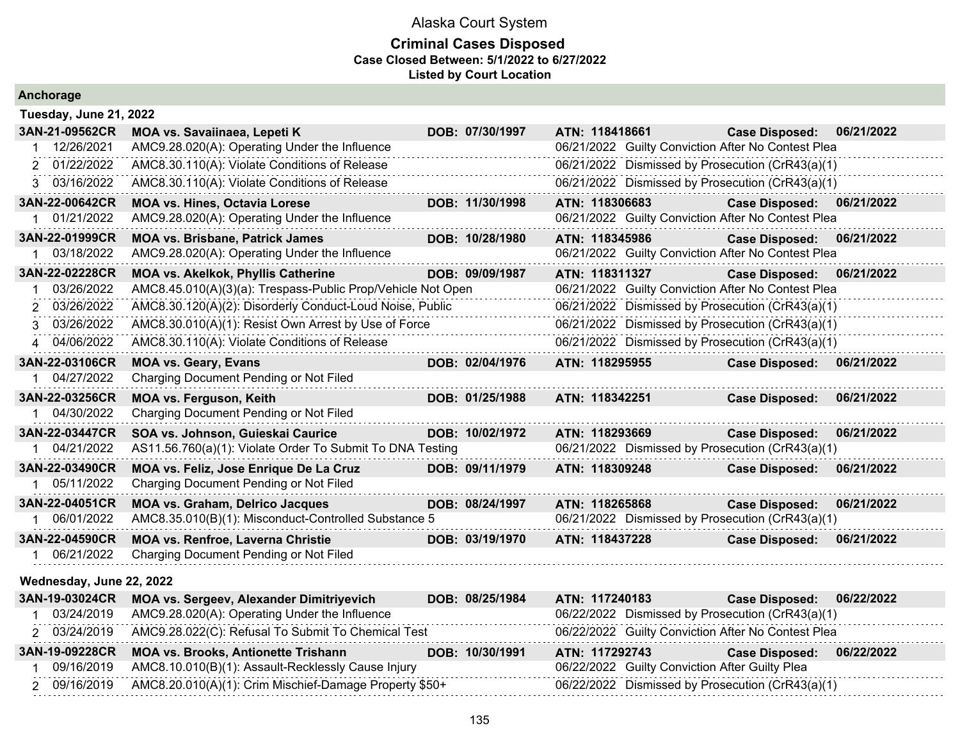| Anchorage                                                                                      |                                                                                                                                                                                                                                                                        |                 |                                                                                                                                                                                                                                  |                           |            |
|------------------------------------------------------------------------------------------------|------------------------------------------------------------------------------------------------------------------------------------------------------------------------------------------------------------------------------------------------------------------------|-----------------|----------------------------------------------------------------------------------------------------------------------------------------------------------------------------------------------------------------------------------|---------------------------|------------|
| Tuesday, June 21, 2022                                                                         |                                                                                                                                                                                                                                                                        |                 |                                                                                                                                                                                                                                  |                           |            |
| 3AN-21-09562CR<br>12/26/2021<br>2 01/22/2022                                                   | MOA vs. Savaiinaea, Lepeti K<br>AMC9.28.020(A): Operating Under the Influence<br>AMC8.30.110(A): Violate Conditions of Release                                                                                                                                         | DOB: 07/30/1997 | ATN: 118418661<br>06/21/2022 Guilty Conviction After No Contest Plea<br>06/21/2022 Dismissed by Prosecution (CrR43(a)(1)                                                                                                         | <b>Case Disposed:</b>     | 06/21/2022 |
| 3 03/16/2022                                                                                   | AMC8.30.110(A): Violate Conditions of Release                                                                                                                                                                                                                          |                 | 06/21/2022 Dismissed by Prosecution (CrR43(a)(1)                                                                                                                                                                                 |                           |            |
| 3AN-22-00642CR<br>01/21/2022                                                                   | <b>MOA vs. Hines, Octavia Lorese</b><br>AMC9.28.020(A): Operating Under the Influence                                                                                                                                                                                  | DOB: 11/30/1998 | ATN: 118306683<br>06/21/2022 Guilty Conviction After No Contest Plea                                                                                                                                                             | Case Disposed: 06/21/2022 |            |
| 3AN-22-01999CR<br>03/18/2022                                                                   | <b>MOA vs. Brisbane, Patrick James</b><br>AMC9.28.020(A): Operating Under the Influence                                                                                                                                                                                | DOB: 10/28/1980 | ATN: 118345986<br>06/21/2022 Guilty Conviction After No Contest Plea                                                                                                                                                             | <b>Case Disposed:</b>     | 06/21/2022 |
| 3AN-22-02228CR<br>03/26/2022<br>$\mathbf 1$<br>03/26/2022<br>2<br>3 03/26/2022<br>4 04/06/2022 | MOA vs. Akelkok, Phyllis Catherine<br>AMC8.45.010(A)(3)(a): Trespass-Public Prop/Vehicle Not Open<br>AMC8.30.120(A)(2): Disorderly Conduct-Loud Noise, Public<br>AMC8.30.010(A)(1): Resist Own Arrest by Use of Force<br>AMC8.30.110(A): Violate Conditions of Release | DOB: 09/09/1987 | ATN: 118311327<br>06/21/2022 Guilty Conviction After No Contest Plea<br>06/21/2022 Dismissed by Prosecution (CrR43(a)(1)<br>06/21/2022 Dismissed by Prosecution (CrR43(a)(1)<br>06/21/2022 Dismissed by Prosecution (CrR43(a)(1) | <b>Case Disposed:</b>     | 06/21/2022 |
| 3AN-22-03106CR<br>1 04/27/2022                                                                 | <b>MOA vs. Geary, Evans</b><br>Charging Document Pending or Not Filed                                                                                                                                                                                                  | DOB: 02/04/1976 | ATN: 118295955                                                                                                                                                                                                                   | <b>Case Disposed:</b>     | 06/21/2022 |
| 3AN-22-03256CR<br>04/30/2022                                                                   | MOA vs. Ferguson, Keith<br>Charging Document Pending or Not Filed                                                                                                                                                                                                      | DOB: 01/25/1988 | ATN: 118342251                                                                                                                                                                                                                   | <b>Case Disposed:</b>     | 06/21/2022 |
| 3AN-22-03447CR<br>04/21/2022                                                                   | SOA vs. Johnson, Guieskai Caurice<br>AS11.56.760(a)(1): Violate Order To Submit To DNA Testing                                                                                                                                                                         | DOB: 10/02/1972 | ATN: 118293669<br>06/21/2022 Dismissed by Prosecution (CrR43(a)(1)                                                                                                                                                               | <b>Case Disposed:</b>     | 06/21/2022 |
| 3AN-22-03490CR<br>05/11/2022                                                                   | MOA vs. Feliz, Jose Enrique De La Cruz<br>Charging Document Pending or Not Filed                                                                                                                                                                                       | DOB: 09/11/1979 | ATN: 118309248                                                                                                                                                                                                                   | <b>Case Disposed:</b>     | 06/21/2022 |
| 3AN-22-04051CR<br>1 06/01/2022                                                                 | <b>MOA vs. Graham, Delrico Jacques</b><br>AMC8.35.010(B)(1): Misconduct-Controlled Substance 5                                                                                                                                                                         | DOB: 08/24/1997 | ATN: 118265868<br>06/21/2022 Dismissed by Prosecution (CrR43(a)(1)                                                                                                                                                               | <b>Case Disposed:</b>     | 06/21/2022 |
| 3AN-22-04590CR<br>1 06/21/2022                                                                 | MOA vs. Renfroe, Laverna Christie<br>Charging Document Pending or Not Filed                                                                                                                                                                                            | DOB: 03/19/1970 | ATN: 118437228                                                                                                                                                                                                                   | <b>Case Disposed:</b>     | 06/21/2022 |
| Wednesday, June 22, 2022                                                                       |                                                                                                                                                                                                                                                                        |                 |                                                                                                                                                                                                                                  |                           |            |
| 3AN-19-03024CR<br>03/24/2019<br>2 03/24/2019                                                   | <b>MOA vs. Sergeev, Alexander Dimitriyevich</b><br>AMC9.28.020(A): Operating Under the Influence<br>AMC9.28.022(C): Refusal To Submit To Chemical Test                                                                                                                 | DOB: 08/25/1984 | ATN: 117240183<br>06/22/2022 Dismissed by Prosecution (CrR43(a)(1)<br>06/22/2022 Guilty Conviction After No Contest Plea                                                                                                         | <b>Case Disposed:</b>     | 06/22/2022 |
| 3AN-19-09228CR<br>09/16/2019<br>2 09/16/2019                                                   | <b>MOA vs. Brooks, Antionette Trishann</b><br>AMC8.10.010(B)(1): Assault-Recklessly Cause Injury<br>AMC8.20.010(A)(1): Crim Mischief-Damage Property \$50+                                                                                                             | DOB: 10/30/1991 | ATN: 117292743<br>06/22/2022 Guilty Conviction After Guilty Plea<br>06/22/2022 Dismissed by Prosecution (CrR43(a)(1)                                                                                                             | <b>Case Disposed:</b>     | 06/22/2022 |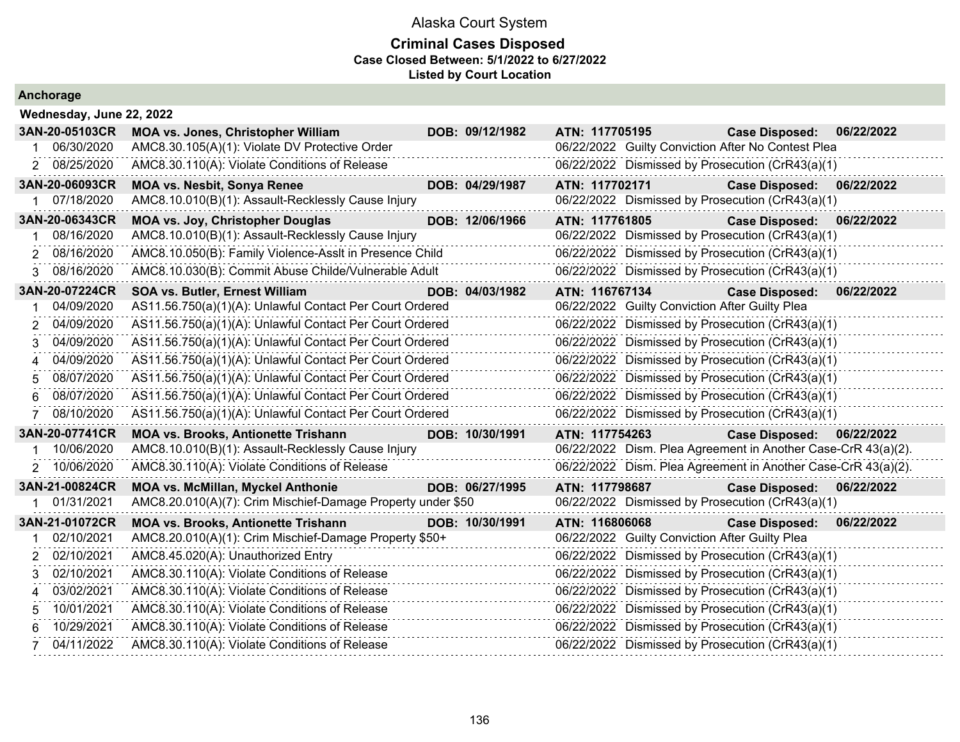| Anchorage |  |  |  |  |  |
|-----------|--|--|--|--|--|
|-----------|--|--|--|--|--|

| 3AN-20-05103CR   | <b>MOA vs. Jones, Christopher William</b>                                                                                                                              |                                                                                                                                            |                                                                                                                                                                                                                                                                                                                                                                                                                                                                                                                                                                                                                                                                                                                           |                                                                                                                                                                                                                              | <b>Case Disposed:</b>                                                                                                      | 06/22/2022                                                                                                                                                                                                                                                                                                                                                                                                                                                                                                                                                                                                                                                                                                                                                                                                                                                                                                                                                                                                                                                                                                                                                                                                                                                       |
|------------------|------------------------------------------------------------------------------------------------------------------------------------------------------------------------|--------------------------------------------------------------------------------------------------------------------------------------------|---------------------------------------------------------------------------------------------------------------------------------------------------------------------------------------------------------------------------------------------------------------------------------------------------------------------------------------------------------------------------------------------------------------------------------------------------------------------------------------------------------------------------------------------------------------------------------------------------------------------------------------------------------------------------------------------------------------------------|------------------------------------------------------------------------------------------------------------------------------------------------------------------------------------------------------------------------------|----------------------------------------------------------------------------------------------------------------------------|------------------------------------------------------------------------------------------------------------------------------------------------------------------------------------------------------------------------------------------------------------------------------------------------------------------------------------------------------------------------------------------------------------------------------------------------------------------------------------------------------------------------------------------------------------------------------------------------------------------------------------------------------------------------------------------------------------------------------------------------------------------------------------------------------------------------------------------------------------------------------------------------------------------------------------------------------------------------------------------------------------------------------------------------------------------------------------------------------------------------------------------------------------------------------------------------------------------------------------------------------------------|
|                  |                                                                                                                                                                        |                                                                                                                                            |                                                                                                                                                                                                                                                                                                                                                                                                                                                                                                                                                                                                                                                                                                                           |                                                                                                                                                                                                                              |                                                                                                                            |                                                                                                                                                                                                                                                                                                                                                                                                                                                                                                                                                                                                                                                                                                                                                                                                                                                                                                                                                                                                                                                                                                                                                                                                                                                                  |
| 2 08/25/2020     | AMC8.30.110(A): Violate Conditions of Release                                                                                                                          |                                                                                                                                            |                                                                                                                                                                                                                                                                                                                                                                                                                                                                                                                                                                                                                                                                                                                           |                                                                                                                                                                                                                              |                                                                                                                            |                                                                                                                                                                                                                                                                                                                                                                                                                                                                                                                                                                                                                                                                                                                                                                                                                                                                                                                                                                                                                                                                                                                                                                                                                                                                  |
| 3AN-20-06093CR   | <b>MOA vs. Nesbit, Sonya Renee</b>                                                                                                                                     |                                                                                                                                            |                                                                                                                                                                                                                                                                                                                                                                                                                                                                                                                                                                                                                                                                                                                           |                                                                                                                                                                                                                              | <b>Case Disposed:</b>                                                                                                      | 06/22/2022                                                                                                                                                                                                                                                                                                                                                                                                                                                                                                                                                                                                                                                                                                                                                                                                                                                                                                                                                                                                                                                                                                                                                                                                                                                       |
|                  |                                                                                                                                                                        |                                                                                                                                            |                                                                                                                                                                                                                                                                                                                                                                                                                                                                                                                                                                                                                                                                                                                           |                                                                                                                                                                                                                              |                                                                                                                            |                                                                                                                                                                                                                                                                                                                                                                                                                                                                                                                                                                                                                                                                                                                                                                                                                                                                                                                                                                                                                                                                                                                                                                                                                                                                  |
| 3AN-20-06343CR   | <b>MOA vs. Joy, Christopher Douglas</b>                                                                                                                                |                                                                                                                                            |                                                                                                                                                                                                                                                                                                                                                                                                                                                                                                                                                                                                                                                                                                                           |                                                                                                                                                                                                                              | <b>Case Disposed:</b>                                                                                                      | 06/22/2022                                                                                                                                                                                                                                                                                                                                                                                                                                                                                                                                                                                                                                                                                                                                                                                                                                                                                                                                                                                                                                                                                                                                                                                                                                                       |
|                  |                                                                                                                                                                        |                                                                                                                                            |                                                                                                                                                                                                                                                                                                                                                                                                                                                                                                                                                                                                                                                                                                                           |                                                                                                                                                                                                                              |                                                                                                                            |                                                                                                                                                                                                                                                                                                                                                                                                                                                                                                                                                                                                                                                                                                                                                                                                                                                                                                                                                                                                                                                                                                                                                                                                                                                                  |
|                  |                                                                                                                                                                        |                                                                                                                                            |                                                                                                                                                                                                                                                                                                                                                                                                                                                                                                                                                                                                                                                                                                                           |                                                                                                                                                                                                                              |                                                                                                                            |                                                                                                                                                                                                                                                                                                                                                                                                                                                                                                                                                                                                                                                                                                                                                                                                                                                                                                                                                                                                                                                                                                                                                                                                                                                                  |
|                  |                                                                                                                                                                        |                                                                                                                                            |                                                                                                                                                                                                                                                                                                                                                                                                                                                                                                                                                                                                                                                                                                                           |                                                                                                                                                                                                                              |                                                                                                                            |                                                                                                                                                                                                                                                                                                                                                                                                                                                                                                                                                                                                                                                                                                                                                                                                                                                                                                                                                                                                                                                                                                                                                                                                                                                                  |
| 3AN-20-07224CR   | SOA vs. Butler, Ernest William                                                                                                                                         |                                                                                                                                            |                                                                                                                                                                                                                                                                                                                                                                                                                                                                                                                                                                                                                                                                                                                           |                                                                                                                                                                                                                              | <b>Case Disposed:</b>                                                                                                      | 06/22/2022                                                                                                                                                                                                                                                                                                                                                                                                                                                                                                                                                                                                                                                                                                                                                                                                                                                                                                                                                                                                                                                                                                                                                                                                                                                       |
|                  |                                                                                                                                                                        |                                                                                                                                            |                                                                                                                                                                                                                                                                                                                                                                                                                                                                                                                                                                                                                                                                                                                           |                                                                                                                                                                                                                              |                                                                                                                            |                                                                                                                                                                                                                                                                                                                                                                                                                                                                                                                                                                                                                                                                                                                                                                                                                                                                                                                                                                                                                                                                                                                                                                                                                                                                  |
| 2                |                                                                                                                                                                        |                                                                                                                                            |                                                                                                                                                                                                                                                                                                                                                                                                                                                                                                                                                                                                                                                                                                                           |                                                                                                                                                                                                                              |                                                                                                                            |                                                                                                                                                                                                                                                                                                                                                                                                                                                                                                                                                                                                                                                                                                                                                                                                                                                                                                                                                                                                                                                                                                                                                                                                                                                                  |
|                  |                                                                                                                                                                        |                                                                                                                                            |                                                                                                                                                                                                                                                                                                                                                                                                                                                                                                                                                                                                                                                                                                                           |                                                                                                                                                                                                                              |                                                                                                                            |                                                                                                                                                                                                                                                                                                                                                                                                                                                                                                                                                                                                                                                                                                                                                                                                                                                                                                                                                                                                                                                                                                                                                                                                                                                                  |
|                  |                                                                                                                                                                        |                                                                                                                                            |                                                                                                                                                                                                                                                                                                                                                                                                                                                                                                                                                                                                                                                                                                                           |                                                                                                                                                                                                                              |                                                                                                                            |                                                                                                                                                                                                                                                                                                                                                                                                                                                                                                                                                                                                                                                                                                                                                                                                                                                                                                                                                                                                                                                                                                                                                                                                                                                                  |
|                  |                                                                                                                                                                        |                                                                                                                                            |                                                                                                                                                                                                                                                                                                                                                                                                                                                                                                                                                                                                                                                                                                                           |                                                                                                                                                                                                                              |                                                                                                                            |                                                                                                                                                                                                                                                                                                                                                                                                                                                                                                                                                                                                                                                                                                                                                                                                                                                                                                                                                                                                                                                                                                                                                                                                                                                                  |
|                  |                                                                                                                                                                        |                                                                                                                                            |                                                                                                                                                                                                                                                                                                                                                                                                                                                                                                                                                                                                                                                                                                                           |                                                                                                                                                                                                                              |                                                                                                                            |                                                                                                                                                                                                                                                                                                                                                                                                                                                                                                                                                                                                                                                                                                                                                                                                                                                                                                                                                                                                                                                                                                                                                                                                                                                                  |
| 08/10/2020       |                                                                                                                                                                        |                                                                                                                                            |                                                                                                                                                                                                                                                                                                                                                                                                                                                                                                                                                                                                                                                                                                                           |                                                                                                                                                                                                                              |                                                                                                                            |                                                                                                                                                                                                                                                                                                                                                                                                                                                                                                                                                                                                                                                                                                                                                                                                                                                                                                                                                                                                                                                                                                                                                                                                                                                                  |
| 3AN-20-07741CR   | <b>MOA vs. Brooks, Antionette Trishann</b>                                                                                                                             |                                                                                                                                            |                                                                                                                                                                                                                                                                                                                                                                                                                                                                                                                                                                                                                                                                                                                           |                                                                                                                                                                                                                              | <b>Case Disposed:</b>                                                                                                      | 06/22/2022                                                                                                                                                                                                                                                                                                                                                                                                                                                                                                                                                                                                                                                                                                                                                                                                                                                                                                                                                                                                                                                                                                                                                                                                                                                       |
| 10/06/2020       |                                                                                                                                                                        |                                                                                                                                            |                                                                                                                                                                                                                                                                                                                                                                                                                                                                                                                                                                                                                                                                                                                           |                                                                                                                                                                                                                              |                                                                                                                            |                                                                                                                                                                                                                                                                                                                                                                                                                                                                                                                                                                                                                                                                                                                                                                                                                                                                                                                                                                                                                                                                                                                                                                                                                                                                  |
|                  | AMC8.30.110(A): Violate Conditions of Release                                                                                                                          |                                                                                                                                            |                                                                                                                                                                                                                                                                                                                                                                                                                                                                                                                                                                                                                                                                                                                           |                                                                                                                                                                                                                              |                                                                                                                            |                                                                                                                                                                                                                                                                                                                                                                                                                                                                                                                                                                                                                                                                                                                                                                                                                                                                                                                                                                                                                                                                                                                                                                                                                                                                  |
| 3AN-21-00824CR   | <b>MOA vs. McMillan, Myckel Anthonie</b>                                                                                                                               |                                                                                                                                            |                                                                                                                                                                                                                                                                                                                                                                                                                                                                                                                                                                                                                                                                                                                           |                                                                                                                                                                                                                              | <b>Case Disposed:</b>                                                                                                      | 06/22/2022                                                                                                                                                                                                                                                                                                                                                                                                                                                                                                                                                                                                                                                                                                                                                                                                                                                                                                                                                                                                                                                                                                                                                                                                                                                       |
| 01/31/2021       |                                                                                                                                                                        |                                                                                                                                            |                                                                                                                                                                                                                                                                                                                                                                                                                                                                                                                                                                                                                                                                                                                           |                                                                                                                                                                                                                              |                                                                                                                            |                                                                                                                                                                                                                                                                                                                                                                                                                                                                                                                                                                                                                                                                                                                                                                                                                                                                                                                                                                                                                                                                                                                                                                                                                                                                  |
| 3AN-21-01072CR   | <b>MOA vs. Brooks, Antionette Trishann</b>                                                                                                                             |                                                                                                                                            |                                                                                                                                                                                                                                                                                                                                                                                                                                                                                                                                                                                                                                                                                                                           |                                                                                                                                                                                                                              | <b>Case Disposed:</b>                                                                                                      | 06/22/2022                                                                                                                                                                                                                                                                                                                                                                                                                                                                                                                                                                                                                                                                                                                                                                                                                                                                                                                                                                                                                                                                                                                                                                                                                                                       |
| 02/10/2021       |                                                                                                                                                                        |                                                                                                                                            |                                                                                                                                                                                                                                                                                                                                                                                                                                                                                                                                                                                                                                                                                                                           |                                                                                                                                                                                                                              |                                                                                                                            |                                                                                                                                                                                                                                                                                                                                                                                                                                                                                                                                                                                                                                                                                                                                                                                                                                                                                                                                                                                                                                                                                                                                                                                                                                                                  |
| 02/10/2021<br>2  |                                                                                                                                                                        |                                                                                                                                            |                                                                                                                                                                                                                                                                                                                                                                                                                                                                                                                                                                                                                                                                                                                           |                                                                                                                                                                                                                              |                                                                                                                            |                                                                                                                                                                                                                                                                                                                                                                                                                                                                                                                                                                                                                                                                                                                                                                                                                                                                                                                                                                                                                                                                                                                                                                                                                                                                  |
| 02/10/2021<br>3. | AMC8.30.110(A): Violate Conditions of Release                                                                                                                          |                                                                                                                                            |                                                                                                                                                                                                                                                                                                                                                                                                                                                                                                                                                                                                                                                                                                                           |                                                                                                                                                                                                                              |                                                                                                                            |                                                                                                                                                                                                                                                                                                                                                                                                                                                                                                                                                                                                                                                                                                                                                                                                                                                                                                                                                                                                                                                                                                                                                                                                                                                                  |
| 03/02/2021       | AMC8.30.110(A): Violate Conditions of Release                                                                                                                          |                                                                                                                                            |                                                                                                                                                                                                                                                                                                                                                                                                                                                                                                                                                                                                                                                                                                                           |                                                                                                                                                                                                                              |                                                                                                                            |                                                                                                                                                                                                                                                                                                                                                                                                                                                                                                                                                                                                                                                                                                                                                                                                                                                                                                                                                                                                                                                                                                                                                                                                                                                                  |
| 10/01/2021<br>5  | AMC8.30.110(A): Violate Conditions of Release                                                                                                                          |                                                                                                                                            |                                                                                                                                                                                                                                                                                                                                                                                                                                                                                                                                                                                                                                                                                                                           |                                                                                                                                                                                                                              |                                                                                                                            |                                                                                                                                                                                                                                                                                                                                                                                                                                                                                                                                                                                                                                                                                                                                                                                                                                                                                                                                                                                                                                                                                                                                                                                                                                                                  |
| 10/29/2021       | AMC8.30.110(A): Violate Conditions of Release                                                                                                                          |                                                                                                                                            |                                                                                                                                                                                                                                                                                                                                                                                                                                                                                                                                                                                                                                                                                                                           |                                                                                                                                                                                                                              |                                                                                                                            |                                                                                                                                                                                                                                                                                                                                                                                                                                                                                                                                                                                                                                                                                                                                                                                                                                                                                                                                                                                                                                                                                                                                                                                                                                                                  |
| 04/11/2022       | AMC8.30.110(A): Violate Conditions of Release                                                                                                                          |                                                                                                                                            |                                                                                                                                                                                                                                                                                                                                                                                                                                                                                                                                                                                                                                                                                                                           |                                                                                                                                                                                                                              |                                                                                                                            |                                                                                                                                                                                                                                                                                                                                                                                                                                                                                                                                                                                                                                                                                                                                                                                                                                                                                                                                                                                                                                                                                                                                                                                                                                                                  |
|                  | 06/30/2020<br>07/18/2020<br>08/16/2020<br>08/16/2020<br>08/16/2020<br>04/09/2020<br>04/09/2020<br>04/09/2020<br>04/09/2020<br>08/07/2020<br>08/07/2020<br>2 10/06/2020 | AMC8.30.105(A)(1): Violate DV Protective Order<br>AMC8.10.010(B)(1): Assault-Recklessly Cause Injury<br>AMC8.45.020(A): Unauthorized Entry | AMC8.10.010(B)(1): Assault-Recklessly Cause Injury<br>AMC8.10.050(B): Family Violence-Asslt in Presence Child<br>AMC8.10.030(B): Commit Abuse Childe/Vulnerable Adult<br>AS11.56.750(a)(1)(A): Unlawful Contact Per Court Ordered<br>AS11.56.750(a)(1)(A): Unlawful Contact Per Court Ordered<br>AS11.56.750(a)(1)(A): Unlawful Contact Per Court Ordered<br>AS11.56.750(a)(1)(A): Unlawful Contact Per Court Ordered<br>AS11.56.750(a)(1)(A): Unlawful Contact Per Court Ordered<br>AS11.56.750(a)(1)(A): Unlawful Contact Per Court Ordered<br>AS11.56.750(a)(1)(A): Unlawful Contact Per Court Ordered<br>AMC8.10.010(B)(1): Assault-Recklessly Cause Injury<br>AMC8.20.010(A)(1): Crim Mischief-Damage Property \$50+ | Wednesday, June 22, 2022<br>DOB: 09/12/1982<br>DOB: 04/29/1987<br>DOB: 12/06/1966<br>DOB: 04/03/1982<br>DOB: 10/30/1991<br>DOB: 06/27/1995<br>AMC8.20.010(A)(7): Crim Mischief-Damage Property under \$50<br>DOB: 10/30/1991 | ATN: 117705195<br>ATN: 117702171<br>ATN: 117761805<br>ATN: 116767134<br>ATN: 117754263<br>ATN: 117798687<br>ATN: 116806068 | 06/22/2022 Guilty Conviction After No Contest Plea<br>06/22/2022 Dismissed by Prosecution (CrR43(a)(1)<br>06/22/2022 Dismissed by Prosecution (CrR43(a)(1)<br>06/22/2022 Dismissed by Prosecution (CrR43(a)(1)<br>06/22/2022 Dismissed by Prosecution (CrR43(a)(1)<br>06/22/2022 Dismissed by Prosecution (CrR43(a)(1)<br>06/22/2022 Guilty Conviction After Guilty Plea<br>06/22/2022 Dismissed by Prosecution (CrR43(a)(1)<br>06/22/2022 Dismissed by Prosecution (CrR43(a)(1)<br>06/22/2022 Dismissed by Prosecution (CrR43(a)(1)<br>06/22/2022 Dismissed by Prosecution (CrR43(a)(1)<br>06/22/2022 Dismissed by Prosecution (CrR43(a)(1)<br>06/22/2022 Dismissed by Prosecution (CrR43(a)(1)<br>06/22/2022 Dism. Plea Agreement in Another Case-CrR 43(a)(2).<br>06/22/2022 Dism. Plea Agreement in Another Case-CrR 43(a)(2).<br>06/22/2022 Dismissed by Prosecution (CrR43(a)(1)<br>06/22/2022 Guilty Conviction After Guilty Plea<br>06/22/2022 Dismissed by Prosecution (CrR43(a)(1)<br>06/22/2022 Dismissed by Prosecution (CrR43(a)(1)<br>06/22/2022 Dismissed by Prosecution (CrR43(a)(1)<br>06/22/2022 Dismissed by Prosecution (CrR43(a)(1)<br>06/22/2022 Dismissed by Prosecution (CrR43(a)(1)<br>06/22/2022 Dismissed by Prosecution (CrR43(a)(1) |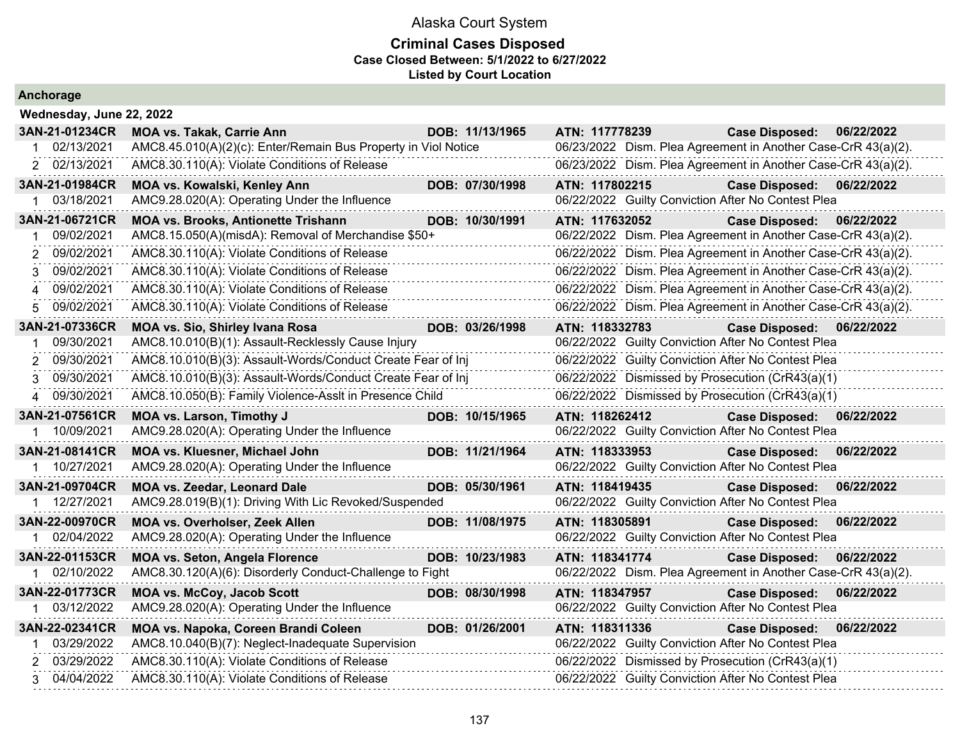#### **Criminal Cases Disposed Case Closed Between: 5/1/2022 to 6/27/2022 Listed by Court Location**

|  |  | Anchorage |  |
|--|--|-----------|--|
|  |  |           |  |

| Wednesday, June 22, 2022  |                                                                |                 |                |                                                               |            |
|---------------------------|----------------------------------------------------------------|-----------------|----------------|---------------------------------------------------------------|------------|
| 3AN-21-01234CR            | <b>MOA vs. Takak, Carrie Ann</b>                               | DOB: 11/13/1965 | ATN: 117778239 | <b>Case Disposed:</b>                                         | 06/22/2022 |
| 02/13/2021                | AMC8.45.010(A)(2)(c): Enter/Remain Bus Property in Viol Notice |                 |                | 06/23/2022 Dism. Plea Agreement in Another Case-CrR 43(a)(2). |            |
| 2 02/13/2021              | AMC8.30.110(A): Violate Conditions of Release                  |                 |                | 06/23/2022 Dism. Plea Agreement in Another Case-CrR 43(a)(2). |            |
| 3AN-21-01984CR            | MOA vs. Kowalski, Kenley Ann                                   | DOB: 07/30/1998 | ATN: 117802215 | <b>Case Disposed:</b>                                         | 06/22/2022 |
| 03/18/2021<br>$\mathbf 1$ | AMC9.28.020(A): Operating Under the Influence                  |                 |                | 06/22/2022 Guilty Conviction After No Contest Plea            |            |
| 3AN-21-06721CR            | <b>MOA vs. Brooks, Antionette Trishann</b>                     | DOB: 10/30/1991 | ATN: 117632052 | <b>Case Disposed:</b>                                         | 06/22/2022 |
| 09/02/2021                | AMC8.15.050(A)(misdA): Removal of Merchandise \$50+            |                 |                | 06/22/2022 Dism. Plea Agreement in Another Case-CrR 43(a)(2). |            |
| 09/02/2021<br>2           | AMC8.30.110(A): Violate Conditions of Release                  |                 |                | 06/22/2022 Dism. Plea Agreement in Another Case-CrR 43(a)(2). |            |
| 09/02/2021<br>3           | AMC8.30.110(A): Violate Conditions of Release                  |                 |                | 06/22/2022 Dism. Plea Agreement in Another Case-CrR 43(a)(2). |            |
| 09/02/2021<br>4           | AMC8.30.110(A): Violate Conditions of Release                  |                 |                | 06/22/2022 Dism. Plea Agreement in Another Case-CrR 43(a)(2). |            |
| 09/02/2021<br>5           | AMC8.30.110(A): Violate Conditions of Release                  |                 |                | 06/22/2022 Dism. Plea Agreement in Another Case-CrR 43(a)(2). |            |
| 3AN-21-07336CR            | <b>MOA vs. Sio, Shirley Ivana Rosa</b>                         | DOB: 03/26/1998 | ATN: 118332783 | Case Disposed: 06/22/2022                                     |            |
| 09/30/2021                | AMC8.10.010(B)(1): Assault-Recklessly Cause Injury             |                 |                | 06/22/2022 Guilty Conviction After No Contest Plea            |            |
| 2 09/30/2021              | AMC8.10.010(B)(3): Assault-Words/Conduct Create Fear of Inj    |                 |                | 06/22/2022 Guilty Conviction After No Contest Plea            |            |
| 09/30/2021<br>3           | AMC8.10.010(B)(3): Assault-Words/Conduct Create Fear of Inj    |                 |                | 06/22/2022 Dismissed by Prosecution (CrR43(a)(1)              |            |
| 4 09/30/2021              | AMC8.10.050(B): Family Violence-Asslt in Presence Child        |                 |                | 06/22/2022 Dismissed by Prosecution (CrR43(a)(1)              |            |
| 3AN-21-07561CR            | <b>MOA vs. Larson, Timothy J</b>                               | DOB: 10/15/1965 | ATN: 118262412 | <b>Case Disposed:</b>                                         | 06/22/2022 |
| 10/09/2021                | AMC9.28.020(A): Operating Under the Influence                  |                 |                | 06/22/2022 Guilty Conviction After No Contest Plea            |            |
| 3AN-21-08141CR            | MOA vs. Kluesner, Michael John                                 | DOB: 11/21/1964 | ATN: 118333953 | <b>Case Disposed:</b>                                         | 06/22/2022 |
| 1 10/27/2021              | AMC9.28.020(A): Operating Under the Influence                  |                 |                | 06/22/2022 Guilty Conviction After No Contest Plea            |            |
| 3AN-21-09704CR            | <b>MOA vs. Zeedar, Leonard Dale</b>                            | DOB: 05/30/1961 | ATN: 118419435 | <b>Case Disposed:</b>                                         | 06/22/2022 |
| 1 12/27/2021              | AMC9.28.019(B)(1): Driving With Lic Revoked/Suspended          |                 |                | 06/22/2022 Guilty Conviction After No Contest Plea            |            |
| 3AN-22-00970CR            | MOA vs. Overholser, Zeek Allen                                 | DOB: 11/08/1975 | ATN: 118305891 | <b>Case Disposed:</b>                                         | 06/22/2022 |
| 1 02/04/2022              | AMC9.28.020(A): Operating Under the Influence                  |                 |                | 06/22/2022 Guilty Conviction After No Contest Plea            |            |
| 3AN-22-01153CR            | <b>MOA vs. Seton, Angela Florence</b>                          | DOB: 10/23/1983 | ATN: 118341774 | <b>Case Disposed:</b>                                         | 06/22/2022 |
| 02/10/2022<br>1           | AMC8.30.120(A)(6): Disorderly Conduct-Challenge to Fight       |                 |                | 06/22/2022 Dism. Plea Agreement in Another Case-CrR 43(a)(2). |            |
| 3AN-22-01773CR            | <b>MOA vs. McCoy, Jacob Scott</b>                              | DOB: 08/30/1998 | ATN: 118347957 | <b>Case Disposed:</b>                                         | 06/22/2022 |
| 03/12/2022<br>1           | AMC9.28.020(A): Operating Under the Influence                  |                 |                | 06/22/2022 Guilty Conviction After No Contest Plea            |            |
| 3AN-22-02341CR            | MOA vs. Napoka, Coreen Brandi Coleen                           | DOB: 01/26/2001 | ATN: 118311336 | <b>Case Disposed:</b>                                         | 06/22/2022 |
| 03/29/2022<br>1           | AMC8.10.040(B)(7): Neglect-Inadequate Supervision              |                 |                | 06/22/2022 Guilty Conviction After No Contest Plea            |            |
| 2 03/29/2022              | AMC8.30.110(A): Violate Conditions of Release                  |                 |                | 06/22/2022 Dismissed by Prosecution (CrR43(a)(1)              |            |
| 3 04/04/2022              | AMC8.30.110(A): Violate Conditions of Release                  |                 |                | 06/22/2022 Guilty Conviction After No Contest Plea            |            |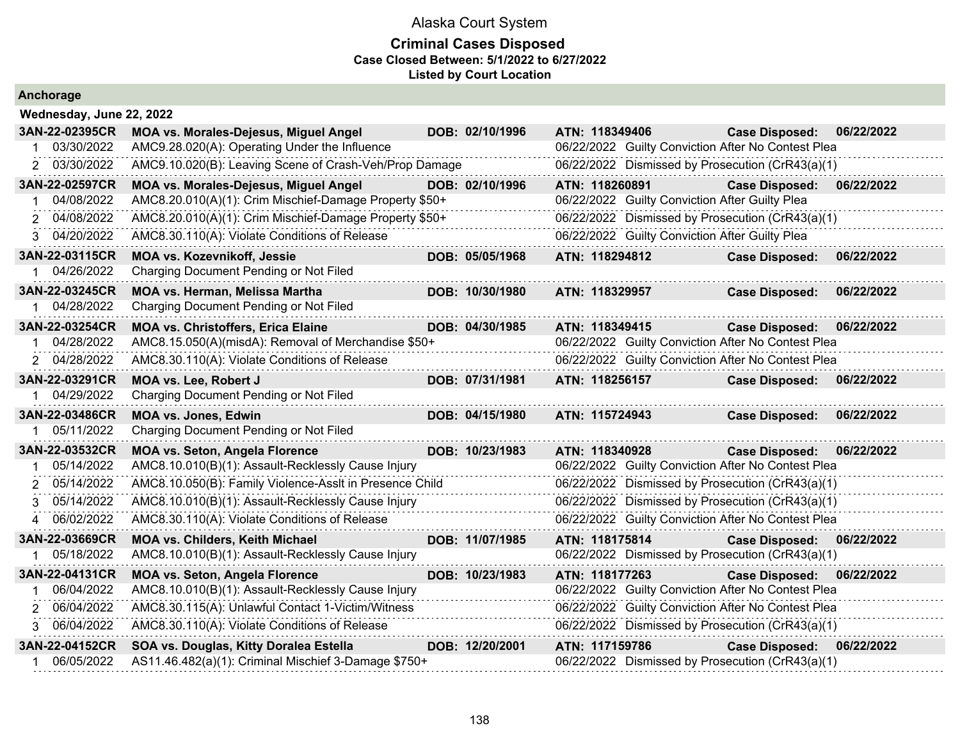| Anchorage                    |                                                                                                               |                 |                                                                                                        |                       |            |
|------------------------------|---------------------------------------------------------------------------------------------------------------|-----------------|--------------------------------------------------------------------------------------------------------|-----------------------|------------|
| Wednesday, June 22, 2022     |                                                                                                               |                 |                                                                                                        |                       |            |
| 3AN-22-02395CR               | <b>MOA vs. Morales-Dejesus, Miguel Angel</b>                                                                  | DOB: 02/10/1996 | ATN: 118349406                                                                                         | <b>Case Disposed:</b> | 06/22/2022 |
| 03/30/2022                   | AMC9.28.020(A): Operating Under the Influence                                                                 |                 | 06/22/2022 Guilty Conviction After No Contest Plea                                                     |                       |            |
| 2 03/30/2022                 | AMC9.10.020(B): Leaving Scene of Crash-Veh/Prop Damage                                                        |                 | 06/22/2022 Dismissed by Prosecution (CrR43(a)(1)                                                       |                       |            |
| 3AN-22-02597CR               | <b>MOA vs. Morales-Dejesus, Miguel Angel</b>                                                                  | DOB: 02/10/1996 | ATN: 118260891                                                                                         | <b>Case Disposed:</b> | 06/22/2022 |
| 04/08/2022                   | AMC8.20.010(A)(1): Crim Mischief-Damage Property \$50+                                                        |                 | 06/22/2022 Guilty Conviction After Guilty Plea                                                         |                       |            |
| 2 04/08/2022                 | AMC8.20.010(A)(1): Crim Mischief-Damage Property \$50+                                                        |                 | 06/22/2022 Dismissed by Prosecution (CrR43(a)(1)                                                       |                       |            |
| 3 04/20/2022                 | AMC8.30.110(A): Violate Conditions of Release                                                                 |                 | 06/22/2022 Guilty Conviction After Guilty Plea                                                         |                       |            |
| 3AN-22-03115CR               | MOA vs. Kozevnikoff, Jessie                                                                                   | DOB: 05/05/1968 | ATN: 118294812                                                                                         | <b>Case Disposed:</b> | 06/22/2022 |
| 04/26/2022                   | Charging Document Pending or Not Filed                                                                        |                 |                                                                                                        |                       |            |
| 3AN-22-03245CR               | MOA vs. Herman, Melissa Martha                                                                                | DOB: 10/30/1980 | ATN: 118329957                                                                                         | <b>Case Disposed:</b> | 06/22/2022 |
| 04/28/2022                   | Charging Document Pending or Not Filed                                                                        |                 |                                                                                                        |                       |            |
| 3AN-22-03254CR               | <b>MOA vs. Christoffers, Erica Elaine</b>                                                                     | DOB: 04/30/1985 | ATN: 118349415                                                                                         | <b>Case Disposed:</b> | 06/22/2022 |
| 04/28/2022                   | AMC8.15.050(A)(misdA): Removal of Merchandise \$50+                                                           |                 | 06/22/2022 Guilty Conviction After No Contest Plea                                                     |                       |            |
| 2 04/28/2022                 | AMC8.30.110(A): Violate Conditions of Release                                                                 |                 | 06/22/2022 Guilty Conviction After No Contest Plea                                                     |                       |            |
| 3AN-22-03291CR               | MOA vs. Lee, Robert J                                                                                         | DOB: 07/31/1981 | ATN: 118256157                                                                                         | <b>Case Disposed:</b> | 06/22/2022 |
| 04/29/2022                   | Charging Document Pending or Not Filed                                                                        |                 |                                                                                                        |                       |            |
| 3AN-22-03486CR               | <b>MOA vs. Jones, Edwin</b>                                                                                   | DOB: 04/15/1980 | ATN: 115724943                                                                                         | <b>Case Disposed:</b> | 06/22/2022 |
| 05/11/2022                   | Charging Document Pending or Not Filed                                                                        |                 |                                                                                                        |                       |            |
| 3AN-22-03532CR<br>05/14/2022 | <b>MOA vs. Seton, Angela Florence</b>                                                                         | DOB: 10/23/1983 | ATN: 118340928                                                                                         | <b>Case Disposed:</b> | 06/22/2022 |
| 05/14/2022                   | AMC8.10.010(B)(1): Assault-Recklessly Cause Injury<br>AMC8.10.050(B): Family Violence-Asslt in Presence Child |                 | 06/22/2022 Guilty Conviction After No Contest Plea<br>06/22/2022 Dismissed by Prosecution (CrR43(a)(1) |                       |            |
| 05/14/2022                   | AMC8.10.010(B)(1): Assault-Recklessly Cause Injury                                                            |                 | 06/22/2022 Dismissed by Prosecution (CrR43(a)(1)                                                       |                       |            |
| 06/02/2022<br>4              | AMC8.30.110(A): Violate Conditions of Release                                                                 |                 | 06/22/2022 Guilty Conviction After No Contest Plea                                                     |                       |            |
|                              |                                                                                                               |                 |                                                                                                        |                       |            |
| 3AN-22-03669CR<br>05/18/2022 | <b>MOA vs. Childers, Keith Michael</b><br>AMC8.10.010(B)(1): Assault-Recklessly Cause Injury                  | DOB: 11/07/1985 | ATN: 118175814<br>06/22/2022 Dismissed by Prosecution (CrR43(a)(1)                                     | <b>Case Disposed:</b> | 06/22/2022 |
| 3AN-22-04131CR               |                                                                                                               |                 |                                                                                                        |                       |            |
| 06/04/2022                   | <b>MOA vs. Seton, Angela Florence</b><br>AMC8.10.010(B)(1): Assault-Recklessly Cause Injury                   | DOB: 10/23/1983 | ATN: 118177263<br>06/22/2022 Guilty Conviction After No Contest Plea                                   | <b>Case Disposed:</b> | 06/22/2022 |
| 06/04/2022<br>2.             | AMC8.30.115(A): Unlawful Contact 1-Victim/Witness                                                             |                 | 06/22/2022 Guilty Conviction After No Contest Plea                                                     |                       |            |
| 3 06/04/2022                 | AMC8.30.110(A): Violate Conditions of Release                                                                 |                 | 06/22/2022 Dismissed by Prosecution (CrR43(a)(1)                                                       |                       |            |
| 3AN-22-04152CR               |                                                                                                               | DOB: 12/20/2001 | ATN: 117159786                                                                                         | <b>Case Disposed:</b> | 06/22/2022 |
| 06/05/2022                   | SOA vs. Douglas, Kitty Doralea Estella<br>AS11.46.482(a)(1): Criminal Mischief 3-Damage \$750+                |                 | 06/22/2022 Dismissed by Prosecution (CrR43(a)(1)                                                       |                       |            |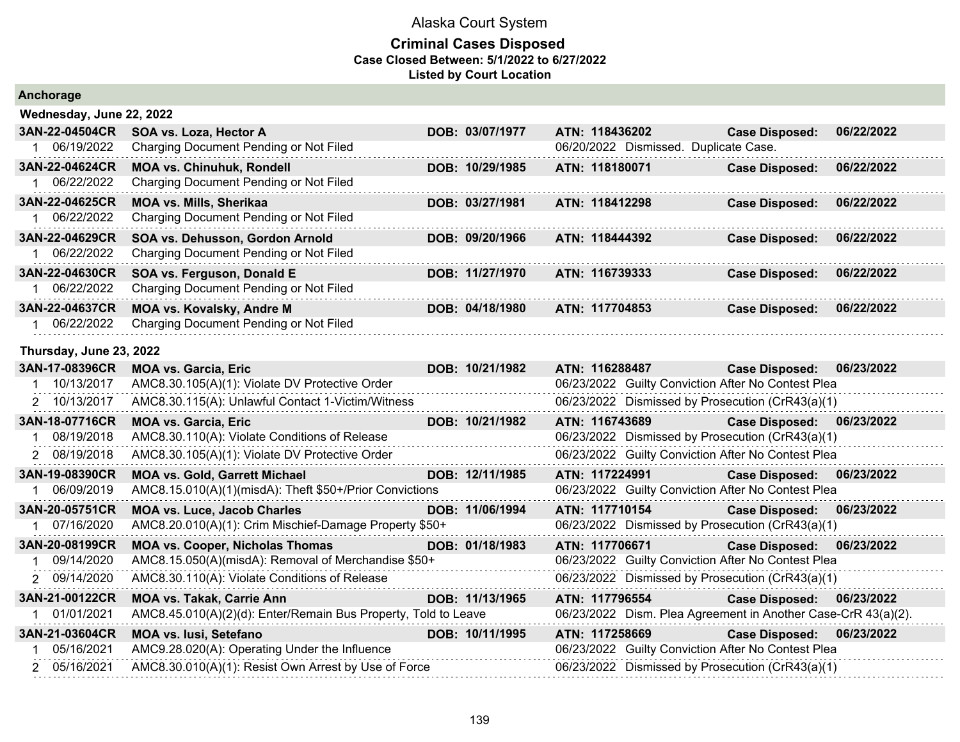| Anchorage                |                                                                |                 |                                       |                                                               |            |
|--------------------------|----------------------------------------------------------------|-----------------|---------------------------------------|---------------------------------------------------------------|------------|
| Wednesday, June 22, 2022 |                                                                |                 |                                       |                                                               |            |
| 3AN-22-04504CR           | SOA vs. Loza, Hector A                                         | DOB: 03/07/1977 | ATN: 118436202                        | <b>Case Disposed:</b>                                         | 06/22/2022 |
| 1 06/19/2022             | Charging Document Pending or Not Filed                         |                 | 06/20/2022 Dismissed. Duplicate Case. |                                                               |            |
| 3AN-22-04624CR           | <b>MOA vs. Chinuhuk, Rondell</b>                               | DOB: 10/29/1985 | ATN: 118180071                        | <b>Case Disposed:</b>                                         | 06/22/2022 |
| 1 06/22/2022             | Charging Document Pending or Not Filed                         |                 |                                       |                                                               |            |
| 3AN-22-04625CR           | <b>MOA vs. Mills, Sherikaa</b>                                 | DOB: 03/27/1981 | ATN: 118412298                        | <b>Case Disposed:</b>                                         | 06/22/2022 |
| 1 06/22/2022             | Charging Document Pending or Not Filed                         |                 |                                       |                                                               |            |
| 3AN-22-04629CR           | SOA vs. Dehusson, Gordon Arnold                                | DOB: 09/20/1966 | ATN: 118444392                        | <b>Case Disposed:</b>                                         | 06/22/2022 |
| 1 06/22/2022             | Charging Document Pending or Not Filed                         |                 |                                       |                                                               |            |
| 3AN-22-04630CR           | SOA vs. Ferguson, Donald E                                     | DOB: 11/27/1970 | ATN: 116739333                        | <b>Case Disposed:</b>                                         | 06/22/2022 |
| 1 06/22/2022             | Charging Document Pending or Not Filed                         |                 |                                       |                                                               |            |
| 3AN-22-04637CR           | <b>MOA vs. Kovalsky, Andre M</b>                               | DOB: 04/18/1980 | ATN: 117704853                        | <b>Case Disposed:</b>                                         | 06/22/2022 |
| 1 06/22/2022             | Charging Document Pending or Not Filed                         |                 |                                       |                                                               |            |
| Thursday, June 23, 2022  |                                                                |                 |                                       |                                                               |            |
| 3AN-17-08396CR           | <b>MOA vs. Garcia, Eric</b>                                    | DOB: 10/21/1982 | ATN: 116288487                        | <b>Case Disposed:</b>                                         | 06/23/2022 |
| 1 10/13/2017             | AMC8.30.105(A)(1): Violate DV Protective Order                 |                 |                                       | 06/23/2022 Guilty Conviction After No Contest Plea            |            |
| 2 10/13/2017             | AMC8.30.115(A): Unlawful Contact 1-Victim/Witness              |                 |                                       | 06/23/2022 Dismissed by Prosecution (CrR43(a)(1)              |            |
| 3AN-18-07716CR           | <b>MOA vs. Garcia, Eric</b>                                    | DOB: 10/21/1982 | ATN: 116743689                        | <b>Case Disposed:</b>                                         | 06/23/2022 |
| 1 08/19/2018             | AMC8.30.110(A): Violate Conditions of Release                  |                 |                                       | 06/23/2022 Dismissed by Prosecution (CrR43(a)(1)              |            |
| 2 08/19/2018             | AMC8.30.105(A)(1): Violate DV Protective Order                 |                 |                                       | 06/23/2022 Guilty Conviction After No Contest Plea            |            |
| 3AN-19-08390CR           | <b>MOA vs. Gold, Garrett Michael</b>                           | DOB: 12/11/1985 | ATN: 117224991                        | <b>Case Disposed:</b>                                         | 06/23/2022 |
| 1 06/09/2019             | AMC8.15.010(A)(1)(misdA): Theft \$50+/Prior Convictions        |                 |                                       | 06/23/2022 Guilty Conviction After No Contest Plea            |            |
| 3AN-20-05751CR           | <b>MOA vs. Luce, Jacob Charles</b>                             | DOB: 11/06/1994 | ATN: 117710154                        | <b>Case Disposed:</b>                                         | 06/23/2022 |
| 1 07/16/2020             | AMC8.20.010(A)(1): Crim Mischief-Damage Property \$50+         |                 |                                       | 06/23/2022 Dismissed by Prosecution (CrR43(a)(1)              |            |
| 3AN-20-08199CR           | <b>MOA vs. Cooper, Nicholas Thomas</b>                         | DOB: 01/18/1983 | ATN: 117706671                        | <b>Case Disposed:</b>                                         | 06/23/2022 |
| 1 09/14/2020             | AMC8.15.050(A)(misdA): Removal of Merchandise \$50+            |                 |                                       | 06/23/2022 Guilty Conviction After No Contest Plea            |            |
| 2 09/14/2020             | AMC8.30.110(A): Violate Conditions of Release                  |                 |                                       | 06/23/2022 Dismissed by Prosecution (CrR43(a)(1)              |            |
| 3AN-21-00122CR           | <b>MOA vs. Takak, Carrie Ann</b>                               | DOB: 11/13/1965 | ATN: 117796554                        | Case Disposed: 06/23/2022                                     |            |
| 1 01/01/2021             | AMC8.45.010(A)(2)(d): Enter/Remain Bus Property, Told to Leave |                 |                                       | 06/23/2022 Dism. Plea Agreement in Another Case-CrR 43(a)(2). |            |
| 3AN-21-03604CR           | <b>MOA vs. lusi, Setefano</b>                                  | DOB: 10/11/1995 | ATN: 117258669                        | <b>Case Disposed:</b>                                         | 06/23/2022 |
| 1 05/16/2021             | AMC9.28.020(A): Operating Under the Influence                  |                 |                                       | 06/23/2022 Guilty Conviction After No Contest Plea            |            |
| 2 05/16/2021             | AMC8.30.010(A)(1): Resist Own Arrest by Use of Force           |                 |                                       | 06/23/2022 Dismissed by Prosecution (CrR43(a)(1)              |            |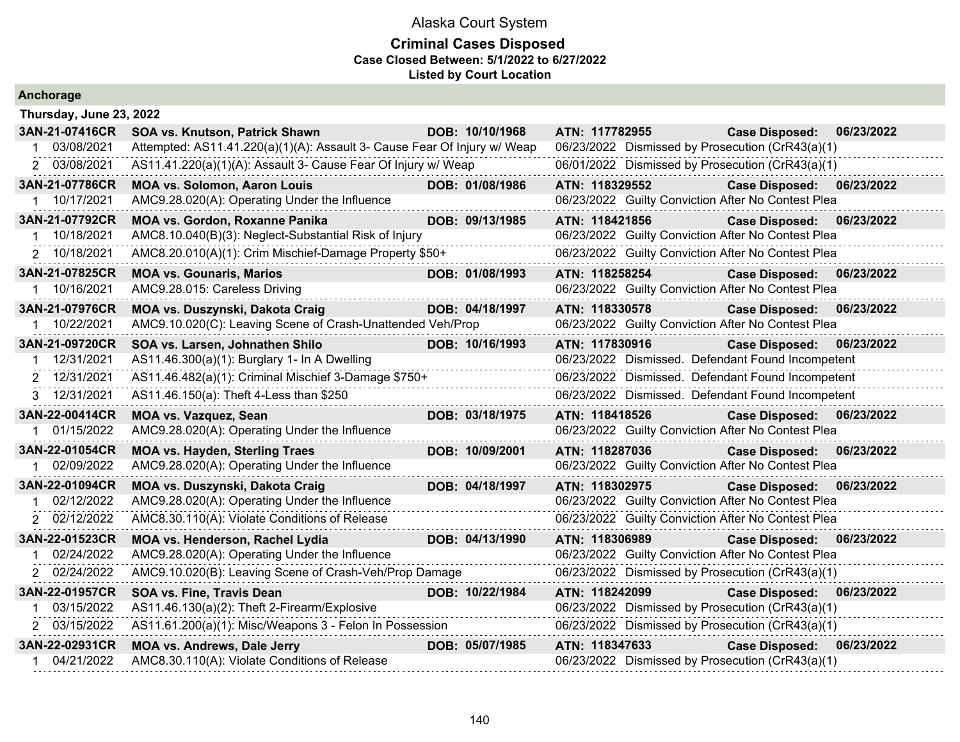|  |  | Anchorage |  |  |
|--|--|-----------|--|--|
|  |  |           |  |  |

| 3AN-21-07416CR<br>SOA vs. Knutson, Patrick Shawn<br>DOB: 10/10/1968<br>ATN: 117782955<br><b>Case Disposed:</b><br>06/23/2022<br>Attempted: AS11.41.220(a)(1)(A): Assault 3- Cause Fear Of Injury w/ Weap<br>03/08/2021<br>06/23/2022 Dismissed by Prosecution (CrR43(a)(1)<br>2 03/08/2021<br>AS11.41.220(a)(1)(A): Assault 3- Cause Fear Of Injury w/ Weap<br>06/01/2022 Dismissed by Prosecution (CrR43(a)(1)<br>3AN-21-07786CR<br>ATN: 118329552<br><b>MOA vs. Solomon, Aaron Louis</b><br>DOB: 01/08/1986<br><b>Case Disposed:</b><br>06/23/2022<br>10/17/2021<br>AMC9.28.020(A): Operating Under the Influence<br>06/23/2022 Guilty Conviction After No Contest Plea<br>3AN-21-07792CR<br><b>MOA vs. Gordon, Roxanne Panika</b><br>DOB: 09/13/1985<br>ATN: 118421856<br>06/23/2022<br><b>Case Disposed:</b><br>06/23/2022 Guilty Conviction After No Contest Plea<br>10/18/2021<br>AMC8.10.040(B)(3): Neglect-Substantial Risk of Injury<br>2 10/18/2021<br>AMC8.20.010(A)(1): Crim Mischief-Damage Property \$50+<br>06/23/2022 Guilty Conviction After No Contest Plea<br>3AN-21-07825CR<br><b>MOA vs. Gounaris, Marios</b><br>ATN: 118258254<br>DOB: 01/08/1993<br><b>Case Disposed:</b><br>06/23/2022<br>06/23/2022 Guilty Conviction After No Contest Plea<br>AMC9.28.015: Careless Driving<br>10/16/2021<br>3AN-21-07976CR<br>ATN: 118330578<br>MOA vs. Duszynski, Dakota Craig<br>DOB: 04/18/1997<br><b>Case Disposed:</b><br>06/23/2022<br>AMC9.10.020(C): Leaving Scene of Crash-Unattended Veh/Prop<br>06/23/2022 Guilty Conviction After No Contest Plea<br>10/22/2021<br>3AN-21-09720CR<br>ATN: 117830916<br>06/23/2022<br>SOA vs. Larsen, Johnathen Shilo<br>DOB: 10/16/1993<br><b>Case Disposed:</b><br>12/31/2021<br>06/23/2022 Dismissed. Defendant Found Incompetent<br>AS11.46.300(a)(1): Burglary 1- In A Dwelling<br>2 12/31/2021<br>AS11.46.482(a)(1): Criminal Mischief 3-Damage \$750+<br>06/23/2022 Dismissed. Defendant Found Incompetent<br>06/23/2022 Dismissed. Defendant Found Incompetent<br>3 12/31/2021<br>AS11.46.150(a): Theft 4-Less than \$250<br>3AN-22-00414CR<br><b>MOA vs. Vazquez, Sean</b><br>DOB: 03/18/1975<br>ATN: 118418526<br>06/23/2022<br><b>Case Disposed:</b><br>06/23/2022 Guilty Conviction After No Contest Plea<br>01/15/2022<br>AMC9.28.020(A): Operating Under the Influence<br>3AN-22-01054CR<br><b>MOA vs. Hayden, Sterling Traes</b><br>DOB: 10/09/2001<br>ATN: 118287036<br>06/23/2022<br><b>Case Disposed:</b><br>1 02/09/2022<br>AMC9.28.020(A): Operating Under the Influence<br>06/23/2022 Guilty Conviction After No Contest Plea<br>3AN-22-01094CR<br>MOA vs. Duszynski, Dakota Craig<br>ATN: 118302975<br>Case Disposed: 06/23/2022<br>DOB: 04/18/1997<br><u> 1999 - Jan Barnett, fransk politiker</u><br>06/23/2022 Guilty Conviction After No Contest Plea<br>02/12/2022<br>AMC9.28.020(A): Operating Under the Influence<br>2 02/12/2022<br>AMC8.30.110(A): Violate Conditions of Release<br>06/23/2022 Guilty Conviction After No Contest Plea<br>3AN-22-01523CR<br>MOA vs. Henderson, Rachel Lydia<br>DOB: 04/13/1990<br>ATN: 118306989<br><b>Case Disposed:</b><br>06/23/2022<br>02/24/2022<br>AMC9.28.020(A): Operating Under the Influence<br>06/23/2022 Guilty Conviction After No Contest Plea<br>2 02/24/2022<br>AMC9.10.020(B): Leaving Scene of Crash-Veh/Prop Damage<br>06/23/2022 Dismissed by Prosecution (CrR43(a)(1)<br>3AN-22-01957CR<br>DOB: 10/22/1984<br>ATN: 118242099<br>06/23/2022<br><b>SOA vs. Fine, Travis Dean</b><br><b>Case Disposed:</b><br>03/15/2022<br>AS11.46.130(a)(2): Theft 2-Firearm/Explosive<br>06/23/2022 Dismissed by Prosecution (CrR43(a)(1)<br>2 03/15/2022<br>AS11.61.200(a)(1): Misc/Weapons 3 - Felon In Possession<br>06/23/2022 Dismissed by Prosecution (CrR43(a)(1) | Thursday, June 23, 2022 |                                    |                 |                |                       |            |
|----------------------------------------------------------------------------------------------------------------------------------------------------------------------------------------------------------------------------------------------------------------------------------------------------------------------------------------------------------------------------------------------------------------------------------------------------------------------------------------------------------------------------------------------------------------------------------------------------------------------------------------------------------------------------------------------------------------------------------------------------------------------------------------------------------------------------------------------------------------------------------------------------------------------------------------------------------------------------------------------------------------------------------------------------------------------------------------------------------------------------------------------------------------------------------------------------------------------------------------------------------------------------------------------------------------------------------------------------------------------------------------------------------------------------------------------------------------------------------------------------------------------------------------------------------------------------------------------------------------------------------------------------------------------------------------------------------------------------------------------------------------------------------------------------------------------------------------------------------------------------------------------------------------------------------------------------------------------------------------------------------------------------------------------------------------------------------------------------------------------------------------------------------------------------------------------------------------------------------------------------------------------------------------------------------------------------------------------------------------------------------------------------------------------------------------------------------------------------------------------------------------------------------------------------------------------------------------------------------------------------------------------------------------------------------------------------------------------------------------------------------------------------------------------------------------------------------------------------------------------------------------------------------------------------------------------------------------------------------------------------------------------------------------------------------------------------------------------------------------------------------------------------------------------------------------------------------------------------------------------------------------------------------------------------------------------------------------------------------------------------------------------------------------------------------------------------------------------------------------------------------------------------------------------------------------------------------------------------------------------------------------------------------------------------------------------------------------------------------------------------------------------------------------------------|-------------------------|------------------------------------|-----------------|----------------|-----------------------|------------|
|                                                                                                                                                                                                                                                                                                                                                                                                                                                                                                                                                                                                                                                                                                                                                                                                                                                                                                                                                                                                                                                                                                                                                                                                                                                                                                                                                                                                                                                                                                                                                                                                                                                                                                                                                                                                                                                                                                                                                                                                                                                                                                                                                                                                                                                                                                                                                                                                                                                                                                                                                                                                                                                                                                                                                                                                                                                                                                                                                                                                                                                                                                                                                                                                                                                                                                                                                                                                                                                                                                                                                                                                                                                                                                                                                                                                    |                         |                                    |                 |                |                       |            |
|                                                                                                                                                                                                                                                                                                                                                                                                                                                                                                                                                                                                                                                                                                                                                                                                                                                                                                                                                                                                                                                                                                                                                                                                                                                                                                                                                                                                                                                                                                                                                                                                                                                                                                                                                                                                                                                                                                                                                                                                                                                                                                                                                                                                                                                                                                                                                                                                                                                                                                                                                                                                                                                                                                                                                                                                                                                                                                                                                                                                                                                                                                                                                                                                                                                                                                                                                                                                                                                                                                                                                                                                                                                                                                                                                                                                    |                         |                                    |                 |                |                       |            |
|                                                                                                                                                                                                                                                                                                                                                                                                                                                                                                                                                                                                                                                                                                                                                                                                                                                                                                                                                                                                                                                                                                                                                                                                                                                                                                                                                                                                                                                                                                                                                                                                                                                                                                                                                                                                                                                                                                                                                                                                                                                                                                                                                                                                                                                                                                                                                                                                                                                                                                                                                                                                                                                                                                                                                                                                                                                                                                                                                                                                                                                                                                                                                                                                                                                                                                                                                                                                                                                                                                                                                                                                                                                                                                                                                                                                    |                         |                                    |                 |                |                       |            |
|                                                                                                                                                                                                                                                                                                                                                                                                                                                                                                                                                                                                                                                                                                                                                                                                                                                                                                                                                                                                                                                                                                                                                                                                                                                                                                                                                                                                                                                                                                                                                                                                                                                                                                                                                                                                                                                                                                                                                                                                                                                                                                                                                                                                                                                                                                                                                                                                                                                                                                                                                                                                                                                                                                                                                                                                                                                                                                                                                                                                                                                                                                                                                                                                                                                                                                                                                                                                                                                                                                                                                                                                                                                                                                                                                                                                    |                         |                                    |                 |                |                       |            |
|                                                                                                                                                                                                                                                                                                                                                                                                                                                                                                                                                                                                                                                                                                                                                                                                                                                                                                                                                                                                                                                                                                                                                                                                                                                                                                                                                                                                                                                                                                                                                                                                                                                                                                                                                                                                                                                                                                                                                                                                                                                                                                                                                                                                                                                                                                                                                                                                                                                                                                                                                                                                                                                                                                                                                                                                                                                                                                                                                                                                                                                                                                                                                                                                                                                                                                                                                                                                                                                                                                                                                                                                                                                                                                                                                                                                    |                         |                                    |                 |                |                       |            |
|                                                                                                                                                                                                                                                                                                                                                                                                                                                                                                                                                                                                                                                                                                                                                                                                                                                                                                                                                                                                                                                                                                                                                                                                                                                                                                                                                                                                                                                                                                                                                                                                                                                                                                                                                                                                                                                                                                                                                                                                                                                                                                                                                                                                                                                                                                                                                                                                                                                                                                                                                                                                                                                                                                                                                                                                                                                                                                                                                                                                                                                                                                                                                                                                                                                                                                                                                                                                                                                                                                                                                                                                                                                                                                                                                                                                    |                         |                                    |                 |                |                       |            |
|                                                                                                                                                                                                                                                                                                                                                                                                                                                                                                                                                                                                                                                                                                                                                                                                                                                                                                                                                                                                                                                                                                                                                                                                                                                                                                                                                                                                                                                                                                                                                                                                                                                                                                                                                                                                                                                                                                                                                                                                                                                                                                                                                                                                                                                                                                                                                                                                                                                                                                                                                                                                                                                                                                                                                                                                                                                                                                                                                                                                                                                                                                                                                                                                                                                                                                                                                                                                                                                                                                                                                                                                                                                                                                                                                                                                    |                         |                                    |                 |                |                       |            |
|                                                                                                                                                                                                                                                                                                                                                                                                                                                                                                                                                                                                                                                                                                                                                                                                                                                                                                                                                                                                                                                                                                                                                                                                                                                                                                                                                                                                                                                                                                                                                                                                                                                                                                                                                                                                                                                                                                                                                                                                                                                                                                                                                                                                                                                                                                                                                                                                                                                                                                                                                                                                                                                                                                                                                                                                                                                                                                                                                                                                                                                                                                                                                                                                                                                                                                                                                                                                                                                                                                                                                                                                                                                                                                                                                                                                    |                         |                                    |                 |                |                       |            |
|                                                                                                                                                                                                                                                                                                                                                                                                                                                                                                                                                                                                                                                                                                                                                                                                                                                                                                                                                                                                                                                                                                                                                                                                                                                                                                                                                                                                                                                                                                                                                                                                                                                                                                                                                                                                                                                                                                                                                                                                                                                                                                                                                                                                                                                                                                                                                                                                                                                                                                                                                                                                                                                                                                                                                                                                                                                                                                                                                                                                                                                                                                                                                                                                                                                                                                                                                                                                                                                                                                                                                                                                                                                                                                                                                                                                    |                         |                                    |                 |                |                       |            |
|                                                                                                                                                                                                                                                                                                                                                                                                                                                                                                                                                                                                                                                                                                                                                                                                                                                                                                                                                                                                                                                                                                                                                                                                                                                                                                                                                                                                                                                                                                                                                                                                                                                                                                                                                                                                                                                                                                                                                                                                                                                                                                                                                                                                                                                                                                                                                                                                                                                                                                                                                                                                                                                                                                                                                                                                                                                                                                                                                                                                                                                                                                                                                                                                                                                                                                                                                                                                                                                                                                                                                                                                                                                                                                                                                                                                    |                         |                                    |                 |                |                       |            |
|                                                                                                                                                                                                                                                                                                                                                                                                                                                                                                                                                                                                                                                                                                                                                                                                                                                                                                                                                                                                                                                                                                                                                                                                                                                                                                                                                                                                                                                                                                                                                                                                                                                                                                                                                                                                                                                                                                                                                                                                                                                                                                                                                                                                                                                                                                                                                                                                                                                                                                                                                                                                                                                                                                                                                                                                                                                                                                                                                                                                                                                                                                                                                                                                                                                                                                                                                                                                                                                                                                                                                                                                                                                                                                                                                                                                    |                         |                                    |                 |                |                       |            |
|                                                                                                                                                                                                                                                                                                                                                                                                                                                                                                                                                                                                                                                                                                                                                                                                                                                                                                                                                                                                                                                                                                                                                                                                                                                                                                                                                                                                                                                                                                                                                                                                                                                                                                                                                                                                                                                                                                                                                                                                                                                                                                                                                                                                                                                                                                                                                                                                                                                                                                                                                                                                                                                                                                                                                                                                                                                                                                                                                                                                                                                                                                                                                                                                                                                                                                                                                                                                                                                                                                                                                                                                                                                                                                                                                                                                    |                         |                                    |                 |                |                       |            |
|                                                                                                                                                                                                                                                                                                                                                                                                                                                                                                                                                                                                                                                                                                                                                                                                                                                                                                                                                                                                                                                                                                                                                                                                                                                                                                                                                                                                                                                                                                                                                                                                                                                                                                                                                                                                                                                                                                                                                                                                                                                                                                                                                                                                                                                                                                                                                                                                                                                                                                                                                                                                                                                                                                                                                                                                                                                                                                                                                                                                                                                                                                                                                                                                                                                                                                                                                                                                                                                                                                                                                                                                                                                                                                                                                                                                    |                         |                                    |                 |                |                       |            |
|                                                                                                                                                                                                                                                                                                                                                                                                                                                                                                                                                                                                                                                                                                                                                                                                                                                                                                                                                                                                                                                                                                                                                                                                                                                                                                                                                                                                                                                                                                                                                                                                                                                                                                                                                                                                                                                                                                                                                                                                                                                                                                                                                                                                                                                                                                                                                                                                                                                                                                                                                                                                                                                                                                                                                                                                                                                                                                                                                                                                                                                                                                                                                                                                                                                                                                                                                                                                                                                                                                                                                                                                                                                                                                                                                                                                    |                         |                                    |                 |                |                       |            |
|                                                                                                                                                                                                                                                                                                                                                                                                                                                                                                                                                                                                                                                                                                                                                                                                                                                                                                                                                                                                                                                                                                                                                                                                                                                                                                                                                                                                                                                                                                                                                                                                                                                                                                                                                                                                                                                                                                                                                                                                                                                                                                                                                                                                                                                                                                                                                                                                                                                                                                                                                                                                                                                                                                                                                                                                                                                                                                                                                                                                                                                                                                                                                                                                                                                                                                                                                                                                                                                                                                                                                                                                                                                                                                                                                                                                    |                         |                                    |                 |                |                       |            |
|                                                                                                                                                                                                                                                                                                                                                                                                                                                                                                                                                                                                                                                                                                                                                                                                                                                                                                                                                                                                                                                                                                                                                                                                                                                                                                                                                                                                                                                                                                                                                                                                                                                                                                                                                                                                                                                                                                                                                                                                                                                                                                                                                                                                                                                                                                                                                                                                                                                                                                                                                                                                                                                                                                                                                                                                                                                                                                                                                                                                                                                                                                                                                                                                                                                                                                                                                                                                                                                                                                                                                                                                                                                                                                                                                                                                    |                         |                                    |                 |                |                       |            |
|                                                                                                                                                                                                                                                                                                                                                                                                                                                                                                                                                                                                                                                                                                                                                                                                                                                                                                                                                                                                                                                                                                                                                                                                                                                                                                                                                                                                                                                                                                                                                                                                                                                                                                                                                                                                                                                                                                                                                                                                                                                                                                                                                                                                                                                                                                                                                                                                                                                                                                                                                                                                                                                                                                                                                                                                                                                                                                                                                                                                                                                                                                                                                                                                                                                                                                                                                                                                                                                                                                                                                                                                                                                                                                                                                                                                    |                         |                                    |                 |                |                       |            |
|                                                                                                                                                                                                                                                                                                                                                                                                                                                                                                                                                                                                                                                                                                                                                                                                                                                                                                                                                                                                                                                                                                                                                                                                                                                                                                                                                                                                                                                                                                                                                                                                                                                                                                                                                                                                                                                                                                                                                                                                                                                                                                                                                                                                                                                                                                                                                                                                                                                                                                                                                                                                                                                                                                                                                                                                                                                                                                                                                                                                                                                                                                                                                                                                                                                                                                                                                                                                                                                                                                                                                                                                                                                                                                                                                                                                    |                         |                                    |                 |                |                       |            |
|                                                                                                                                                                                                                                                                                                                                                                                                                                                                                                                                                                                                                                                                                                                                                                                                                                                                                                                                                                                                                                                                                                                                                                                                                                                                                                                                                                                                                                                                                                                                                                                                                                                                                                                                                                                                                                                                                                                                                                                                                                                                                                                                                                                                                                                                                                                                                                                                                                                                                                                                                                                                                                                                                                                                                                                                                                                                                                                                                                                                                                                                                                                                                                                                                                                                                                                                                                                                                                                                                                                                                                                                                                                                                                                                                                                                    |                         |                                    |                 |                |                       |            |
|                                                                                                                                                                                                                                                                                                                                                                                                                                                                                                                                                                                                                                                                                                                                                                                                                                                                                                                                                                                                                                                                                                                                                                                                                                                                                                                                                                                                                                                                                                                                                                                                                                                                                                                                                                                                                                                                                                                                                                                                                                                                                                                                                                                                                                                                                                                                                                                                                                                                                                                                                                                                                                                                                                                                                                                                                                                                                                                                                                                                                                                                                                                                                                                                                                                                                                                                                                                                                                                                                                                                                                                                                                                                                                                                                                                                    |                         |                                    |                 |                |                       |            |
|                                                                                                                                                                                                                                                                                                                                                                                                                                                                                                                                                                                                                                                                                                                                                                                                                                                                                                                                                                                                                                                                                                                                                                                                                                                                                                                                                                                                                                                                                                                                                                                                                                                                                                                                                                                                                                                                                                                                                                                                                                                                                                                                                                                                                                                                                                                                                                                                                                                                                                                                                                                                                                                                                                                                                                                                                                                                                                                                                                                                                                                                                                                                                                                                                                                                                                                                                                                                                                                                                                                                                                                                                                                                                                                                                                                                    |                         |                                    |                 |                |                       |            |
|                                                                                                                                                                                                                                                                                                                                                                                                                                                                                                                                                                                                                                                                                                                                                                                                                                                                                                                                                                                                                                                                                                                                                                                                                                                                                                                                                                                                                                                                                                                                                                                                                                                                                                                                                                                                                                                                                                                                                                                                                                                                                                                                                                                                                                                                                                                                                                                                                                                                                                                                                                                                                                                                                                                                                                                                                                                                                                                                                                                                                                                                                                                                                                                                                                                                                                                                                                                                                                                                                                                                                                                                                                                                                                                                                                                                    |                         |                                    |                 |                |                       |            |
|                                                                                                                                                                                                                                                                                                                                                                                                                                                                                                                                                                                                                                                                                                                                                                                                                                                                                                                                                                                                                                                                                                                                                                                                                                                                                                                                                                                                                                                                                                                                                                                                                                                                                                                                                                                                                                                                                                                                                                                                                                                                                                                                                                                                                                                                                                                                                                                                                                                                                                                                                                                                                                                                                                                                                                                                                                                                                                                                                                                                                                                                                                                                                                                                                                                                                                                                                                                                                                                                                                                                                                                                                                                                                                                                                                                                    |                         |                                    |                 |                |                       |            |
|                                                                                                                                                                                                                                                                                                                                                                                                                                                                                                                                                                                                                                                                                                                                                                                                                                                                                                                                                                                                                                                                                                                                                                                                                                                                                                                                                                                                                                                                                                                                                                                                                                                                                                                                                                                                                                                                                                                                                                                                                                                                                                                                                                                                                                                                                                                                                                                                                                                                                                                                                                                                                                                                                                                                                                                                                                                                                                                                                                                                                                                                                                                                                                                                                                                                                                                                                                                                                                                                                                                                                                                                                                                                                                                                                                                                    |                         |                                    |                 |                |                       |            |
|                                                                                                                                                                                                                                                                                                                                                                                                                                                                                                                                                                                                                                                                                                                                                                                                                                                                                                                                                                                                                                                                                                                                                                                                                                                                                                                                                                                                                                                                                                                                                                                                                                                                                                                                                                                                                                                                                                                                                                                                                                                                                                                                                                                                                                                                                                                                                                                                                                                                                                                                                                                                                                                                                                                                                                                                                                                                                                                                                                                                                                                                                                                                                                                                                                                                                                                                                                                                                                                                                                                                                                                                                                                                                                                                                                                                    |                         |                                    |                 |                |                       |            |
|                                                                                                                                                                                                                                                                                                                                                                                                                                                                                                                                                                                                                                                                                                                                                                                                                                                                                                                                                                                                                                                                                                                                                                                                                                                                                                                                                                                                                                                                                                                                                                                                                                                                                                                                                                                                                                                                                                                                                                                                                                                                                                                                                                                                                                                                                                                                                                                                                                                                                                                                                                                                                                                                                                                                                                                                                                                                                                                                                                                                                                                                                                                                                                                                                                                                                                                                                                                                                                                                                                                                                                                                                                                                                                                                                                                                    |                         |                                    |                 |                |                       |            |
|                                                                                                                                                                                                                                                                                                                                                                                                                                                                                                                                                                                                                                                                                                                                                                                                                                                                                                                                                                                                                                                                                                                                                                                                                                                                                                                                                                                                                                                                                                                                                                                                                                                                                                                                                                                                                                                                                                                                                                                                                                                                                                                                                                                                                                                                                                                                                                                                                                                                                                                                                                                                                                                                                                                                                                                                                                                                                                                                                                                                                                                                                                                                                                                                                                                                                                                                                                                                                                                                                                                                                                                                                                                                                                                                                                                                    |                         |                                    |                 |                |                       |            |
|                                                                                                                                                                                                                                                                                                                                                                                                                                                                                                                                                                                                                                                                                                                                                                                                                                                                                                                                                                                                                                                                                                                                                                                                                                                                                                                                                                                                                                                                                                                                                                                                                                                                                                                                                                                                                                                                                                                                                                                                                                                                                                                                                                                                                                                                                                                                                                                                                                                                                                                                                                                                                                                                                                                                                                                                                                                                                                                                                                                                                                                                                                                                                                                                                                                                                                                                                                                                                                                                                                                                                                                                                                                                                                                                                                                                    |                         |                                    |                 |                |                       |            |
|                                                                                                                                                                                                                                                                                                                                                                                                                                                                                                                                                                                                                                                                                                                                                                                                                                                                                                                                                                                                                                                                                                                                                                                                                                                                                                                                                                                                                                                                                                                                                                                                                                                                                                                                                                                                                                                                                                                                                                                                                                                                                                                                                                                                                                                                                                                                                                                                                                                                                                                                                                                                                                                                                                                                                                                                                                                                                                                                                                                                                                                                                                                                                                                                                                                                                                                                                                                                                                                                                                                                                                                                                                                                                                                                                                                                    |                         |                                    |                 |                |                       |            |
|                                                                                                                                                                                                                                                                                                                                                                                                                                                                                                                                                                                                                                                                                                                                                                                                                                                                                                                                                                                                                                                                                                                                                                                                                                                                                                                                                                                                                                                                                                                                                                                                                                                                                                                                                                                                                                                                                                                                                                                                                                                                                                                                                                                                                                                                                                                                                                                                                                                                                                                                                                                                                                                                                                                                                                                                                                                                                                                                                                                                                                                                                                                                                                                                                                                                                                                                                                                                                                                                                                                                                                                                                                                                                                                                                                                                    | 3AN-22-02931CR          | <b>MOA vs. Andrews, Dale Jerry</b> | DOB: 05/07/1985 | ATN: 118347633 | <b>Case Disposed:</b> | 06/23/2022 |
| 1 04/21/2022<br>AMC8.30.110(A): Violate Conditions of Release<br>06/23/2022 Dismissed by Prosecution (CrR43(a)(1)                                                                                                                                                                                                                                                                                                                                                                                                                                                                                                                                                                                                                                                                                                                                                                                                                                                                                                                                                                                                                                                                                                                                                                                                                                                                                                                                                                                                                                                                                                                                                                                                                                                                                                                                                                                                                                                                                                                                                                                                                                                                                                                                                                                                                                                                                                                                                                                                                                                                                                                                                                                                                                                                                                                                                                                                                                                                                                                                                                                                                                                                                                                                                                                                                                                                                                                                                                                                                                                                                                                                                                                                                                                                                  |                         |                                    |                 |                |                       |            |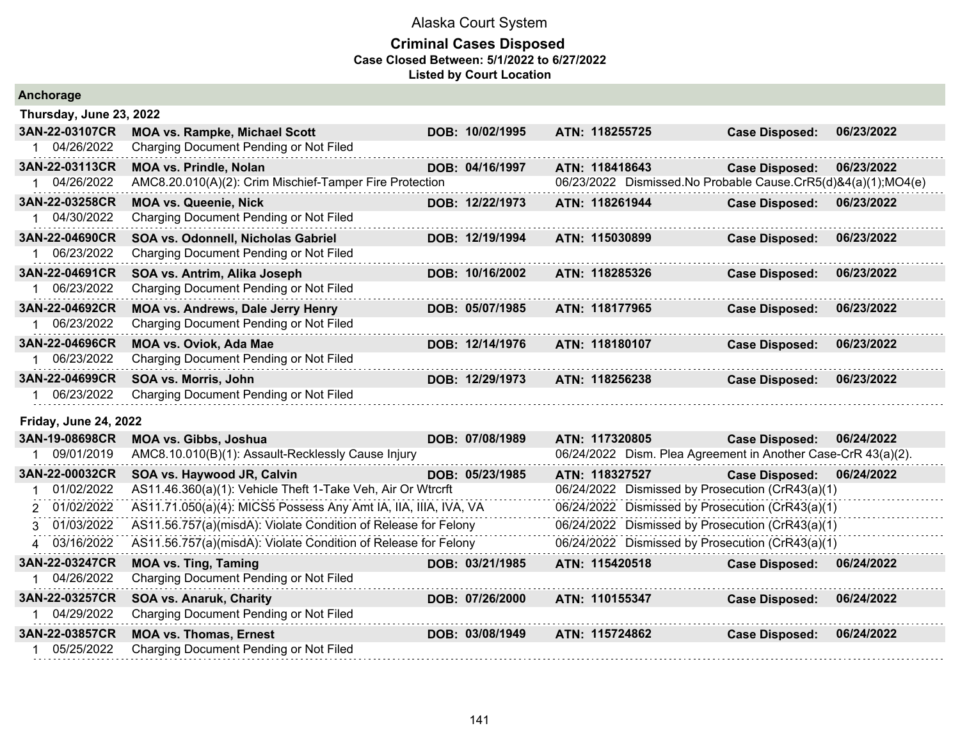| Anchorage                    |                                                                 |                 |                                                               |                       |            |
|------------------------------|-----------------------------------------------------------------|-----------------|---------------------------------------------------------------|-----------------------|------------|
| Thursday, June 23, 2022      |                                                                 |                 |                                                               |                       |            |
| 3AN-22-03107CR               | <b>MOA vs. Rampke, Michael Scott</b>                            | DOB: 10/02/1995 | ATN: 118255725                                                | <b>Case Disposed:</b> | 06/23/2022 |
| 1 04/26/2022                 | Charging Document Pending or Not Filed                          |                 |                                                               |                       |            |
| 3AN-22-03113CR               | <b>MOA vs. Prindle, Nolan</b>                                   | DOB: 04/16/1997 | ATN: 118418643                                                | <b>Case Disposed:</b> | 06/23/2022 |
| 04/26/2022                   | AMC8.20.010(A)(2): Crim Mischief-Tamper Fire Protection         |                 | 06/23/2022 Dismissed.No Probable Cause.CrR5(d)&4(a)(1);MO4(e) |                       |            |
| 3AN-22-03258CR               | <b>MOA vs. Queenie, Nick</b>                                    | DOB: 12/22/1973 | ATN: 118261944                                                | <b>Case Disposed:</b> | 06/23/2022 |
| 04/30/2022                   | Charging Document Pending or Not Filed                          |                 |                                                               |                       |            |
| 3AN-22-04690CR               | SOA vs. Odonnell, Nicholas Gabriel                              | DOB: 12/19/1994 | ATN: 115030899                                                | <b>Case Disposed:</b> | 06/23/2022 |
| 06/23/2022                   | Charging Document Pending or Not Filed                          |                 |                                                               |                       |            |
| 3AN-22-04691CR               | SOA vs. Antrim, Alika Joseph                                    | DOB: 10/16/2002 | ATN: 118285326                                                | <b>Case Disposed:</b> | 06/23/2022 |
| 06/23/2022                   | Charging Document Pending or Not Filed                          |                 |                                                               |                       |            |
| 3AN-22-04692CR               | <b>MOA vs. Andrews, Dale Jerry Henry</b>                        | DOB: 05/07/1985 | ATN: 118177965                                                | <b>Case Disposed:</b> | 06/23/2022 |
| 1 06/23/2022                 | Charging Document Pending or Not Filed                          |                 |                                                               |                       |            |
| 3AN-22-04696CR               | <b>MOA vs. Oviok, Ada Mae</b>                                   | DOB: 12/14/1976 | ATN: 118180107                                                | <b>Case Disposed:</b> | 06/23/2022 |
| 06/23/2022<br>$\mathbf{1}$   | Charging Document Pending or Not Filed                          |                 |                                                               |                       |            |
| 3AN-22-04699CR               | SOA vs. Morris, John                                            | DOB: 12/29/1973 | ATN: 118256238                                                | <b>Case Disposed:</b> | 06/23/2022 |
| 06/23/2022                   | Charging Document Pending or Not Filed                          |                 |                                                               |                       |            |
| <b>Friday, June 24, 2022</b> |                                                                 |                 |                                                               |                       |            |
| 3AN-19-08698CR               | <b>MOA vs. Gibbs, Joshua</b>                                    | DOB: 07/08/1989 | ATN: 117320805                                                | <b>Case Disposed:</b> | 06/24/2022 |
| 09/01/2019                   | AMC8.10.010(B)(1): Assault-Recklessly Cause Injury              |                 | 06/24/2022 Dism. Plea Agreement in Another Case-CrR 43(a)(2). |                       |            |
| 3AN-22-00032CR               | SOA vs. Haywood JR, Calvin                                      | DOB: 05/23/1985 | ATN: 118327527                                                | <b>Case Disposed:</b> | 06/24/2022 |
| 01/02/2022                   | AS11.46.360(a)(1): Vehicle Theft 1-Take Veh, Air Or Wtrcrft     |                 | 06/24/2022 Dismissed by Prosecution (CrR43(a)(1)              |                       |            |
| 2 01/02/2022                 | AS11.71.050(a)(4): MICS5 Possess Any Amt IA, IIA, IIIA, IVA, VA |                 | 06/24/2022 Dismissed by Prosecution (CrR43(a)(1)              |                       |            |
| 3 01/03/2022                 | AS11.56.757(a)(misdA): Violate Condition of Release for Felony  |                 | 06/24/2022 Dismissed by Prosecution (CrR43(a)(1)              |                       |            |
| 03/16/2022<br>4              | AS11.56.757(a)(misdA): Violate Condition of Release for Felony  |                 | 06/24/2022 Dismissed by Prosecution (CrR43(a)(1)              |                       |            |
| 3AN-22-03247CR               | <b>MOA vs. Ting, Taming</b>                                     | DOB: 03/21/1985 | ATN: 115420518                                                | <b>Case Disposed:</b> | 06/24/2022 |
| 04/26/2022                   | Charging Document Pending or Not Filed                          |                 |                                                               |                       |            |
| 3AN-22-03257CR               | <b>SOA vs. Anaruk, Charity</b>                                  | DOB: 07/26/2000 | ATN: 110155347                                                | <b>Case Disposed:</b> | 06/24/2022 |
| 04/29/2022                   | Charging Document Pending or Not Filed                          |                 |                                                               |                       |            |
| 3AN-22-03857CR               | <b>MOA vs. Thomas, Ernest</b>                                   | DOB: 03/08/1949 | ATN: 115724862                                                | <b>Case Disposed:</b> | 06/24/2022 |
| 05/25/2022                   | Charging Document Pending or Not Filed                          |                 |                                                               |                       |            |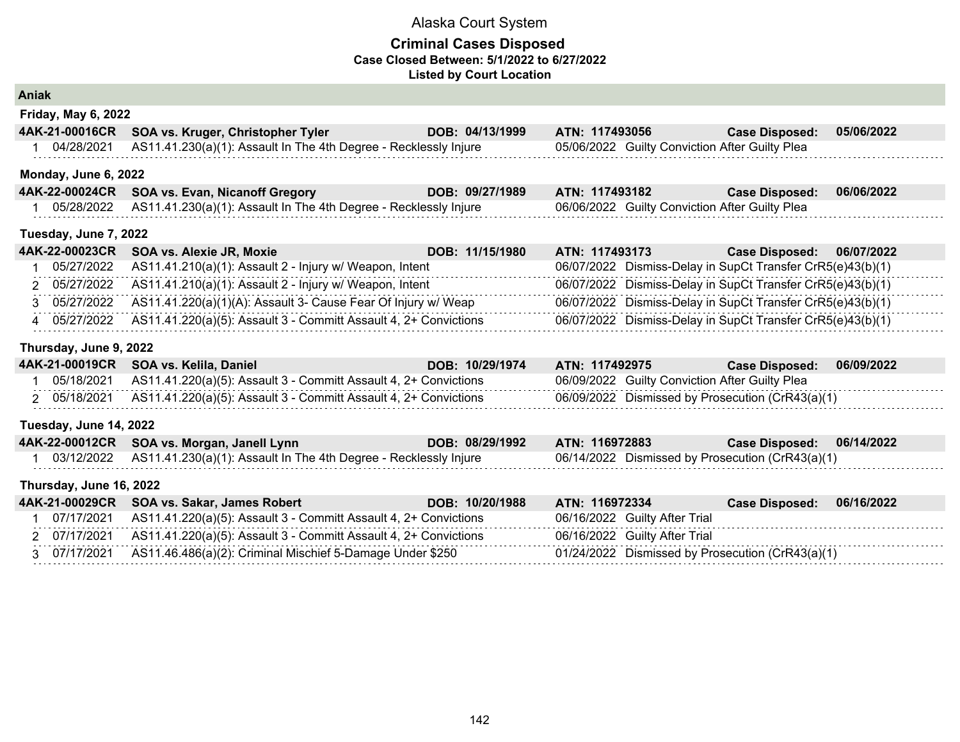### **Criminal Cases Disposed Case Closed Between: 5/1/2022 to 6/27/2022 Listed by Court Location**

**Aniak**

| <b>Friday, May 6, 2022</b> |                                                                  |                 |                                                |                       |            |  |
|----------------------------|------------------------------------------------------------------|-----------------|------------------------------------------------|-----------------------|------------|--|
|                            | 4AK-21-00016CR SOA vs. Kruger, Christopher Tyler                 | DOB: 04/13/1999 | <b>ATN: 117493056</b>                          | <b>Case Disposed:</b> | 05/06/2022 |  |
| 04/28/2021                 | AS11.41.230(a)(1): Assault In The 4th Degree - Recklessly Injure |                 | 05/06/2022 Guilty Conviction After Guilty Plea |                       |            |  |

### **Monday, June 6, 2022**

| 4AK-22-00024CR SOA vs. Evan, Nicanoff Gregory                               | DOB: 09/27/1989 | <b>ATN: 117493182</b>                          | Case Disposed: 06/06/2022 |  |
|-----------------------------------------------------------------------------|-----------------|------------------------------------------------|---------------------------|--|
| 05/28/2022 AS11.41.230(a)(1): Assault In The 4th Degree - Recklessly Injure |                 | 06/06/2022 Guilty Conviction After Guilty Plea |                           |  |

#### **Tuesday, June 7, 2022**

| 4AK-22-00023CR SOA vs. Alexie JR, Moxie                                       | DOB: 11/15/1980 | ATN: 117493173 | Case Disposed: 06/07/2022                                  |
|-------------------------------------------------------------------------------|-----------------|----------------|------------------------------------------------------------|
| 05/27/2022 AS11.41.210(a)(1): Assault 2 - Injury w/ Weapon, Intent            |                 |                | 06/07/2022 Dismiss-Delay in SupCt Transfer CrR5(e)43(b)(1) |
| 2 05/27/2022 AS11.41.210(a)(1): Assault 2 - Injury w/ Weapon, Intent          |                 |                | 06/07/2022 Dismiss-Delay in SupCt Transfer CrR5(e)43(b)(1) |
| 3 05/27/2022 AS11.41.220(a)(1)(A): Assault 3- Cause Fear Of Injury w/ Weap    |                 |                | 06/07/2022 Dismiss-Delay in SupCt Transfer CrR5(e)43(b)(1) |
| 4 05/27/2022 AS11.41.220(a)(5): Assault 3 - Committ Assault 4, 2+ Convictions |                 |                | 06/07/2022 Dismiss-Delay in SupCt Transfer CrR5(e)43(b)(1) |

#### **Thursday, June 9, 2022**

|            | 4AK-21-00019CR SOA vs. Kelila, Daniel                                       | DOB: 10/29/1974 | <b>ATN: 117492975</b>                            | <b>Case Disposed:</b> | 06/09/2022 |
|------------|-----------------------------------------------------------------------------|-----------------|--------------------------------------------------|-----------------------|------------|
| 05/18/2021 | AS11.41.220(a)(5): Assault 3 - Committ Assault 4, 2+ Convictions            |                 | 06/09/2022 Guilty Conviction After Guilty Plea   |                       |            |
|            | 05/18/2021 AS11.41.220(a)(5): Assault 3 - Committ Assault 4, 2+ Convictions |                 | 06/09/2022 Dismissed by Prosecution (CrR43(a)(1) |                       |            |

### **Tuesday, June 14, 2022**

| 4AK-22-00012CR SOA vs. Morgan, Janell Lynn                                  | DOB: 08/29/1992 ATN: 116972883 |                                                  | Case Disposed: 06/14/2022 |  |
|-----------------------------------------------------------------------------|--------------------------------|--------------------------------------------------|---------------------------|--|
| 03/12/2022 AS11.41.230(a)(1): Assault In The 4th Degree - Recklessly Injure |                                | 06/14/2022 Dismissed by Prosecution (CrR43(a)(1) |                           |  |

#### **Thursday, June 16, 2022**

|            | 4AK-21-00029CR SOA vs. Sakar, James Robert                                    | DOB: 10/20/1988 | ATN: 116972334                                   | <b>Case Disposed:</b> | 06/16/2022 |
|------------|-------------------------------------------------------------------------------|-----------------|--------------------------------------------------|-----------------------|------------|
| 07/17/2021 | AS11.41.220(a)(5): Assault 3 - Committ Assault 4, 2+ Convictions              |                 | 06/16/2022 Guilty After Trial                    |                       |            |
|            | 2 07/17/2021 AS11.41.220(a)(5): Assault 3 - Committ Assault 4, 2+ Convictions |                 | 06/16/2022 Guilty After Trial                    |                       |            |
|            | 3 07/17/2021 AS11.46.486(a)(2): Criminal Mischief 5-Damage Under \$250        |                 | 01/24/2022 Dismissed by Prosecution (CrR43(a)(1) |                       |            |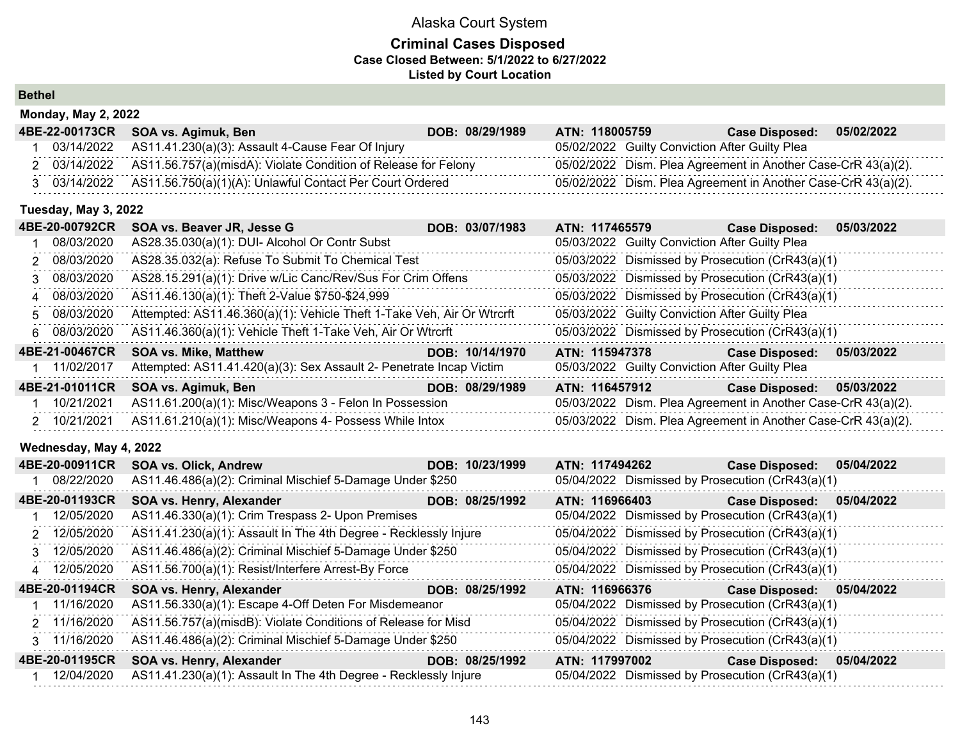### **Criminal Cases Disposed Case Closed Between: 5/1/2022 to 6/27/2022 Listed by Court Location**

**Bethel**

| 05/02/2022<br><b>Case Disposed:</b>                           |
|---------------------------------------------------------------|
|                                                               |
| 05/02/2022 Dism. Plea Agreement in Another Case-CrR 43(a)(2). |
| 05/02/2022 Dism. Plea Agreement in Another Case-CrR 43(a)(2). |
| 05/02/2022 Guilty Conviction After Guilty Plea                |

### **Tuesday, May 3, 2022**

| 4BE-20-00792CR | SOA vs. Beaver JR, Jesse G                                             | DOB: 03/07/1983 | ATN: 117465579                                 | 05/03/2022<br><b>Case Disposed:</b>                           |  |
|----------------|------------------------------------------------------------------------|-----------------|------------------------------------------------|---------------------------------------------------------------|--|
| 08/03/2020     | AS28.35.030(a)(1): DUI- Alcohol Or Contr Subst                         |                 | 05/03/2022 Guilty Conviction After Guilty Plea |                                                               |  |
| 2 08/03/2020   | AS28.35.032(a): Refuse To Submit To Chemical Test                      |                 |                                                | 05/03/2022 Dismissed by Prosecution (CrR43(a)(1)              |  |
| 3 08/03/2020   | AS28.15.291(a)(1): Drive w/Lic Canc/Rev/Sus For Crim Offens            |                 |                                                | 05/03/2022 Dismissed by Prosecution (CrR43(a)(1)              |  |
| 4 08/03/2020   | AS11.46.130(a)(1): Theft 2-Value \$750-\$24,999                        |                 |                                                | 05/03/2022 Dismissed by Prosecution (CrR43(a)(1)              |  |
| 5 08/03/2020   | Attempted: AS11.46.360(a)(1): Vehicle Theft 1-Take Veh, Air Or Wtrcrft |                 | 05/03/2022 Guilty Conviction After Guilty Plea |                                                               |  |
| 6 08/03/2020   | AS11.46.360(a)(1): Vehicle Theft 1-Take Veh, Air Or Wtrcrft            |                 |                                                | 05/03/2022 Dismissed by Prosecution (CrR43(a)(1)              |  |
| 4BE-21-00467CR | <b>SOA vs. Mike, Matthew</b>                                           | DOB: 10/14/1970 | ATN: 115947378                                 | <b>Case Disposed:</b><br>05/03/2022                           |  |
| 1 11/02/2017   | Attempted: AS11.41.420(a)(3): Sex Assault 2- Penetrate Incap Victim    |                 | 05/03/2022 Guilty Conviction After Guilty Plea |                                                               |  |
| 4BE-21-01011CR | SOA vs. Agimuk, Ben                                                    | DOB: 08/29/1989 | ATN: 116457912                                 | 05/03/2022<br><b>Case Disposed:</b>                           |  |
| 10/21/2021     | AS11.61.200(a)(1): Misc/Weapons 3 - Felon In Possession                |                 |                                                | 05/03/2022 Dism. Plea Agreement in Another Case-CrR 43(a)(2). |  |
| 2 10/21/2021   | AS11.61.210(a)(1): Misc/Weapons 4- Possess While Intox                 |                 |                                                | 05/03/2022 Dism. Plea Agreement in Another Case-CrR 43(a)(2). |  |

#### **Wednesday, May 4, 2022**

| 4BE-20-00911CR | <b>SOA vs. Olick, Andrew</b>                                     | DOB: 10/23/1999 | ATN: 117494262                                   | <b>Case Disposed:</b> | 05/04/2022 |
|----------------|------------------------------------------------------------------|-----------------|--------------------------------------------------|-----------------------|------------|
| 08/22/2020     | AS11.46.486(a)(2): Criminal Mischief 5-Damage Under \$250        |                 | 05/04/2022 Dismissed by Prosecution (CrR43(a)(1) |                       |            |
| 4BE-20-01193CR | SOA vs. Henry, Alexander                                         | DOB: 08/25/1992 | ATN: 116966403                                   | <b>Case Disposed:</b> | 05/04/2022 |
| 12/05/2020     | AS11.46.330(a)(1): Crim Trespass 2- Upon Premises                |                 | 05/04/2022 Dismissed by Prosecution (CrR43(a)(1) |                       |            |
| 2 12/05/2020   | AS11.41.230(a)(1): Assault In The 4th Degree - Recklessly Injure |                 | 05/04/2022 Dismissed by Prosecution (CrR43(a)(1) |                       |            |
| 3 12/05/2020   | AS11.46.486(a)(2): Criminal Mischief 5-Damage Under \$250        |                 | 05/04/2022 Dismissed by Prosecution (CrR43(a)(1) |                       |            |
| 4 12/05/2020   | AS11.56.700(a)(1): Resist/Interfere Arrest-By Force              |                 | 05/04/2022 Dismissed by Prosecution (CrR43(a)(1) |                       |            |
| 4BE-20-01194CR | SOA vs. Henry, Alexander                                         | DOB: 08/25/1992 | ATN: 116966376                                   | <b>Case Disposed:</b> | 05/04/2022 |
| 11/16/2020     | AS11.56.330(a)(1): Escape 4-Off Deten For Misdemeanor            |                 | 05/04/2022 Dismissed by Prosecution (CrR43(a)(1) |                       |            |
| 2 11/16/2020   | AS11.56.757(a)(misdB): Violate Conditions of Release for Misd    |                 | 05/04/2022 Dismissed by Prosecution (CrR43(a)(1) |                       |            |
| 3 11/16/2020   | AS11.46.486(a)(2): Criminal Mischief 5-Damage Under \$250        |                 | 05/04/2022 Dismissed by Prosecution (CrR43(a)(1) |                       |            |
| 4BE-20-01195CR | SOA vs. Henry, Alexander                                         | DOB: 08/25/1992 | ATN: 117997002                                   | <b>Case Disposed:</b> | 05/04/2022 |
| 12/04/2020     | AS11.41.230(a)(1): Assault In The 4th Degree - Recklessly Injure |                 | 05/04/2022 Dismissed by Prosecution (CrR43(a)(1) |                       |            |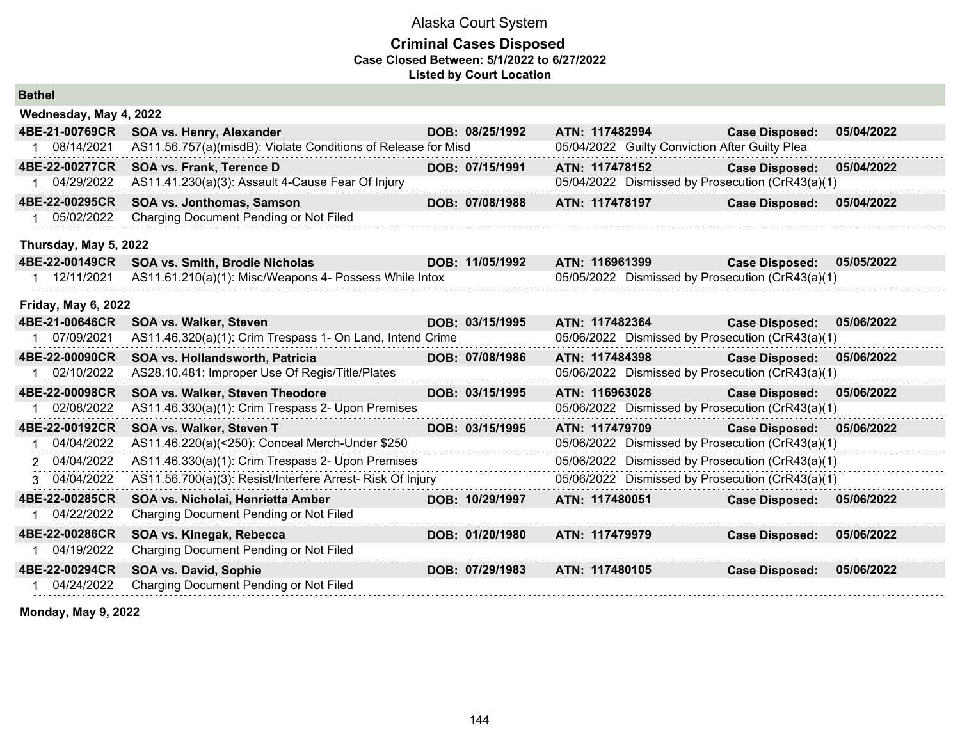#### **Criminal Cases Disposed Case Closed Between: 5/1/2022 to 6/27/2022 Listed by Court Location**

| <b>Bethel</b>              |                |                                                               |  |                 |                |                                                |                                                  |            |  |  |  |  |  |
|----------------------------|----------------|---------------------------------------------------------------|--|-----------------|----------------|------------------------------------------------|--------------------------------------------------|------------|--|--|--|--|--|
| Wednesday, May 4, 2022     |                |                                                               |  |                 |                |                                                |                                                  |            |  |  |  |  |  |
|                            | 4BE-21-00769CR | SOA vs. Henry, Alexander                                      |  | DOB: 08/25/1992 | ATN: 117482994 |                                                | <b>Case Disposed:</b>                            | 05/04/2022 |  |  |  |  |  |
| $\mathbf{1}$               | 08/14/2021     | AS11.56.757(a)(misdB): Violate Conditions of Release for Misd |  |                 |                | 05/04/2022 Guilty Conviction After Guilty Plea |                                                  |            |  |  |  |  |  |
|                            | 4BE-22-00277CR | SOA vs. Frank, Terence D                                      |  | DOB: 07/15/1991 | ATN: 117478152 |                                                | <b>Case Disposed:</b>                            | 05/04/2022 |  |  |  |  |  |
|                            | 04/29/2022     | AS11.41.230(a)(3): Assault 4-Cause Fear Of Injury             |  |                 |                |                                                | 05/04/2022 Dismissed by Prosecution (CrR43(a)(1) |            |  |  |  |  |  |
|                            | 4BE-22-00295CR | SOA vs. Jonthomas, Samson                                     |  | DOB: 07/08/1988 | ATN: 117478197 |                                                | <b>Case Disposed:</b>                            | 05/04/2022 |  |  |  |  |  |
| $\mathbf{1}$               | 05/02/2022     | Charging Document Pending or Not Filed                        |  |                 |                |                                                |                                                  |            |  |  |  |  |  |
| Thursday, May 5, 2022      |                |                                                               |  |                 |                |                                                |                                                  |            |  |  |  |  |  |
|                            | 4BE-22-00149CR | SOA vs. Smith, Brodie Nicholas                                |  | DOB: 11/05/1992 | ATN: 116961399 |                                                | <b>Case Disposed:</b>                            | 05/05/2022 |  |  |  |  |  |
|                            | 1 12/11/2021   | AS11.61.210(a)(1): Misc/Weapons 4- Possess While Intox        |  |                 |                |                                                | 05/05/2022 Dismissed by Prosecution (CrR43(a)(1) |            |  |  |  |  |  |
| <b>Friday, May 6, 2022</b> |                |                                                               |  |                 |                |                                                |                                                  |            |  |  |  |  |  |
|                            | 4BE-21-00646CR | <b>SOA vs. Walker, Steven</b>                                 |  | DOB: 03/15/1995 | ATN: 117482364 |                                                | <b>Case Disposed:</b>                            | 05/06/2022 |  |  |  |  |  |
| 1                          | 07/09/2021     | AS11.46.320(a)(1): Crim Trespass 1- On Land, Intend Crime     |  |                 |                |                                                | 05/06/2022 Dismissed by Prosecution (CrR43(a)(1) |            |  |  |  |  |  |
|                            | 4BE-22-00090CR | SOA vs. Hollandsworth, Patricia                               |  | DOB: 07/08/1986 | ATN: 117484398 |                                                | <b>Case Disposed:</b>                            | 05/06/2022 |  |  |  |  |  |
|                            | 02/10/2022     | AS28.10.481: Improper Use Of Regis/Title/Plates               |  |                 |                |                                                | 05/06/2022 Dismissed by Prosecution (CrR43(a)(1) |            |  |  |  |  |  |
|                            | 4BE-22-00098CR | SOA vs. Walker, Steven Theodore                               |  | DOB: 03/15/1995 | ATN: 116963028 |                                                | <b>Case Disposed:</b>                            | 05/06/2022 |  |  |  |  |  |
|                            | 02/08/2022     | AS11.46.330(a)(1): Crim Trespass 2- Upon Premises             |  |                 |                |                                                | 05/06/2022 Dismissed by Prosecution (CrR43(a)(1) |            |  |  |  |  |  |
|                            | 4BE-22-00192CR | SOA vs. Walker, Steven T                                      |  | DOB: 03/15/1995 | ATN: 117479709 |                                                | <b>Case Disposed:</b>                            | 05/06/2022 |  |  |  |  |  |
| 1                          | 04/04/2022     | AS11.46.220(a)(<250): Conceal Merch-Under \$250               |  |                 |                |                                                | 05/06/2022 Dismissed by Prosecution (CrR43(a)(1) |            |  |  |  |  |  |
|                            | 2 04/04/2022   | AS11.46.330(a)(1): Crim Trespass 2- Upon Premises             |  |                 |                |                                                | 05/06/2022 Dismissed by Prosecution (CrR43(a)(1) |            |  |  |  |  |  |
|                            | 3 04/04/2022   | AS11.56.700(a)(3): Resist/Interfere Arrest- Risk Of Injury    |  |                 |                |                                                | 05/06/2022 Dismissed by Prosecution (CrR43(a)(1) |            |  |  |  |  |  |
|                            | 4BE-22-00285CR | SOA vs. Nicholai, Henrietta Amber                             |  | DOB: 10/29/1997 | ATN: 117480051 |                                                | <b>Case Disposed:</b>                            | 05/06/2022 |  |  |  |  |  |
|                            | 04/22/2022     | Charging Document Pending or Not Filed                        |  |                 |                |                                                |                                                  |            |  |  |  |  |  |
|                            | 4BE-22-00286CR | SOA vs. Kinegak, Rebecca                                      |  | DOB: 01/20/1980 | ATN: 117479979 |                                                | <b>Case Disposed:</b>                            | 05/06/2022 |  |  |  |  |  |
|                            | 04/19/2022     | Charging Document Pending or Not Filed                        |  |                 |                |                                                |                                                  |            |  |  |  |  |  |
|                            | 4BE-22-00294CR | SOA vs. David, Sophie                                         |  | DOB: 07/29/1983 | ATN: 117480105 |                                                | <b>Case Disposed:</b>                            | 05/06/2022 |  |  |  |  |  |
|                            | 04/24/2022     | Charging Document Pending or Not Filed                        |  |                 |                |                                                |                                                  |            |  |  |  |  |  |

**Monday, May 9, 2022**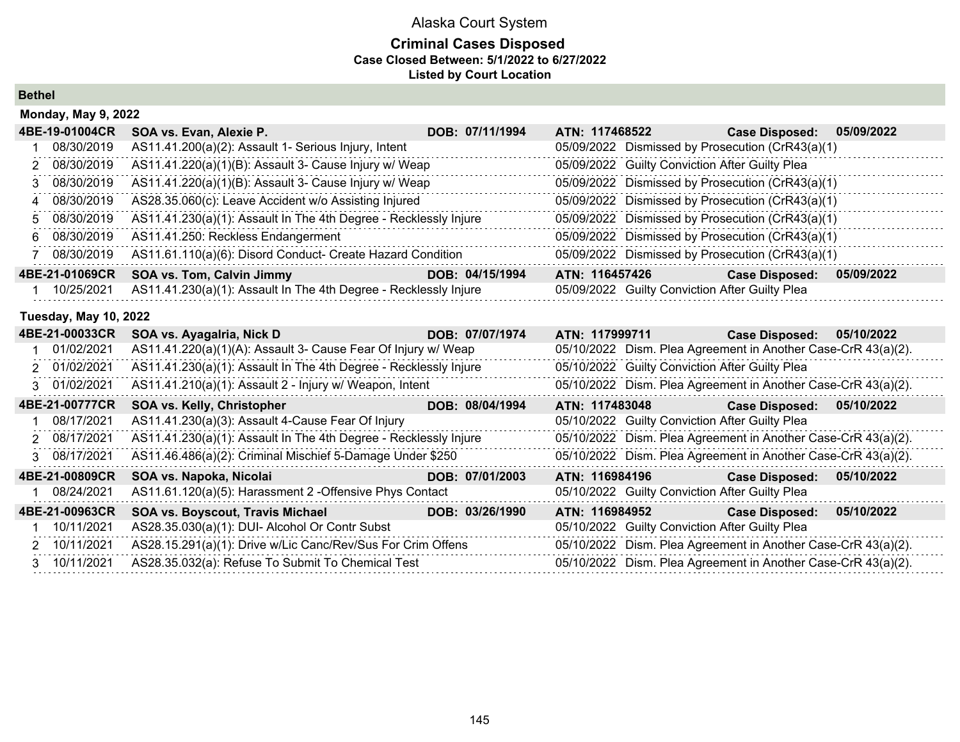## **Criminal Cases Disposed Case Closed Between: 5/1/2022 to 6/27/2022 Listed by Court Location**

**Bethel**

| <b>Monday, May 9, 2022</b> |                                                                  |                 |                                                  |                       |            |  |  |
|----------------------------|------------------------------------------------------------------|-----------------|--------------------------------------------------|-----------------------|------------|--|--|
| 4BE-19-01004CR             | SOA vs. Evan, Alexie P.                                          | DOB: 07/11/1994 | ATN: 117468522                                   | <b>Case Disposed:</b> | 05/09/2022 |  |  |
| 08/30/2019                 | AS11.41.200(a)(2): Assault 1- Serious Injury, Intent             |                 | 05/09/2022 Dismissed by Prosecution (CrR43(a)(1) |                       |            |  |  |
| 2 08/30/2019               | AS11.41.220(a)(1)(B): Assault 3- Cause Injury w/ Weap            |                 | 05/09/2022 Guilty Conviction After Guilty Plea   |                       |            |  |  |
| 3 08/30/2019               | AS11.41.220(a)(1)(B): Assault 3- Cause Injury w/ Weap            |                 | 05/09/2022 Dismissed by Prosecution (CrR43(a)(1) |                       |            |  |  |
| 4 08/30/2019               | AS28.35.060(c): Leave Accident w/o Assisting Injured             |                 | 05/09/2022 Dismissed by Prosecution (CrR43(a)(1) |                       |            |  |  |
| 5 08/30/2019               | AS11.41.230(a)(1): Assault In The 4th Degree - Recklessly Injure |                 | 05/09/2022 Dismissed by Prosecution (CrR43(a)(1) |                       |            |  |  |
| 6 08/30/2019               | AS11.41.250: Reckless Endangerment                               |                 | 05/09/2022 Dismissed by Prosecution (CrR43(a)(1) |                       |            |  |  |
| 08/30/2019                 | AS11.61.110(a)(6): Disord Conduct- Create Hazard Condition       |                 | 05/09/2022 Dismissed by Prosecution (CrR43(a)(1) |                       |            |  |  |
| 4BE-21-01069CR             | <b>SOA vs. Tom, Calvin Jimmy</b>                                 | DOB: 04/15/1994 | ATN: 116457426                                   | <b>Case Disposed:</b> | 05/09/2022 |  |  |
| 10/25/2021                 | AS11.41.230(a)(1): Assault In The 4th Degree - Recklessly Injure |                 | 05/09/2022 Guilty Conviction After Guilty Plea   |                       |            |  |  |

## **Tuesday, May 10, 2022**

| 4BE-21-00033CR | SOA vs. Ayagalria, Nick D                                        | DOB: 07/07/1974 | ATN: 117999711                                                | <b>Case Disposed:</b>                                         | 05/10/2022 |
|----------------|------------------------------------------------------------------|-----------------|---------------------------------------------------------------|---------------------------------------------------------------|------------|
| 01/02/2021     | AS11.41.220(a)(1)(A): Assault 3- Cause Fear Of Injury w/ Weap    |                 | 05/10/2022 Dism. Plea Agreement in Another Case-CrR 43(a)(2). |                                                               |            |
| 2 01/02/2021   | AS11.41.230(a)(1): Assault In The 4th Degree - Recklessly Injure |                 |                                                               | 05/10/2022 Guilty Conviction After Guilty Plea                |            |
| 3 01/02/2021   | AS11.41.210(a)(1): Assault 2 - Injury w/ Weapon, Intent          |                 |                                                               | 05/10/2022 Dism. Plea Agreement in Another Case-CrR 43(a)(2). |            |
| 4BE-21-00777CR | <b>SOA vs. Kelly, Christopher</b>                                | DOB: 08/04/1994 | ATN: 117483048                                                | <b>Case Disposed:</b>                                         | 05/10/2022 |
| 08/17/2021     | AS11.41.230(a)(3): Assault 4-Cause Fear Of Injury                |                 |                                                               | 05/10/2022 Guilty Conviction After Guilty Plea                |            |
| 2 08/17/2021   | AS11.41.230(a)(1): Assault In The 4th Degree - Recklessly Injure |                 |                                                               | 05/10/2022 Dism. Plea Agreement in Another Case-CrR 43(a)(2). |            |
| 3 08/17/2021   | AS11.46.486(a)(2): Criminal Mischief 5-Damage Under \$250        |                 |                                                               | 05/10/2022 Dism. Plea Agreement in Another Case-CrR 43(a)(2). |            |
| 4BE-21-00809CR | SOA vs. Napoka, Nicolai                                          | DOB: 07/01/2003 | ATN: 116984196                                                | <b>Case Disposed:</b>                                         | 05/10/2022 |
| 08/24/2021     | AS11.61.120(a)(5): Harassment 2 - Offensive Phys Contact         |                 |                                                               | 05/10/2022 Guilty Conviction After Guilty Plea                |            |
| 4BE-21-00963CR | <b>SOA vs. Boyscout, Travis Michael</b>                          | DOB: 03/26/1990 | ATN: 116984952                                                | <b>Case Disposed:</b>                                         | 05/10/2022 |
| 10/11/2021     | AS28.35.030(a)(1): DUI- Alcohol Or Contr Subst                   |                 |                                                               | 05/10/2022 Guilty Conviction After Guilty Plea                |            |
| 2 10/11/2021   | AS28.15.291(a)(1): Drive w/Lic Canc/Rev/Sus For Crim Offens      |                 |                                                               | 05/10/2022 Dism. Plea Agreement in Another Case-CrR 43(a)(2). |            |
| 3 10/11/2021   | AS28.35.032(a): Refuse To Submit To Chemical Test                |                 |                                                               | 05/10/2022 Dism. Plea Agreement in Another Case-CrR 43(a)(2). |            |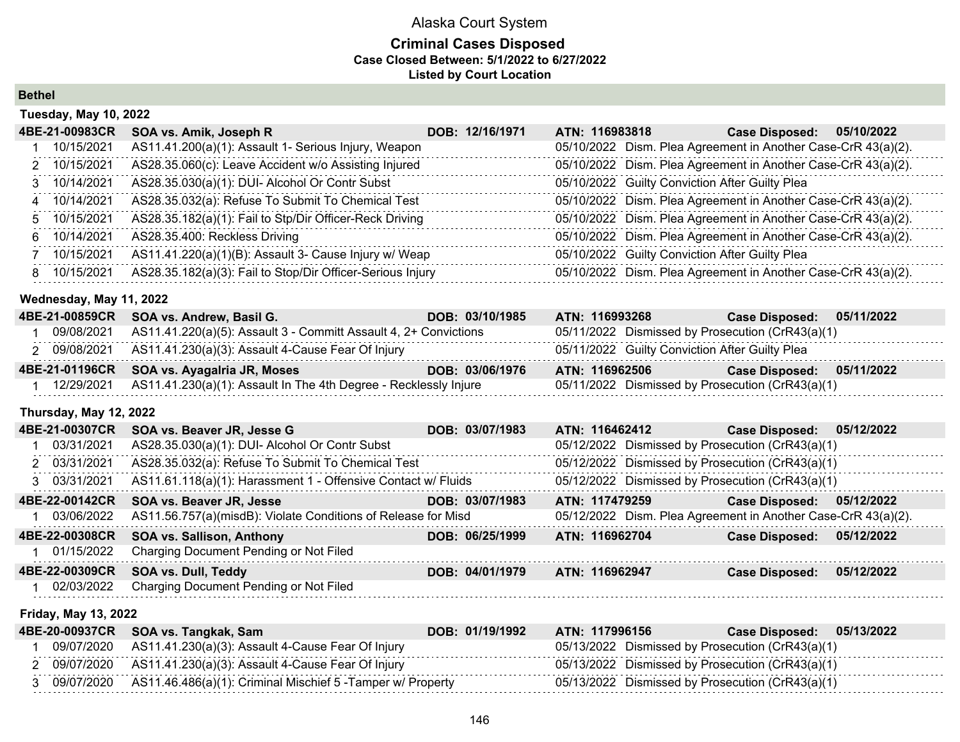## **Criminal Cases Disposed Case Closed Between: 5/1/2022 to 6/27/2022 Listed by Court Location**

**Bethel**

|    | <b>Tuesday, May 10, 2022</b> |                                                            |                 |                |                                                |                                                               |            |
|----|------------------------------|------------------------------------------------------------|-----------------|----------------|------------------------------------------------|---------------------------------------------------------------|------------|
|    | 4BE-21-00983CR               | SOA vs. Amik, Joseph R                                     | DOB: 12/16/1971 | ATN: 116983818 |                                                | <b>Case Disposed:</b>                                         | 05/10/2022 |
|    | 10/15/2021                   | AS11.41.200(a)(1): Assault 1- Serious Injury, Weapon       |                 |                |                                                | 05/10/2022 Dism. Plea Agreement in Another Case-CrR 43(a)(2). |            |
|    | 2 10/15/2021                 | AS28.35.060(c): Leave Accident w/o Assisting Injured       |                 |                |                                                | 05/10/2022 Dism. Plea Agreement in Another Case-CrR 43(a)(2). |            |
|    | 3 10/14/2021                 | AS28.35.030(a)(1): DUI- Alcohol Or Contr Subst             |                 |                | 05/10/2022 Guilty Conviction After Guilty Plea |                                                               |            |
| 4  | 10/14/2021                   | AS28.35.032(a): Refuse To Submit To Chemical Test          |                 |                |                                                | 05/10/2022 Dism. Plea Agreement in Another Case-CrR 43(a)(2). |            |
|    | 5 10/15/2021                 | AS28.35.182(a)(1): Fail to Stp/Dir Officer-Reck Driving    |                 |                |                                                | 05/10/2022 Dism. Plea Agreement in Another Case-CrR 43(a)(2). |            |
|    | 6 10/14/2021                 | AS28.35.400: Reckless Driving                              |                 |                |                                                | 05/10/2022 Dism. Plea Agreement in Another Case-CrR 43(a)(2). |            |
|    | 10/15/2021                   | AS11.41.220(a)(1)(B): Assault 3- Cause Injury w/ Weap      |                 |                | 05/10/2022 Guilty Conviction After Guilty Plea |                                                               |            |
| 8. | 10/15/2021                   | AS28.35.182(a)(3): Fail to Stop/Dir Officer-Serious Injury |                 |                |                                                | 05/10/2022 Dism. Plea Agreement in Another Case-CrR 43(a)(2). |            |

#### **Wednesday, May 11, 2022**

|            | 4BE-21-00859CR SOA vs. Andrew, Basil G.                          | DOB: 03/10/1985 | ATN: 116993268                                   | 05/11/2022<br><b>Case Disposed:</b> |  |
|------------|------------------------------------------------------------------|-----------------|--------------------------------------------------|-------------------------------------|--|
| 09/08/2021 | AS11.41.220(a)(5): Assault 3 - Committ Assault 4, 2+ Convictions |                 | 05/11/2022 Dismissed by Prosecution (CrR43(a)(1) |                                     |  |
|            | 2 09/08/2021 AS11.41.230(a)(3): Assault 4-Cause Fear Of Injury   |                 | 05/11/2022 Guilty Conviction After Guilty Plea   |                                     |  |
|            | 4BE-21-01196CR SOA vs. Ayagalria JR, Moses                       | DOB: 03/06/1976 | ATN: 116962506                                   | 05/11/2022<br><b>Case Disposed:</b> |  |
| 12/29/2021 | AS11.41.230(a)(1): Assault In The 4th Degree - Recklessly Injure |                 | 05/11/2022 Dismissed by Prosecution (CrR43(a)(1) |                                     |  |

## **Thursday, May 12, 2022**

| 4BE-21-00307CR | SOA vs. Beaver JR, Jesse G                                    | DOB: 03/07/1983 | ATN: 116462412                                                | <b>Case Disposed:</b> | 05/12/2022 |
|----------------|---------------------------------------------------------------|-----------------|---------------------------------------------------------------|-----------------------|------------|
| 1 03/31/2021   | AS28.35.030(a)(1): DUI- Alcohol Or Contr Subst                |                 | 05/12/2022 Dismissed by Prosecution (CrR43(a)(1)              |                       |            |
| 2 03/31/2021   | AS28.35.032(a): Refuse To Submit To Chemical Test             |                 | 05/12/2022 Dismissed by Prosecution (CrR43(a)(1)              |                       |            |
| 3 03/31/2021   | AS11.61.118(a)(1): Harassment 1 - Offensive Contact w/ Fluids |                 | 05/12/2022 Dismissed by Prosecution (CrR43(a)(1)              |                       |            |
| 4BE-22-00142CR | SOA vs. Beaver JR, Jesse                                      | DOB: 03/07/1983 | ATN: 117479259                                                | <b>Case Disposed:</b> | 05/12/2022 |
| 1 03/06/2022   | AS11.56.757(a)(misdB): Violate Conditions of Release for Misd |                 | 05/12/2022 Dism. Plea Agreement in Another Case-CrR 43(a)(2). |                       |            |
| 4BE-22-00308CR | <b>SOA vs. Sallison, Anthony</b>                              | DOB: 06/25/1999 | ATN: 116962704                                                | <b>Case Disposed:</b> | 05/12/2022 |
| 1 01/15/2022   | Charging Document Pending or Not Filed                        |                 |                                                               |                       |            |
| 4BE-22-00309CR | SOA vs. Dull, Teddy                                           | DOB: 04/01/1979 | ATN: 116962947                                                | <b>Case Disposed:</b> | 05/12/2022 |
| 1 02/03/2022   | Charging Document Pending or Not Filed                        |                 |                                                               |                       |            |
|                |                                                               |                 |                                                               |                       |            |

## **Friday, May 13, 2022**

|  | 4BE-20-00937CR SOA vs. Tangkak, Sam                                      | DOB: 01/19/1992 | ATN: 117996156 | <b>Case Disposed:</b>                            | 05/13/2022 |
|--|--------------------------------------------------------------------------|-----------------|----------------|--------------------------------------------------|------------|
|  | 09/07/2020 AS11.41.230(a)(3): Assault 4-Cause Fear Of Injury             |                 |                | 05/13/2022 Dismissed by Prosecution (CrR43(a)(1) |            |
|  | 2 09/07/2020 AS11.41.230(a)(3): Assault 4-Cause Fear Of Injury           |                 |                | 05/13/2022 Dismissed by Prosecution (CrR43(a)(1) |            |
|  | 3 09/07/2020 AS11.46.486(a)(1): Criminal Mischief 5 - Tamper w/ Property |                 |                | 05/13/2022 Dismissed by Prosecution (CrR43(a)(1) |            |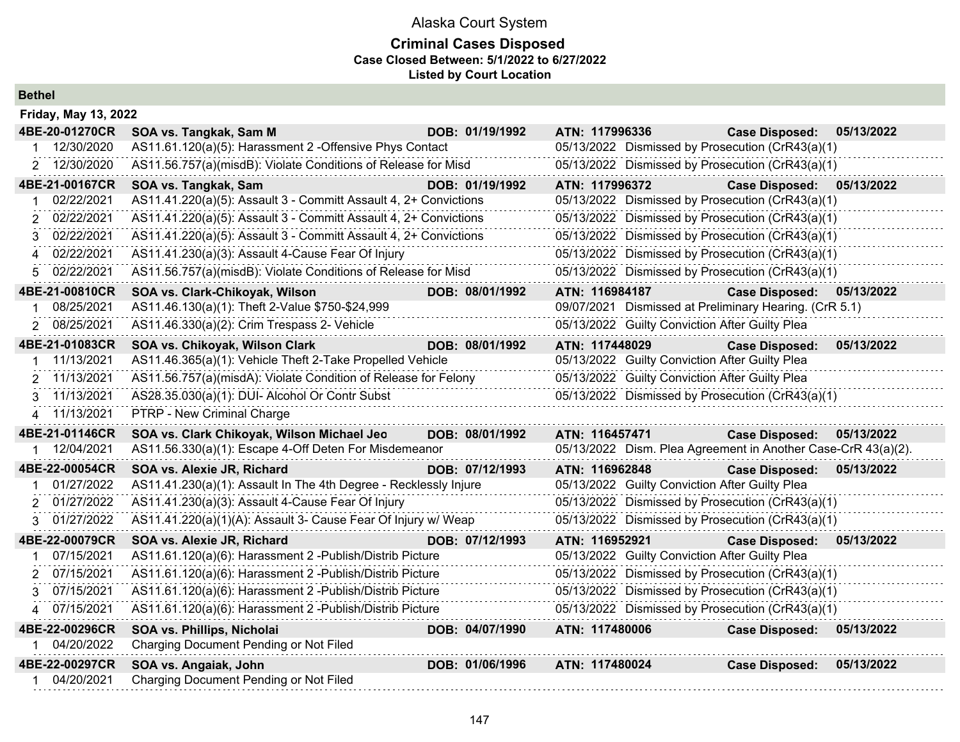## **Criminal Cases Disposed Case Closed Between: 5/1/2022 to 6/27/2022 Listed by Court Location**

**Bethel**

| <b>Friday, May 13, 2022</b> |                                                                  |                 |                                                               |                           |            |
|-----------------------------|------------------------------------------------------------------|-----------------|---------------------------------------------------------------|---------------------------|------------|
| 4BE-20-01270CR              | SOA vs. Tangkak, Sam M                                           | DOB: 01/19/1992 | ATN: 117996336                                                | <b>Case Disposed:</b>     | 05/13/2022 |
| 12/30/2020                  | AS11.61.120(a)(5): Harassment 2 -Offensive Phys Contact          |                 | 05/13/2022 Dismissed by Prosecution (CrR43(a)(1)              |                           |            |
| 2 12/30/2020                | AS11.56.757(a)(misdB): Violate Conditions of Release for Misd    |                 | 05/13/2022 Dismissed by Prosecution (CrR43(a)(1)              |                           |            |
| 4BE-21-00167CR              | SOA vs. Tangkak, Sam                                             | DOB: 01/19/1992 | ATN: 117996372                                                | <b>Case Disposed:</b>     | 05/13/2022 |
| 02/22/2021                  | AS11.41.220(a)(5): Assault 3 - Committ Assault 4, 2+ Convictions |                 | 05/13/2022 Dismissed by Prosecution (CrR43(a)(1)              |                           |            |
| 2 02/22/2021                | AS11.41.220(a)(5): Assault 3 - Committ Assault 4, 2+ Convictions |                 | 05/13/2022 Dismissed by Prosecution (CrR43(a)(1)              |                           |            |
| 02/22/2021<br>3             | AS11.41.220(a)(5): Assault 3 - Committ Assault 4, 2+ Convictions |                 | 05/13/2022 Dismissed by Prosecution (CrR43(a)(1)              |                           |            |
| 02/22/2021<br>4             | AS11.41.230(a)(3): Assault 4-Cause Fear Of Injury                |                 | 05/13/2022 Dismissed by Prosecution (CrR43(a)(1)              |                           |            |
| 02/22/2021<br>5             | AS11.56.757(a)(misdB): Violate Conditions of Release for Misd    |                 | 05/13/2022 Dismissed by Prosecution (CrR43(a)(1)              |                           |            |
| 4BE-21-00810CR              | SOA vs. Clark-Chikoyak, Wilson                                   | DOB: 08/01/1992 | ATN: 116984187                                                | Case Disposed: 05/13/2022 |            |
| 08/25/2021                  | AS11.46.130(a)(1): Theft 2-Value \$750-\$24,999                  |                 | 09/07/2021 Dismissed at Preliminary Hearing. (CrR 5.1)        |                           |            |
| 08/25/2021                  | AS11.46.330(a)(2): Crim Trespass 2- Vehicle                      |                 | 05/13/2022 Guilty Conviction After Guilty Plea                |                           |            |
| 4BE-21-01083CR              | SOA vs. Chikoyak, Wilson Clark                                   | DOB: 08/01/1992 | ATN: 117448029                                                | <b>Case Disposed:</b>     | 05/13/2022 |
| 11/13/2021                  | AS11.46.365(a)(1): Vehicle Theft 2-Take Propelled Vehicle        |                 | 05/13/2022 Guilty Conviction After Guilty Plea                |                           |            |
| 11/13/2021<br>2             | AS11.56.757(a)(misdA): Violate Condition of Release for Felony   |                 | 05/13/2022 Guilty Conviction After Guilty Plea                |                           |            |
| 11/13/2021<br>3             | AS28.35.030(a)(1): DUI- Alcohol Or Contr Subst                   |                 | 05/13/2022 Dismissed by Prosecution (CrR43(a)(1)              |                           |            |
| 4 11/13/2021                | PTRP - New Criminal Charge                                       |                 |                                                               |                           |            |
| 4BE-21-01146CR              | SOA vs. Clark Chikoyak, Wilson Michael Jeo                       | DOB: 08/01/1992 | ATN: 116457471                                                | <b>Case Disposed:</b>     | 05/13/2022 |
| 12/04/2021                  | AS11.56.330(a)(1): Escape 4-Off Deten For Misdemeanor            |                 | 05/13/2022 Dism. Plea Agreement in Another Case-CrR 43(a)(2). |                           |            |
| 4BE-22-00054CR              | SOA vs. Alexie JR, Richard                                       | DOB: 07/12/1993 | ATN: 116962848                                                | <b>Case Disposed:</b>     | 05/13/2022 |
| 01/27/2022                  | AS11.41.230(a)(1): Assault In The 4th Degree - Recklessly Injure |                 | 05/13/2022 Guilty Conviction After Guilty Plea                |                           |            |
| 2 01/27/2022                | AS11.41.230(a)(3): Assault 4-Cause Fear Of Injury                |                 | 05/13/2022 Dismissed by Prosecution (CrR43(a)(1)              |                           |            |
| 3 01/27/2022                | AS11.41.220(a)(1)(A): Assault 3- Cause Fear Of Injury w/ Weap    |                 | 05/13/2022 Dismissed by Prosecution (CrR43(a)(1)              |                           |            |
| 4BE-22-00079CR              | SOA vs. Alexie JR, Richard                                       | DOB: 07/12/1993 | ATN: 116952921                                                | <b>Case Disposed:</b>     | 05/13/2022 |
| 07/15/2021                  | AS11.61.120(a)(6): Harassment 2 - Publish/Distrib Picture        |                 | 05/13/2022 Guilty Conviction After Guilty Plea                |                           |            |
| 07/15/2021<br>$\mathcal{P}$ | AS11.61.120(a)(6): Harassment 2 - Publish/Distrib Picture        |                 | 05/13/2022 Dismissed by Prosecution (CrR43(a)(1)              |                           |            |
| 07/15/2021<br>3             | AS11.61.120(a)(6): Harassment 2 - Publish/Distrib Picture        |                 | 05/13/2022 Dismissed by Prosecution (CrR43(a)(1)              |                           |            |
| 07/15/2021<br>4             | AS11.61.120(a)(6): Harassment 2 - Publish/Distrib Picture        |                 | 05/13/2022 Dismissed by Prosecution (CrR43(a)(1)              |                           |            |
| 4BE-22-00296CR              | <b>SOA vs. Phillips, Nicholai</b>                                | DOB: 04/07/1990 | ATN: 117480006                                                | <b>Case Disposed:</b>     | 05/13/2022 |
| 1 04/20/2022                | Charging Document Pending or Not Filed                           |                 |                                                               |                           |            |
| 4BE-22-00297CR              | SOA vs. Angaiak, John                                            | DOB: 01/06/1996 | ATN: 117480024                                                | <b>Case Disposed:</b>     | 05/13/2022 |
| 04/20/2021                  | Charging Document Pending or Not Filed                           |                 |                                                               |                           |            |
|                             |                                                                  |                 |                                                               |                           |            |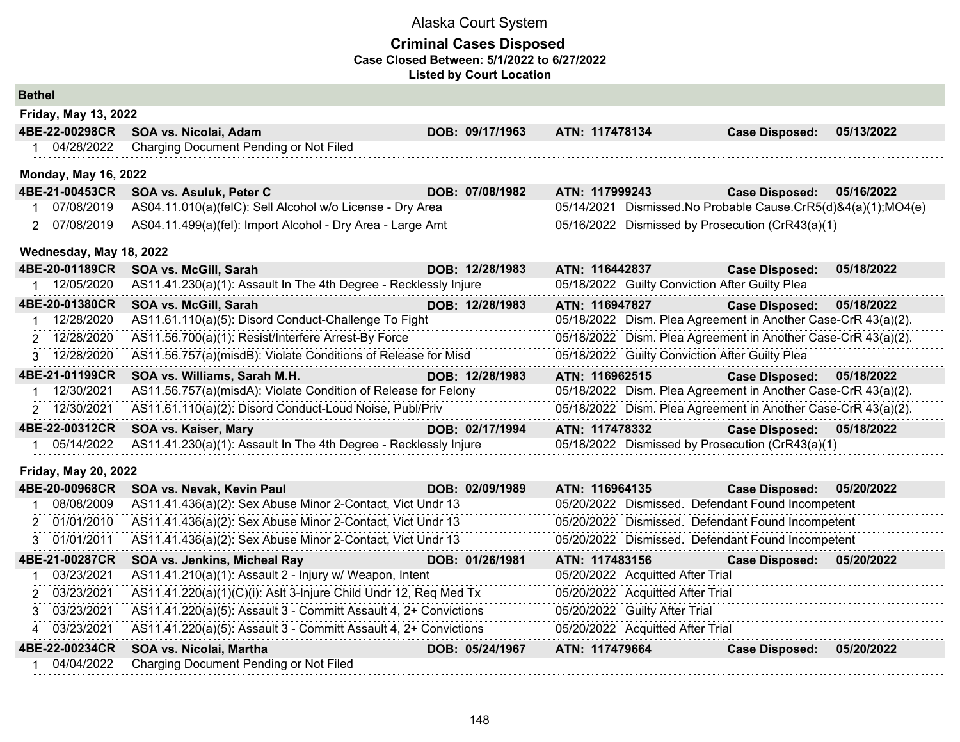### **Criminal Cases Disposed Case Closed Between: 5/1/2022 to 6/27/2022 Listed by Court Location**

| <b>Bethel</b> |                             |                                                                  |                 |                                                               |                           |            |
|---------------|-----------------------------|------------------------------------------------------------------|-----------------|---------------------------------------------------------------|---------------------------|------------|
|               | Friday, May 13, 2022        |                                                                  |                 |                                                               |                           |            |
|               | 4BE-22-00298CR              | SOA vs. Nicolai, Adam                                            | DOB: 09/17/1963 | ATN: 117478134                                                | <b>Case Disposed:</b>     | 05/13/2022 |
| 1             | 04/28/2022                  | Charging Document Pending or Not Filed                           |                 |                                                               |                           |            |
|               | <b>Monday, May 16, 2022</b> |                                                                  |                 |                                                               |                           |            |
|               | 4BE-21-00453CR              | SOA vs. Asuluk, Peter C                                          | DOB: 07/08/1982 | ATN: 117999243                                                | <b>Case Disposed:</b>     | 05/16/2022 |
|               | 1 07/08/2019                | AS04.11.010(a)(felC): Sell Alcohol w/o License - Dry Area        |                 | 05/14/2021 Dismissed.No Probable Cause.CrR5(d)&4(a)(1);MO4(e) |                           |            |
|               | 2 07/08/2019                | AS04.11.499(a)(fel): Import Alcohol - Dry Area - Large Amt       |                 | 05/16/2022 Dismissed by Prosecution (CrR43(a)(1)              |                           |            |
|               | Wednesday, May 18, 2022     |                                                                  |                 |                                                               |                           |            |
|               | 4BE-20-01189CR              | SOA vs. McGill, Sarah                                            | DOB: 12/28/1983 | ATN: 116442837                                                | <b>Case Disposed:</b>     | 05/18/2022 |
|               | 1 12/05/2020                | AS11.41.230(a)(1): Assault In The 4th Degree - Recklessly Injure |                 | 05/18/2022 Guilty Conviction After Guilty Plea                |                           |            |
|               | 4BE-20-01380CR              | SOA vs. McGill, Sarah                                            | DOB: 12/28/1983 | ATN: 116947827                                                | <b>Case Disposed:</b>     | 05/18/2022 |
|               | 12/28/2020                  | AS11.61.110(a)(5): Disord Conduct-Challenge To Fight             |                 | 05/18/2022 Dism. Plea Agreement in Another Case-CrR 43(a)(2). |                           |            |
|               | 2 12/28/2020                | AS11.56.700(a)(1): Resist/Interfere Arrest-By Force              |                 | 05/18/2022 Dism. Plea Agreement in Another Case-CrR 43(a)(2). |                           |            |
|               | 3 12/28/2020                | AS11.56.757(a)(misdB): Violate Conditions of Release for Misd    |                 | 05/18/2022 Guilty Conviction After Guilty Plea                |                           |            |
|               | 4BE-21-01199CR              | SOA vs. Williams, Sarah M.H.                                     | DOB: 12/28/1983 | ATN: 116962515                                                | <b>Case Disposed:</b>     | 05/18/2022 |
|               | 12/30/2021                  | AS11.56.757(a)(misdA): Violate Condition of Release for Felony   |                 | 05/18/2022 Dism. Plea Agreement in Another Case-CrR 43(a)(2). |                           |            |
|               | 2 12/30/2021                | AS11.61.110(a)(2): Disord Conduct-Loud Noise, Publ/Priv          |                 | 05/18/2022 Dism. Plea Agreement in Another Case-CrR 43(a)(2). |                           |            |
|               | 4BE-22-00312CR              | SOA vs. Kaiser, Mary                                             | DOB: 02/17/1994 | ATN: 117478332                                                | Case Disposed: 05/18/2022 |            |
|               | 05/14/2022                  | AS11.41.230(a)(1): Assault In The 4th Degree - Recklessly Injure |                 | 05/18/2022 Dismissed by Prosecution (CrR43(a)(1)              |                           |            |
|               | <b>Friday, May 20, 2022</b> |                                                                  |                 |                                                               |                           |            |
|               | 4BE-20-00968CR              | SOA vs. Nevak, Kevin Paul                                        | DOB: 02/09/1989 | ATN: 116964135                                                | <b>Case Disposed:</b>     | 05/20/2022 |
|               | 1 08/08/2009                | AS11.41.436(a)(2): Sex Abuse Minor 2-Contact, Vict Undr 13       |                 | 05/20/2022 Dismissed. Defendant Found Incompetent             |                           |            |
|               | 2 01/01/2010                | AS11.41.436(a)(2): Sex Abuse Minor 2-Contact, Vict Undr 13       |                 | 05/20/2022 Dismissed. Defendant Found Incompetent             |                           |            |
|               | 3 01/01/2011                | AS11.41.436(a)(2): Sex Abuse Minor 2-Contact, Vict Undr 13       |                 | 05/20/2022 Dismissed. Defendant Found Incompetent             |                           |            |
|               | 4BE-21-00287CR              | SOA vs. Jenkins, Micheal Ray                                     | DOB: 01/26/1981 | ATN: 117483156                                                | Case Disposed: 05/20/2022 |            |

**4BE-22-00234CR SOA vs. Nicolai, Martha DOB: 05/24/1967 ATN: 117479664 Case Disposed: 05/20/2022**

 03/23/2021 AS11.41.210(a)(1): Assault 2 - Injury w/ Weapon, Intent 05/20/2022 Acquitted After Trial 03/23/2021 AS11.41.220(a)(1)(C)(i): Aslt 3-Injure Child Undr 12, Req Med Tx 05/20/2022 Acquitted After Trial 03/23/2021 AS11.41.220(a)(5): Assault 3 - Committ Assault 4, 2+ Convictions 05/20/2022 Guilty After Trial 03/23/2021 AS11.41.220(a)(5): Assault 3 - Committ Assault 4, 2+ Convictions 05/20/2022 Acquitted After Trial

1 04/04/2022 Charging Document Pending or Not Filed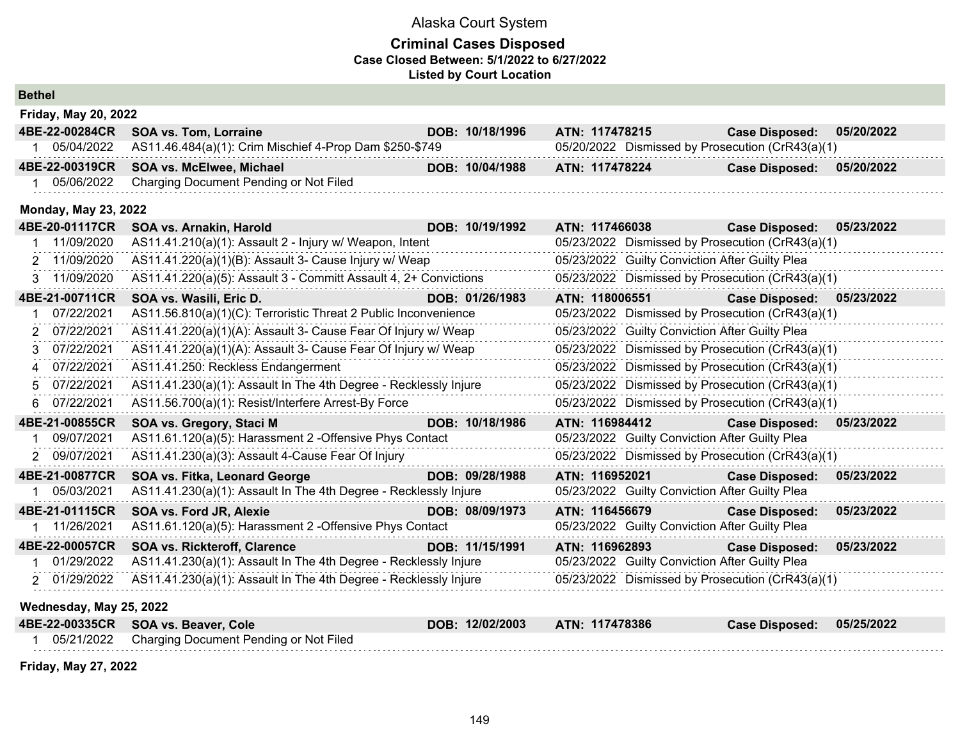## **Criminal Cases Disposed Case Closed Between: 5/1/2022 to 6/27/2022 Listed by Court Location**

| <b>Bethel</b>               |                                                                  |                 |                                                  |                       |            |
|-----------------------------|------------------------------------------------------------------|-----------------|--------------------------------------------------|-----------------------|------------|
| <b>Friday, May 20, 2022</b> |                                                                  |                 |                                                  |                       |            |
| 4BE-22-00284CR              | <b>SOA vs. Tom, Lorraine</b>                                     | DOB: 10/18/1996 | ATN: 117478215                                   | <b>Case Disposed:</b> | 05/20/2022 |
| 1 05/04/2022                | AS11.46.484(a)(1): Crim Mischief 4-Prop Dam \$250-\$749          |                 | 05/20/2022 Dismissed by Prosecution (CrR43(a)(1) |                       |            |
| 4BE-22-00319CR              | SOA vs. McElwee, Michael                                         | DOB: 10/04/1988 | ATN: 117478224                                   | <b>Case Disposed:</b> | 05/20/2022 |
| 1 05/06/2022                | Charging Document Pending or Not Filed                           |                 |                                                  |                       |            |
| <b>Monday, May 23, 2022</b> |                                                                  |                 |                                                  |                       |            |
| 4BE-20-01117CR              | SOA vs. Arnakin, Harold                                          | DOB: 10/19/1992 | ATN: 117466038                                   | <b>Case Disposed:</b> | 05/23/2022 |
| 11/09/2020                  | AS11.41.210(a)(1): Assault 2 - Injury w/ Weapon, Intent          |                 | 05/23/2022 Dismissed by Prosecution (CrR43(a)(1) |                       |            |
| 2 11/09/2020                | AS11.41.220(a)(1)(B): Assault 3- Cause Injury w/ Weap            |                 | 05/23/2022 Guilty Conviction After Guilty Plea   |                       |            |
| 3 11/09/2020                | AS11.41.220(a)(5): Assault 3 - Committ Assault 4, 2+ Convictions |                 | 05/23/2022 Dismissed by Prosecution (CrR43(a)(1) |                       |            |
| 4BE-21-00711CR              | SOA vs. Wasili, Eric D.                                          | DOB: 01/26/1983 | ATN: 118006551                                   | <b>Case Disposed:</b> | 05/23/2022 |
| 07/22/2021                  | AS11.56.810(a)(1)(C): Terroristic Threat 2 Public Inconvenience  |                 | 05/23/2022 Dismissed by Prosecution (CrR43(a)(1) |                       |            |
| 07/22/2021<br>2             | AS11.41.220(a)(1)(A): Assault 3- Cause Fear Of Injury w/ Weap    |                 | 05/23/2022 Guilty Conviction After Guilty Plea   |                       |            |
| 07/22/2021<br>3             | AS11.41.220(a)(1)(A): Assault 3- Cause Fear Of Injury w/ Weap    |                 | 05/23/2022 Dismissed by Prosecution (CrR43(a)(1) |                       |            |
| 4 07/22/2021                | AS11.41.250: Reckless Endangerment                               |                 | 05/23/2022 Dismissed by Prosecution (CrR43(a)(1) |                       |            |
| 07/22/2021<br>5.            | AS11.41.230(a)(1): Assault In The 4th Degree - Recklessly Injure |                 | 05/23/2022 Dismissed by Prosecution (CrR43(a)(1) |                       |            |
| 07/22/2021<br>6             | AS11.56.700(a)(1): Resist/Interfere Arrest-By Force              |                 | 05/23/2022 Dismissed by Prosecution (CrR43(a)(1) |                       |            |
| 4BE-21-00855CR              | SOA vs. Gregory, Staci M                                         | DOB: 10/18/1986 | ATN: 116984412                                   | <b>Case Disposed:</b> | 05/23/2022 |
| 09/07/2021                  | AS11.61.120(a)(5): Harassment 2 -Offensive Phys Contact          |                 | 05/23/2022 Guilty Conviction After Guilty Plea   |                       |            |
| 09/07/2021<br>2             | AS11.41.230(a)(3): Assault 4-Cause Fear Of Injury                |                 | 05/23/2022 Dismissed by Prosecution (CrR43(a)(1) |                       |            |
| 4BE-21-00877CR              | <b>SOA vs. Fitka, Leonard George</b>                             | DOB: 09/28/1988 | ATN: 116952021                                   | <b>Case Disposed:</b> | 05/23/2022 |
| 1 05/03/2021                | AS11.41.230(a)(1): Assault In The 4th Degree - Recklessly Injure |                 | 05/23/2022 Guilty Conviction After Guilty Plea   |                       |            |
| 4BE-21-01115CR              | <b>SOA vs. Ford JR, Alexie</b>                                   | DOB: 08/09/1973 | ATN: 116456679                                   | <b>Case Disposed:</b> | 05/23/2022 |
| 1 11/26/2021                | AS11.61.120(a)(5): Harassment 2 -Offensive Phys Contact          |                 | 05/23/2022 Guilty Conviction After Guilty Plea   |                       |            |
| 4BE-22-00057CR              | <b>SOA vs. Rickteroff, Clarence</b>                              | DOB: 11/15/1991 | ATN: 116962893                                   | <b>Case Disposed:</b> | 05/23/2022 |
| 1 01/29/2022                | AS11.41.230(a)(1): Assault In The 4th Degree - Recklessly Injure |                 | 05/23/2022 Guilty Conviction After Guilty Plea   |                       |            |
| 2 01/29/2022                | AS11.41.230(a)(1): Assault In The 4th Degree - Recklessly Injure |                 | 05/23/2022 Dismissed by Prosecution (CrR43(a)(1) |                       |            |
| Wednesday, May 25, 2022     |                                                                  |                 |                                                  |                       |            |
| 4BE-22-00335CR              | SOA vs. Beaver, Cole                                             | DOB: 12/02/2003 | ATN: 117478386                                   | <b>Case Disposed:</b> | 05/25/2022 |
| 1 05/21/2022                | Charging Document Pending or Not Filed                           |                 |                                                  |                       |            |
|                             |                                                                  |                 |                                                  |                       |            |

**Friday, May 27, 2022**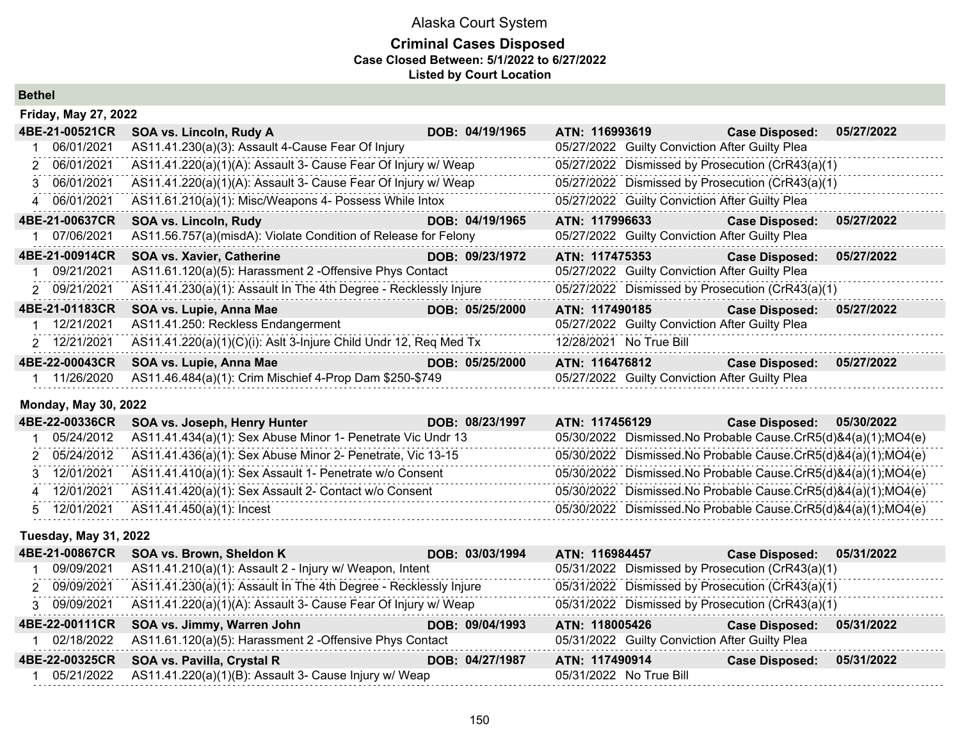## **Criminal Cases Disposed Case Closed Between: 5/1/2022 to 6/27/2022 Listed by Court Location**

**Bethel**

| <b>Friday, May 27, 2022</b> |                                                                  |                 |                                                  |                       |            |
|-----------------------------|------------------------------------------------------------------|-----------------|--------------------------------------------------|-----------------------|------------|
| 4BE-21-00521CR              | SOA vs. Lincoln, Rudy A                                          | DOB: 04/19/1965 | ATN: 116993619                                   | <b>Case Disposed:</b> | 05/27/2022 |
| 06/01/2021                  | AS11.41.230(a)(3): Assault 4-Cause Fear Of Injury                |                 | 05/27/2022 Guilty Conviction After Guilty Plea   |                       |            |
| 2 06/01/2021                | AS11.41.220(a)(1)(A): Assault 3- Cause Fear Of Injury w/ Weap    |                 | 05/27/2022 Dismissed by Prosecution (CrR43(a)(1) |                       |            |
| 3 06/01/2021                | AS11.41.220(a)(1)(A): Assault 3- Cause Fear Of Injury w/ Weap    |                 | 05/27/2022 Dismissed by Prosecution (CrR43(a)(1) |                       |            |
| 4 06/01/2021                | AS11.61.210(a)(1): Misc/Weapons 4- Possess While Intox           |                 | 05/27/2022 Guilty Conviction After Guilty Plea   |                       |            |
| 4BE-21-00637CR              | <b>SOA vs. Lincoln, Rudy</b>                                     | DOB: 04/19/1965 | ATN: 117996633 ATN: 117996633                    | <b>Case Disposed:</b> | 05/27/2022 |
| 07/06/2021                  | AS11.56.757(a)(misdA): Violate Condition of Release for Felony   |                 | 05/27/2022 Guilty Conviction After Guilty Plea   |                       |            |
| 4BE-21-00914CR              | <b>SOA vs. Xavier, Catherine</b>                                 | DOB: 09/23/1972 | ATN: 117475353                                   | <b>Case Disposed:</b> | 05/27/2022 |
| 09/21/2021                  | AS11.61.120(a)(5): Harassment 2 - Offensive Phys Contact         |                 | 05/27/2022 Guilty Conviction After Guilty Plea   |                       |            |
| 2 09/21/2021                | AS11.41.230(a)(1): Assault In The 4th Degree - Recklessly Injure |                 | 05/27/2022 Dismissed by Prosecution (CrR43(a)(1) |                       |            |
| 4BE-21-01183CR              | SOA vs. Lupie, Anna Mae                                          | DOB: 05/25/2000 | ATN: 117490185                                   | <b>Case Disposed:</b> | 05/27/2022 |
| 12/21/2021                  | AS11.41.250: Reckless Endangerment                               |                 | 05/27/2022 Guilty Conviction After Guilty Plea   |                       |            |
| 2 12/21/2021                | AS11.41.220(a)(1)(C)(i): Aslt 3-Injure Child Undr 12, Req Med Tx |                 | 12/28/2021 No True Bill                          |                       |            |
| 4BE-22-00043CR              | SOA vs. Lupie, Anna Mae                                          | DOB: 05/25/2000 | ATN: 116476812                                   | <b>Case Disposed:</b> | 05/27/2022 |
| 11/26/2020                  | AS11.46.484(a)(1): Crim Mischief 4-Prop Dam \$250-\$749          |                 | 05/27/2022 Guilty Conviction After Guilty Plea   |                       |            |
|                             |                                                                  |                 |                                                  |                       |            |

## **Monday, May 30, 2022**

| 4BE-22-00336CR | SOA vs. Joseph, Henry Hunter                                | DOB: 08/23/1997 | ATN: 117456129 |                                                                  | <b>Case Disposed:</b> | 05/30/2022 |
|----------------|-------------------------------------------------------------|-----------------|----------------|------------------------------------------------------------------|-----------------------|------------|
| 05/24/2012     | AS11.41.434(a)(1): Sex Abuse Minor 1- Penetrate Vic Undr 13 |                 |                | 05/30/2022 Dismissed.No Probable Cause.CrR5(d)&4(a)(1);MO4(e)    |                       |            |
| 2 05/24/2012   | AS11.41.436(a)(1): Sex Abuse Minor 2- Penetrate, Vic 13-15  |                 |                | 05/30/2022 Dismissed. No Probable Cause. CrR5(d)&4(a)(1); MO4(e) |                       |            |
| 3 12/01/2021   | AS11.41.410(a)(1): Sex Assault 1- Penetrate w/o Consent     |                 |                | 05/30/2022 Dismissed. No Probable Cause. CrR5(d)&4(a)(1); MO4(e) |                       |            |
| 4 12/01/2021   | AS11.41.420(a)(1): Sex Assault 2- Contact w/o Consent       |                 |                | 05/30/2022 Dismissed.No Probable Cause.CrR5(d)&4(a)(1);MO4(e)    |                       |            |
|                | 5 12/01/2021 AS11.41.450(a)(1): lncest                      |                 |                | 05/30/2022 Dismissed. No Probable Cause. CrR5(d)&4(a)(1); MO4(e) |                       |            |

## **Tuesday, May 31, 2022**

| 4BE-21-00867CR | SOA vs. Brown, Sheldon K                                         | DOB: 03/03/1994 | ATN: 116984457                                   | <b>Case Disposed:</b>                            | 05/31/2022 |
|----------------|------------------------------------------------------------------|-----------------|--------------------------------------------------|--------------------------------------------------|------------|
| 09/09/2021     | AS11.41.210(a)(1): Assault 2 - Injury w/ Weapon, Intent          |                 | 05/31/2022 Dismissed by Prosecution (CrR43(a)(1) |                                                  |            |
| 2 09/09/2021   | AS11.41.230(a)(1): Assault In The 4th Degree - Recklessly Injure |                 |                                                  | 05/31/2022 Dismissed by Prosecution (CrR43(a)(1) |            |
| 3 09/09/2021   | AS11.41.220(a)(1)(A): Assault 3- Cause Fear Of Injury w/ Weap    |                 | 05/31/2022 Dismissed by Prosecution (CrR43(a)(1) |                                                  |            |
| 4BE-22-00111CR | SOA vs. Jimmy, Warren John                                       | DOB: 09/04/1993 | ATN: 118005426                                   | <b>Case Disposed:</b>                            | 05/31/2022 |
| 02/18/2022     | AS11.61.120(a)(5): Harassment 2 -Offensive Phys Contact          |                 | 05/31/2022 Guilty Conviction After Guilty Plea   |                                                  |            |
| 4BE-22-00325CR | SOA vs. Pavilla, Crystal R                                       | DOB: 04/27/1987 | ATN: 117490914                                   | <b>Case Disposed:</b>                            | 05/31/2022 |
| 05/21/2022     | AS11.41.220(a)(1)(B): Assault 3- Cause Injury w/ Weap            |                 | 05/31/2022 No True Bill                          |                                                  |            |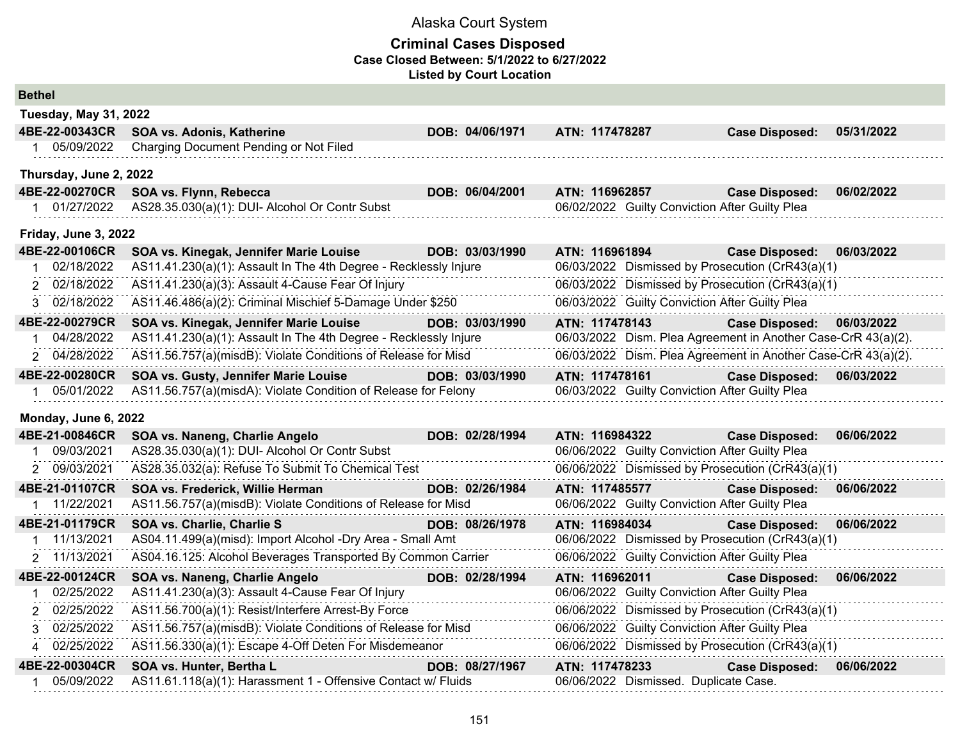| <b>Bethel</b>           |                                                                  |                 |                                                               |                       |            |
|-------------------------|------------------------------------------------------------------|-----------------|---------------------------------------------------------------|-----------------------|------------|
| Tuesday, May 31, 2022   |                                                                  |                 |                                                               |                       |            |
| 4BE-22-00343CR          | SOA vs. Adonis, Katherine                                        | DOB: 04/06/1971 | ATN: 117478287                                                | <b>Case Disposed:</b> | 05/31/2022 |
| 1 05/09/2022            | Charging Document Pending or Not Filed                           |                 |                                                               |                       |            |
| Thursday, June 2, 2022  |                                                                  |                 |                                                               |                       |            |
| 4BE-22-00270CR          | SOA vs. Flynn, Rebecca                                           | DOB: 06/04/2001 | ATN: 116962857                                                | <b>Case Disposed:</b> | 06/02/2022 |
| 01/27/2022<br>$1 \quad$ | AS28.35.030(a)(1): DUI- Alcohol Or Contr Subst                   |                 | 06/02/2022 Guilty Conviction After Guilty Plea                |                       |            |
| Friday, June 3, 2022    |                                                                  |                 |                                                               |                       |            |
| 4BE-22-00106CR          | SOA vs. Kinegak, Jennifer Marie Louise                           | DOB: 03/03/1990 | ATN: 116961894                                                | <b>Case Disposed:</b> | 06/03/2022 |
| 02/18/2022              | AS11.41.230(a)(1): Assault In The 4th Degree - Recklessly Injure |                 | 06/03/2022 Dismissed by Prosecution (CrR43(a)(1)              |                       |            |
| 2 02/18/2022            | AS11.41.230(a)(3): Assault 4-Cause Fear Of Injury                |                 | 06/03/2022 Dismissed by Prosecution (CrR43(a)(1)              |                       |            |
| 3 02/18/2022            | AS11.46.486(a)(2): Criminal Mischief 5-Damage Under \$250        |                 | 06/03/2022 Guilty Conviction After Guilty Plea                |                       |            |
| 4BE-22-00279CR          | SOA vs. Kinegak, Jennifer Marie Louise                           | DOB: 03/03/1990 | ATN: 117478143                                                | <b>Case Disposed:</b> | 06/03/2022 |
| 04/28/2022              | AS11.41.230(a)(1): Assault In The 4th Degree - Recklessly Injure |                 | 06/03/2022 Dism. Plea Agreement in Another Case-CrR 43(a)(2). |                       |            |
| 2 04/28/2022            | AS11.56.757(a)(misdB): Violate Conditions of Release for Misd    |                 | 06/03/2022 Dism. Plea Agreement in Another Case-CrR 43(a)(2). |                       |            |
| 4BE-22-00280CR          | SOA vs. Gusty, Jennifer Marie Louise                             | DOB: 03/03/1990 | ATN: 117478161                                                | <b>Case Disposed:</b> | 06/03/2022 |
| 05/01/2022<br>$1 \quad$ | AS11.56.757(a)(misdA): Violate Condition of Release for Felony   |                 | 06/03/2022 Guilty Conviction After Guilty Plea                |                       |            |
| Monday, June 6, 2022    |                                                                  |                 |                                                               |                       |            |
| 4BE-21-00846CR          | SOA vs. Naneng, Charlie Angelo                                   | DOB: 02/28/1994 | ATN: 116984322                                                | <b>Case Disposed:</b> | 06/06/2022 |
| 09/03/2021              | AS28.35.030(a)(1): DUI- Alcohol Or Contr Subst                   |                 | 06/06/2022 Guilty Conviction After Guilty Plea                |                       |            |
| 09/03/2021<br>2         | AS28.35.032(a): Refuse To Submit To Chemical Test                |                 | 06/06/2022 Dismissed by Prosecution (CrR43(a)(1)              |                       |            |
| 4BE-21-01107CR          | SOA vs. Frederick, Willie Herman                                 | DOB: 02/26/1984 | ATN: 117485577                                                | <b>Case Disposed:</b> | 06/06/2022 |
| 1 11/22/2021            | AS11.56.757(a)(misdB): Violate Conditions of Release for Misd    |                 | 06/06/2022 Guilty Conviction After Guilty Plea                |                       |            |
| 4BE-21-01179CR          | SOA vs. Charlie, Charlie S                                       | DOB: 08/26/1978 | ATN: 116984034                                                | <b>Case Disposed:</b> | 06/06/2022 |
| 11/13/2021              | AS04.11.499(a)(misd): Import Alcohol -Dry Area - Small Amt       |                 | 06/06/2022 Dismissed by Prosecution (CrR43(a)(1)              |                       |            |
| 11/13/2021<br>2         | AS04.16.125: Alcohol Beverages Transported By Common Carrier     |                 | 06/06/2022 Guilty Conviction After Guilty Plea                |                       |            |
| 4BE-22-00124CR          | SOA vs. Naneng, Charlie Angelo                                   | DOB: 02/28/1994 | ATN: 116962011                                                | <b>Case Disposed:</b> | 06/06/2022 |
| 02/25/2022<br>1         | AS11.41.230(a)(3): Assault 4-Cause Fear Of Injury                |                 | 06/06/2022 Guilty Conviction After Guilty Plea                |                       |            |
| 2 02/25/2022            | AS11.56.700(a)(1): Resist/Interfere Arrest-By Force              |                 | 06/06/2022 Dismissed by Prosecution (CrR43(a)(1)              |                       |            |
| 02/25/2022<br>3         | AS11.56.757(a)(misdB): Violate Conditions of Release for Misd    |                 | 06/06/2022 Guilty Conviction After Guilty Plea                |                       |            |
| 4 02/25/2022            | AS11.56.330(a)(1): Escape 4-Off Deten For Misdemeanor            |                 | 06/06/2022 Dismissed by Prosecution (CrR43(a)(1)              |                       |            |
| 4BE-22-00304CR          | SOA vs. Hunter, Bertha L                                         | DOB: 08/27/1967 | ATN: 117478233                                                | <b>Case Disposed:</b> | 06/06/2022 |
| 05/09/2022<br>1         | AS11.61.118(a)(1): Harassment 1 - Offensive Contact w/ Fluids    |                 | 06/06/2022 Dismissed. Duplicate Case.                         |                       |            |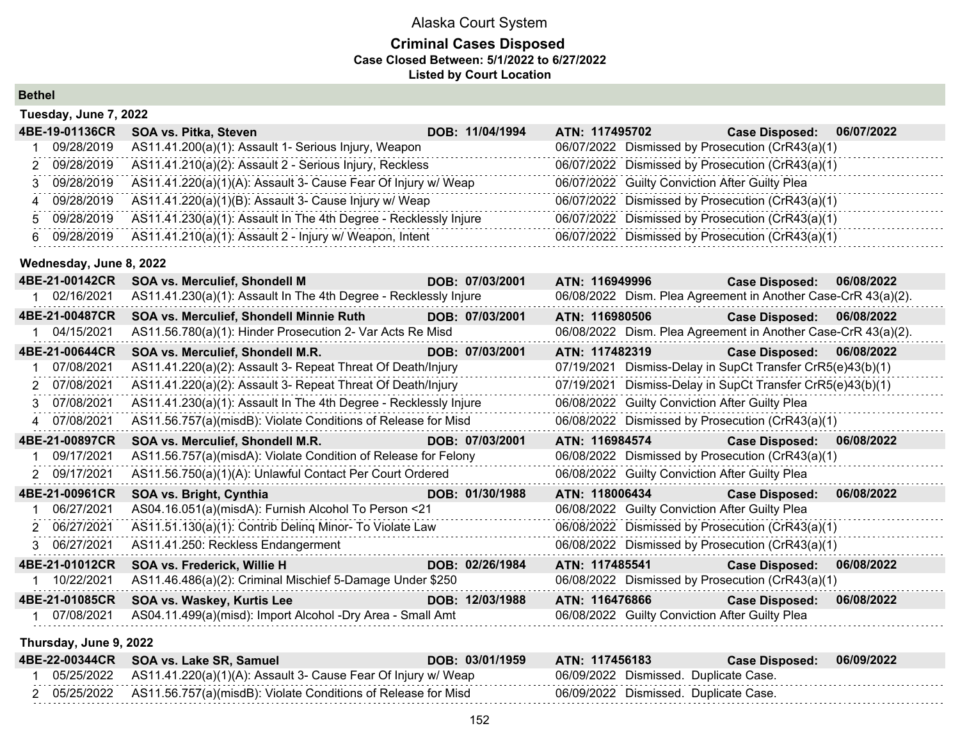## **Criminal Cases Disposed Case Closed Between: 5/1/2022 to 6/27/2022 Listed by Court Location**

| <b>Bethel</b> |
|---------------|
|---------------|

|    | Tuesday, June 7, 2022   |                                                                  |                 |                                                               |                       |            |
|----|-------------------------|------------------------------------------------------------------|-----------------|---------------------------------------------------------------|-----------------------|------------|
|    | 4BE-19-01136CR          | SOA vs. Pitka, Steven                                            | DOB: 11/04/1994 | ATN: 117495702                                                | <b>Case Disposed:</b> | 06/07/2022 |
|    | 09/28/2019              | AS11.41.200(a)(1): Assault 1- Serious Injury, Weapon             |                 | 06/07/2022 Dismissed by Prosecution (CrR43(a)(1)              |                       |            |
| 2  | 09/28/2019              | AS11.41.210(a)(2): Assault 2 - Serious Injury, Reckless          |                 | 06/07/2022 Dismissed by Prosecution (CrR43(a)(1)              |                       |            |
|    | 3 09/28/2019            | AS11.41.220(a)(1)(A): Assault 3- Cause Fear Of Injury w/ Weap    |                 | 06/07/2022 Guilty Conviction After Guilty Plea                |                       |            |
| 4  | 09/28/2019              | AS11.41.220(a)(1)(B): Assault 3- Cause Injury w/ Weap            |                 | 06/07/2022 Dismissed by Prosecution (CrR43(a)(1)              |                       |            |
| 5. | 09/28/2019              | AS11.41.230(a)(1): Assault In The 4th Degree - Recklessly Injure |                 | 06/07/2022 Dismissed by Prosecution (CrR43(a)(1)              |                       |            |
| 6  | 09/28/2019              | AS11.41.210(a)(1): Assault 2 - Injury w/ Weapon, Intent          |                 | 06/07/2022 Dismissed by Prosecution (CrR43(a)(1)              |                       |            |
|    | Wednesday, June 8, 2022 |                                                                  |                 |                                                               |                       |            |
|    | 4BE-21-00142CR          | <b>SOA vs. Merculief, Shondell M</b>                             | DOB: 07/03/2001 | ATN: 116949996                                                | <b>Case Disposed:</b> | 06/08/2022 |
|    | 02/16/2021              | AS11.41.230(a)(1): Assault In The 4th Degree - Recklessly Injure |                 | 06/08/2022 Dism. Plea Agreement in Another Case-CrR 43(a)(2). |                       |            |
|    | 4BE-21-00487CR          | SOA vs. Merculief, Shondell Minnie Ruth                          | DOB: 07/03/2001 | ATN: 116980506                                                | <b>Case Disposed:</b> | 06/08/2022 |
|    | 04/15/2021              | AS11.56.780(a)(1): Hinder Prosecution 2- Var Acts Re Misd        |                 | 06/08/2022 Dism. Plea Agreement in Another Case-CrR 43(a)(2). |                       |            |
|    | 4BE-21-00644CR          | SOA vs. Merculief, Shondell M.R.                                 | DOB: 07/03/2001 | ATN: 117482319                                                | <b>Case Disposed:</b> | 06/08/2022 |
|    | 07/08/2021              | AS11.41.220(a)(2): Assault 3- Repeat Threat Of Death/Injury      |                 | 07/19/2021 Dismiss-Delay in SupCt Transfer CrR5(e)43(b)(1)    |                       |            |
|    | 2 07/08/2021            | AS11.41.220(a)(2): Assault 3- Repeat Threat Of Death/Injury      |                 | 07/19/2021 Dismiss-Delay in SupCt Transfer CrR5(e)43(b)(1)    |                       |            |
|    | 3 07/08/2021            | AS11.41.230(a)(1): Assault In The 4th Degree - Recklessly Injure |                 | 06/08/2022 Guilty Conviction After Guilty Plea                |                       |            |
| 4  | 07/08/2021              | AS11.56.757(a)(misdB): Violate Conditions of Release for Misd    |                 | 06/08/2022 Dismissed by Prosecution (CrR43(a)(1)              |                       |            |
|    | 4BE-21-00897CR          | SOA vs. Merculief, Shondell M.R.                                 | DOB: 07/03/2001 | ATN: 116984574                                                | <b>Case Disposed:</b> | 06/08/2022 |
|    | 09/17/2021              | AS11.56.757(a)(misdA): Violate Condition of Release for Felony   |                 | 06/08/2022 Dismissed by Prosecution (CrR43(a)(1)              |                       |            |
|    | 09/17/2021              | AS11.56.750(a)(1)(A): Unlawful Contact Per Court Ordered         |                 | 06/08/2022 Guilty Conviction After Guilty Plea                |                       |            |
|    | 4BE-21-00961CR          | SOA vs. Bright, Cynthia                                          | DOB: 01/30/1988 | ATN: 118006434                                                | <b>Case Disposed:</b> | 06/08/2022 |
|    | 06/27/2021              | AS04.16.051(a)(misdA): Furnish Alcohol To Person <21             |                 | 06/08/2022 Guilty Conviction After Guilty Plea                |                       |            |
|    | 2 06/27/2021            | AS11.51.130(a)(1): Contrib Deling Minor- To Violate Law          |                 | 06/08/2022 Dismissed by Prosecution (CrR43(a)(1)              |                       |            |
|    | 3 06/27/2021            | AS11.41.250: Reckless Endangerment                               |                 | 06/08/2022 Dismissed by Prosecution (CrR43(a)(1)              |                       |            |

|            | 4BE-21-01012CR SOA vs. Frederick, Willie H                 | DOB: 02/26/1984 | ATN: 117485541                                   | <b>Case Disposed:</b> | 06/08/2022 |
|------------|------------------------------------------------------------|-----------------|--------------------------------------------------|-----------------------|------------|
| 10/22/2021 | AS11.46.486(a)(2): Criminal Mischief 5-Damage Under \$250  |                 | 06/08/2022 Dismissed by Prosecution (CrR43(a)(1) |                       |            |
|            | 4BE-21-01085CR SOA vs. Waskey, Kurtis Lee                  | DOB: 12/03/1988 | ATN: 116476866                                   | <b>Case Disposed:</b> | 06/08/2022 |
| 07/08/2021 | AS04.11.499(a)(misd): Import Alcohol -Dry Area - Small Amt |                 | 06/08/2022 Guilty Conviction After Guilty Plea   |                       |            |
|            |                                                            |                 |                                                  |                       |            |

**Thursday, June 9, 2022**

|  | 4BE-22-00344CR SOA vs. Lake SR, Samuel                                   | DOB: 03/01/1959 | ATN: 117456183 | Case Disposed: 06/09/2022             |  |
|--|--------------------------------------------------------------------------|-----------------|----------------|---------------------------------------|--|
|  | 05/25/2022 AS11.41.220(a)(1)(A): Assault 3- Cause Fear Of Injury w/ Weap |                 |                | 06/09/2022 Dismissed. Duplicate Case. |  |
|  | 05/25/2022 AS11.56.757(a)(misdB): Violate Conditions of Release for Misd |                 |                | 06/09/2022 Dismissed. Duplicate Case. |  |

. . . . . . . . . . . .

. . . . . . . . . . . .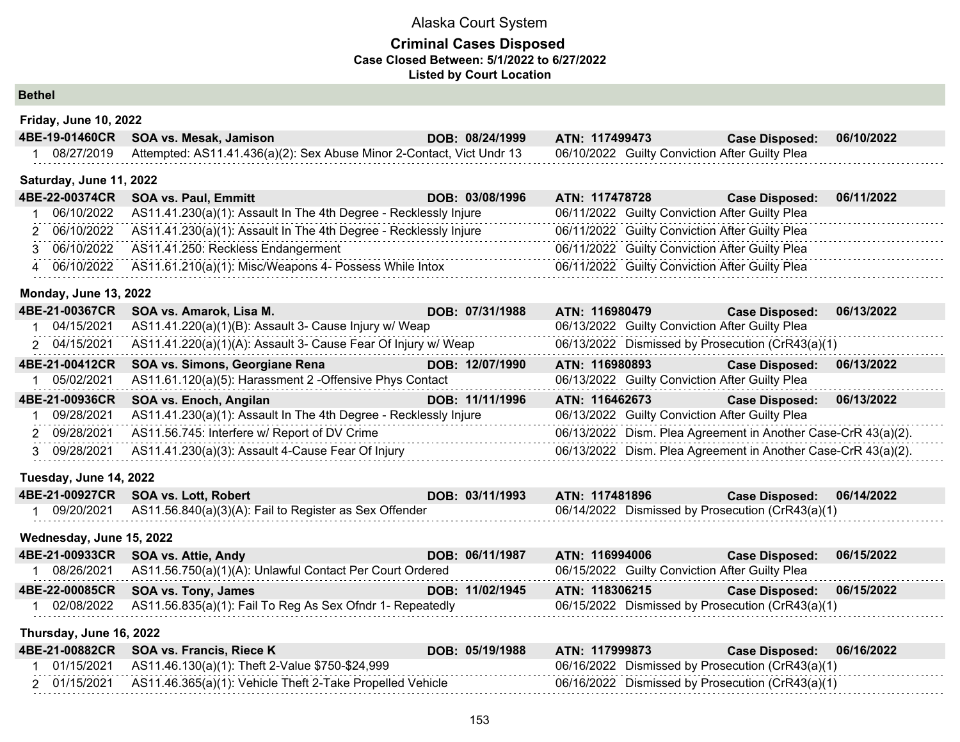### **Criminal Cases Disposed Case Closed Between: 5/1/2022 to 6/27/2022 Listed by Court Location**

**Bethel**

| Friday, June 10, 2022 |  |  |
|-----------------------|--|--|
|-----------------------|--|--|

| 4BE-19-01460CR          | SOA vs. Mesak, Jamison                                                        | DOB: 08/24/1999 | ATN: 117499473                                 | <b>Case Disposed:</b> | 06/10/2022 |
|-------------------------|-------------------------------------------------------------------------------|-----------------|------------------------------------------------|-----------------------|------------|
| 08/27/2019              | Attempted: AS11.41.436(a)(2): Sex Abuse Minor 2-Contact, Vict Undr 13         |                 | 06/10/2022 Guilty Conviction After Guilty Plea |                       |            |
| Saturday, June 11, 2022 |                                                                               |                 |                                                |                       |            |
| 4BE-22-00374CR          | <b>SOA vs. Paul, Emmitt</b>                                                   | DOB: 03/08/1996 | ATN: 117478728                                 | <b>Case Disposed:</b> | 06/11/2022 |
|                         | 06/10/2022 AS11.41.230(a)(1): Assault In The 4th Degree - Recklessly Injure   |                 | 06/11/2022 Guilty Conviction After Guilty Plea |                       |            |
|                         | 2 06/10/2022 AS11.41.230(a)(1): Assault In The 4th Degree - Recklessly Injure |                 | 06/11/2022 Guilty Conviction After Guilty Plea |                       |            |
|                         | 3 06/10/2022 AS11.41.250: Reckless Endangerment                               |                 | 06/11/2022 Guilty Conviction After Guilty Plea |                       |            |
|                         | 4 06/10/2022 AS11.61.210(a)(1): Misc/Weapons 4- Possess While Intox           |                 | 06/11/2022 Guilty Conviction After Guilty Plea |                       |            |
|                         |                                                                               |                 |                                                |                       |            |

#### **Monday, June 13, 2022**

| 4BE-21-00367CR | SOA vs. Amarok, Lisa M.                                          | DOB: 07/31/1988 | ATN: 116980479                                                | <b>Case Disposed:</b> | 06/13/2022 |
|----------------|------------------------------------------------------------------|-----------------|---------------------------------------------------------------|-----------------------|------------|
| 04/15/2021     | AS11.41.220(a)(1)(B): Assault 3- Cause Injury w/ Weap            |                 | 06/13/2022 Guilty Conviction After Guilty Plea                |                       |            |
| 2 04/15/2021   | AS11.41.220(a)(1)(A): Assault 3- Cause Fear Of Injury w/ Weap    |                 | 06/13/2022 Dismissed by Prosecution (CrR43(a)(1)              |                       |            |
| 4BE-21-00412CR | SOA vs. Simons, Georgiane Rena                                   | DOB: 12/07/1990 | ATN: 116980893                                                | <b>Case Disposed:</b> | 06/13/2022 |
| 05/02/2021     | AS11.61.120(a)(5): Harassment 2 - Offensive Phys Contact         |                 | 06/13/2022 Guilty Conviction After Guilty Plea                |                       |            |
|                |                                                                  |                 |                                                               |                       |            |
| 4BE-21-00936CR | SOA vs. Enoch, Angilan                                           | DOB: 11/11/1996 | ATN: 116462673                                                | <b>Case Disposed:</b> | 06/13/2022 |
| 09/28/2021     | AS11.41.230(a)(1): Assault In The 4th Degree - Recklessly Injure |                 | 06/13/2022 Guilty Conviction After Guilty Plea                |                       |            |
| 2 09/28/2021   | AS11.56.745: Interfere w/ Report of DV Crime                     |                 | 06/13/2022 Dism. Plea Agreement in Another Case-CrR 43(a)(2). |                       |            |
| 3 09/28/2021   | AS11.41.230(a)(3): Assault 4-Cause Fear Of Injury                |                 | 06/13/2022 Dism. Plea Agreement in Another Case-CrR 43(a)(2). |                       |            |

### **Tuesday, June 14, 2022**

| 4BE-21-00927CR SOA vs. Lott, Robert                               | DOB: 03/11/1993 | <b>ATN: 117481896</b>                            | Case Disposed: 06/14/2022 |  |
|-------------------------------------------------------------------|-----------------|--------------------------------------------------|---------------------------|--|
| 09/20/2021 AS11.56.840(a)(3)(A): Fail to Register as Sex Offender |                 | 06/14/2022 Dismissed by Prosecution (CrR43(a)(1) |                           |  |

#### **Wednesday, June 15, 2022**

| 4BE-21-00933CR SOA vs. Attie, Andy                                   | DOB: 06/11/1987 | ATN: 116994006                                   | Case Disposed: 06/15/2022 |  |
|----------------------------------------------------------------------|-----------------|--------------------------------------------------|---------------------------|--|
| 08/26/2021 AS11.56.750(a)(1)(A): Unlawful Contact Per Court Ordered  |                 | 06/15/2022 Guilty Conviction After Guilty Plea   |                           |  |
| 4BE-22-00085CR SOA vs. Tony, James                                   | DOB: 11/02/1945 | ATN: 118306215                                   | Case Disposed: 06/15/2022 |  |
| 02/08/2022 AS11.56.835(a)(1): Fail To Reg As Sex Ofndr 1- Repeatedly |                 | 06/15/2022 Dismissed by Prosecution (CrR43(a)(1) |                           |  |

### **Thursday, June 16, 2022**

| 4BE-21-00882CR SOA vs. Francis, Riece K                              | DOB: 05/19/1988 | ATN: 117999873                                   | Case Disposed: 06/16/2022 |  |
|----------------------------------------------------------------------|-----------------|--------------------------------------------------|---------------------------|--|
| 01/15/2021 AS11.46.130(a)(1): Theft 2-Value \$750-\$24,999           |                 | 06/16/2022 Dismissed by Prosecution (CrR43(a)(1) |                           |  |
| 01/15/2021 AS11.46.365(a)(1): Vehicle Theft 2-Take Propelled Vehicle |                 | 06/16/2022 Dismissed by Prosecution (CrR43(a)(1) |                           |  |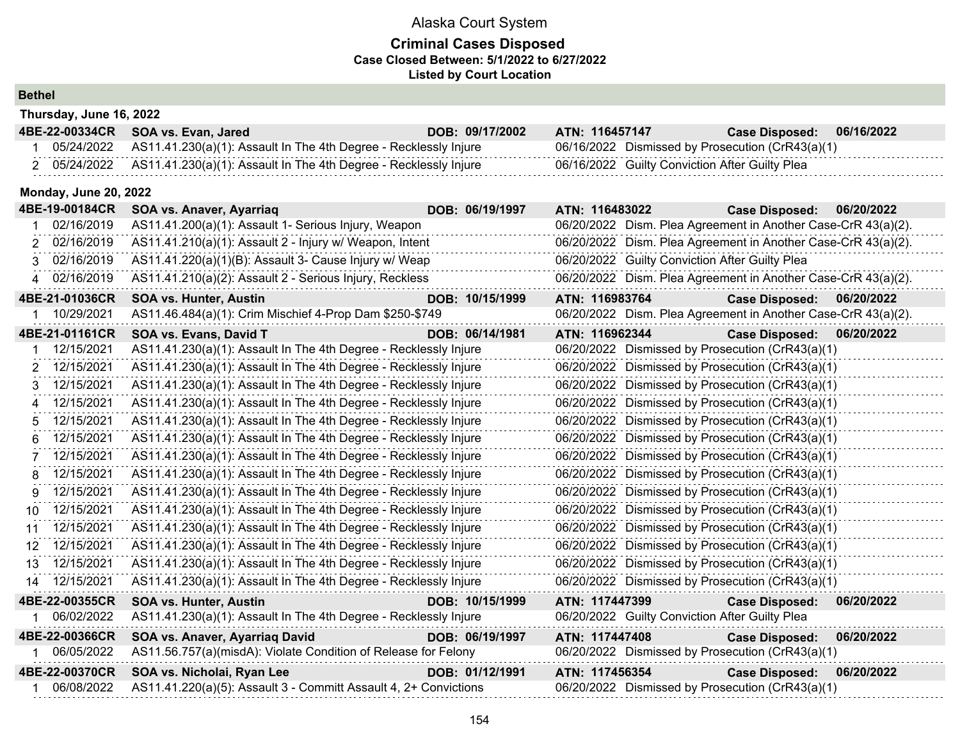## **Criminal Cases Disposed Case Closed Between: 5/1/2022 to 6/27/2022 Listed by Court Location**

### **Bethel**

| Thursday, June 16, 2022      |                                                                  |                                                               |
|------------------------------|------------------------------------------------------------------|---------------------------------------------------------------|
| 4BE-22-00334CR               | SOA vs. Evan, Jared<br>DOB: 09/17/2002                           | ATN: 116457147<br><b>Case Disposed:</b><br>06/16/2022         |
| 05/24/2022<br>1.             | AS11.41.230(a)(1): Assault In The 4th Degree - Recklessly Injure | 06/16/2022 Dismissed by Prosecution (CrR43(a)(1)              |
| 2 05/24/2022                 | AS11.41.230(a)(1): Assault In The 4th Degree - Recklessly Injure | 06/16/2022 Guilty Conviction After Guilty Plea                |
| <b>Monday, June 20, 2022</b> |                                                                  |                                                               |
| 4BE-19-00184CR               | DOB: 06/19/1997<br>SOA vs. Anaver, Ayarriaq                      | 06/20/2022<br>ATN: 116483022<br><b>Case Disposed:</b>         |
| 02/16/2019                   | AS11.41.200(a)(1): Assault 1- Serious Injury, Weapon             | 06/20/2022 Dism. Plea Agreement in Another Case-CrR 43(a)(2). |
| 2 02/16/2019                 | AS11.41.210(a)(1): Assault 2 - Injury w/ Weapon, Intent          | 06/20/2022 Dism. Plea Agreement in Another Case-CrR 43(a)(2). |
| 02/16/2019<br>3              | AS11.41.220(a)(1)(B): Assault 3- Cause Injury w/ Weap            | 06/20/2022 Guilty Conviction After Guilty Plea                |
| 02/16/2019<br>4              | AS11.41.210(a)(2): Assault 2 - Serious Injury, Reckless          | 06/20/2022 Dism. Plea Agreement in Another Case-CrR 43(a)(2). |
| 4BE-21-01036CR               | DOB: 10/15/1999<br><b>SOA vs. Hunter, Austin</b>                 | ATN: 116983764<br><b>Case Disposed:</b><br>06/20/2022         |
| 10/29/2021                   | AS11.46.484(a)(1): Crim Mischief 4-Prop Dam \$250-\$749          | 06/20/2022 Dism. Plea Agreement in Another Case-CrR 43(a)(2). |
| 4BE-21-01161CR               | SOA vs. Evans, David T<br>DOB: 06/14/1981                        | ATN: 116962344<br><b>Case Disposed:</b><br>06/20/2022         |
| 12/15/2021                   | AS11.41.230(a)(1): Assault In The 4th Degree - Recklessly Injure | 06/20/2022 Dismissed by Prosecution (CrR43(a)(1)              |
| 12/15/2021<br>2              | AS11.41.230(a)(1): Assault In The 4th Degree - Recklessly Injure | 06/20/2022 Dismissed by Prosecution (CrR43(a)(1)              |
| 12/15/2021<br>3              | AS11.41.230(a)(1): Assault In The 4th Degree - Recklessly Injure | 06/20/2022 Dismissed by Prosecution (CrR43(a)(1)              |
| 12/15/2021<br>4              | AS11.41.230(a)(1): Assault In The 4th Degree - Recklessly Injure | 06/20/2022 Dismissed by Prosecution (CrR43(a)(1)              |
| 12/15/2021<br>5              | AS11.41.230(a)(1): Assault In The 4th Degree - Recklessly Injure | 06/20/2022 Dismissed by Prosecution (CrR43(a)(1)              |
| 12/15/2021<br>6              | AS11.41.230(a)(1): Assault In The 4th Degree - Recklessly Injure | 06/20/2022 Dismissed by Prosecution (CrR43(a)(1)              |
| 12/15/2021<br>7              | AS11.41.230(a)(1): Assault In The 4th Degree - Recklessly Injure | 06/20/2022 Dismissed by Prosecution (CrR43(a)(1)              |
| 12/15/2021<br>8              | AS11.41.230(a)(1): Assault In The 4th Degree - Recklessly Injure | 06/20/2022 Dismissed by Prosecution (CrR43(a)(1)              |
| 12/15/2021<br>9              | AS11.41.230(a)(1): Assault In The 4th Degree - Recklessly Injure | 06/20/2022 Dismissed by Prosecution (CrR43(a)(1)              |
| 12/15/2021<br>10             | AS11.41.230(a)(1): Assault In The 4th Degree - Recklessly Injure | 06/20/2022 Dismissed by Prosecution (CrR43(a)(1)              |
| 12/15/2021<br>11             | AS11.41.230(a)(1): Assault In The 4th Degree - Recklessly Injure | 06/20/2022 Dismissed by Prosecution (CrR43(a)(1)              |
| 12 12/15/2021                | AS11.41.230(a)(1): Assault In The 4th Degree - Recklessly Injure | 06/20/2022 Dismissed by Prosecution (CrR43(a)(1)              |
| 12/15/2021<br>13             | AS11.41.230(a)(1): Assault In The 4th Degree - Recklessly Injure | 06/20/2022 Dismissed by Prosecution (CrR43(a)(1)              |
| 12/15/2021<br>14             | AS11.41.230(a)(1): Assault In The 4th Degree - Recklessly Injure | 06/20/2022 Dismissed by Prosecution (CrR43(a)(1)              |
| 4BE-22-00355CR               | DOB: 10/15/1999<br><b>SOA vs. Hunter, Austin</b>                 | 06/20/2022<br>ATN: 117447399<br><b>Case Disposed:</b>         |
| 06/02/2022<br>1              | AS11.41.230(a)(1): Assault In The 4th Degree - Recklessly Injure | 06/20/2022 Guilty Conviction After Guilty Plea                |
| 4BE-22-00366CR               | DOB: 06/19/1997<br>SOA vs. Anaver, Ayarriaq David                | ATN: 117447408<br><b>Case Disposed:</b><br>06/20/2022         |
| 1 06/05/2022                 | AS11.56.757(a)(misdA): Violate Condition of Release for Felony   | 06/20/2022 Dismissed by Prosecution (CrR43(a)(1)              |
| 4BE-22-00370CR               | DOB: 01/12/1991<br>SOA vs. Nicholai, Ryan Lee                    | ATN: 117456354<br><b>Case Disposed:</b><br>06/20/2022         |
| 06/08/2022                   | AS11.41.220(a)(5): Assault 3 - Committ Assault 4, 2+ Convictions | 06/20/2022 Dismissed by Prosecution (CrR43(a)(1)              |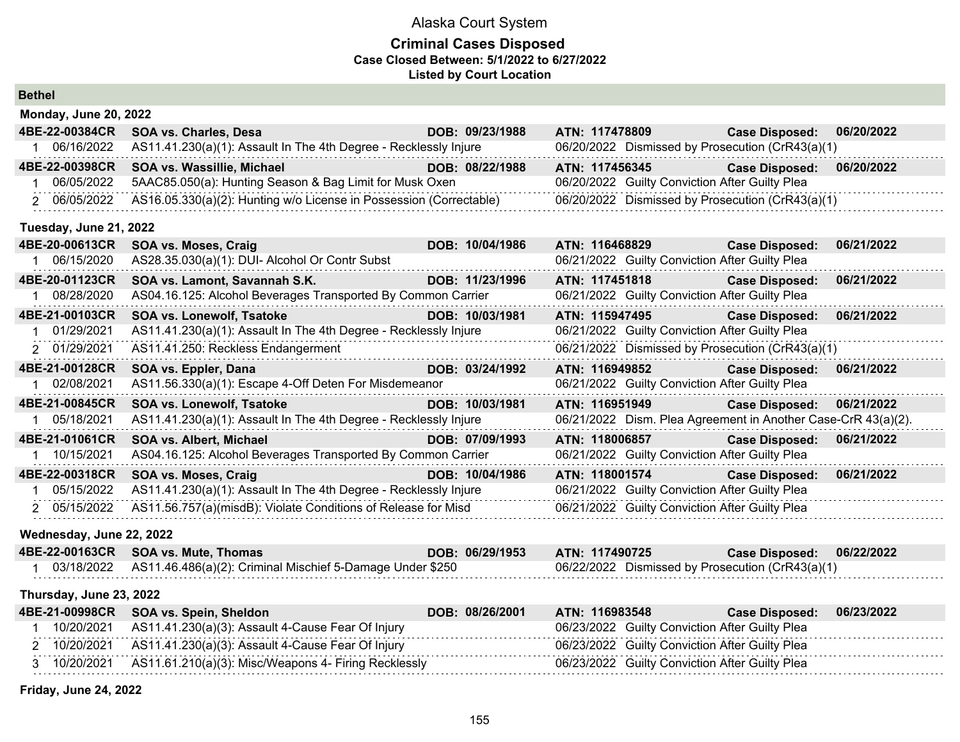## **Criminal Cases Disposed Case Closed Between: 5/1/2022 to 6/27/2022 Listed by Court Location**

| <b>Bethel</b>                               |                                                                                               |                 |                                                                  |                                                                                        |            |
|---------------------------------------------|-----------------------------------------------------------------------------------------------|-----------------|------------------------------------------------------------------|----------------------------------------------------------------------------------------|------------|
| <b>Monday, June 20, 2022</b>                |                                                                                               |                 |                                                                  |                                                                                        |            |
| 4BE-22-00384CR<br>1 06/16/2022              | SOA vs. Charles, Desa<br>AS11.41.230(a)(1): Assault In The 4th Degree - Recklessly Injure     | DOB: 09/23/1988 | ATN: 117478809                                                   | <b>Case Disposed:</b><br>06/20/2022 Dismissed by Prosecution (CrR43(a)(1)              | 06/20/2022 |
| 4BE-22-00398CR<br>06/05/2022                | SOA vs. Wassillie, Michael<br>5AAC85.050(a): Hunting Season & Bag Limit for Musk Oxen         | DOB: 08/22/1988 | ATN: 117456345<br>06/20/2022 Guilty Conviction After Guilty Plea | <b>Case Disposed:</b>                                                                  | 06/20/2022 |
| 2 06/05/2022                                | AS16.05.330(a)(2): Hunting w/o License in Possession (Correctable)                            |                 |                                                                  | 06/20/2022 Dismissed by Prosecution (CrR43(a)(1)                                       |            |
| Tuesday, June 21, 2022                      |                                                                                               |                 |                                                                  |                                                                                        |            |
| 4BE-20-00613CR                              | SOA vs. Moses, Craig                                                                          | DOB: 10/04/1986 | ATN: 116468829                                                   | <b>Case Disposed:</b>                                                                  | 06/21/2022 |
| 1 06/15/2020                                | AS28.35.030(a)(1): DUI- Alcohol Or Contr Subst                                                |                 | 06/21/2022 Guilty Conviction After Guilty Plea                   |                                                                                        |            |
| 4BE-20-01123CR<br>08/28/2020<br>$\mathbf 1$ | SOA vs. Lamont, Savannah S.K.<br>AS04.16.125: Alcohol Beverages Transported By Common Carrier | DOB: 11/23/1996 | ATN: 117451818<br>06/21/2022 Guilty Conviction After Guilty Plea | <b>Case Disposed:</b>                                                                  | 06/21/2022 |
| 4BE-21-00103CR                              | SOA vs. Lonewolf, Tsatoke                                                                     | DOB: 10/03/1981 | ATN: 115947495                                                   | <b>Case Disposed:</b>                                                                  | 06/21/2022 |
| 01/29/2021                                  | AS11.41.230(a)(1): Assault In The 4th Degree - Recklessly Injure                              |                 | 06/21/2022 Guilty Conviction After Guilty Plea                   |                                                                                        |            |
| 2 01/29/2021                                | AS11.41.250: Reckless Endangerment                                                            |                 |                                                                  | 06/21/2022 Dismissed by Prosecution (CrR43(a)(1)                                       |            |
| 4BE-21-00128CR<br>02/08/2021                | SOA vs. Eppler, Dana<br>AS11.56.330(a)(1): Escape 4-Off Deten For Misdemeanor                 | DOB: 03/24/1992 | ATN: 116949852<br>06/21/2022 Guilty Conviction After Guilty Plea | <b>Case Disposed:</b>                                                                  | 06/21/2022 |
| 4BE-21-00845CR<br>05/18/2021                | SOA vs. Lonewolf, Tsatoke<br>AS11.41.230(a)(1): Assault In The 4th Degree - Recklessly Injure | DOB: 10/03/1981 | ATN: 116951949                                                   | <b>Case Disposed:</b><br>06/21/2022 Dism. Plea Agreement in Another Case-CrR 43(a)(2). | 06/21/2022 |
| 4BE-21-01061CR                              | SOA vs. Albert, Michael                                                                       | DOB: 07/09/1993 | ATN: 118006857                                                   | <b>Case Disposed:</b>                                                                  | 06/21/2022 |
| 1 10/15/2021                                | AS04.16.125: Alcohol Beverages Transported By Common Carrier                                  |                 | 06/21/2022 Guilty Conviction After Guilty Plea                   |                                                                                        |            |
| 4BE-22-00318CR                              | SOA vs. Moses, Craig                                                                          | DOB: 10/04/1986 | ATN: 118001574                                                   | <b>Case Disposed:</b>                                                                  | 06/21/2022 |
| 1 05/15/2022                                | AS11.41.230(a)(1): Assault In The 4th Degree - Recklessly Injure                              |                 | 06/21/2022 Guilty Conviction After Guilty Plea                   |                                                                                        |            |
| 2 05/15/2022                                | AS11.56.757(a)(misdB): Violate Conditions of Release for Misd                                 |                 | 06/21/2022 Guilty Conviction After Guilty Plea                   |                                                                                        |            |
| Wednesday, June 22, 2022                    |                                                                                               |                 |                                                                  |                                                                                        |            |
| 4BE-22-00163CR                              | <b>SOA vs. Mute, Thomas</b>                                                                   | DOB: 06/29/1953 | ATN: 117490725                                                   | <b>Case Disposed:</b>                                                                  | 06/22/2022 |
| 1 03/18/2022                                | AS11.46.486(a)(2): Criminal Mischief 5-Damage Under \$250                                     |                 |                                                                  | 06/22/2022 Dismissed by Prosecution (CrR43(a)(1)                                       |            |
| Thursday, June 23, 2022                     |                                                                                               |                 |                                                                  |                                                                                        |            |
| 4BE-21-00998CR                              | SOA vs. Spein, Sheldon                                                                        | DOB: 08/26/2001 | ATN: 116983548                                                   | <b>Case Disposed:</b>                                                                  | 06/23/2022 |
| 10/20/2021<br>1                             | AS11.41.230(a)(3): Assault 4-Cause Fear Of Injury                                             |                 | 06/23/2022 Guilty Conviction After Guilty Plea                   |                                                                                        |            |
| 2 10/20/2021                                | AS11.41.230(a)(3): Assault 4-Cause Fear Of Injury                                             | .               | 06/23/2022 Guilty Conviction After Guilty Plea                   |                                                                                        |            |
| 3 10/20/2021                                | AS11.61.210(a)(3): Misc/Weapons 4- Firing Recklessly                                          |                 | 06/23/2022 Guilty Conviction After Guilty Plea                   |                                                                                        |            |

**Friday, June 24, 2022**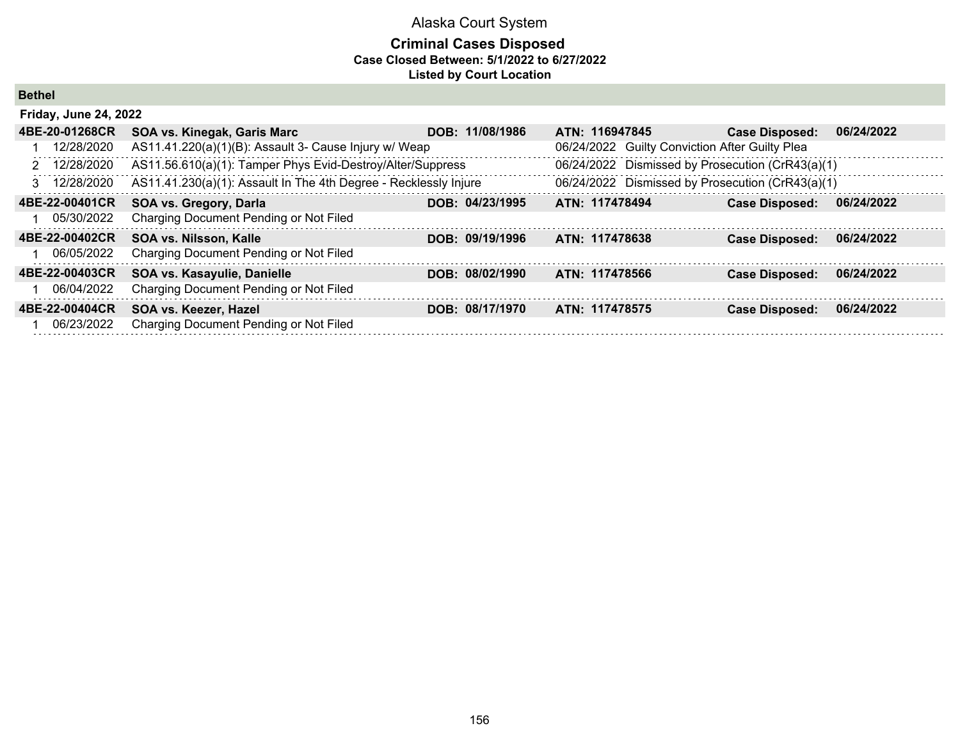## **Criminal Cases Disposed Case Closed Between: 5/1/2022 to 6/27/2022 Listed by Court Location**

**Bethel**

| <b>Friday, June 24, 2022</b> |                                                                  |                 |                                                |                                                  |            |
|------------------------------|------------------------------------------------------------------|-----------------|------------------------------------------------|--------------------------------------------------|------------|
| 4BE-20-01268CR               | SOA vs. Kinegak, Garis Marc                                      | DOB: 11/08/1986 | ATN: 116947845                                 | <b>Case Disposed:</b>                            | 06/24/2022 |
| 12/28/2020                   | AS11.41.220(a)(1)(B): Assault 3- Cause Injury w/ Weap            |                 | 06/24/2022 Guilty Conviction After Guilty Plea |                                                  |            |
| 2 12/28/2020                 | AS11.56.610(a)(1): Tamper Phys Evid-Destroy/Alter/Suppress       |                 |                                                | 06/24/2022 Dismissed by Prosecution (CrR43(a)(1) |            |
| 3 12/28/2020                 | AS11.41.230(a)(1): Assault In The 4th Degree - Recklessly Injure |                 |                                                | 06/24/2022 Dismissed by Prosecution (CrR43(a)(1) |            |
| 4BE-22-00401CR               | SOA vs. Gregory, Darla                                           | DOB: 04/23/1995 | ATN: 117478494                                 | <b>Case Disposed:</b>                            | 06/24/2022 |
| 05/30/2022                   | Charging Document Pending or Not Filed                           |                 |                                                |                                                  |            |
| 4BE-22-00402CR               | SOA vs. Nilsson, Kalle                                           | DOB: 09/19/1996 | ATN: 117478638                                 | <b>Case Disposed:</b>                            | 06/24/2022 |
| 06/05/2022                   | Charging Document Pending or Not Filed                           |                 |                                                |                                                  |            |
| 4BE-22-00403CR               | SOA vs. Kasayulie, Danielle                                      | DOB: 08/02/1990 | ATN: 117478566                                 | <b>Case Disposed:</b>                            | 06/24/2022 |
| 06/04/2022                   | Charging Document Pending or Not Filed                           |                 |                                                |                                                  |            |
| 4BE-22-00404CR               | SOA vs. Keezer, Hazel                                            | DOB: 08/17/1970 | ATN: 117478575                                 | <b>Case Disposed:</b>                            | 06/24/2022 |
| 06/23/2022                   | Charging Document Pending or Not Filed                           |                 |                                                |                                                  |            |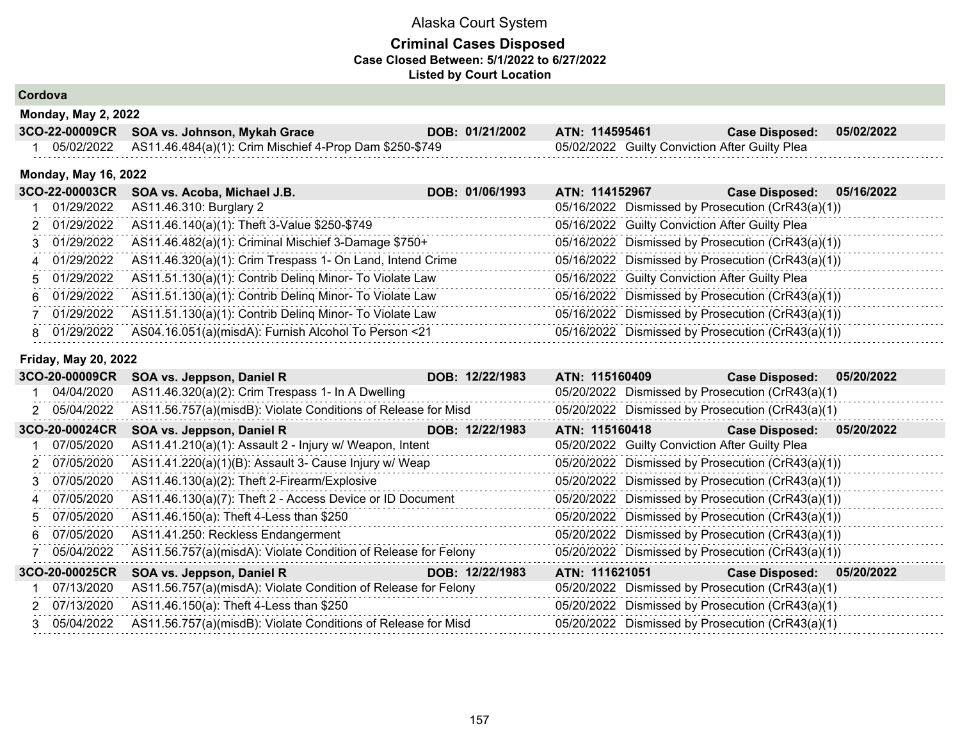## **Criminal Cases Disposed Case Closed Between: 5/1/2022 to 6/27/2022 Listed by Court Location**

**Cordova**

| <b>Monday, May 2, 2022</b> |                                                                    |                 |                                                |                       |            |  |  |
|----------------------------|--------------------------------------------------------------------|-----------------|------------------------------------------------|-----------------------|------------|--|--|
|                            | 3CO-22-00009CR SOA vs. Johnson, Mykah Grace                        | DOB: 01/21/2002 | ATN: 114595461                                 | <b>Case Disposed:</b> | 05/02/2022 |  |  |
|                            | 05/02/2022 AS11.46.484(a)(1): Crim Mischief 4-Prop Dam \$250-\$749 |                 | 05/02/2022 Guilty Conviction After Guilty Plea |                       |            |  |  |

#### **Monday, May 16, 2022**

| 3CO-22-00003CR | SOA vs. Acoba, Michael J.B.                               | DOB: 01/06/1993 | ATN: 114152967 | 05/16/2022<br><b>Case Disposed:</b>               |
|----------------|-----------------------------------------------------------|-----------------|----------------|---------------------------------------------------|
| 01/29/2022     | AS11.46.310: Burglary 2                                   |                 |                | 05/16/2022 Dismissed by Prosecution (CrR43(a)(1)) |
| 2 01/29/2022   | AS11.46.140(a)(1): Theft 3-Value \$250-\$749              |                 |                | 05/16/2022 Guilty Conviction After Guilty Plea    |
| 3 01/29/2022   | AS11.46.482(a)(1): Criminal Mischief 3-Damage \$750+      |                 |                | 05/16/2022 Dismissed by Prosecution (CrR43(a)(1)) |
| 4 01/29/2022   | AS11.46.320(a)(1): Crim Trespass 1- On Land, Intend Crime |                 |                | 05/16/2022 Dismissed by Prosecution (CrR43(a)(1)) |
| 5 01/29/2022   | AS11.51.130(a)(1): Contrib Deling Minor- To Violate Law   |                 |                | 05/16/2022 Guilty Conviction After Guilty Plea    |
| 6 01/29/2022   | AS11.51.130(a)(1): Contrib Deling Minor- To Violate Law   |                 |                | 05/16/2022 Dismissed by Prosecution (CrR43(a)(1)) |
| 7 01/29/2022   | AS11.51.130(a)(1): Contrib Deling Minor- To Violate Law   |                 |                | 05/16/2022 Dismissed by Prosecution (CrR43(a)(1)) |
| 8 01/29/2022   | AS04.16.051(a)(misdA): Furnish Alcohol To Person <21      |                 |                | 05/16/2022 Dismissed by Prosecution (CrR43(a)(1)) |

#### **Friday, May 20, 2022**

|   | 3CO-20-00009CR | SOA vs. Jeppson, Daniel R                                      | DOB: 12/22/1983 | ATN: 115160409 |                                                | <b>Case Disposed:</b>                             | 05/20/2022 |
|---|----------------|----------------------------------------------------------------|-----------------|----------------|------------------------------------------------|---------------------------------------------------|------------|
|   | 04/04/2020     | AS11.46.320(a)(2): Crim Trespass 1- In A Dwelling              |                 |                |                                                | 05/20/2022 Dismissed by Prosecution (CrR43(a)(1)  |            |
|   | 2 05/04/2022   | AS11.56.757(a)(misdB): Violate Conditions of Release for Misd  |                 |                |                                                | 05/20/2022 Dismissed by Prosecution (CrR43(a)(1)  |            |
|   | 3CO-20-00024CR | SOA vs. Jeppson, Daniel R                                      | DOB: 12/22/1983 |                | ATN: 115160418                                 | <b>Case Disposed:</b>                             | 05/20/2022 |
|   | 07/05/2020     | AS11.41.210(a)(1): Assault 2 - Injury w/ Weapon, Intent        |                 |                | 05/20/2022 Guilty Conviction After Guilty Plea |                                                   |            |
|   | 2 07/05/2020   | AS11.41.220(a)(1)(B): Assault 3- Cause Injury w/ Weap          |                 |                |                                                | 05/20/2022 Dismissed by Prosecution (CrR43(a)(1)) |            |
| 3 | 07/05/2020     | AS11.46.130(a)(2): Theft 2-Firearm/Explosive                   |                 |                |                                                | 05/20/2022 Dismissed by Prosecution (CrR43(a)(1)) |            |
|   | 4 07/05/2020   | AS11.46.130(a)(7): Theft 2 - Access Device or ID Document      |                 |                |                                                | 05/20/2022 Dismissed by Prosecution (CrR43(a)(1)) |            |
|   | 5 07/05/2020   | AS11.46.150(a): Theft 4-Less than \$250                        |                 |                |                                                | 05/20/2022 Dismissed by Prosecution (CrR43(a)(1)) |            |
|   | 6 07/05/2020   | AS11.41.250: Reckless Endangerment                             |                 |                |                                                | 05/20/2022 Dismissed by Prosecution (CrR43(a)(1)) |            |
|   | 05/04/2022     | AS11.56.757(a)(misdA): Violate Condition of Release for Felony |                 |                |                                                | 05/20/2022 Dismissed by Prosecution (CrR43(a)(1)) |            |
|   | 3CO-20-00025CR | SOA vs. Jeppson, Daniel R                                      | DOB: 12/22/1983 | ATN: 111621051 |                                                | <b>Case Disposed:</b>                             | 05/20/2022 |
|   | 07/13/2020     | AS11.56.757(a)(misdA): Violate Condition of Release for Felony |                 |                |                                                | 05/20/2022 Dismissed by Prosecution (CrR43(a)(1)  |            |
|   | 2 07/13/2020   | AS11.46.150(a): Theft 4-Less than \$250                        |                 |                |                                                | 05/20/2022 Dismissed by Prosecution (CrR43(a)(1)  |            |
|   | 3 05/04/2022   | AS11.56.757(a)(misdB): Violate Conditions of Release for Misd  |                 |                |                                                | 05/20/2022 Dismissed by Prosecution (CrR43(a)(1)  |            |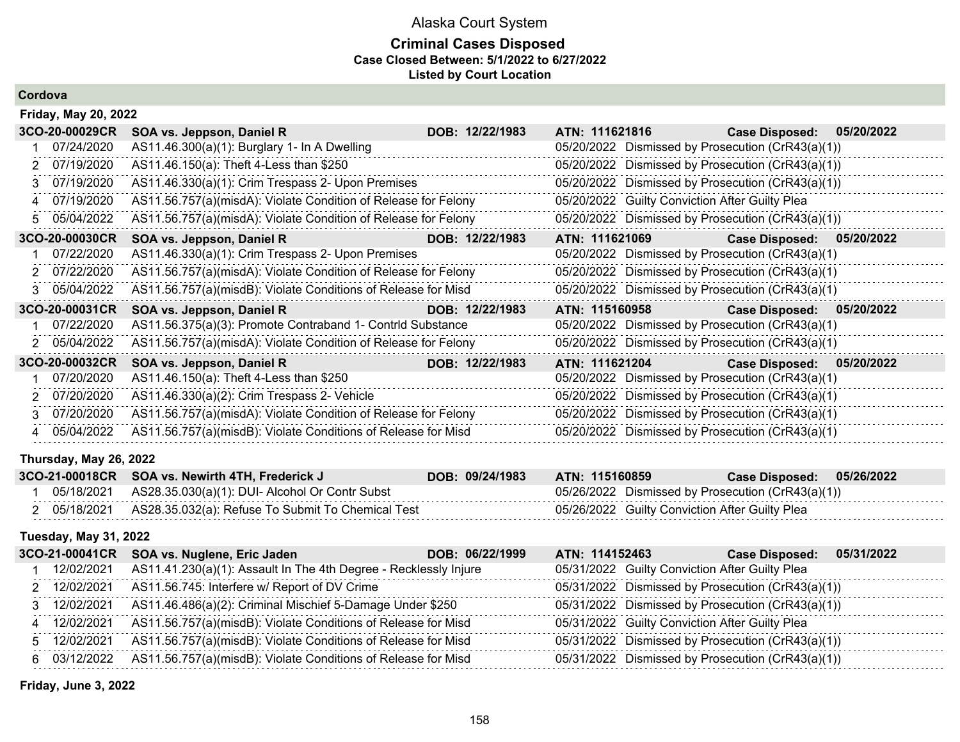## **Criminal Cases Disposed Case Closed Between: 5/1/2022 to 6/27/2022 Listed by Court Location**

**Cordova**

|    | <b>Friday, May 20, 2022</b> |                                                                |  |                 |                |                                                |                                                   |            |  |
|----|-----------------------------|----------------------------------------------------------------|--|-----------------|----------------|------------------------------------------------|---------------------------------------------------|------------|--|
|    | 3CO-20-00029CR              | SOA vs. Jeppson, Daniel R                                      |  | DOB: 12/22/1983 |                | ATN: 111621816                                 | <b>Case Disposed:</b>                             | 05/20/2022 |  |
|    | 07/24/2020                  | AS11.46.300(a)(1): Burglary 1- In A Dwelling                   |  |                 |                |                                                | 05/20/2022 Dismissed by Prosecution (CrR43(a)(1)) |            |  |
| 2  | 07/19/2020                  | AS11.46.150(a): Theft 4-Less than \$250                        |  |                 |                |                                                | 05/20/2022 Dismissed by Prosecution (CrR43(a)(1)) |            |  |
| 3  | 07/19/2020                  | AS11.46.330(a)(1): Crim Trespass 2- Upon Premises              |  |                 |                |                                                | 05/20/2022 Dismissed by Prosecution (CrR43(a)(1)) |            |  |
| 4  | 07/19/2020                  | AS11.56.757(a)(misdA): Violate Condition of Release for Felony |  |                 |                | 05/20/2022 Guilty Conviction After Guilty Plea |                                                   |            |  |
| 5. | 05/04/2022                  | AS11.56.757(a)(misdA): Violate Condition of Release for Felony |  |                 |                |                                                | 05/20/2022 Dismissed by Prosecution (CrR43(a)(1)) |            |  |
|    | 3CO-20-00030CR              | SOA vs. Jeppson, Daniel R<br><u> Tanzania (Barat III) eta</u>  |  | DOB: 12/22/1983 |                | ATN: 111621069                                 | Case Disposed: 05/20/2022                         |            |  |
|    | 07/22/2020                  | AS11.46.330(a)(1): Crim Trespass 2- Upon Premises              |  |                 |                |                                                | 05/20/2022 Dismissed by Prosecution (CrR43(a)(1)  |            |  |
|    | 2 07/22/2020                | AS11.56.757(a)(misdA): Violate Condition of Release for Felony |  |                 |                |                                                | 05/20/2022 Dismissed by Prosecution (CrR43(a)(1)  |            |  |
| 3  | 05/04/2022                  | AS11.56.757(a)(misdB): Violate Conditions of Release for Misd  |  |                 |                |                                                | 05/20/2022 Dismissed by Prosecution (CrR43(a)(1)  |            |  |
|    | 3CO-20-00031CR              | SOA vs. Jeppson, Daniel R                                      |  | DOB: 12/22/1983 | ATN: 115160958 |                                                | <b>Case Disposed:</b>                             | 05/20/2022 |  |
|    | 07/22/2020                  | AS11.56.375(a)(3): Promote Contraband 1- Contrid Substance     |  |                 |                |                                                | 05/20/2022 Dismissed by Prosecution (CrR43(a)(1)  |            |  |
| 2. | 05/04/2022                  | AS11.56.757(a)(misdA): Violate Condition of Release for Felony |  |                 |                |                                                | 05/20/2022 Dismissed by Prosecution (CrR43(a)(1)  |            |  |
|    | 3CO-20-00032CR              | SOA vs. Jeppson, Daniel R                                      |  | DOB: 12/22/1983 | ATN: 111621204 |                                                | Case Disposed: 05/20/2022                         |            |  |
|    | 07/20/2020                  | AS11.46.150(a): Theft 4-Less than \$250                        |  |                 |                |                                                | 05/20/2022 Dismissed by Prosecution (CrR43(a)(1)  |            |  |
| 2  | 07/20/2020                  | AS11.46.330(a)(2): Crim Trespass 2- Vehicle                    |  |                 |                |                                                | 05/20/2022 Dismissed by Prosecution (CrR43(a)(1)  |            |  |
| 3  | 07/20/2020                  | AS11.56.757(a)(misdA): Violate Condition of Release for Felony |  |                 |                |                                                | 05/20/2022 Dismissed by Prosecution (CrR43(a)(1)  |            |  |
|    | 05/04/2022                  | AS11.56.757(a)(misdB): Violate Conditions of Release for Misd  |  |                 |                |                                                | 05/20/2022 Dismissed by Prosecution (CrR43(a)(1)  |            |  |

## **Thursday, May 26, 2022**

|  | 3CO-21-00018CR SOA vs. Newirth 4TH, Frederick J                | DOB: 09/24/1983 | ATN: 115160859                                    |  |
|--|----------------------------------------------------------------|-----------------|---------------------------------------------------|--|
|  | 05/18/2021 AS28.35.030(a)(1): DUI- Alcohol Or Contr Subst      |                 | 05/26/2022 Dismissed by Prosecution (CrR43(a)(1)) |  |
|  | 2 05/18/2021 AS28.35.032(a): Refuse To Submit To Chemical Test |                 | 05/26/2022 Guilty Conviction After Guilty Plea    |  |

## **Tuesday, May 31, 2022**

| 3CO-21-00041CR | SOA vs. Nuglene, Eric Jaden                                                | DOB: 06/22/1999<br>ATN: 114152463 | 05/31/2022<br><b>Case Disposed:</b>               |  |
|----------------|----------------------------------------------------------------------------|-----------------------------------|---------------------------------------------------|--|
| 12/02/2021     | AS11.41.230(a)(1): Assault In The 4th Degree - Recklessly Injure           |                                   | 05/31/2022 Guilty Conviction After Guilty Plea    |  |
| 2 12/02/2021   | AS11.56.745: Interfere w/ Report of DV Crime                               |                                   | 05/31/2022 Dismissed by Prosecution (CrR43(a)(1)) |  |
| 3 12/02/2021   | AS11.46.486(a)(2): Criminal Mischief 5-Damage Under \$250                  |                                   | 05/31/2022 Dismissed by Prosecution (CrR43(a)(1)) |  |
| 4 12/02/2021   | AS11.56.757(a)(misdB): Violate Conditions of Release for Misd              |                                   | 05/31/2022 Guilty Conviction After Guilty Plea    |  |
| 5 12/02/2021   | AS11.56.757(a)(misdB): Violate Conditions of Release for Misd              |                                   | 05/31/2022 Dismissed by Prosecution (CrR43(a)(1)) |  |
|                | 6 03/12/2022 AS11.56.757(a)(misdB): Violate Conditions of Release for Misd |                                   | 05/31/2022 Dismissed by Prosecution (CrR43(a)(1)) |  |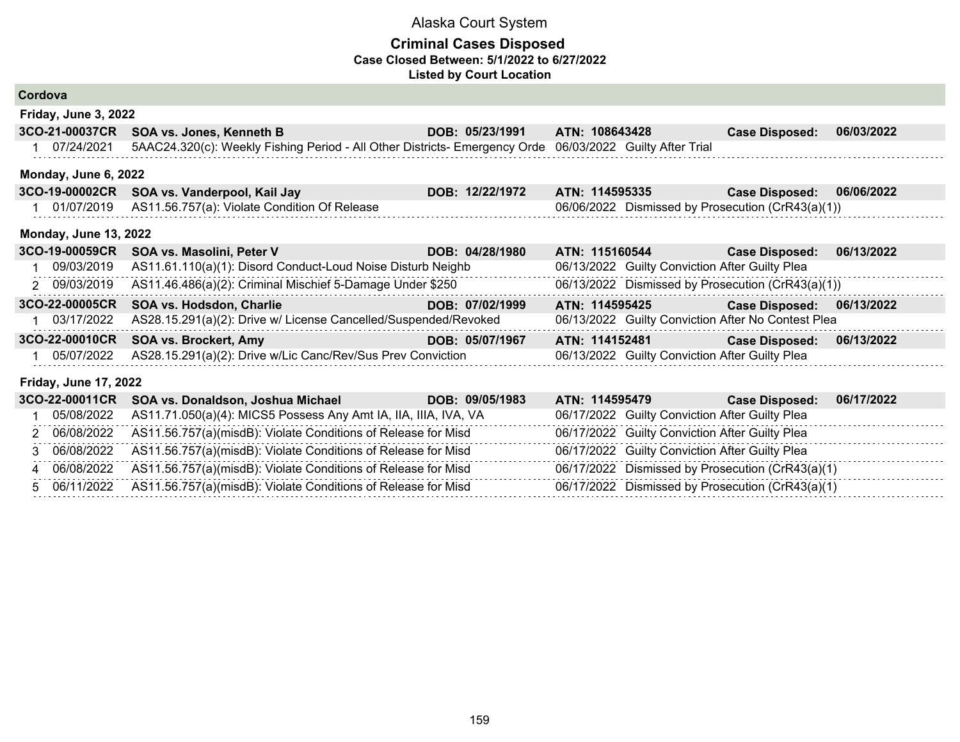### **Criminal Cases Disposed Case Closed Between: 5/1/2022 to 6/27/2022 Listed by Court Location**

| Cordova                      |                                                                                                          |                 |                |                                                |                                                    |            |
|------------------------------|----------------------------------------------------------------------------------------------------------|-----------------|----------------|------------------------------------------------|----------------------------------------------------|------------|
| Friday, June 3, 2022         |                                                                                                          |                 |                |                                                |                                                    |            |
| 3CO-21-00037CR               | SOA vs. Jones, Kenneth B                                                                                 | DOB: 05/23/1991 | ATN: 108643428 |                                                | <b>Case Disposed:</b>                              | 06/03/2022 |
| 07/24/2021                   | 5AAC24.320(c): Weekly Fishing Period - All Other Districts- Emergency Orde 06/03/2022 Guilty After Trial |                 |                |                                                |                                                    |            |
| Monday, June 6, 2022         |                                                                                                          |                 |                |                                                |                                                    |            |
| 3CO-19-00002CR               | SOA vs. Vanderpool, Kail Jay                                                                             | DOB: 12/22/1972 | ATN: 114595335 |                                                | <b>Case Disposed:</b>                              | 06/06/2022 |
| 01/07/2019                   | AS11.56.757(a): Violate Condition Of Release                                                             |                 |                |                                                | 06/06/2022 Dismissed by Prosecution (CrR43(a)(1))  |            |
| <b>Monday, June 13, 2022</b> |                                                                                                          |                 |                |                                                |                                                    |            |
| 3CO-19-00059CR               | SOA vs. Masolini, Peter V                                                                                | DOB: 04/28/1980 | ATN: 115160544 |                                                | <b>Case Disposed:</b>                              | 06/13/2022 |
| 09/03/2019                   | AS11.61.110(a)(1): Disord Conduct-Loud Noise Disturb Neighb                                              |                 |                | 06/13/2022 Guilty Conviction After Guilty Plea |                                                    |            |
| 2 09/03/2019                 | AS11.46.486(a)(2): Criminal Mischief 5-Damage Under \$250                                                |                 |                |                                                | 06/13/2022 Dismissed by Prosecution (CrR43(a)(1))  |            |
| 3CO-22-00005CR               | SOA vs. Hodsdon, Charlie                                                                                 | DOB: 07/02/1999 | ATN: 114595425 |                                                | <b>Case Disposed:</b>                              | 06/13/2022 |
| 03/17/2022                   | AS28.15.291(a)(2): Drive w/ License Cancelled/Suspended/Revoked                                          |                 |                |                                                | 06/13/2022 Guilty Conviction After No Contest Plea |            |
| 3CO-22-00010CR               | <b>SOA vs. Brockert, Amy</b>                                                                             | DOB: 05/07/1967 |                |                                                | ATN: 114152481 Case Disposed:                      | 06/13/2022 |
| 05/07/2022                   | AS28.15.291(a)(2): Drive w/Lic Canc/Rev/Sus Prev Conviction                                              |                 |                | 06/13/2022 Guilty Conviction After Guilty Plea |                                                    |            |
| <b>Friday, June 17, 2022</b> |                                                                                                          |                 |                |                                                |                                                    |            |
| 3CO-22-00011CR               | SOA vs. Donaldson, Joshua Michael                                                                        | DOB: 09/05/1983 | ATN: 114595479 |                                                | <b>Case Disposed:</b>                              | 06/17/2022 |
| 05/08/2022                   | AS11.71.050(a)(4): MICS5 Possess Any Amt IA, IIA, IIIA, IVA, VA                                          |                 |                | 06/17/2022 Guilty Conviction After Guilty Plea |                                                    |            |
| 2 06/08/2022                 | AS11.56.757(a)(misdB): Violate Conditions of Release for Misd                                            |                 |                | 06/17/2022 Guilty Conviction After Guilty Plea |                                                    |            |

 3 06/08/2022 AS11.56.757(a)(misdB): Violate Conditions of Release for Misd 06/17/2022 Guilty Conviction After Guilty Plea 4 06/08/2022 AS11.56.757(a)(misdB): Violate Conditions of Release for Misd 06/17/2022 Dismissed by Prosecution (CrR43(a)(1) 5 06/11/2022 AS11.56.757(a)(misdB): Violate Conditions of Release for Misd 06/17/2022 Dismissed by Prosecution (CrR43(a)(1)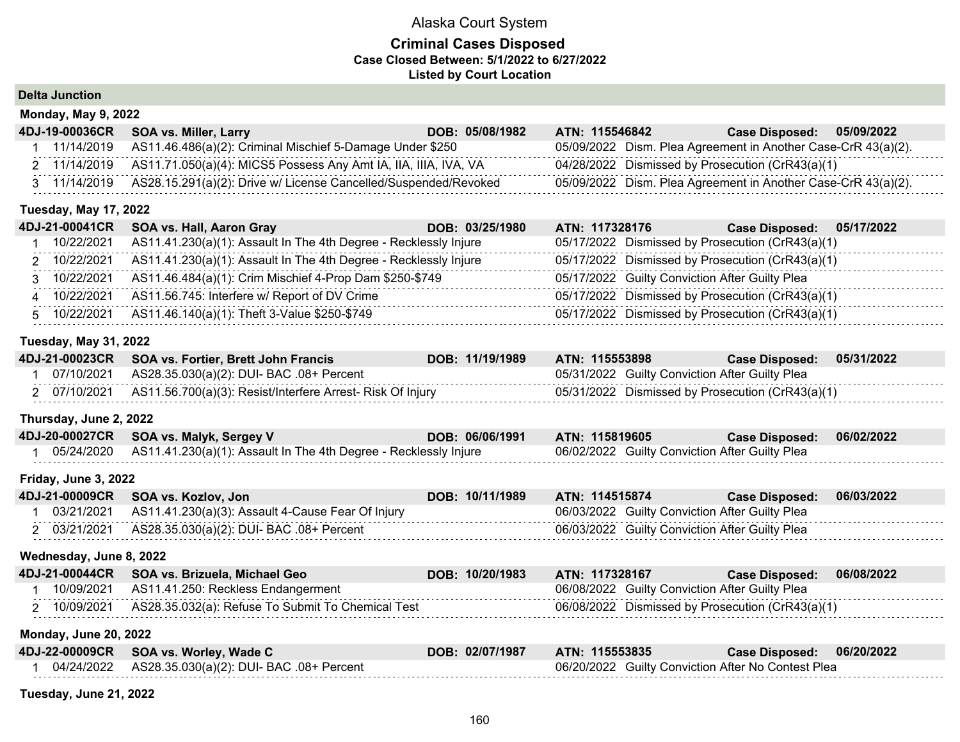## **Criminal Cases Disposed Case Closed Between: 5/1/2022 to 6/27/2022 Listed by Court Location**

**Delta Junction**

| <b>Monday, May 9, 2022</b><br>4DJ-19-00036CR | <b>SOA vs. Miller, Larry</b>                                                 | DOB: 05/08/1982 | ATN: 115546842 | 05/09/2022<br><b>Case Disposed:</b>                           |  |  |  |
|----------------------------------------------|------------------------------------------------------------------------------|-----------------|----------------|---------------------------------------------------------------|--|--|--|
| 11/14/2019                                   | AS11.46.486(a)(2): Criminal Mischief 5-Damage Under \$250                    |                 |                | 05/09/2022 Dism. Plea Agreement in Another Case-CrR 43(a)(2). |  |  |  |
|                                              | 2 11/14/2019 AS11.71.050(a)(4): MICS5 Possess Any Amt IA, IIA, IIIA, IVA, VA |                 |                | 04/28/2022 Dismissed by Prosecution (CrR43(a)(1)              |  |  |  |
| 3 11/14/2019                                 | AS28.15.291(a)(2): Drive w/ License Cancelled/Suspended/Revoked              |                 |                | 05/09/2022 Dism. Plea Agreement in Another Case-CrR 43(a)(2). |  |  |  |
| T                                            |                                                                              |                 |                |                                                               |  |  |  |

#### **Tuesday, May 17, 2022**

| 4DJ-21-00041CR | SOA vs. Hall, Aaron Gray                                                      | ATN: 117328176<br>DOB: 03/25/1980 | Case Disposed: 05/17/2022                        |  |
|----------------|-------------------------------------------------------------------------------|-----------------------------------|--------------------------------------------------|--|
| 10/22/2021     | AS11.41.230(a)(1): Assault In The 4th Degree - Recklessly Injure              |                                   | 05/17/2022 Dismissed by Prosecution (CrR43(a)(1) |  |
|                | 2 10/22/2021 AS11.41.230(a)(1): Assault In The 4th Degree - Recklessly Injure |                                   | 05/17/2022 Dismissed by Prosecution (CrR43(a)(1) |  |
| 3 10/22/2021   | AS11.46.484(a)(1): Crim Mischief 4-Prop Dam \$250-\$749                       |                                   | 05/17/2022 Guilty Conviction After Guilty Plea   |  |
| 4 10/22/2021   | AS11.56.745: Interfere w/ Report of DV Crime                                  |                                   | 05/17/2022 Dismissed by Prosecution (CrR43(a)(1) |  |
|                | 10/22/2021 AS11.46.140(a)(1): Theft 3-Value \$250-\$749                       |                                   | 05/17/2022 Dismissed by Prosecution (CrR43(a)(1) |  |

## **Tuesday, May 31, 2022**

|  | 4DJ-21-00023CR SOA vs. Fortier, Brett John Francis                      | DOB: 11/19/1989 | ATN: 115553898                                 | <b>Case Disposed:</b>                              | 05/31/2022 |
|--|-------------------------------------------------------------------------|-----------------|------------------------------------------------|----------------------------------------------------|------------|
|  | 07/10/2021 AS28.35.030(a)(2): DUI- BAC .08+ Percent                     |                 | 05/31/2022 Guilty Conviction After Guilty Plea |                                                    |            |
|  | 2 07/10/2021 AS11.56.700(a)(3): Resist/Interfere Arrest- Risk Of Injury |                 |                                                | $05/31/2022$ Dismissed by Prosecution (CrR43(a)(1) |            |

### **Thursday, June 2, 2022**

| 4DJ-20-00027CR SOA vs. Malyk, Sergey V                                        | DOB: 06/06/1991 ATN: 115819605 |                                                | Case Disposed: 06/02/2022 |  |
|-------------------------------------------------------------------------------|--------------------------------|------------------------------------------------|---------------------------|--|
| 05/24/2020   AS11.41.230(a)(1): Assault In The 4th Degree - Recklessly Injure |                                | 06/02/2022 Guilty Conviction After Guilty Plea |                           |  |

#### **Friday, June 3, 2022**

|            | 4DJ-21-00009CR SOA vs. Kozlov, Jon                | DOB: 10/11/1989 | ATN: 114515874                                 | Case Disposed: 06/03/2022 |  |
|------------|---------------------------------------------------|-----------------|------------------------------------------------|---------------------------|--|
| 03/21/2021 | AS11.41.230(a)(3): Assault 4-Cause Fear Of Injury |                 | 06/03/2022 Guilty Conviction After Guilty Plea |                           |  |
| 03/21/2021 | AS28.35.030(a)(2): DUI- BAC .08+ Percent          |                 | 06/03/2022 Guilty Conviction After Guilty Plea |                           |  |

#### **Wednesday, June 8, 2022**

|            | 4DJ-21-00044CR SOA vs. Brizuela, Michael Geo      | DOB: 10/20/1983 | ATN: 117328167                                   | <b>Case Disposed:</b> | 06/08/2022 |
|------------|---------------------------------------------------|-----------------|--------------------------------------------------|-----------------------|------------|
| 10/09/2021 | AS11.41.250: Reckless Endangerment                |                 | 06/08/2022 Guilty Conviction After Guilty Plea   |                       |            |
| 10/09/2021 | AS28.35.032(a): Refuse To Submit To Chemical Test |                 | 06/08/2022 Dismissed by Prosecution (CrR43(a)(1) |                       |            |

#### **Monday, June 20, 2022**

|  | 4DJ-22-00009CR SOA vs. Worley, Wade C                     | DOB: 02/07/1987 | <b>ATN: 115553835</b>                              | Case Disposed: 06/20/2022 |  |
|--|-----------------------------------------------------------|-----------------|----------------------------------------------------|---------------------------|--|
|  | 04/24/2022    AS28.35.030(a)(2): DUI- BAC    .08+ Percent |                 | 06/20/2022 Guilty Conviction After No Contest Plea |                           |  |
|  |                                                           |                 |                                                    |                           |  |

**Tuesday, June 21, 2022**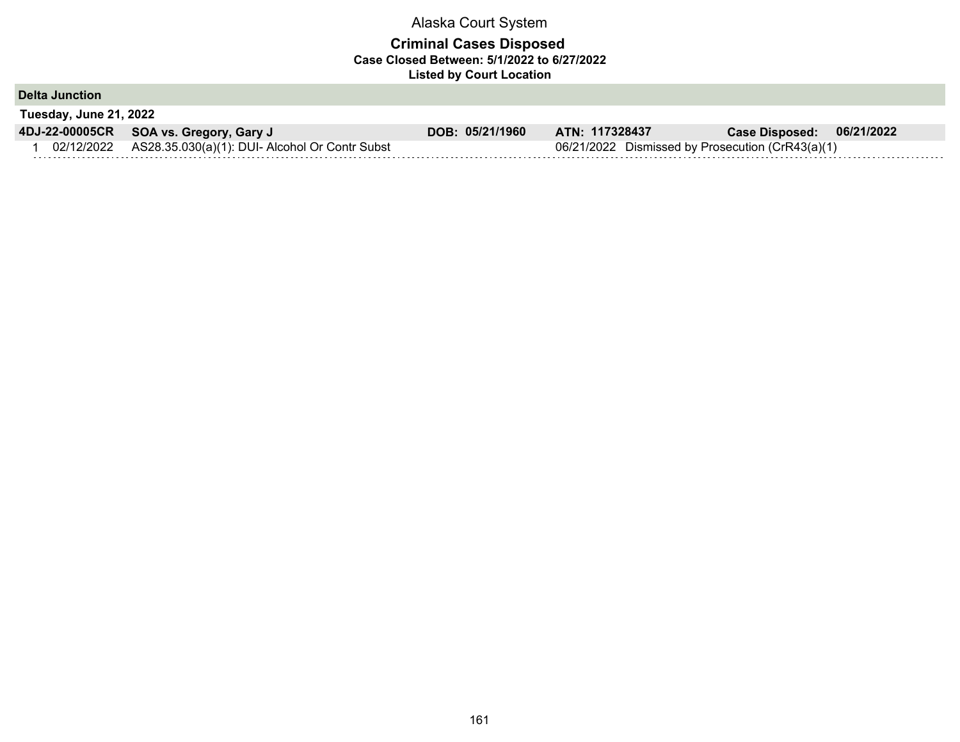| Tuesday, June 21, 2022<br>4DJ-22-00005CR SOA vs. Gregory, Gary J<br>DOB: 05/21/1960<br>ATN: 117328437<br>06/21/2022<br><b>Case Disposed:</b><br>02/12/2022 AS28.35.030(a)(1): DUI- Alcohol Or Contr Subst<br>06/21/2022 Dismissed by Prosecution (CrR43(a)(1) | <b>Delta Junction</b> |  |  |  |
|---------------------------------------------------------------------------------------------------------------------------------------------------------------------------------------------------------------------------------------------------------------|-----------------------|--|--|--|
|                                                                                                                                                                                                                                                               |                       |  |  |  |
|                                                                                                                                                                                                                                                               |                       |  |  |  |
|                                                                                                                                                                                                                                                               |                       |  |  |  |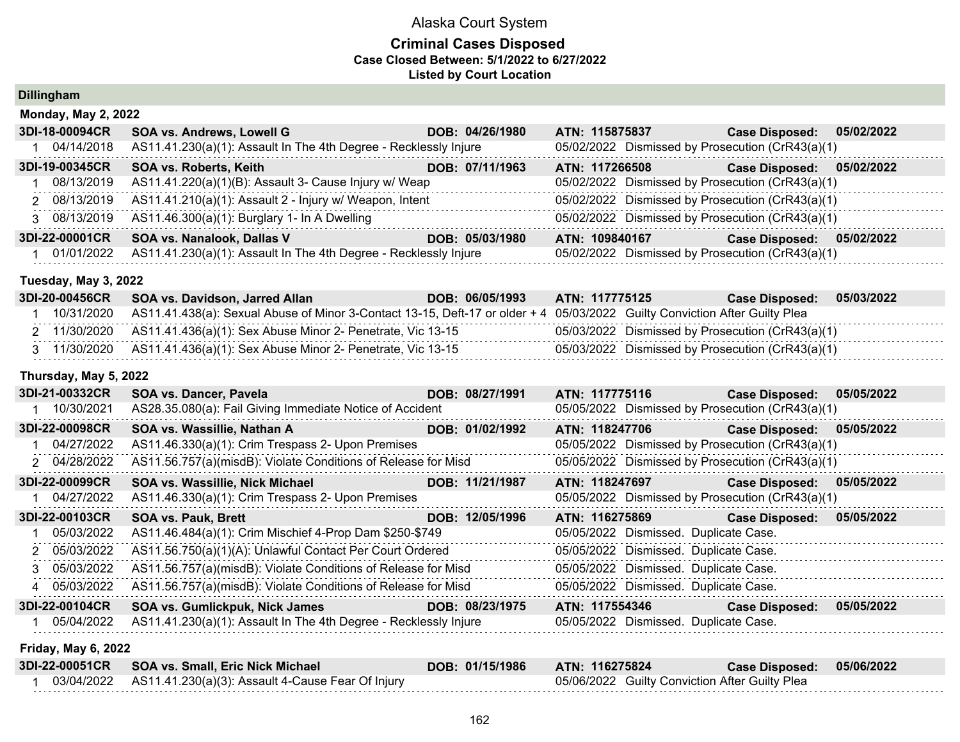## **Criminal Cases Disposed Case Closed Between: 5/1/2022 to 6/27/2022 Listed by Court Location**

**Dillingham**

| Monday, May 2, 2022 |  |  |
|---------------------|--|--|
|---------------------|--|--|

| AS11.41.230(a)(1): Assault In The 4th Degree - Recklessly Injure<br>05/02/2022 Dismissed by Prosecution (CrR43(a)(1)<br>04/14/2018 |  |
|------------------------------------------------------------------------------------------------------------------------------------|--|
| <b>SOA vs. Roberts, Keith</b><br>3DI-19-00345CR<br>DOB: 07/11/1963<br>ATN: 117266508<br>Case Disposed: 05/02/2022                  |  |
| AS11.41.220(a)(1)(B): Assault 3- Cause Injury w/ Weap<br>05/02/2022 Dismissed by Prosecution (CrR43(a)(1)<br>08/13/2019            |  |
| AS11.41.210(a)(1): Assault 2 - Injury w/ Weapon, Intent<br>05/02/2022 Dismissed by Prosecution (CrR43(a)(1)<br>2 08/13/2019        |  |
| 05/02/2022 Dismissed by Prosecution (CrR43(a)(1)<br>AS11.46.300(a)(1): Burglary 1- In A Dwelling<br>3 08/13/2019                   |  |
| 3DI-22-00001CR<br>SOA vs. Nanalook, Dallas V<br>DOB: 05/03/1980<br>05/02/2022<br>ATN: 109840167<br><b>Case Disposed:</b>           |  |
| AS11.41.230(a)(1): Assault In The 4th Degree - Recklessly Injure<br>05/02/2022 Dismissed by Prosecution (CrR43(a)(1)<br>01/01/2022 |  |

### **Tuesday, May 3, 2022**

| 3DI-20-00456CR | <b>SOA vs. Davidson, Jarred Allan</b>                                                                                                 | DOB: 06/05/1993 | ATN: 117775125 | <b>Case Disposed:</b>                            | 05/03/2022 |
|----------------|---------------------------------------------------------------------------------------------------------------------------------------|-----------------|----------------|--------------------------------------------------|------------|
|                | 10/31/2020 AS11.41.438(a): Sexual Abuse of Minor 3-Contact 13-15, Deft-17 or older + 4 05/03/2022 Guilty Conviction After Guilty Plea |                 |                |                                                  |            |
|                | 2 11/30/2020 AS11.41.436(a)(1): Sex Abuse Minor 2- Penetrate, Vic 13-15                                                               |                 |                | 05/03/2022 Dismissed by Prosecution (CrR43(a)(1) |            |
|                | 3 11/30/2020 AS11.41.436(a)(1): Sex Abuse Minor 2- Penetrate, Vic 13-15                                                               |                 |                | 05/03/2022 Dismissed by Prosecution (CrR43(a)(1) |            |

## **Thursday, May 5, 2022**

| 3DI-21-00332CR | <b>SOA vs. Dancer, Pavela</b>                                    | DOB: 08/27/1991 | ATN: 117775116                                   | <b>Case Disposed:</b>     | 05/05/2022 |
|----------------|------------------------------------------------------------------|-----------------|--------------------------------------------------|---------------------------|------------|
| 10/30/2021     | AS28.35.080(a): Fail Giving Immediate Notice of Accident         |                 | 05/05/2022 Dismissed by Prosecution (CrR43(a)(1) |                           |            |
| 3DI-22-00098CR | SOA vs. Wassillie, Nathan A                                      | DOB: 01/02/1992 | ATN: 118247706                                   | Case Disposed: 05/05/2022 |            |
| 04/27/2022     | AS11.46.330(a)(1): Crim Trespass 2- Upon Premises                |                 | 05/05/2022 Dismissed by Prosecution (CrR43(a)(1) |                           |            |
| 2 04/28/2022   | AS11.56.757(a)(misdB): Violate Conditions of Release for Misd    |                 | 05/05/2022 Dismissed by Prosecution (CrR43(a)(1) |                           |            |
| 3DI-22-00099CR | SOA vs. Wassillie, Nick Michael                                  | DOB: 11/21/1987 | ATN: 118247697                                   | <b>Case Disposed:</b>     | 05/05/2022 |
| 04/27/2022     | AS11.46.330(a)(1): Crim Trespass 2- Upon Premises                |                 | 05/05/2022 Dismissed by Prosecution (CrR43(a)(1) |                           |            |
| 3DI-22-00103CR | <b>SOA vs. Pauk, Brett</b>                                       | DOB: 12/05/1996 | ATN: 116275869                                   | <b>Case Disposed:</b>     | 05/05/2022 |
|                | AS11.46.484(a)(1): Crim Mischief 4-Prop Dam \$250-\$749          |                 | 05/05/2022 Dismissed. Duplicate Case.            |                           |            |
| 05/03/2022     |                                                                  |                 |                                                  |                           |            |
| 2 05/03/2022   | AS11.56.750(a)(1)(A): Unlawful Contact Per Court Ordered         |                 | 05/05/2022 Dismissed. Duplicate Case.            |                           |            |
| 3 05/03/2022   | AS11.56.757(a)(misdB): Violate Conditions of Release for Misd    |                 | 05/05/2022 Dismissed. Duplicate Case.            |                           |            |
| 4 05/03/2022   | AS11.56.757(a)(misdB): Violate Conditions of Release for Misd    |                 | 05/05/2022 Dismissed. Duplicate Case.            |                           |            |
| 3DI-22-00104CR | SOA vs. Gumlickpuk, Nick James                                   | DOB: 08/23/1975 | ATN: 117554346                                   | <b>Case Disposed:</b>     | 05/05/2022 |
| 05/04/2022     | AS11.41.230(a)(1): Assault In The 4th Degree - Recklessly Injure |                 | 05/05/2022 Dismissed. Duplicate Case.            |                           |            |

#### **Friday, May 6, 2022**

| 3DI-22-00051CR SOA vs. Small, Eric Nick Michael              | DOB: 01/15/1986 | <b>ATN: 116275824</b>                          | Case Disposed: 05/06/2022 |  |
|--------------------------------------------------------------|-----------------|------------------------------------------------|---------------------------|--|
| 03/04/2022 AS11.41.230(a)(3): Assault 4-Cause Fear Of Injury |                 | 05/06/2022 Guilty Conviction After Guilty Plea |                           |  |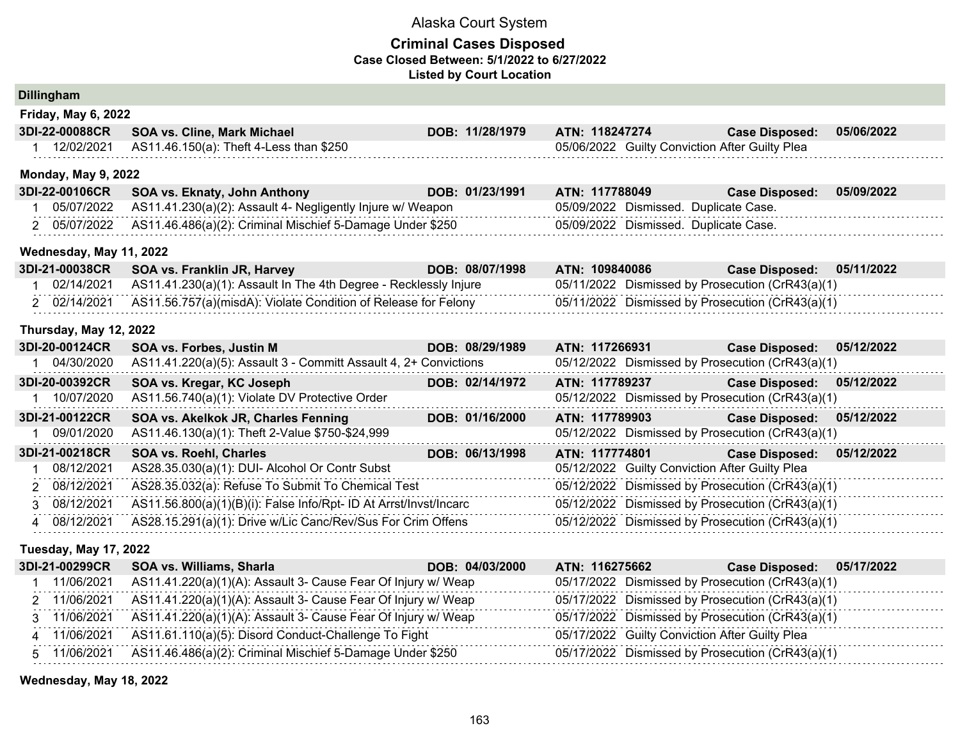## **Criminal Cases Disposed Case Closed Between: 5/1/2022 to 6/27/2022 Listed by Court Location**

| Dillingriani                 |                                                                   |                 |                                                  |                       |            |
|------------------------------|-------------------------------------------------------------------|-----------------|--------------------------------------------------|-----------------------|------------|
| <b>Friday, May 6, 2022</b>   |                                                                   |                 |                                                  |                       |            |
| 3DI-22-00088CR               | SOA vs. Cline, Mark Michael                                       | DOB: 11/28/1979 | ATN: 118247274                                   | <b>Case Disposed:</b> | 05/06/2022 |
| 1 12/02/2021                 | AS11.46.150(a): Theft 4-Less than \$250                           |                 | 05/06/2022 Guilty Conviction After Guilty Plea   |                       |            |
| <b>Monday, May 9, 2022</b>   |                                                                   |                 |                                                  |                       |            |
| 3DI-22-00106CR               | SOA vs. Eknaty, John Anthony                                      | DOB: 01/23/1991 | ATN: 117788049                                   | <b>Case Disposed:</b> | 05/09/2022 |
| 05/07/2022                   | AS11.41.230(a)(2): Assault 4- Negligently Injure w/ Weapon        |                 | 05/09/2022 Dismissed. Duplicate Case.            |                       |            |
| 2 05/07/2022                 | AS11.46.486(a)(2): Criminal Mischief 5-Damage Under \$250         |                 | 05/09/2022 Dismissed. Duplicate Case.            |                       |            |
| Wednesday, May 11, 2022      |                                                                   |                 |                                                  |                       |            |
| 3DI-21-00038CR               | SOA vs. Franklin JR, Harvey                                       | DOB: 08/07/1998 | ATN: 109840086                                   | <b>Case Disposed:</b> | 05/11/2022 |
| 1 02/14/2021                 | AS11.41.230(a)(1): Assault In The 4th Degree - Recklessly Injure  |                 | 05/11/2022 Dismissed by Prosecution (CrR43(a)(1) |                       |            |
| 2 02/14/2021                 | AS11.56.757(a)(misdA): Violate Condition of Release for Felony    |                 | 05/11/2022 Dismissed by Prosecution (CrR43(a)(1) |                       |            |
| Thursday, May 12, 2022       |                                                                   |                 |                                                  |                       |            |
| 3DI-20-00124CR               | SOA vs. Forbes, Justin M                                          | DOB: 08/29/1989 | ATN: 117266931                                   | <b>Case Disposed:</b> | 05/12/2022 |
| 1 04/30/2020                 | AS11.41.220(a)(5): Assault 3 - Committ Assault 4, 2+ Convictions  |                 | 05/12/2022 Dismissed by Prosecution (CrR43(a)(1) |                       |            |
| 3DI-20-00392CR               | SOA vs. Kregar, KC Joseph                                         | DOB: 02/14/1972 | ATN: 117789237                                   | <b>Case Disposed:</b> | 05/12/2022 |
| 1 10/07/2020                 | AS11.56.740(a)(1): Violate DV Protective Order                    |                 | 05/12/2022 Dismissed by Prosecution (CrR43(a)(1) |                       |            |
| 3DI-21-00122CR               | SOA vs. Akelkok JR, Charles Fenning                               | DOB: 01/16/2000 | ATN: 117789903                                   | <b>Case Disposed:</b> | 05/12/2022 |
| 09/01/2020                   | AS11.46.130(a)(1): Theft 2-Value \$750-\$24,999                   |                 | 05/12/2022 Dismissed by Prosecution (CrR43(a)(1) |                       |            |
| 3DI-21-00218CR               | SOA vs. Roehl, Charles                                            | DOB: 06/13/1998 | ATN: 117774801                                   | <b>Case Disposed:</b> | 05/12/2022 |
| 08/12/2021<br>1              | AS28.35.030(a)(1): DUI- Alcohol Or Contr Subst                    |                 | 05/12/2022 Guilty Conviction After Guilty Plea   |                       |            |
| 08/12/2021<br>2              | AS28.35.032(a): Refuse To Submit To Chemical Test                 |                 | 05/12/2022 Dismissed by Prosecution (CrR43(a)(1) |                       |            |
| 3 08/12/2021                 | AS11.56.800(a)(1)(B)(i): False Info/Rpt- ID At Arrst/Invst/Incarc |                 | 05/12/2022 Dismissed by Prosecution (CrR43(a)(1) |                       |            |
| 4 08/12/2021                 | AS28.15.291(a)(1): Drive w/Lic Canc/Rev/Sus For Crim Offens       |                 | 05/12/2022 Dismissed by Prosecution (CrR43(a)(1) |                       |            |
| <b>Tuesday, May 17, 2022</b> |                                                                   |                 |                                                  |                       |            |
| 3DI-21-00299CR               | SOA vs. Williams, Sharla                                          | DOB: 04/03/2000 | ATN: 116275662                                   | <b>Case Disposed:</b> | 05/17/2022 |
| 1 11/06/2021                 | AS11.41.220(a)(1)(A): Assault 3- Cause Fear Of Injury w/ Weap     |                 | 05/17/2022 Dismissed by Prosecution (CrR43(a)(1) |                       |            |
| 2 11/06/2021                 | AS11.41.220(a)(1)(A): Assault 3- Cause Fear Of Injury w/ Weap     |                 | 05/17/2022 Dismissed by Prosecution (CrR43(a)(1) |                       |            |
| 3 11/06/2021                 | AS11.41.220(a)(1)(A): Assault 3- Cause Fear Of Injury w/ Weap     |                 | 05/17/2022 Dismissed by Prosecution (CrR43(a)(1) |                       |            |
| 4 11/06/2021                 | AS11.61.110(a)(5): Disord Conduct-Challenge To Fight              |                 | 05/17/2022 Guilty Conviction After Guilty Plea   |                       |            |
| 5 11/06/2021                 | AS11.46.486(a)(2): Criminal Mischief 5-Damage Under \$250         |                 | 05/17/2022 Dismissed by Prosecution (CrR43(a)(1) |                       |            |

**Wednesday, May 18, 2022**

**Dillingham**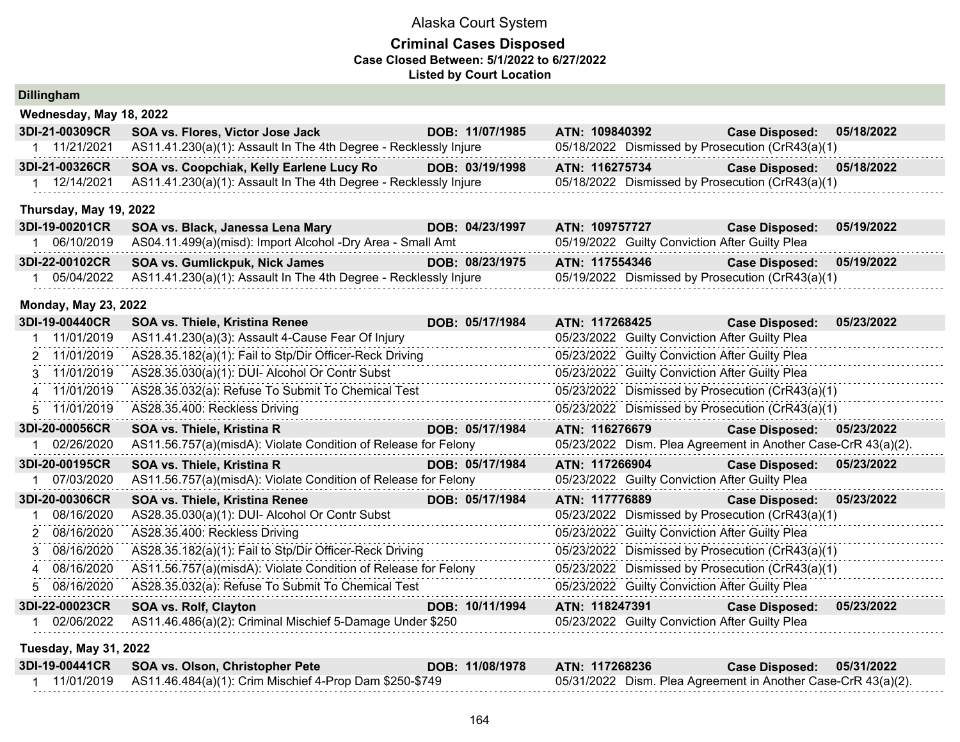| <b>Dillingham</b>            |                                                                  |                 |                                                               |                       |            |
|------------------------------|------------------------------------------------------------------|-----------------|---------------------------------------------------------------|-----------------------|------------|
| Wednesday, May 18, 2022      |                                                                  |                 |                                                               |                       |            |
| 3DI-21-00309CR               | SOA vs. Flores, Victor Jose Jack                                 | DOB: 11/07/1985 | ATN: 109840392                                                | <b>Case Disposed:</b> | 05/18/2022 |
| 1 11/21/2021                 | AS11.41.230(a)(1): Assault In The 4th Degree - Recklessly Injure |                 | 05/18/2022 Dismissed by Prosecution (CrR43(a)(1)              |                       |            |
| 3DI-21-00326CR               | SOA vs. Coopchiak, Kelly Earlene Lucy Ro                         | DOB: 03/19/1998 | ATN: 116275734                                                | <b>Case Disposed:</b> | 05/18/2022 |
| 1 12/14/2021                 | AS11.41.230(a)(1): Assault In The 4th Degree - Recklessly Injure |                 | 05/18/2022 Dismissed by Prosecution (CrR43(a)(1)              |                       |            |
| Thursday, May 19, 2022       |                                                                  |                 |                                                               |                       |            |
| 3DI-19-00201CR               | SOA vs. Black, Janessa Lena Mary                                 | DOB: 04/23/1997 | ATN: 109757727                                                | <b>Case Disposed:</b> | 05/19/2022 |
| 1 06/10/2019                 | AS04.11.499(a)(misd): Import Alcohol -Dry Area - Small Amt       |                 | 05/19/2022 Guilty Conviction After Guilty Plea                |                       |            |
| 3DI-22-00102CR               | SOA vs. Gumlickpuk, Nick James                                   | DOB: 08/23/1975 | ATN: 117554346                                                | <b>Case Disposed:</b> | 05/19/2022 |
| 1 05/04/2022                 | AS11.41.230(a)(1): Assault In The 4th Degree - Recklessly Injure |                 | 05/19/2022 Dismissed by Prosecution (CrR43(a)(1)              |                       |            |
| <b>Monday, May 23, 2022</b>  |                                                                  |                 |                                                               |                       |            |
| 3DI-19-00440CR               | SOA vs. Thiele, Kristina Renee                                   | DOB: 05/17/1984 | ATN: 117268425                                                | <b>Case Disposed:</b> | 05/23/2022 |
| 1 11/01/2019                 | AS11.41.230(a)(3): Assault 4-Cause Fear Of Injury                |                 | 05/23/2022 Guilty Conviction After Guilty Plea                |                       |            |
| 2 11/01/2019                 | AS28.35.182(a)(1): Fail to Stp/Dir Officer-Reck Driving          |                 | 05/23/2022 Guilty Conviction After Guilty Plea                |                       |            |
| 3 11/01/2019                 | AS28.35.030(a)(1): DUI- Alcohol Or Contr Subst                   |                 | 05/23/2022 Guilty Conviction After Guilty Plea                |                       |            |
| 4 11/01/2019                 | AS28.35.032(a): Refuse To Submit To Chemical Test                |                 | 05/23/2022 Dismissed by Prosecution (CrR43(a)(1)              |                       |            |
| 5 11/01/2019                 | AS28.35.400: Reckless Driving                                    |                 | 05/23/2022 Dismissed by Prosecution (CrR43(a)(1)              |                       |            |
| 3DI-20-00056CR               | SOA vs. Thiele, Kristina R                                       | DOB: 05/17/1984 | ATN: 116276679                                                | <b>Case Disposed:</b> | 05/23/2022 |
| 1 02/26/2020                 | AS11.56.757(a)(misdA): Violate Condition of Release for Felony   |                 | 05/23/2022 Dism. Plea Agreement in Another Case-CrR 43(a)(2). |                       |            |
| 3DI-20-00195CR               | SOA vs. Thiele, Kristina R                                       | DOB: 05/17/1984 | ATN: 117266904                                                | <b>Case Disposed:</b> | 05/23/2022 |
| 1 07/03/2020                 | AS11.56.757(a)(misdA): Violate Condition of Release for Felony   |                 | 05/23/2022 Guilty Conviction After Guilty Plea                |                       |            |
| 3DI-20-00306CR               | SOA vs. Thiele, Kristina Renee                                   | DOB: 05/17/1984 | ATN: 117776889                                                | <b>Case Disposed:</b> | 05/23/2022 |
| 08/16/2020<br>1.             | AS28.35.030(a)(1): DUI- Alcohol Or Contr Subst                   |                 | 05/23/2022 Dismissed by Prosecution (CrR43(a)(1)              |                       |            |
| 08/16/2020<br>2              | AS28.35.400: Reckless Driving                                    |                 | 05/23/2022 Guilty Conviction After Guilty Plea                |                       |            |
| 3 08/16/2020                 | AS28.35.182(a)(1): Fail to Stp/Dir Officer-Reck Driving          |                 | 05/23/2022 Dismissed by Prosecution (CrR43(a)(1)              |                       |            |
| 08/16/2020<br>4              | AS11.56.757(a)(misdA): Violate Condition of Release for Felony   |                 | 05/23/2022 Dismissed by Prosecution (CrR43(a)(1)              |                       |            |
| 08/16/2020<br>5.             | AS28.35.032(a): Refuse To Submit To Chemical Test                |                 | 05/23/2022 Guilty Conviction After Guilty Plea                |                       |            |
| 3DI-22-00023CR               | <b>SOA vs. Rolf, Clayton</b>                                     | DOB: 10/11/1994 | ATN: 118247391                                                | <b>Case Disposed:</b> | 05/23/2022 |
| 02/06/2022<br>1              | AS11.46.486(a)(2): Criminal Mischief 5-Damage Under \$250        |                 | 05/23/2022 Guilty Conviction After Guilty Plea                |                       |            |
| <b>Tuesday, May 31, 2022</b> |                                                                  |                 |                                                               |                       |            |
| 3DI-19-00441CR               | SOA vs. Olson, Christopher Pete                                  | DOB: 11/08/1978 | ATN: 117268236                                                | <b>Case Disposed:</b> | 05/31/2022 |
| 1 11/01/2019                 | AS11.46.484(a)(1): Crim Mischief 4-Prop Dam \$250-\$749          |                 | 05/31/2022 Dism. Plea Agreement in Another Case-CrR 43(a)(2). |                       |            |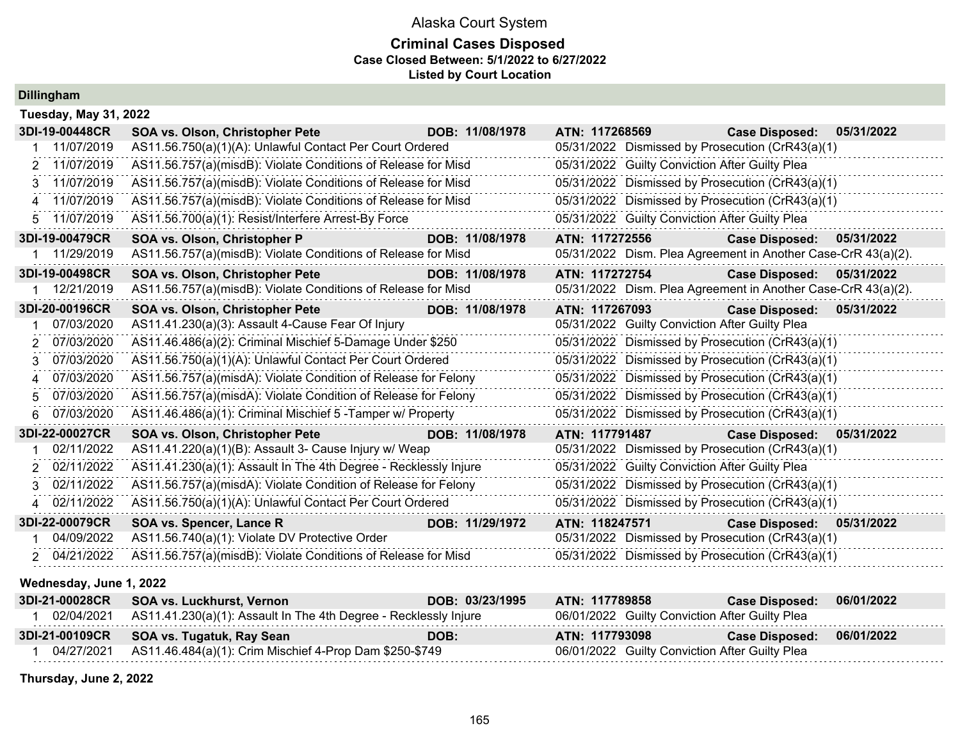## **Criminal Cases Disposed Case Closed Between: 5/1/2022 to 6/27/2022 Listed by Court Location**

**Dillingham**

| <b>Tuesday, May 31, 2022</b> |                                                                  |                 |                                                               |                           |            |
|------------------------------|------------------------------------------------------------------|-----------------|---------------------------------------------------------------|---------------------------|------------|
| 3DI-19-00448CR               | SOA vs. Olson, Christopher Pete                                  | DOB: 11/08/1978 | ATN: 117268569                                                | <b>Case Disposed:</b>     | 05/31/2022 |
| 11/07/2019                   | AS11.56.750(a)(1)(A): Unlawful Contact Per Court Ordered         |                 | 05/31/2022 Dismissed by Prosecution (CrR43(a)(1)              |                           |            |
| 2 11/07/2019                 | AS11.56.757(a)(misdB): Violate Conditions of Release for Misd    |                 | 05/31/2022 Guilty Conviction After Guilty Plea                |                           |            |
| 3 11/07/2019                 | AS11.56.757(a)(misdB): Violate Conditions of Release for Misd    |                 | 05/31/2022 Dismissed by Prosecution (CrR43(a)(1)              |                           |            |
| 4 11/07/2019                 | AS11.56.757(a)(misdB): Violate Conditions of Release for Misd    |                 | 05/31/2022 Dismissed by Prosecution (CrR43(a)(1)              |                           |            |
| 11/07/2019<br>5.             | AS11.56.700(a)(1): Resist/Interfere Arrest-By Force              |                 | 05/31/2022 Guilty Conviction After Guilty Plea                |                           |            |
| 3DI-19-00479CR               | SOA vs. Olson, Christopher P                                     | DOB: 11/08/1978 | ATN: 117272556                                                | <b>Case Disposed:</b>     | 05/31/2022 |
| 11/29/2019                   | AS11.56.757(a)(misdB): Violate Conditions of Release for Misd    |                 | 05/31/2022 Dism. Plea Agreement in Another Case-CrR 43(a)(2). |                           |            |
| 3DI-19-00498CR               | <b>SOA vs. Olson, Christopher Pete</b>                           | DOB: 11/08/1978 | ATN: 117272754                                                | Case Disposed: 05/31/2022 |            |
| 1 12/21/2019                 | AS11.56.757(a)(misdB): Violate Conditions of Release for Misd    |                 | 05/31/2022 Dism. Plea Agreement in Another Case-CrR 43(a)(2). |                           |            |
| 3DI-20-00196CR               | <b>SOA vs. Olson, Christopher Pete</b>                           | DOB: 11/08/1978 | ATN: 117267093                                                | <b>Case Disposed:</b>     | 05/31/2022 |
| 07/03/2020                   | AS11.41.230(a)(3): Assault 4-Cause Fear Of Injury                |                 | 05/31/2022 Guilty Conviction After Guilty Plea                |                           |            |
| 07/03/2020<br>2              | AS11.46.486(a)(2): Criminal Mischief 5-Damage Under \$250        |                 | 05/31/2022 Dismissed by Prosecution (CrR43(a)(1)              |                           |            |
| 07/03/2020<br>3.             | AS11.56.750(a)(1)(A): Unlawful Contact Per Court Ordered         |                 | 05/31/2022 Dismissed by Prosecution (CrR43(a)(1)              |                           |            |
| 07/03/2020<br>4              | AS11.56.757(a)(misdA): Violate Condition of Release for Felony   |                 | 05/31/2022 Dismissed by Prosecution (CrR43(a)(1)              |                           |            |
| 07/03/2020<br>5              | AS11.56.757(a)(misdA): Violate Condition of Release for Felony   |                 | 05/31/2022 Dismissed by Prosecution (CrR43(a)(1)              |                           |            |
| 07/03/2020<br>6              | AS11.46.486(a)(1): Criminal Mischief 5 - Tamper w/ Property      |                 | 05/31/2022 Dismissed by Prosecution (CrR43(a)(1)              |                           |            |
| 3DI-22-00027CR               | SOA vs. Olson, Christopher Pete                                  | DOB: 11/08/1978 | ATN: 117791487                                                | Case Disposed: 05/31/2022 |            |
| 02/11/2022                   | AS11.41.220(a)(1)(B): Assault 3- Cause Injury w/ Weap            |                 | 05/31/2022 Dismissed by Prosecution (CrR43(a)(1)              |                           |            |
| 02/11/2022<br>2              | AS11.41.230(a)(1): Assault In The 4th Degree - Recklessly Injure |                 | 05/31/2022 Guilty Conviction After Guilty Plea                |                           |            |
| 02/11/2022<br>3              | AS11.56.757(a)(misdA): Violate Condition of Release for Felony   |                 | 05/31/2022 Dismissed by Prosecution (CrR43(a)(1)              |                           |            |
| 4 02/11/2022                 | AS11.56.750(a)(1)(A): Unlawful Contact Per Court Ordered         |                 | 05/31/2022 Dismissed by Prosecution (CrR43(a)(1)              |                           |            |
| 3DI-22-00079CR               | SOA vs. Spencer, Lance R                                         | DOB: 11/29/1972 | ATN: 118247571                                                | <b>Case Disposed:</b>     | 05/31/2022 |
| 04/09/2022                   | AS11.56.740(a)(1): Violate DV Protective Order                   |                 | 05/31/2022 Dismissed by Prosecution (CrR43(a)(1)              |                           |            |
| 2 04/21/2022                 | AS11.56.757(a)(misdB): Violate Conditions of Release for Misd    |                 | 05/31/2022 Dismissed by Prosecution (CrR43(a)(1)              |                           |            |
| Wednesday, June 1, 2022      |                                                                  |                 |                                                               |                           |            |

| 3DI-21-00028CR SOA vs. Luckhurst, Vernon                                    | DOB: 03/23/1995 | ATN: 117789858                                 | <b>Case Disposed:</b> | 06/01/2022 |
|-----------------------------------------------------------------------------|-----------------|------------------------------------------------|-----------------------|------------|
| 02/04/2021 AS11.41.230(a)(1): Assault In The 4th Degree - Recklessly Injure |                 | 06/01/2022 Guilty Conviction After Guilty Plea |                       |            |
| 3DI-21-00109CR SOA vs. Tugatuk, Ray Sean                                    | DOB:            | ATN: 117793098                                 | <b>Case Disposed:</b> | 06/01/2022 |
|                                                                             |                 |                                                |                       |            |

**Thursday, June 2, 2022**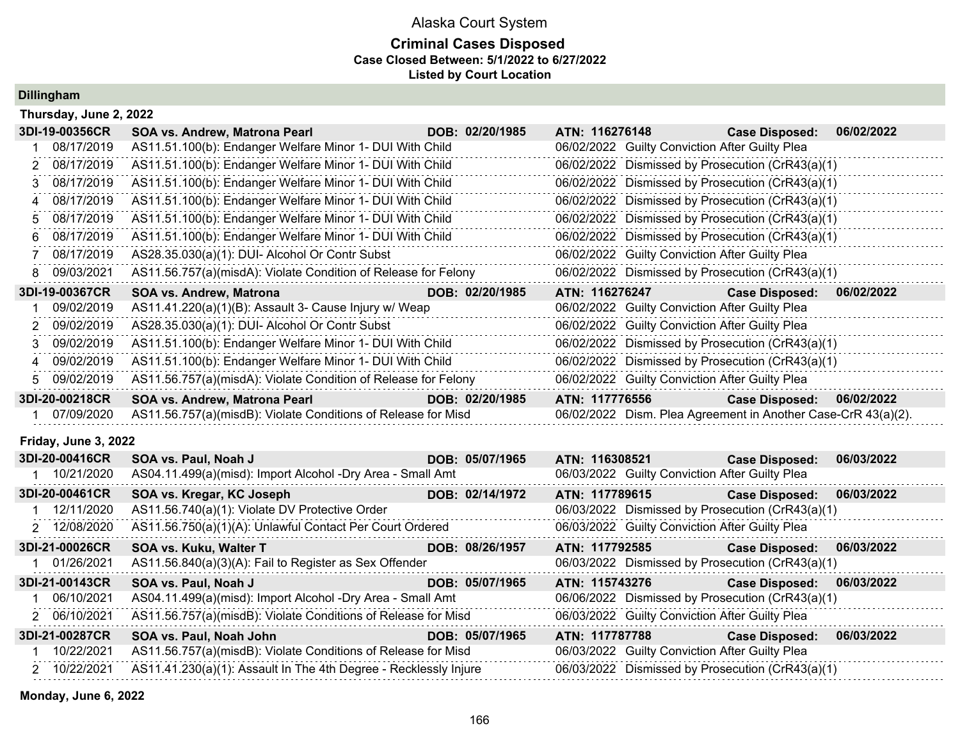## **Criminal Cases Disposed Case Closed Between: 5/1/2022 to 6/27/2022 Listed by Court Location**

**Dillingham**

| Thursday, June 2, 2022 |                                                                  |                 |                |                                                |                                                               |            |
|------------------------|------------------------------------------------------------------|-----------------|----------------|------------------------------------------------|---------------------------------------------------------------|------------|
| 3DI-19-00356CR         | SOA vs. Andrew, Matrona Pearl                                    | DOB: 02/20/1985 | ATN: 116276148 |                                                | <b>Case Disposed:</b>                                         | 06/02/2022 |
| 08/17/2019             | AS11.51.100(b): Endanger Welfare Minor 1- DUI With Child         |                 |                | 06/02/2022 Guilty Conviction After Guilty Plea |                                                               |            |
| 08/17/2019<br>2        | AS11.51.100(b): Endanger Welfare Minor 1- DUI With Child         |                 |                |                                                | 06/02/2022 Dismissed by Prosecution (CrR43(a)(1)              |            |
| 08/17/2019<br>3        | AS11.51.100(b): Endanger Welfare Minor 1- DUI With Child         |                 |                |                                                | 06/02/2022 Dismissed by Prosecution (CrR43(a)(1)              |            |
| 08/17/2019<br>4        | AS11.51.100(b): Endanger Welfare Minor 1- DUI With Child         |                 |                |                                                | 06/02/2022 Dismissed by Prosecution (CrR43(a)(1)              |            |
| 08/17/2019<br>5        | AS11.51.100(b): Endanger Welfare Minor 1- DUI With Child         |                 |                |                                                | 06/02/2022 Dismissed by Prosecution (CrR43(a)(1)              |            |
| 08/17/2019<br>6        | AS11.51.100(b): Endanger Welfare Minor 1- DUI With Child         |                 |                |                                                | 06/02/2022 Dismissed by Prosecution (CrR43(a)(1)              |            |
| 08/17/2019<br>7        | AS28.35.030(a)(1): DUI- Alcohol Or Contr Subst                   |                 |                | 06/02/2022 Guilty Conviction After Guilty Plea |                                                               |            |
| 09/03/2021<br>8        | AS11.56.757(a)(misdA): Violate Condition of Release for Felony   |                 |                |                                                | 06/02/2022 Dismissed by Prosecution (CrR43(a)(1)              |            |
| 3DI-19-00367CR         | <b>SOA vs. Andrew, Matrona</b>                                   | DOB: 02/20/1985 | ATN: 116276247 |                                                | <b>Case Disposed:</b>                                         | 06/02/2022 |
| 09/02/2019             | AS11.41.220(a)(1)(B): Assault 3- Cause Injury w/ Weap            |                 |                | 06/02/2022 Guilty Conviction After Guilty Plea |                                                               |            |
| 09/02/2019             | AS28.35.030(a)(1): DUI- Alcohol Or Contr Subst                   |                 |                | 06/02/2022 Guilty Conviction After Guilty Plea |                                                               |            |
| 09/02/2019<br>3        | AS11.51.100(b): Endanger Welfare Minor 1- DUI With Child         |                 |                |                                                | 06/02/2022 Dismissed by Prosecution (CrR43(a)(1)              |            |
| 09/02/2019<br>4        | AS11.51.100(b): Endanger Welfare Minor 1- DUI With Child         |                 |                |                                                | 06/02/2022 Dismissed by Prosecution (CrR43(a)(1)              |            |
| 09/02/2019<br>5.       | AS11.56.757(a)(misdA): Violate Condition of Release for Felony   |                 |                | 06/02/2022 Guilty Conviction After Guilty Plea |                                                               |            |
| 3DI-20-00218CR         | SOA vs. Andrew, Matrona Pearl                                    | DOB: 02/20/1985 | ATN: 117776556 |                                                | <b>Case Disposed:</b>                                         | 06/02/2022 |
| 07/09/2020             | AS11.56.757(a)(misdB): Violate Conditions of Release for Misd    |                 |                |                                                | 06/02/2022 Dism. Plea Agreement in Another Case-CrR 43(a)(2). |            |
| Friday, June 3, 2022   |                                                                  |                 |                |                                                |                                                               |            |
| 3DI-20-00416CR         | SOA vs. Paul, Noah J                                             | DOB: 05/07/1965 | ATN: 116308521 |                                                | <b>Case Disposed:</b>                                         | 06/03/2022 |
| 10/21/2020             | AS04.11.499(a)(misd): Import Alcohol -Dry Area - Small Amt       |                 |                | 06/03/2022 Guilty Conviction After Guilty Plea |                                                               |            |
| 3DI-20-00461CR         | SOA vs. Kregar, KC Joseph                                        | DOB: 02/14/1972 | ATN: 117789615 |                                                | <b>Case Disposed:</b>                                         | 06/03/2022 |
| 1 12/11/2020           | AS11.56.740(a)(1): Violate DV Protective Order                   |                 |                |                                                | 06/03/2022 Dismissed by Prosecution (CrR43(a)(1)              |            |
| 2 12/08/2020           | AS11.56.750(a)(1)(A): Unlawful Contact Per Court Ordered         |                 |                | 06/03/2022 Guilty Conviction After Guilty Plea |                                                               |            |
| 3DI-21-00026CR         | SOA vs. Kuku, Walter T                                           | DOB: 08/26/1957 | ATN: 117792585 |                                                | <b>Case Disposed:</b>                                         | 06/03/2022 |
| 1 01/26/2021           | AS11.56.840(a)(3)(A): Fail to Register as Sex Offender           |                 |                |                                                | 06/03/2022 Dismissed by Prosecution (CrR43(a)(1)              |            |
| 3DI-21-00143CR         | SOA vs. Paul, Noah J                                             | DOB: 05/07/1965 | ATN: 115743276 |                                                | <b>Case Disposed:</b>                                         | 06/03/2022 |
| 06/10/2021             | AS04.11.499(a)(misd): Import Alcohol -Dry Area - Small Amt       |                 |                |                                                | 06/06/2022 Dismissed by Prosecution (CrR43(a)(1)              |            |
| 2 06/10/2021           | AS11.56.757(a)(misdB): Violate Conditions of Release for Misd    |                 |                | 06/03/2022 Guilty Conviction After Guilty Plea |                                                               |            |
| 3DI-21-00287CR         | SOA vs. Paul, Noah John                                          | DOB: 05/07/1965 | ATN: 117787788 |                                                | <b>Case Disposed:</b>                                         | 06/03/2022 |
| 10/22/2021             | AS11.56.757(a)(misdB): Violate Conditions of Release for Misd    |                 |                | 06/03/2022 Guilty Conviction After Guilty Plea |                                                               |            |
| 2 10/22/2021           | AS11.41.230(a)(1): Assault In The 4th Degree - Recklessly Injure |                 |                |                                                | 06/03/2022 Dismissed by Prosecution (CrR43(a)(1)              |            |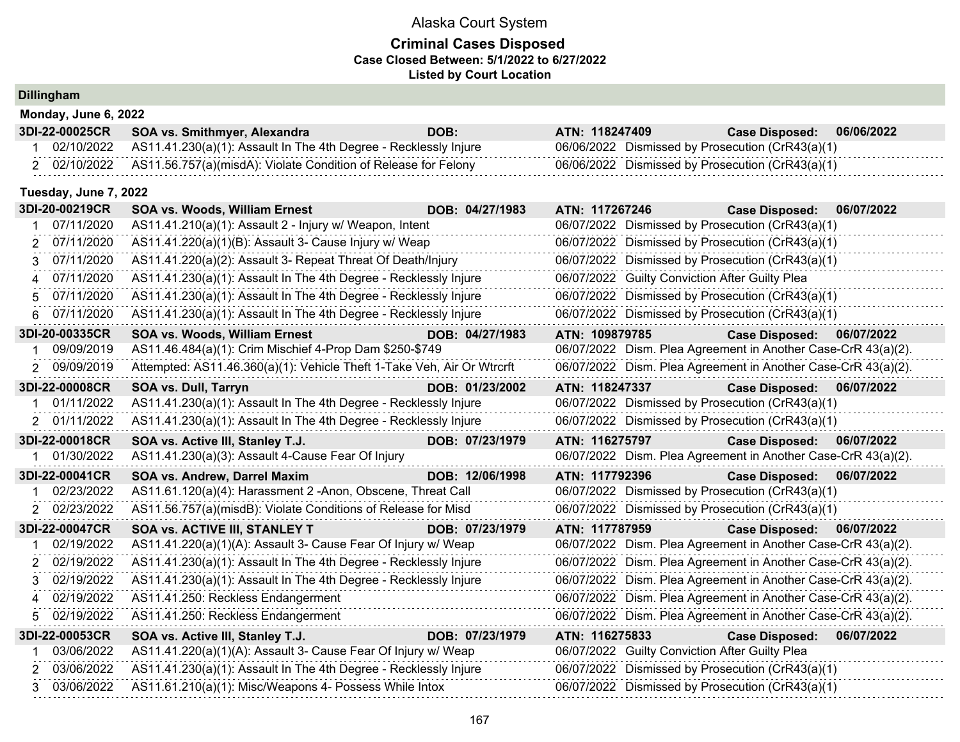| <b>Dillingham</b> |  |
|-------------------|--|

|                | Monday, June 6, 2022  |                                                                        |                 |                |                                                               |            |
|----------------|-----------------------|------------------------------------------------------------------------|-----------------|----------------|---------------------------------------------------------------|------------|
|                | 3DI-22-00025CR        | SOA vs. Smithmyer, Alexandra                                           | DOB:            | ATN: 118247409 | <b>Case Disposed:</b>                                         | 06/06/2022 |
|                | 02/10/2022            | AS11.41.230(a)(1): Assault In The 4th Degree - Recklessly Injure       |                 |                | 06/06/2022 Dismissed by Prosecution (CrR43(a)(1)              |            |
|                | 2 02/10/2022          | AS11.56.757(a)(misdA): Violate Condition of Release for Felony         |                 |                | 06/06/2022 Dismissed by Prosecution (CrR43(a)(1)              |            |
|                | Tuesday, June 7, 2022 |                                                                        |                 |                |                                                               |            |
|                | 3DI-20-00219CR        | SOA vs. Woods, William Ernest                                          | DOB: 04/27/1983 | ATN: 117267246 | <b>Case Disposed:</b>                                         | 06/07/2022 |
|                | 07/11/2020            | AS11.41.210(a)(1): Assault 2 - Injury w/ Weapon, Intent                |                 |                | 06/07/2022 Dismissed by Prosecution (CrR43(a)(1)              |            |
| 2              | 07/11/2020            | AS11.41.220(a)(1)(B): Assault 3- Cause Injury w/ Weap                  |                 |                | 06/07/2022 Dismissed by Prosecution (CrR43(a)(1)              |            |
| 3              | 07/11/2020            | AS11.41.220(a)(2): Assault 3- Repeat Threat Of Death/Injury            |                 |                | 06/07/2022 Dismissed by Prosecution (CrR43(a)(1)              |            |
| 4              | 07/11/2020            | AS11.41.230(a)(1): Assault In The 4th Degree - Recklessly Injure       |                 |                | 06/07/2022 Guilty Conviction After Guilty Plea                |            |
| 5              | 07/11/2020            | AS11.41.230(a)(1): Assault In The 4th Degree - Recklessly Injure       |                 |                | 06/07/2022 Dismissed by Prosecution (CrR43(a)(1)              |            |
| 6              | 07/11/2020            | AS11.41.230(a)(1): Assault In The 4th Degree - Recklessly Injure       |                 |                | 06/07/2022 Dismissed by Prosecution (CrR43(a)(1)              |            |
|                | 3DI-20-00335CR        | <b>SOA vs. Woods, William Ernest</b>                                   | DOB: 04/27/1983 | ATN: 109879785 | <b>Case Disposed:</b>                                         | 06/07/2022 |
|                | 09/09/2019            | AS11.46.484(a)(1): Crim Mischief 4-Prop Dam \$250-\$749                |                 |                | 06/07/2022 Dism. Plea Agreement in Another Case-CrR 43(a)(2). |            |
| $\overline{2}$ | 09/09/2019            | Attempted: AS11.46.360(a)(1): Vehicle Theft 1-Take Veh, Air Or Wtrcrft |                 |                | 06/07/2022 Dism. Plea Agreement in Another Case-CrR 43(a)(2). |            |
|                | 3DI-22-00008CR        | SOA vs. Dull, Tarryn                                                   | DOB: 01/23/2002 | ATN: 118247337 | <b>Case Disposed:</b>                                         | 06/07/2022 |
|                | 01/11/2022            | AS11.41.230(a)(1): Assault In The 4th Degree - Recklessly Injure       |                 |                | 06/07/2022 Dismissed by Prosecution (CrR43(a)(1)              |            |
|                | 2 01/11/2022          | AS11.41.230(a)(1): Assault In The 4th Degree - Recklessly Injure       |                 |                | 06/07/2022 Dismissed by Prosecution (CrR43(a)(1)              |            |
|                | 3DI-22-00018CR        | SOA vs. Active III, Stanley T.J.                                       | DOB: 07/23/1979 | ATN: 116275797 | <b>Case Disposed:</b>                                         | 06/07/2022 |
|                | 01/30/2022            | AS11.41.230(a)(3): Assault 4-Cause Fear Of Injury                      |                 |                | 06/07/2022 Dism. Plea Agreement in Another Case-CrR 43(a)(2). |            |
|                | 3DI-22-00041CR        | <b>SOA vs. Andrew, Darrel Maxim</b>                                    | DOB: 12/06/1998 | ATN: 117792396 | <b>Case Disposed:</b>                                         | 06/07/2022 |
|                | 02/23/2022            | AS11.61.120(a)(4): Harassment 2 -Anon, Obscene, Threat Call            |                 |                | 06/07/2022 Dismissed by Prosecution (CrR43(a)(1)              |            |
|                | 2 02/23/2022          | AS11.56.757(a)(misdB): Violate Conditions of Release for Misd          |                 |                | 06/07/2022 Dismissed by Prosecution (CrR43(a)(1)              |            |
|                | 3DI-22-00047CR        | SOA vs. ACTIVE III, STANLEY T                                          | DOB: 07/23/1979 | ATN: 117787959 | <b>Case Disposed:</b>                                         | 06/07/2022 |
|                | 02/19/2022            | AS11.41.220(a)(1)(A): Assault 3- Cause Fear Of Injury w/ Weap          |                 |                | 06/07/2022 Dism. Plea Agreement in Another Case-CrR 43(a)(2). |            |
| 2              | 02/19/2022            | AS11.41.230(a)(1): Assault In The 4th Degree - Recklessly Injure       |                 |                | 06/07/2022 Dism. Plea Agreement in Another Case-CrR 43(a)(2). |            |
| 3              | 02/19/2022            | AS11.41.230(a)(1): Assault In The 4th Degree - Recklessly Injure       |                 |                | 06/07/2022 Dism. Plea Agreement in Another Case-CrR 43(a)(2). |            |
| 4              | 02/19/2022            | AS11.41.250: Reckless Endangerment                                     |                 |                | 06/07/2022 Dism. Plea Agreement in Another Case-CrR 43(a)(2). |            |
| 5.             | 02/19/2022            | AS11.41.250: Reckless Endangerment                                     |                 |                | 06/07/2022 Dism. Plea Agreement in Another Case-CrR 43(a)(2). |            |
|                | 3DI-22-00053CR        | SOA vs. Active III, Stanley T.J.                                       | DOB: 07/23/1979 | ATN: 116275833 | <b>Case Disposed:</b>                                         | 06/07/2022 |
|                | 03/06/2022            | AS11.41.220(a)(1)(A): Assault 3- Cause Fear Of Injury w/ Weap          |                 |                | 06/07/2022 Guilty Conviction After Guilty Plea                |            |
| 2              | 03/06/2022            | AS11.41.230(a)(1): Assault In The 4th Degree - Recklessly Injure       |                 |                | 06/07/2022 Dismissed by Prosecution (CrR43(a)(1)              |            |
| 3              | 03/06/2022            | AS11.61.210(a)(1): Misc/Weapons 4- Possess While Intox                 |                 |                | 06/07/2022 Dismissed by Prosecution (CrR43(a)(1)              |            |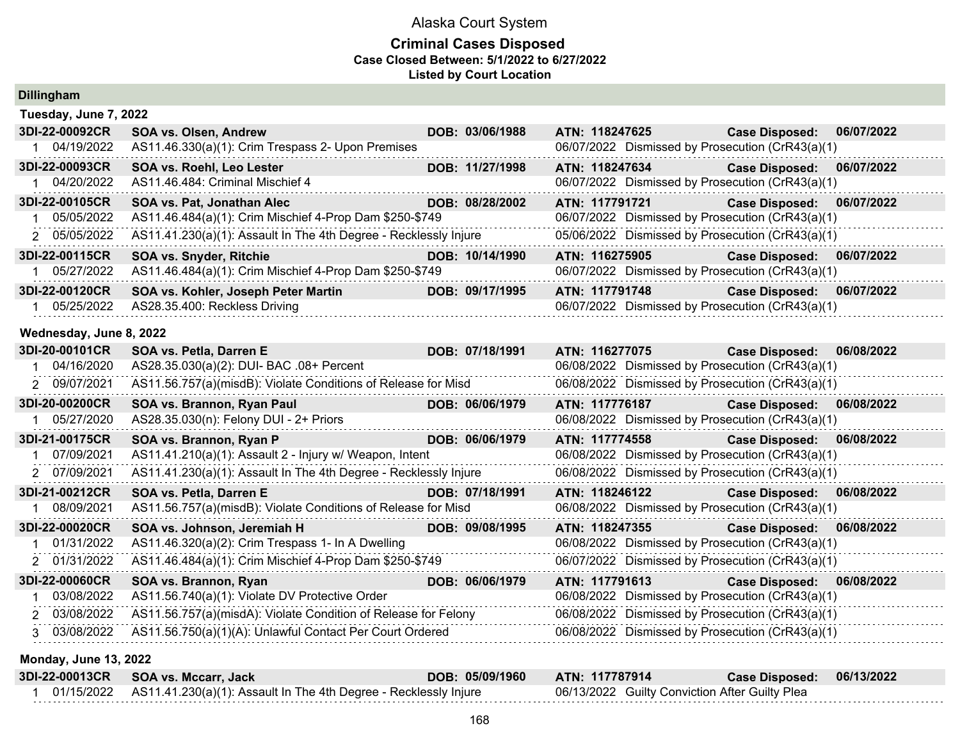| <b>Dillingham</b>            |                                                                  |                 |                |  |                                                  |            |
|------------------------------|------------------------------------------------------------------|-----------------|----------------|--|--------------------------------------------------|------------|
| Tuesday, June 7, 2022        |                                                                  |                 |                |  |                                                  |            |
| 3DI-22-00092CR               | <b>SOA vs. Olsen, Andrew</b>                                     | DOB: 03/06/1988 | ATN: 118247625 |  | <b>Case Disposed:</b>                            | 06/07/2022 |
| 1 04/19/2022                 | AS11.46.330(a)(1): Crim Trespass 2- Upon Premises                |                 |                |  | 06/07/2022 Dismissed by Prosecution (CrR43(a)(1) |            |
| 3DI-22-00093CR               | SOA vs. Roehl, Leo Lester                                        | DOB: 11/27/1998 | ATN: 118247634 |  | <b>Case Disposed:</b>                            | 06/07/2022 |
| 04/20/2022                   | AS11.46.484: Criminal Mischief 4                                 |                 |                |  | 06/07/2022 Dismissed by Prosecution (CrR43(a)(1) |            |
| 3DI-22-00105CR               | SOA vs. Pat, Jonathan Alec                                       | DOB: 08/28/2002 | ATN: 117791721 |  | <b>Case Disposed:</b>                            | 06/07/2022 |
| 05/05/2022                   | AS11.46.484(a)(1): Crim Mischief 4-Prop Dam \$250-\$749          |                 |                |  | 06/07/2022 Dismissed by Prosecution (CrR43(a)(1) |            |
| 2 05/05/2022                 | AS11.41.230(a)(1): Assault In The 4th Degree - Recklessly Injure |                 |                |  | 05/06/2022 Dismissed by Prosecution (CrR43(a)(1) |            |
| 3DI-22-00115CR               | <b>SOA vs. Snyder, Ritchie</b>                                   | DOB: 10/14/1990 | ATN: 116275905 |  | <b>Case Disposed:</b>                            | 06/07/2022 |
| 05/27/2022                   | AS11.46.484(a)(1): Crim Mischief 4-Prop Dam \$250-\$749          |                 |                |  | 06/07/2022 Dismissed by Prosecution (CrR43(a)(1) |            |
| 3DI-22-00120CR               | SOA vs. Kohler, Joseph Peter Martin                              | DOB: 09/17/1995 | ATN: 117791748 |  | <b>Case Disposed:</b>                            | 06/07/2022 |
| 05/25/2022                   | AS28.35.400: Reckless Driving                                    |                 |                |  | 06/07/2022 Dismissed by Prosecution (CrR43(a)(1) |            |
| Wednesday, June 8, 2022      |                                                                  |                 |                |  |                                                  |            |
| 3DI-20-00101CR               | SOA vs. Petla, Darren E                                          | DOB: 07/18/1991 | ATN: 116277075 |  | <b>Case Disposed:</b>                            | 06/08/2022 |
| 04/16/2020                   | AS28.35.030(a)(2): DUI- BAC .08+ Percent                         |                 |                |  | 06/08/2022 Dismissed by Prosecution (CrR43(a)(1) |            |
| 2 09/07/2021                 | AS11.56.757(a)(misdB): Violate Conditions of Release for Misd    |                 |                |  | 06/08/2022 Dismissed by Prosecution (CrR43(a)(1) |            |
| 3DI-20-00200CR               | SOA vs. Brannon, Ryan Paul                                       | DOB: 06/06/1979 | ATN: 117776187 |  | <b>Case Disposed:</b>                            | 06/08/2022 |
| 05/27/2020<br>$1 \quad$      | AS28.35.030(n): Felony DUI - 2+ Priors                           |                 |                |  | 06/08/2022 Dismissed by Prosecution (CrR43(a)(1) |            |
| 3DI-21-00175CR               | SOA vs. Brannon, Ryan P                                          | DOB: 06/06/1979 | ATN: 117774558 |  | <b>Case Disposed:</b>                            | 06/08/2022 |
| 07/09/2021<br>1              | AS11.41.210(a)(1): Assault 2 - Injury w/ Weapon, Intent          |                 |                |  | 06/08/2022 Dismissed by Prosecution (CrR43(a)(1) |            |
| 2 07/09/2021                 | AS11.41.230(a)(1): Assault In The 4th Degree - Recklessly Injure |                 |                |  | 06/08/2022 Dismissed by Prosecution (CrR43(a)(1) |            |
| 3DI-21-00212CR               | SOA vs. Petla, Darren E                                          | DOB: 07/18/1991 | ATN: 118246122 |  | <b>Case Disposed:</b>                            | 06/08/2022 |
| 08/09/2021                   | AS11.56.757(a)(misdB): Violate Conditions of Release for Misd    |                 |                |  | 06/08/2022 Dismissed by Prosecution (CrR43(a)(1) |            |
| 3DI-22-00020CR               | SOA vs. Johnson, Jeremiah H                                      | DOB: 09/08/1995 | ATN: 118247355 |  | <b>Case Disposed:</b>                            | 06/08/2022 |
| 01/31/2022                   | AS11.46.320(a)(2): Crim Trespass 1- In A Dwelling                |                 |                |  | 06/08/2022 Dismissed by Prosecution (CrR43(a)(1) |            |
| 2 01/31/2022                 | AS11.46.484(a)(1): Crim Mischief 4-Prop Dam \$250-\$749          |                 |                |  | 06/07/2022 Dismissed by Prosecution (CrR43(a)(1) |            |
| 3DI-22-00060CR               | SOA vs. Brannon, Ryan                                            | DOB: 06/06/1979 | ATN: 117791613 |  | <b>Case Disposed:</b>                            | 06/08/2022 |
| 03/08/2022                   | AS11.56.740(a)(1): Violate DV Protective Order                   |                 |                |  | 06/08/2022 Dismissed by Prosecution (CrR43(a)(1) |            |
| 2 03/08/2022                 | AS11.56.757(a)(misdA): Violate Condition of Release for Felony   |                 |                |  | 06/08/2022 Dismissed by Prosecution (CrR43(a)(1) |            |
| 3 03/08/2022                 | AS11.56.750(a)(1)(A): Unlawful Contact Per Court Ordered         |                 |                |  | 06/08/2022 Dismissed by Prosecution (CrR43(a)(1) |            |
| <b>Monday, June 13, 2022</b> |                                                                  |                 |                |  |                                                  |            |
|                              |                                                                  |                 |                |  |                                                  |            |

| 3DI-22-00013CR SOA vs. Mccarr, Jack                                         | DOB: 05/09/1960 | <b>ATN: 117787914</b>                          | Case Disposed: 06/13/2022 |  |
|-----------------------------------------------------------------------------|-----------------|------------------------------------------------|---------------------------|--|
| 01/15/2022 AS11.41.230(a)(1): Assault In The 4th Degree - Recklessly Injure |                 | 06/13/2022 Guilty Conviction After Guilty Plea |                           |  |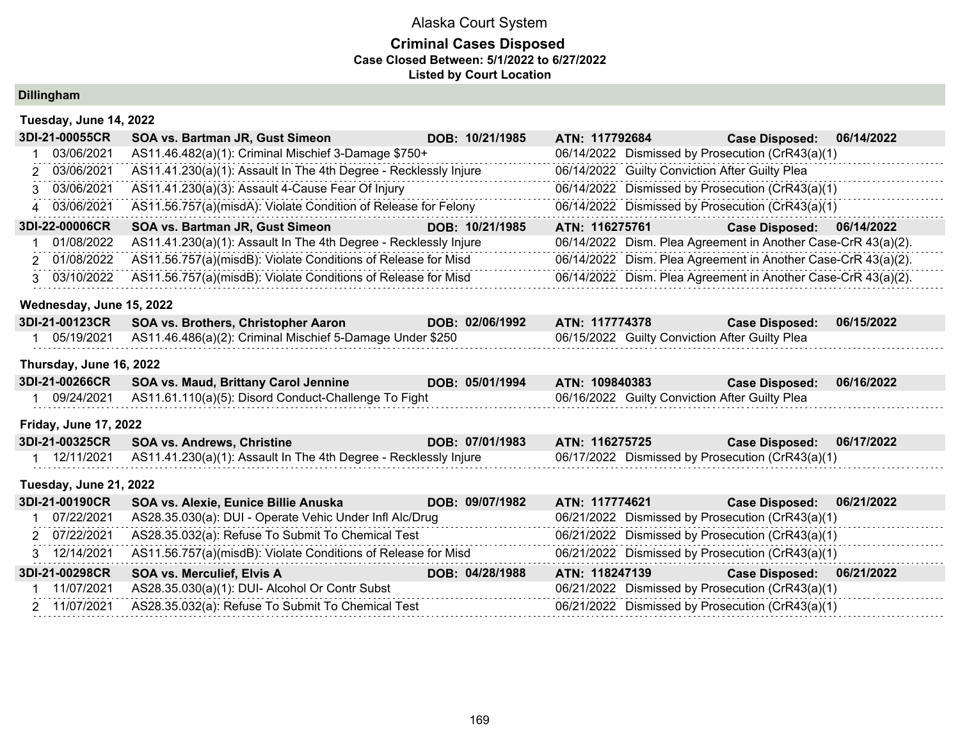## **Criminal Cases Disposed Case Closed Between: 5/1/2022 to 6/27/2022 Listed by Court Location**

**Dillingham**

| Tuesday, June 14, 2022       |                                                                  |                 |                |                                                |                                                               |            |
|------------------------------|------------------------------------------------------------------|-----------------|----------------|------------------------------------------------|---------------------------------------------------------------|------------|
| 3DI-21-00055CR               | SOA vs. Bartman JR, Gust Simeon                                  | DOB: 10/21/1985 | ATN: 117792684 |                                                | <b>Case Disposed:</b>                                         | 06/14/2022 |
| 03/06/2021                   | AS11.46.482(a)(1): Criminal Mischief 3-Damage \$750+             |                 |                |                                                | 06/14/2022 Dismissed by Prosecution (CrR43(a)(1)              |            |
| 03/06/2021<br>2              | AS11.41.230(a)(1): Assault In The 4th Degree - Recklessly Injure |                 |                | 06/14/2022 Guilty Conviction After Guilty Plea |                                                               |            |
| 3 03/06/2021                 | AS11.41.230(a)(3): Assault 4-Cause Fear Of Injury                |                 |                |                                                | 06/14/2022 Dismissed by Prosecution (CrR43(a)(1)              |            |
| 4 03/06/2021                 | AS11.56.757(a)(misdA): Violate Condition of Release for Felony   |                 |                |                                                | 06/14/2022 Dismissed by Prosecution (CrR43(a)(1)              |            |
| 3DI-22-00006CR               | SOA vs. Bartman JR, Gust Simeon                                  | DOB: 10/21/1985 | ATN: 116275761 |                                                | <b>Case Disposed:</b>                                         | 06/14/2022 |
| 01/08/2022                   | AS11.41.230(a)(1): Assault In The 4th Degree - Recklessly Injure |                 |                |                                                | 06/14/2022 Dism. Plea Agreement in Another Case-CrR 43(a)(2). |            |
| 2 01/08/2022                 | AS11.56.757(a)(misdB): Violate Conditions of Release for Misd    |                 |                |                                                | 06/14/2022 Dism. Plea Agreement in Another Case-CrR 43(a)(2). |            |
| 3 03/10/2022                 | AS11.56.757(a)(misdB): Violate Conditions of Release for Misd    |                 |                |                                                | 06/14/2022 Dism. Plea Agreement in Another Case-CrR 43(a)(2). |            |
| Wednesday, June 15, 2022     |                                                                  |                 |                |                                                |                                                               |            |
| 3DI-21-00123CR               | SOA vs. Brothers, Christopher Aaron                              | DOB: 02/06/1992 | ATN: 117774378 |                                                | <b>Case Disposed:</b>                                         | 06/15/2022 |
| 1 05/19/2021                 | AS11.46.486(a)(2): Criminal Mischief 5-Damage Under \$250        |                 |                | 06/15/2022 Guilty Conviction After Guilty Plea |                                                               |            |
| Thursday, June 16, 2022      |                                                                  |                 |                |                                                |                                                               |            |
| 3DI-21-00266CR               | SOA vs. Maud, Brittany Carol Jennine                             | DOB: 05/01/1994 | ATN: 109840383 |                                                | <b>Case Disposed:</b>                                         | 06/16/2022 |
| 1 09/24/2021                 | AS11.61.110(a)(5): Disord Conduct-Challenge To Fight             |                 |                | 06/16/2022 Guilty Conviction After Guilty Plea |                                                               |            |
| <b>Friday, June 17, 2022</b> |                                                                  |                 |                |                                                |                                                               |            |
| 3DI-21-00325CR               | <b>SOA vs. Andrews, Christine</b>                                | DOB: 07/01/1983 | ATN: 116275725 |                                                | <b>Case Disposed:</b>                                         | 06/17/2022 |
| 1 12/11/2021                 | AS11.41.230(a)(1): Assault In The 4th Degree - Recklessly Injure |                 |                |                                                | 06/17/2022 Dismissed by Prosecution (CrR43(a)(1)              |            |
| Tuesday, June 21, 2022       |                                                                  |                 |                |                                                |                                                               |            |
| 3DI-21-00190CR               | SOA vs. Alexie, Eunice Billie Anuska                             | DOB: 09/07/1982 | ATN: 117774621 |                                                | <b>Case Disposed:</b>                                         | 06/21/2022 |
| 07/22/2021                   | AS28.35.030(a): DUI - Operate Vehic Under Infl Alc/Drug          |                 |                |                                                | 06/21/2022 Dismissed by Prosecution (CrR43(a)(1)              |            |
| 2 07/22/2021                 | AS28.35.032(a): Refuse To Submit To Chemical Test                |                 |                |                                                | 06/21/2022 Dismissed by Prosecution (CrR43(a)(1)              |            |
| 3 12/14/2021                 | AS11.56.757(a)(misdB): Violate Conditions of Release for Misd    |                 |                |                                                | 06/21/2022 Dismissed by Prosecution (CrR43(a)(1)              |            |
| 3DI-21-00298CR               | <b>SOA vs. Merculief, Elvis A</b>                                | DOB: 04/28/1988 | ATN: 118247139 |                                                | <b>Case Disposed:</b>                                         | 06/21/2022 |
| 11/07/2021                   | AS28.35.030(a)(1): DUI- Alcohol Or Contr Subst                   |                 |                |                                                | 06/21/2022 Dismissed by Prosecution (CrR43(a)(1)              |            |
| 2 11/07/2021                 | AS28.35.032(a): Refuse To Submit To Chemical Test                |                 |                |                                                | 06/21/2022 Dismissed by Prosecution (CrR43(a)(1)              |            |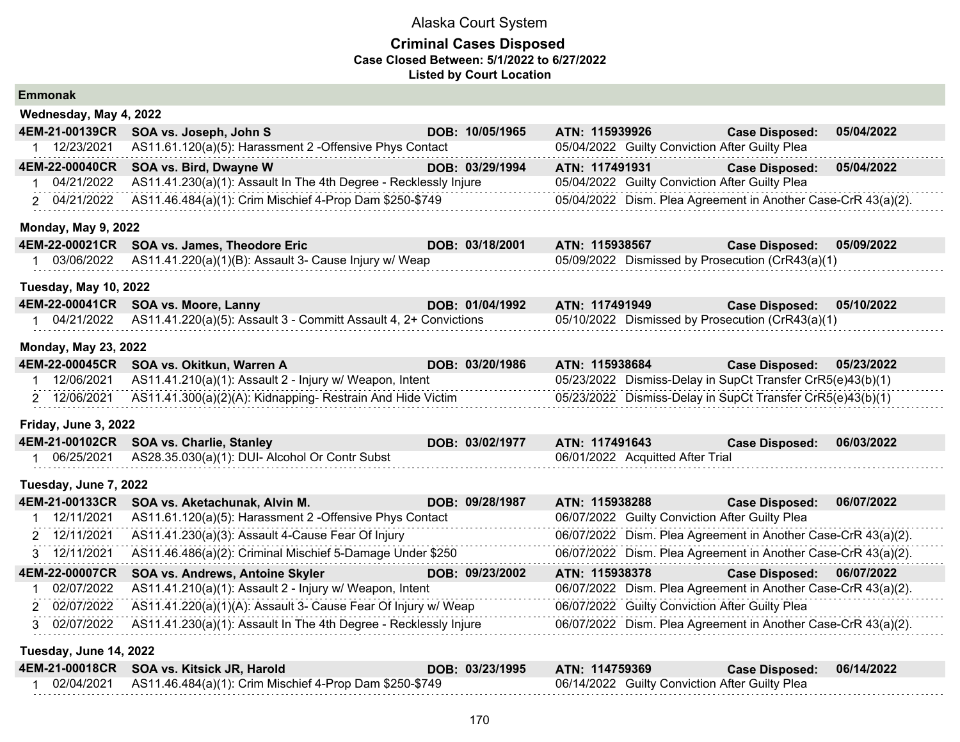| <b>Emmonak</b>               |                                                                  |                 |                                  |                                                               |            |
|------------------------------|------------------------------------------------------------------|-----------------|----------------------------------|---------------------------------------------------------------|------------|
| Wednesday, May 4, 2022       |                                                                  |                 |                                  |                                                               |            |
| 4EM-21-00139CR               | SOA vs. Joseph, John S                                           | DOB: 10/05/1965 | ATN: 115939926                   | <b>Case Disposed:</b>                                         | 05/04/2022 |
| 1 12/23/2021                 | AS11.61.120(a)(5): Harassment 2 -Offensive Phys Contact          |                 |                                  | 05/04/2022 Guilty Conviction After Guilty Plea                |            |
| 4EM-22-00040CR               | SOA vs. Bird, Dwayne W                                           | DOB: 03/29/1994 | ATN: 117491931                   | <b>Case Disposed:</b>                                         | 05/04/2022 |
| 04/21/2022                   | AS11.41.230(a)(1): Assault In The 4th Degree - Recklessly Injure |                 |                                  | 05/04/2022 Guilty Conviction After Guilty Plea                |            |
| 2 04/21/2022                 | AS11.46.484(a)(1): Crim Mischief 4-Prop Dam \$250-\$749          |                 |                                  | 05/04/2022 Dism. Plea Agreement in Another Case-CrR 43(a)(2). |            |
| <b>Monday, May 9, 2022</b>   |                                                                  |                 |                                  |                                                               |            |
| 4EM-22-00021CR               | SOA vs. James, Theodore Eric                                     | DOB: 03/18/2001 | ATN: 115938567                   | <b>Case Disposed:</b>                                         | 05/09/2022 |
| 1 03/06/2022                 | AS11.41.220(a)(1)(B): Assault 3- Cause Injury w/ Weap            |                 |                                  | 05/09/2022 Dismissed by Prosecution (CrR43(a)(1)              |            |
| <b>Tuesday, May 10, 2022</b> |                                                                  |                 |                                  |                                                               |            |
| 4EM-22-00041CR               | SOA vs. Moore, Lanny                                             | DOB: 01/04/1992 | ATN: 117491949                   | <b>Case Disposed:</b>                                         | 05/10/2022 |
| 1 04/21/2022                 | AS11.41.220(a)(5): Assault 3 - Committ Assault 4, 2+ Convictions |                 |                                  | 05/10/2022 Dismissed by Prosecution (CrR43(a)(1)              |            |
| <b>Monday, May 23, 2022</b>  |                                                                  |                 |                                  |                                                               |            |
| 4EM-22-00045CR               | SOA vs. Okitkun, Warren A                                        | DOB: 03/20/1986 | ATN: 115938684                   | <b>Case Disposed:</b>                                         | 05/23/2022 |
| 12/06/2021                   | AS11.41.210(a)(1): Assault 2 - Injury w/ Weapon, Intent          |                 |                                  | 05/23/2022 Dismiss-Delay in SupCt Transfer CrR5(e)43(b)(1)    |            |
| 2 12/06/2021                 | AS11.41.300(a)(2)(A): Kidnapping-Restrain And Hide Victim        |                 |                                  | 05/23/2022 Dismiss-Delay in SupCt Transfer CrR5(e)43(b)(1)    |            |
| Friday, June 3, 2022         |                                                                  |                 |                                  |                                                               |            |
| 4EM-21-00102CR               | <b>SOA vs. Charlie, Stanley</b>                                  | DOB: 03/02/1977 | ATN: 117491643                   | <b>Case Disposed:</b>                                         | 06/03/2022 |
| 06/25/2021                   | AS28.35.030(a)(1): DUI- Alcohol Or Contr Subst                   |                 | 06/01/2022 Acquitted After Trial |                                                               |            |
| Tuesday, June 7, 2022        |                                                                  |                 |                                  |                                                               |            |
| 4EM-21-00133CR               | SOA vs. Aketachunak, Alvin M.                                    | DOB: 09/28/1987 | ATN: 115938288                   | <b>Case Disposed:</b>                                         | 06/07/2022 |
| 12/11/2021<br>1              | AS11.61.120(a)(5): Harassment 2 -Offensive Phys Contact          |                 |                                  | 06/07/2022 Guilty Conviction After Guilty Plea                |            |
| 2 12/11/2021                 | AS11.41.230(a)(3): Assault 4-Cause Fear Of Injury                |                 |                                  | 06/07/2022 Dism. Plea Agreement in Another Case-CrR 43(a)(2). |            |
| 3 12/11/2021                 | AS11.46.486(a)(2): Criminal Mischief 5-Damage Under \$250        |                 |                                  | 06/07/2022 Dism. Plea Agreement in Another Case-CrR 43(a)(2). |            |
| 4EM-22-00007CR               | SOA vs. Andrews, Antoine Skyler                                  | DOB: 09/23/2002 | ATN: 115938378                   | <b>Case Disposed:</b>                                         | 06/07/2022 |
| 02/07/2022                   | AS11.41.210(a)(1): Assault 2 - Injury w/ Weapon, Intent          |                 |                                  | 06/07/2022 Dism. Plea Agreement in Another Case-CrR 43(a)(2). |            |
| 2 02/07/2022                 | AS11.41.220(a)(1)(A): Assault 3- Cause Fear Of Injury w/ Weap    |                 |                                  | 06/07/2022 Guilty Conviction After Guilty Plea                |            |
| 3 02/07/2022                 | AS11.41.230(a)(1): Assault In The 4th Degree - Recklessly Injure |                 |                                  | 06/07/2022 Dism. Plea Agreement in Another Case-CrR 43(a)(2). |            |
| Tuesday, June 14, 2022       |                                                                  |                 |                                  |                                                               |            |
| 4EM-21-00018CR               | SOA vs. Kitsick JR, Harold                                       | DOB: 03/23/1995 | ATN: 114759369                   | <b>Case Disposed:</b>                                         | 06/14/2022 |
| 02/04/2021<br>1              | AS11.46.484(a)(1): Crim Mischief 4-Prop Dam \$250-\$749          |                 |                                  | 06/14/2022 Guilty Conviction After Guilty Plea                |            |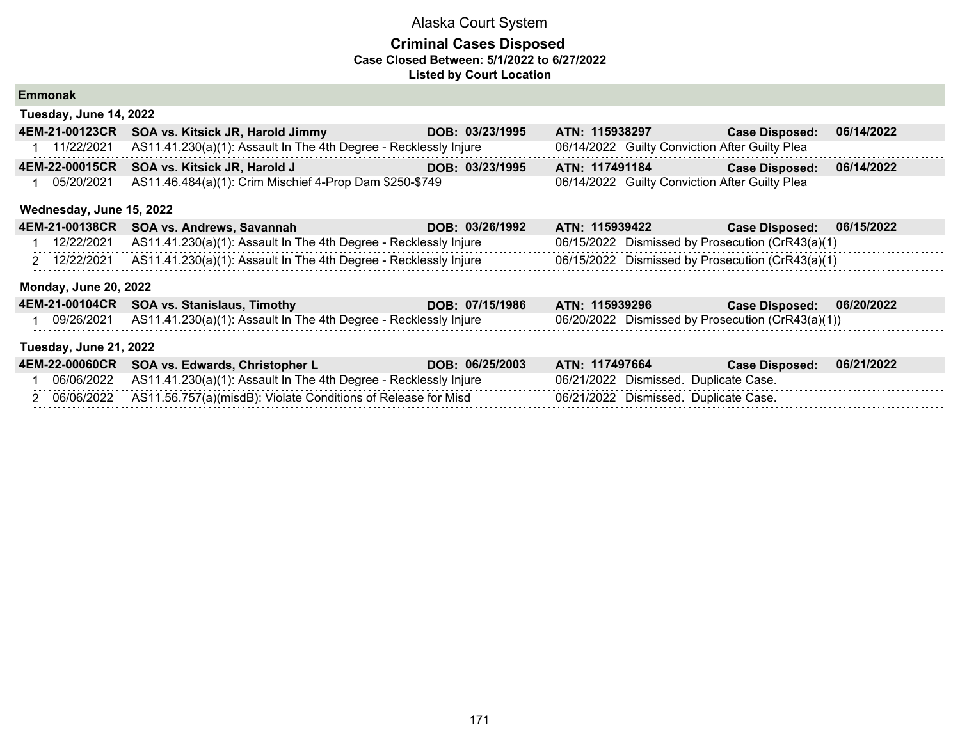## **Criminal Cases Disposed Case Closed Between: 5/1/2022 to 6/27/2022 Listed by Court Location**

| <b>Emmonak</b>               |                                                                  |                 |                                                   |                       |            |
|------------------------------|------------------------------------------------------------------|-----------------|---------------------------------------------------|-----------------------|------------|
| Tuesday, June 14, 2022       |                                                                  |                 |                                                   |                       |            |
| 4EM-21-00123CR               | SOA vs. Kitsick JR, Harold Jimmy                                 | DOB: 03/23/1995 | ATN: 115938297                                    | <b>Case Disposed:</b> | 06/14/2022 |
| 11/22/2021                   | AS11.41.230(a)(1): Assault In The 4th Degree - Recklessly Injure |                 | 06/14/2022 Guilty Conviction After Guilty Plea    |                       |            |
| 4EM-22-00015CR               | SOA vs. Kitsick JR, Harold J                                     | DOB: 03/23/1995 | ATN: 117491184                                    | <b>Case Disposed:</b> | 06/14/2022 |
| 05/20/2021                   | AS11.46.484(a)(1): Crim Mischief 4-Prop Dam \$250-\$749          |                 | 06/14/2022 Guilty Conviction After Guilty Plea    |                       |            |
| Wednesday, June 15, 2022     |                                                                  |                 |                                                   |                       |            |
|                              | 4EM-21-00138CR SOA vs. Andrews, Savannah                         | DOB: 03/26/1992 | ATN: 115939422                                    | <b>Case Disposed:</b> | 06/15/2022 |
| 12/22/2021                   | AS11.41.230(a)(1): Assault In The 4th Degree - Recklessly Injure |                 | 06/15/2022 Dismissed by Prosecution (CrR43(a)(1)  |                       |            |
| 2 12/22/2021                 | AS11.41.230(a)(1): Assault In The 4th Degree - Recklessly Injure |                 | 06/15/2022 Dismissed by Prosecution (CrR43(a)(1)  |                       |            |
| <b>Monday, June 20, 2022</b> |                                                                  |                 |                                                   |                       |            |
|                              | 4EM-21-00104CR SOA vs. Stanislaus, Timothy                       | DOB: 07/15/1986 | ATN: 115939296                                    | <b>Case Disposed:</b> | 06/20/2022 |
| 09/26/2021                   | AS11.41.230(a)(1): Assault In The 4th Degree - Recklessly Injure |                 | 06/20/2022 Dismissed by Prosecution (CrR43(a)(1)) |                       |            |
| Tuesday, June 21, 2022       |                                                                  |                 |                                                   |                       |            |
| 4EM-22-00060CR               | SOA vs. Edwards, Christopher L                                   | DOB: 06/25/2003 | ATN: 117497664                                    | <b>Case Disposed:</b> | 06/21/2022 |
| 06/06/2022                   | AS11.41.230(a)(1): Assault In The 4th Degree - Recklessly Injure |                 | 06/21/2022 Dismissed. Duplicate Case.             |                       |            |
| 2 06/06/2022                 | AS11.56.757(a)(misdB): Violate Conditions of Release for Misd    |                 | 06/21/2022 Dismissed. Duplicate Case.             |                       |            |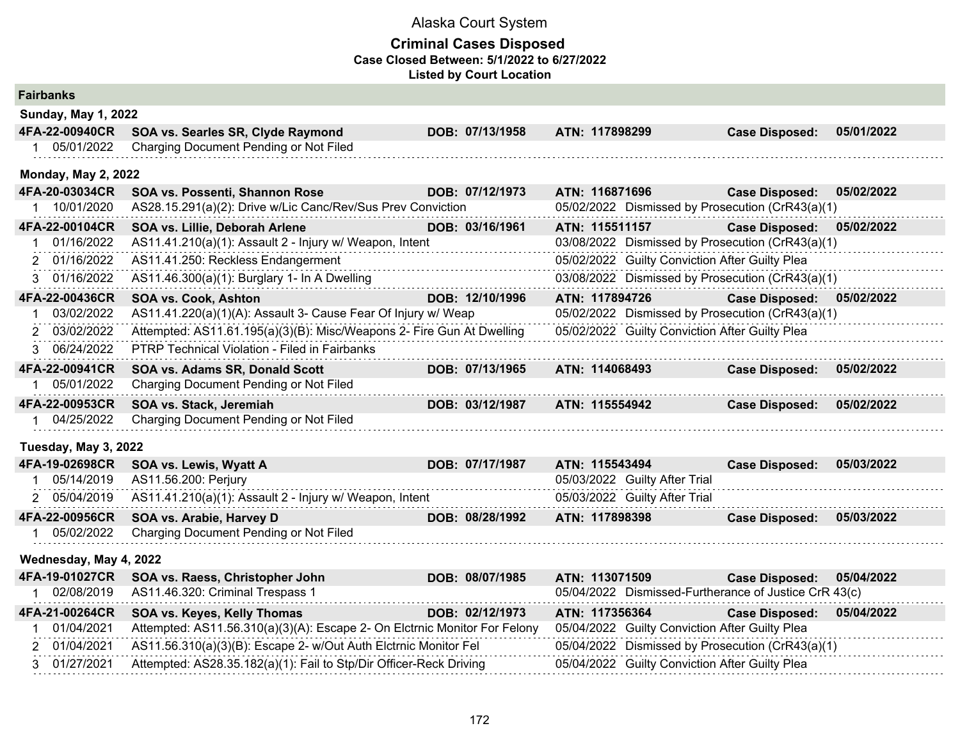| <b>Fairbanks</b>            |                                                                           |                 |                |                                                |                                                       |            |
|-----------------------------|---------------------------------------------------------------------------|-----------------|----------------|------------------------------------------------|-------------------------------------------------------|------------|
| <b>Sunday, May 1, 2022</b>  |                                                                           |                 |                |                                                |                                                       |            |
| 4FA-22-00940CR              | SOA vs. Searles SR, Clyde Raymond                                         | DOB: 07/13/1958 | ATN: 117898299 |                                                | <b>Case Disposed:</b>                                 | 05/01/2022 |
| 1 05/01/2022                | Charging Document Pending or Not Filed                                    |                 |                |                                                |                                                       |            |
| <b>Monday, May 2, 2022</b>  |                                                                           |                 |                |                                                |                                                       |            |
| 4FA-20-03034CR              | SOA vs. Possenti, Shannon Rose                                            | DOB: 07/12/1973 | ATN: 116871696 |                                                | <b>Case Disposed:</b>                                 | 05/02/2022 |
| 1 10/01/2020                | AS28.15.291(a)(2): Drive w/Lic Canc/Rev/Sus Prev Conviction               |                 |                |                                                | 05/02/2022 Dismissed by Prosecution (CrR43(a)(1)      |            |
| 4FA-22-00104CR              | SOA vs. Lillie, Deborah Arlene                                            | DOB: 03/16/1961 | ATN: 115511157 |                                                | <b>Case Disposed:</b>                                 | 05/02/2022 |
| 01/16/2022<br>$\mathbf 1$   | AS11.41.210(a)(1): Assault 2 - Injury w/ Weapon, Intent                   |                 |                |                                                | 03/08/2022 Dismissed by Prosecution (CrR43(a)(1)      |            |
| 01/16/2022<br>$\mathcal{P}$ | AS11.41.250: Reckless Endangerment                                        |                 |                | 05/02/2022 Guilty Conviction After Guilty Plea |                                                       |            |
| 01/16/2022<br>3             | AS11.46.300(a)(1): Burglary 1- In A Dwelling                              |                 |                |                                                | 03/08/2022 Dismissed by Prosecution (CrR43(a)(1)      |            |
| 4FA-22-00436CR              | <b>SOA vs. Cook, Ashton</b>                                               | DOB: 12/10/1996 | ATN: 117894726 |                                                | <b>Case Disposed:</b>                                 | 05/02/2022 |
| 03/02/2022<br>1             | AS11.41.220(a)(1)(A): Assault 3- Cause Fear Of Injury w/ Weap             |                 |                |                                                | 05/02/2022 Dismissed by Prosecution (CrR43(a)(1)      |            |
| 2 03/02/2022                | Attempted: AS11.61.195(a)(3)(B): Misc/Weapons 2- Fire Gun At Dwelling     |                 |                | 05/02/2022 Guilty Conviction After Guilty Plea |                                                       |            |
| 3 06/24/2022                | PTRP Technical Violation - Filed in Fairbanks                             |                 |                |                                                |                                                       |            |
| 4FA-22-00941CR              | SOA vs. Adams SR, Donald Scott                                            | DOB: 07/13/1965 | ATN: 114068493 |                                                | <b>Case Disposed:</b>                                 | 05/02/2022 |
| 05/01/2022                  | Charging Document Pending or Not Filed                                    |                 |                |                                                |                                                       |            |
| 4FA-22-00953CR              | SOA vs. Stack, Jeremiah                                                   | DOB: 03/12/1987 | ATN: 115554942 |                                                | <b>Case Disposed:</b>                                 | 05/02/2022 |
| 04/25/2022                  | Charging Document Pending or Not Filed                                    |                 |                |                                                |                                                       |            |
| Tuesday, May 3, 2022        |                                                                           |                 |                |                                                |                                                       |            |
| 4FA-19-02698CR              | SOA vs. Lewis, Wyatt A                                                    | DOB: 07/17/1987 | ATN: 115543494 |                                                | <b>Case Disposed:</b>                                 | 05/03/2022 |
| 05/14/2019                  | AS11.56.200: Perjury                                                      |                 |                | 05/03/2022 Guilty After Trial                  |                                                       |            |
| 2 05/04/2019                | AS11.41.210(a)(1): Assault 2 - Injury w/ Weapon, Intent                   |                 |                | 05/03/2022 Guilty After Trial                  |                                                       |            |
| 4FA-22-00956CR              | SOA vs. Arabie, Harvey D                                                  | DOB: 08/28/1992 | ATN: 117898398 |                                                | <b>Case Disposed:</b>                                 | 05/03/2022 |
| 05/02/2022                  | Charging Document Pending or Not Filed                                    |                 |                |                                                |                                                       |            |
| Wednesday, May 4, 2022      |                                                                           |                 |                |                                                |                                                       |            |
| 4FA-19-01027CR              | SOA vs. Raess, Christopher John                                           | DOB: 08/07/1985 | ATN: 113071509 |                                                | <b>Case Disposed:</b>                                 | 05/04/2022 |
| 02/08/2019                  | AS11.46.320: Criminal Trespass 1                                          |                 |                |                                                | 05/04/2022 Dismissed-Furtherance of Justice CrR 43(c) |            |
| 4FA-21-00264CR              | SOA vs. Keyes, Kelly Thomas                                               | DOB: 02/12/1973 | ATN: 117356364 |                                                | <b>Case Disposed:</b>                                 | 05/04/2022 |
| 01/04/2021                  | Attempted: AS11.56.310(a)(3)(A): Escape 2- On Elctrnic Monitor For Felony |                 |                | 05/04/2022 Guilty Conviction After Guilty Plea |                                                       |            |
| 2 01/04/2021                | AS11.56.310(a)(3)(B): Escape 2- w/Out Auth Elctrnic Monitor Fel           |                 |                |                                                | 05/04/2022 Dismissed by Prosecution (CrR43(a)(1)      |            |
| 3 01/27/2021                | Attempted: AS28.35.182(a)(1): Fail to Stp/Dir Officer-Reck Driving        |                 |                | 05/04/2022 Guilty Conviction After Guilty Plea |                                                       |            |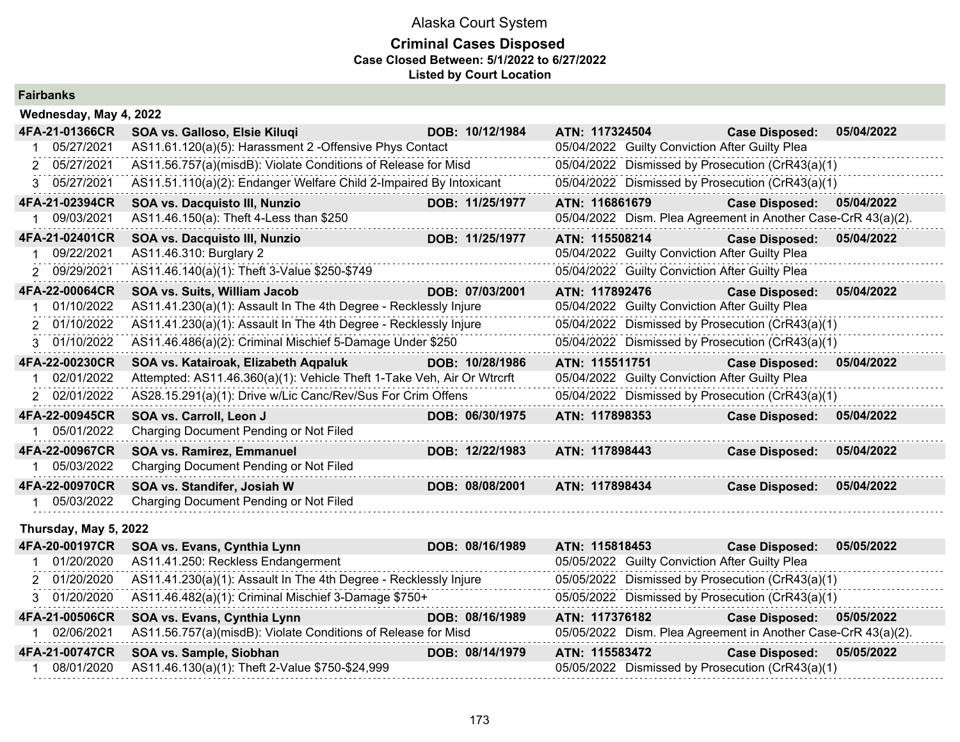## **Criminal Cases Disposed Case Closed Between: 5/1/2022 to 6/27/2022 Listed by Court Location**

| <b>Fairbanks</b>           |                                                                        |                 |                                                                    |                                                                                                                                                                                                                                                                                                                                    |            |
|----------------------------|------------------------------------------------------------------------|-----------------|--------------------------------------------------------------------|------------------------------------------------------------------------------------------------------------------------------------------------------------------------------------------------------------------------------------------------------------------------------------------------------------------------------------|------------|
| Wednesday, May 4, 2022     |                                                                        |                 |                                                                    |                                                                                                                                                                                                                                                                                                                                    |            |
| 4FA-21-01366CR             | SOA vs. Galloso, Elsie Kiluqi                                          | DOB: 10/12/1984 | ATN: 117324504                                                     | <b>Case Disposed:</b>                                                                                                                                                                                                                                                                                                              | 05/04/2022 |
| 1 05/27/2021               | AS11.61.120(a)(5): Harassment 2 - Offensive Phys Contact               |                 | 05/04/2022 Guilty Conviction After Guilty Plea                     |                                                                                                                                                                                                                                                                                                                                    |            |
| 05/27/2021<br>2            | AS11.56.757(a)(misdB): Violate Conditions of Release for Misd          |                 | 05/04/2022 Dismissed by Prosecution (CrR43(a)(1)                   |                                                                                                                                                                                                                                                                                                                                    |            |
| 3 05/27/2021               | AS11.51.110(a)(2): Endanger Welfare Child 2-Impaired By Intoxicant     |                 | 05/04/2022 Dismissed by Prosecution (CrR43(a)(1)                   |                                                                                                                                                                                                                                                                                                                                    |            |
| 4FA-21-02394CR             | SOA vs. Dacquisto III, Nunzio                                          | DOB: 11/25/1977 | ATN: 116861679                                                     | <b>Case Disposed:</b>                                                                                                                                                                                                                                                                                                              | 05/04/2022 |
| 09/03/2021<br>1.           | AS11.46.150(a): Theft 4-Less than \$250                                |                 | 05/04/2022 Dism. Plea Agreement in Another Case-CrR 43(a)(2).      |                                                                                                                                                                                                                                                                                                                                    |            |
| 4FA-21-02401CR             | SOA vs. Dacquisto III, Nunzio                                          | DOB: 11/25/1977 | ATN: 115508214                                                     | <b>Case Disposed:</b>                                                                                                                                                                                                                                                                                                              | 05/04/2022 |
| 09/22/2021<br>$\mathbf 1$  | AS11.46.310: Burglary 2                                                |                 | 05/04/2022 Guilty Conviction After Guilty Plea                     |                                                                                                                                                                                                                                                                                                                                    |            |
| 2 09/29/2021               | AS11.46.140(a)(1): Theft 3-Value \$250-\$749                           |                 | 05/04/2022 Guilty Conviction After Guilty Plea                     |                                                                                                                                                                                                                                                                                                                                    |            |
| 4FA-22-00064CR             | SOA vs. Suits, William Jacob                                           | DOB: 07/03/2001 | ATN: 117892476                                                     | <b>Case Disposed:</b>                                                                                                                                                                                                                                                                                                              | 05/04/2022 |
| 01/10/2022<br>1.           | AS11.41.230(a)(1): Assault In The 4th Degree - Recklessly Injure       |                 | 05/04/2022 Guilty Conviction After Guilty Plea                     |                                                                                                                                                                                                                                                                                                                                    |            |
| 2 01/10/2022               | AS11.41.230(a)(1): Assault In The 4th Degree - Recklessly Injure       |                 | 05/04/2022 Dismissed by Prosecution (CrR43(a)(1)                   |                                                                                                                                                                                                                                                                                                                                    |            |
| 3 01/10/2022               | AS11.46.486(a)(2): Criminal Mischief 5-Damage Under \$250              |                 | 05/04/2022 Dismissed by Prosecution (CrR43(a)(1)                   |                                                                                                                                                                                                                                                                                                                                    |            |
| 4FA-22-00230CR             | SOA vs. Katairoak, Elizabeth Aqpaluk                                   | DOB: 10/28/1986 | ATN: 115511751                                                     | <b>Case Disposed:</b>                                                                                                                                                                                                                                                                                                              | 05/04/2022 |
| 02/01/2022<br>$\mathbf 1$  | Attempted: AS11.46.360(a)(1): Vehicle Theft 1-Take Veh, Air Or Wtrcrft |                 | 05/04/2022 Guilty Conviction After Guilty Plea                     |                                                                                                                                                                                                                                                                                                                                    |            |
| 2 02/01/2022               | AS28.15.291(a)(1): Drive w/Lic Canc/Rev/Sus For Crim Offens            |                 | 05/04/2022 Dismissed by Prosecution (CrR43(a)(1)                   |                                                                                                                                                                                                                                                                                                                                    |            |
| 4FA-22-00945CR             | SOA vs. Carroll, Leon J                                                | DOB: 06/30/1975 | ATN: 117898353                                                     | <b>Case Disposed:</b>                                                                                                                                                                                                                                                                                                              | 05/04/2022 |
| 05/01/2022<br>1.           | Charging Document Pending or Not Filed                                 |                 |                                                                    |                                                                                                                                                                                                                                                                                                                                    |            |
| 4FA-22-00967CR             | SOA vs. Ramirez, Emmanuel                                              | DOB: 12/22/1983 | ATN: 117898443                                                     | <b>Case Disposed:</b>                                                                                                                                                                                                                                                                                                              | 05/04/2022 |
| 1 05/03/2022               | Charging Document Pending or Not Filed                                 |                 |                                                                    |                                                                                                                                                                                                                                                                                                                                    |            |
| 4FA-22-00970CR             | SOA vs. Standifer, Josiah W                                            | DOB: 08/08/2001 | ATN: 117898434                                                     | <b>Case Disposed:</b>                                                                                                                                                                                                                                                                                                              | 05/04/2022 |
| 1 05/03/2022               | Charging Document Pending or Not Filed                                 |                 |                                                                    |                                                                                                                                                                                                                                                                                                                                    |            |
| Thursday, May 5, 2022      |                                                                        |                 |                                                                    |                                                                                                                                                                                                                                                                                                                                    |            |
| 4FA-20-00197CR             | SOA vs. Evans, Cynthia Lynn                                            | DOB: 08/16/1989 | ATN: 115818453                                                     | <b>Case Disposed:</b>                                                                                                                                                                                                                                                                                                              | 05/05/2022 |
| 1 01/20/2020               | AS11.41.250: Reckless Endangerment                                     |                 | 05/05/2022 Guilty Conviction After Guilty Plea                     |                                                                                                                                                                                                                                                                                                                                    |            |
| 2 01/20/2020               | AS11.41.230(a)(1): Assault In The 4th Degree - Recklessly Injure       |                 | 05/05/2022 Dismissed by Prosecution (CrR43(a)(1)                   |                                                                                                                                                                                                                                                                                                                                    |            |
| 3 01/20/2020               | AS11.46.482(a)(1): Criminal Mischief 3-Damage \$750+                   |                 | 05/05/2022 Dismissed by Prosecution (CrR43(a)(1)                   |                                                                                                                                                                                                                                                                                                                                    |            |
| 4FA-21-00506CR             | SOA vs. Evans, Cynthia Lynn                                            | DOB: 08/16/1989 | ATN: 117376182                                                     | <b>Case Disposed:</b>                                                                                                                                                                                                                                                                                                              | 05/05/2022 |
| 02/06/2021<br>$\mathbf{1}$ | AS11.56.757(a)(misdB): Violate Conditions of Release for Misd          |                 | 05/05/2022 Dism. Plea Agreement in Another Case-CrR 43(a)(2).      |                                                                                                                                                                                                                                                                                                                                    |            |
| 4FA-21-00747CR             | SOA vs. Sample, Siobhan                                                | DOB: 08/14/1979 | ATN: 115583472                                                     | Case Disposed: 05/05/2022                                                                                                                                                                                                                                                                                                          |            |
| 0.010110000                | $10.100(1117)$ TI $(0.0111)$ $0.750$ $0.0100$                          |                 | $\mathcal{L} = \{ \mathcal{L} \mid \mathcal{L} \in \mathcal{L} \}$ | $\mathbf{r}$ $\mathbf{r}$ $\mathbf{r}$ $\mathbf{r}$ $\mathbf{r}$ $\mathbf{r}$ $\mathbf{r}$ $\mathbf{r}$ $\mathbf{r}$ $\mathbf{r}$ $\mathbf{r}$ $\mathbf{r}$ $\mathbf{r}$ $\mathbf{r}$ $\mathbf{r}$ $\mathbf{r}$ $\mathbf{r}$ $\mathbf{r}$ $\mathbf{r}$ $\mathbf{r}$ $\mathbf{r}$ $\mathbf{r}$ $\mathbf{r}$ $\mathbf{r}$ $\mathbf{$ |            |

1 08/01/2020 AS11.46.130(a)(1): Theft 2-Value \$750-\$24,999 05/05/2022 Dismissed by Prosecution (CrR43(a)(1)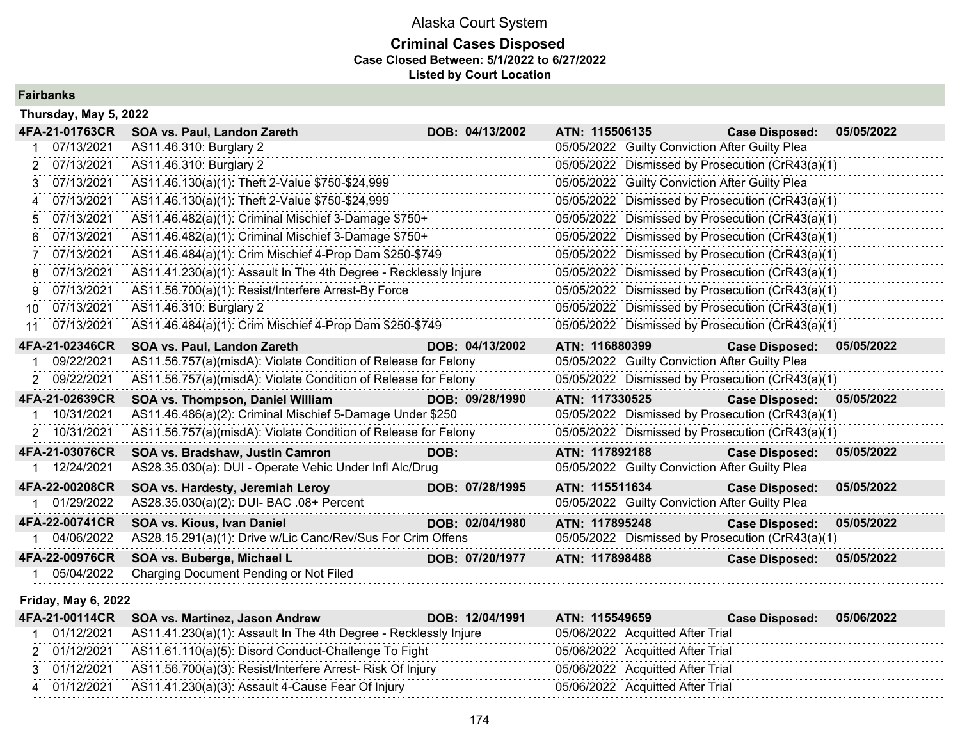## **Criminal Cases Disposed Case Closed Between: 5/1/2022 to 6/27/2022 Listed by Court Location**

**Fairbanks**

|             | Thursday, May 5, 2022 |                                                                  |      |                 |                |                                                |                                                  |            |
|-------------|-----------------------|------------------------------------------------------------------|------|-----------------|----------------|------------------------------------------------|--------------------------------------------------|------------|
|             | 4FA-21-01763CR        | SOA vs. Paul, Landon Zareth                                      |      | DOB: 04/13/2002 | ATN: 115506135 |                                                | <b>Case Disposed:</b>                            | 05/05/2022 |
|             | 07/13/2021            | AS11.46.310: Burglary 2                                          |      |                 |                | 05/05/2022 Guilty Conviction After Guilty Plea |                                                  |            |
|             | 07/13/2021            | AS11.46.310: Burglary 2                                          |      |                 |                |                                                | 05/05/2022 Dismissed by Prosecution (CrR43(a)(1) |            |
| 3.          | 07/13/2021            | AS11.46.130(a)(1): Theft 2-Value \$750-\$24,999                  |      |                 |                | 05/05/2022 Guilty Conviction After Guilty Plea |                                                  |            |
| $\mathbf 4$ | 07/13/2021            | AS11.46.130(a)(1): Theft 2-Value \$750-\$24,999                  |      |                 |                |                                                | 05/05/2022 Dismissed by Prosecution (CrR43(a)(1) |            |
| 5.          | 07/13/2021            | AS11.46.482(a)(1): Criminal Mischief 3-Damage \$750+             |      |                 |                |                                                | 05/05/2022 Dismissed by Prosecution (CrR43(a)(1) |            |
| 6           | 07/13/2021            | AS11.46.482(a)(1): Criminal Mischief 3-Damage \$750+             |      |                 |                |                                                | 05/05/2022 Dismissed by Prosecution (CrR43(a)(1) |            |
|             | 07/13/2021            | AS11.46.484(a)(1): Crim Mischief 4-Prop Dam \$250-\$749          |      |                 |                |                                                | 05/05/2022 Dismissed by Prosecution (CrR43(a)(1) |            |
| 8           | 07/13/2021            | AS11.41.230(a)(1): Assault In The 4th Degree - Recklessly Injure |      |                 |                |                                                | 05/05/2022 Dismissed by Prosecution (CrR43(a)(1) |            |
| g           | 07/13/2021            | AS11.56.700(a)(1): Resist/Interfere Arrest-By Force              |      |                 |                |                                                | 05/05/2022 Dismissed by Prosecution (CrR43(a)(1) |            |
|             | 10 07/13/2021         | AS11.46.310: Burglary 2                                          |      |                 |                |                                                | 05/05/2022 Dismissed by Prosecution (CrR43(a)(1) |            |
| 11          | 07/13/2021            | AS11.46.484(a)(1): Crim Mischief 4-Prop Dam \$250-\$749          |      |                 |                |                                                | 05/05/2022 Dismissed by Prosecution (CrR43(a)(1) |            |
|             | 4FA-21-02346CR        | SOA vs. Paul, Landon Zareth                                      |      | DOB: 04/13/2002 | ATN: 116880399 |                                                | <b>Case Disposed:</b>                            | 05/05/2022 |
|             | 09/22/2021            | AS11.56.757(a)(misdA): Violate Condition of Release for Felony   |      |                 |                | 05/05/2022 Guilty Conviction After Guilty Plea |                                                  |            |
|             | 2 09/22/2021          | AS11.56.757(a)(misdA): Violate Condition of Release for Felony   |      |                 |                |                                                | 05/05/2022 Dismissed by Prosecution (CrR43(a)(1) |            |
|             | 4FA-21-02639CR        | SOA vs. Thompson, Daniel William                                 |      | DOB: 09/28/1990 | ATN: 117330525 |                                                | <b>Case Disposed:</b>                            | 05/05/2022 |
|             | 10/31/2021            | AS11.46.486(a)(2): Criminal Mischief 5-Damage Under \$250        |      |                 |                |                                                | 05/05/2022 Dismissed by Prosecution (CrR43(a)(1) |            |
|             | 2 10/31/2021          | AS11.56.757(a)(misdA): Violate Condition of Release for Felony   |      |                 |                |                                                | 05/05/2022 Dismissed by Prosecution (CrR43(a)(1) |            |
|             | 4FA-21-03076CR        | SOA vs. Bradshaw, Justin Camron                                  | DOB: |                 | ATN: 117892188 |                                                | <b>Case Disposed:</b>                            | 05/05/2022 |
|             | 12/24/2021            | AS28.35.030(a): DUI - Operate Vehic Under Infl Alc/Drug          |      |                 |                | 05/05/2022 Guilty Conviction After Guilty Plea |                                                  |            |
|             | 4FA-22-00208CR        | SOA vs. Hardesty, Jeremiah Leroy                                 |      | DOB: 07/28/1995 | ATN: 115511634 |                                                | <b>Case Disposed:</b>                            | 05/05/2022 |
|             | 1 01/29/2022          | AS28.35.030(a)(2): DUI- BAC .08+ Percent                         |      |                 |                | 05/05/2022 Guilty Conviction After Guilty Plea |                                                  |            |
|             | 4FA-22-00741CR        | SOA vs. Kious, Ivan Daniel                                       |      | DOB: 02/04/1980 | ATN: 117895248 |                                                | <b>Case Disposed:</b>                            | 05/05/2022 |
|             | 04/06/2022            | AS28.15.291(a)(1): Drive w/Lic Canc/Rev/Sus For Crim Offens      |      |                 |                |                                                | 05/05/2022 Dismissed by Prosecution (CrR43(a)(1) |            |
|             | 4FA-22-00976CR        | SOA vs. Buberge, Michael L                                       |      | DOB: 07/20/1977 | ATN: 117898488 |                                                | <b>Case Disposed:</b>                            | 05/05/2022 |
|             | 05/04/2022            | Charging Document Pending or Not Filed                           |      |                 |                |                                                |                                                  |            |

### **Friday, May 6, 2022**

|            | 4FA-21-00114CR SOA vs. Martinez, Jason Andrew                           | ATN: 115549659<br>DOB: 12/04/1991 | Case Disposed: 05/06/2022        |
|------------|-------------------------------------------------------------------------|-----------------------------------|----------------------------------|
| 01/12/2021 | AS11.41.230(a)(1): Assault In The 4th Degree - Recklessly Injure        |                                   | 05/06/2022 Acquitted After Trial |
|            | 2 01/12/2021 AS11.61.110(a)(5): Disord Conduct-Challenge To Fight       |                                   | 05/06/2022 Acquitted After Trial |
|            | 3 01/12/2021 AS11.56.700(a)(3): Resist/Interfere Arrest- Risk Of Injury |                                   | 05/06/2022 Acquitted After Trial |
|            | 4 01/12/2021 AS11.41.230(a)(3): Assault 4-Cause Fear Of Injury          |                                   | 05/06/2022 Acquitted After Trial |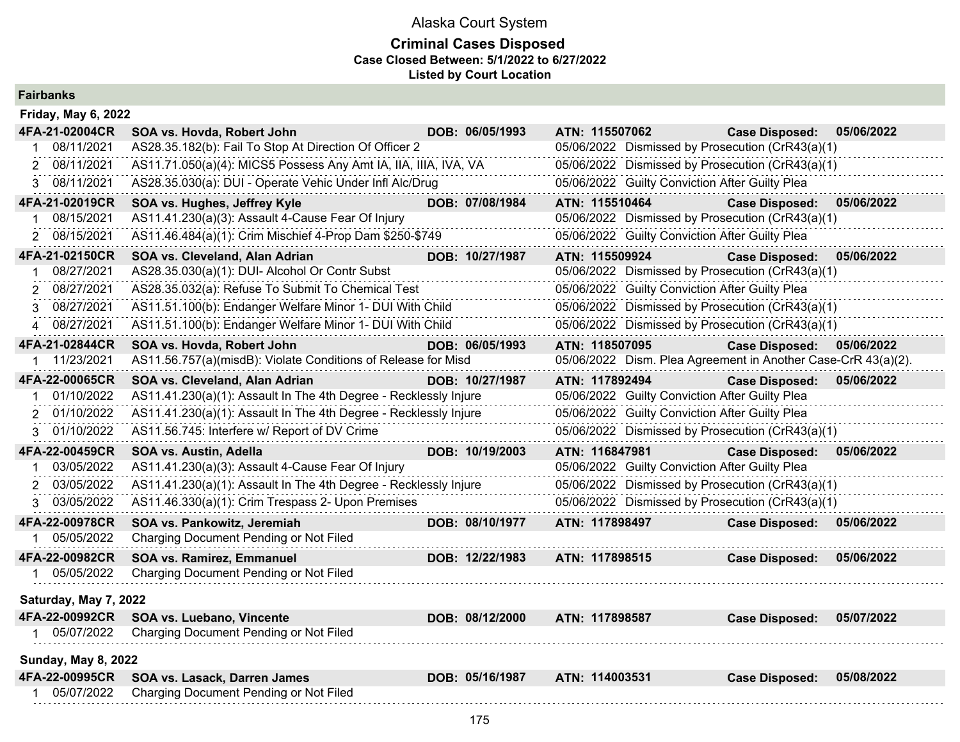### **Criminal Cases Disposed Case Closed Between: 5/1/2022 to 6/27/2022 Listed by Court Location**

**Fairbanks**

| <b>Friday, May 6, 2022</b> |                                                                  |                 |                |                                                |                                                               |            |
|----------------------------|------------------------------------------------------------------|-----------------|----------------|------------------------------------------------|---------------------------------------------------------------|------------|
| 4FA-21-02004CR             | SOA vs. Hovda, Robert John                                       | DOB: 06/05/1993 | ATN: 115507062 |                                                | <b>Case Disposed:</b>                                         | 05/06/2022 |
| 08/11/2021                 | AS28.35.182(b): Fail To Stop At Direction Of Officer 2           |                 |                |                                                | 05/06/2022 Dismissed by Prosecution (CrR43(a)(1)              |            |
| 2 08/11/2021               | AS11.71.050(a)(4): MICS5 Possess Any Amt IA, IIA, IIIA, IVA, VA  |                 |                |                                                | 05/06/2022 Dismissed by Prosecution (CrR43(a)(1)              |            |
| 08/11/2021<br>3.           | AS28.35.030(a): DUI - Operate Vehic Under Infl Alc/Drug          |                 |                | 05/06/2022 Guilty Conviction After Guilty Plea |                                                               |            |
| 4FA-21-02019CR             | SOA vs. Hughes, Jeffrey Kyle                                     | DOB: 07/08/1984 | ATN: 115510464 |                                                | <b>Case Disposed:</b>                                         | 05/06/2022 |
| 08/15/2021                 | AS11.41.230(a)(3): Assault 4-Cause Fear Of Injury                |                 |                |                                                | 05/06/2022 Dismissed by Prosecution (CrR43(a)(1)              |            |
| 08/15/2021<br>2            | AS11.46.484(a)(1): Crim Mischief 4-Prop Dam \$250-\$749          |                 |                | 05/06/2022 Guilty Conviction After Guilty Plea |                                                               |            |
| 4FA-21-02150CR             | SOA vs. Cleveland, Alan Adrian                                   | DOB: 10/27/1987 | ATN: 115509924 |                                                | <b>Case Disposed:</b>                                         | 05/06/2022 |
| 08/27/2021                 | AS28.35.030(a)(1): DUI- Alcohol Or Contr Subst                   |                 |                |                                                | 05/06/2022 Dismissed by Prosecution (CrR43(a)(1)              |            |
| 08/27/2021                 | AS28.35.032(a): Refuse To Submit To Chemical Test                |                 |                | 05/06/2022 Guilty Conviction After Guilty Plea |                                                               |            |
| 08/27/2021<br>3            | AS11.51.100(b): Endanger Welfare Minor 1- DUI With Child         |                 |                |                                                | 05/06/2022 Dismissed by Prosecution (CrR43(a)(1)              |            |
| 4 08/27/2021               | AS11.51.100(b): Endanger Welfare Minor 1- DUI With Child         |                 |                |                                                | 05/06/2022 Dismissed by Prosecution (CrR43(a)(1)              |            |
| 4FA-21-02844CR             | SOA vs. Hovda, Robert John                                       | DOB: 06/05/1993 | ATN: 118507095 |                                                | <b>Case Disposed:</b>                                         | 05/06/2022 |
| 11/23/2021                 | AS11.56.757(a)(misdB): Violate Conditions of Release for Misd    |                 |                |                                                | 05/06/2022 Dism. Plea Agreement in Another Case-CrR 43(a)(2). |            |
| 4FA-22-00065CR             | SOA vs. Cleveland, Alan Adrian                                   | DOB: 10/27/1987 | ATN: 117892494 |                                                | <b>Case Disposed:</b>                                         | 05/06/2022 |
| 01/10/2022                 | AS11.41.230(a)(1): Assault In The 4th Degree - Recklessly Injure |                 |                | 05/06/2022 Guilty Conviction After Guilty Plea |                                                               |            |
| 2 01/10/2022               | AS11.41.230(a)(1): Assault In The 4th Degree - Recklessly Injure |                 |                | 05/06/2022 Guilty Conviction After Guilty Plea |                                                               |            |
| 3 01/10/2022               | AS11.56.745: Interfere w/ Report of DV Crime                     |                 |                |                                                | 05/06/2022 Dismissed by Prosecution (CrR43(a)(1)              |            |
| 4FA-22-00459CR             | SOA vs. Austin, Adella                                           | DOB: 10/19/2003 | ATN: 116847981 |                                                | <b>Case Disposed:</b>                                         | 05/06/2022 |
| 03/05/2022                 | AS11.41.230(a)(3): Assault 4-Cause Fear Of Injury                |                 |                | 05/06/2022 Guilty Conviction After Guilty Plea |                                                               |            |
| 2 03/05/2022               | AS11.41.230(a)(1): Assault In The 4th Degree - Recklessly Injure |                 |                |                                                | 05/06/2022 Dismissed by Prosecution (CrR43(a)(1)              |            |
| 03/05/2022<br>3            | AS11.46.330(a)(1): Crim Trespass 2- Upon Premises                |                 |                |                                                | 05/06/2022 Dismissed by Prosecution (CrR43(a)(1)              |            |
| 4FA-22-00978CR             | SOA vs. Pankowitz, Jeremiah                                      | DOB: 08/10/1977 | ATN: 117898497 |                                                | <b>Case Disposed:</b>                                         | 05/06/2022 |
| 1 05/05/2022               | Charging Document Pending or Not Filed                           |                 |                |                                                |                                                               |            |
| 4FA-22-00982CR             | SOA vs. Ramirez, Emmanuel                                        | DOB: 12/22/1983 | ATN: 117898515 |                                                | <b>Case Disposed:</b>                                         | 05/06/2022 |
| 05/05/2022                 | Charging Document Pending or Not Filed                           |                 |                |                                                |                                                               |            |
| Saturday, May 7, 2022      |                                                                  |                 |                |                                                |                                                               |            |
| 4FA-22-00992CR             | SOA vs. Luebano, Vincente                                        | DOB: 08/12/2000 | ATN: 117898587 |                                                | <b>Case Disposed:</b>                                         | 05/07/2022 |
| 05/07/2022                 | Charging Document Pending or Not Filed                           |                 |                |                                                |                                                               |            |
| <b>Sunday, May 8, 2022</b> |                                                                  |                 |                |                                                |                                                               |            |
| 4FA-22-00995CR             | SOA vs. Lasack, Darren James                                     | DOB: 05/16/1987 | ATN: 114003531 |                                                | <b>Case Disposed:</b>                                         | 05/08/2022 |
| 05/07/2022                 | Charging Document Pending or Not Filed                           |                 |                |                                                |                                                               |            |
|                            |                                                                  |                 |                |                                                |                                                               |            |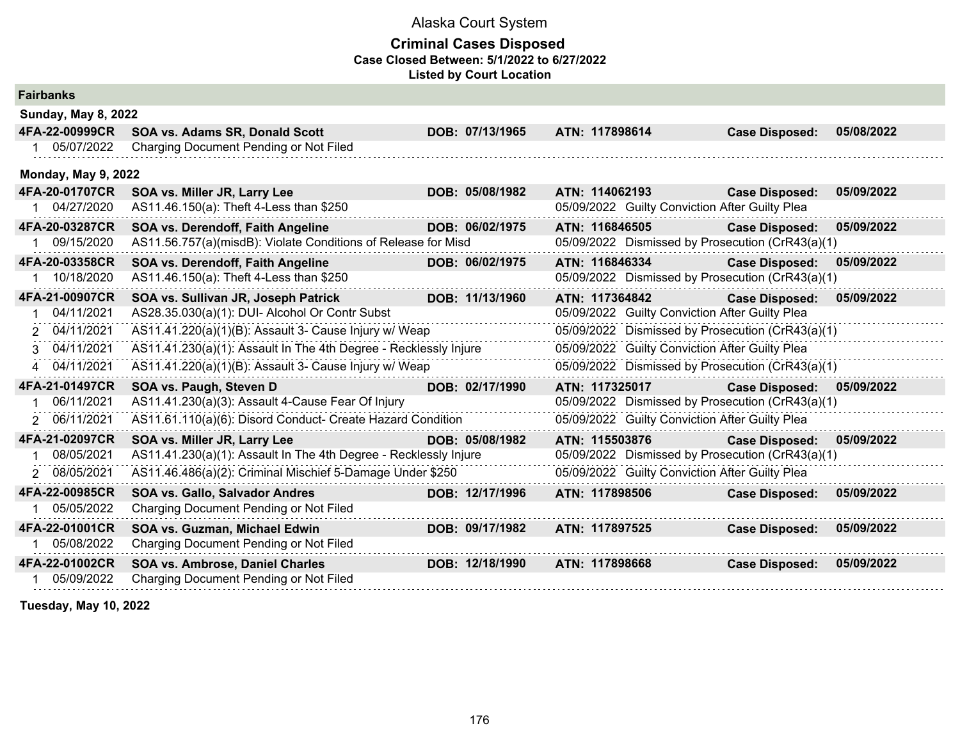### **Criminal Cases Disposed Case Closed Between: 5/1/2022 to 6/27/2022 Listed by Court Location**

| <b>Fairbanks</b>           |                                                                  |                 |                                                  |                       |            |
|----------------------------|------------------------------------------------------------------|-----------------|--------------------------------------------------|-----------------------|------------|
| <b>Sunday, May 8, 2022</b> |                                                                  |                 |                                                  |                       |            |
| 4FA-22-00999CR             | SOA vs. Adams SR, Donald Scott                                   | DOB: 07/13/1965 | ATN: 117898614                                   | <b>Case Disposed:</b> | 05/08/2022 |
| 05/07/2022                 | Charging Document Pending or Not Filed                           |                 |                                                  |                       |            |
| <b>Monday, May 9, 2022</b> |                                                                  |                 |                                                  |                       |            |
| 4FA-20-01707CR             | SOA vs. Miller JR, Larry Lee                                     | DOB: 05/08/1982 | ATN: 114062193                                   | <b>Case Disposed:</b> | 05/09/2022 |
| 1 04/27/2020               | AS11.46.150(a): Theft 4-Less than \$250                          |                 | 05/09/2022 Guilty Conviction After Guilty Plea   |                       |            |
| 4FA-20-03287CR             | SOA vs. Derendoff, Faith Angeline                                | DOB: 06/02/1975 | ATN: 116846505                                   | <b>Case Disposed:</b> | 05/09/2022 |
| 09/15/2020                 | AS11.56.757(a)(misdB): Violate Conditions of Release for Misd    |                 | 05/09/2022 Dismissed by Prosecution (CrR43(a)(1) |                       |            |
| 4FA-20-03358CR             | SOA vs. Derendoff, Faith Angeline                                | DOB: 06/02/1975 | ATN: 116846334                                   | <b>Case Disposed:</b> | 05/09/2022 |
| 10/18/2020                 | AS11.46.150(a): Theft 4-Less than \$250                          |                 | 05/09/2022 Dismissed by Prosecution (CrR43(a)(1) |                       |            |
| 4FA-21-00907CR             | SOA vs. Sullivan JR, Joseph Patrick                              | DOB: 11/13/1960 | ATN: 117364842                                   | <b>Case Disposed:</b> | 05/09/2022 |
| 04/11/2021                 | AS28.35.030(a)(1): DUI- Alcohol Or Contr Subst                   |                 | 05/09/2022 Guilty Conviction After Guilty Plea   |                       |            |
| 2 04/11/2021               | AS11.41.220(a)(1)(B): Assault 3- Cause Injury w/ Weap            |                 | 05/09/2022 Dismissed by Prosecution (CrR43(a)(1) |                       |            |
| 3 04/11/2021               | AS11.41.230(a)(1): Assault In The 4th Degree - Recklessly Injure |                 | 05/09/2022 Guilty Conviction After Guilty Plea   |                       |            |
| 4 04/11/2021               | AS11.41.220(a)(1)(B): Assault 3- Cause Injury w/ Weap            |                 | 05/09/2022 Dismissed by Prosecution (CrR43(a)(1) |                       |            |
| 4FA-21-01497CR             | SOA vs. Paugh, Steven D                                          | DOB: 02/17/1990 | ATN: 117325017                                   | <b>Case Disposed:</b> | 05/09/2022 |
| 06/11/2021                 | AS11.41.230(a)(3): Assault 4-Cause Fear Of Injury                |                 | 05/09/2022 Dismissed by Prosecution (CrR43(a)(1) |                       |            |
| 2 06/11/2021               | AS11.61.110(a)(6): Disord Conduct- Create Hazard Condition       |                 | 05/09/2022 Guilty Conviction After Guilty Plea   |                       |            |
| 4FA-21-02097CR             | SOA vs. Miller JR, Larry Lee                                     | DOB: 05/08/1982 | ATN: 115503876                                   | <b>Case Disposed:</b> | 05/09/2022 |
| 08/05/2021                 | AS11.41.230(a)(1): Assault In The 4th Degree - Recklessly Injure |                 | 05/09/2022 Dismissed by Prosecution (CrR43(a)(1) |                       |            |
| 2 08/05/2021               | AS11.46.486(a)(2): Criminal Mischief 5-Damage Under \$250        |                 | 05/09/2022 Guilty Conviction After Guilty Plea   |                       |            |
| 4FA-22-00985CR             | <b>SOA vs. Gallo, Salvador Andres</b>                            | DOB: 12/17/1996 | ATN: 117898506                                   | <b>Case Disposed:</b> | 05/09/2022 |
| 05/05/2022                 | Charging Document Pending or Not Filed                           |                 |                                                  |                       |            |
| 4FA-22-01001CR             | SOA vs. Guzman, Michael Edwin                                    | DOB: 09/17/1982 | ATN: 117897525                                   | <b>Case Disposed:</b> | 05/09/2022 |
| 05/08/2022                 | Charging Document Pending or Not Filed                           |                 |                                                  |                       |            |
| 4FA-22-01002CR             | SOA vs. Ambrose, Daniel Charles                                  | DOB: 12/18/1990 | ATN: 117898668                                   | <b>Case Disposed:</b> | 05/09/2022 |
| 05/09/2022                 | Charging Document Pending or Not Filed                           |                 |                                                  |                       |            |

**Tuesday, May 10, 2022**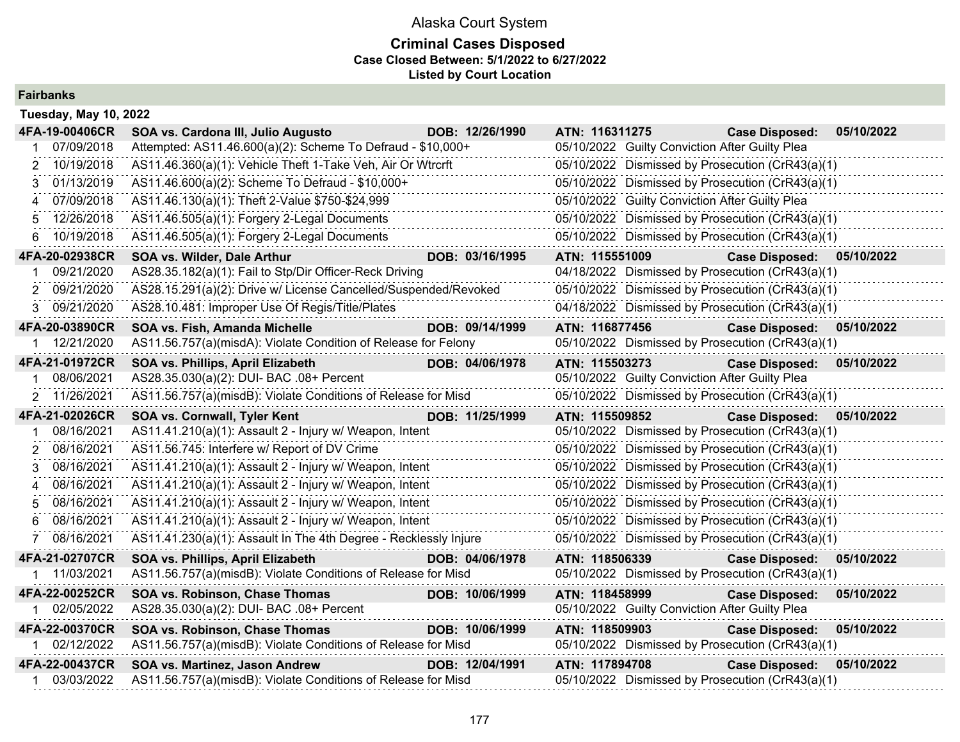## **Criminal Cases Disposed Case Closed Between: 5/1/2022 to 6/27/2022 Listed by Court Location**

**Fairbanks**

| <b>Tuesday, May 10, 2022</b> |                                                                  |                 |                                                  |                           |            |
|------------------------------|------------------------------------------------------------------|-----------------|--------------------------------------------------|---------------------------|------------|
| 4FA-19-00406CR               | SOA vs. Cardona III, Julio Augusto                               | DOB: 12/26/1990 | ATN: 116311275                                   | <b>Case Disposed:</b>     | 05/10/2022 |
| 07/09/2018                   | Attempted: AS11.46.600(a)(2): Scheme To Defraud - \$10,000+      |                 | 05/10/2022 Guilty Conviction After Guilty Plea   |                           |            |
| 10/19/2018                   | AS11.46.360(a)(1): Vehicle Theft 1-Take Veh, Air Or Wtrcrft      |                 | 05/10/2022 Dismissed by Prosecution (CrR43(a)(1) |                           |            |
| 01/13/2019<br>3              | AS11.46.600(a)(2): Scheme To Defraud - \$10,000+                 |                 | 05/10/2022 Dismissed by Prosecution (CrR43(a)(1) |                           |            |
| 07/09/2018                   | AS11.46.130(a)(1): Theft 2-Value \$750-\$24,999                  |                 | 05/10/2022 Guilty Conviction After Guilty Plea   |                           |            |
| 12/26/2018<br>5.             | AS11.46.505(a)(1): Forgery 2-Legal Documents                     |                 | 05/10/2022 Dismissed by Prosecution (CrR43(a)(1) |                           |            |
| 10/19/2018<br>6.             | AS11.46.505(a)(1): Forgery 2-Legal Documents                     |                 | 05/10/2022 Dismissed by Prosecution (CrR43(a)(1) |                           |            |
| 4FA-20-02938CR               | SOA vs. Wilder, Dale Arthur                                      | DOB: 03/16/1995 | ATN: 115551009                                   | Case Disposed: 05/10/2022 |            |
| 09/21/2020                   | AS28.35.182(a)(1): Fail to Stp/Dir Officer-Reck Driving          |                 | 04/18/2022 Dismissed by Prosecution (CrR43(a)(1) |                           |            |
| 09/21/2020                   | AS28.15.291(a)(2): Drive w/ License Cancelled/Suspended/Revoked  |                 | 05/10/2022 Dismissed by Prosecution (CrR43(a)(1) |                           |            |
| 09/21/2020<br>3              | AS28.10.481: Improper Use Of Regis/Title/Plates                  |                 | 04/18/2022 Dismissed by Prosecution (CrR43(a)(1) |                           |            |
| 4FA-20-03890CR               | SOA vs. Fish, Amanda Michelle                                    | DOB: 09/14/1999 | ATN: 116877456                                   | <b>Case Disposed:</b>     | 05/10/2022 |
| 12/21/2020                   | AS11.56.757(a)(misdA): Violate Condition of Release for Felony   |                 | 05/10/2022 Dismissed by Prosecution (CrR43(a)(1) |                           |            |
| 4FA-21-01972CR               | SOA vs. Phillips, April Elizabeth                                | DOB: 04/06/1978 | ATN: 115503273                                   | <b>Case Disposed:</b>     | 05/10/2022 |
| 08/06/2021                   | AS28.35.030(a)(2): DUI- BAC .08+ Percent                         |                 | 05/10/2022 Guilty Conviction After Guilty Plea   |                           |            |
| 11/26/2021<br>2              | AS11.56.757(a)(misdB): Violate Conditions of Release for Misd    |                 | 05/10/2022 Dismissed by Prosecution (CrR43(a)(1) |                           |            |
|                              |                                                                  |                 |                                                  |                           |            |
| 4FA-21-02026CR               | SOA vs. Cornwall, Tyler Kent                                     | DOB: 11/25/1999 | ATN: 115509852                                   | <b>Case Disposed:</b>     | 05/10/2022 |
| 08/16/2021                   | AS11.41.210(a)(1): Assault 2 - Injury w/ Weapon, Intent          |                 | 05/10/2022 Dismissed by Prosecution (CrR43(a)(1) |                           |            |
| 08/16/2021                   | AS11.56.745: Interfere w/ Report of DV Crime                     |                 | 05/10/2022 Dismissed by Prosecution (CrR43(a)(1) |                           |            |
| 08/16/2021<br>3              | AS11.41.210(a)(1): Assault 2 - Injury w/ Weapon, Intent          |                 | 05/10/2022 Dismissed by Prosecution (CrR43(a)(1) |                           |            |
| 08/16/2021<br>4              | AS11.41.210(a)(1): Assault 2 - Injury w/ Weapon, Intent          |                 | 05/10/2022 Dismissed by Prosecution (CrR43(a)(1) |                           |            |
| 08/16/2021<br>5              | AS11.41.210(a)(1): Assault 2 - Injury w/ Weapon, Intent          |                 | 05/10/2022 Dismissed by Prosecution (CrR43(a)(1) |                           |            |
| 08/16/2021                   | AS11.41.210(a)(1): Assault 2 - Injury w/ Weapon, Intent          |                 | 05/10/2022 Dismissed by Prosecution (CrR43(a)(1) |                           |            |
| 08/16/2021                   | AS11.41.230(a)(1): Assault In The 4th Degree - Recklessly Injure |                 | 05/10/2022 Dismissed by Prosecution (CrR43(a)(1) |                           |            |
| 4FA-21-02707CR               | SOA vs. Phillips, April Elizabeth                                | DOB: 04/06/1978 | ATN: 118506339                                   | <b>Case Disposed:</b>     | 05/10/2022 |
| 11/03/2021                   | AS11.56.757(a)(misdB): Violate Conditions of Release for Misd    |                 | 05/10/2022 Dismissed by Prosecution (CrR43(a)(1) |                           |            |
| 4FA-22-00252CR               | SOA vs. Robinson, Chase Thomas                                   | DOB: 10/06/1999 | ATN: 118458999                                   | <b>Case Disposed:</b>     | 05/10/2022 |
| 1 02/05/2022                 | AS28.35.030(a)(2): DUI- BAC .08+ Percent                         |                 | 05/10/2022 Guilty Conviction After Guilty Plea   |                           |            |
| 4FA-22-00370CR               | SOA vs. Robinson, Chase Thomas                                   | DOB: 10/06/1999 | ATN: 118509903                                   | <b>Case Disposed:</b>     | 05/10/2022 |
| 1 02/12/2022                 | AS11.56.757(a)(misdB): Violate Conditions of Release for Misd    |                 | 05/10/2022 Dismissed by Prosecution (CrR43(a)(1) |                           |            |
| 4FA-22-00437CR               | SOA vs. Martinez, Jason Andrew                                   | DOB: 12/04/1991 | ATN: 117894708                                   | <b>Case Disposed:</b>     | 05/10/2022 |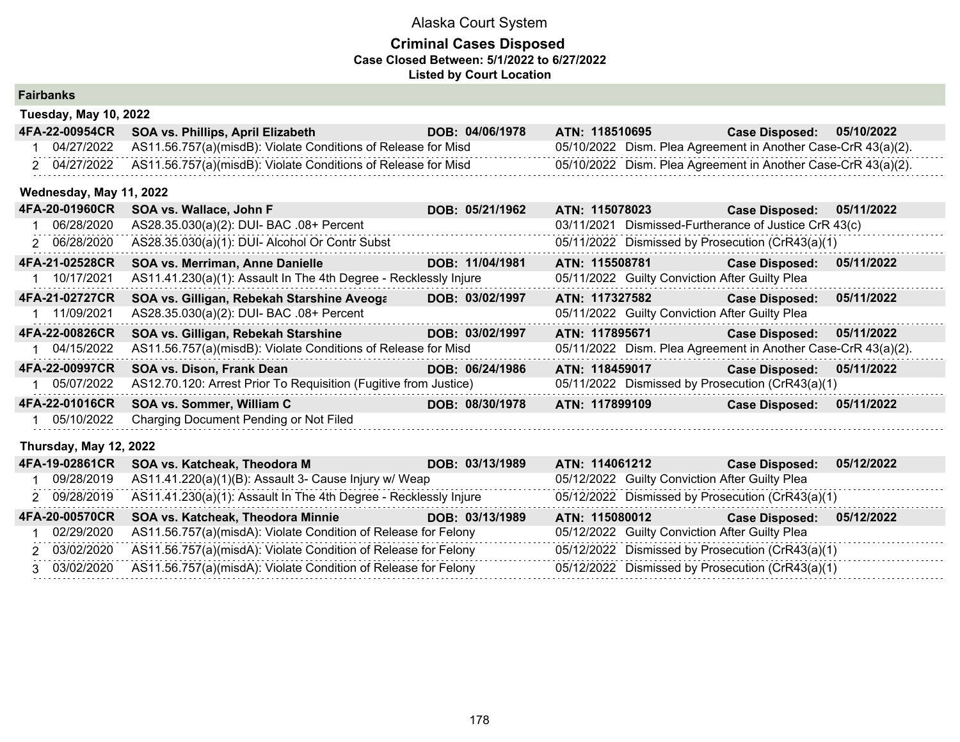| <b>Fairbanks</b> |  |  |
|------------------|--|--|
|                  |  |  |

| <b>Tuesday, May 10, 2022</b> |                                                                  |                 |                                                               |                       |            |
|------------------------------|------------------------------------------------------------------|-----------------|---------------------------------------------------------------|-----------------------|------------|
| 4FA-22-00954CR               | SOA vs. Phillips, April Elizabeth                                | DOB: 04/06/1978 | ATN: 118510695                                                | <b>Case Disposed:</b> | 05/10/2022 |
| 04/27/2022                   | AS11.56.757(a)(misdB): Violate Conditions of Release for Misd    |                 | 05/10/2022 Dism. Plea Agreement in Another Case-CrR 43(a)(2). |                       |            |
| 2 04/27/2022                 | AS11.56.757(a)(misdB): Violate Conditions of Release for Misd    |                 | 05/10/2022 Dism. Plea Agreement in Another Case-CrR 43(a)(2). |                       |            |
| Wednesday, May 11, 2022      |                                                                  |                 |                                                               |                       |            |
| 4FA-20-01960CR               | SOA vs. Wallace, John F                                          | DOB: 05/21/1962 | ATN: 115078023                                                | <b>Case Disposed:</b> | 05/11/2022 |
| 06/28/2020                   | AS28.35.030(a)(2): DUI- BAC .08+ Percent                         |                 | 03/11/2021 Dismissed-Furtherance of Justice CrR 43(c)         |                       |            |
| 2 06/28/2020                 | AS28.35.030(a)(1): DUI- Alcohol Or Contr Subst                   |                 | 05/11/2022 Dismissed by Prosecution (CrR43(a)(1)              |                       |            |
| 4FA-21-02528CR               | SOA vs. Merriman, Anne Danielle                                  | DOB: 11/04/1981 | ATN: 115508781                                                | <b>Case Disposed:</b> | 05/11/2022 |
| 10/17/2021                   | AS11.41.230(a)(1): Assault In The 4th Degree - Recklessly Injure |                 | 05/11/2022 Guilty Conviction After Guilty Plea                |                       |            |
| 4FA-21-02727CR               | SOA vs. Gilligan, Rebekah Starshine Aveoga                       | DOB: 03/02/1997 | ATN: 117327582                                                | <b>Case Disposed:</b> | 05/11/2022 |
| 11/09/2021                   | AS28.35.030(a)(2): DUI- BAC .08+ Percent                         |                 | 05/11/2022 Guilty Conviction After Guilty Plea                |                       |            |
| 4FA-22-00826CR               | SOA vs. Gilligan, Rebekah Starshine                              | DOB: 03/02/1997 | ATN: 117895671                                                | <b>Case Disposed:</b> | 05/11/2022 |
| 1 04/15/2022                 | AS11.56.757(a)(misdB): Violate Conditions of Release for Misd    |                 | 05/11/2022 Dism. Plea Agreement in Another Case-CrR 43(a)(2). |                       |            |
| 4FA-22-00997CR               | SOA vs. Dison, Frank Dean                                        | DOB: 06/24/1986 | ATN: 118459017                                                | <b>Case Disposed:</b> | 05/11/2022 |
| 05/07/2022                   | AS12.70.120: Arrest Prior To Requisition (Fugitive from Justice) |                 | 05/11/2022 Dismissed by Prosecution (CrR43(a)(1)              |                       |            |
| 4FA-22-01016CR               | SOA vs. Sommer, William C                                        | DOB: 08/30/1978 | ATN: 117899109                                                | <b>Case Disposed:</b> | 05/11/2022 |
| 05/10/2022                   | Charging Document Pending or Not Filed                           |                 |                                                               |                       |            |
| Thursday, May 12, 2022       |                                                                  |                 |                                                               |                       |            |
| 4FA-19-02861CR               | SOA vs. Katcheak, Theodora M                                     | DOB: 03/13/1989 | ATN: 114061212                                                | <b>Case Disposed:</b> | 05/12/2022 |
| 09/28/2019                   | AS11.41.220(a)(1)(B): Assault 3- Cause Injury w/ Weap            |                 | 05/12/2022 Guilty Conviction After Guilty Plea                |                       |            |
| 2 09/28/2019                 | AS11.41.230(a)(1): Assault In The 4th Degree - Recklessly Injure |                 | 05/12/2022 Dismissed by Prosecution (CrR43(a)(1)              |                       |            |
| 4FA-20-00570CR               | SOA vs. Katcheak, Theodora Minnie                                | DOB: 03/13/1989 | ATN: 115080012                                                | <b>Case Disposed:</b> | 05/12/2022 |
| 02/29/2020                   | AS11.56.757(a)(misdA): Violate Condition of Release for Felony   |                 | 05/12/2022 Guilty Conviction After Guilty Plea                |                       |            |
| 2 03/02/2020                 | AS11.56.757(a)(misdA): Violate Condition of Release for Felony   |                 | 05/12/2022 Dismissed by Prosecution (CrR43(a)(1)              |                       |            |
| 03/02/2020<br>$\mathbf{3}$   | AS11.56.757(a)(misdA): Violate Condition of Release for Felony   |                 | 05/12/2022 Dismissed by Prosecution (CrR43(a)(1)              |                       |            |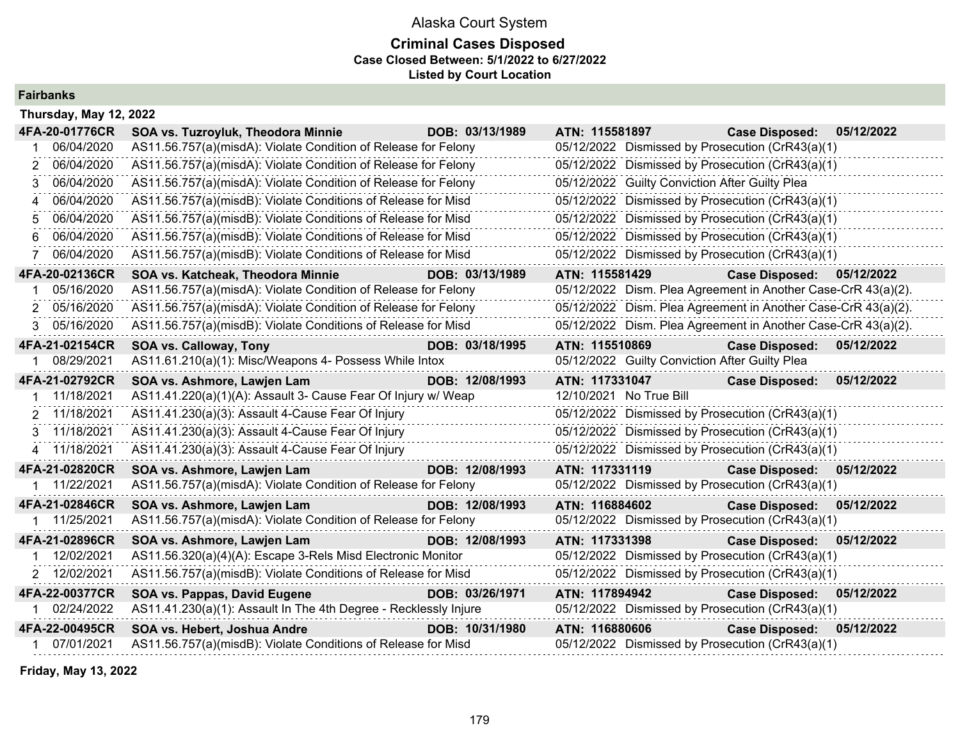## **Criminal Cases Disposed Case Closed Between: 5/1/2022 to 6/27/2022 Listed by Court Location**

**Fairbanks**

| Thursday, May 12, 2022 |                                                                  |                 |                                                               |                       |            |
|------------------------|------------------------------------------------------------------|-----------------|---------------------------------------------------------------|-----------------------|------------|
| 4FA-20-01776CR         | SOA vs. Tuzroyluk, Theodora Minnie                               | DOB: 03/13/1989 | ATN: 115581897                                                | <b>Case Disposed:</b> | 05/12/2022 |
| 06/04/2020             | AS11.56.757(a)(misdA): Violate Condition of Release for Felony   |                 | 05/12/2022 Dismissed by Prosecution (CrR43(a)(1)              |                       |            |
| 06/04/2020             | AS11.56.757(a)(misdA): Violate Condition of Release for Felony   |                 | 05/12/2022 Dismissed by Prosecution (CrR43(a)(1)              |                       |            |
| 06/04/2020             | AS11.56.757(a)(misdA): Violate Condition of Release for Felony   |                 | 05/12/2022 Guilty Conviction After Guilty Plea                |                       |            |
| 06/04/2020<br>4        | AS11.56.757(a)(misdB): Violate Conditions of Release for Misd    |                 | 05/12/2022 Dismissed by Prosecution (CrR43(a)(1)              |                       |            |
| 06/04/2020             | AS11.56.757(a)(misdB): Violate Conditions of Release for Misd    |                 | 05/12/2022 Dismissed by Prosecution (CrR43(a)(1)              |                       |            |
| 06/04/2020<br>6        | AS11.56.757(a)(misdB): Violate Conditions of Release for Misd    |                 | 05/12/2022 Dismissed by Prosecution (CrR43(a)(1)              |                       |            |
| 06/04/2020             | AS11.56.757(a)(misdB): Violate Conditions of Release for Misd    |                 | 05/12/2022 Dismissed by Prosecution (CrR43(a)(1)              |                       |            |
| 4FA-20-02136CR         | SOA vs. Katcheak, Theodora Minnie                                | DOB: 03/13/1989 | ATN: 115581429                                                | <b>Case Disposed:</b> | 05/12/2022 |
| 05/16/2020             | AS11.56.757(a)(misdA): Violate Condition of Release for Felony   |                 | 05/12/2022 Dism. Plea Agreement in Another Case-CrR 43(a)(2). |                       |            |
| 05/16/2020             | AS11.56.757(a)(misdA): Violate Condition of Release for Felony   |                 | 05/12/2022 Dism. Plea Agreement in Another Case-CrR 43(a)(2). |                       |            |
| 05/16/2020<br>3        | AS11.56.757(a)(misdB): Violate Conditions of Release for Misd    |                 | 05/12/2022 Dism. Plea Agreement in Another Case-CrR 43(a)(2). |                       |            |
| 4FA-21-02154CR         | <b>SOA vs. Calloway, Tony</b>                                    | DOB: 03/18/1995 | ATN: 115510869                                                | <b>Case Disposed:</b> | 05/12/2022 |
| 08/29/2021             | AS11.61.210(a)(1): Misc/Weapons 4- Possess While Intox           |                 | 05/12/2022 Guilty Conviction After Guilty Plea                |                       |            |
| 4FA-21-02792CR         | SOA vs. Ashmore, Lawjen Lam                                      | DOB: 12/08/1993 | ATN: 117331047                                                | <b>Case Disposed:</b> | 05/12/2022 |
| 1 11/18/2021           | AS11.41.220(a)(1)(A): Assault 3- Cause Fear Of Injury w/ Weap    |                 | 12/10/2021 No True Bill                                       |                       |            |
| 2 11/18/2021           | AS11.41.230(a)(3): Assault 4-Cause Fear Of Injury                |                 | 05/12/2022 Dismissed by Prosecution (CrR43(a)(1)              |                       |            |
| 3 11/18/2021           | AS11.41.230(a)(3): Assault 4-Cause Fear Of Injury                |                 | 05/12/2022 Dismissed by Prosecution (CrR43(a)(1)              |                       |            |
| 4 11/18/2021           | AS11.41.230(a)(3): Assault 4-Cause Fear Of Injury                |                 | 05/12/2022 Dismissed by Prosecution (CrR43(a)(1)              |                       |            |
| 4FA-21-02820CR         | SOA vs. Ashmore, Lawjen Lam                                      | DOB: 12/08/1993 | ATN: 117331119                                                | <b>Case Disposed:</b> | 05/12/2022 |
| 11/22/2021             | AS11.56.757(a)(misdA): Violate Condition of Release for Felony   |                 | 05/12/2022 Dismissed by Prosecution (CrR43(a)(1)              |                       |            |
| 4FA-21-02846CR         | SOA vs. Ashmore, Lawjen Lam                                      | DOB: 12/08/1993 | ATN: 116884602                                                | <b>Case Disposed:</b> | 05/12/2022 |
| 1 11/25/2021           | AS11.56.757(a)(misdA): Violate Condition of Release for Felony   |                 | 05/12/2022 Dismissed by Prosecution (CrR43(a)(1)              |                       |            |
| 4FA-21-02896CR         | SOA vs. Ashmore, Lawjen Lam                                      | DOB: 12/08/1993 | ATN: 117331398                                                | <b>Case Disposed:</b> | 05/12/2022 |
| 12/02/2021             | AS11.56.320(a)(4)(A): Escape 3-Rels Misd Electronic Monitor      |                 | 05/12/2022 Dismissed by Prosecution (CrR43(a)(1)              |                       |            |
| 2 12/02/2021           | AS11.56.757(a)(misdB): Violate Conditions of Release for Misd    |                 | 05/12/2022 Dismissed by Prosecution (CrR43(a)(1)              |                       |            |
| 4FA-22-00377CR         | SOA vs. Pappas, David Eugene                                     | DOB: 03/26/1971 | ATN: 117894942                                                | <b>Case Disposed:</b> | 05/12/2022 |
| 02/24/2022             | AS11.41.230(a)(1): Assault In The 4th Degree - Recklessly Injure |                 | 05/12/2022 Dismissed by Prosecution (CrR43(a)(1)              |                       |            |
| 4FA-22-00495CR         | SOA vs. Hebert, Joshua Andre                                     | DOB: 10/31/1980 | ATN: 116880606                                                | <b>Case Disposed:</b> | 05/12/2022 |
| 07/01/2021             | AS11.56.757(a)(misdB): Violate Conditions of Release for Misd    |                 | 05/12/2022 Dismissed by Prosecution (CrR43(a)(1)              |                       |            |

**Friday, May 13, 2022**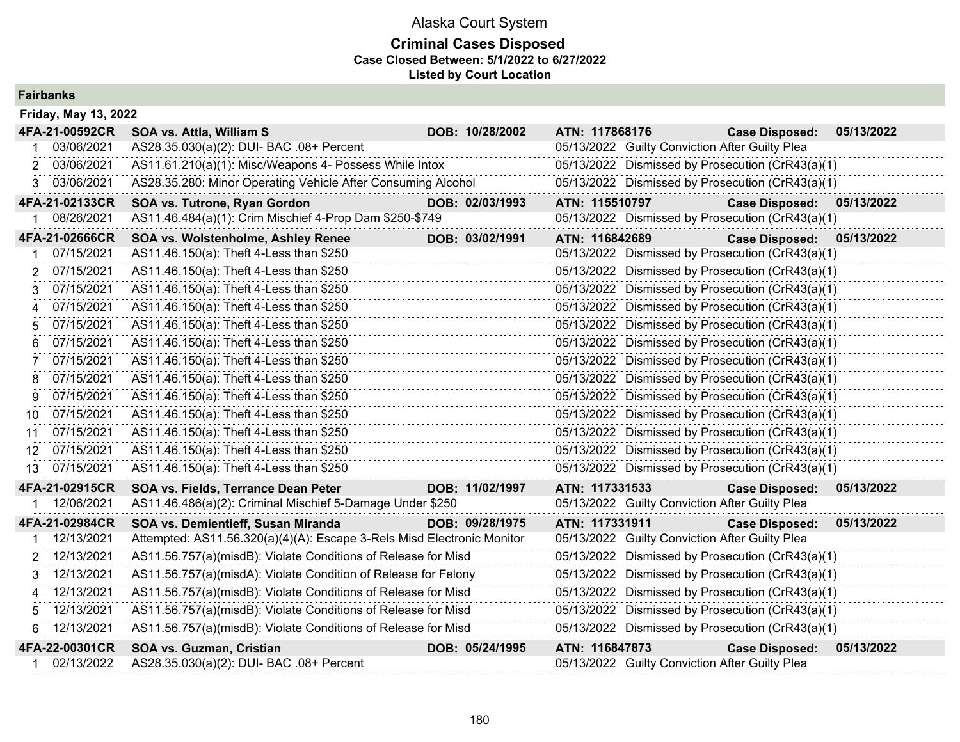| <b>Fairbanks</b>            |                                                                        |                 |                |                                                |                                                  |            |
|-----------------------------|------------------------------------------------------------------------|-----------------|----------------|------------------------------------------------|--------------------------------------------------|------------|
| <b>Friday, May 13, 2022</b> |                                                                        |                 |                |                                                |                                                  |            |
| 4FA-21-00592CR              | SOA vs. Attla, William S                                               | DOB: 10/28/2002 | ATN: 117868176 |                                                | <b>Case Disposed:</b>                            | 05/13/2022 |
| 03/06/2021                  | AS28.35.030(a)(2): DUI- BAC .08+ Percent                               |                 |                | 05/13/2022 Guilty Conviction After Guilty Plea |                                                  |            |
| 03/06/2021<br>2             | AS11.61.210(a)(1): Misc/Weapons 4- Possess While Intox                 |                 |                |                                                | 05/13/2022 Dismissed by Prosecution (CrR43(a)(1) |            |
| 03/06/2021                  | AS28.35.280: Minor Operating Vehicle After Consuming Alcohol           |                 |                |                                                | 05/13/2022 Dismissed by Prosecution (CrR43(a)(1) |            |
| 4FA-21-02133CR              | SOA vs. Tutrone, Ryan Gordon                                           | DOB: 02/03/1993 | ATN: 115510797 |                                                | <b>Case Disposed:</b>                            | 05/13/2022 |
| 08/26/2021                  | AS11.46.484(a)(1): Crim Mischief 4-Prop Dam \$250-\$749                |                 |                |                                                | 05/13/2022 Dismissed by Prosecution (CrR43(a)(1) |            |
| 4FA-21-02666CR              | <b>SOA vs. Wolstenholme, Ashley Renee</b>                              | DOB: 03/02/1991 | ATN: 116842689 |                                                | <b>Case Disposed:</b>                            | 05/13/2022 |
| 07/15/2021                  | AS11.46.150(a): Theft 4-Less than \$250                                |                 |                |                                                | 05/13/2022 Dismissed by Prosecution (CrR43(a)(1) |            |
| 07/15/2021                  | AS11.46.150(a): Theft 4-Less than \$250                                |                 |                |                                                | 05/13/2022 Dismissed by Prosecution (CrR43(a)(1) |            |
| 07/15/2021                  | AS11.46.150(a): Theft 4-Less than \$250                                |                 |                |                                                | 05/13/2022 Dismissed by Prosecution (CrR43(a)(1) |            |
| 07/15/2021<br>4             | AS11.46.150(a): Theft 4-Less than \$250                                |                 |                |                                                | 05/13/2022 Dismissed by Prosecution (CrR43(a)(1) |            |
| 07/15/2021<br>5             | AS11.46.150(a): Theft 4-Less than \$250                                |                 |                |                                                | 05/13/2022 Dismissed by Prosecution (CrR43(a)(1) |            |
| 07/15/2021                  | AS11.46.150(a): Theft 4-Less than \$250                                |                 |                |                                                | 05/13/2022 Dismissed by Prosecution (CrR43(a)(1) |            |
| 07/15/2021                  | AS11.46.150(a): Theft 4-Less than \$250                                |                 |                |                                                | 05/13/2022 Dismissed by Prosecution (CrR43(a)(1) |            |
| 07/15/2021<br>8             | AS11.46.150(a): Theft 4-Less than \$250                                |                 |                |                                                | 05/13/2022 Dismissed by Prosecution (CrR43(a)(1) |            |
| 07/15/2021<br>9             | AS11.46.150(a): Theft 4-Less than \$250                                |                 |                |                                                | 05/13/2022 Dismissed by Prosecution (CrR43(a)(1) |            |
| 07/15/2021<br>10            | AS11.46.150(a): Theft 4-Less than \$250                                |                 |                |                                                | 05/13/2022 Dismissed by Prosecution (CrR43(a)(1) |            |
| 07/15/2021<br>11            | AS11.46.150(a): Theft 4-Less than \$250                                |                 |                |                                                | 05/13/2022 Dismissed by Prosecution (CrR43(a)(1) |            |
| 07/15/2021<br>12.           | AS11.46.150(a): Theft 4-Less than \$250                                |                 |                |                                                | 05/13/2022 Dismissed by Prosecution (CrR43(a)(1) |            |
| 13 07/15/2021               | AS11.46.150(a): Theft 4-Less than \$250                                |                 |                |                                                | 05/13/2022 Dismissed by Prosecution (CrR43(a)(1) |            |
| 4FA-21-02915CR              | SOA vs. Fields, Terrance Dean Peter                                    | DOB: 11/02/1997 | ATN: 117331533 |                                                | <b>Case Disposed:</b>                            | 05/13/2022 |
| 12/06/2021                  | AS11.46.486(a)(2): Criminal Mischief 5-Damage Under \$250              |                 |                | 05/13/2022 Guilty Conviction After Guilty Plea |                                                  |            |
| 4FA-21-02984CR              | SOA vs. Demientieff, Susan Miranda                                     | DOB: 09/28/1975 | ATN: 117331911 |                                                | <b>Case Disposed:</b>                            | 05/13/2022 |
| 12/13/2021                  | Attempted: AS11.56.320(a)(4)(A): Escape 3-Rels Misd Electronic Monitor |                 |                | 05/13/2022 Guilty Conviction After Guilty Plea |                                                  |            |
| 12/13/2021                  | AS11.56.757(a)(misdB): Violate Conditions of Release for Misd          |                 |                |                                                | 05/13/2022 Dismissed by Prosecution (CrR43(a)(1) |            |
| 12/13/2021<br>3.            | AS11.56.757(a)(misdA): Violate Condition of Release for Felony         |                 |                |                                                | 05/13/2022 Dismissed by Prosecution (CrR43(a)(1) |            |
| 12/13/2021<br>4             | AS11.56.757(a)(misdB): Violate Conditions of Release for Misd          |                 |                |                                                | 05/13/2022 Dismissed by Prosecution (CrR43(a)(1) |            |
| 12/13/2021                  | AS11.56.757(a)(misdB): Violate Conditions of Release for Misd          |                 |                |                                                | 05/13/2022 Dismissed by Prosecution (CrR43(a)(1) |            |
| 12/13/2021                  | AS11.56.757(a)(misdB): Violate Conditions of Release for Misd          |                 |                |                                                | 05/13/2022 Dismissed by Prosecution (CrR43(a)(1) |            |
| 4FA-22-00301CR              | SOA vs. Guzman, Cristian                                               | DOB: 05/24/1995 | ATN: 116847873 |                                                | <b>Case Disposed:</b>                            | 05/13/2022 |
| 02/13/2022                  | AS28.35.030(a)(2): DUI- BAC .08+ Percent                               |                 |                | 05/13/2022 Guilty Conviction After Guilty Plea |                                                  |            |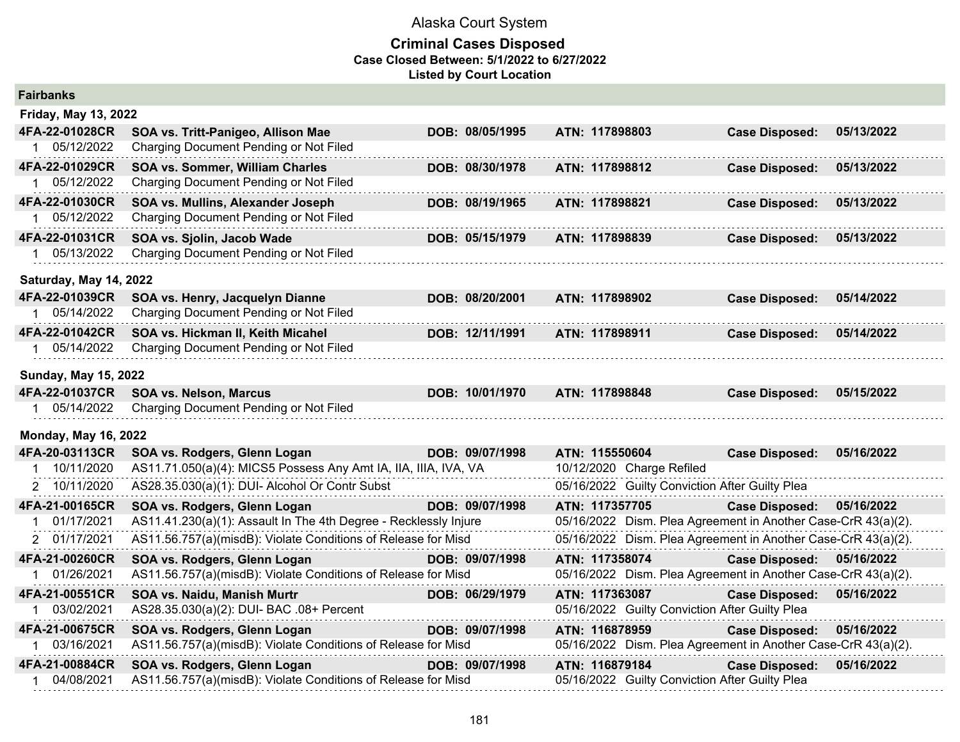| <b>Fairbanks</b>            |                                                                  |                 |                |  |                                                               |            |
|-----------------------------|------------------------------------------------------------------|-----------------|----------------|--|---------------------------------------------------------------|------------|
| <b>Friday, May 13, 2022</b> |                                                                  |                 |                |  |                                                               |            |
| 4FA-22-01028CR              | SOA vs. Tritt-Panigeo, Allison Mae                               | DOB: 08/05/1995 | ATN: 117898803 |  | <b>Case Disposed:</b>                                         | 05/13/2022 |
| 1 05/12/2022                | Charging Document Pending or Not Filed                           |                 |                |  |                                                               |            |
| 4FA-22-01029CR              | SOA vs. Sommer, William Charles                                  | DOB: 08/30/1978 | ATN: 117898812 |  | <b>Case Disposed:</b>                                         | 05/13/2022 |
| 1 05/12/2022                | Charging Document Pending or Not Filed                           |                 |                |  |                                                               |            |
| 4FA-22-01030CR              | SOA vs. Mullins, Alexander Joseph                                | DOB: 08/19/1965 | ATN: 117898821 |  | <b>Case Disposed:</b>                                         | 05/13/2022 |
| 1 05/12/2022                | Charging Document Pending or Not Filed                           |                 |                |  |                                                               |            |
| 4FA-22-01031CR              | SOA vs. Sjolin, Jacob Wade                                       | DOB: 05/15/1979 | ATN: 117898839 |  | <b>Case Disposed:</b>                                         | 05/13/2022 |
| 1 05/13/2022                | Charging Document Pending or Not Filed                           |                 |                |  |                                                               |            |
| Saturday, May 14, 2022      |                                                                  |                 |                |  |                                                               |            |
| 4FA-22-01039CR              | SOA vs. Henry, Jacquelyn Dianne                                  | DOB: 08/20/2001 | ATN: 117898902 |  | <b>Case Disposed:</b>                                         | 05/14/2022 |
| 1 05/14/2022                | Charging Document Pending or Not Filed                           |                 |                |  |                                                               |            |
| 4FA-22-01042CR              | SOA vs. Hickman II, Keith Micahel                                | DOB: 12/11/1991 | ATN: 117898911 |  | <b>Case Disposed:</b>                                         | 05/14/2022 |
| 1 05/14/2022                | Charging Document Pending or Not Filed                           |                 |                |  |                                                               |            |
| <b>Sunday, May 15, 2022</b> |                                                                  |                 |                |  |                                                               |            |
| 4FA-22-01037CR              | <b>SOA vs. Nelson, Marcus</b>                                    | DOB: 10/01/1970 | ATN: 117898848 |  | <b>Case Disposed:</b>                                         | 05/15/2022 |
| 1 05/14/2022                | Charging Document Pending or Not Filed                           |                 |                |  |                                                               |            |
| <b>Monday, May 16, 2022</b> |                                                                  |                 |                |  |                                                               |            |
| 4FA-20-03113CR              | SOA vs. Rodgers, Glenn Logan                                     | DOB: 09/07/1998 | ATN: 115550604 |  | <b>Case Disposed:</b>                                         | 05/16/2022 |
| 1 10/11/2020                | AS11.71.050(a)(4): MICS5 Possess Any Amt IA, IIA, IIIA, IVA, VA  |                 |                |  | 10/12/2020 Charge Refiled                                     |            |
| 2 10/11/2020                | AS28.35.030(a)(1): DUI- Alcohol Or Contr Subst                   |                 |                |  | 05/16/2022 Guilty Conviction After Guilty Plea                |            |
| 4FA-21-00165CR              | SOA vs. Rodgers, Glenn Logan                                     | DOB: 09/07/1998 | ATN: 117357705 |  | <b>Case Disposed:</b>                                         | 05/16/2022 |
| 01/17/2021                  | AS11.41.230(a)(1): Assault In The 4th Degree - Recklessly Injure |                 |                |  | 05/16/2022 Dism. Plea Agreement in Another Case-CrR 43(a)(2). |            |
| 2 01/17/2021                | AS11.56.757(a)(misdB): Violate Conditions of Release for Misd    |                 |                |  | 05/16/2022 Dism. Plea Agreement in Another Case-CrR 43(a)(2). |            |
| 4FA-21-00260CR              | SOA vs. Rodgers, Glenn Logan                                     | DOB: 09/07/1998 | ATN: 117358074 |  | <b>Case Disposed:</b>                                         | 05/16/2022 |
| 1 01/26/2021                | AS11.56.757(a)(misdB): Violate Conditions of Release for Misd    |                 |                |  | 05/16/2022 Dism. Plea Agreement in Another Case-CrR 43(a)(2). |            |
| 4FA-21-00551CR              | SOA vs. Naidu, Manish Murtr                                      | DOB: 06/29/1979 | ATN: 117363087 |  | <b>Case Disposed:</b>                                         | 05/16/2022 |
| 1 03/02/2021                | AS28.35.030(a)(2): DUI- BAC .08+ Percent                         |                 |                |  | 05/16/2022 Guilty Conviction After Guilty Plea                |            |
| 4FA-21-00675CR              | SOA vs. Rodgers, Glenn Logan                                     | DOB: 09/07/1998 | ATN: 116878959 |  | <b>Case Disposed:</b>                                         | 05/16/2022 |
| 1 03/16/2021                | AS11.56.757(a)(misdB): Violate Conditions of Release for Misd    |                 |                |  | 05/16/2022 Dism. Plea Agreement in Another Case-CrR 43(a)(2). |            |
| 4FA-21-00884CR              | SOA vs. Rodgers, Glenn Logan                                     | DOB: 09/07/1998 | ATN: 116879184 |  | <b>Case Disposed:</b>                                         | 05/16/2022 |
| 04/08/2021                  | AS11.56.757(a)(misdB): Violate Conditions of Release for Misd    |                 |                |  | 05/16/2022 Guilty Conviction After Guilty Plea                |            |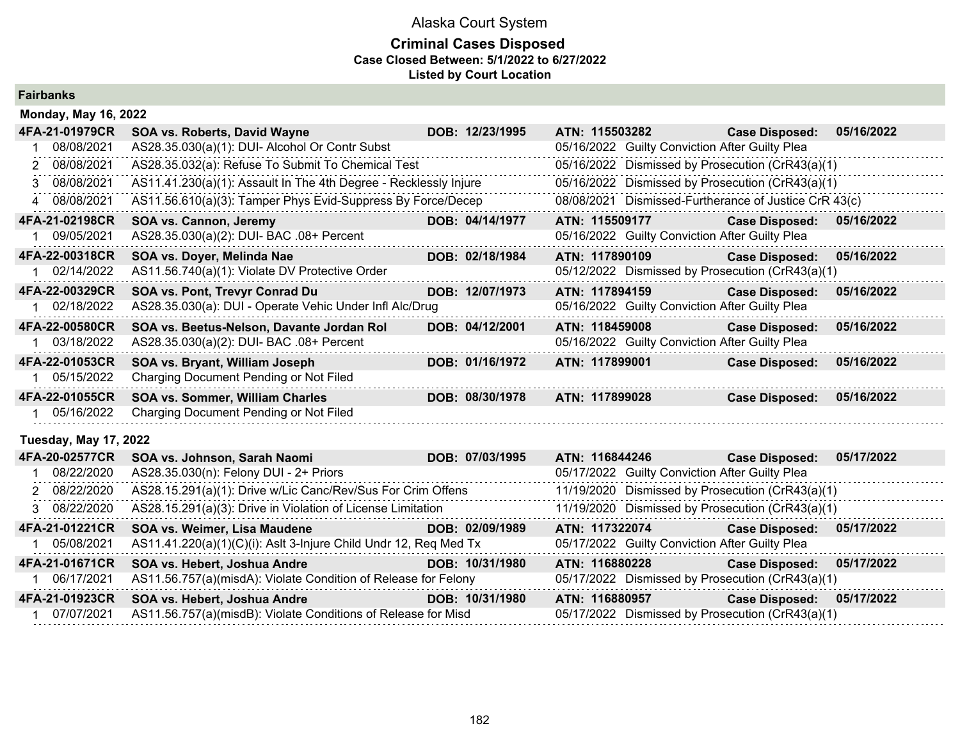| <b>Fairbanks</b> |  |
|------------------|--|
|------------------|--|

| <b>Monday, May 16, 2022</b>  |                                                                  |                 |                                                |                                                       |            |
|------------------------------|------------------------------------------------------------------|-----------------|------------------------------------------------|-------------------------------------------------------|------------|
| 4FA-21-01979CR               | SOA vs. Roberts, David Wayne                                     | DOB: 12/23/1995 | ATN: 115503282                                 | <b>Case Disposed:</b>                                 | 05/16/2022 |
| 08/08/2021                   | AS28.35.030(a)(1): DUI- Alcohol Or Contr Subst                   |                 | 05/16/2022 Guilty Conviction After Guilty Plea |                                                       |            |
| 2 08/08/2021                 | AS28.35.032(a): Refuse To Submit To Chemical Test                |                 |                                                | 05/16/2022 Dismissed by Prosecution (CrR43(a)(1)      |            |
| 08/08/2021                   | AS11.41.230(a)(1): Assault In The 4th Degree - Recklessly Injure |                 |                                                | 05/16/2022 Dismissed by Prosecution (CrR43(a)(1)      |            |
| 4 08/08/2021                 | AS11.56.610(a)(3): Tamper Phys Evid-Suppress By Force/Decep      |                 |                                                | 08/08/2021 Dismissed-Furtherance of Justice CrR 43(c) |            |
| 4FA-21-02198CR               | SOA vs. Cannon, Jeremy                                           | DOB: 04/14/1977 | ATN: 115509177                                 | <b>Case Disposed:</b>                                 | 05/16/2022 |
| 09/05/2021                   | AS28.35.030(a)(2): DUI- BAC .08+ Percent                         |                 | 05/16/2022 Guilty Conviction After Guilty Plea |                                                       |            |
| 4FA-22-00318CR               | SOA vs. Doyer, Melinda Nae                                       | DOB: 02/18/1984 | ATN: 117890109                                 | <b>Case Disposed:</b>                                 | 05/16/2022 |
| 02/14/2022                   | AS11.56.740(a)(1): Violate DV Protective Order                   |                 |                                                | 05/12/2022 Dismissed by Prosecution (CrR43(a)(1)      |            |
| 4FA-22-00329CR               | SOA vs. Pont, Trevyr Conrad Du                                   | DOB: 12/07/1973 | ATN: 117894159                                 | <b>Case Disposed:</b>                                 | 05/16/2022 |
| 02/18/2022                   | AS28.35.030(a): DUI - Operate Vehic Under Infl Alc/Drug          |                 | 05/16/2022 Guilty Conviction After Guilty Plea |                                                       |            |
| 4FA-22-00580CR               | SOA vs. Beetus-Nelson, Davante Jordan Rol                        | DOB: 04/12/2001 | ATN: 118459008                                 | <b>Case Disposed:</b>                                 | 05/16/2022 |
| 03/18/2022                   | AS28.35.030(a)(2): DUI- BAC .08+ Percent                         |                 | 05/16/2022 Guilty Conviction After Guilty Plea |                                                       |            |
| 4FA-22-01053CR               | SOA vs. Bryant, William Joseph                                   | DOB: 01/16/1972 | ATN: 117899001                                 | <b>Case Disposed:</b>                                 | 05/16/2022 |
| 05/15/2022                   | Charging Document Pending or Not Filed                           |                 |                                                |                                                       |            |
| 4FA-22-01055CR               | SOA vs. Sommer, William Charles                                  | DOB: 08/30/1978 | ATN: 117899028                                 | <b>Case Disposed:</b>                                 | 05/16/2022 |
| 05/16/2022                   | Charging Document Pending or Not Filed                           |                 |                                                |                                                       |            |
| <b>Tuesday, May 17, 2022</b> |                                                                  |                 |                                                |                                                       |            |
| 4FA-20-02577CR               | SOA vs. Johnson, Sarah Naomi                                     | DOB: 07/03/1995 | ATN: 116844246                                 | <b>Case Disposed:</b>                                 | 05/17/2022 |
| 08/22/2020                   | AS28.35.030(n): Felony DUI - 2+ Priors                           |                 | 05/17/2022 Guilty Conviction After Guilty Plea |                                                       |            |
| 2 08/22/2020                 | AS28.15.291(a)(1): Drive w/Lic Canc/Rev/Sus For Crim Offens      |                 |                                                | 11/19/2020 Dismissed by Prosecution (CrR43(a)(1)      |            |

| 3 08/22/2020   | AS28.15.291(a)(3): Drive in Violation of License Limitation      |                 |                                                | 11/19/2020 Dismissed by Prosecution (CrR43(a)(1) |            |
|----------------|------------------------------------------------------------------|-----------------|------------------------------------------------|--------------------------------------------------|------------|
| 4FA-21-01221CR | <b>SOA vs. Weimer, Lisa Maudene</b>                              | DOB: 02/09/1989 | ATN: 117322074                                 | <b>Case Disposed:</b>                            | 05/17/2022 |
| 05/08/2021     | AS11.41.220(a)(1)(C)(i): Aslt 3-Injure Child Undr 12, Req Med Tx |                 | 05/17/2022 Guilty Conviction After Guilty Plea |                                                  |            |
| 4FA-21-01671CR | SOA vs. Hebert, Joshua Andre                                     | DOB: 10/31/1980 | ATN: 116880228                                 | Case Disposed: 05/17/2022                        |            |
| 06/17/2021     | AS11.56.757(a)(misdA): Violate Condition of Release for Felony   |                 |                                                | 05/17/2022 Dismissed by Prosecution (CrR43(a)(1) |            |
| 4FA-21-01923CR | SOA vs. Hebert, Joshua Andre                                     | DOB: 10/31/1980 | ATN: 116880957                                 | Case Disposed: 05/17/2022                        |            |
| 07/07/2021     | AS11.56.757(a)(misdB): Violate Conditions of Release for Misd    |                 |                                                | 05/17/2022 Dismissed by Prosecution (CrR43(a)(1) |            |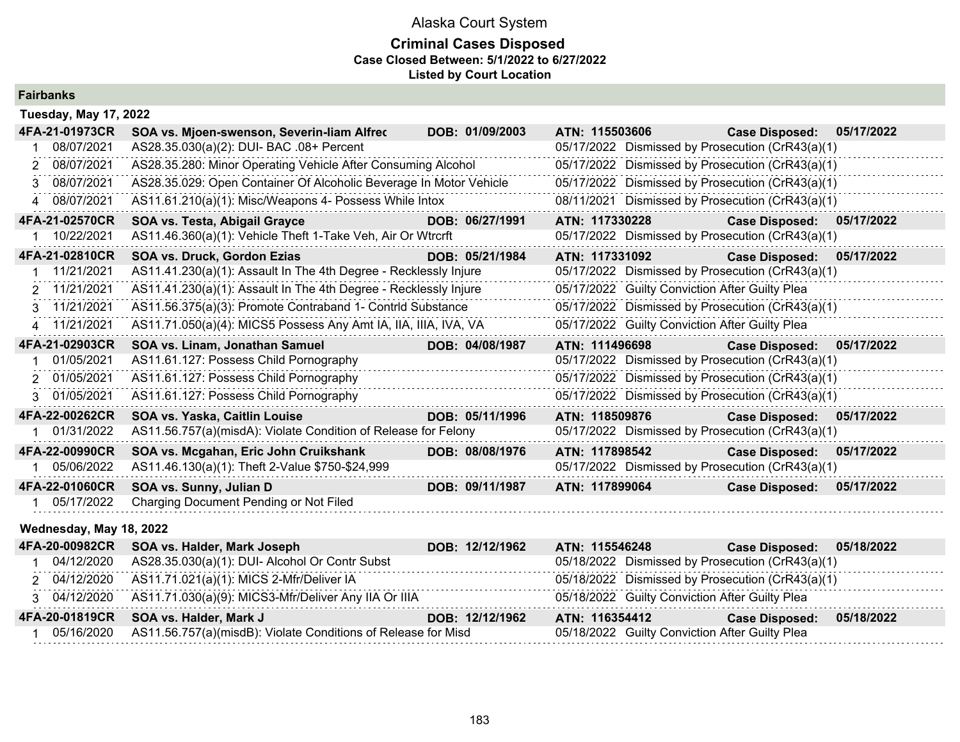## **Criminal Cases Disposed Case Closed Between: 5/1/2022 to 6/27/2022 Listed by Court Location**

| <b>Fairbanks</b> |  |  |  |  |  |
|------------------|--|--|--|--|--|
|------------------|--|--|--|--|--|

| <b>Tuesday, May 17, 2022</b> |                                                                    |                 |                                                  |                       |            |
|------------------------------|--------------------------------------------------------------------|-----------------|--------------------------------------------------|-----------------------|------------|
| 4FA-21-01973CR               | SOA vs. Mjoen-swenson, Severin-liam Alfrec                         | DOB: 01/09/2003 | ATN: 115503606                                   | <b>Case Disposed:</b> | 05/17/2022 |
| 08/07/2021                   | AS28.35.030(a)(2): DUI- BAC .08+ Percent                           |                 | 05/17/2022 Dismissed by Prosecution (CrR43(a)(1) |                       |            |
| 2 08/07/2021                 | AS28.35.280: Minor Operating Vehicle After Consuming Alcohol       |                 | 05/17/2022 Dismissed by Prosecution (CrR43(a)(1) |                       |            |
| 08/07/2021<br>3              | AS28.35.029: Open Container Of Alcoholic Beverage In Motor Vehicle |                 | 05/17/2022 Dismissed by Prosecution (CrR43(a)(1) |                       |            |
| 4 08/07/2021                 | AS11.61.210(a)(1): Misc/Weapons 4- Possess While Intox             |                 | 08/11/2021 Dismissed by Prosecution (CrR43(a)(1) |                       |            |
| 4FA-21-02570CR               | SOA vs. Testa, Abigail Grayce                                      | DOB: 06/27/1991 | ATN: 117330228                                   | <b>Case Disposed:</b> | 05/17/2022 |
| 10/22/2021                   | AS11.46.360(a)(1): Vehicle Theft 1-Take Veh, Air Or Wtrcrft        |                 | 05/17/2022 Dismissed by Prosecution (CrR43(a)(1) |                       |            |
| 4FA-21-02810CR               | SOA vs. Druck, Gordon Ezias                                        | DOB: 05/21/1984 | ATN: 117331092                                   | <b>Case Disposed:</b> | 05/17/2022 |
| 11/21/2021                   | AS11.41.230(a)(1): Assault In The 4th Degree - Recklessly Injure   |                 | 05/17/2022 Dismissed by Prosecution (CrR43(a)(1) |                       |            |
| 2 11/21/2021                 | AS11.41.230(a)(1): Assault In The 4th Degree - Recklessly Injure   |                 | 05/17/2022 Guilty Conviction After Guilty Plea   |                       |            |
| 3 11/21/2021                 | AS11.56.375(a)(3): Promote Contraband 1- Contrid Substance         |                 | 05/17/2022 Dismissed by Prosecution (CrR43(a)(1) |                       |            |
| 4 11/21/2021                 | AS11.71.050(a)(4): MICS5 Possess Any Amt IA, IIA, IIIA, IVA, VA    |                 | 05/17/2022 Guilty Conviction After Guilty Plea   |                       |            |
| 4FA-21-02903CR               | SOA vs. Linam, Jonathan Samuel                                     | DOB: 04/08/1987 | ATN: 111496698                                   | <b>Case Disposed:</b> | 05/17/2022 |
| 01/05/2021                   | AS11.61.127: Possess Child Pornography                             |                 | 05/17/2022 Dismissed by Prosecution (CrR43(a)(1) |                       |            |
| 2 01/05/2021                 | AS11.61.127: Possess Child Pornography                             |                 | 05/17/2022 Dismissed by Prosecution (CrR43(a)(1) |                       |            |
| 3 01/05/2021                 | AS11.61.127: Possess Child Pornography                             |                 | 05/17/2022 Dismissed by Prosecution (CrR43(a)(1) |                       |            |
| 4FA-22-00262CR               | SOA vs. Yaska, Caitlin Louise                                      | DOB: 05/11/1996 | ATN: 118509876                                   | <b>Case Disposed:</b> | 05/17/2022 |
| 01/31/2022                   | AS11.56.757(a)(misdA): Violate Condition of Release for Felony     |                 | 05/17/2022 Dismissed by Prosecution (CrR43(a)(1) |                       |            |
| 4FA-22-00990CR               | SOA vs. Mcgahan, Eric John Cruikshank                              | DOB: 08/08/1976 | ATN: 117898542                                   | <b>Case Disposed:</b> | 05/17/2022 |
| 05/06/2022                   | AS11.46.130(a)(1): Theft 2-Value \$750-\$24,999                    |                 | 05/17/2022 Dismissed by Prosecution (CrR43(a)(1) |                       |            |
| 4FA-22-01060CR               | SOA vs. Sunny, Julian D                                            | DOB: 09/11/1987 | ATN: 117899064                                   | <b>Case Disposed:</b> | 05/17/2022 |
| 05/17/2022                   | Charging Document Pending or Not Filed                             |                 |                                                  |                       |            |
| Wednesday, May 18, 2022      |                                                                    |                 |                                                  |                       |            |
| 4FA-20-00982CR               | SOA vs. Halder, Mark Joseph                                        | DOB: 12/12/1962 | ATN: 115546248                                   | <b>Case Disposed:</b> | 05/18/2022 |
| 04/12/2020                   | AS28.35.030(a)(1): DUI- Alcohol Or Contr Subst                     |                 | 05/18/2022 Dismissed by Prosecution (CrR43(a)(1) |                       |            |
| 2 04/12/2020                 | AS11.71.021(a)(1): MICS 2-Mfr/Deliver IA                           |                 | 05/18/2022 Dismissed by Prosecution (CrR43(a)(1) |                       |            |
| 3 04/12/2020                 | AS11.71.030(a)(9): MICS3-Mfr/Deliver Any IIA Or IIIA               |                 | 05/18/2022 Guilty Conviction After Guilty Plea   |                       |            |
|                              |                                                                    |                 |                                                  |                       |            |

**4FA-20-01819CR SOA vs. Halder, Mark J DOB: 12/12/1962 ATN: 116354412 Case Disposed: 05/18/2022**

1 05/16/2020 AS11.56.757(a)(misdB): Violate Conditions of Release for Misd 05/18/2022 Guilty Conviction After Guilty Plea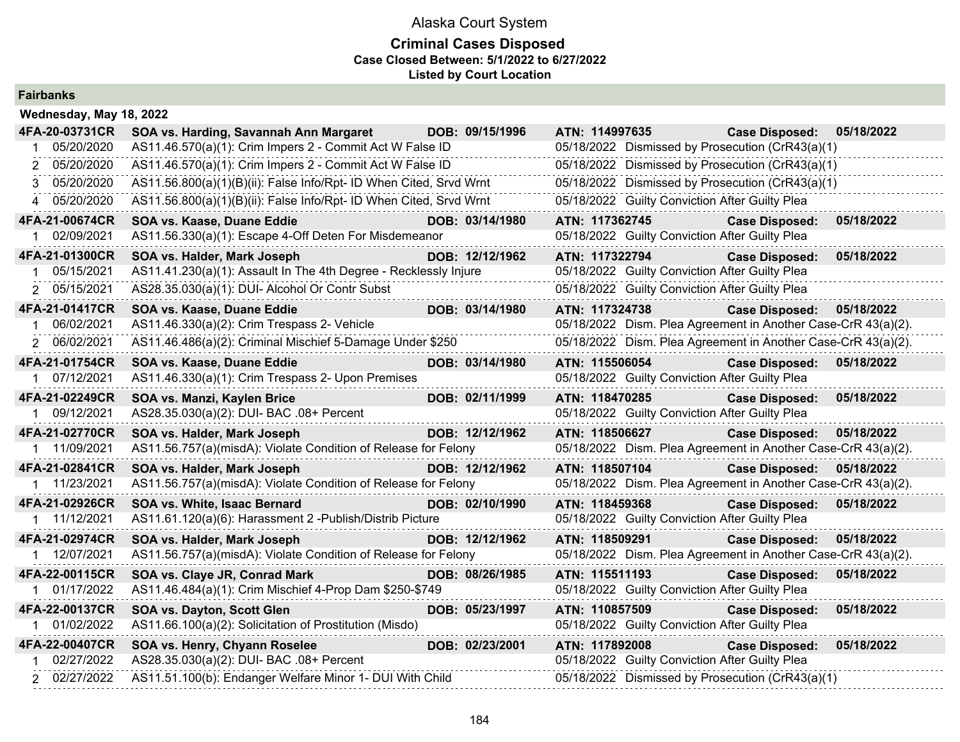## **Criminal Cases Disposed Case Closed Between: 5/1/2022 to 6/27/2022 Listed by Court Location**

## **Fairbanks**

| Wednesday, May 18, 2022 |                                                                    |                 |                |                                                |                                                               |            |
|-------------------------|--------------------------------------------------------------------|-----------------|----------------|------------------------------------------------|---------------------------------------------------------------|------------|
| 4FA-20-03731CR          | SOA vs. Harding, Savannah Ann Margaret                             | DOB: 09/15/1996 | ATN: 114997635 |                                                | <b>Case Disposed:</b>                                         | 05/18/2022 |
| 05/20/2020              | AS11.46.570(a)(1): Crim Impers 2 - Commit Act W False ID           |                 |                |                                                | 05/18/2022 Dismissed by Prosecution (CrR43(a)(1)              |            |
| 05/20/2020              | AS11.46.570(a)(1): Crim Impers 2 - Commit Act W False ID           |                 |                |                                                | 05/18/2022 Dismissed by Prosecution (CrR43(a)(1)              |            |
| 05/20/2020<br>3         | AS11.56.800(a)(1)(B)(ii): False Info/Rpt- ID When Cited, Srvd Wrnt |                 |                |                                                | 05/18/2022 Dismissed by Prosecution (CrR43(a)(1)              |            |
| 4 05/20/2020            | AS11.56.800(a)(1)(B)(ii): False Info/Rpt- ID When Cited, Srvd Wrnt |                 |                | 05/18/2022 Guilty Conviction After Guilty Plea |                                                               |            |
| 4FA-21-00674CR          | SOA vs. Kaase, Duane Eddie                                         | DOB: 03/14/1980 | ATN: 117362745 |                                                | <b>Case Disposed:</b>                                         | 05/18/2022 |
| 02/09/2021<br>1         | AS11.56.330(a)(1): Escape 4-Off Deten For Misdemeanor              |                 |                | 05/18/2022 Guilty Conviction After Guilty Plea |                                                               |            |
| 4FA-21-01300CR          | SOA vs. Halder, Mark Joseph                                        | DOB: 12/12/1962 | ATN: 117322794 |                                                | <b>Case Disposed:</b>                                         | 05/18/2022 |
| 05/15/2021              | AS11.41.230(a)(1): Assault In The 4th Degree - Recklessly Injure   |                 |                | 05/18/2022 Guilty Conviction After Guilty Plea |                                                               |            |
| 2 05/15/2021            | AS28.35.030(a)(1): DUI- Alcohol Or Contr Subst                     |                 |                | 05/18/2022 Guilty Conviction After Guilty Plea |                                                               |            |
| 4FA-21-01417CR          | SOA vs. Kaase, Duane Eddie                                         | DOB: 03/14/1980 | ATN: 117324738 |                                                | <b>Case Disposed:</b>                                         | 05/18/2022 |
| 06/02/2021              | AS11.46.330(a)(2): Crim Trespass 2- Vehicle                        |                 |                |                                                | 05/18/2022 Dism. Plea Agreement in Another Case-CrR 43(a)(2). |            |
| 2 06/02/2021            | AS11.46.486(a)(2): Criminal Mischief 5-Damage Under \$250          |                 |                |                                                | 05/18/2022 Dism. Plea Agreement in Another Case-CrR 43(a)(2). |            |
| 4FA-21-01754CR          | SOA vs. Kaase, Duane Eddie                                         | DOB: 03/14/1980 | ATN: 115506054 |                                                | <b>Case Disposed:</b>                                         | 05/18/2022 |
| 07/12/2021              | AS11.46.330(a)(1): Crim Trespass 2- Upon Premises                  |                 |                | 05/18/2022 Guilty Conviction After Guilty Plea |                                                               |            |
| 4FA-21-02249CR          | SOA vs. Manzi, Kaylen Brice                                        | DOB: 02/11/1999 | ATN: 118470285 |                                                | <b>Case Disposed:</b>                                         | 05/18/2022 |
| 1 09/12/2021            | AS28.35.030(a)(2): DUI- BAC .08+ Percent                           |                 |                | 05/18/2022 Guilty Conviction After Guilty Plea |                                                               |            |
| 4FA-21-02770CR          | SOA vs. Halder, Mark Joseph                                        | DOB: 12/12/1962 | ATN: 118506627 |                                                | <b>Case Disposed:</b>                                         | 05/18/2022 |
| 1 11/09/2021            | AS11.56.757(a)(misdA): Violate Condition of Release for Felony     |                 |                |                                                | 05/18/2022 Dism. Plea Agreement in Another Case-CrR 43(a)(2). |            |
| 4FA-21-02841CR          | SOA vs. Halder, Mark Joseph                                        | DOB: 12/12/1962 | ATN: 118507104 |                                                | <b>Case Disposed:</b>                                         | 05/18/2022 |
| 1 11/23/2021            | AS11.56.757(a)(misdA): Violate Condition of Release for Felony     |                 |                |                                                | 05/18/2022 Dism. Plea Agreement in Another Case-CrR 43(a)(2). |            |
| 4FA-21-02926CR          | SOA vs. White, Isaac Bernard                                       | DOB: 02/10/1990 | ATN: 118459368 |                                                | <b>Case Disposed:</b>                                         | 05/18/2022 |
| 1 11/12/2021            | AS11.61.120(a)(6): Harassment 2 - Publish/Distrib Picture          |                 |                | 05/18/2022 Guilty Conviction After Guilty Plea |                                                               |            |
| 4FA-21-02974CR          | SOA vs. Halder, Mark Joseph                                        | DOB: 12/12/1962 | ATN: 118509291 |                                                | <b>Case Disposed:</b>                                         | 05/18/2022 |
| 1 12/07/2021            | AS11.56.757(a)(misdA): Violate Condition of Release for Felony     |                 |                |                                                | 05/18/2022 Dism. Plea Agreement in Another Case-CrR 43(a)(2). |            |
| 4FA-22-00115CR          | SOA vs. Claye JR, Conrad Mark                                      | DOB: 08/26/1985 | ATN: 115511193 |                                                | <b>Case Disposed:</b>                                         | 05/18/2022 |
| 1 01/17/2022            | AS11.46.484(a)(1): Crim Mischief 4-Prop Dam \$250-\$749            |                 |                | 05/18/2022 Guilty Conviction After Guilty Plea |                                                               |            |
| 4FA-22-00137CR          | SOA vs. Dayton, Scott Glen                                         | DOB: 05/23/1997 | ATN: 110857509 |                                                | <b>Case Disposed:</b>                                         | 05/18/2022 |
| 01/02/2022              | AS11.66.100(a)(2): Solicitation of Prostitution (Misdo)            |                 |                | 05/18/2022 Guilty Conviction After Guilty Plea |                                                               |            |
| 4FA-22-00407CR          | SOA vs. Henry, Chyann Roselee                                      | DOB: 02/23/2001 | ATN: 117892008 |                                                | <b>Case Disposed:</b>                                         | 05/18/2022 |
| 02/27/2022              | AS28.35.030(a)(2): DUI- BAC .08+ Percent                           |                 |                | 05/18/2022 Guilty Conviction After Guilty Plea |                                                               |            |
| 2 02/27/2022            | AS11.51.100(b): Endanger Welfare Minor 1- DUI With Child           |                 |                |                                                | 05/18/2022 Dismissed by Prosecution (CrR43(a)(1)              |            |
|                         |                                                                    |                 |                |                                                |                                                               |            |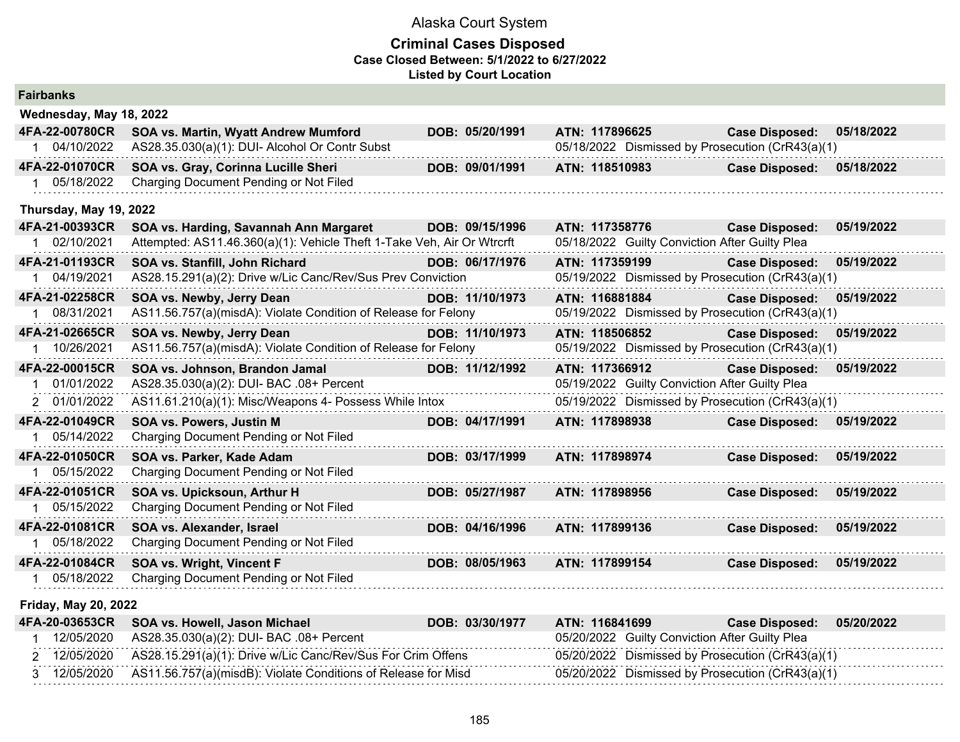| <b>Fairbanks</b>            |                                                                        |                 |                                                  |                       |            |
|-----------------------------|------------------------------------------------------------------------|-----------------|--------------------------------------------------|-----------------------|------------|
| Wednesday, May 18, 2022     |                                                                        |                 |                                                  |                       |            |
| 4FA-22-00780CR              | SOA vs. Martin, Wyatt Andrew Mumford                                   | DOB: 05/20/1991 | ATN: 117896625                                   | <b>Case Disposed:</b> | 05/18/2022 |
| 1 04/10/2022                | AS28.35.030(a)(1): DUI- Alcohol Or Contr Subst                         |                 | 05/18/2022 Dismissed by Prosecution (CrR43(a)(1) |                       |            |
| 4FA-22-01070CR              | SOA vs. Gray, Corinna Lucille Sheri                                    | DOB: 09/01/1991 | ATN: 118510983                                   | <b>Case Disposed:</b> | 05/18/2022 |
| 1 05/18/2022                | Charging Document Pending or Not Filed                                 |                 |                                                  |                       |            |
| Thursday, May 19, 2022      |                                                                        |                 |                                                  |                       |            |
| 4FA-21-00393CR              | SOA vs. Harding, Savannah Ann Margaret                                 | DOB: 09/15/1996 | ATN: 117358776                                   | <b>Case Disposed:</b> | 05/19/2022 |
| 1 02/10/2021                | Attempted: AS11.46.360(a)(1): Vehicle Theft 1-Take Veh, Air Or Wtrcrft |                 | 05/18/2022 Guilty Conviction After Guilty Plea   |                       |            |
| 4FA-21-01193CR              | SOA vs. Stanfill, John Richard                                         | DOB: 06/17/1976 | ATN: 117359199                                   | <b>Case Disposed:</b> | 05/19/2022 |
| 1 04/19/2021                | AS28.15.291(a)(2): Drive w/Lic Canc/Rev/Sus Prev Conviction            |                 | 05/19/2022 Dismissed by Prosecution (CrR43(a)(1) |                       |            |
| 4FA-21-02258CR              | SOA vs. Newby, Jerry Dean                                              | DOB: 11/10/1973 | ATN: 116881884                                   | <b>Case Disposed:</b> | 05/19/2022 |
| 1 08/31/2021                | AS11.56.757(a)(misdA): Violate Condition of Release for Felony         |                 | 05/19/2022 Dismissed by Prosecution (CrR43(a)(1) |                       |            |
| 4FA-21-02665CR              | SOA vs. Newby, Jerry Dean                                              | DOB: 11/10/1973 | ATN: 118506852                                   | <b>Case Disposed:</b> | 05/19/2022 |
| 1 10/26/2021                | AS11.56.757(a)(misdA): Violate Condition of Release for Felony         |                 | 05/19/2022 Dismissed by Prosecution (CrR43(a)(1) |                       |            |
| 4FA-22-00015CR              | SOA vs. Johnson, Brandon Jamal                                         | DOB: 11/12/1992 | ATN: 117366912                                   | <b>Case Disposed:</b> | 05/19/2022 |
| 01/01/2022                  | AS28.35.030(a)(2): DUI- BAC .08+ Percent                               |                 | 05/19/2022 Guilty Conviction After Guilty Plea   |                       |            |
| 2 01/01/2022                | AS11.61.210(a)(1): Misc/Weapons 4- Possess While Intox                 |                 | 05/19/2022 Dismissed by Prosecution (CrR43(a)(1) |                       |            |
| 4FA-22-01049CR              | <b>SOA vs. Powers, Justin M</b>                                        | DOB: 04/17/1991 | ATN: 117898938                                   | <b>Case Disposed:</b> | 05/19/2022 |
| 1 05/14/2022                | Charging Document Pending or Not Filed                                 |                 |                                                  |                       |            |
| 4FA-22-01050CR              | SOA vs. Parker, Kade Adam                                              | DOB: 03/17/1999 | ATN: 117898974                                   | <b>Case Disposed:</b> | 05/19/2022 |
| 1 05/15/2022                | Charging Document Pending or Not Filed                                 |                 |                                                  |                       |            |
| 4FA-22-01051CR              | SOA vs. Upicksoun, Arthur H                                            | DOB: 05/27/1987 | ATN: 117898956                                   | <b>Case Disposed:</b> | 05/19/2022 |
| 1 05/15/2022                | Charging Document Pending or Not Filed                                 |                 |                                                  |                       |            |
| 4FA-22-01081CR              | SOA vs. Alexander, Israel                                              | DOB: 04/16/1996 | ATN: 117899136                                   | <b>Case Disposed:</b> | 05/19/2022 |
| 1 05/18/2022                | Charging Document Pending or Not Filed                                 |                 |                                                  |                       |            |
| 4FA-22-01084CR              | <b>SOA vs. Wright, Vincent F</b>                                       | DOB: 08/05/1963 | ATN: 117899154                                   | <b>Case Disposed:</b> | 05/19/2022 |
| 05/18/2022                  | Charging Document Pending or Not Filed                                 |                 |                                                  |                       |            |
| <b>Friday, May 20, 2022</b> |                                                                        |                 |                                                  |                       |            |

| 4FA-20-03653CR | SOA vs. Howell, Jason Michael                                 | DOB: 03/30/1977 | ATN: 116841699 | 05/20/2022<br><b>Case Disposed:</b>              |
|----------------|---------------------------------------------------------------|-----------------|----------------|--------------------------------------------------|
| 12/05/2020     | AS28.35.030(a)(2): DUI- BAC .08+ Percent                      |                 |                | 05/20/2022 Guilty Conviction After Guilty Plea   |
| 12/05/2020     | AS28.15.291(a)(1): Drive w/Lic Canc/Rev/Sus For Crim Offens   |                 |                | 05/20/2022 Dismissed by Prosecution (CrR43(a)(1) |
| 12/05/2020     | AS11.56.757(a)(misdB): Violate Conditions of Release for Misd |                 |                | 05/20/2022 Dismissed by Prosecution (CrR43(a)(1) |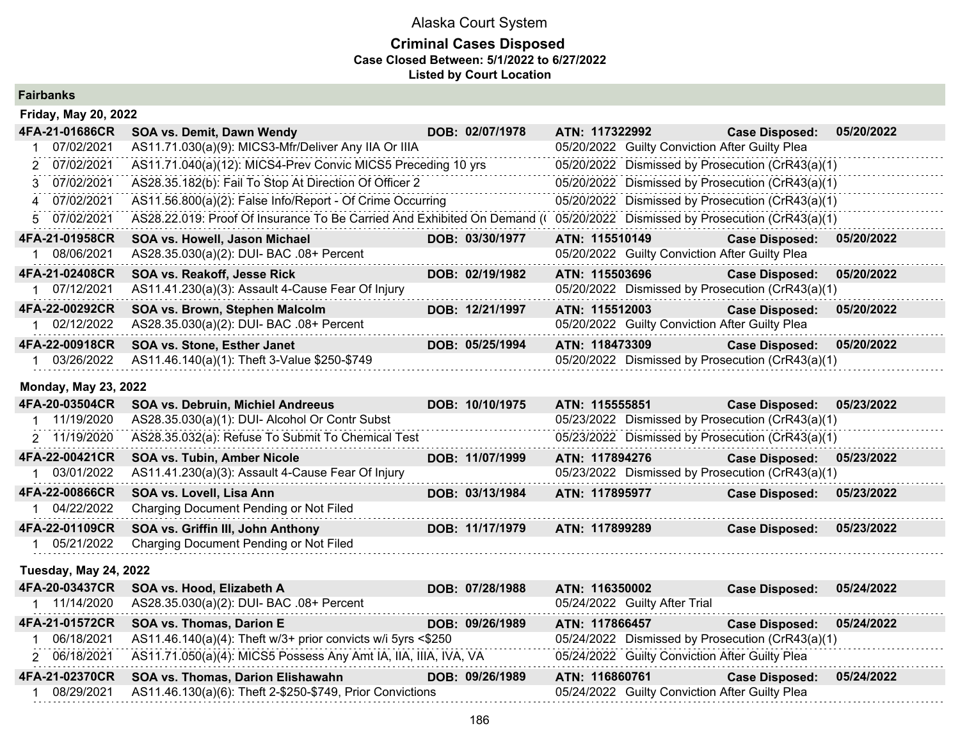## **Criminal Cases Disposed Case Closed Between: 5/1/2022 to 6/27/2022 Listed by Court Location**

**Fairbanks**

**Friday, May 20, 2022**

| Friday, May 20, 2022 |                                                                         |                 |                                                  |                       |            |
|----------------------|-------------------------------------------------------------------------|-----------------|--------------------------------------------------|-----------------------|------------|
| 4FA-21-01686CR       | <b>SOA vs. Demit, Dawn Wendy</b>                                        | DOB: 02/07/1978 | ATN: 117322992                                   | <b>Case Disposed:</b> | 05/20/2022 |
| 07/02/2021           | AS11.71.030(a)(9): MICS3-Mfr/Deliver Any IIA Or IIIA                    |                 | 05/20/2022 Guilty Conviction After Guilty Plea   |                       |            |
| 2 07/02/2021         | AS11.71.040(a)(12): MICS4-Prev Convic MICS5 Preceding 10 yrs            |                 | 05/20/2022 Dismissed by Prosecution (CrR43(a)(1) |                       |            |
| 3 07/02/2021         | AS28.35.182(b): Fail To Stop At Direction Of Officer 2                  |                 | 05/20/2022 Dismissed by Prosecution (CrR43(a)(1) |                       |            |
| 4 07/02/2021         | AS11.56.800(a)(2): False Info/Report - Of Crime Occurring               |                 | 05/20/2022 Dismissed by Prosecution (CrR43(a)(1) |                       |            |
| 5 07/02/2021         | AS28.22.019: Proof Of Insurance To Be Carried And Exhibited On Demand ( |                 | 05/20/2022 Dismissed by Prosecution (CrR43(a)(1) |                       |            |
| 4FA-21-01958CR       | <b>SOA vs. Howell, Jason Michael</b>                                    | DOB: 03/30/1977 | ATN: 115510149                                   | <b>Case Disposed:</b> | 05/20/2022 |
| 08/06/2021           | AS28.35.030(a)(2): DUI- BAC .08+ Percent                                |                 | 05/20/2022 Guilty Conviction After Guilty Plea   |                       |            |
| 4FA-21-02408CR       | SOA vs. Reakoff, Jesse Rick                                             | DOB: 02/19/1982 | ATN: 115503696                                   | <b>Case Disposed:</b> | 05/20/2022 |
| 07/12/2021           | AS11.41.230(a)(3): Assault 4-Cause Fear Of Injury                       |                 | 05/20/2022 Dismissed by Prosecution (CrR43(a)(1) |                       |            |
| 4FA-22-00292CR       | SOA vs. Brown, Stephen Malcolm                                          | DOB: 12/21/1997 | ATN: 115512003                                   | <b>Case Disposed:</b> | 05/20/2022 |
| 02/12/2022           | AS28.35.030(a)(2): DUI- BAC .08+ Percent                                |                 | 05/20/2022 Guilty Conviction After Guilty Plea   |                       |            |
| 4FA-22-00918CR       | SOA vs. Stone, Esther Janet                                             | DOB: 05/25/1994 | ATN: 118473309                                   | <b>Case Disposed:</b> | 05/20/2022 |
| 03/26/2022           | AS11.46.140(a)(1): Theft 3-Value \$250-\$749                            |                 | 05/20/2022 Dismissed by Prosecution (CrR43(a)(1) |                       |            |

### **Monday, May 23, 2022**

| 4FA-20-03504CR               | <b>SOA vs. Debruin, Michiel Andreeus</b>                                                        | DOB: 10/10/1975 | ATN: 115555851                                   | <b>Case Disposed:</b> | 05/23/2022 |
|------------------------------|-------------------------------------------------------------------------------------------------|-----------------|--------------------------------------------------|-----------------------|------------|
| 11/19/2020                   | AS28.35.030(a)(1): DUI- Alcohol Or Contr Subst                                                  |                 | 05/23/2022 Dismissed by Prosecution (CrR43(a)(1) |                       |            |
| 2 11/19/2020                 | AS28.35.032(a): Refuse To Submit To Chemical Test                                               |                 | 05/23/2022 Dismissed by Prosecution (CrR43(a)(1) |                       |            |
| 4FA-22-00421CR               | SOA vs. Tubin, Amber Nicole                                                                     | DOB: 11/07/1999 | ATN: 117894276                                   | <b>Case Disposed:</b> | 05/23/2022 |
| 03/01/2022                   | AS11.41.230(a)(3): Assault 4-Cause Fear Of Injury                                               |                 | 05/23/2022 Dismissed by Prosecution (CrR43(a)(1) |                       |            |
| 4FA-22-00866CR               | SOA vs. Lovell, Lisa Ann                                                                        | DOB: 03/13/1984 | ATN: 117895977                                   | <b>Case Disposed:</b> | 05/23/2022 |
| 04/22/2022                   | Charging Document Pending or Not Filed                                                          |                 |                                                  |                       |            |
| 4FA-22-01109CR               | SOA vs. Griffin III, John Anthony                                                               | DOB: 11/17/1979 | ATN: 117899289                                   | <b>Case Disposed:</b> | 05/23/2022 |
| 05/21/2022                   | Charging Document Pending or Not Filed                                                          |                 |                                                  |                       |            |
| <b>Tuesday, May 24, 2022</b> |                                                                                                 |                 |                                                  |                       |            |
| 4FA-20-03437CR               | SOA vs. Hood, Elizabeth A                                                                       | DOB: 07/28/1988 | ATN: 116350002                                   | <b>Case Disposed:</b> | 05/24/2022 |
| 1 11/14/2020                 | AS28.35.030(a)(2): DUI- BAC .08+ Percent                                                        |                 | 05/24/2022 Guilty After Trial                    |                       |            |
| 4FA-21-01572CR               | <b>SOA vs. Thomas, Darion E</b>                                                                 | DOB: 09/26/1989 | ATN: 117866457                                   | <b>Case Disposed:</b> | 05/24/2022 |
| 06/18/2021                   | AS11.46.140(a)(4): Theft w/3+ prior convicts w/i 5yrs <\$250                                    |                 | 05/24/2022 Dismissed by Prosecution (CrR43(a)(1) |                       |            |
| 2 06/18/2021                 | AS11.71.050(a)(4): MICS5 Possess Any Amt IA, IIA, IIIA, IVA, VA                                 |                 | 05/24/2022 Guilty Conviction After Guilty Plea   |                       |            |
| 4FA-21-02370CR               | <b>SOA vs. Thomas, Darion Elishawahn</b>                                                        | DOB: 09/26/1989 | ATN: 116860761                                   | <b>Case Disposed:</b> | 05/24/2022 |
| 00/00/0004                   | $\Lambda$ C44 $\Lambda$ C430/s $\lambda$ C $\lambda$ . The $\mu$ O COEO C740. Delay Canviotians |                 | $\Omega E / \Omega A / \Omega \Omega \Omega$     |                       |            |

1 08/29/2021 AS11.46.130(a)(6): Theft 2-\$250-\$749, Prior Convictions 05/24/2022 Guilty Conviction After Guilty Plea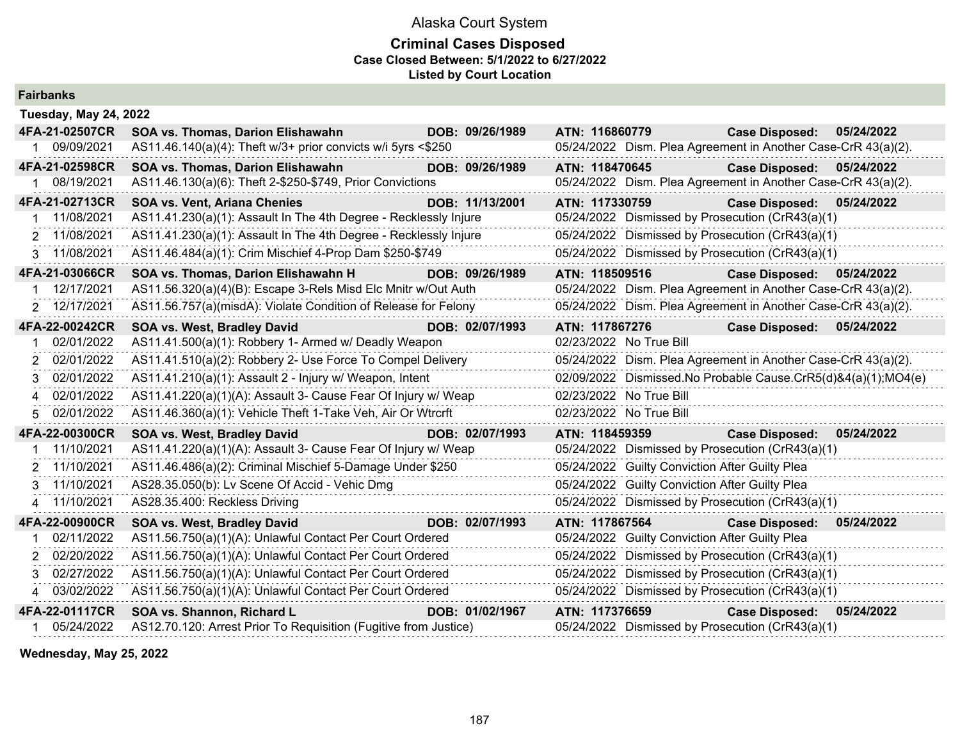## **Criminal Cases Disposed Case Closed Between: 5/1/2022 to 6/27/2022 Listed by Court Location**

| <b>Fairbanks</b>             |                                                                  |                 |                                                               |                           |            |
|------------------------------|------------------------------------------------------------------|-----------------|---------------------------------------------------------------|---------------------------|------------|
| <b>Tuesday, May 24, 2022</b> |                                                                  |                 |                                                               |                           |            |
| 4FA-21-02507CR               | SOA vs. Thomas, Darion Elishawahn                                | DOB: 09/26/1989 | ATN: 116860779                                                | <b>Case Disposed:</b>     | 05/24/2022 |
| 09/09/2021                   | AS11.46.140(a)(4): Theft w/3+ prior convicts w/i 5yrs <\$250     |                 | 05/24/2022 Dism. Plea Agreement in Another Case-CrR 43(a)(2). |                           |            |
| 4FA-21-02598CR               | SOA vs. Thomas, Darion Elishawahn                                | DOB: 09/26/1989 | ATN: 118470645                                                | <b>Case Disposed:</b>     | 05/24/2022 |
| 1 08/19/2021                 | AS11.46.130(a)(6): Theft 2-\$250-\$749, Prior Convictions        |                 | 05/24/2022 Dism. Plea Agreement in Another Case-CrR 43(a)(2). |                           |            |
| 4FA-21-02713CR               | <b>SOA vs. Vent, Ariana Chenies</b>                              | DOB: 11/13/2001 | ATN: 117330759                                                | <b>Case Disposed:</b>     | 05/24/2022 |
| 11/08/2021                   | AS11.41.230(a)(1): Assault In The 4th Degree - Recklessly Injure |                 | 05/24/2022 Dismissed by Prosecution (CrR43(a)(1)              |                           |            |
| 2 11/08/2021                 | AS11.41.230(a)(1): Assault In The 4th Degree - Recklessly Injure |                 | 05/24/2022 Dismissed by Prosecution (CrR43(a)(1)              |                           |            |
| 3 11/08/2021                 | AS11.46.484(a)(1): Crim Mischief 4-Prop Dam \$250-\$749          |                 | 05/24/2022 Dismissed by Prosecution (CrR43(a)(1)              |                           |            |
| 4FA-21-03066CR               | SOA vs. Thomas, Darion Elishawahn H                              | DOB: 09/26/1989 | ATN: 118509516                                                | <b>Case Disposed:</b>     | 05/24/2022 |
| 12/17/2021                   | AS11.56.320(a)(4)(B): Escape 3-Rels Misd Elc Mnitr w/Out Auth    |                 | 05/24/2022 Dism. Plea Agreement in Another Case-CrR 43(a)(2). |                           |            |
| 2 12/17/2021                 | AS11.56.757(a)(misdA): Violate Condition of Release for Felony   |                 | 05/24/2022 Dism. Plea Agreement in Another Case-CrR 43(a)(2). |                           |            |
| 4FA-22-00242CR               | SOA vs. West, Bradley David                                      | DOB: 02/07/1993 | ATN: 117867276                                                | Case Disposed: 05/24/2022 |            |
| 02/01/2022                   | AS11.41.500(a)(1): Robbery 1- Armed w/ Deadly Weapon             |                 | 02/23/2022 No True Bill                                       |                           |            |
| 02/01/2022<br>2              | AS11.41.510(a)(2): Robbery 2- Use Force To Compel Delivery       |                 | 05/24/2022 Dism. Plea Agreement in Another Case-CrR 43(a)(2). |                           |            |
| 02/01/2022<br>3              | AS11.41.210(a)(1): Assault 2 - Injury w/ Weapon, Intent          |                 | 02/09/2022 Dismissed.No Probable Cause.CrR5(d)&4(a)(1);MO4(e) |                           |            |
| 02/01/2022                   | AS11.41.220(a)(1)(A): Assault 3- Cause Fear Of Injury w/ Weap    |                 | 02/23/2022 No True Bill                                       |                           |            |
| 02/01/2022<br>5              | AS11.46.360(a)(1): Vehicle Theft 1-Take Veh, Air Or Wtrcrft      |                 | 02/23/2022 No True Bill                                       |                           |            |
| 4FA-22-00300CR               | <b>SOA vs. West, Bradley David</b>                               | DOB: 02/07/1993 | ATN: 118459359                                                | <b>Case Disposed:</b>     | 05/24/2022 |
| 11/10/2021                   | AS11.41.220(a)(1)(A): Assault 3- Cause Fear Of Injury w/ Weap    |                 | 05/24/2022 Dismissed by Prosecution (CrR43(a)(1)              |                           |            |
| 11/10/2021<br>2              | AS11.46.486(a)(2): Criminal Mischief 5-Damage Under \$250        |                 | 05/24/2022 Guilty Conviction After Guilty Plea                |                           |            |
| 11/10/2021<br>3              | AS28.35.050(b): Lv Scene Of Accid - Vehic Dmg                    |                 | 05/24/2022 Guilty Conviction After Guilty Plea                |                           |            |
| 11/10/2021<br>4              | AS28.35.400: Reckless Driving                                    |                 | 05/24/2022 Dismissed by Prosecution (CrR43(a)(1)              |                           |            |
| 4FA-22-00900CR               | SOA vs. West, Bradley David                                      | DOB: 02/07/1993 | ATN: 117867564                                                | <b>Case Disposed:</b>     | 05/24/2022 |
| 02/11/2022                   | AS11.56.750(a)(1)(A): Unlawful Contact Per Court Ordered         |                 | 05/24/2022 Guilty Conviction After Guilty Plea                |                           |            |
| 02/20/2022                   | AS11.56.750(a)(1)(A): Unlawful Contact Per Court Ordered         |                 | 05/24/2022 Dismissed by Prosecution (CrR43(a)(1)              |                           |            |
| 02/27/2022<br>3              | AS11.56.750(a)(1)(A): Unlawful Contact Per Court Ordered         |                 | 05/24/2022 Dismissed by Prosecution (CrR43(a)(1)              |                           |            |
| 03/02/2022<br>4              | AS11.56.750(a)(1)(A): Unlawful Contact Per Court Ordered         |                 | 05/24/2022 Dismissed by Prosecution (CrR43(a)(1)              |                           |            |
| 4FA-22-01117CR               | SOA vs. Shannon, Richard L                                       | DOB: 01/02/1967 | ATN: 117376659                                                | <b>Case Disposed:</b>     | 05/24/2022 |
| 05/24/2022                   | AS12.70.120: Arrest Prior To Requisition (Fugitive from Justice) |                 | 05/24/2022 Dismissed by Prosecution (CrR43(a)(1)              |                           |            |

**Wednesday, May 25, 2022**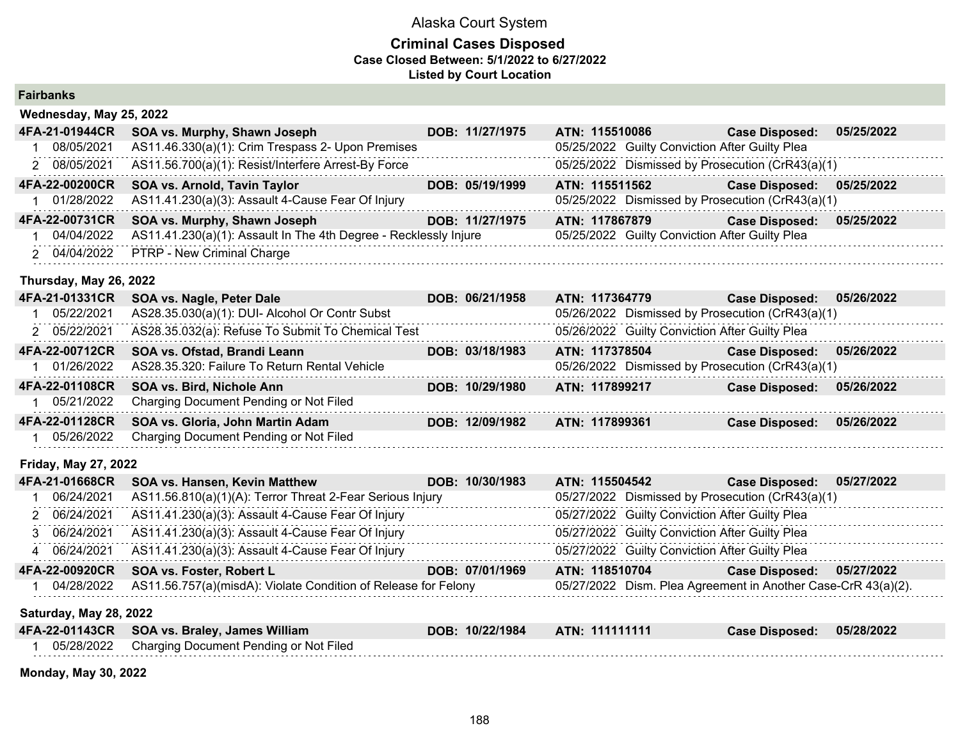## **Criminal Cases Disposed Case Closed Between: 5/1/2022 to 6/27/2022 Listed by Court Location**

| <b>Fairbanks</b> |  |  |  |  |
|------------------|--|--|--|--|
|------------------|--|--|--|--|

| Wednesday, May 25, 2022 |                                                                  |                 |                |                                                |                                                  |            |
|-------------------------|------------------------------------------------------------------|-----------------|----------------|------------------------------------------------|--------------------------------------------------|------------|
| 4FA-21-01944CR          | SOA vs. Murphy, Shawn Joseph                                     | DOB: 11/27/1975 | ATN: 115510086 |                                                | <b>Case Disposed:</b>                            | 05/25/2022 |
| 08/05/2021              | AS11.46.330(a)(1): Crim Trespass 2- Upon Premises                |                 |                | 05/25/2022 Guilty Conviction After Guilty Plea |                                                  |            |
| 2 08/05/2021            | AS11.56.700(a)(1): Resist/Interfere Arrest-By Force              |                 |                |                                                | 05/25/2022 Dismissed by Prosecution (CrR43(a)(1) |            |
| 4FA-22-00200CR          | SOA vs. Arnold, Tavin Taylor                                     | DOB: 05/19/1999 | ATN: 115511562 |                                                | <b>Case Disposed:</b>                            | 05/25/2022 |
| 01/28/2022              | AS11.41.230(a)(3): Assault 4-Cause Fear Of Injury                |                 |                |                                                | 05/25/2022 Dismissed by Prosecution (CrR43(a)(1) |            |
| 4FA-22-00731CR          | SOA vs. Murphy, Shawn Joseph                                     | DOB: 11/27/1975 | ATN: 117867879 |                                                | <b>Case Disposed:</b>                            | 05/25/2022 |
| 04/04/2022              | AS11.41.230(a)(1): Assault In The 4th Degree - Recklessly Injure |                 |                | 05/25/2022 Guilty Conviction After Guilty Plea |                                                  |            |
| 2 04/04/2022            | PTRP - New Criminal Charge                                       |                 |                |                                                |                                                  |            |
| Thursday, May 26, 2022  |                                                                  |                 |                |                                                |                                                  |            |
| 4FA-21-01331CR          | SOA vs. Nagle, Peter Dale                                        | DOB: 06/21/1958 | ATN: 117364779 |                                                | <b>Case Disposed:</b>                            | 05/26/2022 |
| 05/22/2021              | AS28.35.030(a)(1): DUI- Alcohol Or Contr Subst                   |                 |                |                                                | 05/26/2022 Dismissed by Prosecution (CrR43(a)(1) |            |
| 2 05/22/2021            | AS28.35.032(a): Refuse To Submit To Chemical Test                |                 |                | 05/26/2022 Guilty Conviction After Guilty Plea |                                                  |            |
| 4FA-22-00712CR          | SOA vs. Ofstad, Brandi Leann                                     | DOB: 03/18/1983 | ATN: 117378504 |                                                | <b>Case Disposed:</b>                            | 05/26/2022 |
| 01/26/2022              | AS28.35.320: Failure To Return Rental Vehicle                    |                 |                |                                                | 05/26/2022 Dismissed by Prosecution (CrR43(a)(1) |            |
|                         |                                                                  |                 |                |                                                |                                                  |            |

| 4FA-22-01108CR SOA vs. Bird, Nichole Ann          | DOB: 10/29/1980 | ATN: 117899217 | <b>Case Disposed:</b> | 05/26/2022 |
|---------------------------------------------------|-----------------|----------------|-----------------------|------------|
| 05/21/2022 Charging Document Pending or Not Filed |                 |                |                       |            |
|                                                   |                 |                |                       |            |
| 4FA-22-01128CR SOA vs. Gloria, John Martin Adam   | DOB: 12/09/1982 | ATN: 117899361 | <b>Case Disposed:</b> | 05/26/2022 |

### **Friday, May 27, 2022**

| 4FA-21-01668CR                | <b>SOA vs. Hansen, Kevin Matthew</b>                           | DOB: 10/30/1983 | ATN: 115504542                                 | 05/27/2022<br><b>Case Disposed:</b>                           |  |
|-------------------------------|----------------------------------------------------------------|-----------------|------------------------------------------------|---------------------------------------------------------------|--|
| 06/24/2021                    | AS11.56.810(a)(1)(A): Terror Threat 2-Fear Serious Injury      |                 |                                                | 05/27/2022 Dismissed by Prosecution (CrR43(a)(1)              |  |
| 2 06/24/2021                  | AS11.41.230(a)(3): Assault 4-Cause Fear Of Injury              |                 | 05/27/2022 Guilty Conviction After Guilty Plea |                                                               |  |
| 3 06/24/2021                  | AS11.41.230(a)(3): Assault 4-Cause Fear Of Injury              |                 | 05/27/2022 Guilty Conviction After Guilty Plea |                                                               |  |
| 4 06/24/2021                  | AS11.41.230(a)(3): Assault 4-Cause Fear Of Injury              |                 | 05/27/2022 Guilty Conviction After Guilty Plea |                                                               |  |
| 4FA-22-00920CR                | SOA vs. Foster, Robert L                                       | DOB: 07/01/1969 | ATN: 118510704                                 | <b>Case Disposed:</b><br>05/27/2022                           |  |
| 04/28/2022                    | AS11.56.757(a)(misdA): Violate Condition of Release for Felony |                 |                                                | 05/27/2022 Dism. Plea Agreement in Another Case-CrR 43(a)(2). |  |
| <b>Saturday, May 28, 2022</b> |                                                                |                 |                                                |                                                               |  |
| 4FA-22-01143CR                | SOA vs. Braley, James William                                  | DOB: 10/22/1984 | ATN: 111111111                                 | 05/28/2022<br><b>Case Disposed:</b>                           |  |
| 05/28/2022                    | Charging Document Pending or Not Filed                         |                 |                                                |                                                               |  |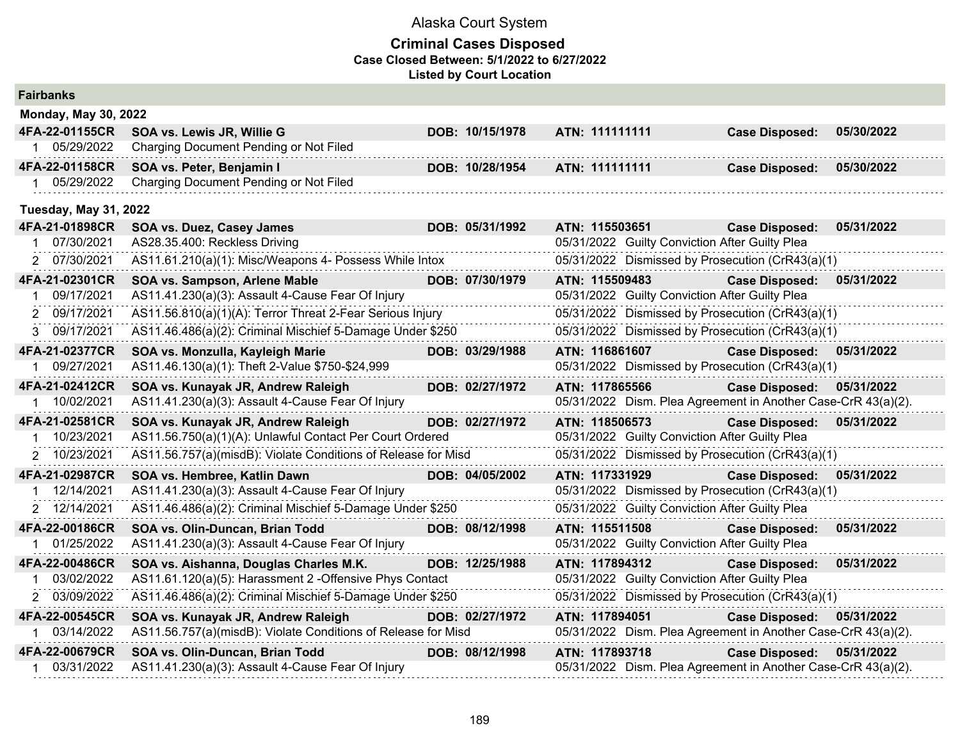## **Criminal Cases Disposed Case Closed Between: 5/1/2022 to 6/27/2022 Listed by Court Location**

**Fairbanks**

| <b>Monday, May 30, 2022</b>            |                                                                                                                                                                                                                                                                                                                                                                                                                                               |                                                                                                                                                                                                                                                                                                          |                                                                                                                                                                                                                                                                                                                                                                                                                                                                                              |                       |                                                                                                                                                                                                                                                                                                                                                                                                                                                                                                                                                                                                                                                                                                                                                                                                                                                                                         |
|----------------------------------------|-----------------------------------------------------------------------------------------------------------------------------------------------------------------------------------------------------------------------------------------------------------------------------------------------------------------------------------------------------------------------------------------------------------------------------------------------|----------------------------------------------------------------------------------------------------------------------------------------------------------------------------------------------------------------------------------------------------------------------------------------------------------|----------------------------------------------------------------------------------------------------------------------------------------------------------------------------------------------------------------------------------------------------------------------------------------------------------------------------------------------------------------------------------------------------------------------------------------------------------------------------------------------|-----------------------|-----------------------------------------------------------------------------------------------------------------------------------------------------------------------------------------------------------------------------------------------------------------------------------------------------------------------------------------------------------------------------------------------------------------------------------------------------------------------------------------------------------------------------------------------------------------------------------------------------------------------------------------------------------------------------------------------------------------------------------------------------------------------------------------------------------------------------------------------------------------------------------------|
| SOA vs. Lewis JR, Willie G             |                                                                                                                                                                                                                                                                                                                                                                                                                                               |                                                                                                                                                                                                                                                                                                          | ATN: 111111111                                                                                                                                                                                                                                                                                                                                                                                                                                                                               | <b>Case Disposed:</b> | 05/30/2022                                                                                                                                                                                                                                                                                                                                                                                                                                                                                                                                                                                                                                                                                                                                                                                                                                                                              |
|                                        |                                                                                                                                                                                                                                                                                                                                                                                                                                               |                                                                                                                                                                                                                                                                                                          |                                                                                                                                                                                                                                                                                                                                                                                                                                                                                              |                       |                                                                                                                                                                                                                                                                                                                                                                                                                                                                                                                                                                                                                                                                                                                                                                                                                                                                                         |
| SOA vs. Peter, Benjamin I              |                                                                                                                                                                                                                                                                                                                                                                                                                                               |                                                                                                                                                                                                                                                                                                          | ATN: 111111111                                                                                                                                                                                                                                                                                                                                                                                                                                                                               | <b>Case Disposed:</b> | 05/30/2022                                                                                                                                                                                                                                                                                                                                                                                                                                                                                                                                                                                                                                                                                                                                                                                                                                                                              |
|                                        |                                                                                                                                                                                                                                                                                                                                                                                                                                               |                                                                                                                                                                                                                                                                                                          |                                                                                                                                                                                                                                                                                                                                                                                                                                                                                              |                       |                                                                                                                                                                                                                                                                                                                                                                                                                                                                                                                                                                                                                                                                                                                                                                                                                                                                                         |
| <b>Tuesday, May 31, 2022</b>           |                                                                                                                                                                                                                                                                                                                                                                                                                                               |                                                                                                                                                                                                                                                                                                          |                                                                                                                                                                                                                                                                                                                                                                                                                                                                                              |                       |                                                                                                                                                                                                                                                                                                                                                                                                                                                                                                                                                                                                                                                                                                                                                                                                                                                                                         |
| SOA vs. Duez, Casey James              |                                                                                                                                                                                                                                                                                                                                                                                                                                               |                                                                                                                                                                                                                                                                                                          | ATN: 115503651                                                                                                                                                                                                                                                                                                                                                                                                                                                                               | <b>Case Disposed:</b> | 05/31/2022                                                                                                                                                                                                                                                                                                                                                                                                                                                                                                                                                                                                                                                                                                                                                                                                                                                                              |
|                                        |                                                                                                                                                                                                                                                                                                                                                                                                                                               |                                                                                                                                                                                                                                                                                                          |                                                                                                                                                                                                                                                                                                                                                                                                                                                                                              |                       |                                                                                                                                                                                                                                                                                                                                                                                                                                                                                                                                                                                                                                                                                                                                                                                                                                                                                         |
|                                        |                                                                                                                                                                                                                                                                                                                                                                                                                                               |                                                                                                                                                                                                                                                                                                          |                                                                                                                                                                                                                                                                                                                                                                                                                                                                                              |                       |                                                                                                                                                                                                                                                                                                                                                                                                                                                                                                                                                                                                                                                                                                                                                                                                                                                                                         |
| SOA vs. Sampson, Arlene Mable          |                                                                                                                                                                                                                                                                                                                                                                                                                                               |                                                                                                                                                                                                                                                                                                          | ATN: 115509483                                                                                                                                                                                                                                                                                                                                                                                                                                                                               | <b>Case Disposed:</b> | 05/31/2022                                                                                                                                                                                                                                                                                                                                                                                                                                                                                                                                                                                                                                                                                                                                                                                                                                                                              |
|                                        |                                                                                                                                                                                                                                                                                                                                                                                                                                               |                                                                                                                                                                                                                                                                                                          |                                                                                                                                                                                                                                                                                                                                                                                                                                                                                              |                       |                                                                                                                                                                                                                                                                                                                                                                                                                                                                                                                                                                                                                                                                                                                                                                                                                                                                                         |
|                                        |                                                                                                                                                                                                                                                                                                                                                                                                                                               |                                                                                                                                                                                                                                                                                                          |                                                                                                                                                                                                                                                                                                                                                                                                                                                                                              |                       |                                                                                                                                                                                                                                                                                                                                                                                                                                                                                                                                                                                                                                                                                                                                                                                                                                                                                         |
|                                        |                                                                                                                                                                                                                                                                                                                                                                                                                                               |                                                                                                                                                                                                                                                                                                          |                                                                                                                                                                                                                                                                                                                                                                                                                                                                                              |                       |                                                                                                                                                                                                                                                                                                                                                                                                                                                                                                                                                                                                                                                                                                                                                                                                                                                                                         |
| SOA vs. Monzulla, Kayleigh Marie       |                                                                                                                                                                                                                                                                                                                                                                                                                                               |                                                                                                                                                                                                                                                                                                          | ATN: 116861607                                                                                                                                                                                                                                                                                                                                                                                                                                                                               | <b>Case Disposed:</b> | 05/31/2022                                                                                                                                                                                                                                                                                                                                                                                                                                                                                                                                                                                                                                                                                                                                                                                                                                                                              |
|                                        |                                                                                                                                                                                                                                                                                                                                                                                                                                               |                                                                                                                                                                                                                                                                                                          |                                                                                                                                                                                                                                                                                                                                                                                                                                                                                              |                       |                                                                                                                                                                                                                                                                                                                                                                                                                                                                                                                                                                                                                                                                                                                                                                                                                                                                                         |
| SOA vs. Kunayak JR, Andrew Raleigh     |                                                                                                                                                                                                                                                                                                                                                                                                                                               |                                                                                                                                                                                                                                                                                                          | ATN: 117865566                                                                                                                                                                                                                                                                                                                                                                                                                                                                               | <b>Case Disposed:</b> | 05/31/2022                                                                                                                                                                                                                                                                                                                                                                                                                                                                                                                                                                                                                                                                                                                                                                                                                                                                              |
|                                        |                                                                                                                                                                                                                                                                                                                                                                                                                                               |                                                                                                                                                                                                                                                                                                          |                                                                                                                                                                                                                                                                                                                                                                                                                                                                                              |                       |                                                                                                                                                                                                                                                                                                                                                                                                                                                                                                                                                                                                                                                                                                                                                                                                                                                                                         |
| SOA vs. Kunayak JR, Andrew Raleigh     |                                                                                                                                                                                                                                                                                                                                                                                                                                               |                                                                                                                                                                                                                                                                                                          | ATN: 118506573                                                                                                                                                                                                                                                                                                                                                                                                                                                                               | <b>Case Disposed:</b> | 05/31/2022                                                                                                                                                                                                                                                                                                                                                                                                                                                                                                                                                                                                                                                                                                                                                                                                                                                                              |
|                                        |                                                                                                                                                                                                                                                                                                                                                                                                                                               |                                                                                                                                                                                                                                                                                                          |                                                                                                                                                                                                                                                                                                                                                                                                                                                                                              |                       |                                                                                                                                                                                                                                                                                                                                                                                                                                                                                                                                                                                                                                                                                                                                                                                                                                                                                         |
|                                        |                                                                                                                                                                                                                                                                                                                                                                                                                                               |                                                                                                                                                                                                                                                                                                          |                                                                                                                                                                                                                                                                                                                                                                                                                                                                                              |                       |                                                                                                                                                                                                                                                                                                                                                                                                                                                                                                                                                                                                                                                                                                                                                                                                                                                                                         |
| SOA vs. Hembree, Katlin Dawn           |                                                                                                                                                                                                                                                                                                                                                                                                                                               |                                                                                                                                                                                                                                                                                                          |                                                                                                                                                                                                                                                                                                                                                                                                                                                                                              | <b>Case Disposed:</b> | 05/31/2022                                                                                                                                                                                                                                                                                                                                                                                                                                                                                                                                                                                                                                                                                                                                                                                                                                                                              |
|                                        |                                                                                                                                                                                                                                                                                                                                                                                                                                               |                                                                                                                                                                                                                                                                                                          |                                                                                                                                                                                                                                                                                                                                                                                                                                                                                              |                       |                                                                                                                                                                                                                                                                                                                                                                                                                                                                                                                                                                                                                                                                                                                                                                                                                                                                                         |
|                                        |                                                                                                                                                                                                                                                                                                                                                                                                                                               |                                                                                                                                                                                                                                                                                                          |                                                                                                                                                                                                                                                                                                                                                                                                                                                                                              |                       |                                                                                                                                                                                                                                                                                                                                                                                                                                                                                                                                                                                                                                                                                                                                                                                                                                                                                         |
| SOA vs. Olin-Duncan, Brian Todd        |                                                                                                                                                                                                                                                                                                                                                                                                                                               |                                                                                                                                                                                                                                                                                                          | ATN: 115511508                                                                                                                                                                                                                                                                                                                                                                                                                                                                               | <b>Case Disposed:</b> | 05/31/2022                                                                                                                                                                                                                                                                                                                                                                                                                                                                                                                                                                                                                                                                                                                                                                                                                                                                              |
|                                        |                                                                                                                                                                                                                                                                                                                                                                                                                                               |                                                                                                                                                                                                                                                                                                          |                                                                                                                                                                                                                                                                                                                                                                                                                                                                                              |                       |                                                                                                                                                                                                                                                                                                                                                                                                                                                                                                                                                                                                                                                                                                                                                                                                                                                                                         |
| SOA vs. Aishanna, Douglas Charles M.K. |                                                                                                                                                                                                                                                                                                                                                                                                                                               |                                                                                                                                                                                                                                                                                                          | ATN: 117894312                                                                                                                                                                                                                                                                                                                                                                                                                                                                               | <b>Case Disposed:</b> | 05/31/2022                                                                                                                                                                                                                                                                                                                                                                                                                                                                                                                                                                                                                                                                                                                                                                                                                                                                              |
|                                        |                                                                                                                                                                                                                                                                                                                                                                                                                                               |                                                                                                                                                                                                                                                                                                          |                                                                                                                                                                                                                                                                                                                                                                                                                                                                                              |                       |                                                                                                                                                                                                                                                                                                                                                                                                                                                                                                                                                                                                                                                                                                                                                                                                                                                                                         |
|                                        |                                                                                                                                                                                                                                                                                                                                                                                                                                               |                                                                                                                                                                                                                                                                                                          |                                                                                                                                                                                                                                                                                                                                                                                                                                                                                              |                       |                                                                                                                                                                                                                                                                                                                                                                                                                                                                                                                                                                                                                                                                                                                                                                                                                                                                                         |
| SOA vs. Kunayak JR, Andrew Raleigh     |                                                                                                                                                                                                                                                                                                                                                                                                                                               |                                                                                                                                                                                                                                                                                                          | ATN: 117894051                                                                                                                                                                                                                                                                                                                                                                                                                                                                               | <b>Case Disposed:</b> | 05/31/2022                                                                                                                                                                                                                                                                                                                                                                                                                                                                                                                                                                                                                                                                                                                                                                                                                                                                              |
|                                        |                                                                                                                                                                                                                                                                                                                                                                                                                                               |                                                                                                                                                                                                                                                                                                          |                                                                                                                                                                                                                                                                                                                                                                                                                                                                                              |                       |                                                                                                                                                                                                                                                                                                                                                                                                                                                                                                                                                                                                                                                                                                                                                                                                                                                                                         |
| SOA vs. Olin-Duncan, Brian Todd        |                                                                                                                                                                                                                                                                                                                                                                                                                                               |                                                                                                                                                                                                                                                                                                          | ATN: 117893718                                                                                                                                                                                                                                                                                                                                                                                                                                                                               | <b>Case Disposed:</b> | 05/31/2022                                                                                                                                                                                                                                                                                                                                                                                                                                                                                                                                                                                                                                                                                                                                                                                                                                                                              |
|                                        |                                                                                                                                                                                                                                                                                                                                                                                                                                               |                                                                                                                                                                                                                                                                                                          |                                                                                                                                                                                                                                                                                                                                                                                                                                                                                              |                       |                                                                                                                                                                                                                                                                                                                                                                                                                                                                                                                                                                                                                                                                                                                                                                                                                                                                                         |
|                                        | Charging Document Pending or Not Filed<br>Charging Document Pending or Not Filed<br>AS28.35.400: Reckless Driving<br>AS11.41.230(a)(3): Assault 4-Cause Fear Of Injury<br>AS11.46.130(a)(1): Theft 2-Value \$750-\$24,999<br>AS11.41.230(a)(3): Assault 4-Cause Fear Of Injury<br>AS11.41.230(a)(3): Assault 4-Cause Fear Of Injury<br>AS11.41.230(a)(3): Assault 4-Cause Fear Of Injury<br>AS11.41.230(a)(3): Assault 4-Cause Fear Of Injury | AS11.61.210(a)(1): Misc/Weapons 4- Possess While Intox<br>AS11.56.810(a)(1)(A): Terror Threat 2-Fear Serious Injury<br>AS11.56.750(a)(1)(A): Unlawful Contact Per Court Ordered<br>AS11.46.486(a)(2): Criminal Mischief 5-Damage Under \$250<br>AS11.61.120(a)(5): Harassment 2 - Offensive Phys Contact | DOB: 10/15/1978<br>DOB: 10/28/1954<br>DOB: 05/31/1992<br>DOB: 07/30/1979<br>AS11.46.486(a)(2): Criminal Mischief 5-Damage Under \$250<br>DOB: 03/29/1988<br>DOB: 02/27/1972<br>DOB: 02/27/1972<br>AS11.56.757(a)(misdB): Violate Conditions of Release for Misd<br>DOB: 04/05/2002<br>DOB: 08/12/1998<br>DOB: 12/25/1988<br>AS11.46.486(a)(2): Criminal Mischief 5-Damage Under \$250<br>DOB: 02/27/1972<br>AS11.56.757(a)(misdB): Violate Conditions of Release for Misd<br>DOB: 08/12/1998 | ATN: 117331929        | 05/31/2022 Guilty Conviction After Guilty Plea<br>05/31/2022 Dismissed by Prosecution (CrR43(a)(1)<br>05/31/2022 Guilty Conviction After Guilty Plea<br>05/31/2022 Dismissed by Prosecution (CrR43(a)(1)<br>05/31/2022 Dismissed by Prosecution (CrR43(a)(1)<br>05/31/2022 Dismissed by Prosecution (CrR43(a)(1)<br>05/31/2022 Dism. Plea Agreement in Another Case-CrR 43(a)(2).<br>05/31/2022 Guilty Conviction After Guilty Plea<br>05/31/2022 Dismissed by Prosecution (CrR43(a)(1)<br>05/31/2022 Dismissed by Prosecution (CrR43(a)(1)<br>05/31/2022 Guilty Conviction After Guilty Plea<br>05/31/2022 Guilty Conviction After Guilty Plea<br>05/31/2022 Guilty Conviction After Guilty Plea<br>05/31/2022 Dismissed by Prosecution (CrR43(a)(1)<br>05/31/2022 Dism. Plea Agreement in Another Case-CrR 43(a)(2).<br>05/31/2022 Dism. Plea Agreement in Another Case-CrR 43(a)(2). |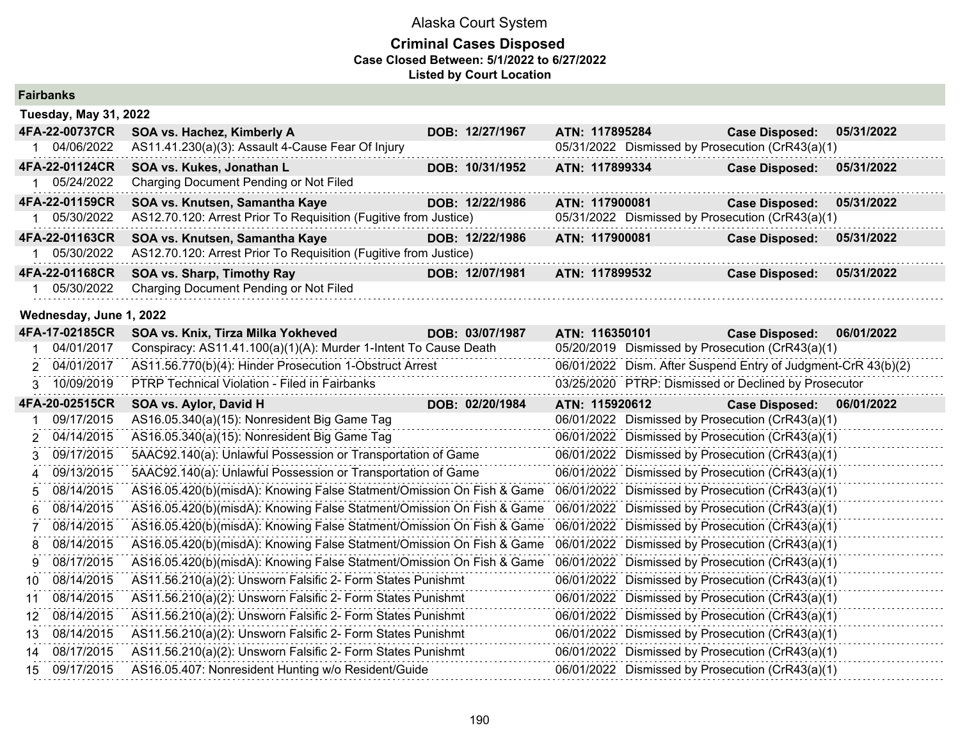| <b>Fairbanks</b>             |                                                                       |                                                      |                                                               |
|------------------------------|-----------------------------------------------------------------------|------------------------------------------------------|---------------------------------------------------------------|
| <b>Tuesday, May 31, 2022</b> |                                                                       |                                                      |                                                               |
| 4FA-22-00737CR               | SOA vs. Hachez, Kimberly A<br>DOB: 12/27/1967                         | ATN: 117895284                                       | <b>Case Disposed:</b><br>05/31/2022                           |
| 1 04/06/2022                 | AS11.41.230(a)(3): Assault 4-Cause Fear Of Injury                     | 05/31/2022 Dismissed by Prosecution (CrR43(a)(1)     |                                                               |
| 4FA-22-01124CR               | SOA vs. Kukes, Jonathan L<br>DOB: 10/31/1952                          | ATN: 117899334                                       | <b>Case Disposed:</b><br>05/31/2022                           |
| 05/24/2022                   | Charging Document Pending or Not Filed                                |                                                      |                                                               |
| 4FA-22-01159CR               | SOA vs. Knutsen, Samantha Kaye<br>DOB: 12/22/1986                     | ATN: 117900081                                       | 05/31/2022<br><b>Case Disposed:</b>                           |
| 05/30/2022                   | AS12.70.120: Arrest Prior To Requisition (Fugitive from Justice)      | 05/31/2022 Dismissed by Prosecution (CrR43(a)(1)     |                                                               |
| 4FA-22-01163CR               | SOA vs. Knutsen, Samantha Kaye<br>DOB: 12/22/1986                     | ATN: 117900081                                       | <b>Case Disposed:</b><br>05/31/2022                           |
| 1 05/30/2022                 | AS12.70.120: Arrest Prior To Requisition (Fugitive from Justice)      |                                                      |                                                               |
| 4FA-22-01168CR               | SOA vs. Sharp, Timothy Ray<br>DOB: 12/07/1981                         | ATN: 117899532                                       | <b>Case Disposed:</b><br>05/31/2022                           |
| 05/30/2022                   | Charging Document Pending or Not Filed                                |                                                      |                                                               |
| Wednesday, June 1, 2022      |                                                                       |                                                      |                                                               |
| 4FA-17-02185CR               | SOA vs. Knix, Tirza Milka Yokheved<br>DOB: 03/07/1987                 | ATN: 116350101                                       | 06/01/2022<br><b>Case Disposed:</b>                           |
| 04/01/2017                   | Conspiracy: AS11.41.100(a)(1)(A): Murder 1-Intent To Cause Death      | 05/20/2019 Dismissed by Prosecution (CrR43(a)(1)     |                                                               |
| 04/01/2017                   | AS11.56.770(b)(4): Hinder Prosecution 1-Obstruct Arrest               |                                                      | 06/01/2022 Dism. After Suspend Entry of Judgment-CrR 43(b)(2) |
| 10/09/2019<br>3              | PTRP Technical Violation - Filed in Fairbanks                         | 03/25/2020 PTRP: Dismissed or Declined by Prosecutor |                                                               |
| 4FA-20-02515CR               | DOB: 02/20/1984<br>SOA vs. Aylor, David H                             | ATN: 115920612                                       | <b>Case Disposed:</b><br>06/01/2022                           |
| 09/17/2015                   | AS16.05.340(a)(15): Nonresident Big Game Tag                          | 06/01/2022 Dismissed by Prosecution (CrR43(a)(1)     |                                                               |
| 04/14/2015<br>2              | AS16.05.340(a)(15): Nonresident Big Game Tag                          | 06/01/2022 Dismissed by Prosecution (CrR43(a)(1)     |                                                               |
| 09/17/2015<br>3              | 5AAC92.140(a): Unlawful Possession or Transportation of Game          | 06/01/2022 Dismissed by Prosecution (CrR43(a)(1)     |                                                               |
| 09/13/2015<br>4              | 5AAC92.140(a): Unlawful Possession or Transportation of Game          | 06/01/2022 Dismissed by Prosecution (CrR43(a)(1)     |                                                               |
| 08/14/2015<br>5              | AS16.05.420(b)(misdA): Knowing False Statment/Omission On Fish & Game | 06/01/2022 Dismissed by Prosecution (CrR43(a)(1)     |                                                               |
| 08/14/2015<br>6              | AS16.05.420(b)(misdA): Knowing False Statment/Omission On Fish & Game | 06/01/2022 Dismissed by Prosecution (CrR43(a)(1)     |                                                               |
| 08/14/2015<br>7              | AS16.05.420(b)(misdA): Knowing False Statment/Omission On Fish & Game | 06/01/2022 Dismissed by Prosecution (CrR43(a)(1)     |                                                               |
| 08/14/2015<br>8              | AS16.05.420(b)(misdA): Knowing False Statment/Omission On Fish & Game | 06/01/2022 Dismissed by Prosecution (CrR43(a)(1)     |                                                               |
| 08/17/2015<br>9              | AS16.05.420(b)(misdA): Knowing False Statment/Omission On Fish & Game | 06/01/2022 Dismissed by Prosecution (CrR43(a)(1)     |                                                               |
| 08/14/2015<br>10             | AS11.56.210(a)(2): Unsworn Falsific 2- Form States Punishmt           | 06/01/2022 Dismissed by Prosecution (CrR43(a)(1)     |                                                               |
| 08/14/2015<br>11             | AS11.56.210(a)(2): Unsworn Falsific 2- Form States Punishmt           | 06/01/2022 Dismissed by Prosecution (CrR43(a)(1)     |                                                               |
| 08/14/2015<br>12             | AS11.56.210(a)(2): Unsworn Falsific 2- Form States Punishmt           | 06/01/2022 Dismissed by Prosecution (CrR43(a)(1)     |                                                               |
| 08/14/2015<br>13             | AS11.56.210(a)(2): Unsworn Falsific 2- Form States Punishmt           | 06/01/2022 Dismissed by Prosecution (CrR43(a)(1)     |                                                               |
| 08/17/2015<br>14             | AS11.56.210(a)(2): Unsworn Falsific 2- Form States Punishmt           | 06/01/2022 Dismissed by Prosecution (CrR43(a)(1)     |                                                               |
|                              |                                                                       |                                                      |                                                               |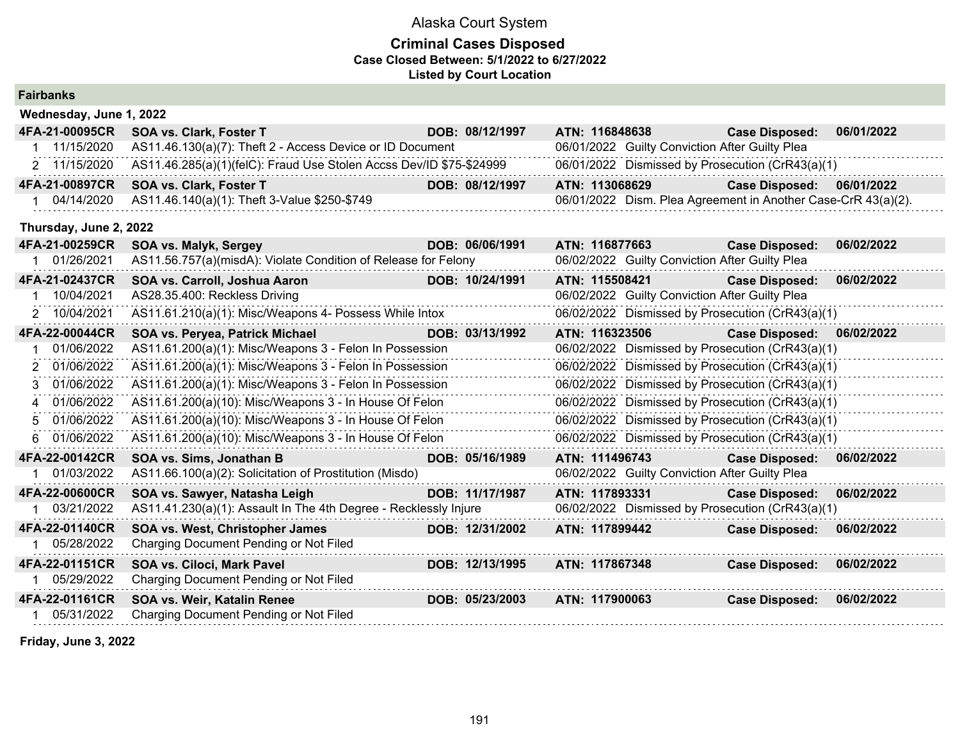### **Criminal Cases Disposed Case Closed Between: 5/1/2022 to 6/27/2022 Listed by Court Location**

| <b>Fairbanks</b> |                         |                                                                     |                 |                |                                                |                                                               |            |
|------------------|-------------------------|---------------------------------------------------------------------|-----------------|----------------|------------------------------------------------|---------------------------------------------------------------|------------|
|                  | Wednesday, June 1, 2022 |                                                                     |                 |                |                                                |                                                               |            |
| 4FA-21-00095CR   |                         | SOA vs. Clark, Foster T                                             | DOB: 08/12/1997 | ATN: 116848638 |                                                | <b>Case Disposed:</b>                                         | 06/01/2022 |
| 1 11/15/2020     |                         | AS11.46.130(a)(7): Theft 2 - Access Device or ID Document           |                 |                | 06/01/2022 Guilty Conviction After Guilty Plea |                                                               |            |
| 2 11/15/2020     |                         | AS11.46.285(a)(1)(felC): Fraud Use Stolen Accss Dev/ID \$75-\$24999 |                 |                |                                                | 06/01/2022 Dismissed by Prosecution (CrR43(a)(1)              |            |
| 4FA-21-00897CR   |                         | SOA vs. Clark, Foster T                                             | DOB: 08/12/1997 | ATN: 113068629 |                                                | <b>Case Disposed:</b>                                         | 06/01/2022 |
| 1 04/14/2020     |                         | AS11.46.140(a)(1): Theft 3-Value \$250-\$749                        |                 |                |                                                | 06/01/2022 Dism. Plea Agreement in Another Case-CrR 43(a)(2). |            |
|                  | Thursday, June 2, 2022  |                                                                     |                 |                |                                                |                                                               |            |
| 4FA-21-00259CR   |                         | SOA vs. Malyk, Sergey                                               | DOB: 06/06/1991 | ATN: 116877663 |                                                | <b>Case Disposed:</b>                                         | 06/02/2022 |
| 1 01/26/2021     |                         | AS11.56.757(a)(misdA): Violate Condition of Release for Felony      |                 |                | 06/02/2022 Guilty Conviction After Guilty Plea |                                                               |            |
| 4FA-21-02437CR   |                         | SOA vs. Carroll, Joshua Aaron                                       | DOB: 10/24/1991 | ATN: 115508421 |                                                | <b>Case Disposed:</b>                                         | 06/02/2022 |
|                  | 10/04/2021              | AS28.35.400: Reckless Driving                                       |                 |                | 06/02/2022 Guilty Conviction After Guilty Plea |                                                               |            |
| 2 10/04/2021     |                         | AS11.61.210(a)(1): Misc/Weapons 4- Possess While Intox              |                 |                |                                                | 06/02/2022 Dismissed by Prosecution (CrR43(a)(1)              |            |
| 4FA-22-00044CR   |                         | SOA vs. Peryea, Patrick Michael                                     | DOB: 03/13/1992 | ATN: 116323506 |                                                | <b>Case Disposed:</b>                                         | 06/02/2022 |
|                  | 01/06/2022              | AS11.61.200(a)(1): Misc/Weapons 3 - Felon In Possession             |                 |                |                                                | 06/02/2022 Dismissed by Prosecution (CrR43(a)(1)              |            |
| 2 01/06/2022     |                         | AS11.61.200(a)(1): Misc/Weapons 3 - Felon In Possession             |                 |                |                                                | 06/02/2022 Dismissed by Prosecution (CrR43(a)(1)              |            |
| 3 01/06/2022     |                         | AS11.61.200(a)(1): Misc/Weapons 3 - Felon In Possession             |                 |                |                                                | 06/02/2022 Dismissed by Prosecution (CrR43(a)(1)              |            |
| 4 01/06/2022     |                         | AS11.61.200(a)(10): Misc/Weapons 3 - In House Of Felon              |                 |                |                                                | 06/02/2022 Dismissed by Prosecution (CrR43(a)(1)              |            |
| 5 01/06/2022     |                         | AS11.61.200(a)(10): Misc/Weapons 3 - In House Of Felon              |                 |                |                                                | 06/02/2022 Dismissed by Prosecution (CrR43(a)(1)              |            |
| 6 01/06/2022     |                         | AS11.61.200(a)(10): Misc/Weapons 3 - In House Of Felon              |                 |                |                                                | 06/02/2022 Dismissed by Prosecution (CrR43(a)(1)              |            |
| 4FA-22-00142CR   |                         | SOA vs. Sims, Jonathan B                                            | DOB: 05/16/1989 | ATN: 111496743 |                                                | <b>Case Disposed:</b>                                         | 06/02/2022 |
| 1 01/03/2022     |                         | AS11.66.100(a)(2): Solicitation of Prostitution (Misdo)             |                 |                | 06/02/2022 Guilty Conviction After Guilty Plea |                                                               |            |
| 4FA-22-00600CR   |                         | SOA vs. Sawyer, Natasha Leigh                                       | DOB: 11/17/1987 | ATN: 117893331 |                                                | <b>Case Disposed:</b>                                         | 06/02/2022 |
|                  | 03/21/2022              | AS11.41.230(a)(1): Assault In The 4th Degree - Recklessly Injure    |                 |                |                                                | 06/02/2022 Dismissed by Prosecution (CrR43(a)(1)              |            |
| 4FA-22-01140CR   |                         | SOA vs. West, Christopher James                                     | DOB: 12/31/2002 | ATN: 117899442 |                                                | <b>Case Disposed:</b>                                         | 06/02/2022 |
| 1 05/28/2022     |                         | Charging Document Pending or Not Filed                              |                 |                |                                                |                                                               |            |
| 4FA-22-01151CR   |                         | SOA vs. Ciloci, Mark Pavel                                          | DOB: 12/13/1995 | ATN: 117867348 |                                                | <b>Case Disposed:</b>                                         | 06/02/2022 |
| 1 05/29/2022     |                         | Charging Document Pending or Not Filed                              |                 |                |                                                |                                                               |            |
| 4FA-22-01161CR   |                         | SOA vs. Weir, Katalin Renee                                         | DOB: 05/23/2003 | ATN: 117900063 |                                                | <b>Case Disposed:</b>                                         | 06/02/2022 |
| 1 05/31/2022     |                         | Charging Document Pending or Not Filed                              |                 |                |                                                |                                                               |            |
|                  |                         |                                                                     |                 |                |                                                |                                                               |            |

**Friday, June 3, 2022**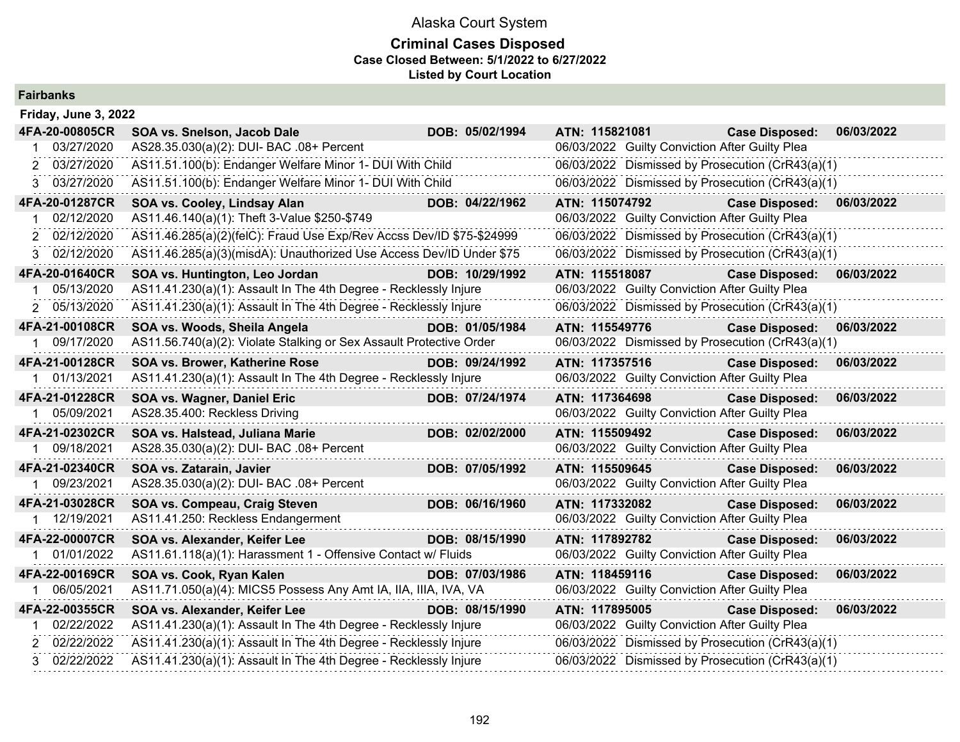| <b>Fairbanks</b> |  |
|------------------|--|
|------------------|--|

| Friday, June 3, 2022 |                                                                      |                 |                                                  |                       |            |
|----------------------|----------------------------------------------------------------------|-----------------|--------------------------------------------------|-----------------------|------------|
| 4FA-20-00805CR       | SOA vs. Snelson, Jacob Dale                                          | DOB: 05/02/1994 | ATN: 115821081                                   | <b>Case Disposed:</b> | 06/03/2022 |
| 03/27/2020           | AS28.35.030(a)(2): DUI- BAC .08+ Percent                             |                 | 06/03/2022 Guilty Conviction After Guilty Plea   |                       |            |
| 03/27/2020<br>2      | AS11.51.100(b): Endanger Welfare Minor 1- DUI With Child             |                 | 06/03/2022 Dismissed by Prosecution (CrR43(a)(1) |                       |            |
| 3 03/27/2020         | AS11.51.100(b): Endanger Welfare Minor 1- DUI With Child             |                 | 06/03/2022 Dismissed by Prosecution (CrR43(a)(1) |                       |            |
| 4FA-20-01287CR       | SOA vs. Cooley, Lindsay Alan                                         | DOB: 04/22/1962 | ATN: 115074792                                   | <b>Case Disposed:</b> | 06/03/2022 |
| 02/12/2020           | AS11.46.140(a)(1): Theft 3-Value \$250-\$749                         |                 | 06/03/2022 Guilty Conviction After Guilty Plea   |                       |            |
| 2 02/12/2020         | AS11.46.285(a)(2)(felC): Fraud Use Exp/Rev Accss Dev/ID \$75-\$24999 |                 | 06/03/2022 Dismissed by Prosecution (CrR43(a)(1) |                       |            |
| 3 02/12/2020         | AS11.46.285(a)(3)(misdA): Unauthorized Use Access Dev/ID Under \$75  |                 | 06/03/2022 Dismissed by Prosecution (CrR43(a)(1) |                       |            |
| 4FA-20-01640CR       | SOA vs. Huntington, Leo Jordan                                       | DOB: 10/29/1992 | ATN: 115518087                                   | <b>Case Disposed:</b> | 06/03/2022 |
| 05/13/2020           | AS11.41.230(a)(1): Assault In The 4th Degree - Recklessly Injure     |                 | 06/03/2022 Guilty Conviction After Guilty Plea   |                       |            |
| 2 05/13/2020         | AS11.41.230(a)(1): Assault In The 4th Degree - Recklessly Injure     |                 | 06/03/2022 Dismissed by Prosecution (CrR43(a)(1) |                       |            |
| 4FA-21-00108CR       | SOA vs. Woods, Sheila Angela                                         | DOB: 01/05/1984 | ATN: 115549776                                   | <b>Case Disposed:</b> | 06/03/2022 |
| 1 09/17/2020         | AS11.56.740(a)(2): Violate Stalking or Sex Assault Protective Order  |                 | 06/03/2022 Dismissed by Prosecution (CrR43(a)(1) |                       |            |
| 4FA-21-00128CR       | SOA vs. Brower, Katherine Rose                                       | DOB: 09/24/1992 | ATN: 117357516                                   | <b>Case Disposed:</b> | 06/03/2022 |
| 01/13/2021           | AS11.41.230(a)(1): Assault In The 4th Degree - Recklessly Injure     |                 | 06/03/2022 Guilty Conviction After Guilty Plea   |                       |            |
| 4FA-21-01228CR       | SOA vs. Wagner, Daniel Eric                                          | DOB: 07/24/1974 | ATN: 117364698                                   | <b>Case Disposed:</b> | 06/03/2022 |
| 05/09/2021           | AS28.35.400: Reckless Driving                                        |                 | 06/03/2022 Guilty Conviction After Guilty Plea   |                       |            |
| 4FA-21-02302CR       | SOA vs. Halstead, Juliana Marie                                      | DOB: 02/02/2000 | ATN: 115509492                                   | <b>Case Disposed:</b> | 06/03/2022 |
| 1 09/18/2021         | AS28.35.030(a)(2): DUI- BAC .08+ Percent                             |                 | 06/03/2022 Guilty Conviction After Guilty Plea   |                       |            |
| 4FA-21-02340CR       | SOA vs. Zatarain, Javier                                             | DOB: 07/05/1992 | ATN: 115509645                                   | <b>Case Disposed:</b> | 06/03/2022 |
| 09/23/2021           | AS28.35.030(a)(2): DUI- BAC .08+ Percent                             |                 | 06/03/2022 Guilty Conviction After Guilty Plea   |                       |            |
| 4FA-21-03028CR       | SOA vs. Compeau, Craig Steven                                        | DOB: 06/16/1960 | ATN: 117332082                                   | <b>Case Disposed:</b> | 06/03/2022 |
| 1 12/19/2021         | AS11.41.250: Reckless Endangerment                                   |                 | 06/03/2022 Guilty Conviction After Guilty Plea   |                       |            |
| 4FA-22-00007CR       | SOA vs. Alexander, Keifer Lee                                        | DOB: 08/15/1990 | ATN: 117892782                                   | <b>Case Disposed:</b> | 06/03/2022 |
| 1 01/01/2022         | AS11.61.118(a)(1): Harassment 1 - Offensive Contact w/ Fluids        |                 | 06/03/2022 Guilty Conviction After Guilty Plea   |                       |            |
| 4FA-22-00169CR       | SOA vs. Cook, Ryan Kalen                                             | DOB: 07/03/1986 | ATN: 118459116                                   | <b>Case Disposed:</b> | 06/03/2022 |
| 06/05/2021           | AS11.71.050(a)(4): MICS5 Possess Any Amt IA, IIA, IIIA, IVA, VA      |                 | 06/03/2022 Guilty Conviction After Guilty Plea   |                       |            |
| 4FA-22-00355CR       | SOA vs. Alexander, Keifer Lee                                        | DOB: 08/15/1990 | ATN: 117895005                                   | <b>Case Disposed:</b> | 06/03/2022 |
| 02/22/2022           | AS11.41.230(a)(1): Assault In The 4th Degree - Recklessly Injure     |                 | 06/03/2022 Guilty Conviction After Guilty Plea   |                       |            |
| 2 02/22/2022         | AS11.41.230(a)(1): Assault In The 4th Degree - Recklessly Injure     |                 | 06/03/2022 Dismissed by Prosecution (CrR43(a)(1) |                       |            |
| 3 02/22/2022         | AS11.41.230(a)(1): Assault In The 4th Degree - Recklessly Injure     |                 | 06/03/2022 Dismissed by Prosecution (CrR43(a)(1) |                       |            |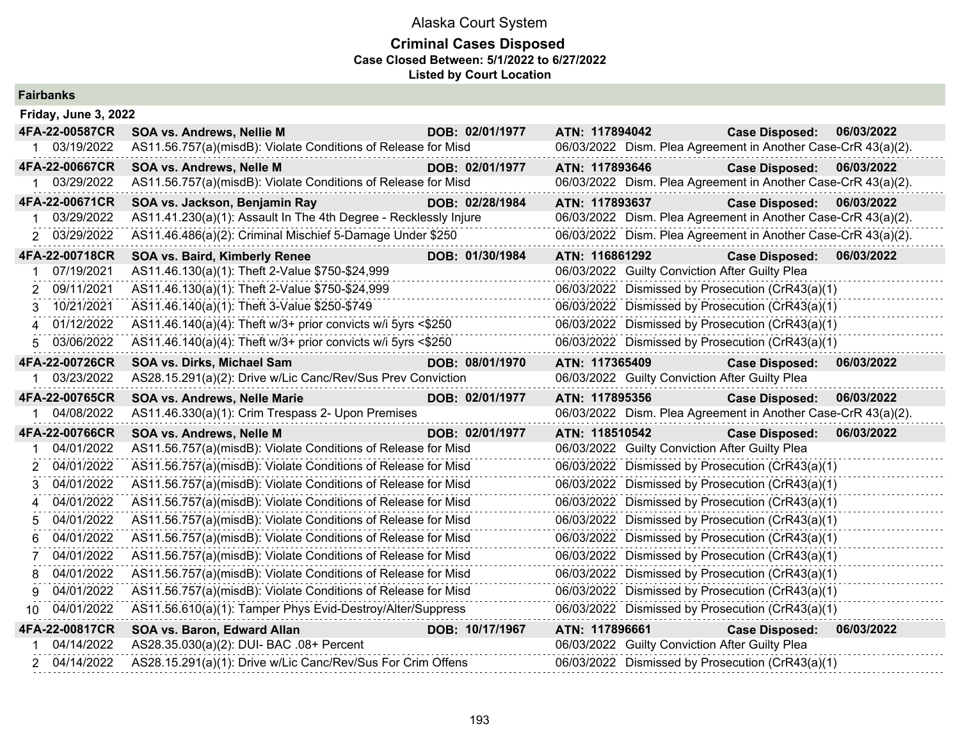|     | <b>Fairbanks</b>            |                                                                  |                 |                |                                                               |            |
|-----|-----------------------------|------------------------------------------------------------------|-----------------|----------------|---------------------------------------------------------------|------------|
|     | Friday, June 3, 2022        |                                                                  |                 |                |                                                               |            |
|     | 4FA-22-00587CR              | <b>SOA vs. Andrews, Nellie M</b>                                 | DOB: 02/01/1977 | ATN: 117894042 | Case Disposed: 06/03/2022                                     |            |
|     | 1 03/19/2022                | AS11.56.757(a)(misdB): Violate Conditions of Release for Misd    |                 |                | 06/03/2022 Dism. Plea Agreement in Another Case-CrR 43(a)(2). |            |
|     | 4FA-22-00667CR              | SOA vs. Andrews, Nelle M                                         | DOB: 02/01/1977 | ATN: 117893646 | <b>Case Disposed:</b>                                         | 06/03/2022 |
|     | 03/29/2022                  | AS11.56.757(a)(misdB): Violate Conditions of Release for Misd    |                 |                | 06/03/2022 Dism. Plea Agreement in Another Case-CrR 43(a)(2). |            |
|     | 4FA-22-00671CR              | SOA vs. Jackson, Benjamin Ray                                    | DOB: 02/28/1984 | ATN: 117893637 | Case Disposed: 06/03/2022                                     |            |
|     | 03/29/2022                  | AS11.41.230(a)(1): Assault In The 4th Degree - Recklessly Injure |                 |                | 06/03/2022 Dism. Plea Agreement in Another Case-CrR 43(a)(2). |            |
|     | 03/29/2022<br>2             | AS11.46.486(a)(2): Criminal Mischief 5-Damage Under \$250        |                 |                | 06/03/2022 Dism. Plea Agreement in Another Case-CrR 43(a)(2). |            |
|     | 4FA-22-00718CR              | SOA vs. Baird, Kimberly Renee                                    | DOB: 01/30/1984 | ATN: 116861292 | <b>Case Disposed:</b>                                         | 06/03/2022 |
| 1   | 07/19/2021                  | AS11.46.130(a)(1): Theft 2-Value \$750-\$24,999                  |                 |                | 06/03/2022 Guilty Conviction After Guilty Plea                |            |
|     | 09/11/2021<br>2             | AS11.46.130(a)(1): Theft 2-Value \$750-\$24,999                  |                 |                | 06/03/2022 Dismissed by Prosecution (CrR43(a)(1)              |            |
|     | 10/21/2021<br>3             | AS11.46.140(a)(1): Theft 3-Value \$250-\$749                     |                 |                | 06/03/2022 Dismissed by Prosecution (CrR43(a)(1)              |            |
|     | 01/12/2022<br>4             | AS11.46.140(a)(4): Theft w/3+ prior convicts w/i 5yrs <\$250     |                 |                | 06/03/2022 Dismissed by Prosecution (CrR43(a)(1)              |            |
|     | 03/06/2022<br>5             | AS11.46.140(a)(4): Theft w/3+ prior convicts w/i 5yrs <\$250     |                 |                | 06/03/2022 Dismissed by Prosecution (CrR43(a)(1)              |            |
|     | 4FA-22-00726CR              | SOA vs. Dirks, Michael Sam                                       | DOB: 08/01/1970 | ATN: 117365409 | <b>Case Disposed:</b>                                         | 06/03/2022 |
|     |                             |                                                                  |                 |                |                                                               |            |
|     | 03/23/2022<br>1.            | AS28.15.291(a)(2): Drive w/Lic Canc/Rev/Sus Prev Conviction      |                 |                | 06/03/2022 Guilty Conviction After Guilty Plea                |            |
|     | 4FA-22-00765CR              | SOA vs. Andrews, Nelle Marie                                     | DOB: 02/01/1977 | ATN: 117895356 | <b>Case Disposed:</b>                                         | 06/03/2022 |
|     | 04/08/2022                  | AS11.46.330(a)(1): Crim Trespass 2- Upon Premises                |                 |                | 06/03/2022 Dism. Plea Agreement in Another Case-CrR 43(a)(2). |            |
|     | 4FA-22-00766CR              | SOA vs. Andrews, Nelle M                                         | DOB: 02/01/1977 | ATN: 118510542 | <b>Case Disposed:</b>                                         | 06/03/2022 |
|     | 04/01/2022                  | AS11.56.757(a)(misdB): Violate Conditions of Release for Misd    |                 |                | 06/03/2022 Guilty Conviction After Guilty Plea                |            |
|     | 04/01/2022<br>2             | AS11.56.757(a)(misdB): Violate Conditions of Release for Misd    |                 |                | 06/03/2022 Dismissed by Prosecution (CrR43(a)(1)              |            |
|     | 04/01/2022<br>$\mathcal{R}$ | AS11.56.757(a)(misdB): Violate Conditions of Release for Misd    |                 |                | 06/03/2022 Dismissed by Prosecution (CrR43(a)(1)              |            |
| 4   | 04/01/2022                  | AS11.56.757(a)(misdB): Violate Conditions of Release for Misd    |                 |                | 06/03/2022 Dismissed by Prosecution (CrR43(a)(1)              |            |
|     | 04/01/2022<br>5             | AS11.56.757(a)(misdB): Violate Conditions of Release for Misd    |                 |                | 06/03/2022 Dismissed by Prosecution (CrR43(a)(1)              |            |
| 6   | 04/01/2022                  | AS11.56.757(a)(misdB): Violate Conditions of Release for Misd    |                 |                | 06/03/2022 Dismissed by Prosecution (CrR43(a)(1)              |            |
| 7   | 04/01/2022                  | AS11.56.757(a)(misdB): Violate Conditions of Release for Misd    |                 |                | 06/03/2022 Dismissed by Prosecution (CrR43(a)(1)              |            |
| 8   | 04/01/2022                  | AS11.56.757(a)(misdB): Violate Conditions of Release for Misd    |                 |                | 06/03/2022 Dismissed by Prosecution (CrR43(a)(1)              |            |
| 9   | 04/01/2022                  | AS11.56.757(a)(misdB): Violate Conditions of Release for Misd    |                 |                | 06/03/2022 Dismissed by Prosecution (CrR43(a)(1)              |            |
| 10. | 04/01/2022                  | AS11.56.610(a)(1): Tamper Phys Evid-Destroy/Alter/Suppress       |                 |                | 06/03/2022 Dismissed by Prosecution (CrR43(a)(1)              |            |
|     | 4FA-22-00817CR              | SOA vs. Baron, Edward Allan                                      | DOB: 10/17/1967 | ATN: 117896661 | <b>Case Disposed:</b>                                         | 06/03/2022 |
|     | 04/14/2022                  | AS28.35.030(a)(2): DUI- BAC .08+ Percent                         |                 |                | 06/03/2022 Guilty Conviction After Guilty Plea                |            |
|     | 04/14/2022<br>2             | AS28.15.291(a)(1): Drive w/Lic Canc/Rev/Sus For Crim Offens      |                 |                | 06/03/2022 Dismissed by Prosecution (CrR43(a)(1)              |            |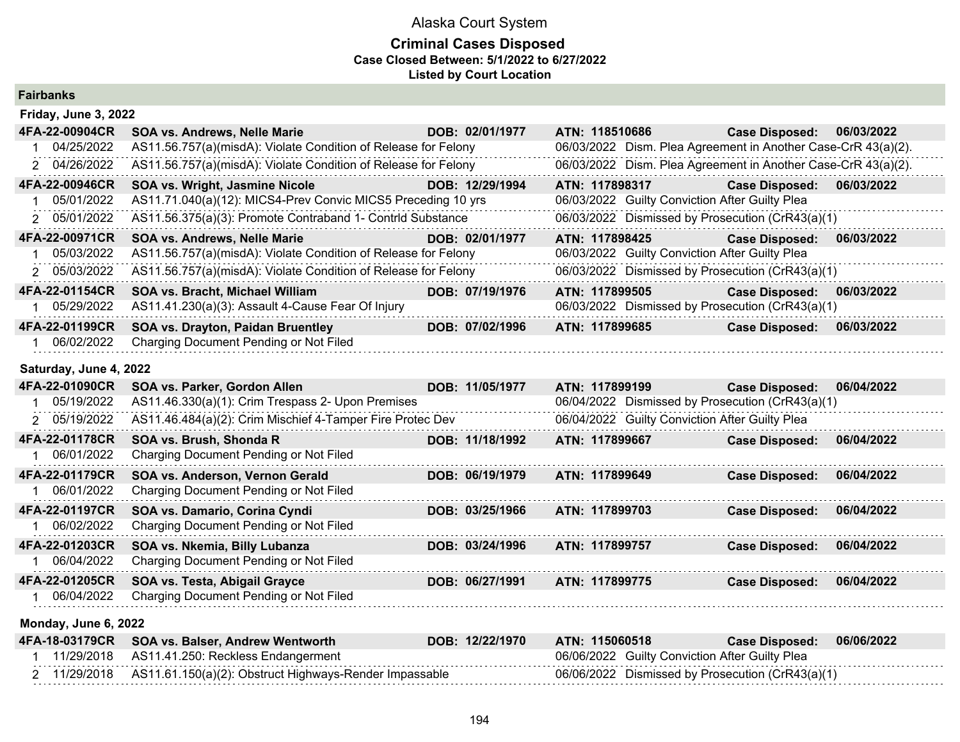## **Criminal Cases Disposed Case Closed Between: 5/1/2022 to 6/27/2022 Listed by Court Location**

| <b>Fairbanks</b> |  |
|------------------|--|
|------------------|--|

| Friday, June 3, 2022 |                                                                |                 |                                                               |                       |            |
|----------------------|----------------------------------------------------------------|-----------------|---------------------------------------------------------------|-----------------------|------------|
| 4FA-22-00904CR       | <b>SOA vs. Andrews, Nelle Marie</b>                            | DOB: 02/01/1977 | ATN: 118510686                                                | <b>Case Disposed:</b> | 06/03/2022 |
| 04/25/2022           | AS11.56.757(a)(misdA): Violate Condition of Release for Felony |                 | 06/03/2022 Dism. Plea Agreement in Another Case-CrR 43(a)(2). |                       |            |
| 2 04/26/2022         | AS11.56.757(a)(misdA): Violate Condition of Release for Felony |                 | 06/03/2022 Dism. Plea Agreement in Another Case-CrR 43(a)(2). |                       |            |
| 4FA-22-00946CR       | SOA vs. Wright, Jasmine Nicole                                 | DOB: 12/29/1994 | ATN: 117898317                                                | <b>Case Disposed:</b> | 06/03/2022 |
| 05/01/2022           | AS11.71.040(a)(12): MICS4-Prev Convic MICS5 Preceding 10 yrs   |                 | 06/03/2022 Guilty Conviction After Guilty Plea                |                       |            |
| 2 05/01/2022         | AS11.56.375(a)(3): Promote Contraband 1- Contrid Substance     |                 | 06/03/2022 Dismissed by Prosecution (CrR43(a)(1)              |                       |            |
| 4FA-22-00971CR       | <b>SOA vs. Andrews, Nelle Marie</b>                            | DOB: 02/01/1977 | ATN: 117898425                                                | <b>Case Disposed:</b> | 06/03/2022 |
|                      |                                                                |                 |                                                               |                       |            |
| 05/03/2022           | AS11.56.757(a)(misdA): Violate Condition of Release for Felony |                 | 06/03/2022 Guilty Conviction After Guilty Plea                |                       |            |
| 2 05/03/2022         | AS11.56.757(a)(misdA): Violate Condition of Release for Felony |                 | 06/03/2022 Dismissed by Prosecution (CrR43(a)(1)              |                       |            |
| 4FA-22-01154CR       | SOA vs. Bracht, Michael William                                | DOB: 07/19/1976 | ATN: 117899505                                                | <b>Case Disposed:</b> | 06/03/2022 |
| 05/29/2022           | AS11.41.230(a)(3): Assault 4-Cause Fear Of Injury              |                 | 06/03/2022 Dismissed by Prosecution (CrR43(a)(1)              |                       |            |
| 4FA-22-01199CR       | <b>SOA vs. Drayton, Paidan Bruentley</b>                       | DOB: 07/02/1996 | ATN: 117899685                                                | <b>Case Disposed:</b> | 06/03/2022 |

## **Saturday, June 4, 2022**

| 4FA-22-01090CR | SOA vs. Parker, Gordon Allen                              | DOB: 11/05/1977 | ATN: 117899199                                   | <b>Case Disposed:</b> | 06/04/2022 |
|----------------|-----------------------------------------------------------|-----------------|--------------------------------------------------|-----------------------|------------|
| 05/19/2022     | AS11.46.330(a)(1): Crim Trespass 2- Upon Premises         |                 | 06/04/2022 Dismissed by Prosecution (CrR43(a)(1) |                       |            |
| 2 05/19/2022   | AS11.46.484(a)(2): Crim Mischief 4-Tamper Fire Protec Dev |                 | 06/04/2022 Guilty Conviction After Guilty Plea   |                       |            |
| 4FA-22-01178CR | SOA vs. Brush, Shonda R                                   | DOB: 11/18/1992 | ATN: 117899667                                   | <b>Case Disposed:</b> | 06/04/2022 |
| 06/01/2022     | Charging Document Pending or Not Filed                    |                 |                                                  |                       |            |
| 4FA-22-01179CR | SOA vs. Anderson, Vernon Gerald                           | DOB: 06/19/1979 | ATN: 117899649                                   | <b>Case Disposed:</b> | 06/04/2022 |
| 06/01/2022     | Charging Document Pending or Not Filed                    |                 |                                                  |                       |            |
| 4FA-22-01197CR | SOA vs. Damario, Corina Cyndi                             | DOB: 03/25/1966 | ATN: 117899703                                   | <b>Case Disposed:</b> | 06/04/2022 |
| 06/02/2022     | Charging Document Pending or Not Filed                    |                 |                                                  |                       |            |
| 4FA-22-01203CR | SOA vs. Nkemia, Billy Lubanza                             | DOB: 03/24/1996 | ATN: 117899757                                   | <b>Case Disposed:</b> | 06/04/2022 |
| 06/04/2022     | Charging Document Pending or Not Filed                    |                 |                                                  |                       |            |
| 4FA-22-01205CR | SOA vs. Testa, Abigail Grayce                             | DOB: 06/27/1991 | ATN: 117899775                                   | <b>Case Disposed:</b> | 06/04/2022 |
| 06/04/2022     | Charging Document Pending or Not Filed                    |                 |                                                  |                       |            |

## **Monday, June 6, 2022**

|  | 4FA-18-03179CR SOA vs. Balser, Andrew Wentworth                     | DOB: 12/22/1970 | ATN: 115060518                                 | Case Disposed: 06/06/2022                        |  |
|--|---------------------------------------------------------------------|-----------------|------------------------------------------------|--------------------------------------------------|--|
|  | 11/29/2018 AS11.41.250: Reckless Endangerment                       |                 | 06/06/2022 Guilty Conviction After Guilty Plea |                                                  |  |
|  | 2 11/29/2018 AS11.61.150(a)(2): Obstruct Highways-Render Impassable |                 |                                                | 06/06/2022 Dismissed by Prosecution (CrR43(a)(1) |  |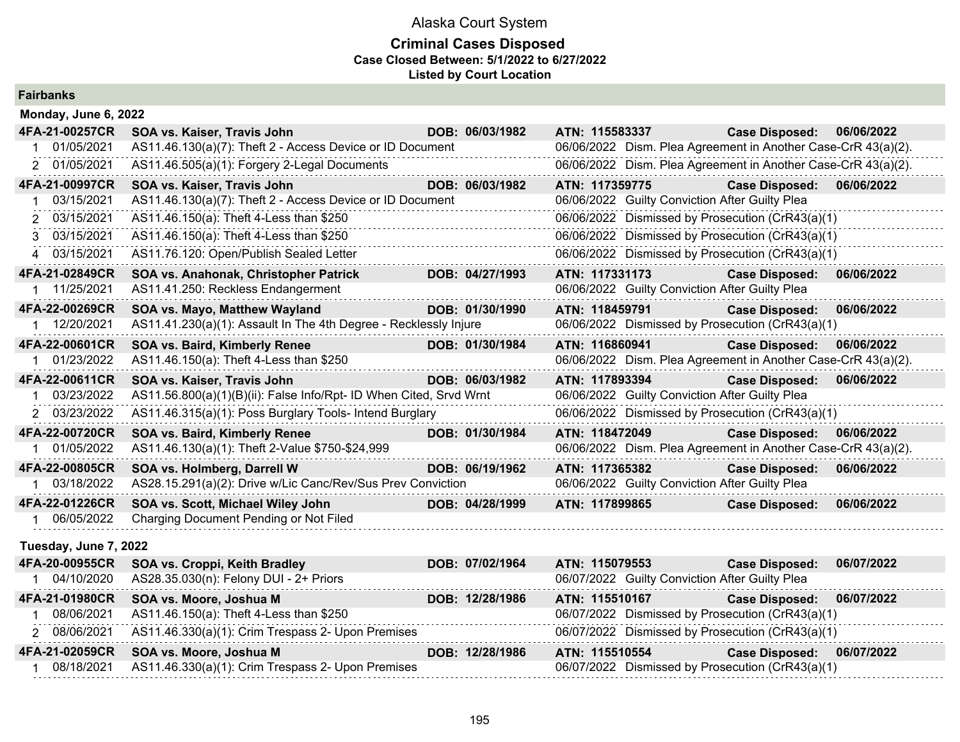## **Criminal Cases Disposed Case Closed Between: 5/1/2022 to 6/27/2022 Listed by Court Location**

**Fairbanks**

| Monday, June 6, 2022  |                                                                    |                 |                |                                                |                                                               |            |
|-----------------------|--------------------------------------------------------------------|-----------------|----------------|------------------------------------------------|---------------------------------------------------------------|------------|
| 4FA-21-00257CR        | SOA vs. Kaiser, Travis John                                        | DOB: 06/03/1982 | ATN: 115583337 |                                                | <b>Case Disposed:</b>                                         | 06/06/2022 |
| 1 01/05/2021          | AS11.46.130(a)(7): Theft 2 - Access Device or ID Document          |                 |                |                                                | 06/06/2022 Dism. Plea Agreement in Another Case-CrR 43(a)(2). |            |
| 2 01/05/2021          | AS11.46.505(a)(1): Forgery 2-Legal Documents                       |                 |                |                                                | 06/06/2022 Dism. Plea Agreement in Another Case-CrR 43(a)(2). |            |
| 4FA-21-00997CR        | SOA vs. Kaiser, Travis John                                        | DOB: 06/03/1982 | ATN: 117359775 |                                                | <b>Case Disposed:</b>                                         | 06/06/2022 |
| 03/15/2021            | AS11.46.130(a)(7): Theft 2 - Access Device or ID Document          |                 |                | 06/06/2022 Guilty Conviction After Guilty Plea |                                                               |            |
| 2 03/15/2021          | AS11.46.150(a): Theft 4-Less than \$250                            |                 |                |                                                | 06/06/2022 Dismissed by Prosecution (CrR43(a)(1)              |            |
| 3 03/15/2021          | AS11.46.150(a): Theft 4-Less than \$250                            |                 |                |                                                | 06/06/2022 Dismissed by Prosecution (CrR43(a)(1)              |            |
| 4 03/15/2021          | AS11.76.120: Open/Publish Sealed Letter                            |                 |                |                                                | 06/06/2022 Dismissed by Prosecution (CrR43(a)(1)              |            |
| 4FA-21-02849CR        | SOA vs. Anahonak, Christopher Patrick                              | DOB: 04/27/1993 | ATN: 117331173 |                                                | <b>Case Disposed:</b>                                         | 06/06/2022 |
| 1 11/25/2021          | AS11.41.250: Reckless Endangerment                                 |                 |                | 06/06/2022 Guilty Conviction After Guilty Plea |                                                               |            |
| 4FA-22-00269CR        | SOA vs. Mayo, Matthew Wayland                                      | DOB: 01/30/1990 | ATN: 118459791 |                                                | <b>Case Disposed:</b>                                         | 06/06/2022 |
| 12/20/2021            | AS11.41.230(a)(1): Assault In The 4th Degree - Recklessly Injure   |                 |                |                                                | 06/06/2022 Dismissed by Prosecution (CrR43(a)(1)              |            |
| 4FA-22-00601CR        | SOA vs. Baird, Kimberly Renee                                      | DOB: 01/30/1984 | ATN: 116860941 |                                                | <b>Case Disposed:</b>                                         | 06/06/2022 |
| 1 01/23/2022          | AS11.46.150(a): Theft 4-Less than \$250                            |                 |                |                                                | 06/06/2022 Dism. Plea Agreement in Another Case-CrR 43(a)(2). |            |
| 4FA-22-00611CR        | SOA vs. Kaiser, Travis John                                        | DOB: 06/03/1982 | ATN: 117893394 |                                                | <b>Case Disposed:</b>                                         | 06/06/2022 |
| 03/23/2022            | AS11.56.800(a)(1)(B)(ii): False Info/Rpt- ID When Cited, Srvd Wrnt |                 |                | 06/06/2022 Guilty Conviction After Guilty Plea |                                                               |            |
| 2 03/23/2022          | AS11.46.315(a)(1): Poss Burglary Tools- Intend Burglary            |                 |                |                                                | 06/06/2022 Dismissed by Prosecution (CrR43(a)(1)              |            |
| 4FA-22-00720CR        | SOA vs. Baird, Kimberly Renee                                      | DOB: 01/30/1984 | ATN: 118472049 |                                                | <b>Case Disposed:</b>                                         | 06/06/2022 |
| 1 01/05/2022          | AS11.46.130(a)(1): Theft 2-Value \$750-\$24,999                    |                 |                |                                                | 06/06/2022 Dism. Plea Agreement in Another Case-CrR 43(a)(2). |            |
| 4FA-22-00805CR        | SOA vs. Holmberg, Darrell W                                        | DOB: 06/19/1962 | ATN: 117365382 |                                                | <b>Case Disposed:</b>                                         | 06/06/2022 |
| 1 03/18/2022          | AS28.15.291(a)(2): Drive w/Lic Canc/Rev/Sus Prev Conviction        |                 |                | 06/06/2022 Guilty Conviction After Guilty Plea |                                                               |            |
| 4FA-22-01226CR        | SOA vs. Scott, Michael Wiley John                                  | DOB: 04/28/1999 | ATN: 117899865 |                                                | <b>Case Disposed:</b>                                         | 06/06/2022 |
| 1 06/05/2022          | Charging Document Pending or Not Filed                             |                 |                |                                                |                                                               |            |
| Tuesday, June 7, 2022 |                                                                    |                 |                |                                                |                                                               |            |
| 4FA-20-00955CR        | SOA vs. Croppi, Keith Bradley                                      | DOB: 07/02/1964 | ATN: 115079553 |                                                | <b>Case Disposed:</b>                                         | 06/07/2022 |
| 1 04/10/2020          | AS28.35.030(n): Felony DUI - 2+ Priors                             |                 |                | 06/07/2022 Guilty Conviction After Guilty Plea |                                                               |            |
| 4FA-21-01980CR        | SOA vs. Moore, Joshua M                                            | DOB: 12/28/1986 | ATN: 115510167 |                                                | <b>Case Disposed:</b>                                         | 06/07/2022 |
| 08/06/2021            | AS11.46.150(a): Theft 4-Less than \$250                            |                 |                |                                                | 06/07/2022 Dismissed by Prosecution (CrR43(a)(1)              |            |
| 2 08/06/2021          | AS11.46.330(a)(1): Crim Trespass 2- Upon Premises                  |                 |                |                                                | 06/07/2022 Dismissed by Prosecution (CrR43(a)(1)              |            |
| 4FA-21-02059CR        | SOA vs. Moore, Joshua M                                            | DOB: 12/28/1986 | ATN: 115510554 |                                                | <b>Case Disposed:</b>                                         | 06/07/2022 |
| 1 08/18/2021          | AS11.46.330(a)(1): Crim Trespass 2- Upon Premises                  |                 |                |                                                | 06/07/2022 Dismissed by Prosecution (CrR43(a)(1)              |            |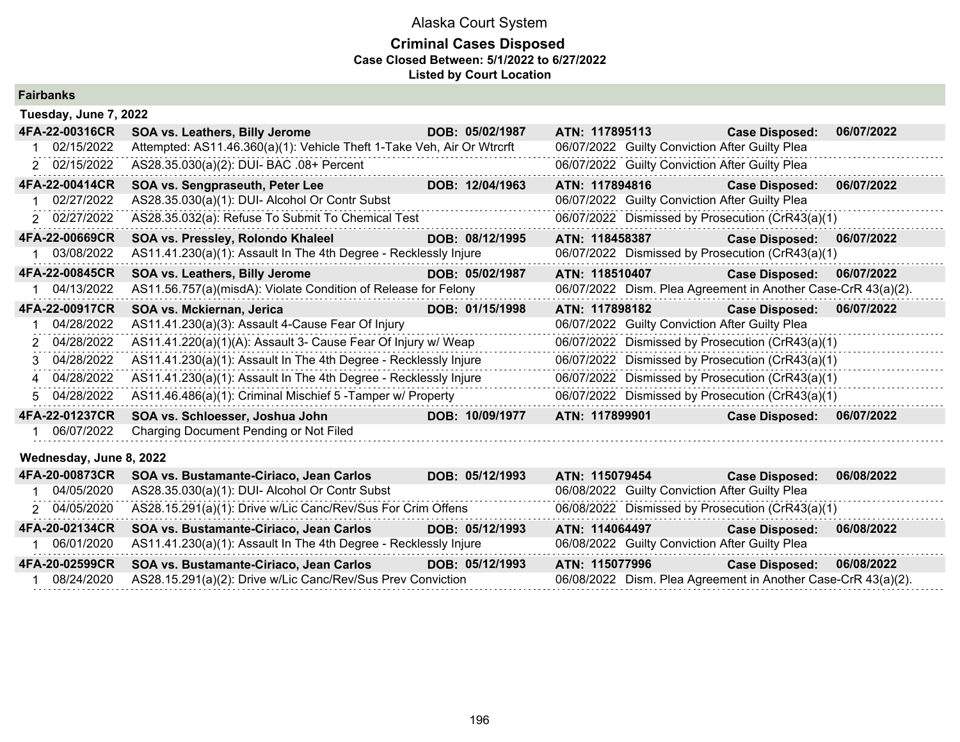| <b>Fairbanks</b> |
|------------------|
|------------------|

| Tuesday, June 7, 2022   |                                                                        |                 |                                                               |                       |            |
|-------------------------|------------------------------------------------------------------------|-----------------|---------------------------------------------------------------|-----------------------|------------|
| 4FA-22-00316CR          | <b>SOA vs. Leathers, Billy Jerome</b>                                  | DOB: 05/02/1987 | ATN: 117895113                                                | <b>Case Disposed:</b> | 06/07/2022 |
| 02/15/2022              | Attempted: AS11.46.360(a)(1): Vehicle Theft 1-Take Veh, Air Or Wtrcrft |                 | 06/07/2022 Guilty Conviction After Guilty Plea                |                       |            |
| 2 02/15/2022            | AS28.35.030(a)(2): DUI- BAC .08+ Percent                               |                 | 06/07/2022 Guilty Conviction After Guilty Plea                |                       |            |
| 4FA-22-00414CR          | SOA vs. Sengpraseuth, Peter Lee                                        | DOB: 12/04/1963 | ATN: 117894816                                                | <b>Case Disposed:</b> | 06/07/2022 |
| 02/27/2022              | AS28.35.030(a)(1): DUI- Alcohol Or Contr Subst                         |                 | 06/07/2022 Guilty Conviction After Guilty Plea                |                       |            |
| 2 02/27/2022            | AS28.35.032(a): Refuse To Submit To Chemical Test                      |                 | 06/07/2022 Dismissed by Prosecution (CrR43(a)(1)              |                       |            |
| 4FA-22-00669CR          | SOA vs. Pressley, Rolondo Khaleel                                      | DOB: 08/12/1995 | ATN: 118458387                                                | <b>Case Disposed:</b> | 06/07/2022 |
| 03/08/2022              | AS11.41.230(a)(1): Assault In The 4th Degree - Recklessly Injure       |                 | 06/07/2022 Dismissed by Prosecution (CrR43(a)(1)              |                       |            |
| 4FA-22-00845CR          | <b>SOA vs. Leathers, Billy Jerome</b>                                  | DOB: 05/02/1987 | ATN: 118510407                                                | <b>Case Disposed:</b> | 06/07/2022 |
| 04/13/2022              | AS11.56.757(a)(misdA): Violate Condition of Release for Felony         |                 | 06/07/2022 Dism. Plea Agreement in Another Case-CrR 43(a)(2). |                       |            |
| 4FA-22-00917CR          | SOA vs. Mckiernan, Jerica                                              | DOB: 01/15/1998 | ATN: 117898182                                                | <b>Case Disposed:</b> | 06/07/2022 |
| 04/28/2022              | AS11.41.230(a)(3): Assault 4-Cause Fear Of Injury                      |                 | 06/07/2022 Guilty Conviction After Guilty Plea                |                       |            |
| 2 04/28/2022            | AS11.41.220(a)(1)(A): Assault 3- Cause Fear Of Injury w/ Weap          |                 | 06/07/2022 Dismissed by Prosecution (CrR43(a)(1)              |                       |            |
| 3 04/28/2022            | AS11.41.230(a)(1): Assault In The 4th Degree - Recklessly Injure       |                 | 06/07/2022 Dismissed by Prosecution (CrR43(a)(1)              |                       |            |
| 4 04/28/2022            | AS11.41.230(a)(1): Assault In The 4th Degree - Recklessly Injure       |                 | 06/07/2022 Dismissed by Prosecution (CrR43(a)(1)              |                       |            |
| 5 04/28/2022            | AS11.46.486(a)(1): Criminal Mischief 5 - Tamper w/ Property            |                 | 06/07/2022 Dismissed by Prosecution (CrR43(a)(1)              |                       |            |
| 4FA-22-01237CR          | SOA vs. Schloesser, Joshua John                                        | DOB: 10/09/1977 | ATN: 117899901                                                | <b>Case Disposed:</b> | 06/07/2022 |
| 06/07/2022              | Charging Document Pending or Not Filed                                 |                 |                                                               |                       |            |
| Wednesday, June 8, 2022 |                                                                        |                 |                                                               |                       |            |

| 4FA-20-00873CR | SOA vs. Bustamante-Ciriaco, Jean Carlos                          | DOB: 05/12/1993 | ATN: 115079454                                                | <b>Case Disposed:</b> | 06/08/2022 |
|----------------|------------------------------------------------------------------|-----------------|---------------------------------------------------------------|-----------------------|------------|
| 04/05/2020     | AS28.35.030(a)(1): DUI- Alcohol Or Contr Subst                   |                 | 06/08/2022 Guilty Conviction After Guilty Plea                |                       |            |
| 2 04/05/2020   | AS28.15.291(a)(1): Drive w/Lic Canc/Rev/Sus For Crim Offens      |                 | 06/08/2022 Dismissed by Prosecution (CrR43(a)(1)              |                       |            |
| 4FA-20-02134CR | SOA vs. Bustamante-Ciriaco, Jean Carlos                          | DOB: 05/12/1993 | ATN: 114064497                                                | <b>Case Disposed:</b> | 06/08/2022 |
| 06/01/2020     | AS11.41.230(a)(1): Assault In The 4th Degree - Recklessly Injure |                 | 06/08/2022 Guilty Conviction After Guilty Plea                |                       |            |
| 4FA-20-02599CR | SOA vs. Bustamante-Ciriaco, Jean Carlos                          | DOB: 05/12/1993 | ATN: 115077996                                                | <b>Case Disposed:</b> | 06/08/2022 |
| 08/24/2020     | AS28.15.291(a)(2): Drive w/Lic Canc/Rev/Sus Prev Conviction      |                 | 06/08/2022 Dism. Plea Agreement in Another Case-CrR 43(a)(2). |                       |            |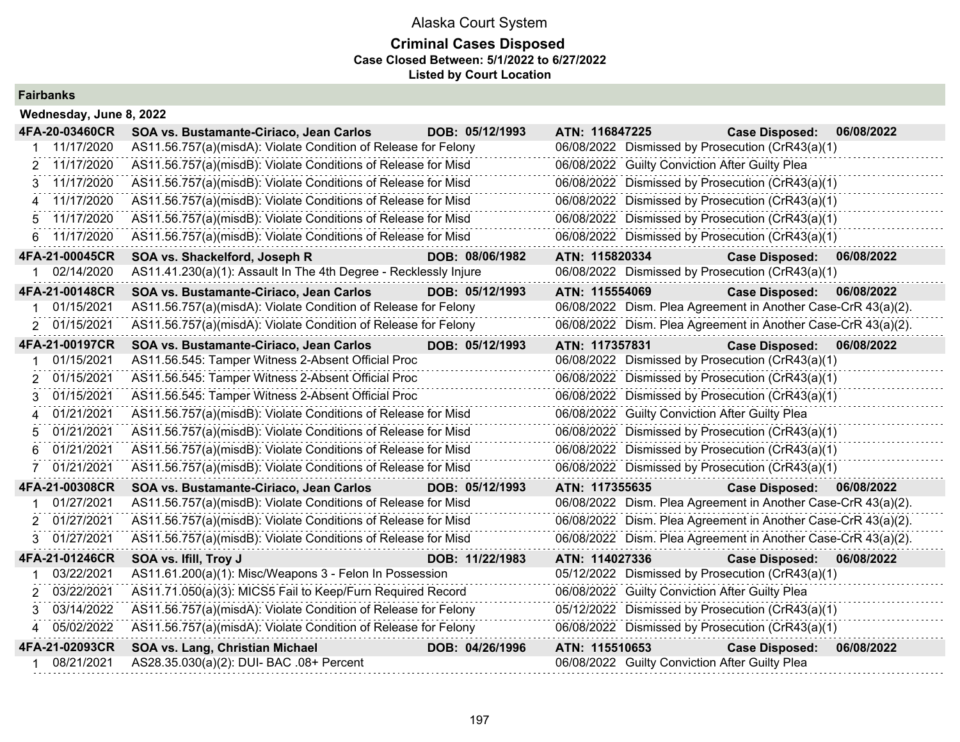## **Criminal Cases Disposed Case Closed Between: 5/1/2022 to 6/27/2022 Listed by Court Location**

## **Fairbanks**

| Wednesday, June 8, 2022 |                                                                  |                 |                                                               |                       |            |
|-------------------------|------------------------------------------------------------------|-----------------|---------------------------------------------------------------|-----------------------|------------|
| 4FA-20-03460CR          | SOA vs. Bustamante-Ciriaco, Jean Carlos                          | DOB: 05/12/1993 | ATN: 116847225                                                | <b>Case Disposed:</b> | 06/08/2022 |
| 11/17/2020              | AS11.56.757(a)(misdA): Violate Condition of Release for Felony   |                 | 06/08/2022 Dismissed by Prosecution (CrR43(a)(1)              |                       |            |
| 11/17/2020<br>2         | AS11.56.757(a)(misdB): Violate Conditions of Release for Misd    |                 | 06/08/2022 Guilty Conviction After Guilty Plea                |                       |            |
| 11/17/2020<br>3         | AS11.56.757(a)(misdB): Violate Conditions of Release for Misd    |                 | 06/08/2022 Dismissed by Prosecution (CrR43(a)(1)              |                       |            |
| 11/17/2020<br>4         | AS11.56.757(a)(misdB): Violate Conditions of Release for Misd    |                 | 06/08/2022 Dismissed by Prosecution (CrR43(a)(1)              |                       |            |
| 11/17/2020<br>5.        | AS11.56.757(a)(misdB): Violate Conditions of Release for Misd    |                 | 06/08/2022 Dismissed by Prosecution (CrR43(a)(1)              |                       |            |
| 11/17/2020<br>6.        | AS11.56.757(a)(misdB): Violate Conditions of Release for Misd    |                 | 06/08/2022 Dismissed by Prosecution (CrR43(a)(1)              |                       |            |
| 4FA-21-00045CR          | SOA vs. Shackelford, Joseph R                                    | DOB: 08/06/1982 | ATN: 115820334                                                | <b>Case Disposed:</b> | 06/08/2022 |
| 02/14/2020              | AS11.41.230(a)(1): Assault In The 4th Degree - Recklessly Injure |                 | 06/08/2022 Dismissed by Prosecution (CrR43(a)(1)              |                       |            |
| 4FA-21-00148CR          | SOA vs. Bustamante-Ciriaco, Jean Carlos                          | DOB: 05/12/1993 | ATN: 115554069                                                | <b>Case Disposed:</b> | 06/08/2022 |
| 01/15/2021              | AS11.56.757(a)(misdA): Violate Condition of Release for Felony   |                 | 06/08/2022 Dism. Plea Agreement in Another Case-CrR 43(a)(2). |                       |            |
| 01/15/2021<br>2         | AS11.56.757(a)(misdA): Violate Condition of Release for Felony   |                 | 06/08/2022 Dism. Plea Agreement in Another Case-CrR 43(a)(2). |                       |            |
| 4FA-21-00197CR          | SOA vs. Bustamante-Ciriaco, Jean Carlos                          | DOB: 05/12/1993 | ATN: 117357831                                                | <b>Case Disposed:</b> | 06/08/2022 |
| 01/15/2021              | AS11.56.545: Tamper Witness 2-Absent Official Proc               |                 | 06/08/2022 Dismissed by Prosecution (CrR43(a)(1)              |                       |            |
| 01/15/2021<br>2         | AS11.56.545: Tamper Witness 2-Absent Official Proc               |                 | 06/08/2022 Dismissed by Prosecution (CrR43(a)(1)              |                       |            |
| 01/15/2021              | AS11.56.545: Tamper Witness 2-Absent Official Proc               |                 | 06/08/2022 Dismissed by Prosecution (CrR43(a)(1)              |                       |            |
| 01/21/2021              | AS11.56.757(a)(misdB): Violate Conditions of Release for Misd    |                 | 06/08/2022 Guilty Conviction After Guilty Plea                |                       |            |
| 01/21/2021<br>5         | AS11.56.757(a)(misdB): Violate Conditions of Release for Misd    |                 | 06/08/2022 Dismissed by Prosecution (CrR43(a)(1)              |                       |            |
| 01/21/2021              | AS11.56.757(a)(misdB): Violate Conditions of Release for Misd    |                 | 06/08/2022 Dismissed by Prosecution (CrR43(a)(1)              |                       |            |
| 01/21/2021              | AS11.56.757(a)(misdB): Violate Conditions of Release for Misd    |                 | 06/08/2022 Dismissed by Prosecution (CrR43(a)(1)              |                       |            |
| 4FA-21-00308CR          | SOA vs. Bustamante-Ciriaco, Jean Carlos                          | DOB: 05/12/1993 | ATN: 117355635                                                | <b>Case Disposed:</b> | 06/08/2022 |
| 01/27/2021              | AS11.56.757(a)(misdB): Violate Conditions of Release for Misd    |                 | 06/08/2022 Dism. Plea Agreement in Another Case-CrR 43(a)(2). |                       |            |
| 01/27/2021<br>2         | AS11.56.757(a)(misdB): Violate Conditions of Release for Misd    |                 | 06/08/2022 Dism. Plea Agreement in Another Case-CrR 43(a)(2). |                       |            |
| 01/27/2021<br>3         | AS11.56.757(a)(misdB): Violate Conditions of Release for Misd    |                 | 06/08/2022 Dism. Plea Agreement in Another Case-CrR 43(a)(2). |                       |            |
| 4FA-21-01246CR          | SOA vs. Ifill, Troy J                                            | DOB: 11/22/1983 | ATN: 114027336                                                | <b>Case Disposed:</b> | 06/08/2022 |
| 03/22/2021              | AS11.61.200(a)(1): Misc/Weapons 3 - Felon In Possession          |                 | 05/12/2022 Dismissed by Prosecution (CrR43(a)(1)              |                       |            |
| 03/22/2021              | AS11.71.050(a)(3): MICS5 Fail to Keep/Furn Required Record       |                 | 06/08/2022 Guilty Conviction After Guilty Plea                |                       |            |
| 03/14/2022<br>3         | AS11.56.757(a)(misdA): Violate Condition of Release for Felony   |                 | 05/12/2022 Dismissed by Prosecution (CrR43(a)(1)              |                       |            |
| 05/02/2022              | AS11.56.757(a)(misdA): Violate Condition of Release for Felony   |                 | 06/08/2022 Dismissed by Prosecution (CrR43(a)(1)              |                       |            |
| 4FA-21-02093CR          | SOA vs. Lang, Christian Michael                                  | DOB: 04/26/1996 | ATN: 115510653                                                | <b>Case Disposed:</b> | 06/08/2022 |
| 08/21/2021              | AS28.35.030(a)(2): DUI- BAC .08+ Percent                         |                 | 06/08/2022 Guilty Conviction After Guilty Plea                |                       |            |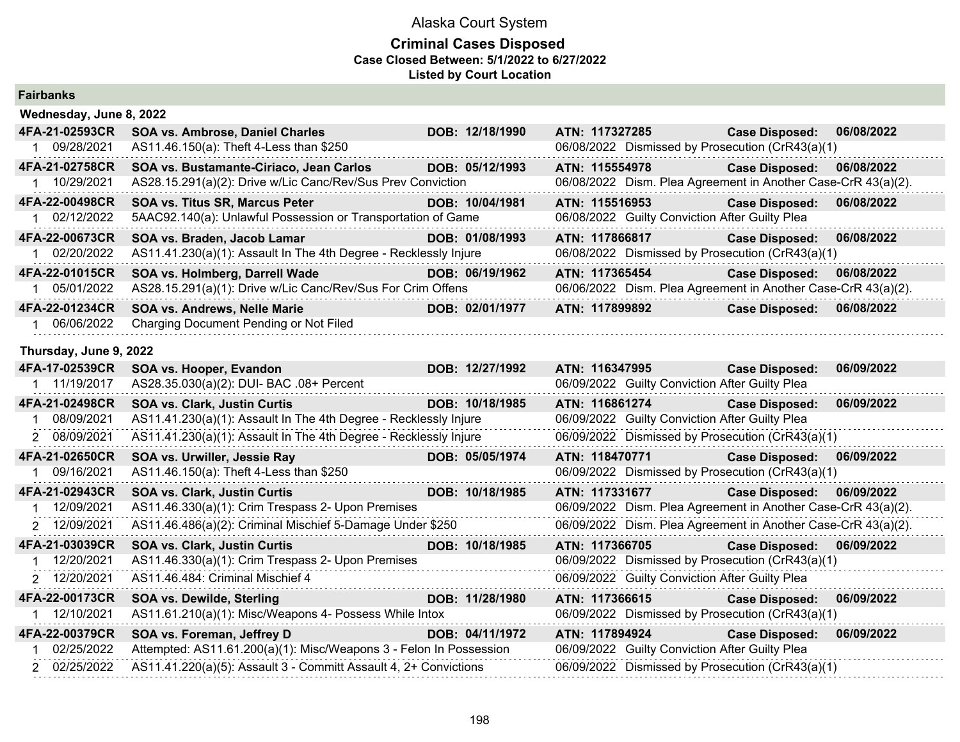| <b>Fairbanks</b>        |                                                                    |                 |                |                                                |                                                               |            |
|-------------------------|--------------------------------------------------------------------|-----------------|----------------|------------------------------------------------|---------------------------------------------------------------|------------|
| Wednesday, June 8, 2022 |                                                                    |                 |                |                                                |                                                               |            |
| 4FA-21-02593CR          | SOA vs. Ambrose, Daniel Charles                                    | DOB: 12/18/1990 | ATN: 117327285 |                                                | <b>Case Disposed:</b>                                         | 06/08/2022 |
| 1 09/28/2021            | AS11.46.150(a): Theft 4-Less than \$250                            |                 |                |                                                | 06/08/2022 Dismissed by Prosecution (CrR43(a)(1)              |            |
| 4FA-21-02758CR          | SOA vs. Bustamante-Ciriaco, Jean Carlos                            | DOB: 05/12/1993 | ATN: 115554978 |                                                | <b>Case Disposed:</b>                                         | 06/08/2022 |
| 1 10/29/2021            | AS28.15.291(a)(2): Drive w/Lic Canc/Rev/Sus Prev Conviction        |                 |                |                                                | 06/08/2022 Dism. Plea Agreement in Another Case-CrR 43(a)(2). |            |
| 4FA-22-00498CR          | <b>SOA vs. Titus SR, Marcus Peter</b>                              | DOB: 10/04/1981 | ATN: 115516953 |                                                | <b>Case Disposed:</b>                                         | 06/08/2022 |
| 02/12/2022              | 5AAC92.140(a): Unlawful Possession or Transportation of Game       |                 |                | 06/08/2022 Guilty Conviction After Guilty Plea |                                                               |            |
| 4FA-22-00673CR          | SOA vs. Braden, Jacob Lamar                                        | DOB: 01/08/1993 | ATN: 117866817 |                                                | <b>Case Disposed:</b>                                         | 06/08/2022 |
| 1 02/20/2022            | AS11.41.230(a)(1): Assault In The 4th Degree - Recklessly Injure   |                 |                |                                                | 06/08/2022 Dismissed by Prosecution (CrR43(a)(1)              |            |
| 4FA-22-01015CR          | SOA vs. Holmberg, Darrell Wade                                     | DOB: 06/19/1962 | ATN: 117365454 |                                                | <b>Case Disposed:</b>                                         | 06/08/2022 |
| 1 05/01/2022            | AS28.15.291(a)(1): Drive w/Lic Canc/Rev/Sus For Crim Offens        |                 |                |                                                | 06/06/2022 Dism. Plea Agreement in Another Case-CrR 43(a)(2). |            |
| 4FA-22-01234CR          | <b>SOA vs. Andrews, Nelle Marie</b>                                | DOB: 02/01/1977 | ATN: 117899892 |                                                | <b>Case Disposed:</b>                                         | 06/08/2022 |
| 1 06/06/2022            | Charging Document Pending or Not Filed                             |                 |                |                                                |                                                               |            |
| Thursday, June 9, 2022  |                                                                    |                 |                |                                                |                                                               |            |
| 4FA-17-02539CR          | SOA vs. Hooper, Evandon                                            | DOB: 12/27/1992 | ATN: 116347995 |                                                | <b>Case Disposed:</b>                                         | 06/09/2022 |
| 1 11/19/2017            | AS28.35.030(a)(2): DUI- BAC .08+ Percent                           |                 |                | 06/09/2022 Guilty Conviction After Guilty Plea |                                                               |            |
| 4FA-21-02498CR          | <b>SOA vs. Clark, Justin Curtis</b>                                | DOB: 10/18/1985 | ATN: 116861274 |                                                | <b>Case Disposed:</b>                                         | 06/09/2022 |
| 08/09/2021              | AS11.41.230(a)(1): Assault In The 4th Degree - Recklessly Injure   |                 |                | 06/09/2022 Guilty Conviction After Guilty Plea |                                                               |            |
| 2 08/09/2021            | AS11.41.230(a)(1): Assault In The 4th Degree - Recklessly Injure   |                 |                |                                                | 06/09/2022 Dismissed by Prosecution (CrR43(a)(1)              |            |
| 4FA-21-02650CR          | SOA vs. Urwiller, Jessie Ray                                       | DOB: 05/05/1974 | ATN: 118470771 |                                                | <b>Case Disposed:</b>                                         | 06/09/2022 |
| 1 09/16/2021            | AS11.46.150(a): Theft 4-Less than \$250<br><del>.</del>            |                 |                |                                                | 06/09/2022 Dismissed by Prosecution (CrR43(a)(1)              |            |
| 4FA-21-02943CR          | SOA vs. Clark, Justin Curtis                                       | DOB: 10/18/1985 | ATN: 117331677 |                                                | <b>Case Disposed:</b>                                         | 06/09/2022 |
| 1 12/09/2021            | AS11.46.330(a)(1): Crim Trespass 2- Upon Premises                  |                 |                |                                                | 06/09/2022 Dism. Plea Agreement in Another Case-CrR 43(a)(2). |            |
| 2 12/09/2021            | AS11.46.486(a)(2): Criminal Mischief 5-Damage Under \$250          |                 |                |                                                | 06/09/2022 Dism. Plea Agreement in Another Case-CrR 43(a)(2). |            |
| 4FA-21-03039CR          | SOA vs. Clark, Justin Curtis                                       | DOB: 10/18/1985 | ATN: 117366705 |                                                | <b>Case Disposed:</b>                                         | 06/09/2022 |
| 12/20/2021              | AS11.46.330(a)(1): Crim Trespass 2- Upon Premises                  |                 |                |                                                | 06/09/2022 Dismissed by Prosecution (CrR43(a)(1)              |            |
| 2 12/20/2021            | AS11.46.484: Criminal Mischief 4                                   |                 |                | 06/09/2022 Guilty Conviction After Guilty Plea |                                                               |            |
| 4FA-22-00173CR          | <b>SOA vs. Dewilde, Sterling</b>                                   | DOB: 11/28/1980 | ATN: 117366615 |                                                | <b>Case Disposed:</b>                                         | 06/09/2022 |
| 1 12/10/2021            | AS11.61.210(a)(1): Misc/Weapons 4- Possess While Intox             |                 |                |                                                | 06/09/2022 Dismissed by Prosecution (CrR43(a)(1)              |            |
| 4FA-22-00379CR          | SOA vs. Foreman, Jeffrey D                                         | DOB: 04/11/1972 | ATN: 117894924 |                                                | <b>Case Disposed:</b>                                         | 06/09/2022 |
| 02/25/2022              | Attempted: AS11.61.200(a)(1): Misc/Weapons 3 - Felon In Possession |                 |                | 06/09/2022 Guilty Conviction After Guilty Plea |                                                               |            |
| 2 02/25/2022            | AS11.41.220(a)(5): Assault 3 - Committ Assault 4, 2+ Convictions   |                 |                |                                                | 06/09/2022 Dismissed by Prosecution (CrR43(a)(1)              |            |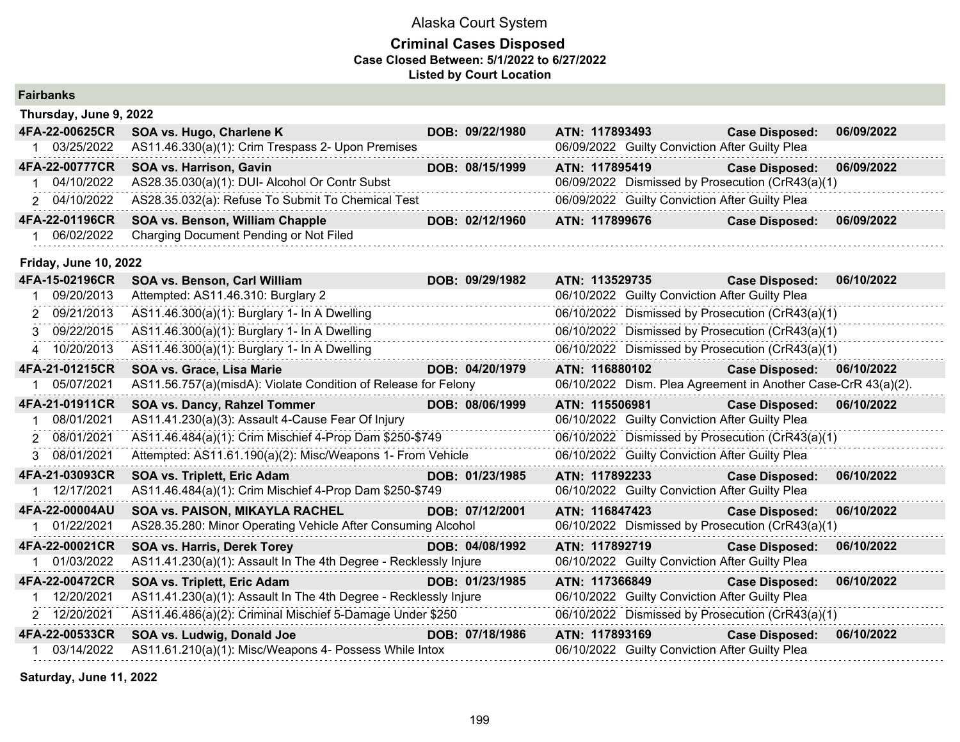## **Criminal Cases Disposed Case Closed Between: 5/1/2022 to 6/27/2022 Listed by Court Location**

| Thursday, June 9, 2022 |                                                   |  |                 |                                                  |                       |            |  |  |
|------------------------|---------------------------------------------------|--|-----------------|--------------------------------------------------|-----------------------|------------|--|--|
| 4FA-22-00625CR         | SOA vs. Hugo, Charlene K                          |  | DOB: 09/22/1980 | ATN: 117893493                                   | <b>Case Disposed:</b> | 06/09/2022 |  |  |
| 03/25/2022             | AS11.46.330(a)(1): Crim Trespass 2- Upon Premises |  |                 | 06/09/2022 Guilty Conviction After Guilty Plea   |                       |            |  |  |
| 4FA-22-00777CR         | <b>SOA vs. Harrison, Gavin</b>                    |  | DOB: 08/15/1999 | ATN: 117895419                                   | <b>Case Disposed:</b> | 06/09/2022 |  |  |
| 04/10/2022             | AS28.35.030(a)(1): DUI- Alcohol Or Contr Subst    |  |                 | 06/09/2022 Dismissed by Prosecution (CrR43(a)(1) |                       |            |  |  |
| 2 04/10/2022           | AS28.35.032(a): Refuse To Submit To Chemical Test |  |                 | 06/09/2022 Guilty Conviction After Guilty Plea   |                       |            |  |  |
| 4FA-22-01196CR         | <b>SOA vs. Benson, William Chapple</b>            |  | DOB: 02/12/1960 | ATN: 117899676                                   | <b>Case Disposed:</b> | 06/09/2022 |  |  |
| 06/02/2022             | Charging Document Pending or Not Filed            |  |                 |                                                  |                       |            |  |  |

### **Friday, June 10, 2022**

| 4FA-15-02196CR | <b>SOA vs. Benson, Carl William</b>                                                                               | DOB: 09/29/1982 | ATN: 113529735                                                | <b>Case Disposed:</b>     | 06/10/2022 |
|----------------|-------------------------------------------------------------------------------------------------------------------|-----------------|---------------------------------------------------------------|---------------------------|------------|
| 09/20/2013     | Attempted: AS11.46.310: Burglary 2                                                                                |                 | 06/10/2022 Guilty Conviction After Guilty Plea                |                           |            |
| 09/21/2013     | AS11.46.300(a)(1): Burglary 1- In A Dwelling                                                                      |                 | 06/10/2022 Dismissed by Prosecution (CrR43(a)(1)              |                           |            |
| 3 09/22/2015   | AS11.46.300(a)(1): Burglary 1- In A Dwelling                                                                      |                 | 06/10/2022 Dismissed by Prosecution (CrR43(a)(1)              |                           |            |
| 4 10/20/2013   | AS11.46.300(a)(1): Burglary 1- In A Dwelling                                                                      |                 | 06/10/2022 Dismissed by Prosecution (CrR43(a)(1)              |                           |            |
| 4FA-21-01215CR | SOA vs. Grace, Lisa Marie                                                                                         | DOB: 04/20/1979 | ATN: 116880102                                                | Case Disposed: 06/10/2022 |            |
| 05/07/2021     | AS11.56.757(a)(misdA): Violate Condition of Release for Felony                                                    |                 | 06/10/2022 Dism. Plea Agreement in Another Case-CrR 43(a)(2). |                           |            |
| 4FA-21-01911CR | SOA vs. Dancy, Rahzel Tommer                                                                                      | DOB: 08/06/1999 | ATN: 115506981                                                | <b>Case Disposed:</b>     | 06/10/2022 |
| 08/01/2021     | AS11.41.230(a)(3): Assault 4-Cause Fear Of Injury                                                                 |                 | 06/10/2022 Guilty Conviction After Guilty Plea                |                           |            |
| 2 08/01/2021   | AS11.46.484(a)(1): Crim Mischief 4-Prop Dam \$250-\$749                                                           |                 | 06/10/2022 Dismissed by Prosecution (CrR43(a)(1)              |                           |            |
| 3 08/01/2021   | Attempted: AS11.61.190(a)(2): Misc/Weapons 1- From Vehicle                                                        |                 | 06/10/2022 Guilty Conviction After Guilty Plea                |                           |            |
| 4FA-21-03093CR | SOA vs. Triplett, Eric Adam                                                                                       | DOB: 01/23/1985 | ATN: 117892233                                                | <b>Case Disposed:</b>     | 06/10/2022 |
| 12/17/2021     | AS11.46.484(a)(1): Crim Mischief 4-Prop Dam \$250-\$749                                                           |                 | 06/10/2022 Guilty Conviction After Guilty Plea                |                           |            |
| 4FA-22-00004AU | SOA vs. PAISON, MIKAYLA RACHEL                                                                                    | DOB: 07/12/2001 | ATN: 116847423                                                | <b>Case Disposed:</b>     | 06/10/2022 |
| 01/22/2021     | AS28.35.280: Minor Operating Vehicle After Consuming Alcohol                                                      |                 | 06/10/2022 Dismissed by Prosecution (CrR43(a)(1)              |                           |            |
| 4FA-22-00021CR | <b>SOA vs. Harris, Derek Torey</b>                                                                                | DOB: 04/08/1992 | ATN: 117892719                                                | <b>Case Disposed:</b>     | 06/10/2022 |
| 01/03/2022     | AS11.41.230(a)(1): Assault In The 4th Degree - Recklessly Injure                                                  |                 | 06/10/2022 Guilty Conviction After Guilty Plea                |                           |            |
| 4FA-22-00472CR | <b>SOA vs. Triplett, Eric Adam</b>                                                                                | DOB: 01/23/1985 | ATN: 117366849                                                | <b>Case Disposed:</b>     | 06/10/2022 |
| 12/20/2021     | AS11.41.230(a)(1): Assault In The 4th Degree - Recklessly Injure                                                  |                 | 06/10/2022 Guilty Conviction After Guilty Plea                |                           |            |
| 2 12/20/2021   | AS11.46.486(a)(2): Criminal Mischief 5-Damage Under \$250                                                         |                 | 06/10/2022 Dismissed by Prosecution (CrR43(a)(1)              |                           |            |
| 4FA-22-00533CR | SOA vs. Ludwig, Donald Joe<br><u> Tanzania (h. 1888).</u><br>Martxoaren 1a - Antonio II.a, politikaria (h. 1888). | DOB: 07/18/1986 | ATN: 117893169                                                | <b>Case Disposed:</b>     | 06/10/2022 |
| 03/14/2022     | AS11.61.210(a)(1): Misc/Weapons 4- Possess While Intox                                                            |                 | 06/10/2022 Guilty Conviction After Guilty Plea                |                           |            |

**Saturday, June 11, 2022**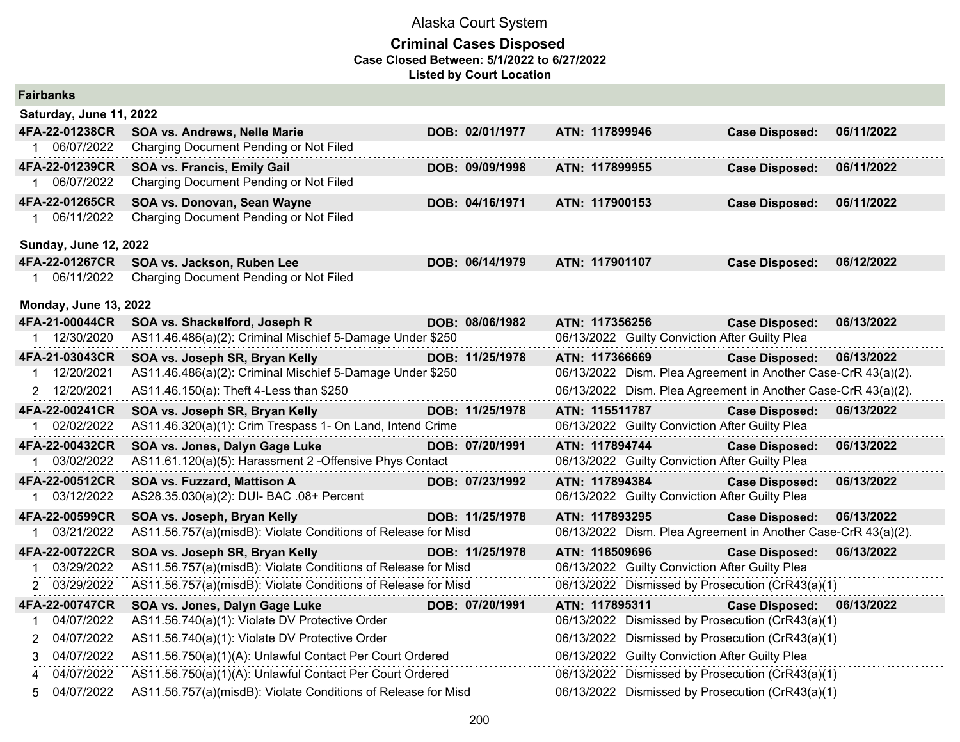| <b>Fairbanks</b>             |                                                               |                 |                |                                                               |            |
|------------------------------|---------------------------------------------------------------|-----------------|----------------|---------------------------------------------------------------|------------|
| Saturday, June 11, 2022      |                                                               |                 |                |                                                               |            |
| 4FA-22-01238CR               | <b>SOA vs. Andrews, Nelle Marie</b>                           | DOB: 02/01/1977 | ATN: 117899946 | <b>Case Disposed:</b>                                         | 06/11/2022 |
| 1 06/07/2022                 | Charging Document Pending or Not Filed                        |                 |                |                                                               |            |
| 4FA-22-01239CR               | SOA vs. Francis, Emily Gail                                   | DOB: 09/09/1998 | ATN: 117899955 | <b>Case Disposed:</b>                                         | 06/11/2022 |
| 1 06/07/2022                 | Charging Document Pending or Not Filed                        |                 |                |                                                               |            |
| 4FA-22-01265CR               | SOA vs. Donovan, Sean Wayne                                   | DOB: 04/16/1971 | ATN: 117900153 | <b>Case Disposed:</b>                                         | 06/11/2022 |
| 1 06/11/2022                 | Charging Document Pending or Not Filed                        |                 |                |                                                               |            |
| <b>Sunday, June 12, 2022</b> |                                                               |                 |                |                                                               |            |
| 4FA-22-01267CR               | SOA vs. Jackson, Ruben Lee                                    | DOB: 06/14/1979 | ATN: 117901107 | <b>Case Disposed:</b>                                         | 06/12/2022 |
| 1 06/11/2022                 | Charging Document Pending or Not Filed                        |                 |                |                                                               |            |
| <b>Monday, June 13, 2022</b> |                                                               |                 |                |                                                               |            |
| 4FA-21-00044CR               | SOA vs. Shackelford, Joseph R                                 | DOB: 08/06/1982 | ATN: 117356256 | <b>Case Disposed:</b>                                         | 06/13/2022 |
| 1 12/30/2020                 | AS11.46.486(a)(2): Criminal Mischief 5-Damage Under \$250     |                 |                | 06/13/2022 Guilty Conviction After Guilty Plea                |            |
| 4FA-21-03043CR               | SOA vs. Joseph SR, Bryan Kelly                                | DOB: 11/25/1978 | ATN: 117366669 | <b>Case Disposed:</b>                                         | 06/13/2022 |
| 1 12/20/2021                 | AS11.46.486(a)(2): Criminal Mischief 5-Damage Under \$250     |                 |                | 06/13/2022 Dism. Plea Agreement in Another Case-CrR 43(a)(2). |            |
| 2 12/20/2021                 | AS11.46.150(a): Theft 4-Less than \$250                       |                 |                | 06/13/2022 Dism. Plea Agreement in Another Case-CrR 43(a)(2). |            |
| 4FA-22-00241CR               | SOA vs. Joseph SR, Bryan Kelly                                | DOB: 11/25/1978 | ATN: 115511787 | <b>Case Disposed:</b>                                         | 06/13/2022 |
| 1 02/02/2022                 | AS11.46.320(a)(1): Crim Trespass 1- On Land, Intend Crime     |                 |                | 06/13/2022 Guilty Conviction After Guilty Plea                |            |
| 4FA-22-00432CR               | SOA vs. Jones, Dalyn Gage Luke                                | DOB: 07/20/1991 | ATN: 117894744 | <b>Case Disposed:</b>                                         | 06/13/2022 |
| 1 03/02/2022                 | AS11.61.120(a)(5): Harassment 2 -Offensive Phys Contact       |                 |                | 06/13/2022 Guilty Conviction After Guilty Plea                |            |
| 4FA-22-00512CR               | SOA vs. Fuzzard, Mattison A                                   | DOB: 07/23/1992 | ATN: 117894384 | <b>Case Disposed:</b>                                         | 06/13/2022 |
| 1 03/12/2022                 | AS28.35.030(a)(2): DUI- BAC .08+ Percent                      |                 |                | 06/13/2022 Guilty Conviction After Guilty Plea                |            |
| 4FA-22-00599CR               | SOA vs. Joseph, Bryan Kelly                                   | DOB: 11/25/1978 | ATN: 117893295 | <b>Case Disposed:</b>                                         | 06/13/2022 |
| 1 03/21/2022                 | AS11.56.757(a)(misdB): Violate Conditions of Release for Misd |                 |                | 06/13/2022 Dism. Plea Agreement in Another Case-CrR 43(a)(2). |            |
| 4FA-22-00722CR               | SOA vs. Joseph SR, Bryan Kelly                                | DOB: 11/25/1978 | ATN: 118509696 | <b>Case Disposed:</b>                                         | 06/13/2022 |
| 03/29/2022                   | AS11.56.757(a)(misdB): Violate Conditions of Release for Misd |                 |                | 06/13/2022 Guilty Conviction After Guilty Plea                |            |
| 2 03/29/2022                 | AS11.56.757(a)(misdB): Violate Conditions of Release for Misd |                 |                | 06/13/2022 Dismissed by Prosecution (CrR43(a)(1)              |            |
| 4FA-22-00747CR               | SOA vs. Jones, Dalyn Gage Luke                                | DOB: 07/20/1991 | ATN: 117895311 | <b>Case Disposed:</b>                                         | 06/13/2022 |
| 04/07/2022<br>1              | AS11.56.740(a)(1): Violate DV Protective Order                |                 |                | 06/13/2022 Dismissed by Prosecution (CrR43(a)(1)              |            |
| 2 04/07/2022                 | AS11.56.740(a)(1): Violate DV Protective Order                |                 |                | 06/13/2022 Dismissed by Prosecution (CrR43(a)(1)              |            |
| 3 04/07/2022                 | AS11.56.750(a)(1)(A): Unlawful Contact Per Court Ordered      |                 |                | 06/13/2022 Guilty Conviction After Guilty Plea                |            |
| 04/07/2022<br>4              | AS11.56.750(a)(1)(A): Unlawful Contact Per Court Ordered      |                 |                | 06/13/2022 Dismissed by Prosecution (CrR43(a)(1)              |            |
| 04/07/2022<br>5.             | AS11.56.757(a)(misdB): Violate Conditions of Release for Misd |                 |                | 06/13/2022 Dismissed by Prosecution (CrR43(a)(1)              |            |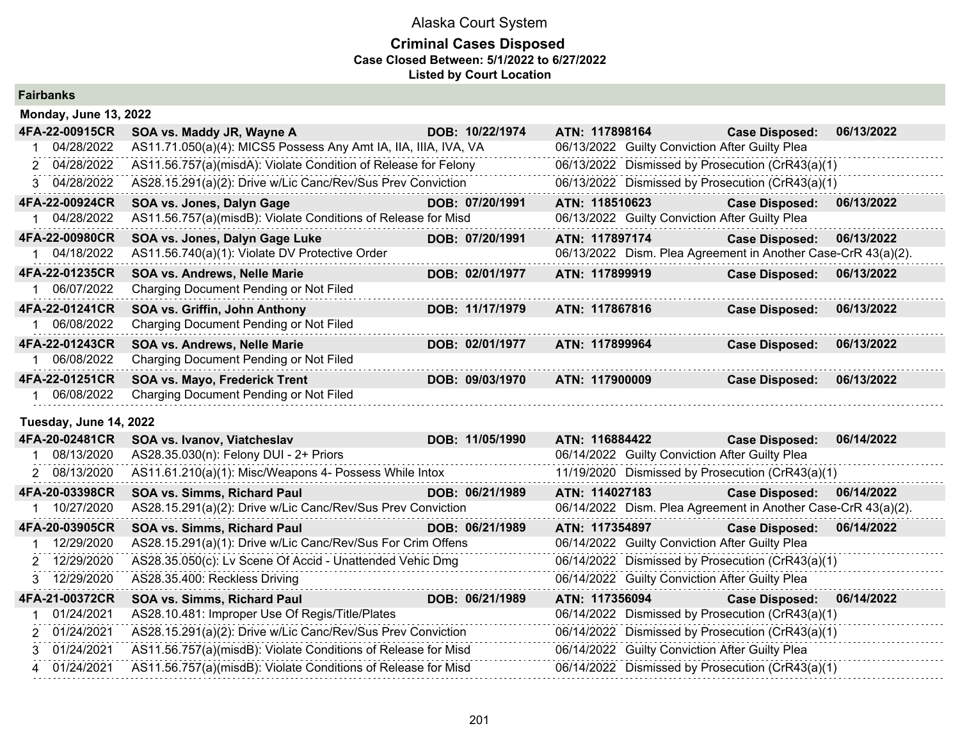## **Criminal Cases Disposed Case Closed Between: 5/1/2022 to 6/27/2022 Listed by Court Location**

**Fairbanks**

| Fall Dal INS                 |                                                                 |                 |                                                               |                       |            |
|------------------------------|-----------------------------------------------------------------|-----------------|---------------------------------------------------------------|-----------------------|------------|
| <b>Monday, June 13, 2022</b> |                                                                 |                 |                                                               |                       |            |
| 4FA-22-00915CR               | SOA vs. Maddy JR, Wayne A                                       | DOB: 10/22/1974 | ATN: 117898164                                                | <b>Case Disposed:</b> | 06/13/2022 |
| 04/28/2022<br>1.             | AS11.71.050(a)(4): MICS5 Possess Any Amt IA, IIA, IIIA, IVA, VA |                 | 06/13/2022 Guilty Conviction After Guilty Plea                |                       |            |
| 2 04/28/2022                 | AS11.56.757(a)(misdA): Violate Condition of Release for Felony  |                 | 06/13/2022 Dismissed by Prosecution (CrR43(a)(1)              |                       |            |
| 3 04/28/2022                 | AS28.15.291(a)(2): Drive w/Lic Canc/Rev/Sus Prev Conviction     |                 | 06/13/2022 Dismissed by Prosecution (CrR43(a)(1)              |                       |            |
| 4FA-22-00924CR               | SOA vs. Jones, Dalyn Gage                                       | DOB: 07/20/1991 | ATN: 118510623                                                | <b>Case Disposed:</b> | 06/13/2022 |
| 04/28/2022                   | AS11.56.757(a)(misdB): Violate Conditions of Release for Misd   |                 | 06/13/2022 Guilty Conviction After Guilty Plea                |                       |            |
| 4FA-22-00980CR               | SOA vs. Jones, Dalyn Gage Luke                                  | DOB: 07/20/1991 | ATN: 117897174                                                | <b>Case Disposed:</b> | 06/13/2022 |
| 04/18/2022                   | AS11.56.740(a)(1): Violate DV Protective Order                  |                 | 06/13/2022 Dism. Plea Agreement in Another Case-CrR 43(a)(2). |                       |            |
| 4FA-22-01235CR               | SOA vs. Andrews, Nelle Marie                                    | DOB: 02/01/1977 | ATN: 117899919                                                | <b>Case Disposed:</b> | 06/13/2022 |
| 1 06/07/2022                 | Charging Document Pending or Not Filed                          |                 |                                                               |                       |            |
| 4FA-22-01241CR               | SOA vs. Griffin, John Anthony                                   | DOB: 11/17/1979 | ATN: 117867816                                                | <b>Case Disposed:</b> | 06/13/2022 |
| 1 06/08/2022                 | Charging Document Pending or Not Filed                          |                 |                                                               |                       |            |
| 4FA-22-01243CR               | <b>SOA vs. Andrews, Nelle Marie</b>                             | DOB: 02/01/1977 | ATN: 117899964                                                | <b>Case Disposed:</b> | 06/13/2022 |
| 1 06/08/2022                 | Charging Document Pending or Not Filed                          |                 |                                                               |                       |            |
| 4FA-22-01251CR               | <b>SOA vs. Mayo, Frederick Trent</b>                            | DOB: 09/03/1970 | ATN: 117900009                                                | <b>Case Disposed:</b> | 06/13/2022 |
| 1 06/08/2022                 | Charging Document Pending or Not Filed                          |                 |                                                               |                       |            |
| Tuesday, June 14, 2022       |                                                                 |                 |                                                               |                       |            |
| 4FA-20-02481CR               | SOA vs. Ivanov, Viatcheslav                                     | DOB: 11/05/1990 | ATN: 116884422                                                | <b>Case Disposed:</b> | 06/14/2022 |
| 08/13/2020                   | AS28.35.030(n): Felony DUI - 2+ Priors                          |                 | 06/14/2022 Guilty Conviction After Guilty Plea                |                       |            |
| 2 08/13/2020                 | AS11.61.210(a)(1): Misc/Weapons 4- Possess While Intox          |                 | 11/19/2020 Dismissed by Prosecution (CrR43(a)(1)              |                       |            |
| 4FA-20-03398CR               | SOA vs. Simms, Richard Paul                                     | DOB: 06/21/1989 | ATN: 114027183                                                | <b>Case Disposed:</b> | 06/14/2022 |
| 1 10/27/2020                 | AS28.15.291(a)(2): Drive w/Lic Canc/Rev/Sus Prev Conviction     |                 | 06/14/2022 Dism. Plea Agreement in Another Case-CrR 43(a)(2). |                       |            |
| 4FA-20-03905CR               | SOA vs. Simms, Richard Paul                                     | DOB: 06/21/1989 | ATN: 117354897                                                | <b>Case Disposed:</b> | 06/14/2022 |
| 12/29/2020                   | AS28.15.291(a)(1): Drive w/Lic Canc/Rev/Sus For Crim Offens     |                 | 06/14/2022 Guilty Conviction After Guilty Plea                |                       |            |
| 12/29/2020<br>2              | AS28.35.050(c): Lv Scene Of Accid - Unattended Vehic Dmg        |                 | 06/14/2022 Dismissed by Prosecution (CrR43(a)(1)              |                       |            |
| 12/29/2020<br>3.             | AS28.35.400: Reckless Driving                                   |                 | 06/14/2022 Guilty Conviction After Guilty Plea                |                       |            |
| 4FA-21-00372CR               | SOA vs. Simms, Richard Paul                                     | DOB: 06/21/1989 | ATN: 117356094                                                | <b>Case Disposed:</b> | 06/14/2022 |
| 01/24/2021                   | AS28.10.481: Improper Use Of Regis/Title/Plates                 |                 | 06/14/2022 Dismissed by Prosecution (CrR43(a)(1)              |                       |            |
| 2 01/24/2021                 | AS28.15.291(a)(2): Drive w/Lic Canc/Rev/Sus Prev Conviction     |                 | 06/14/2022 Dismissed by Prosecution (CrR43(a)(1)              |                       |            |
| 01/24/2021<br>3.             | AS11.56.757(a)(misdB): Violate Conditions of Release for Misd   |                 | 06/14/2022 Guilty Conviction After Guilty Plea                |                       |            |
| 4 01/24/2021                 | AS11.56.757(a)(misdB): Violate Conditions of Release for Misd   |                 | 06/14/2022 Dismissed by Prosecution (CrR43(a)(1)              |                       |            |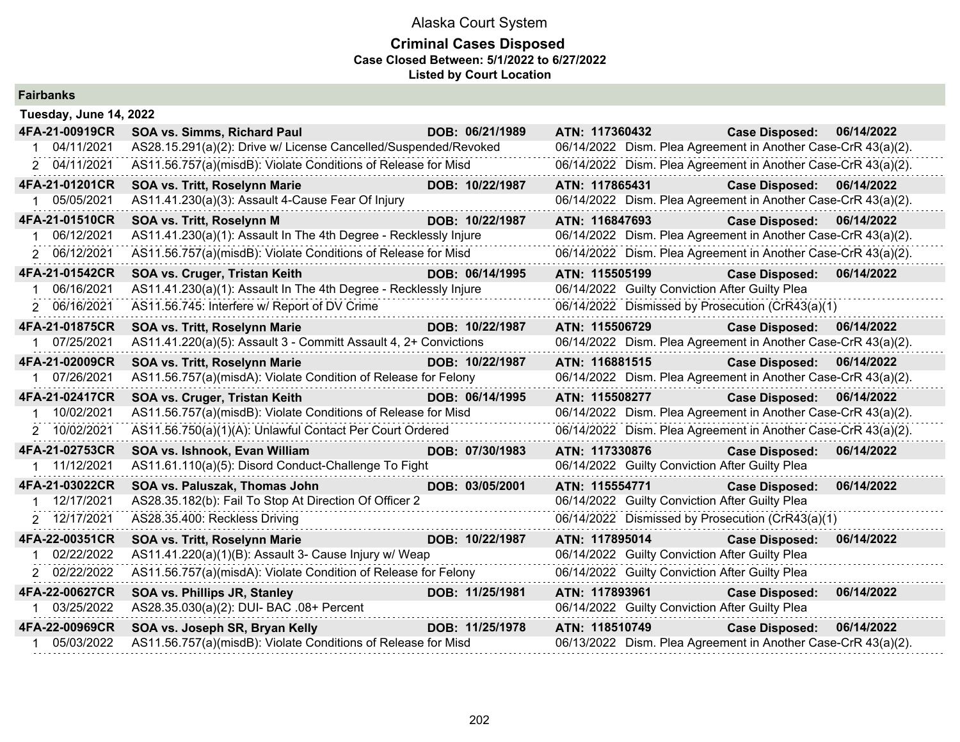| <b>Fairbanks</b>          |                                                                                    |                 |                                                               |                           |            |
|---------------------------|------------------------------------------------------------------------------------|-----------------|---------------------------------------------------------------|---------------------------|------------|
| Tuesday, June 14, 2022    |                                                                                    |                 |                                                               |                           |            |
| 4FA-21-00919CR            | SOA vs. Simms, Richard Paul                                                        | DOB: 06/21/1989 | ATN: 117360432                                                | <b>Case Disposed:</b>     | 06/14/2022 |
| 04/11/2021                | AS28.15.291(a)(2): Drive w/ License Cancelled/Suspended/Revoked                    |                 | 06/14/2022 Dism. Plea Agreement in Another Case-CrR 43(a)(2). |                           |            |
| 2 04/11/2021              | AS11.56.757(a)(misdB): Violate Conditions of Release for Misd                      |                 | 06/14/2022 Dism. Plea Agreement in Another Case-CrR 43(a)(2). |                           |            |
| 4FA-21-01201CR            | SOA vs. Tritt, Roselynn Marie                                                      | DOB: 10/22/1987 | ATN: 117865431                                                | <b>Case Disposed:</b>     | 06/14/2022 |
| 1 05/05/2021              | AS11.41.230(a)(3): Assault 4-Cause Fear Of Injury                                  | .               | 06/14/2022 Dism. Plea Agreement in Another Case-CrR 43(a)(2). |                           |            |
| 4FA-21-01510CR            | SOA vs. Tritt, Roselynn M<br><u> 1999 - Johann Barnett, mars e</u>                 | DOB: 10/22/1987 | ATN: 116847693                                                | Case Disposed: 06/14/2022 |            |
| 06/12/2021                | AS11.41.230(a)(1): Assault In The 4th Degree - Recklessly Injure                   |                 | 06/14/2022 Dism. Plea Agreement in Another Case-CrR 43(a)(2). |                           |            |
| 2 06/12/2021              | AS11.56.757(a)(misdB): Violate Conditions of Release for Misd                      |                 | 06/14/2022 Dism. Plea Agreement in Another Case-CrR 43(a)(2). |                           |            |
| 4FA-21-01542CR            | SOA vs. Cruger, Tristan Keith                                                      | DOB: 06/14/1995 | ATN: 115505199                                                | Case Disposed: 06/14/2022 |            |
| 06/16/2021                | AS11.41.230(a)(1): Assault In The 4th Degree - Recklessly Injure                   |                 | 06/14/2022 Guilty Conviction After Guilty Plea                |                           |            |
| 2 06/16/2021              | AS11.56.745: Interfere w/ Report of DV Crime                                       |                 | 06/14/2022 Dismissed by Prosecution (CrR43(a)(1)              |                           |            |
| 4FA-21-01875CR            | SOA vs. Tritt, Roselynn Marie<br><u> 1999 - Johann Barnett, fransk politiker (</u> | DOB: 10/22/1987 | ATN: 115506729                                                | <b>Case Disposed:</b>     | 06/14/2022 |
| 07/25/2021                | AS11.41.220(a)(5): Assault 3 - Committ Assault 4, 2+ Convictions                   |                 | 06/14/2022 Dism. Plea Agreement in Another Case-CrR 43(a)(2). |                           |            |
| 4FA-21-02009CR            | SOA vs. Tritt, Roselynn Marie                                                      | DOB: 10/22/1987 | ATN: 116881515                                                | <b>Case Disposed:</b>     | 06/14/2022 |
| 07/26/2021<br>$\mathbf 1$ | AS11.56.757(a)(misdA): Violate Condition of Release for Felony                     |                 | 06/14/2022 Dism. Plea Agreement in Another Case-CrR 43(a)(2). |                           |            |
| 4FA-21-02417CR            | SOA vs. Cruger, Tristan Keith                                                      | DOB: 06/14/1995 | ATN: 115508277                                                | <b>Case Disposed:</b>     | 06/14/2022 |
| 10/02/2021                | AS11.56.757(a)(misdB): Violate Conditions of Release for Misd                      |                 | 06/14/2022 Dism. Plea Agreement in Another Case-CrR 43(a)(2). |                           |            |
| 2 10/02/2021              | AS11.56.750(a)(1)(A): Unlawful Contact Per Court Ordered                           |                 | 06/14/2022 Dism. Plea Agreement in Another Case-CrR 43(a)(2). |                           |            |
| 4FA-21-02753CR            | SOA vs. Ishnook, Evan William                                                      | DOB: 07/30/1983 | ATN: 117330876                                                | <b>Case Disposed:</b>     | 06/14/2022 |
| 1 11/12/2021              | AS11.61.110(a)(5): Disord Conduct-Challenge To Fight                               |                 | 06/14/2022 Guilty Conviction After Guilty Plea                |                           |            |
| 4FA-21-03022CR            | SOA vs. Paluszak, Thomas John                                                      | DOB: 03/05/2001 | ATN: 115554771                                                | <b>Case Disposed:</b>     | 06/14/2022 |
| 12/17/2021                | AS28.35.182(b): Fail To Stop At Direction Of Officer 2                             |                 | 06/14/2022 Guilty Conviction After Guilty Plea                |                           |            |
| 2 12/17/2021              | AS28.35.400: Reckless Driving                                                      |                 | 06/14/2022 Dismissed by Prosecution (CrR43(a)(1)              |                           |            |
| 4FA-22-00351CR            | a di serie della contratta della<br>SOA vs. Tritt, Roselynn Marie                  | DOB: 10/22/1987 | ATN: 117895014 Case Disposed:                                 |                           | 06/14/2022 |
| 02/22/2022                | AS11.41.220(a)(1)(B): Assault 3- Cause Injury w/ Weap                              |                 | 06/14/2022 Guilty Conviction After Guilty Plea                |                           |            |
| 2 02/22/2022              | AS11.56.757(a)(misdA): Violate Condition of Release for Felony                     |                 | 06/14/2022 Guilty Conviction After Guilty Plea                |                           |            |
| 4FA-22-00627CR            | SOA vs. Phillips JR, Stanley                                                       | DOB: 11/25/1981 | ATN: 117893961                                                | <b>Case Disposed:</b>     | 06/14/2022 |
| 1 03/25/2022              | AS28.35.030(a)(2): DUI- BAC .08+ Percent                                           |                 | 06/14/2022 Guilty Conviction After Guilty Plea                |                           |            |
| 4FA-22-00969CR            | SOA vs. Joseph SR, Bryan Kelly                                                     | DOB: 11/25/1978 | ATN: 118510749                                                | <b>Case Disposed:</b>     | 06/14/2022 |
| 05/03/2022                | AS11.56.757(a)(misdB): Violate Conditions of Release for Misd                      |                 | 06/13/2022 Dism. Plea Agreement in Another Case-CrR 43(a)(2). |                           |            |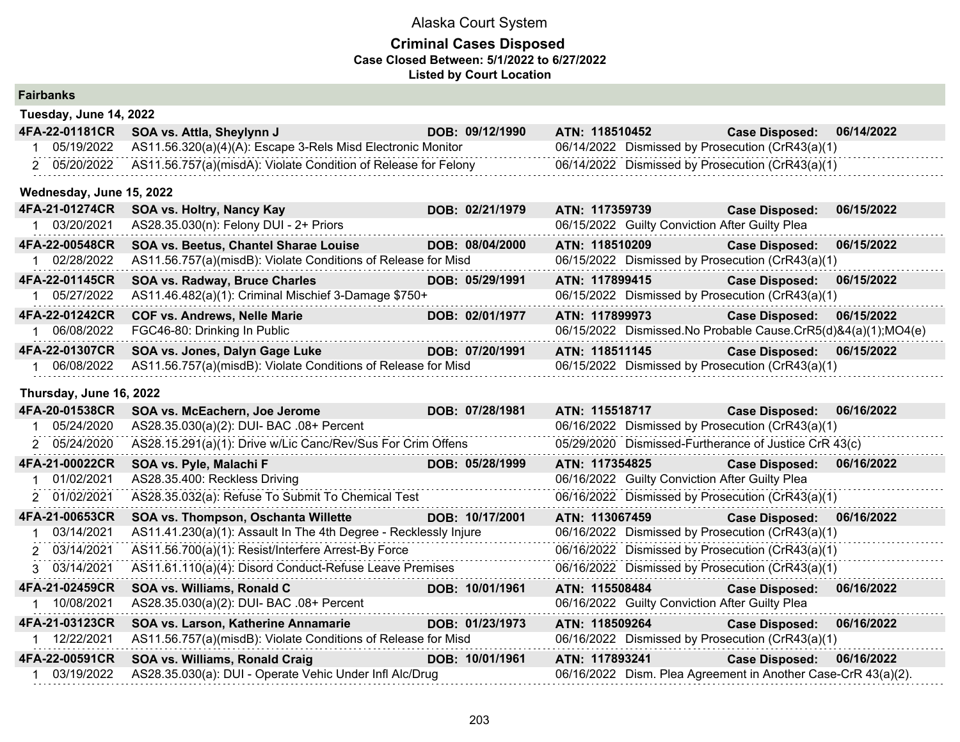## **Criminal Cases Disposed Case Closed Between: 5/1/2022 to 6/27/2022 Listed by Court Location**

| <b>Fairbanks</b> |
|------------------|
|------------------|

| Tuesday, June 14, 2022   |                                                                |                 |                                                               |                       |            |
|--------------------------|----------------------------------------------------------------|-----------------|---------------------------------------------------------------|-----------------------|------------|
| 4FA-22-01181CR           | SOA vs. Attla, Sheylynn J                                      | DOB: 09/12/1990 | ATN: 118510452                                                | <b>Case Disposed:</b> | 06/14/2022 |
| 05/19/2022               | AS11.56.320(a)(4)(A): Escape 3-Rels Misd Electronic Monitor    |                 | 06/14/2022 Dismissed by Prosecution (CrR43(a)(1)              |                       |            |
| 2 05/20/2022             | AS11.56.757(a)(misdA): Violate Condition of Release for Felony |                 | 06/14/2022 Dismissed by Prosecution (CrR43(a)(1)              |                       |            |
| Wednesday, June 15, 2022 |                                                                |                 |                                                               |                       |            |
| 4FA-21-01274CR           | SOA vs. Holtry, Nancy Kay                                      | DOB: 02/21/1979 | ATN: 117359739                                                | <b>Case Disposed:</b> | 06/15/2022 |
| 1 03/20/2021             | AS28.35.030(n): Felony DUI - 2+ Priors                         |                 | 06/15/2022 Guilty Conviction After Guilty Plea                |                       |            |
| 4FA-22-00548CR           | SOA vs. Beetus, Chantel Sharae Louise                          | DOB: 08/04/2000 | ATN: 118510209                                                | <b>Case Disposed:</b> | 06/15/2022 |
| 02/28/2022               | AS11.56.757(a)(misdB): Violate Conditions of Release for Misd  |                 | 06/15/2022 Dismissed by Prosecution (CrR43(a)(1)              |                       |            |
| 4FA-22-01145CR           | <b>SOA vs. Radway, Bruce Charles</b>                           | DOB: 05/29/1991 | ATN: 117899415                                                | <b>Case Disposed:</b> | 06/15/2022 |
| 1 05/27/2022             | AS11.46.482(a)(1): Criminal Mischief 3-Damage \$750+           |                 | 06/15/2022 Dismissed by Prosecution (CrR43(a)(1)              |                       |            |
| 4FA-22-01242CR           | <b>COF vs. Andrews, Nelle Marie</b>                            | DOB: 02/01/1977 | ATN: 117899973                                                | <b>Case Disposed:</b> | 06/15/2022 |
| 1 06/08/2022             | FGC46-80: Drinking In Public                                   |                 | 06/15/2022 Dismissed.No Probable Cause.CrR5(d)&4(a)(1);MO4(e) |                       |            |
| 4FA-22-01307CR           | SOA vs. Jones, Dalyn Gage Luke                                 | DOB: 07/20/1991 | ATN: 118511145                                                | <b>Case Disposed:</b> | 06/15/2022 |
| 1 06/08/2022             | AS11.56.757(a)(misdB): Violate Conditions of Release for Misd  |                 | 06/15/2022 Dismissed by Prosecution (CrR43(a)(1)              |                       |            |

**Thursday, June 16, 2022**

| 4FA-20-01538CR | SOA vs. McEachern, Joe Jerome                                    | DOB: 07/28/1981 | ATN: 115518717 |                                                | <b>Case Disposed:</b>                                         | 06/16/2022 |
|----------------|------------------------------------------------------------------|-----------------|----------------|------------------------------------------------|---------------------------------------------------------------|------------|
| 05/24/2020     | AS28.35.030(a)(2): DUI- BAC .08+ Percent                         |                 |                |                                                | 06/16/2022 Dismissed by Prosecution (CrR43(a)(1)              |            |
| 2 05/24/2020   | AS28.15.291(a)(1): Drive w/Lic Canc/Rev/Sus For Crim Offens      |                 |                |                                                | 05/29/2020 Dismissed-Furtherance of Justice CrR 43(c)         |            |
| 4FA-21-00022CR | SOA vs. Pyle, Malachi F                                          | DOB: 05/28/1999 | ATN: 117354825 |                                                | <b>Case Disposed:</b>                                         | 06/16/2022 |
| 01/02/2021     | AS28.35.400: Reckless Driving                                    |                 |                | 06/16/2022 Guilty Conviction After Guilty Plea |                                                               |            |
| 2 01/02/2021   | AS28.35.032(a): Refuse To Submit To Chemical Test                |                 |                |                                                | 06/16/2022 Dismissed by Prosecution (CrR43(a)(1)              |            |
| 4FA-21-00653CR | SOA vs. Thompson, Oschanta Willette                              | DOB: 10/17/2001 | ATN: 113067459 |                                                | <b>Case Disposed:</b>                                         | 06/16/2022 |
| 03/14/2021     | AS11.41.230(a)(1): Assault In The 4th Degree - Recklessly Injure |                 |                |                                                | 06/16/2022 Dismissed by Prosecution (CrR43(a)(1)              |            |
| 2 03/14/2021   | AS11.56.700(a)(1): Resist/Interfere Arrest-By Force              |                 |                |                                                | 06/16/2022 Dismissed by Prosecution (CrR43(a)(1)              |            |
| 3 03/14/2021   | AS11.61.110(a)(4): Disord Conduct-Refuse Leave Premises          |                 |                |                                                | 06/16/2022 Dismissed by Prosecution (CrR43(a)(1)              |            |
| 4FA-21-02459CR | <b>SOA vs. Williams, Ronald C</b>                                | DOB: 10/01/1961 | ATN: 115508484 |                                                | <b>Case Disposed:</b>                                         | 06/16/2022 |
| 10/08/2021     | AS28.35.030(a)(2): DUI- BAC .08+ Percent                         |                 |                | 06/16/2022 Guilty Conviction After Guilty Plea |                                                               |            |
| 4FA-21-03123CR | SOA vs. Larson, Katherine Annamarie                              | DOB: 01/23/1973 | ATN: 118509264 |                                                | <b>Case Disposed:</b>                                         | 06/16/2022 |
|                | AS11.56.757(a)(misdB): Violate Conditions of Release for Misd    |                 |                |                                                | 06/16/2022 Dismissed by Prosecution (CrR43(a)(1)              |            |
| 4FA-22-00591CR | SOA vs. Williams, Ronald Craig                                   | DOB: 10/01/1961 | ATN: 117893241 |                                                | <b>Case Disposed:</b>                                         | 06/16/2022 |
| 03/19/2022     | AS28.35.030(a): DUI - Operate Vehic Under Infl Alc/Drug          |                 |                |                                                | 06/16/2022 Dism. Plea Agreement in Another Case-CrR 43(a)(2). |            |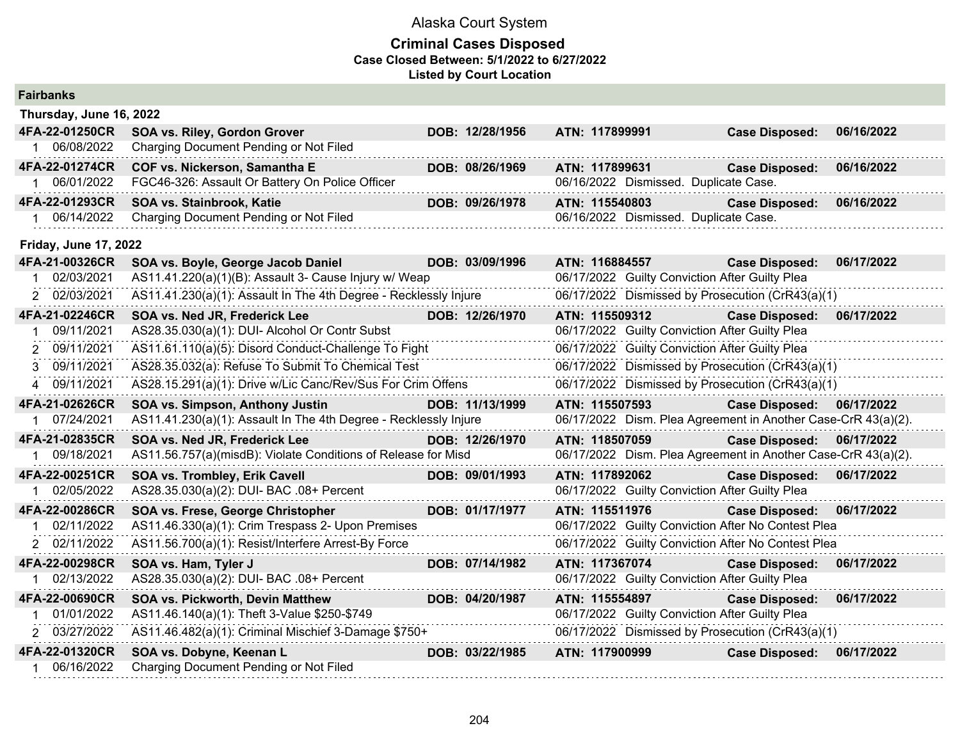| <b>Fairbanks</b>             |                                                                    |                 |                                                               |                       |            |
|------------------------------|--------------------------------------------------------------------|-----------------|---------------------------------------------------------------|-----------------------|------------|
| Thursday, June 16, 2022      |                                                                    |                 |                                                               |                       |            |
| 4FA-22-01250CR               | SOA vs. Riley, Gordon Grover                                       | DOB: 12/28/1956 | ATN: 117899991                                                | <b>Case Disposed:</b> | 06/16/2022 |
| 06/08/2022                   | Charging Document Pending or Not Filed                             |                 |                                                               |                       |            |
| 4FA-22-01274CR               | COF vs. Nickerson, Samantha E                                      | DOB: 08/26/1969 | ATN: 117899631                                                | <b>Case Disposed:</b> | 06/16/2022 |
| 06/01/2022                   | FGC46-326: Assault Or Battery On Police Officer                    |                 | 06/16/2022 Dismissed. Duplicate Case.                         |                       |            |
| 4FA-22-01293CR               | SOA vs. Stainbrook, Katie                                          | DOB: 09/26/1978 | ATN: 115540803                                                | <b>Case Disposed:</b> | 06/16/2022 |
| 06/14/2022                   | Charging Document Pending or Not Filed                             |                 | 06/16/2022 Dismissed. Duplicate Case.                         |                       |            |
| <b>Friday, June 17, 2022</b> |                                                                    |                 |                                                               |                       |            |
| 4FA-21-00326CR               | SOA vs. Boyle, George Jacob Daniel                                 | DOB: 03/09/1996 | ATN: 116884557                                                | <b>Case Disposed:</b> | 06/17/2022 |
| 02/03/2021                   | AS11.41.220(a)(1)(B): Assault 3- Cause Injury w/ Weap              |                 | 06/17/2022 Guilty Conviction After Guilty Plea                |                       |            |
| 02/03/2021<br>2              | AS11.41.230(a)(1): Assault In The 4th Degree - Recklessly Injure   |                 | 06/17/2022 Dismissed by Prosecution (CrR43(a)(1)              |                       |            |
| 4FA-21-02246CR               | SOA vs. Ned JR, Frederick Lee                                      | DOB: 12/26/1970 | ATN: 115509312                                                | <b>Case Disposed:</b> | 06/17/2022 |
| 09/11/2021                   | AS28.35.030(a)(1): DUI- Alcohol Or Contr Subst                     |                 | 06/17/2022 Guilty Conviction After Guilty Plea                |                       |            |
| 09/11/2021                   | AS11.61.110(a)(5): Disord Conduct-Challenge To Fight               |                 | 06/17/2022 Guilty Conviction After Guilty Plea                |                       |            |
| 09/11/2021<br>3              | AS28.35.032(a): Refuse To Submit To Chemical Test                  |                 | 06/17/2022 Dismissed by Prosecution (CrR43(a)(1)              |                       |            |
| 09/11/2021<br>4              | AS28.15.291(a)(1): Drive w/Lic Canc/Rev/Sus For Crim Offens        |                 | 06/17/2022 Dismissed by Prosecution (CrR43(a)(1)              |                       |            |
| 4FA-21-02626CR               | <b>SOA vs. Simpson, Anthony Justin</b>                             | DOB: 11/13/1999 | ATN: 115507593                                                | <b>Case Disposed:</b> | 06/17/2022 |
| 07/24/2021                   | AS11.41.230(a)(1): Assault In The 4th Degree - Recklessly Injure   |                 | 06/17/2022 Dism. Plea Agreement in Another Case-CrR 43(a)(2). |                       |            |
| 4FA-21-02835CR               | SOA vs. Ned JR, Frederick Lee                                      | DOB: 12/26/1970 | ATN: 118507059                                                | <b>Case Disposed:</b> | 06/17/2022 |
| 09/18/2021                   | AS11.56.757(a)(misdB): Violate Conditions of Release for Misd      |                 | 06/17/2022 Dism. Plea Agreement in Another Case-CrR 43(a)(2). |                       |            |
| 4FA-22-00251CR               | SOA vs. Trombley, Erik Cavell                                      | DOB: 09/01/1993 | ATN: 117892062                                                | <b>Case Disposed:</b> | 06/17/2022 |
| 02/05/2022                   | AS28.35.030(a)(2): DUI- BAC .08+ Percent                           |                 | 06/17/2022 Guilty Conviction After Guilty Plea                |                       |            |
| 4FA-22-00286CR               | SOA vs. Frese, George Christopher                                  | DOB: 01/17/1977 | ATN: 115511976                                                | <b>Case Disposed:</b> | 06/17/2022 |
| 02/11/2022                   | AS11.46.330(a)(1): Crim Trespass 2- Upon Premises                  |                 | 06/17/2022 Guilty Conviction After No Contest Plea            |                       |            |
| 2 02/11/2022                 | AS11.56.700(a)(1): Resist/Interfere Arrest-By Force                |                 | 06/17/2022 Guilty Conviction After No Contest Plea            |                       |            |
| 4FA-22-00298CR               | SOA vs. Ham, Tyler J                                               | DOB: 07/14/1982 | ATN: 117367074                                                | <b>Case Disposed:</b> | 06/17/2022 |
| 02/13/2022                   | AS28.35.030(a)(2): DUI- BAC .08+ Percent                           |                 | 06/17/2022 Guilty Conviction After Guilty Plea                |                       |            |
| 4FA-22-00690CR               | SOA vs. Pickworth, Devin Matthew                                   | DOB: 04/20/1987 | ATN: 115554897                                                | <b>Case Disposed:</b> | 06/17/2022 |
| 01/01/2022                   | AS11.46.140(a)(1): Theft 3-Value \$250-\$749                       |                 | 06/17/2022 Guilty Conviction After Guilty Plea                |                       |            |
| 2 03/27/2022                 | AS11.46.482(a)(1): Criminal Mischief 3-Damage \$750+               |                 | 06/17/2022 Dismissed by Prosecution (CrR43(a)(1)              |                       |            |
| 4FA-22-01320CR<br>06/16/2022 | SOA vs. Dobyne, Keenan L<br>Charging Document Pending or Not Filed | DOB: 03/22/1985 | ATN: 117900999                                                | <b>Case Disposed:</b> | 06/17/2022 |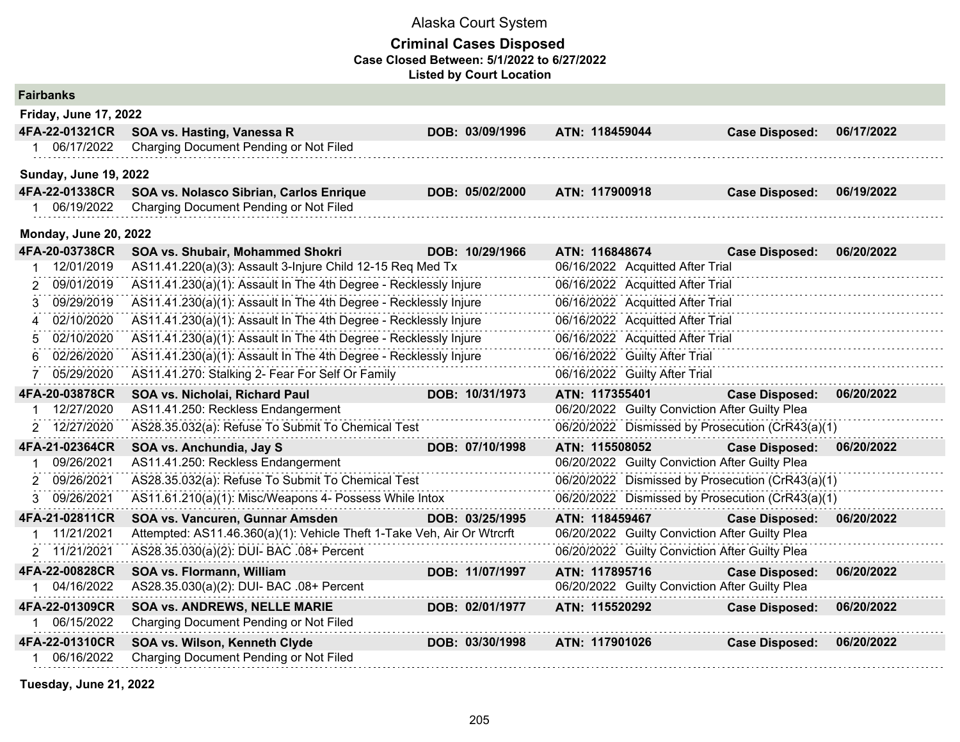## **Criminal Cases Disposed Case Closed Between: 5/1/2022 to 6/27/2022 Listed by Court Location**

| <b>Fairbanks</b>                    |                                                                        |                 |                |                                  |                                                  |            |
|-------------------------------------|------------------------------------------------------------------------|-----------------|----------------|----------------------------------|--------------------------------------------------|------------|
| <b>Friday, June 17, 2022</b>        |                                                                        |                 |                |                                  |                                                  |            |
| 4FA-22-01321CR                      | SOA vs. Hasting, Vanessa R                                             | DOB: 03/09/1996 | ATN: 118459044 |                                  | <b>Case Disposed:</b>                            | 06/17/2022 |
| 06/17/2022                          | Charging Document Pending or Not Filed                                 |                 |                |                                  |                                                  |            |
| <b>Sunday, June 19, 2022</b>        |                                                                        |                 |                |                                  |                                                  |            |
| 4FA-22-01338CR                      | SOA vs. Nolasco Sibrian, Carlos Enrique                                | DOB: 05/02/2000 | ATN: 117900918 |                                  | <b>Case Disposed:</b>                            | 06/19/2022 |
| 1 06/19/2022                        | Charging Document Pending or Not Filed                                 |                 |                |                                  |                                                  |            |
| <b>Monday, June 20, 2022</b>        |                                                                        |                 |                |                                  |                                                  |            |
| 4FA-20-03738CR                      | SOA vs. Shubair, Mohammed Shokri                                       | DOB: 10/29/1966 | ATN: 116848674 |                                  | <b>Case Disposed:</b>                            | 06/20/2022 |
| 12/01/2019                          | AS11.41.220(a)(3): Assault 3-Injure Child 12-15 Req Med Tx             |                 |                | 06/16/2022 Acquitted After Trial |                                                  |            |
| 09/01/2019                          | AS11.41.230(a)(1): Assault In The 4th Degree - Recklessly Injure       |                 |                | 06/16/2022 Acquitted After Trial |                                                  |            |
| 09/29/2019<br>3                     | AS11.41.230(a)(1): Assault In The 4th Degree - Recklessly Injure       |                 |                | 06/16/2022 Acquitted After Trial |                                                  |            |
| 02/10/2020<br>$\boldsymbol{\Delta}$ | AS11.41.230(a)(1): Assault In The 4th Degree - Recklessly Injure       |                 |                | 06/16/2022 Acquitted After Trial |                                                  |            |
| 02/10/2020<br>5                     | AS11.41.230(a)(1): Assault In The 4th Degree - Recklessly Injure       |                 |                | 06/16/2022 Acquitted After Trial |                                                  |            |
| 02/26/2020<br>6                     | AS11.41.230(a)(1): Assault In The 4th Degree - Recklessly Injure       |                 |                | 06/16/2022 Guilty After Trial    |                                                  |            |
| 05/29/2020                          | AS11.41.270: Stalking 2- Fear For Self Or Family                       |                 |                | 06/16/2022 Guilty After Trial    |                                                  |            |
| 4FA-20-03878CR                      | SOA vs. Nicholai, Richard Paul                                         | DOB: 10/31/1973 | ATN: 117355401 |                                  | <b>Case Disposed:</b>                            | 06/20/2022 |
| 12/27/2020                          | AS11.41.250: Reckless Endangerment                                     |                 |                |                                  | 06/20/2022 Guilty Conviction After Guilty Plea   |            |
| 2 12/27/2020                        | AS28.35.032(a): Refuse To Submit To Chemical Test                      |                 |                |                                  | 06/20/2022 Dismissed by Prosecution (CrR43(a)(1) |            |
| 4FA-21-02364CR                      | SOA vs. Anchundia, Jay S                                               | DOB: 07/10/1998 | ATN: 115508052 |                                  | <b>Case Disposed:</b>                            | 06/20/2022 |
| 09/26/2021                          | AS11.41.250: Reckless Endangerment                                     |                 |                |                                  | 06/20/2022 Guilty Conviction After Guilty Plea   |            |
| 09/26/2021<br>2                     | AS28.35.032(a): Refuse To Submit To Chemical Test                      |                 |                |                                  | 06/20/2022 Dismissed by Prosecution (CrR43(a)(1) |            |
| 3 09/26/2021                        | AS11.61.210(a)(1): Misc/Weapons 4- Possess While Intox                 |                 |                |                                  | 06/20/2022 Dismissed by Prosecution (CrR43(a)(1) |            |
| 4FA-21-02811CR                      | SOA vs. Vancuren, Gunnar Amsden                                        | DOB: 03/25/1995 | ATN: 118459467 |                                  | <b>Case Disposed:</b>                            | 06/20/2022 |
| 11/21/2021                          | Attempted: AS11.46.360(a)(1): Vehicle Theft 1-Take Veh, Air Or Wtrcrft |                 |                |                                  | 06/20/2022 Guilty Conviction After Guilty Plea   |            |
| 2 11/21/2021                        | AS28.35.030(a)(2): DUI- BAC .08+ Percent                               |                 |                |                                  | 06/20/2022 Guilty Conviction After Guilty Plea   |            |
| 4FA-22-00828CR                      | SOA vs. Flormann, William                                              | DOB: 11/07/1997 | ATN: 117895716 |                                  | <b>Case Disposed:</b>                            | 06/20/2022 |
| 04/16/2022                          | AS28.35.030(a)(2): DUI- BAC .08+ Percent                               |                 |                |                                  | 06/20/2022 Guilty Conviction After Guilty Plea   |            |
| 4FA-22-01309CR                      | <b>SOA vs. ANDREWS, NELLE MARIE</b>                                    | DOB: 02/01/1977 | ATN: 115520292 |                                  | <b>Case Disposed:</b>                            | 06/20/2022 |
| 1 06/15/2022                        | Charging Document Pending or Not Filed                                 |                 |                |                                  |                                                  |            |
| 4FA-22-01310CR                      | SOA vs. Wilson, Kenneth Clyde                                          | DOB: 03/30/1998 | ATN: 117901026 |                                  | <b>Case Disposed:</b>                            | 06/20/2022 |
| 06/16/2022                          | Charging Document Pending or Not Filed                                 |                 |                |                                  |                                                  |            |

**Tuesday, June 21, 2022**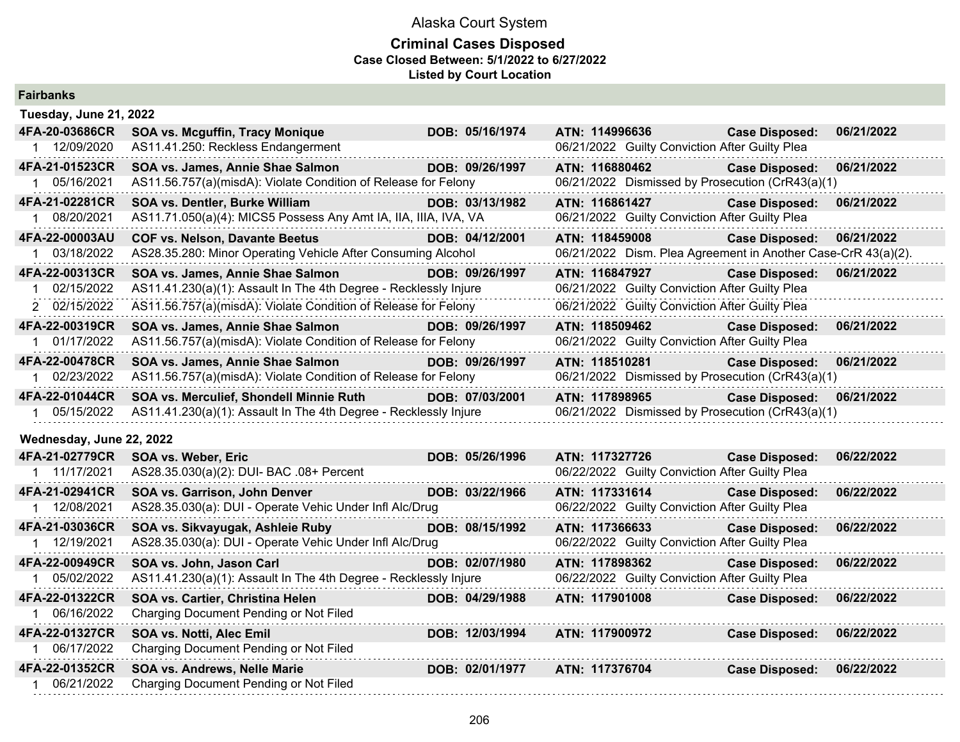| <b>Fairbanks</b>         |                                                                  |                 |                                                               |                       |            |
|--------------------------|------------------------------------------------------------------|-----------------|---------------------------------------------------------------|-----------------------|------------|
| Tuesday, June 21, 2022   |                                                                  |                 |                                                               |                       |            |
| 4FA-20-03686CR           | SOA vs. Mcguffin, Tracy Monique                                  | DOB: 05/16/1974 | ATN: 114996636                                                | <b>Case Disposed:</b> | 06/21/2022 |
| 1 12/09/2020             | AS11.41.250: Reckless Endangerment                               |                 | 06/21/2022 Guilty Conviction After Guilty Plea                |                       |            |
| 4FA-21-01523CR           | SOA vs. James, Annie Shae Salmon                                 | DOB: 09/26/1997 | ATN: 116880462                                                | <b>Case Disposed:</b> | 06/21/2022 |
| 1 05/16/2021             | AS11.56.757(a)(misdA): Violate Condition of Release for Felony   |                 | 06/21/2022 Dismissed by Prosecution (CrR43(a)(1)              |                       |            |
| 4FA-21-02281CR           | SOA vs. Dentler, Burke William                                   | DOB: 03/13/1982 | ATN: 116861427                                                | <b>Case Disposed:</b> | 06/21/2022 |
| 1 08/20/2021             | AS11.71.050(a)(4): MICS5 Possess Any Amt IA, IIA, IIIA, IVA, VA  |                 | 06/21/2022 Guilty Conviction After Guilty Plea                |                       |            |
| 4FA-22-00003AU           | <b>COF vs. Nelson, Davante Beetus</b>                            | DOB: 04/12/2001 | ATN: 118459008                                                | <b>Case Disposed:</b> | 06/21/2022 |
| 1 03/18/2022             | AS28.35.280: Minor Operating Vehicle After Consuming Alcohol     |                 | 06/21/2022 Dism. Plea Agreement in Another Case-CrR 43(a)(2). |                       |            |
| 4FA-22-00313CR           | SOA vs. James, Annie Shae Salmon                                 | DOB: 09/26/1997 | ATN: 116847927                                                | <b>Case Disposed:</b> | 06/21/2022 |
| 1 02/15/2022             | AS11.41.230(a)(1): Assault In The 4th Degree - Recklessly Injure |                 | 06/21/2022 Guilty Conviction After Guilty Plea                |                       |            |
| 2 02/15/2022             | AS11.56.757(a)(misdA): Violate Condition of Release for Felony   |                 | 06/21/2022 Guilty Conviction After Guilty Plea                |                       |            |
| 4FA-22-00319CR           | SOA vs. James, Annie Shae Salmon                                 | DOB: 09/26/1997 | ATN: 118509462                                                | <b>Case Disposed:</b> | 06/21/2022 |
| 1 01/17/2022             | AS11.56.757(a)(misdA): Violate Condition of Release for Felony   |                 | 06/21/2022 Guilty Conviction After Guilty Plea                |                       |            |
| 4FA-22-00478CR           | SOA vs. James, Annie Shae Salmon                                 | DOB: 09/26/1997 | ATN: 118510281                                                | <b>Case Disposed:</b> | 06/21/2022 |
| 1 02/23/2022             | AS11.56.757(a)(misdA): Violate Condition of Release for Felony   |                 | 06/21/2022 Dismissed by Prosecution (CrR43(a)(1)              |                       |            |
| 4FA-22-01044CR           | SOA vs. Merculief, Shondell Minnie Ruth                          | DOB: 07/03/2001 | ATN: 117898965                                                | <b>Case Disposed:</b> | 06/21/2022 |
| 1 05/15/2022             | AS11.41.230(a)(1): Assault In The 4th Degree - Recklessly Injure |                 | 06/21/2022 Dismissed by Prosecution (CrR43(a)(1)              |                       |            |
| Wednesday, June 22, 2022 |                                                                  |                 |                                                               |                       |            |
| 4FA-21-02779CR           | SOA vs. Weber, Eric                                              | DOB: 05/26/1996 | ATN: 117327726                                                | <b>Case Disposed:</b> | 06/22/2022 |
| 1 11/17/2021             | AS28.35.030(a)(2): DUI- BAC .08+ Percent                         |                 | 06/22/2022 Guilty Conviction After Guilty Plea                |                       |            |
| 4FA-21-02941CR           | SOA vs. Garrison, John Denver                                    | DOB: 03/22/1966 | ATN: 117331614                                                | <b>Case Disposed:</b> | 06/22/2022 |
| 1 12/08/2021             | AS28.35.030(a): DUI - Operate Vehic Under Infl Alc/Drug          |                 | 06/22/2022 Guilty Conviction After Guilty Plea                |                       |            |
| 4FA-21-03036CR           | SOA vs. Sikvayugak, Ashleie Ruby                                 | DOB: 08/15/1992 | ATN: 117366633                                                | <b>Case Disposed:</b> | 06/22/2022 |
| 1 12/19/2021             | AS28.35.030(a): DUI - Operate Vehic Under Infl Alc/Drug          |                 | 06/22/2022 Guilty Conviction After Guilty Plea                |                       |            |
| 4FA-22-00949CR           | SOA vs. John, Jason Carl                                         | DOB: 02/07/1980 | ATN: 117898362                                                | <b>Case Disposed:</b> | 06/22/2022 |
| 1 05/02/2022             | AS11.41.230(a)(1): Assault In The 4th Degree - Recklessly Injure |                 | 06/22/2022 Guilty Conviction After Guilty Plea                |                       |            |
| 4FA-22-01322CR           | SOA vs. Cartier, Christina Helen                                 | DOB: 04/29/1988 | ATN: 117901008                                                | <b>Case Disposed:</b> | 06/22/2022 |
| 1 06/16/2022             | Charging Document Pending or Not Filed                           |                 |                                                               |                       |            |
| 4FA-22-01327CR           | SOA vs. Notti, Alec Emil                                         | DOB: 12/03/1994 | ATN: 117900972                                                | <b>Case Disposed:</b> | 06/22/2022 |
| 1 06/17/2022             | Charging Document Pending or Not Filed                           |                 |                                                               |                       |            |
| 4FA-22-01352CR           | SOA vs. Andrews, Nelle Marie                                     | DOB: 02/01/1977 | ATN: 117376704                                                | <b>Case Disposed:</b> | 06/22/2022 |
| 1 06/21/2022             | Charging Document Pending or Not Filed                           |                 |                                                               |                       |            |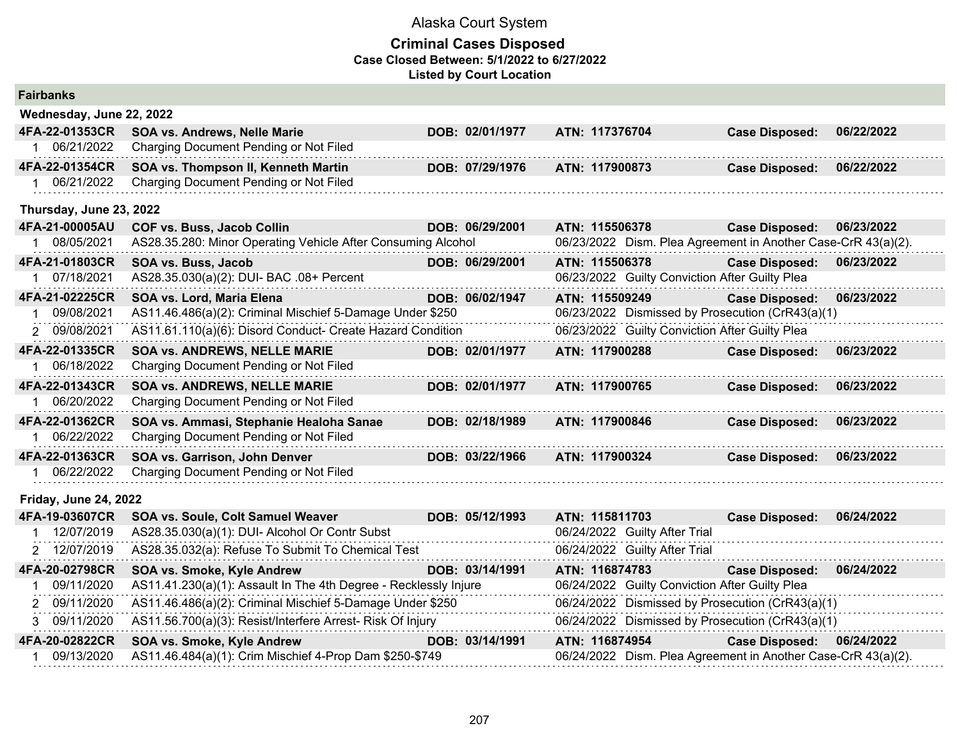## **Criminal Cases Disposed Case Closed Between: 5/1/2022 to 6/27/2022 Listed by Court Location**

| <b>Fairbanks</b>             |                                                                  |                 |                                                               |                       |            |
|------------------------------|------------------------------------------------------------------|-----------------|---------------------------------------------------------------|-----------------------|------------|
| Wednesday, June 22, 2022     |                                                                  |                 |                                                               |                       |            |
| 4FA-22-01353CR               | <b>SOA vs. Andrews, Nelle Marie</b>                              | DOB: 02/01/1977 | ATN: 117376704                                                | <b>Case Disposed:</b> | 06/22/2022 |
| 06/21/2022<br>1.             | Charging Document Pending or Not Filed                           |                 |                                                               |                       |            |
| 4FA-22-01354CR               | SOA vs. Thompson II, Kenneth Martin                              | DOB: 07/29/1976 | ATN: 117900873                                                | <b>Case Disposed:</b> | 06/22/2022 |
| 06/21/2022                   | Charging Document Pending or Not Filed                           |                 |                                                               |                       |            |
| Thursday, June 23, 2022      |                                                                  |                 |                                                               |                       |            |
| 4FA-21-00005AU               | <b>COF vs. Buss, Jacob Collin</b>                                | DOB: 06/29/2001 | ATN: 115506378                                                | <b>Case Disposed:</b> | 06/23/2022 |
| 1 08/05/2021                 | AS28.35.280: Minor Operating Vehicle After Consuming Alcohol     |                 | 06/23/2022 Dism. Plea Agreement in Another Case-CrR 43(a)(2). |                       |            |
| 4FA-21-01803CR               | SOA vs. Buss, Jacob                                              | DOB: 06/29/2001 | ATN: 115506378                                                | <b>Case Disposed:</b> | 06/23/2022 |
| 07/18/2021                   | AS28.35.030(a)(2): DUI- BAC .08+ Percent                         |                 | 06/23/2022 Guilty Conviction After Guilty Plea                |                       |            |
| 4FA-21-02225CR               | SOA vs. Lord, Maria Elena                                        | DOB: 06/02/1947 | ATN: 115509249                                                | <b>Case Disposed:</b> | 06/23/2022 |
| 09/08/2021                   | AS11.46.486(a)(2): Criminal Mischief 5-Damage Under \$250        |                 | 06/23/2022 Dismissed by Prosecution (CrR43(a)(1)              |                       |            |
| 2 09/08/2021                 | AS11.61.110(a)(6): Disord Conduct- Create Hazard Condition       |                 | 06/23/2022 Guilty Conviction After Guilty Plea                |                       |            |
| 4FA-22-01335CR               | <b>SOA vs. ANDREWS, NELLE MARIE</b>                              | DOB: 02/01/1977 | ATN: 117900288                                                | <b>Case Disposed:</b> | 06/23/2022 |
| 06/18/2022                   | Charging Document Pending or Not Filed                           |                 |                                                               |                       |            |
| 4FA-22-01343CR               | <b>SOA vs. ANDREWS, NELLE MARIE</b>                              | DOB: 02/01/1977 | ATN: 117900765                                                | <b>Case Disposed:</b> | 06/23/2022 |
| 06/20/2022                   | Charging Document Pending or Not Filed                           |                 |                                                               |                       |            |
| 4FA-22-01362CR               | SOA vs. Ammasi, Stephanie Healoha Sanae                          | DOB: 02/18/1989 | ATN: 117900846                                                | <b>Case Disposed:</b> | 06/23/2022 |
| 06/22/2022                   | Charging Document Pending or Not Filed                           |                 |                                                               |                       |            |
| 4FA-22-01363CR               | SOA vs. Garrison, John Denver                                    | DOB: 03/22/1966 | ATN: 117900324                                                | <b>Case Disposed:</b> | 06/23/2022 |
| 06/22/2022                   | Charging Document Pending or Not Filed                           |                 |                                                               |                       |            |
| <b>Friday, June 24, 2022</b> |                                                                  |                 |                                                               |                       |            |
| 4FA-19-03607CR               | SOA vs. Soule, Colt Samuel Weaver                                | DOB: 05/12/1993 | ATN: 115811703                                                | <b>Case Disposed:</b> | 06/24/2022 |
| 12/07/2019                   | AS28.35.030(a)(1): DUI- Alcohol Or Contr Subst                   |                 | 06/24/2022 Guilty After Trial                                 |                       |            |
| 12/07/2019                   | AS28.35.032(a): Refuse To Submit To Chemical Test                |                 | 06/24/2022 Guilty After Trial                                 |                       |            |
| 4FA-20-02798CR               | SOA vs. Smoke, Kyle Andrew                                       | DOB: 03/14/1991 | ATN: 116874783                                                | <b>Case Disposed:</b> | 06/24/2022 |
| 09/11/2020                   | AS11.41.230(a)(1): Assault In The 4th Degree - Recklessly Injure |                 | 06/24/2022 Guilty Conviction After Guilty Plea                |                       |            |
| 2 09/11/2020                 | AS11.46.486(a)(2): Criminal Mischief 5-Damage Under \$250        |                 | 06/24/2022 Dismissed by Prosecution (CrR43(a)(1)              |                       |            |
| 3 09/11/2020                 | AS11.56.700(a)(3): Resist/Interfere Arrest- Risk Of Injury       |                 | 06/24/2022 Dismissed by Prosecution (CrR43(a)(1)              |                       |            |

**4FA-20-02822CR SOA vs. Smoke, Kyle Andrew DOB: 03/14/1991 ATN: 116874954 Case Disposed: 06/24/2022** 1 09/13/2020 AS11.46.484(a)(1): Crim Mischief 4-Prop Dam \$250-\$749 06/24/2022 Dism. Plea Agreement in Another Case-CrR 43(a)(2).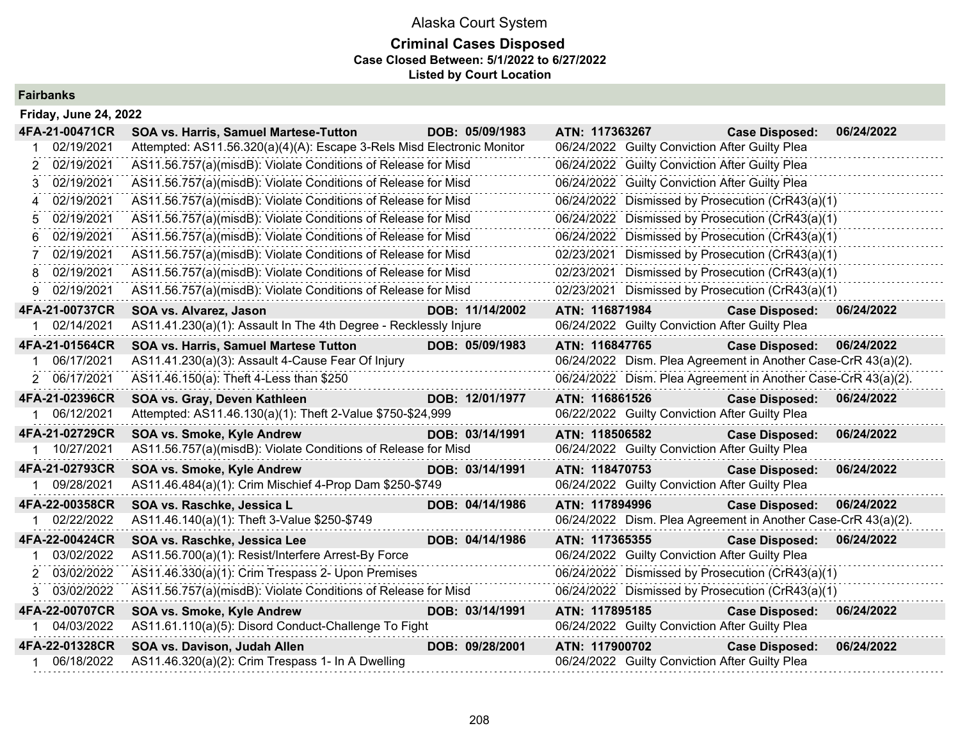## Alaska Court System **Criminal Cases Disposed Case Closed Between: 5/1/2022 to 6/27/2022 Listed by Court Location**

## **Fairbanks**

| <b>Friday, June 24, 2022</b> |                                                                        |                 |                |                                                               |            |
|------------------------------|------------------------------------------------------------------------|-----------------|----------------|---------------------------------------------------------------|------------|
| 4FA-21-00471CR               | <b>SOA vs. Harris, Samuel Martese-Tutton</b>                           | DOB: 05/09/1983 | ATN: 117363267 | <b>Case Disposed:</b>                                         | 06/24/2022 |
| 02/19/2021                   | Attempted: AS11.56.320(a)(4)(A): Escape 3-Rels Misd Electronic Monitor |                 |                | 06/24/2022 Guilty Conviction After Guilty Plea                |            |
| 02/19/2021<br>2              | AS11.56.757(a)(misdB): Violate Conditions of Release for Misd          |                 |                | 06/24/2022 Guilty Conviction After Guilty Plea                |            |
| 02/19/2021                   | AS11.56.757(a)(misdB): Violate Conditions of Release for Misd          |                 |                | 06/24/2022 Guilty Conviction After Guilty Plea                |            |
| 02/19/2021                   | AS11.56.757(a)(misdB): Violate Conditions of Release for Misd          |                 |                | 06/24/2022 Dismissed by Prosecution (CrR43(a)(1)              |            |
| 02/19/2021                   | AS11.56.757(a)(misdB): Violate Conditions of Release for Misd          |                 | 06/24/2022     | Dismissed by Prosecution (CrR43(a)(1)                         |            |
| 02/19/2021                   | AS11.56.757(a)(misdB): Violate Conditions of Release for Misd          |                 |                | 06/24/2022 Dismissed by Prosecution (CrR43(a)(1)              |            |
| 02/19/2021                   | AS11.56.757(a)(misdB): Violate Conditions of Release for Misd          |                 |                | 02/23/2021 Dismissed by Prosecution (CrR43(a)(1)              |            |
| 02/19/2021<br>8              | AS11.56.757(a)(misdB): Violate Conditions of Release for Misd          |                 | 02/23/2021     | Dismissed by Prosecution (CrR43(a)(1)                         |            |
| 02/19/2021<br>g              | AS11.56.757(a)(misdB): Violate Conditions of Release for Misd          |                 |                | 02/23/2021 Dismissed by Prosecution (CrR43(a)(1)              |            |
| 4FA-21-00737CR               | SOA vs. Alvarez, Jason                                                 | DOB: 11/14/2002 | ATN: 116871984 | <b>Case Disposed:</b>                                         | 06/24/2022 |
| 02/14/2021                   | AS11.41.230(a)(1): Assault In The 4th Degree - Recklessly Injure       |                 |                | 06/24/2022 Guilty Conviction After Guilty Plea                |            |
| 4FA-21-01564CR               | <b>SOA vs. Harris, Samuel Martese Tutton</b>                           | DOB: 05/09/1983 | ATN: 116847765 | <b>Case Disposed:</b>                                         | 06/24/2022 |
| 06/17/2021                   | AS11.41.230(a)(3): Assault 4-Cause Fear Of Injury                      |                 |                | 06/24/2022 Dism. Plea Agreement in Another Case-CrR 43(a)(2). |            |
| 2 06/17/2021                 | AS11.46.150(a): Theft 4-Less than \$250                                |                 |                | 06/24/2022 Dism. Plea Agreement in Another Case-CrR 43(a)(2). |            |
| 4FA-21-02396CR               | SOA vs. Gray, Deven Kathleen                                           | DOB: 12/01/1977 | ATN: 116861526 | <b>Case Disposed:</b>                                         | 06/24/2022 |
| 06/12/2021                   | Attempted: AS11.46.130(a)(1): Theft 2-Value \$750-\$24,999             |                 |                | 06/22/2022 Guilty Conviction After Guilty Plea                |            |
| 4FA-21-02729CR               | SOA vs. Smoke, Kyle Andrew                                             | DOB: 03/14/1991 | ATN: 118506582 | <b>Case Disposed:</b>                                         | 06/24/2022 |
| 1 10/27/2021                 | AS11.56.757(a)(misdB): Violate Conditions of Release for Misd          |                 |                | 06/24/2022 Guilty Conviction After Guilty Plea                |            |
| 4FA-21-02793CR               | <b>SOA vs. Smoke, Kyle Andrew</b>                                      | DOB: 03/14/1991 | ATN: 118470753 | <b>Case Disposed:</b>                                         | 06/24/2022 |
| 09/28/2021                   | AS11.46.484(a)(1): Crim Mischief 4-Prop Dam \$250-\$749                |                 |                | 06/24/2022 Guilty Conviction After Guilty Plea                |            |
| 4FA-22-00358CR               | SOA vs. Raschke, Jessica L                                             | DOB: 04/14/1986 | ATN: 117894996 | <b>Case Disposed:</b>                                         | 06/24/2022 |
| 02/22/2022                   | AS11.46.140(a)(1): Theft 3-Value \$250-\$749                           |                 |                | 06/24/2022 Dism. Plea Agreement in Another Case-CrR 43(a)(2). |            |
| 4FA-22-00424CR               | SOA vs. Raschke, Jessica Lee                                           | DOB: 04/14/1986 | ATN: 117365355 | <b>Case Disposed:</b>                                         | 06/24/2022 |
| 03/02/2022                   | AS11.56.700(a)(1): Resist/Interfere Arrest-By Force                    |                 |                | 06/24/2022 Guilty Conviction After Guilty Plea                |            |
| 03/02/2022<br>2              | AS11.46.330(a)(1): Crim Trespass 2- Upon Premises                      |                 |                | 06/24/2022 Dismissed by Prosecution (CrR43(a)(1)              |            |
| 3 03/02/2022                 | AS11.56.757(a)(misdB): Violate Conditions of Release for Misd          |                 |                | 06/24/2022 Dismissed by Prosecution (CrR43(a)(1)              |            |
| 4FA-22-00707CR               | SOA vs. Smoke, Kyle Andrew                                             | DOB: 03/14/1991 | ATN: 117895185 | <b>Case Disposed:</b>                                         | 06/24/2022 |
| 04/03/2022                   | AS11.61.110(a)(5): Disord Conduct-Challenge To Fight                   |                 |                | 06/24/2022 Guilty Conviction After Guilty Plea                |            |
| 4FA-22-01328CR               | SOA vs. Davison, Judah Allen                                           | DOB: 09/28/2001 | ATN: 117900702 | <b>Case Disposed:</b>                                         | 06/24/2022 |
| 06/18/2022                   | AS11.46.320(a)(2): Crim Trespass 1- In A Dwelling                      |                 |                | 06/24/2022 Guilty Conviction After Guilty Plea                |            |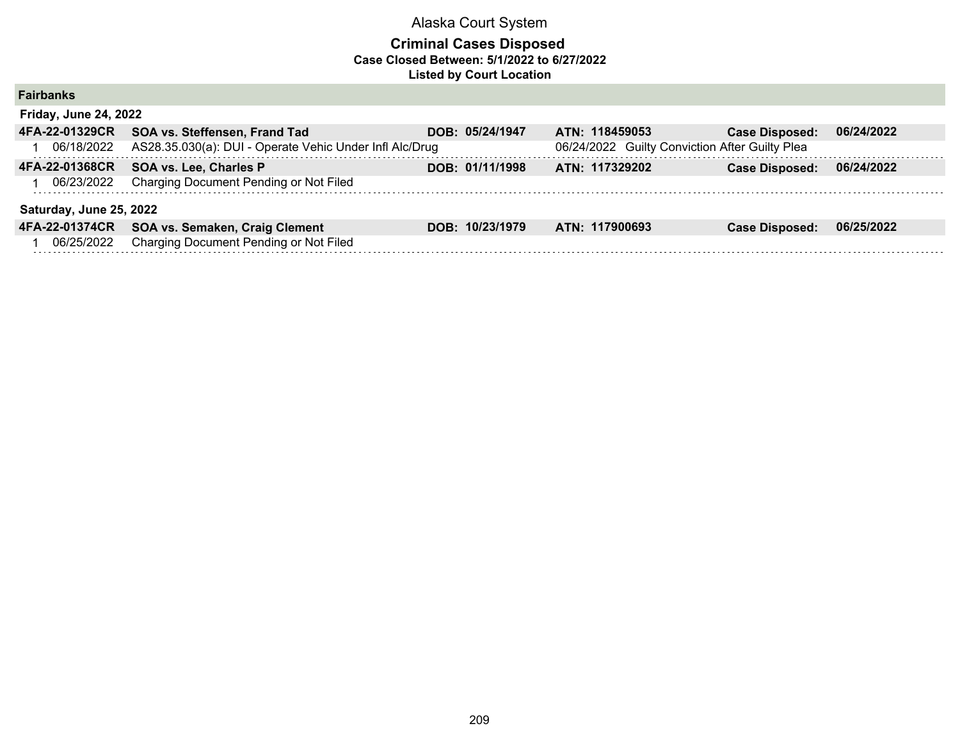| <b>Fairbanks</b>             |                                                         |                 |                                                |                       |            |
|------------------------------|---------------------------------------------------------|-----------------|------------------------------------------------|-----------------------|------------|
| <b>Friday, June 24, 2022</b> |                                                         |                 |                                                |                       |            |
| 4FA-22-01329CR               | SOA vs. Steffensen, Frand Tad                           | DOB: 05/24/1947 | ATN: 118459053                                 | <b>Case Disposed:</b> | 06/24/2022 |
| 06/18/2022                   | AS28.35.030(a): DUI - Operate Vehic Under Infl Alc/Drug |                 | 06/24/2022 Guilty Conviction After Guilty Plea |                       |            |
| 4FA-22-01368CR               | SOA vs. Lee, Charles P                                  | DOB: 01/11/1998 | ATN: 117329202                                 | <b>Case Disposed:</b> | 06/24/2022 |
| 06/23/2022                   | Charging Document Pending or Not Filed                  |                 |                                                |                       |            |
| Saturday, June 25, 2022      |                                                         |                 |                                                |                       |            |
| 4FA-22-01374CR               | SOA vs. Semaken, Craig Clement                          | DOB: 10/23/1979 | ATN: 117900693                                 | <b>Case Disposed:</b> | 06/25/2022 |
| 06/25/2022                   | Charging Document Pending or Not Filed                  |                 |                                                |                       |            |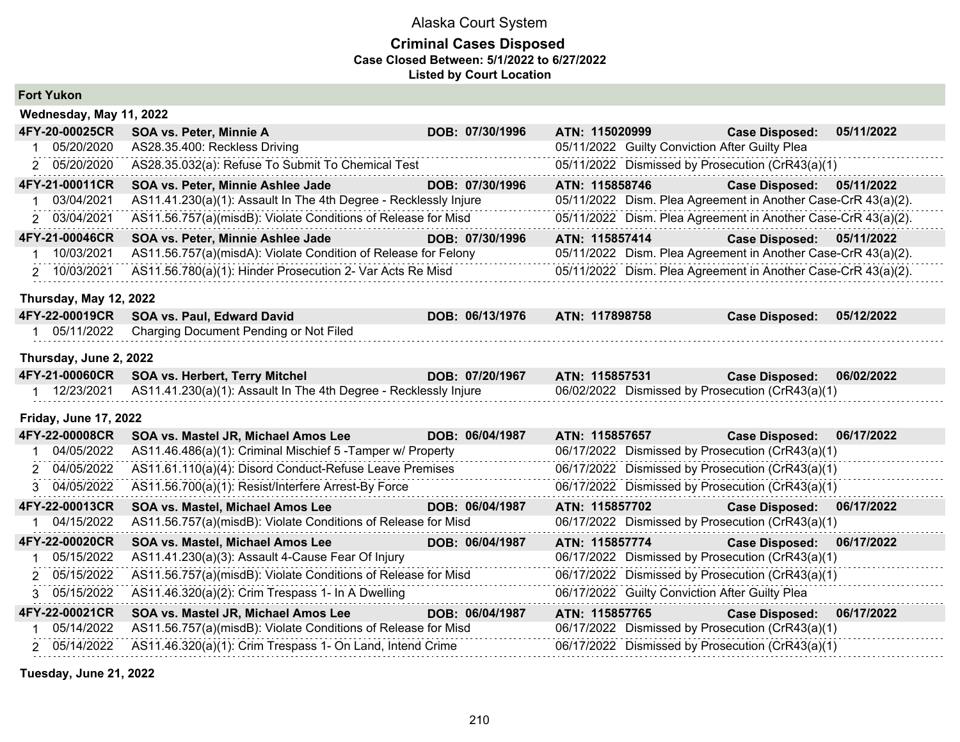## **Criminal Cases Disposed Case Closed Between: 5/1/2022 to 6/27/2022 Listed by Court Location**

|  | <b>Fort Yukon</b> |
|--|-------------------|
|--|-------------------|

|    | Wednesday, May 11, 2022      |                                                                  |                 |                |                                                               |            |
|----|------------------------------|------------------------------------------------------------------|-----------------|----------------|---------------------------------------------------------------|------------|
|    | 4FY-20-00025CR               | SOA vs. Peter, Minnie A                                          | DOB: 07/30/1996 | ATN: 115020999 | <b>Case Disposed:</b>                                         | 05/11/2022 |
|    | 05/20/2020                   | AS28.35.400: Reckless Driving                                    |                 |                | 05/11/2022 Guilty Conviction After Guilty Plea                |            |
|    | 2 05/20/2020                 | AS28.35.032(a): Refuse To Submit To Chemical Test                |                 |                | 05/11/2022 Dismissed by Prosecution (CrR43(a)(1)              |            |
|    | 4FY-21-00011CR               | SOA vs. Peter, Minnie Ashlee Jade                                | DOB: 07/30/1996 | ATN: 115858746 | <b>Case Disposed:</b>                                         | 05/11/2022 |
| 1  | 03/04/2021                   | AS11.41.230(a)(1): Assault In The 4th Degree - Recklessly Injure |                 |                | 05/11/2022 Dism. Plea Agreement in Another Case-CrR 43(a)(2). |            |
|    | 2 03/04/2021                 | AS11.56.757(a)(misdB): Violate Conditions of Release for Misd    |                 |                | 05/11/2022 Dism. Plea Agreement in Another Case-CrR 43(a)(2). |            |
|    | 4FY-21-00046CR               | SOA vs. Peter, Minnie Ashlee Jade                                | DOB: 07/30/1996 | ATN: 115857414 | Case Disposed: 05/11/2022                                     |            |
|    | 10/03/2021                   | AS11.56.757(a)(misdA): Violate Condition of Release for Felony   |                 |                | 05/11/2022 Dism. Plea Agreement in Another Case-CrR 43(a)(2). |            |
|    | 2 10/03/2021                 | AS11.56.780(a)(1): Hinder Prosecution 2- Var Acts Re Misd        |                 |                | 05/11/2022 Dism. Plea Agreement in Another Case-CrR 43(a)(2). |            |
|    | Thursday, May 12, 2022       |                                                                  |                 |                |                                                               |            |
|    | 4FY-22-00019CR               | SOA vs. Paul, Edward David                                       | DOB: 06/13/1976 | ATN: 117898758 | <b>Case Disposed:</b>                                         | 05/12/2022 |
|    | 1 05/11/2022                 | Charging Document Pending or Not Filed                           |                 |                |                                                               |            |
|    | Thursday, June 2, 2022       |                                                                  |                 |                |                                                               |            |
|    |                              |                                                                  | DOB: 07/20/1967 | ATN: 115857531 | <b>Case Disposed:</b>                                         | 06/02/2022 |
|    | 4FY-21-00060CR               | <b>SOA vs. Herbert, Terry Mitchel</b>                            |                 |                |                                                               |            |
|    | 1 12/23/2021                 | AS11.41.230(a)(1): Assault In The 4th Degree - Recklessly Injure |                 |                | 06/02/2022 Dismissed by Prosecution (CrR43(a)(1)              |            |
|    | <b>Friday, June 17, 2022</b> |                                                                  |                 |                |                                                               |            |
|    | 4FY-22-00008CR               | SOA vs. Mastel JR, Michael Amos Lee                              | DOB: 06/04/1987 | ATN: 115857657 | <b>Case Disposed:</b>                                         | 06/17/2022 |
| 1. | 04/05/2022                   | AS11.46.486(a)(1): Criminal Mischief 5 - Tamper w/ Property      |                 |                | 06/17/2022 Dismissed by Prosecution (CrR43(a)(1)              |            |
|    | 2 04/05/2022                 | AS11.61.110(a)(4): Disord Conduct-Refuse Leave Premises          |                 |                | 06/17/2022 Dismissed by Prosecution (CrR43(a)(1)              |            |
|    | 3 04/05/2022                 | AS11.56.700(a)(1): Resist/Interfere Arrest-By Force              |                 |                | 06/17/2022 Dismissed by Prosecution (CrR43(a)(1)              |            |
|    | 4FY-22-00013CR               | SOA vs. Mastel, Michael Amos Lee                                 | DOB: 06/04/1987 | ATN: 115857702 | <b>Case Disposed:</b>                                         | 06/17/2022 |
|    | 04/15/2022                   | AS11.56.757(a)(misdB): Violate Conditions of Release for Misd    |                 |                | 06/17/2022 Dismissed by Prosecution (CrR43(a)(1)              |            |
|    | 4FY-22-00020CR               | SOA vs. Mastel, Michael Amos Lee                                 | DOB: 06/04/1987 | ATN: 115857774 | <b>Case Disposed:</b>                                         | 06/17/2022 |
| 1. | 05/15/2022                   | AS11.41.230(a)(3): Assault 4-Cause Fear Of Injury                |                 |                | 06/17/2022 Dismissed by Prosecution (CrR43(a)(1)              |            |
|    | 2 05/15/2022                 | AS11.56.757(a)(misdB): Violate Conditions of Release for Misd    |                 |                | 06/17/2022 Dismissed by Prosecution (CrR43(a)(1)              |            |
| 3. | 05/15/2022                   | AS11.46.320(a)(2): Crim Trespass 1- In A Dwelling                |                 |                | 06/17/2022 Guilty Conviction After Guilty Plea                |            |
|    | 4FY-22-00021CR               | SOA vs. Mastel JR, Michael Amos Lee                              | DOB: 06/04/1987 | ATN: 115857765 | <b>Case Disposed:</b>                                         | 06/17/2022 |
|    | 05/14/2022                   | AS11.56.757(a)(misdB): Violate Conditions of Release for Misd    |                 |                | 06/17/2022 Dismissed by Prosecution (CrR43(a)(1)              |            |
|    | 2 05/14/2022                 | AS11.46.320(a)(1): Crim Trespass 1- On Land, Intend Crime        |                 |                | 06/17/2022 Dismissed by Prosecution (CrR43(a)(1)              |            |

**Tuesday, June 21, 2022**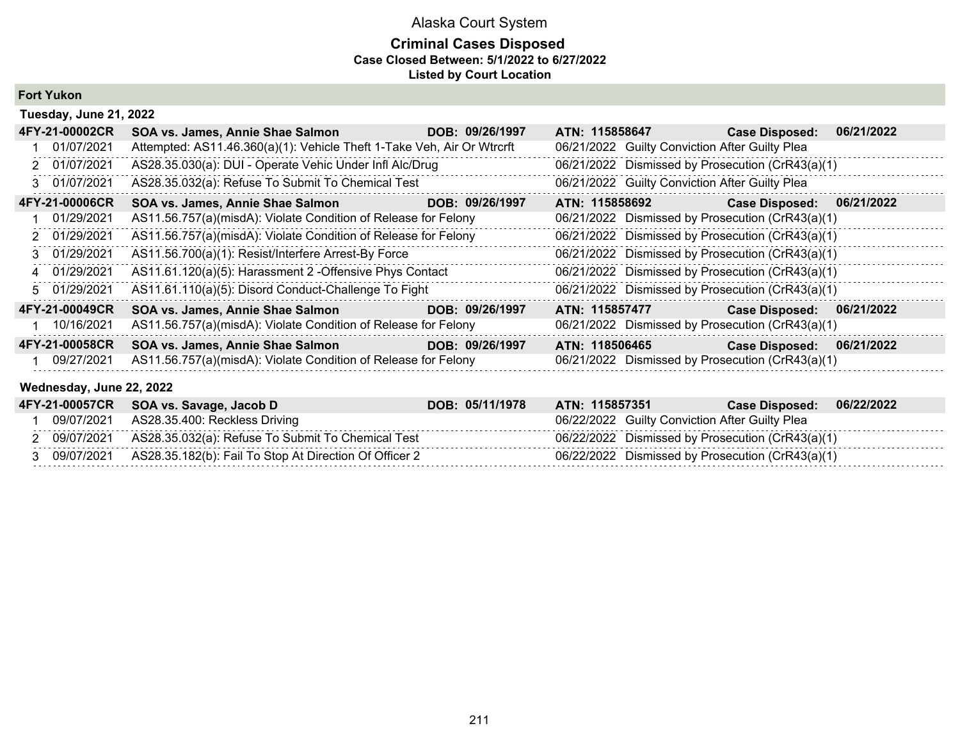## **Criminal Cases Disposed Case Closed Between: 5/1/2022 to 6/27/2022 Listed by Court Location**

## **Fort Yukon**

| Tuesday, June 21, 2022 |                                                                        |                 |                                                  |                       |            |  |  |
|------------------------|------------------------------------------------------------------------|-----------------|--------------------------------------------------|-----------------------|------------|--|--|
| 4FY-21-00002CR         | SOA vs. James, Annie Shae Salmon                                       | DOB: 09/26/1997 | ATN: 115858647                                   | <b>Case Disposed:</b> | 06/21/2022 |  |  |
| 01/07/2021             | Attempted: AS11.46.360(a)(1): Vehicle Theft 1-Take Veh, Air Or Wtrcrft |                 | 06/21/2022 Guilty Conviction After Guilty Plea   |                       |            |  |  |
| 2 01/07/2021           | AS28.35.030(a): DUI - Operate Vehic Under Infl Alc/Drug                |                 | 06/21/2022 Dismissed by Prosecution (CrR43(a)(1) |                       |            |  |  |
| 3 01/07/2021           | AS28.35.032(a): Refuse To Submit To Chemical Test                      |                 | 06/21/2022 Guilty Conviction After Guilty Plea   |                       |            |  |  |
| 4FY-21-00006CR         | SOA vs. James, Annie Shae Salmon                                       | DOB: 09/26/1997 | ATN: 115858692                                   | <b>Case Disposed:</b> | 06/21/2022 |  |  |
| 01/29/2021             | AS11.56.757(a)(misdA): Violate Condition of Release for Felony         |                 | 06/21/2022 Dismissed by Prosecution (CrR43(a)(1) |                       |            |  |  |
| 2 01/29/2021           | AS11.56.757(a)(misdA): Violate Condition of Release for Felony         |                 | 06/21/2022 Dismissed by Prosecution (CrR43(a)(1) |                       |            |  |  |
| 3 01/29/2021           | AS11.56.700(a)(1): Resist/Interfere Arrest-By Force                    |                 | 06/21/2022 Dismissed by Prosecution (CrR43(a)(1) |                       |            |  |  |
| 4 01/29/2021           | AS11.61.120(a)(5): Harassment 2 - Offensive Phys Contact               |                 | 06/21/2022 Dismissed by Prosecution (CrR43(a)(1) |                       |            |  |  |
| 5 01/29/2021           | AS11.61.110(a)(5): Disord Conduct-Challenge To Fight                   |                 | 06/21/2022 Dismissed by Prosecution (CrR43(a)(1) |                       |            |  |  |
| 4FY-21-00049CR         | SOA vs. James, Annie Shae Salmon                                       | DOB: 09/26/1997 | ATN: 115857477                                   | <b>Case Disposed:</b> | 06/21/2022 |  |  |
| 10/16/2021             | AS11.56.757(a)(misdA): Violate Condition of Release for Felony         |                 | 06/21/2022 Dismissed by Prosecution (CrR43(a)(1) |                       |            |  |  |
| 4FY-21-00058CR         | SOA vs. James, Annie Shae Salmon                                       | DOB: 09/26/1997 | ATN: 118506465                                   | <b>Case Disposed:</b> | 06/21/2022 |  |  |
| 09/27/2021             | AS11.56.757(a)(misdA): Violate Condition of Release for Felony         |                 | 06/21/2022 Dismissed by Prosecution (CrR43(a)(1) |                       |            |  |  |

## **Wednesday, June 22, 2022**

|            | 4FY-21-00057CR SOA vs. Savage, Jacob D                 | DOB: 05/11/1978 | ATN: 115857351 | <b>Case Disposed:</b>                            | 06/22/2022 |
|------------|--------------------------------------------------------|-----------------|----------------|--------------------------------------------------|------------|
| 09/07/2021 | AS28.35.400: Reckless Driving                          |                 |                | 06/22/2022 Guilty Conviction After Guilty Plea   |            |
| 09/07/2021 | AS28.35.032(a): Refuse To Submit To Chemical Test      |                 |                | 06/22/2022 Dismissed by Prosecution (CrR43(a)(1) |            |
| 09/07/2021 | AS28.35.182(b): Fail To Stop At Direction Of Officer 2 |                 |                | 06/22/2022 Dismissed by Prosecution (CrR43(a)(1) |            |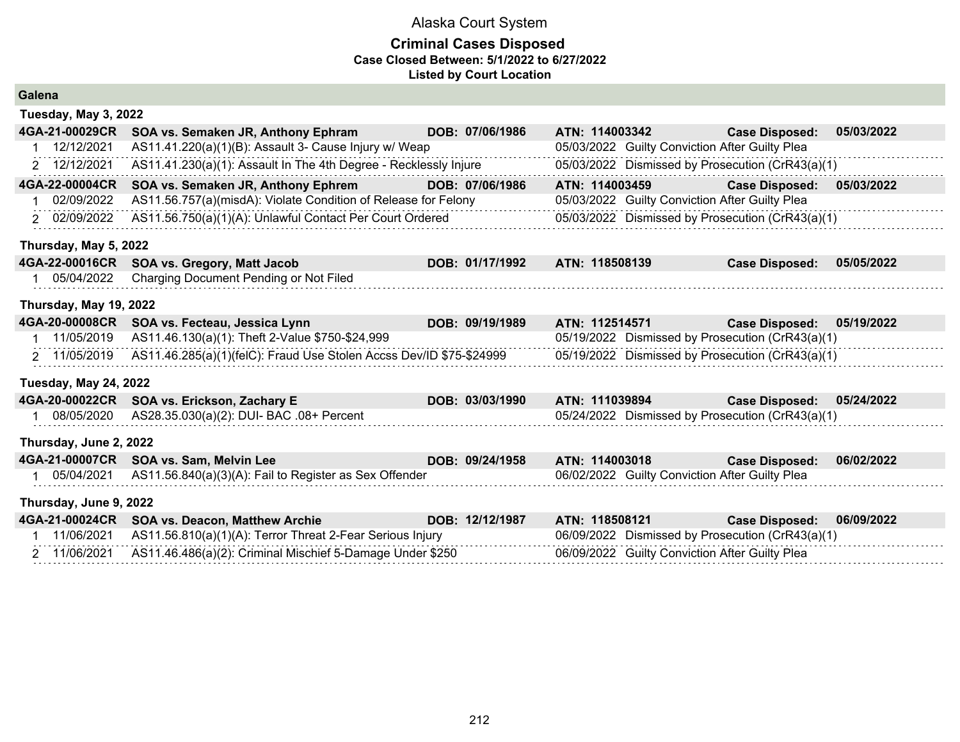| Galena                       |                                                                     |                 |                                                  |                       |            |
|------------------------------|---------------------------------------------------------------------|-----------------|--------------------------------------------------|-----------------------|------------|
| Tuesday, May 3, 2022         |                                                                     |                 |                                                  |                       |            |
| 4GA-21-00029CR               | SOA vs. Semaken JR, Anthony Ephram                                  | DOB: 07/06/1986 | ATN: 114003342                                   | <b>Case Disposed:</b> | 05/03/2022 |
| 12/12/2021                   | AS11.41.220(a)(1)(B): Assault 3- Cause Injury w/ Weap               |                 | 05/03/2022 Guilty Conviction After Guilty Plea   |                       |            |
| 2 12/12/2021                 | AS11.41.230(a)(1): Assault In The 4th Degree - Recklessly Injure    |                 | 05/03/2022 Dismissed by Prosecution (CrR43(a)(1) |                       |            |
| 4GA-22-00004CR               | SOA vs. Semaken JR, Anthony Ephrem                                  | DOB: 07/06/1986 | ATN: 114003459                                   | <b>Case Disposed:</b> | 05/03/2022 |
| 02/09/2022                   | AS11.56.757(a)(misdA): Violate Condition of Release for Felony      |                 | 05/03/2022 Guilty Conviction After Guilty Plea   |                       |            |
| 2 02/09/2022                 | AS11.56.750(a)(1)(A): Unlawful Contact Per Court Ordered            |                 | 05/03/2022 Dismissed by Prosecution (CrR43(a)(1) |                       |            |
| Thursday, May 5, 2022        |                                                                     |                 |                                                  |                       |            |
| 4GA-22-00016CR               | <b>SOA vs. Gregory, Matt Jacob</b>                                  | DOB: 01/17/1992 | ATN: 118508139                                   | <b>Case Disposed:</b> | 05/05/2022 |
| 05/04/2022                   | Charging Document Pending or Not Filed                              |                 |                                                  |                       |            |
| Thursday, May 19, 2022       |                                                                     |                 |                                                  |                       |            |
| 4GA-20-00008CR               | SOA vs. Fecteau, Jessica Lynn                                       | DOB: 09/19/1989 | ATN: 112514571                                   | <b>Case Disposed:</b> | 05/19/2022 |
| 11/05/2019<br>1              | AS11.46.130(a)(1): Theft 2-Value \$750-\$24,999                     |                 | 05/19/2022 Dismissed by Prosecution (CrR43(a)(1) |                       |            |
| 2 11/05/2019                 | AS11.46.285(a)(1)(felC): Fraud Use Stolen Accss Dev/ID \$75-\$24999 |                 | 05/19/2022 Dismissed by Prosecution (CrR43(a)(1) |                       |            |
| <b>Tuesday, May 24, 2022</b> |                                                                     |                 |                                                  |                       |            |
| 4GA-20-00022CR               | SOA vs. Erickson, Zachary E                                         | DOB: 03/03/1990 | ATN: 111039894                                   | <b>Case Disposed:</b> | 05/24/2022 |
| 08/05/2020                   | AS28.35.030(a)(2): DUI- BAC .08+ Percent                            |                 | 05/24/2022 Dismissed by Prosecution (CrR43(a)(1) |                       |            |
| Thursday, June 2, 2022       |                                                                     |                 |                                                  |                       |            |
| 4GA-21-00007CR               | SOA vs. Sam, Melvin Lee                                             | DOB: 09/24/1958 | ATN: 114003018                                   | <b>Case Disposed:</b> | 06/02/2022 |
| 05/04/2021                   | AS11.56.840(a)(3)(A): Fail to Register as Sex Offender              |                 | 06/02/2022 Guilty Conviction After Guilty Plea   |                       |            |
| Thursday, June 9, 2022       |                                                                     |                 |                                                  |                       |            |
| 4GA-21-00024CR               | SOA vs. Deacon, Matthew Archie                                      | DOB: 12/12/1987 | ATN: 118508121                                   | <b>Case Disposed:</b> | 06/09/2022 |
| 11/06/2021                   | AS11.56.810(a)(1)(A): Terror Threat 2-Fear Serious Injury           |                 | 06/09/2022 Dismissed by Prosecution (CrR43(a)(1) |                       |            |
| 2 11/06/2021                 | AS11.46.486(a)(2): Criminal Mischief 5-Damage Under \$250           |                 | 06/09/2022 Guilty Conviction After Guilty Plea   |                       |            |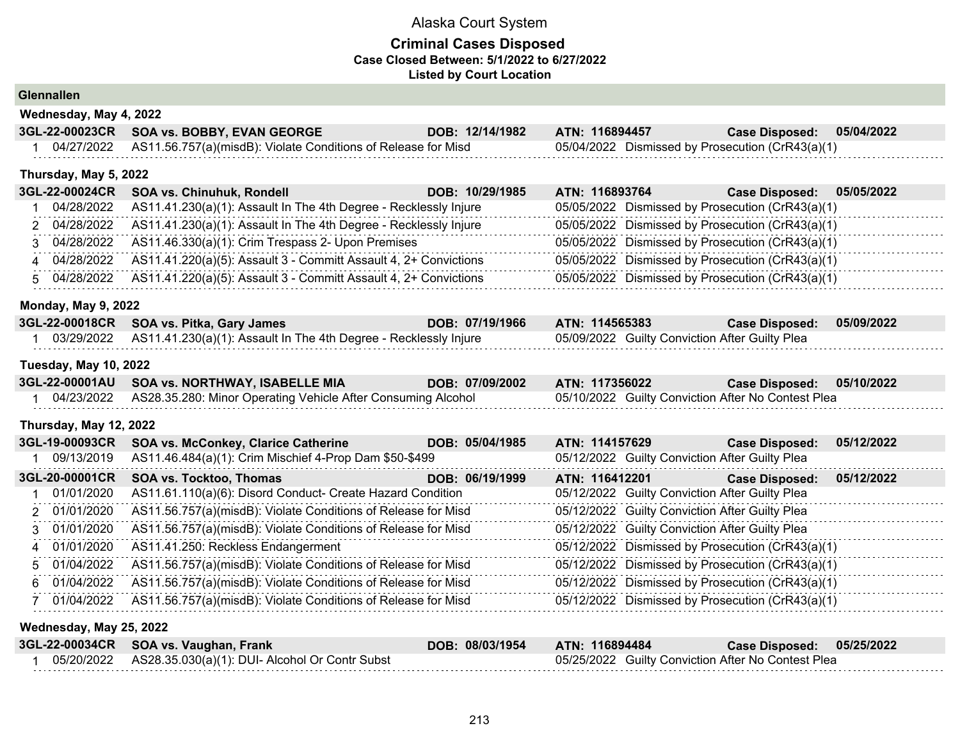## **Criminal Cases Disposed Case Closed Between: 5/1/2022 to 6/27/2022 Listed by Court Location**

## **Glennallen**

| Wednesday, May 4, 2022 |  |                                                                          |                 |                                                  |                           |  |  |
|------------------------|--|--------------------------------------------------------------------------|-----------------|--------------------------------------------------|---------------------------|--|--|
|                        |  | 3GL-22-00023CR SOA vs. BOBBY, EVAN GEORGE                                | DOB: 12/14/1982 | ATN: 116894457                                   | Case Disposed: 05/04/2022 |  |  |
|                        |  | 04/27/2022 AS11.56.757(a)(misdB): Violate Conditions of Release for Misd |                 | 05/04/2022 Dismissed by Prosecution (CrR43(a)(1) |                           |  |  |

### **Thursday, May 5, 2022**

|   |            | 3GL-22-00024CR SOA vs. Chinuhuk, Rondell                                      | <b>ATN: 116893764</b><br>DOB: 10/29/1985 | Case Disposed: 05/05/2022                        |  |
|---|------------|-------------------------------------------------------------------------------|------------------------------------------|--------------------------------------------------|--|
|   | 04/28/2022 | AS11.41.230(a)(1): Assault In The 4th Degree - Recklessly Injure              |                                          | 05/05/2022 Dismissed by Prosecution (CrR43(a)(1) |  |
|   |            | 2 04/28/2022 AS11.41.230(a)(1): Assault In The 4th Degree - Recklessly Injure |                                          | 05/05/2022 Dismissed by Prosecution (CrR43(a)(1) |  |
|   |            | 04/28/2022   AS11.46.330(a)(1): Crim Trespass 2- Upon Premises                |                                          | 05/05/2022 Dismissed by Prosecution (CrR43(a)(1) |  |
| 4 |            | 04/28/2022 AS11.41.220(a)(5): Assault 3 - Committ Assault 4, 2+ Convictions   |                                          | 05/05/2022 Dismissed by Prosecution (CrR43(a)(1) |  |
|   |            | 5 04/28/2022 AS11.41.220(a)(5): Assault 3 - Committ Assault 4, 2+ Convictions |                                          | 05/05/2022 Dismissed by Prosecution (CrR43(a)(1) |  |

### **Monday, May 9, 2022**

| 3GL-22-00018CR SOA vs. Pitka, Gary James                                    | DOB: 07/19/1966 | ATN: 114565383                                 | <b>Case Disposed: 05/09/2022</b> |  |
|-----------------------------------------------------------------------------|-----------------|------------------------------------------------|----------------------------------|--|
| 03/29/2022 AS11.41.230(a)(1): Assault In The 4th Degree - Recklessly Injure |                 | 05/09/2022 Guilty Conviction After Guilty Plea |                                  |  |

## **Tuesday, May 10, 2022**

| 3GL-22-00001AU SOA vs. NORTHWAY, ISABELLE MIA                           | DOB: 07/09/2002 | ATN: 117356022                                     | Case Disposed: 05/10/2022 |  |
|-------------------------------------------------------------------------|-----------------|----------------------------------------------------|---------------------------|--|
| 04/23/2022 AS28.35.280: Minor Operating Vehicle After Consuming Alcohol |                 | 05/10/2022 Guilty Conviction After No Contest Plea |                           |  |

### **Thursday, May 12, 2022**

| 3GL-19-00093CR | <b>SOA vs. McConkey, Clarice Catherine</b>                    | DOB: 05/04/1985 | ATN: 114157629                                 | <b>Case Disposed:</b>                            | 05/12/2022 |
|----------------|---------------------------------------------------------------|-----------------|------------------------------------------------|--------------------------------------------------|------------|
| 09/13/2019     | AS11.46.484(a)(1): Crim Mischief 4-Prop Dam \$50-\$499        |                 | 05/12/2022 Guilty Conviction After Guilty Plea |                                                  |            |
| 3GL-20-00001CR | <b>SOA vs. Tocktoo, Thomas</b>                                | DOB: 06/19/1999 | ATN: 116412201                                 | <b>Case Disposed:</b>                            | 05/12/2022 |
| 01/01/2020     | AS11.61.110(a)(6): Disord Conduct- Create Hazard Condition    |                 | 05/12/2022 Guilty Conviction After Guilty Plea |                                                  |            |
| 2 01/01/2020   | AS11.56.757(a)(misdB): Violate Conditions of Release for Misd |                 | 05/12/2022 Guilty Conviction After Guilty Plea |                                                  |            |
| 3 01/01/2020   | AS11.56.757(a)(misdB): Violate Conditions of Release for Misd |                 | 05/12/2022 Guilty Conviction After Guilty Plea |                                                  |            |
| 4 01/01/2020   | AS11.41.250: Reckless Endangerment                            |                 |                                                | 05/12/2022 Dismissed by Prosecution (CrR43(a)(1) |            |
| 5 01/04/2022   | AS11.56.757(a)(misdB): Violate Conditions of Release for Misd |                 |                                                | 05/12/2022 Dismissed by Prosecution (CrR43(a)(1) |            |
| 6 01/04/2022   | AS11.56.757(a)(misdB): Violate Conditions of Release for Misd |                 |                                                | 05/12/2022 Dismissed by Prosecution (CrR43(a)(1) |            |
| 7 01/04/2022   | AS11.56.757(a)(misdB): Violate Conditions of Release for Misd |                 |                                                | 05/12/2022 Dismissed by Prosecution (CrR43(a)(1) |            |

### **Wednesday, May 25, 2022**

| 3GL-22-00034CR SOA vs. Vaughan, Frank                        | DOB: 08/03/1954 | <b>ATN: 116894484</b>                              | Case Disposed: 05/25/2022 |  |
|--------------------------------------------------------------|-----------------|----------------------------------------------------|---------------------------|--|
| 05/20/2022    AS28.35.030(a)(1): DUI- Alcohol Or Contr Subst |                 | 05/25/2022 Guilty Conviction After No Contest Plea |                           |  |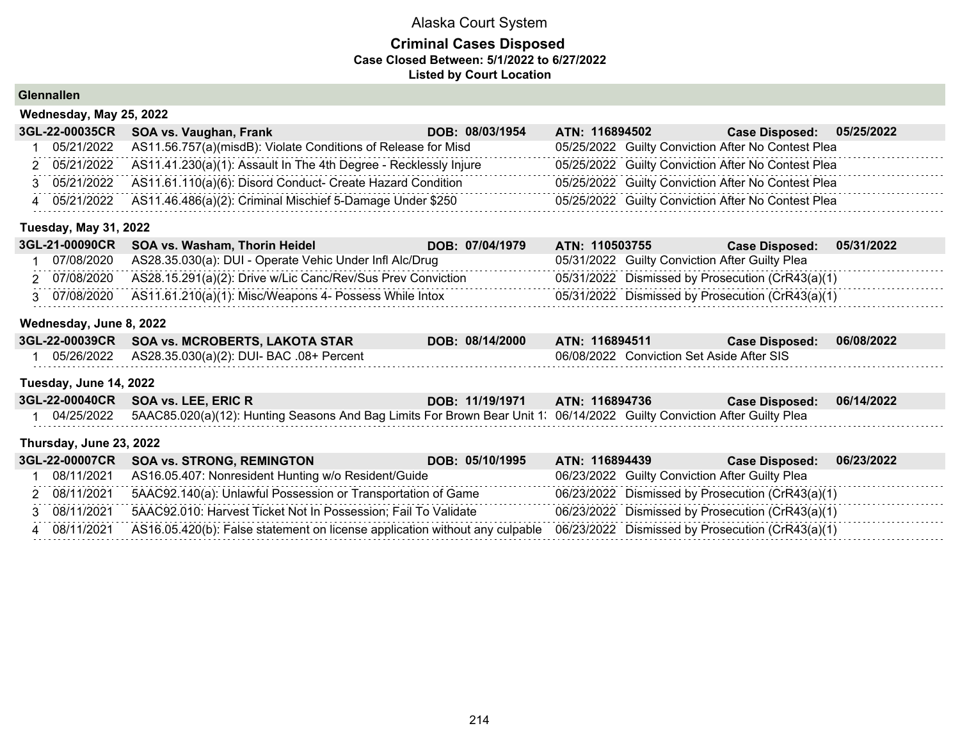## **Criminal Cases Disposed Case Closed Between: 5/1/2022 to 6/27/2022 Listed by Court Location**

**Glennallen**

| Wednesday, May 25, 2022 |                                                                  |                                   |                                                    |            |  |  |  |
|-------------------------|------------------------------------------------------------------|-----------------------------------|----------------------------------------------------|------------|--|--|--|
| 3GL-22-00035CR          | SOA vs. Vaughan, Frank                                           | ATN: 116894502<br>DOB: 08/03/1954 | <b>Case Disposed:</b>                              | 05/25/2022 |  |  |  |
| 05/21/2022              | AS11.56.757(a)(misdB): Violate Conditions of Release for Misd    |                                   | 05/25/2022 Guilty Conviction After No Contest Plea |            |  |  |  |
| 05/21/2022              | AS11.41.230(a)(1): Assault In The 4th Degree - Recklessly Injure |                                   | 05/25/2022 Guilty Conviction After No Contest Plea |            |  |  |  |
| 05/21/2022              | AS11.61.110(a)(6): Disord Conduct- Create Hazard Condition       |                                   | 05/25/2022 Guilty Conviction After No Contest Plea |            |  |  |  |
| 05/21/2022              | AS11.46.486(a)(2): Criminal Mischief 5-Damage Under \$250        |                                   | 05/25/2022 Guilty Conviction After No Contest Plea |            |  |  |  |
|                         |                                                                  |                                   |                                                    |            |  |  |  |

## **Tuesday, May 31, 2022**

|            | 3GL-21-00090CR SOA vs. Washam, Thorin Heidel                             | DOB: 07/04/1979 | ATN: 110503755 | <b>Case Disposed:</b>                            | 05/31/2022 |
|------------|--------------------------------------------------------------------------|-----------------|----------------|--------------------------------------------------|------------|
| 07/08/2020 | AS28.35.030(a): DUI - Operate Vehic Under Infl Alc/Drug                  |                 |                | 05/31/2022 Guilty Conviction After Guilty Plea   |            |
|            | 2 07/08/2020 AS28.15.291(a)(2): Drive w/Lic Canc/Rev/Sus Prev Conviction |                 |                | 05/31/2022 Dismissed by Prosecution (CrR43(a)(1) |            |
|            | 3 07/08/2020 AS11.61.210(a)(1): Misc/Weapons 4- Possess While Intox      |                 |                | 05/31/2022 Dismissed by Prosecution (CrR43(a)(1) |            |

## **Wednesday, June 8, 2022**

| 3GL-22-00039CR SOA vs. MCROBERTS, LAKOTA STAR             | DOB: 08/14/2000 | ATN: 116894511                            | Case Disposed: 06/08/2022 |  |
|-----------------------------------------------------------|-----------------|-------------------------------------------|---------------------------|--|
| 05/26/2022    AS28.35.030(a)(2): DUI- BAC    .08+ Percent |                 | 06/08/2022 Conviction Set Aside After SIS |                           |  |

## **Tuesday, June 14, 2022**

| 3GL-22-00040CR SOA vs. LEE, ERIC R                                                                                                 | DOB: 11/19/1971 | ATN: 116894736 | <b>Case Disposed:</b> | 06/14/2022 |
|------------------------------------------------------------------------------------------------------------------------------------|-----------------|----------------|-----------------------|------------|
| 04/25/2022 5AAC85.020(a)(12): Hunting Seasons And Bag Limits For Brown Bear Unit 1: 06/14/2022 Guilty Conviction After Guilty Plea |                 |                |                       |            |
|                                                                                                                                    |                 |                |                       |            |

## **Thursday, June 23, 2022**

|              | 3GL-22-00007CR SOA vs. STRONG, REMINGTON<br>DOB: 05/10/1995                                                                               | ATN: 116894439                                 | Case Disposed: 06/23/2022                        |
|--------------|-------------------------------------------------------------------------------------------------------------------------------------------|------------------------------------------------|--------------------------------------------------|
|              | 08/11/2021 AS16.05.407: Nonresident Hunting w/o Resident/Guide                                                                            | 06/23/2022 Guilty Conviction After Guilty Plea |                                                  |
| 2 08/11/2021 | 5AAC92.140(a): Unlawful Possession or Transportation of Game                                                                              |                                                | 06/23/2022 Dismissed by Prosecution (CrR43(a)(1) |
| 3 08/11/2021 | 5AAC92.010: Harvest Ticket Not In Possession; Fail To Validate                                                                            |                                                | 06/23/2022 Dismissed by Prosecution (CrR43(a)(1) |
|              | 4 08/11/2021 AS16.05.420(b): False statement on license application without any culpable 06/23/2022 Dismissed by Prosecution (CrR43(a)(1) |                                                |                                                  |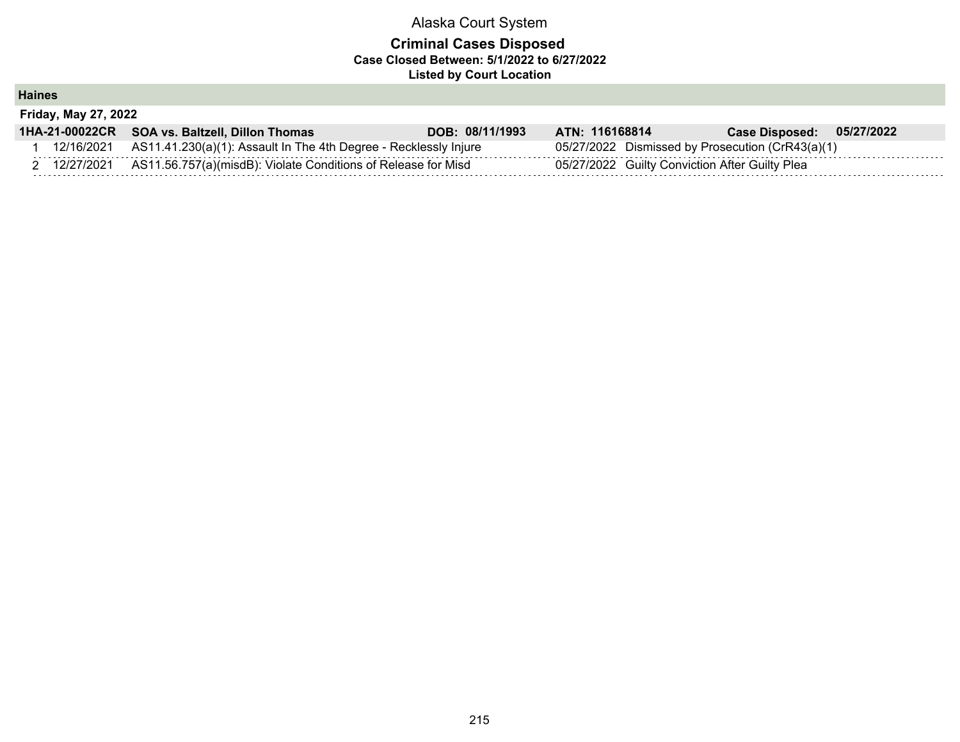## **Criminal Cases Disposed Case Closed Between: 5/1/2022 to 6/27/2022 Listed by Court Location**

**Haines**

| <b>Friday, May 27, 2022</b> |                                                                          |                 |                                                |                                                  |
|-----------------------------|--------------------------------------------------------------------------|-----------------|------------------------------------------------|--------------------------------------------------|
|                             | 1HA-21-00022CR SOA vs. Baltzell, Dillon Thomas                           | DOB: 08/11/1993 | ATN: 116168814                                 | Case Disposed: 05/27/2022                        |
| 12/16/2021                  | AS11.41.230(a)(1): Assault In The 4th Degree - Recklessly Injure         |                 |                                                | 05/27/2022 Dismissed by Prosecution (CrR43(a)(1) |
|                             | 12/27/2021 AS11.56.757(a)(misdB): Violate Conditions of Release for Misd |                 | 05/27/2022 Guilty Conviction After Guilty Plea |                                                  |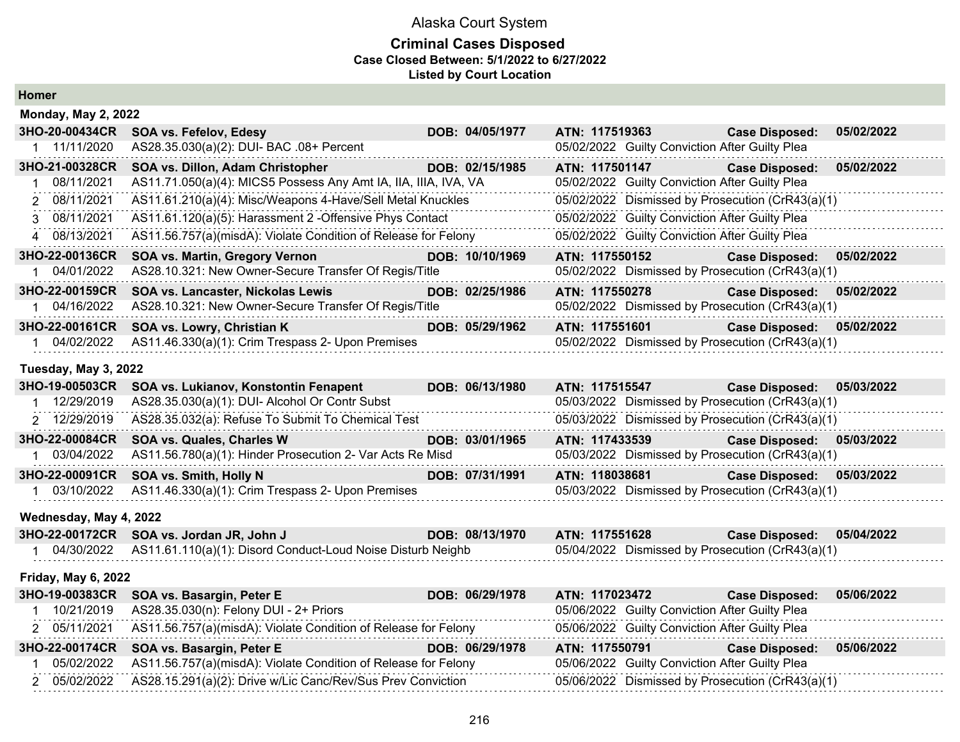## **Criminal Cases Disposed Case Closed Between: 5/1/2022 to 6/27/2022 Listed by Court Location**

| <b>Homer</b> |  |
|--------------|--|
|--------------|--|

| <b>Monday, May 2, 2022</b> |                                                                 |                 |                                                  |                       |            |
|----------------------------|-----------------------------------------------------------------|-----------------|--------------------------------------------------|-----------------------|------------|
| 3HO-20-00434CR             | <b>SOA vs. Fefelov, Edesy</b>                                   | DOB: 04/05/1977 | ATN: 117519363                                   | <b>Case Disposed:</b> | 05/02/2022 |
| 1 11/11/2020               | AS28.35.030(a)(2): DUI- BAC .08+ Percent                        |                 | 05/02/2022 Guilty Conviction After Guilty Plea   |                       |            |
| 3HO-21-00328CR             | SOA vs. Dillon, Adam Christopher                                | DOB: 02/15/1985 | ATN: 117501147                                   | <b>Case Disposed:</b> | 05/02/2022 |
| 08/11/2021                 | AS11.71.050(a)(4): MICS5 Possess Any Amt IA, IIA, IIIA, IVA, VA |                 | 05/02/2022 Guilty Conviction After Guilty Plea   |                       |            |
| 2 08/11/2021               | AS11.61.210(a)(4): Misc/Weapons 4-Have/Sell Metal Knuckles      |                 | 05/02/2022 Dismissed by Prosecution (CrR43(a)(1) |                       |            |
| 3 08/11/2021               | AS11.61.120(a)(5): Harassment 2 -Offensive Phys Contact         |                 | 05/02/2022 Guilty Conviction After Guilty Plea   |                       |            |
| 4 08/13/2021               | AS11.56.757(a)(misdA): Violate Condition of Release for Felony  |                 | 05/02/2022 Guilty Conviction After Guilty Plea   |                       |            |
| 3HO-22-00136CR             | SOA vs. Martin, Gregory Vernon                                  | DOB: 10/10/1969 | ATN: 117550152                                   | <b>Case Disposed:</b> | 05/02/2022 |
| 04/01/2022                 | AS28.10.321: New Owner-Secure Transfer Of Regis/Title           |                 | 05/02/2022 Dismissed by Prosecution (CrR43(a)(1) |                       |            |
| 3HO-22-00159CR             | SOA vs. Lancaster, Nickolas Lewis                               | DOB: 02/25/1986 | ATN: 117550278                                   | <b>Case Disposed:</b> | 05/02/2022 |
| 1 04/16/2022               | AS28.10.321: New Owner-Secure Transfer Of Regis/Title           |                 | 05/02/2022 Dismissed by Prosecution (CrR43(a)(1) |                       |            |
| 3HO-22-00161CR             | SOA vs. Lowry, Christian K                                      | DOB: 05/29/1962 | ATN: 117551601                                   | <b>Case Disposed:</b> | 05/02/2022 |
| 04/02/2022                 | AS11.46.330(a)(1): Crim Trespass 2- Upon Premises               |                 | 05/02/2022 Dismissed by Prosecution (CrR43(a)(1) |                       |            |
| Tuesday, May 3, 2022       |                                                                 |                 |                                                  |                       |            |
| 3HO-19-00503CR             | SOA vs. Lukianov, Konstontin Fenapent                           | DOB: 06/13/1980 | ATN: 117515547 Case Disposed:                    |                       | 05/03/2022 |
| 12/29/2019                 | AS28.35.030(a)(1): DUI- Alcohol Or Contr Subst                  |                 | 05/03/2022 Dismissed by Prosecution (CrR43(a)(1) |                       |            |
| 2 12/29/2019               | AS28.35.032(a): Refuse To Submit To Chemical Test               |                 | 05/03/2022 Dismissed by Prosecution (CrR43(a)(1) |                       |            |
| 3HO-22-00084CR             | SOA vs. Quales, Charles W                                       | DOB: 03/01/1965 | ATN: 117433539                                   | <b>Case Disposed:</b> | 05/03/2022 |
| 03/04/2022                 | AS11.56.780(a)(1): Hinder Prosecution 2- Var Acts Re Misd       |                 | 05/03/2022 Dismissed by Prosecution (CrR43(a)(1) |                       |            |
| 3HO-22-00091CR             | SOA vs. Smith, Holly N                                          | DOB: 07/31/1991 | ATN: 118038681                                   | <b>Case Disposed:</b> | 05/03/2022 |

## **Wednesday, May 4, 2022**

| 3HO-22-00172CR SOA vs. Jordan JR, John J                                 | DOB: 08/13/1970 | ATN: 117551628                                   | Case Disposed: 05/04/2022 |  |
|--------------------------------------------------------------------------|-----------------|--------------------------------------------------|---------------------------|--|
| 04/30/2022   AS11.61.110(a)(1): Disord Conduct-Loud Noise Disturb Neighb |                 | 05/04/2022 Dismissed by Prosecution (CrR43(a)(1) |                           |  |

1 03/10/2022 AS11.46.330(a)(1): Crim Trespass 2- Upon Premises 05/03/2022 Dismissed by Prosecution (CrR43(a)(1)

#### **Friday, May 6, 2022**

| 3HO-19-00383CR SOA vs. Basargin, Peter E                                    | DOB: 06/29/1978 | ATN: 117023472 | Case Disposed: 05/06/2022                      |  |
|-----------------------------------------------------------------------------|-----------------|----------------|------------------------------------------------|--|
| 10/21/2019 AS28.35.030(n): Felony DUI - 2+ Priors                           |                 |                | 05/06/2022 Guilty Conviction After Guilty Plea |  |
| 2 05/11/2021 AS11.56.757(a)(misdA): Violate Condition of Release for Felony |                 |                | 05/06/2022 Guilty Conviction After Guilty Plea |  |
|                                                                             |                 |                |                                                |  |
| 3HO-22-00174CR SOA vs. Basargin, Peter E                                    | DOB: 06/29/1978 | ATN: 117550791 | <b>Case Disposed: 05/06/2022</b>               |  |
| 05/02/2022 AS11.56.757(a)(misdA): Violate Condition of Release for Felony   |                 |                | 05/06/2022 Guilty Conviction After Guilty Plea |  |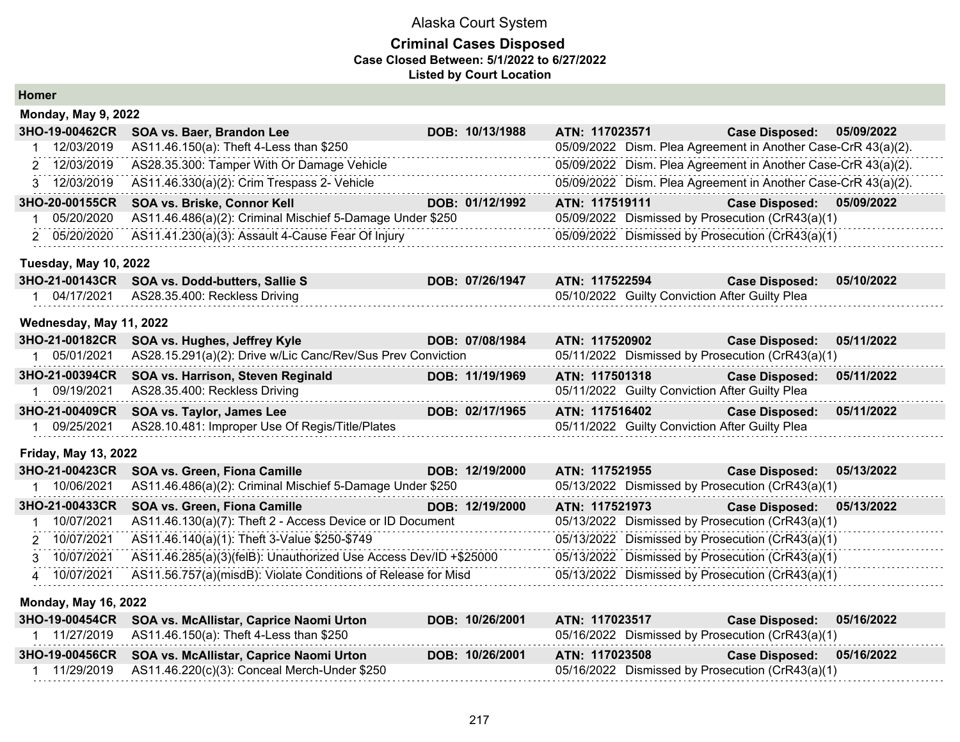| <b>Homer</b>                 |                                                                  |                 |                |                                                |                                                               |            |
|------------------------------|------------------------------------------------------------------|-----------------|----------------|------------------------------------------------|---------------------------------------------------------------|------------|
| <b>Monday, May 9, 2022</b>   |                                                                  |                 |                |                                                |                                                               |            |
| 3HO-19-00462CR               | SOA vs. Baer, Brandon Lee                                        | DOB: 10/13/1988 | ATN: 117023571 |                                                | <b>Case Disposed:</b>                                         | 05/09/2022 |
| 12/03/2019                   | AS11.46.150(a): Theft 4-Less than \$250                          |                 |                |                                                | 05/09/2022 Dism. Plea Agreement in Another Case-CrR 43(a)(2). |            |
| 2 12/03/2019                 | AS28.35.300: Tamper With Or Damage Vehicle                       |                 |                |                                                | 05/09/2022 Dism. Plea Agreement in Another Case-CrR 43(a)(2). |            |
| 3 12/03/2019                 | AS11.46.330(a)(2): Crim Trespass 2- Vehicle                      |                 |                |                                                | 05/09/2022 Dism. Plea Agreement in Another Case-CrR 43(a)(2). |            |
| 3HO-20-00155CR               | SOA vs. Briske, Connor Kell                                      | DOB: 01/12/1992 | ATN: 117519111 |                                                | <b>Case Disposed:</b>                                         | 05/09/2022 |
| 05/20/2020                   | AS11.46.486(a)(2): Criminal Mischief 5-Damage Under \$250        |                 |                |                                                | 05/09/2022 Dismissed by Prosecution (CrR43(a)(1)              |            |
| 2 05/20/2020                 | AS11.41.230(a)(3): Assault 4-Cause Fear Of Injury                |                 |                |                                                | 05/09/2022 Dismissed by Prosecution (CrR43(a)(1)              |            |
| <b>Tuesday, May 10, 2022</b> |                                                                  |                 |                |                                                |                                                               |            |
| 3HO-21-00143CR               | SOA vs. Dodd-butters, Sallie S                                   | DOB: 07/26/1947 | ATN: 117522594 |                                                | <b>Case Disposed:</b>                                         | 05/10/2022 |
| 1 04/17/2021                 | AS28.35.400: Reckless Driving                                    |                 |                | 05/10/2022 Guilty Conviction After Guilty Plea |                                                               |            |
| Wednesday, May 11, 2022      |                                                                  |                 |                |                                                |                                                               |            |
| 3HO-21-00182CR               | SOA vs. Hughes, Jeffrey Kyle                                     | DOB: 07/08/1984 | ATN: 117520902 |                                                | <b>Case Disposed:</b>                                         | 05/11/2022 |
| 1 05/01/2021                 | AS28.15.291(a)(2): Drive w/Lic Canc/Rev/Sus Prev Conviction      |                 |                |                                                | 05/11/2022 Dismissed by Prosecution (CrR43(a)(1)              |            |
| 3HO-21-00394CR               | SOA vs. Harrison, Steven Reginald                                | DOB: 11/19/1969 | ATN: 117501318 |                                                | <b>Case Disposed:</b>                                         | 05/11/2022 |
| 09/19/2021                   | AS28.35.400: Reckless Driving                                    |                 |                | 05/11/2022 Guilty Conviction After Guilty Plea |                                                               |            |
| 3HO-21-00409CR               | SOA vs. Taylor, James Lee                                        | DOB: 02/17/1965 | ATN: 117516402 |                                                | <b>Case Disposed:</b>                                         | 05/11/2022 |
| 09/25/2021                   | AS28.10.481: Improper Use Of Regis/Title/Plates                  |                 |                | 05/11/2022 Guilty Conviction After Guilty Plea |                                                               |            |
| <b>Friday, May 13, 2022</b>  |                                                                  |                 |                |                                                |                                                               |            |
| 3HO-21-00423CR               | SOA vs. Green, Fiona Camille                                     | DOB: 12/19/2000 | ATN: 117521955 |                                                | <b>Case Disposed:</b>                                         | 05/13/2022 |
| 1 10/06/2021                 | AS11.46.486(a)(2): Criminal Mischief 5-Damage Under \$250        |                 |                |                                                | 05/13/2022 Dismissed by Prosecution (CrR43(a)(1)              |            |
| 3HO-21-00433CR               | SOA vs. Green, Fiona Camille                                     | DOB: 12/19/2000 | ATN: 117521973 |                                                | <b>Case Disposed:</b>                                         | 05/13/2022 |
| 10/07/2021                   | AS11.46.130(a)(7): Theft 2 - Access Device or ID Document        |                 |                |                                                | 05/13/2022 Dismissed by Prosecution (CrR43(a)(1)              |            |
| 10/07/2021                   | AS11.46.140(a)(1): Theft 3-Value \$250-\$749                     |                 |                |                                                | 05/13/2022 Dismissed by Prosecution (CrR43(a)(1)              |            |
| 3 10/07/2021                 | AS11.46.285(a)(3)(felB): Unauthorized Use Access Dev/ID +\$25000 |                 |                |                                                | 05/13/2022 Dismissed by Prosecution (CrR43(a)(1)              |            |
| 4 10/07/2021                 | AS11.56.757(a)(misdB): Violate Conditions of Release for Misd    |                 |                |                                                | 05/13/2022 Dismissed by Prosecution (CrR43(a)(1)              |            |
| <b>Monday, May 16, 2022</b>  |                                                                  |                 |                |                                                |                                                               |            |
|                              | 3HO-19-00454CR SOA vs. McAllistar, Caprice Naomi Urton           | DOB: 10/26/2001 | ATN: 117023517 |                                                | <b>Case Disposed:</b>                                         | 05/16/2022 |
|                              |                                                                  |                 |                |                                                |                                                               |            |

| 11/27/2019 AS11.46.150(a): Theft 4-Less than \$250      | 05/16/2022 Dismissed by Prosecution (CrR43(a)(1) |                                                  |                           |  |
|---------------------------------------------------------|--------------------------------------------------|--------------------------------------------------|---------------------------|--|
| 3HO-19-00456CR SOA vs. McAllistar, Caprice Naomi Urton  | DOB: 10/26/2001                                  | ATN: 117023508                                   | Case Disposed: 05/16/2022 |  |
| 11/29/2019 AS11.46.220(c)(3): Conceal Merch-Under \$250 |                                                  | 05/16/2022 Dismissed by Prosecution (CrR43(a)(1) |                           |  |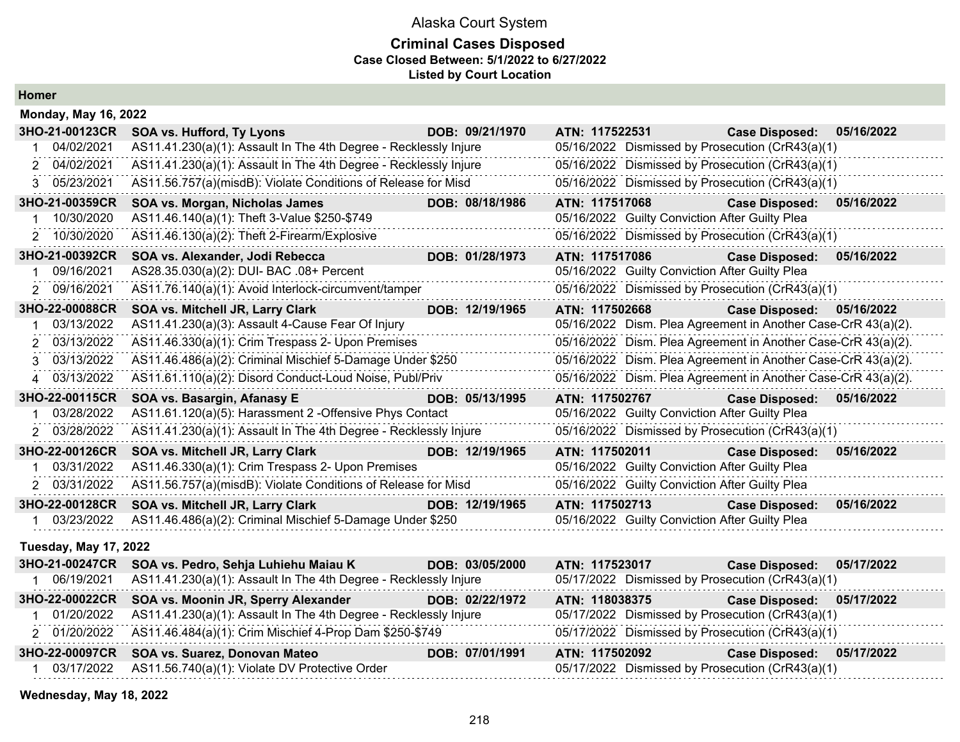#### **Criminal Cases Disposed Case Closed Between: 5/1/2022 to 6/27/2022 Listed by Court Location**

| <b>Homer</b> |  |
|--------------|--|
|--------------|--|

| <b>Monday, May 16, 2022</b>  |                                                                  |                 |                                                               |                       |            |
|------------------------------|------------------------------------------------------------------|-----------------|---------------------------------------------------------------|-----------------------|------------|
| 3HO-21-00123CR               | <b>SOA vs. Hufford, Ty Lyons</b>                                 | DOB: 09/21/1970 | ATN: 117522531                                                | <b>Case Disposed:</b> | 05/16/2022 |
| 04/02/2021                   | AS11.41.230(a)(1): Assault In The 4th Degree - Recklessly Injure |                 | 05/16/2022 Dismissed by Prosecution (CrR43(a)(1)              |                       |            |
| 2 04/02/2021                 | AS11.41.230(a)(1): Assault In The 4th Degree - Recklessly Injure |                 | 05/16/2022 Dismissed by Prosecution (CrR43(a)(1)              |                       |            |
| 3 05/23/2021                 | AS11.56.757(a)(misdB): Violate Conditions of Release for Misd    |                 | 05/16/2022 Dismissed by Prosecution (CrR43(a)(1)              |                       |            |
| 3HO-21-00359CR               | SOA vs. Morgan, Nicholas James                                   | DOB: 08/18/1986 | ATN: 117517068                                                | <b>Case Disposed:</b> | 05/16/2022 |
| 10/30/2020                   | AS11.46.140(a)(1): Theft 3-Value \$250-\$749                     |                 | 05/16/2022 Guilty Conviction After Guilty Plea                |                       |            |
| 2 10/30/2020                 | AS11.46.130(a)(2): Theft 2-Firearm/Explosive                     |                 | 05/16/2022 Dismissed by Prosecution (CrR43(a)(1)              |                       |            |
| 3HO-21-00392CR               | SOA vs. Alexander, Jodi Rebecca                                  | DOB: 01/28/1973 | ATN: 117517086                                                | <b>Case Disposed:</b> | 05/16/2022 |
| 09/16/2021                   | AS28.35.030(a)(2): DUI- BAC .08+ Percent                         |                 | 05/16/2022 Guilty Conviction After Guilty Plea                |                       |            |
| 09/16/2021                   | AS11.76.140(a)(1): Avoid Interlock-circumvent/tamper             |                 | 05/16/2022 Dismissed by Prosecution (CrR43(a)(1)              |                       |            |
| 3HO-22-00088CR               | SOA vs. Mitchell JR, Larry Clark                                 | DOB: 12/19/1965 | ATN: 117502668                                                | <b>Case Disposed:</b> | 05/16/2022 |
| 03/13/2022                   | AS11.41.230(a)(3): Assault 4-Cause Fear Of Injury                |                 | 05/16/2022 Dism. Plea Agreement in Another Case-CrR 43(a)(2). |                       |            |
| 03/13/2022<br>2              | AS11.46.330(a)(1): Crim Trespass 2- Upon Premises                |                 | 05/16/2022 Dism. Plea Agreement in Another Case-CrR 43(a)(2). |                       |            |
| 3 03/13/2022                 | AS11.46.486(a)(2): Criminal Mischief 5-Damage Under \$250        |                 | 05/16/2022 Dism. Plea Agreement in Another Case-CrR 43(a)(2). |                       |            |
| 4 03/13/2022                 | AS11.61.110(a)(2): Disord Conduct-Loud Noise, Publ/Priv          |                 | 05/16/2022 Dism. Plea Agreement in Another Case-CrR 43(a)(2). |                       |            |
| 3HO-22-00115CR               | SOA vs. Basargin, Afanasy E                                      | DOB: 05/13/1995 | ATN: 117502767                                                | <b>Case Disposed:</b> | 05/16/2022 |
| 03/28/2022                   | AS11.61.120(a)(5): Harassment 2 - Offensive Phys Contact         |                 | 05/16/2022 Guilty Conviction After Guilty Plea                |                       |            |
| 2 03/28/2022                 | AS11.41.230(a)(1): Assault In The 4th Degree - Recklessly Injure |                 | 05/16/2022 Dismissed by Prosecution (CrR43(a)(1)              |                       |            |
| 3HO-22-00126CR               | SOA vs. Mitchell JR, Larry Clark                                 | DOB: 12/19/1965 | ATN: 117502011                                                | <b>Case Disposed:</b> | 05/16/2022 |
| 03/31/2022                   | AS11.46.330(a)(1): Crim Trespass 2- Upon Premises                |                 | 05/16/2022 Guilty Conviction After Guilty Plea                |                       |            |
| 2 03/31/2022                 | AS11.56.757(a)(misdB): Violate Conditions of Release for Misd    |                 | 05/16/2022 Guilty Conviction After Guilty Plea                |                       |            |
| 3HO-22-00128CR               | SOA vs. Mitchell JR, Larry Clark                                 | DOB: 12/19/1965 | ATN: 117502713                                                | <b>Case Disposed:</b> | 05/16/2022 |
| 03/23/2022                   | AS11.46.486(a)(2): Criminal Mischief 5-Damage Under \$250        |                 | 05/16/2022 Guilty Conviction After Guilty Plea                |                       |            |
| <b>Tuesday, May 17, 2022</b> |                                                                  |                 |                                                               |                       |            |
| 3HO-21-00247CR               | SOA vs. Pedro, Sehja Luhiehu Maiau K                             | DOB: 03/05/2000 | ATN: 117523017                                                | <b>Case Disposed:</b> | 05/17/2022 |
| 1 06/19/2021                 | AS11.41.230(a)(1): Assault In The 4th Degree - Recklessly Injure |                 | 05/17/2022 Dismissed by Prosecution (CrR43(a)(1)              |                       |            |
| 3HO-22-00022CR               | SOA vs. Moonin JR, Sperry Alexander                              | DOB: 02/22/1972 | ATN: 118038375                                                | <b>Case Disposed:</b> | 05/17/2022 |
| 01/20/2022                   | AS11.41.230(a)(1): Assault In The 4th Degree - Recklessly Injure |                 | 05/17/2022 Dismissed by Prosecution (CrR43(a)(1)              |                       |            |

2 01/20/2022 AS11.46.484(a)(1): Crim Mischief 4-Prop Dam \$250-\$749 05/17/2022 Dismissed by Prosecution (CrR43(a)(1)

**3HO-22-00097CR SOA vs. Suarez, Donovan Mateo DOB: 07/01/1991 ATN: 117502092 Case Disposed: 05/17/2022** 1 03/17/2022 AS11.56.740(a)(1): Violate DV Protective Order 06/17/2022 Dismissed by Prosecution (CrR43(a)(1)

**Wednesday, May 18, 2022**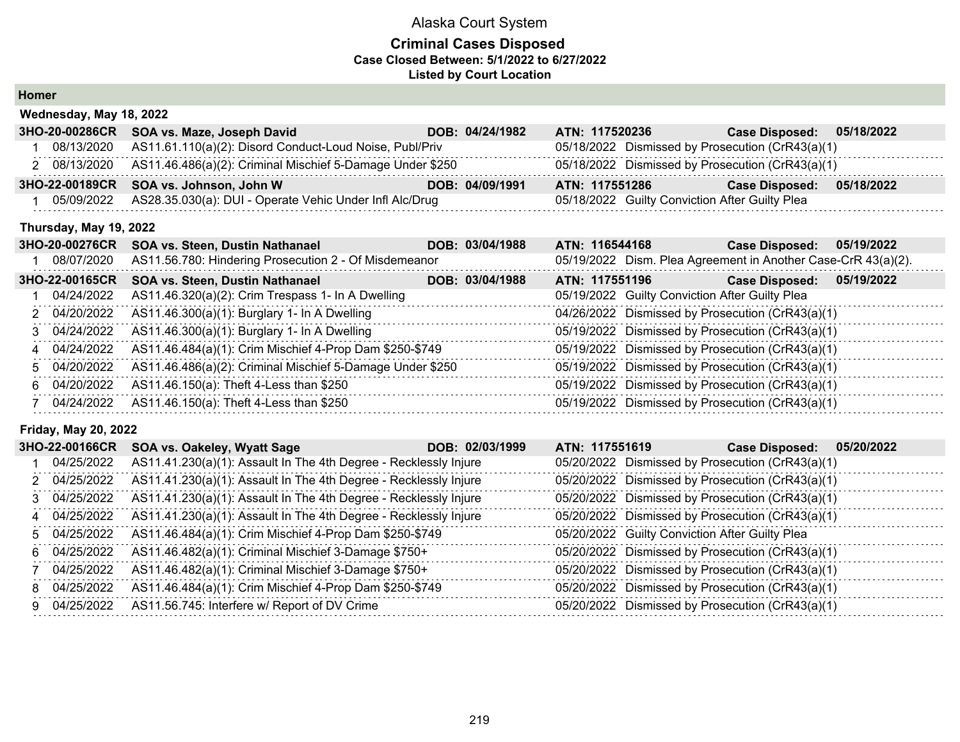#### **Criminal Cases Disposed Case Closed Between: 5/1/2022 to 6/27/2022 Listed by Court Location**

**Homer**

| Wednesday, May 18, 2022 |                                                                        |  |                 |                |  |                                                |                                                  |            |
|-------------------------|------------------------------------------------------------------------|--|-----------------|----------------|--|------------------------------------------------|--------------------------------------------------|------------|
|                         | 3HO-20-00286CR SOA vs. Maze, Joseph David                              |  | DOB: 04/24/1982 | ATN: 117520236 |  |                                                | <b>Case Disposed:</b>                            | 05/18/2022 |
| 08/13/2020              | AS11.61.110(a)(2): Disord Conduct-Loud Noise, Publ/Priv                |  |                 |                |  |                                                | 05/18/2022 Dismissed by Prosecution (CrR43(a)(1) |            |
|                         | 2 08/13/2020 AS11.46.486(a)(2): Criminal Mischief 5-Damage Under \$250 |  |                 |                |  |                                                | 05/18/2022 Dismissed by Prosecution (CrR43(a)(1) |            |
|                         | 3HO-22-00189CR SOA vs. Johnson, John W                                 |  | DOB: 04/09/1991 | ATN: 117551286 |  |                                                | <b>Case Disposed:</b>                            | 05/18/2022 |
| 05/09/2022              | AS28.35.030(a): DUI - Operate Vehic Under Infl Alc/Drug                |  |                 |                |  | 05/18/2022 Guilty Conviction After Guilty Plea |                                                  |            |

#### **Thursday, May 19, 2022**

| <b>3HO-20-00276CR</b> | <b>SOA vs. Steen, Dustin Nathanael</b>                    | DOB: 03/04/1988 | ATN: 116544168                                 | 05/19/2022<br><b>Case Disposed:</b>                           |
|-----------------------|-----------------------------------------------------------|-----------------|------------------------------------------------|---------------------------------------------------------------|
| 08/07/2020            | AS11.56.780: Hindering Prosecution 2 - Of Misdemeanor     |                 |                                                | 05/19/2022 Dism. Plea Agreement in Another Case-CrR 43(a)(2). |
| 3HO-22-00165CR        | SOA vs. Steen, Dustin Nathanael                           | DOB: 03/04/1988 | ATN: 117551196                                 | 05/19/2022<br><b>Case Disposed:</b>                           |
| 04/24/2022            | AS11.46.320(a)(2): Crim Trespass 1- In A Dwelling         |                 | 05/19/2022 Guilty Conviction After Guilty Plea |                                                               |
| 2 04/20/2022          | AS11.46.300(a)(1): Burglary 1- In A Dwelling              |                 |                                                | 04/26/2022 Dismissed by Prosecution (CrR43(a)(1)              |
|                       | 3 04/24/2022 AS11.46.300(a)(1): Burglary 1- In A Dwelling |                 |                                                | 05/19/2022 Dismissed by Prosecution (CrR43(a)(1)              |
| 4 04/24/2022          | AS11.46.484(a)(1): Crim Mischief 4-Prop Dam \$250-\$749   |                 |                                                | 05/19/2022 Dismissed by Prosecution (CrR43(a)(1)              |
| 5 04/20/2022          | AS11.46.486(a)(2): Criminal Mischief 5-Damage Under \$250 |                 |                                                | 05/19/2022 Dismissed by Prosecution (CrR43(a)(1)              |
| 6 04/20/2022          | AS11.46.150(a): Theft 4-Less than \$250                   |                 |                                                | 05/19/2022 Dismissed by Prosecution (CrR43(a)(1)              |
|                       | 7 04/24/2022 AS11.46.150(a): Theft 4-Less than \$250      |                 |                                                | 05/19/2022 Dismissed by Prosecution (CrR43(a)(1)              |

#### **Friday, May 20, 2022**

| 3HO-22-00166CR | SOA vs. Oakeley, Wyatt Sage                                      | DOB: 02/03/1999<br>ATN: 117551619 | 05/20/2022<br><b>Case Disposed:</b>              |  |
|----------------|------------------------------------------------------------------|-----------------------------------|--------------------------------------------------|--|
| 04/25/2022     | AS11.41.230(a)(1): Assault In The 4th Degree - Recklessly Injure |                                   | 05/20/2022 Dismissed by Prosecution (CrR43(a)(1) |  |
| 2 04/25/2022   | AS11.41.230(a)(1): Assault In The 4th Degree - Recklessly Injure |                                   | 05/20/2022 Dismissed by Prosecution (CrR43(a)(1) |  |
| 3 04/25/2022   | AS11.41.230(a)(1): Assault In The 4th Degree - Recklessly Injure |                                   | 05/20/2022 Dismissed by Prosecution (CrR43(a)(1) |  |
| 4 04/25/2022   | AS11.41.230(a)(1): Assault In The 4th Degree - Recklessly Injure |                                   | 05/20/2022 Dismissed by Prosecution (CrR43(a)(1) |  |
| 5 04/25/2022   | AS11.46.484(a)(1): Crim Mischief 4-Prop Dam \$250-\$749          |                                   | 05/20/2022 Guilty Conviction After Guilty Plea   |  |
| 6 04/25/2022   | AS11.46.482(a)(1): Criminal Mischief 3-Damage \$750+             |                                   | 05/20/2022 Dismissed by Prosecution (CrR43(a)(1) |  |
| 7 04/25/2022   | AS11.46.482(a)(1): Criminal Mischief 3-Damage \$750+             |                                   | 05/20/2022 Dismissed by Prosecution (CrR43(a)(1) |  |
| 8 04/25/2022   | AS11.46.484(a)(1): Crim Mischief 4-Prop Dam \$250-\$749          |                                   | 05/20/2022 Dismissed by Prosecution (CrR43(a)(1) |  |
| 9 04/25/2022   | AS11.56.745: Interfere w/ Report of DV Crime                     |                                   | 05/20/2022 Dismissed by Prosecution (CrR43(a)(1) |  |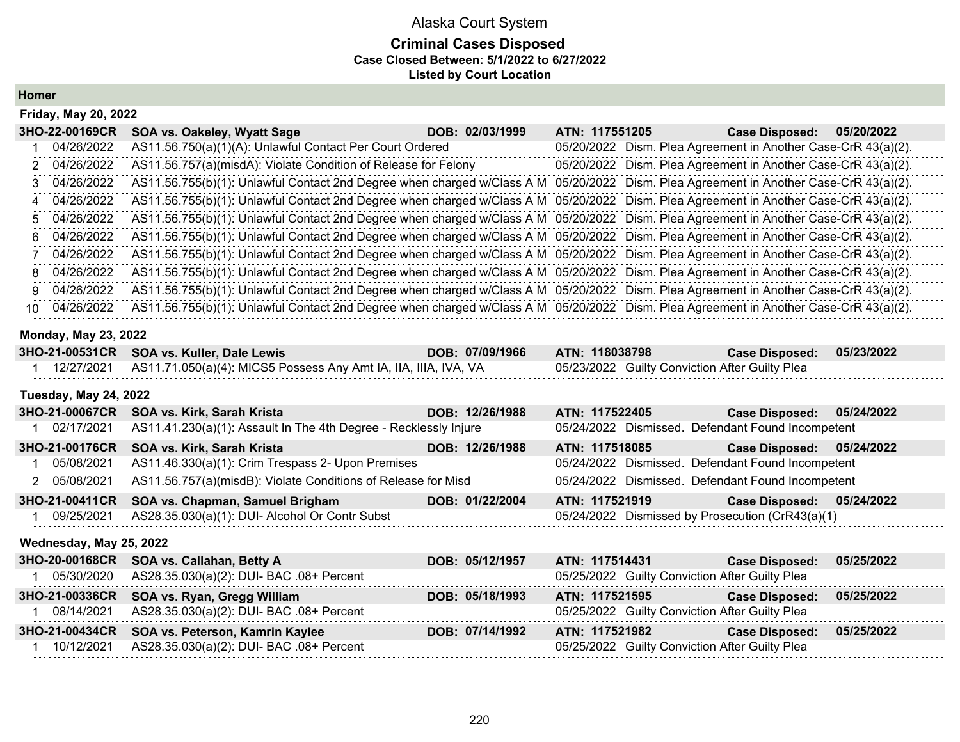### Alaska Court System **Criminal Cases Disposed Case Closed Between: 5/1/2022 to 6/27/2022 Listed by Court Location**

**Homer**

|    | <b>Friday, May 20, 2022</b> |                                                                                                                                       |                 |                |                                                               |                       |            |  |
|----|-----------------------------|---------------------------------------------------------------------------------------------------------------------------------------|-----------------|----------------|---------------------------------------------------------------|-----------------------|------------|--|
|    | 3HO-22-00169CR              | SOA vs. Oakeley, Wyatt Sage                                                                                                           | DOB: 02/03/1999 | ATN: 117551205 |                                                               | <b>Case Disposed:</b> | 05/20/2022 |  |
|    | 04/26/2022                  | AS11.56.750(a)(1)(A): Unlawful Contact Per Court Ordered                                                                              |                 |                | 05/20/2022 Dism. Plea Agreement in Another Case-CrR 43(a)(2). |                       |            |  |
|    | 2 04/26/2022                | AS11.56.757(a)(misdA): Violate Condition of Release for Felony                                                                        |                 |                | 05/20/2022 Dism. Plea Agreement in Another Case-CrR 43(a)(2). |                       |            |  |
|    | 3 04/26/2022                | AS11.56.755(b)(1): Unlawful Contact 2nd Degree when charged w/Class A M 05/20/2022 Dism. Plea Agreement in Another Case-CrR 43(a)(2). |                 |                |                                                               |                       |            |  |
| 4  | 04/26/2022                  | AS11.56.755(b)(1): Unlawful Contact 2nd Degree when charged w/Class A M                                                               |                 |                | 05/20/2022 Dism. Plea Agreement in Another Case-CrR 43(a)(2). |                       |            |  |
|    | 5 04/26/2022                | AS11.56.755(b)(1): Unlawful Contact 2nd Degree when charged w/Class A M 05/20/2022 Dism. Plea Agreement in Another Case-CrR 43(a)(2). |                 |                |                                                               |                       |            |  |
| 6. | 04/26/2022                  | AS11.56.755(b)(1): Unlawful Contact 2nd Degree when charged w/Class A M 05/20/2022 Dism. Plea Agreement in Another Case-CrR 43(a)(2). |                 |                |                                                               |                       |            |  |
|    | 04/26/2022                  | AS11.56.755(b)(1): Unlawful Contact 2nd Degree when charged w/Class A M 05/20/2022 Dism. Plea Agreement in Another Case-CrR 43(a)(2). |                 |                |                                                               |                       |            |  |
| 8  | 04/26/2022                  | AS11.56.755(b)(1): Unlawful Contact 2nd Degree when charged w/Class A M 05/20/2022 Dism. Plea Agreement in Another Case-CrR 43(a)(2). |                 |                |                                                               |                       |            |  |
| 9. | 04/26/2022                  | AS11.56.755(b)(1): Unlawful Contact 2nd Degree when charged w/Class A M 05/20/2022 Dism. Plea Agreement in Another Case-CrR 43(a)(2). |                 |                |                                                               |                       |            |  |
| 10 | 04/26/2022                  | AS11.56.755(b)(1): Unlawful Contact 2nd Degree when charged w/Class A M 05/20/2022 Dism. Plea Agreement in Another Case-CrR 43(a)(2). |                 |                |                                                               |                       |            |  |

#### **Monday, May 23, 2022**

| 3HO-21-00531CR SOA vs. Kuller, Dale Lewis                                   | DOB: 07/09/1966 | <b>ATN: 118038798</b>                          | Case Disposed: 05/23/2022 |  |
|-----------------------------------------------------------------------------|-----------------|------------------------------------------------|---------------------------|--|
| 12/27/2021  AS11.71.050(a)(4): MICS5 Possess Any Amt IA, IIA, IIIA, IVA, VA |                 | 05/23/2022 Guilty Conviction After Guilty Plea |                           |  |

#### **Tuesday, May 24, 2022**

| 3HO-21-00067CR | SOA vs. Kirk, Sarah Krista                                       | DOB: 12/26/1988 | ATN: 117522405                                    | Case Disposed: 05/24/2022 |            |
|----------------|------------------------------------------------------------------|-----------------|---------------------------------------------------|---------------------------|------------|
| 02/17/2021     | AS11.41.230(a)(1): Assault In The 4th Degree - Recklessly Injure |                 | 05/24/2022 Dismissed. Defendant Found Incompetent |                           |            |
| 3HO-21-00176CR | SOA vs. Kirk, Sarah Krista                                       | DOB: 12/26/1988 | ATN: 117518085                                    | Case Disposed: 05/24/2022 |            |
| 05/08/2021     | AS11.46.330(a)(1): Crim Trespass 2- Upon Premises                |                 | 05/24/2022 Dismissed. Defendant Found Incompetent |                           |            |
| 2 05/08/2021   | AS11.56.757(a)(misdB): Violate Conditions of Release for Misd    |                 | 05/24/2022 Dismissed. Defendant Found Incompetent |                           |            |
| 3HO-21-00411CR | SOA vs. Chapman, Samuel Brigham                                  | DOB: 01/22/2004 | ATN: 117521919                                    | <b>Case Disposed:</b>     | 05/24/2022 |
| 09/25/2021     | AS28.35.030(a)(1): DUI- Alcohol Or Contr Subst                   |                 | 05/24/2022 Dismissed by Prosecution (CrR43(a)(1)  |                           |            |

#### **Wednesday, May 25, 2022**

| 3HO-20-00168CR SOA vs. Callahan, Betty A            | DOB: 05/12/1957 | ATN: 117514431                                 | <b>Case Disposed:</b> | 05/25/2022 |
|-----------------------------------------------------|-----------------|------------------------------------------------|-----------------------|------------|
| 05/30/2020 AS28.35.030(a)(2): DUI- BAC .08+ Percent |                 | 05/25/2022 Guilty Conviction After Guilty Plea |                       |            |
| 3HO-21-00336CR SOA vs. Ryan, Gregg William          | DOB: 05/18/1993 | ATN: 117521595                                 | <b>Case Disposed:</b> | 05/25/2022 |
| 08/14/2021 AS28.35.030(a)(2): DUI- BAC .08+ Percent |                 | 05/25/2022 Guilty Conviction After Guilty Plea |                       |            |
| 3HO-21-00434CR SOA vs. Peterson, Kamrin Kaylee      | DOB: 07/14/1992 | ATN: 117521982                                 | <b>Case Disposed:</b> | 05/25/2022 |
| 10/12/2021 AS28.35.030(a)(2): DUI- BAC .08+ Percent |                 | 05/25/2022 Guilty Conviction After Guilty Plea |                       |            |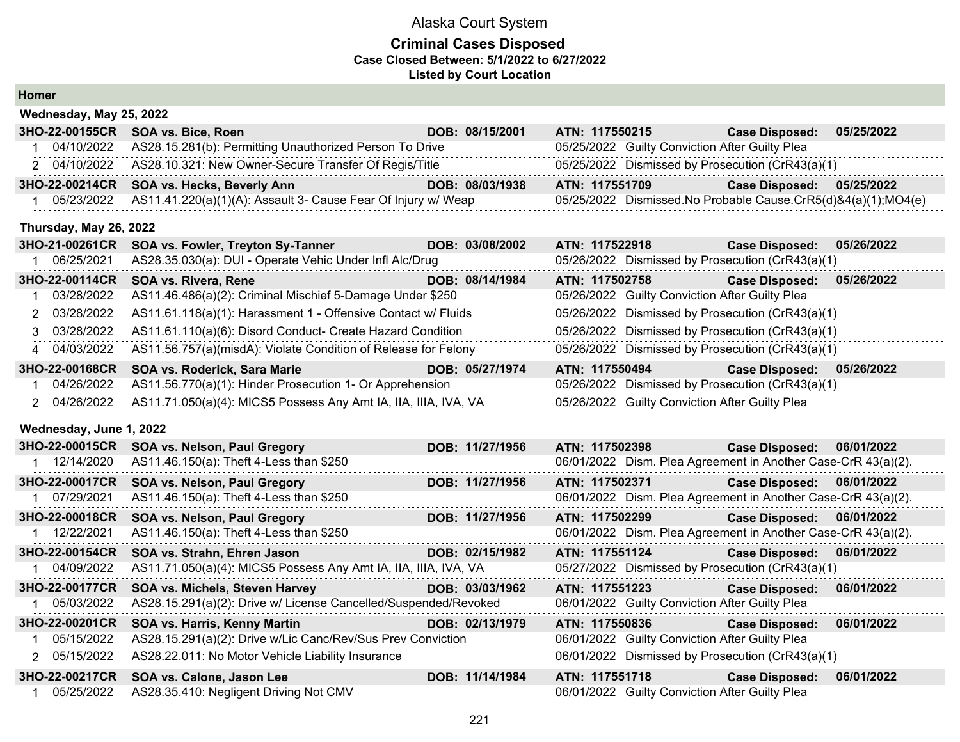#### **Criminal Cases Disposed Case Closed Between: 5/1/2022 to 6/27/2022 Listed by Court Location**

**Homer**

| Wednesday, May 25, 2022 |                                                                 |                 |                                                               |                       |            |
|-------------------------|-----------------------------------------------------------------|-----------------|---------------------------------------------------------------|-----------------------|------------|
| 3HO-22-00155CR          | SOA vs. Bice, Roen                                              | DOB: 08/15/2001 | ATN: 117550215                                                | <b>Case Disposed:</b> | 05/25/2022 |
| 04/10/2022              | AS28.15.281(b): Permitting Unauthorized Person To Drive         |                 | 05/25/2022 Guilty Conviction After Guilty Plea                |                       |            |
| 2 04/10/2022            | AS28.10.321: New Owner-Secure Transfer Of Regis/Title           |                 | 05/25/2022 Dismissed by Prosecution (CrR43(a)(1)              |                       |            |
| 3HO-22-00214CR          | SOA vs. Hecks, Beverly Ann                                      | DOB: 08/03/1938 | ATN: 117551709                                                | <b>Case Disposed:</b> | 05/25/2022 |
| 05/23/2022              | AS11.41.220(a)(1)(A): Assault 3- Cause Fear Of Injury w/ Weap   |                 | 05/25/2022 Dismissed.No Probable Cause.CrR5(d)&4(a)(1);MO4(e) |                       |            |
| Thursday, May 26, 2022  |                                                                 |                 |                                                               |                       |            |
| 3HO-21-00261CR          | SOA vs. Fowler, Treyton Sy-Tanner                               | DOB: 03/08/2002 | ATN: 117522918                                                | <b>Case Disposed:</b> | 05/26/2022 |
| 06/25/2021<br>1.        | AS28.35.030(a): DUI - Operate Vehic Under Infl Alc/Drug         |                 | 05/26/2022 Dismissed by Prosecution (CrR43(a)(1)              |                       |            |
| 3HO-22-00114CR          | SOA vs. Rivera, Rene                                            | DOB: 08/14/1984 | ATN: 117502758                                                | <b>Case Disposed:</b> | 05/26/2022 |
| 03/28/2022              | AS11.46.486(a)(2): Criminal Mischief 5-Damage Under \$250       |                 | 05/26/2022 Guilty Conviction After Guilty Plea                |                       |            |
| 03/28/2022<br>2         | AS11.61.118(a)(1): Harassment 1 - Offensive Contact w/ Fluids   |                 | 05/26/2022 Dismissed by Prosecution (CrR43(a)(1)              |                       |            |
| 3 03/28/2022            | AS11.61.110(a)(6): Disord Conduct- Create Hazard Condition      |                 | 05/26/2022 Dismissed by Prosecution (CrR43(a)(1)              |                       |            |
| 4 04/03/2022            | AS11.56.757(a)(misdA): Violate Condition of Release for Felony  |                 | 05/26/2022 Dismissed by Prosecution (CrR43(a)(1)              |                       |            |
| 3HO-22-00168CR          | SOA vs. Roderick, Sara Marie                                    | DOB: 05/27/1974 | ATN: 117550494                                                | <b>Case Disposed:</b> | 05/26/2022 |
| 04/26/2022              | AS11.56.770(a)(1): Hinder Prosecution 1- Or Apprehension        |                 | 05/26/2022 Dismissed by Prosecution (CrR43(a)(1)              |                       |            |
| 2 04/26/2022            | AS11.71.050(a)(4): MICS5 Possess Any Amt IA, IIA, IIIA, IVA, VA |                 | 05/26/2022 Guilty Conviction After Guilty Plea                |                       |            |
| Wednesday, June 1, 2022 |                                                                 |                 |                                                               |                       |            |
| 3HO-22-00015CR          | SOA vs. Nelson, Paul Gregory                                    | DOB: 11/27/1956 | ATN: 117502398                                                | <b>Case Disposed:</b> | 06/01/2022 |
| 12/14/2020              | AS11.46.150(a): Theft 4-Less than \$250                         |                 | 06/01/2022 Dism. Plea Agreement in Another Case-CrR 43(a)(2). |                       |            |
| 3HO-22-00017CR          | SOA vs. Nelson, Paul Gregory                                    | DOB: 11/27/1956 | ATN: 117502371                                                | <b>Case Disposed:</b> | 06/01/2022 |
| 1 07/29/2021            | AS11.46.150(a): Theft 4-Less than \$250                         |                 | 06/01/2022 Dism. Plea Agreement in Another Case-CrR 43(a)(2). |                       |            |
| 3HO-22-00018CR          | SOA vs. Nelson, Paul Gregory                                    | DOB: 11/27/1956 | ATN: 117502299                                                | <b>Case Disposed:</b> | 06/01/2022 |
| 1 12/22/2021            | AS11.46.150(a): Theft 4-Less than \$250                         |                 | 06/01/2022 Dism. Plea Agreement in Another Case-CrR 43(a)(2). |                       |            |
| 3HO-22-00154CR          | SOA vs. Strahn, Ehren Jason                                     | DOB: 02/15/1982 | ATN: 117551124                                                | <b>Case Disposed:</b> | 06/01/2022 |
| 04/09/2022              | AS11.71.050(a)(4): MICS5 Possess Any Amt IA, IIA, IIIA, IVA, VA |                 | 05/27/2022 Dismissed by Prosecution (CrR43(a)(1)              |                       |            |
| 3HO-22-00177CR          | SOA vs. Michels, Steven Harvey                                  | DOB: 03/03/1962 | ATN: 117551223                                                | <b>Case Disposed:</b> | 06/01/2022 |
| 05/03/2022              | AS28.15.291(a)(2): Drive w/ License Cancelled/Suspended/Revoked |                 | 06/01/2022 Guilty Conviction After Guilty Plea                |                       |            |
| 3HO-22-00201CR          | SOA vs. Harris, Kenny Martin                                    | DOB: 02/13/1979 | ATN: 117550836                                                | <b>Case Disposed:</b> | 06/01/2022 |
| 05/15/2022              | AS28.15.291(a)(2): Drive w/Lic Canc/Rev/Sus Prev Conviction     |                 | 06/01/2022 Guilty Conviction After Guilty Plea                |                       |            |
| 2 05/15/2022            | AS28.22.011: No Motor Vehicle Liability Insurance               |                 | 06/01/2022 Dismissed by Prosecution (CrR43(a)(1)              |                       |            |
| 3HO-22-00217CR          | SOA vs. Calone, Jason Lee                                       | DOB: 11/14/1984 | ATN: 117551718                                                | <b>Case Disposed:</b> | 06/01/2022 |
| 05/25/2022              | AS28.35.410: Negligent Driving Not CMV                          |                 | 06/01/2022 Guilty Conviction After Guilty Plea                |                       |            |
|                         |                                                                 |                 |                                                               |                       |            |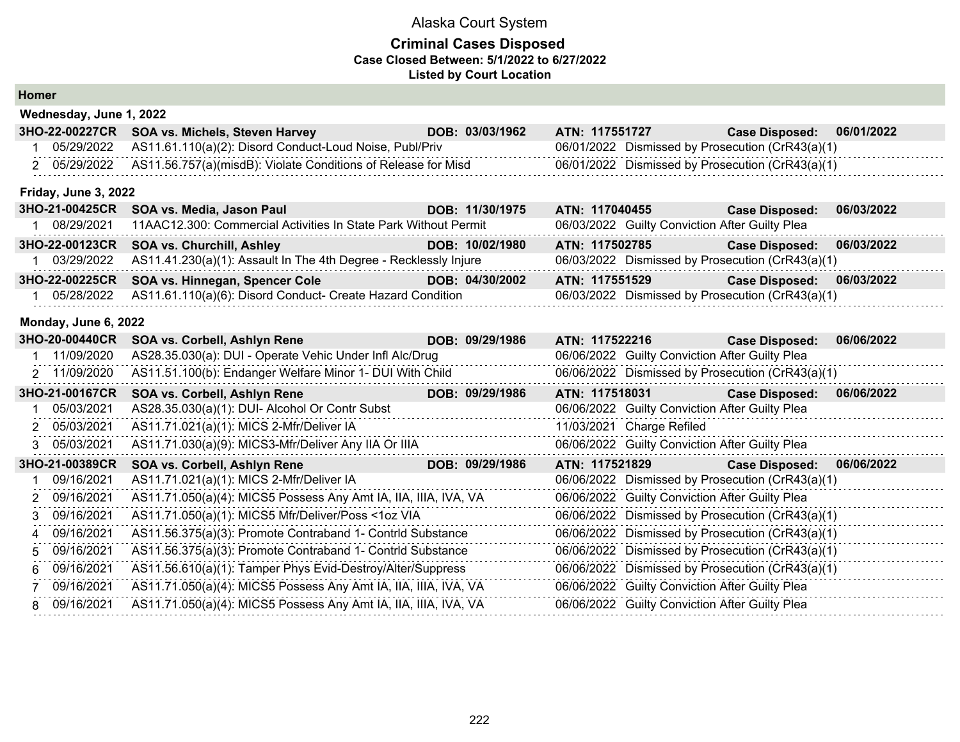| <b>Homer</b> |  |
|--------------|--|
|--------------|--|

|    | Wednesday, June 1, 2022 |                                                                  |  |                 |                                                  |                           |                                                  |            |
|----|-------------------------|------------------------------------------------------------------|--|-----------------|--------------------------------------------------|---------------------------|--------------------------------------------------|------------|
|    | 3HO-22-00227CR          | SOA vs. Michels, Steven Harvey                                   |  | DOB: 03/03/1962 | ATN: 117551727                                   |                           | <b>Case Disposed:</b>                            | 06/01/2022 |
|    | 05/29/2022              | AS11.61.110(a)(2): Disord Conduct-Loud Noise, Publ/Priv          |  |                 |                                                  |                           | 06/01/2022 Dismissed by Prosecution (CrR43(a)(1) |            |
|    | 2 05/29/2022            | AS11.56.757(a)(misdB): Violate Conditions of Release for Misd    |  |                 |                                                  |                           | 06/01/2022 Dismissed by Prosecution (CrR43(a)(1) |            |
|    | Friday, June 3, 2022    |                                                                  |  |                 |                                                  |                           |                                                  |            |
|    | 3HO-21-00425CR          | SOA vs. Media, Jason Paul                                        |  | DOB: 11/30/1975 | ATN: 117040455                                   |                           | <b>Case Disposed:</b>                            | 06/03/2022 |
|    | 1 08/29/2021            | 11AAC12.300: Commercial Activities In State Park Without Permit  |  |                 |                                                  |                           | 06/03/2022 Guilty Conviction After Guilty Plea   |            |
|    | 3HO-22-00123CR          | <b>SOA vs. Churchill, Ashley</b>                                 |  | DOB: 10/02/1980 | ATN: 117502785                                   |                           | <b>Case Disposed:</b>                            | 06/03/2022 |
|    | 03/29/2022              | AS11.41.230(a)(1): Assault In The 4th Degree - Recklessly Injure |  |                 |                                                  |                           | 06/03/2022 Dismissed by Prosecution (CrR43(a)(1) |            |
|    | 3HO-22-00225CR          | SOA vs. Hinnegan, Spencer Cole                                   |  | DOB: 04/30/2002 | ATN: 117551529                                   |                           | <b>Case Disposed:</b>                            | 06/03/2022 |
|    | 05/28/2022              | AS11.61.110(a)(6): Disord Conduct- Create Hazard Condition       |  |                 |                                                  |                           | 06/03/2022 Dismissed by Prosecution (CrR43(a)(1) |            |
|    | Monday, June 6, 2022    |                                                                  |  |                 |                                                  |                           |                                                  |            |
|    | 3HO-20-00440CR          | SOA vs. Corbell, Ashlyn Rene                                     |  | DOB: 09/29/1986 | ATN: 117522216                                   |                           | <b>Case Disposed:</b>                            | 06/06/2022 |
|    | 11/09/2020              | AS28.35.030(a): DUI - Operate Vehic Under Infl Alc/Drug          |  |                 |                                                  |                           | 06/06/2022 Guilty Conviction After Guilty Plea   |            |
|    | 2 11/09/2020            | AS11.51.100(b): Endanger Welfare Minor 1- DUI With Child         |  |                 |                                                  |                           | 06/06/2022 Dismissed by Prosecution (CrR43(a)(1) |            |
|    | 3HO-21-00167CR          | SOA vs. Corbell, Ashlyn Rene                                     |  | DOB: 09/29/1986 | ATN: 117518031                                   |                           | <b>Case Disposed:</b>                            | 06/06/2022 |
|    | 05/03/2021              | AS28.35.030(a)(1): DUI- Alcohol Or Contr Subst                   |  |                 |                                                  |                           | 06/06/2022 Guilty Conviction After Guilty Plea   |            |
| 2  | 05/03/2021              | AS11.71.021(a)(1): MICS 2-Mfr/Deliver IA                         |  |                 |                                                  | 11/03/2021 Charge Refiled |                                                  |            |
| 3. | 05/03/2021              | AS11.71.030(a)(9): MICS3-Mfr/Deliver Any IIA Or IIIA             |  |                 |                                                  |                           | 06/06/2022 Guilty Conviction After Guilty Plea   |            |
|    | 3HO-21-00389CR          | SOA vs. Corbell, Ashlyn Rene                                     |  | DOB: 09/29/1986 | ATN: 117521829                                   |                           | <b>Case Disposed:</b>                            | 06/06/2022 |
|    | 09/16/2021              | AS11.71.021(a)(1): MICS 2-Mfr/Deliver IA                         |  |                 |                                                  |                           | 06/06/2022 Dismissed by Prosecution (CrR43(a)(1) |            |
| 2  | 09/16/2021              | AS11.71.050(a)(4): MICS5 Possess Any Amt IA, IIA, IIIA, IVA, VA  |  |                 |                                                  |                           | 06/06/2022 Guilty Conviction After Guilty Plea   |            |
| 3  | 09/16/2021              | AS11.71.050(a)(1): MICS5 Mfr/Deliver/Poss <1oz VIA               |  |                 |                                                  |                           | 06/06/2022 Dismissed by Prosecution (CrR43(a)(1) |            |
| 4  | 09/16/2021              | AS11.56.375(a)(3): Promote Contraband 1- Contrid Substance       |  |                 |                                                  |                           | 06/06/2022 Dismissed by Prosecution (CrR43(a)(1) |            |
| 5  | 09/16/2021              | AS11.56.375(a)(3): Promote Contraband 1- Contrid Substance       |  |                 | 06/06/2022 Dismissed by Prosecution (CrR43(a)(1) |                           |                                                  |            |
| 6  | 09/16/2021              | AS11.56.610(a)(1): Tamper Phys Evid-Destroy/Alter/Suppress       |  |                 | 06/06/2022 Dismissed by Prosecution (CrR43(a)(1) |                           |                                                  |            |
|    | 09/16/2021              | AS11.71.050(a)(4): MICS5 Possess Any Amt IA, IIA, IIIA, IVA, VA  |  |                 |                                                  |                           | 06/06/2022 Guilty Conviction After Guilty Plea   |            |
| 8  | 09/16/2021              | AS11.71.050(a)(4): MICS5 Possess Any Amt IA, IIA, IIIA, IVA, VA  |  |                 |                                                  |                           | 06/06/2022 Guilty Conviction After Guilty Plea   |            |
|    |                         |                                                                  |  |                 |                                                  |                           |                                                  |            |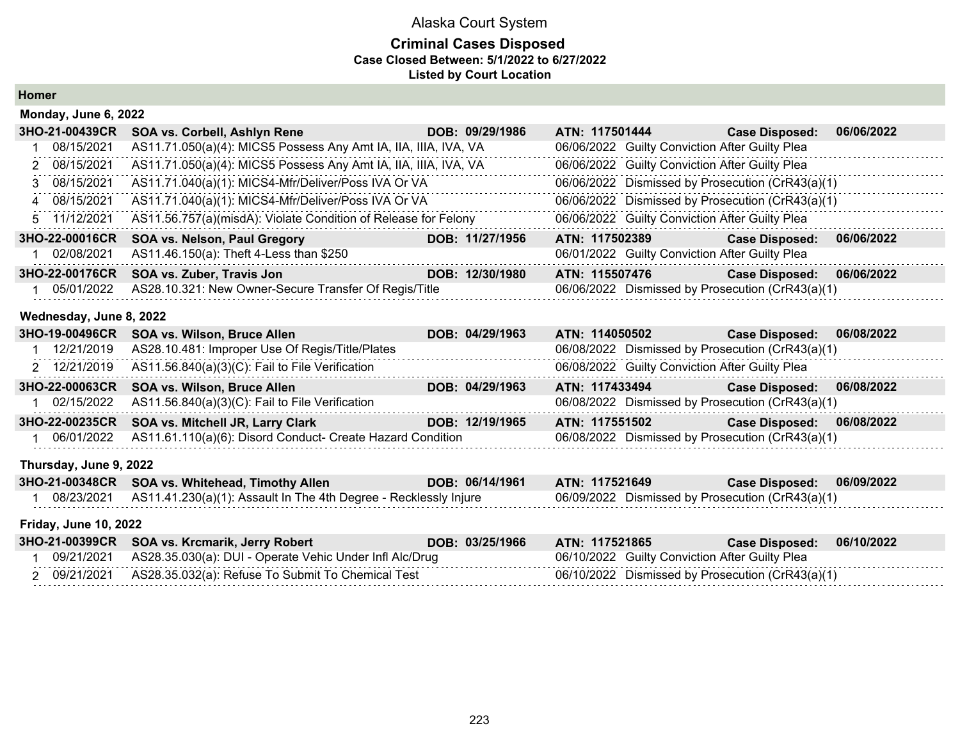### **Criminal Cases Disposed Case Closed Between: 5/1/2022 to 6/27/2022 Listed by Court Location**

**Homer**

| Monday, June 6, 2022         |                                                                  |                 |                                                  |                                                  |            |
|------------------------------|------------------------------------------------------------------|-----------------|--------------------------------------------------|--------------------------------------------------|------------|
| 3HO-21-00439CR               | SOA vs. Corbell, Ashlyn Rene                                     | DOB: 09/29/1986 | ATN: 117501444                                   | <b>Case Disposed:</b>                            | 06/06/2022 |
| 08/15/2021                   | AS11.71.050(a)(4): MICS5 Possess Any Amt IA, IIA, IIIA, IVA, VA  |                 | 06/06/2022 Guilty Conviction After Guilty Plea   |                                                  |            |
| 2 08/15/2021                 | AS11.71.050(a)(4): MICS5 Possess Any Amt IA, IIA, IIIA, IVA, VA  |                 | 06/06/2022 Guilty Conviction After Guilty Plea   |                                                  |            |
| 3 08/15/2021                 | AS11.71.040(a)(1): MICS4-Mfr/Deliver/Poss IVA Or VA              |                 |                                                  | 06/06/2022 Dismissed by Prosecution (CrR43(a)(1) |            |
| 4 08/15/2021                 | AS11.71.040(a)(1): MICS4-Mfr/Deliver/Poss IVA Or VA              |                 |                                                  | 06/06/2022 Dismissed by Prosecution (CrR43(a)(1) |            |
| 5 11/12/2021                 | AS11.56.757(a)(misdA): Violate Condition of Release for Felony   |                 | 06/06/2022 Guilty Conviction After Guilty Plea   |                                                  |            |
| 3HO-22-00016CR               | SOA vs. Nelson, Paul Gregory                                     | DOB: 11/27/1956 | ATN: 117502389                                   | <b>Case Disposed:</b>                            | 06/06/2022 |
| 02/08/2021                   | AS11.46.150(a): Theft 4-Less than \$250                          |                 | 06/01/2022 Guilty Conviction After Guilty Plea   |                                                  |            |
| 3HO-22-00176CR               | SOA vs. Zuber, Travis Jon                                        | DOB: 12/30/1980 | ATN: 115507476                                   | <b>Case Disposed:</b>                            | 06/06/2022 |
| 1 05/01/2022                 | AS28.10.321: New Owner-Secure Transfer Of Regis/Title            |                 |                                                  | 06/06/2022 Dismissed by Prosecution (CrR43(a)(1) |            |
| Wednesday, June 8, 2022      |                                                                  |                 |                                                  |                                                  |            |
| 3HO-19-00496CR               | SOA vs. Wilson, Bruce Allen                                      | DOB: 04/29/1963 | ATN: 114050502                                   | <b>Case Disposed:</b>                            | 06/08/2022 |
| 1 12/21/2019                 | AS28.10.481: Improper Use Of Regis/Title/Plates                  |                 |                                                  | 06/08/2022 Dismissed by Prosecution (CrR43(a)(1) |            |
| 2 12/21/2019                 | AS11.56.840(a)(3)(C): Fail to File Verification                  |                 | 06/08/2022 Guilty Conviction After Guilty Plea   |                                                  |            |
| 3HO-22-00063CR               | SOA vs. Wilson, Bruce Allen                                      | DOB: 04/29/1963 | ATN: 117433494                                   | <b>Case Disposed:</b>                            | 06/08/2022 |
| 02/15/2022                   | $AS11.56.840(a)(3)(C)$ : Fail to File Verification               |                 |                                                  | 06/08/2022 Dismissed by Prosecution (CrR43(a)(1) |            |
| 3HO-22-00235CR               | SOA vs. Mitchell JR, Larry Clark                                 | DOB: 12/19/1965 | ATN: 117551502                                   | <b>Case Disposed:</b>                            | 06/08/2022 |
| 06/01/2022                   | AS11.61.110(a)(6): Disord Conduct- Create Hazard Condition       |                 | 06/08/2022 Dismissed by Prosecution (CrR43(a)(1) |                                                  |            |
| Thursday, June 9, 2022       |                                                                  |                 |                                                  |                                                  |            |
| 3HO-21-00348CR               | SOA vs. Whitehead, Timothy Allen                                 | DOB: 06/14/1961 | ATN: 117521649                                   | <b>Case Disposed:</b>                            | 06/09/2022 |
| 1 08/23/2021                 | AS11.41.230(a)(1): Assault In The 4th Degree - Recklessly Injure |                 |                                                  | 06/09/2022 Dismissed by Prosecution (CrR43(a)(1) |            |
| <b>Friday, June 10, 2022</b> |                                                                  |                 |                                                  |                                                  |            |
|                              | 2HO 21 00200CD COA vo Kromorik Jorny Pobort                      | DOD. 02/25/4066 | ATNI 4475940CE                                   | Coon Diangood, 06/10/2022                        |            |

|            | 3HO-21-00399CR SOA vs. Krcmarik, Jerry Robert           | DOB: 03/25/1966 | ATN: 117521865                                   | <b>Case Disposed:</b> | 06/10/2022 |
|------------|---------------------------------------------------------|-----------------|--------------------------------------------------|-----------------------|------------|
| 09/21/2021 | AS28.35.030(a): DUI - Operate Vehic Under Infl Alc/Drug |                 | 06/10/2022 Guilty Conviction After Guilty Plea   |                       |            |
| 09/21/2021 | AS28.35.032(a): Refuse To Submit To Chemical Test       |                 | 06/10/2022 Dismissed by Prosecution (CrR43(a)(1) |                       |            |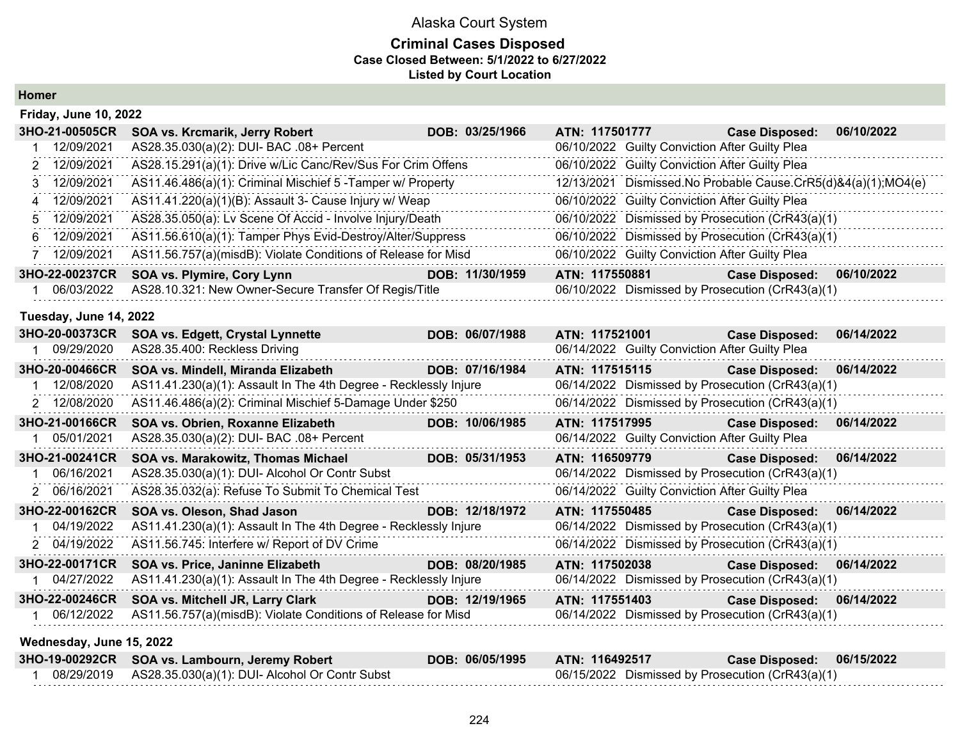#### **Criminal Cases Disposed Case Closed Between: 5/1/2022 to 6/27/2022 Listed by Court Location**

**Homer**

| <b>Friday, June 10, 2022</b> |                                                               |                 |                                                               |                                                  |  |
|------------------------------|---------------------------------------------------------------|-----------------|---------------------------------------------------------------|--------------------------------------------------|--|
| 3HO-21-00505CR               | <b>SOA vs. Krcmarik, Jerry Robert</b>                         | DOB: 03/25/1966 | ATN: 117501777                                                | 06/10/2022<br><b>Case Disposed:</b>              |  |
| 12/09/2021                   | AS28.35.030(a)(2): DUI- BAC .08+ Percent                      |                 |                                                               | 06/10/2022 Guilty Conviction After Guilty Plea   |  |
| 2 12/09/2021                 | AS28.15.291(a)(1): Drive w/Lic Canc/Rev/Sus For Crim Offens   |                 | 06/10/2022 Guilty Conviction After Guilty Plea                |                                                  |  |
| 3 12/09/2021                 | AS11.46.486(a)(1): Criminal Mischief 5 - Tamper w/ Property   |                 | 12/13/2021 Dismissed.No Probable Cause.CrR5(d)&4(a)(1);MO4(e) |                                                  |  |
| 4 12/09/2021                 | AS11.41.220(a)(1)(B): Assault 3- Cause Injury w/ Weap         |                 | 06/10/2022 Guilty Conviction After Guilty Plea                |                                                  |  |
| 5 12/09/2021                 | AS28.35.050(a): Lv Scene Of Accid - Involve Injury/Death      |                 |                                                               | 06/10/2022 Dismissed by Prosecution (CrR43(a)(1) |  |
| 6 12/09/2021                 | AS11.56.610(a)(1): Tamper Phys Evid-Destroy/Alter/Suppress    |                 |                                                               | 06/10/2022 Dismissed by Prosecution (CrR43(a)(1) |  |
| 12/09/2021                   | AS11.56.757(a)(misdB): Violate Conditions of Release for Misd |                 | 06/10/2022 Guilty Conviction After Guilty Plea                |                                                  |  |
| 3HO-22-00237CR               | <b>SOA vs. Plymire, Cory Lynn</b>                             | DOB: 11/30/1959 | ATN: 117550881                                                | 06/10/2022<br><b>Case Disposed:</b>              |  |
| 06/03/2022                   | AS28.10.321: New Owner-Secure Transfer Of Regis/Title         |                 |                                                               | 06/10/2022 Dismissed by Prosecution (CrR43(a)(1) |  |

#### **Tuesday, June 14, 2022**

| 3HO-20-00373CR           | <b>SOA vs. Edgett, Crystal Lynnette</b>                          | DOB: 06/07/1988 | ATN: 117521001                                   | <b>Case Disposed:</b> | 06/14/2022 |
|--------------------------|------------------------------------------------------------------|-----------------|--------------------------------------------------|-----------------------|------------|
| 09/29/2020               | AS28.35.400: Reckless Driving                                    |                 | 06/14/2022 Guilty Conviction After Guilty Plea   |                       |            |
| 3HO-20-00466CR           | SOA vs. Mindell, Miranda Elizabeth                               | DOB: 07/16/1984 | ATN: 117515115                                   | <b>Case Disposed:</b> | 06/14/2022 |
| 12/08/2020               | AS11.41.230(a)(1): Assault In The 4th Degree - Recklessly Injure |                 | 06/14/2022 Dismissed by Prosecution (CrR43(a)(1) |                       |            |
| 2 12/08/2020             | AS11.46.486(a)(2): Criminal Mischief 5-Damage Under \$250        |                 | 06/14/2022 Dismissed by Prosecution (CrR43(a)(1) |                       |            |
| 3HO-21-00166CR           | SOA vs. Obrien, Roxanne Elizabeth                                | DOB: 10/06/1985 | ATN: 117517995                                   | <b>Case Disposed:</b> | 06/14/2022 |
| 1 05/01/2021             | AS28.35.030(a)(2): DUI- BAC .08+ Percent                         |                 | 06/14/2022 Guilty Conviction After Guilty Plea   |                       |            |
| 3HO-21-00241CR           | SOA vs. Marakowitz, Thomas Michael                               | DOB: 05/31/1953 | ATN: 116509779                                   | <b>Case Disposed:</b> | 06/14/2022 |
| 06/16/2021               | AS28.35.030(a)(1): DUI- Alcohol Or Contr Subst                   |                 | 06/14/2022 Dismissed by Prosecution (CrR43(a)(1) |                       |            |
| 2 06/16/2021             | AS28.35.032(a): Refuse To Submit To Chemical Test                |                 | 06/14/2022 Guilty Conviction After Guilty Plea   |                       |            |
| 3HO-22-00162CR           | SOA vs. Oleson, Shad Jason                                       | DOB: 12/18/1972 | ATN: 117550485                                   | <b>Case Disposed:</b> | 06/14/2022 |
| 1 04/19/2022             | AS11.41.230(a)(1): Assault In The 4th Degree - Recklessly Injure |                 | 06/14/2022 Dismissed by Prosecution (CrR43(a)(1) |                       |            |
| 2 04/19/2022             | AS11.56.745: Interfere w/ Report of DV Crime                     |                 | 06/14/2022 Dismissed by Prosecution (CrR43(a)(1) |                       |            |
| 3HO-22-00171CR           | SOA vs. Price, Janinne Elizabeth                                 | DOB: 08/20/1985 | ATN: 117502038                                   | <b>Case Disposed:</b> | 06/14/2022 |
| 04/27/2022               | AS11.41.230(a)(1): Assault In The 4th Degree - Recklessly Injure |                 | 06/14/2022 Dismissed by Prosecution (CrR43(a)(1) |                       |            |
| 3HO-22-00246CR           | SOA vs. Mitchell JR, Larry Clark                                 | DOB: 12/19/1965 | ATN: 117551403                                   | <b>Case Disposed:</b> | 06/14/2022 |
| 06/12/2022               | AS11.56.757(a)(misdB): Violate Conditions of Release for Misd    |                 | 06/14/2022 Dismissed by Prosecution (CrR43(a)(1) |                       |            |
| Wednesday, June 15, 2022 |                                                                  |                 |                                                  |                       |            |

| 3HO-19-00292CR SOA vs. Lambourn, Jeremy Robert               | DOB: 06/05/1995 | ATN: 116492517                                   | Case Disposed: 06/15/2022 |  |
|--------------------------------------------------------------|-----------------|--------------------------------------------------|---------------------------|--|
| 08/29/2019    AS28.35.030(a)(1): DUI- Alcohol Or Contr Subst |                 | 06/15/2022 Dismissed by Prosecution (CrR43(a)(1) |                           |  |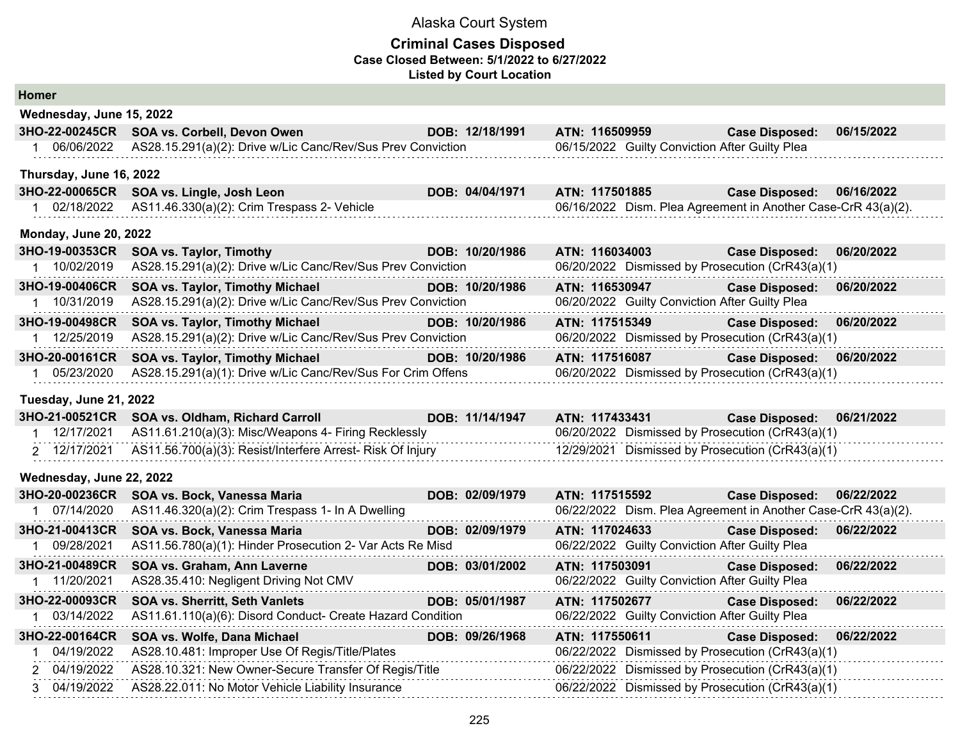| <b>Homer</b>                 |                                                             |                 |                                                |                                                               |            |
|------------------------------|-------------------------------------------------------------|-----------------|------------------------------------------------|---------------------------------------------------------------|------------|
| Wednesday, June 15, 2022     |                                                             |                 |                                                |                                                               |            |
| 3HO-22-00245CR               | SOA vs. Corbell, Devon Owen                                 | DOB: 12/18/1991 | ATN: 116509959                                 | <b>Case Disposed:</b>                                         | 06/15/2022 |
| 1 06/06/2022                 | AS28.15.291(a)(2): Drive w/Lic Canc/Rev/Sus Prev Conviction |                 | 06/15/2022 Guilty Conviction After Guilty Plea |                                                               |            |
| Thursday, June 16, 2022      |                                                             |                 |                                                |                                                               |            |
| 3HO-22-00065CR               | SOA vs. Lingle, Josh Leon                                   | DOB: 04/04/1971 | ATN: 117501885                                 | <b>Case Disposed:</b>                                         | 06/16/2022 |
| 1 02/18/2022                 | AS11.46.330(a)(2): Crim Trespass 2- Vehicle                 |                 |                                                | 06/16/2022 Dism. Plea Agreement in Another Case-CrR 43(a)(2). |            |
| <b>Monday, June 20, 2022</b> |                                                             |                 |                                                |                                                               |            |
| 3HO-19-00353CR               | <b>SOA vs. Taylor, Timothy</b>                              | DOB: 10/20/1986 | ATN: 116034003                                 | <b>Case Disposed:</b>                                         | 06/20/2022 |
| 1 10/02/2019                 | AS28.15.291(a)(2): Drive w/Lic Canc/Rev/Sus Prev Conviction |                 |                                                | 06/20/2022 Dismissed by Prosecution (CrR43(a)(1)              |            |
| 3HO-19-00406CR               | <b>SOA vs. Taylor, Timothy Michael</b>                      | DOB: 10/20/1986 | ATN: 116530947                                 | <b>Case Disposed:</b>                                         | 06/20/2022 |
| 1 10/31/2019                 | AS28.15.291(a)(2): Drive w/Lic Canc/Rev/Sus Prev Conviction |                 | 06/20/2022 Guilty Conviction After Guilty Plea |                                                               |            |
| 3HO-19-00498CR               | SOA vs. Taylor, Timothy Michael                             | DOB: 10/20/1986 | ATN: 117515349                                 | <b>Case Disposed:</b>                                         | 06/20/2022 |
| 1 12/25/2019                 | AS28.15.291(a)(2): Drive w/Lic Canc/Rev/Sus Prev Conviction |                 |                                                | 06/20/2022 Dismissed by Prosecution (CrR43(a)(1)              |            |
| 3HO-20-00161CR               | SOA vs. Taylor, Timothy Michael                             | DOB: 10/20/1986 | ATN: 117516087                                 | <b>Case Disposed:</b>                                         | 06/20/2022 |
| 1 05/23/2020                 | AS28.15.291(a)(1): Drive w/Lic Canc/Rev/Sus For Crim Offens |                 |                                                | 06/20/2022 Dismissed by Prosecution (CrR43(a)(1)              |            |
| Tuesday, June 21, 2022       |                                                             |                 |                                                |                                                               |            |
| 3HO-21-00521CR               | SOA vs. Oldham, Richard Carroll                             | DOB: 11/14/1947 | ATN: 117433431                                 | <b>Case Disposed:</b>                                         | 06/21/2022 |
| 1 12/17/2021                 | AS11.61.210(a)(3): Misc/Weapons 4- Firing Recklessly        |                 |                                                | 06/20/2022 Dismissed by Prosecution (CrR43(a)(1)              |            |
| 2 12/17/2021                 | AS11.56.700(a)(3): Resist/Interfere Arrest- Risk Of Injury  |                 |                                                | 12/29/2021 Dismissed by Prosecution (CrR43(a)(1)              |            |
| Wednesday, June 22, 2022     |                                                             |                 |                                                |                                                               |            |
| 3HO-20-00236CR               | SOA vs. Bock, Vanessa Maria                                 | DOB: 02/09/1979 | ATN: 117515592                                 | <b>Case Disposed:</b>                                         | 06/22/2022 |
| 1 07/14/2020                 | AS11.46.320(a)(2): Crim Trespass 1- In A Dwelling           |                 |                                                | 06/22/2022 Dism. Plea Agreement in Another Case-CrR 43(a)(2). |            |
| 3HO-21-00413CR               | SOA vs. Bock, Vanessa Maria                                 | DOB: 02/09/1979 | ATN: 117024633                                 | <b>Case Disposed:</b>                                         | 06/22/2022 |
| 1 09/28/2021                 | AS11.56.780(a)(1): Hinder Prosecution 2- Var Acts Re Misd   |                 | 06/22/2022 Guilty Conviction After Guilty Plea |                                                               |            |
| 3HO-21-00489CR               | SOA vs. Graham, Ann Laverne                                 | DOB: 03/01/2002 | ATN: 117503091                                 | <b>Case Disposed:</b>                                         | 06/22/2022 |
| 1 11/20/2021                 | AS28.35.410: Negligent Driving Not CMV                      |                 | 06/22/2022 Guilty Conviction After Guilty Plea |                                                               |            |
| 3HO-22-00093CR               | <b>SOA vs. Sherritt, Seth Vanlets</b>                       | DOB: 05/01/1987 | ATN: 117502677                                 | <b>Case Disposed:</b>                                         | 06/22/2022 |
| 1 03/14/2022                 | AS11.61.110(a)(6): Disord Conduct- Create Hazard Condition  |                 | 06/22/2022 Guilty Conviction After Guilty Plea |                                                               |            |
| 3HO-22-00164CR               | SOA vs. Wolfe, Dana Michael                                 | DOB: 09/26/1968 | ATN: 117550611                                 | <b>Case Disposed:</b>                                         | 06/22/2022 |
| 04/19/2022                   | AS28.10.481: Improper Use Of Regis/Title/Plates             |                 |                                                | 06/22/2022 Dismissed by Prosecution (CrR43(a)(1)              |            |
| 2 04/19/2022                 | AS28.10.321: New Owner-Secure Transfer Of Regis/Title       |                 |                                                | 06/22/2022 Dismissed by Prosecution (CrR43(a)(1)              |            |
| 3 04/19/2022                 | AS28.22.011: No Motor Vehicle Liability Insurance           |                 |                                                | 06/22/2022 Dismissed by Prosecution (CrR43(a)(1)              |            |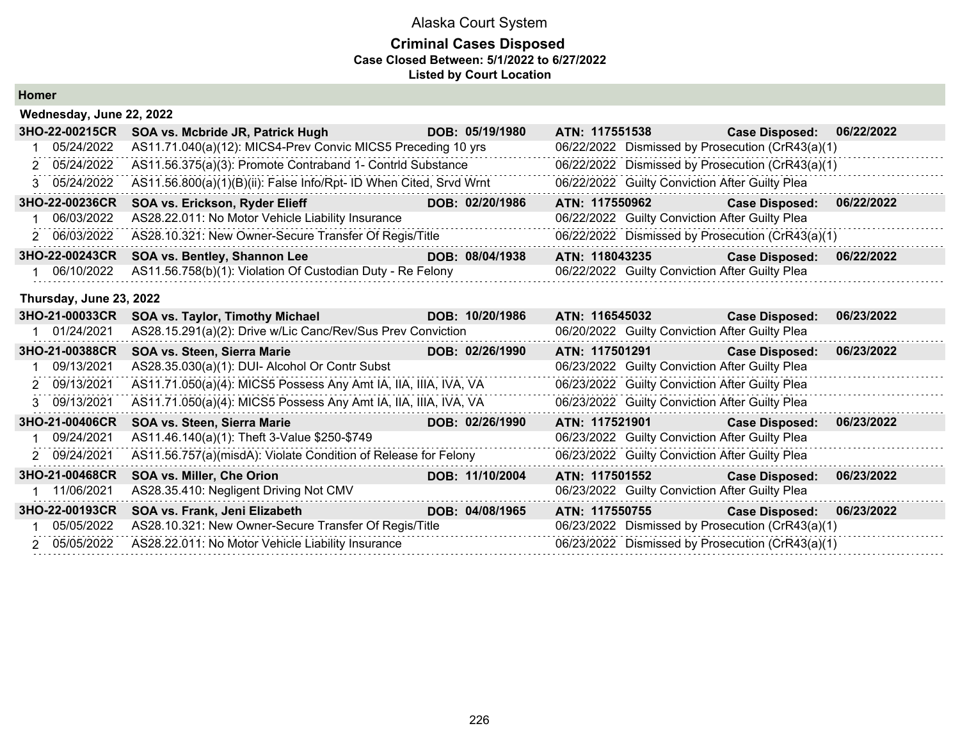| <b>Homer</b> |  |
|--------------|--|
|--------------|--|

| Wednesday, June 22, 2022 |                                                                    |                 |                                                  |                       |            |
|--------------------------|--------------------------------------------------------------------|-----------------|--------------------------------------------------|-----------------------|------------|
| 3HO-22-00215CR           | SOA vs. Mcbride JR, Patrick Hugh DOB: 05/19/1980                   |                 | ATN: 117551538                                   | <b>Case Disposed:</b> | 06/22/2022 |
| 05/24/2022               | AS11.71.040(a)(12): MICS4-Prev Convic MICS5 Preceding 10 yrs       |                 | 06/22/2022 Dismissed by Prosecution (CrR43(a)(1) |                       |            |
| 2 05/24/2022             | AS11.56.375(a)(3): Promote Contraband 1- Contrid Substance         |                 | 06/22/2022 Dismissed by Prosecution (CrR43(a)(1) |                       |            |
| 3 05/24/2022             | AS11.56.800(a)(1)(B)(ii): False Info/Rpt- ID When Cited, Srvd Wrnt |                 | 06/22/2022 Guilty Conviction After Guilty Plea   |                       |            |
| 3HO-22-00236CR           | SOA vs. Erickson, Ryder Elieff                                     | DOB: 02/20/1986 | ATN: 117550962                                   | <b>Case Disposed:</b> | 06/22/2022 |
| 06/03/2022               | AS28.22.011: No Motor Vehicle Liability Insurance                  |                 | 06/22/2022 Guilty Conviction After Guilty Plea   |                       |            |
| 2 06/03/2022             | AS28.10.321: New Owner-Secure Transfer Of Regis/Title              |                 | 06/22/2022 Dismissed by Prosecution (CrR43(a)(1) |                       |            |
| 3HO-22-00243CR           | SOA vs. Bentley, Shannon Lee                                       | DOB: 08/04/1938 | ATN: 118043235                                   | <b>Case Disposed:</b> | 06/22/2022 |
| 1 06/10/2022             | AS11.56.758(b)(1): Violation Of Custodian Duty - Re Felony         |                 | 06/22/2022 Guilty Conviction After Guilty Plea   |                       |            |
| Thursday, June 23, 2022  |                                                                    |                 |                                                  |                       |            |
| 3HO-21-00033CR           | SOA vs. Taylor, Timothy Michael                                    | DOB: 10/20/1986 | ATN: 116545032                                   | <b>Case Disposed:</b> | 06/23/2022 |
| 1 01/24/2021             | AS28.15.291(a)(2): Drive w/Lic Canc/Rev/Sus Prev Conviction        |                 | 06/20/2022 Guilty Conviction After Guilty Plea   |                       |            |
| 3HO-21-00388CR           | SOA vs. Steen, Sierra Marie<br><u> Anglický politik (* 18</u>      | DOB: 02/26/1990 | ATN: 117501291                                   | <b>Case Disposed:</b> | 06/23/2022 |
| 09/13/2021               | AS28.35.030(a)(1): DUI- Alcohol Or Contr Subst                     |                 | 06/23/2022 Guilty Conviction After Guilty Plea   |                       |            |
| 2 09/13/2021             | AS11.71.050(a)(4): MICS5 Possess Any Amt IA, IIA, IIIA, IVA, VA    |                 | 06/23/2022 Guilty Conviction After Guilty Plea   |                       |            |
| 3 09/13/2021             | AS11.71.050(a)(4): MICS5 Possess Any Amt IA, IIA, IIIA, IVA, VA    |                 | 06/23/2022 Guilty Conviction After Guilty Plea   |                       |            |
| 3HO-21-00406CR           | SOA vs. Steen, Sierra Marie<br>a di Kabupatén Bandung              | DOB: 02/26/1990 | ATN: 117521901                                   | <b>Case Disposed:</b> | 06/23/2022 |
| 09/24/2021               | AS11.46.140(a)(1): Theft 3-Value \$250-\$749                       |                 | 06/23/2022 Guilty Conviction After Guilty Plea   |                       |            |
| 2 09/24/2021             | AS11.56.757(a)(misdA): Violate Condition of Release for Felony     |                 | 06/23/2022 Guilty Conviction After Guilty Plea   |                       |            |
| 3HO-21-00468CR           | SOA vs. Miller, Che Orion                                          | DOB: 11/10/2004 | ATN: 117501552                                   | <b>Case Disposed:</b> | 06/23/2022 |
| 11/06/2021               | AS28.35.410: Negligent Driving Not CMV                             |                 | 06/23/2022 Guilty Conviction After Guilty Plea   |                       |            |
| 3HO-22-00193CR           | SOA vs. Frank, Jeni Elizabeth                                      | DOB: 04/08/1965 | ATN: 117550755                                   | <b>Case Disposed:</b> | 06/23/2022 |
| 05/05/2022               | AS28.10.321: New Owner-Secure Transfer Of Regis/Title              |                 | 06/23/2022 Dismissed by Prosecution (CrR43(a)(1) |                       |            |
| 2 05/05/2022             | AS28.22.011: No Motor Vehicle Liability Insurance                  |                 | 06/23/2022 Dismissed by Prosecution (CrR43(a)(1) |                       |            |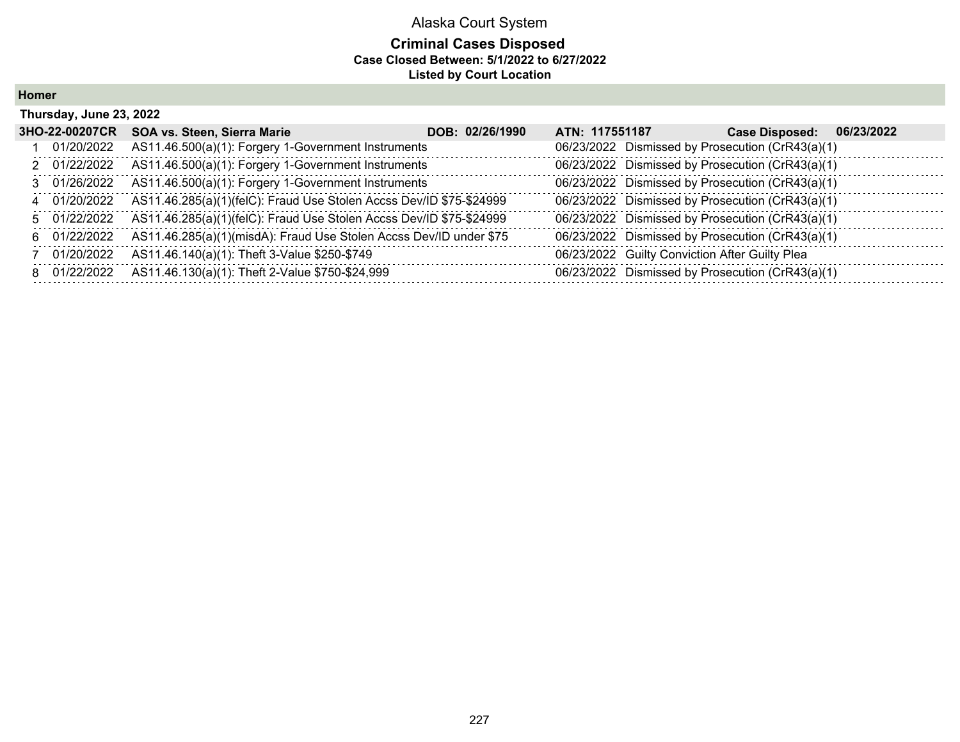#### **Criminal Cases Disposed Case Closed Between: 5/1/2022 to 6/27/2022 Listed by Court Location**

**Homer**

| Thursday, June 23, 2022 |                                                                     |                 |                |                                                |                                                  |            |
|-------------------------|---------------------------------------------------------------------|-----------------|----------------|------------------------------------------------|--------------------------------------------------|------------|
| 3HO-22-00207CR          | SOA vs. Steen, Sierra Marie                                         | DOB: 02/26/1990 | ATN: 117551187 |                                                | <b>Case Disposed:</b>                            | 06/23/2022 |
| 01/20/2022              | AS11.46.500(a)(1): Forgery 1-Government Instruments                 |                 |                |                                                | 06/23/2022 Dismissed by Prosecution (CrR43(a)(1) |            |
| 2 01/22/2022            | AS11.46.500(a)(1): Forgery 1-Government Instruments                 |                 |                |                                                | 06/23/2022 Dismissed by Prosecution (CrR43(a)(1) |            |
| 3 01/26/2022            | AS11.46.500(a)(1): Forgery 1-Government Instruments                 |                 |                |                                                | 06/23/2022 Dismissed by Prosecution (CrR43(a)(1) |            |
| 4 01/20/2022            | AS11.46.285(a)(1)(felC): Fraud Use Stolen Accss Dev/ID \$75-\$24999 |                 |                |                                                | 06/23/2022 Dismissed by Prosecution (CrR43(a)(1) |            |
| 5 01/22/2022            | AS11.46.285(a)(1)(felC): Fraud Use Stolen Accss Dev/ID \$75-\$24999 |                 |                |                                                | 06/23/2022 Dismissed by Prosecution (CrR43(a)(1) |            |
| 6 01/22/2022            | AS11.46.285(a)(1)(misdA): Fraud Use Stolen Accss Dev/ID under \$75  |                 |                |                                                | 06/23/2022 Dismissed by Prosecution (CrR43(a)(1) |            |
| 7 01/20/2022            | AS11.46.140(a)(1): Theft 3-Value \$250-\$749                        |                 |                | 06/23/2022 Guilty Conviction After Guilty Plea |                                                  |            |
| 8 01/22/2022            | AS11.46.130(a)(1): Theft 2-Value \$750-\$24,999                     |                 |                |                                                | 06/23/2022 Dismissed by Prosecution (CrR43(a)(1) |            |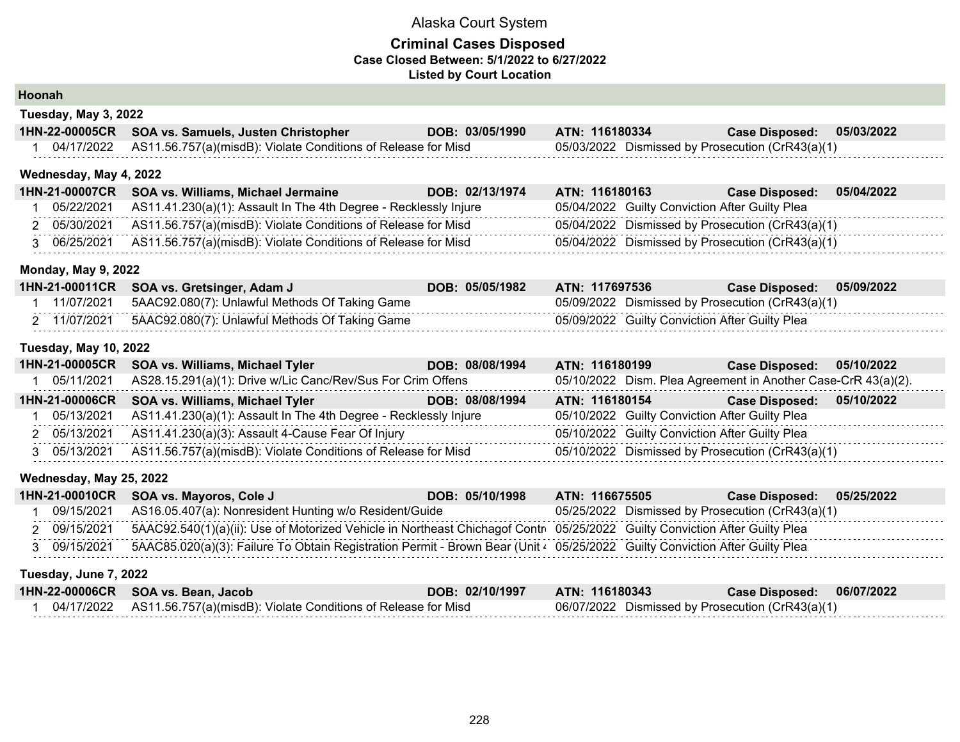#### **Criminal Cases Disposed Case Closed Between: 5/1/2022 to 6/27/2022 Listed by Court Location**

**Hoonah**

| Tuesday, May 3, 2022 |  |  |
|----------------------|--|--|
|----------------------|--|--|

| 1HN-22-00005CR SOA vs. Samuels, Justen Christopher                       | DOB: 03/05/1990 | ATN: 116180334                                   | <b>Case Disposed: 05/03/2022</b> |  |
|--------------------------------------------------------------------------|-----------------|--------------------------------------------------|----------------------------------|--|
| 04/17/2022 AS11.56.757(a)(misdB): Violate Conditions of Release for Misd |                 | 05/03/2022 Dismissed by Prosecution (CrR43(a)(1) |                                  |  |

#### **Wednesday, May 4, 2022**

| 1HN-21-00007CR | <b>SOA vs. Williams, Michael Jermaine</b>                                   | DOB: 02/13/1974 | ATN: 116180163 | <b>Case Disposed:</b>                            | 05/04/2022 |
|----------------|-----------------------------------------------------------------------------|-----------------|----------------|--------------------------------------------------|------------|
|                | 05/22/2021 AS11.41.230(a)(1): Assault In The 4th Degree - Recklessly Injure |                 |                | 05/04/2022 Guilty Conviction After Guilty Plea   |            |
| 05/30/2021     | AS11.56.757(a)(misdB): Violate Conditions of Release for Misd               |                 |                | 05/04/2022 Dismissed by Prosecution (CrR43(a)(1) |            |
| 06/25/2021     | AS11.56.757(a)(misdB): Violate Conditions of Release for Misd               |                 |                | 05/04/2022 Dismissed by Prosecution (CrR43(a)(1) |            |

#### **Monday, May 9, 2022**

|              | 1HN-21-00011CR SOA vs. Gretsinger, Adam J      | DOB: 05/05/1982 | <b>ATN: 117697536</b>                            | Case Disposed: 05/09/2022 |  |
|--------------|------------------------------------------------|-----------------|--------------------------------------------------|---------------------------|--|
| 11/07/2021   | 5AAC92.080(7): Unlawful Methods Of Taking Game |                 | 05/09/2022 Dismissed by Prosecution (CrR43(a)(1) |                           |  |
| 2 11/07/2021 | 5AAC92.080(7): Unlawful Methods Of Taking Game |                 | 05/09/2022 Guilty Conviction After Guilty Plea   |                           |  |

#### **Tuesday, May 10, 2022**

|            | 1HN-21-00005CR SOA vs. Williams, Michael Tyler                             | DOB: 08/08/1994 | ATN: 116180199                                   | Case Disposed: 05/10/2022                                     |  |
|------------|----------------------------------------------------------------------------|-----------------|--------------------------------------------------|---------------------------------------------------------------|--|
| 05/11/2021 | AS28.15.291(a)(1): Drive w/Lic Canc/Rev/Sus For Crim Offens                |                 |                                                  | 05/10/2022 Dism. Plea Agreement in Another Case-CrR 43(a)(2). |  |
|            | 1HN-21-00006CR SOA vs. Williams, Michael Tyler                             | DOB: 08/08/1994 | ATN: 116180154                                   | Case Disposed: 05/10/2022                                     |  |
| 05/13/2021 | AS11.41.230(a)(1): Assault In The 4th Degree - Recklessly Injure           |                 | 05/10/2022 Guilty Conviction After Guilty Plea   |                                                               |  |
|            | 2 05/13/2021 AS11.41.230(a)(3): Assault 4-Cause Fear Of Injury             |                 | 05/10/2022 Guilty Conviction After Guilty Plea   |                                                               |  |
|            | 3 05/13/2021 AS11.56.757(a)(misdB): Violate Conditions of Release for Misd |                 | 05/10/2022 Dismissed by Prosecution (CrR43(a)(1) |                                                               |  |

#### **Wednesday, May 25, 2022**

|              | 1HN-21-00010CR SOA vs. Mayoros, Cole J                                                                                      | DOB: 05/10/1998 | ATN: 116675505 | Case Disposed: 05/25/2022                        |  |
|--------------|-----------------------------------------------------------------------------------------------------------------------------|-----------------|----------------|--------------------------------------------------|--|
|              | 09/15/2021 AS16.05.407(a): Nonresident Hunting w/o Resident/Guide                                                           |                 |                | 05/25/2022 Dismissed by Prosecution (CrR43(a)(1) |  |
| 2 09/15/2021 | 5AAC92.540(1)(a)(ii): Use of Motorized Vehicle in Northeast Chichagof Contr 05/25/2022 Guilty Conviction After Guilty Plea  |                 |                |                                                  |  |
| 3 09/15/2021 | 5AAC85.020(a)(3): Failure To Obtain Registration Permit - Brown Bear (Unit 4 05/25/2022 Guilty Conviction After Guilty Plea |                 |                |                                                  |  |

#### **Tuesday, June 7, 2022**

| 1HN-22-00006CR SOA vs. Bean, Jacob                                       | DOB: 02/10/1997 | ATN: 116180343                                   | Case Disposed: 06/07/2022 |  |
|--------------------------------------------------------------------------|-----------------|--------------------------------------------------|---------------------------|--|
| 04/17/2022 AS11.56.757(a)(misdB): Violate Conditions of Release for Misd |                 | 06/07/2022 Dismissed by Prosecution (CrR43(a)(1) |                           |  |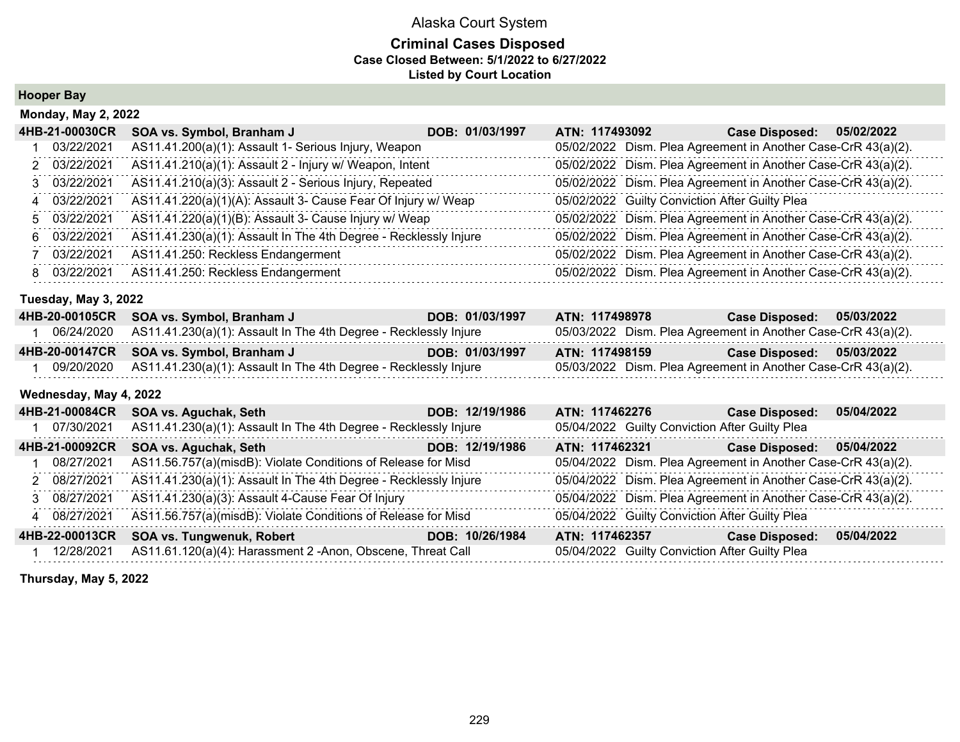#### **Criminal Cases Disposed Case Closed Between: 5/1/2022 to 6/27/2022 Listed by Court Location**

**Hooper Bay**

| <b>Monday, May 2, 2022</b> |                                                                  |                 |                |                                                               |            |  |
|----------------------------|------------------------------------------------------------------|-----------------|----------------|---------------------------------------------------------------|------------|--|
| 4HB-21-00030CR             | SOA vs. Symbol, Branham J                                        | DOB: 01/03/1997 | ATN: 117493092 | <b>Case Disposed:</b>                                         | 05/02/2022 |  |
| 03/22/2021                 | AS11.41.200(a)(1): Assault 1- Serious Injury, Weapon             |                 |                | 05/02/2022 Dism. Plea Agreement in Another Case-CrR 43(a)(2). |            |  |
| 2 03/22/2021               | AS11.41.210(a)(1): Assault 2 - Injury w/ Weapon, Intent          |                 |                | 05/02/2022 Dism. Plea Agreement in Another Case-CrR 43(a)(2). |            |  |
| 3 03/22/2021               | AS11.41.210(a)(3): Assault 2 - Serious Injury, Repeated          |                 |                | 05/02/2022 Dism. Plea Agreement in Another Case-CrR 43(a)(2). |            |  |
| 4 03/22/2021               | AS11.41.220(a)(1)(A): Assault 3- Cause Fear Of Injury w/ Weap    |                 |                | 05/02/2022 Guilty Conviction After Guilty Plea                |            |  |
| 5 03/22/2021               | AS11.41.220(a)(1)(B): Assault 3- Cause Injury w/ Weap            |                 |                | 05/02/2022 Dism. Plea Agreement in Another Case-CrR 43(a)(2). |            |  |
| 6 03/22/2021               | AS11.41.230(a)(1): Assault In The 4th Degree - Recklessly Injure |                 |                | 05/02/2022 Dism. Plea Agreement in Another Case-CrR 43(a)(2). |            |  |
| 03/22/2021                 | AS11.41.250: Reckless Endangerment                               |                 |                | 05/02/2022 Dism. Plea Agreement in Another Case-CrR 43(a)(2). |            |  |
| 8 03/22/2021               | AS11.41.250: Reckless Endangerment                               |                 |                | 05/02/2022 Dism. Plea Agreement in Another Case-CrR 43(a)(2). |            |  |

#### **Tuesday, May 3, 2022**

| 4HB-20-00105CR | SOA vs. Symbol, Branham J                                                   | DOB: 01/03/1997 | ATN: 117498978                                                | <b>Case Disposed:</b> | 05/03/2022 |
|----------------|-----------------------------------------------------------------------------|-----------------|---------------------------------------------------------------|-----------------------|------------|
|                | 06/24/2020 AS11.41.230(a)(1): Assault In The 4th Degree - Recklessly Injure |                 | 05/03/2022 Dism. Plea Agreement in Another Case-CrR 43(a)(2). |                       |            |
|                | 4HB-20-00147CR SOA vs. Symbol, Branham J                                    |                 |                                                               |                       |            |
|                |                                                                             | DOB: 01/03/1997 | ATN: 117498159                                                | <b>Case Disposed:</b> | 05/03/2022 |

#### **Wednesday, May 4, 2022**

| 4HB-21-00084CR | SOA vs. Aguchak, Seth                                            | DOB: 12/19/1986 | ATN: 117462276 | <b>Case Disposed:</b>                                         | 05/04/2022 |
|----------------|------------------------------------------------------------------|-----------------|----------------|---------------------------------------------------------------|------------|
| 07/30/2021     | AS11.41.230(a)(1): Assault In The 4th Degree - Recklessly Injure |                 |                | 05/04/2022 Guilty Conviction After Guilty Plea                |            |
| 4HB-21-00092CR | SOA vs. Aguchak, Seth                                            | DOB: 12/19/1986 | ATN: 117462321 | <b>Case Disposed:</b>                                         | 05/04/2022 |
| 08/27/2021     | AS11.56.757(a)(misdB): Violate Conditions of Release for Misd    |                 |                | 05/04/2022 Dism. Plea Agreement in Another Case-CrR 43(a)(2). |            |
| 2 08/27/2021   | AS11.41.230(a)(1): Assault In The 4th Degree - Recklessly Injure |                 |                | 05/04/2022 Dism. Plea Agreement in Another Case-CrR 43(a)(2). |            |
| 3 08/27/2021   | AS11.41.230(a)(3): Assault 4-Cause Fear Of Injury                |                 |                | 05/04/2022 Dism. Plea Agreement in Another Case-CrR 43(a)(2). |            |
| 4 08/27/2021   | AS11.56.757(a)(misdB): Violate Conditions of Release for Misd    |                 |                | 05/04/2022 Guilty Conviction After Guilty Plea                |            |
| 4HB-22-00013CR | <b>SOA vs. Tungwenuk, Robert</b>                                 | DOB: 10/26/1984 | ATN: 117462357 | <b>Case Disposed:</b>                                         | 05/04/2022 |
| 12/28/2021     | AS11.61.120(a)(4): Harassment 2 -Anon, Obscene, Threat Call      |                 |                | 05/04/2022 Guilty Conviction After Guilty Plea                |            |

**Thursday, May 5, 2022**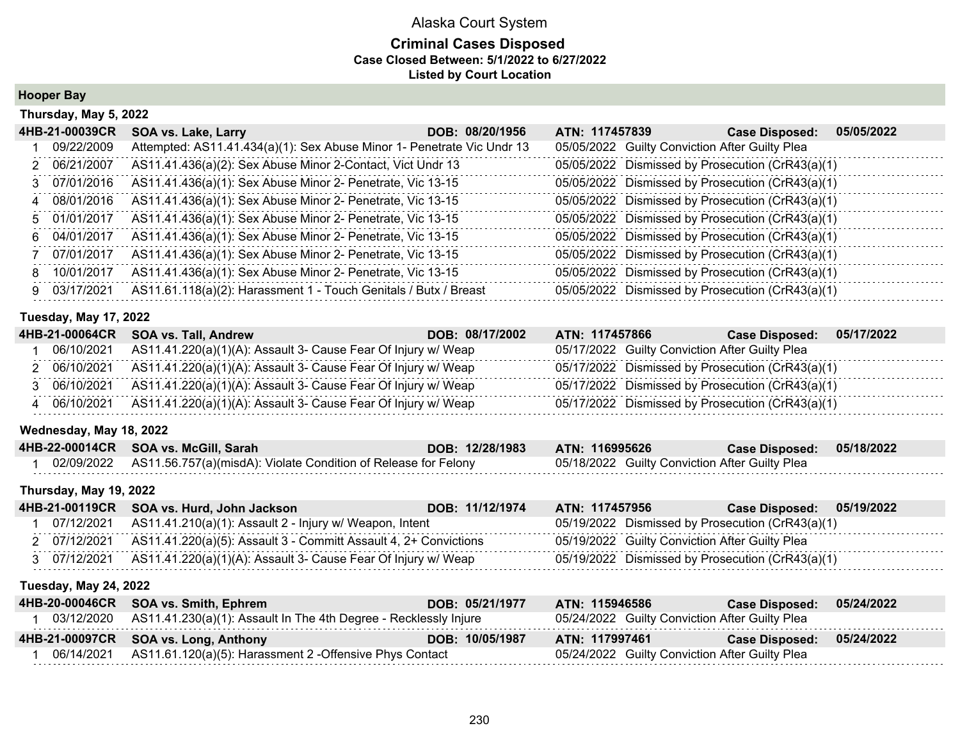#### **Criminal Cases Disposed Case Closed Between: 5/1/2022 to 6/27/2022 Listed by Court Location**

**Hooper Bay**

|    | Thursday, May 5, 2022 |                                                                        |                 |                |  |                                                  |            |
|----|-----------------------|------------------------------------------------------------------------|-----------------|----------------|--|--------------------------------------------------|------------|
|    | 4HB-21-00039CR        | SOA vs. Lake, Larry                                                    | DOB: 08/20/1956 | ATN: 117457839 |  | <b>Case Disposed:</b>                            | 05/05/2022 |
|    | 09/22/2009            | Attempted: AS11.41.434(a)(1): Sex Abuse Minor 1- Penetrate Vic Undr 13 |                 |                |  | 05/05/2022 Guilty Conviction After Guilty Plea   |            |
|    | 2 06/21/2007          | AS11.41.436(a)(2): Sex Abuse Minor 2-Contact, Vict Undr 13             |                 |                |  | 05/05/2022 Dismissed by Prosecution (CrR43(a)(1) |            |
|    | 3 07/01/2016          | AS11.41.436(a)(1): Sex Abuse Minor 2- Penetrate, Vic 13-15             |                 |                |  | 05/05/2022 Dismissed by Prosecution (CrR43(a)(1) |            |
|    | 4 08/01/2016          | AS11.41.436(a)(1): Sex Abuse Minor 2- Penetrate, Vic 13-15             |                 |                |  | 05/05/2022 Dismissed by Prosecution (CrR43(a)(1) |            |
|    | 5 01/01/2017          | AS11.41.436(a)(1): Sex Abuse Minor 2- Penetrate, Vic 13-15             |                 |                |  | 05/05/2022 Dismissed by Prosecution (CrR43(a)(1) |            |
|    | 6 04/01/2017          | AS11.41.436(a)(1): Sex Abuse Minor 2- Penetrate, Vic 13-15             |                 |                |  | 05/05/2022 Dismissed by Prosecution (CrR43(a)(1) |            |
|    | 07/01/2017            | AS11.41.436(a)(1): Sex Abuse Minor 2- Penetrate, Vic 13-15             |                 |                |  | 05/05/2022 Dismissed by Prosecution (CrR43(a)(1) |            |
| 8. | 10/01/2017            | AS11.41.436(a)(1): Sex Abuse Minor 2- Penetrate, Vic 13-15             |                 |                |  | 05/05/2022 Dismissed by Prosecution (CrR43(a)(1) |            |
| 9. | 03/17/2021            | AS11.61.118(a)(2): Harassment 1 - Touch Genitals / Butx / Breast       |                 |                |  | 05/05/2022 Dismissed by Prosecution (CrR43(a)(1) |            |

#### **Tuesday, May 17, 2022**

|            | 4HB-21-00064CR SOA vs. Tall, Andrew                                      | ATN: 117457866<br>DOB: 08/17/2002 | <b>Case Disposed:</b><br>05/17/2022              |
|------------|--------------------------------------------------------------------------|-----------------------------------|--------------------------------------------------|
| 06/10/2021 | AS11.41.220(a)(1)(A): Assault 3- Cause Fear Of Injury w/ Weap            |                                   | 05/17/2022 Guilty Conviction After Guilty Plea   |
| 06/10/2021 | AS11.41.220(a)(1)(A): Assault 3- Cause Fear Of Injury w/ Weap            |                                   | 05/17/2022 Dismissed by Prosecution (CrR43(a)(1) |
| 06/10/2021 | AS11.41.220(a)(1)(A): Assault 3- Cause Fear Of Injury w/ Weap            |                                   | 05/17/2022 Dismissed by Prosecution (CrR43(a)(1) |
|            | 06/10/2021 AS11.41.220(a)(1)(A): Assault 3- Cause Fear Of Injury w/ Weap |                                   | 05/17/2022 Dismissed by Prosecution (CrR43(a)(1) |

#### **Wednesday, May 18, 2022**

| 4HB-22-00014CR SOA vs. McGill, Sarah                                      | DOB: 12/28/1983 | ATN: 116995626                                 | Case Disposed: 05/18/2022 |  |
|---------------------------------------------------------------------------|-----------------|------------------------------------------------|---------------------------|--|
| 02/09/2022 AS11.56.757(a)(misdA): Violate Condition of Release for Felony |                 | 05/18/2022 Guilty Conviction After Guilty Plea |                           |  |

#### **Thursday, May 19, 2022**

|              | 4HB-21-00119CR SOA vs. Hurd, John Jackson                                     | DOB: 11/12/1974 | ATN: 117457956                                   | Case Disposed: 05/19/2022 |  |
|--------------|-------------------------------------------------------------------------------|-----------------|--------------------------------------------------|---------------------------|--|
|              | 07/12/2021   AS11.41.210(a)(1): Assault 2 - Injury w/ Weapon, Intent          |                 | 05/19/2022 Dismissed by Prosecution (CrR43(a)(1) |                           |  |
|              | 2 07/12/2021 AS11.41.220(a)(5): Assault 3 - Committ Assault 4, 2+ Convictions |                 | 05/19/2022 Guilty Conviction After Guilty Plea   |                           |  |
| 3 07/12/2021 | AS11.41.220(a)(1)(A): Assault 3- Cause Fear Of Injury w/ Weap                 |                 | 05/19/2022 Dismissed by Prosecution (CrR43(a)(1) |                           |  |

#### **Tuesday, May 24, 2022**

| 4HB-20-00046CR SOA vs. Smith, Ephrem                                        | DOB: 05/21/1977 | ATN: 115946586                                 | <b>Case Disposed:</b> | 05/24/2022 |
|-----------------------------------------------------------------------------|-----------------|------------------------------------------------|-----------------------|------------|
| 03/12/2020 AS11.41.230(a)(1): Assault In The 4th Degree - Recklessly Injure |                 | 05/24/2022 Guilty Conviction After Guilty Plea |                       |            |
| 4HB-21-00097CR SOA vs. Long, Anthony                                        | DOB: 10/05/1987 | ATN: 117997461                                 | <b>Case Disposed:</b> | 05/24/2022 |
| 06/14/2021 AS11.61.120(a)(5): Harassment 2 - Offensive Phys Contact         |                 | 05/24/2022 Guilty Conviction After Guilty Plea |                       |            |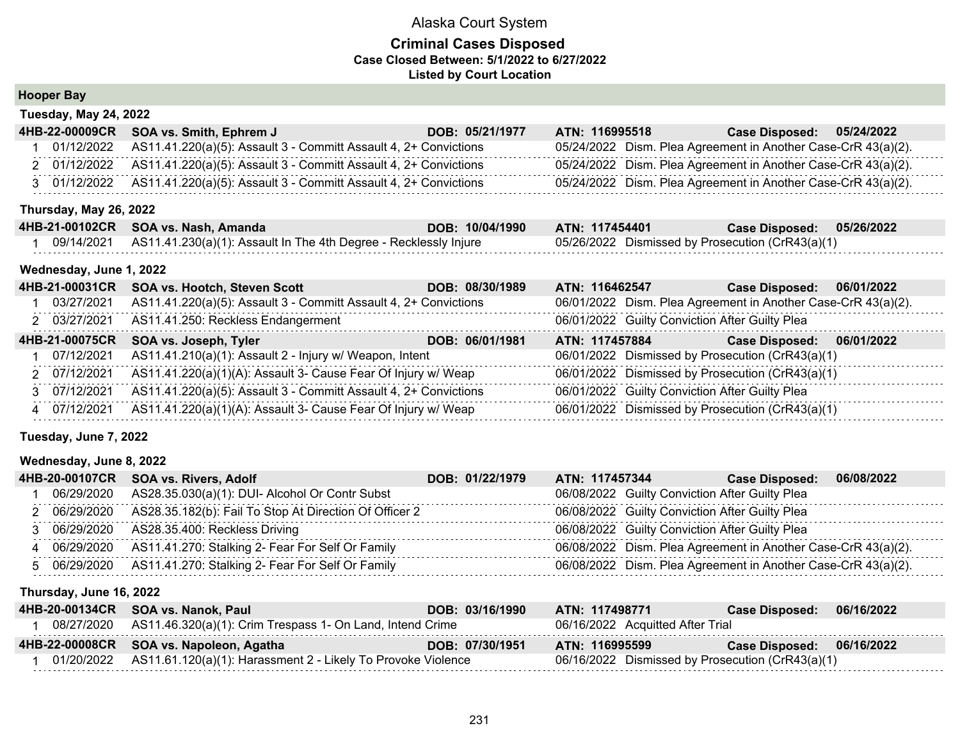#### **Criminal Cases Disposed Case Closed Between: 5/1/2022 to 6/27/2022 Listed by Court Location**

### **Hooper Bay**

| Tuesday, May 24, 2022 |                                                                               |                 |                |                                                               |  |  |  |  |  |  |
|-----------------------|-------------------------------------------------------------------------------|-----------------|----------------|---------------------------------------------------------------|--|--|--|--|--|--|
|                       | 4HB-22-00009CR SOA vs. Smith, Ephrem J                                        | DOB: 05/21/1977 | ATN: 116995518 | Case Disposed: 05/24/2022                                     |  |  |  |  |  |  |
|                       | $01/12/2022$ AS11.41.220(a)(5): Assault 3 - Committ Assault 4, 2+ Convictions |                 |                | 05/24/2022 Dism. Plea Agreement in Another Case-CrR 43(a)(2). |  |  |  |  |  |  |
|                       | 2 01/12/2022 AS11.41.220(a)(5): Assault 3 - Committ Assault 4, 2+ Convictions |                 |                | 05/24/2022 Dism. Plea Agreement in Another Case-CrR 43(a)(2). |  |  |  |  |  |  |
|                       | 3 01/12/2022 AS11.41.220(a)(5): Assault 3 - Committ Assault 4, 2+ Convictions |                 |                | 05/24/2022 Dism. Plea Agreement in Another Case-CrR 43(a)(2). |  |  |  |  |  |  |

#### **Thursday, May 26, 2022**

| 4HB-21-00102CR SOA vs. Nash, Amanda                                         | DOB: 10/04/1990 | ATN: 117454401                                   | Case Disposed: 05/26/2022 |  |
|-----------------------------------------------------------------------------|-----------------|--------------------------------------------------|---------------------------|--|
| 09/14/2021 AS11.41.230(a)(1): Assault In The 4th Degree - Recklessly Injure |                 | 05/26/2022 Dismissed by Prosecution (CrR43(a)(1) |                           |  |

#### **Wednesday, June 1, 2022**

| 4HB-21-00031CR | <b>SOA vs. Hootch, Steven Scott</b>                              | DOB: 08/30/1989 | ATN: 116462547                                 | <b>Case Disposed:</b>                                         | 06/01/2022 |
|----------------|------------------------------------------------------------------|-----------------|------------------------------------------------|---------------------------------------------------------------|------------|
| 03/27/2021     | AS11.41.220(a)(5): Assault 3 - Committ Assault 4, 2+ Convictions |                 |                                                | 06/01/2022 Dism. Plea Agreement in Another Case-CrR 43(a)(2). |            |
| 2 03/27/2021   | AS11.41.250: Reckless Endangerment                               |                 | 06/01/2022 Guilty Conviction After Guilty Plea |                                                               |            |
| 4HB-21-00075CR | SOA vs. Joseph, Tyler                                            | DOB: 06/01/1981 | ATN: 117457884                                 | <b>Case Disposed:</b>                                         | 06/01/2022 |
| 07/12/2021     | AS11.41.210(a)(1): Assault 2 - Injury w/ Weapon, Intent          |                 |                                                | 06/01/2022 Dismissed by Prosecution (CrR43(a)(1)              |            |
| 2 07/12/2021   | AS11.41.220(a)(1)(A): Assault 3- Cause Fear Of Injury w/ Weap    |                 |                                                | 06/01/2022 Dismissed by Prosecution (CrR43(a)(1)              |            |
| 3 07/12/2021   | AS11.41.220(a)(5): Assault 3 - Committ Assault 4, 2+ Convictions |                 | 06/01/2022 Guilty Conviction After Guilty Plea |                                                               |            |
| 4 07/12/2021   | AS11.41.220(a)(1)(A): Assault 3- Cause Fear Of Injury w/ Weap    |                 |                                                | 06/01/2022 Dismissed by Prosecution (CrR43(a)(1)              |            |

#### **Tuesday, June 7, 2022**

#### **Wednesday, June 8, 2022**

|  | 4HB-20-00107CR SOA vs. Rivers, Adolf                                | DOB: 01/22/1979 | ATN: 117457344 | Case Disposed: 06/08/2022                                     |  |
|--|---------------------------------------------------------------------|-----------------|----------------|---------------------------------------------------------------|--|
|  | 06/29/2020 AS28.35.030(a)(1): DUI- Alcohol Or Contr Subst           |                 |                | 06/08/2022 Guilty Conviction After Guilty Plea                |  |
|  | 2 06/29/2020 AS28.35.182(b): Fail To Stop At Direction Of Officer 2 |                 |                | 06/08/2022 Guilty Conviction After Guilty Plea                |  |
|  | 3 06/29/2020 AS28.35.400: Reckless Driving                          |                 |                | 06/08/2022 Guilty Conviction After Guilty Plea                |  |
|  | 4 06/29/2020 AS11.41.270: Stalking 2- Fear For Self Or Family       |                 |                | 06/08/2022 Dism. Plea Agreement in Another Case-CrR 43(a)(2). |  |
|  | 5 06/29/2020 AS11.41.270: Stalking 2- Fear For Self Or Family       |                 |                | 06/08/2022 Dism. Plea Agreement in Another Case-CrR 43(a)(2). |  |

#### **Thursday, June 16, 2022**

| 4HB-20-00134CR SOA vs. Nanok, Paul                                        | DOB: 03/16/1990 | ATN: 117498771                                   | <b>Case Disposed:</b>     | 06/16/2022 |
|---------------------------------------------------------------------------|-----------------|--------------------------------------------------|---------------------------|------------|
| 08/27/2020 AS11.46.320(a)(1): Crim Trespass 1- On Land, Intend Crime      |                 | 06/16/2022 Acquitted After Trial                 |                           |            |
| 4HB-22-00008CR SOA vs. Napoleon, Agatha                                   | DOB: 07/30/1951 | ATN: 116995599                                   | Case Disposed: 06/16/2022 |            |
| $01/20/2022$ AS11.61.120(a)(1): Harassment 2 - Likely To Provoke Violence |                 | 06/16/2022 Dismissed by Prosecution (CrR43(a)(1) |                           |            |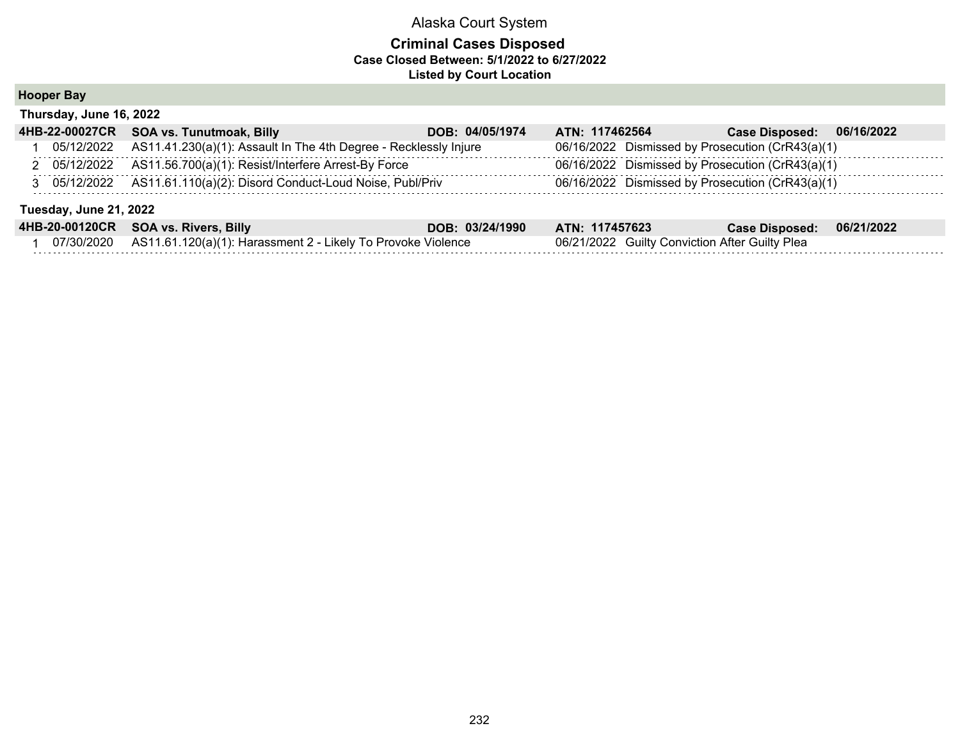#### **Criminal Cases Disposed Case Closed Between: 5/1/2022 to 6/27/2022 Listed by Court Location**

**Hooper Bay**

| <b>HUUPEI DAY</b>       |  |
|-------------------------|--|
| Thursday, June 16, 2022 |  |

| 4HB-22-00027CR         | SOA vs. Tunutmoak, Billy                                             | DOB: 04/05/1974 | ATN: 117462564                                   | <b>Case Disposed:</b> | 06/16/2022 |  |  |  |  |
|------------------------|----------------------------------------------------------------------|-----------------|--------------------------------------------------|-----------------------|------------|--|--|--|--|
| 05/12/2022             | AS11.41.230(a)(1): Assault In The 4th Degree - Recklessly Injure     |                 | 06/16/2022 Dismissed by Prosecution (CrR43(a)(1) |                       |            |  |  |  |  |
|                        | 2 05/12/2022 AS11.56.700(a)(1): Resist/Interfere Arrest-By Force     |                 | 06/16/2022 Dismissed by Prosecution (CrR43(a)(1) |                       |            |  |  |  |  |
|                        | 3 05/12/2022 AS11.61.110(a)(2): Disord Conduct-Loud Noise, Publ/Priv |                 | 06/16/2022 Dismissed by Prosecution (CrR43(a)(1) |                       |            |  |  |  |  |
| Tuesday, June 21, 2022 |                                                                      |                 |                                                  |                       |            |  |  |  |  |
| 4HB-20-00120CR         | <b>SOA vs. Rivers, Billy</b>                                         | DOB: 03/24/1990 | ATN: 117457623                                   | <b>Case Disposed:</b> | 06/21/2022 |  |  |  |  |
| 07/30/2020             | AS11.61.120(a)(1): Harassment 2 - Likely To Provoke Violence         |                 | 06/21/2022 Guilty Conviction After Guilty Plea   |                       |            |  |  |  |  |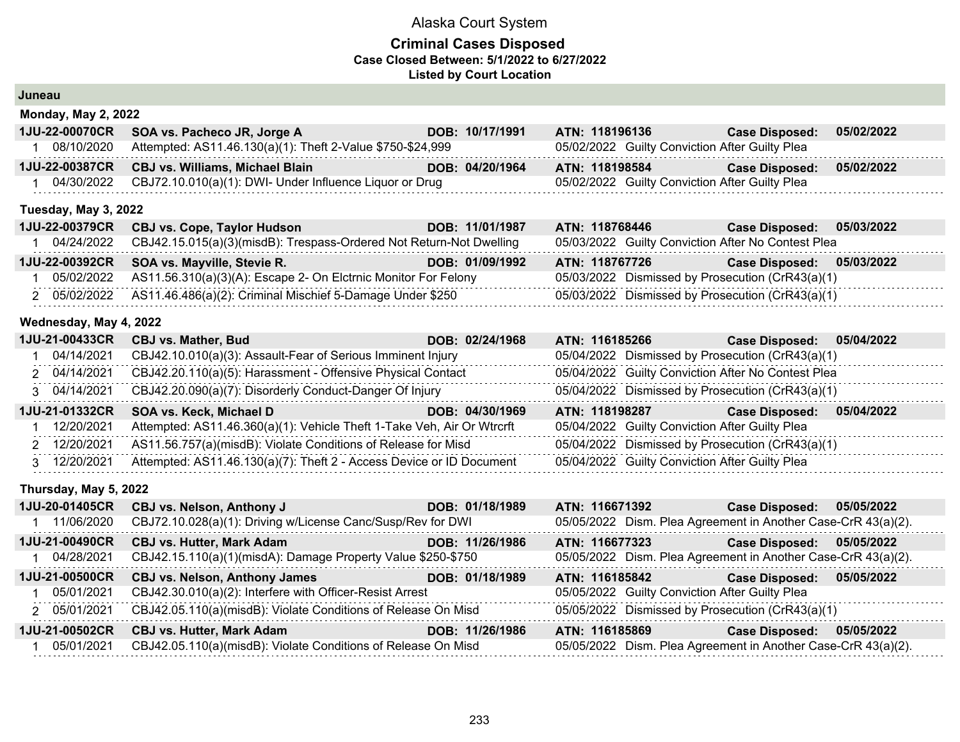| Juneau                     |                                        |                                                                                                       |                                                                                                                                                                                                                                                                                                                                                                          |                                                                                                                                                                                                                                                                                                                                                                                                                                                                                                                                                                                                                                                                                                                                                                                                                                                                                        |  |                                                                                                                                                                                  |                                                                                                                                                                                                                                                                                                                                                                                                                                                                                                                                                                                                                                                                                                                                                                                                                                                                                               |
|----------------------------|----------------------------------------|-------------------------------------------------------------------------------------------------------|--------------------------------------------------------------------------------------------------------------------------------------------------------------------------------------------------------------------------------------------------------------------------------------------------------------------------------------------------------------------------|----------------------------------------------------------------------------------------------------------------------------------------------------------------------------------------------------------------------------------------------------------------------------------------------------------------------------------------------------------------------------------------------------------------------------------------------------------------------------------------------------------------------------------------------------------------------------------------------------------------------------------------------------------------------------------------------------------------------------------------------------------------------------------------------------------------------------------------------------------------------------------------|--|----------------------------------------------------------------------------------------------------------------------------------------------------------------------------------|-----------------------------------------------------------------------------------------------------------------------------------------------------------------------------------------------------------------------------------------------------------------------------------------------------------------------------------------------------------------------------------------------------------------------------------------------------------------------------------------------------------------------------------------------------------------------------------------------------------------------------------------------------------------------------------------------------------------------------------------------------------------------------------------------------------------------------------------------------------------------------------------------|
|                            |                                        |                                                                                                       |                                                                                                                                                                                                                                                                                                                                                                          |                                                                                                                                                                                                                                                                                                                                                                                                                                                                                                                                                                                                                                                                                                                                                                                                                                                                                        |  |                                                                                                                                                                                  |                                                                                                                                                                                                                                                                                                                                                                                                                                                                                                                                                                                                                                                                                                                                                                                                                                                                                               |
| 1JU-22-00070CR             | SOA vs. Pacheco JR, Jorge A            |                                                                                                       |                                                                                                                                                                                                                                                                                                                                                                          |                                                                                                                                                                                                                                                                                                                                                                                                                                                                                                                                                                                                                                                                                                                                                                                                                                                                                        |  | <b>Case Disposed:</b>                                                                                                                                                            | 05/02/2022                                                                                                                                                                                                                                                                                                                                                                                                                                                                                                                                                                                                                                                                                                                                                                                                                                                                                    |
| 1                          |                                        |                                                                                                       |                                                                                                                                                                                                                                                                                                                                                                          |                                                                                                                                                                                                                                                                                                                                                                                                                                                                                                                                                                                                                                                                                                                                                                                                                                                                                        |  |                                                                                                                                                                                  |                                                                                                                                                                                                                                                                                                                                                                                                                                                                                                                                                                                                                                                                                                                                                                                                                                                                                               |
| 1JU-22-00387CR             | <b>CBJ vs. Williams, Michael Blain</b> |                                                                                                       |                                                                                                                                                                                                                                                                                                                                                                          |                                                                                                                                                                                                                                                                                                                                                                                                                                                                                                                                                                                                                                                                                                                                                                                                                                                                                        |  | <b>Case Disposed:</b>                                                                                                                                                            | 05/02/2022                                                                                                                                                                                                                                                                                                                                                                                                                                                                                                                                                                                                                                                                                                                                                                                                                                                                                    |
|                            |                                        |                                                                                                       |                                                                                                                                                                                                                                                                                                                                                                          |                                                                                                                                                                                                                                                                                                                                                                                                                                                                                                                                                                                                                                                                                                                                                                                                                                                                                        |  |                                                                                                                                                                                  |                                                                                                                                                                                                                                                                                                                                                                                                                                                                                                                                                                                                                                                                                                                                                                                                                                                                                               |
|                            |                                        |                                                                                                       |                                                                                                                                                                                                                                                                                                                                                                          |                                                                                                                                                                                                                                                                                                                                                                                                                                                                                                                                                                                                                                                                                                                                                                                                                                                                                        |  |                                                                                                                                                                                  |                                                                                                                                                                                                                                                                                                                                                                                                                                                                                                                                                                                                                                                                                                                                                                                                                                                                                               |
| 1JU-22-00379CR             | <b>CBJ vs. Cope, Taylor Hudson</b>     |                                                                                                       |                                                                                                                                                                                                                                                                                                                                                                          |                                                                                                                                                                                                                                                                                                                                                                                                                                                                                                                                                                                                                                                                                                                                                                                                                                                                                        |  | <b>Case Disposed:</b>                                                                                                                                                            | 05/03/2022                                                                                                                                                                                                                                                                                                                                                                                                                                                                                                                                                                                                                                                                                                                                                                                                                                                                                    |
| 04/24/2022<br>1.           |                                        |                                                                                                       |                                                                                                                                                                                                                                                                                                                                                                          |                                                                                                                                                                                                                                                                                                                                                                                                                                                                                                                                                                                                                                                                                                                                                                                                                                                                                        |  |                                                                                                                                                                                  |                                                                                                                                                                                                                                                                                                                                                                                                                                                                                                                                                                                                                                                                                                                                                                                                                                                                                               |
| 1JU-22-00392CR             | SOA vs. Mayville, Stevie R.            |                                                                                                       |                                                                                                                                                                                                                                                                                                                                                                          |                                                                                                                                                                                                                                                                                                                                                                                                                                                                                                                                                                                                                                                                                                                                                                                                                                                                                        |  | <b>Case Disposed:</b>                                                                                                                                                            | 05/03/2022                                                                                                                                                                                                                                                                                                                                                                                                                                                                                                                                                                                                                                                                                                                                                                                                                                                                                    |
| 1 05/02/2022               |                                        |                                                                                                       |                                                                                                                                                                                                                                                                                                                                                                          |                                                                                                                                                                                                                                                                                                                                                                                                                                                                                                                                                                                                                                                                                                                                                                                                                                                                                        |  |                                                                                                                                                                                  |                                                                                                                                                                                                                                                                                                                                                                                                                                                                                                                                                                                                                                                                                                                                                                                                                                                                                               |
| 2 05/02/2022               |                                        |                                                                                                       |                                                                                                                                                                                                                                                                                                                                                                          |                                                                                                                                                                                                                                                                                                                                                                                                                                                                                                                                                                                                                                                                                                                                                                                                                                                                                        |  |                                                                                                                                                                                  |                                                                                                                                                                                                                                                                                                                                                                                                                                                                                                                                                                                                                                                                                                                                                                                                                                                                                               |
|                            |                                        |                                                                                                       |                                                                                                                                                                                                                                                                                                                                                                          |                                                                                                                                                                                                                                                                                                                                                                                                                                                                                                                                                                                                                                                                                                                                                                                                                                                                                        |  |                                                                                                                                                                                  |                                                                                                                                                                                                                                                                                                                                                                                                                                                                                                                                                                                                                                                                                                                                                                                                                                                                                               |
| 1JU-21-00433CR             | <b>CBJ vs. Mather, Bud</b>             |                                                                                                       |                                                                                                                                                                                                                                                                                                                                                                          |                                                                                                                                                                                                                                                                                                                                                                                                                                                                                                                                                                                                                                                                                                                                                                                                                                                                                        |  | <b>Case Disposed:</b>                                                                                                                                                            | 05/04/2022                                                                                                                                                                                                                                                                                                                                                                                                                                                                                                                                                                                                                                                                                                                                                                                                                                                                                    |
| 04/14/2021                 |                                        |                                                                                                       |                                                                                                                                                                                                                                                                                                                                                                          |                                                                                                                                                                                                                                                                                                                                                                                                                                                                                                                                                                                                                                                                                                                                                                                                                                                                                        |  |                                                                                                                                                                                  |                                                                                                                                                                                                                                                                                                                                                                                                                                                                                                                                                                                                                                                                                                                                                                                                                                                                                               |
| 2 04/14/2021               |                                        |                                                                                                       |                                                                                                                                                                                                                                                                                                                                                                          |                                                                                                                                                                                                                                                                                                                                                                                                                                                                                                                                                                                                                                                                                                                                                                                                                                                                                        |  |                                                                                                                                                                                  |                                                                                                                                                                                                                                                                                                                                                                                                                                                                                                                                                                                                                                                                                                                                                                                                                                                                                               |
| 3 04/14/2021               |                                        |                                                                                                       |                                                                                                                                                                                                                                                                                                                                                                          |                                                                                                                                                                                                                                                                                                                                                                                                                                                                                                                                                                                                                                                                                                                                                                                                                                                                                        |  |                                                                                                                                                                                  |                                                                                                                                                                                                                                                                                                                                                                                                                                                                                                                                                                                                                                                                                                                                                                                                                                                                                               |
| 1JU-21-01332CR             | SOA vs. Keck, Michael D                |                                                                                                       |                                                                                                                                                                                                                                                                                                                                                                          |                                                                                                                                                                                                                                                                                                                                                                                                                                                                                                                                                                                                                                                                                                                                                                                                                                                                                        |  | <b>Case Disposed:</b>                                                                                                                                                            | 05/04/2022                                                                                                                                                                                                                                                                                                                                                                                                                                                                                                                                                                                                                                                                                                                                                                                                                                                                                    |
| 12/20/2021                 |                                        |                                                                                                       |                                                                                                                                                                                                                                                                                                                                                                          |                                                                                                                                                                                                                                                                                                                                                                                                                                                                                                                                                                                                                                                                                                                                                                                                                                                                                        |  |                                                                                                                                                                                  |                                                                                                                                                                                                                                                                                                                                                                                                                                                                                                                                                                                                                                                                                                                                                                                                                                                                                               |
| 2 12/20/2021               |                                        |                                                                                                       |                                                                                                                                                                                                                                                                                                                                                                          |                                                                                                                                                                                                                                                                                                                                                                                                                                                                                                                                                                                                                                                                                                                                                                                                                                                                                        |  |                                                                                                                                                                                  |                                                                                                                                                                                                                                                                                                                                                                                                                                                                                                                                                                                                                                                                                                                                                                                                                                                                                               |
| 3 12/20/2021               |                                        |                                                                                                       |                                                                                                                                                                                                                                                                                                                                                                          |                                                                                                                                                                                                                                                                                                                                                                                                                                                                                                                                                                                                                                                                                                                                                                                                                                                                                        |  |                                                                                                                                                                                  |                                                                                                                                                                                                                                                                                                                                                                                                                                                                                                                                                                                                                                                                                                                                                                                                                                                                                               |
|                            |                                        |                                                                                                       |                                                                                                                                                                                                                                                                                                                                                                          |                                                                                                                                                                                                                                                                                                                                                                                                                                                                                                                                                                                                                                                                                                                                                                                                                                                                                        |  |                                                                                                                                                                                  |                                                                                                                                                                                                                                                                                                                                                                                                                                                                                                                                                                                                                                                                                                                                                                                                                                                                                               |
| 1JU-20-01405CR             | <b>CBJ vs. Nelson, Anthony J</b>       |                                                                                                       |                                                                                                                                                                                                                                                                                                                                                                          |                                                                                                                                                                                                                                                                                                                                                                                                                                                                                                                                                                                                                                                                                                                                                                                                                                                                                        |  | <b>Case Disposed:</b>                                                                                                                                                            | 05/05/2022                                                                                                                                                                                                                                                                                                                                                                                                                                                                                                                                                                                                                                                                                                                                                                                                                                                                                    |
| 1 11/06/2020               |                                        |                                                                                                       |                                                                                                                                                                                                                                                                                                                                                                          |                                                                                                                                                                                                                                                                                                                                                                                                                                                                                                                                                                                                                                                                                                                                                                                                                                                                                        |  |                                                                                                                                                                                  |                                                                                                                                                                                                                                                                                                                                                                                                                                                                                                                                                                                                                                                                                                                                                                                                                                                                                               |
| 1JU-21-00490CR             | <b>CBJ vs. Hutter, Mark Adam</b>       |                                                                                                       |                                                                                                                                                                                                                                                                                                                                                                          |                                                                                                                                                                                                                                                                                                                                                                                                                                                                                                                                                                                                                                                                                                                                                                                                                                                                                        |  | <b>Case Disposed:</b>                                                                                                                                                            | 05/05/2022                                                                                                                                                                                                                                                                                                                                                                                                                                                                                                                                                                                                                                                                                                                                                                                                                                                                                    |
| 04/28/2021                 |                                        |                                                                                                       |                                                                                                                                                                                                                                                                                                                                                                          |                                                                                                                                                                                                                                                                                                                                                                                                                                                                                                                                                                                                                                                                                                                                                                                                                                                                                        |  |                                                                                                                                                                                  |                                                                                                                                                                                                                                                                                                                                                                                                                                                                                                                                                                                                                                                                                                                                                                                                                                                                                               |
| 1JU-21-00500CR             | <b>CBJ vs. Nelson, Anthony James</b>   |                                                                                                       |                                                                                                                                                                                                                                                                                                                                                                          |                                                                                                                                                                                                                                                                                                                                                                                                                                                                                                                                                                                                                                                                                                                                                                                                                                                                                        |  | <b>Case Disposed:</b>                                                                                                                                                            | 05/05/2022                                                                                                                                                                                                                                                                                                                                                                                                                                                                                                                                                                                                                                                                                                                                                                                                                                                                                    |
| 05/01/2021<br>$\mathbf{1}$ |                                        |                                                                                                       |                                                                                                                                                                                                                                                                                                                                                                          |                                                                                                                                                                                                                                                                                                                                                                                                                                                                                                                                                                                                                                                                                                                                                                                                                                                                                        |  |                                                                                                                                                                                  |                                                                                                                                                                                                                                                                                                                                                                                                                                                                                                                                                                                                                                                                                                                                                                                                                                                                                               |
| 2 05/01/2021               |                                        |                                                                                                       |                                                                                                                                                                                                                                                                                                                                                                          |                                                                                                                                                                                                                                                                                                                                                                                                                                                                                                                                                                                                                                                                                                                                                                                                                                                                                        |  |                                                                                                                                                                                  |                                                                                                                                                                                                                                                                                                                                                                                                                                                                                                                                                                                                                                                                                                                                                                                                                                                                                               |
| 1JU-21-00502CR             | <b>CBJ vs. Hutter, Mark Adam</b>       |                                                                                                       |                                                                                                                                                                                                                                                                                                                                                                          |                                                                                                                                                                                                                                                                                                                                                                                                                                                                                                                                                                                                                                                                                                                                                                                                                                                                                        |  | <b>Case Disposed:</b>                                                                                                                                                            | 05/05/2022                                                                                                                                                                                                                                                                                                                                                                                                                                                                                                                                                                                                                                                                                                                                                                                                                                                                                    |
| 1 05/01/2021               |                                        |                                                                                                       |                                                                                                                                                                                                                                                                                                                                                                          |                                                                                                                                                                                                                                                                                                                                                                                                                                                                                                                                                                                                                                                                                                                                                                                                                                                                                        |  |                                                                                                                                                                                  |                                                                                                                                                                                                                                                                                                                                                                                                                                                                                                                                                                                                                                                                                                                                                                                                                                                                                               |
|                            | 08/10/2020<br>1 04/30/2022             | <b>Monday, May 2, 2022</b><br>Tuesday, May 3, 2022<br>Wednesday, May 4, 2022<br>Thursday, May 5, 2022 | Attempted: AS11.46.130(a)(1): Theft 2-Value \$750-\$24,999<br>CBJ72.10.010(a)(1): DWI- Under Influence Liquor or Drug<br>AS11.46.486(a)(2): Criminal Mischief 5-Damage Under \$250<br>CBJ42.10.010(a)(3): Assault-Fear of Serious Imminent Injury<br>CBJ42.20.090(a)(7): Disorderly Conduct-Danger Of Injury<br>CBJ42.30.010(a)(2): Interfere with Officer-Resist Arrest | DOB: 10/17/1991<br>DOB: 04/20/1964<br>DOB: 11/01/1987<br>CBJ42.15.015(a)(3)(misdB): Trespass-Ordered Not Return-Not Dwelling<br>DOB: 01/09/1992<br>AS11.56.310(a)(3)(A): Escape 2- On Elctrnic Monitor For Felony<br>DOB: 02/24/1968<br>CBJ42.20.110(a)(5): Harassment - Offensive Physical Contact<br>DOB: 04/30/1969<br>Attempted: AS11.46.360(a)(1): Vehicle Theft 1-Take Veh, Air Or Wtrcrft<br>AS11.56.757(a)(misdB): Violate Conditions of Release for Misd<br>Attempted: AS11.46.130(a)(7): Theft 2 - Access Device or ID Document<br>DOB: 01/18/1989<br>CBJ72.10.028(a)(1): Driving w/License Canc/Susp/Rev for DWI<br>DOB: 11/26/1986<br>CBJ42.15.110(a)(1)(misdA): Damage Property Value \$250-\$750<br>DOB: 01/18/1989<br>CBJ42.05.110(a)(misdB): Violate Conditions of Release On Misd<br>DOB: 11/26/1986<br>CBJ42.05.110(a)(misdB): Violate Conditions of Release On Misd |  | ATN: 118196136<br>ATN: 118198584<br>ATN: 118768446<br>ATN: 118767726<br>ATN: 116185266<br>ATN: 118198287<br>ATN: 116671392<br>ATN: 116677323<br>ATN: 116185842<br>ATN: 116185869 | 05/02/2022 Guilty Conviction After Guilty Plea<br>05/02/2022 Guilty Conviction After Guilty Plea<br>05/03/2022 Guilty Conviction After No Contest Plea<br>05/03/2022 Dismissed by Prosecution (CrR43(a)(1)<br>05/03/2022 Dismissed by Prosecution (CrR43(a)(1)<br>05/04/2022 Dismissed by Prosecution (CrR43(a)(1)<br>05/04/2022 Guilty Conviction After No Contest Plea<br>05/04/2022 Dismissed by Prosecution (CrR43(a)(1)<br>05/04/2022 Guilty Conviction After Guilty Plea<br>05/04/2022 Dismissed by Prosecution (CrR43(a)(1)<br>05/04/2022 Guilty Conviction After Guilty Plea<br>05/05/2022 Dism. Plea Agreement in Another Case-CrR 43(a)(2).<br>05/05/2022 Dism. Plea Agreement in Another Case-CrR 43(a)(2).<br>05/05/2022 Guilty Conviction After Guilty Plea<br>05/05/2022 Dismissed by Prosecution (CrR43(a)(1)<br>05/05/2022 Dism. Plea Agreement in Another Case-CrR 43(a)(2). |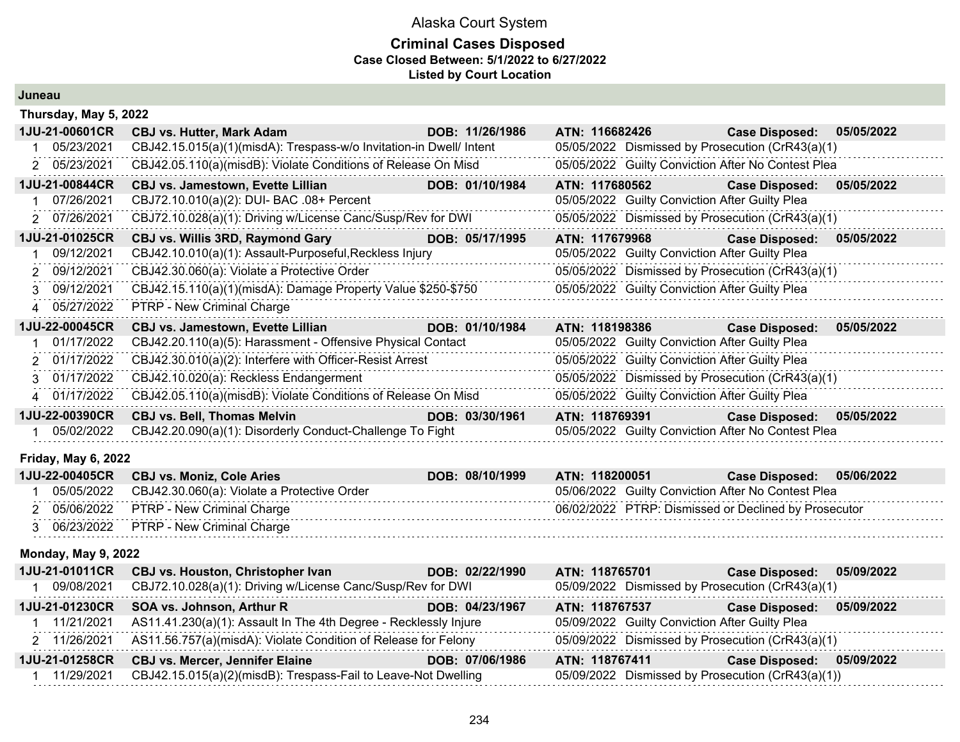#### **Criminal Cases Disposed Case Closed Between: 5/1/2022 to 6/27/2022 Listed by Court Location**

| Juneau |
|--------|
|--------|

| Thursday, May 5, 2022       |                                                                     |                 |                                                    |                       |            |
|-----------------------------|---------------------------------------------------------------------|-----------------|----------------------------------------------------|-----------------------|------------|
| 1JU-21-00601CR              | <b>CBJ vs. Hutter, Mark Adam</b>                                    | DOB: 11/26/1986 | ATN: 116682426                                     | <b>Case Disposed:</b> | 05/05/2022 |
| 05/23/2021                  | CBJ42.15.015(a)(1)(misdA): Trespass-w/o Invitation-in Dwell/ Intent |                 | 05/05/2022 Dismissed by Prosecution (CrR43(a)(1)   |                       |            |
| 2 05/23/2021                | CBJ42.05.110(a)(misdB): Violate Conditions of Release On Misd       |                 | 05/05/2022 Guilty Conviction After No Contest Plea |                       |            |
| 1JU-21-00844CR              | CBJ vs. Jamestown, Evette Lillian                                   | DOB: 01/10/1984 | ATN: 117680562                                     | <b>Case Disposed:</b> | 05/05/2022 |
| 07/26/2021                  | CBJ72.10.010(a)(2): DUI- BAC .08+ Percent                           |                 | 05/05/2022 Guilty Conviction After Guilty Plea     |                       |            |
| 2 07/26/2021                | CBJ72.10.028(a)(1): Driving w/License Canc/Susp/Rev for DWI         |                 | 05/05/2022 Dismissed by Prosecution (CrR43(a)(1)   |                       |            |
| 1JU-21-01025CR              | CBJ vs. Willis 3RD, Raymond Gary                                    | DOB: 05/17/1995 | ATN: 117679968                                     | <b>Case Disposed:</b> | 05/05/2022 |
| 09/12/2021                  | CBJ42.10.010(a)(1): Assault-Purposeful, Reckless Injury             |                 | 05/05/2022 Guilty Conviction After Guilty Plea     |                       |            |
| 2 09/12/2021                | CBJ42.30.060(a): Violate a Protective Order                         |                 | 05/05/2022 Dismissed by Prosecution (CrR43(a)(1)   |                       |            |
| 09/12/2021<br>$\mathcal{S}$ | CBJ42.15.110(a)(1)(misdA): Damage Property Value \$250-\$750        |                 | 05/05/2022 Guilty Conviction After Guilty Plea     |                       |            |
| 4 05/27/2022                | PTRP - New Criminal Charge                                          |                 |                                                    |                       |            |
| 1JU-22-00045CR              | <b>CBJ vs. Jamestown, Evette Lillian</b>                            | DOB: 01/10/1984 | ATN: 118198386                                     | <b>Case Disposed:</b> | 05/05/2022 |
| 01/17/2022                  | CBJ42.20.110(a)(5): Harassment - Offensive Physical Contact         |                 | 05/05/2022 Guilty Conviction After Guilty Plea     |                       |            |
| 2 01/17/2022                | CBJ42.30.010(a)(2): Interfere with Officer-Resist Arrest            |                 | 05/05/2022 Guilty Conviction After Guilty Plea     |                       |            |
| 3 01/17/2022                | CBJ42.10.020(a): Reckless Endangerment                              |                 | 05/05/2022 Dismissed by Prosecution (CrR43(a)(1)   |                       |            |
| 4 01/17/2022                | CBJ42.05.110(a)(misdB): Violate Conditions of Release On Misd       |                 | 05/05/2022 Guilty Conviction After Guilty Plea     |                       |            |
| 1JU-22-00390CR              | <b>CBJ vs. Bell, Thomas Melvin</b>                                  | DOB: 03/30/1961 | ATN: 118769391                                     | <b>Case Disposed:</b> | 05/05/2022 |
| 05/02/2022                  | CBJ42.20.090(a)(1): Disorderly Conduct-Challenge To Fight           |                 | 05/05/2022 Guilty Conviction After No Contest Plea |                       |            |
| Friday, May 6, 2022         |                                                                     |                 |                                                    |                       |            |
| 1JU-22-00405CR              | <b>CBJ vs. Moniz, Cole Aries</b>                                    | DOB: 08/10/1999 | ATN: 118200051                                     | <b>Case Disposed:</b> | 05/06/2022 |
| 05/05/2022                  | CBJ42.30.060(a): Violate a Protective Order                         |                 | 05/06/2022 Guilty Conviction After No Contest Plea |                       |            |
|                             |                                                                     |                 |                                                    |                       |            |

| 15/06/2022 | <b>PTRP - New Criminal Charge</b> | 06/02/2022 PTRP: Dismissed or Declined by Prosecutor |
|------------|-----------------------------------|------------------------------------------------------|
|            | <b>PTRP - New Criminal Charge</b> |                                                      |
|            |                                   |                                                      |

 $\sim$   $\sim$  $\sim 10$ 

#### **Monday, May 9, 2022**

| 1JU-21-01011CR | <b>CBJ vs. Houston, Christopher Ivan</b>                                    | DOB: 02/22/1990 | ATN: 118765701                                   | 05/09/2022<br><b>Case Disposed:</b>               |
|----------------|-----------------------------------------------------------------------------|-----------------|--------------------------------------------------|---------------------------------------------------|
| 09/08/2021     | CBJ72.10.028(a)(1): Driving w/License Canc/Susp/Rev for DWI                 |                 | 05/09/2022 Dismissed by Prosecution (CrR43(a)(1) |                                                   |
| 1JU-21-01230CR | SOA vs. Johnson, Arthur R                                                   | DOB: 04/23/1967 | ATN: 118767537                                   | 05/09/2022<br><b>Case Disposed:</b>               |
| 11/21/2021     | AS11.41.230(a)(1): Assault In The 4th Degree - Recklessly Injure            |                 | 05/09/2022 Guilty Conviction After Guilty Plea   |                                                   |
|                | 2 11/26/2021 AS11.56.757(a)(misdA): Violate Condition of Release for Felony |                 | 05/09/2022 Dismissed by Prosecution (CrR43(a)(1) |                                                   |
| 1JU-21-01258CR | <b>CBJ vs. Mercer, Jennifer Elaine</b>                                      | DOB: 07/06/1986 | ATN: 118767411                                   | 05/09/2022<br><b>Case Disposed:</b>               |
| 11/29/2021     | CBJ42.15.015(a)(2)(misdB): Trespass-Fail to Leave-Not Dwelling              |                 |                                                  | 05/09/2022 Dismissed by Prosecution (CrR43(a)(1)) |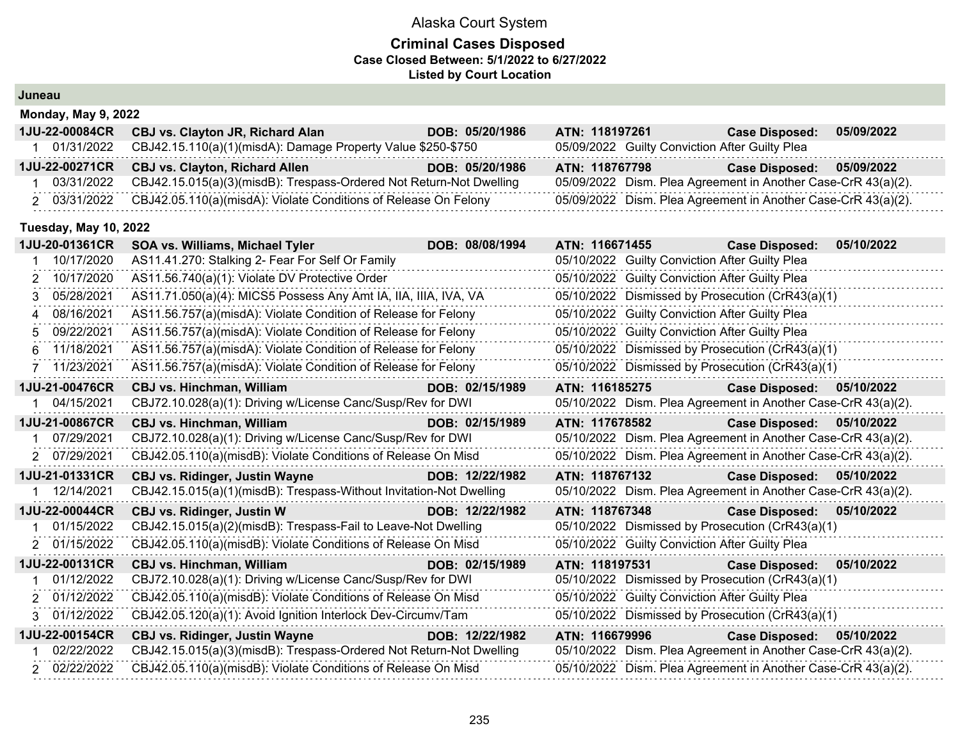| Juneau                       |                                                                     |                 |                                                               |                           |            |  |  |  |
|------------------------------|---------------------------------------------------------------------|-----------------|---------------------------------------------------------------|---------------------------|------------|--|--|--|
| <b>Monday, May 9, 2022</b>   |                                                                     |                 |                                                               |                           |            |  |  |  |
| 1JU-22-00084CR               | <b>CBJ vs. Clayton JR, Richard Alan</b>                             | DOB: 05/20/1986 | ATN: 118197261                                                | <b>Case Disposed:</b>     | 05/09/2022 |  |  |  |
| 1 01/31/2022                 | CBJ42.15.110(a)(1)(misdA): Damage Property Value \$250-\$750        |                 | 05/09/2022 Guilty Conviction After Guilty Plea                |                           |            |  |  |  |
| 1JU-22-00271CR               | <b>CBJ vs. Clayton, Richard Allen</b>                               | DOB: 05/20/1986 | ATN: 118767798                                                | <b>Case Disposed:</b>     | 05/09/2022 |  |  |  |
| 03/31/2022                   | CBJ42.15.015(a)(3)(misdB): Trespass-Ordered Not Return-Not Dwelling |                 | 05/09/2022 Dism. Plea Agreement in Another Case-CrR 43(a)(2). |                           |            |  |  |  |
| 2 03/31/2022                 | CBJ42.05.110(a)(misdA): Violate Conditions of Release On Felony     |                 | 05/09/2022 Dism. Plea Agreement in Another Case-CrR 43(a)(2). |                           |            |  |  |  |
| <b>Tuesday, May 10, 2022</b> |                                                                     |                 |                                                               |                           |            |  |  |  |
| 1JU-20-01361CR               | SOA vs. Williams, Michael Tyler                                     | DOB: 08/08/1994 | ATN: 116671455                                                | <b>Case Disposed:</b>     | 05/10/2022 |  |  |  |
| 10/17/2020                   | AS11.41.270: Stalking 2- Fear For Self Or Family                    |                 | 05/10/2022 Guilty Conviction After Guilty Plea                |                           |            |  |  |  |
| 10/17/2020<br>2              | AS11.56.740(a)(1): Violate DV Protective Order                      |                 | 05/10/2022 Guilty Conviction After Guilty Plea                |                           |            |  |  |  |
| 05/28/2021<br>3              | AS11.71.050(a)(4): MICS5 Possess Any Amt IA, IIA, IIIA, IVA, VA     |                 | 05/10/2022 Dismissed by Prosecution (CrR43(a)(1)              |                           |            |  |  |  |
| 08/16/2021<br>4              | AS11.56.757(a)(misdA): Violate Condition of Release for Felony      |                 | 05/10/2022 Guilty Conviction After Guilty Plea                |                           |            |  |  |  |
| 09/22/2021<br>5              | AS11.56.757(a)(misdA): Violate Condition of Release for Felony      |                 | 05/10/2022 Guilty Conviction After Guilty Plea                |                           |            |  |  |  |
| 11/18/2021<br>6              | AS11.56.757(a)(misdA): Violate Condition of Release for Felony      |                 | 05/10/2022 Dismissed by Prosecution (CrR43(a)(1)              |                           |            |  |  |  |
| 7 11/23/2021                 | AS11.56.757(a)(misdA): Violate Condition of Release for Felony      |                 | 05/10/2022 Dismissed by Prosecution (CrR43(a)(1)              |                           |            |  |  |  |
| 1JU-21-00476CR               | <b>CBJ vs. Hinchman, William</b>                                    | DOB: 02/15/1989 | ATN: 116185275                                                | <b>Case Disposed:</b>     | 05/10/2022 |  |  |  |
| 1 04/15/2021                 | CBJ72.10.028(a)(1): Driving w/License Canc/Susp/Rev for DWI         |                 | 05/10/2022 Dism. Plea Agreement in Another Case-CrR 43(a)(2). |                           |            |  |  |  |
| 1JU-21-00867CR               | <b>CBJ vs. Hinchman, William</b>                                    | DOB: 02/15/1989 | ATN: 117678582                                                | Case Disposed: 05/10/2022 |            |  |  |  |
| 1 07/29/2021                 | CBJ72.10.028(a)(1): Driving w/License Canc/Susp/Rev for DWI         |                 | 05/10/2022 Dism. Plea Agreement in Another Case-CrR 43(a)(2). |                           |            |  |  |  |
| 2 07/29/2021                 | CBJ42.05.110(a)(misdB): Violate Conditions of Release On Misd       |                 | 05/10/2022 Dism. Plea Agreement in Another Case-CrR 43(a)(2). |                           |            |  |  |  |
| 1JU-21-01331CR               | <b>CBJ vs. Ridinger, Justin Wayne</b>                               | DOB: 12/22/1982 | ATN: 118767132                                                | <b>Case Disposed:</b>     | 05/10/2022 |  |  |  |
| 1 12/14/2021                 | CBJ42.15.015(a)(1)(misdB): Trespass-Without Invitation-Not Dwelling |                 | 05/10/2022 Dism. Plea Agreement in Another Case-CrR 43(a)(2). |                           |            |  |  |  |
| 1JU-22-00044CR               | <b>CBJ vs. Ridinger, Justin W</b>                                   | DOB: 12/22/1982 | ATN: 118767348                                                | Case Disposed: 05/10/2022 |            |  |  |  |
| 01/15/2022                   | CBJ42.15.015(a)(2)(misdB): Trespass-Fail to Leave-Not Dwelling      |                 | 05/10/2022 Dismissed by Prosecution (CrR43(a)(1)              |                           |            |  |  |  |
| 2 01/15/2022                 | CBJ42.05.110(a)(misdB): Violate Conditions of Release On Misd       |                 | 05/10/2022 Guilty Conviction After Guilty Plea                |                           |            |  |  |  |
| 1JU-22-00131CR               | <b>CBJ vs. Hinchman, William</b>                                    | DOB: 02/15/1989 | ATN: 118197531                                                | <b>Case Disposed:</b>     | 05/10/2022 |  |  |  |
| 01/12/2022<br>1              | CBJ72.10.028(a)(1): Driving w/License Canc/Susp/Rev for DWI         |                 | 05/10/2022 Dismissed by Prosecution (CrR43(a)(1)              |                           |            |  |  |  |
| 2 01/12/2022                 | CBJ42.05.110(a)(misdB): Violate Conditions of Release On Misd       |                 | 05/10/2022 Guilty Conviction After Guilty Plea                |                           |            |  |  |  |
| 3 01/12/2022                 | CBJ42.05.120(a)(1): Avoid Ignition Interlock Dev-Circumv/Tam        |                 | 05/10/2022 Dismissed by Prosecution (CrR43(a)(1)              |                           |            |  |  |  |
| 1JU-22-00154CR               | <b>CBJ vs. Ridinger, Justin Wayne</b>                               | DOB: 12/22/1982 | ATN: 116679996                                                | <b>Case Disposed:</b>     | 05/10/2022 |  |  |  |
| 02/22/2022                   | CBJ42.15.015(a)(3)(misdB): Trespass-Ordered Not Return-Not Dwelling |                 | 05/10/2022 Dism. Plea Agreement in Another Case-CrR 43(a)(2). |                           |            |  |  |  |
| 2 02/22/2022                 | CBJ42.05.110(a)(misdB): Violate Conditions of Release On Misd       |                 | 05/10/2022 Dism. Plea Agreement in Another Case-CrR 43(a)(2). |                           |            |  |  |  |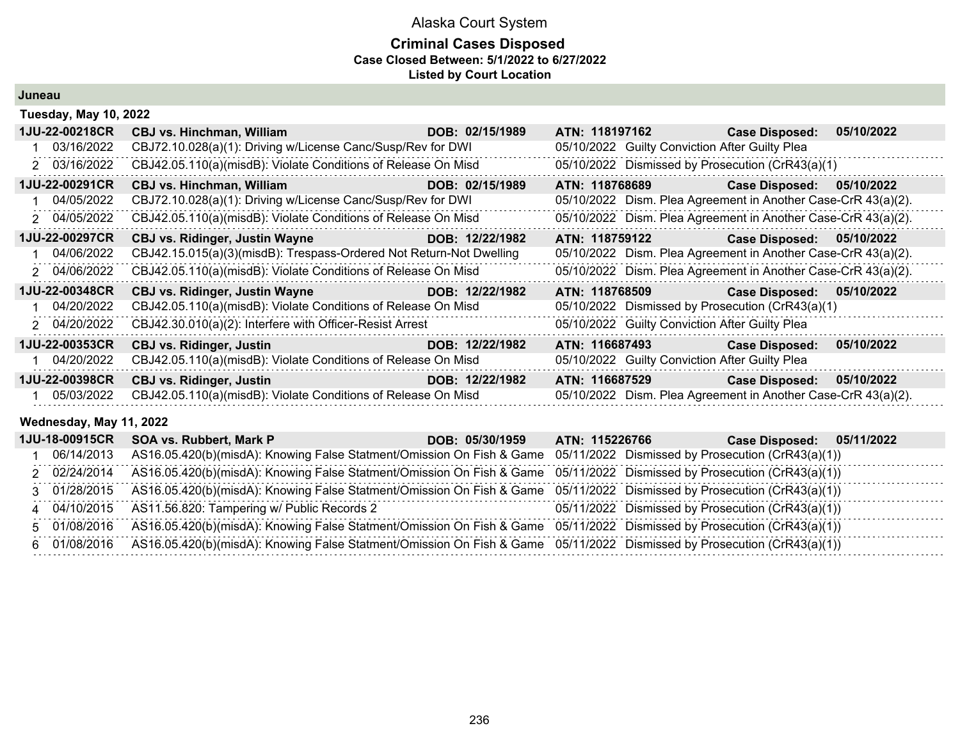#### **Criminal Cases Disposed Case Closed Between: 5/1/2022 to 6/27/2022 Listed by Court Location**

**Juneau**

|                       | <b>Tuesday, May 10, 2022</b>                                                       |                 |                                                               |                       |            |  |  |  |
|-----------------------|------------------------------------------------------------------------------------|-----------------|---------------------------------------------------------------|-----------------------|------------|--|--|--|
| 1JU-22-00218CR        | <b>CBJ vs. Hinchman, William</b>                                                   | DOB: 02/15/1989 | ATN: 118197162                                                | <b>Case Disposed:</b> | 05/10/2022 |  |  |  |
| 03/16/2022            | CBJ72.10.028(a)(1): Driving w/License Canc/Susp/Rev for DWI                        |                 | 05/10/2022 Guilty Conviction After Guilty Plea                |                       |            |  |  |  |
| 2 03/16/2022          | CBJ42.05.110(a)(misdB): Violate Conditions of Release On Misd                      |                 | 05/10/2022 Dismissed by Prosecution (CrR43(a)(1)              |                       |            |  |  |  |
| 1JU-22-00291CR        | <b>CBJ vs. Hinchman, William</b><br><u> 1999 - Jan Barnett, fransk politiker (</u> | DOB: 02/15/1989 | ATN: 118768689                                                | <b>Case Disposed:</b> | 05/10/2022 |  |  |  |
| 04/05/2022            | CBJ72.10.028(a)(1): Driving w/License Canc/Susp/Rev for DWI                        |                 | 05/10/2022 Dism. Plea Agreement in Another Case-CrR 43(a)(2). |                       |            |  |  |  |
| 2 04/05/2022          | CBJ42.05.110(a)(misdB): Violate Conditions of Release On Misd                      |                 | 05/10/2022 Dism. Plea Agreement in Another Case-CrR 43(a)(2). |                       |            |  |  |  |
| 1JU-22-00297CR        | <b>CBJ vs. Ridinger, Justin Wayne</b>                                              | DOB: 12/22/1982 | ATN: 118759122                                                | <b>Case Disposed:</b> | 05/10/2022 |  |  |  |
| 04/06/2022            | CBJ42.15.015(a)(3)(misdB): Trespass-Ordered Not Return-Not Dwelling                |                 | 05/10/2022 Dism. Plea Agreement in Another Case-CrR 43(a)(2). |                       |            |  |  |  |
| 2 04/06/2022          | CBJ42.05.110(a)(misdB): Violate Conditions of Release On Misd                      |                 | 05/10/2022 Dism. Plea Agreement in Another Case-CrR 43(a)(2). |                       |            |  |  |  |
| 1JU-22-00348CR        | <b>CBJ vs. Ridinger, Justin Wayne</b>                                              | DOB: 12/22/1982 | ATN: 118768509                                                | <b>Case Disposed:</b> | 05/10/2022 |  |  |  |
| 04/20/2022            | CBJ42.05.110(a)(misdB): Violate Conditions of Release On Misd                      |                 | 05/10/2022 Dismissed by Prosecution (CrR43(a)(1)              |                       |            |  |  |  |
| 2 04/20/2022          | CBJ42.30.010(a)(2): Interfere with Officer-Resist Arrest                           |                 | 05/10/2022 Guilty Conviction After Guilty Plea                |                       |            |  |  |  |
| <b>1JU-22-00353CR</b> | <b>CBJ vs. Ridinger, Justin</b><br>and the control of the control of               | DOB: 12/22/1982 |                                                               | <b>Case Disposed:</b> | 05/10/2022 |  |  |  |
| 04/20/2022            | CBJ42.05.110(a)(misdB): Violate Conditions of Release On Misd                      |                 | 05/10/2022 Guilty Conviction After Guilty Plea                |                       |            |  |  |  |
| 1JU-22-00398CR        | <b>CBJ vs. Ridinger, Justin</b>                                                    | DOB: 12/22/1982 | ATN: 116687529                                                | <b>Case Disposed:</b> | 05/10/2022 |  |  |  |
| 05/03/2022            | CBJ42.05.110(a)(misdB): Violate Conditions of Release On Misd                      |                 | 05/10/2022 Dism. Plea Agreement in Another Case-CrR 43(a)(2). |                       |            |  |  |  |

**Wednesday, May 11, 2022**

| 1JU-18-00915CR | SOA vs. Rubbert, Mark P                                                                                                 | DOB: 05/30/1959 | ATN: 115226766 | 05/11/2022<br><b>Case Disposed:</b>               |
|----------------|-------------------------------------------------------------------------------------------------------------------------|-----------------|----------------|---------------------------------------------------|
| 06/14/2013     | AS16.05.420(b)(misdA): Knowing False Statment/Omission On Fish & Game 05/11/2022 Dismissed by Prosecution (CrR43(a)(1)) |                 |                |                                                   |
| 2 02/24/2014   | AS16.05.420(b)(misdA): Knowing False Statment/Omission On Fish & Game 05/11/2022 Dismissed by Prosecution (CrR43(a)(1)) |                 |                |                                                   |
| 3 01/28/2015   | AS16.05.420(b)(misdA): Knowing False Statment/Omission On Fish & Game 05/11/2022 Dismissed by Prosecution (CrR43(a)(1)) |                 |                |                                                   |
| 4 04/10/2015   | AS11.56.820: Tampering w/ Public Records 2                                                                              |                 |                | 05/11/2022 Dismissed by Prosecution (CrR43(a)(1)) |
| 5 01/08/2016   | AS16.05.420(b)(misdA): Knowing False Statment/Omission On Fish & Game 05/11/2022 Dismissed by Prosecution (CrR43(a)(1)) |                 |                |                                                   |
| 6 01/08/2016   | AS16.05.420(b)(misdA): Knowing False Statment/Omission On Fish & Game 05/11/2022 Dismissed by Prosecution (CrR43(a)(1)) |                 |                |                                                   |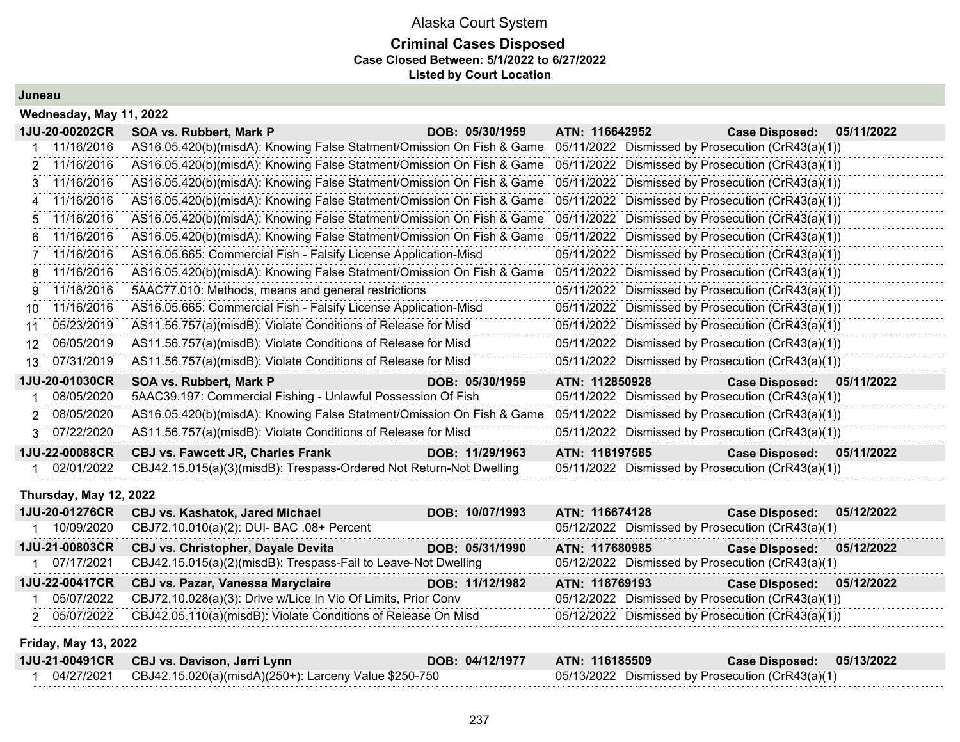### Alaska Court System **Criminal Cases Disposed Case Closed Between: 5/1/2022 to 6/27/2022 Listed by Court Location**

#### **Juneau**

|    | Wednesday, May 11, 2022 |                                                                       |                 |                |                                                   |            |  |  |
|----|-------------------------|-----------------------------------------------------------------------|-----------------|----------------|---------------------------------------------------|------------|--|--|
|    | 1JU-20-00202CR          | SOA vs. Rubbert, Mark P                                               | DOB: 05/30/1959 | ATN: 116642952 | <b>Case Disposed:</b>                             | 05/11/2022 |  |  |
|    | 11/16/2016              | AS16.05.420(b)(misdA): Knowing False Statment/Omission On Fish & Game |                 |                | 05/11/2022 Dismissed by Prosecution (CrR43(a)(1)) |            |  |  |
| 2. | 11/16/2016              | AS16.05.420(b)(misdA): Knowing False Statment/Omission On Fish & Game |                 |                | 05/11/2022 Dismissed by Prosecution (CrR43(a)(1)) |            |  |  |
| 3. | 11/16/2016              | AS16.05.420(b)(misdA): Knowing False Statment/Omission On Fish & Game |                 |                | 05/11/2022 Dismissed by Prosecution (CrR43(a)(1)) |            |  |  |
| 4  | 11/16/2016              | AS16.05.420(b)(misdA): Knowing False Statment/Omission On Fish & Game |                 |                | 05/11/2022 Dismissed by Prosecution (CrR43(a)(1)) |            |  |  |
| 5. | 11/16/2016              | AS16.05.420(b)(misdA): Knowing False Statment/Omission On Fish & Game |                 |                | 05/11/2022 Dismissed by Prosecution (CrR43(a)(1)) |            |  |  |
| հ  | 11/16/2016              | AS16.05.420(b)(misdA): Knowing False Statment/Omission On Fish & Game |                 |                | 05/11/2022 Dismissed by Prosecution (CrR43(a)(1)) |            |  |  |
|    | 11/16/2016              | AS16.05.665: Commercial Fish - Falsify License Application-Misd       |                 |                | 05/11/2022 Dismissed by Prosecution (CrR43(a)(1)) |            |  |  |
| 8  | 11/16/2016              | AS16.05.420(b)(misdA): Knowing False Statment/Omission On Fish & Game |                 |                | 05/11/2022 Dismissed by Prosecution (CrR43(a)(1)) |            |  |  |
| g  | 11/16/2016              | 5AAC77.010: Methods, means and general restrictions                   |                 |                | 05/11/2022 Dismissed by Prosecution (CrR43(a)(1)) |            |  |  |
| 10 | 11/16/2016              | AS16.05.665: Commercial Fish - Falsify License Application-Misd       |                 |                | 05/11/2022 Dismissed by Prosecution (CrR43(a)(1)) |            |  |  |
| 11 | 05/23/2019              | AS11.56.757(a)(misdB): Violate Conditions of Release for Misd         |                 |                | 05/11/2022 Dismissed by Prosecution (CrR43(a)(1)) |            |  |  |
| 12 | 06/05/2019              | AS11.56.757(a)(misdB): Violate Conditions of Release for Misd         |                 |                | 05/11/2022 Dismissed by Prosecution (CrR43(a)(1)) |            |  |  |
| 13 | 07/31/2019              | AS11.56.757(a)(misdB): Violate Conditions of Release for Misd         |                 |                | 05/11/2022 Dismissed by Prosecution (CrR43(a)(1)) |            |  |  |
|    | 1JU-20-01030CR          | SOA vs. Rubbert, Mark P                                               | DOB: 05/30/1959 | ATN: 112850928 | Case Disposed: 05/11/2022                         |            |  |  |
|    | 08/05/2020              | 5AAC39.197: Commercial Fishing - Unlawful Possession Of Fish          |                 |                | 05/11/2022 Dismissed by Prosecution (CrR43(a)(1)) |            |  |  |
|    | 08/05/2020              | AS16.05.420(b)(misdA): Knowing False Statment/Omission On Fish & Game |                 |                | 05/11/2022 Dismissed by Prosecution (CrR43(a)(1)) |            |  |  |
|    | 07/22/2020              | AS11.56.757(a)(misdB): Violate Conditions of Release for Misd         |                 |                | 05/11/2022 Dismissed by Prosecution (CrR43(a)(1)) |            |  |  |
|    | 1JU-22-00088CR          | <b>CBJ vs. Fawcett JR, Charles Frank</b>                              | DOB: 11/29/1963 | ATN: 118197585 | <b>Case Disposed:</b>                             | 05/11/2022 |  |  |
|    | 02/01/2022              | CBJ42.15.015(a)(3)(misdB): Trespass-Ordered Not Return-Not Dwelling   |                 |                | 05/11/2022 Dismissed by Prosecution (CrR43(a)(1)) |            |  |  |

#### **Thursday, May 12, 2022**

| 1JU-20-01276CR | <b>CBJ vs. Kashatok, Jared Michael</b>                                     | DOB: 10/07/1993 | ATN: 116674128                                    | Case Disposed: 05/12/2022 |  |
|----------------|----------------------------------------------------------------------------|-----------------|---------------------------------------------------|---------------------------|--|
| 10/09/2020     | CBJ72.10.010(a)(2): DUI- BAC .08+ Percent                                  |                 | 05/12/2022 Dismissed by Prosecution (CrR43(a)(1)  |                           |  |
| 1JU-21-00803CR | CBJ vs. Christopher, Dayale Devita                                         | DOB: 05/31/1990 | ATN: 117680985                                    | Case Disposed: 05/12/2022 |  |
| 07/17/2021     | CBJ42.15.015(a)(2)(misdB): Trespass-Fail to Leave-Not Dwelling             |                 | 05/12/2022 Dismissed by Prosecution (CrR43(a)(1)  |                           |  |
|                | 1JU-22-00417CR CBJ vs. Pazar, Vanessa Maryclaire                           | DOB: 11/12/1982 | ATN: 118769193                                    | Case Disposed: 05/12/2022 |  |
|                | 05/07/2022 CBJ72.10.028(a)(3): Drive w/Lice In Vio Of Limits, Prior Conv   |                 | 05/12/2022 Dismissed by Prosecution (CrR43(a)(1)) |                           |  |
|                | 2 05/07/2022 CBJ42.05.110(a)(misdB): Violate Conditions of Release On Misd |                 | 05/12/2022 Dismissed by Prosecution (CrR43(a)(1)) |                           |  |
|                |                                                                            |                 |                                                   |                           |  |

#### **Friday, May 13, 2022**

|            | 1JU-21-00491CR CBJ vs. Davison, Jerri Lynn            | DOB: 04/12/1977 | ATN: 116185509                                   | Case Disposed: 05/13/2022 |  |
|------------|-------------------------------------------------------|-----------------|--------------------------------------------------|---------------------------|--|
| 04/27/2021 | CBJ42.15.020(a)(misdA)(250+): Larceny Value \$250-750 |                 | 05/13/2022 Dismissed by Prosecution (CrR43(a)(1) |                           |  |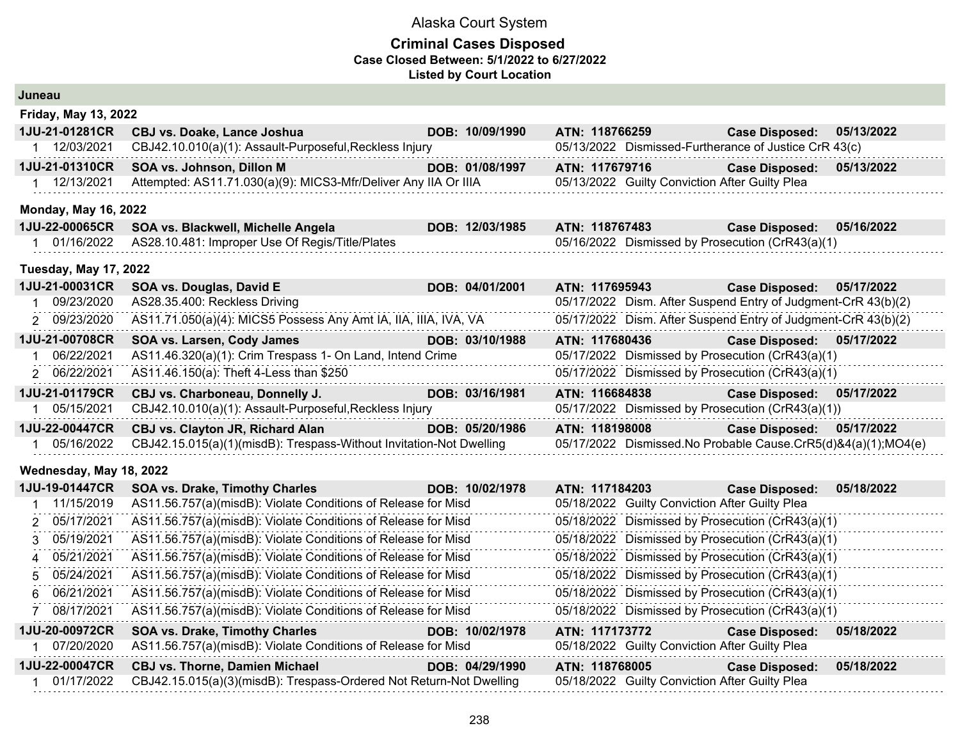| Juneau                       |                                                                     |                 |                |                                                |                                                               |            |
|------------------------------|---------------------------------------------------------------------|-----------------|----------------|------------------------------------------------|---------------------------------------------------------------|------------|
| <b>Friday, May 13, 2022</b>  |                                                                     |                 |                |                                                |                                                               |            |
| 1JU-21-01281CR               | <b>CBJ vs. Doake, Lance Joshua</b>                                  | DOB: 10/09/1990 | ATN: 118766259 |                                                | <b>Case Disposed:</b>                                         | 05/13/2022 |
| 1 12/03/2021                 | CBJ42.10.010(a)(1): Assault-Purposeful, Reckless Injury             |                 |                |                                                | 05/13/2022 Dismissed-Furtherance of Justice CrR 43(c)         |            |
| 1JU-21-01310CR               | SOA vs. Johnson, Dillon M                                           | DOB: 01/08/1997 | ATN: 117679716 |                                                | <b>Case Disposed:</b>                                         | 05/13/2022 |
| 1 12/13/2021                 | Attempted: AS11.71.030(a)(9): MICS3-Mfr/Deliver Any IIA Or IIIA     |                 |                | 05/13/2022 Guilty Conviction After Guilty Plea |                                                               |            |
| <b>Monday, May 16, 2022</b>  |                                                                     |                 |                |                                                |                                                               |            |
| 1JU-22-00065CR               | SOA vs. Blackwell, Michelle Angela                                  | DOB: 12/03/1985 | ATN: 118767483 |                                                | <b>Case Disposed:</b>                                         | 05/16/2022 |
| 1 01/16/2022                 | AS28.10.481: Improper Use Of Regis/Title/Plates                     |                 |                |                                                | 05/16/2022 Dismissed by Prosecution (CrR43(a)(1)              |            |
| <b>Tuesday, May 17, 2022</b> |                                                                     |                 |                |                                                |                                                               |            |
| 1JU-21-00031CR               | SOA vs. Douglas, David E                                            | DOB: 04/01/2001 | ATN: 117695943 |                                                | <b>Case Disposed:</b>                                         | 05/17/2022 |
| 09/23/2020<br>1              | AS28.35.400: Reckless Driving                                       |                 |                |                                                | 05/17/2022 Dism. After Suspend Entry of Judgment-CrR 43(b)(2) |            |
| 2 09/23/2020                 | AS11.71.050(a)(4): MICS5 Possess Any Amt IA, IIA, IIIA, IVA, VA     |                 |                |                                                | 05/17/2022 Dism. After Suspend Entry of Judgment-CrR 43(b)(2) |            |
| 1JU-21-00708CR               | SOA vs. Larsen, Cody James                                          | DOB: 03/10/1988 | ATN: 117680436 |                                                | <b>Case Disposed:</b>                                         | 05/17/2022 |
| 06/22/2021                   | AS11.46.320(a)(1): Crim Trespass 1- On Land, Intend Crime           |                 |                |                                                | 05/17/2022 Dismissed by Prosecution (CrR43(a)(1)              |            |
| 2 06/22/2021                 | AS11.46.150(a): Theft 4-Less than \$250                             |                 |                |                                                | 05/17/2022 Dismissed by Prosecution (CrR43(a)(1)              |            |
| 1JU-21-01179CR               | CBJ vs. Charboneau, Donnelly J.                                     | DOB: 03/16/1981 | ATN: 116684838 |                                                | <b>Case Disposed:</b>                                         | 05/17/2022 |
| 05/15/2021                   | CBJ42.10.010(a)(1): Assault-Purposeful, Reckless Injury             |                 |                |                                                | 05/17/2022 Dismissed by Prosecution (CrR43(a)(1))             |            |
| 1JU-22-00447CR               | CBJ vs. Clayton JR, Richard Alan                                    | DOB: 05/20/1986 | ATN: 118198008 |                                                | <b>Case Disposed:</b>                                         | 05/17/2022 |
| 05/16/2022<br>1              | CBJ42.15.015(a)(1)(misdB): Trespass-Without Invitation-Not Dwelling |                 |                |                                                | 05/17/2022 Dismissed.No Probable Cause.CrR5(d)&4(a)(1);MO4(e) |            |
| Wednesday, May 18, 2022      |                                                                     |                 |                |                                                |                                                               |            |
| 1JU-19-01447CR               | <b>SOA vs. Drake, Timothy Charles</b>                               | DOB: 10/02/1978 | ATN: 117184203 |                                                | <b>Case Disposed:</b>                                         | 05/18/2022 |
| 11/15/2019<br>-1             | AS11.56.757(a)(misdB): Violate Conditions of Release for Misd       |                 |                | 05/18/2022 Guilty Conviction After Guilty Plea |                                                               |            |
| 05/17/2021<br>2              | AS11.56.757(a)(misdB): Violate Conditions of Release for Misd       |                 |                |                                                | 05/18/2022 Dismissed by Prosecution (CrR43(a)(1)              |            |
| 05/19/2021<br>3              | AS11.56.757(a)(misdB): Violate Conditions of Release for Misd       |                 |                |                                                | 05/18/2022 Dismissed by Prosecution (CrR43(a)(1)              |            |
| 05/21/2021<br>4              | AS11.56.757(a)(misdB): Violate Conditions of Release for Misd       |                 |                |                                                | 05/18/2022 Dismissed by Prosecution (CrR43(a)(1)              |            |
| 05/24/2021<br>5              | AS11.56.757(a)(misdB): Violate Conditions of Release for Misd       |                 |                |                                                | 05/18/2022 Dismissed by Prosecution (CrR43(a)(1)              |            |
| 06/21/2021<br>6              | AS11.56.757(a)(misdB): Violate Conditions of Release for Misd       |                 |                |                                                | 05/18/2022 Dismissed by Prosecution (CrR43(a)(1)              |            |
| 08/17/2021<br>$\overline{7}$ | AS11.56.757(a)(misdB): Violate Conditions of Release for Misd       |                 |                |                                                | 05/18/2022 Dismissed by Prosecution (CrR43(a)(1)              |            |
| 1JU-20-00972CR               | <b>SOA vs. Drake, Timothy Charles</b>                               | DOB: 10/02/1978 | ATN: 117173772 |                                                | <b>Case Disposed:</b>                                         | 05/18/2022 |
| 07/20/2020<br>1.             | AS11.56.757(a)(misdB): Violate Conditions of Release for Misd       |                 |                | 05/18/2022 Guilty Conviction After Guilty Plea |                                                               |            |
| 1JU-22-00047CR               | <b>CBJ vs. Thorne, Damien Michael</b>                               | DOB: 04/29/1990 | ATN: 118768005 |                                                | <b>Case Disposed:</b>                                         | 05/18/2022 |
| 01/17/2022                   | CBJ42.15.015(a)(3)(misdB): Trespass-Ordered Not Return-Not Dwelling |                 |                | 05/18/2022 Guilty Conviction After Guilty Plea |                                                               |            |
|                              |                                                                     |                 |                |                                                |                                                               |            |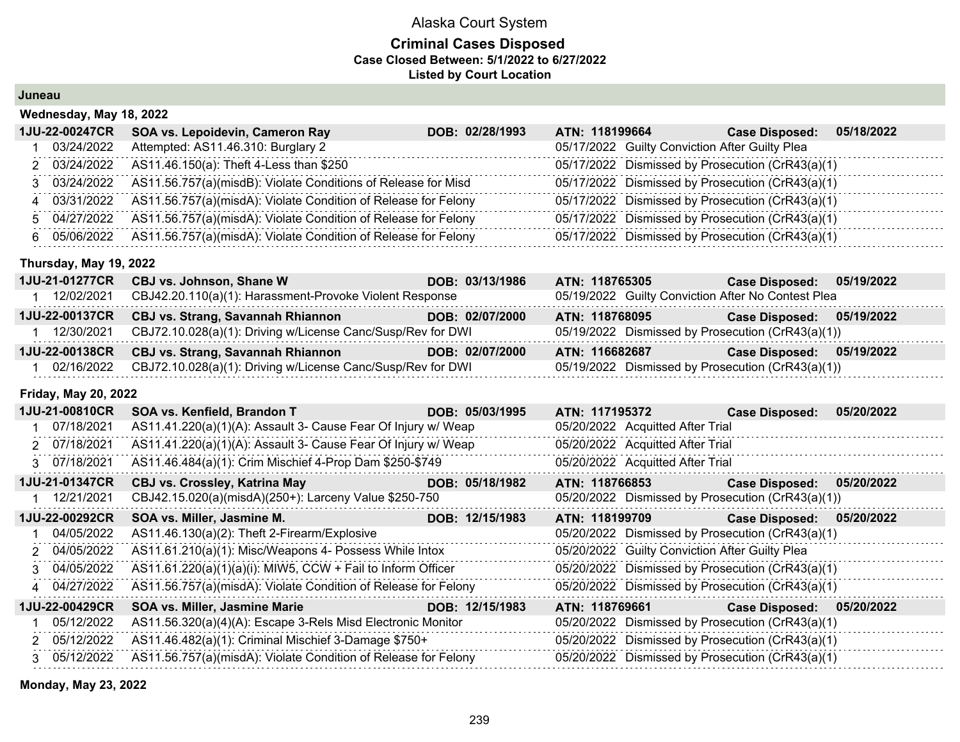#### **Criminal Cases Disposed Case Closed Between: 5/1/2022 to 6/27/2022 Listed by Court Location**

#### **Juneau**

|    | $\cdots$       |                                                                |                 |                |                                                |                                                  |            |
|----|----------------|----------------------------------------------------------------|-----------------|----------------|------------------------------------------------|--------------------------------------------------|------------|
|    | 1JU-22-00247CR | SOA vs. Lepoidevin, Cameron Ray                                | DOB: 02/28/1993 | ATN: 118199664 |                                                | <b>Case Disposed:</b>                            | 05/18/2022 |
|    | 03/24/2022     | Attempted: AS11.46.310: Burglary 2                             |                 |                | 05/17/2022 Guilty Conviction After Guilty Plea |                                                  |            |
|    | 2 03/24/2022   | AS11.46.150(a): Theft 4-Less than \$250                        |                 |                |                                                | 05/17/2022 Dismissed by Prosecution (CrR43(a)(1) |            |
|    | 3 03/24/2022   | AS11.56.757(a)(misdB): Violate Conditions of Release for Misd  |                 |                |                                                | 05/17/2022 Dismissed by Prosecution (CrR43(a)(1) |            |
|    | 4 03/31/2022   | AS11.56.757(a)(misdA): Violate Condition of Release for Felony |                 |                |                                                | 05/17/2022 Dismissed by Prosecution (CrR43(a)(1) |            |
|    | 5 04/27/2022   | AS11.56.757(a)(misdA): Violate Condition of Release for Felony |                 |                |                                                | 05/17/2022 Dismissed by Prosecution (CrR43(a)(1) |            |
| 6. | 05/06/2022     | AS11.56.757(a)(misdA): Violate Condition of Release for Felony |                 |                |                                                | 05/17/2022 Dismissed by Prosecution (CrR43(a)(1) |            |
|    |                |                                                                |                 |                |                                                |                                                  |            |

#### **Thursday, May 19, 2022**

**Wednesday, May 18, 2022**

|                       | 1JU-21-01277CR CBJ vs. Johnson, Shane W                     | DOB: 03/13/1986 | ATN: 118765305 | <b>Case Disposed:</b><br>05/19/2022                |
|-----------------------|-------------------------------------------------------------|-----------------|----------------|----------------------------------------------------|
| 12/02/2021            | CBJ42.20.110(a)(1): Harassment-Provoke Violent Response     |                 |                | 05/19/2022 Guilty Conviction After No Contest Plea |
| <b>1JU-22-00137CR</b> | CBJ vs. Strang, Savannah Rhiannon                           | DOB: 02/07/2000 | ATN: 118768095 | <b>Case Disposed:</b><br>05/19/2022                |
| 12/30/2021            | CBJ72.10.028(a)(1): Driving w/License Canc/Susp/Rev for DWI |                 |                | 05/19/2022 Dismissed by Prosecution (CrR43(a)(1))  |
|                       | 1JU-22-00138CR CBJ vs. Strang, Savannah Rhiannon            | DOB: 02/07/2000 | ATN: 116682687 | 05/19/2022<br><b>Case Disposed:</b>                |
| 02/16/2022            | CBJ72.10.028(a)(1): Driving w/License Canc/Susp/Rev for DWI |                 |                | 05/19/2022 Dismissed by Prosecution (CrR43(a)(1))  |

#### **Friday, May 20, 2022**

| 1JU-21-00810CR | SOA vs. Kenfield, Brandon T                                    | DOB: 05/03/1995 | ATN: 117195372 |                                                | <b>Case Disposed:</b>                             | 05/20/2022 |
|----------------|----------------------------------------------------------------|-----------------|----------------|------------------------------------------------|---------------------------------------------------|------------|
| 07/18/2021     | AS11.41.220(a)(1)(A): Assault 3- Cause Fear Of Injury w/ Weap  |                 |                | 05/20/2022 Acquitted After Trial               |                                                   |            |
| 2 07/18/2021   | AS11.41.220(a)(1)(A): Assault 3- Cause Fear Of Injury w/ Weap  |                 |                | 05/20/2022 Acquitted After Trial               |                                                   |            |
| 3 07/18/2021   | AS11.46.484(a)(1): Crim Mischief 4-Prop Dam \$250-\$749        |                 |                | 05/20/2022 Acquitted After Trial               |                                                   |            |
| 1JU-21-01347CR | <b>CBJ vs. Crossley, Katrina May</b>                           | DOB: 05/18/1982 | ATN: 118766853 |                                                | Case Disposed: 05/20/2022                         |            |
| 12/21/2021     | CBJ42.15.020(a)(misdA)(250+): Larceny Value \$250-750          |                 |                |                                                | 05/20/2022 Dismissed by Prosecution (CrR43(a)(1)) |            |
| 1JU-22-00292CR | SOA vs. Miller, Jasmine M.                                     | DOB: 12/15/1983 | ATN: 118199709 |                                                | <b>Case Disposed:</b>                             | 05/20/2022 |
| 04/05/2022     | AS11.46.130(a)(2): Theft 2-Firearm/Explosive                   |                 |                |                                                | 05/20/2022 Dismissed by Prosecution (CrR43(a)(1)  |            |
| 2 04/05/2022   | AS11.61.210(a)(1): Misc/Weapons 4- Possess While Intox         |                 |                | 05/20/2022 Guilty Conviction After Guilty Plea |                                                   |            |
| 3 04/05/2022   | AS11.61.220(a)(1)(a)(i): MIW5, CCW + Fail to Inform Officer    |                 |                |                                                | 05/20/2022 Dismissed by Prosecution (CrR43(a)(1)  |            |
| 4 04/27/2022   | AS11.56.757(a)(misdA): Violate Condition of Release for Felony |                 |                |                                                | 05/20/2022 Dismissed by Prosecution (CrR43(a)(1)  |            |
| 1JU-22-00429CR | <b>SOA vs. Miller, Jasmine Marie</b>                           | DOB: 12/15/1983 | ATN: 118769661 |                                                | <b>Case Disposed:</b>                             | 05/20/2022 |
| 05/12/2022     | AS11.56.320(a)(4)(A): Escape 3-Rels Misd Electronic Monitor    |                 |                |                                                | 05/20/2022 Dismissed by Prosecution (CrR43(a)(1)  |            |
| 2 05/12/2022   | AS11.46.482(a)(1): Criminal Mischief 3-Damage \$750+           |                 |                |                                                | 05/20/2022 Dismissed by Prosecution (CrR43(a)(1)  |            |
| 3 05/12/2022   | AS11.56.757(a)(misdA): Violate Condition of Release for Felony |                 |                |                                                | 05/20/2022 Dismissed by Prosecution (CrR43(a)(1)  |            |

**Monday, May 23, 2022**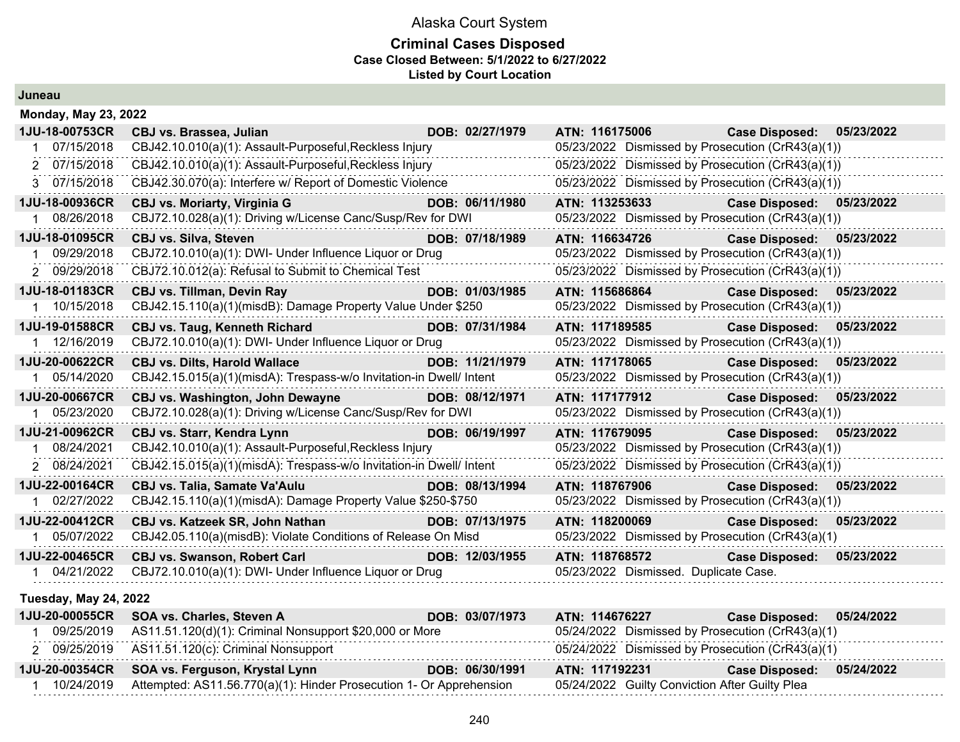#### **Criminal Cases Disposed Case Closed Between: 5/1/2022 to 6/27/2022 Listed by Court Location**

**Juneau**

| <b>Monday, May 23, 2022</b>  |                                                                     |                 |                |                |                                                   |            |
|------------------------------|---------------------------------------------------------------------|-----------------|----------------|----------------|---------------------------------------------------|------------|
| 1JU-18-00753CR               | CBJ vs. Brassea, Julian                                             | DOB: 02/27/1979 | ATN: 116175006 |                | <b>Case Disposed:</b>                             | 05/23/2022 |
| 07/15/2018                   | CBJ42.10.010(a)(1): Assault-Purposeful, Reckless Injury             |                 |                |                | 05/23/2022 Dismissed by Prosecution (CrR43(a)(1)) |            |
| 07/15/2018<br>$\mathcal{P}$  | CBJ42.10.010(a)(1): Assault-Purposeful, Reckless Injury             |                 |                |                | 05/23/2022 Dismissed by Prosecution (CrR43(a)(1)) |            |
| 3 07/15/2018                 | CBJ42.30.070(a): Interfere w/ Report of Domestic Violence           |                 |                |                | 05/23/2022 Dismissed by Prosecution (CrR43(a)(1)) |            |
| 1JU-18-00936CR               | <b>CBJ vs. Moriarty, Virginia G</b>                                 | DOB: 06/11/1980 |                | ATN: 113253633 | Case Disposed: 05/23/2022                         |            |
| 08/26/2018                   | CBJ72.10.028(a)(1): Driving w/License Canc/Susp/Rev for DWI         |                 |                |                | 05/23/2022 Dismissed by Prosecution (CrR43(a)(1)) |            |
| 1JU-18-01095CR               | <b>CBJ vs. Silva, Steven</b>                                        | DOB: 07/18/1989 | ATN: 116634726 |                | <b>Case Disposed:</b>                             | 05/23/2022 |
| 09/29/2018                   | CBJ72.10.010(a)(1): DWI- Under Influence Liquor or Drug             |                 |                |                | 05/23/2022 Dismissed by Prosecution (CrR43(a)(1)) |            |
| 2 09/29/2018                 | CBJ72.10.012(a): Refusal to Submit to Chemical Test                 |                 |                |                | 05/23/2022 Dismissed by Prosecution (CrR43(a)(1)) |            |
| 1JU-18-01183CR               | <b>CBJ vs. Tillman, Devin Ray</b>                                   | DOB: 01/03/1985 | ATN: 115686864 |                | <b>Case Disposed:</b>                             | 05/23/2022 |
| 1 10/15/2018                 | CBJ42.15.110(a)(1)(misdB): Damage Property Value Under \$250        |                 |                |                | 05/23/2022 Dismissed by Prosecution (CrR43(a)(1)) |            |
| 1JU-19-01588CR               | <b>CBJ vs. Taug, Kenneth Richard</b>                                | DOB: 07/31/1984 |                | ATN: 117189585 | Case Disposed: 05/23/2022                         |            |
| 1 12/16/2019                 | CBJ72.10.010(a)(1): DWI- Under Influence Liquor or Drug             |                 |                |                | 05/23/2022 Dismissed by Prosecution (CrR43(a)(1)) |            |
| 1JU-20-00622CR               | <b>CBJ vs. Dilts, Harold Wallace</b>                                | DOB: 11/21/1979 | ATN: 117178065 |                | <b>Case Disposed:</b>                             | 05/23/2022 |
| 05/14/2020                   | CBJ42.15.015(a)(1)(misdA): Trespass-w/o Invitation-in Dwell/ Intent |                 |                |                | 05/23/2022 Dismissed by Prosecution (CrR43(a)(1)) |            |
| 1JU-20-00667CR               | <b>CBJ vs. Washington, John Dewayne</b>                             | DOB: 08/12/1971 |                | ATN: 117177912 | <b>Case Disposed:</b>                             | 05/23/2022 |
| 05/23/2020                   | CBJ72.10.028(a)(1): Driving w/License Canc/Susp/Rev for DWI         |                 |                |                | 05/23/2022 Dismissed by Prosecution (CrR43(a)(1)) |            |
| 1JU-21-00962CR               | <b>CBJ vs. Starr, Kendra Lynn</b>                                   | DOB: 06/19/1997 | ATN: 117679095 |                | <b>Case Disposed:</b>                             | 05/23/2022 |
| 08/24/2021                   | CBJ42.10.010(a)(1): Assault-Purposeful, Reckless Injury             |                 |                |                | 05/23/2022 Dismissed by Prosecution (CrR43(a)(1)) |            |
| 2 08/24/2021                 | CBJ42.15.015(a)(1)(misdA): Trespass-w/o Invitation-in Dwell/ Intent |                 |                |                | 05/23/2022 Dismissed by Prosecution (CrR43(a)(1)) |            |
| 1JU-22-00164CR               | <b>CBJ vs. Talia, Samate Va'Aulu</b>                                | DOB: 08/13/1994 | ATN: 118767906 |                | <b>Case Disposed:</b>                             | 05/23/2022 |
| 02/27/2022                   | CBJ42.15.110(a)(1)(misdA): Damage Property Value \$250-\$750        |                 |                |                | 05/23/2022 Dismissed by Prosecution (CrR43(a)(1)) |            |
| 1JU-22-00412CR               | CBJ vs. Katzeek SR, John Nathan                                     | DOB: 07/13/1975 | ATN: 118200069 |                | <b>Case Disposed:</b>                             | 05/23/2022 |
| 05/07/2022                   | CBJ42.05.110(a)(misdB): Violate Conditions of Release On Misd       |                 |                |                | 05/23/2022 Dismissed by Prosecution (CrR43(a)(1)  |            |
| 1JU-22-00465CR               | <b>CBJ vs. Swanson, Robert Carl</b>                                 | DOB: 12/03/1955 | ATN: 118768572 |                | <b>Case Disposed:</b>                             | 05/23/2022 |
| 04/21/2022                   | CBJ72.10.010(a)(1): DWI- Under Influence Liquor or Drug             |                 |                |                | 05/23/2022 Dismissed. Duplicate Case.             |            |
| <b>Tuesday, May 24, 2022</b> |                                                                     |                 |                |                |                                                   |            |
| 1JU-20-00055CR               | SOA vs. Charles, Steven A                                           | DOB: 03/07/1973 |                | ATN: 114676227 | <b>Case Disposed:</b>                             | 05/24/2022 |
| 09/25/2019                   | AS11.51.120(d)(1): Criminal Nonsupport \$20,000 or More             |                 |                |                | 05/24/2022 Dismissed by Prosecution (CrR43(a)(1)  |            |
| 2 09/25/2019                 | AS11.51.120(c): Criminal Nonsupport                                 |                 |                |                | 05/24/2022 Dismissed by Prosecution (CrR43(a)(1)  |            |
| 1JU-20-00354CR               | SOA vs. Ferguson, Krystal Lynn                                      | DOB: 06/30/1991 | ATN: 117192231 |                | <b>Case Disposed:</b>                             | 05/24/2022 |
| 1 10/24/2019                 | Attempted: AS11.56.770(a)(1): Hinder Prosecution 1- Or Apprehension |                 |                |                | 05/24/2022 Guilty Conviction After Guilty Plea    |            |
|                              |                                                                     |                 |                |                |                                                   |            |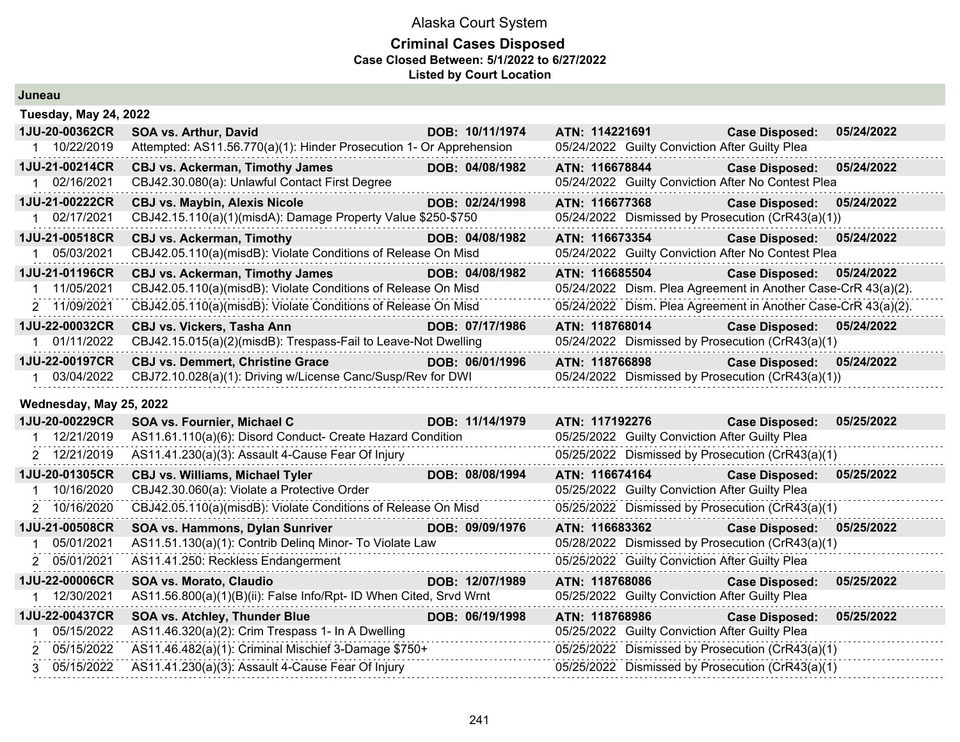| <b>Tuesday, May 24, 2022</b> |                                                                           |                 |                                                               |                           |            |
|------------------------------|---------------------------------------------------------------------------|-----------------|---------------------------------------------------------------|---------------------------|------------|
| 1JU-20-00362CR               | SOA vs. Arthur, David                                                     | DOB: 10/11/1974 | ATN: 114221691                                                | <b>Case Disposed:</b>     | 05/24/2022 |
| 1 10/22/2019                 | Attempted: AS11.56.770(a)(1): Hinder Prosecution 1- Or Apprehension       |                 | 05/24/2022 Guilty Conviction After Guilty Plea                |                           |            |
| 1JU-21-00214CR               | <b>CBJ vs. Ackerman, Timothy James</b>                                    | DOB: 04/08/1982 | ATN: 116678844                                                | <b>Case Disposed:</b>     | 05/24/2022 |
| 1 02/16/2021                 | CBJ42.30.080(a): Unlawful Contact First Degree                            |                 | 05/24/2022 Guilty Conviction After No Contest Plea            |                           |            |
| 1JU-21-00222CR               | <b>CBJ vs. Maybin, Alexis Nicole</b>                                      | DOB: 02/24/1998 | ATN: 116677368                                                | <b>Case Disposed:</b>     | 05/24/2022 |
| 1 02/17/2021                 | CBJ42.15.110(a)(1)(misdA): Damage Property Value \$250-\$750              |                 | 05/24/2022 Dismissed by Prosecution (CrR43(a)(1))             |                           |            |
| 1JU-21-00518CR               | <b>CBJ vs. Ackerman, Timothy</b>                                          | DOB: 04/08/1982 | ATN: 116673354                                                | <b>Case Disposed:</b>     | 05/24/2022 |
| 05/03/2021                   | CBJ42.05.110(a)(misdB): Violate Conditions of Release On Misd             |                 | 05/24/2022 Guilty Conviction After No Contest Plea            |                           |            |
| 1JU-21-01196CR               | <b>CBJ vs. Ackerman, Timothy James</b>                                    | DOB: 04/08/1982 | ATN: 116685504                                                | Case Disposed: 05/24/2022 |            |
| 11/05/2021<br>-1             | CBJ42.05.110(a)(misdB): Violate Conditions of Release On Misd             |                 | 05/24/2022 Dism. Plea Agreement in Another Case-CrR 43(a)(2). |                           |            |
| 2 11/09/2021                 | CBJ42.05.110(a)(misdB): Violate Conditions of Release On Misd             |                 | 05/24/2022 Dism. Plea Agreement in Another Case-CrR 43(a)(2). |                           |            |
| 1JU-22-00032CR               | <b>CBJ vs. Vickers, Tasha Ann</b>                                         | DOB: 07/17/1986 | ATN: 118768014                                                | <b>Case Disposed:</b>     | 05/24/2022 |
| 1 01/11/2022                 | CBJ42.15.015(a)(2)(misdB): Trespass-Fail to Leave-Not Dwelling            |                 | 05/24/2022 Dismissed by Prosecution (CrR43(a)(1)              |                           |            |
| 1JU-22-00197CR               | <b>CBJ vs. Demmert, Christine Grace</b>                                   | DOB: 06/01/1996 | ATN: 118766898                                                | <b>Case Disposed:</b>     | 05/24/2022 |
| 1 03/04/2022                 | CBJ72.10.028(a)(1): Driving w/License Canc/Susp/Rev for DWI               |                 | 05/24/2022 Dismissed by Prosecution (CrR43(a)(1))             |                           |            |
| Wednesday, May 25, 2022      |                                                                           |                 |                                                               |                           |            |
| 1JU-20-00229CR               | SOA vs. Fournier, Michael C                                               | DOB: 11/14/1979 | ATN: 117192276                                                | <b>Case Disposed:</b>     | 05/25/2022 |
| 12/21/2019                   | AS11.61.110(a)(6): Disord Conduct- Create Hazard Condition                |                 | 05/25/2022 Guilty Conviction After Guilty Plea                |                           |            |
| 2 12/21/2019                 | AS11.41.230(a)(3): Assault 4-Cause Fear Of Injury                         |                 | 05/25/2022 Dismissed by Prosecution (CrR43(a)(1)              |                           |            |
| 1JU-20-01305CR               | <b>CBJ vs. Williams, Michael Tyler</b>                                    | DOB: 08/08/1994 | ATN: 116674164                                                | <b>Case Disposed:</b>     | 05/25/2022 |
| 10/16/2020                   | CBJ42.30.060(a): Violate a Protective Order                               |                 | 05/25/2022 Guilty Conviction After Guilty Plea                |                           |            |
| 2 10/16/2020                 | CBJ42.05.110(a)(misdB): Violate Conditions of Release On Misd             |                 | 05/25/2022 Dismissed by Prosecution (CrR43(a)(1)              |                           |            |
| 1JU-21-00508CR               | SOA vs. Hammons, Dylan Sunriver                                           | DOB: 09/09/1976 | ATN: 116683362                                                | <b>Case Disposed:</b>     | 05/25/2022 |
| 05/01/2021                   | AS11.51.130(a)(1): Contrib Deling Minor- To Violate Law                   |                 | 05/28/2022 Dismissed by Prosecution (CrR43(a)(1)              |                           |            |
| 2 05/01/2021                 | AS11.41.250: Reckless Endangerment                                        |                 | 05/25/2022 Guilty Conviction After Guilty Plea                |                           |            |
| 1JU-22-00006CR               | <b>SOA vs. Morato, Claudio</b><br><u> 1999 - Johann Barbara, martxa a</u> | DOB: 12/07/1989 | ATN: 118768086                                                | <b>Case Disposed:</b>     | 05/25/2022 |
| 12/30/2021                   | AS11.56.800(a)(1)(B)(ii): False Info/Rpt- ID When Cited, Srvd Wrnt        |                 | 05/25/2022 Guilty Conviction After Guilty Plea                |                           |            |
| 1JU-22-00437CR               | SOA vs. Atchley, Thunder Blue                                             | DOB: 06/19/1998 | ATN: 118768986                                                | <b>Case Disposed:</b>     | 05/25/2022 |
| 05/15/2022                   | AS11.46.320(a)(2): Crim Trespass 1- In A Dwelling                         |                 | 05/25/2022 Guilty Conviction After Guilty Plea                |                           |            |
| 2 05/15/2022                 | AS11.46.482(a)(1): Criminal Mischief 3-Damage \$750+                      |                 | 05/25/2022 Dismissed by Prosecution (CrR43(a)(1)              |                           |            |
|                              |                                                                           |                 |                                                               |                           |            |
| 3 05/15/2022                 | AS11.41.230(a)(3): Assault 4-Cause Fear Of Injury                         |                 | 05/25/2022 Dismissed by Prosecution (CrR43(a)(1)              |                           |            |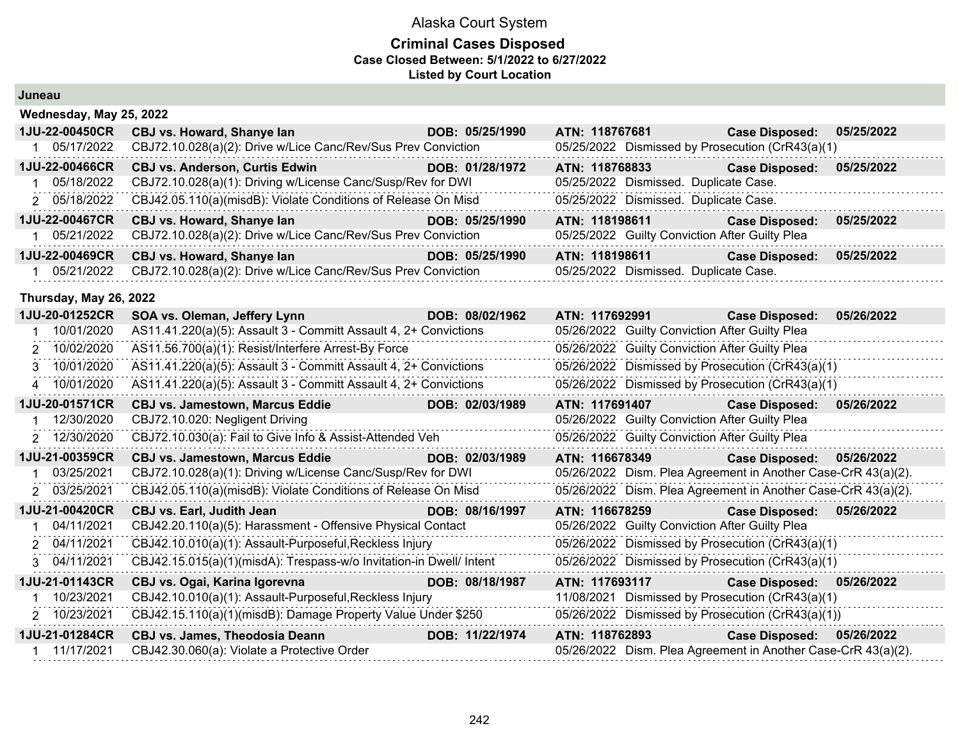### Alaska Court System **Criminal Cases Disposed Case Closed Between: 5/1/2022 to 6/27/2022 Listed by Court Location**

#### **Juneau**

| Wednesday, May 25, 2022 |                                                               |                 |                                                  |                       |            |
|-------------------------|---------------------------------------------------------------|-----------------|--------------------------------------------------|-----------------------|------------|
| <b>1JU-22-00450CR</b>   | CBJ vs. Howard, Shanye lan                                    | DOB: 05/25/1990 | ATN: 118767681                                   | <b>Case Disposed:</b> | 05/25/2022 |
| 05/17/2022              | CBJ72.10.028(a)(2): Drive w/Lice Canc/Rev/Sus Prev Conviction |                 | 05/25/2022 Dismissed by Prosecution (CrR43(a)(1) |                       |            |
| <b>1JU-22-00466CR</b>   | <b>CBJ vs. Anderson, Curtis Edwin</b>                         | DOB: 01/28/1972 | ATN: 118768833                                   | <b>Case Disposed:</b> | 05/25/2022 |
| 05/18/2022              | CBJ72.10.028(a)(1): Driving w/License Canc/Susp/Rev for DWI   |                 | 05/25/2022 Dismissed. Duplicate Case.            |                       |            |
| 2 05/18/2022            | CBJ42.05.110(a)(misdB): Violate Conditions of Release On Misd |                 | 05/25/2022 Dismissed. Duplicate Case.            |                       |            |
| <b>1JU-22-00467CR</b>   | CBJ vs. Howard, Shanye lan                                    | DOB: 05/25/1990 | ATN: 118198611                                   | <b>Case Disposed:</b> | 05/25/2022 |
| 05/21/2022              | CBJ72.10.028(a)(2): Drive w/Lice Canc/Rev/Sus Prev Conviction |                 | 05/25/2022 Guilty Conviction After Guilty Plea   |                       |            |
| <b>1JU-22-00469CR</b>   | CBJ vs. Howard, Shanye lan                                    | DOB: 05/25/1990 | ATN: 118198611                                   | <b>Case Disposed:</b> | 05/25/2022 |
| 05/21/2022              | CBJ72.10.028(a)(2): Drive w/Lice Canc/Rev/Sus Prev Conviction |                 | 05/25/2022 Dismissed. Duplicate Case.            |                       |            |

#### **Thursday, May 26, 2022**

| 1JU-20-01252CR | SOA vs. Oleman, Jeffery Lynn                                        | DOB: 08/02/1962 | ATN: 117692991 |                                                                                                                | <b>Case Disposed:</b>                                         | 05/26/2022 |
|----------------|---------------------------------------------------------------------|-----------------|----------------|----------------------------------------------------------------------------------------------------------------|---------------------------------------------------------------|------------|
| 10/01/2020     | AS11.41.220(a)(5): Assault 3 - Committ Assault 4, 2+ Convictions    |                 |                | 05/26/2022 Guilty Conviction After Guilty Plea                                                                 |                                                               |            |
| 2 10/02/2020   | AS11.56.700(a)(1): Resist/Interfere Arrest-By Force                 |                 |                | 05/26/2022 Guilty Conviction After Guilty Plea                                                                 |                                                               |            |
| 3 10/01/2020   | AS11.41.220(a)(5): Assault 3 - Committ Assault 4, 2+ Convictions    |                 |                |                                                                                                                | 05/26/2022 Dismissed by Prosecution (CrR43(a)(1)              |            |
| 10/01/2020     | AS11.41.220(a)(5): Assault 3 - Committ Assault 4, 2+ Convictions    |                 |                |                                                                                                                | 05/26/2022 Dismissed by Prosecution (CrR43(a)(1)              |            |
| 1JU-20-01571CR | <b>CBJ vs. Jamestown, Marcus Eddie</b>                              | DOB: 02/03/1989 | ATN: 117691407 |                                                                                                                | <b>Case Disposed:</b>                                         | 05/26/2022 |
| 12/30/2020     | CBJ72.10.020: Negligent Driving                                     |                 |                | 05/26/2022 Guilty Conviction After Guilty Plea                                                                 |                                                               |            |
| 2 12/30/2020   | CBJ72.10.030(a): Fail to Give Info & Assist-Attended Veh            |                 |                | 05/26/2022 Guilty Conviction After Guilty Plea                                                                 |                                                               |            |
| 1JU-21-00359CR | <b>CBJ vs. Jamestown, Marcus Eddie</b>                              | DOB: 02/03/1989 | ATN: 116678349 |                                                                                                                | <b>Case Disposed:</b>                                         | 05/26/2022 |
| 03/25/2021     | CBJ72.10.028(a)(1): Driving w/License Canc/Susp/Rev for DWI         |                 |                |                                                                                                                | 05/26/2022 Dism. Plea Agreement in Another Case-CrR 43(a)(2). |            |
| 2 03/25/2021   | CBJ42.05.110(a)(misdB): Violate Conditions of Release On Misd       |                 |                |                                                                                                                | 05/26/2022 Dism. Plea Agreement in Another Case-CrR 43(a)(2). |            |
| 1JU-21-00420CR | <b>CBJ vs. Earl, Judith Jean</b>                                    | DOB: 08/16/1997 |                | ATN: 116678259 Participate of the Second Second Second Second Second Second Second Second Second Second Second | <b>Case Disposed:</b>                                         | 05/26/2022 |
| 04/11/2021     | CBJ42.20.110(a)(5): Harassment - Offensive Physical Contact         |                 |                | 05/26/2022 Guilty Conviction After Guilty Plea                                                                 |                                                               |            |
| 2 04/11/2021   | CBJ42.10.010(a)(1): Assault-Purposeful, Reckless Injury             |                 |                |                                                                                                                | 05/26/2022 Dismissed by Prosecution (CrR43(a)(1)              |            |
| 3 04/11/2021   | CBJ42.15.015(a)(1)(misdA): Trespass-w/o Invitation-in Dwell/ Intent |                 |                |                                                                                                                | 05/26/2022 Dismissed by Prosecution (CrR43(a)(1)              |            |
| 1JU-21-01143CR | CBJ vs. Ogai, Karina Igorevna                                       | DOB: 08/18/1987 | ATN: 117693117 |                                                                                                                | <b>Case Disposed:</b>                                         | 05/26/2022 |
| 10/23/2021     | CBJ42.10.010(a)(1): Assault-Purposeful, Reckless Injury             |                 |                |                                                                                                                | 11/08/2021 Dismissed by Prosecution (CrR43(a)(1)              |            |
| 2 10/23/2021   | CBJ42.15.110(a)(1)(misdB): Damage Property Value Under \$250        |                 |                |                                                                                                                | 05/26/2022 Dismissed by Prosecution (CrR43(a)(1))             |            |
| 1JU-21-01284CR | <b>CBJ vs. James, Theodosia Deann</b>                               | DOB: 11/22/1974 | ATN: 118762893 |                                                                                                                | <b>Case Disposed:</b>                                         | 05/26/2022 |
| 11/17/2021     | CBJ42.30.060(a): Violate a Protective Order                         |                 |                |                                                                                                                | 05/26/2022 Dism. Plea Agreement in Another Case-CrR 43(a)(2). |            |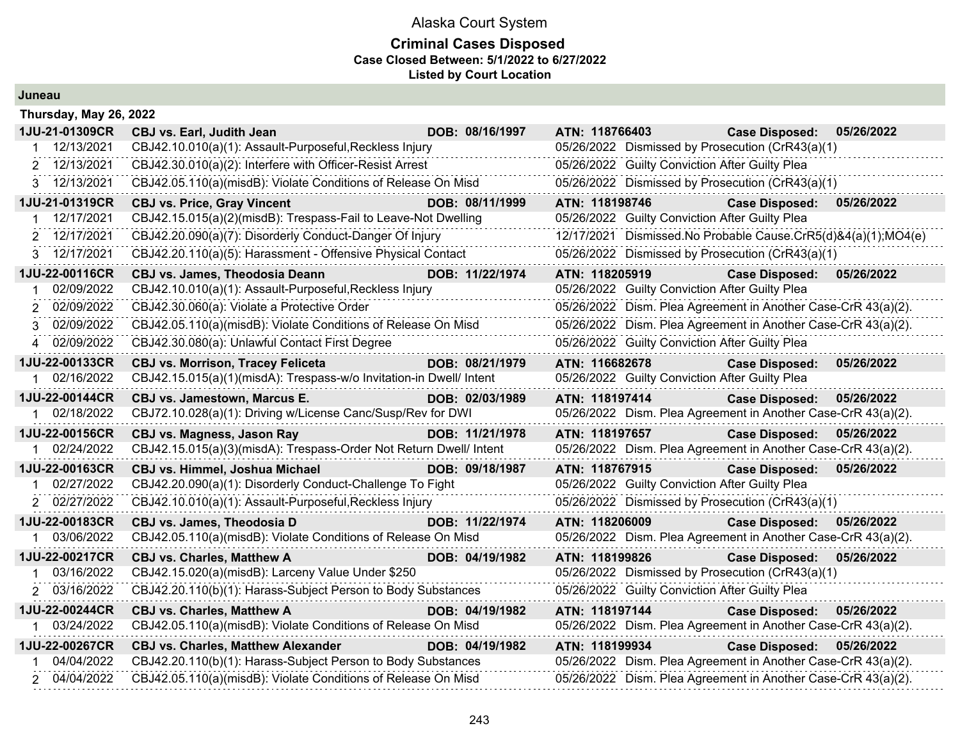#### **Criminal Cases Disposed Case Closed Between: 5/1/2022 to 6/27/2022 Listed by Court Location**

**Juneau**

| Thursday, May 26, 2022 |                                                                     |                 |                                                               |                       |            |
|------------------------|---------------------------------------------------------------------|-----------------|---------------------------------------------------------------|-----------------------|------------|
| 1JU-21-01309CR         | <b>CBJ vs. Earl, Judith Jean</b>                                    | DOB: 08/16/1997 | ATN: 118766403                                                | <b>Case Disposed:</b> | 05/26/2022 |
| 12/13/2021             | CBJ42.10.010(a)(1): Assault-Purposeful, Reckless Injury             |                 | 05/26/2022 Dismissed by Prosecution (CrR43(a)(1)              |                       |            |
| 2 12/13/2021           | CBJ42.30.010(a)(2): Interfere with Officer-Resist Arrest            |                 | 05/26/2022 Guilty Conviction After Guilty Plea                |                       |            |
| 3 12/13/2021           | CBJ42.05.110(a)(misdB): Violate Conditions of Release On Misd       |                 | 05/26/2022 Dismissed by Prosecution (CrR43(a)(1)              |                       |            |
| 1JU-21-01319CR         | <b>CBJ vs. Price, Gray Vincent</b>                                  | DOB: 08/11/1999 | ATN: 118198746                                                | <b>Case Disposed:</b> | 05/26/2022 |
| 12/17/2021             | CBJ42.15.015(a)(2)(misdB): Trespass-Fail to Leave-Not Dwelling      |                 | 05/26/2022 Guilty Conviction After Guilty Plea                |                       |            |
| 12/17/2021<br>2.       | CBJ42.20.090(a)(7): Disorderly Conduct-Danger Of Injury             |                 | 12/17/2021 Dismissed.No Probable Cause.CrR5(d)&4(a)(1);MO4(e) |                       |            |
| 3 12/17/2021           | CBJ42.20.110(a)(5): Harassment - Offensive Physical Contact         |                 | 05/26/2022 Dismissed by Prosecution (CrR43(a)(1)              |                       |            |
| 1JU-22-00116CR         | <b>CBJ vs. James, Theodosia Deann</b>                               | DOB: 11/22/1974 | ATN: 118205919                                                | <b>Case Disposed:</b> | 05/26/2022 |
| 02/09/2022             | CBJ42.10.010(a)(1): Assault-Purposeful, Reckless Injury             |                 | 05/26/2022 Guilty Conviction After Guilty Plea                |                       |            |
| 02/09/2022             | CBJ42.30.060(a): Violate a Protective Order                         |                 | 05/26/2022 Dism. Plea Agreement in Another Case-CrR 43(a)(2). |                       |            |
| 02/09/2022<br>3        | CBJ42.05.110(a)(misdB): Violate Conditions of Release On Misd       |                 | 05/26/2022 Dism. Plea Agreement in Another Case-CrR 43(a)(2). |                       |            |
| 02/09/2022<br>4        | CBJ42.30.080(a): Unlawful Contact First Degree                      |                 | 05/26/2022 Guilty Conviction After Guilty Plea                |                       |            |
| 1JU-22-00133CR         | <b>CBJ vs. Morrison, Tracey Feliceta</b>                            | DOB: 08/21/1979 | ATN: 116682678                                                | <b>Case Disposed:</b> | 05/26/2022 |
| 02/16/2022             | CBJ42.15.015(a)(1)(misdA): Trespass-w/o Invitation-in Dwell/ Intent |                 | 05/26/2022 Guilty Conviction After Guilty Plea                |                       |            |
| 1JU-22-00144CR         | <b>CBJ vs. Jamestown, Marcus E.</b>                                 | DOB: 02/03/1989 | ATN: 118197414                                                | <b>Case Disposed:</b> | 05/26/2022 |
| 1 02/18/2022           | CBJ72.10.028(a)(1): Driving w/License Canc/Susp/Rev for DWI         |                 | 05/26/2022 Dism. Plea Agreement in Another Case-CrR 43(a)(2). |                       |            |
| 1JU-22-00156CR         | CBJ vs. Magness, Jason Ray                                          | DOB: 11/21/1978 | ATN: 118197657                                                | <b>Case Disposed:</b> | 05/26/2022 |
| 02/24/2022             | CBJ42.15.015(a)(3)(misdA): Trespass-Order Not Return Dwell/ Intent  |                 | 05/26/2022 Dism. Plea Agreement in Another Case-CrR 43(a)(2). |                       |            |
| 1JU-22-00163CR         | <b>CBJ vs. Himmel, Joshua Michael</b>                               | DOB: 09/18/1987 | ATN: 118767915                                                | <b>Case Disposed:</b> | 05/26/2022 |
| 02/27/2022             | CBJ42.20.090(a)(1): Disorderly Conduct-Challenge To Fight           |                 | 05/26/2022 Guilty Conviction After Guilty Plea                |                       |            |
| 2 02/27/2022           | CBJ42.10.010(a)(1): Assault-Purposeful, Reckless Injury             |                 | 05/26/2022 Dismissed by Prosecution (CrR43(a)(1)              |                       |            |
| 1JU-22-00183CR         | CBJ vs. James, Theodosia D                                          | DOB: 11/22/1974 | ATN: 118206009                                                | <b>Case Disposed:</b> | 05/26/2022 |
| 1 03/06/2022           | CBJ42.05.110(a)(misdB): Violate Conditions of Release On Misd       |                 | 05/26/2022 Dism. Plea Agreement in Another Case-CrR 43(a)(2). |                       |            |
| 1JU-22-00217CR         | <b>CBJ vs. Charles, Matthew A</b>                                   | DOB: 04/19/1982 | ATN: 118199826                                                | <b>Case Disposed:</b> | 05/26/2022 |
| 03/16/2022             | CBJ42.15.020(a)(misdB): Larceny Value Under \$250                   |                 | 05/26/2022 Dismissed by Prosecution (CrR43(a)(1)              |                       |            |
| 2 03/16/2022           | CBJ42.20.110(b)(1): Harass-Subject Person to Body Substances        |                 | 05/26/2022 Guilty Conviction After Guilty Plea                |                       |            |
| 1JU-22-00244CR         | <b>CBJ vs. Charles, Matthew A</b>                                   | DOB: 04/19/1982 | ATN: 118197144                                                | <b>Case Disposed:</b> | 05/26/2022 |
| 03/24/2022             | CBJ42.05.110(a)(misdB): Violate Conditions of Release On Misd       |                 | 05/26/2022 Dism. Plea Agreement in Another Case-CrR 43(a)(2). |                       |            |
| 1JU-22-00267CR         | <b>CBJ vs. Charles, Matthew Alexander</b>                           | DOB: 04/19/1982 | ATN: 118199934                                                | <b>Case Disposed:</b> | 05/26/2022 |
| 04/04/2022             | CBJ42.20.110(b)(1): Harass-Subject Person to Body Substances        |                 | 05/26/2022 Dism. Plea Agreement in Another Case-CrR 43(a)(2). |                       |            |
| 2 04/04/2022           | CBJ42.05.110(a)(misdB): Violate Conditions of Release On Misd       |                 | 05/26/2022 Dism. Plea Agreement in Another Case-CrR 43(a)(2). |                       |            |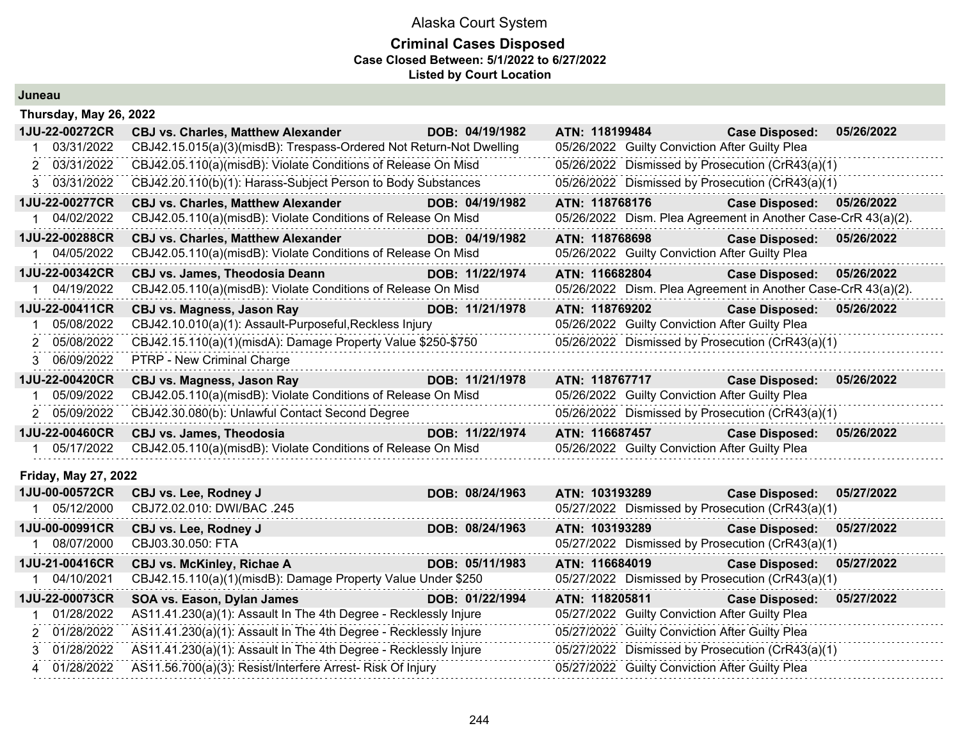| Juneau |
|--------|
|--------|

| Thursday, May 26, 2022      |                                                                      |                 |                                                               |                       |            |
|-----------------------------|----------------------------------------------------------------------|-----------------|---------------------------------------------------------------|-----------------------|------------|
| 1JU-22-00272CR              | <b>CBJ vs. Charles, Matthew Alexander</b>                            | DOB: 04/19/1982 | ATN: 118199484                                                | <b>Case Disposed:</b> | 05/26/2022 |
| 03/31/2022                  | CBJ42.15.015(a)(3)(misdB): Trespass-Ordered Not Return-Not Dwelling  |                 | 05/26/2022 Guilty Conviction After Guilty Plea                |                       |            |
| 2 03/31/2022                | CBJ42.05.110(a)(misdB): Violate Conditions of Release On Misd        |                 | 05/26/2022 Dismissed by Prosecution (CrR43(a)(1)              |                       |            |
| 3 03/31/2022                | CBJ42.20.110(b)(1): Harass-Subject Person to Body Substances         |                 | 05/26/2022 Dismissed by Prosecution (CrR43(a)(1)              |                       |            |
| 1JU-22-00277CR              | <b>CBJ vs. Charles, Matthew Alexander</b>                            | DOB: 04/19/1982 | ATN: 118768176                                                | <b>Case Disposed:</b> | 05/26/2022 |
| 04/02/2022                  | CBJ42.05.110(a)(misdB): Violate Conditions of Release On Misd        |                 | 05/26/2022 Dism. Plea Agreement in Another Case-CrR 43(a)(2). |                       |            |
| 1JU-22-00288CR              | <b>CBJ vs. Charles, Matthew Alexander</b>                            | DOB: 04/19/1982 | ATN: 118768698                                                | <b>Case Disposed:</b> | 05/26/2022 |
| 04/05/2022<br>1             | CBJ42.05.110(a)(misdB): Violate Conditions of Release On Misd        |                 | 05/26/2022 Guilty Conviction After Guilty Plea                |                       |            |
| 1JU-22-00342CR              | <b>CBJ vs. James, Theodosia Deann</b>                                | DOB: 11/22/1974 | ATN: 116682804                                                | <b>Case Disposed:</b> | 05/26/2022 |
| 04/19/2022                  | CBJ42.05.110(a)(misdB): Violate Conditions of Release On Misd        |                 | 05/26/2022 Dism. Plea Agreement in Another Case-CrR 43(a)(2). |                       |            |
| 1JU-22-00411CR              | <b>CBJ vs. Magness, Jason Ray</b>                                    | DOB: 11/21/1978 | ATN: 118769202                                                | <b>Case Disposed:</b> | 05/26/2022 |
| 05/08/2022                  | CBJ42.10.010(a)(1): Assault-Purposeful, Reckless Injury              |                 | 05/26/2022 Guilty Conviction After Guilty Plea                |                       |            |
| 2 05/08/2022                | CBJ42.15.110(a)(1)(misdA): Damage Property Value \$250-\$750         |                 | 05/26/2022 Dismissed by Prosecution (CrR43(a)(1)              |                       |            |
| 3 06/09/2022                | PTRP - New Criminal Charge                                           |                 |                                                               |                       |            |
| 1JU-22-00420CR              | <b>CBJ vs. Magness, Jason Ray</b>                                    | DOB: 11/21/1978 | ATN: 118767717                                                | <b>Case Disposed:</b> | 05/26/2022 |
| 05/09/2022                  | CBJ42.05.110(a)(misdB): Violate Conditions of Release On Misd        |                 | 05/26/2022 Guilty Conviction After Guilty Plea                |                       |            |
| 2 05/09/2022                | CBJ42.30.080(b): Unlawful Contact Second Degree                      |                 | 05/26/2022 Dismissed by Prosecution (CrR43(a)(1)              |                       |            |
| 1JU-22-00460CR              | <b>CBJ vs. James, Theodosia</b>                                      | DOB: 11/22/1974 | ATN: 116687457                                                | <b>Case Disposed:</b> | 05/26/2022 |
| 05/17/2022                  | CBJ42.05.110(a)(misdB): Violate Conditions of Release On Misd        |                 | 05/26/2022 Guilty Conviction After Guilty Plea                |                       |            |
| <b>Friday, May 27, 2022</b> |                                                                      |                 |                                                               |                       |            |
| 1JU-00-00572CR              | CBJ vs. Lee, Rodney J                                                | DOB: 08/24/1963 | ATN: 103193289                                                | <b>Case Disposed:</b> | 05/27/2022 |
| 05/12/2000<br>1             | CBJ72.02.010: DWI/BAC .245                                           |                 | 05/27/2022 Dismissed by Prosecution (CrR43(a)(1)              |                       |            |
| 1JU-00-00991CR              | CBJ vs. Lee, Rodney J                                                | DOB: 08/24/1963 | ATN: 103193289                                                | <b>Case Disposed:</b> | 05/27/2022 |
| 1 08/07/2000                | CBJ03.30.050: FTA                                                    |                 | 05/27/2022 Dismissed by Prosecution (CrR43(a)(1)              |                       |            |
| 1JU-21-00416CR              | <b>CBJ vs. McKinley, Richae A</b>                                    | DOB: 05/11/1983 | ATN: 116684019                                                | <b>Case Disposed:</b> | 05/27/2022 |
| 04/10/2021                  | CBJ42.15.110(a)(1)(misdB): Damage Property Value Under \$250         |                 | 05/27/2022 Dismissed by Prosecution (CrR43(a)(1)              |                       |            |
| 1JU-22-00073CR              | SOA vs. Eason, Dylan James<br><u> 1999 - John Barn Barns, mars a</u> | DOB: 01/22/1994 | ATN: 118205811                                                | <b>Case Disposed:</b> | 05/27/2022 |
| 01/28/2022                  | AS11.41.230(a)(1): Assault In The 4th Degree - Recklessly Injure     |                 | 05/27/2022 Guilty Conviction After Guilty Plea                |                       |            |
| 2 01/28/2022                | AS11.41.230(a)(1): Assault In The 4th Degree - Recklessly Injure     |                 | 05/27/2022 Guilty Conviction After Guilty Plea                |                       |            |
| 01/28/2022<br>3             | AS11.41.230(a)(1): Assault In The 4th Degree - Recklessly Injure     |                 | 05/27/2022 Dismissed by Prosecution (CrR43(a)(1)              |                       |            |
| 4 01/28/2022                | AS11.56.700(a)(3): Resist/Interfere Arrest- Risk Of Injury           |                 | 05/27/2022 Guilty Conviction After Guilty Plea                |                       |            |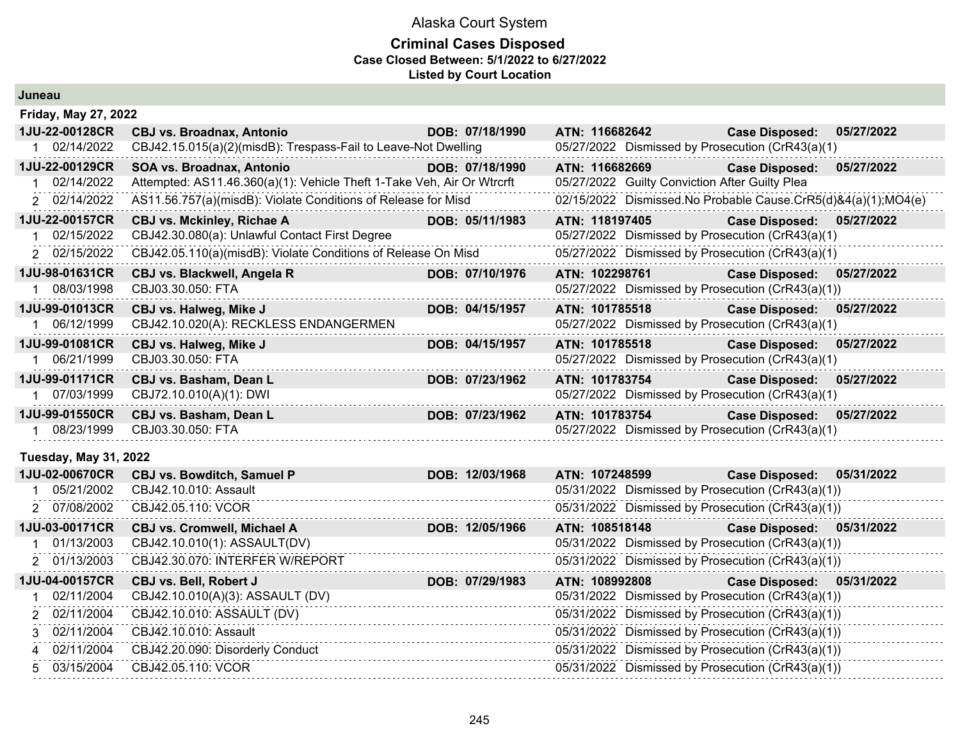| Juneau                       |                                                                        |                 |                                                               |                           |            |
|------------------------------|------------------------------------------------------------------------|-----------------|---------------------------------------------------------------|---------------------------|------------|
| <b>Friday, May 27, 2022</b>  |                                                                        |                 |                                                               |                           |            |
| 1JU-22-00128CR               | <b>CBJ vs. Broadnax, Antonio</b>                                       | DOB: 07/18/1990 | ATN: 116682642                                                | <b>Case Disposed:</b>     | 05/27/2022 |
| 02/14/2022                   | CBJ42.15.015(a)(2)(misdB): Trespass-Fail to Leave-Not Dwelling         |                 | 05/27/2022 Dismissed by Prosecution (CrR43(a)(1)              |                           |            |
| 1JU-22-00129CR               | SOA vs. Broadnax, Antonio                                              | DOB: 07/18/1990 | ATN: 116682669                                                | <b>Case Disposed:</b>     | 05/27/2022 |
| 02/14/2022                   | Attempted: AS11.46.360(a)(1): Vehicle Theft 1-Take Veh, Air Or Wtrcrft |                 | 05/27/2022 Guilty Conviction After Guilty Plea                |                           |            |
| 2 02/14/2022                 | AS11.56.757(a)(misdB): Violate Conditions of Release for Misd          |                 | 02/15/2022 Dismissed.No Probable Cause.CrR5(d)&4(a)(1);MO4(e) |                           |            |
| 1JU-22-00157CR               | CBJ vs. Mckinley, Richae A                                             | DOB: 05/11/1983 | ATN: 118197405                                                | <b>Case Disposed:</b>     | 05/27/2022 |
| 02/15/2022                   | CBJ42.30.080(a): Unlawful Contact First Degree                         |                 | 05/27/2022 Dismissed by Prosecution (CrR43(a)(1)              |                           |            |
| 2 02/15/2022                 | CBJ42.05.110(a)(misdB): Violate Conditions of Release On Misd          |                 | 05/27/2022 Dismissed by Prosecution (CrR43(a)(1)              |                           |            |
| 1JU-98-01631CR               | CBJ vs. Blackwell, Angela R                                            | DOB: 07/10/1976 | ATN: 102298761                                                | Case Disposed: 05/27/2022 |            |
| 08/03/1998                   | CBJ03.30.050: FTA                                                      |                 | 05/27/2022 Dismissed by Prosecution (CrR43(a)(1))             |                           |            |
| 1JU-99-01013CR               | CBJ vs. Halweg, Mike J                                                 | DOB: 04/15/1957 | ATN: 101785518                                                | <b>Case Disposed:</b>     | 05/27/2022 |
| 1 06/12/1999                 | CBJ42.10.020(A): RECKLESS ENDANGERMEN                                  |                 | 05/27/2022 Dismissed by Prosecution (CrR43(a)(1)              |                           |            |
| 1JU-99-01081CR               | CBJ vs. Halweg, Mike J                                                 | DOB: 04/15/1957 | ATN: 101785518                                                | <b>Case Disposed:</b>     | 05/27/2022 |
| 06/21/1999<br>1              | CBJ03.30.050: FTA                                                      |                 | 05/27/2022 Dismissed by Prosecution (CrR43(a)(1)              |                           |            |
| 1JU-99-01171CR               | CBJ vs. Basham, Dean L                                                 | DOB: 07/23/1962 | ATN: 101783754                                                | <b>Case Disposed:</b>     | 05/27/2022 |
| 1 07/03/1999                 | CBJ72.10.010(A)(1): DWI                                                |                 | 05/27/2022 Dismissed by Prosecution (CrR43(a)(1)              |                           |            |
| 1JU-99-01550CR               | CBJ vs. Basham, Dean L                                                 | DOB: 07/23/1962 | ATN: 101783754                                                | Case Disposed: 05/27/2022 |            |
| 1 08/23/1999                 | CBJ03.30.050: FTA                                                      |                 | 05/27/2022 Dismissed by Prosecution (CrR43(a)(1)              |                           |            |
| <b>Tuesday, May 31, 2022</b> |                                                                        |                 |                                                               |                           |            |
| 1JU-02-00670CR               | <b>CBJ vs. Bowditch, Samuel P</b>                                      | DOB: 12/03/1968 | ATN: 107248599                                                | <b>Case Disposed:</b>     | 05/31/2022 |
| 05/21/2002                   | CBJ42.10.010: Assault                                                  |                 | 05/31/2022 Dismissed by Prosecution (CrR43(a)(1))             |                           |            |
| 2 07/08/2002                 | CBJ42.05.110: VCOR                                                     |                 | 05/31/2022 Dismissed by Prosecution (CrR43(a)(1))             |                           |            |
| 1JU-03-00171CR               | CBJ vs. Cromwell, Michael A                                            | DOB: 12/05/1966 | ATN: 108518148                                                | <b>Case Disposed:</b>     | 05/31/2022 |
| 01/13/2003                   | CBJ42.10.010(1): ASSAULT(DV)                                           |                 | 05/31/2022 Dismissed by Prosecution (CrR43(a)(1))             |                           |            |
| 2 01/13/2003                 | CBJ42.30.070: INTERFER W/REPORT                                        |                 | 05/31/2022 Dismissed by Prosecution (CrR43(a)(1))             |                           |            |
| 1JU-04-00157CR               | CBJ vs. Bell, Robert J                                                 | DOB: 07/29/1983 | ATN: 108992808                                                | <b>Case Disposed:</b>     | 05/31/2022 |
| 02/11/2004                   | CBJ42.10.010(A)(3): ASSAULT (DV)                                       |                 | 05/31/2022 Dismissed by Prosecution (CrR43(a)(1))             |                           |            |
| 02/11/2004                   | CBJ42.10.010: ASSAULT (DV)                                             |                 | 05/31/2022 Dismissed by Prosecution (CrR43(a)(1))             |                           |            |
| 02/11/2004<br>3              | CBJ42.10.010: Assault                                                  |                 | 05/31/2022 Dismissed by Prosecution (CrR43(a)(1))             |                           |            |
| 02/11/2004<br>4              | CBJ42.20.090: Disorderly Conduct                                       |                 | 05/31/2022 Dismissed by Prosecution (CrR43(a)(1))             |                           |            |
| 03/15/2004<br>5.             | CBJ42.05.110: VCOR                                                     |                 | 05/31/2022 Dismissed by Prosecution (CrR43(a)(1))             |                           |            |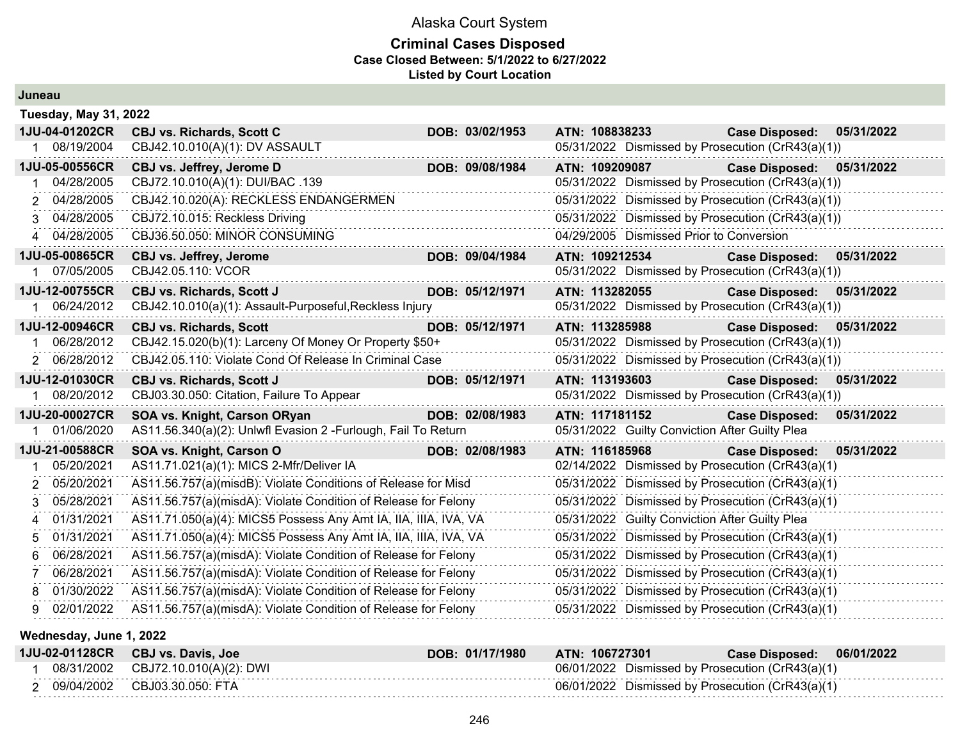#### **Criminal Cases Disposed Case Closed Between: 5/1/2022 to 6/27/2022 Listed by Court Location**

| Juneau |                              |                                                                 |                 |                |                                                   |                       |            |
|--------|------------------------------|-----------------------------------------------------------------|-----------------|----------------|---------------------------------------------------|-----------------------|------------|
|        | <b>Tuesday, May 31, 2022</b> |                                                                 |                 |                |                                                   |                       |            |
|        | 1JU-04-01202CR               | <b>CBJ vs. Richards, Scott C</b>                                | DOB: 03/02/1953 | ATN: 108838233 |                                                   | <b>Case Disposed:</b> | 05/31/2022 |
|        | 08/19/2004                   | CBJ42.10.010(A)(1): DV ASSAULT                                  |                 |                | 05/31/2022 Dismissed by Prosecution (CrR43(a)(1)) |                       |            |
|        | 1JU-05-00556CR               | CBJ vs. Jeffrey, Jerome D                                       | DOB: 09/08/1984 | ATN: 109209087 |                                                   | <b>Case Disposed:</b> | 05/31/2022 |
|        | 04/28/2005                   | CBJ72.10.010(A)(1): DUI/BAC .139                                |                 |                | 05/31/2022 Dismissed by Prosecution (CrR43(a)(1)) |                       |            |
|        | 04/28/2005                   | CBJ42.10.020(A): RECKLESS ENDANGERMEN                           |                 |                | 05/31/2022 Dismissed by Prosecution (CrR43(a)(1)) |                       |            |
|        | 3 04/28/2005                 | CBJ72.10.015: Reckless Driving                                  |                 |                | 05/31/2022 Dismissed by Prosecution (CrR43(a)(1)) |                       |            |
|        | 4 04/28/2005                 | CBJ36.50.050: MINOR CONSUMING                                   |                 |                | 04/29/2005 Dismissed Prior to Conversion          |                       |            |
|        | 1JU-05-00865CR               | CBJ vs. Jeffrey, Jerome                                         | DOB: 09/04/1984 | ATN: 109212534 |                                                   | <b>Case Disposed:</b> | 05/31/2022 |
|        | 07/05/2005                   | CBJ42.05.110: VCOR                                              |                 |                | 05/31/2022 Dismissed by Prosecution (CrR43(a)(1)) |                       |            |
|        | 1JU-12-00755CR               | <b>CBJ vs. Richards, Scott J</b>                                | DOB: 05/12/1971 | ATN: 113282055 |                                                   | <b>Case Disposed:</b> | 05/31/2022 |
|        | 06/24/2012                   | CBJ42.10.010(a)(1): Assault-Purposeful, Reckless Injury         |                 |                | 05/31/2022 Dismissed by Prosecution (CrR43(a)(1)) |                       |            |
|        | 1JU-12-00946CR               | <b>CBJ vs. Richards, Scott</b>                                  | DOB: 05/12/1971 | ATN: 113285988 |                                                   | <b>Case Disposed:</b> | 05/31/2022 |
|        | 06/28/2012                   | CBJ42.15.020(b)(1): Larceny Of Money Or Property \$50+          |                 |                | 05/31/2022 Dismissed by Prosecution (CrR43(a)(1)) |                       |            |
|        | 2 06/28/2012                 | CBJ42.05.110: Violate Cond Of Release In Criminal Case          |                 |                | 05/31/2022 Dismissed by Prosecution (CrR43(a)(1)) |                       |            |
|        | 1JU-12-01030CR               | <b>CBJ vs. Richards, Scott J</b>                                | DOB: 05/12/1971 | ATN: 113193603 |                                                   | <b>Case Disposed:</b> | 05/31/2022 |
|        | 08/20/2012                   | CBJ03.30.050: Citation, Failure To Appear                       |                 |                | 05/31/2022 Dismissed by Prosecution (CrR43(a)(1)) |                       |            |
|        | 1JU-20-00027CR               | SOA vs. Knight, Carson ORyan                                    | DOB: 02/08/1983 | ATN: 117181152 |                                                   | <b>Case Disposed:</b> | 05/31/2022 |
|        | 01/06/2020                   | AS11.56.340(a)(2): Unlwfl Evasion 2 - Furlough, Fail To Return  |                 |                | 05/31/2022 Guilty Conviction After Guilty Plea    |                       |            |
|        | 1JU-21-00588CR               | SOA vs. Knight, Carson O                                        | DOB: 02/08/1983 | ATN: 116185968 |                                                   | <b>Case Disposed:</b> | 05/31/2022 |
|        | 05/20/2021                   | AS11.71.021(a)(1): MICS 2-Mfr/Deliver IA                        |                 |                | 02/14/2022 Dismissed by Prosecution (CrR43(a)(1)  |                       |            |
|        | 05/20/2021                   | AS11.56.757(a)(misdB): Violate Conditions of Release for Misd   |                 |                | 05/31/2022 Dismissed by Prosecution (CrR43(a)(1)  |                       |            |
| 3      | 05/28/2021                   | AS11.56.757(a)(misdA): Violate Condition of Release for Felony  |                 |                | 05/31/2022 Dismissed by Prosecution (CrR43(a)(1)  |                       |            |
|        | 01/31/2021                   | AS11.71.050(a)(4): MICS5 Possess Any Amt IA, IIA, IIIA, IVA, VA |                 |                | 05/31/2022 Guilty Conviction After Guilty Plea    |                       |            |
|        | 01/31/2021                   | AS11.71.050(a)(4): MICS5 Possess Any Amt IA, IIA, IIIA, IVA, VA |                 |                | 05/31/2022 Dismissed by Prosecution (CrR43(a)(1)  |                       |            |
|        | 06/28/2021                   | AS11.56.757(a)(misdA): Violate Condition of Release for Felony  |                 |                | 05/31/2022 Dismissed by Prosecution (CrR43(a)(1)  |                       |            |
|        | 06/28/2021                   | AS11.56.757(a)(misdA): Violate Condition of Release for Felony  |                 |                | 05/31/2022 Dismissed by Prosecution (CrR43(a)(1)  |                       |            |
|        | 01/30/2022                   | AS11.56.757(a)(misdA): Violate Condition of Release for Felony  |                 |                | 05/31/2022 Dismissed by Prosecution (CrR43(a)(1)  |                       |            |
| 9.     | 02/01/2022                   | AS11.56.757(a)(misdA): Violate Condition of Release for Felony  |                 |                | 05/31/2022 Dismissed by Prosecution (CrR43(a)(1)  |                       |            |

**Wednesday, June 1, 2022**

| 1JU-02-01128CR | <b>CBJ vs. Davis, Joe</b> | DOB: 01/17/1980 | ATN: 106727301                                   | <b>Case Disposed:</b> | 06/01/2022 |
|----------------|---------------------------|-----------------|--------------------------------------------------|-----------------------|------------|
| 08/31/2002     | CBJ72.10.010(A)(2): DWI   |                 | 06/01/2022 Dismissed by Prosecution (CrR43(a)(1) |                       |            |
| 09/04/2002     | CBJ03.30.050: FTA         |                 | 06/01/2022 Dismissed by Prosecution (CrR43(a)(1) |                       |            |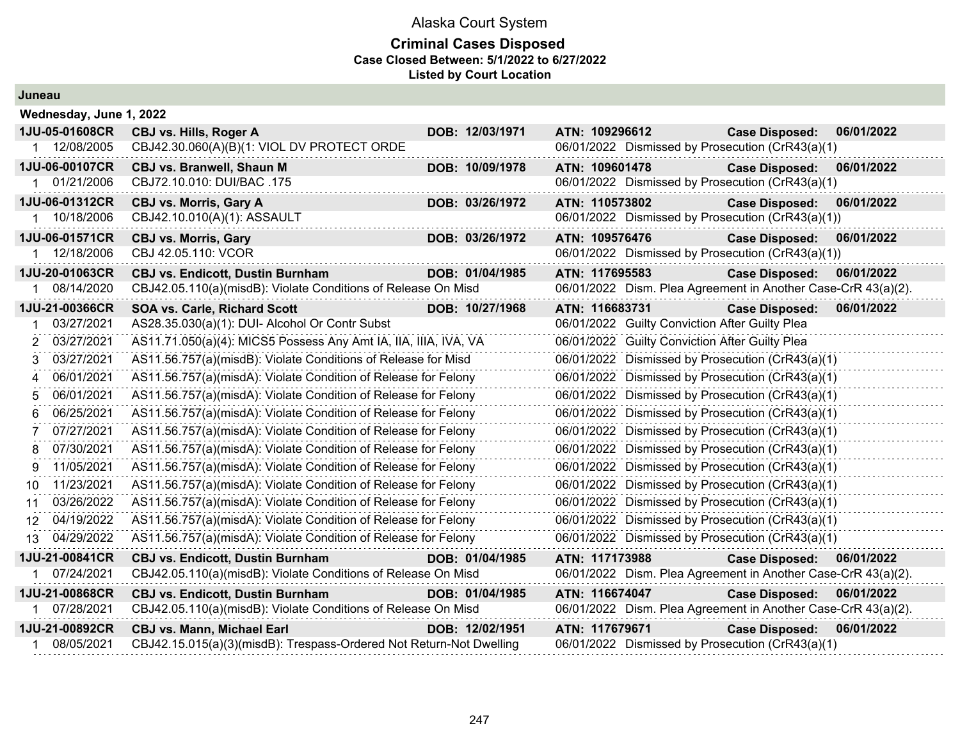| Juneau |  |
|--------|--|
|--------|--|

| Wednesday, June 1, 2022      |                                                                     |                 |                                                               |                       |            |
|------------------------------|---------------------------------------------------------------------|-----------------|---------------------------------------------------------------|-----------------------|------------|
| 1JU-05-01608CR               | CBJ vs. Hills, Roger A                                              | DOB: 12/03/1971 | ATN: 109296612                                                | <b>Case Disposed:</b> | 06/01/2022 |
| 1 12/08/2005                 | CBJ42.30.060(A)(B)(1: VIOL DV PROTECT ORDE                          |                 | 06/01/2022 Dismissed by Prosecution (CrR43(a)(1)              |                       |            |
| 1JU-06-00107CR               | <b>CBJ vs. Branwell, Shaun M</b>                                    | DOB: 10/09/1978 | ATN: 109601478                                                | <b>Case Disposed:</b> | 06/01/2022 |
| 1 01/21/2006                 | CBJ72.10.010: DUI/BAC .175                                          |                 | 06/01/2022 Dismissed by Prosecution (CrR43(a)(1)              |                       |            |
| 1JU-06-01312CR               | <b>CBJ vs. Morris, Gary A</b>                                       | DOB: 03/26/1972 | ATN: 110573802                                                | <b>Case Disposed:</b> | 06/01/2022 |
| 10/18/2006                   | CBJ42.10.010(A)(1): ASSAULT                                         |                 | 06/01/2022 Dismissed by Prosecution (CrR43(a)(1))             |                       |            |
| 1JU-06-01571CR               | <b>CBJ vs. Morris, Gary</b>                                         | DOB: 03/26/1972 | ATN: 109576476                                                | <b>Case Disposed:</b> | 06/01/2022 |
| 12/18/2006                   | CBJ 42.05.110: VCOR                                                 |                 | 06/01/2022 Dismissed by Prosecution (CrR43(a)(1))             |                       |            |
| 1JU-20-01063CR               | <b>CBJ vs. Endicott, Dustin Burnham</b>                             | DOB: 01/04/1985 | ATN: 117695583                                                | <b>Case Disposed:</b> | 06/01/2022 |
| 08/14/2020                   | CBJ42.05.110(a)(misdB): Violate Conditions of Release On Misd       |                 | 06/01/2022 Dism. Plea Agreement in Another Case-CrR 43(a)(2). |                       |            |
| 1JU-21-00366CR               | <b>SOA vs. Carle, Richard Scott</b>                                 | DOB: 10/27/1968 | ATN: 116683731                                                | <b>Case Disposed:</b> | 06/01/2022 |
| 03/27/2021                   | AS28.35.030(a)(1): DUI- Alcohol Or Contr Subst                      |                 | 06/01/2022 Guilty Conviction After Guilty Plea                |                       |            |
| 03/27/2021<br>$\overline{2}$ | AS11.71.050(a)(4): MICS5 Possess Any Amt IA, IIA, IIIA, IVA, VA     |                 | 06/01/2022 Guilty Conviction After Guilty Plea                |                       |            |
| 03/27/2021<br>3              | AS11.56.757(a)(misdB): Violate Conditions of Release for Misd       |                 | 06/01/2022 Dismissed by Prosecution (CrR43(a)(1)              |                       |            |
| 06/01/2021<br>4              | AS11.56.757(a)(misdA): Violate Condition of Release for Felony      |                 | 06/01/2022 Dismissed by Prosecution (CrR43(a)(1)              |                       |            |
| 06/01/2021<br>5              | AS11.56.757(a)(misdA): Violate Condition of Release for Felony      |                 | 06/01/2022 Dismissed by Prosecution (CrR43(a)(1)              |                       |            |
| 06/25/2021<br>6              | AS11.56.757(a)(misdA): Violate Condition of Release for Felony      |                 | 06/01/2022 Dismissed by Prosecution (CrR43(a)(1)              |                       |            |
| 07/27/2021                   | AS11.56.757(a)(misdA): Violate Condition of Release for Felony      |                 | 06/01/2022 Dismissed by Prosecution (CrR43(a)(1)              |                       |            |
| 07/30/2021<br>8              | AS11.56.757(a)(misdA): Violate Condition of Release for Felony      |                 | 06/01/2022 Dismissed by Prosecution (CrR43(a)(1)              |                       |            |
| 11/05/2021<br>9              | AS11.56.757(a)(misdA): Violate Condition of Release for Felony      |                 | 06/01/2022 Dismissed by Prosecution (CrR43(a)(1)              |                       |            |
| 11/23/2021<br>10.            | AS11.56.757(a)(misdA): Violate Condition of Release for Felony      |                 | 06/01/2022 Dismissed by Prosecution (CrR43(a)(1)              |                       |            |
| 03/26/2022<br>11             | AS11.56.757(a)(misdA): Violate Condition of Release for Felony      |                 | 06/01/2022 Dismissed by Prosecution (CrR43(a)(1)              |                       |            |
| 04/19/2022<br>12.            | AS11.56.757(a)(misdA): Violate Condition of Release for Felony      |                 | 06/01/2022 Dismissed by Prosecution (CrR43(a)(1)              |                       |            |
| 04/29/2022<br>13             | AS11.56.757(a)(misdA): Violate Condition of Release for Felony      |                 | 06/01/2022 Dismissed by Prosecution (CrR43(a)(1)              |                       |            |
| 1JU-21-00841CR               | <b>CBJ vs. Endicott, Dustin Burnham</b>                             | DOB: 01/04/1985 | ATN: 117173988                                                | <b>Case Disposed:</b> | 06/01/2022 |
| 07/24/2021                   | CBJ42.05.110(a)(misdB): Violate Conditions of Release On Misd       |                 | 06/01/2022 Dism. Plea Agreement in Another Case-CrR 43(a)(2). |                       |            |
| 1JU-21-00868CR               | <b>CBJ vs. Endicott, Dustin Burnham</b>                             | DOB: 01/04/1985 | ATN: 116674047                                                | <b>Case Disposed:</b> | 06/01/2022 |
| 1 07/28/2021                 | CBJ42.05.110(a)(misdB): Violate Conditions of Release On Misd       |                 | 06/01/2022 Dism. Plea Agreement in Another Case-CrR 43(a)(2). |                       |            |
| 1JU-21-00892CR               | <b>CBJ vs. Mann, Michael Earl</b>                                   | DOB: 12/02/1951 | ATN: 117679671                                                | <b>Case Disposed:</b> | 06/01/2022 |
| 08/05/2021                   | CBJ42.15.015(a)(3)(misdB): Trespass-Ordered Not Return-Not Dwelling |                 | 06/01/2022 Dismissed by Prosecution (CrR43(a)(1)              |                       |            |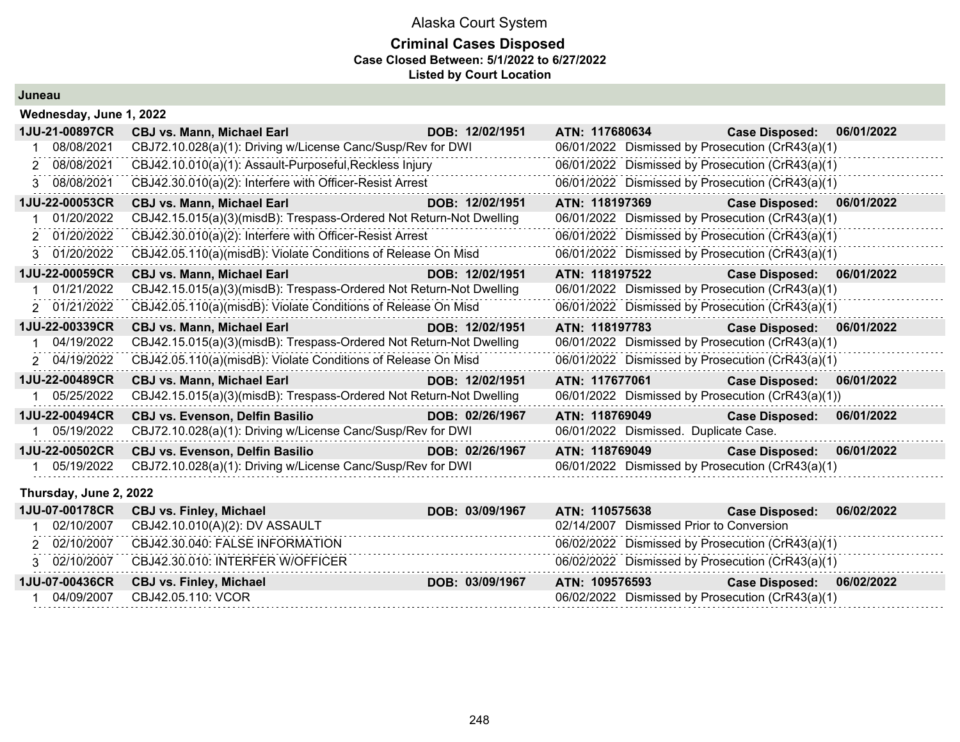#### **Criminal Cases Disposed Case Closed Between: 5/1/2022 to 6/27/2022 Listed by Court Location**

#### **Juneau**

| Wednesday, June 1, 2022 |                                                                       |                 |                |                                       |                                                   |            |
|-------------------------|-----------------------------------------------------------------------|-----------------|----------------|---------------------------------------|---------------------------------------------------|------------|
| 1JU-21-00897CR          | a a shekara ta 1972<br>Matukio<br><b>CBJ vs. Mann, Michael Earl</b>   | DOB: 12/02/1951 |                | ATN: 117680634                        | <b>Case Disposed:</b>                             | 06/01/2022 |
| 08/08/2021              | CBJ72.10.028(a)(1): Driving w/License Canc/Susp/Rev for DWI           |                 |                |                                       | 06/01/2022 Dismissed by Prosecution (CrR43(a)(1)  |            |
| 2 08/08/2021            | CBJ42.10.010(a)(1): Assault-Purposeful, Reckless Injury               |                 |                |                                       | 06/01/2022 Dismissed by Prosecution (CrR43(a)(1)  |            |
| 3 08/08/2021            | CBJ42.30.010(a)(2): Interfere with Officer-Resist Arrest              |                 |                |                                       | 06/01/2022 Dismissed by Prosecution (CrR43(a)(1)  |            |
| 1JU-22-00053CR          | <b>CBJ vs. Mann, Michael Earl</b>                                     | DOB: 12/02/1951 |                | ATN: 118197369                        | Case Disposed: 06/01/2022                         |            |
| 01/20/2022              | CBJ42.15.015(a)(3)(misdB): Trespass-Ordered Not Return-Not Dwelling   |                 |                |                                       | 06/01/2022 Dismissed by Prosecution (CrR43(a)(1)  |            |
| 2 01/20/2022            | CBJ42.30.010(a)(2): Interfere with Officer-Resist Arrest              |                 |                |                                       | 06/01/2022 Dismissed by Prosecution (CrR43(a)(1)  |            |
| 01/20/2022              | CBJ42.05.110(a)(misdB): Violate Conditions of Release On Misd         |                 |                |                                       | 06/01/2022 Dismissed by Prosecution (CrR43(a)(1)  |            |
| 1JU-22-00059CR          | <b>CBJ vs. Mann, Michael Earl</b><br><u> 1999 - Jan Barat, manala</u> | DOB: 12/02/1951 |                | ATN: 118197522                        | Case Disposed: 06/01/2022                         |            |
| 01/21/2022              | CBJ42.15.015(a)(3)(misdB): Trespass-Ordered Not Return-Not Dwelling   |                 |                |                                       | 06/01/2022 Dismissed by Prosecution (CrR43(a)(1)  |            |
| 2 01/21/2022            | CBJ42.05.110(a)(misdB): Violate Conditions of Release On Misd         |                 |                |                                       | 06/01/2022 Dismissed by Prosecution (CrR43(a)(1)  |            |
| 1JU-22-00339CR          | <b>CBJ vs. Mann, Michael Earl</b>                                     | DOB: 12/02/1951 |                | ATN: 118197783                        | Case Disposed: 06/01/2022                         |            |
| 04/19/2022              | CBJ42.15.015(a)(3)(misdB): Trespass-Ordered Not Return-Not Dwelling   |                 |                |                                       | 06/01/2022 Dismissed by Prosecution (CrR43(a)(1)  |            |
| 2 04/19/2022            | CBJ42.05.110(a)(misdB): Violate Conditions of Release On Misd         |                 |                |                                       | 06/01/2022 Dismissed by Prosecution (CrR43(a)(1)  |            |
| 1JU-22-00489CR          | <b>CBJ vs. Mann, Michael Earl</b>                                     | DOB: 12/02/1951 |                | ATN: 117677061                        | <b>Case Disposed:</b>                             | 06/01/2022 |
| 05/25/2022              | CBJ42.15.015(a)(3)(misdB): Trespass-Ordered Not Return-Not Dwelling   |                 |                |                                       | 06/01/2022 Dismissed by Prosecution (CrR43(a)(1)) |            |
| 1JU-22-00494CR          | <b>CBJ vs. Evenson, Delfin Basilio</b>                                | DOB: 02/26/1967 | ATN: 118769049 |                                       | <b>Case Disposed:</b>                             | 06/01/2022 |
| 05/19/2022              | CBJ72.10.028(a)(1): Driving w/License Canc/Susp/Rev for DWI           |                 |                | 06/01/2022 Dismissed. Duplicate Case. |                                                   |            |
| 1JU-22-00502CR          | <b>CBJ vs. Evenson, Delfin Basilio</b>                                | DOB: 02/26/1967 | ATN: 118769049 |                                       | <b>Case Disposed:</b>                             | 06/01/2022 |
| 1 05/19/2022            | CBJ72.10.028(a)(1): Driving w/License Canc/Susp/Rev for DWI           |                 |                |                                       | 06/01/2022 Dismissed by Prosecution (CrR43(a)(1)  |            |

#### **Thursday, June 2, 2022**

|              | 1JU-07-00178CR CBJ vs. Finley, Michael | DOB: 03/09/1967 | <b>ATN: 110575638</b>                            | 06/02/2022<br><b>Case Disposed:</b> |
|--------------|----------------------------------------|-----------------|--------------------------------------------------|-------------------------------------|
| 02/10/2007   | CBJ42.10.010(A)(2): DV ASSAULT         |                 | 02/14/2007 Dismissed Prior to Conversion         |                                     |
| 2 02/10/2007 | CBJ42.30.040: FALSE INFORMATION        |                 | 06/02/2022 Dismissed by Prosecution (CrR43(a)(1) |                                     |
| 3 02/10/2007 | CBJ42.30.010: INTERFER W/OFFICER       |                 | 06/02/2022 Dismissed by Prosecution (CrR43(a)(1) |                                     |
|              | 1JU-07-00436CR CBJ vs. Finley, Michael | DOB: 03/09/1967 | ATN: 109576593                                   | 06/02/2022<br><b>Case Disposed:</b> |
| 04/09/2007   | CBJ42.05.110: VCOR                     |                 | 06/02/2022 Dismissed by Prosecution (CrR43(a)(1) |                                     |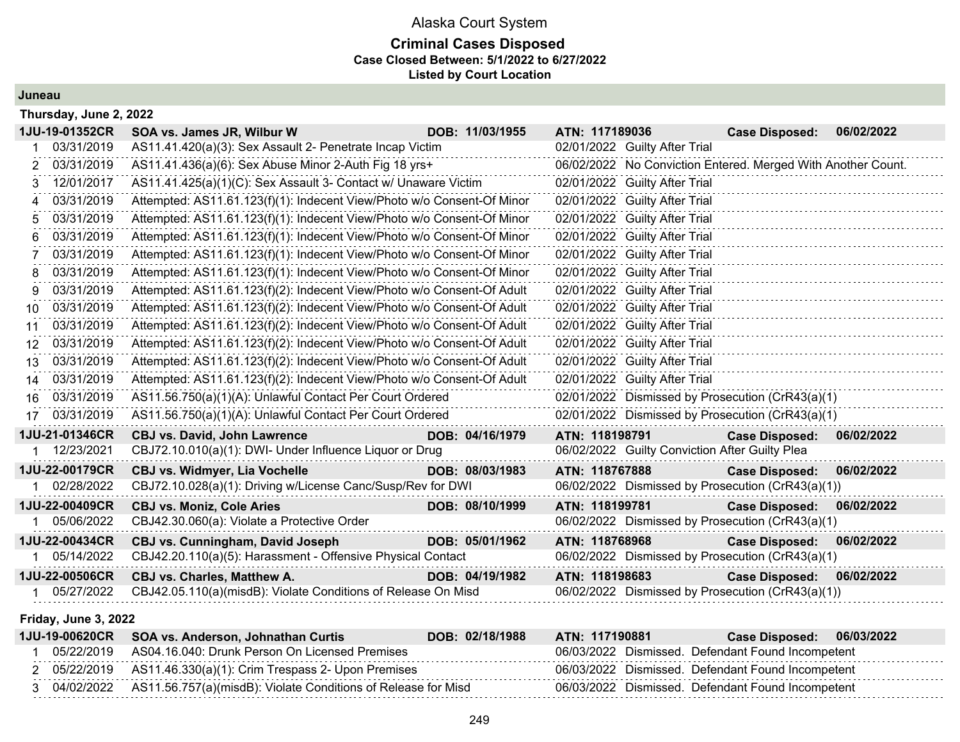### Alaska Court System **Criminal Cases Disposed Case Closed Between: 5/1/2022 to 6/27/2022 Listed by Court Location**

**Juneau**

|    | Thursday, June 2, 2022 |                                                                        |                 |                                                   |                                                              |  |
|----|------------------------|------------------------------------------------------------------------|-----------------|---------------------------------------------------|--------------------------------------------------------------|--|
|    | 1JU-19-01352CR         | SOA vs. James JR, Wilbur W                                             | DOB: 11/03/1955 | ATN: 117189036                                    | 06/02/2022<br><b>Case Disposed:</b>                          |  |
|    | 03/31/2019             | AS11.41.420(a)(3): Sex Assault 2- Penetrate Incap Victim               |                 | 02/01/2022 Guilty After Trial                     |                                                              |  |
| 2  | 03/31/2019             | AS11.41.436(a)(6): Sex Abuse Minor 2-Auth Fig 18 yrs+                  |                 |                                                   | 06/02/2022 No Conviction Entered. Merged With Another Count. |  |
| 3  | 12/01/2017             | AS11.41.425(a)(1)(C): Sex Assault 3- Contact w/ Unaware Victim         |                 | 02/01/2022 Guilty After Trial                     |                                                              |  |
| 4  | 03/31/2019             | Attempted: AS11.61.123(f)(1): Indecent View/Photo w/o Consent-Of Minor |                 | 02/01/2022 Guilty After Trial                     |                                                              |  |
|    | 03/31/2019             | Attempted: AS11.61.123(f)(1): Indecent View/Photo w/o Consent-Of Minor |                 | 02/01/2022 Guilty After Trial                     |                                                              |  |
| 6  | 03/31/2019             | Attempted: AS11.61.123(f)(1): Indecent View/Photo w/o Consent-Of Minor |                 | 02/01/2022 Guilty After Trial                     |                                                              |  |
|    | 03/31/2019             | Attempted: AS11.61.123(f)(1): Indecent View/Photo w/o Consent-Of Minor |                 | 02/01/2022 Guilty After Trial                     |                                                              |  |
| 8  | 03/31/2019             | Attempted: AS11.61.123(f)(1): Indecent View/Photo w/o Consent-Of Minor |                 | 02/01/2022 Guilty After Trial                     |                                                              |  |
| 9  | 03/31/2019             | Attempted: AS11.61.123(f)(2): Indecent View/Photo w/o Consent-Of Adult |                 | 02/01/2022 Guilty After Trial                     |                                                              |  |
| 10 | 03/31/2019             | Attempted: AS11.61.123(f)(2): Indecent View/Photo w/o Consent-Of Adult |                 | 02/01/2022 Guilty After Trial                     |                                                              |  |
| 11 | 03/31/2019             | Attempted: AS11.61.123(f)(2): Indecent View/Photo w/o Consent-Of Adult |                 | 02/01/2022 Guilty After Trial                     |                                                              |  |
| 12 | 03/31/2019             | Attempted: AS11.61.123(f)(2): Indecent View/Photo w/o Consent-Of Adult |                 | 02/01/2022 Guilty After Trial                     |                                                              |  |
| 13 | 03/31/2019             | Attempted: AS11.61.123(f)(2): Indecent View/Photo w/o Consent-Of Adult |                 | 02/01/2022 Guilty After Trial                     |                                                              |  |
| 14 | 03/31/2019             | Attempted: AS11.61.123(f)(2): Indecent View/Photo w/o Consent-Of Adult |                 | 02/01/2022 Guilty After Trial                     |                                                              |  |
| 16 | 03/31/2019             | AS11.56.750(a)(1)(A): Unlawful Contact Per Court Ordered               |                 | 02/01/2022 Dismissed by Prosecution (CrR43(a)(1)  |                                                              |  |
| 17 | 03/31/2019             | AS11.56.750(a)(1)(A): Unlawful Contact Per Court Ordered               |                 | 02/01/2022 Dismissed by Prosecution (CrR43(a)(1)  |                                                              |  |
|    | 1JU-21-01346CR         | <b>CBJ vs. David, John Lawrence</b>                                    | DOB: 04/16/1979 | ATN: 118198791                                    | 06/02/2022<br><b>Case Disposed:</b>                          |  |
|    | 12/23/2021             | CBJ72.10.010(a)(1): DWI- Under Influence Liquor or Drug                |                 | 06/02/2022 Guilty Conviction After Guilty Plea    |                                                              |  |
|    | 1JU-22-00179CR         | <b>CBJ vs. Widmyer, Lia Vochelle</b>                                   | DOB: 08/03/1983 | ATN: 118767888                                    | <b>Case Disposed:</b><br>06/02/2022                          |  |
|    | 02/28/2022             | CBJ72.10.028(a)(1): Driving w/License Canc/Susp/Rev for DWI            |                 | 06/02/2022 Dismissed by Prosecution (CrR43(a)(1)) |                                                              |  |
|    | 1JU-22-00409CR         | <b>CBJ vs. Moniz, Cole Aries</b>                                       | DOB: 08/10/1999 | ATN: 118199781                                    | <b>Case Disposed:</b><br>06/02/2022                          |  |
|    | 05/06/2022             | CBJ42.30.060(a): Violate a Protective Order                            |                 | 06/02/2022 Dismissed by Prosecution (CrR43(a)(1)  |                                                              |  |
|    | 1JU-22-00434CR         | CBJ vs. Cunningham, David Joseph                                       | DOB: 05/01/1962 | ATN: 118768968                                    | 06/02/2022<br><b>Case Disposed:</b>                          |  |
|    | 05/14/2022             | CBJ42.20.110(a)(5): Harassment - Offensive Physical Contact            |                 | 06/02/2022 Dismissed by Prosecution (CrR43(a)(1)  |                                                              |  |
|    | 1JU-22-00506CR         | CBJ vs. Charles, Matthew A.                                            | DOB: 04/19/1982 | ATN: 118198683                                    | 06/02/2022<br><b>Case Disposed:</b>                          |  |
|    | 05/27/2022             | CBJ42.05.110(a)(misdB): Violate Conditions of Release On Misd          |                 | 06/02/2022 Dismissed by Prosecution (CrR43(a)(1)) |                                                              |  |

#### **Friday, June 3, 2022**

| <b>1JU-19-00620CR</b> | SOA vs. Anderson, Johnathan Curtis                                       | DOB: 02/18/1988 | ATN: 117190881 | <b>Case Disposed:</b>                             | 06/03/2022 |
|-----------------------|--------------------------------------------------------------------------|-----------------|----------------|---------------------------------------------------|------------|
| 05/22/2019            | AS04.16.040: Drunk Person On Licensed Premises                           |                 |                | 06/03/2022 Dismissed. Defendant Found Incompetent |            |
|                       | 05/22/2019   AS11.46.330(a)(1): Crim Trespass 2- Upon Premises           |                 |                | 06/03/2022 Dismissed. Defendant Found Incompetent |            |
|                       | 04/02/2022 AS11.56.757(a)(misdB): Violate Conditions of Release for Misd |                 |                | 06/03/2022 Dismissed. Defendant Found Incompetent |            |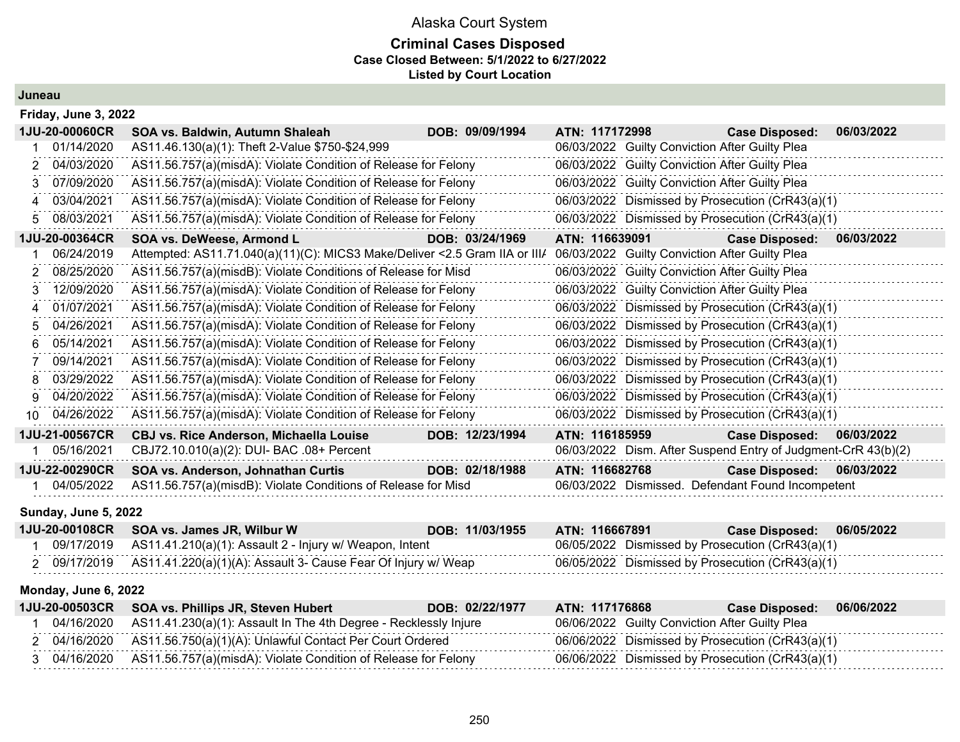## Alaska Court System **Criminal Cases Disposed**

**Case Closed Between: 5/1/2022 to 6/27/2022**

**Listed by Court Location**

**Juneau**

|     | Friday, June 3, 2022 |                                                                            |                 |                                                               |                           |            |
|-----|----------------------|----------------------------------------------------------------------------|-----------------|---------------------------------------------------------------|---------------------------|------------|
|     | 1JU-20-00060CR       | SOA vs. Baldwin, Autumn Shaleah                                            | DOB: 09/09/1994 | ATN: 117172998                                                | <b>Case Disposed:</b>     | 06/03/2022 |
|     | 01/14/2020           | AS11.46.130(a)(1): Theft 2-Value \$750-\$24,999                            |                 | 06/03/2022 Guilty Conviction After Guilty Plea                |                           |            |
|     | 04/03/2020           | AS11.56.757(a)(misdA): Violate Condition of Release for Felony             |                 | 06/03/2022 Guilty Conviction After Guilty Plea                |                           |            |
| З.  | 07/09/2020           | AS11.56.757(a)(misdA): Violate Condition of Release for Felony             |                 | 06/03/2022 Guilty Conviction After Guilty Plea                |                           |            |
|     | 03/04/2021           | AS11.56.757(a)(misdA): Violate Condition of Release for Felony             |                 | 06/03/2022 Dismissed by Prosecution (CrR43(a)(1)              |                           |            |
| 5.  | 08/03/2021           | AS11.56.757(a)(misdA): Violate Condition of Release for Felony             |                 | 06/03/2022 Dismissed by Prosecution (CrR43(a)(1)              |                           |            |
|     | 1JU-20-00364CR       | SOA vs. DeWeese, Armond L                                                  | DOB: 03/24/1969 | ATN: 116639091                                                | <b>Case Disposed:</b>     | 06/03/2022 |
|     | 06/24/2019           | Attempted: AS11.71.040(a)(11)(C): MICS3 Make/Deliver <2.5 Gram IIA or III/ |                 | 06/03/2022 Guilty Conviction After Guilty Plea                |                           |            |
|     | 08/25/2020           | AS11.56.757(a)(misdB): Violate Conditions of Release for Misd              |                 | 06/03/2022 Guilty Conviction After Guilty Plea                |                           |            |
|     | 12/09/2020           | AS11.56.757(a)(misdA): Violate Condition of Release for Felony             |                 | 06/03/2022 Guilty Conviction After Guilty Plea                |                           |            |
|     | 01/07/2021           | AS11.56.757(a)(misdA): Violate Condition of Release for Felony             |                 | 06/03/2022 Dismissed by Prosecution (CrR43(a)(1)              |                           |            |
| 5.  | 04/26/2021           | AS11.56.757(a)(misdA): Violate Condition of Release for Felony             |                 | 06/03/2022 Dismissed by Prosecution (CrR43(a)(1)              |                           |            |
| 6   | 05/14/2021           | AS11.56.757(a)(misdA): Violate Condition of Release for Felony             |                 | 06/03/2022 Dismissed by Prosecution (CrR43(a)(1)              |                           |            |
|     | 09/14/2021           | AS11.56.757(a)(misdA): Violate Condition of Release for Felony             |                 | 06/03/2022 Dismissed by Prosecution (CrR43(a)(1)              |                           |            |
| 8   | 03/29/2022           | AS11.56.757(a)(misdA): Violate Condition of Release for Felony             |                 | 06/03/2022 Dismissed by Prosecution (CrR43(a)(1)              |                           |            |
| g   | 04/20/2022           | AS11.56.757(a)(misdA): Violate Condition of Release for Felony             |                 | 06/03/2022 Dismissed by Prosecution (CrR43(a)(1)              |                           |            |
| 10. | 04/26/2022           | AS11.56.757(a)(misdA): Violate Condition of Release for Felony             |                 | 06/03/2022 Dismissed by Prosecution (CrR43(a)(1)              |                           |            |
|     | 1JU-21-00567CR       | <b>CBJ vs. Rice Anderson, Michaella Louise</b>                             | DOB: 12/23/1994 | ATN: 116185959                                                | <b>Case Disposed:</b>     | 06/03/2022 |
|     | 05/16/2021           | CBJ72.10.010(a)(2): DUI- BAC .08+ Percent                                  |                 | 06/03/2022 Dism. After Suspend Entry of Judgment-CrR 43(b)(2) |                           |            |
|     | 1JU-22-00290CR       | SOA vs. Anderson, Johnathan Curtis                                         | DOB: 02/18/1988 | ATN: 116682768                                                | Case Disposed: 06/03/2022 |            |
|     | 04/05/2022           | AS11.56.757(a)(misdB): Violate Conditions of Release for Misd              |                 | 06/03/2022 Dismissed. Defendant Found Incompetent             |                           |            |

#### **Sunday, June 5, 2022**

|  | 1JU-20-00108CR SOA vs. James JR, Wilbur W                                    | DOB: 11/03/1955 | ATN: 116667891                                   | <b>Case Disposed:</b> | 06/05/2022 |
|--|------------------------------------------------------------------------------|-----------------|--------------------------------------------------|-----------------------|------------|
|  | 09/17/2019   AS11.41.210(a)(1): Assault 2 - Injury w/ Weapon, Intent         |                 | 06/05/2022 Dismissed by Prosecution (CrR43(a)(1) |                       |            |
|  | 2 09/17/2019   AS11.41.220(a)(1)(A): Assault 3- Cause Fear Of Injury w/ Weap |                 | 06/05/2022 Dismissed by Prosecution (CrR43(a)(1) |                       |            |

#### **Monday, June 6, 2022**

|  | 1JU-20-00503CR SOA vs. Phillips JR, Steven Hubert                           | DOB: 02/22/1977 | ATN: 117176868 |                                                | <b>Case Disposed:</b>                            | 06/06/2022 |
|--|-----------------------------------------------------------------------------|-----------------|----------------|------------------------------------------------|--------------------------------------------------|------------|
|  | 04/16/2020 AS11.41.230(a)(1): Assault In The 4th Degree - Recklessly Injure |                 |                | 06/06/2022 Guilty Conviction After Guilty Plea |                                                  |            |
|  | 2 04/16/2020 AS11.56.750(a)(1)(A): Unlawful Contact Per Court Ordered       |                 |                |                                                | 06/06/2022 Dismissed by Prosecution (CrR43(a)(1) |            |
|  | 3 04/16/2020 AS11.56.757(a)(misdA): Violate Condition of Release for Felony |                 |                |                                                | 06/06/2022 Dismissed by Prosecution (CrR43(a)(1) |            |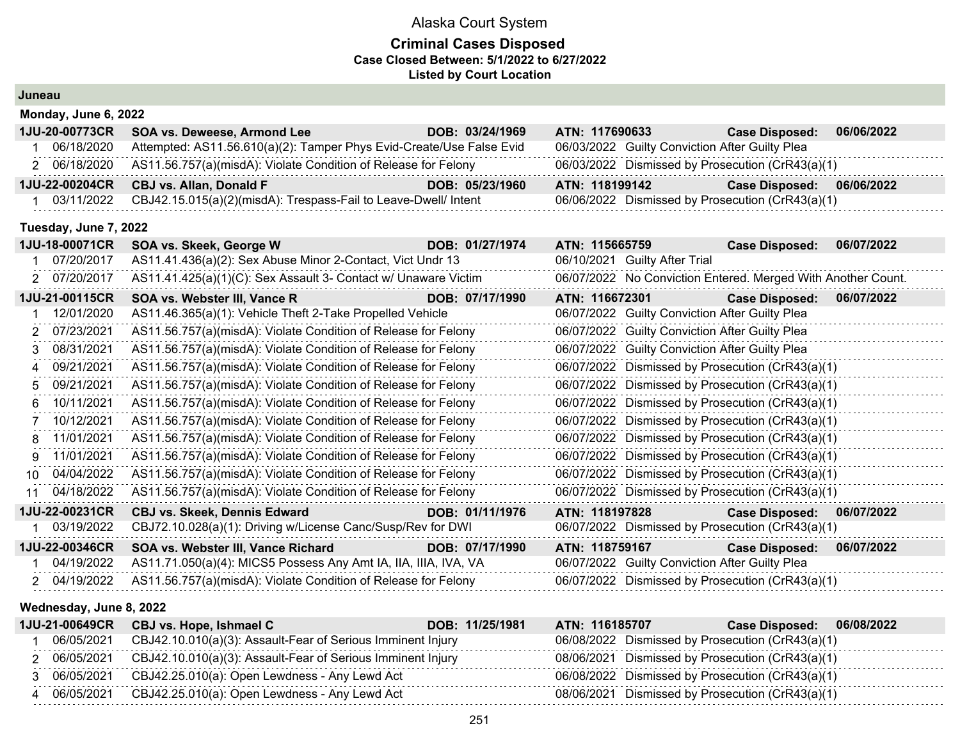#### **Criminal Cases Disposed Case Closed Between: 5/1/2022 to 6/27/2022 Listed by Court Location**

| Juneau |                       |                                                                      |                 |                |                                                |                                                              |            |
|--------|-----------------------|----------------------------------------------------------------------|-----------------|----------------|------------------------------------------------|--------------------------------------------------------------|------------|
|        | Monday, June 6, 2022  |                                                                      |                 |                |                                                |                                                              |            |
|        | 1JU-20-00773CR        | <b>SOA vs. Deweese, Armond Lee</b>                                   | DOB: 03/24/1969 | ATN: 117690633 |                                                | <b>Case Disposed:</b>                                        | 06/06/2022 |
| 1      | 06/18/2020            | Attempted: AS11.56.610(a)(2): Tamper Phys Evid-Create/Use False Evid |                 |                | 06/03/2022 Guilty Conviction After Guilty Plea |                                                              |            |
|        | 2 06/18/2020          | AS11.56.757(a)(misdA): Violate Condition of Release for Felony       |                 |                |                                                | 06/03/2022 Dismissed by Prosecution (CrR43(a)(1)             |            |
|        | 1JU-22-00204CR        | <b>CBJ vs. Allan, Donald F</b>                                       | DOB: 05/23/1960 | ATN: 118199142 |                                                | <b>Case Disposed:</b>                                        | 06/06/2022 |
|        | 03/11/2022            | CBJ42.15.015(a)(2)(misdA): Trespass-Fail to Leave-Dwell/ Intent      |                 |                |                                                | 06/06/2022 Dismissed by Prosecution (CrR43(a)(1)             |            |
|        | Tuesday, June 7, 2022 |                                                                      |                 |                |                                                |                                                              |            |
|        | 1JU-18-00071CR        | SOA vs. Skeek, George W                                              | DOB: 01/27/1974 | ATN: 115665759 |                                                | <b>Case Disposed:</b>                                        | 06/07/2022 |
| 1.     | 07/20/2017            | AS11.41.436(a)(2): Sex Abuse Minor 2-Contact, Vict Undr 13           |                 |                | 06/10/2021 Guilty After Trial                  |                                                              |            |
|        | 2 07/20/2017          | AS11.41.425(a)(1)(C): Sex Assault 3- Contact w/ Unaware Victim       |                 |                |                                                | 06/07/2022 No Conviction Entered. Merged With Another Count. |            |
|        | 1JU-21-00115CR        | SOA vs. Webster III, Vance R                                         | DOB: 07/17/1990 | ATN: 116672301 |                                                | <b>Case Disposed:</b>                                        | 06/07/2022 |
|        | 12/01/2020            | AS11.46.365(a)(1): Vehicle Theft 2-Take Propelled Vehicle            |                 |                | 06/07/2022 Guilty Conviction After Guilty Plea |                                                              |            |
|        | 2 07/23/2021          | AS11.56.757(a)(misdA): Violate Condition of Release for Felony       |                 |                | 06/07/2022 Guilty Conviction After Guilty Plea |                                                              |            |
| 3      | 08/31/2021            | AS11.56.757(a)(misdA): Violate Condition of Release for Felony       |                 |                | 06/07/2022 Guilty Conviction After Guilty Plea |                                                              |            |
| 4      | 09/21/2021            | AS11.56.757(a)(misdA): Violate Condition of Release for Felony       |                 |                |                                                | 06/07/2022 Dismissed by Prosecution (CrR43(a)(1)             |            |
| 5.     | 09/21/2021            | AS11.56.757(a)(misdA): Violate Condition of Release for Felony       |                 |                |                                                | 06/07/2022 Dismissed by Prosecution (CrR43(a)(1)             |            |
| 6      | 10/11/2021            | AS11.56.757(a)(misdA): Violate Condition of Release for Felony       |                 |                |                                                | 06/07/2022 Dismissed by Prosecution (CrR43(a)(1)             |            |
| 7      | 10/12/2021            | AS11.56.757(a)(misdA): Violate Condition of Release for Felony       |                 |                |                                                | 06/07/2022 Dismissed by Prosecution (CrR43(a)(1)             |            |
|        | 8 11/01/2021          | AS11.56.757(a)(misdA): Violate Condition of Release for Felony       |                 |                |                                                | 06/07/2022 Dismissed by Prosecution (CrR43(a)(1)             |            |
| 9      | 11/01/2021            | AS11.56.757(a)(misdA): Violate Condition of Release for Felony       |                 |                |                                                | 06/07/2022 Dismissed by Prosecution (CrR43(a)(1)             |            |
| 10     | 04/04/2022            | AS11.56.757(a)(misdA): Violate Condition of Release for Felony       |                 |                |                                                | 06/07/2022 Dismissed by Prosecution (CrR43(a)(1)             |            |
| 11     | 04/18/2022            | AS11.56.757(a)(misdA): Violate Condition of Release for Felony       |                 |                |                                                | 06/07/2022 Dismissed by Prosecution (CrR43(a)(1)             |            |
|        | 1JU-22-00231CR        | <b>CBJ vs. Skeek, Dennis Edward</b>                                  | DOB: 01/11/1976 | ATN: 118197828 |                                                | <b>Case Disposed:</b>                                        | 06/07/2022 |
|        | 03/19/2022            | CBJ72.10.028(a)(1): Driving w/License Canc/Susp/Rev for DWI          |                 |                |                                                | 06/07/2022 Dismissed by Prosecution (CrR43(a)(1)             |            |
|        | 1JU-22-00346CR        | SOA vs. Webster III, Vance Richard                                   | DOB: 07/17/1990 | ATN: 118759167 |                                                | <b>Case Disposed:</b>                                        | 06/07/2022 |
| 1      | 04/19/2022            | AS11.71.050(a)(4): MICS5 Possess Any Amt IA, IIA, IIIA, IVA, VA      |                 |                | 06/07/2022 Guilty Conviction After Guilty Plea |                                                              |            |
|        | 2 04/19/2022          | AS11.56.757(a)(misdA): Violate Condition of Release for Felony       |                 |                |                                                | 06/07/2022 Dismissed by Prosecution (CrR43(a)(1)             |            |

#### **Wednesday, June 8, 2022**

| 1JU-21-00649CR | CBJ vs. Hope, Ishmael C                                     | DOB: 11/25/1981<br>ATN: 116185707 |                                                  | Case Disposed: 06/08/2022 |
|----------------|-------------------------------------------------------------|-----------------------------------|--------------------------------------------------|---------------------------|
| 06/05/2021     | CBJ42.10.010(a)(3): Assault-Fear of Serious Imminent Injury |                                   | 06/08/2022 Dismissed by Prosecution (CrR43(a)(1) |                           |
| 06/05/2021     | CBJ42.10.010(a)(3): Assault-Fear of Serious Imminent Injury |                                   | 08/06/2021 Dismissed by Prosecution (CrR43(a)(1) |                           |
| 06/05/2021     | CBJ42.25.010(a): Open Lewdness - Any Lewd Act               |                                   | 06/08/2022 Dismissed by Prosecution (CrR43(a)(1) |                           |
| 06/05/2021     | CBJ42.25.010(a): Open Lewdness - Any Lewd Act               | 08/06/2021                        | Dismissed by Prosecution (CrR43(a)(1)            |                           |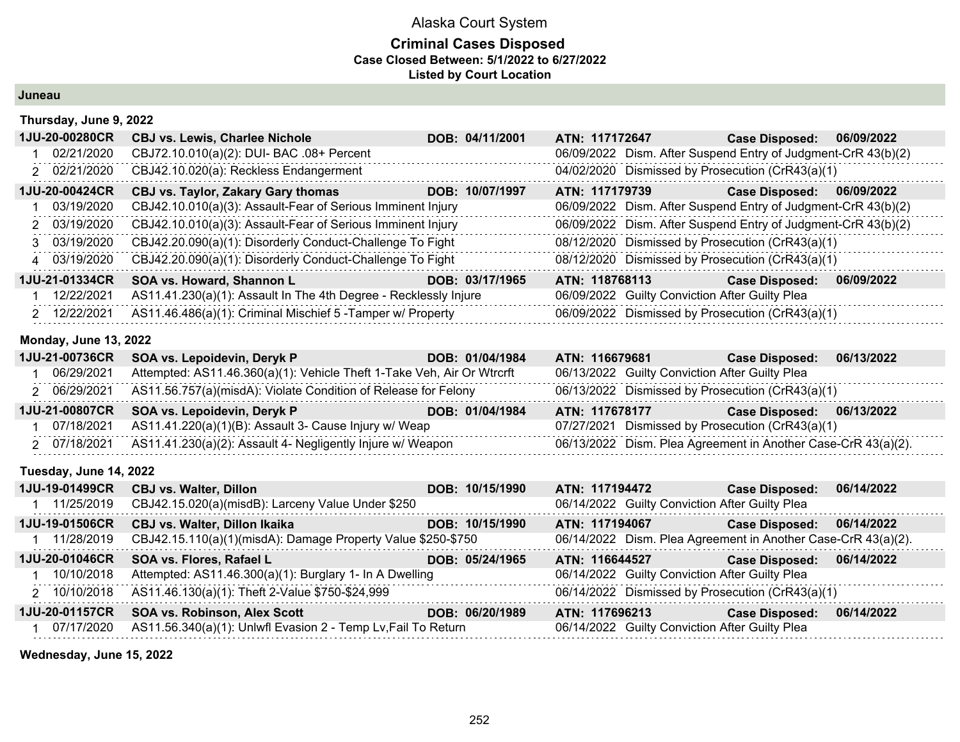#### **Criminal Cases Disposed Case Closed Between: 5/1/2022 to 6/27/2022 Listed by Court Location**

**Juneau**

#### **Thursday, June 9, 2022**

| <b>1JU-20-00280CR</b> | <b>CBJ vs. Lewis, Charlee Nichole</b>                            | DOB: 04/11/2001 | ATN: 117172647 | <b>Case Disposed:</b>                                         | 06/09/2022 |
|-----------------------|------------------------------------------------------------------|-----------------|----------------|---------------------------------------------------------------|------------|
| 02/21/2020            | CBJ72.10.010(a)(2): DUI- BAC .08+ Percent                        |                 |                | 06/09/2022 Dism. After Suspend Entry of Judgment-CrR 43(b)(2) |            |
| 2 02/21/2020          | CBJ42.10.020(a): Reckless Endangerment                           |                 |                | 04/02/2020 Dismissed by Prosecution (CrR43(a)(1)              |            |
| 1JU-20-00424CR        | <b>CBJ vs. Taylor, Zakary Gary thomas</b>                        | DOB: 10/07/1997 | ATN: 117179739 | <b>Case Disposed:</b>                                         | 06/09/2022 |
| 03/19/2020            | CBJ42.10.010(a)(3): Assault-Fear of Serious Imminent Injury      |                 |                | 06/09/2022 Dism. After Suspend Entry of Judgment-CrR 43(b)(2) |            |
| 2 03/19/2020          | CBJ42.10.010(a)(3): Assault-Fear of Serious Imminent Injury      |                 |                | 06/09/2022 Dism. After Suspend Entry of Judgment-CrR 43(b)(2) |            |
| 3 03/19/2020          | CBJ42.20.090(a)(1): Disorderly Conduct-Challenge To Fight        |                 |                | 08/12/2020 Dismissed by Prosecution (CrR43(a)(1)              |            |
| 4 03/19/2020          | CBJ42.20.090(a)(1): Disorderly Conduct-Challenge To Fight        |                 |                | 08/12/2020 Dismissed by Prosecution (CrR43(a)(1)              |            |
| 1JU-21-01334CR        | SOA vs. Howard, Shannon L                                        | DOB: 03/17/1965 | ATN: 118768113 | <b>Case Disposed:</b>                                         | 06/09/2022 |
| 12/22/2021            | AS11.41.230(a)(1): Assault In The 4th Degree - Recklessly Injure |                 |                | 06/09/2022 Guilty Conviction After Guilty Plea                |            |
| 2 12/22/2021          | AS11.46.486(a)(1): Criminal Mischief 5 - Tamper w/ Property      |                 |                | 06/09/2022 Dismissed by Prosecution (CrR43(a)(1)              |            |

#### **Monday, June 13, 2022**

|            | 1JU-21-00736CR SOA vs. Lepoidevin, Deryk P                                  | DOB: 01/04/1984 | ATN: 116679681                                   | <b>Case Disposed:</b>                                         | 06/13/2022 |
|------------|-----------------------------------------------------------------------------|-----------------|--------------------------------------------------|---------------------------------------------------------------|------------|
| 06/29/2021 | Attempted: AS11.46.360(a)(1): Vehicle Theft 1-Take Veh, Air Or Wtrcrft      |                 | 06/13/2022 Guilty Conviction After Guilty Plea   |                                                               |            |
|            | 2 06/29/2021 AS11.56.757(a)(misdA): Violate Condition of Release for Felony |                 | 06/13/2022 Dismissed by Prosecution (CrR43(a)(1) |                                                               |            |
|            | 1JU-21-00807CR SOA vs. Lepoidevin, Deryk P                                  | DOB: 01/04/1984 | ATN: 117678177                                   | Case Disposed: 06/13/2022                                     |            |
| 07/18/2021 | AS11.41.220(a)(1)(B): Assault 3- Cause Injury w/ Weap                       |                 | 07/27/2021 Dismissed by Prosecution (CrR43(a)(1) |                                                               |            |
|            | 2 07/18/2021 AS11.41.230(a)(2): Assault 4- Negligently Injure w/ Weapon     |                 |                                                  | 06/13/2022 Dism. Plea Agreement in Another Case-CrR 43(a)(2). |            |

#### **Tuesday, June 14, 2022**

| 1JU-19-01499CR        | <b>CBJ vs. Walter, Dillon</b>                                 | DOB: 10/15/1990 | ATN: 117194472                                                | <b>Case Disposed:</b> | 06/14/2022 |
|-----------------------|---------------------------------------------------------------|-----------------|---------------------------------------------------------------|-----------------------|------------|
| 11/25/2019            | CBJ42.15.020(a)(misdB): Larceny Value Under \$250             |                 | 06/14/2022 Guilty Conviction After Guilty Plea                |                       |            |
| <b>1JU-19-01506CR</b> | <b>CBJ vs. Walter, Dillon Ikaika</b>                          | DOB: 10/15/1990 | ATN: 117194067                                                | <b>Case Disposed:</b> | 06/14/2022 |
| 11/28/2019            | CBJ42.15.110(a)(1)(misdA): Damage Property Value \$250-\$750  |                 | 06/14/2022 Dism. Plea Agreement in Another Case-CrR 43(a)(2). |                       |            |
| <b>1JU-20-01046CR</b> | SOA vs. Flores, Rafael L                                      | DOB: 05/24/1965 | ATN: 116644527                                                | <b>Case Disposed:</b> | 06/14/2022 |
| 10/10/2018            | Attempted: AS11.46.300(a)(1): Burglary 1- In A Dwelling       |                 | 06/14/2022 Guilty Conviction After Guilty Plea                |                       |            |
| 2 10/10/2018          | AS11.46.130(a)(1): Theft 2-Value \$750-\$24,999               |                 | 06/14/2022 Dismissed by Prosecution (CrR43(a)(1)              |                       |            |
| <b>1JU-20-01157CR</b> | <b>SOA vs. Robinson, Alex Scott</b>                           | DOB: 06/20/1989 | ATN: 117696213                                                | <b>Case Disposed:</b> | 06/14/2022 |
| 07/17/2020            | AS11.56.340(a)(1): Unlwfl Evasion 2 - Temp Lv, Fail To Return |                 | 06/14/2022 Guilty Conviction After Guilty Plea                |                       |            |

**Wednesday, June 15, 2022**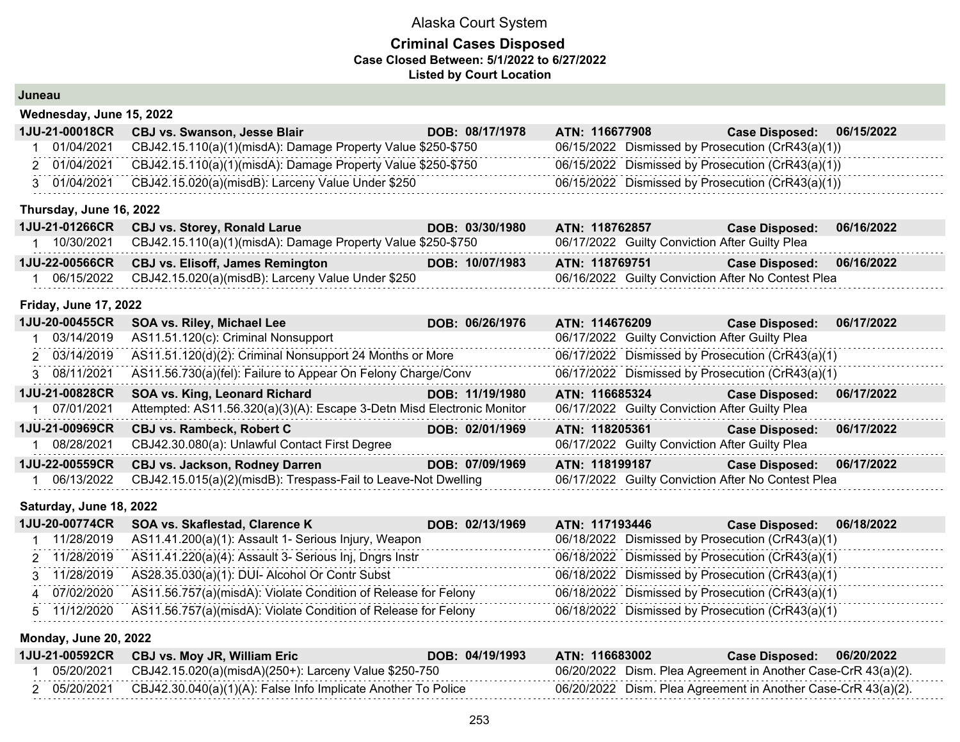### **Criminal Cases Disposed Case Closed Between: 5/1/2022 to 6/27/2022 Listed by Court Location**

|  | Juneau |  |
|--|--------|--|
|  |        |  |

| Wednesday, June 15, 2022     |                                                              |                 |                                                    |                       |            |  |  |
|------------------------------|--------------------------------------------------------------|-----------------|----------------------------------------------------|-----------------------|------------|--|--|
| 1JU-21-00018CR               | <b>CBJ vs. Swanson, Jesse Blair</b>                          | DOB: 08/17/1978 | ATN: 116677908                                     | <b>Case Disposed:</b> | 06/15/2022 |  |  |
| 01/04/2021                   | CBJ42.15.110(a)(1)(misdA): Damage Property Value \$250-\$750 |                 | 06/15/2022 Dismissed by Prosecution (CrR43(a)(1))  |                       |            |  |  |
| 2 01/04/2021                 | CBJ42.15.110(a)(1)(misdA): Damage Property Value \$250-\$750 |                 | 06/15/2022 Dismissed by Prosecution (CrR43(a)(1))  |                       |            |  |  |
| 3 01/04/2021                 | CBJ42.15.020(a)(misdB): Larceny Value Under \$250            |                 | 06/15/2022 Dismissed by Prosecution (CrR43(a)(1))  |                       |            |  |  |
| Thursday, June 16, 2022      |                                                              |                 |                                                    |                       |            |  |  |
| 1JU-21-01266CR               | <b>CBJ vs. Storey, Ronald Larue</b>                          | DOB: 03/30/1980 | ATN: 118762857                                     | <b>Case Disposed:</b> | 06/16/2022 |  |  |
| 1 10/30/2021                 | CBJ42.15.110(a)(1)(misdA): Damage Property Value \$250-\$750 |                 | 06/17/2022 Guilty Conviction After Guilty Plea     |                       |            |  |  |
| 1JU-22-00566CR               | <b>CBJ vs. Elisoff, James Remington</b>                      | DOB: 10/07/1983 | ATN: 118769751                                     | <b>Case Disposed:</b> | 06/16/2022 |  |  |
| 06/15/2022                   | CBJ42.15.020(a)(misdB): Larceny Value Under \$250            |                 | 06/16/2022 Guilty Conviction After No Contest Plea |                       |            |  |  |
| <b>Friday, June 17, 2022</b> |                                                              |                 |                                                    |                       |            |  |  |

| AS11.51.120(c): Criminal Nonsupport<br>06/17/2022 Guilty Conviction After Guilty Plea<br>03/14/2019                                        |  |
|--------------------------------------------------------------------------------------------------------------------------------------------|--|
| AS11.51.120(d)(2): Criminal Nonsupport 24 Months or More<br>06/17/2022 Dismissed by Prosecution (CrR43(a)(1)<br>2 03/14/2019               |  |
| 06/17/2022 Dismissed by Prosecution (CrR43(a)(1)<br>AS11.56.730(a)(fel): Failure to Appear On Felony Charge/Conv<br>3 08/11/2021           |  |
| 1JU-21-00828CR<br>SOA vs. King, Leonard Richard<br>DOB: 11/19/1980<br><b>Case Disposed:</b><br>06/17/2022<br>ATN: 116685324                |  |
| 07/01/2021<br>Attempted: AS11.56.320(a)(3)(A): Escape 3-Detn Misd Electronic Monitor<br>06/17/2022 Guilty Conviction After Guilty Plea     |  |
| 1JU-21-00969CR<br>06/17/2022<br><b>CBJ vs. Rambeck, Robert C</b><br>DOB: 02/01/1969<br>ATN: 118205361<br><b>Case Disposed:</b>             |  |
| CBJ42.30.080(a): Unlawful Contact First Degree<br>06/17/2022 Guilty Conviction After Guilty Plea<br>08/28/2021                             |  |
| <b>1JU-22-00559CR</b><br><b>CBJ vs. Jackson, Rodney Darren</b><br>DOB: 07/09/1969<br>ATN: 118199187<br>06/17/2022<br><b>Case Disposed:</b> |  |
| CBJ42.15.015(a)(2)(misdB): Trespass-Fail to Leave-Not Dwelling<br>06/17/2022 Guilty Conviction After No Contest Plea<br>06/13/2022         |  |

### **Saturday, June 18, 2022**

|              | 1JU-20-00774CR SOA vs. Skaflestad, Clarence K                               | DOB: 02/13/1969 | <b>ATN: 117193446</b> | Case Disposed: 06/18/2022                        |
|--------------|-----------------------------------------------------------------------------|-----------------|-----------------------|--------------------------------------------------|
| 11/28/2019   | AS11.41.200(a)(1): Assault 1- Serious Injury, Weapon                        |                 |                       | 06/18/2022 Dismissed by Prosecution (CrR43(a)(1) |
|              | 2 11/28/2019 AS11.41.220(a)(4): Assault 3- Serious Inj, Dngrs Instr         |                 |                       | 06/18/2022 Dismissed by Prosecution (CrR43(a)(1) |
|              | 3 11/28/2019 AS28.35.030(a)(1): DUI- Alcohol Or Contr Subst                 |                 |                       | 06/18/2022 Dismissed by Prosecution (CrR43(a)(1) |
| 4 07/02/2020 | AS11.56.757(a)(misdA): Violate Condition of Release for Felony              |                 |                       | 06/18/2022 Dismissed by Prosecution (CrR43(a)(1) |
|              | 5 11/12/2020 AS11.56.757(a)(misdA): Violate Condition of Release for Felony |                 |                       | 06/18/2022 Dismissed by Prosecution (CrR43(a)(1) |

### **Monday, June 20, 2022**

| 1JU-21-00592CR | CBJ vs. Moy JR, William Eric                                  | DOB: 04/19/1993 | ATN: 116683002 | 06/20/2022<br><b>Case Disposed:</b>                           |
|----------------|---------------------------------------------------------------|-----------------|----------------|---------------------------------------------------------------|
| 05/20/2021     | CBJ42.15.020(a)(misdA)(250+): Larceny Value \$250-750         |                 |                | 06/20/2022 Dism. Plea Agreement in Another Case-CrR 43(a)(2). |
| 05/20/2021     | CBJ42.30.040(a)(1)(A): False Info Implicate Another To Police |                 |                | 06/20/2022 Dism. Plea Agreement in Another Case-CrR 43(a)(2). |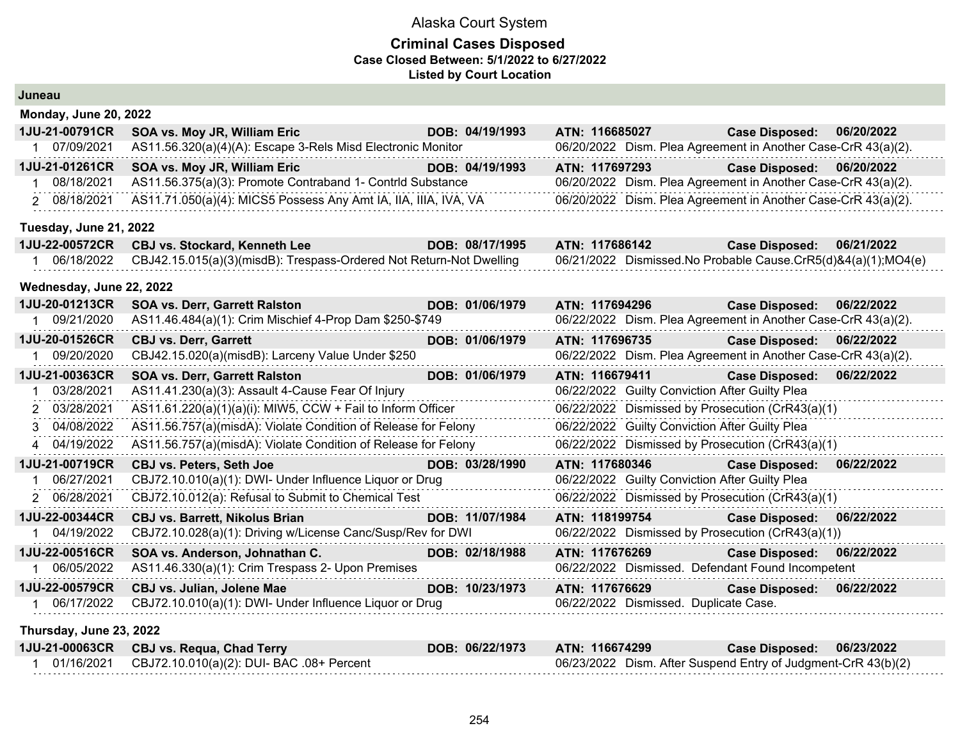### **Criminal Cases Disposed Case Closed Between: 5/1/2022 to 6/27/2022 Listed by Court Location**

| Juneau                       |                                                                     |                 |                |                                                               |            |
|------------------------------|---------------------------------------------------------------------|-----------------|----------------|---------------------------------------------------------------|------------|
| <b>Monday, June 20, 2022</b> |                                                                     |                 |                |                                                               |            |
| 1JU-21-00791CR               | SOA vs. Moy JR, William Eric                                        | DOB: 04/19/1993 | ATN: 116685027 | <b>Case Disposed:</b>                                         | 06/20/2022 |
| 07/09/2021                   | AS11.56.320(a)(4)(A): Escape 3-Rels Misd Electronic Monitor         |                 |                | 06/20/2022 Dism. Plea Agreement in Another Case-CrR 43(a)(2). |            |
| 1JU-21-01261CR               | SOA vs. Moy JR, William Eric                                        | DOB: 04/19/1993 | ATN: 117697293 | <b>Case Disposed:</b>                                         | 06/20/2022 |
| 08/18/2021<br>1              | AS11.56.375(a)(3): Promote Contraband 1- Contrld Substance          |                 |                | 06/20/2022 Dism. Plea Agreement in Another Case-CrR 43(a)(2). |            |
| 2 08/18/2021                 | AS11.71.050(a)(4): MICS5 Possess Any Amt IA, IIA, IIIA, IVA, VA     |                 |                | 06/20/2022 Dism. Plea Agreement in Another Case-CrR 43(a)(2). |            |
| Tuesday, June 21, 2022       |                                                                     |                 |                |                                                               |            |
| 1JU-22-00572CR               | <b>CBJ vs. Stockard, Kenneth Lee</b>                                | DOB: 08/17/1995 | ATN: 117686142 | <b>Case Disposed:</b>                                         | 06/21/2022 |
| 1 06/18/2022                 | CBJ42.15.015(a)(3)(misdB): Trespass-Ordered Not Return-Not Dwelling |                 |                | 06/21/2022 Dismissed.No Probable Cause.CrR5(d)&4(a)(1);MO4(e) |            |
| Wednesday, June 22, 2022     |                                                                     |                 |                |                                                               |            |
| 1JU-20-01213CR               | <b>SOA vs. Derr, Garrett Ralston</b>                                | DOB: 01/06/1979 |                | ATN: 117694296<br><b>Case Disposed:</b>                       | 06/22/2022 |
| 09/21/2020                   | AS11.46.484(a)(1): Crim Mischief 4-Prop Dam \$250-\$749             |                 |                | 06/22/2022 Dism. Plea Agreement in Another Case-CrR 43(a)(2). |            |
| 1JU-20-01526CR               | <b>CBJ vs. Derr, Garrett</b>                                        | DOB: 01/06/1979 | ATN: 117696735 | <b>Case Disposed:</b>                                         | 06/22/2022 |
| 09/20/2020<br>1              | CBJ42.15.020(a)(misdB): Larceny Value Under \$250                   |                 |                | 06/22/2022 Dism. Plea Agreement in Another Case-CrR 43(a)(2). |            |
| 1JU-21-00363CR               | SOA vs. Derr, Garrett Ralston                                       | DOB: 01/06/1979 | ATN: 116679411 | <b>Case Disposed:</b>                                         | 06/22/2022 |
| 03/28/2021                   | AS11.41.230(a)(3): Assault 4-Cause Fear Of Injury                   |                 |                | 06/22/2022 Guilty Conviction After Guilty Plea                |            |
| 2 03/28/2021                 | AS11.61.220(a)(1)(a)(i): MIW5, CCW + Fail to Inform Officer         |                 |                | 06/22/2022 Dismissed by Prosecution (CrR43(a)(1)              |            |
| 3 04/08/2022                 | AS11.56.757(a)(misdA): Violate Condition of Release for Felony      |                 |                | 06/22/2022 Guilty Conviction After Guilty Plea                |            |
| 4 04/19/2022                 | AS11.56.757(a)(misdA): Violate Condition of Release for Felony      |                 |                | 06/22/2022 Dismissed by Prosecution (CrR43(a)(1)              |            |
| 1JU-21-00719CR               | <b>CBJ vs. Peters, Seth Joe</b>                                     | DOB: 03/28/1990 | ATN: 117680346 | <b>Case Disposed:</b>                                         | 06/22/2022 |
| 06/27/2021                   | CBJ72.10.010(a)(1): DWI- Under Influence Liquor or Drug             |                 |                | 06/22/2022 Guilty Conviction After Guilty Plea                |            |
| 2 06/28/2021                 | CBJ72.10.012(a): Refusal to Submit to Chemical Test                 |                 |                | 06/22/2022 Dismissed by Prosecution (CrR43(a)(1)              |            |
| 1JU-22-00344CR               | <b>CBJ vs. Barrett, Nikolus Brian</b>                               | DOB: 11/07/1984 | ATN: 118199754 | <b>Case Disposed:</b>                                         | 06/22/2022 |
| 04/19/2022                   | CBJ72.10.028(a)(1): Driving w/License Canc/Susp/Rev for DWI         |                 |                | 06/22/2022 Dismissed by Prosecution (CrR43(a)(1))             |            |
| 1JU-22-00516CR               | SOA vs. Anderson, Johnathan C.                                      | DOB: 02/18/1988 | ATN: 117676269 | <b>Case Disposed:</b>                                         | 06/22/2022 |
| 06/05/2022<br>1              | AS11.46.330(a)(1): Crim Trespass 2- Upon Premises                   |                 |                | 06/22/2022 Dismissed. Defendant Found Incompetent             |            |
| 1JU-22-00579CR               | <b>CBJ vs. Julian, Jolene Mae</b>                                   | DOB: 10/23/1973 | ATN: 117676629 | <b>Case Disposed:</b>                                         | 06/22/2022 |
| 06/17/2022                   | CBJ72.10.010(a)(1): DWI- Under Influence Liquor or Drug             |                 |                | 06/22/2022 Dismissed. Duplicate Case.                         |            |
|                              |                                                                     |                 |                |                                                               |            |

**Thursday, June 23, 2022**

| 1JU-21-00063CR CBJ vs. Requa, Chad Terry                | DOB: 06/22/1973 | <b>ATN: 116674299</b> | Case Disposed: 06/23/2022                                     |  |
|---------------------------------------------------------|-----------------|-----------------------|---------------------------------------------------------------|--|
| 01/16/2021    CBJ72.10.010(a)(2): DUI- BAC .08+ Percent |                 |                       | 06/23/2022 Dism. After Suspend Entry of Judgment-CrR 43(b)(2) |  |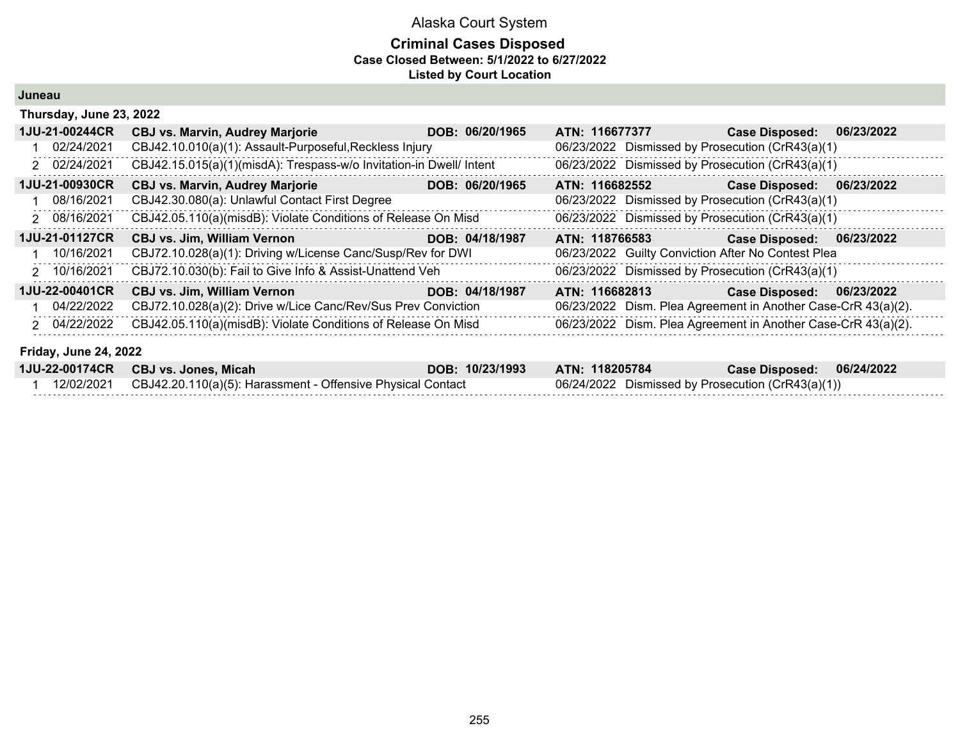### **Criminal Cases Disposed Case Closed Between: 5/1/2022 to 6/27/2022 Listed by Court Location**

**Juneau**

| Thursday, June 23, 2022      |                                                                     |                 |                                                               |                       |            |  |  |
|------------------------------|---------------------------------------------------------------------|-----------------|---------------------------------------------------------------|-----------------------|------------|--|--|
| 1JU-21-00244CR               | <b>CBJ vs. Marvin, Audrey Marjorie</b>                              | DOB: 06/20/1965 | ATN: 116677377                                                | <b>Case Disposed:</b> | 06/23/2022 |  |  |
| 02/24/2021                   | CBJ42.10.010(a)(1): Assault-Purposeful, Reckless Injury             |                 | 06/23/2022 Dismissed by Prosecution (CrR43(a)(1)              |                       |            |  |  |
| 2 02/24/2021                 | CBJ42.15.015(a)(1)(misdA): Trespass-w/o Invitation-in Dwell/ Intent |                 | 06/23/2022 Dismissed by Prosecution (CrR43(a)(1)              |                       |            |  |  |
| 1JU-21-00930CR               | <b>CBJ vs. Marvin, Audrey Marjorie</b>                              | DOB: 06/20/1965 | ATN: 116682552                                                | <b>Case Disposed:</b> | 06/23/2022 |  |  |
| 08/16/2021                   | CBJ42.30.080(a): Unlawful Contact First Degree                      |                 | 06/23/2022 Dismissed by Prosecution (CrR43(a)(1)              |                       |            |  |  |
| 2 08/16/2021                 | CBJ42.05.110(a)(misdB): Violate Conditions of Release On Misd       |                 | 06/23/2022 Dismissed by Prosecution (CrR43(a)(1)              |                       |            |  |  |
| 1JU-21-01127CR               | <b>CBJ vs. Jim, William Vernon</b>                                  | DOB: 04/18/1987 | ATN: 118766583                                                | <b>Case Disposed:</b> | 06/23/2022 |  |  |
| 10/16/2021                   | CBJ72.10.028(a)(1): Driving w/License Canc/Susp/Rev for DWI         |                 | 06/23/2022 Guilty Conviction After No Contest Plea            |                       |            |  |  |
| 2 10/16/2021                 | CBJ72.10.030(b): Fail to Give Info & Assist-Unattend Veh            |                 | 06/23/2022 Dismissed by Prosecution (CrR43(a)(1)              |                       |            |  |  |
| 1JU-22-00401CR               | <b>CBJ vs. Jim, William Vernon</b>                                  | DOB: 04/18/1987 | ATN: 116682813                                                | <b>Case Disposed:</b> | 06/23/2022 |  |  |
| 04/22/2022                   | CBJ72.10.028(a)(2): Drive w/Lice Canc/Rev/Sus Prev Conviction       |                 | 06/23/2022 Dism. Plea Agreement in Another Case-CrR 43(a)(2). |                       |            |  |  |
| 2 04/22/2022                 | CBJ42.05.110(a)(misdB): Violate Conditions of Release On Misd       |                 | 06/23/2022 Dism. Plea Agreement in Another Case-CrR 43(a)(2). |                       |            |  |  |
| <b>Friday, June 24, 2022</b> |                                                                     |                 |                                                               |                       |            |  |  |
| 1JU-22-00174CR               | <b>CBJ vs. Jones, Micah</b>                                         | DOB: 10/23/1993 | ATN: 118205784                                                | <b>Case Disposed:</b> | 06/24/2022 |  |  |
| 12/02/2021                   | CBJ42.20.110(a)(5): Harassment - Offensive Physical Contact         |                 | 06/24/2022 Dismissed by Prosecution (CrR43(a)(1))             |                       |            |  |  |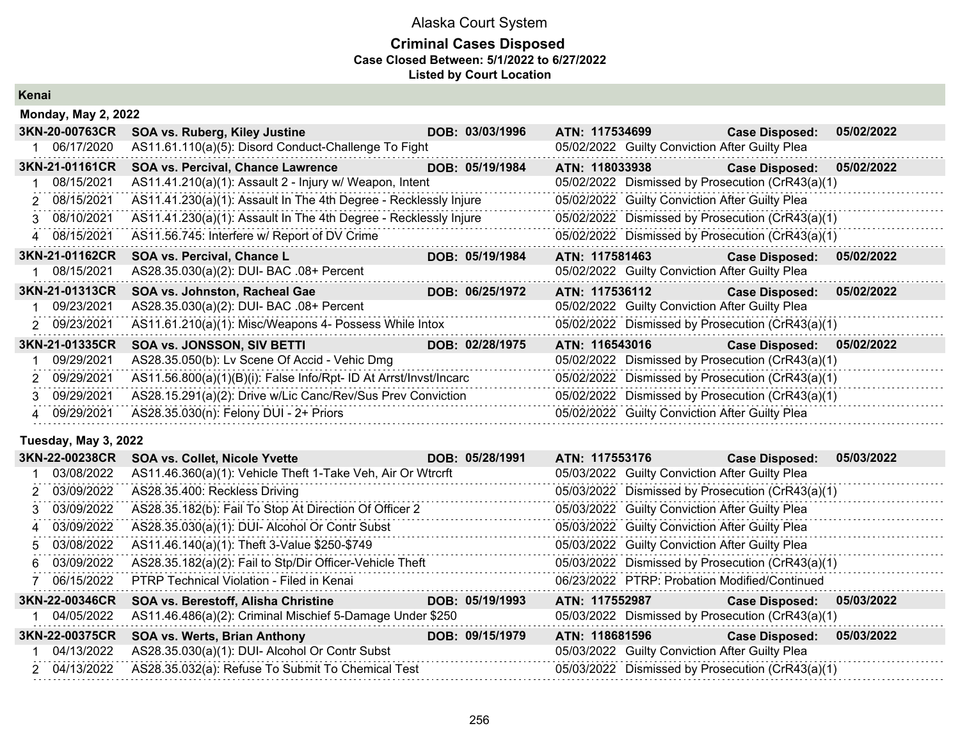### **Criminal Cases Disposed Case Closed Between: 5/1/2022 to 6/27/2022 Listed by Court Location**

**Kenai**

|               | <b>Monday, May 2, 2022</b> |                                                                   |                 |                                                  |                       |            |
|---------------|----------------------------|-------------------------------------------------------------------|-----------------|--------------------------------------------------|-----------------------|------------|
|               | 3KN-20-00763CR             | SOA vs. Ruberg, Kiley Justine                                     | DOB: 03/03/1996 | ATN: 117534699                                   | <b>Case Disposed:</b> | 05/02/2022 |
|               | 06/17/2020                 | AS11.61.110(a)(5): Disord Conduct-Challenge To Fight              |                 | 05/02/2022 Guilty Conviction After Guilty Plea   |                       |            |
|               | 3KN-21-01161CR             | <b>SOA vs. Percival, Chance Lawrence</b>                          | DOB: 05/19/1984 | ATN: 118033938                                   | <b>Case Disposed:</b> | 05/02/2022 |
|               | 08/15/2021                 | AS11.41.210(a)(1): Assault 2 - Injury w/ Weapon, Intent           |                 | 05/02/2022 Dismissed by Prosecution (CrR43(a)(1) |                       |            |
| $\mathcal{P}$ | 08/15/2021                 | AS11.41.230(a)(1): Assault In The 4th Degree - Recklessly Injure  |                 | 05/02/2022 Guilty Conviction After Guilty Plea   |                       |            |
|               | 3 08/10/2021               | AS11.41.230(a)(1): Assault In The 4th Degree - Recklessly Injure  |                 | 05/02/2022 Dismissed by Prosecution (CrR43(a)(1) |                       |            |
|               | 4 08/15/2021               | AS11.56.745: Interfere w/ Report of DV Crime                      |                 | 05/02/2022 Dismissed by Prosecution (CrR43(a)(1) |                       |            |
|               | 3KN-21-01162CR             | SOA vs. Percival, Chance L                                        | DOB: 05/19/1984 | ATN: 117581463                                   | <b>Case Disposed:</b> | 05/02/2022 |
|               | 08/15/2021                 | AS28.35.030(a)(2): DUI- BAC .08+ Percent                          |                 | 05/02/2022 Guilty Conviction After Guilty Plea   |                       |            |
|               | 3KN-21-01313CR             | SOA vs. Johnston, Racheal Gae                                     | DOB: 06/25/1972 | ATN: 117536112                                   | <b>Case Disposed:</b> | 05/02/2022 |
|               | 09/23/2021                 | AS28.35.030(a)(2): DUI- BAC .08+ Percent                          |                 | 05/02/2022 Guilty Conviction After Guilty Plea   |                       |            |
|               | 2 09/23/2021               | AS11.61.210(a)(1): Misc/Weapons 4- Possess While Intox            |                 | 05/02/2022 Dismissed by Prosecution (CrR43(a)(1) |                       |            |
|               | 3KN-21-01335CR             | SOA vs. JONSSON, SIV BETTI                                        | DOB: 02/28/1975 | ATN: 116543016                                   | <b>Case Disposed:</b> | 05/02/2022 |
|               | 09/29/2021                 | AS28.35.050(b): Lv Scene Of Accid - Vehic Dmg                     |                 | 05/02/2022 Dismissed by Prosecution (CrR43(a)(1) |                       |            |
|               | 2 09/29/2021               | AS11.56.800(a)(1)(B)(i): False Info/Rpt- ID At Arrst/Invst/Incarc |                 | 05/02/2022 Dismissed by Prosecution (CrR43(a)(1) |                       |            |
| 3             | 09/29/2021                 | AS28.15.291(a)(2): Drive w/Lic Canc/Rev/Sus Prev Conviction       |                 | 05/02/2022 Dismissed by Prosecution (CrR43(a)(1) |                       |            |
|               | 4 09/29/2021               | AS28.35.030(n): Felony DUI - 2+ Priors                            |                 | 05/02/2022 Guilty Conviction After Guilty Plea   |                       |            |
|               |                            |                                                                   |                 |                                                  |                       |            |

### **Tuesday, May 3, 2022**

| 3KN-22-00238CR | <b>SOA vs. Collet, Nicole Yvette</b>                        | DOB: 05/28/1991 | ATN: 117553176 |                                                | <b>Case Disposed:</b>                            | 05/03/2022 |
|----------------|-------------------------------------------------------------|-----------------|----------------|------------------------------------------------|--------------------------------------------------|------------|
| 03/08/2022     | AS11.46.360(a)(1): Vehicle Theft 1-Take Veh, Air Or Wtrcrft |                 |                | 05/03/2022 Guilty Conviction After Guilty Plea |                                                  |            |
| 2 03/09/2022   | AS28.35.400: Reckless Driving                               |                 |                |                                                | 05/03/2022 Dismissed by Prosecution (CrR43(a)(1) |            |
| 3 03/09/2022   | AS28.35.182(b): Fail To Stop At Direction Of Officer 2      |                 |                | 05/03/2022 Guilty Conviction After Guilty Plea |                                                  |            |
| 4 03/09/2022   | AS28.35.030(a)(1): DUI- Alcohol Or Contr Subst              |                 |                | 05/03/2022 Guilty Conviction After Guilty Plea |                                                  |            |
| 5 03/08/2022   | AS11.46.140(a)(1): Theft 3-Value \$250-\$749                |                 |                | 05/03/2022 Guilty Conviction After Guilty Plea |                                                  |            |
| 6 03/09/2022   | AS28.35.182(a)(2): Fail to Stp/Dir Officer-Vehicle Theft    |                 |                |                                                | 05/03/2022 Dismissed by Prosecution (CrR43(a)(1) |            |
| 7 06/15/2022   | <b>PTRP Technical Violation - Filed in Kenai</b>            |                 |                |                                                | 06/23/2022 PTRP: Probation Modified/Continued    |            |
| 3KN-22-00346CR | <b>SOA vs. Berestoff, Alisha Christine</b>                  | DOB: 05/19/1993 | ATN: 117552987 |                                                | Case Disposed: 05/03/2022                        |            |
| 1 04/05/2022   | AS11.46.486(a)(2): Criminal Mischief 5-Damage Under \$250   |                 |                |                                                | 05/03/2022 Dismissed by Prosecution (CrR43(a)(1) |            |
| 3KN-22-00375CR | SOA vs. Werts, Brian Anthony                                | DOB: 09/15/1979 | ATN: 118681596 |                                                | <b>Case Disposed:</b>                            | 05/03/2022 |
| 1 04/13/2022   | AS28.35.030(a)(1): DUI- Alcohol Or Contr Subst              |                 |                | 05/03/2022 Guilty Conviction After Guilty Plea |                                                  |            |
| 2 04/13/2022   | AS28.35.032(a): Refuse To Submit To Chemical Test           |                 |                |                                                | 05/03/2022 Dismissed by Prosecution (CrR43(a)(1) |            |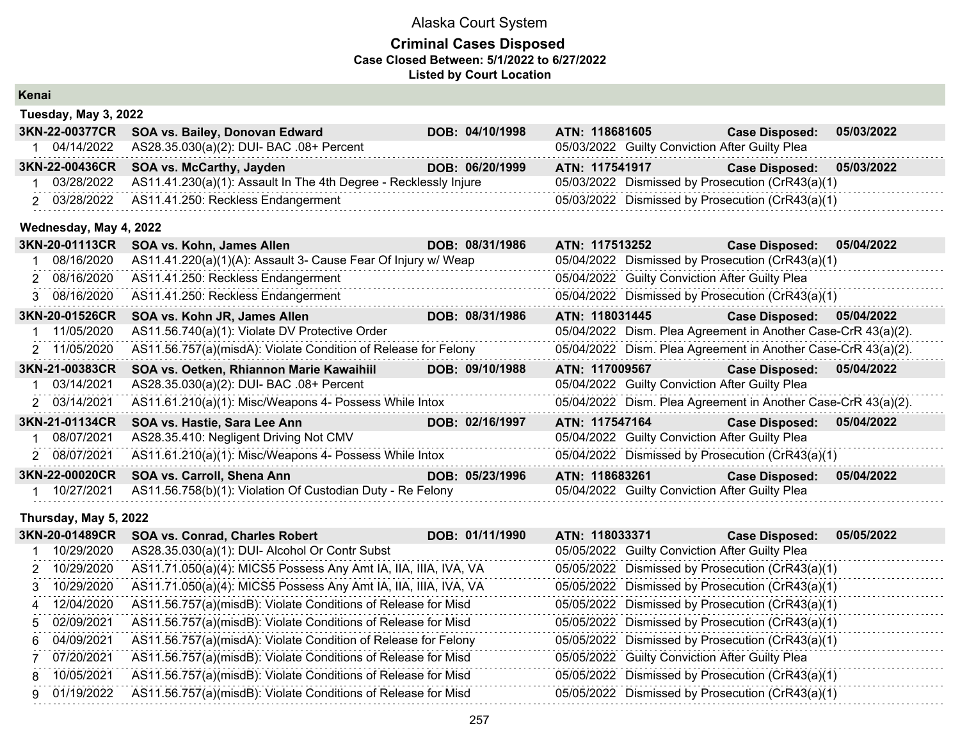### **Criminal Cases Disposed Case Closed Between: 5/1/2022 to 6/27/2022 Listed by Court Location**

| Kenai                  |                                                                  |                 |                |                                                               |            |
|------------------------|------------------------------------------------------------------|-----------------|----------------|---------------------------------------------------------------|------------|
| Tuesday, May 3, 2022   |                                                                  |                 |                |                                                               |            |
| 3KN-22-00377CR         | SOA vs. Bailey, Donovan Edward                                   | DOB: 04/10/1998 | ATN: 118681605 | <b>Case Disposed:</b>                                         | 05/03/2022 |
| 1 04/14/2022           | AS28.35.030(a)(2): DUI- BAC .08+ Percent                         |                 |                | 05/03/2022 Guilty Conviction After Guilty Plea                |            |
| 3KN-22-00436CR         | SOA vs. McCarthy, Jayden                                         | DOB: 06/20/1999 | ATN: 117541917 | <b>Case Disposed:</b>                                         | 05/03/2022 |
| 03/28/2022             | AS11.41.230(a)(1): Assault In The 4th Degree - Recklessly Injure |                 |                | 05/03/2022 Dismissed by Prosecution (CrR43(a)(1)              |            |
| 2 03/28/2022           | AS11.41.250: Reckless Endangerment                               |                 |                | 05/03/2022 Dismissed by Prosecution (CrR43(a)(1)              |            |
| Wednesday, May 4, 2022 |                                                                  |                 |                |                                                               |            |
| 3KN-20-01113CR         | SOA vs. Kohn, James Allen                                        | DOB: 08/31/1986 | ATN: 117513252 | <b>Case Disposed:</b>                                         | 05/04/2022 |
| 08/16/2020             | AS11.41.220(a)(1)(A): Assault 3- Cause Fear Of Injury w/ Weap    |                 |                | 05/04/2022 Dismissed by Prosecution (CrR43(a)(1)              |            |
| 2 08/16/2020           | AS11.41.250: Reckless Endangerment                               |                 |                | 05/04/2022 Guilty Conviction After Guilty Plea                |            |
| 3 08/16/2020           | AS11.41.250: Reckless Endangerment                               |                 |                | 05/04/2022 Dismissed by Prosecution (CrR43(a)(1)              |            |
| 3KN-20-01526CR         | SOA vs. Kohn JR, James Allen                                     | DOB: 08/31/1986 | ATN: 118031445 | <b>Case Disposed:</b>                                         | 05/04/2022 |
| 11/05/2020             | AS11.56.740(a)(1): Violate DV Protective Order                   |                 |                | 05/04/2022 Dism. Plea Agreement in Another Case-CrR 43(a)(2). |            |
| 2 11/05/2020           | AS11.56.757(a)(misdA): Violate Condition of Release for Felony   |                 |                | 05/04/2022 Dism. Plea Agreement in Another Case-CrR 43(a)(2). |            |
| 3KN-21-00383CR         | SOA vs. Oetken, Rhiannon Marie Kawaihiil                         | DOB: 09/10/1988 | ATN: 117009567 | <b>Case Disposed:</b>                                         | 05/04/2022 |
| 03/14/2021             | AS28.35.030(a)(2): DUI- BAC .08+ Percent                         |                 |                | 05/04/2022 Guilty Conviction After Guilty Plea                |            |
| 2 03/14/2021           | AS11.61.210(a)(1): Misc/Weapons 4- Possess While Intox           |                 |                | 05/04/2022 Dism. Plea Agreement in Another Case-CrR 43(a)(2). |            |
| 3KN-21-01134CR         | SOA vs. Hastie, Sara Lee Ann                                     | DOB: 02/16/1997 | ATN: 117547164 | <b>Case Disposed:</b>                                         | 05/04/2022 |
| 08/07/2021             | AS28.35.410: Negligent Driving Not CMV                           | .               |                | 05/04/2022 Guilty Conviction After Guilty Plea                |            |
| 2 08/07/2021           | AS11.61.210(a)(1): Misc/Weapons 4- Possess While Intox           |                 |                | 05/04/2022 Dismissed by Prosecution (CrR43(a)(1)              |            |
| 3KN-22-00020CR         | SOA vs. Carroll, Shena Ann                                       | DOB: 05/23/1996 | ATN: 118683261 | <b>Case Disposed:</b>                                         | 05/04/2022 |
| 10/27/2021             | AS11.56.758(b)(1): Violation Of Custodian Duty - Re Felony       |                 |                | 05/04/2022 Guilty Conviction After Guilty Plea                |            |

#### **Thursday, May 5, 2022**

| 3KN-20-01489CR | <b>SOA vs. Conrad, Charles Robert</b>                           | DOB: 01/11/1990 | ATN: 118033371 |                                                | <b>Case Disposed:</b>                            | 05/05/2022 |
|----------------|-----------------------------------------------------------------|-----------------|----------------|------------------------------------------------|--------------------------------------------------|------------|
| 10/29/2020     | AS28.35.030(a)(1): DUI- Alcohol Or Contr Subst                  |                 |                | 05/05/2022 Guilty Conviction After Guilty Plea |                                                  |            |
| 2 10/29/2020   | AS11.71.050(a)(4): MICS5 Possess Any Amt IA, IIA, IIIA, IVA, VA |                 |                |                                                | 05/05/2022 Dismissed by Prosecution (CrR43(a)(1) |            |
| 3 10/29/2020   | AS11.71.050(a)(4): MICS5 Possess Any Amt IA, IIA, IIIA, IVA, VA |                 |                |                                                | 05/05/2022 Dismissed by Prosecution (CrR43(a)(1) |            |
| 4 12/04/2020   | AS11.56.757(a)(misdB): Violate Conditions of Release for Misd   |                 |                |                                                | 05/05/2022 Dismissed by Prosecution (CrR43(a)(1) |            |
| 5 02/09/2021   | AS11.56.757(a)(misdB): Violate Conditions of Release for Misd   |                 |                |                                                | 05/05/2022 Dismissed by Prosecution (CrR43(a)(1) |            |
| 6 04/09/2021   | AS11.56.757(a)(misdA): Violate Condition of Release for Felony  |                 |                |                                                | 05/05/2022 Dismissed by Prosecution (CrR43(a)(1) |            |
| 07/20/2021     | AS11.56.757(a)(misdB): Violate Conditions of Release for Misd   |                 |                | 05/05/2022 Guilty Conviction After Guilty Plea |                                                  |            |
| 8 10/05/2021   | AS11.56.757(a)(misdB): Violate Conditions of Release for Misd   |                 |                |                                                | 05/05/2022 Dismissed by Prosecution (CrR43(a)(1) |            |
| 9 01/19/2022   | AS11.56.757(a)(misdB): Violate Conditions of Release for Misd   |                 |                |                                                | 05/05/2022 Dismissed by Prosecution (CrR43(a)(1) |            |
|                |                                                                 |                 |                |                                                |                                                  |            |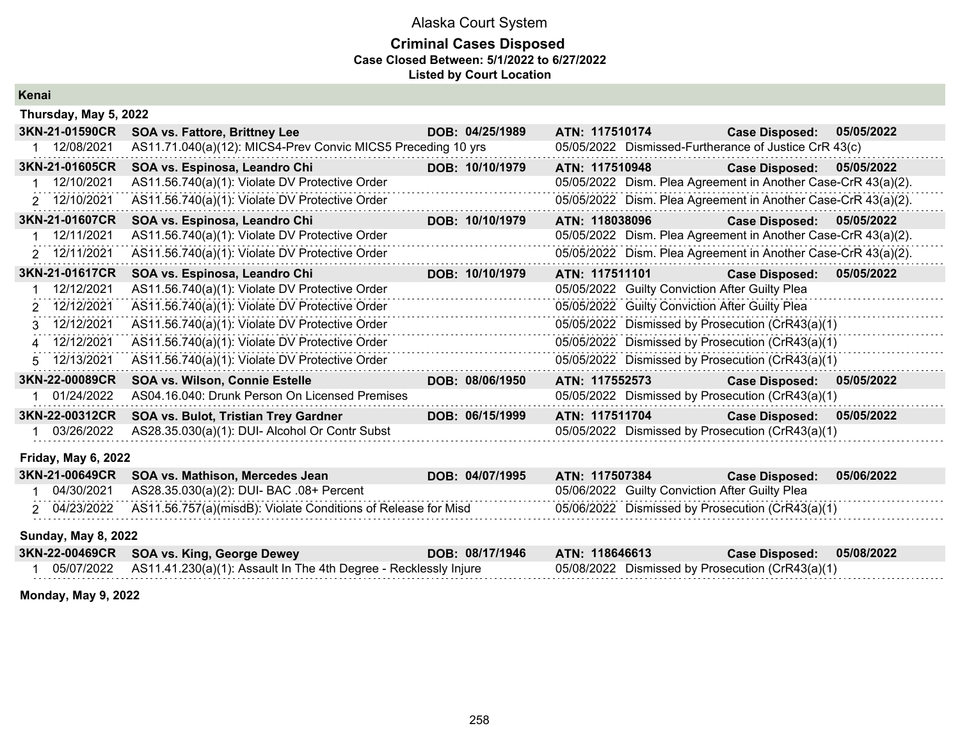### **Criminal Cases Disposed Case Closed Between: 5/1/2022 to 6/27/2022 Listed by Court Location**

| И     |  |  |
|-------|--|--|
|       |  |  |
| Kenar |  |  |
|       |  |  |

| Thursday, May 5, 2022      |                                                              |                 |                                                |                                                               |            |
|----------------------------|--------------------------------------------------------------|-----------------|------------------------------------------------|---------------------------------------------------------------|------------|
| 3KN-21-01590CR             | <b>SOA vs. Fattore, Brittney Lee</b>                         | DOB: 04/25/1989 | ATN: 117510174                                 | <b>Case Disposed:</b>                                         | 05/05/2022 |
| 12/08/2021                 | AS11.71.040(a)(12): MICS4-Prev Convic MICS5 Preceding 10 yrs |                 |                                                | 05/05/2022 Dismissed-Furtherance of Justice CrR 43(c)         |            |
| 3KN-21-01605CR             | SOA vs. Espinosa, Leandro Chi                                | DOB: 10/10/1979 | ATN: 117510948                                 | Case Disposed: 05/05/2022                                     |            |
| 12/10/2021                 | AS11.56.740(a)(1): Violate DV Protective Order               |                 |                                                | 05/05/2022 Dism. Plea Agreement in Another Case-CrR 43(a)(2). |            |
| 2 12/10/2021               | AS11.56.740(a)(1): Violate DV Protective Order               |                 |                                                | 05/05/2022 Dism. Plea Agreement in Another Case-CrR 43(a)(2). |            |
| 3KN-21-01607CR             | SOA vs. Espinosa, Leandro Chi                                | DOB: 10/10/1979 | ATN: 118038096                                 | Case Disposed: 05/05/2022                                     |            |
| 12/11/2021                 | AS11.56.740(a)(1): Violate DV Protective Order               |                 |                                                | 05/05/2022 Dism. Plea Agreement in Another Case-CrR 43(a)(2). |            |
| 2 12/11/2021               | AS11.56.740(a)(1): Violate DV Protective Order               |                 |                                                | 05/05/2022 Dism. Plea Agreement in Another Case-CrR 43(a)(2). |            |
| 3KN-21-01617CR             | SOA vs. Espinosa, Leandro Chi                                | DOB: 10/10/1979 | ATN: 117511101                                 | Case Disposed: 05/05/2022                                     |            |
| 12/12/2021                 | AS11.56.740(a)(1): Violate DV Protective Order               |                 | 05/05/2022 Guilty Conviction After Guilty Plea |                                                               |            |
| 2 12/12/2021               | AS11.56.740(a)(1): Violate DV Protective Order               |                 | 05/05/2022 Guilty Conviction After Guilty Plea |                                                               |            |
| 3 12/12/2021               | AS11.56.740(a)(1): Violate DV Protective Order               |                 |                                                | 05/05/2022 Dismissed by Prosecution (CrR43(a)(1)              |            |
| 4 12/12/2021               | AS11.56.740(a)(1): Violate DV Protective Order               |                 |                                                | 05/05/2022 Dismissed by Prosecution (CrR43(a)(1)              |            |
| 12/13/2021                 | AS11.56.740(a)(1): Violate DV Protective Order               |                 |                                                | 05/05/2022 Dismissed by Prosecution (CrR43(a)(1)              |            |
| 3KN-22-00089CR             | SOA vs. Wilson, Connie Estelle                               | DOB: 08/06/1950 | ATN: 117552573                                 | Case Disposed: 05/05/2022                                     |            |
| 01/24/2022                 | AS04.16.040: Drunk Person On Licensed Premises               |                 |                                                | 05/05/2022 Dismissed by Prosecution (CrR43(a)(1)              |            |
| 3KN-22-00312CR             | SOA vs. Bulot, Tristian Trey Gardner                         | DOB: 06/15/1999 | ATN: 117511704                                 | <b>Case Disposed:</b>                                         | 05/05/2022 |
| 03/26/2022                 | AS28.35.030(a)(1): DUI- Alcohol Or Contr Subst               |                 |                                                | 05/05/2022 Dismissed by Prosecution (CrR43(a)(1)              |            |
| <b>Friday, May 6, 2022</b> |                                                              |                 |                                                |                                                               |            |
| 3KN-21-00649CR             | SOA vs. Mathison, Mercedes Jean                              | DOB: 04/07/1995 | ATN: 117507384                                 | <b>Case Disposed:</b>                                         | 05/06/2022 |

|            | 3KN-21-00649CR     SOA vs. Mathison. Mercedes Jean            | DOB: 04/07/1995 | AIN: 11/50/384 | Case Disposed:<br>05/06/2022                     |
|------------|---------------------------------------------------------------|-----------------|----------------|--------------------------------------------------|
| 04/30/2021 | AS28.35.030(a)(2): DUI- BAC .08+ Percent                      |                 |                | 05/06/2022 Guilty Conviction After Guilty Plea   |
| 04/23/2022 | AS11.56.757(a)(misdB): Violate Conditions of Release for Misd |                 |                | 05/06/2022 Dismissed by Prosecution (CrR43(a)(1) |
|            |                                                               |                 |                |                                                  |

### **Sunday, May 8, 2022**

| 3KN-22-00469CR SOA vs. King, George Dewey                                   | DOB: 08/17/1946 | ATN: 118646613                                   | Case Disposed: 05/08/2022 |  |
|-----------------------------------------------------------------------------|-----------------|--------------------------------------------------|---------------------------|--|
| 05/07/2022 AS11.41.230(a)(1): Assault In The 4th Degree - Recklessly Injure |                 | 05/08/2022 Dismissed by Prosecution (CrR43(a)(1) |                           |  |

**Monday, May 9, 2022**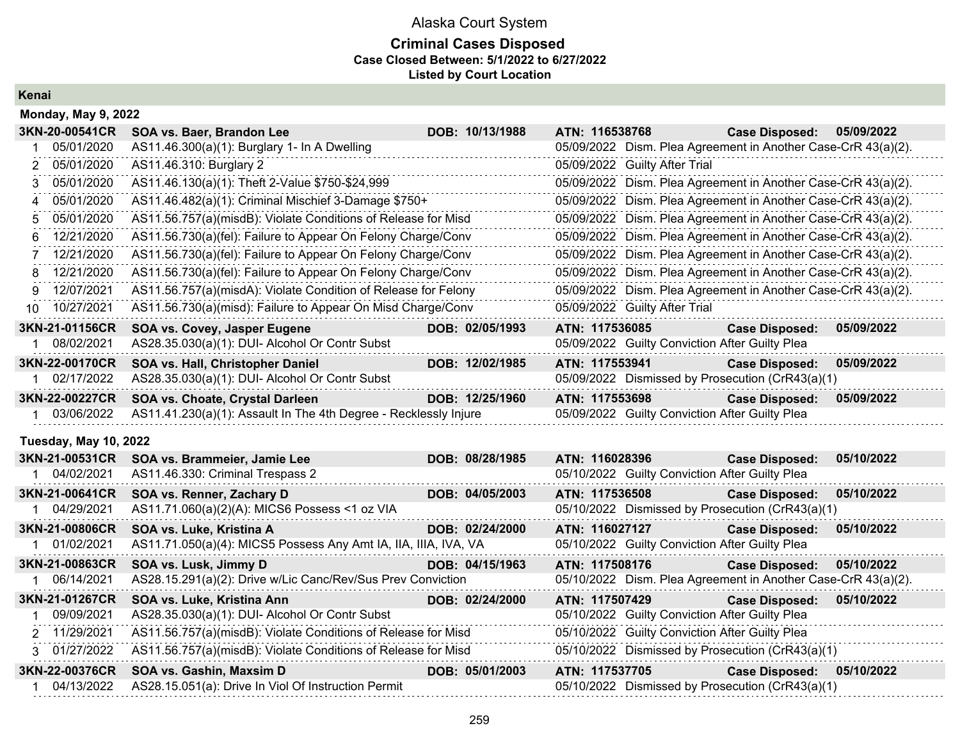### **Criminal Cases Disposed Case Closed Between: 5/1/2022 to 6/27/2022 Listed by Court Location**

**Kenai**

| <b>Monday, May 9, 2022</b>   |                                                                  |                 |                                                               |                       |            |
|------------------------------|------------------------------------------------------------------|-----------------|---------------------------------------------------------------|-----------------------|------------|
| 3KN-20-00541CR               | SOA vs. Baer, Brandon Lee                                        | DOB: 10/13/1988 | ATN: 116538768                                                | <b>Case Disposed:</b> | 05/09/2022 |
| 05/01/2020                   | AS11.46.300(a)(1): Burglary 1- In A Dwelling                     |                 | 05/09/2022 Dism. Plea Agreement in Another Case-CrR 43(a)(2). |                       |            |
| 05/01/2020                   | AS11.46.310: Burglary 2                                          |                 | 05/09/2022 Guilty After Trial                                 |                       |            |
| 05/01/2020<br>3              | AS11.46.130(a)(1): Theft 2-Value \$750-\$24,999                  |                 | 05/09/2022 Dism. Plea Agreement in Another Case-CrR 43(a)(2). |                       |            |
| 05/01/2020<br>4              | AS11.46.482(a)(1): Criminal Mischief 3-Damage \$750+             |                 | 05/09/2022 Dism. Plea Agreement in Another Case-CrR 43(a)(2). |                       |            |
| 05/01/2020<br>5              | AS11.56.757(a)(misdB): Violate Conditions of Release for Misd    |                 | 05/09/2022 Dism. Plea Agreement in Another Case-CrR 43(a)(2). |                       |            |
| 12/21/2020<br>6              | AS11.56.730(a)(fel): Failure to Appear On Felony Charge/Conv     |                 | 05/09/2022 Dism. Plea Agreement in Another Case-CrR 43(a)(2). |                       |            |
| 12/21/2020<br>7              | AS11.56.730(a)(fel): Failure to Appear On Felony Charge/Conv     |                 | 05/09/2022 Dism. Plea Agreement in Another Case-CrR 43(a)(2). |                       |            |
| 12/21/2020<br>8              | AS11.56.730(a)(fel): Failure to Appear On Felony Charge/Conv     |                 | 05/09/2022 Dism. Plea Agreement in Another Case-CrR 43(a)(2). |                       |            |
| 12/07/2021<br>9              | AS11.56.757(a)(misdA): Violate Condition of Release for Felony   |                 | 05/09/2022 Dism. Plea Agreement in Another Case-CrR 43(a)(2). |                       |            |
| 10/27/2021<br>10             | AS11.56.730(a)(misd): Failure to Appear On Misd Charge/Conv      |                 | 05/09/2022 Guilty After Trial                                 |                       |            |
| 3KN-21-01156CR               | SOA vs. Covey, Jasper Eugene                                     | DOB: 02/05/1993 | ATN: 117536085                                                | <b>Case Disposed:</b> | 05/09/2022 |
| 08/02/2021                   | AS28.35.030(a)(1): DUI- Alcohol Or Contr Subst                   |                 | 05/09/2022 Guilty Conviction After Guilty Plea                |                       |            |
| 3KN-22-00170CR               | SOA vs. Hall, Christopher Daniel                                 | DOB: 12/02/1985 | ATN: 117553941                                                | <b>Case Disposed:</b> | 05/09/2022 |
| 1 02/17/2022                 | AS28.35.030(a)(1): DUI- Alcohol Or Contr Subst                   |                 | 05/09/2022 Dismissed by Prosecution (CrR43(a)(1)              |                       |            |
| 3KN-22-00227CR               | SOA vs. Choate, Crystal Darleen                                  | DOB: 12/25/1960 | ATN: 117553698                                                | <b>Case Disposed:</b> | 05/09/2022 |
| 1 03/06/2022                 | AS11.41.230(a)(1): Assault In The 4th Degree - Recklessly Injure |                 | 05/09/2022 Guilty Conviction After Guilty Plea                |                       |            |
| <b>Tuesday, May 10, 2022</b> |                                                                  |                 |                                                               |                       |            |
| 3KN-21-00531CR               | SOA vs. Brammeier, Jamie Lee                                     | DOB: 08/28/1985 | ATN: 116028396                                                | <b>Case Disposed:</b> | 05/10/2022 |
| 1 04/02/2021                 | AS11.46.330: Criminal Trespass 2                                 |                 | 05/10/2022 Guilty Conviction After Guilty Plea                |                       |            |
| 3KN-21-00641CR               | SOA vs. Renner, Zachary D                                        | DOB: 04/05/2003 | ATN: 117536508                                                | <b>Case Disposed:</b> | 05/10/2022 |
| 1 04/29/2021                 | AS11.71.060(a)(2)(A): MICS6 Possess <1 oz VIA                    |                 | 05/10/2022 Dismissed by Prosecution (CrR43(a)(1)              |                       |            |
| 3KN-21-00806CR               | SOA vs. Luke, Kristina A                                         | DOB: 02/24/2000 | ATN: 116027127                                                | <b>Case Disposed:</b> | 05/10/2022 |
| 1 01/02/2021                 | AS11.71.050(a)(4): MICS5 Possess Any Amt IA, IIA, IIIA, IVA, VA  |                 | 05/10/2022 Guilty Conviction After Guilty Plea                |                       |            |
| 3KN-21-00863CR               | SOA vs. Lusk, Jimmy D                                            | DOB: 04/15/1963 | ATN: 117508176                                                | <b>Case Disposed:</b> | 05/10/2022 |
| 1 06/14/2021                 | AS28.15.291(a)(2): Drive w/Lic Canc/Rev/Sus Prev Conviction      |                 | 05/10/2022 Dism. Plea Agreement in Another Case-CrR 43(a)(2). |                       |            |
| 3KN-21-01267CR               | SOA vs. Luke, Kristina Ann                                       | DOB: 02/24/2000 | ATN: 117507429                                                | <b>Case Disposed:</b> | 05/10/2022 |
| 09/09/2021                   | AS28.35.030(a)(1): DUI- Alcohol Or Contr Subst                   |                 | 05/10/2022 Guilty Conviction After Guilty Plea                |                       |            |
| 2 11/29/2021                 | AS11.56.757(a)(misdB): Violate Conditions of Release for Misd    |                 | 05/10/2022 Guilty Conviction After Guilty Plea                |                       |            |
| 3 01/27/2022                 | AS11.56.757(a)(misdB): Violate Conditions of Release for Misd    |                 | 05/10/2022 Dismissed by Prosecution (CrR43(a)(1)              |                       |            |
| 3KN-22-00376CR               | SOA vs. Gashin, Maxsim D                                         | DOB: 05/01/2003 | ATN: 117537705                                                | <b>Case Disposed:</b> | 05/10/2022 |
| 1 04/13/2022                 | AS28.15.051(a): Drive In Viol Of Instruction Permit              |                 | 05/10/2022 Dismissed by Prosecution (CrR43(a)(1)              |                       |            |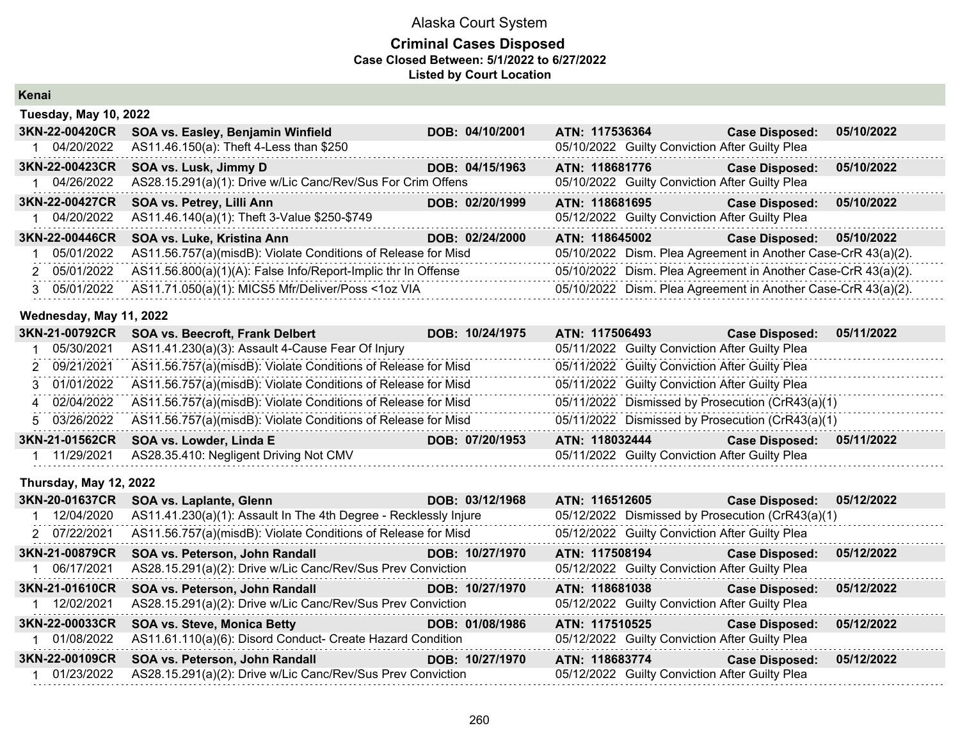### **Criminal Cases Disposed Case Closed Between: 5/1/2022 to 6/27/2022 Listed by Court Location**

**Kenai**

| <b>Tuesday, May 10, 2022</b> |                                                               |                 |                                                               |                       |            |
|------------------------------|---------------------------------------------------------------|-----------------|---------------------------------------------------------------|-----------------------|------------|
| 3KN-22-00420CR               | SOA vs. Easley, Benjamin Winfield                             | DOB: 04/10/2001 | ATN: 117536364                                                | <b>Case Disposed:</b> | 05/10/2022 |
| 04/20/2022                   | AS11.46.150(a): Theft 4-Less than \$250                       |                 | 05/10/2022 Guilty Conviction After Guilty Plea                |                       |            |
| 3KN-22-00423CR               | SOA vs. Lusk, Jimmy D                                         | DOB: 04/15/1963 | ATN: 118681776                                                | <b>Case Disposed:</b> | 05/10/2022 |
| 04/26/2022                   | AS28.15.291(a)(1): Drive w/Lic Canc/Rev/Sus For Crim Offens   |                 | 05/10/2022 Guilty Conviction After Guilty Plea                |                       |            |
| 3KN-22-00427CR               | SOA vs. Petrey, Lilli Ann                                     | DOB: 02/20/1999 | ATN: 118681695                                                | <b>Case Disposed:</b> | 05/10/2022 |
| 04/20/2022                   | AS11.46.140(a)(1): Theft 3-Value \$250-\$749                  |                 | 05/12/2022 Guilty Conviction After Guilty Plea                |                       |            |
| 3KN-22-00446CR               | SOA vs. Luke, Kristina Ann                                    | DOB: 02/24/2000 | ATN: 118645002                                                | <b>Case Disposed:</b> | 05/10/2022 |
| 05/01/2022                   | AS11.56.757(a)(misdB): Violate Conditions of Release for Misd |                 | 05/10/2022 Dism. Plea Agreement in Another Case-CrR 43(a)(2). |                       |            |
| 2 05/01/2022                 | AS11.56.800(a)(1)(A): False Info/Report-Implic thr In Offense |                 | 05/10/2022 Dism. Plea Agreement in Another Case-CrR 43(a)(2). |                       |            |
| 3 05/01/2022                 | AS11.71.050(a)(1): MICS5 Mfr/Deliver/Poss <1oz VIA            |                 | 05/10/2022 Dism. Plea Agreement in Another Case-CrR 43(a)(2). |                       |            |

#### **Wednesday, May 11, 2022**

| 3KN-21-00792CR | SOA vs. Beecroft, Frank Delbert                                            | DOB: 10/24/1975 | ATN: 117506493                                   | <b>Case Disposed:</b>                          | 05/11/2022 |
|----------------|----------------------------------------------------------------------------|-----------------|--------------------------------------------------|------------------------------------------------|------------|
| 05/30/2021     | AS11.41.230(a)(3): Assault 4-Cause Fear Of Injury                          |                 |                                                  | 05/11/2022 Guilty Conviction After Guilty Plea |            |
| 2 09/21/2021   | AS11.56.757(a)(misdB): Violate Conditions of Release for Misd              |                 |                                                  | 05/11/2022 Guilty Conviction After Guilty Plea |            |
|                | 3 01/01/2022 AS11.56.757(a)(misdB): Violate Conditions of Release for Misd |                 |                                                  | 05/11/2022 Guilty Conviction After Guilty Plea |            |
|                | 4 02/04/2022 AS11.56.757(a)(misdB): Violate Conditions of Release for Misd |                 | 05/11/2022 Dismissed by Prosecution (CrR43(a)(1) |                                                |            |
| 5 03/26/2022   | AS11.56.757(a)(misdB): Violate Conditions of Release for Misd              |                 | 05/11/2022 Dismissed by Prosecution (CrR43(a)(1) |                                                |            |
| 3KN-21-01562CR | SOA vs. Lowder, Linda E                                                    | DOB: 07/20/1953 | ATN: 118032444                                   | <b>Case Disposed:</b>                          | 05/11/2022 |
| 11/29/2021     | AS28.35.410: Negligent Driving Not CMV                                     |                 |                                                  | 05/11/2022 Guilty Conviction After Guilty Plea |            |

### **Thursday, May 12, 2022**

| <b>3KN-20-01637CR</b> | SOA vs. Laplante, Glenn                                          | DOB: 03/12/1968 | ATN: 116512605                                   | <b>Case Disposed:</b> | 05/12/2022 |
|-----------------------|------------------------------------------------------------------|-----------------|--------------------------------------------------|-----------------------|------------|
| 12/04/2020            | AS11.41.230(a)(1): Assault In The 4th Degree - Recklessly Injure |                 | 05/12/2022 Dismissed by Prosecution (CrR43(a)(1) |                       |            |
| 2 07/22/2021          | AS11.56.757(a)(misdB): Violate Conditions of Release for Misd    |                 | 05/12/2022 Guilty Conviction After Guilty Plea   |                       |            |
| 3KN-21-00879CR        | SOA vs. Peterson, John Randall                                   | DOB: 10/27/1970 | ATN: 117508194                                   | <b>Case Disposed:</b> | 05/12/2022 |
| 06/17/2021            | AS28.15.291(a)(2): Drive w/Lic Canc/Rev/Sus Prev Conviction      |                 | 05/12/2022 Guilty Conviction After Guilty Plea   |                       |            |
| 3KN-21-01610CR        | <b>SOA vs. Peterson, John Randall</b>                            | DOB: 10/27/1970 | ATN: 118681038                                   | <b>Case Disposed:</b> | 05/12/2022 |
| 12/02/2021            | AS28.15.291(a)(2): Drive w/Lic Canc/Rev/Sus Prev Conviction      |                 | 05/12/2022 Guilty Conviction After Guilty Plea   |                       |            |
| <b>3KN-22-00033CR</b> | <b>SOA vs. Steve, Monica Betty</b>                               | DOB: 01/08/1986 | ATN: 117510525                                   | <b>Case Disposed:</b> | 05/12/2022 |
| 01/08/2022            | AS11.61.110(a)(6): Disord Conduct- Create Hazard Condition       |                 | 05/12/2022 Guilty Conviction After Guilty Plea   |                       |            |
| 3KN-22-00109CR        | SOA vs. Peterson, John Randall                                   | DOB: 10/27/1970 | ATN: 118683774                                   | <b>Case Disposed:</b> | 05/12/2022 |
| 01/23/2022            | AS28.15.291(a)(2): Drive w/Lic Canc/Rev/Sus Prev Conviction      |                 | 05/12/2022 Guilty Conviction After Guilty Plea   |                       |            |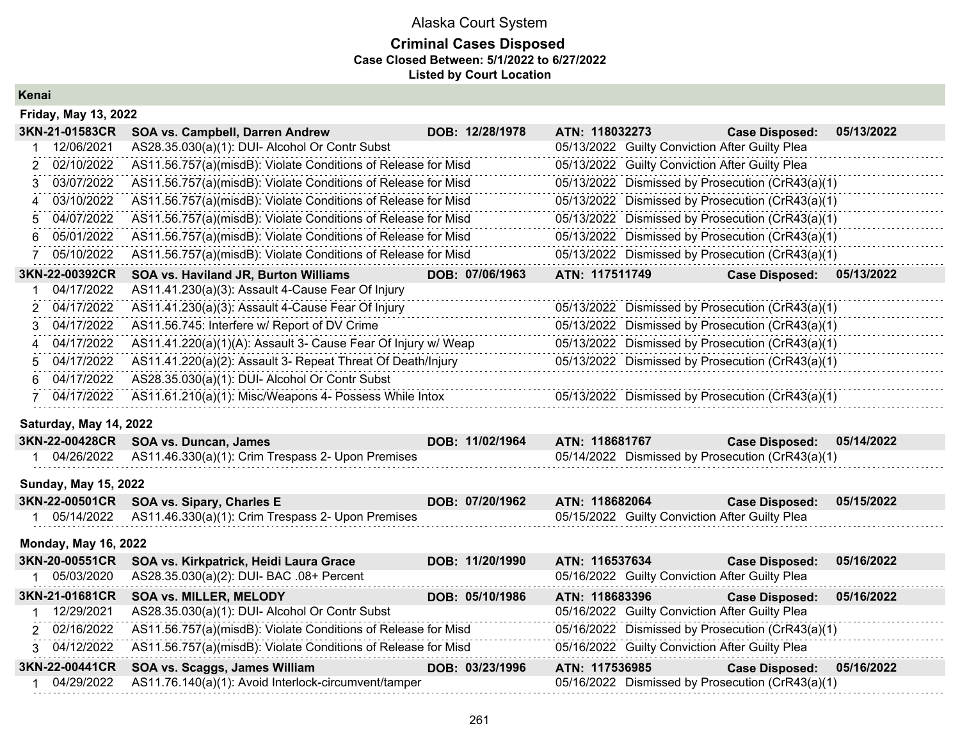### **Criminal Cases Disposed Case Closed Between: 5/1/2022 to 6/27/2022 Listed by Court Location**

**Kenai**

| <b>Friday, May 13, 2022</b>  |                                                                                       |                 |                                                                    |                       |            |
|------------------------------|---------------------------------------------------------------------------------------|-----------------|--------------------------------------------------------------------|-----------------------|------------|
| 3KN-21-01583CR               | SOA vs. Campbell, Darren Andrew                                                       | DOB: 12/28/1978 | ATN: 118032273                                                     | <b>Case Disposed:</b> | 05/13/2022 |
| 12/06/2021                   | AS28.35.030(a)(1): DUI- Alcohol Or Contr Subst                                        |                 | 05/13/2022 Guilty Conviction After Guilty Plea                     |                       |            |
| 02/10/2022                   | AS11.56.757(a)(misdB): Violate Conditions of Release for Misd                         |                 | 05/13/2022 Guilty Conviction After Guilty Plea                     |                       |            |
| 03/07/2022<br>3              | AS11.56.757(a)(misdB): Violate Conditions of Release for Misd                         |                 | 05/13/2022 Dismissed by Prosecution (CrR43(a)(1)                   |                       |            |
| 03/10/2022<br>Δ              | AS11.56.757(a)(misdB): Violate Conditions of Release for Misd                         |                 | 05/13/2022 Dismissed by Prosecution (CrR43(a)(1)                   |                       |            |
| 04/07/2022<br>5              | AS11.56.757(a)(misdB): Violate Conditions of Release for Misd                         |                 | 05/13/2022 Dismissed by Prosecution (CrR43(a)(1)                   |                       |            |
| 05/01/2022<br>6              | AS11.56.757(a)(misdB): Violate Conditions of Release for Misd                         |                 | 05/13/2022 Dismissed by Prosecution (CrR43(a)(1)                   |                       |            |
| 05/10/2022                   | AS11.56.757(a)(misdB): Violate Conditions of Release for Misd                         |                 | 05/13/2022 Dismissed by Prosecution (CrR43(a)(1)                   |                       |            |
| 3KN-22-00392CR               | SOA vs. Haviland JR, Burton Williams                                                  | DOB: 07/06/1963 | ATN: 117511749                                                     | <b>Case Disposed:</b> | 05/13/2022 |
| 04/17/2022                   | AS11.41.230(a)(3): Assault 4-Cause Fear Of Injury                                     |                 |                                                                    |                       |            |
| 04/17/2022                   | AS11.41.230(a)(3): Assault 4-Cause Fear Of Injury                                     |                 | 05/13/2022 Dismissed by Prosecution (CrR43(a)(1)                   |                       |            |
| 04/17/2022<br>3              | AS11.56.745: Interfere w/ Report of DV Crime                                          |                 | 05/13/2022 Dismissed by Prosecution (CrR43(a)(1)                   |                       |            |
| 04/17/2022<br>4              | AS11.41.220(a)(1)(A): Assault 3- Cause Fear Of Injury w/ Weap                         |                 | 05/13/2022 Dismissed by Prosecution (CrR43(a)(1)                   |                       |            |
| 04/17/2022<br>5              | AS11.41.220(a)(2): Assault 3- Repeat Threat Of Death/Injury                           |                 | 05/13/2022 Dismissed by Prosecution (CrR43(a)(1)                   |                       |            |
| 04/17/2022<br>6              | AS28.35.030(a)(1): DUI- Alcohol Or Contr Subst                                        |                 |                                                                    |                       |            |
| 04/17/2022                   | AS11.61.210(a)(1): Misc/Weapons 4- Possess While Intox                                |                 | 05/13/2022 Dismissed by Prosecution (CrR43(a)(1)                   |                       |            |
| Saturday, May 14, 2022       |                                                                                       |                 |                                                                    |                       |            |
| 3KN-22-00428CR               | <b>SOA vs. Duncan, James</b>                                                          | DOB: 11/02/1964 | ATN: 118681767                                                     | <b>Case Disposed:</b> | 05/14/2022 |
| 04/26/2022<br>$\mathbf 1$    | AS11.46.330(a)(1): Crim Trespass 2- Upon Premises                                     |                 | 05/14/2022 Dismissed by Prosecution (CrR43(a)(1)                   |                       |            |
| <b>Sunday, May 15, 2022</b>  |                                                                                       |                 |                                                                    |                       |            |
| 3KN-22-00501CR               | SOA vs. Sipary, Charles E                                                             | DOB: 07/20/1962 | ATN: 118682064                                                     | <b>Case Disposed:</b> | 05/15/2022 |
| 05/14/2022                   | AS11.46.330(a)(1): Crim Trespass 2- Upon Premises                                     |                 | 05/15/2022 Guilty Conviction After Guilty Plea                     |                       |            |
| <b>Monday, May 16, 2022</b>  |                                                                                       |                 |                                                                    |                       |            |
| 3KN-20-00551CR               | SOA vs. Kirkpatrick, Heidi Laura Grace                                                | DOB: 11/20/1990 | ATN: 116537634                                                     | <b>Case Disposed:</b> | 05/16/2022 |
| 05/03/2020                   | AS28.35.030(a)(2): DUI- BAC .08+ Percent                                              |                 | 05/16/2022 Guilty Conviction After Guilty Plea                     |                       |            |
|                              |                                                                                       |                 |                                                                    |                       |            |
| 3KN-21-01681CR               | <b>SOA vs. MILLER, MELODY</b>                                                         | DOB: 05/10/1986 | ATN: 118683396                                                     | <b>Case Disposed:</b> | 05/16/2022 |
| 12/29/2021                   | AS28.35.030(a)(1): DUI- Alcohol Or Contr Subst                                        |                 | 05/16/2022 Guilty Conviction After Guilty Plea                     |                       |            |
| 02/16/2022<br>$\mathcal{P}$  | AS11.56.757(a)(misdB): Violate Conditions of Release for Misd                         |                 | 05/16/2022 Dismissed by Prosecution (CrR43(a)(1)                   |                       |            |
| 3 04/12/2022                 | AS11.56.757(a)(misdB): Violate Conditions of Release for Misd                         |                 | 05/16/2022 Guilty Conviction After Guilty Plea                     |                       |            |
| 3KN-22-00441CR<br>04/29/2022 | SOA vs. Scaggs, James William<br>AS11.76.140(a)(1): Avoid Interlock-circumvent/tamper | DOB: 03/23/1996 | ATN: 117536985<br>05/16/2022 Dismissed by Prosecution (CrR43(a)(1) | <b>Case Disposed:</b> | 05/16/2022 |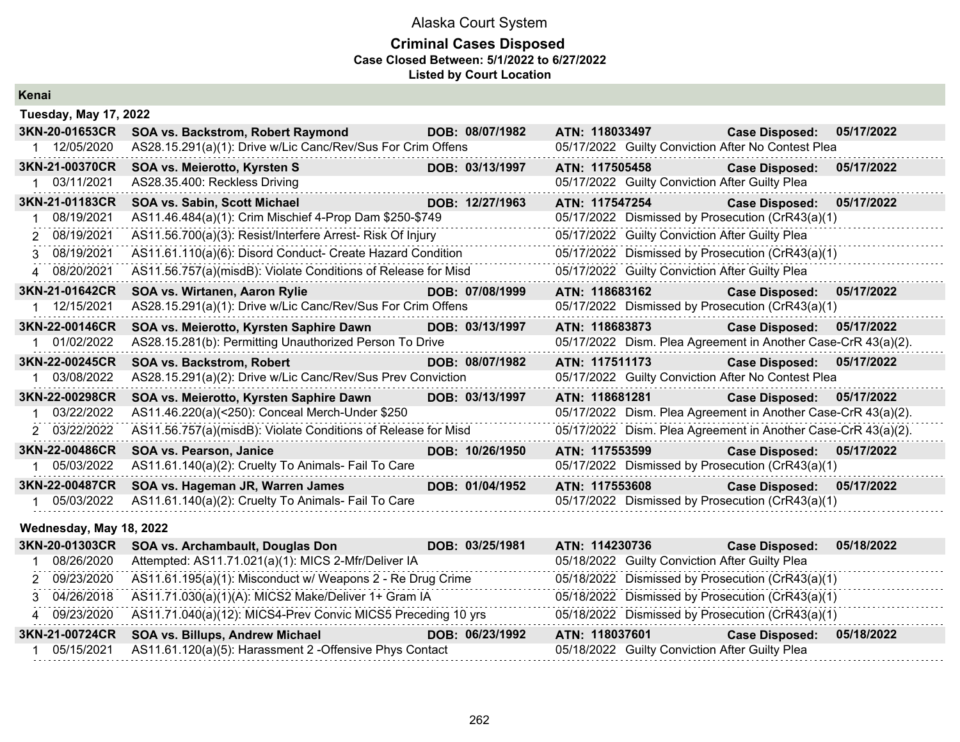### **Criminal Cases Disposed Case Closed Between: 5/1/2022 to 6/27/2022 Listed by Court Location**

| Kenai |  |
|-------|--|
|       |  |

| <b>Tuesday, May 17, 2022</b> |                                                               |                 |                                                                                                                |                       |            |
|------------------------------|---------------------------------------------------------------|-----------------|----------------------------------------------------------------------------------------------------------------|-----------------------|------------|
| 3KN-20-01653CR               | SOA vs. Backstrom, Robert Raymond                             | DOB: 08/07/1982 | ATN: 118033497                                                                                                 | <b>Case Disposed:</b> | 05/17/2022 |
| 12/05/2020                   | AS28.15.291(a)(1): Drive w/Lic Canc/Rev/Sus For Crim Offens   |                 | 05/17/2022 Guilty Conviction After No Contest Plea                                                             |                       |            |
| 3KN-21-00370CR               | SOA vs. Meierotto, Kyrsten S                                  | DOB: 03/13/1997 | ATN: 117505458                                                                                                 | <b>Case Disposed:</b> | 05/17/2022 |
| 03/11/2021                   | AS28.35.400: Reckless Driving                                 |                 | 05/17/2022 Guilty Conviction After Guilty Plea                                                                 |                       |            |
| 3KN-21-01183CR               | SOA vs. Sabin, Scott Michael                                  | DOB: 12/27/1963 | ATN: 117547254                                                                                                 | <b>Case Disposed:</b> | 05/17/2022 |
| 08/19/2021                   | AS11.46.484(a)(1): Crim Mischief 4-Prop Dam \$250-\$749       |                 | 05/17/2022 Dismissed by Prosecution (CrR43(a)(1)                                                               |                       |            |
| 2 08/19/2021                 | AS11.56.700(a)(3): Resist/Interfere Arrest- Risk Of Injury    |                 | 05/17/2022 Guilty Conviction After Guilty Plea                                                                 |                       |            |
| 3 08/19/2021                 | AS11.61.110(a)(6): Disord Conduct- Create Hazard Condition    |                 | 05/17/2022 Dismissed by Prosecution (CrR43(a)(1)                                                               |                       |            |
| 4 08/20/2021                 | AS11.56.757(a)(misdB): Violate Conditions of Release for Misd |                 | 05/17/2022 Guilty Conviction After Guilty Plea                                                                 |                       |            |
| 3KN-21-01642CR               | SOA vs. Wirtanen, Aaron Rylie                                 | DOB: 07/08/1999 | ATN: 118683162                                                                                                 | <b>Case Disposed:</b> | 05/17/2022 |
| 12/15/2021                   | AS28.15.291(a)(1): Drive w/Lic Canc/Rev/Sus For Crim Offens   |                 | 05/17/2022 Dismissed by Prosecution (CrR43(a)(1)                                                               |                       |            |
| 3KN-22-00146CR               | SOA vs. Meierotto, Kyrsten Saphire Dawn                       | DOB: 03/13/1997 | ATN: 118683873                                                                                                 | <b>Case Disposed:</b> | 05/17/2022 |
| 01/02/2022                   | AS28.15.281(b): Permitting Unauthorized Person To Drive       |                 | 05/17/2022 Dism. Plea Agreement in Another Case-CrR 43(a)(2).                                                  |                       |            |
| 3KN-22-00245CR               | <b>SOA vs. Backstrom, Robert</b>                              | DOB: 08/07/1982 | ATN: 117511173                                                                                                 | <b>Case Disposed:</b> | 05/17/2022 |
| 03/08/2022                   | AS28.15.291(a)(2): Drive w/Lic Canc/Rev/Sus Prev Conviction   |                 | 05/17/2022 Guilty Conviction After No Contest Plea                                                             |                       |            |
| 3KN-22-00298CR               | SOA vs. Meierotto, Kyrsten Saphire Dawn                       | DOB: 03/13/1997 | ATN: 118681281                                                                                                 | <b>Case Disposed:</b> | 05/17/2022 |
| 03/22/2022                   | AS11.46.220(a)(<250): Conceal Merch-Under \$250               |                 | 05/17/2022 Dism. Plea Agreement in Another Case-CrR 43(a)(2).                                                  |                       |            |
| 2 03/22/2022                 | AS11.56.757(a)(misdB): Violate Conditions of Release for Misd |                 | 05/17/2022 Dism. Plea Agreement in Another Case-CrR 43(a)(2).                                                  |                       |            |
| 3KN-22-00486CR               | <b>SOA vs. Pearson, Janice</b>                                | DOB: 10/26/1950 | ATN: 117553599 Participate of the Second Second Second Second Second Second Second Second Second Second Second | <b>Case Disposed:</b> | 05/17/2022 |
| 05/03/2022                   | AS11.61.140(a)(2): Cruelty To Animals- Fail To Care           |                 | 05/17/2022 Dismissed by Prosecution (CrR43(a)(1)                                                               |                       |            |
| 3KN-22-00487CR               | SOA vs. Hageman JR, Warren James                              | DOB: 01/04/1952 | ATN: 117553608                                                                                                 | <b>Case Disposed:</b> | 05/17/2022 |
| 05/03/2022                   | AS11.61.140(a)(2): Cruelty To Animals- Fail To Care           |                 | 05/17/2022 Dismissed by Prosecution (CrR43(a)(1)                                                               |                       |            |

### **Wednesday, May 18, 2022**

| 3KN-20-01303CR | SOA vs. Archambault, Douglas Don                                 | DOB: 03/25/1981 | ATN: 114230736                                   | <b>Case Disposed:</b> | 05/18/2022 |
|----------------|------------------------------------------------------------------|-----------------|--------------------------------------------------|-----------------------|------------|
| 08/26/2020     | Attempted: AS11.71.021(a)(1): MICS 2-Mfr/Deliver IA              |                 | 05/18/2022 Guilty Conviction After Guilty Plea   |                       |            |
| 2 09/23/2020   | AS11.61.195(a)(1): Misconduct w/ Weapons 2 - Re Drug Crime       |                 | 05/18/2022 Dismissed by Prosecution (CrR43(a)(1) |                       |            |
|                | 3 04/26/2018 AS11.71.030(a)(1)(A): MICS2 Make/Deliver 1+ Gram IA |                 | 05/18/2022 Dismissed by Prosecution (CrR43(a)(1) |                       |            |
| 4 09/23/2020   | AS11.71.040(a)(12): MICS4-Prev Convic MICS5 Preceding 10 yrs     |                 | 05/18/2022 Dismissed by Prosecution (CrR43(a)(1) |                       |            |
| 3KN-21-00724CR | SOA vs. Billups, Andrew Michael                                  | DOB: 06/23/1992 | ATN: 118037601                                   | <b>Case Disposed:</b> | 05/18/2022 |
| 05/15/2021     | AS11.61.120(a)(5): Harassment 2 - Offensive Phys Contact         |                 | 05/18/2022 Guilty Conviction After Guilty Plea   |                       |            |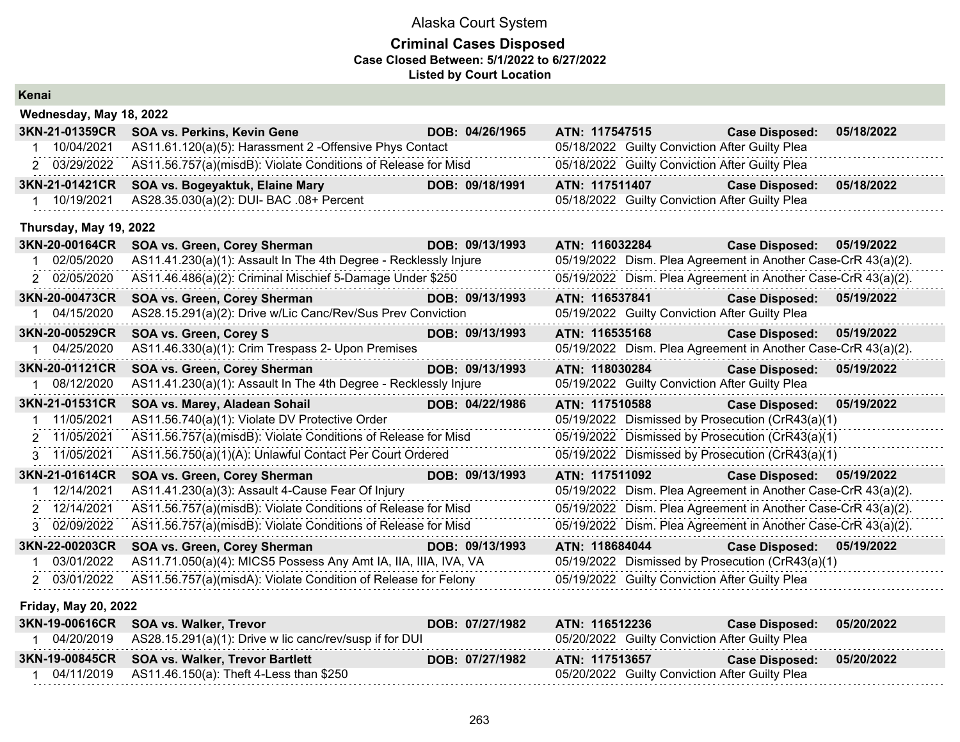### **Criminal Cases Disposed Case Closed Between: 5/1/2022 to 6/27/2022 Listed by Court Location**

| Kenai                       |                                                                  |                 |                |                                                |                                                               |            |
|-----------------------------|------------------------------------------------------------------|-----------------|----------------|------------------------------------------------|---------------------------------------------------------------|------------|
| Wednesday, May 18, 2022     |                                                                  |                 |                |                                                |                                                               |            |
| 3KN-21-01359CR              | SOA vs. Perkins, Kevin Gene                                      | DOB: 04/26/1965 |                | ATN: 117547515                                 | <b>Case Disposed:</b>                                         | 05/18/2022 |
| 10/04/2021                  | AS11.61.120(a)(5): Harassment 2 -Offensive Phys Contact          |                 |                | 05/18/2022 Guilty Conviction After Guilty Plea |                                                               |            |
| 2 03/29/2022                | AS11.56.757(a)(misdB): Violate Conditions of Release for Misd    |                 |                | 05/18/2022 Guilty Conviction After Guilty Plea |                                                               |            |
| 3KN-21-01421CR              | SOA vs. Bogeyaktuk, Elaine Mary                                  | DOB: 09/18/1991 | ATN: 117511407 |                                                | <b>Case Disposed:</b>                                         | 05/18/2022 |
| 10/19/2021                  | AS28.35.030(a)(2): DUI- BAC .08+ Percent                         |                 |                | 05/18/2022 Guilty Conviction After Guilty Plea |                                                               |            |
| Thursday, May 19, 2022      |                                                                  |                 |                |                                                |                                                               |            |
| 3KN-20-00164CR              | SOA vs. Green, Corey Sherman                                     | DOB: 09/13/1993 | ATN: 116032284 |                                                | <b>Case Disposed:</b>                                         | 05/19/2022 |
| 02/05/2020                  | AS11.41.230(a)(1): Assault In The 4th Degree - Recklessly Injure |                 |                |                                                | 05/19/2022 Dism. Plea Agreement in Another Case-CrR 43(a)(2). |            |
| 2 02/05/2020                | AS11.46.486(a)(2): Criminal Mischief 5-Damage Under \$250        |                 |                |                                                | 05/19/2022 Dism. Plea Agreement in Another Case-CrR 43(a)(2). |            |
| 3KN-20-00473CR              | SOA vs. Green, Corey Sherman                                     | DOB: 09/13/1993 | ATN: 116537841 |                                                | <b>Case Disposed:</b>                                         | 05/19/2022 |
| 04/15/2020                  | AS28.15.291(a)(2): Drive w/Lic Canc/Rev/Sus Prev Conviction      |                 |                | 05/19/2022 Guilty Conviction After Guilty Plea |                                                               |            |
| 3KN-20-00529CR              | <b>SOA vs. Green, Corey S</b>                                    | DOB: 09/13/1993 | ATN: 116535168 |                                                | <b>Case Disposed:</b>                                         | 05/19/2022 |
| 1 04/25/2020                | AS11.46.330(a)(1): Crim Trespass 2- Upon Premises                |                 |                |                                                | 05/19/2022 Dism. Plea Agreement in Another Case-CrR 43(a)(2). |            |
| 3KN-20-01121CR              | SOA vs. Green, Corey Sherman                                     | DOB: 09/13/1993 | ATN: 118030284 |                                                | <b>Case Disposed:</b>                                         | 05/19/2022 |
| 08/12/2020                  | AS11.41.230(a)(1): Assault In The 4th Degree - Recklessly Injure |                 |                | 05/19/2022 Guilty Conviction After Guilty Plea |                                                               |            |
| 3KN-21-01531CR              | SOA vs. Marey, Aladean Sohail                                    | DOB: 04/22/1986 | ATN: 117510588 |                                                | <b>Case Disposed:</b>                                         | 05/19/2022 |
| 11/05/2021                  | AS11.56.740(a)(1): Violate DV Protective Order                   |                 |                |                                                | 05/19/2022 Dismissed by Prosecution (CrR43(a)(1)              |            |
| 2 11/05/2021                | AS11.56.757(a)(misdB): Violate Conditions of Release for Misd    |                 |                |                                                | 05/19/2022 Dismissed by Prosecution (CrR43(a)(1)              |            |
| 3 11/05/2021                | AS11.56.750(a)(1)(A): Unlawful Contact Per Court Ordered         |                 |                |                                                | 05/19/2022 Dismissed by Prosecution (CrR43(a)(1)              |            |
| 3KN-21-01614CR              | SOA vs. Green, Corey Sherman                                     | DOB: 09/13/1993 | ATN: 117511092 |                                                | <b>Case Disposed:</b>                                         | 05/19/2022 |
| 12/14/2021                  | AS11.41.230(a)(3): Assault 4-Cause Fear Of Injury                |                 |                |                                                | 05/19/2022 Dism. Plea Agreement in Another Case-CrR 43(a)(2). |            |
| 2 12/14/2021                | AS11.56.757(a)(misdB): Violate Conditions of Release for Misd    |                 |                |                                                | 05/19/2022 Dism. Plea Agreement in Another Case-CrR 43(a)(2). |            |
| 02/09/2022                  | AS11.56.757(a)(misdB): Violate Conditions of Release for Misd    |                 |                |                                                | 05/19/2022 Dism. Plea Agreement in Another Case-CrR 43(a)(2). |            |
| 3KN-22-00203CR              | SOA vs. Green, Corey Sherman                                     | DOB: 09/13/1993 | ATN: 118684044 |                                                | <b>Case Disposed:</b>                                         | 05/19/2022 |
| 03/01/2022                  | AS11.71.050(a)(4): MICS5 Possess Any Amt IA, IIA, IIIA, IVA, VA  |                 |                |                                                | 05/19/2022 Dismissed by Prosecution (CrR43(a)(1)              |            |
| 2 03/01/2022                | AS11.56.757(a)(misdA): Violate Condition of Release for Felony   |                 |                | 05/19/2022 Guilty Conviction After Guilty Plea |                                                               |            |
| <b>Friday, May 20, 2022</b> |                                                                  |                 |                |                                                |                                                               |            |

| 3KN-19-00616CR SOA vs. Walker, Trevor                                | DOB: 07/27/1982 | ATN: 116512236                                 | Case Disposed: 05/20/2022 |  |
|----------------------------------------------------------------------|-----------------|------------------------------------------------|---------------------------|--|
| $04/20/2019$ AS28.15.291(a)(1): Drive w lic canc/rev/susp if for DUI |                 | 05/20/2022 Guilty Conviction After Guilty Plea |                           |  |
|                                                                      |                 |                                                |                           |  |
| 3KN-19-00845CR SOA vs. Walker, Trevor Bartlett                       | DOB: 07/27/1982 | ATN: 117513657                                 | Case Disposed: 05/20/2022 |  |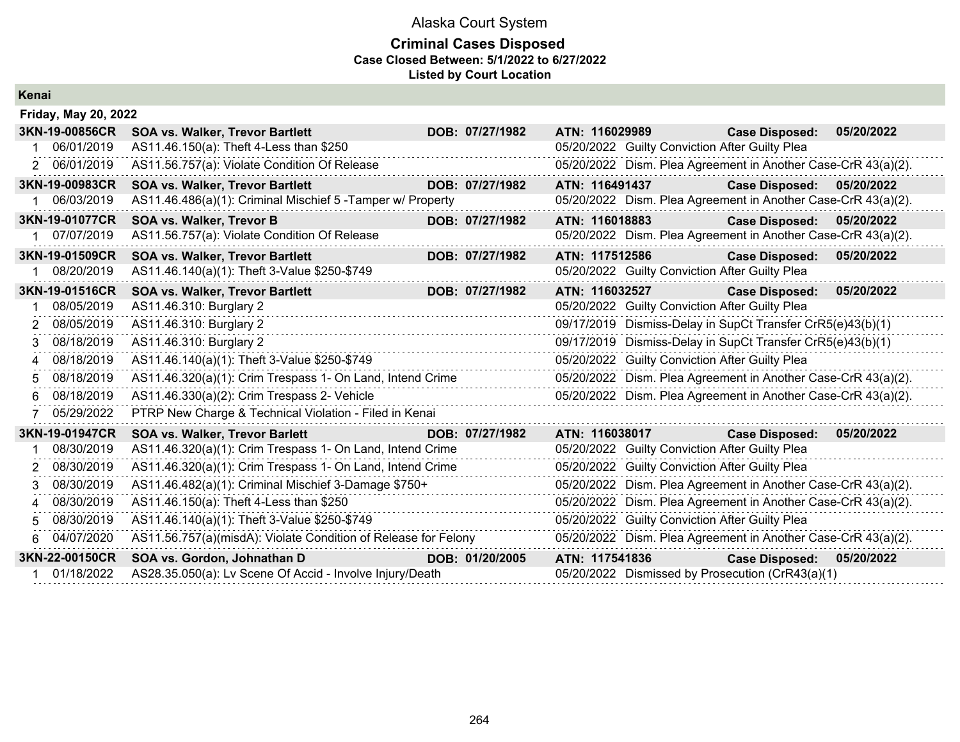### **Criminal Cases Disposed Case Closed Between: 5/1/2022 to 6/27/2022 Listed by Court Location**

| Kenai |  |
|-------|--|
|       |  |

|             | <b>Friday, May 20, 2022</b> |                                                                |                 |                |                                                               |            |
|-------------|-----------------------------|----------------------------------------------------------------|-----------------|----------------|---------------------------------------------------------------|------------|
|             | 3KN-19-00856CR              | <b>SOA vs. Walker, Trevor Bartlett</b>                         | DOB: 07/27/1982 | ATN: 116029989 | <b>Case Disposed:</b>                                         | 05/20/2022 |
|             | 06/01/2019                  | AS11.46.150(a): Theft 4-Less than \$250                        |                 |                | 05/20/2022 Guilty Conviction After Guilty Plea                |            |
| $2^{\circ}$ | 06/01/2019                  | AS11.56.757(a): Violate Condition Of Release                   |                 |                | 05/20/2022 Dism. Plea Agreement in Another Case-CrR 43(a)(2). |            |
|             | 3KN-19-00983CR              | <b>SOA vs. Walker, Trevor Bartlett</b>                         | DOB: 07/27/1982 | ATN: 116491437 | <b>Case Disposed:</b>                                         | 05/20/2022 |
|             | 06/03/2019                  | AS11.46.486(a)(1): Criminal Mischief 5 - Tamper w/ Property    |                 |                | 05/20/2022 Dism. Plea Agreement in Another Case-CrR 43(a)(2). |            |
|             | 3KN-19-01077CR              | <b>SOA vs. Walker, Trevor B</b>                                | DOB: 07/27/1982 | ATN: 116018883 | <b>Case Disposed:</b>                                         | 05/20/2022 |
|             | 07/07/2019                  | AS11.56.757(a): Violate Condition Of Release                   |                 |                | 05/20/2022 Dism. Plea Agreement in Another Case-CrR 43(a)(2). |            |
|             | 3KN-19-01509CR              | <b>SOA vs. Walker, Trevor Bartlett</b>                         | DOB: 07/27/1982 | ATN: 117512586 | <b>Case Disposed:</b>                                         | 05/20/2022 |
|             | 08/20/2019                  | AS11.46.140(a)(1): Theft 3-Value \$250-\$749                   |                 |                | 05/20/2022 Guilty Conviction After Guilty Plea                |            |
|             | 3KN-19-01516CR              | <b>SOA vs. Walker, Trevor Bartlett</b>                         | DOB: 07/27/1982 | ATN: 116032527 | <b>Case Disposed:</b>                                         | 05/20/2022 |
|             | 08/05/2019                  | AS11.46.310: Burglary 2                                        |                 |                | 05/20/2022 Guilty Conviction After Guilty Plea                |            |
| 2           | 08/05/2019                  | AS11.46.310: Burglary 2                                        |                 |                | 09/17/2019 Dismiss-Delay in SupCt Transfer CrR5(e)43(b)(1)    |            |
| З           | 08/18/2019                  | AS11.46.310: Burglary 2                                        |                 |                | 09/17/2019 Dismiss-Delay in SupCt Transfer CrR5(e)43(b)(1)    |            |
| 4           | 08/18/2019                  | AS11.46.140(a)(1): Theft 3-Value \$250-\$749                   |                 |                | 05/20/2022 Guilty Conviction After Guilty Plea                |            |
| 5           | 08/18/2019                  | AS11.46.320(a)(1): Crim Trespass 1- On Land, Intend Crime      |                 |                | 05/20/2022 Dism. Plea Agreement in Another Case-CrR 43(a)(2). |            |
|             | 08/18/2019                  | AS11.46.330(a)(2): Crim Trespass 2- Vehicle                    |                 |                | 05/20/2022 Dism. Plea Agreement in Another Case-CrR 43(a)(2). |            |
|             | 05/29/2022                  | PTRP New Charge & Technical Violation - Filed in Kenai         |                 |                |                                                               |            |
|             | 3KN-19-01947CR              | <b>SOA vs. Walker, Trevor Barlett</b>                          | DOB: 07/27/1982 | ATN: 116038017 | <b>Case Disposed:</b>                                         | 05/20/2022 |
|             | 08/30/2019                  | AS11.46.320(a)(1): Crim Trespass 1- On Land, Intend Crime      |                 |                | 05/20/2022 Guilty Conviction After Guilty Plea                |            |
| 2           | 08/30/2019                  | AS11.46.320(a)(1): Crim Trespass 1- On Land, Intend Crime      |                 |                | 05/20/2022 Guilty Conviction After Guilty Plea                |            |
| 3           | 08/30/2019                  | AS11.46.482(a)(1): Criminal Mischief 3-Damage \$750+           |                 |                | 05/20/2022 Dism. Plea Agreement in Another Case-CrR 43(a)(2). |            |
| Δ           | 08/30/2019                  | AS11.46.150(a): Theft 4-Less than \$250                        |                 |                | 05/20/2022 Dism. Plea Agreement in Another Case-CrR 43(a)(2). |            |
| 5           | 08/30/2019                  | AS11.46.140(a)(1): Theft 3-Value \$250-\$749                   |                 |                | 05/20/2022 Guilty Conviction After Guilty Plea                |            |
|             | 04/07/2020                  | AS11.56.757(a)(misdA): Violate Condition of Release for Felony |                 |                | 05/20/2022 Dism. Plea Agreement in Another Case-CrR 43(a)(2). |            |
|             | 3KN-22-00150CR              | SOA vs. Gordon, Johnathan D                                    | DOB: 01/20/2005 | ATN: 117541836 | <b>Case Disposed:</b>                                         | 05/20/2022 |
|             | 01/18/2022                  | AS28.35.050(a): Lv Scene Of Accid - Involve Injury/Death       |                 |                | 05/20/2022 Dismissed by Prosecution (CrR43(a)(1)              |            |
|             |                             |                                                                |                 |                |                                                               |            |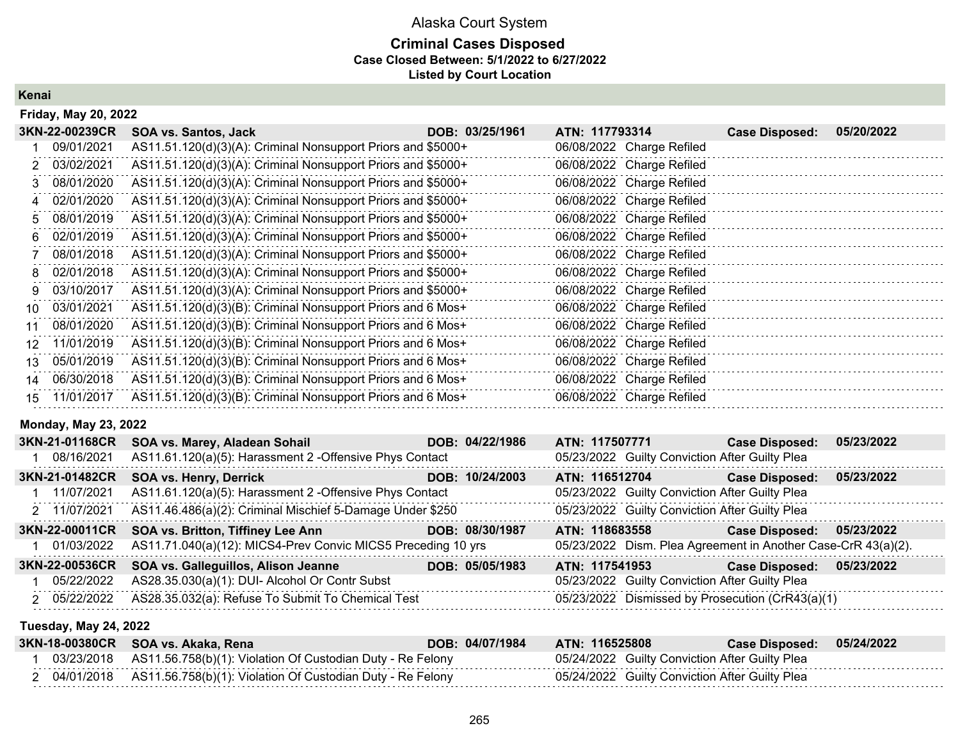### **Criminal Cases Disposed Case Closed Between: 5/1/2022 to 6/27/2022 Listed by Court Location**

**Kenai**

|    | <b>Friday, May 20, 2022</b> |                                                              |                 |                           |                       |            |
|----|-----------------------------|--------------------------------------------------------------|-----------------|---------------------------|-----------------------|------------|
|    | 3KN-22-00239CR              | <b>SOA vs. Santos, Jack</b>                                  | DOB: 03/25/1961 | ATN: 117793314            | <b>Case Disposed:</b> | 05/20/2022 |
|    | 09/01/2021                  | AS11.51.120(d)(3)(A): Criminal Nonsupport Priors and \$5000+ |                 | 06/08/2022 Charge Refiled |                       |            |
| 2. | 03/02/2021                  | AS11.51.120(d)(3)(A): Criminal Nonsupport Priors and \$5000+ |                 | 06/08/2022 Charge Refiled |                       |            |
| 3. | 08/01/2020                  | AS11.51.120(d)(3)(A): Criminal Nonsupport Priors and \$5000+ |                 | 06/08/2022 Charge Refiled |                       |            |
| 4  | 02/01/2020                  | AS11.51.120(d)(3)(A): Criminal Nonsupport Priors and \$5000+ |                 | 06/08/2022 Charge Refiled |                       |            |
| 5. | 08/01/2019                  | AS11.51.120(d)(3)(A): Criminal Nonsupport Priors and \$5000+ |                 | 06/08/2022 Charge Refiled |                       |            |
| 6. | 02/01/2019                  | AS11.51.120(d)(3)(A): Criminal Nonsupport Priors and \$5000+ |                 | 06/08/2022 Charge Refiled |                       |            |
|    | 08/01/2018                  | AS11.51.120(d)(3)(A): Criminal Nonsupport Priors and \$5000+ |                 | 06/08/2022 Charge Refiled |                       |            |
| 8  | 02/01/2018                  | AS11.51.120(d)(3)(A): Criminal Nonsupport Priors and \$5000+ |                 | 06/08/2022 Charge Refiled |                       |            |
| 9  | 03/10/2017                  | AS11.51.120(d)(3)(A): Criminal Nonsupport Priors and \$5000+ |                 | 06/08/2022 Charge Refiled |                       |            |
| 10 | 03/01/2021                  | AS11.51.120(d)(3)(B): Criminal Nonsupport Priors and 6 Mos+  |                 | 06/08/2022 Charge Refiled |                       |            |
| 11 | 08/01/2020                  | AS11.51.120(d)(3)(B): Criminal Nonsupport Priors and 6 Mos+  |                 | 06/08/2022 Charge Refiled |                       |            |
| 12 | 11/01/2019                  | AS11.51.120(d)(3)(B): Criminal Nonsupport Priors and 6 Mos+  |                 | 06/08/2022 Charge Refiled |                       |            |
| 13 | 05/01/2019                  | AS11.51.120(d)(3)(B): Criminal Nonsupport Priors and 6 Mos+  |                 | 06/08/2022 Charge Refiled |                       |            |
| 14 | 06/30/2018                  | AS11.51.120(d)(3)(B): Criminal Nonsupport Priors and 6 Mos+  |                 | 06/08/2022 Charge Refiled |                       |            |
| 15 | 11/01/2017                  | AS11.51.120(d)(3)(B): Criminal Nonsupport Priors and 6 Mos+  |                 | 06/08/2022 Charge Refiled |                       |            |

### **Monday, May 23, 2022**

| 3KN-21-01168CR | SOA vs. Marey, Aladean Sohail                                | DOB: 04/22/1986 | ATN: 117507771                                                | <b>Case Disposed:</b> | 05/23/2022 |
|----------------|--------------------------------------------------------------|-----------------|---------------------------------------------------------------|-----------------------|------------|
| 1 08/16/2021   | AS11.61.120(a)(5): Harassment 2 - Offensive Phys Contact     |                 | 05/23/2022 Guilty Conviction After Guilty Plea                |                       |            |
| 3KN-21-01482CR | <b>SOA vs. Henry, Derrick</b>                                | DOB: 10/24/2003 | ATN: 116512704                                                | <b>Case Disposed:</b> | 05/23/2022 |
| 1 11/07/2021   | AS11.61.120(a)(5): Harassment 2 - Offensive Phys Contact     |                 | 05/23/2022 Guilty Conviction After Guilty Plea                |                       |            |
| 2 11/07/2021   | AS11.46.486(a)(2): Criminal Mischief 5-Damage Under \$250    |                 | 05/23/2022 Guilty Conviction After Guilty Plea                |                       |            |
| 3KN-22-00011CR | <b>SOA vs. Britton, Tiffiney Lee Ann</b>                     | DOB: 08/30/1987 | ATN: 118683558                                                | <b>Case Disposed:</b> | 05/23/2022 |
|                |                                                              |                 |                                                               |                       |            |
| 1 01/03/2022   | AS11.71.040(a)(12): MICS4-Prev Convic MICS5 Preceding 10 yrs |                 | 05/23/2022 Dism. Plea Agreement in Another Case-CrR 43(a)(2). |                       |            |
| 3KN-22-00536CR | SOA vs. Galleguillos, Alison Jeanne                          | DOB: 05/05/1983 | ATN: 117541953                                                | <b>Case Disposed:</b> | 05/23/2022 |
| 1 05/22/2022   | AS28.35.030(a)(1): DUI- Alcohol Or Contr Subst               |                 | 05/23/2022 Guilty Conviction After Guilty Plea                |                       |            |

### **Tuesday, May 24, 2022**

|  | 3KN-18-00380CR SOA vs. Akaka, Rena                                    | DOB: 04/07/1984 | ATN: 116525808                                 | Case Disposed: 05/24/2022 |  |
|--|-----------------------------------------------------------------------|-----------------|------------------------------------------------|---------------------------|--|
|  | 03/23/2018 AS11.56.758(b)(1): Violation Of Custodian Duty - Re Felony |                 | 05/24/2022 Guilty Conviction After Guilty Plea |                           |  |
|  | 04/01/2018 AS11.56.758(b)(1): Violation Of Custodian Duty - Re Felony |                 | 05/24/2022 Guilty Conviction After Guilty Plea |                           |  |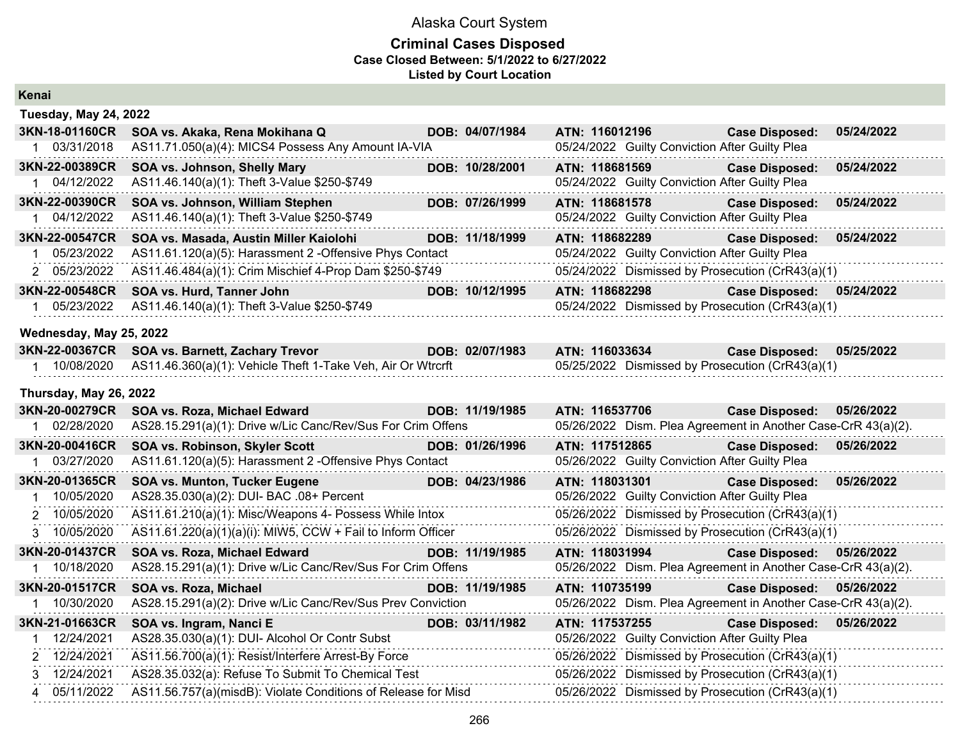## Alaska Court System **Criminal Cases Disposed**

### **Case Closed Between: 5/1/2022 to 6/27/2022**

**Listed by Court Location**

| Kenai                        |                                                             |                 |                |                                                |                                                               |            |
|------------------------------|-------------------------------------------------------------|-----------------|----------------|------------------------------------------------|---------------------------------------------------------------|------------|
| <b>Tuesday, May 24, 2022</b> |                                                             |                 |                |                                                |                                                               |            |
| 3KN-18-01160CR               | SOA vs. Akaka, Rena Mokihana Q                              | DOB: 04/07/1984 | ATN: 116012196 |                                                | <b>Case Disposed:</b>                                         | 05/24/2022 |
| 1 03/31/2018                 | AS11.71.050(a)(4): MICS4 Possess Any Amount IA-VIA          |                 |                | 05/24/2022 Guilty Conviction After Guilty Plea |                                                               |            |
| <b>3KN-22-00389CR</b>        | SOA vs. Johnson, Shelly Mary                                | DOB: 10/28/2001 | ATN: 118681569 |                                                | <b>Case Disposed:</b>                                         | 05/24/2022 |
| 1 04/12/2022                 | AS11.46.140(a)(1): Theft 3-Value \$250-\$749                |                 |                | 05/24/2022 Guilty Conviction After Guilty Plea |                                                               |            |
| 3KN-22-00390CR               | SOA vs. Johnson, William Stephen                            | DOB: 07/26/1999 | ATN: 118681578 |                                                | <b>Case Disposed:</b>                                         | 05/24/2022 |
| 1 04/12/2022                 | AS11.46.140(a)(1): Theft 3-Value \$250-\$749                |                 |                | 05/24/2022 Guilty Conviction After Guilty Plea |                                                               |            |
| 3KN-22-00547CR               | SOA vs. Masada, Austin Miller Kaiolohi                      | DOB: 11/18/1999 | ATN: 118682289 |                                                | <b>Case Disposed:</b>                                         | 05/24/2022 |
| 1 05/23/2022                 | AS11.61.120(a)(5): Harassment 2 -Offensive Phys Contact     |                 |                | 05/24/2022 Guilty Conviction After Guilty Plea |                                                               |            |
| 2 05/23/2022                 | AS11.46.484(a)(1): Crim Mischief 4-Prop Dam \$250-\$749     |                 |                |                                                | 05/24/2022 Dismissed by Prosecution (CrR43(a)(1)              |            |
| 3KN-22-00548CR               | SOA vs. Hurd, Tanner John                                   | DOB: 10/12/1995 | ATN: 118682298 |                                                | <b>Case Disposed:</b>                                         | 05/24/2022 |
| 1 05/23/2022                 | AS11.46.140(a)(1): Theft 3-Value \$250-\$749                |                 |                |                                                | 05/24/2022 Dismissed by Prosecution (CrR43(a)(1)              |            |
| Wednesday, May 25, 2022      |                                                             |                 |                |                                                |                                                               |            |
|                              | 3KN-22-00367CR SOA vs. Barnett, Zachary Trevor              | DOB: 02/07/1983 |                | ATN: 116033634                                 | <b>Case Disposed:</b>                                         | 05/25/2022 |
| 1 10/08/2020                 | AS11.46.360(a)(1): Vehicle Theft 1-Take Veh, Air Or Wtrcrft |                 |                |                                                | 05/25/2022 Dismissed by Prosecution (CrR43(a)(1)              |            |
| Thursday, May 26, 2022       |                                                             |                 |                |                                                |                                                               |            |
| 3KN-20-00279CR               | SOA vs. Roza, Michael Edward                                | DOB: 11/19/1985 | ATN: 116537706 |                                                | <b>Case Disposed:</b>                                         | 05/26/2022 |
| 1 02/28/2020                 | AS28.15.291(a)(1): Drive w/Lic Canc/Rev/Sus For Crim Offens |                 |                |                                                | 05/26/2022 Dism. Plea Agreement in Another Case-CrR 43(a)(2). |            |
| 3KN-20-00416CR               | SOA vs. Robinson, Skyler Scott                              | DOB: 01/26/1996 | ATN: 117512865 |                                                | <b>Case Disposed:</b>                                         | 05/26/2022 |
| 1 03/27/2020                 | AS11.61.120(a)(5): Harassment 2 -Offensive Phys Contact     |                 |                | 05/26/2022 Guilty Conviction After Guilty Plea |                                                               |            |
| 3KN-20-01365CR               | <b>SOA vs. Munton, Tucker Eugene</b>                        | DOB: 04/23/1986 | ATN: 118031301 |                                                | <b>Case Disposed:</b>                                         | 05/26/2022 |
| 1 10/05/2020                 | AS28.35.030(a)(2): DUI- BAC .08+ Percent                    |                 |                | 05/26/2022 Guilty Conviction After Guilty Plea |                                                               |            |
| 2 10/05/2020                 | AS11.61.210(a)(1): Misc/Weapons 4- Possess While Intox      |                 |                |                                                | 05/26/2022 Dismissed by Prosecution (CrR43(a)(1)              |            |
| 3 10/05/2020                 | AS11.61.220(a)(1)(a)(i): MIW5, CCW + Fail to Inform Officer |                 |                |                                                | 05/26/2022 Dismissed by Prosecution (CrR43(a)(1)              |            |
| 3KN-20-01437CR               | SOA vs. Roza, Michael Edward                                | DOB: 11/19/1985 | ATN: 118031994 |                                                | <b>Case Disposed:</b>                                         | 05/26/2022 |
| 1 10/18/2020                 | AS28.15.291(a)(1): Drive w/Lic Canc/Rev/Sus For Crim Offens |                 |                |                                                | 05/26/2022 Dism. Plea Agreement in Another Case-CrR 43(a)(2). |            |
| 3KN-20-01517CR               | SOA vs. Roza, Michael                                       | DOB: 11/19/1985 | ATN: 110735199 |                                                | <b>Case Disposed:</b>                                         | 05/26/2022 |
| 1 10/30/2020                 | AS28.15.291(a)(2): Drive w/Lic Canc/Rev/Sus Prev Conviction |                 |                |                                                | 05/26/2022 Dism. Plea Agreement in Another Case-CrR 43(a)(2). |            |
| 3KN-21-01663CR               | SOA vs. Ingram, Nanci E                                     | DOB: 03/11/1982 | ATN: 117537255 |                                                | <b>Case Disposed:</b>                                         | 05/26/2022 |
| 1 12/24/2021                 | AS28.35.030(a)(1): DUI- Alcohol Or Contr Subst              |                 |                | 05/26/2022 Guilty Conviction After Guilty Plea |                                                               |            |
| 2 12/24/2021                 | AS11.56.700(a)(1): Resist/Interfere Arrest-By Force         |                 |                |                                                | 05/26/2022 Dismissed by Prosecution (CrR43(a)(1)              |            |
|                              |                                                             |                 |                |                                                |                                                               |            |
| 3 12/24/2021                 | AS28.35.032(a): Refuse To Submit To Chemical Test           |                 |                |                                                | 05/26/2022 Dismissed by Prosecution (CrR43(a)(1)              |            |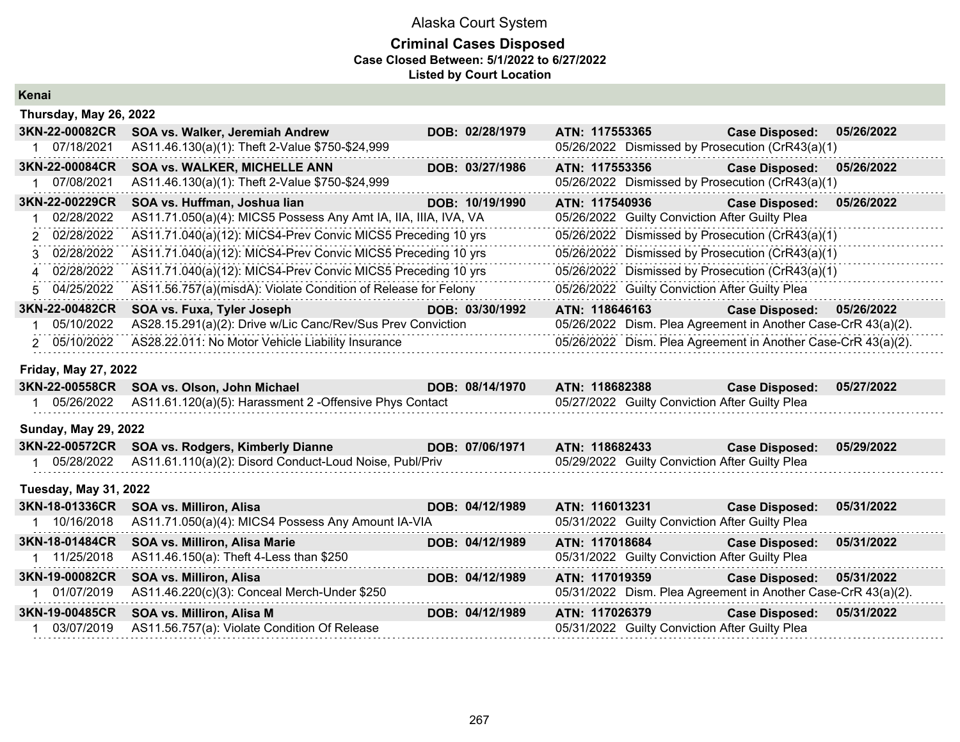# Alaska Court System **Criminal Cases Disposed**

### **Case Closed Between: 5/1/2022 to 6/27/2022**

**Listed by Court Location**

**Kenai**

|    | Thursday, May 26, 2022       |                                                                 |                 |                                                               |                       |            |
|----|------------------------------|-----------------------------------------------------------------|-----------------|---------------------------------------------------------------|-----------------------|------------|
|    | 3KN-22-00082CR               | SOA vs. Walker, Jeremiah Andrew                                 | DOB: 02/28/1979 | ATN: 117553365                                                | <b>Case Disposed:</b> | 05/26/2022 |
| 1. | 07/18/2021                   | AS11.46.130(a)(1): Theft 2-Value \$750-\$24,999                 |                 | 05/26/2022 Dismissed by Prosecution (CrR43(a)(1)              |                       |            |
|    | 3KN-22-00084CR               | <b>SOA vs. WALKER, MICHELLE ANN</b>                             | DOB: 03/27/1986 | ATN: 117553356                                                | <b>Case Disposed:</b> | 05/26/2022 |
| 1. | 07/08/2021                   | AS11.46.130(a)(1): Theft 2-Value \$750-\$24,999                 |                 | 05/26/2022 Dismissed by Prosecution (CrR43(a)(1)              |                       |            |
|    | 3KN-22-00229CR               | SOA vs. Huffman, Joshua lian                                    | DOB: 10/19/1990 | ATN: 117540936                                                | <b>Case Disposed:</b> | 05/26/2022 |
|    | 02/28/2022                   | AS11.71.050(a)(4): MICS5 Possess Any Amt IA, IIA, IIIA, IVA, VA |                 | 05/26/2022 Guilty Conviction After Guilty Plea                |                       |            |
|    | 2 02/28/2022                 | AS11.71.040(a)(12): MICS4-Prev Convic MICS5 Preceding 10 yrs    |                 | 05/26/2022 Dismissed by Prosecution (CrR43(a)(1)              |                       |            |
|    | 3 02/28/2022                 | AS11.71.040(a)(12): MICS4-Prev Convic MICS5 Preceding 10 yrs    |                 | 05/26/2022 Dismissed by Prosecution (CrR43(a)(1)              |                       |            |
|    | 4 02/28/2022                 | AS11.71.040(a)(12): MICS4-Prev Convic MICS5 Preceding 10 yrs    |                 | 05/26/2022 Dismissed by Prosecution (CrR43(a)(1)              |                       |            |
| 5. | 04/25/2022                   | AS11.56.757(a)(misdA): Violate Condition of Release for Felony  |                 | 05/26/2022 Guilty Conviction After Guilty Plea                |                       |            |
|    | 3KN-22-00482CR               | SOA vs. Fuxa, Tyler Joseph                                      | DOB: 03/30/1992 | ATN: 118646163                                                | <b>Case Disposed:</b> | 05/26/2022 |
|    | 05/10/2022                   | AS28.15.291(a)(2): Drive w/Lic Canc/Rev/Sus Prev Conviction     |                 | 05/26/2022 Dism. Plea Agreement in Another Case-CrR 43(a)(2). |                       |            |
|    | 2 05/10/2022                 | AS28.22.011: No Motor Vehicle Liability Insurance               |                 | 05/26/2022 Dism. Plea Agreement in Another Case-CrR 43(a)(2). |                       |            |
|    | <b>Friday, May 27, 2022</b>  |                                                                 |                 |                                                               |                       |            |
|    | 3KN-22-00558CR               | SOA vs. Olson, John Michael                                     | DOB: 08/14/1970 | ATN: 118682388                                                | <b>Case Disposed:</b> | 05/27/2022 |
|    | 05/26/2022                   | AS11.61.120(a)(5): Harassment 2 -Offensive Phys Contact         |                 | 05/27/2022 Guilty Conviction After Guilty Plea                |                       |            |
|    | <b>Sunday, May 29, 2022</b>  |                                                                 |                 |                                                               |                       |            |
|    | 3KN-22-00572CR               | SOA vs. Rodgers, Kimberly Dianne                                | DOB: 07/06/1971 | ATN: 118682433                                                | <b>Case Disposed:</b> | 05/29/2022 |
|    | 05/28/2022                   | AS11.61.110(a)(2): Disord Conduct-Loud Noise, Publ/Priv         |                 | 05/29/2022 Guilty Conviction After Guilty Plea                |                       |            |
|    | <b>Tuesday, May 31, 2022</b> |                                                                 |                 |                                                               |                       |            |
|    | 3KN-18-01336CR               | SOA vs. Milliron, Alisa                                         | DOB: 04/12/1989 | ATN: 116013231                                                | <b>Case Disposed:</b> | 05/31/2022 |
|    | 10/16/2018                   | AS11.71.050(a)(4): MICS4 Possess Any Amount IA-VIA              |                 | 05/31/2022 Guilty Conviction After Guilty Plea                |                       |            |
|    | 3KN-18-01484CR               | SOA vs. Milliron, Alisa Marie                                   | DOB: 04/12/1989 | ATN: 117018684                                                | <b>Case Disposed:</b> | 05/31/2022 |
|    | 1 11/25/2018                 | AS11.46.150(a): Theft 4-Less than \$250                         |                 | 05/31/2022 Guilty Conviction After Guilty Plea                |                       |            |
|    | 3KN-19-00082CR               | SOA vs. Milliron, Alisa                                         | DOB: 04/12/1989 | ATN: 117019359                                                | <b>Case Disposed:</b> | 05/31/2022 |
| 1. | 01/07/2019                   | AS11.46.220(c)(3): Conceal Merch-Under \$250                    |                 | 05/31/2022 Dism. Plea Agreement in Another Case-CrR 43(a)(2). |                       |            |
|    | 3KN-19-00485CR               | SOA vs. Milliron, Alisa M                                       | DOB: 04/12/1989 | ATN: 117026379                                                | <b>Case Disposed:</b> | 05/31/2022 |
|    | 03/07/2019                   | AS11.56.757(a): Violate Condition Of Release                    |                 | 05/31/2022 Guilty Conviction After Guilty Plea                |                       |            |
|    |                              |                                                                 |                 |                                                               |                       |            |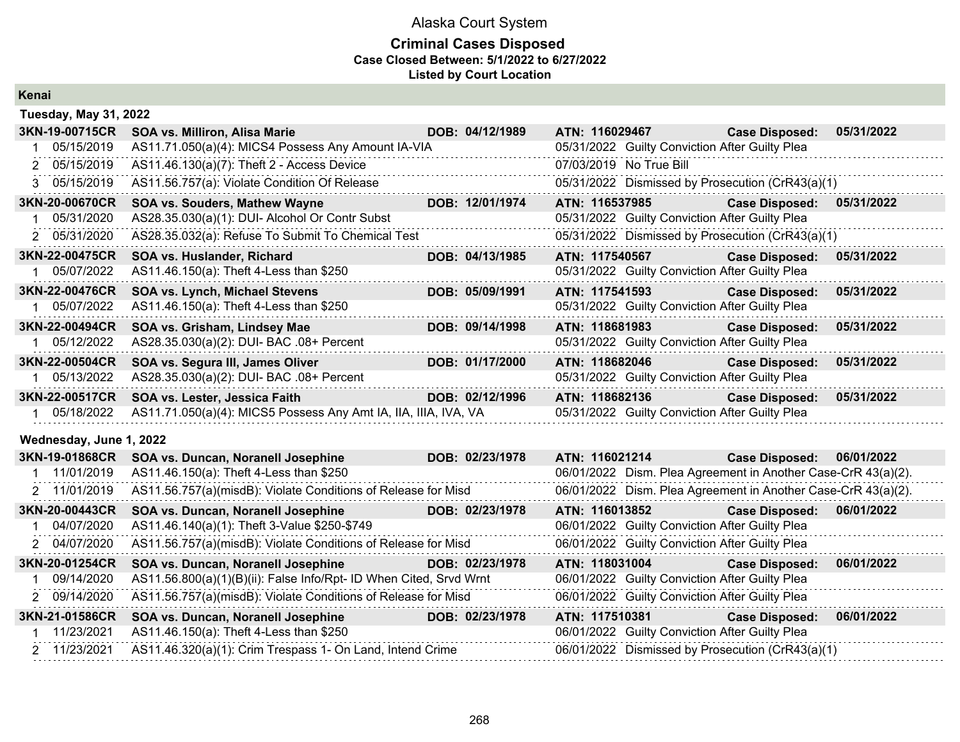### **Criminal Cases Disposed Case Closed Between: 5/1/2022 to 6/27/2022 Listed by Court Location**

| ш     |  |  |
|-------|--|--|
|       |  |  |
| Kenai |  |  |
|       |  |  |

| <b>Tuesday, May 31, 2022</b> |                                                                    |                 |                         |                                                               |            |
|------------------------------|--------------------------------------------------------------------|-----------------|-------------------------|---------------------------------------------------------------|------------|
| 3KN-19-00715CR               | <b>SOA vs. Milliron, Alisa Marie</b>                               | DOB: 04/12/1989 | ATN: 116029467          | <b>Case Disposed:</b>                                         | 05/31/2022 |
| 05/15/2019                   | AS11.71.050(a)(4): MICS4 Possess Any Amount IA-VIA                 |                 |                         | 05/31/2022 Guilty Conviction After Guilty Plea                |            |
| 2 05/15/2019                 | AS11.46.130(a)(7): Theft 2 - Access Device                         |                 | 07/03/2019 No True Bill |                                                               |            |
| 3 05/15/2019                 | AS11.56.757(a): Violate Condition Of Release                       |                 |                         | 05/31/2022 Dismissed by Prosecution (CrR43(a)(1)              |            |
| 3KN-20-00670CR               | <b>SOA vs. Souders, Mathew Wayne</b>                               | DOB: 12/01/1974 | ATN: 116537985          | <b>Case Disposed:</b>                                         | 05/31/2022 |
| 05/31/2020                   | AS28.35.030(a)(1): DUI- Alcohol Or Contr Subst                     |                 |                         | 05/31/2022 Guilty Conviction After Guilty Plea                |            |
| 2 05/31/2020                 | AS28.35.032(a): Refuse To Submit To Chemical Test                  |                 |                         | 05/31/2022 Dismissed by Prosecution (CrR43(a)(1)              |            |
| 3KN-22-00475CR               | SOA vs. Huslander, Richard                                         | DOB: 04/13/1985 | ATN: 117540567          | <b>Case Disposed:</b>                                         | 05/31/2022 |
| 05/07/2022                   | AS11.46.150(a): Theft 4-Less than \$250                            |                 |                         | 05/31/2022 Guilty Conviction After Guilty Plea                |            |
| 3KN-22-00476CR               | SOA vs. Lynch, Michael Stevens                                     | DOB: 05/09/1991 | ATN: 117541593          | <b>Case Disposed:</b>                                         | 05/31/2022 |
| 05/07/2022                   | AS11.46.150(a): Theft 4-Less than \$250                            |                 |                         | 05/31/2022 Guilty Conviction After Guilty Plea                |            |
| 3KN-22-00494CR               | SOA vs. Grisham, Lindsey Mae                                       | DOB: 09/14/1998 | ATN: 118681983          | <b>Case Disposed:</b>                                         | 05/31/2022 |
| 05/12/2022                   | AS28.35.030(a)(2): DUI- BAC .08+ Percent                           |                 |                         | 05/31/2022 Guilty Conviction After Guilty Plea                |            |
| 3KN-22-00504CR               | SOA vs. Segura III, James Oliver                                   | DOB: 01/17/2000 | ATN: 118682046          | <b>Case Disposed:</b>                                         | 05/31/2022 |
| 05/13/2022                   | AS28.35.030(a)(2): DUI- BAC .08+ Percent                           |                 |                         | 05/31/2022 Guilty Conviction After Guilty Plea                |            |
| 3KN-22-00517CR               | SOA vs. Lester, Jessica Faith                                      | DOB: 02/12/1996 | ATN: 118682136          | <b>Case Disposed:</b>                                         | 05/31/2022 |
| 05/18/2022                   | AS11.71.050(a)(4): MICS5 Possess Any Amt IA, IIA, IIIA, IVA, VA    |                 |                         | 05/31/2022 Guilty Conviction After Guilty Plea                |            |
| Wednesday, June 1, 2022      |                                                                    |                 |                         |                                                               |            |
| 3KN-19-01868CR               | SOA vs. Duncan, Noranell Josephine                                 | DOB: 02/23/1978 | ATN: 116021214          | <b>Case Disposed:</b>                                         | 06/01/2022 |
| 11/01/2019                   | AS11.46.150(a): Theft 4-Less than \$250                            |                 |                         | 06/01/2022 Dism. Plea Agreement in Another Case-CrR 43(a)(2). |            |
| 2 11/01/2019                 | AS11.56.757(a)(misdB): Violate Conditions of Release for Misd      |                 |                         | 06/01/2022 Dism. Plea Agreement in Another Case-CrR 43(a)(2). |            |
| 3KN-20-00443CR               | SOA vs. Duncan, Noranell Josephine                                 | DOB: 02/23/1978 | ATN: 116013852          | <b>Case Disposed:</b>                                         | 06/01/2022 |
| 04/07/2020                   | AS11.46.140(a)(1): Theft 3-Value \$250-\$749                       |                 |                         | 06/01/2022 Guilty Conviction After Guilty Plea                |            |
| 2 04/07/2020                 | AS11.56.757(a)(misdB): Violate Conditions of Release for Misd      |                 |                         | 06/01/2022 Guilty Conviction After Guilty Plea                |            |
| 3KN-20-01254CR               | SOA vs. Duncan, Noranell Josephine                                 | DOB: 02/23/1978 | ATN: 118031004          | <b>Case Disposed:</b>                                         | 06/01/2022 |
| 09/14/2020                   | AS11.56.800(a)(1)(B)(ii): False Info/Rpt- ID When Cited, Srvd Wrnt |                 |                         | 06/01/2022 Guilty Conviction After Guilty Plea                |            |
| <u>n nazizinan n</u>         | AS11 EG 757(a)(misdR): Violato Conditions of Pologso for Misd      |                 |                         | $0.6/01/2022$ Cuilty Conviction After Cuilty Plan             |            |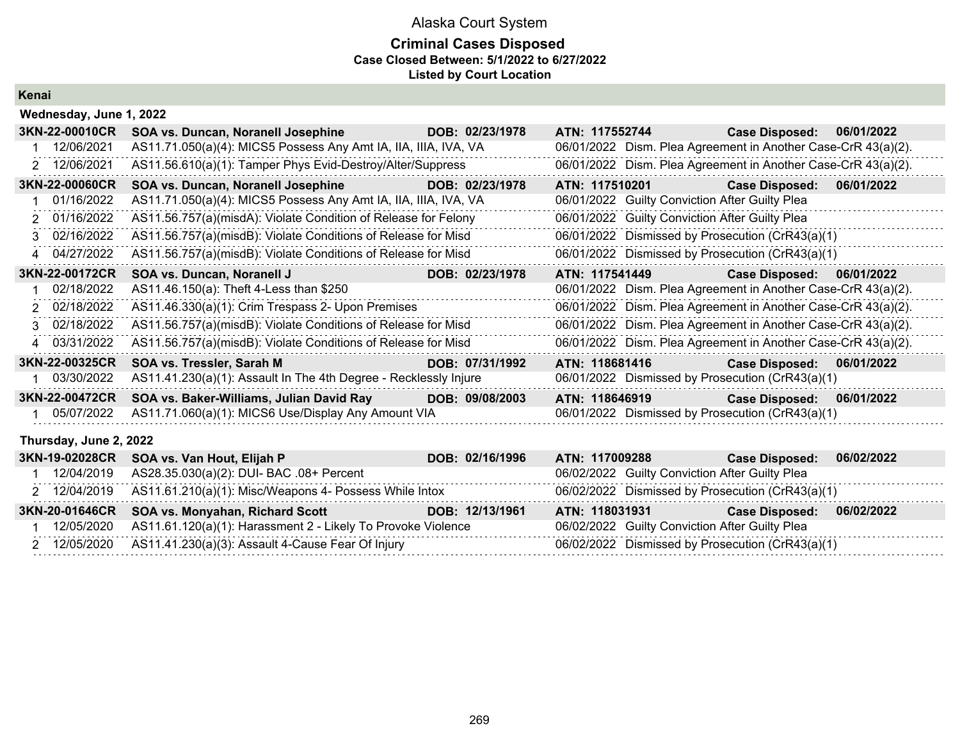### **Criminal Cases Disposed Case Closed Between: 5/1/2022 to 6/27/2022 Listed by Court Location**

**Kenai**

|               | Wednesday, June 1, 2022 |                                                                  |                 |                                                               |                       |            |
|---------------|-------------------------|------------------------------------------------------------------|-----------------|---------------------------------------------------------------|-----------------------|------------|
|               | 3KN-22-00010CR          | SOA vs. Duncan, Noranell Josephine                               | DOB: 02/23/1978 | ATN: 117552744                                                | <b>Case Disposed:</b> | 06/01/2022 |
|               | 12/06/2021              | AS11.71.050(a)(4): MICS5 Possess Any Amt IA, IIA, IIIA, IVA, VA  |                 | 06/01/2022 Dism. Plea Agreement in Another Case-CrR 43(a)(2). |                       |            |
|               | 2 12/06/2021            | AS11.56.610(a)(1): Tamper Phys Evid-Destroy/Alter/Suppress       |                 | 06/01/2022 Dism. Plea Agreement in Another Case-CrR 43(a)(2). |                       |            |
|               | 3KN-22-00060CR          | SOA vs. Duncan, Noranell Josephine                               | DOB: 02/23/1978 | ATN: 117510201                                                | <b>Case Disposed:</b> | 06/01/2022 |
|               | 01/16/2022              | AS11.71.050(a)(4): MICS5 Possess Any Amt IA, IIA, IIIA, IVA, VA  |                 | 06/01/2022 Guilty Conviction After Guilty Plea                |                       |            |
| 2             | 01/16/2022              | AS11.56.757(a)(misdA): Violate Condition of Release for Felony   |                 | 06/01/2022 Guilty Conviction After Guilty Plea                |                       |            |
| $\mathcal{R}$ | 02/16/2022              | AS11.56.757(a)(misdB): Violate Conditions of Release for Misd    |                 | 06/01/2022 Dismissed by Prosecution (CrR43(a)(1)              |                       |            |
|               | 4 04/27/2022            | AS11.56.757(a)(misdB): Violate Conditions of Release for Misd    |                 | 06/01/2022 Dismissed by Prosecution (CrR43(a)(1)              |                       |            |
|               | 3KN-22-00172CR          | SOA vs. Duncan, Noranell J                                       | DOB: 02/23/1978 | ATN: 117541449                                                | <b>Case Disposed:</b> | 06/01/2022 |
|               | 02/18/2022              | AS11.46.150(a): Theft 4-Less than \$250                          | .               | 06/01/2022 Dism. Plea Agreement in Another Case-CrR 43(a)(2). |                       |            |
|               | 2 02/18/2022            | AS11.46.330(a)(1): Crim Trespass 2- Upon Premises                |                 | 06/01/2022 Dism. Plea Agreement in Another Case-CrR 43(a)(2). |                       |            |
|               | 3 02/18/2022            | AS11.56.757(a)(misdB): Violate Conditions of Release for Misd    |                 | 06/01/2022 Dism. Plea Agreement in Another Case-CrR 43(a)(2). |                       |            |
|               | 4 03/31/2022            | AS11.56.757(a)(misdB): Violate Conditions of Release for Misd    |                 | 06/01/2022 Dism. Plea Agreement in Another Case-CrR 43(a)(2). |                       |            |
|               | 3KN-22-00325CR          | SOA vs. Tressler, Sarah M                                        | DOB: 07/31/1992 | ATN: 118681416                                                | <b>Case Disposed:</b> | 06/01/2022 |
| 1.            | 03/30/2022              | AS11.41.230(a)(1): Assault In The 4th Degree - Recklessly Injure |                 | 06/01/2022 Dismissed by Prosecution (CrR43(a)(1)              |                       |            |
|               | 3KN-22-00472CR          | SOA vs. Baker-Williams, Julian David Ray                         | DOB: 09/08/2003 | ATN: 118646919                                                | <b>Case Disposed:</b> | 06/01/2022 |
| 1             | 05/07/2022              | AS11.71.060(a)(1): MICS6 Use/Display Any Amount VIA              |                 | 06/01/2022 Dismissed by Prosecution (CrR43(a)(1)              |                       |            |
|               | Thursday, June 2, 2022  |                                                                  |                 |                                                               |                       |            |
|               | 3KN-19-02028CR          | SOA vs. Van Hout, Elijah P                                       | DOB: 02/16/1996 | ATN: 117009288                                                | <b>Case Disposed:</b> | 06/02/2022 |
|               | 12/04/2019              | AS28.35.030(a)(2): DUI- BAC .08+ Percent                         | .               | 06/02/2022 Guilty Conviction After Guilty Plea                |                       |            |
|               | 2 12/04/2019            | AS11.61.210(a)(1): Misc/Weapons 4- Possess While Intox           |                 | 06/02/2022 Dismissed by Prosecution (CrR43(a)(1)              |                       |            |
|               | 3KN-20-01646CR          | SOA vs. Monyahan, Richard Scott                                  | DOB: 12/13/1961 | ATN: 118031931                                                | <b>Case Disposed:</b> | 06/02/2022 |
|               | 1 12/05/2020            | AS11.61.120(a)(1): Harassment 2 - Likely To Provoke Violence     |                 | 06/02/2022 Guilty Conviction After Guilty Plea                |                       |            |

2 12/05/2020 AS11.41.230(a)(3): Assault 4-Cause Fear Of Injury 06/02/2022 Dismissed by Prosecution (CrR43(a)(1)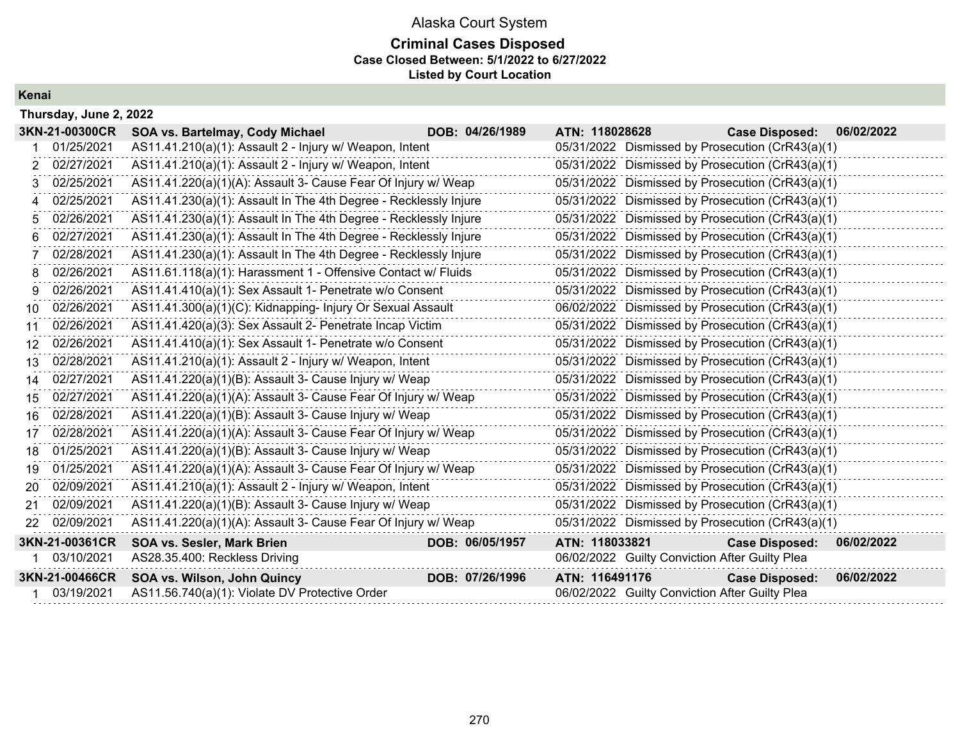### Alaska Court System **Criminal Cases Disposed Case Closed Between: 5/1/2022 to 6/27/2022 Listed by Court Location**

**Kenai**

|     | Thursday, June 2, 2022 |                                                                  |                 |                |                                                  |            |
|-----|------------------------|------------------------------------------------------------------|-----------------|----------------|--------------------------------------------------|------------|
|     | 3KN-21-00300CR         | SOA vs. Bartelmay, Cody Michael                                  | DOB: 04/26/1989 | ATN: 118028628 | <b>Case Disposed:</b>                            | 06/02/2022 |
|     | 01/25/2021             | AS11.41.210(a)(1): Assault 2 - Injury w/ Weapon, Intent          |                 |                | 05/31/2022 Dismissed by Prosecution (CrR43(a)(1) |            |
| 2   | 02/27/2021             | AS11.41.210(a)(1): Assault 2 - Injury w/ Weapon, Intent          |                 |                | 05/31/2022 Dismissed by Prosecution (CrR43(a)(1) |            |
| З.  | 02/25/2021             | AS11.41.220(a)(1)(A): Assault 3- Cause Fear Of Injury w/ Weap    |                 |                | 05/31/2022 Dismissed by Prosecution (CrR43(a)(1) |            |
| 4   | 02/25/2021             | AS11.41.230(a)(1): Assault In The 4th Degree - Recklessly Injure |                 |                | 05/31/2022 Dismissed by Prosecution (CrR43(a)(1) |            |
| 5   | 02/26/2021             | AS11.41.230(a)(1): Assault In The 4th Degree - Recklessly Injure |                 |                | 05/31/2022 Dismissed by Prosecution (CrR43(a)(1) |            |
| 6.  | 02/27/2021             | AS11.41.230(a)(1): Assault In The 4th Degree - Recklessly Injure |                 |                | 05/31/2022 Dismissed by Prosecution (CrR43(a)(1) |            |
|     | 02/28/2021             | AS11.41.230(a)(1): Assault In The 4th Degree - Recklessly Injure |                 |                | 05/31/2022 Dismissed by Prosecution (CrR43(a)(1) |            |
| 8   | 02/26/2021             | AS11.61.118(a)(1): Harassment 1 - Offensive Contact w/ Fluids    |                 |                | 05/31/2022 Dismissed by Prosecution (CrR43(a)(1) |            |
| 9.  | 02/26/2021             | AS11.41.410(a)(1): Sex Assault 1- Penetrate w/o Consent          |                 |                | 05/31/2022 Dismissed by Prosecution (CrR43(a)(1) |            |
| 10. | 02/26/2021             | AS11.41.300(a)(1)(C): Kidnapping- Injury Or Sexual Assault       |                 |                | 06/02/2022 Dismissed by Prosecution (CrR43(a)(1) |            |
| 11  | 02/26/2021             | AS11.41.420(a)(3): Sex Assault 2- Penetrate Incap Victim         |                 |                | 05/31/2022 Dismissed by Prosecution (CrR43(a)(1) |            |
| 12  | 02/26/2021             | AS11.41.410(a)(1): Sex Assault 1- Penetrate w/o Consent          |                 |                | 05/31/2022 Dismissed by Prosecution (CrR43(a)(1) |            |
| 13. | 02/28/2021             | AS11.41.210(a)(1): Assault 2 - Injury w/ Weapon, Intent          |                 |                | 05/31/2022 Dismissed by Prosecution (CrR43(a)(1) |            |
| 14  | 02/27/2021             | AS11.41.220(a)(1)(B): Assault 3- Cause Injury w/ Weap            |                 |                | 05/31/2022 Dismissed by Prosecution (CrR43(a)(1) |            |
| 15  | 02/27/2021             | AS11.41.220(a)(1)(A): Assault 3- Cause Fear Of Injury w/ Weap    |                 |                | 05/31/2022 Dismissed by Prosecution (CrR43(a)(1) |            |
| 16. | 02/28/2021             | AS11.41.220(a)(1)(B): Assault 3- Cause Injury w/ Weap            |                 |                | 05/31/2022 Dismissed by Prosecution (CrR43(a)(1) |            |
| 17  | 02/28/2021             | AS11.41.220(a)(1)(A): Assault 3- Cause Fear Of Injury w/ Weap    |                 |                | 05/31/2022 Dismissed by Prosecution (CrR43(a)(1) |            |
| 18  | 01/25/2021             | AS11.41.220(a)(1)(B): Assault 3- Cause Injury w/ Weap            |                 |                | 05/31/2022 Dismissed by Prosecution (CrR43(a)(1) |            |
| 19  | 01/25/2021             | AS11.41.220(a)(1)(A): Assault 3- Cause Fear Of Injury w/ Weap    |                 |                | 05/31/2022 Dismissed by Prosecution (CrR43(a)(1) |            |
| 20  | 02/09/2021             | AS11.41.210(a)(1): Assault 2 - Injury w/ Weapon, Intent          |                 |                | 05/31/2022 Dismissed by Prosecution (CrR43(a)(1) |            |
| 21  | 02/09/2021             | AS11.41.220(a)(1)(B): Assault 3- Cause Injury w/ Weap            |                 |                | 05/31/2022 Dismissed by Prosecution (CrR43(a)(1) |            |
| 22  | 02/09/2021             | AS11.41.220(a)(1)(A): Assault 3- Cause Fear Of Injury w/ Weap    |                 |                | 05/31/2022 Dismissed by Prosecution (CrR43(a)(1) |            |
|     | 3KN-21-00361CR         | <b>SOA vs. Sesler, Mark Brien</b>                                | DOB: 06/05/1957 | ATN: 118033821 | <b>Case Disposed:</b>                            | 06/02/2022 |
|     | 03/10/2021             | AS28.35.400: Reckless Driving                                    |                 |                | 06/02/2022 Guilty Conviction After Guilty Plea   |            |
|     | 3KN-21-00466CR         | SOA vs. Wilson, John Quincy                                      | DOB: 07/26/1996 | ATN: 116491176 | <b>Case Disposed:</b>                            | 06/02/2022 |
|     | 03/19/2021             | AS11.56.740(a)(1): Violate DV Protective Order                   |                 |                | 06/02/2022 Guilty Conviction After Guilty Plea   |            |
|     |                        |                                                                  |                 |                |                                                  |            |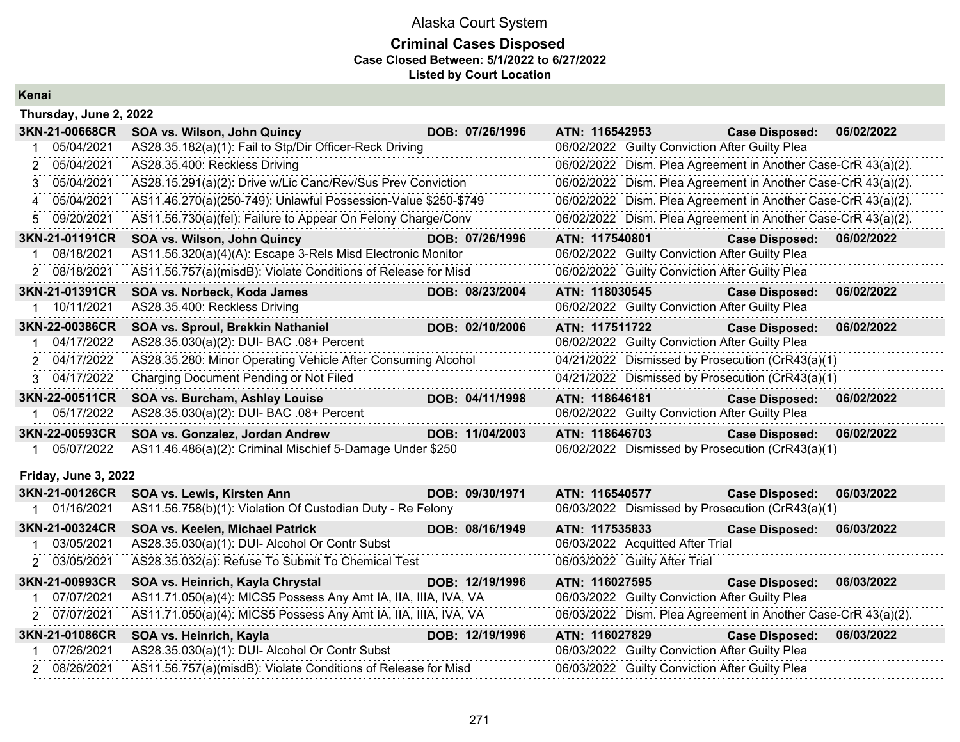### **Criminal Cases Disposed Case Closed Between: 5/1/2022 to 6/27/2022 Listed by Court Location**

#### **Kenai**

|                                                                                                                    | Thursday, June 2, 2022                                          |                                                                                                                      |                 |                |                                                |                                                               |            |  |  |  |  |
|--------------------------------------------------------------------------------------------------------------------|-----------------------------------------------------------------|----------------------------------------------------------------------------------------------------------------------|-----------------|----------------|------------------------------------------------|---------------------------------------------------------------|------------|--|--|--|--|
| 3KN-21-00668CR                                                                                                     | SOA vs. Wilson, John Quincy                                     |                                                                                                                      | DOB: 07/26/1996 | ATN: 116542953 |                                                | <b>Case Disposed:</b>                                         | 06/02/2022 |  |  |  |  |
| 05/04/2021                                                                                                         | AS28.35.182(a)(1): Fail to Stp/Dir Officer-Reck Driving         |                                                                                                                      |                 |                | 06/02/2022 Guilty Conviction After Guilty Plea |                                                               |            |  |  |  |  |
| 05/04/2021                                                                                                         | AS28.35.400: Reckless Driving                                   |                                                                                                                      |                 |                |                                                | 06/02/2022 Dism. Plea Agreement in Another Case-CrR 43(a)(2). |            |  |  |  |  |
| 05/04/2021<br>3                                                                                                    | AS28.15.291(a)(2): Drive w/Lic Canc/Rev/Sus Prev Conviction     |                                                                                                                      |                 |                |                                                | 06/02/2022 Dism. Plea Agreement in Another Case-CrR 43(a)(2). |            |  |  |  |  |
| 05/04/2021<br>4                                                                                                    | AS11.46.270(a)(250-749): Unlawful Possession-Value \$250-\$749  |                                                                                                                      |                 |                |                                                | 06/02/2022 Dism. Plea Agreement in Another Case-CrR 43(a)(2). |            |  |  |  |  |
| 09/20/2021<br>5.                                                                                                   | AS11.56.730(a)(fel): Failure to Appear On Felony Charge/Conv    |                                                                                                                      |                 |                |                                                | 06/02/2022 Dism. Plea Agreement in Another Case-CrR 43(a)(2). |            |  |  |  |  |
| 3KN-21-01191CR                                                                                                     | SOA vs. Wilson, John Quincy                                     |                                                                                                                      | DOB: 07/26/1996 | ATN: 117540801 |                                                | <b>Case Disposed:</b>                                         | 06/02/2022 |  |  |  |  |
| 08/18/2021                                                                                                         | AS11.56.320(a)(4)(A): Escape 3-Rels Misd Electronic Monitor     |                                                                                                                      |                 |                | 06/02/2022 Guilty Conviction After Guilty Plea |                                                               |            |  |  |  |  |
| 2 08/18/2021                                                                                                       | AS11.56.757(a)(misdB): Violate Conditions of Release for Misd   |                                                                                                                      |                 |                | 06/02/2022 Guilty Conviction After Guilty Plea |                                                               |            |  |  |  |  |
| 3KN-21-01391CR                                                                                                     | SOA vs. Norbeck, Koda James                                     |                                                                                                                      | DOB: 08/23/2004 | ATN: 118030545 |                                                | <b>Case Disposed:</b>                                         | 06/02/2022 |  |  |  |  |
| 1 10/11/2021                                                                                                       | AS28.35.400: Reckless Driving                                   |                                                                                                                      |                 |                | 06/02/2022 Guilty Conviction After Guilty Plea |                                                               |            |  |  |  |  |
| 3KN-22-00386CR                                                                                                     | SOA vs. Sproul, Brekkin Nathaniel                               |                                                                                                                      | DOB: 02/10/2006 | ATN: 117511722 |                                                | <b>Case Disposed:</b>                                         | 06/02/2022 |  |  |  |  |
| 04/17/2022                                                                                                         | AS28.35.030(a)(2): DUI- BAC .08+ Percent                        |                                                                                                                      |                 |                | 06/02/2022 Guilty Conviction After Guilty Plea |                                                               |            |  |  |  |  |
| 2 04/17/2022                                                                                                       | AS28.35.280: Minor Operating Vehicle After Consuming Alcohol    |                                                                                                                      |                 |                |                                                | 04/21/2022 Dismissed by Prosecution (CrR43(a)(1)              |            |  |  |  |  |
| 3 04/17/2022                                                                                                       | Charging Document Pending or Not Filed                          |                                                                                                                      |                 |                |                                                | 04/21/2022 Dismissed by Prosecution (CrR43(a)(1)              |            |  |  |  |  |
| 3KN-22-00511CR                                                                                                     | SOA vs. Burcham, Ashley Louise                                  |                                                                                                                      | DOB: 04/11/1998 | ATN: 118646181 |                                                | <b>Case Disposed:</b>                                         | 06/02/2022 |  |  |  |  |
| 1 05/17/2022                                                                                                       | AS28.35.030(a)(2): DUI- BAC .08+ Percent                        |                                                                                                                      |                 |                | 06/02/2022 Guilty Conviction After Guilty Plea |                                                               |            |  |  |  |  |
| 3KN-22-00593CR                                                                                                     | SOA vs. Gonzalez, Jordan Andrew                                 |                                                                                                                      | DOB: 11/04/2003 | ATN: 118646703 |                                                | <b>Case Disposed:</b>                                         | 06/02/2022 |  |  |  |  |
| 05/07/2022                                                                                                         | AS11.46.486(a)(2): Criminal Mischief 5-Damage Under \$250       |                                                                                                                      |                 |                |                                                | 06/02/2022 Dismissed by Prosecution (CrR43(a)(1)              |            |  |  |  |  |
| Friday, June 3, 2022                                                                                               |                                                                 |                                                                                                                      |                 |                |                                                |                                                               |            |  |  |  |  |
| 3KN-21-00126CR                                                                                                     | SOA vs. Lewis, Kirsten Ann                                      |                                                                                                                      | DOB: 09/30/1971 |                | ATN: 116540577                                 | <b>Case Disposed:</b>                                         | 06/03/2022 |  |  |  |  |
| 1 01/16/2021                                                                                                       | AS11.56.758(b)(1): Violation Of Custodian Duty - Re Felony      |                                                                                                                      |                 |                |                                                | 06/03/2022 Dismissed by Prosecution (CrR43(a)(1)              |            |  |  |  |  |
| 3KN-21-00324CR                                                                                                     | SOA vs. Keelen, Michael Patrick                                 |                                                                                                                      | DOB: 08/16/1949 | ATN: 117535833 |                                                | <b>Case Disposed:</b>                                         | 06/03/2022 |  |  |  |  |
| 03/05/2021                                                                                                         | AS28.35.030(a)(1): DUI- Alcohol Or Contr Subst                  |                                                                                                                      |                 |                | 06/03/2022 Acquitted After Trial               |                                                               |            |  |  |  |  |
| 2 03/05/2021                                                                                                       | AS28.35.032(a): Refuse To Submit To Chemical Test               |                                                                                                                      |                 |                | 06/03/2022 Guilty After Trial                  |                                                               |            |  |  |  |  |
| 3KN-21-00993CR                                                                                                     | SOA vs. Heinrich, Kayla Chrystal                                |                                                                                                                      | DOB: 12/19/1996 | ATN: 116027595 |                                                | <b>Case Disposed:</b>                                         | 06/03/2022 |  |  |  |  |
| 07/07/2021                                                                                                         | AS11.71.050(a)(4): MICS5 Possess Any Amt IA, IIA, IIIA, IVA, VA |                                                                                                                      |                 |                | 06/03/2022 Guilty Conviction After Guilty Plea |                                                               |            |  |  |  |  |
| 2 07/07/2021                                                                                                       | AS11.71.050(a)(4): MICS5 Possess Any Amt IA, IIA, IIIA, IVA, VA |                                                                                                                      |                 |                |                                                | 06/03/2022 Dism. Plea Agreement in Another Case-CrR 43(a)(2). |            |  |  |  |  |
| 3KN-21-01086CR                                                                                                     | SOA vs. Heinrich, Kayla                                         |                                                                                                                      | DOB: 12/19/1996 | ATN: 116027829 |                                                | <b>Case Disposed:</b>                                         | 06/03/2022 |  |  |  |  |
| 07/26/2021                                                                                                         | AS28.35.030(a)(1): DUI- Alcohol Or Contr Subst                  | <u> 2008 - Andrew Marie Barbara, menyebaran antara sebagai pendang pada sebagai pertama pada sebagai pertama per</u> |                 |                | 06/03/2022 Guilty Conviction After Guilty Plea |                                                               |            |  |  |  |  |
| $\mathbf{a} \cdot \mathbf{a} \cdot \mathbf{a} \cdot \mathbf{a} \cdot \mathbf{a} \cdot \mathbf{a} \cdot \mathbf{a}$ |                                                                 |                                                                                                                      |                 |                |                                                |                                                               |            |  |  |  |  |

2 08/26/2021 AS11.56.757(a)(misdB): Violate Conditions of Release for Misd 06/03/2022 Guilty Conviction After Guilty Plea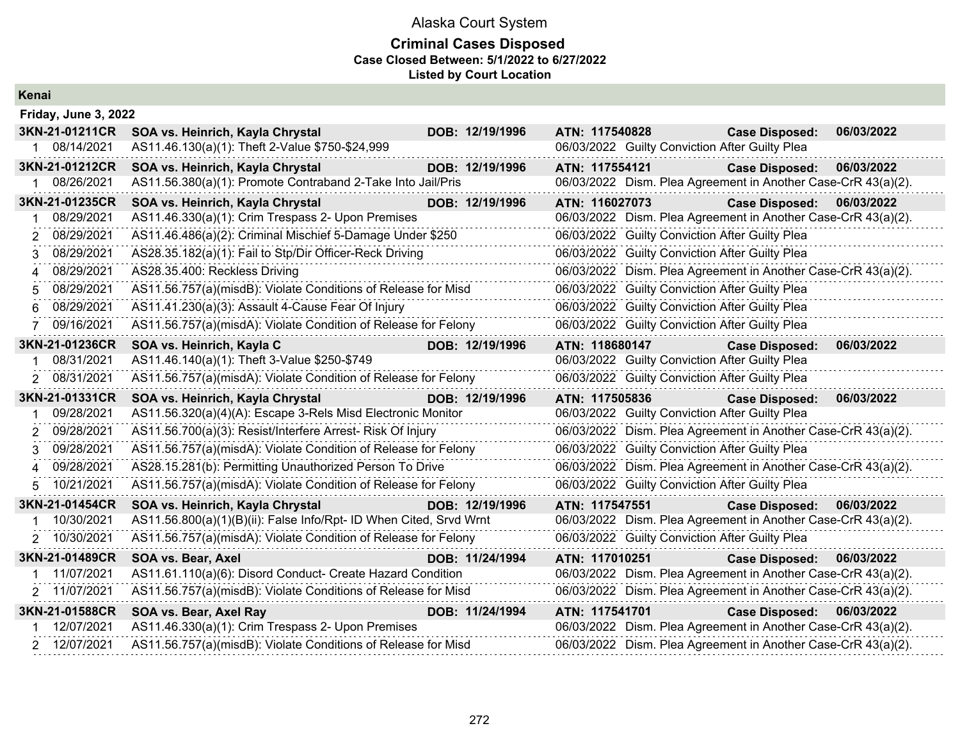### **Criminal Cases Disposed Case Closed Between: 5/1/2022 to 6/27/2022 Listed by Court Location**

**Kenai**

|    | Friday, June 3, 2022 |                                                                    |  |                 |                |  |  |                                                               |            |  |
|----|----------------------|--------------------------------------------------------------------|--|-----------------|----------------|--|--|---------------------------------------------------------------|------------|--|
|    | 3KN-21-01211CR       | SOA vs. Heinrich, Kayla Chrystal                                   |  | DOB: 12/19/1996 | ATN: 117540828 |  |  | <b>Case Disposed:</b>                                         | 06/03/2022 |  |
|    | 1 08/14/2021         | AS11.46.130(a)(1): Theft 2-Value \$750-\$24,999                    |  |                 |                |  |  | 06/03/2022 Guilty Conviction After Guilty Plea                |            |  |
|    | 3KN-21-01212CR       | SOA vs. Heinrich, Kayla Chrystal                                   |  | DOB: 12/19/1996 | ATN: 117554121 |  |  | <b>Case Disposed:</b>                                         | 06/03/2022 |  |
|    | 08/26/2021           | AS11.56.380(a)(1): Promote Contraband 2-Take Into Jail/Pris        |  |                 |                |  |  | 06/03/2022 Dism. Plea Agreement in Another Case-CrR 43(a)(2). |            |  |
|    | 3KN-21-01235CR       | SOA vs. Heinrich, Kayla Chrystal                                   |  | DOB: 12/19/1996 | ATN: 116027073 |  |  | <b>Case Disposed:</b>                                         | 06/03/2022 |  |
|    | 08/29/2021           | AS11.46.330(a)(1): Crim Trespass 2- Upon Premises                  |  |                 |                |  |  | 06/03/2022 Dism. Plea Agreement in Another Case-CrR 43(a)(2). |            |  |
| 2. | 08/29/2021           | AS11.46.486(a)(2): Criminal Mischief 5-Damage Under \$250          |  |                 |                |  |  | 06/03/2022 Guilty Conviction After Guilty Plea                |            |  |
| 3  | 08/29/2021           | AS28.35.182(a)(1): Fail to Stp/Dir Officer-Reck Driving            |  |                 |                |  |  | 06/03/2022 Guilty Conviction After Guilty Plea                |            |  |
| 4  | 08/29/2021           | AS28.35.400: Reckless Driving                                      |  |                 |                |  |  | 06/03/2022 Dism. Plea Agreement in Another Case-CrR 43(a)(2). |            |  |
| 5. | 08/29/2021           | AS11.56.757(a)(misdB): Violate Conditions of Release for Misd      |  |                 |                |  |  | 06/03/2022 Guilty Conviction After Guilty Plea                |            |  |
| 6  | 08/29/2021           | AS11.41.230(a)(3): Assault 4-Cause Fear Of Injury                  |  |                 |                |  |  | 06/03/2022 Guilty Conviction After Guilty Plea                |            |  |
|    | 09/16/2021           | AS11.56.757(a)(misdA): Violate Condition of Release for Felony     |  |                 |                |  |  | 06/03/2022 Guilty Conviction After Guilty Plea                |            |  |
|    | 3KN-21-01236CR       | SOA vs. Heinrich, Kayla C                                          |  | DOB: 12/19/1996 | ATN: 118680147 |  |  | <b>Case Disposed:</b>                                         | 06/03/2022 |  |
|    | 08/31/2021           | AS11.46.140(a)(1): Theft 3-Value \$250-\$749                       |  |                 |                |  |  | 06/03/2022 Guilty Conviction After Guilty Plea                |            |  |
|    | 2 08/31/2021         | AS11.56.757(a)(misdA): Violate Condition of Release for Felony     |  |                 |                |  |  | 06/03/2022 Guilty Conviction After Guilty Plea                |            |  |
|    | 3KN-21-01331CR       | SOA vs. Heinrich, Kayla Chrystal                                   |  | DOB: 12/19/1996 | ATN: 117505836 |  |  | <b>Case Disposed:</b>                                         | 06/03/2022 |  |
|    | 09/28/2021           | AS11.56.320(a)(4)(A): Escape 3-Rels Misd Electronic Monitor        |  |                 |                |  |  | 06/03/2022 Guilty Conviction After Guilty Plea                |            |  |
| 2  | 09/28/2021           | AS11.56.700(a)(3): Resist/Interfere Arrest- Risk Of Injury         |  |                 |                |  |  | 06/03/2022 Dism. Plea Agreement in Another Case-CrR 43(a)(2). |            |  |
| 3. | 09/28/2021           | AS11.56.757(a)(misdA): Violate Condition of Release for Felony     |  |                 |                |  |  | 06/03/2022 Guilty Conviction After Guilty Plea                |            |  |
| 4  | 09/28/2021           | AS28.15.281(b): Permitting Unauthorized Person To Drive            |  |                 |                |  |  | 06/03/2022 Dism. Plea Agreement in Another Case-CrR 43(a)(2). |            |  |
|    | 10/21/2021           | AS11.56.757(a)(misdA): Violate Condition of Release for Felony     |  |                 |                |  |  | 06/03/2022 Guilty Conviction After Guilty Plea                |            |  |
|    | 3KN-21-01454CR       | SOA vs. Heinrich, Kayla Chrystal                                   |  | DOB: 12/19/1996 | ATN: 117547551 |  |  | <b>Case Disposed:</b>                                         | 06/03/2022 |  |
|    | 10/30/2021           | AS11.56.800(a)(1)(B)(ii): False Info/Rpt- ID When Cited, Srvd Wrnt |  |                 |                |  |  | 06/03/2022 Dism. Plea Agreement in Another Case-CrR 43(a)(2). |            |  |
| 2  | 10/30/2021           | AS11.56.757(a)(misdA): Violate Condition of Release for Felony     |  |                 |                |  |  | 06/03/2022 Guilty Conviction After Guilty Plea                |            |  |
|    | 3KN-21-01489CR       | SOA vs. Bear, Axel                                                 |  | DOB: 11/24/1994 | ATN: 117010251 |  |  | <b>Case Disposed:</b>                                         | 06/03/2022 |  |
|    | 11/07/2021           | AS11.61.110(a)(6): Disord Conduct- Create Hazard Condition         |  |                 |                |  |  | 06/03/2022 Dism. Plea Agreement in Another Case-CrR 43(a)(2). |            |  |
|    | 2 11/07/2021         | AS11.56.757(a)(misdB): Violate Conditions of Release for Misd      |  |                 |                |  |  | 06/03/2022 Dism. Plea Agreement in Another Case-CrR 43(a)(2). |            |  |
|    | 3KN-21-01588CR       | SOA vs. Bear, Axel Ray                                             |  | DOB: 11/24/1994 | ATN: 117541701 |  |  | <b>Case Disposed:</b>                                         | 06/03/2022 |  |
|    | 12/07/2021           | AS11.46.330(a)(1): Crim Trespass 2- Upon Premises                  |  |                 |                |  |  | 06/03/2022 Dism. Plea Agreement in Another Case-CrR 43(a)(2). |            |  |
|    | 2 12/07/2021         | AS11.56.757(a)(misdB): Violate Conditions of Release for Misd      |  |                 |                |  |  | 06/03/2022 Dism. Plea Agreement in Another Case-CrR 43(a)(2). |            |  |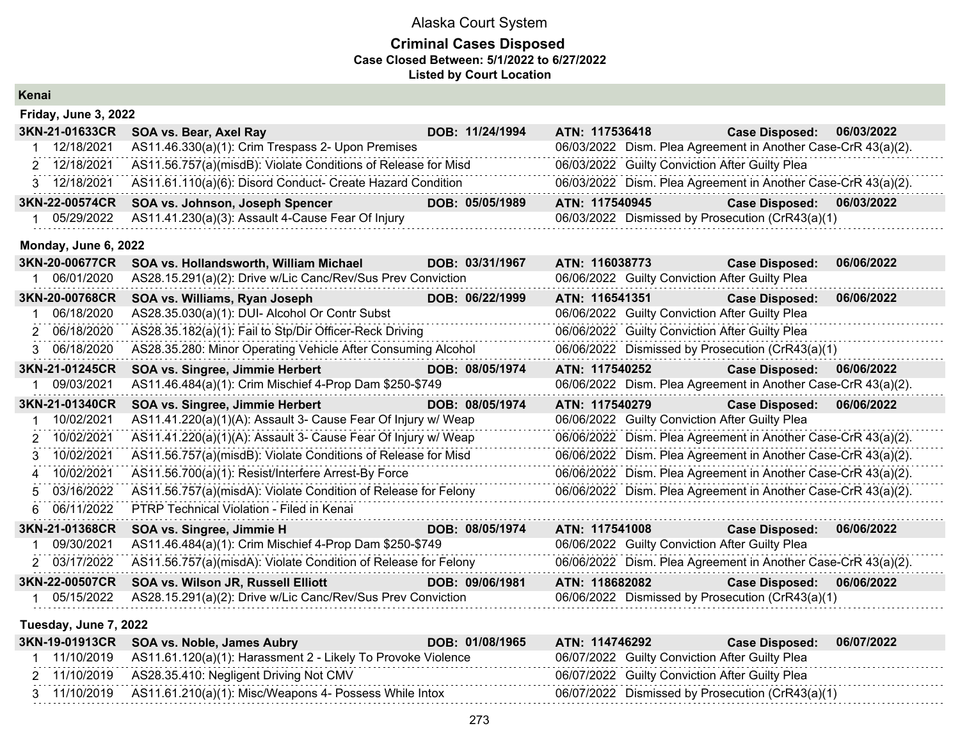#### **Criminal Cases Disposed Case Closed Between: 5/1/2022 to 6/27/2022 Listed by Court Location**

| Kenai |                      |                                                                |  |                 |                |  |  |                                                               |            |  |  |
|-------|----------------------|----------------------------------------------------------------|--|-----------------|----------------|--|--|---------------------------------------------------------------|------------|--|--|
|       | Friday, June 3, 2022 |                                                                |  |                 |                |  |  |                                                               |            |  |  |
|       | 3KN-21-01633CR       | SOA vs. Bear, Axel Ray                                         |  | DOB: 11/24/1994 | ATN: 117536418 |  |  | <b>Case Disposed:</b>                                         | 06/03/2022 |  |  |
|       | 12/18/2021           | AS11.46.330(a)(1): Crim Trespass 2- Upon Premises              |  |                 |                |  |  | 06/03/2022 Dism. Plea Agreement in Another Case-CrR 43(a)(2). |            |  |  |
|       | 2 12/18/2021         | AS11.56.757(a)(misdB): Violate Conditions of Release for Misd  |  |                 |                |  |  | 06/03/2022 Guilty Conviction After Guilty Plea                |            |  |  |
|       | 3 12/18/2021         | AS11.61.110(a)(6): Disord Conduct- Create Hazard Condition     |  |                 |                |  |  | 06/03/2022 Dism. Plea Agreement in Another Case-CrR 43(a)(2). |            |  |  |
|       | 3KN-22-00574CR       | SOA vs. Johnson, Joseph Spencer                                |  | DOB: 05/05/1989 | ATN: 117540945 |  |  | <b>Case Disposed:</b>                                         | 06/03/2022 |  |  |
|       | 05/29/2022           | AS11.41.230(a)(3): Assault 4-Cause Fear Of Injury              |  |                 |                |  |  | 06/03/2022 Dismissed by Prosecution (CrR43(a)(1)              |            |  |  |
|       | Monday, June 6, 2022 |                                                                |  |                 |                |  |  |                                                               |            |  |  |
|       | 3KN-20-00677CR       | SOA vs. Hollandsworth, William Michael                         |  | DOB: 03/31/1967 | ATN: 116038773 |  |  | <b>Case Disposed:</b>                                         | 06/06/2022 |  |  |
|       | 06/01/2020           | AS28.15.291(a)(2): Drive w/Lic Canc/Rev/Sus Prev Conviction    |  |                 |                |  |  | 06/06/2022 Guilty Conviction After Guilty Plea                |            |  |  |
|       | 3KN-20-00768CR       | SOA vs. Williams, Ryan Joseph                                  |  | DOB: 06/22/1999 | ATN: 116541351 |  |  | <b>Case Disposed:</b>                                         | 06/06/2022 |  |  |
|       | 06/18/2020           | AS28.35.030(a)(1): DUI- Alcohol Or Contr Subst                 |  |                 |                |  |  | 06/06/2022 Guilty Conviction After Guilty Plea                |            |  |  |
|       | 2 06/18/2020         | AS28.35.182(a)(1): Fail to Stp/Dir Officer-Reck Driving        |  |                 |                |  |  | 06/06/2022 Guilty Conviction After Guilty Plea                |            |  |  |
|       | 3 06/18/2020         | AS28.35.280: Minor Operating Vehicle After Consuming Alcohol   |  |                 |                |  |  | 06/06/2022 Dismissed by Prosecution (CrR43(a)(1)              |            |  |  |
|       | 3KN-21-01245CR       | SOA vs. Singree, Jimmie Herbert                                |  | DOB: 08/05/1974 | ATN: 117540252 |  |  | <b>Case Disposed:</b>                                         | 06/06/2022 |  |  |
|       | 09/03/2021           | AS11.46.484(a)(1): Crim Mischief 4-Prop Dam \$250-\$749        |  |                 |                |  |  | 06/06/2022 Dism. Plea Agreement in Another Case-CrR 43(a)(2). |            |  |  |
|       | 3KN-21-01340CR       | SOA vs. Singree, Jimmie Herbert                                |  | DOB: 08/05/1974 | ATN: 117540279 |  |  | <b>Case Disposed:</b>                                         | 06/06/2022 |  |  |
|       | 10/02/2021           | AS11.41.220(a)(1)(A): Assault 3- Cause Fear Of Injury w/ Weap  |  |                 |                |  |  | 06/06/2022 Guilty Conviction After Guilty Plea                |            |  |  |
| 2     | 10/02/2021           | AS11.41.220(a)(1)(A): Assault 3- Cause Fear Of Injury w/ Weap  |  |                 |                |  |  | 06/06/2022 Dism. Plea Agreement in Another Case-CrR 43(a)(2). |            |  |  |
| 3.    | 10/02/2021           | AS11.56.757(a)(misdB): Violate Conditions of Release for Misd  |  |                 |                |  |  | 06/06/2022 Dism. Plea Agreement in Another Case-CrR 43(a)(2). |            |  |  |
|       | 4 10/02/2021         | AS11.56.700(a)(1): Resist/Interfere Arrest-By Force            |  |                 |                |  |  | 06/06/2022 Dism. Plea Agreement in Another Case-CrR 43(a)(2). |            |  |  |
|       | 03/16/2022           | AS11.56.757(a)(misdA): Violate Condition of Release for Felony |  |                 |                |  |  | 06/06/2022 Dism. Plea Agreement in Another Case-CrR 43(a)(2). |            |  |  |
| 6.    | 06/11/2022           | PTRP Technical Violation - Filed in Kenai                      |  |                 |                |  |  |                                                               |            |  |  |
|       | 3KN-21-01368CR       | SOA vs. Singree, Jimmie H                                      |  | DOB: 08/05/1974 | ATN: 117541008 |  |  | <b>Case Disposed:</b>                                         | 06/06/2022 |  |  |
|       | 09/30/2021           | AS11.46.484(a)(1): Crim Mischief 4-Prop Dam \$250-\$749        |  |                 |                |  |  | 06/06/2022 Guilty Conviction After Guilty Plea                |            |  |  |
|       | 2 03/17/2022         | AS11.56.757(a)(misdA): Violate Condition of Release for Felony |  |                 |                |  |  | 06/06/2022 Dism. Plea Agreement in Another Case-CrR 43(a)(2). |            |  |  |
|       | 3KN-22-00507CR       | SOA vs. Wilson JR, Russell Elliott                             |  | DOB: 09/06/1981 | ATN: 118682082 |  |  | <b>Case Disposed:</b>                                         | 06/06/2022 |  |  |
|       | 05/15/2022           | AS28.15.291(a)(2): Drive w/Lic Canc/Rev/Sus Prev Conviction    |  |                 |                |  |  | 06/06/2022 Dismissed by Prosecution (CrR43(a)(1)              |            |  |  |

### **Tuesday, June 7, 2022**

|              | 3KN-19-01913CR SOA vs. Noble, James Aubry                    | DOB: 01/08/1965 | ATN: 114746292 | <b>Case Disposed:</b>                            | 06/07/2022 |
|--------------|--------------------------------------------------------------|-----------------|----------------|--------------------------------------------------|------------|
| 11/10/2019   | AS11.61.120(a)(1): Harassment 2 - Likely To Provoke Violence |                 |                | 06/07/2022 Guilty Conviction After Guilty Plea   |            |
|              | 2 11/10/2019 AS28.35.410: Negligent Driving Not CMV          |                 |                | 06/07/2022 Guilty Conviction After Guilty Plea   |            |
| 3 11/10/2019 | AS11.61.210(a)(1): Misc/Weapons 4- Possess While Intox       |                 |                | 06/07/2022 Dismissed by Prosecution (CrR43(a)(1) |            |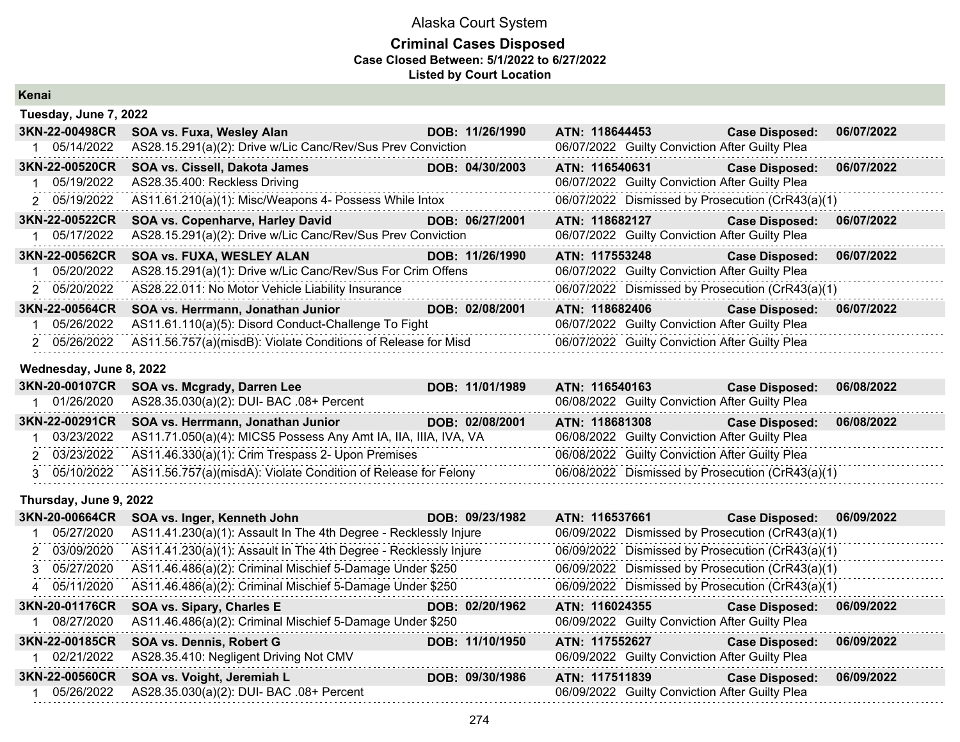### **Criminal Cases Disposed Case Closed Between: 5/1/2022 to 6/27/2022 Listed by Court Location**

**Kenai**

| Tuesday, June 7, 2022 |                                                               |  |                 |                |                                                |                                                  |            |  |  |  |
|-----------------------|---------------------------------------------------------------|--|-----------------|----------------|------------------------------------------------|--------------------------------------------------|------------|--|--|--|
| 3KN-22-00498CR        | SOA vs. Fuxa, Wesley Alan                                     |  | DOB: 11/26/1990 | ATN: 118644453 |                                                | <b>Case Disposed:</b>                            | 06/07/2022 |  |  |  |
| 05/14/2022            | AS28.15.291(a)(2): Drive w/Lic Canc/Rev/Sus Prev Conviction   |  |                 |                | 06/07/2022 Guilty Conviction After Guilty Plea |                                                  |            |  |  |  |
| 3KN-22-00520CR        | SOA vs. Cissell, Dakota James                                 |  | DOB: 04/30/2003 | ATN: 116540631 |                                                | <b>Case Disposed:</b>                            | 06/07/2022 |  |  |  |
| 05/19/2022            | AS28.35.400: Reckless Driving                                 |  |                 |                | 06/07/2022 Guilty Conviction After Guilty Plea |                                                  |            |  |  |  |
| 2 05/19/2022          | AS11.61.210(a)(1): Misc/Weapons 4- Possess While Intox        |  |                 |                |                                                | 06/07/2022 Dismissed by Prosecution (CrR43(a)(1) |            |  |  |  |
| 3KN-22-00522CR        | SOA vs. Copenharve, Harley David                              |  | DOB: 06/27/2001 | ATN: 118682127 |                                                | <b>Case Disposed:</b>                            | 06/07/2022 |  |  |  |
| 05/17/2022            | AS28.15.291(a)(2): Drive w/Lic Canc/Rev/Sus Prev Conviction   |  |                 |                | 06/07/2022 Guilty Conviction After Guilty Plea |                                                  |            |  |  |  |
| 3KN-22-00562CR        | <b>SOA vs. FUXA, WESLEY ALAN</b>                              |  | DOB: 11/26/1990 | ATN: 117553248 |                                                | <b>Case Disposed:</b>                            | 06/07/2022 |  |  |  |
| 05/20/2022            | AS28.15.291(a)(1): Drive w/Lic Canc/Rev/Sus For Crim Offens   |  |                 |                | 06/07/2022 Guilty Conviction After Guilty Plea |                                                  |            |  |  |  |
| 2 05/20/2022          | AS28.22.011: No Motor Vehicle Liability Insurance             |  |                 |                |                                                | 06/07/2022 Dismissed by Prosecution (CrR43(a)(1) |            |  |  |  |
| 3KN-22-00564CR        | SOA vs. Herrmann, Jonathan Junior                             |  | DOB: 02/08/2001 | ATN: 118682406 |                                                | <b>Case Disposed:</b>                            | 06/07/2022 |  |  |  |
| 05/26/2022            | AS11.61.110(a)(5): Disord Conduct-Challenge To Fight          |  |                 |                | 06/07/2022 Guilty Conviction After Guilty Plea |                                                  |            |  |  |  |
| 2 05/26/2022          | AS11.56.757(a)(misdB): Violate Conditions of Release for Misd |  |                 |                | 06/07/2022 Guilty Conviction After Guilty Plea |                                                  |            |  |  |  |

### **Wednesday, June 8, 2022**

|  | 3KN-20-00107CR SOA vs. Mcgrady, Darren Lee                                  | DOB: 11/01/1989 | <b>ATN: 116540163</b> | <b>Case Disposed:</b>                            | 06/08/2022 |
|--|-----------------------------------------------------------------------------|-----------------|-----------------------|--------------------------------------------------|------------|
|  | 01/26/2020 AS28.35.030(a)(2): DUI- BAC .08+ Percent                         |                 |                       | 06/08/2022 Guilty Conviction After Guilty Plea   |            |
|  | 3KN-22-00291CR SOA vs. Herrmann, Jonathan Junior                            | DOB: 02/08/2001 | ATN: 118681308        | <b>Case Disposed:</b>                            | 06/08/2022 |
|  | 03/23/2022 AS11.71.050(a)(4): MICS5 Possess Any Amt IA, IIA, IIIA, IVA, VA  |                 |                       | 06/08/2022 Guilty Conviction After Guilty Plea   |            |
|  | 2 03/23/2022 AS11.46.330(a)(1): Crim Trespass 2- Upon Premises              |                 |                       | 06/08/2022 Guilty Conviction After Guilty Plea   |            |
|  | 3 05/10/2022 AS11.56.757(a)(misdA): Violate Condition of Release for Felony |                 |                       | 06/08/2022 Dismissed by Prosecution (CrR43(a)(1) |            |

### **Thursday, June 9, 2022**

| <b>3KN-20-00664CR</b> | SOA vs. Inger, Kenneth John                                      | DOB: 09/23/1982 | ATN: 116537661                                 | 06/09/2022<br><b>Case Disposed:</b>              |
|-----------------------|------------------------------------------------------------------|-----------------|------------------------------------------------|--------------------------------------------------|
| 05/27/2020            | AS11.41.230(a)(1): Assault In The 4th Degree - Recklessly Injure |                 |                                                | 06/09/2022 Dismissed by Prosecution (CrR43(a)(1) |
| 2 03/09/2020          | AS11.41.230(a)(1): Assault In The 4th Degree - Recklessly Injure |                 |                                                | 06/09/2022 Dismissed by Prosecution (CrR43(a)(1) |
| 3 05/27/2020          | AS11.46.486(a)(2): Criminal Mischief 5-Damage Under \$250        |                 |                                                | 06/09/2022 Dismissed by Prosecution (CrR43(a)(1) |
| 4 05/11/2020          | AS11.46.486(a)(2): Criminal Mischief 5-Damage Under \$250        |                 |                                                | 06/09/2022 Dismissed by Prosecution (CrR43(a)(1) |
| 3KN-20-01176CR        | SOA vs. Sipary, Charles E                                        | DOB: 02/20/1962 | ATN: 116024355                                 | 06/09/2022<br><b>Case Disposed:</b>              |
| 08/27/2020            | AS11.46.486(a)(2): Criminal Mischief 5-Damage Under \$250        |                 | 06/09/2022 Guilty Conviction After Guilty Plea |                                                  |
| 3KN-22-00185CR        | <b>SOA vs. Dennis, Robert G</b>                                  | DOB: 11/10/1950 | ATN: 117552627                                 | 06/09/2022<br><b>Case Disposed:</b>              |
| 02/21/2022            | AS28.35.410: Negligent Driving Not CMV                           |                 | 06/09/2022 Guilty Conviction After Guilty Plea |                                                  |
| 3KN-22-00560CR        | SOA vs. Voight, Jeremiah L                                       | DOB: 09/30/1986 | ATN: 117511839                                 | 06/09/2022<br><b>Case Disposed:</b>              |
| 05/26/2022            | AS28.35.030(a)(2): DUI- BAC .08+ Percent                         |                 | 06/09/2022 Guilty Conviction After Guilty Plea |                                                  |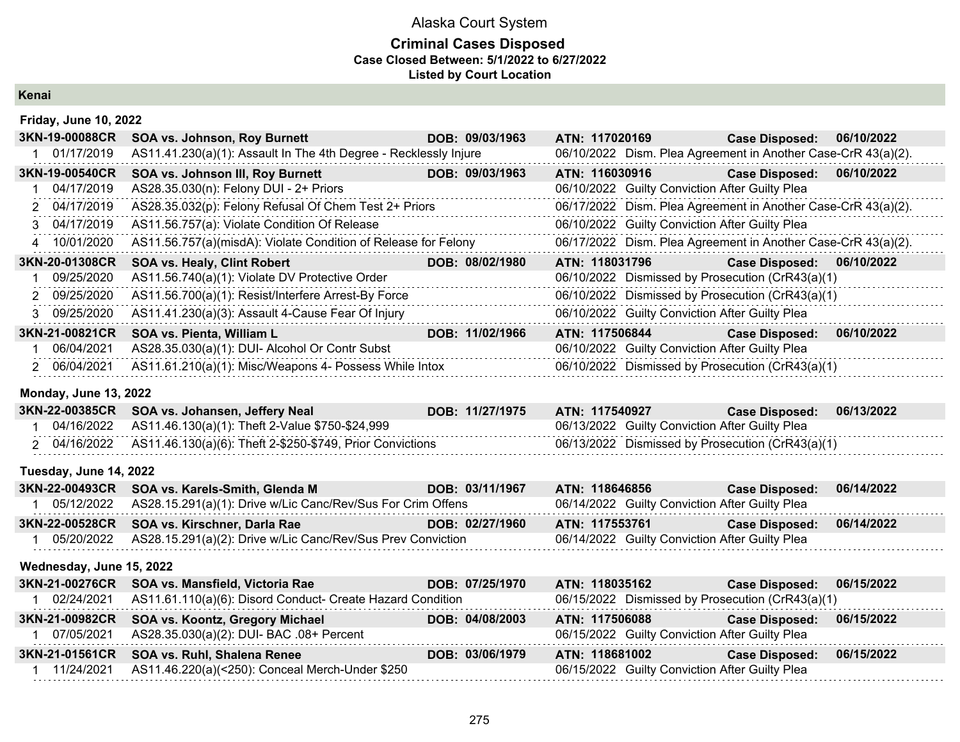### **Criminal Cases Disposed Case Closed Between: 5/1/2022 to 6/27/2022 Listed by Court Location**

**Kenai**

### **Friday, June 10, 2022**

| 3KN-19-00088CR | <b>SOA vs. Johnson, Roy Burnett</b>                              | DOB: 09/03/1963 | ATN: 117020169 |                                                | <b>Case Disposed:</b>                                         | 06/10/2022 |
|----------------|------------------------------------------------------------------|-----------------|----------------|------------------------------------------------|---------------------------------------------------------------|------------|
| 01/17/2019     | AS11.41.230(a)(1): Assault In The 4th Degree - Recklessly Injure |                 |                |                                                | 06/10/2022 Dism. Plea Agreement in Another Case-CrR 43(a)(2). |            |
| 3KN-19-00540CR | <b>SOA vs. Johnson III, Roy Burnett</b>                          | DOB: 09/03/1963 | ATN: 116030916 |                                                | <b>Case Disposed:</b>                                         | 06/10/2022 |
| 04/17/2019     | AS28.35.030(n): Felony DUI - 2+ Priors                           |                 |                | 06/10/2022 Guilty Conviction After Guilty Plea |                                                               |            |
| 2 04/17/2019   | AS28.35.032(p): Felony Refusal Of Chem Test 2+ Priors            |                 |                |                                                | 06/17/2022 Dism. Plea Agreement in Another Case-CrR 43(a)(2). |            |
| 3 04/17/2019   | AS11.56.757(a): Violate Condition Of Release                     |                 |                | 06/10/2022 Guilty Conviction After Guilty Plea |                                                               |            |
| 4 10/01/2020   | AS11.56.757(a)(misdA): Violate Condition of Release for Felony   |                 |                |                                                | 06/17/2022 Dism. Plea Agreement in Another Case-CrR 43(a)(2). |            |
|                |                                                                  |                 |                |                                                |                                                               |            |
| 3KN-20-01308CR | <b>SOA vs. Healy, Clint Robert</b>                               | DOB: 08/02/1980 | ATN: 118031796 |                                                | <b>Case Disposed:</b>                                         | 06/10/2022 |
| 09/25/2020     | AS11.56.740(a)(1): Violate DV Protective Order                   |                 |                |                                                | 06/10/2022 Dismissed by Prosecution (CrR43(a)(1)              |            |
| 2 09/25/2020   | AS11.56.700(a)(1): Resist/Interfere Arrest-By Force              |                 |                |                                                | 06/10/2022 Dismissed by Prosecution (CrR43(a)(1)              |            |
| 3 09/25/2020   | AS11.41.230(a)(3): Assault 4-Cause Fear Of Injury                |                 |                | 06/10/2022 Guilty Conviction After Guilty Plea |                                                               |            |
| 3KN-21-00821CR | SOA vs. Pienta, William L                                        | DOB: 11/02/1966 | ATN: 117506844 |                                                | <b>Case Disposed:</b>                                         | 06/10/2022 |
| 06/04/2021     | AS28.35.030(a)(1): DUI- Alcohol Or Contr Subst                   |                 |                | 06/10/2022 Guilty Conviction After Guilty Plea |                                                               |            |

#### **Monday, June 13, 2022**

|  | 3KN-22-00385CR SOA vs. Johansen, Jeffery Neal                          | DOB: 11/27/1975 | ATN: 117540927 |                                                | <b>Case Disposed:</b>                            | 06/13/2022 |
|--|------------------------------------------------------------------------|-----------------|----------------|------------------------------------------------|--------------------------------------------------|------------|
|  | 04/16/2022 AS11.46.130(a)(1): Theft 2-Value \$750-\$24,999             |                 |                | 06/13/2022 Guilty Conviction After Guilty Plea |                                                  |            |
|  | 2 04/16/2022 AS11.46.130(a)(6): Theft 2-\$250-\$749, Prior Convictions |                 |                |                                                | 06/13/2022 Dismissed by Prosecution (CrR43(a)(1) |            |

### **Tuesday, June 14, 2022**

| 3KN-22-00493CR SOA vs. Karels-Smith, Glenda M                          | DOB: 03/11/1967 | ATN: 118646856                                 | <b>Case Disposed:</b>                          | 06/14/2022 |
|------------------------------------------------------------------------|-----------------|------------------------------------------------|------------------------------------------------|------------|
| 05/12/2022 AS28.15.291(a)(1): Drive w/Lic Canc/Rev/Sus For Crim Offens |                 | 06/14/2022 Guilty Conviction After Guilty Plea |                                                |            |
| 3KN-22-00528CR SOA vs. Kirschner, Darla Rae                            | DOB: 02/27/1960 | ATN: 117553761                                 | Case Disposed: 06/14/2022                      |            |
| 05/20/2022 AS28.15.291(a)(2): Drive w/Lic Canc/Rev/Sus Prev Conviction |                 |                                                | 06/14/2022 Guilty Conviction After Guilty Plea |            |

### **Wednesday, June 15, 2022**

|            | 3KN-21-00276CR SOA vs. Mansfield, Victoria Rae             | DOB: 07/25/1970 | ATN: 118035162                                   | Case Disposed: 06/15/2022 |            |
|------------|------------------------------------------------------------|-----------------|--------------------------------------------------|---------------------------|------------|
| 02/24/2021 | AS11.61.110(a)(6): Disord Conduct- Create Hazard Condition |                 | 06/15/2022 Dismissed by Prosecution (CrR43(a)(1) |                           |            |
|            | 3KN-21-00982CR SOA vs. Koontz, Gregory Michael             | DOB: 04/08/2003 | ATN: 117506088                                   | <b>Case Disposed:</b>     | 06/15/2022 |
| 07/05/2021 | AS28.35.030(a)(2): DUI- BAC .08+ Percent                   |                 | 06/15/2022 Guilty Conviction After Guilty Plea   |                           |            |
|            | 3KN-21-01561CR SOA vs. Ruhl, Shalena Renee                 | DOB: 03/06/1979 | ATN: 118681002                                   | <b>Case Disposed:</b>     | 06/15/2022 |
| 11/24/2021 | AS11.46.220(a)(<250): Conceal Merch-Under \$250            |                 | 06/15/2022 Guilty Conviction After Guilty Plea   |                           |            |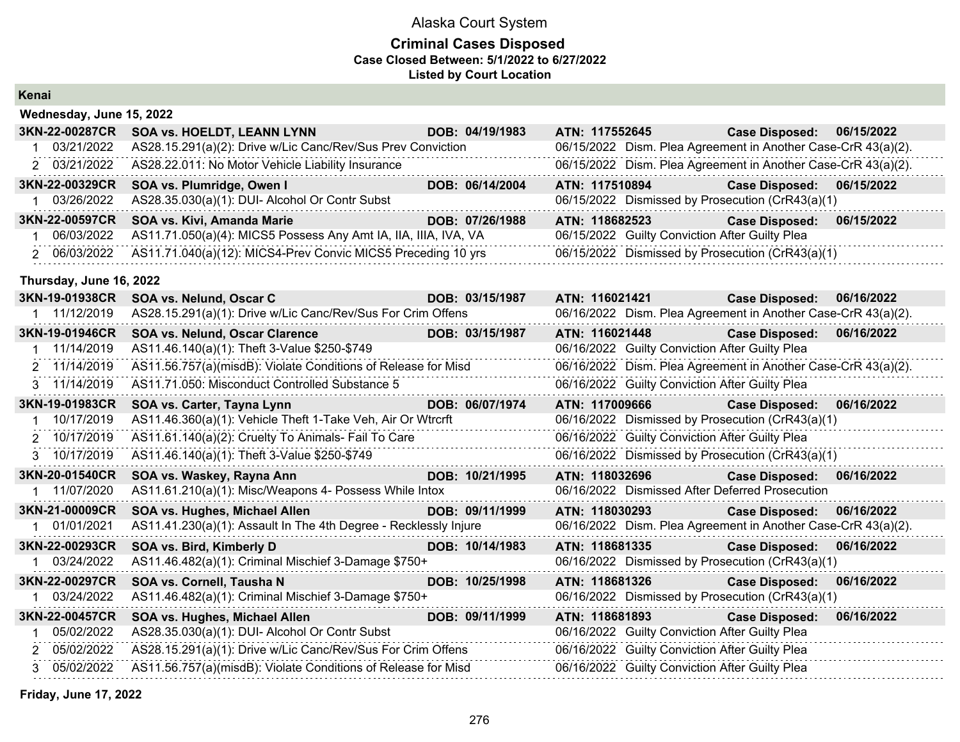### **Criminal Cases Disposed Case Closed Between: 5/1/2022 to 6/27/2022 Listed by Court Location**

| IZ    |  |
|-------|--|
|       |  |
| Kenar |  |
|       |  |

|              | Wednesday, June 15, 2022 |                                                                  |                 |                |                                                               |            |
|--------------|--------------------------|------------------------------------------------------------------|-----------------|----------------|---------------------------------------------------------------|------------|
|              | 3KN-22-00287CR           | SOA vs. HOELDT, LEANN LYNN                                       | DOB: 04/19/1983 | ATN: 117552645 | <b>Case Disposed:</b>                                         | 06/15/2022 |
| 1            | 03/21/2022               | AS28.15.291(a)(2): Drive w/Lic Canc/Rev/Sus Prev Conviction      |                 |                | 06/15/2022 Dism. Plea Agreement in Another Case-CrR 43(a)(2). |            |
|              | 2 03/21/2022             | AS28.22.011: No Motor Vehicle Liability Insurance                |                 |                | 06/15/2022 Dism. Plea Agreement in Another Case-CrR 43(a)(2). |            |
|              | 3KN-22-00329CR           | SOA vs. Plumridge, Owen I                                        | DOB: 06/14/2004 | ATN: 117510894 | <b>Case Disposed:</b>                                         | 06/15/2022 |
| $\mathbf{1}$ | 03/26/2022               | AS28.35.030(a)(1): DUI- Alcohol Or Contr Subst                   |                 |                | 06/15/2022 Dismissed by Prosecution (CrR43(a)(1)              |            |
|              | 3KN-22-00597CR           | SOA vs. Kivi, Amanda Marie                                       | DOB: 07/26/1988 | ATN: 118682523 | <b>Case Disposed:</b>                                         | 06/15/2022 |
| $\mathbf{1}$ | 06/03/2022               | AS11.71.050(a)(4): MICS5 Possess Any Amt IA, IIA, IIIA, IVA, VA  |                 |                | 06/15/2022 Guilty Conviction After Guilty Plea                |            |
|              | 2 06/03/2022             | AS11.71.040(a)(12): MICS4-Prev Convic MICS5 Preceding 10 yrs     |                 |                | 06/15/2022 Dismissed by Prosecution (CrR43(a)(1)              |            |
|              | Thursday, June 16, 2022  |                                                                  |                 |                |                                                               |            |
|              | 3KN-19-01938CR           | SOA vs. Nelund, Oscar C                                          | DOB: 03/15/1987 | ATN: 116021421 | <b>Case Disposed:</b>                                         | 06/16/2022 |
|              | 1 11/12/2019             | AS28.15.291(a)(1): Drive w/Lic Canc/Rev/Sus For Crim Offens      |                 |                | 06/16/2022 Dism. Plea Agreement in Another Case-CrR 43(a)(2). |            |
|              | 3KN-19-01946CR           | SOA vs. Nelund, Oscar Clarence                                   | DOB: 03/15/1987 | ATN: 116021448 | <b>Case Disposed:</b>                                         | 06/16/2022 |
|              | 1 11/14/2019             | AS11.46.140(a)(1): Theft 3-Value \$250-\$749                     |                 |                | 06/16/2022 Guilty Conviction After Guilty Plea                |            |
|              | 2 11/14/2019             | AS11.56.757(a)(misdB): Violate Conditions of Release for Misd    |                 |                | 06/16/2022 Dism. Plea Agreement in Another Case-CrR 43(a)(2). |            |
|              | 3 11/14/2019             | AS11.71.050: Misconduct Controlled Substance 5                   |                 |                | 06/16/2022 Guilty Conviction After Guilty Plea                |            |
|              | 3KN-19-01983CR           | SOA vs. Carter, Tayna Lynn                                       | DOB: 06/07/1974 | ATN: 117009666 | <b>Case Disposed:</b>                                         | 06/16/2022 |
|              | 1 10/17/2019             | AS11.46.360(a)(1): Vehicle Theft 1-Take Veh, Air Or Wtrcrft      |                 |                | 06/16/2022 Dismissed by Prosecution (CrR43(a)(1)              |            |
|              | 2 10/17/2019             | AS11.61.140(a)(2): Cruelty To Animals- Fail To Care              |                 |                | 06/16/2022 Guilty Conviction After Guilty Plea                |            |
|              | 3 10/17/2019             | AS11.46.140(a)(1): Theft 3-Value \$250-\$749                     |                 |                | 06/16/2022 Dismissed by Prosecution (CrR43(a)(1)              |            |
|              | 3KN-20-01540CR           | SOA vs. Waskey, Rayna Ann                                        | DOB: 10/21/1995 | ATN: 118032696 | <b>Case Disposed:</b>                                         | 06/16/2022 |
|              | 1 11/07/2020             | AS11.61.210(a)(1): Misc/Weapons 4- Possess While Intox           |                 |                | 06/16/2022 Dismissed After Deferred Prosecution               |            |
|              | 3KN-21-00009CR           | SOA vs. Hughes, Michael Allen                                    | DOB: 09/11/1999 | ATN: 118030293 | <b>Case Disposed:</b>                                         | 06/16/2022 |
| $\mathbf{1}$ | 01/01/2021               | AS11.41.230(a)(1): Assault In The 4th Degree - Recklessly Injure |                 |                | 06/16/2022 Dism. Plea Agreement in Another Case-CrR 43(a)(2). |            |
|              | 3KN-22-00293CR           | SOA vs. Bird, Kimberly D                                         | DOB: 10/14/1983 | ATN: 118681335 | <b>Case Disposed:</b>                                         | 06/16/2022 |
|              | 1 03/24/2022             | AS11.46.482(a)(1): Criminal Mischief 3-Damage \$750+             |                 |                | 06/16/2022 Dismissed by Prosecution (CrR43(a)(1)              |            |
|              | 3KN-22-00297CR           | SOA vs. Cornell, Tausha N                                        | DOB: 10/25/1998 | ATN: 118681326 | <b>Case Disposed:</b>                                         | 06/16/2022 |
|              | 1 03/24/2022             | AS11.46.482(a)(1): Criminal Mischief 3-Damage \$750+             |                 |                | 06/16/2022 Dismissed by Prosecution (CrR43(a)(1)              |            |
|              | 3KN-22-00457CR           | SOA vs. Hughes, Michael Allen                                    | DOB: 09/11/1999 | ATN: 118681893 | <b>Case Disposed:</b>                                         | 06/16/2022 |
| 1            | 05/02/2022               | AS28.35.030(a)(1): DUI- Alcohol Or Contr Subst                   |                 |                | 06/16/2022 Guilty Conviction After Guilty Plea                |            |
|              | 2 05/02/2022             | AS28.15.291(a)(1): Drive w/Lic Canc/Rev/Sus For Crim Offens      |                 |                | 06/16/2022 Guilty Conviction After Guilty Plea                |            |
|              | 3 05/02/2022             | AS11.56.757(a)(misdB): Violate Conditions of Release for Misd    |                 |                | 06/16/2022 Guilty Conviction After Guilty Plea                |            |
|              |                          |                                                                  |                 |                |                                                               |            |

**Friday, June 17, 2022**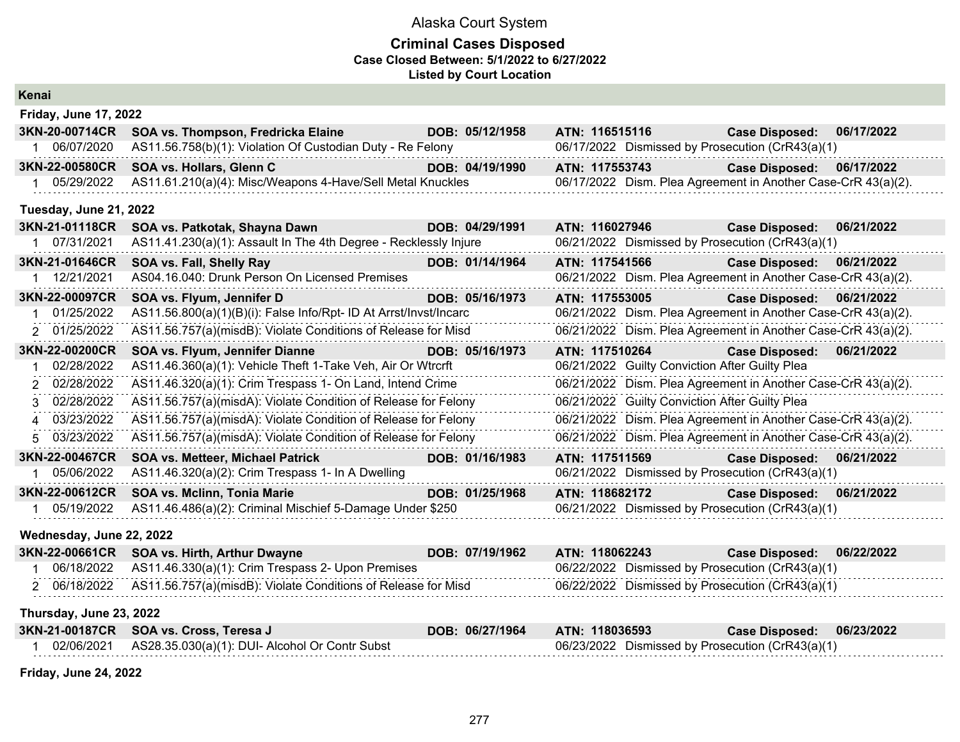### **Criminal Cases Disposed Case Closed Between: 5/1/2022 to 6/27/2022 Listed by Court Location**

| Kenai                        |                                                                   |                 |                                                               |                       |            |
|------------------------------|-------------------------------------------------------------------|-----------------|---------------------------------------------------------------|-----------------------|------------|
| <b>Friday, June 17, 2022</b> |                                                                   |                 |                                                               |                       |            |
| 3KN-20-00714CR               | SOA vs. Thompson, Fredricka Elaine                                | DOB: 05/12/1958 | ATN: 116515116                                                | <b>Case Disposed:</b> | 06/17/2022 |
| 1 06/07/2020                 | AS11.56.758(b)(1): Violation Of Custodian Duty - Re Felony        |                 | 06/17/2022 Dismissed by Prosecution (CrR43(a)(1)              |                       |            |
| 3KN-22-00580CR               | SOA vs. Hollars, Glenn C                                          | DOB: 04/19/1990 | ATN: 117553743                                                | <b>Case Disposed:</b> | 06/17/2022 |
| 1 05/29/2022                 | AS11.61.210(a)(4): Misc/Weapons 4-Have/Sell Metal Knuckles        |                 | 06/17/2022 Dism. Plea Agreement in Another Case-CrR 43(a)(2). |                       |            |
| Tuesday, June 21, 2022       |                                                                   |                 |                                                               |                       |            |
| 3KN-21-01118CR               | SOA vs. Patkotak, Shayna Dawn                                     | DOB: 04/29/1991 | ATN: 116027946                                                | <b>Case Disposed:</b> | 06/21/2022 |
| 1 07/31/2021                 | AS11.41.230(a)(1): Assault In The 4th Degree - Recklessly Injure  |                 | 06/21/2022 Dismissed by Prosecution (CrR43(a)(1)              |                       |            |
| 3KN-21-01646CR               | SOA vs. Fall, Shelly Ray                                          | DOB: 01/14/1964 | ATN: 117541566                                                | <b>Case Disposed:</b> | 06/21/2022 |
| 12/21/2021                   | AS04.16.040: Drunk Person On Licensed Premises                    |                 | 06/21/2022 Dism. Plea Agreement in Another Case-CrR 43(a)(2). |                       |            |
| 3KN-22-00097CR               | SOA vs. Flyum, Jennifer D                                         | DOB: 05/16/1973 | ATN: 117553005                                                | <b>Case Disposed:</b> | 06/21/2022 |
| 01/25/2022                   | AS11.56.800(a)(1)(B)(i): False Info/Rpt- ID At Arrst/Invst/Incarc |                 | 06/21/2022 Dism. Plea Agreement in Another Case-CrR 43(a)(2). |                       |            |
| 2 01/25/2022                 | AS11.56.757(a)(misdB): Violate Conditions of Release for Misd     |                 | 06/21/2022 Dism. Plea Agreement in Another Case-CrR 43(a)(2). |                       |            |
| 3KN-22-00200CR               | SOA vs. Flyum, Jennifer Dianne                                    | DOB: 05/16/1973 | ATN: 117510264                                                | <b>Case Disposed:</b> | 06/21/2022 |
| 02/28/2022                   | AS11.46.360(a)(1): Vehicle Theft 1-Take Veh, Air Or Wtrcrft       |                 | 06/21/2022 Guilty Conviction After Guilty Plea                |                       |            |
| 2 02/28/2022                 | AS11.46.320(a)(1): Crim Trespass 1- On Land, Intend Crime         |                 | 06/21/2022 Dism. Plea Agreement in Another Case-CrR 43(a)(2). |                       |            |
| 02/28/2022<br>3              | AS11.56.757(a)(misdA): Violate Condition of Release for Felony    |                 | 06/21/2022 Guilty Conviction After Guilty Plea                |                       |            |
| 03/23/2022<br>4              | AS11.56.757(a)(misdA): Violate Condition of Release for Felony    |                 | 06/21/2022 Dism. Plea Agreement in Another Case-CrR 43(a)(2). |                       |            |
| 5 03/23/2022                 | AS11.56.757(a)(misdA): Violate Condition of Release for Felony    |                 | 06/21/2022 Dism. Plea Agreement in Another Case-CrR 43(a)(2). |                       |            |
| 3KN-22-00467CR               | <b>SOA vs. Metteer, Michael Patrick</b>                           | DOB: 01/16/1983 | ATN: 117511569                                                | <b>Case Disposed:</b> | 06/21/2022 |
| 1 05/06/2022                 | AS11.46.320(a)(2): Crim Trespass 1- In A Dwelling                 |                 | 06/21/2022 Dismissed by Prosecution (CrR43(a)(1)              |                       |            |
| 3KN-22-00612CR               | SOA vs. Mclinn, Tonia Marie                                       | DOB: 01/25/1968 | ATN: 118682172                                                | <b>Case Disposed:</b> | 06/21/2022 |
| 1 05/19/2022                 | AS11.46.486(a)(2): Criminal Mischief 5-Damage Under \$250         |                 | 06/21/2022 Dismissed by Prosecution (CrR43(a)(1)              |                       |            |
| Wednesday, June 22, 2022     |                                                                   |                 |                                                               |                       |            |
| 3KN-22-00661CR               | SOA vs. Hirth, Arthur Dwayne                                      | DOB: 07/19/1962 | ATN: 118062243                                                | <b>Case Disposed:</b> | 06/22/2022 |
| 06/18/2022                   | AS11.46.330(a)(1): Crim Trespass 2- Upon Premises                 |                 | 06/22/2022 Dismissed by Prosecution (CrR43(a)(1)              |                       |            |
| 2 06/18/2022                 | AS11.56.757(a)(misdB): Violate Conditions of Release for Misd     |                 | 06/22/2022 Dismissed by Prosecution (CrR43(a)(1)              |                       |            |
| Thursday, June 23, 2022      |                                                                   |                 |                                                               |                       |            |
| 3KN-21-00187CR               | SOA vs. Cross, Teresa J                                           | DOB: 06/27/1964 | ATN: 118036593                                                | <b>Case Disposed:</b> | 06/23/2022 |
| 1 02/06/2021                 | AS28.35.030(a)(1): DUI- Alcohol Or Contr Subst                    |                 | 06/23/2022 Dismissed by Prosecution (CrR43(a)(1)              |                       |            |

**Friday, June 24, 2022**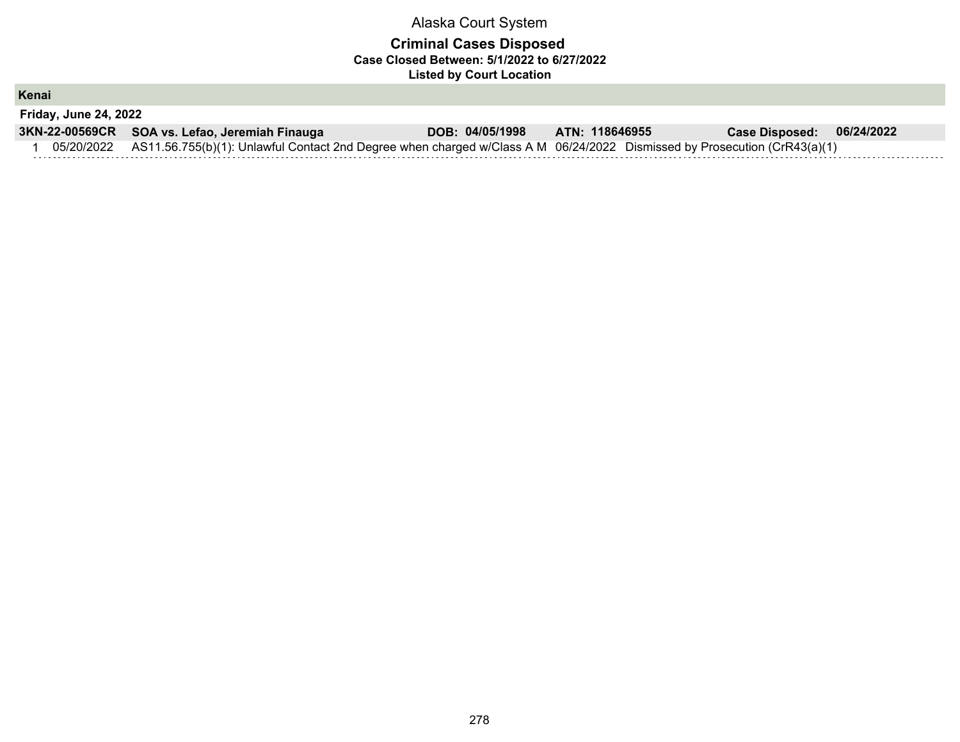### **Criminal Cases Disposed Case Closed Between: 5/1/2022 to 6/27/2022 Listed by Court Location**

**Kenai**

| <b>Friday, June 24, 2022</b> |                                                                                                                                     |                 |                |                       |            |  |  |
|------------------------------|-------------------------------------------------------------------------------------------------------------------------------------|-----------------|----------------|-----------------------|------------|--|--|
|                              | 3KN-22-00569CR SOA vs. Lefao, Jeremiah Finauga                                                                                      | DOB: 04/05/1998 | ATN: 118646955 | <b>Case Disposed:</b> | 06/24/2022 |  |  |
|                              | 05/20/2022 AS11.56.755(b)(1): Unlawful Contact 2nd Degree when charged w/Class A M 06/24/2022 Dismissed by Prosecution (CrR43(a)(1) |                 |                |                       |            |  |  |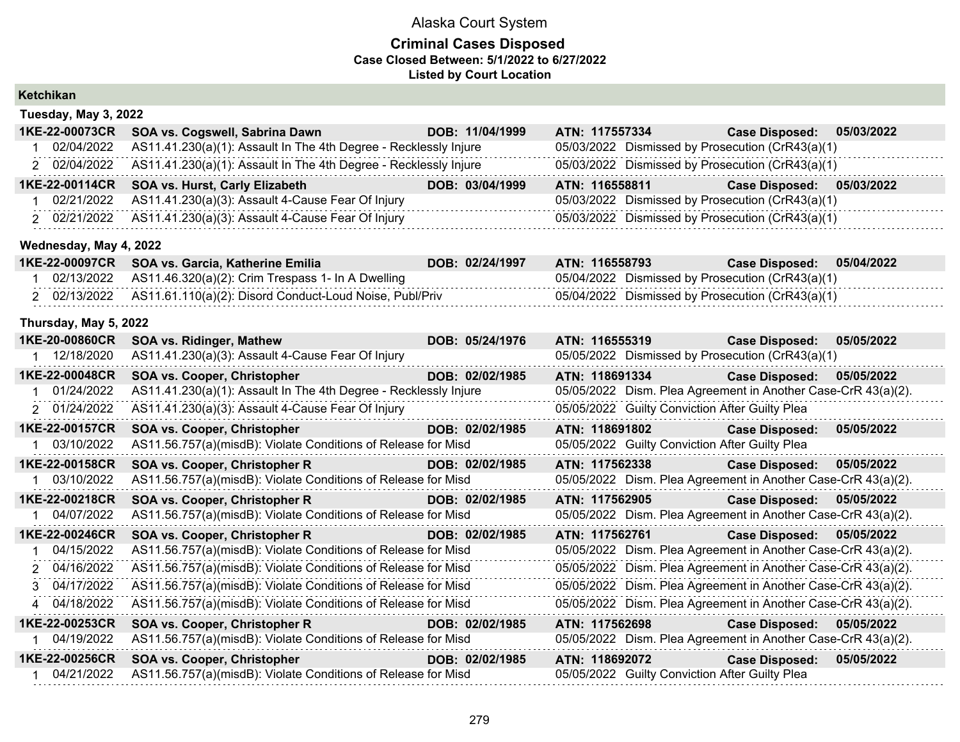### **Criminal Cases Disposed Case Closed Between: 5/1/2022 to 6/27/2022 Listed by Court Location**

| Ketchikan              |                                                                  |                 |                                                               |                       |            |
|------------------------|------------------------------------------------------------------|-----------------|---------------------------------------------------------------|-----------------------|------------|
| Tuesday, May 3, 2022   |                                                                  |                 |                                                               |                       |            |
| 1KE-22-00073CR         | SOA vs. Cogswell, Sabrina Dawn                                   | DOB: 11/04/1999 | ATN: 117557334                                                | <b>Case Disposed:</b> | 05/03/2022 |
| 02/04/2022<br>1.       | AS11.41.230(a)(1): Assault In The 4th Degree - Recklessly Injure |                 | 05/03/2022 Dismissed by Prosecution (CrR43(a)(1)              |                       |            |
| 2 02/04/2022           | AS11.41.230(a)(1): Assault In The 4th Degree - Recklessly Injure |                 | 05/03/2022 Dismissed by Prosecution (CrR43(a)(1)              |                       |            |
| 1KE-22-00114CR         | SOA vs. Hurst, Carly Elizabeth                                   | DOB: 03/04/1999 | ATN: 116558811                                                | <b>Case Disposed:</b> | 05/03/2022 |
| 1 02/21/2022           | AS11.41.230(a)(3): Assault 4-Cause Fear Of Injury                |                 | 05/03/2022 Dismissed by Prosecution (CrR43(a)(1)              |                       |            |
| 2 02/21/2022           | AS11.41.230(a)(3): Assault 4-Cause Fear Of Injury                |                 | 05/03/2022 Dismissed by Prosecution (CrR43(a)(1)              |                       |            |
| Wednesday, May 4, 2022 |                                                                  |                 |                                                               |                       |            |
| 1KE-22-00097CR         | SOA vs. Garcia, Katherine Emilia                                 | DOB: 02/24/1997 | ATN: 116558793                                                | <b>Case Disposed:</b> | 05/04/2022 |
| 1 02/13/2022           | AS11.46.320(a)(2): Crim Trespass 1- In A Dwelling                |                 | 05/04/2022 Dismissed by Prosecution (CrR43(a)(1)              |                       |            |
| 2 02/13/2022           | AS11.61.110(a)(2): Disord Conduct-Loud Noise, Publ/Priv          |                 | 05/04/2022 Dismissed by Prosecution (CrR43(a)(1)              |                       |            |
| Thursday, May 5, 2022  |                                                                  |                 |                                                               |                       |            |
| 1KE-20-00860CR         | <b>SOA vs. Ridinger, Mathew</b>                                  | DOB: 05/24/1976 | ATN: 116555319                                                | <b>Case Disposed:</b> | 05/05/2022 |
| 1 12/18/2020           | AS11.41.230(a)(3): Assault 4-Cause Fear Of Injury                |                 | 05/05/2022 Dismissed by Prosecution (CrR43(a)(1)              |                       |            |
| 1KE-22-00048CR         | SOA vs. Cooper, Christopher                                      | DOB: 02/02/1985 | ATN: 118691334                                                | <b>Case Disposed:</b> | 05/05/2022 |
| 1 01/24/2022           | AS11.41.230(a)(1): Assault In The 4th Degree - Recklessly Injure |                 | 05/05/2022 Dism. Plea Agreement in Another Case-CrR 43(a)(2). |                       |            |
| 2 01/24/2022           | AS11.41.230(a)(3): Assault 4-Cause Fear Of Injury                |                 | 05/05/2022 Guilty Conviction After Guilty Plea                |                       |            |
| 1KE-22-00157CR         | SOA vs. Cooper, Christopher                                      | DOB: 02/02/1985 | ATN: 118691802                                                | <b>Case Disposed:</b> | 05/05/2022 |
| 1 03/10/2022           | AS11.56.757(a)(misdB): Violate Conditions of Release for Misd    |                 | 05/05/2022 Guilty Conviction After Guilty Plea                |                       |            |
| 1KE-22-00158CR         | SOA vs. Cooper, Christopher R                                    | DOB: 02/02/1985 | ATN: 117562338                                                | <b>Case Disposed:</b> | 05/05/2022 |
| 1 03/10/2022           | AS11.56.757(a)(misdB): Violate Conditions of Release for Misd    |                 | 05/05/2022 Dism. Plea Agreement in Another Case-CrR 43(a)(2). |                       |            |
| 1KE-22-00218CR         | SOA vs. Cooper, Christopher R                                    | DOB: 02/02/1985 | ATN: 117562905                                                | <b>Case Disposed:</b> | 05/05/2022 |
| 1 04/07/2022           | AS11.56.757(a)(misdB): Violate Conditions of Release for Misd    |                 | 05/05/2022 Dism. Plea Agreement in Another Case-CrR 43(a)(2). |                       |            |
| 1KE-22-00246CR         | SOA vs. Cooper, Christopher R<br>a sa salawan na kata            | DOB: 02/02/1985 | ATN: 117562761                                                | <b>Case Disposed:</b> | 05/05/2022 |
| 04/15/2022<br>1.       | AS11.56.757(a)(misdB): Violate Conditions of Release for Misd    |                 | 05/05/2022 Dism. Plea Agreement in Another Case-CrR 43(a)(2). |                       |            |
| 2 04/16/2022           | AS11.56.757(a)(misdB): Violate Conditions of Release for Misd    |                 | 05/05/2022 Dism. Plea Agreement in Another Case-CrR 43(a)(2). |                       |            |
| 3 04/17/2022           | AS11.56.757(a)(misdB): Violate Conditions of Release for Misd    |                 | 05/05/2022 Dism. Plea Agreement in Another Case-CrR 43(a)(2). |                       |            |
| 4 04/18/2022           | AS11.56.757(a)(misdB): Violate Conditions of Release for Misd    |                 | 05/05/2022 Dism. Plea Agreement in Another Case-CrR 43(a)(2). |                       |            |
| 1KE-22-00253CR         | SOA vs. Cooper, Christopher R                                    | DOB: 02/02/1985 | ATN: 117562698                                                | <b>Case Disposed:</b> | 05/05/2022 |
| 04/19/2022<br>1        | AS11.56.757(a)(misdB): Violate Conditions of Release for Misd    |                 | 05/05/2022 Dism. Plea Agreement in Another Case-CrR 43(a)(2). |                       |            |
| 1KE-22-00256CR         | SOA vs. Cooper, Christopher                                      | DOB: 02/02/1985 | ATN: 118692072                                                | <b>Case Disposed:</b> | 05/05/2022 |
| 1 04/21/2022           | AS11.56.757(a)(misdB): Violate Conditions of Release for Misd    |                 | 05/05/2022 Guilty Conviction After Guilty Plea                |                       |            |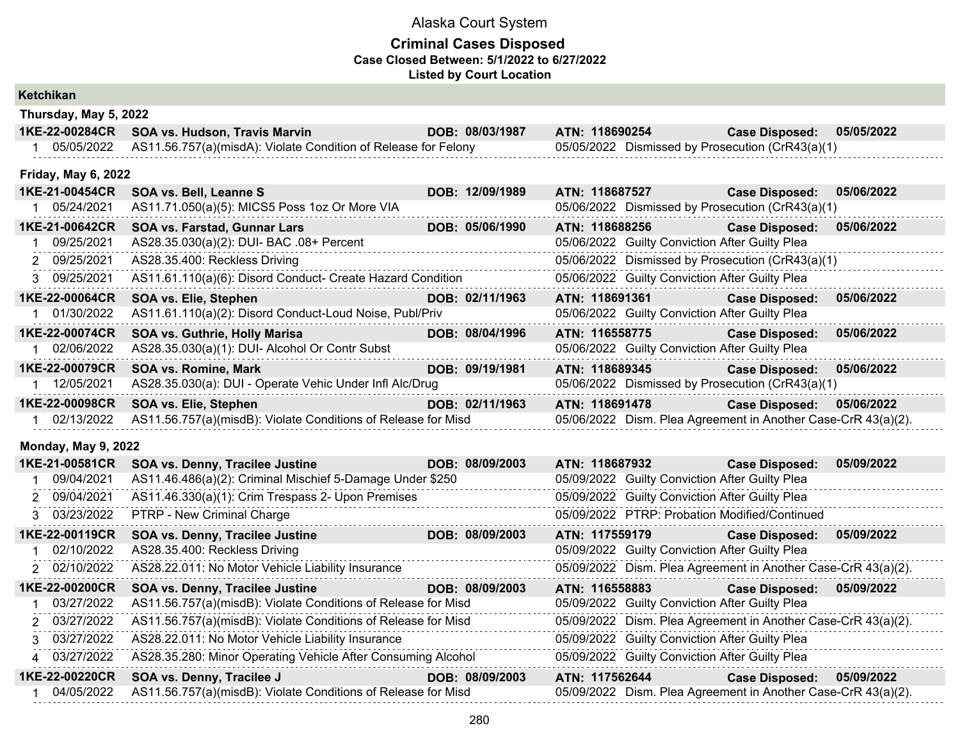### **Criminal Cases Disposed Case Closed Between: 5/1/2022 to 6/27/2022 Listed by Court Location**

| Ketchikan |  |
|-----------|--|
|           |  |

| Thursday, May 5, 2022      |                                                                |                 |                |                                                               |            |
|----------------------------|----------------------------------------------------------------|-----------------|----------------|---------------------------------------------------------------|------------|
| 1KE-22-00284CR             | SOA vs. Hudson, Travis Marvin                                  | DOB: 08/03/1987 | ATN: 118690254 | <b>Case Disposed:</b>                                         | 05/05/2022 |
| 1 05/05/2022               | AS11.56.757(a)(misdA): Violate Condition of Release for Felony |                 |                | 05/05/2022 Dismissed by Prosecution (CrR43(a)(1)              |            |
| <b>Friday, May 6, 2022</b> |                                                                |                 |                |                                                               |            |
| 1KE-21-00454CR             | SOA vs. Bell, Leanne S                                         | DOB: 12/09/1989 | ATN: 118687527 | <b>Case Disposed:</b>                                         | 05/06/2022 |
| 1 05/24/2021               | AS11.71.050(a)(5): MICS5 Poss 1oz Or More VIA                  |                 |                | 05/06/2022 Dismissed by Prosecution (CrR43(a)(1)              |            |
| 1KE-21-00642CR             | SOA vs. Farstad, Gunnar Lars                                   | DOB: 05/06/1990 | ATN: 118688256 | <b>Case Disposed:</b>                                         | 05/06/2022 |
| 09/25/2021                 | AS28.35.030(a)(2): DUI- BAC .08+ Percent                       |                 |                | 05/06/2022 Guilty Conviction After Guilty Plea                |            |
| 2 09/25/2021               | AS28.35.400: Reckless Driving                                  |                 |                | 05/06/2022 Dismissed by Prosecution (CrR43(a)(1)              |            |
| 3 09/25/2021               | AS11.61.110(a)(6): Disord Conduct- Create Hazard Condition     |                 |                | 05/06/2022 Guilty Conviction After Guilty Plea                |            |
| 1KE-22-00064CR             | SOA vs. Elie, Stephen                                          | DOB: 02/11/1963 | ATN: 118691361 | <b>Case Disposed:</b>                                         | 05/06/2022 |
| 01/30/2022                 | AS11.61.110(a)(2): Disord Conduct-Loud Noise, Publ/Priv        |                 |                | 05/06/2022 Guilty Conviction After Guilty Plea                |            |
| 1KE-22-00074CR             | SOA vs. Guthrie, Holly Marisa                                  | DOB: 08/04/1996 | ATN: 116558775 | <b>Case Disposed:</b>                                         | 05/06/2022 |
| 02/06/2022<br>$1 \quad$    | AS28.35.030(a)(1): DUI- Alcohol Or Contr Subst                 |                 |                | 05/06/2022 Guilty Conviction After Guilty Plea                |            |
| 1KE-22-00079CR             | <b>SOA vs. Romine, Mark</b>                                    | DOB: 09/19/1981 | ATN: 118689345 | <b>Case Disposed:</b>                                         | 05/06/2022 |
| 1 12/05/2021               | AS28.35.030(a): DUI - Operate Vehic Under Infl Alc/Drug        |                 |                | 05/06/2022 Dismissed by Prosecution (CrR43(a)(1)              |            |
| 1KE-22-00098CR             | SOA vs. Elie, Stephen                                          | DOB: 02/11/1963 | ATN: 118691478 | <b>Case Disposed:</b>                                         | 05/06/2022 |
| 1 02/13/2022               | AS11.56.757(a)(misdB): Violate Conditions of Release for Misd  |                 |                | 05/06/2022 Dism. Plea Agreement in Another Case-CrR 43(a)(2). |            |
| <b>Monday, May 9, 2022</b> |                                                                |                 |                |                                                               |            |
| 1KE-21-00581CR             | SOA vs. Denny, Tracilee Justine                                | DOB: 08/09/2003 | ATN: 118687932 | <b>Case Disposed:</b>                                         | 05/09/2022 |
| 09/04/2021                 | AS11.46.486(a)(2): Criminal Mischief 5-Damage Under \$250      |                 |                | 05/09/2022 Guilty Conviction After Guilty Plea                |            |
| 09/04/2021                 | AS11.46.330(a)(1): Crim Trespass 2- Upon Premises              |                 |                | 05/09/2022 Guilty Conviction After Guilty Plea                |            |
| 3 03/23/2022               | PTRP - New Criminal Charge                                     |                 |                | 05/09/2022 PTRP: Probation Modified/Continued                 |            |
| 1KE-22-00119CR             | SOA vs. Denny, Tracilee Justine                                | DOB: 08/09/2003 | ATN: 117559179 | <b>Case Disposed:</b>                                         | 05/09/2022 |
| 02/10/2022                 | AS28.35.400: Reckless Driving                                  |                 |                | 05/09/2022 Guilty Conviction After Guilty Plea                |            |
| 2 02/10/2022               | AS28.22.011: No Motor Vehicle Liability Insurance              |                 |                | 05/09/2022 Dism. Plea Agreement in Another Case-CrR 43(a)(2). |            |
| 1KE-22-00200CR             | SOA vs. Denny, Tracilee Justine                                | DOB: 08/09/2003 | ATN: 116558883 | <b>Case Disposed:</b>                                         | 05/09/2022 |
| 03/27/2022                 | AS11.56.757(a)(misdB): Violate Conditions of Release for Misd  |                 |                | 05/09/2022 Guilty Conviction After Guilty Plea                |            |
| 03/27/2022<br>$^{2}$       | AS11.56.757(a)(misdB): Violate Conditions of Release for Misd  |                 |                | 05/09/2022 Dism. Plea Agreement in Another Case-CrR 43(a)(2). |            |
| 03/27/2022<br>3            | AS28.22.011: No Motor Vehicle Liability Insurance              |                 |                | 05/09/2022 Guilty Conviction After Guilty Plea                |            |
| 4 03/27/2022               | AS28.35.280: Minor Operating Vehicle After Consuming Alcohol   |                 |                | 05/09/2022 Guilty Conviction After Guilty Plea                |            |
| 1KE-22-00220CR             | SOA vs. Denny, Tracilee J                                      | DOB: 08/09/2003 | ATN: 117562644 | <b>Case Disposed:</b>                                         | 05/09/2022 |
| 04/05/2022                 | AS11.56.757(a)(misdB): Violate Conditions of Release for Misd  |                 |                | 05/09/2022 Dism. Plea Agreement in Another Case-CrR 43(a)(2). |            |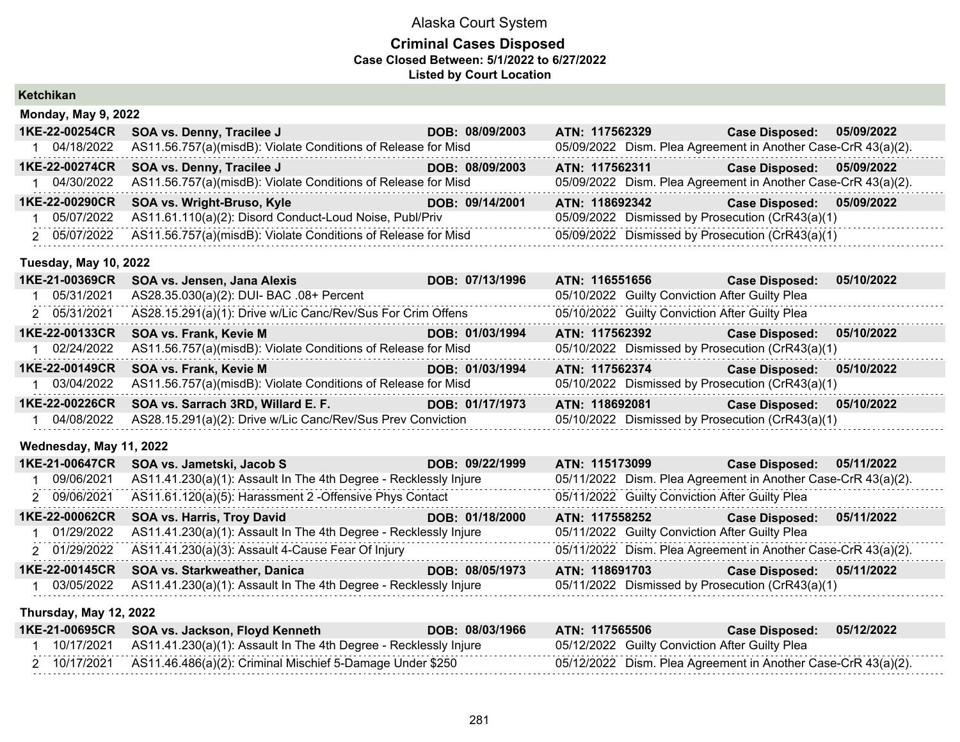### **Criminal Cases Disposed Case Closed Between: 5/1/2022 to 6/27/2022 Listed by Court Location**

| <b>Case Disposed:</b><br>05/09/2022                           |
|---------------------------------------------------------------|
|                                                               |
|                                                               |
| 05/09/2022 Dism. Plea Agreement in Another Case-CrR 43(a)(2). |
| <b>Case Disposed: 05/09/2022</b>                              |
| 05/09/2022 Dism. Plea Agreement in Another Case-CrR 43(a)(2). |
| <b>Case Disposed:</b><br>05/09/2022                           |
| 05/09/2022 Dismissed by Prosecution (CrR43(a)(1)              |
| 05/09/2022 Dismissed by Prosecution (CrR43(a)(1)              |
|                                                               |
| ATN: 116551656 Case Disposed:<br>05/10/2022                   |
| 05/10/2022 Guilty Conviction After Guilty Plea                |
| 05/10/2022 Guilty Conviction After Guilty Plea                |
| <b>Case Disposed:</b><br>05/10/2022                           |
| 05/10/2022 Dismissed by Prosecution (CrR43(a)(1)              |
| <b>Case Disposed:</b><br>05/10/2022                           |
| 05/10/2022 Dismissed by Prosecution (CrR43(a)(1)              |
| <b>Case Disposed:</b><br>05/10/2022                           |
| 05/10/2022 Dismissed by Prosecution (CrR43(a)(1)              |
|                                                               |
| <b>Case Disposed:</b><br>05/11/2022                           |
| 05/11/2022 Dism. Plea Agreement in Another Case-CrR 43(a)(2). |
| 05/11/2022 Guilty Conviction After Guilty Plea                |
| <b>Case Disposed:</b><br>05/11/2022                           |
| 05/11/2022 Guilty Conviction After Guilty Plea                |
| 05/11/2022 Dism. Plea Agreement in Another Case-CrR 43(a)(2). |
| <b>Case Disposed:</b><br>05/11/2022                           |
| 05/11/2022 Dismissed by Prosecution (CrR43(a)(1)              |
|                                                               |

### **Thursday, May 12, 2022**

| 1KE-21-00695CR | SOA vs. Jackson, Floyd Kenneth                                              | DOB: 08/03/1966 | ATN: 117565506 |                                                | Case Disposed: 05/12/2022                                     |  |
|----------------|-----------------------------------------------------------------------------|-----------------|----------------|------------------------------------------------|---------------------------------------------------------------|--|
|                | 10/17/2021 AS11.41.230(a)(1): Assault In The 4th Degree - Recklessly Injure |                 |                | 05/12/2022 Guilty Conviction After Guilty Plea |                                                               |  |
|                |                                                                             |                 |                |                                                | 05/12/2022 Dism. Plea Agreement in Another Case-CrR 43(a)(2). |  |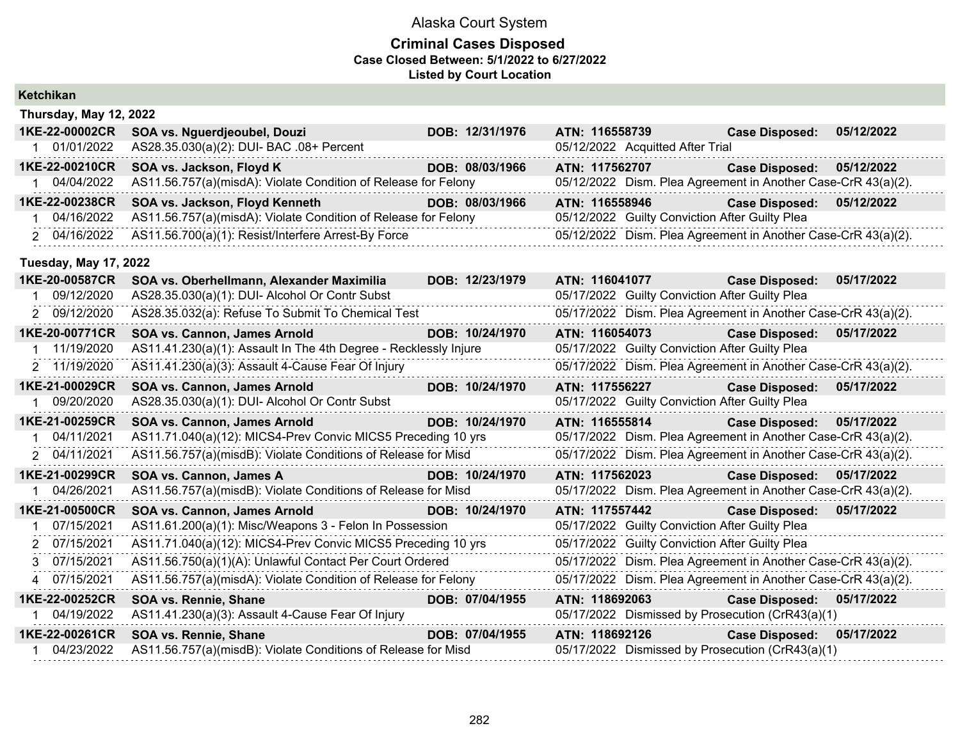#### **Criminal Cases Disposed Case Closed Between: 5/1/2022 to 6/27/2022 Listed by Court Location**

|   | Ketchikan                    |                                                                     |                 |                                                |                                                               |            |
|---|------------------------------|---------------------------------------------------------------------|-----------------|------------------------------------------------|---------------------------------------------------------------|------------|
|   | Thursday, May 12, 2022       |                                                                     |                 |                                                |                                                               |            |
|   | 1KE-22-00002CR               | SOA vs. Nguerdjeoubel, Douzi                                        | DOB: 12/31/1976 | ATN: 116558739                                 | <b>Case Disposed:</b>                                         | 05/12/2022 |
|   | 1 01/01/2022                 | AS28.35.030(a)(2): DUI- BAC .08+ Percent                            |                 | 05/12/2022 Acquitted After Trial               |                                                               |            |
|   | 1KE-22-00210CR               | SOA vs. Jackson, Floyd K                                            | DOB: 08/03/1966 | ATN: 117562707                                 | <b>Case Disposed:</b>                                         | 05/12/2022 |
|   | 1 04/04/2022                 | AS11.56.757(a)(misdA): Violate Condition of Release for Felony      |                 |                                                | 05/12/2022 Dism. Plea Agreement in Another Case-CrR 43(a)(2). |            |
|   | 1KE-22-00238CR               | SOA vs. Jackson, Floyd Kenneth<br>and the state of the state of the | DOB: 08/03/1966 | ATN: 116558946                                 | Case Disposed: 05/12/2022                                     |            |
|   | 1 04/16/2022                 | AS11.56.757(a)(misdA): Violate Condition of Release for Felony      |                 | 05/12/2022 Guilty Conviction After Guilty Plea |                                                               |            |
|   | 2 04/16/2022                 | AS11.56.700(a)(1): Resist/Interfere Arrest-By Force                 |                 |                                                | 05/12/2022 Dism. Plea Agreement in Another Case-CrR 43(a)(2). |            |
|   | <b>Tuesday, May 17, 2022</b> |                                                                     |                 |                                                |                                                               |            |
|   | 1KE-20-00587CR               | SOA vs. Oberhellmann, Alexander Maximilia                           | DOB: 12/23/1979 | ATN: 116041077                                 | <b>Case Disposed:</b>                                         | 05/17/2022 |
|   | 1 09/12/2020                 | AS28.35.030(a)(1): DUI- Alcohol Or Contr Subst                      |                 | 05/17/2022 Guilty Conviction After Guilty Plea |                                                               |            |
|   | 2 09/12/2020                 | AS28.35.032(a): Refuse To Submit To Chemical Test                   |                 |                                                | 05/17/2022 Dism. Plea Agreement in Another Case-CrR 43(a)(2). |            |
|   | 1KE-20-00771CR               | SOA vs. Cannon, James Arnold                                        | DOB: 10/24/1970 | ATN: 116054073                                 | <b>Case Disposed:</b>                                         | 05/17/2022 |
|   | 1 11/19/2020                 | AS11.41.230(a)(1): Assault In The 4th Degree - Recklessly Injure    |                 | 05/17/2022 Guilty Conviction After Guilty Plea |                                                               |            |
|   | 2 11/19/2020                 | AS11.41.230(a)(3): Assault 4-Cause Fear Of Injury                   |                 |                                                | 05/17/2022 Dism. Plea Agreement in Another Case-CrR 43(a)(2). |            |
|   | 1KE-21-00029CR               | SOA vs. Cannon, James Arnold                                        | DOB: 10/24/1970 | ATN: 117556227                                 | <b>Case Disposed:</b>                                         | 05/17/2022 |
|   | 1 09/20/2020                 | AS28.35.030(a)(1): DUI- Alcohol Or Contr Subst                      |                 | 05/17/2022 Guilty Conviction After Guilty Plea |                                                               |            |
|   | 1KE-21-00259CR               | SOA vs. Cannon, James Arnold                                        | DOB: 10/24/1970 | ATN: 116555814                                 | <b>Case Disposed: 05/17/2022</b>                              |            |
|   | 1 04/11/2021                 | AS11.71.040(a)(12): MICS4-Prev Convic MICS5 Preceding 10 yrs        |                 |                                                | 05/17/2022 Dism. Plea Agreement in Another Case-CrR 43(a)(2). |            |
|   | 2 04/11/2021                 | AS11.56.757(a)(misdB): Violate Conditions of Release for Misd       |                 |                                                | 05/17/2022 Dism. Plea Agreement in Another Case-CrR 43(a)(2). |            |
|   | 1KE-21-00299CR               | SOA vs. Cannon, James A                                             | DOB: 10/24/1970 | ATN: 117562023                                 | Case Disposed: 05/17/2022                                     |            |
|   | 1 04/26/2021                 | AS11.56.757(a)(misdB): Violate Conditions of Release for Misd       |                 |                                                | 05/17/2022 Dism. Plea Agreement in Another Case-CrR 43(a)(2). |            |
|   | 1KE-21-00500CR               | SOA vs. Cannon, James Arnold                                        | DOB: 10/24/1970 | ATN: 117557442                                 | <b>Case Disposed:</b>                                         | 05/17/2022 |
| 1 | 07/15/2021                   | AS11.61.200(a)(1): Misc/Weapons 3 - Felon In Possession             |                 | 05/17/2022 Guilty Conviction After Guilty Plea |                                                               |            |
|   | 2 07/15/2021                 | AS11.71.040(a)(12): MICS4-Prev Convic MICS5 Preceding 10 yrs        |                 | 05/17/2022 Guilty Conviction After Guilty Plea |                                                               |            |
|   | 3 07/15/2021                 | AS11.56.750(a)(1)(A): Unlawful Contact Per Court Ordered            |                 |                                                | 05/17/2022 Dism. Plea Agreement in Another Case-CrR 43(a)(2). |            |
|   | 4 07/15/2021                 | AS11.56.757(a)(misdA): Violate Condition of Release for Felony      |                 |                                                | 05/17/2022 Dism. Plea Agreement in Another Case-CrR 43(a)(2). |            |
|   | 1KE-22-00252CR               | SOA vs. Rennie, Shane                                               | DOB: 07/04/1955 | ATN: 118692063                                 | <b>Case Disposed:</b>                                         | 05/17/2022 |
|   | 1 04/19/2022                 | AS11.41.230(a)(3): Assault 4-Cause Fear Of Injury                   |                 |                                                | 05/17/2022 Dismissed by Prosecution (CrR43(a)(1)              |            |
|   | 1KE-22-00261CR               | SOA vs. Rennie, Shane                                               | DOB: 07/04/1955 | ATN: 118692126                                 | <b>Case Disposed: 05/17/2022</b>                              |            |
|   | 1 04/23/2022                 | AS11.56.757(a)(misdB): Violate Conditions of Release for Misd       |                 |                                                | 05/17/2022 Dismissed by Prosecution (CrR43(a)(1)              |            |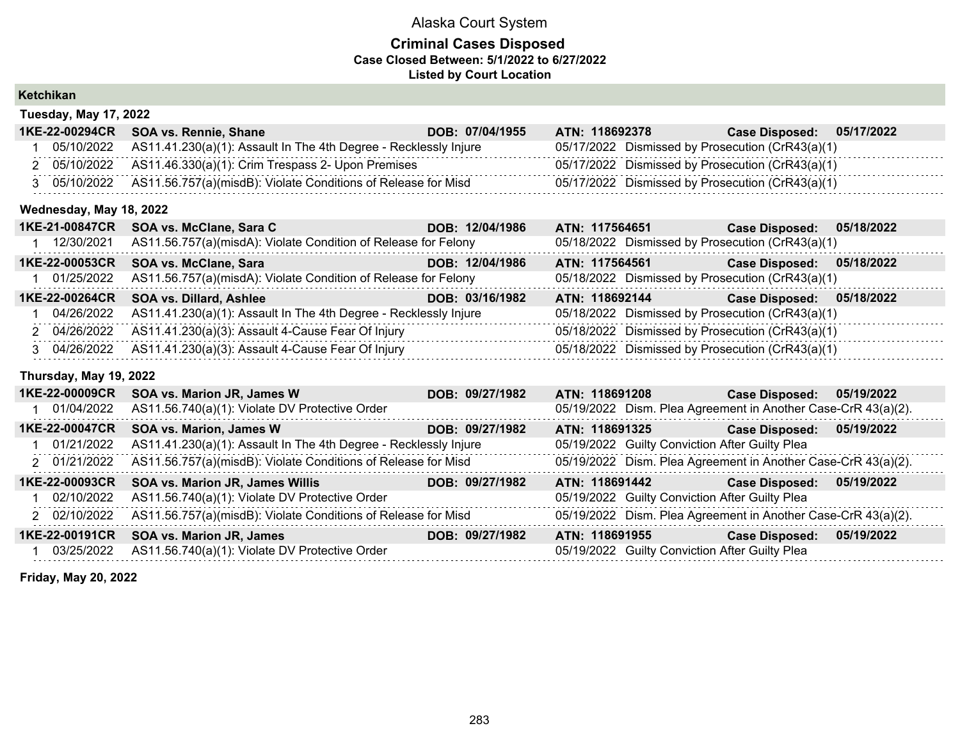### **Criminal Cases Disposed Case Closed Between: 5/1/2022 to 6/27/2022 Listed by Court Location**

| Ketchikan |
|-----------|
|-----------|

| <b>Tuesday, May 17, 2022</b> |                                                                             |                 |                |                                                  |  |  |  |  |
|------------------------------|-----------------------------------------------------------------------------|-----------------|----------------|--------------------------------------------------|--|--|--|--|
|                              | 1KE-22-00294CR SOA vs. Rennie, Shane                                        | DOB: 07/04/1955 | ATN: 118692378 | Case Disposed: 05/17/2022                        |  |  |  |  |
|                              | 05/10/2022 AS11.41.230(a)(1): Assault In The 4th Degree - Recklessly Injure |                 |                | 05/17/2022 Dismissed by Prosecution (CrR43(a)(1) |  |  |  |  |
|                              | 2 05/10/2022 AS11.46.330(a)(1): Crim Trespass 2- Upon Premises              |                 |                | 05/17/2022 Dismissed by Prosecution (CrR43(a)(1) |  |  |  |  |
|                              | 05/10/2022 AS11.56.757(a)(misdB): Violate Conditions of Release for Misd    |                 |                | 05/17/2022 Dismissed by Prosecution (CrR43(a)(1) |  |  |  |  |

#### **Wednesday, May 18, 2022**

| 1KE-21-00847CR | SOA vs. McClane, Sara C                                                     | DOB: 12/04/1986 | ATN: 117564651                                   | <b>Case Disposed:</b>     | 05/18/2022 |
|----------------|-----------------------------------------------------------------------------|-----------------|--------------------------------------------------|---------------------------|------------|
| 12/30/2021     | AS11.56.757(a)(misdA): Violate Condition of Release for Felony              |                 | 05/18/2022 Dismissed by Prosecution (CrR43(a)(1) |                           |            |
| 1KE-22-00053CR | <b>SOA vs. McClane, Sara</b>                                                | DOB: 12/04/1986 | ATN: 117564561                                   | <b>Case Disposed:</b>     | 05/18/2022 |
|                | 1 01/25/2022 AS11.56.757(a)(misdA): Violate Condition of Release for Felony |                 | 05/18/2022 Dismissed by Prosecution (CrR43(a)(1) |                           |            |
| 1KE-22-00264CR | <b>SOA vs. Dillard, Ashlee</b>                                              | DOB: 03/16/1982 | ATN: 118692144                                   | Case Disposed: 05/18/2022 |            |
|                | 04/26/2022 AS11.41.230(a)(1): Assault In The 4th Degree - Recklessly Injure |                 | 05/18/2022 Dismissed by Prosecution (CrR43(a)(1) |                           |            |
|                | 2 04/26/2022 AS11.41.230(a)(3): Assault 4-Cause Fear Of Injury              |                 | 05/18/2022 Dismissed by Prosecution (CrR43(a)(1) |                           |            |
|                | 3 04/26/2022 AS11.41.230(a)(3): Assault 4-Cause Fear Of Injury              |                 | 05/18/2022 Dismissed by Prosecution (CrR43(a)(1) |                           |            |

### **Thursday, May 19, 2022**

| 1KE-22-00009CR | <b>SOA vs. Marion JR, James W</b>                                | DOB: 09/27/1982 | ATN: 118691208                                                | <b>Case Disposed:</b> | 05/19/2022 |
|----------------|------------------------------------------------------------------|-----------------|---------------------------------------------------------------|-----------------------|------------|
| 01/04/2022     | AS11.56.740(a)(1): Violate DV Protective Order                   |                 | 05/19/2022 Dism. Plea Agreement in Another Case-CrR 43(a)(2). |                       |            |
| 1KE-22-00047CR | <b>SOA vs. Marion, James W</b>                                   | DOB: 09/27/1982 | ATN: 118691325                                                | <b>Case Disposed:</b> | 05/19/2022 |
| 1 01/21/2022   | AS11.41.230(a)(1): Assault In The 4th Degree - Recklessly Injure |                 | 05/19/2022 Guilty Conviction After Guilty Plea                |                       |            |
| 2 01/21/2022   | AS11.56.757(a)(misdB): Violate Conditions of Release for Misd    |                 | 05/19/2022 Dism. Plea Agreement in Another Case-CrR 43(a)(2). |                       |            |
| 1KE-22-00093CR | SOA vs. Marion JR, James Willis                                  | DOB: 09/27/1982 | ATN: 118691442                                                | <b>Case Disposed:</b> | 05/19/2022 |
| l 02/10/2022   | AS11.56.740(a)(1): Violate DV Protective Order                   |                 | 05/19/2022 Guilty Conviction After Guilty Plea                |                       |            |
| 2 02/10/2022   | AS11.56.757(a)(misdB): Violate Conditions of Release for Misd    |                 | 05/19/2022 Dism. Plea Agreement in Another Case-CrR 43(a)(2). |                       |            |
| 1KE-22-00191CR | <b>SOA vs. Marion JR, James</b>                                  | DOB: 09/27/1982 | ATN: 118691955                                                | <b>Case Disposed:</b> | 05/19/2022 |
| 03/25/2022     | AS11.56.740(a)(1): Violate DV Protective Order                   |                 | 05/19/2022 Guilty Conviction After Guilty Plea                |                       |            |

**Friday, May 20, 2022**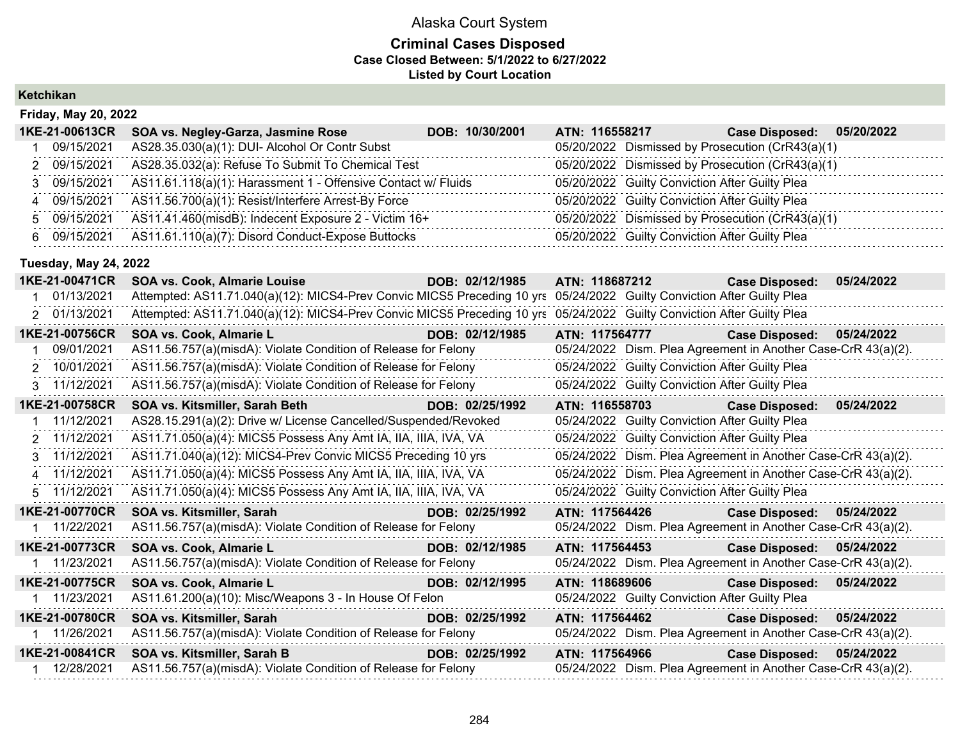#### **Criminal Cases Disposed Case Closed Between: 5/1/2022 to 6/27/2022 Listed by Court Location**

|                | <b>Friday, May 20, 2022</b> |                                                               |                 |  |                |                                                |                                                  |            |
|----------------|-----------------------------|---------------------------------------------------------------|-----------------|--|----------------|------------------------------------------------|--------------------------------------------------|------------|
|                | 1KE-21-00613CR              | SOA vs. Negley-Garza, Jasmine Rose                            | DOB: 10/30/2001 |  | ATN: 116558217 |                                                | <b>Case Disposed:</b>                            | 05/20/2022 |
|                | 09/15/2021                  | AS28.35.030(a)(1): DUI- Alcohol Or Contr Subst                |                 |  |                |                                                | 05/20/2022 Dismissed by Prosecution (CrR43(a)(1) |            |
|                | 2 09/15/2021                | AS28.35.032(a): Refuse To Submit To Chemical Test             |                 |  |                |                                                | 05/20/2022 Dismissed by Prosecution (CrR43(a)(1) |            |
|                | 3 09/15/2021                | AS11.61.118(a)(1): Harassment 1 - Offensive Contact w/ Fluids |                 |  |                | 05/20/2022 Guilty Conviction After Guilty Plea |                                                  |            |
| $\overline{4}$ | 09/15/2021                  | AS11.56.700(a)(1): Resist/Interfere Arrest-By Force           |                 |  |                | 05/20/2022 Guilty Conviction After Guilty Plea |                                                  |            |
|                | 5 09/15/2021                | AS11.41.460(misdB): Indecent Exposure 2 - Victim 16+          |                 |  |                |                                                | 05/20/2022 Dismissed by Prosecution (CrR43(a)(1) |            |
| 6.             | 09/15/2021                  | AS11.61.110(a)(7): Disord Conduct-Expose Buttocks             |                 |  |                | 05/20/2022 Guilty Conviction After Guilty Plea |                                                  |            |

### **Tuesday, May 24, 2022**

| 1KE-21-00471CR | <b>SOA vs. Cook, Almarie Louise</b>                                                                                    | DOB: 02/12/1985 | ATN: 118687212                                                | <b>Case Disposed:</b> | 05/24/2022 |
|----------------|------------------------------------------------------------------------------------------------------------------------|-----------------|---------------------------------------------------------------|-----------------------|------------|
| 01/13/2021     | Attempted: AS11.71.040(a)(12): MICS4-Prev Convic MICS5 Preceding 10 yrs                                                |                 | 05/24/2022 Guilty Conviction After Guilty Plea                |                       |            |
| 2 01/13/2021   | Attempted: AS11.71.040(a)(12): MICS4-Prev Convic MICS5 Preceding 10 yrs 05/24/2022 Guilty Conviction After Guilty Plea |                 |                                                               |                       |            |
| 1KE-21-00756CR | SOA vs. Cook, Almarie L                                                                                                | DOB: 02/12/1985 | ATN: 117564777                                                | <b>Case Disposed:</b> | 05/24/2022 |
| 09/01/2021     | AS11.56.757(a)(misdA): Violate Condition of Release for Felony                                                         |                 | 05/24/2022 Dism. Plea Agreement in Another Case-CrR 43(a)(2). |                       |            |
| 2 10/01/2021   | AS11.56.757(a)(misdA): Violate Condition of Release for Felony                                                         |                 | 05/24/2022 Guilty Conviction After Guilty Plea                |                       |            |
| 3 11/12/2021   | AS11.56.757(a)(misdA): Violate Condition of Release for Felony                                                         |                 | 05/24/2022 Guilty Conviction After Guilty Plea                |                       |            |
| 1KE-21-00758CR | SOA vs. Kitsmiller, Sarah Beth News Song Song Song                                                                     | DOB: 02/25/1992 | ATN: 116558703                                                | <b>Case Disposed:</b> | 05/24/2022 |
| 1 11/12/2021   | AS28.15.291(a)(2): Drive w/ License Cancelled/Suspended/Revoked                                                        |                 | 05/24/2022 Guilty Conviction After Guilty Plea                |                       |            |
| 2 11/12/2021   | AS11.71.050(a)(4): MICS5 Possess Any Amt IA, IIA, IIIA, IVA, VA                                                        |                 | 05/24/2022 Guilty Conviction After Guilty Plea                |                       |            |
| 3 11/12/2021   | AS11.71.040(a)(12): MICS4-Prev Convic MICS5 Preceding 10 yrs                                                           |                 | 05/24/2022 Dism. Plea Agreement in Another Case-CrR 43(a)(2). |                       |            |
| 4 11/12/2021   | AS11.71.050(a)(4): MICS5 Possess Any Amt IA, IIA, IIIA, IVA, VA                                                        |                 | 05/24/2022 Dism. Plea Agreement in Another Case-CrR 43(a)(2). |                       |            |
| 5 11/12/2021   | AS11.71.050(a)(4): MICS5 Possess Any Amt IA, IIA, IIIA, IVA, VA                                                        |                 | 05/24/2022 Guilty Conviction After Guilty Plea                |                       |            |
| 1KE-21-00770CR | SOA vs. Kitsmiller, Sarah<br><u> 1999 - Johann Barnett, fransk politiker (</u>                                         | DOB: 02/25/1992 | ATN: 117564426                                                | <b>Case Disposed:</b> | 05/24/2022 |
| 1 11/22/2021   | AS11.56.757(a)(misdA): Violate Condition of Release for Felony                                                         |                 | 05/24/2022 Dism. Plea Agreement in Another Case-CrR 43(a)(2). |                       |            |
| 1KE-21-00773CR | SOA vs. Cook, Almarie L                                                                                                | DOB: 02/12/1985 | ATN: 117564453                                                | <b>Case Disposed:</b> | 05/24/2022 |
| 1 11/23/2021   | AS11.56.757(a)(misdA): Violate Condition of Release for Felony                                                         |                 | 05/24/2022 Dism. Plea Agreement in Another Case-CrR 43(a)(2). |                       |            |
| 1KE-21-00775CR | <u>ta a shekara ta 199</u><br>SOA vs. Cook, Almarie L                                                                  | DOB: 02/12/1995 | ATN: 118689606                                                | <b>Case Disposed:</b> | 05/24/2022 |
| 1 11/23/2021   | AS11.61.200(a)(10): Misc/Weapons 3 - In House Of Felon                                                                 |                 | 05/24/2022 Guilty Conviction After Guilty Plea                |                       |            |
| 1KE-21-00780CR | SOA vs. Kitsmiller, Sarah                                                                                              | DOB: 02/25/1992 | ATN: 117564462                                                | <b>Case Disposed:</b> | 05/24/2022 |
| 1 11/26/2021   | AS11.56.757(a)(misdA): Violate Condition of Release for Felony                                                         |                 | 05/24/2022 Dism. Plea Agreement in Another Case-CrR 43(a)(2). |                       |            |
| 1KE-21-00841CR | SOA vs. Kitsmiller, Sarah B<br><b>DOB: 02/25/1992</b>                                                                  |                 | ATN: 117564966                                                | <b>Case Disposed:</b> | 05/24/2022 |
| 1 12/28/2021   | AS11.56.757(a)(misdA): Violate Condition of Release for Felony                                                         |                 | 05/24/2022 Dism. Plea Agreement in Another Case-CrR 43(a)(2). |                       |            |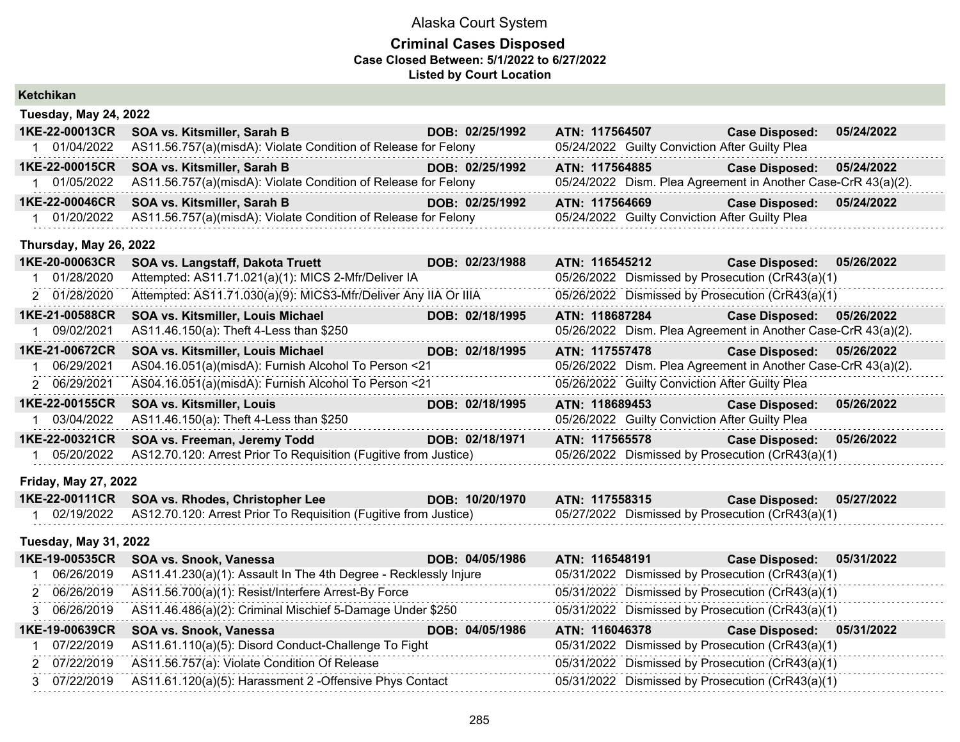### **Criminal Cases Disposed Case Closed Between: 5/1/2022 to 6/27/2022 Listed by Court Location**

| Ketchikan                    |                                                                  |                 |                                                               |                       |            |
|------------------------------|------------------------------------------------------------------|-----------------|---------------------------------------------------------------|-----------------------|------------|
| <b>Tuesday, May 24, 2022</b> |                                                                  |                 |                                                               |                       |            |
| 1KE-22-00013CR               | SOA vs. Kitsmiller, Sarah B                                      | DOB: 02/25/1992 | ATN: 117564507                                                | <b>Case Disposed:</b> | 05/24/2022 |
| 1 01/04/2022                 | AS11.56.757(a)(misdA): Violate Condition of Release for Felony   |                 | 05/24/2022 Guilty Conviction After Guilty Plea                |                       |            |
| 1KE-22-00015CR               | SOA vs. Kitsmiller, Sarah B                                      | DOB: 02/25/1992 | ATN: 117564885                                                | <b>Case Disposed:</b> | 05/24/2022 |
| 1 01/05/2022                 | AS11.56.757(a)(misdA): Violate Condition of Release for Felony   |                 | 05/24/2022 Dism. Plea Agreement in Another Case-CrR 43(a)(2). |                       |            |
| 1KE-22-00046CR               | SOA vs. Kitsmiller, Sarah B                                      | DOB: 02/25/1992 | ATN: 117564669                                                | <b>Case Disposed:</b> | 05/24/2022 |
| 1 01/20/2022                 | AS11.56.757(a)(misdA): Violate Condition of Release for Felony   |                 | 05/24/2022 Guilty Conviction After Guilty Plea                |                       |            |
| Thursday, May 26, 2022       |                                                                  |                 |                                                               |                       |            |
| 1KE-20-00063CR               | SOA vs. Langstaff, Dakota Truett                                 | DOB: 02/23/1988 | ATN: 116545212                                                | <b>Case Disposed:</b> | 05/26/2022 |
| 01/28/2020<br>$\mathbf 1$    | Attempted: AS11.71.021(a)(1): MICS 2-Mfr/Deliver IA              |                 | 05/26/2022 Dismissed by Prosecution (CrR43(a)(1)              |                       |            |
| 2 01/28/2020                 | Attempted: AS11.71.030(a)(9): MICS3-Mfr/Deliver Any IIA Or IIIA  |                 | 05/26/2022 Dismissed by Prosecution (CrR43(a)(1)              |                       |            |
| 1KE-21-00588CR               | SOA vs. Kitsmiller, Louis Michael                                | DOB: 02/18/1995 | ATN: 118687284                                                | <b>Case Disposed:</b> | 05/26/2022 |
| 09/02/2021                   | AS11.46.150(a): Theft 4-Less than \$250                          |                 | 05/26/2022 Dism. Plea Agreement in Another Case-CrR 43(a)(2). |                       |            |
| 1KE-21-00672CR               | SOA vs. Kitsmiller, Louis Michael                                | DOB: 02/18/1995 | ATN: 117557478                                                | <b>Case Disposed:</b> | 05/26/2022 |
| 06/29/2021<br>-1             | AS04.16.051(a)(misdA): Furnish Alcohol To Person <21             |                 | 05/26/2022 Dism. Plea Agreement in Another Case-CrR 43(a)(2). |                       |            |
| 2 06/29/2021                 | AS04.16.051(a)(misdA): Furnish Alcohol To Person <21             |                 | 05/26/2022 Guilty Conviction After Guilty Plea                |                       |            |
| 1KE-22-00155CR               | <b>SOA vs. Kitsmiller, Louis</b>                                 | DOB: 02/18/1995 | ATN: 118689453                                                | <b>Case Disposed:</b> | 05/26/2022 |
| 1 03/04/2022                 | AS11.46.150(a): Theft 4-Less than \$250                          |                 | 05/26/2022 Guilty Conviction After Guilty Plea                |                       |            |
| 1KE-22-00321CR               | SOA vs. Freeman, Jeremy Todd                                     | DOB: 02/18/1971 | ATN: 117565578                                                | <b>Case Disposed:</b> | 05/26/2022 |
| 05/20/2022<br>1.             | AS12.70.120: Arrest Prior To Requisition (Fugitive from Justice) |                 | 05/26/2022 Dismissed by Prosecution (CrR43(a)(1)              |                       |            |
| <b>Friday, May 27, 2022</b>  |                                                                  |                 |                                                               |                       |            |
| 1KE-22-00111CR               | SOA vs. Rhodes, Christopher Lee                                  | DOB: 10/20/1970 | ATN: 117558315                                                | <b>Case Disposed:</b> | 05/27/2022 |
| 1 02/19/2022                 | AS12.70.120: Arrest Prior To Requisition (Fugitive from Justice) |                 | 05/27/2022 Dismissed by Prosecution (CrR43(a)(1)              |                       |            |
| <b>Tuesday, May 31, 2022</b> |                                                                  |                 |                                                               |                       |            |
| 1KE-19-00535CR               | SOA vs. Snook, Vanessa                                           | DOB: 04/05/1986 | ATN: 116548191                                                | <b>Case Disposed:</b> | 05/31/2022 |
| 06/26/2019<br>-1             | AS11.41.230(a)(1): Assault In The 4th Degree - Recklessly Injure |                 | 05/31/2022 Dismissed by Prosecution (CrR43(a)(1)              |                       |            |
| 2 06/26/2019                 | AS11.56.700(a)(1): Resist/Interfere Arrest-By Force              |                 | 05/31/2022 Dismissed by Prosecution (CrR43(a)(1)              |                       |            |
| 3 06/26/2019                 | AS11.46.486(a)(2): Criminal Mischief 5-Damage Under \$250        |                 | 05/31/2022 Dismissed by Prosecution (CrR43(a)(1)              |                       |            |
| 1KE-19-00639CR               | SOA vs. Snook, Vanessa                                           | DOB: 04/05/1986 | ATN: 116046378                                                | <b>Case Disposed:</b> | 05/31/2022 |
| 07/22/2019                   | AS11.61.110(a)(5): Disord Conduct-Challenge To Fight             |                 | 05/31/2022 Dismissed by Prosecution (CrR43(a)(1)              |                       |            |
| 2 07/22/2019                 | AS11.56.757(a): Violate Condition Of Release                     |                 | 05/31/2022 Dismissed by Prosecution (CrR43(a)(1)              |                       |            |
| 3 07/22/2019                 | AS11.61.120(a)(5): Harassment 2 -Offensive Phys Contact          |                 | 05/31/2022 Dismissed by Prosecution (CrR43(a)(1)              |                       |            |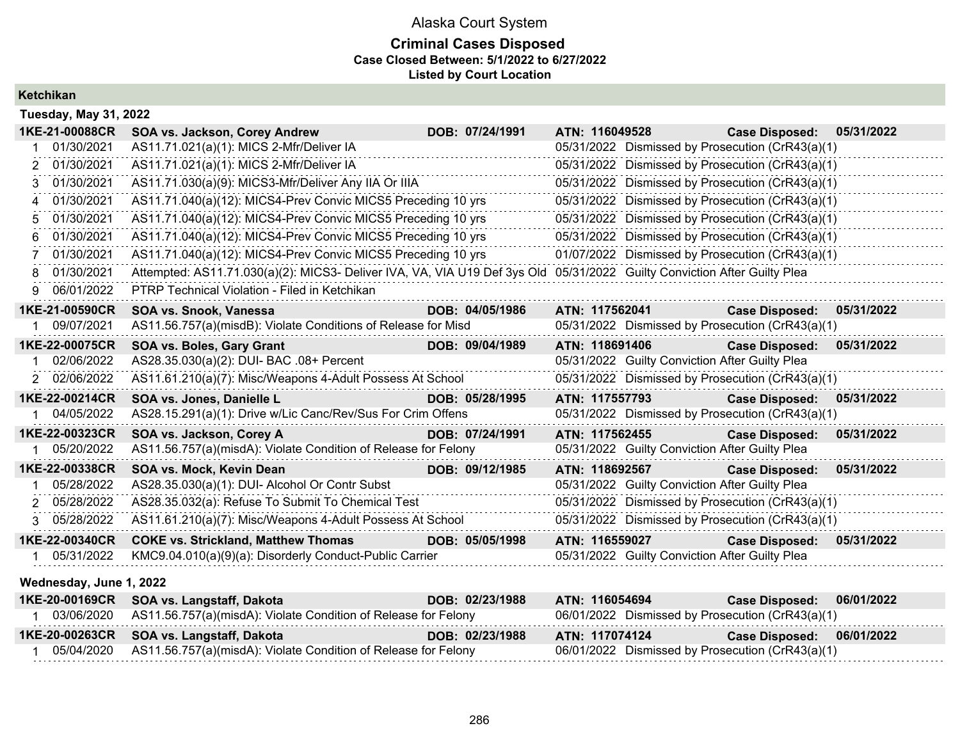### **Criminal Cases Disposed Case Closed Between: 5/1/2022 to 6/27/2022 Listed by Court Location**

|    | <b>Tuesday, May 31, 2022</b> |                                                                                                                          |                 |                |                                                |                                                  |            |
|----|------------------------------|--------------------------------------------------------------------------------------------------------------------------|-----------------|----------------|------------------------------------------------|--------------------------------------------------|------------|
|    | 1KE-21-00088CR               | SOA vs. Jackson, Corey Andrew                                                                                            | DOB: 07/24/1991 | ATN: 116049528 |                                                | <b>Case Disposed:</b>                            | 05/31/2022 |
|    | 01/30/2021                   | AS11.71.021(a)(1): MICS 2-Mfr/Deliver IA                                                                                 |                 |                |                                                | 05/31/2022 Dismissed by Prosecution (CrR43(a)(1) |            |
| 2  | 01/30/2021                   | AS11.71.021(a)(1): MICS 2-Mfr/Deliver IA                                                                                 |                 |                |                                                | 05/31/2022 Dismissed by Prosecution (CrR43(a)(1) |            |
| 3  | 01/30/2021                   | AS11.71.030(a)(9): MICS3-Mfr/Deliver Any IIA Or IIIA                                                                     |                 |                |                                                | 05/31/2022 Dismissed by Prosecution (CrR43(a)(1) |            |
| 4  | 01/30/2021                   | AS11.71.040(a)(12): MICS4-Prev Convic MICS5 Preceding 10 yrs                                                             |                 |                |                                                | 05/31/2022 Dismissed by Prosecution (CrR43(a)(1) |            |
|    | 01/30/2021                   | AS11.71.040(a)(12): MICS4-Prev Convic MICS5 Preceding 10 yrs                                                             |                 |                |                                                | 05/31/2022 Dismissed by Prosecution (CrR43(a)(1) |            |
| 6  | 01/30/2021                   | AS11.71.040(a)(12): MICS4-Prev Convic MICS5 Preceding 10 yrs                                                             |                 |                |                                                | 05/31/2022 Dismissed by Prosecution (CrR43(a)(1) |            |
|    | 01/30/2021                   | AS11.71.040(a)(12): MICS4-Prev Convic MICS5 Preceding 10 yrs                                                             |                 |                |                                                | 01/07/2022 Dismissed by Prosecution (CrR43(a)(1) |            |
| 8  | 01/30/2021                   | Attempted: AS11.71.030(a)(2): MICS3- Deliver IVA, VA, VIA U19 Def 3ys Old 05/31/2022 Guilty Conviction After Guilty Plea |                 |                |                                                |                                                  |            |
|    | 06/01/2022                   | PTRP Technical Violation - Filed in Ketchikan                                                                            |                 |                |                                                |                                                  |            |
|    | 1KE-21-00590CR               | SOA vs. Snook, Vanessa                                                                                                   | DOB: 04/05/1986 | ATN: 117562041 |                                                | <b>Case Disposed:</b>                            | 05/31/2022 |
|    | 09/07/2021                   | AS11.56.757(a)(misdB): Violate Conditions of Release for Misd                                                            |                 |                |                                                | 05/31/2022 Dismissed by Prosecution (CrR43(a)(1) |            |
|    | 1KE-22-00075CR               | SOA vs. Boles, Gary Grant                                                                                                | DOB: 09/04/1989 | ATN: 118691406 |                                                | <b>Case Disposed:</b>                            | 05/31/2022 |
|    | 02/06/2022                   | AS28.35.030(a)(2): DUI- BAC .08+ Percent                                                                                 |                 |                | 05/31/2022 Guilty Conviction After Guilty Plea |                                                  |            |
|    | 2 02/06/2022                 | AS11.61.210(a)(7): Misc/Weapons 4-Adult Possess At School                                                                |                 |                |                                                | 05/31/2022 Dismissed by Prosecution (CrR43(a)(1) |            |
|    | 1KE-22-00214CR               | SOA vs. Jones, Danielle L                                                                                                | DOB: 05/28/1995 | ATN: 117557793 |                                                | <b>Case Disposed:</b>                            | 05/31/2022 |
|    | 04/05/2022                   | AS28.15.291(a)(1): Drive w/Lic Canc/Rev/Sus For Crim Offens                                                              |                 |                |                                                | 05/31/2022 Dismissed by Prosecution (CrR43(a)(1) |            |
|    | 1KE-22-00323CR               | SOA vs. Jackson, Corey A                                                                                                 | DOB: 07/24/1991 | ATN: 117562455 |                                                | <b>Case Disposed:</b>                            | 05/31/2022 |
|    | 05/20/2022                   | AS11.56.757(a)(misdA): Violate Condition of Release for Felony                                                           |                 |                | 05/31/2022 Guilty Conviction After Guilty Plea |                                                  |            |
|    | 1KE-22-00338CR               | SOA vs. Mock, Kevin Dean                                                                                                 | DOB: 09/12/1985 | ATN: 118692567 |                                                | <b>Case Disposed:</b>                            | 05/31/2022 |
|    | 05/28/2022                   | AS28.35.030(a)(1): DUI- Alcohol Or Contr Subst                                                                           |                 |                | 05/31/2022 Guilty Conviction After Guilty Plea |                                                  |            |
| 2. | 05/28/2022                   | AS28.35.032(a): Refuse To Submit To Chemical Test                                                                        |                 |                |                                                | 05/31/2022 Dismissed by Prosecution (CrR43(a)(1) |            |
|    | 3 05/28/2022                 | AS11.61.210(a)(7): Misc/Weapons 4-Adult Possess At School                                                                |                 |                |                                                | 05/31/2022 Dismissed by Prosecution (CrR43(a)(1) |            |
|    | 1KE-22-00340CR               | <b>COKE vs. Strickland, Matthew Thomas</b>                                                                               | DOB: 05/05/1998 | ATN: 116559027 |                                                | Case Disposed: 05/31/2022                        |            |
|    | 05/31/2022                   | KMC9.04.010(a)(9)(a): Disorderly Conduct-Public Carrier                                                                  |                 |                | 05/31/2022 Guilty Conviction After Guilty Plea |                                                  |            |
|    | Wednesday, June 1, 2022      |                                                                                                                          |                 |                |                                                |                                                  |            |
|    | 1KE-20-00169CR               | SOA vs. Langstaff, Dakota                                                                                                | DOB: 02/23/1988 | ATN: 116054694 |                                                | <b>Case Disposed:</b>                            | 06/01/2022 |
|    | 03/06/2020                   | AS11.56.757(a)(misdA): Violate Condition of Release for Felony                                                           |                 |                |                                                | 06/01/2022 Dismissed by Prosecution (CrR43(a)(1) |            |

**1KE-20-00263CR SOA vs. Langstaff, Dakota DOB: 02/23/1988 ATN: 117074124 Case Disposed: 06/01/2022**

286

1 05/04/2020 AS11.56.757(a)(misdA): Violate Condition of Release for Felony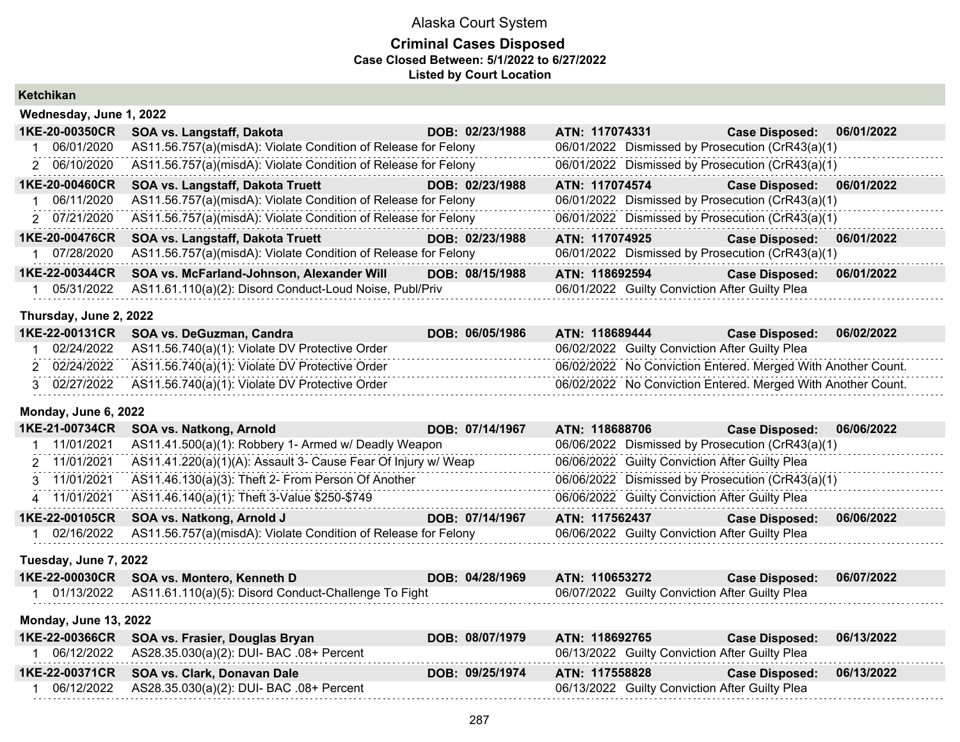### **Criminal Cases Disposed Case Closed Between: 5/1/2022 to 6/27/2022 Listed by Court Location**

**Ketchikan**

| Wednesday, June 1, 2022 |                                                                |                 |                                                  |                           |            |
|-------------------------|----------------------------------------------------------------|-----------------|--------------------------------------------------|---------------------------|------------|
| 1KE-20-00350CR          | SOA vs. Langstaff, Dakota                                      | DOB: 02/23/1988 | ATN: 117074331                                   | <b>Case Disposed:</b>     | 06/01/2022 |
| 06/01/2020              | AS11.56.757(a)(misdA): Violate Condition of Release for Felony |                 | 06/01/2022 Dismissed by Prosecution (CrR43(a)(1) |                           |            |
| 2 06/10/2020            | AS11.56.757(a)(misdA): Violate Condition of Release for Felony |                 | 06/01/2022 Dismissed by Prosecution (CrR43(a)(1) |                           |            |
| 1KE-20-00460CR          | SOA vs. Langstaff, Dakota Truett                               | DOB: 02/23/1988 | ATN: 117074574                                   | Case Disposed: 06/01/2022 |            |
| 06/11/2020              | AS11.56.757(a)(misdA): Violate Condition of Release for Felony |                 | 06/01/2022 Dismissed by Prosecution (CrR43(a)(1) |                           |            |
| 2 07/21/2020            | AS11.56.757(a)(misdA): Violate Condition of Release for Felony |                 | 06/01/2022 Dismissed by Prosecution (CrR43(a)(1) |                           |            |
| 1KE-20-00476CR          | <b>SOA vs. Langstaff, Dakota Truett</b>                        | DOB: 02/23/1988 | ATN: 117074925                                   | Case Disposed: 06/01/2022 |            |
| 07/28/2020              | AS11.56.757(a)(misdA): Violate Condition of Release for Felony |                 | 06/01/2022 Dismissed by Prosecution (CrR43(a)(1) |                           |            |
| 1KE-22-00344CR          | SOA vs. McFarland-Johnson, Alexander Will                      | DOB: 08/15/1988 | ATN: 118692594                                   | <b>Case Disposed:</b>     | 06/01/2022 |
| 05/31/2022              | AS11.61.110(a)(2): Disord Conduct-Loud Noise, Publ/Priv        |                 | 06/01/2022 Guilty Conviction After Guilty Plea   |                           |            |

#### **Thursday, June 2, 2022**

| 1KE-22-00131CR SOA vs. DeGuzman, Candra                      | DOB: 06/05/1986 | ATN: 118689444                                               | <b>Case Disposed:</b> | 06/02/2022 |
|--------------------------------------------------------------|-----------------|--------------------------------------------------------------|-----------------------|------------|
| 02/24/2022 AS11.56.740(a)(1): Violate DV Protective Order    |                 | 06/02/2022 Guilty Conviction After Guilty Plea               |                       |            |
| 02/24/2022    AS11.56.740(a)(1): Violate DV Protective Order |                 | 06/02/2022 No Conviction Entered. Merged With Another Count. |                       |            |
| 3 02/27/2022 AS11.56.740(a)(1): Violate DV Protective Order  |                 | 06/02/2022 No Conviction Entered. Merged With Another Count. |                       |            |

#### **Monday, June 6, 2022**

| 1KE-21-00734CR | <b>SOA vs. Natkong, Arnold</b>                                 | DOB: 07/14/1967 | ATN: 118688706                                   | Case Disposed: 06/06/2022 |            |
|----------------|----------------------------------------------------------------|-----------------|--------------------------------------------------|---------------------------|------------|
| 11/01/2021     | AS11.41.500(a)(1): Robbery 1- Armed w/ Deadly Weapon           |                 | 06/06/2022 Dismissed by Prosecution (CrR43(a)(1) |                           |            |
| 2 11/01/2021   | AS11.41.220(a)(1)(A): Assault 3- Cause Fear Of Injury w/ Weap  |                 | 06/06/2022 Guilty Conviction After Guilty Plea   |                           |            |
| 3 11/01/2021   | AS11.46.130(a)(3): Theft 2- From Person Of Another             |                 | 06/06/2022 Dismissed by Prosecution (CrR43(a)(1) |                           |            |
| 4 11/01/2021   | AS11.46.140(a)(1): Theft 3-Value \$250-\$749                   |                 | 06/06/2022 Guilty Conviction After Guilty Plea   |                           |            |
|                | 1KE-22-00105CR SOA vs. Natkong, Arnold J                       | DOB: 07/14/1967 | ATN: 117562437                                   | <b>Case Disposed:</b>     | 06/06/2022 |
| 02/16/2022     | AS11.56.757(a)(misdA): Violate Condition of Release for Felony |                 | 06/06/2022 Guilty Conviction After Guilty Plea   |                           |            |

### **Tuesday, June 7, 2022**

| 1KE-22-00030CR SOA vs. Montero, Kenneth D                       | DOB: 04/28/1969 | ATN: 110653272                                 | Case Disposed: 06/07/2022 |  |
|-----------------------------------------------------------------|-----------------|------------------------------------------------|---------------------------|--|
| 01/13/2022 AS11.61.110(a)(5): Disord Conduct-Challenge To Fight |                 | 06/07/2022 Guilty Conviction After Guilty Plea |                           |  |

#### **Monday, June 13, 2022**

| 1KE-22-00366CR SOA vs. Frasier, Douglas Bryan       | DOB: 08/07/1979 | ATN: 118692765                                 | Case Disposed: 06/13/2022 |  |
|-----------------------------------------------------|-----------------|------------------------------------------------|---------------------------|--|
| 06/12/2022 AS28.35.030(a)(2): DUI- BAC .08+ Percent |                 | 06/13/2022 Guilty Conviction After Guilty Plea |                           |  |
|                                                     |                 |                                                |                           |  |
| 1KE-22-00371CR SOA vs. Clark, Donavan Dale          | DOB: 09/25/1974 | ATN: 117558828                                 | Case Disposed: 06/13/2022 |  |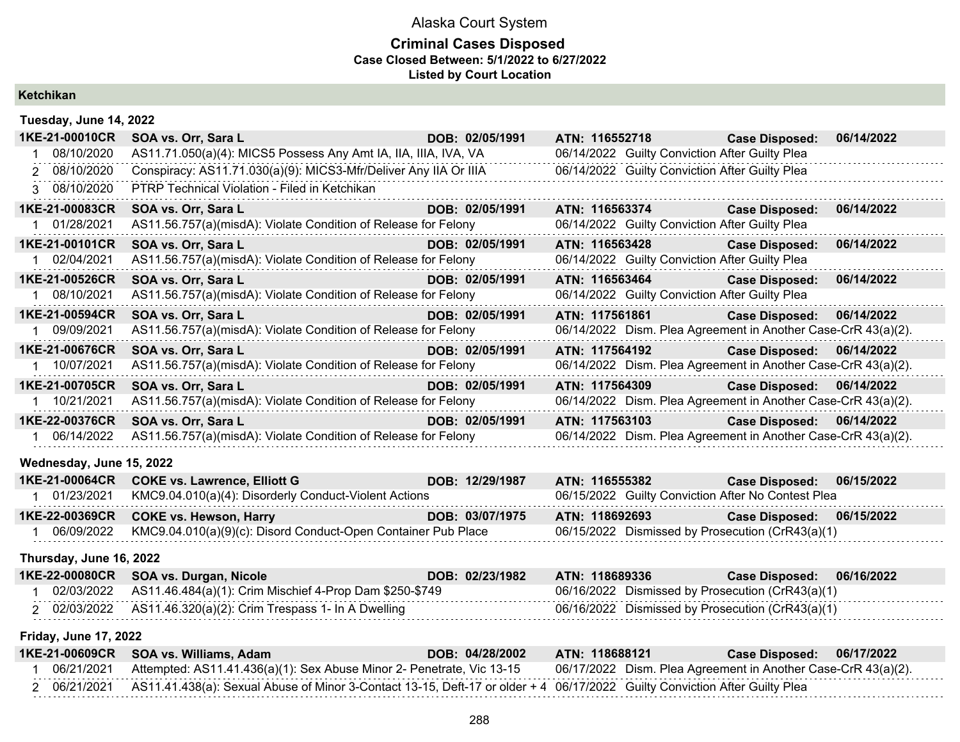### **Criminal Cases Disposed Case Closed Between: 5/1/2022 to 6/27/2022 Listed by Court Location**

### **Ketchikan**

| Tuesday, June 14, 2022   |                                                                             |                 |                                                               |                           |            |
|--------------------------|-----------------------------------------------------------------------------|-----------------|---------------------------------------------------------------|---------------------------|------------|
| 1KE-21-00010CR           | <u> 1990 - Jan André Barbara, m</u><br>SOA vs. Orr, Sara L                  | DOB: 02/05/1991 | ATN: 116552718 Case Disposed:                                 |                           | 06/14/2022 |
| 1 08/10/2020             | AS11.71.050(a)(4): MICS5 Possess Any Amt IA, IIA, IIIA, IVA, VA             |                 | 06/14/2022 Guilty Conviction After Guilty Plea                |                           |            |
| 2 08/10/2020             | Conspiracy: AS11.71.030(a)(9): MICS3-Mfr/Deliver Any IIA Or IIIA            |                 | 06/14/2022 Guilty Conviction After Guilty Plea                |                           |            |
| 3 08/10/2020             | PTRP Technical Violation - Filed in Ketchikan                               |                 |                                                               |                           |            |
| 1KE-21-00083CR           | SOA vs. Orr, Sara L                                                         | DOB: 02/05/1991 | ATN: 116563374                                                | <b>Case Disposed:</b>     | 06/14/2022 |
| 1 01/28/2021             | AS11.56.757(a)(misdA): Violate Condition of Release for Felony              |                 | 06/14/2022 Guilty Conviction After Guilty Plea                |                           |            |
| 1KE-21-00101CR           | SOA vs. Orr, Sara L<br><u> 1999 - Johann Barbara, martxa</u>                | DOB: 02/05/1991 | ATN: 116563428 Case Disposed:                                 |                           | 06/14/2022 |
| 1 02/04/2021             | AS11.56.757(a)(misdA): Violate Condition of Release for Felony              |                 | 06/14/2022 Guilty Conviction After Guilty Plea                |                           |            |
| 1KE-21-00526CR           | SOA vs. Orr, Sara L                                                         | DOB: 02/05/1991 | ATN: 116563464 Case Disposed:                                 |                           | 06/14/2022 |
| 1 08/10/2021             | AS11.56.757(a)(misdA): Violate Condition of Release for Felony              |                 | 06/14/2022 Guilty Conviction After Guilty Plea                |                           |            |
| 1KE-21-00594CR           | SOA vs. Orr, Sara L                                                         | DOB: 02/05/1991 | ATN: 117561861                                                | <b>Case Disposed:</b>     | 06/14/2022 |
| 1 09/09/2021             | AS11.56.757(a)(misdA): Violate Condition of Release for Felony              |                 | 06/14/2022 Dism. Plea Agreement in Another Case-CrR 43(a)(2). |                           |            |
| 1KE-21-00676CR           | SOA vs. Orr, Sara L                                                         | DOB: 02/05/1991 | ATN: 117564192                                                | Case Disposed: 06/14/2022 |            |
| 1 10/07/2021             | AS11.56.757(a)(misdA): Violate Condition of Release for Felony              |                 | 06/14/2022 Dism. Plea Agreement in Another Case-CrR 43(a)(2). |                           |            |
| 1KE-21-00705CR           | SOA vs. Orr, Sara L                                                         | DOB: 02/05/1991 | ATN: 117564309                                                | Case Disposed: 06/14/2022 |            |
| 1 10/21/2021             | AS11.56.757(a)(misdA): Violate Condition of Release for Felony              |                 | 06/14/2022 Dism. Plea Agreement in Another Case-CrR 43(a)(2). |                           |            |
| 1KE-22-00376CR           | SOA vs. Orr, Sara L                                                         | DOB: 02/05/1991 | ATN: 117563103                                                | <b>Case Disposed:</b>     | 06/14/2022 |
| 1 06/14/2022             | AS11.56.757(a)(misdA): Violate Condition of Release for Felony              |                 | 06/14/2022 Dism. Plea Agreement in Another Case-CrR 43(a)(2). |                           |            |
| Wednesday, June 15, 2022 |                                                                             |                 |                                                               |                           |            |
| 1KE-21-00064CR           | <b>COKE vs. Lawrence, Elliott G</b>                                         | DOB: 12/29/1987 | ATN: 116555382                                                | <b>Case Disposed:</b>     | 06/15/2022 |
| 1 01/23/2021             | KMC9.04.010(a)(4): Disorderly Conduct-Violent Actions                       |                 | 06/15/2022 Guilty Conviction After No Contest Plea            |                           |            |
| 1KE-22-00369CR           | <b>COKE vs. Hewson, Harry</b><br>a sa kacamatan ing Kabupatèn Kabupatèn Ing | DOB: 03/07/1975 | ATN: 118692693                                                | Case Disposed: 06/15/2022 |            |
| 1 06/09/2022             | KMC9.04.010(a)(9)(c): Disord Conduct-Open Container Pub Place               |                 | 06/15/2022 Dismissed by Prosecution (CrR43(a)(1)              |                           |            |

**Thursday, June 16, 2022**

|  | 1KE-22-00080CR SOA vs. Durgan, Nicole                              | DOB: 02/23/1982 | ATN: 118689336                                   | Case Disposed: 06/16/2022 |  |
|--|--------------------------------------------------------------------|-----------------|--------------------------------------------------|---------------------------|--|
|  | 02/03/2022 AS11.46.484(a)(1): Crim Mischief 4-Prop Dam \$250-\$749 |                 | 06/16/2022 Dismissed by Prosecution (CrR43(a)(1) |                           |  |
|  | 02/03/2022    AS11.46.320(a)(2): Crim Trespass 1- In A Dwelling    |                 | 06/16/2022 Dismissed by Prosecution (CrR43(a)(1) |                           |  |

**Friday, June 17, 2022**

|  | 1KE-21-00609CR SOA vs. Williams, Adam                                                                                                 | DOB: 04/28/2002 | ATN: 118688121 | Case Disposed: 06/17/2022                                     |
|--|---------------------------------------------------------------------------------------------------------------------------------------|-----------------|----------------|---------------------------------------------------------------|
|  | 06/21/2021 Attempted: AS11.41.436(a)(1): Sex Abuse Minor 2- Penetrate, Vic 13-15                                                      |                 |                | 06/17/2022 Dism. Plea Agreement in Another Case-CrR 43(a)(2). |
|  | 06/21/2021 AS11.41.438(a): Sexual Abuse of Minor 3-Contact 13-15, Deft-17 or older + 4 06/17/2022 Guilty Conviction After Guilty Plea |                 |                |                                                               |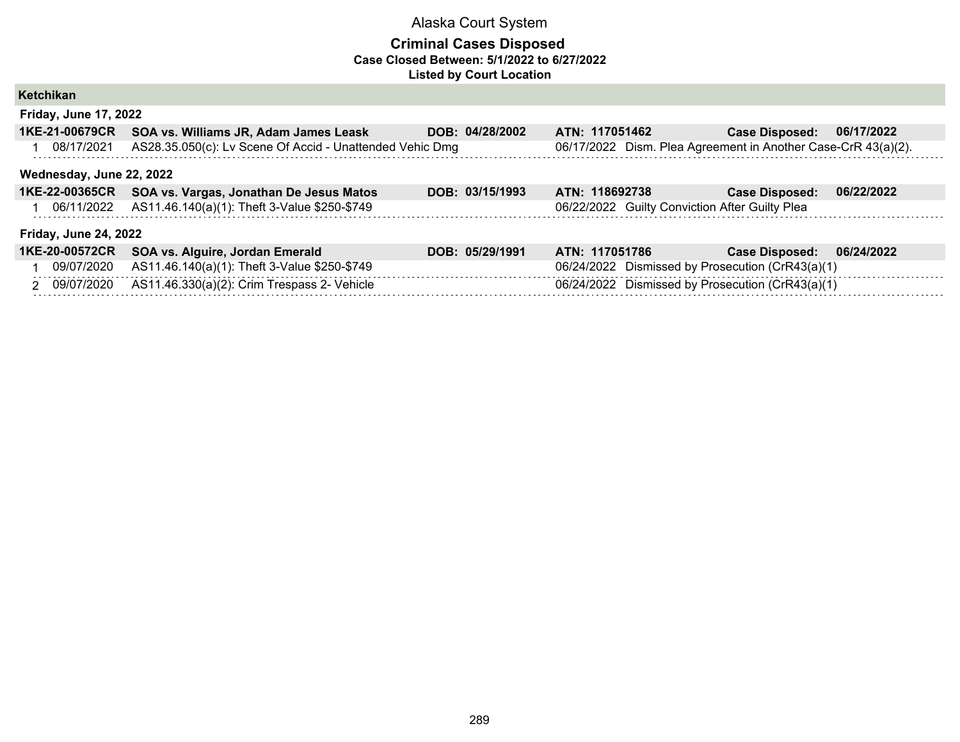| Ketchikan                    |                                                          |                 |                                                               |                       |            |  |  |  |  |
|------------------------------|----------------------------------------------------------|-----------------|---------------------------------------------------------------|-----------------------|------------|--|--|--|--|
| <b>Friday, June 17, 2022</b> |                                                          |                 |                                                               |                       |            |  |  |  |  |
| 1KE-21-00679CR               | SOA vs. Williams JR, Adam James Leask                    | DOB: 04/28/2002 | ATN: 117051462                                                | <b>Case Disposed:</b> | 06/17/2022 |  |  |  |  |
| 08/17/2021                   | AS28.35.050(c): Lv Scene Of Accid - Unattended Vehic Dmg |                 | 06/17/2022 Dism. Plea Agreement in Another Case-CrR 43(a)(2). |                       |            |  |  |  |  |
| Wednesday, June 22, 2022     |                                                          |                 |                                                               |                       |            |  |  |  |  |
|                              | 1KE-22-00365CR SOA vs. Vargas, Jonathan De Jesus Matos   | DOB: 03/15/1993 | ATN: 118692738                                                | <b>Case Disposed:</b> | 06/22/2022 |  |  |  |  |
| 06/11/2022                   | AS11.46.140(a)(1): Theft 3-Value \$250-\$749             |                 | 06/22/2022 Guilty Conviction After Guilty Plea                |                       |            |  |  |  |  |
| <b>Friday, June 24, 2022</b> |                                                          |                 |                                                               |                       |            |  |  |  |  |
| 1KE-20-00572CR               | SOA vs. Alguire, Jordan Emerald                          | DOB: 05/29/1991 | ATN: 117051786                                                | <b>Case Disposed:</b> | 06/24/2022 |  |  |  |  |
| 09/07/2020                   | AS11.46.140(a)(1): Theft 3-Value \$250-\$749             |                 | 06/24/2022 Dismissed by Prosecution (CrR43(a)(1)              |                       |            |  |  |  |  |
| 2 09/07/2020                 | AS11.46.330(a)(2): Crim Trespass 2- Vehicle              |                 | 06/24/2022 Dismissed by Prosecution (CrR43(a)(1)              |                       |            |  |  |  |  |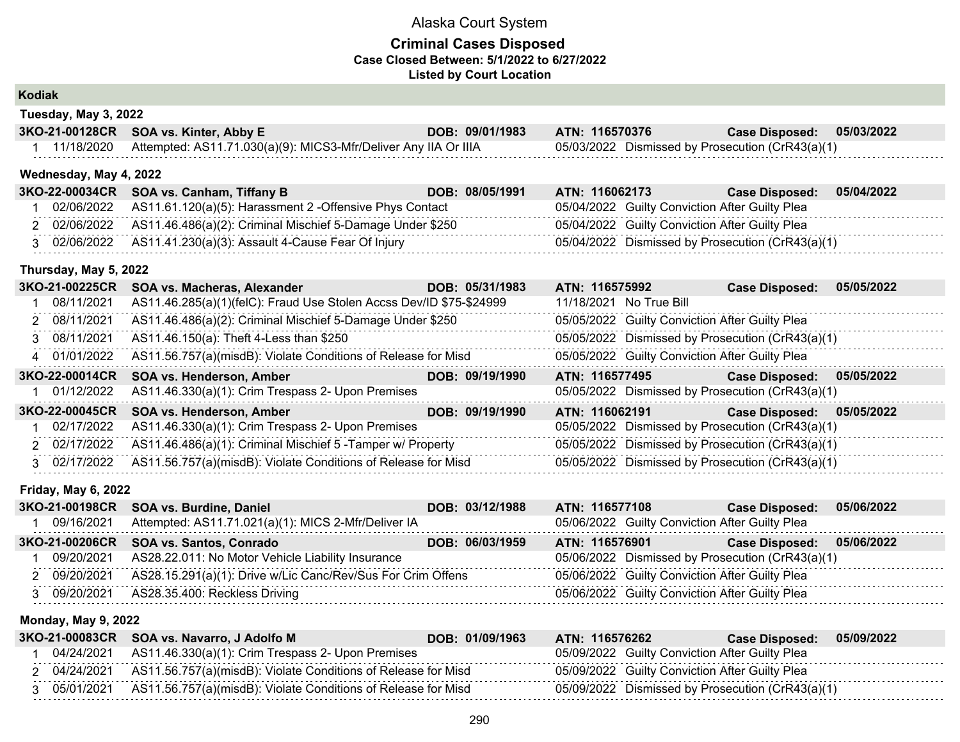### **Criminal Cases Disposed Case Closed Between: 5/1/2022 to 6/27/2022 Listed by Court Location**

### **Kodiak**

| . |                                                                            |                 |                                                  |                       |            |
|---|----------------------------------------------------------------------------|-----------------|--------------------------------------------------|-----------------------|------------|
|   | 3KO-21-00128CR SOA vs. Kinter, Abby E                                      | DOB: 09/01/1983 | <b>ATN: 116570376</b>                            | <b>Case Disposed:</b> | 05/03/2022 |
|   | 11/18/2020 Attempted: AS11.71.030(a)(9): MICS3-Mfr/Deliver Any IIA Or IIIA |                 | 05/03/2022 Dismissed by Prosecution (CrR43(a)(1) |                       |            |

#### **Wednesday, May 4, 2022**

**Tuesday, May 3, 2022**

|  | 3KO-22-00034CR SOA vs. Canham, Tiffany B                               | DOB: 08/05/1991 | ATN: 116062173 | <b>Case Disposed:</b>                            | 05/04/2022 |
|--|------------------------------------------------------------------------|-----------------|----------------|--------------------------------------------------|------------|
|  | 02/06/2022 AS11.61.120(a)(5): Harassment 2 - Offensive Phys Contact    |                 |                | 05/04/2022 Guilty Conviction After Guilty Plea   |            |
|  | 2 02/06/2022 AS11.46.486(a)(2): Criminal Mischief 5-Damage Under \$250 |                 |                | 05/04/2022 Guilty Conviction After Guilty Plea   |            |
|  | 02/06/2022 AS11.41.230(a)(3): Assault 4-Cause Fear Of Injury           |                 |                | 05/04/2022 Dismissed by Prosecution (CrR43(a)(1) |            |

#### **Thursday, May 5, 2022**

| AS11.46.285(a)(1)(felC): Fraud Use Stolen Accss Dev/ID \$75-\$24999<br>08/11/2021<br>11/18/2021 No True Bill<br>AS11.46.486(a)(2): Criminal Mischief 5-Damage Under \$250<br>05/05/2022 Guilty Conviction After Guilty Plea<br>2 08/11/2021 |  |
|---------------------------------------------------------------------------------------------------------------------------------------------------------------------------------------------------------------------------------------------|--|
|                                                                                                                                                                                                                                             |  |
|                                                                                                                                                                                                                                             |  |
| 05/05/2022 Dismissed by Prosecution (CrR43(a)(1)<br>AS11.46.150(a): Theft 4-Less than \$250<br>3 08/11/2021                                                                                                                                 |  |
| 05/05/2022 Guilty Conviction After Guilty Plea<br>AS11.56.757(a)(misdB): Violate Conditions of Release for Misd<br>4 01/01/2022                                                                                                             |  |
| 3KO-22-00014CR<br><b>SOA vs. Henderson, Amber</b><br>05/05/2022<br>DOB: 09/19/1990<br>ATN: 116577495<br><b>Case Disposed:</b>                                                                                                               |  |
| AS11.46.330(a)(1): Crim Trespass 2- Upon Premises<br>05/05/2022 Dismissed by Prosecution (CrR43(a)(1)<br>01/12/2022                                                                                                                         |  |
| 3KO-22-00045CR<br>SOA vs. Henderson, Amber<br>DOB: 09/19/1990<br>ATN: 116062191<br>05/05/2022<br><b>Case Disposed:</b>                                                                                                                      |  |
| AS11.46.330(a)(1): Crim Trespass 2- Upon Premises<br>02/17/2022<br>05/05/2022 Dismissed by Prosecution (CrR43(a)(1)                                                                                                                         |  |
| AS11.46.486(a)(1): Criminal Mischief 5 - Tamper w/ Property<br>05/05/2022 Dismissed by Prosecution (CrR43(a)(1)<br>2 02/17/2022                                                                                                             |  |
| AS11.56.757(a)(misdB): Violate Conditions of Release for Misd<br>05/05/2022 Dismissed by Prosecution (CrR43(a)(1)<br>3 02/17/2022                                                                                                           |  |

#### **Friday, May 6, 2022**

|              | 3KO-21-00198CR SOA vs. Burdine, Daniel                      | DOB: 03/12/1988 | ATN: 116577108 |                                                | <b>Case Disposed:</b>                            | 05/06/2022 |
|--------------|-------------------------------------------------------------|-----------------|----------------|------------------------------------------------|--------------------------------------------------|------------|
| 09/16/2021   | Attempted: AS11.71.021(a)(1): MICS 2-Mfr/Deliver IA         |                 |                | 05/06/2022 Guilty Conviction After Guilty Plea |                                                  |            |
|              | 3KO-21-00206CR SOA vs. Santos, Conrado                      | DOB: 06/03/1959 | ATN: 116576901 |                                                | <b>Case Disposed:</b>                            | 05/06/2022 |
| 09/20/2021   | AS28.22.011: No Motor Vehicle Liability Insurance           |                 |                |                                                | 05/06/2022 Dismissed by Prosecution (CrR43(a)(1) |            |
| 2 09/20/2021 | AS28.15.291(a)(1): Drive w/Lic Canc/Rev/Sus For Crim Offens |                 |                | 05/06/2022 Guilty Conviction After Guilty Plea |                                                  |            |
| 3 09/20/2021 | AS28.35.400: Reckless Driving                               |                 |                | 05/06/2022 Guilty Conviction After Guilty Plea |                                                  |            |

## **Monday, May 9, 2022**

|            | 3KO-21-00083CR SOA vs. Navarro, J Adolfo M                               | DOB: 01/09/1963 | ATN: 116576262 | <b>Case Disposed:</b>                            | 05/09/2022 |
|------------|--------------------------------------------------------------------------|-----------------|----------------|--------------------------------------------------|------------|
| 04/24/2021 | AS11.46.330(a)(1): Crim Trespass 2- Upon Premises                        |                 |                | 05/09/2022 Guilty Conviction After Guilty Plea   |            |
|            | 04/24/2021 AS11.56.757(a)(misdB): Violate Conditions of Release for Misd |                 |                | 05/09/2022 Guilty Conviction After Guilty Plea   |            |
| 05/01/2021 | AS11.56.757(a)(misdB): Violate Conditions of Release for Misd            |                 |                | 05/09/2022 Dismissed by Prosecution (CrR43(a)(1) |            |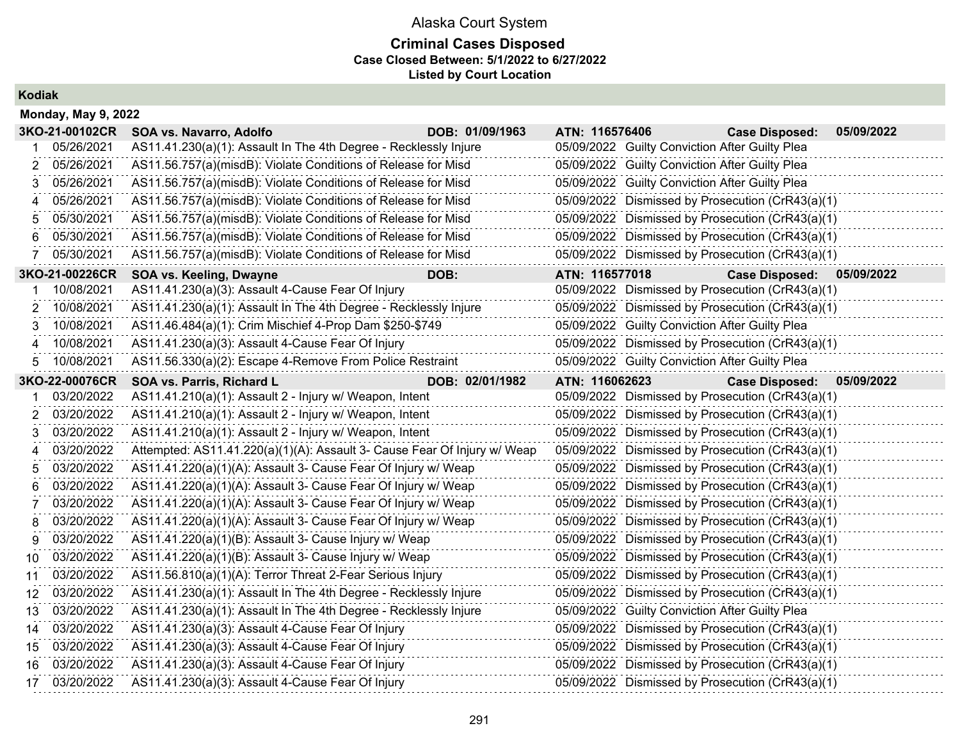## **Criminal Cases Disposed Case Closed Between: 5/1/2022 to 6/27/2022 Listed by Court Location**

**Kodiak**

|    | <b>Monday, May 9, 2022</b> |                                                                          |                 |                |                                                |                                                  |            |  |  |
|----|----------------------------|--------------------------------------------------------------------------|-----------------|----------------|------------------------------------------------|--------------------------------------------------|------------|--|--|
|    | 3KO-21-00102CR             | SOA vs. Navarro, Adolfo                                                  | DOB: 01/09/1963 | ATN: 116576406 |                                                | <b>Case Disposed:</b>                            | 05/09/2022 |  |  |
|    | 05/26/2021                 | AS11.41.230(a)(1): Assault In The 4th Degree - Recklessly Injure         |                 |                | 05/09/2022 Guilty Conviction After Guilty Plea |                                                  |            |  |  |
| 2  | 05/26/2021                 | AS11.56.757(a)(misdB): Violate Conditions of Release for Misd            |                 |                | 05/09/2022 Guilty Conviction After Guilty Plea |                                                  |            |  |  |
| 3  | 05/26/2021                 | AS11.56.757(a)(misdB): Violate Conditions of Release for Misd            |                 |                | 05/09/2022 Guilty Conviction After Guilty Plea |                                                  |            |  |  |
| 4  | 05/26/2021                 | AS11.56.757(a)(misdB): Violate Conditions of Release for Misd            |                 |                |                                                | 05/09/2022 Dismissed by Prosecution (CrR43(a)(1) |            |  |  |
| 5  | 05/30/2021                 | AS11.56.757(a)(misdB): Violate Conditions of Release for Misd            |                 |                |                                                | 05/09/2022 Dismissed by Prosecution (CrR43(a)(1) |            |  |  |
| 6  | 05/30/2021                 | AS11.56.757(a)(misdB): Violate Conditions of Release for Misd            |                 |                |                                                | 05/09/2022 Dismissed by Prosecution (CrR43(a)(1) |            |  |  |
| 7  | 05/30/2021                 | AS11.56.757(a)(misdB): Violate Conditions of Release for Misd            |                 |                |                                                | 05/09/2022 Dismissed by Prosecution (CrR43(a)(1) |            |  |  |
|    | 3KO-21-00226CR             | SOA vs. Keeling, Dwayne                                                  | DOB:            | ATN: 116577018 |                                                | <b>Case Disposed:</b>                            | 05/09/2022 |  |  |
|    | 10/08/2021                 | AS11.41.230(a)(3): Assault 4-Cause Fear Of Injury                        |                 |                |                                                | 05/09/2022 Dismissed by Prosecution (CrR43(a)(1) |            |  |  |
| 2  | 10/08/2021                 | AS11.41.230(a)(1): Assault In The 4th Degree - Recklessly Injure         |                 |                |                                                | 05/09/2022 Dismissed by Prosecution (CrR43(a)(1) |            |  |  |
| 3  | 10/08/2021                 | AS11.46.484(a)(1): Crim Mischief 4-Prop Dam \$250-\$749                  |                 |                | 05/09/2022 Guilty Conviction After Guilty Plea |                                                  |            |  |  |
| Δ  | 10/08/2021                 | AS11.41.230(a)(3): Assault 4-Cause Fear Of Injury                        |                 |                |                                                | 05/09/2022 Dismissed by Prosecution (CrR43(a)(1) |            |  |  |
| 5  | 10/08/2021                 | AS11.56.330(a)(2): Escape 4-Remove From Police Restraint                 |                 |                | 05/09/2022 Guilty Conviction After Guilty Plea |                                                  |            |  |  |
|    | 3KO-22-00076CR             | SOA vs. Parris, Richard L                                                | DOB: 02/01/1982 | ATN: 116062623 |                                                | <b>Case Disposed:</b>                            | 05/09/2022 |  |  |
|    | 03/20/2022                 | AS11.41.210(a)(1): Assault 2 - Injury w/ Weapon, Intent                  |                 |                |                                                | 05/09/2022 Dismissed by Prosecution (CrR43(a)(1) |            |  |  |
| 2  | 03/20/2022                 | AS11.41.210(a)(1): Assault 2 - Injury w/ Weapon, Intent                  |                 |                |                                                | 05/09/2022 Dismissed by Prosecution (CrR43(a)(1) |            |  |  |
| 3  | 03/20/2022                 | AS11.41.210(a)(1): Assault 2 - Injury w/ Weapon, Intent                  |                 |                |                                                | 05/09/2022 Dismissed by Prosecution (CrR43(a)(1) |            |  |  |
| 4  | 03/20/2022                 | Attempted: AS11.41.220(a)(1)(A): Assault 3- Cause Fear Of Injury w/ Weap |                 |                |                                                | 05/09/2022 Dismissed by Prosecution (CrR43(a)(1) |            |  |  |
| 5  | 03/20/2022                 | AS11.41.220(a)(1)(A): Assault 3- Cause Fear Of Injury w/ Weap            |                 |                |                                                | 05/09/2022 Dismissed by Prosecution (CrR43(a)(1) |            |  |  |
| 6  | 03/20/2022                 | AS11.41.220(a)(1)(A): Assault 3- Cause Fear Of Injury w/ Weap            |                 |                |                                                | 05/09/2022 Dismissed by Prosecution (CrR43(a)(1) |            |  |  |
| 7  | 03/20/2022                 | AS11.41.220(a)(1)(A): Assault 3- Cause Fear Of Injury w/ Weap            |                 |                |                                                | 05/09/2022 Dismissed by Prosecution (CrR43(a)(1) |            |  |  |
| 8  | 03/20/2022                 | AS11.41.220(a)(1)(A): Assault 3- Cause Fear Of Injury w/ Weap            |                 |                |                                                | 05/09/2022 Dismissed by Prosecution (CrR43(a)(1) |            |  |  |
| 9  | 03/20/2022                 | AS11.41.220(a)(1)(B): Assault 3- Cause Injury w/ Weap                    |                 |                |                                                | 05/09/2022 Dismissed by Prosecution (CrR43(a)(1) |            |  |  |
| 10 | 03/20/2022                 | AS11.41.220(a)(1)(B): Assault 3- Cause Injury w/ Weap                    |                 |                |                                                | 05/09/2022 Dismissed by Prosecution (CrR43(a)(1) |            |  |  |
| 11 | 03/20/2022                 | AS11.56.810(a)(1)(A): Terror Threat 2-Fear Serious Injury                |                 |                |                                                | 05/09/2022 Dismissed by Prosecution (CrR43(a)(1) |            |  |  |
| 12 | 03/20/2022                 | AS11.41.230(a)(1): Assault In The 4th Degree - Recklessly Injure         |                 |                |                                                | 05/09/2022 Dismissed by Prosecution (CrR43(a)(1) |            |  |  |
| 13 | 03/20/2022                 | AS11.41.230(a)(1): Assault In The 4th Degree - Recklessly Injure         |                 |                | 05/09/2022 Guilty Conviction After Guilty Plea |                                                  |            |  |  |
| 14 | 03/20/2022                 | AS11.41.230(a)(3): Assault 4-Cause Fear Of Injury                        |                 |                |                                                | 05/09/2022 Dismissed by Prosecution (CrR43(a)(1) |            |  |  |
| 15 | 03/20/2022                 | AS11.41.230(a)(3): Assault 4-Cause Fear Of Injury                        |                 |                |                                                | 05/09/2022 Dismissed by Prosecution (CrR43(a)(1) |            |  |  |
| 16 | 03/20/2022                 | AS11.41.230(a)(3): Assault 4-Cause Fear Of Injury                        |                 |                |                                                | 05/09/2022 Dismissed by Prosecution (CrR43(a)(1) |            |  |  |
|    | 17 03/20/2022              | AS11.41.230(a)(3): Assault 4-Cause Fear Of Injury                        |                 |                |                                                | 05/09/2022 Dismissed by Prosecution (CrR43(a)(1) |            |  |  |
|    |                            |                                                                          |                 |                |                                                |                                                  |            |  |  |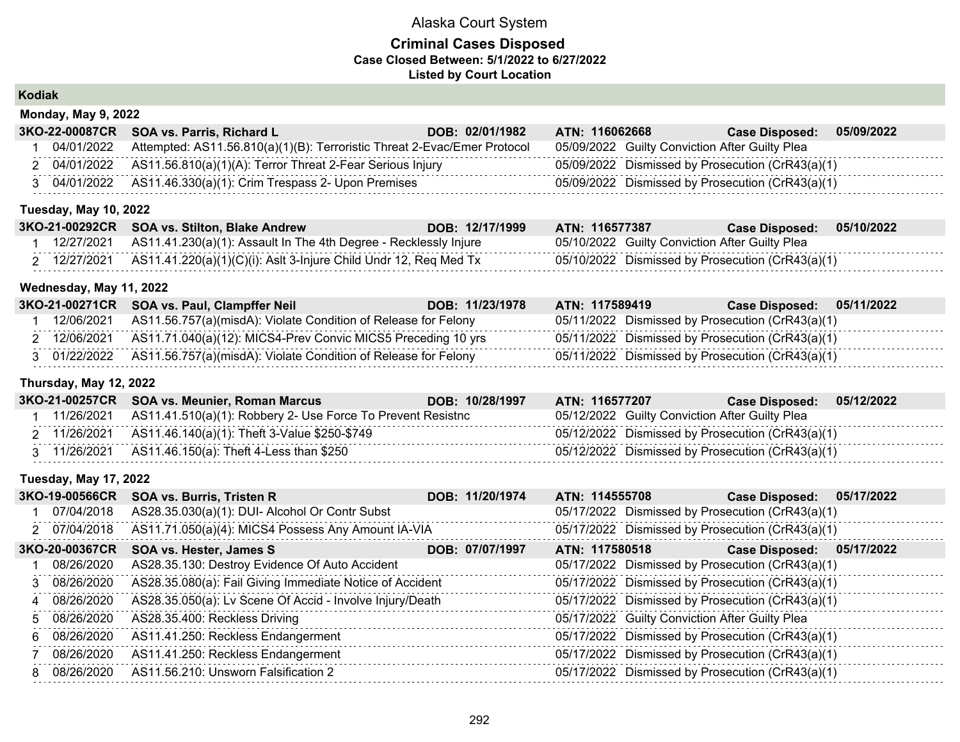### **Criminal Cases Disposed Case Closed Between: 5/1/2022 to 6/27/2022 Listed by Court Location**

**Kodiak**

| <b>Monday, May 9, 2022</b> |                                                                          |                 |                                                  |                       |            |  |  |  |
|----------------------------|--------------------------------------------------------------------------|-----------------|--------------------------------------------------|-----------------------|------------|--|--|--|
|                            | 3KO-22-00087CR SOA vs. Parris, Richard L                                 | DOB: 02/01/1982 | <b>ATN: 116062668</b>                            | <b>Case Disposed:</b> | 05/09/2022 |  |  |  |
| 04/01/2022                 | Attempted: AS11.56.810(a)(1)(B): Terroristic Threat 2-Evac/Emer Protocol |                 | 05/09/2022 Guilty Conviction After Guilty Plea   |                       |            |  |  |  |
|                            | 2 04/01/2022 AS11.56.810(a)(1)(A): Terror Threat 2-Fear Serious Injury   |                 | 05/09/2022 Dismissed by Prosecution (CrR43(a)(1) |                       |            |  |  |  |
|                            | 3 04/01/2022 AS11.46.330(a)(1): Crim Trespass 2- Upon Premises           |                 | 05/09/2022 Dismissed by Prosecution (CrR43(a)(1) |                       |            |  |  |  |

#### **Tuesday, May 10, 2022**

|            | 3KO-21-00292CR SOA vs. Stilton, Blake Andrew                     | DOB: 12/17/1999 | ATN: 116577387                                   | <b>Case Disposed:</b> | 05/10/2022 |
|------------|------------------------------------------------------------------|-----------------|--------------------------------------------------|-----------------------|------------|
| 12/27/2021 | AS11.41.230(a)(1): Assault In The 4th Degree - Recklessly Injure |                 | 05/10/2022 Guilty Conviction After Guilty Plea   |                       |            |
| 12/27/2021 | AS11.41.220(a)(1)(C)(i): Aslt 3-Injure Child Undr 12, Req Med Tx |                 | 05/10/2022 Dismissed by Prosecution (CrR43(a)(1) |                       |            |

#### **Wednesday, May 11, 2022**

| 3KO-21-00271CR SOA vs. Paul, Clampffer Neil<br>ATN: 117589419<br>DOB: 11/23/1978                                                 | 05/11/2022<br><b>Case Disposed:</b> |
|----------------------------------------------------------------------------------------------------------------------------------|-------------------------------------|
| AS11.56.757(a)(misdA): Violate Condition of Release for Felony<br>05/11/2022 Dismissed by Prosecution (CrR43(a)(1)<br>12/06/2021 |                                     |
| 2 12/06/2021 AS11.71.040(a)(12): MICS4-Prev Convic MICS5 Preceding 10 yrs<br>05/11/2022 Dismissed by Prosecution (CrR43(a)(1)    |                                     |
| 3 01/22/2022 AS11.56.757(a)(misdA): Violate Condition of Release for Felony<br>05/11/2022 Dismissed by Prosecution (CrR43(a)(1)  |                                     |

### **Thursday, May 12, 2022**

|  | 3KO-21-00257CR SOA vs. Meunier, Roman Marcus                             | DOB: 10/28/1997 | ATN: 116577207                                   | <b>Case Disposed:</b> | 05/12/2022 |
|--|--------------------------------------------------------------------------|-----------------|--------------------------------------------------|-----------------------|------------|
|  | $11/26/2021$ AS11.41.510(a)(1): Robbery 2- Use Force To Prevent Resistnc |                 | 05/12/2022 Guilty Conviction After Guilty Plea   |                       |            |
|  | 2 11/26/2021 AS11.46.140(a)(1): Theft 3-Value \$250-\$749                |                 | 05/12/2022 Dismissed by Prosecution (CrR43(a)(1) |                       |            |
|  | 3 11/26/2021 AS11.46.150(a): Theft 4-Less than \$250                     |                 | 05/12/2022 Dismissed by Prosecution (CrR43(a)(1) |                       |            |

#### **Tuesday, May 17, 2022**

| 3KO-19-00566CR | <b>SOA vs. Burris, Tristen R</b>                         | DOB: 11/20/1974 | ATN: 114555708 |                                                | <b>Case Disposed:</b>                            | 05/17/2022 |
|----------------|----------------------------------------------------------|-----------------|----------------|------------------------------------------------|--------------------------------------------------|------------|
| 07/04/2018     | AS28.35.030(a)(1): DUI- Alcohol Or Contr Subst           |                 |                |                                                | 05/17/2022 Dismissed by Prosecution (CrR43(a)(1) |            |
| 2 07/04/2018   | AS11.71.050(a)(4): MICS4 Possess Any Amount IA-VIA       |                 |                |                                                | 05/17/2022 Dismissed by Prosecution (CrR43(a)(1) |            |
| 3KO-20-00367CR | SOA vs. Hester, James S                                  | DOB: 07/07/1997 | ATN: 117580518 |                                                | Case Disposed: 05/17/2022                        |            |
| 08/26/2020     | AS28.35.130: Destroy Evidence Of Auto Accident           |                 |                |                                                | 05/17/2022 Dismissed by Prosecution (CrR43(a)(1) |            |
| 3 08/26/2020   | AS28.35.080(a): Fail Giving Immediate Notice of Accident |                 |                |                                                | 05/17/2022 Dismissed by Prosecution (CrR43(a)(1) |            |
| 4 08/26/2020   | AS28.35.050(a): Lv Scene Of Accid - Involve Injury/Death |                 |                |                                                | 05/17/2022 Dismissed by Prosecution (CrR43(a)(1) |            |
| 5 08/26/2020   | AS28.35.400: Reckless Driving                            |                 |                | 05/17/2022 Guilty Conviction After Guilty Plea |                                                  |            |
| 6 08/26/2020   | AS11.41.250: Reckless Endangerment                       |                 |                |                                                | 05/17/2022 Dismissed by Prosecution (CrR43(a)(1) |            |
| 7 08/26/2020   | AS11.41.250: Reckless Endangerment                       |                 |                |                                                | 05/17/2022 Dismissed by Prosecution (CrR43(a)(1) |            |
| 8 08/26/2020   | AS11.56.210: Unsworn Falsification 2                     |                 |                |                                                | 05/17/2022 Dismissed by Prosecution (CrR43(a)(1) |            |
|                |                                                          |                 |                |                                                |                                                  |            |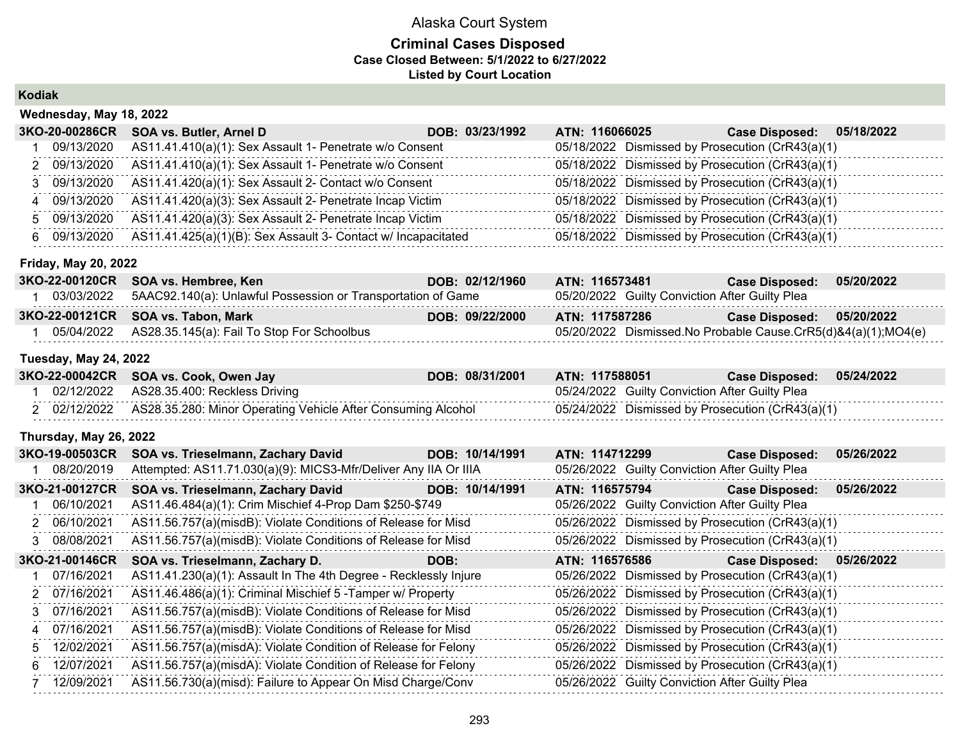### **Criminal Cases Disposed Case Closed Between: 5/1/2022 to 6/27/2022 Listed by Court Location**

**Kodiak**

| Wednesday, May 18, 2022 |                                                               |                 |                |  |                                                  |            |  |
|-------------------------|---------------------------------------------------------------|-----------------|----------------|--|--------------------------------------------------|------------|--|
| 3KO-20-00286CR          | SOA vs. Butler, Arnel D                                       | DOB: 03/23/1992 | ATN: 116066025 |  | <b>Case Disposed:</b>                            | 05/18/2022 |  |
| 09/13/2020              | AS11.41.410(a)(1): Sex Assault 1- Penetrate w/o Consent       |                 |                |  | 05/18/2022 Dismissed by Prosecution (CrR43(a)(1) |            |  |
| 2 09/13/2020            | AS11.41.410(a)(1): Sex Assault 1- Penetrate w/o Consent       |                 |                |  | 05/18/2022 Dismissed by Prosecution (CrR43(a)(1) |            |  |
| 3 09/13/2020            | AS11.41.420(a)(1): Sex Assault 2- Contact w/o Consent         |                 |                |  | 05/18/2022 Dismissed by Prosecution (CrR43(a)(1) |            |  |
| 4 09/13/2020            | AS11.41.420(a)(3): Sex Assault 2- Penetrate Incap Victim      |                 |                |  | 05/18/2022 Dismissed by Prosecution (CrR43(a)(1) |            |  |
| 5 09/13/2020            | AS11.41.420(a)(3): Sex Assault 2- Penetrate Incap Victim      |                 |                |  | 05/18/2022 Dismissed by Prosecution (CrR43(a)(1) |            |  |
| 6 09/13/2020            | AS11.41.425(a)(1)(B): Sex Assault 3- Contact w/ Incapacitated |                 |                |  | 05/18/2022 Dismissed by Prosecution (CrR43(a)(1) |            |  |

#### **Friday, May 20, 2022**

| 3KO-22-00120CR SOA vs. Hembree, Ken                                     | DOB: 02/12/1960 | ATN: 116573481                                                   | <b>Case Disposed:</b>     | 05/20/2022 |
|-------------------------------------------------------------------------|-----------------|------------------------------------------------------------------|---------------------------|------------|
| 03/03/2022 5AAC92.140(a): Unlawful Possession or Transportation of Game |                 | 05/20/2022 Guilty Conviction After Guilty Plea                   |                           |            |
| 3KO-22-00121CR SOA vs. Tabon, Mark                                      | DOB: 09/22/2000 | ATN: 117587286                                                   | Case Disposed: 05/20/2022 |            |
| 05/04/2022 AS28.35.145(a): Fail To Stop For Schoolbus                   |                 | 05/20/2022 Dismissed. No Probable Cause. CrR5(d)&4(a)(1); MO4(e) |                           |            |

#### **Tuesday, May 24, 2022**

|            | 3KO-22-00042CR SOA vs. Cook, Owen Jay                        | DOB: 08/31/2001 | ATN: 117588051                                   | ∕Case Disposed: ∂ | 05/24/2022 |
|------------|--------------------------------------------------------------|-----------------|--------------------------------------------------|-------------------|------------|
| 02/12/2022 | AS28.35.400: Reckless Driving                                |                 | 05/24/2022 Guilty Conviction After Guilty Plea   |                   |            |
| 02/12/2022 | AS28.35.280: Minor Operating Vehicle After Consuming Alcohol |                 | 05/24/2022 Dismissed by Prosecution (CrR43(a)(1) |                   |            |

#### **Thursday, May 26, 2022**

| 3KO-19-00503CR   | SOA vs. Trieselmann, Zachary David | DOB: 10/14/1991 |                                                                                                                                                                                                                                                                                                                                                                                                                                                                                                                                                                                                                                                                                                                                      | <b>Case Disposed:</b> | 05/26/2022                                                                                                                                                                                                                                                                                                                                                                                                                                                                                                                                                                                                                               |
|------------------|------------------------------------|-----------------|--------------------------------------------------------------------------------------------------------------------------------------------------------------------------------------------------------------------------------------------------------------------------------------------------------------------------------------------------------------------------------------------------------------------------------------------------------------------------------------------------------------------------------------------------------------------------------------------------------------------------------------------------------------------------------------------------------------------------------------|-----------------------|------------------------------------------------------------------------------------------------------------------------------------------------------------------------------------------------------------------------------------------------------------------------------------------------------------------------------------------------------------------------------------------------------------------------------------------------------------------------------------------------------------------------------------------------------------------------------------------------------------------------------------------|
| 08/20/2019       |                                    |                 |                                                                                                                                                                                                                                                                                                                                                                                                                                                                                                                                                                                                                                                                                                                                      |                       |                                                                                                                                                                                                                                                                                                                                                                                                                                                                                                                                                                                                                                          |
| 3KO-21-00127CR   | SOA vs. Trieselmann, Zachary David | DOB: 10/14/1991 |                                                                                                                                                                                                                                                                                                                                                                                                                                                                                                                                                                                                                                                                                                                                      | <b>Case Disposed:</b> | 05/26/2022                                                                                                                                                                                                                                                                                                                                                                                                                                                                                                                                                                                                                               |
| 1 06/10/2021     |                                    |                 |                                                                                                                                                                                                                                                                                                                                                                                                                                                                                                                                                                                                                                                                                                                                      |                       |                                                                                                                                                                                                                                                                                                                                                                                                                                                                                                                                                                                                                                          |
| 2 06/10/2021     |                                    |                 |                                                                                                                                                                                                                                                                                                                                                                                                                                                                                                                                                                                                                                                                                                                                      |                       |                                                                                                                                                                                                                                                                                                                                                                                                                                                                                                                                                                                                                                          |
| 3 08/08/2021     |                                    |                 |                                                                                                                                                                                                                                                                                                                                                                                                                                                                                                                                                                                                                                                                                                                                      |                       |                                                                                                                                                                                                                                                                                                                                                                                                                                                                                                                                                                                                                                          |
| 3KO-21-00146CR   | SOA vs. Trieselmann, Zachary D.    | DOB:            |                                                                                                                                                                                                                                                                                                                                                                                                                                                                                                                                                                                                                                                                                                                                      | <b>Case Disposed:</b> | 05/26/2022                                                                                                                                                                                                                                                                                                                                                                                                                                                                                                                                                                                                                               |
| 1 07/16/2021     |                                    |                 |                                                                                                                                                                                                                                                                                                                                                                                                                                                                                                                                                                                                                                                                                                                                      |                       |                                                                                                                                                                                                                                                                                                                                                                                                                                                                                                                                                                                                                                          |
| 2 07/16/2021     |                                    |                 |                                                                                                                                                                                                                                                                                                                                                                                                                                                                                                                                                                                                                                                                                                                                      |                       |                                                                                                                                                                                                                                                                                                                                                                                                                                                                                                                                                                                                                                          |
| 3 07/16/2021     |                                    |                 |                                                                                                                                                                                                                                                                                                                                                                                                                                                                                                                                                                                                                                                                                                                                      |                       |                                                                                                                                                                                                                                                                                                                                                                                                                                                                                                                                                                                                                                          |
| 4 07/16/2021     |                                    |                 |                                                                                                                                                                                                                                                                                                                                                                                                                                                                                                                                                                                                                                                                                                                                      |                       |                                                                                                                                                                                                                                                                                                                                                                                                                                                                                                                                                                                                                                          |
| 5 12/02/2021     |                                    |                 |                                                                                                                                                                                                                                                                                                                                                                                                                                                                                                                                                                                                                                                                                                                                      |                       |                                                                                                                                                                                                                                                                                                                                                                                                                                                                                                                                                                                                                                          |
| 12/07/2021<br>6. |                                    |                 |                                                                                                                                                                                                                                                                                                                                                                                                                                                                                                                                                                                                                                                                                                                                      |                       |                                                                                                                                                                                                                                                                                                                                                                                                                                                                                                                                                                                                                                          |
| 12/09/2021       |                                    |                 |                                                                                                                                                                                                                                                                                                                                                                                                                                                                                                                                                                                                                                                                                                                                      |                       |                                                                                                                                                                                                                                                                                                                                                                                                                                                                                                                                                                                                                                          |
|                  |                                    |                 | Attempted: AS11.71.030(a)(9): MICS3-Mfr/Deliver Any IIA Or IIIA<br>AS11.46.484(a)(1): Crim Mischief 4-Prop Dam \$250-\$749<br>AS11.56.757(a)(misdB): Violate Conditions of Release for Misd<br>AS11.56.757(a)(misdB): Violate Conditions of Release for Misd<br>AS11.41.230(a)(1): Assault In The 4th Degree - Recklessly Injure<br>AS11.46.486(a)(1): Criminal Mischief 5 - Tamper w/ Property<br>AS11.56.757(a)(misdB): Violate Conditions of Release for Misd<br>AS11.56.757(a)(misdB): Violate Conditions of Release for Misd<br>AS11.56.757(a)(misdA): Violate Condition of Release for Felony<br>AS11.56.757(a)(misdA): Violate Condition of Release for Felony<br>AS11.56.730(a)(misd): Failure to Appear On Misd Charge/Conv |                       | ATN: 114712299<br>05/26/2022 Guilty Conviction After Guilty Plea<br>ATN: 116575794<br>05/26/2022 Guilty Conviction After Guilty Plea<br>05/26/2022 Dismissed by Prosecution (CrR43(a)(1)<br>05/26/2022 Dismissed by Prosecution (CrR43(a)(1)<br>ATN: 116576586<br>05/26/2022 Dismissed by Prosecution (CrR43(a)(1)<br>05/26/2022 Dismissed by Prosecution (CrR43(a)(1)<br>05/26/2022 Dismissed by Prosecution (CrR43(a)(1)<br>05/26/2022 Dismissed by Prosecution (CrR43(a)(1)<br>05/26/2022 Dismissed by Prosecution (CrR43(a)(1)<br>05/26/2022 Dismissed by Prosecution (CrR43(a)(1)<br>05/26/2022 Guilty Conviction After Guilty Plea |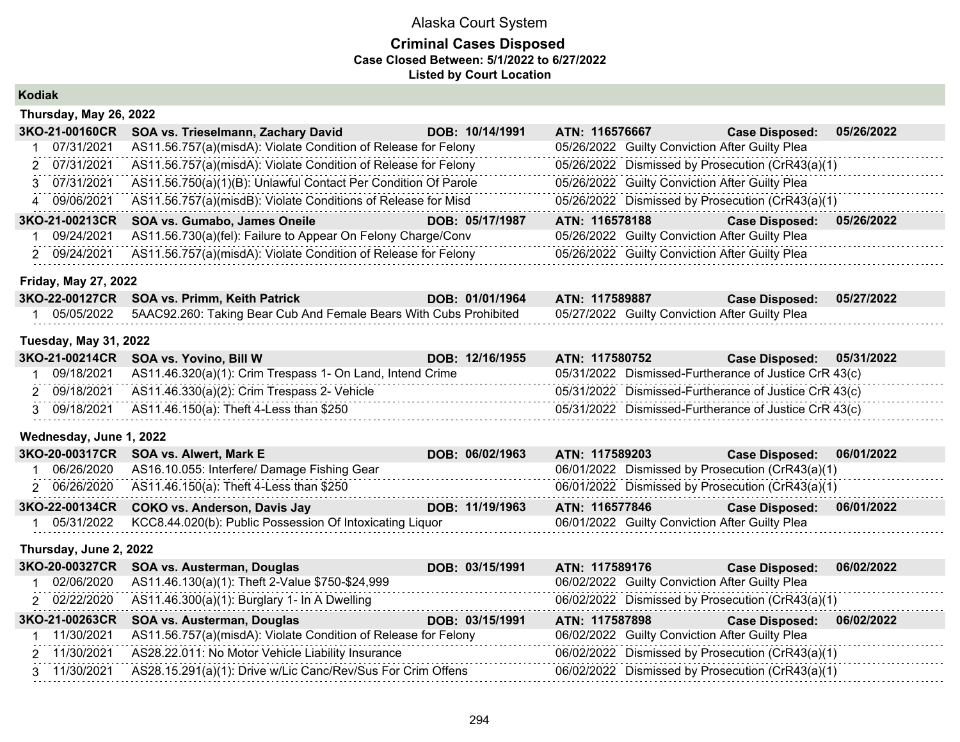### **Criminal Cases Disposed Case Closed Between: 5/1/2022 to 6/27/2022 Listed by Court Location**

**Kodiak**

| Thursday, May 26, 2022      |                                                                |                 |                |                                                  |            |  |  |
|-----------------------------|----------------------------------------------------------------|-----------------|----------------|--------------------------------------------------|------------|--|--|
| 3KO-21-00160CR              | SOA vs. Trieselmann, Zachary David                             | DOB: 10/14/1991 | ATN: 116576667 | <b>Case Disposed:</b>                            | 05/26/2022 |  |  |
| 07/31/2021                  | AS11.56.757(a)(misdA): Violate Condition of Release for Felony |                 |                | 05/26/2022 Guilty Conviction After Guilty Plea   |            |  |  |
| 2 07/31/2021                | AS11.56.757(a)(misdA): Violate Condition of Release for Felony |                 |                | 05/26/2022 Dismissed by Prosecution (CrR43(a)(1) |            |  |  |
| 3 07/31/2021                | AS11.56.750(a)(1)(B): Unlawful Contact Per Condition Of Parole |                 |                | 05/26/2022 Guilty Conviction After Guilty Plea   |            |  |  |
| 4 09/06/2021                | AS11.56.757(a)(misdB): Violate Conditions of Release for Misd  |                 |                | 05/26/2022 Dismissed by Prosecution (CrR43(a)(1) |            |  |  |
| 3KO-21-00213CR              | SOA vs. Gumabo, James Oneile                                   | DOB: 05/17/1987 | ATN: 116578188 | <b>Case Disposed:</b>                            | 05/26/2022 |  |  |
| 09/24/2021                  | AS11.56.730(a)(fel): Failure to Appear On Felony Charge/Conv   |                 |                | 05/26/2022 Guilty Conviction After Guilty Plea   |            |  |  |
| 2 09/24/2021                | AS11.56.757(a)(misdA): Violate Condition of Release for Felony |                 |                | 05/26/2022 Guilty Conviction After Guilty Plea   |            |  |  |
| <b>Friday, May 27, 2022</b> |                                                                |                 |                |                                                  |            |  |  |

| 3KO-22-00127CR SOA vs. Primm, Keith Patrick                                     | DOB: 01/01/1964 | <b>ATN: 117589887</b>                          | Case Disposed: 05/27/2022 |  |
|---------------------------------------------------------------------------------|-----------------|------------------------------------------------|---------------------------|--|
| 05/05/2022    5AAC92.260: Taking Bear Cub And Female Bears With Cubs Prohibited |                 | 05/27/2022 Guilty Conviction After Guilty Plea |                           |  |

#### **Tuesday, May 31, 2022**

|            | 3KO-21-00214CR SOA vs. Yovino, Bill W                     | DOB: 12/16/1955 | ATN: 117580752 | Case Disposed: 05/31/2022                             |
|------------|-----------------------------------------------------------|-----------------|----------------|-------------------------------------------------------|
| 09/18/2021 | AS11.46.320(a)(1): Crim Trespass 1- On Land, Intend Crime |                 |                | 05/31/2022 Dismissed-Furtherance of Justice CrR 43(c) |
|            | 2 09/18/2021 AS11.46.330(a)(2): Crim Trespass 2- Vehicle  |                 |                | 05/31/2022 Dismissed-Furtherance of Justice CrR 43(c) |
|            | 3 09/18/2021 AS11.46.150(a): Theft 4-Less than \$250      |                 |                | 05/31/2022 Dismissed-Furtherance of Justice CrR 43(c) |

#### **Wednesday, June 1, 2022**

| 3KO-20-00317CR SOA vs. Alwert, Mark E                               | DOB: 06/02/1963 | ATN: 117589203                                   | Case Disposed: 06/01/2022 |  |
|---------------------------------------------------------------------|-----------------|--------------------------------------------------|---------------------------|--|
| 06/26/2020 AS16.10.055: Interfere/ Damage Fishing Gear              |                 | 06/01/2022 Dismissed by Prosecution (CrR43(a)(1) |                           |  |
| 2 06/26/2020 AS11.46.150(a): Theft 4-Less than \$250                |                 | 06/01/2022 Dismissed by Prosecution (CrR43(a)(1) |                           |  |
| 3KO-22-00134CR COKO vs. Anderson, Davis Jay                         | DOB: 11/19/1963 | ATN: 116577846                                   | Case Disposed: 06/01/2022 |  |
| 05/31/2022 KCC8.44.020(b): Public Possession Of Intoxicating Liquor |                 | 06/01/2022 Guilty Conviction After Guilty Plea   |                           |  |

#### **Thursday, June 2, 2022**

|              | 3KO-20-00327CR SOA vs. Austerman, Douglas                      | DOB: 03/15/1991 | ATN: 117589176                                 | <b>Case Disposed:</b>                            | 06/02/2022 |
|--------------|----------------------------------------------------------------|-----------------|------------------------------------------------|--------------------------------------------------|------------|
| 02/06/2020   | AS11.46.130(a)(1): Theft 2-Value \$750-\$24,999                |                 | 06/02/2022 Guilty Conviction After Guilty Plea |                                                  |            |
|              | 2 02/22/2020 AS11.46.300(a)(1): Burglary 1- In A Dwelling      |                 |                                                | 06/02/2022 Dismissed by Prosecution (CrR43(a)(1) |            |
|              | 3KO-21-00263CR SOA vs. Austerman, Douglas                      | DOB: 03/15/1991 | ATN: 117587898                                 | <b>Case Disposed:</b>                            | 06/02/2022 |
| 11/30/2021   | AS11.56.757(a)(misdA): Violate Condition of Release for Felony |                 | 06/02/2022 Guilty Conviction After Guilty Plea |                                                  |            |
| 2 11/30/2021 | AS28.22.011: No Motor Vehicle Liability Insurance              |                 |                                                | 06/02/2022 Dismissed by Prosecution (CrR43(a)(1) |            |
| 3 11/30/2021 | AS28.15.291(a)(1): Drive w/Lic Canc/Rev/Sus For Crim Offens    |                 |                                                | 06/02/2022 Dismissed by Prosecution (CrR43(a)(1) |            |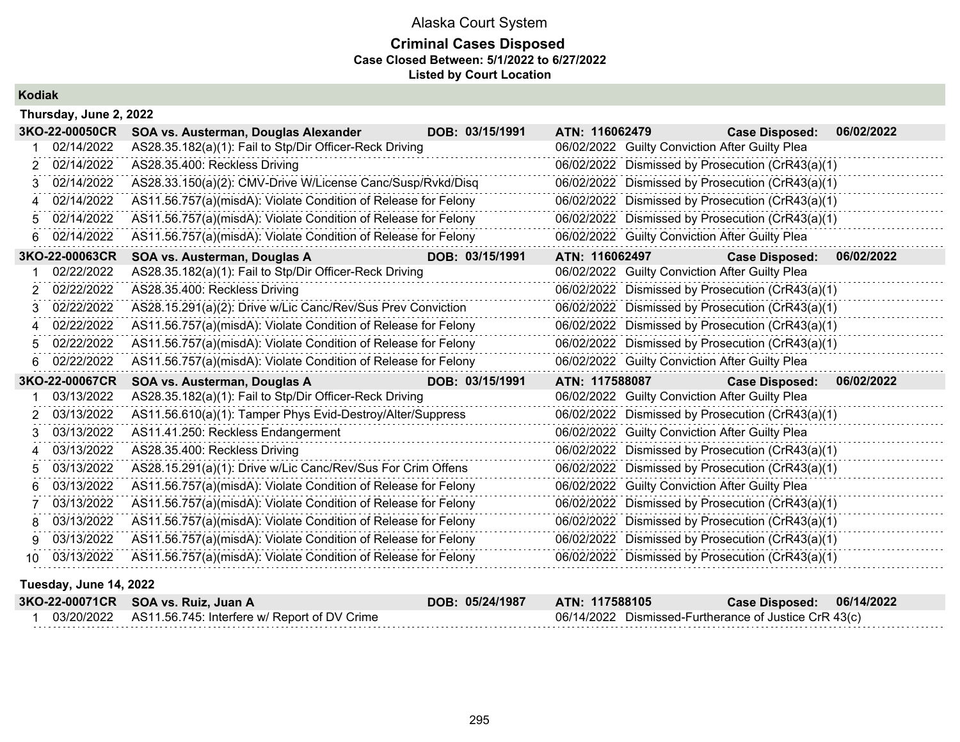## **Criminal Cases Disposed Case Closed Between: 5/1/2022 to 6/27/2022 Listed by Court Location**

## **Kodiak**

|     | Thursday, June 2, 2022      |                                                                |                 |                |                                                |                                                  |            |
|-----|-----------------------------|----------------------------------------------------------------|-----------------|----------------|------------------------------------------------|--------------------------------------------------|------------|
|     | 3KO-22-00050CR              | SOA vs. Austerman, Douglas Alexander                           | DOB: 03/15/1991 | ATN: 116062479 |                                                | <b>Case Disposed:</b>                            | 06/02/2022 |
|     | 02/14/2022                  | AS28.35.182(a)(1): Fail to Stp/Dir Officer-Reck Driving        |                 |                | 06/02/2022 Guilty Conviction After Guilty Plea |                                                  |            |
|     | 2 02/14/2022                | AS28.35.400: Reckless Driving                                  |                 |                |                                                | 06/02/2022 Dismissed by Prosecution (CrR43(a)(1) |            |
| 3   | 02/14/2022                  | AS28.33.150(a)(2): CMV-Drive W/License Canc/Susp/Rvkd/Disq     |                 |                |                                                | 06/02/2022 Dismissed by Prosecution (CrR43(a)(1) |            |
| 4   | 02/14/2022                  | AS11.56.757(a)(misdA): Violate Condition of Release for Felony |                 |                |                                                | 06/02/2022 Dismissed by Prosecution (CrR43(a)(1) |            |
| 5.  | 02/14/2022                  | AS11.56.757(a)(misdA): Violate Condition of Release for Felony |                 |                |                                                | 06/02/2022 Dismissed by Prosecution (CrR43(a)(1) |            |
| 6.  | 02/14/2022                  | AS11.56.757(a)(misdA): Violate Condition of Release for Felony |                 |                | 06/02/2022 Guilty Conviction After Guilty Plea |                                                  |            |
|     | 3KO-22-00063CR              | SOA vs. Austerman, Douglas A                                   | DOB: 03/15/1991 | ATN: 116062497 |                                                | <b>Case Disposed:</b>                            | 06/02/2022 |
|     | 02/22/2022                  | AS28.35.182(a)(1): Fail to Stp/Dir Officer-Reck Driving        |                 |                | 06/02/2022 Guilty Conviction After Guilty Plea |                                                  |            |
| 2   | 02/22/2022                  | AS28.35.400: Reckless Driving                                  |                 |                |                                                | 06/02/2022 Dismissed by Prosecution (CrR43(a)(1) |            |
| 3   | 02/22/2022                  | AS28.15.291(a)(2): Drive w/Lic Canc/Rev/Sus Prev Conviction    |                 |                |                                                | 06/02/2022 Dismissed by Prosecution (CrR43(a)(1) |            |
| 4   | 02/22/2022                  | AS11.56.757(a)(misdA): Violate Condition of Release for Felony |                 |                |                                                | 06/02/2022 Dismissed by Prosecution (CrR43(a)(1) |            |
|     | 02/22/2022                  | AS11.56.757(a)(misdA): Violate Condition of Release for Felony |                 |                |                                                | 06/02/2022 Dismissed by Prosecution (CrR43(a)(1) |            |
|     | 02/22/2022                  | AS11.56.757(a)(misdA): Violate Condition of Release for Felony |                 |                | 06/02/2022 Guilty Conviction After Guilty Plea |                                                  |            |
|     | 3KO-22-00067CR              | SOA vs. Austerman, Douglas A                                   | DOB: 03/15/1991 | ATN: 117588087 |                                                | <b>Case Disposed:</b>                            | 06/02/2022 |
|     | 03/13/2022                  | AS28.35.182(a)(1): Fail to Stp/Dir Officer-Reck Driving        |                 |                | 06/02/2022 Guilty Conviction After Guilty Plea |                                                  |            |
|     | 03/13/2022                  | AS11.56.610(a)(1): Tamper Phys Evid-Destroy/Alter/Suppress     |                 |                |                                                | 06/02/2022 Dismissed by Prosecution (CrR43(a)(1) |            |
|     | 03/13/2022                  | AS11.41.250: Reckless Endangerment                             |                 |                | 06/02/2022 Guilty Conviction After Guilty Plea |                                                  |            |
| 4   | 03/13/2022                  | AS28.35.400: Reckless Driving                                  |                 |                |                                                | 06/02/2022 Dismissed by Prosecution (CrR43(a)(1) |            |
| 5   | 03/13/2022                  | AS28.15.291(a)(1): Drive w/Lic Canc/Rev/Sus For Crim Offens    |                 |                |                                                | 06/02/2022 Dismissed by Prosecution (CrR43(a)(1) |            |
| 6.  | 03/13/2022                  | AS11.56.757(a)(misdA): Violate Condition of Release for Felony |                 |                | 06/02/2022 Guilty Conviction After Guilty Plea |                                                  |            |
|     | 03/13/2022                  | AS11.56.757(a)(misdA): Violate Condition of Release for Felony |                 |                |                                                | 06/02/2022 Dismissed by Prosecution (CrR43(a)(1) |            |
| 8.  | 03/13/2022                  | AS11.56.757(a)(misdA): Violate Condition of Release for Felony |                 |                |                                                | 06/02/2022 Dismissed by Prosecution (CrR43(a)(1) |            |
| 9   | 03/13/2022                  | AS11.56.757(a)(misdA): Violate Condition of Release for Felony |                 |                |                                                | 06/02/2022 Dismissed by Prosecution (CrR43(a)(1) |            |
| 10. | 03/13/2022                  | AS11.56.757(a)(misdA): Violate Condition of Release for Felony |                 |                |                                                | 06/02/2022 Dismissed by Prosecution (CrR43(a)(1) |            |
|     | ممموم المالي بينا التواريني |                                                                |                 |                |                                                |                                                  |            |

#### **Tuesday, June 14, 2022**

| 3KO-22-00071CR SOA vs. Ruiz, Juan A                     | DOB: 05/24/1987 | <b>ATN: 117588105</b>                                 | Case Disposed: 06/14/2022 |  |
|---------------------------------------------------------|-----------------|-------------------------------------------------------|---------------------------|--|
| 03/20/2022 AS11.56.745: Interfere w/ Report of DV Crime |                 | 06/14/2022 Dismissed-Furtherance of Justice CrR 43(c) |                           |  |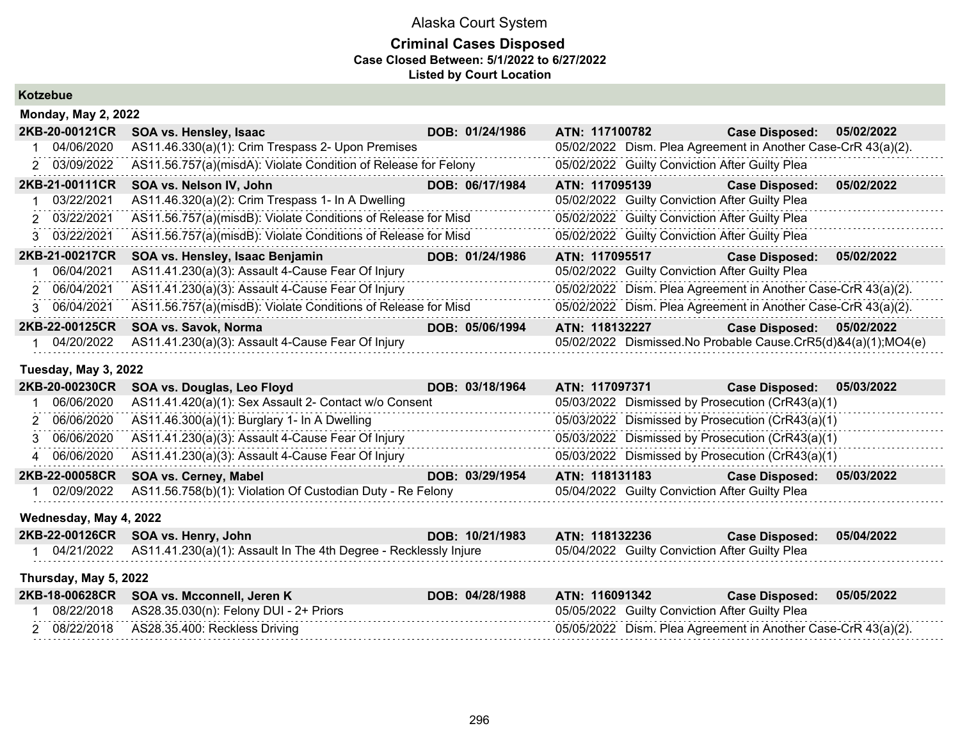### **Criminal Cases Disposed Case Closed Between: 5/1/2022 to 6/27/2022 Listed by Court Location**

**Kotzebue**

| <b>Monday, May 2, 2022</b> |                                                                |                 |                                                               |                       |            |  |  |
|----------------------------|----------------------------------------------------------------|-----------------|---------------------------------------------------------------|-----------------------|------------|--|--|
| 2KB-20-00121CR             | SOA vs. Hensley, Isaac                                         | DOB: 01/24/1986 | ATN: 117100782                                                | <b>Case Disposed:</b> | 05/02/2022 |  |  |
| 04/06/2020                 | AS11.46.330(a)(1): Crim Trespass 2- Upon Premises              |                 | 05/02/2022 Dism. Plea Agreement in Another Case-CrR 43(a)(2). |                       |            |  |  |
| 2 03/09/2022               | AS11.56.757(a)(misdA): Violate Condition of Release for Felony |                 | 05/02/2022 Guilty Conviction After Guilty Plea                |                       |            |  |  |
| 2KB-21-00111CR             | SOA vs. Nelson IV, John                                        | DOB: 06/17/1984 | ATN: 117095139                                                | <b>Case Disposed:</b> | 05/02/2022 |  |  |
| 03/22/2021                 | AS11.46.320(a)(2): Crim Trespass 1- In A Dwelling              |                 | 05/02/2022 Guilty Conviction After Guilty Plea                |                       |            |  |  |
| 2 03/22/2021               | AS11.56.757(a)(misdB): Violate Conditions of Release for Misd  |                 | 05/02/2022 Guilty Conviction After Guilty Plea                |                       |            |  |  |
| 3 03/22/2021               | AS11.56.757(a)(misdB): Violate Conditions of Release for Misd  |                 | 05/02/2022 Guilty Conviction After Guilty Plea                |                       |            |  |  |
| 2KB-21-00217CR             | SOA vs. Hensley, Isaac Benjamin                                | DOB: 01/24/1986 | ATN: 117095517                                                | <b>Case Disposed:</b> | 05/02/2022 |  |  |
| 06/04/2021                 | AS11.41.230(a)(3): Assault 4-Cause Fear Of Injury              |                 | 05/02/2022 Guilty Conviction After Guilty Plea                |                       |            |  |  |
| 2 06/04/2021               | AS11.41.230(a)(3): Assault 4-Cause Fear Of Injury              |                 | 05/02/2022 Dism. Plea Agreement in Another Case-CrR 43(a)(2). |                       |            |  |  |
| 3 06/04/2021               | AS11.56.757(a)(misdB): Violate Conditions of Release for Misd  |                 | 05/02/2022 Dism. Plea Agreement in Another Case-CrR 43(a)(2). |                       |            |  |  |
| 2KB-22-00125CR             | SOA vs. Savok, Norma                                           | DOB: 05/06/1994 | ATN: 118132227                                                | <b>Case Disposed:</b> | 05/02/2022 |  |  |
| 04/20/2022                 | AS11.41.230(a)(3): Assault 4-Cause Fear Of Injury              |                 | 05/02/2022 Dismissed.No Probable Cause.CrR5(d)&4(a)(1);MO4(e) |                       |            |  |  |

#### **Tuesday, May 3, 2022**

| 2KB-20-00230CR | SOA vs. Douglas, Leo Floyd                                 | DOB: 03/18/1964 | ATN: 117097371                                   | Case Disposed: 05/03/2022           |
|----------------|------------------------------------------------------------|-----------------|--------------------------------------------------|-------------------------------------|
| 06/06/2020     | AS11.41.420(a)(1): Sex Assault 2- Contact w/o Consent      |                 | 05/03/2022 Dismissed by Prosecution (CrR43(a)(1) |                                     |
| 2 06/06/2020   | AS11.46.300(a)(1): Burglary 1- In A Dwelling               |                 | 05/03/2022 Dismissed by Prosecution (CrR43(a)(1) |                                     |
| 3 06/06/2020   | AS11.41.230(a)(3): Assault 4-Cause Fear Of Injury          |                 | 05/03/2022 Dismissed by Prosecution (CrR43(a)(1) |                                     |
| 4 06/06/2020   | AS11.41.230(a)(3): Assault 4-Cause Fear Of Injury          |                 | 05/03/2022 Dismissed by Prosecution (CrR43(a)(1) |                                     |
|                | 2KB-22-00058CR SOA vs. Cerney, Mabel                       | DOB: 03/29/1954 | ATN: 118131183                                   | 05/03/2022<br><b>Case Disposed:</b> |
| 02/09/2022     | AS11.56.758(b)(1): Violation Of Custodian Duty - Re Felony |                 | 05/04/2022 Guilty Conviction After Guilty Plea   |                                     |

#### **Wednesday, May 4, 2022**

| 2KB-22-00126CR SOA vs. Henry, John                                           | DOB: 10/21/1983 ATN: 118132236 |                                                | Case Disposed: 05/04/2022 |  |
|------------------------------------------------------------------------------|--------------------------------|------------------------------------------------|---------------------------|--|
| 04/21/2022  AS11.41.230(a)(1): Assault In The 4th Degree - Recklessly Injure |                                | 05/04/2022 Guilty Conviction After Guilty Plea |                           |  |

#### **Thursday, May 5, 2022**

|  | 2KB-18-00628CR SOA vs. Mcconnell, Jeren K         | DOB: 04/28/1988 | ATN: 116091342                                                | ∂Case Disposed: ∂ | 05/05/2022 |
|--|---------------------------------------------------|-----------------|---------------------------------------------------------------|-------------------|------------|
|  | 08/22/2018 AS28.35.030(n): Felony DUI - 2+ Priors |                 | 05/05/2022 Guilty Conviction After Guilty Plea                |                   |            |
|  | 08/22/2018 AS28.35.400: Reckless Driving          |                 | 05/05/2022 Dism. Plea Agreement in Another Case-CrR 43(a)(2). |                   |            |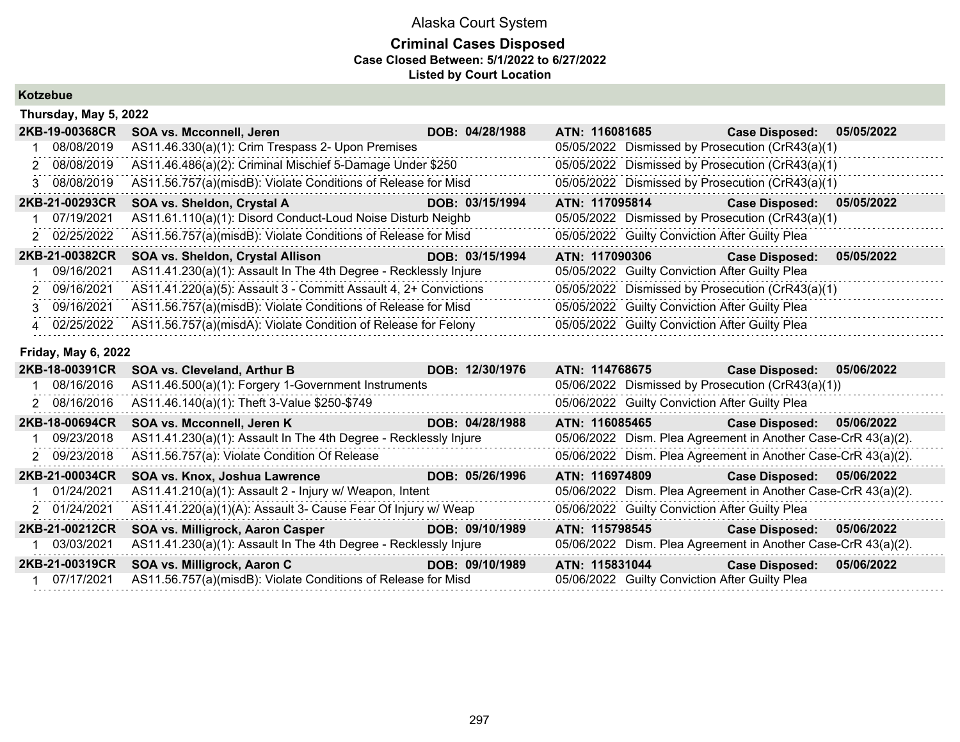## **Criminal Cases Disposed Case Closed Between: 5/1/2022 to 6/27/2022 Listed by Court Location**

**Kotzebue**

|             | Thursday, May 5, 2022      |                                                                  |                 |                                                               |                       |            |
|-------------|----------------------------|------------------------------------------------------------------|-----------------|---------------------------------------------------------------|-----------------------|------------|
|             | 2KB-19-00368CR             | SOA vs. Mcconnell, Jeren                                         | DOB: 04/28/1988 | ATN: 116081685                                                | <b>Case Disposed:</b> | 05/05/2022 |
|             | 08/08/2019                 | AS11.46.330(a)(1): Crim Trespass 2- Upon Premises                |                 | 05/05/2022 Dismissed by Prosecution (CrR43(a)(1)              |                       |            |
| 2           | 08/08/2019                 | AS11.46.486(a)(2): Criminal Mischief 5-Damage Under \$250        |                 | 05/05/2022 Dismissed by Prosecution (CrR43(a)(1)              |                       |            |
| 3           | 08/08/2019                 | AS11.56.757(a)(misdB): Violate Conditions of Release for Misd    |                 | 05/05/2022 Dismissed by Prosecution (CrR43(a)(1)              |                       |            |
|             | 2KB-21-00293CR             | SOA vs. Sheldon, Crystal A                                       | DOB: 03/15/1994 | ATN: 117095814                                                | <b>Case Disposed:</b> | 05/05/2022 |
|             | 07/19/2021                 | AS11.61.110(a)(1): Disord Conduct-Loud Noise Disturb Neighb      |                 | 05/05/2022 Dismissed by Prosecution (CrR43(a)(1)              |                       |            |
| 2           | 02/25/2022                 | AS11.56.757(a)(misdB): Violate Conditions of Release for Misd    |                 | 05/05/2022 Guilty Conviction After Guilty Plea                |                       |            |
|             | 2KB-21-00382CR             | SOA vs. Sheldon, Crystal Allison                                 | DOB: 03/15/1994 | ATN: 117090306                                                | <b>Case Disposed:</b> | 05/05/2022 |
|             | 09/16/2021                 | AS11.41.230(a)(1): Assault In The 4th Degree - Recklessly Injure |                 | 05/05/2022 Guilty Conviction After Guilty Plea                |                       |            |
|             | 09/16/2021                 | AS11.41.220(a)(5): Assault 3 - Committ Assault 4, 2+ Convictions |                 | 05/05/2022 Dismissed by Prosecution (CrR43(a)(1)              |                       |            |
| 3           | 09/16/2021                 | AS11.56.757(a)(misdB): Violate Conditions of Release for Misd    |                 | 05/05/2022 Guilty Conviction After Guilty Plea                |                       |            |
| $\mathbf 4$ | 02/25/2022                 | AS11.56.757(a)(misdA): Violate Condition of Release for Felony   |                 | 05/05/2022 Guilty Conviction After Guilty Plea                |                       |            |
|             | <b>Friday, May 6, 2022</b> |                                                                  |                 |                                                               |                       |            |
|             | 2KB-18-00391CR             | SOA vs. Cleveland, Arthur B                                      | DOB: 12/30/1976 | <b>ATN: 114768675</b>                                         | <b>Case Disposed:</b> | 05/06/2022 |
|             | 08/16/2016                 | AS11.46.500(a)(1): Forgery 1-Government Instruments              |                 | 05/06/2022 Dismissed by Prosecution (CrR43(a)(1))             |                       |            |
|             | 2 08/16/2016               | AS11.46.140(a)(1): Theft 3-Value \$250-\$749                     |                 | 05/06/2022 Guilty Conviction After Guilty Plea                |                       |            |
|             | 2KB-18-00694CR             | SOA vs. Mcconnell, Jeren K                                       | DOB: 04/28/1988 | ATN: 116085465                                                | <b>Case Disposed:</b> | 05/06/2022 |
|             | 09/23/2018                 | AS11.41.230(a)(1): Assault In The 4th Degree - Recklessly Injure |                 | 05/06/2022 Dism. Plea Agreement in Another Case-CrR 43(a)(2). |                       |            |
| 2           | 09/23/2018                 | AS11.56.757(a): Violate Condition Of Release                     |                 | 05/06/2022 Dism. Plea Agreement in Another Case-CrR 43(a)(2). |                       |            |
|             | 2KB-21-00034CR             | SOA vs. Knox, Joshua Lawrence                                    | DOB: 05/26/1996 | ATN: 116974809                                                | <b>Case Disposed:</b> | 05/06/2022 |
|             | 01/24/2021                 | AS11.41.210(a)(1): Assault 2 - Injury w/ Weapon, Intent          |                 | 05/06/2022 Dism. Plea Agreement in Another Case-CrR 43(a)(2). |                       |            |
|             | 2 01/24/2021               | AS11.41.220(a)(1)(A): Assault 3- Cause Fear Of Injury w/ Weap    |                 | 05/06/2022 Guilty Conviction After Guilty Plea                |                       |            |
|             | 2KB-21-00212CR             | SOA vs. Milligrock, Aaron Casper                                 | DOB: 09/10/1989 | ATN: 115798545                                                | <b>Case Disposed:</b> | 05/06/2022 |
|             | 03/03/2021                 | AS11.41.230(a)(1): Assault In The 4th Degree - Recklessly Injure |                 | 05/06/2022 Dism. Plea Agreement in Another Case-CrR 43(a)(2). |                       |            |
|             | 2KB-21-00319CR             | SOA vs. Milligrock, Aaron C                                      | DOB: 09/10/1989 | ATN: 115831044                                                | <b>Case Disposed:</b> | 05/06/2022 |
|             | 07/17/2021                 | AS11.56.757(a)(misdB): Violate Conditions of Release for Misd    |                 | 05/06/2022 Guilty Conviction After Guilty Plea                |                       |            |
|             |                            |                                                                  |                 |                                                               |                       |            |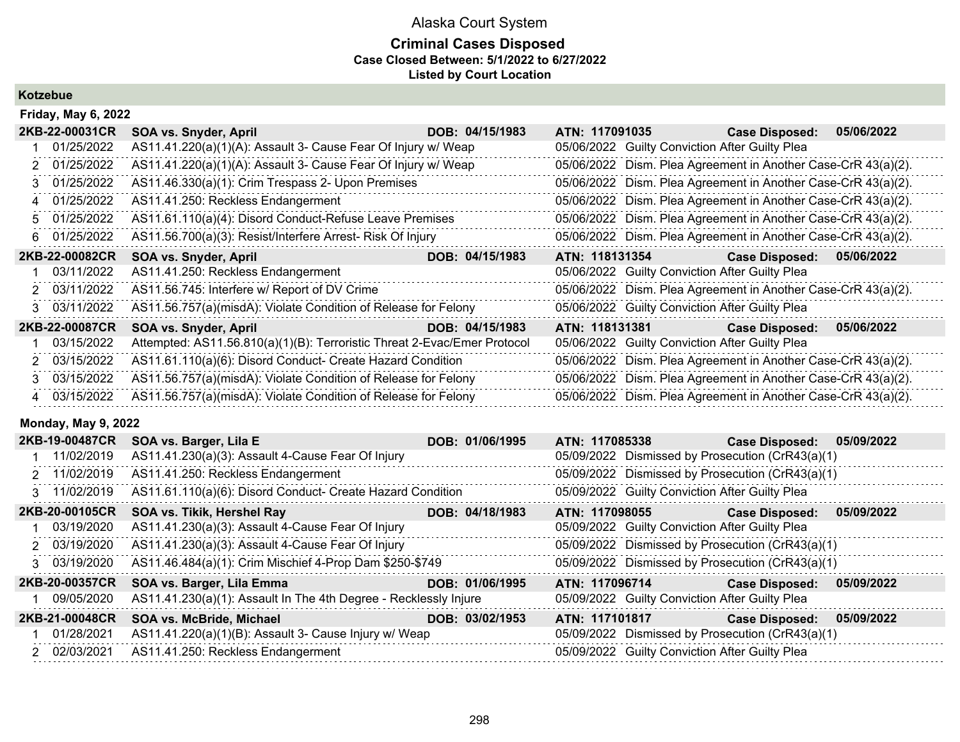### **Criminal Cases Disposed Case Closed Between: 5/1/2022 to 6/27/2022 Listed by Court Location**

**Kotzebue**

|    | <b>Friday, May 6, 2022</b> |                                                                          |                 |                |  |                                                               |            |  |  |
|----|----------------------------|--------------------------------------------------------------------------|-----------------|----------------|--|---------------------------------------------------------------|------------|--|--|
|    | 2KB-22-00031CR             | SOA vs. Snyder, April                                                    | DOB: 04/15/1983 | ATN: 117091035 |  | <b>Case Disposed:</b>                                         | 05/06/2022 |  |  |
|    | 01/25/2022                 | AS11.41.220(a)(1)(A): Assault 3- Cause Fear Of Injury w/ Weap            |                 |                |  | 05/06/2022 Guilty Conviction After Guilty Plea                |            |  |  |
|    | 01/25/2022                 | AS11.41.220(a)(1)(A): Assault 3- Cause Fear Of Injury w/ Weap            |                 |                |  | 05/06/2022 Dism. Plea Agreement in Another Case-CrR 43(a)(2). |            |  |  |
| З. | 01/25/2022                 | AS11.46.330(a)(1): Crim Trespass 2- Upon Premises                        |                 |                |  | 05/06/2022 Dism. Plea Agreement in Another Case-CrR 43(a)(2). |            |  |  |
| 4  | 01/25/2022                 | AS11.41.250: Reckless Endangerment                                       |                 |                |  | 05/06/2022 Dism. Plea Agreement in Another Case-CrR 43(a)(2). |            |  |  |
| 5. | 01/25/2022                 | AS11.61.110(a)(4): Disord Conduct-Refuse Leave Premises                  |                 |                |  | 05/06/2022 Dism. Plea Agreement in Another Case-CrR 43(a)(2). |            |  |  |
| 6. | 01/25/2022                 | AS11.56.700(a)(3): Resist/Interfere Arrest- Risk Of Injury               |                 |                |  | 05/06/2022 Dism. Plea Agreement in Another Case-CrR 43(a)(2). |            |  |  |
|    | 2KB-22-00082CR             | SOA vs. Snyder, April                                                    | DOB: 04/15/1983 | ATN: 118131354 |  | <b>Case Disposed:</b>                                         | 05/06/2022 |  |  |
|    | 03/11/2022                 | AS11.41.250: Reckless Endangerment                                       |                 |                |  | 05/06/2022 Guilty Conviction After Guilty Plea                |            |  |  |
| 2. | 03/11/2022                 | AS11.56.745: Interfere w/ Report of DV Crime                             |                 |                |  | 05/06/2022 Dism. Plea Agreement in Another Case-CrR 43(a)(2). |            |  |  |
| 3  | 03/11/2022                 | AS11.56.757(a)(misdA): Violate Condition of Release for Felony           |                 |                |  | 05/06/2022 Guilty Conviction After Guilty Plea                |            |  |  |
|    | 2KB-22-00087CR             | SOA vs. Snyder, April                                                    | DOB: 04/15/1983 | ATN: 118131381 |  | <b>Case Disposed:</b>                                         | 05/06/2022 |  |  |
|    | 03/15/2022                 | Attempted: AS11.56.810(a)(1)(B): Terroristic Threat 2-Evac/Emer Protocol |                 |                |  | 05/06/2022 Guilty Conviction After Guilty Plea                |            |  |  |
| 2  | 03/15/2022                 | AS11.61.110(a)(6): Disord Conduct- Create Hazard Condition               |                 |                |  | 05/06/2022 Dism. Plea Agreement in Another Case-CrR 43(a)(2). |            |  |  |
| З. | 03/15/2022                 | AS11.56.757(a)(misdA): Violate Condition of Release for Felony           |                 |                |  | 05/06/2022 Dism. Plea Agreement in Another Case-CrR 43(a)(2). |            |  |  |
|    | 4 03/15/2022               | AS11.56.757(a)(misdA): Violate Condition of Release for Felony           |                 |                |  | 05/06/2022 Dism. Plea Agreement in Another Case-CrR 43(a)(2). |            |  |  |

### **Monday, May 9, 2022**

| 2KB-19-00487CR |            | SOA vs. Barger, Lila E                                           | DOB: 01/06/1995 | ATN: 117085338                                 | Case Disposed: 05/09/2022                        |            |
|----------------|------------|------------------------------------------------------------------|-----------------|------------------------------------------------|--------------------------------------------------|------------|
| 1 11/02/2019   |            | AS11.41.230(a)(3): Assault 4-Cause Fear Of Injury                |                 |                                                | 05/09/2022 Dismissed by Prosecution (CrR43(a)(1) |            |
| 2 11/02/2019   |            | AS11.41.250: Reckless Endangerment                               |                 |                                                | 05/09/2022 Dismissed by Prosecution (CrR43(a)(1) |            |
| 3 11/02/2019   |            | AS11.61.110(a)(6): Disord Conduct- Create Hazard Condition       |                 | 05/09/2022 Guilty Conviction After Guilty Plea |                                                  |            |
| 2KB-20-00105CR |            | SOA vs. Tikik, Hershel Ray                                       | DOB: 04/18/1983 | ATN: 117098055                                 | <b>Case Disposed:</b>                            | 05/09/2022 |
|                | 03/19/2020 | AS11.41.230(a)(3): Assault 4-Cause Fear Of Injury                |                 | 05/09/2022 Guilty Conviction After Guilty Plea |                                                  |            |
| 2 03/19/2020   |            | AS11.41.230(a)(3): Assault 4-Cause Fear Of Injury                |                 |                                                | 05/09/2022 Dismissed by Prosecution (CrR43(a)(1) |            |
| 3 03/19/2020   |            | AS11.46.484(a)(1): Crim Mischief 4-Prop Dam \$250-\$749          |                 |                                                | 05/09/2022 Dismissed by Prosecution (CrR43(a)(1) |            |
| 2KB-20-00357CR |            | SOA vs. Barger, Lila Emma                                        | DOB: 01/06/1995 | ATN: 117096714                                 | <b>Case Disposed:</b>                            | 05/09/2022 |
|                | 09/05/2020 | AS11.41.230(a)(1): Assault In The 4th Degree - Recklessly Injure |                 | 05/09/2022 Guilty Conviction After Guilty Plea |                                                  |            |
| 2KB-21-00048CR |            | <b>SOA vs. McBride, Michael</b>                                  | DOB: 03/02/1953 | ATN: 117101817                                 | <b>Case Disposed:</b>                            | 05/09/2022 |
| 01/28/2021     |            | AS11.41.220(a)(1)(B): Assault 3- Cause Injury w/ Weap            |                 |                                                | 05/09/2022 Dismissed by Prosecution (CrR43(a)(1) |            |
| 2 02/03/2021   |            | AS11.41.250: Reckless Endangerment                               |                 | 05/09/2022 Guilty Conviction After Guilty Plea |                                                  |            |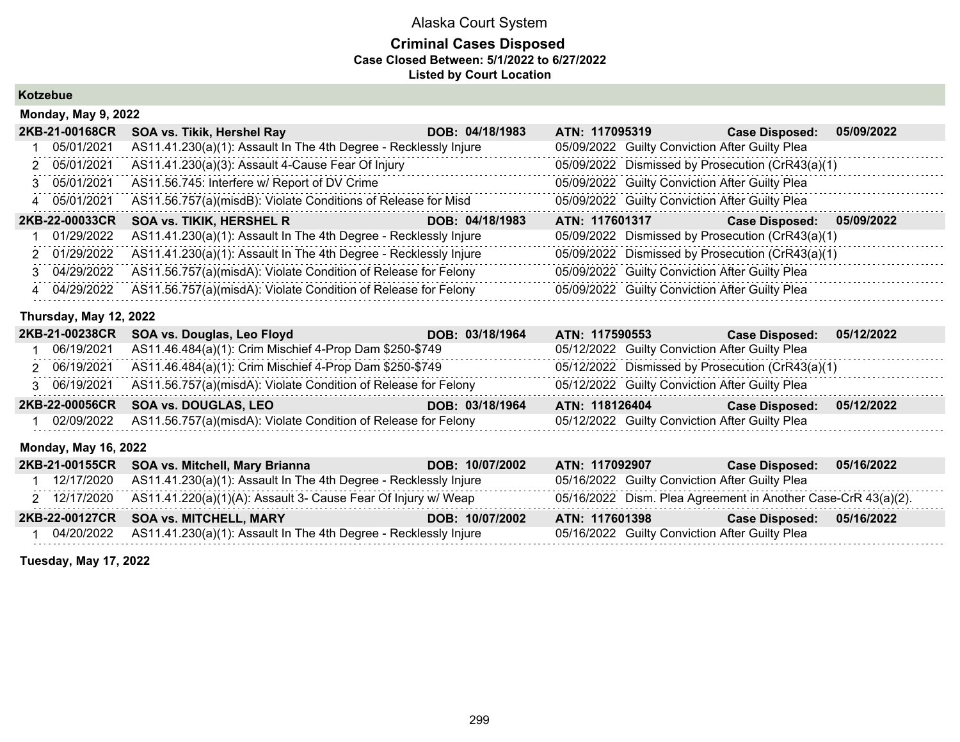### **Criminal Cases Disposed Case Closed Between: 5/1/2022 to 6/27/2022 Listed by Court Location**

**Kotzebue**

| <b>Monday, May 9, 2022</b> |                                                                  |                 |                |                                                |                                                  |            |  |  |
|----------------------------|------------------------------------------------------------------|-----------------|----------------|------------------------------------------------|--------------------------------------------------|------------|--|--|
| 2KB-21-00168CR             | SOA vs. Tikik, Hershel Ray                                       | DOB: 04/18/1983 | ATN: 117095319 |                                                | <b>Case Disposed:</b>                            | 05/09/2022 |  |  |
| 05/01/2021                 | AS11.41.230(a)(1): Assault In The 4th Degree - Recklessly Injure |                 |                | 05/09/2022 Guilty Conviction After Guilty Plea |                                                  |            |  |  |
| 2 05/01/2021               | AS11.41.230(a)(3): Assault 4-Cause Fear Of Injury                |                 |                |                                                | 05/09/2022 Dismissed by Prosecution (CrR43(a)(1) |            |  |  |
| 3 05/01/2021               | AS11.56.745: Interfere w/ Report of DV Crime                     |                 |                | 05/09/2022 Guilty Conviction After Guilty Plea |                                                  |            |  |  |
| 4 05/01/2021               | AS11.56.757(a)(misdB): Violate Conditions of Release for Misd    |                 |                | 05/09/2022 Guilty Conviction After Guilty Plea |                                                  |            |  |  |
| 2KB-22-00033CR             | <b>SOA vs. TIKIK, HERSHEL R</b>                                  | DOB: 04/18/1983 | ATN: 117601317 |                                                | <b>Case Disposed:</b>                            | 05/09/2022 |  |  |
| 01/29/2022                 | AS11.41.230(a)(1): Assault In The 4th Degree - Recklessly Injure |                 |                |                                                | 05/09/2022 Dismissed by Prosecution (CrR43(a)(1) |            |  |  |
| 2 01/29/2022               | AS11.41.230(a)(1): Assault In The 4th Degree - Recklessly Injure |                 |                |                                                | 05/09/2022 Dismissed by Prosecution (CrR43(a)(1) |            |  |  |
| 3 04/29/2022               | AS11.56.757(a)(misdA): Violate Condition of Release for Felony   |                 |                | 05/09/2022 Guilty Conviction After Guilty Plea |                                                  |            |  |  |
| 4 04/29/2022               | AS11.56.757(a)(misdA): Violate Condition of Release for Felony   |                 |                | 05/09/2022 Guilty Conviction After Guilty Plea |                                                  |            |  |  |

#### **Thursday, May 12, 2022**

| 2KB-21-00238CR | SOA vs. Douglas, Leo Floyd                                     | DOB: 03/18/1964 | ATN: 117590553                                 | <b>Case Disposed:</b>                            | 05/12/2022 |
|----------------|----------------------------------------------------------------|-----------------|------------------------------------------------|--------------------------------------------------|------------|
| 06/19/2021     | AS11.46.484(a)(1): Crim Mischief 4-Prop Dam \$250-\$749        |                 | 05/12/2022 Guilty Conviction After Guilty Plea |                                                  |            |
| 2 06/19/2021   | AS11.46.484(a)(1): Crim Mischief 4-Prop Dam \$250-\$749        |                 |                                                | 05/12/2022 Dismissed by Prosecution (CrR43(a)(1) |            |
| 3 06/19/2021   | AS11.56.757(a)(misdA): Violate Condition of Release for Felony |                 | 05/12/2022 Guilty Conviction After Guilty Plea |                                                  |            |
| 2KB-22-00056CR | SOA vs. DOUGLAS, LEO                                           | DOB: 03/18/1964 | ATN: 118126404                                 | <b>Case Disposed:</b>                            | 05/12/2022 |
| 02/09/2022     | AS11.56.757(a)(misdA): Violate Condition of Release for Felony |                 | 05/12/2022 Guilty Conviction After Guilty Plea |                                                  |            |
|                |                                                                |                 |                                                |                                                  |            |

#### **Monday, May 16, 2022**

| 2KB-21-00155CR SOA vs. Mitchell, Mary Brianna                               | DOB: 10/07/2002 | ATN: 117092907                                                | Case Disposed: 05/16/2022 |  |
|-----------------------------------------------------------------------------|-----------------|---------------------------------------------------------------|---------------------------|--|
| 12/17/2020 AS11.41.230(a)(1): Assault In The 4th Degree - Recklessly Injure |                 | 05/16/2022 Guilty Conviction After Guilty Plea                |                           |  |
| 2 12/17/2020 AS11.41.220(a)(1)(A): Assault 3- Cause Fear Of Injury w/ Weap  |                 | 05/16/2022 Dism. Plea Agreement in Another Case-CrR 43(a)(2). |                           |  |
| 2KB-22-00127CR SOA vs. MITCHELL, MARY                                       | DOB: 10/07/2002 | ATN: 117601398                                                | Case Disposed: 05/16/2022 |  |
| 04/20/2022 AS11.41.230(a)(1): Assault In The 4th Degree - Recklessly Injure |                 | 05/16/2022 Guilty Conviction After Guilty Plea                |                           |  |

**Tuesday, May 17, 2022**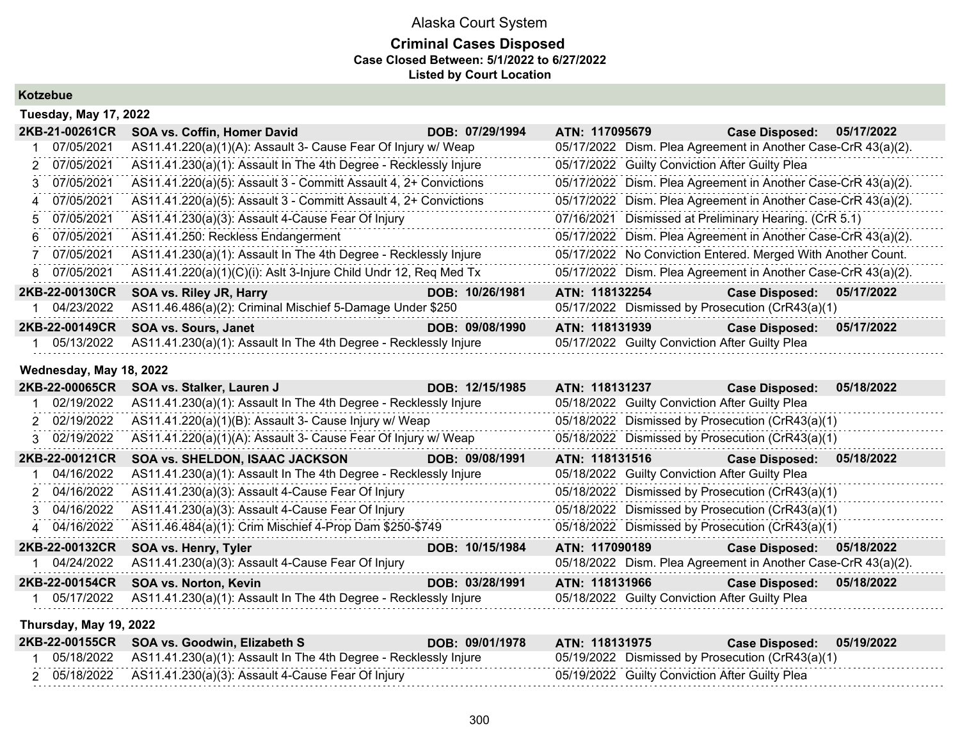### **Criminal Cases Disposed Case Closed Between: 5/1/2022 to 6/27/2022 Listed by Court Location**

**Kotzebue**

|    | <b>Tuesday, May 17, 2022</b> |                                                                  |                 |                |                                                               |  |  |  |  |
|----|------------------------------|------------------------------------------------------------------|-----------------|----------------|---------------------------------------------------------------|--|--|--|--|
|    | 2KB-21-00261CR               | SOA vs. Coffin, Homer David                                      | DOB: 07/29/1994 | ATN: 117095679 | <b>Case Disposed:</b><br>05/17/2022                           |  |  |  |  |
|    | 07/05/2021                   | AS11.41.220(a)(1)(A): Assault 3- Cause Fear Of Injury w/ Weap    |                 |                | 05/17/2022 Dism. Plea Agreement in Another Case-CrR 43(a)(2). |  |  |  |  |
|    | 2 07/05/2021                 | AS11.41.230(a)(1): Assault In The 4th Degree - Recklessly Injure |                 |                | 05/17/2022 Guilty Conviction After Guilty Plea                |  |  |  |  |
| 3. | 07/05/2021                   | AS11.41.220(a)(5): Assault 3 - Committ Assault 4, 2+ Convictions |                 |                | 05/17/2022 Dism. Plea Agreement in Another Case-CrR 43(a)(2). |  |  |  |  |
| 4  | 07/05/2021                   | AS11.41.220(a)(5): Assault 3 - Committ Assault 4, 2+ Convictions |                 |                | 05/17/2022 Dism. Plea Agreement in Another Case-CrR 43(a)(2). |  |  |  |  |
|    | 5 07/05/2021                 | AS11.41.230(a)(3): Assault 4-Cause Fear Of Injury                |                 |                | 07/16/2021 Dismissed at Preliminary Hearing. (CrR 5.1)        |  |  |  |  |
|    | 6 07/05/2021                 | AS11.41.250: Reckless Endangerment                               |                 |                | 05/17/2022 Dism. Plea Agreement in Another Case-CrR 43(a)(2). |  |  |  |  |
|    | 07/05/2021                   | AS11.41.230(a)(1): Assault In The 4th Degree - Recklessly Injure |                 |                | 05/17/2022 No Conviction Entered. Merged With Another Count.  |  |  |  |  |
| 8  | 07/05/2021                   | AS11.41.220(a)(1)(C)(i): Aslt 3-Injure Child Undr 12, Req Med Tx |                 |                | 05/17/2022 Dism. Plea Agreement in Another Case-CrR 43(a)(2). |  |  |  |  |
|    | 2KB-22-00130CR               | SOA vs. Riley JR, Harry                                          | DOB: 10/26/1981 | ATN: 118132254 | <b>Case Disposed:</b><br>05/17/2022                           |  |  |  |  |
|    | 04/23/2022                   | AS11.46.486(a)(2): Criminal Mischief 5-Damage Under \$250        |                 |                | 05/17/2022 Dismissed by Prosecution (CrR43(a)(1)              |  |  |  |  |
|    | 2KB-22-00149CR               | <b>SOA vs. Sours, Janet</b>                                      | DOB: 09/08/1990 | ATN: 118131939 | <b>Case Disposed:</b><br>05/17/2022                           |  |  |  |  |
|    | 05/13/2022                   | AS11.41.230(a)(1): Assault In The 4th Degree - Recklessly Injure |                 |                | 05/17/2022 Guilty Conviction After Guilty Plea                |  |  |  |  |

#### **Wednesday, May 18, 2022**

| 2KB-22-00065CR | SOA vs. Stalker, Lauren J                                        | DOB: 12/15/1985 | ATN: 118131237                                                | <b>Case Disposed:</b> | 05/18/2022 |
|----------------|------------------------------------------------------------------|-----------------|---------------------------------------------------------------|-----------------------|------------|
| 02/19/2022     | AS11.41.230(a)(1): Assault In The 4th Degree - Recklessly Injure |                 | 05/18/2022 Guilty Conviction After Guilty Plea                |                       |            |
| 2 02/19/2022   | AS11.41.220(a)(1)(B): Assault 3- Cause Injury w/ Weap            |                 | 05/18/2022 Dismissed by Prosecution (CrR43(a)(1)              |                       |            |
| 3 02/19/2022   | AS11.41.220(a)(1)(A): Assault 3- Cause Fear Of Injury w/ Weap    |                 | 05/18/2022 Dismissed by Prosecution (CrR43(a)(1)              |                       |            |
| 2KB-22-00121CR | <b>SOA vs. SHELDON, ISAAC JACKSON</b>                            | DOB: 09/08/1991 | ATN: 118131516                                                | <b>Case Disposed:</b> | 05/18/2022 |
| 04/16/2022     | AS11.41.230(a)(1): Assault In The 4th Degree - Recklessly Injure |                 | 05/18/2022 Guilty Conviction After Guilty Plea                |                       |            |
| 2 04/16/2022   | AS11.41.230(a)(3): Assault 4-Cause Fear Of Injury                |                 | 05/18/2022 Dismissed by Prosecution (CrR43(a)(1)              |                       |            |
| 3 04/16/2022   | AS11.41.230(a)(3): Assault 4-Cause Fear Of Injury                |                 | 05/18/2022 Dismissed by Prosecution (CrR43(a)(1)              |                       |            |
| 4 04/16/2022   | AS11.46.484(a)(1): Crim Mischief 4-Prop Dam \$250-\$749          |                 | 05/18/2022 Dismissed by Prosecution (CrR43(a)(1)              |                       |            |
| 2KB-22-00132CR | SOA vs. Henry, Tyler                                             | DOB: 10/15/1984 | ATN: 117090189                                                | <b>Case Disposed:</b> | 05/18/2022 |
| 04/24/2022     | AS11.41.230(a)(3): Assault 4-Cause Fear Of Injury                |                 | 05/18/2022 Dism. Plea Agreement in Another Case-CrR 43(a)(2). |                       |            |
| 2KB-22-00154CR | SOA vs. Norton, Kevin                                            | DOB: 03/28/1991 | ATN: 118131966                                                | <b>Case Disposed:</b> | 05/18/2022 |
| 05/17/2022     | AS11.41.230(a)(1): Assault In The 4th Degree - Recklessly Injure |                 | 05/18/2022 Guilty Conviction After Guilty Plea                |                       |            |

#### **Thursday, May 19, 2022**

|  | 2KB-22-00155CR SOA vs. Goodwin, Elizabeth S                                 | DOB: 09/01/1978 | ATN: 118131975 | Case Disposed: 05/19/2022                        |  |
|--|-----------------------------------------------------------------------------|-----------------|----------------|--------------------------------------------------|--|
|  | 05/18/2022 AS11.41.230(a)(1): Assault In The 4th Degree - Recklessly Injure |                 |                | 05/19/2022 Dismissed by Prosecution (CrR43(a)(1) |  |
|  | 2 05/18/2022 AS11.41.230(a)(3): Assault 4-Cause Fear Of Injury              |                 |                | 05/19/2022 Guilty Conviction After Guilty Plea   |  |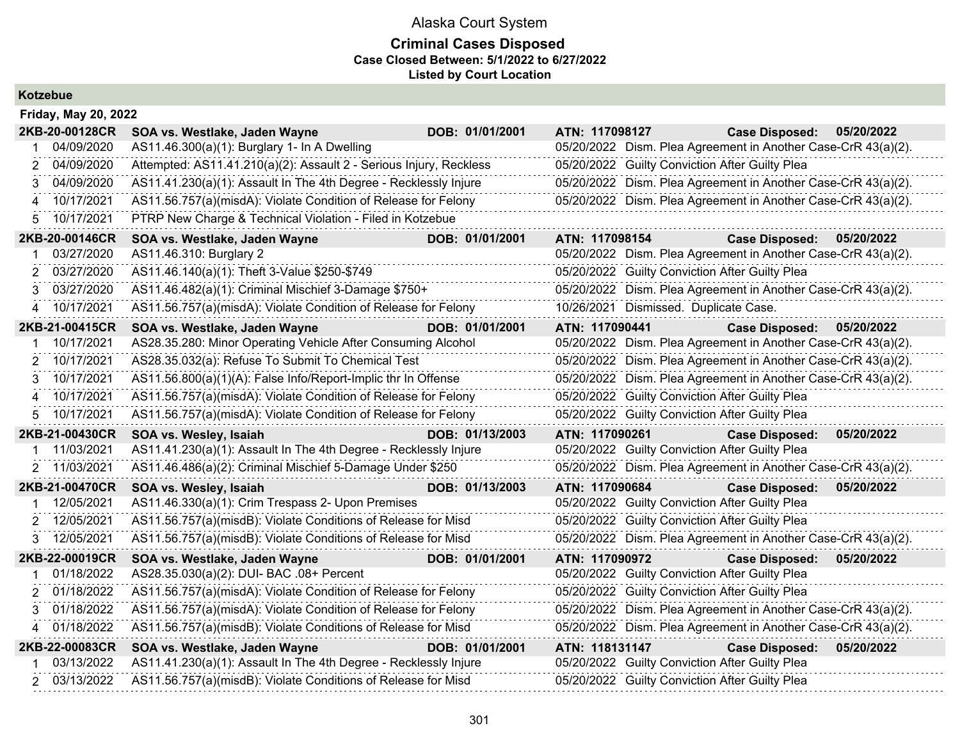| Kotzebue |
|----------|
|----------|

| <b>Friday, May 20, 2022</b> |                                                                    |                 |                                                               |                       |            |
|-----------------------------|--------------------------------------------------------------------|-----------------|---------------------------------------------------------------|-----------------------|------------|
| 2KB-20-00128CR              | SOA vs. Westlake, Jaden Wayne                                      | DOB: 01/01/2001 | ATN: 117098127                                                | <b>Case Disposed:</b> | 05/20/2022 |
| 04/09/2020                  | AS11.46.300(a)(1): Burglary 1- In A Dwelling                       |                 | 05/20/2022 Dism. Plea Agreement in Another Case-CrR 43(a)(2). |                       |            |
| 04/09/2020<br>2             | Attempted: AS11.41.210(a)(2): Assault 2 - Serious Injury, Reckless |                 | 05/20/2022 Guilty Conviction After Guilty Plea                |                       |            |
| 04/09/2020<br>3             | AS11.41.230(a)(1): Assault In The 4th Degree - Recklessly Injure   |                 | 05/20/2022 Dism. Plea Agreement in Another Case-CrR 43(a)(2). |                       |            |
| 10/17/2021<br>4             | AS11.56.757(a)(misdA): Violate Condition of Release for Felony     |                 | 05/20/2022 Dism. Plea Agreement in Another Case-CrR 43(a)(2). |                       |            |
| 10/17/2021<br>5.            | PTRP New Charge & Technical Violation - Filed in Kotzebue          |                 |                                                               |                       |            |
| 2KB-20-00146CR              | SOA vs. Westlake, Jaden Wayne                                      | DOB: 01/01/2001 | ATN: 117098154                                                | <b>Case Disposed:</b> | 05/20/2022 |
| 03/27/2020                  | AS11.46.310: Burglary 2                                            |                 | 05/20/2022 Dism. Plea Agreement in Another Case-CrR 43(a)(2). |                       |            |
| 03/27/2020<br>2             | AS11.46.140(a)(1): Theft 3-Value \$250-\$749                       |                 | 05/20/2022 Guilty Conviction After Guilty Plea                |                       |            |
| 03/27/2020<br>3             | AS11.46.482(a)(1): Criminal Mischief 3-Damage \$750+               |                 | 05/20/2022 Dism. Plea Agreement in Another Case-CrR 43(a)(2). |                       |            |
| 10/17/2021<br>4             | AS11.56.757(a)(misdA): Violate Condition of Release for Felony     |                 | 10/26/2021 Dismissed. Duplicate Case.                         |                       |            |
| 2KB-21-00415CR              | SOA vs. Westlake, Jaden Wayne                                      | DOB: 01/01/2001 | ATN: 117090441                                                | <b>Case Disposed:</b> | 05/20/2022 |
| 10/17/2021                  | AS28.35.280: Minor Operating Vehicle After Consuming Alcohol       |                 | 05/20/2022 Dism. Plea Agreement in Another Case-CrR 43(a)(2). |                       |            |
| 10/17/2021<br>2             | AS28.35.032(a): Refuse To Submit To Chemical Test                  |                 | 05/20/2022 Dism. Plea Agreement in Another Case-CrR 43(a)(2). |                       |            |
| 10/17/2021<br>3             | AS11.56.800(a)(1)(A): False Info/Report-Implic thr In Offense      |                 | 05/20/2022 Dism. Plea Agreement in Another Case-CrR 43(a)(2). |                       |            |
| 10/17/2021<br>4             | AS11.56.757(a)(misdA): Violate Condition of Release for Felony     |                 | 05/20/2022 Guilty Conviction After Guilty Plea                |                       |            |
|                             |                                                                    |                 |                                                               |                       |            |
| 10/17/2021<br>5.            | AS11.56.757(a)(misdA): Violate Condition of Release for Felony     |                 | 05/20/2022 Guilty Conviction After Guilty Plea                |                       |            |
| 2KB-21-00430CR              | SOA vs. Wesley, Isaiah                                             | DOB: 01/13/2003 | ATN: 117090261                                                | <b>Case Disposed:</b> | 05/20/2022 |
| 11/03/2021                  | AS11.41.230(a)(1): Assault In The 4th Degree - Recklessly Injure   |                 | 05/20/2022 Guilty Conviction After Guilty Plea                |                       |            |
| 11/03/2021<br>$\mathbf{2}$  | AS11.46.486(a)(2): Criminal Mischief 5-Damage Under \$250          |                 | 05/20/2022 Dism. Plea Agreement in Another Case-CrR 43(a)(2). |                       |            |
| 2KB-21-00470CR              | SOA vs. Wesley, Isaiah                                             | DOB: 01/13/2003 | ATN: 117090684                                                | <b>Case Disposed:</b> | 05/20/2022 |
| 12/05/2021                  | AS11.46.330(a)(1): Crim Trespass 2- Upon Premises                  |                 | 05/20/2022 Guilty Conviction After Guilty Plea                |                       |            |
| 12/05/2021<br>2             | AS11.56.757(a)(misdB): Violate Conditions of Release for Misd      |                 | 05/20/2022 Guilty Conviction After Guilty Plea                |                       |            |
| 3 12/05/2021                | AS11.56.757(a)(misdB): Violate Conditions of Release for Misd      |                 | 05/20/2022 Dism. Plea Agreement in Another Case-CrR 43(a)(2). |                       |            |
| 2KB-22-00019CR              | SOA vs. Westlake, Jaden Wayne                                      | DOB: 01/01/2001 | ATN: 117090972                                                | <b>Case Disposed:</b> | 05/20/2022 |
| 01/18/2022                  | AS28.35.030(a)(2): DUI- BAC .08+ Percent                           |                 | 05/20/2022 Guilty Conviction After Guilty Plea                |                       |            |
| 01/18/2022<br>2             | AS11.56.757(a)(misdA): Violate Condition of Release for Felony     |                 | 05/20/2022 Guilty Conviction After Guilty Plea                |                       |            |
| 01/18/2022<br>3             | AS11.56.757(a)(misdA): Violate Condition of Release for Felony     |                 | 05/20/2022 Dism. Plea Agreement in Another Case-CrR 43(a)(2). |                       |            |
| 01/18/2022                  | AS11.56.757(a)(misdB): Violate Conditions of Release for Misd      |                 | 05/20/2022 Dism. Plea Agreement in Another Case-CrR 43(a)(2). |                       |            |
| 2KB-22-00083CR              | SOA vs. Westlake, Jaden Wayne                                      | DOB: 01/01/2001 | ATN: 118131147                                                | <b>Case Disposed:</b> | 05/20/2022 |
| 03/13/2022                  | AS11.41.230(a)(1): Assault In The 4th Degree - Recklessly Injure   |                 | 05/20/2022 Guilty Conviction After Guilty Plea                |                       |            |
| 2 03/13/2022                | AS11.56.757(a)(misdB): Violate Conditions of Release for Misd      |                 | 05/20/2022 Guilty Conviction After Guilty Plea                |                       |            |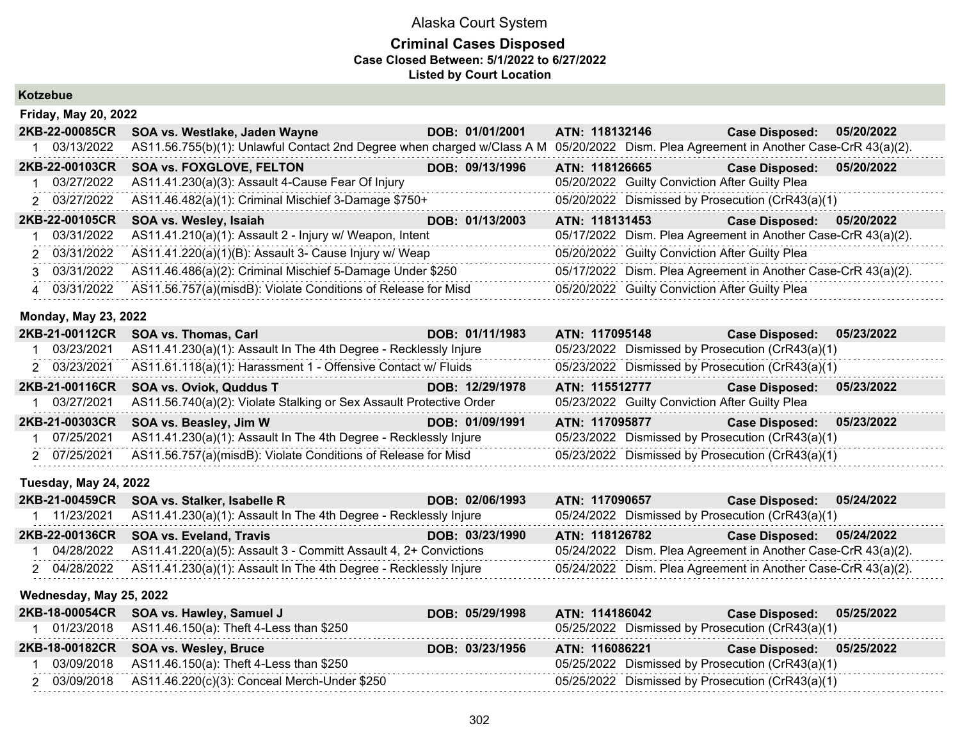### **Criminal Cases Disposed Case Closed Between: 5/1/2022 to 6/27/2022 Listed by Court Location**

## **Kotzebue**

| <b>Friday, May 20, 2022</b> |                                                                                                                                       |                 |                |                                                               |            |  |  |
|-----------------------------|---------------------------------------------------------------------------------------------------------------------------------------|-----------------|----------------|---------------------------------------------------------------|------------|--|--|
| 2KB-22-00085CR              | SOA vs. Westlake, Jaden Wayne                                                                                                         | DOB: 01/01/2001 | ATN: 118132146 | <b>Case Disposed:</b>                                         | 05/20/2022 |  |  |
| 03/13/2022                  | AS11.56.755(b)(1): Unlawful Contact 2nd Degree when charged w/Class A M 05/20/2022 Dism. Plea Agreement in Another Case-CrR 43(a)(2). |                 |                |                                                               |            |  |  |
| 2KB-22-00103CR              | <b>SOA vs. FOXGLOVE, FELTON</b>                                                                                                       | DOB: 09/13/1996 | ATN: 118126665 | <b>Case Disposed:</b>                                         | 05/20/2022 |  |  |
| 1 03/27/2022                | AS11.41.230(a)(3): Assault 4-Cause Fear Of Injury                                                                                     |                 |                | 05/20/2022 Guilty Conviction After Guilty Plea                |            |  |  |
| 2 03/27/2022                | AS11.46.482(a)(1): Criminal Mischief 3-Damage \$750+                                                                                  |                 |                | 05/20/2022 Dismissed by Prosecution (CrR43(a)(1)              |            |  |  |
| 2KB-22-00105CR              | SOA vs. Wesley, Isaiah                                                                                                                | DOB: 01/13/2003 | ATN: 118131453 | <b>Case Disposed:</b>                                         | 05/20/2022 |  |  |
| 03/31/2022                  | AS11.41.210(a)(1): Assault 2 - Injury w/ Weapon, Intent                                                                               |                 |                | 05/17/2022 Dism. Plea Agreement in Another Case-CrR 43(a)(2). |            |  |  |
| 2 03/31/2022                | AS11.41.220(a)(1)(B): Assault 3- Cause Injury w/ Weap                                                                                 |                 |                | 05/20/2022 Guilty Conviction After Guilty Plea                |            |  |  |
| 3 03/31/2022                | AS11.46.486(a)(2): Criminal Mischief 5-Damage Under \$250                                                                             |                 |                | 05/17/2022 Dism. Plea Agreement in Another Case-CrR 43(a)(2). |            |  |  |
| 4 03/31/2022                | AS11.56.757(a)(misdB): Violate Conditions of Release for Misd                                                                         |                 |                | 05/20/2022 Guilty Conviction After Guilty Plea                |            |  |  |

#### **Monday, May 23, 2022**

| 2KB-21-00112CR | SOA vs. Thomas, Carl                                                | DOB: 01/11/1983 | ATN: 117095148                                 | Case Disposed: 05/23/2022                        |            |
|----------------|---------------------------------------------------------------------|-----------------|------------------------------------------------|--------------------------------------------------|------------|
| 03/23/2021     | AS11.41.230(a)(1): Assault In The 4th Degree - Recklessly Injure    |                 |                                                | 05/23/2022 Dismissed by Prosecution (CrR43(a)(1) |            |
| 2 03/23/2021   | AS11.61.118(a)(1): Harassment 1 - Offensive Contact w/ Fluids       |                 |                                                | 05/23/2022 Dismissed by Prosecution (CrR43(a)(1) |            |
| 2KB-21-00116CR | <b>SOA vs. Oviok, Quddus T</b>                                      | DOB: 12/29/1978 | ATN: 115512777                                 | <b>Case Disposed:</b>                            | 05/23/2022 |
| 03/27/2021     | AS11.56.740(a)(2): Violate Stalking or Sex Assault Protective Order |                 | 05/23/2022 Guilty Conviction After Guilty Plea |                                                  |            |
| 2KB-21-00303CR | SOA vs. Beasley, Jim W                                              | DOB: 01/09/1991 | ATN: 117095877                                 | Case Disposed: 05/23/2022                        |            |
| 07/25/2021     | AS11.41.230(a)(1): Assault In The 4th Degree - Recklessly Injure    |                 |                                                | 05/23/2022 Dismissed by Prosecution (CrR43(a)(1) |            |
| 2 07/25/2021   | AS11.56.757(a)(misdB): Violate Conditions of Release for Misd       |                 |                                                | 05/23/2022 Dismissed by Prosecution (CrR43(a)(1) |            |
|                |                                                                     |                 |                                                |                                                  |            |

#### **Tuesday, May 24, 2022**

|            | 2KB-21-00459CR SOA vs. Stalker, Isabelle R                                    | DOB: 02/06/1993 | ATN: 117090657                                                | Case Disposed: 05/24/2022 |  |
|------------|-------------------------------------------------------------------------------|-----------------|---------------------------------------------------------------|---------------------------|--|
| 11/23/2021 | AS11.41.230(a)(1): Assault In The 4th Degree - Recklessly Injure              |                 | 05/24/2022 Dismissed by Prosecution (CrR43(a)(1)              |                           |  |
|            | 2KB-22-00136CR SOA vs. Eveland, Travis                                        | DOB: 03/23/1990 | ATN: 118126782                                                | Case Disposed: 05/24/2022 |  |
|            | $04/28/2022$ AS11.41.220(a)(5): Assault 3 - Committ Assault 4, 2+ Convictions |                 | 05/24/2022 Dism. Plea Agreement in Another Case-CrR 43(a)(2). |                           |  |
|            | 2 04/28/2022 AS11.41.230(a)(1): Assault In The 4th Degree - Recklessly Injure |                 | 05/24/2022 Dism. Plea Agreement in Another Case-CrR 43(a)(2). |                           |  |

## **Wednesday, May 25, 2022**

| 2KB-18-00054CR SOA vs. Hawley, Samuel J                   | DOB: 05/29/1998 | ATN: 114186042                                   | Case Disposed: 05/25/2022 |  |
|-----------------------------------------------------------|-----------------|--------------------------------------------------|---------------------------|--|
| 01/23/2018 AS11.46.150(a): Theft 4-Less than \$250        |                 | 05/25/2022 Dismissed by Prosecution (CrR43(a)(1) |                           |  |
| 2KB-18-00182CR SOA vs. Wesley, Bruce                      | DOB: 03/23/1956 | ATN: 116086221                                   | Case Disposed: 05/25/2022 |  |
| 03/09/2018 AS11.46.150(a): Theft 4-Less than \$250        |                 | 05/25/2022 Dismissed by Prosecution (CrR43(a)(1) |                           |  |
| 2 03/09/2018 AS11.46.220(c)(3): Conceal Merch-Under \$250 |                 | 05/25/2022 Dismissed by Prosecution (CrR43(a)(1) |                           |  |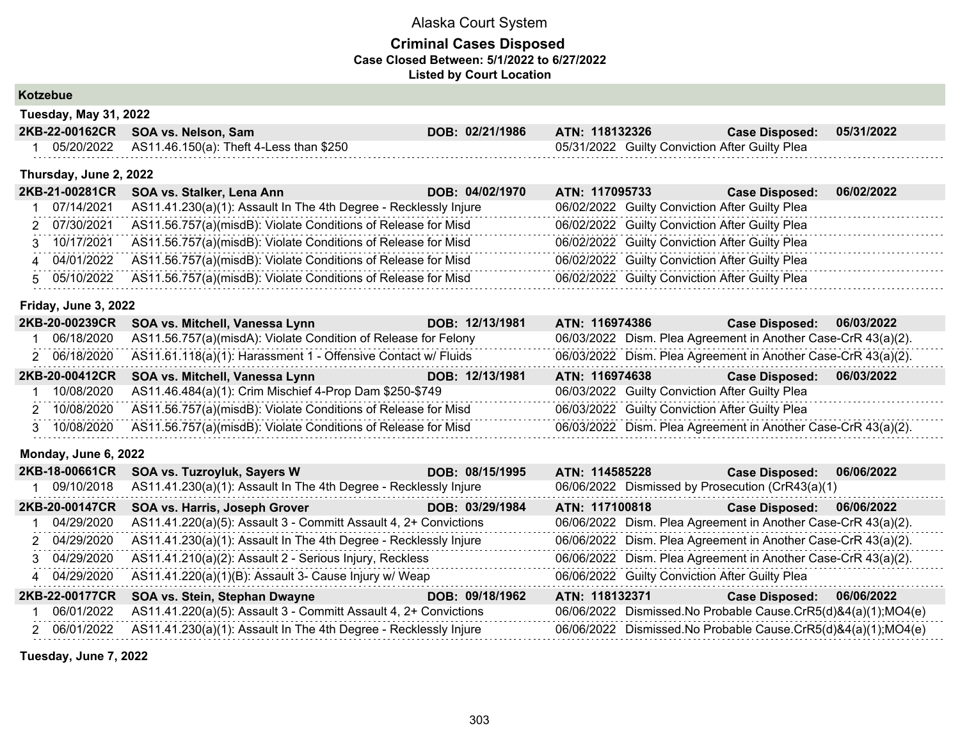## **Criminal Cases Disposed Case Closed Between: 5/1/2022 to 6/27/2022 Listed by Court Location**

**Kotzebue**

| Tuesday, May 31, 2022 |                                     |  |
|-----------------------|-------------------------------------|--|
|                       | $2KR-22-00162CR$ SOA vs. Nelson Sam |  |

|  | 2KB-22-00162CR SOA vs. Nelson, Sam                 | DOB: 02/21/1986 | <b>ATN: 118132326</b>                          | <b>Case Disposed:</b> | 05/31/2022 |
|--|----------------------------------------------------|-----------------|------------------------------------------------|-----------------------|------------|
|  | 05/20/2022 AS11.46.150(a): Theft 4-Less than \$250 |                 | 05/31/2022 Guilty Conviction After Guilty Plea |                       |            |

#### **Thursday, June 2, 2022**

| 2KB-21-00281CR | SOA vs. Stalker, Lena Ann                                                  | DOB: 04/02/1970 | ATN: 117095733 | <b>Case Disposed:</b>                          | 06/02/2022 |
|----------------|----------------------------------------------------------------------------|-----------------|----------------|------------------------------------------------|------------|
| 07/14/2021     | AS11.41.230(a)(1): Assault In The 4th Degree - Recklessly Injure           |                 |                | 06/02/2022 Guilty Conviction After Guilty Plea |            |
| 2 07/30/2021   | AS11.56.757(a)(misdB): Violate Conditions of Release for Misd              |                 |                | 06/02/2022 Guilty Conviction After Guilty Plea |            |
| 3 10/17/2021   | AS11.56.757(a)(misdB): Violate Conditions of Release for Misd              |                 |                | 06/02/2022 Guilty Conviction After Guilty Plea |            |
| 4 04/01/2022   | AS11.56.757(a)(misdB): Violate Conditions of Release for Misd              |                 |                | 06/02/2022 Guilty Conviction After Guilty Plea |            |
|                | 5 05/10/2022 AS11.56.757(a)(misdB): Violate Conditions of Release for Misd |                 |                | 06/02/2022 Guilty Conviction After Guilty Plea |            |
|                |                                                                            |                 |                |                                                |            |

#### **Friday, June 3, 2022**

| 2KB-20-00239CR | SOA vs. Mitchell, Vanessa Lynn                                 | DOB: 12/13/1981 | ATN: 116974386                                 | Case Disposed: 06/03/2022                                     |            |
|----------------|----------------------------------------------------------------|-----------------|------------------------------------------------|---------------------------------------------------------------|------------|
| 06/18/2020     | AS11.56.757(a)(misdA): Violate Condition of Release for Felony |                 |                                                | 06/03/2022 Dism. Plea Agreement in Another Case-CrR 43(a)(2). |            |
| 2 06/18/2020   | AS11.61.118(a)(1): Harassment 1 - Offensive Contact w/ Fluids  |                 |                                                | 06/03/2022 Dism. Plea Agreement in Another Case-CrR 43(a)(2). |            |
|                | 2KB-20-00412CR SOA vs. Mitchell, Vanessa Lynn                  | DOB: 12/13/1981 | ATN: 116974638                                 | <b>Case Disposed:</b>                                         | 06/03/2022 |
| 10/08/2020     | AS11.46.484(a)(1): Crim Mischief 4-Prop Dam \$250-\$749        |                 | 06/03/2022 Guilty Conviction After Guilty Plea |                                                               |            |
| 2 10/08/2020   | AS11.56.757(a)(misdB): Violate Conditions of Release for Misd  |                 | 06/03/2022 Guilty Conviction After Guilty Plea |                                                               |            |
| 3 10/08/2020   | AS11.56.757(a)(misdB): Violate Conditions of Release for Misd  |                 |                                                | 06/03/2022 Dism. Plea Agreement in Another Case-CrR 43(a)(2). |            |

#### **Monday, June 6, 2022**

| 2KB-18-00661CR | SOA vs. Tuzroyluk, Sayers W                                      | DOB: 08/15/1995 | ATN: 114585228                                 | 06/06/2022<br><b>Case Disposed:</b>                           |
|----------------|------------------------------------------------------------------|-----------------|------------------------------------------------|---------------------------------------------------------------|
| 09/10/2018     | AS11.41.230(a)(1): Assault In The 4th Degree - Recklessly Injure |                 |                                                | 06/06/2022 Dismissed by Prosecution (CrR43(a)(1)              |
| 2KB-20-00147CR | SOA vs. Harris, Joseph Grover                                    | DOB: 03/29/1984 | ATN: 117100818                                 | <b>Case Disposed:</b><br>06/06/2022                           |
| 04/29/2020     | AS11.41.220(a)(5): Assault 3 - Committ Assault 4, 2+ Convictions |                 |                                                | 06/06/2022 Dism. Plea Agreement in Another Case-CrR 43(a)(2). |
| 2 04/29/2020   | AS11.41.230(a)(1): Assault In The 4th Degree - Recklessly Injure |                 |                                                | 06/06/2022 Dism. Plea Agreement in Another Case-CrR 43(a)(2). |
| 3 04/29/2020   | AS11.41.210(a)(2): Assault 2 - Serious Injury, Reckless          |                 |                                                | 06/06/2022 Dism. Plea Agreement in Another Case-CrR 43(a)(2). |
| 4 04/29/2020   | AS11.41.220(a)(1)(B): Assault 3- Cause Injury w/ Weap            |                 | 06/06/2022 Guilty Conviction After Guilty Plea |                                                               |
| 2KB-22-00177CR | SOA vs. Stein, Stephan Dwayne                                    | DOB: 09/18/1962 | ATN: 118132371                                 | 06/06/2022<br><b>Case Disposed:</b>                           |
| 06/01/2022     | AS11.41.220(a)(5): Assault 3 - Committ Assault 4, 2+ Convictions |                 |                                                | 06/06/2022 Dismissed.No Probable Cause.CrR5(d)&4(a)(1);MO4(e) |
| 2 06/01/2022   | AS11.41.230(a)(1): Assault In The 4th Degree - Recklessly Injure |                 |                                                | 06/06/2022 Dismissed.No Probable Cause.CrR5(d)&4(a)(1);MO4(e) |

**Tuesday, June 7, 2022**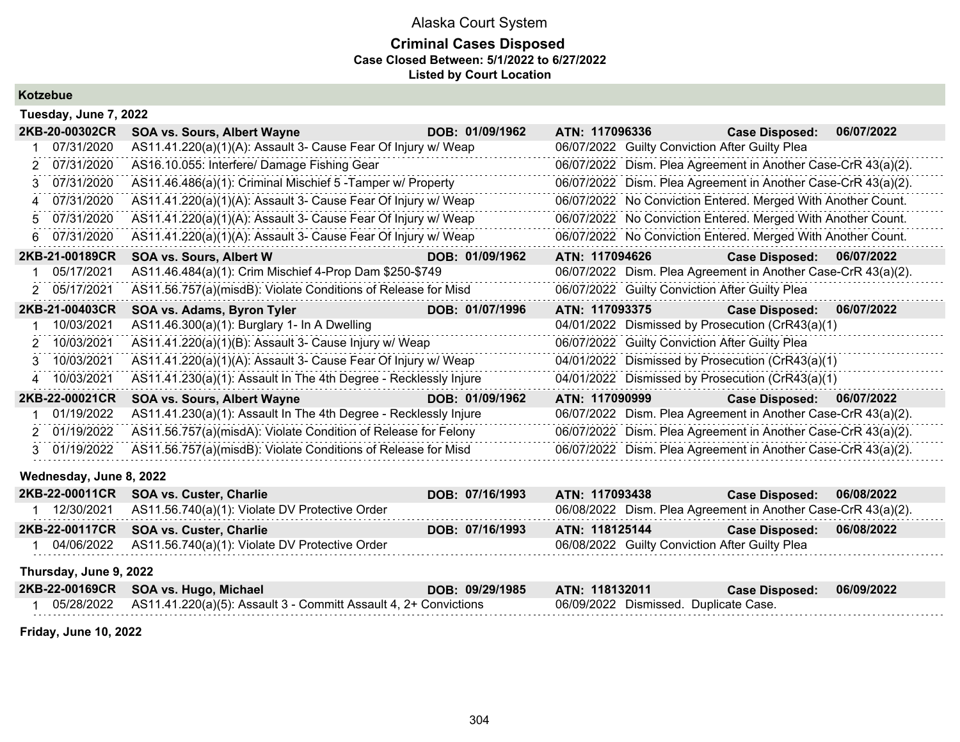### **Criminal Cases Disposed Case Closed Between: 5/1/2022 to 6/27/2022 Listed by Court Location**

**Kotzebue**

| Tuesday, June 7, 2022 |                                                                                                                                                                                                                                                                                                                                                                                                                                                                                                                              |                               |                                                               |                           |
|-----------------------|------------------------------------------------------------------------------------------------------------------------------------------------------------------------------------------------------------------------------------------------------------------------------------------------------------------------------------------------------------------------------------------------------------------------------------------------------------------------------------------------------------------------------|-------------------------------|---------------------------------------------------------------|---------------------------|
| 2KB-20-00302CR        | <b>SOA vs. Sours, Albert Wayne</b>                                                                                                                                                                                                                                                                                                                                                                                                                                                                                           | $\overline{DOB}$ : 01/09/1962 | ATN: 117096336 Case Disposed:                                 | 06/07/2022                |
| 07/31/2020            | AS11.41.220(a)(1)(A): Assault 3- Cause Fear Of Injury w/ Weap                                                                                                                                                                                                                                                                                                                                                                                                                                                                |                               | 06/07/2022 Guilty Conviction After Guilty Plea                |                           |
| 2 07/31/2020          | AS16.10.055: Interfere/ Damage Fishing Gear                                                                                                                                                                                                                                                                                                                                                                                                                                                                                  |                               | 06/07/2022 Dism. Plea Agreement in Another Case-CrR 43(a)(2). |                           |
| 3 07/31/2020          | AS11.46.486(a)(1): Criminal Mischief 5 - Tamper w/ Property                                                                                                                                                                                                                                                                                                                                                                                                                                                                  |                               | 06/07/2022 Dism. Plea Agreement in Another Case-CrR 43(a)(2). |                           |
| 4 07/31/2020          | AS11.41.220(a)(1)(A): Assault 3- Cause Fear Of Injury w/ Weap                                                                                                                                                                                                                                                                                                                                                                                                                                                                |                               | 06/07/2022 No Conviction Entered. Merged With Another Count.  |                           |
| 5 07/31/2020          | AS11.41.220(a)(1)(A): Assault 3- Cause Fear Of Injury w/ Weap                                                                                                                                                                                                                                                                                                                                                                                                                                                                |                               | 06/07/2022 No Conviction Entered. Merged With Another Count.  |                           |
| 6 07/31/2020          | AS11.41.220(a)(1)(A): Assault 3- Cause Fear Of Injury w/ Weap                                                                                                                                                                                                                                                                                                                                                                                                                                                                |                               | 06/07/2022 No Conviction Entered. Merged With Another Count.  |                           |
| 2KB-21-00189CR        | $\blacksquare$ $\blacksquare$ $\blacksquare$ $\blacksquare$ $\blacksquare$ $\blacksquare$ $\blacksquare$ $\blacksquare$ $\blacksquare$ $\blacksquare$ $\blacksquare$ $\blacksquare$ $\blacksquare$ $\blacksquare$ $\blacksquare$ $\blacksquare$ $\blacksquare$ $\blacksquare$ $\blacksquare$ $\blacksquare$ $\blacksquare$ $\blacksquare$ $\blacksquare$ $\blacksquare$ $\blacksquare$ $\blacksquare$ $\blacksquare$ $\blacksquare$ $\blacksquare$ $\blacksquare$ $\blacksquare$ $\blacks$<br><b>SOA vs. Sours, Albert W</b> |                               | ATN: 117094626 Case Disposed: 06/07/2022                      |                           |
| 05/17/2021            | AS11.46.484(a)(1): Crim Mischief 4-Prop Dam \$250-\$749                                                                                                                                                                                                                                                                                                                                                                                                                                                                      |                               | 06/07/2022 Dism. Plea Agreement in Another Case-CrR 43(a)(2). |                           |
| 2 05/17/2021          | AS11.56.757(a)(misdB): Violate Conditions of Release for Misd                                                                                                                                                                                                                                                                                                                                                                                                                                                                |                               | 06/07/2022 Guilty Conviction After Guilty Plea                |                           |
| 2KB-21-00403CR        | SOA vs. Adams, Byron Tyler<br><u> André de la propincia</u>                                                                                                                                                                                                                                                                                                                                                                                                                                                                  | DOB: 01/07/1996               | ATN: 117093375 Case Disposed: 06/07/2022                      |                           |
| 1 10/03/2021          | AS11.46.300(a)(1): Burglary 1- In A Dwelling                                                                                                                                                                                                                                                                                                                                                                                                                                                                                 |                               | 04/01/2022 Dismissed by Prosecution (CrR43(a)(1)              |                           |
| 2 10/03/2021          | AS11.41.220(a)(1)(B): Assault 3- Cause Injury w/ Weap                                                                                                                                                                                                                                                                                                                                                                                                                                                                        |                               | 06/07/2022 Guilty Conviction After Guilty Plea                |                           |
| 3 10/03/2021          | AS11.41.220(a)(1)(A): Assault 3- Cause Fear Of Injury w/ Weap                                                                                                                                                                                                                                                                                                                                                                                                                                                                |                               | 04/01/2022 Dismissed by Prosecution (CrR43(a)(1)              |                           |
| 4 10/03/2021          | AS11.41.230(a)(1): Assault In The 4th Degree - Recklessly Injure                                                                                                                                                                                                                                                                                                                                                                                                                                                             |                               | 04/01/2022 Dismissed by Prosecution (CrR43(a)(1)              |                           |
| 2KB-22-00021CR        | SOA vs. Sours, Albert Wayne                                                                                                                                                                                                                                                                                                                                                                                                                                                                                                  | DOB: 01/09/1962               | ATN: 117090999 Participation                                  | Case Disposed: 06/07/2022 |
| 01/19/2022            | AS11.41.230(a)(1): Assault In The 4th Degree - Recklessly Injure                                                                                                                                                                                                                                                                                                                                                                                                                                                             |                               | 06/07/2022 Dism. Plea Agreement in Another Case-CrR 43(a)(2). |                           |
| 2 01/19/2022          | AS11.56.757(a)(misdA): Violate Condition of Release for Felony                                                                                                                                                                                                                                                                                                                                                                                                                                                               |                               | 06/07/2022 Dism. Plea Agreement in Another Case-CrR 43(a)(2). |                           |
| 3 01/19/2022          | AS11.56.757(a)(misdB): Violate Conditions of Release for Misd                                                                                                                                                                                                                                                                                                                                                                                                                                                                |                               | 06/07/2022 Dism. Plea Agreement in Another Case-CrR 43(a)(2). |                           |

### **Wednesday, June 8, 2022**

| 2KB-22-00011CR SOA vs. Custer, Charlie                    | DOB: 07/16/1993 | ATN: 117093438                                                | Case Disposed: 06/08/2022 |            |
|-----------------------------------------------------------|-----------------|---------------------------------------------------------------|---------------------------|------------|
| 12/30/2021 AS11.56.740(a)(1): Violate DV Protective Order |                 | 06/08/2022 Dism. Plea Agreement in Another Case-CrR 43(a)(2). |                           |            |
| 2KB-22-00117CR SOA vs. Custer, Charlie                    | DOB: 07/16/1993 | ATN: 118125144                                                | <b>Case Disposed:</b>     | 06/08/2022 |
| 04/06/2022 AS11.56.740(a)(1): Violate DV Protective Order |                 | 06/08/2022 Guilty Conviction After Guilty Plea                |                           |            |

#### **Thursday, June 9, 2022**

| 2KB-22-00169CR SOA vs. Hugo, Michael                                        | DOB: 09/29/1985 ATN: 118132011 |                                       | Case Disposed: 06/09/2022 |  |
|-----------------------------------------------------------------------------|--------------------------------|---------------------------------------|---------------------------|--|
| 05/28/2022 AS11.41.220(a)(5): Assault 3 - Committ Assault 4, 2+ Convictions |                                | 06/09/2022 Dismissed. Duplicate Case. |                           |  |

**Friday, June 10, 2022**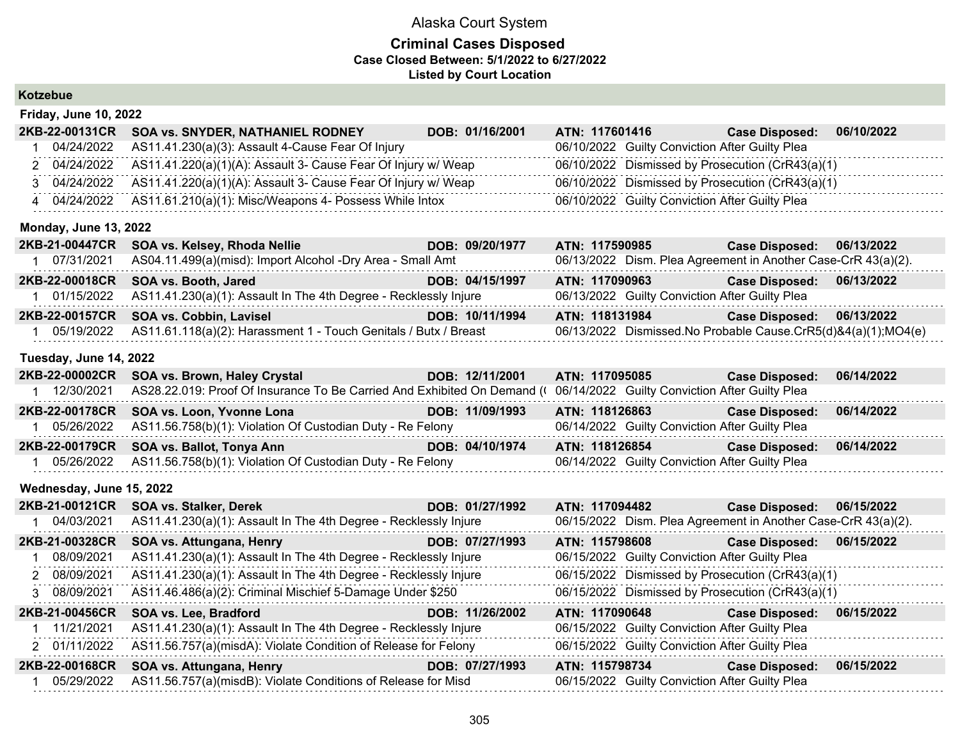### **Criminal Cases Disposed Case Closed Between: 5/1/2022 to 6/27/2022 Listed by Court Location**

| Kotzebue |  |
|----------|--|
|----------|--|

| <b>Friday, June 10, 2022</b> |                                                               |                 |                |                                                  |            |
|------------------------------|---------------------------------------------------------------|-----------------|----------------|--------------------------------------------------|------------|
| 2KB-22-00131CR               | <b>SOA vs. SNYDER, NATHANIEL RODNEY</b>                       | DOB: 01/16/2001 | ATN: 117601416 | <b>Case Disposed:</b>                            | 06/10/2022 |
| 04/24/2022                   | AS11.41.230(a)(3): Assault 4-Cause Fear Of Injury             |                 |                | 06/10/2022 Guilty Conviction After Guilty Plea   |            |
| 2 04/24/2022                 | AS11.41.220(a)(1)(A): Assault 3- Cause Fear Of Injury w/ Weap |                 |                | 06/10/2022 Dismissed by Prosecution (CrR43(a)(1) |            |
| 04/24/2022                   | AS11.41.220(a)(1)(A): Assault 3- Cause Fear Of Injury w/ Weap |                 |                | 06/10/2022 Dismissed by Prosecution (CrR43(a)(1) |            |
| 04/24/2022                   | AS11.61.210(a)(1): Misc/Weapons 4- Possess While Intox        |                 |                | 06/10/2022 Guilty Conviction After Guilty Plea   |            |

#### **Monday, June 13, 2022**

| 2KB-21-00447CR | SOA vs. Kelsey, Rhoda Nellie                                                | DOB: 09/20/1977 | ATN: 117590985                                                | <b>Case Disposed:</b> | 06/13/2022 |
|----------------|-----------------------------------------------------------------------------|-----------------|---------------------------------------------------------------|-----------------------|------------|
| 07/31/2021     | AS04.11.499(a)(misd): Import Alcohol -Dry Area - Small Amt                  |                 | 06/13/2022 Dism. Plea Agreement in Another Case-CrR 43(a)(2). |                       |            |
|                | 2KB-22-00018CR SOA vs. Booth, Jared                                         | DOB: 04/15/1997 | ATN: 117090963                                                | <b>Case Disposed:</b> | 06/13/2022 |
|                | 01/15/2022 AS11.41.230(a)(1): Assault In The 4th Degree - Recklessly Injure |                 | 06/13/2022 Guilty Conviction After Guilty Plea                |                       |            |
|                | 2KB-22-00157CR SOA vs. Cobbin, Lavisel                                      | DOB: 10/11/1994 | ATN: 118131984                                                | <b>Case Disposed:</b> | 06/13/2022 |
| 05/19/2022     | AS11.61.118(a)(2): Harassment 1 - Touch Genitals / Butx / Breast            |                 | 06/13/2022 Dismissed.No Probable Cause.CrR5(d)&4(a)(1);MO4(e) |                       |            |

#### **Tuesday, June 14, 2022**

|            | 2KB-22-00002CR SOA vs. Brown, Haley Crystal                                                                             | DOB: 12/11/2001 | ATN: 117095085                                 | <b>Case Disposed:</b> | 06/14/2022 |
|------------|-------------------------------------------------------------------------------------------------------------------------|-----------------|------------------------------------------------|-----------------------|------------|
| 12/30/2021 | AS28.22.019: Proof Of Insurance To Be Carried And Exhibited On Demand (1 06/14/2022 Guilty Conviction After Guilty Plea |                 |                                                |                       |            |
|            | 2KB-22-00178CR SOA vs. Loon, Yvonne Lona                                                                                | DOB: 11/09/1993 | ATN: 118126863                                 | <b>Case Disposed:</b> | 06/14/2022 |
|            | 05/26/2022 AS11.56.758(b)(1): Violation Of Custodian Duty - Re Felony                                                   |                 | 06/14/2022 Guilty Conviction After Guilty Plea |                       |            |
|            | 2KB-22-00179CR SOA vs. Ballot, Tonya Ann                                                                                | DOB: 04/10/1974 | ATN: 118126854                                 | <b>Case Disposed:</b> | 06/14/2022 |
|            | 05/26/2022 AS11.56.758(b)(1): Violation Of Custodian Duty - Re Felony                                                   |                 | 06/14/2022 Guilty Conviction After Guilty Plea |                       |            |

#### **Wednesday, June 15, 2022**

| 2KB-21-00121CR | <b>SOA vs. Stalker, Derek</b>                                    | DOB: 01/27/1992 | ATN: 117094482                                 | <b>Case Disposed:</b>                                         | 06/15/2022 |
|----------------|------------------------------------------------------------------|-----------------|------------------------------------------------|---------------------------------------------------------------|------------|
| 04/03/2021     | AS11.41.230(a)(1): Assault In The 4th Degree - Recklessly Injure |                 |                                                | 06/15/2022 Dism. Plea Agreement in Another Case-CrR 43(a)(2). |            |
| 2KB-21-00328CR | SOA vs. Attungana, Henry                                         | DOB: 07/27/1993 | ATN: 115798608                                 | <b>Case Disposed:</b>                                         | 06/15/2022 |
| 08/09/2021     | AS11.41.230(a)(1): Assault In The 4th Degree - Recklessly Injure |                 | 06/15/2022 Guilty Conviction After Guilty Plea |                                                               |            |
| 2 08/09/2021   | AS11.41.230(a)(1): Assault In The 4th Degree - Recklessly Injure |                 |                                                | 06/15/2022 Dismissed by Prosecution (CrR43(a)(1)              |            |
| 3 08/09/2021   | AS11.46.486(a)(2): Criminal Mischief 5-Damage Under \$250        |                 |                                                | 06/15/2022 Dismissed by Prosecution (CrR43(a)(1)              |            |
|                |                                                                  |                 |                                                |                                                               |            |
| 2KB-21-00456CR | <b>SOA vs. Lee, Bradford</b>                                     | DOB: 11/26/2002 | ATN: 117090648                                 | <b>Case Disposed:</b>                                         | 06/15/2022 |
| 11/21/2021     | AS11.41.230(a)(1): Assault In The 4th Degree - Recklessly Injure |                 | 06/15/2022 Guilty Conviction After Guilty Plea |                                                               |            |
| 2 01/11/2022   | AS11.56.757(a)(misdA): Violate Condition of Release for Felony   |                 | 06/15/2022 Guilty Conviction After Guilty Plea |                                                               |            |
| 2KB-22-00168CR | SOA vs. Attungana, Henry                                         | DOB: 07/27/1993 | ATN: 115798734                                 | <b>Case Disposed:</b>                                         | 06/15/2022 |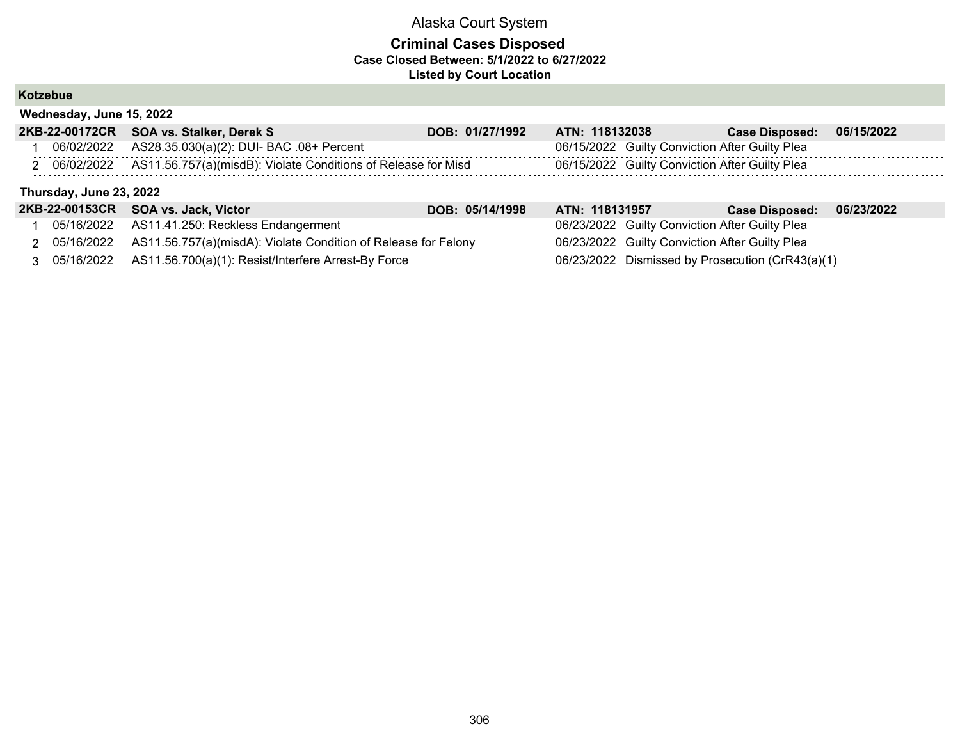## **Criminal Cases Disposed Case Closed Between: 5/1/2022 to 6/27/2022 Listed by Court Location**

## **Kotzebue**

**Wednesday, June 15, 2022**

| 2KB-22-00172CR          | <b>SOA vs. Stalker, Derek S</b>                                             | DOB: 01/27/1992 | ATN: 118132038                                   | <b>Case Disposed:</b> | 06/15/2022 |
|-------------------------|-----------------------------------------------------------------------------|-----------------|--------------------------------------------------|-----------------------|------------|
| 06/02/2022              | AS28.35.030(a)(2): DUI- BAC .08+ Percent                                    |                 | 06/15/2022 Guilty Conviction After Guilty Plea   |                       |            |
| 2 06/02/2022            | AS11.56.757(a)(misdB): Violate Conditions of Release for Misd               |                 | 06/15/2022 Guilty Conviction After Guilty Plea   |                       |            |
| Thursday, June 23, 2022 |                                                                             |                 |                                                  |                       |            |
|                         | 2KB-22-00153CR SOA vs. Jack, Victor                                         | DOB: 05/14/1998 | ATN: 118131957                                   | <b>Case Disposed:</b> | 06/23/2022 |
|                         | 05/16/2022 AS11.41.250: Reckless Endangerment                               |                 | 06/23/2022 Guilty Conviction After Guilty Plea   |                       |            |
|                         | 2 05/16/2022 AS11.56.757(a)(misdA): Violate Condition of Release for Felony |                 | 06/23/2022 Guilty Conviction After Guilty Plea   |                       |            |
|                         | 3 05/16/2022 AS11.56.700(a)(1): Resist/Interfere Arrest-By Force            |                 | 06/23/2022 Dismissed by Prosecution (CrR43(a)(1) |                       |            |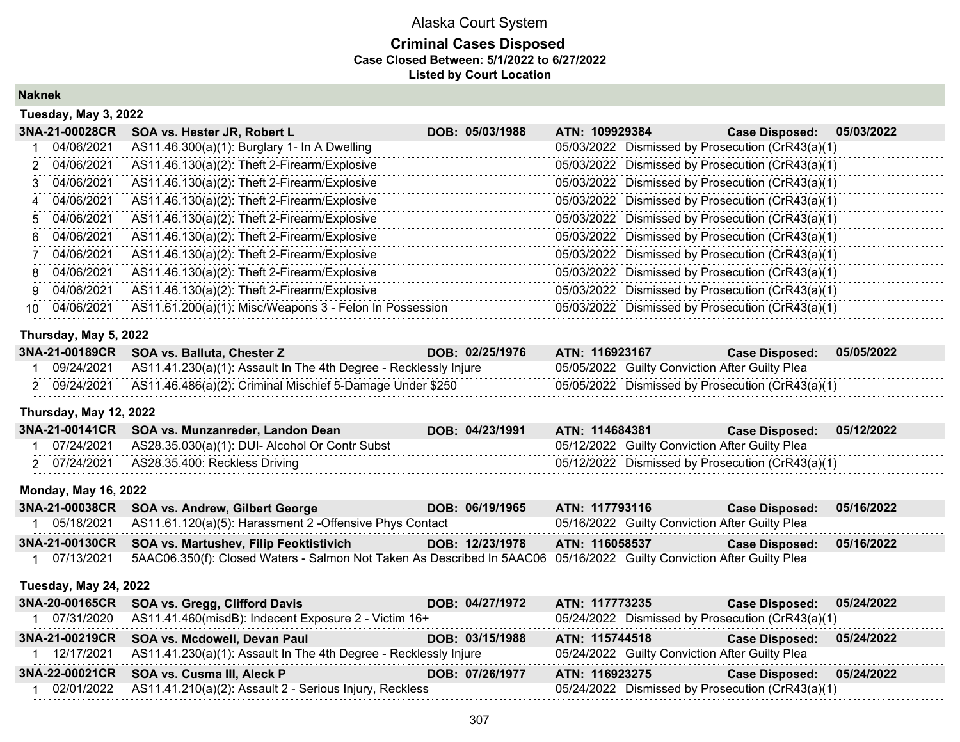## **Criminal Cases Disposed Case Closed Between: 5/1/2022 to 6/27/2022 Listed by Court Location**

**Naknek**

|    | Tuesday, May 3, 2022 |                                                         |                 |                                                  |                       |            |
|----|----------------------|---------------------------------------------------------|-----------------|--------------------------------------------------|-----------------------|------------|
|    | 3NA-21-00028CR       | SOA vs. Hester JR, Robert L                             | DOB: 05/03/1988 | ATN: 109929384                                   | <b>Case Disposed:</b> | 05/03/2022 |
|    | 04/06/2021           | AS11.46.300(a)(1): Burglary 1- In A Dwelling            |                 | 05/03/2022 Dismissed by Prosecution (CrR43(a)(1) |                       |            |
|    | 2 04/06/2021         | AS11.46.130(a)(2): Theft 2-Firearm/Explosive            |                 | 05/03/2022 Dismissed by Prosecution (CrR43(a)(1) |                       |            |
|    | 3 04/06/2021         | AS11.46.130(a)(2): Theft 2-Firearm/Explosive            |                 | 05/03/2022 Dismissed by Prosecution (CrR43(a)(1) |                       |            |
|    | 4 04/06/2021         | AS11.46.130(a)(2): Theft 2-Firearm/Explosive            |                 | 05/03/2022 Dismissed by Prosecution (CrR43(a)(1) |                       |            |
|    | 5 04/06/2021         | AS11.46.130(a)(2): Theft 2-Firearm/Explosive            |                 | 05/03/2022 Dismissed by Prosecution (CrR43(a)(1) |                       |            |
|    | 6 04/06/2021         | AS11.46.130(a)(2): Theft 2-Firearm/Explosive            |                 | 05/03/2022 Dismissed by Prosecution (CrR43(a)(1) |                       |            |
|    | 04/06/2021           | AS11.46.130(a)(2): Theft 2-Firearm/Explosive            |                 | 05/03/2022 Dismissed by Prosecution (CrR43(a)(1) |                       |            |
|    | 8 04/06/2021         | AS11.46.130(a)(2): Theft 2-Firearm/Explosive            |                 | 05/03/2022 Dismissed by Prosecution (CrR43(a)(1) |                       |            |
| 9. | 04/06/2021           | AS11.46.130(a)(2): Theft 2-Firearm/Explosive            |                 | 05/03/2022 Dismissed by Prosecution (CrR43(a)(1) |                       |            |
| 10 | 04/06/2021           | AS11.61.200(a)(1): Misc/Weapons 3 - Felon In Possession |                 | 05/03/2022 Dismissed by Prosecution (CrR43(a)(1) |                       |            |

#### **Thursday, May 5, 2022**

|            | 3NA-21-00189CR SOA vs. Balluta, Chester Z                                   | DOB: 02/25/1976 | ATN: 116923167                                   | Case Disposed: 05/05/2022 |  |
|------------|-----------------------------------------------------------------------------|-----------------|--------------------------------------------------|---------------------------|--|
|            | 09/24/2021 AS11.41.230(a)(1): Assault In The 4th Degree - Recklessly Injure |                 | 05/05/2022 Guilty Conviction After Guilty Plea   |                           |  |
| 09/24/2021 | AS11.46.486(a)(2): Criminal Mischief 5-Damage Under \$250                   |                 | 05/05/2022 Dismissed by Prosecution (CrR43(a)(1) |                           |  |

#### **Thursday, May 12, 2022**

|            | 3NA-21-00141CR SOA vs. Munzanreder, Landon Dean | DOB: 04/23/1991 | ATN: 114684381                                   | <b>Case Disposed:</b> | 05/12/2022 |
|------------|-------------------------------------------------|-----------------|--------------------------------------------------|-----------------------|------------|
| 07/24/2021 | AS28.35.030(a)(1): DUI- Alcohol Or Contr Subst  |                 | 05/12/2022 Guilty Conviction After Guilty Plea   |                       |            |
| 07/24/2021 | AS28.35.400: Reckless Driving                   |                 | 05/12/2022 Dismissed by Prosecution (CrR43(a)(1) |                       |            |

#### **Monday, May 16, 2022**

| 3NA-21-00038CR SOA vs. Andrew, Gilbert George                      | DOB: 06/19/1965 | ATN: 117793116                                 | Case Disposed: 05/16/2022 |  |
|--------------------------------------------------------------------|-----------------|------------------------------------------------|---------------------------|--|
| 05/18/2021 AS11.61.120(a)(5): Harassment 2 -Offensive Phys Contact |                 | 05/16/2022 Guilty Conviction After Guilty Plea |                           |  |
|                                                                    |                 |                                                |                           |  |
| 3NA-21-00130CR SOA vs. Martushev, Filip Feoktistivich              | DOB: 12/23/1978 | ATN: 116058537                                 | Case Disposed: 05/16/2022 |  |

#### **Tuesday, May 24, 2022**

|            | 3NA-20-00165CR SOA vs. Gregg, Clifford Davis                                | DOB: 04/27/1972 | ATN: 117773235                                   | Case Disposed: 05/24/2022 |            |
|------------|-----------------------------------------------------------------------------|-----------------|--------------------------------------------------|---------------------------|------------|
| 07/31/2020 | AS11.41.460(misdB): Indecent Exposure 2 - Victim 16+                        |                 | 05/24/2022 Dismissed by Prosecution (CrR43(a)(1) |                           |            |
|            | 3NA-21-00219CR SOA vs. Mcdowell, Devan Paul                                 | DOB: 03/15/1988 | ATN: 115744518                                   | <b>Case Disposed:</b>     | 05/24/2022 |
|            | 12/17/2021 AS11.41.230(a)(1): Assault In The 4th Degree - Recklessly Injure |                 | 05/24/2022 Guilty Conviction After Guilty Plea   |                           |            |
|            | 3NA-22-00021CR SOA vs. Cusma III, Aleck P                                   | DOB: 07/26/1977 | ATN: 116923275                                   | <b>Case Disposed:</b>     | 05/24/2022 |
| 02/01/2022 | AS11.41.210(a)(2): Assault 2 - Serious Injury, Reckless                     |                 | 05/24/2022 Dismissed by Prosecution (CrR43(a)(1) |                           |            |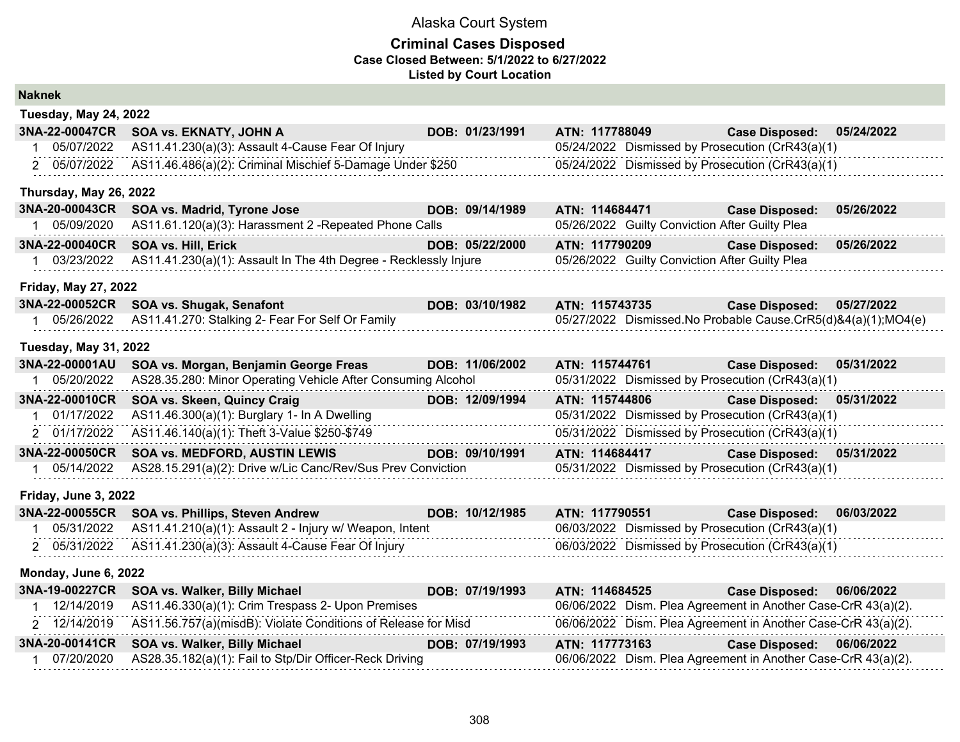| <b>Naknek</b> |  |
|---------------|--|
|               |  |

| <b>Tuesday, May 24, 2022</b> |                                                                  |  |                 |                |                                                |                                                               |            |
|------------------------------|------------------------------------------------------------------|--|-----------------|----------------|------------------------------------------------|---------------------------------------------------------------|------------|
| 3NA-22-00047CR               | SOA vs. EKNATY, JOHN A                                           |  | DOB: 01/23/1991 | ATN: 117788049 |                                                | <b>Case Disposed:</b>                                         | 05/24/2022 |
| 1 05/07/2022                 | AS11.41.230(a)(3): Assault 4-Cause Fear Of Injury                |  |                 |                |                                                | 05/24/2022 Dismissed by Prosecution (CrR43(a)(1)              |            |
| 2 05/07/2022                 | AS11.46.486(a)(2): Criminal Mischief 5-Damage Under \$250        |  |                 |                |                                                | 05/24/2022 Dismissed by Prosecution (CrR43(a)(1)              |            |
| Thursday, May 26, 2022       |                                                                  |  |                 |                |                                                |                                                               |            |
| 3NA-20-00043CR               | SOA vs. Madrid, Tyrone Jose                                      |  | DOB: 09/14/1989 | ATN: 114684471 |                                                | <b>Case Disposed:</b>                                         | 05/26/2022 |
| 1 05/09/2020                 | AS11.61.120(a)(3): Harassment 2 - Repeated Phone Calls           |  |                 |                | 05/26/2022 Guilty Conviction After Guilty Plea |                                                               |            |
| 3NA-22-00040CR               | <b>SOA vs. Hill, Erick</b>                                       |  | DOB: 05/22/2000 | ATN: 117790209 |                                                | <b>Case Disposed:</b>                                         | 05/26/2022 |
| 1 03/23/2022                 | AS11.41.230(a)(1): Assault In The 4th Degree - Recklessly Injure |  |                 |                | 05/26/2022 Guilty Conviction After Guilty Plea |                                                               |            |
| <b>Friday, May 27, 2022</b>  |                                                                  |  |                 |                |                                                |                                                               |            |
| 3NA-22-00052CR               | SOA vs. Shugak, Senafont                                         |  | DOB: 03/10/1982 | ATN: 115743735 |                                                | <b>Case Disposed:</b>                                         | 05/27/2022 |
| 1 05/26/2022                 | AS11.41.270: Stalking 2- Fear For Self Or Family                 |  |                 |                |                                                | 05/27/2022 Dismissed.No Probable Cause.CrR5(d)&4(a)(1);MO4(e) |            |
| <b>Tuesday, May 31, 2022</b> |                                                                  |  |                 |                |                                                |                                                               |            |
| 3NA-22-00001AU               | SOA vs. Morgan, Benjamin George Freas                            |  | DOB: 11/06/2002 | ATN: 115744761 |                                                | <b>Case Disposed:</b>                                         | 05/31/2022 |
| 1 05/20/2022                 | AS28.35.280: Minor Operating Vehicle After Consuming Alcohol     |  |                 |                |                                                | 05/31/2022 Dismissed by Prosecution (CrR43(a)(1)              |            |
| 3NA-22-00010CR               | SOA vs. Skeen, Quincy Craig                                      |  | DOB: 12/09/1994 | ATN: 115744806 |                                                | <b>Case Disposed:</b>                                         | 05/31/2022 |
| 1 01/17/2022                 | AS11.46.300(a)(1): Burglary 1- In A Dwelling                     |  |                 |                |                                                | 05/31/2022 Dismissed by Prosecution (CrR43(a)(1)              |            |
| 2 01/17/2022                 | AS11.46.140(a)(1): Theft 3-Value \$250-\$749                     |  |                 |                |                                                | 05/31/2022 Dismissed by Prosecution (CrR43(a)(1)              |            |
| 3NA-22-00050CR               | <b>SOA vs. MEDFORD, AUSTIN LEWIS</b>                             |  | DOB: 09/10/1991 | ATN: 114684417 |                                                | <b>Case Disposed:</b>                                         | 05/31/2022 |
| 1 05/14/2022                 | AS28.15.291(a)(2): Drive w/Lic Canc/Rev/Sus Prev Conviction      |  |                 |                |                                                | 05/31/2022 Dismissed by Prosecution (CrR43(a)(1)              |            |
| Friday, June 3, 2022         |                                                                  |  |                 |                |                                                |                                                               |            |
| 3NA-22-00055CR               | SOA vs. Phillips, Steven Andrew                                  |  | DOB: 10/12/1985 | ATN: 117790551 |                                                | <b>Case Disposed:</b>                                         | 06/03/2022 |
| 05/31/2022                   | AS11.41.210(a)(1): Assault 2 - Injury w/ Weapon, Intent          |  |                 |                |                                                | 06/03/2022 Dismissed by Prosecution (CrR43(a)(1)              |            |
| 2 05/31/2022                 | AS11.41.230(a)(3): Assault 4-Cause Fear Of Injury                |  |                 |                |                                                | 06/03/2022 Dismissed by Prosecution (CrR43(a)(1)              |            |
| Monday, June 6, 2022         |                                                                  |  |                 |                |                                                |                                                               |            |
| 3NA-19-00227CR               | SOA vs. Walker, Billy Michael                                    |  | DOB: 07/19/1993 | ATN: 114684525 |                                                | <b>Case Disposed:</b>                                         | 06/06/2022 |
| 12/14/2019                   | AS11.46.330(a)(1): Crim Trespass 2- Upon Premises                |  |                 |                |                                                | 06/06/2022 Dism. Plea Agreement in Another Case-CrR 43(a)(2). |            |
| 2 12/14/2019                 | AS11.56.757(a)(misdB): Violate Conditions of Release for Misd    |  |                 |                |                                                | 06/06/2022 Dism. Plea Agreement in Another Case-CrR 43(a)(2). |            |
| 3NA-20-00141CR               | SOA vs. Walker, Billy Michael                                    |  | DOB: 07/19/1993 | ATN: 117773163 |                                                | <b>Case Disposed:</b>                                         | 06/06/2022 |
| 1 07/20/2020                 | AS28.35.182(a)(1): Fail to Stp/Dir Officer-Reck Driving          |  |                 |                |                                                | 06/06/2022 Dism. Plea Agreement in Another Case-CrR 43(a)(2). |            |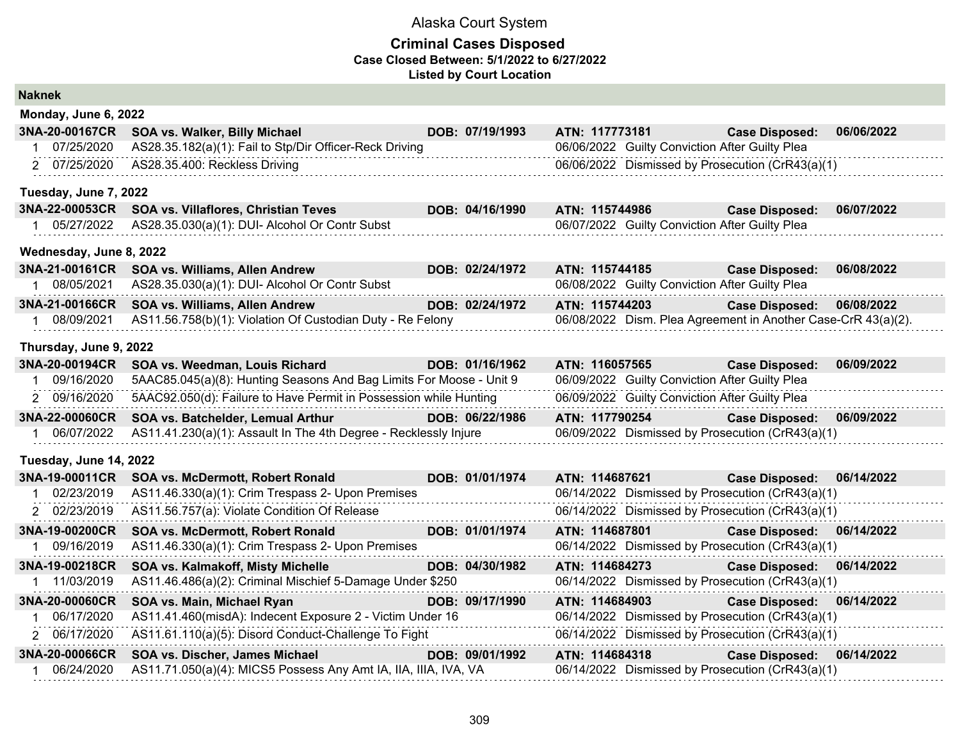| <b>Naknek</b> |                         |                                                                     |                 |                |                                                               |            |
|---------------|-------------------------|---------------------------------------------------------------------|-----------------|----------------|---------------------------------------------------------------|------------|
|               | Monday, June 6, 2022    |                                                                     |                 |                |                                                               |            |
|               | 3NA-20-00167CR          | SOA vs. Walker, Billy Michael                                       | DOB: 07/19/1993 | ATN: 117773181 | <b>Case Disposed:</b>                                         | 06/06/2022 |
| 1             | 07/25/2020              | AS28.35.182(a)(1): Fail to Stp/Dir Officer-Reck Driving             |                 |                | 06/06/2022 Guilty Conviction After Guilty Plea                |            |
|               | 2 07/25/2020            | AS28.35.400: Reckless Driving                                       |                 |                | 06/06/2022 Dismissed by Prosecution (CrR43(a)(1)              |            |
|               | Tuesday, June 7, 2022   |                                                                     |                 |                |                                                               |            |
|               | 3NA-22-00053CR          | SOA vs. Villaflores, Christian Teves                                | DOB: 04/16/1990 | ATN: 115744986 | <b>Case Disposed:</b>                                         | 06/07/2022 |
|               | 1 05/27/2022            | AS28.35.030(a)(1): DUI- Alcohol Or Contr Subst                      |                 |                | 06/07/2022 Guilty Conviction After Guilty Plea                |            |
|               | Wednesday, June 8, 2022 |                                                                     |                 |                |                                                               |            |
|               | 3NA-21-00161CR          | SOA vs. Williams, Allen Andrew                                      | DOB: 02/24/1972 | ATN: 115744185 | <b>Case Disposed:</b>                                         | 06/08/2022 |
|               | 08/05/2021              | AS28.35.030(a)(1): DUI- Alcohol Or Contr Subst                      |                 |                | 06/08/2022 Guilty Conviction After Guilty Plea                |            |
|               | 3NA-21-00166CR          | SOA vs. Williams, Allen Andrew                                      | DOB: 02/24/1972 | ATN: 115744203 | <b>Case Disposed:</b>                                         | 06/08/2022 |
|               | 08/09/2021              | AS11.56.758(b)(1): Violation Of Custodian Duty - Re Felony          |                 |                | 06/08/2022 Dism. Plea Agreement in Another Case-CrR 43(a)(2). |            |
|               | Thursday, June 9, 2022  |                                                                     |                 |                |                                                               |            |
|               | 3NA-20-00194CR          | SOA vs. Weedman, Louis Richard                                      | DOB: 01/16/1962 | ATN: 116057565 | <b>Case Disposed:</b>                                         | 06/09/2022 |
|               | 1 09/16/2020            | 5AAC85.045(a)(8): Hunting Seasons And Bag Limits For Moose - Unit 9 |                 |                | 06/09/2022 Guilty Conviction After Guilty Plea                |            |
|               | 2 09/16/2020            | 5AAC92.050(d): Failure to Have Permit in Possession while Hunting   |                 |                | 06/09/2022 Guilty Conviction After Guilty Plea                |            |
|               | 3NA-22-00060CR          | SOA vs. Batchelder, Lemual Arthur                                   | DOB: 06/22/1986 | ATN: 117790254 | <b>Case Disposed:</b>                                         | 06/09/2022 |
|               | 06/07/2022              | AS11.41.230(a)(1): Assault In The 4th Degree - Recklessly Injure    |                 |                | 06/09/2022 Dismissed by Prosecution (CrR43(a)(1)              |            |
|               | Tuesday, June 14, 2022  |                                                                     |                 |                |                                                               |            |
|               | 3NA-19-00011CR          | SOA vs. McDermott, Robert Ronald                                    | DOB: 01/01/1974 | ATN: 114687621 | <b>Case Disposed:</b>                                         | 06/14/2022 |
|               | 02/23/2019              | AS11.46.330(a)(1): Crim Trespass 2- Upon Premises                   |                 |                | 06/14/2022 Dismissed by Prosecution (CrR43(a)(1)              |            |
|               | 2 02/23/2019            | AS11.56.757(a): Violate Condition Of Release                        |                 |                | 06/14/2022 Dismissed by Prosecution (CrR43(a)(1)              |            |
|               | 3NA-19-00200CR          | SOA vs. McDermott, Robert Ronald                                    | DOB: 01/01/1974 | ATN: 114687801 | <b>Case Disposed:</b>                                         | 06/14/2022 |
|               | 09/16/2019              | AS11.46.330(a)(1): Crim Trespass 2- Upon Premises                   |                 |                | 06/14/2022 Dismissed by Prosecution (CrR43(a)(1)              |            |
|               | 3NA-19-00218CR          | SOA vs. Kalmakoff, Misty Michelle                                   | DOB: 04/30/1982 | ATN: 114684273 | <b>Case Disposed:</b>                                         | 06/14/2022 |
| $\mathbf 1$   | 11/03/2019              | AS11.46.486(a)(2): Criminal Mischief 5-Damage Under \$250           |                 |                | 06/14/2022 Dismissed by Prosecution (CrR43(a)(1)              |            |
|               | 3NA-20-00060CR          | SOA vs. Main, Michael Ryan                                          | DOB: 09/17/1990 | ATN: 114684903 | <b>Case Disposed:</b>                                         | 06/14/2022 |
|               | 06/17/2020              | AS11.41.460(misdA): Indecent Exposure 2 - Victim Under 16           |                 |                | 06/14/2022 Dismissed by Prosecution (CrR43(a)(1)              |            |
|               | 2 06/17/2020            | AS11.61.110(a)(5): Disord Conduct-Challenge To Fight                |                 |                | 06/14/2022 Dismissed by Prosecution (CrR43(a)(1)              |            |
|               | 3NA-20-00066CR          | SOA vs. Discher, James Michael                                      | DOB: 09/01/1992 | ATN: 114684318 | <b>Case Disposed:</b>                                         | 06/14/2022 |
|               | 06/24/2020              | AS11.71.050(a)(4): MICS5 Possess Any Amt IA, IIA, IIIA, IVA, VA     |                 |                | 06/14/2022 Dismissed by Prosecution (CrR43(a)(1)              |            |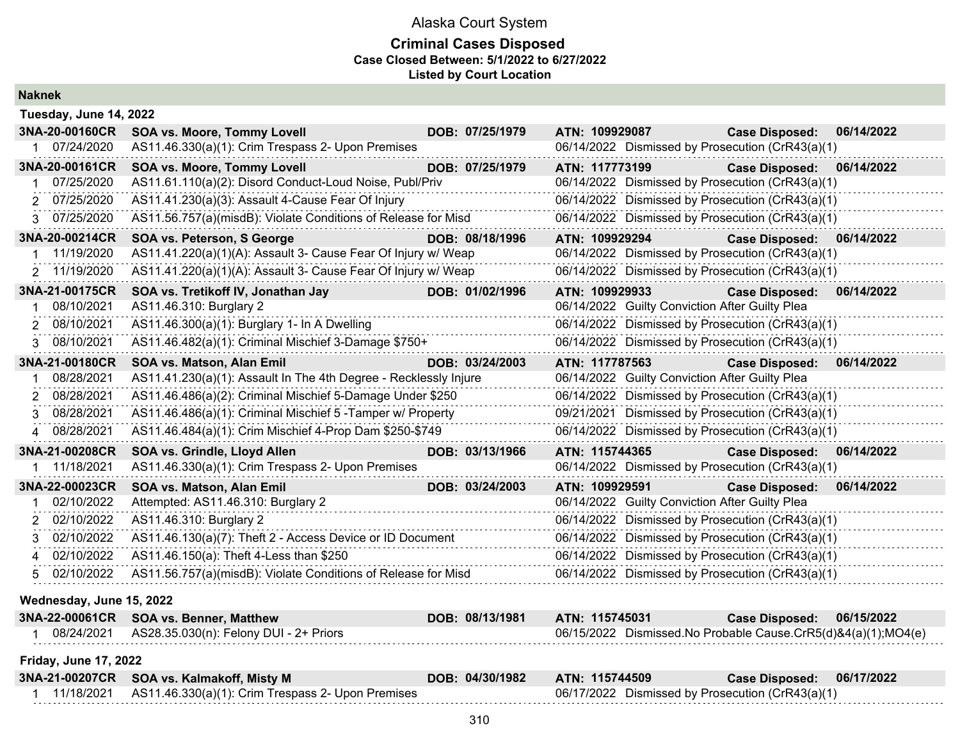| <b>Naknek</b>                  |                                                                                               |                 |                |                                                |                                                                           |            |
|--------------------------------|-----------------------------------------------------------------------------------------------|-----------------|----------------|------------------------------------------------|---------------------------------------------------------------------------|------------|
| Tuesday, June 14, 2022         |                                                                                               |                 |                |                                                |                                                                           |            |
| 3NA-20-00160CR                 | <b>SOA vs. Moore, Tommy Lovell</b>                                                            | DOB: 07/25/1979 | ATN: 109929087 |                                                | <b>Case Disposed:</b>                                                     | 06/14/2022 |
| 1 07/24/2020                   | AS11.46.330(a)(1): Crim Trespass 2- Upon Premises                                             |                 |                |                                                | 06/14/2022 Dismissed by Prosecution (CrR43(a)(1)                          |            |
| 3NA-20-00161CR<br>1 07/25/2020 | <b>SOA vs. Moore, Tommy Lovell</b><br>AS11.61.110(a)(2): Disord Conduct-Loud Noise, Publ/Priv | DOB: 07/25/1979 | ATN: 117773199 |                                                | <b>Case Disposed:</b><br>06/14/2022 Dismissed by Prosecution (CrR43(a)(1) | 06/14/2022 |
| 2 07/25/2020                   | AS11.41.230(a)(3): Assault 4-Cause Fear Of Injury                                             |                 |                |                                                | 06/14/2022 Dismissed by Prosecution (CrR43(a)(1)                          |            |
| 3 07/25/2020                   | AS11.56.757(a)(misdB): Violate Conditions of Release for Misd                                 |                 |                |                                                | 06/14/2022 Dismissed by Prosecution (CrR43(a)(1)                          |            |
| 3NA-20-00214CR                 | SOA vs. Peterson, S George                                                                    | DOB: 08/18/1996 | ATN: 109929294 |                                                | <b>Case Disposed:</b>                                                     | 06/14/2022 |
| 11/19/2020                     | AS11.41.220(a)(1)(A): Assault 3- Cause Fear Of Injury w/ Weap                                 |                 |                |                                                | 06/14/2022 Dismissed by Prosecution (CrR43(a)(1)                          |            |
| 2 11/19/2020                   | AS11.41.220(a)(1)(A): Assault 3- Cause Fear Of Injury w/ Weap                                 |                 |                |                                                | 06/14/2022 Dismissed by Prosecution (CrR43(a)(1)                          |            |
| 3NA-21-00175CR<br>1 08/10/2021 | SOA vs. Tretikoff IV, Jonathan Jay<br>AS11.46.310: Burglary 2                                 | DOB: 01/02/1996 | ATN: 109929933 | 06/14/2022 Guilty Conviction After Guilty Plea | <b>Case Disposed:</b>                                                     | 06/14/2022 |
| 2 08/10/2021                   | AS11.46.300(a)(1): Burglary 1- In A Dwelling                                                  |                 |                |                                                | 06/14/2022 Dismissed by Prosecution (CrR43(a)(1)                          |            |
| 3 08/10/2021                   | AS11.46.482(a)(1): Criminal Mischief 3-Damage \$750+                                          |                 |                |                                                | 06/14/2022 Dismissed by Prosecution (CrR43(a)(1)                          |            |
| 3NA-21-00180CR                 | SOA vs. Matson, Alan Emil                                                                     | DOB: 03/24/2003 | ATN: 117787563 |                                                | <b>Case Disposed:</b>                                                     | 06/14/2022 |
| 08/28/2021                     | AS11.41.230(a)(1): Assault In The 4th Degree - Recklessly Injure                              |                 |                | 06/14/2022 Guilty Conviction After Guilty Plea |                                                                           |            |
| 08/28/2021<br>2                | AS11.46.486(a)(2): Criminal Mischief 5-Damage Under \$250                                     |                 |                |                                                | 06/14/2022 Dismissed by Prosecution (CrR43(a)(1)                          |            |
| 08/28/2021<br>3                | AS11.46.486(a)(1): Criminal Mischief 5 - Tamper w/ Property                                   |                 |                |                                                | 09/21/2021 Dismissed by Prosecution (CrR43(a)(1)                          |            |
| 4 08/28/2021                   | AS11.46.484(a)(1): Crim Mischief 4-Prop Dam \$250-\$749                                       |                 |                |                                                | 06/14/2022 Dismissed by Prosecution (CrR43(a)(1)                          |            |
| 3NA-21-00208CR                 | SOA vs. Grindle, Lloyd Allen                                                                  | DOB: 03/13/1966 | ATN: 115744365 |                                                | <b>Case Disposed:</b>                                                     | 06/14/2022 |
| 11/18/2021                     | AS11.46.330(a)(1): Crim Trespass 2- Upon Premises                                             |                 |                |                                                | 06/14/2022 Dismissed by Prosecution (CrR43(a)(1)                          |            |
| 3NA-22-00023CR                 | SOA vs. Matson, Alan Emil                                                                     | DOB: 03/24/2003 | ATN: 109929591 |                                                | <b>Case Disposed:</b>                                                     | 06/14/2022 |
| 02/10/2022                     | Attempted: AS11.46.310: Burglary 2                                                            |                 |                | 06/14/2022 Guilty Conviction After Guilty Plea |                                                                           |            |
| 2 02/10/2022                   | AS11.46.310: Burglary 2                                                                       |                 |                |                                                | 06/14/2022 Dismissed by Prosecution (CrR43(a)(1)                          |            |
| 3 02/10/2022                   | AS11.46.130(a)(7): Theft 2 - Access Device or ID Document                                     |                 |                |                                                | 06/14/2022 Dismissed by Prosecution (CrR43(a)(1)                          |            |
| 02/10/2022<br>4                | AS11.46.150(a): Theft 4-Less than \$250                                                       |                 |                |                                                | 06/14/2022 Dismissed by Prosecution (CrR43(a)(1)                          |            |
| 5 02/10/2022                   | AS11.56.757(a)(misdB): Violate Conditions of Release for Misd                                 |                 |                |                                                | 06/14/2022 Dismissed by Prosecution (CrR43(a)(1)                          |            |
| Wednesday, June 15, 2022       |                                                                                               |                 |                |                                                |                                                                           |            |
| 3NA-22-00061CR                 | <b>SOA vs. Benner, Matthew</b>                                                                | DOB: 08/13/1981 | ATN: 115745031 |                                                | <b>Case Disposed:</b>                                                     | 06/15/2022 |
|                                | AS28.35.030(n): Felony DUI - 2+ Priors                                                        |                 |                |                                                | 06/15/2022 Dismissed.No Probable Cause.CrR5(d)&4(a)(1);MO4(e)             |            |
| <b>Friday, June 17, 2022</b>   |                                                                                               |                 |                |                                                |                                                                           |            |
|                                | 3NA-21-00207CR SOA vs. Kalmakoff, Misty M                                                     | DOB: 04/30/1982 | ATN: 115744509 |                                                | <b>Case Disposed:</b>                                                     | 06/17/2022 |
|                                | AS11.46.330(a)(1): Crim Trespass 2- Upon Premises                                             |                 |                |                                                | 06/17/2022 Dismissed by Prosecution (CrR43(a)(1)                          |            |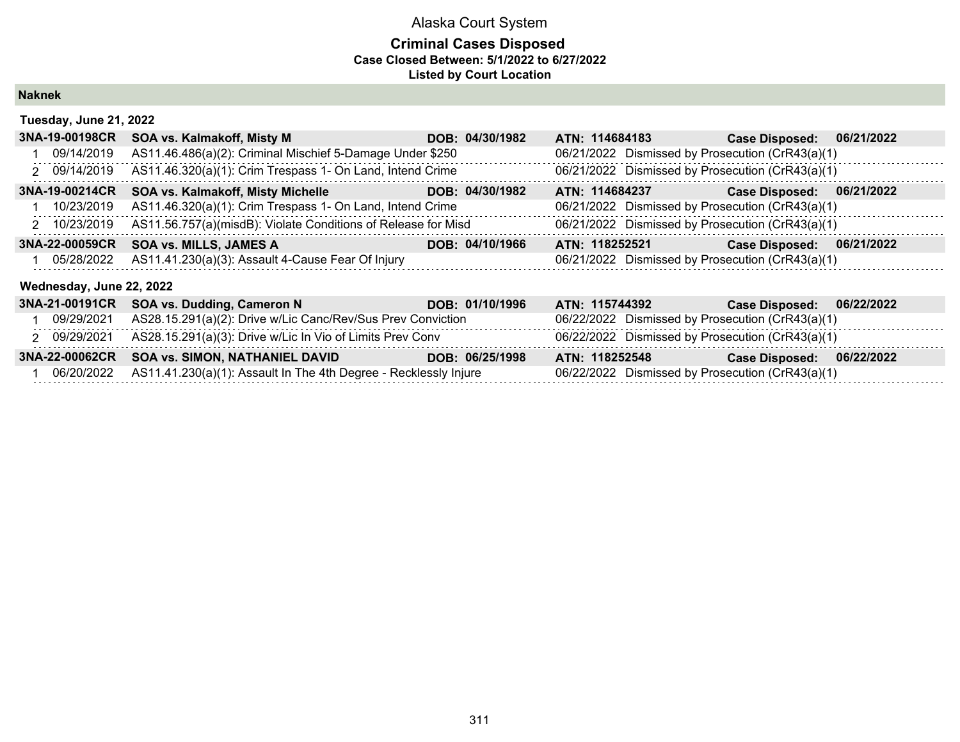### **Criminal Cases Disposed Case Closed Between: 5/1/2022 to 6/27/2022 Listed by Court Location**

**Naknek**

| Tuesday, June 21, 2022 |                                                                      |                 |                                                  |                                                         |            |  |  |  |
|------------------------|----------------------------------------------------------------------|-----------------|--------------------------------------------------|---------------------------------------------------------|------------|--|--|--|
|                        | 3NA-19-00198CR SOA vs. Kalmakoff, Misty M                            | DOB: 04/30/1982 | ATN: 114684183                                   | <b>Case Disposed:</b>                                   | 06/21/2022 |  |  |  |
|                        | 09/14/2019 AS11.46.486(a)(2): Criminal Mischief 5-Damage Under \$250 |                 | 06/21/2022 Dismissed by Prosecution (CrR43(a)(1) |                                                         |            |  |  |  |
| -----------            |                                                                      |                 |                                                  | $\sim$ $\sim$ $\sim$ $\sim$ $\sim$ $\sim$ $\sim$ $\sim$ |            |  |  |  |

|            | 2 09/14/2019 AS11.46.320(a)(1): Crim Trespass 1- On Land, Intend Crime     |                 | 06/21/2022 Dismissed by Prosecution (CrR43(a)(1) |                           |  |
|------------|----------------------------------------------------------------------------|-----------------|--------------------------------------------------|---------------------------|--|
|            | 3NA-19-00214CR SOA vs. Kalmakoff, Misty Michelle                           | DOB: 04/30/1982 | ATN: 114684237                                   | Case Disposed: 06/21/2022 |  |
| 10/23/2019 | AS11.46.320(a)(1): Crim Trespass 1- On Land, Intend Crime                  |                 | 06/21/2022 Dismissed by Prosecution (CrR43(a)(1) |                           |  |
|            | 2 10/23/2019 AS11.56.757(a)(misdB): Violate Conditions of Release for Misd |                 | 06/21/2022 Dismissed by Prosecution (CrR43(a)(1) |                           |  |
|            | 3NA-22-00059CR SOA vs. MILLS, JAMES A                                      | DOB: 04/10/1966 | ATN: 118252521                                   | Case Disposed: 06/21/2022 |  |
|            | 05/28/2022 AS11.41.230(a)(3): Assault 4-Cause Fear Of Injury               |                 | 06/21/2022 Dismissed by Prosecution (CrR43(a)(1) |                           |  |

#### **Wednesday, June 22, 2022**

|            | 3NA-21-00191CR SOA vs. Dudding, Cameron N                                   | DOB: 01/10/1996 | ATN: 115744392                                   | <b>Case Disposed:</b><br>06/22/2022 |
|------------|-----------------------------------------------------------------------------|-----------------|--------------------------------------------------|-------------------------------------|
| 09/29/2021 | AS28.15.291(a)(2): Drive w/Lic Canc/Rev/Sus Prev Conviction                 |                 | 06/22/2022 Dismissed by Prosecution (CrR43(a)(1) |                                     |
|            | 2 09/29/2021 AS28.15.291(a)(3): Drive w/Lic In Vio of Limits Prev Conv      |                 | 06/22/2022 Dismissed by Prosecution (CrR43(a)(1) |                                     |
|            | 3NA-22-00062CR SOA vs. SIMON, NATHANIEL DAVID                               | DOB: 06/25/1998 | ATN: 118252548                                   | Case Disposed: 06/22/2022           |
|            | 06/20/2022 AS11.41.230(a)(1): Assault In The 4th Degree - Recklessly Injure |                 | 06/22/2022 Dismissed by Prosecution (CrR43(a)(1) |                                     |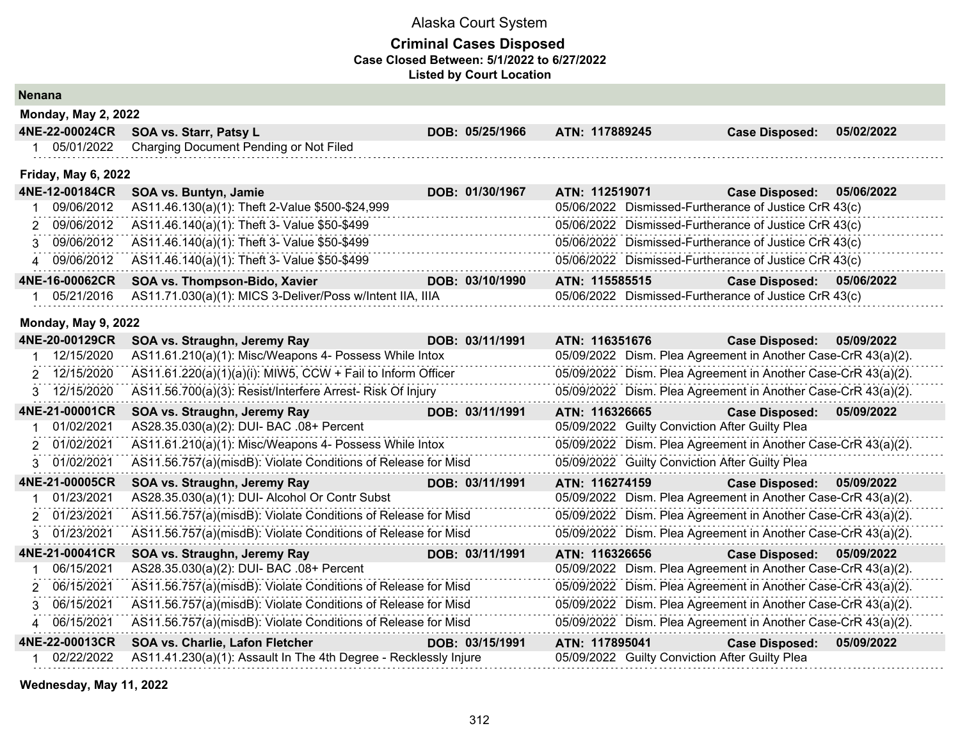#### **Criminal Cases Disposed Case Closed Between: 5/1/2022 to 6/27/2022 Listed by Court Location**

| <b>Nenana</b> |                            |                                                                  |                 |                |                                                               |            |
|---------------|----------------------------|------------------------------------------------------------------|-----------------|----------------|---------------------------------------------------------------|------------|
|               | <b>Monday, May 2, 2022</b> |                                                                  |                 |                |                                                               |            |
|               | 4NE-22-00024CR             | SOA vs. Starr, Patsy L                                           | DOB: 05/25/1966 | ATN: 117889245 | <b>Case Disposed:</b>                                         | 05/02/2022 |
|               | 1 05/01/2022               | Charging Document Pending or Not Filed                           |                 |                |                                                               |            |
|               | <b>Friday, May 6, 2022</b> |                                                                  |                 |                |                                                               |            |
|               | 4NE-12-00184CR             | SOA vs. Buntyn, Jamie                                            | DOB: 01/30/1967 | ATN: 112519071 | <b>Case Disposed:</b>                                         | 05/06/2022 |
|               | 09/06/2012                 | AS11.46.130(a)(1): Theft 2-Value \$500-\$24,999                  |                 |                | 05/06/2022 Dismissed-Furtherance of Justice CrR 43(c)         |            |
|               | 2 09/06/2012               | AS11.46.140(a)(1): Theft 3- Value \$50-\$499                     |                 |                | 05/06/2022 Dismissed-Furtherance of Justice CrR 43(c)         |            |
| 3             | 09/06/2012                 | AS11.46.140(a)(1): Theft 3- Value \$50-\$499                     |                 |                | 05/06/2022 Dismissed-Furtherance of Justice CrR 43(c)         |            |
|               | 4 09/06/2012               | AS11.46.140(a)(1): Theft 3- Value \$50-\$499                     |                 |                | 05/06/2022 Dismissed-Furtherance of Justice CrR 43(c)         |            |
|               | 4NE-16-00062CR             | SOA vs. Thompson-Bido, Xavier                                    | DOB: 03/10/1990 | ATN: 115585515 | <b>Case Disposed:</b>                                         | 05/06/2022 |
|               | 05/21/2016                 | AS11.71.030(a)(1): MICS 3-Deliver/Poss w/Intent IIA, IIIA        |                 |                | 05/06/2022 Dismissed-Furtherance of Justice CrR 43(c)         |            |
|               | <b>Monday, May 9, 2022</b> |                                                                  |                 |                |                                                               |            |
|               | 4NE-20-00129CR             | SOA vs. Straughn, Jeremy Ray                                     | DOB: 03/11/1991 | ATN: 116351676 | <b>Case Disposed:</b>                                         | 05/09/2022 |
|               | 12/15/2020                 | AS11.61.210(a)(1): Misc/Weapons 4- Possess While Intox           |                 |                | 05/09/2022 Dism. Plea Agreement in Another Case-CrR 43(a)(2). |            |
|               | 2 12/15/2020               | AS11.61.220(a)(1)(a)(i): MIW5, CCW + Fail to Inform Officer      |                 |                | 05/09/2022 Dism. Plea Agreement in Another Case-CrR 43(a)(2). |            |
|               | 3 12/15/2020               | AS11.56.700(a)(3): Resist/Interfere Arrest- Risk Of Injury       |                 |                | 05/09/2022 Dism. Plea Agreement in Another Case-CrR 43(a)(2). |            |
|               | 4NE-21-00001CR             | SOA vs. Straughn, Jeremy Ray                                     | DOB: 03/11/1991 | ATN: 116326665 | <b>Case Disposed:</b>                                         | 05/09/2022 |
|               | 01/02/2021                 | AS28.35.030(a)(2): DUI- BAC .08+ Percent                         |                 |                | 05/09/2022 Guilty Conviction After Guilty Plea                |            |
|               | 01/02/2021                 | AS11.61.210(a)(1): Misc/Weapons 4- Possess While Intox           |                 |                | 05/09/2022 Dism. Plea Agreement in Another Case-CrR 43(a)(2). |            |
| 3             | 01/02/2021                 | AS11.56.757(a)(misdB): Violate Conditions of Release for Misd    |                 |                | 05/09/2022 Guilty Conviction After Guilty Plea                |            |
|               | 4NE-21-00005CR             | SOA vs. Straughn, Jeremy Ray                                     | DOB: 03/11/1991 | ATN: 116274159 | <b>Case Disposed:</b>                                         | 05/09/2022 |
|               | 01/23/2021                 | AS28.35.030(a)(1): DUI- Alcohol Or Contr Subst                   |                 |                | 05/09/2022 Dism. Plea Agreement in Another Case-CrR 43(a)(2). |            |
| 2             | 01/23/2021                 | AS11.56.757(a)(misdB): Violate Conditions of Release for Misd    |                 |                | 05/09/2022 Dism. Plea Agreement in Another Case-CrR 43(a)(2). |            |
|               | 3 01/23/2021               | AS11.56.757(a)(misdB): Violate Conditions of Release for Misd    |                 |                | 05/09/2022 Dism. Plea Agreement in Another Case-CrR 43(a)(2). |            |
|               | 4NE-21-00041CR             | SOA vs. Straughn, Jeremy Ray                                     | DOB: 03/11/1991 | ATN: 116326656 | <b>Case Disposed:</b>                                         | 05/09/2022 |
|               | 06/15/2021                 | AS28.35.030(a)(2): DUI- BAC .08+ Percent                         |                 |                | 05/09/2022 Dism. Plea Agreement in Another Case-CrR 43(a)(2). |            |
|               | 2 06/15/2021               | AS11.56.757(a)(misdB): Violate Conditions of Release for Misd    |                 |                | 05/09/2022 Dism. Plea Agreement in Another Case-CrR 43(a)(2). |            |
| 3             | 06/15/2021                 | AS11.56.757(a)(misdB): Violate Conditions of Release for Misd    |                 |                | 05/09/2022 Dism. Plea Agreement in Another Case-CrR 43(a)(2). |            |
|               | 4 06/15/2021               | AS11.56.757(a)(misdB): Violate Conditions of Release for Misd    |                 |                | 05/09/2022 Dism. Plea Agreement in Another Case-CrR 43(a)(2). |            |
|               | 4NE-22-00013CR             | SOA vs. Charlie, Lafon Fletcher                                  | DOB: 03/15/1991 | ATN: 117895041 | <b>Case Disposed:</b>                                         | 05/09/2022 |
|               | 02/22/2022                 | AS11.41.230(a)(1): Assault In The 4th Degree - Recklessly Injure |                 |                | 05/09/2022 Guilty Conviction After Guilty Plea                |            |

**Wednesday, May 11, 2022**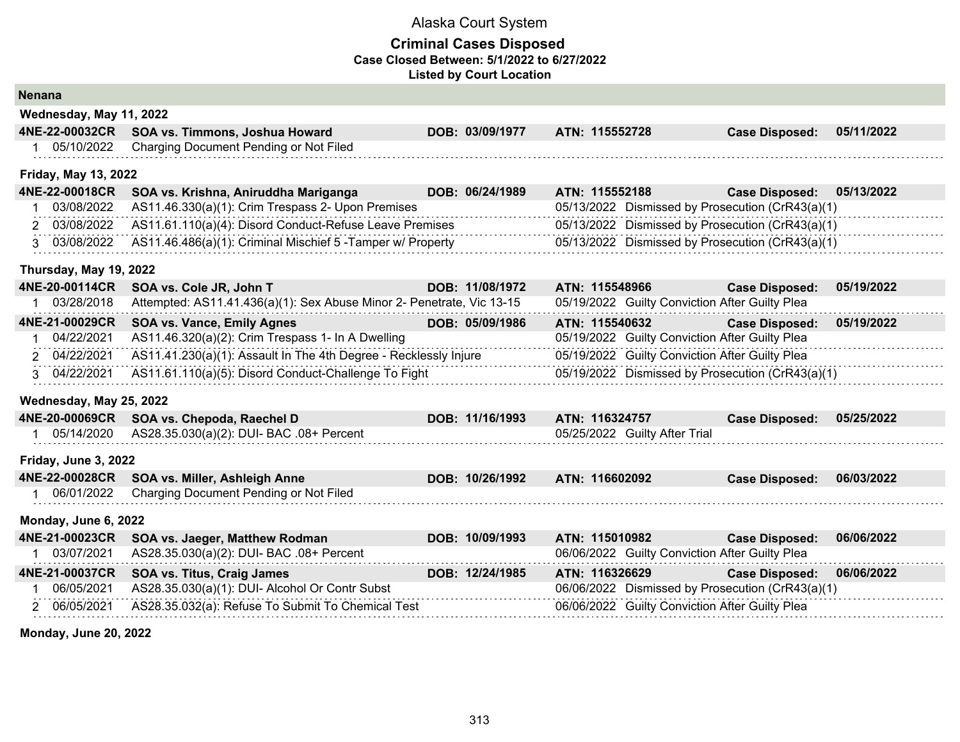#### **Criminal Cases Disposed Case Closed Between: 5/1/2022 to 6/27/2022 Listed by Court Location**

| <b>Nenana</b> |                             |                                                                       |                 |                |                                                |                                                  |            |
|---------------|-----------------------------|-----------------------------------------------------------------------|-----------------|----------------|------------------------------------------------|--------------------------------------------------|------------|
|               | Wednesday, May 11, 2022     |                                                                       |                 |                |                                                |                                                  |            |
|               | 4NE-22-00032CR              | SOA vs. Timmons, Joshua Howard                                        | DOB: 03/09/1977 | ATN: 115552728 |                                                | <b>Case Disposed:</b>                            | 05/11/2022 |
|               | 05/10/2022                  | Charging Document Pending or Not Filed                                |                 |                |                                                |                                                  |            |
|               | <b>Friday, May 13, 2022</b> |                                                                       |                 |                |                                                |                                                  |            |
|               | 4NE-22-00018CR              | SOA vs. Krishna, Aniruddha Mariganga                                  | DOB: 06/24/1989 | ATN: 115552188 |                                                | <b>Case Disposed:</b>                            | 05/13/2022 |
|               | 03/08/2022                  | AS11.46.330(a)(1): Crim Trespass 2- Upon Premises                     |                 |                |                                                | 05/13/2022 Dismissed by Prosecution (CrR43(a)(1) |            |
|               | 2 03/08/2022                | AS11.61.110(a)(4): Disord Conduct-Refuse Leave Premises               |                 |                |                                                | 05/13/2022 Dismissed by Prosecution (CrR43(a)(1) |            |
|               | 3 03/08/2022                | AS11.46.486(a)(1): Criminal Mischief 5 - Tamper w/ Property           |                 |                |                                                | 05/13/2022 Dismissed by Prosecution (CrR43(a)(1) |            |
|               | Thursday, May 19, 2022      |                                                                       |                 |                |                                                |                                                  |            |
|               | 4NE-20-00114CR              | SOA vs. Cole JR, John T                                               | DOB: 11/08/1972 | ATN: 115548966 |                                                | <b>Case Disposed:</b>                            | 05/19/2022 |
|               | 03/28/2018                  | Attempted: AS11.41.436(a)(1): Sex Abuse Minor 2- Penetrate, Vic 13-15 |                 |                | 05/19/2022 Guilty Conviction After Guilty Plea |                                                  |            |
|               | 4NE-21-00029CR              | SOA vs. Vance, Emily Agnes                                            | DOB: 05/09/1986 | ATN: 115540632 |                                                | <b>Case Disposed:</b>                            | 05/19/2022 |
|               | 04/22/2021                  | AS11.46.320(a)(2): Crim Trespass 1- In A Dwelling                     |                 |                | 05/19/2022 Guilty Conviction After Guilty Plea |                                                  |            |
|               | 2 04/22/2021                | AS11.41.230(a)(1): Assault In The 4th Degree - Recklessly Injure      |                 |                | 05/19/2022 Guilty Conviction After Guilty Plea |                                                  |            |
|               | 3 04/22/2021                | AS11.61.110(a)(5): Disord Conduct-Challenge To Fight                  |                 |                |                                                | 05/19/2022 Dismissed by Prosecution (CrR43(a)(1) |            |
|               | Wednesday, May 25, 2022     |                                                                       |                 |                |                                                |                                                  |            |
|               | 4NE-20-00069CR              | SOA vs. Chepoda, Raechel D                                            | DOB: 11/16/1993 | ATN: 116324757 |                                                | <b>Case Disposed:</b>                            | 05/25/2022 |
|               | 1 05/14/2020                | AS28.35.030(a)(2): DUI- BAC .08+ Percent                              |                 |                | 05/25/2022 Guilty After Trial                  |                                                  |            |
|               | Friday, June 3, 2022        |                                                                       |                 |                |                                                |                                                  |            |
|               | 4NE-22-00028CR              | SOA vs. Miller, Ashleigh Anne                                         | DOB: 10/26/1992 | ATN: 116602092 |                                                | <b>Case Disposed:</b>                            | 06/03/2022 |
| 1             | 06/01/2022                  | Charging Document Pending or Not Filed                                |                 |                |                                                |                                                  |            |
|               | Monday, June 6, 2022        |                                                                       |                 |                |                                                |                                                  |            |
|               | 4NE-21-00023CR              | SOA vs. Jaeger, Matthew Rodman                                        | DOB: 10/09/1993 | ATN: 115010982 |                                                | <b>Case Disposed:</b>                            | 06/06/2022 |
|               | 03/07/2021                  | AS28.35.030(a)(2): DUI- BAC .08+ Percent                              |                 |                | 06/06/2022 Guilty Conviction After Guilty Plea |                                                  |            |
|               | 4NE-21-00037CR              | <b>SOA vs. Titus, Craig James</b>                                     | DOB: 12/24/1985 | ATN: 116326629 |                                                | <b>Case Disposed:</b>                            | 06/06/2022 |
|               | 06/05/2021                  | AS28.35.030(a)(1): DUI- Alcohol Or Contr Subst                        |                 |                |                                                | 06/06/2022 Dismissed by Prosecution (CrR43(a)(1) |            |
|               | 2 06/05/2021                | AS28.35.032(a): Refuse To Submit To Chemical Test                     |                 |                | 06/06/2022 Guilty Conviction After Guilty Plea |                                                  |            |

**Monday, June 20, 2022**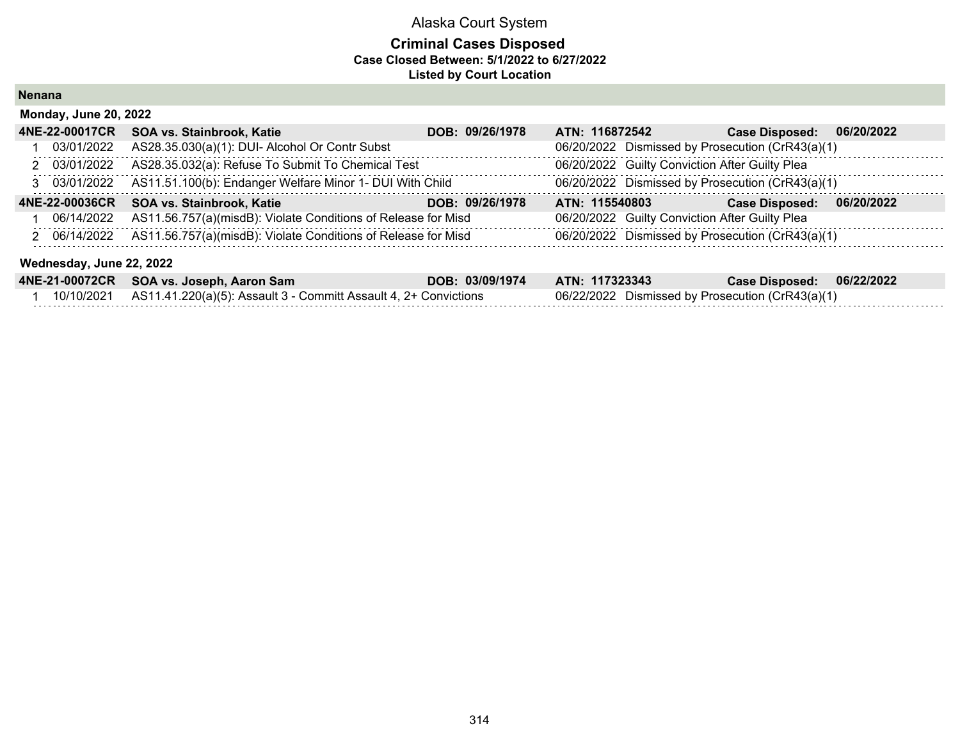## **Criminal Cases Disposed Case Closed Between: 5/1/2022 to 6/27/2022 Listed by Court Location**

**Nenana**

| <b>Monday, June 20, 2022</b> |                                                               |                 |                                                  |                       |            |  |  |  |
|------------------------------|---------------------------------------------------------------|-----------------|--------------------------------------------------|-----------------------|------------|--|--|--|
| 4NE-22-00017CR               | SOA vs. Stainbrook, Katie                                     | DOB: 09/26/1978 | ATN: 116872542                                   | <b>Case Disposed:</b> | 06/20/2022 |  |  |  |
| 03/01/2022                   | AS28.35.030(a)(1): DUI- Alcohol Or Contr Subst                |                 | 06/20/2022 Dismissed by Prosecution (CrR43(a)(1) |                       |            |  |  |  |
| 2 03/01/2022                 | AS28.35.032(a): Refuse To Submit To Chemical Test             |                 | 06/20/2022 Guilty Conviction After Guilty Plea   |                       |            |  |  |  |
| 3 03/01/2022                 | AS11.51.100(b): Endanger Welfare Minor 1- DUI With Child      |                 | 06/20/2022 Dismissed by Prosecution (CrR43(a)(1) |                       |            |  |  |  |
| 4NE-22-00036CR               | SOA vs. Stainbrook, Katie                                     | DOB: 09/26/1978 | ATN: 115540803                                   | <b>Case Disposed:</b> | 06/20/2022 |  |  |  |
| 06/14/2022                   | AS11.56.757(a)(misdB): Violate Conditions of Release for Misd |                 | 06/20/2022 Guilty Conviction After Guilty Plea   |                       |            |  |  |  |
| 2 06/14/2022                 | AS11.56.757(a)(misdB): Violate Conditions of Release for Misd |                 | 06/20/2022 Dismissed by Prosecution (CrR43(a)(1) |                       |            |  |  |  |

#### **Wednesday, June 22, 2022**

| 4NE-21-00072CR SOA vs. Joseph, Aaron Sam                                    | DOB: 03/09/1974 | ATN: 117323343                                   | Case Disposed: 06/22/2022 |  |
|-----------------------------------------------------------------------------|-----------------|--------------------------------------------------|---------------------------|--|
| 10/10/2021 AS11.41.220(a)(5): Assault 3 - Committ Assault 4, 2+ Convictions |                 | 06/22/2022 Dismissed by Prosecution (CrR43(a)(1) |                           |  |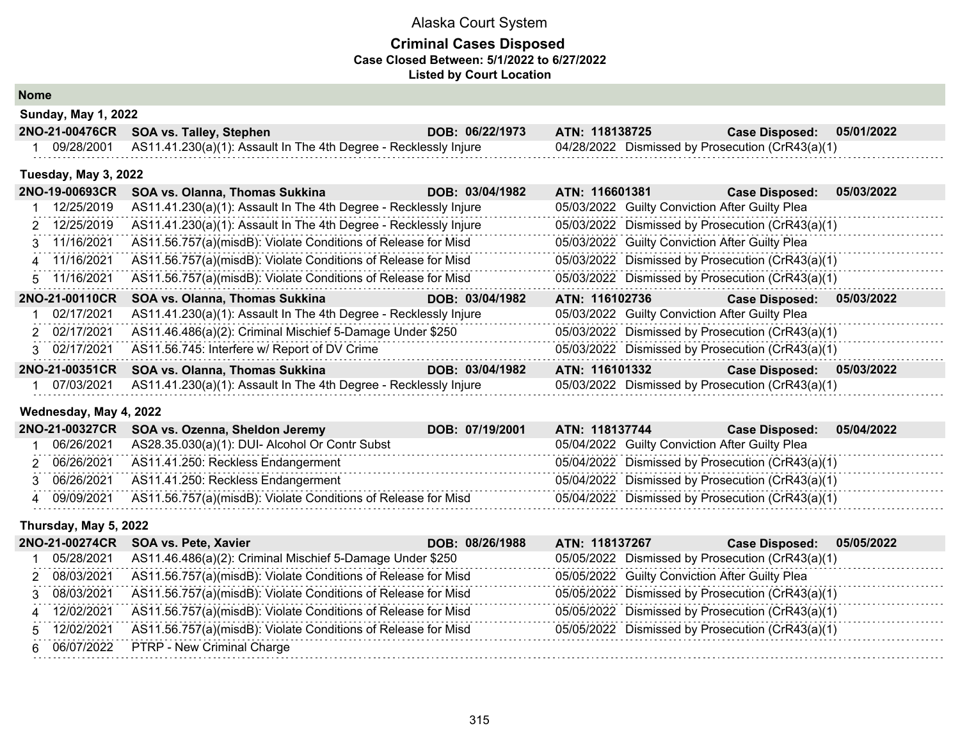### **Criminal Cases Disposed Case Closed Between: 5/1/2022 to 6/27/2022 Listed by Court Location**

**Nome**

| <b>Sunday, May 1, 2022</b>             |                                                                             |                                   |                                                  |            |
|----------------------------------------|-----------------------------------------------------------------------------|-----------------------------------|--------------------------------------------------|------------|
| 2NO-21-00476CR SOA vs. Talley, Stephen |                                                                             | ATN: 118138725<br>DOB: 06/22/1973 | <b>Case Disposed:</b>                            | 05/01/2022 |
|                                        | 09/28/2001 AS11.41.230(a)(1): Assault In The 4th Degree - Recklessly Injure |                                   | 04/28/2022 Dismissed by Prosecution (CrR43(a)(1) |            |

#### **Tuesday, May 3, 2022**

| 2NO-19-00693CR | SOA vs. Olanna, Thomas Sukkina                                   | DOB: 03/04/1982 | ATN: 116601381 | <b>Case Disposed:</b>                            | 05/03/2022 |
|----------------|------------------------------------------------------------------|-----------------|----------------|--------------------------------------------------|------------|
| 12/25/2019     | AS11.41.230(a)(1): Assault In The 4th Degree - Recklessly Injure |                 |                | 05/03/2022 Guilty Conviction After Guilty Plea   |            |
| 2 12/25/2019   | AS11.41.230(a)(1): Assault In The 4th Degree - Recklessly Injure |                 |                | 05/03/2022 Dismissed by Prosecution (CrR43(a)(1) |            |
| 3 11/16/2021   | AS11.56.757(a)(misdB): Violate Conditions of Release for Misd    |                 |                | 05/03/2022 Guilty Conviction After Guilty Plea   |            |
| 4 11/16/2021   | AS11.56.757(a)(misdB): Violate Conditions of Release for Misd    |                 |                | 05/03/2022 Dismissed by Prosecution (CrR43(a)(1) |            |
| 5 11/16/2021   | AS11.56.757(a)(misdB): Violate Conditions of Release for Misd    |                 |                | 05/03/2022 Dismissed by Prosecution (CrR43(a)(1) |            |
| 2NO-21-00110CR | SOA vs. Olanna, Thomas Sukkina                                   | DOB: 03/04/1982 | ATN: 116102736 | <b>Case Disposed:</b>                            | 05/03/2022 |
| 02/17/2021     | AS11.41.230(a)(1): Assault In The 4th Degree - Recklessly Injure |                 |                | 05/03/2022 Guilty Conviction After Guilty Plea   |            |
| 2 02/17/2021   | AS11.46.486(a)(2): Criminal Mischief 5-Damage Under \$250        |                 |                | 05/03/2022 Dismissed by Prosecution (CrR43(a)(1) |            |
| 3 02/17/2021   | AS11.56.745: Interfere w/ Report of DV Crime                     |                 |                | 05/03/2022 Dismissed by Prosecution (CrR43(a)(1) |            |
| 2NO-21-00351CR | <b>SOA vs. Olanna, Thomas Sukkina</b>                            | DOB: 03/04/1982 | ATN: 116101332 | <b>Case Disposed:</b>                            | 05/03/2022 |
| 07/03/2021     | AS11.41.230(a)(1): Assault In The 4th Degree - Recklessly Injure |                 |                | 05/03/2022 Dismissed by Prosecution (CrR43(a)(1) |            |

## **Wednesday, May 4, 2022**

|            | 2NO-21-00327CR SOA vs. Ozenna, Sheldon Jeremy                 | DOB: 07/19/2001 | ATN: 118137744 | <b>Case Disposed:</b>                            | 05/04/2022 |
|------------|---------------------------------------------------------------|-----------------|----------------|--------------------------------------------------|------------|
| 06/26/2021 | AS28.35.030(a)(1): DUI- Alcohol Or Contr Subst                |                 |                | 05/04/2022 Guilty Conviction After Guilty Plea   |            |
| 06/26/2021 | AS11.41.250: Reckless Endangerment                            |                 |                | 05/04/2022 Dismissed by Prosecution (CrR43(a)(1) |            |
| 06/26/2021 | AS11.41.250: Reckless Endangerment                            |                 |                | 05/04/2022 Dismissed by Prosecution (CrR43(a)(1) |            |
| 09/09/2021 | AS11.56.757(a)(misdB): Violate Conditions of Release for Misd |                 |                | 05/04/2022 Dismissed by Prosecution (CrR43(a)(1) |            |

#### **Thursday, May 5, 2022**

| 2NO-21-00274CR | <b>SOA vs. Pete, Xavier</b>                                   | DOB: 08/26/1988 | ATN: 118137267 | 05/05/2022<br><b>Case Disposed:</b>              |
|----------------|---------------------------------------------------------------|-----------------|----------------|--------------------------------------------------|
| 05/28/2021     | AS11.46.486(a)(2): Criminal Mischief 5-Damage Under \$250     |                 |                | 05/05/2022 Dismissed by Prosecution (CrR43(a)(1) |
| 2 08/03/2021   | AS11.56.757(a)(misdB): Violate Conditions of Release for Misd |                 |                | 05/05/2022 Guilty Conviction After Guilty Plea   |
| 08/03/2021     | AS11.56.757(a)(misdB): Violate Conditions of Release for Misd |                 |                | 05/05/2022 Dismissed by Prosecution (CrR43(a)(1) |
| 4 12/02/2021   | AS11.56.757(a)(misdB): Violate Conditions of Release for Misd |                 |                | 05/05/2022 Dismissed by Prosecution (CrR43(a)(1) |
| 5 12/02/2021   | AS11.56.757(a)(misdB): Violate Conditions of Release for Misd |                 |                | 05/05/2022 Dismissed by Prosecution (CrR43(a)(1) |
| 6 06/07/2022   | <b>PTRP - New Criminal Charge</b>                             |                 |                |                                                  |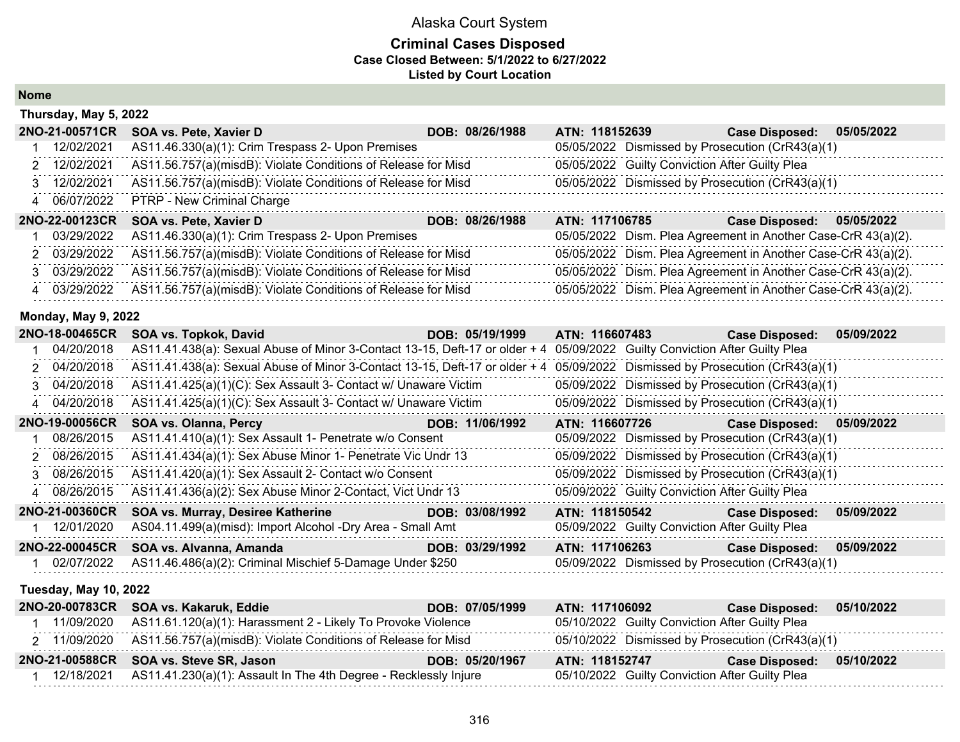### **Criminal Cases Disposed Case Closed Between: 5/1/2022 to 6/27/2022 Listed by Court Location**

**Nome**

| Thursday, May 5, 2022 |                                                               |                 |                |                                                               |            |
|-----------------------|---------------------------------------------------------------|-----------------|----------------|---------------------------------------------------------------|------------|
| 2NO-21-00571CR        | SOA vs. Pete, Xavier D                                        | DOB: 08/26/1988 | ATN: 118152639 | <b>Case Disposed:</b>                                         | 05/05/2022 |
| 12/02/2021            | AS11.46.330(a)(1): Crim Trespass 2- Upon Premises             |                 |                | 05/05/2022 Dismissed by Prosecution (CrR43(a)(1)              |            |
| 2 12/02/2021          | AS11.56.757(a)(misdB): Violate Conditions of Release for Misd |                 |                | 05/05/2022 Guilty Conviction After Guilty Plea                |            |
| 3 12/02/2021          | AS11.56.757(a)(misdB): Violate Conditions of Release for Misd |                 |                | 05/05/2022 Dismissed by Prosecution (CrR43(a)(1)              |            |
| 4 06/07/2022          | PTRP - New Criminal Charge                                    |                 |                |                                                               |            |
| 2NO-22-00123CR        | SOA vs. Pete, Xavier D                                        | DOB: 08/26/1988 | ATN: 117106785 | <b>Case Disposed:</b>                                         | 05/05/2022 |
| 03/29/2022            | AS11.46.330(a)(1): Crim Trespass 2- Upon Premises             |                 |                | 05/05/2022 Dism. Plea Agreement in Another Case-CrR 43(a)(2). |            |
| 2 03/29/2022          | AS11.56.757(a)(misdB): Violate Conditions of Release for Misd |                 |                | 05/05/2022 Dism. Plea Agreement in Another Case-CrR 43(a)(2). |            |
| 3 03/29/2022          | AS11.56.757(a)(misdB): Violate Conditions of Release for Misd |                 |                | 05/05/2022 Dism. Plea Agreement in Another Case-CrR 43(a)(2). |            |
| 4 03/29/2022          | AS11.56.757(a)(misdB): Violate Conditions of Release for Misd |                 |                | 05/05/2022 Dism. Plea Agreement in Another Case-CrR 43(a)(2). |            |

## **Monday, May 9, 2022**

| 2NO-18-00465CR               | SOA vs. Topkok, David                                                                                                        | DOB: 05/19/1999 | ATN: 116607483 | <b>Case Disposed:</b>                            | 05/09/2022 |
|------------------------------|------------------------------------------------------------------------------------------------------------------------------|-----------------|----------------|--------------------------------------------------|------------|
| 04/20/2018                   | AS11.41.438(a): Sexual Abuse of Minor 3-Contact 13-15, Deft-17 or older + 4 05/09/2022 Guilty Conviction After Guilty Plea   |                 |                |                                                  |            |
| 2 04/20/2018                 | AS11.41.438(a): Sexual Abuse of Minor 3-Contact 13-15, Deft-17 or older + 4 05/09/2022 Dismissed by Prosecution (CrR43(a)(1) |                 |                |                                                  |            |
| 3 04/20/2018                 | AS11.41.425(a)(1)(C): Sex Assault 3- Contact w/ Unaware Victim                                                               |                 |                | 05/09/2022 Dismissed by Prosecution (CrR43(a)(1) |            |
| 4 04/20/2018                 | AS11.41.425(a)(1)(C): Sex Assault 3- Contact w/ Unaware Victim                                                               |                 |                | 05/09/2022 Dismissed by Prosecution (CrR43(a)(1) |            |
| 2NO-19-00056CR               | <b>SOA vs. Olanna, Percy</b>                                                                                                 | DOB: 11/06/1992 | ATN: 116607726 | <b>Case Disposed:</b>                            | 05/09/2022 |
| 08/26/2015                   | AS11.41.410(a)(1): Sex Assault 1- Penetrate w/o Consent                                                                      |                 |                | 05/09/2022 Dismissed by Prosecution (CrR43(a)(1) |            |
| 2 08/26/2015                 | AS11.41.434(a)(1): Sex Abuse Minor 1- Penetrate Vic Undr 13                                                                  |                 |                | 05/09/2022 Dismissed by Prosecution (CrR43(a)(1) |            |
| 3 08/26/2015                 | AS11.41.420(a)(1): Sex Assault 2- Contact w/o Consent                                                                        |                 |                | 05/09/2022 Dismissed by Prosecution (CrR43(a)(1) |            |
| 4 08/26/2015                 | AS11.41.436(a)(2): Sex Abuse Minor 2-Contact, Vict Undr 13                                                                   |                 |                | 05/09/2022 Guilty Conviction After Guilty Plea   |            |
| 2NO-21-00360CR               | SOA vs. Murray, Desiree Katherine                                                                                            | DOB: 03/08/1992 | ATN: 118150542 | <b>Case Disposed:</b>                            | 05/09/2022 |
| 12/01/2020                   | AS04.11.499(a)(misd): Import Alcohol -Dry Area - Small Amt                                                                   |                 |                | 05/09/2022 Guilty Conviction After Guilty Plea   |            |
| 2NO-22-00045CR               | SOA vs. Alvanna, Amanda                                                                                                      | DOB: 03/29/1992 | ATN: 117106263 | <b>Case Disposed:</b>                            | 05/09/2022 |
| 02/07/2022                   | AS11.46.486(a)(2): Criminal Mischief 5-Damage Under \$250                                                                    |                 |                | 05/09/2022 Dismissed by Prosecution (CrR43(a)(1) |            |
| <b>Tuesday, May 10, 2022</b> |                                                                                                                              |                 |                |                                                  |            |
|                              | 2NO-20-00783CR SOA vs. Kakaruk, Eddie                                                                                        | DOB: 07/05/1999 | ATN: 117106092 | <b>Case Disposed:</b>                            | 05/10/2022 |
| 1 11/00/2020                 | AC11 61 120(a)(1): Horosomant 2 Likely To Drovako Violanoo                                                                   |                 |                | 05/10/2022 Cuilty Conviction After Cuilty Plan   |            |

| <b>ZIVO-ZU-007 03ON SOA VS. NANATUN, EUGIB</b>                              | <b>UUD. VIIVJI 1999</b> | AIN. III IUUUJA                                  | Case Disposed. 00/10/2022 |  |
|-----------------------------------------------------------------------------|-------------------------|--------------------------------------------------|---------------------------|--|
| $11/09/2020$ AS11.61.120(a)(1): Harassment 2 - Likely To Provoke Violence   |                         | 05/10/2022 Guilty Conviction After Guilty Plea   |                           |  |
| 2 11/09/2020 AS11.56.757(a)(misdB): Violate Conditions of Release for Misd  |                         | 05/10/2022 Dismissed by Prosecution (CrR43(a)(1) |                           |  |
| 2NO-21-00588CR SOA vs. Steve SR, Jason                                      | DOB: 05/20/1967         | ATN: 118152747                                   | Case Disposed: 05/10/2022 |  |
| 12/18/2021 AS11.41.230(a)(1): Assault In The 4th Degree - Recklessly Injure |                         | 05/10/2022 Guilty Conviction After Guilty Plea   |                           |  |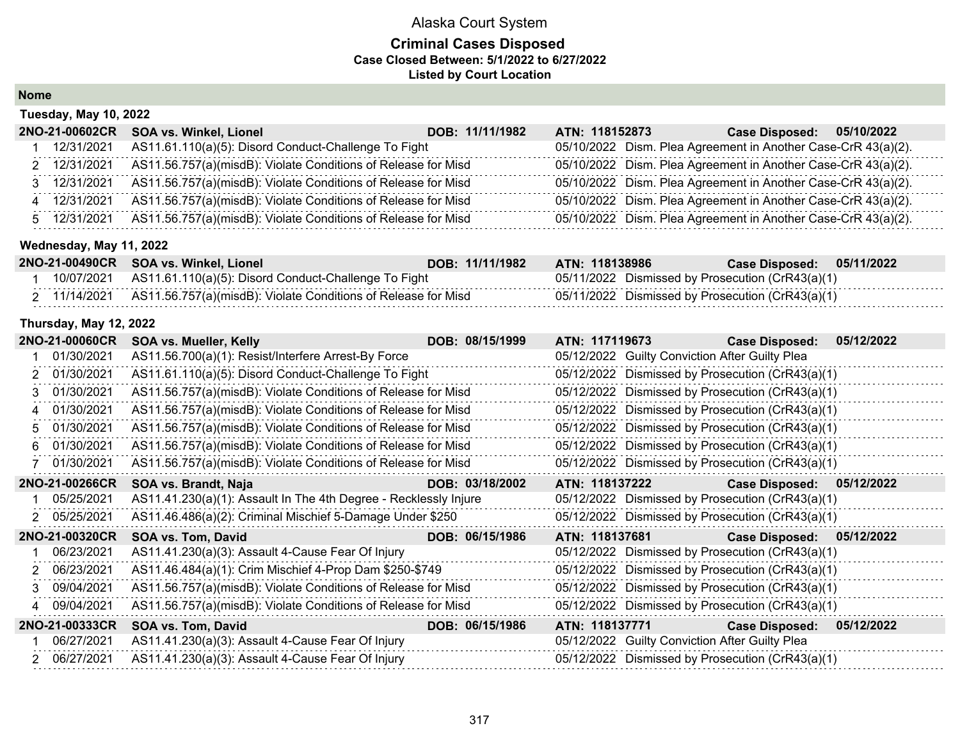### **Criminal Cases Disposed Case Closed Between: 5/1/2022 to 6/27/2022 Listed by Court Location**

**Nome**

| <b>Tuesday, May 10, 2022</b> |                                                               |                 |                |                                                               |  |
|------------------------------|---------------------------------------------------------------|-----------------|----------------|---------------------------------------------------------------|--|
| 2NO-21-00602CR               | <b>SOA vs. Winkel, Lionel</b>                                 | DOB: 11/11/1982 | ATN: 118152873 | 05/10/2022<br><b>Case Disposed:</b>                           |  |
| 12/31/2021                   | AS11.61.110(a)(5): Disord Conduct-Challenge To Fight          |                 |                | 05/10/2022 Dism. Plea Agreement in Another Case-CrR 43(a)(2). |  |
| 2 12/31/2021                 | AS11.56.757(a)(misdB): Violate Conditions of Release for Misd |                 |                | 05/10/2022 Dism. Plea Agreement in Another Case-CrR 43(a)(2). |  |
| 3 12/31/2021                 | AS11.56.757(a)(misdB): Violate Conditions of Release for Misd |                 |                | 05/10/2022 Dism. Plea Agreement in Another Case-CrR 43(a)(2). |  |
| 4 12/31/2021                 | AS11.56.757(a)(misdB): Violate Conditions of Release for Misd |                 |                | 05/10/2022 Dism. Plea Agreement in Another Case-CrR 43(a)(2). |  |
| 5 12/31/2021                 | AS11.56.757(a)(misdB): Violate Conditions of Release for Misd |                 |                | 05/10/2022 Dism. Plea Agreement in Another Case-CrR 43(a)(2). |  |
|                              |                                                               |                 |                |                                                               |  |

## **Wednesday, May 11, 2022**

|              | 2NO-21-00490CR SOA vs. Winkel, Lionel                           | DOB: 11/11/1982 | ATN: 118138986                                   | Case Disposed: 05/11/2022 |  |
|--------------|-----------------------------------------------------------------|-----------------|--------------------------------------------------|---------------------------|--|
|              | 10/07/2021 AS11.61.110(a)(5): Disord Conduct-Challenge To Fight |                 | 05/11/2022 Dismissed by Prosecution (CrR43(a)(1) |                           |  |
| 2 11/14/2021 | AS11.56.757(a)(misdB): Violate Conditions of Release for Misd   |                 | 05/11/2022 Dismissed by Prosecution (CrR43(a)(1) |                           |  |

#### **Thursday, May 12, 2022**

|    | 2NO-21-00060CR | <b>SOA vs. Mueller, Kelly</b>                                    | DOB: 08/15/1999 | ATN: 117119673 | <b>Case Disposed:</b>                            | 05/12/2022 |
|----|----------------|------------------------------------------------------------------|-----------------|----------------|--------------------------------------------------|------------|
|    | 01/30/2021     | AS11.56.700(a)(1): Resist/Interfere Arrest-By Force              |                 |                | 05/12/2022 Guilty Conviction After Guilty Plea   |            |
|    | 01/30/2021     | AS11.61.110(a)(5): Disord Conduct-Challenge To Fight             |                 |                | 05/12/2022 Dismissed by Prosecution (CrR43(a)(1) |            |
|    | 01/30/2021     | AS11.56.757(a)(misdB): Violate Conditions of Release for Misd    |                 |                | 05/12/2022 Dismissed by Prosecution (CrR43(a)(1) |            |
|    | 01/30/2021     | AS11.56.757(a)(misdB): Violate Conditions of Release for Misd    |                 |                | 05/12/2022 Dismissed by Prosecution (CrR43(a)(1) |            |
|    | 01/30/2021     | AS11.56.757(a)(misdB): Violate Conditions of Release for Misd    |                 |                | 05/12/2022 Dismissed by Prosecution (CrR43(a)(1) |            |
|    | 01/30/2021     | AS11.56.757(a)(misdB): Violate Conditions of Release for Misd    |                 |                | 05/12/2022 Dismissed by Prosecution (CrR43(a)(1) |            |
|    | 01/30/2021     | AS11.56.757(a)(misdB): Violate Conditions of Release for Misd    |                 |                | 05/12/2022 Dismissed by Prosecution (CrR43(a)(1) |            |
|    | 2NO-21-00266CR | SOA vs. Brandt, Naja                                             | DOB: 03/18/2002 | ATN: 118137222 | Case Disposed: 05/12/2022                        |            |
|    | 05/25/2021     | AS11.41.230(a)(1): Assault In The 4th Degree - Recklessly Injure |                 |                | 05/12/2022 Dismissed by Prosecution (CrR43(a)(1) |            |
|    | 2 05/25/2021   | AS11.46.486(a)(2): Criminal Mischief 5-Damage Under \$250        |                 |                | 05/12/2022 Dismissed by Prosecution (CrR43(a)(1) |            |
|    | 2NO-21-00320CR | SOA vs. Tom, David                                               | DOB: 06/15/1986 | ATN: 118137681 | Case Disposed: 05/12/2022                        |            |
|    | 06/23/2021     | AS11.41.230(a)(3): Assault 4-Cause Fear Of Injury                |                 |                | 05/12/2022 Dismissed by Prosecution (CrR43(a)(1) |            |
|    | 2 06/23/2021   | AS11.46.484(a)(1): Crim Mischief 4-Prop Dam \$250-\$749          |                 |                | 05/12/2022 Dismissed by Prosecution (CrR43(a)(1) |            |
| 3. | 09/04/2021     | AS11.56.757(a)(misdB): Violate Conditions of Release for Misd    |                 |                | 05/12/2022 Dismissed by Prosecution (CrR43(a)(1) |            |
|    | 4 09/04/2021   | AS11.56.757(a)(misdB): Violate Conditions of Release for Misd    |                 |                | 05/12/2022 Dismissed by Prosecution (CrR43(a)(1) |            |
|    | 2NO-21-00333CR | SOA vs. Tom, David                                               | DOB: 06/15/1986 | ATN: 118137771 | <b>Case Disposed:</b>                            | 05/12/2022 |
|    | 06/27/2021     | AS11.41.230(a)(3): Assault 4-Cause Fear Of Injury                |                 |                | 05/12/2022 Guilty Conviction After Guilty Plea   |            |
|    | 06/27/2021     | AS11.41.230(a)(3): Assault 4-Cause Fear Of Injury                |                 |                | 05/12/2022 Dismissed by Prosecution (CrR43(a)(1) |            |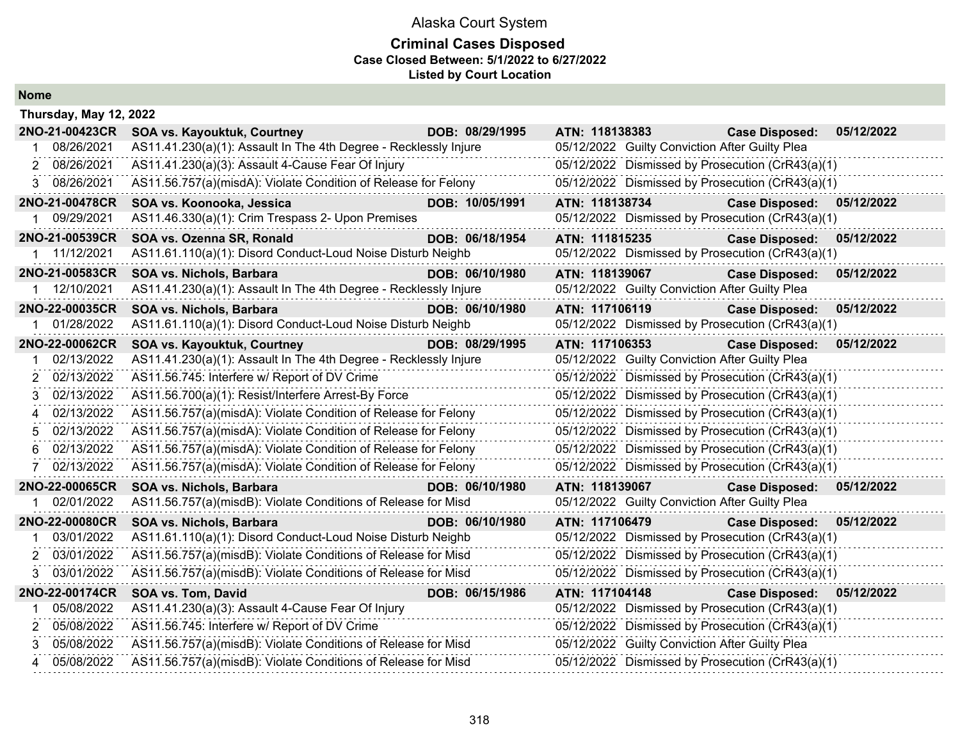## **Criminal Cases Disposed Case Closed Between: 5/1/2022 to 6/27/2022 Listed by Court Location**

**Nome**

|    | Thursday, May 12, 2022 |                                                                  |                 |                                                  |                       |            |
|----|------------------------|------------------------------------------------------------------|-----------------|--------------------------------------------------|-----------------------|------------|
|    | 2NO-21-00423CR         | SOA vs. Kayouktuk, Courtney                                      | DOB: 08/29/1995 | ATN: 118138383                                   | <b>Case Disposed:</b> | 05/12/2022 |
| 1  | 08/26/2021             | AS11.41.230(a)(1): Assault In The 4th Degree - Recklessly Injure |                 | 05/12/2022 Guilty Conviction After Guilty Plea   |                       |            |
| 2  | 08/26/2021             | AS11.41.230(a)(3): Assault 4-Cause Fear Of Injury                |                 | 05/12/2022 Dismissed by Prosecution (CrR43(a)(1) |                       |            |
| 3  | 08/26/2021             | AS11.56.757(a)(misdA): Violate Condition of Release for Felony   |                 | 05/12/2022 Dismissed by Prosecution (CrR43(a)(1) |                       |            |
|    | 2NO-21-00478CR         | SOA vs. Koonooka, Jessica                                        | DOB: 10/05/1991 | ATN: 118138734                                   | <b>Case Disposed:</b> | 05/12/2022 |
|    | 09/29/2021             | AS11.46.330(a)(1): Crim Trespass 2- Upon Premises                |                 | 05/12/2022 Dismissed by Prosecution (CrR43(a)(1) |                       |            |
|    | 2NO-21-00539CR         | SOA vs. Ozenna SR, Ronald                                        | DOB: 06/18/1954 | ATN: 111815235                                   | <b>Case Disposed:</b> | 05/12/2022 |
|    | 1 11/12/2021           | AS11.61.110(a)(1): Disord Conduct-Loud Noise Disturb Neighb      |                 | 05/12/2022 Dismissed by Prosecution (CrR43(a)(1) |                       |            |
|    | 2NO-21-00583CR         | SOA vs. Nichols, Barbara                                         | DOB: 06/10/1980 | ATN: 118139067                                   | <b>Case Disposed:</b> | 05/12/2022 |
|    | 1 12/10/2021           | AS11.41.230(a)(1): Assault In The 4th Degree - Recklessly Injure |                 | 05/12/2022 Guilty Conviction After Guilty Plea   |                       |            |
|    | 2NO-22-00035CR         | SOA vs. Nichols, Barbara                                         | DOB: 06/10/1980 | ATN: 117106119                                   | <b>Case Disposed:</b> | 05/12/2022 |
|    | 01/28/2022             | AS11.61.110(a)(1): Disord Conduct-Loud Noise Disturb Neighb      |                 | 05/12/2022 Dismissed by Prosecution (CrR43(a)(1) |                       |            |
|    | 2NO-22-00062CR         | <b>SOA vs. Kayouktuk, Courtney</b>                               | DOB: 08/29/1995 | ATN: 117106353                                   | <b>Case Disposed:</b> | 05/12/2022 |
|    | 02/13/2022             | AS11.41.230(a)(1): Assault In The 4th Degree - Recklessly Injure |                 | 05/12/2022 Guilty Conviction After Guilty Plea   |                       |            |
| 2  | 02/13/2022             | AS11.56.745: Interfere w/ Report of DV Crime                     |                 | 05/12/2022 Dismissed by Prosecution (CrR43(a)(1) |                       |            |
| 3  | 02/13/2022             | AS11.56.700(a)(1): Resist/Interfere Arrest-By Force              |                 | 05/12/2022 Dismissed by Prosecution (CrR43(a)(1) |                       |            |
| 4  | 02/13/2022             | AS11.56.757(a)(misdA): Violate Condition of Release for Felony   |                 | 05/12/2022 Dismissed by Prosecution (CrR43(a)(1) |                       |            |
| 5  | 02/13/2022             | AS11.56.757(a)(misdA): Violate Condition of Release for Felony   |                 | 05/12/2022 Dismissed by Prosecution (CrR43(a)(1) |                       |            |
| 6  | 02/13/2022             | AS11.56.757(a)(misdA): Violate Condition of Release for Felony   |                 | 05/12/2022 Dismissed by Prosecution (CrR43(a)(1) |                       |            |
|    | 02/13/2022             | AS11.56.757(a)(misdA): Violate Condition of Release for Felony   |                 | 05/12/2022 Dismissed by Prosecution (CrR43(a)(1) |                       |            |
|    | 2NO-22-00065CR         | SOA vs. Nichols, Barbara                                         | DOB: 06/10/1980 | ATN: 118139067                                   | <b>Case Disposed:</b> | 05/12/2022 |
|    | 02/01/2022             | AS11.56.757(a)(misdB): Violate Conditions of Release for Misd    |                 | 05/12/2022 Guilty Conviction After Guilty Plea   |                       |            |
|    | 2NO-22-00080CR         | SOA vs. Nichols, Barbara                                         | DOB: 06/10/1980 | ATN: 117106479                                   | <b>Case Disposed:</b> | 05/12/2022 |
|    | 03/01/2022             | AS11.61.110(a)(1): Disord Conduct-Loud Noise Disturb Neighb      |                 | 05/12/2022 Dismissed by Prosecution (CrR43(a)(1) |                       |            |
| 2  | 03/01/2022             | AS11.56.757(a)(misdB): Violate Conditions of Release for Misd    |                 | 05/12/2022 Dismissed by Prosecution (CrR43(a)(1) |                       |            |
| 3. | 03/01/2022             | AS11.56.757(a)(misdB): Violate Conditions of Release for Misd    |                 | 05/12/2022 Dismissed by Prosecution (CrR43(a)(1) |                       |            |
|    | 2NO-22-00174CR         | SOA vs. Tom, David                                               | DOB: 06/15/1986 | ATN: 117104148                                   | <b>Case Disposed:</b> | 05/12/2022 |
|    | 05/08/2022             | AS11.41.230(a)(3): Assault 4-Cause Fear Of Injury                |                 | 05/12/2022 Dismissed by Prosecution (CrR43(a)(1) |                       |            |
| 2  | 05/08/2022             | AS11.56.745: Interfere w/ Report of DV Crime                     |                 | 05/12/2022 Dismissed by Prosecution (CrR43(a)(1) |                       |            |
| 3  | 05/08/2022             | AS11.56.757(a)(misdB): Violate Conditions of Release for Misd    |                 | 05/12/2022 Guilty Conviction After Guilty Plea   |                       |            |
| 4  | 05/08/2022             | AS11.56.757(a)(misdB): Violate Conditions of Release for Misd    |                 | 05/12/2022 Dismissed by Prosecution (CrR43(a)(1) |                       |            |
|    |                        |                                                                  |                 |                                                  |                       |            |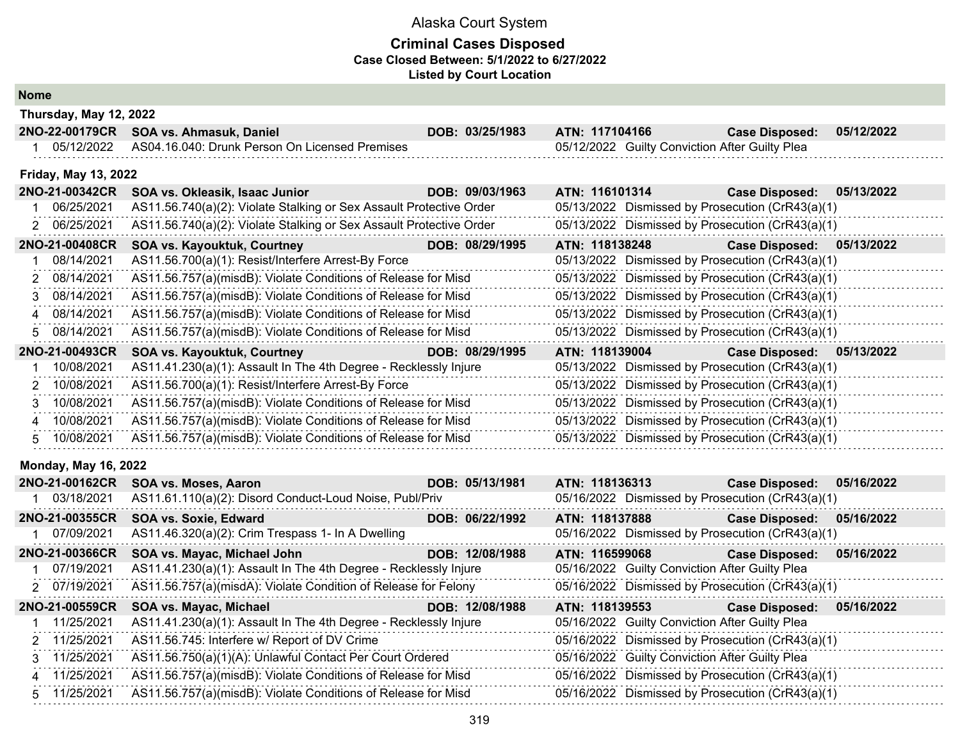### **Criminal Cases Disposed Case Closed Between: 5/1/2022 to 6/27/2022 Listed by Court Location**

**Nome**

| Thursday, May 12, 2022      |                                                                     |                 |                                                |                                                  |            |
|-----------------------------|---------------------------------------------------------------------|-----------------|------------------------------------------------|--------------------------------------------------|------------|
| 2NO-22-00179CR              | SOA vs. Ahmasuk, Daniel                                             | DOB: 03/25/1983 | ATN: 117104166                                 | <b>Case Disposed:</b>                            | 05/12/2022 |
| 1 05/12/2022                | AS04.16.040: Drunk Person On Licensed Premises                      |                 | 05/12/2022 Guilty Conviction After Guilty Plea |                                                  |            |
| <b>Friday, May 13, 2022</b> |                                                                     |                 |                                                |                                                  |            |
| 2NO-21-00342CR              | SOA vs. Okleasik, Isaac Junior                                      | DOB: 09/03/1963 | ATN: 116101314                                 | <b>Case Disposed:</b>                            | 05/13/2022 |
| 06/25/2021                  | AS11.56.740(a)(2): Violate Stalking or Sex Assault Protective Order |                 |                                                | 05/13/2022 Dismissed by Prosecution (CrR43(a)(1) |            |
| 06/25/2021                  | AS11.56.740(a)(2): Violate Stalking or Sex Assault Protective Order |                 |                                                | 05/13/2022 Dismissed by Prosecution (CrR43(a)(1) |            |
| 2NO-21-00408CR              | SOA vs. Kayouktuk, Courtney                                         | DOB: 08/29/1995 | ATN: 118138248                                 | <b>Case Disposed:</b>                            | 05/13/2022 |
| 08/14/2021                  | AS11.56.700(a)(1): Resist/Interfere Arrest-By Force                 |                 |                                                | 05/13/2022 Dismissed by Prosecution (CrR43(a)(1) |            |
| 08/14/2021<br>2             | AS11.56.757(a)(misdB): Violate Conditions of Release for Misd       |                 |                                                | 05/13/2022 Dismissed by Prosecution (CrR43(a)(1) |            |
| 08/14/2021<br>3             | AS11.56.757(a)(misdB): Violate Conditions of Release for Misd       |                 |                                                | 05/13/2022 Dismissed by Prosecution (CrR43(a)(1) |            |
| 08/14/2021<br>4             | AS11.56.757(a)(misdB): Violate Conditions of Release for Misd       |                 |                                                | 05/13/2022 Dismissed by Prosecution (CrR43(a)(1) |            |
| 08/14/2021<br>5.            | AS11.56.757(a)(misdB): Violate Conditions of Release for Misd       |                 |                                                | 05/13/2022 Dismissed by Prosecution (CrR43(a)(1) |            |
| 2NO-21-00493CR              | SOA vs. Kayouktuk, Courtney                                         | DOB: 08/29/1995 | ATN: 118139004                                 | Case Disposed: 05/13/2022                        |            |
| 10/08/2021                  | AS11.41.230(a)(1): Assault In The 4th Degree - Recklessly Injure    |                 |                                                | 05/13/2022 Dismissed by Prosecution (CrR43(a)(1) |            |
| 10/08/2021                  | AS11.56.700(a)(1): Resist/Interfere Arrest-By Force                 |                 |                                                | 05/13/2022 Dismissed by Prosecution (CrR43(a)(1) |            |
| 10/08/2021<br>3             | AS11.56.757(a)(misdB): Violate Conditions of Release for Misd       |                 |                                                | 05/13/2022 Dismissed by Prosecution (CrR43(a)(1) |            |
| 10/08/2021<br>Δ             | AS11.56.757(a)(misdB): Violate Conditions of Release for Misd       |                 |                                                | 05/13/2022 Dismissed by Prosecution (CrR43(a)(1) |            |
| 10/08/2021<br>5             | AS11.56.757(a)(misdB): Violate Conditions of Release for Misd       |                 |                                                | 05/13/2022 Dismissed by Prosecution (CrR43(a)(1) |            |
| <b>Monday, May 16, 2022</b> |                                                                     |                 |                                                |                                                  |            |
| 2NO-21-00162CR              | SOA vs. Moses, Aaron                                                | DOB: 05/13/1981 | ATN: 118136313                                 | <b>Case Disposed:</b>                            | 05/16/2022 |
| 1 03/18/2021                | AS11.61.110(a)(2): Disord Conduct-Loud Noise, Publ/Priv             |                 |                                                | 05/16/2022 Dismissed by Prosecution (CrR43(a)(1) |            |
| 2NO-21-00355CR              | SOA vs. Soxie, Edward                                               | DOB: 06/22/1992 | ATN: 118137888                                 | <b>Case Disposed:</b>                            | 05/16/2022 |
| 07/09/2021                  | AS11.46.320(a)(2): Crim Trespass 1- In A Dwelling                   |                 |                                                | 05/16/2022 Dismissed by Prosecution (CrR43(a)(1) |            |
| 2NO-21-00366CR              | SOA vs. Mayac, Michael John                                         | DOB: 12/08/1988 | ATN: 116599068                                 | <b>Case Disposed:</b>                            | 05/16/2022 |
| 07/19/2021                  | AS11.41.230(a)(1): Assault In The 4th Degree - Recklessly Injure    |                 | 05/16/2022 Guilty Conviction After Guilty Plea |                                                  |            |
| 2 07/19/2021                | AS11.56.757(a)(misdA): Violate Condition of Release for Felony      |                 |                                                | 05/16/2022 Dismissed by Prosecution (CrR43(a)(1) |            |
| 2NO-21-00559CR              | SOA vs. Mayac, Michael                                              | DOB: 12/08/1988 | ATN: 118139553                                 | <b>Case Disposed:</b>                            | 05/16/2022 |
| 11/25/2021                  | AS11.41.230(a)(1): Assault In The 4th Degree - Recklessly Injure    |                 | 05/16/2022 Guilty Conviction After Guilty Plea |                                                  |            |
| 2 11/25/2021                | AS11.56.745: Interfere w/ Report of DV Crime                        |                 |                                                | 05/16/2022 Dismissed by Prosecution (CrR43(a)(1) |            |
| 3 11/25/2021                | AS11.56.750(a)(1)(A): Unlawful Contact Per Court Ordered            |                 | 05/16/2022 Guilty Conviction After Guilty Plea |                                                  |            |
| 4 11/25/2021                | AS11.56.757(a)(misdB): Violate Conditions of Release for Misd       |                 |                                                | 05/16/2022 Dismissed by Prosecution (CrR43(a)(1) |            |

5 11/25/2021 AS11.56.757(a)(misdB): Violate Conditions of Release for Misd 05/16/2022 Dismissed by Prosecution (CrR43(a)(1)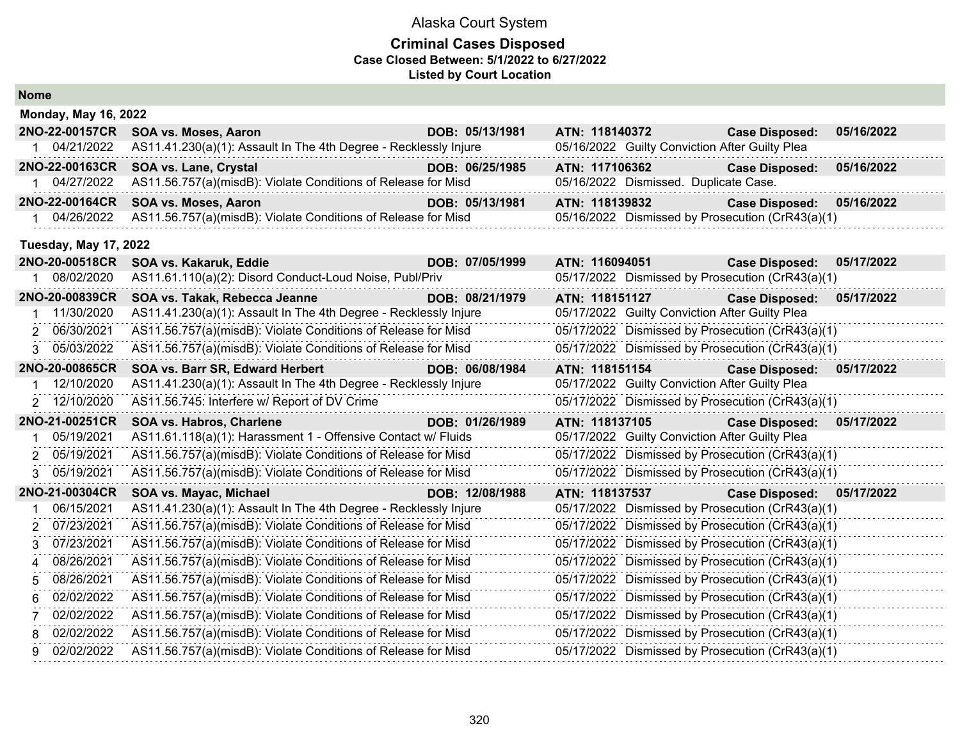| <b>Nome</b> |                              |                                                                  |                 |                                                  |                       |            |  |  |
|-------------|------------------------------|------------------------------------------------------------------|-----------------|--------------------------------------------------|-----------------------|------------|--|--|
|             | <b>Monday, May 16, 2022</b>  |                                                                  |                 |                                                  |                       |            |  |  |
|             | 2NO-22-00157CR               | SOA vs. Moses, Aaron                                             | DOB: 05/13/1981 | ATN: 118140372                                   | <b>Case Disposed:</b> | 05/16/2022 |  |  |
|             | 1 04/21/2022                 | AS11.41.230(a)(1): Assault In The 4th Degree - Recklessly Injure |                 | 05/16/2022 Guilty Conviction After Guilty Plea   |                       |            |  |  |
|             | 2NO-22-00163CR               | SOA vs. Lane, Crystal                                            | DOB: 06/25/1985 | ATN: 117106362                                   | <b>Case Disposed:</b> | 05/16/2022 |  |  |
|             | 1 04/27/2022                 | AS11.56.757(a)(misdB): Violate Conditions of Release for Misd    |                 | 05/16/2022 Dismissed. Duplicate Case.            |                       |            |  |  |
|             | 2NO-22-00164CR               | SOA vs. Moses, Aaron                                             | DOB: 05/13/1981 | ATN: 118139832                                   | <b>Case Disposed:</b> | 05/16/2022 |  |  |
|             | 1 04/26/2022                 | AS11.56.757(a)(misdB): Violate Conditions of Release for Misd    |                 | 05/16/2022 Dismissed by Prosecution (CrR43(a)(1) |                       |            |  |  |
|             | <b>Tuesday, May 17, 2022</b> |                                                                  |                 |                                                  |                       |            |  |  |
|             | 2NO-20-00518CR               | SOA vs. Kakaruk, Eddie                                           | DOB: 07/05/1999 | ATN: 116094051                                   | <b>Case Disposed:</b> | 05/17/2022 |  |  |
|             | 1 08/02/2020                 | AS11.61.110(a)(2): Disord Conduct-Loud Noise, Publ/Priv          |                 | 05/17/2022 Dismissed by Prosecution (CrR43(a)(1) |                       |            |  |  |
|             | 2NO-20-00839CR               | SOA vs. Takak, Rebecca Jeanne                                    | DOB: 08/21/1979 | ATN: 118151127                                   | <b>Case Disposed:</b> | 05/17/2022 |  |  |
|             | 1 11/30/2020                 | AS11.41.230(a)(1): Assault In The 4th Degree - Recklessly Injure |                 | 05/17/2022 Guilty Conviction After Guilty Plea   |                       |            |  |  |
| 2           | 06/30/2021                   | AS11.56.757(a)(misdB): Violate Conditions of Release for Misd    |                 | 05/17/2022 Dismissed by Prosecution (CrR43(a)(1) |                       |            |  |  |
| 3           | 05/03/2022                   | AS11.56.757(a)(misdB): Violate Conditions of Release for Misd    |                 | 05/17/2022 Dismissed by Prosecution (CrR43(a)(1) |                       |            |  |  |
|             | 2NO-20-00865CR               | SOA vs. Barr SR, Edward Herbert                                  | DOB: 06/08/1984 | ATN: 118151154                                   | <b>Case Disposed:</b> | 05/17/2022 |  |  |
|             | 12/10/2020                   | AS11.41.230(a)(1): Assault In The 4th Degree - Recklessly Injure |                 | 05/17/2022 Guilty Conviction After Guilty Plea   |                       |            |  |  |
| 2           | 12/10/2020                   | AS11.56.745: Interfere w/ Report of DV Crime                     |                 | 05/17/2022 Dismissed by Prosecution (CrR43(a)(1) |                       |            |  |  |
|             | 2NO-21-00251CR               | <b>SOA vs. Habros, Charlene</b>                                  | DOB: 01/26/1989 | ATN: 118137105                                   | <b>Case Disposed:</b> | 05/17/2022 |  |  |
|             | 05/19/2021                   | AS11.61.118(a)(1): Harassment 1 - Offensive Contact w/ Fluids    |                 | 05/17/2022 Guilty Conviction After Guilty Plea   |                       |            |  |  |
| 2           | 05/19/2021                   | AS11.56.757(a)(misdB): Violate Conditions of Release for Misd    |                 | 05/17/2022 Dismissed by Prosecution (CrR43(a)(1) |                       |            |  |  |
|             | 05/19/2021                   | AS11.56.757(a)(misdB): Violate Conditions of Release for Misd    |                 | 05/17/2022 Dismissed by Prosecution (CrR43(a)(1) |                       |            |  |  |
|             | 2NO-21-00304CR               | SOA vs. Mayac, Michael                                           | DOB: 12/08/1988 | ATN: 118137537                                   | <b>Case Disposed:</b> | 05/17/2022 |  |  |
|             | 06/15/2021                   | AS11.41.230(a)(1): Assault In The 4th Degree - Recklessly Injure |                 | 05/17/2022 Dismissed by Prosecution (CrR43(a)(1) |                       |            |  |  |
|             | 07/23/2021                   | AS11.56.757(a)(misdB): Violate Conditions of Release for Misd    |                 | 05/17/2022 Dismissed by Prosecution (CrR43(a)(1) |                       |            |  |  |
| 3           | 07/23/2021                   | AS11.56.757(a)(misdB): Violate Conditions of Release for Misd    |                 | 05/17/2022 Dismissed by Prosecution (CrR43(a)(1) |                       |            |  |  |
| 4           | 08/26/2021                   | AS11.56.757(a)(misdB): Violate Conditions of Release for Misd    |                 | 05/17/2022 Dismissed by Prosecution (CrR43(a)(1) |                       |            |  |  |
| 5           | 08/26/2021                   | AS11.56.757(a)(misdB): Violate Conditions of Release for Misd    |                 | 05/17/2022 Dismissed by Prosecution (CrR43(a)(1) |                       |            |  |  |
| 6           | 02/02/2022                   | AS11.56.757(a)(misdB): Violate Conditions of Release for Misd    |                 | 05/17/2022 Dismissed by Prosecution (CrR43(a)(1) |                       |            |  |  |
| 7           | 02/02/2022                   | AS11.56.757(a)(misdB): Violate Conditions of Release for Misd    |                 | 05/17/2022 Dismissed by Prosecution (CrR43(a)(1) |                       |            |  |  |
| 8           | 02/02/2022                   | AS11.56.757(a)(misdB): Violate Conditions of Release for Misd    |                 | 05/17/2022 Dismissed by Prosecution (CrR43(a)(1) |                       |            |  |  |
| 9           | 02/02/2022                   | AS11.56.757(a)(misdB): Violate Conditions of Release for Misd    |                 | 05/17/2022 Dismissed by Prosecution (CrR43(a)(1) |                       |            |  |  |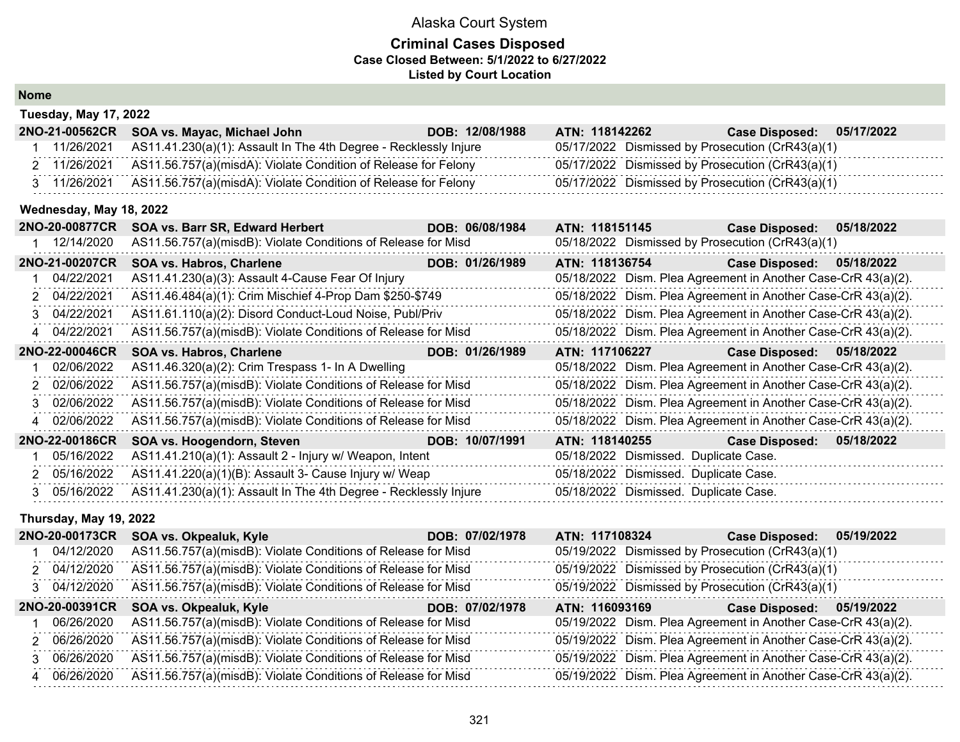## **Criminal Cases Disposed Case Closed Between: 5/1/2022 to 6/27/2022 Listed by Court Location**

|    | <b>Tuesday, May 17, 2022</b> |                                                                  |                 |                                                               |                       |            |
|----|------------------------------|------------------------------------------------------------------|-----------------|---------------------------------------------------------------|-----------------------|------------|
|    | 2NO-21-00562CR               | SOA vs. Mayac, Michael John SOA vs. Mayac, Michael John          | DOB: 12/08/1988 | ATN: 118142262                                                | <b>Case Disposed:</b> | 05/17/2022 |
|    | 11/26/2021                   | AS11.41.230(a)(1): Assault In The 4th Degree - Recklessly Injure |                 | 05/17/2022 Dismissed by Prosecution (CrR43(a)(1)              |                       |            |
|    | 2 11/26/2021                 | AS11.56.757(a)(misdA): Violate Condition of Release for Felony   |                 | 05/17/2022 Dismissed by Prosecution (CrR43(a)(1)              |                       |            |
|    | 3 11/26/2021                 | AS11.56.757(a)(misdA): Violate Condition of Release for Felony   |                 | 05/17/2022 Dismissed by Prosecution (CrR43(a)(1)              |                       |            |
|    | Wednesday, May 18, 2022      |                                                                  |                 |                                                               |                       |            |
|    | 2NO-20-00877CR               | SOA vs. Barr SR, Edward Herbert                                  | DOB: 06/08/1984 | ATN: 118151145                                                | <b>Case Disposed:</b> | 05/18/2022 |
|    | 1 12/14/2020                 | AS11.56.757(a)(misdB): Violate Conditions of Release for Misd    |                 | 05/18/2022 Dismissed by Prosecution (CrR43(a)(1)              |                       |            |
|    | 2NO-21-00207CR               | SOA vs. Habros, Charlene                                         | DOB: 01/26/1989 | ATN: 118136754                                                | <b>Case Disposed:</b> | 05/18/2022 |
|    | 04/22/2021                   | AS11.41.230(a)(3): Assault 4-Cause Fear Of Injury                |                 | 05/18/2022 Dism. Plea Agreement in Another Case-CrR 43(a)(2). |                       |            |
|    | 2 04/22/2021                 | AS11.46.484(a)(1): Crim Mischief 4-Prop Dam \$250-\$749          |                 | 05/18/2022 Dism. Plea Agreement in Another Case-CrR 43(a)(2). |                       |            |
| 3. | 04/22/2021                   | AS11.61.110(a)(2): Disord Conduct-Loud Noise, Publ/Priv          |                 | 05/18/2022 Dism. Plea Agreement in Another Case-CrR 43(a)(2). |                       |            |
| 4  | 04/22/2021                   | AS11.56.757(a)(misdB): Violate Conditions of Release for Misd    |                 | 05/18/2022 Dism. Plea Agreement in Another Case-CrR 43(a)(2). |                       |            |
|    | 2NO-22-00046CR               | SOA vs. Habros, Charlene                                         | DOB: 01/26/1989 | ATN: 117106227                                                | <b>Case Disposed:</b> | 05/18/2022 |
|    | 02/06/2022                   | AS11.46.320(a)(2): Crim Trespass 1- In A Dwelling                |                 | 05/18/2022 Dism. Plea Agreement in Another Case-CrR 43(a)(2). |                       |            |
|    | 02/06/2022                   | AS11.56.757(a)(misdB): Violate Conditions of Release for Misd    |                 | 05/18/2022 Dism. Plea Agreement in Another Case-CrR 43(a)(2). |                       |            |
| 3  | 02/06/2022                   | AS11.56.757(a)(misdB): Violate Conditions of Release for Misd    |                 | 05/18/2022 Dism. Plea Agreement in Another Case-CrR 43(a)(2). |                       |            |
| 4  | 02/06/2022                   | AS11.56.757(a)(misdB): Violate Conditions of Release for Misd    |                 | 05/18/2022 Dism. Plea Agreement in Another Case-CrR 43(a)(2). |                       |            |
|    | 2NO-22-00186CR               | SOA vs. Hoogendorn, Steven                                       | DOB: 10/07/1991 | ATN: 118140255 Case Disposed:                                 |                       | 05/18/2022 |
|    | 05/16/2022                   | AS11.41.210(a)(1): Assault 2 - Injury w/ Weapon, Intent          |                 | 05/18/2022 Dismissed. Duplicate Case.                         |                       |            |
| 2. | 05/16/2022                   | AS11.41.220(a)(1)(B): Assault 3- Cause Injury w/ Weap            |                 | 05/18/2022 Dismissed. Duplicate Case.                         |                       |            |
|    | 3 05/16/2022                 | AS11.41.230(a)(1): Assault In The 4th Degree - Recklessly Injure |                 | 05/18/2022 Dismissed. Duplicate Case.                         |                       |            |

## **Thursday, May 19, 2022**

| 2NO-20-00173CR | SOA vs. Okpealuk, Kyle                                        | DOB: 07/02/1978 | ATN: 117108324                                   | 05/19/2022<br><b>Case Disposed:</b>                           |
|----------------|---------------------------------------------------------------|-----------------|--------------------------------------------------|---------------------------------------------------------------|
| 04/12/2020     | AS11.56.757(a)(misdB): Violate Conditions of Release for Misd |                 | 05/19/2022 Dismissed by Prosecution (CrR43(a)(1) |                                                               |
| 2 04/12/2020   | AS11.56.757(a)(misdB): Violate Conditions of Release for Misd |                 | 05/19/2022 Dismissed by Prosecution (CrR43(a)(1) |                                                               |
| 3 04/12/2020   | AS11.56.757(a)(misdB): Violate Conditions of Release for Misd |                 | 05/19/2022 Dismissed by Prosecution (CrR43(a)(1) |                                                               |
| 2NO-20-00391CR | SOA vs. Okpealuk, Kyle                                        | DOB: 07/02/1978 | ATN: 116093169                                   | 05/19/2022<br><b>Case Disposed:</b>                           |
| 06/26/2020     | AS11.56.757(a)(misdB): Violate Conditions of Release for Misd |                 |                                                  | 05/19/2022 Dism. Plea Agreement in Another Case-CrR 43(a)(2). |
| 2 06/26/2020   | AS11.56.757(a)(misdB): Violate Conditions of Release for Misd |                 |                                                  | 05/19/2022 Dism. Plea Agreement in Another Case-CrR 43(a)(2). |
| 3 06/26/2020   | AS11.56.757(a)(misdB): Violate Conditions of Release for Misd |                 |                                                  | 05/19/2022 Dism. Plea Agreement in Another Case-CrR 43(a)(2). |
| 4 06/26/2020   | AS11.56.757(a)(misdB): Violate Conditions of Release for Misd |                 |                                                  | 05/19/2022 Dism. Plea Agreement in Another Case-CrR 43(a)(2). |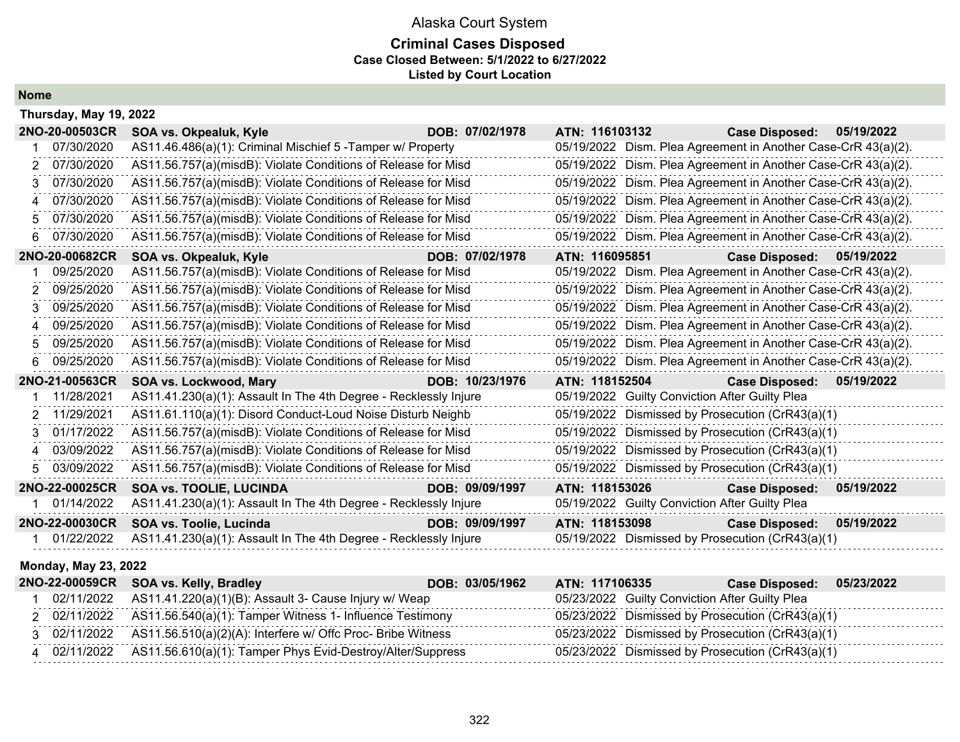## **Criminal Cases Disposed Case Closed Between: 5/1/2022 to 6/27/2022 Listed by Court Location**

**Nome**

|             | Thursday, May 19, 2022 |                                                                  |                 |                                                  |                                                               |  |  |  |
|-------------|------------------------|------------------------------------------------------------------|-----------------|--------------------------------------------------|---------------------------------------------------------------|--|--|--|
|             | 2NO-20-00503CR         | SOA vs. Okpealuk, Kyle                                           | DOB: 07/02/1978 | ATN: 116103132                                   | <b>Case Disposed:</b><br>05/19/2022                           |  |  |  |
|             | 07/30/2020             | AS11.46.486(a)(1): Criminal Mischief 5 - Tamper w/ Property      |                 |                                                  | 05/19/2022 Dism. Plea Agreement in Another Case-CrR 43(a)(2). |  |  |  |
| 2           | 07/30/2020             | AS11.56.757(a)(misdB): Violate Conditions of Release for Misd    |                 |                                                  | 05/19/2022 Dism. Plea Agreement in Another Case-CrR 43(a)(2). |  |  |  |
| 3           | 07/30/2020             | AS11.56.757(a)(misdB): Violate Conditions of Release for Misd    |                 |                                                  | 05/19/2022 Dism. Plea Agreement in Another Case-CrR 43(a)(2). |  |  |  |
| Δ           | 07/30/2020             | AS11.56.757(a)(misdB): Violate Conditions of Release for Misd    |                 |                                                  | 05/19/2022 Dism. Plea Agreement in Another Case-CrR 43(a)(2). |  |  |  |
| 5           | 07/30/2020             | AS11.56.757(a)(misdB): Violate Conditions of Release for Misd    |                 |                                                  | 05/19/2022 Dism. Plea Agreement in Another Case-CrR 43(a)(2). |  |  |  |
| 6           | 07/30/2020             | AS11.56.757(a)(misdB): Violate Conditions of Release for Misd    |                 |                                                  | 05/19/2022 Dism. Plea Agreement in Another Case-CrR 43(a)(2). |  |  |  |
|             | 2NO-20-00682CR         | SOA vs. Okpealuk, Kyle                                           | DOB: 07/02/1978 | ATN: 116095851                                   | Case Disposed: 05/19/2022                                     |  |  |  |
|             | 09/25/2020             | AS11.56.757(a)(misdB): Violate Conditions of Release for Misd    |                 |                                                  | 05/19/2022 Dism. Plea Agreement in Another Case-CrR 43(a)(2). |  |  |  |
| 2           | 09/25/2020             | AS11.56.757(a)(misdB): Violate Conditions of Release for Misd    |                 |                                                  | 05/19/2022 Dism. Plea Agreement in Another Case-CrR 43(a)(2). |  |  |  |
| 3           | 09/25/2020             | AS11.56.757(a)(misdB): Violate Conditions of Release for Misd    |                 |                                                  | 05/19/2022 Dism. Plea Agreement in Another Case-CrR 43(a)(2). |  |  |  |
| Δ           | 09/25/2020             | AS11.56.757(a)(misdB): Violate Conditions of Release for Misd    |                 |                                                  | 05/19/2022 Dism. Plea Agreement in Another Case-CrR 43(a)(2). |  |  |  |
| 5           | 09/25/2020             | AS11.56.757(a)(misdB): Violate Conditions of Release for Misd    |                 |                                                  | 05/19/2022 Dism. Plea Agreement in Another Case-CrR 43(a)(2). |  |  |  |
| 6           | 09/25/2020             | AS11.56.757(a)(misdB): Violate Conditions of Release for Misd    |                 |                                                  | 05/19/2022 Dism. Plea Agreement in Another Case-CrR 43(a)(2). |  |  |  |
|             | 2NO-21-00563CR         | SOA vs. Lockwood, Mary                                           | DOB: 10/23/1976 | ATN: 118152504                                   | 05/19/2022<br><b>Case Disposed:</b>                           |  |  |  |
|             | 11/28/2021             | AS11.41.230(a)(1): Assault In The 4th Degree - Recklessly Injure |                 | 05/19/2022 Guilty Conviction After Guilty Plea   |                                                               |  |  |  |
| 2           | 11/29/2021             | AS11.61.110(a)(1): Disord Conduct-Loud Noise Disturb Neighb      |                 | 05/19/2022 Dismissed by Prosecution (CrR43(a)(1) |                                                               |  |  |  |
|             | 01/17/2022             | AS11.56.757(a)(misdB): Violate Conditions of Release for Misd    |                 | 05/19/2022                                       | Dismissed by Prosecution (CrR43(a)(1)                         |  |  |  |
| $\mathbf 4$ | 03/09/2022             | AS11.56.757(a)(misdB): Violate Conditions of Release for Misd    |                 | 05/19/2022                                       | Dismissed by Prosecution (CrR43(a)(1)                         |  |  |  |
| 5.          | 03/09/2022             | AS11.56.757(a)(misdB): Violate Conditions of Release for Misd    |                 | 05/19/2022 Dismissed by Prosecution (CrR43(a)(1) |                                                               |  |  |  |
|             | 2NO-22-00025CR         | <b>SOA vs. TOOLIE, LUCINDA</b>                                   | DOB: 09/09/1997 | ATN: 118153026                                   | <b>Case Disposed:</b><br>05/19/2022                           |  |  |  |
|             | 01/14/2022             | AS11.41.230(a)(1): Assault In The 4th Degree - Recklessly Injure |                 | 05/19/2022 Guilty Conviction After Guilty Plea   |                                                               |  |  |  |
|             | 2NO-22-00030CR         | SOA vs. Toolie, Lucinda                                          | DOB: 09/09/1997 | ATN: 118153098                                   | 05/19/2022<br><b>Case Disposed:</b>                           |  |  |  |
|             | 01/22/2022             | AS11.41.230(a)(1): Assault In The 4th Degree - Recklessly Injure |                 | 05/19/2022 Dismissed by Prosecution (CrR43(a)(1) |                                                               |  |  |  |

### **Monday, May 23, 2022**

|  | 2NO-22-00059CR SOA vs. Kelly, Bradley                                    | DOB: 03/05/1962 | ATN: 117106335 | <b>Case Disposed:</b>                            | 05/23/2022 |
|--|--------------------------------------------------------------------------|-----------------|----------------|--------------------------------------------------|------------|
|  | 02/11/2022 AS11.41.220(a)(1)(B): Assault 3- Cause Injury w/ Weap         |                 |                | 05/23/2022 Guilty Conviction After Guilty Plea   |            |
|  | 2 02/11/2022 AS11.56.540(a)(1): Tamper Witness 1- Influence Testimony    |                 |                | 05/23/2022 Dismissed by Prosecution (CrR43(a)(1) |            |
|  | 3 02/11/2022 AS11.56.510(a)(2)(A): Interfere w/ Offc Proc- Bribe Witness |                 |                | 05/23/2022 Dismissed by Prosecution (CrR43(a)(1) |            |
|  | 4 02/11/2022 AS11.56.610(a)(1): Tamper Phys Evid-Destroy/Alter/Suppress  |                 |                | 05/23/2022 Dismissed by Prosecution (CrR43(a)(1) |            |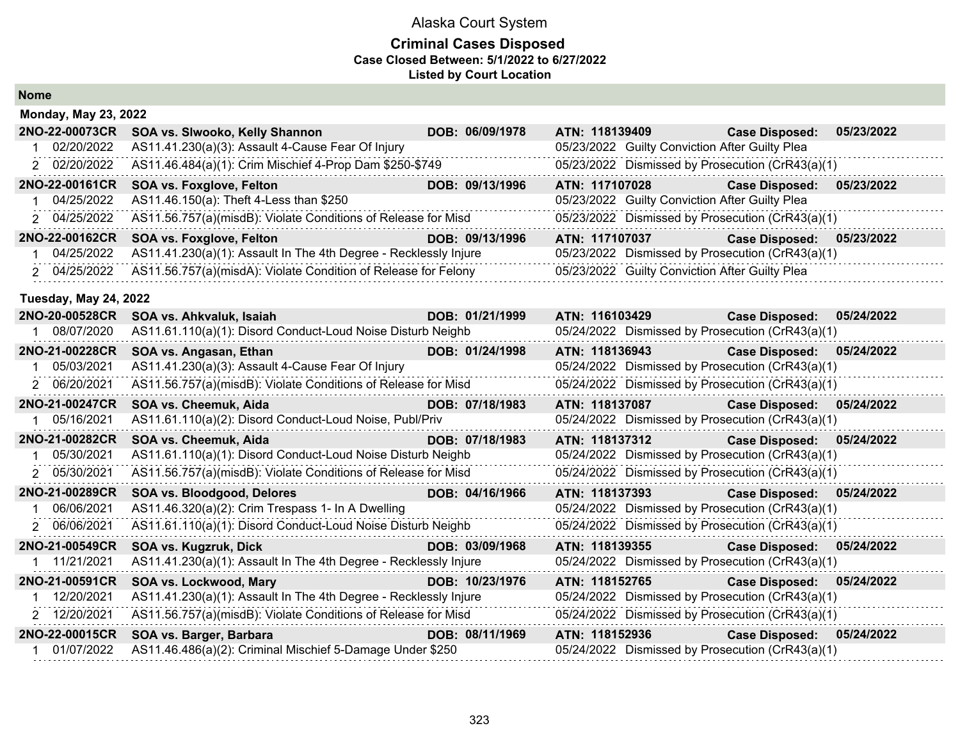#### **Criminal Cases Disposed Case Closed Between: 5/1/2022 to 6/27/2022 Listed by Court Location**

**Nome**

| <b>Monday, May 23, 2022</b>  |                                                                  |                 |                                                  |                           |            |
|------------------------------|------------------------------------------------------------------|-----------------|--------------------------------------------------|---------------------------|------------|
| 2NO-22-00073CR               | SOA vs. Slwooko, Kelly Shannon                                   | DOB: 06/09/1978 | ATN: 118139409                                   | <b>Case Disposed:</b>     | 05/23/2022 |
| 02/20/2022                   | AS11.41.230(a)(3): Assault 4-Cause Fear Of Injury                |                 | 05/23/2022 Guilty Conviction After Guilty Plea   |                           |            |
| 2 02/20/2022                 | AS11.46.484(a)(1): Crim Mischief 4-Prop Dam \$250-\$749          |                 | 05/23/2022 Dismissed by Prosecution (CrR43(a)(1) |                           |            |
| 2NO-22-00161CR               | <b>SOA vs. Foxglove, Felton</b>                                  | DOB: 09/13/1996 | ATN: 117107028                                   | <b>Case Disposed:</b>     | 05/23/2022 |
| 04/25/2022                   | AS11.46.150(a): Theft 4-Less than \$250                          |                 | 05/23/2022 Guilty Conviction After Guilty Plea   |                           |            |
| 2 04/25/2022                 | AS11.56.757(a)(misdB): Violate Conditions of Release for Misd    |                 | 05/23/2022 Dismissed by Prosecution (CrR43(a)(1) |                           |            |
| 2NO-22-00162CR               | <b>SOA vs. Foxglove, Felton</b>                                  | DOB: 09/13/1996 | ATN: 117107037                                   | Case Disposed: 05/23/2022 |            |
| 04/25/2022                   | AS11.41.230(a)(1): Assault In The 4th Degree - Recklessly Injure |                 | 05/23/2022 Dismissed by Prosecution (CrR43(a)(1) |                           |            |
| 2 04/25/2022                 | AS11.56.757(a)(misdA): Violate Condition of Release for Felony   |                 | 05/23/2022 Guilty Conviction After Guilty Plea   |                           |            |
| <b>Tuesday, May 24, 2022</b> |                                                                  |                 |                                                  |                           |            |
| 2NO-20-00528CR               | SOA vs. Ahkvaluk, Isaiah                                         | DOB: 01/21/1999 | ATN: 116103429                                   | <b>Case Disposed:</b>     | 05/24/2022 |
| 08/07/2020                   | AS11.61.110(a)(1): Disord Conduct-Loud Noise Disturb Neighb      |                 | 05/24/2022 Dismissed by Prosecution (CrR43(a)(1) |                           |            |
| 2NO-21-00228CR               | SOA vs. Angasan, Ethan                                           | DOB: 01/24/1998 | ATN: 118136943                                   | Case Disposed: 05/24/2022 |            |
| 05/03/2021                   | AS11.41.230(a)(3): Assault 4-Cause Fear Of Injury                |                 | 05/24/2022 Dismissed by Prosecution (CrR43(a)(1) |                           |            |
| 2 06/20/2021                 | AS11.56.757(a)(misdB): Violate Conditions of Release for Misd    |                 | 05/24/2022 Dismissed by Prosecution (CrR43(a)(1) |                           |            |
| 2NO-21-00247CR               | SOA vs. Cheemuk, Aida                                            | DOB: 07/18/1983 | ATN: 118137087 Case Disposed:                    |                           | 05/24/2022 |
| 05/16/2021                   | AS11.61.110(a)(2): Disord Conduct-Loud Noise, Publ/Priv          |                 | 05/24/2022 Dismissed by Prosecution (CrR43(a)(1) |                           |            |
| 2NO-21-00282CR               | SOA vs. Cheemuk, Aida                                            | DOB: 07/18/1983 | ATN: 118137312                                   | Case Disposed: 05/24/2022 |            |
| 05/30/2021                   | AS11.61.110(a)(1): Disord Conduct-Loud Noise Disturb Neighb      |                 | 05/24/2022 Dismissed by Prosecution (CrR43(a)(1) |                           |            |
| 2 05/30/2021                 | AS11.56.757(a)(misdB): Violate Conditions of Release for Misd    |                 | 05/24/2022 Dismissed by Prosecution (CrR43(a)(1) |                           |            |
| 2NO-21-00289CR               | SOA vs. Bloodgood, Delores                                       | DOB: 04/16/1966 | ATN: 118137393 Case Disposed: 05/24/2022         |                           |            |
| 06/06/2021                   | AS11.46.320(a)(2): Crim Trespass 1- In A Dwelling                |                 | 05/24/2022 Dismissed by Prosecution (CrR43(a)(1) |                           |            |
| 2 06/06/2021                 | AS11.61.110(a)(1): Disord Conduct-Loud Noise Disturb Neighb      |                 | 05/24/2022 Dismissed by Prosecution (CrR43(a)(1) |                           |            |
| 2NO-21-00549CR               | SOA vs. Kugzruk, Dick                                            | DOB: 03/09/1968 | ATN: 118139355                                   | Case Disposed: 05/24/2022 |            |
| 11/21/2021                   | AS11.41.230(a)(1): Assault In The 4th Degree - Recklessly Injure |                 | 05/24/2022 Dismissed by Prosecution (CrR43(a)(1) |                           |            |
| 2NO-21-00591CR               | SOA vs. Lockwood, Mary                                           | DOB: 10/23/1976 | ATN: 118152765                                   | Case Disposed: 05/24/2022 |            |
| 12/20/2021                   | AS11.41.230(a)(1): Assault In The 4th Degree - Recklessly Injure |                 | 05/24/2022 Dismissed by Prosecution (CrR43(a)(1) |                           |            |
| 2 12/20/2021                 | AS11.56.757(a)(misdB): Violate Conditions of Release for Misd    |                 | 05/24/2022 Dismissed by Prosecution (CrR43(a)(1) |                           |            |
| 2NO-22-00015CR               | SOA vs. Barger, Barbara                                          | DOB: 08/11/1969 | ATN: 118152936                                   | <b>Case Disposed:</b>     | 05/24/2022 |
| 01/07/2022                   | AS11.46.486(a)(2): Criminal Mischief 5-Damage Under \$250        |                 | 05/24/2022 Dismissed by Prosecution (CrR43(a)(1) |                           |            |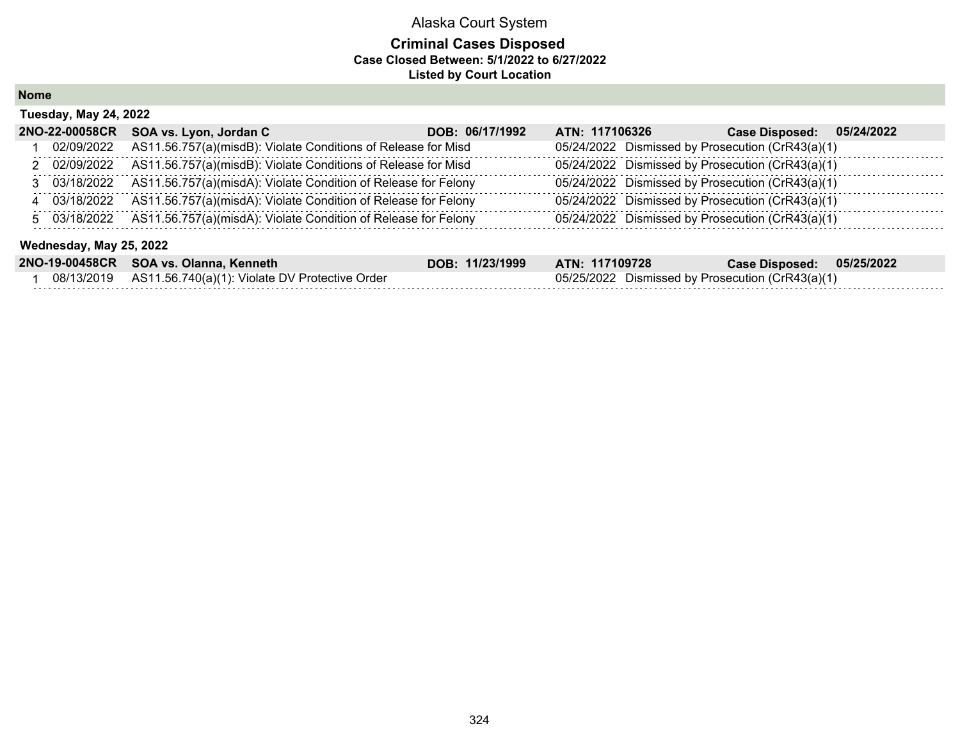#### **Criminal Cases Disposed Case Closed Between: 5/1/2022 to 6/27/2022 Listed by Court Location**

**Nome**

|                         | <b>Tuesday, May 24, 2022</b> |                                                                |                 |                                                  |                       |            |  |  |  |
|-------------------------|------------------------------|----------------------------------------------------------------|-----------------|--------------------------------------------------|-----------------------|------------|--|--|--|
|                         | 2NO-22-00058CR               | SOA vs. Lyon, Jordan C                                         | DOB: 06/17/1992 | ATN: 117106326                                   | <b>Case Disposed:</b> | 05/24/2022 |  |  |  |
|                         | 02/09/2022                   | AS11.56.757(a)(misdB): Violate Conditions of Release for Misd  |                 | 05/24/2022 Dismissed by Prosecution (CrR43(a)(1) |                       |            |  |  |  |
|                         | 2 02/09/2022                 | AS11.56.757(a)(misdB): Violate Conditions of Release for Misd  |                 | 05/24/2022 Dismissed by Prosecution (CrR43(a)(1) |                       |            |  |  |  |
|                         | 3 03/18/2022                 | AS11.56.757(a)(misdA): Violate Condition of Release for Felony |                 | 05/24/2022 Dismissed by Prosecution (CrR43(a)(1) |                       |            |  |  |  |
|                         | 4 03/18/2022                 | AS11.56.757(a)(misdA): Violate Condition of Release for Felony |                 | 05/24/2022 Dismissed by Prosecution (CrR43(a)(1) |                       |            |  |  |  |
|                         | 5 03/18/2022                 | AS11.56.757(a)(misdA): Violate Condition of Release for Felony |                 | 05/24/2022 Dismissed by Prosecution (CrR43(a)(1) |                       |            |  |  |  |
| Wednesday, May 25, 2022 |                              |                                                                |                 |                                                  |                       |            |  |  |  |
|                         |                              | 2NO-19-00458CR SOA vs. Olanna, Kenneth                         | DOB: 11/23/1999 | ATN: 117109728                                   | <b>Case Disposed:</b> | 05/25/2022 |  |  |  |

| <b>ENO-19-004000N GOA VS. Oldilild, Neillietii</b>           | UUD. 1114311333 | AIN. IIIIUJIZO                                   | Udse Disposeu. | UJIZJIZUZZ |
|--------------------------------------------------------------|-----------------|--------------------------------------------------|----------------|------------|
| 08/13/2019    AS11.56.740(a)(1): Violate DV Protective Order |                 | 05/25/2022 Dismissed by Prosecution (CrR43(a)(1) |                |            |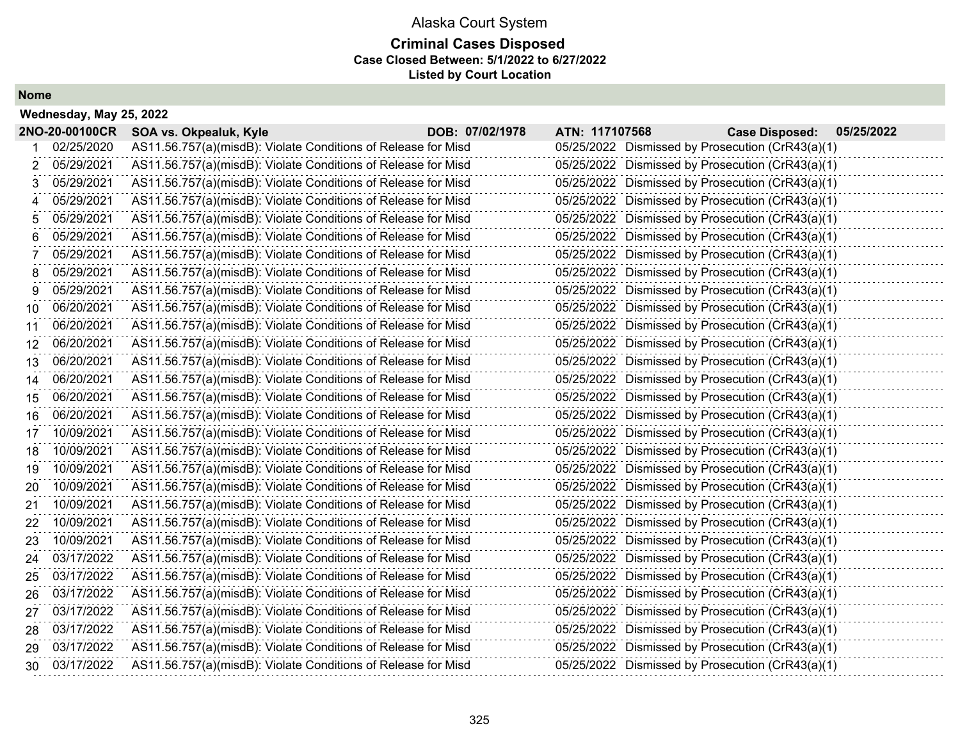## Alaska Court System **Criminal Cases Disposed Case Closed Between: 5/1/2022 to 6/27/2022 Listed by Court Location**

**Nome**

|    | Wednesday, May 25, 2022 |                                                               |                 |                |                                                  |            |
|----|-------------------------|---------------------------------------------------------------|-----------------|----------------|--------------------------------------------------|------------|
|    | 2NO-20-00100CR          | SOA vs. Okpealuk, Kyle                                        | DOB: 07/02/1978 | ATN: 117107568 | <b>Case Disposed:</b>                            | 05/25/2022 |
|    | 02/25/2020              | AS11.56.757(a)(misdB): Violate Conditions of Release for Misd |                 |                | 05/25/2022 Dismissed by Prosecution (CrR43(a)(1) |            |
| 2  | 05/29/2021              | AS11.56.757(a)(misdB): Violate Conditions of Release for Misd |                 |                | 05/25/2022 Dismissed by Prosecution (CrR43(a)(1) |            |
| 3  | 05/29/2021              | AS11.56.757(a)(misdB): Violate Conditions of Release for Misd |                 |                | 05/25/2022 Dismissed by Prosecution (CrR43(a)(1) |            |
| 4  | 05/29/2021              | AS11.56.757(a)(misdB): Violate Conditions of Release for Misd |                 |                | 05/25/2022 Dismissed by Prosecution (CrR43(a)(1) |            |
| 5  | 05/29/2021              | AS11.56.757(a)(misdB): Violate Conditions of Release for Misd |                 |                | 05/25/2022 Dismissed by Prosecution (CrR43(a)(1) |            |
| 6  | 05/29/2021              | AS11.56.757(a)(misdB): Violate Conditions of Release for Misd |                 |                | 05/25/2022 Dismissed by Prosecution (CrR43(a)(1) |            |
|    | 05/29/2021              | AS11.56.757(a)(misdB): Violate Conditions of Release for Misd |                 |                | 05/25/2022 Dismissed by Prosecution (CrR43(a)(1) |            |
| 8  | 05/29/2021              | AS11.56.757(a)(misdB): Violate Conditions of Release for Misd |                 |                | 05/25/2022 Dismissed by Prosecution (CrR43(a)(1) |            |
| 9  | 05/29/2021              | AS11.56.757(a)(misdB): Violate Conditions of Release for Misd |                 |                | 05/25/2022 Dismissed by Prosecution (CrR43(a)(1) |            |
| 10 | 06/20/2021              | AS11.56.757(a)(misdB): Violate Conditions of Release for Misd |                 |                | 05/25/2022 Dismissed by Prosecution (CrR43(a)(1) |            |
| 11 | 06/20/2021              | AS11.56.757(a)(misdB): Violate Conditions of Release for Misd |                 |                | 05/25/2022 Dismissed by Prosecution (CrR43(a)(1) |            |
| 12 | 06/20/2021              | AS11.56.757(a)(misdB): Violate Conditions of Release for Misd |                 |                | 05/25/2022 Dismissed by Prosecution (CrR43(a)(1) |            |
| 13 | 06/20/2021              | AS11.56.757(a)(misdB): Violate Conditions of Release for Misd |                 |                | 05/25/2022 Dismissed by Prosecution (CrR43(a)(1) |            |
| 14 | 06/20/2021              | AS11.56.757(a)(misdB): Violate Conditions of Release for Misd |                 |                | 05/25/2022 Dismissed by Prosecution (CrR43(a)(1) |            |
| 15 | 06/20/2021              | AS11.56.757(a)(misdB): Violate Conditions of Release for Misd |                 |                | 05/25/2022 Dismissed by Prosecution (CrR43(a)(1) |            |
| 16 | 06/20/2021              | AS11.56.757(a)(misdB): Violate Conditions of Release for Misd |                 |                | 05/25/2022 Dismissed by Prosecution (CrR43(a)(1) |            |
| 17 | 10/09/2021              | AS11.56.757(a)(misdB): Violate Conditions of Release for Misd |                 |                | 05/25/2022 Dismissed by Prosecution (CrR43(a)(1) |            |
| 18 | 10/09/2021              | AS11.56.757(a)(misdB): Violate Conditions of Release for Misd |                 |                | 05/25/2022 Dismissed by Prosecution (CrR43(a)(1) |            |
| 19 | 10/09/2021              | AS11.56.757(a)(misdB): Violate Conditions of Release for Misd |                 |                | 05/25/2022 Dismissed by Prosecution (CrR43(a)(1) |            |
| 20 | 10/09/2021              | AS11.56.757(a)(misdB): Violate Conditions of Release for Misd |                 |                | 05/25/2022 Dismissed by Prosecution (CrR43(a)(1) |            |
| 21 | 10/09/2021              | AS11.56.757(a)(misdB): Violate Conditions of Release for Misd |                 |                | 05/25/2022 Dismissed by Prosecution (CrR43(a)(1) |            |
| 22 | 10/09/2021              | AS11.56.757(a)(misdB): Violate Conditions of Release for Misd |                 |                | 05/25/2022 Dismissed by Prosecution (CrR43(a)(1) |            |
| 23 | 10/09/2021              | AS11.56.757(a)(misdB): Violate Conditions of Release for Misd |                 |                | 05/25/2022 Dismissed by Prosecution (CrR43(a)(1) |            |
| 24 | 03/17/2022              | AS11.56.757(a)(misdB): Violate Conditions of Release for Misd |                 |                | 05/25/2022 Dismissed by Prosecution (CrR43(a)(1) |            |
| 25 | 03/17/2022              | AS11.56.757(a)(misdB): Violate Conditions of Release for Misd |                 |                | 05/25/2022 Dismissed by Prosecution (CrR43(a)(1) |            |
| 26 | 03/17/2022              | AS11.56.757(a)(misdB): Violate Conditions of Release for Misd |                 |                | 05/25/2022 Dismissed by Prosecution (CrR43(a)(1) |            |
| 27 | 03/17/2022              | AS11.56.757(a)(misdB): Violate Conditions of Release for Misd |                 |                | 05/25/2022 Dismissed by Prosecution (CrR43(a)(1) |            |
| 28 | 03/17/2022              | AS11.56.757(a)(misdB): Violate Conditions of Release for Misd |                 |                | 05/25/2022 Dismissed by Prosecution (CrR43(a)(1) |            |
| 29 | 03/17/2022              | AS11.56.757(a)(misdB): Violate Conditions of Release for Misd |                 |                | 05/25/2022 Dismissed by Prosecution (CrR43(a)(1) |            |
| 30 | 03/17/2022              | AS11.56.757(a)(misdB): Violate Conditions of Release for Misd |                 |                | 05/25/2022 Dismissed by Prosecution (CrR43(a)(1) |            |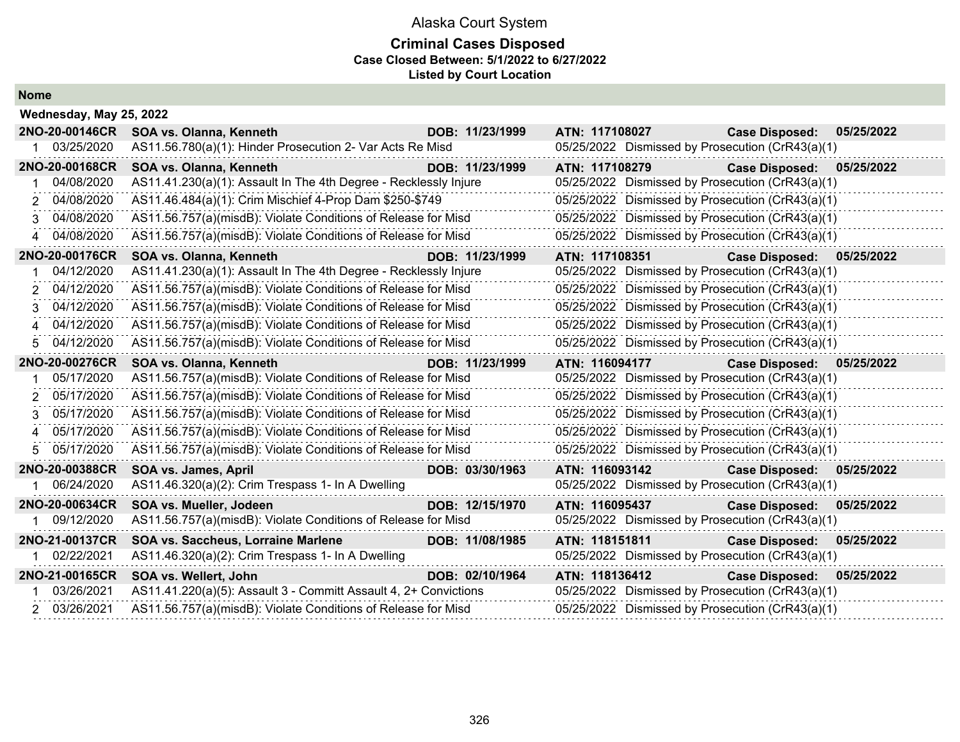### **Criminal Cases Disposed Case Closed Between: 5/1/2022 to 6/27/2022 Listed by Court Location**

| <b>Nome</b> |
|-------------|
|-------------|

|             | Wednesday, May 25, 2022 |                                                                  |                 |                                                                                                                                                                                                                                |                           |            |
|-------------|-------------------------|------------------------------------------------------------------|-----------------|--------------------------------------------------------------------------------------------------------------------------------------------------------------------------------------------------------------------------------|---------------------------|------------|
|             | 2NO-20-00146CR          | SOA vs. Olanna, Kenneth                                          | DOB: 11/23/1999 | ATN: 117108027 Participate of the Second Street and Second Street and Second Street and Second Street and Second Street and Second Street and Second Street and Second Street and Second Street and Second Street and Second S | <b>Case Disposed:</b>     | 05/25/2022 |
|             | 1 03/25/2020            | AS11.56.780(a)(1): Hinder Prosecution 2- Var Acts Re Misd        |                 | 05/25/2022 Dismissed by Prosecution (CrR43(a)(1)                                                                                                                                                                               |                           |            |
|             | 2NO-20-00168CR          | SOA vs. Olanna, Kenneth<br><u> Tanzania (h. 1888).</u>           | DOB: 11/23/1999 | ATN: 117108279                                                                                                                                                                                                                 | <b>Case Disposed:</b>     | 05/25/2022 |
|             | 04/08/2020              | AS11.41.230(a)(1): Assault In The 4th Degree - Recklessly Injure |                 | 05/25/2022 Dismissed by Prosecution (CrR43(a)(1)                                                                                                                                                                               |                           |            |
| 2           | 04/08/2020              | AS11.46.484(a)(1): Crim Mischief 4-Prop Dam \$250-\$749          |                 | 05/25/2022 Dismissed by Prosecution (CrR43(a)(1)                                                                                                                                                                               |                           |            |
| 3.          | 04/08/2020              | AS11.56.757(a)(misdB): Violate Conditions of Release for Misd    |                 | 05/25/2022 Dismissed by Prosecution (CrR43(a)(1)                                                                                                                                                                               |                           |            |
|             | 4 04/08/2020            | AS11.56.757(a)(misdB): Violate Conditions of Release for Misd    |                 | 05/25/2022 Dismissed by Prosecution (CrR43(a)(1)                                                                                                                                                                               |                           |            |
|             | 2NO-20-00176CR          | SOA vs. Olanna, Kenneth                                          | DOB: 11/23/1999 | ATN: 117108351 Case Disposed: 05/25/2022                                                                                                                                                                                       |                           |            |
|             | 04/12/2020              | AS11.41.230(a)(1): Assault In The 4th Degree - Recklessly Injure |                 | 05/25/2022 Dismissed by Prosecution (CrR43(a)(1)                                                                                                                                                                               |                           |            |
|             | 2 04/12/2020            | AS11.56.757(a)(misdB): Violate Conditions of Release for Misd    |                 | 05/25/2022 Dismissed by Prosecution (CrR43(a)(1)                                                                                                                                                                               |                           |            |
|             | 3 04/12/2020            | AS11.56.757(a)(misdB): Violate Conditions of Release for Misd    |                 | 05/25/2022 Dismissed by Prosecution (CrR43(a)(1)                                                                                                                                                                               |                           |            |
| $\mathbf 4$ | 04/12/2020              | AS11.56.757(a)(misdB): Violate Conditions of Release for Misd    |                 | 05/25/2022 Dismissed by Prosecution (CrR43(a)(1)                                                                                                                                                                               |                           |            |
| 5           | 04/12/2020              | AS11.56.757(a)(misdB): Violate Conditions of Release for Misd    |                 | 05/25/2022 Dismissed by Prosecution (CrR43(a)(1)                                                                                                                                                                               |                           |            |
|             | 2NO-20-00276CR          | SOA vs. Olanna, Kenneth                                          | DOB: 11/23/1999 | ATN: 116094177                                                                                                                                                                                                                 | Case Disposed: 05/25/2022 |            |
|             | 05/17/2020              | AS11.56.757(a)(misdB): Violate Conditions of Release for Misd    |                 | 05/25/2022 Dismissed by Prosecution (CrR43(a)(1)                                                                                                                                                                               |                           |            |
| 2           | 05/17/2020              | AS11.56.757(a)(misdB): Violate Conditions of Release for Misd    |                 | 05/25/2022 Dismissed by Prosecution (CrR43(a)(1)                                                                                                                                                                               |                           |            |
|             | 3 05/17/2020            | AS11.56.757(a)(misdB): Violate Conditions of Release for Misd    |                 | 05/25/2022 Dismissed by Prosecution (CrR43(a)(1)                                                                                                                                                                               |                           |            |
| $\mathbf 4$ | 05/17/2020              | AS11.56.757(a)(misdB): Violate Conditions of Release for Misd    |                 | 05/25/2022 Dismissed by Prosecution (CrR43(a)(1)                                                                                                                                                                               |                           |            |
| 5           | 05/17/2020              | AS11.56.757(a)(misdB): Violate Conditions of Release for Misd    |                 | 05/25/2022 Dismissed by Prosecution (CrR43(a)(1)                                                                                                                                                                               |                           |            |
|             | 2NO-20-00388CR          | SOA vs. James, April                                             | DOB: 03/30/1963 | ATN: 116093142                                                                                                                                                                                                                 | <b>Case Disposed:</b>     | 05/25/2022 |
|             | 1 06/24/2020            | AS11.46.320(a)(2): Crim Trespass 1- In A Dwelling                |                 | 05/25/2022 Dismissed by Prosecution (CrR43(a)(1)                                                                                                                                                                               |                           |            |
|             | 2NO-20-00634CR          | SOA vs. Mueller, Jodeen                                          | DOB: 12/15/1970 | ATN: 116095437                                                                                                                                                                                                                 | <b>Case Disposed:</b>     | 05/25/2022 |
|             | 09/12/2020              | AS11.56.757(a)(misdB): Violate Conditions of Release for Misd    |                 | 05/25/2022 Dismissed by Prosecution (CrR43(a)(1)                                                                                                                                                                               |                           |            |
|             | 2NO-21-00137CR          | SOA vs. Saccheus, Lorraine Marlene                               | DOB: 11/08/1985 | ATN: 118151811                                                                                                                                                                                                                 | <b>Case Disposed:</b>     | 05/25/2022 |
|             | 1 02/22/2021            | AS11.46.320(a)(2): Crim Trespass 1- In A Dwelling                |                 | 05/25/2022 Dismissed by Prosecution (CrR43(a)(1)                                                                                                                                                                               |                           |            |
|             | 2NO-21-00165CR          | SOA vs. Wellert, John                                            | DOB: 02/10/1964 | ATN: 118136412                                                                                                                                                                                                                 | <b>Case Disposed:</b>     | 05/25/2022 |
|             | 03/26/2021              | AS11.41.220(a)(5): Assault 3 - Committ Assault 4, 2+ Convictions |                 | 05/25/2022 Dismissed by Prosecution (CrR43(a)(1)                                                                                                                                                                               |                           |            |
|             | 2 03/26/2021            | AS11.56.757(a)(misdB): Violate Conditions of Release for Misd    |                 | 05/25/2022 Dismissed by Prosecution (CrR43(a)(1)                                                                                                                                                                               |                           |            |
|             |                         |                                                                  |                 |                                                                                                                                                                                                                                |                           |            |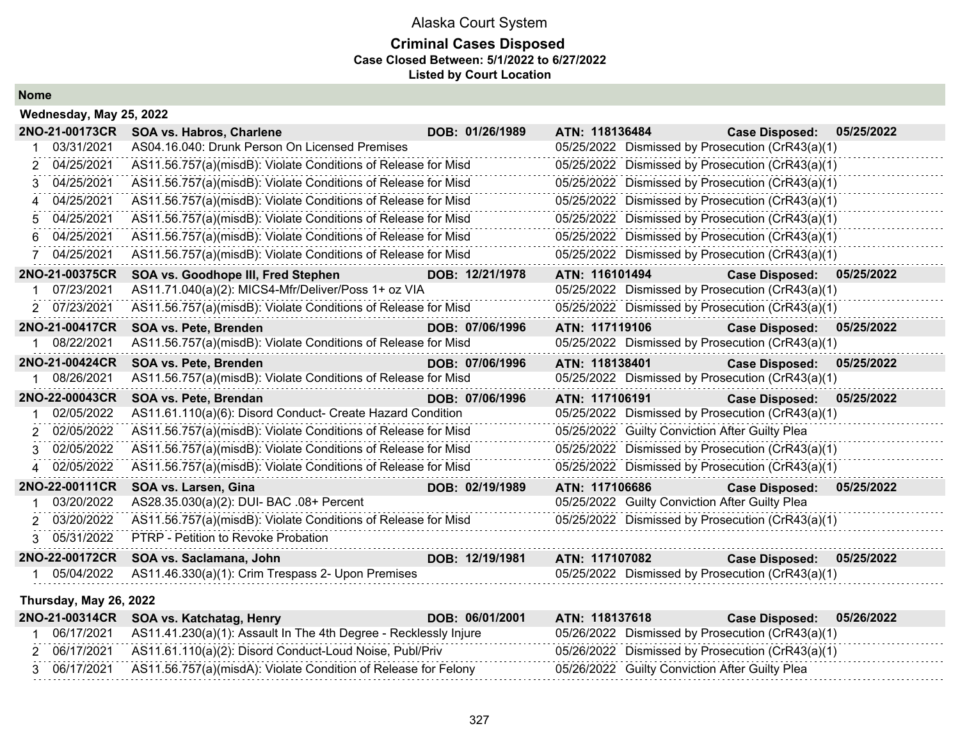#### **Criminal Cases Disposed Case Closed Between: 5/1/2022 to 6/27/2022 Listed by Court Location**

**Nome**

| Wednesday, May 25, 2022 |                                                               |                 |                                                  |                       |            |
|-------------------------|---------------------------------------------------------------|-----------------|--------------------------------------------------|-----------------------|------------|
| 2NO-21-00173CR          | <b>SOA vs. Habros, Charlene</b>                               | DOB: 01/26/1989 | ATN: 118136484                                   | <b>Case Disposed:</b> | 05/25/2022 |
| 03/31/2021              | AS04.16.040: Drunk Person On Licensed Premises                |                 | 05/25/2022 Dismissed by Prosecution (CrR43(a)(1) |                       |            |
| 2 04/25/2021            | AS11.56.757(a)(misdB): Violate Conditions of Release for Misd |                 | 05/25/2022 Dismissed by Prosecution (CrR43(a)(1) |                       |            |
| 04/25/2021<br>3         | AS11.56.757(a)(misdB): Violate Conditions of Release for Misd |                 | 05/25/2022 Dismissed by Prosecution (CrR43(a)(1) |                       |            |
| 04/25/2021<br>4         | AS11.56.757(a)(misdB): Violate Conditions of Release for Misd |                 | 05/25/2022 Dismissed by Prosecution (CrR43(a)(1) |                       |            |
| 04/25/2021              | AS11.56.757(a)(misdB): Violate Conditions of Release for Misd |                 | 05/25/2022 Dismissed by Prosecution (CrR43(a)(1) |                       |            |
| 6 04/25/2021            | AS11.56.757(a)(misdB): Violate Conditions of Release for Misd |                 | 05/25/2022 Dismissed by Prosecution (CrR43(a)(1) |                       |            |
| 04/25/2021              | AS11.56.757(a)(misdB): Violate Conditions of Release for Misd |                 | 05/25/2022 Dismissed by Prosecution (CrR43(a)(1) |                       |            |
| 2NO-21-00375CR          | SOA vs. Goodhope III, Fred Stephen                            | DOB: 12/21/1978 | ATN: 116101494                                   | <b>Case Disposed:</b> | 05/25/2022 |
| 07/23/2021              | AS11.71.040(a)(2): MICS4-Mfr/Deliver/Poss 1+ oz VIA           |                 | 05/25/2022 Dismissed by Prosecution (CrR43(a)(1) |                       |            |
| 2 07/23/2021            | AS11.56.757(a)(misdB): Violate Conditions of Release for Misd |                 | 05/25/2022 Dismissed by Prosecution (CrR43(a)(1) |                       |            |
| 2NO-21-00417CR          | SOA vs. Pete, Brenden                                         | DOB: 07/06/1996 | ATN: 117119106                                   | <b>Case Disposed:</b> | 05/25/2022 |
| 08/22/2021              | AS11.56.757(a)(misdB): Violate Conditions of Release for Misd |                 | 05/25/2022 Dismissed by Prosecution (CrR43(a)(1) |                       |            |
| 2NO-21-00424CR          | SOA vs. Pete, Brenden                                         | DOB: 07/06/1996 | ATN: 118138401                                   | <b>Case Disposed:</b> | 05/25/2022 |
| 08/26/2021              | AS11.56.757(a)(misdB): Violate Conditions of Release for Misd |                 | 05/25/2022 Dismissed by Prosecution (CrR43(a)(1) |                       |            |
|                         |                                                               |                 |                                                  |                       |            |
| 2NO-22-00043CR          | SOA vs. Pete, Brendan                                         | DOB: 07/06/1996 | ATN: 117106191                                   | <b>Case Disposed:</b> | 05/25/2022 |
| 02/05/2022              | AS11.61.110(a)(6): Disord Conduct- Create Hazard Condition    |                 | 05/25/2022 Dismissed by Prosecution (CrR43(a)(1) |                       |            |
| 2 02/05/2022            | AS11.56.757(a)(misdB): Violate Conditions of Release for Misd |                 | 05/25/2022 Guilty Conviction After Guilty Plea   |                       |            |
| 3 02/05/2022            | AS11.56.757(a)(misdB): Violate Conditions of Release for Misd |                 | 05/25/2022 Dismissed by Prosecution (CrR43(a)(1) |                       |            |
| 4 02/05/2022            | AS11.56.757(a)(misdB): Violate Conditions of Release for Misd |                 | 05/25/2022 Dismissed by Prosecution (CrR43(a)(1) |                       |            |
| 2NO-22-00111CR          | SOA vs. Larsen, Gina                                          | DOB: 02/19/1989 | ATN: 117106686                                   | <b>Case Disposed:</b> | 05/25/2022 |
| 03/20/2022              | AS28.35.030(a)(2): DUI- BAC .08+ Percent                      |                 | 05/25/2022 Guilty Conviction After Guilty Plea   |                       |            |
| 2 03/20/2022            | AS11.56.757(a)(misdB): Violate Conditions of Release for Misd |                 | 05/25/2022 Dismissed by Prosecution (CrR43(a)(1) |                       |            |
| 3 05/31/2022            | PTRP - Petition to Revoke Probation                           |                 |                                                  |                       |            |
| 2NO-22-00172CR          | SOA vs. Saclamana, John                                       | DOB: 12/19/1981 | ATN: 117107082                                   | <b>Case Disposed:</b> | 05/25/2022 |
| 05/04/2022              | AS11.46.330(a)(1): Crim Trespass 2- Upon Premises             |                 | 05/25/2022 Dismissed by Prosecution (CrR43(a)(1) |                       |            |

#### **Thursday, May 26, 2022**

| 2NO-21-00314CR SOA vs. Katchatag, Henry                                     | DOB: 06/01/2001<br>ATN: 118137618 | Case Disposed: 05/26/2022                        |
|-----------------------------------------------------------------------------|-----------------------------------|--------------------------------------------------|
| 06/17/2021 AS11.41.230(a)(1): Assault In The 4th Degree - Recklessly Injure |                                   | 05/26/2022 Dismissed by Prosecution (CrR43(a)(1) |
| 2 06/17/2021 AS11.61.110(a)(2): Disord Conduct-Loud Noise, Publ/Priv        |                                   | 05/26/2022 Dismissed by Prosecution (CrR43(a)(1) |
| 3 06/17/2021 AS11.56.757(a)(misdA): Violate Condition of Release for Felony |                                   | 05/26/2022 Guilty Conviction After Guilty Plea   |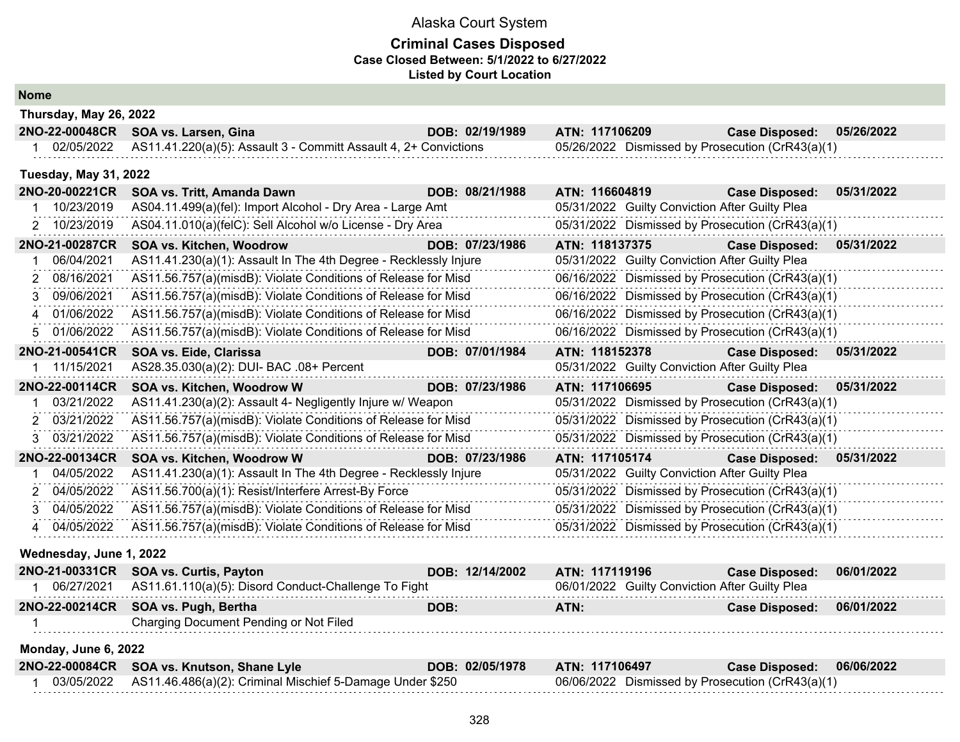#### **Criminal Cases Disposed Case Closed Between: 5/1/2022 to 6/27/2022 Listed by Court Location**

#### **Nome**

|              | Thursday, May 26, 2022       |                                                                  |                 |                                                  |                       |            |
|--------------|------------------------------|------------------------------------------------------------------|-----------------|--------------------------------------------------|-----------------------|------------|
|              | 2NO-22-00048CR               | SOA vs. Larsen, Gina                                             | DOB: 02/19/1989 | ATN: 117106209                                   | <b>Case Disposed:</b> | 05/26/2022 |
|              | 02/05/2022                   | AS11.41.220(a)(5): Assault 3 - Committ Assault 4, 2+ Convictions |                 | 05/26/2022 Dismissed by Prosecution (CrR43(a)(1) |                       |            |
|              | <b>Tuesday, May 31, 2022</b> |                                                                  |                 |                                                  |                       |            |
|              | 2NO-20-00221CR               | SOA vs. Tritt, Amanda Dawn                                       | DOB: 08/21/1988 | ATN: 116604819                                   | <b>Case Disposed:</b> | 05/31/2022 |
|              | 10/23/2019                   | AS04.11.499(a)(fel): Import Alcohol - Dry Area - Large Amt       |                 | 05/31/2022 Guilty Conviction After Guilty Plea   |                       |            |
|              | 2 10/23/2019                 | AS04.11.010(a)(felC): Sell Alcohol w/o License - Dry Area        |                 | 05/31/2022 Dismissed by Prosecution (CrR43(a)(1) |                       |            |
|              | 2NO-21-00287CR               | SOA vs. Kitchen, Woodrow                                         | DOB: 07/23/1986 | ATN: 118137375                                   | <b>Case Disposed:</b> | 05/31/2022 |
|              | 06/04/2021                   | AS11.41.230(a)(1): Assault In The 4th Degree - Recklessly Injure |                 | 05/31/2022 Guilty Conviction After Guilty Plea   |                       |            |
|              | 2 08/16/2021                 | AS11.56.757(a)(misdB): Violate Conditions of Release for Misd    |                 | 06/16/2022 Dismissed by Prosecution (CrR43(a)(1) |                       |            |
|              | 3 09/06/2021                 | AS11.56.757(a)(misdB): Violate Conditions of Release for Misd    |                 | 06/16/2022 Dismissed by Prosecution (CrR43(a)(1) |                       |            |
|              | 4 01/06/2022                 | AS11.56.757(a)(misdB): Violate Conditions of Release for Misd    |                 | 06/16/2022 Dismissed by Prosecution (CrR43(a)(1) |                       |            |
|              | 01/06/2022                   | AS11.56.757(a)(misdB): Violate Conditions of Release for Misd    |                 | 06/16/2022 Dismissed by Prosecution (CrR43(a)(1) |                       |            |
|              | 2NO-21-00541CR               | SOA vs. Eide, Clarissa                                           | DOB: 07/01/1984 | ATN: 118152378                                   | <b>Case Disposed:</b> | 05/31/2022 |
|              | 1 11/15/2021                 | AS28.35.030(a)(2): DUI- BAC .08+ Percent                         |                 | 05/31/2022 Guilty Conviction After Guilty Plea   |                       |            |
|              | 2NO-22-00114CR               | SOA vs. Kitchen, Woodrow W                                       | DOB: 07/23/1986 | ATN: 117106695                                   | <b>Case Disposed:</b> | 05/31/2022 |
|              | 03/21/2022                   | AS11.41.230(a)(2): Assault 4- Negligently Injure w/ Weapon       |                 | 05/31/2022 Dismissed by Prosecution (CrR43(a)(1) |                       |            |
| 2            | 03/21/2022                   | AS11.56.757(a)(misdB): Violate Conditions of Release for Misd    |                 | 05/31/2022 Dismissed by Prosecution (CrR43(a)(1) |                       |            |
|              | 3 03/21/2022                 | AS11.56.757(a)(misdB): Violate Conditions of Release for Misd    |                 | 05/31/2022 Dismissed by Prosecution (CrR43(a)(1) |                       |            |
|              | 2NO-22-00134CR               | SOA vs. Kitchen, Woodrow W                                       | DOB: 07/23/1986 | ATN: 117105174                                   | <b>Case Disposed:</b> | 05/31/2022 |
|              | 04/05/2022                   | AS11.41.230(a)(1): Assault In The 4th Degree - Recklessly Injure |                 | 05/31/2022 Guilty Conviction After Guilty Plea   |                       |            |
|              | 2 04/05/2022                 | AS11.56.700(a)(1): Resist/Interfere Arrest-By Force              |                 | 05/31/2022 Dismissed by Prosecution (CrR43(a)(1) |                       |            |
| 3            | 04/05/2022                   | AS11.56.757(a)(misdB): Violate Conditions of Release for Misd    |                 | 05/31/2022 Dismissed by Prosecution (CrR43(a)(1) |                       |            |
|              | 04/05/2022                   | AS11.56.757(a)(misdB): Violate Conditions of Release for Misd    |                 | 05/31/2022 Dismissed by Prosecution (CrR43(a)(1) |                       |            |
|              | Wednesday, June 1, 2022      |                                                                  |                 |                                                  |                       |            |
|              | 2NO-21-00331CR               | <b>SOA vs. Curtis, Payton</b>                                    | DOB: 12/14/2002 | ATN: 117119196                                   | <b>Case Disposed:</b> | 06/01/2022 |
| $\mathbf{1}$ | 06/27/2021                   | AS11.61.110(a)(5): Disord Conduct-Challenge To Fight             |                 | 06/01/2022 Guilty Conviction After Guilty Plea   |                       |            |
|              |                              |                                                                  |                 |                                                  |                       |            |
|              | 2NO-22-00214CR               | SOA vs. Pugh, Bertha                                             | DOB:            | ATN:                                             | <b>Case Disposed:</b> | 06/01/2022 |

## **Monday, June 6, 2022**

| 2NO-22-00084CR SOA vs. Knutson, Shane Lyle                             | DOB: 02/05/1978 | ATN: 117106497                                   | Case Disposed: 06/06/2022 |  |
|------------------------------------------------------------------------|-----------------|--------------------------------------------------|---------------------------|--|
| 03/05/2022   AS11.46.486(a)(2): Criminal Mischief 5-Damage Under \$250 |                 | 06/06/2022 Dismissed by Prosecution (CrR43(a)(1) |                           |  |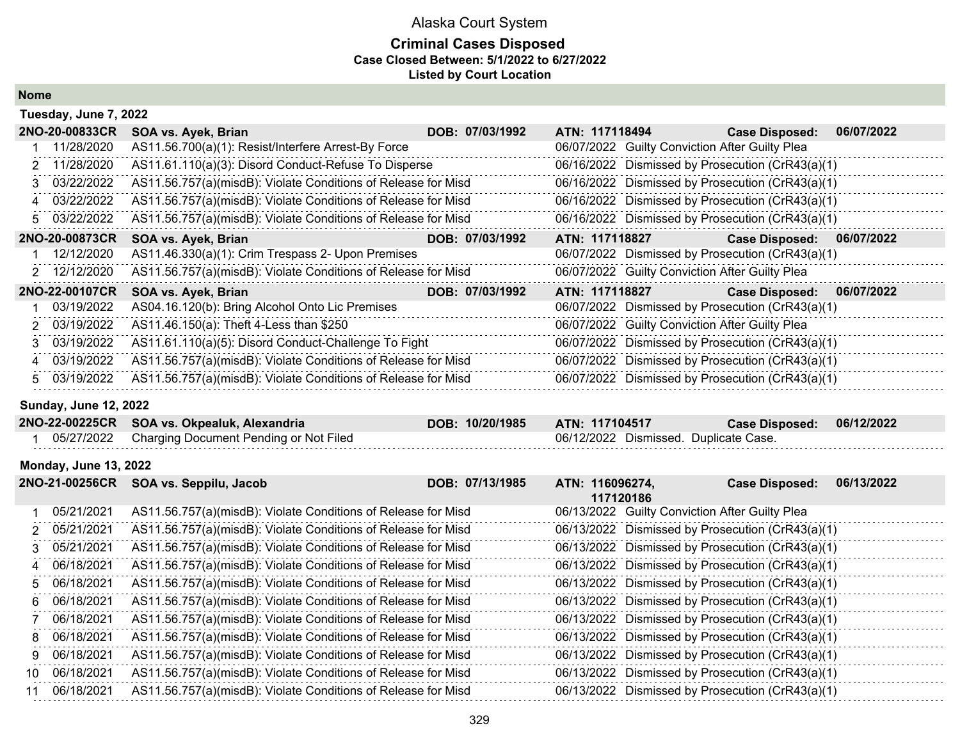#### **Criminal Cases Disposed Case Closed Between: 5/1/2022 to 6/27/2022 Listed by Court Location**

**Nome**

| Tuesday, June 7, 2022        |                                                               |                 |                                                             |                                                  |            |
|------------------------------|---------------------------------------------------------------|-----------------|-------------------------------------------------------------|--------------------------------------------------|------------|
| 2NO-20-00833CR               | SOA vs. Ayek, Brian                                           | DOB: 07/03/1992 | ATN: 117118494                                              | <b>Case Disposed:</b>                            | 06/07/2022 |
| 11/28/2020                   | AS11.56.700(a)(1): Resist/Interfere Arrest-By Force           |                 | 06/07/2022 Guilty Conviction After Guilty Plea              |                                                  |            |
| 11/28/2020<br>2              | AS11.61.110(a)(3): Disord Conduct-Refuse To Disperse          |                 | 06/16/2022 Dismissed by Prosecution (CrR43(a)(1)            |                                                  |            |
| 03/22/2022<br>3              | AS11.56.757(a)(misdB): Violate Conditions of Release for Misd |                 |                                                             | 06/16/2022 Dismissed by Prosecution (CrR43(a)(1) |            |
| 03/22/2022<br>4              | AS11.56.757(a)(misdB): Violate Conditions of Release for Misd |                 |                                                             | 06/16/2022 Dismissed by Prosecution (CrR43(a)(1) |            |
| 03/22/2022<br>5              | AS11.56.757(a)(misdB): Violate Conditions of Release for Misd |                 | 06/16/2022 Dismissed by Prosecution (CrR43(a)(1)            |                                                  |            |
| 2NO-20-00873CR               | SOA vs. Ayek, Brian                                           | DOB: 07/03/1992 | ATN: 117118827                                              | <b>Case Disposed:</b>                            | 06/07/2022 |
| 12/12/2020                   | AS11.46.330(a)(1): Crim Trespass 2- Upon Premises             |                 | 06/07/2022 Dismissed by Prosecution (CrR43(a)(1)            |                                                  |            |
| 12/12/2020<br>2              | AS11.56.757(a)(misdB): Violate Conditions of Release for Misd |                 | 06/07/2022 Guilty Conviction After Guilty Plea              |                                                  |            |
| 2NO-22-00107CR               | SOA vs. Ayek, Brian                                           | DOB: 07/03/1992 | ATN: 117118827                                              | <b>Case Disposed:</b>                            | 06/07/2022 |
| 03/19/2022                   | AS04.16.120(b): Bring Alcohol Onto Lic Premises               |                 | 06/07/2022 Dismissed by Prosecution (CrR43(a)(1)            |                                                  |            |
| 03/19/2022                   | AS11.46.150(a): Theft 4-Less than \$250                       |                 | 06/07/2022 Guilty Conviction After Guilty Plea              |                                                  |            |
| 03/19/2022<br>3              | AS11.61.110(a)(5): Disord Conduct-Challenge To Fight          |                 |                                                             | 06/07/2022 Dismissed by Prosecution (CrR43(a)(1) |            |
| 03/19/2022<br>4              | AS11.56.757(a)(misdB): Violate Conditions of Release for Misd |                 | 06/07/2022 Dismissed by Prosecution (CrR43(a)(1)            |                                                  |            |
| 03/19/2022<br>5              | AS11.56.757(a)(misdB): Violate Conditions of Release for Misd |                 | 06/07/2022 Dismissed by Prosecution (CrR43(a)(1)            |                                                  |            |
|                              |                                                               |                 |                                                             |                                                  |            |
| <b>Sunday, June 12, 2022</b> |                                                               |                 |                                                             |                                                  |            |
| 2NO-22-00225CR               | SOA vs. Okpealuk, Alexandria                                  | DOB: 10/20/1985 | ATN: 117104517                                              | <b>Case Disposed:</b>                            | 06/12/2022 |
| 05/27/2022                   | Charging Document Pending or Not Filed                        |                 | 06/12/2022 Dismissed. Duplicate Case.                       |                                                  |            |
| <b>Monday, June 13, 2022</b> |                                                               |                 |                                                             |                                                  |            |
| 2NO-21-00256CR               | SOA vs. Seppilu, Jacob                                        | DOB: 07/13/1985 | ATN: 116096274,                                             | <b>Case Disposed:</b>                            | 06/13/2022 |
| 05/21/2021                   | AS11.56.757(a)(misdB): Violate Conditions of Release for Misd |                 | 117120186<br>06/13/2022 Guilty Conviction After Guilty Plea |                                                  |            |
| 05/21/2021<br>2              | AS11.56.757(a)(misdB): Violate Conditions of Release for Misd |                 |                                                             | 06/13/2022 Dismissed by Prosecution (CrR43(a)(1) |            |
| 05/21/2021<br>3              | AS11.56.757(a)(misdB): Violate Conditions of Release for Misd |                 |                                                             | 06/13/2022 Dismissed by Prosecution (CrR43(a)(1) |            |
| 06/18/2021<br>4              | AS11.56.757(a)(misdB): Violate Conditions of Release for Misd |                 |                                                             | 06/13/2022 Dismissed by Prosecution (CrR43(a)(1) |            |
| 06/18/2021<br>5              | AS11.56.757(a)(misdB): Violate Conditions of Release for Misd |                 | 06/13/2022 Dismissed by Prosecution (CrR43(a)(1)            |                                                  |            |
| 06/18/2021<br>6              | AS11.56.757(a)(misdB): Violate Conditions of Release for Misd |                 |                                                             | 06/13/2022 Dismissed by Prosecution (CrR43(a)(1) |            |
| 06/18/2021<br>7              | AS11.56.757(a)(misdB): Violate Conditions of Release for Misd |                 |                                                             | 06/13/2022 Dismissed by Prosecution (CrR43(a)(1) |            |
| 06/18/2021<br>8              | AS11.56.757(a)(misdB): Violate Conditions of Release for Misd |                 | 06/13/2022 Dismissed by Prosecution (CrR43(a)(1)            |                                                  |            |
| 06/18/2021<br>g              | AS11.56.757(a)(misdB): Violate Conditions of Release for Misd |                 | 06/13/2022 Dismissed by Prosecution (CrR43(a)(1)            |                                                  |            |
| 06/18/2021<br>10.            | AS11.56.757(a)(misdB): Violate Conditions of Release for Misd |                 |                                                             | 06/13/2022 Dismissed by Prosecution (CrR43(a)(1) |            |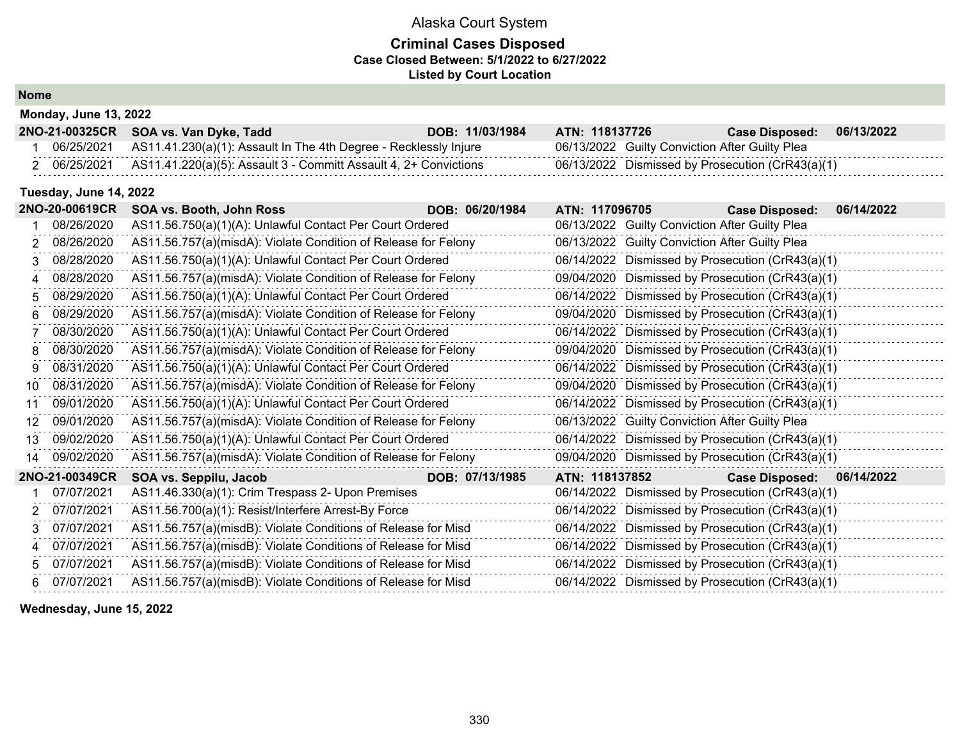### **Criminal Cases Disposed Case Closed Between: 5/1/2022 to 6/27/2022 Listed by Court Location**

**Nome**

| <b>IVUIIV</b>                |  |
|------------------------------|--|
| <b>Monday, June 13, 2022</b> |  |

|            | 2NO-21-00325CR SOA vs. Van Dyke, Tadd                            | DOB: 11/03/1984 | ATN: 118137726 | <b>Case Disposed:</b>                            | 06/13/2022 |
|------------|------------------------------------------------------------------|-----------------|----------------|--------------------------------------------------|------------|
| 06/25/2021 | AS11.41.230(a)(1): Assault In The 4th Degree - Recklessly Injure |                 |                | 06/13/2022 Guilty Conviction After Guilty Plea   |            |
| 06/25/2021 | AS11.41.220(a)(5): Assault 3 - Committ Assault 4, 2+ Convictions |                 |                | 06/13/2022 Dismissed by Prosecution (CrR43(a)(1) |            |

#### **Tuesday, June 14, 2022**

|    | 2NO-20-00619CR | SOA vs. Booth, John Ross                                       | DOB: 06/20/1984 | ATN: 117096705 |                                                  | <b>Case Disposed:</b>     | 06/14/2022 |
|----|----------------|----------------------------------------------------------------|-----------------|----------------|--------------------------------------------------|---------------------------|------------|
|    | 08/26/2020     | AS11.56.750(a)(1)(A): Unlawful Contact Per Court Ordered       |                 |                | 06/13/2022 Guilty Conviction After Guilty Plea   |                           |            |
|    | 08/26/2020     | AS11.56.757(a)(misdA): Violate Condition of Release for Felony |                 |                | 06/13/2022 Guilty Conviction After Guilty Plea   |                           |            |
| 3  | 08/28/2020     | AS11.56.750(a)(1)(A): Unlawful Contact Per Court Ordered       |                 |                | 06/14/2022 Dismissed by Prosecution (CrR43(a)(1) |                           |            |
|    | 08/28/2020     | AS11.56.757(a)(misdA): Violate Condition of Release for Felony |                 |                | 09/04/2020 Dismissed by Prosecution (CrR43(a)(1) |                           |            |
|    | 08/29/2020     | AS11.56.750(a)(1)(A): Unlawful Contact Per Court Ordered       |                 |                | 06/14/2022 Dismissed by Prosecution (CrR43(a)(1) |                           |            |
| 6  | 08/29/2020     | AS11.56.757(a)(misdA): Violate Condition of Release for Felony |                 |                | 09/04/2020 Dismissed by Prosecution (CrR43(a)(1) |                           |            |
|    | 08/30/2020     | AS11.56.750(a)(1)(A): Unlawful Contact Per Court Ordered       |                 |                | 06/14/2022 Dismissed by Prosecution (CrR43(a)(1) |                           |            |
| 8  | 08/30/2020     | AS11.56.757(a)(misdA): Violate Condition of Release for Felony |                 |                | 09/04/2020 Dismissed by Prosecution (CrR43(a)(1) |                           |            |
| 9  | 08/31/2020     | AS11.56.750(a)(1)(A): Unlawful Contact Per Court Ordered       |                 |                | 06/14/2022 Dismissed by Prosecution (CrR43(a)(1) |                           |            |
| 10 | 08/31/2020     | AS11.56.757(a)(misdA): Violate Condition of Release for Felony |                 |                | 09/04/2020 Dismissed by Prosecution (CrR43(a)(1) |                           |            |
| 11 | 09/01/2020     | AS11.56.750(a)(1)(A): Unlawful Contact Per Court Ordered       |                 |                | 06/14/2022 Dismissed by Prosecution (CrR43(a)(1) |                           |            |
| 12 | 09/01/2020     | AS11.56.757(a)(misdA): Violate Condition of Release for Felony |                 |                | 06/13/2022 Guilty Conviction After Guilty Plea   |                           |            |
| 13 | 09/02/2020     | AS11.56.750(a)(1)(A): Unlawful Contact Per Court Ordered       |                 |                | 06/14/2022 Dismissed by Prosecution (CrR43(a)(1) |                           |            |
| 14 | 09/02/2020     | AS11.56.757(a)(misdA): Violate Condition of Release for Felony |                 |                | 09/04/2020 Dismissed by Prosecution (CrR43(a)(1) |                           |            |
|    | 2NO-21-00349CR | SOA vs. Seppilu, Jacob                                         | DOB: 07/13/1985 | ATN: 118137852 |                                                  | Case Disposed: 06/14/2022 |            |
|    | 07/07/2021     | AS11.46.330(a)(1): Crim Trespass 2- Upon Premises              |                 |                | 06/14/2022 Dismissed by Prosecution (CrR43(a)(1) |                           |            |
|    | 07/07/2021     | AS11.56.700(a)(1): Resist/Interfere Arrest-By Force            |                 |                | 06/14/2022 Dismissed by Prosecution (CrR43(a)(1) |                           |            |
| 3  | 07/07/2021     | AS11.56.757(a)(misdB): Violate Conditions of Release for Misd  |                 |                | 06/14/2022 Dismissed by Prosecution (CrR43(a)(1) |                           |            |
| 4  | 07/07/2021     | AS11.56.757(a)(misdB): Violate Conditions of Release for Misd  |                 |                | 06/14/2022 Dismissed by Prosecution (CrR43(a)(1) |                           |            |
| 5  | 07/07/2021     | AS11.56.757(a)(misdB): Violate Conditions of Release for Misd  |                 |                | 06/14/2022 Dismissed by Prosecution (CrR43(a)(1) |                           |            |
| 6. | 07/07/2021     | AS11.56.757(a)(misdB): Violate Conditions of Release for Misd  |                 |                | 06/14/2022 Dismissed by Prosecution (CrR43(a)(1) |                           |            |

**Wednesday, June 15, 2022**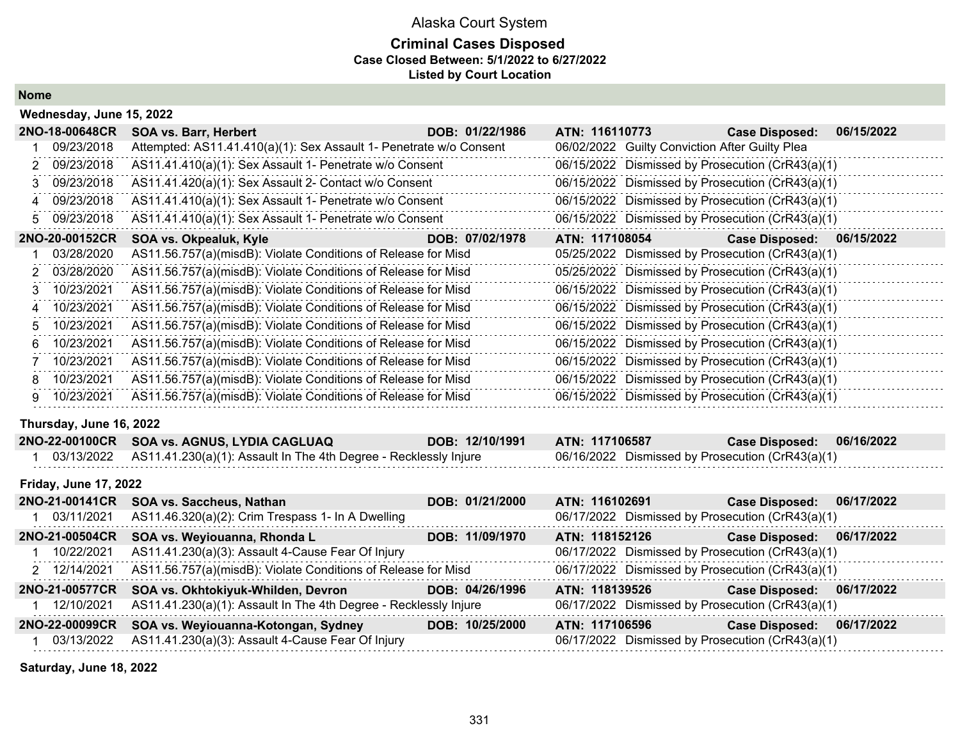## **Criminal Cases Disposed Case Closed Between: 5/1/2022 to 6/27/2022 Listed by Court Location**

**Nome**

|    | Wednesday, June 15, 2022     |                                                                    |                 |                                                |                                                  |            |
|----|------------------------------|--------------------------------------------------------------------|-----------------|------------------------------------------------|--------------------------------------------------|------------|
|    | 2NO-18-00648CR               | SOA vs. Barr, Herbert                                              | DOB: 01/22/1986 | ATN: 116110773                                 | <b>Case Disposed:</b>                            | 06/15/2022 |
|    | 09/23/2018                   | Attempted: AS11.41.410(a)(1): Sex Assault 1- Penetrate w/o Consent |                 | 06/02/2022 Guilty Conviction After Guilty Plea |                                                  |            |
| 2. | 09/23/2018                   | AS11.41.410(a)(1): Sex Assault 1- Penetrate w/o Consent            |                 |                                                | 06/15/2022 Dismissed by Prosecution (CrR43(a)(1) |            |
| 3  | 09/23/2018                   | AS11.41.420(a)(1): Sex Assault 2- Contact w/o Consent              |                 |                                                | 06/15/2022 Dismissed by Prosecution (CrR43(a)(1) |            |
| 4  | 09/23/2018                   | AS11.41.410(a)(1): Sex Assault 1- Penetrate w/o Consent            |                 |                                                | 06/15/2022 Dismissed by Prosecution (CrR43(a)(1) |            |
| 5  | 09/23/2018                   | AS11.41.410(a)(1): Sex Assault 1- Penetrate w/o Consent            |                 |                                                | 06/15/2022 Dismissed by Prosecution (CrR43(a)(1) |            |
|    | 2NO-20-00152CR               | SOA vs. Okpealuk, Kyle                                             | DOB: 07/02/1978 | ATN: 117108054                                 | <b>Case Disposed:</b>                            | 06/15/2022 |
|    | 03/28/2020                   | AS11.56.757(a)(misdB): Violate Conditions of Release for Misd      |                 |                                                | 05/25/2022 Dismissed by Prosecution (CrR43(a)(1) |            |
|    | 03/28/2020                   | AS11.56.757(a)(misdB): Violate Conditions of Release for Misd      |                 |                                                | 05/25/2022 Dismissed by Prosecution (CrR43(a)(1) |            |
| 3  | 10/23/2021                   | AS11.56.757(a)(misdB): Violate Conditions of Release for Misd      |                 |                                                | 06/15/2022 Dismissed by Prosecution (CrR43(a)(1) |            |
| 4  | 10/23/2021                   | AS11.56.757(a)(misdB): Violate Conditions of Release for Misd      |                 |                                                | 06/15/2022 Dismissed by Prosecution (CrR43(a)(1) |            |
| 5  | 10/23/2021                   | AS11.56.757(a)(misdB): Violate Conditions of Release for Misd      |                 |                                                | 06/15/2022 Dismissed by Prosecution (CrR43(a)(1) |            |
| 6  | 10/23/2021                   | AS11.56.757(a)(misdB): Violate Conditions of Release for Misd      |                 |                                                | 06/15/2022 Dismissed by Prosecution (CrR43(a)(1) |            |
|    | 10/23/2021                   | AS11.56.757(a)(misdB): Violate Conditions of Release for Misd      |                 |                                                | 06/15/2022 Dismissed by Prosecution (CrR43(a)(1) |            |
| 8  | 10/23/2021                   | AS11.56.757(a)(misdB): Violate Conditions of Release for Misd      |                 |                                                | 06/15/2022 Dismissed by Prosecution (CrR43(a)(1) |            |
| 9  | 10/23/2021                   | AS11.56.757(a)(misdB): Violate Conditions of Release for Misd      |                 |                                                | 06/15/2022 Dismissed by Prosecution (CrR43(a)(1) |            |
|    | Thursday, June 16, 2022      |                                                                    |                 |                                                |                                                  |            |
|    | 2NO-22-00100CR               | SOA vs. AGNUS, LYDIA CAGLUAQ                                       | DOB: 12/10/1991 | ATN: 117106587                                 | <b>Case Disposed:</b>                            | 06/16/2022 |
|    | 03/13/2022                   | AS11.41.230(a)(1): Assault In The 4th Degree - Recklessly Injure   |                 |                                                | 06/16/2022 Dismissed by Prosecution (CrR43(a)(1) |            |
|    | <b>Friday, June 17, 2022</b> |                                                                    |                 |                                                |                                                  |            |
|    | 2NO-21-00141CR               | SOA vs. Saccheus, Nathan                                           | DOB: 01/21/2000 | ATN: 116102691                                 | <b>Case Disposed:</b>                            | 06/17/2022 |
|    | 03/11/2021                   | AS11.46.320(a)(2): Crim Trespass 1- In A Dwelling                  |                 |                                                | 06/17/2022 Dismissed by Prosecution (CrR43(a)(1) |            |

|                | 03/11/2021 AS11.46.320(a)(2): Crim Trespass 1- In A Dwelling     |                 | 06/17/2022 Dismissed by Prosecution (CrR43(a)(1) |                           |            |
|----------------|------------------------------------------------------------------|-----------------|--------------------------------------------------|---------------------------|------------|
| 2NO-21-00504CR | SOA vs. Weyiouanna, Rhonda L                                     | DOB: 11/09/1970 | ATN: 118152126                                   | Case Disposed: 06/17/2022 |            |
| 10/22/2021     | AS11.41.230(a)(3): Assault 4-Cause Fear Of Injury                |                 | 06/17/2022 Dismissed by Prosecution (CrR43(a)(1) |                           |            |
| 2 12/14/2021   | AS11.56.757(a)(misdB): Violate Conditions of Release for Misd    |                 | 06/17/2022 Dismissed by Prosecution (CrR43(a)(1) |                           |            |
| 2NO-21-00577CR | SOA vs. Okhtokiyuk-Whilden, Devron                               | DOB: 04/26/1996 | ATN: 118139526                                   | <b>Case Disposed:</b>     | 06/17/2022 |
| 12/10/2021     | AS11.41.230(a)(1): Assault In The 4th Degree - Recklessly Injure |                 | 06/17/2022 Dismissed by Prosecution (CrR43(a)(1) |                           |            |
|                |                                                                  |                 |                                                  |                           |            |
| 2NO-22-00099CR | SOA vs. Weyiouanna-Kotongan, Sydney                              | DOB: 10/25/2000 | ATN: 117106596                                   | <b>Case Disposed:</b>     | 06/17/2022 |

**Saturday, June 18, 2022**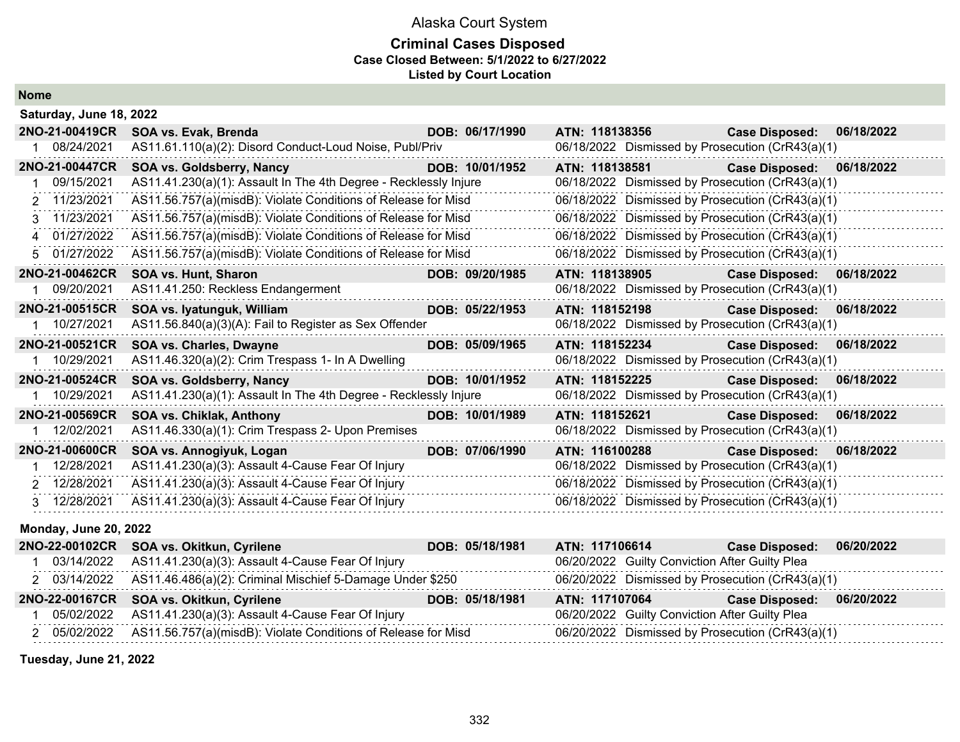#### **Criminal Cases Disposed Case Closed Between: 5/1/2022 to 6/27/2022 Listed by Court Location**

**Nome**

| Saturday, June 18, 2022      |                                                                  |                 |                                                  |                           |            |  |  |
|------------------------------|------------------------------------------------------------------|-----------------|--------------------------------------------------|---------------------------|------------|--|--|
| 2NO-21-00419CR               | SOA vs. Evak, Brenda                                             | DOB: 06/17/1990 | ATN: 118138356 Case Disposed:                    |                           | 06/18/2022 |  |  |
| 1 08/24/2021                 | AS11.61.110(a)(2): Disord Conduct-Loud Noise, Publ/Priv          |                 | 06/18/2022 Dismissed by Prosecution (CrR43(a)(1) |                           |            |  |  |
| 2NO-21-00447CR               | SOA vs. Goldsberry, Nancy                                        | DOB: 10/01/1952 | ATN: 118138581                                   | Case Disposed: 06/18/2022 |            |  |  |
| 09/15/2021                   | AS11.41.230(a)(1): Assault In The 4th Degree - Recklessly Injure |                 | 06/18/2022 Dismissed by Prosecution (CrR43(a)(1) |                           |            |  |  |
| 2 11/23/2021                 | AS11.56.757(a)(misdB): Violate Conditions of Release for Misd    |                 | 06/18/2022 Dismissed by Prosecution (CrR43(a)(1) |                           |            |  |  |
| 3 11/23/2021                 | AS11.56.757(a)(misdB): Violate Conditions of Release for Misd    |                 | 06/18/2022 Dismissed by Prosecution (CrR43(a)(1) |                           |            |  |  |
| 4 01/27/2022                 | AS11.56.757(a)(misdB): Violate Conditions of Release for Misd    |                 | 06/18/2022 Dismissed by Prosecution (CrR43(a)(1) |                           |            |  |  |
| 5 01/27/2022                 | AS11.56.757(a)(misdB): Violate Conditions of Release for Misd    |                 | 06/18/2022 Dismissed by Prosecution (CrR43(a)(1) |                           |            |  |  |
| 2NO-21-00462CR               | SOA vs. Hunt, Sharon                                             | DOB: 09/20/1985 | ATN: 118138905                                   | Case Disposed: 06/18/2022 |            |  |  |
| 1 09/20/2021                 | AS11.41.250: Reckless Endangerment                               |                 | 06/18/2022 Dismissed by Prosecution (CrR43(a)(1) |                           |            |  |  |
| 2NO-21-00515CR               | SOA vs. lyatunguk, William                                       | DOB: 05/22/1953 | ATN: 118152198                                   | Case Disposed: 06/18/2022 |            |  |  |
| 1 10/27/2021                 | AS11.56.840(a)(3)(A): Fail to Register as Sex Offender           |                 | 06/18/2022 Dismissed by Prosecution (CrR43(a)(1) |                           |            |  |  |
| 2NO-21-00521CR               | <b>SOA vs. Charles, Dwayne</b>                                   | DOB: 05/09/1965 | ATN: 118152234                                   | Case Disposed: 06/18/2022 |            |  |  |
| 1 10/29/2021                 | AS11.46.320(a)(2): Crim Trespass 1- In A Dwelling                |                 | 06/18/2022 Dismissed by Prosecution (CrR43(a)(1) |                           |            |  |  |
| 2NO-21-00524CR               | SOA vs. Goldsberry, Nancy                                        | DOB: 10/01/1952 | ATN: 118152225                                   | <b>Case Disposed:</b>     | 06/18/2022 |  |  |
| 1 10/29/2021                 | AS11.41.230(a)(1): Assault In The 4th Degree - Recklessly Injure |                 | 06/18/2022 Dismissed by Prosecution (CrR43(a)(1) |                           |            |  |  |
| 2NO-21-00569CR               | <b>SOA vs. Chiklak, Anthony</b>                                  | DOB: 10/01/1989 | ATN: 118152621                                   | Case Disposed: 06/18/2022 |            |  |  |
| 12/02/2021                   | AS11.46.330(a)(1): Crim Trespass 2- Upon Premises                |                 | 06/18/2022 Dismissed by Prosecution (CrR43(a)(1) |                           |            |  |  |
| 2NO-21-00600CR               | SOA vs. Annogiyuk, Logan                                         | DOB: 07/06/1990 | ATN: 116100288                                   | Case Disposed: 06/18/2022 |            |  |  |
| 12/28/2021                   | AS11.41.230(a)(3): Assault 4-Cause Fear Of Injury                |                 | 06/18/2022 Dismissed by Prosecution (CrR43(a)(1) |                           |            |  |  |
| 2 12/28/2021                 | AS11.41.230(a)(3): Assault 4-Cause Fear Of Injury                |                 | 06/18/2022 Dismissed by Prosecution (CrR43(a)(1) |                           |            |  |  |
| 3 12/28/2021                 | AS11.41.230(a)(3): Assault 4-Cause Fear Of Injury                |                 | 06/18/2022 Dismissed by Prosecution (CrR43(a)(1) |                           |            |  |  |
| <b>Monday, June 20, 2022</b> |                                                                  |                 |                                                  |                           |            |  |  |
| 2NO-22-00102CR               | <b>SOA vs. Okitkun, Cyrilene</b>                                 | DOB: 05/18/1981 | ATN: 117106614 Case Disposed:                    |                           | 06/20/2022 |  |  |
| 03/14/2022                   | AS11.41.230(a)(3): Assault 4-Cause Fear Of Injury                |                 | 06/20/2022 Guilty Conviction After Guilty Plea   |                           |            |  |  |
| 2 03/14/2022                 | AS11.46.486(a)(2): Criminal Mischief 5-Damage Under \$250        |                 | 06/20/2022 Dismissed by Prosecution (CrR43(a)(1) |                           |            |  |  |
| 2NO-22-00167CR               | <b>SOA vs. Okitkun, Cyrilene</b>                                 | DOB: 05/18/1981 | ATN: 117107064                                   | <b>Case Disposed:</b>     | 06/20/2022 |  |  |

 1 05/02/2022 AS11.41.230(a)(3): Assault 4-Cause Fear Of Injury 06/20/2022 Guilty Conviction After Guilty Plea 2 05/02/2022 AS11.56.757(a)(misdB): Violate Conditions of Release for Misd 06/20/2022 Dismissed by Prosecution (CrR43(a)(1)

**Tuesday, June 21, 2022**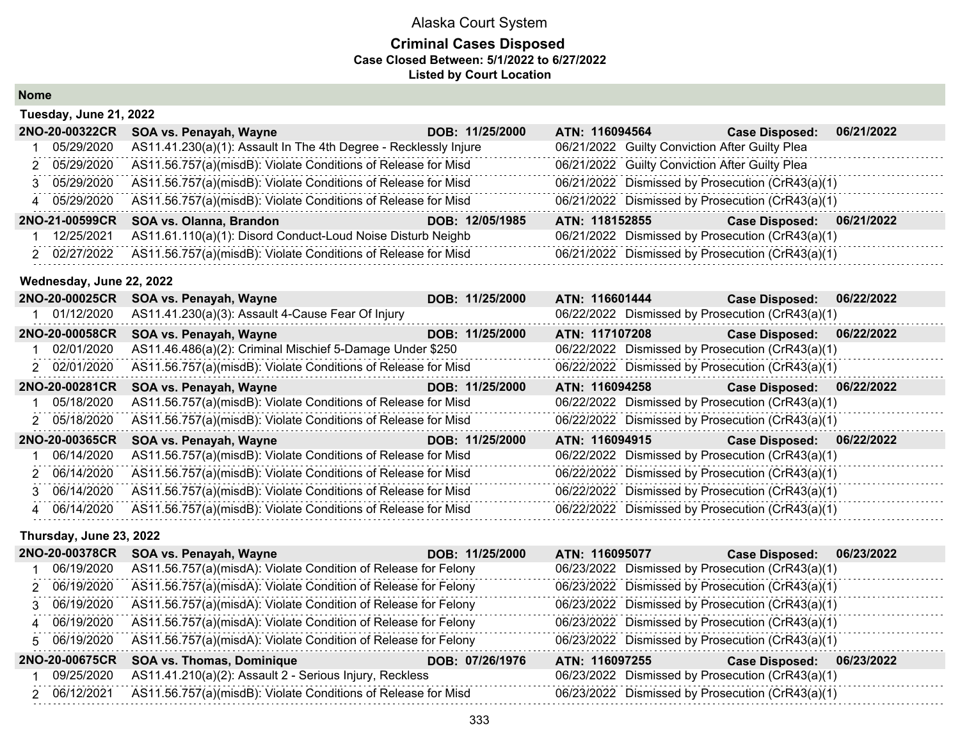#### **Criminal Cases Disposed Case Closed Between: 5/1/2022 to 6/27/2022 Listed by Court Location**

| <b>Nome</b> |
|-------------|
|-------------|

| Tuesday, June 21, 2022 |                |                                                                  |                 |                |                                                |                                                  |            |
|------------------------|----------------|------------------------------------------------------------------|-----------------|----------------|------------------------------------------------|--------------------------------------------------|------------|
|                        | 2NO-20-00322CR | SOA vs. Penayah, Wayne                                           | DOB: 11/25/2000 | ATN: 116094564 |                                                | <b>Case Disposed:</b>                            | 06/21/2022 |
|                        | 05/29/2020     | AS11.41.230(a)(1): Assault In The 4th Degree - Recklessly Injure |                 |                | 06/21/2022 Guilty Conviction After Guilty Plea |                                                  |            |
|                        | 2 05/29/2020   | AS11.56.757(a)(misdB): Violate Conditions of Release for Misd    |                 |                | 06/21/2022 Guilty Conviction After Guilty Plea |                                                  |            |
|                        | 3 05/29/2020   | AS11.56.757(a)(misdB): Violate Conditions of Release for Misd    |                 |                |                                                | 06/21/2022 Dismissed by Prosecution (CrR43(a)(1) |            |
|                        | 4 05/29/2020   | AS11.56.757(a)(misdB): Violate Conditions of Release for Misd    |                 |                |                                                | 06/21/2022 Dismissed by Prosecution (CrR43(a)(1) |            |
|                        | 2NO-21-00599CR | SOA vs. Olanna, Brandon                                          | DOB: 12/05/1985 | ATN: 118152855 |                                                | <b>Case Disposed:</b>                            | 06/21/2022 |
|                        | 12/25/2021     | AS11.61.110(a)(1): Disord Conduct-Loud Noise Disturb Neighb      |                 |                |                                                | 06/21/2022 Dismissed by Prosecution (CrR43(a)(1) |            |
|                        | 2 02/27/2022   | AS11.56.757(a)(misdB): Violate Conditions of Release for Misd    |                 |                |                                                | 06/21/2022 Dismissed by Prosecution (CrR43(a)(1) |            |

#### **Wednesday, June 22, 2022**

| 2NO-20-00025CR | SOA vs. Penayah, Wayne                                        | DOB: 11/25/2000 | ATN: 116601444                                   | <b>Case Disposed:</b> | 06/22/2022 |
|----------------|---------------------------------------------------------------|-----------------|--------------------------------------------------|-----------------------|------------|
| 01/12/2020     | AS11.41.230(a)(3): Assault 4-Cause Fear Of Injury             |                 | 06/22/2022 Dismissed by Prosecution (CrR43(a)(1) |                       |            |
| 2NO-20-00058CR | SOA vs. Penayah, Wayne                                        | DOB: 11/25/2000 | ATN: 117107208                                   | <b>Case Disposed:</b> | 06/22/2022 |
| 02/01/2020     | AS11.46.486(a)(2): Criminal Mischief 5-Damage Under \$250     |                 | 06/22/2022 Dismissed by Prosecution (CrR43(a)(1) |                       |            |
| 2 02/01/2020   | AS11.56.757(a)(misdB): Violate Conditions of Release for Misd |                 | 06/22/2022 Dismissed by Prosecution (CrR43(a)(1) |                       |            |
| 2NO-20-00281CR | SOA vs. Penayah, Wayne                                        | DOB: 11/25/2000 | ATN: 116094258                                   | <b>Case Disposed:</b> | 06/22/2022 |
| 1 05/18/2020   | AS11.56.757(a)(misdB): Violate Conditions of Release for Misd |                 | 06/22/2022 Dismissed by Prosecution (CrR43(a)(1) |                       |            |
| 2 05/18/2020   | AS11.56.757(a)(misdB): Violate Conditions of Release for Misd |                 | 06/22/2022 Dismissed by Prosecution (CrR43(a)(1) |                       |            |
| 2NO-20-00365CR | SOA vs. Penayah, Wayne                                        | DOB: 11/25/2000 | ATN: 116094915                                   | <b>Case Disposed:</b> | 06/22/2022 |
| 06/14/2020     | AS11.56.757(a)(misdB): Violate Conditions of Release for Misd |                 | 06/22/2022 Dismissed by Prosecution (CrR43(a)(1) |                       |            |
| 2 06/14/2020   | AS11.56.757(a)(misdB): Violate Conditions of Release for Misd |                 | 06/22/2022 Dismissed by Prosecution (CrR43(a)(1) |                       |            |
| 3 06/14/2020   | AS11.56.757(a)(misdB): Violate Conditions of Release for Misd |                 | 06/22/2022 Dismissed by Prosecution (CrR43(a)(1) |                       |            |
| 4 06/14/2020   | AS11.56.757(a)(misdB): Violate Conditions of Release for Misd |                 | 06/22/2022 Dismissed by Prosecution (CrR43(a)(1) |                       |            |

#### **Thursday, June 23, 2022**

| <b>2NO-20-00378CR</b> | SOA vs. Penayah, Wayne                                         | DOB: 11/25/2000 | ATN: 116095077                                   | 06/23/2022<br><b>Case Disposed:</b> |
|-----------------------|----------------------------------------------------------------|-----------------|--------------------------------------------------|-------------------------------------|
| 06/19/2020            | AS11.56.757(a)(misdA): Violate Condition of Release for Felony |                 | 06/23/2022 Dismissed by Prosecution (CrR43(a)(1) |                                     |
| 2 06/19/2020          | AS11.56.757(a)(misdA): Violate Condition of Release for Felony |                 | 06/23/2022 Dismissed by Prosecution (CrR43(a)(1) |                                     |
| 3 06/19/2020          | AS11.56.757(a)(misdA): Violate Condition of Release for Felony |                 | 06/23/2022 Dismissed by Prosecution (CrR43(a)(1) |                                     |
| 4 06/19/2020          | AS11.56.757(a)(misdA): Violate Condition of Release for Felony |                 | 06/23/2022 Dismissed by Prosecution (CrR43(a)(1) |                                     |
| 5 06/19/2020          | AS11.56.757(a)(misdA): Violate Condition of Release for Felony |                 | 06/23/2022 Dismissed by Prosecution (CrR43(a)(1) |                                     |
| <b>2NO-20-00675CR</b> | <b>SOA vs. Thomas, Dominique</b>                               | DOB: 07/26/1976 | ATN: 116097255                                   | 06/23/2022<br><b>Case Disposed:</b> |
| 09/25/2020            | AS11.41.210(a)(2): Assault 2 - Serious Injury, Reckless        |                 | 06/23/2022 Dismissed by Prosecution (CrR43(a)(1) |                                     |
| 2 06/12/2021          | AS11.56.757(a)(misdB): Violate Conditions of Release for Misd  |                 | 06/23/2022 Dismissed by Prosecution (CrR43(a)(1) |                                     |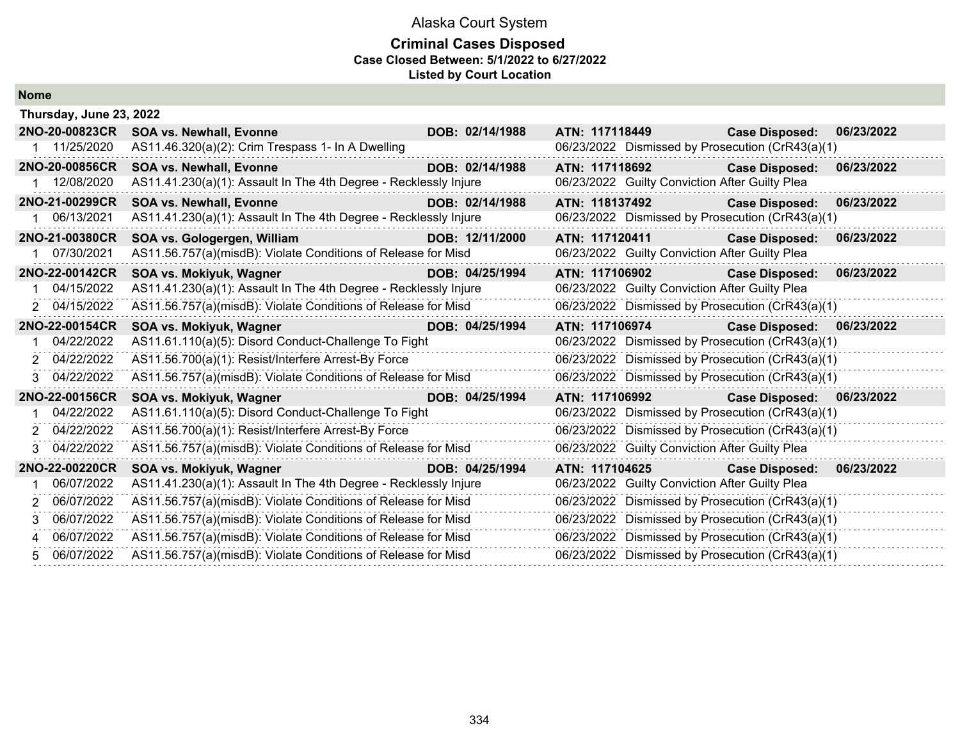#### **Criminal Cases Disposed Case Closed Between: 5/1/2022 to 6/27/2022 Listed by Court Location**

| <b>Nome</b> |
|-------------|
|-------------|

|    | Thursday, June 23, 2022 |                                                                                |                 |                                                  |                                     |  |  |  |
|----|-------------------------|--------------------------------------------------------------------------------|-----------------|--------------------------------------------------|-------------------------------------|--|--|--|
|    | 2NO-20-00823CR          | <b>SOA vs. Newhall, Evonne</b>                                                 | DOB: 02/14/1988 | ATN: 117118449                                   | <b>Case Disposed:</b><br>06/23/2022 |  |  |  |
|    | 1 11/25/2020            | AS11.46.320(a)(2): Crim Trespass 1- In A Dwelling                              |                 | 06/23/2022 Dismissed by Prosecution (CrR43(a)(1) |                                     |  |  |  |
|    | 2NO-20-00856CR          | <b>SOA vs. Newhall, Evonne</b>                                                 | DOB: 02/14/1988 | ATN: 117118692                                   | <b>Case Disposed:</b><br>06/23/2022 |  |  |  |
|    | 1 12/08/2020            | AS11.41.230(a)(1): Assault In The 4th Degree - Recklessly Injure               |                 | 06/23/2022 Guilty Conviction After Guilty Plea   |                                     |  |  |  |
|    | 2NO-21-00299CR          | <b>SOA vs. Newhall, Evonne</b><br><u> 1999 - Jan Barnett, fransk politiker</u> | DOB: 02/14/1988 | ATN: 118137492                                   | <b>Case Disposed:</b><br>06/23/2022 |  |  |  |
|    | 06/13/2021              | AS11.41.230(a)(1): Assault In The 4th Degree - Recklessly Injure               |                 | 06/23/2022 Dismissed by Prosecution (CrR43(a)(1) |                                     |  |  |  |
|    | 2NO-21-00380CR          | SOA vs. Gologergen, William                                                    | DOB: 12/11/2000 | ATN: 117120411                                   | <b>Case Disposed:</b><br>06/23/2022 |  |  |  |
| 1. | 07/30/2021              | AS11.56.757(a)(misdB): Violate Conditions of Release for Misd                  |                 | 06/23/2022 Guilty Conviction After Guilty Plea   |                                     |  |  |  |
|    | 2NO-22-00142CR          | SOA vs. Mokiyuk, Wagner                                                        | DOB: 04/25/1994 | ATN: 117106902                                   | <b>Case Disposed:</b><br>06/23/2022 |  |  |  |
|    | 04/15/2022              | AS11.41.230(a)(1): Assault In The 4th Degree - Recklessly Injure               |                 | 06/23/2022 Guilty Conviction After Guilty Plea   |                                     |  |  |  |
|    | 2 04/15/2022            | AS11.56.757(a)(misdB): Violate Conditions of Release for Misd                  |                 | 06/23/2022 Dismissed by Prosecution (CrR43(a)(1) |                                     |  |  |  |
|    | 2NO-22-00154CR          | SOA vs. Mokiyuk, Wagner                                                        | DOB: 04/25/1994 | ATN: 117106974                                   | <b>Case Disposed:</b><br>06/23/2022 |  |  |  |
|    | 04/22/2022              | AS11.61.110(a)(5): Disord Conduct-Challenge To Fight                           |                 | 06/23/2022 Dismissed by Prosecution (CrR43(a)(1) |                                     |  |  |  |
|    | 2 04/22/2022            | AS11.56.700(a)(1): Resist/Interfere Arrest-By Force                            |                 | 06/23/2022 Dismissed by Prosecution (CrR43(a)(1) |                                     |  |  |  |
| 3  | 04/22/2022              | AS11.56.757(a)(misdB): Violate Conditions of Release for Misd                  |                 | 06/23/2022 Dismissed by Prosecution (CrR43(a)(1) |                                     |  |  |  |
|    | 2NO-22-00156CR          | SOA vs. Mokiyuk, Wagner                                                        | DOB: 04/25/1994 | ATN: 117106992                                   | <b>Case Disposed:</b><br>06/23/2022 |  |  |  |
|    | 04/22/2022              | AS11.61.110(a)(5): Disord Conduct-Challenge To Fight                           |                 | 06/23/2022 Dismissed by Prosecution (CrR43(a)(1) |                                     |  |  |  |
| 2  | 04/22/2022              | AS11.56.700(a)(1): Resist/Interfere Arrest-By Force                            |                 | 06/23/2022 Dismissed by Prosecution (CrR43(a)(1) |                                     |  |  |  |
| 3. | 04/22/2022              | AS11.56.757(a)(misdB): Violate Conditions of Release for Misd                  |                 | 06/23/2022 Guilty Conviction After Guilty Plea   |                                     |  |  |  |
|    | 2NO-22-00220CR          | SOA vs. Mokiyuk, Wagner                                                        | DOB: 04/25/1994 | ATN: 117104625                                   | <b>Case Disposed:</b><br>06/23/2022 |  |  |  |
|    | 06/07/2022              | AS11.41.230(a)(1): Assault In The 4th Degree - Recklessly Injure               |                 | 06/23/2022 Guilty Conviction After Guilty Plea   |                                     |  |  |  |
| 2  | 06/07/2022              | AS11.56.757(a)(misdB): Violate Conditions of Release for Misd                  |                 | 06/23/2022 Dismissed by Prosecution (CrR43(a)(1) |                                     |  |  |  |
| 3  | 06/07/2022              | AS11.56.757(a)(misdB): Violate Conditions of Release for Misd                  |                 | 06/23/2022 Dismissed by Prosecution (CrR43(a)(1) |                                     |  |  |  |
| 4  | 06/07/2022              | AS11.56.757(a)(misdB): Violate Conditions of Release for Misd                  |                 | 06/23/2022 Dismissed by Prosecution (CrR43(a)(1) |                                     |  |  |  |
| 5. | 06/07/2022              | AS11.56.757(a)(misdB): Violate Conditions of Release for Misd                  |                 | 06/23/2022 Dismissed by Prosecution (CrR43(a)(1) |                                     |  |  |  |
|    |                         |                                                                                |                 |                                                  |                                     |  |  |  |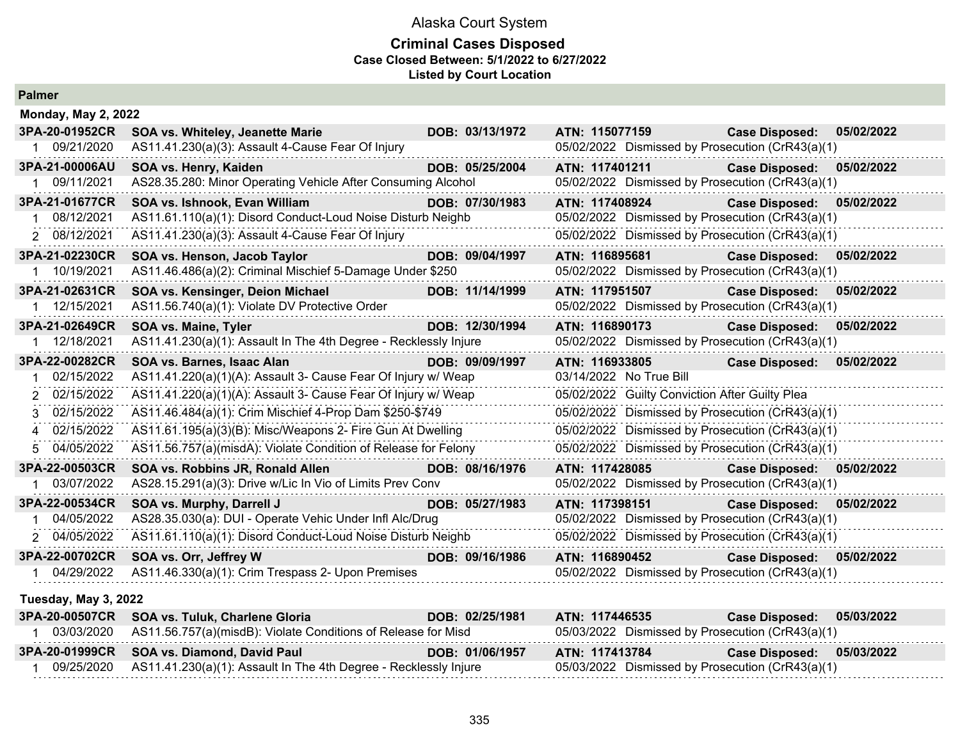#### **Criminal Cases Disposed Case Closed Between: 5/1/2022 to 6/27/2022 Listed by Court Location**

| Palmer                     |                                                                  |                 |                                                  |                       |            |
|----------------------------|------------------------------------------------------------------|-----------------|--------------------------------------------------|-----------------------|------------|
| <b>Monday, May 2, 2022</b> |                                                                  |                 |                                                  |                       |            |
| 3PA-20-01952CR             | <b>SOA vs. Whiteley, Jeanette Marie</b>                          | DOB: 03/13/1972 | ATN: 115077159                                   | <b>Case Disposed:</b> | 05/02/2022 |
| 1 09/21/2020               | AS11.41.230(a)(3): Assault 4-Cause Fear Of Injury                |                 | 05/02/2022 Dismissed by Prosecution (CrR43(a)(1) |                       |            |
| 3PA-21-00006AU             | SOA vs. Henry, Kaiden                                            | DOB: 05/25/2004 | ATN: 117401211                                   | <b>Case Disposed:</b> | 05/02/2022 |
| 1 09/11/2021               | AS28.35.280: Minor Operating Vehicle After Consuming Alcohol     |                 | 05/02/2022 Dismissed by Prosecution (CrR43(a)(1) |                       |            |
| 3PA-21-01677CR             | SOA vs. Ishnook, Evan William                                    | DOB: 07/30/1983 | ATN: 117408924                                   | <b>Case Disposed:</b> | 05/02/2022 |
| 08/12/2021                 | AS11.61.110(a)(1): Disord Conduct-Loud Noise Disturb Neighb      |                 | 05/02/2022 Dismissed by Prosecution (CrR43(a)(1) |                       |            |
| 2 08/12/2021               | AS11.41.230(a)(3): Assault 4-Cause Fear Of Injury                |                 | 05/02/2022 Dismissed by Prosecution (CrR43(a)(1) |                       |            |
| 3PA-21-02230CR             | SOA vs. Henson, Jacob Taylor                                     | DOB: 09/04/1997 | ATN: 116895681                                   | <b>Case Disposed:</b> | 05/02/2022 |
| 1 10/19/2021               | AS11.46.486(a)(2): Criminal Mischief 5-Damage Under \$250        |                 | 05/02/2022 Dismissed by Prosecution (CrR43(a)(1) |                       |            |
| 3PA-21-02631CR             | SOA vs. Kensinger, Deion Michael                                 | DOB: 11/14/1999 | ATN: 117951507                                   | <b>Case Disposed:</b> | 05/02/2022 |
| 1 12/15/2021               | AS11.56.740(a)(1): Violate DV Protective Order                   |                 | 05/02/2022 Dismissed by Prosecution (CrR43(a)(1) |                       |            |
| 3PA-21-02649CR             | <b>SOA vs. Maine, Tyler</b>                                      | DOB: 12/30/1994 | ATN: 116890173                                   | <b>Case Disposed:</b> | 05/02/2022 |
| 1 12/18/2021               | AS11.41.230(a)(1): Assault In The 4th Degree - Recklessly Injure |                 | 05/02/2022 Dismissed by Prosecution (CrR43(a)(1) |                       |            |
| 3PA-22-00282CR             | SOA vs. Barnes, Isaac Alan                                       | DOB: 09/09/1997 | ATN: 116933805                                   | <b>Case Disposed:</b> | 05/02/2022 |
| 02/15/2022<br>1.           | AS11.41.220(a)(1)(A): Assault 3- Cause Fear Of Injury w/ Weap    |                 | 03/14/2022 No True Bill                          |                       |            |
| 2 02/15/2022               | AS11.41.220(a)(1)(A): Assault 3- Cause Fear Of Injury w/ Weap    |                 | 05/02/2022 Guilty Conviction After Guilty Plea   |                       |            |
| 02/15/2022<br>3            | AS11.46.484(a)(1): Crim Mischief 4-Prop Dam \$250-\$749          |                 | 05/02/2022 Dismissed by Prosecution (CrR43(a)(1) |                       |            |
| 4 02/15/2022               | AS11.61.195(a)(3)(B): Misc/Weapons 2- Fire Gun At Dwelling       |                 | 05/02/2022 Dismissed by Prosecution (CrR43(a)(1) |                       |            |
| 04/05/2022<br>5.           | AS11.56.757(a)(misdA): Violate Condition of Release for Felony   |                 | 05/02/2022 Dismissed by Prosecution (CrR43(a)(1) |                       |            |
| 3PA-22-00503CR             | SOA vs. Robbins JR, Ronald Allen                                 | DOB: 08/16/1976 | ATN: 117428085                                   | <b>Case Disposed:</b> | 05/02/2022 |
| 1 03/07/2022               | AS28.15.291(a)(3): Drive w/Lic In Vio of Limits Prev Conv        |                 | 05/02/2022 Dismissed by Prosecution (CrR43(a)(1) |                       |            |
| 3PA-22-00534CR             | SOA vs. Murphy, Darrell J                                        | DOB: 05/27/1983 | ATN: 117398151                                   | <b>Case Disposed:</b> | 05/02/2022 |
| 04/05/2022                 | AS28.35.030(a): DUI - Operate Vehic Under Infl Alc/Drug          |                 | 05/02/2022 Dismissed by Prosecution (CrR43(a)(1) |                       |            |
| 2 04/05/2022               | AS11.61.110(a)(1): Disord Conduct-Loud Noise Disturb Neighb      |                 | 05/02/2022 Dismissed by Prosecution (CrR43(a)(1) |                       |            |
| 3PA-22-00702CR             | SOA vs. Orr, Jeffrey W                                           | DOB: 09/16/1986 | ATN: 116890452                                   | <b>Case Disposed:</b> | 05/02/2022 |
| 1 04/29/2022               | AS11.46.330(a)(1): Crim Trespass 2- Upon Premises                |                 | 05/02/2022 Dismissed by Prosecution (CrR43(a)(1) |                       |            |
| Tuesday, May 3, 2022       |                                                                  |                 |                                                  |                       |            |
| 3PA-20-00507CR             | SOA vs. Tuluk, Charlene Gloria                                   | DOB: 02/25/1981 | ATN: 117446535                                   | <b>Case Disposed:</b> | 05/03/2022 |
| 1 03/03/2020               | AS11.56.757(a)(misdB): Violate Conditions of Release for Misd    |                 | 05/03/2022 Dismissed by Prosecution (CrR43(a)(1) |                       |            |
| 3PA-20-01999CR             | SOA vs. Diamond, David Paul                                      | DOB: 01/06/1957 | ATN: 117413784                                   | <b>Case Disposed:</b> | 05/03/2022 |
|                            |                                                                  |                 |                                                  |                       |            |

1 09/25/2020 AS11.41.230(a)(1): Assault In The 4th Degree - Recklessly Injure 05/03/2022 Dismissed by Prosecution (CrR43(a)(1)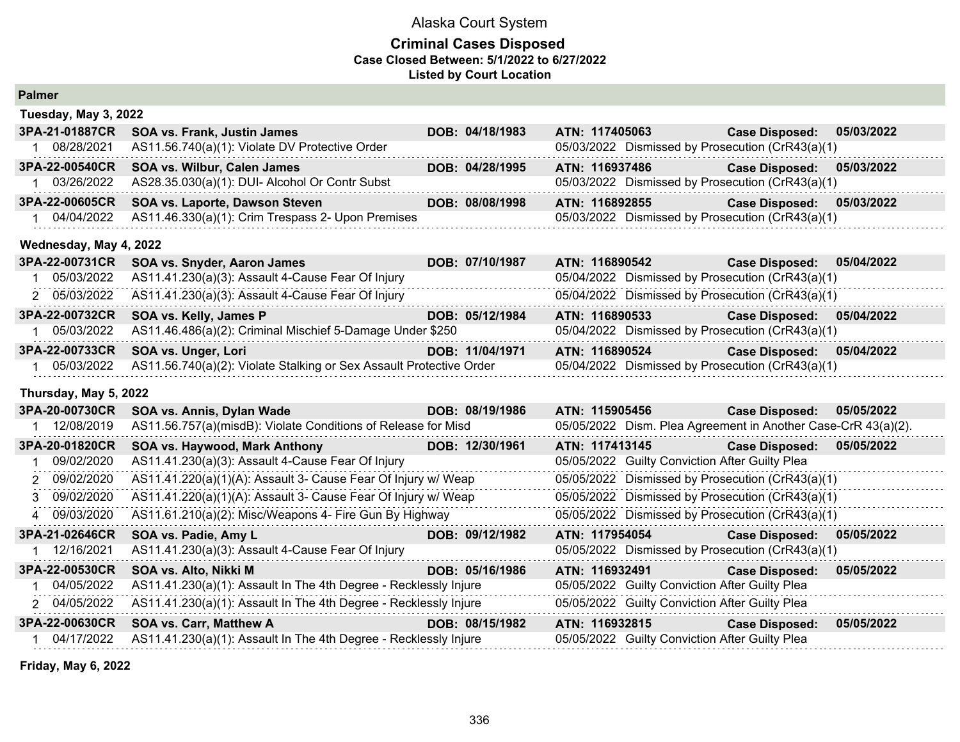## **Criminal Cases Disposed Case Closed Between: 5/1/2022 to 6/27/2022 Listed by Court Location**

| <b>Palmer</b>          |                                                                     |                 |                |                |                                                               |            |
|------------------------|---------------------------------------------------------------------|-----------------|----------------|----------------|---------------------------------------------------------------|------------|
| Tuesday, May 3, 2022   |                                                                     |                 |                |                |                                                               |            |
| 3PA-21-01887CR         | <b>SOA vs. Frank, Justin James</b>                                  | DOB: 04/18/1983 |                | ATN: 117405063 | <b>Case Disposed:</b>                                         | 05/03/2022 |
| 1 08/28/2021           | AS11.56.740(a)(1): Violate DV Protective Order                      |                 |                |                | 05/03/2022 Dismissed by Prosecution (CrR43(a)(1)              |            |
| 3PA-22-00540CR         | SOA vs. Wilbur, Calen James                                         | DOB: 04/28/1995 | ATN: 116937486 |                | <b>Case Disposed:</b>                                         | 05/03/2022 |
| 1 03/26/2022           | AS28.35.030(a)(1): DUI- Alcohol Or Contr Subst                      |                 |                |                | 05/03/2022 Dismissed by Prosecution (CrR43(a)(1)              |            |
| 3PA-22-00605CR         | SOA vs. Laporte, Dawson Steven                                      | DOB: 08/08/1998 | ATN: 116892855 |                | <b>Case Disposed:</b>                                         | 05/03/2022 |
| 1 04/04/2022           | AS11.46.330(a)(1): Crim Trespass 2- Upon Premises                   |                 |                |                | 05/03/2022 Dismissed by Prosecution (CrR43(a)(1)              |            |
| Wednesday, May 4, 2022 |                                                                     |                 |                |                |                                                               |            |
| 3PA-22-00731CR         | SOA vs. Snyder, Aaron James                                         | DOB: 07/10/1987 | ATN: 116890542 |                | <b>Case Disposed:</b>                                         | 05/04/2022 |
| 1 05/03/2022           | AS11.41.230(a)(3): Assault 4-Cause Fear Of Injury                   |                 |                |                | 05/04/2022 Dismissed by Prosecution (CrR43(a)(1)              |            |
| 2 05/03/2022           | AS11.41.230(a)(3): Assault 4-Cause Fear Of Injury                   |                 |                |                | 05/04/2022 Dismissed by Prosecution (CrR43(a)(1)              |            |
| 3PA-22-00732CR         | SOA vs. Kelly, James P                                              | DOB: 05/12/1984 | ATN: 116890533 |                | <b>Case Disposed:</b>                                         | 05/04/2022 |
| 05/03/2022             | AS11.46.486(a)(2): Criminal Mischief 5-Damage Under \$250           |                 |                |                | 05/04/2022 Dismissed by Prosecution (CrR43(a)(1)              |            |
| 3PA-22-00733CR         | SOA vs. Unger, Lori                                                 | DOB: 11/04/1971 | ATN: 116890524 |                | <b>Case Disposed:</b>                                         | 05/04/2022 |
| 1 05/03/2022           | AS11.56.740(a)(2): Violate Stalking or Sex Assault Protective Order |                 |                |                | 05/04/2022 Dismissed by Prosecution (CrR43(a)(1)              |            |
| Thursday, May 5, 2022  |                                                                     |                 |                |                |                                                               |            |
| 3PA-20-00730CR         | SOA vs. Annis, Dylan Wade                                           | DOB: 08/19/1986 | ATN: 115905456 |                | <b>Case Disposed:</b>                                         | 05/05/2022 |
| 1 12/08/2019           | AS11.56.757(a)(misdB): Violate Conditions of Release for Misd       |                 |                |                | 05/05/2022 Dism. Plea Agreement in Another Case-CrR 43(a)(2). |            |
| 3PA-20-01820CR         | SOA vs. Haywood, Mark Anthony<br><b>Album and State</b>             | DOB: 12/30/1961 | ATN: 117413145 |                | <b>Case Disposed:</b>                                         | 05/05/2022 |
| 09/02/2020             | AS11.41.230(a)(3): Assault 4-Cause Fear Of Injury                   |                 |                |                | 05/05/2022 Guilty Conviction After Guilty Plea                |            |
| 2 09/02/2020           | AS11.41.220(a)(1)(A): Assault 3- Cause Fear Of Injury w/ Weap       |                 |                |                | 05/05/2022 Dismissed by Prosecution (CrR43(a)(1)              |            |
| 3 09/02/2020           | AS11.41.220(a)(1)(A): Assault 3- Cause Fear Of Injury w/ Weap       |                 |                |                | 05/05/2022 Dismissed by Prosecution (CrR43(a)(1)              |            |
| 4 09/03/2020           | AS11.61.210(a)(2): Misc/Weapons 4- Fire Gun By Highway              |                 |                |                | 05/05/2022 Dismissed by Prosecution (CrR43(a)(1)              |            |
| 3PA-21-02646CR         | SOA vs. Padie, Amy L                                                | DOB: 09/12/1982 |                | ATN: 117954054 | <b>Case Disposed:</b>                                         | 05/05/2022 |
| 12/16/2021             | AS11.41.230(a)(3): Assault 4-Cause Fear Of Injury                   |                 |                |                | 05/05/2022 Dismissed by Prosecution (CrR43(a)(1)              |            |
| 3PA-22-00530CR         | SOA vs. Alto, Nikki M                                               | DOB: 05/16/1986 | ATN: 116932491 |                | Case Disposed: 05/05/2022                                     |            |
| 1 04/05/2022           | AS11.41.230(a)(1): Assault In The 4th Degree - Recklessly Injure    |                 |                |                | 05/05/2022 Guilty Conviction After Guilty Plea                |            |
| 2 04/05/2022           | AS11.41.230(a)(1): Assault In The 4th Degree - Recklessly Injure    |                 |                |                | 05/05/2022 Guilty Conviction After Guilty Plea                |            |
| 3PA-22-00630CR         | <b>SOA vs. Carr, Matthew A</b>                                      | DOB: 08/15/1982 | ATN: 116932815 |                | <b>Case Disposed:</b>                                         | 05/05/2022 |
| 1 04/17/2022           | AS11.41.230(a)(1): Assault In The 4th Degree - Recklessly Injure    |                 |                |                | 05/05/2022 Guilty Conviction After Guilty Plea                |            |

**Friday, May 6, 2022**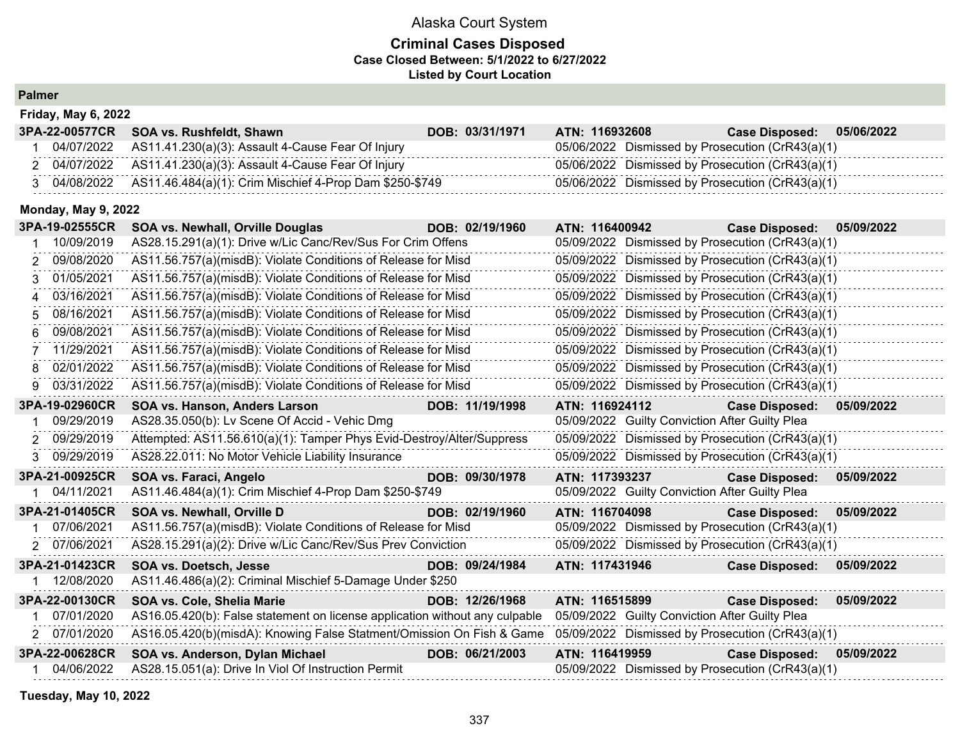## **Criminal Cases Disposed Case Closed Between: 5/1/2022 to 6/27/2022 Listed by Court Location**

| <b>Palmer</b> |
|---------------|
|---------------|

| <b>Friday, May 6, 2022</b> |                                                                    |                 |                                                  |                       |            |  |  |  |
|----------------------------|--------------------------------------------------------------------|-----------------|--------------------------------------------------|-----------------------|------------|--|--|--|
|                            | 3PA-22-00577CR SOA vs. Rushfeldt, Shawn                            | DOB: 03/31/1971 | <b>ATN: 116932608</b>                            | <b>Case Disposed:</b> | 05/06/2022 |  |  |  |
|                            | 04/07/2022 AS11.41.230(a)(3): Assault 4-Cause Fear Of Injury       |                 | 05/06/2022 Dismissed by Prosecution (CrR43(a)(1) |                       |            |  |  |  |
|                            | 2 04/07/2022 AS11.41.230(a)(3): Assault 4-Cause Fear Of Injury     |                 | 05/06/2022 Dismissed by Prosecution (CrR43(a)(1) |                       |            |  |  |  |
|                            | 04/08/2022 AS11.46.484(a)(1): Crim Mischief 4-Prop Dam \$250-\$749 |                 | 05/06/2022 Dismissed by Prosecution (CrR43(a)(1) |                       |            |  |  |  |

## **Monday, May 9, 2022**

|    | 3PA-19-02555CR | <b>SOA vs. Newhall, Orville Douglas</b>                                                                                | DOB: 02/19/1960 | ATN: 116400942                                   | <b>Case Disposed:</b> | 05/09/2022 |
|----|----------------|------------------------------------------------------------------------------------------------------------------------|-----------------|--------------------------------------------------|-----------------------|------------|
|    | 10/09/2019     | AS28.15.291(a)(1): Drive w/Lic Canc/Rev/Sus For Crim Offens                                                            |                 | 05/09/2022 Dismissed by Prosecution (CrR43(a)(1) |                       |            |
| 2  | 09/08/2020     | AS11.56.757(a)(misdB): Violate Conditions of Release for Misd                                                          |                 | 05/09/2022 Dismissed by Prosecution (CrR43(a)(1) |                       |            |
|    | 01/05/2021     | AS11.56.757(a)(misdB): Violate Conditions of Release for Misd                                                          |                 | 05/09/2022 Dismissed by Prosecution (CrR43(a)(1) |                       |            |
|    | 03/16/2021     | AS11.56.757(a)(misdB): Violate Conditions of Release for Misd                                                          |                 | 05/09/2022 Dismissed by Prosecution (CrR43(a)(1) |                       |            |
| 5. | 08/16/2021     | AS11.56.757(a)(misdB): Violate Conditions of Release for Misd                                                          |                 | 05/09/2022 Dismissed by Prosecution (CrR43(a)(1) |                       |            |
| 6  | 09/08/2021     | AS11.56.757(a)(misdB): Violate Conditions of Release for Misd                                                          |                 | 05/09/2022 Dismissed by Prosecution (CrR43(a)(1) |                       |            |
|    | 11/29/2021     | AS11.56.757(a)(misdB): Violate Conditions of Release for Misd                                                          |                 | 05/09/2022 Dismissed by Prosecution (CrR43(a)(1) |                       |            |
| 8  | 02/01/2022     | AS11.56.757(a)(misdB): Violate Conditions of Release for Misd                                                          |                 | 05/09/2022 Dismissed by Prosecution (CrR43(a)(1) |                       |            |
| 9  | 03/31/2022     | AS11.56.757(a)(misdB): Violate Conditions of Release for Misd                                                          |                 | 05/09/2022 Dismissed by Prosecution (CrR43(a)(1) |                       |            |
|    | 3PA-19-02960CR | SOA vs. Hanson, Anders Larson                                                                                          | DOB: 11/19/1998 | ATN: 116924112                                   | <b>Case Disposed:</b> | 05/09/2022 |
|    | 09/29/2019     | AS28.35.050(b): Lv Scene Of Accid - Vehic Dmg                                                                          |                 | 05/09/2022 Guilty Conviction After Guilty Plea   |                       |            |
| 2  | 09/29/2019     | Attempted: AS11.56.610(a)(1): Tamper Phys Evid-Destroy/Alter/Suppress                                                  |                 | 05/09/2022 Dismissed by Prosecution (CrR43(a)(1) |                       |            |
| 3. | 09/29/2019     | AS28.22.011: No Motor Vehicle Liability Insurance                                                                      |                 | 05/09/2022 Dismissed by Prosecution (CrR43(a)(1) |                       |            |
|    | 3PA-21-00925CR | SOA vs. Faraci, Angelo                                                                                                 | DOB: 09/30/1978 | ATN: 117393237                                   | <b>Case Disposed:</b> | 05/09/2022 |
|    | 04/11/2021     | AS11.46.484(a)(1): Crim Mischief 4-Prop Dam \$250-\$749                                                                |                 | 05/09/2022 Guilty Conviction After Guilty Plea   |                       |            |
|    | 3PA-21-01405CR | SOA vs. Newhall, Orville D                                                                                             | DOB: 02/19/1960 | ATN: 116704098                                   | <b>Case Disposed:</b> | 05/09/2022 |
|    | 07/06/2021     | AS11.56.757(a)(misdB): Violate Conditions of Release for Misd                                                          |                 | 05/09/2022 Dismissed by Prosecution (CrR43(a)(1) |                       |            |
|    | 2 07/06/2021   | AS28.15.291(a)(2): Drive w/Lic Canc/Rev/Sus Prev Conviction                                                            |                 | 05/09/2022 Dismissed by Prosecution (CrR43(a)(1) |                       |            |
|    | 3PA-21-01423CR | <b>SOA vs. Doetsch, Jesse</b>                                                                                          | DOB: 09/24/1984 | ATN: 117431946                                   | <b>Case Disposed:</b> | 05/09/2022 |
|    | 12/08/2020     | AS11.46.486(a)(2): Criminal Mischief 5-Damage Under \$250                                                              |                 |                                                  |                       |            |
|    | 3PA-22-00130CR | <b>SOA vs. Cole, Shelia Marie</b>                                                                                      | DOB: 12/26/1968 | ATN: 116515899                                   | <b>Case Disposed:</b> | 05/09/2022 |
|    | 07/01/2020     | AS16.05.420(b): False statement on license application without any culpable                                            |                 | 05/09/2022 Guilty Conviction After Guilty Plea   |                       |            |
|    | 2 07/01/2020   | AS16.05.420(b)(misdA): Knowing False Statment/Omission On Fish & Game 05/09/2022 Dismissed by Prosecution (CrR43(a)(1) |                 |                                                  |                       |            |
|    | 3PA-22-00628CR | SOA vs. Anderson, Dylan Michael                                                                                        | DOB: 06/21/2003 | ATN: 116419959                                   | <b>Case Disposed:</b> | 05/09/2022 |
|    | 04/06/2022     | AS28.15.051(a): Drive In Viol Of Instruction Permit                                                                    |                 | 05/09/2022 Dismissed by Prosecution (CrR43(a)(1) |                       |            |

**Tuesday, May 10, 2022**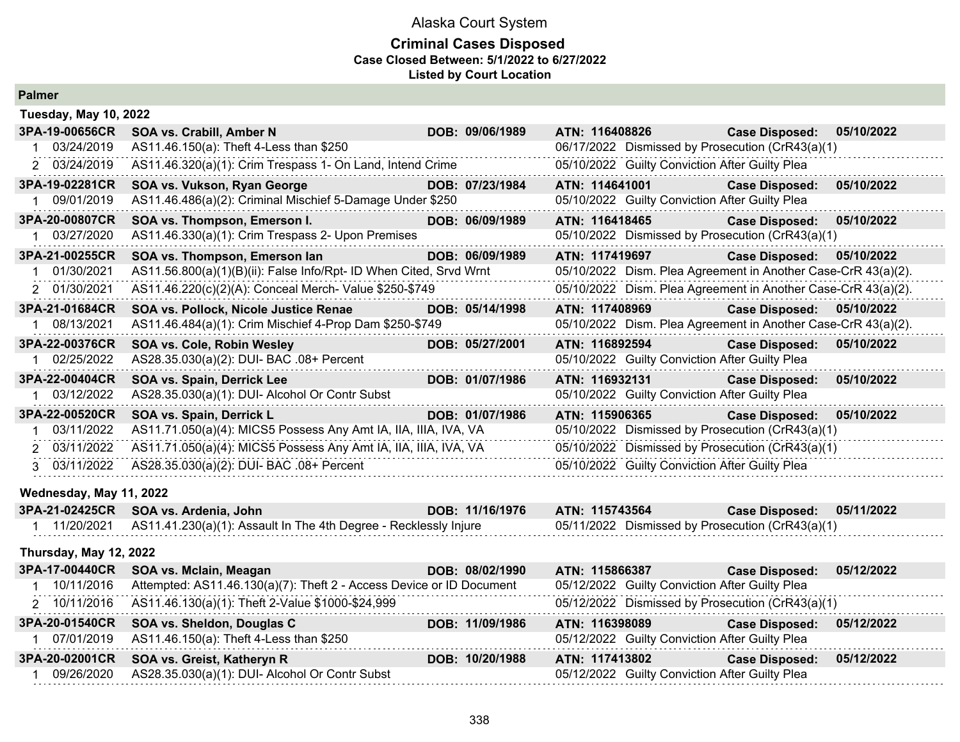#### **Criminal Cases Disposed Case Closed Between: 5/1/2022 to 6/27/2022 Listed by Court Location**

| <b>Tuesday, May 10, 2022</b> |                                                                       |                 |                                                               |                       |            |
|------------------------------|-----------------------------------------------------------------------|-----------------|---------------------------------------------------------------|-----------------------|------------|
| 3PA-19-00656CR               | SOA vs. Crabill, Amber N                                              | DOB: 09/06/1989 | ATN: 116408826                                                | <b>Case Disposed:</b> | 05/10/2022 |
| 03/24/2019                   | AS11.46.150(a): Theft 4-Less than \$250                               |                 | 06/17/2022 Dismissed by Prosecution (CrR43(a)(1)              |                       |            |
| 2 03/24/2019                 | AS11.46.320(a)(1): Crim Trespass 1- On Land, Intend Crime             |                 | 05/10/2022 Guilty Conviction After Guilty Plea                |                       |            |
| 3PA-19-02281CR               | SOA vs. Vukson, Ryan George                                           | DOB: 07/23/1984 | ATN: 114641001                                                | <b>Case Disposed:</b> | 05/10/2022 |
| 09/01/2019                   | AS11.46.486(a)(2): Criminal Mischief 5-Damage Under \$250             |                 | 05/10/2022 Guilty Conviction After Guilty Plea                |                       |            |
| 3PA-20-00807CR               | SOA vs. Thompson, Emerson I.                                          | DOB: 06/09/1989 | ATN: 116418465                                                | <b>Case Disposed:</b> | 05/10/2022 |
| 03/27/2020                   | AS11.46.330(a)(1): Crim Trespass 2- Upon Premises                     |                 | 05/10/2022 Dismissed by Prosecution (CrR43(a)(1)              |                       |            |
| 3PA-21-00255CR               | SOA vs. Thompson, Emerson lan                                         | DOB: 06/09/1989 | ATN: 117419697                                                | <b>Case Disposed:</b> | 05/10/2022 |
| 01/30/2021                   | AS11.56.800(a)(1)(B)(ii): False Info/Rpt- ID When Cited, Srvd Wrnt    |                 | 05/10/2022 Dism. Plea Agreement in Another Case-CrR 43(a)(2). |                       |            |
| 2 01/30/2021                 | AS11.46.220(c)(2)(A): Conceal Merch- Value \$250-\$749                |                 | 05/10/2022 Dism. Plea Agreement in Another Case-CrR 43(a)(2). |                       |            |
| 3PA-21-01684CR               | SOA vs. Pollock, Nicole Justice Renae                                 | DOB: 05/14/1998 | ATN: 117408969                                                | <b>Case Disposed:</b> | 05/10/2022 |
| 08/13/2021                   | AS11.46.484(a)(1): Crim Mischief 4-Prop Dam \$250-\$749               |                 | 05/10/2022 Dism. Plea Agreement in Another Case-CrR 43(a)(2). |                       |            |
| 3PA-22-00376CR               | SOA vs. Cole, Robin Wesley                                            | DOB: 05/27/2001 | ATN: 116892594                                                | <b>Case Disposed:</b> | 05/10/2022 |
| 02/25/2022                   | AS28.35.030(a)(2): DUI- BAC .08+ Percent                              |                 | 05/10/2022 Guilty Conviction After Guilty Plea                |                       |            |
| 3PA-22-00404CR               | SOA vs. Spain, Derrick Lee                                            | DOB: 01/07/1986 | ATN: 116932131                                                | <b>Case Disposed:</b> | 05/10/2022 |
| 03/12/2022                   | AS28.35.030(a)(1): DUI- Alcohol Or Contr Subst                        |                 | 05/10/2022 Guilty Conviction After Guilty Plea                |                       |            |
| 3PA-22-00520CR               | SOA vs. Spain, Derrick L                                              | DOB: 01/07/1986 | ATN: 115906365                                                | <b>Case Disposed:</b> | 05/10/2022 |
| 03/11/2022                   | AS11.71.050(a)(4): MICS5 Possess Any Amt IA, IIA, IIIA, IVA, VA       |                 | 05/10/2022 Dismissed by Prosecution (CrR43(a)(1)              |                       |            |
| 2 03/11/2022                 | AS11.71.050(a)(4): MICS5 Possess Any Amt IA, IIA, IIIA, IVA, VA       |                 | 05/10/2022 Dismissed by Prosecution (CrR43(a)(1)              |                       |            |
| 3 03/11/2022                 | AS28.35.030(a)(2): DUI- BAC .08+ Percent                              |                 | 05/10/2022 Guilty Conviction After Guilty Plea                |                       |            |
| Wednesday, May 11, 2022      |                                                                       |                 |                                                               |                       |            |
| 3PA-21-02425CR               | SOA vs. Ardenia, John                                                 | DOB: 11/16/1976 | ATN: 115743564                                                | <b>Case Disposed:</b> | 05/11/2022 |
| 1 11/20/2021                 | AS11.41.230(a)(1): Assault In The 4th Degree - Recklessly Injure      |                 | 05/11/2022 Dismissed by Prosecution (CrR43(a)(1)              |                       |            |
| Thursday, May 12, 2022       |                                                                       |                 |                                                               |                       |            |
| 3PA-17-00440CR               | SOA vs. Mclain, Meagan                                                | DOB: 08/02/1990 | ATN: 115866387                                                | <b>Case Disposed:</b> | 05/12/2022 |
| 1 10/11/2016                 | Attempted: AS11.46.130(a)(7): Theft 2 - Access Device or ID Document  |                 | 05/12/2022 Guilty Conviction After Guilty Plea                |                       |            |
| 2 10/11/2016                 | AS11.46.130(a)(1): Theft 2-Value \$1000-\$24,999                      |                 | 05/12/2022 Dismissed by Prosecution (CrR43(a)(1)              |                       |            |
| 3PA-20-01540CR               | SOA vs. Sheldon, Douglas C                                            | DOB: 11/09/1986 | ATN: 116398089                                                | <b>Case Disposed:</b> | 05/12/2022 |
| 07/01/2019                   | AS11.46.150(a): Theft 4-Less than \$250<br>.                          |                 | 05/12/2022 Guilty Conviction After Guilty Plea                |                       |            |
| 3PA-20-02001CR               | SOA vs. Greist, Katheryn R                                            | DOB: 10/20/1988 | ATN: 117413802                                                | <b>Case Disposed:</b> | 05/12/2022 |
|                              | $\mathbf{r}$ , and $\mathbf{r}$ , and $\mathbf{r}$ , and $\mathbf{r}$ |                 |                                                               |                       |            |

1 09/26/2020 AS28.35.030(a)(1): DUI- Alcohol Or Contr Subst 05/12/2022 Guilty Conviction After Guilty Plea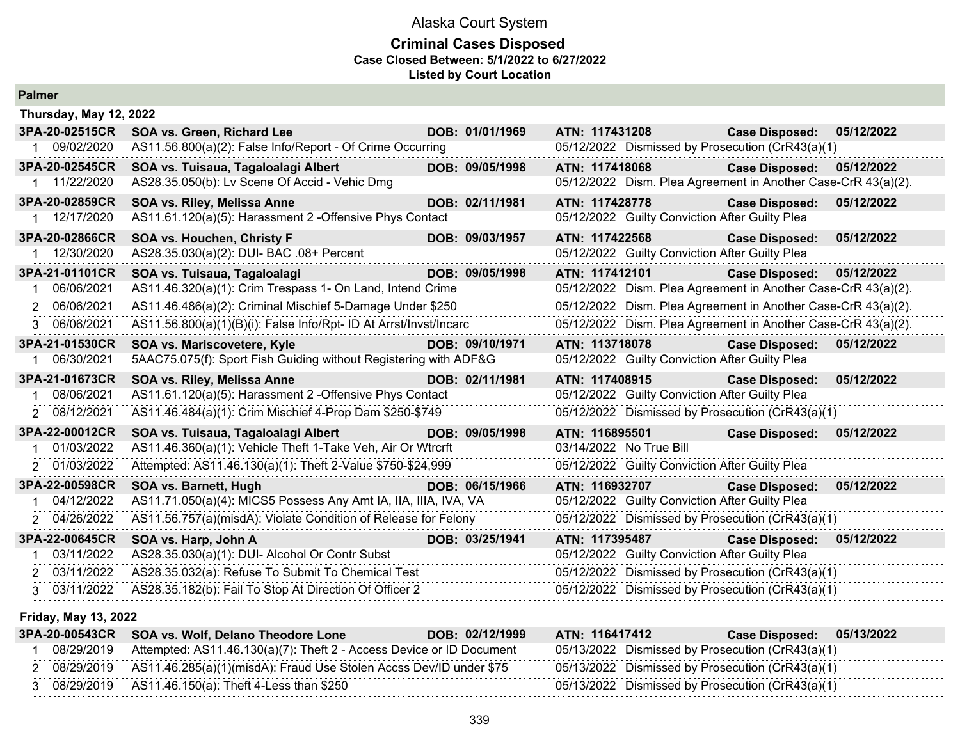## Alaska Court System **Criminal Cases Disposed Case Closed Between: 5/1/2022 to 6/27/2022**

**Listed by Court Location**

|                  | Thursday, May 12, 2022                                            |                                                               |  |  |  |  |  |  |
|------------------|-------------------------------------------------------------------|---------------------------------------------------------------|--|--|--|--|--|--|
| 3PA-20-02515CR   | <b>SOA vs. Green, Richard Lee</b><br>DOB: 01/01/1969              | ATN: 117431208<br><b>Case Disposed:</b><br>05/12/2022         |  |  |  |  |  |  |
| 09/02/2020       | AS11.56.800(a)(2): False Info/Report - Of Crime Occurring         | 05/12/2022 Dismissed by Prosecution (CrR43(a)(1)              |  |  |  |  |  |  |
| 3PA-20-02545CR   | SOA vs. Tuisaua, Tagaloalagi Albert<br>DOB: 09/05/1998            | ATN: 117418068<br>05/12/2022<br><b>Case Disposed:</b>         |  |  |  |  |  |  |
| 1 11/22/2020     | AS28.35.050(b): Lv Scene Of Accid - Vehic Dmg                     | 05/12/2022 Dism. Plea Agreement in Another Case-CrR 43(a)(2). |  |  |  |  |  |  |
| 3PA-20-02859CR   | SOA vs. Riley, Melissa Anne<br>DOB: 02/11/1981                    | ATN: 117428778<br>05/12/2022<br><b>Case Disposed:</b>         |  |  |  |  |  |  |
| 1 12/17/2020     | AS11.61.120(a)(5): Harassment 2 - Offensive Phys Contact          | 05/12/2022 Guilty Conviction After Guilty Plea                |  |  |  |  |  |  |
| 3PA-20-02866CR   | SOA vs. Houchen, Christy F<br>DOB: 09/03/1957                     | ATN: 117422568<br><b>Case Disposed:</b><br>05/12/2022         |  |  |  |  |  |  |
| 12/30/2020       | AS28.35.030(a)(2): DUI- BAC .08+ Percent                          | 05/12/2022 Guilty Conviction After Guilty Plea                |  |  |  |  |  |  |
| 3PA-21-01101CR   | SOA vs. Tuisaua, Tagaloalagi<br>DOB: 09/05/1998                   | ATN: 117412101<br><b>Case Disposed:</b><br>05/12/2022         |  |  |  |  |  |  |
| 06/06/2021<br>1. | AS11.46.320(a)(1): Crim Trespass 1- On Land, Intend Crime         | 05/12/2022 Dism. Plea Agreement in Another Case-CrR 43(a)(2). |  |  |  |  |  |  |
| 2 06/06/2021     | AS11.46.486(a)(2): Criminal Mischief 5-Damage Under \$250         | 05/12/2022 Dism. Plea Agreement in Another Case-CrR 43(a)(2). |  |  |  |  |  |  |
| 3 06/06/2021     | AS11.56.800(a)(1)(B)(i): False Info/Rpt- ID At Arrst/Invst/Incarc | 05/12/2022 Dism. Plea Agreement in Another Case-CrR 43(a)(2). |  |  |  |  |  |  |
| 3PA-21-01530CR   | SOA vs. Mariscovetere, Kyle<br>DOB: 09/10/1971                    | ATN: 113718078<br><b>Case Disposed:</b><br>05/12/2022         |  |  |  |  |  |  |
| 06/30/2021       | 5AAC75.075(f): Sport Fish Guiding without Registering with ADF&G  | 05/12/2022 Guilty Conviction After Guilty Plea                |  |  |  |  |  |  |
| 3PA-21-01673CR   | SOA vs. Riley, Melissa Anne<br>DOB: 02/11/1981                    | ATN: 117408915<br><b>Case Disposed:</b><br>05/12/2022         |  |  |  |  |  |  |
|                  |                                                                   |                                                               |  |  |  |  |  |  |
| 08/06/2021       | AS11.61.120(a)(5): Harassment 2 -Offensive Phys Contact           | 05/12/2022 Guilty Conviction After Guilty Plea                |  |  |  |  |  |  |
| 2 08/12/2021     | AS11.46.484(a)(1): Crim Mischief 4-Prop Dam \$250-\$749           | 05/12/2022 Dismissed by Prosecution (CrR43(a)(1)              |  |  |  |  |  |  |
| 3PA-22-00012CR   | SOA vs. Tuisaua, Tagaloalagi Albert<br>DOB: 09/05/1998            | ATN: 116895501<br><b>Case Disposed:</b><br>05/12/2022         |  |  |  |  |  |  |
| 01/03/2022       | AS11.46.360(a)(1): Vehicle Theft 1-Take Veh, Air Or Wtrcrft       | 03/14/2022 No True Bill                                       |  |  |  |  |  |  |
| 2 01/03/2022     | Attempted: AS11.46.130(a)(1): Theft 2-Value \$750-\$24,999        | 05/12/2022 Guilty Conviction After Guilty Plea                |  |  |  |  |  |  |
| 3PA-22-00598CR   | DOB: 06/15/1966<br>SOA vs. Barnett, Hugh                          | ATN: 116932707<br><b>Case Disposed:</b><br>05/12/2022         |  |  |  |  |  |  |
| 04/12/2022       | AS11.71.050(a)(4): MICS5 Possess Any Amt IA, IIA, IIIA, IVA, VA   | 05/12/2022 Guilty Conviction After Guilty Plea                |  |  |  |  |  |  |
| 2 04/26/2022     | AS11.56.757(a)(misdA): Violate Condition of Release for Felony    | 05/12/2022 Dismissed by Prosecution (CrR43(a)(1)              |  |  |  |  |  |  |
| 3PA-22-00645CR   | DOB: 03/25/1941<br>SOA vs. Harp, John A                           | ATN: 117395487<br><b>Case Disposed:</b><br>05/12/2022         |  |  |  |  |  |  |
| 03/11/2022       | AS28.35.030(a)(1): DUI- Alcohol Or Contr Subst                    | 05/12/2022 Guilty Conviction After Guilty Plea                |  |  |  |  |  |  |
| 2 03/11/2022     | AS28.35.032(a): Refuse To Submit To Chemical Test                 | 05/12/2022 Dismissed by Prosecution (CrR43(a)(1)              |  |  |  |  |  |  |

#### **Friday, May 13, 2022**

| 3PA-20-00543CR | <b>SOA vs. Wolf, Delano Theodore Lone</b>                                     | ATN: 116417412<br>DOB: 02/12/1999 | <b>Case Disposed:</b>                            | 05/13/2022 |
|----------------|-------------------------------------------------------------------------------|-----------------------------------|--------------------------------------------------|------------|
| 08/29/2019     | Attempted: AS11.46.130(a)(7): Theft 2 - Access Device or ID Document          |                                   | 05/13/2022 Dismissed by Prosecution (CrR43(a)(1) |            |
|                | 08/29/2019 AS11.46.285(a)(1)(misdA): Fraud Use Stolen Accss Dev/ID under \$75 |                                   | 05/13/2022 Dismissed by Prosecution (CrR43(a)(1) |            |
|                | 08/29/2019 AS11.46.150(a): Theft 4-Less than \$250                            |                                   | 05/13/2022 Dismissed by Prosecution (CrR43(a)(1) |            |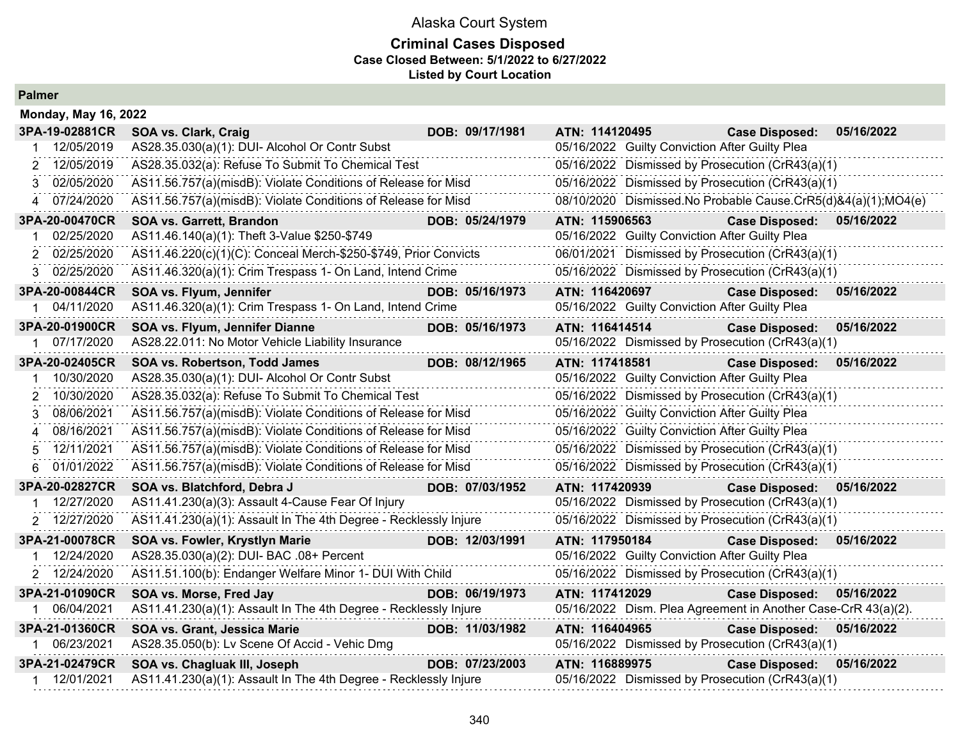### **Criminal Cases Disposed Case Closed Between: 5/1/2022 to 6/27/2022 Listed by Court Location**

|                 | <b>Monday, May 16, 2022</b>                                      |  |                 |                |                                                |                                                               |            |  |
|-----------------|------------------------------------------------------------------|--|-----------------|----------------|------------------------------------------------|---------------------------------------------------------------|------------|--|
| 3PA-19-02881CR  | SOA vs. Clark, Craig                                             |  | DOB: 09/17/1981 | ATN: 114120495 |                                                | <b>Case Disposed:</b>                                         | 05/16/2022 |  |
| 12/05/2019      | AS28.35.030(a)(1): DUI- Alcohol Or Contr Subst                   |  |                 |                | 05/16/2022 Guilty Conviction After Guilty Plea |                                                               |            |  |
| 12/05/2019<br>2 | AS28.35.032(a): Refuse To Submit To Chemical Test                |  |                 |                |                                                | 05/16/2022 Dismissed by Prosecution (CrR43(a)(1)              |            |  |
| 02/05/2020<br>3 | AS11.56.757(a)(misdB): Violate Conditions of Release for Misd    |  |                 |                |                                                | 05/16/2022 Dismissed by Prosecution (CrR43(a)(1)              |            |  |
| 07/24/2020      | AS11.56.757(a)(misdB): Violate Conditions of Release for Misd    |  |                 |                |                                                | 08/10/2020 Dismissed.No Probable Cause.CrR5(d)&4(a)(1);MO4(e) |            |  |
| 3PA-20-00470CR  | <b>SOA vs. Garrett, Brandon</b>                                  |  | DOB: 05/24/1979 | ATN: 115906563 |                                                | <b>Case Disposed:</b>                                         | 05/16/2022 |  |
| 02/25/2020      | AS11.46.140(a)(1): Theft 3-Value \$250-\$749                     |  |                 |                | 05/16/2022 Guilty Conviction After Guilty Plea |                                                               |            |  |
| 02/25/2020      | AS11.46.220(c)(1)(C): Conceal Merch-\$250-\$749, Prior Convicts  |  |                 |                |                                                | 06/01/2021 Dismissed by Prosecution (CrR43(a)(1)              |            |  |
| 02/25/2020<br>3 | AS11.46.320(a)(1): Crim Trespass 1- On Land, Intend Crime        |  |                 |                |                                                | 05/16/2022 Dismissed by Prosecution (CrR43(a)(1)              |            |  |
| 3PA-20-00844CR  | SOA vs. Flyum, Jennifer                                          |  | DOB: 05/16/1973 | ATN: 116420697 |                                                | <b>Case Disposed:</b>                                         | 05/16/2022 |  |
| 04/11/2020      | AS11.46.320(a)(1): Crim Trespass 1- On Land, Intend Crime        |  |                 |                | 05/16/2022 Guilty Conviction After Guilty Plea |                                                               |            |  |
| 3PA-20-01900CR  | SOA vs. Flyum, Jennifer Dianne                                   |  | DOB: 05/16/1973 | ATN: 116414514 |                                                | <b>Case Disposed:</b>                                         | 05/16/2022 |  |
| 07/17/2020      | AS28.22.011: No Motor Vehicle Liability Insurance                |  |                 |                |                                                | 05/16/2022 Dismissed by Prosecution (CrR43(a)(1)              |            |  |
| 3PA-20-02405CR  | SOA vs. Robertson, Todd James                                    |  | DOB: 08/12/1965 | ATN: 117418581 |                                                | <b>Case Disposed:</b>                                         | 05/16/2022 |  |
| 10/30/2020      | AS28.35.030(a)(1): DUI- Alcohol Or Contr Subst                   |  |                 |                | 05/16/2022 Guilty Conviction After Guilty Plea |                                                               |            |  |
| 10/30/2020      | AS28.35.032(a): Refuse To Submit To Chemical Test                |  |                 |                |                                                | 05/16/2022 Dismissed by Prosecution (CrR43(a)(1)              |            |  |
| 08/06/2021<br>3 | AS11.56.757(a)(misdB): Violate Conditions of Release for Misd    |  |                 |                | 05/16/2022 Guilty Conviction After Guilty Plea |                                                               |            |  |
| 08/16/2021<br>4 | AS11.56.757(a)(misdB): Violate Conditions of Release for Misd    |  |                 |                | 05/16/2022 Guilty Conviction After Guilty Plea |                                                               |            |  |
| 12/11/2021      | AS11.56.757(a)(misdB): Violate Conditions of Release for Misd    |  |                 |                |                                                | 05/16/2022 Dismissed by Prosecution (CrR43(a)(1)              |            |  |
| 01/01/2022<br>6 | AS11.56.757(a)(misdB): Violate Conditions of Release for Misd    |  |                 |                |                                                | 05/16/2022 Dismissed by Prosecution (CrR43(a)(1)              |            |  |
| 3PA-20-02827CR  | SOA vs. Blatchford, Debra J                                      |  | DOB: 07/03/1952 | ATN: 117420939 |                                                | <b>Case Disposed:</b>                                         | 05/16/2022 |  |
| 12/27/2020      | AS11.41.230(a)(3): Assault 4-Cause Fear Of Injury                |  |                 |                |                                                | 05/16/2022 Dismissed by Prosecution (CrR43(a)(1)              |            |  |
| 2 12/27/2020    | AS11.41.230(a)(1): Assault In The 4th Degree - Recklessly Injure |  |                 |                |                                                | 05/16/2022 Dismissed by Prosecution (CrR43(a)(1)              |            |  |
| 3PA-21-00078CR  | SOA vs. Fowler, Krystlyn Marie                                   |  | DOB: 12/03/1991 | ATN: 117950184 |                                                | <b>Case Disposed:</b>                                         | 05/16/2022 |  |
| 12/24/2020      | AS28.35.030(a)(2): DUI- BAC .08+ Percent                         |  |                 |                | 05/16/2022 Guilty Conviction After Guilty Plea |                                                               |            |  |
| 2 12/24/2020    | AS11.51.100(b): Endanger Welfare Minor 1- DUI With Child         |  |                 |                |                                                | 05/16/2022 Dismissed by Prosecution (CrR43(a)(1)              |            |  |
| 3PA-21-01090CR  | SOA vs. Morse, Fred Jay                                          |  | DOB: 06/19/1973 | ATN: 117412029 |                                                | <b>Case Disposed:</b>                                         | 05/16/2022 |  |
| 1 06/04/2021    | AS11.41.230(a)(1): Assault In The 4th Degree - Recklessly Injure |  |                 |                |                                                | 05/16/2022 Dism. Plea Agreement in Another Case-CrR 43(a)(2). |            |  |
| 3PA-21-01360CR  | SOA vs. Grant, Jessica Marie                                     |  | DOB: 11/03/1982 | ATN: 116404965 |                                                | <b>Case Disposed:</b>                                         | 05/16/2022 |  |
| 1 06/23/2021    | AS28.35.050(b): Lv Scene Of Accid - Vehic Dmg                    |  |                 |                |                                                | 05/16/2022 Dismissed by Prosecution (CrR43(a)(1)              |            |  |
| 3PA-21-02479CR  | SOA vs. Chagluak III, Joseph                                     |  | DOB: 07/23/2003 | ATN: 116889975 |                                                | <b>Case Disposed:</b>                                         | 05/16/2022 |  |
| 1 12/01/2021    | AS11.41.230(a)(1): Assault In The 4th Degree - Recklessly Injure |  |                 |                |                                                | 05/16/2022 Dismissed by Prosecution (CrR43(a)(1)              |            |  |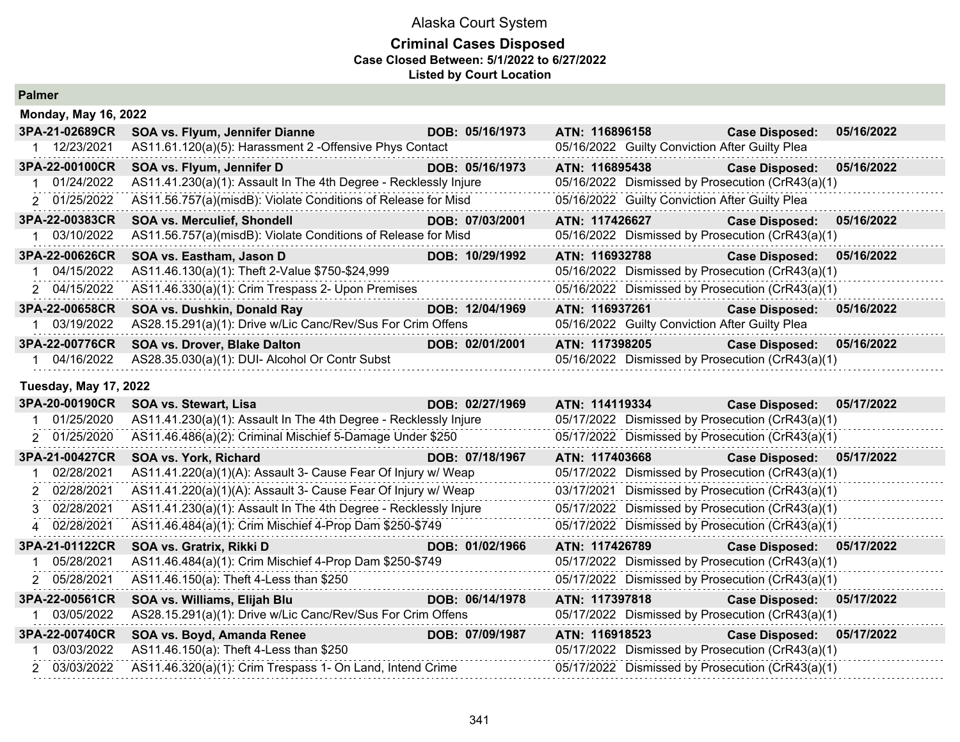### **Criminal Cases Disposed Case Closed Between: 5/1/2022 to 6/27/2022 Listed by Court Location**

**Palmer**

|                | <b>Monday, May 16, 2022</b>                                      |  |                 |                                                  |                       |            |  |  |
|----------------|------------------------------------------------------------------|--|-----------------|--------------------------------------------------|-----------------------|------------|--|--|
| 3PA-21-02689CR | SOA vs. Flyum, Jennifer Dianne                                   |  | DOB: 05/16/1973 | ATN: 116896158                                   | <b>Case Disposed:</b> | 05/16/2022 |  |  |
| 12/23/2021     | AS11.61.120(a)(5): Harassment 2 - Offensive Phys Contact         |  |                 | 05/16/2022 Guilty Conviction After Guilty Plea   |                       |            |  |  |
| 3PA-22-00100CR | SOA vs. Flyum, Jennifer D                                        |  | DOB: 05/16/1973 | ATN: 116895438                                   | <b>Case Disposed:</b> | 05/16/2022 |  |  |
| 1 01/24/2022   | AS11.41.230(a)(1): Assault In The 4th Degree - Recklessly Injure |  |                 | 05/16/2022 Dismissed by Prosecution (CrR43(a)(1) |                       |            |  |  |
| 2 01/25/2022   | AS11.56.757(a)(misdB): Violate Conditions of Release for Misd    |  |                 | 05/16/2022 Guilty Conviction After Guilty Plea   |                       |            |  |  |
| 3PA-22-00383CR | <b>SOA vs. Merculief, Shondell</b>                               |  | DOB: 07/03/2001 | ATN: 117426627                                   | <b>Case Disposed:</b> | 05/16/2022 |  |  |
| 03/10/2022     | AS11.56.757(a)(misdB): Violate Conditions of Release for Misd    |  |                 | 05/16/2022 Dismissed by Prosecution (CrR43(a)(1) |                       |            |  |  |
| 3PA-22-00626CR | SOA vs. Eastham, Jason D                                         |  | DOB: 10/29/1992 | ATN: 116932788                                   | <b>Case Disposed:</b> | 05/16/2022 |  |  |
| 04/15/2022     | AS11.46.130(a)(1): Theft 2-Value \$750-\$24,999                  |  |                 | 05/16/2022 Dismissed by Prosecution (CrR43(a)(1) |                       |            |  |  |
| 2 04/15/2022   | AS11.46.330(a)(1): Crim Trespass 2- Upon Premises                |  |                 | 05/16/2022 Dismissed by Prosecution (CrR43(a)(1) |                       |            |  |  |
| 3PA-22-00658CR | SOA vs. Dushkin, Donald Ray                                      |  | DOB: 12/04/1969 | ATN: 116937261                                   | <b>Case Disposed:</b> | 05/16/2022 |  |  |
| 03/19/2022     | AS28.15.291(a)(1): Drive w/Lic Canc/Rev/Sus For Crim Offens      |  |                 | 05/16/2022 Guilty Conviction After Guilty Plea   |                       |            |  |  |
| 3PA-22-00776CR | <b>SOA vs. Drover, Blake Dalton</b>                              |  | DOB: 02/01/2001 | ATN: 117398205                                   | <b>Case Disposed:</b> | 05/16/2022 |  |  |
| 04/16/2022     | AS28.35.030(a)(1): DUI- Alcohol Or Contr Subst                   |  |                 | 05/16/2022 Dismissed by Prosecution (CrR43(a)(1) |                       |            |  |  |

#### **Tuesday, May 17, 2022**

| 3PA-20-00190CR | SOA vs. Stewart, Lisa                                            | DOB: 02/27/1969 | ATN: 114119334                                                                                                  | <b>Case Disposed:</b>                            | 05/17/2022 |
|----------------|------------------------------------------------------------------|-----------------|-----------------------------------------------------------------------------------------------------------------|--------------------------------------------------|------------|
| 01/25/2020     | AS11.41.230(a)(1): Assault In The 4th Degree - Recklessly Injure |                 |                                                                                                                 | 05/17/2022 Dismissed by Prosecution (CrR43(a)(1) |            |
| 2 01/25/2020   | AS11.46.486(a)(2): Criminal Mischief 5-Damage Under \$250        |                 |                                                                                                                 | 05/17/2022 Dismissed by Prosecution (CrR43(a)(1) |            |
| 3PA-21-00427CR | SOA vs. York, Richard                                            | DOB: 07/18/1967 | ATN: 117403668                                                                                                  | <b>Case Disposed:</b>                            | 05/17/2022 |
| 02/28/2021     | AS11.41.220(a)(1)(A): Assault 3- Cause Fear Of Injury w/ Weap    |                 |                                                                                                                 | 05/17/2022 Dismissed by Prosecution (CrR43(a)(1) |            |
| 2 02/28/2021   | AS11.41.220(a)(1)(A): Assault 3- Cause Fear Of Injury w/ Weap    |                 |                                                                                                                 | 03/17/2021 Dismissed by Prosecution (CrR43(a)(1) |            |
| 3 02/28/2021   | AS11.41.230(a)(1): Assault In The 4th Degree - Recklessly Injure |                 |                                                                                                                 | 05/17/2022 Dismissed by Prosecution (CrR43(a)(1) |            |
| 4 02/28/2021   | AS11.46.484(a)(1): Crim Mischief 4-Prop Dam \$250-\$749          |                 |                                                                                                                 | 05/17/2022 Dismissed by Prosecution (CrR43(a)(1) |            |
| 3PA-21-01122CR | SOA vs. Gratrix, Rikki D                                         | DOB: 01/02/1966 | ATN: 117426789 Parties of the Second Second Second Second Second Second Second Second Second Second Second Seco | <b>Case Disposed:</b>                            | 05/17/2022 |
| 05/28/2021     | AS11.46.484(a)(1): Crim Mischief 4-Prop Dam \$250-\$749          |                 |                                                                                                                 | 05/17/2022 Dismissed by Prosecution (CrR43(a)(1) |            |
| 2 05/28/2021   | AS11.46.150(a): Theft 4-Less than \$250                          |                 |                                                                                                                 | 05/17/2022 Dismissed by Prosecution (CrR43(a)(1) |            |
| 3PA-22-00561CR | SOA vs. Williams, Elijah Blu                                     | DOB: 06/14/1978 | ATN: 117397818                                                                                                  | <b>Case Disposed:</b>                            | 05/17/2022 |
| 03/05/2022     | AS28.15.291(a)(1): Drive w/Lic Canc/Rev/Sus For Crim Offens      |                 |                                                                                                                 | 05/17/2022 Dismissed by Prosecution (CrR43(a)(1) |            |
| 3PA-22-00740CR | SOA vs. Boyd, Amanda Renee                                       | DOB: 07/09/1987 | ATN: 116918523                                                                                                  | <b>Case Disposed:</b>                            | 05/17/2022 |
| 03/03/2022     | AS11.46.150(a): Theft 4-Less than \$250                          |                 |                                                                                                                 | 05/17/2022 Dismissed by Prosecution (CrR43(a)(1) |            |
| 2 03/03/2022   | AS11.46.320(a)(1): Crim Trespass 1- On Land, Intend Crime        |                 |                                                                                                                 | 05/17/2022 Dismissed by Prosecution (CrR43(a)(1) |            |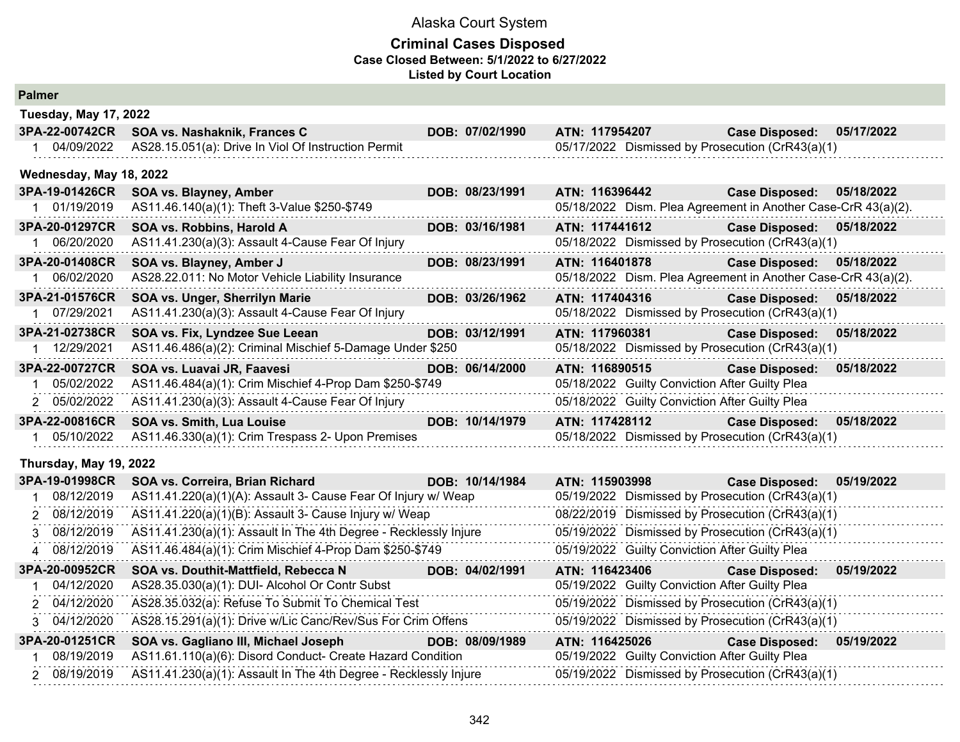#### **Criminal Cases Disposed Case Closed Between: 5/1/2022 to 6/27/2022 Listed by Court Location**

| <b>Palmer</b> |
|---------------|
|---------------|

| гашы                    |                                                           |  |                 |                |                                                               |                       |            |  |  |
|-------------------------|-----------------------------------------------------------|--|-----------------|----------------|---------------------------------------------------------------|-----------------------|------------|--|--|
|                         | <b>Tuesday, May 17, 2022</b>                              |  |                 |                |                                                               |                       |            |  |  |
| 3PA-22-00742CR          | SOA vs. Nashaknik, Frances C                              |  | DOB: 07/02/1990 | ATN: 117954207 |                                                               | <b>Case Disposed:</b> | 05/17/2022 |  |  |
| 04/09/2022              | AS28.15.051(a): Drive In Viol Of Instruction Permit       |  |                 |                | 05/17/2022 Dismissed by Prosecution (CrR43(a)(1)              |                       |            |  |  |
| Wednesday, May 18, 2022 |                                                           |  |                 |                |                                                               |                       |            |  |  |
| 3PA-19-01426CR          | SOA vs. Blayney, Amber                                    |  | DOB: 08/23/1991 | ATN: 116396442 |                                                               | <b>Case Disposed:</b> | 05/18/2022 |  |  |
| 01/19/2019              | AS11.46.140(a)(1): Theft 3-Value \$250-\$749              |  |                 |                | 05/18/2022 Dism. Plea Agreement in Another Case-CrR 43(a)(2). |                       |            |  |  |
| 3PA-20-01297CR          | SOA vs. Robbins, Harold A                                 |  | DOB: 03/16/1981 | ATN: 117441612 |                                                               | <b>Case Disposed:</b> | 05/18/2022 |  |  |
| 06/20/2020              | AS11.41.230(a)(3): Assault 4-Cause Fear Of Injury         |  |                 |                | 05/18/2022 Dismissed by Prosecution (CrR43(a)(1)              |                       |            |  |  |
| 3PA-20-01408CR          | SOA vs. Blayney, Amber J                                  |  | DOB: 08/23/1991 | ATN: 116401878 |                                                               | <b>Case Disposed:</b> | 05/18/2022 |  |  |
| 06/02/2020              | AS28.22.011: No Motor Vehicle Liability Insurance         |  |                 |                | 05/18/2022 Dism. Plea Agreement in Another Case-CrR 43(a)(2). |                       |            |  |  |
| 3PA-21-01576CR          | SOA vs. Unger, Sherrilyn Marie                            |  | DOB: 03/26/1962 | ATN: 117404316 |                                                               | <b>Case Disposed:</b> | 05/18/2022 |  |  |
| 07/29/2021              | AS11.41.230(a)(3): Assault 4-Cause Fear Of Injury         |  |                 |                | 05/18/2022 Dismissed by Prosecution (CrR43(a)(1)              |                       |            |  |  |
| 3PA-21-02738CR          | SOA vs. Fix, Lyndzee Sue Leean                            |  | DOB: 03/12/1991 | ATN: 117960381 |                                                               | <b>Case Disposed:</b> | 05/18/2022 |  |  |
| 12/29/2021              | AS11.46.486(a)(2): Criminal Mischief 5-Damage Under \$250 |  |                 |                | 05/18/2022 Dismissed by Prosecution (CrR43(a)(1)              |                       |            |  |  |
| 3PA-22-00727CR          | SOA vs. Luavai JR, Faavesi                                |  | DOB: 06/14/2000 | ATN: 116890515 |                                                               | <b>Case Disposed:</b> | 05/18/2022 |  |  |
| 05/02/2022              | AS11.46.484(a)(1): Crim Mischief 4-Prop Dam \$250-\$749   |  |                 |                | 05/18/2022 Guilty Conviction After Guilty Plea                |                       |            |  |  |
| 2 05/02/2022            | AS11.41.230(a)(3): Assault 4-Cause Fear Of Injury         |  |                 |                | 05/18/2022 Guilty Conviction After Guilty Plea                |                       |            |  |  |
| 3PA-22-00816CR          | <b>SOA vs. Smith, Lua Louise</b>                          |  | DOB: 10/14/1979 | ATN: 117428112 |                                                               | <b>Case Disposed:</b> | 05/18/2022 |  |  |
| 05/10/2022              | AS11.46.330(a)(1): Crim Trespass 2- Upon Premises         |  |                 |                | 05/18/2022 Dismissed by Prosecution (CrR43(a)(1)              |                       |            |  |  |
|                         |                                                           |  |                 |                |                                                               |                       |            |  |  |

## **Thursday, May 19, 2022**

| 3PA-19-01998CR | DOB: 10/14/1984<br>SOA vs. Correira, Brian Richard               | ATN: 115903998 | 05/19/2022<br><b>Case Disposed:</b>              |
|----------------|------------------------------------------------------------------|----------------|--------------------------------------------------|
| 08/12/2019     | AS11.41.220(a)(1)(A): Assault 3- Cause Fear Of Injury w/ Weap    |                | 05/19/2022 Dismissed by Prosecution (CrR43(a)(1) |
| 2 08/12/2019   | AS11.41.220(a)(1)(B): Assault 3- Cause Injury w/ Weap            |                | 08/22/2019 Dismissed by Prosecution (CrR43(a)(1) |
| 3 08/12/2019   | AS11.41.230(a)(1): Assault In The 4th Degree - Recklessly Injure |                | 05/19/2022 Dismissed by Prosecution (CrR43(a)(1) |
| 4 08/12/2019   | AS11.46.484(a)(1): Crim Mischief 4-Prop Dam \$250-\$749          |                | 05/19/2022 Guilty Conviction After Guilty Plea   |
| 3PA-20-00952CR | SOA vs. Douthit-Mattfield, Rebecca N<br>DOB: 04/02/1991          | ATN: 116423406 | 05/19/2022<br><b>Case Disposed:</b>              |
| 04/12/2020     | AS28.35.030(a)(1): DUI- Alcohol Or Contr Subst                   |                | 05/19/2022 Guilty Conviction After Guilty Plea   |
| 2 04/12/2020   | AS28.35.032(a): Refuse To Submit To Chemical Test                |                | 05/19/2022 Dismissed by Prosecution (CrR43(a)(1) |
| 3 04/12/2020   | AS28.15.291(a)(1): Drive w/Lic Canc/Rev/Sus For Crim Offens      |                | 05/19/2022 Dismissed by Prosecution (CrR43(a)(1) |
| 3PA-20-01251CR | DOB: 08/09/1989<br>SOA vs. Gagliano III, Michael Joseph          | ATN: 116425026 | 05/19/2022<br><b>Case Disposed:</b>              |
| 08/19/2019     | AS11.61.110(a)(6): Disord Conduct- Create Hazard Condition       |                | 05/19/2022 Guilty Conviction After Guilty Plea   |
| 2 08/19/2019   | AS11.41.230(a)(1): Assault In The 4th Degree - Recklessly Injure |                | 05/19/2022 Dismissed by Prosecution (CrR43(a)(1) |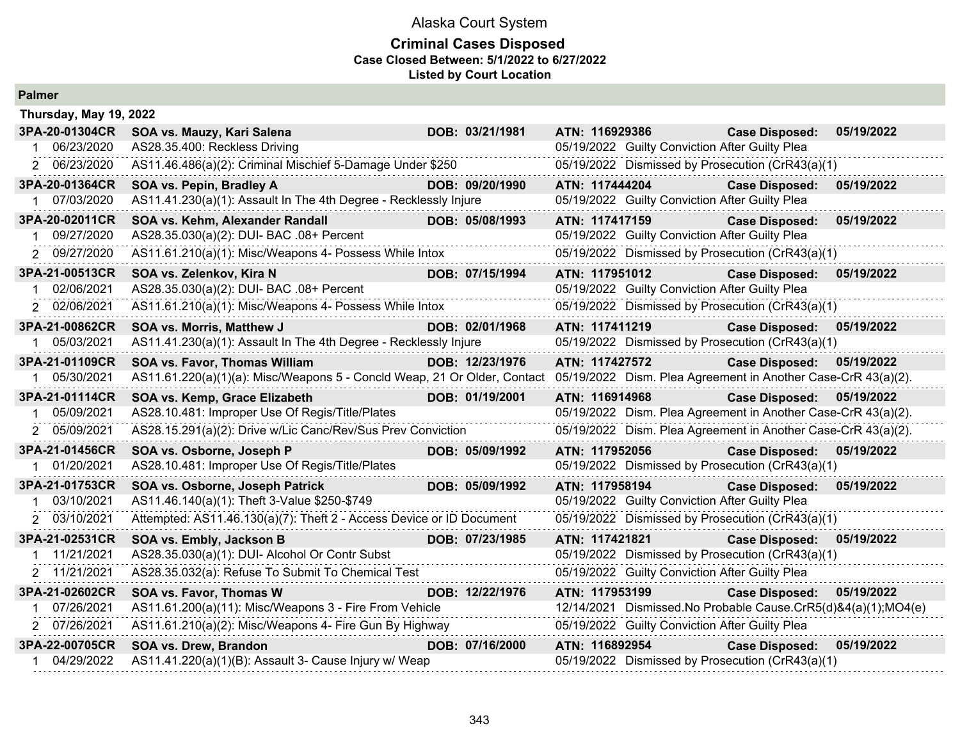#### **Criminal Cases Disposed Case Closed Between: 5/1/2022 to 6/27/2022 Listed by Court Location**

|                | Thursday, May 19, 2022                                                                                                                 |  |                 |                |                                                |                                                               |            |  |
|----------------|----------------------------------------------------------------------------------------------------------------------------------------|--|-----------------|----------------|------------------------------------------------|---------------------------------------------------------------|------------|--|
| 3PA-20-01304CR | SOA vs. Mauzy, Kari Salena                                                                                                             |  | DOB: 03/21/1981 | ATN: 116929386 |                                                | <b>Case Disposed:</b>                                         | 05/19/2022 |  |
| 1 06/23/2020   | AS28.35.400: Reckless Driving                                                                                                          |  |                 |                | 05/19/2022 Guilty Conviction After Guilty Plea |                                                               |            |  |
| 2 06/23/2020   | AS11.46.486(a)(2): Criminal Mischief 5-Damage Under \$250                                                                              |  |                 |                |                                                | 05/19/2022 Dismissed by Prosecution (CrR43(a)(1)              |            |  |
| 3PA-20-01364CR | SOA vs. Pepin, Bradley A                                                                                                               |  | DOB: 09/20/1990 | ATN: 117444204 |                                                | <b>Case Disposed:</b>                                         | 05/19/2022 |  |
| 1 07/03/2020   | AS11.41.230(a)(1): Assault In The 4th Degree - Recklessly Injure                                                                       |  |                 |                | 05/19/2022 Guilty Conviction After Guilty Plea |                                                               |            |  |
| 3PA-20-02011CR | SOA vs. Kehm, Alexander Randall                                                                                                        |  | DOB: 05/08/1993 | ATN: 117417159 |                                                | <b>Case Disposed:</b>                                         | 05/19/2022 |  |
| 09/27/2020     | AS28.35.030(a)(2): DUI- BAC .08+ Percent                                                                                               |  |                 |                | 05/19/2022 Guilty Conviction After Guilty Plea |                                                               |            |  |
| 2 09/27/2020   | AS11.61.210(a)(1): Misc/Weapons 4- Possess While Intox                                                                                 |  |                 |                |                                                | 05/19/2022 Dismissed by Prosecution (CrR43(a)(1)              |            |  |
| 3PA-21-00513CR | SOA vs. Zelenkov, Kira N                                                                                                               |  | DOB: 07/15/1994 | ATN: 117951012 |                                                | <b>Case Disposed:</b>                                         | 05/19/2022 |  |
| 02/06/2021     | AS28.35.030(a)(2): DUI- BAC .08+ Percent                                                                                               |  |                 |                | 05/19/2022 Guilty Conviction After Guilty Plea |                                                               |            |  |
| 2 02/06/2021   | AS11.61.210(a)(1): Misc/Weapons 4- Possess While Intox                                                                                 |  |                 |                |                                                | 05/19/2022 Dismissed by Prosecution (CrR43(a)(1)              |            |  |
| 3PA-21-00862CR | SOA vs. Morris, Matthew J                                                                                                              |  | DOB: 02/01/1968 | ATN: 117411219 |                                                | <b>Case Disposed:</b>                                         | 05/19/2022 |  |
| 05/03/2021     | AS11.41.230(a)(1): Assault In The 4th Degree - Recklessly Injure                                                                       |  |                 |                |                                                | 05/19/2022 Dismissed by Prosecution (CrR43(a)(1)              |            |  |
| 3PA-21-01109CR | SOA vs. Favor, Thomas William                                                                                                          |  | DOB: 12/23/1976 | ATN: 117427572 |                                                | <b>Case Disposed:</b>                                         | 05/19/2022 |  |
| 1 05/30/2021   | AS11.61.220(a)(1)(a): Misc/Weapons 5 - Concld Weap, 21 Or Older, Contact 05/19/2022 Dism. Plea Agreement in Another Case-CrR 43(a)(2). |  |                 |                |                                                |                                                               |            |  |
| 3PA-21-01114CR | SOA vs. Kemp, Grace Elizabeth                                                                                                          |  | DOB: 01/19/2001 | ATN: 116914968 |                                                | <b>Case Disposed:</b>                                         | 05/19/2022 |  |
| 1 05/09/2021   | AS28.10.481: Improper Use Of Regis/Title/Plates                                                                                        |  |                 |                |                                                | 05/19/2022 Dism. Plea Agreement in Another Case-CrR 43(a)(2). |            |  |
| 2 05/09/2021   | AS28.15.291(a)(2): Drive w/Lic Canc/Rev/Sus Prev Conviction                                                                            |  |                 |                |                                                | 05/19/2022 Dism. Plea Agreement in Another Case-CrR 43(a)(2). |            |  |
| 3PA-21-01456CR | SOA vs. Osborne, Joseph P                                                                                                              |  | DOB: 05/09/1992 | ATN: 117952056 |                                                | <b>Case Disposed:</b>                                         | 05/19/2022 |  |
| 1 01/20/2021   | AS28.10.481: Improper Use Of Regis/Title/Plates                                                                                        |  |                 |                |                                                | 05/19/2022 Dismissed by Prosecution (CrR43(a)(1)              |            |  |
| 3PA-21-01753CR | SOA vs. Osborne, Joseph Patrick                                                                                                        |  | DOB: 05/09/1992 | ATN: 117958194 |                                                | <b>Case Disposed:</b>                                         | 05/19/2022 |  |
| 03/10/2021     | AS11.46.140(a)(1): Theft 3-Value \$250-\$749                                                                                           |  |                 |                | 05/19/2022 Guilty Conviction After Guilty Plea |                                                               |            |  |
| 2 03/10/2021   | Attempted: AS11.46.130(a)(7): Theft 2 - Access Device or ID Document                                                                   |  |                 |                |                                                | 05/19/2022 Dismissed by Prosecution (CrR43(a)(1)              |            |  |
| 3PA-21-02531CR | SOA vs. Embly, Jackson B                                                                                                               |  | DOB: 07/23/1985 | ATN: 117421821 |                                                | <b>Case Disposed:</b>                                         | 05/19/2022 |  |
| 11/21/2021     | AS28.35.030(a)(1): DUI- Alcohol Or Contr Subst                                                                                         |  |                 |                |                                                | 05/19/2022 Dismissed by Prosecution (CrR43(a)(1)              |            |  |
| 2 11/21/2021   | AS28.35.032(a): Refuse To Submit To Chemical Test                                                                                      |  |                 |                | 05/19/2022 Guilty Conviction After Guilty Plea |                                                               |            |  |
| 3PA-21-02602CR | SOA vs. Favor, Thomas W                                                                                                                |  | DOB: 12/22/1976 | ATN: 117953199 |                                                | <b>Case Disposed:</b>                                         | 05/19/2022 |  |
| 07/26/2021     | AS11.61.200(a)(11): Misc/Weapons 3 - Fire From Vehicle                                                                                 |  |                 |                |                                                | 12/14/2021 Dismissed.No Probable Cause.CrR5(d)&4(a)(1);MO4(e) |            |  |
| 2 07/26/2021   | AS11.61.210(a)(2): Misc/Weapons 4- Fire Gun By Highway                                                                                 |  |                 |                | 05/19/2022 Guilty Conviction After Guilty Plea |                                                               |            |  |
| 3PA-22-00705CR | SOA vs. Drew, Brandon                                                                                                                  |  | DOB: 07/16/2000 | ATN: 116892954 |                                                | <b>Case Disposed:</b>                                         | 05/19/2022 |  |
| 04/29/2022     | AS11.41.220(a)(1)(B): Assault 3- Cause Injury w/ Weap                                                                                  |  |                 |                |                                                | 05/19/2022 Dismissed by Prosecution (CrR43(a)(1)              |            |  |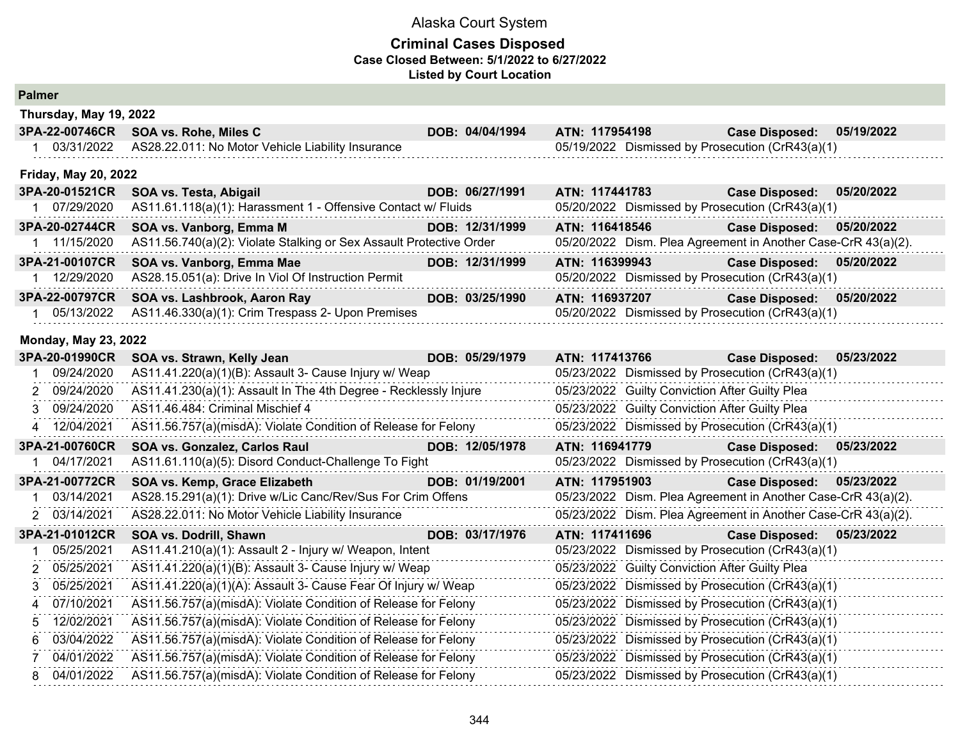#### **Criminal Cases Disposed Case Closed Between: 5/1/2022 to 6/27/2022 Listed by Court Location**

| Thursday, May 19, 2022         |                                                                                                |                 |                                                  |                                                                                                      |  |
|--------------------------------|------------------------------------------------------------------------------------------------|-----------------|--------------------------------------------------|------------------------------------------------------------------------------------------------------|--|
| 3PA-22-00746CR                 | SOA vs. Rohe, Miles C                                                                          | DOB: 04/04/1994 | ATN: 117954198                                   | <b>Case Disposed:</b><br>05/19/2022                                                                  |  |
| 1 03/31/2022                   | AS28.22.011: No Motor Vehicle Liability Insurance                                              |                 | 05/19/2022 Dismissed by Prosecution (CrR43(a)(1) |                                                                                                      |  |
| <b>Friday, May 20, 2022</b>    |                                                                                                |                 |                                                  |                                                                                                      |  |
| 3PA-20-01521CR                 | SOA vs. Testa, Abigail                                                                         | DOB: 06/27/1991 | ATN: 117441783                                   | 05/20/2022<br><b>Case Disposed:</b>                                                                  |  |
| 1 07/29/2020                   | AS11.61.118(a)(1): Harassment 1 - Offensive Contact w/ Fluids                                  |                 | 05/20/2022 Dismissed by Prosecution (CrR43(a)(1) |                                                                                                      |  |
| 3PA-20-02744CR<br>1 11/15/2020 | SOA vs. Vanborg, Emma M<br>AS11.56.740(a)(2): Violate Stalking or Sex Assault Protective Order | DOB: 12/31/1999 | ATN: 116418546                                   | <b>Case Disposed:</b><br>05/20/2022<br>05/20/2022 Dism. Plea Agreement in Another Case-CrR 43(a)(2). |  |
| 3PA-21-00107CR                 | SOA vs. Vanborg, Emma Mae                                                                      | DOB: 12/31/1999 | ATN: 116399943                                   | <b>Case Disposed:</b><br>05/20/2022                                                                  |  |
| 12/29/2020                     | AS28.15.051(a): Drive In Viol Of Instruction Permit                                            |                 | 05/20/2022 Dismissed by Prosecution (CrR43(a)(1) |                                                                                                      |  |
| 3PA-22-00797CR                 | SOA vs. Lashbrook, Aaron Ray                                                                   | DOB: 03/25/1990 | ATN: 116937207                                   | <b>Case Disposed:</b><br>05/20/2022                                                                  |  |
| 1 05/13/2022                   | AS11.46.330(a)(1): Crim Trespass 2- Upon Premises                                              |                 | 05/20/2022 Dismissed by Prosecution (CrR43(a)(1) |                                                                                                      |  |
| <b>Monday, May 23, 2022</b>    |                                                                                                |                 |                                                  |                                                                                                      |  |
| 3PA-20-01990CR                 | SOA vs. Strawn, Kelly Jean                                                                     | DOB: 05/29/1979 | ATN: 117413766                                   | 05/23/2022<br><b>Case Disposed:</b>                                                                  |  |
| 09/24/2020                     | AS11.41.220(a)(1)(B): Assault 3- Cause Injury w/ Weap                                          |                 | 05/23/2022 Dismissed by Prosecution (CrR43(a)(1) |                                                                                                      |  |
| 2 09/24/2020                   | AS11.41.230(a)(1): Assault In The 4th Degree - Recklessly Injure                               |                 | 05/23/2022 Guilty Conviction After Guilty Plea   |                                                                                                      |  |
| 3 09/24/2020                   | AS11.46.484: Criminal Mischief 4                                                               |                 | 05/23/2022 Guilty Conviction After Guilty Plea   |                                                                                                      |  |
| 4 12/04/2021                   | AS11.56.757(a)(misdA): Violate Condition of Release for Felony                                 |                 | 05/23/2022 Dismissed by Prosecution (CrR43(a)(1) |                                                                                                      |  |
| 3PA-21-00760CR                 | SOA vs. Gonzalez, Carlos Raul                                                                  | DOB: 12/05/1978 | ATN: 116941779                                   | <b>Case Disposed:</b><br>05/23/2022                                                                  |  |
| 04/17/2021                     | AS11.61.110(a)(5): Disord Conduct-Challenge To Fight                                           |                 | 05/23/2022 Dismissed by Prosecution (CrR43(a)(1) |                                                                                                      |  |
| 3PA-21-00772CR                 | SOA vs. Kemp, Grace Elizabeth                                                                  | DOB: 01/19/2001 | ATN: 117951903                                   | Case Disposed: 05/23/2022                                                                            |  |
| 03/14/2021                     | AS28.15.291(a)(1): Drive w/Lic Canc/Rev/Sus For Crim Offens                                    |                 |                                                  | 05/23/2022 Dism. Plea Agreement in Another Case-CrR 43(a)(2).                                        |  |
| 2 03/14/2021                   | AS28.22.011: No Motor Vehicle Liability Insurance                                              |                 |                                                  | 05/23/2022 Dism. Plea Agreement in Another Case-CrR 43(a)(2).                                        |  |
| 3PA-21-01012CR                 | SOA vs. Dodrill, Shawn                                                                         | DOB: 03/17/1976 | ATN: 117411696                                   | Case Disposed: 05/23/2022                                                                            |  |
| 05/25/2021                     | AS11.41.210(a)(1): Assault 2 - Injury w/ Weapon, Intent                                        |                 | 05/23/2022 Dismissed by Prosecution (CrR43(a)(1) |                                                                                                      |  |
| 05/25/2021<br>2                | AS11.41.220(a)(1)(B): Assault 3- Cause Injury w/ Weap                                          |                 | 05/23/2022 Guilty Conviction After Guilty Plea   |                                                                                                      |  |
| 05/25/2021                     | AS11.41.220(a)(1)(A): Assault 3- Cause Fear Of Injury w/ Weap                                  |                 | 05/23/2022 Dismissed by Prosecution (CrR43(a)(1) |                                                                                                      |  |
| 07/10/2021<br>4                | AS11.56.757(a)(misdA): Violate Condition of Release for Felony                                 |                 | 05/23/2022 Dismissed by Prosecution (CrR43(a)(1) |                                                                                                      |  |
| 12/02/2021                     | AS11.56.757(a)(misdA): Violate Condition of Release for Felony                                 |                 | 05/23/2022 Dismissed by Prosecution (CrR43(a)(1) |                                                                                                      |  |
| 03/04/2022<br>6                | AS11.56.757(a)(misdA): Violate Condition of Release for Felony                                 |                 | 05/23/2022 Dismissed by Prosecution (CrR43(a)(1) |                                                                                                      |  |
| 04/01/2022                     | AS11.56.757(a)(misdA): Violate Condition of Release for Felony                                 |                 | 05/23/2022 Dismissed by Prosecution (CrR43(a)(1) |                                                                                                      |  |
| 04/01/2022                     | AS11.56.757(a)(misdA): Violate Condition of Release for Felony                                 |                 | 05/23/2022 Dismissed by Prosecution (CrR43(a)(1) |                                                                                                      |  |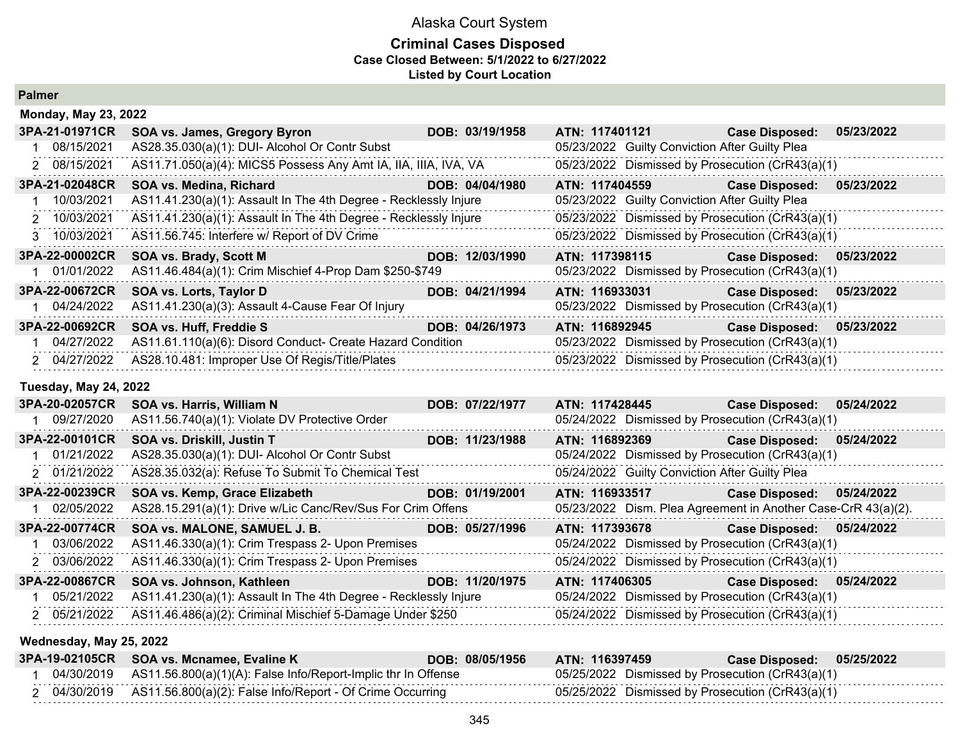#### **Criminal Cases Disposed Case Closed Between: 5/1/2022 to 6/27/2022 Listed by Court Location**

**Palmer**

| <b>Monday, May 23, 2022</b> |                                                                  |                 |                                                  |                           |            |
|-----------------------------|------------------------------------------------------------------|-----------------|--------------------------------------------------|---------------------------|------------|
| 3PA-21-01971CR              | SOA vs. James, Gregory Byron                                     | DOB: 03/19/1958 | ATN: 117401121                                   | <b>Case Disposed:</b>     | 05/23/2022 |
| 08/15/2021                  | AS28.35.030(a)(1): DUI- Alcohol Or Contr Subst                   |                 | 05/23/2022 Guilty Conviction After Guilty Plea   |                           |            |
| 2 08/15/2021                | AS11.71.050(a)(4): MICS5 Possess Any Amt IA, IIA, IIIA, IVA, VA  |                 | 05/23/2022 Dismissed by Prosecution (CrR43(a)(1) |                           |            |
| 3PA-21-02048CR              | SOA vs. Medina, Richard                                          | DOB: 04/04/1980 | ATN: 117404559                                   | <b>Case Disposed:</b>     | 05/23/2022 |
| 10/03/2021                  | AS11.41.230(a)(1): Assault In The 4th Degree - Recklessly Injure |                 | 05/23/2022 Guilty Conviction After Guilty Plea   |                           |            |
| 2 10/03/2021                | AS11.41.230(a)(1): Assault In The 4th Degree - Recklessly Injure |                 | 05/23/2022 Dismissed by Prosecution (CrR43(a)(1) |                           |            |
| 3 10/03/2021                | AS11.56.745: Interfere w/ Report of DV Crime                     |                 | 05/23/2022 Dismissed by Prosecution (CrR43(a)(1) |                           |            |
| 3PA-22-00002CR              | <b>SOA vs. Brady, Scott M</b>                                    | DOB: 12/03/1990 | ATN: 117398115                                   | Case Disposed: 05/23/2022 |            |
| 01/01/2022                  | AS11.46.484(a)(1): Crim Mischief 4-Prop Dam \$250-\$749          |                 | 05/23/2022 Dismissed by Prosecution (CrR43(a)(1) |                           |            |
| 3PA-22-00672CR              | SOA vs. Lorts, Taylor D                                          | DOB: 04/21/1994 | ATN: 116933031                                   | Case Disposed: 05/23/2022 |            |
| 04/24/2022                  | AS11.41.230(a)(3): Assault 4-Cause Fear Of Injury                |                 | 05/23/2022 Dismissed by Prosecution (CrR43(a)(1) |                           |            |
| 3PA-22-00692CR              | SOA vs. Huff, Freddie S                                          | DOB: 04/26/1973 | ATN: 116892945                                   | Case Disposed: 05/23/2022 |            |
| 04/27/2022                  | AS11.61.110(a)(6): Disord Conduct- Create Hazard Condition       |                 | 05/23/2022 Dismissed by Prosecution (CrR43(a)(1) |                           |            |
| 2 04/27/2022                | AS28.10.481: Improper Use Of Regis/Title/Plates                  |                 | 05/23/2022 Dismissed by Prosecution (CrR43(a)(1) |                           |            |

#### **Tuesday, May 24, 2022**

| 3PA-20-02057CR | SOA vs. Harris, William N                                        | DOB: 07/22/1977 | ATN: 117428445                                                | <b>Case Disposed:</b> | 05/24/2022 |
|----------------|------------------------------------------------------------------|-----------------|---------------------------------------------------------------|-----------------------|------------|
| 09/27/2020     | AS11.56.740(a)(1): Violate DV Protective Order                   |                 | 05/24/2022 Dismissed by Prosecution (CrR43(a)(1)              |                       |            |
| 3PA-22-00101CR | SOA vs. Driskill, Justin T                                       | DOB: 11/23/1988 | ATN: 116892369                                                | <b>Case Disposed:</b> | 05/24/2022 |
| 01/21/2022     | AS28.35.030(a)(1): DUI- Alcohol Or Contr Subst                   |                 | 05/24/2022 Dismissed by Prosecution (CrR43(a)(1)              |                       |            |
| 2 01/21/2022   | AS28.35.032(a): Refuse To Submit To Chemical Test                |                 | 05/24/2022 Guilty Conviction After Guilty Plea                |                       |            |
| 3PA-22-00239CR | SOA vs. Kemp, Grace Elizabeth                                    | DOB: 01/19/2001 | ATN: 116933517                                                | <b>Case Disposed:</b> | 05/24/2022 |
| 02/05/2022     | AS28.15.291(a)(1): Drive w/Lic Canc/Rev/Sus For Crim Offens      |                 | 05/23/2022 Dism. Plea Agreement in Another Case-CrR 43(a)(2). |                       |            |
| 3PA-22-00774CR | SOA vs. MALONE, SAMUEL J. B.                                     | DOB: 05/27/1996 | ATN: 117393678                                                | <b>Case Disposed:</b> | 05/24/2022 |
| 03/06/2022     | AS11.46.330(a)(1): Crim Trespass 2- Upon Premises                |                 | 05/24/2022 Dismissed by Prosecution (CrR43(a)(1)              |                       |            |
| 2 03/06/2022   | AS11.46.330(a)(1): Crim Trespass 2- Upon Premises                |                 | 05/24/2022 Dismissed by Prosecution (CrR43(a)(1)              |                       |            |
| 3PA-22-00867CR | SOA vs. Johnson, Kathleen                                        | DOB: 11/20/1975 | ATN: 117406305                                                | <b>Case Disposed:</b> | 05/24/2022 |
| 05/21/2022     | AS11.41.230(a)(1): Assault In The 4th Degree - Recklessly Injure |                 | 05/24/2022 Dismissed by Prosecution (CrR43(a)(1)              |                       |            |
| 2 05/21/2022   | AS11.46.486(a)(2): Criminal Mischief 5-Damage Under \$250        |                 | 05/24/2022 Dismissed by Prosecution (CrR43(a)(1)              |                       |            |

#### **Wednesday, May 25, 2022**

| 3PA-19-02105CR SOA vs. Mcnamee, Evaline K                                | DOB: 08/05/1956 | ATN: 116397459                                   | Case Disposed: 05/25/2022 |  |
|--------------------------------------------------------------------------|-----------------|--------------------------------------------------|---------------------------|--|
| 04/30/2019 AS11.56.800(a)(1)(A): False Info/Report-Implic thr In Offense |                 | 05/25/2022 Dismissed by Prosecution (CrR43(a)(1) |                           |  |
| 04/30/2019    AS11.56.800(a)(2): False Info/Report - Of Crime Occurring  |                 | 05/25/2022 Dismissed by Prosecution (CrR43(a)(1) |                           |  |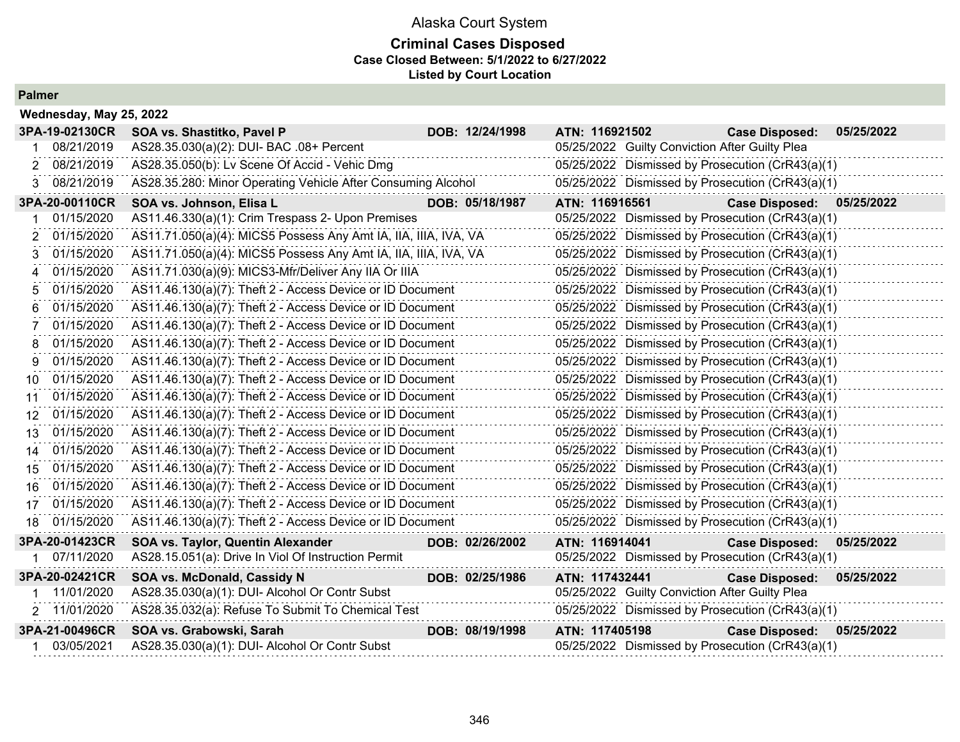## **Criminal Cases Disposed Case Closed Between: 5/1/2022 to 6/27/2022 Listed by Court Location**

|     | Wednesday, May 25, 2022 |                                                                 |                 |                |                                                  |            |
|-----|-------------------------|-----------------------------------------------------------------|-----------------|----------------|--------------------------------------------------|------------|
|     | 3PA-19-02130CR          | SOA vs. Shastitko, Pavel P                                      | DOB: 12/24/1998 | ATN: 116921502 | <b>Case Disposed:</b>                            | 05/25/2022 |
|     | 08/21/2019              | AS28.35.030(a)(2): DUI- BAC .08+ Percent                        |                 |                | 05/25/2022 Guilty Conviction After Guilty Plea   |            |
| 2.  | 08/21/2019              | AS28.35.050(b): Lv Scene Of Accid - Vehic Dmg                   |                 |                | 05/25/2022 Dismissed by Prosecution (CrR43(a)(1) |            |
| 3   | 08/21/2019              | AS28.35.280: Minor Operating Vehicle After Consuming Alcohol    |                 |                | 05/25/2022 Dismissed by Prosecution (CrR43(a)(1) |            |
|     | 3PA-20-00110CR          | SOA vs. Johnson, Elisa L                                        | DOB: 05/18/1987 | ATN: 116916561 | <b>Case Disposed:</b>                            | 05/25/2022 |
|     | 01/15/2020              | AS11.46.330(a)(1): Crim Trespass 2- Upon Premises               |                 |                | 05/25/2022 Dismissed by Prosecution (CrR43(a)(1) |            |
| 2   | 01/15/2020              | AS11.71.050(a)(4): MICS5 Possess Any Amt IA, IIA, IIIA, IVA, VA |                 |                | 05/25/2022 Dismissed by Prosecution (CrR43(a)(1) |            |
| 3   | 01/15/2020              | AS11.71.050(a)(4): MICS5 Possess Any Amt IA, IIA, IIIA, IVA, VA |                 |                | 05/25/2022 Dismissed by Prosecution (CrR43(a)(1) |            |
|     | 01/15/2020              | AS11.71.030(a)(9): MICS3-Mfr/Deliver Any IIA Or IIIA            |                 |                | 05/25/2022 Dismissed by Prosecution (CrR43(a)(1) |            |
| 5   | 01/15/2020              | AS11.46.130(a)(7): Theft 2 - Access Device or ID Document       |                 |                | 05/25/2022 Dismissed by Prosecution (CrR43(a)(1) |            |
| 6   | 01/15/2020              | AS11.46.130(a)(7): Theft 2 - Access Device or ID Document       |                 |                | 05/25/2022 Dismissed by Prosecution (CrR43(a)(1) |            |
| 7   | 01/15/2020              | AS11.46.130(a)(7): Theft 2 - Access Device or ID Document       |                 |                | 05/25/2022 Dismissed by Prosecution (CrR43(a)(1) |            |
|     | 01/15/2020              | AS11.46.130(a)(7): Theft 2 - Access Device or ID Document       |                 |                | 05/25/2022 Dismissed by Prosecution (CrR43(a)(1) |            |
| 9   | 01/15/2020              | AS11.46.130(a)(7): Theft 2 - Access Device or ID Document       |                 |                | 05/25/2022 Dismissed by Prosecution (CrR43(a)(1) |            |
| 10  | 01/15/2020              | AS11.46.130(a)(7): Theft 2 - Access Device or ID Document       |                 |                | 05/25/2022 Dismissed by Prosecution (CrR43(a)(1) |            |
| 11  | 01/15/2020              | AS11.46.130(a)(7): Theft 2 - Access Device or ID Document       |                 |                | 05/25/2022 Dismissed by Prosecution (CrR43(a)(1) |            |
| 12  | 01/15/2020              | AS11.46.130(a)(7): Theft 2 - Access Device or ID Document       |                 |                | 05/25/2022 Dismissed by Prosecution (CrR43(a)(1) |            |
| 13  | 01/15/2020              | AS11.46.130(a)(7): Theft 2 - Access Device or ID Document       |                 |                | 05/25/2022 Dismissed by Prosecution (CrR43(a)(1) |            |
| 14  | 01/15/2020              | AS11.46.130(a)(7): Theft 2 - Access Device or ID Document       |                 |                | 05/25/2022 Dismissed by Prosecution (CrR43(a)(1) |            |
| 15  | 01/15/2020              | AS11.46.130(a)(7): Theft 2 - Access Device or ID Document       |                 |                | 05/25/2022 Dismissed by Prosecution (CrR43(a)(1) |            |
| 16. | 01/15/2020              | AS11.46.130(a)(7): Theft 2 - Access Device or ID Document       |                 |                | 05/25/2022 Dismissed by Prosecution (CrR43(a)(1) |            |
| 17  | 01/15/2020              | AS11.46.130(a)(7): Theft 2 - Access Device or ID Document       |                 |                | 05/25/2022 Dismissed by Prosecution (CrR43(a)(1) |            |
|     | 18 01/15/2020           | AS11.46.130(a)(7): Theft 2 - Access Device or ID Document       |                 |                | 05/25/2022 Dismissed by Prosecution (CrR43(a)(1) |            |
|     | 3PA-20-01423CR          | SOA vs. Taylor, Quentin Alexander                               | DOB: 02/26/2002 | ATN: 116914041 | <b>Case Disposed:</b>                            | 05/25/2022 |
|     | 1 07/11/2020            | AS28.15.051(a): Drive In Viol Of Instruction Permit             |                 |                | 05/25/2022 Dismissed by Prosecution (CrR43(a)(1) |            |
|     | 3PA-20-02421CR          | SOA vs. McDonald, Cassidy N                                     | DOB: 02/25/1986 | ATN: 117432441 | <b>Case Disposed:</b>                            | 05/25/2022 |
|     | 11/01/2020              | AS28.35.030(a)(1): DUI- Alcohol Or Contr Subst                  |                 |                | 05/25/2022 Guilty Conviction After Guilty Plea   |            |
|     | 2 11/01/2020            | AS28.35.032(a): Refuse To Submit To Chemical Test               |                 |                | 05/25/2022 Dismissed by Prosecution (CrR43(a)(1) |            |
|     | 3PA-21-00496CR          | SOA vs. Grabowski, Sarah                                        | DOB: 08/19/1998 | ATN: 117405198 | <b>Case Disposed:</b>                            | 05/25/2022 |
|     | 03/05/2021              | AS28.35.030(a)(1): DUI- Alcohol Or Contr Subst                  |                 |                | 05/25/2022 Dismissed by Prosecution (CrR43(a)(1) |            |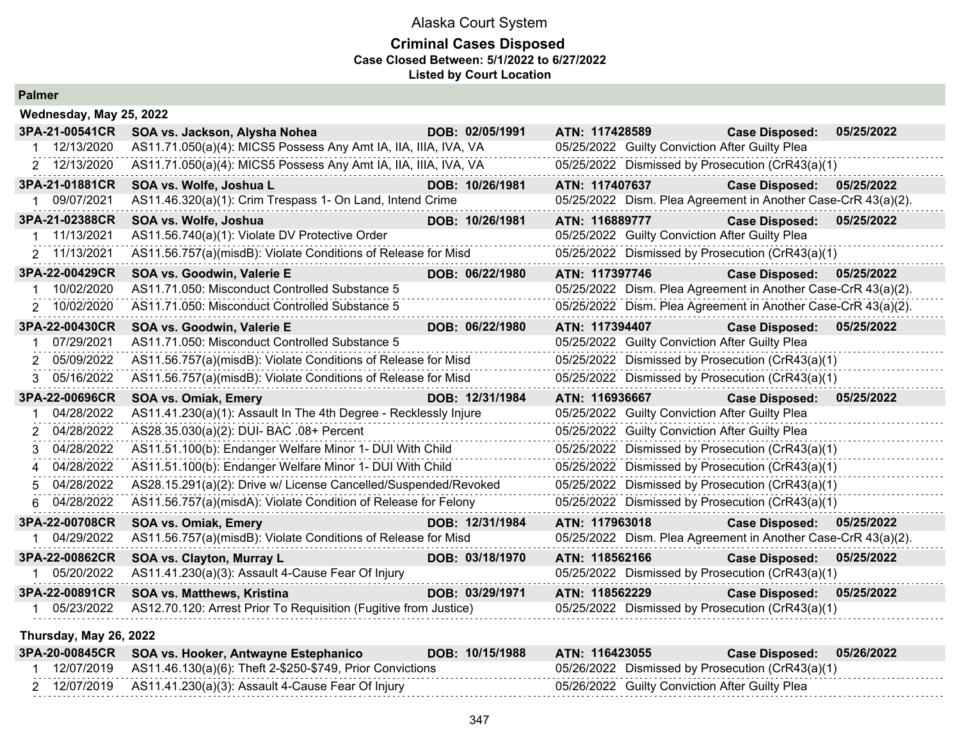#### **Criminal Cases Disposed Case Closed Between: 5/1/2022 to 6/27/2022 Listed by Court Location**

**Palmer**

| Wednesday, May 25, 2022 |                                                                  |                 |                |                                                |                                                               |            |
|-------------------------|------------------------------------------------------------------|-----------------|----------------|------------------------------------------------|---------------------------------------------------------------|------------|
| 3PA-21-00541CR          | SOA vs. Jackson, Alysha Nohea                                    | DOB: 02/05/1991 | ATN: 117428589 |                                                | <b>Case Disposed:</b>                                         | 05/25/2022 |
| 1 12/13/2020            | AS11.71.050(a)(4): MICS5 Possess Any Amt IA, IIA, IIIA, IVA, VA  |                 |                | 05/25/2022 Guilty Conviction After Guilty Plea |                                                               |            |
| 2 12/13/2020            | AS11.71.050(a)(4): MICS5 Possess Any Amt IA, IIA, IIIA, IVA, VA  |                 |                |                                                | 05/25/2022 Dismissed by Prosecution (CrR43(a)(1)              |            |
| 3PA-21-01881CR          | SOA vs. Wolfe, Joshua L                                          | DOB: 10/26/1981 | ATN: 117407637 |                                                | <b>Case Disposed:</b>                                         | 05/25/2022 |
| 1 09/07/2021            | AS11.46.320(a)(1): Crim Trespass 1- On Land, Intend Crime        |                 |                |                                                | 05/25/2022 Dism. Plea Agreement in Another Case-CrR 43(a)(2). |            |
| 3PA-21-02388CR          | SOA vs. Wolfe, Joshua                                            | DOB: 10/26/1981 | ATN: 116889777 |                                                | <b>Case Disposed:</b>                                         | 05/25/2022 |
| 11/13/2021              | AS11.56.740(a)(1): Violate DV Protective Order                   |                 |                | 05/25/2022 Guilty Conviction After Guilty Plea |                                                               |            |
| 2 11/13/2021            | AS11.56.757(a)(misdB): Violate Conditions of Release for Misd    |                 |                |                                                | 05/25/2022 Dismissed by Prosecution (CrR43(a)(1)              |            |
| 3PA-22-00429CR          | SOA vs. Goodwin, Valerie E                                       | DOB: 06/22/1980 | ATN: 117397746 |                                                | <b>Case Disposed:</b>                                         | 05/25/2022 |
| 10/02/2020              | AS11.71.050: Misconduct Controlled Substance 5                   |                 |                |                                                | 05/25/2022 Dism. Plea Agreement in Another Case-CrR 43(a)(2). |            |
| 2 10/02/2020            | AS11.71.050: Misconduct Controlled Substance 5                   |                 |                |                                                | 05/25/2022 Dism. Plea Agreement in Another Case-CrR 43(a)(2). |            |
| 3PA-22-00430CR          | SOA vs. Goodwin, Valerie E                                       | DOB: 06/22/1980 | ATN: 117394407 |                                                | <b>Case Disposed:</b>                                         | 05/25/2022 |
| 07/29/2021              | AS11.71.050: Misconduct Controlled Substance 5                   |                 |                | 05/25/2022 Guilty Conviction After Guilty Plea |                                                               |            |
| 05/09/2022              | AS11.56.757(a)(misdB): Violate Conditions of Release for Misd    |                 |                |                                                | 05/25/2022 Dismissed by Prosecution (CrR43(a)(1)              |            |
| 3 05/16/2022            | AS11.56.757(a)(misdB): Violate Conditions of Release for Misd    |                 |                |                                                | 05/25/2022 Dismissed by Prosecution (CrR43(a)(1)              |            |
| 3PA-22-00696CR          | SOA vs. Omiak, Emery                                             | DOB: 12/31/1984 | ATN: 116936667 |                                                | <b>Case Disposed:</b>                                         | 05/25/2022 |
| 04/28/2022              | AS11.41.230(a)(1): Assault In The 4th Degree - Recklessly Injure |                 |                | 05/25/2022 Guilty Conviction After Guilty Plea |                                                               |            |
| 04/28/2022<br>2.        | AS28.35.030(a)(2): DUI- BAC .08+ Percent                         |                 |                | 05/25/2022 Guilty Conviction After Guilty Plea |                                                               |            |
| 04/28/2022<br>3         | AS11.51.100(b): Endanger Welfare Minor 1- DUI With Child         |                 |                |                                                | 05/25/2022 Dismissed by Prosecution (CrR43(a)(1)              |            |
| 4 04/28/2022            | AS11.51.100(b): Endanger Welfare Minor 1- DUI With Child         |                 |                |                                                | 05/25/2022 Dismissed by Prosecution (CrR43(a)(1)              |            |
| 04/28/2022              | AS28.15.291(a)(2): Drive w/ License Cancelled/Suspended/Revoked  |                 |                |                                                | 05/25/2022 Dismissed by Prosecution (CrR43(a)(1)              |            |
| 04/28/2022<br>6.        | AS11.56.757(a)(misdA): Violate Condition of Release for Felony   |                 |                |                                                | 05/25/2022 Dismissed by Prosecution (CrR43(a)(1)              |            |
| 3PA-22-00708CR          | <b>SOA vs. Omiak, Emery</b>                                      | DOB: 12/31/1984 | ATN: 117963018 |                                                | <b>Case Disposed:</b>                                         | 05/25/2022 |
| 04/29/2022              | AS11.56.757(a)(misdB): Violate Conditions of Release for Misd    |                 |                |                                                | 05/25/2022 Dism. Plea Agreement in Another Case-CrR 43(a)(2). |            |
| 3PA-22-00862CR          | SOA vs. Clayton, Murray L                                        | DOB: 03/18/1970 | ATN: 118562166 |                                                | <b>Case Disposed:</b>                                         | 05/25/2022 |
| 1 05/20/2022            | AS11.41.230(a)(3): Assault 4-Cause Fear Of Injury                |                 |                |                                                | 05/25/2022 Dismissed by Prosecution (CrR43(a)(1)              |            |
| 3PA-22-00891CR          | SOA vs. Matthews, Kristina                                       | DOB: 03/29/1971 | ATN: 118562229 |                                                | <b>Case Disposed:</b>                                         | 05/25/2022 |
| 05/23/2022              | AS12.70.120: Arrest Prior To Requisition (Fugitive from Justice) |                 |                |                                                | 05/25/2022 Dismissed by Prosecution (CrR43(a)(1)              |            |
|                         |                                                                  |                 |                |                                                |                                                               |            |

#### **Thursday, May 26, 2022**

|  | 3PA-20-00845CR SOA vs. Hooker, Antwayne Estephanico                  | DOB: 10/15/1988 | ATN: 116423055                                   | Case Disposed: 05/26/2022 |  |
|--|----------------------------------------------------------------------|-----------------|--------------------------------------------------|---------------------------|--|
|  | 12/07/2019 AS11.46.130(a)(6): Theft 2-\$250-\$749, Prior Convictions |                 | 05/26/2022 Dismissed by Prosecution (CrR43(a)(1) |                           |  |
|  |                                                                      |                 | 05/26/2022 Guilty Conviction After Guilty Plea   |                           |  |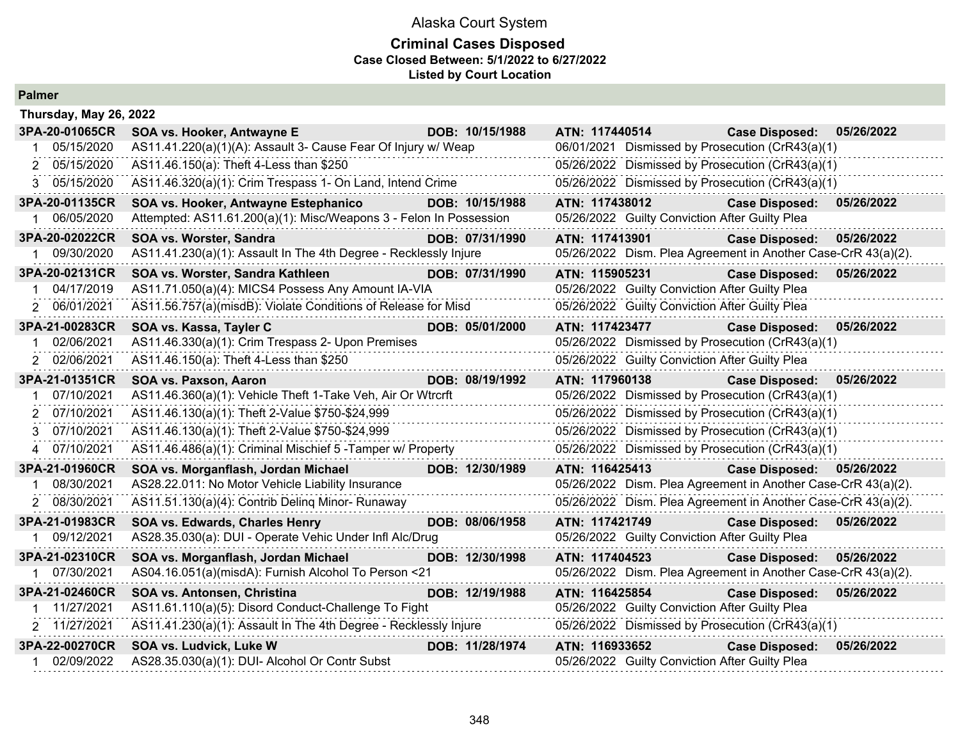#### **Criminal Cases Disposed Case Closed Between: 5/1/2022 to 6/27/2022 Listed by Court Location**

| Thursday, May 26, 2022 |                                                                    |                 |                                                               |                           |            |
|------------------------|--------------------------------------------------------------------|-----------------|---------------------------------------------------------------|---------------------------|------------|
| 3PA-20-01065CR         | SOA vs. Hooker, Antwayne E                                         | DOB: 10/15/1988 | ATN: 117440514                                                | <b>Case Disposed:</b>     | 05/26/2022 |
| 05/15/2020             | AS11.41.220(a)(1)(A): Assault 3- Cause Fear Of Injury w/ Weap      |                 | 06/01/2021 Dismissed by Prosecution (CrR43(a)(1)              |                           |            |
| 2 05/15/2020           | AS11.46.150(a): Theft 4-Less than \$250                            |                 | 05/26/2022 Dismissed by Prosecution (CrR43(a)(1)              |                           |            |
| 05/15/2020<br>3        | AS11.46.320(a)(1): Crim Trespass 1- On Land, Intend Crime          |                 | 05/26/2022 Dismissed by Prosecution (CrR43(a)(1)              |                           |            |
| 3PA-20-01135CR         | SOA vs. Hooker, Antwayne Estephanico                               | DOB: 10/15/1988 | ATN: 117438012                                                | <b>Case Disposed:</b>     | 05/26/2022 |
| 06/05/2020             | Attempted: AS11.61.200(a)(1): Misc/Weapons 3 - Felon In Possession |                 | 05/26/2022 Guilty Conviction After Guilty Plea                |                           |            |
| 3PA-20-02022CR         | SOA vs. Worster, Sandra                                            | DOB: 07/31/1990 | ATN: 117413901                                                | <b>Case Disposed:</b>     | 05/26/2022 |
| 1 09/30/2020           | AS11.41.230(a)(1): Assault In The 4th Degree - Recklessly Injure   |                 | 05/26/2022 Dism. Plea Agreement in Another Case-CrR 43(a)(2). |                           |            |
| 3PA-20-02131CR         | SOA vs. Worster, Sandra Kathleen                                   | DOB: 07/31/1990 | ATN: 115905231                                                | Case Disposed: 05/26/2022 |            |
| 04/17/2019             | AS11.71.050(a)(4): MICS4 Possess Any Amount IA-VIA                 |                 | 05/26/2022 Guilty Conviction After Guilty Plea                |                           |            |
| 2 06/01/2021           | AS11.56.757(a)(misdB): Violate Conditions of Release for Misd      |                 | 05/26/2022 Guilty Conviction After Guilty Plea                |                           |            |
| 3PA-21-00283CR         | SOA vs. Kassa, Tayler C                                            | DOB: 05/01/2000 | ATN: 117423477                                                | <b>Case Disposed:</b>     | 05/26/2022 |
| 02/06/2021             | AS11.46.330(a)(1): Crim Trespass 2- Upon Premises                  |                 | 05/26/2022 Dismissed by Prosecution (CrR43(a)(1)              |                           |            |
| 2 02/06/2021           | AS11.46.150(a): Theft 4-Less than \$250                            |                 | 05/26/2022 Guilty Conviction After Guilty Plea                |                           |            |
| 3PA-21-01351CR         | SOA vs. Paxson, Aaron                                              | DOB: 08/19/1992 | ATN: 117960138                                                | <b>Case Disposed:</b>     | 05/26/2022 |
| 07/10/2021             | AS11.46.360(a)(1): Vehicle Theft 1-Take Veh, Air Or Wtrcrft        |                 | 05/26/2022 Dismissed by Prosecution (CrR43(a)(1)              |                           |            |
| 07/10/2021<br>2        | AS11.46.130(a)(1): Theft 2-Value \$750-\$24,999                    |                 | 05/26/2022 Dismissed by Prosecution (CrR43(a)(1)              |                           |            |
| 3 07/10/2021           | AS11.46.130(a)(1): Theft 2-Value \$750-\$24,999                    |                 | 05/26/2022 Dismissed by Prosecution (CrR43(a)(1)              |                           |            |
| 4 07/10/2021           | AS11.46.486(a)(1): Criminal Mischief 5 - Tamper w/ Property        |                 | 05/26/2022 Dismissed by Prosecution (CrR43(a)(1)              |                           |            |
| 3PA-21-01960CR         | SOA vs. Morganflash, Jordan Michael                                | DOB: 12/30/1989 | ATN: 116425413                                                | <b>Case Disposed:</b>     | 05/26/2022 |
| 08/30/2021             | AS28.22.011: No Motor Vehicle Liability Insurance                  |                 | 05/26/2022 Dism. Plea Agreement in Another Case-CrR 43(a)(2). |                           |            |
| 2 08/30/2021           | AS11.51.130(a)(4): Contrib Deling Minor-Runaway                    |                 | 05/26/2022 Dism. Plea Agreement in Another Case-CrR 43(a)(2). |                           |            |
| 3PA-21-01983CR         | SOA vs. Edwards, Charles Henry                                     | DOB: 08/06/1958 | ATN: 117421749                                                | <b>Case Disposed:</b>     | 05/26/2022 |
| 09/12/2021             | AS28.35.030(a): DUI - Operate Vehic Under Infl Alc/Drug            |                 | 05/26/2022 Guilty Conviction After Guilty Plea                |                           |            |
| 3PA-21-02310CR         | SOA vs. Morganflash, Jordan Michael                                | DOB: 12/30/1998 | ATN: 117404523                                                | <b>Case Disposed:</b>     | 05/26/2022 |
| 1 07/30/2021           | AS04.16.051(a)(misdA): Furnish Alcohol To Person <21               |                 | 05/26/2022 Dism. Plea Agreement in Another Case-CrR 43(a)(2). |                           |            |
| 3PA-21-02460CR         | SOA vs. Antonsen, Christina                                        | DOB: 12/19/1988 | ATN: 116425854                                                | <b>Case Disposed:</b>     | 05/26/2022 |
| 11/27/2021             | AS11.61.110(a)(5): Disord Conduct-Challenge To Fight               |                 | 05/26/2022 Guilty Conviction After Guilty Plea                |                           |            |
| 2 11/27/2021           | AS11.41.230(a)(1): Assault In The 4th Degree - Recklessly Injure   |                 | 05/26/2022 Dismissed by Prosecution (CrR43(a)(1)              |                           |            |
| 3PA-22-00270CR         | SOA vs. Ludvick, Luke W                                            | DOB: 11/28/1974 | ATN: 116933652                                                | <b>Case Disposed:</b>     | 05/26/2022 |
| 1 02/09/2022           | AS28.35.030(a)(1): DUI- Alcohol Or Contr Subst                     |                 | 05/26/2022 Guilty Conviction After Guilty Plea                |                           |            |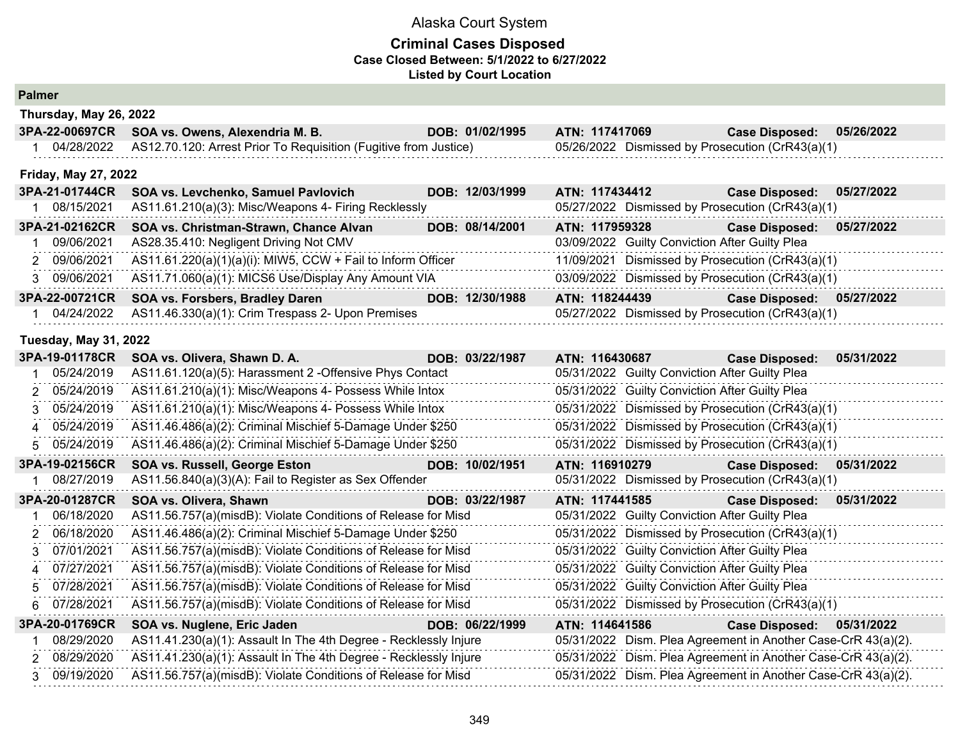#### **Criminal Cases Disposed Case Closed Between: 5/1/2022 to 6/27/2022 Listed by Court Location**

## **Palmer**

|  | 3PA-22-00697CR SOA vs. Owens, Alexendria M. B.                                | DOB: 01/02/1995 | ATN: 117417069                                   | <b>Case Disposed:</b> | 05/26/2022 |  |  |  |
|--|-------------------------------------------------------------------------------|-----------------|--------------------------------------------------|-----------------------|------------|--|--|--|
|  | 04/28/2022   AS12.70.120: Arrest Prior To Requisition (Fugitive from Justice) |                 | 05/26/2022 Dismissed by Prosecution (CrR43(a)(1) |                       |            |  |  |  |

#### **Friday, May 27, 2022**

**Thursday, May 26, 2022**

| 3PA-21-01744CR | SOA vs. Levchenko, Samuel Pavlovich                         | DOB: 12/03/1999 | ATN: 117434412 |                                                | <b>Case Disposed:</b>                            | 05/27/2022 |
|----------------|-------------------------------------------------------------|-----------------|----------------|------------------------------------------------|--------------------------------------------------|------------|
| 08/15/2021     | AS11.61.210(a)(3): Misc/Weapons 4- Firing Recklessly        |                 |                |                                                | 05/27/2022 Dismissed by Prosecution (CrR43(a)(1) |            |
| 3PA-21-02162CR | SOA vs. Christman-Strawn, Chance Alvan                      | DOB: 08/14/2001 | ATN: 117959328 |                                                | <b>Case Disposed:</b>                            | 05/27/2022 |
| 09/06/2021     | AS28.35.410: Negligent Driving Not CMV                      |                 |                | 03/09/2022 Guilty Conviction After Guilty Plea |                                                  |            |
| 2 09/06/2021   | AS11.61.220(a)(1)(a)(i): MIW5, CCW + Fail to Inform Officer |                 |                |                                                | 11/09/2021 Dismissed by Prosecution (CrR43(a)(1) |            |
| 3 09/06/2021   | AS11.71.060(a)(1): MICS6 Use/Display Any Amount VIA         |                 |                |                                                | 03/09/2022 Dismissed by Prosecution (CrR43(a)(1) |            |
|                | 3PA-22-00721CR SOA vs. Forsbers, Bradley Daren              | DOB: 12/30/1988 | ATN: 118244439 |                                                | <b>Case Disposed:</b>                            | 05/27/2022 |
| 04/24/2022     | AS11.46.330(a)(1): Crim Trespass 2- Upon Premises           |                 |                |                                                | 05/27/2022 Dismissed by Prosecution (CrR43(a)(1) |            |

#### **Tuesday, May 31, 2022**

| 05/31/2022 Guilty Conviction After Guilty Plea<br>05/24/2019<br>AS11.61.120(a)(5): Harassment 2 - Offensive Phys Contact<br>AS11.61.210(a)(1): Misc/Weapons 4- Possess While Intox<br>05/31/2022 Guilty Conviction After Guilty Plea<br>2 05/24/2019<br>AS11.61.210(a)(1): Misc/Weapons 4- Possess While Intox<br>05/31/2022 Dismissed by Prosecution (CrR43(a)(1)<br>3 05/24/2019<br>AS11.46.486(a)(2): Criminal Mischief 5-Damage Under \$250<br>05/31/2022 Dismissed by Prosecution (CrR43(a)(1)<br>4 05/24/2019<br>AS11.46.486(a)(2): Criminal Mischief 5-Damage Under \$250<br>05/31/2022 Dismissed by Prosecution (CrR43(a)(1)<br>5 05/24/2019<br>3PA-19-02156CR<br>SOA vs. Russell, George Eston<br>DOB: 10/02/1951<br>05/31/2022<br>ATN: 116910279<br><b>Case Disposed:</b> |  |
|-------------------------------------------------------------------------------------------------------------------------------------------------------------------------------------------------------------------------------------------------------------------------------------------------------------------------------------------------------------------------------------------------------------------------------------------------------------------------------------------------------------------------------------------------------------------------------------------------------------------------------------------------------------------------------------------------------------------------------------------------------------------------------------|--|
|                                                                                                                                                                                                                                                                                                                                                                                                                                                                                                                                                                                                                                                                                                                                                                                     |  |
|                                                                                                                                                                                                                                                                                                                                                                                                                                                                                                                                                                                                                                                                                                                                                                                     |  |
|                                                                                                                                                                                                                                                                                                                                                                                                                                                                                                                                                                                                                                                                                                                                                                                     |  |
|                                                                                                                                                                                                                                                                                                                                                                                                                                                                                                                                                                                                                                                                                                                                                                                     |  |
|                                                                                                                                                                                                                                                                                                                                                                                                                                                                                                                                                                                                                                                                                                                                                                                     |  |
|                                                                                                                                                                                                                                                                                                                                                                                                                                                                                                                                                                                                                                                                                                                                                                                     |  |
| 05/31/2022 Dismissed by Prosecution (CrR43(a)(1)<br>08/27/2019<br>AS11.56.840(a)(3)(A): Fail to Register as Sex Offender                                                                                                                                                                                                                                                                                                                                                                                                                                                                                                                                                                                                                                                            |  |
| 3PA-20-01287CR<br>SOA vs. Olivera, Shawn<br>ATN: 117441585<br><b>Case Disposed:</b><br>DOB: 03/22/1987<br>05/31/2022                                                                                                                                                                                                                                                                                                                                                                                                                                                                                                                                                                                                                                                                |  |
| AS11.56.757(a)(misdB): Violate Conditions of Release for Misd<br>05/31/2022 Guilty Conviction After Guilty Plea<br>06/18/2020                                                                                                                                                                                                                                                                                                                                                                                                                                                                                                                                                                                                                                                       |  |
| AS11.46.486(a)(2): Criminal Mischief 5-Damage Under \$250<br>05/31/2022 Dismissed by Prosecution (CrR43(a)(1)<br>2 06/18/2020                                                                                                                                                                                                                                                                                                                                                                                                                                                                                                                                                                                                                                                       |  |
| 05/31/2022 Guilty Conviction After Guilty Plea<br>3 07/01/2021<br>AS11.56.757(a)(misdB): Violate Conditions of Release for Misd                                                                                                                                                                                                                                                                                                                                                                                                                                                                                                                                                                                                                                                     |  |
| AS11.56.757(a)(misdB): Violate Conditions of Release for Misd<br>05/31/2022 Guilty Conviction After Guilty Plea<br>4 07/27/2021                                                                                                                                                                                                                                                                                                                                                                                                                                                                                                                                                                                                                                                     |  |
| AS11.56.757(a)(misdB): Violate Conditions of Release for Misd<br>05/31/2022 Guilty Conviction After Guilty Plea<br>5 07/28/2021                                                                                                                                                                                                                                                                                                                                                                                                                                                                                                                                                                                                                                                     |  |
| AS11.56.757(a)(misdB): Violate Conditions of Release for Misd<br>05/31/2022 Dismissed by Prosecution (CrR43(a)(1)<br>07/28/2021                                                                                                                                                                                                                                                                                                                                                                                                                                                                                                                                                                                                                                                     |  |
| 3PA-20-01769CR<br>SOA vs. Nuglene, Eric Jaden<br>DOB: 06/22/1999<br>ATN: 114641586<br>Case Disposed: 05/31/2022                                                                                                                                                                                                                                                                                                                                                                                                                                                                                                                                                                                                                                                                     |  |
| 05/31/2022 Dism. Plea Agreement in Another Case-CrR 43(a)(2).<br>08/29/2020<br>AS11.41.230(a)(1): Assault In The 4th Degree - Recklessly Injure                                                                                                                                                                                                                                                                                                                                                                                                                                                                                                                                                                                                                                     |  |
| AS11.41.230(a)(1): Assault In The 4th Degree - Recklessly Injure<br>2 08/29/2020<br>05/31/2022 Dism. Plea Agreement in Another Case-CrR 43(a)(2).                                                                                                                                                                                                                                                                                                                                                                                                                                                                                                                                                                                                                                   |  |
| AS11.56.757(a)(misdB): Violate Conditions of Release for Misd<br>05/31/2022 Dism. Plea Agreement in Another Case-CrR 43(a)(2).<br>09/19/2020<br>$\mathbf{R}$                                                                                                                                                                                                                                                                                                                                                                                                                                                                                                                                                                                                                        |  |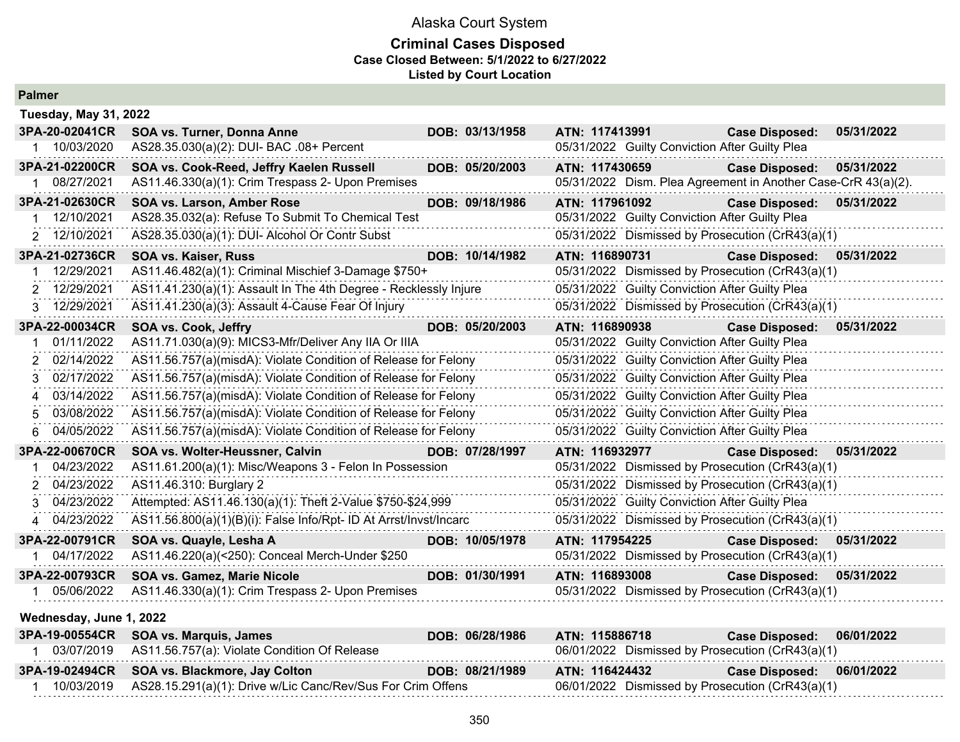### **Criminal Cases Disposed Case Closed Between: 5/1/2022 to 6/27/2022 Listed by Court Location**

| <b>Palmer</b>                |                                                                   |                 |                                                               |                           |            |
|------------------------------|-------------------------------------------------------------------|-----------------|---------------------------------------------------------------|---------------------------|------------|
| <b>Tuesday, May 31, 2022</b> |                                                                   |                 |                                                               |                           |            |
| 3PA-20-02041CR               | SOA vs. Turner, Donna Anne                                        | DOB: 03/13/1958 | ATN: 117413991                                                | <b>Case Disposed:</b>     | 05/31/2022 |
| 10/03/2020                   | AS28.35.030(a)(2): DUI- BAC .08+ Percent                          |                 | 05/31/2022 Guilty Conviction After Guilty Plea                |                           |            |
| 3PA-21-02200CR               | SOA vs. Cook-Reed, Jeffry Kaelen Russell                          | DOB: 05/20/2003 | ATN: 117430659                                                | Case Disposed: 05/31/2022 |            |
| 08/27/2021                   | AS11.46.330(a)(1): Crim Trespass 2- Upon Premises                 |                 | 05/31/2022 Dism. Plea Agreement in Another Case-CrR 43(a)(2). |                           |            |
| 3PA-21-02630CR               | <b>SOA vs. Larson, Amber Rose</b>                                 | DOB: 09/18/1986 | ATN: 117961092                                                | <b>Case Disposed:</b>     | 05/31/2022 |
| 12/10/2021                   | AS28.35.032(a): Refuse To Submit To Chemical Test                 |                 | 05/31/2022 Guilty Conviction After Guilty Plea                |                           |            |
| 2 12/10/2021                 | AS28.35.030(a)(1): DUI- Alcohol Or Contr Subst                    |                 | 05/31/2022 Dismissed by Prosecution (CrR43(a)(1)              |                           |            |
| 3PA-21-02736CR               | <b>SOA vs. Kaiser, Russ</b>                                       | DOB: 10/14/1982 | ATN: 116890731                                                | <b>Case Disposed:</b>     | 05/31/2022 |
| 12/29/2021                   | AS11.46.482(a)(1): Criminal Mischief 3-Damage \$750+              |                 | 05/31/2022 Dismissed by Prosecution (CrR43(a)(1)              |                           |            |
| 2 12/29/2021                 | AS11.41.230(a)(1): Assault In The 4th Degree - Recklessly Injure  |                 | 05/31/2022 Guilty Conviction After Guilty Plea                |                           |            |
| 3 12/29/2021                 | AS11.41.230(a)(3): Assault 4-Cause Fear Of Injury                 |                 | 05/31/2022 Dismissed by Prosecution (CrR43(a)(1)              |                           |            |
| 3PA-22-00034CR               | <b>SOA vs. Cook, Jeffry</b>                                       | DOB: 05/20/2003 | ATN: 116890938                                                | <b>Case Disposed:</b>     | 05/31/2022 |
| 01/11/2022                   | AS11.71.030(a)(9): MICS3-Mfr/Deliver Any IIA Or IIIA              |                 | 05/31/2022 Guilty Conviction After Guilty Plea                |                           |            |
| 02/14/2022                   | AS11.56.757(a)(misdA): Violate Condition of Release for Felony    |                 | 05/31/2022 Guilty Conviction After Guilty Plea                |                           |            |
| 02/17/2022                   | AS11.56.757(a)(misdA): Violate Condition of Release for Felony    |                 | 05/31/2022 Guilty Conviction After Guilty Plea                |                           |            |
| 03/14/2022<br>$\overline{4}$ | AS11.56.757(a)(misdA): Violate Condition of Release for Felony    |                 | 05/31/2022 Guilty Conviction After Guilty Plea                |                           |            |
| 03/08/2022                   | AS11.56.757(a)(misdA): Violate Condition of Release for Felony    |                 | 05/31/2022 Guilty Conviction After Guilty Plea                |                           |            |
| 04/05/2022<br>6.             | AS11.56.757(a)(misdA): Violate Condition of Release for Felony    |                 | 05/31/2022 Guilty Conviction After Guilty Plea                |                           |            |
| 3PA-22-00670CR               | SOA vs. Wolter-Heussner, Calvin                                   | DOB: 07/28/1997 | ATN: 116932977                                                | <b>Case Disposed:</b>     | 05/31/2022 |
| 04/23/2022                   | AS11.61.200(a)(1): Misc/Weapons 3 - Felon In Possession           |                 | 05/31/2022 Dismissed by Prosecution (CrR43(a)(1)              |                           |            |
| 04/23/2022                   | AS11.46.310: Burglary 2                                           |                 | 05/31/2022 Dismissed by Prosecution (CrR43(a)(1)              |                           |            |
| 04/23/2022                   | Attempted: AS11.46.130(a)(1): Theft 2-Value \$750-\$24,999        |                 | 05/31/2022 Guilty Conviction After Guilty Plea                |                           |            |
| 4 04/23/2022                 | AS11.56.800(a)(1)(B)(i): False Info/Rpt- ID At Arrst/Invst/Incarc |                 | 05/31/2022 Dismissed by Prosecution (CrR43(a)(1)              |                           |            |
| 3PA-22-00791CR               | SOA vs. Quayle, Lesha A                                           | DOB: 10/05/1978 | ATN: 117954225                                                | <b>Case Disposed:</b>     | 05/31/2022 |
| 04/17/2022                   | AS11.46.220(a)(<250): Conceal Merch-Under \$250                   |                 | 05/31/2022 Dismissed by Prosecution (CrR43(a)(1)              |                           |            |
| 3PA-22-00793CR               | SOA vs. Gamez, Marie Nicole                                       | DOB: 01/30/1991 | ATN: 116893008                                                | <b>Case Disposed:</b>     | 05/31/2022 |
| 05/06/2022                   | AS11.46.330(a)(1): Crim Trespass 2- Upon Premises                 |                 | 05/31/2022 Dismissed by Prosecution (CrR43(a)(1)              |                           |            |

#### **Wednesday, June 1, 2022**

| 3PA-19-00554CR SOA vs. Marquis, James                                  | DOB: 06/28/1986 | ATN: 115886718                                   | Case Disposed: 06/01/2022 |  |
|------------------------------------------------------------------------|-----------------|--------------------------------------------------|---------------------------|--|
| 03/07/2019 AS11.56.757(a): Violate Condition Of Release                |                 | 06/01/2022 Dismissed by Prosecution (CrR43(a)(1) |                           |  |
| 3PA-19-02494CR SOA vs. Blackmore, Jay Colton                           | DOB: 08/21/1989 | ATN: 116424432                                   | Case Disposed: 06/01/2022 |  |
| 10/03/2019 AS28.15.291(a)(1): Drive w/Lic Canc/Rev/Sus For Crim Offens |                 | 06/01/2022 Dismissed by Prosecution (CrR43(a)(1) |                           |  |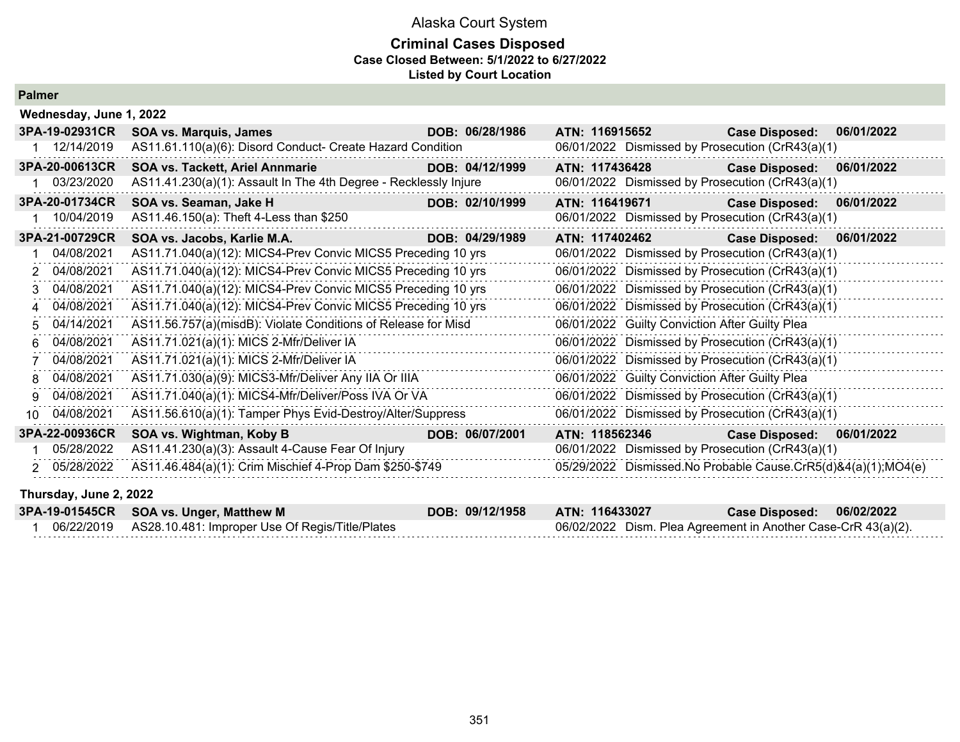### **Criminal Cases Disposed Case Closed Between: 5/1/2022 to 6/27/2022 Listed by Court Location**

### **Palmer**

|    | Wednesday, June 1, 2022 |                                                                  |                 |                                                               |                       |            |
|----|-------------------------|------------------------------------------------------------------|-----------------|---------------------------------------------------------------|-----------------------|------------|
|    | 3PA-19-02931CR          | <b>SOA vs. Marquis, James</b>                                    | DOB: 06/28/1986 | ATN: 116915652                                                | <b>Case Disposed:</b> | 06/01/2022 |
|    | 12/14/2019              | AS11.61.110(a)(6): Disord Conduct- Create Hazard Condition       |                 | 06/01/2022 Dismissed by Prosecution (CrR43(a)(1)              |                       |            |
|    | 3PA-20-00613CR          | <b>SOA vs. Tackett, Ariel Annmarie</b>                           | DOB: 04/12/1999 | ATN: 117436428                                                | <b>Case Disposed:</b> | 06/01/2022 |
|    | 03/23/2020              | AS11.41.230(a)(1): Assault In The 4th Degree - Recklessly Injure |                 | 06/01/2022 Dismissed by Prosecution (CrR43(a)(1)              |                       |            |
|    | 3PA-20-01734CR          | SOA vs. Seaman, Jake H                                           | DOB: 02/10/1999 | ATN: 116419671                                                | <b>Case Disposed:</b> | 06/01/2022 |
|    | 10/04/2019              | AS11.46.150(a): Theft 4-Less than \$250                          |                 | 06/01/2022 Dismissed by Prosecution (CrR43(a)(1)              |                       |            |
|    | 3PA-21-00729CR          | SOA vs. Jacobs, Karlie M.A.                                      | DOB: 04/29/1989 | ATN: 117402462                                                | <b>Case Disposed:</b> | 06/01/2022 |
|    | 04/08/2021              | AS11.71.040(a)(12): MICS4-Prev Convic MICS5 Preceding 10 yrs     |                 | 06/01/2022 Dismissed by Prosecution (CrR43(a)(1)              |                       |            |
|    | 2 04/08/2021            | AS11.71.040(a)(12): MICS4-Prev Convic MICS5 Preceding 10 yrs     |                 | 06/01/2022 Dismissed by Prosecution (CrR43(a)(1)              |                       |            |
| 3. | 04/08/2021              | AS11.71.040(a)(12): MICS4-Prev Convic MICS5 Preceding 10 yrs     |                 | 06/01/2022 Dismissed by Prosecution (CrR43(a)(1)              |                       |            |
|    | 04/08/2021              | AS11.71.040(a)(12): MICS4-Prev Convic MICS5 Preceding 10 yrs     |                 | 06/01/2022 Dismissed by Prosecution (CrR43(a)(1)              |                       |            |
| 5. | 04/14/2021              | AS11.56.757(a)(misdB): Violate Conditions of Release for Misd    |                 | 06/01/2022 Guilty Conviction After Guilty Plea                |                       |            |
| 6  | 04/08/2021              | AS11.71.021(a)(1): MICS 2-Mfr/Deliver IA                         |                 | 06/01/2022 Dismissed by Prosecution (CrR43(a)(1)              |                       |            |
|    | 04/08/2021              | AS11.71.021(a)(1): MICS 2-Mfr/Deliver IA                         |                 | 06/01/2022 Dismissed by Prosecution (CrR43(a)(1)              |                       |            |
| 8  | 04/08/2021              | AS11.71.030(a)(9): MICS3-Mfr/Deliver Any IIA Or IIIA             |                 | 06/01/2022 Guilty Conviction After Guilty Plea                |                       |            |
| 9  | 04/08/2021              | AS11.71.040(a)(1): MICS4-Mfr/Deliver/Poss IVA Or VA              |                 | 06/01/2022 Dismissed by Prosecution (CrR43(a)(1)              |                       |            |
| 10 | 04/08/2021              | AS11.56.610(a)(1): Tamper Phys Evid-Destroy/Alter/Suppress       |                 | 06/01/2022 Dismissed by Prosecution (CrR43(a)(1)              |                       |            |
|    | 3PA-22-00936CR          | SOA vs. Wightman, Koby B                                         | DOB: 06/07/2001 | ATN: 118562346                                                | <b>Case Disposed:</b> | 06/01/2022 |
|    | 05/28/2022              | AS11.41.230(a)(3): Assault 4-Cause Fear Of Injury                |                 | 06/01/2022 Dismissed by Prosecution (CrR43(a)(1)              |                       |            |
|    | 2 05/28/2022            | AS11.46.484(a)(1): Crim Mischief 4-Prop Dam \$250-\$749          |                 | 05/29/2022 Dismissed.No Probable Cause.CrR5(d)&4(a)(1);MO4(e) |                       |            |

#### **Thursday, June 2, 2022**

| 3PA-19-01545CR SOA vs. Unger, Matthew M                    | DOB: 09/12/1958 | ATN: 116433027                                                | Case Disposed: 06/02/2022 |  |
|------------------------------------------------------------|-----------------|---------------------------------------------------------------|---------------------------|--|
| 06/22/2019 AS28.10.481: Improper Use Of Regis/Title/Plates |                 | 06/02/2022 Dism. Plea Agreement in Another Case-CrR 43(a)(2). |                           |  |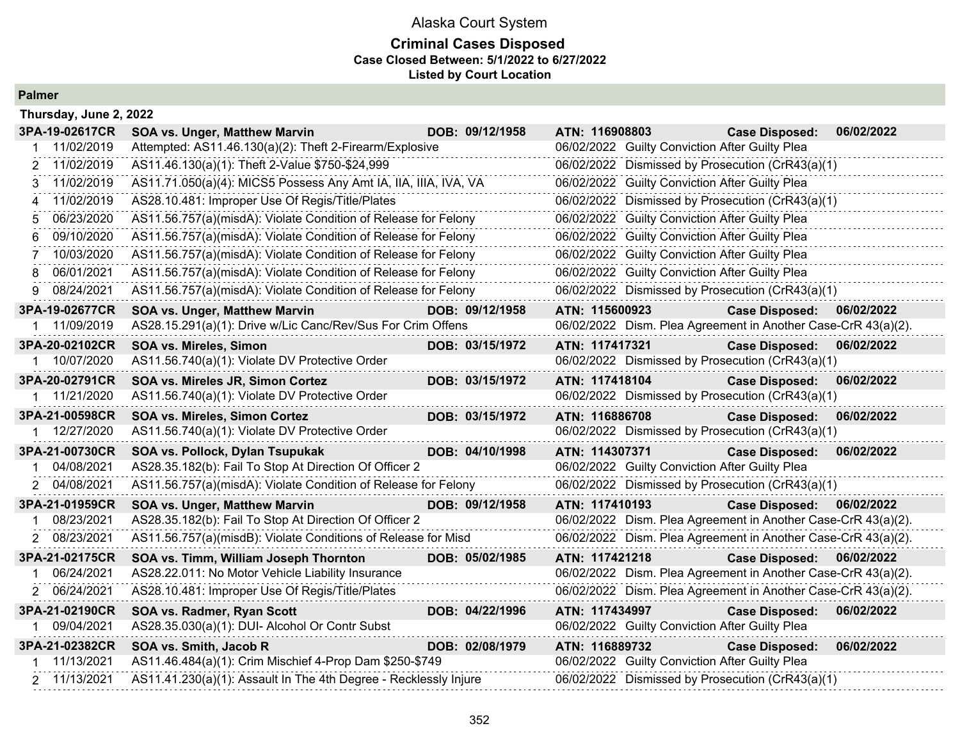## Alaska Court System **Criminal Cases Disposed Case Closed Between: 5/1/2022 to 6/27/2022 Listed by Court Location**

|   | Thursday, June 2, 2022 |                                                                 |                 |                                                                                                    |                           |            |
|---|------------------------|-----------------------------------------------------------------|-----------------|----------------------------------------------------------------------------------------------------|---------------------------|------------|
|   | 3PA-19-02617CR         | <b>SOA vs. Unger, Matthew Marvin</b>                            | DOB: 09/12/1958 | ATN: 116908803                                                                                     | <b>Case Disposed:</b>     | 06/02/2022 |
|   | 11/02/2019             | Attempted: AS11.46.130(a)(2): Theft 2-Firearm/Explosive         |                 | 06/02/2022 Guilty Conviction After Guilty Plea                                                     |                           |            |
|   | 2 11/02/2019           | AS11.46.130(a)(1): Theft 2-Value \$750-\$24,999                 |                 | 06/02/2022 Dismissed by Prosecution (CrR43(a)(1)                                                   |                           |            |
| 3 | 11/02/2019             | AS11.71.050(a)(4): MICS5 Possess Any Amt IA, IIA, IIIA, IVA, VA |                 | 06/02/2022 Guilty Conviction After Guilty Plea                                                     |                           |            |
| 4 | 11/02/2019             | AS28.10.481: Improper Use Of Regis/Title/Plates                 |                 | 06/02/2022 Dismissed by Prosecution (CrR43(a)(1)                                                   |                           |            |
| 5 | 06/23/2020             | AS11.56.757(a)(misdA): Violate Condition of Release for Felony  |                 | 06/02/2022 Guilty Conviction After Guilty Plea                                                     |                           |            |
| 6 | 09/10/2020             | AS11.56.757(a)(misdA): Violate Condition of Release for Felony  |                 | 06/02/2022 Guilty Conviction After Guilty Plea                                                     |                           |            |
|   | 10/03/2020             | AS11.56.757(a)(misdA): Violate Condition of Release for Felony  |                 | 06/02/2022 Guilty Conviction After Guilty Plea                                                     |                           |            |
| 8 | 06/01/2021             | AS11.56.757(a)(misdA): Violate Condition of Release for Felony  |                 | 06/02/2022 Guilty Conviction After Guilty Plea                                                     |                           |            |
| 9 | 08/24/2021             | AS11.56.757(a)(misdA): Violate Condition of Release for Felony  |                 | 06/02/2022 Dismissed by Prosecution (CrR43(a)(1)                                                   |                           |            |
|   | 3PA-19-02677CR         | <b>SOA vs. Unger, Matthew Marvin</b>                            | DOB: 09/12/1958 | ATN: 115600923                                                                                     | <b>Case Disposed:</b>     | 06/02/2022 |
|   | 11/09/2019             | AS28.15.291(a)(1): Drive w/Lic Canc/Rev/Sus For Crim Offens     |                 | 06/02/2022 Dism. Plea Agreement in Another Case-CrR 43(a)(2).                                      |                           |            |
|   | 3PA-20-02102CR         | <b>SOA vs. Mireles, Simon</b>                                   | DOB: 03/15/1972 | ATN: 117417321                                                                                     | <b>Case Disposed:</b>     | 06/02/2022 |
|   | 10/07/2020             | AS11.56.740(a)(1): Violate DV Protective Order                  |                 | 06/02/2022 Dismissed by Prosecution (CrR43(a)(1)                                                   |                           |            |
|   | 3PA-20-02791CR         | SOA vs. Mireles JR, Simon Cortez                                | DOB: 03/15/1972 | ATN: 117418104                                                                                     | <b>Case Disposed:</b>     | 06/02/2022 |
| 1 | 11/21/2020             | AS11.56.740(a)(1): Violate DV Protective Order                  |                 | 06/02/2022 Dismissed by Prosecution (CrR43(a)(1)                                                   |                           |            |
|   | 3PA-21-00598CR         | SOA vs. Mireles, Simon Cortez                                   | DOB: 03/15/1972 | ATN: 116886708                                                                                     | <b>Case Disposed:</b>     | 06/02/2022 |
|   | 12/27/2020             | AS11.56.740(a)(1): Violate DV Protective Order                  |                 | 06/02/2022 Dismissed by Prosecution (CrR43(a)(1)                                                   |                           |            |
|   |                        |                                                                 |                 |                                                                                                    |                           |            |
|   | 3PA-21-00730CR         | SOA vs. Pollock, Dylan Tsupukak                                 | DOB: 04/10/1998 | ATN: 114307371                                                                                     | <b>Case Disposed:</b>     | 06/02/2022 |
|   | 04/08/2021             | AS28.35.182(b): Fail To Stop At Direction Of Officer 2          |                 | 06/02/2022 Guilty Conviction After Guilty Plea                                                     |                           |            |
|   | 2 04/08/2021           | AS11.56.757(a)(misdA): Violate Condition of Release for Felony  |                 | 06/02/2022 Dismissed by Prosecution (CrR43(a)(1)                                                   |                           |            |
|   | 3PA-21-01959CR         | SOA vs. Unger, Matthew Marvin                                   | DOB: 09/12/1958 | ATN: 117410193                                                                                     | <b>Case Disposed:</b>     | 06/02/2022 |
|   | 08/23/2021             | AS28.35.182(b): Fail To Stop At Direction Of Officer 2          |                 | 06/02/2022 Dism. Plea Agreement in Another Case-CrR 43(a)(2).                                      |                           |            |
|   | 2 08/23/2021           | AS11.56.757(a)(misdB): Violate Conditions of Release for Misd   |                 | 06/02/2022 Dism. Plea Agreement in Another Case-CrR 43(a)(2).                                      |                           |            |
|   | 3PA-21-02175CR         | SOA vs. Timm, William Joseph Thornton                           | DOB: 05/02/1985 | ATN: 117421218                                                                                     | Case Disposed: 06/02/2022 |            |
|   | 06/24/2021             | AS28.22.011: No Motor Vehicle Liability Insurance               |                 | 06/02/2022 Dism. Plea Agreement in Another Case-CrR 43(a)(2).                                      |                           |            |
|   | 2 06/24/2021           | AS28.10.481: Improper Use Of Regis/Title/Plates                 |                 | 06/02/2022 Dism. Plea Agreement in Another Case-CrR 43(a)(2).                                      |                           |            |
|   | 3PA-21-02190CR         | SOA vs. Radmer, Ryan Scott                                      | DOB: 04/22/1996 | ATN: 117434997                                                                                     | <b>Case Disposed:</b>     | 06/02/2022 |
|   | 09/04/2021             | AS28.35.030(a)(1): DUI- Alcohol Or Contr Subst                  |                 | 06/02/2022 Guilty Conviction After Guilty Plea                                                     |                           |            |
|   | 3PA-21-02382CR         | SOA vs. Smith, Jacob R                                          | DOB: 02/08/1979 | ATN: 116889732                                                                                     | <b>Case Disposed:</b>     | 06/02/2022 |
|   | 11/13/2021             | AS11.46.484(a)(1): Crim Mischief 4-Prop Dam \$250-\$749         |                 | 06/02/2022 Guilty Conviction After Guilty Plea<br>06/02/2022 Dismissed by Prosecution (CrR43(a)(1) |                           |            |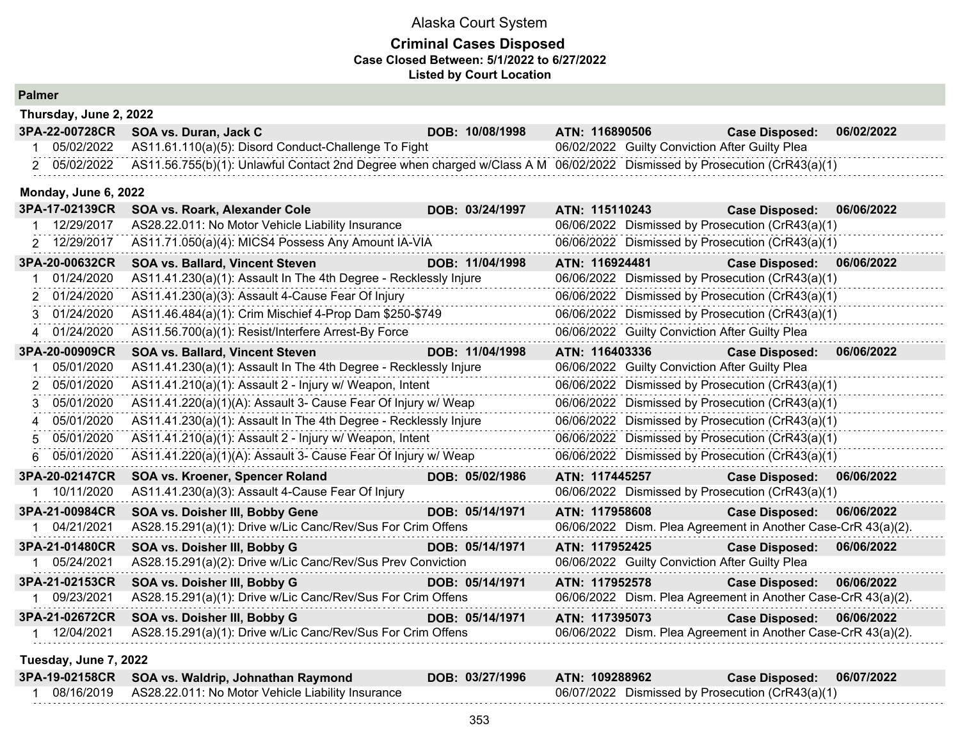## **Criminal Cases Disposed Case Closed Between: 5/1/2022 to 6/27/2022 Listed by Court Location**

| Thursday, June 2, 2022 |                                                                                                                          |                 |                                                               |                       |            |
|------------------------|--------------------------------------------------------------------------------------------------------------------------|-----------------|---------------------------------------------------------------|-----------------------|------------|
| 3PA-22-00728CR         | SOA vs. Duran, Jack C                                                                                                    | DOB: 10/08/1998 | ATN: 116890506                                                | <b>Case Disposed:</b> | 06/02/2022 |
| 1 05/02/2022           | AS11.61.110(a)(5): Disord Conduct-Challenge To Fight                                                                     |                 | 06/02/2022 Guilty Conviction After Guilty Plea                |                       |            |
| 2 05/02/2022           | AS11.56.755(b)(1): Unlawful Contact 2nd Degree when charged w/Class A M 06/02/2022 Dismissed by Prosecution (CrR43(a)(1) |                 |                                                               |                       |            |
| Monday, June 6, 2022   |                                                                                                                          |                 |                                                               |                       |            |
| 3PA-17-02139CR         | SOA vs. Roark, Alexander Cole                                                                                            | DOB: 03/24/1997 | ATN: 115110243                                                | <b>Case Disposed:</b> | 06/06/2022 |
| 12/29/2017             | AS28.22.011: No Motor Vehicle Liability Insurance                                                                        |                 | 06/06/2022 Dismissed by Prosecution (CrR43(a)(1)              |                       |            |
| 2 12/29/2017           | AS11.71.050(a)(4): MICS4 Possess Any Amount IA-VIA                                                                       |                 | 06/06/2022 Dismissed by Prosecution (CrR43(a)(1)              |                       |            |
| 3PA-20-00632CR         | <b>SOA vs. Ballard, Vincent Steven</b>                                                                                   | DOB: 11/04/1998 | ATN: 116924481                                                | <b>Case Disposed:</b> | 06/06/2022 |
| 01/24/2020             | AS11.41.230(a)(1): Assault In The 4th Degree - Recklessly Injure                                                         |                 | 06/06/2022 Dismissed by Prosecution (CrR43(a)(1)              |                       |            |
| 01/24/2020<br>2        | AS11.41.230(a)(3): Assault 4-Cause Fear Of Injury                                                                        |                 | 06/06/2022 Dismissed by Prosecution (CrR43(a)(1)              |                       |            |
| 01/24/2020<br>3        | AS11.46.484(a)(1): Crim Mischief 4-Prop Dam \$250-\$749                                                                  |                 | 06/06/2022 Dismissed by Prosecution (CrR43(a)(1)              |                       |            |
| 4 01/24/2020           | AS11.56.700(a)(1): Resist/Interfere Arrest-By Force                                                                      |                 | 06/06/2022 Guilty Conviction After Guilty Plea                |                       |            |
| 3PA-20-00909CR         | <b>SOA vs. Ballard, Vincent Steven</b>                                                                                   | DOB: 11/04/1998 | ATN: 116403336                                                | <b>Case Disposed:</b> | 06/06/2022 |
| 05/01/2020             | AS11.41.230(a)(1): Assault In The 4th Degree - Recklessly Injure                                                         |                 | 06/06/2022 Guilty Conviction After Guilty Plea                |                       |            |
| 05/01/2020<br>2        | AS11.41.210(a)(1): Assault 2 - Injury w/ Weapon, Intent                                                                  |                 | 06/06/2022 Dismissed by Prosecution (CrR43(a)(1)              |                       |            |
| 05/01/2020<br>3        | AS11.41.220(a)(1)(A): Assault 3- Cause Fear Of Injury w/ Weap                                                            |                 | 06/06/2022 Dismissed by Prosecution (CrR43(a)(1)              |                       |            |
| 05/01/2020             | AS11.41.230(a)(1): Assault In The 4th Degree - Recklessly Injure                                                         |                 | 06/06/2022 Dismissed by Prosecution (CrR43(a)(1)              |                       |            |
| 05/01/2020<br>5        | AS11.41.210(a)(1): Assault 2 - Injury w/ Weapon, Intent                                                                  |                 | 06/06/2022 Dismissed by Prosecution (CrR43(a)(1)              |                       |            |
| 05/01/2020<br>6        | AS11.41.220(a)(1)(A): Assault 3- Cause Fear Of Injury w/ Weap                                                            |                 | 06/06/2022 Dismissed by Prosecution (CrR43(a)(1)              |                       |            |
| 3PA-20-02147CR         | SOA vs. Kroener, Spencer Roland                                                                                          | DOB: 05/02/1986 | ATN: 117445257                                                | <b>Case Disposed:</b> | 06/06/2022 |
| 1 10/11/2020           | AS11.41.230(a)(3): Assault 4-Cause Fear Of Injury                                                                        |                 | 06/06/2022 Dismissed by Prosecution (CrR43(a)(1)              |                       |            |
| 3PA-21-00984CR         | SOA vs. Doisher III, Bobby Gene                                                                                          | DOB: 05/14/1971 | ATN: 117958608                                                | <b>Case Disposed:</b> | 06/06/2022 |
| 1 04/21/2021           | AS28.15.291(a)(1): Drive w/Lic Canc/Rev/Sus For Crim Offens                                                              |                 | 06/06/2022 Dism. Plea Agreement in Another Case-CrR 43(a)(2). |                       |            |
| 3PA-21-01480CR         | SOA vs. Doisher III, Bobby G                                                                                             | DOB: 05/14/1971 | ATN: 117952425                                                | <b>Case Disposed:</b> | 06/06/2022 |
| 1 05/24/2021           | AS28.15.291(a)(2): Drive w/Lic Canc/Rev/Sus Prev Conviction                                                              |                 | 06/06/2022 Guilty Conviction After Guilty Plea                |                       |            |
| 3PA-21-02153CR         | SOA vs. Doisher III, Bobby G                                                                                             | DOB: 05/14/1971 | ATN: 117952578                                                | <b>Case Disposed:</b> | 06/06/2022 |
| 1 09/23/2021           | AS28.15.291(a)(1): Drive w/Lic Canc/Rev/Sus For Crim Offens                                                              |                 | 06/06/2022 Dism. Plea Agreement in Another Case-CrR 43(a)(2). |                       |            |
| 3PA-21-02672CR         | SOA vs. Doisher III, Bobby G                                                                                             | DOB: 05/14/1971 | ATN: 117395073                                                | <b>Case Disposed:</b> | 06/06/2022 |
| 1 12/04/2021           | AS28.15.291(a)(1): Drive w/Lic Canc/Rev/Sus For Crim Offens                                                              |                 | 06/06/2022 Dism. Plea Agreement in Another Case-CrR 43(a)(2). |                       |            |
| Tuesday, June 7, 2022  |                                                                                                                          |                 |                                                               |                       |            |
| 3PA-19-02158CR         | SOA vs. Waldrip, Johnathan Raymond                                                                                       | DOB: 03/27/1996 | ATN: 109288962                                                | <b>Case Disposed:</b> | 06/07/2022 |
| 1 08/16/2019           | AS28.22.011: No Motor Vehicle Liability Insurance                                                                        |                 | 06/07/2022 Dismissed by Prosecution (CrR43(a)(1)              |                       |            |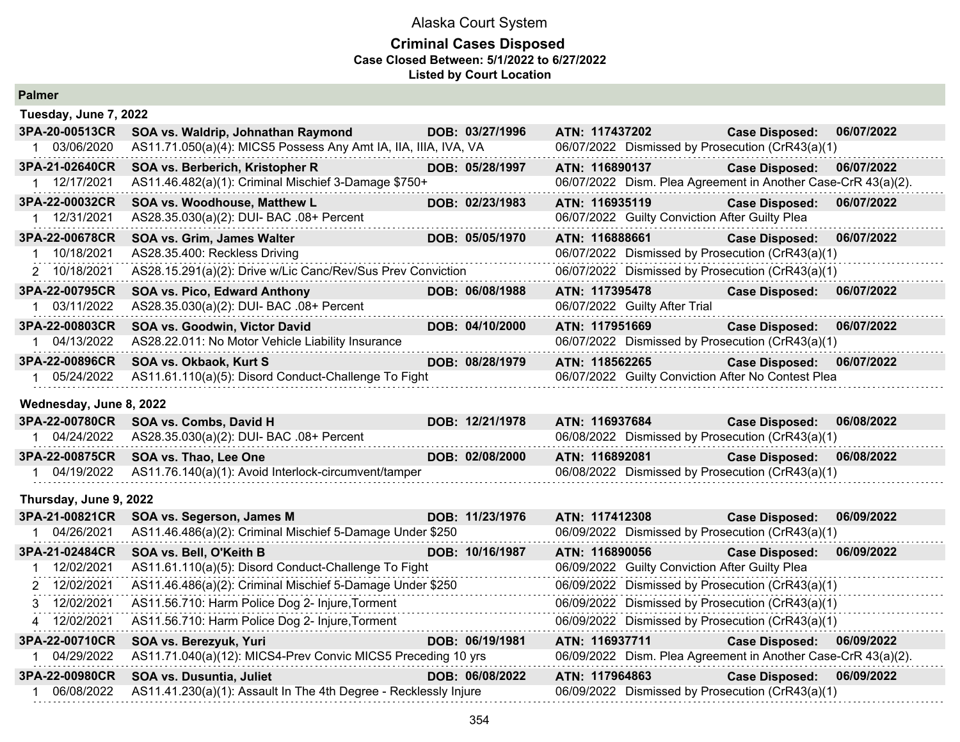#### **Criminal Cases Disposed Case Closed Between: 5/1/2022 to 6/27/2022 Listed by Court Location**

| Tuesday, June 7, 2022   |                                                                  |                 |                                                               |                           |            |
|-------------------------|------------------------------------------------------------------|-----------------|---------------------------------------------------------------|---------------------------|------------|
| 3PA-20-00513CR          | SOA vs. Waldrip, Johnathan Raymond                               | DOB: 03/27/1996 | ATN: 117437202                                                | <b>Case Disposed:</b>     | 06/07/2022 |
| 1 03/06/2020            | AS11.71.050(a)(4): MICS5 Possess Any Amt IA, IIA, IIIA, IVA, VA  |                 | 06/07/2022 Dismissed by Prosecution (CrR43(a)(1)              |                           |            |
| 3PA-21-02640CR          | SOA vs. Berberich, Kristopher R                                  | DOB: 05/28/1997 | ATN: 116890137                                                | <b>Case Disposed:</b>     | 06/07/2022 |
| 1 12/17/2021            | AS11.46.482(a)(1): Criminal Mischief 3-Damage \$750+             |                 | 06/07/2022 Dism. Plea Agreement in Another Case-CrR 43(a)(2). |                           |            |
| 3PA-22-00032CR          | SOA vs. Woodhouse, Matthew L                                     | DOB: 02/23/1983 | ATN: 116935119                                                | <b>Case Disposed:</b>     | 06/07/2022 |
| 1 12/31/2021            | AS28.35.030(a)(2): DUI- BAC .08+ Percent                         |                 | 06/07/2022 Guilty Conviction After Guilty Plea                |                           |            |
| 3PA-22-00678CR          | SOA vs. Grim, James Walter                                       | DOB: 05/05/1970 | ATN: 116888661                                                | <b>Case Disposed:</b>     | 06/07/2022 |
| 1 10/18/2021            | AS28.35.400: Reckless Driving                                    |                 | 06/07/2022 Dismissed by Prosecution (CrR43(a)(1)              |                           |            |
| 2 10/18/2021            | AS28.15.291(a)(2): Drive w/Lic Canc/Rev/Sus Prev Conviction      |                 | 06/07/2022 Dismissed by Prosecution (CrR43(a)(1)              |                           |            |
| 3PA-22-00795CR          | <b>SOA vs. Pico, Edward Anthony</b>                              | DOB: 06/08/1988 | ATN: 117395478                                                | Case Disposed: 06/07/2022 |            |
| 1 03/11/2022            | AS28.35.030(a)(2): DUI- BAC .08+ Percent                         |                 | 06/07/2022 Guilty After Trial                                 |                           |            |
| 3PA-22-00803CR          | SOA vs. Goodwin, Victor David                                    | DOB: 04/10/2000 | ATN: 117951669                                                | <b>Case Disposed:</b>     | 06/07/2022 |
| 1 04/13/2022            | AS28.22.011: No Motor Vehicle Liability Insurance                |                 | 06/07/2022 Dismissed by Prosecution (CrR43(a)(1)              |                           |            |
| 3PA-22-00896CR          | SOA vs. Okbaok, Kurt S                                           | DOB: 08/28/1979 | ATN: 118562265                                                | <b>Case Disposed:</b>     | 06/07/2022 |
| 1 05/24/2022            | AS11.61.110(a)(5): Disord Conduct-Challenge To Fight             |                 | 06/07/2022 Guilty Conviction After No Contest Plea            |                           |            |
| Wednesday, June 8, 2022 |                                                                  |                 |                                                               |                           |            |
| 3PA-22-00780CR          | SOA vs. Combs, David H                                           | DOB: 12/21/1978 | ATN: 116937684                                                | <b>Case Disposed:</b>     | 06/08/2022 |
| 1 04/24/2022            | AS28.35.030(a)(2): DUI- BAC .08+ Percent                         |                 | 06/08/2022 Dismissed by Prosecution (CrR43(a)(1)              |                           |            |
| 3PA-22-00875CR          | SOA vs. Thao, Lee One                                            | DOB: 02/08/2000 | ATN: 116892081                                                | <b>Case Disposed:</b>     | 06/08/2022 |
| 1 04/19/2022            | AS11.76.140(a)(1): Avoid Interlock-circumvent/tamper             |                 | 06/08/2022 Dismissed by Prosecution (CrR43(a)(1)              |                           |            |
| Thursday, June 9, 2022  |                                                                  |                 |                                                               |                           |            |
| 3PA-21-00821CR          | SOA vs. Segerson, James M                                        | DOB: 11/23/1976 | ATN: 117412308                                                | <b>Case Disposed:</b>     | 06/09/2022 |
| 1 04/26/2021            | AS11.46.486(a)(2): Criminal Mischief 5-Damage Under \$250        |                 | 06/09/2022 Dismissed by Prosecution (CrR43(a)(1)              |                           |            |
| 3PA-21-02484CR          | SOA vs. Bell, O'Keith B                                          | DOB: 10/16/1987 | ATN: 116890056                                                | <b>Case Disposed:</b>     | 06/09/2022 |
| 12/02/2021<br>$1 \quad$ | AS11.61.110(a)(5): Disord Conduct-Challenge To Fight             |                 | 06/09/2022 Guilty Conviction After Guilty Plea                |                           |            |
| 2 12/02/2021            | AS11.46.486(a)(2): Criminal Mischief 5-Damage Under \$250        |                 | 06/09/2022 Dismissed by Prosecution (CrR43(a)(1)              |                           |            |
| 3 12/02/2021            | AS11.56.710: Harm Police Dog 2- Injure, Torment                  |                 | 06/09/2022 Dismissed by Prosecution (CrR43(a)(1)              |                           |            |
| 4 12/02/2021            | AS11.56.710: Harm Police Dog 2- Injure, Torment                  |                 | 06/09/2022 Dismissed by Prosecution (CrR43(a)(1)              |                           |            |
| 3PA-22-00710CR          | SOA vs. Berezyuk, Yuri                                           | DOB: 06/19/1981 | ATN: 116937711                                                | <b>Case Disposed:</b>     | 06/09/2022 |
| 1 04/29/2022            | AS11.71.040(a)(12): MICS4-Prev Convic MICS5 Preceding 10 yrs     |                 | 06/09/2022 Dism. Plea Agreement in Another Case-CrR 43(a)(2). |                           |            |
| 3PA-22-00980CR          | SOA vs. Dusuntia, Juliet                                         | DOB: 06/08/2022 | ATN: 117964863                                                | <b>Case Disposed:</b>     | 06/09/2022 |
| 1 06/08/2022            | AS11.41.230(a)(1): Assault In The 4th Degree - Recklessly Injure |                 | 06/09/2022 Dismissed by Prosecution (CrR43(a)(1)              |                           |            |
|                         |                                                                  |                 |                                                               |                           |            |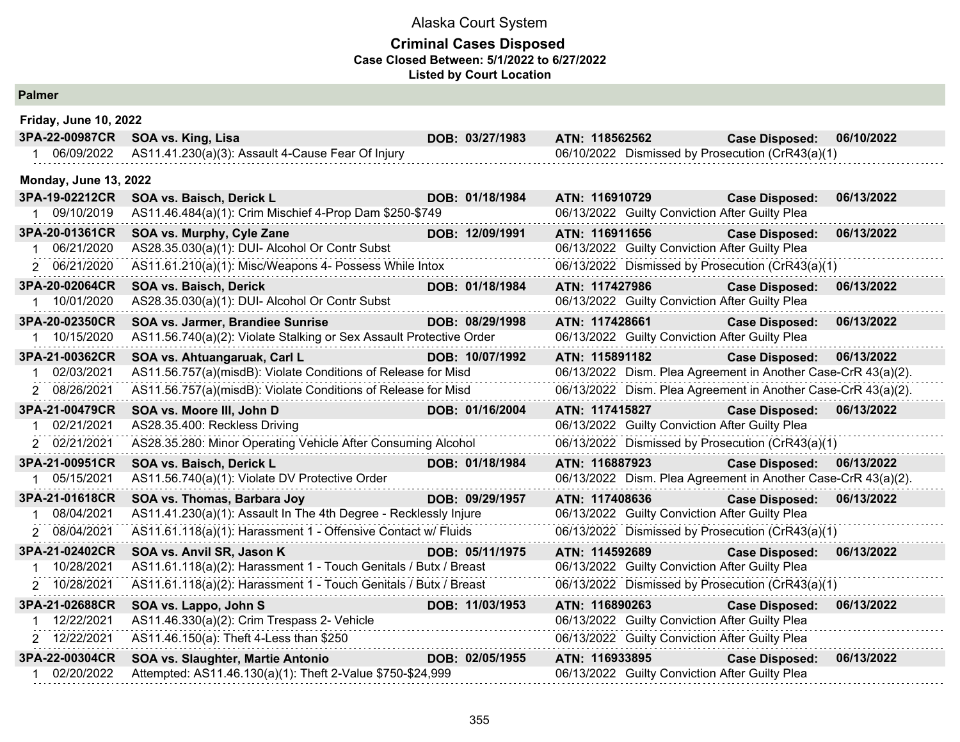## **Criminal Cases Disposed Case Closed Between: 5/1/2022 to 6/27/2022 Listed by Court Location**

| <b>Friday, June 10, 2022</b> |                                                                           |                 |                                                                                                                                                                                                                                |                                                               |            |
|------------------------------|---------------------------------------------------------------------------|-----------------|--------------------------------------------------------------------------------------------------------------------------------------------------------------------------------------------------------------------------------|---------------------------------------------------------------|------------|
| 3PA-22-00987CR               | SOA vs. King, Lisa                                                        | DOB: 03/27/1983 | ATN: 118562562                                                                                                                                                                                                                 | <b>Case Disposed:</b>                                         | 06/10/2022 |
| 06/09/2022                   | AS11.41.230(a)(3): Assault 4-Cause Fear Of Injury                         |                 |                                                                                                                                                                                                                                | 06/10/2022 Dismissed by Prosecution (CrR43(a)(1)              |            |
| <b>Monday, June 13, 2022</b> |                                                                           |                 |                                                                                                                                                                                                                                |                                                               |            |
| 3PA-19-02212CR               | SOA vs. Baisch, Derick L                                                  | DOB: 01/18/1984 | ATN: 116910729                                                                                                                                                                                                                 | <b>Case Disposed:</b>                                         | 06/13/2022 |
| 1 09/10/2019                 | AS11.46.484(a)(1): Crim Mischief 4-Prop Dam \$250-\$749                   |                 |                                                                                                                                                                                                                                | 06/13/2022 Guilty Conviction After Guilty Plea                |            |
| 3PA-20-01361CR               | SOA vs. Murphy, Cyle Zane                                                 | DOB: 12/09/1991 | ATN: 116911656                                                                                                                                                                                                                 | <b>Case Disposed:</b>                                         | 06/13/2022 |
| 06/21/2020                   | AS28.35.030(a)(1): DUI- Alcohol Or Contr Subst                            |                 |                                                                                                                                                                                                                                | 06/13/2022 Guilty Conviction After Guilty Plea                |            |
| 2 06/21/2020                 | AS11.61.210(a)(1): Misc/Weapons 4- Possess While Intox                    |                 |                                                                                                                                                                                                                                | 06/13/2022 Dismissed by Prosecution (CrR43(a)(1)              |            |
| 3PA-20-02064CR               | SOA vs. Baisch, Derick                                                    | DOB: 01/18/1984 | ATN: 117427986                                                                                                                                                                                                                 | <b>Case Disposed:</b>                                         | 06/13/2022 |
| 1 10/01/2020                 | AS28.35.030(a)(1): DUI- Alcohol Or Contr Subst                            |                 |                                                                                                                                                                                                                                | 06/13/2022 Guilty Conviction After Guilty Plea                |            |
| 3PA-20-02350CR               | SOA vs. Jarmer, Brandiee Sunrise                                          | DOB: 08/29/1998 | ATN: 117428661                                                                                                                                                                                                                 | <b>Case Disposed:</b>                                         | 06/13/2022 |
| 10/15/2020                   | AS11.56.740(a)(2): Violate Stalking or Sex Assault Protective Order       |                 |                                                                                                                                                                                                                                | 06/13/2022 Guilty Conviction After Guilty Plea                |            |
| 3PA-21-00362CR               | SOA vs. Ahtuangaruak, Carl L                                              | DOB: 10/07/1992 | ATN: 115891182                                                                                                                                                                                                                 | <b>Case Disposed:</b>                                         | 06/13/2022 |
| 02/03/2021                   | AS11.56.757(a)(misdB): Violate Conditions of Release for Misd             |                 |                                                                                                                                                                                                                                | 06/13/2022 Dism. Plea Agreement in Another Case-CrR 43(a)(2). |            |
| 2 08/26/2021                 | AS11.56.757(a)(misdB): Violate Conditions of Release for Misd             |                 |                                                                                                                                                                                                                                | 06/13/2022 Dism. Plea Agreement in Another Case-CrR 43(a)(2). |            |
| 3PA-21-00479CR               | SOA vs. Moore III, John D                                                 | DOB: 01/16/2004 | ATN: 117415827                                                                                                                                                                                                                 | <b>Case Disposed:</b>                                         | 06/13/2022 |
| 02/21/2021                   | AS28.35.400: Reckless Driving                                             |                 |                                                                                                                                                                                                                                | 06/13/2022 Guilty Conviction After Guilty Plea                |            |
| 2 02/21/2021                 | AS28.35.280: Minor Operating Vehicle After Consuming Alcohol              |                 |                                                                                                                                                                                                                                | 06/13/2022 Dismissed by Prosecution (CrR43(a)(1)              |            |
| 3PA-21-00951CR               | SOA vs. Baisch, Derick L                                                  | DOB: 01/18/1984 | ATN: 116887923                                                                                                                                                                                                                 | <b>Case Disposed:</b>                                         | 06/13/2022 |
| 05/15/2021                   | AS11.56.740(a)(1): Violate DV Protective Order<br>.                       |                 |                                                                                                                                                                                                                                | 06/13/2022 Dism. Plea Agreement in Another Case-CrR 43(a)(2). |            |
| 3PA-21-01618CR               | SOA vs. Thomas, Barbara Joy                                               | DOB: 09/29/1957 | ATN: 117408636                                                                                                                                                                                                                 | Case Disposed: 06/13/2022                                     |            |
| 08/04/2021                   | AS11.41.230(a)(1): Assault In The 4th Degree - Recklessly Injure          |                 |                                                                                                                                                                                                                                | 06/13/2022 Guilty Conviction After Guilty Plea                |            |
| 2 08/04/2021                 | AS11.61.118(a)(1): Harassment 1 - Offensive Contact w/ Fluids             |                 |                                                                                                                                                                                                                                | 06/13/2022 Dismissed by Prosecution (CrR43(a)(1)              |            |
| 3PA-21-02402CR               | SOA vs. Anvil SR, Jason K<br><u> 1990 - Jan Barnett, fransk politik (</u> | DOB: 05/11/1975 | ATN: 114592689 Participate of the Second Street and Second Street and Second Street and Second Street and Second Street and Second Street and Second Street and Second Street and Second Street and Second Street and Second S | <b>Case Disposed:</b>                                         | 06/13/2022 |
| 10/28/2021                   | AS11.61.118(a)(2): Harassment 1 - Touch Genitals / Butx / Breast          |                 |                                                                                                                                                                                                                                | 06/13/2022 Guilty Conviction After Guilty Plea                |            |
| 2 10/28/2021                 | AS11.61.118(a)(2): Harassment 1 - Touch Genitals / Butx / Breast          |                 |                                                                                                                                                                                                                                | 06/13/2022 Dismissed by Prosecution (CrR43(a)(1)              |            |
| 3PA-21-02688CR               | SOA vs. Lappo, John S                                                     | DOB: 11/03/1953 | ATN: 116890263                                                                                                                                                                                                                 | <b>Case Disposed:</b>                                         | 06/13/2022 |
| 12/22/2021                   | AS11.46.330(a)(2): Crim Trespass 2- Vehicle                               |                 |                                                                                                                                                                                                                                | 06/13/2022 Guilty Conviction After Guilty Plea                |            |
| 2 12/22/2021                 | AS11.46.150(a): Theft 4-Less than \$250                                   |                 |                                                                                                                                                                                                                                | 06/13/2022 Guilty Conviction After Guilty Plea                |            |
| 3PA-22-00304CR               | SOA vs. Slaughter, Martie Antonio<br><u> 1999 - Jan Jan Ja</u>            | DOB: 02/05/1955 | ATN: 116933895                                                                                                                                                                                                                 | <b>Case Disposed:</b>                                         | 06/13/2022 |
| 02/20/2022                   | Attempted: AS11.46.130(a)(1): Theft 2-Value \$750-\$24,999                |                 |                                                                                                                                                                                                                                | 06/13/2022 Guilty Conviction After Guilty Plea                |            |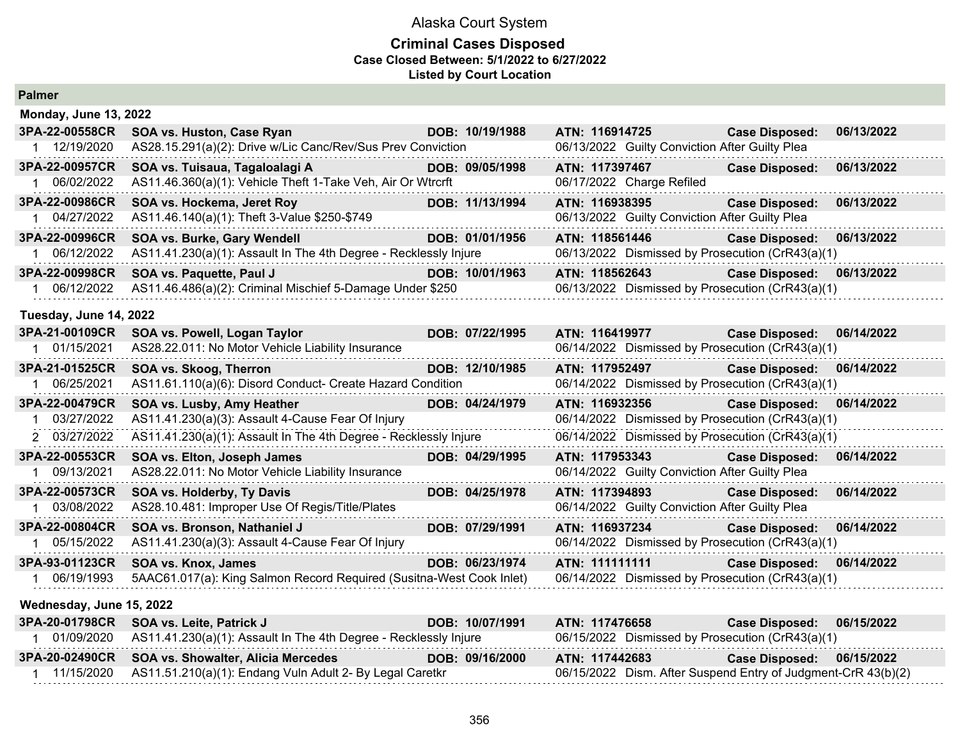### **Criminal Cases Disposed Case Closed Between: 5/1/2022 to 6/27/2022 Listed by Court Location**

| <b>Palmer</b>                                  |                                                                                                                                                      |                 |                                                                  |                                                                                                                             |            |
|------------------------------------------------|------------------------------------------------------------------------------------------------------------------------------------------------------|-----------------|------------------------------------------------------------------|-----------------------------------------------------------------------------------------------------------------------------|------------|
| <b>Monday, June 13, 2022</b>                   |                                                                                                                                                      |                 |                                                                  |                                                                                                                             |            |
| 3PA-22-00558CR<br>1 12/19/2020                 | SOA vs. Huston, Case Ryan<br>AS28.15.291(a)(2): Drive w/Lic Canc/Rev/Sus Prev Conviction                                                             | DOB: 10/19/1988 | ATN: 116914725<br>06/13/2022 Guilty Conviction After Guilty Plea | <b>Case Disposed:</b>                                                                                                       | 06/13/2022 |
| 3PA-22-00957CR<br>1 06/02/2022                 | SOA vs. Tuisaua, Tagaloalagi A<br>AS11.46.360(a)(1): Vehicle Theft 1-Take Veh, Air Or Wtrcrft                                                        | DOB: 09/05/1998 | ATN: 117397467<br>06/17/2022 Charge Refiled                      | <b>Case Disposed:</b>                                                                                                       | 06/13/2022 |
| 3PA-22-00986CR<br>1 04/27/2022                 | SOA vs. Hockema, Jeret Roy<br>AS11.46.140(a)(1): Theft 3-Value \$250-\$749                                                                           | DOB: 11/13/1994 | ATN: 116938395<br>06/13/2022 Guilty Conviction After Guilty Plea | <b>Case Disposed:</b>                                                                                                       | 06/13/2022 |
| 3PA-22-00996CR<br>06/12/2022                   | SOA vs. Burke, Gary Wendell<br>AS11.41.230(a)(1): Assault In The 4th Degree - Recklessly Injure                                                      | DOB: 01/01/1956 | ATN: 118561446                                                   | <b>Case Disposed:</b><br>06/13/2022 Dismissed by Prosecution (CrR43(a)(1)                                                   | 06/13/2022 |
| 3PA-22-00998CR<br>1 06/12/2022                 | SOA vs. Paquette, Paul J<br>AS11.46.486(a)(2): Criminal Mischief 5-Damage Under \$250                                                                | DOB: 10/01/1963 | ATN: 118562643                                                   | <b>Case Disposed:</b><br>06/13/2022 Dismissed by Prosecution (CrR43(a)(1)                                                   | 06/13/2022 |
| Tuesday, June 14, 2022                         |                                                                                                                                                      |                 |                                                                  |                                                                                                                             |            |
| 3PA-21-00109CR<br>1 01/15/2021                 | SOA vs. Powell, Logan Taylor<br>AS28.22.011: No Motor Vehicle Liability Insurance                                                                    | DOB: 07/22/1995 | ATN: 116419977                                                   | <b>Case Disposed:</b><br>06/14/2022 Dismissed by Prosecution (CrR43(a)(1)                                                   | 06/14/2022 |
| 3PA-21-01525CR<br>1 06/25/2021                 | SOA vs. Skoog, Therron<br>AS11.61.110(a)(6): Disord Conduct- Create Hazard Condition                                                                 | DOB: 12/10/1985 | ATN: 117952497                                                   | <b>Case Disposed:</b><br>06/14/2022 Dismissed by Prosecution (CrR43(a)(1)                                                   | 06/14/2022 |
| 3PA-22-00479CR<br>1 03/27/2022                 | SOA vs. Lusby, Amy Heather<br>AS11.41.230(a)(3): Assault 4-Cause Fear Of Injury                                                                      | DOB: 04/24/1979 | ATN: 116932356                                                   | <b>Case Disposed:</b><br>06/14/2022 Dismissed by Prosecution (CrR43(a)(1)                                                   | 06/14/2022 |
| 2 03/27/2022<br>3PA-22-00553CR<br>1 09/13/2021 | AS11.41.230(a)(1): Assault In The 4th Degree - Recklessly Injure<br>SOA vs. Elton, Joseph James<br>AS28.22.011: No Motor Vehicle Liability Insurance | DOB: 04/29/1995 | ATN: 117953343                                                   | 06/14/2022 Dismissed by Prosecution (CrR43(a)(1)<br><b>Case Disposed:</b><br>06/14/2022 Guilty Conviction After Guilty Plea | 06/14/2022 |
| 3PA-22-00573CR<br>1 03/08/2022                 | SOA vs. Holderby, Ty Davis<br>AS28.10.481: Improper Use Of Regis/Title/Plates                                                                        | DOB: 04/25/1978 | ATN: 117394893                                                   | <b>Case Disposed:</b><br>06/14/2022 Guilty Conviction After Guilty Plea                                                     | 06/14/2022 |
| 3PA-22-00804CR<br>1 05/15/2022                 | SOA vs. Bronson, Nathaniel J<br>AS11.41.230(a)(3): Assault 4-Cause Fear Of Injury                                                                    | DOB: 07/29/1991 | ATN: 116937234                                                   | <b>Case Disposed:</b><br>06/14/2022 Dismissed by Prosecution (CrR43(a)(1)                                                   | 06/14/2022 |
| 3PA-93-01123CR<br>1 06/19/1993                 | SOA vs. Knox, James<br>5AAC61.017(a): King Salmon Record Required (Susitna-West Cook Inlet)                                                          | DOB: 06/23/1974 | ATN: 111111111                                                   | <b>Case Disposed:</b><br>06/14/2022 Dismissed by Prosecution (CrR43(a)(1)                                                   | 06/14/2022 |
| Wednesday, June 15, 2022                       |                                                                                                                                                      |                 |                                                                  |                                                                                                                             |            |
|                                                | 3PA-20-01798CR SOA vs. Leite, Patrick J                                                                                                              | DOB: 10/07/1991 | ATN: 117476658                                                   | <b>Case Disposed:</b>                                                                                                       | 06/15/2022 |

| 3PA-20-01798CR SOA VS. Leite, Patrick J                                       | DOB: 10/07/1991 | AIN: 11/4/6658                                   | Case Disposed:  06/15/2022                                    |  |
|-------------------------------------------------------------------------------|-----------------|--------------------------------------------------|---------------------------------------------------------------|--|
| $01/09/2020$ AS11.41.230(a)(1): Assault In The 4th Degree - Recklessly Injure |                 | 06/15/2022 Dismissed by Prosecution (CrR43(a)(1) |                                                               |  |
| 3PA-20-02490CR SOA vs. Showalter, Alicia Mercedes                             | DOB: 09/16/2000 | ATN: 117442683                                   | Case Disposed: 06/15/2022                                     |  |
| 11/15/2020 AS11.51.210(a)(1): Endang Vuln Adult 2- By Legal Caretkr           |                 |                                                  | 06/15/2022 Dism. After Suspend Entry of Judgment-CrR 43(b)(2) |  |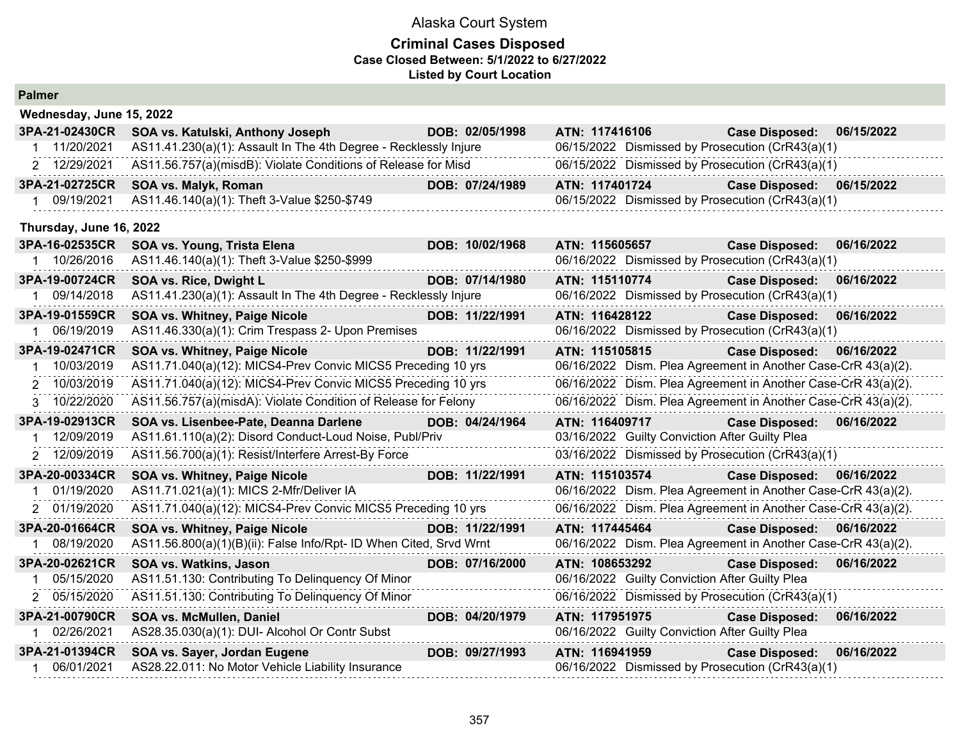#### **Criminal Cases Disposed Case Closed Between: 5/1/2022 to 6/27/2022 Listed by Court Location**

| <b>Palmer</b>                  |                                                                    |                 |                                                               |                       |            |
|--------------------------------|--------------------------------------------------------------------|-----------------|---------------------------------------------------------------|-----------------------|------------|
| Wednesday, June 15, 2022       |                                                                    |                 |                                                               |                       |            |
| 3PA-21-02430CR                 | SOA vs. Katulski, Anthony Joseph                                   | DOB: 02/05/1998 | ATN: 117416106                                                | <b>Case Disposed:</b> | 06/15/2022 |
| 11/20/2021                     | AS11.41.230(a)(1): Assault In The 4th Degree - Recklessly Injure   |                 | 06/15/2022 Dismissed by Prosecution (CrR43(a)(1)              |                       |            |
| 2 12/29/2021                   | AS11.56.757(a)(misdB): Violate Conditions of Release for Misd      |                 | 06/15/2022 Dismissed by Prosecution (CrR43(a)(1)              |                       |            |
| 3PA-21-02725CR                 | SOA vs. Malyk, Roman                                               | DOB: 07/24/1989 | ATN: 117401724                                                | <b>Case Disposed:</b> | 06/15/2022 |
| 09/19/2021<br>1                | AS11.46.140(a)(1): Theft 3-Value \$250-\$749                       |                 | 06/15/2022 Dismissed by Prosecution (CrR43(a)(1)              |                       |            |
| Thursday, June 16, 2022        |                                                                    |                 |                                                               |                       |            |
| 3PA-16-02535CR                 | SOA vs. Young, Trista Elena                                        | DOB: 10/02/1968 | ATN: 115605657                                                | <b>Case Disposed:</b> | 06/16/2022 |
| 1 10/26/2016                   | AS11.46.140(a)(1): Theft 3-Value \$250-\$999                       |                 | 06/16/2022 Dismissed by Prosecution (CrR43(a)(1)              |                       |            |
| 3PA-19-00724CR                 | SOA vs. Rice, Dwight L                                             | DOB: 07/14/1980 | ATN: 115110774                                                | <b>Case Disposed:</b> | 06/16/2022 |
| 09/14/2018                     | AS11.41.230(a)(1): Assault In The 4th Degree - Recklessly Injure   |                 | 06/16/2022 Dismissed by Prosecution (CrR43(a)(1)              |                       |            |
| 3PA-19-01559CR                 | SOA vs. Whitney, Paige Nicole                                      | DOB: 11/22/1991 | ATN: 116428122                                                | <b>Case Disposed:</b> | 06/16/2022 |
| 1 06/19/2019                   | AS11.46.330(a)(1): Crim Trespass 2- Upon Premises                  |                 | 06/16/2022 Dismissed by Prosecution (CrR43(a)(1)              |                       |            |
| 3PA-19-02471CR                 | <b>SOA vs. Whitney, Paige Nicole</b>                               | DOB: 11/22/1991 | ATN: 115105815                                                | <b>Case Disposed:</b> | 06/16/2022 |
| 10/03/2019<br>$\mathbf 1$      | AS11.71.040(a)(12): MICS4-Prev Convic MICS5 Preceding 10 yrs       |                 | 06/16/2022 Dism. Plea Agreement in Another Case-CrR 43(a)(2). |                       |            |
| 2 10/03/2019                   | AS11.71.040(a)(12): MICS4-Prev Convic MICS5 Preceding 10 yrs       |                 | 06/16/2022 Dism. Plea Agreement in Another Case-CrR 43(a)(2). |                       |            |
| 3 10/22/2020                   | AS11.56.757(a)(misdA): Violate Condition of Release for Felony     |                 | 06/16/2022 Dism. Plea Agreement in Another Case-CrR 43(a)(2). |                       |            |
| 3PA-19-02913CR                 | SOA vs. Lisenbee-Pate, Deanna Darlene                              | DOB: 04/24/1964 | ATN: 116409717                                                | <b>Case Disposed:</b> | 06/16/2022 |
| 12/09/2019<br>1                | AS11.61.110(a)(2): Disord Conduct-Loud Noise, Publ/Priv            |                 | 03/16/2022 Guilty Conviction After Guilty Plea                |                       |            |
| 2 12/09/2019                   | AS11.56.700(a)(1): Resist/Interfere Arrest-By Force                |                 | 03/16/2022 Dismissed by Prosecution (CrR43(a)(1)              |                       |            |
| 3PA-20-00334CR                 | SOA vs. Whitney, Paige Nicole                                      | DOB: 11/22/1991 | ATN: 115103574                                                | <b>Case Disposed:</b> | 06/16/2022 |
| 01/19/2020                     | AS11.71.021(a)(1): MICS 2-Mfr/Deliver IA                           |                 | 06/16/2022 Dism. Plea Agreement in Another Case-CrR 43(a)(2). |                       |            |
| 2 01/19/2020                   | AS11.71.040(a)(12): MICS4-Prev Convic MICS5 Preceding 10 yrs       |                 | 06/16/2022 Dism. Plea Agreement in Another Case-CrR 43(a)(2). |                       |            |
| 3PA-20-01664CR                 | SOA vs. Whitney, Paige Nicole                                      | DOB: 11/22/1991 | ATN: 117445464                                                | <b>Case Disposed:</b> | 06/16/2022 |
| 08/19/2020                     | AS11.56.800(a)(1)(B)(ii): False Info/Rpt- ID When Cited, Srvd Wrnt |                 | 06/16/2022 Dism. Plea Agreement in Another Case-CrR 43(a)(2). |                       |            |
| 3PA-20-02621CR                 | SOA vs. Watkins, Jason                                             | DOB: 07/16/2000 | ATN: 108653292                                                | <b>Case Disposed:</b> | 06/16/2022 |
| 05/15/2020<br>1                | AS11.51.130: Contributing To Delinquency Of Minor                  |                 | 06/16/2022 Guilty Conviction After Guilty Plea                |                       |            |
| 2 05/15/2020                   | AS11.51.130: Contributing To Delinquency Of Minor                  |                 | 06/16/2022 Dismissed by Prosecution (CrR43(a)(1)              |                       |            |
| 3PA-21-00790CR<br>1 02/26/2021 | SOA vs. McMullen, Daniel                                           | DOB: 04/20/1979 | ATN: 117951975                                                | <b>Case Disposed:</b> | 06/16/2022 |
|                                | AS28.35.030(a)(1): DUI- Alcohol Or Contr Subst                     |                 | 06/16/2022 Guilty Conviction After Guilty Plea                |                       |            |
| 3PA-21-01394CR                 | SOA vs. Sayer, Jordan Eugene                                       | DOB: 09/27/1993 | ATN: 116941959                                                | <b>Case Disposed:</b> | 06/16/2022 |
| 06/01/2021                     | AS28.22.011: No Motor Vehicle Liability Insurance                  |                 | 06/16/2022 Dismissed by Prosecution (CrR43(a)(1)              |                       |            |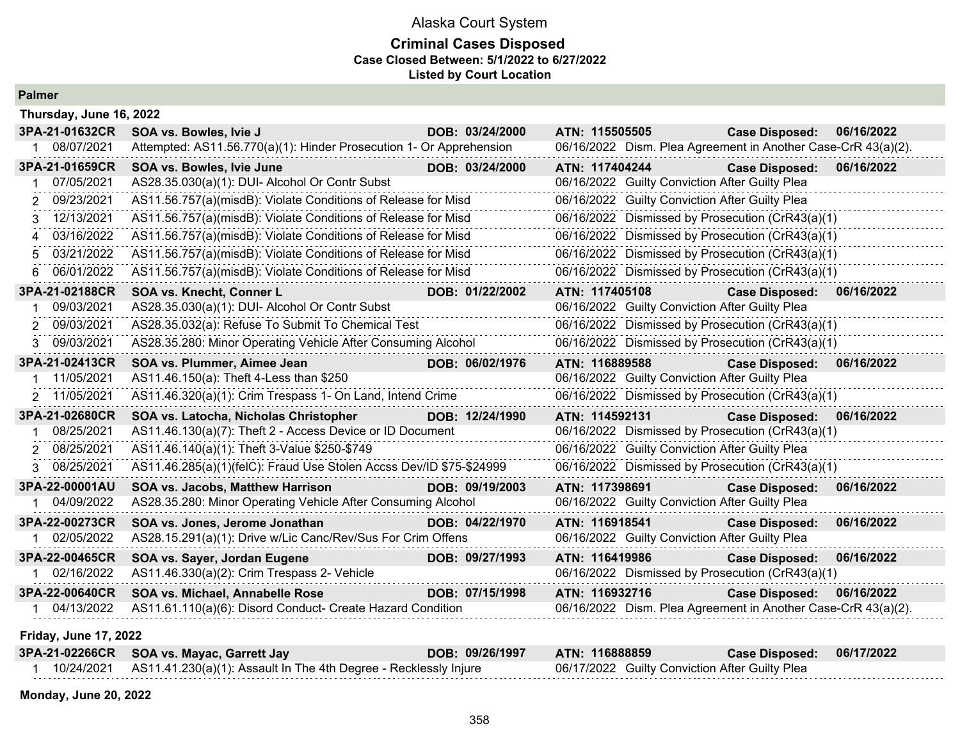#### **Criminal Cases Disposed Case Closed Between: 5/1/2022 to 6/27/2022 Listed by Court Location**

|        | Thursday, June 16, 2022      |                                                                     |                 |                |                                                |                                                               |            |
|--------|------------------------------|---------------------------------------------------------------------|-----------------|----------------|------------------------------------------------|---------------------------------------------------------------|------------|
|        | 3PA-21-01632CR               | SOA vs. Bowles, Ivie J                                              | DOB: 03/24/2000 | ATN: 115505505 |                                                | <b>Case Disposed:</b>                                         | 06/16/2022 |
|        | 08/07/2021                   | Attempted: AS11.56.770(a)(1): Hinder Prosecution 1- Or Apprehension |                 |                |                                                | 06/16/2022 Dism. Plea Agreement in Another Case-CrR 43(a)(2). |            |
|        | 3PA-21-01659CR               | SOA vs. Bowles, Ivie June                                           | DOB: 03/24/2000 | ATN: 117404244 |                                                | <b>Case Disposed:</b>                                         | 06/16/2022 |
|        | 07/05/2021                   | AS28.35.030(a)(1): DUI- Alcohol Or Contr Subst                      |                 |                | 06/16/2022 Guilty Conviction After Guilty Plea |                                                               |            |
| $^{2}$ | 09/23/2021                   | AS11.56.757(a)(misdB): Violate Conditions of Release for Misd       |                 |                | 06/16/2022 Guilty Conviction After Guilty Plea |                                                               |            |
| 3      | 12/13/2021                   | AS11.56.757(a)(misdB): Violate Conditions of Release for Misd       |                 |                |                                                | 06/16/2022 Dismissed by Prosecution (CrR43(a)(1)              |            |
| 4      | 03/16/2022                   | AS11.56.757(a)(misdB): Violate Conditions of Release for Misd       |                 |                |                                                | 06/16/2022 Dismissed by Prosecution (CrR43(a)(1)              |            |
| 5      | 03/21/2022                   | AS11.56.757(a)(misdB): Violate Conditions of Release for Misd       |                 |                |                                                | 06/16/2022 Dismissed by Prosecution (CrR43(a)(1)              |            |
| 6      | 06/01/2022                   | AS11.56.757(a)(misdB): Violate Conditions of Release for Misd       |                 |                |                                                | 06/16/2022 Dismissed by Prosecution (CrR43(a)(1)              |            |
|        | 3PA-21-02188CR               | SOA vs. Knecht, Conner L                                            | DOB: 01/22/2002 | ATN: 117405108 |                                                | <b>Case Disposed:</b>                                         | 06/16/2022 |
|        | 09/03/2021                   | AS28.35.030(a)(1): DUI- Alcohol Or Contr Subst                      |                 |                | 06/16/2022 Guilty Conviction After Guilty Plea |                                                               |            |
| 2      | 09/03/2021                   | AS28.35.032(a): Refuse To Submit To Chemical Test                   |                 |                |                                                | 06/16/2022 Dismissed by Prosecution (CrR43(a)(1)              |            |
| 3      | 09/03/2021                   | AS28.35.280: Minor Operating Vehicle After Consuming Alcohol        |                 |                |                                                | 06/16/2022 Dismissed by Prosecution (CrR43(a)(1)              |            |
|        | 3PA-21-02413CR               | SOA vs. Plummer, Aimee Jean                                         | DOB: 06/02/1976 | ATN: 116889588 |                                                | <b>Case Disposed:</b>                                         | 06/16/2022 |
|        | 11/05/2021                   | AS11.46.150(a): Theft 4-Less than \$250                             |                 |                | 06/16/2022 Guilty Conviction After Guilty Plea |                                                               |            |
|        | 2 11/05/2021                 | AS11.46.320(a)(1): Crim Trespass 1- On Land, Intend Crime           |                 |                |                                                | 06/16/2022 Dismissed by Prosecution (CrR43(a)(1)              |            |
|        | 3PA-21-02680CR               | SOA vs. Latocha, Nicholas Christopher                               | DOB: 12/24/1990 | ATN: 114592131 |                                                | <b>Case Disposed:</b>                                         | 06/16/2022 |
|        | 08/25/2021                   | AS11.46.130(a)(7): Theft 2 - Access Device or ID Document           |                 |                |                                                | 06/16/2022 Dismissed by Prosecution (CrR43(a)(1)              |            |
|        | 2 08/25/2021                 | AS11.46.140(a)(1): Theft 3-Value \$250-\$749                        |                 |                | 06/16/2022 Guilty Conviction After Guilty Plea |                                                               |            |
|        | 08/25/2021                   | AS11.46.285(a)(1)(felC): Fraud Use Stolen Accss Dev/ID \$75-\$24999 |                 |                |                                                | 06/16/2022 Dismissed by Prosecution (CrR43(a)(1)              |            |
|        | 3PA-22-00001AU               | <b>SOA vs. Jacobs, Matthew Harrison</b>                             | DOB: 09/19/2003 | ATN: 117398691 |                                                | <b>Case Disposed:</b>                                         | 06/16/2022 |
|        | 04/09/2022                   | AS28.35.280: Minor Operating Vehicle After Consuming Alcohol        |                 |                | 06/16/2022 Guilty Conviction After Guilty Plea |                                                               |            |
|        | 3PA-22-00273CR               | SOA vs. Jones, Jerome Jonathan                                      | DOB: 04/22/1970 | ATN: 116918541 |                                                | <b>Case Disposed:</b>                                         | 06/16/2022 |
|        | 02/05/2022                   | AS28.15.291(a)(1): Drive w/Lic Canc/Rev/Sus For Crim Offens         |                 |                | 06/16/2022 Guilty Conviction After Guilty Plea |                                                               |            |
|        | 3PA-22-00465CR               | SOA vs. Sayer, Jordan Eugene                                        | DOB: 09/27/1993 | ATN: 116419986 |                                                | <b>Case Disposed:</b>                                         | 06/16/2022 |
|        | 02/16/2022                   | AS11.46.330(a)(2): Crim Trespass 2- Vehicle                         |                 |                |                                                | 06/16/2022 Dismissed by Prosecution (CrR43(a)(1)              |            |
|        | 3PA-22-00640CR               | SOA vs. Michael, Annabelle Rose                                     | DOB: 07/15/1998 | ATN: 116932716 |                                                | <b>Case Disposed:</b>                                         | 06/16/2022 |
|        | 1 04/13/2022                 | AS11.61.110(a)(6): Disord Conduct- Create Hazard Condition          |                 |                |                                                | 06/16/2022 Dism. Plea Agreement in Another Case-CrR 43(a)(2). |            |
|        | <b>Friday, June 17, 2022</b> |                                                                     |                 |                |                                                |                                                               |            |

| 3PA-21-02266CR SOA vs. Mayac, Garrett Jay                                   | DOB: 09/26/1997 | ATN: 116888859                                 | <b>Case Disposed:</b> | 06/17/2022 |
|-----------------------------------------------------------------------------|-----------------|------------------------------------------------|-----------------------|------------|
| 10/24/2021 AS11.41.230(a)(1): Assault In The 4th Degree - Recklessly Injure |                 | 06/17/2022 Guilty Conviction After Guilty Plea |                       |            |

**Monday, June 20, 2022**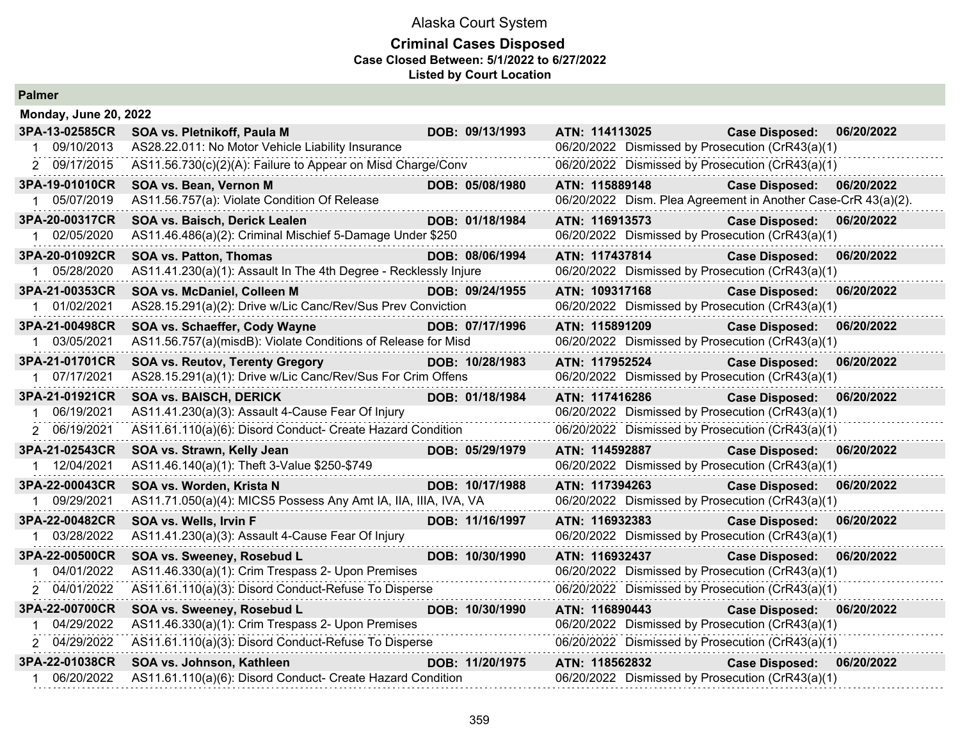## **Criminal Cases Disposed Case Closed Between: 5/1/2022 to 6/27/2022 Listed by Court Location**

| <b>Palmer</b> |
|---------------|
|---------------|

| <b>Monday, June 20, 2022</b> |                                                                  |                 |                                                               |                       |            |
|------------------------------|------------------------------------------------------------------|-----------------|---------------------------------------------------------------|-----------------------|------------|
| 3PA-13-02585CR               | SOA vs. Pletnikoff, Paula M                                      | DOB: 09/13/1993 | ATN: 114113025                                                | <b>Case Disposed:</b> | 06/20/2022 |
| 09/10/2013                   | AS28.22.011: No Motor Vehicle Liability Insurance                |                 | 06/20/2022 Dismissed by Prosecution (CrR43(a)(1)              |                       |            |
| 2 09/17/2015                 | AS11.56.730(c)(2)(A): Failure to Appear on Misd Charge/Conv      |                 | 06/20/2022 Dismissed by Prosecution (CrR43(a)(1)              |                       |            |
| 3PA-19-01010CR               | SOA vs. Bean, Vernon M                                           | DOB: 05/08/1980 | ATN: 115889148                                                | <b>Case Disposed:</b> | 06/20/2022 |
| 1 05/07/2019                 | AS11.56.757(a): Violate Condition Of Release                     |                 | 06/20/2022 Dism. Plea Agreement in Another Case-CrR 43(a)(2). |                       |            |
| 3PA-20-00317CR               | SOA vs. Baisch, Derick Lealen                                    | DOB: 01/18/1984 | ATN: 116913573                                                | <b>Case Disposed:</b> | 06/20/2022 |
| 02/05/2020                   | AS11.46.486(a)(2): Criminal Mischief 5-Damage Under \$250        |                 | 06/20/2022 Dismissed by Prosecution (CrR43(a)(1)              |                       |            |
| 3PA-20-01092CR               | <b>SOA vs. Patton, Thomas</b>                                    | DOB: 08/06/1994 | ATN: 117437814                                                | <b>Case Disposed:</b> | 06/20/2022 |
| 1 05/28/2020                 | AS11.41.230(a)(1): Assault In The 4th Degree - Recklessly Injure |                 | 06/20/2022 Dismissed by Prosecution (CrR43(a)(1)              |                       |            |
| 3PA-21-00353CR               | SOA vs. McDaniel, Colleen M                                      | DOB: 09/24/1955 | ATN: 109317168                                                | <b>Case Disposed:</b> | 06/20/2022 |
| 1 01/02/2021                 | AS28.15.291(a)(2): Drive w/Lic Canc/Rev/Sus Prev Conviction      |                 | 06/20/2022 Dismissed by Prosecution (CrR43(a)(1)              |                       |            |
| 3PA-21-00498CR               | SOA vs. Schaeffer, Cody Wayne                                    | DOB: 07/17/1996 | ATN: 115891209                                                | <b>Case Disposed:</b> | 06/20/2022 |
| 1 03/05/2021                 | AS11.56.757(a)(misdB): Violate Conditions of Release for Misd    |                 | 06/20/2022 Dismissed by Prosecution (CrR43(a)(1)              |                       |            |
| 3PA-21-01701CR               | <b>SOA vs. Reutov, Terenty Gregory</b>                           | DOB: 10/28/1983 | ATN: 117952524                                                | <b>Case Disposed:</b> | 06/20/2022 |
| 1 07/17/2021                 | AS28.15.291(a)(1): Drive w/Lic Canc/Rev/Sus For Crim Offens      |                 | 06/20/2022 Dismissed by Prosecution (CrR43(a)(1)              |                       |            |
| 3PA-21-01921CR               | <b>SOA vs. BAISCH, DERICK</b>                                    | DOB: 01/18/1984 | ATN: 117416286                                                | <b>Case Disposed:</b> | 06/20/2022 |
| 06/19/2021                   | AS11.41.230(a)(3): Assault 4-Cause Fear Of Injury                |                 | 06/20/2022 Dismissed by Prosecution (CrR43(a)(1)              |                       |            |
| 2 06/19/2021                 | AS11.61.110(a)(6): Disord Conduct- Create Hazard Condition       |                 | 06/20/2022 Dismissed by Prosecution (CrR43(a)(1)              |                       |            |
| 3PA-21-02543CR               | SOA vs. Strawn, Kelly Jean                                       | DOB: 05/29/1979 | ATN: 114592887                                                | <b>Case Disposed:</b> | 06/20/2022 |
| 1 12/04/2021                 | AS11.46.140(a)(1): Theft 3-Value \$250-\$749                     |                 | 06/20/2022 Dismissed by Prosecution (CrR43(a)(1)              |                       |            |
| 3PA-22-00043CR               | SOA vs. Worden, Krista N                                         | DOB: 10/17/1988 | ATN: 117394263                                                | <b>Case Disposed:</b> | 06/20/2022 |
| 09/29/2021<br>1.             | AS11.71.050(a)(4): MICS5 Possess Any Amt IA, IIA, IIIA, IVA, VA  |                 | 06/20/2022 Dismissed by Prosecution (CrR43(a)(1)              |                       |            |
| 3PA-22-00482CR               | SOA vs. Wells, Irvin F                                           | DOB: 11/16/1997 | ATN: 116932383                                                | <b>Case Disposed:</b> | 06/20/2022 |
| 1 03/28/2022                 | AS11.41.230(a)(3): Assault 4-Cause Fear Of Injury                |                 | 06/20/2022 Dismissed by Prosecution (CrR43(a)(1)              |                       |            |
| 3PA-22-00500CR               | SOA vs. Sweeney, Rosebud L                                       | DOB: 10/30/1990 | ATN: 116932437                                                | <b>Case Disposed:</b> | 06/20/2022 |
| 04/01/2022                   | AS11.46.330(a)(1): Crim Trespass 2- Upon Premises                |                 | 06/20/2022 Dismissed by Prosecution (CrR43(a)(1)              |                       |            |
| 2 04/01/2022                 | AS11.61.110(a)(3): Disord Conduct-Refuse To Disperse             | .               | 06/20/2022 Dismissed by Prosecution (CrR43(a)(1)              |                       |            |
| 3PA-22-00700CR               | SOA vs. Sweeney, Rosebud L                                       | DOB: 10/30/1990 | ATN: 116890443                                                | <b>Case Disposed:</b> | 06/20/2022 |
| 04/29/2022                   | AS11.46.330(a)(1): Crim Trespass 2- Upon Premises                |                 | 06/20/2022 Dismissed by Prosecution (CrR43(a)(1)              |                       |            |
| 2 04/29/2022                 | AS11.61.110(a)(3): Disord Conduct-Refuse To Disperse             |                 | 06/20/2022 Dismissed by Prosecution (CrR43(a)(1)              |                       |            |
| 3PA-22-01038CR               | SOA vs. Johnson, Kathleen                                        | DOB: 11/20/1975 | ATN: 118562832                                                | <b>Case Disposed:</b> | 06/20/2022 |
| 06/20/2022                   | AS11.61.110(a)(6): Disord Conduct- Create Hazard Condition       |                 | 06/20/2022 Dismissed by Prosecution (CrR43(a)(1)              |                       |            |
|                              |                                                                  |                 |                                                               |                       |            |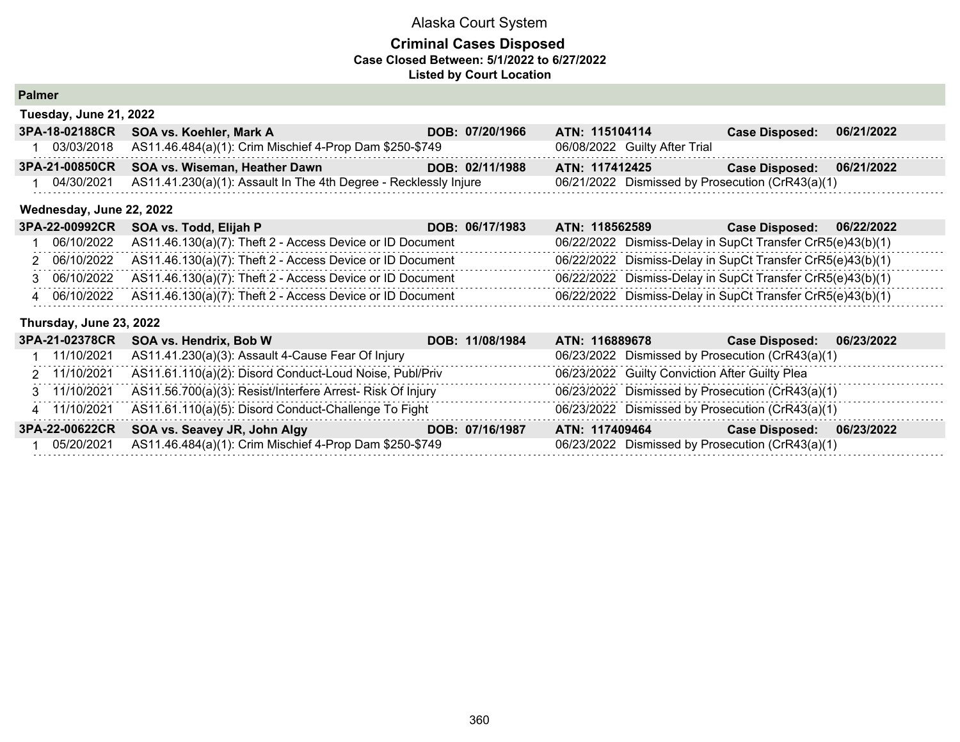## **Criminal Cases Disposed Case Closed Between: 5/1/2022 to 6/27/2022 Listed by Court Location**

|  |  | <b>Palmer</b> |
|--|--|---------------|
|--|--|---------------|

| Tuesday, June 21, 2022 |                                                                    |                 |                                                  |                           |            |  |  |
|------------------------|--------------------------------------------------------------------|-----------------|--------------------------------------------------|---------------------------|------------|--|--|
|                        | 3PA-18-02188CR SOA vs. Koehler, Mark A                             | DOB: 07/20/1966 | ATN: 115104114                                   | <b>Case Disposed:</b>     | 06/21/2022 |  |  |
|                        | 03/03/2018 AS11.46.484(a)(1): Crim Mischief 4-Prop Dam \$250-\$749 |                 | 06/08/2022 Guilty After Trial                    |                           |            |  |  |
| 3PA-21-00850CR         | SOA vs. Wiseman, Heather Dawn                                      | DOB: 02/11/1988 | ATN: 117412425                                   | Case Disposed: 06/21/2022 |            |  |  |
| 04/30/2021             | AS11.41.230(a)(1): Assault In The 4th Degree - Recklessly Injure   |                 | 06/21/2022 Dismissed by Prosecution (CrR43(a)(1) |                           |            |  |  |

#### **Wednesday, June 22, 2022**

| 3PA-22-00992CR SOA vs. Todd, Elijah P                                  | DOB: 06/17/1983 | ATN: 118562589                                             | Case Disposed: 06/22/2022 |  |
|------------------------------------------------------------------------|-----------------|------------------------------------------------------------|---------------------------|--|
| $06/10/2022$ AS11.46.130(a)(7): Theft 2 - Access Device or ID Document |                 | 06/22/2022 Dismiss-Delay in SupCt Transfer CrR5(e)43(b)(1) |                           |  |
| 2 06/10/2022 AS11.46.130(a)(7): Theft 2 - Access Device or ID Document |                 | 06/22/2022 Dismiss-Delay in SupCt Transfer CrR5(e)43(b)(1) |                           |  |
| 3 06/10/2022 AS11.46.130(a)(7): Theft 2 - Access Device or ID Document |                 | 06/22/2022 Dismiss-Delay in SupCt Transfer CrR5(e)43(b)(1) |                           |  |
| 4 06/10/2022 AS11.46.130(a)(7): Theft 2 - Access Device or ID Document |                 | 06/22/2022 Dismiss-Delay in SupCt Transfer CrR5(e)43(b)(1) |                           |  |

#### **Thursday, June 23, 2022**

| 3PA-21-02378CR | SOA vs. Hendrix, Bob W                                                  | DOB: 11/08/1984 | ATN: 116889678                                   | 06/23/2022<br><b>Case Disposed:</b> |
|----------------|-------------------------------------------------------------------------|-----------------|--------------------------------------------------|-------------------------------------|
| 11/10/2021     | AS11.41.230(a)(3): Assault 4-Cause Fear Of Injury                       |                 | 06/23/2022 Dismissed by Prosecution (CrR43(a)(1) |                                     |
|                | 2 11/10/2021 AS11.61.110(a)(2): Disord Conduct-Loud Noise, Publ/Priv    |                 | 06/23/2022 Guilty Conviction After Guilty Plea   |                                     |
|                | 3 11/10/2021 AS11.56.700(a)(3): Resist/Interfere Arrest- Risk Of Injury |                 | 06/23/2022 Dismissed by Prosecution (CrR43(a)(1) |                                     |
|                | 4 11/10/2021 AS11.61.110(a)(5): Disord Conduct-Challenge To Fight       |                 | 06/23/2022 Dismissed by Prosecution (CrR43(a)(1) |                                     |
| 3PA-22-00622CR | SOA vs. Seavey JR, John Algy                                            | DOB: 07/16/1987 | ATN: 117409464                                   | 06/23/2022<br><b>Case Disposed:</b> |
| 05/20/2021     | AS11.46.484(a)(1): Crim Mischief 4-Prop Dam \$250-\$749                 |                 | 06/23/2022 Dismissed by Prosecution (CrR43(a)(1) |                                     |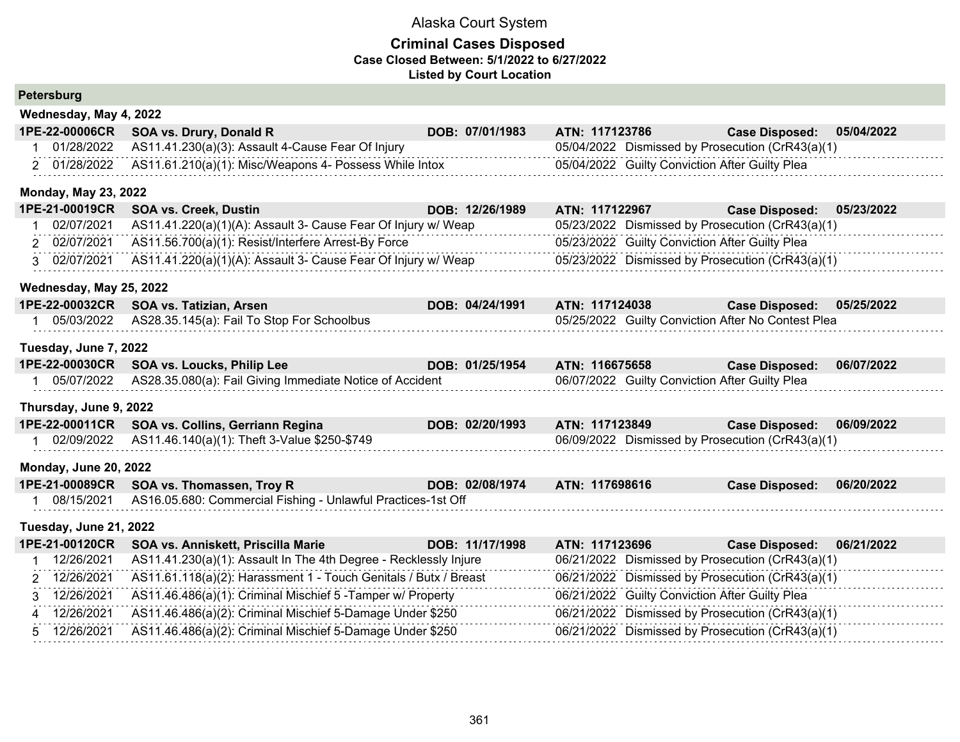| <b>Petersburg</b>                   |                                                                  |                 |                                                    |                       |            |
|-------------------------------------|------------------------------------------------------------------|-----------------|----------------------------------------------------|-----------------------|------------|
| Wednesday, May 4, 2022              |                                                                  |                 |                                                    |                       |            |
| 1PE-22-00006CR                      | SOA vs. Drury, Donald R                                          | DOB: 07/01/1983 | ATN: 117123786                                     | <b>Case Disposed:</b> | 05/04/2022 |
| 01/28/2022                          | AS11.41.230(a)(3): Assault 4-Cause Fear Of Injury                |                 | 05/04/2022 Dismissed by Prosecution (CrR43(a)(1)   |                       |            |
| 2 01/28/2022                        | AS11.61.210(a)(1): Misc/Weapons 4- Possess While Intox           |                 | 05/04/2022 Guilty Conviction After Guilty Plea     |                       |            |
| <b>Monday, May 23, 2022</b>         |                                                                  |                 |                                                    |                       |            |
| 1PE-21-00019CR                      | <b>SOA vs. Creek, Dustin</b>                                     | DOB: 12/26/1989 | ATN: 117122967                                     | <b>Case Disposed:</b> | 05/23/2022 |
| 02/07/2021                          | AS11.41.220(a)(1)(A): Assault 3- Cause Fear Of Injury w/ Weap    |                 | 05/23/2022 Dismissed by Prosecution (CrR43(a)(1)   |                       |            |
| 2 02/07/2021                        | AS11.56.700(a)(1): Resist/Interfere Arrest-By Force              |                 | 05/23/2022 Guilty Conviction After Guilty Plea     |                       |            |
| 3 02/07/2021                        | AS11.41.220(a)(1)(A): Assault 3- Cause Fear Of Injury w/ Weap    |                 | 05/23/2022 Dismissed by Prosecution (CrR43(a)(1)   |                       |            |
| Wednesday, May 25, 2022             |                                                                  |                 |                                                    |                       |            |
| 1PE-22-00032CR                      | <b>SOA vs. Tatizian, Arsen</b>                                   | DOB: 04/24/1991 | ATN: 117124038                                     | <b>Case Disposed:</b> | 05/25/2022 |
| 1 05/03/2022                        | AS28.35.145(a): Fail To Stop For Schoolbus                       |                 | 05/25/2022 Guilty Conviction After No Contest Plea |                       |            |
| Tuesday, June 7, 2022               |                                                                  |                 |                                                    |                       |            |
| 1PE-22-00030CR                      | SOA vs. Loucks, Philip Lee                                       | DOB: 01/25/1954 | ATN: 116675658                                     | <b>Case Disposed:</b> | 06/07/2022 |
| 1 05/07/2022                        | AS28.35.080(a): Fail Giving Immediate Notice of Accident         |                 | 06/07/2022 Guilty Conviction After Guilty Plea     |                       |            |
| Thursday, June 9, 2022              |                                                                  |                 |                                                    |                       |            |
| 1PE-22-00011CR                      | SOA vs. Collins, Gerriann Regina                                 | DOB: 02/20/1993 | ATN: 117123849                                     | <b>Case Disposed:</b> | 06/09/2022 |
| 1 02/09/2022                        | AS11.46.140(a)(1): Theft 3-Value \$250-\$749                     |                 | 06/09/2022 Dismissed by Prosecution (CrR43(a)(1)   |                       |            |
| <b>Monday, June 20, 2022</b>        |                                                                  |                 |                                                    |                       |            |
| 1PE-21-00089CR                      | SOA vs. Thomassen, Troy R                                        | DOB: 02/08/1974 | ATN: 117698616                                     | <b>Case Disposed:</b> | 06/20/2022 |
| 08/15/2021<br>1                     | AS16.05.680: Commercial Fishing - Unlawful Practices-1st Off     |                 |                                                    |                       |            |
| Tuesday, June 21, 2022              |                                                                  |                 |                                                    |                       |            |
| 1PE-21-00120CR                      | SOA vs. Anniskett, Priscilla Marie                               | DOB: 11/17/1998 | ATN: 117123696                                     | <b>Case Disposed:</b> | 06/21/2022 |
| 12/26/2021                          | AS11.41.230(a)(1): Assault In The 4th Degree - Recklessly Injure |                 | 06/21/2022 Dismissed by Prosecution (CrR43(a)(1)   |                       |            |
| 12/26/2021<br>$\mathbf{2}^{\prime}$ | AS11.61.118(a)(2): Harassment 1 - Touch Genitals / Butx / Breast |                 | 06/21/2022 Dismissed by Prosecution (CrR43(a)(1)   |                       |            |
| 3 12/26/2021                        | AS11.46.486(a)(1): Criminal Mischief 5 - Tamper w/ Property      |                 | 06/21/2022 Guilty Conviction After Guilty Plea     |                       |            |
| 4 12/26/2021                        | AS11.46.486(a)(2): Criminal Mischief 5-Damage Under \$250        |                 | 06/21/2022 Dismissed by Prosecution (CrR43(a)(1)   |                       |            |
| 5 12/26/2021                        | AS11.46.486(a)(2): Criminal Mischief 5-Damage Under \$250        |                 | 06/21/2022 Dismissed by Prosecution (CrR43(a)(1)   |                       |            |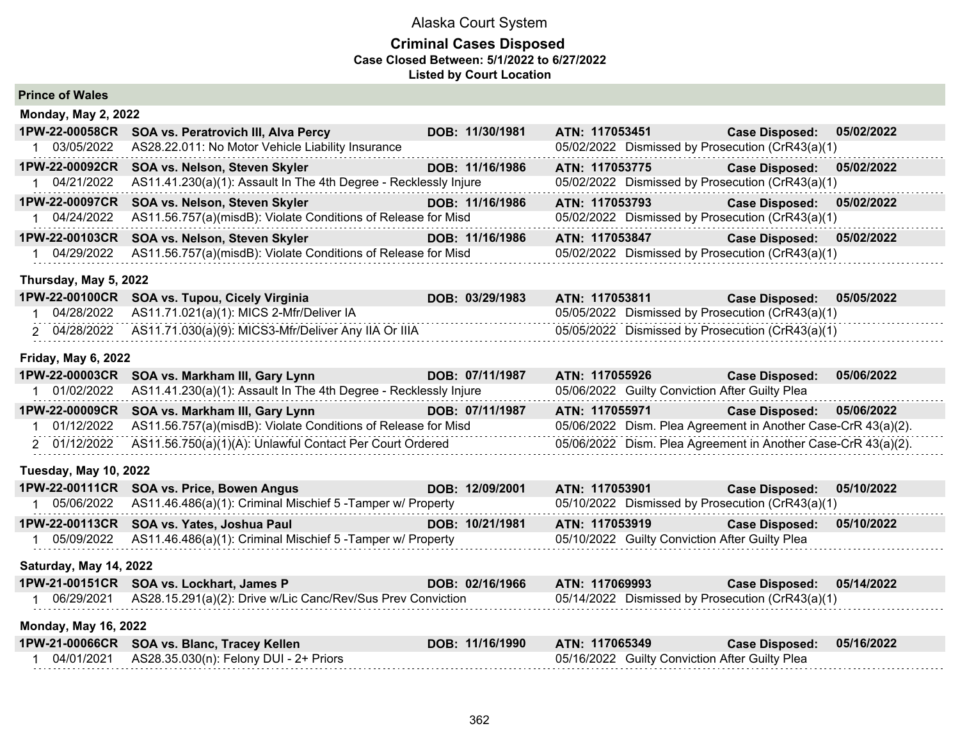#### **Criminal Cases Disposed Case Closed Between: 5/1/2022 to 6/27/2022 Listed by Court Location**

| <b>Prince of Wales</b> |  |  |
|------------------------|--|--|
|------------------------|--|--|

| <b>Monday, May 2, 2022</b> |                                                                  |                 |                                                               |                       |            |
|----------------------------|------------------------------------------------------------------|-----------------|---------------------------------------------------------------|-----------------------|------------|
| 1PW-22-00058CR             | SOA vs. Peratrovich III, Alva Percy                              | DOB: 11/30/1981 | ATN: 117053451                                                | <b>Case Disposed:</b> | 05/02/2022 |
| 03/05/2022                 | AS28.22.011: No Motor Vehicle Liability Insurance                |                 | 05/02/2022 Dismissed by Prosecution (CrR43(a)(1)              |                       |            |
| 1PW-22-00092CR             | SOA vs. Nelson, Steven Skyler                                    | DOB: 11/16/1986 | ATN: 117053775                                                | <b>Case Disposed:</b> | 05/02/2022 |
| 04/21/2022                 | AS11.41.230(a)(1): Assault In The 4th Degree - Recklessly Injure |                 | 05/02/2022 Dismissed by Prosecution (CrR43(a)(1)              |                       |            |
| 1PW-22-00097CR             | SOA vs. Nelson, Steven Skyler                                    | DOB: 11/16/1986 | ATN: 117053793                                                | <b>Case Disposed:</b> | 05/02/2022 |
| 04/24/2022                 | AS11.56.757(a)(misdB): Violate Conditions of Release for Misd    |                 | 05/02/2022 Dismissed by Prosecution (CrR43(a)(1)              |                       |            |
| 1PW-22-00103CR             | SOA vs. Nelson, Steven Skyler                                    | DOB: 11/16/1986 | ATN: 117053847                                                | <b>Case Disposed:</b> | 05/02/2022 |
| 04/29/2022                 | AS11.56.757(a)(misdB): Violate Conditions of Release for Misd    |                 | 05/02/2022 Dismissed by Prosecution (CrR43(a)(1)              |                       |            |
| Thursday, May 5, 2022      |                                                                  |                 |                                                               |                       |            |
| 1PW-22-00100CR             | <b>SOA vs. Tupou, Cicely Virginia</b>                            | DOB: 03/29/1983 | ATN: 117053811                                                | <b>Case Disposed:</b> | 05/05/2022 |
| 04/28/2022                 | AS11.71.021(a)(1): MICS 2-Mfr/Deliver IA                         |                 | 05/05/2022 Dismissed by Prosecution (CrR43(a)(1)              |                       |            |
| 2 04/28/2022               | AS11.71.030(a)(9): MICS3-Mfr/Deliver Any IIA Or IIIA             |                 | 05/05/2022 Dismissed by Prosecution (CrR43(a)(1)              |                       |            |
| <b>Friday, May 6, 2022</b> |                                                                  |                 |                                                               |                       |            |
| 1PW-22-00003CR             | SOA vs. Markham III, Gary Lynn                                   | DOB: 07/11/1987 | ATN: 117055926                                                | <b>Case Disposed:</b> | 05/06/2022 |
| 01/02/2022                 | AS11.41.230(a)(1): Assault In The 4th Degree - Recklessly Injure |                 | 05/06/2022 Guilty Conviction After Guilty Plea                |                       |            |
| 1PW-22-00009CR             | SOA vs. Markham III, Gary Lynn                                   | DOB: 07/11/1987 | ATN: 117055971                                                | <b>Case Disposed:</b> | 05/06/2022 |
| 01/12/2022                 | AS11.56.757(a)(misdB): Violate Conditions of Release for Misd    |                 | 05/06/2022 Dism. Plea Agreement in Another Case-CrR 43(a)(2). |                       |            |

**Tuesday, May 10, 2022**

| 1PW-22-00111CR SOA vs. Price, Bowen Angus                              | DOB: 12/09/2001 | ATN: 117053901                                   | <b>Case Disposed:</b> | 05/10/2022 |
|------------------------------------------------------------------------|-----------------|--------------------------------------------------|-----------------------|------------|
| 05/06/2022 AS11.46.486(a)(1): Criminal Mischief 5 - Tamper w/ Property |                 | 05/10/2022 Dismissed by Prosecution (CrR43(a)(1) |                       |            |
| 1PW-22-00113CR SOA vs. Yates, Joshua Paul                              | DOB: 10/21/1981 | ATN: 117053919                                   | <b>Case Disposed:</b> | 05/10/2022 |
| 05/09/2022 AS11.46.486(a)(1): Criminal Mischief 5 - Tamper w/ Property |                 | 05/10/2022 Guilty Conviction After Guilty Plea   |                       |            |

2 01/12/2022 AS11.56.750(a)(1)(A): Unlawful Contact Per Court Ordered 05/06/2022 Dism. Plea Agreement in Another Case-CrR 43(a)(2).

#### **Saturday, May 14, 2022**

| 1PW-21-00151CR SOA vs. Lockhart, James P                               | DOB: 02/16/1966 ATN: 117069993 |                                                  | Case Disposed: 05/14/2022 |  |
|------------------------------------------------------------------------|--------------------------------|--------------------------------------------------|---------------------------|--|
| 06/29/2021 AS28.15.291(a)(2): Drive w/Lic Canc/Rev/Sus Prev Conviction |                                | 05/14/2022 Dismissed by Prosecution (CrR43(a)(1) |                           |  |

**Monday, May 16, 2022**

| 1PW-21-00066CR SOA vs. Blanc, Tracey Kellen | DOB: 11/16/1990 ATN: 117065349 |                                                | Case Disposed: 05/16/2022 |  |
|---------------------------------------------|--------------------------------|------------------------------------------------|---------------------------|--|
|                                             |                                | 05/16/2022 Guilty Conviction After Guilty Plea |                           |  |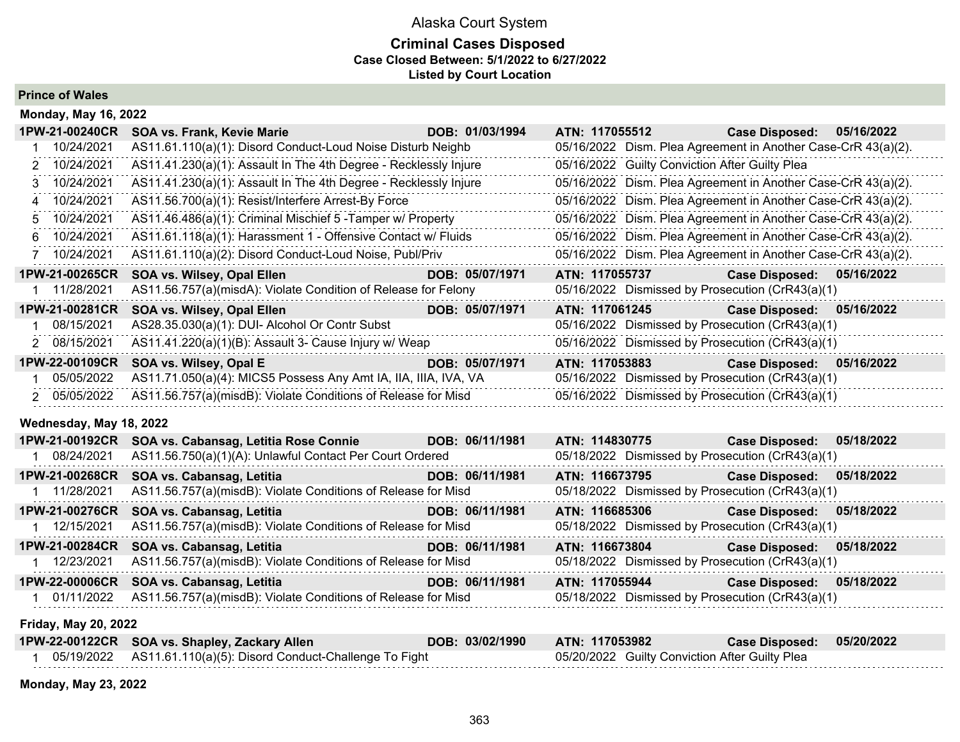# **Criminal Cases Disposed Case Closed Between: 5/1/2022 to 6/27/2022 Listed by Court Location**

**Prince of Wales**

|                | <b>Monday, May 16, 2022</b> |                                                                  |                 |                                                               |                       |            |
|----------------|-----------------------------|------------------------------------------------------------------|-----------------|---------------------------------------------------------------|-----------------------|------------|
|                | 1PW-21-00240CR              | <b>SOA vs. Frank, Kevie Marie</b>                                | DOB: 01/03/1994 | ATN: 117055512                                                | <b>Case Disposed:</b> | 05/16/2022 |
|                | 10/24/2021                  | AS11.61.110(a)(1): Disord Conduct-Loud Noise Disturb Neighb      |                 | 05/16/2022 Dism. Plea Agreement in Another Case-CrR 43(a)(2). |                       |            |
|                | 2 10/24/2021                | AS11.41.230(a)(1): Assault In The 4th Degree - Recklessly Injure |                 | 05/16/2022 Guilty Conviction After Guilty Plea                |                       |            |
|                | 3 10/24/2021                | AS11.41.230(a)(1): Assault In The 4th Degree - Recklessly Injure |                 | 05/16/2022 Dism. Plea Agreement in Another Case-CrR 43(a)(2). |                       |            |
|                | 4 10/24/2021                | AS11.56.700(a)(1): Resist/Interfere Arrest-By Force              |                 | 05/16/2022 Dism. Plea Agreement in Another Case-CrR 43(a)(2). |                       |            |
|                | 5 10/24/2021                | AS11.46.486(a)(1): Criminal Mischief 5 - Tamper w/ Property      |                 | 05/16/2022 Dism. Plea Agreement in Another Case-CrR 43(a)(2). |                       |            |
|                | 6 10/24/2021                | AS11.61.118(a)(1): Harassment 1 - Offensive Contact w/ Fluids    |                 | 05/16/2022 Dism. Plea Agreement in Another Case-CrR 43(a)(2). |                       |            |
| $\overline{7}$ | 10/24/2021                  | AS11.61.110(a)(2): Disord Conduct-Loud Noise, Publ/Priv          |                 | 05/16/2022 Dism. Plea Agreement in Another Case-CrR 43(a)(2). |                       |            |
|                | 1PW-21-00265CR              | SOA vs. Wilsey, Opal Ellen                                       | DOB: 05/07/1971 | ATN: 117055737                                                | <b>Case Disposed:</b> | 05/16/2022 |
|                | 11/28/2021                  | AS11.56.757(a)(misdA): Violate Condition of Release for Felony   |                 | 05/16/2022 Dismissed by Prosecution (CrR43(a)(1)              |                       |            |
|                | 1PW-21-00281CR              | SOA vs. Wilsey, Opal Ellen                                       | DOB: 05/07/1971 | ATN: 117061245                                                | <b>Case Disposed:</b> | 05/16/2022 |
|                | 08/15/2021                  | AS28.35.030(a)(1): DUI- Alcohol Or Contr Subst                   |                 | 05/16/2022 Dismissed by Prosecution (CrR43(a)(1)              |                       |            |
|                | 2 08/15/2021                | AS11.41.220(a)(1)(B): Assault 3- Cause Injury w/ Weap            |                 | 05/16/2022 Dismissed by Prosecution (CrR43(a)(1)              |                       |            |
|                | 1PW-22-00109CR              | SOA vs. Wilsey, Opal E                                           | DOB: 05/07/1971 | ATN: 117053883                                                | <b>Case Disposed:</b> | 05/16/2022 |
|                | 05/05/2022                  | AS11.71.050(a)(4): MICS5 Possess Any Amt IA, IIA, IIIA, IVA, VA  |                 | 05/16/2022 Dismissed by Prosecution (CrR43(a)(1)              |                       |            |
|                | 2 05/05/2022                | AS11.56.757(a)(misdB): Violate Conditions of Release for Misd    |                 | 05/16/2022 Dismissed by Prosecution (CrR43(a)(1)              |                       |            |
|                | Wednesday, May 18, 2022     |                                                                  |                 |                                                               |                       |            |
|                | 1PW-21-00192CR              | SOA vs. Cabansag, Letitia Rose Connie                            | DOB: 06/11/1981 | ATN: 114830775                                                | <b>Case Disposed:</b> | 05/18/2022 |
|                | 1 08/24/2021                | AS11.56.750(a)(1)(A): Unlawful Contact Per Court Ordered         |                 | 05/18/2022 Dismissed by Prosecution (CrR43(a)(1)              |                       |            |
|                | 1PW-21-00268CR              | SOA vs. Cabansag, Letitia                                        | DOB: 06/11/1981 | ATN: 116673795                                                | <b>Case Disposed:</b> | 05/18/2022 |
|                | 1 11/28/2021                | AS11.56.757(a)(misdB): Violate Conditions of Release for Misd    |                 | 05/18/2022 Dismissed by Prosecution (CrR43(a)(1)              |                       |            |
|                | 1PW-21-00276CR              | SOA vs. Cabansag, Letitia                                        | DOB: 06/11/1981 | ATN: 116685306                                                | <b>Case Disposed:</b> | 05/18/2022 |
|                | 1 12/15/2021                | AS11.56.757(a)(misdB): Violate Conditions of Release for Misd    |                 | 05/18/2022 Dismissed by Prosecution (CrR43(a)(1)              |                       |            |
|                | 1PW-21-00284CR              | SOA vs. Cabansag, Letitia                                        | DOB: 06/11/1981 | ATN: 116673804                                                | <b>Case Disposed:</b> | 05/18/2022 |
|                | 1 12/23/2021                | AS11.56.757(a)(misdB): Violate Conditions of Release for Misd    |                 | 05/18/2022 Dismissed by Prosecution (CrR43(a)(1)              |                       |            |
|                | 1PW-22-00006CR              | SOA vs. Cabansag, Letitia                                        | DOB: 06/11/1981 | ATN: 117055944                                                | <b>Case Disposed:</b> | 05/18/2022 |
|                | 01/11/2022                  | AS11.56.757(a)(misdB): Violate Conditions of Release for Misd    |                 | 05/18/2022 Dismissed by Prosecution (CrR43(a)(1)              |                       |            |
|                |                             |                                                                  |                 |                                                               |                       |            |

**Friday, May 20, 2022**

| 1PW-22-00122CR SOA vs. Shapley, Zackary Allen                     | DOB: 03/02/1990 | ATN: 117053982                                 | Case Disposed: 05/20/2022 |  |
|-------------------------------------------------------------------|-----------------|------------------------------------------------|---------------------------|--|
| 05/19/2022   AS11.61.110(a)(5): Disord Conduct-Challenge To Fight |                 | 05/20/2022 Guilty Conviction After Guilty Plea |                           |  |

**Monday, May 23, 2022**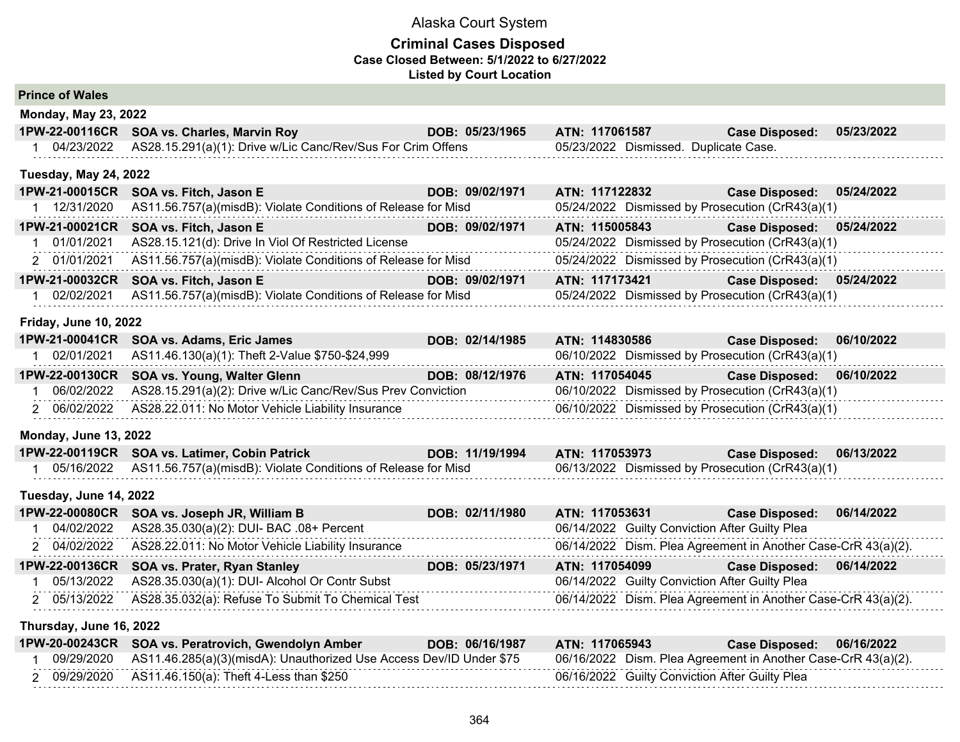#### **Criminal Cases Disposed Case Closed Between: 5/1/2022 to 6/27/2022 Listed by Court Location**

| <b>Prince of Wales</b> |  |  |
|------------------------|--|--|
|------------------------|--|--|

| <b>Monday, May 23, 2022</b>  |                                                                          |                 |                                                  |                       |            |
|------------------------------|--------------------------------------------------------------------------|-----------------|--------------------------------------------------|-----------------------|------------|
| 1PW-22-00116CR               | <b>SOA vs. Charles, Marvin Roy</b>                                       | DOB: 05/23/1965 | ATN: 117061587                                   | <b>Case Disposed:</b> | 05/23/2022 |
| 04/23/2022                   | AS28.15.291(a)(1): Drive w/Lic Canc/Rev/Sus For Crim Offens              |                 | 05/23/2022 Dismissed. Duplicate Case.            |                       |            |
| <b>Tuesday, May 24, 2022</b> |                                                                          |                 |                                                  |                       |            |
| 1PW-21-00015CR               | SOA vs. Fitch, Jason E                                                   | DOB: 09/02/1971 | ATN: 117122832                                   | <b>Case Disposed:</b> | 05/24/2022 |
|                              | 12/31/2020 AS11.56.757(a)(misdB): Violate Conditions of Release for Misd |                 | 05/24/2022 Dismissed by Prosecution (CrR43(a)(1) |                       |            |
| 1PW-21-00021CR               | SOA vs. Fitch, Jason E                                                   | DOB: 09/02/1971 | ATN: 115005843                                   | <b>Case Disposed:</b> | 05/24/2022 |
| 01/01/2021                   | AS28.15.121(d): Drive In Viol Of Restricted License                      |                 | 05/24/2022 Dismissed by Prosecution (CrR43(a)(1) |                       |            |
| 2 01/01/2021                 | AS11.56.757(a)(misdB): Violate Conditions of Release for Misd            |                 | 05/24/2022 Dismissed by Prosecution (CrR43(a)(1) |                       |            |

**1PW-21-00032CR SOA vs. Fitch, Jason E DOB: 09/02/1971 ATN: 117173421 Case Disposed: 05/24/2022** 1 02/02/2021 AS11.56.757(a)(misdB): Violate Conditions of Release for Misd 05/24/2022 Dismissed by Prosecution (CrR43(a)(1)

#### **Friday, June 10, 2022**

| 1PW-21-00041CR SOA vs. Adams, Eric James                               | DOB: 02/14/1985 | ATN: 114830586                                   | Case Disposed: 06/10/2022 |  |
|------------------------------------------------------------------------|-----------------|--------------------------------------------------|---------------------------|--|
| 02/01/2021 AS11.46.130(a)(1): Theft 2-Value \$750-\$24,999             |                 | 06/10/2022 Dismissed by Prosecution (CrR43(a)(1) |                           |  |
| 1PW-22-00130CR SOA vs. Young, Walter Glenn                             | DOB: 08/12/1976 | ATN: 117054045                                   | Case Disposed: 06/10/2022 |  |
| 06/02/2022 AS28.15.291(a)(2): Drive w/Lic Canc/Rev/Sus Prev Conviction |                 | 06/10/2022 Dismissed by Prosecution (CrR43(a)(1) |                           |  |
| 2 06/02/2022 AS28.22.011: No Motor Vehicle Liability Insurance         |                 | 06/10/2022 Dismissed by Prosecution (CrR43(a)(1) |                           |  |

## **Monday, June 13, 2022**

| 1PW-22-00119CR SOA vs. Latimer, Cobin Patrick                               | DOB: 11/19/1994 | ATN: 117053973                                   | Case Disposed: 06/13/2022 |  |
|-----------------------------------------------------------------------------|-----------------|--------------------------------------------------|---------------------------|--|
| 05/16/2022    AS11.56.757(a)(misdB): Violate Conditions of Release for Misd |                 | 06/13/2022 Dismissed by Prosecution (CrR43(a)(1) |                           |  |

#### **Tuesday, June 14, 2022**

| 1PW-22-00080CR SOA vs. Joseph JR, William B                    | DOB: 02/11/1980 | ATN: 117053631                                                | Case Disposed: 06/14/2022 |  |
|----------------------------------------------------------------|-----------------|---------------------------------------------------------------|---------------------------|--|
| 04/02/2022 AS28.35.030(a)(2): DUI- BAC .08+ Percent            |                 | 06/14/2022 Guilty Conviction After Guilty Plea                |                           |  |
| 2 04/02/2022 AS28.22.011: No Motor Vehicle Liability Insurance |                 | 06/14/2022 Dism. Plea Agreement in Another Case-CrR 43(a)(2). |                           |  |
| 1PW-22-00136CR SOA vs. Prater, Ryan Stanley                    | DOB: 05/23/1971 | ATN: 117054099                                                | Case Disposed: 06/14/2022 |  |
| 05/13/2022 AS28.35.030(a)(1): DUI- Alcohol Or Contr Subst      |                 | 06/14/2022 Guilty Conviction After Guilty Plea                |                           |  |
| 2 05/13/2022 AS28.35.032(a): Refuse To Submit To Chemical Test |                 | 06/14/2022 Dism. Plea Agreement in Another Case-CrR 43(a)(2). |                           |  |

#### **Thursday, June 16, 2022**

|            | 1PW-20-00243CR SOA vs. Peratrovich, Gwendolyn Amber                 | DOB: 06/16/1987 | ATN: 117065943 | Case Disposed: 06/16/2022                                     |
|------------|---------------------------------------------------------------------|-----------------|----------------|---------------------------------------------------------------|
| 09/29/2020 | AS11.46.285(a)(3)(misdA): Unauthorized Use Access Dev/ID Under \$75 |                 |                | 06/16/2022 Dism. Plea Agreement in Another Case-CrR 43(a)(2). |
|            | 09/29/2020 AS11.46.150(a): Theft 4-Less than \$250                  |                 |                | 06/16/2022 Guilty Conviction After Guilty Plea                |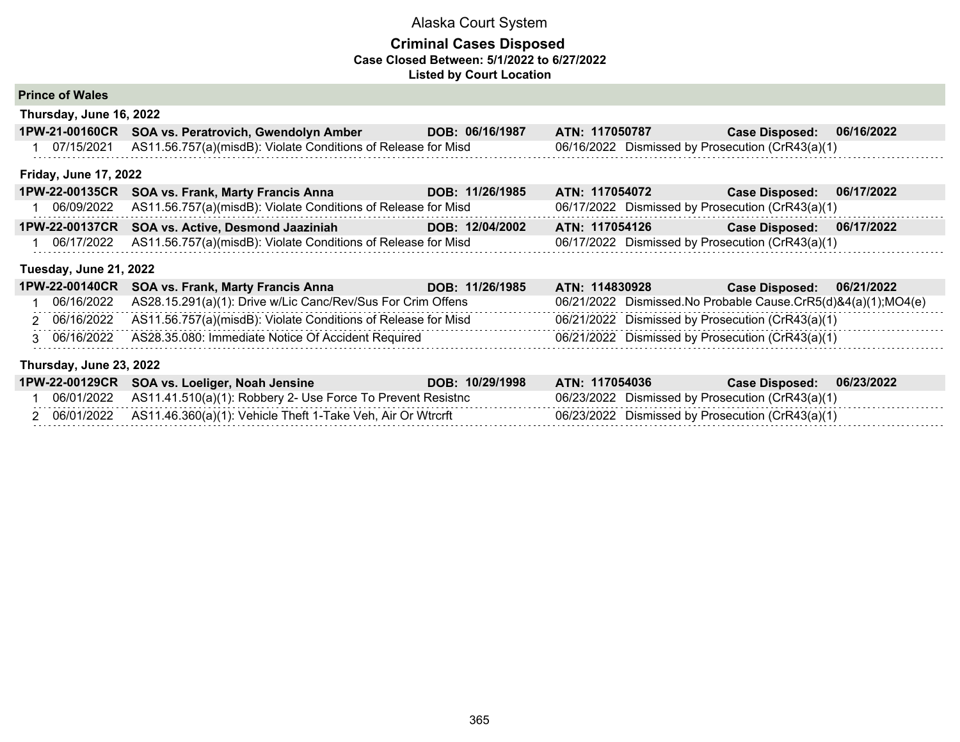### **Criminal Cases Disposed Case Closed Between: 5/1/2022 to 6/27/2022 Listed by Court Location**

### **Prince of Wales**

**Thursday, June 16, 2022**

| 1PW-21-00160CR SOA vs. Peratrovich, Gwendolyn Amber                      | DOB: 06/16/1987 | ATN: 117050787                                   | Case Disposed: 06/16/2022 |  |
|--------------------------------------------------------------------------|-----------------|--------------------------------------------------|---------------------------|--|
| 07/15/2021 AS11.56.757(a)(misdB): Violate Conditions of Release for Misd |                 | 06/16/2022 Dismissed by Prosecution (CrR43(a)(1) |                           |  |

#### **Friday, June 17, 2022**

| 1PW-22-00135CR SOA vs. Frank, Marty Francis Anna                         | DOB: 11/26/1985 | ATN: 117054072                                   | <b>Case Disposed:</b> | 06/17/2022 |
|--------------------------------------------------------------------------|-----------------|--------------------------------------------------|-----------------------|------------|
| 06/09/2022 AS11.56.757(a)(misdB): Violate Conditions of Release for Misd |                 | 06/17/2022 Dismissed by Prosecution (CrR43(a)(1) |                       |            |
| 1PW-22-00137CR SOA vs. Active, Desmond Jaaziniah                         | DOB: 12/04/2002 | ATN: 117054126                                   | <b>Case Disposed:</b> | 06/17/2022 |
| 06/17/2022 AS11.56.757(a)(misdB): Violate Conditions of Release for Misd |                 | 06/17/2022 Dismissed by Prosecution (CrR43(a)(1) |                       |            |

#### **Tuesday, June 21, 2022**

| 1PW-22-00140CR SOA vs. Frank, Marty Francis Anna                         | DOB: 11/26/1985 | ATN: 114830928                                   | Case Disposed: N<br>06/21/2022                                |
|--------------------------------------------------------------------------|-----------------|--------------------------------------------------|---------------------------------------------------------------|
| 06/16/2022 AS28.15.291(a)(1): Drive w/Lic Canc/Rev/Sus For Crim Offens   |                 |                                                  | 06/21/2022 Dismissed.No Probable Cause.CrR5(d)&4(a)(1);MO4(e) |
| 06/16/2022 AS11.56.757(a)(misdB): Violate Conditions of Release for Misd |                 | 06/21/2022 Dismissed by Prosecution (CrR43(a)(1) |                                                               |
| 3 06/16/2022 AS28.35.080: Immediate Notice Of Accident Required          |                 | 06/21/2022 Dismissed by Prosecution (CrR43(a)(1) |                                                               |

#### **Thursday, June 23, 2022**

|            | 1PW-22-00129CR SOA vs. Loeliger, Noah Jensine                          | DOB: 10/29/1998 | ATN: 117054036                                   | <b>Case Disposed:</b> | 06/23/2022 |
|------------|------------------------------------------------------------------------|-----------------|--------------------------------------------------|-----------------------|------------|
| 06/01/2022 | 2 AS11.41.510(a)(1): Robbery 2- Use Force To Prevent Resistnc          |                 | 06/23/2022 Dismissed by Prosecution (CrR43(a)(1) |                       |            |
|            | 06/01/2022 AS11.46.360(a)(1): Vehicle Theft 1-Take Veh, Air Or Wtrcrft |                 | 06/23/2022 Dismissed by Prosecution (CrR43(a)(1) |                       |            |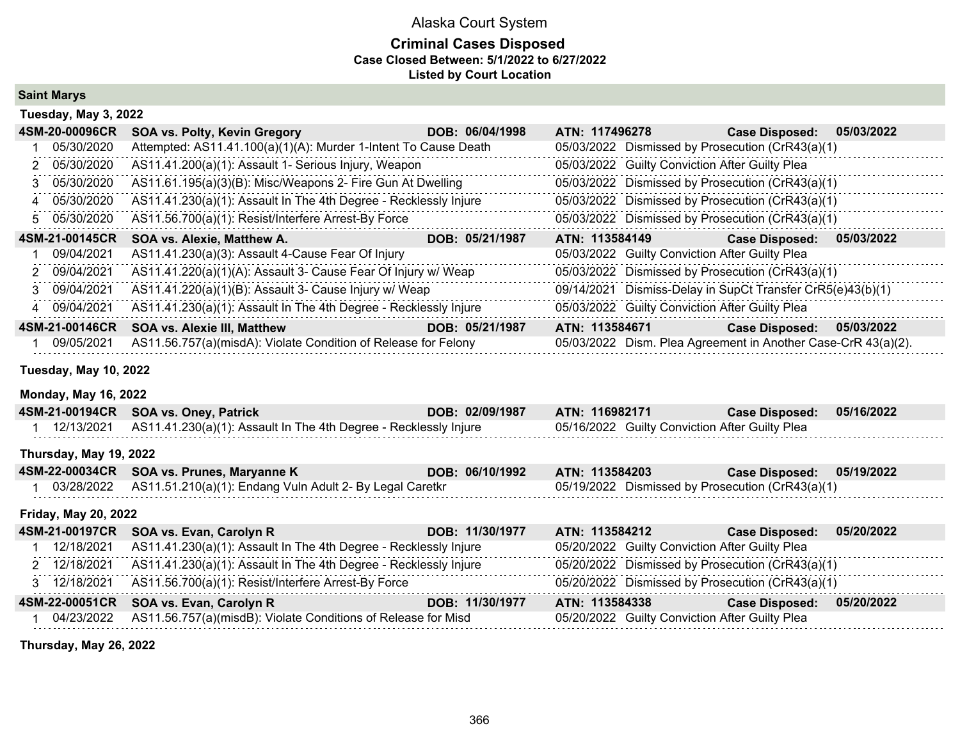### **Criminal Cases Disposed Case Closed Between: 5/1/2022 to 6/27/2022 Listed by Court Location**

**Saint Marys**

| Tuesday, May 3, 2022 |                                                                  |                 |                |                                                |                                                               |            |
|----------------------|------------------------------------------------------------------|-----------------|----------------|------------------------------------------------|---------------------------------------------------------------|------------|
| 4SM-20-00096CR       | <b>SOA vs. Polty, Kevin Gregory</b>                              | DOB: 06/04/1998 | ATN: 117496278 |                                                | <b>Case Disposed:</b>                                         | 05/03/2022 |
| 05/30/2020           | Attempted: AS11.41.100(a)(1)(A): Murder 1-Intent To Cause Death  |                 |                |                                                | 05/03/2022 Dismissed by Prosecution (CrR43(a)(1)              |            |
| 2 05/30/2020         | AS11.41.200(a)(1): Assault 1- Serious Injury, Weapon             |                 |                | 05/03/2022 Guilty Conviction After Guilty Plea |                                                               |            |
| 3 05/30/2020         | AS11.61.195(a)(3)(B): Misc/Weapons 2- Fire Gun At Dwelling       |                 |                |                                                | 05/03/2022 Dismissed by Prosecution (CrR43(a)(1)              |            |
| 4 05/30/2020         | AS11.41.230(a)(1): Assault In The 4th Degree - Recklessly Injure |                 |                |                                                | 05/03/2022 Dismissed by Prosecution (CrR43(a)(1)              |            |
| 5 05/30/2020         | AS11.56.700(a)(1): Resist/Interfere Arrest-By Force              |                 |                |                                                | 05/03/2022 Dismissed by Prosecution (CrR43(a)(1)              |            |
| 4SM-21-00145CR       | SOA vs. Alexie, Matthew A.                                       | DOB: 05/21/1987 | ATN: 113584149 |                                                | <b>Case Disposed:</b>                                         | 05/03/2022 |
| 09/04/2021           | AS11.41.230(a)(3): Assault 4-Cause Fear Of Injury                |                 |                | 05/03/2022 Guilty Conviction After Guilty Plea |                                                               |            |
| 2 09/04/2021         | AS11.41.220(a)(1)(A): Assault 3- Cause Fear Of Injury w/ Weap    |                 |                |                                                | 05/03/2022 Dismissed by Prosecution (CrR43(a)(1)              |            |
| 3 09/04/2021         | AS11.41.220(a)(1)(B): Assault 3- Cause Injury w/ Weap            |                 |                |                                                | 09/14/2021 Dismiss-Delay in SupCt Transfer CrR5(e)43(b)(1)    |            |
| 4 09/04/2021         | AS11.41.230(a)(1): Assault In The 4th Degree - Recklessly Injure |                 |                | 05/03/2022 Guilty Conviction After Guilty Plea |                                                               |            |
| 4SM-21-00146CR       | <b>SOA vs. Alexie III, Matthew</b>                               | DOB: 05/21/1987 | ATN: 113584671 |                                                | <b>Case Disposed:</b>                                         | 05/03/2022 |
| 09/05/2021           | AS11.56.757(a)(misdA): Violate Condition of Release for Felony   |                 |                |                                                | 05/03/2022 Dism. Plea Agreement in Another Case-CrR 43(a)(2). |            |

#### **Tuesday, May 10, 2022**

#### **Monday, May 16, 2022**

| 4SM-21-00194CR              | <b>SOA vs. Oney, Patrick</b>                                     | DOB: 02/09/1987 | ATN: 116982171                                   | <b>Case Disposed:</b> | 05/16/2022 |
|-----------------------------|------------------------------------------------------------------|-----------------|--------------------------------------------------|-----------------------|------------|
| 12/13/2021                  | AS11.41.230(a)(1): Assault In The 4th Degree - Recklessly Injure |                 | 05/16/2022 Guilty Conviction After Guilty Plea   |                       |            |
| Thursday, May 19, 2022      |                                                                  |                 |                                                  |                       |            |
| 4SM-22-00034CR              | SOA vs. Prunes, Maryanne K                                       | DOB: 06/10/1992 | ATN: 113584203                                   | <b>Case Disposed:</b> | 05/19/2022 |
| 03/28/2022                  | AS11.51.210(a)(1): Endang Vuln Adult 2- By Legal Caretkr         |                 | 05/19/2022 Dismissed by Prosecution (CrR43(a)(1) |                       |            |
| <b>Friday, May 20, 2022</b> |                                                                  |                 |                                                  |                       |            |
| 4SM-21-00197CR              | SOA vs. Evan, Carolyn R                                          | DOB: 11/30/1977 | ATN: 113584212                                   | <b>Case Disposed:</b> | 05/20/2022 |
| 12/18/2021                  | AS11.41.230(a)(1): Assault In The 4th Degree - Recklessly Injure |                 | 05/20/2022 Guilty Conviction After Guilty Plea   |                       |            |
| 2 12/18/2021                | AS11.41.230(a)(1): Assault In The 4th Degree - Recklessly Injure |                 | 05/20/2022 Dismissed by Prosecution (CrR43(a)(1) |                       |            |
| 3 12/18/2021                | AS11.56.700(a)(1): Resist/Interfere Arrest-By Force              |                 | 05/20/2022 Dismissed by Prosecution (CrR43(a)(1) |                       |            |
| 4SM-22-00051CR              | SOA vs. Evan, Carolyn R                                          | DOB: 11/30/1977 | ATN: 113584338                                   | <b>Case Disposed:</b> | 05/20/2022 |
| 04/23/2022                  | AS11.56.757(a)(misdB): Violate Conditions of Release for Misd    |                 | 05/20/2022 Guilty Conviction After Guilty Plea   |                       |            |

**Thursday, May 26, 2022**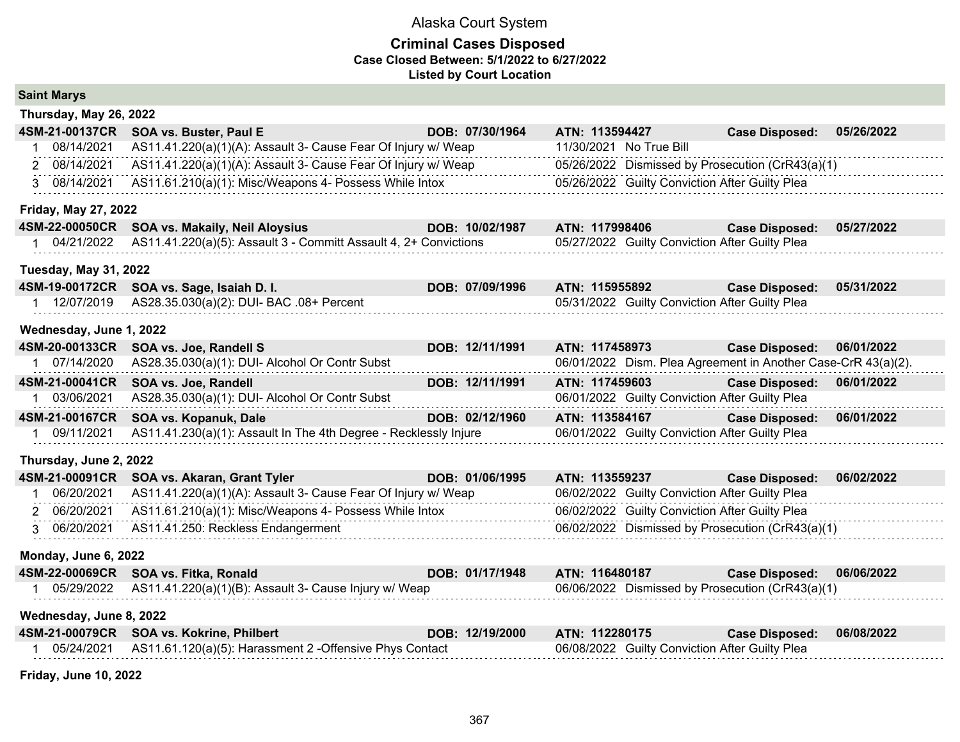#### **Criminal Cases Disposed Case Closed Between: 5/1/2022 to 6/27/2022 Listed by Court Location**

| <b>Saint Marys</b>           |            |                                                                  |                 |                         |                                                               |            |
|------------------------------|------------|------------------------------------------------------------------|-----------------|-------------------------|---------------------------------------------------------------|------------|
| Thursday, May 26, 2022       |            |                                                                  |                 |                         |                                                               |            |
| 4SM-21-00137CR               |            | SOA vs. Buster, Paul E                                           | DOB: 07/30/1964 | ATN: 113594427          | <b>Case Disposed:</b>                                         | 05/26/2022 |
| 1                            | 08/14/2021 | AS11.41.220(a)(1)(A): Assault 3- Cause Fear Of Injury w/ Weap    |                 | 11/30/2021 No True Bill |                                                               |            |
| 2 08/14/2021                 |            | AS11.41.220(a)(1)(A): Assault 3- Cause Fear Of Injury w/ Weap    |                 |                         | 05/26/2022 Dismissed by Prosecution (CrR43(a)(1)              |            |
| 3 08/14/2021                 |            | AS11.61.210(a)(1): Misc/Weapons 4- Possess While Intox           |                 |                         | 05/26/2022 Guilty Conviction After Guilty Plea                |            |
| <b>Friday, May 27, 2022</b>  |            |                                                                  |                 |                         |                                                               |            |
| 4SM-22-00050CR               |            | SOA vs. Makaily, Neil Aloysius                                   | DOB: 10/02/1987 | ATN: 117998406          | <b>Case Disposed:</b>                                         | 05/27/2022 |
| 1 04/21/2022                 |            | AS11.41.220(a)(5): Assault 3 - Committ Assault 4, 2+ Convictions |                 |                         | 05/27/2022 Guilty Conviction After Guilty Plea                |            |
| <b>Tuesday, May 31, 2022</b> |            |                                                                  |                 |                         |                                                               |            |
| 4SM-19-00172CR               |            | SOA vs. Sage, Isaiah D. I.                                       | DOB: 07/09/1996 | ATN: 115955892          | <b>Case Disposed:</b>                                         | 05/31/2022 |
| 1 12/07/2019                 |            | AS28.35.030(a)(2): DUI- BAC .08+ Percent                         |                 |                         | 05/31/2022 Guilty Conviction After Guilty Plea                |            |
| Wednesday, June 1, 2022      |            |                                                                  |                 |                         |                                                               |            |
| 4SM-20-00133CR               |            | SOA vs. Joe, Randell S                                           | DOB: 12/11/1991 | ATN: 117458973          | <b>Case Disposed:</b>                                         | 06/01/2022 |
| 1 07/14/2020                 |            | AS28.35.030(a)(1): DUI- Alcohol Or Contr Subst                   |                 |                         | 06/01/2022 Dism. Plea Agreement in Another Case-CrR 43(a)(2). |            |
| 4SM-21-00041CR               |            | SOA vs. Joe, Randell                                             | DOB: 12/11/1991 | ATN: 117459603          | <b>Case Disposed:</b>                                         | 06/01/2022 |
| 1 03/06/2021                 |            | AS28.35.030(a)(1): DUI- Alcohol Or Contr Subst                   |                 |                         | 06/01/2022 Guilty Conviction After Guilty Plea                |            |
| 4SM-21-00167CR               |            | SOA vs. Kopanuk, Dale                                            | DOB: 02/12/1960 | ATN: 113584167          | <b>Case Disposed:</b>                                         | 06/01/2022 |
| 1 09/11/2021                 |            | AS11.41.230(a)(1): Assault In The 4th Degree - Recklessly Injure |                 |                         | 06/01/2022 Guilty Conviction After Guilty Plea                |            |
| Thursday, June 2, 2022       |            |                                                                  |                 |                         |                                                               |            |
| 4SM-21-00091CR               |            | SOA vs. Akaran, Grant Tyler                                      | DOB: 01/06/1995 | ATN: 113559237          | <b>Case Disposed:</b>                                         | 06/02/2022 |
|                              | 06/20/2021 | AS11.41.220(a)(1)(A): Assault 3- Cause Fear Of Injury w/ Weap    |                 |                         | 06/02/2022 Guilty Conviction After Guilty Plea                |            |
| 2 06/20/2021                 |            | AS11.61.210(a)(1): Misc/Weapons 4- Possess While Intox           |                 |                         | 06/02/2022 Guilty Conviction After Guilty Plea                |            |
| 3 06/20/2021                 |            | AS11.41.250: Reckless Endangerment                               |                 |                         | 06/02/2022 Dismissed by Prosecution (CrR43(a)(1)              |            |
| Monday, June 6, 2022         |            |                                                                  |                 |                         |                                                               |            |
| 4SM-22-00069CR               |            | SOA vs. Fitka, Ronald                                            | DOB: 01/17/1948 | ATN: 116480187          | <b>Case Disposed:</b>                                         | 06/06/2022 |
| 1 05/29/2022                 |            | AS11.41.220(a)(1)(B): Assault 3- Cause Injury w/ Weap            |                 |                         | 06/06/2022 Dismissed by Prosecution (CrR43(a)(1)              |            |
| Wednesday, June 8, 2022      |            |                                                                  |                 |                         |                                                               |            |
| 4SM-21-00079CR               |            | <b>SOA vs. Kokrine, Philbert</b>                                 | DOB: 12/19/2000 | ATN: 112280175          | <b>Case Disposed:</b>                                         | 06/08/2022 |
| 1 05/24/2021                 |            | AS11.61.120(a)(5): Harassment 2 -Offensive Phys Contact          |                 |                         | 06/08/2022 Guilty Conviction After Guilty Plea                |            |
|                              |            |                                                                  |                 |                         |                                                               |            |

**Friday, June 10, 2022**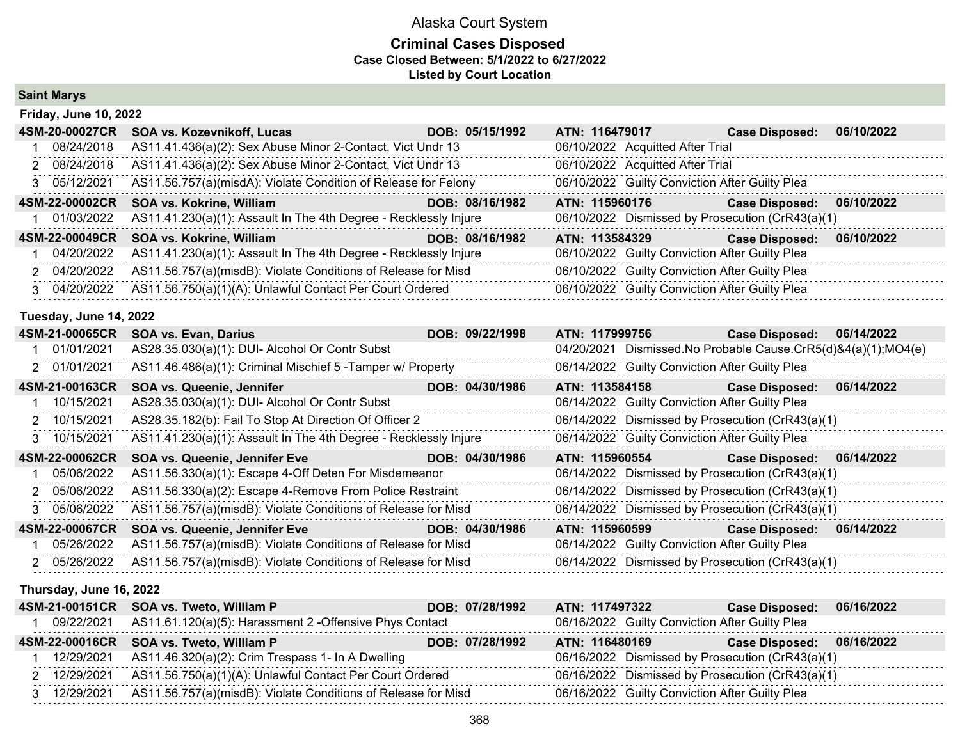#### **Criminal Cases Disposed Case Closed Between: 5/1/2022 to 6/27/2022 Listed by Court Location**

**Saint Marys**

| <b>Friday, June 10, 2022</b> |                                                                  |                 |                                                  |                       |            |
|------------------------------|------------------------------------------------------------------|-----------------|--------------------------------------------------|-----------------------|------------|
| 4SM-20-00027CR               | SOA vs. Kozevnikoff, Lucas                                       | DOB: 05/15/1992 | ATN: 116479017                                   | <b>Case Disposed:</b> | 06/10/2022 |
| 08/24/2018                   | AS11.41.436(a)(2): Sex Abuse Minor 2-Contact, Vict Undr 13       |                 | 06/10/2022 Acquitted After Trial                 |                       |            |
| 2 08/24/2018                 | AS11.41.436(a)(2): Sex Abuse Minor 2-Contact, Vict Undr 13       |                 | 06/10/2022 Acquitted After Trial                 |                       |            |
| 3 05/12/2021                 | AS11.56.757(a)(misdA): Violate Condition of Release for Felony   |                 | 06/10/2022 Guilty Conviction After Guilty Plea   |                       |            |
| 4SM-22-00002CR               | SOA vs. Kokrine, William                                         | DOB: 08/16/1982 | ATN: 115960176                                   | <b>Case Disposed:</b> | 06/10/2022 |
| 01/03/2022                   | AS11.41.230(a)(1): Assault In The 4th Degree - Recklessly Injure |                 | 06/10/2022 Dismissed by Prosecution (CrR43(a)(1) |                       |            |
| 4SM-22-00049CR               | <b>SOA vs. Kokrine, William</b>                                  | DOB: 08/16/1982 | ATN: 113584329                                   | <b>Case Disposed:</b> | 06/10/2022 |
| 04/20/2022                   | AS11.41.230(a)(1): Assault In The 4th Degree - Recklessly Injure |                 | 06/10/2022 Guilty Conviction After Guilty Plea   |                       |            |
| 2 04/20/2022                 | AS11.56.757(a)(misdB): Violate Conditions of Release for Misd    |                 | 06/10/2022 Guilty Conviction After Guilty Plea   |                       |            |
| 3 04/20/2022                 | AS11.56.750(a)(1)(A): Unlawful Contact Per Court Ordered         |                 | 06/10/2022 Guilty Conviction After Guilty Plea   |                       |            |
|                              |                                                                  |                 |                                                  |                       |            |

#### **Tuesday, June 14, 2022**

| 4SM-21-00065CR          | <b>SOA vs. Evan, Darius</b>                                      | DOB: 09/22/1998 | ATN: 117999756 | <b>Case Disposed:</b>                                            | 06/14/2022 |
|-------------------------|------------------------------------------------------------------|-----------------|----------------|------------------------------------------------------------------|------------|
| 01/01/2021              | AS28.35.030(a)(1): DUI- Alcohol Or Contr Subst                   |                 |                | 04/20/2021 Dismissed. No Probable Cause. CrR5(d)&4(a)(1); MO4(e) |            |
| 2 01/01/2021            | AS11.46.486(a)(1): Criminal Mischief 5 - Tamper w/ Property      |                 |                | 06/14/2022 Guilty Conviction After Guilty Plea                   |            |
| 4SM-21-00163CR          | <b>SOA vs. Queenie, Jennifer</b>                                 | DOB: 04/30/1986 |                | ATN: 113584158 Case Disposed:                                    | 06/14/2022 |
| 10/15/2021              | AS28.35.030(a)(1): DUI- Alcohol Or Contr Subst                   |                 |                | 06/14/2022 Guilty Conviction After Guilty Plea                   |            |
| 10/15/2021              | AS28.35.182(b): Fail To Stop At Direction Of Officer 2           |                 |                | 06/14/2022 Dismissed by Prosecution (CrR43(a)(1)                 |            |
| 3 10/15/2021            | AS11.41.230(a)(1): Assault In The 4th Degree - Recklessly Injure |                 |                | 06/14/2022 Guilty Conviction After Guilty Plea                   |            |
| 4SM-22-00062CR          | SOA vs. Queenie, Jennifer Eve                                    | DOB: 04/30/1986 |                | ATN: 115960554 Case Disposed: 06/14/2022                         |            |
| 05/06/2022              | AS11.56.330(a)(1): Escape 4-Off Deten For Misdemeanor            |                 |                | 06/14/2022 Dismissed by Prosecution (CrR43(a)(1)                 |            |
| 2 05/06/2022            | AS11.56.330(a)(2): Escape 4-Remove From Police Restraint         |                 |                | 06/14/2022 Dismissed by Prosecution (CrR43(a)(1)                 |            |
| 3 05/06/2022            | AS11.56.757(a)(misdB): Violate Conditions of Release for Misd    |                 |                | 06/14/2022 Dismissed by Prosecution (CrR43(a)(1)                 |            |
| 4SM-22-00067CR          | SOA vs. Queenie, Jennifer Eve                                    | DOB: 04/30/1986 | ATN: 115960599 | <b>Case Disposed:</b>                                            | 06/14/2022 |
| 05/26/2022              | AS11.56.757(a)(misdB): Violate Conditions of Release for Misd    |                 |                | 06/14/2022 Guilty Conviction After Guilty Plea                   |            |
| 2 05/26/2022            | AS11.56.757(a)(misdB): Violate Conditions of Release for Misd    |                 |                | 06/14/2022 Dismissed by Prosecution (CrR43(a)(1)                 |            |
| Thursday, June 16, 2022 |                                                                  |                 |                |                                                                  |            |
| 4SM-21-00151CR          | SOA vs. Tweto, William P                                         | DOB: 07/28/1992 | ATN: 117497322 | <b>Case Disposed:</b>                                            | 06/16/2022 |
| 1 09/22/2021            | AS11.61.120(a)(5): Harassment 2 -Offensive Phys Contact          |                 |                | 06/16/2022 Guilty Conviction After Guilty Plea                   |            |
| 4SM-22-00016CR          | SOA vs. Tweto, William P                                         | DOB: 07/28/1992 | ATN: 116480169 | <b>Case Disposed:</b>                                            | 06/16/2022 |
| 12/29/2021              | AS11.46.320(a)(2): Crim Trespass 1- In A Dwelling                |                 |                | 06/16/2022 Dismissed by Prosecution (CrR43(a)(1)                 |            |

 2 12/29/2021 AS11.56.750(a)(1)(A): Unlawful Contact Per Court Ordered 06/16/2022 Dismissed by Prosecution (CrR43(a)(1) 3 12/29/2021 AS11.56.757(a)(misdB): Violate Conditions of Release for Misd 06/16/2022 Guilty Conviction After Guilty Plea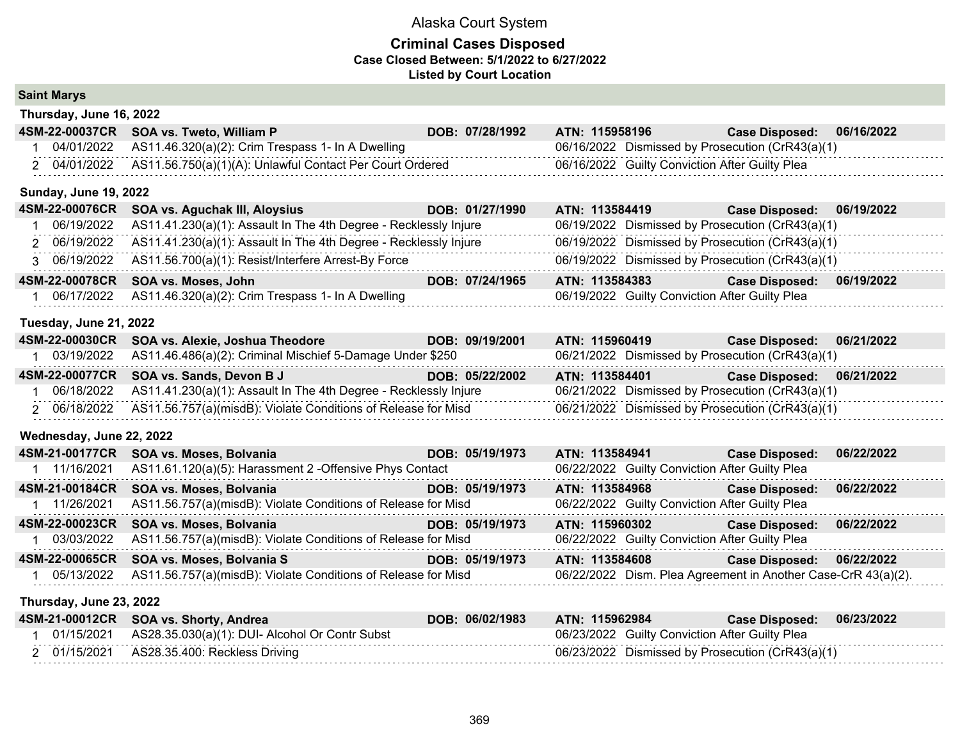|  | <b>Saint Marys</b> |
|--|--------------------|
|--|--------------------|

| Thursday, June 16, 2022      |                                                                     |                 |                                                               |                       |            |
|------------------------------|---------------------------------------------------------------------|-----------------|---------------------------------------------------------------|-----------------------|------------|
| 4SM-22-00037CR               | SOA vs. Tweto, William P                                            | DOB: 07/28/1992 | ATN: 115958196                                                | <b>Case Disposed:</b> | 06/16/2022 |
| 04/01/2022                   | AS11.46.320(a)(2): Crim Trespass 1- In A Dwelling                   |                 | 06/16/2022 Dismissed by Prosecution (CrR43(a)(1)              |                       |            |
| 2 04/01/2022                 | AS11.56.750(a)(1)(A): Unlawful Contact Per Court Ordered            |                 | 06/16/2022 Guilty Conviction After Guilty Plea                |                       |            |
| <b>Sunday, June 19, 2022</b> |                                                                     |                 |                                                               |                       |            |
| 4SM-22-00076CR               | SOA vs. Aguchak III, Aloysius<br><u> 1999 - Jan Barnett, mars e</u> | DOB: 01/27/1990 | ATN: 113584419                                                | <b>Case Disposed:</b> | 06/19/2022 |
| 06/19/2022                   | AS11.41.230(a)(1): Assault In The 4th Degree - Recklessly Injure    |                 | 06/19/2022 Dismissed by Prosecution (CrR43(a)(1)              |                       |            |
| 2 06/19/2022                 | AS11.41.230(a)(1): Assault In The 4th Degree - Recklessly Injure    |                 | 06/19/2022 Dismissed by Prosecution (CrR43(a)(1)              |                       |            |
| 3 06/19/2022                 | AS11.56.700(a)(1): Resist/Interfere Arrest-By Force                 |                 | 06/19/2022 Dismissed by Prosecution (CrR43(a)(1)              |                       |            |
| 4SM-22-00078CR               | SOA vs. Moses, John                                                 | DOB: 07/24/1965 | ATN: 113584383                                                | <b>Case Disposed:</b> | 06/19/2022 |
| 06/17/2022                   | AS11.46.320(a)(2): Crim Trespass 1- In A Dwelling                   |                 | 06/19/2022 Guilty Conviction After Guilty Plea                |                       |            |
| Tuesday, June 21, 2022       |                                                                     |                 |                                                               |                       |            |
| 4SM-22-00030CR               | SOA vs. Alexie, Joshua Theodore                                     | DOB: 09/19/2001 | ATN: 115960419                                                | <b>Case Disposed:</b> | 06/21/2022 |
| 03/19/2022                   | AS11.46.486(a)(2): Criminal Mischief 5-Damage Under \$250           |                 | 06/21/2022 Dismissed by Prosecution (CrR43(a)(1)              |                       |            |
| 4SM-22-00077CR               | SOA vs. Sands, Devon B J                                            | DOB: 05/22/2002 | ATN: 113584401                                                | <b>Case Disposed:</b> | 06/21/2022 |
| 06/18/2022                   | AS11.41.230(a)(1): Assault In The 4th Degree - Recklessly Injure    |                 | 06/21/2022 Dismissed by Prosecution (CrR43(a)(1)              |                       |            |
| 2 06/18/2022                 | AS11.56.757(a)(misdB): Violate Conditions of Release for Misd       |                 | 06/21/2022 Dismissed by Prosecution (CrR43(a)(1)              |                       |            |
| Wednesday, June 22, 2022     |                                                                     |                 |                                                               |                       |            |
| 4SM-21-00177CR               | SOA vs. Moses, Bolvania                                             | DOB: 05/19/1973 | ATN: 113584941                                                | <b>Case Disposed:</b> | 06/22/2022 |
| 1 11/16/2021                 | AS11.61.120(a)(5): Harassment 2 - Offensive Phys Contact            |                 | 06/22/2022 Guilty Conviction After Guilty Plea                |                       |            |
| 4SM-21-00184CR               | SOA vs. Moses, Bolvania                                             | DOB: 05/19/1973 | ATN: 113584968                                                | <b>Case Disposed:</b> | 06/22/2022 |
| 1 11/26/2021                 | AS11.56.757(a)(misdB): Violate Conditions of Release for Misd       |                 | 06/22/2022 Guilty Conviction After Guilty Plea                |                       |            |
| 4SM-22-00023CR               | SOA vs. Moses, Bolvania                                             | DOB: 05/19/1973 | ATN: 115960302                                                | <b>Case Disposed:</b> | 06/22/2022 |
| 03/03/2022                   | AS11.56.757(a)(misdB): Violate Conditions of Release for Misd       |                 | 06/22/2022 Guilty Conviction After Guilty Plea                |                       |            |
| 4SM-22-00065CR               | SOA vs. Moses, Bolvania S                                           | DOB: 05/19/1973 | ATN: 113584608                                                | <b>Case Disposed:</b> | 06/22/2022 |
| 1 05/13/2022                 | AS11.56.757(a)(misdB): Violate Conditions of Release for Misd       |                 | 06/22/2022 Dism. Plea Agreement in Another Case-CrR 43(a)(2). |                       |            |
| Thursday, June 23, 2022      |                                                                     |                 |                                                               |                       |            |
| 4SM-21-00012CR               | SOA vs. Shorty, Andrea                                              | DOB: 06/02/1983 | ATN: 115962984                                                | <b>Case Disposed:</b> | 06/23/2022 |
| 01/15/2021<br>1              | AS28.35.030(a)(1): DUI- Alcohol Or Contr Subst                      |                 | 06/23/2022 Guilty Conviction After Guilty Plea                |                       |            |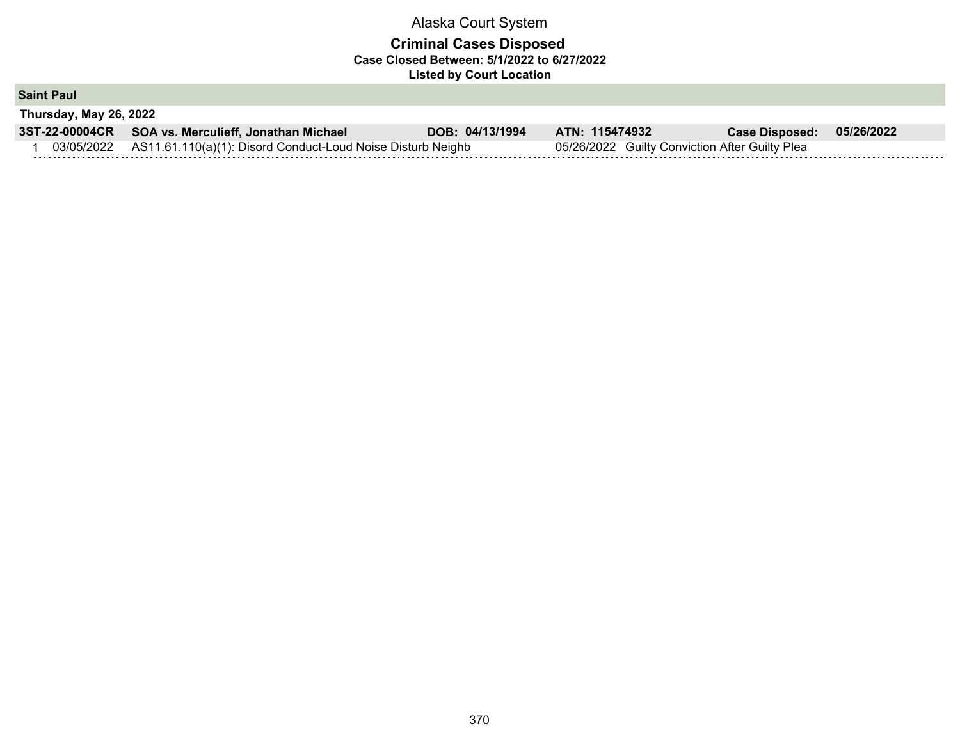# **Criminal Cases Disposed Case Closed Between: 5/1/2022 to 6/27/2022 Listed by Court Location**

**Saint Paul**

| Thursday, May 26, 2022 |  |
|------------------------|--|

| 3ST-22-00004CR SOA vs. Merculieff, Jonathan Michael                    | DOB: 04/13/1994 | ATN: 115474932                                 | <b>Case Disposed:</b> | 05/26/2022 |
|------------------------------------------------------------------------|-----------------|------------------------------------------------|-----------------------|------------|
| 03/05/2022 AS11.61.110(a)(1): Disord Conduct-Loud Noise Disturb Neighb |                 | 05/26/2022 Guilty Conviction After Guilty Plea |                       |            |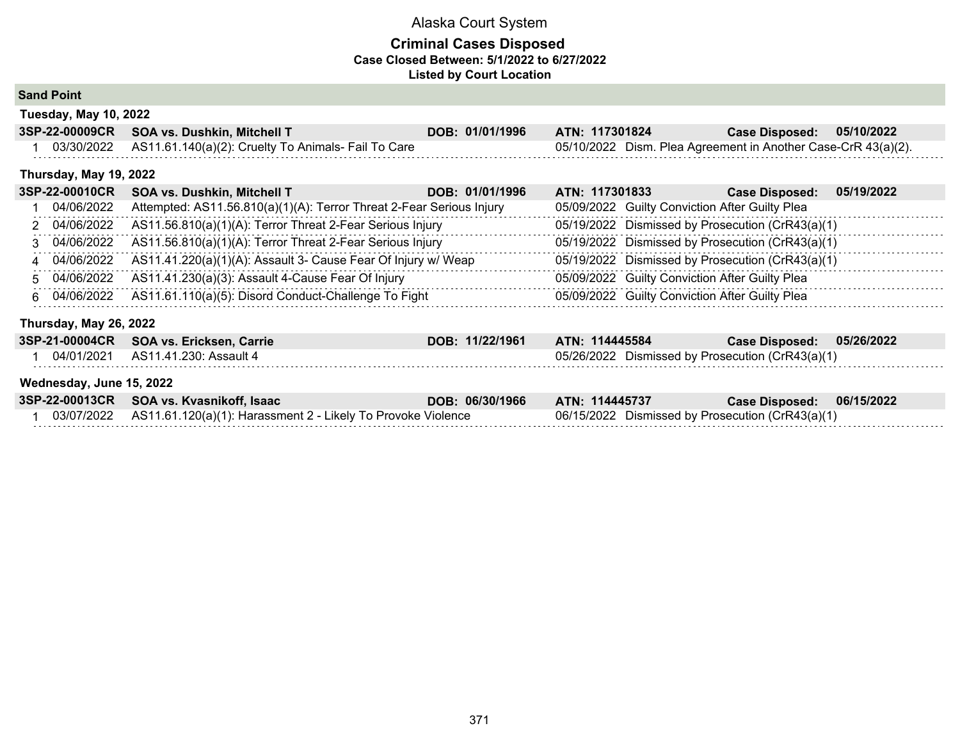### **Criminal Cases Disposed Case Closed Between: 5/1/2022 to 6/27/2022 Listed by Court Location**

**Sand Point**

| <b>Tuesday, May 10, 2022</b> |                                                                |                 |                                                               |                           |  |
|------------------------------|----------------------------------------------------------------|-----------------|---------------------------------------------------------------|---------------------------|--|
|                              | 3SP-22-00009CR SOA vs. Dushkin, Mitchell T                     | DOB: 01/01/1996 | ATN: 117301824                                                | Case Disposed: 05/10/2022 |  |
|                              | 03/30/2022 AS11.61.140(a)(2): Cruelty To Animals- Fail To Care |                 | 05/10/2022 Dism. Plea Agreement in Another Case-CrR 43(a)(2). |                           |  |

#### **Thursday, May 19, 2022**

| <b>3SP-22-00010CR</b> | <b>SOA vs. Dushkin, Mitchell T</b>                                   | ATN: 117301833<br>DOB: 01/01/1996 | <b>Case Disposed:</b>                            | 05/19/2022 |
|-----------------------|----------------------------------------------------------------------|-----------------------------------|--------------------------------------------------|------------|
| 04/06/2022            | Attempted: AS11.56.810(a)(1)(A): Terror Threat 2-Fear Serious Injury |                                   | 05/09/2022 Guilty Conviction After Guilty Plea   |            |
| 2 04/06/2022          | AS11.56.810(a)(1)(A): Terror Threat 2-Fear Serious Injury            |                                   | 05/19/2022 Dismissed by Prosecution (CrR43(a)(1) |            |
| 3 04/06/2022          | AS11.56.810(a)(1)(A): Terror Threat 2-Fear Serious Injury            |                                   | 05/19/2022 Dismissed by Prosecution (CrR43(a)(1) |            |
| 4 04/06/2022          | AS11.41.220(a)(1)(A): Assault 3- Cause Fear Of Injury w/ Weap        |                                   | 05/19/2022 Dismissed by Prosecution (CrR43(a)(1) |            |
| 5 04/06/2022          | AS11.41.230(a)(3): Assault 4-Cause Fear Of Injury                    |                                   | 05/09/2022 Guilty Conviction After Guilty Plea   |            |
| 6 04/06/2022          | AS11.61.110(a)(5): Disord Conduct-Challenge To Fight                 |                                   | 05/09/2022 Guilty Conviction After Guilty Plea   |            |
|                       |                                                                      |                                   |                                                  |            |

# **Thursday, May 26, 2022**

| 3SP-21-00004CR SOA vs. Ericksen, Carrie | DOB: 11/22/1961 | ATN: 114445584                                   | Case Disposed: 05/26/2022 |  |
|-----------------------------------------|-----------------|--------------------------------------------------|---------------------------|--|
| 04/01/2021   AS11.41.230: Assault 4     |                 | 05/26/2022 Dismissed by Prosecution (CrR43(a)(1) |                           |  |

#### **Wednesday, June 15, 2022**

| 3SP-22-00013CR SOA vs. Kvasnikoff, Isaac                                | DOB: 06/30/1966 | ATN: 114445737                                   | Case Disposed: 06/15/2022 |  |
|-------------------------------------------------------------------------|-----------------|--------------------------------------------------|---------------------------|--|
| 03/07/2022 AS11.61.120(a)(1): Harassment 2 - Likely To Provoke Violence |                 | 06/15/2022 Dismissed by Prosecution (CrR43(a)(1) |                           |  |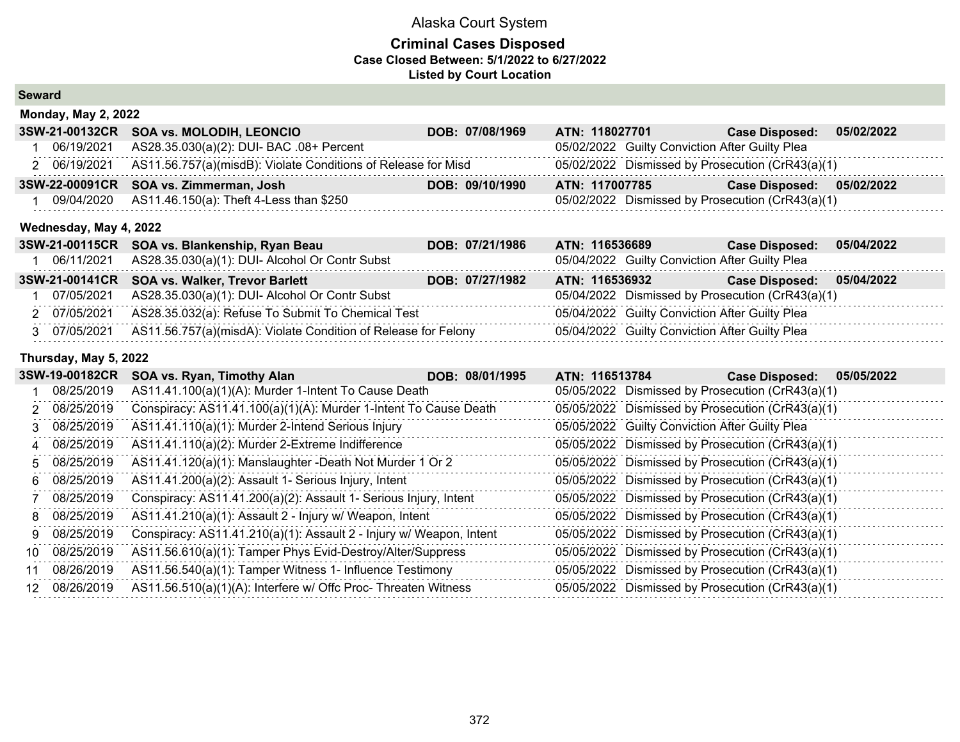### **Criminal Cases Disposed Case Closed Between: 5/1/2022 to 6/27/2022 Listed by Court Location**

#### **Seward**

| <b>Monday, May 2, 2022</b> |                                                               |                 |                                                  |                       |            |
|----------------------------|---------------------------------------------------------------|-----------------|--------------------------------------------------|-----------------------|------------|
| 3SW-21-00132CR             | <b>SOA vs. MOLODIH, LEONCIO</b>                               | DOB: 07/08/1969 | ATN: 118027701                                   | <b>Case Disposed:</b> | 05/02/2022 |
| 06/19/2021                 | AS28.35.030(a)(2): DUI- BAC .08+ Percent                      |                 | 05/02/2022 Guilty Conviction After Guilty Plea   |                       |            |
| 2 06/19/2021               | AS11.56.757(a)(misdB): Violate Conditions of Release for Misd |                 | 05/02/2022 Dismissed by Prosecution (CrR43(a)(1) |                       |            |
|                            |                                                               |                 |                                                  |                       |            |
|                            | 3SW-22-00091CR SOA vs. Zimmerman, Josh                        | DOB: 09/10/1990 | ATN: 117007785                                   | <b>Case Disposed:</b> | 05/02/2022 |
| 09/04/2020                 | AS11.46.150(a): Theft 4-Less than \$250                       |                 | 05/02/2022 Dismissed by Prosecution (CrR43(a)(1) |                       |            |

| 3SW-21-00115CR SOA vs. Blankenship, Ryan Beau                               | DOB: 07/21/1986 | ATN: 116536689                                   | <b>Case Disposed:</b>     | 05/04/2022 |
|-----------------------------------------------------------------------------|-----------------|--------------------------------------------------|---------------------------|------------|
| 06/11/2021 AS28.35.030(a)(1): DUI- Alcohol Or Contr Subst                   |                 | 05/04/2022 Guilty Conviction After Guilty Plea   |                           |            |
| 3SW-21-00141CR SOA vs. Walker, Trevor Barlett                               | DOB: 07/27/1982 | ATN: 116536932                                   | Case Disposed: 05/04/2022 |            |
| 07/05/2021 AS28.35.030(a)(1): DUI- Alcohol Or Contr Subst                   |                 | 05/04/2022 Dismissed by Prosecution (CrR43(a)(1) |                           |            |
| 2 07/05/2021 AS28.35.032(a): Refuse To Submit To Chemical Test              |                 | 05/04/2022 Guilty Conviction After Guilty Plea   |                           |            |
| 3 07/05/2021 AS11.56.757(a)(misdA): Violate Condition of Release for Felony |                 | 05/04/2022 Guilty Conviction After Guilty Plea   |                           |            |

#### **Thursday, May 5, 2022**

|     | 3SW-19-00182CR | SOA vs. Ryan, Timothy Alan                                          | DOB: 08/01/1995 | ATN: 116513784 |                                                | <b>Case Disposed:</b>                            | 05/05/2022 |
|-----|----------------|---------------------------------------------------------------------|-----------------|----------------|------------------------------------------------|--------------------------------------------------|------------|
|     | 08/25/2019     | AS11.41.100(a)(1)(A): Murder 1-Intent To Cause Death                |                 |                |                                                | 05/05/2022 Dismissed by Prosecution (CrR43(a)(1) |            |
|     | 2 08/25/2019   | Conspiracy: AS11.41.100(a)(1)(A): Murder 1-Intent To Cause Death    |                 |                |                                                | 05/05/2022 Dismissed by Prosecution (CrR43(a)(1) |            |
|     | 3 08/25/2019   | AS11.41.110(a)(1): Murder 2-Intend Serious Injury                   |                 |                | 05/05/2022 Guilty Conviction After Guilty Plea |                                                  |            |
|     | 4 08/25/2019   | AS11.41.110(a)(2): Murder 2-Extreme Indifference                    |                 |                |                                                | 05/05/2022 Dismissed by Prosecution (CrR43(a)(1) |            |
|     | 5 08/25/2019   | AS11.41.120(a)(1): Manslaughter -Death Not Murder 1 Or 2            |                 |                |                                                | 05/05/2022 Dismissed by Prosecution (CrR43(a)(1) |            |
|     | 6 08/25/2019   | AS11.41.200(a)(2): Assault 1- Serious Injury, Intent                |                 |                |                                                | 05/05/2022 Dismissed by Prosecution (CrR43(a)(1) |            |
|     | 08/25/2019     | Conspiracy: AS11.41.200(a)(2): Assault 1- Serious Injury, Intent    |                 |                |                                                | 05/05/2022 Dismissed by Prosecution (CrR43(a)(1) |            |
|     | 8 08/25/2019   | AS11.41.210(a)(1): Assault 2 - Injury w/ Weapon, Intent             |                 |                |                                                | 05/05/2022 Dismissed by Prosecution (CrR43(a)(1) |            |
| 9.  | 08/25/2019     | Conspiracy: AS11.41.210(a)(1): Assault 2 - Injury w/ Weapon, Intent |                 |                |                                                | 05/05/2022 Dismissed by Prosecution (CrR43(a)(1) |            |
| 10. | 08/25/2019     | AS11.56.610(a)(1): Tamper Phys Evid-Destroy/Alter/Suppress          |                 |                |                                                | 05/05/2022 Dismissed by Prosecution (CrR43(a)(1) |            |
| 11  | 08/26/2019     | AS11.56.540(a)(1): Tamper Witness 1- Influence Testimony            |                 |                |                                                | 05/05/2022 Dismissed by Prosecution (CrR43(a)(1) |            |
| 12. | 08/26/2019     | AS11.56.510(a)(1)(A): Interfere w/ Offc Proc- Threaten Witness      |                 |                |                                                | 05/05/2022 Dismissed by Prosecution (CrR43(a)(1) |            |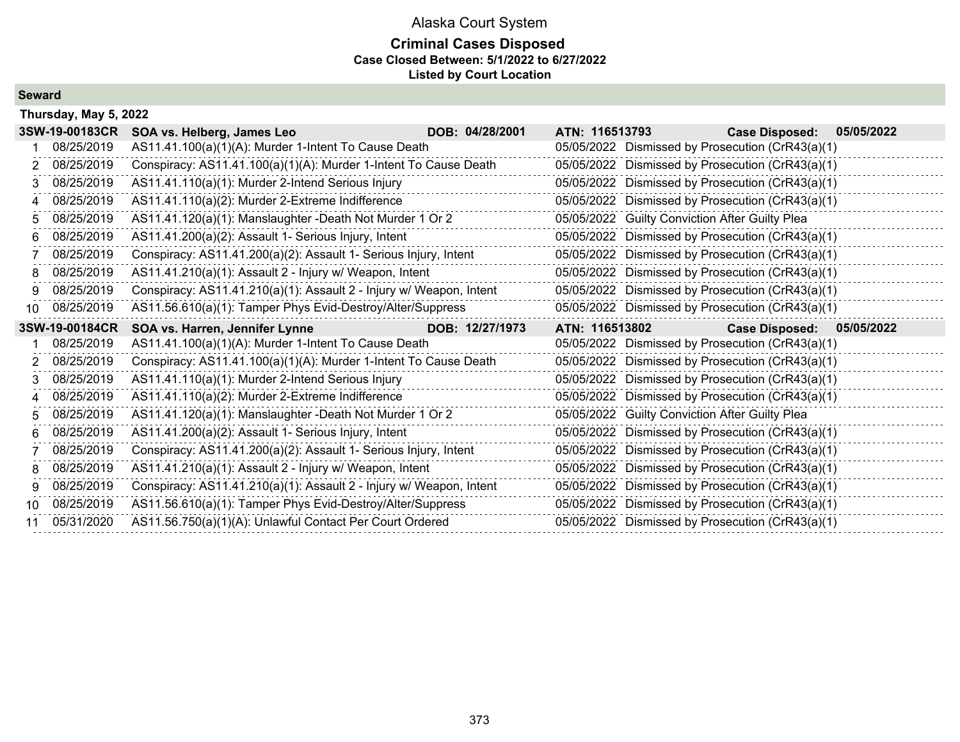# **Criminal Cases Disposed Case Closed Between: 5/1/2022 to 6/27/2022 Listed by Court Location**

**Seward**

|     | Thursday, May 5, 2022 |                                                                     |                 |                |                                                  |                           |
|-----|-----------------------|---------------------------------------------------------------------|-----------------|----------------|--------------------------------------------------|---------------------------|
|     | 3SW-19-00183CR        | SOA vs. Helberg, James Leo                                          | DOB: 04/28/2001 | ATN: 116513793 | <b>Case Disposed:</b>                            | 05/05/2022                |
|     | 08/25/2019            | AS11.41.100(a)(1)(A): Murder 1-Intent To Cause Death                |                 |                | 05/05/2022 Dismissed by Prosecution (CrR43(a)(1) |                           |
| 2.  | 08/25/2019            | Conspiracy: AS11.41.100(a)(1)(A): Murder 1-Intent To Cause Death    |                 |                | 05/05/2022 Dismissed by Prosecution (CrR43(a)(1) |                           |
| 3.  | 08/25/2019            | AS11.41.110(a)(1): Murder 2-Intend Serious Injury                   |                 |                | 05/05/2022 Dismissed by Prosecution (CrR43(a)(1) |                           |
| 4   | 08/25/2019            | AS11.41.110(a)(2): Murder 2-Extreme Indifference                    |                 |                | 05/05/2022 Dismissed by Prosecution (CrR43(a)(1) |                           |
| 5.  | 08/25/2019            | AS11.41.120(a)(1): Manslaughter -Death Not Murder 1 Or 2            |                 |                | 05/05/2022 Guilty Conviction After Guilty Plea   |                           |
| 6.  | 08/25/2019            | AS11.41.200(a)(2): Assault 1- Serious Injury, Intent                |                 |                | 05/05/2022 Dismissed by Prosecution (CrR43(a)(1) |                           |
|     | 08/25/2019            | Conspiracy: AS11.41.200(a)(2): Assault 1- Serious Injury, Intent    |                 |                | 05/05/2022 Dismissed by Prosecution (CrR43(a)(1) |                           |
| 8.  | 08/25/2019            | AS11.41.210(a)(1): Assault 2 - Injury w/ Weapon, Intent             |                 |                | 05/05/2022 Dismissed by Prosecution (CrR43(a)(1) |                           |
| 9.  | 08/25/2019            | Conspiracy: AS11.41.210(a)(1): Assault 2 - Injury w/ Weapon, Intent |                 |                | 05/05/2022 Dismissed by Prosecution (CrR43(a)(1) |                           |
| 10  | 08/25/2019            | AS11.56.610(a)(1): Tamper Phys Evid-Destroy/Alter/Suppress          |                 |                | 05/05/2022 Dismissed by Prosecution (CrR43(a)(1) |                           |
|     |                       |                                                                     |                 |                |                                                  |                           |
|     | 3SW-19-00184CR        | SOA vs. Harren, Jennifer Lynne                                      | DOB: 12/27/1973 | ATN: 116513802 |                                                  | Case Disposed: 05/05/2022 |
|     | 08/25/2019            | AS11.41.100(a)(1)(A): Murder 1-Intent To Cause Death                |                 |                | 05/05/2022 Dismissed by Prosecution (CrR43(a)(1) |                           |
| 2   | 08/25/2019            | Conspiracy: AS11.41.100(a)(1)(A): Murder 1-Intent To Cause Death    |                 |                | 05/05/2022 Dismissed by Prosecution (CrR43(a)(1) |                           |
| 3   | 08/25/2019            | AS11.41.110(a)(1): Murder 2-Intend Serious Injury                   |                 |                | 05/05/2022 Dismissed by Prosecution (CrR43(a)(1) |                           |
| 4   | 08/25/2019            | AS11.41.110(a)(2): Murder 2-Extreme Indifference                    |                 |                | 05/05/2022 Dismissed by Prosecution (CrR43(a)(1) |                           |
| 5.  | 08/25/2019            | AS11.41.120(a)(1): Manslaughter -Death Not Murder 1 Or 2            |                 |                | 05/05/2022 Guilty Conviction After Guilty Plea   |                           |
| 6.  | 08/25/2019            | AS11.41.200(a)(2): Assault 1- Serious Injury, Intent                |                 |                | 05/05/2022 Dismissed by Prosecution (CrR43(a)(1) |                           |
|     | 08/25/2019            | Conspiracy: AS11.41.200(a)(2): Assault 1- Serious Injury, Intent    |                 |                | 05/05/2022 Dismissed by Prosecution (CrR43(a)(1) |                           |
| 8.  | 08/25/2019            | AS11.41.210(a)(1): Assault 2 - Injury w/ Weapon, Intent             |                 |                | 05/05/2022 Dismissed by Prosecution (CrR43(a)(1) |                           |
| 9.  | 08/25/2019            | Conspiracy: AS11.41.210(a)(1): Assault 2 - Injury w/ Weapon, Intent |                 |                | 05/05/2022 Dismissed by Prosecution (CrR43(a)(1) |                           |
| 10. | 08/25/2019            | AS11.56.610(a)(1): Tamper Phys Evid-Destroy/Alter/Suppress          |                 |                | 05/05/2022 Dismissed by Prosecution (CrR43(a)(1) |                           |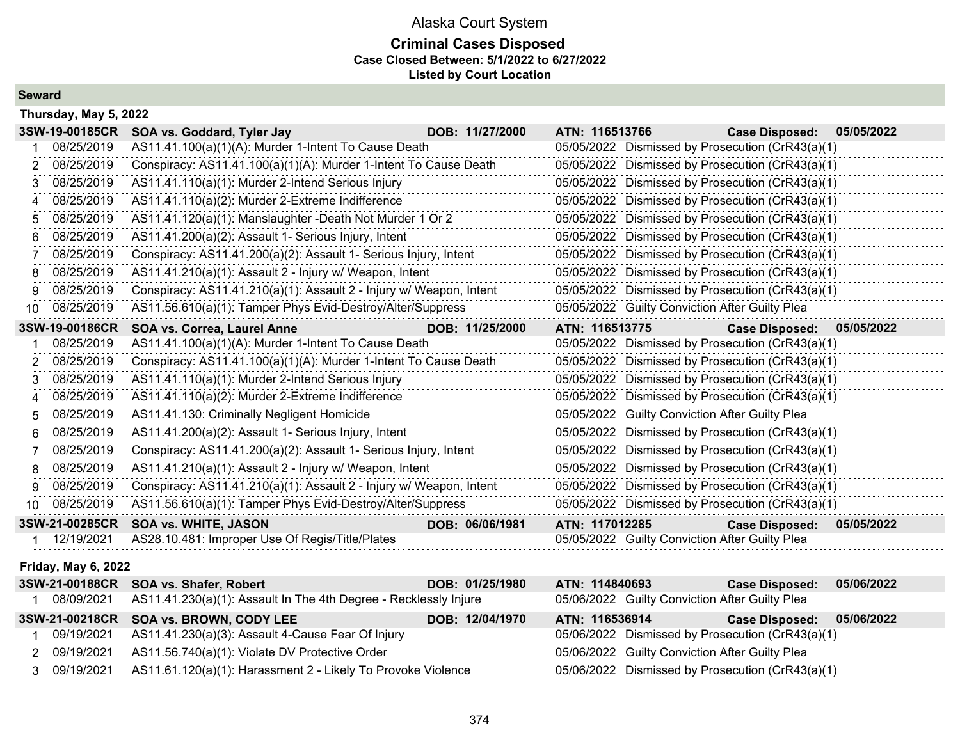### **Criminal Cases Disposed Case Closed Between: 5/1/2022 to 6/27/2022 Listed by Court Location**

**Seward**

|     | Thursday, May 5, 2022 |                                                                     |                 |                                                  |                                                  |            |
|-----|-----------------------|---------------------------------------------------------------------|-----------------|--------------------------------------------------|--------------------------------------------------|------------|
|     | 3SW-19-00185CR        | SOA vs. Goddard, Tyler Jay                                          | DOB: 11/27/2000 | ATN: 116513766                                   | <b>Case Disposed:</b>                            | 05/05/2022 |
|     | 08/25/2019            | AS11.41.100(a)(1)(A): Murder 1-Intent To Cause Death                |                 |                                                  | 05/05/2022 Dismissed by Prosecution (CrR43(a)(1) |            |
| 2   | 08/25/2019            | Conspiracy: AS11.41.100(a)(1)(A): Murder 1-Intent To Cause Death    |                 |                                                  | 05/05/2022 Dismissed by Prosecution (CrR43(a)(1) |            |
| 3   | 08/25/2019            | AS11.41.110(a)(1): Murder 2-Intend Serious Injury                   |                 |                                                  | 05/05/2022 Dismissed by Prosecution (CrR43(a)(1) |            |
|     | 08/25/2019            | AS11.41.110(a)(2): Murder 2-Extreme Indifference                    |                 | 05/05/2022 Dismissed by Prosecution (CrR43(a)(1) |                                                  |            |
| 5   | 08/25/2019            | AS11.41.120(a)(1): Manslaughter -Death Not Murder 1 Or 2            |                 |                                                  | 05/05/2022 Dismissed by Prosecution (CrR43(a)(1) |            |
|     | 08/25/2019            | AS11.41.200(a)(2): Assault 1- Serious Injury, Intent                |                 |                                                  | 05/05/2022 Dismissed by Prosecution (CrR43(a)(1) |            |
|     | 08/25/2019            | Conspiracy: AS11.41.200(a)(2): Assault 1- Serious Injury, Intent    |                 |                                                  | 05/05/2022 Dismissed by Prosecution (CrR43(a)(1) |            |
|     | 08/25/2019            | AS11.41.210(a)(1): Assault 2 - Injury w/ Weapon, Intent             |                 | 05/05/2022 Dismissed by Prosecution (CrR43(a)(1) |                                                  |            |
|     | 08/25/2019            | Conspiracy: AS11.41.210(a)(1): Assault 2 - Injury w/ Weapon, Intent |                 | 05/05/2022 Dismissed by Prosecution (CrR43(a)(1) |                                                  |            |
| 10. | 08/25/2019            | AS11.56.610(a)(1): Tamper Phys Evid-Destroy/Alter/Suppress          |                 | 05/05/2022 Guilty Conviction After Guilty Plea   |                                                  |            |
|     | 3SW-19-00186CR        | <b>SOA vs. Correa, Laurel Anne</b>                                  | DOB: 11/25/2000 | ATN: 116513775                                   | <b>Case Disposed:</b>                            | 05/05/2022 |
|     | 08/25/2019            | AS11.41.100(a)(1)(A): Murder 1-Intent To Cause Death                |                 | 05/05/2022 Dismissed by Prosecution (CrR43(a)(1) |                                                  |            |
|     | 08/25/2019            | Conspiracy: AS11.41.100(a)(1)(A): Murder 1-Intent To Cause Death    |                 |                                                  | 05/05/2022 Dismissed by Prosecution (CrR43(a)(1) |            |
|     | 08/25/2019            | AS11.41.110(a)(1): Murder 2-Intend Serious Injury                   |                 | 05/05/2022 Dismissed by Prosecution (CrR43(a)(1) |                                                  |            |
| 4   | 08/25/2019            | AS11.41.110(a)(2): Murder 2-Extreme Indifference                    |                 | 05/05/2022 Dismissed by Prosecution (CrR43(a)(1) |                                                  |            |
| 5   | 08/25/2019            | AS11.41.130: Criminally Negligent Homicide                          |                 | 05/05/2022 Guilty Conviction After Guilty Plea   |                                                  |            |
| 6   | 08/25/2019            | AS11.41.200(a)(2): Assault 1- Serious Injury, Intent                |                 |                                                  | 05/05/2022 Dismissed by Prosecution (CrR43(a)(1) |            |
|     | 08/25/2019            | Conspiracy: AS11.41.200(a)(2): Assault 1- Serious Injury, Intent    |                 |                                                  | 05/05/2022 Dismissed by Prosecution (CrR43(a)(1) |            |
| 8   | 08/25/2019            | AS11.41.210(a)(1): Assault 2 - Injury w/ Weapon, Intent             |                 |                                                  | 05/05/2022 Dismissed by Prosecution (CrR43(a)(1) |            |
| 9   | 08/25/2019            | Conspiracy: AS11.41.210(a)(1): Assault 2 - Injury w/ Weapon, Intent |                 |                                                  | 05/05/2022 Dismissed by Prosecution (CrR43(a)(1) |            |
| 10. | 08/25/2019            | AS11.56.610(a)(1): Tamper Phys Evid-Destroy/Alter/Suppress          |                 |                                                  | 05/05/2022 Dismissed by Prosecution (CrR43(a)(1) |            |
|     | 3SW-21-00285CR        | <b>SOA vs. WHITE, JASON</b>                                         | DOB: 06/06/1981 | ATN: 117012285                                   | <b>Case Disposed:</b>                            | 05/05/2022 |
|     | 12/19/2021            | AS28.10.481: Improper Use Of Regis/Title/Plates                     |                 | 05/05/2022 Guilty Conviction After Guilty Plea   |                                                  |            |
|     |                       |                                                                     |                 |                                                  |                                                  |            |

#### **Friday, May 6, 2022**

|            | 3SW-21-00188CR SOA vs. Shafer, Robert                                     | DOB: 01/25/1980 | ATN: 114840693                                   | <b>Case Disposed:</b><br>05/06/2022 |  |
|------------|---------------------------------------------------------------------------|-----------------|--------------------------------------------------|-------------------------------------|--|
| 08/09/2021 | AS11.41.230(a)(1): Assault In The 4th Degree - Recklessly Injure          |                 | 05/06/2022 Guilty Conviction After Guilty Plea   |                                     |  |
|            | 3SW-21-00218CR SOA vs. BROWN, CODY LEE                                    | DOB: 12/04/1970 | ATN: 116536914                                   | Case Disposed: 05/06/2022           |  |
|            | 09/19/2021 AS11.41.230(a)(3): Assault 4-Cause Fear Of Injury              |                 | 05/06/2022 Dismissed by Prosecution (CrR43(a)(1) |                                     |  |
|            | 2 09/19/2021 AS11.56.740(a)(1): Violate DV Protective Order               |                 | 05/06/2022 Guilty Conviction After Guilty Plea   |                                     |  |
|            | 3 09/19/2021 AS11.61.120(a)(1): Harassment 2 - Likely To Provoke Violence |                 | 05/06/2022 Dismissed by Prosecution (CrR43(a)(1) |                                     |  |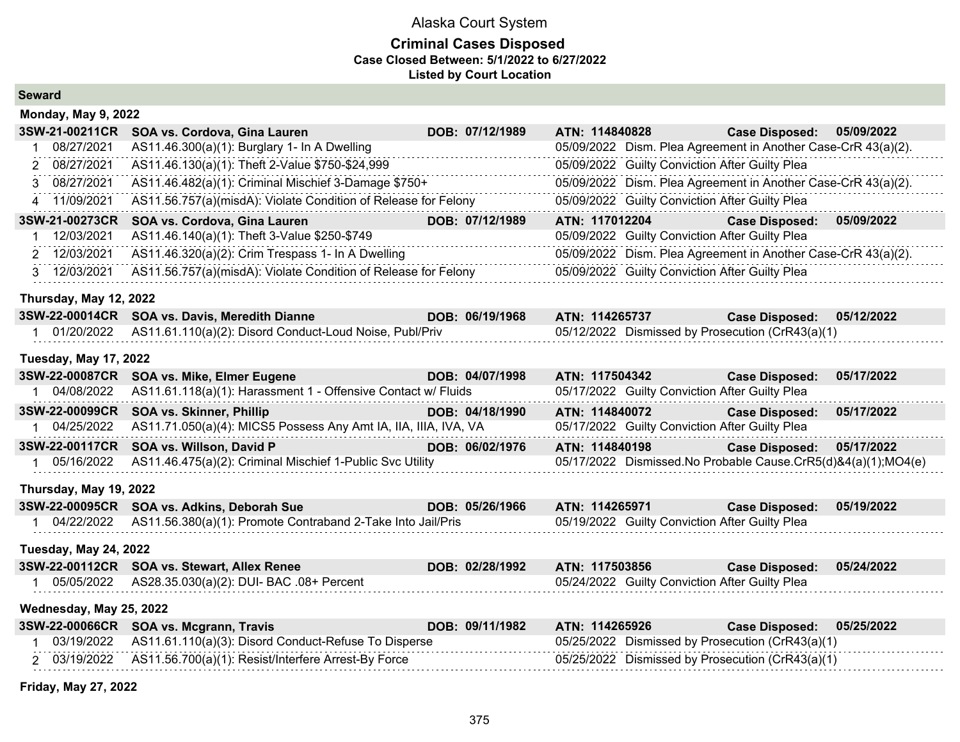### **Criminal Cases Disposed Case Closed Between: 5/1/2022 to 6/27/2022 Listed by Court Location**

| <b>Seward</b> |  |
|---------------|--|
|---------------|--|

| <b>Monday, May 9, 2022</b>   |                                                                 |                 |                |                                                               |            |
|------------------------------|-----------------------------------------------------------------|-----------------|----------------|---------------------------------------------------------------|------------|
| 3SW-21-00211CR               | SOA vs. Cordova, Gina Lauren                                    | DOB: 07/12/1989 | ATN: 114840828 | <b>Case Disposed:</b>                                         | 05/09/2022 |
| 08/27/2021                   | AS11.46.300(a)(1): Burglary 1- In A Dwelling                    |                 |                | 05/09/2022 Dism. Plea Agreement in Another Case-CrR 43(a)(2). |            |
| 08/27/2021<br>2              | AS11.46.130(a)(1): Theft 2-Value \$750-\$24,999                 |                 |                | 05/09/2022 Guilty Conviction After Guilty Plea                |            |
| 08/27/2021                   | AS11.46.482(a)(1): Criminal Mischief 3-Damage \$750+            |                 |                | 05/09/2022 Dism. Plea Agreement in Another Case-CrR 43(a)(2). |            |
| 11/09/2021<br>4              | AS11.56.757(a)(misdA): Violate Condition of Release for Felony  |                 |                | 05/09/2022 Guilty Conviction After Guilty Plea                |            |
| 3SW-21-00273CR               | SOA vs. Cordova, Gina Lauren                                    | DOB: 07/12/1989 | ATN: 117012204 | <b>Case Disposed:</b>                                         | 05/09/2022 |
| 12/03/2021                   | AS11.46.140(a)(1): Theft 3-Value \$250-\$749                    |                 |                | 05/09/2022 Guilty Conviction After Guilty Plea                |            |
| 2 12/03/2021                 | AS11.46.320(a)(2): Crim Trespass 1- In A Dwelling               |                 |                | 05/09/2022 Dism. Plea Agreement in Another Case-CrR 43(a)(2). |            |
| 12/03/2021<br>3              | AS11.56.757(a)(misdA): Violate Condition of Release for Felony  |                 |                | 05/09/2022 Guilty Conviction After Guilty Plea                |            |
| Thursday, May 12, 2022       |                                                                 |                 |                |                                                               |            |
| 3SW-22-00014CR               | SOA vs. Davis, Meredith Dianne                                  | DOB: 06/19/1968 | ATN: 114265737 | <b>Case Disposed:</b>                                         | 05/12/2022 |
| 01/20/2022                   | AS11.61.110(a)(2): Disord Conduct-Loud Noise, Publ/Priv         |                 |                | 05/12/2022 Dismissed by Prosecution (CrR43(a)(1)              |            |
| <b>Tuesday, May 17, 2022</b> |                                                                 |                 |                |                                                               |            |
| 3SW-22-00087CR               | <b>SOA vs. Mike, Elmer Eugene</b>                               | DOB: 04/07/1998 | ATN: 117504342 | <b>Case Disposed:</b>                                         | 05/17/2022 |
| 04/08/2022<br>1              | AS11.61.118(a)(1): Harassment 1 - Offensive Contact w/ Fluids   |                 |                | 05/17/2022 Guilty Conviction After Guilty Plea                |            |
| 3SW-22-00099CR               | SOA vs. Skinner, Phillip                                        | DOB: 04/18/1990 | ATN: 114840072 | <b>Case Disposed:</b>                                         | 05/17/2022 |
| 1 04/25/2022                 | AS11.71.050(a)(4): MICS5 Possess Any Amt IA, IIA, IIIA, IVA, VA |                 |                | 05/17/2022 Guilty Conviction After Guilty Plea                |            |
| 3SW-22-00117CR               | SOA vs. Willson, David P                                        | DOB: 06/02/1976 | ATN: 114840198 | <b>Case Disposed:</b>                                         | 05/17/2022 |
| 1 05/16/2022                 | AS11.46.475(a)(2): Criminal Mischief 1-Public Svc Utility       |                 |                | 05/17/2022 Dismissed.No Probable Cause.CrR5(d)&4(a)(1);MO4(e) |            |
| Thursday, May 19, 2022       |                                                                 |                 |                |                                                               |            |
| 3SW-22-00095CR               | SOA vs. Adkins, Deborah Sue                                     | DOB: 05/26/1966 | ATN: 114265971 | <b>Case Disposed:</b>                                         | 05/19/2022 |
| 1 04/22/2022                 | AS11.56.380(a)(1): Promote Contraband 2-Take Into Jail/Pris     |                 |                | 05/19/2022 Guilty Conviction After Guilty Plea                |            |
| <b>Tuesday, May 24, 2022</b> |                                                                 |                 |                |                                                               |            |
| 3SW-22-00112CR               | <b>SOA vs. Stewart, Allex Renee</b>                             | DOB: 02/28/1992 | ATN: 117503856 | <b>Case Disposed:</b>                                         | 05/24/2022 |
| 1 05/05/2022                 | AS28.35.030(a)(2): DUI- BAC .08+ Percent                        |                 |                | 05/24/2022 Guilty Conviction After Guilty Plea                |            |
| Wednesday, May 25, 2022      |                                                                 |                 |                |                                                               |            |
|                              | 3SW-22-00066CR SOA vs. Mcgrann, Travis                          | DOB: 09/11/1982 | ATN: 114265926 | <b>Case Disposed:</b>                                         | 05/25/2022 |
| 03/19/2022                   | AS11.61.110(a)(3): Disord Conduct-Refuse To Disperse            |                 |                | 05/25/2022 Dismissed by Prosecution (CrR43(a)(1)              |            |
| 2 03/19/2022                 | AS11.56.700(a)(1): Resist/Interfere Arrest-By Force             |                 |                | 05/25/2022 Dismissed by Prosecution (CrR43(a)(1)              |            |

**Friday, May 27, 2022**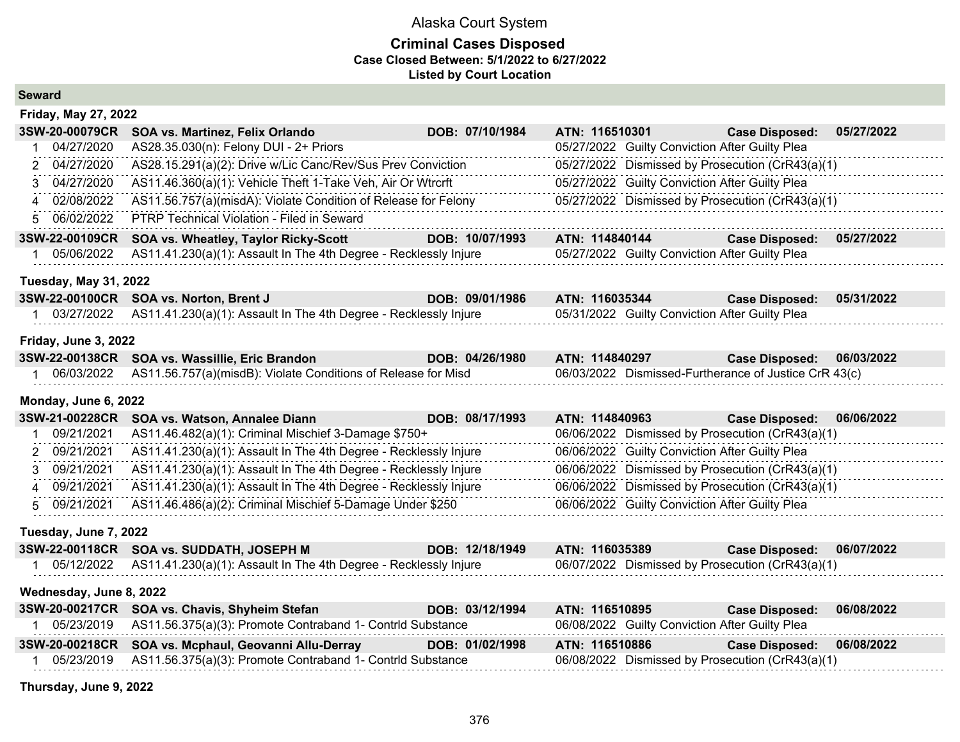#### **Criminal Cases Disposed Case Closed Between: 5/1/2022 to 6/27/2022 Listed by Court Location**

| <b>Seward</b> |
|---------------|
|---------------|

| <b>Friday, May 27, 2022</b>  |                                                                  |                 |                                                       |                       |            |  |  |
|------------------------------|------------------------------------------------------------------|-----------------|-------------------------------------------------------|-----------------------|------------|--|--|
| 3SW-20-00079CR               | SOA vs. Martinez, Felix Orlando                                  | DOB: 07/10/1984 | ATN: 116510301                                        | <b>Case Disposed:</b> | 05/27/2022 |  |  |
| 04/27/2020                   | AS28.35.030(n): Felony DUI - 2+ Priors                           |                 | 05/27/2022 Guilty Conviction After Guilty Plea        |                       |            |  |  |
| 04/27/2020<br>$\overline{2}$ | AS28.15.291(a)(2): Drive w/Lic Canc/Rev/Sus Prev Conviction      |                 | 05/27/2022 Dismissed by Prosecution (CrR43(a)(1)      |                       |            |  |  |
| 04/27/2020<br>3              | AS11.46.360(a)(1): Vehicle Theft 1-Take Veh, Air Or Wtrcrft      |                 | 05/27/2022 Guilty Conviction After Guilty Plea        |                       |            |  |  |
| 4 02/08/2022                 | AS11.56.757(a)(misdA): Violate Condition of Release for Felony   |                 | 05/27/2022 Dismissed by Prosecution (CrR43(a)(1)      |                       |            |  |  |
| 5 06/02/2022                 | PTRP Technical Violation - Filed in Seward                       |                 |                                                       |                       |            |  |  |
| 3SW-22-00109CR               | SOA vs. Wheatley, Taylor Ricky-Scott                             | DOB: 10/07/1993 | ATN: 114840144                                        | <b>Case Disposed:</b> | 05/27/2022 |  |  |
| 05/06/2022<br>1.             | AS11.41.230(a)(1): Assault In The 4th Degree - Recklessly Injure |                 | 05/27/2022 Guilty Conviction After Guilty Plea        |                       |            |  |  |
| <b>Tuesday, May 31, 2022</b> |                                                                  |                 |                                                       |                       |            |  |  |
| 3SW-22-00100CR               | SOA vs. Norton, Brent J                                          | DOB: 09/01/1986 | ATN: 116035344                                        | <b>Case Disposed:</b> | 05/31/2022 |  |  |
| 1 03/27/2022                 | AS11.41.230(a)(1): Assault In The 4th Degree - Recklessly Injure |                 | 05/31/2022 Guilty Conviction After Guilty Plea        |                       |            |  |  |
| Friday, June 3, 2022         |                                                                  |                 |                                                       |                       |            |  |  |
| 3SW-22-00138CR               | SOA vs. Wassillie, Eric Brandon                                  | DOB: 04/26/1980 | ATN: 114840297                                        | <b>Case Disposed:</b> | 06/03/2022 |  |  |
| 1 06/03/2022                 | AS11.56.757(a)(misdB): Violate Conditions of Release for Misd    |                 | 06/03/2022 Dismissed-Furtherance of Justice CrR 43(c) |                       |            |  |  |
| Monday, June 6, 2022         |                                                                  |                 |                                                       |                       |            |  |  |
| 3SW-21-00228CR               | SOA vs. Watson, Annalee Diann                                    | DOB: 08/17/1993 | ATN: 114840963                                        | <b>Case Disposed:</b> | 06/06/2022 |  |  |
| 09/21/2021                   | AS11.46.482(a)(1): Criminal Mischief 3-Damage \$750+             |                 | 06/06/2022 Dismissed by Prosecution (CrR43(a)(1)      |                       |            |  |  |
| 09/21/2021<br>$\mathcal{P}$  | AS11.41.230(a)(1): Assault In The 4th Degree - Recklessly Injure |                 | 06/06/2022 Guilty Conviction After Guilty Plea        |                       |            |  |  |
| 09/21/2021<br>3              | AS11.41.230(a)(1): Assault In The 4th Degree - Recklessly Injure |                 | 06/06/2022 Dismissed by Prosecution (CrR43(a)(1)      |                       |            |  |  |
| 4 09/21/2021                 | AS11.41.230(a)(1): Assault In The 4th Degree - Recklessly Injure |                 | 06/06/2022 Dismissed by Prosecution (CrR43(a)(1)      |                       |            |  |  |
| 5 09/21/2021                 | AS11.46.486(a)(2): Criminal Mischief 5-Damage Under \$250        |                 | 06/06/2022 Guilty Conviction After Guilty Plea        |                       |            |  |  |
| Tuesday, June 7, 2022        |                                                                  |                 |                                                       |                       |            |  |  |
| 3SW-22-00118CR               | SOA vs. SUDDATH, JOSEPH M                                        | DOB: 12/18/1949 | ATN: 116035389                                        | <b>Case Disposed:</b> | 06/07/2022 |  |  |
| 1 05/12/2022                 | AS11.41.230(a)(1): Assault In The 4th Degree - Recklessly Injure |                 | 06/07/2022 Dismissed by Prosecution (CrR43(a)(1)      |                       |            |  |  |
| Wednesday, June 8, 2022      |                                                                  |                 |                                                       |                       |            |  |  |
| 3SW-20-00217CR               | SOA vs. Chavis, Shyheim Stefan                                   | DOB: 03/12/1994 | ATN: 116510895                                        | <b>Case Disposed:</b> | 06/08/2022 |  |  |
| 1 05/23/2019                 | AS11.56.375(a)(3): Promote Contraband 1- Contrid Substance       |                 | 06/08/2022 Guilty Conviction After Guilty Plea        |                       |            |  |  |
| 3SW-20-00218CR               | SOA vs. Mcphaul, Geovanni Allu-Derray                            | DOB: 01/02/1998 | ATN: 116510886                                        | <b>Case Disposed:</b> | 06/08/2022 |  |  |
| 05/23/2019                   | AS11.56.375(a)(3): Promote Contraband 1- Contrid Substance       |                 | 06/08/2022 Dismissed by Prosecution (CrR43(a)(1)      |                       |            |  |  |

**Thursday, June 9, 2022**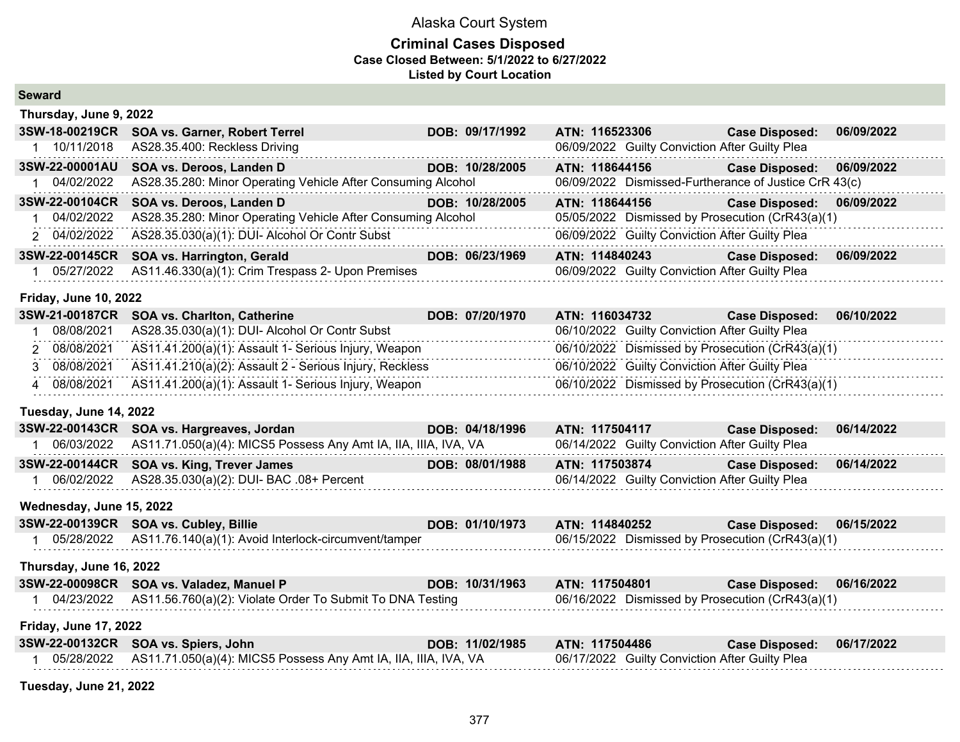### **Criminal Cases Disposed Case Closed Between: 5/1/2022 to 6/27/2022 Listed by Court Location**

| Thursday, June 9, 2022       |                                                                    |                 |                                                  |                                                       |            |  |  |
|------------------------------|--------------------------------------------------------------------|-----------------|--------------------------------------------------|-------------------------------------------------------|------------|--|--|
| 3SW-18-00219CR               | SOA vs. Garner, Robert Terrel                                      | DOB: 09/17/1992 | ATN: 116523306                                   | <b>Case Disposed:</b>                                 | 06/09/2022 |  |  |
| 1 10/11/2018                 | AS28.35.400: Reckless Driving                                      |                 | 06/09/2022 Guilty Conviction After Guilty Plea   |                                                       |            |  |  |
| 3SW-22-00001AU               | SOA vs. Deroos, Landen D                                           | DOB: 10/28/2005 | ATN: 118644156                                   | <b>Case Disposed:</b>                                 | 06/09/2022 |  |  |
| 1 04/02/2022                 | AS28.35.280: Minor Operating Vehicle After Consuming Alcohol       |                 |                                                  | 06/09/2022 Dismissed-Furtherance of Justice CrR 43(c) |            |  |  |
| 3SW-22-00104CR               | SOA vs. Deroos, Landen D                                           | DOB: 10/28/2005 | ATN: 118644156                                   | <b>Case Disposed:</b>                                 | 06/09/2022 |  |  |
| 04/02/2022                   | AS28.35.280: Minor Operating Vehicle After Consuming Alcohol       |                 |                                                  | 05/05/2022 Dismissed by Prosecution (CrR43(a)(1)      |            |  |  |
| 2 04/02/2022                 | AS28.35.030(a)(1): DUI- Alcohol Or Contr Subst                     |                 | 06/09/2022 Guilty Conviction After Guilty Plea   |                                                       |            |  |  |
| 3SW-22-00145CR               | SOA vs. Harrington, Gerald                                         | DOB: 06/23/1969 | ATN: 114840243                                   | <b>Case Disposed:</b>                                 | 06/09/2022 |  |  |
| 05/27/2022<br>1              | AS11.46.330(a)(1): Crim Trespass 2- Upon Premises                  |                 | 06/09/2022 Guilty Conviction After Guilty Plea   |                                                       |            |  |  |
| <b>Friday, June 10, 2022</b> |                                                                    |                 |                                                  |                                                       |            |  |  |
| 3SW-21-00187CR               | <b>SOA vs. Charlton, Catherine</b>                                 | DOB: 07/20/1970 | ATN: 116034732                                   | <b>Case Disposed:</b>                                 | 06/10/2022 |  |  |
| 08/08/2021                   | AS28.35.030(a)(1): DUI- Alcohol Or Contr Subst                     |                 | 06/10/2022 Guilty Conviction After Guilty Plea   |                                                       |            |  |  |
| 08/08/2021<br>2              | AS11.41.200(a)(1): Assault 1- Serious Injury, Weapon               |                 |                                                  | 06/10/2022 Dismissed by Prosecution (CrR43(a)(1)      |            |  |  |
| 08/08/2021<br>3              | AS11.41.210(a)(2): Assault 2 - Serious Injury, Reckless            |                 | 06/10/2022 Guilty Conviction After Guilty Plea   |                                                       |            |  |  |
| 4                            | 08/08/2021<br>AS11.41.200(a)(1): Assault 1- Serious Injury, Weapon |                 | 06/10/2022 Dismissed by Prosecution (CrR43(a)(1) |                                                       |            |  |  |
| Tuesday, June 14, 2022       |                                                                    |                 |                                                  |                                                       |            |  |  |
| 3SW-22-00143CR               | SOA vs. Hargreaves, Jordan                                         | DOB: 04/18/1996 | ATN: 117504117                                   | <b>Case Disposed:</b>                                 | 06/14/2022 |  |  |
| 1 06/03/2022                 | AS11.71.050(a)(4): MICS5 Possess Any Amt IA, IIA, IIIA, IVA, VA    |                 | 06/14/2022 Guilty Conviction After Guilty Plea   |                                                       |            |  |  |
| 3SW-22-00144CR               | <b>SOA vs. King, Trever James</b>                                  | DOB: 08/01/1988 | ATN: 117503874                                   | <b>Case Disposed:</b>                                 | 06/14/2022 |  |  |
| 06/02/2022                   | AS28.35.030(a)(2): DUI- BAC .08+ Percent                           |                 | 06/14/2022 Guilty Conviction After Guilty Plea   |                                                       |            |  |  |
| Wednesday, June 15, 2022     |                                                                    |                 |                                                  |                                                       |            |  |  |
| 3SW-22-00139CR               | <b>SOA vs. Cubley, Billie</b>                                      | DOB: 01/10/1973 | ATN: 114840252                                   | <b>Case Disposed:</b>                                 | 06/15/2022 |  |  |
| 05/28/2022                   | AS11.76.140(a)(1): Avoid Interlock-circumvent/tamper               |                 |                                                  | 06/15/2022 Dismissed by Prosecution (CrR43(a)(1)      |            |  |  |
| Thursday, June 16, 2022      |                                                                    |                 |                                                  |                                                       |            |  |  |
| 3SW-22-00098CR               | SOA vs. Valadez, Manuel P                                          | DOB: 10/31/1963 | ATN: 117504801                                   | <b>Case Disposed:</b>                                 | 06/16/2022 |  |  |
| 1 04/23/2022                 | AS11.56.760(a)(2): Violate Order To Submit To DNA Testing          |                 |                                                  | 06/16/2022 Dismissed by Prosecution (CrR43(a)(1)      |            |  |  |
| <b>Friday, June 17, 2022</b> |                                                                    |                 |                                                  |                                                       |            |  |  |
|                              | 3SW-22-00132CR SOA vs. Spiers, John                                | DOB: 11/02/1985 | ATN: 117504486                                   | <b>Case Disposed:</b>                                 | 06/17/2022 |  |  |
| 05/28/2022                   | AS11.71.050(a)(4): MICS5 Possess Any Amt IA, IIA, IIIA, IVA, VA    |                 | 06/17/2022 Guilty Conviction After Guilty Plea   |                                                       |            |  |  |

**Tuesday, June 21, 2022**

**Seward**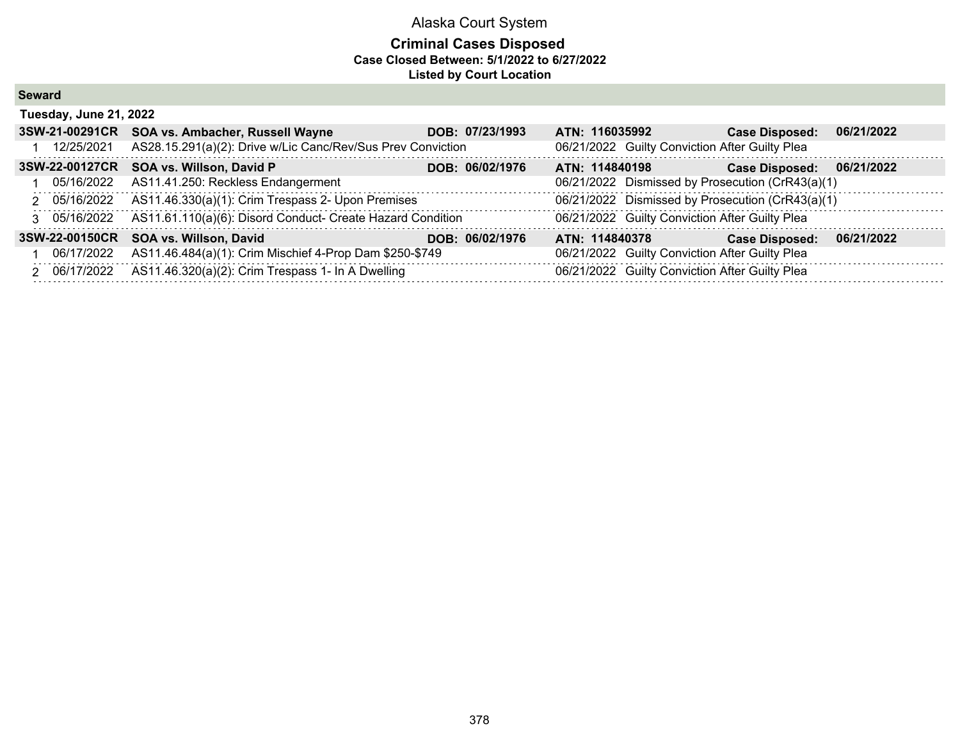| <b>Seward</b> |
|---------------|
|---------------|

| Tuesday, June 21, 2022 |                                                             |                 |                                                  |                       |            |  |  |  |  |
|------------------------|-------------------------------------------------------------|-----------------|--------------------------------------------------|-----------------------|------------|--|--|--|--|
| 3SW-21-00291CR         | SOA vs. Ambacher, Russell Wayne                             | DOB: 07/23/1993 | ATN: 116035992                                   | <b>Case Disposed:</b> | 06/21/2022 |  |  |  |  |
| 12/25/2021             | AS28.15.291(a)(2): Drive w/Lic Canc/Rev/Sus Prev Conviction |                 | 06/21/2022 Guilty Conviction After Guilty Plea   |                       |            |  |  |  |  |
| 3SW-22-00127CR         | SOA vs. Willson, David P                                    | DOB: 06/02/1976 | ATN: 114840198                                   | <b>Case Disposed:</b> | 06/21/2022 |  |  |  |  |
| 05/16/2022             | AS11.41.250: Reckless Endangerment                          |                 | 06/21/2022 Dismissed by Prosecution (CrR43(a)(1) |                       |            |  |  |  |  |
| 2 05/16/2022           | AS11.46.330(a)(1): Crim Trespass 2- Upon Premises           |                 | 06/21/2022 Dismissed by Prosecution (CrR43(a)(1) |                       |            |  |  |  |  |
| 3 05/16/2022           | AS11.61.110(a)(6): Disord Conduct- Create Hazard Condition  |                 | 06/21/2022 Guilty Conviction After Guilty Plea   |                       |            |  |  |  |  |
| 3SW-22-00150CR         | SOA vs. Willson, David                                      | DOB: 06/02/1976 | ATN: 114840378                                   | <b>Case Disposed:</b> | 06/21/2022 |  |  |  |  |
| 1 06/17/2022           | AS11.46.484(a)(1): Crim Mischief 4-Prop Dam \$250-\$749     |                 | 06/21/2022 Guilty Conviction After Guilty Plea   |                       |            |  |  |  |  |
| 2 06/17/2022           | AS11.46.320(a)(2): Crim Trespass 1- In A Dwelling           |                 | 06/21/2022 Guilty Conviction After Guilty Plea   |                       |            |  |  |  |  |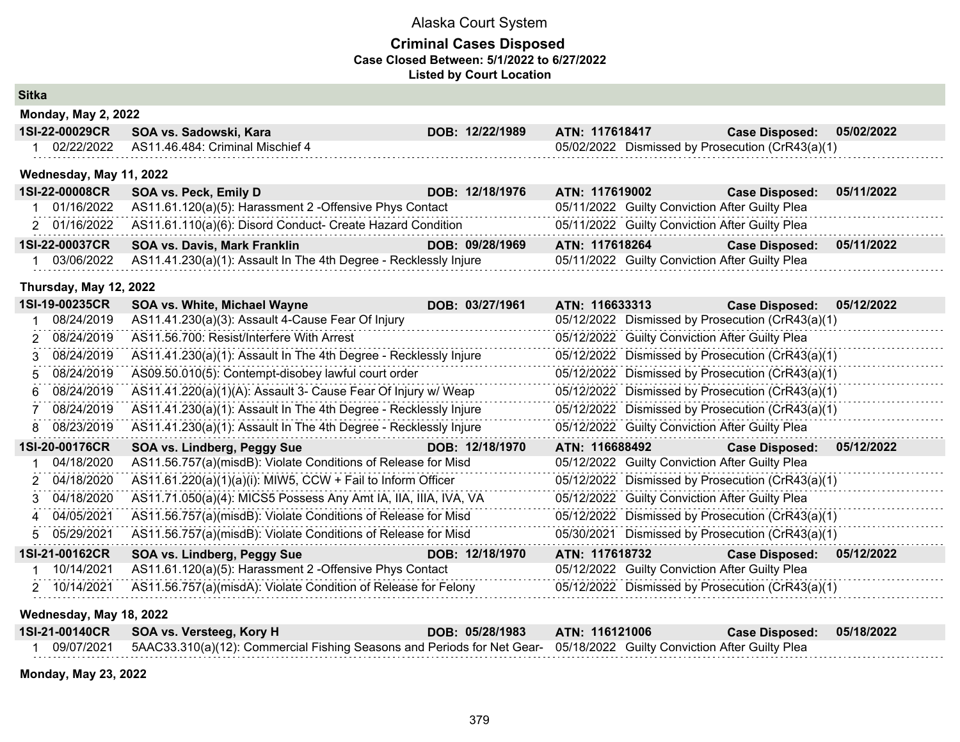### **Criminal Cases Disposed Case Closed Between: 5/1/2022 to 6/27/2022 Listed by Court Location**

**Sitka**

|               | <b>Monday, May 2, 2022</b> |                                                                  |                 |                |                |                                                  |            |
|---------------|----------------------------|------------------------------------------------------------------|-----------------|----------------|----------------|--------------------------------------------------|------------|
|               | 1SI-22-00029CR             | SOA vs. Sadowski, Kara                                           | DOB: 12/22/1989 | ATN: 117618417 |                | <b>Case Disposed:</b>                            | 05/02/2022 |
|               | 02/22/2022                 | AS11.46.484: Criminal Mischief 4                                 |                 |                |                | 05/02/2022 Dismissed by Prosecution (CrR43(a)(1) |            |
|               | Wednesday, May 11, 2022    |                                                                  |                 |                |                |                                                  |            |
|               | 1SI-22-00008CR             | SOA vs. Peck, Emily D                                            | DOB: 12/18/1976 | ATN: 117619002 |                | <b>Case Disposed:</b>                            | 05/11/2022 |
|               | 01/16/2022                 | AS11.61.120(a)(5): Harassment 2 -Offensive Phys Contact          |                 |                |                | 05/11/2022 Guilty Conviction After Guilty Plea   |            |
|               | 2 01/16/2022               | AS11.61.110(a)(6): Disord Conduct- Create Hazard Condition       |                 |                |                | 05/11/2022 Guilty Conviction After Guilty Plea   |            |
|               | 1SI-22-00037CR             | <b>SOA vs. Davis, Mark Franklin</b>                              | DOB: 09/28/1969 | ATN: 117618264 |                | <b>Case Disposed:</b>                            | 05/11/2022 |
|               | 03/06/2022                 | AS11.41.230(a)(1): Assault In The 4th Degree - Recklessly Injure |                 |                |                | 05/11/2022 Guilty Conviction After Guilty Plea   |            |
|               | Thursday, May 12, 2022     |                                                                  |                 |                |                |                                                  |            |
|               | 1SI-19-00235CR             | SOA vs. White, Michael Wayne                                     | DOB: 03/27/1961 |                | ATN: 116633313 | <b>Case Disposed:</b>                            | 05/12/2022 |
|               | 08/24/2019                 | AS11.41.230(a)(3): Assault 4-Cause Fear Of Injury                |                 |                |                | 05/12/2022 Dismissed by Prosecution (CrR43(a)(1) |            |
| $\mathcal{P}$ | 08/24/2019                 | AS11.56.700: Resist/Interfere With Arrest                        |                 |                |                | 05/12/2022 Guilty Conviction After Guilty Plea   |            |
| 3             | 08/24/2019                 | AS11.41.230(a)(1): Assault In The 4th Degree - Recklessly Injure |                 |                |                | 05/12/2022 Dismissed by Prosecution (CrR43(a)(1) |            |
| 5.            | 08/24/2019                 | AS09.50.010(5): Contempt-disobey lawful court order              |                 |                |                | 05/12/2022 Dismissed by Prosecution (CrR43(a)(1) |            |
| 6             | 08/24/2019                 | AS11.41.220(a)(1)(A): Assault 3- Cause Fear Of Injury w/ Weap    |                 |                |                | 05/12/2022 Dismissed by Prosecution (CrR43(a)(1) |            |
|               | 08/24/2019                 | AS11.41.230(a)(1): Assault In The 4th Degree - Recklessly Injure |                 |                |                | 05/12/2022 Dismissed by Prosecution (CrR43(a)(1) |            |
| 8             | 08/23/2019                 | AS11.41.230(a)(1): Assault In The 4th Degree - Recklessly Injure |                 |                |                | 05/12/2022 Guilty Conviction After Guilty Plea   |            |
|               | 1SI-20-00176CR             | SOA vs. Lindberg, Peggy Sue                                      | DOB: 12/18/1970 | ATN: 116688492 |                | <b>Case Disposed:</b>                            | 05/12/2022 |
|               | 04/18/2020                 | AS11.56.757(a)(misdB): Violate Conditions of Release for Misd    |                 |                |                | 05/12/2022 Guilty Conviction After Guilty Plea   |            |
| 2             | 04/18/2020                 | AS11.61.220(a)(1)(a)(i): MIW5, CCW + Fail to Inform Officer      |                 |                |                | 05/12/2022 Dismissed by Prosecution (CrR43(a)(1) |            |
| 3             | 04/18/2020                 | AS11.71.050(a)(4): MICS5 Possess Any Amt IA, IIA, IIIA, IVA, VA  |                 |                |                | 05/12/2022 Guilty Conviction After Guilty Plea   |            |
|               | 4 04/05/2021               | AS11.56.757(a)(misdB): Violate Conditions of Release for Misd    |                 |                |                | 05/12/2022 Dismissed by Prosecution (CrR43(a)(1) |            |
|               | 5 05/29/2021               | AS11.56.757(a)(misdB): Violate Conditions of Release for Misd    |                 |                |                | 05/30/2021 Dismissed by Prosecution (CrR43(a)(1) |            |
|               | 1SI-21-00162CR             | SOA vs. Lindberg, Peggy Sue                                      | DOB: 12/18/1970 | ATN: 117618732 |                | <b>Case Disposed:</b>                            | 05/12/2022 |
|               | 10/14/2021                 | AS11.61.120(a)(5): Harassment 2 - Offensive Phys Contact         |                 |                |                | 05/12/2022 Guilty Conviction After Guilty Plea   |            |
|               | 2 10/14/2021               | AS11.56.757(a)(misdA): Violate Condition of Release for Felony   |                 |                |                | 05/12/2022 Dismissed by Prosecution (CrR43(a)(1) |            |

### **Wednesday, May 18, 2022**

|            | 1SI-21-00140CR SOA vs. Versteeg, Kory H                                                                                | DOB: 05/28/1983 | <b>ATN: 116121006</b> | Case Disposed: 05/18/2022 |  |
|------------|------------------------------------------------------------------------------------------------------------------------|-----------------|-----------------------|---------------------------|--|
| 09/07/2021 | 5AAC33.310(a)(12): Commercial Fishing Seasons and Periods for Net Gear- 05/18/2022 Guilty Conviction After Guilty Plea |                 |                       |                           |  |

**Monday, May 23, 2022**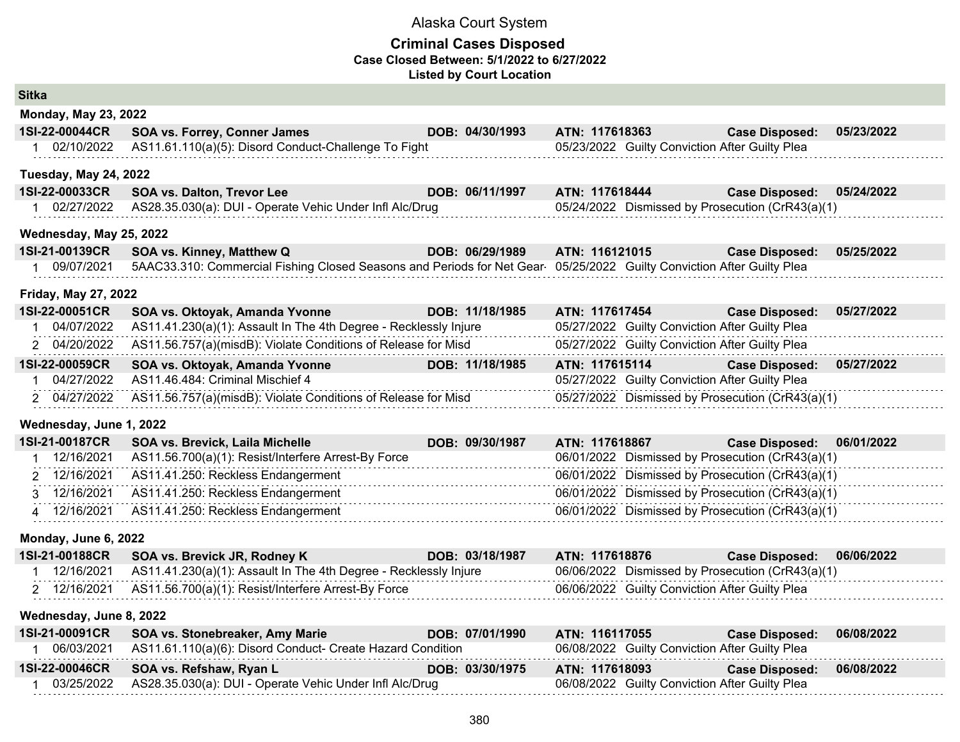| <b>Sitka</b>                 |                                                                                                                       |                 |                |  |                                                  |            |
|------------------------------|-----------------------------------------------------------------------------------------------------------------------|-----------------|----------------|--|--------------------------------------------------|------------|
| <b>Monday, May 23, 2022</b>  |                                                                                                                       |                 |                |  |                                                  |            |
| 1SI-22-00044CR               | <b>SOA vs. Forrey, Conner James</b>                                                                                   | DOB: 04/30/1993 | ATN: 117618363 |  | <b>Case Disposed:</b>                            | 05/23/2022 |
| 1 02/10/2022                 | AS11.61.110(a)(5): Disord Conduct-Challenge To Fight                                                                  |                 |                |  | 05/23/2022 Guilty Conviction After Guilty Plea   |            |
| <b>Tuesday, May 24, 2022</b> |                                                                                                                       |                 |                |  |                                                  |            |
| 1SI-22-00033CR               | <b>SOA vs. Dalton, Trevor Lee</b>                                                                                     | DOB: 06/11/1997 | ATN: 117618444 |  | <b>Case Disposed:</b>                            | 05/24/2022 |
| 1 02/27/2022                 | AS28.35.030(a): DUI - Operate Vehic Under Infl Alc/Drug                                                               |                 |                |  | 05/24/2022 Dismissed by Prosecution (CrR43(a)(1) |            |
| Wednesday, May 25, 2022      |                                                                                                                       |                 |                |  |                                                  |            |
| 1SI-21-00139CR               | SOA vs. Kinney, Matthew Q                                                                                             | DOB: 06/29/1989 | ATN: 116121015 |  | <b>Case Disposed:</b>                            | 05/25/2022 |
| 1 09/07/2021                 | 5AAC33.310: Commercial Fishing Closed Seasons and Periods for Net Gear 05/25/2022 Guilty Conviction After Guilty Plea |                 |                |  |                                                  |            |
| <b>Friday, May 27, 2022</b>  |                                                                                                                       |                 |                |  |                                                  |            |
| 1SI-22-00051CR               | SOA vs. Oktoyak, Amanda Yvonne                                                                                        | DOB: 11/18/1985 | ATN: 117617454 |  | <b>Case Disposed:</b>                            | 05/27/2022 |
| 1 04/07/2022                 | AS11.41.230(a)(1): Assault In The 4th Degree - Recklessly Injure                                                      |                 |                |  | 05/27/2022 Guilty Conviction After Guilty Plea   |            |
| 2 04/20/2022                 | AS11.56.757(a)(misdB): Violate Conditions of Release for Misd                                                         |                 |                |  | 05/27/2022 Guilty Conviction After Guilty Plea   |            |
| 1SI-22-00059CR               | SOA vs. Oktoyak, Amanda Yvonne                                                                                        | DOB: 11/18/1985 | ATN: 117615114 |  | <b>Case Disposed:</b>                            | 05/27/2022 |
| 1 04/27/2022                 | AS11.46.484: Criminal Mischief 4                                                                                      |                 |                |  | 05/27/2022 Guilty Conviction After Guilty Plea   |            |
| 2 04/27/2022                 | AS11.56.757(a)(misdB): Violate Conditions of Release for Misd                                                         |                 |                |  | 05/27/2022 Dismissed by Prosecution (CrR43(a)(1) |            |
| Wednesday, June 1, 2022      |                                                                                                                       |                 |                |  |                                                  |            |
| 1SI-21-00187CR               | SOA vs. Brevick, Laila Michelle                                                                                       | DOB: 09/30/1987 | ATN: 117618867 |  | <b>Case Disposed:</b>                            | 06/01/2022 |
| 12/16/2021<br>1              | AS11.56.700(a)(1): Resist/Interfere Arrest-By Force                                                                   |                 |                |  | 06/01/2022 Dismissed by Prosecution (CrR43(a)(1) |            |
| 2 12/16/2021                 | AS11.41.250: Reckless Endangerment                                                                                    |                 |                |  | 06/01/2022 Dismissed by Prosecution (CrR43(a)(1) |            |
| 3 12/16/2021                 | AS11.41.250: Reckless Endangerment                                                                                    |                 |                |  | 06/01/2022 Dismissed by Prosecution (CrR43(a)(1) |            |
| 4 12/16/2021                 | AS11.41.250: Reckless Endangerment                                                                                    |                 |                |  | 06/01/2022 Dismissed by Prosecution (CrR43(a)(1) |            |
| Monday, June 6, 2022         |                                                                                                                       |                 |                |  |                                                  |            |
| 1SI-21-00188CR               | SOA vs. Brevick JR, Rodney K                                                                                          | DOB: 03/18/1987 | ATN: 117618876 |  | <b>Case Disposed:</b>                            | 06/06/2022 |
| 1 12/16/2021                 | AS11.41.230(a)(1): Assault In The 4th Degree - Recklessly Injure                                                      |                 |                |  | 06/06/2022 Dismissed by Prosecution (CrR43(a)(1) |            |
| 2 12/16/2021                 | AS11.56.700(a)(1): Resist/Interfere Arrest-By Force                                                                   |                 |                |  | 06/06/2022 Guilty Conviction After Guilty Plea   |            |
| Wednesday, June 8, 2022      |                                                                                                                       |                 |                |  |                                                  |            |
| 1SI-21-00091CR               | SOA vs. Stonebreaker, Amy Marie                                                                                       | DOB: 07/01/1990 | ATN: 116117055 |  | <b>Case Disposed:</b>                            | 06/08/2022 |
| 1 06/03/2021                 | AS11.61.110(a)(6): Disord Conduct- Create Hazard Condition                                                            |                 |                |  | 06/08/2022 Guilty Conviction After Guilty Plea   |            |
| 1SI-22-00046CR               | SOA vs. Refshaw, Ryan L                                                                                               | DOB: 03/30/1975 | ATN: 117618093 |  | <b>Case Disposed:</b>                            | 06/08/2022 |
| 1 03/25/2022                 | AS28.35.030(a): DUI - Operate Vehic Under Infl Alc/Drug                                                               |                 |                |  | 06/08/2022 Guilty Conviction After Guilty Plea   |            |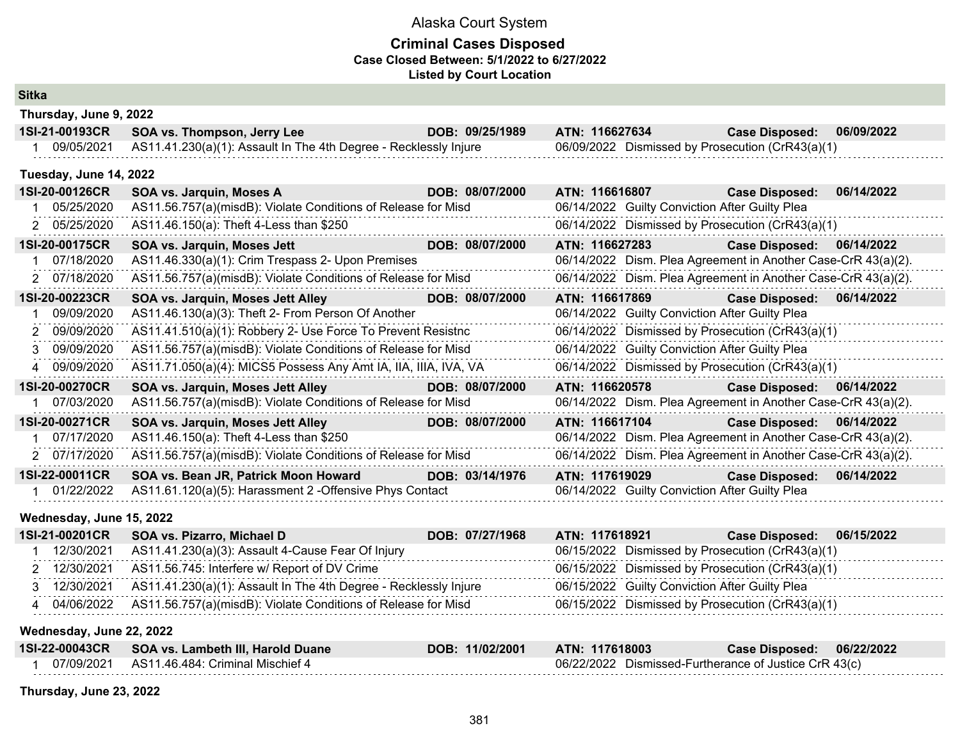### **Criminal Cases Disposed Case Closed Between: 5/1/2022 to 6/27/2022 Listed by Court Location**

#### **Sitka**

| Thursday, June 9, 2022 |                                                                  |                        |                                                  |                       |                    |  |  |  |  |  |
|------------------------|------------------------------------------------------------------|------------------------|--------------------------------------------------|-----------------------|--------------------|--|--|--|--|--|
| 1SI-21-00193CR         | SOA vs. Thompson, Jerry Lee                                      | DOB: 09/25/1989        | ATN: 116627634                                   | <b>Case Disposed:</b> | 06/09/2022         |  |  |  |  |  |
| 09/05/2021             | AS11.41.230(a)(1): Assault In The 4th Degree - Recklessly Injure |                        | 06/09/2022 Dismissed by Prosecution (CrR43(a)(1) |                       |                    |  |  |  |  |  |
| Tuesday, June 14, 2022 |                                                                  |                        |                                                  |                       |                    |  |  |  |  |  |
| 1SI-20-00126CR         | SOA vs. Jarquin, Moses A                                         | DOB: 08/07/2000        | ATN: 116616807                                   | <b>Case Disposed:</b> | 06/14/2022         |  |  |  |  |  |
| 05/25/2020             | AS11.56.757(a)(misdB): Violate Conditions of Release for Misd    |                        | 06/14/2022 Guilty Conviction After Guilty Plea   |                       |                    |  |  |  |  |  |
| 2 05/25/2020           | AS11.46.150(a): Theft 4-Less than \$250                          |                        | 06/14/2022 Dismissed by Prosecution (CrR43(a)(1) |                       |                    |  |  |  |  |  |
| <b>ACLON ANATERD</b>   | COA ye Jevenin Messe Jeff                                        | <b>DOD.</b> COIOTIONAL | ATNL AACCOTOOO                                   | Assa Blackscale       | <b>OCIA AIDOOD</b> |  |  |  |  |  |

| 1SI-20-00175CR | SOA vs. Jarquin, Moses Jett                                   | DOB: 08/07/2000 | ATN: 116627283                                                                                                                                                                                                                                                                                                        | <b>Case Disposed:</b> | 06/14/2022                                                                                                                                                                                                                                                                                                                                 |
|----------------|---------------------------------------------------------------|-----------------|-----------------------------------------------------------------------------------------------------------------------------------------------------------------------------------------------------------------------------------------------------------------------------------------------------------------------|-----------------------|--------------------------------------------------------------------------------------------------------------------------------------------------------------------------------------------------------------------------------------------------------------------------------------------------------------------------------------------|
| 07/18/2020     |                                                               |                 |                                                                                                                                                                                                                                                                                                                       |                       |                                                                                                                                                                                                                                                                                                                                            |
| 2 07/18/2020   |                                                               |                 |                                                                                                                                                                                                                                                                                                                       |                       |                                                                                                                                                                                                                                                                                                                                            |
| 1SI-20-00223CR | SOA vs. Jarquin, Moses Jett Alley                             | DOB: 08/07/2000 | ATN: 116617869                                                                                                                                                                                                                                                                                                        | <b>Case Disposed:</b> | 06/14/2022                                                                                                                                                                                                                                                                                                                                 |
| 09/09/2020     | AS11.46.130(a)(3): Theft 2- From Person Of Another            |                 |                                                                                                                                                                                                                                                                                                                       |                       |                                                                                                                                                                                                                                                                                                                                            |
| 2 09/09/2020   |                                                               |                 |                                                                                                                                                                                                                                                                                                                       |                       |                                                                                                                                                                                                                                                                                                                                            |
| 3 09/09/2020   |                                                               |                 |                                                                                                                                                                                                                                                                                                                       |                       |                                                                                                                                                                                                                                                                                                                                            |
| 4 09/09/2020   |                                                               |                 |                                                                                                                                                                                                                                                                                                                       |                       |                                                                                                                                                                                                                                                                                                                                            |
| 1SI-20-00270CR | SOA vs. Jarquin, Moses Jett Alley                             | DOB: 08/07/2000 | ATN: 116620578                                                                                                                                                                                                                                                                                                        | <b>Case Disposed:</b> | 06/14/2022                                                                                                                                                                                                                                                                                                                                 |
|                |                                                               |                 |                                                                                                                                                                                                                                                                                                                       |                       |                                                                                                                                                                                                                                                                                                                                            |
| 07/03/2020     | AS11.56.757(a)(misdB): Violate Conditions of Release for Misd |                 | 06/14/2022 Dism. Plea Agreement in Another Case-CrR 43(a)(2).                                                                                                                                                                                                                                                         |                       |                                                                                                                                                                                                                                                                                                                                            |
| 1SI-20-00271CR | SOA vs. Jarquin, Moses Jett Alley                             | DOB: 08/07/2000 | ATN: 116617104                                                                                                                                                                                                                                                                                                        | <b>Case Disposed:</b> | 06/14/2022                                                                                                                                                                                                                                                                                                                                 |
| 07/17/2020     | AS11.46.150(a): Theft 4-Less than \$250                       |                 | 06/14/2022 Dism. Plea Agreement in Another Case-CrR 43(a)(2).                                                                                                                                                                                                                                                         |                       |                                                                                                                                                                                                                                                                                                                                            |
| 2 07/17/2020   | AS11.56.757(a)(misdB): Violate Conditions of Release for Misd |                 | 06/14/2022 Dism. Plea Agreement in Another Case-CrR 43(a)(2).                                                                                                                                                                                                                                                         |                       |                                                                                                                                                                                                                                                                                                                                            |
| 1SI-22-00011CR | SOA vs. Bean JR, Patrick Moon Howard                          | DOB: 03/14/1976 | ATN: 117619029                                                                                                                                                                                                                                                                                                        | <b>Case Disposed:</b> | 06/14/2022                                                                                                                                                                                                                                                                                                                                 |
|                |                                                               |                 | AS11.46.330(a)(1): Crim Trespass 2- Upon Premises<br>AS11.56.757(a)(misdB): Violate Conditions of Release for Misd<br>AS11.41.510(a)(1): Robbery 2- Use Force To Prevent Resistnc<br>AS11.56.757(a)(misdB): Violate Conditions of Release for Misd<br>AS11.71.050(a)(4): MICS5 Possess Any Amt IA, IIA, IIIA, IVA, VA |                       | 06/14/2022 Dism. Plea Agreement in Another Case-CrR 43(a)(2).<br>06/14/2022 Dism. Plea Agreement in Another Case-CrR 43(a)(2).<br>06/14/2022 Guilty Conviction After Guilty Plea<br>06/14/2022 Dismissed by Prosecution (CrR43(a)(1)<br>06/14/2022 Guilty Conviction After Guilty Plea<br>06/14/2022 Dismissed by Prosecution (CrR43(a)(1) |

#### **Wednesday, June 15, 2022**

| 1SI-21-00201CR | SOA vs. Pizarro, Michael D                                               | DOB: 07/27/1968 | ATN: 117618921                                   | <b>Case Disposed:</b> | 06/15/2022 |
|----------------|--------------------------------------------------------------------------|-----------------|--------------------------------------------------|-----------------------|------------|
| 12/30/2021     | AS11.41.230(a)(3): Assault 4-Cause Fear Of Injury                        |                 | 06/15/2022 Dismissed by Prosecution (CrR43(a)(1) |                       |            |
| 12/30/2021     | AS11.56.745: Interfere w/ Report of DV Crime                             |                 | 06/15/2022 Dismissed by Prosecution (CrR43(a)(1) |                       |            |
| 12/30/2021     | AS11.41.230(a)(1): Assault In The 4th Degree - Recklessly Injure         |                 | 06/15/2022 Guilty Conviction After Guilty Plea   |                       |            |
|                | 04/06/2022 AS11.56.757(a)(misdB): Violate Conditions of Release for Misd |                 | 06/15/2022 Dismissed by Prosecution (CrR43(a)(1) |                       |            |

#### **Wednesday, June 22, 2022**

| 1SI-22-00043CR | SOA vs. Lambeth III, Harold Duane              | DOB: 11/02/2001 | ATN: 117618003 | Case Disposed:                                        | 06/22/2022 |
|----------------|------------------------------------------------|-----------------|----------------|-------------------------------------------------------|------------|
|                | 07/09/2021    AS11.46.484: Criminal Mischief 4 |                 |                | 06/22/2022 Dismissed-Furtherance of Justice CrR 43(c) |            |

#### **Thursday, June 23, 2022**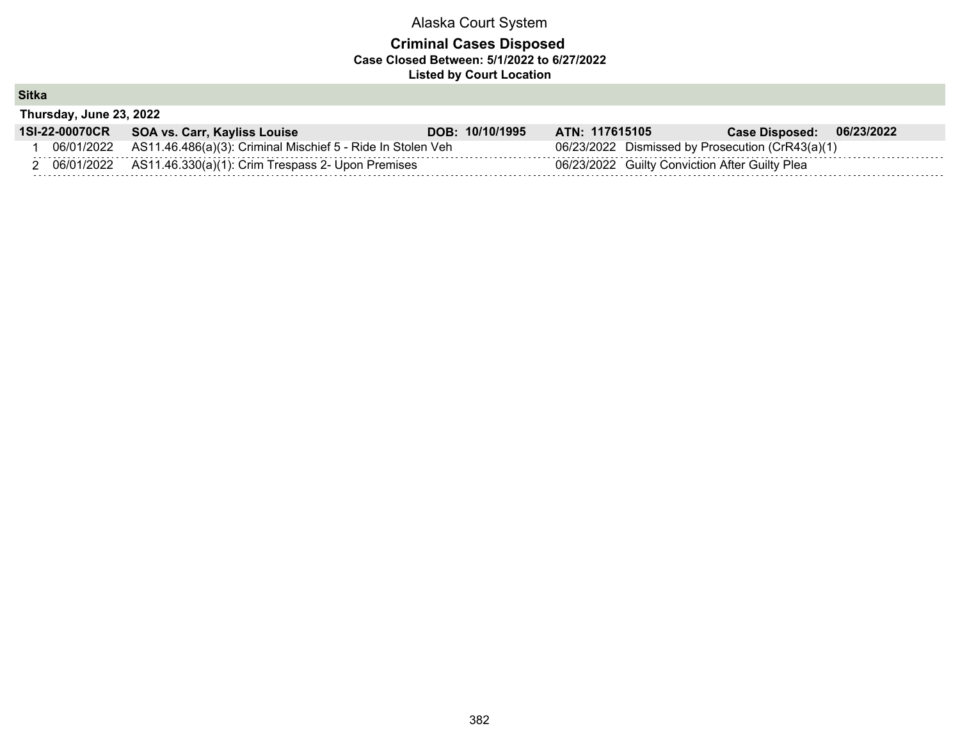### **Criminal Cases Disposed Case Closed Between: 5/1/2022 to 6/27/2022 Listed by Court Location**

**Sitka**

**Thursday, June 23, 2022**

| 1SI-22-00070CR | SOA vs. Carr, Kayliss Louise                                           | DOB: 10/10/1995 | ATN: 117615105 |                                                | Case Disposed: 06/23/2022                        |  |
|----------------|------------------------------------------------------------------------|-----------------|----------------|------------------------------------------------|--------------------------------------------------|--|
|                | 06/01/2022 AS11.46.486(a)(3): Criminal Mischief 5 - Ride In Stolen Veh |                 |                |                                                | 06/23/2022 Dismissed by Prosecution (CrR43(a)(1) |  |
|                | 06/01/2022 AS11.46.330(a)(1): Crim Trespass 2- Upon Premises           |                 |                | 06/23/2022 Guilty Conviction After Guilty Plea |                                                  |  |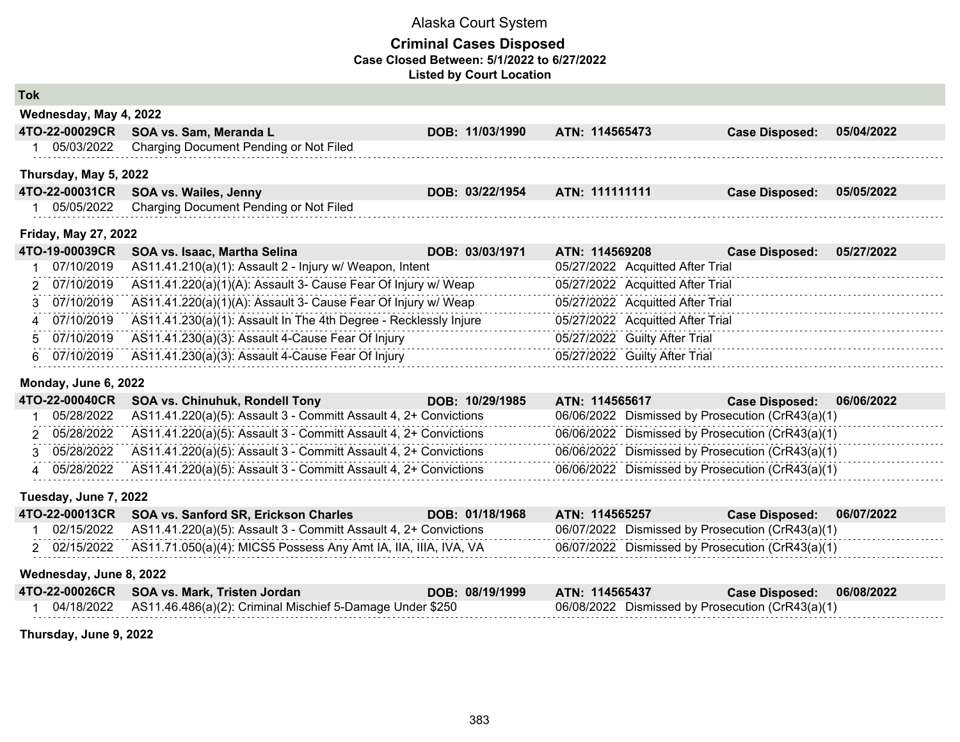### **Criminal Cases Disposed Case Closed Between: 5/1/2022 to 6/27/2022 Listed by Court Location**

| <b>CONTRACTOR</b> | ٠ | <b>CONTRACTOR</b><br><b>CONTRACTOR</b> |
|-------------------|---|----------------------------------------|

| Wednesday, May 4, 2022 |                                        |                 |                |                       |            |
|------------------------|----------------------------------------|-----------------|----------------|-----------------------|------------|
| 4TO-22-00029CR         | SOA vs. Sam, Meranda L                 | DOB: 11/03/1990 | ATN: 114565473 | <b>Case Disposed:</b> | 05/04/2022 |
| 05/03/2022             | Charging Document Pending or Not Filed |                 |                |                       |            |
|                        |                                        |                 |                |                       |            |
| Thursday, May 5, 2022  |                                        |                 |                |                       |            |
|                        | 4TO-22-00031CR SOA vs. Wailes, Jenny   | DOB: 03/22/1954 | ATN: 111111111 | <b>Case Disposed:</b> | 05/05/2022 |

#### **Friday, May 27, 2022**

| 4TO-19-00039CR | SOA vs. Isaac, Martha Selina                                     | ATN: 114569208<br>DOB: 03/03/1971 |                                  | <b>Case Disposed:</b> | 05/27/2022 |
|----------------|------------------------------------------------------------------|-----------------------------------|----------------------------------|-----------------------|------------|
| 07/10/2019     | AS11.41.210(a)(1): Assault 2 - Injury w/ Weapon, Intent          |                                   | 05/27/2022 Acquitted After Trial |                       |            |
| 2 07/10/2019   | AS11.41.220(a)(1)(A): Assault 3- Cause Fear Of Injury w/ Weap    |                                   | 05/27/2022 Acquitted After Trial |                       |            |
| 3 07/10/2019   | AS11.41.220(a)(1)(A): Assault 3- Cause Fear Of Injury w/ Weap    |                                   | 05/27/2022 Acquitted After Trial |                       |            |
| 4 07/10/2019   | AS11.41.230(a)(1): Assault In The 4th Degree - Recklessly Injure |                                   | 05/27/2022 Acquitted After Trial |                       |            |
| 5 07/10/2019   | AS11.41.230(a)(3): Assault 4-Cause Fear Of Injury                |                                   | 05/27/2022 Guilty After Trial    |                       |            |
| 6 07/10/2019   | AS11.41.230(a)(3): Assault 4-Cause Fear Of Injury                |                                   | 05/27/2022 Guilty After Trial    |                       |            |

#### **Monday, June 6, 2022**

|  | 4TO-22-00040CR SOA vs. Chinuhuk, Rondell Tony                                 | DOB: 10/29/1985 | ATN: 114565617                                   | Case Disposed: 06/06/2022 |  |
|--|-------------------------------------------------------------------------------|-----------------|--------------------------------------------------|---------------------------|--|
|  | 05/28/2022 AS11.41.220(a)(5): Assault 3 - Committ Assault 4, 2+ Convictions   |                 | 06/06/2022 Dismissed by Prosecution (CrR43(a)(1) |                           |  |
|  | 2 05/28/2022 AS11.41.220(a)(5): Assault 3 - Committ Assault 4, 2+ Convictions |                 | 06/06/2022 Dismissed by Prosecution (CrR43(a)(1) |                           |  |
|  | 05/28/2022 AS11.41.220(a)(5): Assault 3 - Committ Assault 4, 2+ Convictions   |                 | 06/06/2022 Dismissed by Prosecution (CrR43(a)(1) |                           |  |
|  | $05/28/2022$ AS11.41.220(a)(5): Assault 3 - Committ Assault 4, 2+ Convictions |                 | 06/06/2022 Dismissed by Prosecution (CrR43(a)(1) |                           |  |

#### **Tuesday, June 7, 2022**

|  | 4TO-22-00013CR SOA vs. Sanford SR, Erickson Charles                          | DOB: 01/18/1968 | ATN: 114565257                                   | <b>Case Disposed:</b> | 06/07/2022 |
|--|------------------------------------------------------------------------------|-----------------|--------------------------------------------------|-----------------------|------------|
|  | 02/15/2022 AS11.41.220(a)(5): Assault 3 - Committ Assault 4, 2+ Convictions  |                 | 06/07/2022 Dismissed by Prosecution (CrR43(a)(1) |                       |            |
|  | 02/15/2022   AS11.71.050(a)(4): MICS5 Possess Any Amt IA, IIA, IIIA, IVA, VA |                 | 06/07/2022 Dismissed by Prosecution (CrR43(a)(1) |                       |            |

#### **Wednesday, June 8, 2022**

| 4TO-22-00026CR SOA vs. Mark, Tristen Jordan | DOB: 08/19/1999 ATN: 114565437 |                                                  | Case Disposed: 06/08/2022 |  |
|---------------------------------------------|--------------------------------|--------------------------------------------------|---------------------------|--|
|                                             |                                | 06/08/2022 Dismissed by Prosecution (CrR43(a)(1) |                           |  |

**Thursday, June 9, 2022**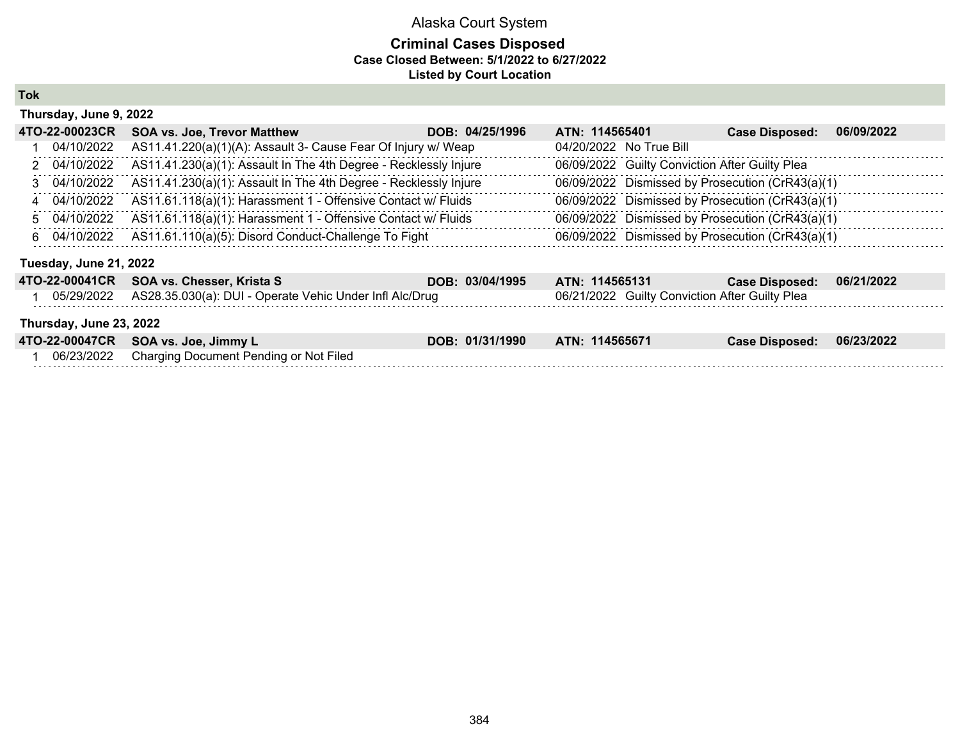### **Criminal Cases Disposed Case Closed Between: 5/1/2022 to 6/27/2022 Listed by Court Location**

**Tok**

| Thursday, June 9, 2022  |                                                                  |                 |                                                  |                       |            |
|-------------------------|------------------------------------------------------------------|-----------------|--------------------------------------------------|-----------------------|------------|
| 4TO-22-00023CR          | <b>SOA vs. Joe, Trevor Matthew</b>                               | DOB: 04/25/1996 | ATN: 114565401                                   | <b>Case Disposed:</b> | 06/09/2022 |
| 04/10/2022              | AS11.41.220(a)(1)(A): Assault 3- Cause Fear Of Injury w/ Weap    |                 | 04/20/2022 No True Bill                          |                       |            |
| 2 04/10/2022            | AS11.41.230(a)(1): Assault In The 4th Degree - Recklessly Injure |                 | 06/09/2022 Guilty Conviction After Guilty Plea   |                       |            |
| 3 04/10/2022            | AS11.41.230(a)(1): Assault In The 4th Degree - Recklessly Injure |                 | 06/09/2022 Dismissed by Prosecution (CrR43(a)(1) |                       |            |
| 4 04/10/2022            | AS11.61.118(a)(1): Harassment 1 - Offensive Contact w/ Fluids    |                 | 06/09/2022 Dismissed by Prosecution (CrR43(a)(1) |                       |            |
| 5 04/10/2022            | AS11.61.118(a)(1): Harassment 1 - Offensive Contact w/ Fluids    |                 | 06/09/2022 Dismissed by Prosecution (CrR43(a)(1) |                       |            |
| 6 04/10/2022            | AS11.61.110(a)(5): Disord Conduct-Challenge To Fight             |                 | 06/09/2022 Dismissed by Prosecution (CrR43(a)(1) |                       |            |
| Tuesday, June 21, 2022  |                                                                  |                 |                                                  |                       |            |
| 4TO-22-00041CR          | SOA vs. Chesser, Krista S                                        | DOB: 03/04/1995 | ATN: 114565131                                   | <b>Case Disposed:</b> | 06/21/2022 |
| 05/29/2022              | AS28.35.030(a): DUI - Operate Vehic Under Infl Alc/Drug          |                 | 06/21/2022 Guilty Conviction After Guilty Plea   |                       |            |
| Thursday, June 23, 2022 |                                                                  |                 |                                                  |                       |            |
| 4TO-22-00047CR          | SOA vs. Joe, Jimmy L                                             | DOB: 01/31/1990 | ATN: 114565671                                   | <b>Case Disposed:</b> | 06/23/2022 |
| 06/23/2022              | Charging Document Pending or Not Filed                           |                 |                                                  |                       |            |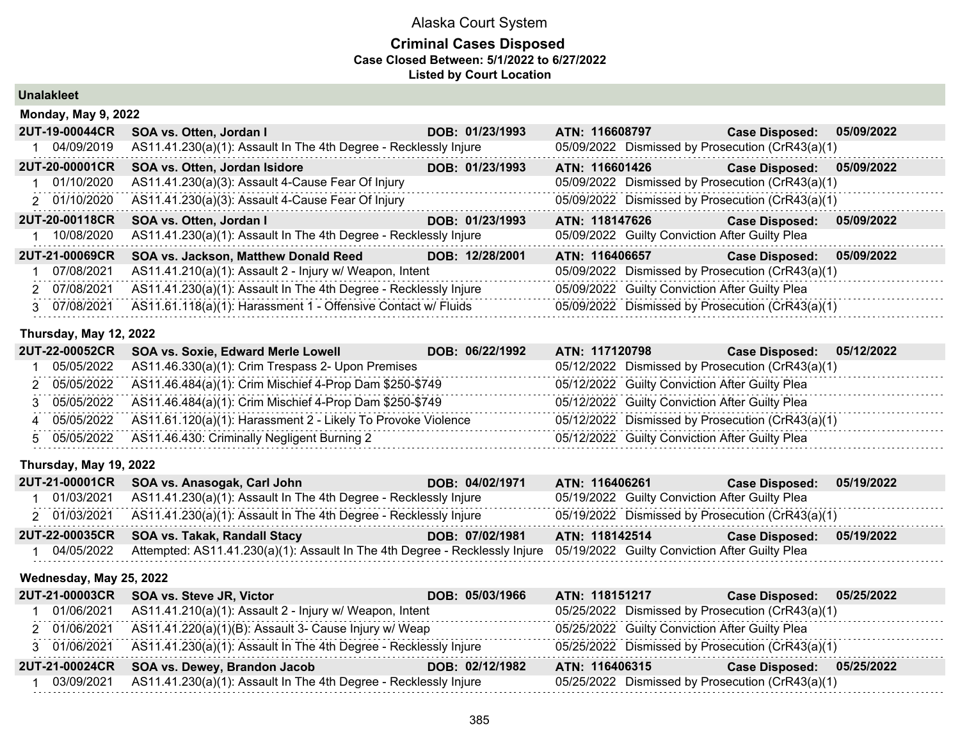### **Criminal Cases Disposed Case Closed Between: 5/1/2022 to 6/27/2022 Listed by Court Location**

### **Unalakleet**

| <b>Monday, May 9, 2022</b> |                                                                  |                 |                |                                                  |            |
|----------------------------|------------------------------------------------------------------|-----------------|----------------|--------------------------------------------------|------------|
| 2UT-19-00044CR             | SOA vs. Otten, Jordan I                                          | DOB: 01/23/1993 | ATN: 116608797 | <b>Case Disposed:</b>                            | 05/09/2022 |
| 04/09/2019                 | AS11.41.230(a)(1): Assault In The 4th Degree - Recklessly Injure |                 |                | 05/09/2022 Dismissed by Prosecution (CrR43(a)(1) |            |
| 2UT-20-00001CR             | <b>SOA vs. Otten, Jordan Isidore</b>                             | DOB: 01/23/1993 | ATN: 116601426 | <b>Case Disposed:</b>                            | 05/09/2022 |
| 01/10/2020                 | AS11.41.230(a)(3): Assault 4-Cause Fear Of Injury                |                 |                | 05/09/2022 Dismissed by Prosecution (CrR43(a)(1) |            |
| 2 01/10/2020               | AS11.41.230(a)(3): Assault 4-Cause Fear Of Injury                |                 |                | 05/09/2022 Dismissed by Prosecution (CrR43(a)(1) |            |
| <b>2UT-20-00118CR</b>      | SOA vs. Otten, Jordan I                                          | DOB: 01/23/1993 | ATN: 118147626 | <b>Case Disposed:</b>                            | 05/09/2022 |
| 10/08/2020                 | AS11.41.230(a)(1): Assault In The 4th Degree - Recklessly Injure |                 |                | 05/09/2022 Guilty Conviction After Guilty Plea   |            |
|                            |                                                                  |                 |                |                                                  |            |
| 2UT-21-00069CR             | SOA vs. Jackson, Matthew Donald Reed                             | DOB: 12/28/2001 | ATN: 116406657 | <b>Case Disposed:</b>                            | 05/09/2022 |
| 07/08/2021                 | AS11.41.210(a)(1): Assault 2 - Injury w/ Weapon, Intent          |                 |                | 05/09/2022 Dismissed by Prosecution (CrR43(a)(1) |            |
| 2 07/08/2021               | AS11.41.230(a)(1): Assault In The 4th Degree - Recklessly Injure |                 |                | 05/09/2022 Guilty Conviction After Guilty Plea   |            |

### **Thursday, May 12, 2022**

|  | 2UT-22-00052CR SOA vs. Soxie, Edward Merle Lowell                       | DOB: 06/22/1992 | ATN: 117120798 | Case Disposed: 05/12/2022                        |
|--|-------------------------------------------------------------------------|-----------------|----------------|--------------------------------------------------|
|  | 05/05/2022 AS11.46.330(a)(1): Crim Trespass 2- Upon Premises            |                 |                | 05/12/2022 Dismissed by Prosecution (CrR43(a)(1) |
|  | 2 05/05/2022 AS11.46.484(a)(1): Crim Mischief 4-Prop Dam \$250-\$749    |                 |                | 05/12/2022 Guilty Conviction After Guilty Plea   |
|  | 3 05/05/2022 AS11.46.484(a)(1): Crim Mischief 4-Prop Dam \$250-\$749    |                 |                | 05/12/2022 Guilty Conviction After Guilty Plea   |
|  | 05/05/2022 AS11.61.120(a)(1): Harassment 2 - Likely To Provoke Violence |                 |                | 05/12/2022 Dismissed by Prosecution (CrR43(a)(1) |
|  | 5 05/05/2022 AS11.46.430: Criminally Negligent Burning 2                |                 |                | 05/12/2022 Guilty Conviction After Guilty Plea   |

#### **Thursday, May 19, 2022**

|            | 2UT-21-00001CR SOA vs. Anasogak, Carl John                                                                                 | DOB: 04/02/1971 | ATN: 116406261                                   | <b>Case Disposed:</b> | 05/19/2022 |
|------------|----------------------------------------------------------------------------------------------------------------------------|-----------------|--------------------------------------------------|-----------------------|------------|
| 01/03/2021 | AS11.41.230(a)(1): Assault In The 4th Degree - Recklessly Injure                                                           |                 | 05/19/2022 Guilty Conviction After Guilty Plea   |                       |            |
|            | 2 01/03/2021 AS11.41.230(a)(1): Assault In The 4th Degree - Recklessly Injure                                              |                 | 05/19/2022 Dismissed by Prosecution (CrR43(a)(1) |                       |            |
|            | 2UT-22-00035CR SOA vs. Takak, Randall Stacy                                                                                | DOB: 07/02/1981 | <b>ATN: 118142514</b>                            | <b>Case Disposed:</b> | 05/19/2022 |
| 04/05/2022 | Attempted: AS11.41.230(a)(1): Assault In The 4th Degree - Recklessly Injure 05/19/2022 Guilty Conviction After Guilty Plea |                 |                                                  |                       |            |

#### **Wednesday, May 25, 2022**

|            | 2UT-21-00003CR SOA vs. Steve JR, Victor                                       | DOB: 05/03/1966 | ATN: 118151217                                 | Case Disposed: 05/25/2022                        |
|------------|-------------------------------------------------------------------------------|-----------------|------------------------------------------------|--------------------------------------------------|
| 01/06/2021 | AS11.41.210(a)(1): Assault 2 - Injury w/ Weapon, Intent                       |                 |                                                | 05/25/2022 Dismissed by Prosecution (CrR43(a)(1) |
|            | 2 01/06/2021 AS11.41.220(a)(1)(B): Assault 3- Cause Injury w/ Weap            |                 | 05/25/2022 Guilty Conviction After Guilty Plea |                                                  |
|            | 3 01/06/2021 AS11.41.230(a)(1): Assault In The 4th Degree - Recklessly Injure |                 |                                                | 05/25/2022 Dismissed by Prosecution (CrR43(a)(1) |
|            | 2UT-21-00024CR SOA vs. Dewey, Brandon Jacob                                   | DOB: 02/12/1982 | ATN: 116406315                                 | Case Disposed: 05/25/2022                        |
| 03/09/2021 | AS11.41.230(a)(1): Assault In The 4th Degree - Recklessly Injure              |                 |                                                | 05/25/2022 Dismissed by Prosecution (CrR43(a)(1) |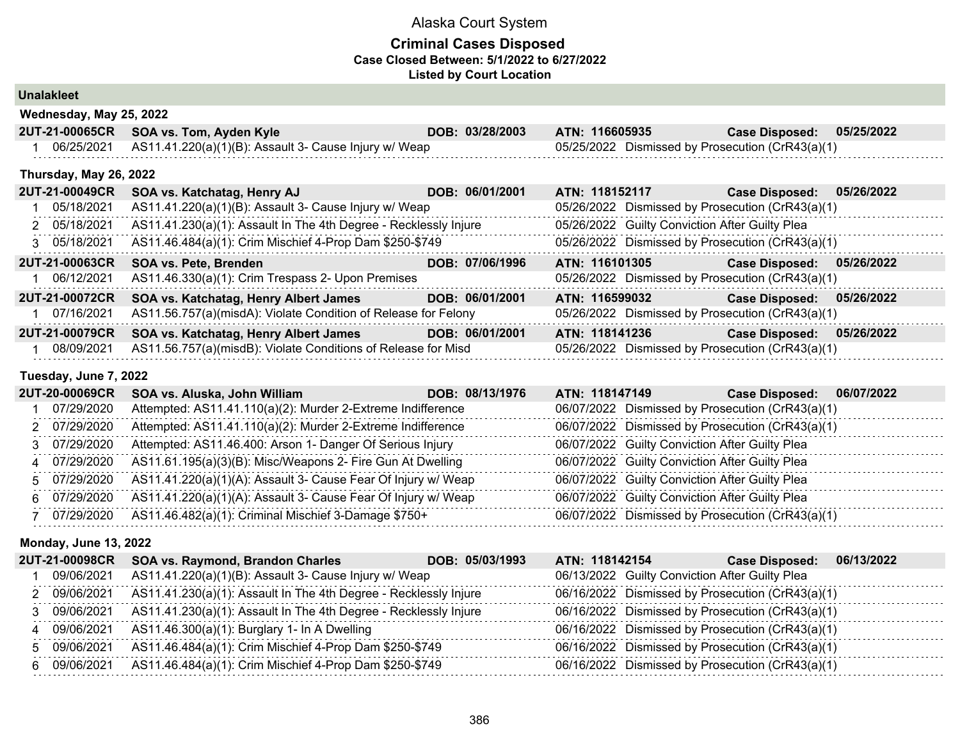### **Criminal Cases Disposed Case Closed Between: 5/1/2022 to 6/27/2022 Listed by Court Location**

## **Unalakleet**

| 2UT-21-00065CR SOA vs. Tom, Ayden Kyle                           | DOB: 03/28/2003 ATN: 116605935 |                                                  | Case Disposed: 05/25/2022 |  |
|------------------------------------------------------------------|--------------------------------|--------------------------------------------------|---------------------------|--|
| 06/25/2021 AS11.41.220(a)(1)(B): Assault 3- Cause Injury w/ Weap |                                | 05/25/2022 Dismissed by Prosecution (CrR43(a)(1) |                           |  |

#### **Thursday, May 26, 2022**

| <b>2UT-21-00049CR</b> | SOA vs. Katchatag, Henry AJ                                      | DOB: 06/01/2001 | ATN: 118152117                                   | <b>Case Disposed:</b> | 05/26/2022 |
|-----------------------|------------------------------------------------------------------|-----------------|--------------------------------------------------|-----------------------|------------|
| 05/18/2021            | AS11.41.220(a)(1)(B): Assault 3- Cause Injury w/ Weap            |                 | 05/26/2022 Dismissed by Prosecution (CrR43(a)(1) |                       |            |
| 2 05/18/2021          | AS11.41.230(a)(1): Assault In The 4th Degree - Recklessly Injure |                 | 05/26/2022 Guilty Conviction After Guilty Plea   |                       |            |
| 3 05/18/2021          | AS11.46.484(a)(1): Crim Mischief 4-Prop Dam \$250-\$749          |                 | 05/26/2022 Dismissed by Prosecution (CrR43(a)(1) |                       |            |
| <b>2UT-21-00063CR</b> | <b>SOA vs. Pete, Brenden</b>                                     | DOB: 07/06/1996 | ATN: 116101305                                   | <b>Case Disposed:</b> | 05/26/2022 |
| 06/12/2021            | AS11.46.330(a)(1): Crim Trespass 2- Upon Premises                |                 | 05/26/2022 Dismissed by Prosecution (CrR43(a)(1) |                       |            |
| <b>2UT-21-00072CR</b> | SOA vs. Katchatag, Henry Albert James                            | DOB: 06/01/2001 | ATN: 116599032                                   | <b>Case Disposed:</b> | 05/26/2022 |
| 07/16/2021            | AS11.56.757(a)(misdA): Violate Condition of Release for Felony   |                 | 05/26/2022 Dismissed by Prosecution (CrR43(a)(1) |                       |            |
| <b>2UT-21-00079CR</b> | SOA vs. Katchatag, Henry Albert James                            | DOB: 06/01/2001 | ATN: 118141236                                   | <b>Case Disposed:</b> | 05/26/2022 |
| 08/09/2021            | AS11.56.757(a)(misdB): Violate Conditions of Release for Misd    |                 | 05/26/2022 Dismissed by Prosecution (CrR43(a)(1) |                       |            |

### **Tuesday, June 7, 2022**

| <b>2UT-20-00069CR</b> | SOA vs. Aluska, John William                                  | DOB: 08/13/1976 | ATN: 118147149 | <b>Case Disposed:</b><br>06/07/2022              |
|-----------------------|---------------------------------------------------------------|-----------------|----------------|--------------------------------------------------|
| 07/29/2020            | Attempted: AS11.41.110(a)(2): Murder 2-Extreme Indifference   |                 |                | 06/07/2022 Dismissed by Prosecution (CrR43(a)(1) |
| 2 07/29/2020          | Attempted: AS11.41.110(a)(2): Murder 2-Extreme Indifference   |                 |                | 06/07/2022 Dismissed by Prosecution (CrR43(a)(1) |
| 07/29/2020            | Attempted: AS11.46.400: Arson 1- Danger Of Serious Injury     |                 |                | 06/07/2022 Guilty Conviction After Guilty Plea   |
| 4 07/29/2020          | AS11.61.195(a)(3)(B): Misc/Weapons 2- Fire Gun At Dwelling    |                 |                | 06/07/2022 Guilty Conviction After Guilty Plea   |
| 5 07/29/2020          | AS11.41.220(a)(1)(A): Assault 3- Cause Fear Of Injury w/ Weap |                 |                | 06/07/2022 Guilty Conviction After Guilty Plea   |
| 6 07/29/2020          | AS11.41.220(a)(1)(A): Assault 3- Cause Fear Of Injury w/ Weap |                 |                | 06/07/2022 Guilty Conviction After Guilty Plea   |
| 07/29/2020            | AS11.46.482(a)(1): Criminal Mischief 3-Damage \$750+          |                 |                | 06/07/2022 Dismissed by Prosecution (CrR43(a)(1) |

#### **Monday, June 13, 2022**

|   | <b>2UT-21-00098CR</b> | SOA vs. Raymond, Brandon Charles                                 | DOB: 05/03/1993<br>ATN: 118142154 | <b>Case Disposed:</b>                            | 06/13/2022 |
|---|-----------------------|------------------------------------------------------------------|-----------------------------------|--------------------------------------------------|------------|
|   | 09/06/2021            | AS11.41.220(a)(1)(B): Assault 3- Cause Injury w/ Weap            |                                   | 06/13/2022 Guilty Conviction After Guilty Plea   |            |
|   | 09/06/2021            | AS11.41.230(a)(1): Assault In The 4th Degree - Recklessly Injure |                                   | 06/16/2022 Dismissed by Prosecution (CrR43(a)(1) |            |
|   | 09/06/2021            | AS11.41.230(a)(1): Assault In The 4th Degree - Recklessly Injure |                                   | 06/16/2022 Dismissed by Prosecution (CrR43(a)(1) |            |
| 4 | 09/06/2021            | AS11.46.300(a)(1): Burglary 1- In A Dwelling                     |                                   | 06/16/2022 Dismissed by Prosecution (CrR43(a)(1) |            |
|   | 5 09/06/2021          | AS11.46.484(a)(1): Crim Mischief 4-Prop Dam \$250-\$749          |                                   | 06/16/2022 Dismissed by Prosecution (CrR43(a)(1) |            |
|   | 6 09/06/2021          | AS11.46.484(a)(1): Crim Mischief 4-Prop Dam \$250-\$749          |                                   | 06/16/2022 Dismissed by Prosecution (CrR43(a)(1) |            |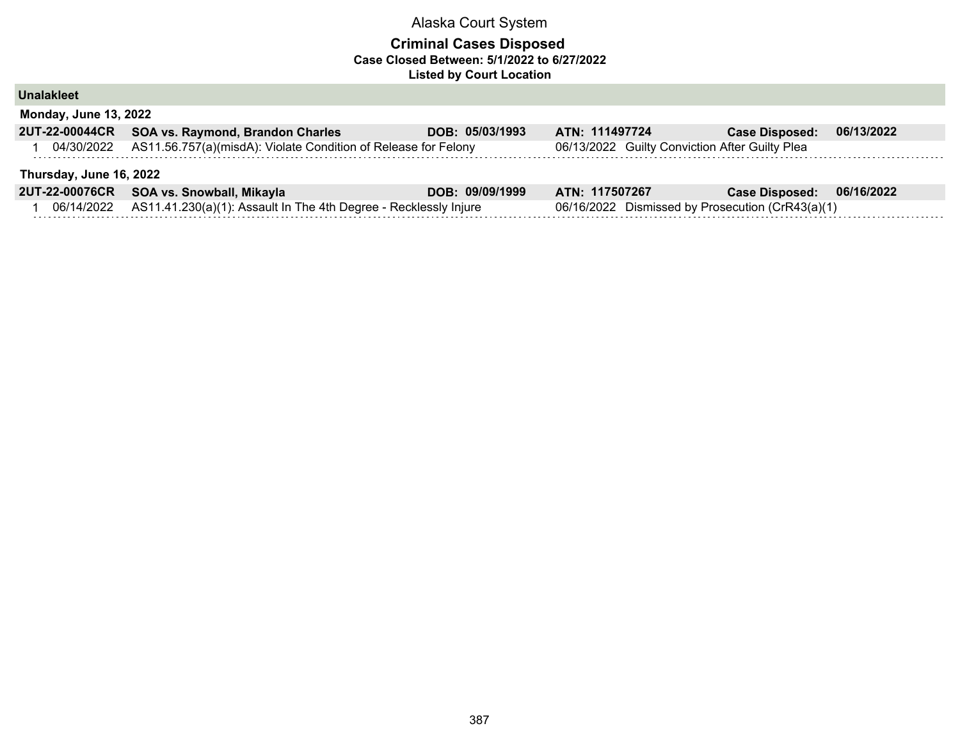### **Criminal Cases Disposed Case Closed Between: 5/1/2022 to 6/27/2022 Listed by Court Location**

**Unalakleet**

| <b>Monday, June 13, 2022</b> |                                                                           |                 |                                                |                       |            |  |  |
|------------------------------|---------------------------------------------------------------------------|-----------------|------------------------------------------------|-----------------------|------------|--|--|
|                              | 2UT-22-00044CR SOA vs. Raymond, Brandon Charles                           | DOB: 05/03/1993 | ATN: 111497724                                 | <b>Case Disposed:</b> | 06/13/2022 |  |  |
|                              | 04/30/2022 AS11.56.757(a)(misdA): Violate Condition of Release for Felony |                 | 06/13/2022 Guilty Conviction After Guilty Plea |                       |            |  |  |
| Thursday, June 16, 2022      |                                                                           |                 |                                                |                       |            |  |  |
|                              |                                                                           |                 |                                                |                       |            |  |  |
|                              | 2UT-22-00076CR SOA vs. Snowball, Mikayla                                  | DOB: 09/09/1999 | ATN: 117507267                                 | <b>Case Disposed:</b> | 06/16/2022 |  |  |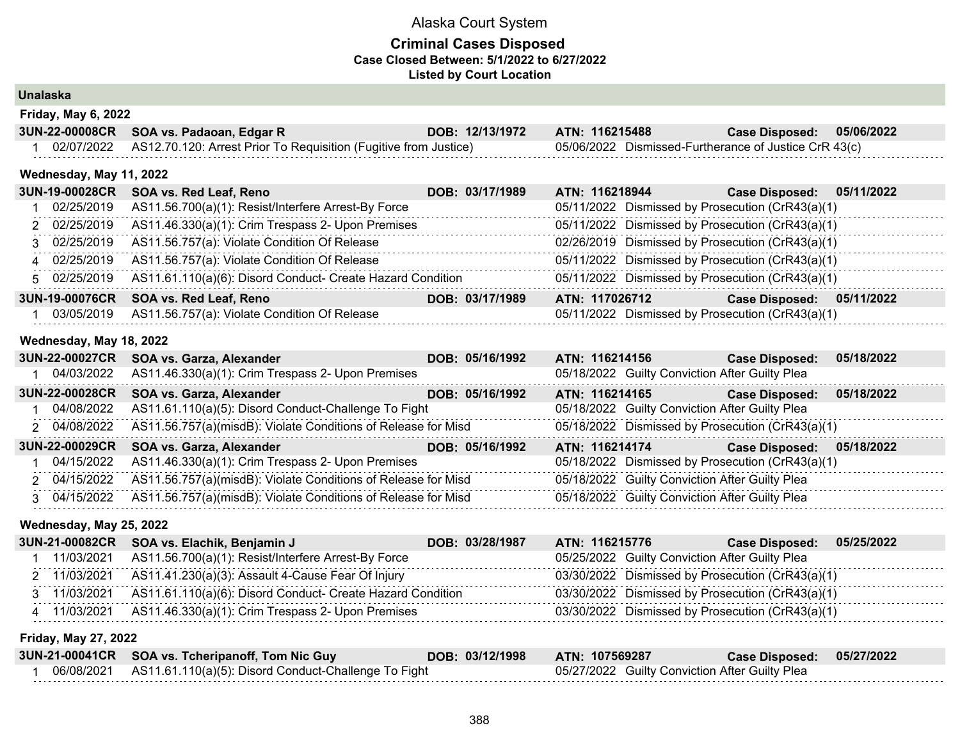### **Criminal Cases Disposed Case Closed Between: 5/1/2022 to 6/27/2022 Listed by Court Location**

### **Unalaska**

| Friday, May 6, 2022 |                                                                  |                 |                                                       |                |            |  |  |
|---------------------|------------------------------------------------------------------|-----------------|-------------------------------------------------------|----------------|------------|--|--|
|                     | 3UN-22-00008CR SOA vs. Padaoan, Edgar R                          | DOB: 12/13/1972 | ATN: 116215488                                        | Case Disposed: | 05/06/2022 |  |  |
| 02/07/2022          | AS12.70.120: Arrest Prior To Requisition (Fugitive from Justice) |                 | 05/06/2022 Dismissed-Furtherance of Justice CrR 43(c) |                |            |  |  |

#### **Wednesday, May 11, 2022**

| 3UN-19-00028CR | SOA vs. Red Leaf, Reno                                     | DOB: 03/17/1989 | ATN: 116218944                                   | 05/11/2022<br><b>Case Disposed:</b> |
|----------------|------------------------------------------------------------|-----------------|--------------------------------------------------|-------------------------------------|
| 02/25/2019     | AS11.56.700(a)(1): Resist/Interfere Arrest-By Force        |                 | 05/11/2022 Dismissed by Prosecution (CrR43(a)(1) |                                     |
| 2 02/25/2019   | AS11.46.330(a)(1): Crim Trespass 2- Upon Premises          |                 | 05/11/2022 Dismissed by Prosecution (CrR43(a)(1) |                                     |
| 3 02/25/2019   | AS11.56.757(a): Violate Condition Of Release               |                 | 02/26/2019 Dismissed by Prosecution (CrR43(a)(1) |                                     |
| 4 02/25/2019   | AS11.56.757(a): Violate Condition Of Release               |                 | 05/11/2022 Dismissed by Prosecution (CrR43(a)(1) |                                     |
| 5 02/25/2019   | AS11.61.110(a)(6): Disord Conduct- Create Hazard Condition |                 | 05/11/2022 Dismissed by Prosecution (CrR43(a)(1) |                                     |
| 3UN-19-00076CR | SOA vs. Red Leaf, Reno                                     | DOB: 03/17/1989 | ATN: 117026712                                   | 05/11/2022<br><b>Case Disposed:</b> |
| 03/05/2019     | AS11.56.757(a): Violate Condition Of Release               |                 | 05/11/2022 Dismissed by Prosecution (CrR43(a)(1) |                                     |

#### **Wednesday, May 18, 2022**

| <b>3UN-22-00027CR</b><br>SOA vs. Garza, Alexander<br>DOB: 05/16/1992<br>ATN: 116214156<br><b>Case Disposed:</b>                 | 05/18/2022 |
|---------------------------------------------------------------------------------------------------------------------------------|------------|
| 05/18/2022 Guilty Conviction After Guilty Plea<br>AS11.46.330(a)(1): Crim Trespass 2- Upon Premises<br>04/03/2022               |            |
| <b>3UN-22-00028CR</b><br>SOA vs. Garza, Alexander<br>DOB: 05/16/1992<br>ATN: 116214165<br><b>Case Disposed:</b>                 | 05/18/2022 |
| 04/08/2022 AS11.61.110(a)(5): Disord Conduct-Challenge To Fight<br>05/18/2022 Guilty Conviction After Guilty Plea               |            |
| 2 04/08/2022 AS11.56.757(a)(misdB): Violate Conditions of Release for Misd<br>05/18/2022 Dismissed by Prosecution (CrR43(a)(1)  |            |
| 3UN-22-00029CR SOA vs. Garza, Alexander<br>ATN: 116214174<br>DOB: 05/16/1992<br>Case Disposed: 05/18/2022                       |            |
| AS11.46.330(a)(1): Crim Trespass 2- Upon Premises<br>05/18/2022 Dismissed by Prosecution (CrR43(a)(1)<br>04/15/2022             |            |
| 05/18/2022 Guilty Conviction After Guilty Plea<br>AS11.56.757(a)(misdB): Violate Conditions of Release for Misd<br>2 04/15/2022 |            |
| 05/18/2022 Guilty Conviction After Guilty Plea<br>3 04/15/2022 AS11.56.757(a)(misdB): Violate Conditions of Release for Misd    |            |

### **Wednesday, May 25, 2022**

|              | 3UN-21-00082CR SOA vs. Elachik, Benjamin J                 | DOB: 03/28/1987 | ATN: 116215776 | 05/25/2022<br><b>Case Disposed:</b>              |
|--------------|------------------------------------------------------------|-----------------|----------------|--------------------------------------------------|
| 11/03/2021   | AS11.56.700(a)(1): Resist/Interfere Arrest-By Force        |                 |                | 05/25/2022 Guilty Conviction After Guilty Plea   |
| 2 11/03/2021 | AS11.41.230(a)(3): Assault 4-Cause Fear Of Injury          |                 |                | 03/30/2022 Dismissed by Prosecution (CrR43(a)(1) |
| 11/03/2021   | AS11.61.110(a)(6): Disord Conduct- Create Hazard Condition |                 |                | 03/30/2022 Dismissed by Prosecution (CrR43(a)(1) |
| 11/03/2021   | AS11.46.330(a)(1): Crim Trespass 2- Upon Premises          |                 |                | 03/30/2022 Dismissed by Prosecution (CrR43(a)(1) |
|              |                                                            |                 |                |                                                  |

## **Friday, May 27, 2022**

| 3UN-21-00041CR SOA vs. Tcheripanoff, Tom Nic Guy                | DOB: 03/12/1998 | ATN: 107569287                                 | Case Disposed: 05/27/2022 |  |
|-----------------------------------------------------------------|-----------------|------------------------------------------------|---------------------------|--|
| 06/08/2021 AS11.61.110(a)(5): Disord Conduct-Challenge To Fight |                 | 05/27/2022 Guilty Conviction After Guilty Plea |                           |  |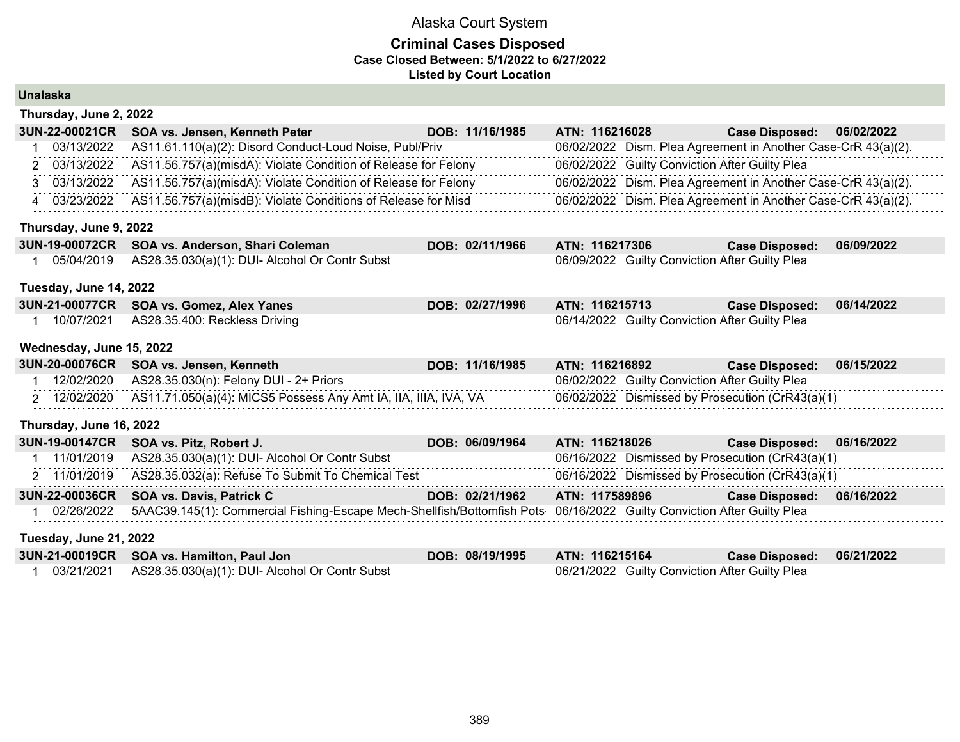| <b>Unalaska</b> |                          |                                                                                                                        |                 |                |  |                                                               |            |
|-----------------|--------------------------|------------------------------------------------------------------------------------------------------------------------|-----------------|----------------|--|---------------------------------------------------------------|------------|
|                 | Thursday, June 2, 2022   |                                                                                                                        |                 |                |  |                                                               |            |
|                 | 3UN-22-00021CR           | SOA vs. Jensen, Kenneth Peter                                                                                          | DOB: 11/16/1985 | ATN: 116216028 |  | <b>Case Disposed:</b>                                         | 06/02/2022 |
|                 | 03/13/2022               | AS11.61.110(a)(2): Disord Conduct-Loud Noise, Publ/Priv                                                                |                 |                |  | 06/02/2022 Dism. Plea Agreement in Another Case-CrR 43(a)(2). |            |
|                 | 2 03/13/2022             | AS11.56.757(a)(misdA): Violate Condition of Release for Felony                                                         |                 |                |  | 06/02/2022 Guilty Conviction After Guilty Plea                |            |
|                 | 3 03/13/2022             | AS11.56.757(a)(misdA): Violate Condition of Release for Felony                                                         |                 |                |  | 06/02/2022 Dism. Plea Agreement in Another Case-CrR 43(a)(2). |            |
|                 | 4 03/23/2022             | AS11.56.757(a)(misdB): Violate Conditions of Release for Misd                                                          |                 |                |  | 06/02/2022 Dism. Plea Agreement in Another Case-CrR 43(a)(2). |            |
|                 | Thursday, June 9, 2022   |                                                                                                                        |                 |                |  |                                                               |            |
|                 | 3UN-19-00072CR           | SOA vs. Anderson, Shari Coleman                                                                                        | DOB: 02/11/1966 | ATN: 116217306 |  | <b>Case Disposed:</b>                                         | 06/09/2022 |
|                 | 05/04/2019               | AS28.35.030(a)(1): DUI- Alcohol Or Contr Subst                                                                         |                 |                |  | 06/09/2022 Guilty Conviction After Guilty Plea                |            |
|                 | Tuesday, June 14, 2022   |                                                                                                                        |                 |                |  |                                                               |            |
|                 | 3UN-21-00077CR           | SOA vs. Gomez, Alex Yanes                                                                                              | DOB: 02/27/1996 | ATN: 116215713 |  | <b>Case Disposed:</b>                                         | 06/14/2022 |
|                 | 1 10/07/2021             | AS28.35.400: Reckless Driving                                                                                          |                 |                |  | 06/14/2022 Guilty Conviction After Guilty Plea                |            |
|                 | Wednesday, June 15, 2022 |                                                                                                                        |                 |                |  |                                                               |            |
|                 | 3UN-20-00076CR           | SOA vs. Jensen, Kenneth                                                                                                | DOB: 11/16/1985 | ATN: 116216892 |  | <b>Case Disposed:</b>                                         | 06/15/2022 |
|                 | 12/02/2020               | AS28.35.030(n): Felony DUI - 2+ Priors                                                                                 |                 |                |  | 06/02/2022 Guilty Conviction After Guilty Plea                |            |
|                 | 2 12/02/2020             | AS11.71.050(a)(4): MICS5 Possess Any Amt IA, IIA, IIIA, IVA, VA                                                        |                 |                |  | 06/02/2022 Dismissed by Prosecution (CrR43(a)(1)              |            |
|                 | Thursday, June 16, 2022  |                                                                                                                        |                 |                |  |                                                               |            |
|                 | 3UN-19-00147CR           | SOA vs. Pitz, Robert J.                                                                                                | DOB: 06/09/1964 | ATN: 116218026 |  | <b>Case Disposed:</b>                                         | 06/16/2022 |
|                 | 11/01/2019               | AS28.35.030(a)(1): DUI- Alcohol Or Contr Subst                                                                         |                 |                |  | 06/16/2022 Dismissed by Prosecution (CrR43(a)(1)              |            |
|                 | 2 11/01/2019             | AS28.35.032(a): Refuse To Submit To Chemical Test                                                                      |                 |                |  | 06/16/2022 Dismissed by Prosecution (CrR43(a)(1)              |            |
|                 | 3UN-22-00036CR           | SOA vs. Davis, Patrick C                                                                                               | DOB: 02/21/1962 | ATN: 117589896 |  | <b>Case Disposed:</b>                                         | 06/16/2022 |
|                 | 02/26/2022               | 5AAC39.145(1): Commercial Fishing-Escape Mech-Shellfish/Bottomfish Pots 06/16/2022 Guilty Conviction After Guilty Plea |                 |                |  |                                                               |            |
|                 | Tuesday, June 21, 2022   |                                                                                                                        |                 |                |  |                                                               |            |
|                 | 3UN-21-00019CR           | SOA vs. Hamilton, Paul Jon                                                                                             | DOB: 08/19/1995 | ATN: 116215164 |  | <b>Case Disposed:</b>                                         | 06/21/2022 |
|                 | 1 03/21/2021             | AS28.35.030(a)(1): DUI- Alcohol Or Contr Subst                                                                         |                 |                |  | 06/21/2022 Guilty Conviction After Guilty Plea                |            |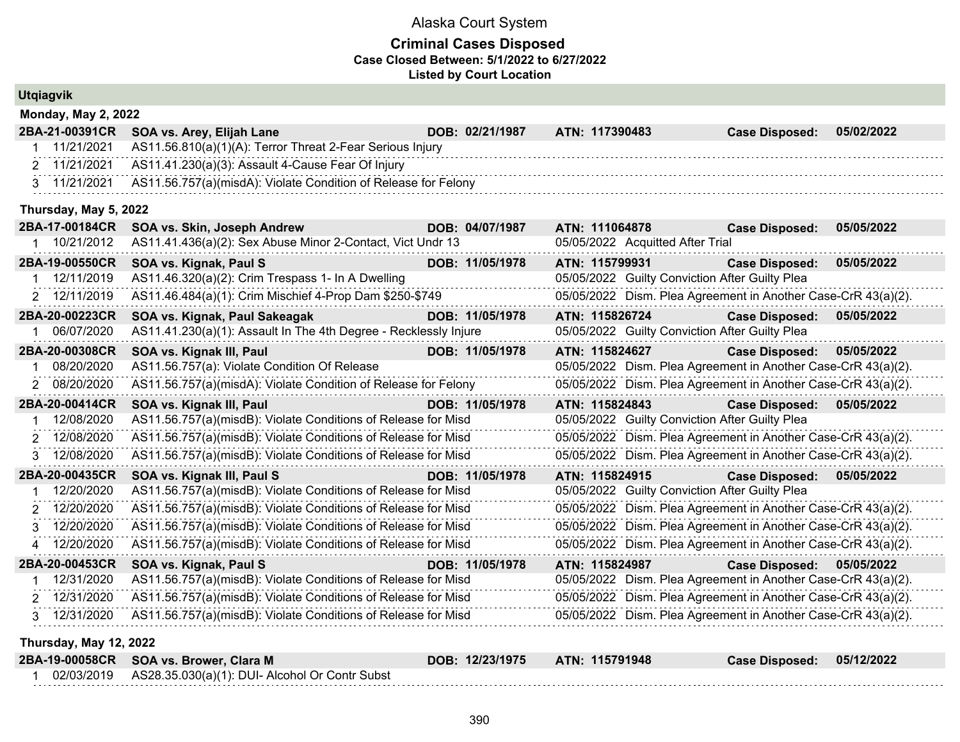|   | <b>Utgiagvik</b>           |                                                                  |                 |                                  |                                                               |            |
|---|----------------------------|------------------------------------------------------------------|-----------------|----------------------------------|---------------------------------------------------------------|------------|
|   | <b>Monday, May 2, 2022</b> |                                                                  |                 |                                  |                                                               |            |
|   | 2BA-21-00391CR             | SOA vs. Arey, Elijah Lane                                        | DOB: 02/21/1987 | ATN: 117390483                   | <b>Case Disposed:</b>                                         | 05/02/2022 |
|   | 1 11/21/2021               | AS11.56.810(a)(1)(A): Terror Threat 2-Fear Serious Injury        |                 |                                  |                                                               |            |
|   | 2 11/21/2021               | AS11.41.230(a)(3): Assault 4-Cause Fear Of Injury                |                 |                                  |                                                               |            |
|   | 3 11/21/2021               | AS11.56.757(a)(misdA): Violate Condition of Release for Felony   |                 |                                  |                                                               |            |
|   | Thursday, May 5, 2022      |                                                                  |                 |                                  |                                                               |            |
|   | 2BA-17-00184CR             | SOA vs. Skin, Joseph Andrew                                      | DOB: 04/07/1987 | ATN: 111064878                   | <b>Case Disposed:</b>                                         | 05/05/2022 |
|   | 1 10/21/2012               | AS11.41.436(a)(2): Sex Abuse Minor 2-Contact, Vict Undr 13       |                 | 05/05/2022 Acquitted After Trial |                                                               |            |
|   | 2BA-19-00550CR             | SOA vs. Kignak, Paul S                                           | DOB: 11/05/1978 | ATN: 115799931                   | <b>Case Disposed:</b>                                         | 05/05/2022 |
|   | 1 12/11/2019               | AS11.46.320(a)(2): Crim Trespass 1- In A Dwelling                |                 |                                  | 05/05/2022 Guilty Conviction After Guilty Plea                |            |
|   | 2 12/11/2019               | AS11.46.484(a)(1): Crim Mischief 4-Prop Dam \$250-\$749          |                 |                                  | 05/05/2022 Dism. Plea Agreement in Another Case-CrR 43(a)(2). |            |
|   | 2BA-20-00223CR             | SOA vs. Kignak, Paul Sakeagak                                    | DOB: 11/05/1978 | ATN: 115826724                   | <b>Case Disposed:</b>                                         | 05/05/2022 |
|   | 06/07/2020                 | AS11.41.230(a)(1): Assault In The 4th Degree - Recklessly Injure |                 |                                  | 05/05/2022 Guilty Conviction After Guilty Plea                |            |
|   | 2BA-20-00308CR             | SOA vs. Kignak III, Paul                                         | DOB: 11/05/1978 | ATN: 115824627                   | <b>Case Disposed:</b>                                         | 05/05/2022 |
|   | 08/20/2020                 | AS11.56.757(a): Violate Condition Of Release                     |                 |                                  | 05/05/2022 Dism. Plea Agreement in Another Case-CrR 43(a)(2). |            |
|   | 2 08/20/2020               | AS11.56.757(a)(misdA): Violate Condition of Release for Felony   |                 |                                  | 05/05/2022 Dism. Plea Agreement in Another Case-CrR 43(a)(2). |            |
|   | 2BA-20-00414CR             | SOA vs. Kignak III, Paul                                         | DOB: 11/05/1978 | ATN: 115824843                   | <b>Case Disposed:</b>                                         | 05/05/2022 |
|   | 12/08/2020                 | AS11.56.757(a)(misdB): Violate Conditions of Release for Misd    |                 |                                  | 05/05/2022 Guilty Conviction After Guilty Plea                |            |
| 2 | 12/08/2020                 | AS11.56.757(a)(misdB): Violate Conditions of Release for Misd    |                 |                                  | 05/05/2022 Dism. Plea Agreement in Another Case-CrR 43(a)(2). |            |
|   | 3 12/08/2020               | AS11.56.757(a)(misdB): Violate Conditions of Release for Misd    |                 |                                  | 05/05/2022 Dism. Plea Agreement in Another Case-CrR 43(a)(2). |            |
|   | 2BA-20-00435CR             | SOA vs. Kignak III, Paul S                                       | DOB: 11/05/1978 | ATN: 115824915                   | <b>Case Disposed:</b>                                         | 05/05/2022 |
|   | 12/20/2020                 | AS11.56.757(a)(misdB): Violate Conditions of Release for Misd    |                 |                                  | 05/05/2022 Guilty Conviction After Guilty Plea                |            |
|   | 12/20/2020                 | AS11.56.757(a)(misdB): Violate Conditions of Release for Misd    |                 |                                  | 05/05/2022 Dism. Plea Agreement in Another Case-CrR 43(a)(2). |            |
|   | 12/20/2020                 | AS11.56.757(a)(misdB): Violate Conditions of Release for Misd    |                 |                                  | 05/05/2022 Dism. Plea Agreement in Another Case-CrR 43(a)(2). |            |
|   | 12/20/2020                 | AS11.56.757(a)(misdB): Violate Conditions of Release for Misd    |                 |                                  | 05/05/2022 Dism. Plea Agreement in Another Case-CrR 43(a)(2). |            |
|   | 2BA-20-00453CR             | SOA vs. Kignak, Paul S                                           | DOB: 11/05/1978 | ATN: 115824987                   | <b>Case Disposed:</b>                                         | 05/05/2022 |
|   | 12/31/2020                 | AS11.56.757(a)(misdB): Violate Conditions of Release for Misd    |                 |                                  | 05/05/2022 Dism. Plea Agreement in Another Case-CrR 43(a)(2). |            |
|   | 2 12/31/2020               | AS11.56.757(a)(misdB): Violate Conditions of Release for Misd    |                 |                                  | 05/05/2022 Dism. Plea Agreement in Another Case-CrR 43(a)(2). |            |
|   | 3 12/31/2020               | AS11.56.757(a)(misdB): Violate Conditions of Release for Misd    |                 |                                  | 05/05/2022 Dism. Plea Agreement in Another Case-CrR 43(a)(2). |            |
|   | Thursday, May 12, 2022     |                                                                  |                 |                                  |                                                               |            |
|   | 2BA-19-00058CR             | SOA vs. Brower, Clara M                                          | DOB: 12/23/1975 | ATN: 115791948                   | <b>Case Disposed:</b>                                         | 05/12/2022 |
|   | 1 02/03/2019               | AS28.35.030(a)(1): DUI- Alcohol Or Contr Subst                   |                 |                                  |                                                               |            |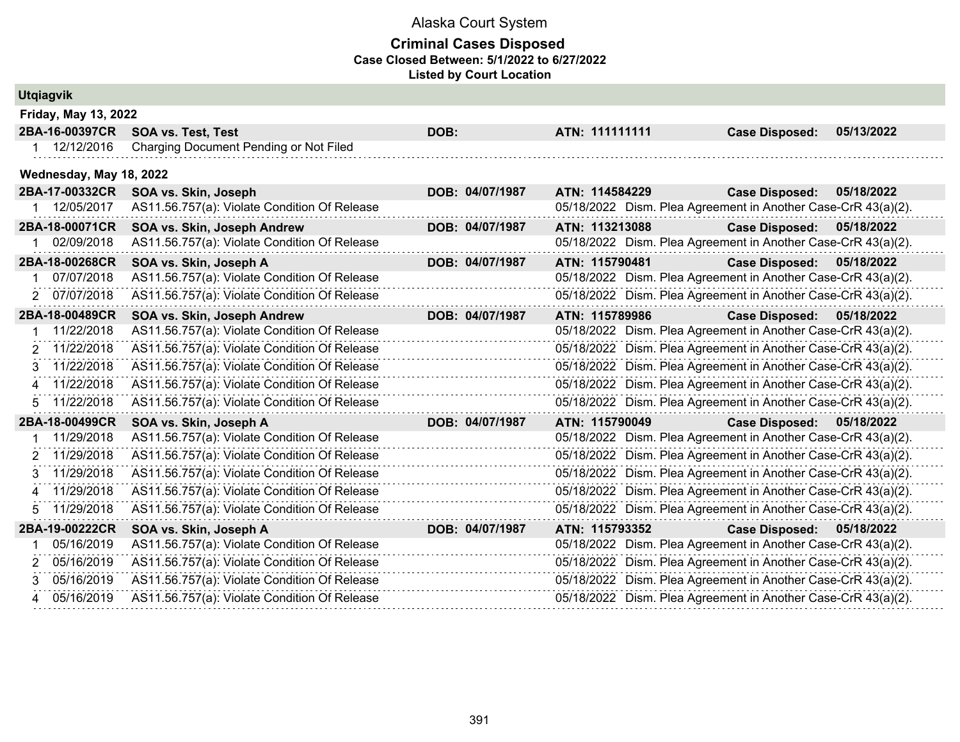|    | <b>Utgiagvik</b>        |                                              |                 |                |                                                               |            |
|----|-------------------------|----------------------------------------------|-----------------|----------------|---------------------------------------------------------------|------------|
|    | Friday, May 13, 2022    |                                              |                 |                |                                                               |            |
|    | 2BA-16-00397CR          | <b>SOA vs. Test, Test</b>                    | DOB:            | ATN: 111111111 | <b>Case Disposed:</b>                                         | 05/13/2022 |
|    | 1 12/12/2016            | Charging Document Pending or Not Filed       |                 |                |                                                               |            |
|    | Wednesday, May 18, 2022 |                                              |                 |                |                                                               |            |
|    | 2BA-17-00332CR          | SOA vs. Skin, Joseph                         | DOB: 04/07/1987 | ATN: 114584229 | <b>Case Disposed:</b>                                         | 05/18/2022 |
|    | 1 12/05/2017            | AS11.56.757(a): Violate Condition Of Release |                 |                | 05/18/2022 Dism. Plea Agreement in Another Case-CrR 43(a)(2). |            |
|    | 2BA-18-00071CR          | SOA vs. Skin, Joseph Andrew                  | DOB: 04/07/1987 | ATN: 113213088 | Case Disposed: 05/18/2022                                     |            |
|    | 02/09/2018              | AS11.56.757(a): Violate Condition Of Release |                 |                | 05/18/2022 Dism. Plea Agreement in Another Case-CrR 43(a)(2). |            |
|    | 2BA-18-00268CR          | SOA vs. Skin, Joseph A                       | DOB: 04/07/1987 | ATN: 115790481 | Case Disposed: 05/18/2022                                     |            |
| 1. | 07/07/2018              | AS11.56.757(a): Violate Condition Of Release |                 |                | 05/18/2022 Dism. Plea Agreement in Another Case-CrR 43(a)(2). |            |
| 2  | 07/07/2018              | AS11.56.757(a): Violate Condition Of Release |                 |                | 05/18/2022 Dism. Plea Agreement in Another Case-CrR 43(a)(2). |            |
|    | 2BA-18-00489CR          | SOA vs. Skin, Joseph Andrew                  | DOB: 04/07/1987 | ATN: 115789986 | <b>Case Disposed:</b>                                         | 05/18/2022 |
|    | 11/22/2018              | AS11.56.757(a): Violate Condition Of Release |                 |                | 05/18/2022 Dism. Plea Agreement in Another Case-CrR 43(a)(2). |            |
| 2  | 11/22/2018              | AS11.56.757(a): Violate Condition Of Release |                 |                | 05/18/2022 Dism. Plea Agreement in Another Case-CrR 43(a)(2). |            |
| 3  | 11/22/2018              | AS11.56.757(a): Violate Condition Of Release |                 |                | 05/18/2022 Dism. Plea Agreement in Another Case-CrR 43(a)(2). |            |
| 4  | 11/22/2018              | AS11.56.757(a): Violate Condition Of Release |                 |                | 05/18/2022 Dism. Plea Agreement in Another Case-CrR 43(a)(2). |            |
| 5. | 11/22/2018              | AS11.56.757(a): Violate Condition Of Release |                 |                | 05/18/2022 Dism. Plea Agreement in Another Case-CrR 43(a)(2). |            |
|    | 2BA-18-00499CR          | SOA vs. Skin, Joseph A                       | DOB: 04/07/1987 | ATN: 115790049 | Case Disposed: 05/18/2022                                     |            |
|    | 11/29/2018              | AS11.56.757(a): Violate Condition Of Release |                 |                | 05/18/2022 Dism. Plea Agreement in Another Case-CrR 43(a)(2). |            |
| 2  | 11/29/2018              | AS11.56.757(a): Violate Condition Of Release |                 |                | 05/18/2022 Dism. Plea Agreement in Another Case-CrR 43(a)(2). |            |
| 3  | 11/29/2018              | AS11.56.757(a): Violate Condition Of Release |                 |                | 05/18/2022 Dism. Plea Agreement in Another Case-CrR 43(a)(2). |            |
| 4  | 11/29/2018              | AS11.56.757(a): Violate Condition Of Release |                 |                | 05/18/2022 Dism. Plea Agreement in Another Case-CrR 43(a)(2). |            |
| 5  | 11/29/2018              | AS11.56.757(a): Violate Condition Of Release |                 |                | 05/18/2022 Dism. Plea Agreement in Another Case-CrR 43(a)(2). |            |
|    | 2BA-19-00222CR          | SOA vs. Skin, Joseph A                       | DOB: 04/07/1987 | ATN: 115793352 | <b>Case Disposed:</b>                                         | 05/18/2022 |
|    | 05/16/2019              | AS11.56.757(a): Violate Condition Of Release |                 |                | 05/18/2022 Dism. Plea Agreement in Another Case-CrR 43(a)(2). |            |
|    | 05/16/2019              | AS11.56.757(a): Violate Condition Of Release |                 |                | 05/18/2022 Dism. Plea Agreement in Another Case-CrR 43(a)(2). |            |
| 3  | 05/16/2019              | AS11.56.757(a): Violate Condition Of Release |                 |                | 05/18/2022 Dism. Plea Agreement in Another Case-CrR 43(a)(2). |            |
| 4  | 05/16/2019              | AS11.56.757(a): Violate Condition Of Release |                 |                | 05/18/2022 Dism. Plea Agreement in Another Case-CrR 43(a)(2). |            |
|    |                         |                                              |                 |                |                                                               |            |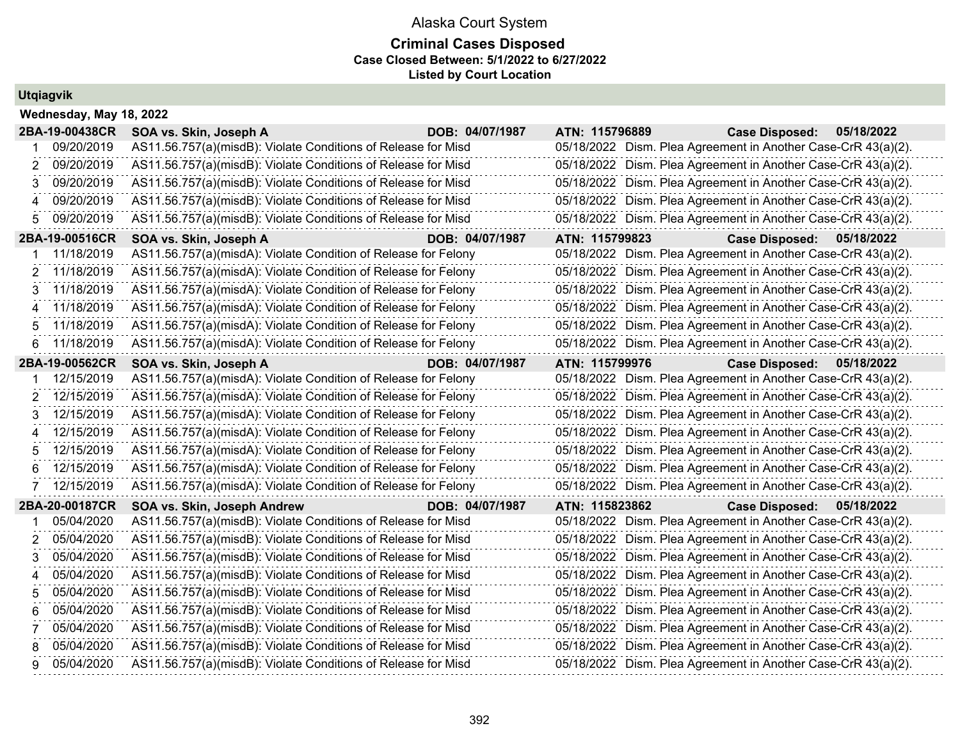## **Criminal Cases Disposed Case Closed Between: 5/1/2022 to 6/27/2022 Listed by Court Location**

# **Utqiagvik**

|                | Wednesday, May 18, 2022 |                                                                |                 |                |                                                               |            |  |  |  |  |  |  |
|----------------|-------------------------|----------------------------------------------------------------|-----------------|----------------|---------------------------------------------------------------|------------|--|--|--|--|--|--|
|                | 2BA-19-00438CR          | SOA vs. Skin, Joseph A                                         | DOB: 04/07/1987 | ATN: 115796889 | <b>Case Disposed:</b>                                         | 05/18/2022 |  |  |  |  |  |  |
|                | 09/20/2019              | AS11.56.757(a)(misdB): Violate Conditions of Release for Misd  |                 |                | 05/18/2022 Dism. Plea Agreement in Another Case-CrR 43(a)(2). |            |  |  |  |  |  |  |
| $\overline{2}$ | 09/20/2019              | AS11.56.757(a)(misdB): Violate Conditions of Release for Misd  |                 |                | 05/18/2022 Dism. Plea Agreement in Another Case-CrR 43(a)(2). |            |  |  |  |  |  |  |
| 3.             | 09/20/2019              | AS11.56.757(a)(misdB): Violate Conditions of Release for Misd  |                 |                | 05/18/2022 Dism. Plea Agreement in Another Case-CrR 43(a)(2). |            |  |  |  |  |  |  |
| 4              | 09/20/2019              | AS11.56.757(a)(misdB): Violate Conditions of Release for Misd  |                 |                | 05/18/2022 Dism. Plea Agreement in Another Case-CrR 43(a)(2). |            |  |  |  |  |  |  |
| 5              | 09/20/2019              | AS11.56.757(a)(misdB): Violate Conditions of Release for Misd  |                 |                | 05/18/2022 Dism. Plea Agreement in Another Case-CrR 43(a)(2). |            |  |  |  |  |  |  |
|                | 2BA-19-00516CR          | SOA vs. Skin, Joseph A                                         | DOB: 04/07/1987 | ATN: 115799823 | <b>Case Disposed:</b>                                         | 05/18/2022 |  |  |  |  |  |  |
|                | 11/18/2019              | AS11.56.757(a)(misdA): Violate Condition of Release for Felony |                 |                | 05/18/2022 Dism. Plea Agreement in Another Case-CrR 43(a)(2). |            |  |  |  |  |  |  |
| 2              | 11/18/2019              | AS11.56.757(a)(misdA): Violate Condition of Release for Felony |                 |                | 05/18/2022 Dism. Plea Agreement in Another Case-CrR 43(a)(2). |            |  |  |  |  |  |  |
| 3              | 11/18/2019              | AS11.56.757(a)(misdA): Violate Condition of Release for Felony |                 |                | 05/18/2022 Dism. Plea Agreement in Another Case-CrR 43(a)(2). |            |  |  |  |  |  |  |
| 4              | 11/18/2019              | AS11.56.757(a)(misdA): Violate Condition of Release for Felony |                 |                | 05/18/2022 Dism. Plea Agreement in Another Case-CrR 43(a)(2). |            |  |  |  |  |  |  |
| 5              | 11/18/2019              | AS11.56.757(a)(misdA): Violate Condition of Release for Felony |                 |                | 05/18/2022 Dism. Plea Agreement in Another Case-CrR 43(a)(2). |            |  |  |  |  |  |  |
| 6              | 11/18/2019              | AS11.56.757(a)(misdA): Violate Condition of Release for Felony |                 |                | 05/18/2022 Dism. Plea Agreement in Another Case-CrR 43(a)(2). |            |  |  |  |  |  |  |
|                | 2BA-19-00562CR          | SOA vs. Skin, Joseph A                                         | DOB: 04/07/1987 | ATN: 115799976 | <b>Case Disposed:</b>                                         | 05/18/2022 |  |  |  |  |  |  |
|                | 12/15/2019              | AS11.56.757(a)(misdA): Violate Condition of Release for Felony |                 |                | 05/18/2022 Dism. Plea Agreement in Another Case-CrR 43(a)(2). |            |  |  |  |  |  |  |
| 2              | 12/15/2019              | AS11.56.757(a)(misdA): Violate Condition of Release for Felony |                 |                | 05/18/2022 Dism. Plea Agreement in Another Case-CrR 43(a)(2). |            |  |  |  |  |  |  |
| 3.             | 12/15/2019              | AS11.56.757(a)(misdA): Violate Condition of Release for Felony |                 |                | 05/18/2022 Dism. Plea Agreement in Another Case-CrR 43(a)(2). |            |  |  |  |  |  |  |
| 4              | 12/15/2019              | AS11.56.757(a)(misdA): Violate Condition of Release for Felony |                 |                | 05/18/2022 Dism. Plea Agreement in Another Case-CrR 43(a)(2). |            |  |  |  |  |  |  |
| 5              | 12/15/2019              | AS11.56.757(a)(misdA): Violate Condition of Release for Felony |                 |                | 05/18/2022 Dism. Plea Agreement in Another Case-CrR 43(a)(2). |            |  |  |  |  |  |  |
| 6              | 12/15/2019              | AS11.56.757(a)(misdA): Violate Condition of Release for Felony |                 |                | 05/18/2022 Dism. Plea Agreement in Another Case-CrR 43(a)(2). |            |  |  |  |  |  |  |
| 7              | 12/15/2019              | AS11.56.757(a)(misdA): Violate Condition of Release for Felony |                 |                | 05/18/2022 Dism. Plea Agreement in Another Case-CrR 43(a)(2). |            |  |  |  |  |  |  |
|                | 2BA-20-00187CR          | SOA vs. Skin, Joseph Andrew                                    | DOB: 04/07/1987 | ATN: 115823862 | <b>Case Disposed:</b>                                         | 05/18/2022 |  |  |  |  |  |  |
|                | 05/04/2020              | AS11.56.757(a)(misdB): Violate Conditions of Release for Misd  |                 |                | 05/18/2022 Dism. Plea Agreement in Another Case-CrR 43(a)(2). |            |  |  |  |  |  |  |
| 2              | 05/04/2020              | AS11.56.757(a)(misdB): Violate Conditions of Release for Misd  |                 |                | 05/18/2022 Dism. Plea Agreement in Another Case-CrR 43(a)(2). |            |  |  |  |  |  |  |
| 3              | 05/04/2020              | AS11.56.757(a)(misdB): Violate Conditions of Release for Misd  |                 |                | 05/18/2022 Dism. Plea Agreement in Another Case-CrR 43(a)(2). |            |  |  |  |  |  |  |
| 4              | 05/04/2020              | AS11.56.757(a)(misdB): Violate Conditions of Release for Misd  |                 |                | 05/18/2022 Dism. Plea Agreement in Another Case-CrR 43(a)(2). |            |  |  |  |  |  |  |
| 5              | 05/04/2020              | AS11.56.757(a)(misdB): Violate Conditions of Release for Misd  |                 |                | 05/18/2022 Dism. Plea Agreement in Another Case-CrR 43(a)(2). |            |  |  |  |  |  |  |
| 6              | 05/04/2020              | AS11.56.757(a)(misdB): Violate Conditions of Release for Misd  |                 |                | 05/18/2022 Dism. Plea Agreement in Another Case-CrR 43(a)(2). |            |  |  |  |  |  |  |
| 7              | 05/04/2020              | AS11.56.757(a)(misdB): Violate Conditions of Release for Misd  |                 |                | 05/18/2022 Dism. Plea Agreement in Another Case-CrR 43(a)(2). |            |  |  |  |  |  |  |
| 8              | 05/04/2020              | AS11.56.757(a)(misdB): Violate Conditions of Release for Misd  |                 |                | 05/18/2022 Dism. Plea Agreement in Another Case-CrR 43(a)(2). |            |  |  |  |  |  |  |
| 9              | 05/04/2020              | AS11.56.757(a)(misdB): Violate Conditions of Release for Misd  |                 |                | 05/18/2022 Dism. Plea Agreement in Another Case-CrR 43(a)(2). |            |  |  |  |  |  |  |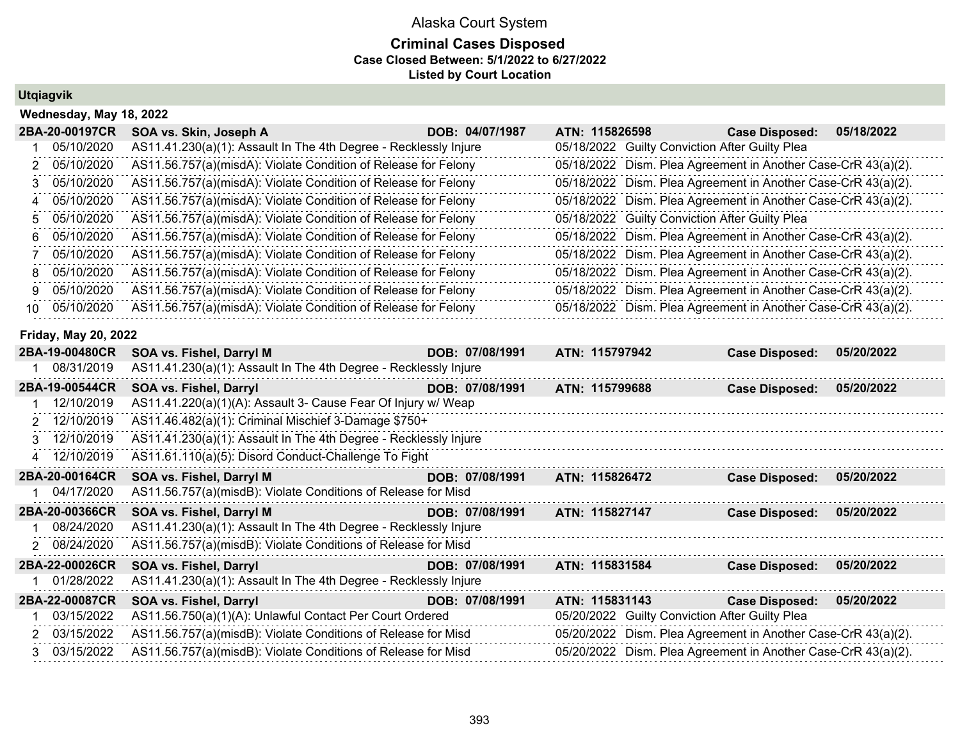#### **Criminal Cases Disposed Case Closed Between: 5/1/2022 to 6/27/2022 Listed by Court Location**

#### **Utqiagvik**

|    | Wednesday, May 18, 2022     |                                                                  |                 |                                                |                                                               |            |  |  |  |  |  |  |
|----|-----------------------------|------------------------------------------------------------------|-----------------|------------------------------------------------|---------------------------------------------------------------|------------|--|--|--|--|--|--|
|    | 2BA-20-00197CR              | SOA vs. Skin, Joseph A                                           | DOB: 04/07/1987 | ATN: 115826598                                 | <b>Case Disposed:</b>                                         | 05/18/2022 |  |  |  |  |  |  |
|    | 05/10/2020                  | AS11.41.230(a)(1): Assault In The 4th Degree - Recklessly Injure |                 | 05/18/2022 Guilty Conviction After Guilty Plea |                                                               |            |  |  |  |  |  |  |
| 2. | 05/10/2020                  | AS11.56.757(a)(misdA): Violate Condition of Release for Felony   |                 |                                                | 05/18/2022 Dism. Plea Agreement in Another Case-CrR 43(a)(2). |            |  |  |  |  |  |  |
|    | 3 05/10/2020                | AS11.56.757(a)(misdA): Violate Condition of Release for Felony   |                 |                                                | 05/18/2022 Dism. Plea Agreement in Another Case-CrR 43(a)(2). |            |  |  |  |  |  |  |
|    | 4 05/10/2020                | AS11.56.757(a)(misdA): Violate Condition of Release for Felony   |                 |                                                | 05/18/2022 Dism. Plea Agreement in Another Case-CrR 43(a)(2). |            |  |  |  |  |  |  |
|    | 5 05/10/2020                | AS11.56.757(a)(misdA): Violate Condition of Release for Felony   |                 | 05/18/2022 Guilty Conviction After Guilty Plea |                                                               |            |  |  |  |  |  |  |
|    | 6 05/10/2020                | AS11.56.757(a)(misdA): Violate Condition of Release for Felony   |                 |                                                | 05/18/2022 Dism. Plea Agreement in Another Case-CrR 43(a)(2). |            |  |  |  |  |  |  |
|    | 05/10/2020                  | AS11.56.757(a)(misdA): Violate Condition of Release for Felony   |                 |                                                | 05/18/2022 Dism. Plea Agreement in Another Case-CrR 43(a)(2). |            |  |  |  |  |  |  |
| 8. | 05/10/2020                  | AS11.56.757(a)(misdA): Violate Condition of Release for Felony   |                 |                                                | 05/18/2022 Dism. Plea Agreement in Another Case-CrR 43(a)(2). |            |  |  |  |  |  |  |
| 9. | 05/10/2020                  | AS11.56.757(a)(misdA): Violate Condition of Release for Felony   |                 |                                                | 05/18/2022 Dism. Plea Agreement in Another Case-CrR 43(a)(2). |            |  |  |  |  |  |  |
| 10 | 05/10/2020                  | AS11.56.757(a)(misdA): Violate Condition of Release for Felony   |                 |                                                | 05/18/2022 Dism. Plea Agreement in Another Case-CrR 43(a)(2). |            |  |  |  |  |  |  |
|    | <b>Friday, May 20, 2022</b> |                                                                  |                 |                                                |                                                               |            |  |  |  |  |  |  |
|    | 2BA-19-00480CR              | SOA vs. Fishel, Darryl M                                         | DOB: 07/08/1991 | ATN: 115797942                                 | <b>Case Disposed:</b>                                         | 05/20/2022 |  |  |  |  |  |  |
|    | 08/31/2019                  | AS11.41.230(a)(1): Assault In The 4th Degree - Recklessly Injure |                 |                                                |                                                               |            |  |  |  |  |  |  |
|    | 2BA-19-00544CR              | SOA vs. Fishel, Darryl                                           | DOB: 07/08/1991 | ATN: 115799688                                 | <b>Case Disposed:</b>                                         | 05/20/2022 |  |  |  |  |  |  |
|    | 12/10/2019                  | AS11.41.220(a)(1)(A): Assault 3- Cause Fear Of Injury w/ Weap    |                 |                                                |                                                               |            |  |  |  |  |  |  |

 12/10/2019 AS11.46.482(a)(1): Criminal Mischief 3-Damage \$750+ 12/10/2019 AS11.41.230(a)(1): Assault In The 4th Degree - Recklessly Injure 12/10/2019 AS11.61.110(a)(5): Disord Conduct-Challenge To Fight **2BA-20-00164CR SOA vs. Fishel, Darryl M DOB: 07/08/1991 ATN: 115826472 Case Disposed: 05/20/2022** 04/17/2020 AS11.56.757(a)(misdB): Violate Conditions of Release for Misd **2BA-20-00366CR SOA vs. Fishel, Darryl M DOB: 07/08/1991 ATN: 115827147 Case Disposed: 05/20/2022** 08/24/2020 AS11.41.230(a)(1): Assault In The 4th Degree - Recklessly Injure 08/24/2020 AS11.56.757(a)(misdB): Violate Conditions of Release for Misd **2BA-22-00026CR SOA vs. Fishel, Darryl DOB: 07/08/1991 ATN: 115831584 Case Disposed: 05/20/2022** 01/28/2022 AS11.41.230(a)(1): Assault In The 4th Degree - Recklessly Injure **2BA-22-00087CR SOA vs. Fishel, Darryl DOB: 07/08/1991 ATN: 115831143 Case Disposed: 05/20/2022** 03/15/2022 AS11.56.750(a)(1)(A): Unlawful Contact Per Court Ordered 05/20/2022 Guilty Conviction After Guilty Plea

 03/15/2022 AS11.56.757(a)(misdB): Violate Conditions of Release for Misd 05/20/2022 Dism. Plea Agreement in Another Case-CrR 43(a)(2). 03/15/2022 AS11.56.757(a)(misdB): Violate Conditions of Release for Misd 05/20/2022 Dism. Plea Agreement in Another Case-CrR 43(a)(2).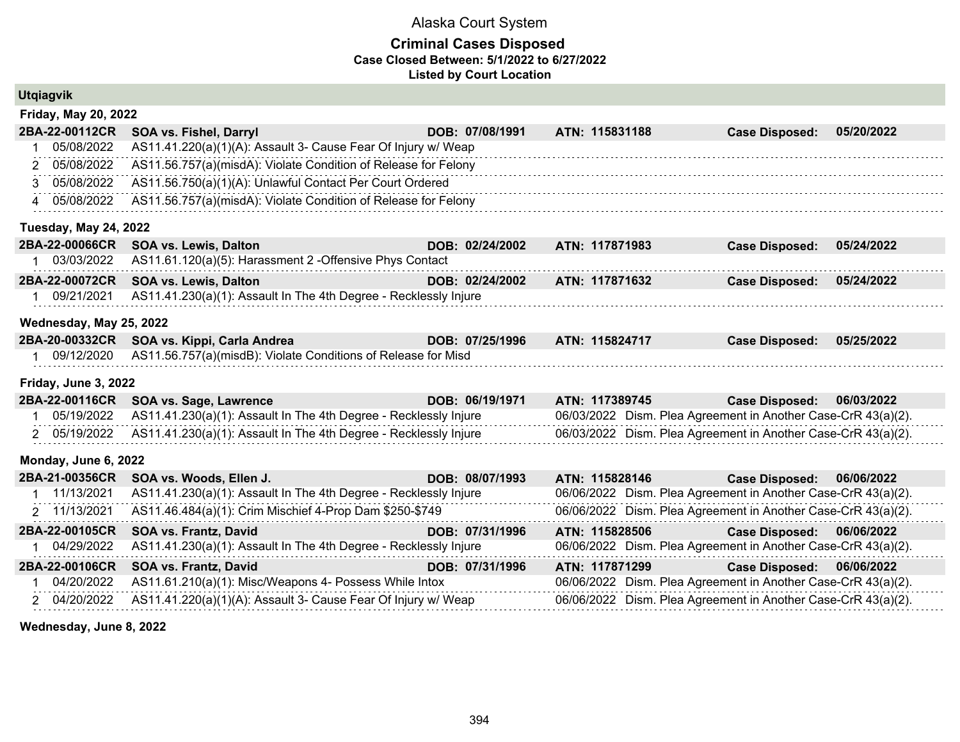#### **Criminal Cases Disposed Case Closed Between: 5/1/2022 to 6/27/2022 Listed by Court Location**

|             | <b>Utgiagvik</b>             |                                                                  |  |                 |                |  |                                                               |            |  |  |
|-------------|------------------------------|------------------------------------------------------------------|--|-----------------|----------------|--|---------------------------------------------------------------|------------|--|--|
|             | <b>Friday, May 20, 2022</b>  |                                                                  |  |                 |                |  |                                                               |            |  |  |
|             | 2BA-22-00112CR               | SOA vs. Fishel, Darryl                                           |  | DOB: 07/08/1991 | ATN: 115831188 |  | <b>Case Disposed:</b>                                         | 05/20/2022 |  |  |
|             | 05/08/2022                   | AS11.41.220(a)(1)(A): Assault 3- Cause Fear Of Injury w/ Weap    |  |                 |                |  |                                                               |            |  |  |
|             | 2 05/08/2022                 | AS11.56.757(a)(misdA): Violate Condition of Release for Felony   |  |                 |                |  |                                                               |            |  |  |
|             | 3 05/08/2022                 | AS11.56.750(a)(1)(A): Unlawful Contact Per Court Ordered         |  |                 |                |  |                                                               |            |  |  |
|             | 4 05/08/2022                 | AS11.56.757(a)(misdA): Violate Condition of Release for Felony   |  |                 |                |  |                                                               |            |  |  |
|             | <b>Tuesday, May 24, 2022</b> |                                                                  |  |                 |                |  |                                                               |            |  |  |
|             | 2BA-22-00066CR               | <b>SOA vs. Lewis, Dalton</b>                                     |  | DOB: 02/24/2002 | ATN: 117871983 |  | <b>Case Disposed:</b>                                         | 05/24/2022 |  |  |
|             | 1 03/03/2022                 | AS11.61.120(a)(5): Harassment 2 - Offensive Phys Contact         |  |                 |                |  |                                                               |            |  |  |
|             | 2BA-22-00072CR               | <b>SOA vs. Lewis, Dalton</b>                                     |  | DOB: 02/24/2002 | ATN: 117871632 |  | <b>Case Disposed:</b>                                         | 05/24/2022 |  |  |
|             | 1 09/21/2021                 | AS11.41.230(a)(1): Assault In The 4th Degree - Recklessly Injure |  |                 |                |  |                                                               |            |  |  |
|             | Wednesday, May 25, 2022      |                                                                  |  |                 |                |  |                                                               |            |  |  |
|             | 2BA-20-00332CR               | SOA vs. Kippi, Carla Andrea                                      |  | DOB: 07/25/1996 | ATN: 115824717 |  | <b>Case Disposed:</b>                                         | 05/25/2022 |  |  |
|             | 1 09/12/2020                 | AS11.56.757(a)(misdB): Violate Conditions of Release for Misd    |  |                 |                |  |                                                               |            |  |  |
|             | Friday, June 3, 2022         |                                                                  |  |                 |                |  |                                                               |            |  |  |
|             | 2BA-22-00116CR               | SOA vs. Sage, Lawrence                                           |  | DOB: 06/19/1971 | ATN: 117389745 |  | <b>Case Disposed:</b>                                         | 06/03/2022 |  |  |
|             | 1 05/19/2022                 | AS11.41.230(a)(1): Assault In The 4th Degree - Recklessly Injure |  |                 |                |  | 06/03/2022 Dism. Plea Agreement in Another Case-CrR 43(a)(2). |            |  |  |
|             | 2 05/19/2022                 | AS11.41.230(a)(1): Assault In The 4th Degree - Recklessly Injure |  |                 |                |  | 06/03/2022 Dism. Plea Agreement in Another Case-CrR 43(a)(2). |            |  |  |
|             | Monday, June 6, 2022         |                                                                  |  |                 |                |  |                                                               |            |  |  |
|             | 2BA-21-00356CR               | SOA vs. Woods, Ellen J.                                          |  | DOB: 08/07/1993 | ATN: 115828146 |  | <b>Case Disposed:</b>                                         | 06/06/2022 |  |  |
|             | 11/13/2021                   | AS11.41.230(a)(1): Assault In The 4th Degree - Recklessly Injure |  |                 |                |  | 06/06/2022 Dism. Plea Agreement in Another Case-CrR 43(a)(2). |            |  |  |
|             | 2 11/13/2021                 | AS11.46.484(a)(1): Crim Mischief 4-Prop Dam \$250-\$749          |  |                 |                |  | 06/06/2022 Dism. Plea Agreement in Another Case-CrR 43(a)(2). |            |  |  |
|             | 2BA-22-00105CR               | SOA vs. Frantz, David                                            |  | DOB: 07/31/1996 | ATN: 115828506 |  | <b>Case Disposed:</b>                                         | 06/06/2022 |  |  |
|             | 1 04/29/2022                 | AS11.41.230(a)(1): Assault In The 4th Degree - Recklessly Injure |  |                 |                |  | 06/06/2022 Dism. Plea Agreement in Another Case-CrR 43(a)(2). |            |  |  |
|             | 2BA-22-00106CR               | SOA vs. Frantz, David                                            |  | DOB: 07/31/1996 | ATN: 117871299 |  | <b>Case Disposed:</b>                                         | 06/06/2022 |  |  |
| $\mathbf 1$ | 04/20/2022                   | AS11.61.210(a)(1): Misc/Weapons 4- Possess While Intox           |  |                 |                |  | 06/06/2022 Dism. Plea Agreement in Another Case-CrR 43(a)(2). |            |  |  |
|             | 2 04/20/2022                 | AS11.41.220(a)(1)(A): Assault 3- Cause Fear Of Injury w/ Weap    |  |                 |                |  | 06/06/2022 Dism. Plea Agreement in Another Case-CrR 43(a)(2). |            |  |  |

**Wednesday, June 8, 2022**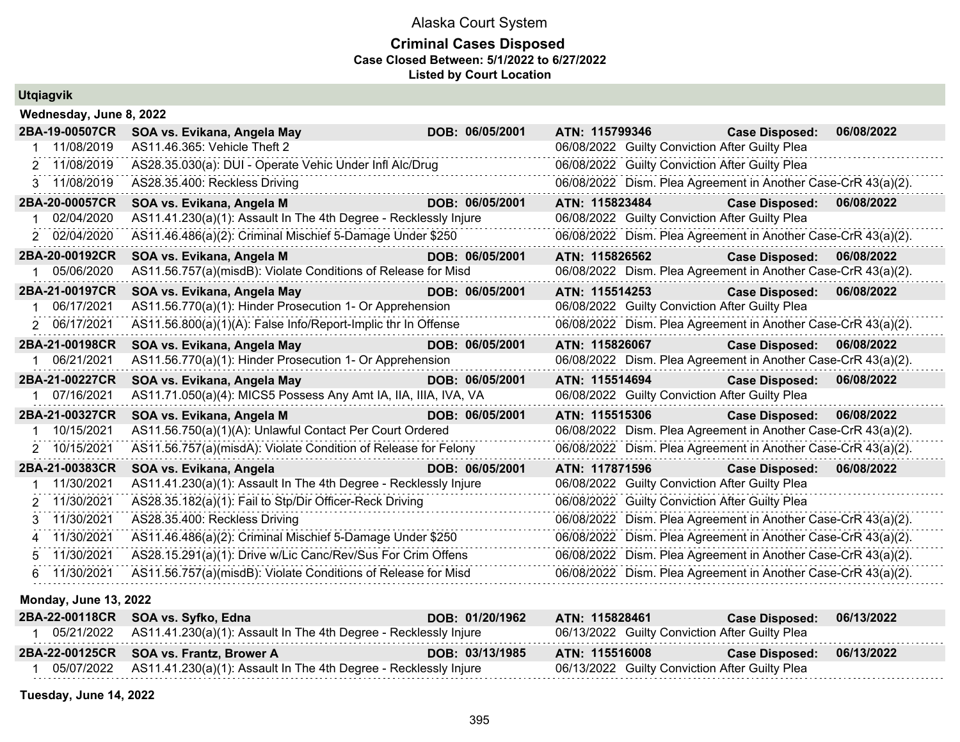# **Criminal Cases Disposed Case Closed Between: 5/1/2022 to 6/27/2022 Listed by Court Location**

| <b>Utgiagvik</b>        |                                                                  |  |                 |                |  |  |                                                               |            |  |  |
|-------------------------|------------------------------------------------------------------|--|-----------------|----------------|--|--|---------------------------------------------------------------|------------|--|--|
| Wednesday, June 8, 2022 |                                                                  |  |                 |                |  |  |                                                               |            |  |  |
| 2BA-19-00507CR          | SOA vs. Evikana, Angela May                                      |  | DOB: 06/05/2001 |                |  |  | ATN: 115799346<br><b>Case Disposed:</b>                       | 06/08/2022 |  |  |
| 11/08/2019              | AS11.46.365: Vehicle Theft 2                                     |  |                 |                |  |  | 06/08/2022 Guilty Conviction After Guilty Plea                |            |  |  |
| 2 11/08/2019            | AS28.35.030(a): DUI - Operate Vehic Under Infl Alc/Drug          |  |                 |                |  |  | 06/08/2022 Guilty Conviction After Guilty Plea                |            |  |  |
| 3 11/08/2019            | AS28.35.400: Reckless Driving                                    |  |                 |                |  |  | 06/08/2022 Dism. Plea Agreement in Another Case-CrR 43(a)(2). |            |  |  |
| 2BA-20-00057CR          | SOA vs. Evikana, Angela M                                        |  | DOB: 06/05/2001 | ATN: 115823484 |  |  | <b>Case Disposed:</b>                                         | 06/08/2022 |  |  |
| 02/04/2020              | AS11.41.230(a)(1): Assault In The 4th Degree - Recklessly Injure |  |                 |                |  |  | 06/08/2022 Guilty Conviction After Guilty Plea                |            |  |  |
| 2 02/04/2020            | AS11.46.486(a)(2): Criminal Mischief 5-Damage Under \$250        |  |                 |                |  |  | 06/08/2022 Dism. Plea Agreement in Another Case-CrR 43(a)(2). |            |  |  |
| 2BA-20-00192CR          | SOA vs. Evikana, Angela M                                        |  | DOB: 06/05/2001 | ATN: 115826562 |  |  | <b>Case Disposed:</b>                                         | 06/08/2022 |  |  |
| 05/06/2020              | AS11.56.757(a)(misdB): Violate Conditions of Release for Misd    |  |                 |                |  |  | 06/08/2022 Dism. Plea Agreement in Another Case-CrR 43(a)(2). |            |  |  |
| 2BA-21-00197CR          | SOA vs. Evikana, Angela May                                      |  | DOB: 06/05/2001 | ATN: 115514253 |  |  | <b>Case Disposed:</b>                                         | 06/08/2022 |  |  |
| 06/17/2021              | AS11.56.770(a)(1): Hinder Prosecution 1- Or Apprehension         |  |                 |                |  |  | 06/08/2022 Guilty Conviction After Guilty Plea                |            |  |  |
| 2 06/17/2021            | AS11.56.800(a)(1)(A): False Info/Report-Implic thr In Offense    |  |                 |                |  |  | 06/08/2022 Dism. Plea Agreement in Another Case-CrR 43(a)(2). |            |  |  |
| 2BA-21-00198CR          | SOA vs. Evikana, Angela May                                      |  | DOB: 06/05/2001 | ATN: 115826067 |  |  | <b>Case Disposed:</b>                                         | 06/08/2022 |  |  |
| 06/21/2021              | AS11.56.770(a)(1): Hinder Prosecution 1- Or Apprehension         |  |                 |                |  |  | 06/08/2022 Dism. Plea Agreement in Another Case-CrR 43(a)(2). |            |  |  |
| 2BA-21-00227CR          | SOA vs. Evikana, Angela May                                      |  | DOB: 06/05/2001 | ATN: 115514694 |  |  | <b>Case Disposed:</b>                                         | 06/08/2022 |  |  |
| 1 07/16/2021            | AS11.71.050(a)(4): MICS5 Possess Any Amt IA, IIA, IIIA, IVA, VA  |  |                 |                |  |  | 06/08/2022 Guilty Conviction After Guilty Plea                |            |  |  |
| 2BA-21-00327CR          | SOA vs. Evikana, Angela M                                        |  | DOB: 06/05/2001 | ATN: 115515306 |  |  | <b>Case Disposed:</b>                                         | 06/08/2022 |  |  |
| 10/15/2021              | AS11.56.750(a)(1)(A): Unlawful Contact Per Court Ordered         |  |                 |                |  |  | 06/08/2022 Dism. Plea Agreement in Another Case-CrR 43(a)(2). |            |  |  |
| 2 10/15/2021            | AS11.56.757(a)(misdA): Violate Condition of Release for Felony   |  |                 |                |  |  | 06/08/2022 Dism. Plea Agreement in Another Case-CrR 43(a)(2). |            |  |  |
| 2BA-21-00383CR          | SOA vs. Evikana, Angela                                          |  | DOB: 06/05/2001 | ATN: 117871596 |  |  | <b>Case Disposed:</b>                                         | 06/08/2022 |  |  |
| 11/30/2021              | AS11.41.230(a)(1): Assault In The 4th Degree - Recklessly Injure |  |                 |                |  |  | 06/08/2022 Guilty Conviction After Guilty Plea                |            |  |  |
| 2 11/30/2021            | AS28.35.182(a)(1): Fail to Stp/Dir Officer-Reck Driving          |  |                 |                |  |  | 06/08/2022 Guilty Conviction After Guilty Plea                |            |  |  |
| 3 11/30/2021            | AS28.35.400: Reckless Driving                                    |  |                 |                |  |  | 06/08/2022 Dism. Plea Agreement in Another Case-CrR 43(a)(2). |            |  |  |
| 4 11/30/2021            | AS11.46.486(a)(2): Criminal Mischief 5-Damage Under \$250        |  |                 |                |  |  | 06/08/2022 Dism. Plea Agreement in Another Case-CrR 43(a)(2). |            |  |  |
| 5 11/30/2021            | AS28.15.291(a)(1): Drive w/Lic Canc/Rev/Sus For Crim Offens      |  |                 |                |  |  | 06/08/2022 Dism. Plea Agreement in Another Case-CrR 43(a)(2). |            |  |  |
| 6 11/30/2021            | AS11.56.757(a)(misdB): Violate Conditions of Release for Misd    |  |                 |                |  |  | 06/08/2022 Dism. Plea Agreement in Another Case-CrR 43(a)(2). |            |  |  |
|                         |                                                                  |  |                 |                |  |  |                                                               |            |  |  |

| <b>Monday, June 13, 2022</b> |  |  |
|------------------------------|--|--|
|                              |  |  |

| 2BA-22-00118CR SOA vs. Syfko, Edna                                            | DOB: 01/20/1962 | ATN: 115828461                                 | <b>Case Disposed:</b> | 06/13/2022 |
|-------------------------------------------------------------------------------|-----------------|------------------------------------------------|-----------------------|------------|
| 05/21/2022 AS11.41.230(a)(1): Assault In The 4th Degree - Recklessly Injure   |                 | 06/13/2022 Guilty Conviction After Guilty Plea |                       |            |
| 2BA-22-00125CR SOA vs. Frantz, Brower A                                       | DOB: 03/13/1985 | ATN: 115516008                                 | <b>Case Disposed:</b> | 06/13/2022 |
| $05/07/2022$ AS11.41.230(a)(1): Assault In The 4th Degree - Recklessly Injure |                 | 06/13/2022 Guilty Conviction After Guilty Plea |                       |            |

**Tuesday, June 14, 2022**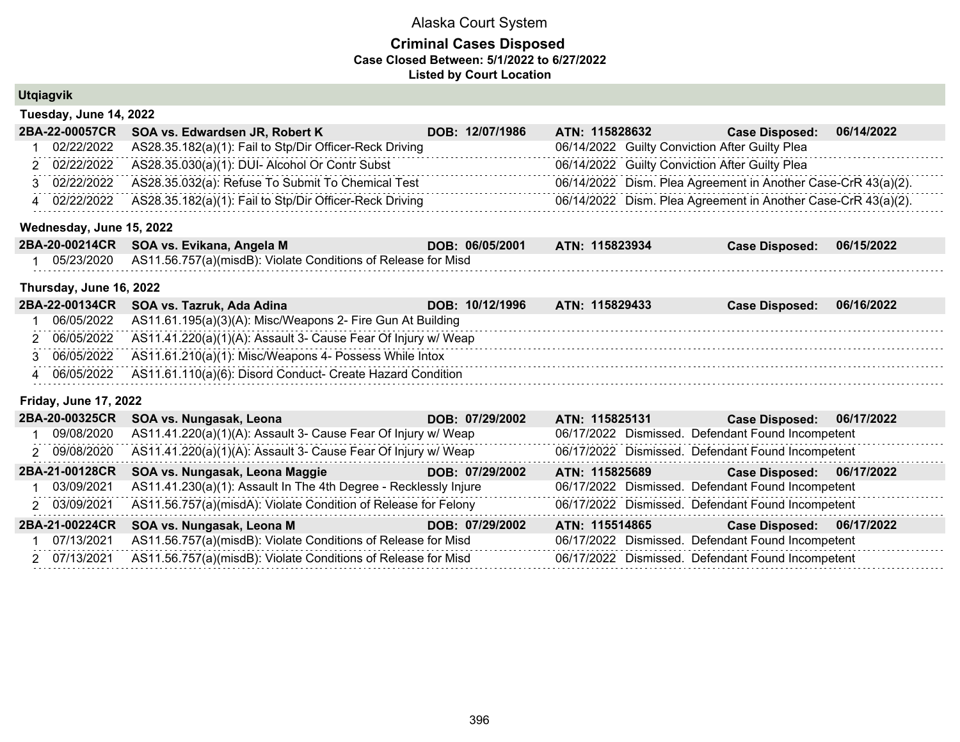|                | <b>Utgiagvik</b>             |                                                                  |                 |                |                                                               |            |
|----------------|------------------------------|------------------------------------------------------------------|-----------------|----------------|---------------------------------------------------------------|------------|
|                | Tuesday, June 14, 2022       |                                                                  |                 |                |                                                               |            |
|                | 2BA-22-00057CR               | SOA vs. Edwardsen JR, Robert K                                   | DOB: 12/07/1986 | ATN: 115828632 | <b>Case Disposed:</b>                                         | 06/14/2022 |
|                | 02/22/2022                   | AS28.35.182(a)(1): Fail to Stp/Dir Officer-Reck Driving          |                 |                | 06/14/2022 Guilty Conviction After Guilty Plea                |            |
|                | 2 02/22/2022                 | AS28.35.030(a)(1): DUI- Alcohol Or Contr Subst                   |                 |                | 06/14/2022 Guilty Conviction After Guilty Plea                |            |
|                | 3 02/22/2022                 | AS28.35.032(a): Refuse To Submit To Chemical Test                |                 |                | 06/14/2022 Dism. Plea Agreement in Another Case-CrR 43(a)(2). |            |
|                | 4 02/22/2022                 | AS28.35.182(a)(1): Fail to Stp/Dir Officer-Reck Driving          |                 |                | 06/14/2022 Dism. Plea Agreement in Another Case-CrR 43(a)(2). |            |
|                | Wednesday, June 15, 2022     |                                                                  |                 |                |                                                               |            |
|                | 2BA-20-00214CR               | SOA vs. Evikana, Angela M                                        | DOB: 06/05/2001 | ATN: 115823934 | <b>Case Disposed:</b>                                         | 06/15/2022 |
|                | 05/23/2020                   | AS11.56.757(a)(misdB): Violate Conditions of Release for Misd    |                 |                |                                                               |            |
|                | Thursday, June 16, 2022      |                                                                  |                 |                |                                                               |            |
|                | 2BA-22-00134CR               | SOA vs. Tazruk, Ada Adina                                        | DOB: 10/12/1996 | ATN: 115829433 | <b>Case Disposed:</b>                                         | 06/16/2022 |
|                | 06/05/2022                   | AS11.61.195(a)(3)(A): Misc/Weapons 2- Fire Gun At Building       |                 |                |                                                               |            |
|                | 2 06/05/2022                 | AS11.41.220(a)(1)(A): Assault 3- Cause Fear Of Injury w/ Weap    |                 |                |                                                               |            |
|                | 3 06/05/2022                 | AS11.61.210(a)(1): Misc/Weapons 4- Possess While Intox           |                 |                |                                                               |            |
| $\overline{4}$ | 06/05/2022                   | AS11.61.110(a)(6): Disord Conduct- Create Hazard Condition       |                 |                |                                                               |            |
|                | <b>Friday, June 17, 2022</b> |                                                                  |                 |                |                                                               |            |
|                | 2BA-20-00325CR               | SOA vs. Nungasak, Leona                                          | DOB: 07/29/2002 | ATN: 115825131 | <b>Case Disposed:</b>                                         | 06/17/2022 |
|                | 09/08/2020                   | AS11.41.220(a)(1)(A): Assault 3- Cause Fear Of Injury w/ Weap    |                 |                | 06/17/2022 Dismissed. Defendant Found Incompetent             |            |
|                | 2 09/08/2020                 | AS11.41.220(a)(1)(A): Assault 3- Cause Fear Of Injury w/ Weap    |                 |                | 06/17/2022 Dismissed. Defendant Found Incompetent             |            |
|                | 2BA-21-00128CR               | SOA vs. Nungasak, Leona Maggie                                   | DOB: 07/29/2002 | ATN: 115825689 | Case Disposed: 06/17/2022                                     |            |
|                | 03/09/2021                   | AS11.41.230(a)(1): Assault In The 4th Degree - Recklessly Injure |                 |                | 06/17/2022 Dismissed. Defendant Found Incompetent             |            |
|                | 2 03/09/2021                 | AS11.56.757(a)(misdA): Violate Condition of Release for Felony   |                 |                | 06/17/2022 Dismissed. Defendant Found Incompetent             |            |
|                | 2BA-21-00224CR               | SOA vs. Nungasak, Leona M                                        | DOB: 07/29/2002 | ATN: 115514865 | <b>Case Disposed:</b>                                         | 06/17/2022 |
|                | 07/13/2021                   | AS11.56.757(a)(misdB): Violate Conditions of Release for Misd    |                 |                | 06/17/2022 Dismissed. Defendant Found Incompetent             |            |
|                | 2 07/13/2021                 | AS11.56.757(a)(misdB): Violate Conditions of Release for Misd    |                 |                | 06/17/2022 Dismissed. Defendant Found Incompetent             |            |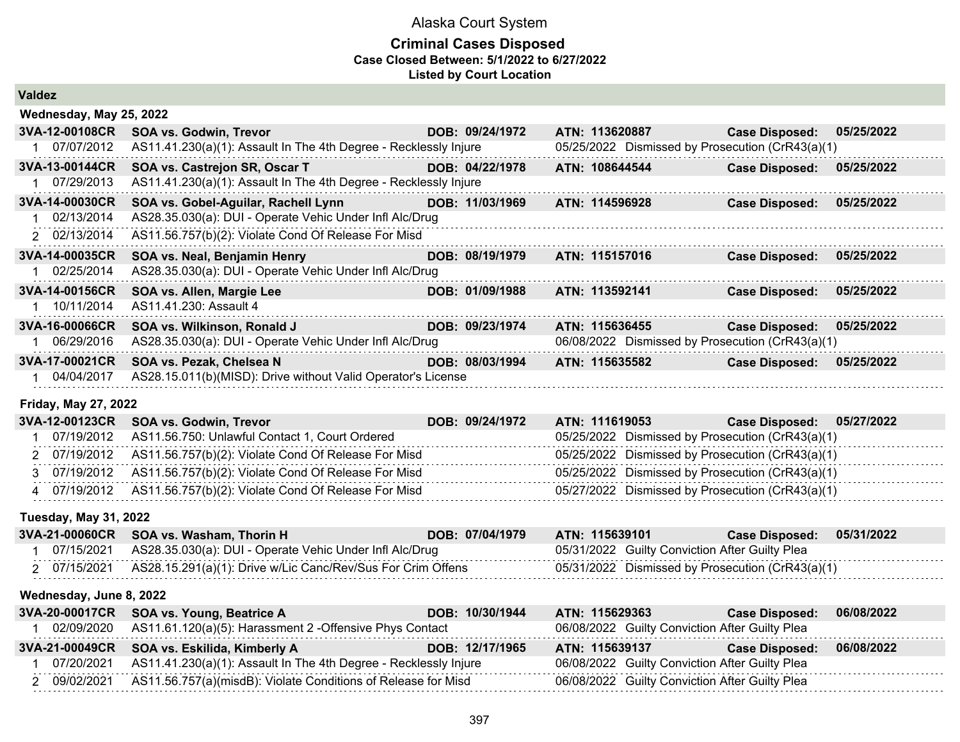#### **Criminal Cases Disposed Case Closed Between: 5/1/2022 to 6/27/2022 Listed by Court Location**

|  |  |  | Valdez |
|--|--|--|--------|
|--|--|--|--------|

| 3VA-12-00108CR<br>DOB: 09/24/1972<br>ATN: 113620887<br><b>SOA vs. Godwin, Trevor</b><br><b>Case Disposed:</b><br>05/25/2022<br>AS11.41.230(a)(1): Assault In The 4th Degree - Recklessly Injure<br>05/25/2022 Dismissed by Prosecution (CrR43(a)(1)<br>1 07/07/2012<br>3VA-13-00144CR<br>SOA vs. Castrejon SR, Oscar T<br>DOB: 04/22/1978<br>ATN: 108644544<br><b>Case Disposed:</b><br>05/25/2022<br>AS11.41.230(a)(1): Assault In The 4th Degree - Recklessly Injure<br>07/29/2013<br>3VA-14-00030CR<br>SOA vs. Gobel-Aguilar, Rachell Lynn<br>DOB: 11/03/1969<br>ATN: 114596928<br>05/25/2022<br><b>Case Disposed:</b><br>02/13/2014<br>AS28.35.030(a): DUI - Operate Vehic Under Infl Alc/Drug<br>AS11.56.757(b)(2): Violate Cond Of Release For Misd<br>2 02/13/2014<br>3VA-14-00035CR<br>SOA vs. Neal, Benjamin Henry<br>DOB: 08/19/1979<br>ATN: 115157016<br>05/25/2022<br><b>Case Disposed:</b><br>AS28.35.030(a): DUI - Operate Vehic Under Infl Alc/Drug<br>02/25/2014<br>3VA-14-00156CR<br>SOA vs. Allen, Margie Lee<br>DOB: 01/09/1988<br>ATN: 113592141<br>05/25/2022<br><b>Case Disposed:</b><br>1 10/11/2014<br>AS11.41.230: Assault 4<br>3VA-16-00066CR<br>SOA vs. Wilkinson, Ronald J<br>DOB: 09/23/1974<br>ATN: 115636455<br><b>Case Disposed:</b><br>05/25/2022<br>AS28.35.030(a): DUI - Operate Vehic Under Infl Alc/Drug<br>06/08/2022 Dismissed by Prosecution (CrR43(a)(1)<br>06/29/2016<br>3VA-17-00021CR<br>SOA vs. Pezak, Chelsea N<br>ATN: 115635582<br>DOB: 08/03/1994<br>05/25/2022<br><b>Case Disposed:</b><br>1 04/04/2017<br>AS28.15.011(b)(MISD): Drive without Valid Operator's License<br>Friday, May 27, 2022<br>3VA-12-00123CR<br>DOB: 09/24/1972<br>ATN: 111619053<br>05/27/2022<br><b>SOA vs. Godwin, Trevor</b><br><b>Case Disposed:</b><br>07/19/2012<br>AS11.56.750: Unlawful Contact 1, Court Ordered<br>05/25/2022 Dismissed by Prosecution (CrR43(a)(1)<br>AS11.56.757(b)(2): Violate Cond Of Release For Misd<br>05/25/2022 Dismissed by Prosecution (CrR43(a)(1)<br>2 07/19/2012<br>05/25/2022 Dismissed by Prosecution (CrR43(a)(1) | Wednesday, May 25, 2022 |                                                     |  |  |
|-------------------------------------------------------------------------------------------------------------------------------------------------------------------------------------------------------------------------------------------------------------------------------------------------------------------------------------------------------------------------------------------------------------------------------------------------------------------------------------------------------------------------------------------------------------------------------------------------------------------------------------------------------------------------------------------------------------------------------------------------------------------------------------------------------------------------------------------------------------------------------------------------------------------------------------------------------------------------------------------------------------------------------------------------------------------------------------------------------------------------------------------------------------------------------------------------------------------------------------------------------------------------------------------------------------------------------------------------------------------------------------------------------------------------------------------------------------------------------------------------------------------------------------------------------------------------------------------------------------------------------------------------------------------------------------------------------------------------------------------------------------------------------------------------------------------------------------------------------------------------------------------------------------------------------------------------------------------------------------------------------------------------------------------------------------------------------------|-------------------------|-----------------------------------------------------|--|--|
|                                                                                                                                                                                                                                                                                                                                                                                                                                                                                                                                                                                                                                                                                                                                                                                                                                                                                                                                                                                                                                                                                                                                                                                                                                                                                                                                                                                                                                                                                                                                                                                                                                                                                                                                                                                                                                                                                                                                                                                                                                                                                     |                         |                                                     |  |  |
|                                                                                                                                                                                                                                                                                                                                                                                                                                                                                                                                                                                                                                                                                                                                                                                                                                                                                                                                                                                                                                                                                                                                                                                                                                                                                                                                                                                                                                                                                                                                                                                                                                                                                                                                                                                                                                                                                                                                                                                                                                                                                     |                         |                                                     |  |  |
|                                                                                                                                                                                                                                                                                                                                                                                                                                                                                                                                                                                                                                                                                                                                                                                                                                                                                                                                                                                                                                                                                                                                                                                                                                                                                                                                                                                                                                                                                                                                                                                                                                                                                                                                                                                                                                                                                                                                                                                                                                                                                     |                         |                                                     |  |  |
|                                                                                                                                                                                                                                                                                                                                                                                                                                                                                                                                                                                                                                                                                                                                                                                                                                                                                                                                                                                                                                                                                                                                                                                                                                                                                                                                                                                                                                                                                                                                                                                                                                                                                                                                                                                                                                                                                                                                                                                                                                                                                     |                         |                                                     |  |  |
|                                                                                                                                                                                                                                                                                                                                                                                                                                                                                                                                                                                                                                                                                                                                                                                                                                                                                                                                                                                                                                                                                                                                                                                                                                                                                                                                                                                                                                                                                                                                                                                                                                                                                                                                                                                                                                                                                                                                                                                                                                                                                     |                         |                                                     |  |  |
|                                                                                                                                                                                                                                                                                                                                                                                                                                                                                                                                                                                                                                                                                                                                                                                                                                                                                                                                                                                                                                                                                                                                                                                                                                                                                                                                                                                                                                                                                                                                                                                                                                                                                                                                                                                                                                                                                                                                                                                                                                                                                     |                         |                                                     |  |  |
|                                                                                                                                                                                                                                                                                                                                                                                                                                                                                                                                                                                                                                                                                                                                                                                                                                                                                                                                                                                                                                                                                                                                                                                                                                                                                                                                                                                                                                                                                                                                                                                                                                                                                                                                                                                                                                                                                                                                                                                                                                                                                     |                         |                                                     |  |  |
|                                                                                                                                                                                                                                                                                                                                                                                                                                                                                                                                                                                                                                                                                                                                                                                                                                                                                                                                                                                                                                                                                                                                                                                                                                                                                                                                                                                                                                                                                                                                                                                                                                                                                                                                                                                                                                                                                                                                                                                                                                                                                     |                         |                                                     |  |  |
|                                                                                                                                                                                                                                                                                                                                                                                                                                                                                                                                                                                                                                                                                                                                                                                                                                                                                                                                                                                                                                                                                                                                                                                                                                                                                                                                                                                                                                                                                                                                                                                                                                                                                                                                                                                                                                                                                                                                                                                                                                                                                     |                         |                                                     |  |  |
|                                                                                                                                                                                                                                                                                                                                                                                                                                                                                                                                                                                                                                                                                                                                                                                                                                                                                                                                                                                                                                                                                                                                                                                                                                                                                                                                                                                                                                                                                                                                                                                                                                                                                                                                                                                                                                                                                                                                                                                                                                                                                     |                         |                                                     |  |  |
|                                                                                                                                                                                                                                                                                                                                                                                                                                                                                                                                                                                                                                                                                                                                                                                                                                                                                                                                                                                                                                                                                                                                                                                                                                                                                                                                                                                                                                                                                                                                                                                                                                                                                                                                                                                                                                                                                                                                                                                                                                                                                     |                         |                                                     |  |  |
|                                                                                                                                                                                                                                                                                                                                                                                                                                                                                                                                                                                                                                                                                                                                                                                                                                                                                                                                                                                                                                                                                                                                                                                                                                                                                                                                                                                                                                                                                                                                                                                                                                                                                                                                                                                                                                                                                                                                                                                                                                                                                     |                         |                                                     |  |  |
|                                                                                                                                                                                                                                                                                                                                                                                                                                                                                                                                                                                                                                                                                                                                                                                                                                                                                                                                                                                                                                                                                                                                                                                                                                                                                                                                                                                                                                                                                                                                                                                                                                                                                                                                                                                                                                                                                                                                                                                                                                                                                     |                         |                                                     |  |  |
|                                                                                                                                                                                                                                                                                                                                                                                                                                                                                                                                                                                                                                                                                                                                                                                                                                                                                                                                                                                                                                                                                                                                                                                                                                                                                                                                                                                                                                                                                                                                                                                                                                                                                                                                                                                                                                                                                                                                                                                                                                                                                     |                         |                                                     |  |  |
|                                                                                                                                                                                                                                                                                                                                                                                                                                                                                                                                                                                                                                                                                                                                                                                                                                                                                                                                                                                                                                                                                                                                                                                                                                                                                                                                                                                                                                                                                                                                                                                                                                                                                                                                                                                                                                                                                                                                                                                                                                                                                     |                         |                                                     |  |  |
|                                                                                                                                                                                                                                                                                                                                                                                                                                                                                                                                                                                                                                                                                                                                                                                                                                                                                                                                                                                                                                                                                                                                                                                                                                                                                                                                                                                                                                                                                                                                                                                                                                                                                                                                                                                                                                                                                                                                                                                                                                                                                     |                         |                                                     |  |  |
|                                                                                                                                                                                                                                                                                                                                                                                                                                                                                                                                                                                                                                                                                                                                                                                                                                                                                                                                                                                                                                                                                                                                                                                                                                                                                                                                                                                                                                                                                                                                                                                                                                                                                                                                                                                                                                                                                                                                                                                                                                                                                     |                         |                                                     |  |  |
|                                                                                                                                                                                                                                                                                                                                                                                                                                                                                                                                                                                                                                                                                                                                                                                                                                                                                                                                                                                                                                                                                                                                                                                                                                                                                                                                                                                                                                                                                                                                                                                                                                                                                                                                                                                                                                                                                                                                                                                                                                                                                     |                         |                                                     |  |  |
|                                                                                                                                                                                                                                                                                                                                                                                                                                                                                                                                                                                                                                                                                                                                                                                                                                                                                                                                                                                                                                                                                                                                                                                                                                                                                                                                                                                                                                                                                                                                                                                                                                                                                                                                                                                                                                                                                                                                                                                                                                                                                     |                         |                                                     |  |  |
|                                                                                                                                                                                                                                                                                                                                                                                                                                                                                                                                                                                                                                                                                                                                                                                                                                                                                                                                                                                                                                                                                                                                                                                                                                                                                                                                                                                                                                                                                                                                                                                                                                                                                                                                                                                                                                                                                                                                                                                                                                                                                     | 3 07/19/2012            | AS11.56.757(b)(2): Violate Cond Of Release For Misd |  |  |
| 05/27/2022 Dismissed by Prosecution (CrR43(a)(1)<br>4 07/19/2012<br>AS11.56.757(b)(2): Violate Cond Of Release For Misd                                                                                                                                                                                                                                                                                                                                                                                                                                                                                                                                                                                                                                                                                                                                                                                                                                                                                                                                                                                                                                                                                                                                                                                                                                                                                                                                                                                                                                                                                                                                                                                                                                                                                                                                                                                                                                                                                                                                                             |                         |                                                     |  |  |

#### **Tuesday, May 31, 2022**

|              | 3VA-21-00060CR SOA vs. Washam, Thorin H                     | DOB: 07/04/1979 | ATN: 115639101                                   | Case Disposed: 05/31/2022 |  |
|--------------|-------------------------------------------------------------|-----------------|--------------------------------------------------|---------------------------|--|
| 07/15/2021   | AS28.35.030(a): DUI - Operate Vehic Under Infl Alc/Drug     |                 | 05/31/2022 Guilty Conviction After Guilty Plea   |                           |  |
| 2 07/15/2021 | AS28.15.291(a)(1): Drive w/Lic Canc/Rev/Sus For Crim Offens |                 | 05/31/2022 Dismissed by Prosecution (CrR43(a)(1) |                           |  |

#### **Wednesday, June 8, 2022**

|            | 3VA-20-00017CR SOA vs. Young, Beatrice A                                   | DOB: 10/30/1944 | ATN: 115629363                                 | Case Disposed: 06/08/2022 |  |
|------------|----------------------------------------------------------------------------|-----------------|------------------------------------------------|---------------------------|--|
|            | 02/09/2020 AS11.61.120(a)(5): Harassment 2 - Offensive Phys Contact        |                 | 06/08/2022 Guilty Conviction After Guilty Plea |                           |  |
|            | 3VA-21-00049CR SOA vs. Eskilida, Kimberly A                                | DOB: 12/17/1965 | ATN: 115639137                                 | Case Disposed: 06/08/2022 |  |
| 07/20/2021 | AS11.41.230(a)(1): Assault In The 4th Degree - Recklessly Injure           |                 | 06/08/2022 Guilty Conviction After Guilty Plea |                           |  |
|            | 2 09/02/2021 AS11.56.757(a)(misdB): Violate Conditions of Release for Misd |                 | 06/08/2022 Guilty Conviction After Guilty Plea |                           |  |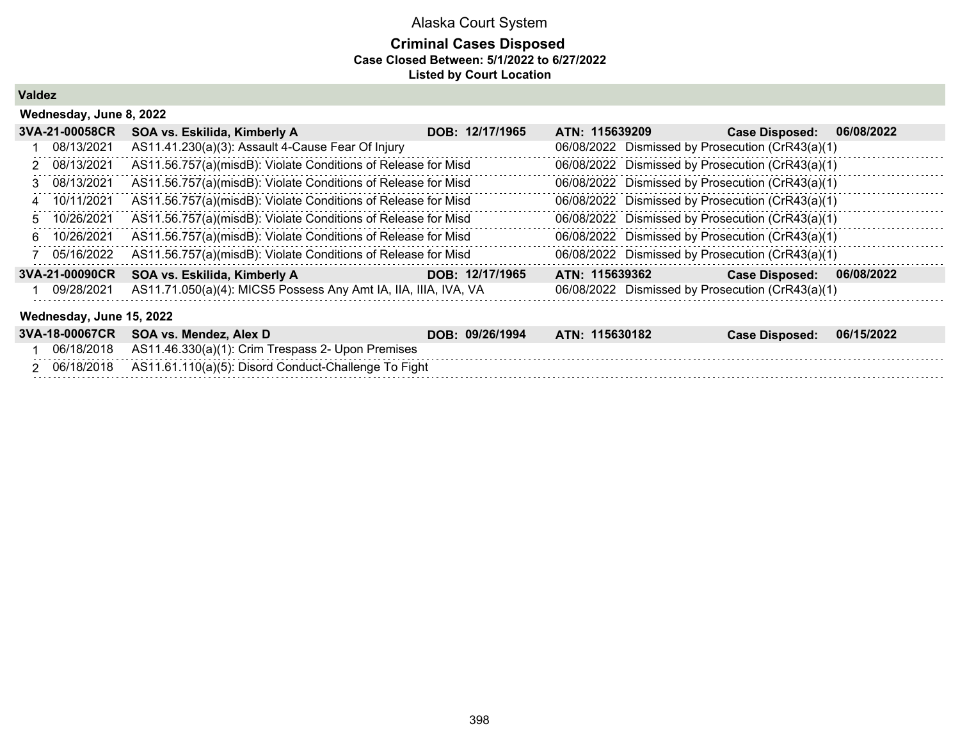### **Criminal Cases Disposed Case Closed Between: 5/1/2022 to 6/27/2022 Listed by Court Location**

**Valdez**

| Wednesday, June 8, 2022  |                                                                 |                 |                |  |                                                  |            |  |  |  |
|--------------------------|-----------------------------------------------------------------|-----------------|----------------|--|--------------------------------------------------|------------|--|--|--|
| 3VA-21-00058CR           | SOA vs. Eskilida, Kimberly A                                    | DOB: 12/17/1965 | ATN: 115639209 |  | <b>Case Disposed:</b>                            | 06/08/2022 |  |  |  |
| 08/13/2021               | AS11.41.230(a)(3): Assault 4-Cause Fear Of Injury               |                 |                |  | 06/08/2022 Dismissed by Prosecution (CrR43(a)(1) |            |  |  |  |
| 2 08/13/2021             | AS11.56.757(a)(misdB): Violate Conditions of Release for Misd   |                 |                |  | 06/08/2022 Dismissed by Prosecution (CrR43(a)(1) |            |  |  |  |
| 3 08/13/2021             | AS11.56.757(a)(misdB): Violate Conditions of Release for Misd   |                 |                |  | 06/08/2022 Dismissed by Prosecution (CrR43(a)(1) |            |  |  |  |
| 4 10/11/2021             | AS11.56.757(a)(misdB): Violate Conditions of Release for Misd   |                 |                |  | 06/08/2022 Dismissed by Prosecution (CrR43(a)(1) |            |  |  |  |
| 5 10/26/2021             | AS11.56.757(a)(misdB): Violate Conditions of Release for Misd   |                 |                |  | 06/08/2022 Dismissed by Prosecution (CrR43(a)(1) |            |  |  |  |
| 6 10/26/2021             | AS11.56.757(a)(misdB): Violate Conditions of Release for Misd   |                 |                |  | 06/08/2022 Dismissed by Prosecution (CrR43(a)(1) |            |  |  |  |
| 05/16/2022               | AS11.56.757(a)(misdB): Violate Conditions of Release for Misd   |                 |                |  | 06/08/2022 Dismissed by Prosecution (CrR43(a)(1) |            |  |  |  |
| 3VA-21-00090CR           | SOA vs. Eskilida, Kimberly A                                    | DOB: 12/17/1965 | ATN: 115639362 |  | <b>Case Disposed:</b>                            | 06/08/2022 |  |  |  |
| 09/28/2021               | AS11.71.050(a)(4): MICS5 Possess Any Amt IA, IIA, IIIA, IVA, VA |                 |                |  | 06/08/2022 Dismissed by Prosecution (CrR43(a)(1) |            |  |  |  |
| Wednesday, June 15, 2022 |                                                                 |                 |                |  |                                                  |            |  |  |  |

|            | 3VA-18-00067CR SOA vs. Mendez, Alex D                        | DOB: 09/26/1994 | ATN: 115630182 | <b>Case Disposed:</b> | 06/15/2022 |
|------------|--------------------------------------------------------------|-----------------|----------------|-----------------------|------------|
|            | 06/18/2018 AS11.46.330(a)(1): Crim Trespass 2- Upon Premises |                 |                |                       |            |
| 06/18/2018 | AS11.61.110(a)(5): Disord Conduct-Challenge To Fight         |                 |                |                       |            |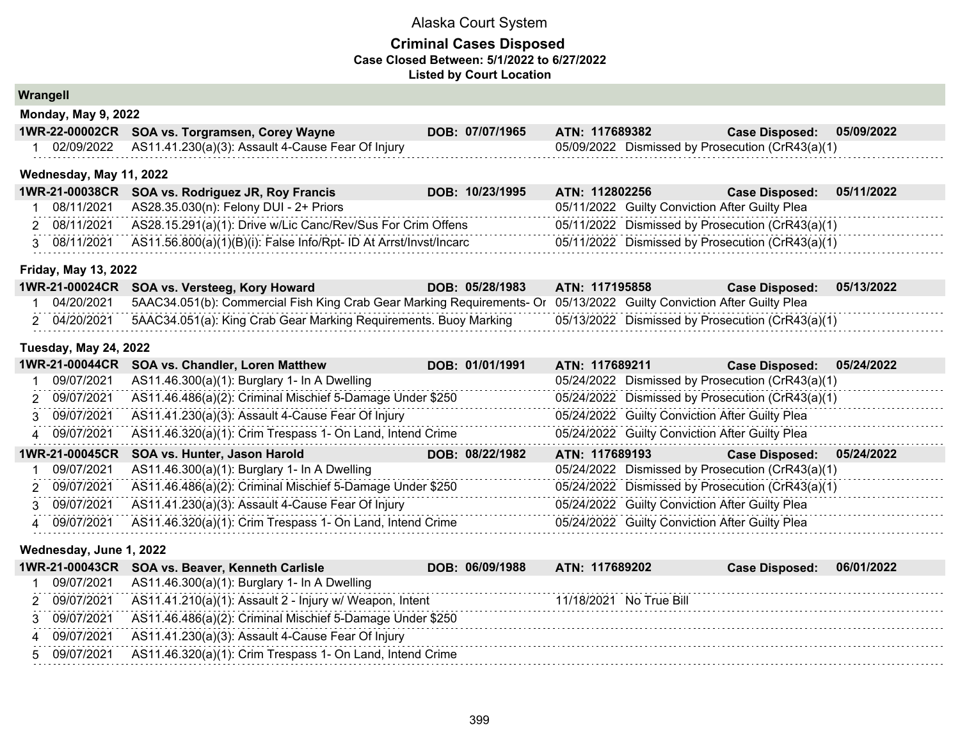#### **Criminal Cases Disposed Case Closed Between: 5/1/2022 to 6/27/2022 Listed by Court Location**

**Wrangell**

| Monday, May 9, 2022 |                                                       |                 |                                                      |                  |            |
|---------------------|-------------------------------------------------------|-----------------|------------------------------------------------------|------------------|------------|
|                     | 1WR-22-00002CR SOA vs. Torgramsen, Corey Wayne        | DOB: 07/07/1965 | ATN: 117689382                                       | Case Disposed: \ | 05/09/2022 |
| aningingan          | $ACAAAA$ $AABO(A)(2)$ , $A=0.11A$ $C=0.12A$ $D=0.76A$ |                 | $OF/00/2022$ Dismissed by Dresseytian $(C*D42(a)/4)$ |                  |            |

1 02/09/2022 AS11.41.230(a)(3): Assault 4-Cause Fear Of Injury 05/09/2022 Dismissed by Prosecution (CrR43(a)(1)

#### **Wednesday, May 11, 2022**

|              | 1WR-21-00038CR SOA vs. Rodriguez JR, Roy Francis                  | DOB: 10/23/1995 | ATN: 112802256                                   | <b>Case Disposed:</b> | 05/11/2022 |
|--------------|-------------------------------------------------------------------|-----------------|--------------------------------------------------|-----------------------|------------|
| 08/11/2021   | AS28.35.030(n): Felony DUI - 2+ Priors                            |                 | 05/11/2022 Guilty Conviction After Guilty Plea   |                       |            |
| 2 08/11/2021 | AS28.15.291(a)(1): Drive w/Lic Canc/Rev/Sus For Crim Offens       |                 | 05/11/2022 Dismissed by Prosecution (CrR43(a)(1) |                       |            |
| 08/11/2021   | AS11.56.800(a)(1)(B)(i): False Info/Rpt- ID At Arrst/Invst/Incarc |                 | 05/11/2022 Dismissed by Prosecution (CrR43(a)(1) |                       |            |

#### **Friday, May 13, 2022**

|            | 1WR-21-00024CR SOA vs. Versteeg, Kory Howard                                                                          | DOB: 05/28/1983 | <b>ATN: 117195858</b> | Case Disposed: 05/13/2022                        |  |
|------------|-----------------------------------------------------------------------------------------------------------------------|-----------------|-----------------------|--------------------------------------------------|--|
| 04/20/2021 | 5AAC34.051(b): Commercial Fish King Crab Gear Marking Requirements- Or 05/13/2022 Guilty Conviction After Guilty Plea |                 |                       |                                                  |  |
|            | 04/20/2021 5AAC34.051(a): King Crab Gear Marking Requirements. Buoy Marking                                           |                 |                       | 05/13/2022 Dismissed by Prosecution (CrR43(a)(1) |  |

#### **Tuesday, May 24, 2022**

| 1WR-21-00044CR | <b>SOA vs. Chandler, Loren Matthew</b>                    | DOB: 01/01/1991 | ATN: 117689211 |                                                | <b>Case Disposed:</b>                            | 05/24/2022 |
|----------------|-----------------------------------------------------------|-----------------|----------------|------------------------------------------------|--------------------------------------------------|------------|
| 09/07/2021     | AS11.46.300(a)(1): Burglary 1- In A Dwelling              |                 |                |                                                | 05/24/2022 Dismissed by Prosecution (CrR43(a)(1) |            |
| 2 09/07/2021   | AS11.46.486(a)(2): Criminal Mischief 5-Damage Under \$250 |                 |                |                                                | 05/24/2022 Dismissed by Prosecution (CrR43(a)(1) |            |
| 3 09/07/2021   | AS11.41.230(a)(3): Assault 4-Cause Fear Of Injury         |                 |                | 05/24/2022 Guilty Conviction After Guilty Plea |                                                  |            |
| 4 09/07/2021   | AS11.46.320(a)(1): Crim Trespass 1- On Land, Intend Crime |                 |                | 05/24/2022 Guilty Conviction After Guilty Plea |                                                  |            |
| 1WR-21-00045CR | SOA vs. Hunter, Jason Harold                              | DOB: 08/22/1982 | ATN: 117689193 |                                                | <b>Case Disposed:</b>                            | 05/24/2022 |
|                |                                                           |                 |                |                                                |                                                  |            |
| 09/07/2021     | AS11.46.300(a)(1): Burglary 1- In A Dwelling              |                 |                |                                                | 05/24/2022 Dismissed by Prosecution (CrR43(a)(1) |            |
| 2 09/07/2021   | AS11.46.486(a)(2): Criminal Mischief 5-Damage Under \$250 |                 |                |                                                | 05/24/2022 Dismissed by Prosecution (CrR43(a)(1) |            |
| 3 09/07/2021   | AS11.41.230(a)(3): Assault 4-Cause Fear Of Injury         |                 |                | 05/24/2022 Guilty Conviction After Guilty Plea |                                                  |            |

#### **Wednesday, June 1, 2022**

|            | 1WR-21-00043CR SOA vs. Beaver, Kenneth Carlisle           | DOB: 06/09/1988 | ATN: 117689202 |              | <b>Case Disposed:</b> | 06/01/2022 |
|------------|-----------------------------------------------------------|-----------------|----------------|--------------|-----------------------|------------|
| 09/07/2021 | $AS11.46.300(a)(1)$ : Burglary 1- In A Dwelling           |                 |                |              |                       |            |
| 09/07/2021 | AS11.41.210(a)(1): Assault 2 - Injury w/ Weapon, Intent   |                 | 11/18/2021     | No True Bill |                       |            |
| 09/07/2021 | AS11.46.486(a)(2): Criminal Mischief 5-Damage Under \$250 |                 |                |              |                       |            |
| 09/07/2021 | AS11.41.230(a)(3): Assault 4-Cause Fear Of Injury         |                 |                |              |                       |            |
| 09/07/2021 | AS11.46.320(a)(1): Crim Trespass 1- On Land, Intend Crime |                 |                |              |                       |            |